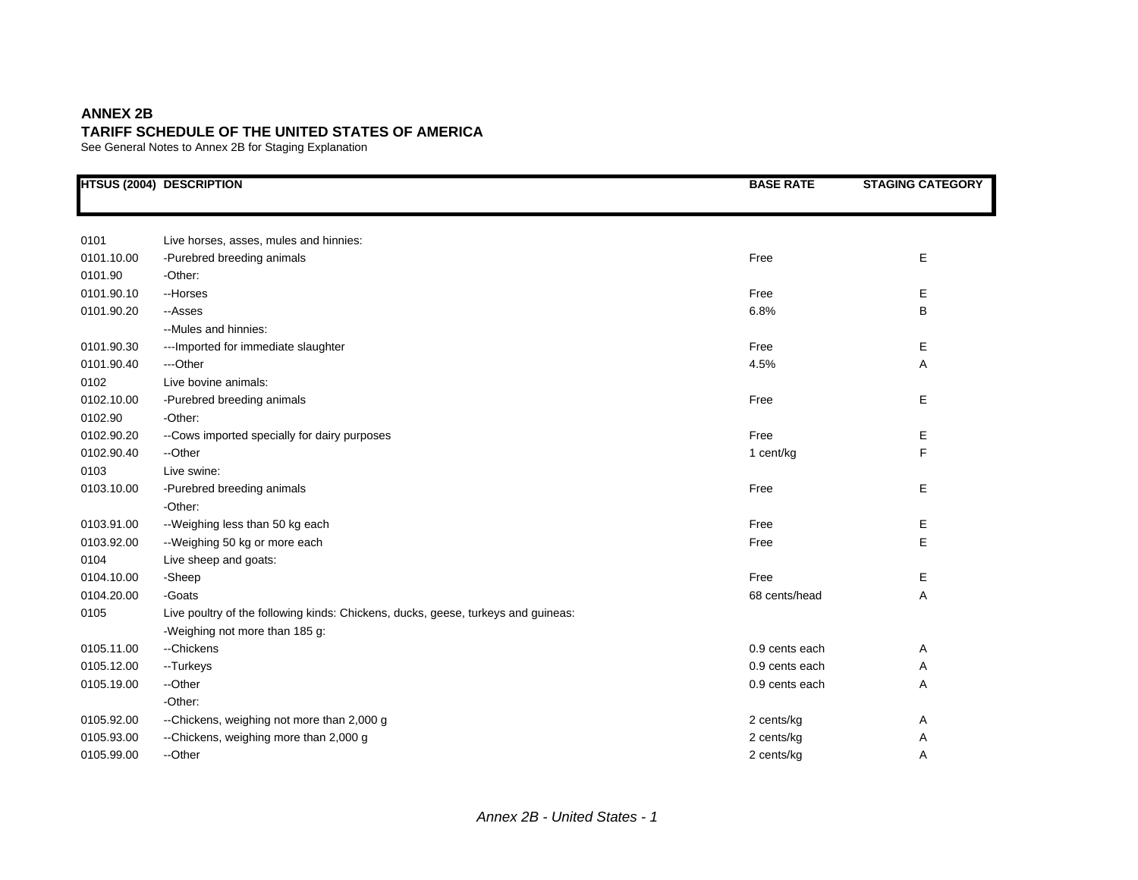## **ANNEX 2B TARIFF SCHEDULE OF THE UNITED STATES OF AMERICA**

See General Notes to Annex 2B for Staging Explanation

|            | <b>HTSUS (2004) DESCRIPTION</b>                                                   | <b>BASE RATE</b> | <b>STAGING CATEGORY</b> |
|------------|-----------------------------------------------------------------------------------|------------------|-------------------------|
|            |                                                                                   |                  |                         |
| 0101       | Live horses, asses, mules and hinnies:                                            |                  |                         |
| 0101.10.00 | -Purebred breeding animals                                                        | Free             | E                       |
| 0101.90    | -Other:                                                                           |                  |                         |
| 0101.90.10 | --Horses                                                                          | Free             | Е                       |
| 0101.90.20 | --Asses                                                                           | 6.8%             | В                       |
|            | --Mules and hinnies:                                                              |                  |                         |
| 0101.90.30 | --- Imported for immediate slaughter                                              | Free             | E                       |
| 0101.90.40 | ---Other                                                                          | 4.5%             | Α                       |
| 0102       | Live bovine animals:                                                              |                  |                         |
| 0102.10.00 | -Purebred breeding animals                                                        | Free             | E                       |
| 0102.90    | -Other:                                                                           |                  |                         |
| 0102.90.20 | --Cows imported specially for dairy purposes                                      | Free             | Е                       |
| 0102.90.40 | --Other                                                                           | 1 cent/kg        | F                       |
| 0103       | Live swine:                                                                       |                  |                         |
| 0103.10.00 | -Purebred breeding animals                                                        | Free             | Е                       |
|            | -Other:                                                                           |                  |                         |
| 0103.91.00 | -- Weighing less than 50 kg each                                                  | Free             | Е                       |
| 0103.92.00 | --Weighing 50 kg or more each                                                     | Free             | E                       |
| 0104       | Live sheep and goats:                                                             |                  |                         |
| 0104.10.00 | -Sheep                                                                            | Free             | Е                       |
| 0104.20.00 | -Goats                                                                            | 68 cents/head    | Α                       |
| 0105       | Live poultry of the following kinds: Chickens, ducks, geese, turkeys and guineas: |                  |                         |
|            | -Weighing not more than 185 g:                                                    |                  |                         |
| 0105.11.00 | --Chickens                                                                        | 0.9 cents each   | Α                       |
| 0105.12.00 | --Turkeys                                                                         | 0.9 cents each   | Α                       |
| 0105.19.00 | --Other                                                                           | 0.9 cents each   | Α                       |
|            | -Other:                                                                           |                  |                         |
| 0105.92.00 | --Chickens, weighing not more than 2,000 g                                        | 2 cents/kg       | Α                       |
| 0105.93.00 | --Chickens, weighing more than 2,000 g                                            | 2 cents/kg       | Α                       |
| 0105.99.00 | --Other                                                                           | 2 cents/kg       | Α                       |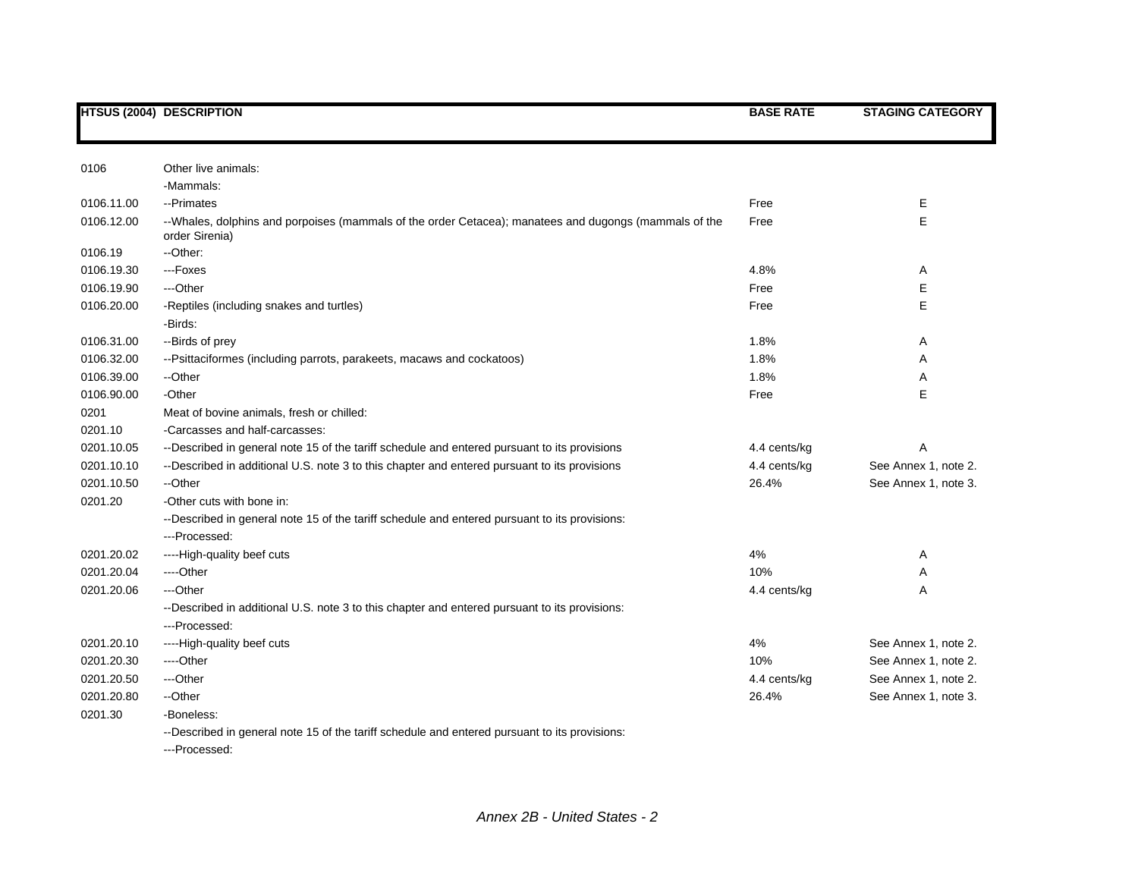|            | <b>HTSUS (2004) DESCRIPTION</b>                                                                                         | <b>BASE RATE</b> | <b>STAGING CATEGORY</b> |
|------------|-------------------------------------------------------------------------------------------------------------------------|------------------|-------------------------|
|            |                                                                                                                         |                  |                         |
| 0106       | Other live animals:                                                                                                     |                  |                         |
|            | -Mammals:                                                                                                               |                  |                         |
| 0106.11.00 | --Primates                                                                                                              | Free             | Е                       |
| 0106.12.00 | --Whales, dolphins and porpoises (mammals of the order Cetacea); manatees and dugongs (mammals of the<br>order Sirenia) | Free             | E                       |
| 0106.19    | --Other:                                                                                                                |                  |                         |
| 0106.19.30 | ---Foxes                                                                                                                | 4.8%             | A                       |
| 0106.19.90 | ---Other                                                                                                                | Free             | Ε                       |
| 0106.20.00 | -Reptiles (including snakes and turtles)                                                                                | Free             | Е                       |
|            | -Birds:                                                                                                                 |                  |                         |
| 0106.31.00 | --Birds of prey                                                                                                         | 1.8%             | A                       |
| 0106.32.00 | --Psittaciformes (including parrots, parakeets, macaws and cockatoos)                                                   | 1.8%             | Α                       |
| 0106.39.00 | --Other                                                                                                                 | 1.8%             | A                       |
| 0106.90.00 | -Other                                                                                                                  | Free             | Е                       |
| 0201       | Meat of bovine animals, fresh or chilled:                                                                               |                  |                         |
| 0201.10    | -Carcasses and half-carcasses:                                                                                          |                  |                         |
| 0201.10.05 | --Described in general note 15 of the tariff schedule and entered pursuant to its provisions                            | 4.4 cents/kg     | Α                       |
| 0201.10.10 | --Described in additional U.S. note 3 to this chapter and entered pursuant to its provisions                            | 4.4 cents/kg     | See Annex 1, note 2.    |
| 0201.10.50 | --Other                                                                                                                 | 26.4%            | See Annex 1, note 3.    |
| 0201.20    | -Other cuts with bone in:                                                                                               |                  |                         |
|            | --Described in general note 15 of the tariff schedule and entered pursuant to its provisions:                           |                  |                         |
|            | ---Processed:                                                                                                           |                  |                         |
| 0201.20.02 | ----High-quality beef cuts                                                                                              | 4%               | Α                       |
| 0201.20.04 | ----Other                                                                                                               | 10%              | Α                       |
| 0201.20.06 | ---Other                                                                                                                | 4.4 cents/kg     | A                       |
|            | --Described in additional U.S. note 3 to this chapter and entered pursuant to its provisions:                           |                  |                         |
|            | ---Processed:                                                                                                           |                  |                         |
| 0201.20.10 | ----High-quality beef cuts                                                                                              | 4%               | See Annex 1, note 2.    |
| 0201.20.30 | ---Other                                                                                                                | 10%              | See Annex 1, note 2.    |
| 0201.20.50 | ---Other                                                                                                                | 4.4 cents/kg     | See Annex 1, note 2.    |
| 0201.20.80 | --Other                                                                                                                 | 26.4%            | See Annex 1, note 3.    |
| 0201.30    | -Boneless:                                                                                                              |                  |                         |
|            | --Described in general note 15 of the tariff schedule and entered pursuant to its provisions:<br>---Processed:          |                  |                         |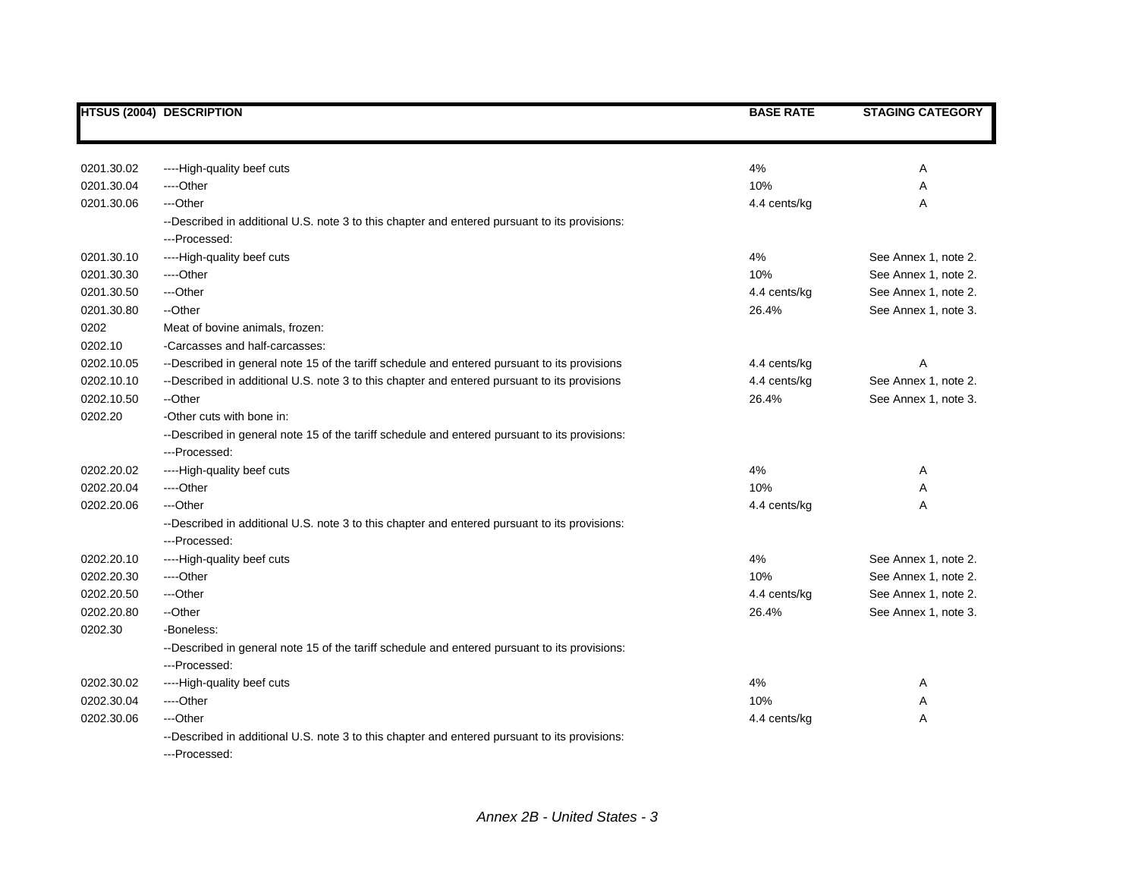|            | <b>HTSUS (2004) DESCRIPTION</b>                                                                                | <b>BASE RATE</b> | <b>STAGING CATEGORY</b> |
|------------|----------------------------------------------------------------------------------------------------------------|------------------|-------------------------|
|            |                                                                                                                |                  |                         |
| 0201.30.02 | ----High-quality beef cuts                                                                                     | 4%               | Α                       |
| 0201.30.04 | ---Other                                                                                                       | 10%              | Α                       |
| 0201.30.06 | ---Other                                                                                                       | 4.4 cents/kg     | Α                       |
|            | --Described in additional U.S. note 3 to this chapter and entered pursuant to its provisions:<br>---Processed: |                  |                         |
| 0201.30.10 | ----High-quality beef cuts                                                                                     | 4%               | See Annex 1, note 2.    |
| 0201.30.30 | ----Other                                                                                                      | 10%              | See Annex 1, note 2.    |
| 0201.30.50 | ---Other                                                                                                       | 4.4 cents/kg     | See Annex 1, note 2.    |
| 0201.30.80 | --Other                                                                                                        | 26.4%            | See Annex 1, note 3.    |
| 0202       | Meat of bovine animals, frozen:                                                                                |                  |                         |
| 0202.10    | -Carcasses and half-carcasses:                                                                                 |                  |                         |
| 0202.10.05 | --Described in general note 15 of the tariff schedule and entered pursuant to its provisions                   | 4.4 cents/kg     | Α                       |
| 0202.10.10 | --Described in additional U.S. note 3 to this chapter and entered pursuant to its provisions                   | 4.4 cents/kg     | See Annex 1, note 2.    |
| 0202.10.50 | --Other                                                                                                        | 26.4%            | See Annex 1, note 3.    |
| 0202.20    | -Other cuts with bone in:                                                                                      |                  |                         |
|            | --Described in general note 15 of the tariff schedule and entered pursuant to its provisions:                  |                  |                         |
|            | ---Processed:                                                                                                  |                  |                         |
| 0202.20.02 | ----High-quality beef cuts                                                                                     | 4%               | Α                       |
| 0202.20.04 | ----Other                                                                                                      | 10%              | Α                       |
| 0202.20.06 | ---Other                                                                                                       | 4.4 cents/kg     | Α                       |
|            | --Described in additional U.S. note 3 to this chapter and entered pursuant to its provisions:                  |                  |                         |
|            | ---Processed:                                                                                                  |                  |                         |
| 0202.20.10 | ----High-quality beef cuts                                                                                     | 4%               | See Annex 1, note 2.    |
| 0202.20.30 | ----Other                                                                                                      | 10%              | See Annex 1, note 2.    |
| 0202.20.50 | ---Other                                                                                                       | 4.4 cents/kg     | See Annex 1, note 2.    |
| 0202.20.80 | --Other                                                                                                        | 26.4%            | See Annex 1, note 3.    |
| 0202.30    | -Boneless:                                                                                                     |                  |                         |
|            | --Described in general note 15 of the tariff schedule and entered pursuant to its provisions:                  |                  |                         |
|            | ---Processed:                                                                                                  |                  |                         |
| 0202.30.02 | ----High-quality beef cuts                                                                                     | 4%               | Α                       |
| 0202.30.04 | ----Other                                                                                                      | 10%              | Α                       |
| 0202.30.06 | ---Other                                                                                                       | 4.4 cents/kg     | Α                       |
|            | --Described in additional U.S. note 3 to this chapter and entered pursuant to its provisions:<br>---Processed: |                  |                         |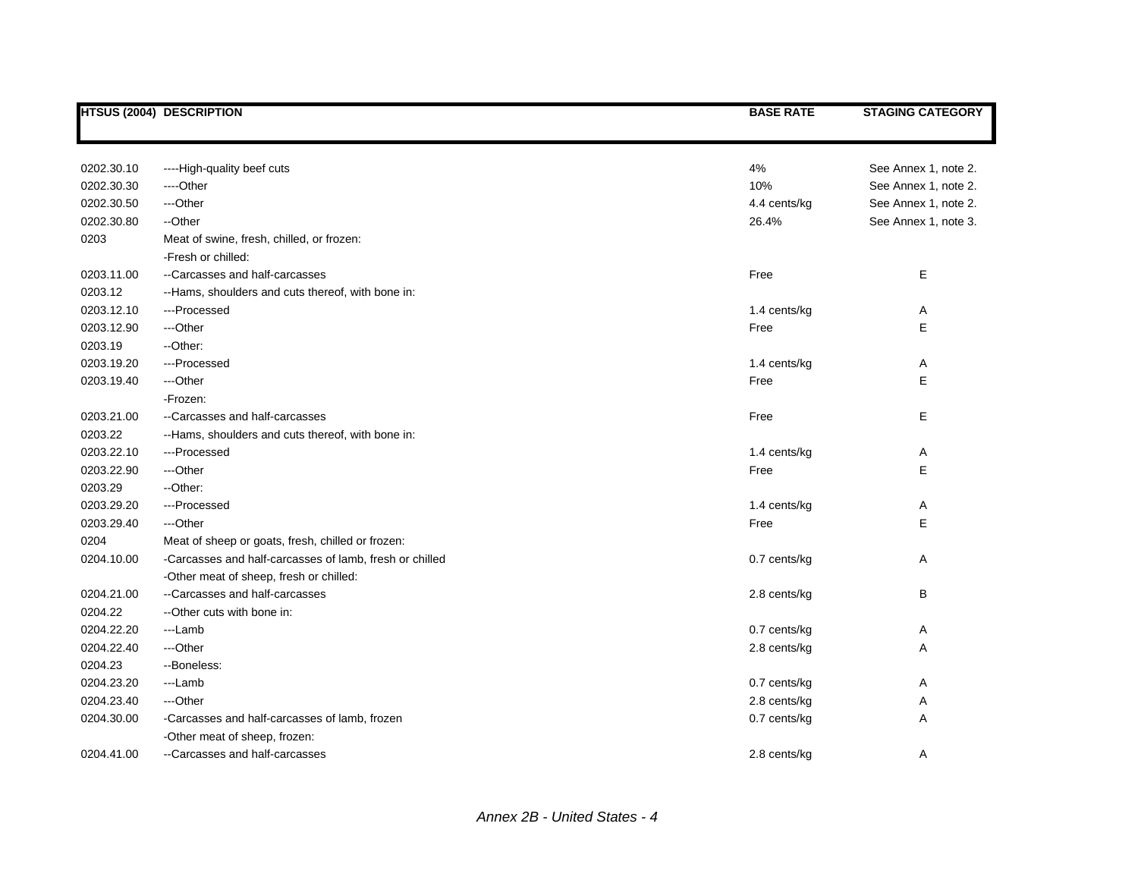|            | <b>HTSUS (2004) DESCRIPTION</b>                         | <b>BASE RATE</b> | <b>STAGING CATEGORY</b> |
|------------|---------------------------------------------------------|------------------|-------------------------|
|            |                                                         |                  |                         |
| 0202.30.10 | ----High-quality beef cuts                              | 4%               | See Annex 1, note 2.    |
| 0202.30.30 | ----Other                                               | 10%              | See Annex 1, note 2.    |
| 0202.30.50 | ---Other                                                | 4.4 cents/kg     | See Annex 1, note 2.    |
| 0202.30.80 | --Other                                                 | 26.4%            | See Annex 1, note 3.    |
| 0203       | Meat of swine, fresh, chilled, or frozen:               |                  |                         |
|            | -Fresh or chilled:                                      |                  |                         |
| 0203.11.00 | --Carcasses and half-carcasses                          | Free             | Е                       |
| 0203.12    | --Hams, shoulders and cuts thereof, with bone in:       |                  |                         |
| 0203.12.10 | ---Processed                                            | 1.4 cents/kg     | Α                       |
| 0203.12.90 | ---Other                                                | Free             | E                       |
| 0203.19    | --Other:                                                |                  |                         |
| 0203.19.20 | ---Processed                                            | 1.4 cents/kg     | Α                       |
| 0203.19.40 | ---Other                                                | Free             | E                       |
|            | -Frozen:                                                |                  |                         |
| 0203.21.00 | --Carcasses and half-carcasses                          | Free             | E                       |
| 0203.22    | --Hams, shoulders and cuts thereof, with bone in:       |                  |                         |
| 0203.22.10 | ---Processed                                            | 1.4 cents/kg     | Α                       |
| 0203.22.90 | ---Other                                                | Free             | E                       |
| 0203.29    | --Other:                                                |                  |                         |
| 0203.29.20 | ---Processed                                            | 1.4 cents/kg     | Α                       |
| 0203.29.40 | ---Other                                                | Free             | E                       |
| 0204       | Meat of sheep or goats, fresh, chilled or frozen:       |                  |                         |
| 0204.10.00 | -Carcasses and half-carcasses of lamb, fresh or chilled | 0.7 cents/kg     | Α                       |
|            | -Other meat of sheep, fresh or chilled:                 |                  |                         |
| 0204.21.00 | --Carcasses and half-carcasses                          | 2.8 cents/kg     | В                       |
| 0204.22    | --Other cuts with bone in:                              |                  |                         |
| 0204.22.20 | ---Lamb                                                 | 0.7 cents/kg     | A                       |
| 0204.22.40 | ---Other                                                | 2.8 cents/kg     | Α                       |
| 0204.23    | --Boneless:                                             |                  |                         |
| 0204.23.20 | ---Lamb                                                 | 0.7 cents/kg     | Α                       |
| 0204.23.40 | ---Other                                                | 2.8 cents/kg     | Α                       |
| 0204.30.00 | -Carcasses and half-carcasses of lamb, frozen           | 0.7 cents/kg     | Α                       |
|            | -Other meat of sheep, frozen:                           |                  |                         |
| 0204.41.00 | --Carcasses and half-carcasses                          | 2.8 cents/kg     | A                       |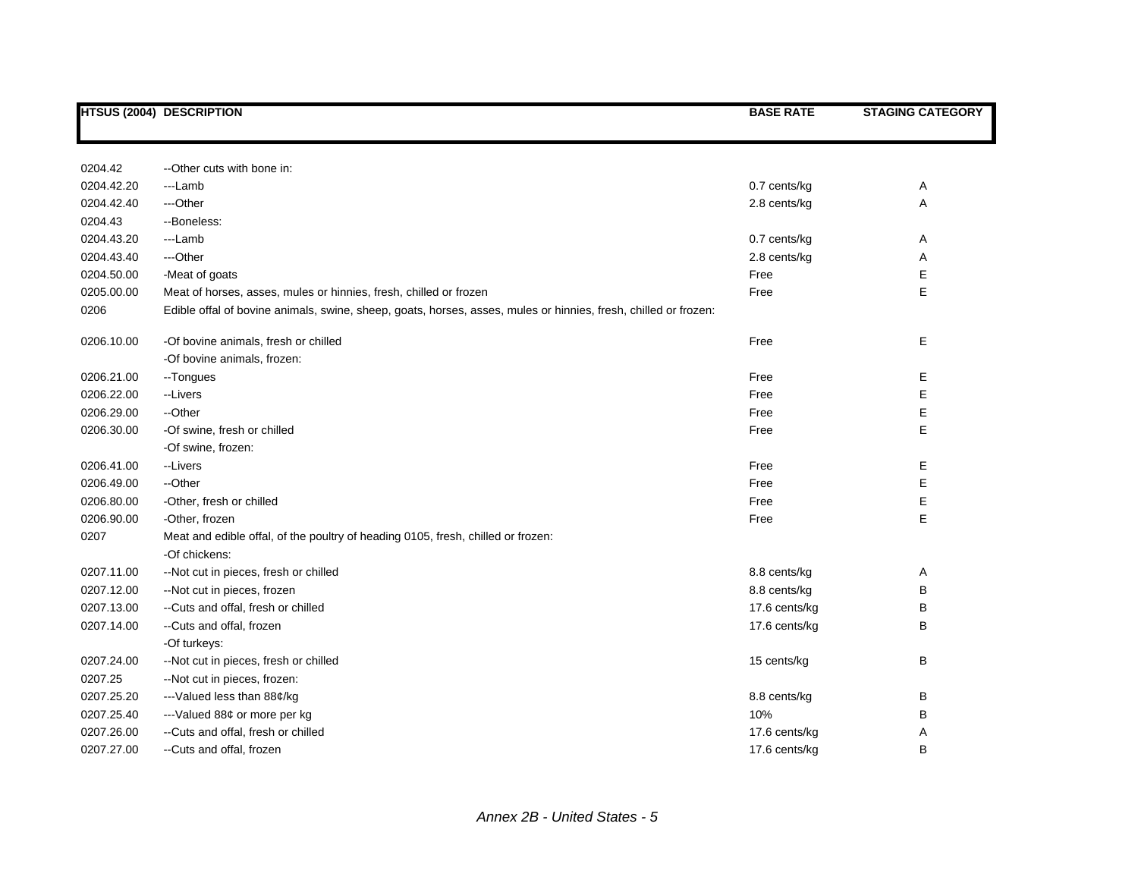|            | <b>HTSUS (2004) DESCRIPTION</b>                                                                                 | <b>BASE RATE</b> | <b>STAGING CATEGORY</b> |
|------------|-----------------------------------------------------------------------------------------------------------------|------------------|-------------------------|
|            |                                                                                                                 |                  |                         |
|            |                                                                                                                 |                  |                         |
| 0204.42    | --Other cuts with bone in:                                                                                      |                  |                         |
| 0204.42.20 | ---Lamb                                                                                                         | 0.7 cents/kg     | A                       |
| 0204.42.40 | ---Other                                                                                                        | 2.8 cents/kg     | Α                       |
| 0204.43    | --Boneless:                                                                                                     |                  |                         |
| 0204.43.20 | ---Lamb                                                                                                         | 0.7 cents/kg     | A                       |
| 0204.43.40 | ---Other                                                                                                        | 2.8 cents/kg     | Α                       |
| 0204.50.00 | -Meat of goats                                                                                                  | Free             | Е                       |
| 0205.00.00 | Meat of horses, asses, mules or hinnies, fresh, chilled or frozen                                               | Free             | E                       |
| 0206       | Edible offal of bovine animals, swine, sheep, goats, horses, asses, mules or hinnies, fresh, chilled or frozen: |                  |                         |
| 0206.10.00 | -Of bovine animals, fresh or chilled                                                                            | Free             | Е                       |
|            | -Of bovine animals, frozen:                                                                                     |                  |                         |
| 0206.21.00 | --Tongues                                                                                                       | Free             | Ε                       |
| 0206.22.00 | --Livers                                                                                                        | Free             | E                       |
| 0206.29.00 | --Other                                                                                                         | Free             | Ε                       |
| 0206.30.00 | -Of swine, fresh or chilled                                                                                     | Free             | Ε                       |
|            | -Of swine, frozen:                                                                                              |                  |                         |
| 0206.41.00 | --Livers                                                                                                        | Free             | Ε                       |
| 0206.49.00 | --Other                                                                                                         | Free             | Ε                       |
| 0206.80.00 | -Other, fresh or chilled                                                                                        | Free             | Ε                       |
| 0206.90.00 | -Other, frozen                                                                                                  | Free             | E                       |
| 0207       | Meat and edible offal, of the poultry of heading 0105, fresh, chilled or frozen:                                |                  |                         |
|            | -Of chickens:                                                                                                   |                  |                         |
| 0207.11.00 | --Not cut in pieces, fresh or chilled                                                                           | 8.8 cents/kg     | Α                       |
| 0207.12.00 | --Not cut in pieces, frozen                                                                                     | 8.8 cents/kg     | B                       |
| 0207.13.00 | --Cuts and offal, fresh or chilled                                                                              | 17.6 cents/kg    | В                       |
| 0207.14.00 | --Cuts and offal, frozen                                                                                        | 17.6 cents/kg    | B                       |
|            | -Of turkeys:                                                                                                    |                  |                         |
| 0207.24.00 | --Not cut in pieces, fresh or chilled                                                                           | 15 cents/kg      | B                       |
| 0207.25    | --Not cut in pieces, frozen:                                                                                    |                  |                         |
| 0207.25.20 | --- Valued less than 88¢/kg                                                                                     | 8.8 cents/kg     | B                       |
| 0207.25.40 | --- Valued 88¢ or more per kg                                                                                   | 10%              | B                       |
| 0207.26.00 | --Cuts and offal, fresh or chilled                                                                              | 17.6 cents/kg    | Α                       |
| 0207.27.00 | --Cuts and offal, frozen                                                                                        | 17.6 cents/kg    | B                       |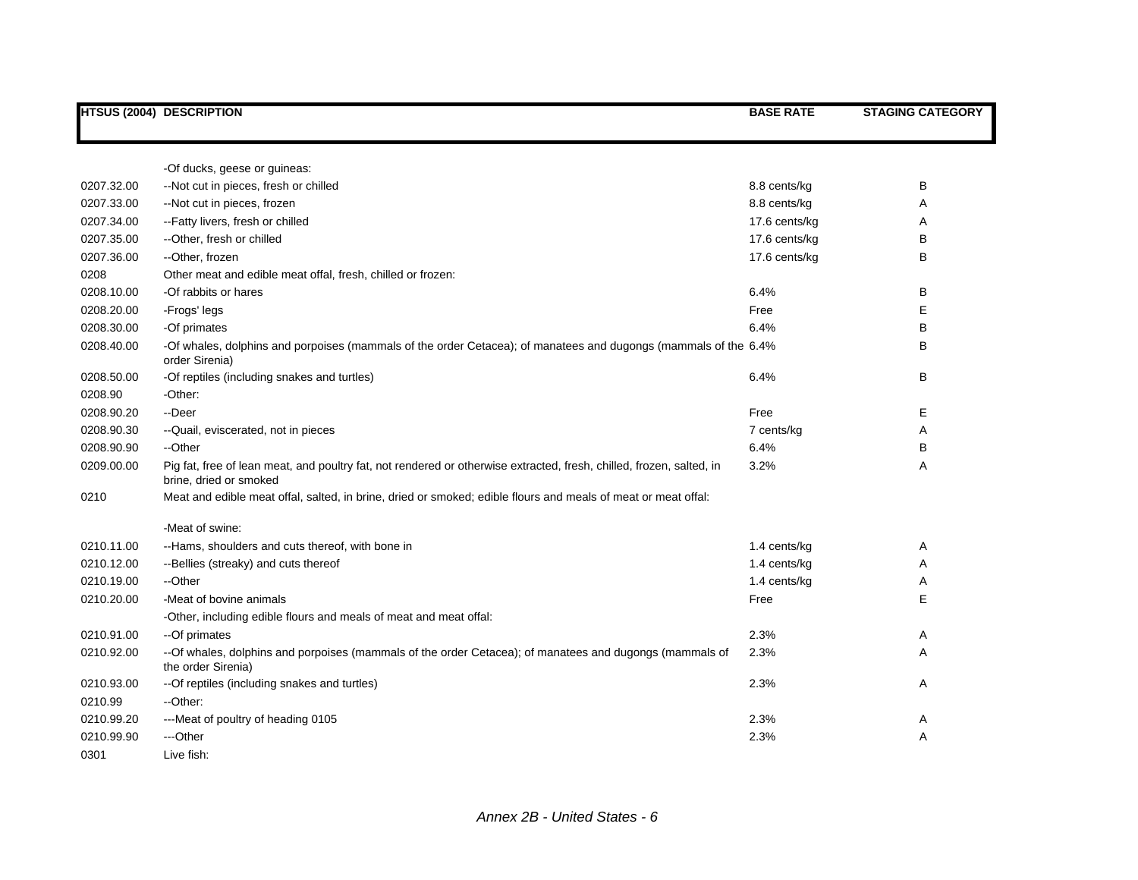|            | <b>HTSUS (2004) DESCRIPTION</b>                                                                                                                | <b>BASE RATE</b> | <b>STAGING CATEGORY</b> |
|------------|------------------------------------------------------------------------------------------------------------------------------------------------|------------------|-------------------------|
|            |                                                                                                                                                |                  |                         |
|            | -Of ducks, geese or guineas:                                                                                                                   |                  |                         |
| 0207.32.00 | --Not cut in pieces, fresh or chilled                                                                                                          | 8.8 cents/kg     | B                       |
| 0207.33.00 | --Not cut in pieces, frozen                                                                                                                    | 8.8 cents/kg     | A                       |
| 0207.34.00 | --Fatty livers, fresh or chilled                                                                                                               | 17.6 cents/kg    | Α                       |
| 0207.35.00 | --Other, fresh or chilled                                                                                                                      | 17.6 cents/kg    | B                       |
| 0207.36.00 | --Other, frozen                                                                                                                                | 17.6 cents/kg    | B                       |
| 0208       | Other meat and edible meat offal, fresh, chilled or frozen:                                                                                    |                  |                         |
| 0208.10.00 | -Of rabbits or hares                                                                                                                           | 6.4%             | B                       |
| 0208.20.00 | -Frogs' legs                                                                                                                                   | Free             | Е                       |
| 0208.30.00 | -Of primates                                                                                                                                   | 6.4%             | B                       |
| 0208.40.00 | -Of whales, dolphins and porpoises (mammals of the order Cetacea); of manatees and dugongs (mammals of the 6.4%<br>order Sirenia)              |                  | B                       |
| 0208.50.00 | -Of reptiles (including snakes and turtles)                                                                                                    | 6.4%             | B                       |
| 0208.90    | -Other:                                                                                                                                        |                  |                         |
| 0208.90.20 | --Deer                                                                                                                                         | Free             | Е                       |
| 0208.90.30 | -- Quail, eviscerated, not in pieces                                                                                                           | 7 cents/kg       | A                       |
| 0208.90.90 | --Other                                                                                                                                        | 6.4%             | B                       |
| 0209.00.00 | Pig fat, free of lean meat, and poultry fat, not rendered or otherwise extracted, fresh, chilled, frozen, salted, in<br>brine, dried or smoked | 3.2%             | Α                       |
| 0210       | Meat and edible meat offal, salted, in brine, dried or smoked; edible flours and meals of meat or meat offal:                                  |                  |                         |
|            | -Meat of swine:                                                                                                                                |                  |                         |
| 0210.11.00 | --Hams, shoulders and cuts thereof, with bone in                                                                                               | 1.4 cents/kg     | Α                       |
| 0210.12.00 | --Bellies (streaky) and cuts thereof                                                                                                           | 1.4 cents/kg     | A                       |
| 0210.19.00 | --Other                                                                                                                                        | 1.4 cents/kg     | Α                       |
| 0210.20.00 | -Meat of bovine animals                                                                                                                        | Free             | E                       |
|            | -Other, including edible flours and meals of meat and meat offal:                                                                              |                  |                         |
| 0210.91.00 | --Of primates                                                                                                                                  | 2.3%             | Α                       |
| 0210.92.00 | --Of whales, dolphins and porpoises (mammals of the order Cetacea); of manatees and dugongs (mammals of<br>the order Sirenia)                  | 2.3%             | A                       |
| 0210.93.00 | -- Of reptiles (including snakes and turtles)                                                                                                  | 2.3%             | A                       |
| 0210.99    | -- Other:                                                                                                                                      |                  |                         |
| 0210.99.20 | ---Meat of poultry of heading 0105                                                                                                             | 2.3%             | Α                       |
| 0210.99.90 | ---Other                                                                                                                                       | 2.3%             | Α                       |
| 0301       | Live fish:                                                                                                                                     |                  |                         |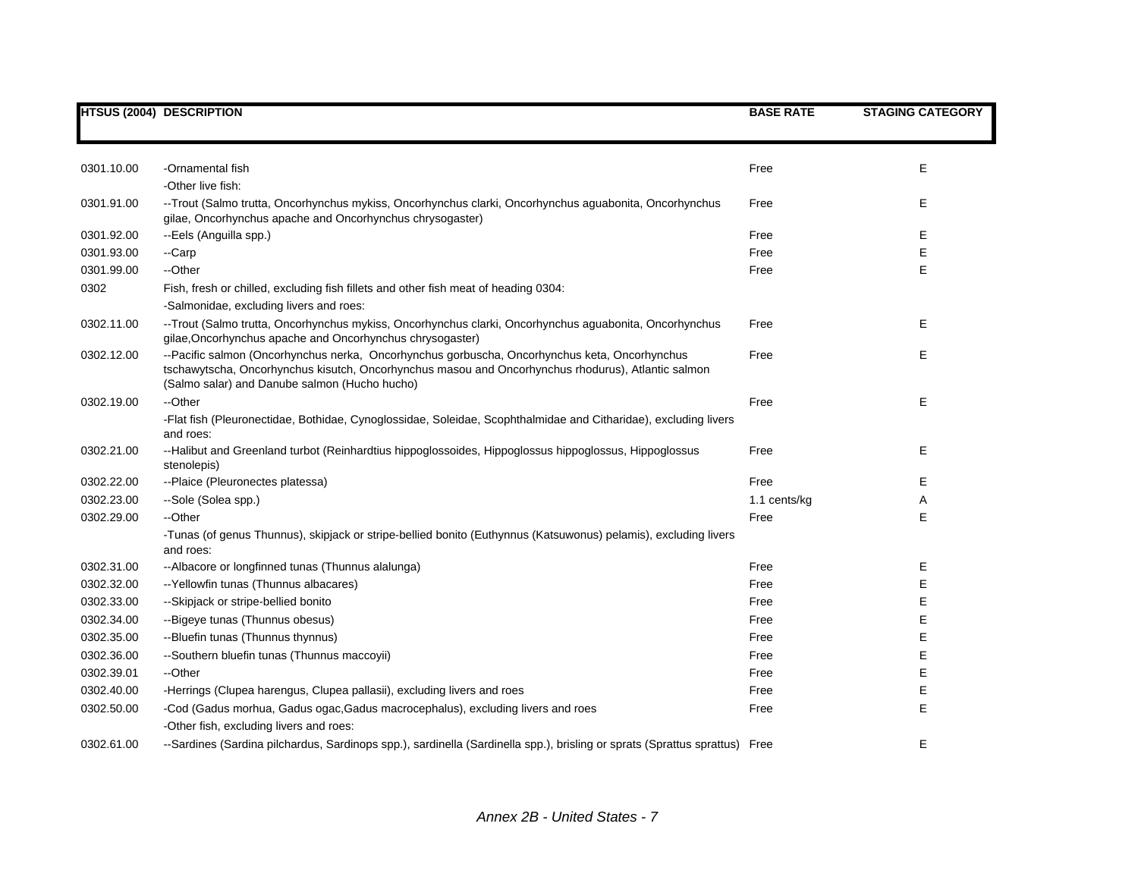|            | <b>HTSUS (2004) DESCRIPTION</b>                                                                                                                                                                                                                      | <b>BASE RATE</b> | <b>STAGING CATEGORY</b> |
|------------|------------------------------------------------------------------------------------------------------------------------------------------------------------------------------------------------------------------------------------------------------|------------------|-------------------------|
|            |                                                                                                                                                                                                                                                      |                  |                         |
|            |                                                                                                                                                                                                                                                      |                  |                         |
| 0301.10.00 | -Ornamental fish                                                                                                                                                                                                                                     | Free             | Е                       |
|            | -Other live fish:                                                                                                                                                                                                                                    |                  |                         |
| 0301.91.00 | --Trout (Salmo trutta, Oncorhynchus mykiss, Oncorhynchus clarki, Oncorhynchus aguabonita, Oncorhynchus                                                                                                                                               | Free             | Е                       |
|            | gilae, Oncorhynchus apache and Oncorhynchus chrysogaster)                                                                                                                                                                                            |                  |                         |
| 0301.92.00 | --Eels (Anguilla spp.)                                                                                                                                                                                                                               | Free             | Е                       |
| 0301.93.00 | --Carp                                                                                                                                                                                                                                               | Free             | E                       |
| 0301.99.00 | --Other                                                                                                                                                                                                                                              | Free             | E                       |
| 0302       | Fish, fresh or chilled, excluding fish fillets and other fish meat of heading 0304:                                                                                                                                                                  |                  |                         |
|            | -Salmonidae, excluding livers and roes:                                                                                                                                                                                                              |                  |                         |
| 0302.11.00 | --Trout (Salmo trutta, Oncorhynchus mykiss, Oncorhynchus clarki, Oncorhynchus aguabonita, Oncorhynchus<br>gilae, Oncorhynchus apache and Oncorhynchus chrysogaster)                                                                                  | Free             | Е                       |
| 0302.12.00 | --Pacific salmon (Oncorhynchus nerka, Oncorhynchus gorbuscha, Oncorhynchus keta, Oncorhynchus<br>tschawytscha, Oncorhynchus kisutch, Oncorhynchus masou and Oncorhynchus rhodurus), Atlantic salmon<br>(Salmo salar) and Danube salmon (Hucho hucho) | Free             | Е                       |
| 0302.19.00 | --Other                                                                                                                                                                                                                                              | Free             | E                       |
|            | -Flat fish (Pleuronectidae, Bothidae, Cynoglossidae, Soleidae, Scophthalmidae and Citharidae), excluding livers<br>and roes:                                                                                                                         |                  |                         |
| 0302.21.00 | --Halibut and Greenland turbot (Reinhardtius hippoglossoides, Hippoglossus hippoglossus, Hippoglossus<br>stenolepis)                                                                                                                                 | Free             | Е                       |
| 0302.22.00 | --Plaice (Pleuronectes platessa)                                                                                                                                                                                                                     | Free             | Е                       |
| 0302.23.00 | --Sole (Solea spp.)                                                                                                                                                                                                                                  | 1.1 cents/kg     | Α                       |
| 0302.29.00 | --Other                                                                                                                                                                                                                                              | Free             | Е                       |
|            | -Tunas (of genus Thunnus), skipjack or stripe-bellied bonito (Euthynnus (Katsuwonus) pelamis), excluding livers<br>and roes:                                                                                                                         |                  |                         |
| 0302.31.00 | --Albacore or longfinned tunas (Thunnus alalunga)                                                                                                                                                                                                    | Free             | Е                       |
| 0302.32.00 | -- Yellowfin tunas (Thunnus albacares)                                                                                                                                                                                                               | Free             | E                       |
| 0302.33.00 | --Skipjack or stripe-bellied bonito                                                                                                                                                                                                                  | Free             | E                       |
| 0302.34.00 | --Bigeye tunas (Thunnus obesus)                                                                                                                                                                                                                      | Free             | Е                       |
| 0302.35.00 | --Bluefin tunas (Thunnus thynnus)                                                                                                                                                                                                                    | Free             | Е                       |
| 0302.36.00 | --Southern bluefin tunas (Thunnus maccoyii)                                                                                                                                                                                                          | Free             | Е                       |
| 0302.39.01 | --Other                                                                                                                                                                                                                                              | Free             | Е                       |
| 0302.40.00 | -Herrings (Clupea harengus, Clupea pallasii), excluding livers and roes                                                                                                                                                                              | Free             | E                       |
| 0302.50.00 | -Cod (Gadus morhua, Gadus ogac, Gadus macrocephalus), excluding livers and roes                                                                                                                                                                      | Free             | E                       |
|            | -Other fish, excluding livers and roes:                                                                                                                                                                                                              |                  |                         |
| 0302.61.00 | --Sardines (Sardina pilchardus, Sardinops spp.), sardinella (Sardinella spp.), brisling or sprats (Sprattus sprattus) Free                                                                                                                           |                  | E                       |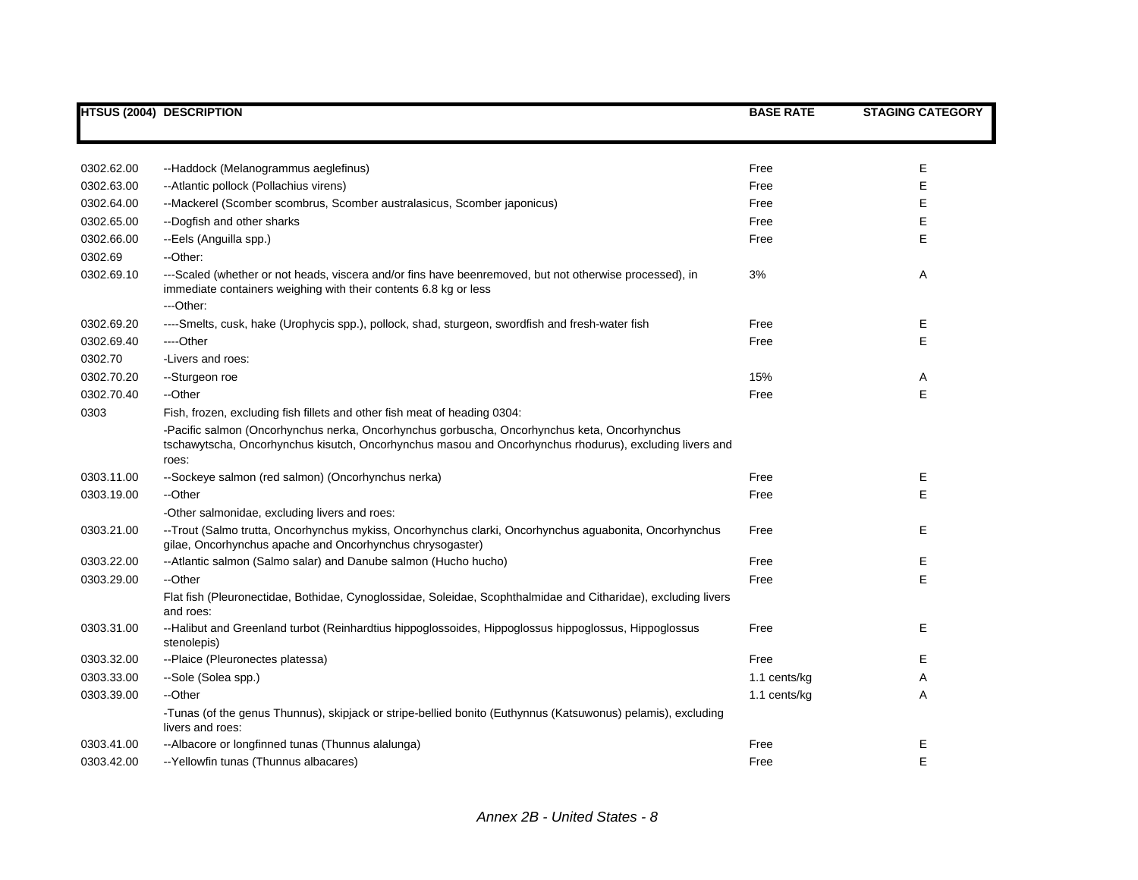|            | <b>HTSUS (2004) DESCRIPTION</b>                                                                                                                                                                                  | <b>BASE RATE</b> | <b>STAGING CATEGORY</b> |
|------------|------------------------------------------------------------------------------------------------------------------------------------------------------------------------------------------------------------------|------------------|-------------------------|
|            |                                                                                                                                                                                                                  |                  |                         |
| 0302.62.00 | --Haddock (Melanogrammus aeglefinus)                                                                                                                                                                             | Free             | Е                       |
| 0302.63.00 | --Atlantic pollock (Pollachius virens)                                                                                                                                                                           | Free             | E                       |
| 0302.64.00 | --Mackerel (Scomber scombrus, Scomber australasicus, Scomber japonicus)                                                                                                                                          | Free             | Е                       |
| 0302.65.00 | --Dogfish and other sharks                                                                                                                                                                                       | Free             | Е                       |
| 0302.66.00 | --Eels (Anguilla spp.)                                                                                                                                                                                           | Free             | E                       |
| 0302.69    | --Other:                                                                                                                                                                                                         |                  |                         |
| 0302.69.10 | ---Scaled (whether or not heads, viscera and/or fins have beenremoved, but not otherwise processed), in<br>immediate containers weighing with their contents 6.8 kg or less<br>---Other:                         | 3%               | Α                       |
| 0302.69.20 | ----Smelts, cusk, hake (Urophycis spp.), pollock, shad, sturgeon, swordfish and fresh-water fish                                                                                                                 | Free             | Е                       |
| 0302.69.40 | ----Other                                                                                                                                                                                                        | Free             | E                       |
| 0302.70    | -Livers and roes:                                                                                                                                                                                                |                  |                         |
| 0302.70.20 | --Sturgeon roe                                                                                                                                                                                                   | 15%              | Α                       |
| 0302.70.40 | --Other                                                                                                                                                                                                          | Free             | E                       |
| 0303       | Fish, frozen, excluding fish fillets and other fish meat of heading 0304:                                                                                                                                        |                  |                         |
|            | -Pacific salmon (Oncorhynchus nerka, Oncorhynchus gorbuscha, Oncorhynchus keta, Oncorhynchus<br>tschawytscha, Oncorhynchus kisutch, Oncorhynchus masou and Oncorhynchus rhodurus), excluding livers and<br>roes: |                  |                         |
| 0303.11.00 | --Sockeye salmon (red salmon) (Oncorhynchus nerka)                                                                                                                                                               | Free             | Ε                       |
| 0303.19.00 | --Other                                                                                                                                                                                                          | Free             | E                       |
|            | -Other salmonidae, excluding livers and roes:                                                                                                                                                                    |                  |                         |
| 0303.21.00 | --Trout (Salmo trutta, Oncorhynchus mykiss, Oncorhynchus clarki, Oncorhynchus aguabonita, Oncorhynchus<br>gilae, Oncorhynchus apache and Oncorhynchus chrysogaster)                                              | Free             | E                       |
| 0303.22.00 | --Atlantic salmon (Salmo salar) and Danube salmon (Hucho hucho)                                                                                                                                                  | Free             | Е                       |
| 0303.29.00 | --Other                                                                                                                                                                                                          | Free             | E                       |
|            | Flat fish (Pleuronectidae, Bothidae, Cynoglossidae, Soleidae, Scophthalmidae and Citharidae), excluding livers<br>and roes:                                                                                      |                  |                         |
| 0303.31.00 | --Halibut and Greenland turbot (Reinhardtius hippoglossoides, Hippoglossus hippoglossus, Hippoglossus<br>stenolepis)                                                                                             | Free             | E                       |
| 0303.32.00 | --Plaice (Pleuronectes platessa)                                                                                                                                                                                 | Free             | Е                       |
| 0303.33.00 | --Sole (Solea spp.)                                                                                                                                                                                              | 1.1 cents/kg     | Α                       |
| 0303.39.00 | --Other                                                                                                                                                                                                          | 1.1 cents/kg     | A                       |
|            | -Tunas (of the genus Thunnus), skipjack or stripe-bellied bonito (Euthynnus (Katsuwonus) pelamis), excluding<br>livers and roes:                                                                                 |                  |                         |
| 0303.41.00 | --Albacore or longfinned tunas (Thunnus alalunga)                                                                                                                                                                | Free             | Е                       |
| 0303.42.00 | -- Yellowfin tunas (Thunnus albacares)                                                                                                                                                                           | Free             | E                       |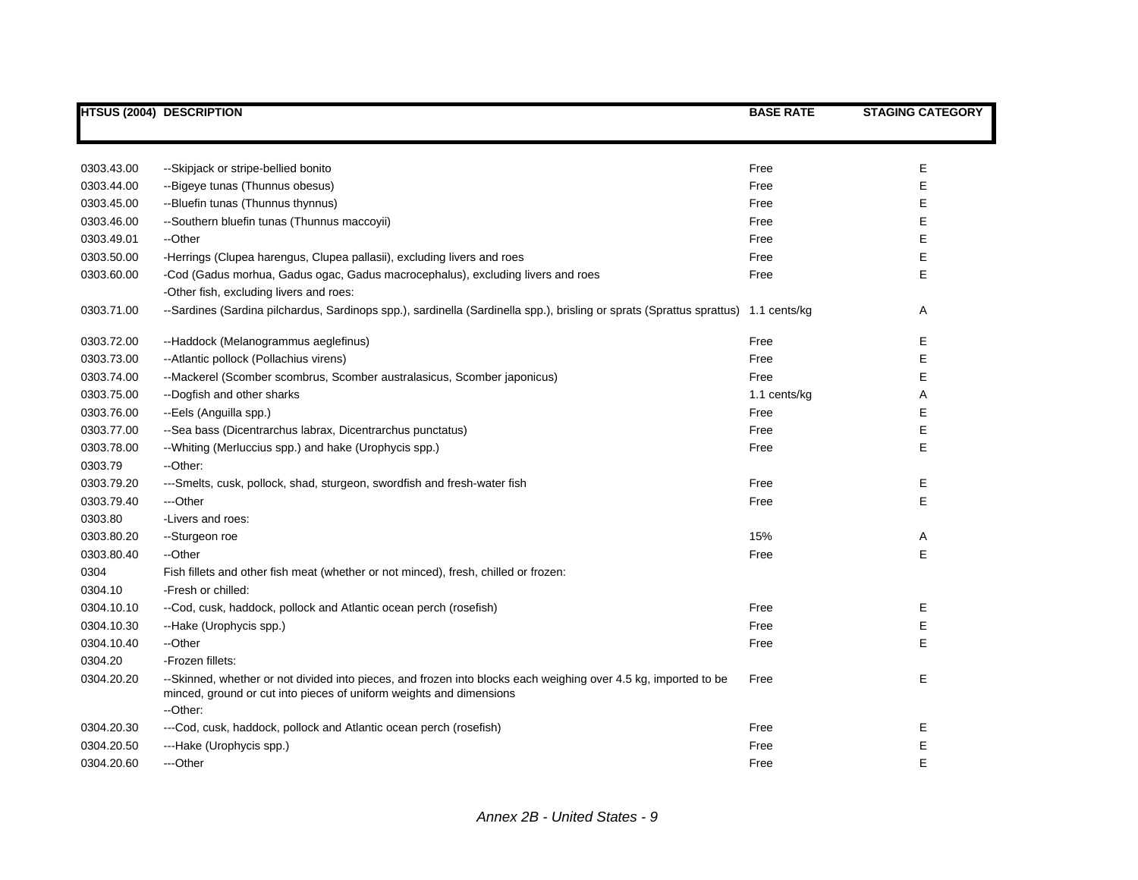|            | <b>HTSUS (2004) DESCRIPTION</b>                                                                                                                                                                    | <b>BASE RATE</b> | <b>STAGING CATEGORY</b> |
|------------|----------------------------------------------------------------------------------------------------------------------------------------------------------------------------------------------------|------------------|-------------------------|
|            |                                                                                                                                                                                                    |                  |                         |
| 0303.43.00 | --Skipjack or stripe-bellied bonito                                                                                                                                                                | Free             | Е                       |
| 0303.44.00 | --Bigeye tunas (Thunnus obesus)                                                                                                                                                                    | Free             | Е                       |
| 0303.45.00 | --Bluefin tunas (Thunnus thynnus)                                                                                                                                                                  | Free             | Е                       |
| 0303.46.00 | --Southern bluefin tunas (Thunnus maccoyii)                                                                                                                                                        | Free             | Е                       |
| 0303.49.01 | --Other                                                                                                                                                                                            | Free             | E                       |
| 0303.50.00 | -Herrings (Clupea harengus, Clupea pallasii), excluding livers and roes                                                                                                                            | Free             | Е                       |
| 0303.60.00 | -Cod (Gadus morhua, Gadus ogac, Gadus macrocephalus), excluding livers and roes                                                                                                                    | Free             | E                       |
|            | -Other fish, excluding livers and roes:                                                                                                                                                            |                  |                         |
| 0303.71.00 | --Sardines (Sardina pilchardus, Sardinops spp.), sardinella (Sardinella spp.), brisling or sprats (Sprattus sprattus) 1.1 cents/kg                                                                 |                  | Α                       |
| 0303.72.00 | --Haddock (Melanogrammus aeglefinus)                                                                                                                                                               | Free             | Е                       |
| 0303.73.00 | --Atlantic pollock (Pollachius virens)                                                                                                                                                             | Free             | E                       |
| 0303.74.00 | --Mackerel (Scomber scombrus, Scomber australasicus, Scomber japonicus)                                                                                                                            | Free             | E                       |
| 0303.75.00 | --Dogfish and other sharks                                                                                                                                                                         | 1.1 cents/kg     | Α                       |
| 0303.76.00 | --Eels (Anguilla spp.)                                                                                                                                                                             | Free             | Е                       |
| 0303.77.00 | --Sea bass (Dicentrarchus labrax, Dicentrarchus punctatus)                                                                                                                                         | Free             | E                       |
| 0303.78.00 | --Whiting (Merluccius spp.) and hake (Urophycis spp.)                                                                                                                                              | Free             | E                       |
| 0303.79    | --Other:                                                                                                                                                                                           |                  |                         |
| 0303.79.20 | ---Smelts, cusk, pollock, shad, sturgeon, swordfish and fresh-water fish                                                                                                                           | Free             | E                       |
| 0303.79.40 | ---Other                                                                                                                                                                                           | Free             | E                       |
| 0303.80    | -Livers and roes:                                                                                                                                                                                  |                  |                         |
| 0303.80.20 | --Sturgeon roe                                                                                                                                                                                     | 15%              | Α                       |
| 0303.80.40 | --Other                                                                                                                                                                                            | Free             | E                       |
| 0304       | Fish fillets and other fish meat (whether or not minced), fresh, chilled or frozen:                                                                                                                |                  |                         |
| 0304.10    | -Fresh or chilled:                                                                                                                                                                                 |                  |                         |
| 0304.10.10 | --Cod, cusk, haddock, pollock and Atlantic ocean perch (rosefish)                                                                                                                                  | Free             | Е                       |
| 0304.10.30 | --Hake (Urophycis spp.)                                                                                                                                                                            | Free             | Е                       |
| 0304.10.40 | --Other                                                                                                                                                                                            | Free             | Е                       |
| 0304.20    | -Frozen fillets:                                                                                                                                                                                   |                  |                         |
| 0304.20.20 | --Skinned, whether or not divided into pieces, and frozen into blocks each weighing over 4.5 kg, imported to be<br>minced, ground or cut into pieces of uniform weights and dimensions<br>--Other: | Free             | E                       |
| 0304.20.30 | ---Cod, cusk, haddock, pollock and Atlantic ocean perch (rosefish)                                                                                                                                 | Free             | Ε                       |
| 0304.20.50 | ---Hake (Urophycis spp.)                                                                                                                                                                           | Free             | E                       |
| 0304.20.60 | ---Other                                                                                                                                                                                           | Free             | E                       |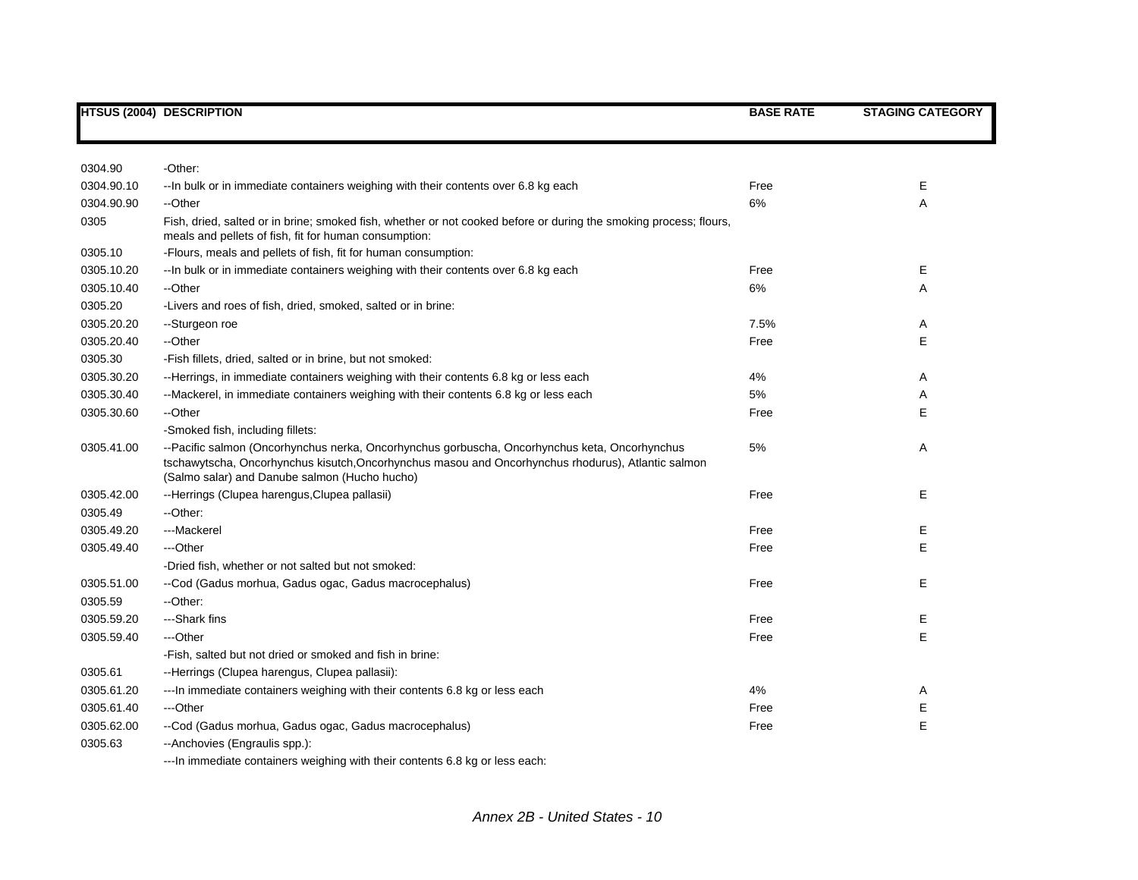|            | <b>HTSUS (2004) DESCRIPTION</b>                                                                                                                                                                                                                      | <b>BASE RATE</b> | <b>STAGING CATEGORY</b> |
|------------|------------------------------------------------------------------------------------------------------------------------------------------------------------------------------------------------------------------------------------------------------|------------------|-------------------------|
|            |                                                                                                                                                                                                                                                      |                  |                         |
| 0304.90    | -Other:                                                                                                                                                                                                                                              |                  |                         |
| 0304.90.10 | -- In bulk or in immediate containers weighing with their contents over 6.8 kg each                                                                                                                                                                  | Free             | Е                       |
| 0304.90.90 | --Other                                                                                                                                                                                                                                              | 6%               | Α                       |
| 0305       | Fish, dried, salted or in brine; smoked fish, whether or not cooked before or during the smoking process; flours,<br>meals and pellets of fish, fit for human consumption:                                                                           |                  |                         |
| 0305.10    | -Flours, meals and pellets of fish, fit for human consumption:                                                                                                                                                                                       |                  |                         |
| 0305.10.20 | -- In bulk or in immediate containers weighing with their contents over 6.8 kg each                                                                                                                                                                  | Free             | Ε                       |
| 0305.10.40 | --Other                                                                                                                                                                                                                                              | 6%               | Α                       |
| 0305.20    | -Livers and roes of fish, dried, smoked, salted or in brine:                                                                                                                                                                                         |                  |                         |
| 0305.20.20 | --Sturgeon roe                                                                                                                                                                                                                                       | 7.5%             | Α                       |
| 0305.20.40 | --Other                                                                                                                                                                                                                                              | Free             | E                       |
| 0305.30    | -Fish fillets, dried, salted or in brine, but not smoked:                                                                                                                                                                                            |                  |                         |
| 0305.30.20 | --Herrings, in immediate containers weighing with their contents 6.8 kg or less each                                                                                                                                                                 | 4%               | Α                       |
| 0305.30.40 | --Mackerel, in immediate containers weighing with their contents 6.8 kg or less each                                                                                                                                                                 | 5%               | Α                       |
| 0305.30.60 | --Other                                                                                                                                                                                                                                              | Free             | Е                       |
|            | -Smoked fish, including fillets:                                                                                                                                                                                                                     |                  |                         |
| 0305.41.00 | --Pacific salmon (Oncorhynchus nerka, Oncorhynchus gorbuscha, Oncorhynchus keta, Oncorhynchus<br>tschawytscha, Oncorhynchus kisutch, Oncorhynchus masou and Oncorhynchus rhodurus), Atlantic salmon<br>(Salmo salar) and Danube salmon (Hucho hucho) | 5%               | Α                       |
| 0305.42.00 | --Herrings (Clupea harengus, Clupea pallasii)                                                                                                                                                                                                        | Free             | E                       |
| 0305.49    | --Other:                                                                                                                                                                                                                                             |                  |                         |
| 0305.49.20 | ---Mackerel                                                                                                                                                                                                                                          | Free             | Е                       |
| 0305.49.40 | ---Other                                                                                                                                                                                                                                             | Free             | E                       |
|            | -Dried fish, whether or not salted but not smoked:                                                                                                                                                                                                   |                  |                         |
| 0305.51.00 | --Cod (Gadus morhua, Gadus ogac, Gadus macrocephalus)                                                                                                                                                                                                | Free             | Е                       |
| 0305.59    | --Other:                                                                                                                                                                                                                                             |                  |                         |
| 0305.59.20 | --Shark fins                                                                                                                                                                                                                                         | Free             | Е                       |
| 0305.59.40 | ---Other                                                                                                                                                                                                                                             | Free             | E                       |
|            | -Fish, salted but not dried or smoked and fish in brine:                                                                                                                                                                                             |                  |                         |
| 0305.61    | --Herrings (Clupea harengus, Clupea pallasii):                                                                                                                                                                                                       |                  |                         |
| 0305.61.20 | --- In immediate containers weighing with their contents 6.8 kg or less each                                                                                                                                                                         | 4%               | Α                       |
| 0305.61.40 | ---Other                                                                                                                                                                                                                                             | Free             | Ε                       |
| 0305.62.00 | --Cod (Gadus morhua, Gadus ogac, Gadus macrocephalus)                                                                                                                                                                                                | Free             | E                       |
| 0305.63    | --Anchovies (Engraulis spp.):                                                                                                                                                                                                                        |                  |                         |

---In immediate containers weighing with their contents 6.8 kg or less each: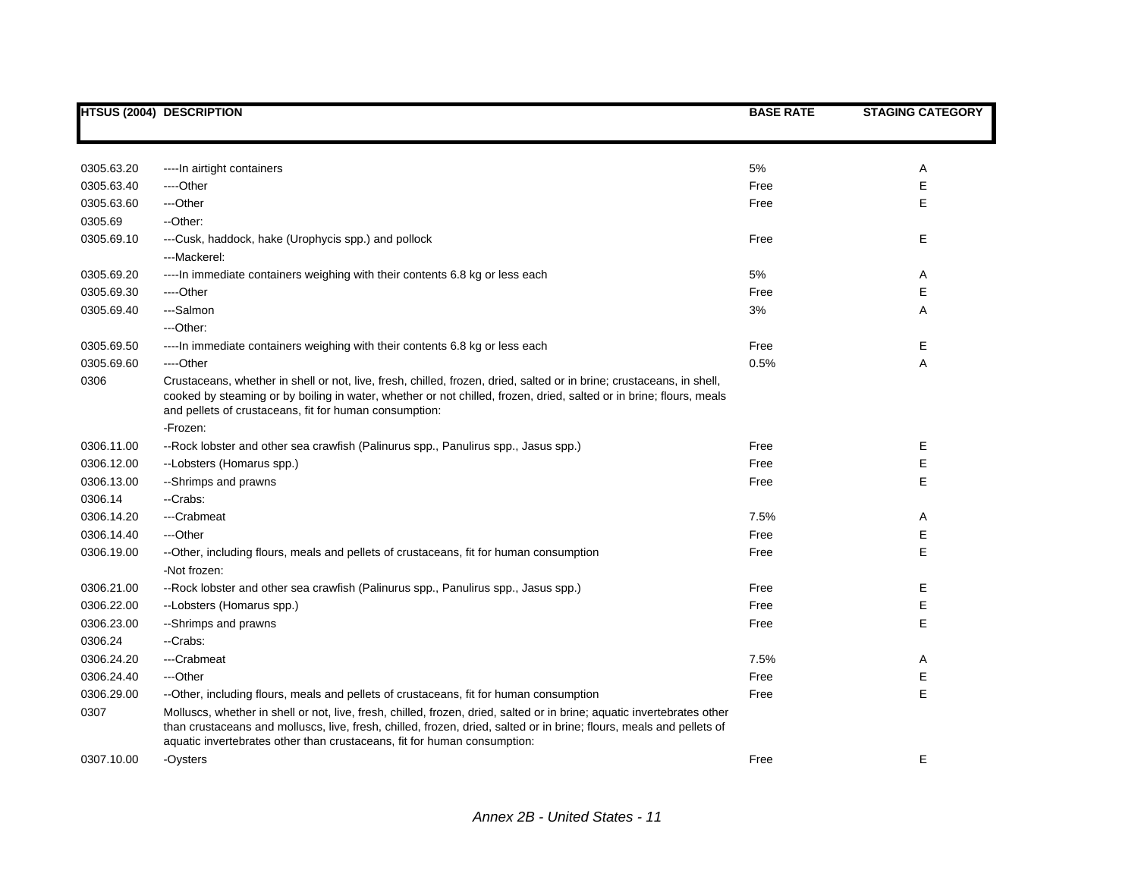|            | <b>HTSUS (2004) DESCRIPTION</b>                                                                                                                                                                                                                                                                                             | <b>BASE RATE</b> | <b>STAGING CATEGORY</b> |
|------------|-----------------------------------------------------------------------------------------------------------------------------------------------------------------------------------------------------------------------------------------------------------------------------------------------------------------------------|------------------|-------------------------|
|            |                                                                                                                                                                                                                                                                                                                             |                  |                         |
| 0305.63.20 | ---- In airtight containers                                                                                                                                                                                                                                                                                                 | 5%               | Α                       |
| 0305.63.40 | ----Other                                                                                                                                                                                                                                                                                                                   | Free             | Е                       |
| 0305.63.60 | ---Other                                                                                                                                                                                                                                                                                                                    | Free             | E                       |
| 0305.69    | --Other:                                                                                                                                                                                                                                                                                                                    |                  |                         |
| 0305.69.10 | ---Cusk, haddock, hake (Urophycis spp.) and pollock<br>---Mackerel:                                                                                                                                                                                                                                                         | Free             | E                       |
| 0305.69.20 | ----In immediate containers weighing with their contents 6.8 kg or less each                                                                                                                                                                                                                                                | 5%               | Α                       |
| 0305.69.30 | ----Other                                                                                                                                                                                                                                                                                                                   | Free             | Е                       |
| 0305.69.40 | ---Salmon                                                                                                                                                                                                                                                                                                                   | 3%               | Α                       |
|            | ---Other:                                                                                                                                                                                                                                                                                                                   |                  |                         |
| 0305.69.50 | ---- In immediate containers weighing with their contents 6.8 kg or less each                                                                                                                                                                                                                                               | Free             | Е                       |
| 0305.69.60 | ----Other                                                                                                                                                                                                                                                                                                                   | 0.5%             | Α                       |
| 0306       | Crustaceans, whether in shell or not, live, fresh, chilled, frozen, dried, salted or in brine; crustaceans, in shell,<br>cooked by steaming or by boiling in water, whether or not chilled, frozen, dried, salted or in brine; flours, meals<br>and pellets of crustaceans, fit for human consumption:                      |                  |                         |
|            | -Frozen:                                                                                                                                                                                                                                                                                                                    |                  |                         |
| 0306.11.00 | --Rock lobster and other sea crawfish (Palinurus spp., Panulirus spp., Jasus spp.)                                                                                                                                                                                                                                          | Free             | Е                       |
| 0306.12.00 | --Lobsters (Homarus spp.)                                                                                                                                                                                                                                                                                                   | Free             | Е                       |
| 0306.13.00 | --Shrimps and prawns                                                                                                                                                                                                                                                                                                        | Free             | E                       |
| 0306.14    | --Crabs:                                                                                                                                                                                                                                                                                                                    |                  |                         |
| 0306.14.20 | ---Crabmeat                                                                                                                                                                                                                                                                                                                 | 7.5%             | Α                       |
| 0306.14.40 | ---Other                                                                                                                                                                                                                                                                                                                    | Free             | Е                       |
| 0306.19.00 | --Other, including flours, meals and pellets of crustaceans, fit for human consumption<br>-Not frozen:                                                                                                                                                                                                                      | Free             | E                       |
| 0306.21.00 | --Rock lobster and other sea crawfish (Palinurus spp., Panulirus spp., Jasus spp.)                                                                                                                                                                                                                                          | Free             | Е                       |
| 0306.22.00 | --Lobsters (Homarus spp.)                                                                                                                                                                                                                                                                                                   | Free             | Е                       |
| 0306.23.00 | --Shrimps and prawns                                                                                                                                                                                                                                                                                                        | Free             | E                       |
| 0306.24    | --Crabs:                                                                                                                                                                                                                                                                                                                    |                  |                         |
| 0306.24.20 | ---Crabmeat                                                                                                                                                                                                                                                                                                                 | 7.5%             | Α                       |
| 0306.24.40 | ---Other                                                                                                                                                                                                                                                                                                                    | Free             | Ε                       |
| 0306.29.00 | --Other, including flours, meals and pellets of crustaceans, fit for human consumption                                                                                                                                                                                                                                      | Free             | E                       |
| 0307       | Molluscs, whether in shell or not, live, fresh, chilled, frozen, dried, salted or in brine; aquatic invertebrates other<br>than crustaceans and molluscs, live, fresh, chilled, frozen, dried, salted or in brine; flours, meals and pellets of<br>aquatic invertebrates other than crustaceans, fit for human consumption: |                  |                         |
| 0307.10.00 | -Oysters                                                                                                                                                                                                                                                                                                                    | Free             | E.                      |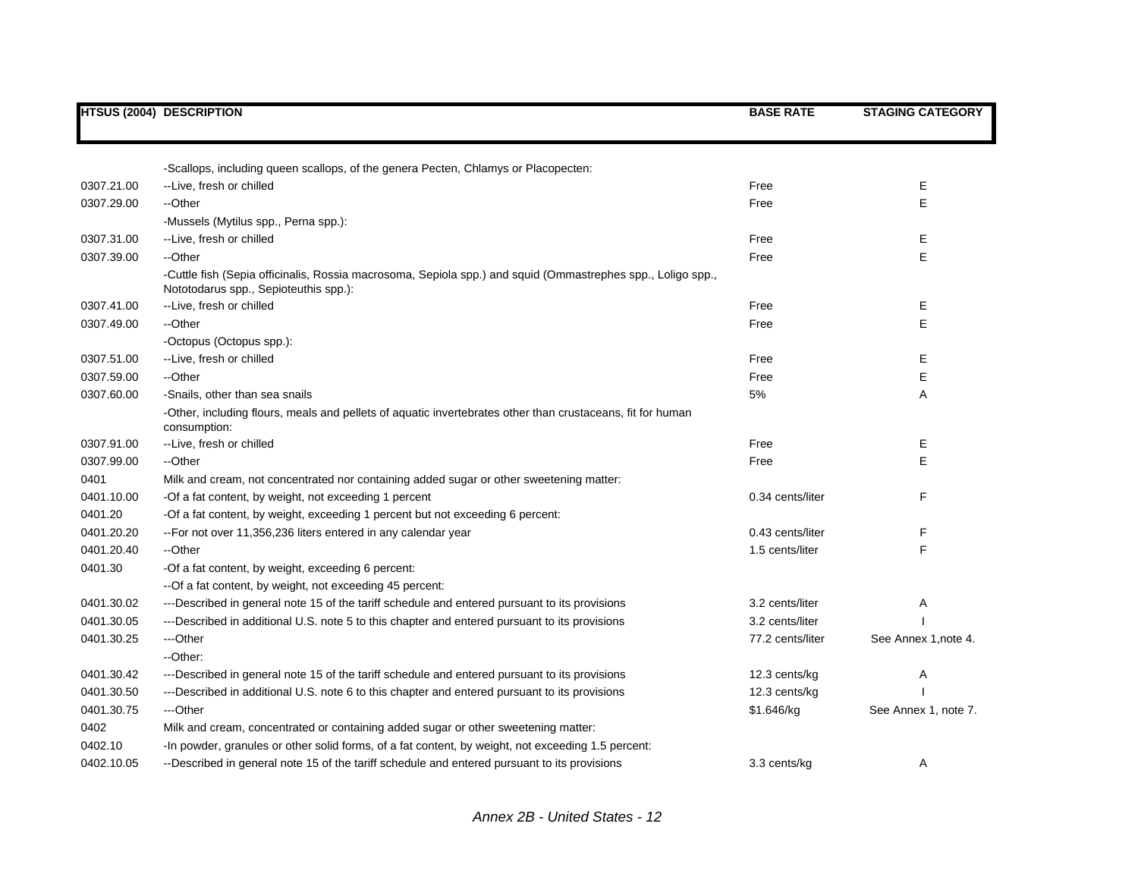|            | <b>HTSUS (2004) DESCRIPTION</b>                                                                                                                      | <b>BASE RATE</b> | <b>STAGING CATEGORY</b> |
|------------|------------------------------------------------------------------------------------------------------------------------------------------------------|------------------|-------------------------|
|            |                                                                                                                                                      |                  |                         |
|            | -Scallops, including queen scallops, of the genera Pecten, Chlamys or Placopecten:                                                                   |                  |                         |
| 0307.21.00 | --Live, fresh or chilled                                                                                                                             | Free             | Ε                       |
| 0307.29.00 | --Other                                                                                                                                              | Free             | Е                       |
|            | -Mussels (Mytilus spp., Perna spp.):                                                                                                                 |                  |                         |
| 0307.31.00 | --Live, fresh or chilled                                                                                                                             | Free             | Е                       |
| 0307.39.00 | --Other                                                                                                                                              | Free             | E                       |
|            | -Cuttle fish (Sepia officinalis, Rossia macrosoma, Sepiola spp.) and squid (Ommastrephes spp., Loligo spp.,<br>Nototodarus spp., Sepioteuthis spp.): |                  |                         |
| 0307.41.00 | --Live, fresh or chilled                                                                                                                             | Free             | Е                       |
| 0307.49.00 | --Other                                                                                                                                              | Free             | E                       |
|            | -Octopus (Octopus spp.):                                                                                                                             |                  |                         |
| 0307.51.00 | --Live, fresh or chilled                                                                                                                             | Free             | Е                       |
| 0307.59.00 | --Other                                                                                                                                              | Free             | E                       |
| 0307.60.00 | -Snails, other than sea snails                                                                                                                       | 5%               | Α                       |
|            | -Other, including flours, meals and pellets of aquatic invertebrates other than crustaceans, fit for human<br>consumption:                           |                  |                         |
| 0307.91.00 | --Live, fresh or chilled                                                                                                                             | Free             | Е                       |
| 0307.99.00 | --Other                                                                                                                                              | Free             | Е                       |
| 0401       | Milk and cream, not concentrated nor containing added sugar or other sweetening matter:                                                              |                  |                         |
| 0401.10.00 | -Of a fat content, by weight, not exceeding 1 percent                                                                                                | 0.34 cents/liter | F                       |
| 0401.20    | -Of a fat content, by weight, exceeding 1 percent but not exceeding 6 percent:                                                                       |                  |                         |
| 0401.20.20 | -- For not over 11,356,236 liters entered in any calendar year                                                                                       | 0.43 cents/liter | F                       |
| 0401.20.40 | --Other                                                                                                                                              | 1.5 cents/liter  | E                       |
| 0401.30    | -Of a fat content, by weight, exceeding 6 percent:                                                                                                   |                  |                         |
|            | -- Of a fat content, by weight, not exceeding 45 percent:                                                                                            |                  |                         |
| 0401.30.02 | ---Described in general note 15 of the tariff schedule and entered pursuant to its provisions                                                        | 3.2 cents/liter  | Α                       |
| 0401.30.05 | ---Described in additional U.S. note 5 to this chapter and entered pursuant to its provisions                                                        | 3.2 cents/liter  |                         |
| 0401.30.25 | ---Other                                                                                                                                             | 77.2 cents/liter | See Annex 1, note 4.    |
|            | --Other:                                                                                                                                             |                  |                         |
| 0401.30.42 | ---Described in general note 15 of the tariff schedule and entered pursuant to its provisions                                                        | 12.3 cents/kg    | Α                       |
| 0401.30.50 | ---Described in additional U.S. note 6 to this chapter and entered pursuant to its provisions                                                        | 12.3 cents/kg    |                         |
| 0401.30.75 | ---Other                                                                                                                                             | \$1.646/kg       | See Annex 1, note 7.    |
| 0402       | Milk and cream, concentrated or containing added sugar or other sweetening matter:                                                                   |                  |                         |
| 0402.10    | -In powder, granules or other solid forms, of a fat content, by weight, not exceeding 1.5 percent:                                                   |                  |                         |
| 0402.10.05 | --Described in general note 15 of the tariff schedule and entered pursuant to its provisions                                                         | 3.3 cents/kg     | Α                       |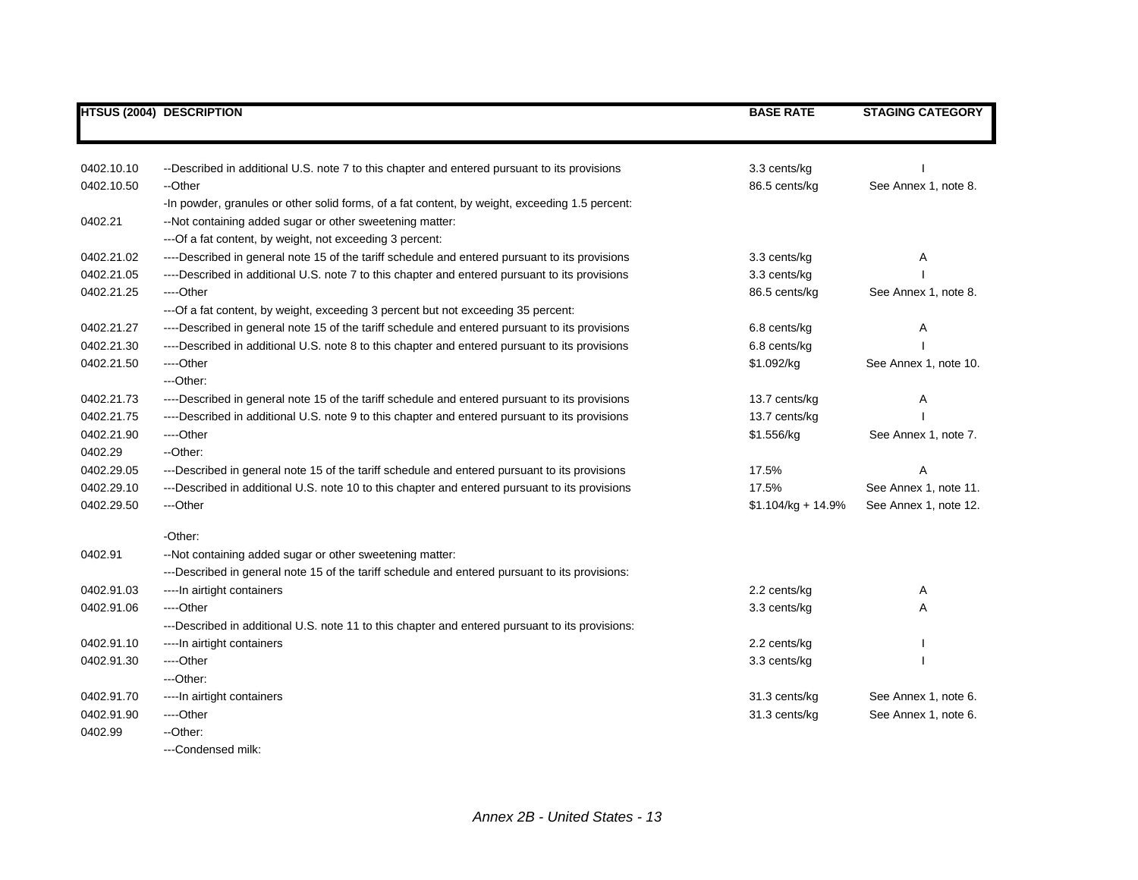|            | <b>HTSUS (2004) DESCRIPTION</b>                                                                 | <b>BASE RATE</b>     | <b>STAGING CATEGORY</b> |
|------------|-------------------------------------------------------------------------------------------------|----------------------|-------------------------|
|            |                                                                                                 |                      |                         |
| 0402.10.10 | --Described in additional U.S. note 7 to this chapter and entered pursuant to its provisions    | 3.3 cents/kg         |                         |
| 0402.10.50 | --Other                                                                                         | 86.5 cents/kg        | See Annex 1, note 8.    |
|            | -In powder, granules or other solid forms, of a fat content, by weight, exceeding 1.5 percent:  |                      |                         |
| 0402.21    | --Not containing added sugar or other sweetening matter:                                        |                      |                         |
|            | --- Of a fat content, by weight, not exceeding 3 percent:                                       |                      |                         |
| 0402.21.02 | ----Described in general note 15 of the tariff schedule and entered pursuant to its provisions  | 3.3 cents/kg         | Α                       |
| 0402.21.05 | ----Described in additional U.S. note 7 to this chapter and entered pursuant to its provisions  | 3.3 cents/kg         |                         |
| 0402.21.25 | ----Other                                                                                       | 86.5 cents/kg        | See Annex 1, note 8.    |
|            | --- Of a fat content, by weight, exceeding 3 percent but not exceeding 35 percent:              |                      |                         |
| 0402.21.27 | ----Described in general note 15 of the tariff schedule and entered pursuant to its provisions  | 6.8 cents/kg         | A                       |
| 0402.21.30 | ----Described in additional U.S. note 8 to this chapter and entered pursuant to its provisions  | 6.8 cents/kg         |                         |
| 0402.21.50 | ----Other                                                                                       | \$1.092/kg           | See Annex 1, note 10.   |
|            | ---Other:                                                                                       |                      |                         |
| 0402.21.73 | ----Described in general note 15 of the tariff schedule and entered pursuant to its provisions  | 13.7 cents/kg        | Α                       |
| 0402.21.75 | ----Described in additional U.S. note 9 to this chapter and entered pursuant to its provisions  | 13.7 cents/kg        |                         |
| 0402.21.90 | ----Other                                                                                       | \$1.556/kg           | See Annex 1, note 7.    |
| 0402.29    | --Other:                                                                                        |                      |                         |
| 0402.29.05 | ---Described in general note 15 of the tariff schedule and entered pursuant to its provisions   | 17.5%                | A                       |
| 0402.29.10 | ---Described in additional U.S. note 10 to this chapter and entered pursuant to its provisions  | 17.5%                | See Annex 1, note 11.   |
| 0402.29.50 | ---Other                                                                                        | $$1.104/kg + 14.9\%$ | See Annex 1, note 12.   |
|            | -Other:                                                                                         |                      |                         |
| 0402.91    | --Not containing added sugar or other sweetening matter:                                        |                      |                         |
|            | ---Described in general note 15 of the tariff schedule and entered pursuant to its provisions:  |                      |                         |
| 0402.91.03 | ---- In airtight containers                                                                     | 2.2 cents/kg         | A                       |
| 0402.91.06 | ----Other                                                                                       | 3.3 cents/kg         | Α                       |
|            | ---Described in additional U.S. note 11 to this chapter and entered pursuant to its provisions: |                      |                         |
| 0402.91.10 | ---- In airtight containers                                                                     | 2.2 cents/kg         |                         |
| 0402.91.30 | ----Other                                                                                       | 3.3 cents/kg         |                         |
|            | ---Other:                                                                                       |                      |                         |
| 0402.91.70 | ---- In airtight containers                                                                     | 31.3 cents/kg        | See Annex 1, note 6.    |
| 0402.91.90 | ----Other                                                                                       | 31.3 cents/kg        | See Annex 1, note 6.    |
| 0402.99    | --Other:                                                                                        |                      |                         |
|            |                                                                                                 |                      |                         |

---Condensed milk: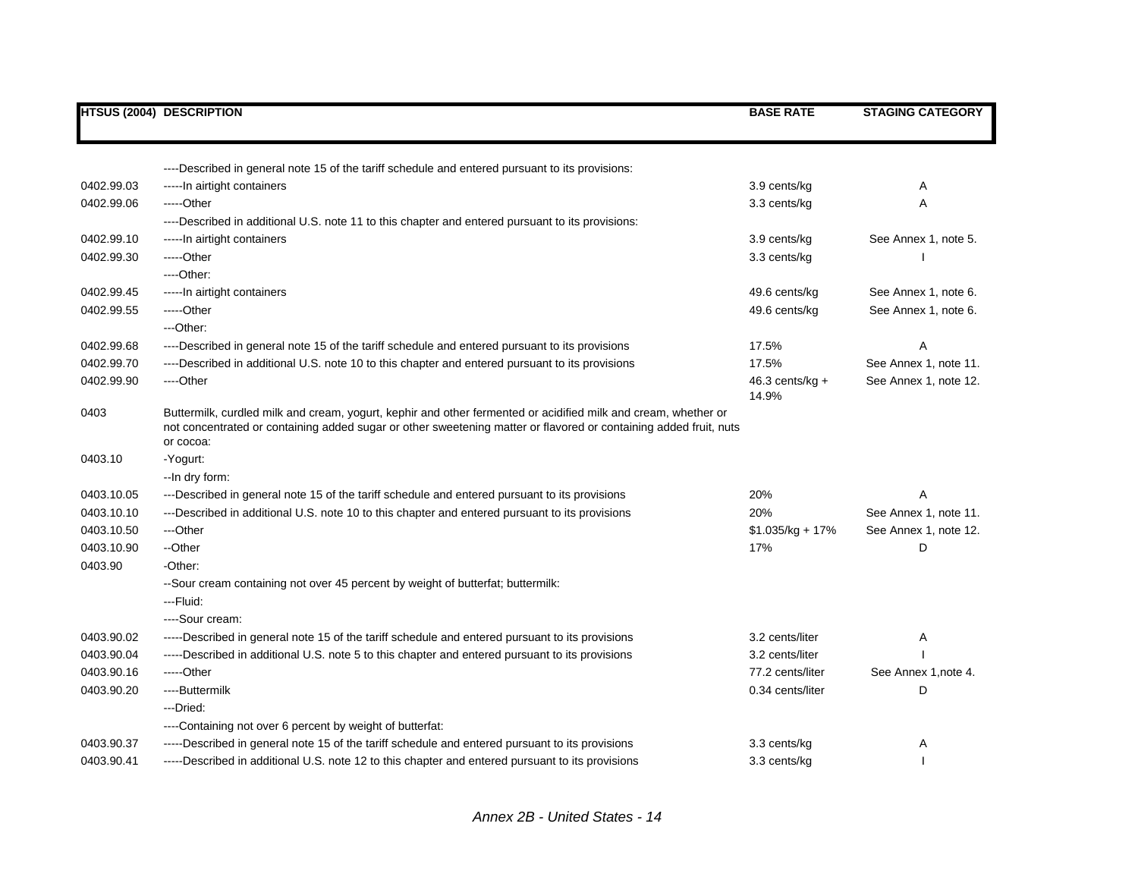|            | <b>HTSUS (2004) DESCRIPTION</b>                                                                                                                                                                                                                  | <b>BASE RATE</b>           | <b>STAGING CATEGORY</b> |
|------------|--------------------------------------------------------------------------------------------------------------------------------------------------------------------------------------------------------------------------------------------------|----------------------------|-------------------------|
|            |                                                                                                                                                                                                                                                  |                            |                         |
|            | ----Described in general note 15 of the tariff schedule and entered pursuant to its provisions:                                                                                                                                                  |                            |                         |
| 0402.99.03 | -----In airtight containers                                                                                                                                                                                                                      | 3.9 cents/kg               | A                       |
| 0402.99.06 | -----Other                                                                                                                                                                                                                                       | 3.3 cents/kg               | Α                       |
|            | ----Described in additional U.S. note 11 to this chapter and entered pursuant to its provisions:                                                                                                                                                 |                            |                         |
| 0402.99.10 | -----In airtight containers                                                                                                                                                                                                                      | 3.9 cents/kg               | See Annex 1, note 5.    |
| 0402.99.30 | -----Other                                                                                                                                                                                                                                       | 3.3 cents/kg               |                         |
|            | ----Other:                                                                                                                                                                                                                                       |                            |                         |
| 0402.99.45 | -----In airtight containers                                                                                                                                                                                                                      | 49.6 cents/kg              | See Annex 1, note 6.    |
| 0402.99.55 | -----Other                                                                                                                                                                                                                                       | 49.6 cents/kg              | See Annex 1, note 6.    |
|            | ---Other:                                                                                                                                                                                                                                        |                            |                         |
| 0402.99.68 | ----Described in general note 15 of the tariff schedule and entered pursuant to its provisions                                                                                                                                                   | 17.5%                      |                         |
| 0402.99.70 | ----Described in additional U.S. note 10 to this chapter and entered pursuant to its provisions                                                                                                                                                  | 17.5%                      | See Annex 1, note 11.   |
| 0402.99.90 | ---Other                                                                                                                                                                                                                                         | $46.3$ cents/kg +<br>14.9% | See Annex 1, note 12.   |
| 0403       | Buttermilk, curdled milk and cream, yogurt, kephir and other fermented or acidified milk and cream, whether or<br>not concentrated or containing added sugar or other sweetening matter or flavored or containing added fruit, nuts<br>or cocoa: |                            |                         |
| 0403.10    | -Yogurt:                                                                                                                                                                                                                                         |                            |                         |
|            | -- In dry form:                                                                                                                                                                                                                                  |                            |                         |
| 0403.10.05 | ---Described in general note 15 of the tariff schedule and entered pursuant to its provisions                                                                                                                                                    | 20%                        | Α                       |
| 0403.10.10 | ---Described in additional U.S. note 10 to this chapter and entered pursuant to its provisions                                                                                                                                                   | 20%                        | See Annex 1, note 11.   |
| 0403.10.50 | ---Other                                                                                                                                                                                                                                         | $$1.035/kg + 17%$          | See Annex 1, note 12.   |
| 0403.10.90 | --Other                                                                                                                                                                                                                                          | 17%                        | D                       |
| 0403.90    | -Other:                                                                                                                                                                                                                                          |                            |                         |
|            | --Sour cream containing not over 45 percent by weight of butterfat; buttermilk:                                                                                                                                                                  |                            |                         |
|            | ---Fluid:                                                                                                                                                                                                                                        |                            |                         |
|            | ----Sour cream:                                                                                                                                                                                                                                  |                            |                         |
| 0403.90.02 | -----Described in general note 15 of the tariff schedule and entered pursuant to its provisions                                                                                                                                                  | 3.2 cents/liter            | Α                       |
| 0403.90.04 | -----Described in additional U.S. note 5 to this chapter and entered pursuant to its provisions                                                                                                                                                  | 3.2 cents/liter            |                         |
| 0403.90.16 | -----Other                                                                                                                                                                                                                                       | 77.2 cents/liter           | See Annex 1, note 4.    |
| 0403.90.20 | ----Buttermilk                                                                                                                                                                                                                                   | 0.34 cents/liter           | D                       |
|            | ---Dried:                                                                                                                                                                                                                                        |                            |                         |
|            | ----Containing not over 6 percent by weight of butterfat:                                                                                                                                                                                        |                            |                         |
| 0403.90.37 | -----Described in general note 15 of the tariff schedule and entered pursuant to its provisions                                                                                                                                                  | 3.3 cents/kg               | Α                       |
| 0403.90.41 | -----Described in additional U.S. note 12 to this chapter and entered pursuant to its provisions                                                                                                                                                 | 3.3 cents/kg               |                         |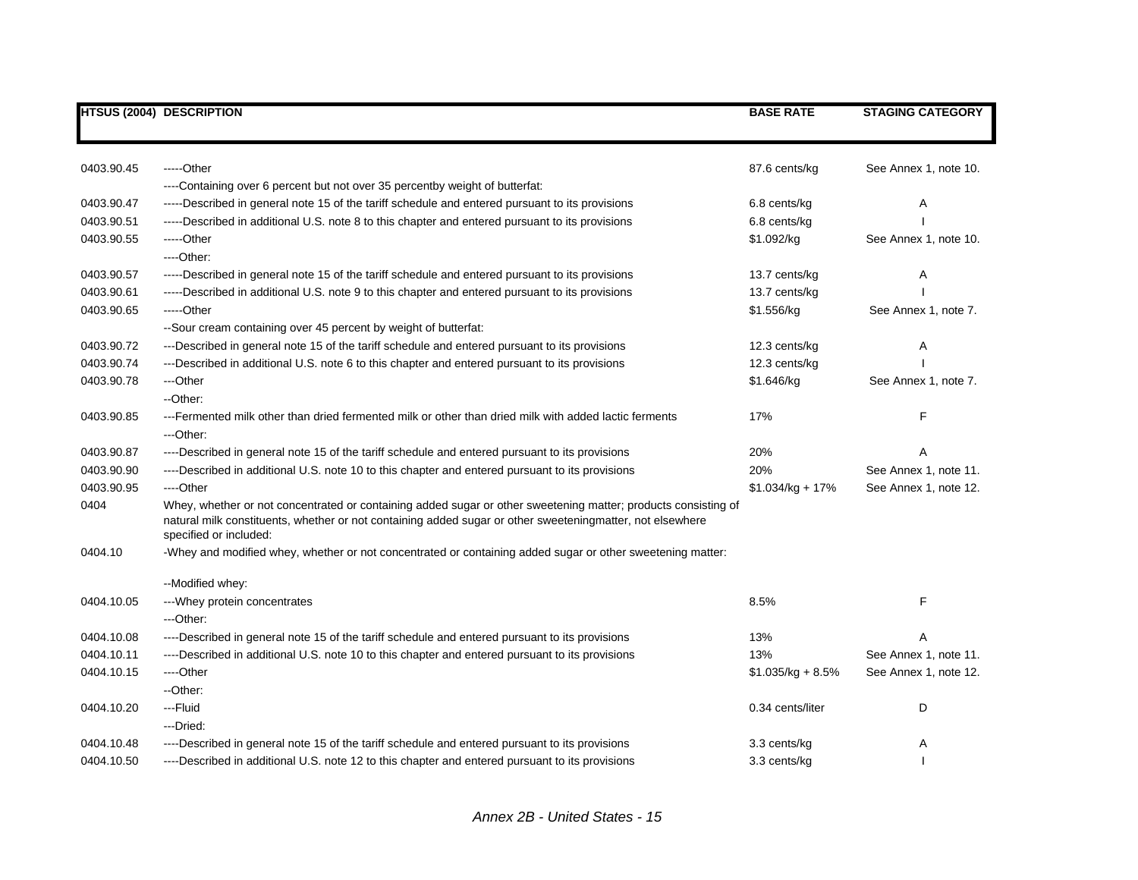|            | <b>HTSUS (2004) DESCRIPTION</b>                                                                                                                                                                                                                       | <b>BASE RATE</b>   | <b>STAGING CATEGORY</b> |
|------------|-------------------------------------------------------------------------------------------------------------------------------------------------------------------------------------------------------------------------------------------------------|--------------------|-------------------------|
|            |                                                                                                                                                                                                                                                       |                    |                         |
| 0403.90.45 | -----Other                                                                                                                                                                                                                                            | 87.6 cents/kg      | See Annex 1, note 10.   |
|            | ----Containing over 6 percent but not over 35 percentby weight of butterfat:                                                                                                                                                                          |                    |                         |
| 0403.90.47 | -----Described in general note 15 of the tariff schedule and entered pursuant to its provisions                                                                                                                                                       | 6.8 cents/kg       | Α                       |
| 0403.90.51 | -----Described in additional U.S. note 8 to this chapter and entered pursuant to its provisions                                                                                                                                                       | 6.8 cents/kg       |                         |
| 0403.90.55 | -----Other                                                                                                                                                                                                                                            | \$1.092/kg         | See Annex 1, note 10.   |
|            | ----Other:                                                                                                                                                                                                                                            |                    |                         |
| 0403.90.57 | -----Described in general note 15 of the tariff schedule and entered pursuant to its provisions                                                                                                                                                       | 13.7 cents/kg      | Α                       |
| 0403.90.61 | -----Described in additional U.S. note 9 to this chapter and entered pursuant to its provisions                                                                                                                                                       | 13.7 cents/kg      |                         |
| 0403.90.65 | -----Other                                                                                                                                                                                                                                            | \$1.556/kg         | See Annex 1, note 7.    |
|            | --Sour cream containing over 45 percent by weight of butterfat:                                                                                                                                                                                       |                    |                         |
| 0403.90.72 | ---Described in general note 15 of the tariff schedule and entered pursuant to its provisions                                                                                                                                                         | 12.3 cents/kg      | Α                       |
| 0403.90.74 | ---Described in additional U.S. note 6 to this chapter and entered pursuant to its provisions                                                                                                                                                         | 12.3 cents/kg      |                         |
| 0403.90.78 | ---Other                                                                                                                                                                                                                                              | \$1.646/kg         | See Annex 1, note 7.    |
|            | --Other:                                                                                                                                                                                                                                              |                    |                         |
| 0403.90.85 | ---Fermented milk other than dried fermented milk or other than dried milk with added lactic ferments                                                                                                                                                 | 17%                | F                       |
|            | ---Other:                                                                                                                                                                                                                                             |                    |                         |
| 0403.90.87 | ----Described in general note 15 of the tariff schedule and entered pursuant to its provisions                                                                                                                                                        | 20%                | А                       |
| 0403.90.90 | ----Described in additional U.S. note 10 to this chapter and entered pursuant to its provisions                                                                                                                                                       | 20%                | See Annex 1, note 11.   |
| 0403.90.95 | ----Other                                                                                                                                                                                                                                             | $$1.034/kg + 17%$  | See Annex 1, note 12.   |
| 0404       | Whey, whether or not concentrated or containing added sugar or other sweetening matter; products consisting of<br>natural milk constituents, whether or not containing added sugar or other sweeteningmatter, not elsewhere<br>specified or included: |                    |                         |
| 0404.10    | -Whey and modified whey, whether or not concentrated or containing added sugar or other sweetening matter:                                                                                                                                            |                    |                         |
|            | --Modified whey:                                                                                                                                                                                                                                      |                    |                         |
| 0404.10.05 | --- Whey protein concentrates                                                                                                                                                                                                                         | 8.5%               | F                       |
|            | ---Other:                                                                                                                                                                                                                                             |                    |                         |
| 0404.10.08 | ----Described in general note 15 of the tariff schedule and entered pursuant to its provisions                                                                                                                                                        | 13%                |                         |
| 0404.10.11 | ----Described in additional U.S. note 10 to this chapter and entered pursuant to its provisions                                                                                                                                                       | 13%                | See Annex 1, note 11.   |
| 0404.10.15 | ----Other                                                                                                                                                                                                                                             | $$1.035/kg + 8.5%$ | See Annex 1, note 12.   |
|            | --Other:                                                                                                                                                                                                                                              |                    |                         |
| 0404.10.20 | ---Fluid                                                                                                                                                                                                                                              | 0.34 cents/liter   | D                       |
|            | ---Dried:                                                                                                                                                                                                                                             |                    |                         |
| 0404.10.48 | ----Described in general note 15 of the tariff schedule and entered pursuant to its provisions                                                                                                                                                        | 3.3 cents/kg       | Α                       |
| 0404.10.50 | ----Described in additional U.S. note 12 to this chapter and entered pursuant to its provisions                                                                                                                                                       | 3.3 cents/kg       |                         |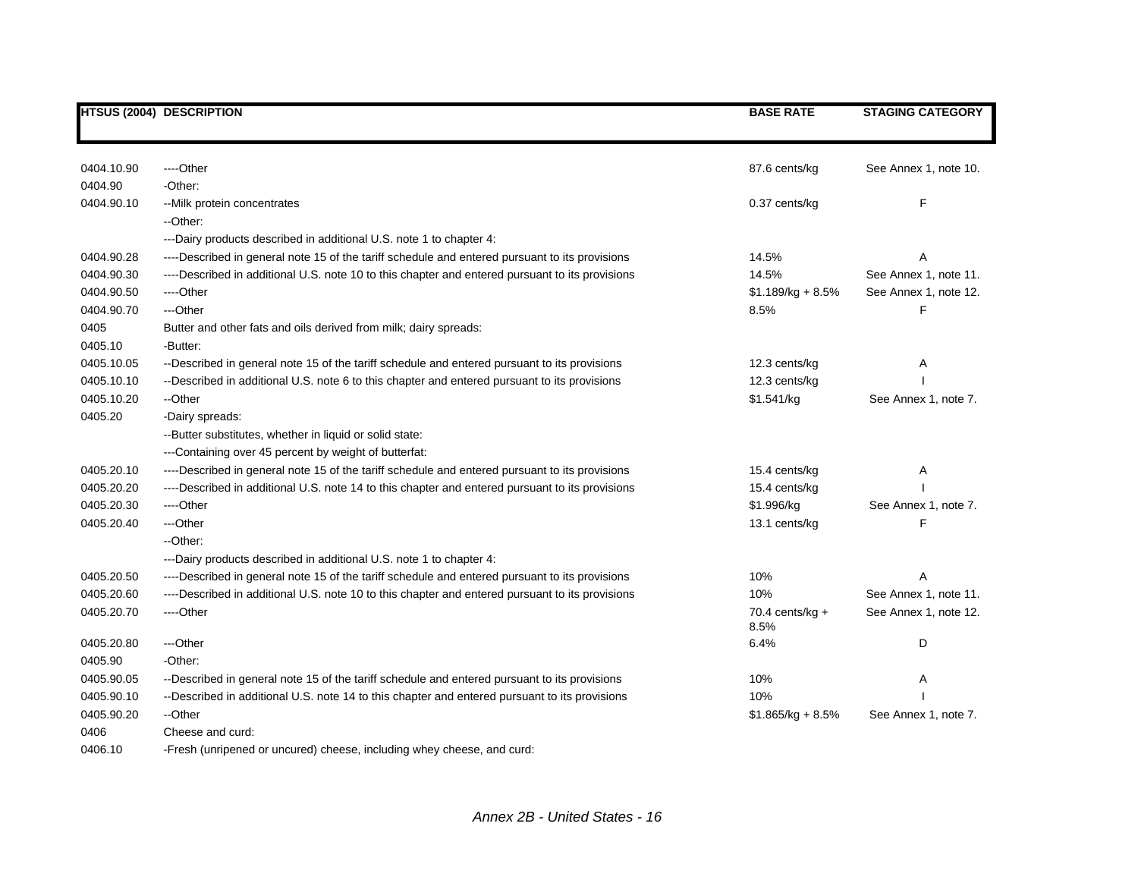|            | <b>HTSUS (2004) DESCRIPTION</b>                                                                 | <b>BASE RATE</b>          | <b>STAGING CATEGORY</b> |
|------------|-------------------------------------------------------------------------------------------------|---------------------------|-------------------------|
|            |                                                                                                 |                           |                         |
| 0404.10.90 | ----Other                                                                                       | 87.6 cents/kg             | See Annex 1, note 10.   |
| 0404.90    | -Other:                                                                                         |                           |                         |
| 0404.90.10 | -- Milk protein concentrates                                                                    | 0.37 cents/kg             | F                       |
|            | --Other:                                                                                        |                           |                         |
|            | ---Dairy products described in additional U.S. note 1 to chapter 4:                             |                           |                         |
| 0404.90.28 | ----Described in general note 15 of the tariff schedule and entered pursuant to its provisions  | 14.5%                     | Α                       |
| 0404.90.30 | ----Described in additional U.S. note 10 to this chapter and entered pursuant to its provisions | 14.5%                     | See Annex 1, note 11.   |
| 0404.90.50 | ----Other                                                                                       | $$1.189/kg + 8.5%$        | See Annex 1, note 12.   |
| 0404.90.70 | ---Other                                                                                        | 8.5%                      | F                       |
| 0405       | Butter and other fats and oils derived from milk; dairy spreads:                                |                           |                         |
| 0405.10    | -Butter:                                                                                        |                           |                         |
| 0405.10.05 | --Described in general note 15 of the tariff schedule and entered pursuant to its provisions    | 12.3 cents/kg             | Α                       |
| 0405.10.10 | --Described in additional U.S. note 6 to this chapter and entered pursuant to its provisions    | 12.3 cents/kg             |                         |
| 0405.10.20 | --Other                                                                                         | \$1.541/kg                | See Annex 1, note 7.    |
| 0405.20    | -Dairy spreads:                                                                                 |                           |                         |
|            | -- Butter substitutes, whether in liquid or solid state:                                        |                           |                         |
|            | --- Containing over 45 percent by weight of butterfat:                                          |                           |                         |
| 0405.20.10 | ----Described in general note 15 of the tariff schedule and entered pursuant to its provisions  | 15.4 cents/kg             | Α                       |
| 0405.20.20 | ----Described in additional U.S. note 14 to this chapter and entered pursuant to its provisions | 15.4 cents/kg             |                         |
| 0405.20.30 | ----Other                                                                                       | \$1.996/kg                | See Annex 1, note 7.    |
| 0405.20.40 | ---Other                                                                                        | 13.1 cents/kg             |                         |
|            | --Other:                                                                                        |                           |                         |
|            | ---Dairy products described in additional U.S. note 1 to chapter 4:                             |                           |                         |
| 0405.20.50 | ----Described in general note 15 of the tariff schedule and entered pursuant to its provisions  | 10%                       |                         |
| 0405.20.60 | ----Described in additional U.S. note 10 to this chapter and entered pursuant to its provisions | 10%                       | See Annex 1, note 11.   |
| 0405.20.70 | ----Other                                                                                       | 70.4 cents/kg $+$<br>8.5% | See Annex 1, note 12.   |
| 0405.20.80 | ---Other                                                                                        | 6.4%                      | D                       |
| 0405.90    | -Other:                                                                                         |                           |                         |
| 0405.90.05 | --Described in general note 15 of the tariff schedule and entered pursuant to its provisions    | 10%                       | Α                       |
| 0405.90.10 | --Described in additional U.S. note 14 to this chapter and entered pursuant to its provisions   | 10%                       |                         |
| 0405.90.20 | --Other                                                                                         | $$1.865/kg + 8.5%$        | See Annex 1, note 7.    |
| 0406       | Cheese and curd:                                                                                |                           |                         |
|            |                                                                                                 |                           |                         |

0406.10 -Fresh (unripened or uncured) cheese, including whey cheese, and curd: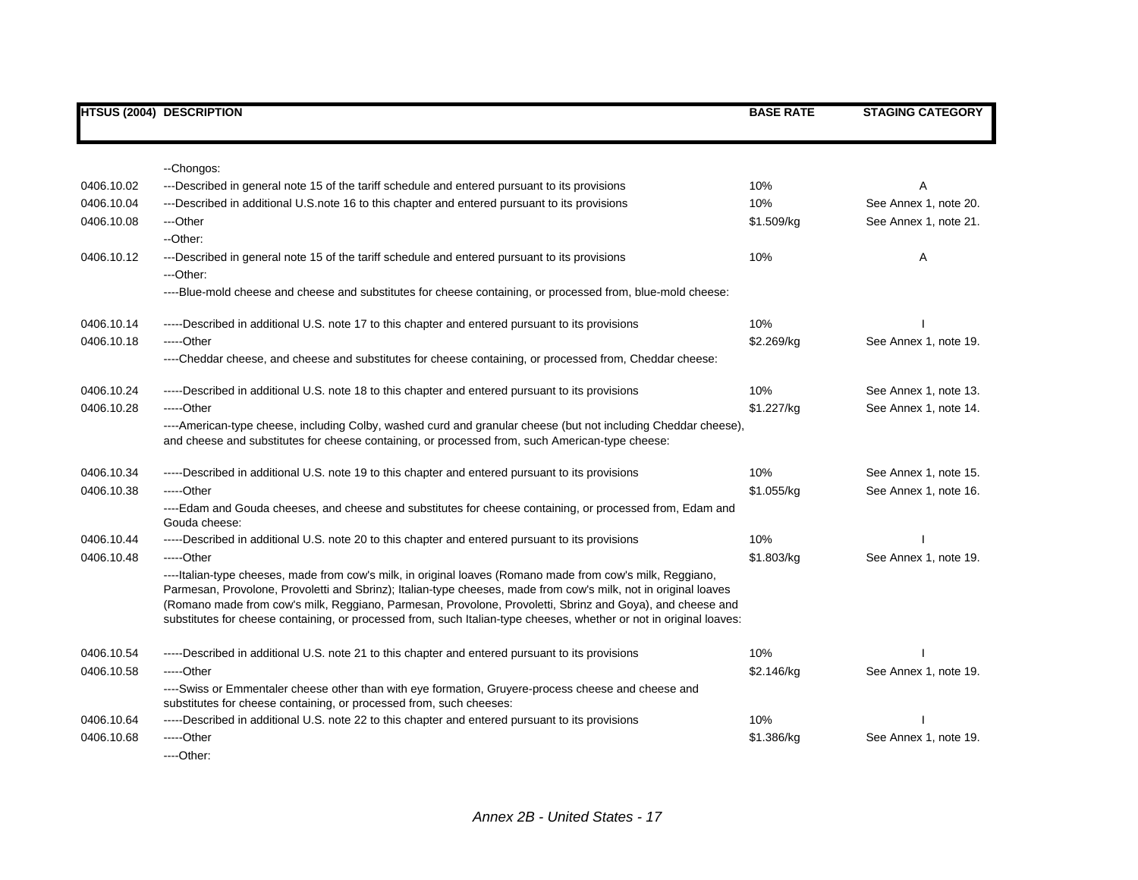|            | <b>HTSUS (2004) DESCRIPTION</b>                                                                                                                                                                                                                                                                                                                                                                                                                                   | <b>BASE RATE</b> | <b>STAGING CATEGORY</b> |
|------------|-------------------------------------------------------------------------------------------------------------------------------------------------------------------------------------------------------------------------------------------------------------------------------------------------------------------------------------------------------------------------------------------------------------------------------------------------------------------|------------------|-------------------------|
|            |                                                                                                                                                                                                                                                                                                                                                                                                                                                                   |                  |                         |
|            | --Chongos:                                                                                                                                                                                                                                                                                                                                                                                                                                                        |                  |                         |
| 0406.10.02 | ---Described in general note 15 of the tariff schedule and entered pursuant to its provisions                                                                                                                                                                                                                                                                                                                                                                     | 10%              |                         |
| 0406.10.04 | ---Described in additional U.S. note 16 to this chapter and entered pursuant to its provisions                                                                                                                                                                                                                                                                                                                                                                    | 10%              | See Annex 1, note 20.   |
| 0406.10.08 | ---Other                                                                                                                                                                                                                                                                                                                                                                                                                                                          | \$1.509/kg       | See Annex 1, note 21.   |
|            | --Other:                                                                                                                                                                                                                                                                                                                                                                                                                                                          |                  |                         |
| 0406.10.12 | ---Described in general note 15 of the tariff schedule and entered pursuant to its provisions                                                                                                                                                                                                                                                                                                                                                                     | 10%              | A                       |
|            | ---Other:                                                                                                                                                                                                                                                                                                                                                                                                                                                         |                  |                         |
|            | ----Blue-mold cheese and cheese and substitutes for cheese containing, or processed from, blue-mold cheese:                                                                                                                                                                                                                                                                                                                                                       |                  |                         |
| 0406.10.14 | -----Described in additional U.S. note 17 to this chapter and entered pursuant to its provisions                                                                                                                                                                                                                                                                                                                                                                  | 10%              |                         |
| 0406.10.18 | -----Other                                                                                                                                                                                                                                                                                                                                                                                                                                                        | \$2.269/kg       | See Annex 1, note 19.   |
|            | ----Cheddar cheese, and cheese and substitutes for cheese containing, or processed from, Cheddar cheese:                                                                                                                                                                                                                                                                                                                                                          |                  |                         |
| 0406.10.24 | -----Described in additional U.S. note 18 to this chapter and entered pursuant to its provisions                                                                                                                                                                                                                                                                                                                                                                  | 10%              | See Annex 1, note 13.   |
| 0406.10.28 | -----Other                                                                                                                                                                                                                                                                                                                                                                                                                                                        | \$1.227/kg       | See Annex 1, note 14.   |
|            | ----American-type cheese, including Colby, washed curd and granular cheese (but not including Cheddar cheese),<br>and cheese and substitutes for cheese containing, or processed from, such American-type cheese:                                                                                                                                                                                                                                                 |                  |                         |
| 0406.10.34 | -----Described in additional U.S. note 19 to this chapter and entered pursuant to its provisions                                                                                                                                                                                                                                                                                                                                                                  | 10%              | See Annex 1, note 15.   |
| 0406.10.38 | -----Other                                                                                                                                                                                                                                                                                                                                                                                                                                                        | \$1.055/kg       | See Annex 1, note 16.   |
|            | ----Edam and Gouda cheeses, and cheese and substitutes for cheese containing, or processed from, Edam and<br>Gouda cheese:                                                                                                                                                                                                                                                                                                                                        |                  |                         |
| 0406.10.44 | -----Described in additional U.S. note 20 to this chapter and entered pursuant to its provisions                                                                                                                                                                                                                                                                                                                                                                  | 10%              |                         |
| 0406.10.48 | -----Other                                                                                                                                                                                                                                                                                                                                                                                                                                                        | \$1.803/kg       | See Annex 1, note 19.   |
|            | ----Italian-type cheeses, made from cow's milk, in original loaves (Romano made from cow's milk, Reggiano,<br>Parmesan, Provolone, Provoletti and Sbrinz); Italian-type cheeses, made from cow's milk, not in original loaves<br>(Romano made from cow's milk, Reggiano, Parmesan, Provolone, Provoletti, Sbrinz and Goya), and cheese and<br>substitutes for cheese containing, or processed from, such Italian-type cheeses, whether or not in original loaves: |                  |                         |
| 0406.10.54 | -----Described in additional U.S. note 21 to this chapter and entered pursuant to its provisions                                                                                                                                                                                                                                                                                                                                                                  | 10%              |                         |
| 0406.10.58 | $---Other$                                                                                                                                                                                                                                                                                                                                                                                                                                                        | \$2.146/kg       | See Annex 1, note 19.   |
|            | ----Swiss or Emmentaler cheese other than with eye formation, Gruyere-process cheese and cheese and<br>substitutes for cheese containing, or processed from, such cheeses:                                                                                                                                                                                                                                                                                        |                  |                         |
| 0406.10.64 | -----Described in additional U.S. note 22 to this chapter and entered pursuant to its provisions                                                                                                                                                                                                                                                                                                                                                                  | 10%              |                         |
| 0406.10.68 | -----Other                                                                                                                                                                                                                                                                                                                                                                                                                                                        | \$1.386/kg       | See Annex 1, note 19.   |
|            | $---Other.$                                                                                                                                                                                                                                                                                                                                                                                                                                                       |                  |                         |

*Annex 2B - United States - 17*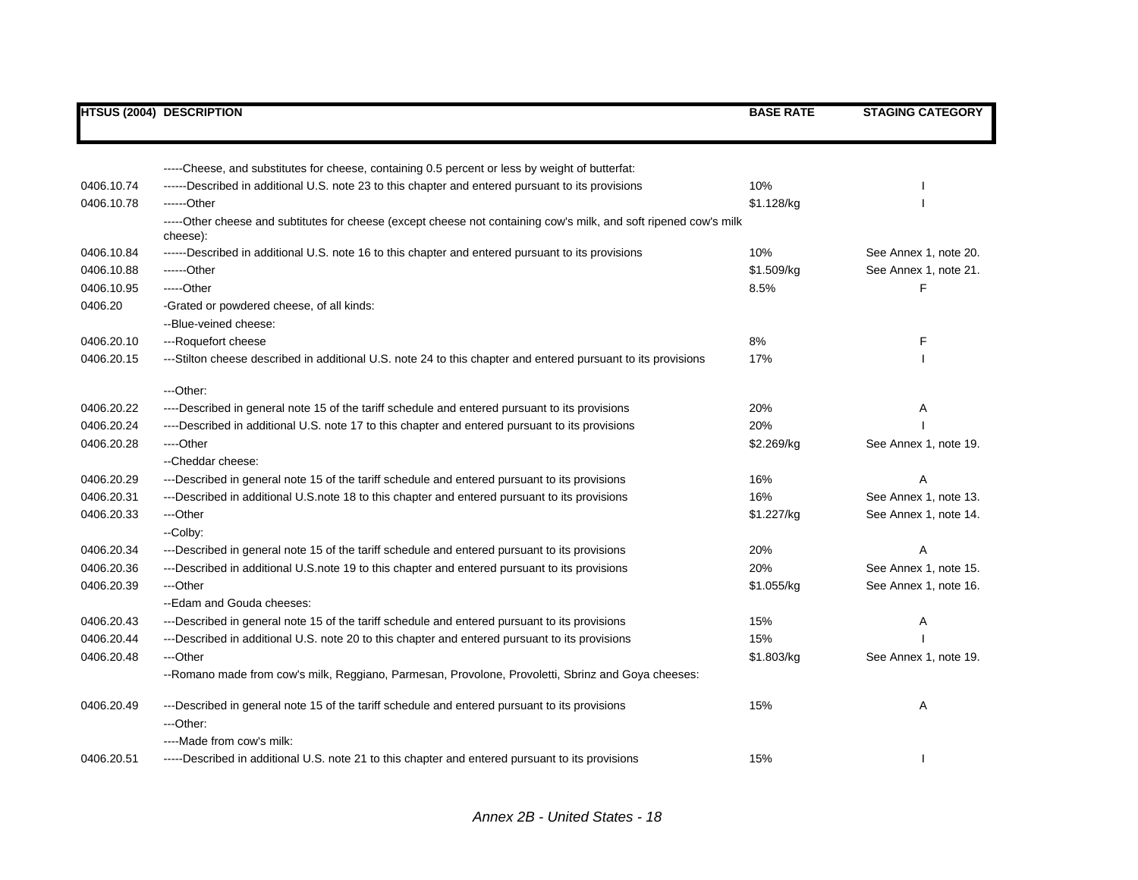|            | <b>HTSUS (2004) DESCRIPTION</b>                                                                                               | <b>BASE RATE</b> | <b>STAGING CATEGORY</b> |
|------------|-------------------------------------------------------------------------------------------------------------------------------|------------------|-------------------------|
|            |                                                                                                                               |                  |                         |
|            | -----Cheese, and substitutes for cheese, containing 0.5 percent or less by weight of butterfat:                               |                  |                         |
| 0406.10.74 | ------Described in additional U.S. note 23 to this chapter and entered pursuant to its provisions                             | 10%              |                         |
| 0406.10.78 | ------Other                                                                                                                   | \$1.128/kg       |                         |
|            | -----Other cheese and subtitutes for cheese (except cheese not containing cow's milk, and soft ripened cow's milk<br>cheese): |                  |                         |
| 0406.10.84 | ------Described in additional U.S. note 16 to this chapter and entered pursuant to its provisions                             | 10%              | See Annex 1, note 20.   |
| 0406.10.88 | ------Other                                                                                                                   | \$1.509/kg       | See Annex 1, note 21.   |
| 0406.10.95 | $---Other$                                                                                                                    | 8.5%             | F                       |
| 0406.20    | -Grated or powdered cheese, of all kinds:                                                                                     |                  |                         |
|            | --Blue-veined cheese:                                                                                                         |                  |                         |
| 0406.20.10 | ---Roquefort cheese                                                                                                           | 8%               | F                       |
| 0406.20.15 | ---Stilton cheese described in additional U.S. note 24 to this chapter and entered pursuant to its provisions                 | 17%              |                         |
|            | ---Other:                                                                                                                     |                  |                         |
| 0406.20.22 | ----Described in general note 15 of the tariff schedule and entered pursuant to its provisions                                | 20%              | Α                       |
| 0406.20.24 | ----Described in additional U.S. note 17 to this chapter and entered pursuant to its provisions                               | 20%              |                         |
| 0406.20.28 | ---Other                                                                                                                      | \$2.269/kg       | See Annex 1, note 19.   |
|            | --Cheddar cheese:                                                                                                             |                  |                         |
| 0406.20.29 | ---Described in general note 15 of the tariff schedule and entered pursuant to its provisions                                 | 16%              | A                       |
| 0406.20.31 | ---Described in additional U.S.note 18 to this chapter and entered pursuant to its provisions                                 | 16%              | See Annex 1, note 13.   |
| 0406.20.33 | ---Other                                                                                                                      | \$1.227/kg       | See Annex 1, note 14.   |
|            | -Colby:                                                                                                                       |                  |                         |
| 0406.20.34 | ---Described in general note 15 of the tariff schedule and entered pursuant to its provisions                                 | 20%              | A                       |
| 0406.20.36 | ---Described in additional U.S.note 19 to this chapter and entered pursuant to its provisions                                 | 20%              | See Annex 1, note 15.   |
| 0406.20.39 | ---Other                                                                                                                      | \$1.055/kg       | See Annex 1, note 16.   |
|            | --Edam and Gouda cheeses:                                                                                                     |                  |                         |
| 0406.20.43 | ---Described in general note 15 of the tariff schedule and entered pursuant to its provisions                                 | 15%              | Α                       |
| 0406.20.44 | ---Described in additional U.S. note 20 to this chapter and entered pursuant to its provisions                                | 15%              |                         |
| 0406.20.48 | ---Other                                                                                                                      | \$1.803/kg       | See Annex 1, note 19.   |
|            | --Romano made from cow's milk, Reggiano, Parmesan, Provolone, Provoletti, Sbrinz and Goya cheeses:                            |                  |                         |
| 0406.20.49 | ---Described in general note 15 of the tariff schedule and entered pursuant to its provisions                                 | 15%              | Α                       |
|            | ---Other:                                                                                                                     |                  |                         |
|            | ----Made from cow's milk:                                                                                                     |                  |                         |
| 0406.20.51 | -----Described in additional U.S. note 21 to this chapter and entered pursuant to its provisions                              | 15%              |                         |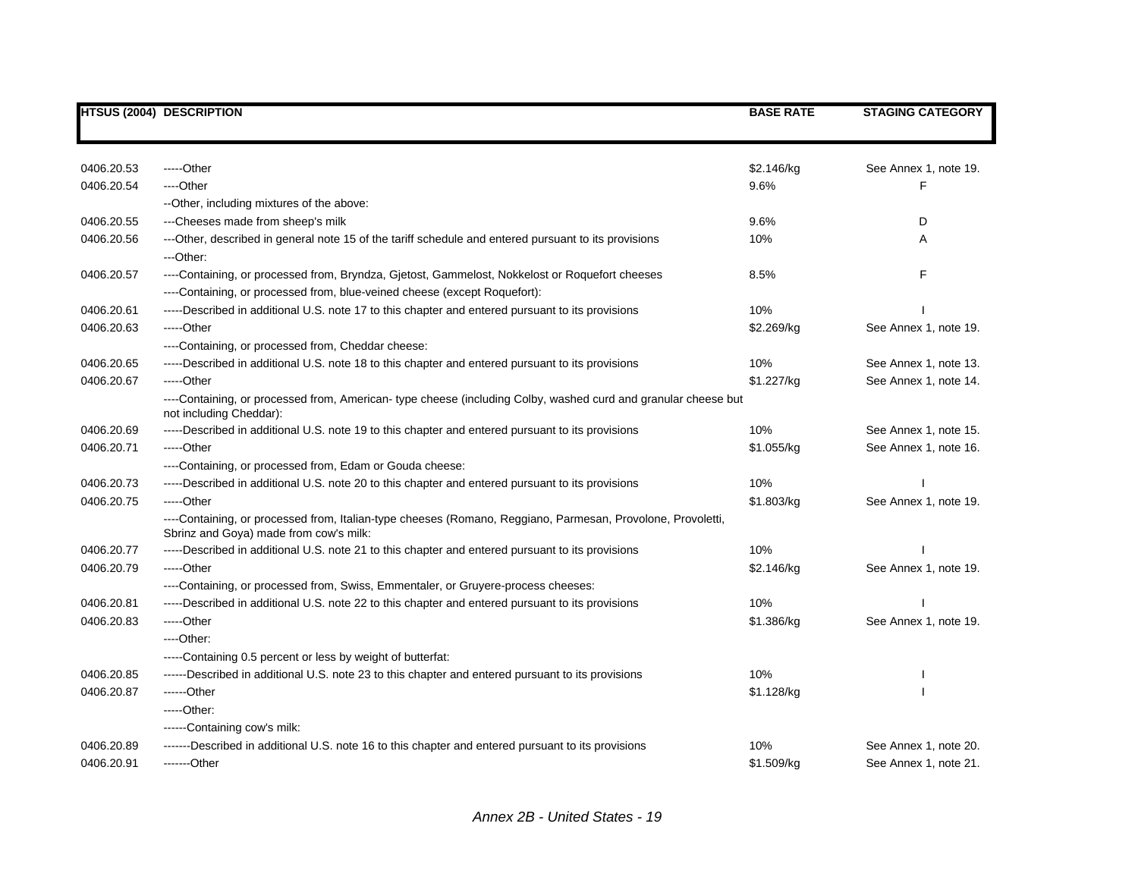|            | <b>HTSUS (2004) DESCRIPTION</b>                                                                                                                                             | <b>BASE RATE</b> | <b>STAGING CATEGORY</b> |
|------------|-----------------------------------------------------------------------------------------------------------------------------------------------------------------------------|------------------|-------------------------|
|            |                                                                                                                                                                             |                  |                         |
| 0406.20.53 | $---Other$                                                                                                                                                                  | \$2.146/kg       | See Annex 1, note 19.   |
| 0406.20.54 | ----Other                                                                                                                                                                   | 9.6%             | F                       |
|            | --Other, including mixtures of the above:                                                                                                                                   |                  |                         |
| 0406.20.55 | ---Cheeses made from sheep's milk                                                                                                                                           | 9.6%             | D                       |
| 0406.20.56 | ---Other, described in general note 15 of the tariff schedule and entered pursuant to its provisions<br>---Other:                                                           | 10%              | A                       |
| 0406.20.57 | ----Containing, or processed from, Bryndza, Gjetost, Gammelost, Nokkelost or Roquefort cheeses<br>----Containing, or processed from, blue-veined cheese (except Roquefort): | 8.5%             | F                       |
| 0406.20.61 | -----Described in additional U.S. note 17 to this chapter and entered pursuant to its provisions                                                                            | 10%              |                         |
| 0406.20.63 | $---Other$                                                                                                                                                                  | \$2.269/kg       | See Annex 1, note 19.   |
|            | ----Containing, or processed from, Cheddar cheese:                                                                                                                          |                  |                         |
| 0406.20.65 | -----Described in additional U.S. note 18 to this chapter and entered pursuant to its provisions                                                                            | 10%              | See Annex 1, note 13.   |
| 0406.20.67 | $---Other$                                                                                                                                                                  | \$1.227/kg       | See Annex 1, note 14.   |
|            | ----Containing, or processed from, American-type cheese (including Colby, washed curd and granular cheese but<br>not including Cheddar):                                    |                  |                         |
| 0406.20.69 | -----Described in additional U.S. note 19 to this chapter and entered pursuant to its provisions                                                                            | 10%              | See Annex 1, note 15.   |
| 0406.20.71 | -----Other                                                                                                                                                                  | \$1.055/kg       | See Annex 1, note 16.   |
|            | ----Containing, or processed from, Edam or Gouda cheese:                                                                                                                    |                  |                         |
| 0406.20.73 | -----Described in additional U.S. note 20 to this chapter and entered pursuant to its provisions                                                                            | 10%              |                         |
| 0406.20.75 | $---Other$                                                                                                                                                                  | \$1.803/kg       | See Annex 1, note 19.   |
|            | ----Containing, or processed from, Italian-type cheeses (Romano, Reggiano, Parmesan, Provolone, Provoletti,<br>Sbrinz and Goya) made from cow's milk:                       |                  |                         |
| 0406.20.77 | -----Described in additional U.S. note 21 to this chapter and entered pursuant to its provisions                                                                            | 10%              |                         |
| 0406.20.79 | -----Other                                                                                                                                                                  | \$2.146/kg       | See Annex 1, note 19.   |
|            | ----Containing, or processed from, Swiss, Emmentaler, or Gruyere-process cheeses:                                                                                           |                  |                         |
| 0406.20.81 | -----Described in additional U.S. note 22 to this chapter and entered pursuant to its provisions                                                                            | 10%              |                         |
| 0406.20.83 | -----Other                                                                                                                                                                  | \$1.386/kg       | See Annex 1, note 19.   |
|            | $---Other:$                                                                                                                                                                 |                  |                         |
|            | -----Containing 0.5 percent or less by weight of butterfat:                                                                                                                 |                  |                         |
| 0406.20.85 | ------Described in additional U.S. note 23 to this chapter and entered pursuant to its provisions                                                                           | 10%              |                         |
| 0406.20.87 | ------Other                                                                                                                                                                 | \$1.128/kg       |                         |
|            | $---Other.$                                                                                                                                                                 |                  |                         |
|            | ------Containing cow's milk:                                                                                                                                                |                  |                         |
| 0406.20.89 | -------Described in additional U.S. note 16 to this chapter and entered pursuant to its provisions                                                                          | 10%              | See Annex 1, note 20.   |
| 0406.20.91 | -------Other                                                                                                                                                                | \$1.509/kg       | See Annex 1, note 21.   |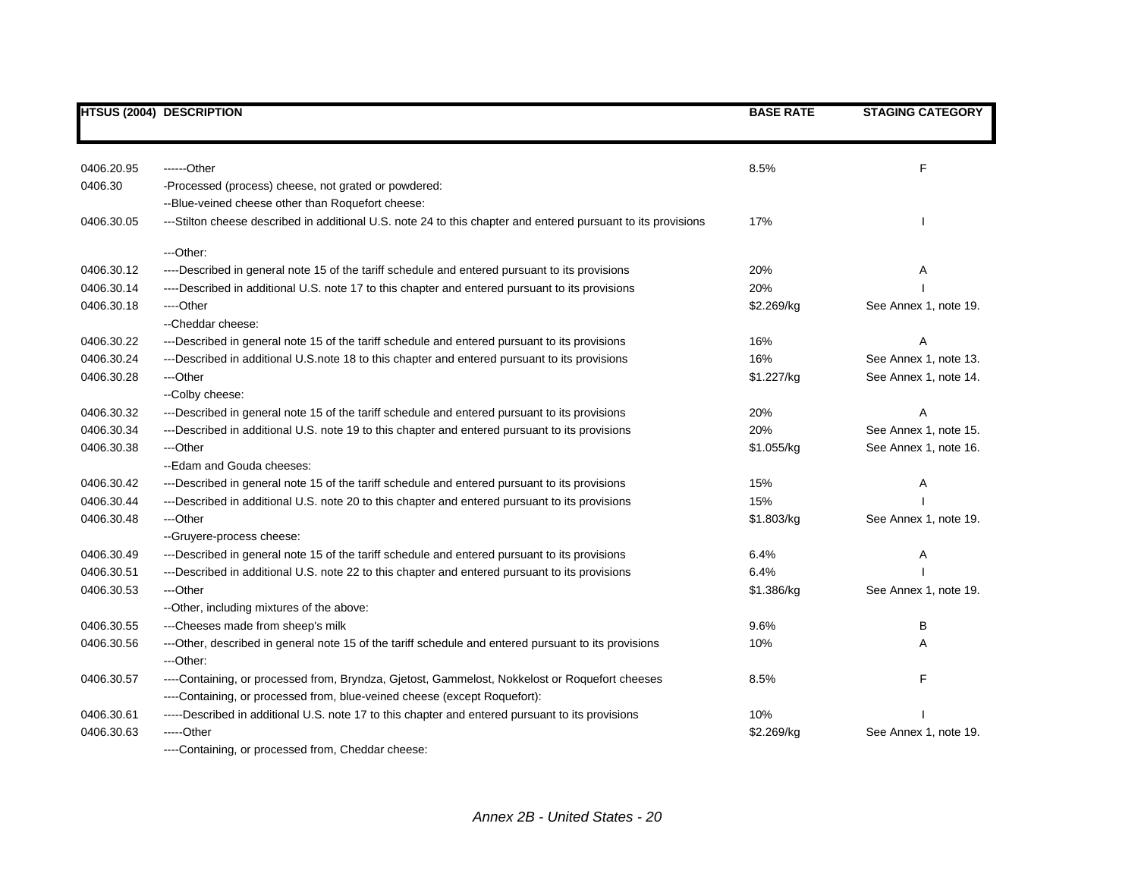|            | <b>HTSUS (2004) DESCRIPTION</b>                                                                               | <b>BASE RATE</b> | <b>STAGING CATEGORY</b> |
|------------|---------------------------------------------------------------------------------------------------------------|------------------|-------------------------|
|            |                                                                                                               |                  |                         |
| 0406.20.95 | ------Other                                                                                                   | 8.5%             | F                       |
| 0406.30    | -Processed (process) cheese, not grated or powdered:                                                          |                  |                         |
|            | --Blue-veined cheese other than Roquefort cheese:                                                             |                  |                         |
| 0406.30.05 | ---Stilton cheese described in additional U.S. note 24 to this chapter and entered pursuant to its provisions | 17%              |                         |
|            | ---Other:                                                                                                     |                  |                         |
| 0406.30.12 | ----Described in general note 15 of the tariff schedule and entered pursuant to its provisions                | 20%              | Α                       |
| 0406.30.14 | ----Described in additional U.S. note 17 to this chapter and entered pursuant to its provisions               | 20%              |                         |
| 0406.30.18 | ----Other                                                                                                     | \$2.269/kg       | See Annex 1, note 19.   |
|            | --Cheddar cheese:                                                                                             |                  |                         |
| 0406.30.22 | ---Described in general note 15 of the tariff schedule and entered pursuant to its provisions                 | 16%              | Α                       |
| 0406.30.24 | ---Described in additional U.S. note 18 to this chapter and entered pursuant to its provisions                | 16%              | See Annex 1, note 13.   |
| 0406.30.28 | ---Other                                                                                                      | \$1.227/kg       | See Annex 1, note 14.   |
|            | --Colby cheese:                                                                                               |                  |                         |
| 0406.30.32 | ---Described in general note 15 of the tariff schedule and entered pursuant to its provisions                 | 20%              | Α                       |
| 0406.30.34 | ---Described in additional U.S. note 19 to this chapter and entered pursuant to its provisions                | 20%              | See Annex 1, note 15.   |
| 0406.30.38 | ---Other                                                                                                      | \$1.055/kg       | See Annex 1, note 16.   |
|            | --Edam and Gouda cheeses:                                                                                     |                  |                         |
| 0406.30.42 | ---Described in general note 15 of the tariff schedule and entered pursuant to its provisions                 | 15%              | Α                       |
| 0406.30.44 | ---Described in additional U.S. note 20 to this chapter and entered pursuant to its provisions                | 15%              |                         |
| 0406.30.48 | ---Other                                                                                                      | \$1.803/kg       | See Annex 1, note 19.   |
|            | -- Gruyere-process cheese:                                                                                    |                  |                         |
| 0406.30.49 | ---Described in general note 15 of the tariff schedule and entered pursuant to its provisions                 | 6.4%             | Α                       |
| 0406.30.51 | ---Described in additional U.S. note 22 to this chapter and entered pursuant to its provisions                | 6.4%             |                         |
| 0406.30.53 | ---Other                                                                                                      | \$1.386/kg       | See Annex 1, note 19.   |
|            | --Other, including mixtures of the above:                                                                     |                  |                         |
| 0406.30.55 | ---Cheeses made from sheep's milk                                                                             | 9.6%             | В                       |
| 0406.30.56 | ---Other, described in general note 15 of the tariff schedule and entered pursuant to its provisions          | 10%              | Α                       |
|            | ---Other:                                                                                                     |                  |                         |
| 0406.30.57 | ----Containing, or processed from, Bryndza, Gjetost, Gammelost, Nokkelost or Roquefort cheeses                | 8.5%             | F                       |
|            | ----Containing, or processed from, blue-veined cheese (except Roquefort):                                     |                  |                         |
| 0406.30.61 | -----Described in additional U.S. note 17 to this chapter and entered pursuant to its provisions              | 10%              |                         |
| 0406.30.63 | -----Other                                                                                                    | \$2.269/kg       | See Annex 1, note 19.   |
|            | ----Containing, or processed from, Cheddar cheese:                                                            |                  |                         |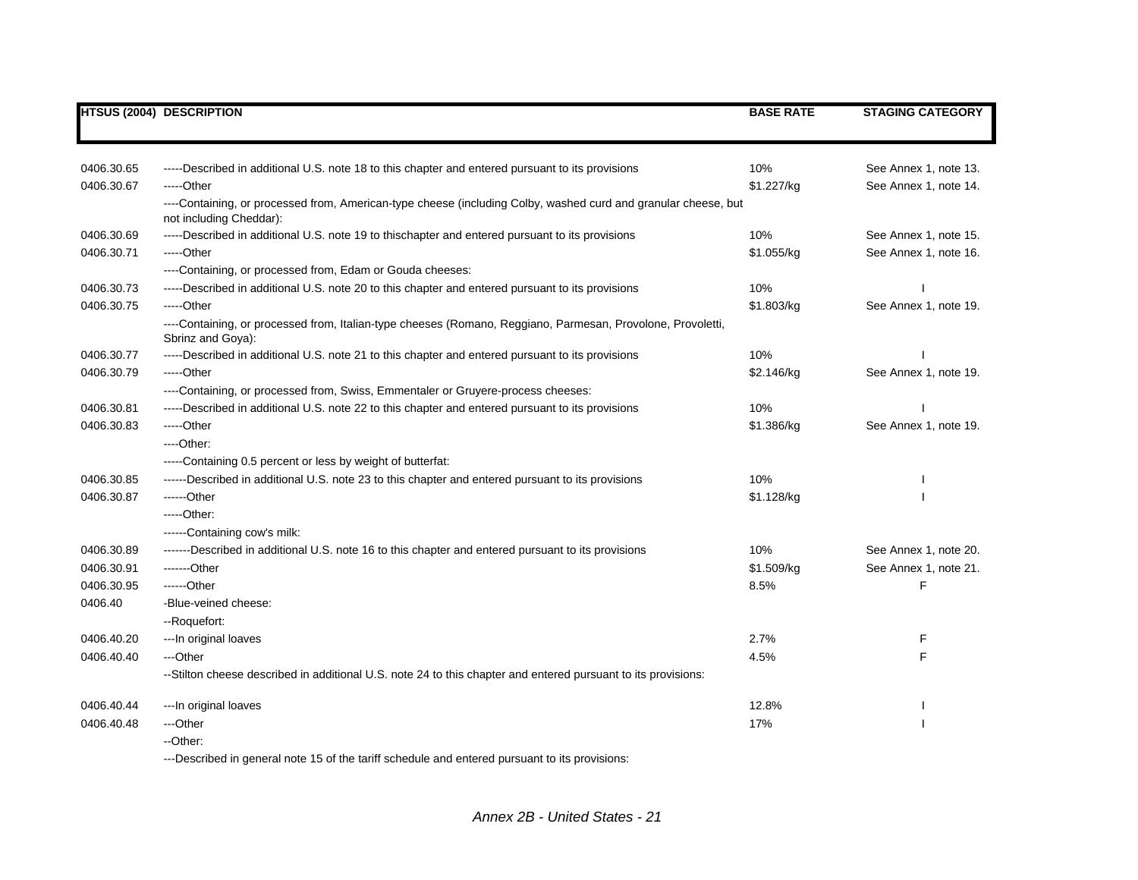|            | <b>HTSUS (2004) DESCRIPTION</b>                                                                                                           | <b>BASE RATE</b> | <b>STAGING CATEGORY</b> |
|------------|-------------------------------------------------------------------------------------------------------------------------------------------|------------------|-------------------------|
|            |                                                                                                                                           |                  |                         |
| 0406.30.65 | -----Described in additional U.S. note 18 to this chapter and entered pursuant to its provisions                                          | 10%              | See Annex 1, note 13.   |
| 0406.30.67 | -----Other                                                                                                                                | \$1.227/kg       | See Annex 1, note 14.   |
|            | ----Containing, or processed from, American-type cheese (including Colby, washed curd and granular cheese, but<br>not including Cheddar): |                  |                         |
| 0406.30.69 | -----Described in additional U.S. note 19 to this chapter and entered pursuant to its provisions                                          | 10%              | See Annex 1, note 15.   |
| 0406.30.71 | -----Other                                                                                                                                | \$1.055/kg       | See Annex 1, note 16.   |
|            | ----Containing, or processed from, Edam or Gouda cheeses:                                                                                 |                  |                         |
| 0406.30.73 | -----Described in additional U.S. note 20 to this chapter and entered pursuant to its provisions                                          | 10%              |                         |
| 0406.30.75 | -----Other                                                                                                                                | \$1.803/kg       | See Annex 1, note 19.   |
|            | ----Containing, or processed from, Italian-type cheeses (Romano, Reggiano, Parmesan, Provolone, Provoletti,<br>Sbrinz and Goya):          |                  |                         |
| 0406.30.77 | -----Described in additional U.S. note 21 to this chapter and entered pursuant to its provisions                                          | 10%              |                         |
| 0406.30.79 | -----Other                                                                                                                                | \$2.146/kg       | See Annex 1, note 19.   |
|            | ----Containing, or processed from, Swiss, Emmentaler or Gruyere-process cheeses:                                                          |                  |                         |
| 0406.30.81 | -----Described in additional U.S. note 22 to this chapter and entered pursuant to its provisions                                          | 10%              |                         |
| 0406.30.83 | -----Other                                                                                                                                | \$1.386/kg       | See Annex 1, note 19.   |
|            | $---Other.$                                                                                                                               |                  |                         |
|            | -----Containing 0.5 percent or less by weight of butterfat:                                                                               |                  |                         |
| 0406.30.85 | ------Described in additional U.S. note 23 to this chapter and entered pursuant to its provisions                                         | 10%              |                         |
| 0406.30.87 | ------Other                                                                                                                               | \$1.128/kg       |                         |
|            | -----Other:                                                                                                                               |                  |                         |
|            | ------Containing cow's milk:                                                                                                              |                  |                         |
| 0406.30.89 | -------Described in additional U.S. note 16 to this chapter and entered pursuant to its provisions                                        | 10%              | See Annex 1, note 20.   |
| 0406.30.91 | -------Other                                                                                                                              | \$1.509/kg       | See Annex 1, note 21.   |
| 0406.30.95 | ------Other                                                                                                                               | 8.5%             | F                       |
| 0406.40    | -Blue-veined cheese:                                                                                                                      |                  |                         |
|            | --Roquefort:                                                                                                                              |                  |                         |
| 0406.40.20 | --- In original loaves                                                                                                                    | 2.7%             | F                       |
| 0406.40.40 | ---Other                                                                                                                                  | 4.5%             | F                       |
|            | --Stilton cheese described in additional U.S. note 24 to this chapter and entered pursuant to its provisions:                             |                  |                         |
| 0406.40.44 | --- In original loaves                                                                                                                    | 12.8%            |                         |
| 0406.40.48 | ---Other                                                                                                                                  | 17%              |                         |
|            | --Other:                                                                                                                                  |                  |                         |

---Described in general note 15 of the tariff schedule and entered pursuant to its provisions: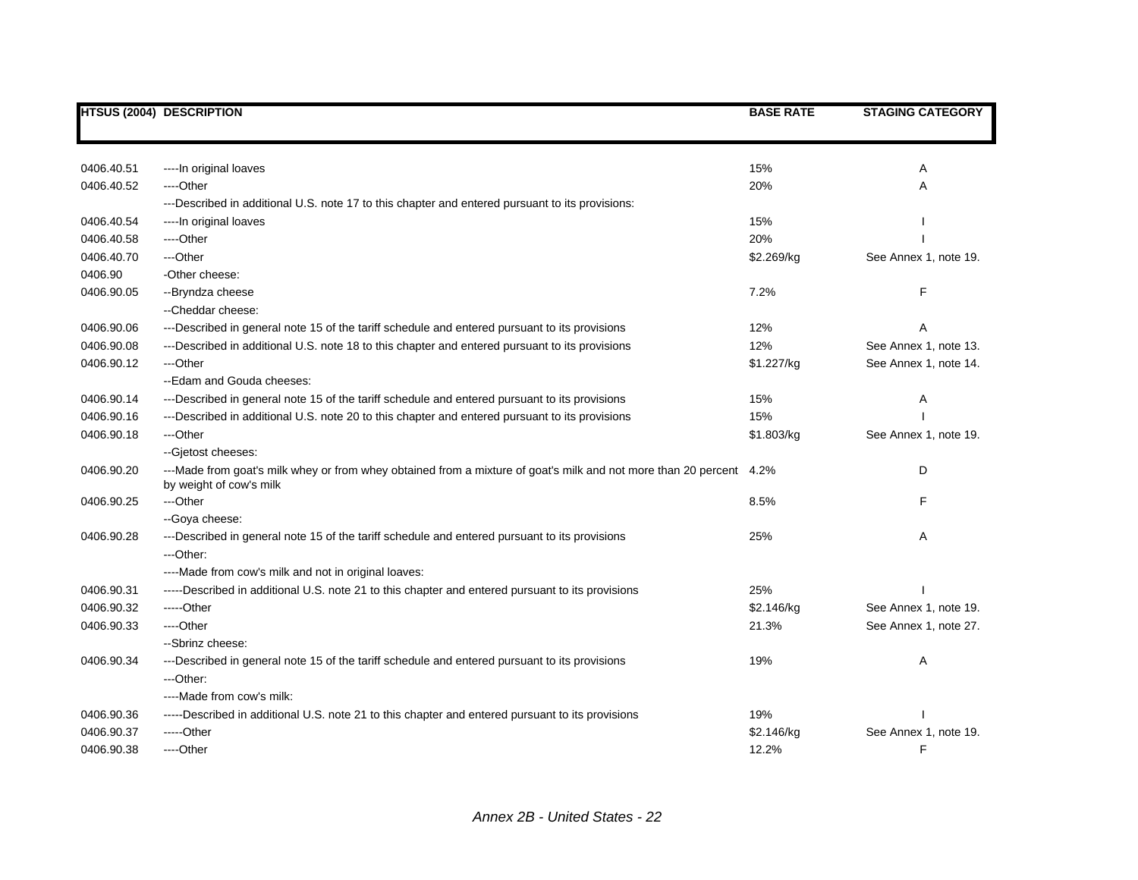|            | <b>HTSUS (2004) DESCRIPTION</b>                                                                                                                | <b>BASE RATE</b> | <b>STAGING CATEGORY</b> |
|------------|------------------------------------------------------------------------------------------------------------------------------------------------|------------------|-------------------------|
|            |                                                                                                                                                |                  |                         |
| 0406.40.51 | ---- In original loaves                                                                                                                        | 15%              | Α                       |
| 0406.40.52 | ----Other                                                                                                                                      | 20%              | Α                       |
|            | ---Described in additional U.S. note 17 to this chapter and entered pursuant to its provisions:                                                |                  |                         |
| 0406.40.54 | ---- In original loaves                                                                                                                        | 15%              |                         |
| 0406.40.58 | ----Other                                                                                                                                      | 20%              |                         |
| 0406.40.70 | ---Other                                                                                                                                       | \$2.269/kg       | See Annex 1, note 19.   |
| 0406.90    | -Other cheese:                                                                                                                                 |                  |                         |
| 0406.90.05 | --Bryndza cheese                                                                                                                               | 7.2%             | F                       |
|            | --Cheddar cheese:                                                                                                                              |                  |                         |
| 0406.90.06 | ---Described in general note 15 of the tariff schedule and entered pursuant to its provisions                                                  | 12%              | Α                       |
| 0406.90.08 | ---Described in additional U.S. note 18 to this chapter and entered pursuant to its provisions                                                 | 12%              | See Annex 1, note 13.   |
| 0406.90.12 | ---Other                                                                                                                                       | \$1.227/kg       | See Annex 1, note 14.   |
|            | --Edam and Gouda cheeses:                                                                                                                      |                  |                         |
| 0406.90.14 | ---Described in general note 15 of the tariff schedule and entered pursuant to its provisions                                                  | 15%              | Α                       |
| 0406.90.16 | ---Described in additional U.S. note 20 to this chapter and entered pursuant to its provisions                                                 | 15%              |                         |
| 0406.90.18 | ---Other                                                                                                                                       | \$1.803/kg       | See Annex 1, note 19.   |
|            | --Gjetost cheeses:                                                                                                                             |                  |                         |
| 0406.90.20 | ---Made from goat's milk whey or from whey obtained from a mixture of goat's milk and not more than 20 percent 4.2%<br>by weight of cow's milk |                  | D                       |
| 0406.90.25 | ---Other                                                                                                                                       | 8.5%             | F                       |
|            | -- Goya cheese:                                                                                                                                |                  |                         |
| 0406.90.28 | ---Described in general note 15 of the tariff schedule and entered pursuant to its provisions                                                  | 25%              | A                       |
|            | ---Other:                                                                                                                                      |                  |                         |
|            | ----Made from cow's milk and not in original loaves:                                                                                           |                  |                         |
| 0406.90.31 | -----Described in additional U.S. note 21 to this chapter and entered pursuant to its provisions                                               | 25%              |                         |
| 0406.90.32 | -----Other                                                                                                                                     | \$2.146/kg       | See Annex 1, note 19.   |
| 0406.90.33 | ---Other                                                                                                                                       | 21.3%            | See Annex 1, note 27.   |
|            | --Sbrinz cheese:                                                                                                                               |                  |                         |
| 0406.90.34 | ---Described in general note 15 of the tariff schedule and entered pursuant to its provisions                                                  | 19%              | Α                       |
|            | ---Other:                                                                                                                                      |                  |                         |
|            | ----Made from cow's milk:                                                                                                                      |                  |                         |
| 0406.90.36 | -----Described in additional U.S. note 21 to this chapter and entered pursuant to its provisions                                               | 19%              |                         |
| 0406.90.37 | -----Other                                                                                                                                     | \$2.146/kg       | See Annex 1, note 19.   |
| 0406.90.38 | ----Other                                                                                                                                      | 12.2%            | F                       |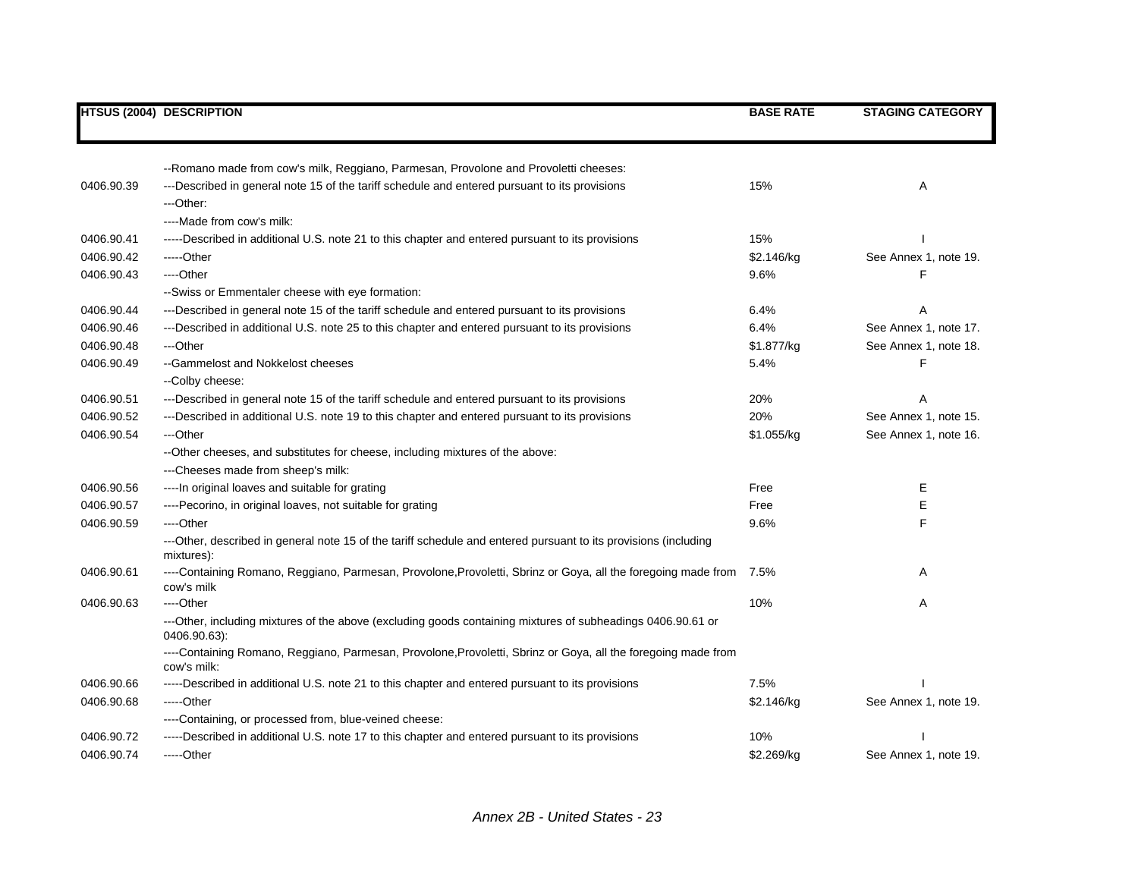|            | <b>HTSUS (2004) DESCRIPTION</b>                                                                                               | <b>BASE RATE</b> | <b>STAGING CATEGORY</b> |
|------------|-------------------------------------------------------------------------------------------------------------------------------|------------------|-------------------------|
|            |                                                                                                                               |                  |                         |
|            | --Romano made from cow's milk, Reggiano, Parmesan, Provolone and Provoletti cheeses:                                          |                  |                         |
| 0406.90.39 | ---Described in general note 15 of the tariff schedule and entered pursuant to its provisions                                 | 15%              | Α                       |
|            | ---Other:                                                                                                                     |                  |                         |
|            | ----Made from cow's milk:                                                                                                     |                  |                         |
| 0406.90.41 | -----Described in additional U.S. note 21 to this chapter and entered pursuant to its provisions                              | 15%              |                         |
| 0406.90.42 | -----Other                                                                                                                    | \$2.146/kg       | See Annex 1, note 19.   |
| 0406.90.43 | ----Other                                                                                                                     | 9.6%             | F                       |
|            | -- Swiss or Emmentaler cheese with eye formation:                                                                             |                  |                         |
| 0406.90.44 | ---Described in general note 15 of the tariff schedule and entered pursuant to its provisions                                 | 6.4%             |                         |
| 0406.90.46 | ---Described in additional U.S. note 25 to this chapter and entered pursuant to its provisions                                | 6.4%             | See Annex 1, note 17.   |
| 0406.90.48 | ---Other                                                                                                                      | \$1.877/kg       | See Annex 1, note 18.   |
| 0406.90.49 | --Gammelost and Nokkelost cheeses                                                                                             | 5.4%             | F                       |
|            | -- Colby cheese:                                                                                                              |                  |                         |
| 0406.90.51 | ---Described in general note 15 of the tariff schedule and entered pursuant to its provisions                                 | 20%              |                         |
| 0406.90.52 | ---Described in additional U.S. note 19 to this chapter and entered pursuant to its provisions                                | 20%              | See Annex 1, note 15.   |
| 0406.90.54 | ---Other                                                                                                                      | \$1.055/kg       | See Annex 1, note 16.   |
|            | --Other cheeses, and substitutes for cheese, including mixtures of the above:                                                 |                  |                         |
|            | ---Cheeses made from sheep's milk:                                                                                            |                  |                         |
| 0406.90.56 | ---- In original loaves and suitable for grating                                                                              | Free             | Е                       |
| 0406.90.57 | ----Pecorino, in original loaves, not suitable for grating                                                                    | Free             | E                       |
| 0406.90.59 | ---Other                                                                                                                      | 9.6%             | F                       |
|            | ---Other, described in general note 15 of the tariff schedule and entered pursuant to its provisions (including<br>mixtures): |                  |                         |
| 0406.90.61 | ----Containing Romano, Reggiano, Parmesan, Provolone, Provoletti, Sbrinz or Goya, all the foregoing made from<br>cow's milk   | 7.5%             | Α                       |
| 0406.90.63 | ----Other                                                                                                                     | 10%              | A                       |
|            | ---Other, including mixtures of the above (excluding goods containing mixtures of subheadings 0406.90.61 or<br>0406.90.63):   |                  |                         |
|            | ----Containing Romano, Reggiano, Parmesan, Provolone, Provoletti, Sbrinz or Goya, all the foregoing made from<br>cow's milk:  |                  |                         |
| 0406.90.66 | -----Described in additional U.S. note 21 to this chapter and entered pursuant to its provisions                              | 7.5%             |                         |
| 0406.90.68 | -----Other                                                                                                                    | \$2.146/kg       | See Annex 1, note 19.   |
|            | ----Containing, or processed from, blue-veined cheese:                                                                        |                  |                         |
| 0406.90.72 | -----Described in additional U.S. note 17 to this chapter and entered pursuant to its provisions                              | 10%              |                         |
| 0406.90.74 | -----Other                                                                                                                    | \$2.269/kg       | See Annex 1, note 19.   |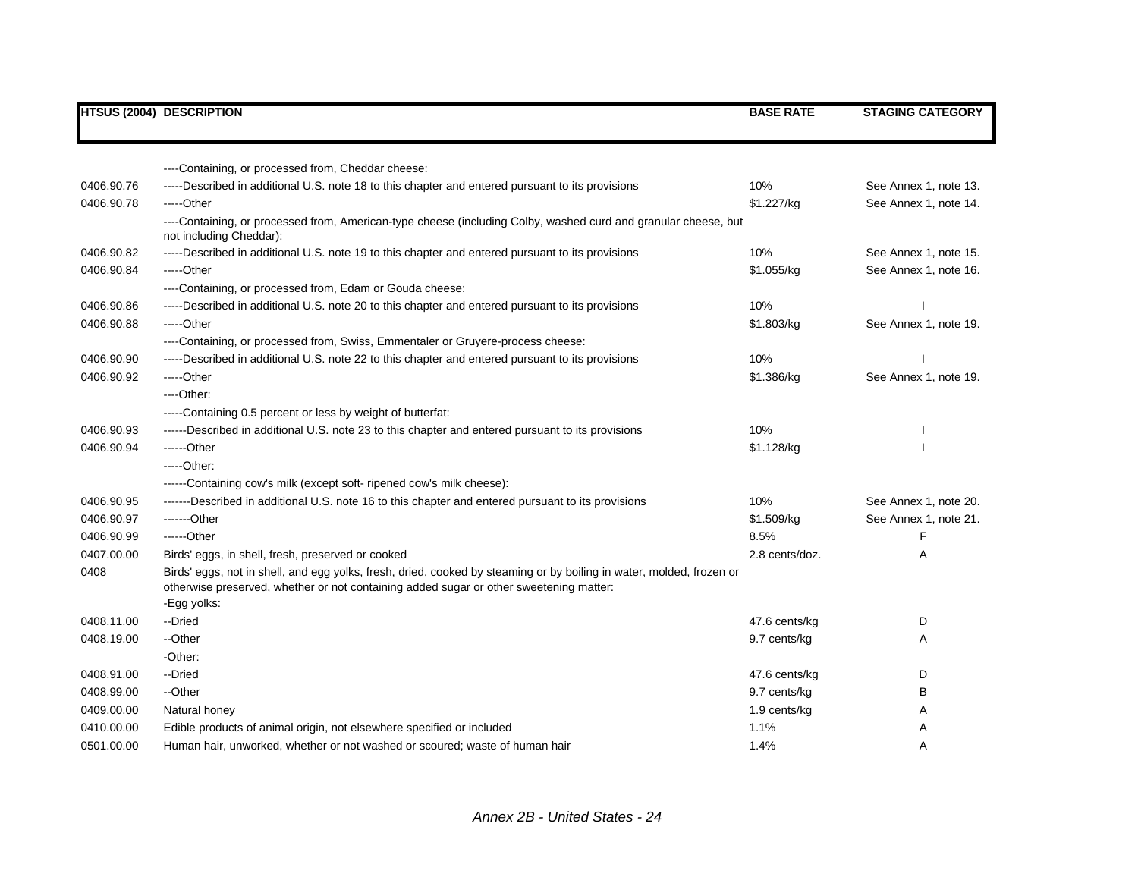|            | <b>HTSUS (2004) DESCRIPTION</b>                                                                                                                                                                                | <b>BASE RATE</b> | <b>STAGING CATEGORY</b> |
|------------|----------------------------------------------------------------------------------------------------------------------------------------------------------------------------------------------------------------|------------------|-------------------------|
|            |                                                                                                                                                                                                                |                  |                         |
|            |                                                                                                                                                                                                                |                  |                         |
|            | ----Containing, or processed from, Cheddar cheese:                                                                                                                                                             |                  |                         |
| 0406.90.76 | -----Described in additional U.S. note 18 to this chapter and entered pursuant to its provisions                                                                                                               | 10%              | See Annex 1, note 13.   |
| 0406.90.78 | -----Other                                                                                                                                                                                                     | \$1.227/kg       | See Annex 1, note 14.   |
|            | ----Containing, or processed from, American-type cheese (including Colby, washed curd and granular cheese, but<br>not including Cheddar):                                                                      |                  |                         |
| 0406.90.82 | -----Described in additional U.S. note 19 to this chapter and entered pursuant to its provisions                                                                                                               | 10%              | See Annex 1, note 15.   |
| 0406.90.84 | -----Other                                                                                                                                                                                                     | \$1.055/kg       | See Annex 1, note 16.   |
|            | ----Containing, or processed from, Edam or Gouda cheese:                                                                                                                                                       |                  |                         |
| 0406.90.86 | -----Described in additional U.S. note 20 to this chapter and entered pursuant to its provisions                                                                                                               | 10%              |                         |
| 0406.90.88 | -----Other                                                                                                                                                                                                     | \$1.803/kg       | See Annex 1, note 19.   |
|            | ----Containing, or processed from, Swiss, Emmentaler or Gruyere-process cheese:                                                                                                                                |                  |                         |
| 0406.90.90 | -----Described in additional U.S. note 22 to this chapter and entered pursuant to its provisions                                                                                                               | 10%              |                         |
| 0406.90.92 | -----Other                                                                                                                                                                                                     | \$1.386/kg       | See Annex 1, note 19.   |
|            | $---Other.$                                                                                                                                                                                                    |                  |                         |
|            | -----Containing 0.5 percent or less by weight of butterfat:                                                                                                                                                    |                  |                         |
| 0406.90.93 | ------Described in additional U.S. note 23 to this chapter and entered pursuant to its provisions                                                                                                              | 10%              |                         |
| 0406.90.94 | ------Other                                                                                                                                                                                                    | \$1.128/kg       |                         |
|            | $---Other.$                                                                                                                                                                                                    |                  |                         |
|            | ------Containing cow's milk (except soft-ripened cow's milk cheese):                                                                                                                                           |                  |                         |
| 0406.90.95 | -------Described in additional U.S. note 16 to this chapter and entered pursuant to its provisions                                                                                                             | 10%              | See Annex 1, note 20.   |
| 0406.90.97 | -------Other                                                                                                                                                                                                   | \$1.509/kg       | See Annex 1, note 21.   |
| 0406.90.99 | ------Other                                                                                                                                                                                                    | 8.5%             | F                       |
| 0407.00.00 | Birds' eggs, in shell, fresh, preserved or cooked                                                                                                                                                              | 2.8 cents/doz.   | Α                       |
| 0408       | Birds' eggs, not in shell, and egg yolks, fresh, dried, cooked by steaming or by boiling in water, molded, frozen or<br>otherwise preserved, whether or not containing added sugar or other sweetening matter: |                  |                         |
|            | -Egg yolks:                                                                                                                                                                                                    |                  |                         |
| 0408.11.00 | --Dried                                                                                                                                                                                                        | 47.6 cents/kg    | D                       |
| 0408.19.00 | --Other                                                                                                                                                                                                        | 9.7 cents/kg     | Α                       |
|            | -Other:                                                                                                                                                                                                        |                  |                         |
| 0408.91.00 | --Dried                                                                                                                                                                                                        | 47.6 cents/kg    | D                       |
| 0408.99.00 | --Other                                                                                                                                                                                                        | 9.7 cents/kg     | В                       |
| 0409.00.00 | Natural honey                                                                                                                                                                                                  | 1.9 cents/kg     | Α                       |
| 0410.00.00 | Edible products of animal origin, not elsewhere specified or included                                                                                                                                          | 1.1%             | Α                       |
| 0501.00.00 | Human hair, unworked, whether or not washed or scoured; waste of human hair                                                                                                                                    | 1.4%             | A                       |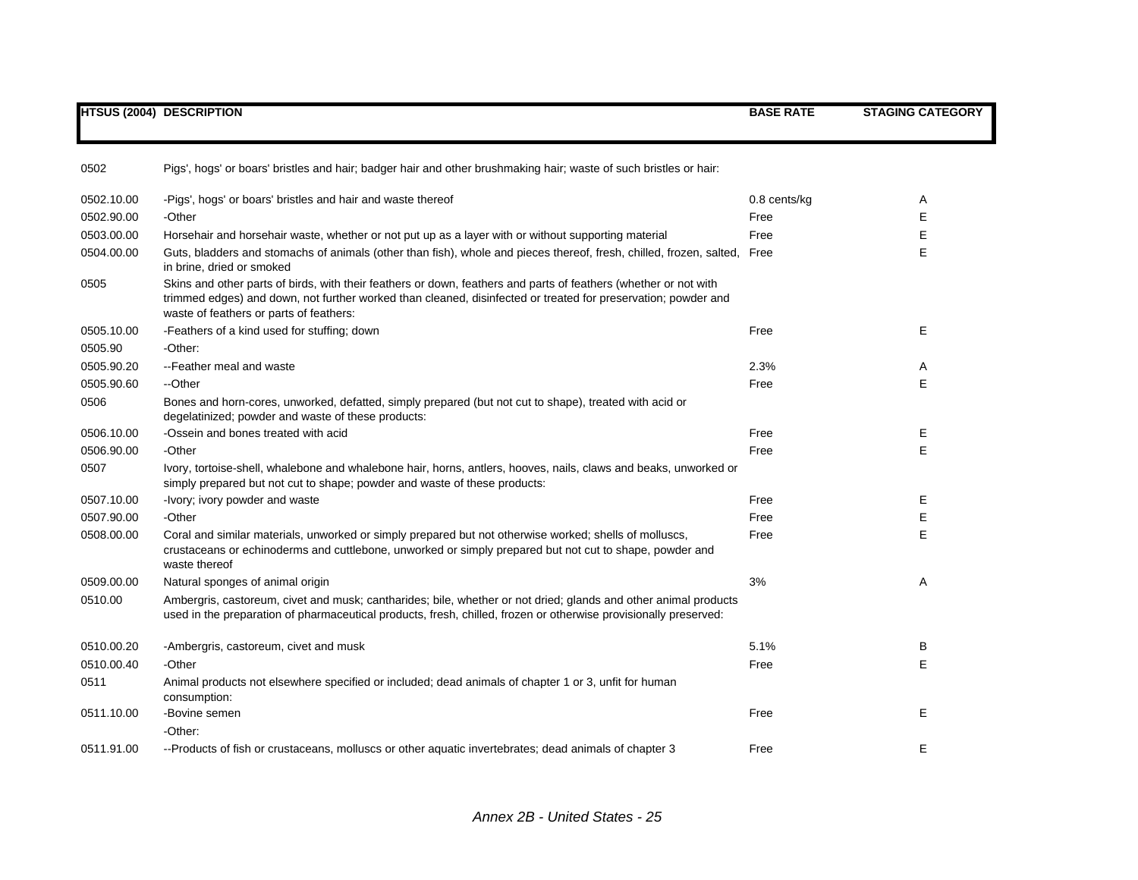|            | <b>HTSUS (2004) DESCRIPTION</b>                                                                                                                                                                                                                                              | <b>BASE RATE</b> | <b>STAGING CATEGORY</b> |
|------------|------------------------------------------------------------------------------------------------------------------------------------------------------------------------------------------------------------------------------------------------------------------------------|------------------|-------------------------|
| 0502       | Pigs', hogs' or boars' bristles and hair; badger hair and other brushmaking hair; waste of such bristles or hair:                                                                                                                                                            |                  |                         |
| 0502.10.00 | -Pigs', hogs' or boars' bristles and hair and waste thereof                                                                                                                                                                                                                  | 0.8 cents/kg     | A                       |
| 0502.90.00 | -Other                                                                                                                                                                                                                                                                       | Free             | Е                       |
| 0503.00.00 | Horsehair and horsehair waste, whether or not put up as a layer with or without supporting material                                                                                                                                                                          | Free             | E                       |
| 0504.00.00 | Guts, bladders and stomachs of animals (other than fish), whole and pieces thereof, fresh, chilled, frozen, salted, Free<br>in brine, dried or smoked                                                                                                                        |                  | E                       |
| 0505       | Skins and other parts of birds, with their feathers or down, feathers and parts of feathers (whether or not with<br>trimmed edges) and down, not further worked than cleaned, disinfected or treated for preservation; powder and<br>waste of feathers or parts of feathers: |                  |                         |
| 0505.10.00 | -Feathers of a kind used for stuffing; down                                                                                                                                                                                                                                  | Free             | E                       |
| 0505.90    | -Other:                                                                                                                                                                                                                                                                      |                  |                         |
| 0505.90.20 | --Feather meal and waste                                                                                                                                                                                                                                                     | 2.3%             | Α                       |
| 0505.90.60 | --Other                                                                                                                                                                                                                                                                      | Free             | E                       |
| 0506       | Bones and horn-cores, unworked, defatted, simply prepared (but not cut to shape), treated with acid or<br>degelatinized; powder and waste of these products:                                                                                                                 |                  |                         |
| 0506.10.00 | -Ossein and bones treated with acid                                                                                                                                                                                                                                          | Free             | Е                       |
| 0506.90.00 | -Other                                                                                                                                                                                                                                                                       | Free             | E                       |
| 0507       | Ivory, tortoise-shell, whalebone and whalebone hair, horns, antlers, hooves, nails, claws and beaks, unworked or<br>simply prepared but not cut to shape; powder and waste of these products:                                                                                |                  |                         |
| 0507.10.00 | -Ivory; ivory powder and waste                                                                                                                                                                                                                                               | Free             | Е                       |
| 0507.90.00 | -Other                                                                                                                                                                                                                                                                       | Free             | Е                       |
| 0508.00.00 | Coral and similar materials, unworked or simply prepared but not otherwise worked; shells of molluscs,<br>crustaceans or echinoderms and cuttlebone, unworked or simply prepared but not cut to shape, powder and<br>waste thereof                                           | Free             | E                       |
| 0509.00.00 | Natural sponges of animal origin                                                                                                                                                                                                                                             | 3%               | Α                       |
| 0510.00    | Ambergris, castoreum, civet and musk; cantharides; bile, whether or not dried; glands and other animal products<br>used in the preparation of pharmaceutical products, fresh, chilled, frozen or otherwise provisionally preserved:                                          |                  |                         |
| 0510.00.20 | -Ambergris, castoreum, civet and musk                                                                                                                                                                                                                                        | 5.1%             | B                       |
| 0510.00.40 | -Other                                                                                                                                                                                                                                                                       | Free             | Е                       |
| 0511       | Animal products not elsewhere specified or included; dead animals of chapter 1 or 3, unfit for human<br>consumption:                                                                                                                                                         |                  |                         |
| 0511.10.00 | -Bovine semen                                                                                                                                                                                                                                                                | Free             | E                       |
|            | -Other:                                                                                                                                                                                                                                                                      |                  |                         |
| 0511.91.00 | --Products of fish or crustaceans, molluscs or other aquatic invertebrates; dead animals of chapter 3                                                                                                                                                                        | Free             | Е                       |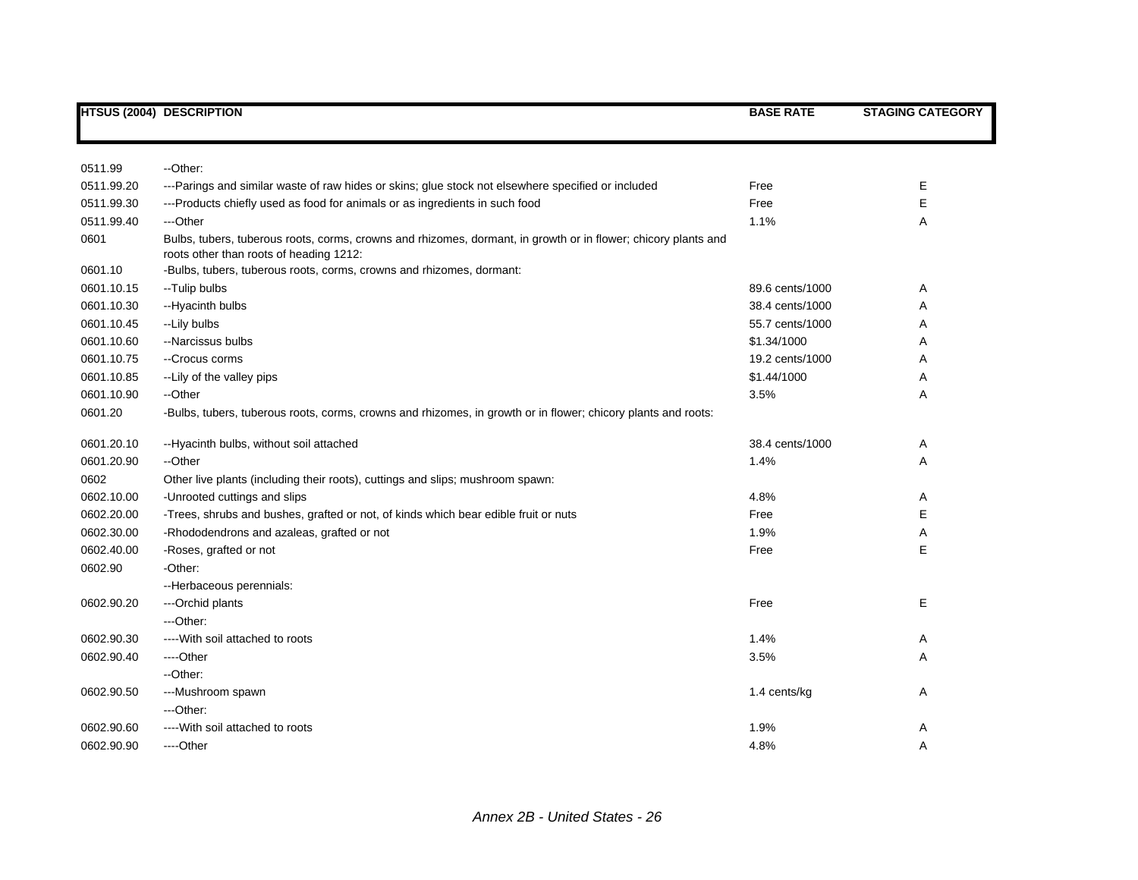|            | <b>HTSUS (2004) DESCRIPTION</b>                                                                                                                           | <b>BASE RATE</b> | <b>STAGING CATEGORY</b> |
|------------|-----------------------------------------------------------------------------------------------------------------------------------------------------------|------------------|-------------------------|
|            |                                                                                                                                                           |                  |                         |
| 0511.99    | --Other:                                                                                                                                                  |                  |                         |
| 0511.99.20 | ---Parings and similar waste of raw hides or skins; glue stock not elsewhere specified or included                                                        | Free             | Е                       |
| 0511.99.30 | --- Products chiefly used as food for animals or as ingredients in such food                                                                              | Free             | Е                       |
| 0511.99.40 | ---Other                                                                                                                                                  | 1.1%             | Α                       |
| 0601       | Bulbs, tubers, tuberous roots, corms, crowns and rhizomes, dormant, in growth or in flower; chicory plants and<br>roots other than roots of heading 1212: |                  |                         |
| 0601.10    | -Bulbs, tubers, tuberous roots, corms, crowns and rhizomes, dormant:                                                                                      |                  |                         |
| 0601.10.15 | --Tulip bulbs                                                                                                                                             | 89.6 cents/1000  | Α                       |
| 0601.10.30 | --Hyacinth bulbs                                                                                                                                          | 38.4 cents/1000  | Α                       |
| 0601.10.45 | --Lily bulbs                                                                                                                                              | 55.7 cents/1000  | Α                       |
| 0601.10.60 | --Narcissus bulbs                                                                                                                                         | \$1.34/1000      | A                       |
| 0601.10.75 | --Crocus corms                                                                                                                                            | 19.2 cents/1000  | Α                       |
| 0601.10.85 | -- Lily of the valley pips                                                                                                                                | \$1.44/1000      | Α                       |
| 0601.10.90 | --Other                                                                                                                                                   | 3.5%             | Α                       |
| 0601.20    | -Bulbs, tubers, tuberous roots, corms, crowns and rhizomes, in growth or in flower; chicory plants and roots:                                             |                  |                         |
| 0601.20.10 | --Hyacinth bulbs, without soil attached                                                                                                                   | 38.4 cents/1000  | Α                       |
| 0601.20.90 | --Other                                                                                                                                                   | 1.4%             | Α                       |
| 0602       | Other live plants (including their roots), cuttings and slips; mushroom spawn:                                                                            |                  |                         |
| 0602.10.00 | -Unrooted cuttings and slips                                                                                                                              | 4.8%             | Α                       |
| 0602.20.00 | -Trees, shrubs and bushes, grafted or not, of kinds which bear edible fruit or nuts                                                                       | Free             | Е                       |
| 0602.30.00 | -Rhododendrons and azaleas, grafted or not                                                                                                                | 1.9%             | Α                       |
| 0602.40.00 | -Roses, grafted or not                                                                                                                                    | Free             | Е                       |
| 0602.90    | -Other:                                                                                                                                                   |                  |                         |
|            | -- Herbaceous perennials:                                                                                                                                 |                  |                         |
| 0602.90.20 | ---Orchid plants                                                                                                                                          | Free             | E                       |
|            | ---Other:                                                                                                                                                 |                  |                         |
| 0602.90.30 | ---- With soil attached to roots                                                                                                                          | 1.4%             | Α                       |
| 0602.90.40 | ----Other                                                                                                                                                 | 3.5%             | Α                       |
|            | --Other:                                                                                                                                                  |                  |                         |
| 0602.90.50 | ---Mushroom spawn                                                                                                                                         | 1.4 cents/kg     | Α                       |
|            | ---Other:                                                                                                                                                 |                  |                         |
| 0602.90.60 | ---- With soil attached to roots                                                                                                                          | 1.9%             | Α                       |
| 0602.90.90 | ----Other                                                                                                                                                 | 4.8%             | Α                       |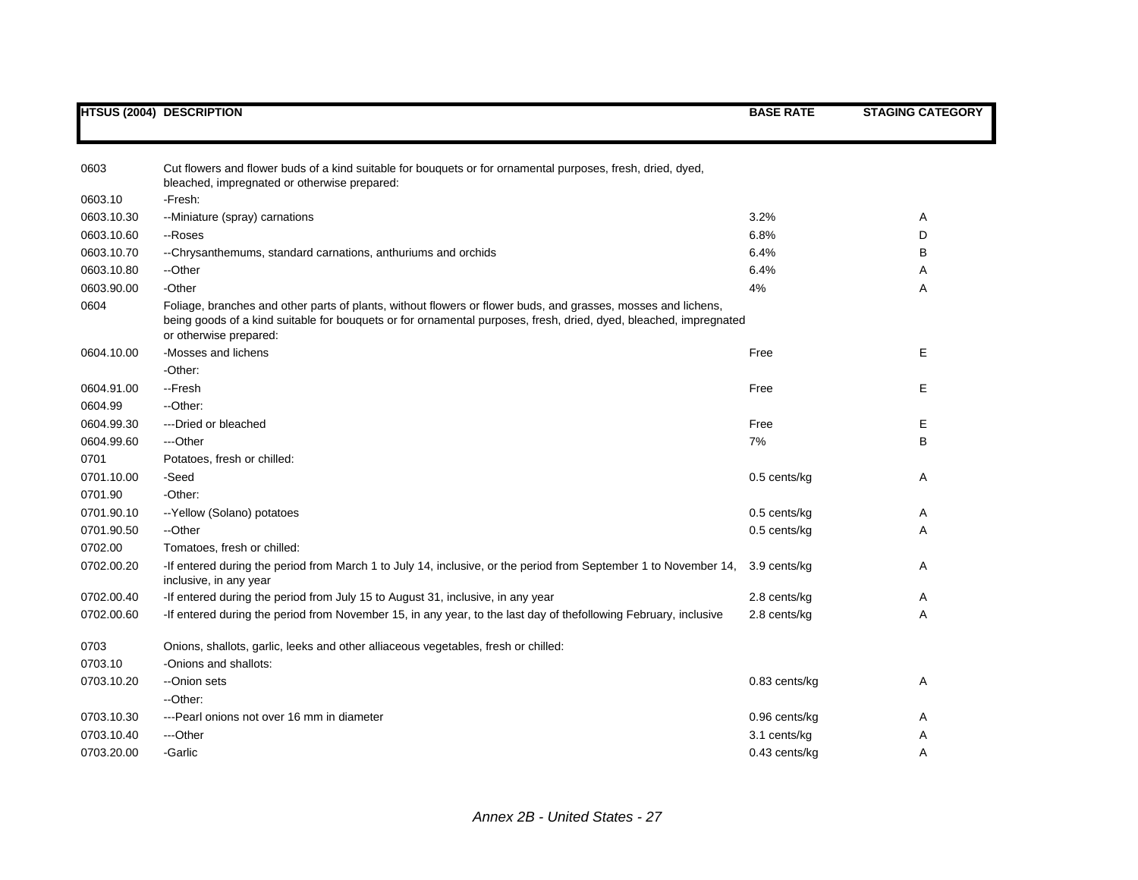|            | <b>HTSUS (2004) DESCRIPTION</b>                                                                                                                                                                                                                              | <b>BASE RATE</b> | <b>STAGING CATEGORY</b> |
|------------|--------------------------------------------------------------------------------------------------------------------------------------------------------------------------------------------------------------------------------------------------------------|------------------|-------------------------|
| 0603       | Cut flowers and flower buds of a kind suitable for bouquets or for ornamental purposes, fresh, dried, dyed,                                                                                                                                                  |                  |                         |
| 0603.10    | bleached, impregnated or otherwise prepared:<br>-Fresh:                                                                                                                                                                                                      |                  |                         |
| 0603.10.30 | --Miniature (spray) carnations                                                                                                                                                                                                                               | 3.2%             | A                       |
| 0603.10.60 | --Roses                                                                                                                                                                                                                                                      | 6.8%             | D                       |
| 0603.10.70 | --Chrysanthemums, standard carnations, anthuriums and orchids                                                                                                                                                                                                | 6.4%             | B                       |
| 0603.10.80 | --Other                                                                                                                                                                                                                                                      | 6.4%             | Α                       |
| 0603.90.00 | -Other                                                                                                                                                                                                                                                       | 4%               | Α                       |
| 0604       | Foliage, branches and other parts of plants, without flowers or flower buds, and grasses, mosses and lichens,<br>being goods of a kind suitable for bouquets or for ornamental purposes, fresh, dried, dyed, bleached, impregnated<br>or otherwise prepared: |                  |                         |
| 0604.10.00 | -Mosses and lichens                                                                                                                                                                                                                                          | Free             | E                       |
|            | -Other:                                                                                                                                                                                                                                                      |                  |                         |
| 0604.91.00 | --Fresh                                                                                                                                                                                                                                                      | Free             | Е                       |
| 0604.99    | --Other:                                                                                                                                                                                                                                                     |                  |                         |
| 0604.99.30 | ---Dried or bleached                                                                                                                                                                                                                                         | Free             | E                       |
| 0604.99.60 | ---Other                                                                                                                                                                                                                                                     | 7%               | в                       |
| 0701       | Potatoes, fresh or chilled:                                                                                                                                                                                                                                  |                  |                         |
| 0701.10.00 | -Seed                                                                                                                                                                                                                                                        | 0.5 cents/kg     | Α                       |
| 0701.90    | -Other:                                                                                                                                                                                                                                                      |                  |                         |
| 0701.90.10 | -- Yellow (Solano) potatoes                                                                                                                                                                                                                                  | 0.5 cents/kg     | Α                       |
| 0701.90.50 | --Other                                                                                                                                                                                                                                                      | $0.5$ cents/kg   | Α                       |
| 0702.00    | Tomatoes, fresh or chilled:                                                                                                                                                                                                                                  |                  |                         |
| 0702.00.20 | -If entered during the period from March 1 to July 14, inclusive, or the period from September 1 to November 14,<br>inclusive, in any year                                                                                                                   | 3.9 cents/kg     | A                       |
| 0702.00.40 | -If entered during the period from July 15 to August 31, inclusive, in any year                                                                                                                                                                              | 2.8 cents/kg     | Α                       |
| 0702.00.60 | -If entered during the period from November 15, in any year, to the last day of thefollowing February, inclusive                                                                                                                                             | 2.8 cents/kg     | Α                       |
| 0703       | Onions, shallots, garlic, leeks and other alliaceous vegetables, fresh or chilled:                                                                                                                                                                           |                  |                         |
| 0703.10    | -Onions and shallots:                                                                                                                                                                                                                                        |                  |                         |
| 0703.10.20 | --Onion sets                                                                                                                                                                                                                                                 | 0.83 cents/kg    | Α                       |
|            | --Other:                                                                                                                                                                                                                                                     |                  |                         |
| 0703.10.30 | --- Pearl onions not over 16 mm in diameter                                                                                                                                                                                                                  | 0.96 cents/kg    | Α                       |
| 0703.10.40 | ---Other                                                                                                                                                                                                                                                     | 3.1 cents/kg     | Α                       |
| 0703.20.00 | -Garlic                                                                                                                                                                                                                                                      | 0.43 cents/kg    | A                       |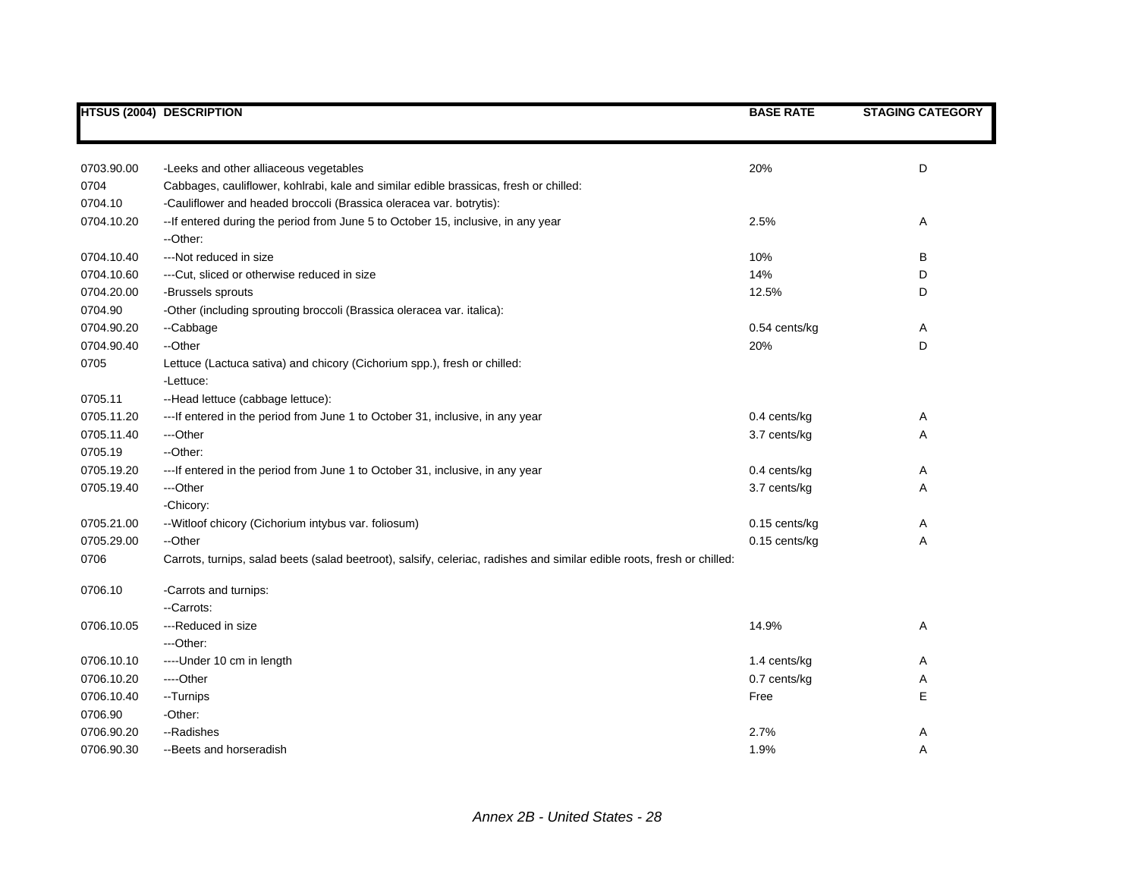|            | <b>HTSUS (2004) DESCRIPTION</b>                                                                                         | <b>BASE RATE</b> | <b>STAGING CATEGORY</b> |
|------------|-------------------------------------------------------------------------------------------------------------------------|------------------|-------------------------|
|            |                                                                                                                         |                  |                         |
| 0703.90.00 | -Leeks and other alliaceous vegetables                                                                                  | 20%              | D                       |
| 0704       | Cabbages, cauliflower, kohlrabi, kale and similar edible brassicas, fresh or chilled:                                   |                  |                         |
| 0704.10    | -Cauliflower and headed broccoli (Brassica oleracea var. botrytis):                                                     |                  |                         |
| 0704.10.20 | -- If entered during the period from June 5 to October 15, inclusive, in any year<br>--Other:                           | 2.5%             | Α                       |
| 0704.10.40 | ---Not reduced in size                                                                                                  | 10%              | в                       |
| 0704.10.60 | --- Cut, sliced or otherwise reduced in size                                                                            | 14%              | D                       |
| 0704.20.00 | -Brussels sprouts                                                                                                       | 12.5%            | D                       |
| 0704.90    | -Other (including sprouting broccoli (Brassica oleracea var. italica):                                                  |                  |                         |
| 0704.90.20 | --Cabbage                                                                                                               | 0.54 cents/kg    | A                       |
| 0704.90.40 | --Other                                                                                                                 | 20%              | D                       |
| 0705       | Lettuce (Lactuca sativa) and chicory (Cichorium spp.), fresh or chilled:                                                |                  |                         |
|            | -Lettuce:                                                                                                               |                  |                         |
| 0705.11    | --Head lettuce (cabbage lettuce):                                                                                       |                  |                         |
| 0705.11.20 | --- If entered in the period from June 1 to October 31, inclusive, in any year                                          | 0.4 cents/kg     | Α                       |
| 0705.11.40 | ---Other                                                                                                                | 3.7 cents/kg     | Α                       |
| 0705.19    | --Other:                                                                                                                |                  |                         |
| 0705.19.20 | --- If entered in the period from June 1 to October 31, inclusive, in any year                                          | 0.4 cents/kg     | Α                       |
| 0705.19.40 | ---Other                                                                                                                | 3.7 cents/kg     | Α                       |
|            | -Chicory:                                                                                                               |                  |                         |
| 0705.21.00 | -- Witloof chicory (Cichorium intybus var. foliosum)                                                                    | 0.15 cents/kg    | A                       |
| 0705.29.00 | --Other                                                                                                                 | 0.15 cents/kg    | Α                       |
| 0706       | Carrots, turnips, salad beets (salad beetroot), salsify, celeriac, radishes and similar edible roots, fresh or chilled: |                  |                         |
| 0706.10    | -Carrots and turnips:                                                                                                   |                  |                         |
|            | --Carrots:                                                                                                              |                  |                         |
| 0706.10.05 | ---Reduced in size                                                                                                      | 14.9%            | Α                       |
|            | ---Other:                                                                                                               |                  |                         |
| 0706.10.10 | ---- Under 10 cm in length                                                                                              | 1.4 cents/kg     | Α                       |
| 0706.10.20 | ----Other                                                                                                               | 0.7 cents/kg     | A                       |
| 0706.10.40 | --Turnips                                                                                                               | Free             | E                       |
| 0706.90    | -Other:                                                                                                                 |                  |                         |
| 0706.90.20 | --Radishes                                                                                                              | 2.7%             | Α                       |
| 0706.90.30 | --Beets and horseradish                                                                                                 | 1.9%             | A                       |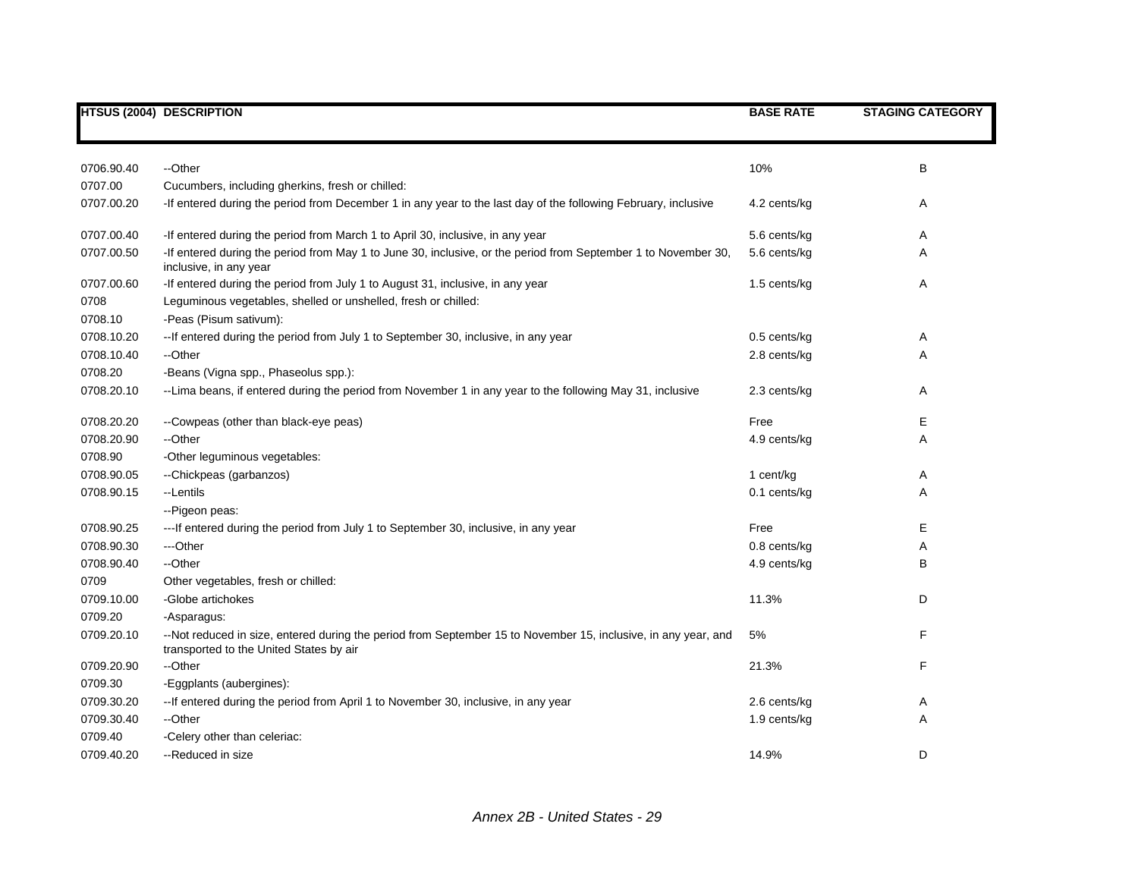|            | <b>HTSUS (2004) DESCRIPTION</b>                                                                                                                                                                  | <b>BASE RATE</b> | <b>STAGING CATEGORY</b> |
|------------|--------------------------------------------------------------------------------------------------------------------------------------------------------------------------------------------------|------------------|-------------------------|
|            |                                                                                                                                                                                                  |                  |                         |
|            |                                                                                                                                                                                                  |                  |                         |
| 0706.90.40 | --Other                                                                                                                                                                                          | 10%              | B                       |
| 0707.00    | Cucumbers, including gherkins, fresh or chilled:                                                                                                                                                 |                  |                         |
| 0707.00.20 | -If entered during the period from December 1 in any year to the last day of the following February, inclusive                                                                                   | 4.2 cents/kg     | A                       |
| 0707.00.40 |                                                                                                                                                                                                  | 5.6 cents/kg     | Α                       |
| 0707.00.50 | -If entered during the period from March 1 to April 30, inclusive, in any year<br>-If entered during the period from May 1 to June 30, inclusive, or the period from September 1 to November 30, | 5.6 cents/kg     | Α                       |
|            | inclusive, in any year                                                                                                                                                                           |                  |                         |
| 0707.00.60 | -If entered during the period from July 1 to August 31, inclusive, in any year                                                                                                                   | 1.5 cents/kg     | A                       |
| 0708       | Leguminous vegetables, shelled or unshelled, fresh or chilled:                                                                                                                                   |                  |                         |
| 0708.10    | -Peas (Pisum sativum):                                                                                                                                                                           |                  |                         |
| 0708.10.20 | -- If entered during the period from July 1 to September 30, inclusive, in any year                                                                                                              | $0.5$ cents/kg   | Α                       |
| 0708.10.40 | --Other                                                                                                                                                                                          | 2.8 cents/kg     | Α                       |
| 0708.20    | -Beans (Vigna spp., Phaseolus spp.):                                                                                                                                                             |                  |                         |
| 0708.20.10 | --Lima beans, if entered during the period from November 1 in any year to the following May 31, inclusive                                                                                        | 2.3 cents/kg     | Α                       |
| 0708.20.20 | --Cowpeas (other than black-eye peas)                                                                                                                                                            | Free             | Е                       |
| 0708.20.90 | --Other                                                                                                                                                                                          | 4.9 cents/kg     | Α                       |
| 0708.90    | -Other leguminous vegetables:                                                                                                                                                                    |                  |                         |
| 0708.90.05 | --Chickpeas (garbanzos)                                                                                                                                                                          | 1 cent/kg        | Α                       |
| 0708.90.15 | --Lentils                                                                                                                                                                                        | 0.1 cents/kg     | Α                       |
|            | --Pigeon peas:                                                                                                                                                                                   |                  |                         |
| 0708.90.25 | ---If entered during the period from July 1 to September 30, inclusive, in any year                                                                                                              | Free             | Е                       |
| 0708.90.30 | ---Other                                                                                                                                                                                         | 0.8 cents/kg     | Α                       |
| 0708.90.40 | --Other                                                                                                                                                                                          | 4.9 cents/kg     | B                       |
| 0709       | Other vegetables, fresh or chilled:                                                                                                                                                              |                  |                         |
| 0709.10.00 | -Globe artichokes                                                                                                                                                                                | 11.3%            | D                       |
| 0709.20    | -Asparagus:                                                                                                                                                                                      |                  |                         |
| 0709.20.10 | --Not reduced in size, entered during the period from September 15 to November 15, inclusive, in any year, and<br>transported to the United States by air                                        | 5%               | F                       |
| 0709.20.90 | --Other                                                                                                                                                                                          | 21.3%            | F                       |
| 0709.30    | -Eggplants (aubergines):                                                                                                                                                                         |                  |                         |
| 0709.30.20 | -- If entered during the period from April 1 to November 30, inclusive, in any year                                                                                                              | 2.6 cents/kg     | A                       |
| 0709.30.40 | --Other                                                                                                                                                                                          | 1.9 cents/kg     | Α                       |
| 0709.40    | -Celery other than celeriac:                                                                                                                                                                     |                  |                         |
| 0709.40.20 | --Reduced in size                                                                                                                                                                                | 14.9%            | D                       |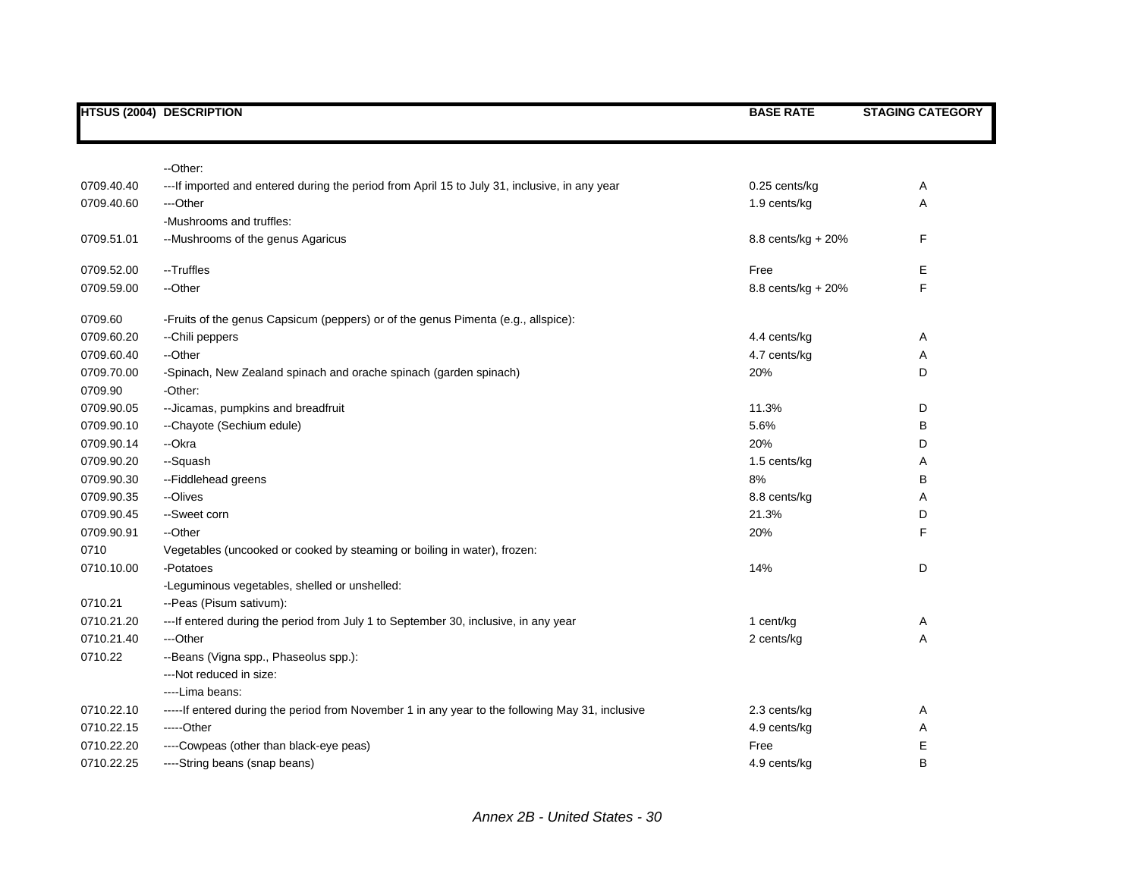|            | <b>HTSUS (2004) DESCRIPTION</b>                                                                  | <b>BASE RATE</b>     | <b>STAGING CATEGORY</b> |
|------------|--------------------------------------------------------------------------------------------------|----------------------|-------------------------|
|            |                                                                                                  |                      |                         |
|            | --Other:                                                                                         |                      |                         |
| 0709.40.40 | --- If imported and entered during the period from April 15 to July 31, inclusive, in any year   | 0.25 cents/kg        | Α                       |
| 0709.40.60 | ---Other                                                                                         | 1.9 cents/kg         | Α                       |
|            | -Mushrooms and truffles:                                                                         |                      |                         |
| 0709.51.01 | -- Mushrooms of the genus Agaricus                                                               | $8.8$ cents/kg + 20% | F                       |
| 0709.52.00 | --Truffles                                                                                       | Free                 | Ε                       |
| 0709.59.00 | --Other                                                                                          | $8.8$ cents/kg + 20% | F                       |
| 0709.60    | -Fruits of the genus Capsicum (peppers) or of the genus Pimenta (e.g., allspice):                |                      |                         |
| 0709.60.20 | --Chili peppers                                                                                  | 4.4 cents/kg         | Α                       |
| 0709.60.40 | --Other                                                                                          | 4.7 cents/kg         | Α                       |
| 0709.70.00 | -Spinach, New Zealand spinach and orache spinach (garden spinach)                                | 20%                  | D                       |
| 0709.90    | -Other:                                                                                          |                      |                         |
| 0709.90.05 | -- Jicamas, pumpkins and breadfruit                                                              | 11.3%                | D                       |
| 0709.90.10 | --Chayote (Sechium edule)                                                                        | 5.6%                 | в                       |
| 0709.90.14 | --Okra                                                                                           | 20%                  | D                       |
| 0709.90.20 | --Squash                                                                                         | 1.5 cents/kg         | A                       |
| 0709.90.30 | -- Fiddlehead greens                                                                             | 8%                   | B                       |
| 0709.90.35 | --Olives                                                                                         | 8.8 cents/kg         | Α                       |
| 0709.90.45 | --Sweet corn                                                                                     | 21.3%                | D                       |
| 0709.90.91 | --Other                                                                                          | 20%                  | F                       |
| 0710       | Vegetables (uncooked or cooked by steaming or boiling in water), frozen:                         |                      |                         |
| 0710.10.00 | -Potatoes                                                                                        | 14%                  | D                       |
|            | -Leguminous vegetables, shelled or unshelled:                                                    |                      |                         |
| 0710.21    | --Peas (Pisum sativum):                                                                          |                      |                         |
| 0710.21.20 | --- If entered during the period from July 1 to September 30, inclusive, in any year             | 1 cent/kg            | Α                       |
| 0710.21.40 | ---Other                                                                                         | 2 cents/kg           | Α                       |
| 0710.22    | --Beans (Vigna spp., Phaseolus spp.):                                                            |                      |                         |
|            | ---Not reduced in size:                                                                          |                      |                         |
|            | ---Lima beans:                                                                                   |                      |                         |
| 0710.22.10 | -----If entered during the period from November 1 in any year to the following May 31, inclusive | 2.3 cents/kg         | Α                       |
| 0710.22.15 | -----Other                                                                                       | 4.9 cents/kg         | Α                       |
| 0710.22.20 | ----Cowpeas (other than black-eye peas)                                                          | Free                 | Е                       |
| 0710.22.25 | ----String beans (snap beans)                                                                    | 4.9 cents/kg         | B                       |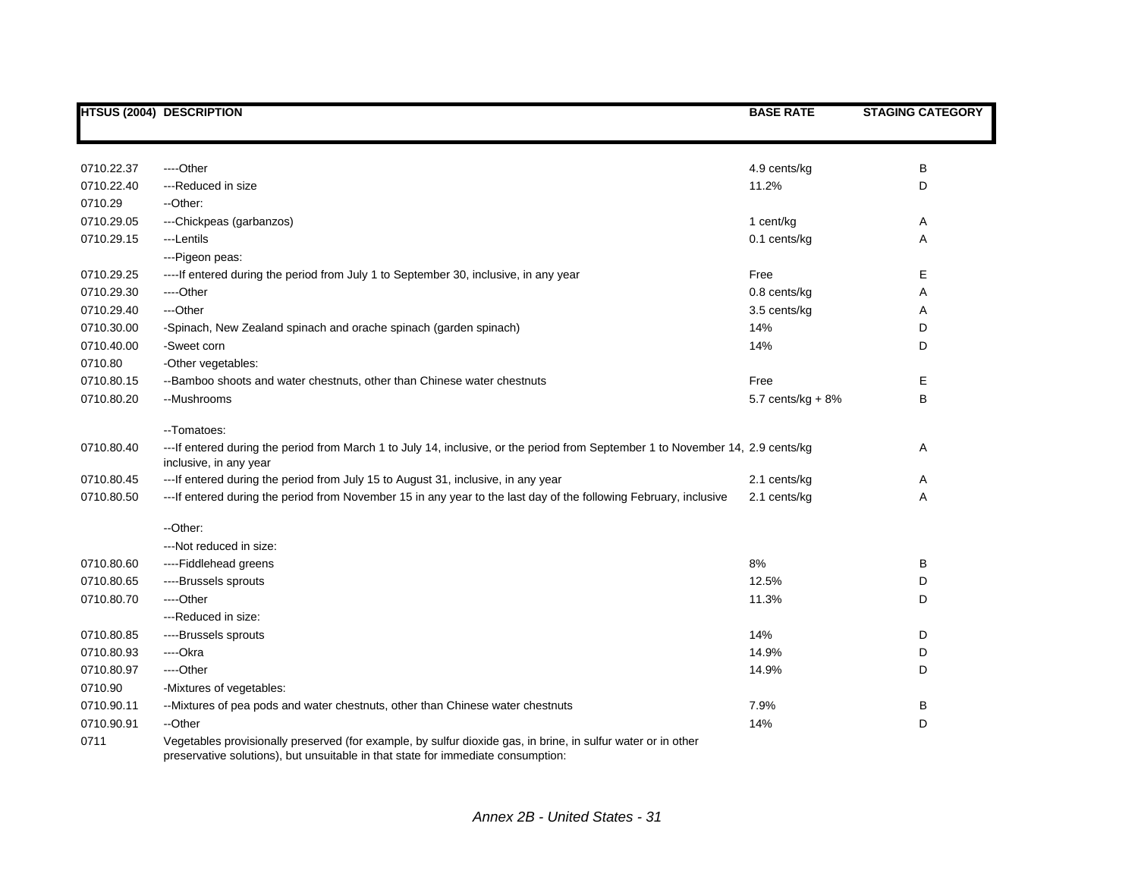|            | <b>HTSUS (2004) DESCRIPTION</b>                                                                                                                                                                   | <b>BASE RATE</b>    | <b>STAGING CATEGORY</b> |
|------------|---------------------------------------------------------------------------------------------------------------------------------------------------------------------------------------------------|---------------------|-------------------------|
|            |                                                                                                                                                                                                   |                     |                         |
| 0710.22.37 | ----Other                                                                                                                                                                                         | 4.9 cents/kg        | В                       |
| 0710.22.40 | ---Reduced in size                                                                                                                                                                                | 11.2%               | D                       |
| 0710.29    | --Other:                                                                                                                                                                                          |                     |                         |
| 0710.29.05 | ---Chickpeas (garbanzos)                                                                                                                                                                          | 1 cent/kg           | Α                       |
| 0710.29.15 | ---Lentils                                                                                                                                                                                        | 0.1 cents/kg        | Α                       |
|            | ---Pigeon peas:                                                                                                                                                                                   |                     |                         |
| 0710.29.25 | ----If entered during the period from July 1 to September 30, inclusive, in any year                                                                                                              | Free                | Е                       |
| 0710.29.30 | ----Other                                                                                                                                                                                         | 0.8 cents/kg        | Α                       |
| 0710.29.40 | ---Other                                                                                                                                                                                          | 3.5 cents/kg        | Α                       |
| 0710.30.00 | -Spinach, New Zealand spinach and orache spinach (garden spinach)                                                                                                                                 | 14%                 | D                       |
| 0710.40.00 | -Sweet corn                                                                                                                                                                                       | 14%                 | D                       |
| 0710.80    | -Other vegetables:                                                                                                                                                                                |                     |                         |
| 0710.80.15 | --Bamboo shoots and water chestnuts, other than Chinese water chestnuts                                                                                                                           | Free                | Е                       |
| 0710.80.20 | --Mushrooms                                                                                                                                                                                       | 5.7 cents/kg $+8\%$ | В                       |
|            | --Tomatoes:                                                                                                                                                                                       |                     |                         |
| 0710.80.40 | --- If entered during the period from March 1 to July 14, inclusive, or the period from September 1 to November 14, 2.9 cents/kg<br>inclusive, in any year                                        |                     | Α                       |
| 0710.80.45 | ---If entered during the period from July 15 to August 31, inclusive, in any year                                                                                                                 | 2.1 cents/kg        | Α                       |
| 0710.80.50 | ---If entered during the period from November 15 in any year to the last day of the following February, inclusive                                                                                 | 2.1 cents/kg        | Α                       |
|            | -- Other:                                                                                                                                                                                         |                     |                         |
|            | --- Not reduced in size:                                                                                                                                                                          |                     |                         |
| 0710.80.60 | ----Fiddlehead greens                                                                                                                                                                             | 8%                  | В                       |
| 0710.80.65 | ----Brussels sprouts                                                                                                                                                                              | 12.5%               | D                       |
| 0710.80.70 | ----Other                                                                                                                                                                                         | 11.3%               | D                       |
|            | ---Reduced in size:                                                                                                                                                                               |                     |                         |
| 0710.80.85 | ----Brussels sprouts                                                                                                                                                                              | 14%                 | D                       |
| 0710.80.93 | ----Okra                                                                                                                                                                                          | 14.9%               | D                       |
| 0710.80.97 | ----Other                                                                                                                                                                                         | 14.9%               | D                       |
| 0710.90    | -Mixtures of vegetables:                                                                                                                                                                          |                     |                         |
| 0710.90.11 | -- Mixtures of pea pods and water chestnuts, other than Chinese water chestnuts                                                                                                                   | 7.9%                | В                       |
| 0710.90.91 | --Other                                                                                                                                                                                           | 14%                 | D                       |
| 0711       | Vegetables provisionally preserved (for example, by sulfur dioxide gas, in brine, in sulfur water or in other<br>preservative solutions), but unsuitable in that state for immediate consumption: |                     |                         |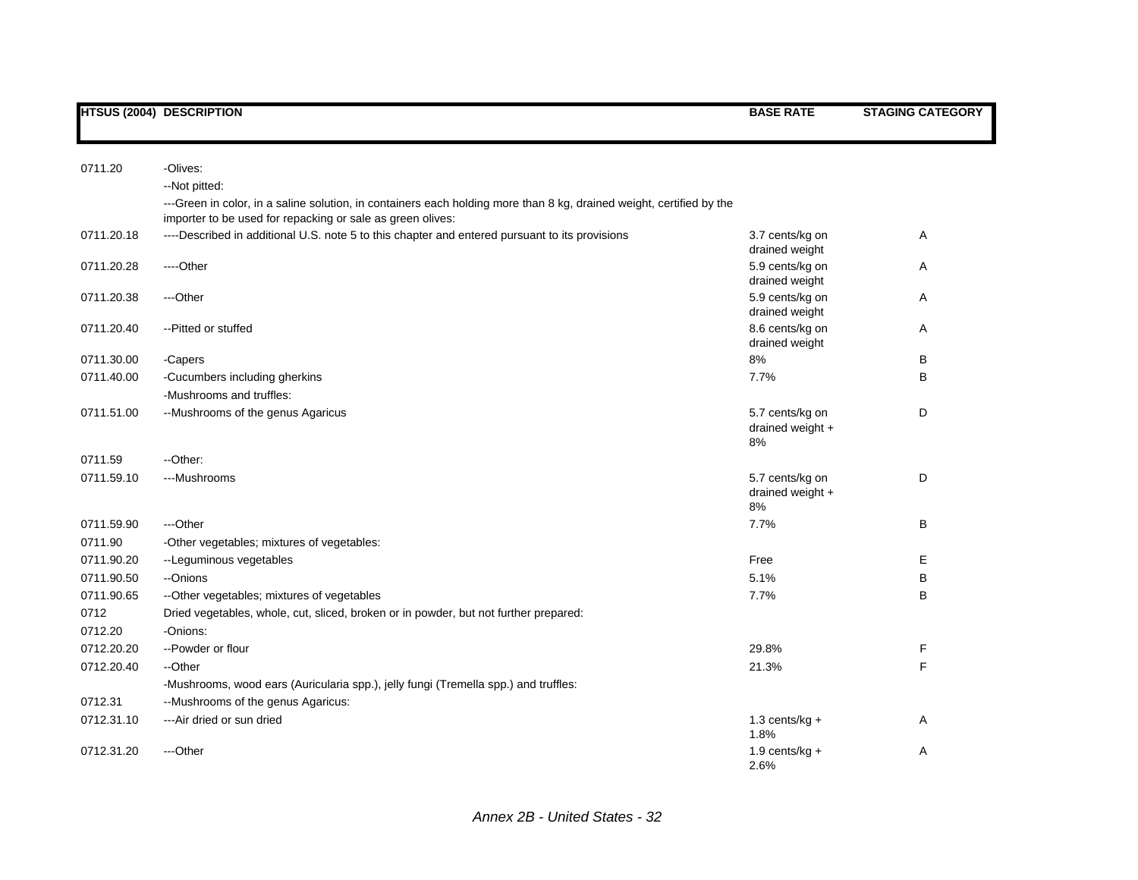| 0711.20    | -Olives:<br>--Not pitted:                                                                                                                                                          |                                             |   |
|------------|------------------------------------------------------------------------------------------------------------------------------------------------------------------------------------|---------------------------------------------|---|
|            | ---Green in color, in a saline solution, in containers each holding more than 8 kg, drained weight, certified by the<br>importer to be used for repacking or sale as green olives: |                                             |   |
| 0711.20.18 | ----Described in additional U.S. note 5 to this chapter and entered pursuant to its provisions                                                                                     | 3.7 cents/kg on<br>drained weight           | Α |
| 0711.20.28 | ---Other                                                                                                                                                                           | 5.9 cents/kg on<br>drained weight           | Α |
| 0711.20.38 | ---Other                                                                                                                                                                           | 5.9 cents/kg on<br>drained weight           | Α |
| 0711.20.40 | -- Pitted or stuffed                                                                                                                                                               | 8.6 cents/kg on<br>drained weight           | Α |
| 0711.30.00 | -Capers                                                                                                                                                                            | 8%                                          | B |
| 0711.40.00 | -Cucumbers including gherkins                                                                                                                                                      | 7.7%                                        | B |
|            | -Mushrooms and truffles:                                                                                                                                                           |                                             |   |
| 0711.51.00 | --Mushrooms of the genus Agaricus                                                                                                                                                  | 5.7 cents/kg on<br>drained weight +<br>8%   | D |
| 0711.59    | --Other:                                                                                                                                                                           |                                             |   |
| 0711.59.10 | ---Mushrooms                                                                                                                                                                       | 5.7 cents/kg on<br>drained weight $+$<br>8% | D |
| 0711.59.90 | ---Other                                                                                                                                                                           | 7.7%                                        | B |
| 0711.90    | -Other vegetables; mixtures of vegetables:                                                                                                                                         |                                             |   |
| 0711.90.20 | --Leguminous vegetables                                                                                                                                                            | Free                                        | Е |
| 0711.90.50 | --Onions                                                                                                                                                                           | 5.1%                                        | B |
| 0711.90.65 | --Other vegetables; mixtures of vegetables                                                                                                                                         | 7.7%                                        | B |
| 0712       | Dried vegetables, whole, cut, sliced, broken or in powder, but not further prepared:                                                                                               |                                             |   |
| 0712.20    | -Onions:                                                                                                                                                                           |                                             |   |
| 0712.20.20 | --Powder or flour                                                                                                                                                                  | 29.8%                                       | F |
| 0712.20.40 | --Other                                                                                                                                                                            | 21.3%                                       | F |
|            | -Mushrooms, wood ears (Auricularia spp.), jelly fungi (Tremella spp.) and truffles:                                                                                                |                                             |   |
| 0712.31    | --Mushrooms of the genus Agaricus:                                                                                                                                                 |                                             |   |
| 0712.31.10 | ---Air dried or sun dried                                                                                                                                                          | 1.3 cents/kg $+$<br>1.8%                    | A |
| 0712.31.20 | ---Other                                                                                                                                                                           | 1.9 cents/kg $+$<br>2.6%                    | Α |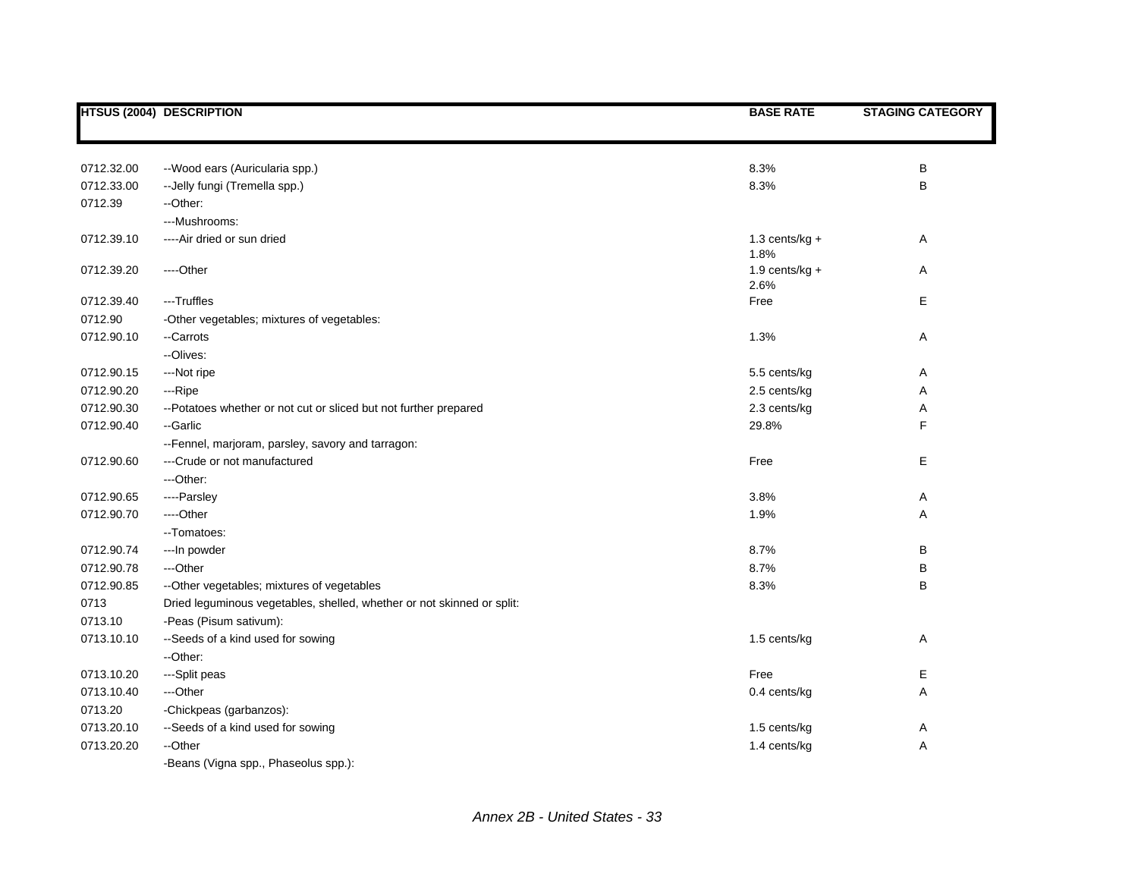|            | <b>HTSUS (2004) DESCRIPTION</b>                                        | <b>BASE RATE</b>          | <b>STAGING CATEGORY</b> |
|------------|------------------------------------------------------------------------|---------------------------|-------------------------|
|            |                                                                        |                           |                         |
| 0712.32.00 | --Wood ears (Auricularia spp.)                                         | 8.3%                      | B                       |
| 0712.33.00 | -- Jelly fungi (Tremella spp.)                                         | 8.3%                      | B                       |
| 0712.39    | --Other:                                                               |                           |                         |
|            | ---Mushrooms:                                                          |                           |                         |
| 0712.39.10 | ----Air dried or sun dried                                             | 1.3 cents/ $kg +$<br>1.8% | Α                       |
| 0712.39.20 | ----Other                                                              | $1.9$ cents/kg +<br>2.6%  | Α                       |
| 0712.39.40 | ---Truffles                                                            | Free                      | E                       |
| 0712.90    | -Other vegetables; mixtures of vegetables:                             |                           |                         |
| 0712.90.10 | --Carrots                                                              | 1.3%                      | A                       |
|            | --Olives:                                                              |                           |                         |
| 0712.90.15 | ---Not ripe                                                            | 5.5 cents/kg              | Α                       |
| 0712.90.20 | ---Ripe                                                                | 2.5 cents/kg              | Α                       |
| 0712.90.30 | --Potatoes whether or not cut or sliced but not further prepared       | 2.3 cents/kg              | A                       |
| 0712.90.40 | --Garlic                                                               | 29.8%                     | F                       |
|            | --Fennel, marjoram, parsley, savory and tarragon:                      |                           |                         |
| 0712.90.60 | ---Crude or not manufactured                                           | Free                      | Е                       |
|            | ---Other:                                                              |                           |                         |
| 0712.90.65 | ----Parsley                                                            | 3.8%                      | Α                       |
| 0712.90.70 | ---Other                                                               | 1.9%                      | Α                       |
|            | -- Tomatoes:                                                           |                           |                         |
| 0712.90.74 | --- In powder                                                          | 8.7%                      | B                       |
| 0712.90.78 | ---Other                                                               | 8.7%                      | B                       |
| 0712.90.85 | --Other vegetables; mixtures of vegetables                             | 8.3%                      | B                       |
| 0713       | Dried leguminous vegetables, shelled, whether or not skinned or split: |                           |                         |
| 0713.10    | -Peas (Pisum sativum):                                                 |                           |                         |
| 0713.10.10 | --Seeds of a kind used for sowing                                      | 1.5 cents/kg              | A                       |
|            | --Other:                                                               |                           |                         |
| 0713.10.20 | ---Split peas                                                          | Free                      | E                       |
| 0713.10.40 | ---Other                                                               | 0.4 cents/kg              | Α                       |
| 0713.20    | -Chickpeas (garbanzos):                                                |                           |                         |
| 0713.20.10 | --Seeds of a kind used for sowing                                      | 1.5 cents/kg              | A                       |
| 0713.20.20 | --Other                                                                | 1.4 cents/kg              | Α                       |
|            | -Beans (Vigna spp., Phaseolus spp.):                                   |                           |                         |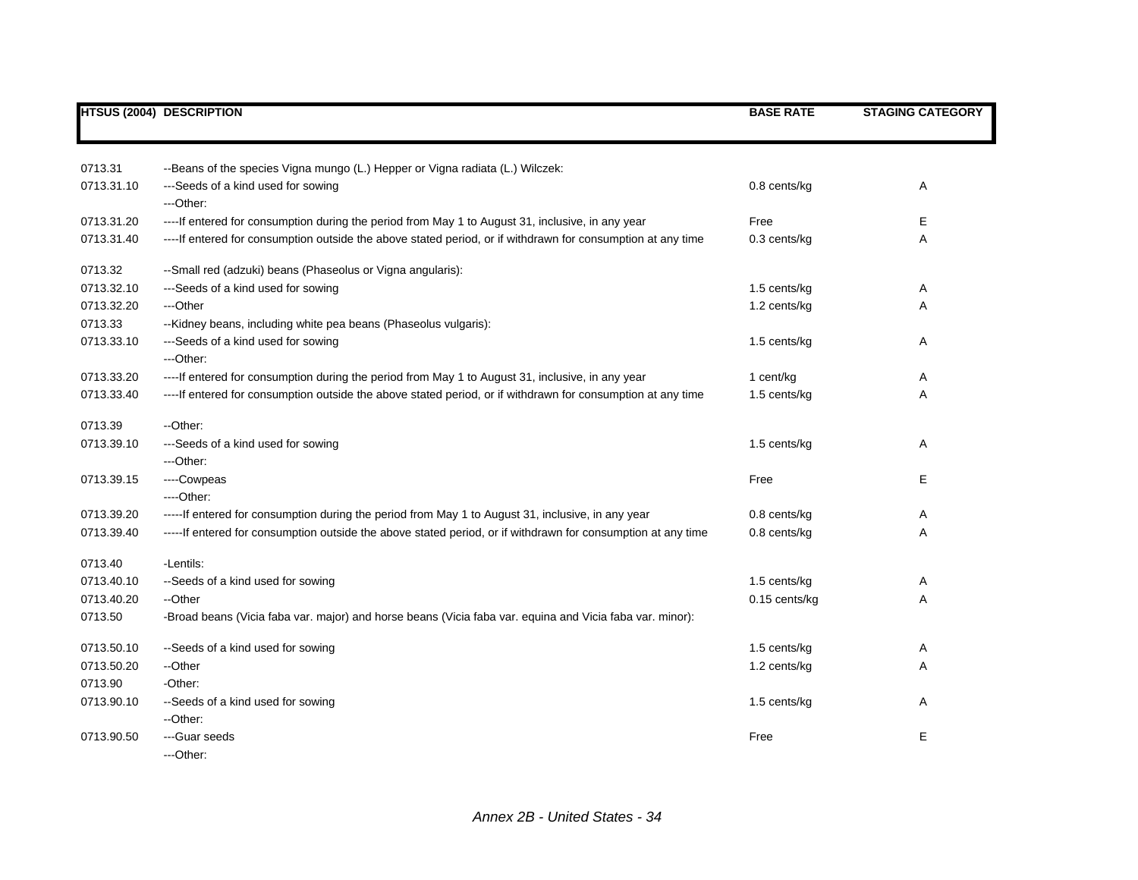|            | HTSUS (2004) DESCRIPTION                                                                                      | <b>BASE RATE</b> | <b>STAGING CATEGORY</b> |
|------------|---------------------------------------------------------------------------------------------------------------|------------------|-------------------------|
|            |                                                                                                               |                  |                         |
| 0713.31    | --Beans of the species Vigna mungo (L.) Hepper or Vigna radiata (L.) Wilczek:                                 |                  |                         |
| 0713.31.10 | ---Seeds of a kind used for sowing                                                                            | 0.8 cents/kg     | Α                       |
|            | ---Other:                                                                                                     |                  |                         |
| 0713.31.20 | ----If entered for consumption during the period from May 1 to August 31, inclusive, in any year              | Free             | E                       |
| 0713.31.40 | ---- If entered for consumption outside the above stated period, or if withdrawn for consumption at any time  | 0.3 cents/kg     | Α                       |
| 0713.32    | --Small red (adzuki) beans (Phaseolus or Vigna angularis):                                                    |                  |                         |
| 0713.32.10 | ---Seeds of a kind used for sowing                                                                            | 1.5 cents/kg     | A                       |
| 0713.32.20 | ---Other                                                                                                      | 1.2 cents/kg     | Α                       |
| 0713.33    | --Kidney beans, including white pea beans (Phaseolus vulgaris):                                               |                  |                         |
| 0713.33.10 | ---Seeds of a kind used for sowing                                                                            | 1.5 cents/kg     | Α                       |
|            | ---Other:                                                                                                     |                  |                         |
| 0713.33.20 | ----If entered for consumption during the period from May 1 to August 31, inclusive, in any year              | 1 cent/kg        | Α                       |
| 0713.33.40 | ---- If entered for consumption outside the above stated period, or if withdrawn for consumption at any time  | 1.5 cents/kg     | Α                       |
| 0713.39    | --Other:                                                                                                      |                  |                         |
| 0713.39.10 | ---Seeds of a kind used for sowing                                                                            | 1.5 cents/kg     | Α                       |
|            | ---Other:                                                                                                     |                  |                         |
| 0713.39.15 | ----Cowpeas                                                                                                   | Free             | Е                       |
|            | ---Other:                                                                                                     |                  |                         |
| 0713.39.20 | -----If entered for consumption during the period from May 1 to August 31, inclusive, in any year             | 0.8 cents/kg     | Α                       |
| 0713.39.40 | ----- If entered for consumption outside the above stated period, or if withdrawn for consumption at any time | 0.8 cents/kg     | Α                       |
| 0713.40    | -Lentils:                                                                                                     |                  |                         |
| 0713.40.10 | --Seeds of a kind used for sowing                                                                             | 1.5 cents/kg     | Α                       |
| 0713.40.20 | --Other                                                                                                       | 0.15 cents/kg    | Α                       |
| 0713.50    | -Broad beans (Vicia faba var. major) and horse beans (Vicia faba var. equina and Vicia faba var. minor):      |                  |                         |
| 0713.50.10 | --Seeds of a kind used for sowing                                                                             | 1.5 cents/kg     | Α                       |
| 0713.50.20 | --Other                                                                                                       | 1.2 cents/kg     | Α                       |
| 0713.90    | -Other:                                                                                                       |                  |                         |
| 0713.90.10 | --Seeds of a kind used for sowing                                                                             | 1.5 cents/kg     | Α                       |
|            | --Other:                                                                                                      |                  |                         |
| 0713.90.50 | ---Guar seeds                                                                                                 | Free             | E                       |
|            | ---Other:                                                                                                     |                  |                         |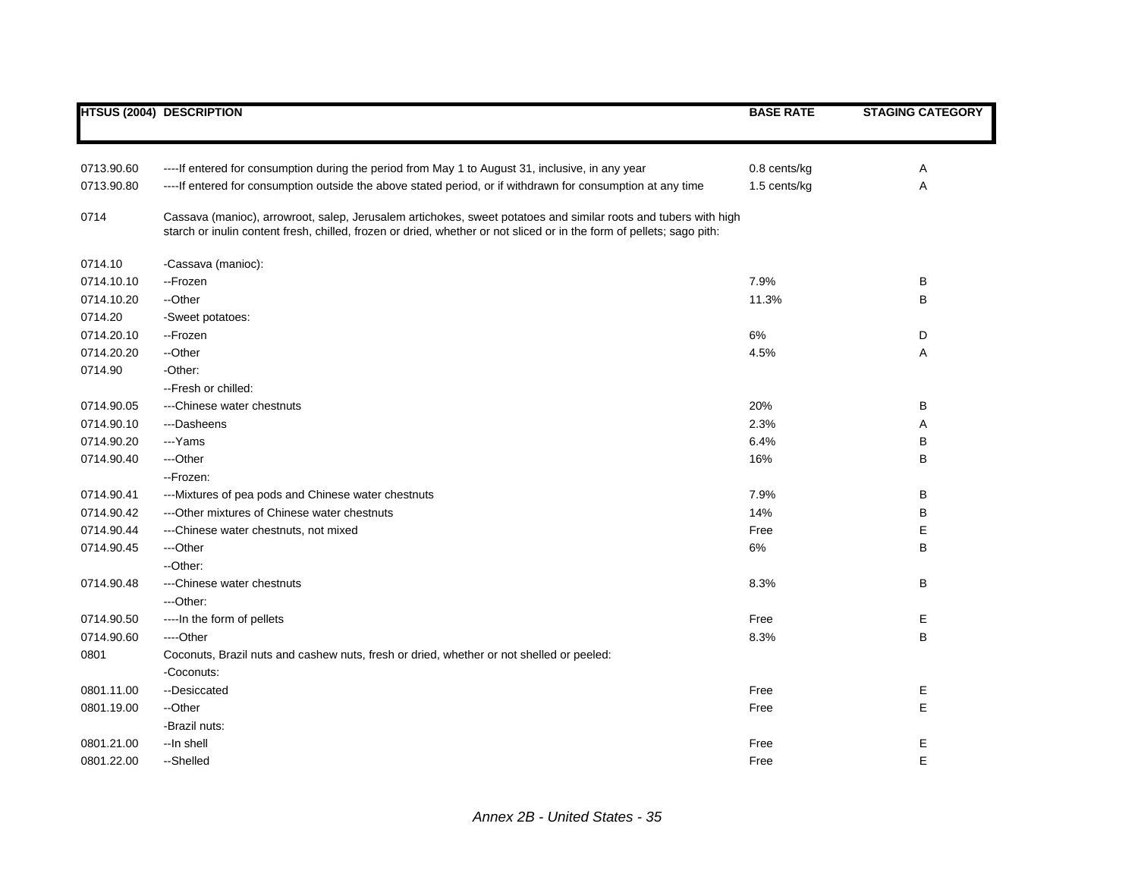|            | <b>HTSUS (2004) DESCRIPTION</b>                                                                                                                                                                                                          | <b>BASE RATE</b> | <b>STAGING CATEGORY</b> |
|------------|------------------------------------------------------------------------------------------------------------------------------------------------------------------------------------------------------------------------------------------|------------------|-------------------------|
|            |                                                                                                                                                                                                                                          |                  |                         |
| 0713.90.60 | ----If entered for consumption during the period from May 1 to August 31, inclusive, in any year                                                                                                                                         | 0.8 cents/kg     | Α                       |
| 0713.90.80 | ---- If entered for consumption outside the above stated period, or if withdrawn for consumption at any time                                                                                                                             | 1.5 cents/kg     | Α                       |
| 0714       | Cassava (manioc), arrowroot, salep, Jerusalem artichokes, sweet potatoes and similar roots and tubers with high<br>starch or inulin content fresh, chilled, frozen or dried, whether or not sliced or in the form of pellets; sago pith: |                  |                         |
| 0714.10    | -Cassava (manioc):                                                                                                                                                                                                                       |                  |                         |
| 0714.10.10 | --Frozen                                                                                                                                                                                                                                 | 7.9%             | В                       |
| 0714.10.20 | --Other                                                                                                                                                                                                                                  | 11.3%            | В                       |
| 0714.20    | -Sweet potatoes:                                                                                                                                                                                                                         |                  |                         |
| 0714.20.10 | --Frozen                                                                                                                                                                                                                                 | $6\%$            | D                       |
| 0714.20.20 | --Other                                                                                                                                                                                                                                  | 4.5%             | Α                       |
| 0714.90    | -Other:                                                                                                                                                                                                                                  |                  |                         |
|            | -- Fresh or chilled:                                                                                                                                                                                                                     |                  |                         |
| 0714.90.05 | ---Chinese water chestnuts                                                                                                                                                                                                               | 20%              | В                       |
| 0714.90.10 | ---Dasheens                                                                                                                                                                                                                              | 2.3%             | Α                       |
| 0714.90.20 | ---Yams                                                                                                                                                                                                                                  | 6.4%             | В                       |
| 0714.90.40 | ---Other                                                                                                                                                                                                                                 | 16%              | В                       |
|            | --Frozen:                                                                                                                                                                                                                                |                  |                         |
| 0714.90.41 | --- Mixtures of pea pods and Chinese water chestnuts                                                                                                                                                                                     | 7.9%             | В                       |
| 0714.90.42 | --- Other mixtures of Chinese water chestnuts                                                                                                                                                                                            | 14%              | В                       |
| 0714.90.44 | ---Chinese water chestnuts, not mixed                                                                                                                                                                                                    | Free             | Е                       |
| 0714.90.45 | ---Other                                                                                                                                                                                                                                 | 6%               | B                       |
|            | --Other:                                                                                                                                                                                                                                 |                  |                         |
| 0714.90.48 | ---Chinese water chestnuts                                                                                                                                                                                                               | 8.3%             | В                       |
|            | ---Other:                                                                                                                                                                                                                                |                  |                         |
| 0714.90.50 | ---- In the form of pellets                                                                                                                                                                                                              | Free             | Е                       |
| 0714.90.60 | ---Other                                                                                                                                                                                                                                 | 8.3%             | B                       |
| 0801       | Coconuts, Brazil nuts and cashew nuts, fresh or dried, whether or not shelled or peeled:                                                                                                                                                 |                  |                         |
|            | -Coconuts:                                                                                                                                                                                                                               |                  |                         |
| 0801.11.00 | --Desiccated                                                                                                                                                                                                                             | Free             | Е                       |
| 0801.19.00 | --Other                                                                                                                                                                                                                                  | Free             | E                       |
|            | -Brazil nuts:                                                                                                                                                                                                                            |                  |                         |
| 0801.21.00 | --In shell                                                                                                                                                                                                                               | Free             | Е                       |
| 0801.22.00 | --Shelled                                                                                                                                                                                                                                | Free             | E                       |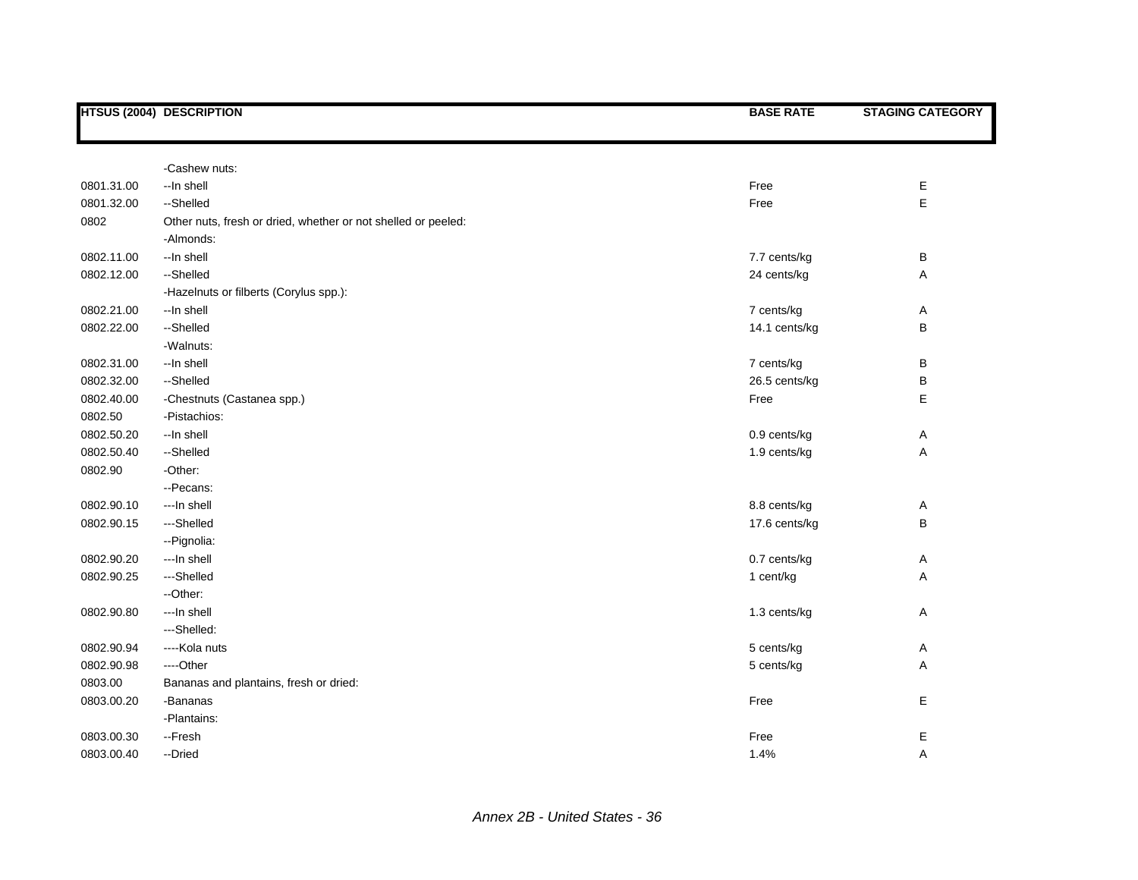|            | HTSUS (2004) DESCRIPTION                                      | <b>BASE RATE</b> | <b>STAGING CATEGORY</b> |
|------------|---------------------------------------------------------------|------------------|-------------------------|
|            |                                                               |                  |                         |
|            | -Cashew nuts:                                                 |                  |                         |
| 0801.31.00 | --In shell                                                    | Free             | Е                       |
| 0801.32.00 | --Shelled                                                     | Free             | E                       |
| 0802       | Other nuts, fresh or dried, whether or not shelled or peeled: |                  |                         |
|            | -Almonds:                                                     |                  |                         |
| 0802.11.00 | --In shell                                                    | 7.7 cents/kg     | B                       |
| 0802.12.00 | --Shelled                                                     | 24 cents/kg      | Α                       |
|            | -Hazelnuts or filberts (Corylus spp.):                        |                  |                         |
| 0802.21.00 | --In shell                                                    | 7 cents/kg       | A                       |
| 0802.22.00 | --Shelled                                                     | 14.1 cents/kg    | B                       |
|            | -Walnuts:                                                     |                  |                         |
| 0802.31.00 | --In shell                                                    | 7 cents/kg       | B                       |
| 0802.32.00 | --Shelled                                                     | 26.5 cents/kg    | B                       |
| 0802.40.00 | -Chestnuts (Castanea spp.)                                    | Free             | E                       |
| 0802.50    | -Pistachios:                                                  |                  |                         |
| 0802.50.20 | --In shell                                                    | 0.9 cents/kg     | Α                       |
| 0802.50.40 | --Shelled                                                     | 1.9 cents/kg     | Α                       |
| 0802.90    | -Other:                                                       |                  |                         |
|            | -- Pecans:                                                    |                  |                         |
| 0802.90.10 | --- In shell                                                  | 8.8 cents/kg     | Α                       |
| 0802.90.15 | ---Shelled                                                    | 17.6 cents/kg    | B                       |
|            | --Pignolia:                                                   |                  |                         |
| 0802.90.20 | --- In shell                                                  | 0.7 cents/kg     | Α                       |
| 0802.90.25 | ---Shelled                                                    | 1 cent/kg        | Α                       |
|            | -- Other:                                                     |                  |                         |
| 0802.90.80 | --- In shell                                                  | 1.3 cents/kg     | Α                       |
|            | ---Shelled:                                                   |                  |                         |
| 0802.90.94 | ----Kola nuts                                                 | 5 cents/kg       | Α                       |
| 0802.90.98 | ----Other                                                     | 5 cents/kg       | Α                       |
| 0803.00    | Bananas and plantains, fresh or dried:                        |                  |                         |
| 0803.00.20 | -Bananas                                                      | Free             | Е                       |
|            | -Plantains:                                                   |                  |                         |
| 0803.00.30 | --Fresh                                                       | Free             | Е                       |
| 0803.00.40 | --Dried                                                       | 1.4%             | Α                       |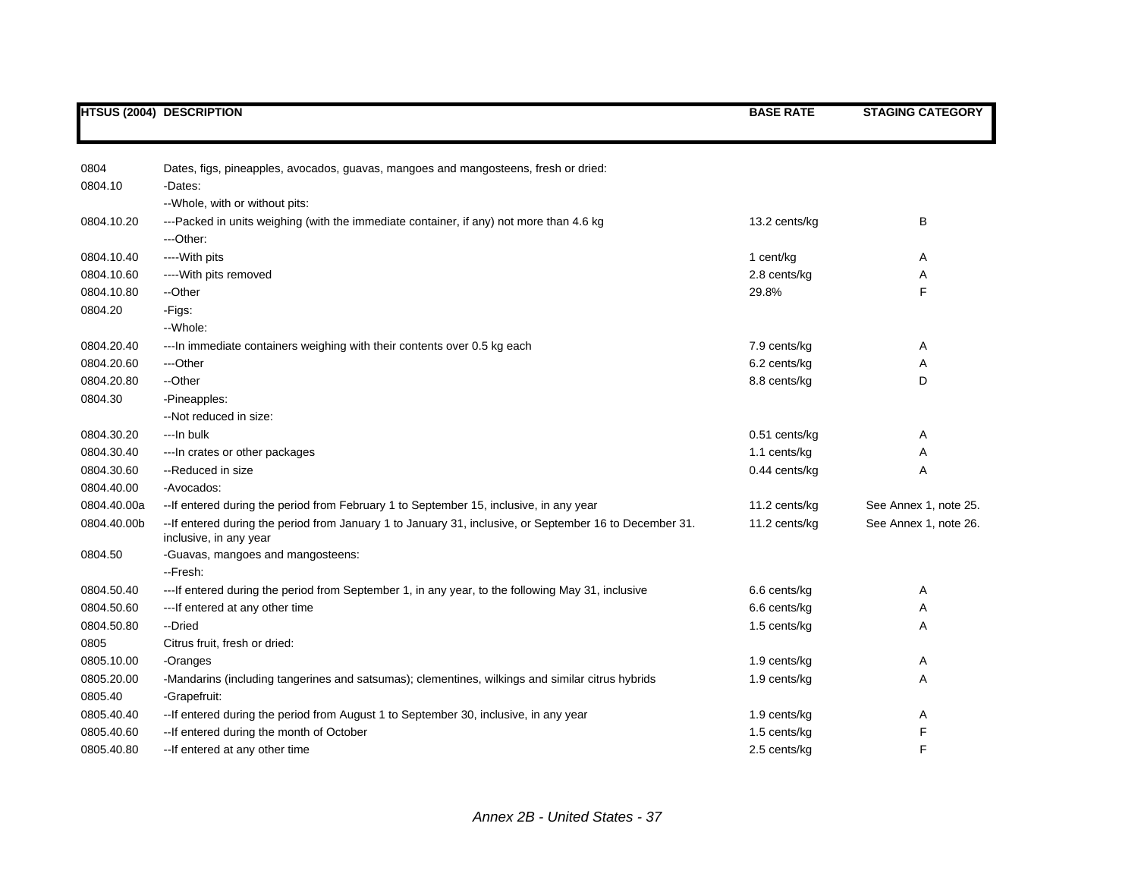|             | <b>HTSUS (2004) DESCRIPTION</b>                                                                                                   | <b>BASE RATE</b> | <b>STAGING CATEGORY</b> |
|-------------|-----------------------------------------------------------------------------------------------------------------------------------|------------------|-------------------------|
| 0804        | Dates, figs, pineapples, avocados, guavas, mangoes and mangosteens, fresh or dried:                                               |                  |                         |
| 0804.10     | -Dates:                                                                                                                           |                  |                         |
|             | -- Whole, with or without pits:                                                                                                   |                  |                         |
| 0804.10.20  | ---Packed in units weighing (with the immediate container, if any) not more than 4.6 kg                                           | 13.2 cents/kg    | B                       |
|             | ---Other:                                                                                                                         |                  |                         |
| 0804.10.40  | ---- With pits                                                                                                                    | 1 cent/kg        | Α                       |
| 0804.10.60  | ---- With pits removed                                                                                                            | 2.8 cents/kg     | Α                       |
| 0804.10.80  | --Other                                                                                                                           | 29.8%            | F                       |
| 0804.20     | -Figs:                                                                                                                            |                  |                         |
|             | --Whole:                                                                                                                          |                  |                         |
| 0804.20.40  | --- In immediate containers weighing with their contents over 0.5 kg each                                                         | 7.9 cents/kg     | Α                       |
| 0804.20.60  | ---Other                                                                                                                          | 6.2 cents/kg     | Α                       |
| 0804.20.80  | --Other                                                                                                                           | 8.8 cents/kg     | D                       |
| 0804.30     | -Pineapples:                                                                                                                      |                  |                         |
|             | --Not reduced in size:                                                                                                            |                  |                         |
| 0804.30.20  | ---In bulk                                                                                                                        | 0.51 cents/kg    | Α                       |
| 0804.30.40  | --- In crates or other packages                                                                                                   | 1.1 cents/kg     | Α                       |
| 0804.30.60  | --Reduced in size                                                                                                                 | 0.44 cents/kg    | Α                       |
| 0804.40.00  | -Avocados:                                                                                                                        |                  |                         |
| 0804.40.00a | -- If entered during the period from February 1 to September 15, inclusive, in any year                                           | 11.2 cents/kg    | See Annex 1, note 25.   |
| 0804.40.00b | --If entered during the period from January 1 to January 31, inclusive, or September 16 to December 31.<br>inclusive, in any year | 11.2 cents/kg    | See Annex 1, note 26.   |
| 0804.50     | -Guavas, mangoes and mangosteens:<br>--Fresh:                                                                                     |                  |                         |
| 0804.50.40  | --- If entered during the period from September 1, in any year, to the following May 31, inclusive                                | 6.6 cents/kg     | Α                       |
| 0804.50.60  | --- If entered at any other time                                                                                                  | 6.6 cents/kg     | Α                       |
| 0804.50.80  | --Dried                                                                                                                           | 1.5 cents/kg     | Α                       |
| 0805        | Citrus fruit, fresh or dried:                                                                                                     |                  |                         |
| 0805.10.00  | -Oranges                                                                                                                          | 1.9 cents/kg     | Α                       |
| 0805.20.00  | -Mandarins (including tangerines and satsumas); clementines, wilkings and similar citrus hybrids                                  | 1.9 cents/kg     | Α                       |
| 0805.40     | -Grapefruit:                                                                                                                      |                  |                         |
| 0805.40.40  | -- If entered during the period from August 1 to September 30, inclusive, in any year                                             | 1.9 cents/kg     | Α                       |
| 0805.40.60  | -- If entered during the month of October                                                                                         | 1.5 cents/kg     | F                       |
| 0805.40.80  | -- If entered at any other time                                                                                                   | 2.5 cents/kg     | F                       |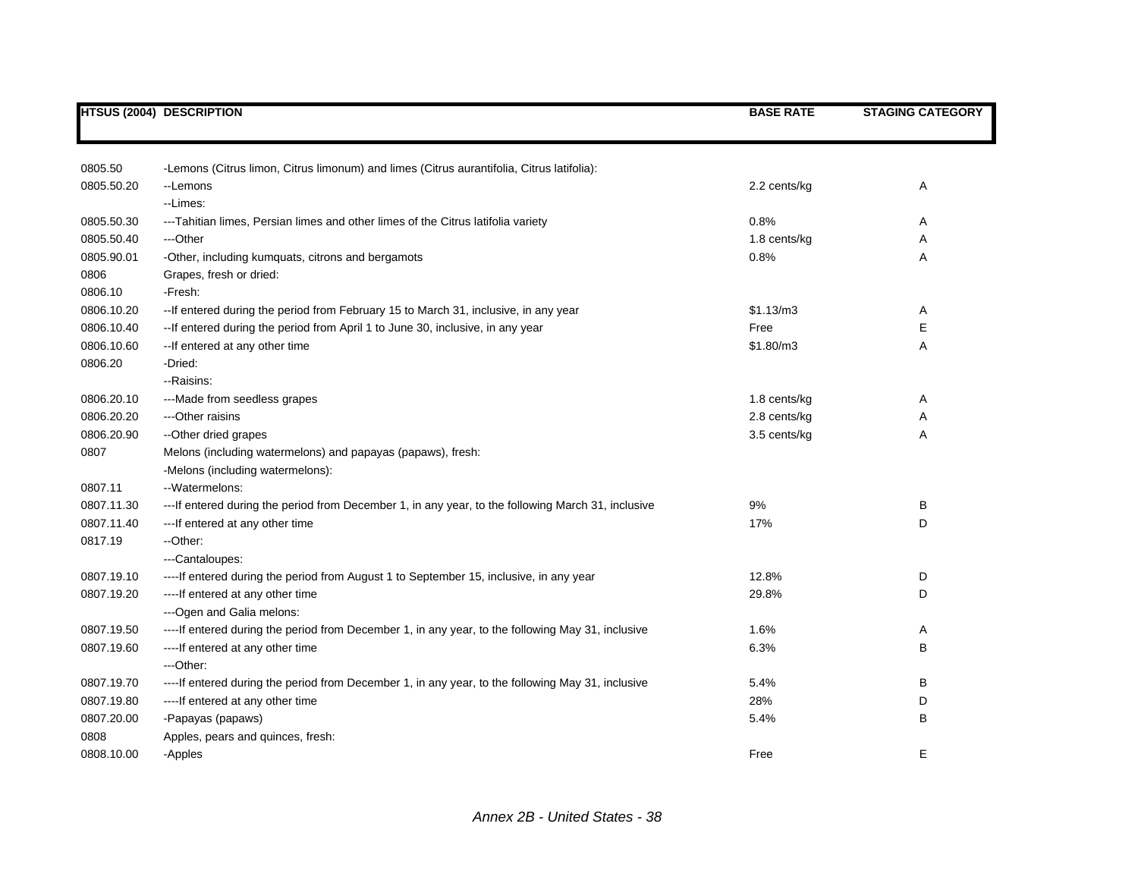|            | <b>HTSUS (2004) DESCRIPTION</b>                                                                    | <b>BASE RATE</b> | <b>STAGING CATEGORY</b> |
|------------|----------------------------------------------------------------------------------------------------|------------------|-------------------------|
|            |                                                                                                    |                  |                         |
| 0805.50    | -Lemons (Citrus limon, Citrus limonum) and limes (Citrus aurantifolia, Citrus latifolia):          |                  |                         |
| 0805.50.20 | --Lemons                                                                                           | 2.2 cents/kg     | Α                       |
|            | --Limes:                                                                                           |                  |                         |
| 0805.50.30 | ---Tahitian limes, Persian limes and other limes of the Citrus latifolia variety                   | 0.8%             | Α                       |
| 0805.50.40 | ---Other                                                                                           | 1.8 cents/kg     | Α                       |
| 0805.90.01 | -Other, including kumquats, citrons and bergamots                                                  | 0.8%             | Α                       |
| 0806       | Grapes, fresh or dried:                                                                            |                  |                         |
| 0806.10    | -Fresh:                                                                                            |                  |                         |
| 0806.10.20 | -- If entered during the period from February 15 to March 31, inclusive, in any year               | \$1.13/m3        | A                       |
| 0806.10.40 | -- If entered during the period from April 1 to June 30, inclusive, in any year                    | Free             | E                       |
| 0806.10.60 | -- If entered at any other time                                                                    | \$1.80/m3        | Α                       |
| 0806.20    | -Dried:                                                                                            |                  |                         |
|            | - Raisins:                                                                                         |                  |                         |
| 0806.20.10 | ---Made from seedless grapes                                                                       | 1.8 cents/kg     | Α                       |
| 0806.20.20 | --- Other raisins                                                                                  | 2.8 cents/kg     | Α                       |
| 0806.20.90 | --Other dried grapes                                                                               | 3.5 cents/kg     | Α                       |
| 0807       | Melons (including watermelons) and papayas (papaws), fresh:                                        |                  |                         |
|            | -Melons (including watermelons):                                                                   |                  |                         |
| 0807.11    | --Watermelons:                                                                                     |                  |                         |
| 0807.11.30 | ---If entered during the period from December 1, in any year, to the following March 31, inclusive | 9%               | В                       |
| 0807.11.40 | --- If entered at any other time                                                                   | 17%              | D                       |
| 0817.19    | --Other:                                                                                           |                  |                         |
|            | ---Cantaloupes:                                                                                    |                  |                         |
| 0807.19.10 | ---- If entered during the period from August 1 to September 15, inclusive, in any year            | 12.8%            | D                       |
| 0807.19.20 | ---- If entered at any other time                                                                  | 29.8%            | D                       |
|            | --- Ogen and Galia melons:                                                                         |                  |                         |
| 0807.19.50 | ----If entered during the period from December 1, in any year, to the following May 31, inclusive  | 1.6%             | Α                       |
| 0807.19.60 | ---- If entered at any other time                                                                  | 6.3%             | B                       |
|            | ---Other:                                                                                          |                  |                         |
| 0807.19.70 | ----If entered during the period from December 1, in any year, to the following May 31, inclusive  | 5.4%             | В                       |
| 0807.19.80 | ---- If entered at any other time                                                                  | 28%              | D                       |
| 0807.20.00 | -Papayas (papaws)                                                                                  | 5.4%             | В                       |
| 0808       | Apples, pears and quinces, fresh:                                                                  |                  |                         |
| 0808.10.00 | -Apples                                                                                            | Free             | Е                       |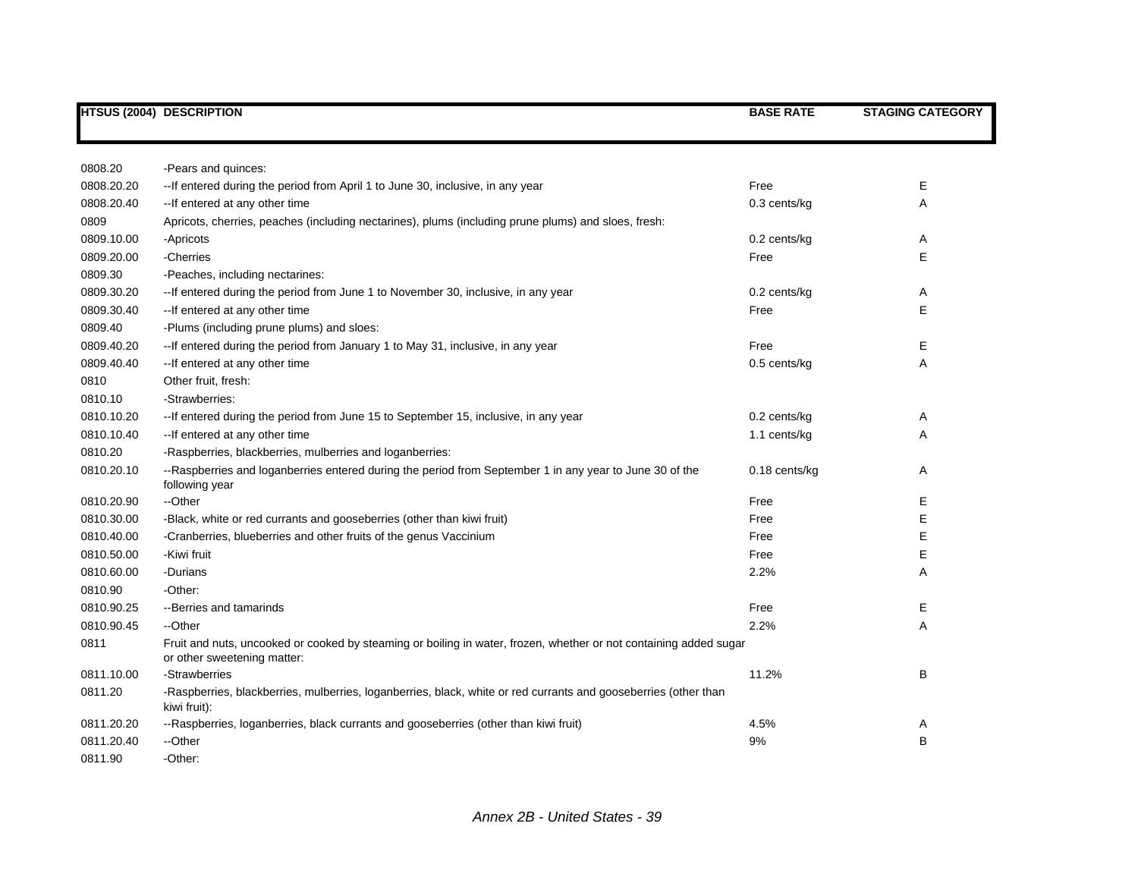|                          | <b>HTSUS (2004) DESCRIPTION</b>                                                                                                                  | <b>BASE RATE</b> | <b>STAGING CATEGORY</b> |
|--------------------------|--------------------------------------------------------------------------------------------------------------------------------------------------|------------------|-------------------------|
|                          |                                                                                                                                                  |                  |                         |
| 0808.20                  | -Pears and quinces:                                                                                                                              |                  |                         |
| 0808.20.20               | -- If entered during the period from April 1 to June 30, inclusive, in any year                                                                  | Free             | Ε                       |
|                          |                                                                                                                                                  |                  |                         |
| 0808.20.40               | -- If entered at any other time                                                                                                                  | 0.3 cents/kg     | Α                       |
| 0809                     | Apricots, cherries, peaches (including nectarines), plums (including prune plums) and sloes, fresh:                                              |                  |                         |
| 0809.10.00<br>0809.20.00 | -Apricots<br>-Cherries                                                                                                                           | 0.2 cents/kg     | Α                       |
|                          |                                                                                                                                                  | Free             | Е                       |
| 0809.30                  | -Peaches, including nectarines:                                                                                                                  |                  |                         |
| 0809.30.20               | -- If entered during the period from June 1 to November 30, inclusive, in any year                                                               | 0.2 cents/kg     | Α                       |
| 0809.30.40               | -- If entered at any other time                                                                                                                  | Free             | Е                       |
| 0809.40                  | -Plums (including prune plums) and sloes:                                                                                                        |                  |                         |
| 0809.40.20               | -- If entered during the period from January 1 to May 31, inclusive, in any year                                                                 | Free             | Е                       |
| 0809.40.40               | -- If entered at any other time                                                                                                                  | 0.5 cents/kg     | Α                       |
| 0810                     | Other fruit, fresh:                                                                                                                              |                  |                         |
| 0810.10                  | -Strawberries:                                                                                                                                   |                  |                         |
| 0810.10.20               | -- If entered during the period from June 15 to September 15, inclusive, in any year                                                             | 0.2 cents/kg     | Α                       |
| 0810.10.40               | -- If entered at any other time                                                                                                                  | 1.1 cents/kg     | Α                       |
| 0810.20                  | -Raspberries, blackberries, mulberries and loganberries:                                                                                         |                  |                         |
| 0810.20.10               | --Raspberries and loganberries entered during the period from September 1 in any year to June 30 of the<br>following year                        | $0.18$ cents/kg  | Α                       |
| 0810.20.90               | --Other                                                                                                                                          | Free             | Е                       |
| 0810.30.00               | -Black, white or red currants and gooseberries (other than kiwi fruit)                                                                           | Free             | Е                       |
| 0810.40.00               | -Cranberries, blueberries and other fruits of the genus Vaccinium                                                                                | Free             | E                       |
| 0810.50.00               | -Kiwi fruit                                                                                                                                      | Free             | E                       |
| 0810.60.00               | -Durians                                                                                                                                         | 2.2%             | A                       |
| 0810.90                  | -Other:                                                                                                                                          |                  |                         |
| 0810.90.25               | --Berries and tamarinds                                                                                                                          | Free             | Ε                       |
| 0810.90.45               | --Other                                                                                                                                          | 2.2%             | A                       |
| 0811                     | Fruit and nuts, uncooked or cooked by steaming or boiling in water, frozen, whether or not containing added sugar<br>or other sweetening matter: |                  |                         |
| 0811.10.00               | -Strawberries                                                                                                                                    | 11.2%            | В                       |
| 0811.20                  | -Raspberries, blackberries, mulberries, loganberries, black, white or red currants and gooseberries (other than<br>kiwi fruit):                  |                  |                         |
| 0811.20.20               | --Raspberries, loganberries, black currants and gooseberries (other than kiwi fruit)                                                             | 4.5%             | Α                       |
| 0811.20.40               | --Other                                                                                                                                          | 9%               | B                       |
| 0811.90                  | -Other:                                                                                                                                          |                  |                         |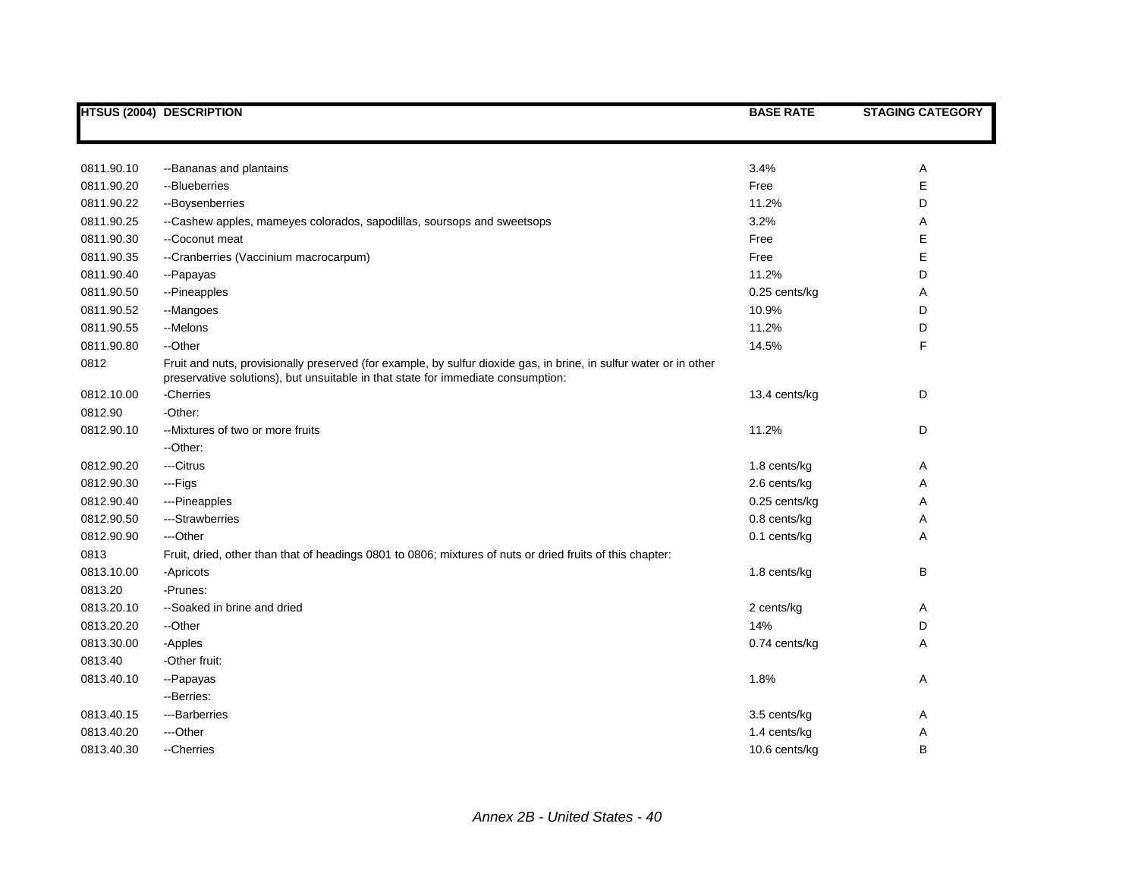|            | <b>HTSUS (2004) DESCRIPTION</b>                                                                                                                                                                        | <b>BASE RATE</b> | <b>STAGING CATEGORY</b> |
|------------|--------------------------------------------------------------------------------------------------------------------------------------------------------------------------------------------------------|------------------|-------------------------|
|            |                                                                                                                                                                                                        |                  |                         |
|            |                                                                                                                                                                                                        |                  |                         |
| 0811.90.10 | --Bananas and plantains                                                                                                                                                                                | 3.4%             | Α                       |
| 0811.90.20 | --Blueberries                                                                                                                                                                                          | Free             | E                       |
| 0811.90.22 | --Boysenberries                                                                                                                                                                                        | 11.2%            | D                       |
| 0811.90.25 | --Cashew apples, mameyes colorados, sapodillas, soursops and sweetsops                                                                                                                                 | 3.2%             | Α                       |
| 0811.90.30 | --Coconut meat                                                                                                                                                                                         | Free             | E                       |
| 0811.90.35 | --Cranberries (Vaccinium macrocarpum)                                                                                                                                                                  | Free             | E                       |
| 0811.90.40 | --Papayas                                                                                                                                                                                              | 11.2%            | D                       |
| 0811.90.50 | --Pineapples                                                                                                                                                                                           | 0.25 cents/kg    | Α                       |
| 0811.90.52 | --Mangoes                                                                                                                                                                                              | 10.9%            | D                       |
| 0811.90.55 | --Melons                                                                                                                                                                                               | 11.2%            | D                       |
| 0811.90.80 | --Other                                                                                                                                                                                                | 14.5%            | F                       |
| 0812       | Fruit and nuts, provisionally preserved (for example, by sulfur dioxide gas, in brine, in sulfur water or in other<br>preservative solutions), but unsuitable in that state for immediate consumption: |                  |                         |
| 0812.10.00 | -Cherries                                                                                                                                                                                              | 13.4 cents/kg    | D                       |
| 0812.90    | -Other:                                                                                                                                                                                                |                  |                         |
| 0812.90.10 | --Mixtures of two or more fruits                                                                                                                                                                       | 11.2%            | D                       |
|            | --Other:                                                                                                                                                                                               |                  |                         |
| 0812.90.20 | ---Citrus                                                                                                                                                                                              | 1.8 cents/kg     | Α                       |
| 0812.90.30 | ---Figs                                                                                                                                                                                                | 2.6 cents/kg     | Α                       |
| 0812.90.40 | ---Pineapples                                                                                                                                                                                          | 0.25 cents/kg    | А                       |
| 0812.90.50 | ---Strawberries                                                                                                                                                                                        | 0.8 cents/kg     | Α                       |
| 0812.90.90 | ---Other                                                                                                                                                                                               | 0.1 cents/kg     | Α                       |
| 0813       | Fruit, dried, other than that of headings 0801 to 0806; mixtures of nuts or dried fruits of this chapter:                                                                                              |                  |                         |
| 0813.10.00 | -Apricots                                                                                                                                                                                              | 1.8 cents/kg     | В                       |
| 0813.20    | -Prunes:                                                                                                                                                                                               |                  |                         |
| 0813.20.10 | --Soaked in brine and dried                                                                                                                                                                            | 2 cents/kg       | Α                       |
| 0813.20.20 | --Other                                                                                                                                                                                                | 14%              | D                       |
| 0813.30.00 | -Apples                                                                                                                                                                                                | 0.74 cents/kg    | Α                       |
| 0813.40    | -Other fruit:                                                                                                                                                                                          |                  |                         |
| 0813.40.10 | --Papayas                                                                                                                                                                                              | 1.8%             | Α                       |
|            | --Berries:                                                                                                                                                                                             |                  |                         |
| 0813.40.15 | ---Barberries                                                                                                                                                                                          | 3.5 cents/kg     | Α                       |
| 0813.40.20 | ---Other                                                                                                                                                                                               | 1.4 cents/kg     | Α                       |
| 0813.40.30 | --Cherries                                                                                                                                                                                             | 10.6 cents/kg    | B                       |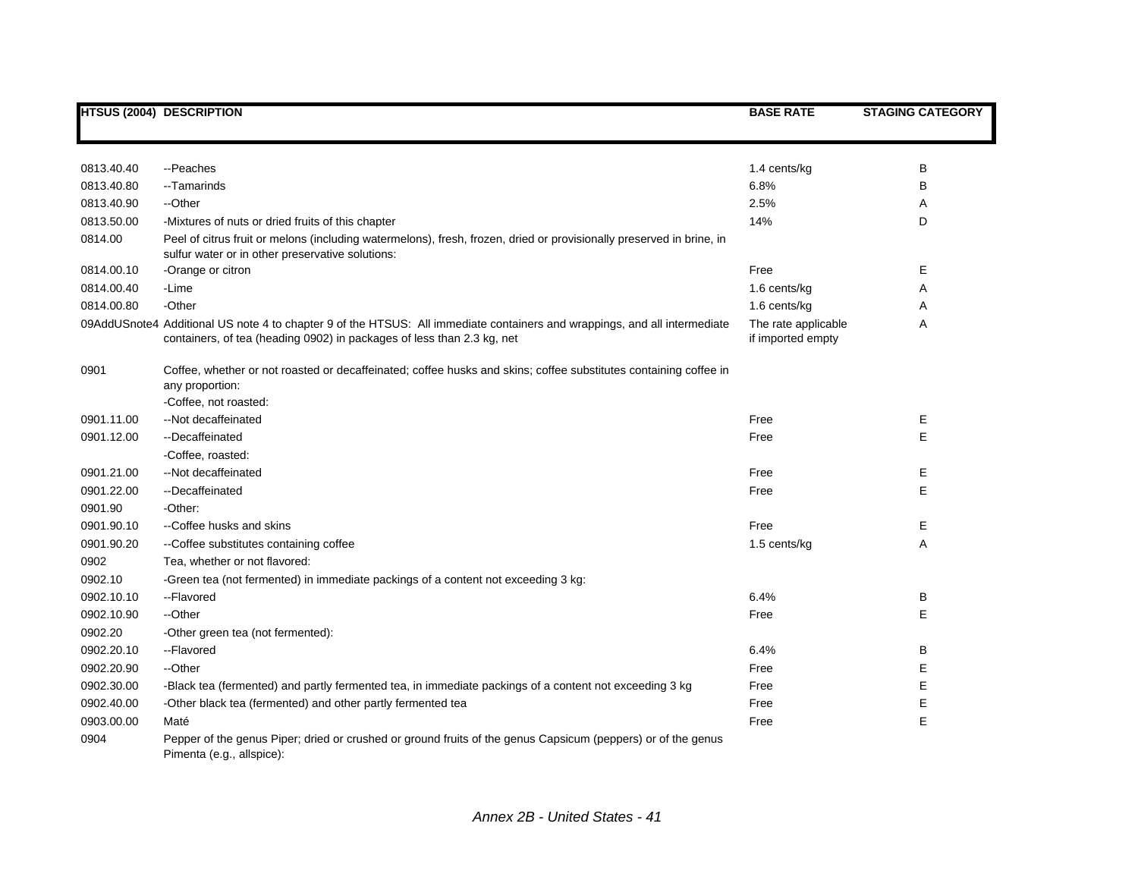|            | <b>HTSUS (2004) DESCRIPTION</b>                                                                                                                                                                     | <b>BASE RATE</b>                         | <b>STAGING CATEGORY</b> |
|------------|-----------------------------------------------------------------------------------------------------------------------------------------------------------------------------------------------------|------------------------------------------|-------------------------|
|            |                                                                                                                                                                                                     |                                          |                         |
| 0813.40.40 | --Peaches                                                                                                                                                                                           | 1.4 cents/kg                             | В                       |
| 0813.40.80 | --Tamarinds                                                                                                                                                                                         | 6.8%                                     | В                       |
| 0813.40.90 | --Other                                                                                                                                                                                             | 2.5%                                     | Α                       |
| 0813.50.00 | -Mixtures of nuts or dried fruits of this chapter                                                                                                                                                   | 14%                                      | D                       |
| 0814.00    | Peel of citrus fruit or melons (including watermelons), fresh, frozen, dried or provisionally preserved in brine, in<br>sulfur water or in other preservative solutions:                            |                                          |                         |
| 0814.00.10 | -Orange or citron                                                                                                                                                                                   | Free                                     | Е                       |
| 0814.00.40 | -Lime                                                                                                                                                                                               | 1.6 cents/kg                             | Α                       |
| 0814.00.80 | -Other                                                                                                                                                                                              | 1.6 cents/kg                             | Α                       |
|            | 09AddUSnote4 Additional US note 4 to chapter 9 of the HTSUS: All immediate containers and wrappings, and all intermediate<br>containers, of tea (heading 0902) in packages of less than 2.3 kg, net | The rate applicable<br>if imported empty | Α                       |
| 0901       | Coffee, whether or not roasted or decaffeinated; coffee husks and skins; coffee substitutes containing coffee in<br>any proportion:                                                                 |                                          |                         |
|            | -Coffee, not roasted:                                                                                                                                                                               |                                          |                         |
| 0901.11.00 | --Not decaffeinated                                                                                                                                                                                 | Free                                     | Е                       |
| 0901.12.00 | --Decaffeinated                                                                                                                                                                                     | Free                                     | E                       |
|            | -Coffee, roasted:                                                                                                                                                                                   |                                          |                         |
| 0901.21.00 | --Not decaffeinated                                                                                                                                                                                 | Free                                     | Ε                       |
| 0901.22.00 | --Decaffeinated                                                                                                                                                                                     | Free                                     | E                       |
| 0901.90    | -Other:                                                                                                                                                                                             |                                          |                         |
| 0901.90.10 | --Coffee husks and skins                                                                                                                                                                            | Free                                     | Е                       |
| 0901.90.20 | -- Coffee substitutes containing coffee                                                                                                                                                             | 1.5 cents/kg                             | Α                       |
| 0902       | Tea, whether or not flavored:                                                                                                                                                                       |                                          |                         |
| 0902.10    | -Green tea (not fermented) in immediate packings of a content not exceeding 3 kg:                                                                                                                   |                                          |                         |
| 0902.10.10 | --Flavored                                                                                                                                                                                          | 6.4%                                     | в                       |
| 0902.10.90 | --Other                                                                                                                                                                                             | Free                                     | E                       |
| 0902.20    | -Other green tea (not fermented):                                                                                                                                                                   |                                          |                         |
| 0902.20.10 | --Flavored                                                                                                                                                                                          | 6.4%                                     | B                       |
| 0902.20.90 | --Other                                                                                                                                                                                             | Free                                     | Е                       |
| 0902.30.00 | -Black tea (fermented) and partly fermented tea, in immediate packings of a content not exceeding 3 kg                                                                                              | Free                                     | Е                       |
| 0902.40.00 | -Other black tea (fermented) and other partly fermented tea                                                                                                                                         | Free                                     | Е                       |
| 0903.00.00 | Maté                                                                                                                                                                                                | Free                                     | E                       |
| 0904       | Pepper of the genus Piper; dried or crushed or ground fruits of the genus Capsicum (peppers) or of the genus<br>Pimenta (e.g., allspice):                                                           |                                          |                         |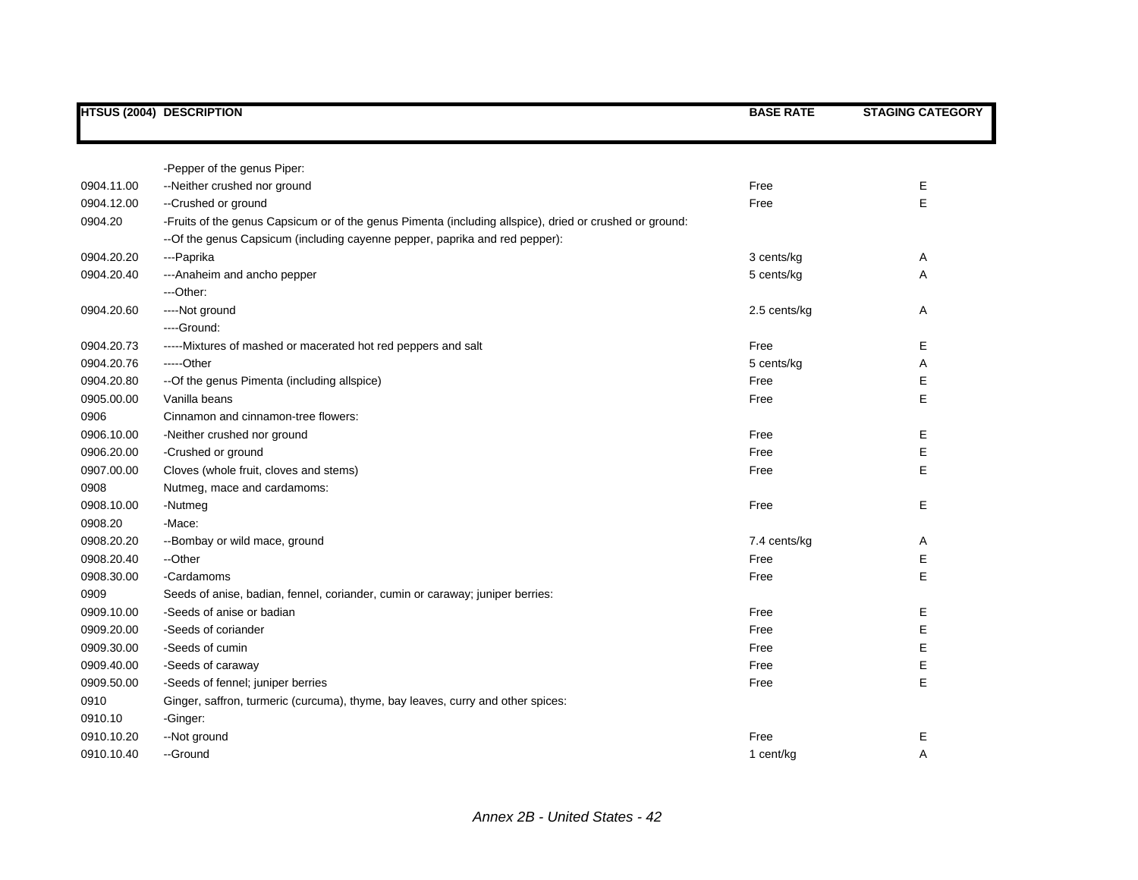|            | <b>HTSUS (2004) DESCRIPTION</b>                                                                         | <b>BASE RATE</b> | <b>STAGING CATEGORY</b> |
|------------|---------------------------------------------------------------------------------------------------------|------------------|-------------------------|
|            |                                                                                                         |                  |                         |
|            | -Pepper of the genus Piper:                                                                             |                  |                         |
| 0904.11.00 | --Neither crushed nor ground                                                                            | Free             | Е                       |
| 0904.12.00 | --Crushed or ground                                                                                     | Free             | E                       |
| 0904.20    | -Fruits of the genus Capsicum or of the genus Pimenta (including allspice), dried or crushed or ground: |                  |                         |
|            | -- Of the genus Capsicum (including cayenne pepper, paprika and red pepper):                            |                  |                         |
| 0904.20.20 | ---Paprika                                                                                              | 3 cents/kg       | Α                       |
| 0904.20.40 | --- Anaheim and ancho pepper                                                                            | 5 cents/kg       | Α                       |
|            | ---Other:                                                                                               |                  |                         |
| 0904.20.60 | ----Not ground                                                                                          | 2.5 cents/kg     | Α                       |
|            | ----Ground:                                                                                             |                  |                         |
| 0904.20.73 | -----Mixtures of mashed or macerated hot red peppers and salt                                           | Free             | E                       |
| 0904.20.76 | -----Other                                                                                              | 5 cents/kg       | Α                       |
| 0904.20.80 | --Of the genus Pimenta (including allspice)                                                             | Free             | E                       |
| 0905.00.00 | Vanilla beans                                                                                           | Free             | E                       |
| 0906       | Cinnamon and cinnamon-tree flowers:                                                                     |                  |                         |
| 0906.10.00 | -Neither crushed nor ground                                                                             | Free             | E                       |
| 0906.20.00 | -Crushed or ground                                                                                      | Free             | E                       |
| 0907.00.00 | Cloves (whole fruit, cloves and stems)                                                                  | Free             | E                       |
| 0908       | Nutmeg, mace and cardamoms:                                                                             |                  |                         |
| 0908.10.00 | -Nutmeg                                                                                                 | Free             | Е                       |
| 0908.20    | -Mace:                                                                                                  |                  |                         |
| 0908.20.20 | --Bombay or wild mace, ground                                                                           | 7.4 cents/kg     | Α                       |
| 0908.20.40 | --Other                                                                                                 | Free             | Е                       |
| 0908.30.00 | -Cardamoms                                                                                              | Free             | E.                      |
| 0909       | Seeds of anise, badian, fennel, coriander, cumin or caraway; juniper berries:                           |                  |                         |
| 0909.10.00 | -Seeds of anise or badian                                                                               | Free             | Е                       |
| 0909.20.00 | -Seeds of coriander                                                                                     | Free             | E                       |
| 0909.30.00 | -Seeds of cumin                                                                                         | Free             | E                       |
| 0909.40.00 | -Seeds of caraway                                                                                       | Free             | E                       |
| 0909.50.00 | -Seeds of fennel; juniper berries                                                                       | Free             | E.                      |
| 0910       | Ginger, saffron, turmeric (curcuma), thyme, bay leaves, curry and other spices:                         |                  |                         |
| 0910.10    | -Ginger:                                                                                                |                  |                         |
| 0910.10.20 | --Not ground                                                                                            | Free             | Е                       |
| 0910.10.40 | --Ground                                                                                                | 1 cent/kg        | A                       |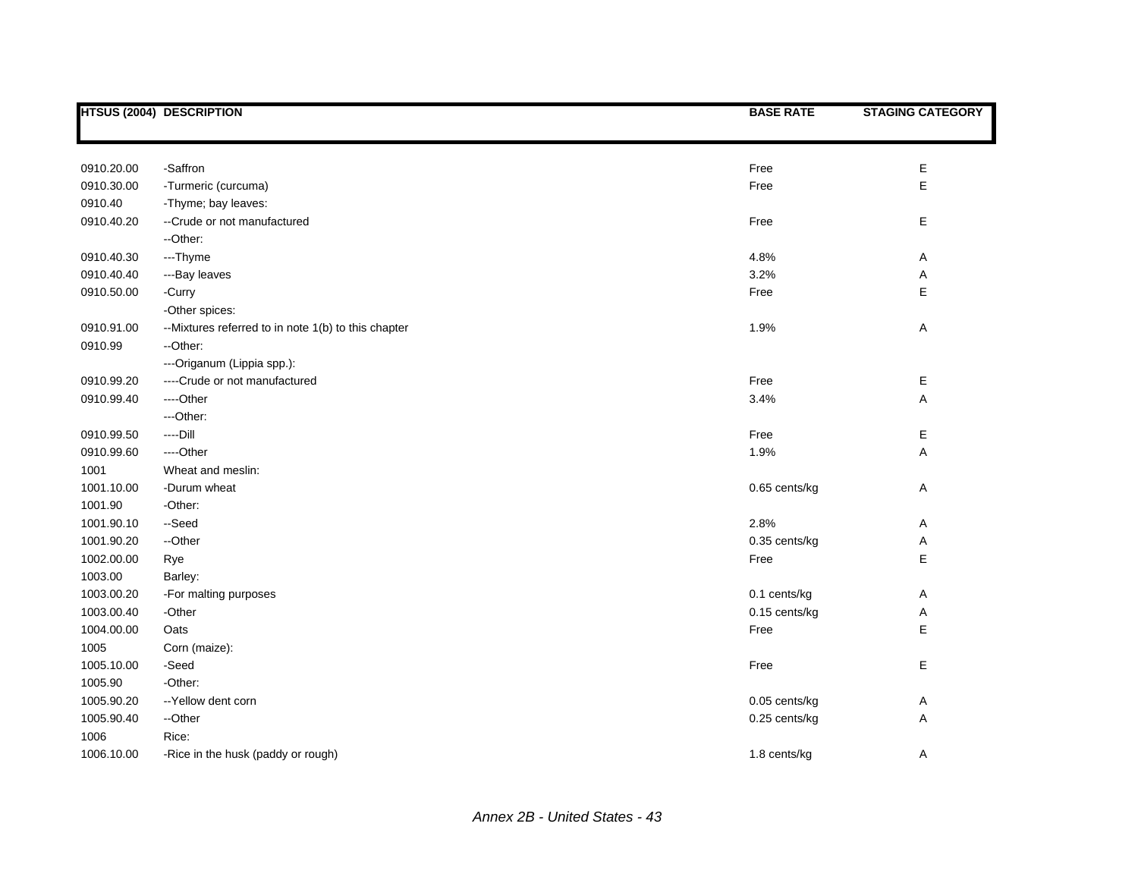|            | <b>HTSUS (2004) DESCRIPTION</b>                     | <b>BASE RATE</b> | <b>STAGING CATEGORY</b> |
|------------|-----------------------------------------------------|------------------|-------------------------|
|            |                                                     |                  |                         |
|            |                                                     |                  |                         |
| 0910.20.00 | -Saffron                                            | Free             | E                       |
| 0910.30.00 | -Turmeric (curcuma)                                 | Free             | E                       |
| 0910.40    | -Thyme; bay leaves:                                 |                  |                         |
| 0910.40.20 | --Crude or not manufactured                         | Free             | E                       |
|            | --Other:                                            |                  |                         |
| 0910.40.30 | ---Thyme                                            | 4.8%             | Α                       |
| 0910.40.40 | ---Bay leaves                                       | 3.2%             | Α                       |
| 0910.50.00 | -Curry                                              | Free             | E                       |
|            | -Other spices:                                      |                  |                         |
| 0910.91.00 | --Mixtures referred to in note 1(b) to this chapter | 1.9%             | Α                       |
| 0910.99    | --Other:                                            |                  |                         |
|            | ---Origanum (Lippia spp.):                          |                  |                         |
| 0910.99.20 | ----Crude or not manufactured                       | Free             | Е                       |
| 0910.99.40 | ----Other                                           | 3.4%             | A                       |
|            | ---Other:                                           |                  |                         |
| 0910.99.50 | $---Dill$                                           | Free             | E                       |
| 0910.99.60 | ----Other                                           | 1.9%             | A                       |
| 1001       | Wheat and meslin:                                   |                  |                         |
| 1001.10.00 | -Durum wheat                                        | 0.65 cents/kg    | Α                       |
| 1001.90    | -Other:                                             |                  |                         |
| 1001.90.10 | --Seed                                              | 2.8%             | Α                       |
| 1001.90.20 | --Other                                             | 0.35 cents/kg    | Α                       |
| 1002.00.00 | Rye                                                 | Free             | E                       |
| 1003.00    | Barley:                                             |                  |                         |
| 1003.00.20 | -For malting purposes                               | 0.1 cents/kg     | Α                       |
| 1003.00.40 | -Other                                              | 0.15 cents/kg    | Α                       |
| 1004.00.00 | Oats                                                | Free             | E                       |
| 1005       | Corn (maize):                                       |                  |                         |
| 1005.10.00 | -Seed                                               | Free             | E                       |
| 1005.90    | -Other:                                             |                  |                         |
| 1005.90.20 | -- Yellow dent corn                                 | 0.05 cents/kg    | Α                       |
| 1005.90.40 | --Other                                             | 0.25 cents/kg    | Α                       |
| 1006       | Rice:                                               |                  |                         |
| 1006.10.00 | -Rice in the husk (paddy or rough)                  | 1.8 cents/kg     | Α                       |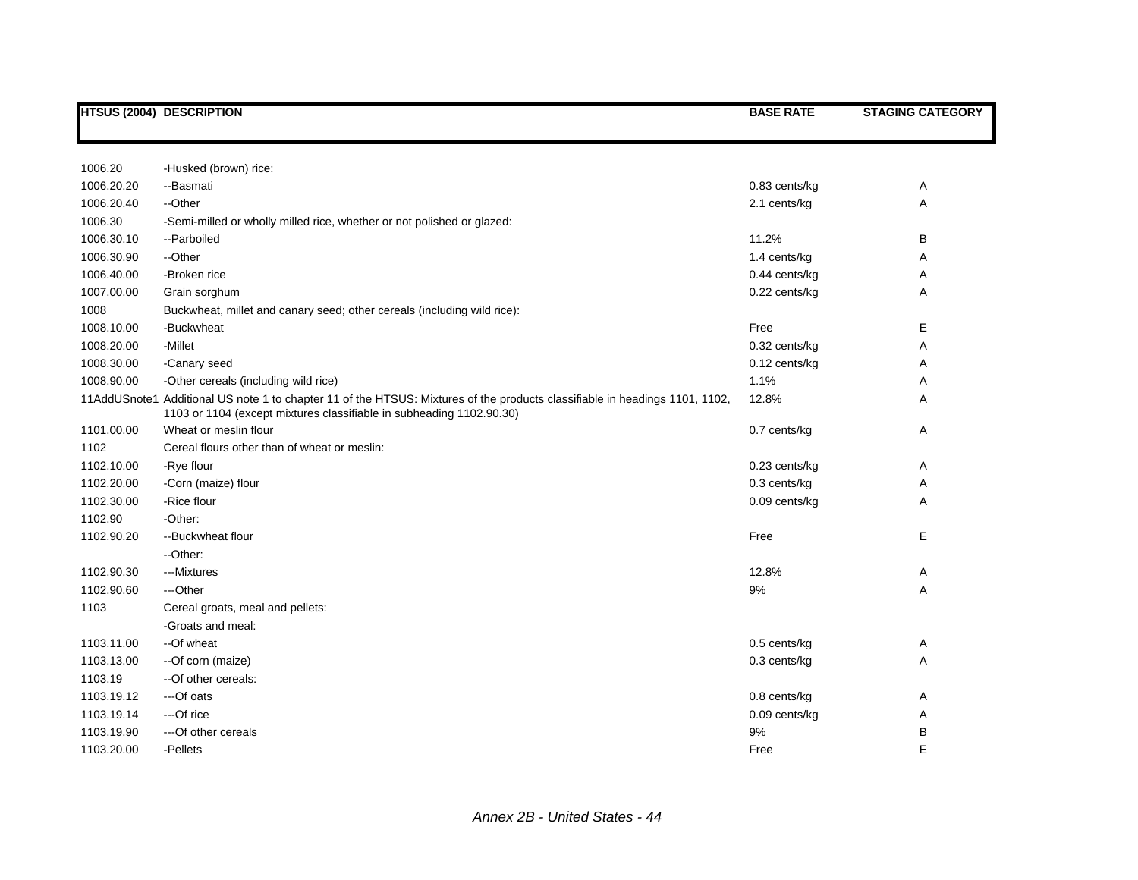|            | <b>HTSUS (2004) DESCRIPTION</b>                                                                                                                                                                     | <b>BASE RATE</b> | <b>STAGING CATEGORY</b> |
|------------|-----------------------------------------------------------------------------------------------------------------------------------------------------------------------------------------------------|------------------|-------------------------|
|            |                                                                                                                                                                                                     |                  |                         |
|            |                                                                                                                                                                                                     |                  |                         |
| 1006.20    | -Husked (brown) rice:                                                                                                                                                                               |                  |                         |
| 1006.20.20 | --Basmati                                                                                                                                                                                           | 0.83 cents/kg    | Α                       |
| 1006.20.40 | --Other                                                                                                                                                                                             | 2.1 cents/kg     | Α                       |
| 1006.30    | -Semi-milled or wholly milled rice, whether or not polished or glazed:                                                                                                                              |                  |                         |
| 1006.30.10 | --Parboiled                                                                                                                                                                                         | 11.2%            | В                       |
| 1006.30.90 | --Other                                                                                                                                                                                             | 1.4 cents/kg     | Α                       |
| 1006.40.00 | -Broken rice                                                                                                                                                                                        | 0.44 cents/kg    | Α                       |
| 1007.00.00 | Grain sorghum                                                                                                                                                                                       | 0.22 cents/kg    | Α                       |
| 1008       | Buckwheat, millet and canary seed; other cereals (including wild rice):                                                                                                                             |                  |                         |
| 1008.10.00 | -Buckwheat                                                                                                                                                                                          | Free             | Е                       |
| 1008.20.00 | -Millet                                                                                                                                                                                             | 0.32 cents/kg    | Α                       |
| 1008.30.00 | -Canary seed                                                                                                                                                                                        | 0.12 cents/kg    | Α                       |
| 1008.90.00 | -Other cereals (including wild rice)                                                                                                                                                                | 1.1%             | Α                       |
|            | 11AddUSnote1 Additional US note 1 to chapter 11 of the HTSUS: Mixtures of the products classifiable in headings 1101, 1102,<br>1103 or 1104 (except mixtures classifiable in subheading 1102.90.30) | 12.8%            | Α                       |
| 1101.00.00 | Wheat or meslin flour                                                                                                                                                                               | 0.7 cents/kg     | Α                       |
| 1102       | Cereal flours other than of wheat or meslin:                                                                                                                                                        |                  |                         |
| 1102.10.00 | -Rye flour                                                                                                                                                                                          | 0.23 cents/kg    | Α                       |
| 1102.20.00 | -Corn (maize) flour                                                                                                                                                                                 | 0.3 cents/kg     | Α                       |
| 1102.30.00 | -Rice flour                                                                                                                                                                                         | 0.09 cents/kg    | Α                       |
| 1102.90    | -Other:                                                                                                                                                                                             |                  |                         |
| 1102.90.20 | --Buckwheat flour                                                                                                                                                                                   | Free             | E                       |
|            | --Other:                                                                                                                                                                                            |                  |                         |
| 1102.90.30 | ---Mixtures                                                                                                                                                                                         | 12.8%            | Α                       |
| 1102.90.60 | ---Other                                                                                                                                                                                            | 9%               | Α                       |
| 1103       | Cereal groats, meal and pellets:                                                                                                                                                                    |                  |                         |
|            | -Groats and meal:                                                                                                                                                                                   |                  |                         |
| 1103.11.00 | --Of wheat                                                                                                                                                                                          | 0.5 cents/kg     | Α                       |
| 1103.13.00 | --Of corn (maize)                                                                                                                                                                                   | 0.3 cents/kg     | Α                       |
| 1103.19    | --Of other cereals:                                                                                                                                                                                 |                  |                         |
| 1103.19.12 | ---Of oats                                                                                                                                                                                          | 0.8 cents/kg     | Α                       |
| 1103.19.14 | ---Of rice                                                                                                                                                                                          | 0.09 cents/kg    | Α                       |
| 1103.19.90 | ---Of other cereals                                                                                                                                                                                 | 9%               | В                       |
| 1103.20.00 | -Pellets                                                                                                                                                                                            | Free             | E                       |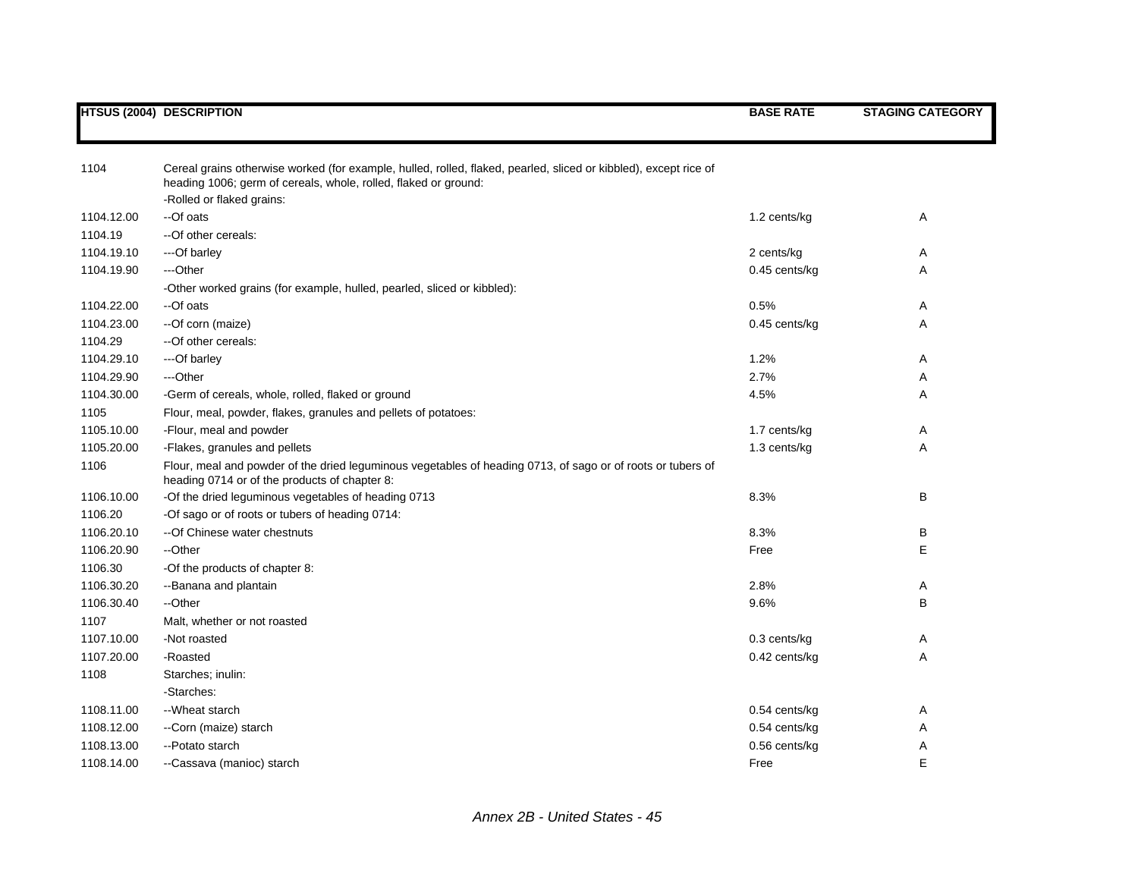|  | <b>HTSUS (2004) DESCRIPTION</b> |
|--|---------------------------------|
|--|---------------------------------|

| 1104                  | Cereal grains otherwise worked (for example, hulled, rolled, flaked, pearled, sliced or kibbled), except rice of                                             |               |   |
|-----------------------|--------------------------------------------------------------------------------------------------------------------------------------------------------------|---------------|---|
|                       | heading 1006; germ of cereals, whole, rolled, flaked or ground:                                                                                              |               |   |
| 1104.12.00            | -Rolled or flaked grains:<br>--Of oats                                                                                                                       | 1.2 cents/kg  | Α |
|                       |                                                                                                                                                              |               |   |
| 1104.19<br>1104.19.10 | --Of other cereals:                                                                                                                                          |               |   |
|                       | ---Of barley                                                                                                                                                 | 2 cents/kg    | Α |
| 1104.19.90            | ---Other                                                                                                                                                     | 0.45 cents/kg | Α |
|                       | -Other worked grains (for example, hulled, pearled, sliced or kibbled):                                                                                      |               |   |
| 1104.22.00            | --Of oats                                                                                                                                                    | 0.5%          | Α |
| 1104.23.00            | --Of corn (maize)                                                                                                                                            | 0.45 cents/kg | Α |
| 1104.29               | --Of other cereals:                                                                                                                                          |               |   |
| 1104.29.10            | ---Of barley                                                                                                                                                 | 1.2%          | Α |
| 1104.29.90            | ---Other                                                                                                                                                     | 2.7%          | Α |
| 1104.30.00            | -Germ of cereals, whole, rolled, flaked or ground                                                                                                            | 4.5%          | A |
| 1105                  | Flour, meal, powder, flakes, granules and pellets of potatoes:                                                                                               |               |   |
| 1105.10.00            | -Flour, meal and powder                                                                                                                                      | 1.7 cents/kg  | Α |
| 1105.20.00            | -Flakes, granules and pellets                                                                                                                                | 1.3 cents/kg  | A |
| 1106                  | Flour, meal and powder of the dried leguminous vegetables of heading 0713, of sago or of roots or tubers of<br>heading 0714 or of the products of chapter 8: |               |   |
| 1106.10.00            | -Of the dried leguminous vegetables of heading 0713                                                                                                          | 8.3%          | B |
| 1106.20               | -Of sago or of roots or tubers of heading 0714:                                                                                                              |               |   |
| 1106.20.10            | -- Of Chinese water chestnuts                                                                                                                                | 8.3%          | В |
| 1106.20.90            | --Other                                                                                                                                                      | Free          | E |
| 1106.30               | -Of the products of chapter 8:                                                                                                                               |               |   |
| 1106.30.20            | --Banana and plantain                                                                                                                                        | 2.8%          | Α |
| 1106.30.40            | --Other                                                                                                                                                      | 9.6%          | B |
| 1107                  | Malt, whether or not roasted                                                                                                                                 |               |   |
| 1107.10.00            | -Not roasted                                                                                                                                                 | 0.3 cents/kg  | Α |
| 1107.20.00            | -Roasted                                                                                                                                                     | 0.42 cents/kg | A |
| 1108                  | Starches; inulin:                                                                                                                                            |               |   |
|                       | -Starches:                                                                                                                                                   |               |   |
| 1108.11.00            | --Wheat starch                                                                                                                                               | 0.54 cents/kg | Α |
| 1108.12.00            | --Corn (maize) starch                                                                                                                                        | 0.54 cents/kg | Α |
| 1108.13.00            | --Potato starch                                                                                                                                              | 0.56 cents/kg | Α |
| 1108.14.00            | --Cassava (manioc) starch                                                                                                                                    | Free          | E |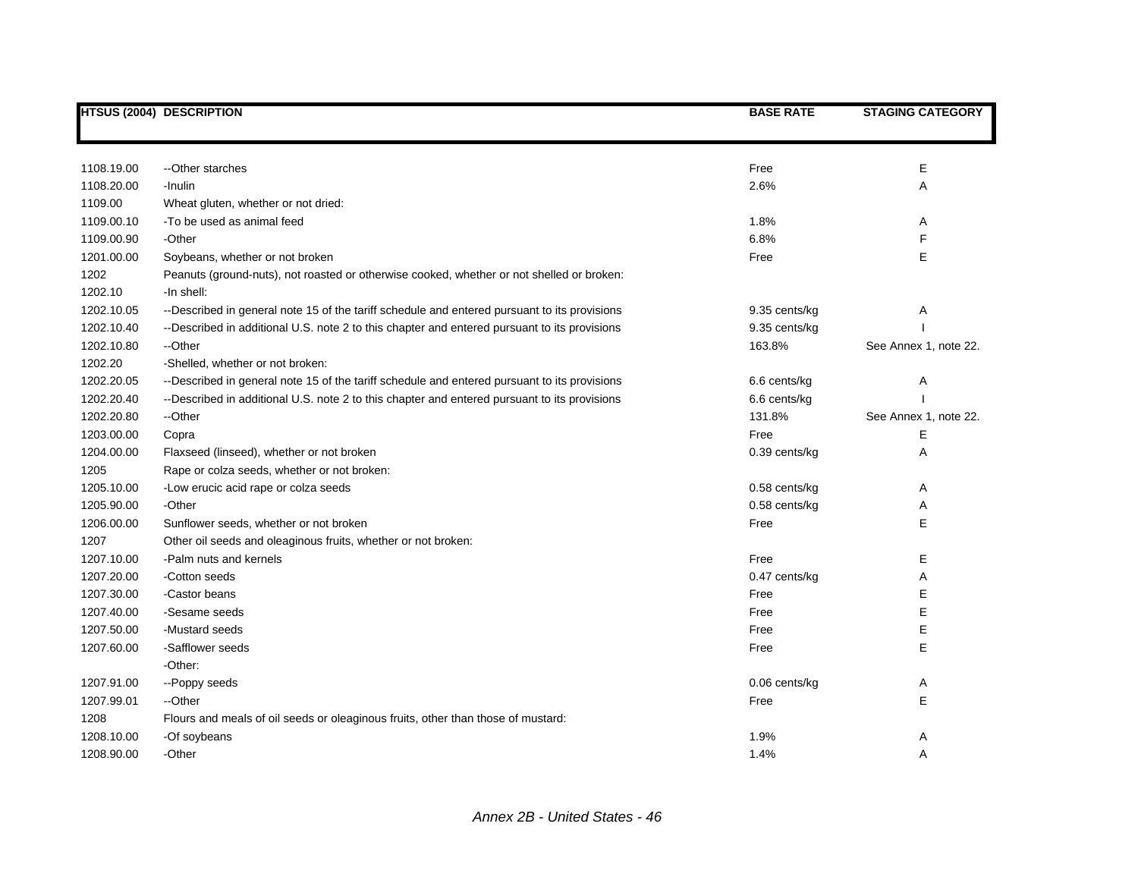|            | <b>HTSUS (2004) DESCRIPTION</b>                                                              | <b>BASE RATE</b> | <b>STAGING CATEGORY</b> |
|------------|----------------------------------------------------------------------------------------------|------------------|-------------------------|
|            |                                                                                              |                  |                         |
| 1108.19.00 | --Other starches                                                                             | Free             | Ε                       |
| 1108.20.00 | -Inulin                                                                                      | 2.6%             | A                       |
| 1109.00    | Wheat gluten, whether or not dried:                                                          |                  |                         |
| 1109.00.10 | -To be used as animal feed                                                                   | 1.8%             | Α                       |
| 1109.00.90 | -Other                                                                                       | 6.8%             | F                       |
| 1201.00.00 | Soybeans, whether or not broken                                                              | Free             | E                       |
| 1202       | Peanuts (ground-nuts), not roasted or otherwise cooked, whether or not shelled or broken:    |                  |                         |
| 1202.10    | -In shell:                                                                                   |                  |                         |
| 1202.10.05 | --Described in general note 15 of the tariff schedule and entered pursuant to its provisions | 9.35 cents/kg    | Α                       |
| 1202.10.40 | --Described in additional U.S. note 2 to this chapter and entered pursuant to its provisions | 9.35 cents/kg    |                         |
| 1202.10.80 | --Other                                                                                      | 163.8%           | See Annex 1, note 22.   |
| 1202.20    | -Shelled, whether or not broken:                                                             |                  |                         |
| 1202.20.05 | --Described in general note 15 of the tariff schedule and entered pursuant to its provisions | 6.6 cents/kg     | Α                       |
| 1202.20.40 | --Described in additional U.S. note 2 to this chapter and entered pursuant to its provisions | 6.6 cents/kg     |                         |
| 1202.20.80 | --Other                                                                                      | 131.8%           | See Annex 1, note 22.   |
| 1203.00.00 | Copra                                                                                        | Free             | Е                       |
| 1204.00.00 | Flaxseed (linseed), whether or not broken                                                    | 0.39 cents/kg    | Α                       |
| 1205       | Rape or colza seeds, whether or not broken:                                                  |                  |                         |
| 1205.10.00 | -Low erucic acid rape or colza seeds                                                         | $0.58$ cents/kg  | Α                       |
| 1205.90.00 | -Other                                                                                       | $0.58$ cents/kg  | Α                       |
| 1206.00.00 | Sunflower seeds, whether or not broken                                                       | Free             | E                       |
| 1207       | Other oil seeds and oleaginous fruits, whether or not broken:                                |                  |                         |
| 1207.10.00 | -Palm nuts and kernels                                                                       | Free             | Е                       |
| 1207.20.00 | -Cotton seeds                                                                                | 0.47 cents/kg    | Α                       |
| 1207.30.00 | -Castor beans                                                                                | Free             | E                       |
| 1207.40.00 | -Sesame seeds                                                                                | Free             | E                       |
| 1207.50.00 | -Mustard seeds                                                                               | Free             | E                       |
| 1207.60.00 | -Safflower seeds                                                                             | Free             | E                       |
|            | -Other:                                                                                      |                  |                         |
| 1207.91.00 | --Poppy seeds                                                                                | 0.06 cents/kg    | Α                       |
| 1207.99.01 | --Other                                                                                      | Free             | E                       |
| 1208       | Flours and meals of oil seeds or oleaginous fruits, other than those of mustard:             |                  |                         |
| 1208.10.00 | -Of soybeans                                                                                 | 1.9%             | Α                       |
| 1208.90.00 | -Other                                                                                       | 1.4%             | A                       |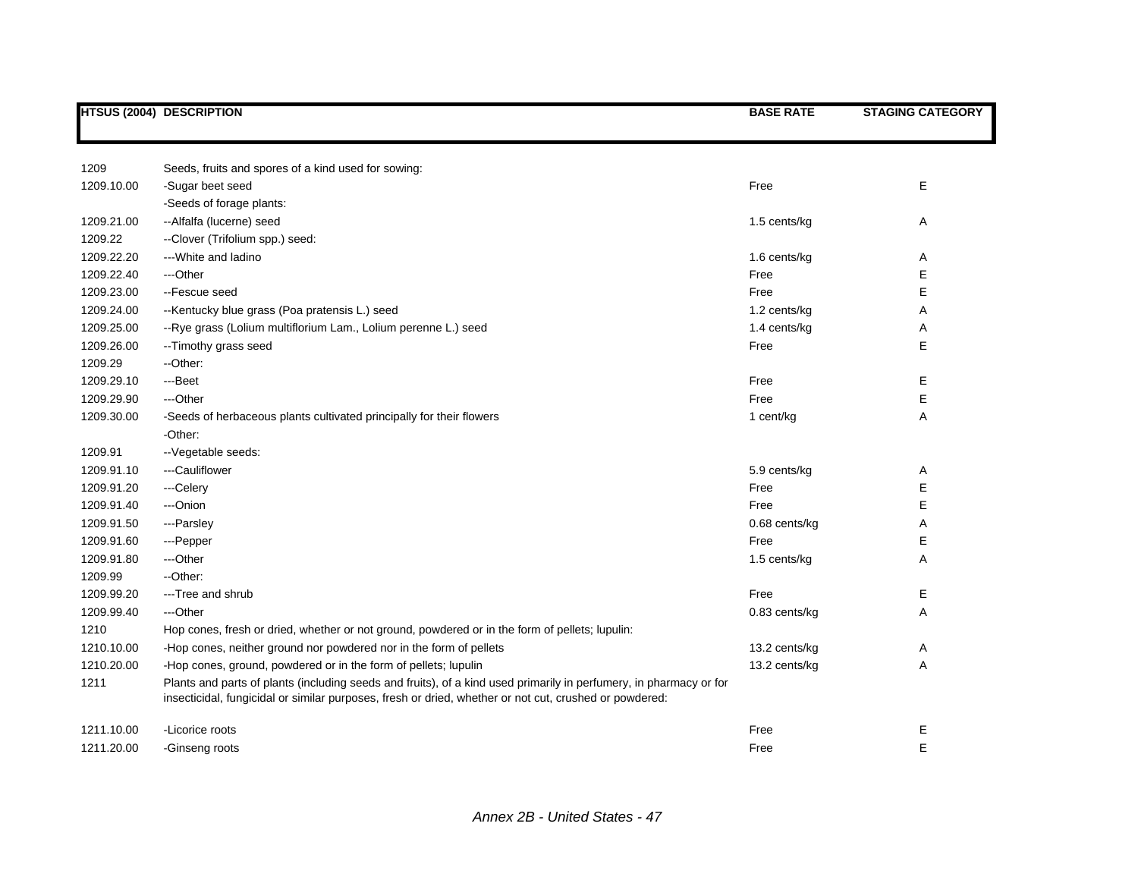|            | <b>HTSUS (2004) DESCRIPTION</b>                                                                                                                                                                                              | <b>BASE RATE</b> | <b>STAGING CATEGORY</b> |
|------------|------------------------------------------------------------------------------------------------------------------------------------------------------------------------------------------------------------------------------|------------------|-------------------------|
|            |                                                                                                                                                                                                                              |                  |                         |
| 1209       | Seeds, fruits and spores of a kind used for sowing:                                                                                                                                                                          |                  |                         |
| 1209.10.00 | -Sugar beet seed                                                                                                                                                                                                             | Free             | Е                       |
|            | -Seeds of forage plants:                                                                                                                                                                                                     |                  |                         |
| 1209.21.00 | --Alfalfa (lucerne) seed                                                                                                                                                                                                     | 1.5 cents/kg     | Α                       |
| 1209.22    | --Clover (Trifolium spp.) seed:                                                                                                                                                                                              |                  |                         |
| 1209.22.20 | --- White and ladino                                                                                                                                                                                                         | 1.6 cents/kg     | Α                       |
| 1209.22.40 | ---Other                                                                                                                                                                                                                     | Free             | E                       |
| 1209.23.00 | --Fescue seed                                                                                                                                                                                                                | Free             | E                       |
| 1209.24.00 | --Kentucky blue grass (Poa pratensis L.) seed                                                                                                                                                                                | 1.2 cents/kg     | Α                       |
| 1209.25.00 | --Rye grass (Lolium multiflorium Lam., Lolium perenne L.) seed                                                                                                                                                               | 1.4 cents/kg     | Α                       |
| 1209.26.00 | -- Timothy grass seed                                                                                                                                                                                                        | Free             | E                       |
| 1209.29    | -- Other:                                                                                                                                                                                                                    |                  |                         |
| 1209.29.10 | ---Beet                                                                                                                                                                                                                      | Free             | Е                       |
| 1209.29.90 | ---Other                                                                                                                                                                                                                     | Free             | E                       |
| 1209.30.00 | -Seeds of herbaceous plants cultivated principally for their flowers                                                                                                                                                         | 1 cent/kg        | Α                       |
|            | -Other:                                                                                                                                                                                                                      |                  |                         |
| 1209.91    | -- Vegetable seeds:                                                                                                                                                                                                          |                  |                         |
| 1209.91.10 | ---Cauliflower                                                                                                                                                                                                               | 5.9 cents/kg     | Α                       |
| 1209.91.20 | ---Celery                                                                                                                                                                                                                    | Free             | Е                       |
| 1209.91.40 | ---Onion                                                                                                                                                                                                                     | Free             | E                       |
| 1209.91.50 | ---Parsley                                                                                                                                                                                                                   | 0.68 cents/kg    | Α                       |
| 1209.91.60 | ---Pepper                                                                                                                                                                                                                    | Free             | Е                       |
| 1209.91.80 | ---Other                                                                                                                                                                                                                     | 1.5 cents/kg     | Α                       |
| 1209.99    | --Other:                                                                                                                                                                                                                     |                  |                         |
| 1209.99.20 | --- Tree and shrub                                                                                                                                                                                                           | Free             | E                       |
| 1209.99.40 | ---Other                                                                                                                                                                                                                     | 0.83 cents/kg    | Α                       |
| 1210       | Hop cones, fresh or dried, whether or not ground, powdered or in the form of pellets; lupulin:                                                                                                                               |                  |                         |
| 1210.10.00 | -Hop cones, neither ground nor powdered nor in the form of pellets                                                                                                                                                           | 13.2 cents/kg    | Α                       |
| 1210.20.00 | -Hop cones, ground, powdered or in the form of pellets; lupulin                                                                                                                                                              | 13.2 cents/kg    | Α                       |
| 1211       | Plants and parts of plants (including seeds and fruits), of a kind used primarily in perfumery, in pharmacy or for<br>insecticidal, fungicidal or similar purposes, fresh or dried, whether or not cut, crushed or powdered: |                  |                         |
| 1211.10.00 | -Licorice roots                                                                                                                                                                                                              | Free             | Ε                       |
| 1211.20.00 | -Ginseng roots                                                                                                                                                                                                               | Free             | E                       |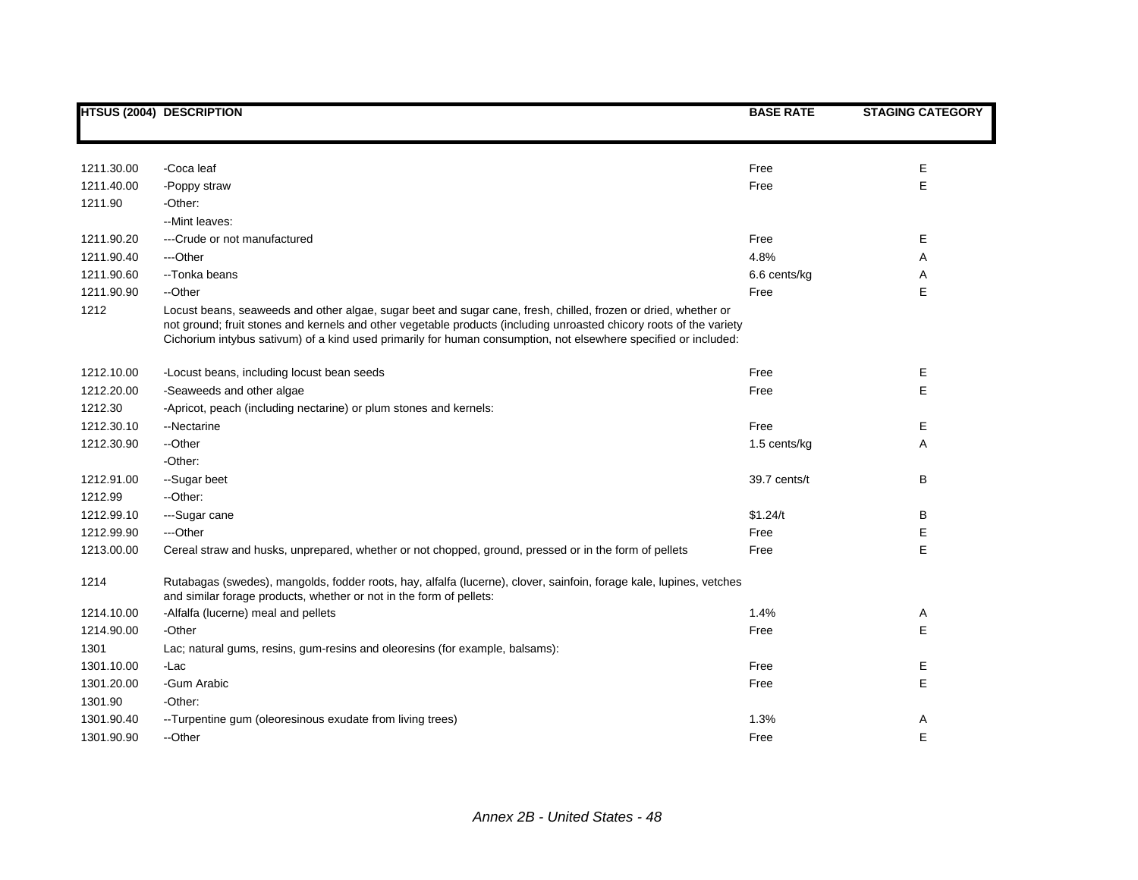|            | <b>HTSUS (2004) DESCRIPTION</b>                                                                                                                                                                                                                                                                                                                          | <b>BASE RATE</b> | <b>STAGING CATEGORY</b> |
|------------|----------------------------------------------------------------------------------------------------------------------------------------------------------------------------------------------------------------------------------------------------------------------------------------------------------------------------------------------------------|------------------|-------------------------|
|            |                                                                                                                                                                                                                                                                                                                                                          |                  |                         |
| 1211.30.00 | -Coca leaf                                                                                                                                                                                                                                                                                                                                               | Free             | Е                       |
| 1211.40.00 | -Poppy straw                                                                                                                                                                                                                                                                                                                                             | Free             | E                       |
| 1211.90    | -Other:                                                                                                                                                                                                                                                                                                                                                  |                  |                         |
|            | --Mint leaves:                                                                                                                                                                                                                                                                                                                                           |                  |                         |
| 1211.90.20 | ---Crude or not manufactured                                                                                                                                                                                                                                                                                                                             | Free             | Е                       |
| 1211.90.40 | ---Other                                                                                                                                                                                                                                                                                                                                                 | 4.8%             | Α                       |
| 1211.90.60 | --Tonka beans                                                                                                                                                                                                                                                                                                                                            | 6.6 cents/kg     | Α                       |
| 1211.90.90 | --Other                                                                                                                                                                                                                                                                                                                                                  | Free             | E                       |
| 1212       | Locust beans, seaweeds and other algae, sugar beet and sugar cane, fresh, chilled, frozen or dried, whether or<br>not ground; fruit stones and kernels and other vegetable products (including unroasted chicory roots of the variety<br>Cichorium intybus sativum) of a kind used primarily for human consumption, not elsewhere specified or included: |                  |                         |
| 1212.10.00 | -Locust beans, including locust bean seeds                                                                                                                                                                                                                                                                                                               | Free             | Е                       |
| 1212.20.00 | -Seaweeds and other algae                                                                                                                                                                                                                                                                                                                                | Free             | E                       |
| 1212.30    | -Apricot, peach (including nectarine) or plum stones and kernels:                                                                                                                                                                                                                                                                                        |                  |                         |
| 1212.30.10 | --Nectarine                                                                                                                                                                                                                                                                                                                                              | Free             | Е                       |
| 1212.30.90 | --Other                                                                                                                                                                                                                                                                                                                                                  | 1.5 cents/kg     | Α                       |
|            | -Other:                                                                                                                                                                                                                                                                                                                                                  |                  |                         |
| 1212.91.00 | --Sugar beet                                                                                                                                                                                                                                                                                                                                             | 39.7 cents/t     | B                       |
| 1212.99    | --Other:                                                                                                                                                                                                                                                                                                                                                 |                  |                         |
| 1212.99.10 | ---Sugar cane                                                                                                                                                                                                                                                                                                                                            | \$1.24/t         | B                       |
| 1212.99.90 | ---Other                                                                                                                                                                                                                                                                                                                                                 | Free             | E                       |
| 1213.00.00 | Cereal straw and husks, unprepared, whether or not chopped, ground, pressed or in the form of pellets                                                                                                                                                                                                                                                    | Free             | E                       |
| 1214       | Rutabagas (swedes), mangolds, fodder roots, hay, alfalfa (lucerne), clover, sainfoin, forage kale, lupines, vetches<br>and similar forage products, whether or not in the form of pellets:                                                                                                                                                               |                  |                         |
| 1214.10.00 | -Alfalfa (lucerne) meal and pellets                                                                                                                                                                                                                                                                                                                      | 1.4%             | A                       |
| 1214.90.00 | -Other                                                                                                                                                                                                                                                                                                                                                   | Free             | E                       |
| 1301       | Lac; natural gums, resins, gum-resins and oleoresins (for example, balsams):                                                                                                                                                                                                                                                                             |                  |                         |
| 1301.10.00 | -Lac                                                                                                                                                                                                                                                                                                                                                     | Free             | Е                       |
| 1301.20.00 | -Gum Arabic                                                                                                                                                                                                                                                                                                                                              | Free             | E                       |
| 1301.90    | -Other:                                                                                                                                                                                                                                                                                                                                                  |                  |                         |
| 1301.90.40 | --Turpentine gum (oleoresinous exudate from living trees)                                                                                                                                                                                                                                                                                                | 1.3%             | Α                       |
| 1301.90.90 | --Other                                                                                                                                                                                                                                                                                                                                                  | Free             | E                       |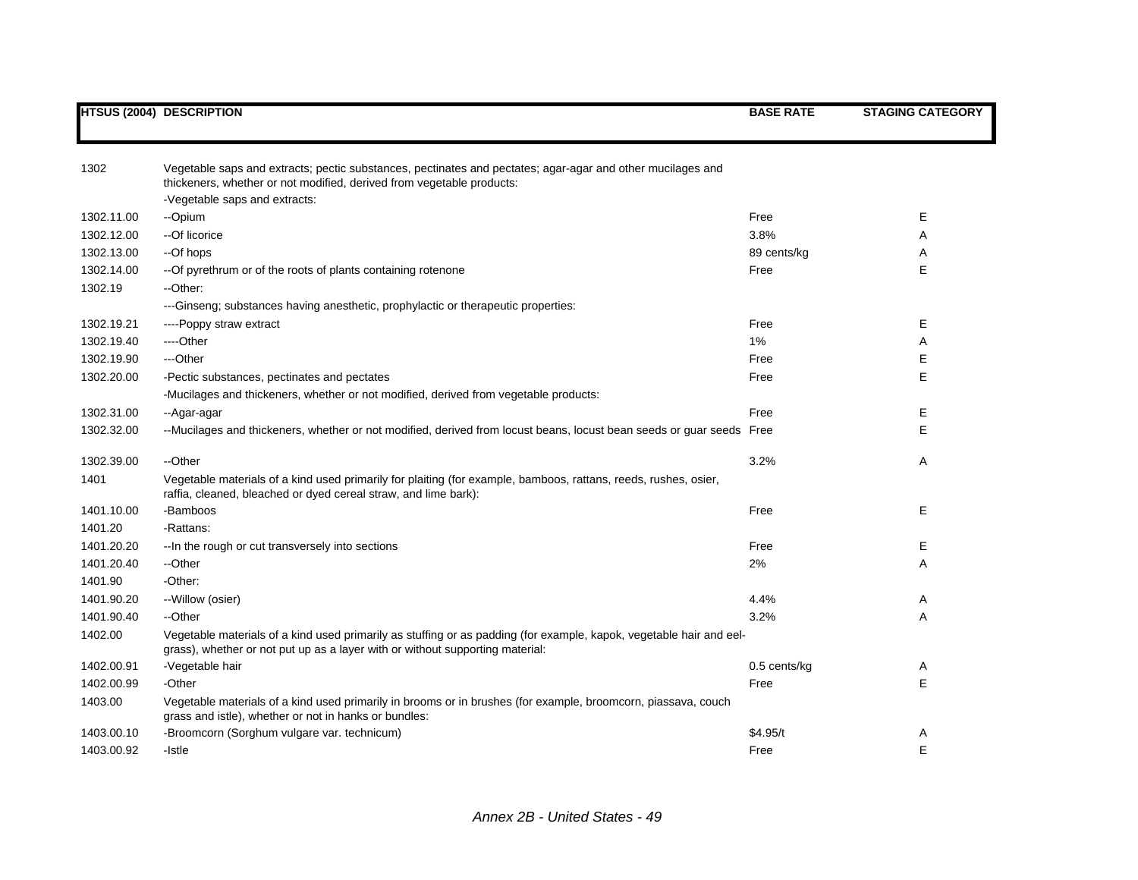| 1302       | Vegetable saps and extracts; pectic substances, pectinates and pectates; agar-agar and other mucilages and                                                                         |              |   |
|------------|------------------------------------------------------------------------------------------------------------------------------------------------------------------------------------|--------------|---|
|            | thickeners, whether or not modified, derived from vegetable products:                                                                                                              |              |   |
|            | -Vegetable saps and extracts:                                                                                                                                                      |              |   |
| 1302.11.00 | --Opium                                                                                                                                                                            | Free         | Е |
| 1302.12.00 | --Of licorice                                                                                                                                                                      | 3.8%         | A |
| 1302.13.00 | --Of hops                                                                                                                                                                          | 89 cents/kg  | Α |
| 1302.14.00 | -- Of pyrethrum or of the roots of plants containing rotenone                                                                                                                      | Free         | E |
| 1302.19    | -- Other:                                                                                                                                                                          |              |   |
|            | ---Ginseng; substances having anesthetic, prophylactic or therapeutic properties:                                                                                                  |              |   |
| 1302.19.21 | ----Poppy straw extract                                                                                                                                                            | Free         | Е |
| 1302.19.40 | ----Other                                                                                                                                                                          | 1%           | Α |
| 1302.19.90 | ---Other                                                                                                                                                                           | Free         | Ε |
| 1302.20.00 | -Pectic substances, pectinates and pectates                                                                                                                                        | Free         | E |
|            | -Mucilages and thickeners, whether or not modified, derived from vegetable products:                                                                                               |              |   |
| 1302.31.00 | --Agar-agar                                                                                                                                                                        | Free         | Е |
| 1302.32.00 | --Mucilages and thickeners, whether or not modified, derived from locust beans, locust bean seeds or guar seeds Free                                                               |              | E |
|            |                                                                                                                                                                                    |              |   |
| 1302.39.00 | --Other                                                                                                                                                                            | 3.2%         | Α |
| 1401       | Vegetable materials of a kind used primarily for plaiting (for example, bamboos, rattans, reeds, rushes, osier,<br>raffia, cleaned, bleached or dyed cereal straw, and lime bark): |              |   |
| 1401.10.00 | -Bamboos                                                                                                                                                                           | Free         | Е |
| 1401.20    | -Rattans:                                                                                                                                                                          |              |   |
| 1401.20.20 | -- In the rough or cut transversely into sections                                                                                                                                  | Free         | Е |
| 1401.20.40 | --Other                                                                                                                                                                            | 2%           | A |
| 1401.90    | -Other:                                                                                                                                                                            |              |   |
| 1401.90.20 | -- Willow (osier)                                                                                                                                                                  | 4.4%         | Α |
| 1401.90.40 | --Other                                                                                                                                                                            | 3.2%         | A |
| 1402.00    | Vegetable materials of a kind used primarily as stuffing or as padding (for example, kapok, vegetable hair and eel-                                                                |              |   |
|            | grass), whether or not put up as a layer with or without supporting material:                                                                                                      |              |   |
| 1402.00.91 | -Vegetable hair                                                                                                                                                                    | 0.5 cents/kg | Α |
| 1402.00.99 | -Other                                                                                                                                                                             | Free         | E |
| 1403.00    | Vegetable materials of a kind used primarily in brooms or in brushes (for example, broomcorn, piassava, couch<br>grass and istle), whether or not in hanks or bundles:             |              |   |
| 1403.00.10 | -Broomcorn (Sorghum vulgare var. technicum)                                                                                                                                        | \$4.95/t     | Α |
| 1403.00.92 | -Istle                                                                                                                                                                             | Free         | E |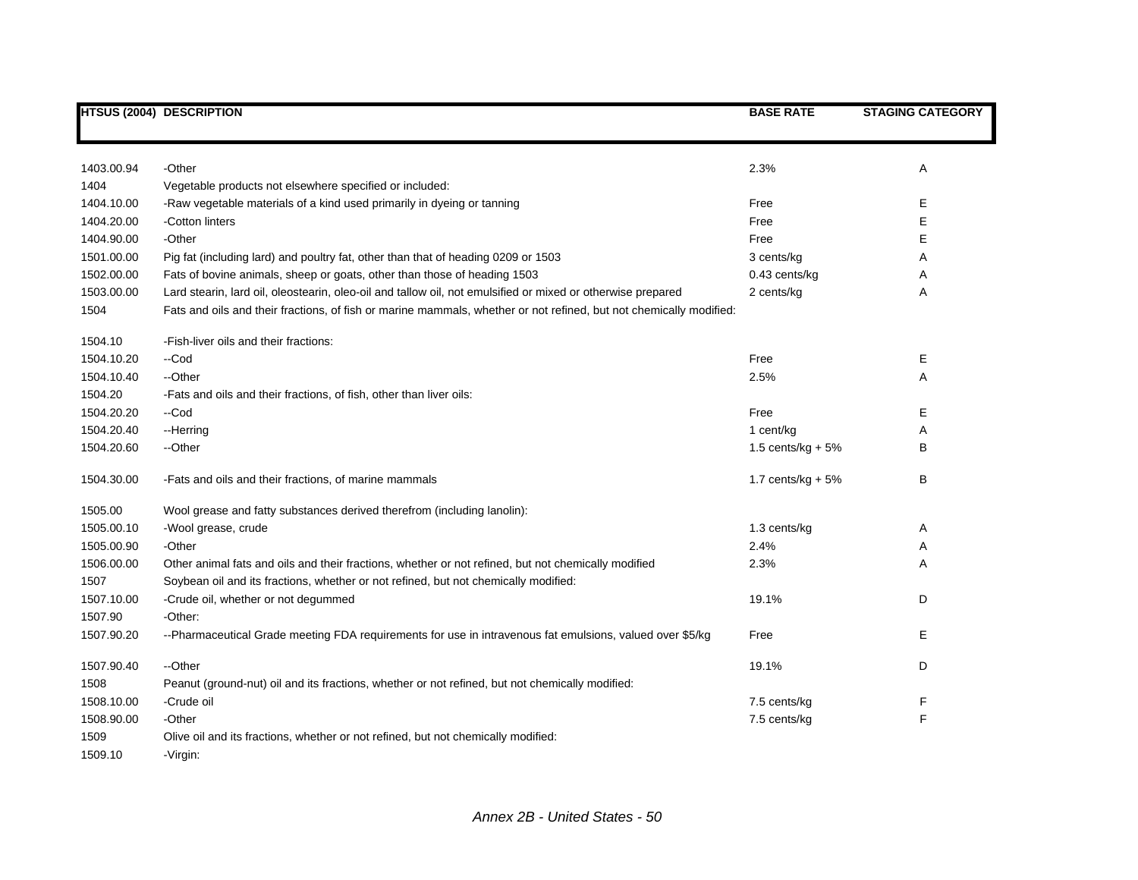|            | <b>HTSUS (2004) DESCRIPTION</b>                                                                                    | <b>BASE RATE</b>    | <b>STAGING CATEGORY</b> |
|------------|--------------------------------------------------------------------------------------------------------------------|---------------------|-------------------------|
|            |                                                                                                                    |                     |                         |
| 1403.00.94 | -Other                                                                                                             | 2.3%                | Α                       |
| 1404       | Vegetable products not elsewhere specified or included:                                                            |                     |                         |
| 1404.10.00 | -Raw vegetable materials of a kind used primarily in dyeing or tanning                                             | Free                | Ε                       |
| 1404.20.00 | -Cotton linters                                                                                                    | Free                | Е                       |
| 1404.90.00 | -Other                                                                                                             | Free                | Е                       |
| 1501.00.00 | Pig fat (including lard) and poultry fat, other than that of heading 0209 or 1503                                  | 3 cents/kg          | Α                       |
| 1502.00.00 | Fats of bovine animals, sheep or goats, other than those of heading 1503                                           | 0.43 cents/kg       | Α                       |
| 1503.00.00 | Lard stearin, lard oil, oleostearin, oleo-oil and tallow oil, not emulsified or mixed or otherwise prepared        | 2 cents/kg          | Α                       |
| 1504       | Fats and oils and their fractions, of fish or marine mammals, whether or not refined, but not chemically modified: |                     |                         |
| 1504.10    | -Fish-liver oils and their fractions:                                                                              |                     |                         |
| 1504.10.20 | --Cod                                                                                                              | Free                | Ε                       |
| 1504.10.40 | --Other                                                                                                            | 2.5%                | Α                       |
| 1504.20    | -Fats and oils and their fractions, of fish, other than liver oils:                                                |                     |                         |
| 1504.20.20 | --Cod                                                                                                              | Free                | Е                       |
| 1504.20.40 | --Herring                                                                                                          | 1 cent/kg           | Α                       |
| 1504.20.60 | --Other                                                                                                            | 1.5 cents/kg + $5%$ | В                       |
| 1504.30.00 | -Fats and oils and their fractions, of marine mammals                                                              | 1.7 cents/kg $+5%$  | B                       |
| 1505.00    | Wool grease and fatty substances derived therefrom (including lanolin):                                            |                     |                         |
| 1505.00.10 | -Wool grease, crude                                                                                                | 1.3 cents/kg        | Α                       |
| 1505.00.90 | -Other                                                                                                             | 2.4%                | Α                       |
| 1506.00.00 | Other animal fats and oils and their fractions, whether or not refined, but not chemically modified                | 2.3%                | Α                       |
| 1507       | Soybean oil and its fractions, whether or not refined, but not chemically modified:                                |                     |                         |
| 1507.10.00 | -Crude oil, whether or not degummed                                                                                | 19.1%               | D                       |
| 1507.90    | -Other:                                                                                                            |                     |                         |
| 1507.90.20 | --Pharmaceutical Grade meeting FDA requirements for use in intravenous fat emulsions, valued over \$5/kg           | Free                | Е                       |
| 1507.90.40 | --Other                                                                                                            | 19.1%               | D                       |
| 1508       | Peanut (ground-nut) oil and its fractions, whether or not refined, but not chemically modified:                    |                     |                         |
| 1508.10.00 | -Crude oil                                                                                                         | 7.5 cents/kg        | F                       |
| 1508.90.00 | -Other                                                                                                             | 7.5 cents/kg        | F                       |
| 1509       | Olive oil and its fractions, whether or not refined, but not chemically modified:                                  |                     |                         |
| 1509.10    | -Virgin:                                                                                                           |                     |                         |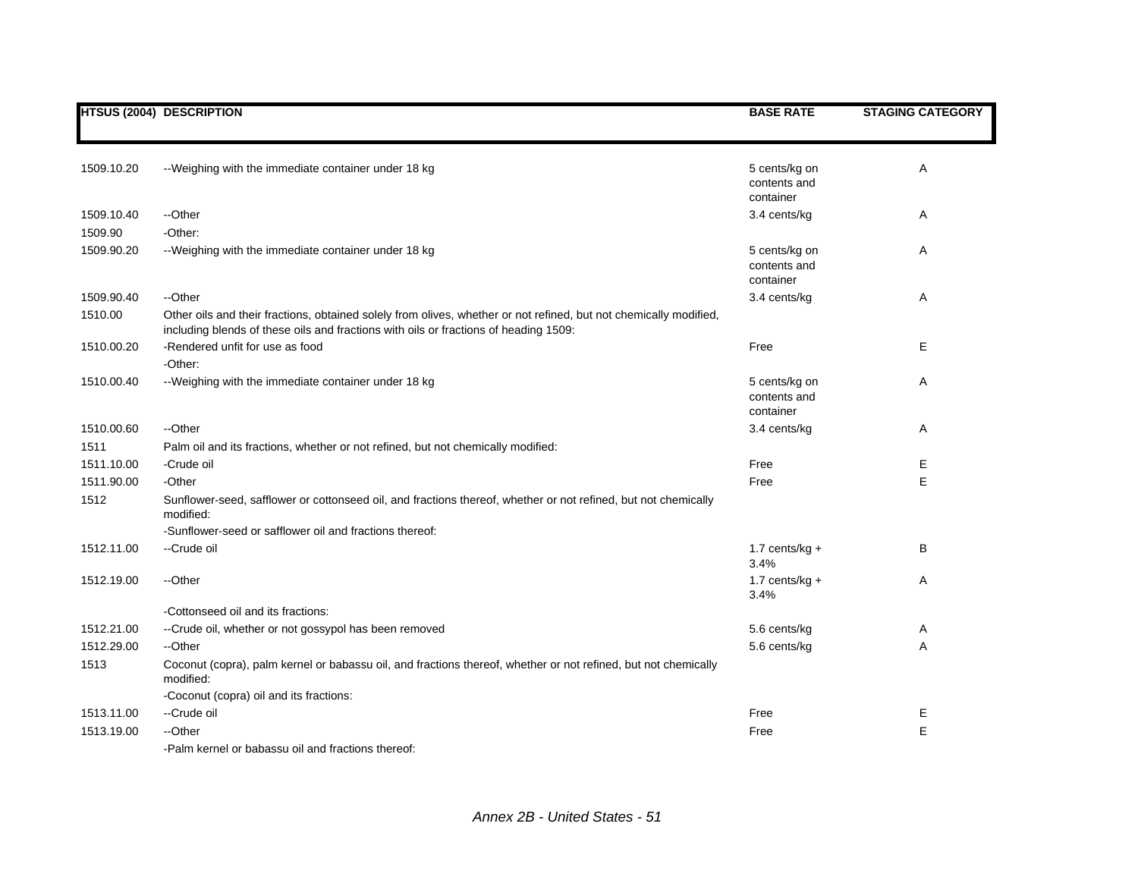|            | <b>HTSUS (2004) DESCRIPTION</b>                                                                                                                                                                           | <b>BASE RATE</b>                           | <b>STAGING CATEGORY</b> |
|------------|-----------------------------------------------------------------------------------------------------------------------------------------------------------------------------------------------------------|--------------------------------------------|-------------------------|
|            |                                                                                                                                                                                                           |                                            |                         |
| 1509.10.20 | --Weighing with the immediate container under 18 kg                                                                                                                                                       | 5 cents/kg on<br>contents and<br>container | Α                       |
| 1509.10.40 | --Other                                                                                                                                                                                                   | 3.4 cents/kg                               | Α                       |
| 1509.90    | -Other:                                                                                                                                                                                                   |                                            |                         |
| 1509.90.20 | --Weighing with the immediate container under 18 kg                                                                                                                                                       | 5 cents/kg on<br>contents and<br>container | Α                       |
| 1509.90.40 | --Other                                                                                                                                                                                                   | 3.4 cents/kg                               | Α                       |
| 1510.00    | Other oils and their fractions, obtained solely from olives, whether or not refined, but not chemically modified,<br>including blends of these oils and fractions with oils or fractions of heading 1509: |                                            |                         |
| 1510.00.20 | -Rendered unfit for use as food<br>-Other:                                                                                                                                                                | Free                                       | Е                       |
| 1510.00.40 | -- Weighing with the immediate container under 18 kg                                                                                                                                                      | 5 cents/kg on<br>contents and<br>container | Α                       |
| 1510.00.60 | --Other                                                                                                                                                                                                   | 3.4 cents/kg                               | Α                       |
| 1511       | Palm oil and its fractions, whether or not refined, but not chemically modified:                                                                                                                          |                                            |                         |
| 1511.10.00 | -Crude oil                                                                                                                                                                                                | Free                                       | Е                       |
| 1511.90.00 | -Other                                                                                                                                                                                                    | Free                                       | E                       |
| 1512       | Sunflower-seed, safflower or cottonseed oil, and fractions thereof, whether or not refined, but not chemically<br>modified:                                                                               |                                            |                         |
|            | -Sunflower-seed or safflower oil and fractions thereof:                                                                                                                                                   |                                            |                         |
| 1512.11.00 | --Crude oil                                                                                                                                                                                               | 1.7 cents/ $kg +$<br>3.4%                  | B                       |
| 1512.19.00 | --Other                                                                                                                                                                                                   | 1.7 cents/ $kg +$<br>3.4%                  | Α                       |
|            | -Cottonseed oil and its fractions:                                                                                                                                                                        |                                            |                         |
| 1512.21.00 | -- Crude oil, whether or not gossypol has been removed                                                                                                                                                    | 5.6 cents/kg                               | Α                       |
| 1512.29.00 | --Other                                                                                                                                                                                                   | 5.6 cents/kg                               | A                       |
| 1513       | Coconut (copra), palm kernel or babassu oil, and fractions thereof, whether or not refined, but not chemically<br>modified:                                                                               |                                            |                         |
|            | -Coconut (copra) oil and its fractions:                                                                                                                                                                   |                                            |                         |
| 1513.11.00 | --Crude oil                                                                                                                                                                                               | Free                                       | Е                       |
| 1513.19.00 | --Other                                                                                                                                                                                                   | Free                                       | E                       |
|            | -Palm kernel or babassu oil and fractions thereof:                                                                                                                                                        |                                            |                         |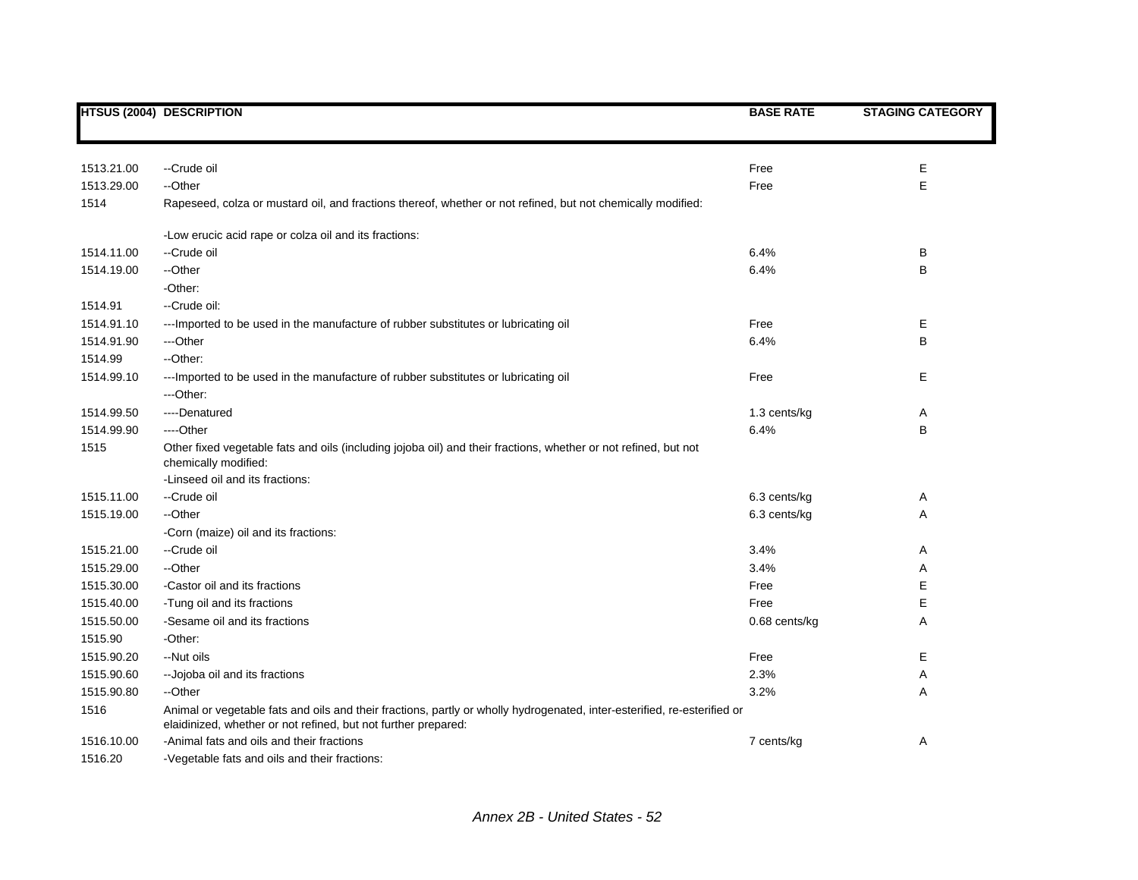|            | <b>HTSUS (2004) DESCRIPTION</b>                                                                                                                                                            | <b>BASE RATE</b> | <b>STAGING CATEGORY</b> |
|------------|--------------------------------------------------------------------------------------------------------------------------------------------------------------------------------------------|------------------|-------------------------|
|            |                                                                                                                                                                                            |                  |                         |
| 1513.21.00 | --Crude oil                                                                                                                                                                                | Free             | E                       |
| 1513.29.00 | --Other                                                                                                                                                                                    | Free             | E                       |
| 1514       | Rapeseed, colza or mustard oil, and fractions thereof, whether or not refined, but not chemically modified:                                                                                |                  |                         |
|            | -Low erucic acid rape or colza oil and its fractions:                                                                                                                                      |                  |                         |
| 1514.11.00 | --Crude oil                                                                                                                                                                                | 6.4%             | В                       |
| 1514.19.00 | --Other                                                                                                                                                                                    | 6.4%             | B                       |
|            | -Other:                                                                                                                                                                                    |                  |                         |
| 1514.91    | --Crude oil:                                                                                                                                                                               |                  |                         |
| 1514.91.10 | --- Imported to be used in the manufacture of rubber substitutes or lubricating oil                                                                                                        | Free             | Е                       |
| 1514.91.90 | ---Other                                                                                                                                                                                   | 6.4%             | B                       |
| 1514.99    | --Other:                                                                                                                                                                                   |                  |                         |
| 1514.99.10 | --- Imported to be used in the manufacture of rubber substitutes or lubricating oil                                                                                                        | Free             | Е                       |
|            | ---Other:                                                                                                                                                                                  |                  |                         |
| 1514.99.50 | ----Denatured                                                                                                                                                                              | 1.3 cents/kg     | Α                       |
| 1514.99.90 | ---Other                                                                                                                                                                                   | 6.4%             | B                       |
| 1515       | Other fixed vegetable fats and oils (including jojoba oil) and their fractions, whether or not refined, but not<br>chemically modified:                                                    |                  |                         |
|            | -Linseed oil and its fractions:                                                                                                                                                            |                  |                         |
| 1515.11.00 | --Crude oil                                                                                                                                                                                | 6.3 cents/kg     | Α                       |
| 1515.19.00 | --Other                                                                                                                                                                                    | 6.3 cents/kg     | Α                       |
|            | -Corn (maize) oil and its fractions:                                                                                                                                                       |                  |                         |
| 1515.21.00 | --Crude oil                                                                                                                                                                                | 3.4%             | Α                       |
| 1515.29.00 | --Other                                                                                                                                                                                    | 3.4%             | Α                       |
| 1515.30.00 | -Castor oil and its fractions                                                                                                                                                              | Free             | Е                       |
| 1515.40.00 | -Tung oil and its fractions                                                                                                                                                                | Free             | Ε                       |
| 1515.50.00 | -Sesame oil and its fractions                                                                                                                                                              | 0.68 cents/kg    | Α                       |
| 1515.90    | -Other:                                                                                                                                                                                    |                  |                         |
| 1515.90.20 | --Nut oils                                                                                                                                                                                 | Free             | Е                       |
| 1515.90.60 | -- Jojoba oil and its fractions                                                                                                                                                            | 2.3%             | Α                       |
| 1515.90.80 | --Other                                                                                                                                                                                    | 3.2%             | Α                       |
| 1516       | Animal or vegetable fats and oils and their fractions, partly or wholly hydrogenated, inter-esterified, re-esterified or<br>elaidinized, whether or not refined, but not further prepared: |                  |                         |
| 1516.10.00 | -Animal fats and oils and their fractions                                                                                                                                                  | 7 cents/kg       | Α                       |
| 1516.20    | -Vegetable fats and oils and their fractions:                                                                                                                                              |                  |                         |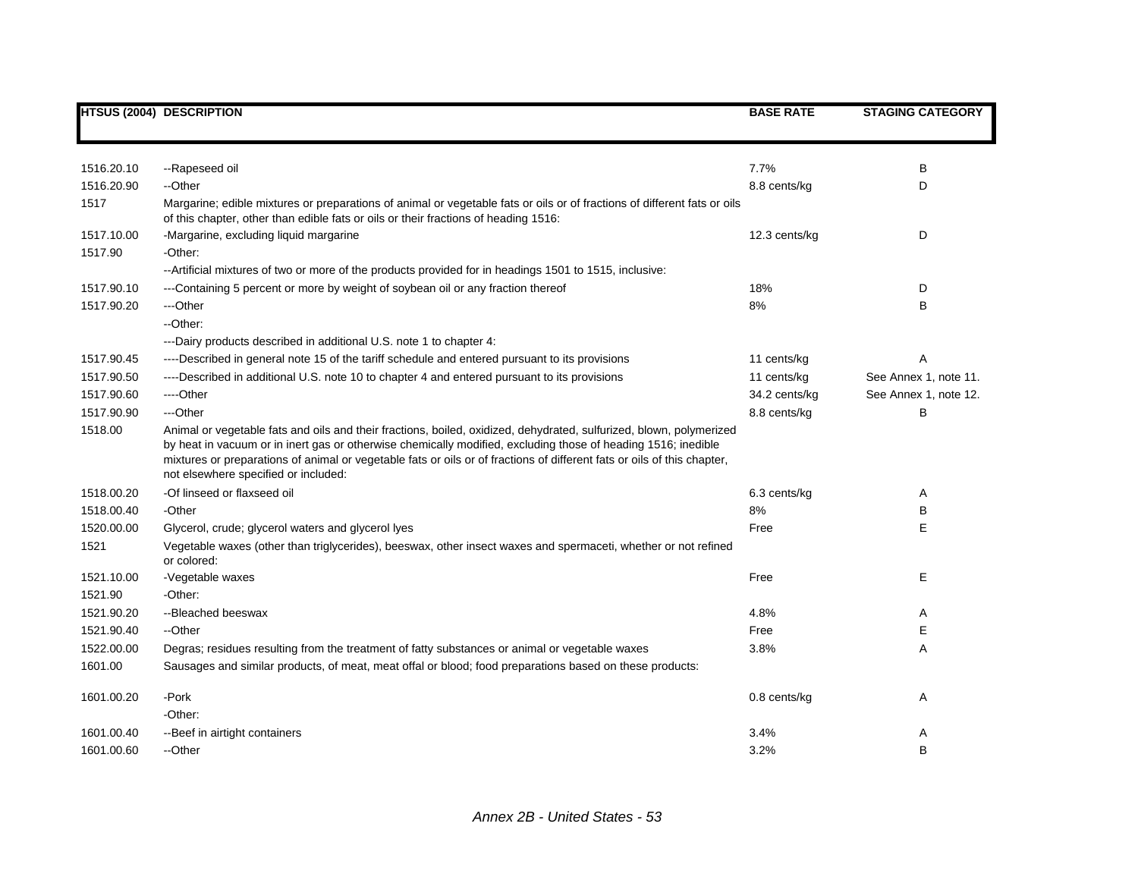|            | <b>HTSUS (2004) DESCRIPTION</b>                                                                                                                                                                                                                                                                                                                                                                         | <b>BASE RATE</b> | <b>STAGING CATEGORY</b> |
|------------|---------------------------------------------------------------------------------------------------------------------------------------------------------------------------------------------------------------------------------------------------------------------------------------------------------------------------------------------------------------------------------------------------------|------------------|-------------------------|
|            |                                                                                                                                                                                                                                                                                                                                                                                                         |                  |                         |
| 1516.20.10 | --Rapeseed oil                                                                                                                                                                                                                                                                                                                                                                                          | 7.7%             | В                       |
| 1516.20.90 | --Other                                                                                                                                                                                                                                                                                                                                                                                                 | 8.8 cents/kg     | D                       |
| 1517       | Margarine; edible mixtures or preparations of animal or vegetable fats or oils or of fractions of different fats or oils<br>of this chapter, other than edible fats or oils or their fractions of heading 1516:                                                                                                                                                                                         |                  |                         |
| 1517.10.00 | -Margarine, excluding liquid margarine                                                                                                                                                                                                                                                                                                                                                                  | 12.3 cents/kg    | D                       |
| 1517.90    | -Other:                                                                                                                                                                                                                                                                                                                                                                                                 |                  |                         |
|            | -- Artificial mixtures of two or more of the products provided for in headings 1501 to 1515, inclusive:                                                                                                                                                                                                                                                                                                 |                  |                         |
| 1517.90.10 | ---Containing 5 percent or more by weight of soybean oil or any fraction thereof                                                                                                                                                                                                                                                                                                                        | 18%              | D                       |
| 1517.90.20 | ---Other                                                                                                                                                                                                                                                                                                                                                                                                | 8%               | B                       |
|            | --Other:                                                                                                                                                                                                                                                                                                                                                                                                |                  |                         |
|            | ---Dairy products described in additional U.S. note 1 to chapter 4:                                                                                                                                                                                                                                                                                                                                     |                  |                         |
| 1517.90.45 | ----Described in general note 15 of the tariff schedule and entered pursuant to its provisions                                                                                                                                                                                                                                                                                                          | 11 cents/kg      | Α                       |
| 1517.90.50 | ----Described in additional U.S. note 10 to chapter 4 and entered pursuant to its provisions                                                                                                                                                                                                                                                                                                            | 11 cents/kg      | See Annex 1, note 11.   |
| 1517.90.60 | ----Other                                                                                                                                                                                                                                                                                                                                                                                               | 34.2 cents/kg    | See Annex 1, note 12.   |
| 1517.90.90 | ---Other                                                                                                                                                                                                                                                                                                                                                                                                | 8.8 cents/kg     | В                       |
| 1518.00    | Animal or vegetable fats and oils and their fractions, boiled, oxidized, dehydrated, sulfurized, blown, polymerized<br>by heat in vacuum or in inert gas or otherwise chemically modified, excluding those of heading 1516; inedible<br>mixtures or preparations of animal or vegetable fats or oils or of fractions of different fats or oils of this chapter,<br>not elsewhere specified or included: |                  |                         |
| 1518.00.20 | -Of linseed or flaxseed oil                                                                                                                                                                                                                                                                                                                                                                             | 6.3 cents/kg     | Α                       |
| 1518.00.40 | -Other                                                                                                                                                                                                                                                                                                                                                                                                  | 8%               | В                       |
| 1520.00.00 | Glycerol, crude; glycerol waters and glycerol lyes                                                                                                                                                                                                                                                                                                                                                      | Free             | E                       |
| 1521       | Vegetable waxes (other than triglycerides), beeswax, other insect waxes and spermaceti, whether or not refined<br>or colored:                                                                                                                                                                                                                                                                           |                  |                         |
| 1521.10.00 | -Vegetable waxes                                                                                                                                                                                                                                                                                                                                                                                        | Free             | Е                       |
| 1521.90    | -Other:                                                                                                                                                                                                                                                                                                                                                                                                 |                  |                         |
| 1521.90.20 | --Bleached beeswax                                                                                                                                                                                                                                                                                                                                                                                      | 4.8%             | Α                       |
| 1521.90.40 | --Other                                                                                                                                                                                                                                                                                                                                                                                                 | Free             | Е                       |
| 1522.00.00 | Degras; residues resulting from the treatment of fatty substances or animal or vegetable waxes                                                                                                                                                                                                                                                                                                          | 3.8%             | Α                       |
| 1601.00    | Sausages and similar products, of meat, meat offal or blood; food preparations based on these products:                                                                                                                                                                                                                                                                                                 |                  |                         |
| 1601.00.20 | -Pork                                                                                                                                                                                                                                                                                                                                                                                                   | 0.8 cents/kg     | Α                       |
|            | -Other:                                                                                                                                                                                                                                                                                                                                                                                                 |                  |                         |
| 1601.00.40 | -- Beef in airtight containers                                                                                                                                                                                                                                                                                                                                                                          | 3.4%             | Α                       |
| 1601.00.60 | --Other                                                                                                                                                                                                                                                                                                                                                                                                 | 3.2%             | B                       |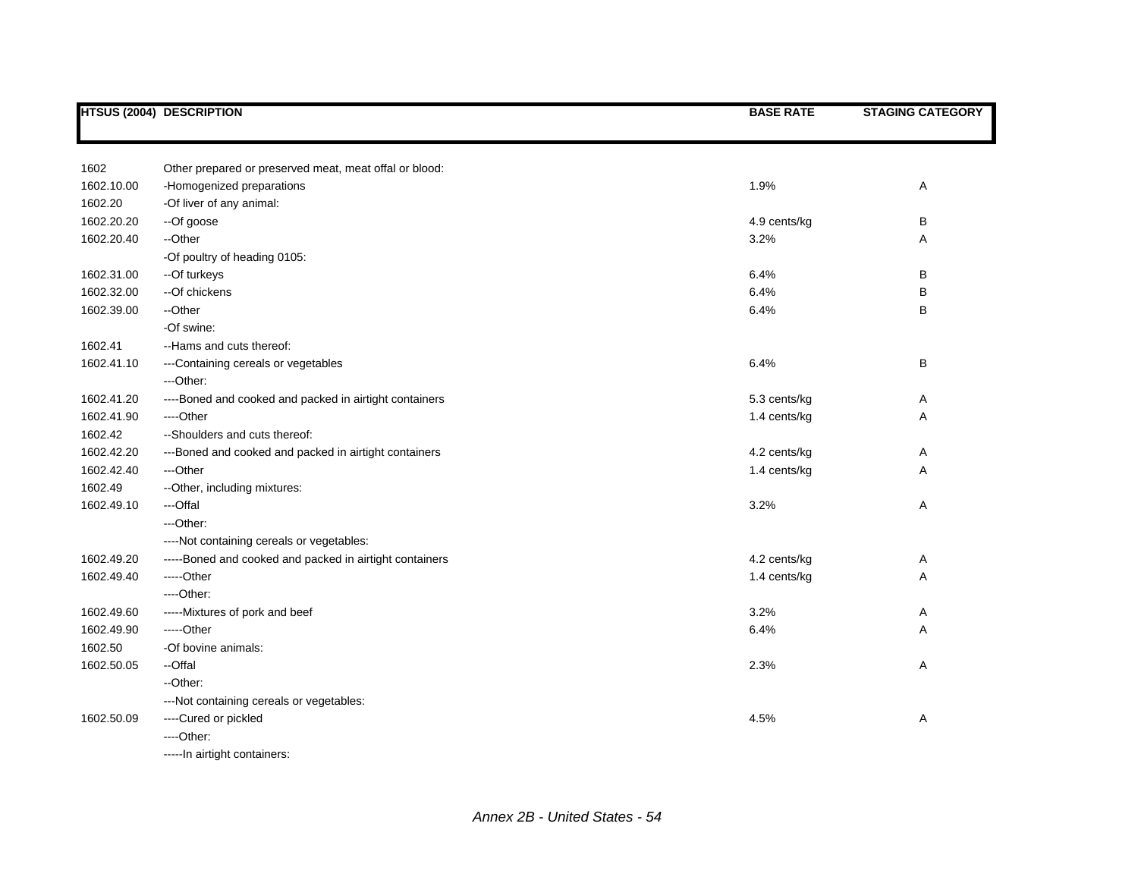|            | <b>HTSUS (2004) DESCRIPTION</b>                         | <b>BASE RATE</b> | <b>STAGING CATEGORY</b> |
|------------|---------------------------------------------------------|------------------|-------------------------|
|            |                                                         |                  |                         |
| 1602       | Other prepared or preserved meat, meat offal or blood:  |                  |                         |
| 1602.10.00 | -Homogenized preparations                               | 1.9%             | Α                       |
| 1602.20    | -Of liver of any animal:                                |                  |                         |
| 1602.20.20 | --Of goose                                              | 4.9 cents/kg     | В                       |
| 1602.20.40 | --Other                                                 | 3.2%             | Α                       |
|            | -Of poultry of heading 0105:                            |                  |                         |
| 1602.31.00 | --Of turkeys                                            | 6.4%             | B                       |
| 1602.32.00 | --Of chickens                                           | 6.4%             | В                       |
| 1602.39.00 | --Other                                                 | 6.4%             | В                       |
|            | -Of swine:                                              |                  |                         |
| 1602.41    | --Hams and cuts thereof:                                |                  |                         |
| 1602.41.10 | ---Containing cereals or vegetables                     | 6.4%             | В                       |
|            | ---Other:                                               |                  |                         |
| 1602.41.20 | ----Boned and cooked and packed in airtight containers  | 5.3 cents/kg     | Α                       |
| 1602.41.90 | ----Other                                               | 1.4 cents/kg     | Α                       |
| 1602.42    | --Shoulders and cuts thereof:                           |                  |                         |
| 1602.42.20 | ---Boned and cooked and packed in airtight containers   | 4.2 cents/kg     | Α                       |
| 1602.42.40 | ---Other                                                | 1.4 cents/kg     | Α                       |
| 1602.49    | --Other, including mixtures:                            |                  |                         |
| 1602.49.10 | ---Offal                                                | 3.2%             | Α                       |
|            | ---Other:                                               |                  |                         |
|            | ----Not containing cereals or vegetables:               |                  |                         |
| 1602.49.20 | -----Boned and cooked and packed in airtight containers | 4.2 cents/kg     | Α                       |
| 1602.49.40 | -----Other                                              | 1.4 cents/kg     | Α                       |
|            | ----Other:                                              |                  |                         |
| 1602.49.60 | -----Mixtures of pork and beef                          | 3.2%             | Α                       |
| 1602.49.90 | -----Other                                              | 6.4%             | Α                       |
| 1602.50    | -Of bovine animals:                                     |                  |                         |
| 1602.50.05 | --Offal                                                 | 2.3%             | Α                       |
|            | --Other:                                                |                  |                         |
|            | --- Not containing cereals or vegetables:               |                  |                         |
| 1602.50.09 | ----Cured or pickled                                    | 4.5%             | Α                       |
|            | $---Other:$                                             |                  |                         |
|            | -----In airtight containers:                            |                  |                         |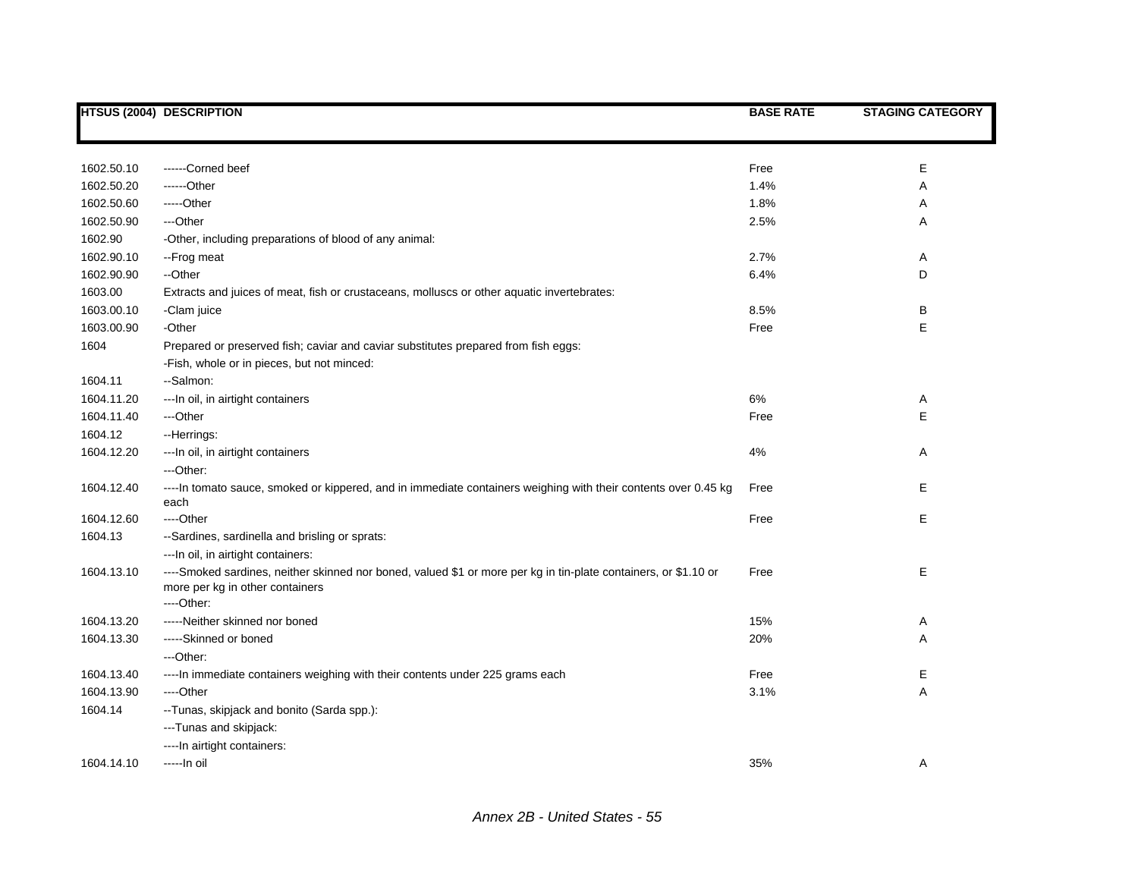|            | <b>HTSUS (2004) DESCRIPTION</b>                                                                                                                                  | <b>BASE RATE</b> | <b>STAGING CATEGORY</b> |
|------------|------------------------------------------------------------------------------------------------------------------------------------------------------------------|------------------|-------------------------|
|            |                                                                                                                                                                  |                  |                         |
|            |                                                                                                                                                                  |                  |                         |
| 1602.50.10 | ------Corned beef                                                                                                                                                | Free             | Ε                       |
| 1602.50.20 | ------Other                                                                                                                                                      | 1.4%             | A                       |
| 1602.50.60 | -----Other                                                                                                                                                       | 1.8%             | Α                       |
| 1602.50.90 | ---Other                                                                                                                                                         | 2.5%             | Α                       |
| 1602.90    | -Other, including preparations of blood of any animal:                                                                                                           |                  |                         |
| 1602.90.10 | --Frog meat                                                                                                                                                      | 2.7%             | Α                       |
| 1602.90.90 | --Other                                                                                                                                                          | 6.4%             | D                       |
| 1603.00    | Extracts and juices of meat, fish or crustaceans, molluscs or other aquatic invertebrates:                                                                       |                  |                         |
| 1603.00.10 | -Clam juice                                                                                                                                                      | 8.5%             | В                       |
| 1603.00.90 | -Other                                                                                                                                                           | Free             | Ε                       |
| 1604       | Prepared or preserved fish; caviar and caviar substitutes prepared from fish eggs:                                                                               |                  |                         |
|            | -Fish, whole or in pieces, but not minced:                                                                                                                       |                  |                         |
| 1604.11    | --Salmon:                                                                                                                                                        |                  |                         |
| 1604.11.20 | --- In oil, in airtight containers                                                                                                                               | 6%               | Α                       |
| 1604.11.40 | ---Other                                                                                                                                                         | Free             | E                       |
| 1604.12    | --Herrings:                                                                                                                                                      |                  |                         |
| 1604.12.20 | --- In oil, in airtight containers                                                                                                                               | 4%               | Α                       |
|            | ---Other:                                                                                                                                                        |                  |                         |
| 1604.12.40 | ---- In tomato sauce, smoked or kippered, and in immediate containers weighing with their contents over 0.45 kg<br>each                                          | Free             | E                       |
| 1604.12.60 | ----Other                                                                                                                                                        | Free             | Е                       |
| 1604.13    | --Sardines, sardinella and brisling or sprats:                                                                                                                   |                  |                         |
|            | --- In oil, in airtight containers:                                                                                                                              |                  |                         |
| 1604.13.10 | ----Smoked sardines, neither skinned nor boned, valued \$1 or more per kg in tin-plate containers, or \$1.10 or<br>more per kg in other containers<br>----Other: | Free             | Ε                       |
| 1604.13.20 | -----Neither skinned nor boned                                                                                                                                   | 15%              | Α                       |
| 1604.13.30 | -----Skinned or boned                                                                                                                                            | 20%              | Α                       |
|            | ---Other:                                                                                                                                                        |                  |                         |
| 1604.13.40 | ---- In immediate containers weighing with their contents under 225 grams each                                                                                   | Free             | Е                       |
| 1604.13.90 | ----Other                                                                                                                                                        | 3.1%             | Α                       |
| 1604.14    | -- Tunas, skipjack and bonito (Sarda spp.):                                                                                                                      |                  |                         |
|            | ---Tunas and skipjack:                                                                                                                                           |                  |                         |
|            | ---- In airtight containers:                                                                                                                                     |                  |                         |
| 1604.14.10 | -----In oil                                                                                                                                                      | 35%              | Α                       |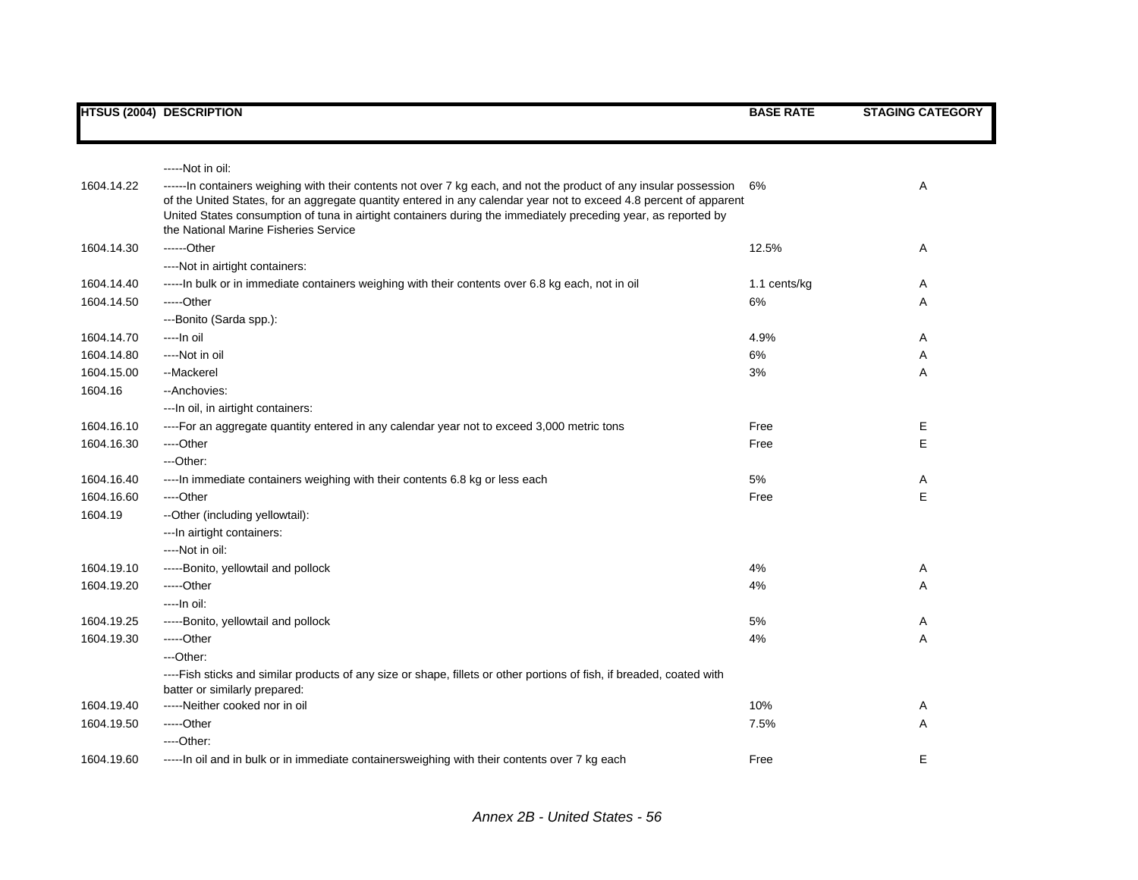|            | <b>HTSUS (2004) DESCRIPTION</b>                                                                                                                                                                                                                                                                                                                                                                     | <b>BASE RATE</b> | <b>STAGING CATEGORY</b> |
|------------|-----------------------------------------------------------------------------------------------------------------------------------------------------------------------------------------------------------------------------------------------------------------------------------------------------------------------------------------------------------------------------------------------------|------------------|-------------------------|
|            |                                                                                                                                                                                                                                                                                                                                                                                                     |                  |                         |
|            | -----Not in oil:                                                                                                                                                                                                                                                                                                                                                                                    |                  |                         |
| 1604.14.22 | ------ln containers weighing with their contents not over 7 kg each, and not the product of any insular possession<br>of the United States, for an aggregate quantity entered in any calendar year not to exceed 4.8 percent of apparent<br>United States consumption of tuna in airtight containers during the immediately preceding year, as reported by<br>the National Marine Fisheries Service | 6%               | Α                       |
| 1604.14.30 | $---Other$                                                                                                                                                                                                                                                                                                                                                                                          | 12.5%            | Α                       |
|            | ----Not in airtight containers:                                                                                                                                                                                                                                                                                                                                                                     |                  |                         |
| 1604.14.40 | -----In bulk or in immediate containers weighing with their contents over 6.8 kg each, not in oil                                                                                                                                                                                                                                                                                                   | 1.1 cents/kg     | Α                       |
| 1604.14.50 | $---Other$                                                                                                                                                                                                                                                                                                                                                                                          | 6%               | Α                       |
|            | ---Bonito (Sarda spp.):                                                                                                                                                                                                                                                                                                                                                                             |                  |                         |
| 1604.14.70 | ----In oil                                                                                                                                                                                                                                                                                                                                                                                          | 4.9%             | Α                       |
| 1604.14.80 | ----Not in oil                                                                                                                                                                                                                                                                                                                                                                                      | 6%               | Α                       |
| 1604.15.00 | --Mackerel                                                                                                                                                                                                                                                                                                                                                                                          | 3%               | Α                       |
| 1604.16    | --Anchovies:                                                                                                                                                                                                                                                                                                                                                                                        |                  |                         |
|            | --- In oil, in airtight containers:                                                                                                                                                                                                                                                                                                                                                                 |                  |                         |
| 1604.16.10 | ----For an aggregate quantity entered in any calendar year not to exceed 3,000 metric tons                                                                                                                                                                                                                                                                                                          | Free             | Е                       |
| 1604.16.30 | ----Other                                                                                                                                                                                                                                                                                                                                                                                           | Free             | E                       |
|            | ---Other:                                                                                                                                                                                                                                                                                                                                                                                           |                  |                         |
| 1604.16.40 | ---- In immediate containers weighing with their contents 6.8 kg or less each                                                                                                                                                                                                                                                                                                                       | 5%               | Α                       |
| 1604.16.60 | ----Other                                                                                                                                                                                                                                                                                                                                                                                           | Free             | E                       |
| 1604.19    | --Other (including yellowtail):                                                                                                                                                                                                                                                                                                                                                                     |                  |                         |
|            | --- In airtight containers:                                                                                                                                                                                                                                                                                                                                                                         |                  |                         |
|            | ----Not in oil:                                                                                                                                                                                                                                                                                                                                                                                     |                  |                         |
| 1604.19.10 | -----Bonito, yellowtail and pollock                                                                                                                                                                                                                                                                                                                                                                 | 4%               | Α                       |
| 1604.19.20 | $---Other$                                                                                                                                                                                                                                                                                                                                                                                          | 4%               | Α                       |
|            | ----In oil:                                                                                                                                                                                                                                                                                                                                                                                         |                  |                         |
| 1604.19.25 | -----Bonito, yellowtail and pollock                                                                                                                                                                                                                                                                                                                                                                 | 5%               | Α                       |
| 1604.19.30 | $---Other$                                                                                                                                                                                                                                                                                                                                                                                          | 4%               | Α                       |
|            | $-$ Other:                                                                                                                                                                                                                                                                                                                                                                                          |                  |                         |
|            | ----Fish sticks and similar products of any size or shape, fillets or other portions of fish, if breaded, coated with<br>batter or similarly prepared:                                                                                                                                                                                                                                              |                  |                         |
| 1604.19.40 | -----Neither cooked nor in oil                                                                                                                                                                                                                                                                                                                                                                      | 10%              | Α                       |
| 1604.19.50 | -----Other                                                                                                                                                                                                                                                                                                                                                                                          | 7.5%             | Α                       |
|            | $---Other.$                                                                                                                                                                                                                                                                                                                                                                                         |                  |                         |
| 1604.19.60 | -----In oil and in bulk or in immediate containersweighing with their contents over 7 kg each                                                                                                                                                                                                                                                                                                       | Free             | E                       |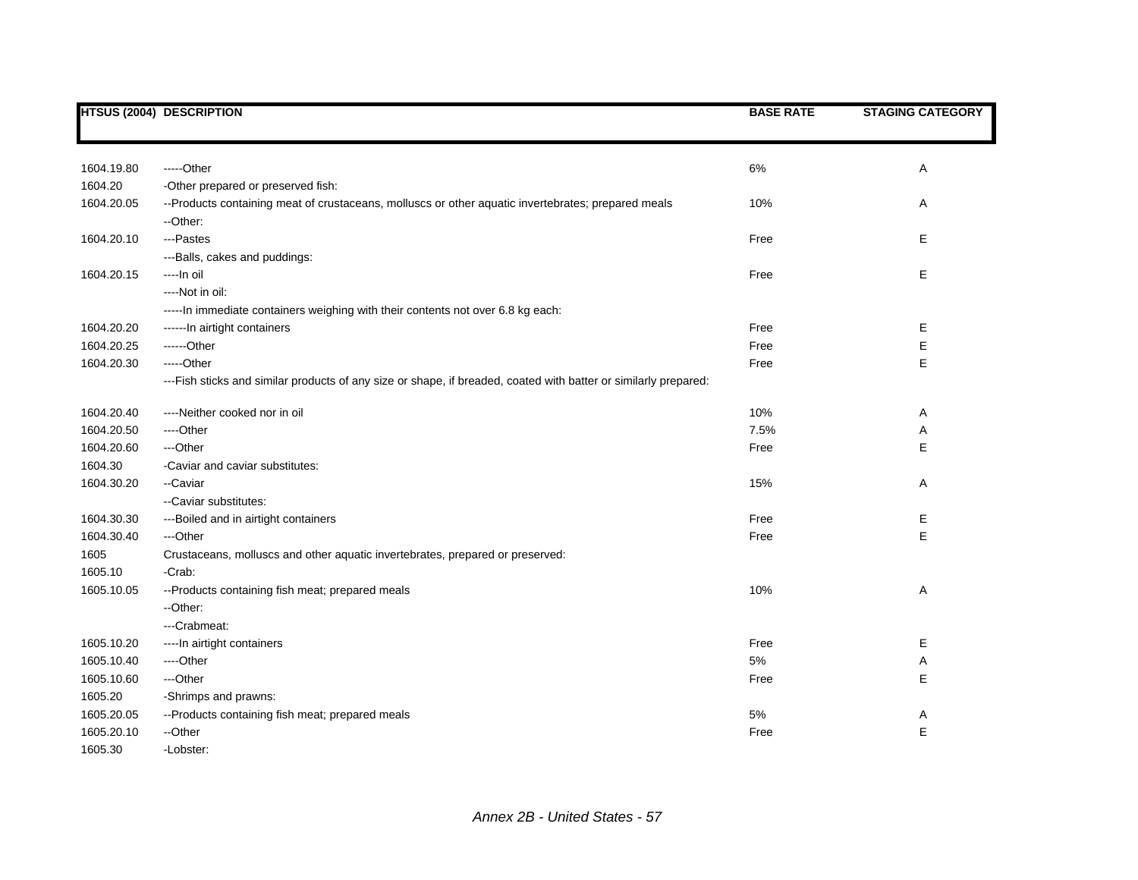|            | <b>HTSUS (2004) DESCRIPTION</b>                                                                                 | <b>BASE RATE</b> | <b>STAGING CATEGORY</b> |
|------------|-----------------------------------------------------------------------------------------------------------------|------------------|-------------------------|
|            |                                                                                                                 |                  |                         |
| 1604.19.80 | -----Other                                                                                                      | 6%               | Α                       |
| 1604.20    | -Other prepared or preserved fish:                                                                              |                  |                         |
| 1604.20.05 | --Products containing meat of crustaceans, molluscs or other aquatic invertebrates; prepared meals              | 10%              | Α                       |
|            | --Other:                                                                                                        |                  |                         |
| 1604.20.10 | ---Pastes                                                                                                       | Free             | Е                       |
|            | ---Balls, cakes and puddings:                                                                                   |                  |                         |
| 1604.20.15 | ----In oil                                                                                                      | Free             | Е                       |
|            | ----Not in oil:                                                                                                 |                  |                         |
|            | -----In immediate containers weighing with their contents not over 6.8 kg each:                                 |                  |                         |
| 1604.20.20 | ------In airtight containers                                                                                    | Free             | Е                       |
| 1604.20.25 | ------Other                                                                                                     | Free             | E                       |
| 1604.20.30 | -----Other                                                                                                      | Free             | E                       |
|            | ---Fish sticks and similar products of any size or shape, if breaded, coated with batter or similarly prepared: |                  |                         |
| 1604.20.40 | ----Neither cooked nor in oil                                                                                   | 10%              | Α                       |
| 1604.20.50 | ----Other                                                                                                       | 7.5%             | Α                       |
| 1604.20.60 | ---Other                                                                                                        | Free             | E                       |
| 1604.30    | -Caviar and caviar substitutes:                                                                                 |                  |                         |
| 1604.30.20 | --Caviar                                                                                                        | 15%              | Α                       |
|            | --Caviar substitutes:                                                                                           |                  |                         |
| 1604.30.30 | ---Boiled and in airtight containers                                                                            | Free             | Е                       |
| 1604.30.40 | ---Other                                                                                                        | Free             | Е                       |
| 1605       | Crustaceans, molluscs and other aquatic invertebrates, prepared or preserved:                                   |                  |                         |
| 1605.10    | -Crab:                                                                                                          |                  |                         |
| 1605.10.05 | --Products containing fish meat; prepared meals                                                                 | 10%              | Α                       |
|            | --Other:                                                                                                        |                  |                         |
|            | ---Crabmeat:                                                                                                    |                  |                         |
| 1605.10.20 | ---- In airtight containers                                                                                     | Free             | Е                       |
| 1605.10.40 | ----Other                                                                                                       | 5%               | Α                       |
| 1605.10.60 | ---Other                                                                                                        | Free             | Е                       |
| 1605.20    | -Shrimps and prawns:                                                                                            |                  |                         |
| 1605.20.05 | --Products containing fish meat; prepared meals                                                                 | 5%               | Α                       |
| 1605.20.10 | --Other                                                                                                         | Free             | E                       |
| 1605.30    | -Lobster:                                                                                                       |                  |                         |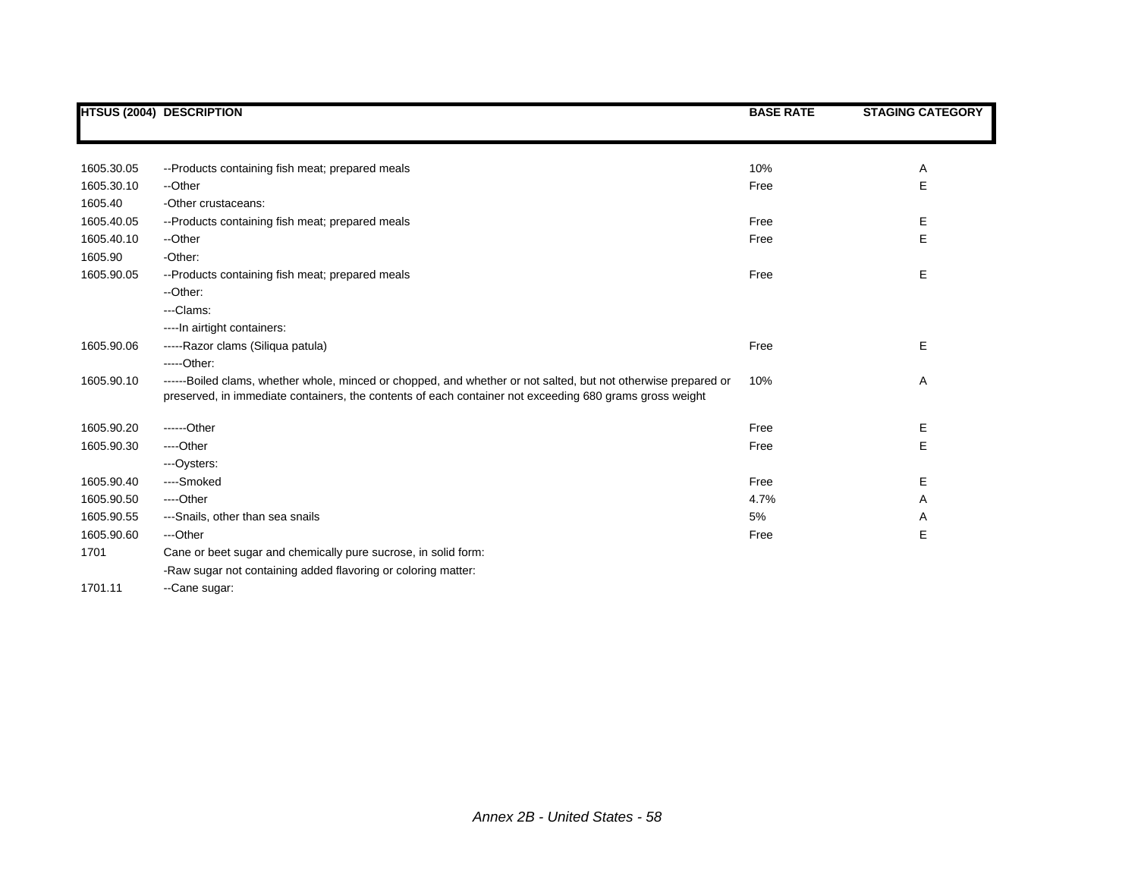|            | <b>HTSUS (2004) DESCRIPTION</b>                                                                                                                                                                                           | <b>BASE RATE</b> | <b>STAGING CATEGORY</b> |
|------------|---------------------------------------------------------------------------------------------------------------------------------------------------------------------------------------------------------------------------|------------------|-------------------------|
|            |                                                                                                                                                                                                                           |                  |                         |
|            |                                                                                                                                                                                                                           |                  |                         |
| 1605.30.05 | --Products containing fish meat; prepared meals                                                                                                                                                                           | 10%              | Α                       |
| 1605.30.10 | --Other                                                                                                                                                                                                                   | Free             | E                       |
| 1605.40    | -Other crustaceans:                                                                                                                                                                                                       |                  |                         |
| 1605.40.05 | --Products containing fish meat; prepared meals                                                                                                                                                                           | Free             | Е                       |
| 1605.40.10 | --Other                                                                                                                                                                                                                   | Free             | E                       |
| 1605.90    | -Other:                                                                                                                                                                                                                   |                  |                         |
| 1605.90.05 | --Products containing fish meat; prepared meals                                                                                                                                                                           | Free             | Е                       |
|            | --Other:                                                                                                                                                                                                                  |                  |                         |
|            | ---Clams:                                                                                                                                                                                                                 |                  |                         |
|            | ---- In airtight containers:                                                                                                                                                                                              |                  |                         |
| 1605.90.06 | -----Razor clams (Siliqua patula)                                                                                                                                                                                         | Free             | Е                       |
|            | $---Other.$                                                                                                                                                                                                               |                  |                         |
| 1605.90.10 | ------Boiled clams, whether whole, minced or chopped, and whether or not salted, but not otherwise prepared or<br>preserved, in immediate containers, the contents of each container not exceeding 680 grams gross weight | 10%              | Α                       |
| 1605.90.20 | ------Other                                                                                                                                                                                                               | Free             | Е                       |
| 1605.90.30 | ----Other                                                                                                                                                                                                                 | Free             | Е                       |
|            | ---Oysters:                                                                                                                                                                                                               |                  |                         |
| 1605.90.40 | ----Smoked                                                                                                                                                                                                                | Free             | Ε                       |
| 1605.90.50 | ----Other                                                                                                                                                                                                                 | 4.7%             | Α                       |
| 1605.90.55 | ---Snails, other than sea snails                                                                                                                                                                                          | 5%               | Α                       |
| 1605.90.60 | ---Other                                                                                                                                                                                                                  | Free             | Е                       |
| 1701       | Cane or beet sugar and chemically pure sucrose, in solid form:                                                                                                                                                            |                  |                         |
|            | -Raw sugar not containing added flavoring or coloring matter:                                                                                                                                                             |                  |                         |
|            |                                                                                                                                                                                                                           |                  |                         |

1701.11 -- Cane sugar: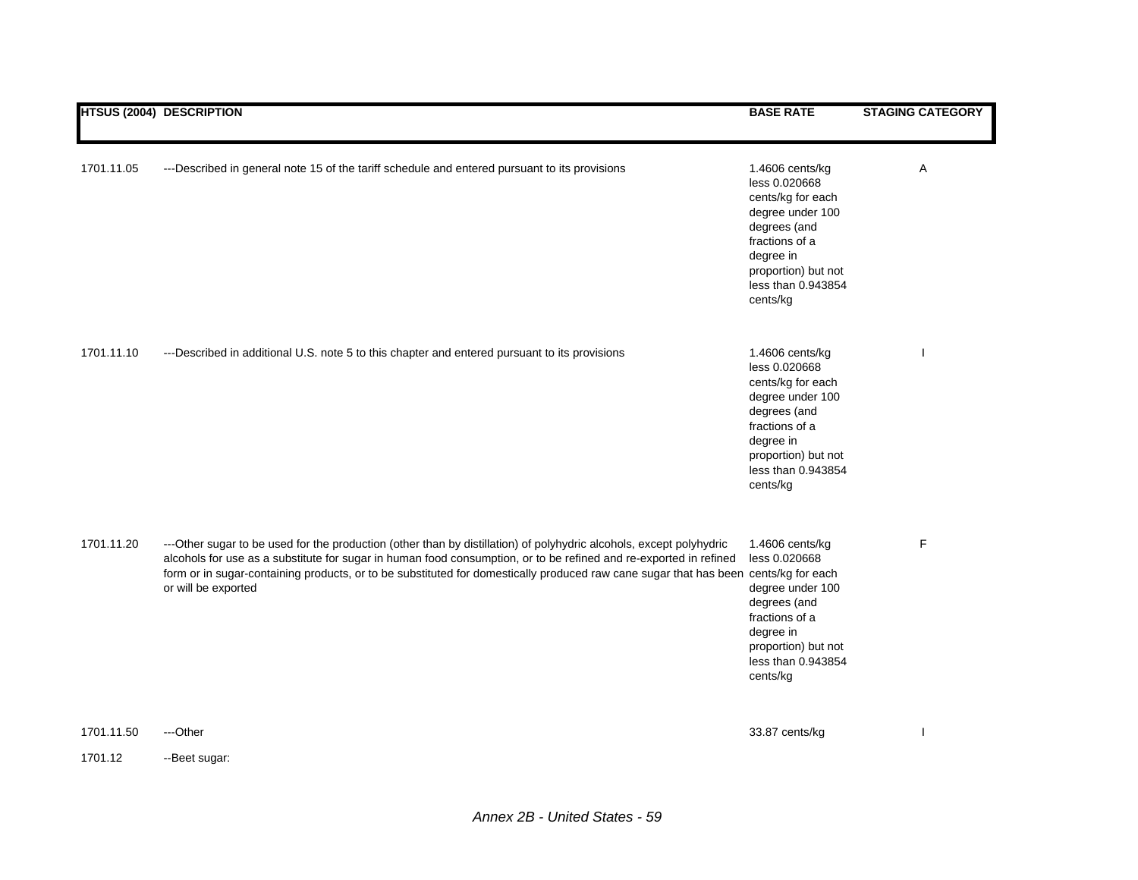|                       | <b>HTSUS (2004) DESCRIPTION</b>                                                                                                                                                                                                                                                                                                                                                      | <b>BASE RATE</b>                                                                                                                                                                  | <b>STAGING CATEGORY</b> |
|-----------------------|--------------------------------------------------------------------------------------------------------------------------------------------------------------------------------------------------------------------------------------------------------------------------------------------------------------------------------------------------------------------------------------|-----------------------------------------------------------------------------------------------------------------------------------------------------------------------------------|-------------------------|
| 1701.11.05            | ---Described in general note 15 of the tariff schedule and entered pursuant to its provisions                                                                                                                                                                                                                                                                                        | 1.4606 cents/kg<br>less 0.020668<br>cents/kg for each<br>degree under 100<br>degrees (and<br>fractions of a<br>degree in<br>proportion) but not<br>less than 0.943854<br>cents/kg | Α                       |
| 1701.11.10            | ---Described in additional U.S. note 5 to this chapter and entered pursuant to its provisions                                                                                                                                                                                                                                                                                        | 1.4606 cents/kg<br>less 0.020668<br>cents/kg for each<br>degree under 100<br>degrees (and<br>fractions of a<br>degree in<br>proportion) but not<br>less than 0.943854<br>cents/kg |                         |
| 1701.11.20            | ---Other sugar to be used for the production (other than by distillation) of polyhydric alcohols, except polyhydric<br>alcohols for use as a substitute for sugar in human food consumption, or to be refined and re-exported in refined<br>form or in sugar-containing products, or to be substituted for domestically produced raw cane sugar that has been<br>or will be exported | 1.4606 cents/kg<br>less 0.020668<br>cents/kg for each<br>degree under 100<br>degrees (and<br>fractions of a<br>degree in<br>proportion) but not<br>less than 0.943854<br>cents/kg | F                       |
| 1701.11.50<br>1701.12 | ---Other<br>-- Beet sugar:                                                                                                                                                                                                                                                                                                                                                           | 33.87 cents/kg                                                                                                                                                                    |                         |
|                       |                                                                                                                                                                                                                                                                                                                                                                                      |                                                                                                                                                                                   |                         |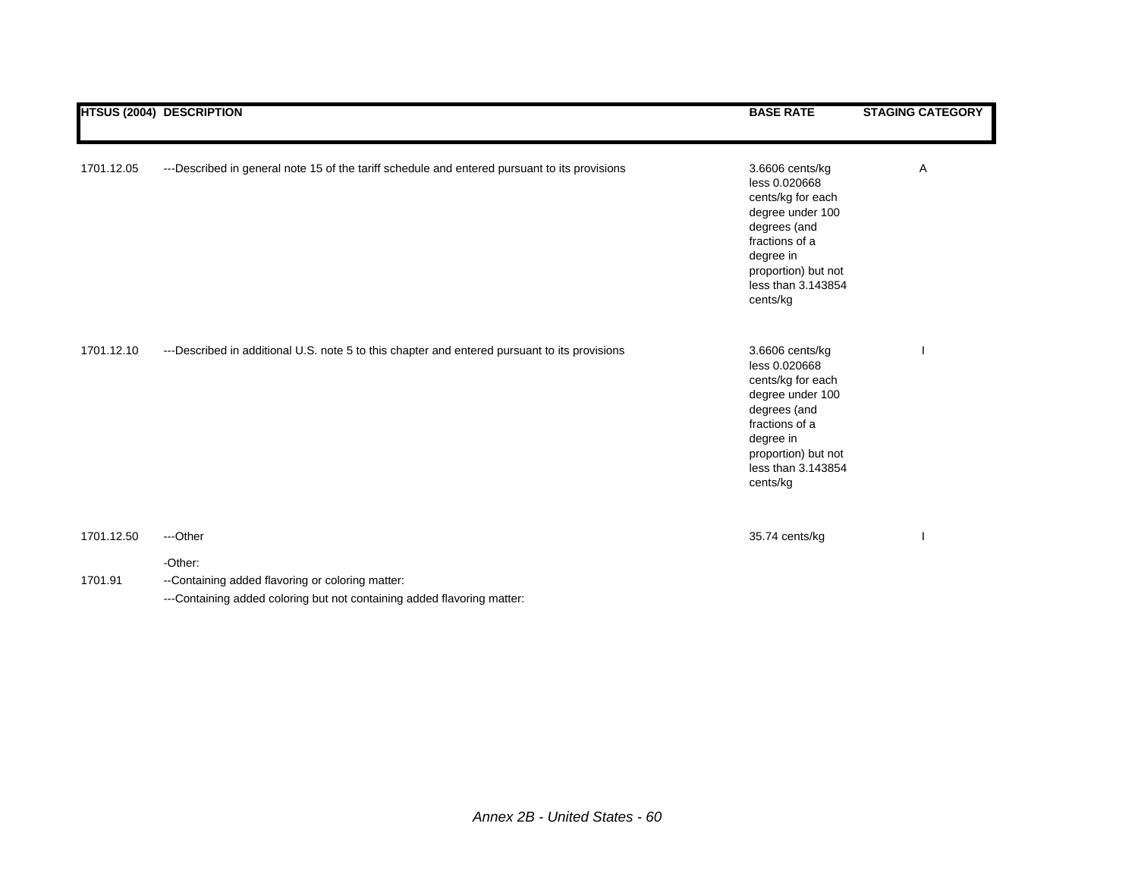|            | <b>HTSUS (2004) DESCRIPTION</b>                                                               | <b>BASE RATE</b>                                                                                                                                                                  | <b>STAGING CATEGORY</b> |
|------------|-----------------------------------------------------------------------------------------------|-----------------------------------------------------------------------------------------------------------------------------------------------------------------------------------|-------------------------|
| 1701.12.05 | ---Described in general note 15 of the tariff schedule and entered pursuant to its provisions | 3.6606 cents/kg<br>less 0.020668<br>cents/kg for each<br>degree under 100<br>degrees (and<br>fractions of a<br>degree in<br>proportion) but not<br>less than 3.143854<br>cents/kg | Α                       |
| 1701.12.10 | ---Described in additional U.S. note 5 to this chapter and entered pursuant to its provisions | 3.6606 cents/kg<br>less 0.020668<br>cents/kg for each<br>degree under 100<br>degrees (and<br>fractions of a<br>degree in<br>proportion) but not<br>less than 3.143854<br>cents/kg |                         |
| 1701.12.50 | ---Other                                                                                      | 35.74 cents/kg                                                                                                                                                                    |                         |
| 1701.91    | -Other:<br>--Containing added flavoring or coloring matter:                                   |                                                                                                                                                                                   |                         |

---Containing added coloring but not containing added flavoring matter: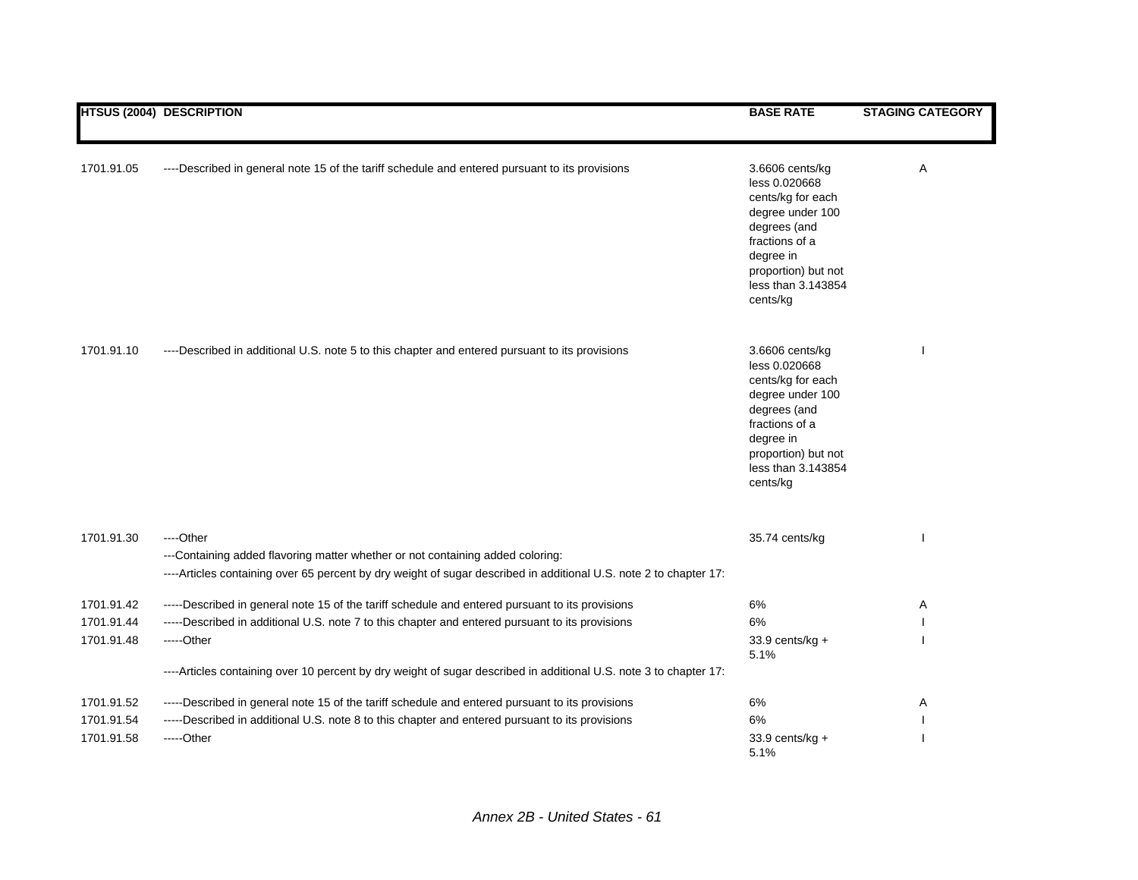|            | <b>HTSUS (2004) DESCRIPTION</b>                                                                                                                                                                                  | <b>BASE RATE</b>                                                                                                                                                                  | <b>STAGING CATEGORY</b> |
|------------|------------------------------------------------------------------------------------------------------------------------------------------------------------------------------------------------------------------|-----------------------------------------------------------------------------------------------------------------------------------------------------------------------------------|-------------------------|
| 1701.91.05 | ----Described in general note 15 of the tariff schedule and entered pursuant to its provisions                                                                                                                   | 3.6606 cents/kg<br>less 0.020668<br>cents/kg for each<br>degree under 100<br>degrees (and<br>fractions of a<br>degree in<br>proportion) but not<br>less than 3.143854<br>cents/kg | Α                       |
| 1701.91.10 | ----Described in additional U.S. note 5 to this chapter and entered pursuant to its provisions                                                                                                                   | 3.6606 cents/kg<br>less 0.020668<br>cents/kg for each<br>degree under 100<br>degrees (and<br>fractions of a<br>degree in<br>proportion) but not<br>less than 3.143854<br>cents/kg |                         |
| 1701.91.30 | ----Other<br>---Containing added flavoring matter whether or not containing added coloring:<br>----Articles containing over 65 percent by dry weight of sugar described in additional U.S. note 2 to chapter 17: | 35.74 cents/kg                                                                                                                                                                    |                         |
| 1701.91.42 | -----Described in general note 15 of the tariff schedule and entered pursuant to its provisions                                                                                                                  | 6%                                                                                                                                                                                | Α                       |
| 1701.91.44 | -----Described in additional U.S. note 7 to this chapter and entered pursuant to its provisions                                                                                                                  | 6%                                                                                                                                                                                |                         |
| 1701.91.48 | -----Other                                                                                                                                                                                                       | 33.9 cents/kg +<br>5.1%                                                                                                                                                           |                         |
|            | ----Articles containing over 10 percent by dry weight of sugar described in additional U.S. note 3 to chapter 17:                                                                                                |                                                                                                                                                                                   |                         |
| 1701.91.52 | -----Described in general note 15 of the tariff schedule and entered pursuant to its provisions                                                                                                                  | 6%                                                                                                                                                                                | Α                       |
| 1701.91.54 | -----Described in additional U.S. note 8 to this chapter and entered pursuant to its provisions                                                                                                                  | 6%                                                                                                                                                                                |                         |
| 1701.91.58 | -----Other                                                                                                                                                                                                       | 33.9 cents/kg +<br>5.1%                                                                                                                                                           |                         |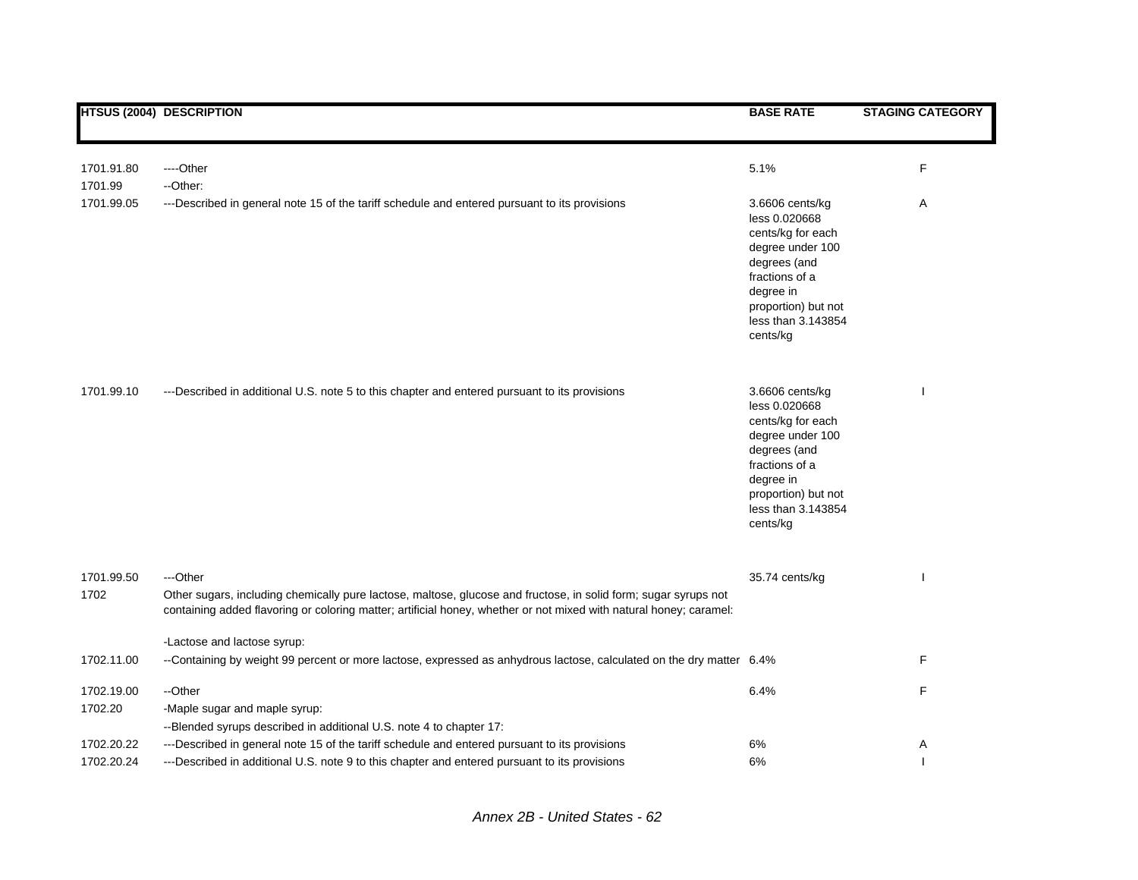|                    | <b>HTSUS (2004) DESCRIPTION</b>                                                                                                                                                                                                                   | <b>BASE RATE</b>                                                                                                                                                                  | <b>STAGING CATEGORY</b> |
|--------------------|---------------------------------------------------------------------------------------------------------------------------------------------------------------------------------------------------------------------------------------------------|-----------------------------------------------------------------------------------------------------------------------------------------------------------------------------------|-------------------------|
|                    |                                                                                                                                                                                                                                                   |                                                                                                                                                                                   |                         |
| 1701.91.80         | ----Other                                                                                                                                                                                                                                         | 5.1%                                                                                                                                                                              | F                       |
| 1701.99            | --Other:                                                                                                                                                                                                                                          |                                                                                                                                                                                   |                         |
| 1701.99.05         | ---Described in general note 15 of the tariff schedule and entered pursuant to its provisions                                                                                                                                                     | 3.6606 cents/kg<br>less 0.020668<br>cents/kg for each<br>degree under 100<br>degrees (and<br>fractions of a<br>degree in<br>proportion) but not<br>less than 3.143854<br>cents/kg | Α                       |
| 1701.99.10         | ---Described in additional U.S. note 5 to this chapter and entered pursuant to its provisions                                                                                                                                                     | 3.6606 cents/kg<br>less 0.020668<br>cents/kg for each<br>degree under 100<br>degrees (and<br>fractions of a<br>degree in<br>proportion) but not<br>less than 3.143854<br>cents/kg |                         |
| 1701.99.50<br>1702 | ---Other<br>Other sugars, including chemically pure lactose, maltose, glucose and fructose, in solid form; sugar syrups not<br>containing added flavoring or coloring matter; artificial honey, whether or not mixed with natural honey; caramel: | 35.74 cents/kg                                                                                                                                                                    |                         |
|                    | -Lactose and lactose syrup:                                                                                                                                                                                                                       |                                                                                                                                                                                   |                         |
| 1702.11.00         | --Containing by weight 99 percent or more lactose, expressed as anhydrous lactose, calculated on the dry matter 6.4%                                                                                                                              |                                                                                                                                                                                   | F                       |
| 1702.19.00         | --Other                                                                                                                                                                                                                                           | 6.4%                                                                                                                                                                              | F                       |
| 1702.20            | -Maple sugar and maple syrup:<br>--Blended syrups described in additional U.S. note 4 to chapter 17:                                                                                                                                              |                                                                                                                                                                                   |                         |
| 1702.20.22         | ---Described in general note 15 of the tariff schedule and entered pursuant to its provisions                                                                                                                                                     | 6%                                                                                                                                                                                | Α                       |
| 1702.20.24         | ---Described in additional U.S. note 9 to this chapter and entered pursuant to its provisions                                                                                                                                                     | 6%                                                                                                                                                                                |                         |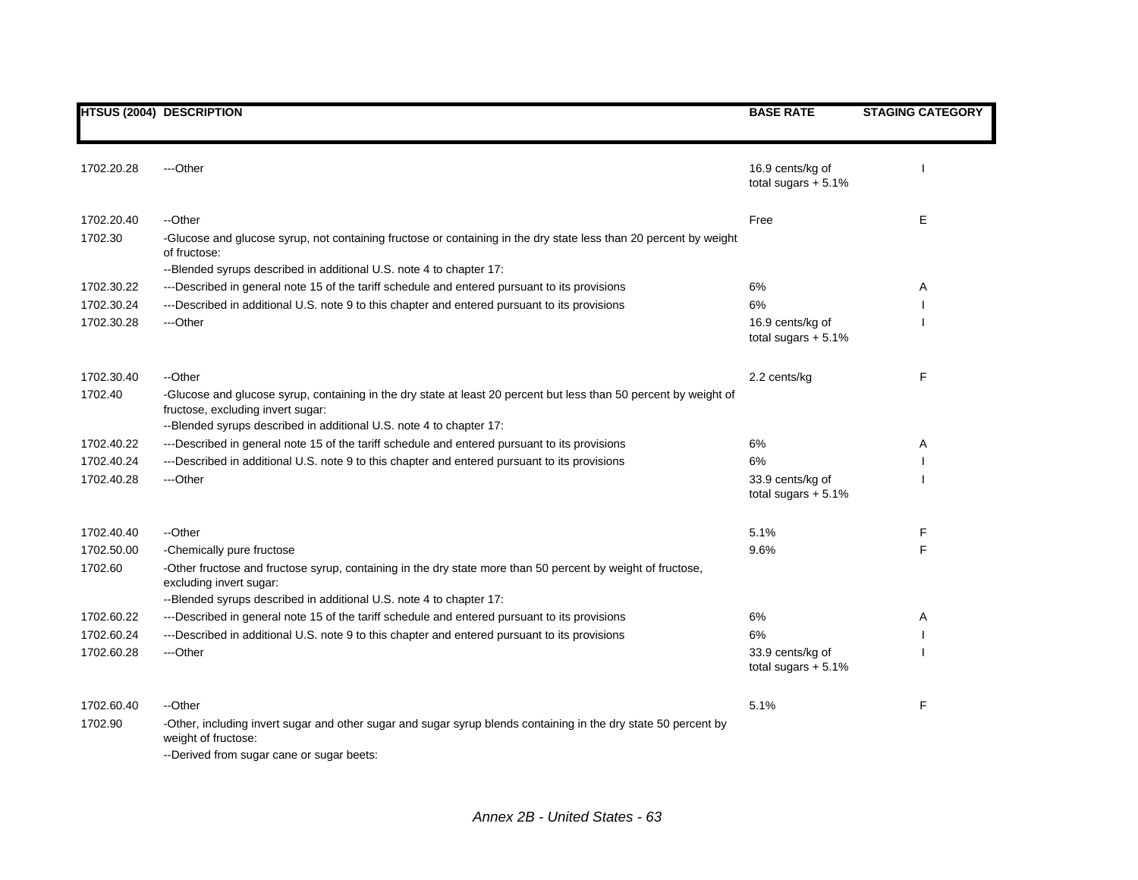|            | <b>HTSUS (2004) DESCRIPTION</b>                                                                                                                                                                               | <b>BASE RATE</b>                          | <b>STAGING CATEGORY</b> |
|------------|---------------------------------------------------------------------------------------------------------------------------------------------------------------------------------------------------------------|-------------------------------------------|-------------------------|
|            |                                                                                                                                                                                                               |                                           |                         |
| 1702.20.28 | ---Other                                                                                                                                                                                                      | 16.9 cents/kg of<br>total sugars $+ 5.1%$ |                         |
| 1702.20.40 | --Other                                                                                                                                                                                                       | Free                                      | Е                       |
| 1702.30    | -Glucose and glucose syrup, not containing fructose or containing in the dry state less than 20 percent by weight<br>of fructose:                                                                             |                                           |                         |
|            | --Blended syrups described in additional U.S. note 4 to chapter 17:                                                                                                                                           |                                           |                         |
| 1702.30.22 | ---Described in general note 15 of the tariff schedule and entered pursuant to its provisions                                                                                                                 | 6%                                        | Α                       |
| 1702.30.24 | ---Described in additional U.S. note 9 to this chapter and entered pursuant to its provisions                                                                                                                 | 6%                                        |                         |
| 1702.30.28 | ---Other                                                                                                                                                                                                      | 16.9 cents/kg of<br>total sugars $+5.1\%$ |                         |
| 1702.30.40 | --Other                                                                                                                                                                                                       | 2.2 cents/kg                              | F                       |
| 1702.40    | -Glucose and glucose syrup, containing in the dry state at least 20 percent but less than 50 percent by weight of<br>fructose, excluding invert sugar:                                                        |                                           |                         |
| 1702.40.22 | --Blended syrups described in additional U.S. note 4 to chapter 17:<br>---Described in general note 15 of the tariff schedule and entered pursuant to its provisions                                          | 6%                                        | Α                       |
| 1702.40.24 | ---Described in additional U.S. note 9 to this chapter and entered pursuant to its provisions                                                                                                                 | 6%                                        |                         |
| 1702.40.28 | ---Other                                                                                                                                                                                                      | 33.9 cents/kg of<br>total sugars $+5.1\%$ |                         |
| 1702.40.40 | --Other                                                                                                                                                                                                       | 5.1%                                      | F                       |
| 1702.50.00 | -Chemically pure fructose                                                                                                                                                                                     | 9.6%                                      | F                       |
| 1702.60    | -Other fructose and fructose syrup, containing in the dry state more than 50 percent by weight of fructose,<br>excluding invert sugar:<br>--Blended syrups described in additional U.S. note 4 to chapter 17: |                                           |                         |
| 1702.60.22 | ---Described in general note 15 of the tariff schedule and entered pursuant to its provisions                                                                                                                 | 6%                                        | Α                       |
| 1702.60.24 | ---Described in additional U.S. note 9 to this chapter and entered pursuant to its provisions                                                                                                                 | 6%                                        |                         |
| 1702.60.28 | ---Other                                                                                                                                                                                                      | 33.9 cents/kg of                          |                         |
|            |                                                                                                                                                                                                               | total sugars $+5.1\%$                     |                         |
| 1702.60.40 | --Other                                                                                                                                                                                                       | 5.1%                                      | F                       |
| 1702.90    | -Other, including invert sugar and other sugar and sugar syrup blends containing in the dry state 50 percent by<br>weight of fructose:<br>--Derived from sugar cane or sugar beets:                           |                                           |                         |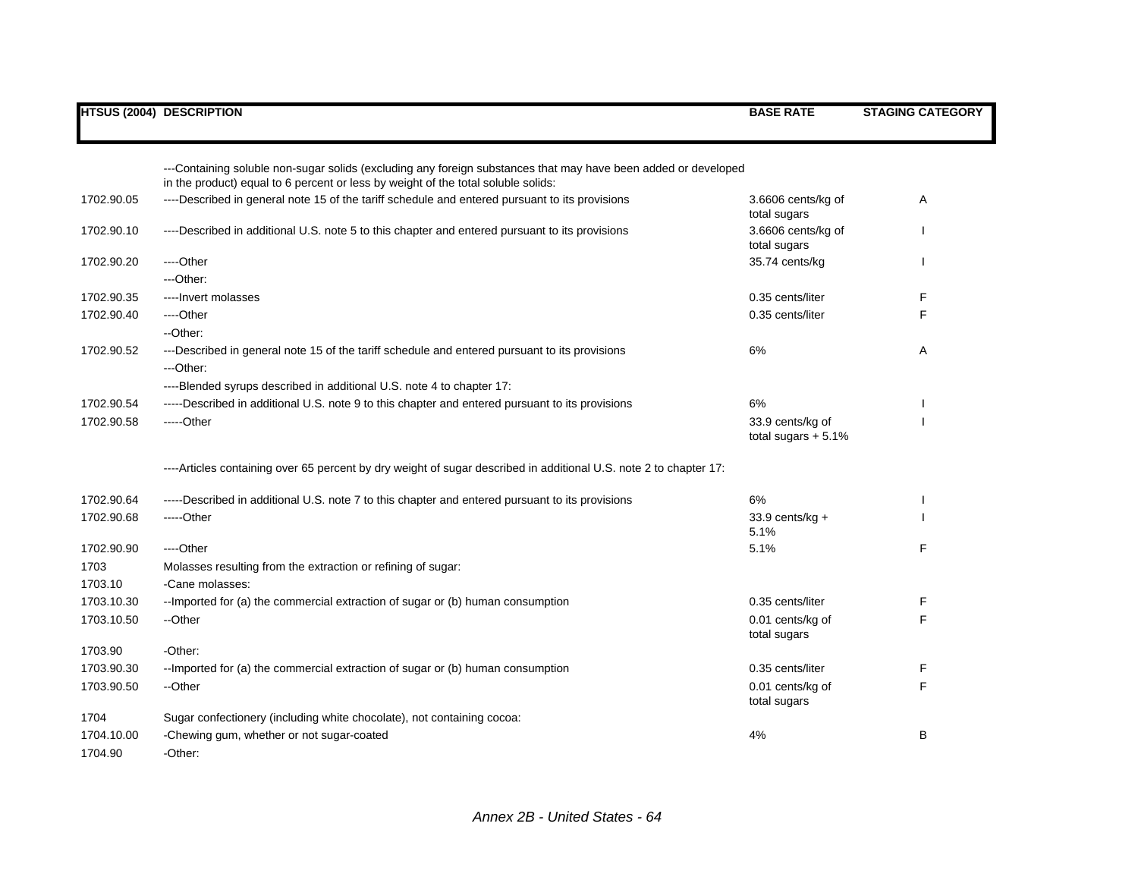## **HTSUS (2004) DESCRIPTION BASE RATE STAGING CATEGORY** ---Containing soluble non-sugar solids (excluding any foreign substances that may have been added or developed in the product) equal to 6 percent or less by weight of the total soluble solids: 1702.90.05 ----Described in general note 15 of the tariff schedule and entered pursuant to its provisions 3.6606 cents/kg of total sugars A 1702.90.10 ----Described in additional U.S. note 5 to this chapter and entered pursuant to its provisions 3.6606 cents/kg of total sugars I 1702.90.20 ----Other 35.74 cents/kg I ---Other: 1702.90.35 ----Invert molasses 0.35 cents/liter F 1702.90.40 ----Other 0.35 cents/liter F --Other: 1702.90.52 ---Described in general note 15 of the tariff schedule and entered pursuant to its provisions 6% 6% ---Other: ----Blended syrups described in additional U.S. note 4 to chapter 17: 1702.90.54 -----Described in additional U.S. note 9 to this chapter and entered pursuant to its provisions 6% I 1702.90.58 -----Other 33.9 cents/kg of total sugars  $+ 5.1%$ I ----Articles containing over 65 percent by dry weight of sugar described in additional U.S. note 2 to chapter 17: 1702.90.64 -----Described in additional U.S. note 7 to this chapter and entered pursuant to its provisions 6% 6% 1702.90.68 -----Other 33.9 cents/kg + 5.1% I 1702.90.90 ----Other 5.1% F 1703 Molasses resulting from the extraction or refining of sugar: 1703.10 -Cane molasses: 1703.10.30 --Imported for (a) the commercial extraction of sugar or (b) human consumption 0.35 cents/liter 6.35 cents/liter F 1703.10.50 --Other 0.01 cents/kg of 0.01 cents/kg of total sugars F 1703.90 - Other: 1703.90.30 --Imported for (a) the commercial extraction of sugar or (b) human consumption 0.35 cents/liter 6.35 cents/liter F 1703.90.50 --Other 0.01 cents/kg of 0.01 cents/kg of total sugars F 1704 Sugar confectionery (including white chocolate), not containing cocoa: 1704.10.00 -Chewing gum, whether or not sugar-coated B **B** 1704.90 -Other: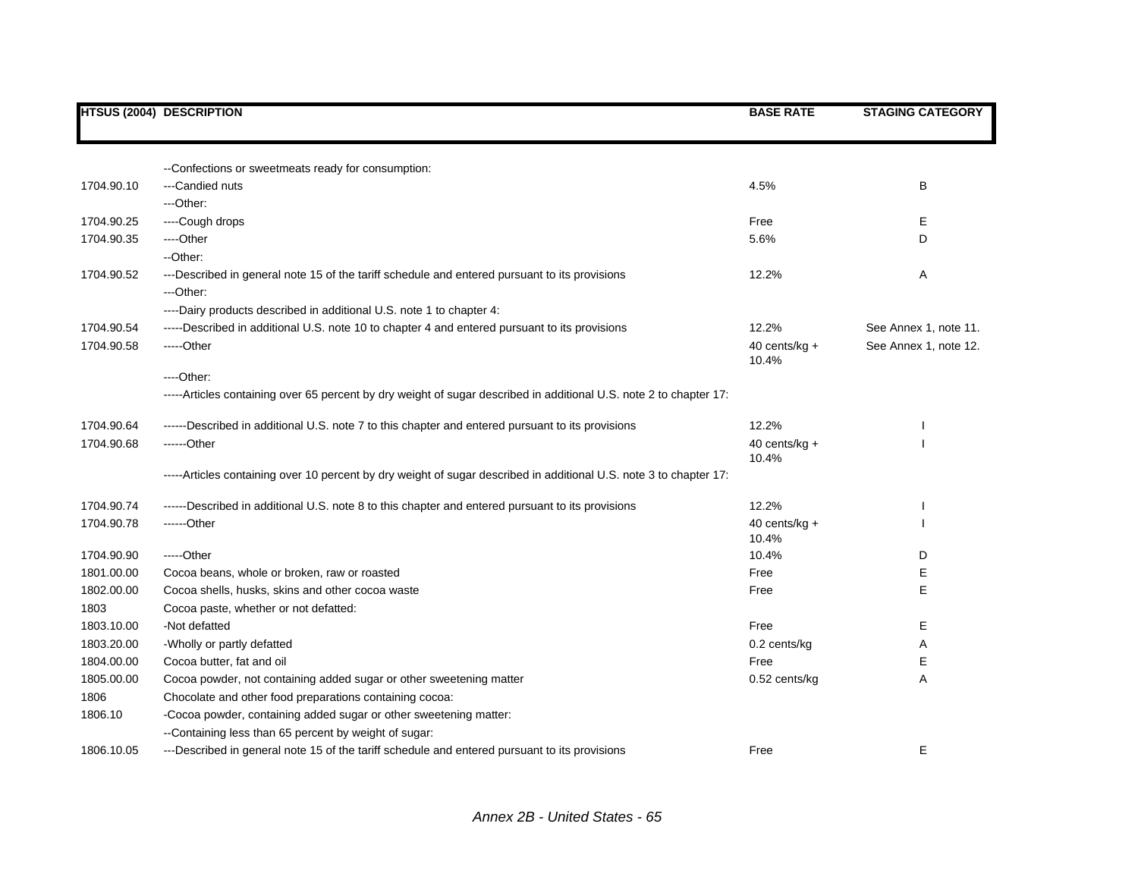|            | <b>HTSUS (2004) DESCRIPTION</b>                                                                                    | <b>BASE RATE</b>          | <b>STAGING CATEGORY</b> |
|------------|--------------------------------------------------------------------------------------------------------------------|---------------------------|-------------------------|
|            |                                                                                                                    |                           |                         |
|            | --Confections or sweetmeats ready for consumption:                                                                 |                           |                         |
| 1704.90.10 | ---Candied nuts                                                                                                    | 4.5%                      | B                       |
|            | ---Other:                                                                                                          |                           |                         |
| 1704.90.25 | ----Cough drops                                                                                                    | Free                      | Е                       |
| 1704.90.35 | ---Other                                                                                                           | 5.6%                      | D                       |
|            | --Other:                                                                                                           |                           |                         |
| 1704.90.52 | ---Described in general note 15 of the tariff schedule and entered pursuant to its provisions                      | 12.2%                     | Α                       |
|            | ---Other:                                                                                                          |                           |                         |
|            | ----Dairy products described in additional U.S. note 1 to chapter 4:                                               |                           |                         |
| 1704.90.54 | -----Described in additional U.S. note 10 to chapter 4 and entered pursuant to its provisions                      | 12.2%                     | See Annex 1, note 11.   |
| 1704.90.58 | -----Other                                                                                                         | 40 cents/ $kg +$<br>10.4% | See Annex 1, note 12.   |
|            | $---Other.$                                                                                                        |                           |                         |
|            | -----Articles containing over 65 percent by dry weight of sugar described in additional U.S. note 2 to chapter 17: |                           |                         |
| 1704.90.64 | ------Described in additional U.S. note 7 to this chapter and entered pursuant to its provisions                   | 12.2%                     |                         |
| 1704.90.68 | $---Other$                                                                                                         | 40 cents/ $kg +$<br>10.4% |                         |
|            | -----Articles containing over 10 percent by dry weight of sugar described in additional U.S. note 3 to chapter 17: |                           |                         |
| 1704.90.74 | ------Described in additional U.S. note 8 to this chapter and entered pursuant to its provisions                   | 12.2%                     |                         |
| 1704.90.78 | ------Other                                                                                                        | 40 cents/kg +<br>10.4%    |                         |
| 1704.90.90 | $---Other$                                                                                                         | 10.4%                     | D                       |
| 1801.00.00 | Cocoa beans, whole or broken, raw or roasted                                                                       | Free                      | Е                       |
| 1802.00.00 | Cocoa shells, husks, skins and other cocoa waste                                                                   | Free                      | E                       |
| 1803       | Cocoa paste, whether or not defatted:                                                                              |                           |                         |
| 1803.10.00 | -Not defatted                                                                                                      | Free                      | Е                       |
| 1803.20.00 | -Wholly or partly defatted                                                                                         | 0.2 cents/kg              | Α                       |
| 1804.00.00 | Cocoa butter, fat and oil                                                                                          | Free                      | Е                       |
| 1805.00.00 | Cocoa powder, not containing added sugar or other sweetening matter                                                | 0.52 cents/kg             | A                       |
| 1806       | Chocolate and other food preparations containing cocoa:                                                            |                           |                         |
| 1806.10    | -Cocoa powder, containing added sugar or other sweetening matter:                                                  |                           |                         |
|            | --Containing less than 65 percent by weight of sugar:                                                              |                           |                         |
| 1806.10.05 | ---Described in general note 15 of the tariff schedule and entered pursuant to its provisions                      | Free                      | Е                       |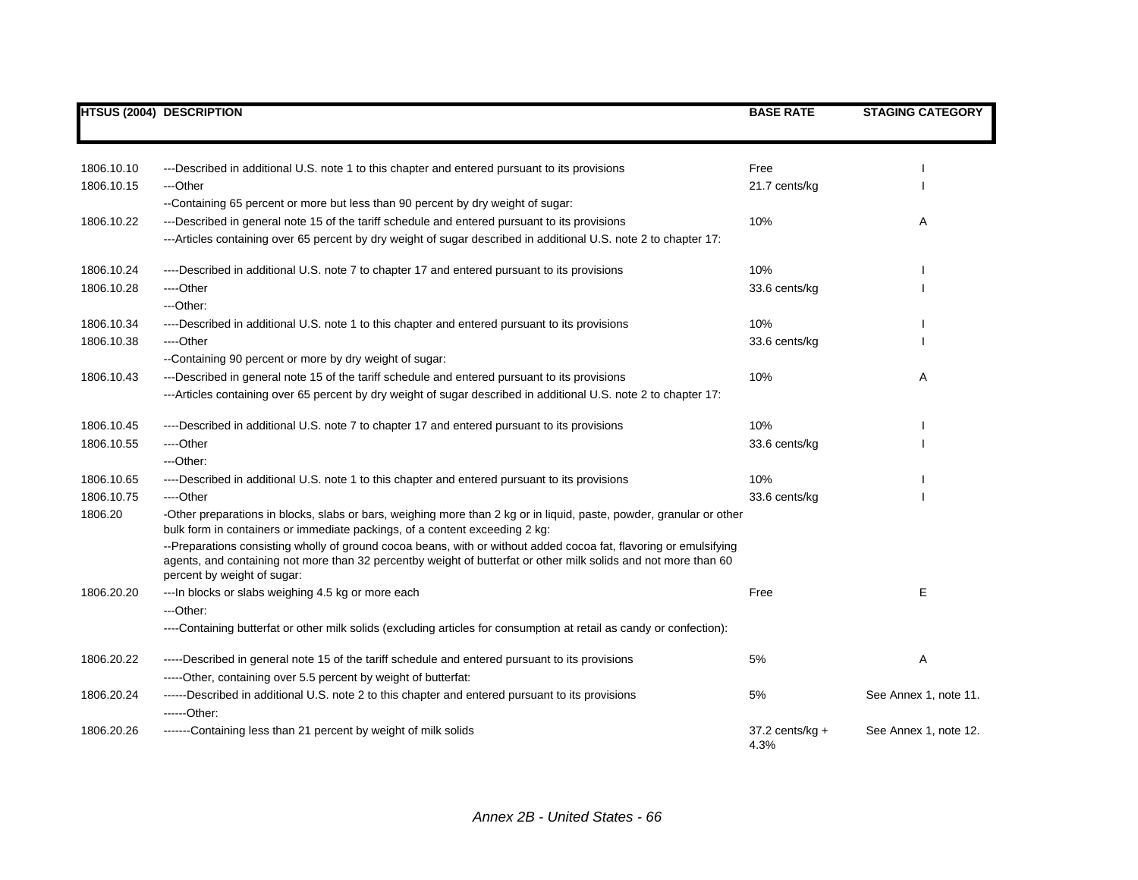|            | <b>HTSUS (2004) DESCRIPTION</b>                                                                                                                                                                                                                                     | <b>BASE RATE</b>          | <b>STAGING CATEGORY</b> |
|------------|---------------------------------------------------------------------------------------------------------------------------------------------------------------------------------------------------------------------------------------------------------------------|---------------------------|-------------------------|
|            |                                                                                                                                                                                                                                                                     |                           |                         |
| 1806.10.10 | ---Described in additional U.S. note 1 to this chapter and entered pursuant to its provisions                                                                                                                                                                       | Free                      |                         |
| 1806.10.15 | ---Other                                                                                                                                                                                                                                                            | 21.7 cents/kg             |                         |
|            | --Containing 65 percent or more but less than 90 percent by dry weight of sugar:                                                                                                                                                                                    |                           |                         |
| 1806.10.22 | ---Described in general note 15 of the tariff schedule and entered pursuant to its provisions                                                                                                                                                                       | 10%                       | Α                       |
|            | ---Articles containing over 65 percent by dry weight of sugar described in additional U.S. note 2 to chapter 17:                                                                                                                                                    |                           |                         |
| 1806.10.24 | ----Described in additional U.S. note 7 to chapter 17 and entered pursuant to its provisions                                                                                                                                                                        | 10%                       |                         |
| 1806.10.28 | ----Other                                                                                                                                                                                                                                                           | 33.6 cents/kg             |                         |
|            | $-$ Other:                                                                                                                                                                                                                                                          |                           |                         |
| 1806.10.34 | ----Described in additional U.S. note 1 to this chapter and entered pursuant to its provisions                                                                                                                                                                      | 10%                       |                         |
| 1806.10.38 | ----Other                                                                                                                                                                                                                                                           | 33.6 cents/kg             |                         |
|            | --Containing 90 percent or more by dry weight of sugar:                                                                                                                                                                                                             |                           |                         |
| 1806.10.43 | ---Described in general note 15 of the tariff schedule and entered pursuant to its provisions                                                                                                                                                                       | 10%                       | Α                       |
|            | ---Articles containing over 65 percent by dry weight of sugar described in additional U.S. note 2 to chapter 17:                                                                                                                                                    |                           |                         |
| 1806.10.45 | ----Described in additional U.S. note 7 to chapter 17 and entered pursuant to its provisions                                                                                                                                                                        | 10%                       |                         |
| 1806.10.55 | ----Other                                                                                                                                                                                                                                                           | 33.6 cents/kg             |                         |
|            | ---Other:                                                                                                                                                                                                                                                           |                           |                         |
| 1806.10.65 | ----Described in additional U.S. note 1 to this chapter and entered pursuant to its provisions                                                                                                                                                                      | 10%                       |                         |
| 1806.10.75 | ----Other                                                                                                                                                                                                                                                           | 33.6 cents/kg             |                         |
| 1806.20    | -Other preparations in blocks, slabs or bars, weighing more than 2 kg or in liquid, paste, powder, granular or other<br>bulk form in containers or immediate packings, of a content exceeding 2 kg:                                                                 |                           |                         |
|            | --Preparations consisting wholly of ground cocoa beans, with or without added cocoa fat, flavoring or emulsifying<br>agents, and containing not more than 32 percentby weight of butterfat or other milk solids and not more than 60<br>percent by weight of sugar: |                           |                         |
| 1806.20.20 | --- In blocks or slabs weighing 4.5 kg or more each                                                                                                                                                                                                                 | Free                      | E                       |
|            | ---Other:                                                                                                                                                                                                                                                           |                           |                         |
|            | ----Containing butterfat or other milk solids (excluding articles for consumption at retail as candy or confection):                                                                                                                                                |                           |                         |
| 1806.20.22 | -----Described in general note 15 of the tariff schedule and entered pursuant to its provisions                                                                                                                                                                     | 5%                        | Α                       |
|            | -----Other, containing over 5.5 percent by weight of butterfat:                                                                                                                                                                                                     |                           |                         |
| 1806.20.24 | ------Described in additional U.S. note 2 to this chapter and entered pursuant to its provisions<br>------Other:                                                                                                                                                    | 5%                        | See Annex 1, note 11.   |
| 1806.20.26 | -------Containing less than 21 percent by weight of milk solids                                                                                                                                                                                                     | $37.2$ cents/kg +<br>4.3% | See Annex 1, note 12.   |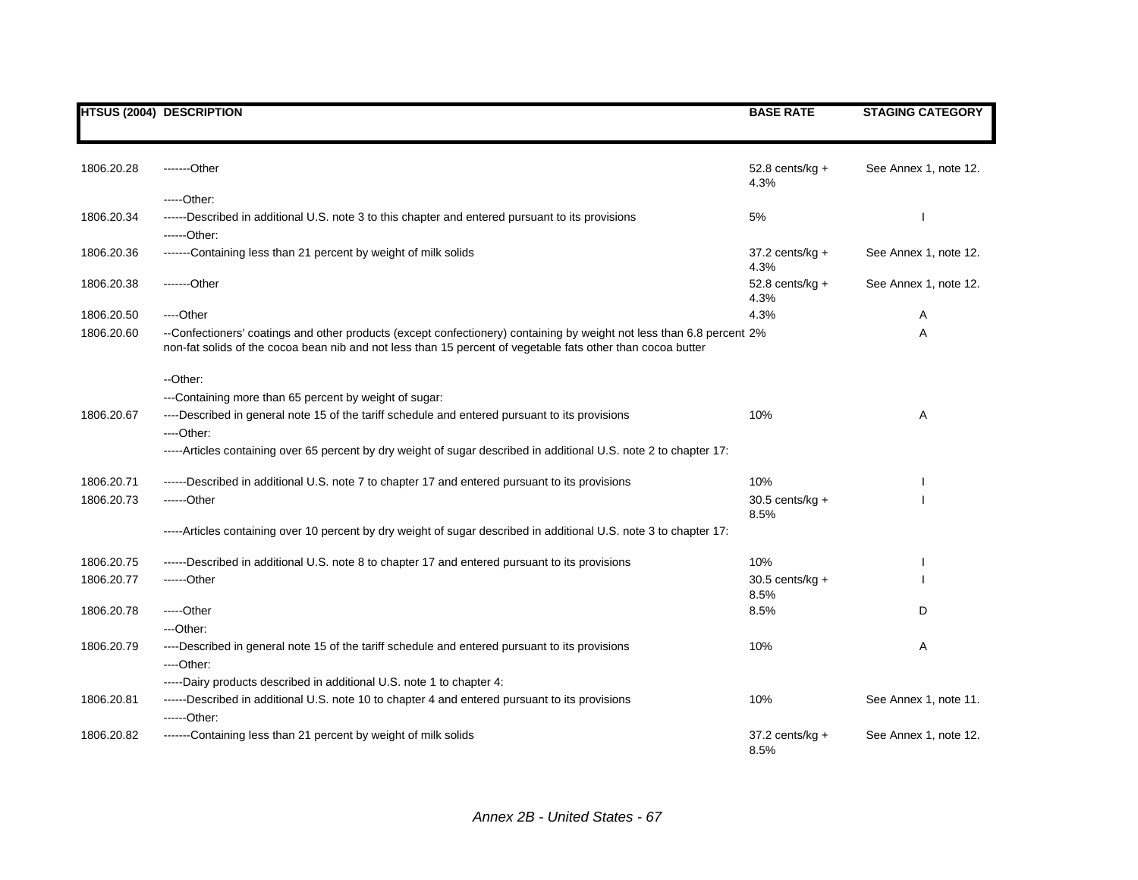|            | <b>HTSUS (2004) DESCRIPTION</b>                                                                                                                                                                                                      | <b>BASE RATE</b>            | <b>STAGING CATEGORY</b> |
|------------|--------------------------------------------------------------------------------------------------------------------------------------------------------------------------------------------------------------------------------------|-----------------------------|-------------------------|
| 1806.20.28 | -------Other                                                                                                                                                                                                                         | $52.8$ cents/kg $+$<br>4.3% | See Annex 1, note 12.   |
|            | -----Other:                                                                                                                                                                                                                          |                             |                         |
| 1806.20.34 | ------Described in additional U.S. note 3 to this chapter and entered pursuant to its provisions                                                                                                                                     | 5%                          |                         |
|            | ------Other:                                                                                                                                                                                                                         |                             |                         |
| 1806.20.36 | -------Containing less than 21 percent by weight of milk solids                                                                                                                                                                      | $37.2$ cents/kg $+$<br>4.3% | See Annex 1, note 12.   |
| 1806.20.38 | -------Other                                                                                                                                                                                                                         | $52.8$ cents/kg +<br>4.3%   | See Annex 1, note 12.   |
| 1806.20.50 | ----Other                                                                                                                                                                                                                            | 4.3%                        | Α                       |
| 1806.20.60 | --Confectioners' coatings and other products (except confectionery) containing by weight not less than 6.8 percent 2%<br>non-fat solids of the cocoa bean nib and not less than 15 percent of vegetable fats other than cocoa butter |                             | Α                       |
|            | --Other:                                                                                                                                                                                                                             |                             |                         |
|            | ---Containing more than 65 percent by weight of sugar:                                                                                                                                                                               |                             |                         |
| 1806.20.67 | ----Described in general note 15 of the tariff schedule and entered pursuant to its provisions                                                                                                                                       | 10%                         | Α                       |
|            | $---Other.$                                                                                                                                                                                                                          |                             |                         |
|            | -----Articles containing over 65 percent by dry weight of sugar described in additional U.S. note 2 to chapter 17:                                                                                                                   |                             |                         |
| 1806.20.71 | ------Described in additional U.S. note 7 to chapter 17 and entered pursuant to its provisions                                                                                                                                       | 10%                         |                         |
| 1806.20.73 | $---Other$                                                                                                                                                                                                                           | $30.5$ cents/kg +           |                         |
|            |                                                                                                                                                                                                                                      | 8.5%                        |                         |
|            | -----Articles containing over 10 percent by dry weight of sugar described in additional U.S. note 3 to chapter 17:                                                                                                                   |                             |                         |
| 1806.20.75 | ------Described in additional U.S. note 8 to chapter 17 and entered pursuant to its provisions                                                                                                                                       | 10%                         |                         |
| 1806.20.77 | ------Other                                                                                                                                                                                                                          | $30.5$ cents/kg +           |                         |
|            |                                                                                                                                                                                                                                      | 8.5%                        |                         |
| 1806.20.78 | -----Other                                                                                                                                                                                                                           | 8.5%                        | D                       |
|            | ---Other:                                                                                                                                                                                                                            |                             |                         |
| 1806.20.79 | ----Described in general note 15 of the tariff schedule and entered pursuant to its provisions<br>$---Other.$                                                                                                                        | 10%                         | Α                       |
|            | -----Dairy products described in additional U.S. note 1 to chapter 4:                                                                                                                                                                |                             |                         |
| 1806.20.81 | ------Described in additional U.S. note 10 to chapter 4 and entered pursuant to its provisions<br>------Other:                                                                                                                       | 10%                         | See Annex 1, note 11.   |
| 1806.20.82 | -------Containing less than 21 percent by weight of milk solids                                                                                                                                                                      | $37.2$ cents/kg +<br>8.5%   | See Annex 1, note 12.   |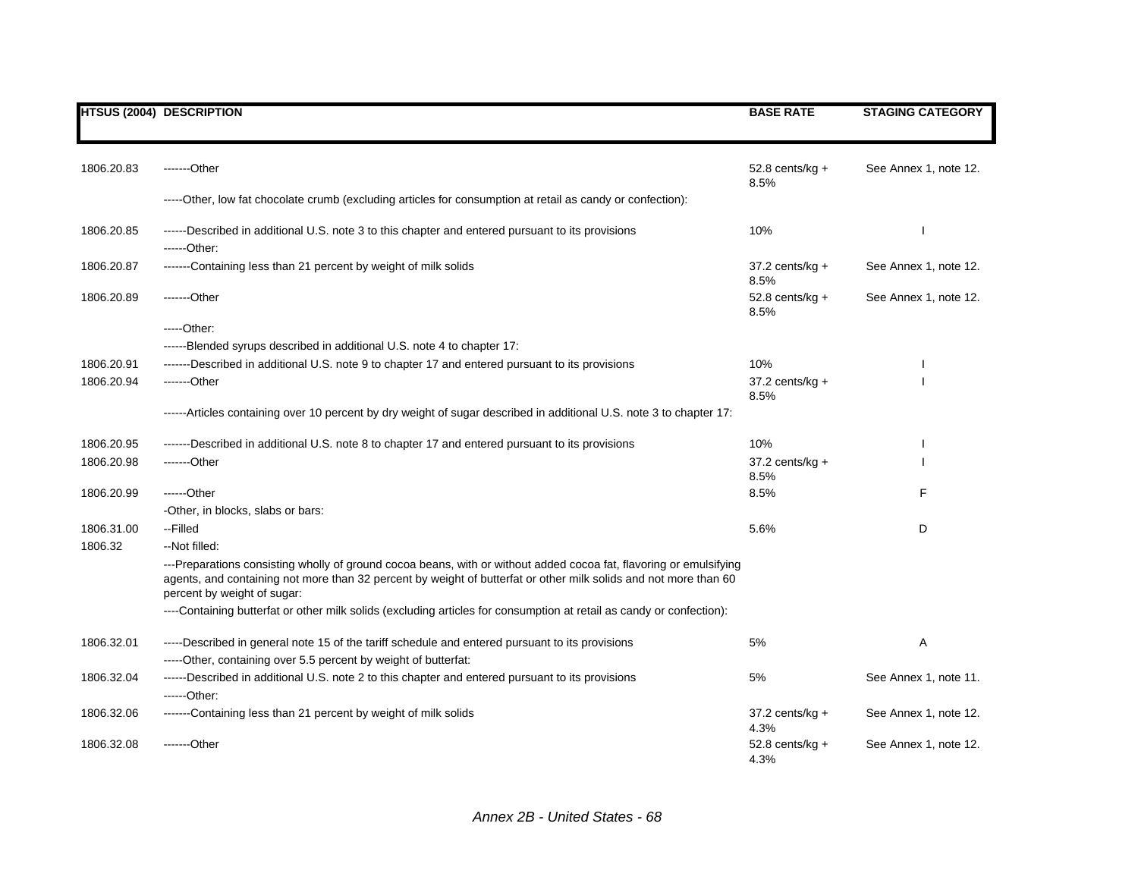|            | <b>HTSUS (2004) DESCRIPTION</b>                                                                                                                                                                                                                                       | <b>BASE RATE</b>           | <b>STAGING CATEGORY</b> |
|------------|-----------------------------------------------------------------------------------------------------------------------------------------------------------------------------------------------------------------------------------------------------------------------|----------------------------|-------------------------|
|            |                                                                                                                                                                                                                                                                       |                            |                         |
| 1806.20.83 | -------Other                                                                                                                                                                                                                                                          | 52.8 cents/ $kg +$         | See Annex 1, note 12.   |
|            |                                                                                                                                                                                                                                                                       | 8.5%                       |                         |
|            | -----Other, low fat chocolate crumb (excluding articles for consumption at retail as candy or confection):                                                                                                                                                            |                            |                         |
| 1806.20.85 | ------Described in additional U.S. note 3 to this chapter and entered pursuant to its provisions                                                                                                                                                                      | 10%                        |                         |
|            | ------Other:                                                                                                                                                                                                                                                          |                            |                         |
| 1806.20.87 | -------Containing less than 21 percent by weight of milk solids                                                                                                                                                                                                       | 37.2 cents/kg +<br>8.5%    | See Annex 1, note 12.   |
| 1806.20.89 | -------Other                                                                                                                                                                                                                                                          | 52.8 cents/ $kg +$<br>8.5% | See Annex 1, note 12.   |
|            | $---Other:$                                                                                                                                                                                                                                                           |                            |                         |
|            | ------Blended syrups described in additional U.S. note 4 to chapter 17:                                                                                                                                                                                               |                            |                         |
| 1806.20.91 | -------Described in additional U.S. note 9 to chapter 17 and entered pursuant to its provisions                                                                                                                                                                       | 10%                        |                         |
| 1806.20.94 | -------Other                                                                                                                                                                                                                                                          | 37.2 cents/kg +<br>8.5%    |                         |
|            | ------Articles containing over 10 percent by dry weight of sugar described in additional U.S. note 3 to chapter 17:                                                                                                                                                   |                            |                         |
| 1806.20.95 | ------Described in additional U.S. note 8 to chapter 17 and entered pursuant to its provisions                                                                                                                                                                        | 10%                        |                         |
| 1806.20.98 | -------Other                                                                                                                                                                                                                                                          | $37.2$ cents/kg +<br>8.5%  |                         |
| 1806.20.99 | ------Other                                                                                                                                                                                                                                                           | 8.5%                       | F                       |
|            | -Other, in blocks, slabs or bars:                                                                                                                                                                                                                                     |                            |                         |
| 1806.31.00 | --Filled                                                                                                                                                                                                                                                              | 5.6%                       | D                       |
| 1806.32    | --Not filled:                                                                                                                                                                                                                                                         |                            |                         |
|            | ---Preparations consisting wholly of ground cocoa beans, with or without added cocoa fat, flavoring or emulsifying<br>agents, and containing not more than 32 percent by weight of butterfat or other milk solids and not more than 60<br>percent by weight of sugar: |                            |                         |
|            | ----Containing butterfat or other milk solids (excluding articles for consumption at retail as candy or confection):                                                                                                                                                  |                            |                         |
| 1806.32.01 | -----Described in general note 15 of the tariff schedule and entered pursuant to its provisions                                                                                                                                                                       | 5%                         | Α                       |
|            | -----Other, containing over 5.5 percent by weight of butterfat:                                                                                                                                                                                                       |                            |                         |
| 1806.32.04 | ------Described in additional U.S. note 2 to this chapter and entered pursuant to its provisions<br>------Other:                                                                                                                                                      | 5%                         | See Annex 1, note 11.   |
| 1806.32.06 | -------Containing less than 21 percent by weight of milk solids                                                                                                                                                                                                       | $37.2$ cents/kg +<br>4.3%  | See Annex 1, note 12.   |
| 1806.32.08 | -------Other                                                                                                                                                                                                                                                          | $52.8$ cents/kg +<br>4.3%  | See Annex 1, note 12.   |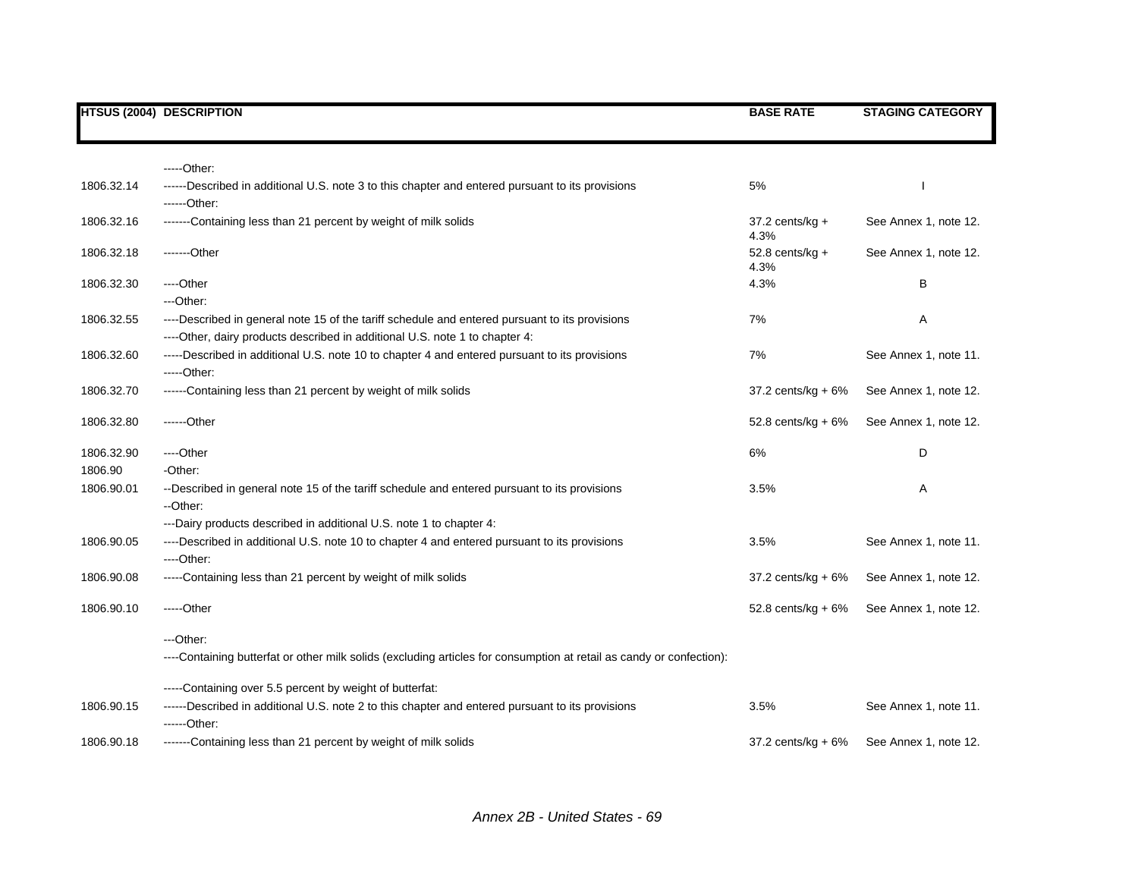|            | <b>HTSUS (2004) DESCRIPTION</b>                                                                                      | <b>BASE RATE</b>           | <b>STAGING CATEGORY</b> |
|------------|----------------------------------------------------------------------------------------------------------------------|----------------------------|-------------------------|
|            |                                                                                                                      |                            |                         |
|            |                                                                                                                      |                            |                         |
|            | -----Other:                                                                                                          |                            |                         |
| 1806.32.14 | ------Described in additional U.S. note 3 to this chapter and entered pursuant to its provisions                     | 5%                         |                         |
|            | ------Other:                                                                                                         |                            |                         |
| 1806.32.16 | -------Containing less than 21 percent by weight of milk solids                                                      | $37.2$ cents/kg +<br>4.3%  | See Annex 1, note 12.   |
| 1806.32.18 | -------Other                                                                                                         | 52.8 cents/ $kg +$<br>4.3% | See Annex 1, note 12.   |
| 1806.32.30 | ----Other                                                                                                            | 4.3%                       | В                       |
|            | ---Other:                                                                                                            |                            |                         |
| 1806.32.55 | ----Described in general note 15 of the tariff schedule and entered pursuant to its provisions                       | 7%                         | Α                       |
|            | ----Other, dairy products described in additional U.S. note 1 to chapter 4:                                          |                            |                         |
| 1806.32.60 | -----Described in additional U.S. note 10 to chapter 4 and entered pursuant to its provisions                        | 7%                         | See Annex 1, note 11.   |
|            | $---Other.$                                                                                                          |                            |                         |
| 1806.32.70 | ------Containing less than 21 percent by weight of milk solids                                                       | 37.2 cents/ $kg + 6%$      | See Annex 1, note 12.   |
| 1806.32.80 | ------Other                                                                                                          | 52.8 cents/kg + 6%         | See Annex 1, note 12.   |
| 1806.32.90 | ----Other                                                                                                            | 6%                         | D                       |
| 1806.90    | -Other:                                                                                                              |                            |                         |
| 1806.90.01 | --Described in general note 15 of the tariff schedule and entered pursuant to its provisions<br>--Other:             | 3.5%                       | Α                       |
|            | ---Dairy products described in additional U.S. note 1 to chapter 4:                                                  |                            |                         |
| 1806.90.05 | ----Described in additional U.S. note 10 to chapter 4 and entered pursuant to its provisions<br>----Other:           | 3.5%                       | See Annex 1, note 11.   |
| 1806.90.08 | -----Containing less than 21 percent by weight of milk solids                                                        | 37.2 cents/kg + 6%         | See Annex 1, note 12.   |
| 1806.90.10 | $---Other$                                                                                                           | 52.8 cents/kg + $6\%$      | See Annex 1, note 12.   |
|            | $-$ Other:                                                                                                           |                            |                         |
|            | ----Containing butterfat or other milk solids (excluding articles for consumption at retail as candy or confection): |                            |                         |
|            | -----Containing over 5.5 percent by weight of butterfat:                                                             |                            |                         |
| 1806.90.15 | ------Described in additional U.S. note 2 to this chapter and entered pursuant to its provisions<br>------Other:     | 3.5%                       | See Annex 1, note 11.   |
| 1806.90.18 | -------Containing less than 21 percent by weight of milk solids                                                      | 37.2 cents/kg + 6%         | See Annex 1, note 12.   |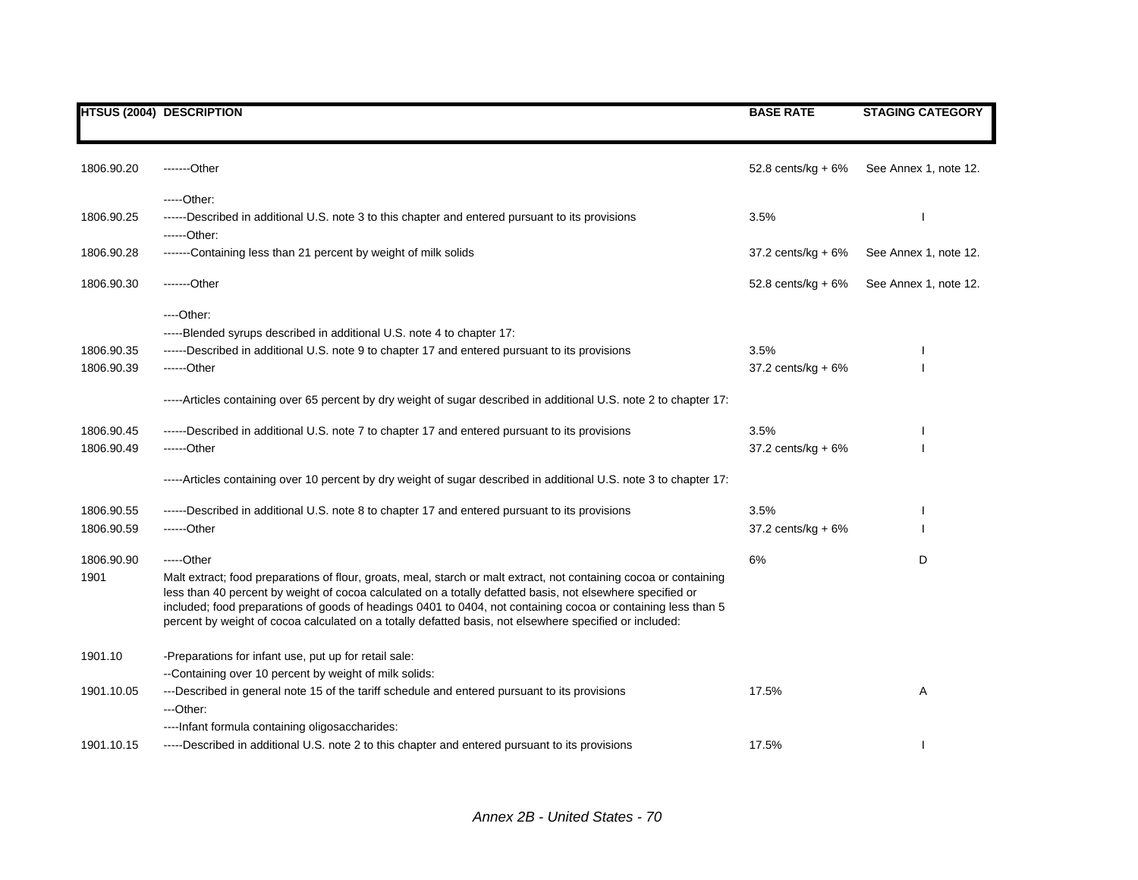|            | <b>HTSUS (2004) DESCRIPTION</b>                                                                                                                                                                                                                                                                                                                                                                                                                              | <b>BASE RATE</b>      | <b>STAGING CATEGORY</b> |
|------------|--------------------------------------------------------------------------------------------------------------------------------------------------------------------------------------------------------------------------------------------------------------------------------------------------------------------------------------------------------------------------------------------------------------------------------------------------------------|-----------------------|-------------------------|
|            |                                                                                                                                                                                                                                                                                                                                                                                                                                                              |                       |                         |
| 1806.90.20 | -------Other                                                                                                                                                                                                                                                                                                                                                                                                                                                 | 52.8 cents/kg + 6%    | See Annex 1, note 12.   |
|            | $---Other:$                                                                                                                                                                                                                                                                                                                                                                                                                                                  |                       |                         |
| 1806.90.25 | ------Described in additional U.S. note 3 to this chapter and entered pursuant to its provisions                                                                                                                                                                                                                                                                                                                                                             | 3.5%                  |                         |
| 1806.90.28 | ------Other:<br>-------Containing less than 21 percent by weight of milk solids                                                                                                                                                                                                                                                                                                                                                                              | 37.2 cents/kg + $6\%$ | See Annex 1, note 12.   |
|            |                                                                                                                                                                                                                                                                                                                                                                                                                                                              |                       |                         |
| 1806.90.30 | -------Other                                                                                                                                                                                                                                                                                                                                                                                                                                                 | 52.8 cents/kg + $6\%$ | See Annex 1, note 12.   |
|            | $---Other.$                                                                                                                                                                                                                                                                                                                                                                                                                                                  |                       |                         |
|            | -----Blended syrups described in additional U.S. note 4 to chapter 17:                                                                                                                                                                                                                                                                                                                                                                                       |                       |                         |
| 1806.90.35 | ------Described in additional U.S. note 9 to chapter 17 and entered pursuant to its provisions                                                                                                                                                                                                                                                                                                                                                               | 3.5%                  |                         |
| 1806.90.39 | $---Other$                                                                                                                                                                                                                                                                                                                                                                                                                                                   | 37.2 cents/ $kg + 6%$ |                         |
|            | -----Articles containing over 65 percent by dry weight of sugar described in additional U.S. note 2 to chapter 17:                                                                                                                                                                                                                                                                                                                                           |                       |                         |
| 1806.90.45 | ------Described in additional U.S. note 7 to chapter 17 and entered pursuant to its provisions                                                                                                                                                                                                                                                                                                                                                               | 3.5%                  |                         |
| 1806.90.49 | ------Other                                                                                                                                                                                                                                                                                                                                                                                                                                                  | 37.2 cents/kg + $6\%$ |                         |
|            | -----Articles containing over 10 percent by dry weight of sugar described in additional U.S. note 3 to chapter 17:                                                                                                                                                                                                                                                                                                                                           |                       |                         |
| 1806.90.55 | ------Described in additional U.S. note 8 to chapter 17 and entered pursuant to its provisions                                                                                                                                                                                                                                                                                                                                                               | 3.5%                  |                         |
| 1806.90.59 | $---Other$                                                                                                                                                                                                                                                                                                                                                                                                                                                   | 37.2 cents/kg + 6%    |                         |
| 1806.90.90 | -----Other                                                                                                                                                                                                                                                                                                                                                                                                                                                   | 6%                    | D                       |
| 1901       | Malt extract; food preparations of flour, groats, meal, starch or malt extract, not containing cocoa or containing<br>less than 40 percent by weight of cocoa calculated on a totally defatted basis, not elsewhere specified or<br>included; food preparations of goods of headings 0401 to 0404, not containing cocoa or containing less than 5<br>percent by weight of cocoa calculated on a totally defatted basis, not elsewhere specified or included: |                       |                         |
| 1901.10    | -Preparations for infant use, put up for retail sale:                                                                                                                                                                                                                                                                                                                                                                                                        |                       |                         |
|            | --Containing over 10 percent by weight of milk solids:                                                                                                                                                                                                                                                                                                                                                                                                       |                       |                         |
| 1901.10.05 | ---Described in general note 15 of the tariff schedule and entered pursuant to its provisions                                                                                                                                                                                                                                                                                                                                                                | 17.5%                 | Α                       |
|            | ---Other:                                                                                                                                                                                                                                                                                                                                                                                                                                                    |                       |                         |
|            | ---- Infant formula containing oligosaccharides:                                                                                                                                                                                                                                                                                                                                                                                                             |                       |                         |
| 1901.10.15 | -----Described in additional U.S. note 2 to this chapter and entered pursuant to its provisions                                                                                                                                                                                                                                                                                                                                                              | 17.5%                 |                         |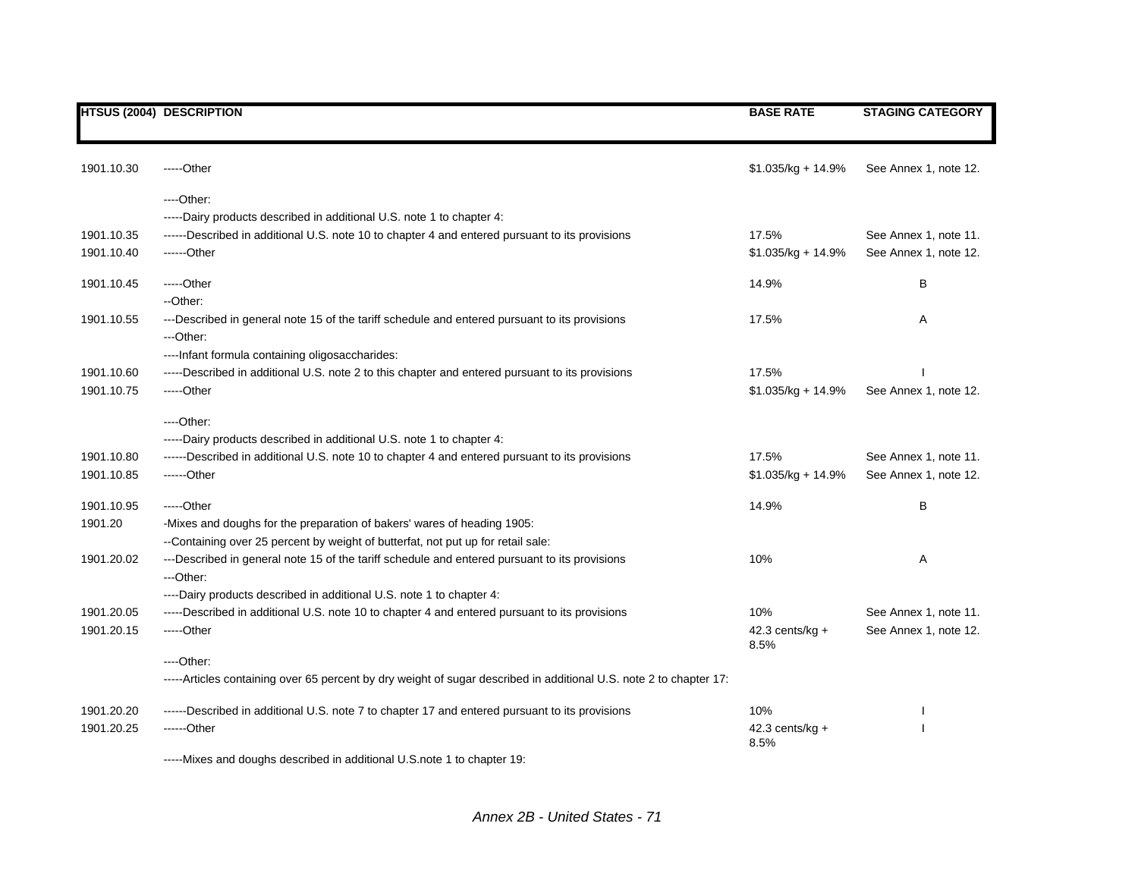|            | <b>HTSUS (2004) DESCRIPTION</b>                                                                                                                             | <b>BASE RATE</b>          | <b>STAGING CATEGORY</b> |
|------------|-------------------------------------------------------------------------------------------------------------------------------------------------------------|---------------------------|-------------------------|
|            |                                                                                                                                                             |                           |                         |
| 1901.10.30 | $---Other$                                                                                                                                                  | $$1.035/kg + 14.9%$       | See Annex 1, note 12.   |
|            | ----Other:                                                                                                                                                  |                           |                         |
|            | -----Dairy products described in additional U.S. note 1 to chapter 4:                                                                                       |                           |                         |
| 1901.10.35 | ------Described in additional U.S. note 10 to chapter 4 and entered pursuant to its provisions                                                              | 17.5%                     | See Annex 1, note 11.   |
| 1901.10.40 | ------Other                                                                                                                                                 | \$1.035/kg + 14.9%        | See Annex 1, note 12.   |
| 1901.10.45 | -----Other                                                                                                                                                  | 14.9%                     | B                       |
|            | --Other:                                                                                                                                                    |                           |                         |
| 1901.10.55 | ---Described in general note 15 of the tariff schedule and entered pursuant to its provisions<br>---Other:                                                  | 17.5%                     | Α                       |
|            | ---- Infant formula containing oligosaccharides:                                                                                                            |                           |                         |
| 1901.10.60 | -----Described in additional U.S. note 2 to this chapter and entered pursuant to its provisions                                                             | 17.5%                     |                         |
| 1901.10.75 | -----Other                                                                                                                                                  | $$1.035/kg + 14.9%$       | See Annex 1, note 12.   |
|            | $---Other:$                                                                                                                                                 |                           |                         |
|            | -----Dairy products described in additional U.S. note 1 to chapter 4:                                                                                       |                           |                         |
| 1901.10.80 | ------Described in additional U.S. note 10 to chapter 4 and entered pursuant to its provisions                                                              | 17.5%                     | See Annex 1, note 11.   |
| 1901.10.85 | $---Other$                                                                                                                                                  | $$1.035/kg + 14.9%$       | See Annex 1, note 12.   |
| 1901.10.95 | $---Other$                                                                                                                                                  | 14.9%                     | B                       |
| 1901.20    | -Mixes and doughs for the preparation of bakers' wares of heading 1905:<br>--Containing over 25 percent by weight of butterfat, not put up for retail sale: |                           |                         |
| 1901.20.02 | ---Described in general note 15 of the tariff schedule and entered pursuant to its provisions                                                               | 10%                       | Α                       |
|            | ---Other:                                                                                                                                                   |                           |                         |
|            | ----Dairy products described in additional U.S. note 1 to chapter 4:                                                                                        |                           |                         |
| 1901.20.05 | -----Described in additional U.S. note 10 to chapter 4 and entered pursuant to its provisions                                                               | 10%                       | See Annex 1, note 11.   |
| 1901.20.15 | $---Other$                                                                                                                                                  | 42.3 cents/kg $+$         | See Annex 1, note 12.   |
|            |                                                                                                                                                             | 8.5%                      |                         |
|            | $---Other.$                                                                                                                                                 |                           |                         |
|            | -----Articles containing over 65 percent by dry weight of sugar described in additional U.S. note 2 to chapter 17:                                          |                           |                         |
| 1901.20.20 | ------Described in additional U.S. note 7 to chapter 17 and entered pursuant to its provisions                                                              | 10%                       |                         |
| 1901.20.25 | ------Other                                                                                                                                                 | $42.3$ cents/kg +<br>8.5% |                         |

-----Mixes and doughs described in additional U.S.note 1 to chapter 19:

*Annex 2B - United States - 71*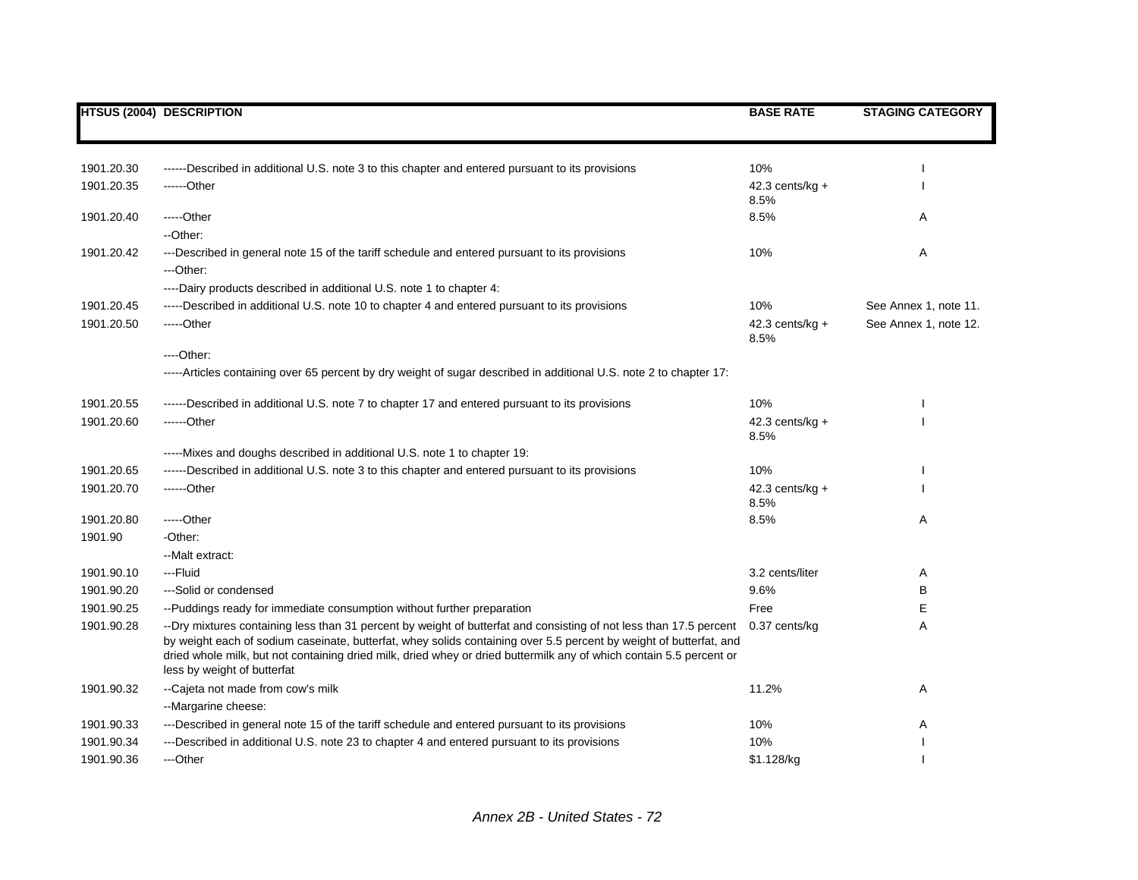|            | <b>HTSUS (2004) DESCRIPTION</b>                                                                                                                                                                                                                                                                                                                                                                | <b>BASE RATE</b>           | <b>STAGING CATEGORY</b> |
|------------|------------------------------------------------------------------------------------------------------------------------------------------------------------------------------------------------------------------------------------------------------------------------------------------------------------------------------------------------------------------------------------------------|----------------------------|-------------------------|
|            |                                                                                                                                                                                                                                                                                                                                                                                                |                            |                         |
| 1901.20.30 | ------Described in additional U.S. note 3 to this chapter and entered pursuant to its provisions                                                                                                                                                                                                                                                                                               | 10%                        |                         |
| 1901.20.35 | ------Other                                                                                                                                                                                                                                                                                                                                                                                    | 42.3 cents/ $kg +$<br>8.5% |                         |
| 1901.20.40 | -----Other<br>--Other:                                                                                                                                                                                                                                                                                                                                                                         | 8.5%                       | A                       |
| 1901.20.42 | ---Described in general note 15 of the tariff schedule and entered pursuant to its provisions<br>---Other:                                                                                                                                                                                                                                                                                     | 10%                        | Α                       |
|            | ----Dairy products described in additional U.S. note 1 to chapter 4:                                                                                                                                                                                                                                                                                                                           |                            |                         |
| 1901.20.45 | -----Described in additional U.S. note 10 to chapter 4 and entered pursuant to its provisions                                                                                                                                                                                                                                                                                                  | 10%                        | See Annex 1, note 11.   |
| 1901.20.50 | -----Other                                                                                                                                                                                                                                                                                                                                                                                     | 42.3 cents/kg $+$<br>8.5%  | See Annex 1, note 12.   |
|            | $---Other:$                                                                                                                                                                                                                                                                                                                                                                                    |                            |                         |
|            | -----Articles containing over 65 percent by dry weight of sugar described in additional U.S. note 2 to chapter 17:                                                                                                                                                                                                                                                                             |                            |                         |
| 1901.20.55 | ------Described in additional U.S. note 7 to chapter 17 and entered pursuant to its provisions                                                                                                                                                                                                                                                                                                 | 10%                        |                         |
| 1901.20.60 | ------Other                                                                                                                                                                                                                                                                                                                                                                                    | 42.3 cents/ $kg +$<br>8.5% |                         |
|            | -----Mixes and doughs described in additional U.S. note 1 to chapter 19:                                                                                                                                                                                                                                                                                                                       |                            |                         |
| 1901.20.65 | ------Described in additional U.S. note 3 to this chapter and entered pursuant to its provisions                                                                                                                                                                                                                                                                                               | 10%                        |                         |
| 1901.20.70 | ------Other                                                                                                                                                                                                                                                                                                                                                                                    | 42.3 cents/ $kg +$<br>8.5% |                         |
| 1901.20.80 | -----Other                                                                                                                                                                                                                                                                                                                                                                                     | 8.5%                       | A                       |
| 1901.90    | -Other:                                                                                                                                                                                                                                                                                                                                                                                        |                            |                         |
|            | --Malt extract:                                                                                                                                                                                                                                                                                                                                                                                |                            |                         |
| 1901.90.10 | ---Fluid                                                                                                                                                                                                                                                                                                                                                                                       | 3.2 cents/liter            | Α                       |
| 1901.90.20 | ---Solid or condensed                                                                                                                                                                                                                                                                                                                                                                          | 9.6%                       | B                       |
| 1901.90.25 | --Puddings ready for immediate consumption without further preparation                                                                                                                                                                                                                                                                                                                         | Free                       | Е                       |
| 1901.90.28 | --Dry mixtures containing less than 31 percent by weight of butterfat and consisting of not less than 17.5 percent<br>by weight each of sodium caseinate, butterfat, whey solids containing over 5.5 percent by weight of butterfat, and<br>dried whole milk, but not containing dried milk, dried whey or dried buttermilk any of which contain 5.5 percent or<br>less by weight of butterfat | 0.37 cents/kg              | A                       |
| 1901.90.32 | --Cajeta not made from cow's milk                                                                                                                                                                                                                                                                                                                                                              | 11.2%                      | Α                       |
|            | --Margarine cheese:                                                                                                                                                                                                                                                                                                                                                                            |                            |                         |
| 1901.90.33 | ---Described in general note 15 of the tariff schedule and entered pursuant to its provisions                                                                                                                                                                                                                                                                                                  | 10%                        | Α                       |
| 1901.90.34 | ---Described in additional U.S. note 23 to chapter 4 and entered pursuant to its provisions                                                                                                                                                                                                                                                                                                    | 10%                        |                         |
| 1901.90.36 | ---Other                                                                                                                                                                                                                                                                                                                                                                                       | \$1.128/kg                 |                         |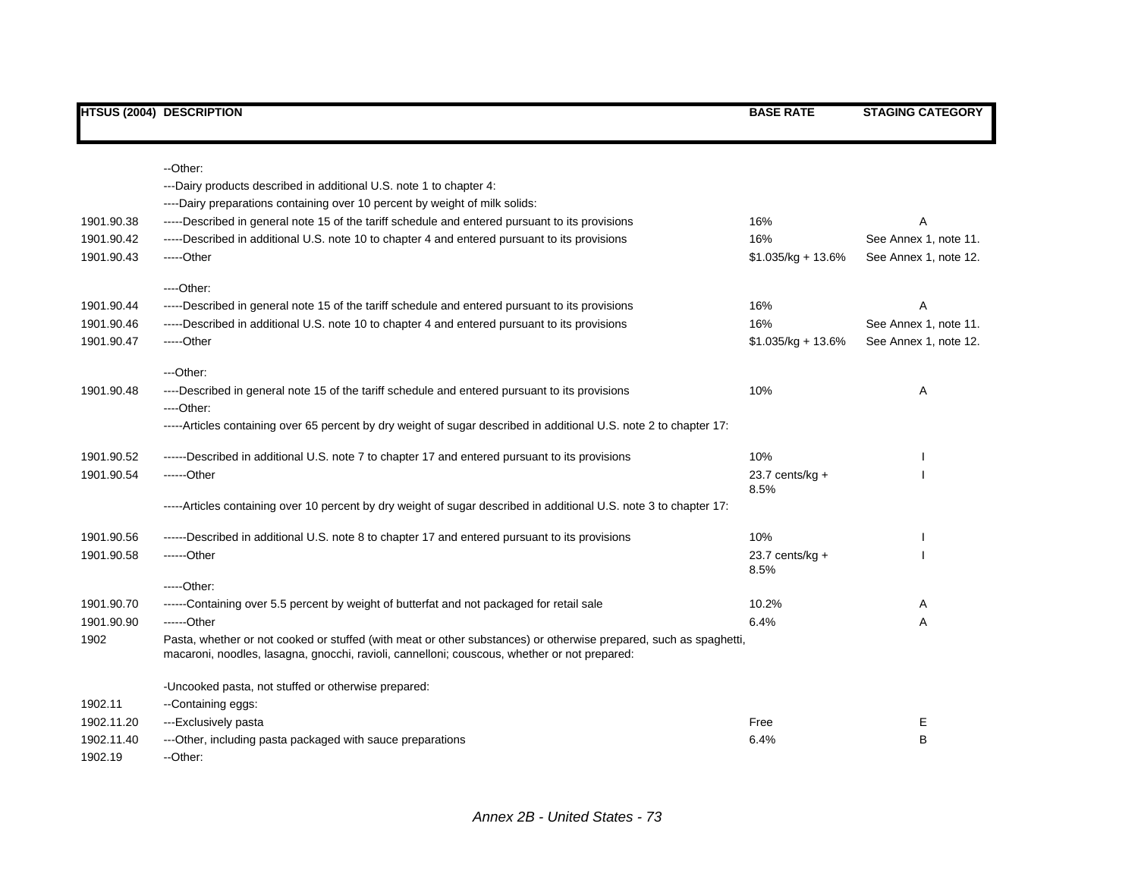|            | --Other:                                                                                                                                                                                                          |                           |                       |
|------------|-------------------------------------------------------------------------------------------------------------------------------------------------------------------------------------------------------------------|---------------------------|-----------------------|
|            | ---Dairy products described in additional U.S. note 1 to chapter 4:                                                                                                                                               |                           |                       |
|            | ----Dairy preparations containing over 10 percent by weight of milk solids:                                                                                                                                       |                           |                       |
| 1901.90.38 | -----Described in general note 15 of the tariff schedule and entered pursuant to its provisions                                                                                                                   | 16%                       | A                     |
| 1901.90.42 | -----Described in additional U.S. note 10 to chapter 4 and entered pursuant to its provisions                                                                                                                     | 16%                       | See Annex 1, note 11. |
| 1901.90.43 | -----Other                                                                                                                                                                                                        | $$1.035/kg + 13.6\%$      | See Annex 1, note 12. |
|            | ----Other:                                                                                                                                                                                                        |                           |                       |
| 1901.90.44 | -----Described in general note 15 of the tariff schedule and entered pursuant to its provisions                                                                                                                   | 16%                       | Α                     |
| 1901.90.46 | -----Described in additional U.S. note 10 to chapter 4 and entered pursuant to its provisions                                                                                                                     | 16%                       | See Annex 1, note 11. |
| 1901.90.47 | -----Other                                                                                                                                                                                                        | $$1.035/kg + 13.6%$       | See Annex 1, note 12. |
|            | ---Other:                                                                                                                                                                                                         |                           |                       |
| 1901.90.48 | ----Described in general note 15 of the tariff schedule and entered pursuant to its provisions<br>$---Other:$                                                                                                     | 10%                       | Α                     |
|            | -----Articles containing over 65 percent by dry weight of sugar described in additional U.S. note 2 to chapter 17:                                                                                                |                           |                       |
| 1901.90.52 | ------Described in additional U.S. note 7 to chapter 17 and entered pursuant to its provisions                                                                                                                    | 10%                       |                       |
| 1901.90.54 | ------Other                                                                                                                                                                                                       | 23.7 cents/kg $+$<br>8.5% |                       |
|            | -----Articles containing over 10 percent by dry weight of sugar described in additional U.S. note 3 to chapter 17:                                                                                                |                           |                       |
| 1901.90.56 | ------Described in additional U.S. note 8 to chapter 17 and entered pursuant to its provisions                                                                                                                    | 10%                       |                       |
| 1901.90.58 | $---Other$                                                                                                                                                                                                        | $23.7$ cents/kg +<br>8.5% |                       |
|            | -----Other:                                                                                                                                                                                                       |                           |                       |
| 1901.90.70 | ------Containing over 5.5 percent by weight of butterfat and not packaged for retail sale                                                                                                                         | 10.2%                     | Α                     |
| 1901.90.90 | ------Other                                                                                                                                                                                                       | 6.4%                      | Α                     |
| 1902       | Pasta, whether or not cooked or stuffed (with meat or other substances) or otherwise prepared, such as spaghetti,<br>macaroni, noodles, lasagna, gnocchi, ravioli, cannelloni; couscous, whether or not prepared: |                           |                       |
|            | -Uncooked pasta, not stuffed or otherwise prepared:                                                                                                                                                               |                           |                       |
| 1902.11    | --Containing eggs:                                                                                                                                                                                                |                           |                       |
| 1902.11.20 | ---Exclusively pasta                                                                                                                                                                                              | Free                      | Е                     |
| 1902.11.40 | ---Other, including pasta packaged with sauce preparations                                                                                                                                                        | 6.4%                      | B                     |
| 1902.19    | --Other:                                                                                                                                                                                                          |                           |                       |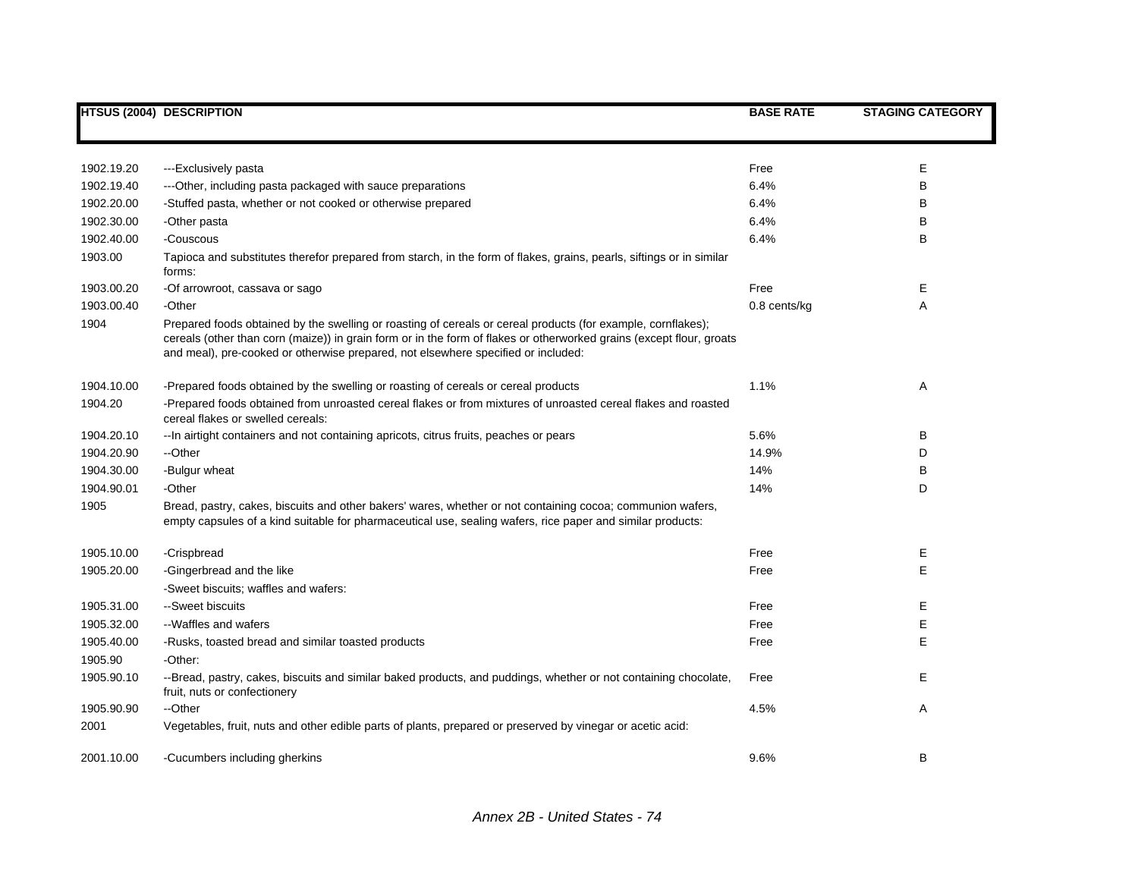|            | <b>HTSUS (2004) DESCRIPTION</b>                                                                                                                                                                                                                                                                                           | <b>BASE RATE</b> | <b>STAGING CATEGORY</b> |
|------------|---------------------------------------------------------------------------------------------------------------------------------------------------------------------------------------------------------------------------------------------------------------------------------------------------------------------------|------------------|-------------------------|
|            |                                                                                                                                                                                                                                                                                                                           |                  |                         |
| 1902.19.20 | ---Exclusively pasta                                                                                                                                                                                                                                                                                                      | Free             | Е                       |
| 1902.19.40 | ---Other, including pasta packaged with sauce preparations                                                                                                                                                                                                                                                                | 6.4%             | B                       |
| 1902.20.00 | -Stuffed pasta, whether or not cooked or otherwise prepared                                                                                                                                                                                                                                                               | 6.4%             | В                       |
| 1902.30.00 | -Other pasta                                                                                                                                                                                                                                                                                                              | 6.4%             | В                       |
| 1902.40.00 | -Couscous                                                                                                                                                                                                                                                                                                                 | 6.4%             | B                       |
| 1903.00    | Tapioca and substitutes therefor prepared from starch, in the form of flakes, grains, pearls, siftings or in similar<br>forms:                                                                                                                                                                                            |                  |                         |
| 1903.00.20 | -Of arrowroot, cassava or sago                                                                                                                                                                                                                                                                                            | Free             | Е                       |
| 1903.00.40 | -Other                                                                                                                                                                                                                                                                                                                    | $0.8$ cents/kg   | A                       |
| 1904       | Prepared foods obtained by the swelling or roasting of cereals or cereal products (for example, cornflakes);<br>cereals (other than corn (maize)) in grain form or in the form of flakes or otherworked grains (except flour, groats<br>and meal), pre-cooked or otherwise prepared, not elsewhere specified or included: |                  |                         |
| 1904.10.00 | -Prepared foods obtained by the swelling or roasting of cereals or cereal products                                                                                                                                                                                                                                        | 1.1%             | Α                       |
| 1904.20    | -Prepared foods obtained from unroasted cereal flakes or from mixtures of unroasted cereal flakes and roasted<br>cereal flakes or swelled cereals:                                                                                                                                                                        |                  |                         |
| 1904.20.10 | -- In airtight containers and not containing apricots, citrus fruits, peaches or pears                                                                                                                                                                                                                                    | 5.6%             | в                       |
| 1904.20.90 | --Other                                                                                                                                                                                                                                                                                                                   | 14.9%            | D                       |
| 1904.30.00 | -Bulgur wheat                                                                                                                                                                                                                                                                                                             | 14%              | B                       |
| 1904.90.01 | -Other                                                                                                                                                                                                                                                                                                                    | 14%              | D                       |
| 1905       | Bread, pastry, cakes, biscuits and other bakers' wares, whether or not containing cocoa; communion wafers,<br>empty capsules of a kind suitable for pharmaceutical use, sealing wafers, rice paper and similar products:                                                                                                  |                  |                         |
| 1905.10.00 | -Crispbread                                                                                                                                                                                                                                                                                                               | Free             | E                       |
| 1905.20.00 | -Gingerbread and the like                                                                                                                                                                                                                                                                                                 | Free             | E                       |
|            | -Sweet biscuits; waffles and wafers:                                                                                                                                                                                                                                                                                      |                  |                         |
| 1905.31.00 | --Sweet biscuits                                                                                                                                                                                                                                                                                                          | Free             | Е                       |
| 1905.32.00 | --Waffles and wafers                                                                                                                                                                                                                                                                                                      | Free             | E                       |
| 1905.40.00 | -Rusks, toasted bread and similar toasted products                                                                                                                                                                                                                                                                        | Free             | E                       |
| 1905.90    | -Other:                                                                                                                                                                                                                                                                                                                   |                  |                         |
| 1905.90.10 | --Bread, pastry, cakes, biscuits and similar baked products, and puddings, whether or not containing chocolate,<br>fruit, nuts or confectionery                                                                                                                                                                           | Free             | E.                      |
| 1905.90.90 | --Other                                                                                                                                                                                                                                                                                                                   | 4.5%             | Α                       |
| 2001       | Vegetables, fruit, nuts and other edible parts of plants, prepared or preserved by vinegar or acetic acid:                                                                                                                                                                                                                |                  |                         |
| 2001.10.00 | -Cucumbers including gherkins                                                                                                                                                                                                                                                                                             | 9.6%             | B                       |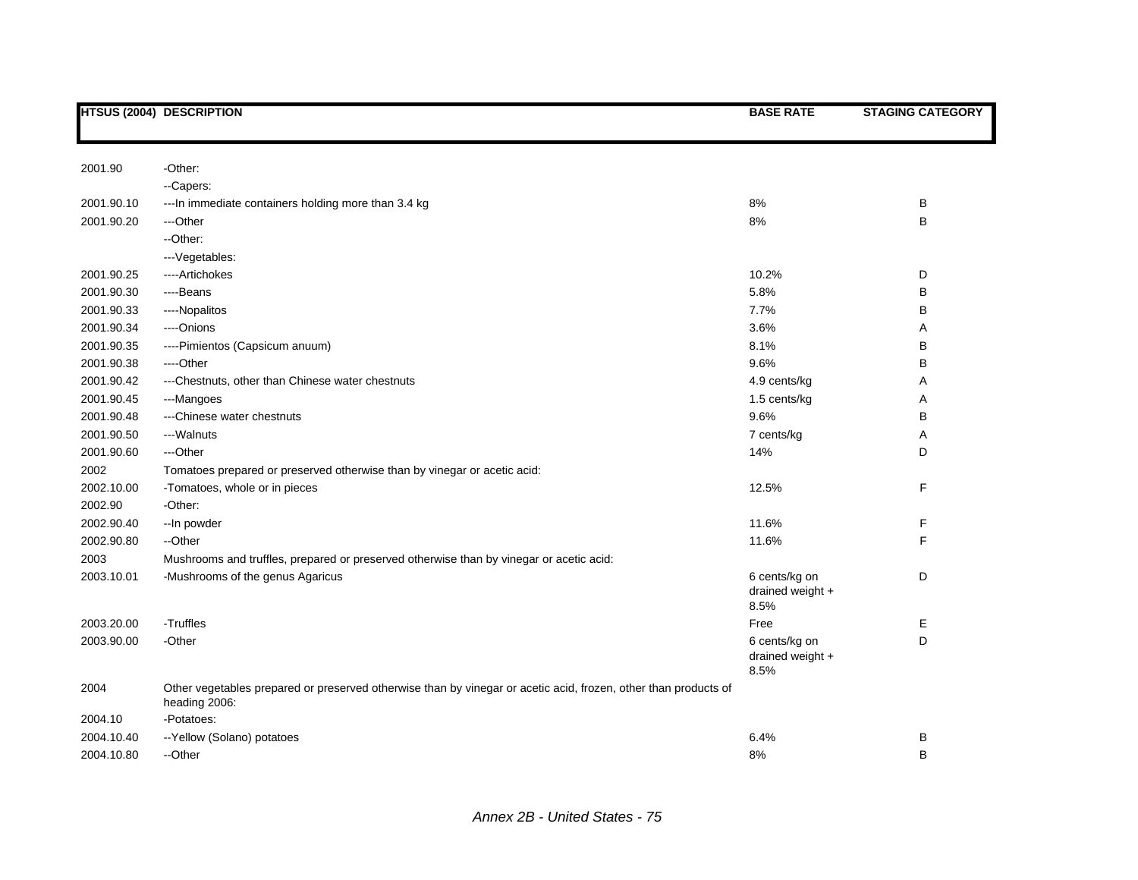|            | <b>HTSUS (2004) DESCRIPTION</b>                                                                                                  | <b>BASE RATE</b>                          | <b>STAGING CATEGORY</b> |
|------------|----------------------------------------------------------------------------------------------------------------------------------|-------------------------------------------|-------------------------|
|            |                                                                                                                                  |                                           |                         |
| 2001.90    | -Other:                                                                                                                          |                                           |                         |
|            | --Capers:                                                                                                                        |                                           |                         |
| 2001.90.10 | --- In immediate containers holding more than 3.4 kg                                                                             | 8%                                        | В                       |
| 2001.90.20 | ---Other                                                                                                                         | 8%                                        | В                       |
|            | --Other:                                                                                                                         |                                           |                         |
|            | --- Vegetables:                                                                                                                  |                                           |                         |
| 2001.90.25 | ----Artichokes                                                                                                                   | 10.2%                                     | D                       |
| 2001.90.30 | ---Beans                                                                                                                         | 5.8%                                      | В                       |
| 2001.90.33 | ----Nopalitos                                                                                                                    | 7.7%                                      | B                       |
| 2001.90.34 | ----Onions                                                                                                                       | 3.6%                                      | Α                       |
| 2001.90.35 | ----Pimientos (Capsicum anuum)                                                                                                   | 8.1%                                      | B                       |
| 2001.90.38 | ----Other                                                                                                                        | 9.6%                                      | B                       |
| 2001.90.42 | --- Chestnuts, other than Chinese water chestnuts                                                                                | 4.9 cents/kg                              | Α                       |
| 2001.90.45 | ---Mangoes                                                                                                                       | 1.5 cents/kg                              | Α                       |
| 2001.90.48 | ---Chinese water chestnuts                                                                                                       | 9.6%                                      | B                       |
| 2001.90.50 | ---Walnuts                                                                                                                       | 7 cents/kg                                | Α                       |
| 2001.90.60 | ---Other                                                                                                                         | 14%                                       | D                       |
| 2002       | Tomatoes prepared or preserved otherwise than by vinegar or acetic acid:                                                         |                                           |                         |
| 2002.10.00 | -Tomatoes, whole or in pieces                                                                                                    | 12.5%                                     | F                       |
| 2002.90    | -Other:                                                                                                                          |                                           |                         |
| 2002.90.40 | --In powder                                                                                                                      | 11.6%                                     | F                       |
| 2002.90.80 | --Other                                                                                                                          | 11.6%                                     | F                       |
| 2003       | Mushrooms and truffles, prepared or preserved otherwise than by vinegar or acetic acid:                                          |                                           |                         |
| 2003.10.01 | -Mushrooms of the genus Agaricus                                                                                                 | 6 cents/kg on<br>drained weight +<br>8.5% | D                       |
| 2003.20.00 | -Truffles                                                                                                                        | Free                                      | Е                       |
| 2003.90.00 | -Other                                                                                                                           | 6 cents/kg on                             | D                       |
|            |                                                                                                                                  | drained weight +<br>8.5%                  |                         |
| 2004       | Other vegetables prepared or preserved otherwise than by vinegar or acetic acid, frozen, other than products of<br>heading 2006: |                                           |                         |
| 2004.10    | -Potatoes:                                                                                                                       |                                           |                         |
| 2004.10.40 | -- Yellow (Solano) potatoes                                                                                                      | 6.4%                                      | В                       |
| 2004.10.80 | --Other                                                                                                                          | 8%                                        | B                       |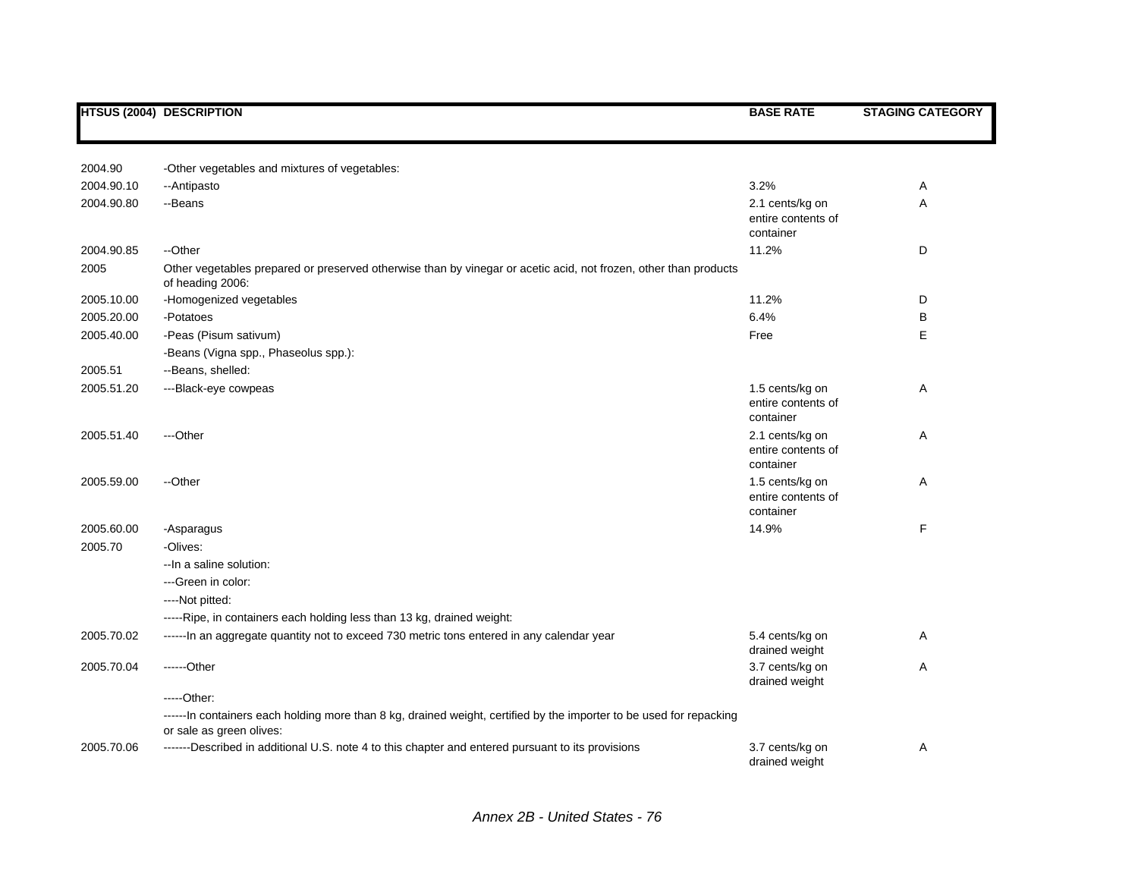|            | <b>HTSUS (2004) DESCRIPTION</b>                                                                                                                  | <b>BASE RATE</b>                                   | <b>STAGING CATEGORY</b> |
|------------|--------------------------------------------------------------------------------------------------------------------------------------------------|----------------------------------------------------|-------------------------|
|            |                                                                                                                                                  |                                                    |                         |
| 2004.90    | -Other vegetables and mixtures of vegetables:                                                                                                    |                                                    |                         |
| 2004.90.10 | --Antipasto                                                                                                                                      | 3.2%                                               | Α                       |
| 2004.90.80 | --Beans                                                                                                                                          | 2.1 cents/kg on                                    | A                       |
|            |                                                                                                                                                  | entire contents of<br>container                    |                         |
| 2004.90.85 | --Other                                                                                                                                          | 11.2%                                              | D                       |
| 2005       | Other vegetables prepared or preserved otherwise than by vinegar or acetic acid, not frozen, other than products<br>of heading 2006:             |                                                    |                         |
| 2005.10.00 | -Homogenized vegetables                                                                                                                          | 11.2%                                              | D                       |
| 2005.20.00 | -Potatoes                                                                                                                                        | 6.4%                                               | В                       |
| 2005.40.00 | -Peas (Pisum sativum)                                                                                                                            | Free                                               | E                       |
|            | -Beans (Vigna spp., Phaseolus spp.):                                                                                                             |                                                    |                         |
| 2005.51    | --Beans, shelled:                                                                                                                                |                                                    |                         |
| 2005.51.20 | ---Black-eye cowpeas                                                                                                                             | 1.5 cents/kg on<br>entire contents of<br>container | Α                       |
| 2005.51.40 | ---Other                                                                                                                                         | 2.1 cents/kg on<br>entire contents of<br>container | Α                       |
| 2005.59.00 | --Other                                                                                                                                          | 1.5 cents/kg on<br>entire contents of<br>container | Α                       |
| 2005.60.00 | -Asparagus                                                                                                                                       | 14.9%                                              | F                       |
| 2005.70    | -Olives:                                                                                                                                         |                                                    |                         |
|            | -- In a saline solution:                                                                                                                         |                                                    |                         |
|            | ---Green in color:                                                                                                                               |                                                    |                         |
|            | ----Not pitted:                                                                                                                                  |                                                    |                         |
|            | -----Ripe, in containers each holding less than 13 kg, drained weight:                                                                           |                                                    |                         |
| 2005.70.02 | ------In an aggregate quantity not to exceed 730 metric tons entered in any calendar year                                                        | 5.4 cents/kg on<br>drained weight                  | Α                       |
| 2005.70.04 | $---Other$                                                                                                                                       | 3.7 cents/kg on<br>drained weight                  | Α                       |
|            | $---Other:$                                                                                                                                      |                                                    |                         |
|            | ------ In containers each holding more than 8 kg, drained weight, certified by the importer to be used for repacking<br>or sale as green olives: |                                                    |                         |
| 2005.70.06 | -------Described in additional U.S. note 4 to this chapter and entered pursuant to its provisions                                                | 3.7 cents/kg on<br>drained weight                  | Α                       |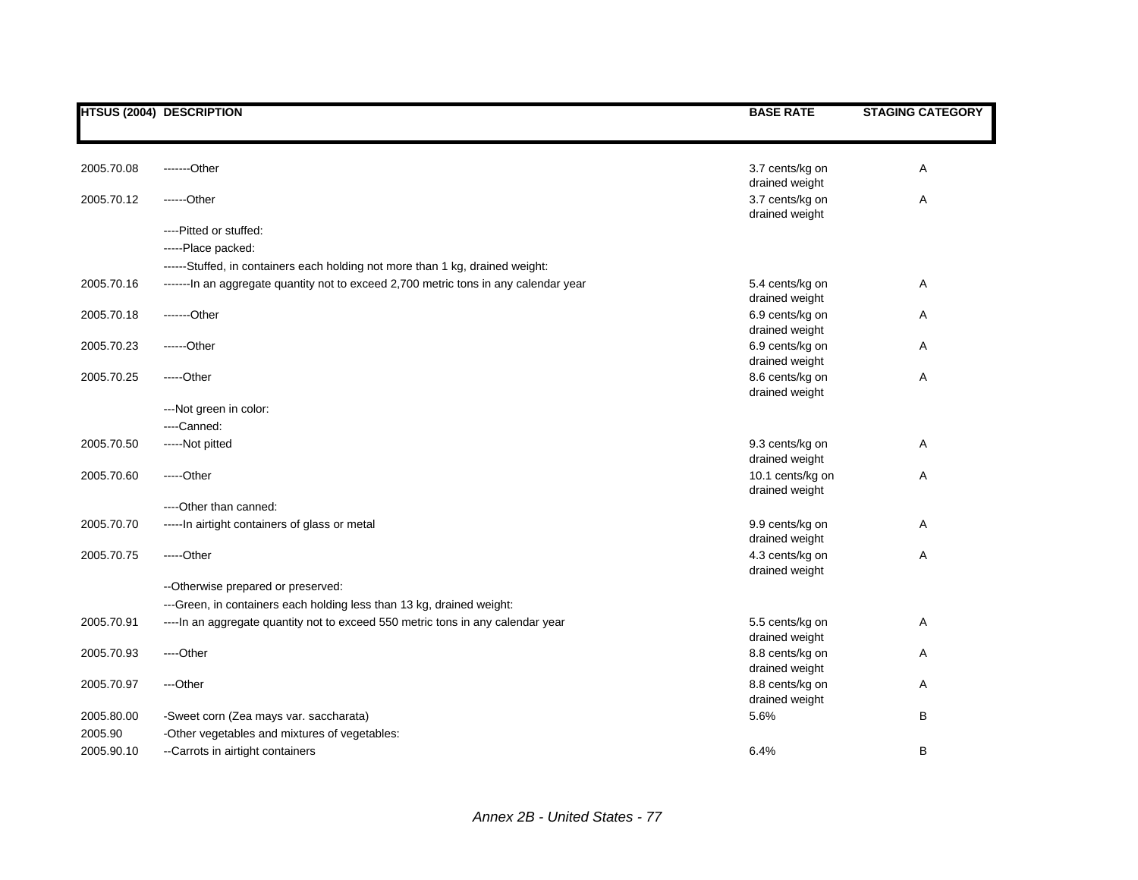|            | <b>HTSUS (2004) DESCRIPTION</b>                                                      | <b>BASE RATE</b>                                    | <b>STAGING CATEGORY</b> |
|------------|--------------------------------------------------------------------------------------|-----------------------------------------------------|-------------------------|
| 2005.70.08 | -------Other                                                                         | 3.7 cents/kg on                                     | Α                       |
| 2005.70.12 | $---Other$                                                                           | drained weight<br>3.7 cents/kg on<br>drained weight | Α                       |
|            | ----Pitted or stuffed:<br>-----Place packed:                                         |                                                     |                         |
|            | ------Stuffed, in containers each holding not more than 1 kg, drained weight:        |                                                     |                         |
| 2005.70.16 | -------In an aggregate quantity not to exceed 2,700 metric tons in any calendar year | 5.4 cents/kg on<br>drained weight                   | Α                       |
| 2005.70.18 | -------Other                                                                         | 6.9 cents/kg on<br>drained weight                   | Α                       |
| 2005.70.23 | ------Other                                                                          | 6.9 cents/kg on<br>drained weight                   | Α                       |
| 2005.70.25 | -----Other                                                                           | 8.6 cents/kg on<br>drained weight                   | Α                       |
|            | ---Not green in color:<br>---Canned:                                                 |                                                     |                         |
| 2005.70.50 | -----Not pitted                                                                      | 9.3 cents/kg on<br>drained weight                   | Α                       |
| 2005.70.60 | $---Other$                                                                           | 10.1 cents/kg on<br>drained weight                  | Α                       |
|            | ----Other than canned:                                                               |                                                     |                         |
| 2005.70.70 | ----- In airtight containers of glass or metal                                       | 9.9 cents/kg on<br>drained weight                   | Α                       |
| 2005.70.75 | -----Other                                                                           | 4.3 cents/kg on<br>drained weight                   | Α                       |
|            | -- Otherwise prepared or preserved:                                                  |                                                     |                         |
|            | ---Green, in containers each holding less than 13 kg, drained weight:                |                                                     |                         |
| 2005.70.91 | ---- In an aggregate quantity not to exceed 550 metric tons in any calendar year     | 5.5 cents/kg on<br>drained weight                   | Α                       |
| 2005.70.93 | ----Other                                                                            | 8.8 cents/kg on<br>drained weight                   | Α                       |
| 2005.70.97 | ---Other                                                                             | 8.8 cents/kg on<br>drained weight                   | Α                       |
| 2005.80.00 | -Sweet corn (Zea mays var. saccharata)                                               | 5.6%                                                | B                       |
| 2005.90    | -Other vegetables and mixtures of vegetables:                                        |                                                     |                         |
| 2005.90.10 | -- Carrots in airtight containers                                                    | 6.4%                                                | B                       |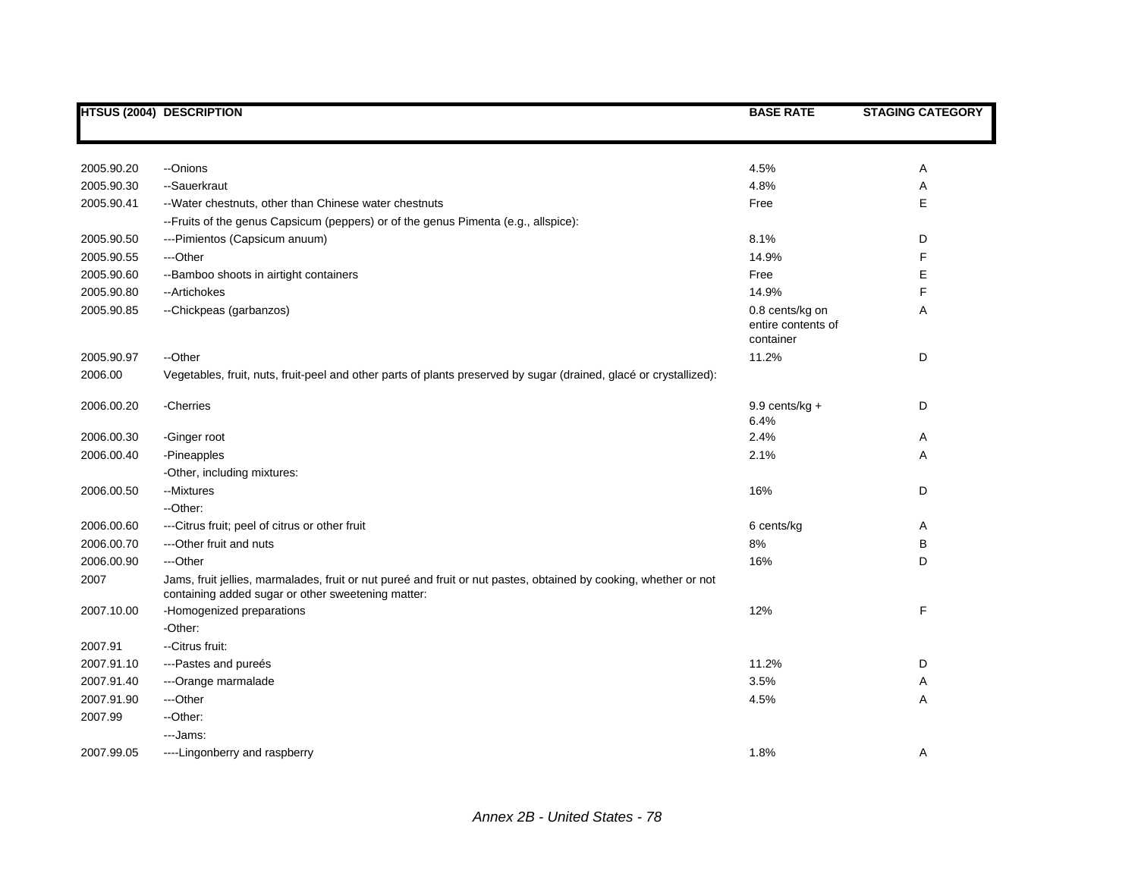|            | <b>HTSUS (2004) DESCRIPTION</b>                                                                                                                                        | <b>BASE RATE</b>                                   | <b>STAGING CATEGORY</b> |
|------------|------------------------------------------------------------------------------------------------------------------------------------------------------------------------|----------------------------------------------------|-------------------------|
|            |                                                                                                                                                                        |                                                    |                         |
| 2005.90.20 | --Onions                                                                                                                                                               | 4.5%                                               | Α                       |
| 2005.90.30 | --Sauerkraut                                                                                                                                                           | 4.8%                                               | Α                       |
| 2005.90.41 | -- Water chestnuts, other than Chinese water chestnuts                                                                                                                 | Free                                               | E                       |
|            | --Fruits of the genus Capsicum (peppers) or of the genus Pimenta (e.g., allspice):                                                                                     |                                                    |                         |
| 2005.90.50 | ---Pimientos (Capsicum anuum)                                                                                                                                          | 8.1%                                               | D                       |
| 2005.90.55 | ---Other                                                                                                                                                               | 14.9%                                              | F                       |
| 2005.90.60 | -- Bamboo shoots in airtight containers                                                                                                                                | Free                                               | E                       |
| 2005.90.80 | --Artichokes                                                                                                                                                           | 14.9%                                              | F                       |
| 2005.90.85 | --Chickpeas (garbanzos)                                                                                                                                                | 0.8 cents/kg on<br>entire contents of<br>container | Α                       |
| 2005.90.97 | --Other                                                                                                                                                                | 11.2%                                              | D                       |
| 2006.00    | Vegetables, fruit, nuts, fruit-peel and other parts of plants preserved by sugar (drained, glacé or crystallized):                                                     |                                                    |                         |
| 2006.00.20 | -Cherries                                                                                                                                                              | $9.9$ cents/kg +<br>6.4%                           | D                       |
| 2006.00.30 | -Ginger root                                                                                                                                                           | 2.4%                                               | Α                       |
| 2006.00.40 | -Pineapples                                                                                                                                                            | 2.1%                                               | Α                       |
|            | -Other, including mixtures:                                                                                                                                            |                                                    |                         |
| 2006.00.50 | --Mixtures                                                                                                                                                             | 16%                                                | D                       |
|            | --Other:                                                                                                                                                               |                                                    |                         |
| 2006.00.60 | --- Citrus fruit; peel of citrus or other fruit                                                                                                                        | 6 cents/kg                                         | Α                       |
| 2006.00.70 | ---Other fruit and nuts                                                                                                                                                | 8%                                                 | В                       |
| 2006.00.90 | ---Other                                                                                                                                                               | 16%                                                | D                       |
| 2007       | Jams, fruit jellies, marmalades, fruit or nut pureé and fruit or nut pastes, obtained by cooking, whether or not<br>containing added sugar or other sweetening matter: |                                                    |                         |
| 2007.10.00 | -Homogenized preparations                                                                                                                                              | 12%                                                | F                       |
|            | -Other:                                                                                                                                                                |                                                    |                         |
| 2007.91    | --Citrus fruit:                                                                                                                                                        |                                                    |                         |
| 2007.91.10 | ---Pastes and pureés                                                                                                                                                   | 11.2%                                              | D                       |
| 2007.91.40 | --- Orange marmalade                                                                                                                                                   | 3.5%                                               | Α                       |
| 2007.91.90 | ---Other                                                                                                                                                               | 4.5%                                               | Α                       |
| 2007.99    | -- Other:                                                                                                                                                              |                                                    |                         |
|            | ---Jams:                                                                                                                                                               |                                                    |                         |
| 2007.99.05 | ----Lingonberry and raspberry                                                                                                                                          | 1.8%                                               | Α                       |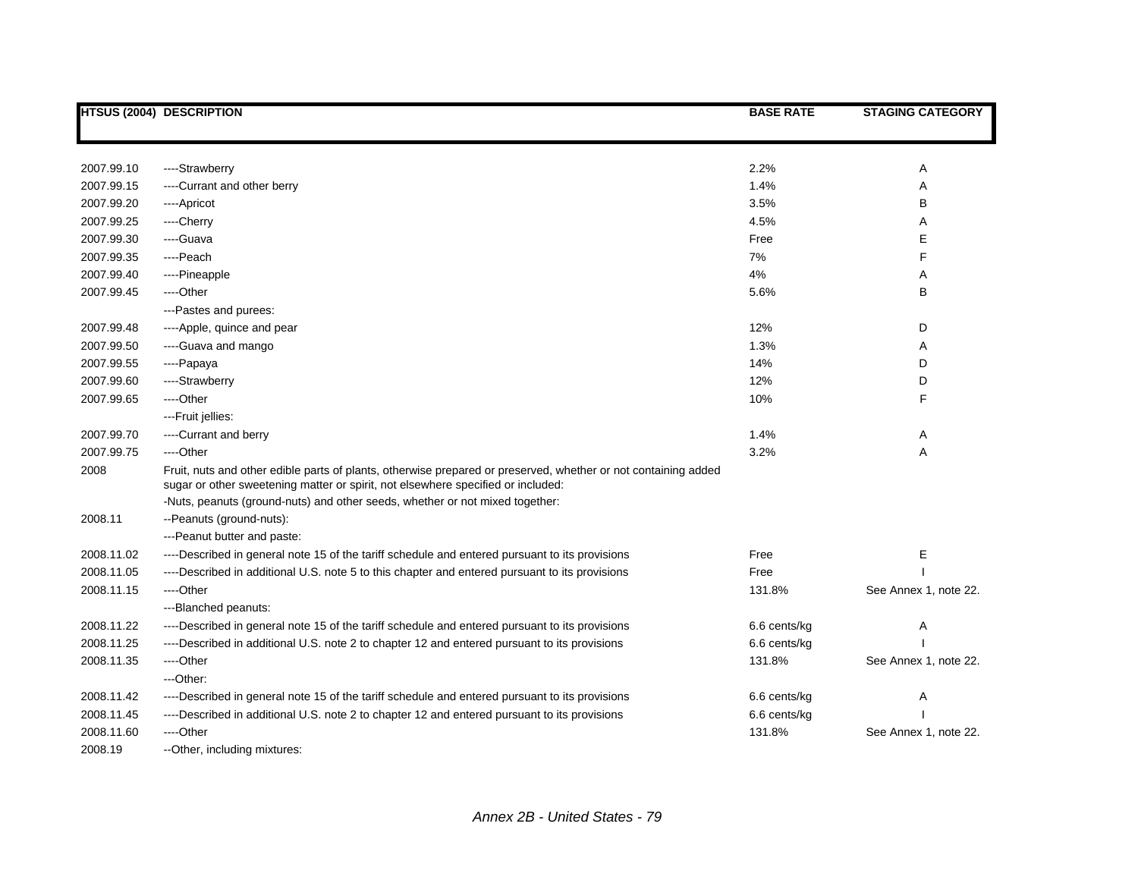|            | <b>HTSUS (2004) DESCRIPTION</b>                                                                                | <b>BASE RATE</b> | <b>STAGING CATEGORY</b> |
|------------|----------------------------------------------------------------------------------------------------------------|------------------|-------------------------|
|            |                                                                                                                |                  |                         |
|            |                                                                                                                |                  |                         |
| 2007.99.10 | ----Strawberry                                                                                                 | 2.2%             | Α                       |
| 2007.99.15 | ----Currant and other berry                                                                                    | 1.4%             | Α                       |
| 2007.99.20 | ----Apricot                                                                                                    | 3.5%             | В                       |
| 2007.99.25 | ----Cherry                                                                                                     | 4.5%             | Α                       |
| 2007.99.30 | ---Guava                                                                                                       | Free             | Е                       |
| 2007.99.35 | ----Peach                                                                                                      | 7%               | F.                      |
| 2007.99.40 | ----Pineapple                                                                                                  | 4%               | A                       |
| 2007.99.45 | ----Other                                                                                                      | 5.6%             | В                       |
|            | ---Pastes and purees:                                                                                          |                  |                         |
| 2007.99.48 | ----Apple, quince and pear                                                                                     | 12%              | D                       |
| 2007.99.50 | ----Guava and mango                                                                                            | 1.3%             | Α                       |
| 2007.99.55 | ----Papaya                                                                                                     | 14%              | D                       |
| 2007.99.60 | ----Strawberry                                                                                                 | 12%              | D                       |
| 2007.99.65 | ----Other                                                                                                      | 10%              | F                       |
|            | ---Fruit jellies:                                                                                              |                  |                         |
| 2007.99.70 | ----Currant and berry                                                                                          | 1.4%             | Α                       |
| 2007.99.75 | ----Other                                                                                                      | 3.2%             | A                       |
| 2008       | Fruit, nuts and other edible parts of plants, otherwise prepared or preserved, whether or not containing added |                  |                         |
|            | sugar or other sweetening matter or spirit, not elsewhere specified or included:                               |                  |                         |
|            | -Nuts, peanuts (ground-nuts) and other seeds, whether or not mixed together:                                   |                  |                         |
| 2008.11    | --Peanuts (ground-nuts):                                                                                       |                  |                         |
|            | ---Peanut butter and paste:                                                                                    |                  |                         |
| 2008.11.02 | ----Described in general note 15 of the tariff schedule and entered pursuant to its provisions                 | Free             | Е                       |
| 2008.11.05 | ----Described in additional U.S. note 5 to this chapter and entered pursuant to its provisions                 | Free             |                         |
| 2008.11.15 | ---Other                                                                                                       | 131.8%           | See Annex 1, note 22.   |
|            | ---Blanched peanuts:                                                                                           |                  |                         |
| 2008.11.22 | ----Described in general note 15 of the tariff schedule and entered pursuant to its provisions                 | 6.6 cents/kg     | Α                       |
| 2008.11.25 | ----Described in additional U.S. note 2 to chapter 12 and entered pursuant to its provisions                   | 6.6 cents/kg     |                         |
| 2008.11.35 | ---Other                                                                                                       | 131.8%           | See Annex 1, note 22.   |
|            | ---Other:                                                                                                      |                  |                         |
| 2008.11.42 | ----Described in general note 15 of the tariff schedule and entered pursuant to its provisions                 | 6.6 cents/kg     | Α                       |
| 2008.11.45 | ----Described in additional U.S. note 2 to chapter 12 and entered pursuant to its provisions                   | 6.6 cents/kg     |                         |
| 2008.11.60 | ---Other                                                                                                       | 131.8%           | See Annex 1, note 22.   |
| 2008.19    | -- Other, including mixtures:                                                                                  |                  |                         |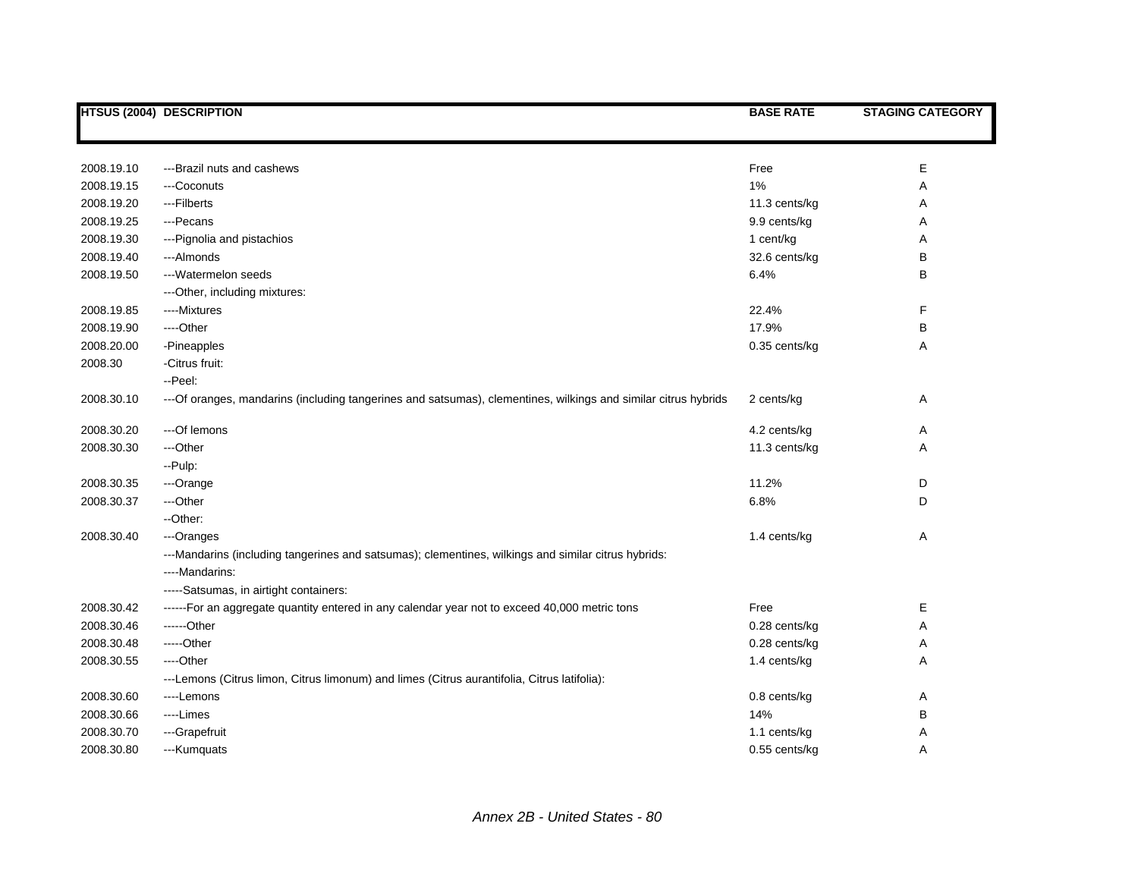|            | <b>HTSUS (2004) DESCRIPTION</b>                                                                                       | <b>BASE RATE</b> | <b>STAGING CATEGORY</b> |
|------------|-----------------------------------------------------------------------------------------------------------------------|------------------|-------------------------|
|            |                                                                                                                       |                  |                         |
| 2008.19.10 | ---Brazil nuts and cashews                                                                                            | Free             | E                       |
| 2008.19.15 | ---Coconuts                                                                                                           | 1%               | Α                       |
| 2008.19.20 | ---Filberts                                                                                                           | 11.3 cents/kg    | Α                       |
| 2008.19.25 | ---Pecans                                                                                                             | 9.9 cents/kg     | Α                       |
| 2008.19.30 | --- Pignolia and pistachios                                                                                           | 1 cent/kg        | Α                       |
| 2008.19.40 | ---Almonds                                                                                                            | 32.6 cents/kg    | В                       |
| 2008.19.50 | ---Watermelon seeds                                                                                                   | 6.4%             | B                       |
|            | --- Other, including mixtures:                                                                                        |                  |                         |
| 2008.19.85 | ----Mixtures                                                                                                          | 22.4%            | F                       |
| 2008.19.90 | ----Other                                                                                                             | 17.9%            | В                       |
| 2008.20.00 | -Pineapples                                                                                                           | 0.35 cents/kg    | Α                       |
| 2008.30    | -Citrus fruit:                                                                                                        |                  |                         |
|            | --Peel:                                                                                                               |                  |                         |
| 2008.30.10 | --- Of oranges, mandarins (including tangerines and satsumas), clementines, wilkings and similar citrus hybrids       | 2 cents/kg       | Α                       |
| 2008.30.20 | ---Of lemons                                                                                                          | 4.2 cents/kg     | Α                       |
| 2008.30.30 | ---Other                                                                                                              | 11.3 cents/kg    | Α                       |
|            | - Pulp:                                                                                                               |                  |                         |
| 2008.30.35 | ---Orange                                                                                                             | 11.2%            | D                       |
| 2008.30.37 | ---Other                                                                                                              | 6.8%             | D                       |
|            | --Other:                                                                                                              |                  |                         |
| 2008.30.40 | ---Oranges                                                                                                            | 1.4 cents/kg     | Α                       |
|            | ---Mandarins (including tangerines and satsumas); clementines, wilkings and similar citrus hybrids:<br>----Mandarins: |                  |                         |
|            | -----Satsumas, in airtight containers:                                                                                |                  |                         |
| 2008.30.42 | ------For an aggregate quantity entered in any calendar year not to exceed 40,000 metric tons                         | Free             | Е                       |
| 2008.30.46 | ------Other                                                                                                           | 0.28 cents/kg    | Α                       |
| 2008.30.48 | -----Other                                                                                                            | 0.28 cents/kg    | Α                       |
| 2008.30.55 | ----Other                                                                                                             | 1.4 cents/kg     | Α                       |
|            | ---Lemons (Citrus limon, Citrus limonum) and limes (Citrus aurantifolia, Citrus latifolia):                           |                  |                         |
| 2008.30.60 | ----Lemons                                                                                                            | 0.8 cents/kg     | Α                       |
| 2008.30.66 | ----Limes                                                                                                             | 14%              | В                       |
| 2008.30.70 | ---Grapefruit                                                                                                         | 1.1 cents/kg     | Α                       |
| 2008.30.80 | ---Kumquats                                                                                                           | $0.55$ cents/kg  | Α                       |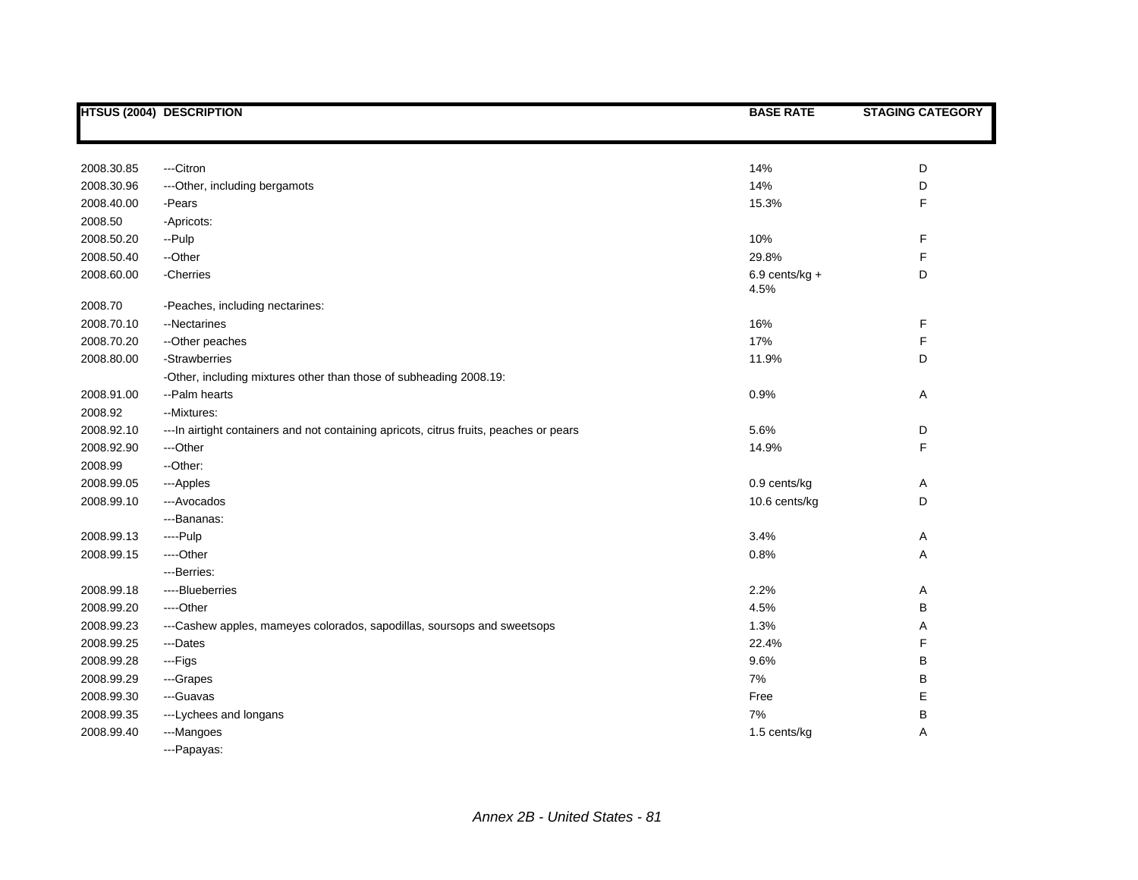|            | <b>HTSUS (2004) DESCRIPTION</b>                                                         | <b>BASE RATE</b>         | <b>STAGING CATEGORY</b> |
|------------|-----------------------------------------------------------------------------------------|--------------------------|-------------------------|
|            |                                                                                         |                          |                         |
| 2008.30.85 | ---Citron                                                                               | 14%                      | D                       |
| 2008.30.96 | ---Other, including bergamots                                                           | 14%                      | D                       |
| 2008.40.00 | -Pears                                                                                  | 15.3%                    | F                       |
| 2008.50    | -Apricots:                                                                              |                          |                         |
| 2008.50.20 | --Pulp                                                                                  | 10%                      | F                       |
| 2008.50.40 | --Other                                                                                 | 29.8%                    | F                       |
| 2008.60.00 | -Cherries                                                                               | $6.9$ cents/kg +<br>4.5% | D                       |
| 2008.70    | -Peaches, including nectarines:                                                         |                          |                         |
| 2008.70.10 | --Nectarines                                                                            | 16%                      | F                       |
| 2008.70.20 | --Other peaches                                                                         | 17%                      | F                       |
| 2008.80.00 | -Strawberries                                                                           | 11.9%                    | D                       |
|            | -Other, including mixtures other than those of subheading 2008.19:                      |                          |                         |
| 2008.91.00 | --Palm hearts                                                                           | 0.9%                     | Α                       |
| 2008.92    | --Mixtures:                                                                             |                          |                         |
| 2008.92.10 | --- In airtight containers and not containing apricots, citrus fruits, peaches or pears | 5.6%                     | D                       |
| 2008.92.90 | ---Other                                                                                | 14.9%                    | F                       |
| 2008.99    | --Other:                                                                                |                          |                         |
| 2008.99.05 | ---Apples                                                                               | 0.9 cents/kg             | Α                       |
| 2008.99.10 | ---Avocados                                                                             | 10.6 cents/kg            | D                       |
|            | ---Bananas:                                                                             |                          |                         |
| 2008.99.13 | ----Pulp                                                                                | 3.4%                     | Α                       |
| 2008.99.15 | ----Other                                                                               | 0.8%                     | Α                       |
|            | ---Berries:                                                                             |                          |                         |
| 2008.99.18 | ----Blueberries                                                                         | 2.2%                     | Α                       |
| 2008.99.20 | ----Other                                                                               | 4.5%                     | В                       |
| 2008.99.23 | ---Cashew apples, mameyes colorados, sapodillas, soursops and sweetsops                 | 1.3%                     | Α                       |
| 2008.99.25 | ---Dates                                                                                | 22.4%                    | F                       |
| 2008.99.28 | ---Figs                                                                                 | 9.6%                     | B                       |
| 2008.99.29 | ---Grapes                                                                               | 7%                       | В                       |
| 2008.99.30 | ---Guavas                                                                               | Free                     | Е                       |
| 2008.99.35 | ---Lychees and longans                                                                  | 7%                       | В                       |
| 2008.99.40 | ---Mangoes                                                                              | 1.5 cents/kg             | Α                       |
|            | --- Papayas:                                                                            |                          |                         |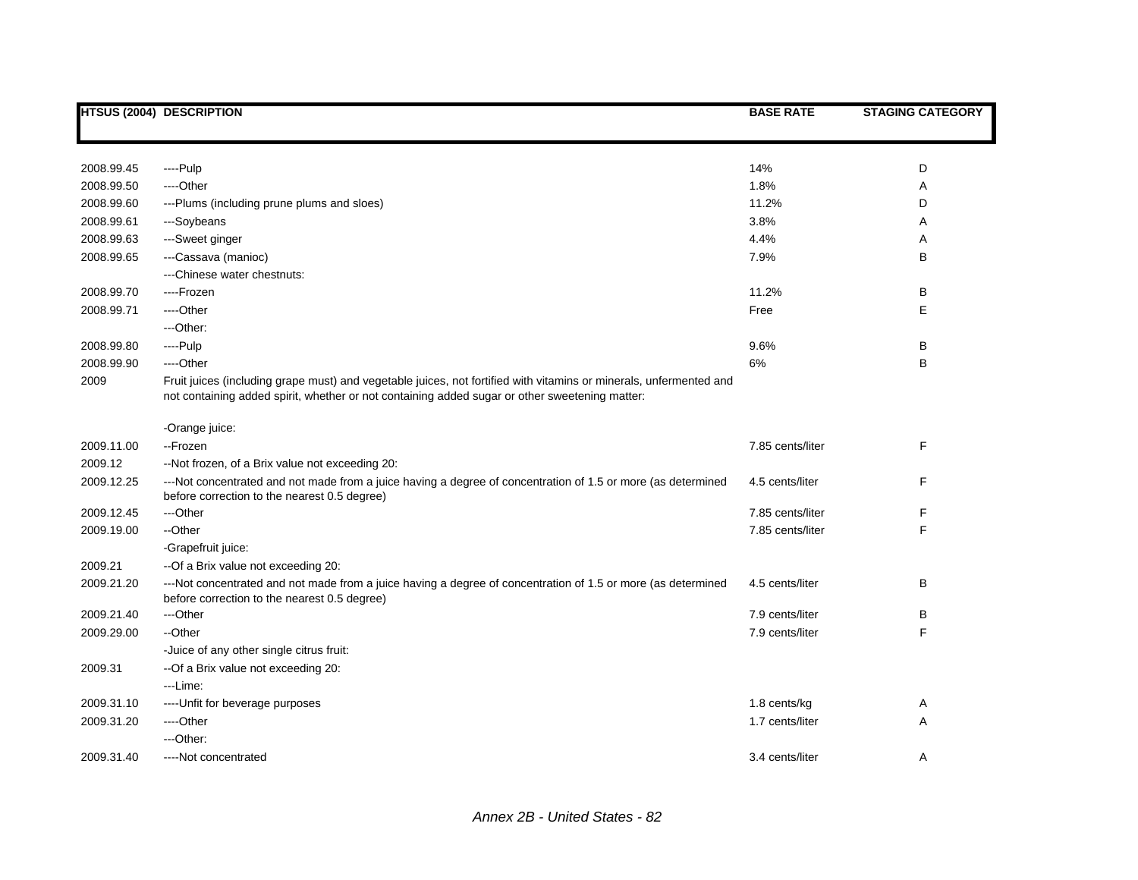|            | <b>HTSUS (2004) DESCRIPTION</b>                                                                                                                                                                                      | <b>BASE RATE</b> | <b>STAGING CATEGORY</b> |
|------------|----------------------------------------------------------------------------------------------------------------------------------------------------------------------------------------------------------------------|------------------|-------------------------|
|            |                                                                                                                                                                                                                      |                  |                         |
| 2008.99.45 | ----Pulp                                                                                                                                                                                                             | 14%              | D                       |
| 2008.99.50 | ----Other                                                                                                                                                                                                            | 1.8%             | Α                       |
| 2008.99.60 | ---Plums (including prune plums and sloes)                                                                                                                                                                           | 11.2%            | D                       |
| 2008.99.61 | ---Soybeans                                                                                                                                                                                                          | 3.8%             | Α                       |
| 2008.99.63 | ---Sweet ginger                                                                                                                                                                                                      | 4.4%             | Α                       |
| 2008.99.65 | ---Cassava (manioc)                                                                                                                                                                                                  | 7.9%             | B                       |
|            | ---Chinese water chestnuts:                                                                                                                                                                                          |                  |                         |
| 2008.99.70 | ----Frozen                                                                                                                                                                                                           | 11.2%            | В                       |
| 2008.99.71 | ----Other                                                                                                                                                                                                            | Free             | Е                       |
|            | ---Other:                                                                                                                                                                                                            |                  |                         |
| 2008.99.80 | $---Pulp$                                                                                                                                                                                                            | 9.6%             | B                       |
| 2008.99.90 | ---Other                                                                                                                                                                                                             | 6%               | B                       |
| 2009       | Fruit juices (including grape must) and vegetable juices, not fortified with vitamins or minerals, unfermented and<br>not containing added spirit, whether or not containing added sugar or other sweetening matter: |                  |                         |
|            | -Orange juice:                                                                                                                                                                                                       |                  |                         |
| 2009.11.00 | --Frozen                                                                                                                                                                                                             | 7.85 cents/liter | F                       |
| 2009.12    | --Not frozen, of a Brix value not exceeding 20:                                                                                                                                                                      |                  |                         |
| 2009.12.25 | ---Not concentrated and not made from a juice having a degree of concentration of 1.5 or more (as determined<br>before correction to the nearest 0.5 degree)                                                         | 4.5 cents/liter  | F                       |
| 2009.12.45 | ---Other                                                                                                                                                                                                             | 7.85 cents/liter | F                       |
| 2009.19.00 | --Other                                                                                                                                                                                                              | 7.85 cents/liter | F                       |
|            | -Grapefruit juice:                                                                                                                                                                                                   |                  |                         |
| 2009.21    | --Of a Brix value not exceeding 20:                                                                                                                                                                                  |                  |                         |
| 2009.21.20 | ---Not concentrated and not made from a juice having a degree of concentration of 1.5 or more (as determined<br>before correction to the nearest 0.5 degree)                                                         | 4.5 cents/liter  | B                       |
| 2009.21.40 | ---Other                                                                                                                                                                                                             | 7.9 cents/liter  | в                       |
| 2009.29.00 | --Other                                                                                                                                                                                                              | 7.9 cents/liter  | F                       |
|            | -Juice of any other single citrus fruit:                                                                                                                                                                             |                  |                         |
| 2009.31    | -- Of a Brix value not exceeding 20:                                                                                                                                                                                 |                  |                         |
|            | ---Lime:                                                                                                                                                                                                             |                  |                         |
| 2009.31.10 | ---- Unfit for beverage purposes                                                                                                                                                                                     | 1.8 cents/kg     | Α                       |
| 2009.31.20 | ----Other                                                                                                                                                                                                            | 1.7 cents/liter  | A                       |
|            | ---Other:                                                                                                                                                                                                            |                  |                         |
| 2009.31.40 | ----Not concentrated                                                                                                                                                                                                 | 3.4 cents/liter  | A                       |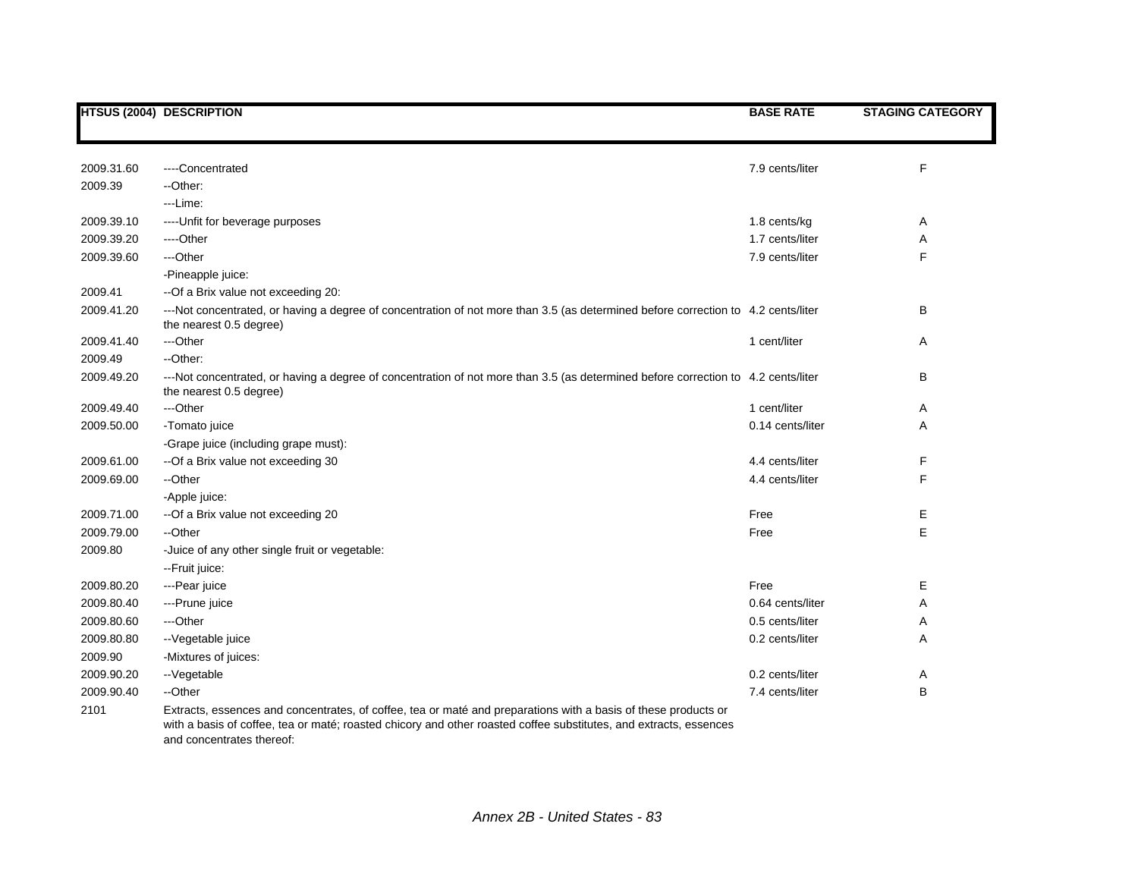|            | <b>HTSUS (2004) DESCRIPTION</b>                                                                                                                                                                                                                                  | <b>BASE RATE</b> | <b>STAGING CATEGORY</b> |
|------------|------------------------------------------------------------------------------------------------------------------------------------------------------------------------------------------------------------------------------------------------------------------|------------------|-------------------------|
|            |                                                                                                                                                                                                                                                                  |                  |                         |
| 2009.31.60 | ----Concentrated                                                                                                                                                                                                                                                 | 7.9 cents/liter  | F                       |
| 2009.39    | --Other:                                                                                                                                                                                                                                                         |                  |                         |
|            | ---Lime:                                                                                                                                                                                                                                                         |                  |                         |
| 2009.39.10 | ---- Unfit for beverage purposes                                                                                                                                                                                                                                 | 1.8 cents/kg     | Α                       |
| 2009.39.20 | ----Other                                                                                                                                                                                                                                                        | 1.7 cents/liter  | Α                       |
| 2009.39.60 | ---Other                                                                                                                                                                                                                                                         | 7.9 cents/liter  | F                       |
|            | -Pineapple juice:                                                                                                                                                                                                                                                |                  |                         |
| 2009.41    | --Of a Brix value not exceeding 20:                                                                                                                                                                                                                              |                  |                         |
| 2009.41.20 | ---Not concentrated, or having a degree of concentration of not more than 3.5 (as determined before correction to 4.2 cents/liter<br>the nearest 0.5 degree)                                                                                                     |                  | B                       |
| 2009.41.40 | ---Other                                                                                                                                                                                                                                                         | 1 cent/liter     | Α                       |
| 2009.49    | --Other:                                                                                                                                                                                                                                                         |                  |                         |
| 2009.49.20 | ---Not concentrated, or having a degree of concentration of not more than 3.5 (as determined before correction to 4.2 cents/liter<br>the nearest 0.5 degree)                                                                                                     |                  | B                       |
| 2009.49.40 | ---Other                                                                                                                                                                                                                                                         | 1 cent/liter     | Α                       |
| 2009.50.00 | -Tomato juice                                                                                                                                                                                                                                                    | 0.14 cents/liter | Α                       |
|            | -Grape juice (including grape must):                                                                                                                                                                                                                             |                  |                         |
| 2009.61.00 | --Of a Brix value not exceeding 30                                                                                                                                                                                                                               | 4.4 cents/liter  | F                       |
| 2009.69.00 | --Other                                                                                                                                                                                                                                                          | 4.4 cents/liter  | F                       |
|            | -Apple juice:                                                                                                                                                                                                                                                    |                  |                         |
| 2009.71.00 | --Of a Brix value not exceeding 20                                                                                                                                                                                                                               | Free             | Е                       |
| 2009.79.00 | --Other                                                                                                                                                                                                                                                          | Free             | E                       |
| 2009.80    | -Juice of any other single fruit or vegetable:                                                                                                                                                                                                                   |                  |                         |
|            | --Fruit juice:                                                                                                                                                                                                                                                   |                  |                         |
| 2009.80.20 | ---Pear juice                                                                                                                                                                                                                                                    | Free             | Е                       |
| 2009.80.40 | ---Prune juice                                                                                                                                                                                                                                                   | 0.64 cents/liter | Α                       |
| 2009.80.60 | ---Other                                                                                                                                                                                                                                                         | 0.5 cents/liter  | Α                       |
| 2009.80.80 | -- Vegetable juice                                                                                                                                                                                                                                               | 0.2 cents/liter  | Α                       |
| 2009.90    | -Mixtures of juices:                                                                                                                                                                                                                                             |                  |                         |
| 2009.90.20 | --Vegetable                                                                                                                                                                                                                                                      | 0.2 cents/liter  | Α                       |
| 2009.90.40 | --Other                                                                                                                                                                                                                                                          | 7.4 cents/liter  | B                       |
| 2101       | Extracts, essences and concentrates, of coffee, tea or maté and preparations with a basis of these products or<br>with a basis of coffee, tea or maté; roasted chicory and other roasted coffee substitutes, and extracts, essences<br>and concentrates thereof: |                  |                         |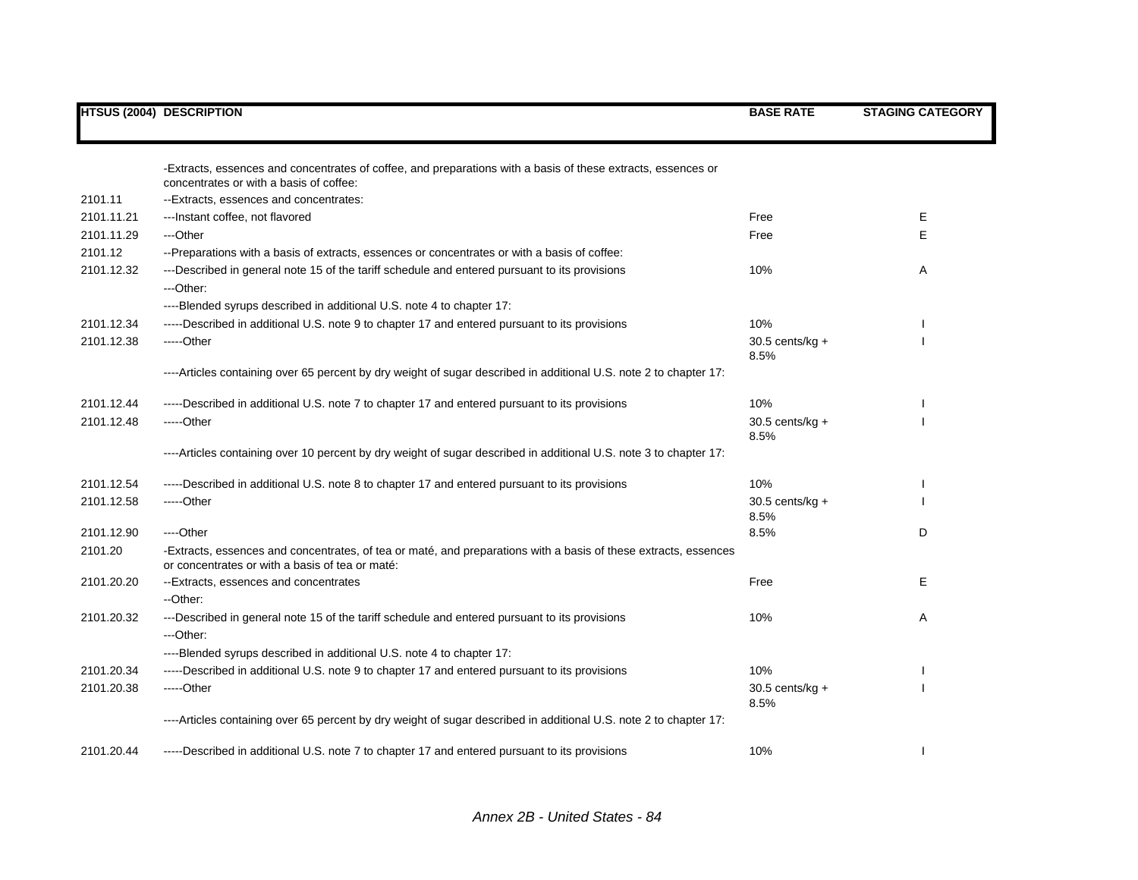|            | <b>HTSUS (2004) DESCRIPTION</b>                                                                                                                                    | <b>BASE RATE</b>          | <b>STAGING CATEGORY</b> |
|------------|--------------------------------------------------------------------------------------------------------------------------------------------------------------------|---------------------------|-------------------------|
|            | -Extracts, essences and concentrates of coffee, and preparations with a basis of these extracts, essences or                                                       |                           |                         |
|            | concentrates or with a basis of coffee:                                                                                                                            |                           |                         |
| 2101.11    | --Extracts, essences and concentrates:                                                                                                                             |                           |                         |
| 2101.11.21 | --- Instant coffee, not flavored                                                                                                                                   | Free                      | Е                       |
| 2101.11.29 | ---Other                                                                                                                                                           | Free                      | E                       |
| 2101.12    | --Preparations with a basis of extracts, essences or concentrates or with a basis of coffee:                                                                       |                           |                         |
| 2101.12.32 | ---Described in general note 15 of the tariff schedule and entered pursuant to its provisions<br>---Other:                                                         | 10%                       | Α                       |
|            | ----Blended syrups described in additional U.S. note 4 to chapter 17:                                                                                              |                           |                         |
| 2101.12.34 | -----Described in additional U.S. note 9 to chapter 17 and entered pursuant to its provisions                                                                      | 10%                       |                         |
| 2101.12.38 | -----Other                                                                                                                                                         | $30.5$ cents/kg +<br>8.5% |                         |
|            | ----Articles containing over 65 percent by dry weight of sugar described in additional U.S. note 2 to chapter 17:                                                  |                           |                         |
| 2101.12.44 | -----Described in additional U.S. note 7 to chapter 17 and entered pursuant to its provisions                                                                      | 10%                       |                         |
| 2101.12.48 | -----Other                                                                                                                                                         | $30.5$ cents/kg +<br>8.5% |                         |
|            | ----Articles containing over 10 percent by dry weight of sugar described in additional U.S. note 3 to chapter 17:                                                  |                           |                         |
| 2101.12.54 | -----Described in additional U.S. note 8 to chapter 17 and entered pursuant to its provisions                                                                      | 10%                       |                         |
| 2101.12.58 | -----Other                                                                                                                                                         | $30.5$ cents/kg +<br>8.5% |                         |
| 2101.12.90 | ----Other                                                                                                                                                          | 8.5%                      | D                       |
| 2101.20    | -Extracts, essences and concentrates, of tea or maté, and preparations with a basis of these extracts, essences<br>or concentrates or with a basis of tea or maté: |                           |                         |
| 2101.20.20 | --Extracts, essences and concentrates<br>--Other:                                                                                                                  | Free                      | E                       |
| 2101.20.32 | ---Described in general note 15 of the tariff schedule and entered pursuant to its provisions<br>---Other:                                                         | 10%                       | Α                       |
|            | ----Blended syrups described in additional U.S. note 4 to chapter 17:                                                                                              |                           |                         |
| 2101.20.34 | -----Described in additional U.S. note 9 to chapter 17 and entered pursuant to its provisions                                                                      | 10%                       |                         |
| 2101.20.38 | -----Other                                                                                                                                                         | $30.5$ cents/kg +<br>8.5% |                         |
|            | ----Articles containing over 65 percent by dry weight of sugar described in additional U.S. note 2 to chapter 17:                                                  |                           |                         |
| 2101.20.44 | -----Described in additional U.S. note 7 to chapter 17 and entered pursuant to its provisions                                                                      | 10%                       |                         |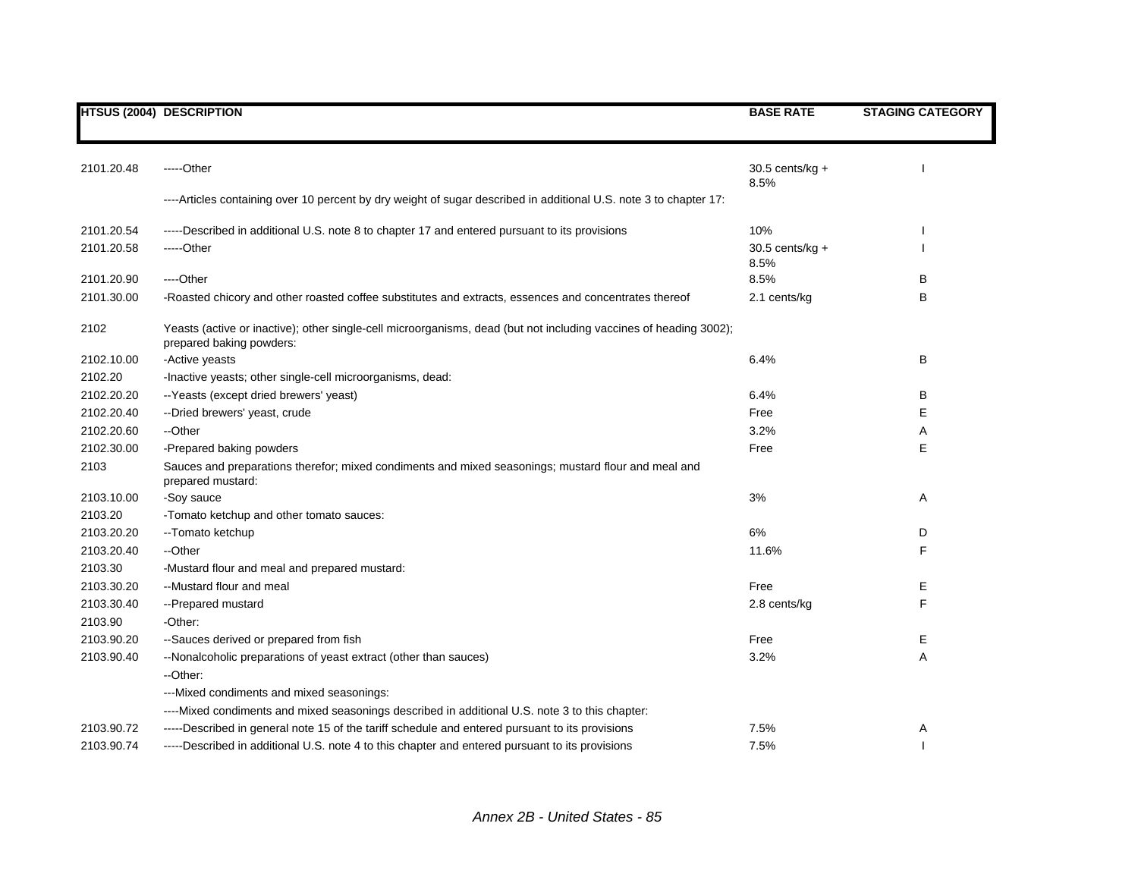|            | <b>HTSUS (2004) DESCRIPTION</b>                                                                                                               | <b>BASE RATE</b>          | <b>STAGING CATEGORY</b> |
|------------|-----------------------------------------------------------------------------------------------------------------------------------------------|---------------------------|-------------------------|
|            |                                                                                                                                               |                           |                         |
| 2101.20.48 | -----Other                                                                                                                                    |                           |                         |
|            |                                                                                                                                               | $30.5$ cents/kg +<br>8.5% |                         |
|            | ----Articles containing over 10 percent by dry weight of sugar described in additional U.S. note 3 to chapter 17:                             |                           |                         |
| 2101.20.54 | -----Described in additional U.S. note 8 to chapter 17 and entered pursuant to its provisions                                                 | 10%                       |                         |
| 2101.20.58 | -----Other                                                                                                                                    | $30.5$ cents/kg +         |                         |
|            |                                                                                                                                               | 8.5%                      |                         |
| 2101.20.90 | ----Other                                                                                                                                     | 8.5%                      | В                       |
| 2101.30.00 | -Roasted chicory and other roasted coffee substitutes and extracts, essences and concentrates thereof                                         | 2.1 cents/kg              | В                       |
| 2102       | Yeasts (active or inactive); other single-cell microorganisms, dead (but not including vaccines of heading 3002);<br>prepared baking powders: |                           |                         |
| 2102.10.00 | -Active yeasts                                                                                                                                | 6.4%                      | В                       |
| 2102.20    | -Inactive yeasts; other single-cell microorganisms, dead:                                                                                     |                           |                         |
| 2102.20.20 | -- Yeasts (except dried brewers' yeast)                                                                                                       | 6.4%                      | В                       |
| 2102.20.40 | --Dried brewers' yeast, crude                                                                                                                 | Free                      | Е                       |
| 2102.20.60 | --Other                                                                                                                                       | 3.2%                      | Α                       |
| 2102.30.00 | -Prepared baking powders                                                                                                                      | Free                      | Е                       |
| 2103       | Sauces and preparations therefor; mixed condiments and mixed seasonings; mustard flour and meal and<br>prepared mustard:                      |                           |                         |
| 2103.10.00 | -Soy sauce                                                                                                                                    | 3%                        | Α                       |
| 2103.20    | -Tomato ketchup and other tomato sauces:                                                                                                      |                           |                         |
| 2103.20.20 | -- Tomato ketchup                                                                                                                             | 6%                        | D                       |
| 2103.20.40 | --Other                                                                                                                                       | 11.6%                     | F                       |
| 2103.30    | -Mustard flour and meal and prepared mustard:                                                                                                 |                           |                         |
| 2103.30.20 | --Mustard flour and meal                                                                                                                      | Free                      | E.                      |
| 2103.30.40 | -- Prepared mustard                                                                                                                           | 2.8 cents/kg              | F                       |
| 2103.90    | -Other:                                                                                                                                       |                           |                         |
| 2103.90.20 | --Sauces derived or prepared from fish                                                                                                        | Free                      | Е                       |
| 2103.90.40 | --Nonalcoholic preparations of yeast extract (other than sauces)                                                                              | 3.2%                      | Α                       |
|            | --Other:                                                                                                                                      |                           |                         |
|            | ---Mixed condiments and mixed seasonings:                                                                                                     |                           |                         |
|            | ----Mixed condiments and mixed seasonings described in additional U.S. note 3 to this chapter:                                                |                           |                         |
| 2103.90.72 | -----Described in general note 15 of the tariff schedule and entered pursuant to its provisions                                               | 7.5%                      | Α                       |
| 2103.90.74 | -----Described in additional U.S. note 4 to this chapter and entered pursuant to its provisions                                               | 7.5%                      |                         |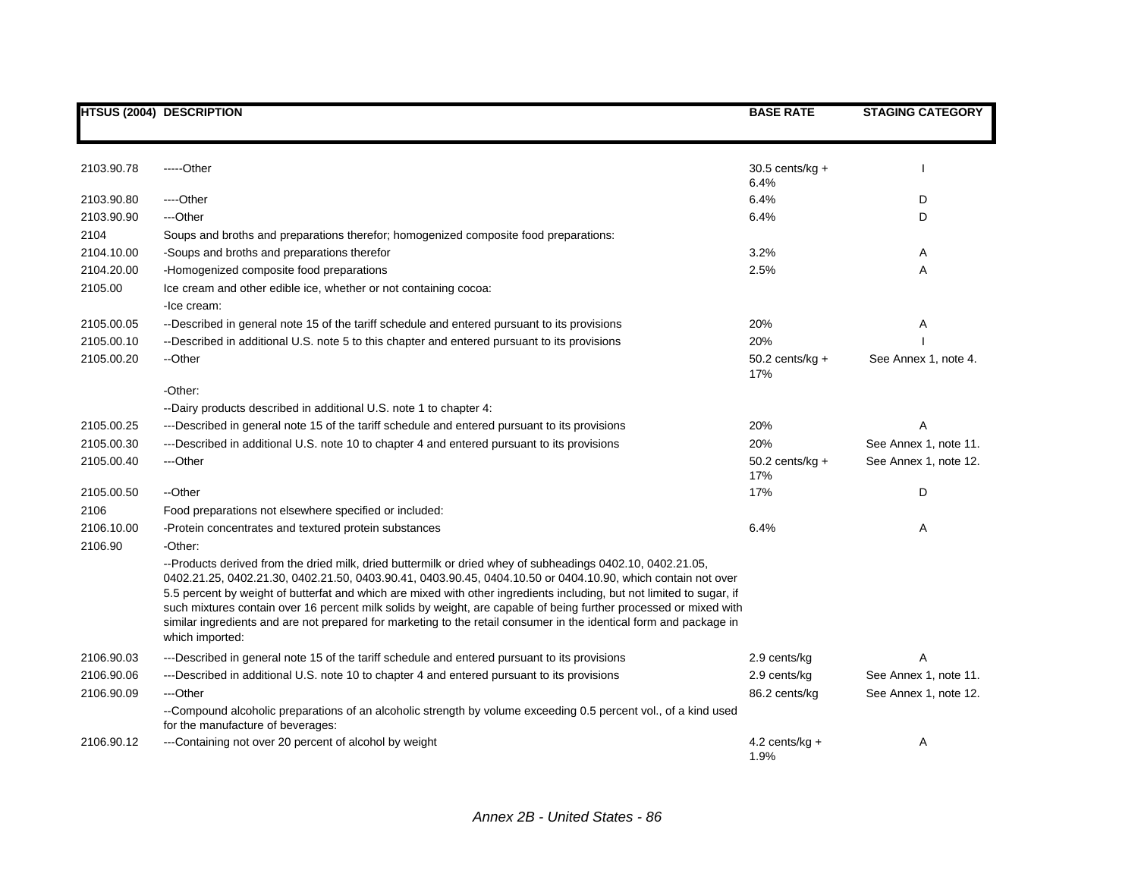|            | <b>HTSUS (2004) DESCRIPTION</b>                                                                                                                                                                                                                                                                                                                                                                                                                                                                                                                                                                                   | <b>BASE RATE</b>         | <b>STAGING CATEGORY</b> |
|------------|-------------------------------------------------------------------------------------------------------------------------------------------------------------------------------------------------------------------------------------------------------------------------------------------------------------------------------------------------------------------------------------------------------------------------------------------------------------------------------------------------------------------------------------------------------------------------------------------------------------------|--------------------------|-------------------------|
|            |                                                                                                                                                                                                                                                                                                                                                                                                                                                                                                                                                                                                                   |                          |                         |
|            |                                                                                                                                                                                                                                                                                                                                                                                                                                                                                                                                                                                                                   |                          |                         |
| 2103.90.78 | $---Other$                                                                                                                                                                                                                                                                                                                                                                                                                                                                                                                                                                                                        | $30.5$ cents/kg +        |                         |
|            |                                                                                                                                                                                                                                                                                                                                                                                                                                                                                                                                                                                                                   | 6.4%                     |                         |
| 2103.90.80 | ----Other                                                                                                                                                                                                                                                                                                                                                                                                                                                                                                                                                                                                         | 6.4%                     | D                       |
| 2103.90.90 | ---Other                                                                                                                                                                                                                                                                                                                                                                                                                                                                                                                                                                                                          | 6.4%                     | D                       |
| 2104       | Soups and broths and preparations therefor; homogenized composite food preparations:                                                                                                                                                                                                                                                                                                                                                                                                                                                                                                                              |                          |                         |
| 2104.10.00 | -Soups and broths and preparations therefor                                                                                                                                                                                                                                                                                                                                                                                                                                                                                                                                                                       | 3.2%                     | Α                       |
| 2104.20.00 | -Homogenized composite food preparations                                                                                                                                                                                                                                                                                                                                                                                                                                                                                                                                                                          | 2.5%                     | Α                       |
| 2105.00    | Ice cream and other edible ice, whether or not containing cocoa:                                                                                                                                                                                                                                                                                                                                                                                                                                                                                                                                                  |                          |                         |
|            | -Ice cream:                                                                                                                                                                                                                                                                                                                                                                                                                                                                                                                                                                                                       |                          |                         |
| 2105.00.05 | --Described in general note 15 of the tariff schedule and entered pursuant to its provisions                                                                                                                                                                                                                                                                                                                                                                                                                                                                                                                      | 20%                      | Α                       |
| 2105.00.10 | --Described in additional U.S. note 5 to this chapter and entered pursuant to its provisions                                                                                                                                                                                                                                                                                                                                                                                                                                                                                                                      | 20%                      |                         |
| 2105.00.20 | --Other                                                                                                                                                                                                                                                                                                                                                                                                                                                                                                                                                                                                           | $50.2$ cents/kg +<br>17% | See Annex 1, note 4.    |
|            | -Other:                                                                                                                                                                                                                                                                                                                                                                                                                                                                                                                                                                                                           |                          |                         |
|            | --Dairy products described in additional U.S. note 1 to chapter 4:                                                                                                                                                                                                                                                                                                                                                                                                                                                                                                                                                |                          |                         |
| 2105.00.25 | ---Described in general note 15 of the tariff schedule and entered pursuant to its provisions                                                                                                                                                                                                                                                                                                                                                                                                                                                                                                                     | 20%                      | Α                       |
| 2105.00.30 | ---Described in additional U.S. note 10 to chapter 4 and entered pursuant to its provisions                                                                                                                                                                                                                                                                                                                                                                                                                                                                                                                       | 20%                      | See Annex 1, note 11.   |
| 2105.00.40 | ---Other                                                                                                                                                                                                                                                                                                                                                                                                                                                                                                                                                                                                          | $50.2$ cents/kg +<br>17% | See Annex 1, note 12.   |
| 2105.00.50 | --Other                                                                                                                                                                                                                                                                                                                                                                                                                                                                                                                                                                                                           | 17%                      | D                       |
| 2106       | Food preparations not elsewhere specified or included:                                                                                                                                                                                                                                                                                                                                                                                                                                                                                                                                                            |                          |                         |
| 2106.10.00 | -Protein concentrates and textured protein substances                                                                                                                                                                                                                                                                                                                                                                                                                                                                                                                                                             | 6.4%                     | A                       |
| 2106.90    | -Other:                                                                                                                                                                                                                                                                                                                                                                                                                                                                                                                                                                                                           |                          |                         |
|            | --Products derived from the dried milk, dried buttermilk or dried whey of subheadings 0402.10, 0402.21.05,<br>0402.21.25, 0402.21.30, 0402.21.50, 0403.90.41, 0403.90.45, 0404.10.50 or 0404.10.90, which contain not over<br>5.5 percent by weight of butterfat and which are mixed with other ingredients including, but not limited to sugar, if<br>such mixtures contain over 16 percent milk solids by weight, are capable of being further processed or mixed with<br>similar ingredients and are not prepared for marketing to the retail consumer in the identical form and package in<br>which imported: |                          |                         |
| 2106.90.03 | ---Described in general note 15 of the tariff schedule and entered pursuant to its provisions                                                                                                                                                                                                                                                                                                                                                                                                                                                                                                                     | 2.9 cents/kg             | A                       |
| 2106.90.06 | ---Described in additional U.S. note 10 to chapter 4 and entered pursuant to its provisions                                                                                                                                                                                                                                                                                                                                                                                                                                                                                                                       | 2.9 cents/kg             | See Annex 1, note 11.   |
| 2106.90.09 | ---Other                                                                                                                                                                                                                                                                                                                                                                                                                                                                                                                                                                                                          | 86.2 cents/kg            | See Annex 1, note 12.   |
|            | --Compound alcoholic preparations of an alcoholic strength by volume exceeding 0.5 percent vol., of a kind used<br>for the manufacture of beverages:                                                                                                                                                                                                                                                                                                                                                                                                                                                              |                          |                         |
| 2106.90.12 | ---Containing not over 20 percent of alcohol by weight                                                                                                                                                                                                                                                                                                                                                                                                                                                                                                                                                            | 4.2 cents/kg $+$<br>1.9% | Α                       |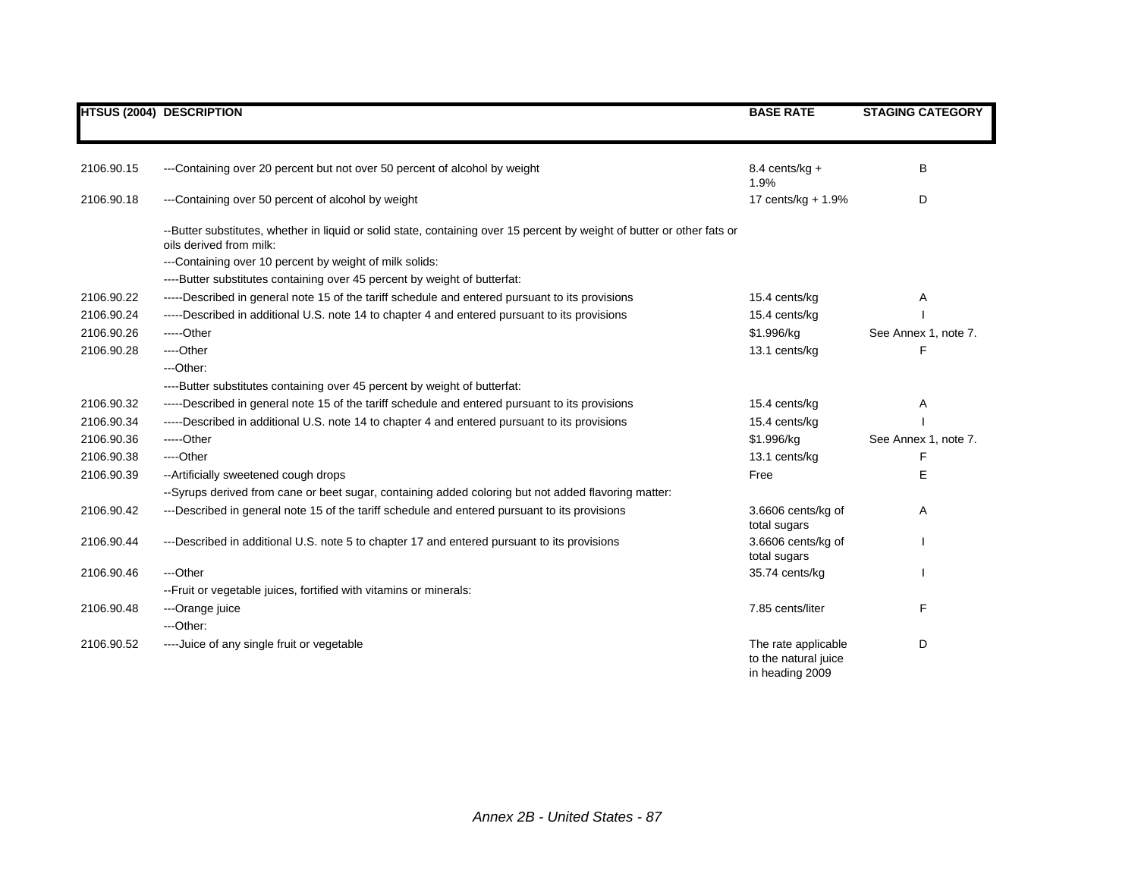|            | <b>HTSUS (2004) DESCRIPTION</b>                                                                                                                    | <b>BASE RATE</b>                                               | <b>STAGING CATEGORY</b> |
|------------|----------------------------------------------------------------------------------------------------------------------------------------------------|----------------------------------------------------------------|-------------------------|
| 2106.90.15 | ---Containing over 20 percent but not over 50 percent of alcohol by weight                                                                         | 8.4 cents/kg $+$                                               | B                       |
|            |                                                                                                                                                    | 1.9%                                                           |                         |
| 2106.90.18 | ---Containing over 50 percent of alcohol by weight                                                                                                 | 17 cents/kg + $1.9%$                                           | D                       |
|            | --Butter substitutes, whether in liquid or solid state, containing over 15 percent by weight of butter or other fats or<br>oils derived from milk: |                                                                |                         |
|            | ---Containing over 10 percent by weight of milk solids:                                                                                            |                                                                |                         |
|            | ----Butter substitutes containing over 45 percent by weight of butterfat:                                                                          |                                                                |                         |
| 2106.90.22 | -----Described in general note 15 of the tariff schedule and entered pursuant to its provisions                                                    | 15.4 cents/kg                                                  | Α                       |
| 2106.90.24 | -----Described in additional U.S. note 14 to chapter 4 and entered pursuant to its provisions                                                      | 15.4 cents/kg                                                  |                         |
| 2106.90.26 | $---Other$                                                                                                                                         | \$1.996/kg                                                     | See Annex 1, note 7.    |
| 2106.90.28 | ----Other                                                                                                                                          | 13.1 cents/kg                                                  | F                       |
|            | ---Other:                                                                                                                                          |                                                                |                         |
|            | ----Butter substitutes containing over 45 percent by weight of butterfat:                                                                          |                                                                |                         |
| 2106.90.32 | -----Described in general note 15 of the tariff schedule and entered pursuant to its provisions                                                    | 15.4 cents/kg                                                  | Α                       |
| 2106.90.34 | -----Described in additional U.S. note 14 to chapter 4 and entered pursuant to its provisions                                                      | 15.4 cents/kg                                                  |                         |
| 2106.90.36 | $---Other$                                                                                                                                         | \$1.996/kg                                                     | See Annex 1, note 7.    |
| 2106.90.38 | ----Other                                                                                                                                          | 13.1 cents/kg                                                  | F                       |
| 2106.90.39 | -- Artificially sweetened cough drops                                                                                                              | Free                                                           | E                       |
|            | --Syrups derived from cane or beet sugar, containing added coloring but not added flavoring matter:                                                |                                                                |                         |
| 2106.90.42 | ---Described in general note 15 of the tariff schedule and entered pursuant to its provisions                                                      | 3.6606 cents/kg of<br>total sugars                             | A                       |
| 2106.90.44 | ---Described in additional U.S. note 5 to chapter 17 and entered pursuant to its provisions                                                        | 3.6606 cents/kg of<br>total sugars                             |                         |
| 2106.90.46 | ---Other                                                                                                                                           | 35.74 cents/kg                                                 |                         |
|            | -- Fruit or vegetable juices, fortified with vitamins or minerals:                                                                                 |                                                                |                         |
| 2106.90.48 | ---Orange juice                                                                                                                                    | 7.85 cents/liter                                               | F                       |
|            | ---Other:                                                                                                                                          |                                                                |                         |
| 2106.90.52 | ---- Juice of any single fruit or vegetable                                                                                                        | The rate applicable<br>to the natural juice<br>in heading 2009 | D                       |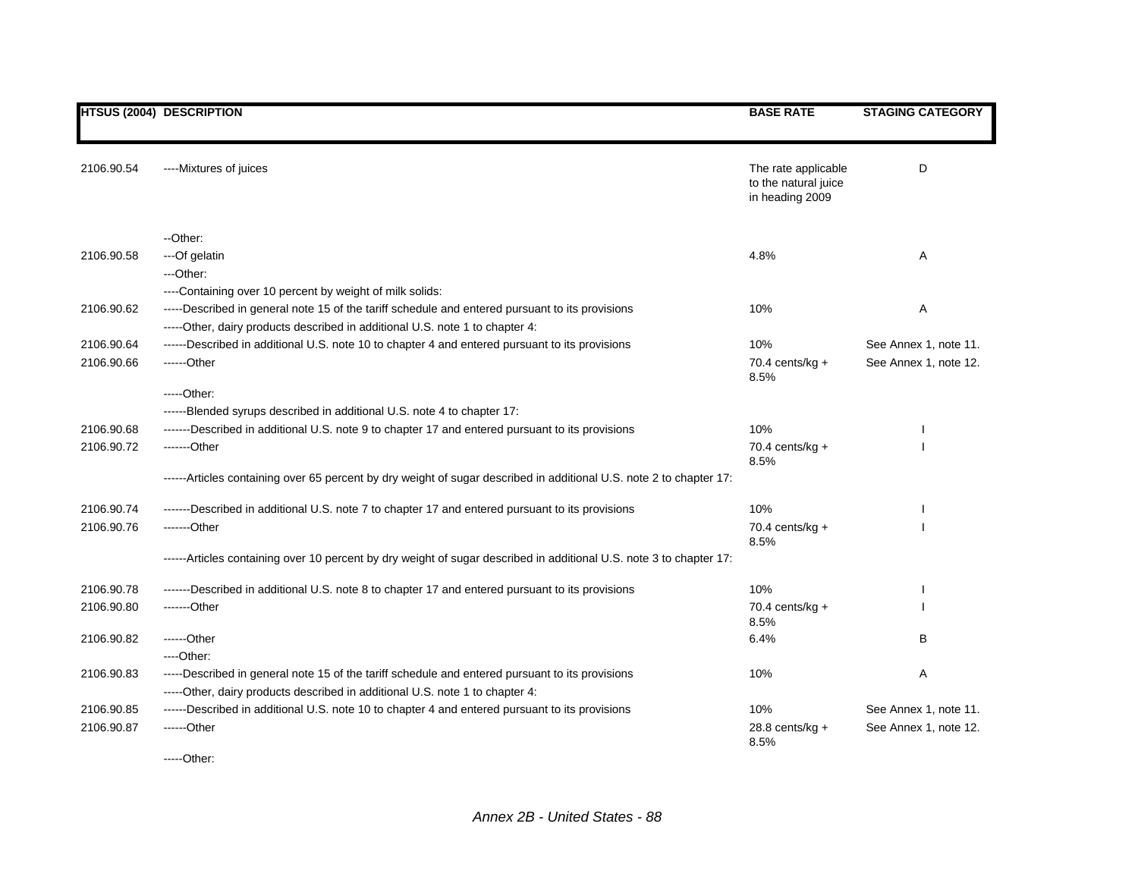|            | <b>HTSUS (2004) DESCRIPTION</b>                                                                                                                                                 | <b>BASE RATE</b>                                               | <b>STAGING CATEGORY</b> |
|------------|---------------------------------------------------------------------------------------------------------------------------------------------------------------------------------|----------------------------------------------------------------|-------------------------|
|            |                                                                                                                                                                                 |                                                                |                         |
| 2106.90.54 | ----Mixtures of juices                                                                                                                                                          | The rate applicable<br>to the natural juice<br>in heading 2009 | D                       |
|            | --Other:                                                                                                                                                                        |                                                                |                         |
| 2106.90.58 | ---Of gelatin                                                                                                                                                                   | 4.8%                                                           | Α                       |
|            | ---Other:                                                                                                                                                                       |                                                                |                         |
|            | ----Containing over 10 percent by weight of milk solids:                                                                                                                        |                                                                |                         |
| 2106.90.62 | -----Described in general note 15 of the tariff schedule and entered pursuant to its provisions<br>-----Other, dairy products described in additional U.S. note 1 to chapter 4: | 10%                                                            | Α                       |
| 2106.90.64 | ------Described in additional U.S. note 10 to chapter 4 and entered pursuant to its provisions                                                                                  | 10%                                                            | See Annex 1, note 11.   |
| 2106.90.66 | ------Other                                                                                                                                                                     | 70.4 cents/kg $+$<br>8.5%                                      | See Annex 1, note 12.   |
|            | $---Other.$                                                                                                                                                                     |                                                                |                         |
|            | ------Blended syrups described in additional U.S. note 4 to chapter 17:                                                                                                         |                                                                |                         |
| 2106.90.68 | -------Described in additional U.S. note 9 to chapter 17 and entered pursuant to its provisions                                                                                 | 10%                                                            |                         |
| 2106.90.72 | -------Other                                                                                                                                                                    | 70.4 cents/kg $+$<br>8.5%                                      |                         |
|            | ------Articles containing over 65 percent by dry weight of sugar described in additional U.S. note 2 to chapter 17:                                                             |                                                                |                         |
| 2106.90.74 | -------Described in additional U.S. note 7 to chapter 17 and entered pursuant to its provisions                                                                                 | 10%                                                            |                         |
| 2106.90.76 | -------Other                                                                                                                                                                    | 70.4 cents/kg $+$<br>8.5%                                      |                         |
|            | ------Articles containing over 10 percent by dry weight of sugar described in additional U.S. note 3 to chapter 17:                                                             |                                                                |                         |
| 2106.90.78 | ------Described in additional U.S. note 8 to chapter 17 and entered pursuant to its provisions                                                                                  | 10%                                                            |                         |
| 2106.90.80 | -------Other                                                                                                                                                                    | 70.4 cents/kg $+$<br>8.5%                                      |                         |
| 2106.90.82 | ------Other                                                                                                                                                                     | 6.4%                                                           | B                       |
|            | ----Other:                                                                                                                                                                      |                                                                |                         |
| 2106.90.83 | -----Described in general note 15 of the tariff schedule and entered pursuant to its provisions<br>-----Other, dairy products described in additional U.S. note 1 to chapter 4: | 10%                                                            | Α                       |
| 2106.90.85 | ------Described in additional U.S. note 10 to chapter 4 and entered pursuant to its provisions                                                                                  | 10%                                                            | See Annex 1, note 11.   |
| 2106.90.87 | ------Other                                                                                                                                                                     | 28.8 cents/ $kq +$<br>8.5%                                     | See Annex 1, note 12.   |

-----Other: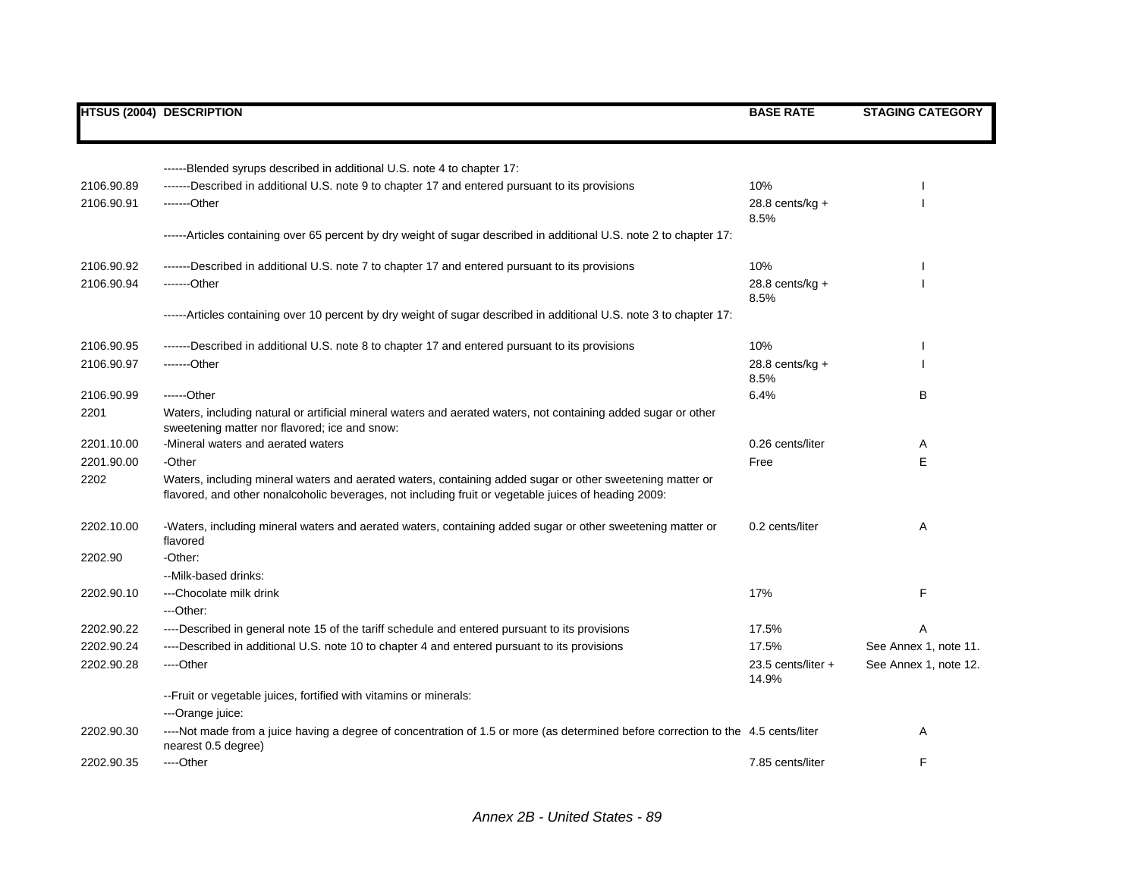|            | <b>HTSUS (2004) DESCRIPTION</b>                                                                                                                                                                                   | <b>BASE RATE</b>            | <b>STAGING CATEGORY</b> |
|------------|-------------------------------------------------------------------------------------------------------------------------------------------------------------------------------------------------------------------|-----------------------------|-------------------------|
|            |                                                                                                                                                                                                                   |                             |                         |
|            | ------Blended syrups described in additional U.S. note 4 to chapter 17:                                                                                                                                           |                             |                         |
| 2106.90.89 | ------Described in additional U.S. note 9 to chapter 17 and entered pursuant to its provisions                                                                                                                    | 10%                         |                         |
| 2106.90.91 | -------Other                                                                                                                                                                                                      | 28.8 cents/ $kg +$<br>8.5%  |                         |
|            | ------Articles containing over 65 percent by dry weight of sugar described in additional U.S. note 2 to chapter 17:                                                                                               |                             |                         |
| 2106.90.92 | ------Described in additional U.S. note 7 to chapter 17 and entered pursuant to its provisions                                                                                                                    | 10%                         |                         |
| 2106.90.94 | -------Other                                                                                                                                                                                                      | $28.8$ cents/kg +<br>8.5%   |                         |
|            | ------Articles containing over 10 percent by dry weight of sugar described in additional U.S. note 3 to chapter 17:                                                                                               |                             |                         |
| 2106.90.95 | ------Described in additional U.S. note 8 to chapter 17 and entered pursuant to its provisions                                                                                                                    | 10%                         |                         |
| 2106.90.97 | -------Other                                                                                                                                                                                                      | 28.8 cents/kg $+$<br>8.5%   |                         |
| 2106.90.99 | ------Other                                                                                                                                                                                                       | 6.4%                        | B                       |
| 2201       | Waters, including natural or artificial mineral waters and aerated waters, not containing added sugar or other<br>sweetening matter nor flavored; ice and snow:                                                   |                             |                         |
| 2201.10.00 | -Mineral waters and aerated waters                                                                                                                                                                                | 0.26 cents/liter            | Α                       |
| 2201.90.00 | -Other                                                                                                                                                                                                            | Free                        | Е                       |
| 2202       | Waters, including mineral waters and aerated waters, containing added sugar or other sweetening matter or<br>flavored, and other nonalcoholic beverages, not including fruit or vegetable juices of heading 2009: |                             |                         |
| 2202.10.00 | -Waters, including mineral waters and aerated waters, containing added sugar or other sweetening matter or<br>flavored                                                                                            | 0.2 cents/liter             | A                       |
| 2202.90    | -Other:                                                                                                                                                                                                           |                             |                         |
|            | --Milk-based drinks:                                                                                                                                                                                              |                             |                         |
| 2202.90.10 | ---Chocolate milk drink                                                                                                                                                                                           | 17%                         | F                       |
|            | ---Other:                                                                                                                                                                                                         |                             |                         |
| 2202.90.22 | ----Described in general note 15 of the tariff schedule and entered pursuant to its provisions                                                                                                                    | 17.5%                       | A                       |
| 2202.90.24 | ----Described in additional U.S. note 10 to chapter 4 and entered pursuant to its provisions                                                                                                                      | 17.5%                       | See Annex 1, note 11.   |
| 2202.90.28 | ----Other                                                                                                                                                                                                         | 23.5 cents/liter +<br>14.9% | See Annex 1, note 12.   |
|            | -- Fruit or vegetable juices, fortified with vitamins or minerals:                                                                                                                                                |                             |                         |
|            | ---Orange juice:                                                                                                                                                                                                  |                             |                         |
| 2202.90.30 | ---Not made from a juice having a degree of concentration of 1.5 or more (as determined before correction to the 4.5 cents/liter<br>nearest 0.5 degree)                                                           |                             | A                       |
| 2202.90.35 | ----Other                                                                                                                                                                                                         | 7.85 cents/liter            | F                       |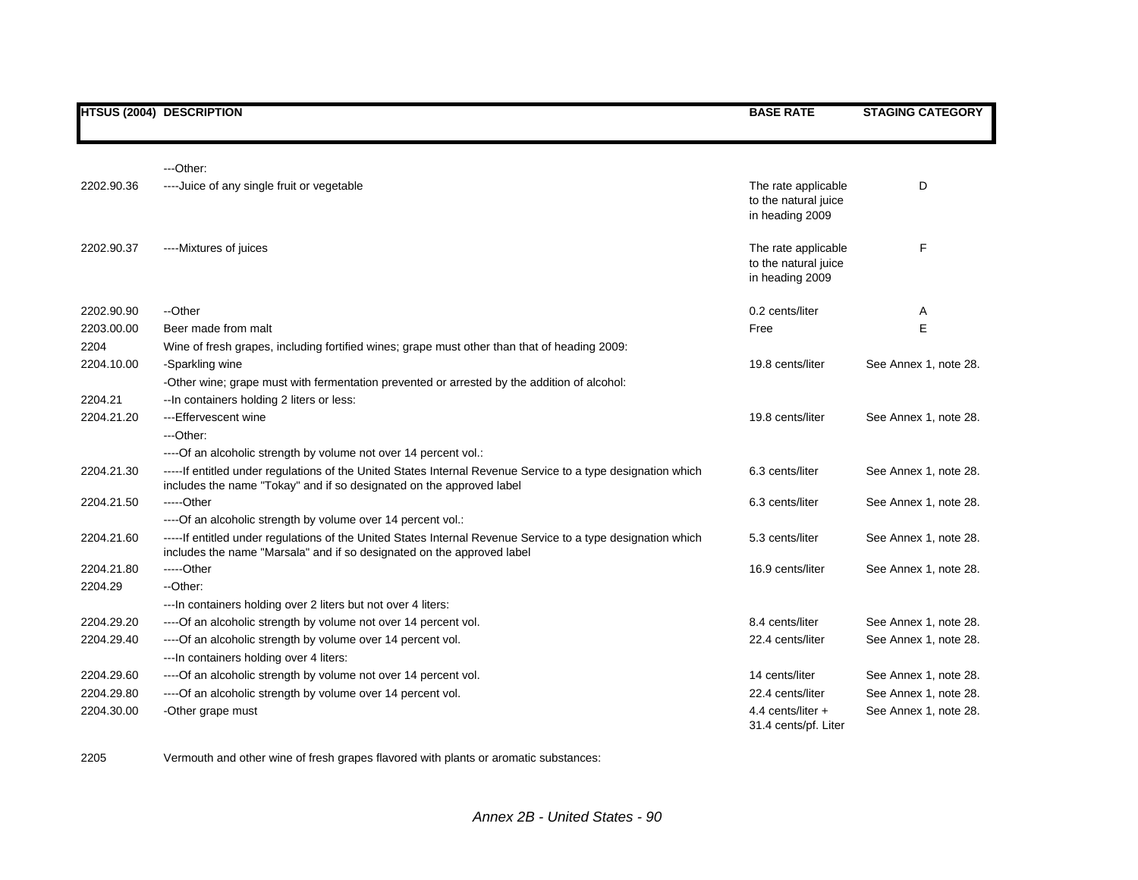## **HTSUS (2004) DESCRIPTION BASE RATE STAGING CATEGORY**

|            | $-$ Other:                                                                                                                                                                             |                                                                |                       |
|------------|----------------------------------------------------------------------------------------------------------------------------------------------------------------------------------------|----------------------------------------------------------------|-----------------------|
| 2202.90.36 | ---- Juice of any single fruit or vegetable                                                                                                                                            | The rate applicable<br>to the natural juice<br>in heading 2009 | D                     |
| 2202.90.37 | ----Mixtures of juices                                                                                                                                                                 | The rate applicable<br>to the natural juice<br>in heading 2009 | F                     |
| 2202.90.90 | --Other                                                                                                                                                                                | 0.2 cents/liter                                                | A                     |
| 2203.00.00 | Beer made from malt                                                                                                                                                                    | Free                                                           | E                     |
| 2204       | Wine of fresh grapes, including fortified wines; grape must other than that of heading 2009:                                                                                           |                                                                |                       |
| 2204.10.00 | -Sparkling wine                                                                                                                                                                        | 19.8 cents/liter                                               | See Annex 1, note 28. |
|            | -Other wine; grape must with fermentation prevented or arrested by the addition of alcohol:                                                                                            |                                                                |                       |
| 2204.21    | -- In containers holding 2 liters or less:                                                                                                                                             |                                                                |                       |
| 2204.21.20 | --- Effervescent wine                                                                                                                                                                  | 19.8 cents/liter                                               | See Annex 1, note 28. |
|            | ---Other:                                                                                                                                                                              |                                                                |                       |
|            | ---- Of an alcoholic strength by volume not over 14 percent vol.:                                                                                                                      |                                                                |                       |
| 2204.21.30 | -----If entitled under regulations of the United States Internal Revenue Service to a type designation which<br>includes the name "Tokay" and if so designated on the approved label   | 6.3 cents/liter                                                | See Annex 1, note 28. |
| 2204.21.50 | $---Other$                                                                                                                                                                             | 6.3 cents/liter                                                | See Annex 1, note 28. |
|            | ---- Of an alcoholic strength by volume over 14 percent vol.:                                                                                                                          |                                                                |                       |
| 2204.21.60 | -----If entitled under regulations of the United States Internal Revenue Service to a type designation which<br>includes the name "Marsala" and if so designated on the approved label | 5.3 cents/liter                                                | See Annex 1, note 28. |
| 2204.21.80 | $---Other$                                                                                                                                                                             | 16.9 cents/liter                                               | See Annex 1, note 28. |
| 2204.29    | --Other:                                                                                                                                                                               |                                                                |                       |
|            | ---In containers holding over 2 liters but not over 4 liters:                                                                                                                          |                                                                |                       |
| 2204.29.20 | ---- Of an alcoholic strength by volume not over 14 percent vol.                                                                                                                       | 8.4 cents/liter                                                | See Annex 1, note 28. |
| 2204.29.40 | ---- Of an alcoholic strength by volume over 14 percent vol.                                                                                                                           | 22.4 cents/liter                                               | See Annex 1, note 28. |
|            | --- In containers holding over 4 liters:                                                                                                                                               |                                                                |                       |
| 2204.29.60 | ---- Of an alcoholic strength by volume not over 14 percent vol.                                                                                                                       | 14 cents/liter                                                 | See Annex 1, note 28. |
| 2204.29.80 | ---- Of an alcoholic strength by volume over 14 percent vol.                                                                                                                           | 22.4 cents/liter                                               | See Annex 1, note 28. |
| 2204.30.00 | -Other grape must                                                                                                                                                                      | 4.4 cents/liter $+$<br>31.4 cents/pf. Liter                    | See Annex 1, note 28. |

2205 Vermouth and other wine of fresh grapes flavored with plants or aromatic substances: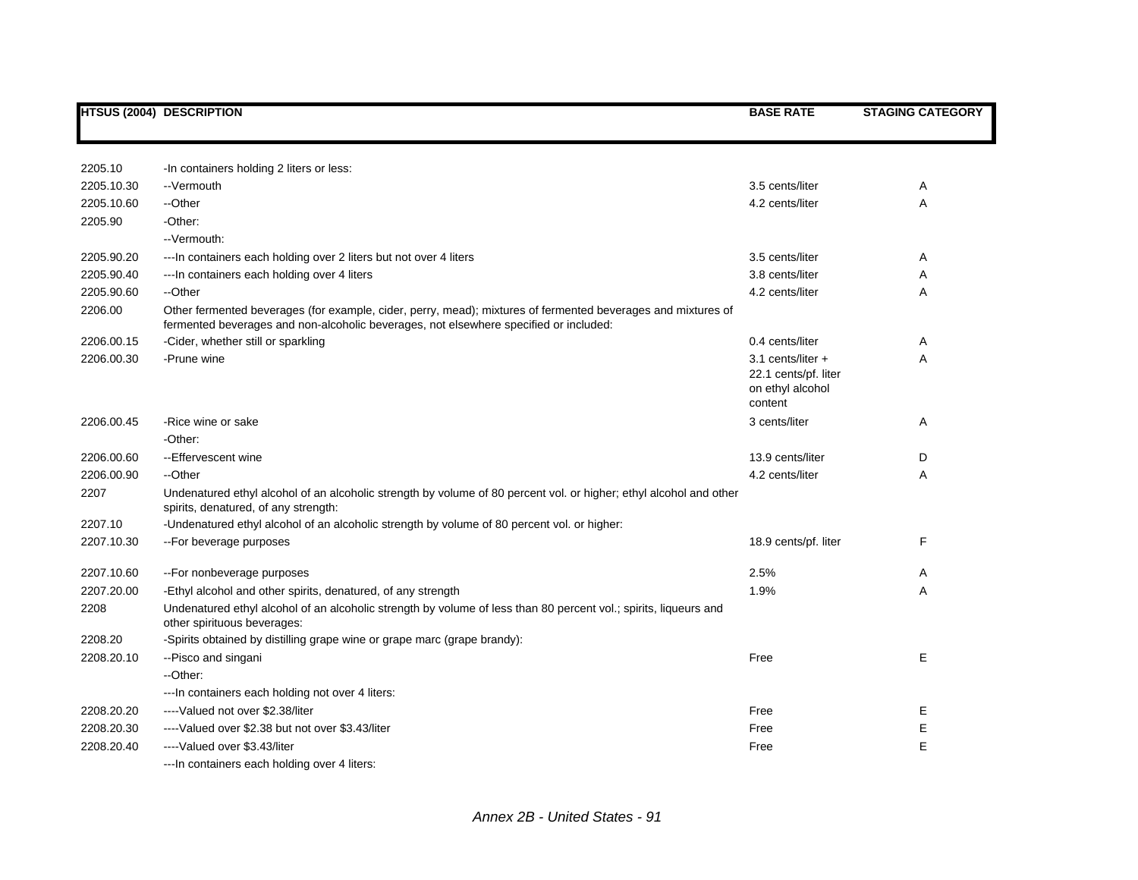|            | <b>HTSUS (2004) DESCRIPTION</b>                                                                                                                                                                       | <b>BASE RATE</b>                                                           | <b>STAGING CATEGORY</b> |
|------------|-------------------------------------------------------------------------------------------------------------------------------------------------------------------------------------------------------|----------------------------------------------------------------------------|-------------------------|
|            |                                                                                                                                                                                                       |                                                                            |                         |
| 2205.10    | -In containers holding 2 liters or less:                                                                                                                                                              |                                                                            |                         |
| 2205.10.30 | --Vermouth                                                                                                                                                                                            | 3.5 cents/liter                                                            | Α                       |
| 2205.10.60 | --Other                                                                                                                                                                                               | 4.2 cents/liter                                                            | Α                       |
| 2205.90    | -Other:                                                                                                                                                                                               |                                                                            |                         |
|            | --Vermouth:                                                                                                                                                                                           |                                                                            |                         |
| 2205.90.20 | --- In containers each holding over 2 liters but not over 4 liters                                                                                                                                    | 3.5 cents/liter                                                            | Α                       |
| 2205.90.40 | --- In containers each holding over 4 liters                                                                                                                                                          | 3.8 cents/liter                                                            | A                       |
| 2205.90.60 | --Other                                                                                                                                                                                               | 4.2 cents/liter                                                            | Α                       |
| 2206.00    | Other fermented beverages (for example, cider, perry, mead); mixtures of fermented beverages and mixtures of<br>fermented beverages and non-alcoholic beverages, not elsewhere specified or included: |                                                                            |                         |
| 2206.00.15 | -Cider, whether still or sparkling                                                                                                                                                                    | 0.4 cents/liter                                                            | Α                       |
| 2206.00.30 | -Prune wine                                                                                                                                                                                           | 3.1 cents/liter $+$<br>22.1 cents/pf. liter<br>on ethyl alcohol<br>content | Α                       |
| 2206.00.45 | -Rice wine or sake                                                                                                                                                                                    | 3 cents/liter                                                              | Α                       |
|            | -Other:                                                                                                                                                                                               |                                                                            |                         |
| 2206.00.60 | --Effervescent wine                                                                                                                                                                                   | 13.9 cents/liter                                                           | D                       |
| 2206.00.90 | --Other                                                                                                                                                                                               | 4.2 cents/liter                                                            | Α                       |
| 2207       | Undenatured ethyl alcohol of an alcoholic strength by volume of 80 percent vol. or higher; ethyl alcohol and other<br>spirits, denatured, of any strength:                                            |                                                                            |                         |
| 2207.10    | -Undenatured ethyl alcohol of an alcoholic strength by volume of 80 percent vol. or higher:                                                                                                           |                                                                            |                         |
| 2207.10.30 | -- For beverage purposes                                                                                                                                                                              | 18.9 cents/pf. liter                                                       | F                       |
| 2207.10.60 | --For nonbeverage purposes                                                                                                                                                                            | 2.5%                                                                       | A                       |
| 2207.20.00 | -Ethyl alcohol and other spirits, denatured, of any strength                                                                                                                                          | 1.9%                                                                       | Α                       |
| 2208       | Undenatured ethyl alcohol of an alcoholic strength by volume of less than 80 percent vol.; spirits, liqueurs and<br>other spirituous beverages:                                                       |                                                                            |                         |
| 2208.20    | -Spirits obtained by distilling grape wine or grape marc (grape brandy):                                                                                                                              |                                                                            |                         |
| 2208.20.10 | -- Pisco and singani                                                                                                                                                                                  | Free                                                                       | E                       |
|            | --Other:                                                                                                                                                                                              |                                                                            |                         |
|            | ---In containers each holding not over 4 liters:                                                                                                                                                      |                                                                            |                         |
| 2208.20.20 | ----Valued not over \$2.38/liter                                                                                                                                                                      | Free                                                                       | Е                       |
| 2208.20.30 | ----Valued over \$2.38 but not over \$3.43/liter                                                                                                                                                      | Free                                                                       | Е                       |
| 2208.20.40 | ----Valued over \$3.43/liter                                                                                                                                                                          | Free                                                                       | E                       |
|            | --- In containers each holding over 4 liters:                                                                                                                                                         |                                                                            |                         |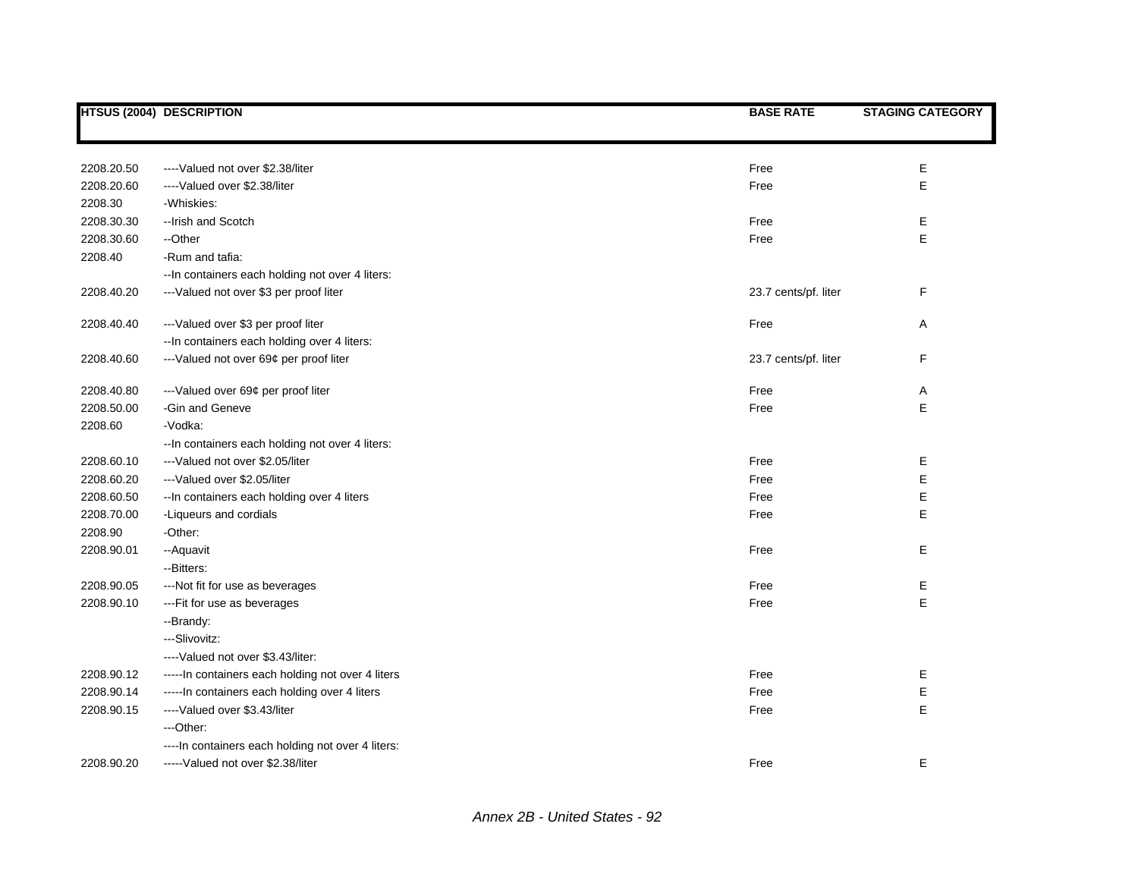|            | <b>HTSUS (2004) DESCRIPTION</b>                    | <b>BASE RATE</b>     | <b>STAGING CATEGORY</b> |
|------------|----------------------------------------------------|----------------------|-------------------------|
|            |                                                    |                      |                         |
| 2208.20.50 | ----Valued not over \$2.38/liter                   | Free                 | Е                       |
| 2208.20.60 | ----Valued over \$2.38/liter                       | Free                 | E                       |
| 2208.30    | -Whiskies:                                         |                      |                         |
| 2208.30.30 | -- Irish and Scotch                                | Free                 | Е                       |
| 2208.30.60 | --Other                                            | Free                 | E                       |
| 2208.40    | -Rum and tafia:                                    |                      |                         |
|            | -- In containers each holding not over 4 liters:   |                      |                         |
| 2208.40.20 | --- Valued not over \$3 per proof liter            | 23.7 cents/pf. liter | F                       |
| 2208.40.40 | --- Valued over \$3 per proof liter                | Free                 | Α                       |
|            | -- In containers each holding over 4 liters:       |                      |                         |
| 2208.40.60 | --- Valued not over 69¢ per proof liter            | 23.7 cents/pf. liter | F                       |
| 2208.40.80 | --- Valued over 69¢ per proof liter                | Free                 | Α                       |
| 2208.50.00 | -Gin and Geneve                                    | Free                 | E                       |
| 2208.60    | -Vodka:                                            |                      |                         |
|            | -- In containers each holding not over 4 liters:   |                      |                         |
| 2208.60.10 | --- Valued not over \$2.05/liter                   | Free                 | Е                       |
| 2208.60.20 | ---Valued over \$2.05/liter                        | Free                 | E                       |
| 2208.60.50 | -- In containers each holding over 4 liters        | Free                 | E                       |
| 2208.70.00 | -Liqueurs and cordials                             | Free                 | Е                       |
| 2208.90    | -Other:                                            |                      |                         |
| 2208.90.01 | -- Aquavit                                         | Free                 | Е                       |
|            | --Bitters:                                         |                      |                         |
| 2208.90.05 | ---Not fit for use as beverages                    | Free                 | Е                       |
| 2208.90.10 | --- Fit for use as beverages                       | Free                 | E                       |
|            | --Brandy:                                          |                      |                         |
|            | --Slivovitz:                                       |                      |                         |
|            | ---- Valued not over \$3.43/liter:                 |                      |                         |
| 2208.90.12 | ----- In containers each holding not over 4 liters | Free                 | Е                       |
| 2208.90.14 | ----- In containers each holding over 4 liters     | Free                 | Е                       |
| 2208.90.15 | ---- Valued over \$3.43/liter                      | Free                 | E                       |
|            | ---Other:                                          |                      |                         |
|            | ---- In containers each holding not over 4 liters: |                      |                         |
| 2208.90.20 | ----- Valued not over \$2.38/liter                 | Free                 | Е                       |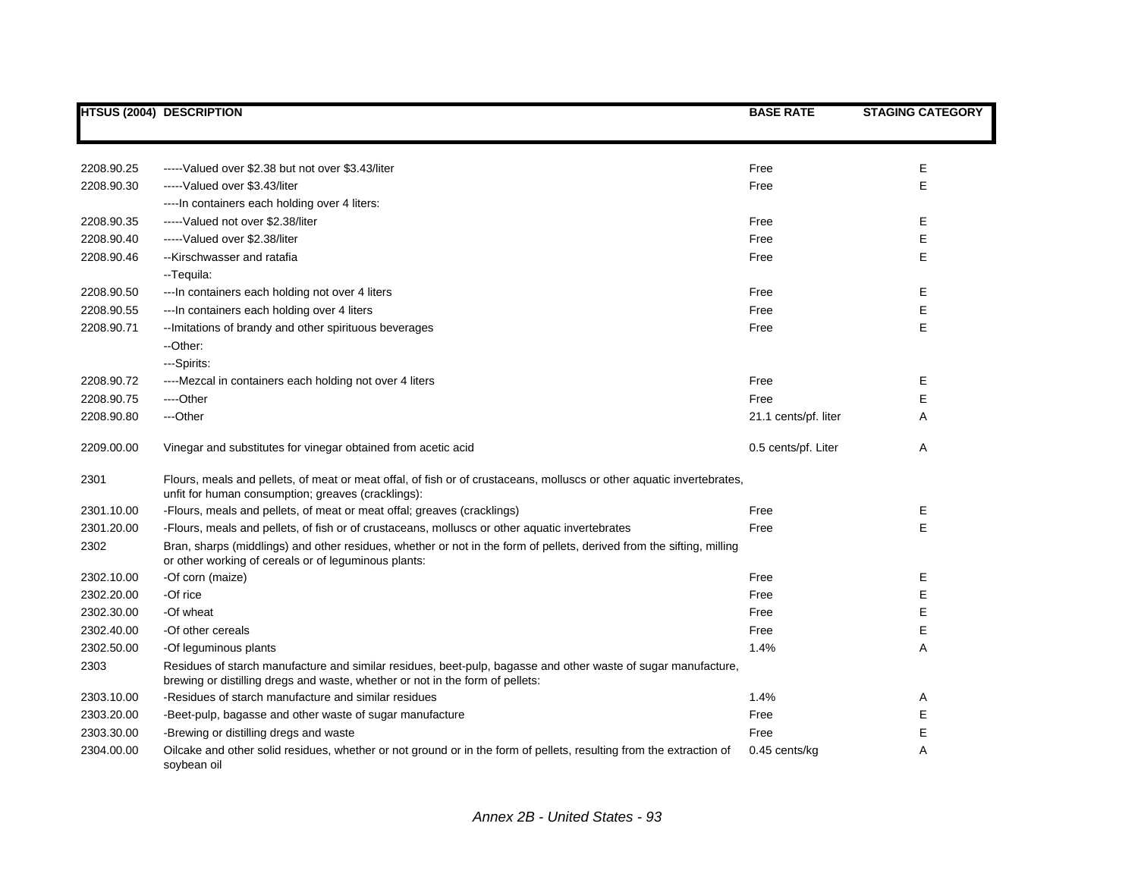|            | <b>HTSUS (2004) DESCRIPTION</b>                                                                                                                                                                | <b>BASE RATE</b>     | <b>STAGING CATEGORY</b> |
|------------|------------------------------------------------------------------------------------------------------------------------------------------------------------------------------------------------|----------------------|-------------------------|
|            |                                                                                                                                                                                                |                      |                         |
|            |                                                                                                                                                                                                |                      |                         |
| 2208.90.25 | -----Valued over \$2.38 but not over \$3.43/liter                                                                                                                                              | Free                 | Ε                       |
| 2208.90.30 | ----- Valued over \$3.43/liter                                                                                                                                                                 | Free                 | E                       |
|            | ---- In containers each holding over 4 liters:                                                                                                                                                 |                      |                         |
| 2208.90.35 | ----- Valued not over \$2.38/liter                                                                                                                                                             | Free                 | Е                       |
| 2208.90.40 | -----Valued over \$2.38/liter                                                                                                                                                                  | Free                 | E                       |
| 2208.90.46 | --Kirschwasser and ratafia                                                                                                                                                                     | Free                 | E                       |
|            | --Tequila:                                                                                                                                                                                     |                      |                         |
| 2208.90.50 | --- In containers each holding not over 4 liters                                                                                                                                               | Free                 | Е                       |
| 2208.90.55 | --- In containers each holding over 4 liters                                                                                                                                                   | Free                 | E                       |
| 2208.90.71 | -- Imitations of brandy and other spirituous beverages                                                                                                                                         | Free                 | E                       |
|            | --Other:                                                                                                                                                                                       |                      |                         |
|            | ---Spirits:                                                                                                                                                                                    |                      |                         |
| 2208.90.72 | ----Mezcal in containers each holding not over 4 liters                                                                                                                                        | Free                 | E                       |
| 2208.90.75 | ----Other                                                                                                                                                                                      | Free                 | E                       |
| 2208.90.80 | ---Other                                                                                                                                                                                       | 21.1 cents/pf. liter | A                       |
| 2209.00.00 | Vinegar and substitutes for vinegar obtained from acetic acid                                                                                                                                  | 0.5 cents/pf. Liter  | A                       |
| 2301       | Flours, meals and pellets, of meat or meat offal, of fish or of crustaceans, molluscs or other aquatic invertebrates,<br>unfit for human consumption; greaves (cracklings):                    |                      |                         |
| 2301.10.00 | -Flours, meals and pellets, of meat or meat offal; greaves (cracklings)                                                                                                                        | Free                 | Ε                       |
| 2301.20.00 | -Flours, meals and pellets, of fish or of crustaceans, molluscs or other aquatic invertebrates                                                                                                 | Free                 | E                       |
| 2302       | Bran, sharps (middlings) and other residues, whether or not in the form of pellets, derived from the sifting, milling                                                                          |                      |                         |
|            | or other working of cereals or of leguminous plants:                                                                                                                                           |                      |                         |
| 2302.10.00 | -Of corn (maize)                                                                                                                                                                               | Free                 | Е                       |
| 2302.20.00 | -Of rice                                                                                                                                                                                       | Free                 | Е                       |
| 2302.30.00 | -Of wheat                                                                                                                                                                                      | Free                 | Е                       |
| 2302.40.00 | -Of other cereals                                                                                                                                                                              | Free                 | E                       |
| 2302.50.00 | -Of leguminous plants                                                                                                                                                                          | 1.4%                 | A                       |
| 2303       | Residues of starch manufacture and similar residues, beet-pulp, bagasse and other waste of sugar manufacture,<br>brewing or distilling dregs and waste, whether or not in the form of pellets: |                      |                         |
| 2303.10.00 | -Residues of starch manufacture and similar residues                                                                                                                                           | 1.4%                 | Α                       |
| 2303.20.00 | -Beet-pulp, bagasse and other waste of sugar manufacture                                                                                                                                       | Free                 | Е                       |
| 2303.30.00 | -Brewing or distilling dregs and waste                                                                                                                                                         | Free                 | E                       |
| 2304.00.00 | Oilcake and other solid residues, whether or not ground or in the form of pellets, resulting from the extraction of<br>soybean oil                                                             | $0.45$ cents/kg      | Α                       |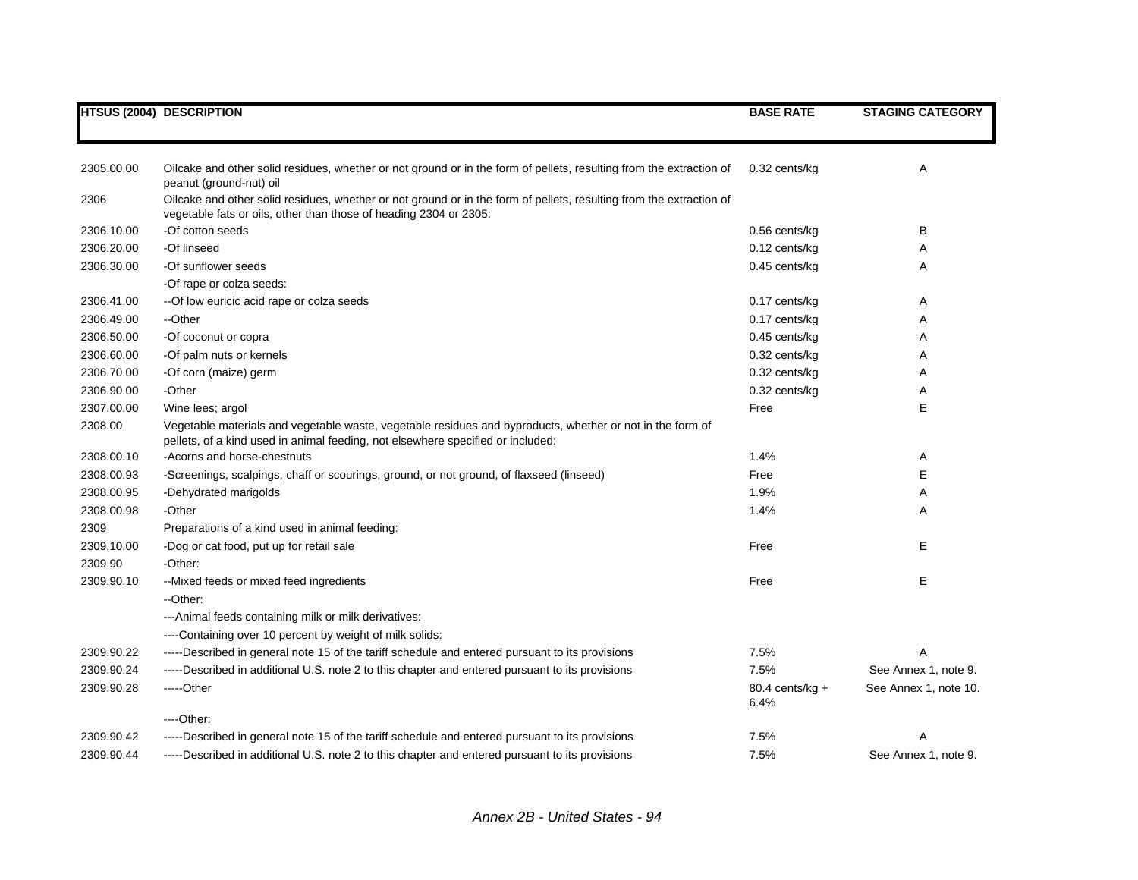|            | <b>HTSUS (2004) DESCRIPTION</b>                                                                                                                                                              | <b>BASE RATE</b>          | <b>STAGING CATEGORY</b> |
|------------|----------------------------------------------------------------------------------------------------------------------------------------------------------------------------------------------|---------------------------|-------------------------|
|            |                                                                                                                                                                                              |                           |                         |
| 2305.00.00 | Oilcake and other solid residues, whether or not ground or in the form of pellets, resulting from the extraction of<br>peanut (ground-nut) oil                                               | 0.32 cents/kg             | Α                       |
| 2306       | Oilcake and other solid residues, whether or not ground or in the form of pellets, resulting from the extraction of<br>vegetable fats or oils, other than those of heading 2304 or 2305:     |                           |                         |
| 2306.10.00 | -Of cotton seeds                                                                                                                                                                             | $0.56$ cents/kg           | В                       |
| 2306.20.00 | -Of linseed                                                                                                                                                                                  | $0.12$ cents/kg           | Α                       |
| 2306.30.00 | -Of sunflower seeds                                                                                                                                                                          | $0.45$ cents/kg           | Α                       |
|            | -Of rape or colza seeds:                                                                                                                                                                     |                           |                         |
| 2306.41.00 | -- Of low euricic acid rape or colza seeds                                                                                                                                                   | $0.17$ cents/kg           | Α                       |
| 2306.49.00 | --Other                                                                                                                                                                                      | $0.17$ cents/kg           | Α                       |
| 2306.50.00 | -Of coconut or copra                                                                                                                                                                         | $0.45$ cents/kg           | Α                       |
| 2306.60.00 | -Of palm nuts or kernels                                                                                                                                                                     | $0.32$ cents/kg           | Α                       |
| 2306.70.00 | -Of corn (maize) germ                                                                                                                                                                        | 0.32 cents/kg             | Α                       |
| 2306.90.00 | -Other                                                                                                                                                                                       | 0.32 cents/kg             | Α                       |
| 2307.00.00 | Wine lees; argol                                                                                                                                                                             | Free                      | Е                       |
| 2308.00    | Vegetable materials and vegetable waste, vegetable residues and byproducts, whether or not in the form of<br>pellets, of a kind used in animal feeding, not elsewhere specified or included: |                           |                         |
| 2308.00.10 | -Acorns and horse-chestnuts                                                                                                                                                                  | 1.4%                      | A                       |
| 2308.00.93 | -Screenings, scalpings, chaff or scourings, ground, or not ground, of flaxseed (linseed)                                                                                                     | Free                      | Е                       |
| 2308.00.95 | -Dehydrated marigolds                                                                                                                                                                        | 1.9%                      | Α                       |
| 2308.00.98 | -Other                                                                                                                                                                                       | 1.4%                      | Α                       |
| 2309       | Preparations of a kind used in animal feeding:                                                                                                                                               |                           |                         |
| 2309.10.00 | -Dog or cat food, put up for retail sale                                                                                                                                                     | Free                      | Е                       |
| 2309.90    | -Other:                                                                                                                                                                                      |                           |                         |
| 2309.90.10 | --Mixed feeds or mixed feed ingredients                                                                                                                                                      | Free                      | Е                       |
|            | --Other:                                                                                                                                                                                     |                           |                         |
|            | --- Animal feeds containing milk or milk derivatives:                                                                                                                                        |                           |                         |
|            | ----Containing over 10 percent by weight of milk solids:                                                                                                                                     |                           |                         |
| 2309.90.22 | -----Described in general note 15 of the tariff schedule and entered pursuant to its provisions                                                                                              | 7.5%                      | A                       |
| 2309.90.24 | -----Described in additional U.S. note 2 to this chapter and entered pursuant to its provisions                                                                                              | 7.5%                      | See Annex 1, note 9.    |
| 2309.90.28 | $---Other$                                                                                                                                                                                   | 80.4 cents/kg $+$<br>6.4% | See Annex 1, note 10.   |
|            | ----Other:                                                                                                                                                                                   |                           |                         |
| 2309.90.42 | -----Described in general note 15 of the tariff schedule and entered pursuant to its provisions                                                                                              | 7.5%                      | Α                       |
| 2309.90.44 | -----Described in additional U.S. note 2 to this chapter and entered pursuant to its provisions                                                                                              | 7.5%                      | See Annex 1, note 9.    |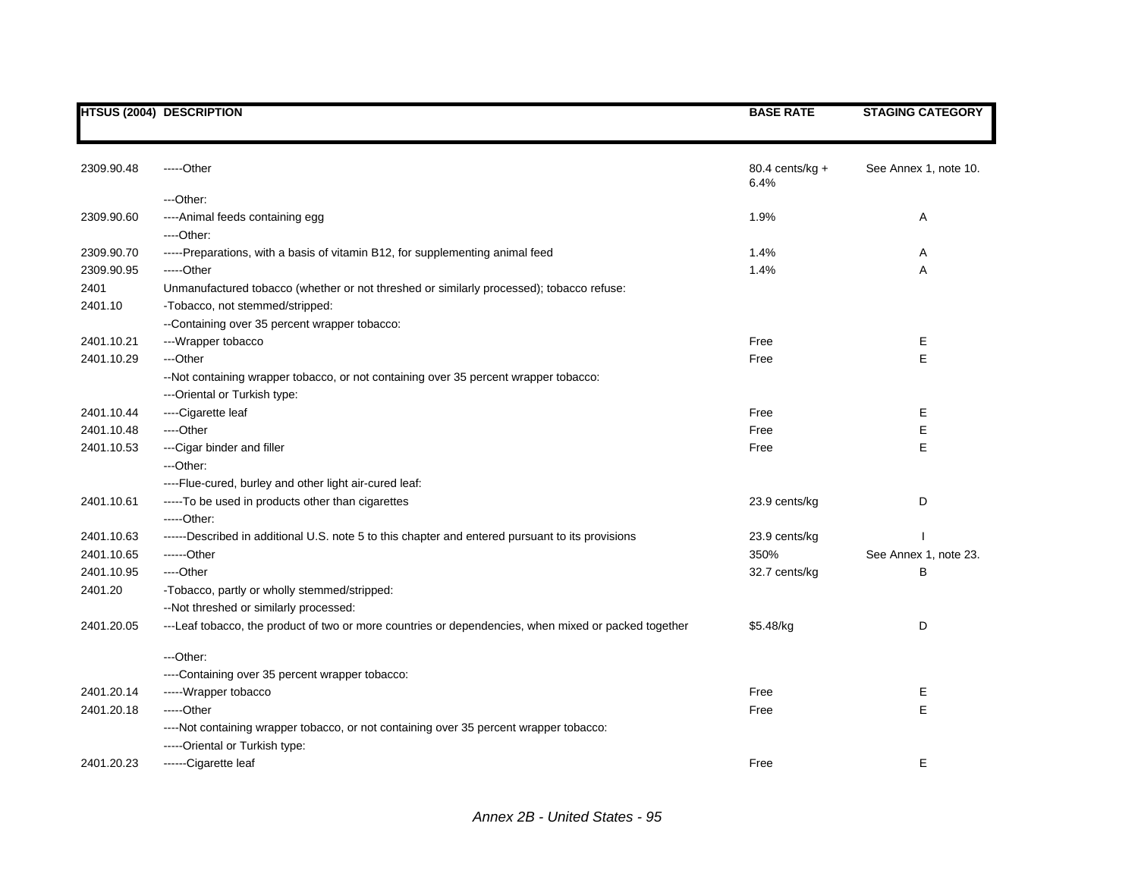|            | <b>HTSUS (2004) DESCRIPTION</b>                                                                      | <b>BASE RATE</b>          | <b>STAGING CATEGORY</b> |
|------------|------------------------------------------------------------------------------------------------------|---------------------------|-------------------------|
|            |                                                                                                      |                           |                         |
| 2309.90.48 | -----Other                                                                                           | 80.4 cents/kg $+$<br>6.4% | See Annex 1, note 10.   |
|            | ---Other:                                                                                            |                           |                         |
| 2309.90.60 | ---- Animal feeds containing egg                                                                     | 1.9%                      | Α                       |
|            | ---Other:                                                                                            |                           |                         |
| 2309.90.70 | -----Preparations, with a basis of vitamin B12, for supplementing animal feed                        | 1.4%                      | Α                       |
| 2309.90.95 | -----Other                                                                                           | 1.4%                      | A                       |
| 2401       | Unmanufactured tobacco (whether or not threshed or similarly processed); tobacco refuse:             |                           |                         |
| 2401.10    | -Tobacco, not stemmed/stripped:                                                                      |                           |                         |
|            | --Containing over 35 percent wrapper tobacco:                                                        |                           |                         |
| 2401.10.21 | ---Wrapper tobacco                                                                                   | Free                      | Е                       |
| 2401.10.29 | ---Other                                                                                             | Free                      | E                       |
|            | --Not containing wrapper tobacco, or not containing over 35 percent wrapper tobacco:                 |                           |                         |
|            | ---Oriental or Turkish type:                                                                         |                           |                         |
| 2401.10.44 | ----Cigarette leaf                                                                                   | Free                      | Е                       |
| 2401.10.48 | ----Other                                                                                            | Free                      | E                       |
| 2401.10.53 | --- Cigar binder and filler                                                                          | Free                      | E                       |
|            | ---Other:                                                                                            |                           |                         |
|            | ---- Flue-cured, burley and other light air-cured leaf:                                              |                           |                         |
| 2401.10.61 | -----To be used in products other than cigarettes                                                    | 23.9 cents/kg             | D                       |
|            | $---Other:$                                                                                          |                           |                         |
| 2401.10.63 | ------Described in additional U.S. note 5 to this chapter and entered pursuant to its provisions     | 23.9 cents/kg             |                         |
| 2401.10.65 | ------Other                                                                                          | 350%                      | See Annex 1, note 23.   |
| 2401.10.95 | ---Other                                                                                             | 32.7 cents/kg             | в                       |
| 2401.20    | -Tobacco, partly or wholly stemmed/stripped:                                                         |                           |                         |
|            | -- Not threshed or similarly processed:                                                              |                           |                         |
| 2401.20.05 | ---Leaf tobacco, the product of two or more countries or dependencies, when mixed or packed together | \$5.48/kg                 | D                       |
|            | ---Other:                                                                                            |                           |                         |
|            | ----Containing over 35 percent wrapper tobacco:                                                      |                           |                         |
| 2401.20.14 | -----Wrapper tobacco                                                                                 | Free                      | Ε                       |
| 2401.20.18 | -----Other                                                                                           | Free                      | E                       |
|            | ----Not containing wrapper tobacco, or not containing over 35 percent wrapper tobacco:               |                           |                         |
|            | -----Oriental or Turkish type:                                                                       |                           |                         |
| 2401.20.23 | ------Cigarette leaf                                                                                 | Free                      | Е                       |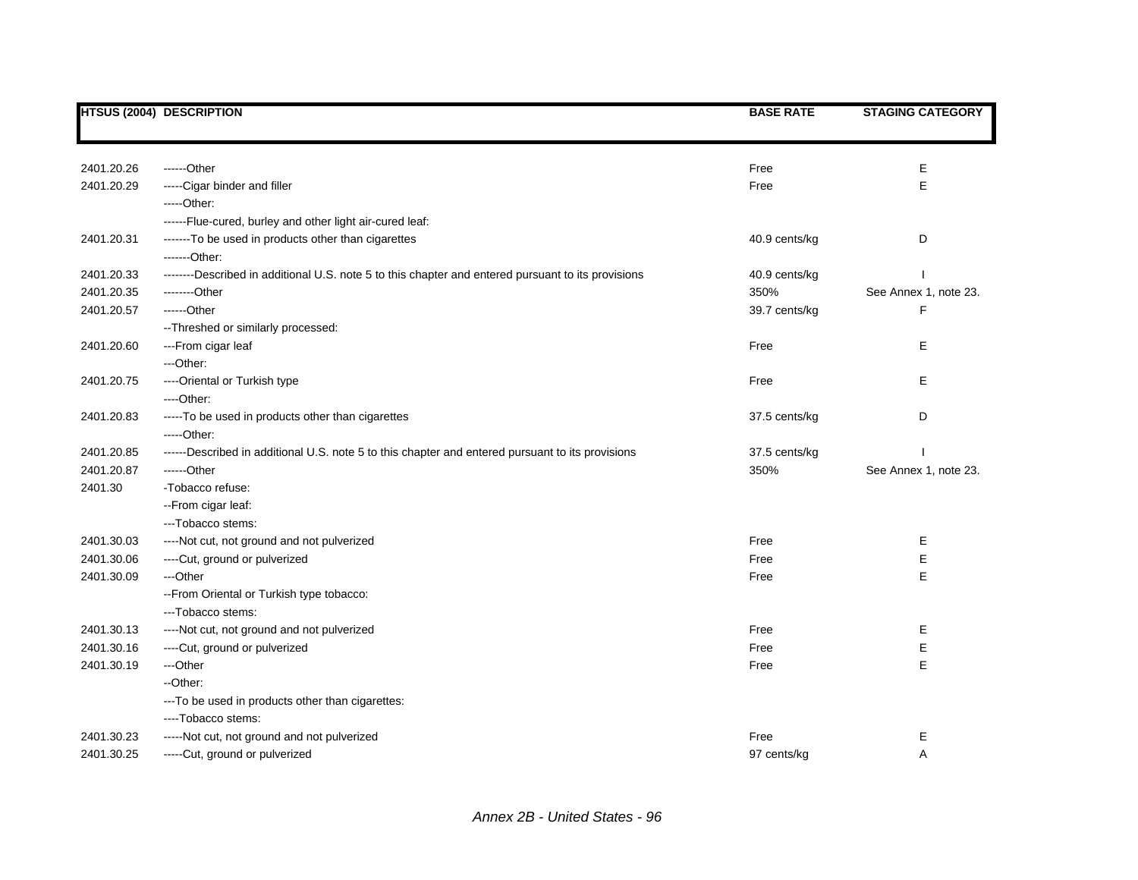|            | <b>HTSUS (2004) DESCRIPTION</b>                                                                    | <b>BASE RATE</b> | <b>STAGING CATEGORY</b> |
|------------|----------------------------------------------------------------------------------------------------|------------------|-------------------------|
|            |                                                                                                    |                  |                         |
| 2401.20.26 | ------Other                                                                                        | Free             | E                       |
| 2401.20.29 | -----Cigar binder and filler                                                                       | Free             | E                       |
|            | $---Other:$                                                                                        |                  |                         |
|            | ------Flue-cured, burley and other light air-cured leaf:                                           |                  |                         |
| 2401.20.31 | -------To be used in products other than cigarettes                                                | 40.9 cents/kg    | D                       |
|            | -------Other:                                                                                      |                  |                         |
| 2401.20.33 | --------Described in additional U.S. note 5 to this chapter and entered pursuant to its provisions | 40.9 cents/kg    |                         |
| 2401.20.35 | --------Other                                                                                      | 350%             | See Annex 1, note 23.   |
| 2401.20.57 | ------Other                                                                                        | 39.7 cents/kg    | F                       |
|            | -- Threshed or similarly processed:                                                                |                  |                         |
| 2401.20.60 | ---From cigar leaf                                                                                 | Free             | E                       |
|            | ---Other:                                                                                          |                  |                         |
| 2401.20.75 | ----Oriental or Turkish type                                                                       | Free             | E                       |
|            | ----Other:                                                                                         |                  |                         |
| 2401.20.83 | -----To be used in products other than cigarettes                                                  | 37.5 cents/kg    | D                       |
|            | $---Other.$                                                                                        |                  |                         |
| 2401.20.85 | ------Described in additional U.S. note 5 to this chapter and entered pursuant to its provisions   | 37.5 cents/kg    |                         |
| 2401.20.87 | ------Other                                                                                        | 350%             | See Annex 1, note 23.   |
| 2401.30    | -Tobacco refuse:                                                                                   |                  |                         |
|            | -- From cigar leaf:                                                                                |                  |                         |
|            | ---Tobacco stems:                                                                                  |                  |                         |
| 2401.30.03 | ----Not cut, not ground and not pulverized                                                         | Free             | Е                       |
| 2401.30.06 | ----Cut, ground or pulverized                                                                      | Free             | E                       |
| 2401.30.09 | ---Other                                                                                           | Free             | E                       |
|            | -- From Oriental or Turkish type tobacco:                                                          |                  |                         |
|            | --- Tobacco stems:                                                                                 |                  |                         |
| 2401.30.13 | ----Not cut, not ground and not pulverized                                                         | Free             | Е                       |
| 2401.30.16 | ----Cut, ground or pulverized                                                                      | Free             | Е                       |
| 2401.30.19 | ---Other                                                                                           | Free             | E                       |
|            | --Other:                                                                                           |                  |                         |
|            | --- To be used in products other than cigarettes:                                                  |                  |                         |
|            | ----Tobacco stems:                                                                                 |                  |                         |
| 2401.30.23 | -----Not cut, not ground and not pulverized                                                        | Free             | Е                       |
| 2401.30.25 | -----Cut, ground or pulverized                                                                     | 97 cents/kg      | A                       |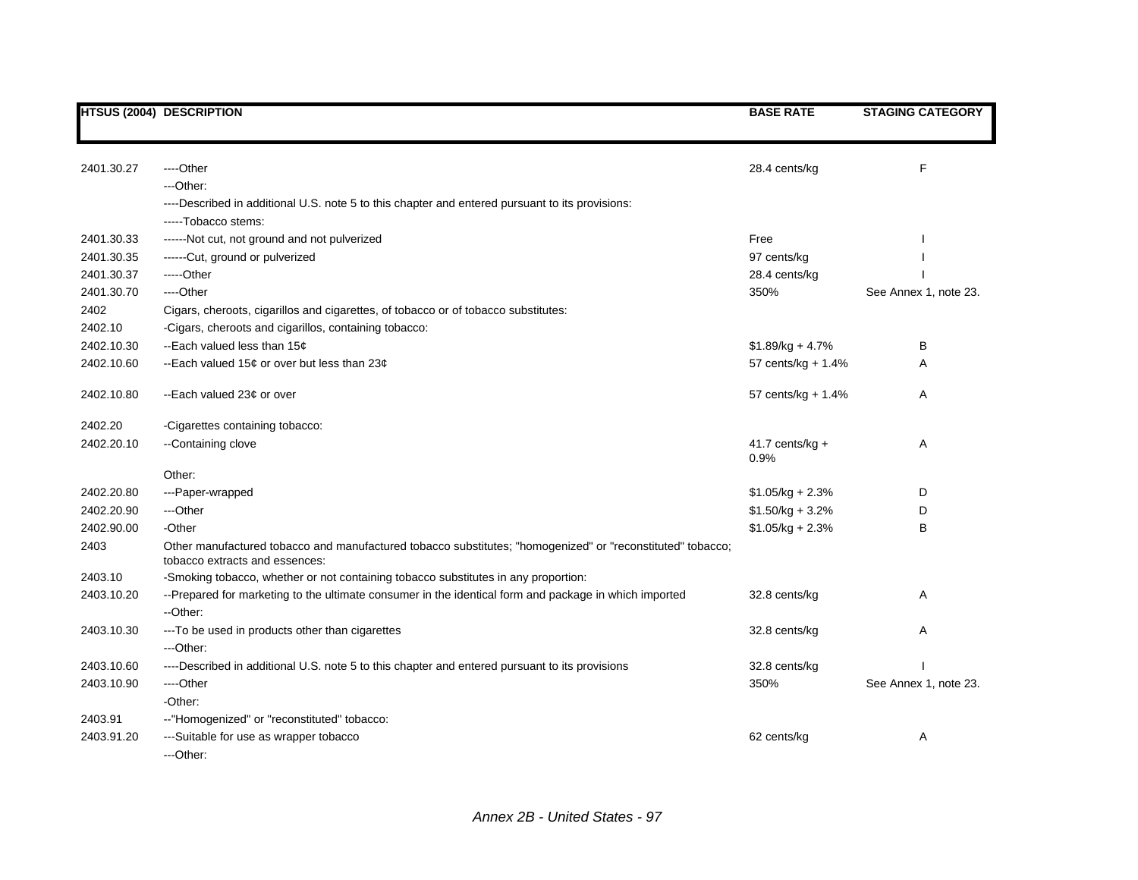|            | <b>HTSUS (2004) DESCRIPTION</b>                                                                                                              | <b>BASE RATE</b>          | <b>STAGING CATEGORY</b> |
|------------|----------------------------------------------------------------------------------------------------------------------------------------------|---------------------------|-------------------------|
|            |                                                                                                                                              |                           |                         |
| 2401.30.27 | ----Other                                                                                                                                    | 28.4 cents/kg             | F                       |
|            | ---Other:                                                                                                                                    |                           |                         |
|            | ----Described in additional U.S. note 5 to this chapter and entered pursuant to its provisions:                                              |                           |                         |
|            | -----Tobacco stems:                                                                                                                          |                           |                         |
| 2401.30.33 | ------Not cut, not ground and not pulverized                                                                                                 | Free                      |                         |
| 2401.30.35 | ------Cut, ground or pulverized                                                                                                              | 97 cents/kg               |                         |
| 2401.30.37 | -----Other                                                                                                                                   | 28.4 cents/kg             |                         |
| 2401.30.70 | ---Other                                                                                                                                     | 350%                      | See Annex 1, note 23.   |
| 2402       | Cigars, cheroots, cigarillos and cigarettes, of tobacco or of tobacco substitutes:                                                           |                           |                         |
| 2402.10    | -Cigars, cheroots and cigarillos, containing tobacco:                                                                                        |                           |                         |
| 2402.10.30 | --Each valued less than 15¢                                                                                                                  | $$1.89/kg + 4.7%$         | В                       |
| 2402.10.60 | --Each valued 15¢ or over but less than 23¢                                                                                                  | 57 cents/ $kg + 1.4%$     | A                       |
| 2402.10.80 | --Each valued 23¢ or over                                                                                                                    | 57 cents/kg + 1.4%        | Α                       |
| 2402.20    | -Cigarettes containing tobacco:                                                                                                              |                           |                         |
| 2402.20.10 | --Containing clove                                                                                                                           | $41.7$ cents/kg +<br>0.9% | Α                       |
|            | Other:                                                                                                                                       |                           |                         |
| 2402.20.80 | ---Paper-wrapped                                                                                                                             | $$1.05/kg + 2.3%$         | D                       |
| 2402.20.90 | ---Other                                                                                                                                     | $$1.50/kg + 3.2%$         | D                       |
| 2402.90.00 | -Other                                                                                                                                       | $$1.05/kg + 2.3%$         | B                       |
| 2403       | Other manufactured tobacco and manufactured tobacco substitutes; "homogenized" or "reconstituted" tobacco;<br>tobacco extracts and essences: |                           |                         |
| 2403.10    | -Smoking tobacco, whether or not containing tobacco substitutes in any proportion:                                                           |                           |                         |
| 2403.10.20 | --Prepared for marketing to the ultimate consumer in the identical form and package in which imported                                        | 32.8 cents/kg             | Α                       |
|            | --Other:                                                                                                                                     |                           |                         |
| 2403.10.30 | --- To be used in products other than cigarettes                                                                                             | 32.8 cents/kg             | Α                       |
|            | ---Other:                                                                                                                                    |                           |                         |
| 2403.10.60 | ----Described in additional U.S. note 5 to this chapter and entered pursuant to its provisions                                               | 32.8 cents/kg             |                         |
| 2403.10.90 | ----Other                                                                                                                                    | 350%                      | See Annex 1, note 23.   |
|            | -Other:                                                                                                                                      |                           |                         |
| 2403.91    | --"Homogenized" or "reconstituted" tobacco:                                                                                                  |                           |                         |
| 2403.91.20 | ---Suitable for use as wrapper tobacco                                                                                                       | 62 cents/kg               | Α                       |
|            | ---Other:                                                                                                                                    |                           |                         |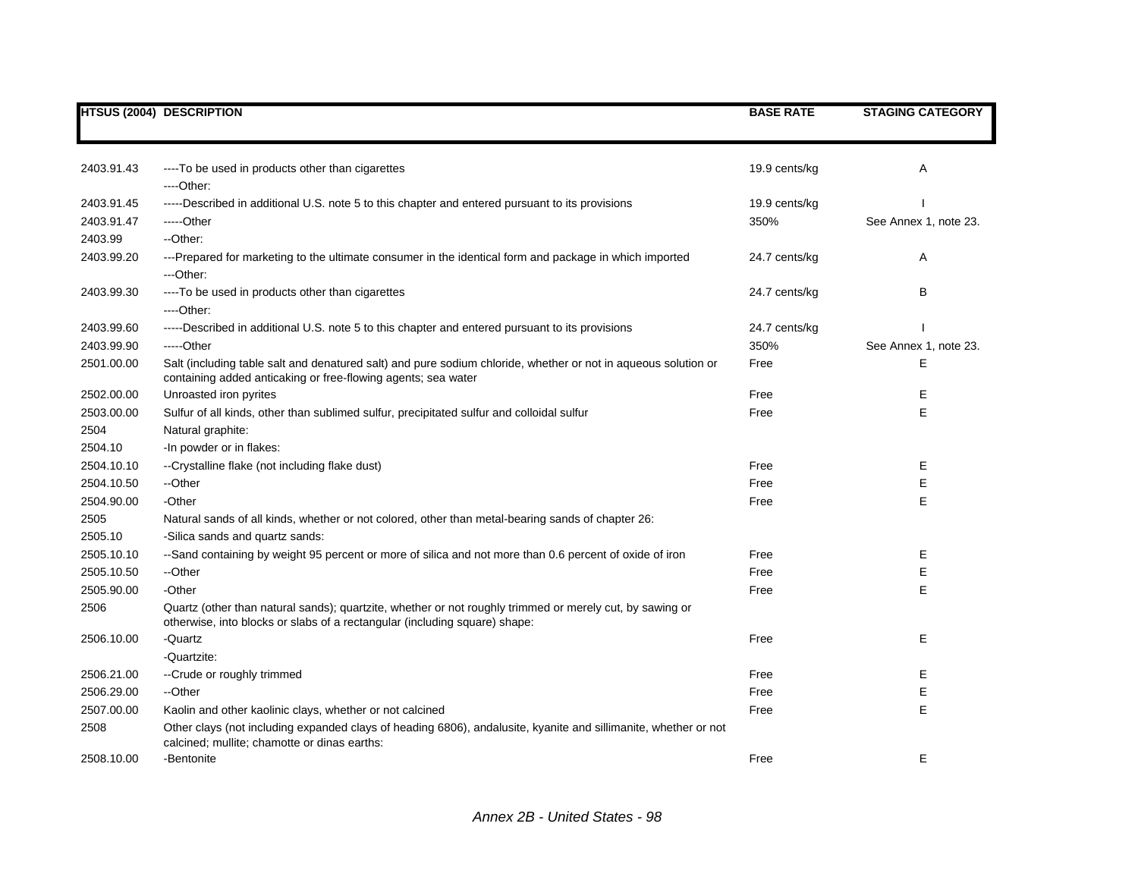|            | <b>HTSUS (2004) DESCRIPTION</b>                                                                                                                                                        | <b>BASE RATE</b> | <b>STAGING CATEGORY</b> |
|------------|----------------------------------------------------------------------------------------------------------------------------------------------------------------------------------------|------------------|-------------------------|
|            |                                                                                                                                                                                        |                  |                         |
|            |                                                                                                                                                                                        |                  |                         |
| 2403.91.43 | ----To be used in products other than cigarettes                                                                                                                                       | 19.9 cents/kg    | A                       |
|            | ----Other:                                                                                                                                                                             |                  |                         |
| 2403.91.45 | -----Described in additional U.S. note 5 to this chapter and entered pursuant to its provisions                                                                                        | 19.9 cents/kg    |                         |
| 2403.91.47 | -----Other                                                                                                                                                                             | 350%             | See Annex 1, note 23.   |
| 2403.99    | --Other:                                                                                                                                                                               |                  |                         |
| 2403.99.20 | ---Prepared for marketing to the ultimate consumer in the identical form and package in which imported                                                                                 | 24.7 cents/kg    | Α                       |
|            | ---Other:                                                                                                                                                                              |                  |                         |
| 2403.99.30 | ----To be used in products other than cigarettes                                                                                                                                       | 24.7 cents/kg    | B                       |
|            | ----Other:                                                                                                                                                                             |                  |                         |
| 2403.99.60 | -----Described in additional U.S. note 5 to this chapter and entered pursuant to its provisions                                                                                        | 24.7 cents/kg    |                         |
| 2403.99.90 | -----Other                                                                                                                                                                             | 350%             | See Annex 1, note 23.   |
| 2501.00.00 | Salt (including table salt and denatured salt) and pure sodium chloride, whether or not in aqueous solution or                                                                         | Free             | Ε                       |
|            | containing added anticaking or free-flowing agents; sea water                                                                                                                          |                  |                         |
| 2502.00.00 | Unroasted iron pyrites                                                                                                                                                                 | Free             | Ε                       |
| 2503.00.00 | Sulfur of all kinds, other than sublimed sulfur, precipitated sulfur and colloidal sulfur                                                                                              | Free             | E                       |
| 2504       | Natural graphite:                                                                                                                                                                      |                  |                         |
| 2504.10    | -In powder or in flakes:                                                                                                                                                               |                  |                         |
| 2504.10.10 | --Crystalline flake (not including flake dust)                                                                                                                                         | Free             | Е                       |
| 2504.10.50 | --Other                                                                                                                                                                                | Free             | E                       |
| 2504.90.00 | -Other                                                                                                                                                                                 | Free             | E                       |
| 2505       | Natural sands of all kinds, whether or not colored, other than metal-bearing sands of chapter 26:                                                                                      |                  |                         |
| 2505.10    | -Silica sands and quartz sands:                                                                                                                                                        |                  |                         |
| 2505.10.10 | --Sand containing by weight 95 percent or more of silica and not more than 0.6 percent of oxide of iron                                                                                | Free             | Е                       |
| 2505.10.50 | --Other                                                                                                                                                                                | Free             | E                       |
| 2505.90.00 | -Other                                                                                                                                                                                 | Free             | E                       |
| 2506       | Quartz (other than natural sands); quartzite, whether or not roughly trimmed or merely cut, by sawing or<br>otherwise, into blocks or slabs of a rectangular (including square) shape: |                  |                         |
| 2506.10.00 | -Quartz                                                                                                                                                                                | Free             | E                       |
|            | -Quartzite:                                                                                                                                                                            |                  |                         |
| 2506.21.00 | -- Crude or roughly trimmed                                                                                                                                                            | Free             | Е                       |
| 2506.29.00 | --Other                                                                                                                                                                                | Free             | Ε                       |
| 2507.00.00 | Kaolin and other kaolinic clays, whether or not calcined                                                                                                                               | Free             | E                       |
| 2508       | Other clays (not including expanded clays of heading 6806), andalusite, kyanite and sillimanite, whether or not<br>calcined; mullite; chamotte or dinas earths:                        |                  |                         |
| 2508.10.00 | -Bentonite                                                                                                                                                                             | Free             | E                       |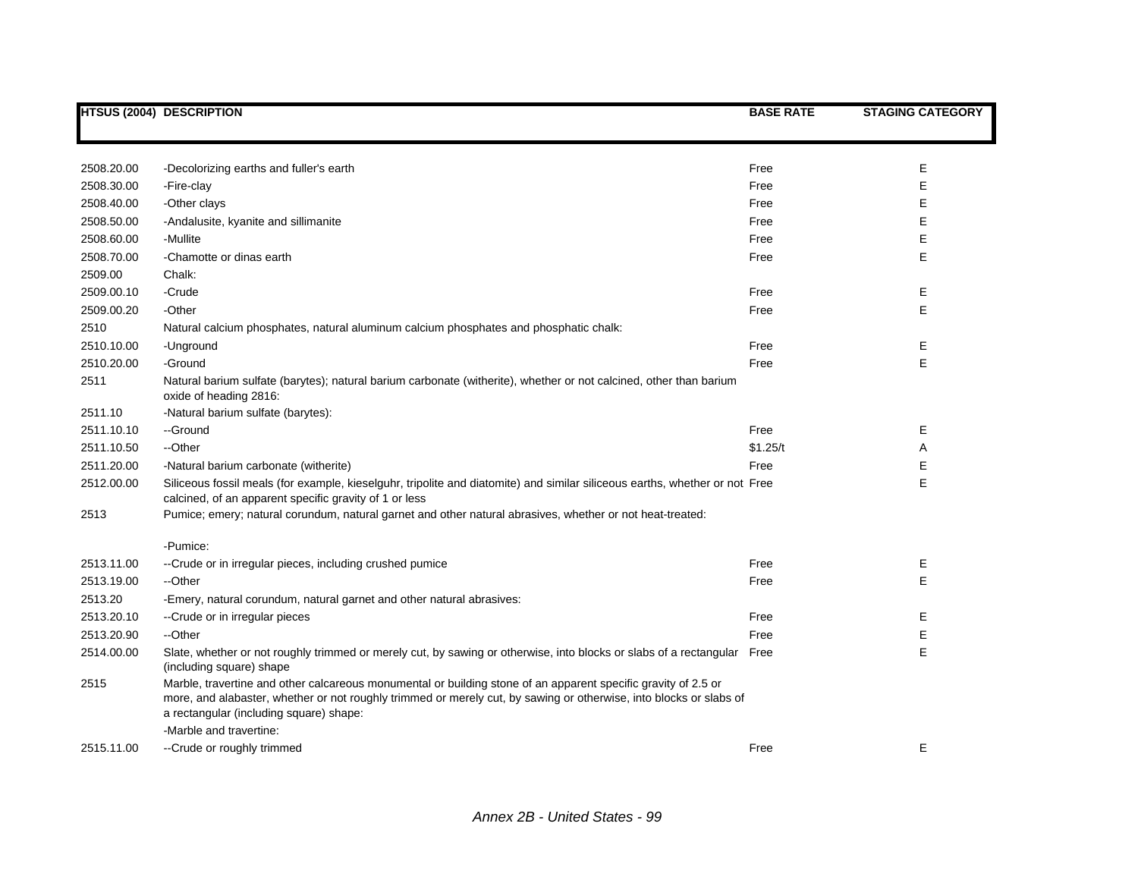|            | <b>HTSUS (2004) DESCRIPTION</b>                                                                                                                                                                                                                                                 | <b>BASE RATE</b> | <b>STAGING CATEGORY</b> |
|------------|---------------------------------------------------------------------------------------------------------------------------------------------------------------------------------------------------------------------------------------------------------------------------------|------------------|-------------------------|
|            |                                                                                                                                                                                                                                                                                 |                  |                         |
| 2508.20.00 | -Decolorizing earths and fuller's earth                                                                                                                                                                                                                                         | Free             | E                       |
| 2508.30.00 | -Fire-clay                                                                                                                                                                                                                                                                      | Free             | E                       |
| 2508.40.00 | -Other clays                                                                                                                                                                                                                                                                    | Free             | E                       |
| 2508.50.00 | -Andalusite, kyanite and sillimanite                                                                                                                                                                                                                                            | Free             | Е                       |
| 2508.60.00 | -Mullite                                                                                                                                                                                                                                                                        | Free             | Е                       |
| 2508.70.00 | -Chamotte or dinas earth                                                                                                                                                                                                                                                        | Free             | E                       |
| 2509.00    | Chalk:                                                                                                                                                                                                                                                                          |                  |                         |
| 2509.00.10 | -Crude                                                                                                                                                                                                                                                                          | Free             | Е                       |
| 2509.00.20 | -Other                                                                                                                                                                                                                                                                          | Free             | E                       |
| 2510       | Natural calcium phosphates, natural aluminum calcium phosphates and phosphatic chalk:                                                                                                                                                                                           |                  |                         |
| 2510.10.00 | -Unground                                                                                                                                                                                                                                                                       | Free             | Е                       |
| 2510.20.00 | -Ground                                                                                                                                                                                                                                                                         | Free             | E                       |
| 2511       | Natural barium sulfate (barytes); natural barium carbonate (witherite), whether or not calcined, other than barium<br>oxide of heading 2816:                                                                                                                                    |                  |                         |
| 2511.10    | -Natural barium sulfate (barytes):                                                                                                                                                                                                                                              |                  |                         |
| 2511.10.10 | --Ground                                                                                                                                                                                                                                                                        | Free             | Е                       |
| 2511.10.50 | --Other                                                                                                                                                                                                                                                                         | \$1.25/t         | Α                       |
| 2511.20.00 | -Natural barium carbonate (witherite)                                                                                                                                                                                                                                           | Free             | Е                       |
| 2512.00.00 | Siliceous fossil meals (for example, kieselguhr, tripolite and diatomite) and similar siliceous earths, whether or not Free<br>calcined, of an apparent specific gravity of 1 or less                                                                                           |                  | E                       |
| 2513       | Pumice; emery; natural corundum, natural garnet and other natural abrasives, whether or not heat-treated:                                                                                                                                                                       |                  |                         |
|            | -Pumice:                                                                                                                                                                                                                                                                        |                  |                         |
| 2513.11.00 | --Crude or in irregular pieces, including crushed pumice                                                                                                                                                                                                                        | Free             | Е                       |
| 2513.19.00 | --Other                                                                                                                                                                                                                                                                         | Free             | E                       |
| 2513.20    | -Emery, natural corundum, natural garnet and other natural abrasives:                                                                                                                                                                                                           |                  |                         |
| 2513.20.10 | --Crude or in irregular pieces                                                                                                                                                                                                                                                  | Free             | Е                       |
| 2513.20.90 | --Other                                                                                                                                                                                                                                                                         | Free             | E                       |
| 2514.00.00 | Slate, whether or not roughly trimmed or merely cut, by sawing or otherwise, into blocks or slabs of a rectangular Free<br>(including square) shape                                                                                                                             |                  | E                       |
| 2515       | Marble, travertine and other calcareous monumental or building stone of an apparent specific gravity of 2.5 or<br>more, and alabaster, whether or not roughly trimmed or merely cut, by sawing or otherwise, into blocks or slabs of<br>a rectangular (including square) shape: |                  |                         |
|            | -Marble and travertine:                                                                                                                                                                                                                                                         |                  |                         |
| 2515.11.00 | --Crude or roughly trimmed                                                                                                                                                                                                                                                      | Free             | Е                       |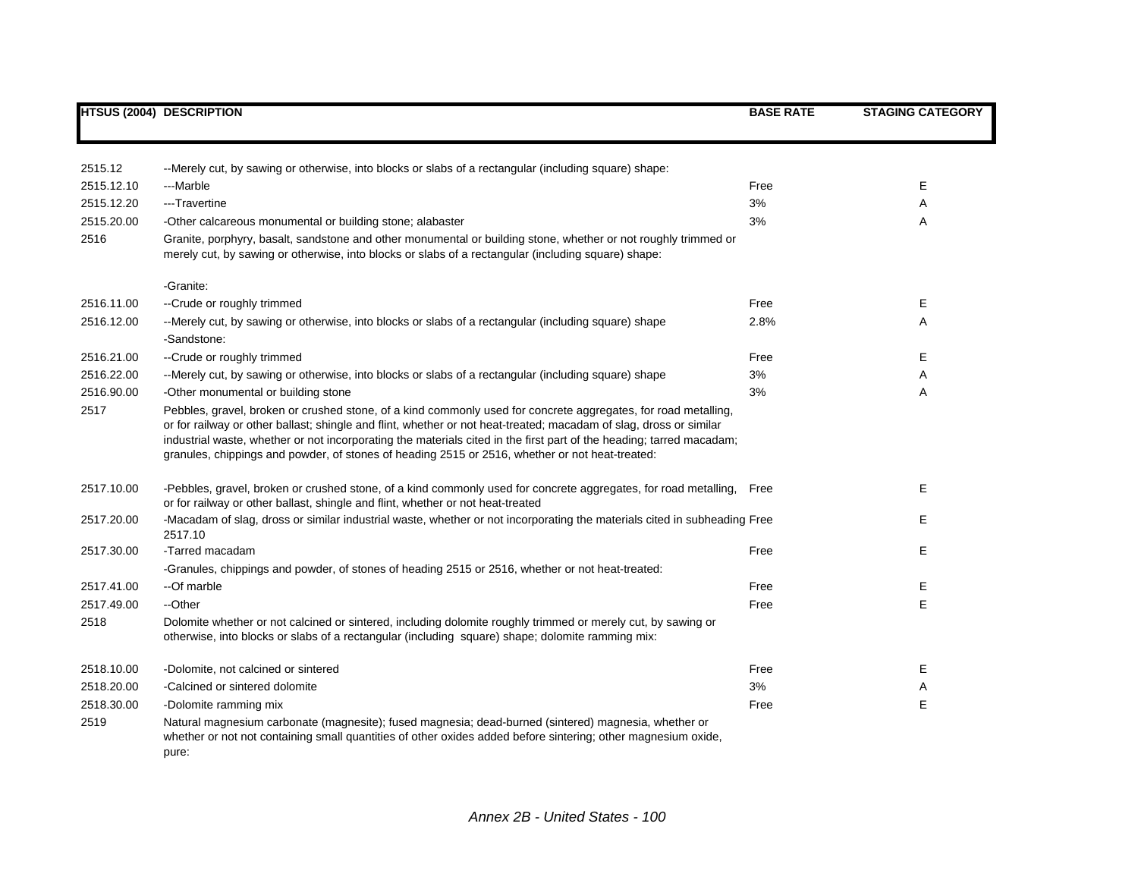|            | <b>HTSUS (2004) DESCRIPTION</b>                                                                                                                                                                                                                                                                                                                                                                                                                                 | <b>BASE RATE</b> | <b>STAGING CATEGORY</b> |
|------------|-----------------------------------------------------------------------------------------------------------------------------------------------------------------------------------------------------------------------------------------------------------------------------------------------------------------------------------------------------------------------------------------------------------------------------------------------------------------|------------------|-------------------------|
|            |                                                                                                                                                                                                                                                                                                                                                                                                                                                                 |                  |                         |
| 2515.12    | --Merely cut, by sawing or otherwise, into blocks or slabs of a rectangular (including square) shape:                                                                                                                                                                                                                                                                                                                                                           |                  |                         |
| 2515.12.10 | ---Marble                                                                                                                                                                                                                                                                                                                                                                                                                                                       | Free             | Е                       |
| 2515.12.20 | ---Travertine                                                                                                                                                                                                                                                                                                                                                                                                                                                   | 3%               | Α                       |
| 2515.20.00 | -Other calcareous monumental or building stone; alabaster                                                                                                                                                                                                                                                                                                                                                                                                       | 3%               | Α                       |
| 2516       | Granite, porphyry, basalt, sandstone and other monumental or building stone, whether or not roughly trimmed or<br>merely cut, by sawing or otherwise, into blocks or slabs of a rectangular (including square) shape:                                                                                                                                                                                                                                           |                  |                         |
|            | -Granite:                                                                                                                                                                                                                                                                                                                                                                                                                                                       |                  |                         |
| 2516.11.00 | --Crude or roughly trimmed                                                                                                                                                                                                                                                                                                                                                                                                                                      | Free             | Е                       |
| 2516.12.00 | --Merely cut, by sawing or otherwise, into blocks or slabs of a rectangular (including square) shape<br>-Sandstone:                                                                                                                                                                                                                                                                                                                                             | 2.8%             | A                       |
| 2516.21.00 | --Crude or roughly trimmed                                                                                                                                                                                                                                                                                                                                                                                                                                      | Free             | Е                       |
| 2516.22.00 | --Merely cut, by sawing or otherwise, into blocks or slabs of a rectangular (including square) shape                                                                                                                                                                                                                                                                                                                                                            | 3%               | A                       |
| 2516.90.00 | -Other monumental or building stone                                                                                                                                                                                                                                                                                                                                                                                                                             | 3%               | A                       |
| 2517       | Pebbles, gravel, broken or crushed stone, of a kind commonly used for concrete aggregates, for road metalling,<br>or for railway or other ballast; shingle and flint, whether or not heat-treated; macadam of slag, dross or similar<br>industrial waste, whether or not incorporating the materials cited in the first part of the heading; tarred macadam;<br>granules, chippings and powder, of stones of heading 2515 or 2516, whether or not heat-treated: |                  |                         |
| 2517.10.00 | -Pebbles, gravel, broken or crushed stone, of a kind commonly used for concrete aggregates, for road metalling,<br>or for railway or other ballast, shingle and flint, whether or not heat-treated                                                                                                                                                                                                                                                              | Free             | Е                       |
| 2517.20.00 | -Macadam of slag, dross or similar industrial waste, whether or not incorporating the materials cited in subheading Free<br>2517.10                                                                                                                                                                                                                                                                                                                             |                  | Е                       |
| 2517.30.00 | -Tarred macadam                                                                                                                                                                                                                                                                                                                                                                                                                                                 | Free             | Е                       |
|            | -Granules, chippings and powder, of stones of heading 2515 or 2516, whether or not heat-treated:                                                                                                                                                                                                                                                                                                                                                                |                  |                         |
| 2517.41.00 | --Of marble                                                                                                                                                                                                                                                                                                                                                                                                                                                     | Free             | Е                       |
| 2517.49.00 | --Other                                                                                                                                                                                                                                                                                                                                                                                                                                                         | Free             | E                       |
| 2518       | Dolomite whether or not calcined or sintered, including dolomite roughly trimmed or merely cut, by sawing or<br>otherwise, into blocks or slabs of a rectangular (including square) shape; dolomite ramming mix:                                                                                                                                                                                                                                                |                  |                         |
| 2518.10.00 | -Dolomite, not calcined or sintered                                                                                                                                                                                                                                                                                                                                                                                                                             | Free             | Е                       |
| 2518.20.00 | -Calcined or sintered dolomite                                                                                                                                                                                                                                                                                                                                                                                                                                  | 3%               | Α                       |
| 2518.30.00 | -Dolomite ramming mix                                                                                                                                                                                                                                                                                                                                                                                                                                           | Free             | Е                       |
| 2519       | Natural magnesium carbonate (magnesite); fused magnesia; dead-burned (sintered) magnesia, whether or<br>whether or not not containing small quantities of other oxides added before sintering; other magnesium oxide,<br>pure:                                                                                                                                                                                                                                  |                  |                         |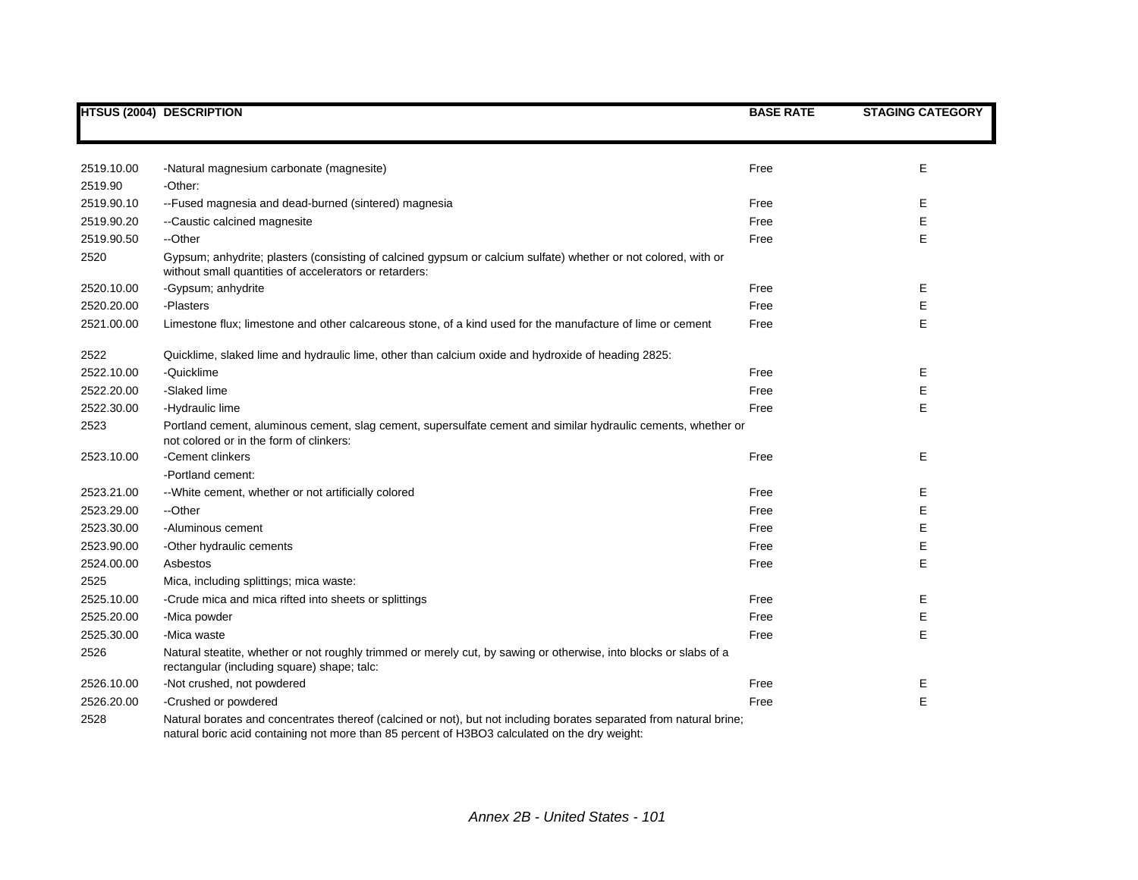|            | <b>HTSUS (2004) DESCRIPTION</b>                                                                                                                                                                                      | <b>BASE RATE</b> | <b>STAGING CATEGORY</b> |
|------------|----------------------------------------------------------------------------------------------------------------------------------------------------------------------------------------------------------------------|------------------|-------------------------|
|            |                                                                                                                                                                                                                      |                  |                         |
|            |                                                                                                                                                                                                                      |                  |                         |
| 2519.10.00 | -Natural magnesium carbonate (magnesite)                                                                                                                                                                             | Free             | E                       |
| 2519.90    | -Other:                                                                                                                                                                                                              |                  |                         |
| 2519.90.10 | --Fused magnesia and dead-burned (sintered) magnesia                                                                                                                                                                 | Free             | Е                       |
| 2519.90.20 | --Caustic calcined magnesite                                                                                                                                                                                         | Free             | E                       |
| 2519.90.50 | --Other                                                                                                                                                                                                              | Free             | Е                       |
| 2520       | Gypsum; anhydrite; plasters (consisting of calcined gypsum or calcium sulfate) whether or not colored, with or<br>without small quantities of accelerators or retarders:                                             |                  |                         |
| 2520.10.00 | -Gypsum; anhydrite                                                                                                                                                                                                   | Free             | Е                       |
| 2520.20.00 | -Plasters                                                                                                                                                                                                            | Free             | Е                       |
| 2521.00.00 | Limestone flux; limestone and other calcareous stone, of a kind used for the manufacture of lime or cement                                                                                                           | Free             | E                       |
| 2522       | Quicklime, slaked lime and hydraulic lime, other than calcium oxide and hydroxide of heading 2825:                                                                                                                   |                  |                         |
| 2522.10.00 | -Quicklime                                                                                                                                                                                                           | Free             | Ε                       |
| 2522.20.00 | -Slaked lime                                                                                                                                                                                                         | Free             | E                       |
| 2522.30.00 | -Hydraulic lime                                                                                                                                                                                                      | Free             | E                       |
| 2523       | Portland cement, aluminous cement, slag cement, supersulfate cement and similar hydraulic cements, whether or<br>not colored or in the form of clinkers:                                                             |                  |                         |
| 2523.10.00 | -Cement clinkers                                                                                                                                                                                                     | Free             | Е                       |
|            | -Portland cement:                                                                                                                                                                                                    |                  |                         |
| 2523.21.00 | -- White cement, whether or not artificially colored                                                                                                                                                                 | Free             | Ε                       |
| 2523.29.00 | --Other                                                                                                                                                                                                              | Free             | Ε                       |
| 2523.30.00 | -Aluminous cement                                                                                                                                                                                                    | Free             | Е                       |
| 2523.90.00 | -Other hydraulic cements                                                                                                                                                                                             | Free             | E                       |
| 2524.00.00 | Asbestos                                                                                                                                                                                                             | Free             | E                       |
| 2525       | Mica, including splittings; mica waste:                                                                                                                                                                              |                  |                         |
| 2525.10.00 | -Crude mica and mica rifted into sheets or splittings                                                                                                                                                                | Free             | Е                       |
| 2525.20.00 | -Mica powder                                                                                                                                                                                                         | Free             | E                       |
| 2525.30.00 | -Mica waste                                                                                                                                                                                                          | Free             | E                       |
| 2526       | Natural steatite, whether or not roughly trimmed or merely cut, by sawing or otherwise, into blocks or slabs of a<br>rectangular (including square) shape; talc:                                                     |                  |                         |
| 2526.10.00 | -Not crushed, not powdered                                                                                                                                                                                           | Free             | Е                       |
| 2526.20.00 | -Crushed or powdered                                                                                                                                                                                                 | Free             | E                       |
| 2528       | Natural borates and concentrates thereof (calcined or not), but not including borates separated from natural brine;<br>natural boric acid containing not more than 85 percent of H3BO3 calculated on the dry weight: |                  |                         |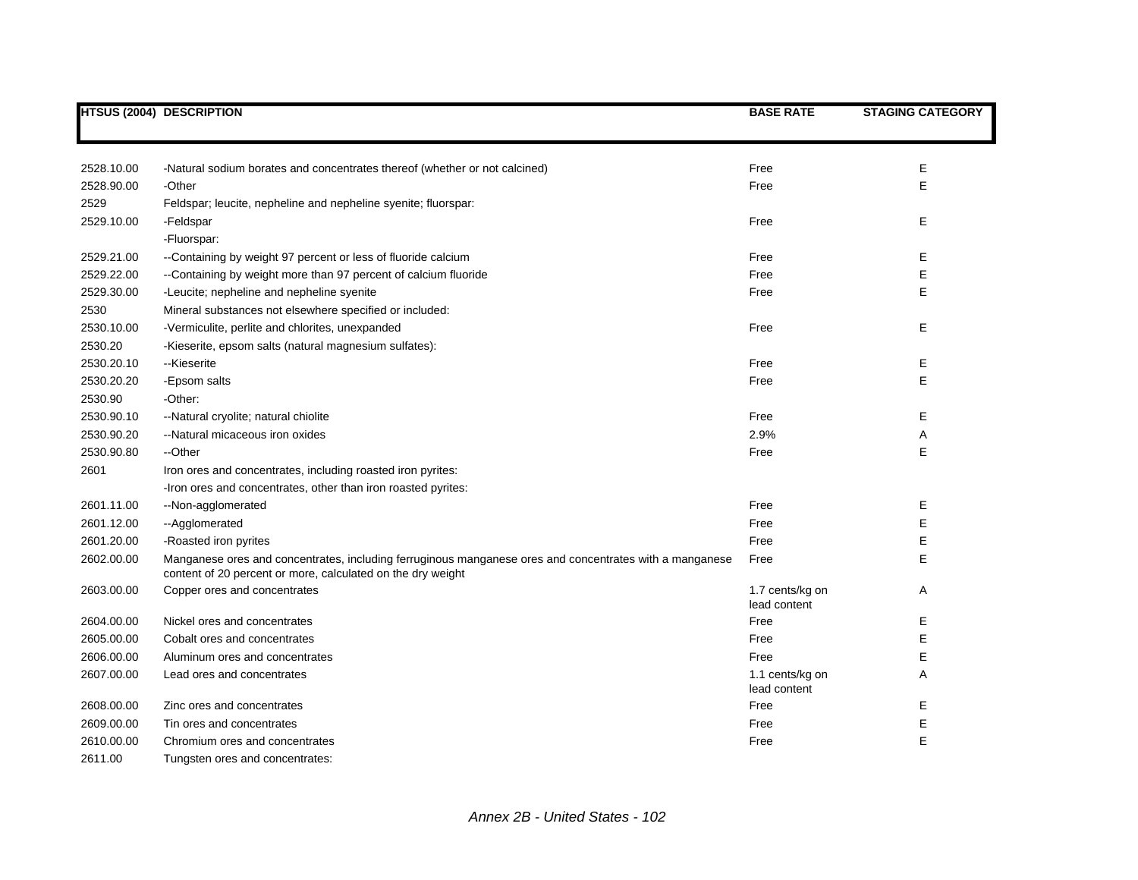|            | <b>HTSUS (2004) DESCRIPTION</b>                                                                                                                                        | <b>BASE RATE</b>                | <b>STAGING CATEGORY</b> |
|------------|------------------------------------------------------------------------------------------------------------------------------------------------------------------------|---------------------------------|-------------------------|
|            |                                                                                                                                                                        |                                 |                         |
|            |                                                                                                                                                                        |                                 |                         |
| 2528.10.00 | -Natural sodium borates and concentrates thereof (whether or not calcined)                                                                                             | Free                            | Е                       |
| 2528.90.00 | -Other                                                                                                                                                                 | Free                            | Е                       |
| 2529       | Feldspar; leucite, nepheline and nepheline syenite; fluorspar:                                                                                                         |                                 |                         |
| 2529.10.00 | -Feldspar                                                                                                                                                              | Free                            | Е                       |
|            | -Fluorspar:                                                                                                                                                            |                                 |                         |
| 2529.21.00 | --Containing by weight 97 percent or less of fluoride calcium                                                                                                          | Free                            | Е                       |
| 2529.22.00 | --Containing by weight more than 97 percent of calcium fluoride                                                                                                        | Free                            | Е                       |
| 2529.30.00 | -Leucite; nepheline and nepheline syenite                                                                                                                              | Free                            | E                       |
| 2530       | Mineral substances not elsewhere specified or included:                                                                                                                |                                 |                         |
| 2530.10.00 | -Vermiculite, perlite and chlorites, unexpanded                                                                                                                        | Free                            | Е                       |
| 2530.20    | -Kieserite, epsom salts (natural magnesium sulfates):                                                                                                                  |                                 |                         |
| 2530.20.10 | --Kieserite                                                                                                                                                            | Free                            | Е                       |
| 2530.20.20 | -Epsom salts                                                                                                                                                           | Free                            | E                       |
| 2530.90    | -Other:                                                                                                                                                                |                                 |                         |
| 2530.90.10 | --Natural cryolite; natural chiolite                                                                                                                                   | Free                            | Е                       |
| 2530.90.20 | --Natural micaceous iron oxides                                                                                                                                        | 2.9%                            | Α                       |
| 2530.90.80 | --Other                                                                                                                                                                | Free                            | E                       |
| 2601       | Iron ores and concentrates, including roasted iron pyrites:                                                                                                            |                                 |                         |
|            | -Iron ores and concentrates, other than iron roasted pyrites:                                                                                                          |                                 |                         |
| 2601.11.00 | --Non-agglomerated                                                                                                                                                     | Free                            | Ε                       |
| 2601.12.00 | --Agglomerated                                                                                                                                                         | Free                            | Е                       |
| 2601.20.00 | -Roasted iron pyrites                                                                                                                                                  | Free                            | Ε                       |
| 2602.00.00 | Manganese ores and concentrates, including ferruginous manganese ores and concentrates with a manganese<br>content of 20 percent or more, calculated on the dry weight | Free                            | E                       |
| 2603.00.00 | Copper ores and concentrates                                                                                                                                           | 1.7 cents/kg on<br>lead content | Α                       |
| 2604.00.00 | Nickel ores and concentrates                                                                                                                                           | Free                            | Е                       |
| 2605.00.00 | Cobalt ores and concentrates                                                                                                                                           | Free                            | Е                       |
| 2606.00.00 | Aluminum ores and concentrates                                                                                                                                         | Free                            | Е                       |
| 2607.00.00 | Lead ores and concentrates                                                                                                                                             | 1.1 cents/kg on<br>lead content | Α                       |
| 2608.00.00 | Zinc ores and concentrates                                                                                                                                             | Free                            | Е                       |
| 2609.00.00 | Tin ores and concentrates                                                                                                                                              | Free                            | Е                       |
| 2610.00.00 | Chromium ores and concentrates                                                                                                                                         | Free                            | E                       |
| 2611.00    | Tungsten ores and concentrates:                                                                                                                                        |                                 |                         |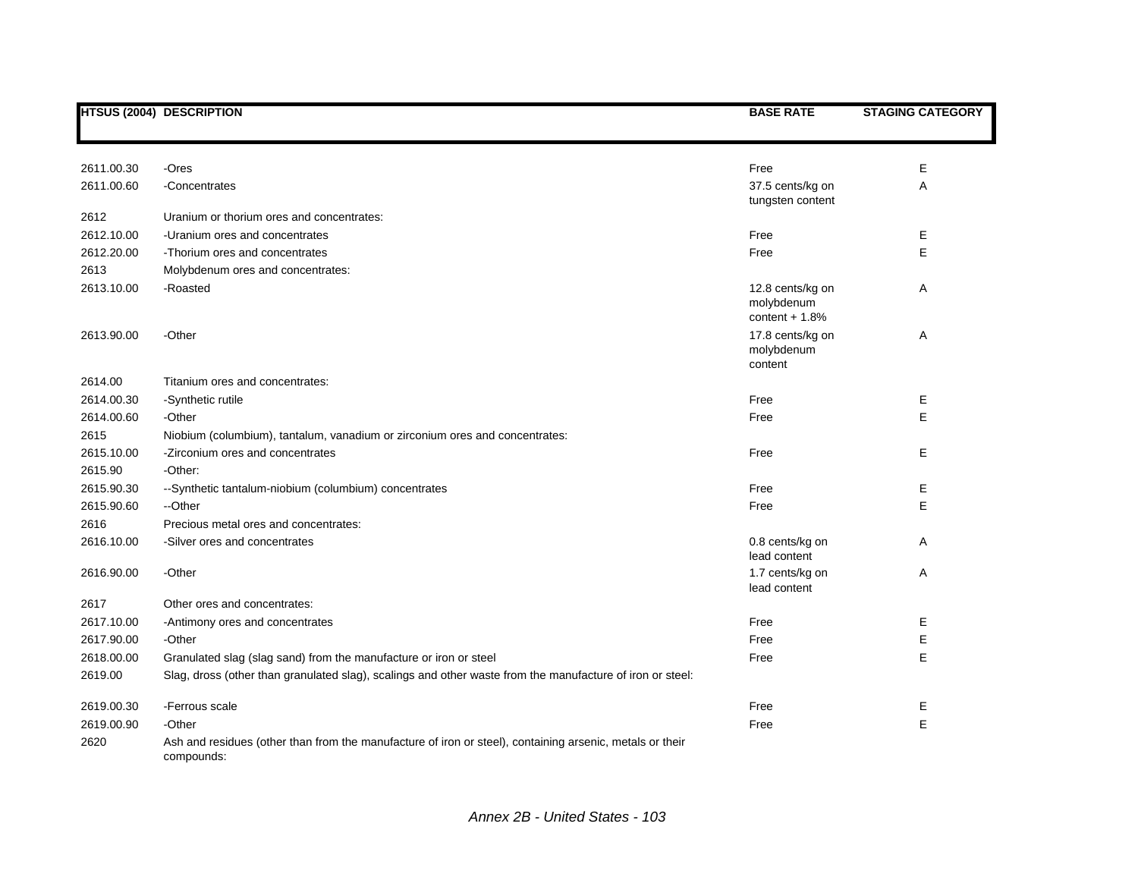|            | <b>HTSUS (2004) DESCRIPTION</b>                                                                                        | <b>BASE RATE</b>                                  | <b>STAGING CATEGORY</b> |
|------------|------------------------------------------------------------------------------------------------------------------------|---------------------------------------------------|-------------------------|
|            |                                                                                                                        |                                                   |                         |
| 2611.00.30 | -Ores                                                                                                                  | Free                                              | E                       |
| 2611.00.60 | -Concentrates                                                                                                          | 37.5 cents/kg on<br>tungsten content              | Α                       |
| 2612       | Uranium or thorium ores and concentrates:                                                                              |                                                   |                         |
| 2612.10.00 | -Uranium ores and concentrates                                                                                         | Free                                              | Е                       |
| 2612.20.00 | -Thorium ores and concentrates                                                                                         | Free                                              | E                       |
| 2613       | Molybdenum ores and concentrates:                                                                                      |                                                   |                         |
| 2613.10.00 | -Roasted                                                                                                               | 12.8 cents/kg on<br>molybdenum<br>content $+1.8%$ | Α                       |
| 2613.90.00 | -Other                                                                                                                 | 17.8 cents/kg on<br>molybdenum<br>content         | Α                       |
| 2614.00    | Titanium ores and concentrates:                                                                                        |                                                   |                         |
| 2614.00.30 | -Synthetic rutile                                                                                                      | Free                                              | Е                       |
| 2614.00.60 | -Other                                                                                                                 | Free                                              | E                       |
| 2615       | Niobium (columbium), tantalum, vanadium or zirconium ores and concentrates:                                            |                                                   |                         |
| 2615.10.00 | -Zirconium ores and concentrates                                                                                       | Free                                              | Е                       |
| 2615.90    | -Other:                                                                                                                |                                                   |                         |
| 2615.90.30 | --Synthetic tantalum-niobium (columbium) concentrates                                                                  | Free                                              | Е                       |
| 2615.90.60 | --Other                                                                                                                | Free                                              | E                       |
| 2616       | Precious metal ores and concentrates:                                                                                  |                                                   |                         |
| 2616.10.00 | -Silver ores and concentrates                                                                                          | 0.8 cents/kg on<br>lead content                   | A                       |
| 2616.90.00 | -Other                                                                                                                 | 1.7 cents/kg on<br>lead content                   | Α                       |
| 2617       | Other ores and concentrates:                                                                                           |                                                   |                         |
| 2617.10.00 | -Antimony ores and concentrates                                                                                        | Free                                              | Ε                       |
| 2617.90.00 | -Other                                                                                                                 | Free                                              | Ε                       |
| 2618.00.00 | Granulated slag (slag sand) from the manufacture or iron or steel                                                      | Free                                              | E                       |
| 2619.00    | Slag, dross (other than granulated slag), scalings and other waste from the manufacture of iron or steel:              |                                                   |                         |
| 2619.00.30 | -Ferrous scale                                                                                                         | Free                                              | Ε                       |
| 2619.00.90 | -Other                                                                                                                 | Free                                              | E                       |
| 2620       | Ash and residues (other than from the manufacture of iron or steel), containing arsenic, metals or their<br>compounds: |                                                   |                         |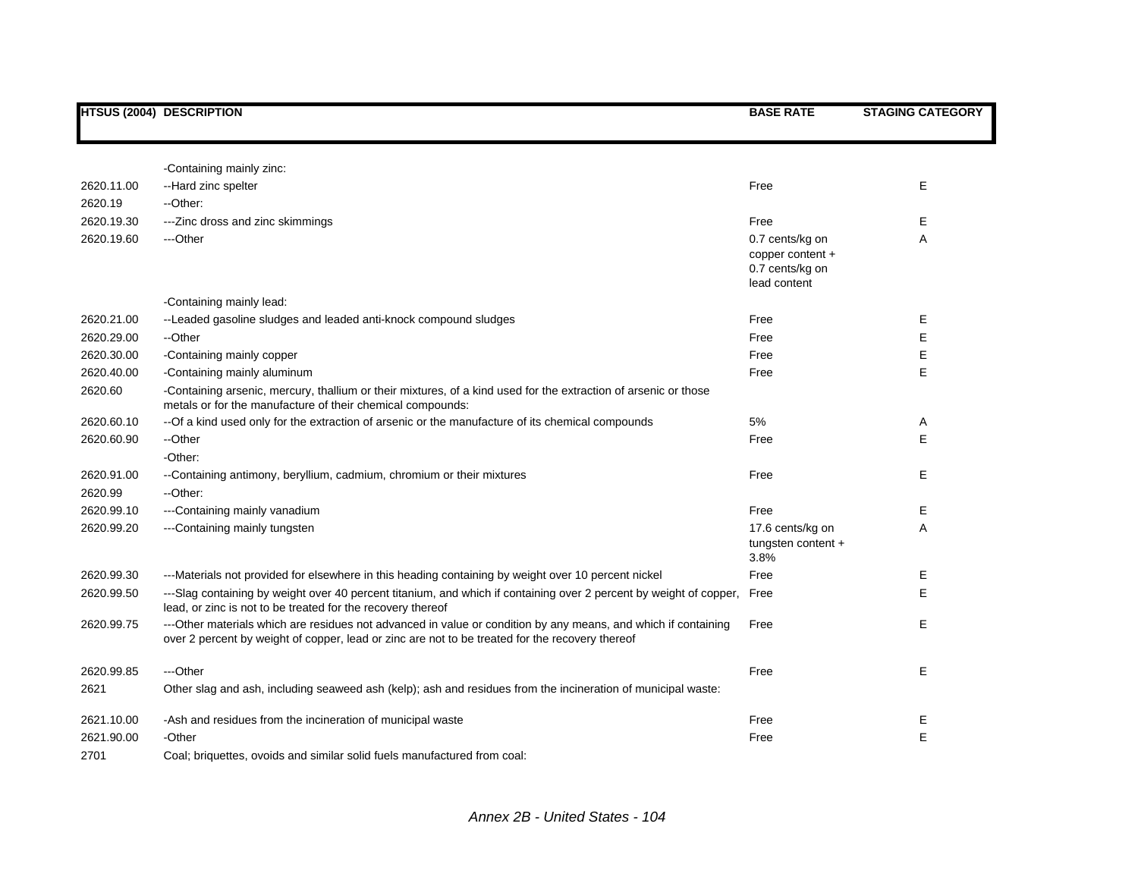|            | <b>HTSUS (2004) DESCRIPTION</b>                                                                                                                                                                                   | <b>BASE RATE</b>                                                       | <b>STAGING CATEGORY</b> |
|------------|-------------------------------------------------------------------------------------------------------------------------------------------------------------------------------------------------------------------|------------------------------------------------------------------------|-------------------------|
|            |                                                                                                                                                                                                                   |                                                                        |                         |
|            | -Containing mainly zinc:                                                                                                                                                                                          |                                                                        |                         |
| 2620.11.00 | --Hard zinc spelter                                                                                                                                                                                               | Free                                                                   | E                       |
| 2620.19    | --Other:                                                                                                                                                                                                          |                                                                        |                         |
| 2620.19.30 | --- Zinc dross and zinc skimmings                                                                                                                                                                                 | Free                                                                   | E                       |
| 2620.19.60 | ---Other                                                                                                                                                                                                          | 0.7 cents/kg on<br>copper content +<br>0.7 cents/kg on<br>lead content | A                       |
|            | -Containing mainly lead:                                                                                                                                                                                          |                                                                        |                         |
| 2620.21.00 | --Leaded gasoline sludges and leaded anti-knock compound sludges                                                                                                                                                  | Free                                                                   | Ε                       |
| 2620.29.00 | --Other                                                                                                                                                                                                           | Free                                                                   | E                       |
| 2620.30.00 | -Containing mainly copper                                                                                                                                                                                         | Free                                                                   | Ε                       |
| 2620.40.00 | -Containing mainly aluminum                                                                                                                                                                                       | Free                                                                   | E                       |
| 2620.60    | -Containing arsenic, mercury, thallium or their mixtures, of a kind used for the extraction of arsenic or those<br>metals or for the manufacture of their chemical compounds:                                     |                                                                        |                         |
| 2620.60.10 | --Of a kind used only for the extraction of arsenic or the manufacture of its chemical compounds                                                                                                                  | 5%                                                                     | A                       |
| 2620.60.90 | --Other                                                                                                                                                                                                           | Free                                                                   | Е                       |
|            | -Other:                                                                                                                                                                                                           |                                                                        |                         |
| 2620.91.00 | -Containing antimony, beryllium, cadmium, chromium or their mixtures                                                                                                                                              | Free                                                                   | Е                       |
| 2620.99    | --Other:                                                                                                                                                                                                          |                                                                        |                         |
| 2620.99.10 | ---Containing mainly vanadium                                                                                                                                                                                     | Free                                                                   | Е                       |
| 2620.99.20 | ---Containing mainly tungsten                                                                                                                                                                                     | 17.6 cents/kg on<br>tungsten content +<br>3.8%                         | Α                       |
| 2620.99.30 | ---Materials not provided for elsewhere in this heading containing by weight over 10 percent nickel                                                                                                               | Free                                                                   | E                       |
| 2620.99.50 | ---Slag containing by weight over 40 percent titanium, and which if containing over 2 percent by weight of copper,<br>lead, or zinc is not to be treated for the recovery thereof                                 | Free                                                                   | E                       |
| 2620.99.75 | ---Other materials which are residues not advanced in value or condition by any means, and which if containing<br>over 2 percent by weight of copper, lead or zinc are not to be treated for the recovery thereof | Free                                                                   | Е                       |
| 2620.99.85 | ---Other                                                                                                                                                                                                          | Free                                                                   | Е                       |
| 2621       | Other slag and ash, including seaweed ash (kelp); ash and residues from the incineration of municipal waste:                                                                                                      |                                                                        |                         |
| 2621.10.00 | -Ash and residues from the incineration of municipal waste                                                                                                                                                        | Free                                                                   | Е                       |
| 2621.90.00 | -Other                                                                                                                                                                                                            | Free                                                                   | E                       |
| 2701       | Coal; briquettes, ovoids and similar solid fuels manufactured from coal:                                                                                                                                          |                                                                        |                         |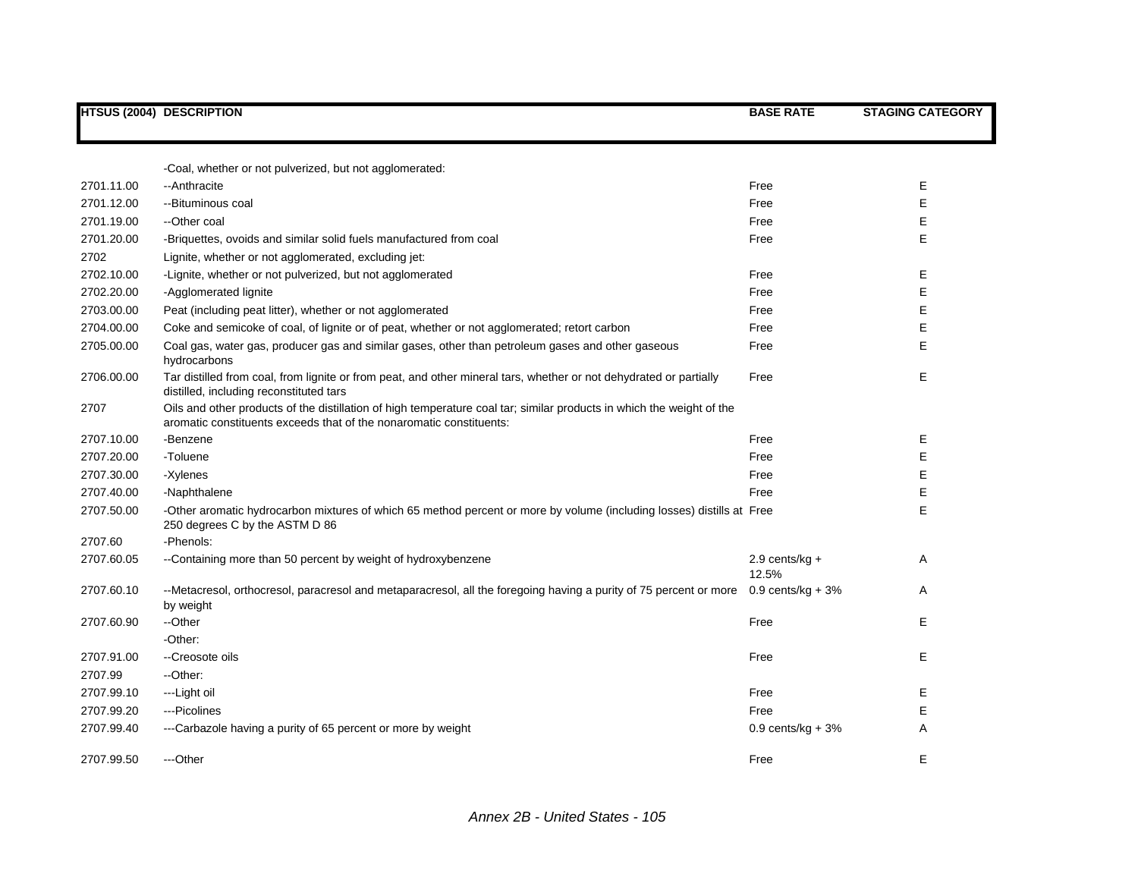|            | <b>HTSUS (2004) DESCRIPTION</b>                                                                                                                                                              | <b>BASE RATE</b>           | <b>STAGING CATEGORY</b> |
|------------|----------------------------------------------------------------------------------------------------------------------------------------------------------------------------------------------|----------------------------|-------------------------|
|            |                                                                                                                                                                                              |                            |                         |
|            | -Coal, whether or not pulverized, but not agglomerated:                                                                                                                                      |                            |                         |
| 2701.11.00 | --Anthracite                                                                                                                                                                                 | Free                       | E                       |
| 2701.12.00 | --Bituminous coal                                                                                                                                                                            | Free                       | E                       |
| 2701.19.00 | --Other coal                                                                                                                                                                                 | Free                       | Е                       |
| 2701.20.00 | -Briquettes, ovoids and similar solid fuels manufactured from coal                                                                                                                           | Free                       | E                       |
| 2702       | Lignite, whether or not agglomerated, excluding jet:                                                                                                                                         |                            |                         |
| 2702.10.00 | -Lignite, whether or not pulverized, but not agglomerated                                                                                                                                    | Free                       | Е                       |
| 2702.20.00 | -Agglomerated lignite                                                                                                                                                                        | Free                       | Е                       |
| 2703.00.00 | Peat (including peat litter), whether or not agglomerated                                                                                                                                    | Free                       | E                       |
| 2704.00.00 | Coke and semicoke of coal, of lignite or of peat, whether or not agglomerated; retort carbon                                                                                                 | Free                       | Е                       |
| 2705.00.00 | Coal gas, water gas, producer gas and similar gases, other than petroleum gases and other gaseous<br>hydrocarbons                                                                            | Free                       | E                       |
| 2706.00.00 | Tar distilled from coal, from lignite or from peat, and other mineral tars, whether or not dehydrated or partially<br>distilled, including reconstituted tars                                | Free                       | E                       |
| 2707       | Oils and other products of the distillation of high temperature coal tar; similar products in which the weight of the<br>aromatic constituents exceeds that of the nonaromatic constituents: |                            |                         |
| 2707.10.00 | -Benzene                                                                                                                                                                                     | Free                       | E                       |
| 2707.20.00 | -Toluene                                                                                                                                                                                     | Free                       | E                       |
| 2707.30.00 | -Xylenes                                                                                                                                                                                     | Free                       | E                       |
| 2707.40.00 | -Naphthalene                                                                                                                                                                                 | Free                       | E                       |
| 2707.50.00 | -Other aromatic hydrocarbon mixtures of which 65 method percent or more by volume (including losses) distills at Free<br>250 degrees C by the ASTM D 86                                      |                            | E                       |
| 2707.60    | -Phenols:                                                                                                                                                                                    |                            |                         |
| 2707.60.05 | --Containing more than 50 percent by weight of hydroxybenzene                                                                                                                                | 2.9 cents/ $kg +$<br>12.5% | A                       |
| 2707.60.10 | --Metacresol, orthocresol, paracresol and metaparacresol, all the foregoing having a purity of 75 percent or more 0.9 cents/kg + 3%<br>by weight                                             |                            | A                       |
| 2707.60.90 | --Other                                                                                                                                                                                      | Free                       | E                       |
|            | -Other:                                                                                                                                                                                      |                            |                         |
| 2707.91.00 | --Creosote oils                                                                                                                                                                              | Free                       | E                       |
| 2707.99    | --Other:                                                                                                                                                                                     |                            |                         |
| 2707.99.10 | ---Light oil                                                                                                                                                                                 | Free                       | E                       |
| 2707.99.20 | ---Picolines                                                                                                                                                                                 | Free                       | E                       |
| 2707.99.40 | ---Carbazole having a purity of 65 percent or more by weight                                                                                                                                 | $0.9$ cents/kg + $3%$      | Α                       |
| 2707.99.50 | ---Other                                                                                                                                                                                     | Free                       | E                       |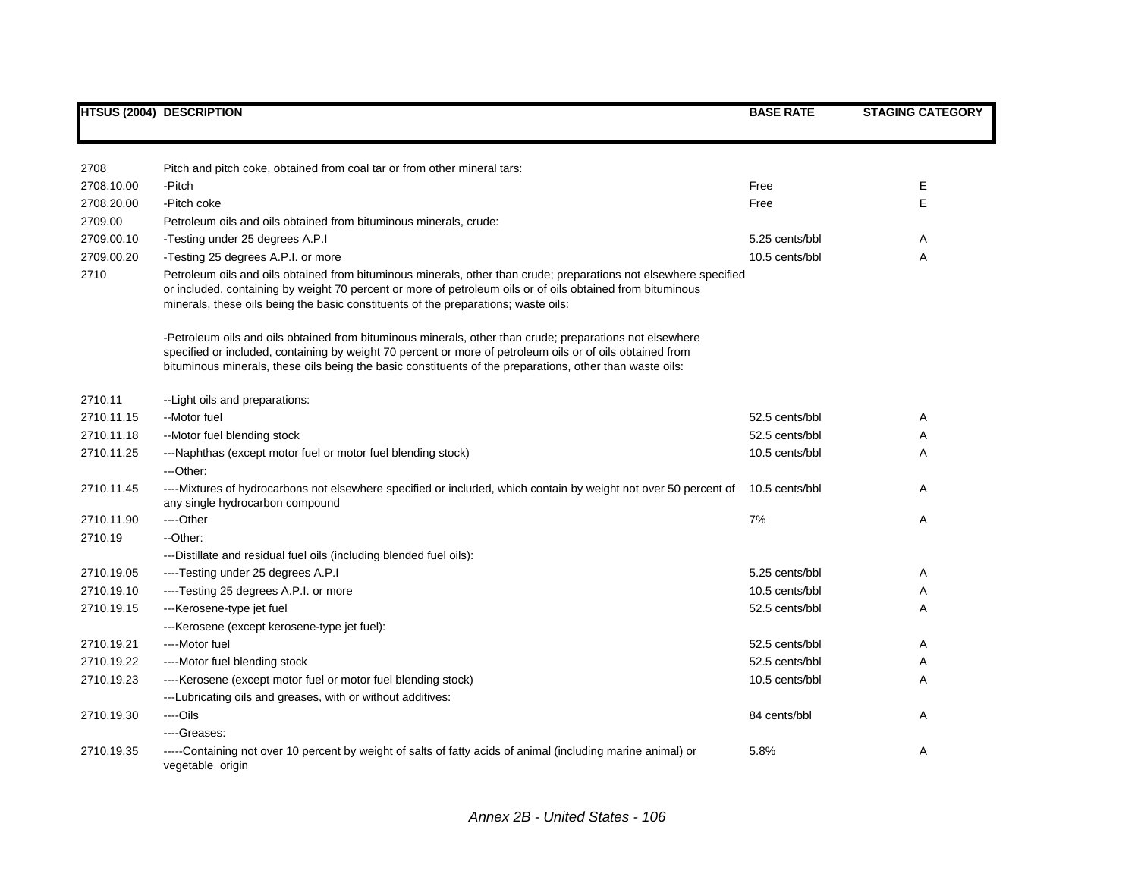|            | <b>HTSUS (2004) DESCRIPTION</b>                                                                                                                                                                                                                                                                                                   | <b>BASE RATE</b> | <b>STAGING CATEGORY</b> |
|------------|-----------------------------------------------------------------------------------------------------------------------------------------------------------------------------------------------------------------------------------------------------------------------------------------------------------------------------------|------------------|-------------------------|
|            |                                                                                                                                                                                                                                                                                                                                   |                  |                         |
| 2708       | Pitch and pitch coke, obtained from coal tar or from other mineral tars:                                                                                                                                                                                                                                                          |                  |                         |
| 2708.10.00 | -Pitch                                                                                                                                                                                                                                                                                                                            | Free             | Ε                       |
| 2708.20.00 | -Pitch coke                                                                                                                                                                                                                                                                                                                       | Free             | E                       |
|            |                                                                                                                                                                                                                                                                                                                                   |                  |                         |
| 2709.00    | Petroleum oils and oils obtained from bituminous minerals, crude:                                                                                                                                                                                                                                                                 |                  |                         |
| 2709.00.10 | -Testing under 25 degrees A.P.I                                                                                                                                                                                                                                                                                                   | 5.25 cents/bbl   | A                       |
| 2709.00.20 | -Testing 25 degrees A.P.I. or more                                                                                                                                                                                                                                                                                                | 10.5 cents/bbl   | Α                       |
| 2710       | Petroleum oils and oils obtained from bituminous minerals, other than crude; preparations not elsewhere specified<br>or included, containing by weight 70 percent or more of petroleum oils or of oils obtained from bituminous<br>minerals, these oils being the basic constituents of the preparations; waste oils:             |                  |                         |
|            | -Petroleum oils and oils obtained from bituminous minerals, other than crude; preparations not elsewhere<br>specified or included, containing by weight 70 percent or more of petroleum oils or of oils obtained from<br>bituminous minerals, these oils being the basic constituents of the preparations, other than waste oils: |                  |                         |
| 2710.11    | --Light oils and preparations:                                                                                                                                                                                                                                                                                                    |                  |                         |
| 2710.11.15 | --Motor fuel                                                                                                                                                                                                                                                                                                                      | 52.5 cents/bbl   | Α                       |
| 2710.11.18 | --Motor fuel blending stock                                                                                                                                                                                                                                                                                                       | 52.5 cents/bbl   | A                       |
| 2710.11.25 | ---Naphthas (except motor fuel or motor fuel blending stock)                                                                                                                                                                                                                                                                      | 10.5 cents/bbl   | A                       |
|            | ---Other:                                                                                                                                                                                                                                                                                                                         |                  |                         |
| 2710.11.45 | ----Mixtures of hydrocarbons not elsewhere specified or included, which contain by weight not over 50 percent of<br>any single hydrocarbon compound                                                                                                                                                                               | 10.5 cents/bbl   | Α                       |
| 2710.11.90 | ----Other                                                                                                                                                                                                                                                                                                                         | 7%               | Α                       |
| 2710.19    | --Other:                                                                                                                                                                                                                                                                                                                          |                  |                         |
|            | ---Distillate and residual fuel oils (including blended fuel oils):                                                                                                                                                                                                                                                               |                  |                         |
| 2710.19.05 | ----Testing under 25 degrees A.P.I                                                                                                                                                                                                                                                                                                | 5.25 cents/bbl   | Α                       |
| 2710.19.10 | ----Testing 25 degrees A.P.I. or more                                                                                                                                                                                                                                                                                             | 10.5 cents/bbl   | Α                       |
| 2710.19.15 | ---Kerosene-type jet fuel                                                                                                                                                                                                                                                                                                         | 52.5 cents/bbl   | Α                       |
|            | ---Kerosene (except kerosene-type jet fuel):                                                                                                                                                                                                                                                                                      |                  |                         |
| 2710.19.21 | ----Motor fuel                                                                                                                                                                                                                                                                                                                    | 52.5 cents/bbl   | Α                       |
| 2710.19.22 | ----Motor fuel blending stock                                                                                                                                                                                                                                                                                                     | 52.5 cents/bbl   | Α                       |
| 2710.19.23 | ---- Kerosene (except motor fuel or motor fuel blending stock)                                                                                                                                                                                                                                                                    | 10.5 cents/bbl   | Α                       |
|            | ---Lubricating oils and greases, with or without additives:                                                                                                                                                                                                                                                                       |                  |                         |
| 2710.19.30 | ----Oils                                                                                                                                                                                                                                                                                                                          | 84 cents/bbl     | Α                       |
|            | ----Greases:                                                                                                                                                                                                                                                                                                                      |                  |                         |
| 2710.19.35 | -----Containing not over 10 percent by weight of salts of fatty acids of animal (including marine animal) or<br>vegetable origin                                                                                                                                                                                                  | 5.8%             | Α                       |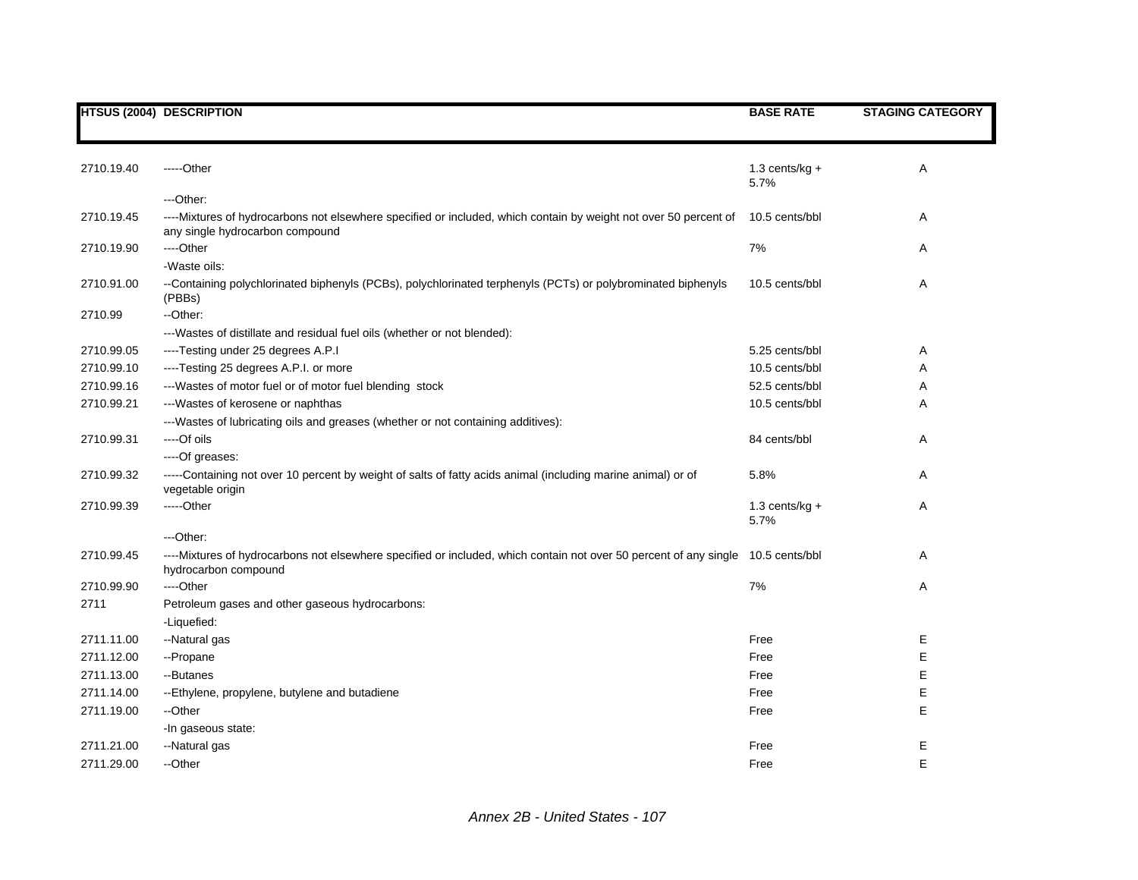|            | <b>HTSUS (2004) DESCRIPTION</b>                                                                                                                     | <b>BASE RATE</b> | <b>STAGING CATEGORY</b> |
|------------|-----------------------------------------------------------------------------------------------------------------------------------------------------|------------------|-------------------------|
|            |                                                                                                                                                     |                  |                         |
|            |                                                                                                                                                     |                  |                         |
| 2710.19.40 | -----Other                                                                                                                                          | 1.3 cents/kg $+$ | Α                       |
|            |                                                                                                                                                     | 5.7%             |                         |
|            | ---Other:                                                                                                                                           |                  |                         |
| 2710.19.45 | ----Mixtures of hydrocarbons not elsewhere specified or included, which contain by weight not over 50 percent of<br>any single hydrocarbon compound | 10.5 cents/bbl   | Α                       |
| 2710.19.90 | ----Other                                                                                                                                           | 7%               | Α                       |
|            | -Waste oils:                                                                                                                                        |                  |                         |
| 2710.91.00 | --Containing polychlorinated biphenyls (PCBs), polychlorinated terphenyls (PCTs) or polybrominated biphenyls<br>(PBBs)                              | 10.5 cents/bbl   | Α                       |
| 2710.99    | --Other:                                                                                                                                            |                  |                         |
|            | --- Wastes of distillate and residual fuel oils (whether or not blended):                                                                           |                  |                         |
| 2710.99.05 | ----Testing under 25 degrees A.P.I                                                                                                                  | 5.25 cents/bbl   | Α                       |
| 2710.99.10 | ----Testing 25 degrees A.P.I. or more                                                                                                               | 10.5 cents/bbl   | Α                       |
| 2710.99.16 | --- Wastes of motor fuel or of motor fuel blending stock                                                                                            | 52.5 cents/bbl   | Α                       |
| 2710.99.21 | --- Wastes of kerosene or naphthas                                                                                                                  | 10.5 cents/bbl   | Α                       |
|            | ---Wastes of lubricating oils and greases (whether or not containing additives):                                                                    |                  |                         |
| 2710.99.31 | ----Of oils                                                                                                                                         | 84 cents/bbl     | Α                       |
|            | ----Of greases:                                                                                                                                     |                  |                         |
| 2710.99.32 | -----Containing not over 10 percent by weight of salts of fatty acids animal (including marine animal) or of<br>vegetable origin                    | 5.8%             | Α                       |
| 2710.99.39 | -----Other                                                                                                                                          | 1.3 cents/kg $+$ | A                       |
|            |                                                                                                                                                     | 5.7%             |                         |
|            | ---Other:                                                                                                                                           |                  |                         |
| 2710.99.45 | ----Mixtures of hydrocarbons not elsewhere specified or included, which contain not over 50 percent of any single<br>hydrocarbon compound           | 10.5 cents/bbl   | Α                       |
| 2710.99.90 | ----Other                                                                                                                                           | 7%               | Α                       |
| 2711       | Petroleum gases and other gaseous hydrocarbons:                                                                                                     |                  |                         |
|            | -Liquefied:                                                                                                                                         |                  |                         |
| 2711.11.00 | --Natural gas                                                                                                                                       | Free             | Ε                       |
| 2711.12.00 | --Propane                                                                                                                                           | Free             | Е                       |
| 2711.13.00 | --Butanes                                                                                                                                           | Free             | E                       |
| 2711.14.00 | --Ethylene, propylene, butylene and butadiene                                                                                                       | Free             | E                       |
| 2711.19.00 | --Other                                                                                                                                             | Free             | E                       |
|            | -In gaseous state:                                                                                                                                  |                  |                         |
| 2711.21.00 | --Natural gas                                                                                                                                       | Free             | Ε                       |
| 2711.29.00 | --Other                                                                                                                                             | Free             | E                       |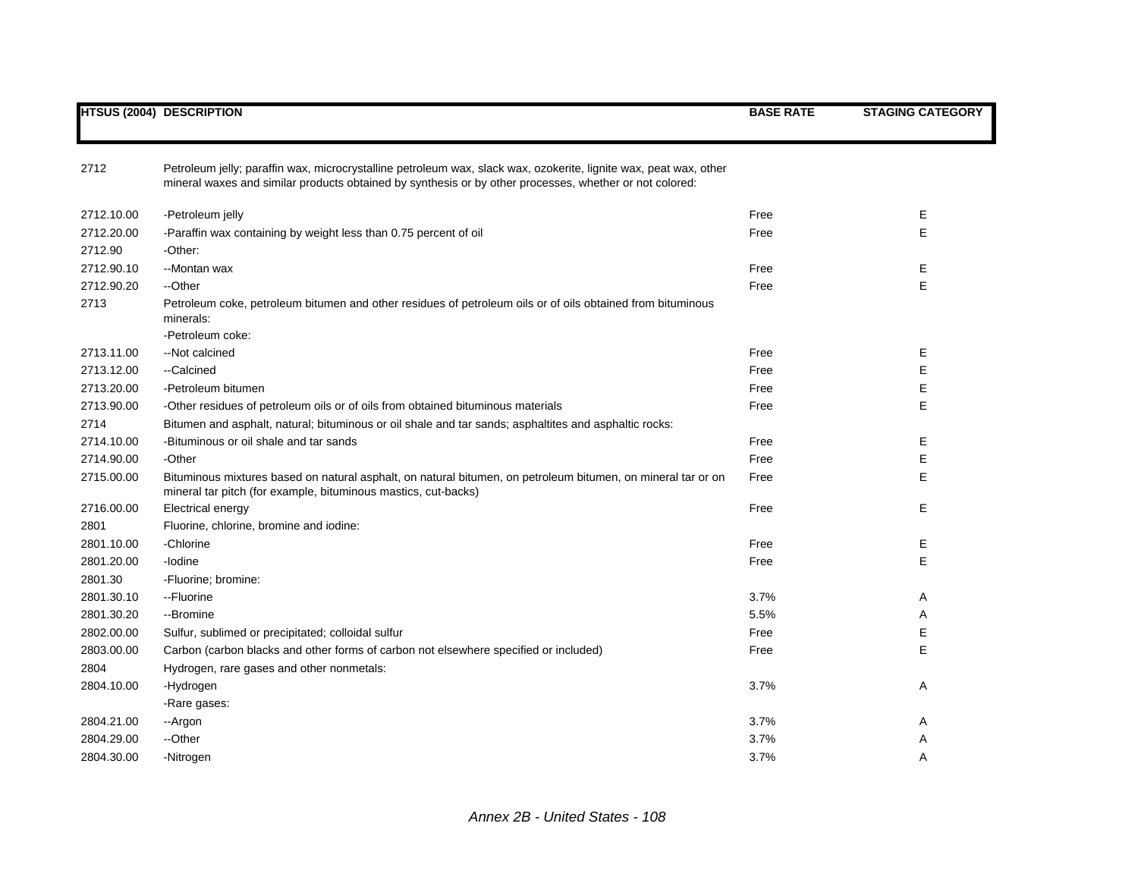|            | <b>HTSUS (2004) DESCRIPTION</b>                                                                                                                                                | <b>BASE RATE</b> | <b>STAGING CATEGORY</b> |
|------------|--------------------------------------------------------------------------------------------------------------------------------------------------------------------------------|------------------|-------------------------|
| 2712       | Petroleum jelly; paraffin wax, microcrystalline petroleum wax, slack wax, ozokerite, lignite wax, peat wax, other                                                              |                  |                         |
|            | mineral waxes and similar products obtained by synthesis or by other processes, whether or not colored:                                                                        |                  |                         |
| 2712.10.00 | -Petroleum jelly                                                                                                                                                               | Free             | Е                       |
| 2712.20.00 | -Paraffin wax containing by weight less than 0.75 percent of oil                                                                                                               | Free             | Е                       |
| 2712.90    | -Other:                                                                                                                                                                        |                  |                         |
| 2712.90.10 | --Montan wax                                                                                                                                                                   | Free             | E                       |
| 2712.90.20 | --Other                                                                                                                                                                        | Free             | E                       |
| 2713       | Petroleum coke, petroleum bitumen and other residues of petroleum oils or of oils obtained from bituminous<br>minerals:                                                        |                  |                         |
|            | -Petroleum coke:                                                                                                                                                               |                  |                         |
| 2713.11.00 | -- Not calcined                                                                                                                                                                | Free             | Ε                       |
| 2713.12.00 | --Calcined                                                                                                                                                                     | Free             | E                       |
| 2713.20.00 | -Petroleum bitumen                                                                                                                                                             | Free             | Е                       |
| 2713.90.00 | -Other residues of petroleum oils or of oils from obtained bituminous materials                                                                                                | Free             | Е                       |
| 2714       | Bitumen and asphalt, natural; bituminous or oil shale and tar sands; asphaltites and asphaltic rocks:                                                                          |                  |                         |
| 2714.10.00 | -Bituminous or oil shale and tar sands                                                                                                                                         | Free             | Е                       |
| 2714.90.00 | -Other                                                                                                                                                                         | Free             | Е                       |
| 2715.00.00 | Bituminous mixtures based on natural asphalt, on natural bitumen, on petroleum bitumen, on mineral tar or on<br>mineral tar pitch (for example, bituminous mastics, cut-backs) | Free             | E                       |
| 2716.00.00 | Electrical energy                                                                                                                                                              | Free             | Е                       |
| 2801       | Fluorine, chlorine, bromine and iodine:                                                                                                                                        |                  |                         |
| 2801.10.00 | -Chlorine                                                                                                                                                                      | Free             | Е                       |
| 2801.20.00 | -lodine                                                                                                                                                                        | Free             | E                       |
| 2801.30    | -Fluorine; bromine:                                                                                                                                                            |                  |                         |
| 2801.30.10 | --Fluorine                                                                                                                                                                     | 3.7%             | Α                       |
| 2801.30.20 | --Bromine                                                                                                                                                                      | 5.5%             | Α                       |
| 2802.00.00 | Sulfur, sublimed or precipitated; colloidal sulfur                                                                                                                             | Free             | Е                       |
| 2803.00.00 | Carbon (carbon blacks and other forms of carbon not elsewhere specified or included)                                                                                           | Free             | E                       |
| 2804       | Hydrogen, rare gases and other nonmetals:                                                                                                                                      |                  |                         |
| 2804.10.00 | -Hydrogen                                                                                                                                                                      | 3.7%             | A                       |
|            | -Rare gases:                                                                                                                                                                   |                  |                         |
| 2804.21.00 | --Argon                                                                                                                                                                        | 3.7%             | A                       |
| 2804.29.00 | --Other                                                                                                                                                                        | 3.7%             | Α                       |
| 2804.30.00 | -Nitrogen                                                                                                                                                                      | 3.7%             | A                       |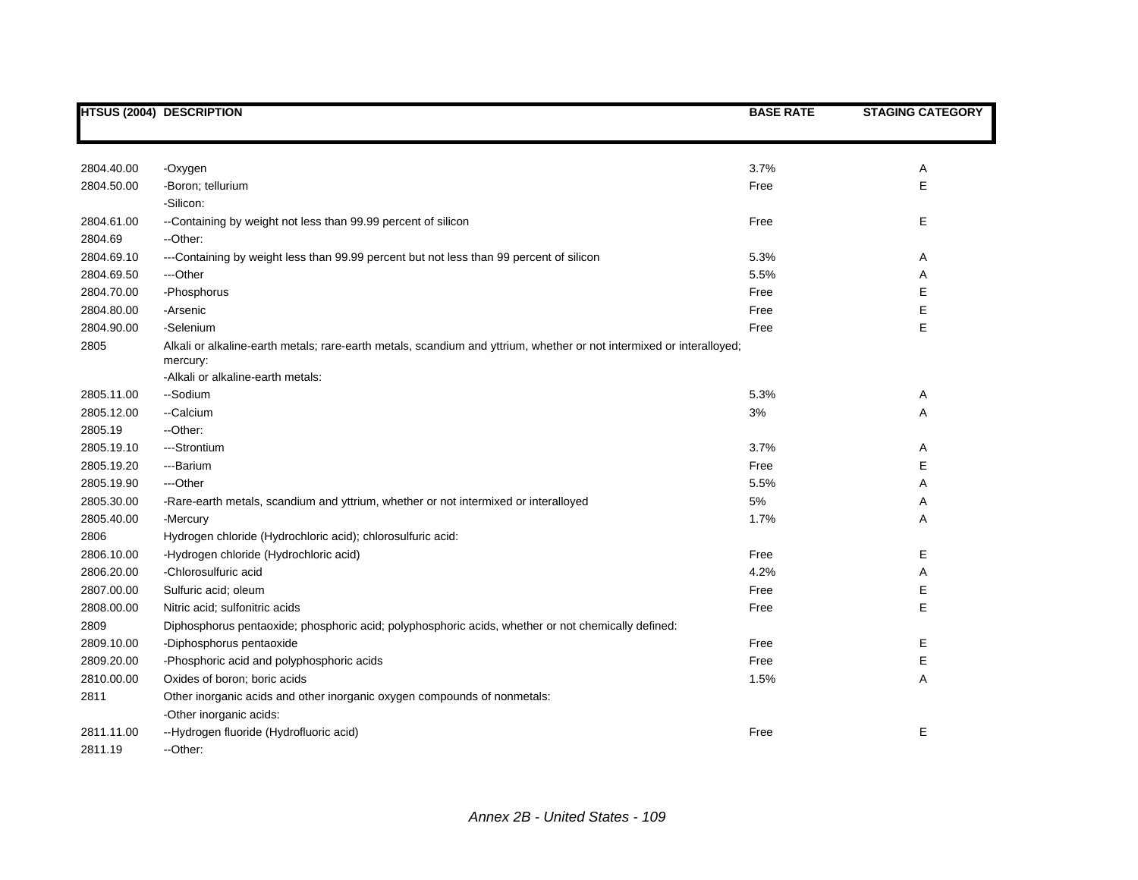|            | HTSUS (2004) DESCRIPTION                                                                                                         | <b>BASE RATE</b> | <b>STAGING CATEGORY</b> |
|------------|----------------------------------------------------------------------------------------------------------------------------------|------------------|-------------------------|
|            |                                                                                                                                  |                  |                         |
| 2804.40.00 | -Oxygen                                                                                                                          | 3.7%             | Α                       |
| 2804.50.00 | -Boron; tellurium                                                                                                                | Free             | E                       |
|            | -Silicon:                                                                                                                        |                  |                         |
| 2804.61.00 | --Containing by weight not less than 99.99 percent of silicon                                                                    | Free             | E                       |
| 2804.69    | --Other:                                                                                                                         |                  |                         |
| 2804.69.10 | ---Containing by weight less than 99.99 percent but not less than 99 percent of silicon                                          | 5.3%             | Α                       |
| 2804.69.50 | ---Other                                                                                                                         | 5.5%             | Α                       |
| 2804.70.00 | -Phosphorus                                                                                                                      | Free             | E                       |
| 2804.80.00 | -Arsenic                                                                                                                         | Free             | E                       |
| 2804.90.00 | -Selenium                                                                                                                        | Free             | E                       |
| 2805       | Alkali or alkaline-earth metals; rare-earth metals, scandium and yttrium, whether or not intermixed or interalloyed;<br>mercury: |                  |                         |
|            | -Alkali or alkaline-earth metals:                                                                                                |                  |                         |
| 2805.11.00 | --Sodium                                                                                                                         | 5.3%             | Α                       |
| 2805.12.00 | --Calcium                                                                                                                        | 3%               | Α                       |
| 2805.19    | --Other:                                                                                                                         |                  |                         |
| 2805.19.10 | ---Strontium                                                                                                                     | 3.7%             | Α                       |
| 2805.19.20 | ---Barium                                                                                                                        | Free             | Е                       |
| 2805.19.90 | ---Other                                                                                                                         | 5.5%             | Α                       |
| 2805.30.00 | -Rare-earth metals, scandium and yttrium, whether or not intermixed or interalloyed                                              | $5\%$            | Α                       |
| 2805.40.00 | -Mercury                                                                                                                         | 1.7%             | Α                       |
| 2806       | Hydrogen chloride (Hydrochloric acid); chlorosulfuric acid:                                                                      |                  |                         |
| 2806.10.00 | -Hydrogen chloride (Hydrochloric acid)                                                                                           | Free             | E                       |
| 2806.20.00 | -Chlorosulfuric acid                                                                                                             | 4.2%             | Α                       |
| 2807.00.00 | Sulfuric acid; oleum                                                                                                             | Free             | E                       |
| 2808.00.00 | Nitric acid; sulfonitric acids                                                                                                   | Free             | E                       |
| 2809       | Diphosphorus pentaoxide; phosphoric acid; polyphosphoric acids, whether or not chemically defined:                               |                  |                         |
| 2809.10.00 | -Diphosphorus pentaoxide                                                                                                         | Free             | Е                       |
| 2809.20.00 | -Phosphoric acid and polyphosphoric acids                                                                                        | Free             | E                       |
| 2810.00.00 | Oxides of boron; boric acids                                                                                                     | 1.5%             | Α                       |
| 2811       | Other inorganic acids and other inorganic oxygen compounds of nonmetals:                                                         |                  |                         |
|            | -Other inorganic acids:                                                                                                          |                  |                         |
| 2811.11.00 | --Hydrogen fluoride (Hydrofluoric acid)                                                                                          | Free             | Е                       |
| 2811.19    | --Other:                                                                                                                         |                  |                         |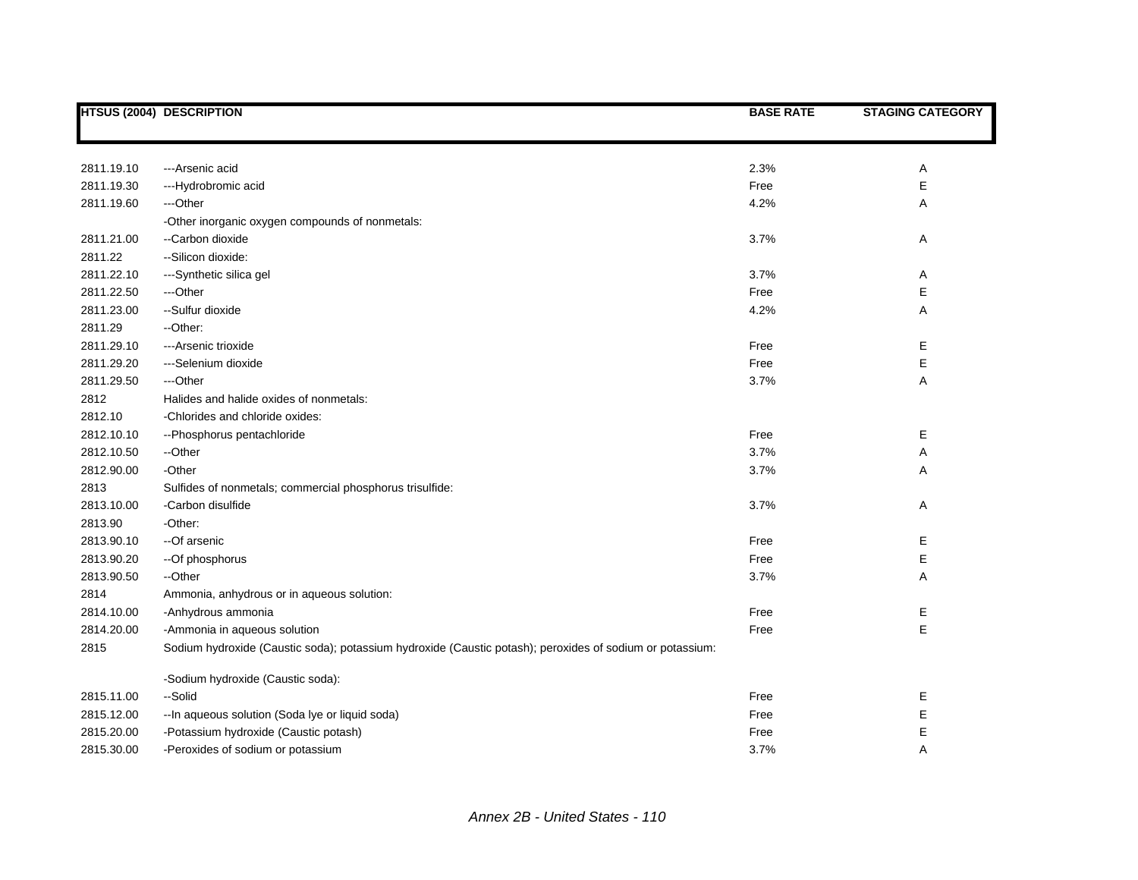|            | <b>HTSUS (2004) DESCRIPTION</b>                                                                          | <b>BASE RATE</b> | <b>STAGING CATEGORY</b> |
|------------|----------------------------------------------------------------------------------------------------------|------------------|-------------------------|
|            |                                                                                                          |                  |                         |
|            |                                                                                                          |                  |                         |
| 2811.19.10 | --- Arsenic acid                                                                                         | 2.3%             | Α                       |
| 2811.19.30 | ---Hydrobromic acid                                                                                      | Free             | Е                       |
| 2811.19.60 | ---Other                                                                                                 | 4.2%             | Α                       |
|            | -Other inorganic oxygen compounds of nonmetals:                                                          |                  |                         |
| 2811.21.00 | --Carbon dioxide                                                                                         | 3.7%             | Α                       |
| 2811.22    | - Silicon dioxide:                                                                                       |                  |                         |
| 2811.22.10 | ---Synthetic silica gel                                                                                  | 3.7%             | Α                       |
| 2811.22.50 | ---Other                                                                                                 | Free             | Е                       |
| 2811.23.00 | --Sulfur dioxide                                                                                         | 4.2%             | Α                       |
| 2811.29    | --Other:                                                                                                 |                  |                         |
| 2811.29.10 | ---Arsenic trioxide                                                                                      | Free             | Е                       |
| 2811.29.20 | ---Selenium dioxide                                                                                      | Free             | E                       |
| 2811.29.50 | ---Other                                                                                                 | 3.7%             | Α                       |
| 2812       | Halides and halide oxides of nonmetals:                                                                  |                  |                         |
| 2812.10    | -Chlorides and chloride oxides:                                                                          |                  |                         |
| 2812.10.10 | --Phosphorus pentachloride                                                                               | Free             | Е                       |
| 2812.10.50 | --Other                                                                                                  | 3.7%             | Α                       |
| 2812.90.00 | -Other                                                                                                   | 3.7%             | Α                       |
| 2813       | Sulfides of nonmetals; commercial phosphorus trisulfide:                                                 |                  |                         |
| 2813.10.00 | -Carbon disulfide                                                                                        | 3.7%             | Α                       |
| 2813.90    | -Other:                                                                                                  |                  |                         |
| 2813.90.10 | --Of arsenic                                                                                             | Free             | Е                       |
| 2813.90.20 | -- Of phosphorus                                                                                         | Free             | E                       |
| 2813.90.50 | --Other                                                                                                  | 3.7%             | Α                       |
| 2814       | Ammonia, anhydrous or in aqueous solution:                                                               |                  |                         |
| 2814.10.00 | -Anhydrous ammonia                                                                                       | Free             | Е                       |
| 2814.20.00 | -Ammonia in aqueous solution                                                                             | Free             | E                       |
| 2815       | Sodium hydroxide (Caustic soda); potassium hydroxide (Caustic potash); peroxides of sodium or potassium: |                  |                         |
|            | -Sodium hydroxide (Caustic soda):                                                                        |                  |                         |
| 2815.11.00 | --Solid                                                                                                  | Free             | Е                       |
| 2815.12.00 | -- In aqueous solution (Soda lye or liquid soda)                                                         | Free             | Ε                       |
| 2815.20.00 | -Potassium hydroxide (Caustic potash)                                                                    | Free             | Е                       |
| 2815.30.00 | -Peroxides of sodium or potassium                                                                        | 3.7%             | A                       |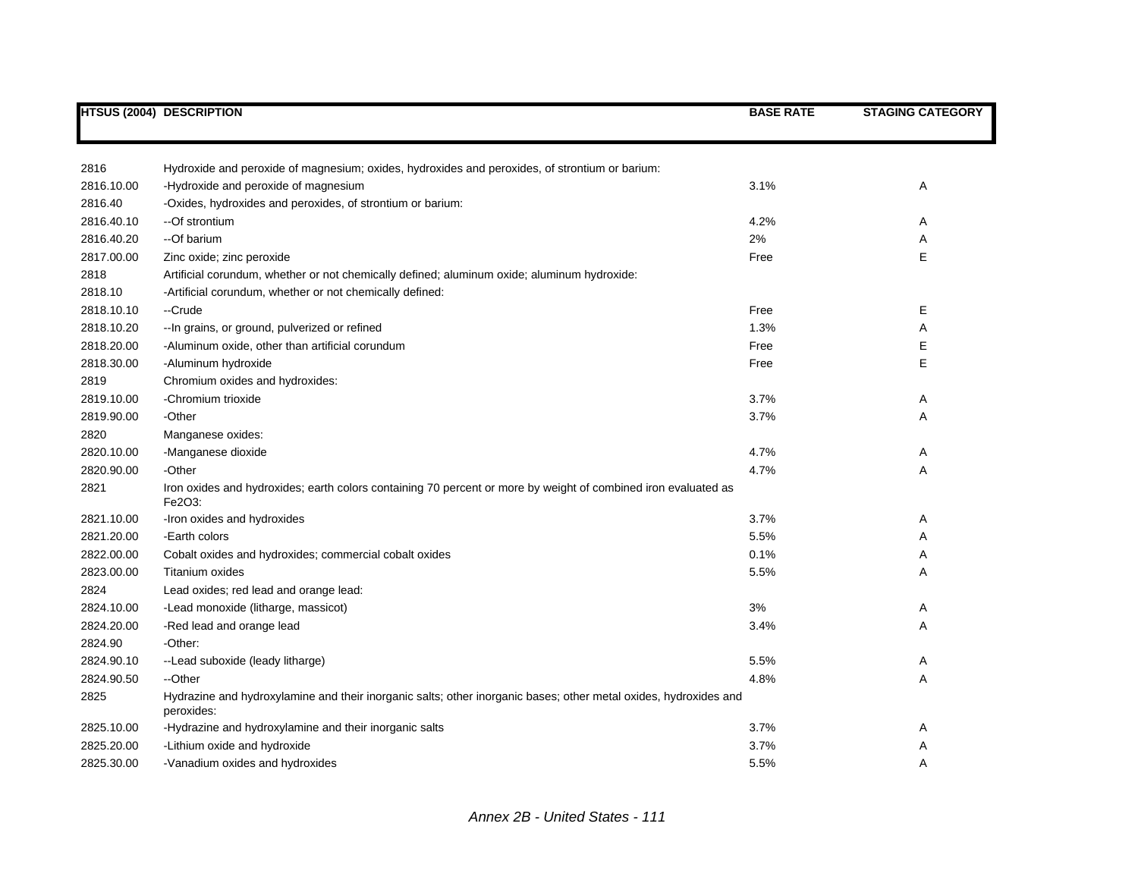|            | <b>HTSUS (2004) DESCRIPTION</b>                                                                                                | <b>BASE RATE</b> | <b>STAGING CATEGORY</b> |
|------------|--------------------------------------------------------------------------------------------------------------------------------|------------------|-------------------------|
|            |                                                                                                                                |                  |                         |
| 2816       | Hydroxide and peroxide of magnesium; oxides, hydroxides and peroxides, of strontium or barium:                                 |                  |                         |
| 2816.10.00 | -Hydroxide and peroxide of magnesium                                                                                           | 3.1%             | Α                       |
| 2816.40    | -Oxides, hydroxides and peroxides, of strontium or barium:                                                                     |                  |                         |
| 2816.40.10 | --Of strontium                                                                                                                 | 4.2%             | A                       |
| 2816.40.20 | --Of barium                                                                                                                    | 2%               | A                       |
| 2817.00.00 | Zinc oxide; zinc peroxide                                                                                                      | Free             | E                       |
| 2818       | Artificial corundum, whether or not chemically defined; aluminum oxide; aluminum hydroxide:                                    |                  |                         |
| 2818.10    | -Artificial corundum, whether or not chemically defined:                                                                       |                  |                         |
| 2818.10.10 | --Crude                                                                                                                        | Free             | Е                       |
| 2818.10.20 | -- In grains, or ground, pulverized or refined                                                                                 | 1.3%             | Α                       |
| 2818.20.00 | -Aluminum oxide, other than artificial corundum                                                                                | Free             | Е                       |
| 2818.30.00 | -Aluminum hydroxide                                                                                                            | Free             | Е                       |
| 2819       | Chromium oxides and hydroxides:                                                                                                |                  |                         |
| 2819.10.00 | -Chromium trioxide                                                                                                             | 3.7%             | A                       |
| 2819.90.00 | -Other                                                                                                                         | 3.7%             | Α                       |
| 2820       | Manganese oxides:                                                                                                              |                  |                         |
| 2820.10.00 | -Manganese dioxide                                                                                                             | 4.7%             | A                       |
| 2820.90.00 | -Other                                                                                                                         | 4.7%             | Α                       |
| 2821       | Iron oxides and hydroxides; earth colors containing 70 percent or more by weight of combined iron evaluated as<br>Fe2O3:       |                  |                         |
| 2821.10.00 | -Iron oxides and hydroxides                                                                                                    | 3.7%             | A                       |
| 2821.20.00 | -Earth colors                                                                                                                  | 5.5%             | Α                       |
| 2822.00.00 | Cobalt oxides and hydroxides; commercial cobalt oxides                                                                         | 0.1%             | Α                       |
| 2823.00.00 | Titanium oxides                                                                                                                | 5.5%             | A                       |
| 2824       | Lead oxides; red lead and orange lead:                                                                                         |                  |                         |
| 2824.10.00 | -Lead monoxide (litharge, massicot)                                                                                            | 3%               | Α                       |
| 2824.20.00 | -Red lead and orange lead                                                                                                      | 3.4%             | A                       |
| 2824.90    | -Other:                                                                                                                        |                  |                         |
| 2824.90.10 | --Lead suboxide (leady litharge)                                                                                               | 5.5%             | Α                       |
| 2824.90.50 | --Other                                                                                                                        | 4.8%             | Α                       |
| 2825       | Hydrazine and hydroxylamine and their inorganic salts; other inorganic bases; other metal oxides, hydroxides and<br>peroxides: |                  |                         |
| 2825.10.00 | -Hydrazine and hydroxylamine and their inorganic salts                                                                         | 3.7%             | A                       |
| 2825.20.00 | -Lithium oxide and hydroxide                                                                                                   | 3.7%             | Α                       |
| 2825.30.00 | -Vanadium oxides and hydroxides                                                                                                | 5.5%             | A                       |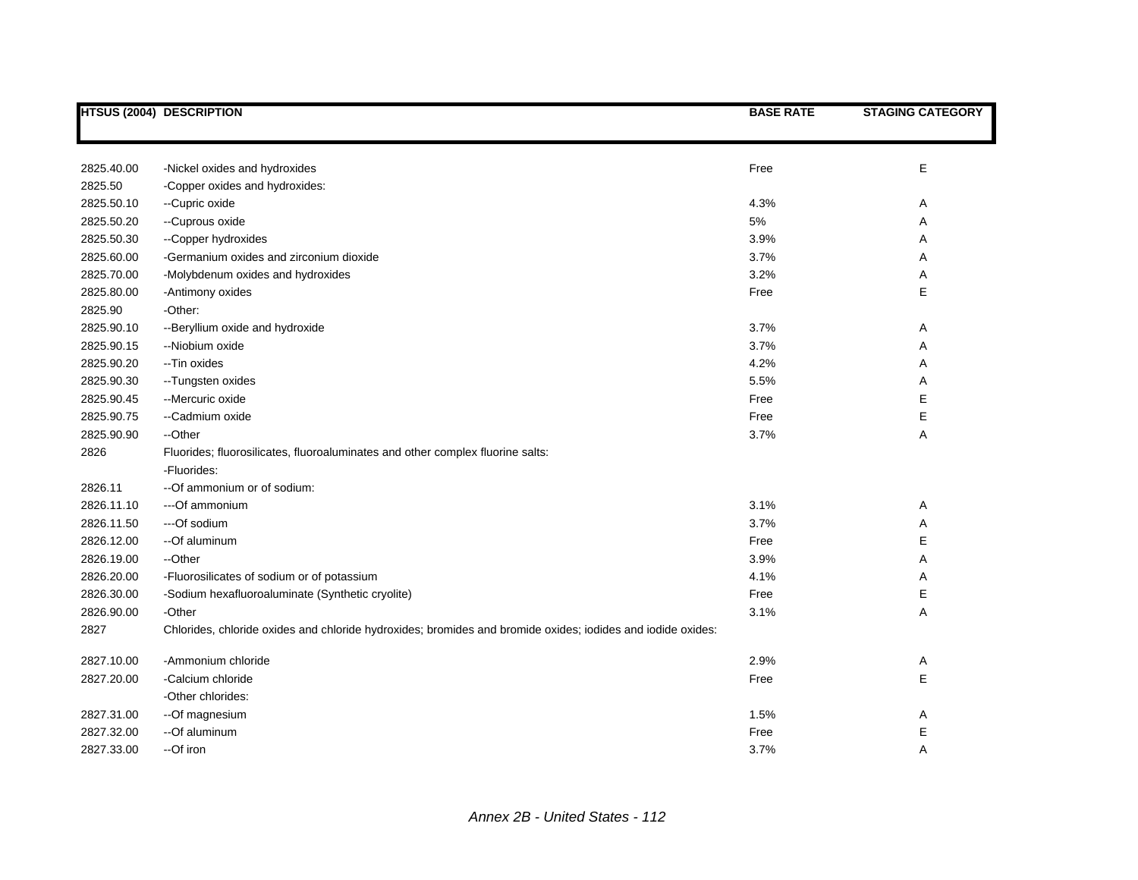|            | <b>HTSUS (2004) DESCRIPTION</b>                                                                             | <b>BASE RATE</b> | <b>STAGING CATEGORY</b> |
|------------|-------------------------------------------------------------------------------------------------------------|------------------|-------------------------|
|            |                                                                                                             |                  |                         |
|            |                                                                                                             |                  |                         |
| 2825.40.00 | -Nickel oxides and hydroxides                                                                               | Free             | E                       |
| 2825.50    | -Copper oxides and hydroxides:                                                                              |                  |                         |
| 2825.50.10 | --Cupric oxide                                                                                              | 4.3%             | Α                       |
| 2825.50.20 | --Cuprous oxide                                                                                             | 5%               | Α                       |
| 2825.50.30 | --Copper hydroxides                                                                                         | 3.9%             | Α                       |
| 2825.60.00 | -Germanium oxides and zirconium dioxide                                                                     | 3.7%             | Α                       |
| 2825.70.00 | -Molybdenum oxides and hydroxides                                                                           | 3.2%             | Α                       |
| 2825.80.00 | -Antimony oxides                                                                                            | Free             | E                       |
| 2825.90    | -Other:                                                                                                     |                  |                         |
| 2825.90.10 | -- Beryllium oxide and hydroxide                                                                            | 3.7%             | Α                       |
| 2825.90.15 | --Niobium oxide                                                                                             | 3.7%             | Α                       |
| 2825.90.20 | -- Tin oxides                                                                                               | 4.2%             | Α                       |
| 2825.90.30 | --Tungsten oxides                                                                                           | 5.5%             | Α                       |
| 2825.90.45 | --Mercuric oxide                                                                                            | Free             | E                       |
| 2825.90.75 | --Cadmium oxide                                                                                             | Free             | E                       |
| 2825.90.90 | --Other                                                                                                     | 3.7%             | Α                       |
| 2826       | Fluorides; fluorosilicates, fluoroaluminates and other complex fluorine salts:                              |                  |                         |
|            | -Fluorides:                                                                                                 |                  |                         |
| 2826.11    | -- Of ammonium or of sodium:                                                                                |                  |                         |
| 2826.11.10 | --- Of ammonium                                                                                             | 3.1%             | Α                       |
| 2826.11.50 | ---Of sodium                                                                                                | 3.7%             | Α                       |
| 2826.12.00 | --Of aluminum                                                                                               | Free             | E                       |
| 2826.19.00 | --Other                                                                                                     | 3.9%             | Α                       |
| 2826.20.00 | -Fluorosilicates of sodium or of potassium                                                                  | 4.1%             | Α                       |
| 2826.30.00 | -Sodium hexafluoroaluminate (Synthetic cryolite)                                                            | Free             | E                       |
| 2826.90.00 | -Other                                                                                                      | 3.1%             | A                       |
| 2827       | Chlorides, chloride oxides and chloride hydroxides; bromides and bromide oxides; iodides and iodide oxides: |                  |                         |
| 2827.10.00 | -Ammonium chloride                                                                                          | 2.9%             | Α                       |
| 2827.20.00 | -Calcium chloride                                                                                           | Free             | E                       |
|            | -Other chlorides:                                                                                           |                  |                         |
| 2827.31.00 | --Of magnesium                                                                                              | 1.5%             | Α                       |
| 2827.32.00 | --Of aluminum                                                                                               | Free             | E                       |
| 2827.33.00 | --Of iron                                                                                                   | 3.7%             | Α                       |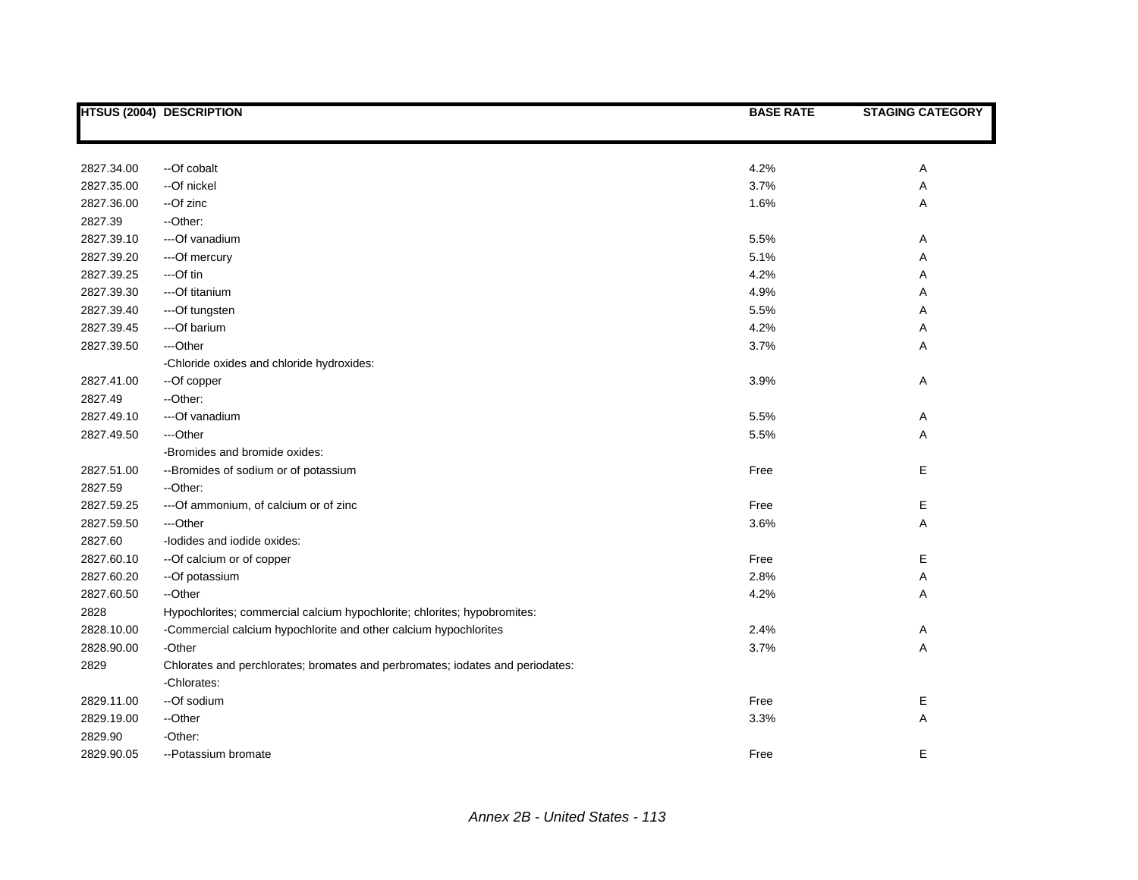|            | <b>HTSUS (2004) DESCRIPTION</b>                                               | <b>BASE RATE</b> | <b>STAGING CATEGORY</b> |
|------------|-------------------------------------------------------------------------------|------------------|-------------------------|
|            |                                                                               |                  |                         |
| 2827.34.00 | --Of cobalt                                                                   | 4.2%             | Α                       |
| 2827.35.00 | --Of nickel                                                                   | 3.7%             | Α                       |
| 2827.36.00 | --Of zinc                                                                     | 1.6%             | Α                       |
| 2827.39    | -Other:                                                                       |                  |                         |
| 2827.39.10 | --- Of vanadium                                                               | 5.5%             | Α                       |
| 2827.39.20 | ---Of mercury                                                                 | 5.1%             | Α                       |
| 2827.39.25 | ---Of tin                                                                     | 4.2%             | Α                       |
| 2827.39.30 | ---Of titanium                                                                | 4.9%             | Α                       |
| 2827.39.40 | ---Of tungsten                                                                | 5.5%             | Α                       |
| 2827.39.45 | ---Of barium                                                                  | 4.2%             | Α                       |
| 2827.39.50 | ---Other                                                                      | 3.7%             | Α                       |
|            | -Chloride oxides and chloride hydroxides:                                     |                  |                         |
| 2827.41.00 | --Of copper                                                                   | 3.9%             | Α                       |
| 2827.49    | -- Other:                                                                     |                  |                         |
| 2827.49.10 | --- Of vanadium                                                               | 5.5%             | Α                       |
| 2827.49.50 | ---Other                                                                      | 5.5%             | Α                       |
|            | -Bromides and bromide oxides:                                                 |                  |                         |
| 2827.51.00 | --Bromides of sodium or of potassium                                          | Free             | E                       |
| 2827.59    | --Other:                                                                      |                  |                         |
| 2827.59.25 | --- Of ammonium, of calcium or of zinc                                        | Free             | Е                       |
| 2827.59.50 | ---Other                                                                      | 3.6%             | Α                       |
| 2827.60    | -lodides and iodide oxides:                                                   |                  |                         |
| 2827.60.10 | -- Of calcium or of copper                                                    | Free             | Е                       |
| 2827.60.20 | --Of potassium                                                                | 2.8%             | Α                       |
| 2827.60.50 | --Other                                                                       | 4.2%             | Α                       |
| 2828       | Hypochlorites; commercial calcium hypochlorite; chlorites; hypobromites:      |                  |                         |
| 2828.10.00 | -Commercial calcium hypochlorite and other calcium hypochlorites              | 2.4%             | Α                       |
| 2828.90.00 | -Other                                                                        | 3.7%             | Α                       |
| 2829       | Chlorates and perchlorates; bromates and perbromates; iodates and periodates: |                  |                         |
|            | -Chlorates:                                                                   |                  |                         |
| 2829.11.00 | --Of sodium                                                                   | Free             | Е                       |
| 2829.19.00 | --Other                                                                       | 3.3%             | Α                       |
| 2829.90    | -Other:                                                                       |                  |                         |
| 2829.90.05 | --Potassium bromate                                                           | Free             | E                       |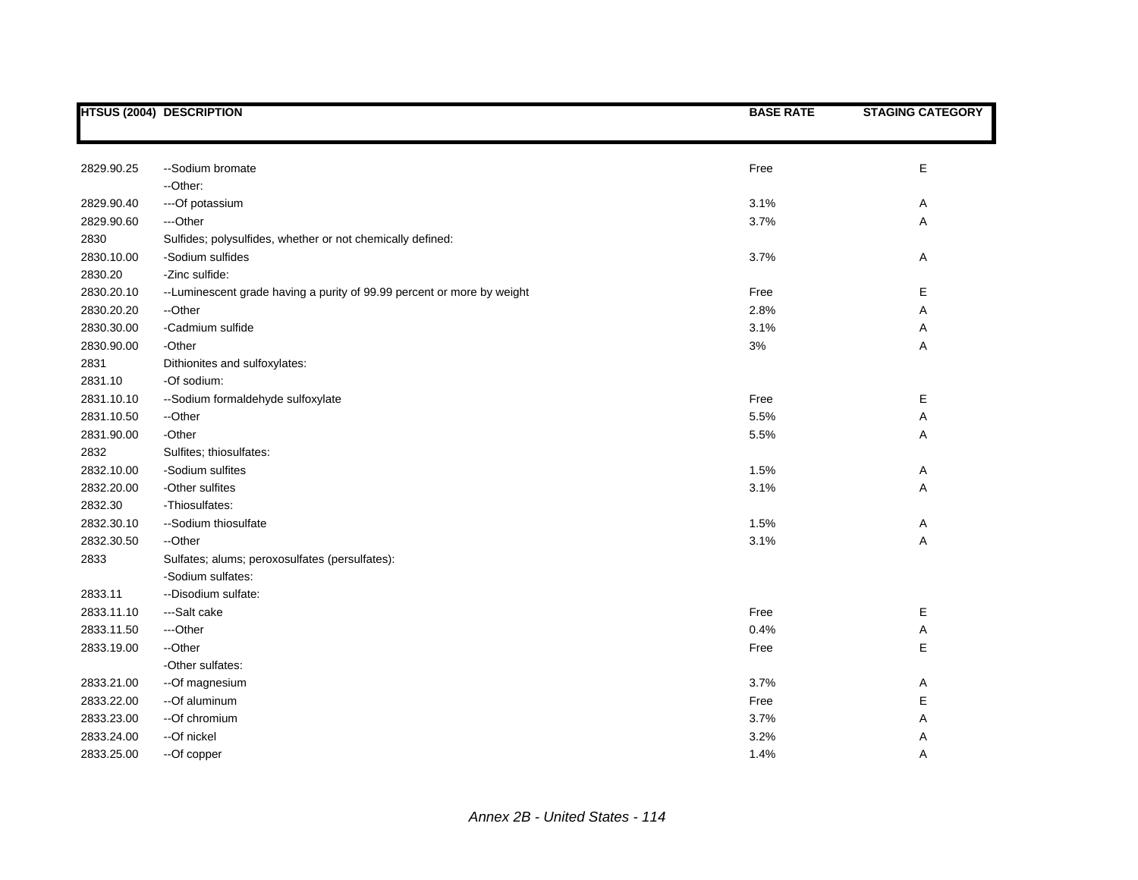|            | <b>HTSUS (2004) DESCRIPTION</b>                                         | <b>BASE RATE</b> | <b>STAGING CATEGORY</b> |
|------------|-------------------------------------------------------------------------|------------------|-------------------------|
|            |                                                                         |                  |                         |
|            |                                                                         |                  |                         |
| 2829.90.25 | --Sodium bromate                                                        | Free             | $\mathsf E$             |
|            | --Other:                                                                |                  |                         |
| 2829.90.40 | --- Of potassium                                                        | 3.1%             | Α                       |
| 2829.90.60 | ---Other                                                                | 3.7%             | A                       |
| 2830       | Sulfides; polysulfides, whether or not chemically defined:              |                  |                         |
| 2830.10.00 | -Sodium sulfides                                                        | 3.7%             | Α                       |
| 2830.20    | -Zinc sulfide:                                                          |                  |                         |
| 2830.20.10 | -- Luminescent grade having a purity of 99.99 percent or more by weight | Free             | Е                       |
| 2830.20.20 | --Other                                                                 | 2.8%             | Α                       |
| 2830.30.00 | -Cadmium sulfide                                                        | 3.1%             | Α                       |
| 2830.90.00 | -Other                                                                  | 3%               | Α                       |
| 2831       | Dithionites and sulfoxylates:                                           |                  |                         |
| 2831.10    | -Of sodium:                                                             |                  |                         |
| 2831.10.10 | --Sodium formaldehyde sulfoxylate                                       | Free             | Е                       |
| 2831.10.50 | --Other                                                                 | 5.5%             | Α                       |
| 2831.90.00 | -Other                                                                  | 5.5%             | Α                       |
| 2832       | Sulfites; thiosulfates:                                                 |                  |                         |
| 2832.10.00 | -Sodium sulfites                                                        | 1.5%             | Α                       |
| 2832.20.00 | -Other sulfites                                                         | 3.1%             | Α                       |
| 2832.30    | -Thiosulfates:                                                          |                  |                         |
| 2832.30.10 | --Sodium thiosulfate                                                    | 1.5%             | Α                       |
| 2832.30.50 | --Other                                                                 | 3.1%             | $\mathsf A$             |
| 2833       | Sulfates; alums; peroxosulfates (persulfates):                          |                  |                         |
|            | -Sodium sulfates:                                                       |                  |                         |
| 2833.11    | -- Disodium sulfate:                                                    |                  |                         |
| 2833.11.10 | ---Salt cake                                                            | Free             | Е                       |
| 2833.11.50 | ---Other                                                                | 0.4%             | Α                       |
| 2833.19.00 | --Other                                                                 | Free             | E                       |
|            | -Other sulfates:                                                        |                  |                         |
| 2833.21.00 | --Of magnesium                                                          | 3.7%             | Α                       |
| 2833.22.00 | --Of aluminum                                                           | Free             | E                       |
| 2833.23.00 | --Of chromium                                                           | 3.7%             | Α                       |
| 2833.24.00 | --Of nickel                                                             | 3.2%             | Α                       |
| 2833.25.00 | --Of copper                                                             | 1.4%             | Α                       |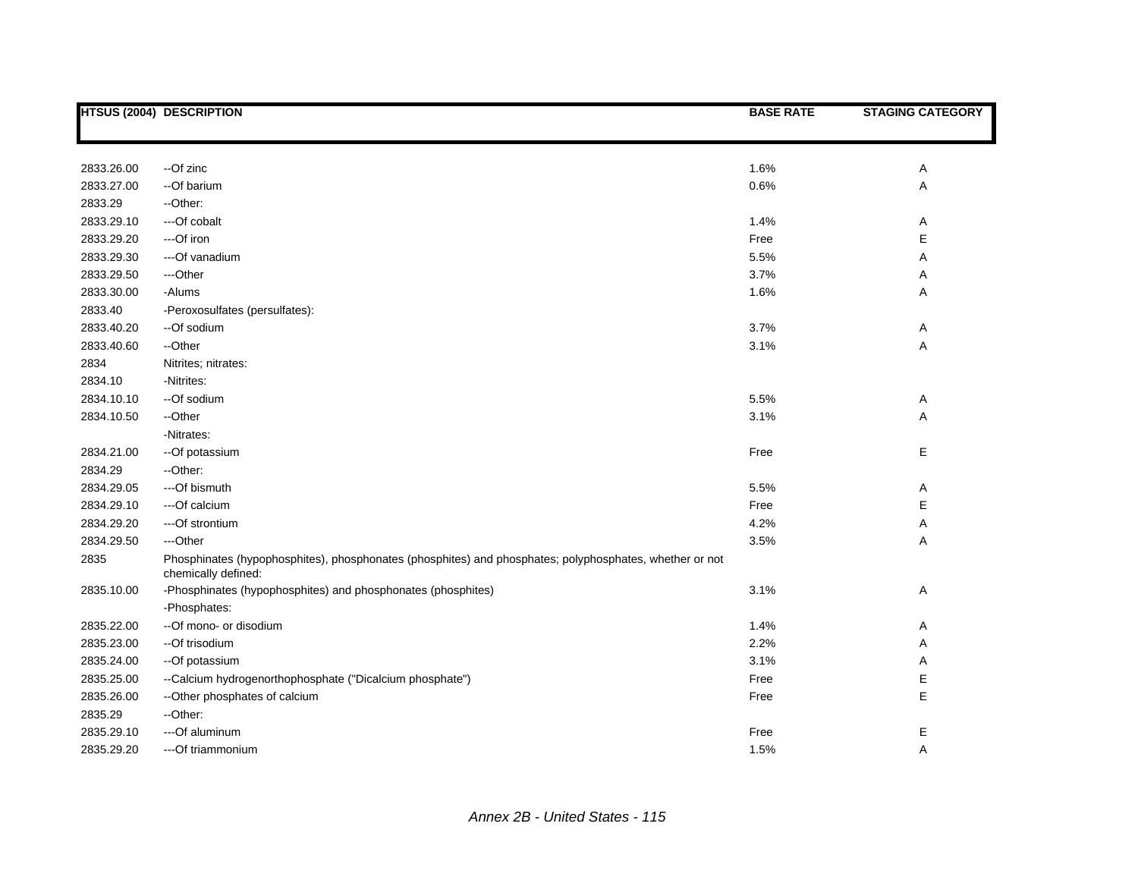|            | <b>HTSUS (2004) DESCRIPTION</b>                                                                                                | <b>BASE RATE</b> | <b>STAGING CATEGORY</b> |
|------------|--------------------------------------------------------------------------------------------------------------------------------|------------------|-------------------------|
|            |                                                                                                                                |                  |                         |
|            |                                                                                                                                |                  |                         |
| 2833.26.00 | --Of zinc                                                                                                                      | 1.6%             | Α                       |
| 2833.27.00 | --Of barium                                                                                                                    | 0.6%             | Α                       |
| 2833.29    | --Other:                                                                                                                       |                  |                         |
| 2833.29.10 | ---Of cobalt                                                                                                                   | 1.4%             | Α                       |
| 2833.29.20 | ---Of iron                                                                                                                     | Free             | $\mathsf E$             |
| 2833.29.30 | --- Of vanadium                                                                                                                | 5.5%             | Α                       |
| 2833.29.50 | ---Other                                                                                                                       | 3.7%             | Α                       |
| 2833.30.00 | -Alums                                                                                                                         | 1.6%             | Α                       |
| 2833.40    | -Peroxosulfates (persulfates):                                                                                                 |                  |                         |
| 2833.40.20 | --Of sodium                                                                                                                    | 3.7%             | Α                       |
| 2833.40.60 | --Other                                                                                                                        | 3.1%             | Α                       |
| 2834       | Nitrites; nitrates:                                                                                                            |                  |                         |
| 2834.10    | -Nitrites:                                                                                                                     |                  |                         |
| 2834.10.10 | --Of sodium                                                                                                                    | 5.5%             | Α                       |
| 2834.10.50 | --Other                                                                                                                        | 3.1%             | Α                       |
|            | -Nitrates:                                                                                                                     |                  |                         |
| 2834.21.00 | --Of potassium                                                                                                                 | Free             | Е                       |
| 2834.29    | --Other:                                                                                                                       |                  |                         |
| 2834.29.05 | ---Of bismuth                                                                                                                  | 5.5%             | Α                       |
| 2834.29.10 | ---Of calcium                                                                                                                  | Free             | $\mathsf E$             |
| 2834.29.20 | ---Of strontium                                                                                                                | 4.2%             | Α                       |
| 2834.29.50 | ---Other                                                                                                                       | 3.5%             | Α                       |
| 2835       | Phosphinates (hypophosphites), phosphonates (phosphites) and phosphates; polyphosphates, whether or not<br>chemically defined: |                  |                         |
| 2835.10.00 | -Phosphinates (hypophosphites) and phosphonates (phosphites)                                                                   | 3.1%             | Α                       |
|            | -Phosphates:                                                                                                                   |                  |                         |
| 2835.22.00 | --Of mono- or disodium                                                                                                         | 1.4%             | Α                       |
| 2835.23.00 | --Of trisodium                                                                                                                 | 2.2%             | Α                       |
| 2835.24.00 | -- Of potassium                                                                                                                | 3.1%             | Α                       |
| 2835.25.00 | --Calcium hydrogenorthophosphate ("Dicalcium phosphate")                                                                       | Free             | Е                       |
| 2835.26.00 | -- Other phosphates of calcium                                                                                                 | Free             | E                       |
| 2835.29    | --Other:                                                                                                                       |                  |                         |
| 2835.29.10 | --- Of aluminum                                                                                                                | Free             | Е                       |
| 2835.29.20 | ---Of triammonium                                                                                                              | 1.5%             | Α                       |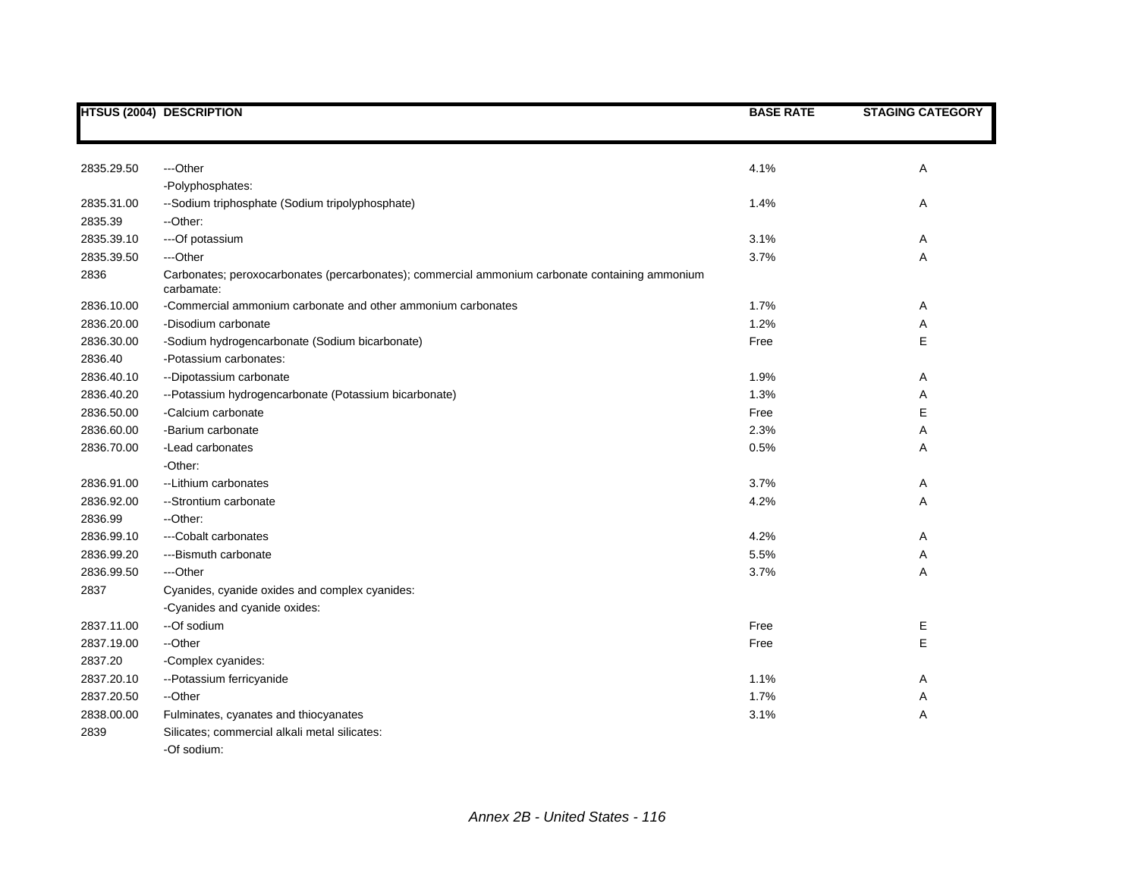|                       | <b>HTSUS (2004) DESCRIPTION</b>                                                                               | <b>BASE RATE</b> | <b>STAGING CATEGORY</b> |
|-----------------------|---------------------------------------------------------------------------------------------------------------|------------------|-------------------------|
|                       |                                                                                                               |                  |                         |
| 2835.29.50            | ---Other                                                                                                      | 4.1%             | Α                       |
|                       | -Polyphosphates:                                                                                              |                  |                         |
|                       |                                                                                                               | 1.4%             |                         |
| 2835.31.00<br>2835.39 | --Sodium triphosphate (Sodium tripolyphosphate)                                                               |                  | Α                       |
|                       | --Other:                                                                                                      |                  |                         |
| 2835.39.10            | ---Of potassium                                                                                               | 3.1%             | Α                       |
| 2835.39.50            | ---Other                                                                                                      | 3.7%             | Α                       |
| 2836                  | Carbonates; peroxocarbonates (percarbonates); commercial ammonium carbonate containing ammonium<br>carbamate: |                  |                         |
| 2836.10.00            | -Commercial ammonium carbonate and other ammonium carbonates                                                  | 1.7%             | Α                       |
| 2836.20.00            | -Disodium carbonate                                                                                           | 1.2%             | Α                       |
| 2836.30.00            | -Sodium hydrogencarbonate (Sodium bicarbonate)                                                                | Free             | E                       |
| 2836.40               | -Potassium carbonates:                                                                                        |                  |                         |
| 2836.40.10            | --Dipotassium carbonate                                                                                       | 1.9%             | Α                       |
| 2836.40.20            | --Potassium hydrogencarbonate (Potassium bicarbonate)                                                         | 1.3%             | Α                       |
| 2836.50.00            | -Calcium carbonate                                                                                            | Free             | Е                       |
| 2836.60.00            | -Barium carbonate                                                                                             | 2.3%             | Α                       |
| 2836.70.00            | -Lead carbonates                                                                                              | 0.5%             | Α                       |
|                       | -Other:                                                                                                       |                  |                         |
| 2836.91.00            | -- Lithium carbonates                                                                                         | 3.7%             | Α                       |
| 2836.92.00            | --Strontium carbonate                                                                                         | 4.2%             | Α                       |
| 2836.99               | -Other:                                                                                                       |                  |                         |
| 2836.99.10            | ---Cobalt carbonates                                                                                          | 4.2%             | Α                       |
| 2836.99.20            | ---Bismuth carbonate                                                                                          | 5.5%             | Α                       |
| 2836.99.50            | ---Other                                                                                                      | 3.7%             | Α                       |
| 2837                  | Cyanides, cyanide oxides and complex cyanides:                                                                |                  |                         |
|                       | -Cyanides and cyanide oxides:                                                                                 |                  |                         |
| 2837.11.00            | --Of sodium                                                                                                   | Free             | Е                       |
| 2837.19.00            | --Other                                                                                                       | Free             | E                       |
| 2837.20               | -Complex cyanides:                                                                                            |                  |                         |
| 2837.20.10            | --Potassium ferricyanide                                                                                      | 1.1%             | Α                       |
| 2837.20.50            | --Other                                                                                                       | 1.7%             | Α                       |
| 2838.00.00            | Fulminates, cyanates and thiocyanates                                                                         | 3.1%             | Α                       |
| 2839                  | Silicates; commercial alkali metal silicates:                                                                 |                  |                         |
|                       | -Of sodium:                                                                                                   |                  |                         |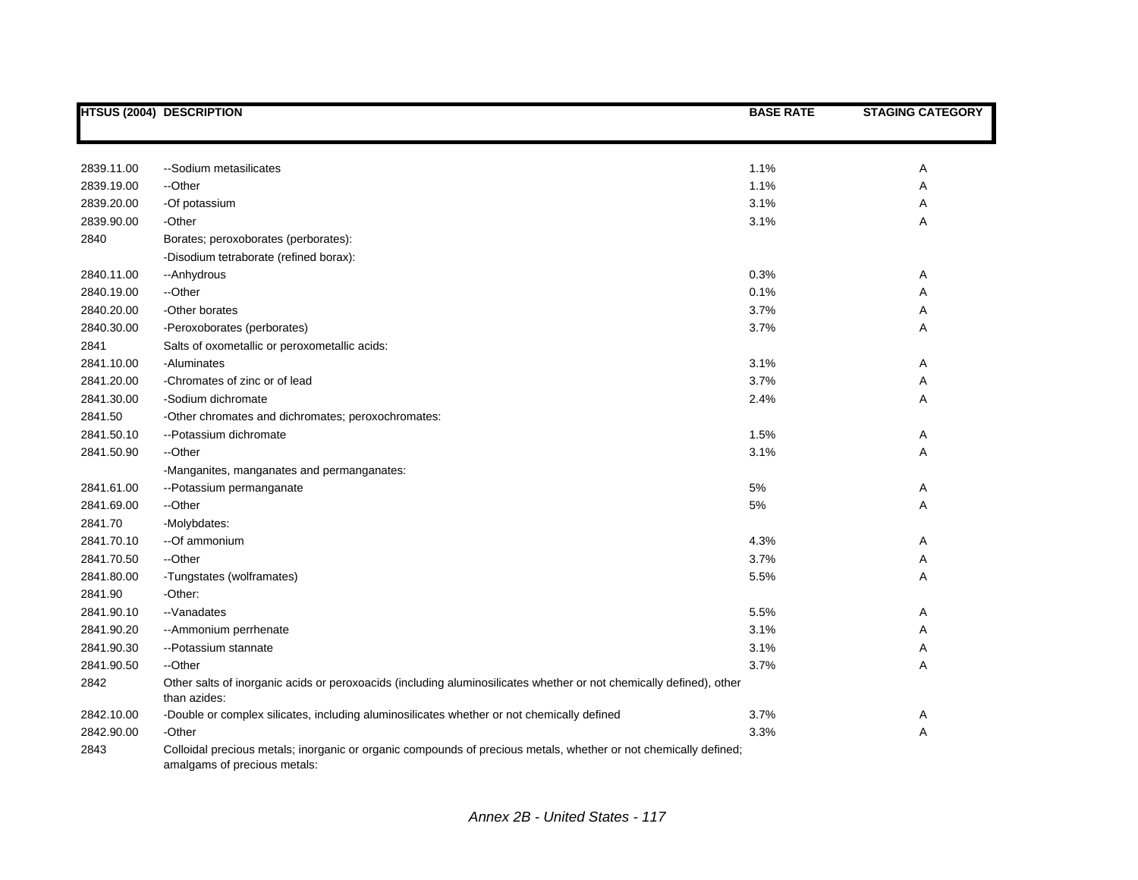|            | <b>HTSUS (2004) DESCRIPTION</b>                                                                                                                  | <b>BASE RATE</b> | <b>STAGING CATEGORY</b> |
|------------|--------------------------------------------------------------------------------------------------------------------------------------------------|------------------|-------------------------|
|            |                                                                                                                                                  |                  |                         |
|            |                                                                                                                                                  |                  |                         |
| 2839.11.00 | --Sodium metasilicates                                                                                                                           | 1.1%             | Α                       |
| 2839.19.00 | --Other                                                                                                                                          | 1.1%             | Α                       |
| 2839.20.00 | -Of potassium                                                                                                                                    | 3.1%             | Α                       |
| 2839.90.00 | -Other                                                                                                                                           | 3.1%             | Α                       |
| 2840       | Borates; peroxoborates (perborates):                                                                                                             |                  |                         |
|            | -Disodium tetraborate (refined borax):                                                                                                           |                  |                         |
| 2840.11.00 | --Anhydrous                                                                                                                                      | 0.3%             | A                       |
| 2840.19.00 | --Other                                                                                                                                          | 0.1%             | Α                       |
| 2840.20.00 | -Other borates                                                                                                                                   | 3.7%             | Α                       |
| 2840.30.00 | -Peroxoborates (perborates)                                                                                                                      | 3.7%             | Α                       |
| 2841       | Salts of oxometallic or peroxometallic acids:                                                                                                    |                  |                         |
| 2841.10.00 | -Aluminates                                                                                                                                      | 3.1%             | Α                       |
| 2841.20.00 | -Chromates of zinc or of lead                                                                                                                    | 3.7%             | Α                       |
| 2841.30.00 | -Sodium dichromate                                                                                                                               | 2.4%             | A                       |
| 2841.50    | -Other chromates and dichromates; peroxochromates:                                                                                               |                  |                         |
| 2841.50.10 | --Potassium dichromate                                                                                                                           | 1.5%             | A                       |
| 2841.50.90 | --Other                                                                                                                                          | 3.1%             | Α                       |
|            | -Manganites, manganates and permanganates:                                                                                                       |                  |                         |
| 2841.61.00 | --Potassium permanganate                                                                                                                         | 5%               | Α                       |
| 2841.69.00 | --Other                                                                                                                                          | 5%               | Α                       |
| 2841.70    | -Molybdates:                                                                                                                                     |                  |                         |
| 2841.70.10 | --Of ammonium                                                                                                                                    | 4.3%             | Α                       |
| 2841.70.50 | --Other                                                                                                                                          | 3.7%             | Α                       |
| 2841.80.00 | -Tungstates (wolframates)                                                                                                                        | 5.5%             | Α                       |
| 2841.90    | -Other:                                                                                                                                          |                  |                         |
| 2841.90.10 | --Vanadates                                                                                                                                      | 5.5%             | Α                       |
| 2841.90.20 | -- Ammonium perrhenate                                                                                                                           | 3.1%             | Α                       |
| 2841.90.30 | -- Potassium stannate                                                                                                                            | 3.1%             | Α                       |
| 2841.90.50 | --Other                                                                                                                                          | 3.7%             | A                       |
| 2842       | Other salts of inorganic acids or peroxoacids (including aluminosilicates whether or not chemically defined), other<br>than azides:              |                  |                         |
| 2842.10.00 | -Double or complex silicates, including aluminosilicates whether or not chemically defined                                                       | 3.7%             | Α                       |
| 2842.90.00 | -Other                                                                                                                                           | 3.3%             | Α                       |
| 2843       | Colloidal precious metals; inorganic or organic compounds of precious metals, whether or not chemically defined;<br>amalgams of precious metals: |                  |                         |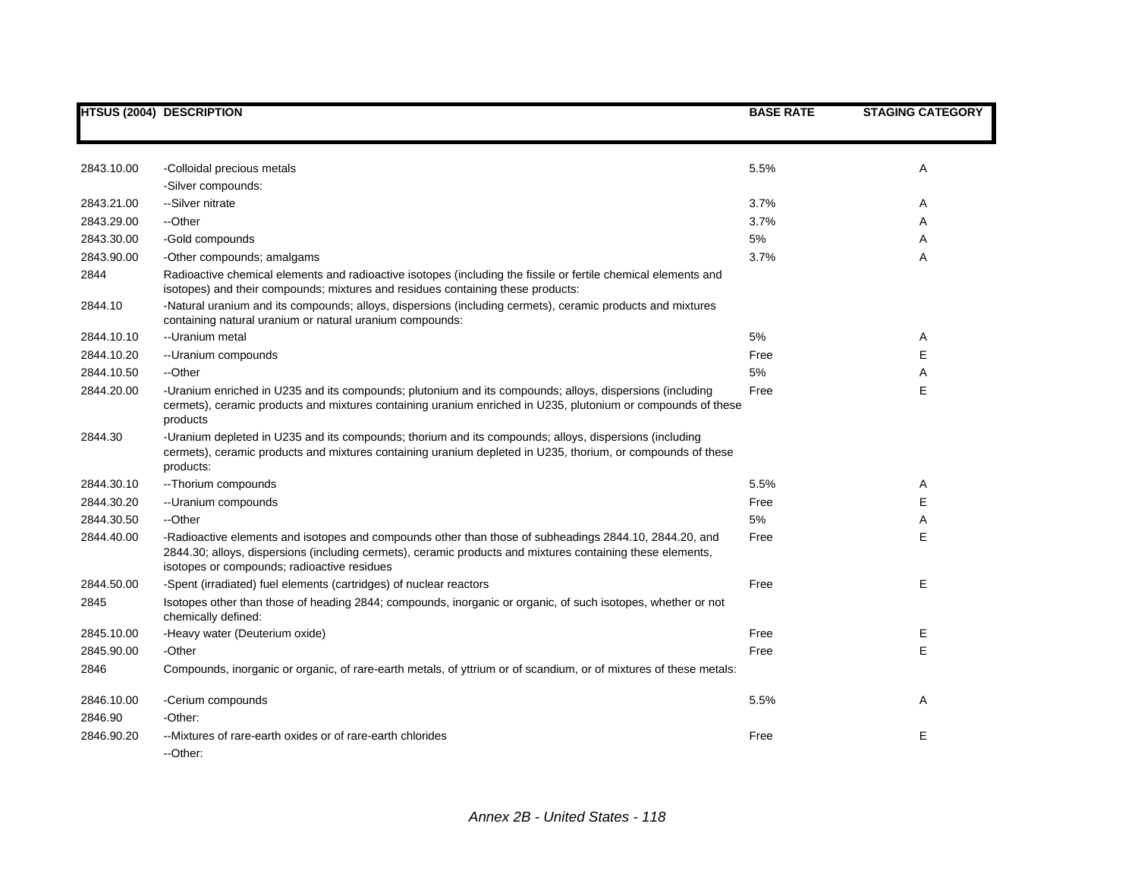|            | <b>HTSUS (2004) DESCRIPTION</b>                                                                                                                                                                                                                                     | <b>BASE RATE</b> | <b>STAGING CATEGORY</b> |
|------------|---------------------------------------------------------------------------------------------------------------------------------------------------------------------------------------------------------------------------------------------------------------------|------------------|-------------------------|
|            |                                                                                                                                                                                                                                                                     |                  |                         |
|            |                                                                                                                                                                                                                                                                     |                  |                         |
| 2843.10.00 | -Colloidal precious metals                                                                                                                                                                                                                                          | 5.5%             | Α                       |
|            | -Silver compounds:                                                                                                                                                                                                                                                  |                  |                         |
| 2843.21.00 | --Silver nitrate                                                                                                                                                                                                                                                    | 3.7%             | Α                       |
| 2843.29.00 | --Other                                                                                                                                                                                                                                                             | 3.7%             | Α                       |
| 2843.30.00 | -Gold compounds                                                                                                                                                                                                                                                     | 5%               | Α                       |
| 2843.90.00 | -Other compounds; amalgams                                                                                                                                                                                                                                          | 3.7%             | A                       |
| 2844       | Radioactive chemical elements and radioactive isotopes (including the fissile or fertile chemical elements and<br>isotopes) and their compounds; mixtures and residues containing these products:                                                                   |                  |                         |
| 2844.10    | -Natural uranium and its compounds; alloys, dispersions (including cermets), ceramic products and mixtures<br>containing natural uranium or natural uranium compounds:                                                                                              |                  |                         |
| 2844.10.10 | -- Uranium metal                                                                                                                                                                                                                                                    | 5%               | Α                       |
| 2844.10.20 | -- Uranium compounds                                                                                                                                                                                                                                                | Free             | Е                       |
| 2844.10.50 | --Other                                                                                                                                                                                                                                                             | 5%               | Α                       |
| 2844.20.00 | -Uranium enriched in U235 and its compounds; plutonium and its compounds; alloys, dispersions (including<br>cermets), ceramic products and mixtures containing uranium enriched in U235, plutonium or compounds of these<br>products                                | Free             | Е                       |
| 2844.30    | -Uranium depleted in U235 and its compounds; thorium and its compounds; alloys, dispersions (including<br>cermets), ceramic products and mixtures containing uranium depleted in U235, thorium, or compounds of these<br>products:                                  |                  |                         |
| 2844.30.10 | -- Thorium compounds                                                                                                                                                                                                                                                | 5.5%             | Α                       |
| 2844.30.20 | -- Uranium compounds                                                                                                                                                                                                                                                | Free             | E                       |
| 2844.30.50 | --Other                                                                                                                                                                                                                                                             | 5%               | Α                       |
| 2844.40.00 | -Radioactive elements and isotopes and compounds other than those of subheadings 2844.10, 2844.20, and<br>2844.30; alloys, dispersions (including cermets), ceramic products and mixtures containing these elements,<br>isotopes or compounds; radioactive residues | Free             | E                       |
| 2844.50.00 | -Spent (irradiated) fuel elements (cartridges) of nuclear reactors                                                                                                                                                                                                  | Free             | Е                       |
| 2845       | Isotopes other than those of heading 2844; compounds, inorganic or organic, of such isotopes, whether or not<br>chemically defined:                                                                                                                                 |                  |                         |
| 2845.10.00 | -Heavy water (Deuterium oxide)                                                                                                                                                                                                                                      | Free             | Ε                       |
| 2845.90.00 | -Other                                                                                                                                                                                                                                                              | Free             | E                       |
| 2846       | Compounds, inorganic or organic, of rare-earth metals, of yttrium or of scandium, or of mixtures of these metals:                                                                                                                                                   |                  |                         |
| 2846.10.00 | -Cerium compounds                                                                                                                                                                                                                                                   | 5.5%             | Α                       |
| 2846.90    | -Other:                                                                                                                                                                                                                                                             |                  |                         |
| 2846.90.20 | --Mixtures of rare-earth oxides or of rare-earth chlorides<br>--Other:                                                                                                                                                                                              | Free             | Е                       |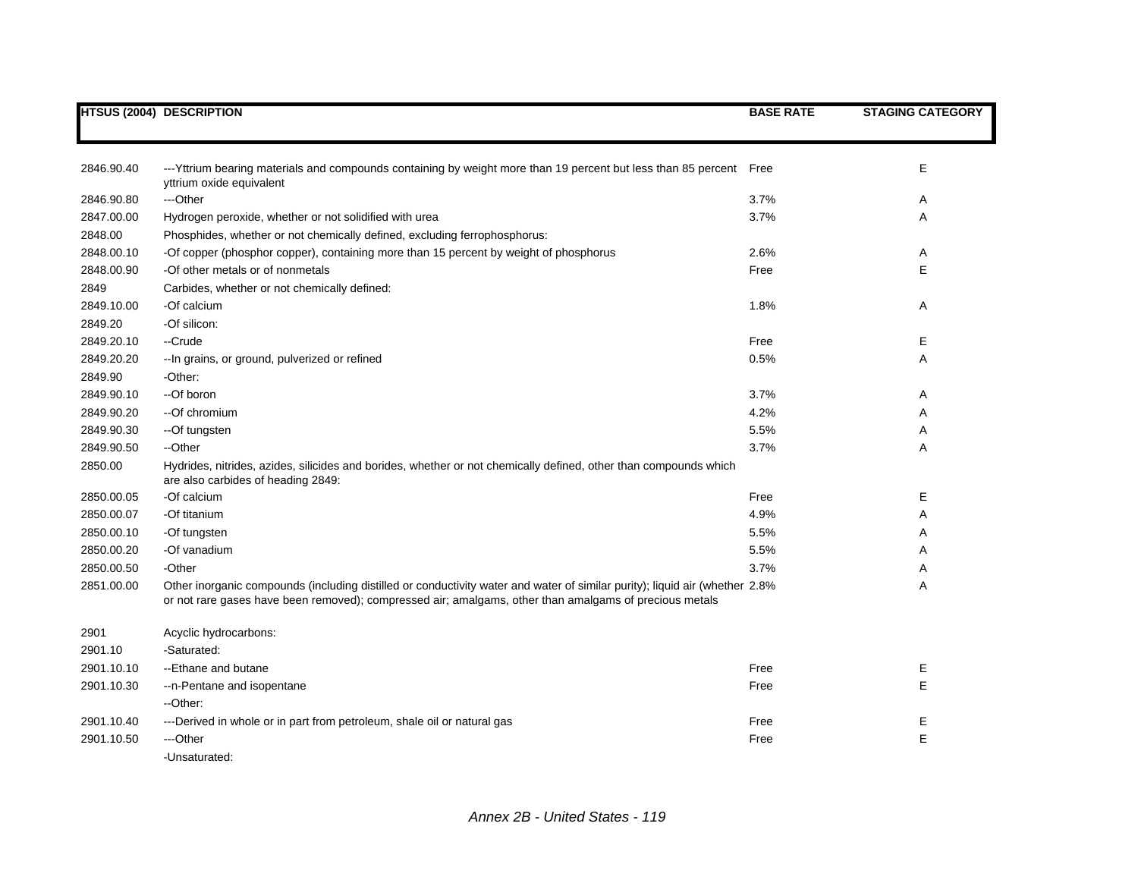|            | HTSUS (2004) DESCRIPTION                                                                                                                                                                                                              | <b>BASE RATE</b> | <b>STAGING CATEGORY</b> |
|------------|---------------------------------------------------------------------------------------------------------------------------------------------------------------------------------------------------------------------------------------|------------------|-------------------------|
|            |                                                                                                                                                                                                                                       |                  |                         |
| 2846.90.40 | ---Yttrium bearing materials and compounds containing by weight more than 19 percent but less than 85 percent Free<br>yttrium oxide equivalent                                                                                        |                  | Е                       |
| 2846.90.80 | ---Other                                                                                                                                                                                                                              | 3.7%             | A                       |
| 2847.00.00 | Hydrogen peroxide, whether or not solidified with urea                                                                                                                                                                                | 3.7%             | Α                       |
| 2848.00    | Phosphides, whether or not chemically defined, excluding ferrophosphorus:                                                                                                                                                             |                  |                         |
| 2848.00.10 | -Of copper (phosphor copper), containing more than 15 percent by weight of phosphorus                                                                                                                                                 | 2.6%             | Α                       |
| 2848.00.90 | -Of other metals or of nonmetals                                                                                                                                                                                                      | Free             | Е                       |
| 2849       | Carbides, whether or not chemically defined:                                                                                                                                                                                          |                  |                         |
| 2849.10.00 | -Of calcium                                                                                                                                                                                                                           | 1.8%             | Α                       |
| 2849.20    | -Of silicon:                                                                                                                                                                                                                          |                  |                         |
| 2849.20.10 | --Crude                                                                                                                                                                                                                               | Free             | Е                       |
| 2849.20.20 | -- In grains, or ground, pulverized or refined                                                                                                                                                                                        | 0.5%             | Α                       |
| 2849.90    | -Other:                                                                                                                                                                                                                               |                  |                         |
| 2849.90.10 | --Of boron                                                                                                                                                                                                                            | 3.7%             | Α                       |
| 2849.90.20 | --Of chromium                                                                                                                                                                                                                         | 4.2%             | Α                       |
| 2849.90.30 | --Of tungsten                                                                                                                                                                                                                         | 5.5%             | Α                       |
| 2849.90.50 | --Other                                                                                                                                                                                                                               | 3.7%             | Α                       |
| 2850.00    | Hydrides, nitrides, azides, silicides and borides, whether or not chemically defined, other than compounds which<br>are also carbides of heading 2849:                                                                                |                  |                         |
| 2850.00.05 | -Of calcium                                                                                                                                                                                                                           | Free             | Е                       |
| 2850.00.07 | -Of titanium                                                                                                                                                                                                                          | 4.9%             | Α                       |
| 2850.00.10 | -Of tungsten                                                                                                                                                                                                                          | 5.5%             | Α                       |
| 2850.00.20 | -Of vanadium                                                                                                                                                                                                                          | 5.5%             | Α                       |
| 2850.00.50 | -Other                                                                                                                                                                                                                                | 3.7%             | Α                       |
| 2851.00.00 | Other inorganic compounds (including distilled or conductivity water and water of similar purity); liquid air (whether 2.8%<br>or not rare gases have been removed); compressed air; amalgams, other than amalgams of precious metals |                  | Α                       |
| 2901       | Acyclic hydrocarbons:                                                                                                                                                                                                                 |                  |                         |
| 2901.10    | -Saturated:                                                                                                                                                                                                                           |                  |                         |
| 2901.10.10 | --Ethane and butane                                                                                                                                                                                                                   | Free             | Ε                       |
| 2901.10.30 | --n-Pentane and isopentane                                                                                                                                                                                                            | Free             | E                       |
|            | --Other:                                                                                                                                                                                                                              |                  |                         |
| 2901.10.40 | ---Derived in whole or in part from petroleum, shale oil or natural gas                                                                                                                                                               | Free             | Ε                       |
| 2901.10.50 | ---Other                                                                                                                                                                                                                              | Free             | E                       |
|            | -Unsaturated:                                                                                                                                                                                                                         |                  |                         |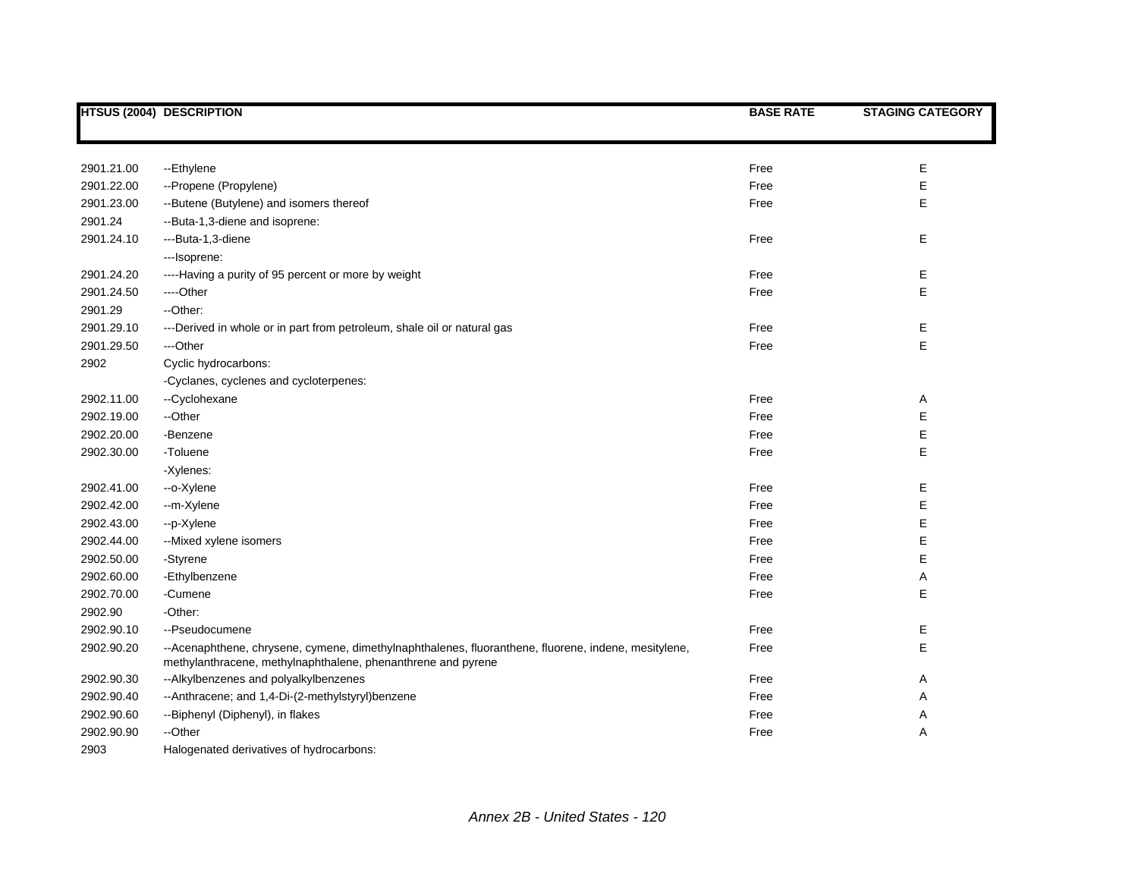|            | <b>HTSUS (2004) DESCRIPTION</b>                                                                                                                                     | <b>BASE RATE</b> | <b>STAGING CATEGORY</b> |
|------------|---------------------------------------------------------------------------------------------------------------------------------------------------------------------|------------------|-------------------------|
|            |                                                                                                                                                                     |                  |                         |
| 2901.21.00 | --Ethylene                                                                                                                                                          | Free             | E                       |
| 2901.22.00 | --Propene (Propylene)                                                                                                                                               | Free             | E                       |
| 2901.23.00 | --Butene (Butylene) and isomers thereof                                                                                                                             | Free             | E                       |
| 2901.24    | --Buta-1,3-diene and isoprene:                                                                                                                                      |                  |                         |
| 2901.24.10 | ---Buta-1,3-diene                                                                                                                                                   | Free             | E                       |
|            | ---Isoprene:                                                                                                                                                        |                  |                         |
| 2901.24.20 | ----Having a purity of 95 percent or more by weight                                                                                                                 | Free             | E                       |
| 2901.24.50 | ----Other                                                                                                                                                           | Free             | E                       |
| 2901.29    | --Other:                                                                                                                                                            |                  |                         |
| 2901.29.10 | ---Derived in whole or in part from petroleum, shale oil or natural gas                                                                                             | Free             | Е                       |
| 2901.29.50 | ---Other                                                                                                                                                            | Free             | E                       |
| 2902       | Cyclic hydrocarbons:                                                                                                                                                |                  |                         |
|            | -Cyclanes, cyclenes and cycloterpenes:                                                                                                                              |                  |                         |
| 2902.11.00 | --Cyclohexane                                                                                                                                                       | Free             | Α                       |
| 2902.19.00 | --Other                                                                                                                                                             | Free             | E                       |
| 2902.20.00 | -Benzene                                                                                                                                                            | Free             | E                       |
| 2902.30.00 | -Toluene                                                                                                                                                            | Free             | E                       |
|            | -Xylenes:                                                                                                                                                           |                  |                         |
| 2902.41.00 | --o-Xylene                                                                                                                                                          | Free             | E                       |
| 2902.42.00 | --m-Xylene                                                                                                                                                          | Free             | E                       |
| 2902.43.00 | --p-Xylene                                                                                                                                                          | Free             | E                       |
| 2902.44.00 | --Mixed xylene isomers                                                                                                                                              | Free             | E                       |
| 2902.50.00 | -Styrene                                                                                                                                                            | Free             | E                       |
| 2902.60.00 | -Ethylbenzene                                                                                                                                                       | Free             | Α                       |
| 2902.70.00 | -Cumene                                                                                                                                                             | Free             | E                       |
| 2902.90    | -Other:                                                                                                                                                             |                  |                         |
| 2902.90.10 | --Pseudocumene                                                                                                                                                      | Free             | Е                       |
| 2902.90.20 | --Acenaphthene, chrysene, cymene, dimethylnaphthalenes, fluoranthene, fluorene, indene, mesitylene,<br>methylanthracene, methylnaphthalene, phenanthrene and pyrene | Free             | E                       |
| 2902.90.30 | --Alkylbenzenes and polyalkylbenzenes                                                                                                                               | Free             | Α                       |
| 2902.90.40 | -- Anthracene; and 1,4-Di-(2-methylstyryl) benzene                                                                                                                  | Free             | Α                       |
| 2902.90.60 | --Biphenyl (Diphenyl), in flakes                                                                                                                                    | Free             | Α                       |
| 2902.90.90 | --Other                                                                                                                                                             | Free             | Α                       |
| 2903       | Halogenated derivatives of hydrocarbons:                                                                                                                            |                  |                         |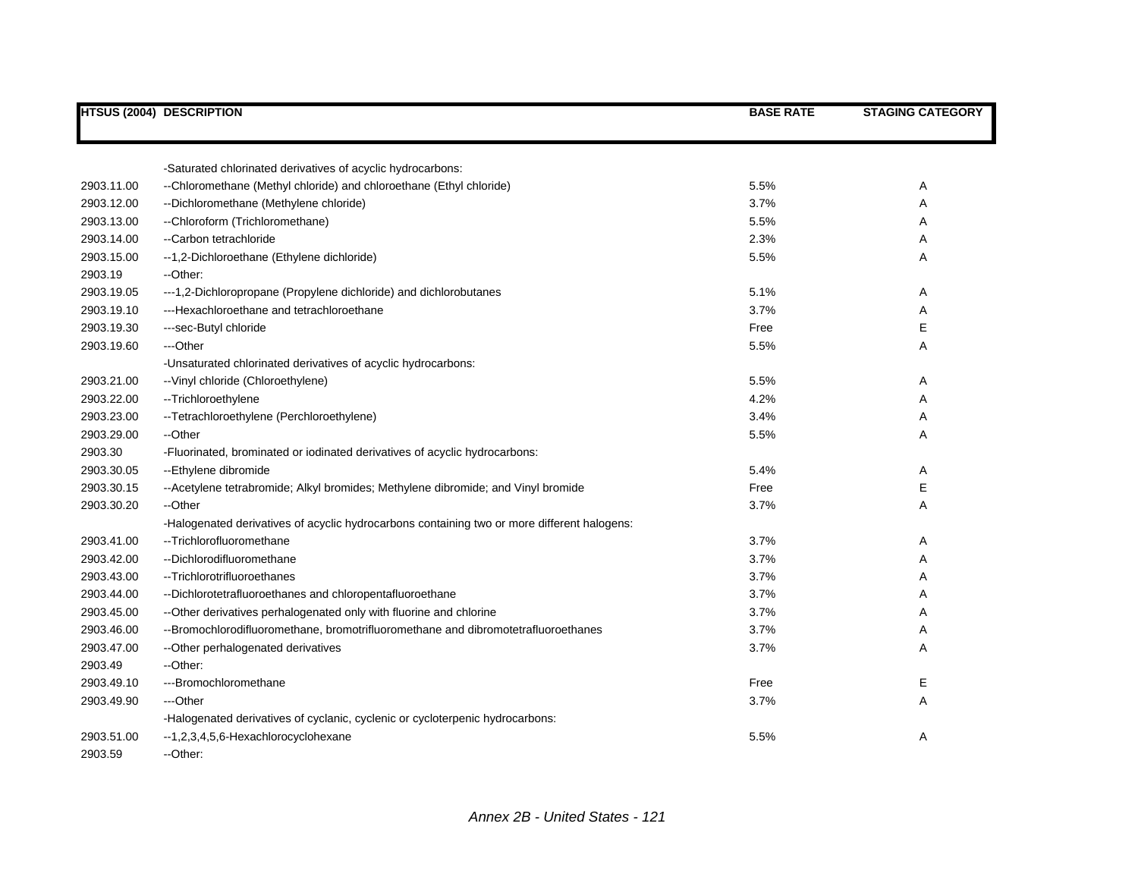|            | <b>HTSUS (2004) DESCRIPTION</b>                                                             | <b>BASE RATE</b> | <b>STAGING CATEGORY</b> |
|------------|---------------------------------------------------------------------------------------------|------------------|-------------------------|
|            |                                                                                             |                  |                         |
|            | -Saturated chlorinated derivatives of acyclic hydrocarbons:                                 |                  |                         |
| 2903.11.00 | --Chloromethane (Methyl chloride) and chloroethane (Ethyl chloride)                         | 5.5%             | Α                       |
| 2903.12.00 | --Dichloromethane (Methylene chloride)                                                      | 3.7%             | Α                       |
| 2903.13.00 | --Chloroform (Trichloromethane)                                                             | 5.5%             | Α                       |
| 2903.14.00 | --Carbon tetrachloride                                                                      | 2.3%             | Α                       |
| 2903.15.00 | --1,2-Dichloroethane (Ethylene dichloride)                                                  | 5.5%             | Α                       |
| 2903.19    | --Other:                                                                                    |                  |                         |
| 2903.19.05 | ---1,2-Dichloropropane (Propylene dichloride) and dichlorobutanes                           | 5.1%             | Α                       |
| 2903.19.10 | ---Hexachloroethane and tetrachloroethane                                                   | 3.7%             | Α                       |
| 2903.19.30 | ---sec-Butyl chloride                                                                       | Free             | E                       |
| 2903.19.60 | ---Other                                                                                    | 5.5%             | Α                       |
|            | -Unsaturated chlorinated derivatives of acyclic hydrocarbons:                               |                  |                         |
| 2903.21.00 | -- Vinyl chloride (Chloroethylene)                                                          | 5.5%             | Α                       |
| 2903.22.00 | --Trichloroethylene                                                                         | 4.2%             | Α                       |
| 2903.23.00 | -- Tetrachloroethylene (Perchloroethylene)                                                  | 3.4%             | Α                       |
| 2903.29.00 | --Other                                                                                     | 5.5%             | A                       |
| 2903.30    | -Fluorinated, brominated or iodinated derivatives of acyclic hydrocarbons:                  |                  |                         |
| 2903.30.05 | --Ethylene dibromide                                                                        | 5.4%             | Α                       |
| 2903.30.15 | -- Acetylene tetrabromide; Alkyl bromides; Methylene dibromide; and Vinyl bromide           | Free             | Е                       |
| 2903.30.20 | --Other                                                                                     | 3.7%             | Α                       |
|            | -Halogenated derivatives of acyclic hydrocarbons containing two or more different halogens: |                  |                         |
| 2903.41.00 | --Trichlorofluoromethane                                                                    | 3.7%             | Α                       |
| 2903.42.00 | --Dichlorodifluoromethane                                                                   | 3.7%             | Α                       |
| 2903.43.00 | --Trichlorotrifluoroethanes                                                                 | 3.7%             | Α                       |
| 2903.44.00 | --Dichlorotetrafluoroethanes and chloropentafluoroethane                                    | 3.7%             | Α                       |
| 2903.45.00 | -- Other derivatives perhalogenated only with fluorine and chlorine                         | 3.7%             | Α                       |
| 2903.46.00 | --Bromochlorodifluoromethane, bromotrifluoromethane and dibromotetrafluoroethanes           | 3.7%             | Α                       |
| 2903.47.00 | -- Other perhalogenated derivatives                                                         | 3.7%             | Α                       |
| 2903.49    | --Other:                                                                                    |                  |                         |
| 2903.49.10 | ---Bromochloromethane                                                                       | Free             | Е                       |
| 2903.49.90 | ---Other                                                                                    | 3.7%             | Α                       |
|            | -Halogenated derivatives of cyclanic, cyclenic or cycloterpenic hydrocarbons:               |                  |                         |
| 2903.51.00 | --1,2,3,4,5,6-Hexachlorocyclohexane                                                         | 5.5%             | Α                       |
| 2903.59    | --Other:                                                                                    |                  |                         |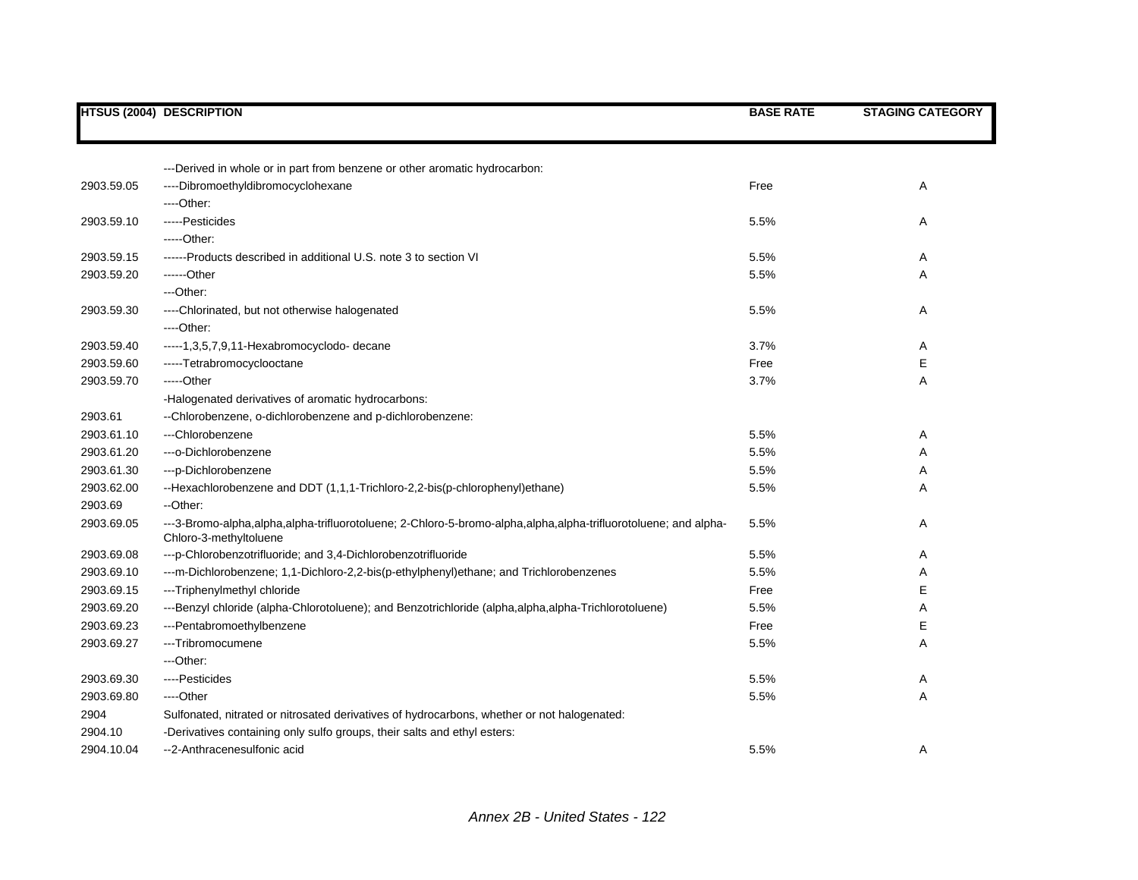|            | <b>HTSUS (2004) DESCRIPTION</b>                                                                                                          | <b>BASE RATE</b> | <b>STAGING CATEGORY</b> |
|------------|------------------------------------------------------------------------------------------------------------------------------------------|------------------|-------------------------|
|            |                                                                                                                                          |                  |                         |
|            |                                                                                                                                          |                  |                         |
|            | ---Derived in whole or in part from benzene or other aromatic hydrocarbon:                                                               |                  |                         |
| 2903.59.05 | ----Dibromoethyldibromocyclohexane                                                                                                       | Free             | Α                       |
|            | ----Other:                                                                                                                               |                  |                         |
| 2903.59.10 | -----Pesticides                                                                                                                          | 5.5%             | Α                       |
|            | $---Other:$                                                                                                                              |                  |                         |
| 2903.59.15 | ------Products described in additional U.S. note 3 to section VI                                                                         | 5.5%             | Α                       |
| 2903.59.20 | ------Other                                                                                                                              | 5.5%             | Α                       |
|            | ---Other:                                                                                                                                |                  |                         |
| 2903.59.30 | ----Chlorinated, but not otherwise halogenated                                                                                           | 5.5%             | Α                       |
|            | ---Other:                                                                                                                                |                  |                         |
| 2903.59.40 | ----- 1, 3, 5, 7, 9, 11-Hexabromocyclodo-decane                                                                                          | 3.7%             | Α                       |
| 2903.59.60 | -----Tetrabromocyclooctane                                                                                                               | Free             | Е                       |
| 2903.59.70 | -----Other                                                                                                                               | 3.7%             | Α                       |
|            | -Halogenated derivatives of aromatic hydrocarbons:                                                                                       |                  |                         |
| 2903.61    | --Chlorobenzene, o-dichlorobenzene and p-dichlorobenzene:                                                                                |                  |                         |
| 2903.61.10 | ---Chlorobenzene                                                                                                                         | 5.5%             | A                       |
| 2903.61.20 | --- o-Dichlorobenzene                                                                                                                    | 5.5%             | Α                       |
| 2903.61.30 | ---p-Dichlorobenzene                                                                                                                     | 5.5%             | Α                       |
| 2903.62.00 | --Hexachlorobenzene and DDT (1,1,1-Trichloro-2,2-bis(p-chlorophenyl)ethane)                                                              | 5.5%             | Α                       |
| 2903.69    | --Other:                                                                                                                                 |                  |                         |
| 2903.69.05 | ---3-Bromo-alpha,alpha,alpha-trifluorotoluene; 2-Chloro-5-bromo-alpha,alpha,alpha-trifluorotoluene; and alpha-<br>Chloro-3-methyltoluene | 5.5%             | Α                       |
| 2903.69.08 | --- p-Chlorobenzotrifluoride; and 3,4-Dichlorobenzotrifluoride                                                                           | 5.5%             | Α                       |
| 2903.69.10 | ---m-Dichlorobenzene; 1,1-Dichloro-2,2-bis(p-ethylphenyl)ethane; and Trichlorobenzenes                                                   | 5.5%             | Α                       |
| 2903.69.15 | ---Triphenylmethyl chloride                                                                                                              | Free             | Ε                       |
| 2903.69.20 | ---Benzyl chloride (alpha-Chlorotoluene); and Benzotrichloride (alpha,alpha,alpha-Trichlorotoluene)                                      | 5.5%             | Α                       |
| 2903.69.23 | ---Pentabromoethylbenzene                                                                                                                | Free             | Е                       |
| 2903.69.27 | ---Tribromocumene                                                                                                                        | 5.5%             | Α                       |
|            | ---Other:                                                                                                                                |                  |                         |
| 2903.69.30 | ----Pesticides                                                                                                                           | 5.5%             | Α                       |
| 2903.69.80 | ----Other                                                                                                                                | 5.5%             | Α                       |
| 2904       | Sulfonated, nitrated or nitrosated derivatives of hydrocarbons, whether or not halogenated:                                              |                  |                         |
| 2904.10    | -Derivatives containing only sulfo groups, their salts and ethyl esters:                                                                 |                  |                         |
| 2904.10.04 | --2-Anthracenesulfonic acid                                                                                                              | 5.5%             | Α                       |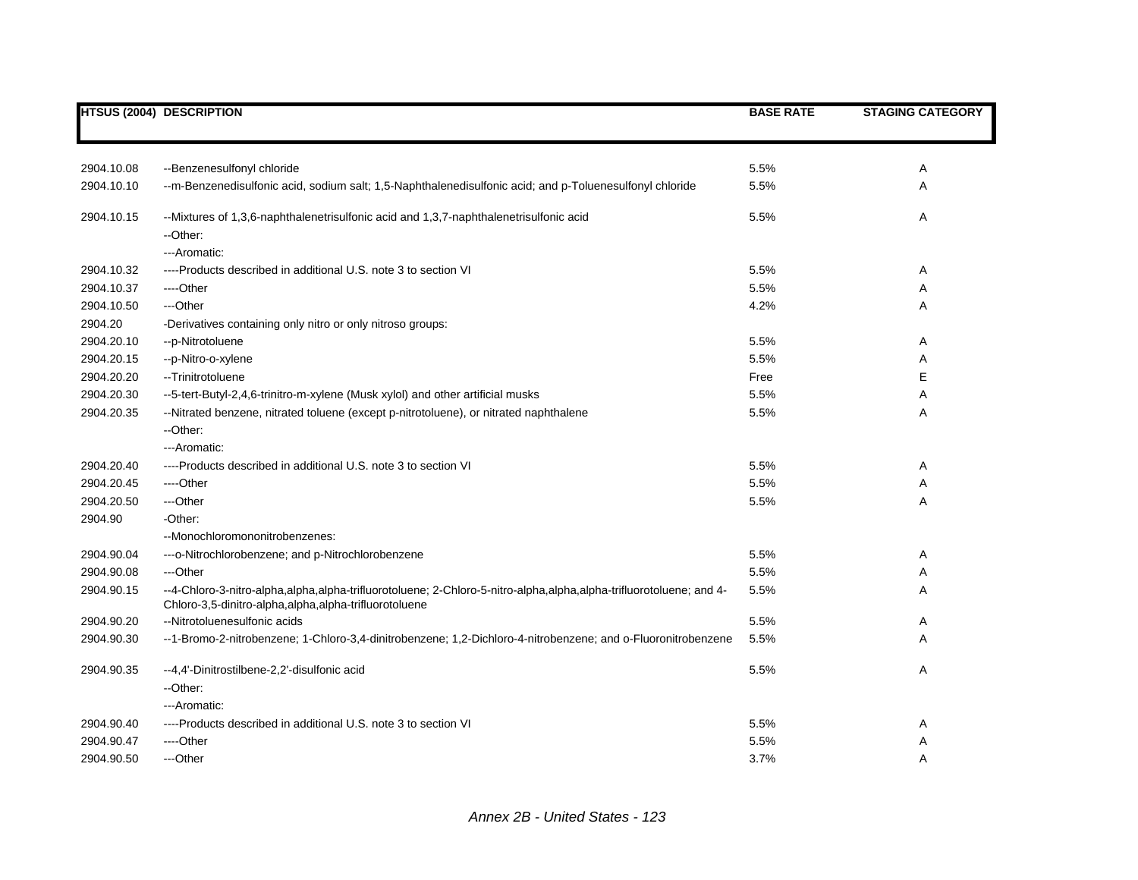|            | <b>HTSUS (2004) DESCRIPTION</b>                                                                                                                                             | <b>BASE RATE</b> | <b>STAGING CATEGORY</b> |
|------------|-----------------------------------------------------------------------------------------------------------------------------------------------------------------------------|------------------|-------------------------|
|            |                                                                                                                                                                             |                  |                         |
| 2904.10.08 | --Benzenesulfonyl chloride                                                                                                                                                  | 5.5%             | A                       |
| 2904.10.10 | --m-Benzenedisulfonic acid, sodium salt; 1,5-Naphthalenedisulfonic acid; and p-Toluenesulfonyl chloride                                                                     | 5.5%             | Α                       |
| 2904.10.15 | --Mixtures of 1,3,6-naphthalenetrisulfonic acid and 1,3,7-naphthalenetrisulfonic acid<br>--Other:                                                                           | 5.5%             | Α                       |
|            | ---Aromatic:                                                                                                                                                                |                  |                         |
| 2904.10.32 | ----Products described in additional U.S. note 3 to section VI                                                                                                              | 5.5%             | Α                       |
| 2904.10.37 | ----Other                                                                                                                                                                   | 5.5%             | A                       |
| 2904.10.50 | ---Other                                                                                                                                                                    | 4.2%             | A                       |
| 2904.20    | -Derivatives containing only nitro or only nitroso groups:                                                                                                                  |                  |                         |
| 2904.20.10 | --p-Nitrotoluene                                                                                                                                                            | 5.5%             | Α                       |
| 2904.20.15 | --p-Nitro-o-xylene                                                                                                                                                          | 5.5%             | Α                       |
| 2904.20.20 | -- Trinitrotoluene                                                                                                                                                          | Free             | Е                       |
| 2904.20.30 | --5-tert-Butyl-2,4,6-trinitro-m-xylene (Musk xylol) and other artificial musks                                                                                              | 5.5%             | Α                       |
| 2904.20.35 | --Nitrated benzene, nitrated toluene (except p-nitrotoluene), or nitrated naphthalene<br>--Other:                                                                           | 5.5%             | A                       |
|            | ---Aromatic:                                                                                                                                                                |                  |                         |
| 2904.20.40 | ----Products described in additional U.S. note 3 to section VI                                                                                                              | 5.5%             | Α                       |
| 2904.20.45 | ----Other                                                                                                                                                                   | 5.5%             | Α                       |
| 2904.20.50 | ---Other                                                                                                                                                                    | 5.5%             | A                       |
| 2904.90    | -Other:                                                                                                                                                                     |                  |                         |
|            | --Monochloromononitrobenzenes:                                                                                                                                              |                  |                         |
| 2904.90.04 | --- o-Nitrochlorobenzene; and p-Nitrochlorobenzene                                                                                                                          | 5.5%             | Α                       |
| 2904.90.08 | ---Other                                                                                                                                                                    | 5.5%             | Α                       |
| 2904.90.15 | --4-Chloro-3-nitro-alpha,alpha,alpha-trifluorotoluene; 2-Chloro-5-nitro-alpha,alpha,alpha-trifluorotoluene; and 4-<br>Chloro-3,5-dinitro-alpha,alpha,alpha-trifluorotoluene | 5.5%             | A                       |
| 2904.90.20 | --Nitrotoluenesulfonic acids                                                                                                                                                | 5.5%             | Α                       |
| 2904.90.30 | --1-Bromo-2-nitrobenzene; 1-Chloro-3,4-dinitrobenzene; 1,2-Dichloro-4-nitrobenzene; and o-Fluoronitrobenzene                                                                | 5.5%             | Α                       |
| 2904.90.35 | --4,4'-Dinitrostilbene-2,2'-disulfonic acid                                                                                                                                 | 5.5%             | Α                       |
|            | --Other:                                                                                                                                                                    |                  |                         |
|            | ---Aromatic:                                                                                                                                                                |                  |                         |
| 2904.90.40 | ----Products described in additional U.S. note 3 to section VI                                                                                                              | 5.5%             | Α                       |
| 2904.90.47 | ----Other                                                                                                                                                                   | 5.5%             | Α                       |
| 2904.90.50 | ---Other                                                                                                                                                                    | 3.7%             | A                       |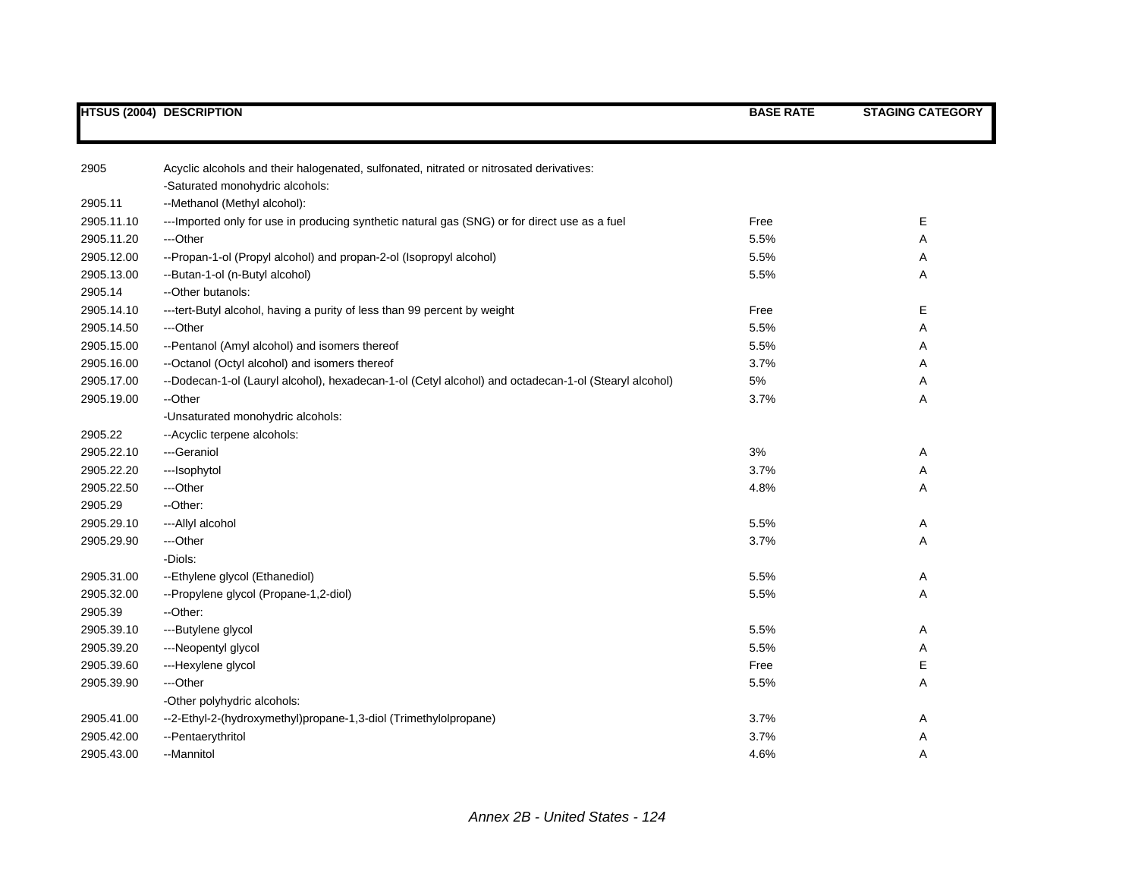| 2905                     |                                                                                                            |              |   |
|--------------------------|------------------------------------------------------------------------------------------------------------|--------------|---|
|                          | Acyclic alcohols and their halogenated, sulfonated, nitrated or nitrosated derivatives:                    |              |   |
| 2905.11                  | -Saturated monohydric alcohols:<br>--Methanol (Methyl alcohol):                                            |              |   |
| 2905.11.10               |                                                                                                            |              | Е |
|                          | --- Imported only for use in producing synthetic natural gas (SNG) or for direct use as a fuel<br>---Other | Free         |   |
| 2905.11.20<br>2905.12.00 |                                                                                                            | 5.5%<br>5.5% | Α |
|                          | --Propan-1-ol (Propyl alcohol) and propan-2-ol (Isopropyl alcohol)                                         |              | Α |
| 2905.13.00               | --Butan-1-ol (n-Butyl alcohol)                                                                             | 5.5%         | A |
| 2905.14                  | --Other butanols:                                                                                          |              |   |
| 2905.14.10               | --- tert-Butyl alcohol, having a purity of less than 99 percent by weight                                  | Free         | Е |
| 2905.14.50               | ---Other                                                                                                   | 5.5%         | Α |
| 2905.15.00               | --Pentanol (Amyl alcohol) and isomers thereof                                                              | 5.5%         | Α |
| 2905.16.00               | --Octanol (Octyl alcohol) and isomers thereof                                                              | 3.7%         | A |
| 2905.17.00               | --Dodecan-1-ol (Lauryl alcohol), hexadecan-1-ol (Cetyl alcohol) and octadecan-1-ol (Stearyl alcohol)       | $5\%$        | Α |
| 2905.19.00               | --Other                                                                                                    | 3.7%         | Α |
|                          | -Unsaturated monohydric alcohols:                                                                          |              |   |
| 2905.22                  | -- Acyclic terpene alcohols:                                                                               |              |   |
| 2905.22.10               | ---Geraniol                                                                                                | 3%           | Α |
| 2905.22.20               | ---Isophytol                                                                                               | 3.7%         | Α |
| 2905.22.50               | ---Other                                                                                                   | 4.8%         | A |
| 2905.29                  | --Other:                                                                                                   |              |   |
| 2905.29.10               | --- Allyl alcohol                                                                                          | 5.5%         | Α |
| 2905.29.90               | ---Other                                                                                                   | 3.7%         | Α |
|                          | -Diols:                                                                                                    |              |   |
| 2905.31.00               | --Ethylene glycol (Ethanediol)                                                                             | 5.5%         | Α |
| 2905.32.00               | --Propylene glycol (Propane-1,2-diol)                                                                      | 5.5%         | A |
| 2905.39                  | --Other:                                                                                                   |              |   |
| 2905.39.10               | ---Butylene glycol                                                                                         | 5.5%         | Α |
| 2905.39.20               | ---Neopentyl glycol                                                                                        | 5.5%         | Α |
| 2905.39.60               | ---Hexylene glycol                                                                                         | Free         | Е |
| 2905.39.90               | ---Other                                                                                                   | 5.5%         | A |
|                          | -Other polyhydric alcohols:                                                                                |              |   |
| 2905.41.00               | --2-Ethyl-2-(hydroxymethyl)propane-1,3-diol (Trimethylolpropane)                                           | 3.7%         | Α |
| 2905.42.00               | --Pentaerythritol                                                                                          | 3.7%         | Α |
| 2905.43.00               | --Mannitol                                                                                                 | 4.6%         | Α |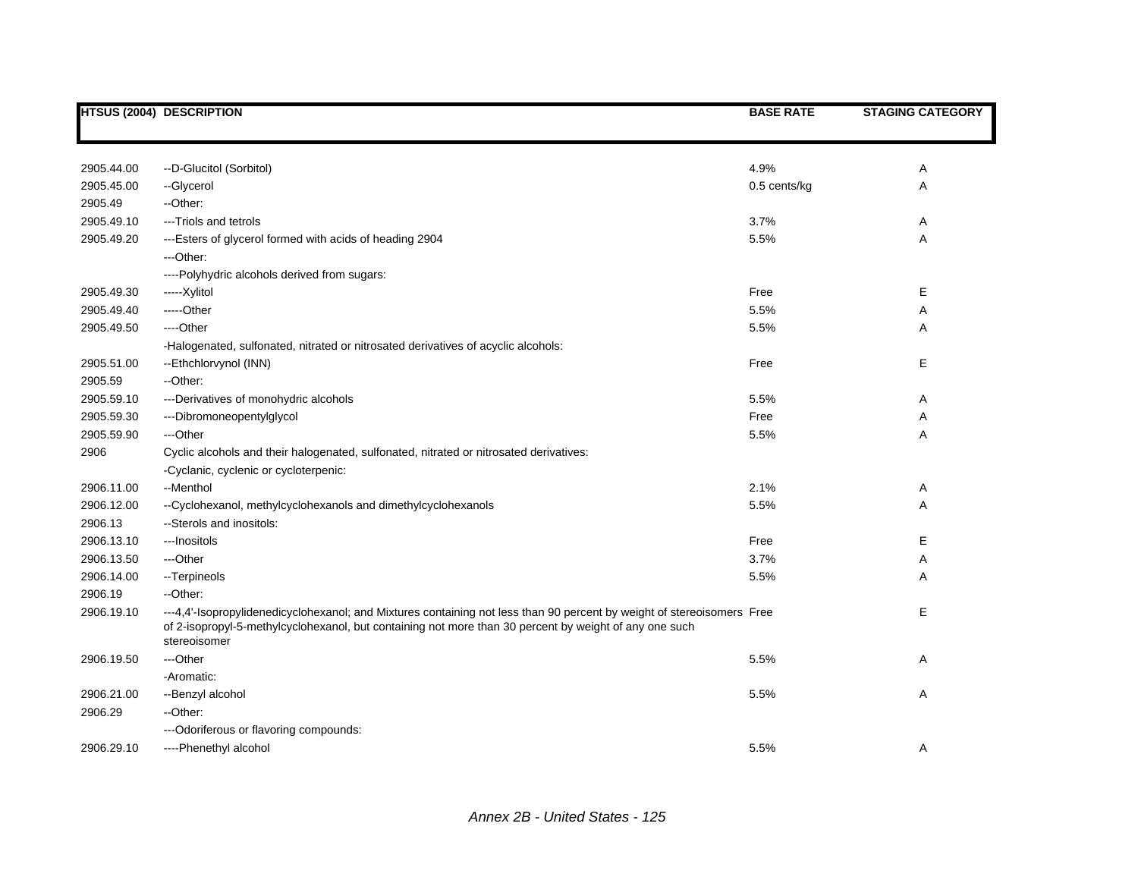|            | <b>HTSUS (2004) DESCRIPTION</b>                                                                                                                                                                                                                  | <b>BASE RATE</b> | <b>STAGING CATEGORY</b> |
|------------|--------------------------------------------------------------------------------------------------------------------------------------------------------------------------------------------------------------------------------------------------|------------------|-------------------------|
|            |                                                                                                                                                                                                                                                  |                  |                         |
| 2905.44.00 | --D-Glucitol (Sorbitol)                                                                                                                                                                                                                          | 4.9%             | Α                       |
| 2905.45.00 | --Glycerol                                                                                                                                                                                                                                       | 0.5 cents/kg     | Α                       |
| 2905.49    | --Other:                                                                                                                                                                                                                                         |                  |                         |
| 2905.49.10 | ---Triols and tetrols                                                                                                                                                                                                                            | 3.7%             | Α                       |
| 2905.49.20 | ---Esters of glycerol formed with acids of heading 2904                                                                                                                                                                                          | 5.5%             | Α                       |
|            | ---Other:                                                                                                                                                                                                                                        |                  |                         |
|            | ----Polyhydric alcohols derived from sugars:                                                                                                                                                                                                     |                  |                         |
| 2905.49.30 | -----Xylitol                                                                                                                                                                                                                                     | Free             | Е                       |
| 2905.49.40 | -----Other                                                                                                                                                                                                                                       | 5.5%             | Α                       |
| 2905.49.50 | ----Other                                                                                                                                                                                                                                        | 5.5%             | Α                       |
|            | -Halogenated, sulfonated, nitrated or nitrosated derivatives of acyclic alcohols:                                                                                                                                                                |                  |                         |
| 2905.51.00 | --Ethchlorvynol (INN)                                                                                                                                                                                                                            | Free             | Е                       |
| 2905.59    | --Other:                                                                                                                                                                                                                                         |                  |                         |
| 2905.59.10 | ---Derivatives of monohydric alcohols                                                                                                                                                                                                            | 5.5%             | Α                       |
| 2905.59.30 | ---Dibromoneopentylglycol                                                                                                                                                                                                                        | Free             | Α                       |
| 2905.59.90 | ---Other                                                                                                                                                                                                                                         | 5.5%             | Α                       |
| 2906       | Cyclic alcohols and their halogenated, sulfonated, nitrated or nitrosated derivatives:                                                                                                                                                           |                  |                         |
|            | -Cyclanic, cyclenic or cycloterpenic:                                                                                                                                                                                                            |                  |                         |
| 2906.11.00 | --Menthol                                                                                                                                                                                                                                        | 2.1%             | Α                       |
| 2906.12.00 | --Cyclohexanol, methylcyclohexanols and dimethylcyclohexanols                                                                                                                                                                                    | 5.5%             | Α                       |
| 2906.13    | --Sterols and inositols:                                                                                                                                                                                                                         |                  |                         |
| 2906.13.10 | ---Inositols                                                                                                                                                                                                                                     | Free             | E.                      |
| 2906.13.50 | ---Other                                                                                                                                                                                                                                         | 3.7%             | Α                       |
| 2906.14.00 | -- Terpineols                                                                                                                                                                                                                                    | 5.5%             | Α                       |
| 2906.19    | --Other:                                                                                                                                                                                                                                         |                  |                         |
| 2906.19.10 | ---4,4'-Isopropylidenedicyclohexanol; and Mixtures containing not less than 90 percent by weight of stereoisomers Free<br>of 2-isopropyl-5-methylcyclohexanol, but containing not more than 30 percent by weight of any one such<br>stereoisomer |                  | Е                       |
| 2906.19.50 | ---Other                                                                                                                                                                                                                                         | 5.5%             | Α                       |
|            | -Aromatic:                                                                                                                                                                                                                                       |                  |                         |
| 2906.21.00 | --Benzyl alcohol                                                                                                                                                                                                                                 | 5.5%             | Α                       |
| 2906.29    | --Other:                                                                                                                                                                                                                                         |                  |                         |
|            | --- Odoriferous or flavoring compounds:                                                                                                                                                                                                          |                  |                         |
| 2906.29.10 | ----Phenethyl alcohol                                                                                                                                                                                                                            | 5.5%             | Α                       |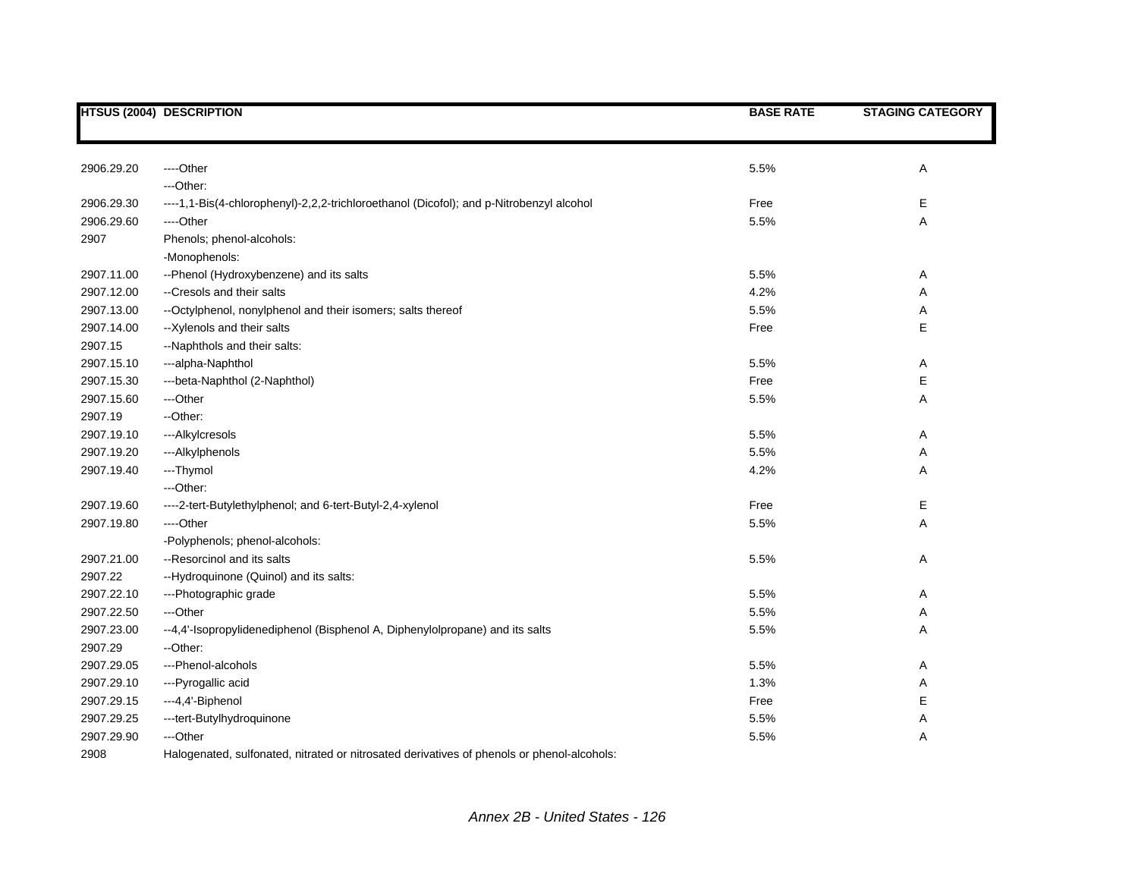|            | <b>HTSUS (2004) DESCRIPTION</b>                                                            | <b>BASE RATE</b> | <b>STAGING CATEGORY</b> |
|------------|--------------------------------------------------------------------------------------------|------------------|-------------------------|
|            |                                                                                            |                  |                         |
| 2906.29.20 | ---Other                                                                                   | 5.5%             | Α                       |
|            | ---Other:                                                                                  |                  |                         |
| 2906.29.30 | ----1,1-Bis(4-chlorophenyl)-2,2,2-trichloroethanol (Dicofol); and p-Nitrobenzyl alcohol    | Free             | Е                       |
| 2906.29.60 | ----Other                                                                                  | 5.5%             | Α                       |
| 2907       | Phenols; phenol-alcohols:<br>-Monophenols:                                                 |                  |                         |
| 2907.11.00 | --Phenol (Hydroxybenzene) and its salts                                                    | 5.5%             | Α                       |
| 2907.12.00 | --Cresols and their salts                                                                  | 4.2%             | Α                       |
| 2907.13.00 | -- Octylphenol, nonylphenol and their isomers; salts thereof                               | 5.5%             | Α                       |
| 2907.14.00 | --Xylenols and their salts                                                                 | Free             | E                       |
| 2907.15    | --Naphthols and their salts:                                                               |                  |                         |
| 2907.15.10 | ---alpha-Naphthol                                                                          | 5.5%             | Α                       |
| 2907.15.30 | ---beta-Naphthol (2-Naphthol)                                                              | Free             | Е                       |
| 2907.15.60 | ---Other                                                                                   | 5.5%             | А                       |
| 2907.19    | --Other:                                                                                   |                  |                         |
| 2907.19.10 | ---Alkylcresols                                                                            | 5.5%             | Α                       |
| 2907.19.20 | ---Alkylphenols                                                                            | 5.5%             | Α                       |
| 2907.19.40 | ---Thymol                                                                                  | 4.2%             | Α                       |
|            | ---Other:                                                                                  |                  |                         |
| 2907.19.60 | ----2-tert-Butylethylphenol; and 6-tert-Butyl-2,4-xylenol                                  | Free             | Е                       |
| 2907.19.80 | ----Other                                                                                  | 5.5%             | Α                       |
|            | -Polyphenols; phenol-alcohols:                                                             |                  |                         |
| 2907.21.00 | --Resorcinol and its salts                                                                 | 5.5%             | Α                       |
| 2907.22    | --Hydroquinone (Quinol) and its salts:                                                     |                  |                         |
| 2907.22.10 | ---Photographic grade                                                                      | 5.5%             | Α                       |
| 2907.22.50 | ---Other                                                                                   | 5.5%             | Α                       |
| 2907.23.00 | --4,4'-Isopropylidenediphenol (Bisphenol A, Diphenylolpropane) and its salts               | 5.5%             | Α                       |
| 2907.29    | --Other:                                                                                   |                  |                         |
| 2907.29.05 | ---Phenol-alcohols                                                                         | 5.5%             | Α                       |
| 2907.29.10 | ---Pyrogallic acid                                                                         | 1.3%             | Α                       |
| 2907.29.15 | ---4,4'-Biphenol                                                                           | Free             | E                       |
| 2907.29.25 | ---tert-Butylhydroquinone                                                                  | 5.5%             | Α                       |
| 2907.29.90 | ---Other                                                                                   | 5.5%             | Α                       |
| 2908       | Halogenated, sulfonated, nitrated or nitrosated derivatives of phenols or phenol-alcohols: |                  |                         |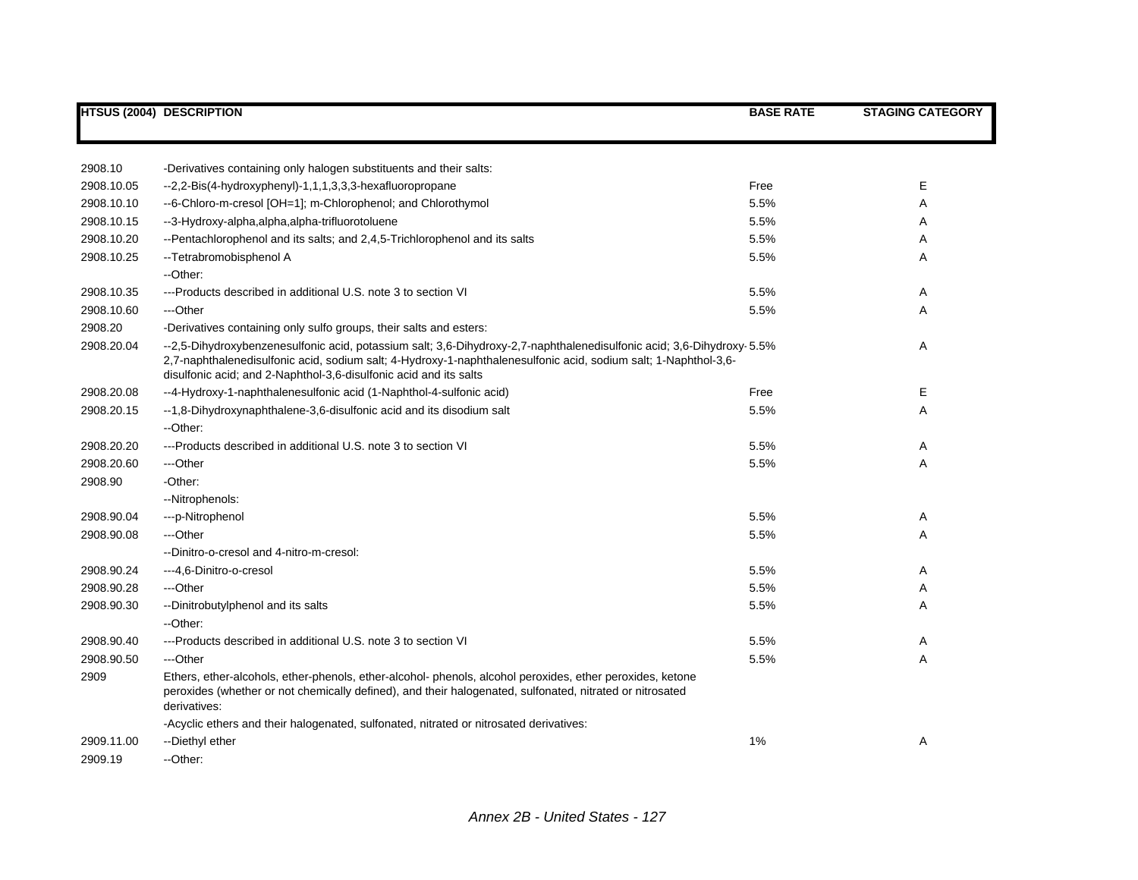|            | <b>HTSUS (2004) DESCRIPTION</b>                                                                                                                                                                                                                                                                               | <b>BASE RATE</b> | <b>STAGING CATEGORY</b> |
|------------|---------------------------------------------------------------------------------------------------------------------------------------------------------------------------------------------------------------------------------------------------------------------------------------------------------------|------------------|-------------------------|
|            |                                                                                                                                                                                                                                                                                                               |                  |                         |
| 2908.10    | -Derivatives containing only halogen substituents and their salts:                                                                                                                                                                                                                                            |                  |                         |
| 2908.10.05 | --2,2-Bis(4-hydroxyphenyl)-1,1,1,3,3,3-hexafluoropropane                                                                                                                                                                                                                                                      | Free             | Ε                       |
| 2908.10.10 | --6-Chloro-m-cresol [OH=1]; m-Chlorophenol; and Chlorothymol                                                                                                                                                                                                                                                  | 5.5%             | Α                       |
| 2908.10.15 | --3-Hydroxy-alpha,alpha,alpha-trifluorotoluene                                                                                                                                                                                                                                                                | 5.5%             | Α                       |
| 2908.10.20 | --Pentachlorophenol and its salts; and 2,4,5-Trichlorophenol and its salts                                                                                                                                                                                                                                    | 5.5%             | Α                       |
| 2908.10.25 | -- Tetrabromobisphenol A                                                                                                                                                                                                                                                                                      | 5.5%             | Α                       |
|            | --Other:                                                                                                                                                                                                                                                                                                      |                  |                         |
| 2908.10.35 | ---Products described in additional U.S. note 3 to section VI                                                                                                                                                                                                                                                 | 5.5%             | Α                       |
| 2908.10.60 | ---Other                                                                                                                                                                                                                                                                                                      | 5.5%             | Α                       |
| 2908.20    | -Derivatives containing only sulfo groups, their salts and esters:                                                                                                                                                                                                                                            |                  |                         |
| 2908.20.04 | --2,5-Dihydroxybenzenesulfonic acid, potassium salt; 3,6-Dihydroxy-2,7-naphthalenedisulfonic acid; 3,6-Dihydroxy-5.5%<br>2,7-naphthalenedisulfonic acid, sodium salt; 4-Hydroxy-1-naphthalenesulfonic acid, sodium salt; 1-Naphthol-3,6-<br>disulfonic acid; and 2-Naphthol-3,6-disulfonic acid and its salts |                  | Α                       |
| 2908.20.08 | --4-Hydroxy-1-naphthalenesulfonic acid (1-Naphthol-4-sulfonic acid)                                                                                                                                                                                                                                           | Free             | Е                       |
| 2908.20.15 | --1,8-Dihydroxynaphthalene-3,6-disulfonic acid and its disodium salt                                                                                                                                                                                                                                          | 5.5%             | Α                       |
|            | --Other:                                                                                                                                                                                                                                                                                                      |                  |                         |
| 2908.20.20 | ---Products described in additional U.S. note 3 to section VI                                                                                                                                                                                                                                                 | 5.5%             | Α                       |
| 2908.20.60 | ---Other                                                                                                                                                                                                                                                                                                      | 5.5%             | A                       |
| 2908.90    | -Other:                                                                                                                                                                                                                                                                                                       |                  |                         |
|            | --Nitrophenols:                                                                                                                                                                                                                                                                                               |                  |                         |
| 2908.90.04 | ---p-Nitrophenol                                                                                                                                                                                                                                                                                              | 5.5%             | Α                       |
| 2908.90.08 | ---Other                                                                                                                                                                                                                                                                                                      | 5.5%             | Α                       |
|            | --Dinitro-o-cresol and 4-nitro-m-cresol:                                                                                                                                                                                                                                                                      |                  |                         |
| 2908.90.24 | ---4,6-Dinitro-o-cresol                                                                                                                                                                                                                                                                                       | 5.5%             | Α                       |
| 2908.90.28 | ---Other                                                                                                                                                                                                                                                                                                      | 5.5%             | Α                       |
| 2908.90.30 | --Dinitrobutylphenol and its salts                                                                                                                                                                                                                                                                            | 5.5%             | A                       |
|            | --Other:                                                                                                                                                                                                                                                                                                      |                  |                         |
| 2908.90.40 | ---Products described in additional U.S. note 3 to section VI                                                                                                                                                                                                                                                 | 5.5%             | Α                       |
| 2908.90.50 | ---Other                                                                                                                                                                                                                                                                                                      | 5.5%             | A                       |
| 2909       | Ethers, ether-alcohols, ether-phenols, ether-alcohol-phenols, alcohol peroxides, ether peroxides, ketone<br>peroxides (whether or not chemically defined), and their halogenated, sulfonated, nitrated or nitrosated<br>derivatives:                                                                          |                  |                         |
|            | -Acyclic ethers and their halogenated, sulfonated, nitrated or nitrosated derivatives:                                                                                                                                                                                                                        |                  |                         |
| 2909.11.00 | --Diethyl ether                                                                                                                                                                                                                                                                                               | 1%               | Α                       |
| 2909.19    | --Other:                                                                                                                                                                                                                                                                                                      |                  |                         |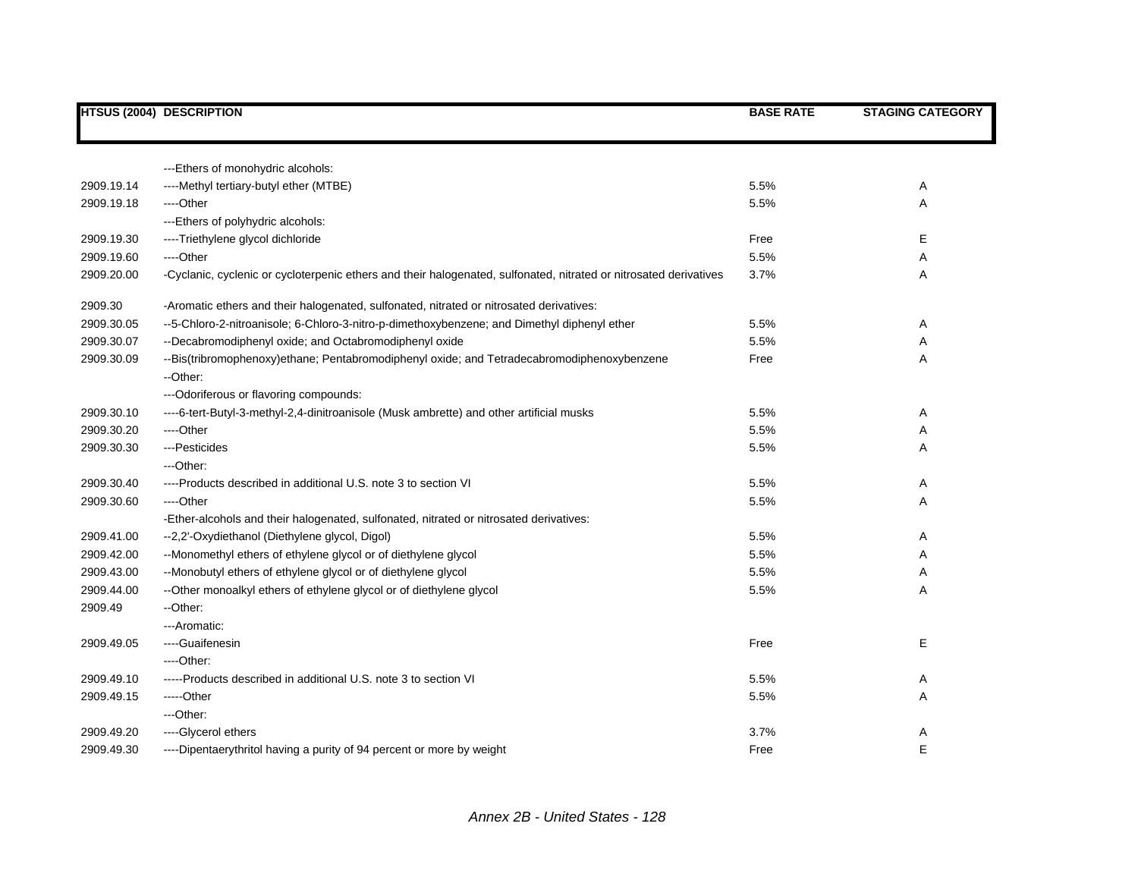|            | <b>HTSUS (2004) DESCRIPTION</b>                                                                                   | <b>BASE RATE</b> | <b>STAGING CATEGORY</b> |
|------------|-------------------------------------------------------------------------------------------------------------------|------------------|-------------------------|
|            |                                                                                                                   |                  |                         |
|            | --- Ethers of monohydric alcohols:                                                                                |                  |                         |
| 2909.19.14 | ----Methyl tertiary-butyl ether (MTBE)                                                                            | 5.5%             | Α                       |
| 2909.19.18 | ----Other                                                                                                         | 5.5%             | Α                       |
|            | --- Ethers of polyhydric alcohols:                                                                                |                  |                         |
| 2909.19.30 | ----Triethylene glycol dichloride                                                                                 | Free             | E                       |
| 2909.19.60 | ----Other                                                                                                         | 5.5%             | Α                       |
| 2909.20.00 | -Cyclanic, cyclenic or cycloterpenic ethers and their halogenated, sulfonated, nitrated or nitrosated derivatives | 3.7%             | Α                       |
| 2909.30    | -Aromatic ethers and their halogenated, sulfonated, nitrated or nitrosated derivatives:                           |                  |                         |
| 2909.30.05 | --5-Chloro-2-nitroanisole; 6-Chloro-3-nitro-p-dimethoxybenzene; and Dimethyl diphenyl ether                       | 5.5%             | Α                       |
| 2909.30.07 | --Decabromodiphenyl oxide; and Octabromodiphenyl oxide                                                            | 5.5%             | Α                       |
| 2909.30.09 | --Bis(tribromophenoxy)ethane; Pentabromodiphenyl oxide; and Tetradecabromodiphenoxybenzene                        | Free             | Α                       |
|            | --Other:                                                                                                          |                  |                         |
|            | --- Odoriferous or flavoring compounds:                                                                           |                  |                         |
| 2909.30.10 | ----6-tert-Butyl-3-methyl-2,4-dinitroanisole (Musk ambrette) and other artificial musks                           | 5.5%             | A                       |
| 2909.30.20 | ----Other                                                                                                         | 5.5%             | Α                       |
| 2909.30.30 | --- Pesticides                                                                                                    | 5.5%             | Α                       |
|            | ---Other:                                                                                                         |                  |                         |
| 2909.30.40 | ----Products described in additional U.S. note 3 to section VI                                                    | 5.5%             | Α                       |
| 2909.30.60 | ----Other                                                                                                         | 5.5%             | Α                       |
|            | -Ether-alcohols and their halogenated, sulfonated, nitrated or nitrosated derivatives:                            |                  |                         |
| 2909.41.00 | --2,2'-Oxydiethanol (Diethylene glycol, Digol)                                                                    | 5.5%             | A                       |
| 2909.42.00 | --Monomethyl ethers of ethylene glycol or of diethylene glycol                                                    | 5.5%             | Α                       |
| 2909.43.00 | --Monobutyl ethers of ethylene glycol or of diethylene glycol                                                     | 5.5%             | Α                       |
| 2909.44.00 | --Other monoalkyl ethers of ethylene glycol or of diethylene glycol                                               | 5.5%             | Α                       |
| 2909.49    | --Other:                                                                                                          |                  |                         |
|            | ---Aromatic:                                                                                                      |                  |                         |
| 2909.49.05 | ----Guaifenesin                                                                                                   | Free             | Е                       |
|            | ----Other:                                                                                                        |                  |                         |
| 2909.49.10 | -----Products described in additional U.S. note 3 to section VI                                                   | 5.5%             | Α                       |
| 2909.49.15 | -----Other                                                                                                        | 5.5%             | Α                       |
|            | ---Other:                                                                                                         |                  |                         |
| 2909.49.20 | ----Glycerol ethers                                                                                               | 3.7%             | Α                       |
| 2909.49.30 | ----Dipentaerythritol having a purity of 94 percent or more by weight                                             | Free             | E                       |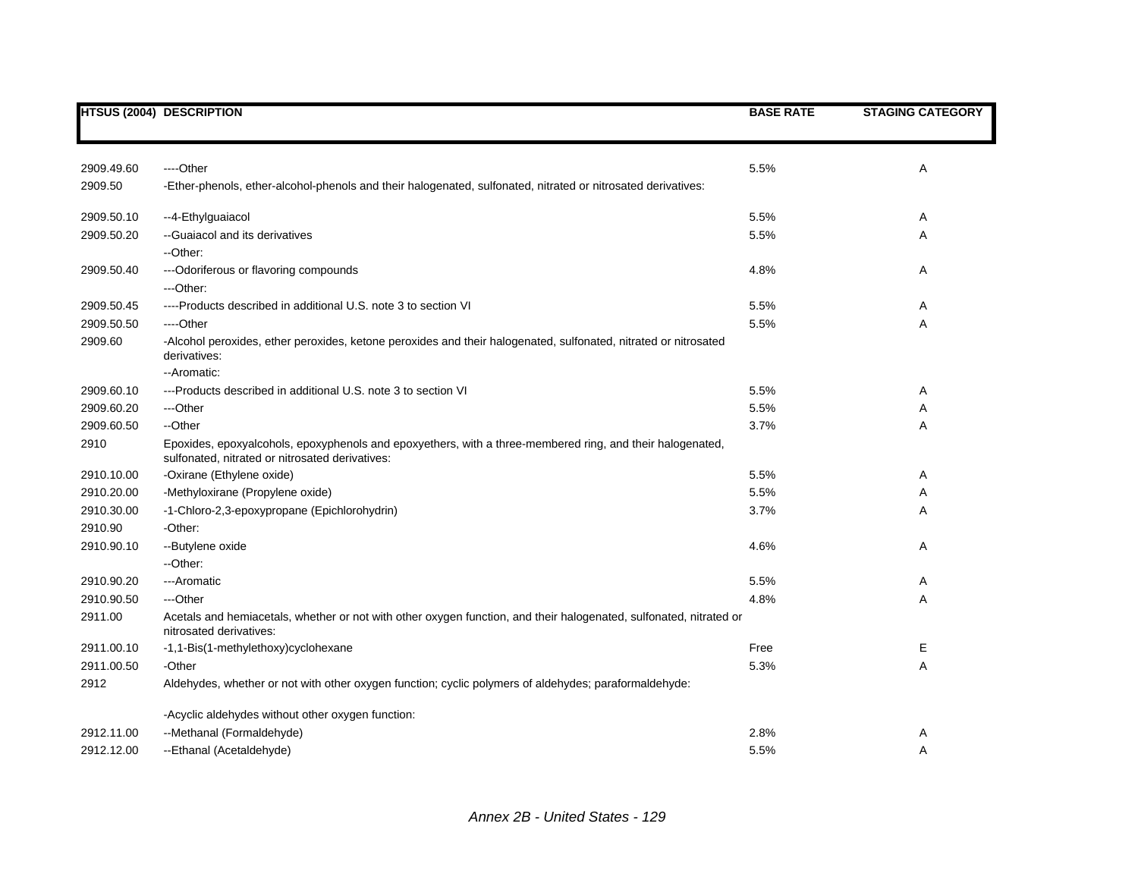|            | <b>HTSUS (2004) DESCRIPTION</b>                                                                                                                              | <b>BASE RATE</b> | <b>STAGING CATEGORY</b> |
|------------|--------------------------------------------------------------------------------------------------------------------------------------------------------------|------------------|-------------------------|
|            |                                                                                                                                                              |                  |                         |
| 2909.49.60 | ----Other                                                                                                                                                    | 5.5%             | Α                       |
| 2909.50    | -Ether-phenols, ether-alcohol-phenols and their halogenated, sulfonated, nitrated or nitrosated derivatives:                                                 |                  |                         |
| 2909.50.10 | --4-Ethylguaiacol                                                                                                                                            | 5.5%             | Α                       |
| 2909.50.20 | --Guaiacol and its derivatives<br>--Other:                                                                                                                   | 5.5%             | Α                       |
| 2909.50.40 | --- Odoriferous or flavoring compounds<br>---Other:                                                                                                          | 4.8%             | Α                       |
| 2909.50.45 | ----Products described in additional U.S. note 3 to section VI                                                                                               | 5.5%             | Α                       |
| 2909.50.50 | ----Other                                                                                                                                                    | 5.5%             | Α                       |
| 2909.60    | -Alcohol peroxides, ether peroxides, ketone peroxides and their halogenated, sulfonated, nitrated or nitrosated<br>derivatives:<br>-- Aromatic:              |                  |                         |
| 2909.60.10 | ---Products described in additional U.S. note 3 to section VI                                                                                                | 5.5%             | Α                       |
| 2909.60.20 | ---Other                                                                                                                                                     | 5.5%             | Α                       |
| 2909.60.50 | --Other                                                                                                                                                      | 3.7%             | A                       |
| 2910       | Epoxides, epoxyalcohols, epoxyphenols and epoxyethers, with a three-membered ring, and their halogenated,<br>sulfonated, nitrated or nitrosated derivatives: |                  |                         |
| 2910.10.00 | -Oxirane (Ethylene oxide)                                                                                                                                    | 5.5%             | Α                       |
| 2910.20.00 | -Methyloxirane (Propylene oxide)                                                                                                                             | 5.5%             | Α                       |
| 2910.30.00 | -1-Chloro-2,3-epoxypropane (Epichlorohydrin)                                                                                                                 | 3.7%             | Α                       |
| 2910.90    | -Other:                                                                                                                                                      |                  |                         |
| 2910.90.10 | --Butylene oxide<br>--Other:                                                                                                                                 | 4.6%             | Α                       |
| 2910.90.20 | ---Aromatic                                                                                                                                                  | 5.5%             | Α                       |
| 2910.90.50 | ---Other                                                                                                                                                     | 4.8%             | Α                       |
| 2911.00    | Acetals and hemiacetals, whether or not with other oxygen function, and their halogenated, sulfonated, nitrated or<br>nitrosated derivatives:                |                  |                         |
| 2911.00.10 | -1,1-Bis(1-methylethoxy)cyclohexane                                                                                                                          | Free             | Е                       |
| 2911.00.50 | -Other                                                                                                                                                       | 5.3%             | Α                       |
| 2912       | Aldehydes, whether or not with other oxygen function; cyclic polymers of aldehydes; paraformaldehyde:                                                        |                  |                         |
|            | -Acyclic aldehydes without other oxygen function:                                                                                                            |                  |                         |
| 2912.11.00 | --Methanal (Formaldehyde)                                                                                                                                    | 2.8%             | Α                       |
| 2912.12.00 | --Ethanal (Acetaldehyde)                                                                                                                                     | 5.5%             | Α                       |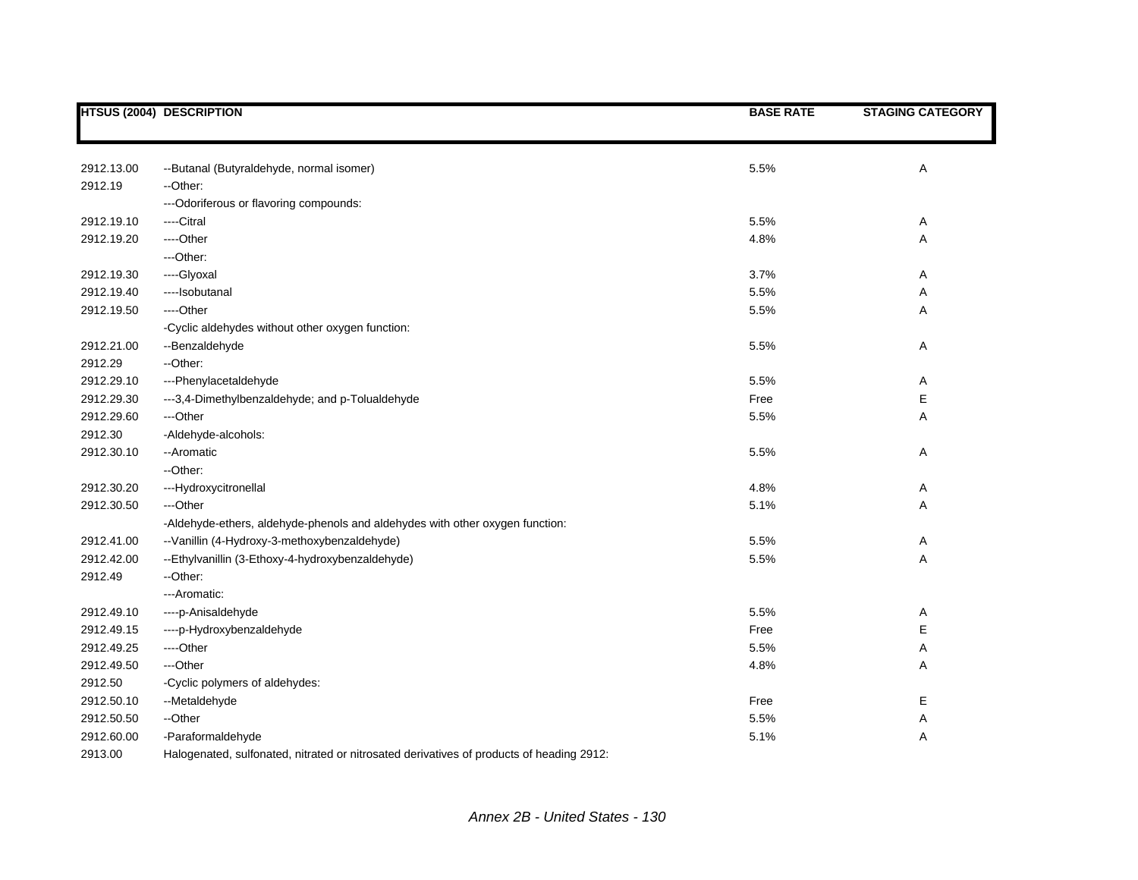|            | <b>HTSUS (2004) DESCRIPTION</b>                                                          | <b>BASE RATE</b> | <b>STAGING CATEGORY</b> |
|------------|------------------------------------------------------------------------------------------|------------------|-------------------------|
|            |                                                                                          |                  |                         |
| 2912.13.00 | --Butanal (Butyraldehyde, normal isomer)                                                 | 5.5%             | А                       |
| 2912.19    | --Other:                                                                                 |                  |                         |
|            | --- Odoriferous or flavoring compounds:                                                  |                  |                         |
| 2912.19.10 | ----Citral                                                                               | 5.5%             | Α                       |
| 2912.19.20 | ----Other                                                                                | 4.8%             | Α                       |
|            | ---Other:                                                                                |                  |                         |
| 2912.19.30 | ----Glyoxal                                                                              | 3.7%             | Α                       |
| 2912.19.40 | ----Isobutanal                                                                           | 5.5%             | Α                       |
| 2912.19.50 | ----Other                                                                                | 5.5%             | Α                       |
|            | -Cyclic aldehydes without other oxygen function:                                         |                  |                         |
| 2912.21.00 | --Benzaldehyde                                                                           | 5.5%             | Α                       |
| 2912.29    | --Other:                                                                                 |                  |                         |
| 2912.29.10 | ---Phenylacetaldehyde                                                                    | 5.5%             | Α                       |
| 2912.29.30 | ---3,4-Dimethylbenzaldehyde; and p-Tolualdehyde                                          | Free             | E                       |
| 2912.29.60 | ---Other                                                                                 | 5.5%             | Α                       |
| 2912.30    | -Aldehyde-alcohols:                                                                      |                  |                         |
| 2912.30.10 | --Aromatic                                                                               | 5.5%             | Α                       |
|            | -- Other:                                                                                |                  |                         |
| 2912.30.20 | ---Hydroxycitronellal                                                                    | 4.8%             | Α                       |
| 2912.30.50 | ---Other                                                                                 | 5.1%             | Α                       |
|            | -Aldehyde-ethers, aldehyde-phenols and aldehydes with other oxygen function:             |                  |                         |
| 2912.41.00 | -- Vanillin (4-Hydroxy-3-methoxybenzaldehyde)                                            | 5.5%             | Α                       |
| 2912.42.00 | --Ethylvanillin (3-Ethoxy-4-hydroxybenzaldehyde)                                         | 5.5%             | A                       |
| 2912.49    | --Other:                                                                                 |                  |                         |
|            | ---Aromatic:                                                                             |                  |                         |
| 2912.49.10 | ----p-Anisaldehyde                                                                       | 5.5%             | Α                       |
| 2912.49.15 | ----p-Hydroxybenzaldehyde                                                                | Free             | E                       |
| 2912.49.25 | ----Other                                                                                | 5.5%             | Α                       |
| 2912.49.50 | ---Other                                                                                 | 4.8%             | Α                       |
| 2912.50    | -Cyclic polymers of aldehydes:                                                           |                  |                         |
| 2912.50.10 | --Metaldehyde                                                                            | Free             | E                       |
| 2912.50.50 | --Other                                                                                  | 5.5%             | Α                       |
| 2912.60.00 | -Paraformaldehyde                                                                        | 5.1%             | Α                       |
| 2913.00    | Halogenated, sulfonated, nitrated or nitrosated derivatives of products of heading 2912: |                  |                         |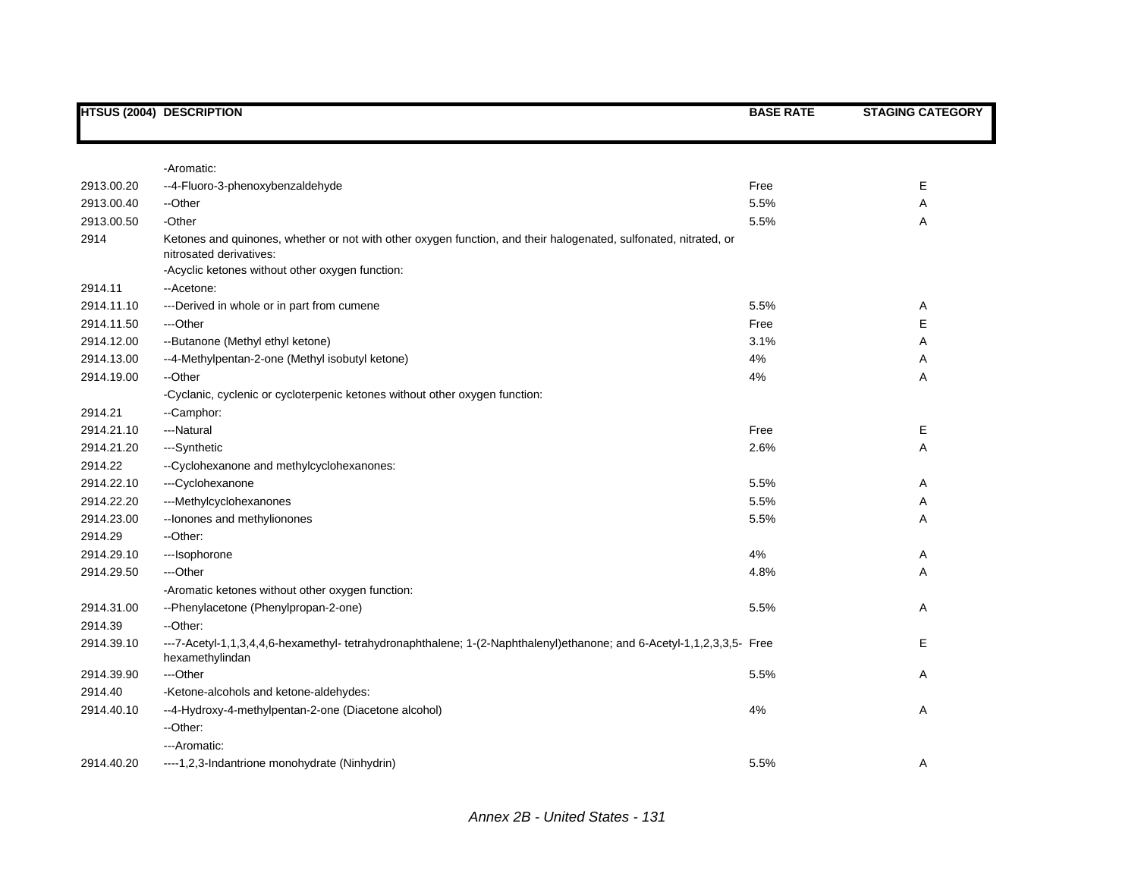|                          | <b>HTSUS (2004) DESCRIPTION</b>                                                                                                             | <b>BASE RATE</b> | <b>STAGING CATEGORY</b> |
|--------------------------|---------------------------------------------------------------------------------------------------------------------------------------------|------------------|-------------------------|
|                          |                                                                                                                                             |                  |                         |
|                          | -Aromatic:                                                                                                                                  | Free             | Е                       |
| 2913.00.20               | --4-Fluoro-3-phenoxybenzaldehyde                                                                                                            |                  |                         |
| 2913.00.40<br>2913.00.50 | --Other<br>-Other                                                                                                                           | 5.5%<br>5.5%     | Α                       |
| 2914                     | Ketones and quinones, whether or not with other oxygen function, and their halogenated, sulfonated, nitrated, or<br>nitrosated derivatives: |                  | Α                       |
|                          | -Acyclic ketones without other oxygen function:                                                                                             |                  |                         |
| 2914.11                  | --Acetone:                                                                                                                                  |                  |                         |
| 2914.11.10               | ---Derived in whole or in part from cumene                                                                                                  | 5.5%             | Α                       |
| 2914.11.50               | ---Other                                                                                                                                    | Free             | Е                       |
| 2914.12.00               | --Butanone (Methyl ethyl ketone)                                                                                                            | 3.1%             | Α                       |
| 2914.13.00               | --4-Methylpentan-2-one (Methyl isobutyl ketone)                                                                                             | 4%               | Α                       |
| 2914.19.00               | --Other                                                                                                                                     | 4%               | Α                       |
|                          | -Cyclanic, cyclenic or cycloterpenic ketones without other oxygen function:                                                                 |                  |                         |
| 2914.21                  | --Camphor:                                                                                                                                  |                  |                         |
| 2914.21.10               | ---Natural                                                                                                                                  | Free             | Е                       |
| 2914.21.20               | ---Synthetic                                                                                                                                | 2.6%             | Α                       |
| 2914.22                  | -- Cyclohexanone and methylcyclohexanones:                                                                                                  |                  |                         |
| 2914.22.10               | ---Cyclohexanone                                                                                                                            | 5.5%             | Α                       |
| 2914.22.20               | ---Methylcyclohexanones                                                                                                                     | 5.5%             | Α                       |
| 2914.23.00               | -- lonones and methylionones                                                                                                                | 5.5%             | Α                       |
| 2914.29                  | --Other:                                                                                                                                    |                  |                         |
| 2914.29.10               | ---Isophorone                                                                                                                               | 4%               | Α                       |
| 2914.29.50               | ---Other                                                                                                                                    | 4.8%             | Α                       |
|                          | -Aromatic ketones without other oxygen function:                                                                                            |                  |                         |
| 2914.31.00               | --Phenylacetone (Phenylpropan-2-one)                                                                                                        | 5.5%             | Α                       |
| 2914.39                  | --Other:                                                                                                                                    |                  |                         |
| 2914.39.10               | ---7-Acetyl-1,1,3,4,4,6-hexamethyl-tetrahydronaphthalene; 1-(2-Naphthalenyl)ethanone; and 6-Acetyl-1,1,2,3,3,5- Free<br>hexamethylindan     |                  | Е                       |
| 2914.39.90               | ---Other                                                                                                                                    | 5.5%             | Α                       |
| 2914.40                  | -Ketone-alcohols and ketone-aldehydes:                                                                                                      |                  |                         |
| 2914.40.10               | --4-Hydroxy-4-methylpentan-2-one (Diacetone alcohol)<br>--Other:                                                                            | 4%               | Α                       |
|                          | ---Aromatic:                                                                                                                                |                  |                         |
| 2914.40.20               | ----1,2,3-Indantrione monohydrate (Ninhydrin)                                                                                               | 5.5%             | Α                       |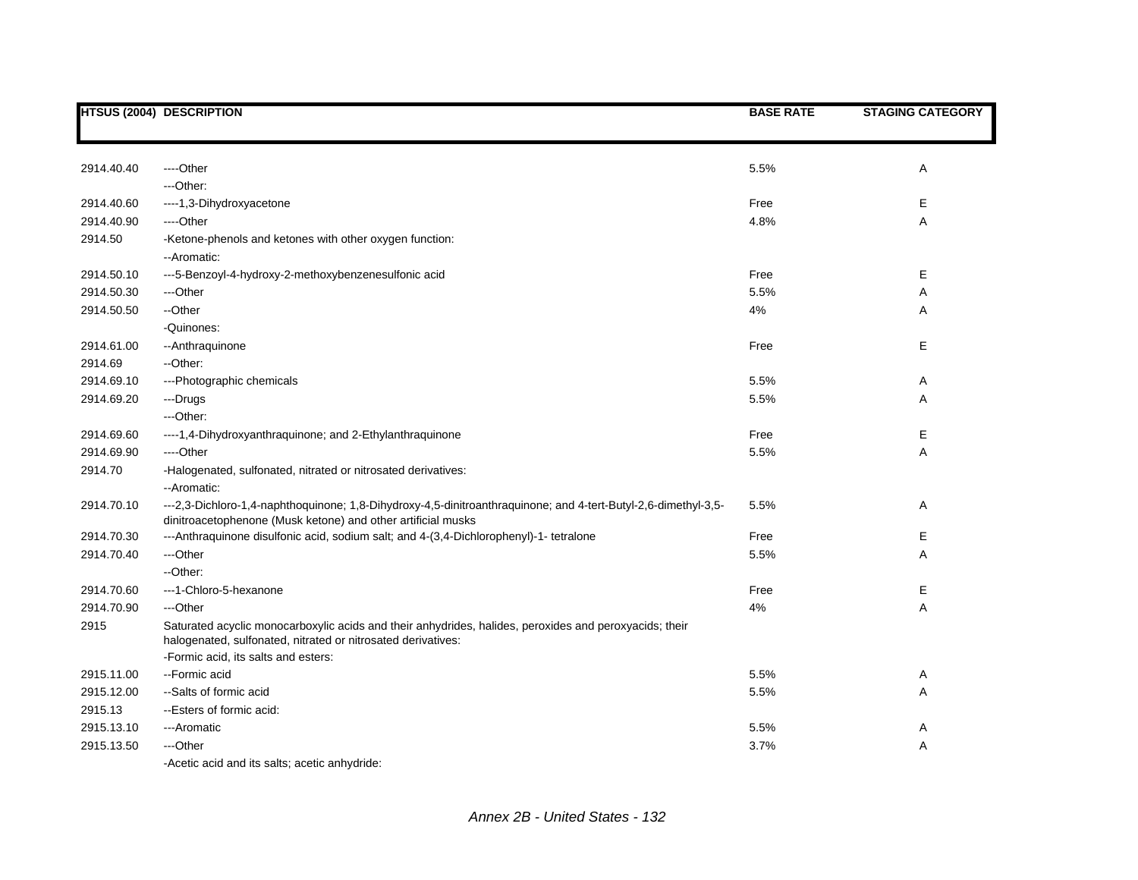|            | <b>HTSUS (2004) DESCRIPTION</b>                                                                                                                                                | <b>BASE RATE</b> | <b>STAGING CATEGORY</b> |
|------------|--------------------------------------------------------------------------------------------------------------------------------------------------------------------------------|------------------|-------------------------|
|            |                                                                                                                                                                                |                  |                         |
| 2914.40.40 | ----Other                                                                                                                                                                      | 5.5%             | Α                       |
|            | ---Other:                                                                                                                                                                      |                  |                         |
| 2914.40.60 | ----1,3-Dihydroxyacetone                                                                                                                                                       | Free             | Е                       |
| 2914.40.90 | ---Other                                                                                                                                                                       | 4.8%             | Α                       |
| 2914.50    | -Ketone-phenols and ketones with other oxygen function:<br>--Aromatic:                                                                                                         |                  |                         |
| 2914.50.10 | ---5-Benzoyl-4-hydroxy-2-methoxybenzenesulfonic acid                                                                                                                           | Free             | Е                       |
| 2914.50.30 | ---Other                                                                                                                                                                       | 5.5%             | Α                       |
| 2914.50.50 | --Other                                                                                                                                                                        | 4%               | Α                       |
|            | -Quinones:                                                                                                                                                                     |                  |                         |
| 2914.61.00 | --Anthraquinone                                                                                                                                                                | Free             | Е                       |
| 2914.69    | --Other:                                                                                                                                                                       |                  |                         |
| 2914.69.10 | ---Photographic chemicals                                                                                                                                                      | 5.5%             | Α                       |
| 2914.69.20 | ---Drugs                                                                                                                                                                       | 5.5%             | Α                       |
|            | ---Other:                                                                                                                                                                      |                  |                         |
| 2914.69.60 | ----1,4-Dihydroxyanthraquinone; and 2-Ethylanthraquinone                                                                                                                       | Free             | Е                       |
| 2914.69.90 | ----Other                                                                                                                                                                      | 5.5%             | Α                       |
| 2914.70    | -Halogenated, sulfonated, nitrated or nitrosated derivatives:<br>-- Aromatic:                                                                                                  |                  |                         |
| 2914.70.10 | ---2,3-Dichloro-1,4-naphthoquinone; 1,8-Dihydroxy-4,5-dinitroanthraquinone; and 4-tert-Butyl-2,6-dimethyl-3,5-<br>dinitroacetophenone (Musk ketone) and other artificial musks | 5.5%             | Α                       |
| 2914.70.30 | ---Anthraquinone disulfonic acid, sodium salt; and 4-(3,4-Dichlorophenyl)-1- tetralone                                                                                         | Free             | E                       |
| 2914.70.40 | ---Other                                                                                                                                                                       | 5.5%             | A                       |
|            | --Other:                                                                                                                                                                       |                  |                         |
| 2914.70.60 | ---1-Chloro-5-hexanone                                                                                                                                                         | Free             | Ε                       |
| 2914.70.90 | ---Other                                                                                                                                                                       | 4%               | Α                       |
| 2915       | Saturated acyclic monocarboxylic acids and their anhydrides, halides, peroxides and peroxyacids; their<br>halogenated, sulfonated, nitrated or nitrosated derivatives:         |                  |                         |
|            | -Formic acid, its salts and esters:                                                                                                                                            |                  |                         |
| 2915.11.00 | --Formic acid                                                                                                                                                                  | 5.5%             | Α                       |
| 2915.12.00 | --Salts of formic acid                                                                                                                                                         | 5.5%             | Α                       |
| 2915.13    | --Esters of formic acid:                                                                                                                                                       |                  |                         |
| 2915.13.10 | ---Aromatic                                                                                                                                                                    | 5.5%             | Α                       |
| 2915.13.50 | ---Other                                                                                                                                                                       | 3.7%             | Α                       |
|            | -Acetic acid and its salts; acetic anhydride:                                                                                                                                  |                  |                         |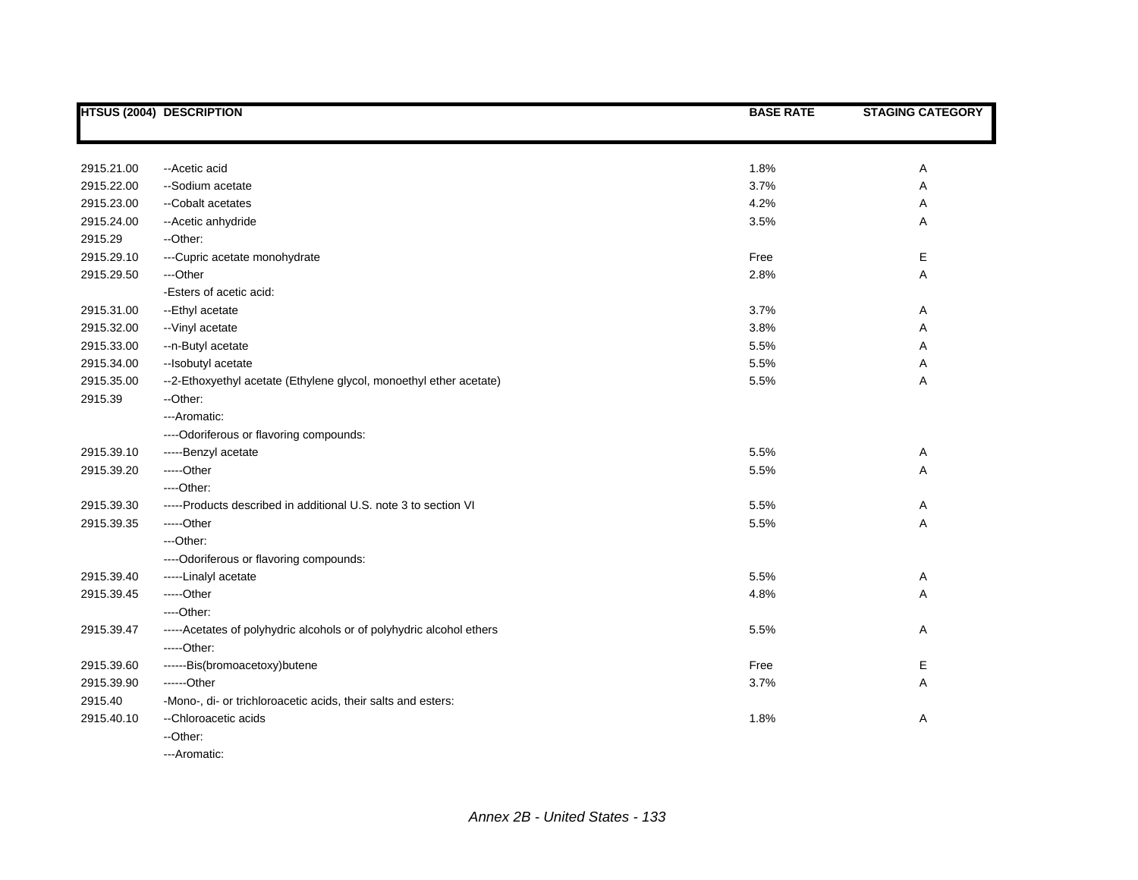|            | HTSUS (2004) DESCRIPTION                                             | <b>BASE RATE</b> | <b>STAGING CATEGORY</b> |
|------------|----------------------------------------------------------------------|------------------|-------------------------|
|            |                                                                      |                  |                         |
| 2915.21.00 | --Acetic acid                                                        | 1.8%             | Α                       |
| 2915.22.00 | --Sodium acetate                                                     | 3.7%             | Α                       |
| 2915.23.00 | --Cobalt acetates                                                    | 4.2%             | Α                       |
| 2915.24.00 | -- Acetic anhydride                                                  | 3.5%             | Α                       |
| 2915.29    | --Other:                                                             |                  |                         |
| 2915.29.10 | ---Cupric acetate monohydrate                                        | Free             | Е                       |
| 2915.29.50 | ---Other                                                             | 2.8%             | Α                       |
|            | -Esters of acetic acid:                                              |                  |                         |
| 2915.31.00 | --Ethyl acetate                                                      | 3.7%             | Α                       |
| 2915.32.00 | -- Vinyl acetate                                                     | 3.8%             | Α                       |
| 2915.33.00 | --n-Butyl acetate                                                    | 5.5%             | Α                       |
| 2915.34.00 | --Isobutyl acetate                                                   | 5.5%             | Α                       |
| 2915.35.00 | --2-Ethoxyethyl acetate (Ethylene glycol, monoethyl ether acetate)   | 5.5%             | Α                       |
| 2915.39    | --Other:                                                             |                  |                         |
|            | ---Aromatic:                                                         |                  |                         |
|            | ---- Odoriferous or flavoring compounds:                             |                  |                         |
| 2915.39.10 | -----Benzyl acetate                                                  | 5.5%             | Α                       |
| 2915.39.20 | -----Other                                                           | 5.5%             | Α                       |
|            | ----Other:                                                           |                  |                         |
| 2915.39.30 | -----Products described in additional U.S. note 3 to section VI      | 5.5%             | Α                       |
| 2915.39.35 | -----Other                                                           | 5.5%             | Α                       |
|            | ---Other:                                                            |                  |                         |
|            | ----Odoriferous or flavoring compounds:                              |                  |                         |
| 2915.39.40 | -----Linalyl acetate                                                 | 5.5%             | Α                       |
| 2915.39.45 | -----Other                                                           | 4.8%             | Α                       |
|            | ---Other:                                                            |                  |                         |
| 2915.39.47 | -----Acetates of polyhydric alcohols or of polyhydric alcohol ethers | 5.5%             | Α                       |
|            | -----Other:                                                          |                  |                         |
| 2915.39.60 | ------Bis(bromoacetoxy)butene                                        | Free             | Е                       |
| 2915.39.90 | ------Other                                                          | 3.7%             | Α                       |
| 2915.40    | -Mono-, di- or trichloroacetic acids, their salts and esters:        |                  |                         |
| 2915.40.10 | -- Chloroacetic acids                                                | 1.8%             | Α                       |
|            | --Other:                                                             |                  |                         |
|            | ---Aromatic:                                                         |                  |                         |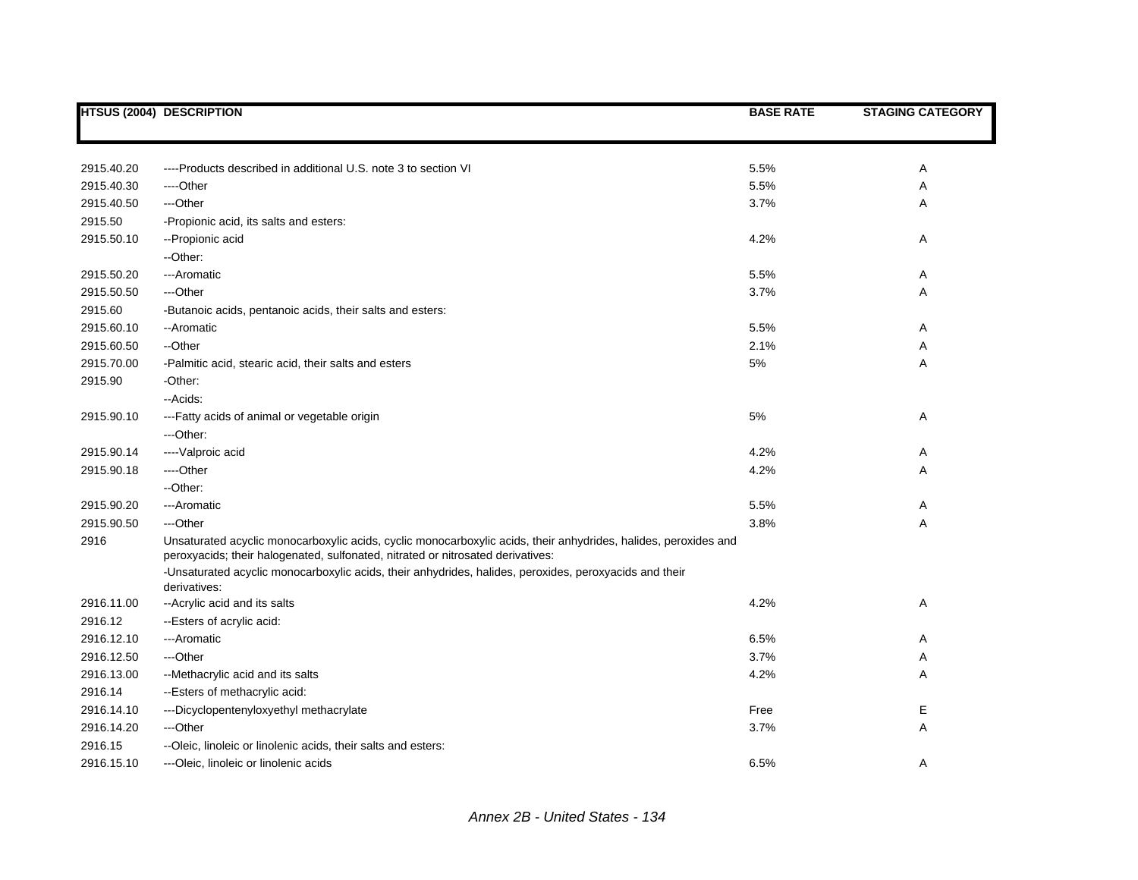|            | <b>HTSUS (2004) DESCRIPTION</b>                                                                                                                                                                    | <b>BASE RATE</b> | <b>STAGING CATEGORY</b> |
|------------|----------------------------------------------------------------------------------------------------------------------------------------------------------------------------------------------------|------------------|-------------------------|
|            |                                                                                                                                                                                                    |                  |                         |
| 2915.40.20 | ----Products described in additional U.S. note 3 to section VI                                                                                                                                     | 5.5%             | Α                       |
| 2915.40.30 | ---Other                                                                                                                                                                                           | 5.5%             | Α                       |
| 2915.40.50 | ---Other                                                                                                                                                                                           | 3.7%             | Α                       |
| 2915.50    | -Propionic acid, its salts and esters:                                                                                                                                                             |                  |                         |
| 2915.50.10 | -- Propionic acid                                                                                                                                                                                  | 4.2%             | Α                       |
|            | --Other:                                                                                                                                                                                           |                  |                         |
| 2915.50.20 | ---Aromatic                                                                                                                                                                                        | 5.5%             | Α                       |
| 2915.50.50 | ---Other                                                                                                                                                                                           | 3.7%             | Α                       |
| 2915.60    | -Butanoic acids, pentanoic acids, their salts and esters:                                                                                                                                          |                  |                         |
| 2915.60.10 | --Aromatic                                                                                                                                                                                         | 5.5%             | Α                       |
| 2915.60.50 | --Other                                                                                                                                                                                            | 2.1%             | Α                       |
| 2915.70.00 | -Palmitic acid, stearic acid, their salts and esters                                                                                                                                               | 5%               | Α                       |
| 2915.90    | -Other:                                                                                                                                                                                            |                  |                         |
|            | -- Acids:                                                                                                                                                                                          |                  |                         |
| 2915.90.10 | ---Fatty acids of animal or vegetable origin                                                                                                                                                       | 5%               | Α                       |
|            | ---Other:                                                                                                                                                                                          |                  |                         |
| 2915.90.14 | ---- Valproic acid                                                                                                                                                                                 | 4.2%             | Α                       |
| 2915.90.18 | ----Other                                                                                                                                                                                          | 4.2%             | Α                       |
|            | --Other:                                                                                                                                                                                           |                  |                         |
| 2915.90.20 | ---Aromatic                                                                                                                                                                                        | 5.5%             | Α                       |
| 2915.90.50 | ---Other                                                                                                                                                                                           | 3.8%             | Α                       |
| 2916       | Unsaturated acyclic monocarboxylic acids, cyclic monocarboxylic acids, their anhydrides, halides, peroxides and<br>peroxyacids; their halogenated, sulfonated, nitrated or nitrosated derivatives: |                  |                         |
|            | -Unsaturated acyclic monocarboxylic acids, their anhydrides, halides, peroxides, peroxyacids and their<br>derivatives:                                                                             |                  |                         |
| 2916.11.00 | -- Acrylic acid and its salts                                                                                                                                                                      | 4.2%             | Α                       |
| 2916.12    | -- Esters of acrylic acid:                                                                                                                                                                         |                  |                         |
| 2916.12.10 | ---Aromatic                                                                                                                                                                                        | 6.5%             | Α                       |
| 2916.12.50 | ---Other                                                                                                                                                                                           | 3.7%             | Α                       |
| 2916.13.00 | --Methacrylic acid and its salts                                                                                                                                                                   | 4.2%             | Α                       |
| 2916.14    | --Esters of methacrylic acid:                                                                                                                                                                      |                  |                         |
| 2916.14.10 | ---Dicyclopentenyloxyethyl methacrylate                                                                                                                                                            | Free             | Е                       |
| 2916.14.20 | ---Other                                                                                                                                                                                           | 3.7%             | Α                       |
| 2916.15    | --Oleic, linoleic or linolenic acids, their salts and esters:                                                                                                                                      |                  |                         |
| 2916.15.10 | ---Oleic, linoleic or linolenic acids                                                                                                                                                              | 6.5%             | A                       |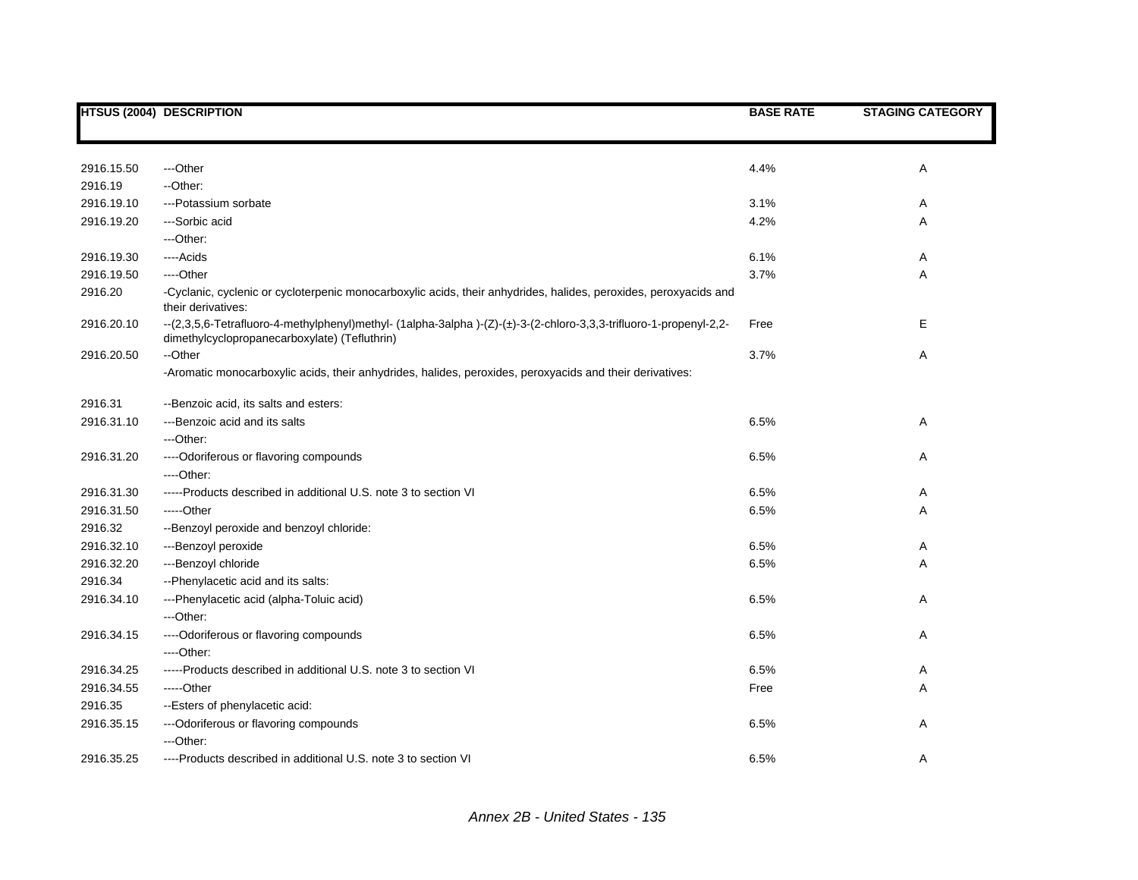|            | <b>HTSUS (2004) DESCRIPTION</b>                                                                                                                                    | <b>BASE RATE</b> | <b>STAGING CATEGORY</b> |
|------------|--------------------------------------------------------------------------------------------------------------------------------------------------------------------|------------------|-------------------------|
|            |                                                                                                                                                                    |                  |                         |
| 2916.15.50 | ---Other                                                                                                                                                           | 4.4%             | Α                       |
| 2916.19    | --Other:                                                                                                                                                           |                  |                         |
| 2916.19.10 | ---Potassium sorbate                                                                                                                                               | 3.1%             | Α                       |
| 2916.19.20 | ---Sorbic acid                                                                                                                                                     | 4.2%             | Α                       |
|            | ---Other:                                                                                                                                                          |                  |                         |
| 2916.19.30 | ----Acids                                                                                                                                                          | 6.1%             | Α                       |
| 2916.19.50 | ----Other                                                                                                                                                          | 3.7%             | Α                       |
| 2916.20    | -Cyclanic, cyclenic or cycloterpenic monocarboxylic acids, their anhydrides, halides, peroxides, peroxyacids and<br>their derivatives:                             |                  |                         |
| 2916.20.10 | --(2,3,5,6-Tetrafluoro-4-methylphenyl)methyl- (1alpha-3alpha)-(Z)-(±)-3-(2-chloro-3,3,3-trifluoro-1-propenyl-2,2-<br>dimethylcyclopropanecarboxylate) (Tefluthrin) | Free             | Е                       |
| 2916.20.50 | --Other                                                                                                                                                            | 3.7%             | Α                       |
|            | -Aromatic monocarboxylic acids, their anhydrides, halides, peroxides, peroxyacids and their derivatives:                                                           |                  |                         |
| 2916.31    | -- Benzoic acid, its salts and esters:                                                                                                                             |                  |                         |
| 2916.31.10 | ---Benzoic acid and its salts                                                                                                                                      | 6.5%             | Α                       |
|            | ---Other:                                                                                                                                                          |                  |                         |
| 2916.31.20 | ---- Odoriferous or flavoring compounds                                                                                                                            | 6.5%             | Α                       |
|            | ----Other:                                                                                                                                                         |                  |                         |
| 2916.31.30 | -----Products described in additional U.S. note 3 to section VI                                                                                                    | 6.5%             | Α                       |
| 2916.31.50 | -----Other                                                                                                                                                         | 6.5%             | Α                       |
| 2916.32    | -- Benzoyl peroxide and benzoyl chloride:                                                                                                                          |                  |                         |
| 2916.32.10 | ---Benzoyl peroxide                                                                                                                                                | 6.5%             | Α                       |
| 2916.32.20 | ---Benzoyl chloride                                                                                                                                                | 6.5%             | Α                       |
| 2916.34    | --Phenylacetic acid and its salts:                                                                                                                                 |                  |                         |
| 2916.34.10 | ---Phenylacetic acid (alpha-Toluic acid)                                                                                                                           | 6.5%             | Α                       |
|            | ---Other:                                                                                                                                                          |                  |                         |
| 2916.34.15 | ---- Odoriferous or flavoring compounds                                                                                                                            | 6.5%             | Α                       |
|            | ----Other:                                                                                                                                                         |                  |                         |
| 2916.34.25 | -----Products described in additional U.S. note 3 to section VI                                                                                                    | 6.5%             | Α                       |
| 2916.34.55 | $---Other$                                                                                                                                                         | Free             | Α                       |
| 2916.35    | -- Esters of phenylacetic acid:                                                                                                                                    |                  |                         |
| 2916.35.15 | ---Odoriferous or flavoring compounds                                                                                                                              | 6.5%             | A                       |
|            | ---Other:                                                                                                                                                          |                  |                         |
| 2916.35.25 | ----Products described in additional U.S. note 3 to section VI                                                                                                     | 6.5%             | A                       |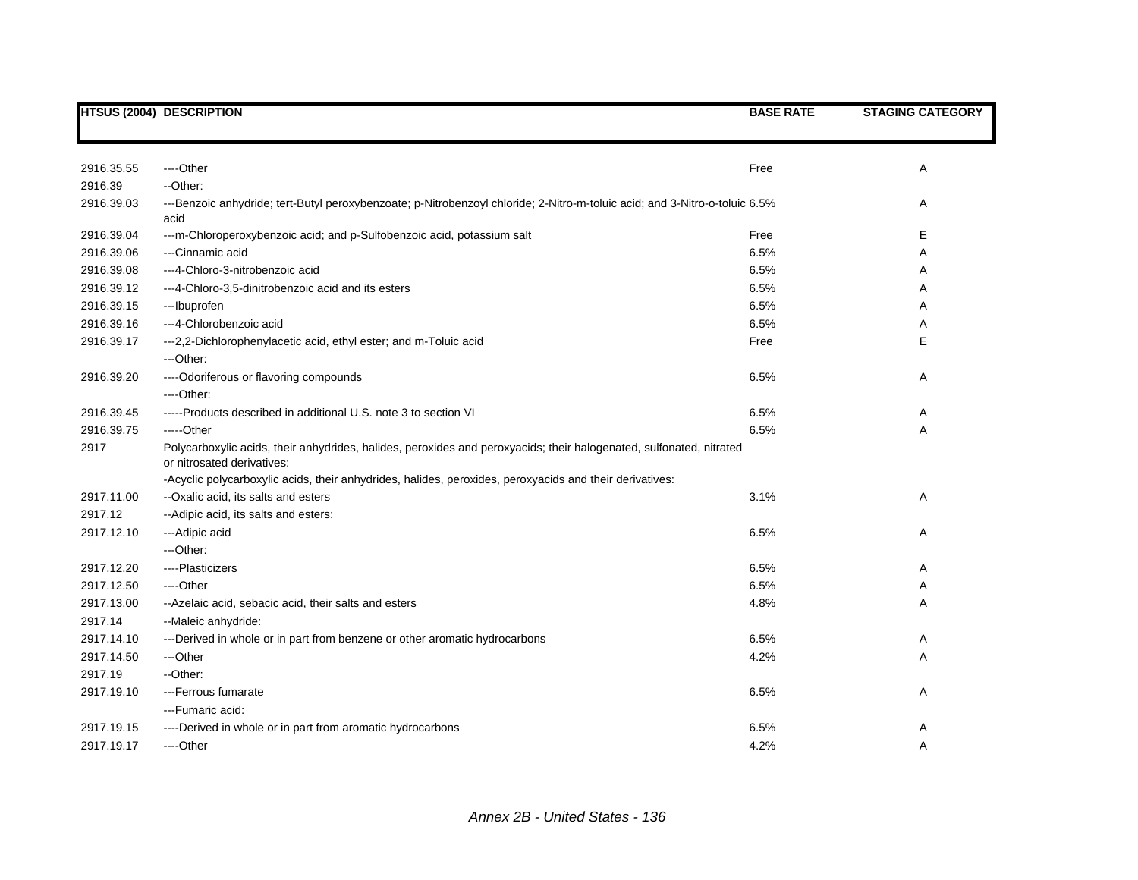|            | <b>HTSUS (2004) DESCRIPTION</b>                                                                                                                   | <b>BASE RATE</b> | <b>STAGING CATEGORY</b> |
|------------|---------------------------------------------------------------------------------------------------------------------------------------------------|------------------|-------------------------|
|            |                                                                                                                                                   |                  |                         |
| 2916.35.55 | ----Other                                                                                                                                         | Free             | Α                       |
| 2916.39    | --Other:                                                                                                                                          |                  |                         |
| 2916.39.03 | ---Benzoic anhydride; tert-Butyl peroxybenzoate; p-Nitrobenzoyl chloride; 2-Nitro-m-toluic acid; and 3-Nitro-o-toluic 6.5%                        |                  | Α                       |
|            | acid                                                                                                                                              |                  |                         |
| 2916.39.04 | ---m-Chloroperoxybenzoic acid; and p-Sulfobenzoic acid, potassium salt                                                                            | Free             | Е                       |
| 2916.39.06 | ---Cinnamic acid                                                                                                                                  | 6.5%             | Α                       |
| 2916.39.08 | ---4-Chloro-3-nitrobenzoic acid                                                                                                                   | 6.5%             | Α                       |
| 2916.39.12 | ---4-Chloro-3,5-dinitrobenzoic acid and its esters                                                                                                | 6.5%             | Α                       |
| 2916.39.15 | ---Ibuprofen                                                                                                                                      | 6.5%             | Α                       |
| 2916.39.16 | ---4-Chlorobenzoic acid                                                                                                                           | 6.5%             | Α                       |
| 2916.39.17 | --- 2, 2-Dichlorophenylacetic acid, ethyl ester; and m-Toluic acid                                                                                | Free             | E                       |
|            | ---Other:                                                                                                                                         |                  |                         |
| 2916.39.20 | ---- Odoriferous or flavoring compounds                                                                                                           | 6.5%             | Α                       |
|            | ----Other:                                                                                                                                        |                  |                         |
| 2916.39.45 | -----Products described in additional U.S. note 3 to section VI                                                                                   | 6.5%             | Α                       |
| 2916.39.75 | -----Other                                                                                                                                        | 6.5%             | Α                       |
| 2917       | Polycarboxylic acids, their anhydrides, halides, peroxides and peroxyacids; their halogenated, sulfonated, nitrated<br>or nitrosated derivatives: |                  |                         |
|            | -Acyclic polycarboxylic acids, their anhydrides, halides, peroxides, peroxyacids and their derivatives:                                           |                  |                         |
| 2917.11.00 | --Oxalic acid, its salts and esters                                                                                                               | 3.1%             | Α                       |
| 2917.12    | -- Adipic acid, its salts and esters:                                                                                                             |                  |                         |
| 2917.12.10 | --- Adipic acid                                                                                                                                   | 6.5%             | Α                       |
|            | ---Other:                                                                                                                                         |                  |                         |
| 2917.12.20 | ----Plasticizers                                                                                                                                  | 6.5%             | Α                       |
| 2917.12.50 | ----Other                                                                                                                                         | 6.5%             | Α                       |
| 2917.13.00 | --Azelaic acid, sebacic acid, their salts and esters                                                                                              | 4.8%             | Α                       |
| 2917.14    | --Maleic anhydride:                                                                                                                               |                  |                         |
| 2917.14.10 | ---Derived in whole or in part from benzene or other aromatic hydrocarbons                                                                        | 6.5%             | Α                       |
| 2917.14.50 | ---Other                                                                                                                                          | 4.2%             | Α                       |
| 2917.19    | --Other:                                                                                                                                          |                  |                         |
| 2917.19.10 | ---Ferrous fumarate                                                                                                                               | 6.5%             | Α                       |
|            | --- Fumaric acid:                                                                                                                                 |                  |                         |
| 2917.19.15 | ----Derived in whole or in part from aromatic hydrocarbons                                                                                        | 6.5%             | Α                       |
| 2917.19.17 | ----Other                                                                                                                                         | 4.2%             | A                       |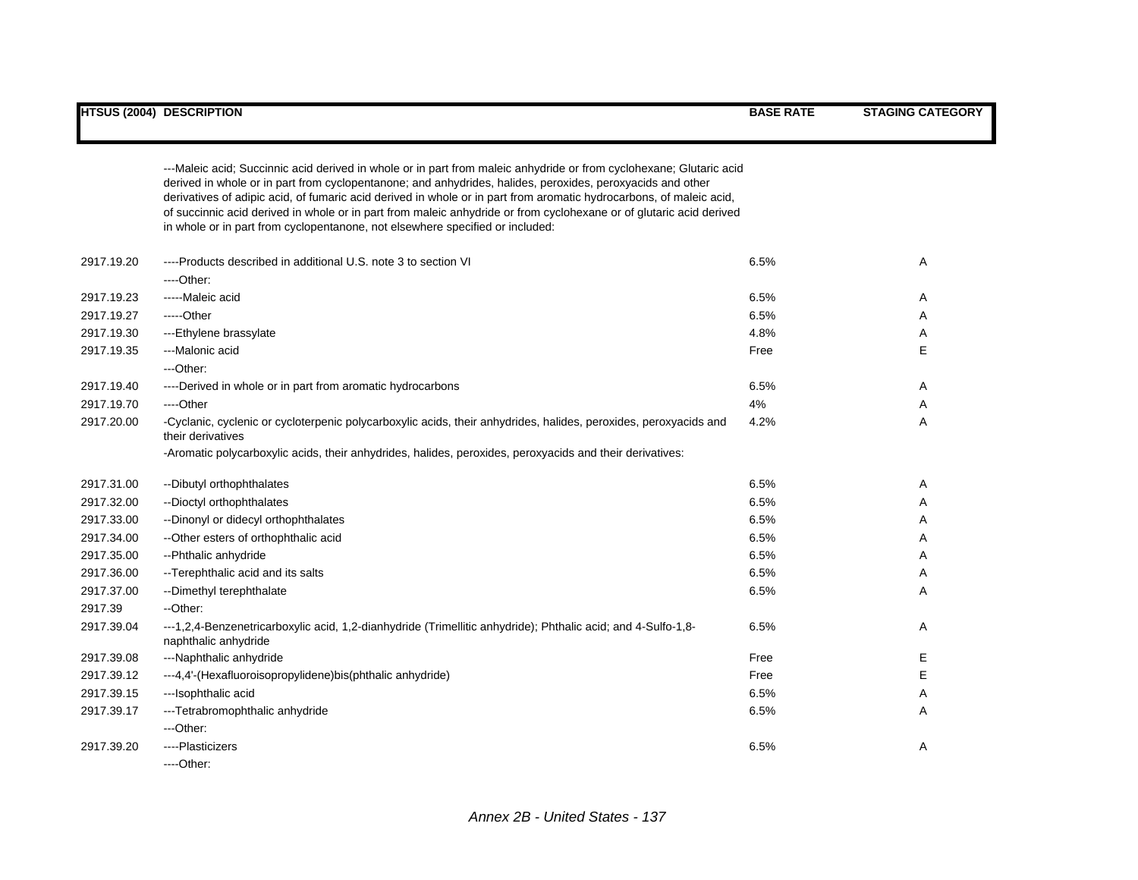|            | ---Maleic acid; Succinnic acid derived in whole or in part from maleic anhydride or from cyclohexane; Glutaric acid                                                                                  |      |   |
|------------|------------------------------------------------------------------------------------------------------------------------------------------------------------------------------------------------------|------|---|
|            | derived in whole or in part from cyclopentanone; and anhydrides, halides, peroxides, peroxyacids and other                                                                                           |      |   |
|            | derivatives of adipic acid, of fumaric acid derived in whole or in part from aromatic hydrocarbons, of maleic acid,                                                                                  |      |   |
|            | of succinnic acid derived in whole or in part from maleic anhydride or from cyclohexane or of glutaric acid derived<br>in whole or in part from cyclopentanone, not elsewhere specified or included: |      |   |
|            |                                                                                                                                                                                                      |      |   |
| 2917.19.20 | ----Products described in additional U.S. note 3 to section VI                                                                                                                                       | 6.5% | Α |
|            | $---Other.$                                                                                                                                                                                          |      |   |
| 2917.19.23 | -----Maleic acid                                                                                                                                                                                     | 6.5% | Α |
| 2917.19.27 | -----Other                                                                                                                                                                                           | 6.5% | A |
| 2917.19.30 | ---Ethylene brassylate                                                                                                                                                                               | 4.8% | Α |
| 2917.19.35 | ---Malonic acid                                                                                                                                                                                      | Free | Е |
|            | ---Other:                                                                                                                                                                                            |      |   |
| 2917.19.40 | ----Derived in whole or in part from aromatic hydrocarbons                                                                                                                                           | 6.5% | Α |
| 2917.19.70 | ----Other                                                                                                                                                                                            | 4%   | Α |
| 2917.20.00 | -Cyclanic, cyclenic or cycloterpenic polycarboxylic acids, their anhydrides, halides, peroxides, peroxyacids and<br>their derivatives                                                                | 4.2% | A |
|            | -Aromatic polycarboxylic acids, their anhydrides, halides, peroxides, peroxyacids and their derivatives:                                                                                             |      |   |
| 2917.31.00 | --Dibutyl orthophthalates                                                                                                                                                                            | 6.5% | Α |
| 2917.32.00 | --Dioctyl orthophthalates                                                                                                                                                                            | 6.5% | A |
| 2917.33.00 | --Dinonyl or didecyl orthophthalates                                                                                                                                                                 | 6.5% | A |
| 2917.34.00 | -- Other esters of orthophthalic acid                                                                                                                                                                | 6.5% | A |
| 2917.35.00 | --Phthalic anhydride                                                                                                                                                                                 | 6.5% | Α |
| 2917.36.00 | -- Terephthalic acid and its salts                                                                                                                                                                   | 6.5% | Α |
| 2917.37.00 | -- Dimethyl terephthalate                                                                                                                                                                            | 6.5% | Α |
| 2917.39    | --Other:                                                                                                                                                                                             |      |   |
| 2917.39.04 | ---1,2,4-Benzenetricarboxylic acid, 1,2-dianhydride (Trimellitic anhydride); Phthalic acid; and 4-Sulfo-1,8-<br>naphthalic anhydride                                                                 | 6.5% | Α |
| 2917.39.08 | ---Naphthalic anhydride                                                                                                                                                                              | Free | Е |
| 2917.39.12 | ---4,4'-(Hexafluoroisopropylidene)bis(phthalic anhydride)                                                                                                                                            | Free | Е |
| 2917.39.15 | ---Isophthalic acid                                                                                                                                                                                  | 6.5% | Α |
| 2917.39.17 | ---Tetrabromophthalic anhydride                                                                                                                                                                      | 6.5% | Α |
|            | ---Other:                                                                                                                                                                                            |      |   |
| 2917.39.20 | ----Plasticizers                                                                                                                                                                                     | 6.5% | Α |
|            | ----Other:                                                                                                                                                                                           |      |   |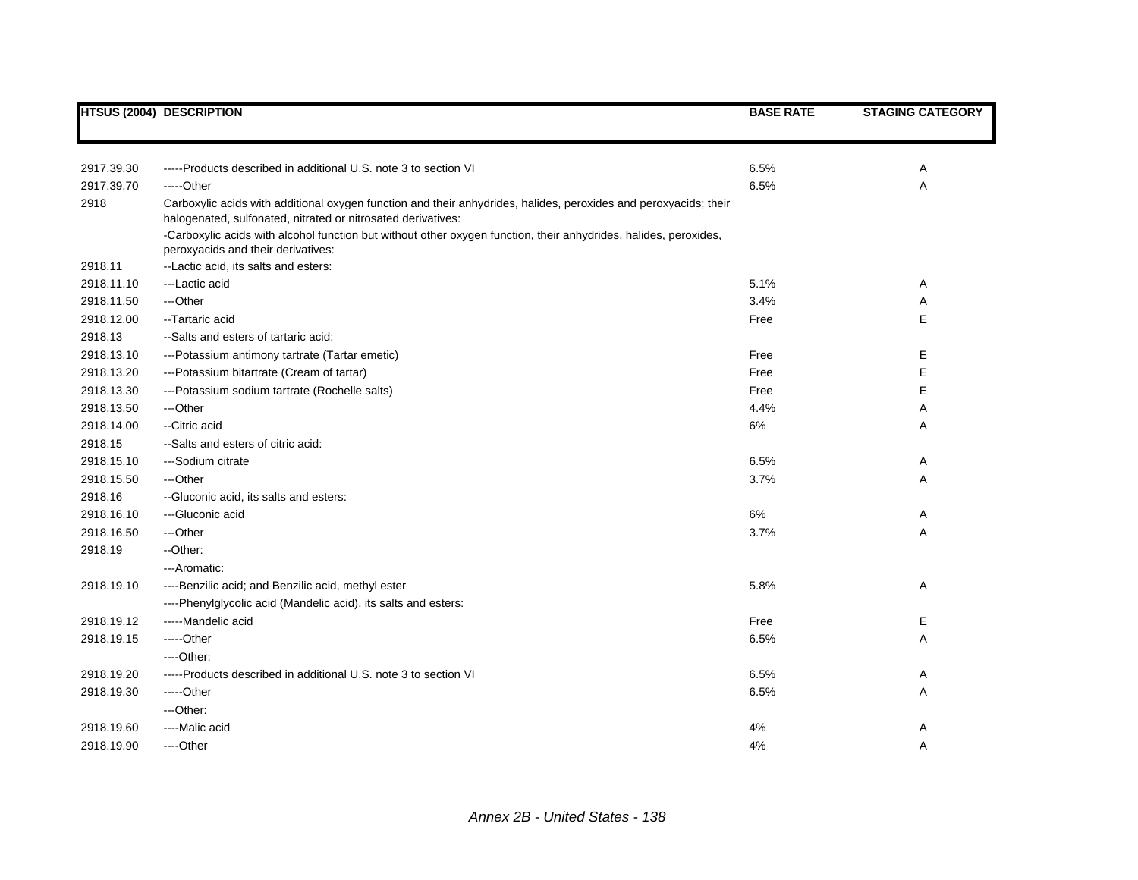|            | <b>HTSUS (2004) DESCRIPTION</b>                                                                                                                                                  | <b>BASE RATE</b> | <b>STAGING CATEGORY</b> |
|------------|----------------------------------------------------------------------------------------------------------------------------------------------------------------------------------|------------------|-------------------------|
|            |                                                                                                                                                                                  |                  |                         |
|            |                                                                                                                                                                                  |                  |                         |
| 2917.39.30 | -----Products described in additional U.S. note 3 to section VI                                                                                                                  | 6.5%             | Α                       |
| 2917.39.70 | -----Other                                                                                                                                                                       | 6.5%             | Α                       |
| 2918       | Carboxylic acids with additional oxygen function and their anhydrides, halides, peroxides and peroxyacids; their<br>halogenated, sulfonated, nitrated or nitrosated derivatives: |                  |                         |
|            | -Carboxylic acids with alcohol function but without other oxygen function, their anhydrides, halides, peroxides,<br>peroxyacids and their derivatives:                           |                  |                         |
| 2918.11    | --Lactic acid, its salts and esters:                                                                                                                                             |                  |                         |
| 2918.11.10 | ---Lactic acid                                                                                                                                                                   | 5.1%             | Α                       |
| 2918.11.50 | ---Other                                                                                                                                                                         | 3.4%             | Α                       |
| 2918.12.00 | -- Tartaric acid                                                                                                                                                                 | Free             | Е                       |
| 2918.13    | --Salts and esters of tartaric acid:                                                                                                                                             |                  |                         |
| 2918.13.10 | ---Potassium antimony tartrate (Tartar emetic)                                                                                                                                   | Free             | Е                       |
| 2918.13.20 | ---Potassium bitartrate (Cream of tartar)                                                                                                                                        | Free             | E                       |
| 2918.13.30 | ---Potassium sodium tartrate (Rochelle salts)                                                                                                                                    | Free             | E                       |
| 2918.13.50 | ---Other                                                                                                                                                                         | 4.4%             | A                       |
| 2918.14.00 | --Citric acid                                                                                                                                                                    | 6%               | Α                       |
| 2918.15    | --Salts and esters of citric acid.                                                                                                                                               |                  |                         |
| 2918.15.10 | ---Sodium citrate                                                                                                                                                                | 6.5%             | Α                       |
| 2918.15.50 | ---Other                                                                                                                                                                         | 3.7%             | Α                       |
| 2918.16    | -- Gluconic acid, its salts and esters:                                                                                                                                          |                  |                         |
| 2918.16.10 | ---Gluconic acid                                                                                                                                                                 | 6%               | A                       |
| 2918.16.50 | ---Other                                                                                                                                                                         | 3.7%             | Α                       |
| 2918.19    | --Other:                                                                                                                                                                         |                  |                         |
|            | ---Aromatic:                                                                                                                                                                     |                  |                         |
| 2918.19.10 | ----Benzilic acid; and Benzilic acid, methyl ester                                                                                                                               | 5.8%             | Α                       |
|            | ----Phenylglycolic acid (Mandelic acid), its salts and esters:                                                                                                                   |                  |                         |
| 2918.19.12 | -----Mandelic acid                                                                                                                                                               | Free             | Е                       |
| 2918.19.15 | -----Other                                                                                                                                                                       | 6.5%             | Α                       |
|            | $---Other.$                                                                                                                                                                      |                  |                         |
| 2918.19.20 | -----Products described in additional U.S. note 3 to section VI                                                                                                                  | 6.5%             | Α                       |
| 2918.19.30 | -----Other                                                                                                                                                                       | 6.5%             | Α                       |
|            | ---Other:                                                                                                                                                                        |                  |                         |
| 2918.19.60 | ----Malic acid                                                                                                                                                                   | 4%               | Α                       |
| 2918.19.90 | ----Other                                                                                                                                                                        | 4%               | Α                       |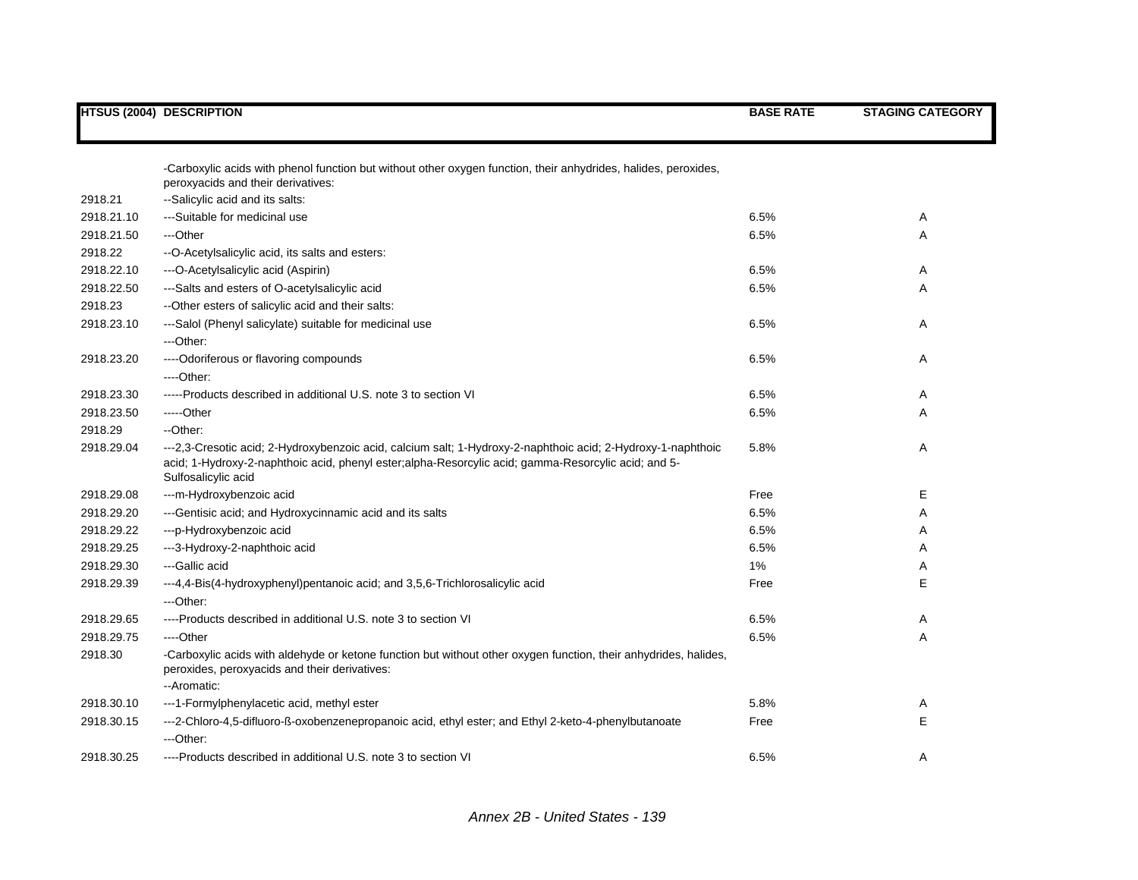|            | <b>HTSUS (2004) DESCRIPTION</b>                                                                                                                                                                                                            | <b>BASE RATE</b> | <b>STAGING CATEGORY</b> |
|------------|--------------------------------------------------------------------------------------------------------------------------------------------------------------------------------------------------------------------------------------------|------------------|-------------------------|
|            |                                                                                                                                                                                                                                            |                  |                         |
|            | -Carboxylic acids with phenol function but without other oxygen function, their anhydrides, halides, peroxides,<br>peroxyacids and their derivatives:                                                                                      |                  |                         |
| 2918.21    | --Salicylic acid and its salts:                                                                                                                                                                                                            |                  |                         |
| 2918.21.10 | ---Suitable for medicinal use                                                                                                                                                                                                              | 6.5%             | Α                       |
| 2918.21.50 | ---Other                                                                                                                                                                                                                                   | 6.5%             | Α                       |
| 2918.22    | --O-Acetylsalicylic acid, its salts and esters:                                                                                                                                                                                            |                  |                         |
| 2918.22.10 | ---O-Acetylsalicylic acid (Aspirin)                                                                                                                                                                                                        | 6.5%             | Α                       |
| 2918.22.50 | ---Salts and esters of O-acetylsalicylic acid                                                                                                                                                                                              | 6.5%             | A                       |
| 2918.23    | -- Other esters of salicylic acid and their salts:                                                                                                                                                                                         |                  |                         |
| 2918.23.10 | ---Salol (Phenyl salicylate) suitable for medicinal use                                                                                                                                                                                    | 6.5%             | Α                       |
|            | ---Other:                                                                                                                                                                                                                                  |                  |                         |
| 2918.23.20 | ---- Odoriferous or flavoring compounds                                                                                                                                                                                                    | 6.5%             | Α                       |
|            | $---Other.$                                                                                                                                                                                                                                |                  |                         |
| 2918.23.30 | -----Products described in additional U.S. note 3 to section VI                                                                                                                                                                            | 6.5%             | Α                       |
| 2918.23.50 | -----Other                                                                                                                                                                                                                                 | 6.5%             | A                       |
| 2918.29    | --Other:                                                                                                                                                                                                                                   |                  |                         |
| 2918.29.04 | ---2,3-Cresotic acid; 2-Hydroxybenzoic acid, calcium salt; 1-Hydroxy-2-naphthoic acid; 2-Hydroxy-1-naphthoic<br>acid; 1-Hydroxy-2-naphthoic acid, phenyl ester;alpha-Resorcylic acid; gamma-Resorcylic acid; and 5-<br>Sulfosalicylic acid | 5.8%             | Α                       |
| 2918.29.08 | ---m-Hydroxybenzoic acid                                                                                                                                                                                                                   | Free             | E                       |
| 2918.29.20 | --- Gentisic acid; and Hydroxycinnamic acid and its salts                                                                                                                                                                                  | 6.5%             | Α                       |
| 2918.29.22 | ---p-Hydroxybenzoic acid                                                                                                                                                                                                                   | 6.5%             | Α                       |
| 2918.29.25 | ---3-Hydroxy-2-naphthoic acid                                                                                                                                                                                                              | 6.5%             | Α                       |
| 2918.29.30 | ---Gallic acid                                                                                                                                                                                                                             | $1\%$            | Α                       |
| 2918.29.39 | ---4,4-Bis(4-hydroxyphenyl)pentanoic acid; and 3,5,6-Trichlorosalicylic acid                                                                                                                                                               | Free             | E                       |
|            | ---Other:                                                                                                                                                                                                                                  |                  |                         |
| 2918.29.65 | ----Products described in additional U.S. note 3 to section VI                                                                                                                                                                             | 6.5%             | Α                       |
| 2918.29.75 | ----Other                                                                                                                                                                                                                                  | 6.5%             | Α                       |
| 2918.30    | -Carboxylic acids with aldehyde or ketone function but without other oxygen function, their anhydrides, halides,<br>peroxides, peroxyacids and their derivatives:<br>--Aromatic:                                                           |                  |                         |
| 2918.30.10 | ---1-Formylphenylacetic acid, methyl ester                                                                                                                                                                                                 | 5.8%             | Α                       |
| 2918.30.15 | ---2-Chloro-4,5-difluoro-ß-oxobenzenepropanoic acid, ethyl ester; and Ethyl 2-keto-4-phenylbutanoate                                                                                                                                       | Free             | E                       |
|            | ---Other:                                                                                                                                                                                                                                  |                  |                         |
| 2918.30.25 | ----Products described in additional U.S. note 3 to section VI                                                                                                                                                                             | 6.5%             | A                       |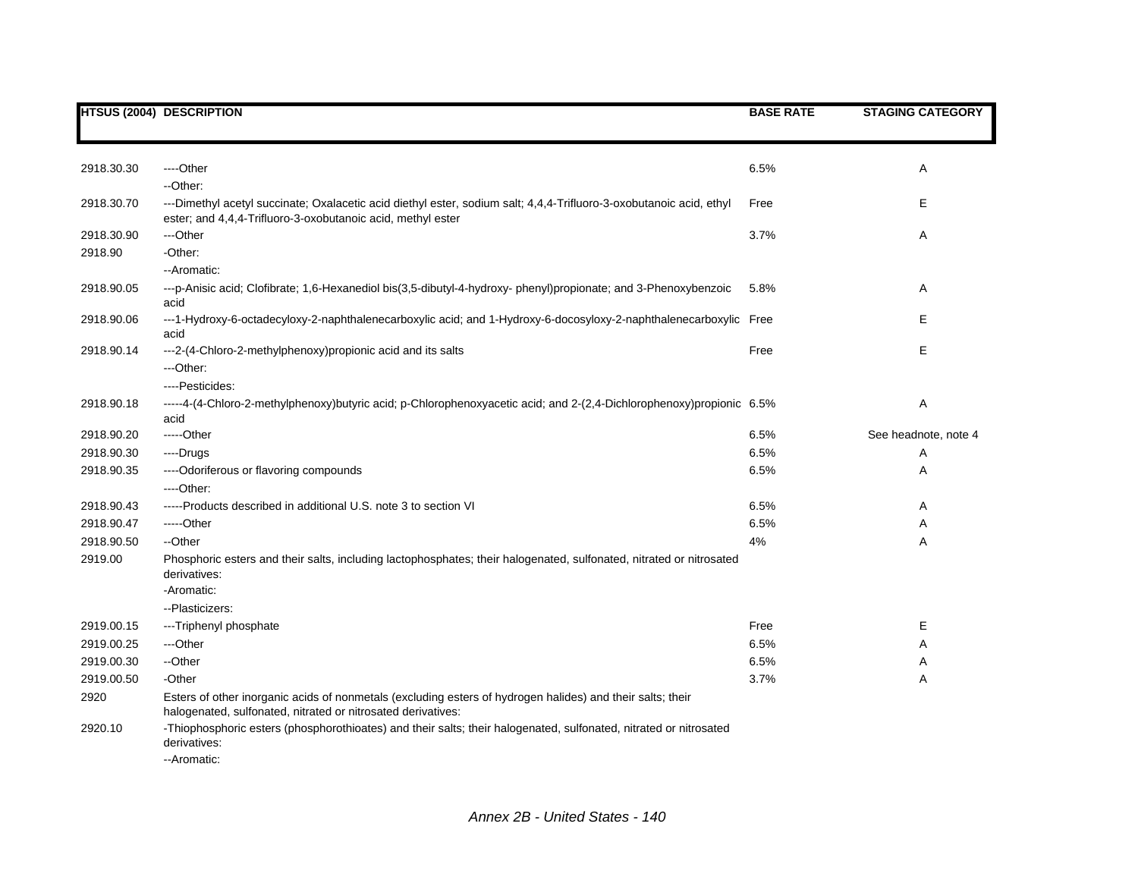|                          | <b>HTSUS (2004) DESCRIPTION</b>                                                                                                                                                    | <b>BASE RATE</b> | <b>STAGING CATEGORY</b> |
|--------------------------|------------------------------------------------------------------------------------------------------------------------------------------------------------------------------------|------------------|-------------------------|
|                          |                                                                                                                                                                                    |                  |                         |
| 2918.30.30               | ----Other<br>--Other:                                                                                                                                                              | 6.5%             | Α                       |
| 2918.30.70               | ---Dimethyl acetyl succinate; Oxalacetic acid diethyl ester, sodium salt; 4,4,4-Trifluoro-3-oxobutanoic acid, ethyl<br>ester; and 4,4,4-Trifluoro-3-oxobutanoic acid, methyl ester | Free             | Е                       |
| 2918.30.90               | ---Other                                                                                                                                                                           | 3.7%             | Α                       |
| 2918.90                  | -Other:                                                                                                                                                                            |                  |                         |
|                          | -- Aromatic:                                                                                                                                                                       |                  |                         |
| 2918.90.05               | ---p-Anisic acid; Clofibrate; 1,6-Hexanediol bis(3,5-dibutyl-4-hydroxy-phenyl)propionate; and 3-Phenoxybenzoic<br>acid                                                             | 5.8%             | Α                       |
| 2918.90.06               | ---1-Hydroxy-6-octadecyloxy-2-naphthalenecarboxylic acid; and 1-Hydroxy-6-docosyloxy-2-naphthalenecarboxylic Free<br>acid                                                          |                  | Е                       |
| 2918.90.14               | ---2-(4-Chloro-2-methylphenoxy)propionic acid and its salts<br>---Other:                                                                                                           | Free             | E                       |
|                          | ----Pesticides:                                                                                                                                                                    |                  |                         |
| 2918.90.18               | -----4-(4-Chloro-2-methylphenoxy)butyric acid; p-Chlorophenoxyacetic acid; and 2-(2,4-Dichlorophenoxy)propionic 6.5%<br>acid                                                       |                  | Α                       |
| 2918.90.20               | -----Other                                                                                                                                                                         | 6.5%             | See headnote, note 4    |
| 2918.90.30               | ----Drugs                                                                                                                                                                          | 6.5%             | Α                       |
| 2918.90.35               | ---- Odoriferous or flavoring compounds                                                                                                                                            | 6.5%             | Α                       |
|                          | $---Other.$                                                                                                                                                                        |                  |                         |
| 2918.90.43               | -----Products described in additional U.S. note 3 to section VI                                                                                                                    | 6.5%             | A                       |
| 2918.90.47               | -----Other                                                                                                                                                                         | 6.5%             | Α                       |
| 2918.90.50               | --Other                                                                                                                                                                            | 4%               | Α                       |
| 2919.00                  | Phosphoric esters and their salts, including lactophosphates; their halogenated, sulfonated, nitrated or nitrosated<br>derivatives:                                                |                  |                         |
|                          | -Aromatic:                                                                                                                                                                         |                  |                         |
|                          | --Plasticizers:                                                                                                                                                                    | Free             | Е                       |
| 2919.00.15               | ---Triphenyl phosphate                                                                                                                                                             |                  |                         |
| 2919.00.25<br>2919.00.30 | ---Other<br>--Other                                                                                                                                                                | 6.5%<br>6.5%     | Α                       |
| 2919.00.50               | -Other                                                                                                                                                                             | 3.7%             | Α                       |
|                          |                                                                                                                                                                                    |                  | Α                       |
| 2920                     | Esters of other inorganic acids of nonmetals (excluding esters of hydrogen halides) and their salts; their<br>halogenated, sulfonated, nitrated or nitrosated derivatives:         |                  |                         |
| 2920.10                  | -Thiophosphoric esters (phosphorothioates) and their salts; their halogenated, sulfonated, nitrated or nitrosated<br>derivatives:<br>--Aromatic:                                   |                  |                         |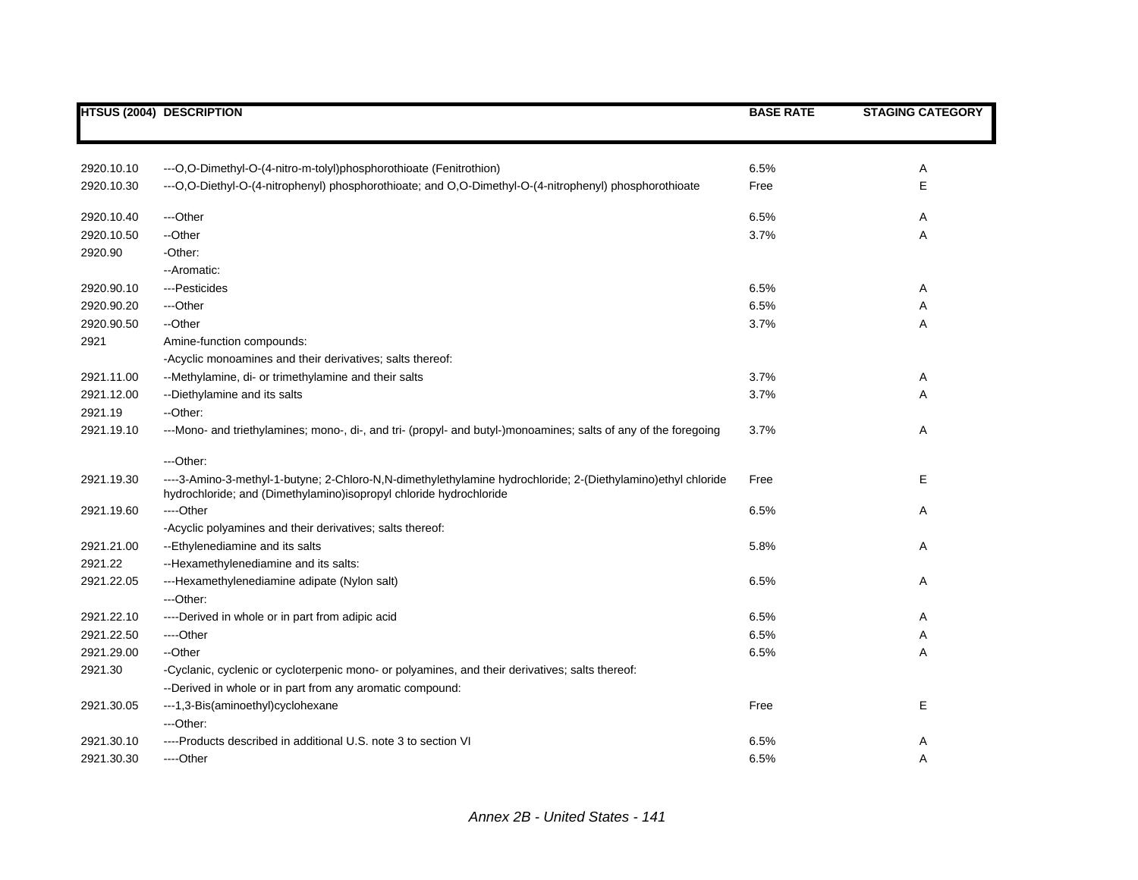|            | <b>HTSUS (2004) DESCRIPTION</b>                                                                                                                                                    | <b>BASE RATE</b> | <b>STAGING CATEGORY</b> |
|------------|------------------------------------------------------------------------------------------------------------------------------------------------------------------------------------|------------------|-------------------------|
|            |                                                                                                                                                                                    |                  |                         |
| 2920.10.10 | --- O, O-Dimethyl-O-(4-nitro-m-tolyl) phosphorothioate (Fenitrothion)                                                                                                              | 6.5%             | Α                       |
| 2920.10.30 | --- O, O-Diethyl-O-(4-nitrophenyl) phosphorothioate; and O, O-Dimethyl-O-(4-nitrophenyl) phosphorothioate                                                                          | Free             | E                       |
| 2920.10.40 | ---Other                                                                                                                                                                           | 6.5%             | Α                       |
| 2920.10.50 | --Other                                                                                                                                                                            | 3.7%             | Α                       |
| 2920.90    | -Other:                                                                                                                                                                            |                  |                         |
|            | - Aromatic:                                                                                                                                                                        |                  |                         |
| 2920.90.10 | ---Pesticides                                                                                                                                                                      | 6.5%             | Α                       |
| 2920.90.20 | ---Other                                                                                                                                                                           | 6.5%             | Α                       |
| 2920.90.50 | --Other                                                                                                                                                                            | 3.7%             | Α                       |
| 2921       | Amine-function compounds:                                                                                                                                                          |                  |                         |
|            | -Acyclic monoamines and their derivatives; salts thereof:                                                                                                                          |                  |                         |
| 2921.11.00 | --Methylamine, di- or trimethylamine and their salts                                                                                                                               | 3.7%             | A                       |
| 2921.12.00 | --Diethylamine and its salts                                                                                                                                                       | 3.7%             | A                       |
| 2921.19    | --Other:                                                                                                                                                                           |                  |                         |
| 2921.19.10 | ---Mono- and triethylamines; mono-, di-, and tri- (propyl- and butyl-)monoamines; salts of any of the foregoing                                                                    | 3.7%             | Α                       |
|            | ---Other:                                                                                                                                                                          |                  |                         |
| 2921.19.30 | ----3-Amino-3-methyl-1-butyne; 2-Chloro-N,N-dimethylethylamine hydrochloride; 2-(Diethylamino)ethyl chloride<br>hydrochloride; and (Dimethylamino)isopropyl chloride hydrochloride | Free             | E                       |
| 2921.19.60 | ---Other                                                                                                                                                                           | 6.5%             | Α                       |
|            | -Acyclic polyamines and their derivatives; salts thereof:                                                                                                                          |                  |                         |
| 2921.21.00 | --Ethylenediamine and its salts                                                                                                                                                    | 5.8%             | Α                       |
| 2921.22    | --Hexamethylenediamine and its salts:                                                                                                                                              |                  |                         |
| 2921.22.05 | ---Hexamethylenediamine adipate (Nylon salt)                                                                                                                                       | 6.5%             | Α                       |
|            | ---Other:                                                                                                                                                                          |                  |                         |
| 2921.22.10 | ----Derived in whole or in part from adipic acid                                                                                                                                   | 6.5%             | Α                       |
| 2921.22.50 | ----Other                                                                                                                                                                          | 6.5%             | A                       |
| 2921.29.00 | --Other                                                                                                                                                                            | 6.5%             | Α                       |
| 2921.30    | -Cyclanic, cyclenic or cycloterpenic mono- or polyamines, and their derivatives; salts thereof:<br>--Derived in whole or in part from any aromatic compound:                       |                  |                         |
| 2921.30.05 | ---1,3-Bis(aminoethyl)cyclohexane                                                                                                                                                  | Free             | Е                       |
|            | ---Other:                                                                                                                                                                          |                  |                         |
| 2921.30.10 | ----Products described in additional U.S. note 3 to section VI                                                                                                                     | 6.5%             | Α                       |
| 2921.30.30 | ----Other                                                                                                                                                                          | 6.5%             | Α                       |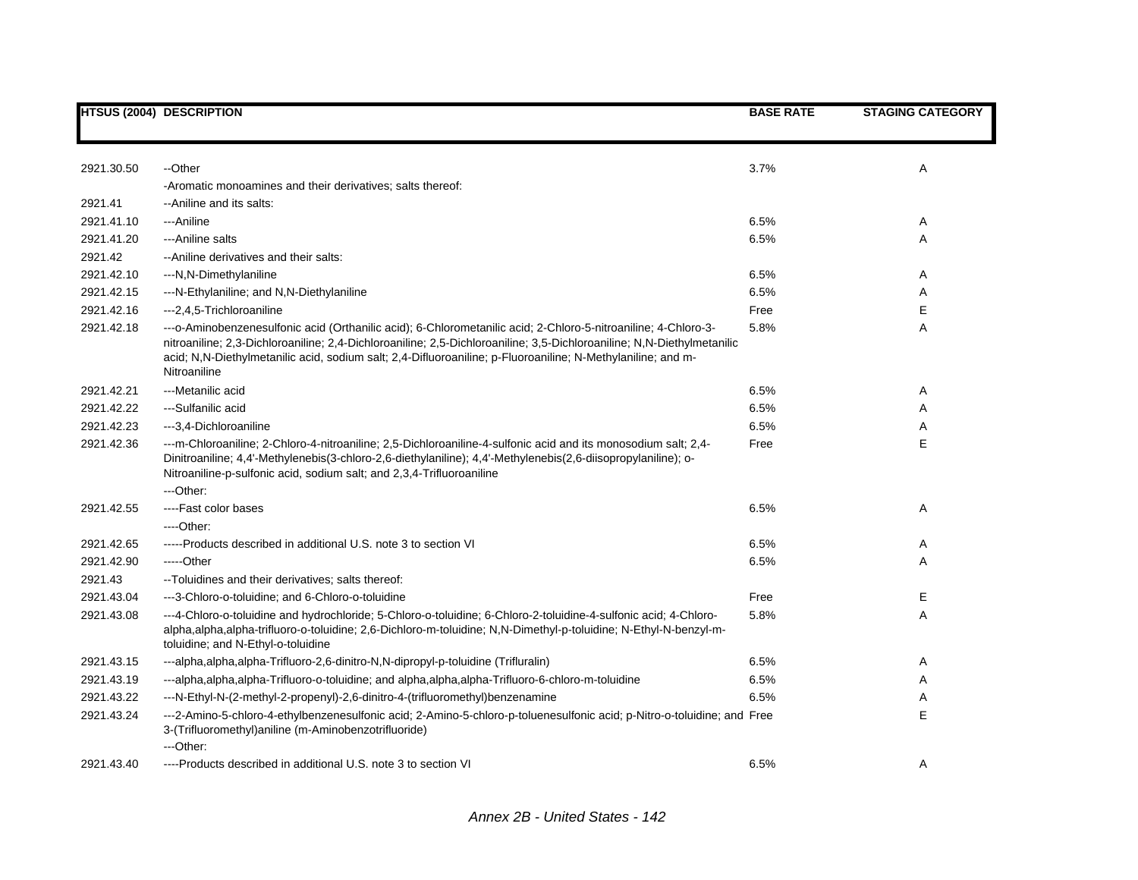|            | <b>HTSUS (2004) DESCRIPTION</b>                                                                                                                                                                                                                                                                                                                                         | <b>BASE RATE</b> | <b>STAGING CATEGORY</b> |
|------------|-------------------------------------------------------------------------------------------------------------------------------------------------------------------------------------------------------------------------------------------------------------------------------------------------------------------------------------------------------------------------|------------------|-------------------------|
|            |                                                                                                                                                                                                                                                                                                                                                                         |                  |                         |
| 2921.30.50 | --Other                                                                                                                                                                                                                                                                                                                                                                 | 3.7%             | Α                       |
|            | -Aromatic monoamines and their derivatives; salts thereof:                                                                                                                                                                                                                                                                                                              |                  |                         |
| 2921.41    | -- Aniline and its salts:                                                                                                                                                                                                                                                                                                                                               |                  |                         |
| 2921.41.10 | ---Aniline                                                                                                                                                                                                                                                                                                                                                              | 6.5%             | Α                       |
| 2921.41.20 | --- Aniline salts                                                                                                                                                                                                                                                                                                                                                       | 6.5%             | Α                       |
| 2921.42    | -- Aniline derivatives and their salts:                                                                                                                                                                                                                                                                                                                                 |                  |                         |
| 2921.42.10 | ---N,N-Dimethylaniline                                                                                                                                                                                                                                                                                                                                                  | 6.5%             | Α                       |
| 2921.42.15 | ---N-Ethylaniline; and N,N-Diethylaniline                                                                                                                                                                                                                                                                                                                               | 6.5%             | Α                       |
| 2921.42.16 | --- 2, 4, 5-Trichloroaniline                                                                                                                                                                                                                                                                                                                                            | Free             | E                       |
| 2921.42.18 | ---o-Aminobenzenesulfonic acid (Orthanilic acid); 6-Chlorometanilic acid; 2-Chloro-5-nitroaniline; 4-Chloro-3-<br>nitroaniline; 2,3-Dichloroaniline; 2,4-Dichloroaniline; 2,5-Dichloroaniline; 3,5-Dichloroaniline; N,N-Diethylmetanilic<br>acid; N,N-Diethylmetanilic acid, sodium salt; 2,4-Difluoroaniline; p-Fluoroaniline; N-Methylaniline; and m-<br>Nitroaniline | 5.8%             | Α                       |
| 2921.42.21 | --- Metanilic acid                                                                                                                                                                                                                                                                                                                                                      | 6.5%             | Α                       |
| 2921.42.22 | ---Sulfanilic acid                                                                                                                                                                                                                                                                                                                                                      | 6.5%             | Α                       |
| 2921.42.23 | ---3,4-Dichloroaniline                                                                                                                                                                                                                                                                                                                                                  | 6.5%             | Α                       |
| 2921.42.36 | ---m-Chloroaniline; 2-Chloro-4-nitroaniline; 2,5-Dichloroaniline-4-sulfonic acid and its monosodium salt; 2,4-<br>Dinitroaniline; 4,4'-Methylenebis(3-chloro-2,6-diethylaniline); 4,4'-Methylenebis(2,6-diisopropylaniline); o-<br>Nitroaniline-p-sulfonic acid, sodium salt; and 2,3,4-Trifluoroaniline                                                                | Free             | E                       |
|            | ---Other:                                                                                                                                                                                                                                                                                                                                                               |                  |                         |
| 2921.42.55 | ----Fast color bases                                                                                                                                                                                                                                                                                                                                                    | 6.5%             | Α                       |
|            | ----Other:                                                                                                                                                                                                                                                                                                                                                              |                  |                         |
| 2921.42.65 | -----Products described in additional U.S. note 3 to section VI                                                                                                                                                                                                                                                                                                         | 6.5%             | A                       |
| 2921.42.90 | -----Other                                                                                                                                                                                                                                                                                                                                                              | 6.5%             | Α                       |
| 2921.43    | --Toluidines and their derivatives; salts thereof:                                                                                                                                                                                                                                                                                                                      |                  |                         |
| 2921.43.04 | ---3-Chloro-o-toluidine; and 6-Chloro-o-toluidine                                                                                                                                                                                                                                                                                                                       | Free             | E                       |
| 2921.43.08 | ---4-Chloro-o-toluidine and hydrochloride; 5-Chloro-o-toluidine; 6-Chloro-2-toluidine-4-sulfonic acid; 4-Chloro-<br>alpha,alpha,alpha-trifluoro-o-toluidine; 2,6-Dichloro-m-toluidine; N,N-Dimethyl-p-toluidine; N-Ethyl-N-benzyl-m-<br>toluidine; and N-Ethyl-o-toluidine                                                                                              | 5.8%             | Α                       |
| 2921.43.15 | ---alpha,alpha,alpha-Trifluoro-2,6-dinitro-N,N-dipropyl-p-toluidine (Trifluralin)                                                                                                                                                                                                                                                                                       | 6.5%             | A                       |
| 2921.43.19 | ---alpha,alpha,alpha-Trifluoro-o-toluidine; and alpha,alpha,alpha-Trifluoro-6-chloro-m-toluidine                                                                                                                                                                                                                                                                        | 6.5%             | Α                       |
| 2921.43.22 | ---N-Ethyl-N-(2-methyl-2-propenyl)-2,6-dinitro-4-(trifluoromethyl)benzenamine                                                                                                                                                                                                                                                                                           | 6.5%             | Α                       |
| 2921.43.24 | ---2-Amino-5-chloro-4-ethylbenzenesulfonic acid; 2-Amino-5-chloro-p-toluenesulfonic acid; p-Nitro-o-toluidine; and Free<br>3-(Trifluoromethyl)aniline (m-Aminobenzotrifluoride)<br>---Other:                                                                                                                                                                            |                  | E                       |
| 2921.43.40 | ----Products described in additional U.S. note 3 to section VI                                                                                                                                                                                                                                                                                                          | 6.5%             | Α                       |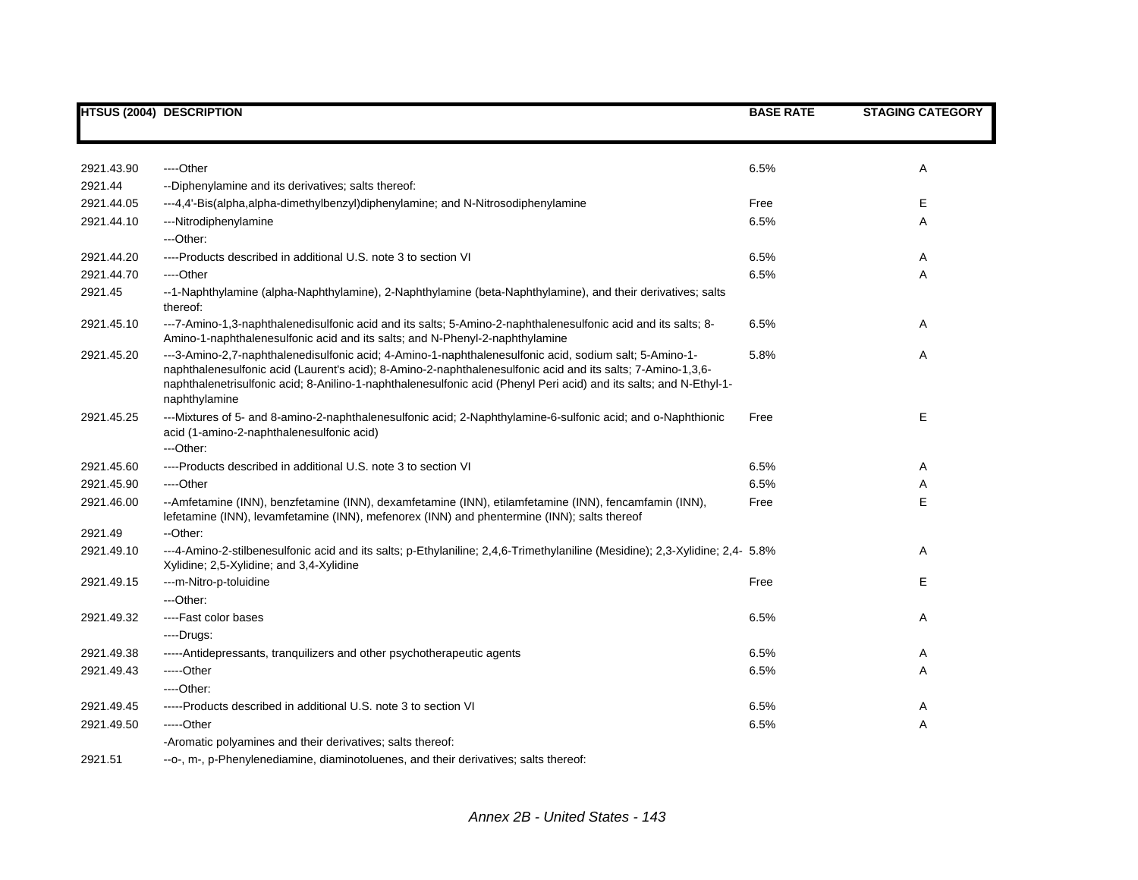|            | <b>HTSUS (2004) DESCRIPTION</b>                                                                                                                                                                                                                                                                                                                              | <b>BASE RATE</b> | <b>STAGING CATEGORY</b> |
|------------|--------------------------------------------------------------------------------------------------------------------------------------------------------------------------------------------------------------------------------------------------------------------------------------------------------------------------------------------------------------|------------------|-------------------------|
|            |                                                                                                                                                                                                                                                                                                                                                              |                  |                         |
| 2921.43.90 | ---Other                                                                                                                                                                                                                                                                                                                                                     | 6.5%             | Α                       |
| 2921.44    | --Diphenylamine and its derivatives; salts thereof:                                                                                                                                                                                                                                                                                                          |                  |                         |
| 2921.44.05 | ---4,4'-Bis(alpha,alpha-dimethylbenzyl)diphenylamine; and N-Nitrosodiphenylamine                                                                                                                                                                                                                                                                             | Free             | Е                       |
| 2921.44.10 | ---Nitrodiphenylamine                                                                                                                                                                                                                                                                                                                                        | 6.5%             | Α                       |
|            | ---Other:                                                                                                                                                                                                                                                                                                                                                    |                  |                         |
| 2921.44.20 | ----Products described in additional U.S. note 3 to section VI                                                                                                                                                                                                                                                                                               | 6.5%             | Α                       |
| 2921.44.70 | ----Other                                                                                                                                                                                                                                                                                                                                                    | 6.5%             | Α                       |
| 2921.45    | --1-Naphthylamine (alpha-Naphthylamine), 2-Naphthylamine (beta-Naphthylamine), and their derivatives; salts<br>thereof:                                                                                                                                                                                                                                      |                  |                         |
| 2921.45.10 | ---7-Amino-1,3-naphthalenedisulfonic acid and its salts; 5-Amino-2-naphthalenesulfonic acid and its salts; 8-<br>Amino-1-naphthalenesulfonic acid and its salts; and N-Phenyl-2-naphthylamine                                                                                                                                                                | 6.5%             | Α                       |
| 2921.45.20 | ---3-Amino-2,7-naphthalenedisulfonic acid; 4-Amino-1-naphthalenesulfonic acid, sodium salt; 5-Amino-1-<br>naphthalenesulfonic acid (Laurent's acid); 8-Amino-2-naphthalenesulfonic acid and its salts; 7-Amino-1,3,6-<br>naphthalenetrisulfonic acid; 8-Anilino-1-naphthalenesulfonic acid (Phenyl Peri acid) and its salts; and N-Ethyl-1-<br>naphthylamine | 5.8%             | Α                       |
| 2921.45.25 | ---Mixtures of 5- and 8-amino-2-naphthalenesulfonic acid; 2-Naphthylamine-6-sulfonic acid; and o-Naphthionic<br>acid (1-amino-2-naphthalenesulfonic acid)<br>---Other:                                                                                                                                                                                       | Free             | E                       |
| 2921.45.60 | ----Products described in additional U.S. note 3 to section VI                                                                                                                                                                                                                                                                                               | 6.5%             | Α                       |
| 2921.45.90 | ----Other                                                                                                                                                                                                                                                                                                                                                    | 6.5%             | Α                       |
| 2921.46.00 | --Amfetamine (INN), benzfetamine (INN), dexamfetamine (INN), etilamfetamine (INN), fencamfamin (INN),<br>lefetamine (INN), levamfetamine (INN), mefenorex (INN) and phentermine (INN); salts thereof                                                                                                                                                         | Free             | E                       |
| 2921.49    | -- Other:                                                                                                                                                                                                                                                                                                                                                    |                  |                         |
| 2921.49.10 | ---4-Amino-2-stilbenesulfonic acid and its salts; p-Ethylaniline; 2,4,6-Trimethylaniline (Mesidine); 2,3-Xylidine; 2,4- 5.8%<br>Xylidine; 2,5-Xylidine; and 3,4-Xylidine                                                                                                                                                                                     |                  | Α                       |
| 2921.49.15 | ---m-Nitro-p-toluidine                                                                                                                                                                                                                                                                                                                                       | Free             | E                       |
|            | ---Other:                                                                                                                                                                                                                                                                                                                                                    |                  |                         |
| 2921.49.32 | ----Fast color bases                                                                                                                                                                                                                                                                                                                                         | 6.5%             | Α                       |
|            | ---Drugs:                                                                                                                                                                                                                                                                                                                                                    |                  |                         |
| 2921.49.38 | -----Antidepressants, tranguilizers and other psychotherapeutic agents                                                                                                                                                                                                                                                                                       | 6.5%             | Α                       |
| 2921.49.43 | -----Other                                                                                                                                                                                                                                                                                                                                                   | 6.5%             | Α                       |
|            | ----Other:                                                                                                                                                                                                                                                                                                                                                   |                  |                         |
| 2921.49.45 | -----Products described in additional U.S. note 3 to section VI                                                                                                                                                                                                                                                                                              | 6.5%             | Α                       |
| 2921.49.50 | -----Other                                                                                                                                                                                                                                                                                                                                                   | 6.5%             | Α                       |
|            | -Aromatic polyamines and their derivatives; salts thereof:                                                                                                                                                                                                                                                                                                   |                  |                         |
| 2921.51    | --o-, m-, p-Phenylenediamine, diaminotoluenes, and their derivatives; salts thereof:                                                                                                                                                                                                                                                                         |                  |                         |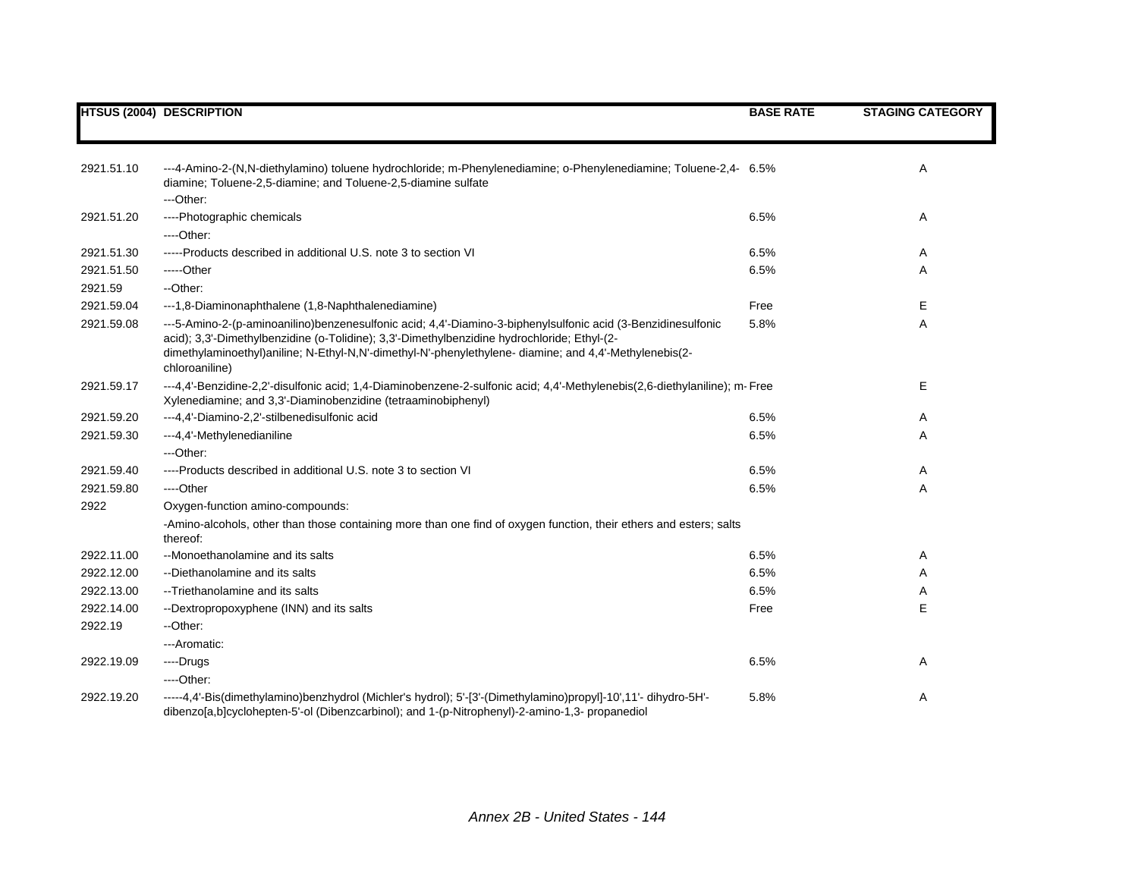|            | <b>HTSUS (2004) DESCRIPTION</b>                                                                                                                                                                                                                                                                                                         | <b>BASE RATE</b> | <b>STAGING CATEGORY</b> |
|------------|-----------------------------------------------------------------------------------------------------------------------------------------------------------------------------------------------------------------------------------------------------------------------------------------------------------------------------------------|------------------|-------------------------|
|            |                                                                                                                                                                                                                                                                                                                                         |                  |                         |
| 2921.51.10 | ---4-Amino-2-(N,N-diethylamino) toluene hydrochloride; m-Phenylenediamine; o-Phenylenediamine; Toluene-2,4- 6.5%<br>diamine; Toluene-2,5-diamine; and Toluene-2,5-diamine sulfate                                                                                                                                                       |                  | Α                       |
|            | ---Other:                                                                                                                                                                                                                                                                                                                               |                  |                         |
| 2921.51.20 | ----Photographic chemicals                                                                                                                                                                                                                                                                                                              | 6.5%             | Α                       |
|            | $---Other.$                                                                                                                                                                                                                                                                                                                             |                  |                         |
| 2921.51.30 | -----Products described in additional U.S. note 3 to section VI                                                                                                                                                                                                                                                                         | 6.5%             | Α                       |
| 2921.51.50 | -----Other                                                                                                                                                                                                                                                                                                                              | 6.5%             | Α                       |
| 2921.59    | --Other:                                                                                                                                                                                                                                                                                                                                |                  |                         |
| 2921.59.04 | ---1,8-Diaminonaphthalene (1,8-Naphthalenediamine)                                                                                                                                                                                                                                                                                      | Free             | Е                       |
| 2921.59.08 | ---5-Amino-2-(p-aminoanilino)benzenesulfonic acid; 4,4'-Diamino-3-biphenylsulfonic acid (3-Benzidinesulfonic<br>acid); 3,3'-Dimethylbenzidine (o-Tolidine); 3,3'-Dimethylbenzidine hydrochloride; Ethyl-(2-<br>dimethylaminoethyl)aniline; N-Ethyl-N,N'-dimethyl-N'-phenylethylene- diamine; and 4,4'-Methylenebis(2-<br>chloroaniline) | 5.8%             | Α                       |
| 2921.59.17 | ---4,4'-Benzidine-2,2'-disulfonic acid; 1,4-Diaminobenzene-2-sulfonic acid; 4,4'-Methylenebis(2,6-diethylaniline); m-Free<br>Xylenediamine; and 3,3'-Diaminobenzidine (tetraaminobiphenyl)                                                                                                                                              |                  | Е                       |
| 2921.59.20 | ---4,4'-Diamino-2,2'-stilbenedisulfonic acid                                                                                                                                                                                                                                                                                            | 6.5%             | Α                       |
| 2921.59.30 | ---4,4'-Methylenedianiline                                                                                                                                                                                                                                                                                                              | 6.5%             | Α                       |
|            | ---Other:                                                                                                                                                                                                                                                                                                                               |                  |                         |
| 2921.59.40 | ----Products described in additional U.S. note 3 to section VI                                                                                                                                                                                                                                                                          | 6.5%             | Α                       |
| 2921.59.80 | ----Other                                                                                                                                                                                                                                                                                                                               | 6.5%             | Α                       |
| 2922       | Oxygen-function amino-compounds:                                                                                                                                                                                                                                                                                                        |                  |                         |
|            | -Amino-alcohols, other than those containing more than one find of oxygen function, their ethers and esters; salts<br>thereof:                                                                                                                                                                                                          |                  |                         |
| 2922.11.00 | --Monoethanolamine and its salts                                                                                                                                                                                                                                                                                                        | 6.5%             | Α                       |
| 2922.12.00 | --Diethanolamine and its salts                                                                                                                                                                                                                                                                                                          | 6.5%             | Α                       |
| 2922.13.00 | --Triethanolamine and its salts                                                                                                                                                                                                                                                                                                         | 6.5%             | Α                       |
| 2922.14.00 | --Dextropropoxyphene (INN) and its salts                                                                                                                                                                                                                                                                                                | Free             | E                       |
| 2922.19    | --Other:                                                                                                                                                                                                                                                                                                                                |                  |                         |
|            | ---Aromatic:                                                                                                                                                                                                                                                                                                                            |                  |                         |
| 2922.19.09 | ---Drugs                                                                                                                                                                                                                                                                                                                                | 6.5%             | Α                       |
|            | $---Other.$                                                                                                                                                                                                                                                                                                                             |                  |                         |
| 2922.19.20 | -----4,4'-Bis(dimethylamino)benzhydrol (Michler's hydrol); 5'-[3'-(Dimethylamino)propyl]-10',11'- dihydro-5H'-<br>dibenzo[a,b]cyclohepten-5'-ol (Dibenzcarbinol); and 1-(p-Nitrophenyl)-2-amino-1,3- propanediol                                                                                                                        | 5.8%             | Α                       |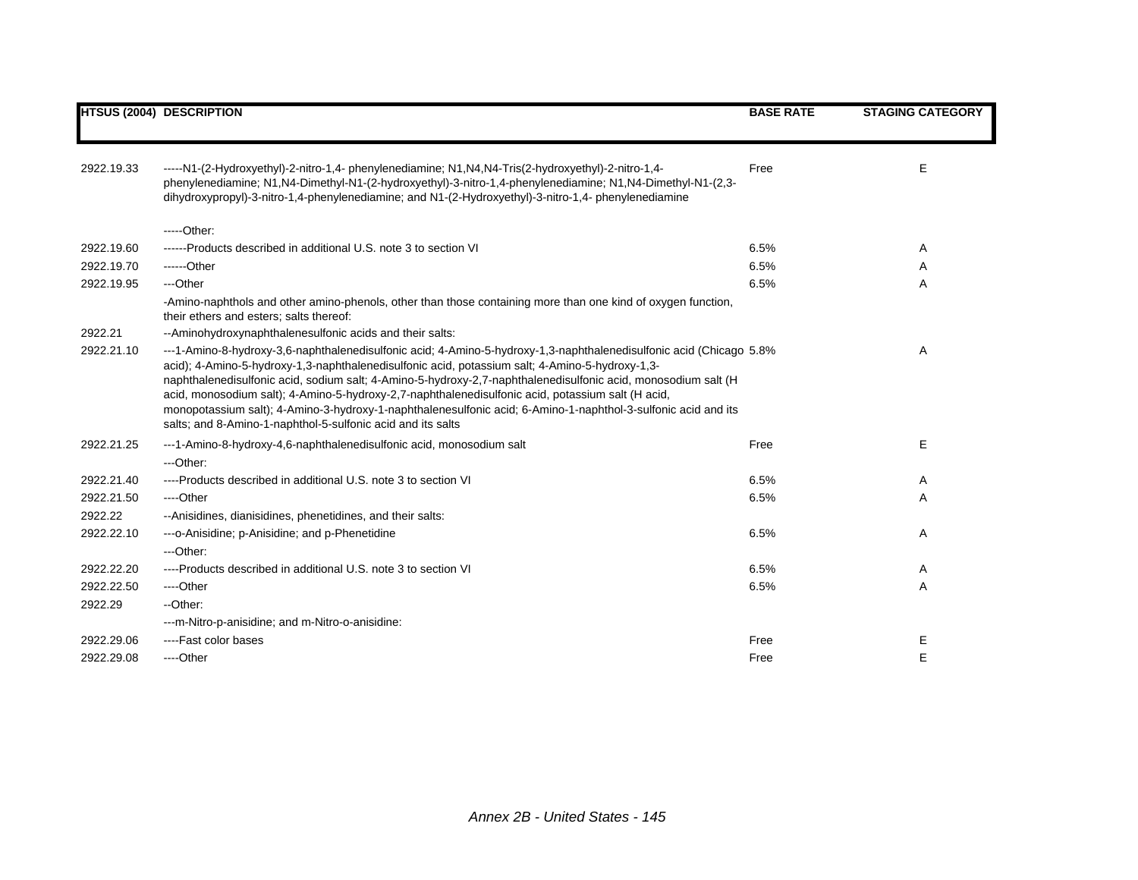|            | <b>HTSUS (2004) DESCRIPTION</b>                                                                                                                                                                                                                                                                                                                                                                                                                                                                                                                                                                                              | <b>BASE RATE</b> | <b>STAGING CATEGORY</b> |
|------------|------------------------------------------------------------------------------------------------------------------------------------------------------------------------------------------------------------------------------------------------------------------------------------------------------------------------------------------------------------------------------------------------------------------------------------------------------------------------------------------------------------------------------------------------------------------------------------------------------------------------------|------------------|-------------------------|
|            |                                                                                                                                                                                                                                                                                                                                                                                                                                                                                                                                                                                                                              |                  |                         |
| 2922.19.33 | -----N1-(2-Hydroxyethyl)-2-nitro-1,4- phenylenediamine; N1, N4, N4-Tris(2-hydroxyethyl)-2-nitro-1,4-<br>phenylenediamine; N1,N4-Dimethyl-N1-(2-hydroxyethyl)-3-nitro-1,4-phenylenediamine; N1,N4-Dimethyl-N1-(2,3-<br>dihydroxypropyl)-3-nitro-1,4-phenylenediamine; and N1-(2-Hydroxyethyl)-3-nitro-1,4- phenylenediamine                                                                                                                                                                                                                                                                                                   | Free             | Е                       |
|            | $---Other:$                                                                                                                                                                                                                                                                                                                                                                                                                                                                                                                                                                                                                  |                  |                         |
| 2922.19.60 | ------Products described in additional U.S. note 3 to section VI                                                                                                                                                                                                                                                                                                                                                                                                                                                                                                                                                             | 6.5%             | Α                       |
| 2922.19.70 | ------Other                                                                                                                                                                                                                                                                                                                                                                                                                                                                                                                                                                                                                  | 6.5%             | Α                       |
| 2922.19.95 | ---Other                                                                                                                                                                                                                                                                                                                                                                                                                                                                                                                                                                                                                     | 6.5%             | A                       |
|            | -Amino-naphthols and other amino-phenols, other than those containing more than one kind of oxygen function,<br>their ethers and esters; salts thereof:                                                                                                                                                                                                                                                                                                                                                                                                                                                                      |                  |                         |
| 2922.21    | --Aminohydroxynaphthalenesulfonic acids and their salts:                                                                                                                                                                                                                                                                                                                                                                                                                                                                                                                                                                     |                  |                         |
| 2922.21.10 | ---1-Amino-8-hydroxy-3,6-naphthalenedisulfonic acid; 4-Amino-5-hydroxy-1,3-naphthalenedisulfonic acid (Chicago 5.8%<br>acid); 4-Amino-5-hydroxy-1,3-naphthalenedisulfonic acid, potassium salt; 4-Amino-5-hydroxy-1,3-<br>naphthalenedisulfonic acid, sodium salt; 4-Amino-5-hydroxy-2,7-naphthalenedisulfonic acid, monosodium salt (H<br>acid, monosodium salt); 4-Amino-5-hydroxy-2,7-naphthalenedisulfonic acid, potassium salt (H acid,<br>monopotassium salt); 4-Amino-3-hydroxy-1-naphthalenesulfonic acid; 6-Amino-1-naphthol-3-sulfonic acid and its<br>salts; and 8-Amino-1-naphthol-5-sulfonic acid and its salts |                  | Α                       |
| 2922.21.25 | ---1-Amino-8-hydroxy-4,6-naphthalenedisulfonic acid, monosodium salt<br>---Other:                                                                                                                                                                                                                                                                                                                                                                                                                                                                                                                                            | Free             | Е                       |
| 2922.21.40 | ----Products described in additional U.S. note 3 to section VI                                                                                                                                                                                                                                                                                                                                                                                                                                                                                                                                                               | 6.5%             | Α                       |
| 2922.21.50 | ----Other                                                                                                                                                                                                                                                                                                                                                                                                                                                                                                                                                                                                                    | 6.5%             | A                       |
| 2922.22    | --Anisidines, dianisidines, phenetidines, and their salts:                                                                                                                                                                                                                                                                                                                                                                                                                                                                                                                                                                   |                  |                         |
| 2922.22.10 | ---o-Anisidine; p-Anisidine; and p-Phenetidine                                                                                                                                                                                                                                                                                                                                                                                                                                                                                                                                                                               | 6.5%             | Α                       |
|            | ---Other:                                                                                                                                                                                                                                                                                                                                                                                                                                                                                                                                                                                                                    |                  |                         |
| 2922.22.20 | ----Products described in additional U.S. note 3 to section VI                                                                                                                                                                                                                                                                                                                                                                                                                                                                                                                                                               | 6.5%             | Α                       |
| 2922.22.50 | ---Other                                                                                                                                                                                                                                                                                                                                                                                                                                                                                                                                                                                                                     | 6.5%             | Α                       |
| 2922.29    | --Other:                                                                                                                                                                                                                                                                                                                                                                                                                                                                                                                                                                                                                     |                  |                         |
|            | ---m-Nitro-p-anisidine; and m-Nitro-o-anisidine:                                                                                                                                                                                                                                                                                                                                                                                                                                                                                                                                                                             |                  |                         |
| 2922.29.06 | ----Fast color bases                                                                                                                                                                                                                                                                                                                                                                                                                                                                                                                                                                                                         | Free             | Ε                       |
| 2922.29.08 | ---Other                                                                                                                                                                                                                                                                                                                                                                                                                                                                                                                                                                                                                     | Free             | E                       |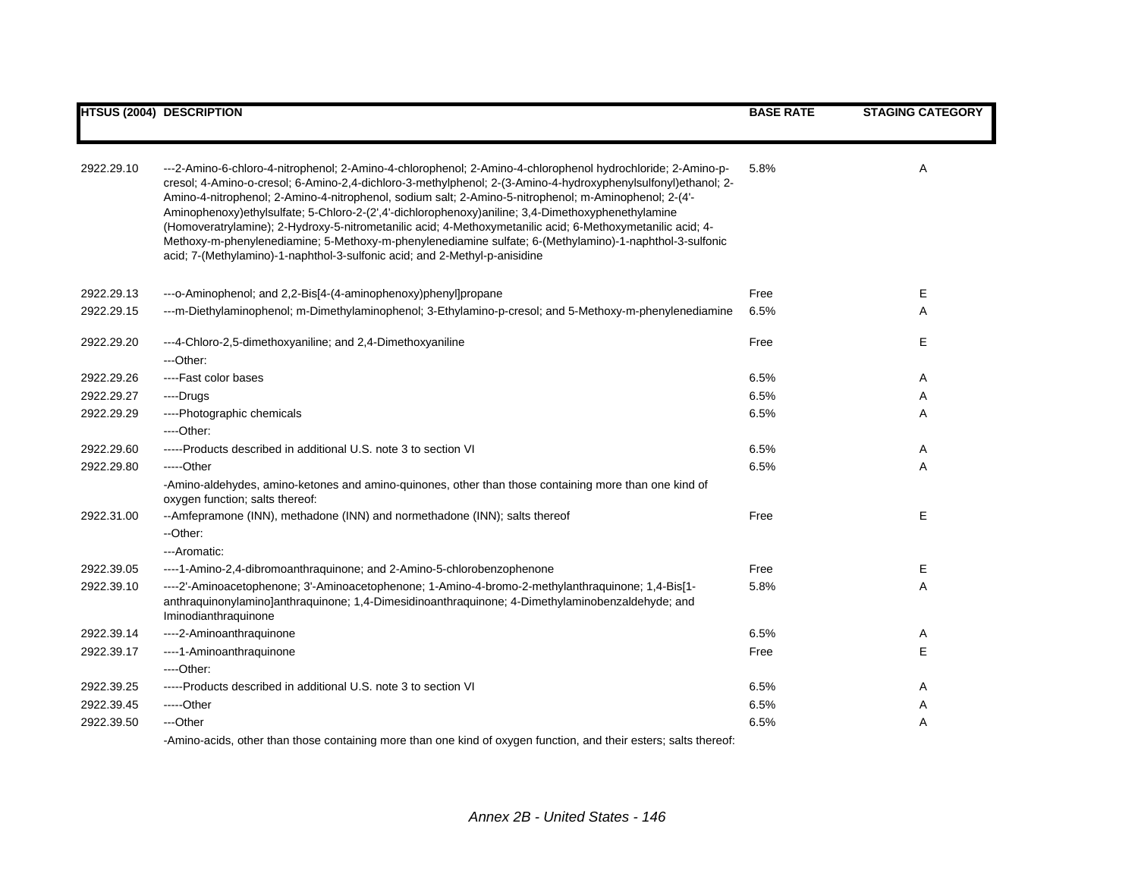|            | <b>HTSUS (2004) DESCRIPTION</b>                                                                                                                                                                                                                                                                                                                                                                                                                                                                                                                                                                                                                                                                                                                   | <b>BASE RATE</b> | <b>STAGING CATEGORY</b> |
|------------|---------------------------------------------------------------------------------------------------------------------------------------------------------------------------------------------------------------------------------------------------------------------------------------------------------------------------------------------------------------------------------------------------------------------------------------------------------------------------------------------------------------------------------------------------------------------------------------------------------------------------------------------------------------------------------------------------------------------------------------------------|------------------|-------------------------|
|            |                                                                                                                                                                                                                                                                                                                                                                                                                                                                                                                                                                                                                                                                                                                                                   |                  |                         |
| 2922.29.10 | ---2-Amino-6-chloro-4-nitrophenol; 2-Amino-4-chlorophenol; 2-Amino-4-chlorophenol hydrochloride; 2-Amino-p-<br>cresol; 4-Amino-o-cresol; 6-Amino-2,4-dichloro-3-methylphenol; 2-(3-Amino-4-hydroxyphenylsulfonyl)ethanol; 2-<br>Amino-4-nitrophenol; 2-Amino-4-nitrophenol, sodium salt; 2-Amino-5-nitrophenol; m-Aminophenol; 2-(4'-<br>Aminophenoxy)ethylsulfate; 5-Chloro-2-(2',4'-dichlorophenoxy)aniline; 3,4-Dimethoxyphenethylamine<br>(Homoveratrylamine); 2-Hydroxy-5-nitrometanilic acid; 4-Methoxymetanilic acid; 6-Methoxymetanilic acid; 4-<br>Methoxy-m-phenylenediamine; 5-Methoxy-m-phenylenediamine sulfate; 6-(Methylamino)-1-naphthol-3-sulfonic<br>acid; 7-(Methylamino)-1-naphthol-3-sulfonic acid; and 2-Methyl-p-anisidine | 5.8%             | A                       |
| 2922.29.13 | ---o-Aminophenol; and 2,2-Bis[4-(4-aminophenoxy)phenyl]propane                                                                                                                                                                                                                                                                                                                                                                                                                                                                                                                                                                                                                                                                                    | Free             | Е                       |
| 2922.29.15 | ---m-Diethylaminophenol; m-Dimethylaminophenol; 3-Ethylamino-p-cresol; and 5-Methoxy-m-phenylenediamine                                                                                                                                                                                                                                                                                                                                                                                                                                                                                                                                                                                                                                           | 6.5%             | A                       |
| 2922.29.20 | ---4-Chloro-2,5-dimethoxyaniline; and 2,4-Dimethoxyaniline<br>$-$ Other:                                                                                                                                                                                                                                                                                                                                                                                                                                                                                                                                                                                                                                                                          | Free             | Е                       |
| 2922.29.26 | ----Fast color bases                                                                                                                                                                                                                                                                                                                                                                                                                                                                                                                                                                                                                                                                                                                              | 6.5%             | Α                       |
| 2922.29.27 | ---Drugs                                                                                                                                                                                                                                                                                                                                                                                                                                                                                                                                                                                                                                                                                                                                          | 6.5%             | Α                       |
| 2922.29.29 | ----Photographic chemicals                                                                                                                                                                                                                                                                                                                                                                                                                                                                                                                                                                                                                                                                                                                        | 6.5%             | Α                       |
|            | ----Other:                                                                                                                                                                                                                                                                                                                                                                                                                                                                                                                                                                                                                                                                                                                                        |                  |                         |
| 2922.29.60 | -----Products described in additional U.S. note 3 to section VI                                                                                                                                                                                                                                                                                                                                                                                                                                                                                                                                                                                                                                                                                   | 6.5%             | Α                       |
| 2922.29.80 | -----Other                                                                                                                                                                                                                                                                                                                                                                                                                                                                                                                                                                                                                                                                                                                                        | 6.5%             | A                       |
|            | -Amino-aldehydes, amino-ketones and amino-quinones, other than those containing more than one kind of<br>oxygen function; salts thereof:                                                                                                                                                                                                                                                                                                                                                                                                                                                                                                                                                                                                          |                  |                         |
| 2922.31.00 | --Amfepramone (INN), methadone (INN) and normethadone (INN); salts thereof                                                                                                                                                                                                                                                                                                                                                                                                                                                                                                                                                                                                                                                                        | Free             | Е                       |
|            | --Other:                                                                                                                                                                                                                                                                                                                                                                                                                                                                                                                                                                                                                                                                                                                                          |                  |                         |
|            | ---Aromatic:                                                                                                                                                                                                                                                                                                                                                                                                                                                                                                                                                                                                                                                                                                                                      |                  |                         |
| 2922.39.05 | ----1-Amino-2,4-dibromoanthraquinone; and 2-Amino-5-chlorobenzophenone                                                                                                                                                                                                                                                                                                                                                                                                                                                                                                                                                                                                                                                                            | Free             | Е                       |
| 2922.39.10 | ----2'-Aminoacetophenone; 3'-Aminoacetophenone; 1-Amino-4-bromo-2-methylanthraquinone; 1,4-Bis[1-<br>anthraquinonylamino]anthraquinone; 1,4-Dimesidinoanthraquinone; 4-Dimethylaminobenzaldehyde; and<br>Iminodianthraquinone                                                                                                                                                                                                                                                                                                                                                                                                                                                                                                                     | 5.8%             | Α                       |
| 2922.39.14 | ----2-Aminoanthraquinone                                                                                                                                                                                                                                                                                                                                                                                                                                                                                                                                                                                                                                                                                                                          | 6.5%             | Α                       |
| 2922.39.17 | ----1-Aminoanthraquinone                                                                                                                                                                                                                                                                                                                                                                                                                                                                                                                                                                                                                                                                                                                          | Free             | Е                       |
|            | ----Other:                                                                                                                                                                                                                                                                                                                                                                                                                                                                                                                                                                                                                                                                                                                                        |                  |                         |
| 2922.39.25 | -----Products described in additional U.S. note 3 to section VI                                                                                                                                                                                                                                                                                                                                                                                                                                                                                                                                                                                                                                                                                   | 6.5%             | Α                       |
| 2922.39.45 | -----Other                                                                                                                                                                                                                                                                                                                                                                                                                                                                                                                                                                                                                                                                                                                                        | 6.5%             | Α                       |
| 2922.39.50 | ---Other                                                                                                                                                                                                                                                                                                                                                                                                                                                                                                                                                                                                                                                                                                                                          | 6.5%             | Α                       |
|            |                                                                                                                                                                                                                                                                                                                                                                                                                                                                                                                                                                                                                                                                                                                                                   |                  |                         |

-Amino-acids, other than those containing more than one kind of oxygen function, and their esters; salts thereof: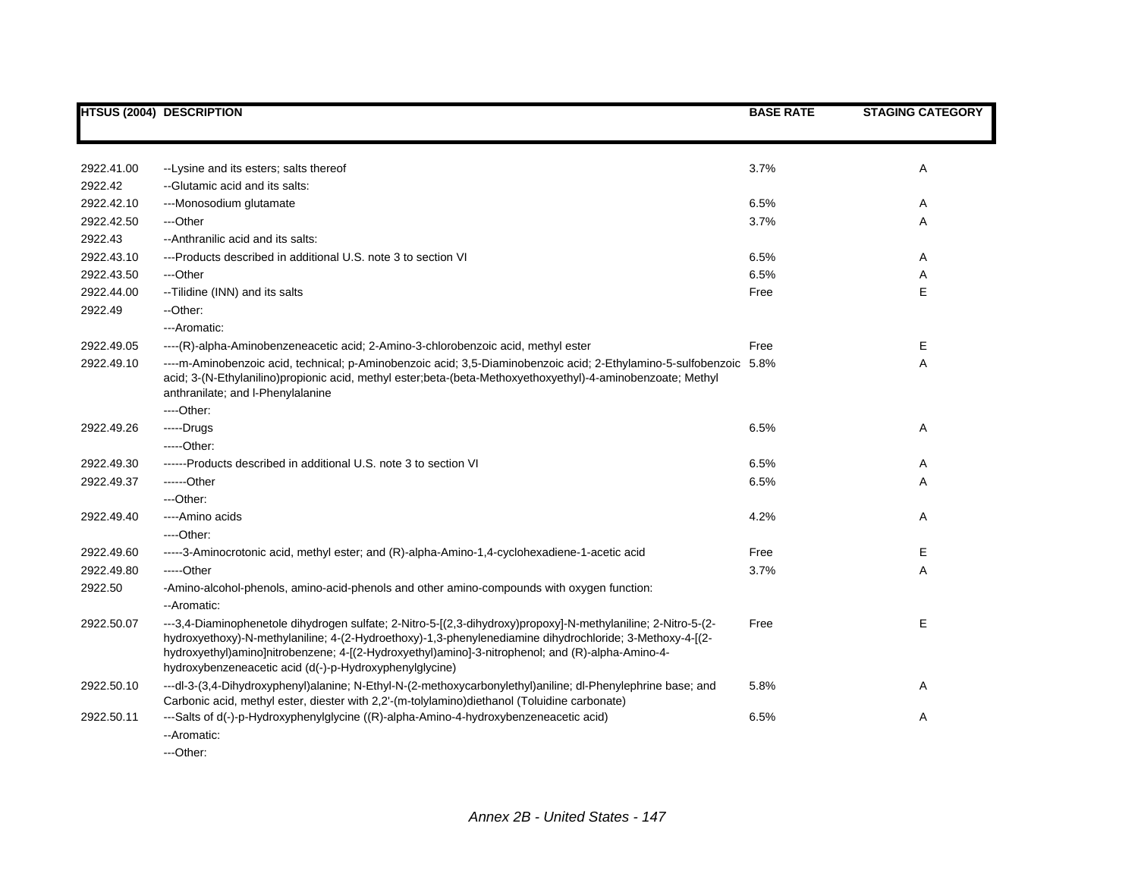|            | <b>HTSUS (2004) DESCRIPTION</b>                                                                                                                                                                                                                                                                                                                                                          | <b>BASE RATE</b> | <b>STAGING CATEGORY</b> |
|------------|------------------------------------------------------------------------------------------------------------------------------------------------------------------------------------------------------------------------------------------------------------------------------------------------------------------------------------------------------------------------------------------|------------------|-------------------------|
|            |                                                                                                                                                                                                                                                                                                                                                                                          |                  |                         |
| 2922.41.00 | -- Lysine and its esters; salts thereof                                                                                                                                                                                                                                                                                                                                                  | 3.7%             | Α                       |
| 2922.42    | -- Glutamic acid and its salts:                                                                                                                                                                                                                                                                                                                                                          |                  |                         |
| 2922.42.10 | ---Monosodium glutamate                                                                                                                                                                                                                                                                                                                                                                  | 6.5%             | A                       |
| 2922.42.50 | ---Other                                                                                                                                                                                                                                                                                                                                                                                 | 3.7%             | Α                       |
| 2922.43    | --Anthranilic acid and its salts:                                                                                                                                                                                                                                                                                                                                                        |                  |                         |
| 2922.43.10 | ---Products described in additional U.S. note 3 to section VI                                                                                                                                                                                                                                                                                                                            | 6.5%             | A                       |
| 2922.43.50 | ---Other                                                                                                                                                                                                                                                                                                                                                                                 | 6.5%             | Α                       |
| 2922.44.00 | --Tilidine (INN) and its salts                                                                                                                                                                                                                                                                                                                                                           | Free             | E                       |
|            |                                                                                                                                                                                                                                                                                                                                                                                          |                  |                         |
| 2922.49    | --Other:                                                                                                                                                                                                                                                                                                                                                                                 |                  |                         |
|            | ---Aromatic:                                                                                                                                                                                                                                                                                                                                                                             |                  |                         |
| 2922.49.05 | ----(R)-alpha-Aminobenzeneacetic acid; 2-Amino-3-chlorobenzoic acid, methyl ester                                                                                                                                                                                                                                                                                                        | Free             | Е                       |
| 2922.49.10 | ----m-Aminobenzoic acid, technical; p-Aminobenzoic acid; 3,5-Diaminobenzoic acid; 2-Ethylamino-5-sulfobenzoic 5.8%<br>acid; 3-(N-Ethylanilino)propionic acid, methyl ester;beta-(beta-Methoxyethoxyethyl)-4-aminobenzoate; Methyl<br>anthranilate; and I-Phenylalanine                                                                                                                   |                  | Α                       |
|            | ----Other:                                                                                                                                                                                                                                                                                                                                                                               |                  |                         |
| 2922.49.26 | $---Drugs$                                                                                                                                                                                                                                                                                                                                                                               | 6.5%             | Α                       |
|            | $---Other:$                                                                                                                                                                                                                                                                                                                                                                              |                  |                         |
| 2922.49.30 | ------Products described in additional U.S. note 3 to section VI                                                                                                                                                                                                                                                                                                                         | 6.5%             | A                       |
| 2922.49.37 | ------Other                                                                                                                                                                                                                                                                                                                                                                              | 6.5%             | Α                       |
|            | ---Other:                                                                                                                                                                                                                                                                                                                                                                                |                  |                         |
| 2922.49.40 | ----Amino acids                                                                                                                                                                                                                                                                                                                                                                          | 4.2%             | Α                       |
|            | ----Other:                                                                                                                                                                                                                                                                                                                                                                               |                  |                         |
| 2922.49.60 | -----3-Aminocrotonic acid, methyl ester; and (R)-alpha-Amino-1,4-cyclohexadiene-1-acetic acid                                                                                                                                                                                                                                                                                            | Free             | E                       |
| 2922.49.80 | -----Other                                                                                                                                                                                                                                                                                                                                                                               | 3.7%             | Α                       |
| 2922.50    | -Amino-alcohol-phenols, amino-acid-phenols and other amino-compounds with oxygen function:<br>--Aromatic:                                                                                                                                                                                                                                                                                |                  |                         |
| 2922.50.07 | ---3,4-Diaminophenetole dihydrogen sulfate; 2-Nitro-5-[(2,3-dihydroxy)propoxy]-N-methylaniline; 2-Nitro-5-(2-<br>hydroxyethoxy)-N-methylaniline; 4-(2-Hydroethoxy)-1,3-phenylenediamine dihydrochloride; 3-Methoxy-4-[(2-<br>hydroxyethyl)amino]nitrobenzene; 4-[(2-Hydroxyethyl)amino]-3-nitrophenol; and (R)-alpha-Amino-4-<br>hydroxybenzeneacetic acid (d(-)-p-Hydroxyphenylglycine) | Free             | E                       |
| 2922.50.10 | ---dl-3-(3,4-Dihydroxyphenyl)alanine; N-Ethyl-N-(2-methoxycarbonylethyl)aniline; dl-Phenylephrine base; and<br>Carbonic acid, methyl ester, diester with 2,2'-(m-tolylamino)diethanol (Toluidine carbonate)                                                                                                                                                                              | 5.8%             | Α                       |
| 2922.50.11 | ---Salts of d(-)-p-Hydroxyphenylglycine ((R)-alpha-Amino-4-hydroxybenzeneacetic acid)<br>--Aromatic:                                                                                                                                                                                                                                                                                     | 6.5%             | Α                       |

---Other: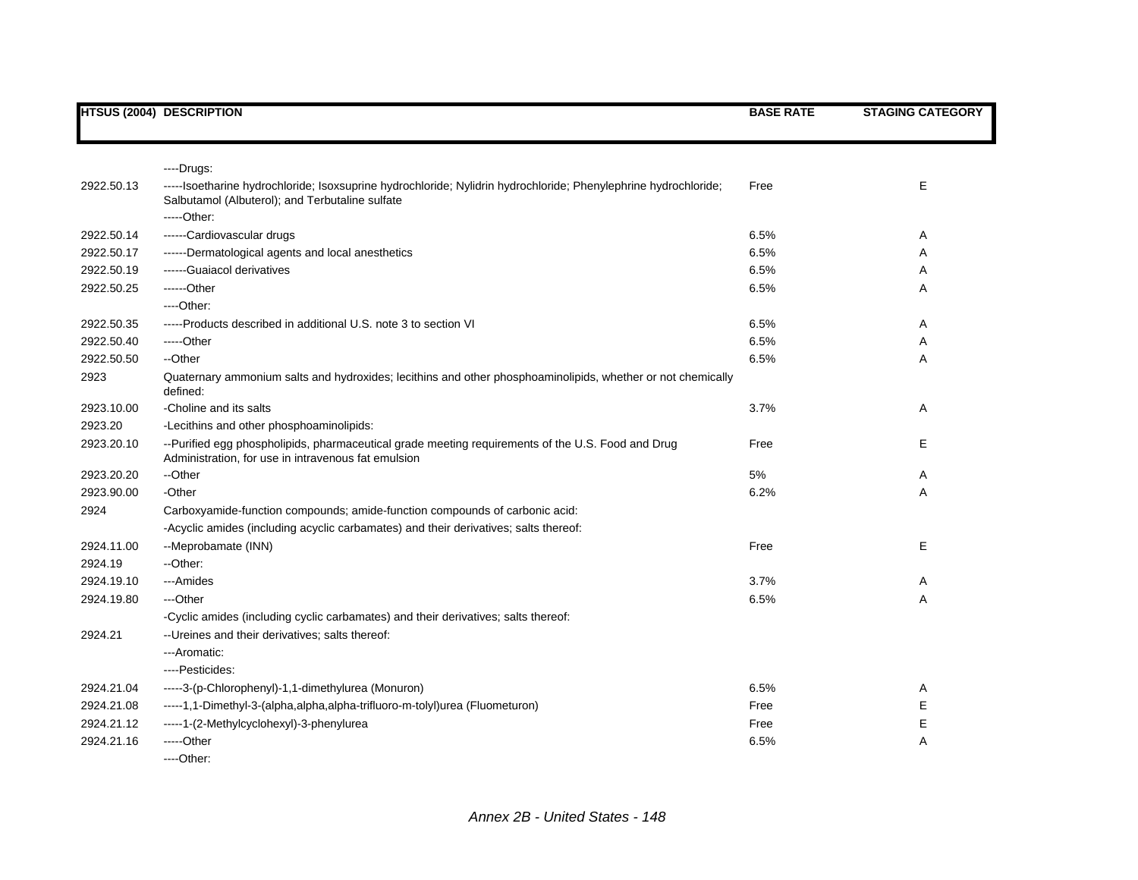|            | <b>HTSUS (2004) DESCRIPTION</b>                                                                                                                                                   | <b>BASE RATE</b> | <b>STAGING CATEGORY</b> |
|------------|-----------------------------------------------------------------------------------------------------------------------------------------------------------------------------------|------------------|-------------------------|
|            |                                                                                                                                                                                   |                  |                         |
|            | ----Drugs:                                                                                                                                                                        |                  |                         |
| 2922.50.13 | -----Isoetharine hydrochloride; Isoxsuprine hydrochloride; Nylidrin hydrochloride; Phenylephrine hydrochloride;<br>Salbutamol (Albuterol); and Terbutaline sulfate<br>$---Other.$ | Free             | E                       |
| 2922.50.14 | ------Cardiovascular drugs                                                                                                                                                        | 6.5%             | Α                       |
| 2922.50.17 | ------Dermatological agents and local anesthetics                                                                                                                                 | 6.5%             | Α                       |
| 2922.50.19 | ------Guaiacol derivatives                                                                                                                                                        | 6.5%             | Α                       |
| 2922.50.25 | ------Other                                                                                                                                                                       | 6.5%             | Α                       |
|            | ---Other:                                                                                                                                                                         |                  |                         |
| 2922.50.35 | -----Products described in additional U.S. note 3 to section VI                                                                                                                   | 6.5%             | Α                       |
| 2922.50.40 | -----Other                                                                                                                                                                        | 6.5%             | Α                       |
| 2922.50.50 | --Other                                                                                                                                                                           | 6.5%             | Α                       |
| 2923       | Quaternary ammonium salts and hydroxides; lecithins and other phosphoaminolipids, whether or not chemically<br>defined:                                                           |                  |                         |
| 2923.10.00 | -Choline and its salts                                                                                                                                                            | 3.7%             | Α                       |
| 2923.20    | -Lecithins and other phosphoaminolipids:                                                                                                                                          |                  |                         |
| 2923.20.10 | --Purified egg phospholipids, pharmaceutical grade meeting requirements of the U.S. Food and Drug<br>Administration, for use in intravenous fat emulsion                          | Free             | E                       |
| 2923.20.20 | --Other                                                                                                                                                                           | 5%               | Α                       |
| 2923.90.00 | -Other                                                                                                                                                                            | 6.2%             | A                       |
| 2924       | Carboxyamide-function compounds; amide-function compounds of carbonic acid:                                                                                                       |                  |                         |
|            | -Acyclic amides (including acyclic carbamates) and their derivatives; salts thereof:                                                                                              |                  |                         |
| 2924.11.00 | --Meprobamate (INN)                                                                                                                                                               | Free             | Е                       |
| 2924.19    | --Other:                                                                                                                                                                          |                  |                         |
| 2924.19.10 | ---Amides                                                                                                                                                                         | 3.7%             | Α                       |
| 2924.19.80 | ---Other                                                                                                                                                                          | 6.5%             | Α                       |
|            | -Cyclic amides (including cyclic carbamates) and their derivatives; salts thereof:                                                                                                |                  |                         |
| 2924.21    | -- Ureines and their derivatives; salts thereof:                                                                                                                                  |                  |                         |
|            | ---Aromatic:                                                                                                                                                                      |                  |                         |
|            | ----Pesticides:                                                                                                                                                                   |                  |                         |
| 2924.21.04 | -----3-(p-Chlorophenyl)-1,1-dimethylurea (Monuron)                                                                                                                                | 6.5%             | Α                       |
| 2924.21.08 | -----1,1-Dimethyl-3-(alpha,alpha,alpha-trifluoro-m-tolyl)urea (Fluometuron)                                                                                                       | Free             | Е                       |
| 2924.21.12 | -----1-(2-Methylcyclohexyl)-3-phenylurea                                                                                                                                          | Free             | Е                       |
| 2924.21.16 | $---Other$                                                                                                                                                                        | 6.5%             | Α                       |
|            | ----Other:                                                                                                                                                                        |                  |                         |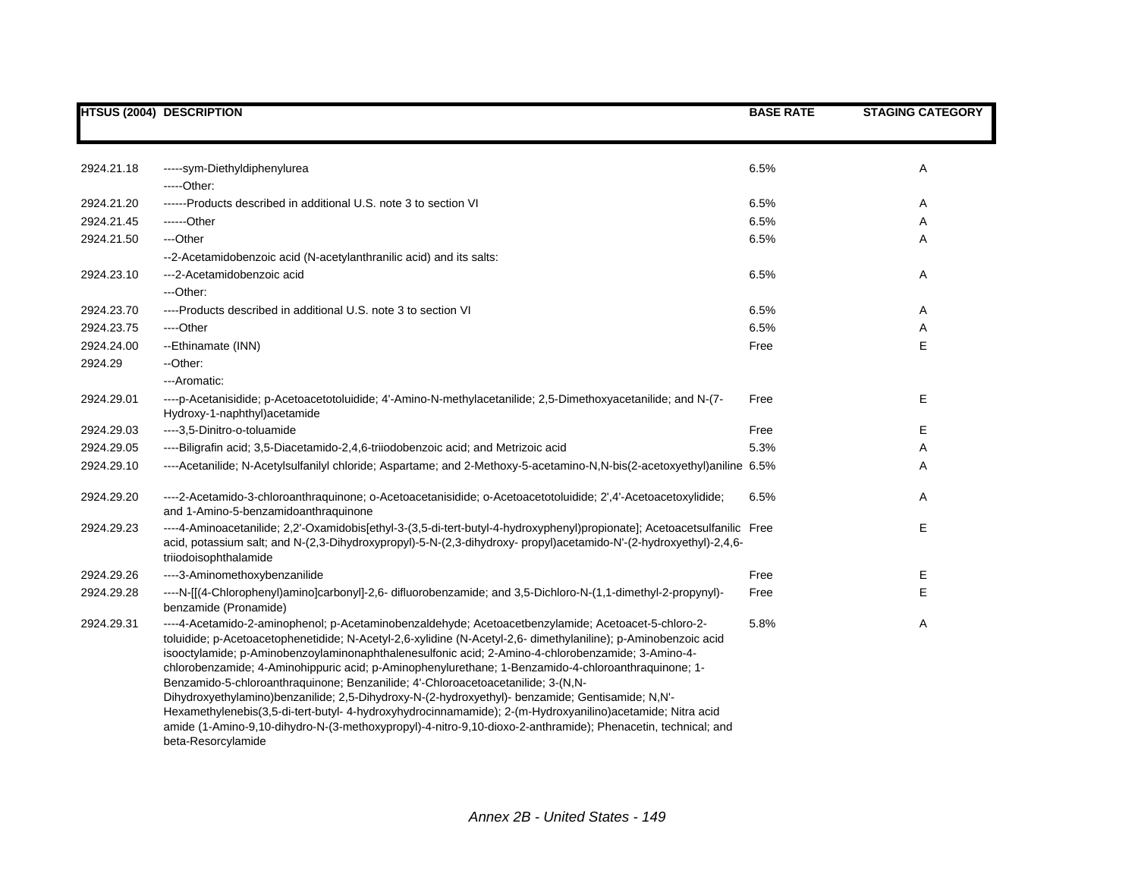|            | <b>HTSUS (2004) DESCRIPTION</b>                                                                                                                                                                                                                                                                                                                                                                                                                                                                                                                                                                                                                                                                                                                                                                                                                                              | <b>BASE RATE</b> | <b>STAGING CATEGORY</b> |
|------------|------------------------------------------------------------------------------------------------------------------------------------------------------------------------------------------------------------------------------------------------------------------------------------------------------------------------------------------------------------------------------------------------------------------------------------------------------------------------------------------------------------------------------------------------------------------------------------------------------------------------------------------------------------------------------------------------------------------------------------------------------------------------------------------------------------------------------------------------------------------------------|------------------|-------------------------|
|            |                                                                                                                                                                                                                                                                                                                                                                                                                                                                                                                                                                                                                                                                                                                                                                                                                                                                              |                  |                         |
| 2924.21.18 | -----sym-Diethyldiphenylurea                                                                                                                                                                                                                                                                                                                                                                                                                                                                                                                                                                                                                                                                                                                                                                                                                                                 | 6.5%             | Α                       |
|            | $---Other:$                                                                                                                                                                                                                                                                                                                                                                                                                                                                                                                                                                                                                                                                                                                                                                                                                                                                  |                  |                         |
| 2924.21.20 | ------Products described in additional U.S. note 3 to section VI                                                                                                                                                                                                                                                                                                                                                                                                                                                                                                                                                                                                                                                                                                                                                                                                             | 6.5%             | Α                       |
| 2924.21.45 | ------Other                                                                                                                                                                                                                                                                                                                                                                                                                                                                                                                                                                                                                                                                                                                                                                                                                                                                  | 6.5%             | Α                       |
| 2924.21.50 | ---Other                                                                                                                                                                                                                                                                                                                                                                                                                                                                                                                                                                                                                                                                                                                                                                                                                                                                     | 6.5%             | Α                       |
|            | --2-Acetamidobenzoic acid (N-acetylanthranilic acid) and its salts:                                                                                                                                                                                                                                                                                                                                                                                                                                                                                                                                                                                                                                                                                                                                                                                                          |                  |                         |
| 2924.23.10 | ---2-Acetamidobenzoic acid                                                                                                                                                                                                                                                                                                                                                                                                                                                                                                                                                                                                                                                                                                                                                                                                                                                   | 6.5%             | Α                       |
|            | ---Other:                                                                                                                                                                                                                                                                                                                                                                                                                                                                                                                                                                                                                                                                                                                                                                                                                                                                    |                  |                         |
| 2924.23.70 | ----Products described in additional U.S. note 3 to section VI                                                                                                                                                                                                                                                                                                                                                                                                                                                                                                                                                                                                                                                                                                                                                                                                               | 6.5%             | Α                       |
| 2924.23.75 | ----Other                                                                                                                                                                                                                                                                                                                                                                                                                                                                                                                                                                                                                                                                                                                                                                                                                                                                    | 6.5%             | Α                       |
| 2924.24.00 | --Ethinamate (INN)                                                                                                                                                                                                                                                                                                                                                                                                                                                                                                                                                                                                                                                                                                                                                                                                                                                           | Free             | E                       |
| 2924.29    | --Other:                                                                                                                                                                                                                                                                                                                                                                                                                                                                                                                                                                                                                                                                                                                                                                                                                                                                     |                  |                         |
|            | ---Aromatic:                                                                                                                                                                                                                                                                                                                                                                                                                                                                                                                                                                                                                                                                                                                                                                                                                                                                 |                  |                         |
| 2924.29.01 | ----p-Acetanisidide; p-Acetoacetotoluidide; 4'-Amino-N-methylacetanilide; 2,5-Dimethoxyacetanilide; and N-(7-<br>Hydroxy-1-naphthyl) acetamide                                                                                                                                                                                                                                                                                                                                                                                                                                                                                                                                                                                                                                                                                                                               | Free             | E                       |
| 2924.29.03 | ----3,5-Dinitro-o-toluamide                                                                                                                                                                                                                                                                                                                                                                                                                                                                                                                                                                                                                                                                                                                                                                                                                                                  | Free             | Е                       |
| 2924.29.05 | ----Biligrafin acid; 3,5-Diacetamido-2,4,6-triiodobenzoic acid; and Metrizoic acid                                                                                                                                                                                                                                                                                                                                                                                                                                                                                                                                                                                                                                                                                                                                                                                           | 5.3%             | Α                       |
| 2924.29.10 | ----Acetanilide; N-Acetylsulfanilyl chloride; Aspartame; and 2-Methoxy-5-acetamino-N,N-bis(2-acetoxyethyl)aniline 6.5%                                                                                                                                                                                                                                                                                                                                                                                                                                                                                                                                                                                                                                                                                                                                                       |                  | Α                       |
| 2924.29.20 | ----2-Acetamido-3-chloroanthraquinone; o-Acetoacetanisidide; o-Acetoacetotoluidide; 2',4'-Acetoacetoxylidide;<br>and 1-Amino-5-benzamidoanthraquinone                                                                                                                                                                                                                                                                                                                                                                                                                                                                                                                                                                                                                                                                                                                        | 6.5%             | Α                       |
| 2924.29.23 | ----4-Aminoacetanilide; 2,2'-Oxamidobis[ethyl-3-(3,5-di-tert-butyl-4-hydroxyphenyl)propionate]; Acetoacetsulfanilic Free<br>acid, potassium salt; and N-(2,3-Dihydroxypropyl)-5-N-(2,3-dihydroxy- propyl)acetamido-N'-(2-hydroxyethyl)-2,4,6-<br>triiodoisophthalamide                                                                                                                                                                                                                                                                                                                                                                                                                                                                                                                                                                                                       |                  | E                       |
| 2924.29.26 | ----3-Aminomethoxybenzanilide                                                                                                                                                                                                                                                                                                                                                                                                                                                                                                                                                                                                                                                                                                                                                                                                                                                | Free             | Е                       |
| 2924.29.28 | ----N-[[(4-Chlorophenyl)amino]carbonyl]-2,6- difluorobenzamide; and 3,5-Dichloro-N-(1,1-dimethyl-2-propynyl)-<br>benzamide (Pronamide)                                                                                                                                                                                                                                                                                                                                                                                                                                                                                                                                                                                                                                                                                                                                       | Free             | E                       |
| 2924.29.31 | ----4-Acetamido-2-aminophenol; p-Acetaminobenzaldehyde; Acetoacetbenzylamide; Acetoacet-5-chloro-2-<br>toluidide; p-Acetoacetophenetidide; N-Acetyl-2,6-xylidine (N-Acetyl-2,6- dimethylaniline); p-Aminobenzoic acid<br>isooctylamide; p-Aminobenzoylaminonaphthalenesulfonic acid; 2-Amino-4-chlorobenzamide; 3-Amino-4-<br>chlorobenzamide; 4-Aminohippuric acid; p-Aminophenylurethane; 1-Benzamido-4-chloroanthraquinone; 1-<br>Benzamido-5-chloroanthraquinone; Benzanilide; 4'-Chloroacetoacetanilide; 3-(N,N-<br>Dihydroxyethylamino)benzanilide; 2,5-Dihydroxy-N-(2-hydroxyethyl)- benzamide; Gentisamide; N,N'-<br>Hexamethylenebis(3,5-di-tert-butyl- 4-hydroxyhydrocinnamamide); 2-(m-Hydroxyanilino)acetamide; Nitra acid<br>amide (1-Amino-9,10-dihydro-N-(3-methoxypropyl)-4-nitro-9,10-dioxo-2-anthramide); Phenacetin, technical; and<br>beta-Resorcylamide | 5.8%             | Α                       |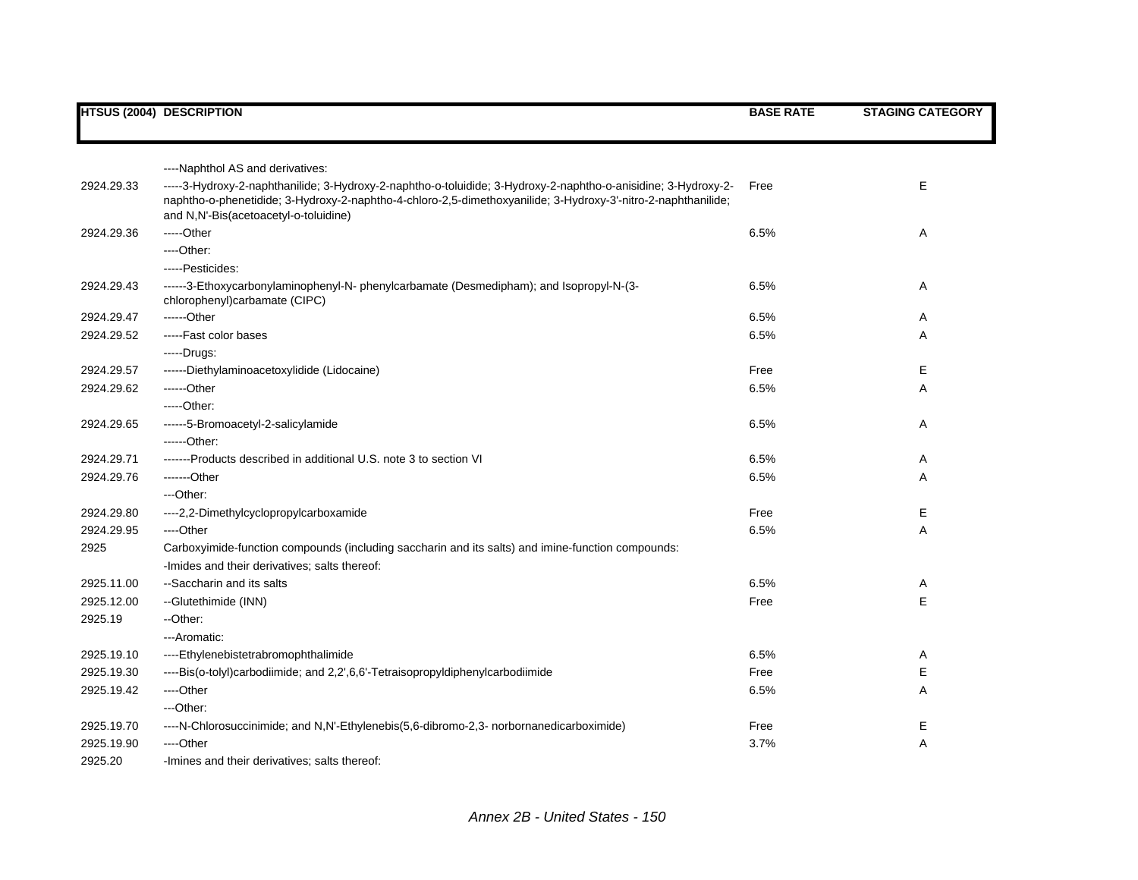|            | <b>HTSUS (2004) DESCRIPTION</b>                                                                                                                                                                                                                                          | <b>BASE RATE</b> | <b>STAGING CATEGORY</b> |
|------------|--------------------------------------------------------------------------------------------------------------------------------------------------------------------------------------------------------------------------------------------------------------------------|------------------|-------------------------|
|            |                                                                                                                                                                                                                                                                          |                  |                         |
|            |                                                                                                                                                                                                                                                                          |                  |                         |
|            | ----Naphthol AS and derivatives:                                                                                                                                                                                                                                         |                  |                         |
| 2924.29.33 | -----3-Hydroxy-2-naphthanilide; 3-Hydroxy-2-naphtho-o-toluidide; 3-Hydroxy-2-naphtho-o-anisidine; 3-Hydroxy-2-<br>naphtho-o-phenetidide; 3-Hydroxy-2-naphtho-4-chloro-2,5-dimethoxyanilide; 3-Hydroxy-3'-nitro-2-naphthanilide;<br>and N,N'-Bis(acetoacetyl-o-toluidine) | Free             | E                       |
| 2924.29.36 | -----Other                                                                                                                                                                                                                                                               | 6.5%             | Α                       |
|            | $---Other:$                                                                                                                                                                                                                                                              |                  |                         |
|            | -----Pesticides:                                                                                                                                                                                                                                                         |                  |                         |
| 2924.29.43 | ------3-Ethoxycarbonylaminophenyl-N- phenylcarbamate (Desmedipham); and Isopropyl-N-(3-<br>chlorophenyl)carbamate (CIPC)                                                                                                                                                 | 6.5%             | Α                       |
| 2924.29.47 | $---Other$                                                                                                                                                                                                                                                               | 6.5%             | Α                       |
| 2924.29.52 | -----Fast color bases                                                                                                                                                                                                                                                    | 6.5%             | A                       |
|            | -----Drugs:                                                                                                                                                                                                                                                              |                  |                         |
| 2924.29.57 | ------Diethylaminoacetoxylidide (Lidocaine)                                                                                                                                                                                                                              | Free             | E                       |
| 2924.29.62 | ------Other                                                                                                                                                                                                                                                              | 6.5%             | Α                       |
|            | $---Other.$                                                                                                                                                                                                                                                              |                  |                         |
| 2924.29.65 | ------5-Bromoacetyl-2-salicylamide                                                                                                                                                                                                                                       | 6.5%             | Α                       |
|            | ------Other:                                                                                                                                                                                                                                                             |                  |                         |
| 2924.29.71 | -------Products described in additional U.S. note 3 to section VI                                                                                                                                                                                                        | 6.5%             | Α                       |
| 2924.29.76 | -------Other                                                                                                                                                                                                                                                             | 6.5%             | Α                       |
|            | ---Other:                                                                                                                                                                                                                                                                |                  |                         |
| 2924.29.80 | ---- 2, 2-Dimethylcyclopropylcarboxamide                                                                                                                                                                                                                                 | Free             | Е                       |
| 2924.29.95 | ----Other                                                                                                                                                                                                                                                                | 6.5%             | A                       |
| 2925       | Carboxyimide-function compounds (including saccharin and its salts) and imine-function compounds:                                                                                                                                                                        |                  |                         |
|            | -Imides and their derivatives; salts thereof:                                                                                                                                                                                                                            |                  |                         |
| 2925.11.00 | --Saccharin and its salts                                                                                                                                                                                                                                                | 6.5%             | Α                       |
| 2925.12.00 | --Glutethimide (INN)                                                                                                                                                                                                                                                     | Free             | E                       |
| 2925.19    | --Other:                                                                                                                                                                                                                                                                 |                  |                         |
|            | ---Aromatic:                                                                                                                                                                                                                                                             |                  |                         |
| 2925.19.10 | ----Ethylenebistetrabromophthalimide                                                                                                                                                                                                                                     | 6.5%             | Α                       |
| 2925.19.30 | ----Bis(o-tolyl)carbodiimide; and 2,2',6,6'-Tetraisopropyldiphenylcarbodiimide                                                                                                                                                                                           | Free             | Е                       |
| 2925.19.42 | ----Other                                                                                                                                                                                                                                                                | 6.5%             | Α                       |
|            | ---Other:                                                                                                                                                                                                                                                                |                  |                         |
| 2925.19.70 | ----N-Chlorosuccinimide; and N,N'-Ethylenebis(5,6-dibromo-2,3- norbornanedicarboximide)                                                                                                                                                                                  | Free             | Ε                       |
| 2925.19.90 | ----Other                                                                                                                                                                                                                                                                | 3.7%             | Α                       |
| 2925.20    | -Imines and their derivatives; salts thereof:                                                                                                                                                                                                                            |                  |                         |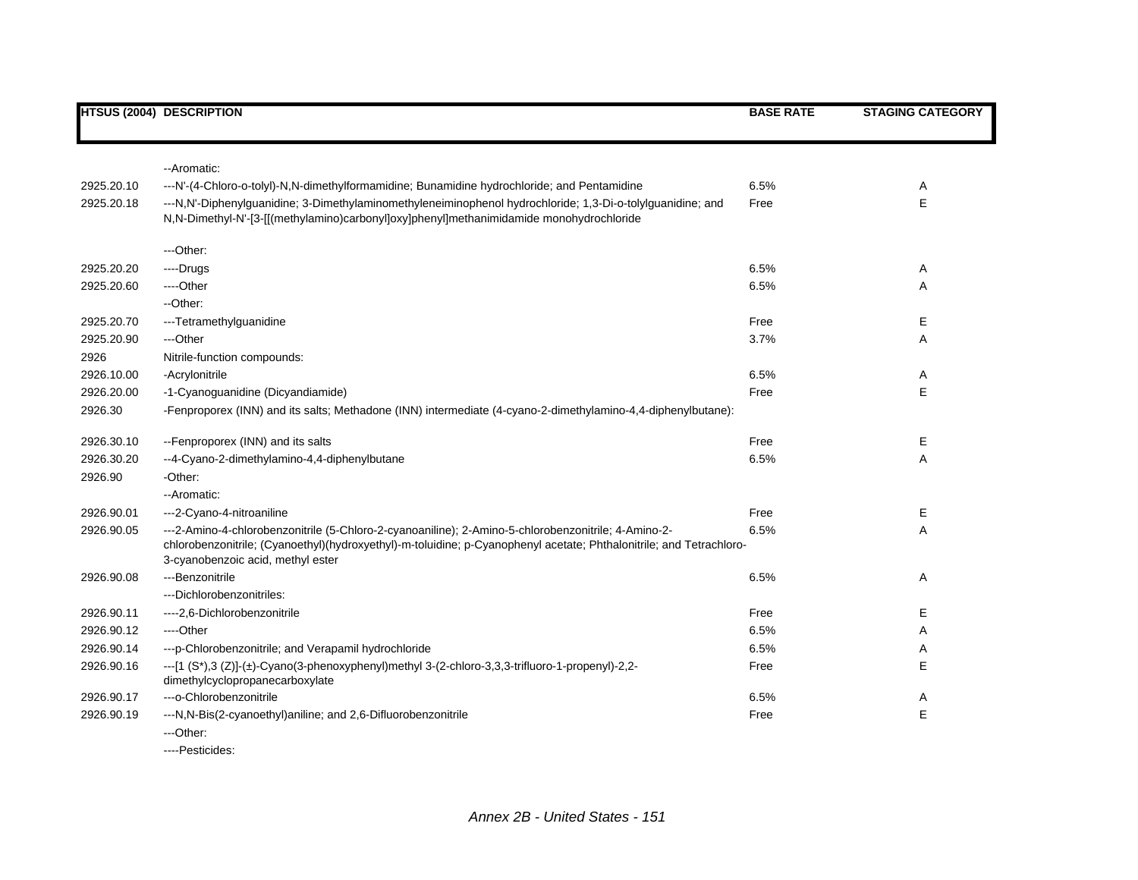|            | <b>HTSUS (2004) DESCRIPTION</b>                                                                                                                                                                                                                                 | <b>BASE RATE</b> | <b>STAGING CATEGORY</b> |
|------------|-----------------------------------------------------------------------------------------------------------------------------------------------------------------------------------------------------------------------------------------------------------------|------------------|-------------------------|
|            | --Aromatic:                                                                                                                                                                                                                                                     |                  |                         |
| 2925.20.10 | ---N'-(4-Chloro-o-tolyl)-N,N-dimethylformamidine; Bunamidine hydrochloride; and Pentamidine                                                                                                                                                                     | 6.5%             | Α                       |
| 2925.20.18 | ---N,N'-Diphenylguanidine; 3-Dimethylaminomethyleneiminophenol hydrochloride; 1,3-Di-o-tolylguanidine; and<br>N,N-Dimethyl-N'-[3-[[(methylamino)carbonyl]oxy]phenyl]methanimidamide monohydrochloride                                                           | Free             | E                       |
|            | ---Other:                                                                                                                                                                                                                                                       |                  |                         |
| 2925.20.20 | ---Drugs                                                                                                                                                                                                                                                        | 6.5%             | Α                       |
| 2925.20.60 | ---Other                                                                                                                                                                                                                                                        | 6.5%             | Α                       |
|            | --Other:                                                                                                                                                                                                                                                        |                  |                         |
| 2925.20.70 | ---Tetramethylguanidine                                                                                                                                                                                                                                         | Free             | Е                       |
| 2925.20.90 | ---Other                                                                                                                                                                                                                                                        | 3.7%             | Α                       |
| 2926       | Nitrile-function compounds:                                                                                                                                                                                                                                     |                  |                         |
| 2926.10.00 | -Acrylonitrile                                                                                                                                                                                                                                                  | 6.5%             | Α                       |
| 2926.20.00 | -1-Cyanoguanidine (Dicyandiamide)                                                                                                                                                                                                                               | Free             | E                       |
| 2926.30    | -Fenproporex (INN) and its salts; Methadone (INN) intermediate (4-cyano-2-dimethylamino-4,4-diphenylbutane):                                                                                                                                                    |                  |                         |
| 2926.30.10 | -- Fenproporex (INN) and its salts                                                                                                                                                                                                                              | Free             | Е                       |
| 2926.30.20 | --4-Cyano-2-dimethylamino-4,4-diphenylbutane                                                                                                                                                                                                                    | 6.5%             | Α                       |
| 2926.90    | -Other:                                                                                                                                                                                                                                                         |                  |                         |
|            | --Aromatic:                                                                                                                                                                                                                                                     |                  |                         |
| 2926.90.01 | ---2-Cyano-4-nitroaniline                                                                                                                                                                                                                                       | Free             | Е                       |
| 2926.90.05 | ---2-Amino-4-chlorobenzonitrile (5-Chloro-2-cyanoaniline); 2-Amino-5-chlorobenzonitrile; 4-Amino-2-<br>chlorobenzonitrile; (Cyanoethyl)(hydroxyethyl)-m-toluidine; p-Cyanophenyl acetate; Phthalonitrile; and Tetrachloro-<br>3-cyanobenzoic acid, methyl ester | 6.5%             | Α                       |
| 2926.90.08 | ---Benzonitrile                                                                                                                                                                                                                                                 | 6.5%             | Α                       |
|            | ---Dichlorobenzonitriles:                                                                                                                                                                                                                                       |                  |                         |
| 2926.90.11 | ---- 2,6-Dichlorobenzonitrile                                                                                                                                                                                                                                   | Free             | Е                       |
| 2926.90.12 | ----Other                                                                                                                                                                                                                                                       | 6.5%             | Α                       |
| 2926.90.14 | --- p-Chlorobenzonitrile; and Verapamil hydrochloride                                                                                                                                                                                                           | 6.5%             | Α                       |
| 2926.90.16 | ---[1 (S*),3 (Z)]-(±)-Cyano(3-phenoxyphenyl)methyl 3-(2-chloro-3,3,3-trifluoro-1-propenyl)-2,2-<br>dimethylcyclopropanecarboxylate                                                                                                                              | Free             | E                       |
| 2926.90.17 | ---o-Chlorobenzonitrile                                                                                                                                                                                                                                         | 6.5%             | Α                       |
| 2926.90.19 | ---N,N-Bis(2-cyanoethyl)aniline; and 2,6-Difluorobenzonitrile                                                                                                                                                                                                   | Free             | E                       |
|            | ---Other:                                                                                                                                                                                                                                                       |                  |                         |

----Pesticides: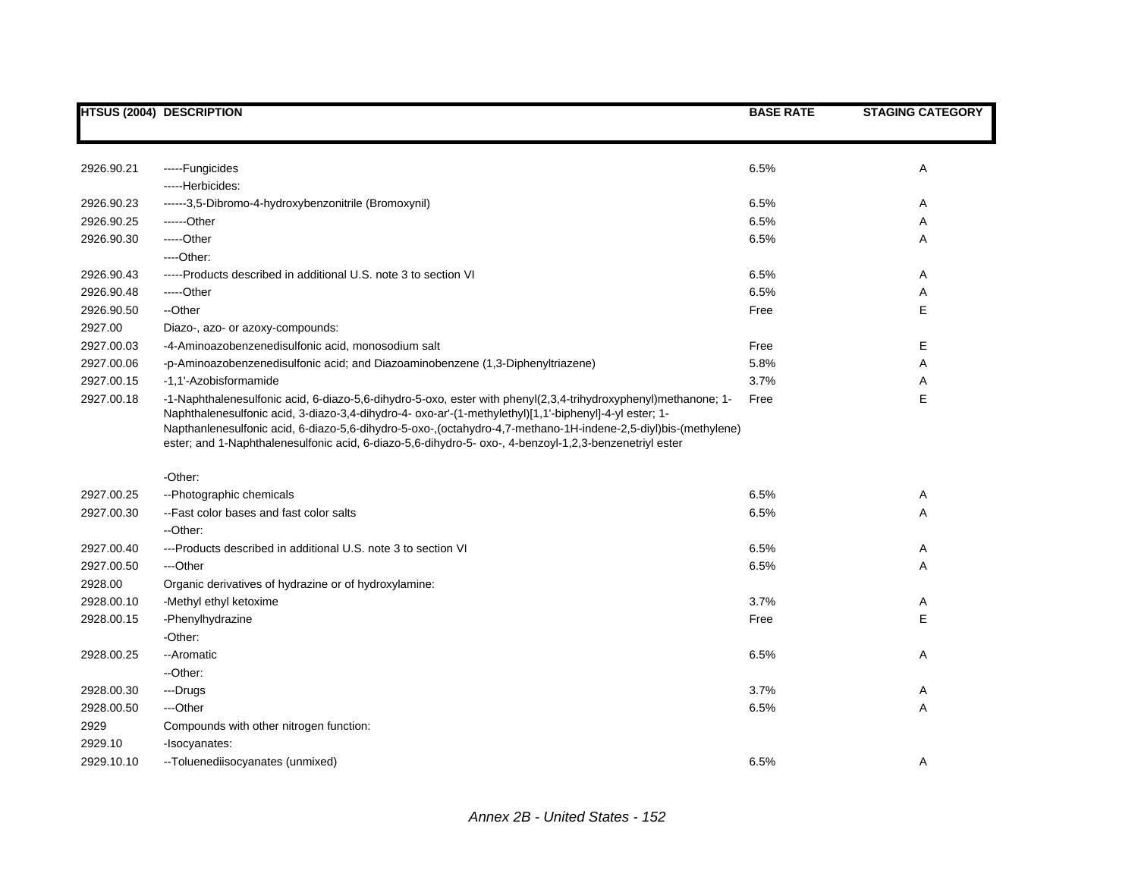|            | <b>HTSUS (2004) DESCRIPTION</b>                                                                                                                                                                                                                                                                                                                                                                                                                      | <b>BASE RATE</b> | <b>STAGING CATEGORY</b> |
|------------|------------------------------------------------------------------------------------------------------------------------------------------------------------------------------------------------------------------------------------------------------------------------------------------------------------------------------------------------------------------------------------------------------------------------------------------------------|------------------|-------------------------|
|            |                                                                                                                                                                                                                                                                                                                                                                                                                                                      |                  |                         |
| 2926.90.21 | -----Fungicides                                                                                                                                                                                                                                                                                                                                                                                                                                      | 6.5%             | Α                       |
|            | -----Herbicides:                                                                                                                                                                                                                                                                                                                                                                                                                                     |                  |                         |
| 2926.90.23 | ------3,5-Dibromo-4-hydroxybenzonitrile (Bromoxynil)                                                                                                                                                                                                                                                                                                                                                                                                 | 6.5%             | Α                       |
| 2926.90.25 | ------Other                                                                                                                                                                                                                                                                                                                                                                                                                                          | 6.5%             | Α                       |
| 2926.90.30 | -----Other                                                                                                                                                                                                                                                                                                                                                                                                                                           | 6.5%             | Α                       |
|            | $---Other.$                                                                                                                                                                                                                                                                                                                                                                                                                                          |                  |                         |
| 2926.90.43 | -----Products described in additional U.S. note 3 to section VI                                                                                                                                                                                                                                                                                                                                                                                      | 6.5%             | Α                       |
| 2926.90.48 | -----Other                                                                                                                                                                                                                                                                                                                                                                                                                                           | 6.5%             | Α                       |
| 2926.90.50 | --Other                                                                                                                                                                                                                                                                                                                                                                                                                                              | Free             | Е                       |
| 2927.00    | Diazo-, azo- or azoxy-compounds:                                                                                                                                                                                                                                                                                                                                                                                                                     |                  |                         |
| 2927.00.03 | -4-Aminoazobenzenedisulfonic acid, monosodium salt                                                                                                                                                                                                                                                                                                                                                                                                   | Free             | Е                       |
| 2927.00.06 | -p-Aminoazobenzenedisulfonic acid; and Diazoaminobenzene (1,3-Diphenyltriazene)                                                                                                                                                                                                                                                                                                                                                                      | 5.8%             | Α                       |
| 2927.00.15 | -1.1'-Azobisformamide                                                                                                                                                                                                                                                                                                                                                                                                                                | 3.7%             | Α                       |
| 2927.00.18 | -1-Naphthalenesulfonic acid, 6-diazo-5,6-dihydro-5-oxo, ester with phenyl(2,3,4-trihydroxyphenyl)methanone; 1-<br>Naphthalenesulfonic acid, 3-diazo-3,4-dihydro-4- oxo-ar'-(1-methylethyl)[1,1'-biphenyl]-4-yl ester; 1-<br>Napthanlenesulfonic acid, 6-diazo-5,6-dihydro-5-oxo-,(octahydro-4,7-methano-1H-indene-2,5-diyl)bis-(methylene)<br>ester; and 1-Naphthalenesulfonic acid, 6-diazo-5,6-dihydro-5- oxo-, 4-benzoyl-1,2,3-benzenetriyl ester | Free             | E                       |
|            | -Other:                                                                                                                                                                                                                                                                                                                                                                                                                                              |                  |                         |
| 2927.00.25 | --Photographic chemicals                                                                                                                                                                                                                                                                                                                                                                                                                             | 6.5%             | Α                       |
| 2927.00.30 | --Fast color bases and fast color salts                                                                                                                                                                                                                                                                                                                                                                                                              | 6.5%             | Α                       |
|            | --Other:                                                                                                                                                                                                                                                                                                                                                                                                                                             |                  |                         |
| 2927.00.40 | ---Products described in additional U.S. note 3 to section VI                                                                                                                                                                                                                                                                                                                                                                                        | 6.5%             | Α                       |
| 2927.00.50 | ---Other                                                                                                                                                                                                                                                                                                                                                                                                                                             | 6.5%             | Α                       |
| 2928.00    | Organic derivatives of hydrazine or of hydroxylamine:                                                                                                                                                                                                                                                                                                                                                                                                |                  |                         |
| 2928.00.10 | -Methyl ethyl ketoxime                                                                                                                                                                                                                                                                                                                                                                                                                               | 3.7%             | Α                       |
| 2928.00.15 | -Phenylhydrazine                                                                                                                                                                                                                                                                                                                                                                                                                                     | Free             | E                       |
|            | -Other:                                                                                                                                                                                                                                                                                                                                                                                                                                              |                  |                         |
| 2928.00.25 | --Aromatic                                                                                                                                                                                                                                                                                                                                                                                                                                           | 6.5%             | Α                       |
|            | --Other:                                                                                                                                                                                                                                                                                                                                                                                                                                             |                  |                         |
| 2928.00.30 | ---Drugs                                                                                                                                                                                                                                                                                                                                                                                                                                             | 3.7%             | Α                       |
| 2928.00.50 | ---Other                                                                                                                                                                                                                                                                                                                                                                                                                                             | 6.5%             | Α                       |
| 2929       | Compounds with other nitrogen function:                                                                                                                                                                                                                                                                                                                                                                                                              |                  |                         |
| 2929.10    | -Isocyanates:                                                                                                                                                                                                                                                                                                                                                                                                                                        |                  |                         |
| 2929.10.10 | --Toluenediisocyanates (unmixed)                                                                                                                                                                                                                                                                                                                                                                                                                     | 6.5%             | Α                       |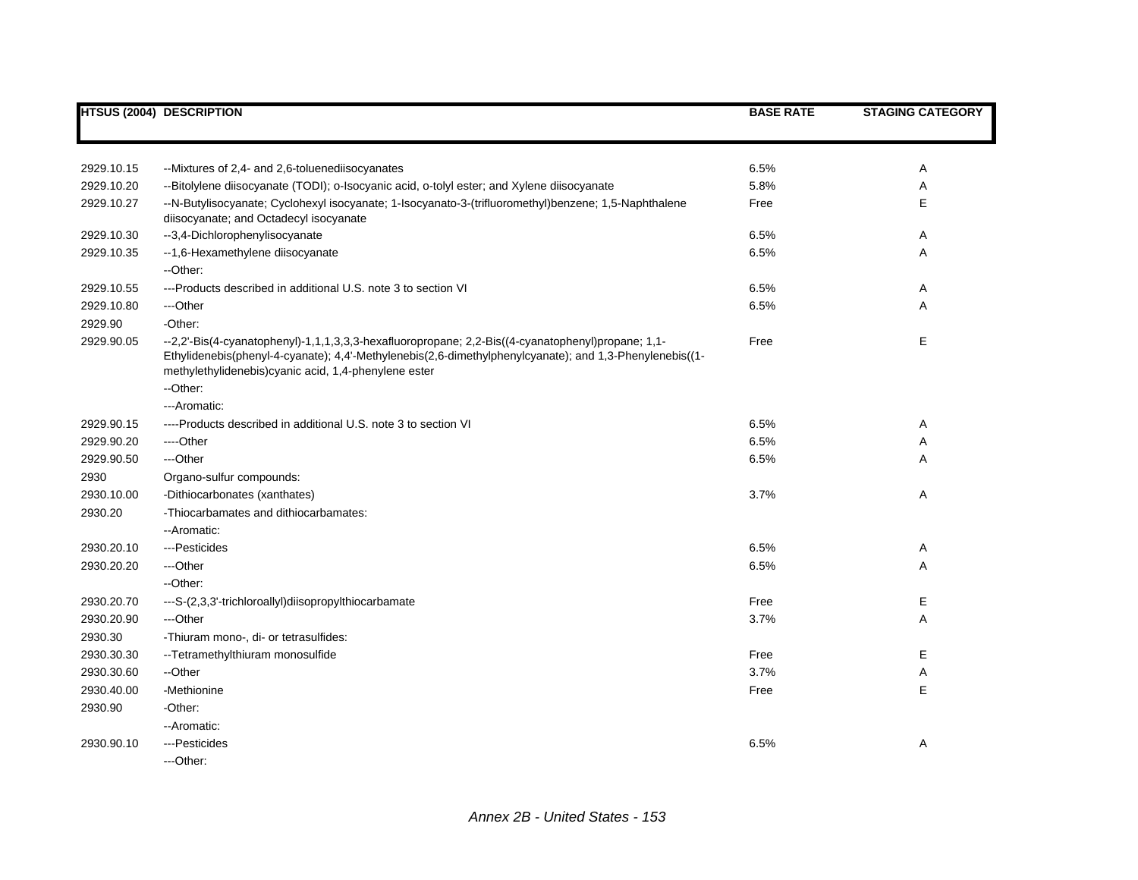|            | <b>HTSUS (2004) DESCRIPTION</b>                                                                                                                                                                                                                                       | <b>BASE RATE</b> | <b>STAGING CATEGORY</b> |
|------------|-----------------------------------------------------------------------------------------------------------------------------------------------------------------------------------------------------------------------------------------------------------------------|------------------|-------------------------|
|            |                                                                                                                                                                                                                                                                       |                  |                         |
|            |                                                                                                                                                                                                                                                                       |                  |                         |
| 2929.10.15 | --Mixtures of 2,4- and 2,6-toluenediisocyanates                                                                                                                                                                                                                       | 6.5%             | Α                       |
| 2929.10.20 | --Bitolylene diisocyanate (TODI); o-Isocyanic acid, o-tolyl ester; and Xylene diisocyanate                                                                                                                                                                            | 5.8%             | Α                       |
| 2929.10.27 | --N-Butylisocyanate; Cyclohexyl isocyanate; 1-Isocyanato-3-(trifluoromethyl)benzene; 1,5-Naphthalene<br>diisocyanate; and Octadecyl isocyanate                                                                                                                        | Free             | E                       |
| 2929.10.30 | --3,4-Dichlorophenylisocyanate                                                                                                                                                                                                                                        | 6.5%             | Α                       |
| 2929.10.35 | --1,6-Hexamethylene diisocyanate                                                                                                                                                                                                                                      | 6.5%             | Α                       |
|            | --Other:                                                                                                                                                                                                                                                              |                  |                         |
| 2929.10.55 | ---Products described in additional U.S. note 3 to section VI                                                                                                                                                                                                         | 6.5%             | Α                       |
| 2929.10.80 | ---Other                                                                                                                                                                                                                                                              | 6.5%             | A                       |
| 2929.90    | -Other:                                                                                                                                                                                                                                                               |                  |                         |
| 2929.90.05 | --2,2'-Bis(4-cyanatophenyl)-1,1,1,3,3,3-hexafluoropropane; 2,2-Bis((4-cyanatophenyl)propane; 1,1-<br>Ethylidenebis(phenyl-4-cyanate); 4,4'-Methylenebis(2,6-dimethylphenylcyanate); and 1,3-Phenylenebis((1-<br>methylethylidenebis) cyanic acid, 1,4-phenylene ester | Free             | E                       |
|            | --Other:                                                                                                                                                                                                                                                              |                  |                         |
|            | ---Aromatic:                                                                                                                                                                                                                                                          |                  |                         |
| 2929.90.15 | ----Products described in additional U.S. note 3 to section VI                                                                                                                                                                                                        | 6.5%             | Α                       |
| 2929.90.20 | ---Other                                                                                                                                                                                                                                                              | 6.5%             | Α                       |
| 2929.90.50 | ---Other                                                                                                                                                                                                                                                              | 6.5%             | Α                       |
| 2930       | Organo-sulfur compounds:                                                                                                                                                                                                                                              |                  |                         |
| 2930.10.00 | -Dithiocarbonates (xanthates)                                                                                                                                                                                                                                         | 3.7%             | Α                       |
| 2930.20    | -Thiocarbamates and dithiocarbamates:                                                                                                                                                                                                                                 |                  |                         |
|            | --Aromatic:                                                                                                                                                                                                                                                           |                  |                         |
| 2930.20.10 | ---Pesticides                                                                                                                                                                                                                                                         | 6.5%             | Α                       |
| 2930.20.20 | ---Other                                                                                                                                                                                                                                                              | 6.5%             | Α                       |
|            | --Other:                                                                                                                                                                                                                                                              |                  |                         |
| 2930.20.70 | ---S-(2,3,3'-trichloroallyl)diisopropylthiocarbamate                                                                                                                                                                                                                  | Free             | E                       |
| 2930.20.90 | ---Other                                                                                                                                                                                                                                                              | 3.7%             | Α                       |
| 2930.30    | -Thiuram mono-, di- or tetrasulfides:                                                                                                                                                                                                                                 |                  |                         |
| 2930.30.30 | -- Tetramethylthiuram monosulfide                                                                                                                                                                                                                                     | Free             | Е                       |
| 2930.30.60 | --Other                                                                                                                                                                                                                                                               | 3.7%             | Α                       |
| 2930.40.00 | -Methionine                                                                                                                                                                                                                                                           | Free             | E                       |
| 2930.90    | -Other:                                                                                                                                                                                                                                                               |                  |                         |
|            | -- Aromatic:                                                                                                                                                                                                                                                          |                  |                         |
| 2930.90.10 | --- Pesticides                                                                                                                                                                                                                                                        | 6.5%             | Α                       |
|            | ---Other:                                                                                                                                                                                                                                                             |                  |                         |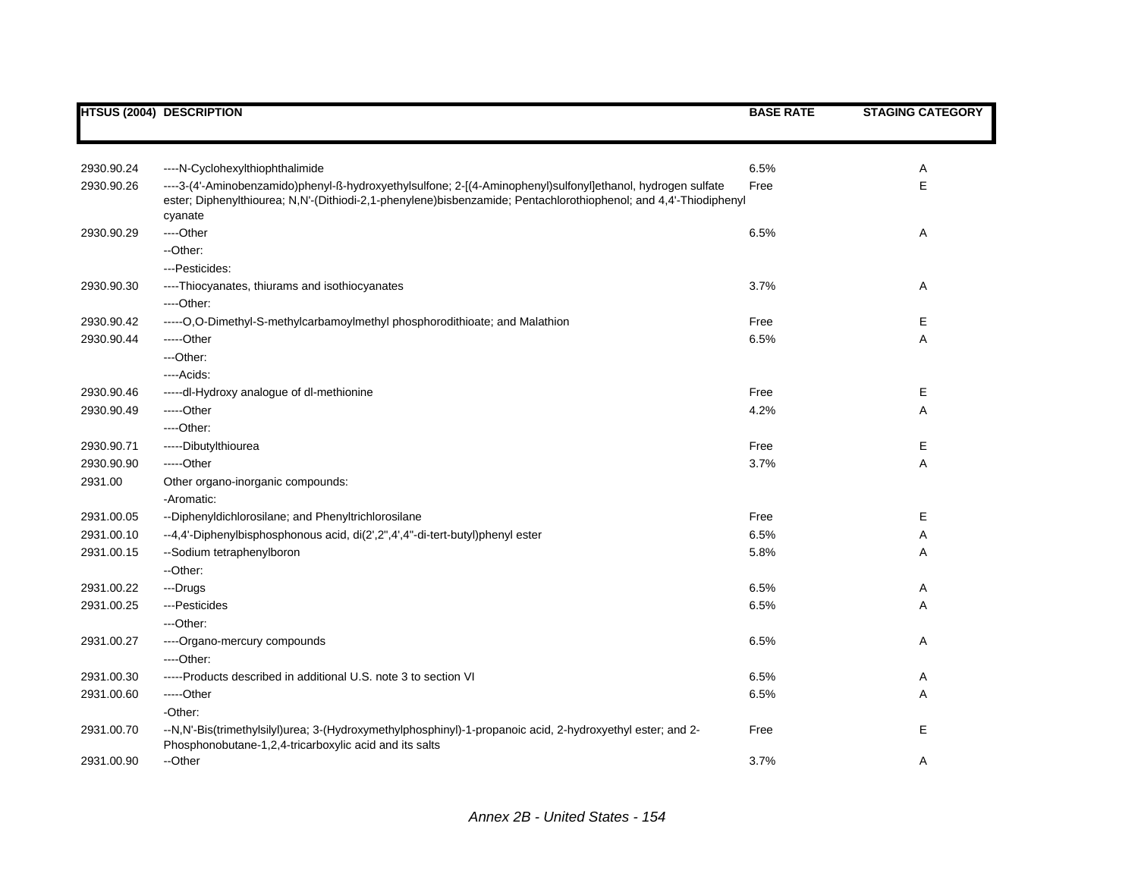|            | <b>HTSUS (2004) DESCRIPTION</b>                                                                                                                                                                                                            | <b>BASE RATE</b> | <b>STAGING CATEGORY</b> |
|------------|--------------------------------------------------------------------------------------------------------------------------------------------------------------------------------------------------------------------------------------------|------------------|-------------------------|
|            |                                                                                                                                                                                                                                            |                  |                         |
| 2930.90.24 | ----N-Cyclohexylthiophthalimide                                                                                                                                                                                                            | 6.5%             | Α                       |
| 2930.90.26 | ----3-(4'-Aminobenzamido)phenyl-ß-hydroxyethylsulfone; 2-[(4-Aminophenyl)sulfonyl]ethanol, hydrogen sulfate<br>ester; Diphenylthiourea; N,N'-(Dithiodi-2,1-phenylene)bisbenzamide; Pentachlorothiophenol; and 4,4'-Thiodiphenyl<br>cyanate | Free             | E                       |
| 2930.90.29 | ---Other                                                                                                                                                                                                                                   | 6.5%             | Α                       |
|            | --Other:                                                                                                                                                                                                                                   |                  |                         |
|            | --- Pesticides:                                                                                                                                                                                                                            |                  |                         |
| 2930.90.30 | ----Thiocyanates, thiurams and isothiocyanates                                                                                                                                                                                             | 3.7%             | Α                       |
|            | $---Other:$                                                                                                                                                                                                                                |                  |                         |
| 2930.90.42 | -----O,O-Dimethyl-S-methylcarbamoylmethyl phosphorodithioate; and Malathion                                                                                                                                                                | Free             | Е                       |
| 2930.90.44 | -----Other                                                                                                                                                                                                                                 | 6.5%             | Α                       |
|            | ---Other:                                                                                                                                                                                                                                  |                  |                         |
|            | ----Acids:                                                                                                                                                                                                                                 |                  |                         |
| 2930.90.46 | -----dl-Hydroxy analogue of dl-methionine                                                                                                                                                                                                  | Free             | Е                       |
| 2930.90.49 | $---Other$                                                                                                                                                                                                                                 | 4.2%             | Α                       |
|            | $---Other:$                                                                                                                                                                                                                                |                  |                         |
| 2930.90.71 | -----Dibutylthiourea                                                                                                                                                                                                                       | Free             | Е                       |
| 2930.90.90 | -----Other                                                                                                                                                                                                                                 | 3.7%             | Α                       |
| 2931.00    | Other organo-inorganic compounds:                                                                                                                                                                                                          |                  |                         |
|            | -Aromatic:                                                                                                                                                                                                                                 |                  |                         |
| 2931.00.05 | --Diphenyldichlorosilane; and Phenyltrichlorosilane                                                                                                                                                                                        | Free             | Е                       |
| 2931.00.10 | --4,4'-Diphenylbisphosphonous acid, di(2',2",4',4"-di-tert-butyl)phenyl ester                                                                                                                                                              | 6.5%             | Α                       |
| 2931.00.15 | --Sodium tetraphenylboron                                                                                                                                                                                                                  | 5.8%             | Α                       |
|            | --Other:                                                                                                                                                                                                                                   |                  |                         |
| 2931.00.22 | ---Drugs                                                                                                                                                                                                                                   | 6.5%             | Α                       |
| 2931.00.25 | ---Pesticides                                                                                                                                                                                                                              | 6.5%             | Α                       |
|            | ---Other:                                                                                                                                                                                                                                  |                  |                         |
| 2931.00.27 | ----Organo-mercury compounds                                                                                                                                                                                                               | 6.5%             | Α                       |
|            | $---Other:$                                                                                                                                                                                                                                |                  |                         |
| 2931.00.30 | -----Products described in additional U.S. note 3 to section VI                                                                                                                                                                            | 6.5%             | Α                       |
| 2931.00.60 | -----Other                                                                                                                                                                                                                                 | 6.5%             | Α                       |
|            | -Other:                                                                                                                                                                                                                                    |                  |                         |
| 2931.00.70 | --N,N'-Bis(trimethylsilyl)urea; 3-(Hydroxymethylphosphinyl)-1-propanoic acid, 2-hydroxyethyl ester; and 2-<br>Phosphonobutane-1,2,4-tricarboxylic acid and its salts                                                                       | Free             | E                       |
| 2931.00.90 | --Other                                                                                                                                                                                                                                    | 3.7%             | A                       |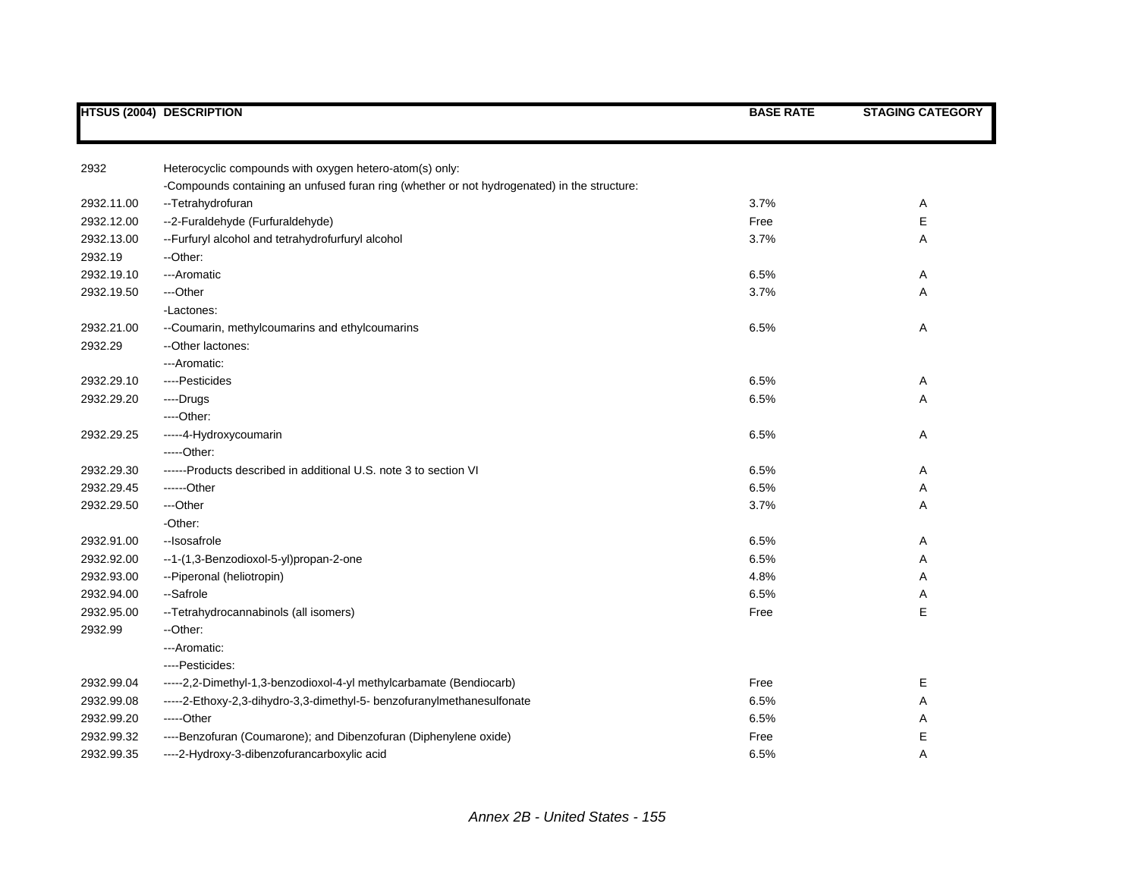|            | <b>HTSUS (2004) DESCRIPTION</b>                                                             | <b>BASE RATE</b> | <b>STAGING CATEGORY</b> |
|------------|---------------------------------------------------------------------------------------------|------------------|-------------------------|
|            |                                                                                             |                  |                         |
| 2932       | Heterocyclic compounds with oxygen hetero-atom(s) only:                                     |                  |                         |
|            | -Compounds containing an unfused furan ring (whether or not hydrogenated) in the structure: |                  |                         |
| 2932.11.00 | --Tetrahydrofuran                                                                           | 3.7%             | Α                       |
| 2932.12.00 | --2-Furaldehyde (Furfuraldehyde)                                                            | Free             | E                       |
| 2932.13.00 | -- Furfuryl alcohol and tetrahydrofurfuryl alcohol                                          | 3.7%             | Α                       |
| 2932.19    | --Other:                                                                                    |                  |                         |
| 2932.19.10 | ---Aromatic                                                                                 | 6.5%             | Α                       |
| 2932.19.50 | ---Other                                                                                    | 3.7%             | Α                       |
|            | -Lactones:                                                                                  |                  |                         |
| 2932.21.00 | --Coumarin, methylcoumarins and ethylcoumarins                                              | 6.5%             | Α                       |
| 2932.29    | -- Other lactones:                                                                          |                  |                         |
|            | ---Aromatic:                                                                                |                  |                         |
| 2932.29.10 | ----Pesticides                                                                              | 6.5%             | Α                       |
| 2932.29.20 | ----Drugs                                                                                   | 6.5%             | Α                       |
|            | ----Other:                                                                                  |                  |                         |
| 2932.29.25 | -----4-Hydroxycoumarin                                                                      | 6.5%             | Α                       |
|            | -----Other:                                                                                 |                  |                         |
| 2932.29.30 | ------Products described in additional U.S. note 3 to section VI                            | 6.5%             | Α                       |
| 2932.29.45 | ------Other                                                                                 | 6.5%             | Α                       |
| 2932.29.50 | ---Other                                                                                    | 3.7%             | Α                       |
|            | -Other:                                                                                     |                  |                         |
| 2932.91.00 | --Isosafrole                                                                                | 6.5%             | Α                       |
| 2932.92.00 | --1-(1,3-Benzodioxol-5-yl)propan-2-one                                                      | 6.5%             | Α                       |
| 2932.93.00 | --Piperonal (heliotropin)                                                                   | 4.8%             | Α                       |
| 2932.94.00 | --Safrole                                                                                   | 6.5%             | Α                       |
| 2932.95.00 | -- Tetrahydrocannabinols (all isomers)                                                      | Free             | E                       |
| 2932.99    | --Other:                                                                                    |                  |                         |
|            | --- Aromatic:                                                                               |                  |                         |
|            | ----Pesticides:                                                                             |                  |                         |
| 2932.99.04 | -----2,2-Dimethyl-1,3-benzodioxol-4-yl methylcarbamate (Bendiocarb)                         | Free             | Е                       |
| 2932.99.08 | -----2-Ethoxy-2,3-dihydro-3,3-dimethyl-5- benzofuranylmethanesulfonate                      | 6.5%             | Α                       |
| 2932.99.20 | -----Other                                                                                  | 6.5%             | Α                       |
| 2932.99.32 | ----Benzofuran (Coumarone); and Dibenzofuran (Diphenylene oxide)                            | Free             | Е                       |
| 2932.99.35 | ----2-Hydroxy-3-dibenzofurancarboxylic acid                                                 | 6.5%             | A                       |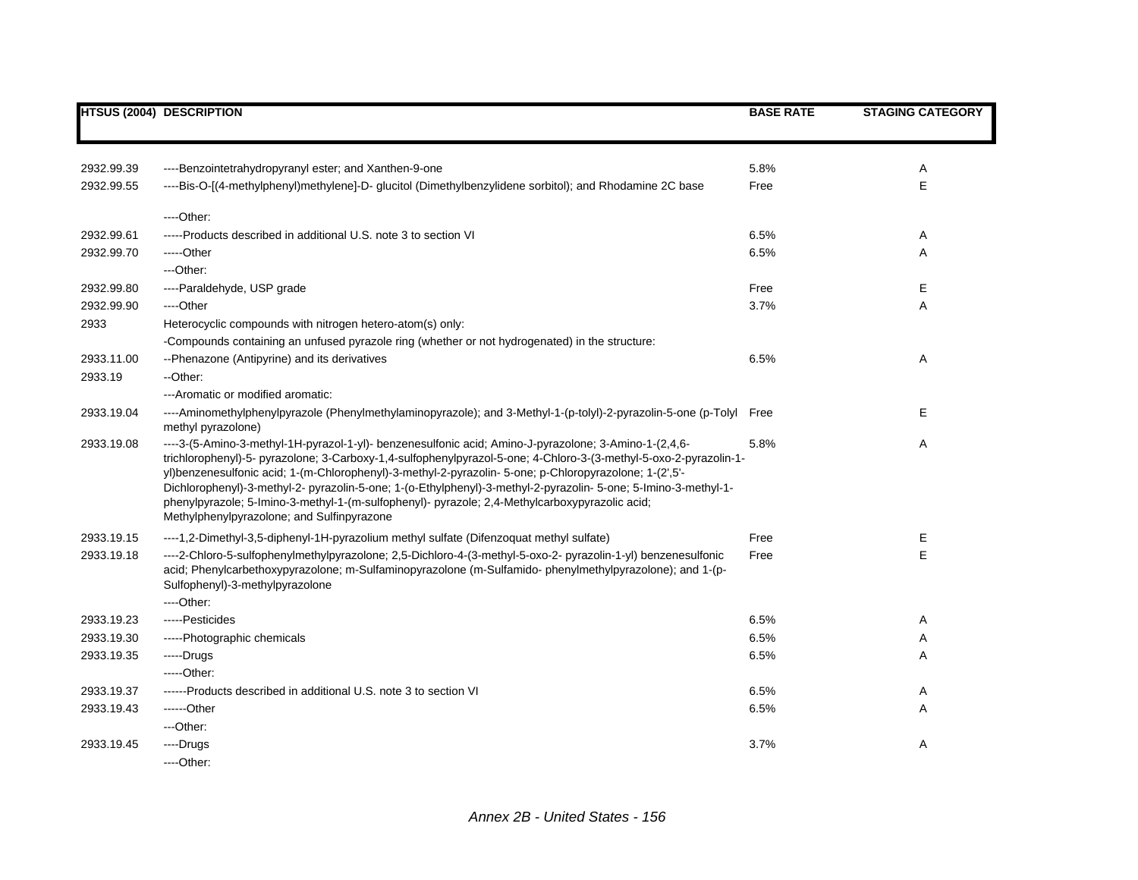|            | <b>HTSUS (2004) DESCRIPTION</b>                                                                                                                                                                                                                                                                                                                                                                                                                                                                                                                                                                         | <b>BASE RATE</b> | <b>STAGING CATEGORY</b> |
|------------|---------------------------------------------------------------------------------------------------------------------------------------------------------------------------------------------------------------------------------------------------------------------------------------------------------------------------------------------------------------------------------------------------------------------------------------------------------------------------------------------------------------------------------------------------------------------------------------------------------|------------------|-------------------------|
|            |                                                                                                                                                                                                                                                                                                                                                                                                                                                                                                                                                                                                         |                  |                         |
| 2932.99.39 | ----Benzointetrahydropyranyl ester; and Xanthen-9-one                                                                                                                                                                                                                                                                                                                                                                                                                                                                                                                                                   | 5.8%             | Α                       |
| 2932.99.55 | ----Bis-O-[(4-methylphenyl)methylene]-D- glucitol (Dimethylbenzylidene sorbitol); and Rhodamine 2C base                                                                                                                                                                                                                                                                                                                                                                                                                                                                                                 | Free             | E                       |
|            | $---Other:$                                                                                                                                                                                                                                                                                                                                                                                                                                                                                                                                                                                             |                  |                         |
| 2932.99.61 | -----Products described in additional U.S. note 3 to section VI                                                                                                                                                                                                                                                                                                                                                                                                                                                                                                                                         | 6.5%             | Α                       |
| 2932.99.70 | -----Other                                                                                                                                                                                                                                                                                                                                                                                                                                                                                                                                                                                              | 6.5%             | A                       |
|            | ---Other:                                                                                                                                                                                                                                                                                                                                                                                                                                                                                                                                                                                               |                  |                         |
| 2932.99.80 | ----Paraldehyde, USP grade                                                                                                                                                                                                                                                                                                                                                                                                                                                                                                                                                                              | Free             | Е                       |
| 2932.99.90 | ---Other                                                                                                                                                                                                                                                                                                                                                                                                                                                                                                                                                                                                | 3.7%             | Α                       |
| 2933       | Heterocyclic compounds with nitrogen hetero-atom(s) only:                                                                                                                                                                                                                                                                                                                                                                                                                                                                                                                                               |                  |                         |
|            | -Compounds containing an unfused pyrazole ring (whether or not hydrogenated) in the structure:                                                                                                                                                                                                                                                                                                                                                                                                                                                                                                          |                  |                         |
| 2933.11.00 | --Phenazone (Antipyrine) and its derivatives                                                                                                                                                                                                                                                                                                                                                                                                                                                                                                                                                            | 6.5%             | Α                       |
| 2933.19    | --Other:                                                                                                                                                                                                                                                                                                                                                                                                                                                                                                                                                                                                |                  |                         |
|            | --- Aromatic or modified aromatic:                                                                                                                                                                                                                                                                                                                                                                                                                                                                                                                                                                      |                  |                         |
| 2933.19.04 | ----Aminomethylphenylpyrazole (Phenylmethylaminopyrazole); and 3-Methyl-1-(p-tolyl)-2-pyrazolin-5-one (p-Tolyl<br>methyl pyrazolone)                                                                                                                                                                                                                                                                                                                                                                                                                                                                    | Free             | E                       |
| 2933.19.08 | ----3-(5-Amino-3-methyl-1H-pyrazol-1-yl)- benzenesulfonic acid; Amino-J-pyrazolone; 3-Amino-1-(2,4,6-<br>trichlorophenyl)-5- pyrazolone; 3-Carboxy-1,4-sulfophenylpyrazol-5-one; 4-Chloro-3-(3-methyl-5-oxo-2-pyrazolin-1-<br>yl)benzenesulfonic acid; 1-(m-Chlorophenyl)-3-methyl-2-pyrazolin- 5-one; p-Chloropyrazolone; 1-(2',5'-<br>Dichlorophenyl)-3-methyl-2- pyrazolin-5-one; 1-(o-Ethylphenyl)-3-methyl-2-pyrazolin- 5-one; 5-lmino-3-methyl-1-<br>phenylpyrazole; 5-Imino-3-methyl-1-(m-sulfophenyl)- pyrazole; 2,4-Methylcarboxypyrazolic acid;<br>Methylphenylpyrazolone; and Sulfinpyrazone | 5.8%             | Α                       |
| 2933.19.15 | ----1,2-Dimethyl-3,5-diphenyl-1H-pyrazolium methyl sulfate (Difenzoquat methyl sulfate)                                                                                                                                                                                                                                                                                                                                                                                                                                                                                                                 | Free             | E                       |
| 2933.19.18 | ----2-Chloro-5-sulfophenylmethylpyrazolone; 2,5-Dichloro-4-(3-methyl-5-oxo-2- pyrazolin-1-yl) benzenesulfonic<br>acid; Phenylcarbethoxypyrazolone; m-Sulfaminopyrazolone (m-Sulfamido-phenylmethylpyrazolone); and 1-(p-<br>Sulfophenyl)-3-methylpyrazolone                                                                                                                                                                                                                                                                                                                                             | Free             | E                       |
|            | $---Other:$                                                                                                                                                                                                                                                                                                                                                                                                                                                                                                                                                                                             |                  |                         |
| 2933.19.23 | -----Pesticides                                                                                                                                                                                                                                                                                                                                                                                                                                                                                                                                                                                         | 6.5%             | Α                       |
| 2933.19.30 | -----Photographic chemicals                                                                                                                                                                                                                                                                                                                                                                                                                                                                                                                                                                             | 6.5%             | Α                       |
| 2933.19.35 | -----Drugs                                                                                                                                                                                                                                                                                                                                                                                                                                                                                                                                                                                              | 6.5%             | Α                       |
|            | $---Other:$                                                                                                                                                                                                                                                                                                                                                                                                                                                                                                                                                                                             |                  |                         |
| 2933.19.37 | ------Products described in additional U.S. note 3 to section VI                                                                                                                                                                                                                                                                                                                                                                                                                                                                                                                                        | 6.5%             | Α                       |
| 2933.19.43 | $---Other$                                                                                                                                                                                                                                                                                                                                                                                                                                                                                                                                                                                              | 6.5%             | Α                       |
|            | ---Other:                                                                                                                                                                                                                                                                                                                                                                                                                                                                                                                                                                                               |                  |                         |
| 2933.19.45 | ----Drugs                                                                                                                                                                                                                                                                                                                                                                                                                                                                                                                                                                                               | 3.7%             | Α                       |
|            | $---Other.$                                                                                                                                                                                                                                                                                                                                                                                                                                                                                                                                                                                             |                  |                         |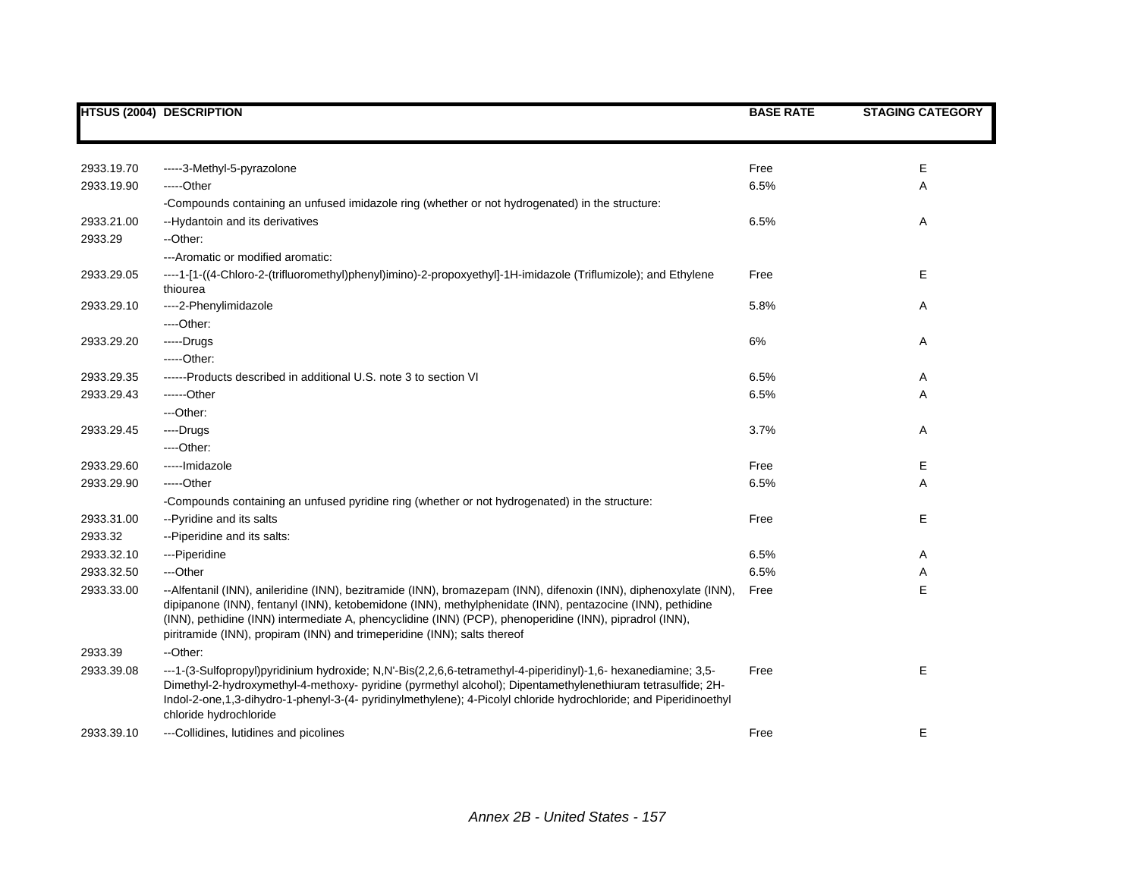|            | <b>HTSUS (2004) DESCRIPTION</b>                                                                                                                                                                                                                                                                                                                                                                                       | <b>BASE RATE</b> | <b>STAGING CATEGORY</b> |
|------------|-----------------------------------------------------------------------------------------------------------------------------------------------------------------------------------------------------------------------------------------------------------------------------------------------------------------------------------------------------------------------------------------------------------------------|------------------|-------------------------|
|            |                                                                                                                                                                                                                                                                                                                                                                                                                       |                  |                         |
| 2933.19.70 | -----3-Methyl-5-pyrazolone                                                                                                                                                                                                                                                                                                                                                                                            | Free             | Е                       |
| 2933.19.90 | -----Other                                                                                                                                                                                                                                                                                                                                                                                                            | 6.5%             | Α                       |
|            | -Compounds containing an unfused imidazole ring (whether or not hydrogenated) in the structure:                                                                                                                                                                                                                                                                                                                       |                  |                         |
| 2933.21.00 | --Hydantoin and its derivatives                                                                                                                                                                                                                                                                                                                                                                                       | 6.5%             | Α                       |
| 2933.29    | --Other:                                                                                                                                                                                                                                                                                                                                                                                                              |                  |                         |
|            | --- Aromatic or modified aromatic:                                                                                                                                                                                                                                                                                                                                                                                    |                  |                         |
| 2933.29.05 | ----1-[1-((4-Chloro-2-(trifluoromethyl)phenyl)imino)-2-propoxyethyl]-1H-imidazole (Triflumizole); and Ethylene<br>thiourea                                                                                                                                                                                                                                                                                            | Free             | Е                       |
| 2933.29.10 | ---- 2- Phenylimidazole                                                                                                                                                                                                                                                                                                                                                                                               | 5.8%             | Α                       |
|            | ----Other:                                                                                                                                                                                                                                                                                                                                                                                                            |                  |                         |
| 2933.29.20 | -----Drugs                                                                                                                                                                                                                                                                                                                                                                                                            | 6%               | Α                       |
|            | $---Other:$                                                                                                                                                                                                                                                                                                                                                                                                           |                  |                         |
| 2933.29.35 | ------Products described in additional U.S. note 3 to section VI                                                                                                                                                                                                                                                                                                                                                      | 6.5%             | Α                       |
| 2933.29.43 | ------Other                                                                                                                                                                                                                                                                                                                                                                                                           | 6.5%             | Α                       |
|            | ---Other:                                                                                                                                                                                                                                                                                                                                                                                                             |                  |                         |
| 2933.29.45 | ----Drugs                                                                                                                                                                                                                                                                                                                                                                                                             | 3.7%             | Α                       |
|            | $---Other.$                                                                                                                                                                                                                                                                                                                                                                                                           |                  |                         |
| 2933.29.60 | -----Imidazole                                                                                                                                                                                                                                                                                                                                                                                                        | Free             | Е                       |
| 2933.29.90 | $---Other$                                                                                                                                                                                                                                                                                                                                                                                                            | 6.5%             | Α                       |
|            | -Compounds containing an unfused pyridine ring (whether or not hydrogenated) in the structure:                                                                                                                                                                                                                                                                                                                        |                  |                         |
| 2933.31.00 | --Pyridine and its salts                                                                                                                                                                                                                                                                                                                                                                                              | Free             | Е                       |
| 2933.32    | -- Piperidine and its salts:                                                                                                                                                                                                                                                                                                                                                                                          |                  |                         |
| 2933.32.10 | ---Piperidine                                                                                                                                                                                                                                                                                                                                                                                                         | 6.5%             | Α                       |
| 2933.32.50 | ---Other                                                                                                                                                                                                                                                                                                                                                                                                              | 6.5%             | Α                       |
| 2933.33.00 | --Alfentanil (INN), anileridine (INN), bezitramide (INN), bromazepam (INN), difenoxin (INN), diphenoxylate (INN),<br>dipipanone (INN), fentanyl (INN), ketobemidone (INN), methylphenidate (INN), pentazocine (INN), pethidine<br>(INN), pethidine (INN) intermediate A, phencyclidine (INN) (PCP), phenoperidine (INN), pipradrol (INN),<br>piritramide (INN), propiram (INN) and trimeperidine (INN); salts thereof | Free             | E                       |
| 2933.39    | --Other:                                                                                                                                                                                                                                                                                                                                                                                                              |                  |                         |
| 2933.39.08 | ---1-(3-Sulfopropyl)pyridinium hydroxide; N,N'-Bis(2,2,6,6-tetramethyl-4-piperidinyl)-1,6- hexanediamine; 3,5-<br>Dimethyl-2-hydroxymethyl-4-methoxy- pyridine (pyrmethyl alcohol); Dipentamethylenethiuram tetrasulfide; 2H-<br>Indol-2-one,1,3-dihydro-1-phenyl-3-(4- pyridinylmethylene); 4-Picolyl chloride hydrochloride; and Piperidinoethyl<br>chloride hydrochloride                                          | Free             | E                       |
| 2933.39.10 | ---Collidines, lutidines and picolines                                                                                                                                                                                                                                                                                                                                                                                | Free             | Е                       |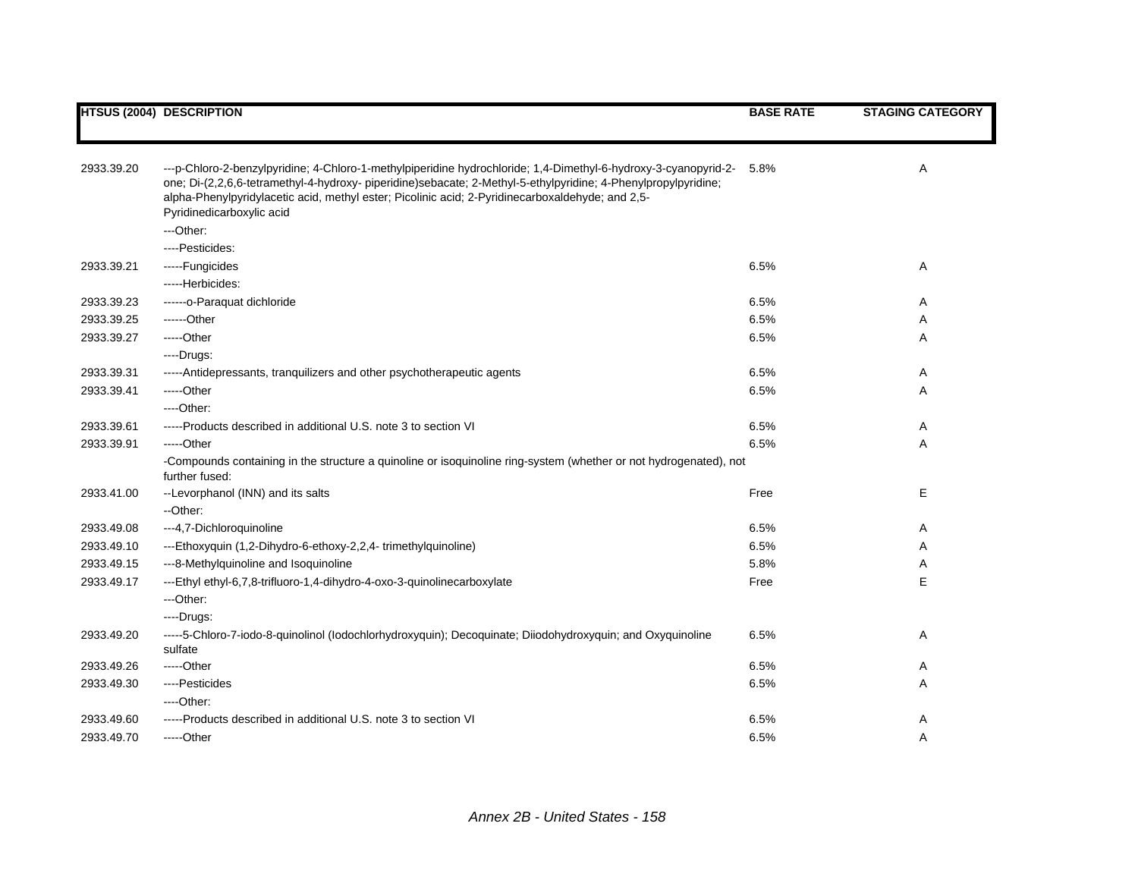|            | <b>HTSUS (2004) DESCRIPTION</b>                                                                                                                                                                                                                                                                                                                                    | <b>BASE RATE</b> | <b>STAGING CATEGORY</b> |
|------------|--------------------------------------------------------------------------------------------------------------------------------------------------------------------------------------------------------------------------------------------------------------------------------------------------------------------------------------------------------------------|------------------|-------------------------|
|            |                                                                                                                                                                                                                                                                                                                                                                    |                  |                         |
| 2933.39.20 | ---p-Chloro-2-benzylpyridine; 4-Chloro-1-methylpiperidine hydrochloride; 1,4-Dimethyl-6-hydroxy-3-cyanopyrid-2-<br>one; Di-(2,2,6,6-tetramethyl-4-hydroxy- piperidine)sebacate; 2-Methyl-5-ethylpyridine; 4-Phenylpropylpyridine;<br>alpha-Phenylpyridylacetic acid, methyl ester; Picolinic acid; 2-Pyridinecarboxaldehyde; and 2,5-<br>Pyridinedicarboxylic acid | 5.8%             | Α                       |
|            | ---Other:                                                                                                                                                                                                                                                                                                                                                          |                  |                         |
|            | ----Pesticides:                                                                                                                                                                                                                                                                                                                                                    |                  |                         |
| 2933.39.21 | -----Fungicides                                                                                                                                                                                                                                                                                                                                                    | 6.5%             | A                       |
|            | -----Herbicides:                                                                                                                                                                                                                                                                                                                                                   |                  |                         |
| 2933.39.23 | ------o-Paraquat dichloride                                                                                                                                                                                                                                                                                                                                        | 6.5%             | A                       |
| 2933.39.25 | ------Other                                                                                                                                                                                                                                                                                                                                                        | 6.5%             | A                       |
| 2933.39.27 | $---Other$                                                                                                                                                                                                                                                                                                                                                         | 6.5%             | Α                       |
|            | ----Drugs:                                                                                                                                                                                                                                                                                                                                                         |                  |                         |
| 2933.39.31 | -----Antidepressants, tranquilizers and other psychotherapeutic agents                                                                                                                                                                                                                                                                                             | 6.5%             | Α                       |
| 2933.39.41 | -----Other                                                                                                                                                                                                                                                                                                                                                         | 6.5%             | Α                       |
|            | $---Other.$                                                                                                                                                                                                                                                                                                                                                        |                  |                         |
| 2933.39.61 | -----Products described in additional U.S. note 3 to section VI                                                                                                                                                                                                                                                                                                    | 6.5%             | Α                       |
| 2933.39.91 | $---Other$                                                                                                                                                                                                                                                                                                                                                         | 6.5%             | Α                       |
|            | -Compounds containing in the structure a quinoline or isoquinoline ring-system (whether or not hydrogenated), not<br>further fused:                                                                                                                                                                                                                                |                  |                         |
| 2933.41.00 | --Levorphanol (INN) and its salts<br>--Other:                                                                                                                                                                                                                                                                                                                      | Free             | Е                       |
| 2933.49.08 | ---4,7-Dichloroquinoline                                                                                                                                                                                                                                                                                                                                           | 6.5%             | Α                       |
| 2933.49.10 | ---Ethoxyquin (1,2-Dihydro-6-ethoxy-2,2,4-trimethylquinoline)                                                                                                                                                                                                                                                                                                      | 6.5%             | Α                       |
| 2933.49.15 | ---8-Methylquinoline and Isoquinoline                                                                                                                                                                                                                                                                                                                              | 5.8%             | Α                       |
| 2933.49.17 | ---Ethyl ethyl-6,7,8-trifluoro-1,4-dihydro-4-oxo-3-quinolinecarboxylate                                                                                                                                                                                                                                                                                            | Free             | E                       |
|            | ---Other:                                                                                                                                                                                                                                                                                                                                                          |                  |                         |
|            | ----Drugs:                                                                                                                                                                                                                                                                                                                                                         |                  |                         |
| 2933.49.20 | -----5-Chloro-7-iodo-8-quinolinol (lodochlorhydroxyquin); Decoquinate; Diiodohydroxyquin; and Oxyquinoline<br>sulfate                                                                                                                                                                                                                                              | 6.5%             | Α                       |
| 2933.49.26 | $---Other$                                                                                                                                                                                                                                                                                                                                                         | 6.5%             | A                       |
| 2933.49.30 | ----Pesticides                                                                                                                                                                                                                                                                                                                                                     | 6.5%             | Α                       |
|            | ----Other:                                                                                                                                                                                                                                                                                                                                                         |                  |                         |
| 2933.49.60 | -----Products described in additional U.S. note 3 to section VI                                                                                                                                                                                                                                                                                                    | 6.5%             | Α                       |
| 2933.49.70 | -----Other                                                                                                                                                                                                                                                                                                                                                         | 6.5%             | Α                       |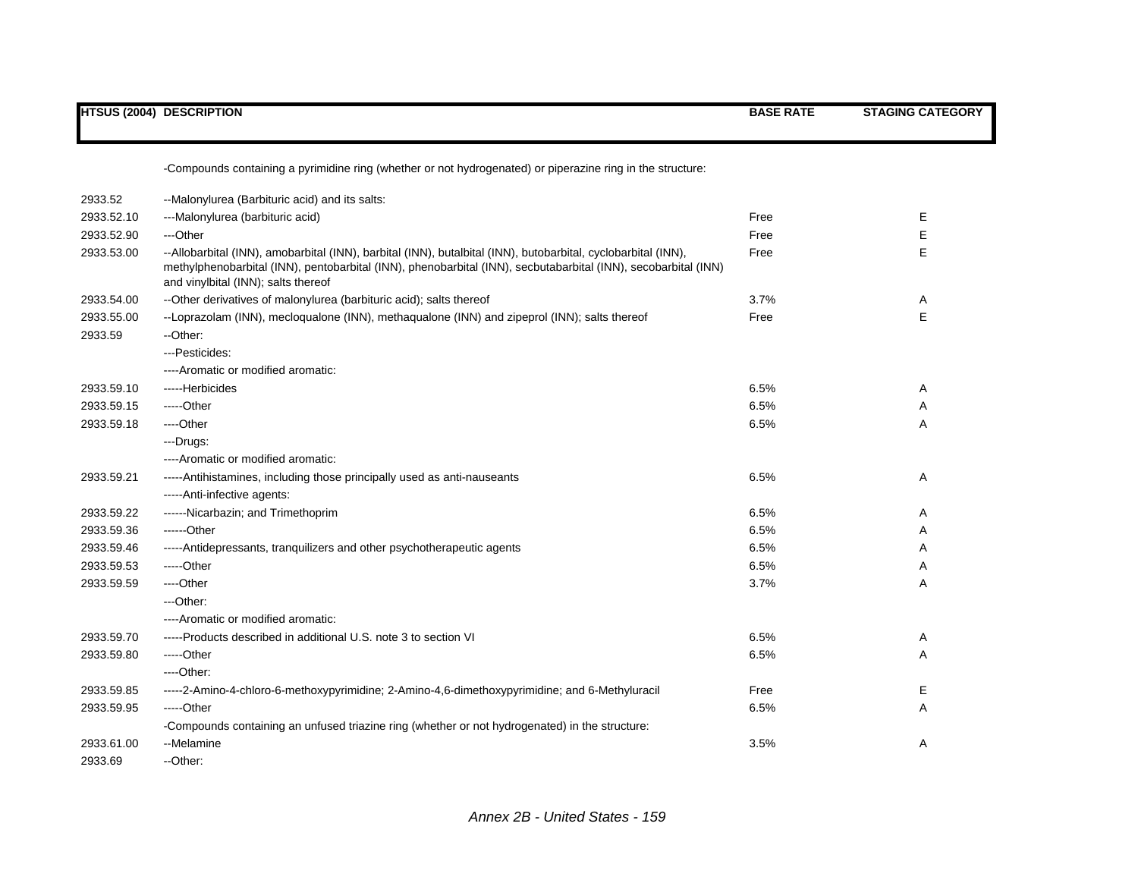|            | <b>HTSUS (2004) DESCRIPTION</b>                                                                                                                                                                                                                                        | <b>BASE RATE</b> | <b>STAGING CATEGORY</b> |
|------------|------------------------------------------------------------------------------------------------------------------------------------------------------------------------------------------------------------------------------------------------------------------------|------------------|-------------------------|
|            | -Compounds containing a pyrimidine ring (whether or not hydrogenated) or piperazine ring in the structure:                                                                                                                                                             |                  |                         |
| 2933.52    | --Malonylurea (Barbituric acid) and its salts:                                                                                                                                                                                                                         |                  |                         |
| 2933.52.10 | ---Malonylurea (barbituric acid)                                                                                                                                                                                                                                       | Free             | Е                       |
| 2933.52.90 | ---Other                                                                                                                                                                                                                                                               | Free             | Ε                       |
| 2933.53.00 | --Allobarbital (INN), amobarbital (INN), barbital (INN), butalbital (INN), butobarbital, cyclobarbital (INN),<br>methylphenobarbital (INN), pentobarbital (INN), phenobarbital (INN), secbutabarbital (INN), secobarbital (INN)<br>and vinylbital (INN); salts thereof | Free             | E                       |
| 2933.54.00 | -- Other derivatives of malonylurea (barbituric acid); salts thereof                                                                                                                                                                                                   | 3.7%             | Α                       |
| 2933.55.00 | --Loprazolam (INN), mecloqualone (INN), methaqualone (INN) and zipeprol (INN); salts thereof                                                                                                                                                                           | Free             | E                       |
| 2933.59    | --Other:                                                                                                                                                                                                                                                               |                  |                         |
|            | ---Pesticides:                                                                                                                                                                                                                                                         |                  |                         |
|            | ----Aromatic or modified aromatic:                                                                                                                                                                                                                                     |                  |                         |
| 2933.59.10 | -----Herbicides                                                                                                                                                                                                                                                        | 6.5%             | Α                       |
| 2933.59.15 | -----Other                                                                                                                                                                                                                                                             | 6.5%             | Α                       |
| 2933.59.18 | ----Other                                                                                                                                                                                                                                                              | 6.5%             | Α                       |
|            | ---Drugs:                                                                                                                                                                                                                                                              |                  |                         |
|            | ----Aromatic or modified aromatic:                                                                                                                                                                                                                                     |                  |                         |
| 2933.59.21 | -----Antihistamines, including those principally used as anti-nauseants                                                                                                                                                                                                | 6.5%             | Α                       |
|            | -----Anti-infective agents:                                                                                                                                                                                                                                            |                  |                         |
| 2933.59.22 | ------Nicarbazin; and Trimethoprim                                                                                                                                                                                                                                     | 6.5%             | Α                       |
| 2933.59.36 | ------Other                                                                                                                                                                                                                                                            | 6.5%             | Α                       |
| 2933.59.46 | -----Antidepressants, tranquilizers and other psychotherapeutic agents                                                                                                                                                                                                 | 6.5%             | Α                       |
| 2933.59.53 | -----Other                                                                                                                                                                                                                                                             | 6.5%             | A                       |
| 2933.59.59 | ----Other                                                                                                                                                                                                                                                              | 3.7%             | A                       |
|            | ---Other:                                                                                                                                                                                                                                                              |                  |                         |
|            | ----Aromatic or modified aromatic:                                                                                                                                                                                                                                     |                  |                         |
| 2933.59.70 | -----Products described in additional U.S. note 3 to section VI                                                                                                                                                                                                        | 6.5%             | Α                       |
| 2933.59.80 | -----Other                                                                                                                                                                                                                                                             | 6.5%             | A                       |
|            | ----Other:                                                                                                                                                                                                                                                             |                  |                         |
| 2933.59.85 | -----2-Amino-4-chloro-6-methoxypyrimidine; 2-Amino-4,6-dimethoxypyrimidine; and 6-Methyluracil                                                                                                                                                                         | Free             | Е                       |
| 2933.59.95 | -----Other                                                                                                                                                                                                                                                             | 6.5%             | Α                       |
|            | -Compounds containing an unfused triazine ring (whether or not hydrogenated) in the structure:                                                                                                                                                                         |                  |                         |
| 2933.61.00 | --Melamine                                                                                                                                                                                                                                                             | 3.5%             | Α                       |
| 2933.69    | --Other:                                                                                                                                                                                                                                                               |                  |                         |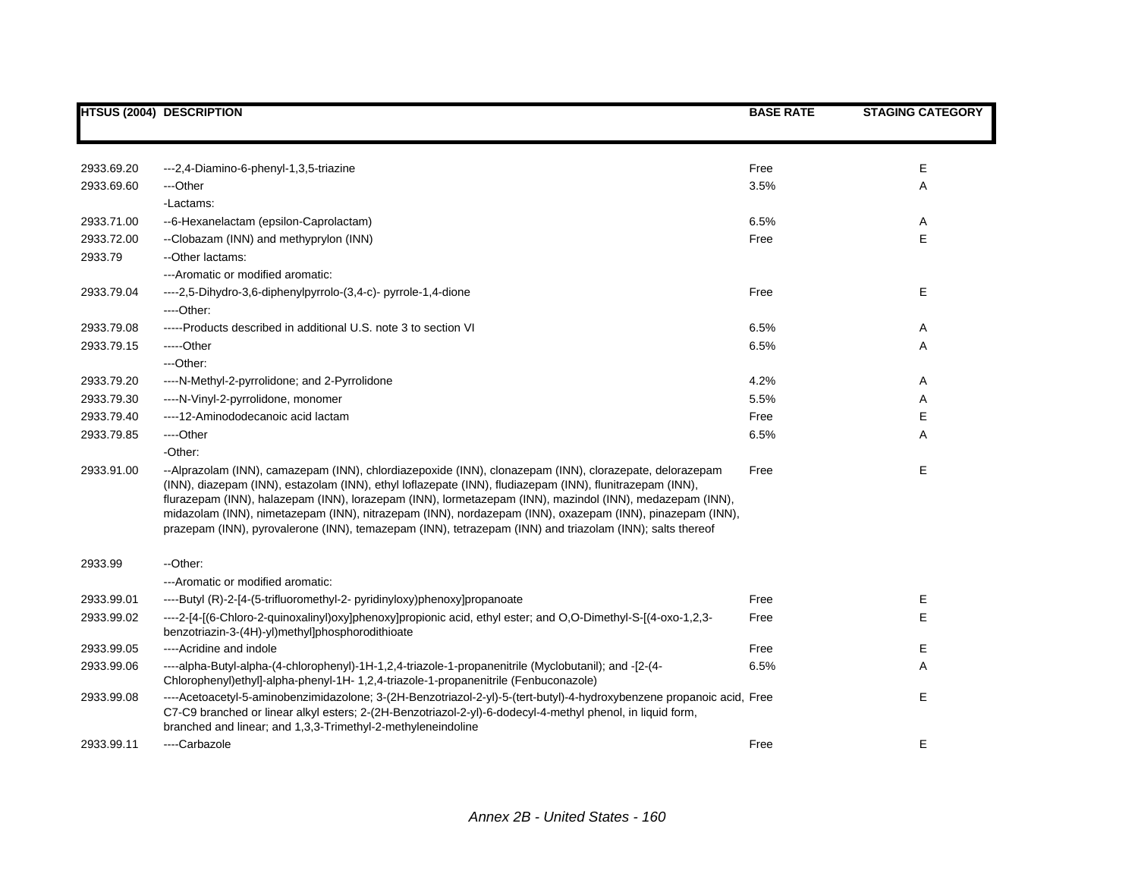|            | <b>HTSUS (2004) DESCRIPTION</b>                                                                                                                                                                                                                                                                                                                                                                                                                                                                                                                         | <b>BASE RATE</b> | <b>STAGING CATEGORY</b> |
|------------|---------------------------------------------------------------------------------------------------------------------------------------------------------------------------------------------------------------------------------------------------------------------------------------------------------------------------------------------------------------------------------------------------------------------------------------------------------------------------------------------------------------------------------------------------------|------------------|-------------------------|
|            |                                                                                                                                                                                                                                                                                                                                                                                                                                                                                                                                                         |                  |                         |
| 2933.69.20 | ---2,4-Diamino-6-phenyl-1,3,5-triazine                                                                                                                                                                                                                                                                                                                                                                                                                                                                                                                  | Free             | Е                       |
| 2933.69.60 | ---Other                                                                                                                                                                                                                                                                                                                                                                                                                                                                                                                                                | 3.5%             | Α                       |
|            | -Lactams:                                                                                                                                                                                                                                                                                                                                                                                                                                                                                                                                               |                  |                         |
| 2933.71.00 | --6-Hexanelactam (epsilon-Caprolactam)                                                                                                                                                                                                                                                                                                                                                                                                                                                                                                                  | 6.5%             | Α                       |
| 2933.72.00 | --Clobazam (INN) and methyprylon (INN)                                                                                                                                                                                                                                                                                                                                                                                                                                                                                                                  | Free             | E                       |
| 2933.79    | --Other lactams:                                                                                                                                                                                                                                                                                                                                                                                                                                                                                                                                        |                  |                         |
|            | --- Aromatic or modified aromatic:                                                                                                                                                                                                                                                                                                                                                                                                                                                                                                                      |                  |                         |
| 2933.79.04 | ----2,5-Dihydro-3,6-diphenylpyrrolo-(3,4-c)- pyrrole-1,4-dione                                                                                                                                                                                                                                                                                                                                                                                                                                                                                          | Free             | Е                       |
|            | ----Other:                                                                                                                                                                                                                                                                                                                                                                                                                                                                                                                                              |                  |                         |
| 2933.79.08 | -----Products described in additional U.S. note 3 to section VI                                                                                                                                                                                                                                                                                                                                                                                                                                                                                         | 6.5%             | Α                       |
| 2933.79.15 | -----Other                                                                                                                                                                                                                                                                                                                                                                                                                                                                                                                                              | 6.5%             | Α                       |
|            | ---Other:                                                                                                                                                                                                                                                                                                                                                                                                                                                                                                                                               |                  |                         |
| 2933.79.20 | ----N-Methyl-2-pyrrolidone; and 2-Pyrrolidone                                                                                                                                                                                                                                                                                                                                                                                                                                                                                                           | 4.2%             | Α                       |
| 2933.79.30 | ----N-Vinyl-2-pyrrolidone, monomer                                                                                                                                                                                                                                                                                                                                                                                                                                                                                                                      | 5.5%             | Α                       |
| 2933.79.40 | ----12-Aminododecanoic acid lactam                                                                                                                                                                                                                                                                                                                                                                                                                                                                                                                      | Free             | E                       |
| 2933.79.85 | ----Other                                                                                                                                                                                                                                                                                                                                                                                                                                                                                                                                               | 6.5%             | A                       |
|            | -Other:                                                                                                                                                                                                                                                                                                                                                                                                                                                                                                                                                 |                  |                         |
| 2933.91.00 | --Alprazolam (INN), camazepam (INN), chlordiazepoxide (INN), clonazepam (INN), clorazepate, delorazepam<br>(INN), diazepam (INN), estazolam (INN), ethyl loflazepate (INN), fludiazepam (INN), flunitrazepam (INN),<br>flurazepam (INN), halazepam (INN), lorazepam (INN), lormetazepam (INN), mazindol (INN), medazepam (INN),<br>midazolam (INN), nimetazepam (INN), nitrazepam (INN), nordazepam (INN), oxazepam (INN), pinazepam (INN),<br>prazepam (INN), pyrovalerone (INN), temazepam (INN), tetrazepam (INN) and triazolam (INN); salts thereof | Free             | Е                       |
| 2933.99    | --Other:                                                                                                                                                                                                                                                                                                                                                                                                                                                                                                                                                |                  |                         |
|            | --- Aromatic or modified aromatic:                                                                                                                                                                                                                                                                                                                                                                                                                                                                                                                      |                  |                         |
| 2933.99.01 | ----Butyl (R)-2-[4-(5-trifluoromethyl-2- pyridinyloxy)phenoxy]propanoate                                                                                                                                                                                                                                                                                                                                                                                                                                                                                | Free             | Е                       |
| 2933.99.02 | ----2-[4-[(6-Chloro-2-quinoxalinyl)oxy]phenoxy]propionic acid, ethyl ester; and O,O-Dimethyl-S-[(4-oxo-1,2,3-<br>benzotriazin-3-(4H)-yl)methyl]phosphorodithioate                                                                                                                                                                                                                                                                                                                                                                                       | Free             | E                       |
| 2933.99.05 | ----Acridine and indole                                                                                                                                                                                                                                                                                                                                                                                                                                                                                                                                 | Free             | Е                       |
| 2933.99.06 | ----alpha-Butyl-alpha-(4-chlorophenyl)-1H-1,2,4-triazole-1-propanenitrile (Myclobutanil); and -[2-(4-<br>Chlorophenyl)ethyl]-alpha-phenyl-1H- 1,2,4-triazole-1-propanenitrile (Fenbuconazole)                                                                                                                                                                                                                                                                                                                                                           | 6.5%             | Α                       |
| 2933.99.08 | ----Acetoacetyl-5-aminobenzimidazolone; 3-(2H-Benzotriazol-2-yl)-5-(tert-butyl)-4-hydroxybenzene propanoic acid, Free<br>C7-C9 branched or linear alkyl esters; 2-(2H-Benzotriazol-2-yl)-6-dodecyl-4-methyl phenol, in liquid form,<br>branched and linear; and 1,3,3-Trimethyl-2-methyleneindoline                                                                                                                                                                                                                                                     |                  | E                       |
| 2933.99.11 | ----Carbazole                                                                                                                                                                                                                                                                                                                                                                                                                                                                                                                                           | Free             | E                       |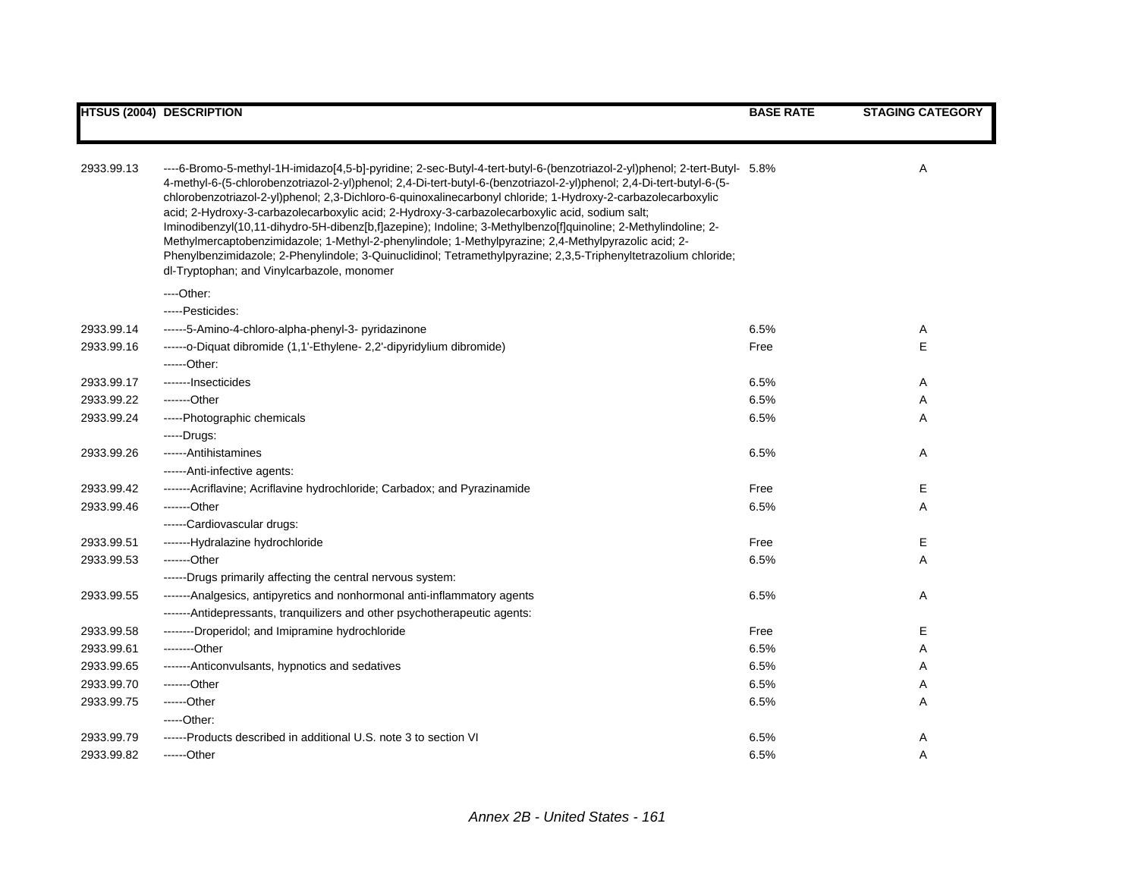|            | <b>HTSUS (2004) DESCRIPTION</b>                                                                                                                                                                                                                                                                                                                                                                                                                                                                                                                                                                                                                                                                                                                                                                                                                               | <b>BASE RATE</b> | <b>STAGING CATEGORY</b> |
|------------|---------------------------------------------------------------------------------------------------------------------------------------------------------------------------------------------------------------------------------------------------------------------------------------------------------------------------------------------------------------------------------------------------------------------------------------------------------------------------------------------------------------------------------------------------------------------------------------------------------------------------------------------------------------------------------------------------------------------------------------------------------------------------------------------------------------------------------------------------------------|------------------|-------------------------|
|            |                                                                                                                                                                                                                                                                                                                                                                                                                                                                                                                                                                                                                                                                                                                                                                                                                                                               |                  |                         |
| 2933.99.13 | ----6-Bromo-5-methyl-1H-imidazo[4,5-b]-pyridine; 2-sec-Butyl-4-tert-butyl-6-(benzotriazol-2-yl)phenol; 2-tert-Butyl- 5.8%<br>4-methyl-6-(5-chlorobenzotriazol-2-yl)phenol; 2,4-Di-tert-butyl-6-(benzotriazol-2-yl)phenol; 2,4-Di-tert-butyl-6-(5-<br>chlorobenzotriazol-2-yl)phenol; 2,3-Dichloro-6-quinoxalinecarbonyl chloride; 1-Hydroxy-2-carbazolecarboxylic<br>acid; 2-Hydroxy-3-carbazolecarboxylic acid; 2-Hydroxy-3-carbazolecarboxylic acid, sodium salt;<br>Iminodibenzyl(10,11-dihydro-5H-dibenz[b,f]azepine); Indoline; 3-Methylbenzo[f]quinoline; 2-Methylindoline; 2-<br>Methylmercaptobenzimidazole; 1-Methyl-2-phenylindole; 1-Methylpyrazine; 2,4-Methylpyrazolic acid; 2-<br>Phenylbenzimidazole; 2-Phenylindole; 3-Quinuclidinol; Tetramethylpyrazine; 2,3,5-Triphenyltetrazolium chloride;<br>dl-Tryptophan; and Vinylcarbazole, monomer |                  | Α                       |
|            | ----Other:                                                                                                                                                                                                                                                                                                                                                                                                                                                                                                                                                                                                                                                                                                                                                                                                                                                    |                  |                         |
|            | -----Pesticides:                                                                                                                                                                                                                                                                                                                                                                                                                                                                                                                                                                                                                                                                                                                                                                                                                                              |                  |                         |
| 2933.99.14 | ------5-Amino-4-chloro-alpha-phenyl-3- pyridazinone                                                                                                                                                                                                                                                                                                                                                                                                                                                                                                                                                                                                                                                                                                                                                                                                           | 6.5%             | Α                       |
| 2933.99.16 | ------o-Diquat dibromide (1,1'-Ethylene- 2,2'-dipyridylium dibromide)                                                                                                                                                                                                                                                                                                                                                                                                                                                                                                                                                                                                                                                                                                                                                                                         | Free             | E                       |
|            | ------Other:                                                                                                                                                                                                                                                                                                                                                                                                                                                                                                                                                                                                                                                                                                                                                                                                                                                  |                  |                         |
| 2933.99.17 | -------lnsecticides                                                                                                                                                                                                                                                                                                                                                                                                                                                                                                                                                                                                                                                                                                                                                                                                                                           | 6.5%             | Α                       |
| 2933.99.22 | -------Other                                                                                                                                                                                                                                                                                                                                                                                                                                                                                                                                                                                                                                                                                                                                                                                                                                                  | 6.5%             | Α                       |
| 2933.99.24 | -----Photographic chemicals                                                                                                                                                                                                                                                                                                                                                                                                                                                                                                                                                                                                                                                                                                                                                                                                                                   | 6.5%             | Α                       |
|            | -----Drugs:                                                                                                                                                                                                                                                                                                                                                                                                                                                                                                                                                                                                                                                                                                                                                                                                                                                   |                  |                         |
| 2933.99.26 | ------Antihistamines                                                                                                                                                                                                                                                                                                                                                                                                                                                                                                                                                                                                                                                                                                                                                                                                                                          | 6.5%             | Α                       |
|            | ------Anti-infective agents:                                                                                                                                                                                                                                                                                                                                                                                                                                                                                                                                                                                                                                                                                                                                                                                                                                  |                  |                         |
| 2933.99.42 | -------Acriflavine; Acriflavine hydrochloride; Carbadox; and Pyrazinamide                                                                                                                                                                                                                                                                                                                                                                                                                                                                                                                                                                                                                                                                                                                                                                                     | Free             | Ε                       |
| 2933.99.46 | -------Other                                                                                                                                                                                                                                                                                                                                                                                                                                                                                                                                                                                                                                                                                                                                                                                                                                                  | 6.5%             | Α                       |
|            | ------Cardiovascular drugs:                                                                                                                                                                                                                                                                                                                                                                                                                                                                                                                                                                                                                                                                                                                                                                                                                                   |                  |                         |
| 2933.99.51 | -------Hydralazine hydrochloride                                                                                                                                                                                                                                                                                                                                                                                                                                                                                                                                                                                                                                                                                                                                                                                                                              | Free             | Ε                       |
| 2933.99.53 | -------Other                                                                                                                                                                                                                                                                                                                                                                                                                                                                                                                                                                                                                                                                                                                                                                                                                                                  | 6.5%             | Α                       |
|            | ------Drugs primarily affecting the central nervous system:                                                                                                                                                                                                                                                                                                                                                                                                                                                                                                                                                                                                                                                                                                                                                                                                   |                  |                         |
| 2933.99.55 | -------Analgesics, antipyretics and nonhormonal anti-inflammatory agents                                                                                                                                                                                                                                                                                                                                                                                                                                                                                                                                                                                                                                                                                                                                                                                      | 6.5%             | Α                       |
|            | -------Antidepressants, tranquilizers and other psychotherapeutic agents:                                                                                                                                                                                                                                                                                                                                                                                                                                                                                                                                                                                                                                                                                                                                                                                     |                  |                         |
| 2933.99.58 | --------Droperidol; and Imipramine hydrochloride                                                                                                                                                                                                                                                                                                                                                                                                                                                                                                                                                                                                                                                                                                                                                                                                              | Free             | Е                       |
| 2933.99.61 | --------Other                                                                                                                                                                                                                                                                                                                                                                                                                                                                                                                                                                                                                                                                                                                                                                                                                                                 | 6.5%             | Α                       |
| 2933.99.65 | -------Anticonvulsants, hypnotics and sedatives                                                                                                                                                                                                                                                                                                                                                                                                                                                                                                                                                                                                                                                                                                                                                                                                               | 6.5%             | Α                       |
| 2933.99.70 | -------Other                                                                                                                                                                                                                                                                                                                                                                                                                                                                                                                                                                                                                                                                                                                                                                                                                                                  | 6.5%             | A                       |
| 2933.99.75 | ------Other                                                                                                                                                                                                                                                                                                                                                                                                                                                                                                                                                                                                                                                                                                                                                                                                                                                   | 6.5%             | Α                       |
|            | -----Other:                                                                                                                                                                                                                                                                                                                                                                                                                                                                                                                                                                                                                                                                                                                                                                                                                                                   |                  |                         |
| 2933.99.79 | ------Products described in additional U.S. note 3 to section VI                                                                                                                                                                                                                                                                                                                                                                                                                                                                                                                                                                                                                                                                                                                                                                                              | 6.5%             | Α                       |
| 2933.99.82 | ------Other                                                                                                                                                                                                                                                                                                                                                                                                                                                                                                                                                                                                                                                                                                                                                                                                                                                   | 6.5%             | A                       |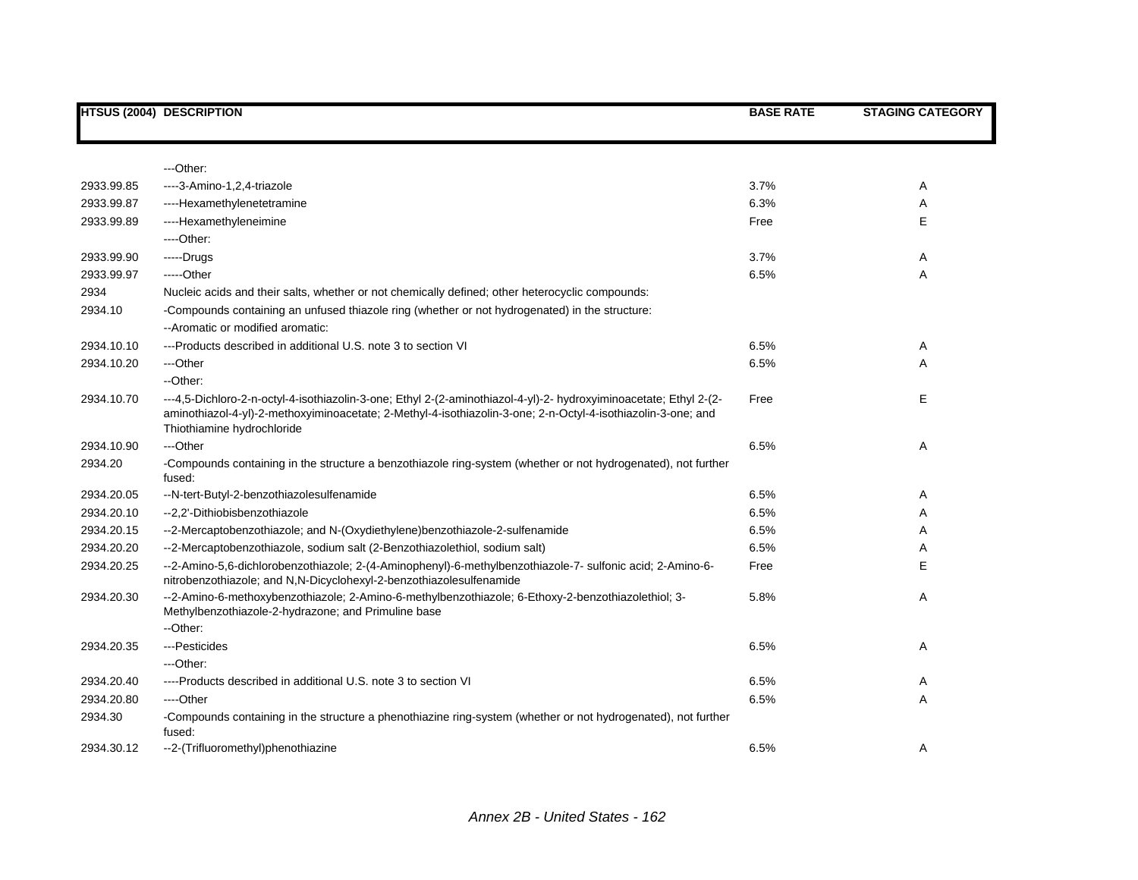|            | <b>HTSUS (2004) DESCRIPTION</b>                                                                                                                                                                                                                                 | <b>BASE RATE</b> | <b>STAGING CATEGORY</b> |
|------------|-----------------------------------------------------------------------------------------------------------------------------------------------------------------------------------------------------------------------------------------------------------------|------------------|-------------------------|
|            |                                                                                                                                                                                                                                                                 |                  |                         |
|            | ---Other:                                                                                                                                                                                                                                                       |                  |                         |
| 2933.99.85 | ----3-Amino-1,2,4-triazole                                                                                                                                                                                                                                      | 3.7%             | Α                       |
| 2933.99.87 | ----Hexamethylenetetramine                                                                                                                                                                                                                                      | 6.3%             | Α                       |
| 2933.99.89 | ----Hexamethyleneimine                                                                                                                                                                                                                                          | Free             | E                       |
|            | ----Other:                                                                                                                                                                                                                                                      |                  |                         |
| 2933.99.90 | $---Drugs$                                                                                                                                                                                                                                                      | 3.7%             | A                       |
| 2933.99.97 | -----Other                                                                                                                                                                                                                                                      | 6.5%             | Α                       |
| 2934       | Nucleic acids and their salts, whether or not chemically defined; other heterocyclic compounds:                                                                                                                                                                 |                  |                         |
| 2934.10    | -Compounds containing an unfused thiazole ring (whether or not hydrogenated) in the structure:<br>-- Aromatic or modified aromatic:                                                                                                                             |                  |                         |
| 2934.10.10 | ---Products described in additional U.S. note 3 to section VI                                                                                                                                                                                                   | 6.5%             | Α                       |
| 2934.10.20 | ---Other                                                                                                                                                                                                                                                        | 6.5%             | A                       |
|            | --Other:                                                                                                                                                                                                                                                        |                  |                         |
| 2934.10.70 | ---4,5-Dichloro-2-n-octyl-4-isothiazolin-3-one; Ethyl 2-(2-aminothiazol-4-yl)-2- hydroxyiminoacetate; Ethyl 2-(2-<br>aminothiazol-4-yl)-2-methoxyiminoacetate; 2-Methyl-4-isothiazolin-3-one; 2-n-Octyl-4-isothiazolin-3-one; and<br>Thiothiamine hydrochloride | Free             | Е                       |
| 2934.10.90 | ---Other                                                                                                                                                                                                                                                        | 6.5%             | Α                       |
| 2934.20    | -Compounds containing in the structure a benzothiazole ring-system (whether or not hydrogenated), not further<br>fused:                                                                                                                                         |                  |                         |
| 2934.20.05 | --N-tert-Butyl-2-benzothiazolesulfenamide                                                                                                                                                                                                                       | 6.5%             | Α                       |
| 2934.20.10 | --2,2'-Dithiobisbenzothiazole                                                                                                                                                                                                                                   | 6.5%             | Α                       |
| 2934.20.15 | --2-Mercaptobenzothiazole; and N-(Oxydiethylene)benzothiazole-2-sulfenamide                                                                                                                                                                                     | 6.5%             | A                       |
| 2934.20.20 | --2-Mercaptobenzothiazole, sodium salt (2-Benzothiazolethiol, sodium salt)                                                                                                                                                                                      | 6.5%             | A                       |
| 2934.20.25 | --2-Amino-5,6-dichlorobenzothiazole; 2-(4-Aminophenyl)-6-methylbenzothiazole-7- sulfonic acid; 2-Amino-6-<br>nitrobenzothiazole; and N,N-Dicyclohexyl-2-benzothiazolesulfenamide                                                                                | Free             | Е                       |
| 2934.20.30 | --2-Amino-6-methoxybenzothiazole; 2-Amino-6-methylbenzothiazole; 6-Ethoxy-2-benzothiazolethiol; 3-<br>Methylbenzothiazole-2-hydrazone; and Primuline base                                                                                                       | 5.8%             | A                       |
|            | --Other:                                                                                                                                                                                                                                                        |                  |                         |
| 2934.20.35 | ---Pesticides                                                                                                                                                                                                                                                   | 6.5%             | Α                       |
|            | ---Other:                                                                                                                                                                                                                                                       |                  |                         |
| 2934.20.40 | ----Products described in additional U.S. note 3 to section VI                                                                                                                                                                                                  | 6.5%             | Α                       |
| 2934.20.80 | ----Other                                                                                                                                                                                                                                                       | 6.5%             | A                       |
| 2934.30    | -Compounds containing in the structure a phenothiazine ring-system (whether or not hydrogenated), not further<br>fused:                                                                                                                                         |                  |                         |
| 2934.30.12 | --2-(Trifluoromethyl)phenothiazine                                                                                                                                                                                                                              | 6.5%             | A                       |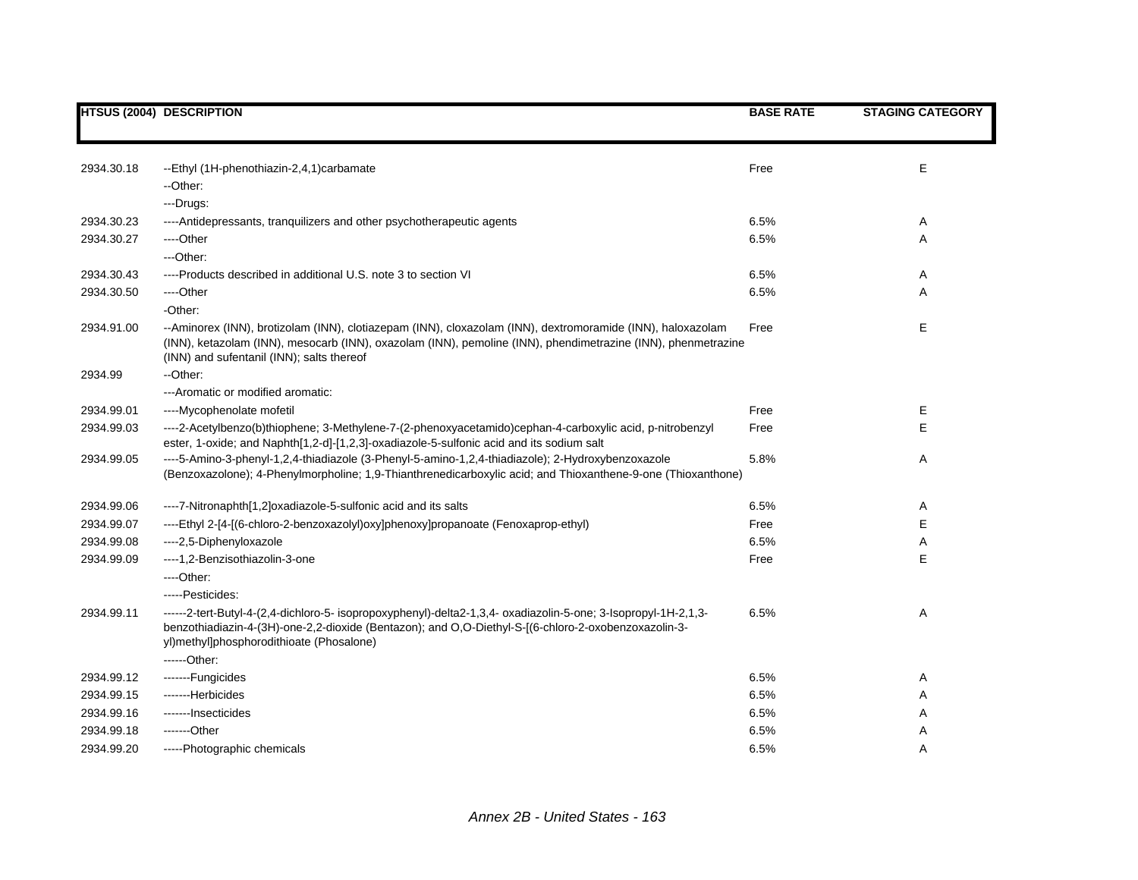|            | <b>HTSUS (2004) DESCRIPTION</b>                                                                                                                                                                                                                                         | <b>BASE RATE</b> | <b>STAGING CATEGORY</b> |
|------------|-------------------------------------------------------------------------------------------------------------------------------------------------------------------------------------------------------------------------------------------------------------------------|------------------|-------------------------|
|            |                                                                                                                                                                                                                                                                         |                  |                         |
| 2934.30.18 | --Ethyl (1H-phenothiazin-2,4,1) carbamate                                                                                                                                                                                                                               | Free             | Е                       |
|            | --Other:                                                                                                                                                                                                                                                                |                  |                         |
|            | ---Drugs:                                                                                                                                                                                                                                                               |                  |                         |
| 2934.30.23 | ---- Antidepressants, tranquilizers and other psychotherapeutic agents                                                                                                                                                                                                  | 6.5%             | Α                       |
| 2934.30.27 | ----Other                                                                                                                                                                                                                                                               | 6.5%             | Α                       |
|            | ---Other:                                                                                                                                                                                                                                                               |                  |                         |
| 2934.30.43 | ----Products described in additional U.S. note 3 to section VI                                                                                                                                                                                                          | 6.5%             | Α                       |
| 2934.30.50 | ----Other                                                                                                                                                                                                                                                               | 6.5%             | Α                       |
|            | -Other:                                                                                                                                                                                                                                                                 |                  |                         |
| 2934.91.00 | --Aminorex (INN), brotizolam (INN), clotiazepam (INN), cloxazolam (INN), dextromoramide (INN), haloxazolam<br>(INN), ketazolam (INN), mesocarb (INN), oxazolam (INN), pemoline (INN), phendimetrazine (INN), phenmetrazine<br>(INN) and sufentanil (INN); salts thereof | Free             | E                       |
| 2934.99    | -- Other:                                                                                                                                                                                                                                                               |                  |                         |
|            | ---Aromatic or modified aromatic:                                                                                                                                                                                                                                       |                  |                         |
| 2934.99.01 | ----Mycophenolate mofetil                                                                                                                                                                                                                                               | Free             | Е                       |
| 2934.99.03 | ----2-Acetylbenzo(b)thiophene; 3-Methylene-7-(2-phenoxyacetamido)cephan-4-carboxylic acid, p-nitrobenzyl<br>ester, 1-oxide; and Naphth[1,2-d]-[1,2,3]-oxadiazole-5-sulfonic acid and its sodium salt                                                                    | Free             | E                       |
| 2934.99.05 | ----5-Amino-3-phenyl-1,2,4-thiadiazole (3-Phenyl-5-amino-1,2,4-thiadiazole); 2-Hydroxybenzoxazole<br>(Benzoxazolone); 4-Phenylmorpholine; 1,9-Thianthrenedicarboxylic acid; and Thioxanthene-9-one (Thioxanthone)                                                       | 5.8%             | Α                       |
| 2934.99.06 | ----7-Nitronaphth[1,2]oxadiazole-5-sulfonic acid and its salts                                                                                                                                                                                                          | 6.5%             | Α                       |
| 2934.99.07 | ----Ethyl 2-[4-[(6-chloro-2-benzoxazolyl)oxy]phenoxy]propanoate (Fenoxaprop-ethyl)                                                                                                                                                                                      | Free             | Е                       |
| 2934.99.08 | ----2,5-Diphenyloxazole                                                                                                                                                                                                                                                 | 6.5%             | Α                       |
| 2934.99.09 | ----1,2-Benzisothiazolin-3-one                                                                                                                                                                                                                                          | Free             | Е                       |
|            | ----Other:                                                                                                                                                                                                                                                              |                  |                         |
|            | -----Pesticides:                                                                                                                                                                                                                                                        |                  |                         |
| 2934.99.11 | ------2-tert-Butyl-4-(2,4-dichloro-5- isopropoxyphenyl)-delta2-1,3,4- oxadiazolin-5-one; 3-lsopropyl-1H-2,1,3-<br>benzothiadiazin-4-(3H)-one-2,2-dioxide (Bentazon); and O,O-Diethyl-S-[(6-chloro-2-oxobenzoxazolin-3-<br>yl)methyl]phosphorodithioate (Phosalone)      | 6.5%             | Α                       |
|            | ------Other:                                                                                                                                                                                                                                                            |                  |                         |
| 2934.99.12 | -------Fungicides                                                                                                                                                                                                                                                       | 6.5%             | Α                       |
| 2934.99.15 | -------Herbicides                                                                                                                                                                                                                                                       | 6.5%             | Α                       |
| 2934.99.16 | -------lnsecticides                                                                                                                                                                                                                                                     | 6.5%             | Α                       |
| 2934.99.18 | -------Other                                                                                                                                                                                                                                                            | 6.5%             | Α                       |
| 2934.99.20 | -----Photographic chemicals                                                                                                                                                                                                                                             | 6.5%             | A                       |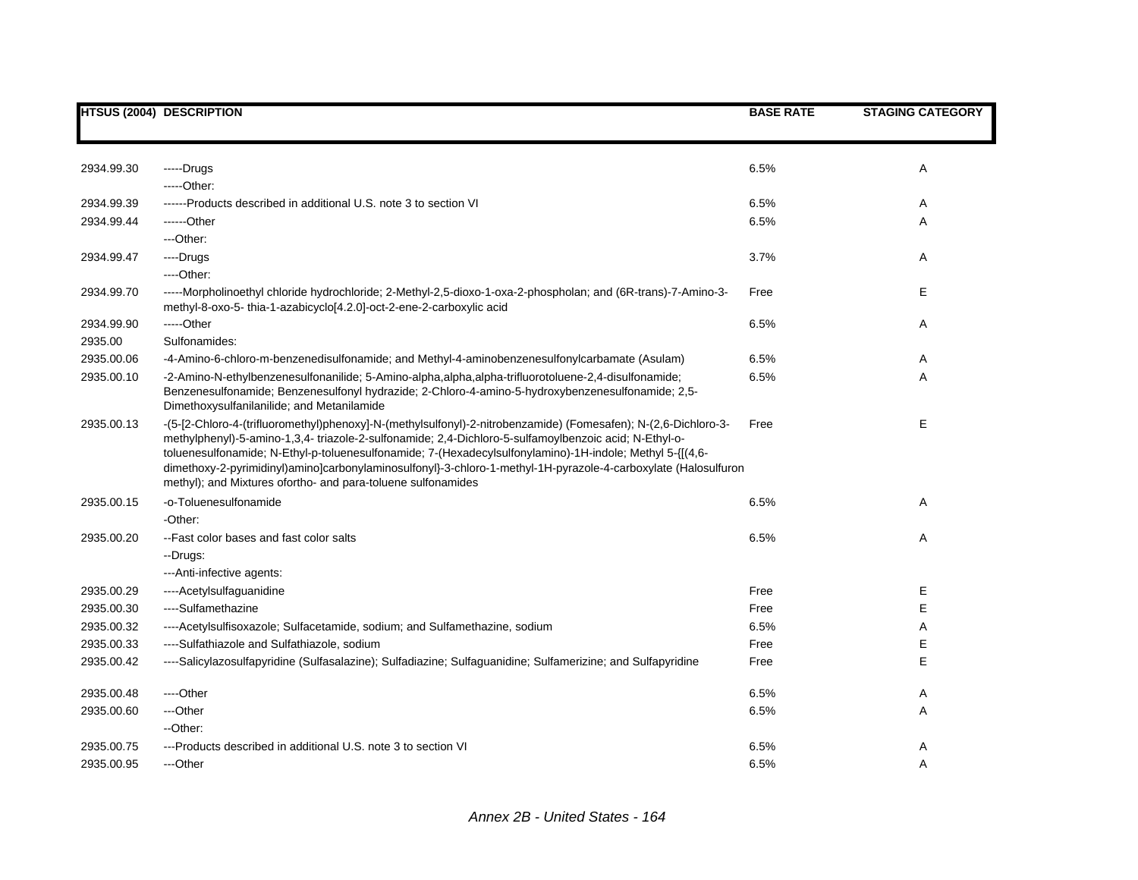|            | <b>HTSUS (2004) DESCRIPTION</b>                                                                                                                                                                                                                                                                                                                                                                                                                                                                                       | <b>BASE RATE</b> | <b>STAGING CATEGORY</b> |
|------------|-----------------------------------------------------------------------------------------------------------------------------------------------------------------------------------------------------------------------------------------------------------------------------------------------------------------------------------------------------------------------------------------------------------------------------------------------------------------------------------------------------------------------|------------------|-------------------------|
|            |                                                                                                                                                                                                                                                                                                                                                                                                                                                                                                                       |                  |                         |
| 2934.99.30 | -----Drugs                                                                                                                                                                                                                                                                                                                                                                                                                                                                                                            | 6.5%             | Α                       |
|            | $---Other:$                                                                                                                                                                                                                                                                                                                                                                                                                                                                                                           |                  |                         |
| 2934.99.39 | ------Products described in additional U.S. note 3 to section VI                                                                                                                                                                                                                                                                                                                                                                                                                                                      | 6.5%             | Α                       |
| 2934.99.44 | ------Other                                                                                                                                                                                                                                                                                                                                                                                                                                                                                                           | 6.5%             | Α                       |
|            | ---Other:                                                                                                                                                                                                                                                                                                                                                                                                                                                                                                             |                  |                         |
| 2934.99.47 | ----Drugs                                                                                                                                                                                                                                                                                                                                                                                                                                                                                                             | 3.7%             | Α                       |
|            | $---Other.$                                                                                                                                                                                                                                                                                                                                                                                                                                                                                                           |                  |                         |
| 2934.99.70 | -----Morpholinoethyl chloride hydrochloride; 2-Methyl-2,5-dioxo-1-oxa-2-phospholan; and (6R-trans)-7-Amino-3-<br>methyl-8-oxo-5-thia-1-azabicyclo[4.2.0]-oct-2-ene-2-carboxylic acid                                                                                                                                                                                                                                                                                                                                  | Free             | Е                       |
| 2934.99.90 | -----Other                                                                                                                                                                                                                                                                                                                                                                                                                                                                                                            | 6.5%             | Α                       |
| 2935.00    | Sulfonamides:                                                                                                                                                                                                                                                                                                                                                                                                                                                                                                         |                  |                         |
| 2935.00.06 | -4-Amino-6-chloro-m-benzenedisulfonamide; and Methyl-4-aminobenzenesulfonylcarbamate (Asulam)                                                                                                                                                                                                                                                                                                                                                                                                                         | 6.5%             | Α                       |
| 2935.00.10 | -2-Amino-N-ethylbenzenesulfonanilide; 5-Amino-alpha,alpha,alpha-trifluorotoluene-2,4-disulfonamide;<br>Benzenesulfonamide; Benzenesulfonyl hydrazide; 2-Chloro-4-amino-5-hydroxybenzenesulfonamide; 2,5-<br>Dimethoxysulfanilanilide; and Metanilamide                                                                                                                                                                                                                                                                | 6.5%             | A                       |
| 2935.00.13 | -(5-[2-Chloro-4-(trifluoromethyl)phenoxy]-N-(methylsulfonyl)-2-nitrobenzamide) (Fomesafen); N-(2,6-Dichloro-3-<br>methylphenyl)-5-amino-1,3,4- triazole-2-sulfonamide; 2,4-Dichloro-5-sulfamoylbenzoic acid; N-Ethyl-o-<br>toluenesulfonamide; N-Ethyl-p-toluenesulfonamide; 7-(Hexadecylsulfonylamino)-1H-indole; Methyl 5-{[(4,6-<br>dimethoxy-2-pyrimidinyl)amino]carbonylaminosulfonyl}-3-chloro-1-methyl-1H-pyrazole-4-carboxylate (Halosulfuron<br>methyl); and Mixtures ofortho- and para-toluene sulfonamides | Free             | E                       |
| 2935.00.15 | -o-Toluenesulfonamide                                                                                                                                                                                                                                                                                                                                                                                                                                                                                                 | 6.5%             | Α                       |
|            | -Other:                                                                                                                                                                                                                                                                                                                                                                                                                                                                                                               |                  |                         |
| 2935.00.20 | -- Fast color bases and fast color salts                                                                                                                                                                                                                                                                                                                                                                                                                                                                              | 6.5%             | Α                       |
|            | --Drugs:                                                                                                                                                                                                                                                                                                                                                                                                                                                                                                              |                  |                         |
|            | --- Anti-infective agents:                                                                                                                                                                                                                                                                                                                                                                                                                                                                                            |                  |                         |
| 2935.00.29 | ----Acetylsulfaguanidine                                                                                                                                                                                                                                                                                                                                                                                                                                                                                              | Free             | Е                       |
| 2935.00.30 | ----Sulfamethazine                                                                                                                                                                                                                                                                                                                                                                                                                                                                                                    | Free             | E                       |
| 2935.00.32 | ----Acetylsulfisoxazole; Sulfacetamide, sodium; and Sulfamethazine, sodium                                                                                                                                                                                                                                                                                                                                                                                                                                            | 6.5%             | Α                       |
| 2935.00.33 | ----Sulfathiazole and Sulfathiazole, sodium                                                                                                                                                                                                                                                                                                                                                                                                                                                                           | Free             | Ε                       |
| 2935.00.42 | ----Salicylazosulfapyridine (Sulfasalazine); Sulfadiazine; Sulfaguanidine; Sulfamerizine; and Sulfapyridine                                                                                                                                                                                                                                                                                                                                                                                                           | Free             | E                       |
| 2935.00.48 | ---Other                                                                                                                                                                                                                                                                                                                                                                                                                                                                                                              | 6.5%             | Α                       |
| 2935.00.60 | ---Other                                                                                                                                                                                                                                                                                                                                                                                                                                                                                                              | 6.5%             | Α                       |
|            | --Other:                                                                                                                                                                                                                                                                                                                                                                                                                                                                                                              |                  |                         |
| 2935.00.75 | ---Products described in additional U.S. note 3 to section VI                                                                                                                                                                                                                                                                                                                                                                                                                                                         | 6.5%             | Α                       |
| 2935.00.95 | ---Other                                                                                                                                                                                                                                                                                                                                                                                                                                                                                                              | 6.5%             | A                       |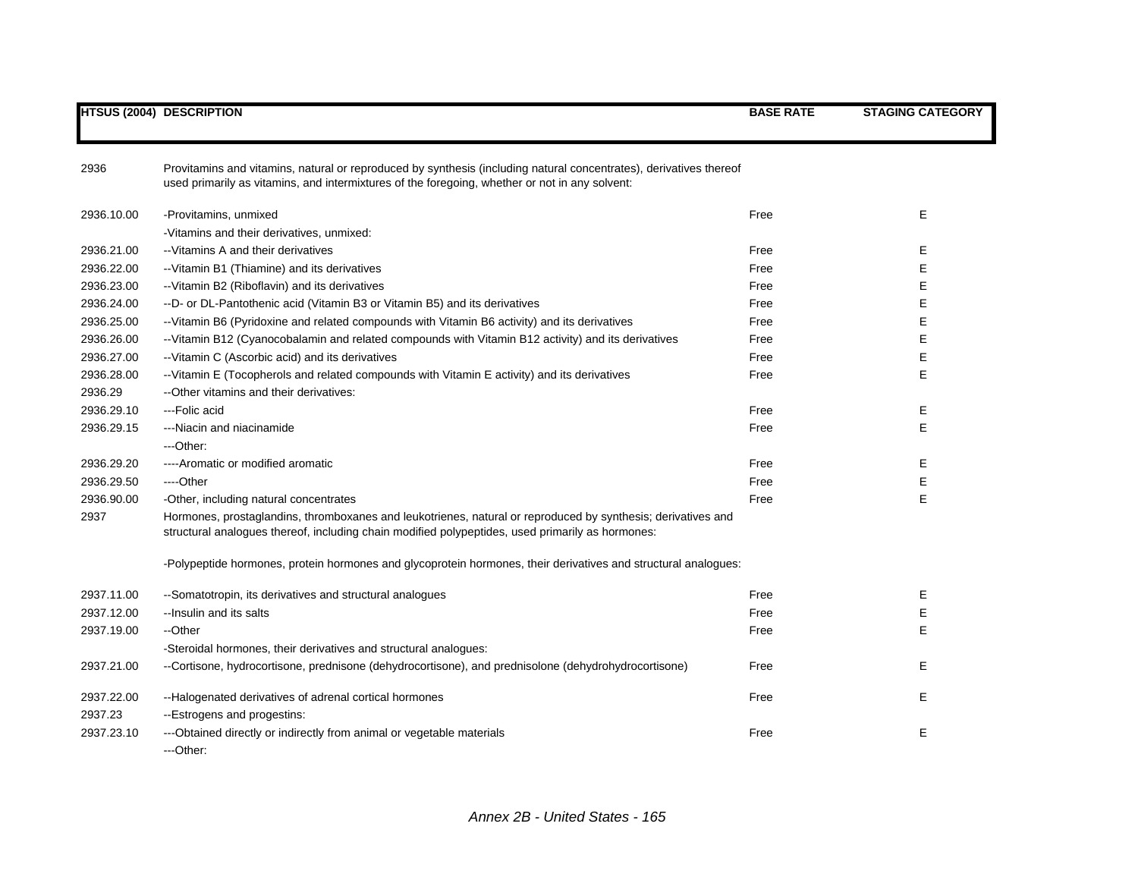|            | <b>HTSUS (2004) DESCRIPTION</b>                                                                                                                                                                                      | <b>BASE RATE</b> | <b>STAGING CATEGORY</b> |
|------------|----------------------------------------------------------------------------------------------------------------------------------------------------------------------------------------------------------------------|------------------|-------------------------|
|            |                                                                                                                                                                                                                      |                  |                         |
| 2936       | Provitamins and vitamins, natural or reproduced by synthesis (including natural concentrates), derivatives thereof<br>used primarily as vitamins, and intermixtures of the foregoing, whether or not in any solvent: |                  |                         |
| 2936.10.00 | -Provitamins, unmixed                                                                                                                                                                                                | Free             | Е                       |
|            | -Vitamins and their derivatives, unmixed:                                                                                                                                                                            |                  |                         |
| 2936.21.00 | -- Vitamins A and their derivatives                                                                                                                                                                                  | Free             | E                       |
| 2936.22.00 | -- Vitamin B1 (Thiamine) and its derivatives                                                                                                                                                                         | Free             | E                       |
| 2936.23.00 | -- Vitamin B2 (Riboflavin) and its derivatives                                                                                                                                                                       | Free             | E                       |
| 2936.24.00 | --D- or DL-Pantothenic acid (Vitamin B3 or Vitamin B5) and its derivatives                                                                                                                                           | Free             | E                       |
| 2936.25.00 | -- Vitamin B6 (Pyridoxine and related compounds with Vitamin B6 activity) and its derivatives                                                                                                                        | Free             | E                       |
| 2936.26.00 | --Vitamin B12 (Cyanocobalamin and related compounds with Vitamin B12 activity) and its derivatives                                                                                                                   | Free             | E                       |
| 2936.27.00 | -- Vitamin C (Ascorbic acid) and its derivatives                                                                                                                                                                     | Free             | E                       |
| 2936.28.00 | --Vitamin E (Tocopherols and related compounds with Vitamin E activity) and its derivatives                                                                                                                          | Free             | E                       |
| 2936.29    | --Other vitamins and their derivatives:                                                                                                                                                                              |                  |                         |
| 2936.29.10 | --- Folic acid                                                                                                                                                                                                       | Free             | Ε                       |
| 2936.29.15 | ---Niacin and niacinamide                                                                                                                                                                                            | Free             | E                       |
|            | ---Other:                                                                                                                                                                                                            |                  |                         |
| 2936.29.20 | ----Aromatic or modified aromatic                                                                                                                                                                                    | Free             | Е                       |
| 2936.29.50 | ----Other                                                                                                                                                                                                            | Free             | Е                       |
| 2936.90.00 | -Other, including natural concentrates                                                                                                                                                                               | Free             | Е                       |
| 2937       | Hormones, prostaglandins, thromboxanes and leukotrienes, natural or reproduced by synthesis; derivatives and<br>structural analogues thereof, including chain modified polypeptides, used primarily as hormones:     |                  |                         |
|            | -Polypeptide hormones, protein hormones and glycoprotein hormones, their derivatives and structural analogues:                                                                                                       |                  |                         |
| 2937.11.00 | --Somatotropin, its derivatives and structural analogues                                                                                                                                                             | Free             | Ε                       |
| 2937.12.00 | -- Insulin and its salts                                                                                                                                                                                             | Free             | Е                       |
| 2937.19.00 | --Other                                                                                                                                                                                                              | Free             | E                       |
|            | -Steroidal hormones, their derivatives and structural analogues:                                                                                                                                                     |                  |                         |
| 2937.21.00 | --Cortisone, hydrocortisone, prednisone (dehydrocortisone), and prednisolone (dehydrohydrocortisone)                                                                                                                 | Free             | Е                       |
| 2937.22.00 | --Halogenated derivatives of adrenal cortical hormones                                                                                                                                                               | Free             | Е                       |
| 2937.23    | --Estrogens and progestins:                                                                                                                                                                                          |                  |                         |
| 2937.23.10 | ---Obtained directly or indirectly from animal or vegetable materials<br>---Other:                                                                                                                                   | Free             | Е                       |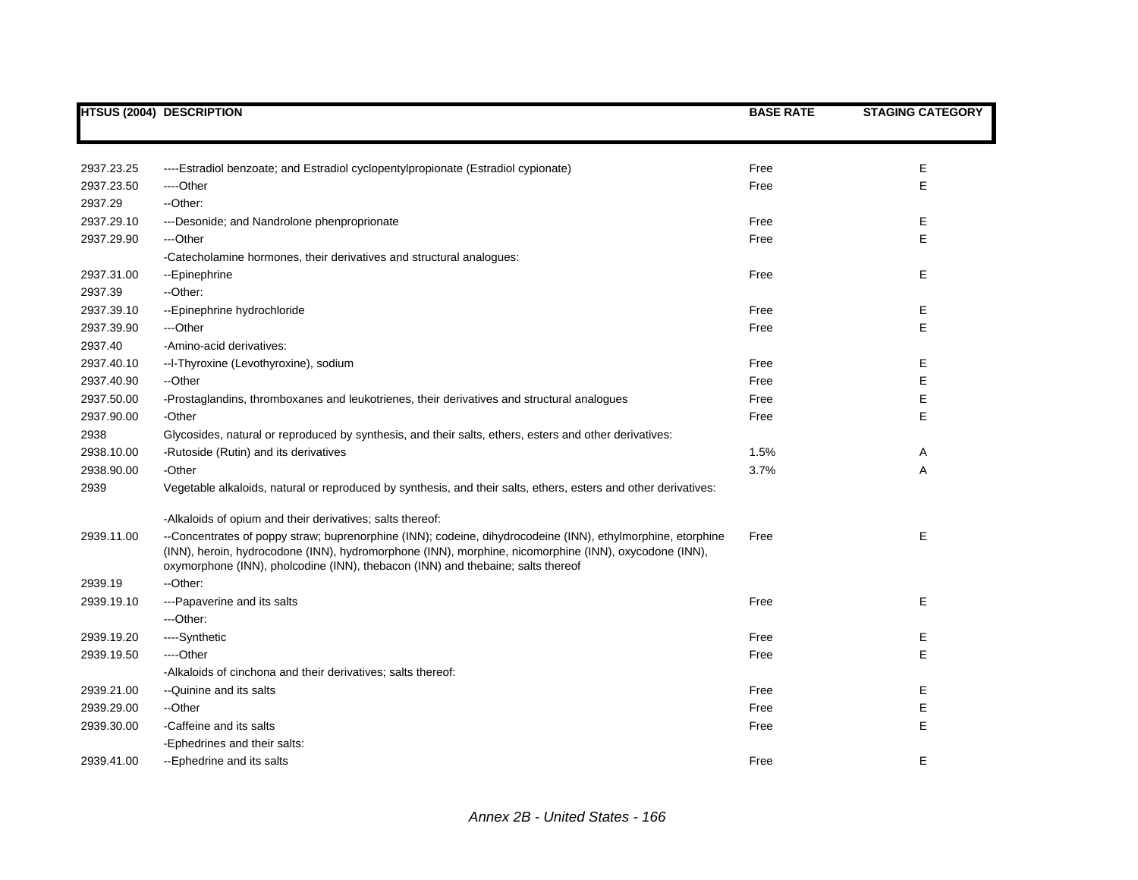|            | <b>HTSUS (2004) DESCRIPTION</b>                                                                                                                                                                                                                                                                         | <b>BASE RATE</b> | <b>STAGING CATEGORY</b> |
|------------|---------------------------------------------------------------------------------------------------------------------------------------------------------------------------------------------------------------------------------------------------------------------------------------------------------|------------------|-------------------------|
|            |                                                                                                                                                                                                                                                                                                         |                  |                         |
| 2937.23.25 | ----Estradiol benzoate; and Estradiol cyclopentylpropionate (Estradiol cypionate)                                                                                                                                                                                                                       | Free             | Ε                       |
| 2937.23.50 | ----Other                                                                                                                                                                                                                                                                                               | Free             | E                       |
| 2937.29    | --Other:                                                                                                                                                                                                                                                                                                |                  |                         |
| 2937.29.10 | ---Desonide; and Nandrolone phenproprionate                                                                                                                                                                                                                                                             | Free             | Е                       |
| 2937.29.90 | ---Other                                                                                                                                                                                                                                                                                                | Free             | E                       |
|            | -Catecholamine hormones, their derivatives and structural analogues:                                                                                                                                                                                                                                    |                  |                         |
| 2937.31.00 | --Epinephrine                                                                                                                                                                                                                                                                                           | Free             | Е                       |
| 2937.39    | --Other:                                                                                                                                                                                                                                                                                                |                  |                         |
| 2937.39.10 | -- Epinephrine hydrochloride                                                                                                                                                                                                                                                                            | Free             | Ε                       |
| 2937.39.90 | ---Other                                                                                                                                                                                                                                                                                                | Free             | Е                       |
| 2937.40    | -Amino-acid derivatives:                                                                                                                                                                                                                                                                                |                  |                         |
| 2937.40.10 | --I-Thyroxine (Levothyroxine), sodium                                                                                                                                                                                                                                                                   | Free             | Е                       |
| 2937.40.90 | --Other                                                                                                                                                                                                                                                                                                 | Free             | Ε                       |
| 2937.50.00 | -Prostaglandins, thromboxanes and leukotrienes, their derivatives and structural analogues                                                                                                                                                                                                              | Free             | Ε                       |
| 2937.90.00 | -Other                                                                                                                                                                                                                                                                                                  | Free             | Е                       |
| 2938       | Glycosides, natural or reproduced by synthesis, and their salts, ethers, esters and other derivatives:                                                                                                                                                                                                  |                  |                         |
| 2938.10.00 | -Rutoside (Rutin) and its derivatives                                                                                                                                                                                                                                                                   | 1.5%             | Α                       |
| 2938.90.00 | -Other                                                                                                                                                                                                                                                                                                  | 3.7%             | Α                       |
| 2939       | Vegetable alkaloids, natural or reproduced by synthesis, and their salts, ethers, esters and other derivatives:                                                                                                                                                                                         |                  |                         |
|            | -Alkaloids of opium and their derivatives; salts thereof:                                                                                                                                                                                                                                               |                  |                         |
| 2939.11.00 | --Concentrates of poppy straw; buprenorphine (INN); codeine, dihydrocodeine (INN), ethylmorphine, etorphine<br>(INN), heroin, hydrocodone (INN), hydromorphone (INN), morphine, nicomorphine (INN), oxycodone (INN),<br>oxymorphone (INN), pholcodine (INN), thebacon (INN) and thebaine; salts thereof | Free             | Е                       |
| 2939.19    | --Other:                                                                                                                                                                                                                                                                                                |                  |                         |
| 2939.19.10 | ---Papaverine and its salts                                                                                                                                                                                                                                                                             | Free             | Е                       |
|            | ---Other:                                                                                                                                                                                                                                                                                               |                  |                         |
| 2939.19.20 | ----Synthetic                                                                                                                                                                                                                                                                                           | Free             | Е                       |
| 2939.19.50 | ----Other                                                                                                                                                                                                                                                                                               | Free             | E                       |
|            | -Alkaloids of cinchona and their derivatives; salts thereof:                                                                                                                                                                                                                                            |                  |                         |
| 2939.21.00 | --Quinine and its salts                                                                                                                                                                                                                                                                                 | Free             | Ε                       |
| 2939.29.00 | --Other                                                                                                                                                                                                                                                                                                 | Free             | E                       |
| 2939.30.00 | -Caffeine and its salts                                                                                                                                                                                                                                                                                 | Free             | E                       |
|            | -Ephedrines and their salts:                                                                                                                                                                                                                                                                            |                  |                         |
| 2939.41.00 | --Ephedrine and its salts                                                                                                                                                                                                                                                                               | Free             | E                       |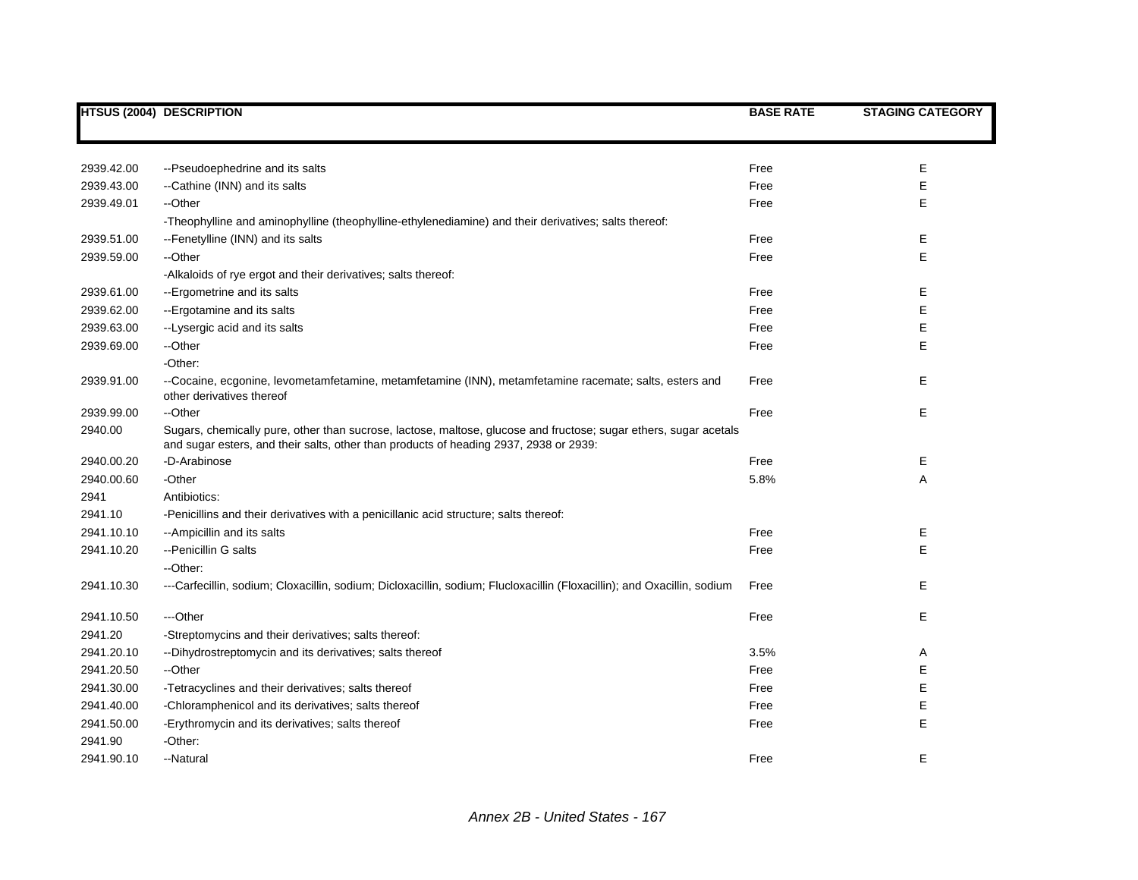|            | <b>HTSUS (2004) DESCRIPTION</b>                                                                                                                                                                           | <b>BASE RATE</b> | <b>STAGING CATEGORY</b> |
|------------|-----------------------------------------------------------------------------------------------------------------------------------------------------------------------------------------------------------|------------------|-------------------------|
|            |                                                                                                                                                                                                           |                  |                         |
| 2939.42.00 | --Pseudoephedrine and its salts                                                                                                                                                                           | Free             | Ε                       |
| 2939.43.00 | --Cathine (INN) and its salts                                                                                                                                                                             | Free             | E                       |
| 2939.49.01 | --Other                                                                                                                                                                                                   | Free             | E                       |
|            | -Theophylline and aminophylline (theophylline-ethylenediamine) and their derivatives; salts thereof:                                                                                                      |                  |                         |
| 2939.51.00 | --Fenetylline (INN) and its salts                                                                                                                                                                         | Free             | Ε                       |
| 2939.59.00 | --Other                                                                                                                                                                                                   | Free             | E                       |
|            | -Alkaloids of rye ergot and their derivatives; salts thereof:                                                                                                                                             |                  |                         |
| 2939.61.00 | --Ergometrine and its salts                                                                                                                                                                               | Free             | Ε                       |
| 2939.62.00 | --Ergotamine and its salts                                                                                                                                                                                | Free             | Е                       |
| 2939.63.00 | --Lysergic acid and its salts                                                                                                                                                                             | Free             | Е                       |
| 2939.69.00 | --Other                                                                                                                                                                                                   | Free             | E                       |
|            | -Other:                                                                                                                                                                                                   |                  |                         |
| 2939.91.00 | --Cocaine, ecgonine, levometamfetamine, metamfetamine (INN), metamfetamine racemate; salts, esters and<br>other derivatives thereof                                                                       | Free             | Е                       |
| 2939.99.00 | --Other                                                                                                                                                                                                   | Free             | Е                       |
| 2940.00    | Sugars, chemically pure, other than sucrose, lactose, maltose, glucose and fructose; sugar ethers, sugar acetals<br>and sugar esters, and their salts, other than products of heading 2937, 2938 or 2939: |                  |                         |
| 2940.00.20 | -D-Arabinose                                                                                                                                                                                              | Free             | Ε                       |
| 2940.00.60 | -Other                                                                                                                                                                                                    | 5.8%             | Α                       |
| 2941       | Antibiotics:                                                                                                                                                                                              |                  |                         |
| 2941.10    | -Penicillins and their derivatives with a penicillanic acid structure; salts thereof:                                                                                                                     |                  |                         |
| 2941.10.10 | -- Ampicillin and its salts                                                                                                                                                                               | Free             | Е                       |
| 2941.10.20 | --Penicillin G salts                                                                                                                                                                                      | Free             | E                       |
|            | --Other:                                                                                                                                                                                                  |                  |                         |
| 2941.10.30 | ---Carfecillin, sodium; Cloxacillin, sodium; Dicloxacillin, sodium; Flucloxacillin (Floxacillin); and Oxacillin, sodium                                                                                   | Free             | Е                       |
| 2941.10.50 | ---Other                                                                                                                                                                                                  | Free             | Е                       |
| 2941.20    | -Streptomycins and their derivatives; salts thereof:                                                                                                                                                      |                  |                         |
| 2941.20.10 | -- Dihydrostreptomycin and its derivatives; salts thereof                                                                                                                                                 | 3.5%             | Α                       |
| 2941.20.50 | --Other                                                                                                                                                                                                   | Free             | Ε                       |
| 2941.30.00 | -Tetracyclines and their derivatives; salts thereof                                                                                                                                                       | Free             | E                       |
| 2941.40.00 | -Chloramphenicol and its derivatives; salts thereof                                                                                                                                                       | Free             | E                       |
| 2941.50.00 | -Erythromycin and its derivatives; salts thereof                                                                                                                                                          | Free             | E                       |
| 2941.90    | -Other:                                                                                                                                                                                                   |                  |                         |
| 2941.90.10 | --Natural                                                                                                                                                                                                 | Free             | Е                       |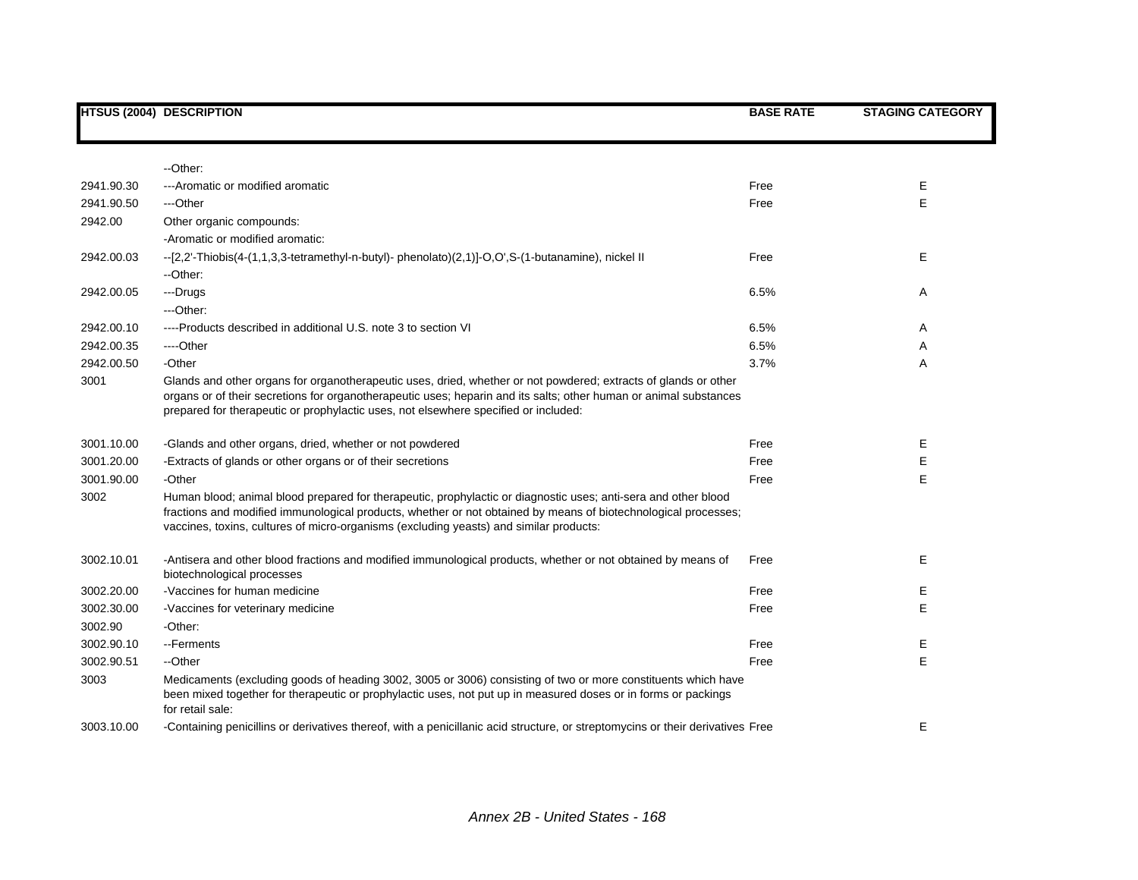|            | <b>HTSUS (2004) DESCRIPTION</b>                                                                                                                                                                                                                                                                                             | <b>BASE RATE</b> | <b>STAGING CATEGORY</b> |
|------------|-----------------------------------------------------------------------------------------------------------------------------------------------------------------------------------------------------------------------------------------------------------------------------------------------------------------------------|------------------|-------------------------|
|            |                                                                                                                                                                                                                                                                                                                             |                  |                         |
|            | --Other:                                                                                                                                                                                                                                                                                                                    |                  |                         |
| 2941.90.30 | ---Aromatic or modified aromatic                                                                                                                                                                                                                                                                                            | Free             | Е                       |
| 2941.90.50 | ---Other                                                                                                                                                                                                                                                                                                                    | Free             | E                       |
| 2942.00    | Other organic compounds:                                                                                                                                                                                                                                                                                                    |                  |                         |
|            | -Aromatic or modified aromatic:                                                                                                                                                                                                                                                                                             |                  |                         |
| 2942.00.03 | --[2,2'-Thiobis(4-(1,1,3,3-tetramethyl-n-butyl)- phenolato)(2,1)]-O,O',S-(1-butanamine), nickel II<br>--Other:                                                                                                                                                                                                              | Free             | Е                       |
| 2942.00.05 | ---Drugs                                                                                                                                                                                                                                                                                                                    | 6.5%             | Α                       |
|            | ---Other:                                                                                                                                                                                                                                                                                                                   |                  |                         |
| 2942.00.10 | ----Products described in additional U.S. note 3 to section VI                                                                                                                                                                                                                                                              | 6.5%             | Α                       |
| 2942.00.35 | ----Other                                                                                                                                                                                                                                                                                                                   | 6.5%             | Α                       |
| 2942.00.50 | -Other                                                                                                                                                                                                                                                                                                                      | 3.7%             | Α                       |
| 3001       | Glands and other organs for organotherapeutic uses, dried, whether or not powdered; extracts of glands or other<br>organs or of their secretions for organotherapeutic uses; heparin and its salts; other human or animal substances<br>prepared for therapeutic or prophylactic uses, not elsewhere specified or included: |                  |                         |
| 3001.10.00 | -Glands and other organs, dried, whether or not powdered                                                                                                                                                                                                                                                                    | Free             | Е                       |
| 3001.20.00 | -Extracts of glands or other organs or of their secretions                                                                                                                                                                                                                                                                  | Free             | Ε                       |
| 3001.90.00 | -Other                                                                                                                                                                                                                                                                                                                      | Free             | E                       |
| 3002       | Human blood; animal blood prepared for therapeutic, prophylactic or diagnostic uses; anti-sera and other blood<br>fractions and modified immunological products, whether or not obtained by means of biotechnological processes;<br>vaccines, toxins, cultures of micro-organisms (excluding yeasts) and similar products:  |                  |                         |
| 3002.10.01 | -Antisera and other blood fractions and modified immunological products, whether or not obtained by means of<br>biotechnological processes                                                                                                                                                                                  | Free             | Е                       |
| 3002.20.00 | -Vaccines for human medicine                                                                                                                                                                                                                                                                                                | Free             | Е                       |
| 3002.30.00 | -Vaccines for veterinary medicine                                                                                                                                                                                                                                                                                           | Free             | E                       |
| 3002.90    | -Other:                                                                                                                                                                                                                                                                                                                     |                  |                         |
| 3002.90.10 | --Ferments                                                                                                                                                                                                                                                                                                                  | Free             | Е                       |
| 3002.90.51 | --Other                                                                                                                                                                                                                                                                                                                     | Free             | E                       |
| 3003       | Medicaments (excluding goods of heading 3002, 3005 or 3006) consisting of two or more constituents which have<br>been mixed together for therapeutic or prophylactic uses, not put up in measured doses or in forms or packings<br>for retail sale:                                                                         |                  |                         |
| 3003.10.00 | -Containing penicillins or derivatives thereof, with a penicillanic acid structure, or streptomycins or their derivatives Free                                                                                                                                                                                              |                  | Е                       |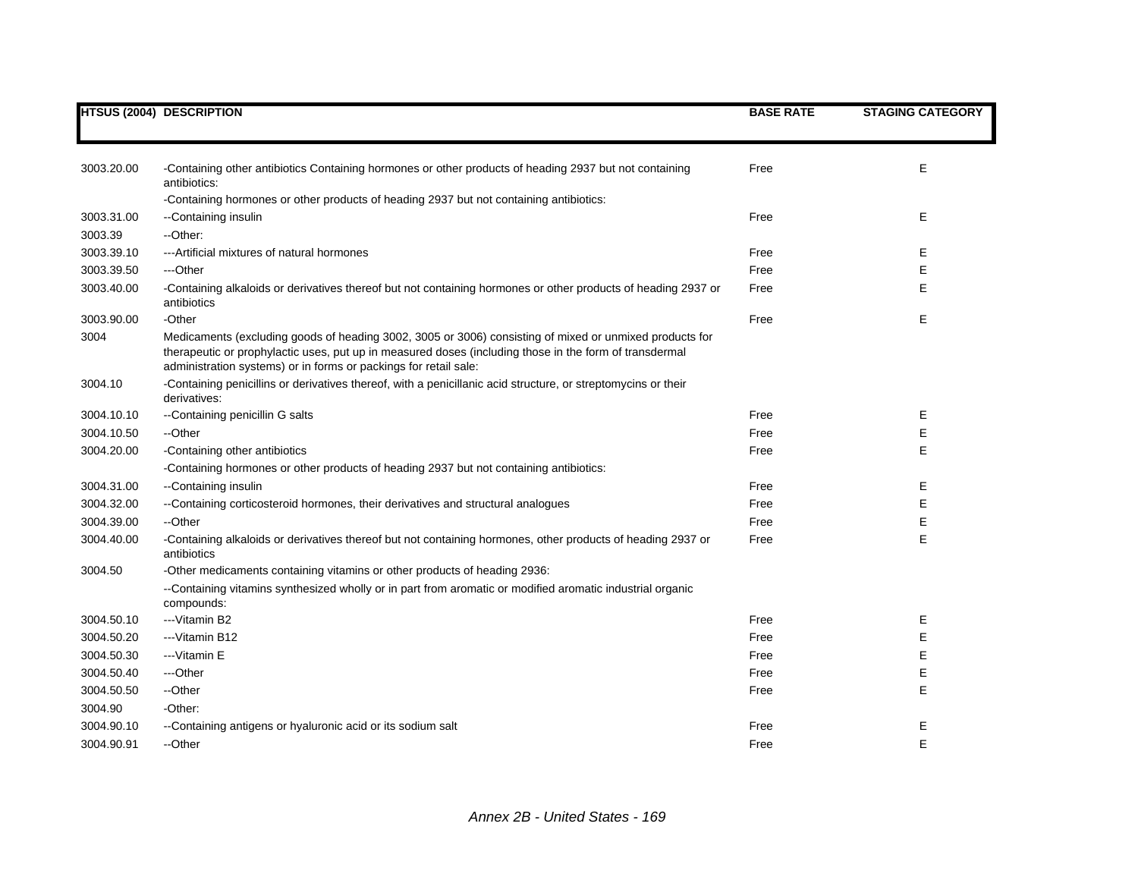|            | <b>HTSUS (2004) DESCRIPTION</b>                                                                                                                                                                                                                                                       | <b>BASE RATE</b> | <b>STAGING CATEGORY</b> |
|------------|---------------------------------------------------------------------------------------------------------------------------------------------------------------------------------------------------------------------------------------------------------------------------------------|------------------|-------------------------|
|            |                                                                                                                                                                                                                                                                                       |                  |                         |
| 3003.20.00 | -Containing other antibiotics Containing hormones or other products of heading 2937 but not containing<br>antibiotics:                                                                                                                                                                | Free             | E.                      |
|            | -Containing hormones or other products of heading 2937 but not containing antibiotics:                                                                                                                                                                                                |                  |                         |
| 3003.31.00 | --Containing insulin                                                                                                                                                                                                                                                                  | Free             | Е                       |
| 3003.39    | --Other:                                                                                                                                                                                                                                                                              |                  |                         |
| 3003.39.10 | --- Artificial mixtures of natural hormones                                                                                                                                                                                                                                           | Free             | Е                       |
| 3003.39.50 | ---Other                                                                                                                                                                                                                                                                              | Free             | Е                       |
| 3003.40.00 | -Containing alkaloids or derivatives thereof but not containing hormones or other products of heading 2937 or<br>antibiotics                                                                                                                                                          | Free             | E                       |
| 3003.90.00 | -Other                                                                                                                                                                                                                                                                                | Free             | Е                       |
| 3004       | Medicaments (excluding goods of heading 3002, 3005 or 3006) consisting of mixed or unmixed products for<br>therapeutic or prophylactic uses, put up in measured doses (including those in the form of transdermal<br>administration systems) or in forms or packings for retail sale: |                  |                         |
| 3004.10    | -Containing penicillins or derivatives thereof, with a penicillanic acid structure, or streptomycins or their<br>derivatives:                                                                                                                                                         |                  |                         |
| 3004.10.10 | --Containing penicillin G salts                                                                                                                                                                                                                                                       | Free             | Е                       |
| 3004.10.50 | --Other                                                                                                                                                                                                                                                                               | Free             | Е                       |
| 3004.20.00 | -Containing other antibiotics                                                                                                                                                                                                                                                         | Free             | Е                       |
|            | -Containing hormones or other products of heading 2937 but not containing antibiotics:                                                                                                                                                                                                |                  |                         |
| 3004.31.00 | --Containing insulin                                                                                                                                                                                                                                                                  | Free             | Е                       |
| 3004.32.00 | --Containing corticosteroid hormones, their derivatives and structural analogues                                                                                                                                                                                                      | Free             | E                       |
| 3004.39.00 | --Other                                                                                                                                                                                                                                                                               | Free             | E                       |
| 3004.40.00 | -Containing alkaloids or derivatives thereof but not containing hormones, other products of heading 2937 or<br>antibiotics                                                                                                                                                            | Free             | E                       |
| 3004.50    | -Other medicaments containing vitamins or other products of heading 2936:                                                                                                                                                                                                             |                  |                         |
|            | --Containing vitamins synthesized wholly or in part from aromatic or modified aromatic industrial organic<br>compounds:                                                                                                                                                               |                  |                         |
| 3004.50.10 | ---Vitamin B2                                                                                                                                                                                                                                                                         | Free             | Е                       |
| 3004.50.20 | --Vitamin B12                                                                                                                                                                                                                                                                         | Free             | Е                       |
| 3004.50.30 | --- Vitamin E                                                                                                                                                                                                                                                                         | Free             | Е                       |
| 3004.50.40 | ---Other                                                                                                                                                                                                                                                                              | Free             | Е                       |
| 3004.50.50 | --Other                                                                                                                                                                                                                                                                               | Free             | E                       |
| 3004.90    | -Other:                                                                                                                                                                                                                                                                               |                  |                         |
| 3004.90.10 | -Containing antigens or hyaluronic acid or its sodium salt                                                                                                                                                                                                                            | Free             | Е                       |
| 3004.90.91 | --Other                                                                                                                                                                                                                                                                               | Free             | E                       |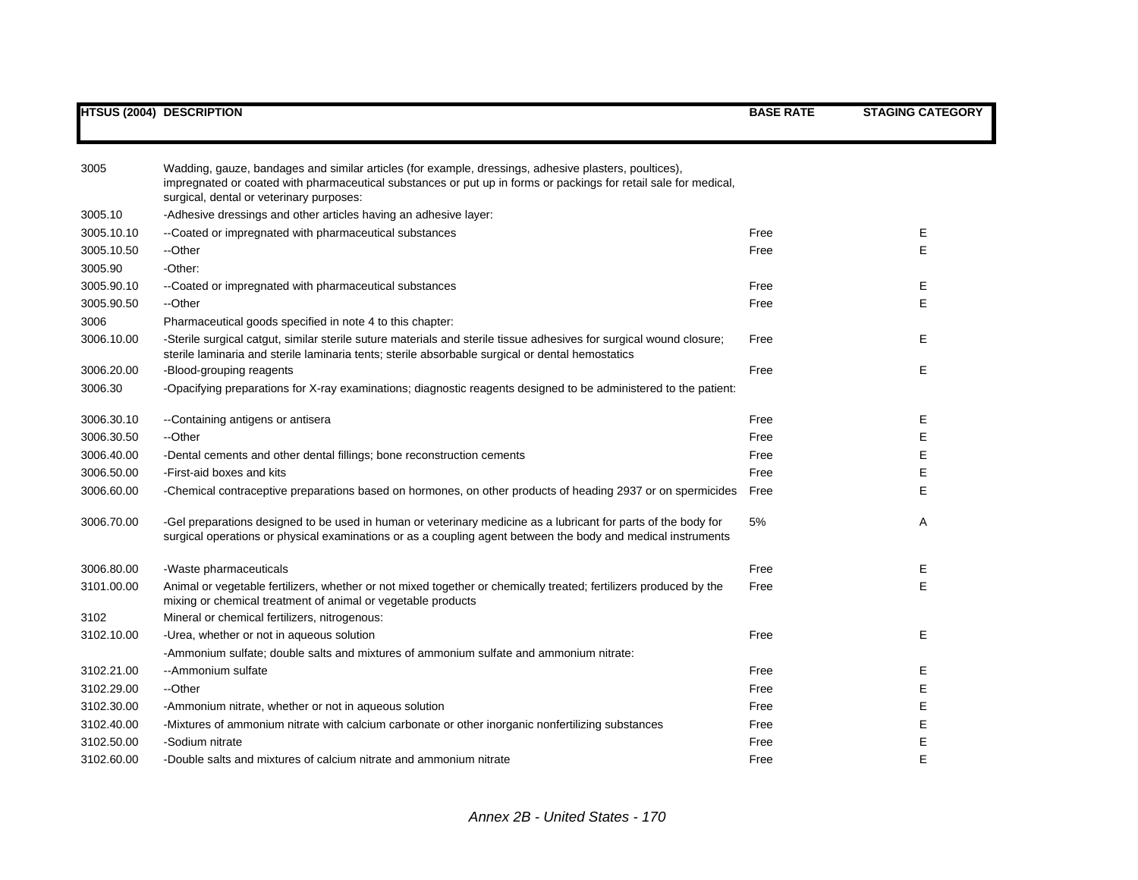| 3005       | Wadding, gauze, bandages and similar articles (for example, dressings, adhesive plasters, poultices),<br>impregnated or coated with pharmaceutical substances or put up in forms or packings for retail sale for medical,<br>surgical, dental or veterinary purposes: |      |   |
|------------|-----------------------------------------------------------------------------------------------------------------------------------------------------------------------------------------------------------------------------------------------------------------------|------|---|
| 3005.10    | -Adhesive dressings and other articles having an adhesive layer:                                                                                                                                                                                                      |      |   |
| 3005.10.10 | --Coated or impregnated with pharmaceutical substances                                                                                                                                                                                                                | Free | Е |
| 3005.10.50 | --Other                                                                                                                                                                                                                                                               | Free | E |
| 3005.90    | -Other:                                                                                                                                                                                                                                                               |      |   |
| 3005.90.10 | --Coated or impregnated with pharmaceutical substances                                                                                                                                                                                                                | Free | Е |
| 3005.90.50 | --Other                                                                                                                                                                                                                                                               | Free | E |
| 3006       | Pharmaceutical goods specified in note 4 to this chapter:                                                                                                                                                                                                             |      |   |
| 3006.10.00 | -Sterile surgical catgut, similar sterile suture materials and sterile tissue adhesives for surgical wound closure;<br>sterile laminaria and sterile laminaria tents; sterile absorbable surgical or dental hemostatics                                               | Free | Е |
| 3006.20.00 | -Blood-grouping reagents                                                                                                                                                                                                                                              | Free | Е |
| 3006.30    | -Opacifying preparations for X-ray examinations; diagnostic reagents designed to be administered to the patient:                                                                                                                                                      |      |   |
| 3006.30.10 | --Containing antigens or antisera                                                                                                                                                                                                                                     | Free | Е |
| 3006.30.50 | --Other                                                                                                                                                                                                                                                               | Free | E |
| 3006.40.00 | -Dental cements and other dental fillings; bone reconstruction cements                                                                                                                                                                                                | Free | E |
| 3006.50.00 | -First-aid boxes and kits                                                                                                                                                                                                                                             | Free | Ε |
| 3006.60.00 | -Chemical contraceptive preparations based on hormones, on other products of heading 2937 or on spermicides                                                                                                                                                           | Free | E |
|            |                                                                                                                                                                                                                                                                       |      |   |
| 3006.70.00 | -Gel preparations designed to be used in human or veterinary medicine as a lubricant for parts of the body for<br>surgical operations or physical examinations or as a coupling agent between the body and medical instruments                                        | 5%   | A |
| 3006.80.00 | -Waste pharmaceuticals                                                                                                                                                                                                                                                | Free | Е |
| 3101.00.00 | Animal or vegetable fertilizers, whether or not mixed together or chemically treated; fertilizers produced by the<br>mixing or chemical treatment of animal or vegetable products                                                                                     | Free | E |
| 3102       | Mineral or chemical fertilizers, nitrogenous:                                                                                                                                                                                                                         |      |   |
| 3102.10.00 | -Urea, whether or not in aqueous solution                                                                                                                                                                                                                             | Free | Е |
|            | -Ammonium sulfate; double salts and mixtures of ammonium sulfate and ammonium nitrate:                                                                                                                                                                                |      |   |
| 3102.21.00 | --Ammonium sulfate                                                                                                                                                                                                                                                    | Free | Е |
| 3102.29.00 | --Other                                                                                                                                                                                                                                                               | Free | Е |
| 3102.30.00 | -Ammonium nitrate, whether or not in aqueous solution                                                                                                                                                                                                                 | Free | Е |
| 3102.40.00 | -Mixtures of ammonium nitrate with calcium carbonate or other inorganic nonfertilizing substances                                                                                                                                                                     | Free | E |
| 3102.50.00 | -Sodium nitrate                                                                                                                                                                                                                                                       | Free | E |
| 3102.60.00 | -Double salts and mixtures of calcium nitrate and ammonium nitrate                                                                                                                                                                                                    | Free | E |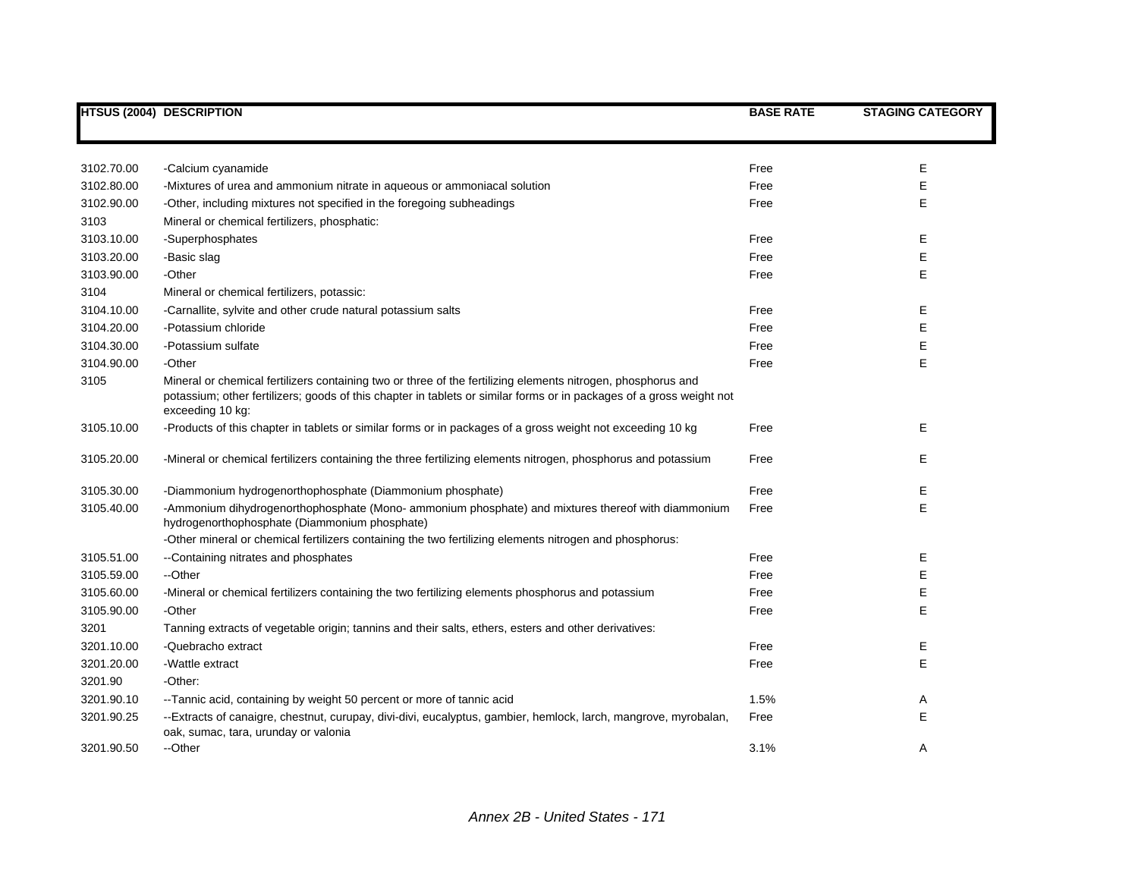|            | <b>HTSUS (2004) DESCRIPTION</b>                                                                                                                                                                                                                          | <b>BASE RATE</b> | <b>STAGING CATEGORY</b> |
|------------|----------------------------------------------------------------------------------------------------------------------------------------------------------------------------------------------------------------------------------------------------------|------------------|-------------------------|
|            |                                                                                                                                                                                                                                                          |                  |                         |
| 3102.70.00 | -Calcium cyanamide                                                                                                                                                                                                                                       | Free             | Е                       |
| 3102.80.00 | -Mixtures of urea and ammonium nitrate in aqueous or ammoniacal solution                                                                                                                                                                                 | Free             | Е                       |
| 3102.90.00 | -Other, including mixtures not specified in the foregoing subheadings                                                                                                                                                                                    | Free             | E                       |
| 3103       | Mineral or chemical fertilizers, phosphatic:                                                                                                                                                                                                             |                  |                         |
| 3103.10.00 | -Superphosphates                                                                                                                                                                                                                                         | Free             | Ε                       |
| 3103.20.00 | -Basic slag                                                                                                                                                                                                                                              | Free             | E                       |
| 3103.90.00 | -Other                                                                                                                                                                                                                                                   | Free             | E                       |
| 3104       | Mineral or chemical fertilizers, potassic:                                                                                                                                                                                                               |                  |                         |
| 3104.10.00 | -Carnallite, sylvite and other crude natural potassium salts                                                                                                                                                                                             | Free             | Е                       |
| 3104.20.00 | -Potassium chloride                                                                                                                                                                                                                                      | Free             | Е                       |
| 3104.30.00 | -Potassium sulfate                                                                                                                                                                                                                                       | Free             | E                       |
| 3104.90.00 | -Other                                                                                                                                                                                                                                                   | Free             | E                       |
| 3105       | Mineral or chemical fertilizers containing two or three of the fertilizing elements nitrogen, phosphorus and<br>potassium; other fertilizers; goods of this chapter in tablets or similar forms or in packages of a gross weight not<br>exceeding 10 kg: |                  |                         |
| 3105.10.00 | -Products of this chapter in tablets or similar forms or in packages of a gross weight not exceeding 10 kg                                                                                                                                               | Free             | Е                       |
| 3105.20.00 | -Mineral or chemical fertilizers containing the three fertilizing elements nitrogen, phosphorus and potassium                                                                                                                                            | Free             | Е                       |
| 3105.30.00 | -Diammonium hydrogenorthophosphate (Diammonium phosphate)                                                                                                                                                                                                | Free             | Е                       |
| 3105.40.00 | -Ammonium dihydrogenorthophosphate (Mono- ammonium phosphate) and mixtures thereof with diammonium<br>hydrogenorthophosphate (Diammonium phosphate)                                                                                                      | Free             | E                       |
|            | -Other mineral or chemical fertilizers containing the two fertilizing elements nitrogen and phosphorus:                                                                                                                                                  |                  |                         |
| 3105.51.00 | --Containing nitrates and phosphates                                                                                                                                                                                                                     | Free             | Ε                       |
| 3105.59.00 | --Other                                                                                                                                                                                                                                                  | Free             | E                       |
| 3105.60.00 | -Mineral or chemical fertilizers containing the two fertilizing elements phosphorus and potassium                                                                                                                                                        | Free             | E                       |
| 3105.90.00 | -Other                                                                                                                                                                                                                                                   | Free             | E                       |
| 3201       | Tanning extracts of vegetable origin; tannins and their salts, ethers, esters and other derivatives:                                                                                                                                                     |                  |                         |
| 3201.10.00 | -Quebracho extract                                                                                                                                                                                                                                       | Free             | Ε                       |
| 3201.20.00 | -Wattle extract                                                                                                                                                                                                                                          | Free             | E                       |
| 3201.90    | -Other:                                                                                                                                                                                                                                                  |                  |                         |
| 3201.90.10 | -- Tannic acid, containing by weight 50 percent or more of tannic acid                                                                                                                                                                                   | 1.5%             | Α                       |
| 3201.90.25 | --Extracts of canaigre, chestnut, curupay, divi-divi, eucalyptus, gambier, hemlock, larch, mangrove, myrobalan,<br>oak, sumac, tara, urunday or valonia                                                                                                  | Free             | E                       |
| 3201.90.50 | --Other                                                                                                                                                                                                                                                  | 3.1%             | Α                       |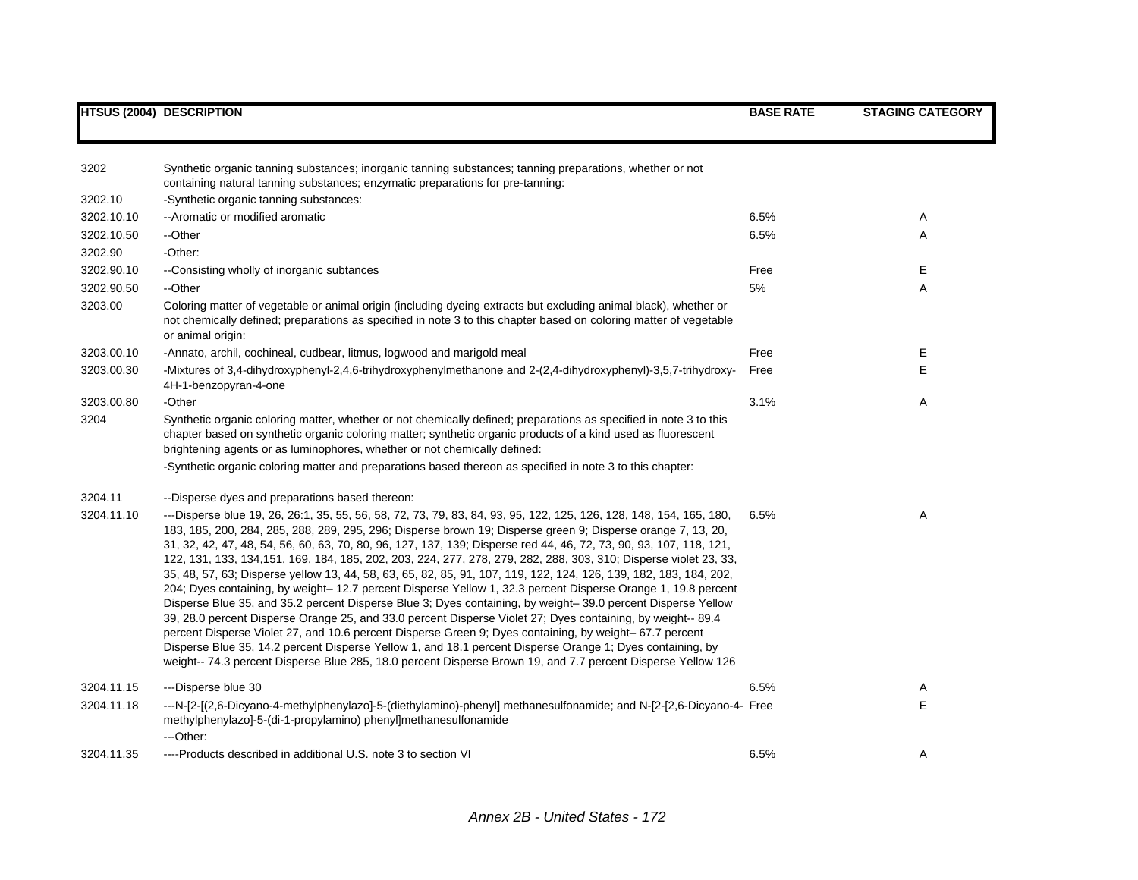| 3202       | Synthetic organic tanning substances; inorganic tanning substances; tanning preparations, whether or not<br>containing natural tanning substances; enzymatic preparations for pre-tanning:                                                                                                                                                                                                                                                                                                                                                                                                                                                                                                                                                                                                                                                                                                                                                                                                                                                                                                                                                                                                                                                                                              |      |    |
|------------|-----------------------------------------------------------------------------------------------------------------------------------------------------------------------------------------------------------------------------------------------------------------------------------------------------------------------------------------------------------------------------------------------------------------------------------------------------------------------------------------------------------------------------------------------------------------------------------------------------------------------------------------------------------------------------------------------------------------------------------------------------------------------------------------------------------------------------------------------------------------------------------------------------------------------------------------------------------------------------------------------------------------------------------------------------------------------------------------------------------------------------------------------------------------------------------------------------------------------------------------------------------------------------------------|------|----|
| 3202.10    | -Synthetic organic tanning substances:                                                                                                                                                                                                                                                                                                                                                                                                                                                                                                                                                                                                                                                                                                                                                                                                                                                                                                                                                                                                                                                                                                                                                                                                                                                  |      |    |
| 3202.10.10 | -- Aromatic or modified aromatic                                                                                                                                                                                                                                                                                                                                                                                                                                                                                                                                                                                                                                                                                                                                                                                                                                                                                                                                                                                                                                                                                                                                                                                                                                                        | 6.5% | A  |
| 3202.10.50 | --Other                                                                                                                                                                                                                                                                                                                                                                                                                                                                                                                                                                                                                                                                                                                                                                                                                                                                                                                                                                                                                                                                                                                                                                                                                                                                                 | 6.5% | Α  |
| 3202.90    | -Other:                                                                                                                                                                                                                                                                                                                                                                                                                                                                                                                                                                                                                                                                                                                                                                                                                                                                                                                                                                                                                                                                                                                                                                                                                                                                                 |      |    |
| 3202.90.10 | --Consisting wholly of inorganic subtances                                                                                                                                                                                                                                                                                                                                                                                                                                                                                                                                                                                                                                                                                                                                                                                                                                                                                                                                                                                                                                                                                                                                                                                                                                              | Free | Е  |
| 3202.90.50 | --Other                                                                                                                                                                                                                                                                                                                                                                                                                                                                                                                                                                                                                                                                                                                                                                                                                                                                                                                                                                                                                                                                                                                                                                                                                                                                                 | 5%   | A  |
| 3203.00    | Coloring matter of vegetable or animal origin (including dyeing extracts but excluding animal black), whether or<br>not chemically defined; preparations as specified in note 3 to this chapter based on coloring matter of vegetable<br>or animal origin:                                                                                                                                                                                                                                                                                                                                                                                                                                                                                                                                                                                                                                                                                                                                                                                                                                                                                                                                                                                                                              |      |    |
| 3203.00.10 | -Annato, archil, cochineal, cudbear, litmus, logwood and marigold meal                                                                                                                                                                                                                                                                                                                                                                                                                                                                                                                                                                                                                                                                                                                                                                                                                                                                                                                                                                                                                                                                                                                                                                                                                  | Free | E  |
| 3203.00.30 | -Mixtures of 3,4-dihydroxyphenyl-2,4,6-trihydroxyphenylmethanone and 2-(2,4-dihydroxyphenyl)-3,5,7-trihydroxy-<br>4H-1-benzopyran-4-one                                                                                                                                                                                                                                                                                                                                                                                                                                                                                                                                                                                                                                                                                                                                                                                                                                                                                                                                                                                                                                                                                                                                                 | Free | E. |
| 3203.00.80 | -Other                                                                                                                                                                                                                                                                                                                                                                                                                                                                                                                                                                                                                                                                                                                                                                                                                                                                                                                                                                                                                                                                                                                                                                                                                                                                                  | 3.1% | A  |
| 3204       | Synthetic organic coloring matter, whether or not chemically defined; preparations as specified in note 3 to this<br>chapter based on synthetic organic coloring matter; synthetic organic products of a kind used as fluorescent<br>brightening agents or as luminophores, whether or not chemically defined:                                                                                                                                                                                                                                                                                                                                                                                                                                                                                                                                                                                                                                                                                                                                                                                                                                                                                                                                                                          |      |    |
|            | -Synthetic organic coloring matter and preparations based thereon as specified in note 3 to this chapter:                                                                                                                                                                                                                                                                                                                                                                                                                                                                                                                                                                                                                                                                                                                                                                                                                                                                                                                                                                                                                                                                                                                                                                               |      |    |
| 3204.11    | --Disperse dyes and preparations based thereon:                                                                                                                                                                                                                                                                                                                                                                                                                                                                                                                                                                                                                                                                                                                                                                                                                                                                                                                                                                                                                                                                                                                                                                                                                                         |      |    |
| 3204.11.10 | ---Disperse blue 19, 26, 26:1, 35, 55, 56, 58, 72, 73, 79, 83, 84, 93, 95, 122, 125, 126, 128, 148, 154, 165, 180,<br>183, 185, 200, 284, 285, 288, 289, 295, 296; Disperse brown 19; Disperse green 9; Disperse orange 7, 13, 20,<br>31, 32, 42, 47, 48, 54, 56, 60, 63, 70, 80, 96, 127, 137, 139; Disperse red 44, 46, 72, 73, 90, 93, 107, 118, 121,<br>122, 131, 133, 134, 151, 169, 184, 185, 202, 203, 224, 277, 278, 279, 282, 288, 303, 310; Disperse violet 23, 33,<br>35, 48, 57, 63; Disperse yellow 13, 44, 58, 63, 65, 82, 85, 91, 107, 119, 122, 124, 126, 139, 182, 183, 184, 202,<br>204; Dyes containing, by weight-12.7 percent Disperse Yellow 1, 32.3 percent Disperse Orange 1, 19.8 percent<br>Disperse Blue 35, and 35.2 percent Disperse Blue 3; Dyes containing, by weight-39.0 percent Disperse Yellow<br>39, 28.0 percent Disperse Orange 25, and 33.0 percent Disperse Violet 27; Dyes containing, by weight-- 89.4<br>percent Disperse Violet 27, and 10.6 percent Disperse Green 9; Dyes containing, by weight-67.7 percent<br>Disperse Blue 35, 14.2 percent Disperse Yellow 1, and 18.1 percent Disperse Orange 1; Dyes containing, by<br>weight-- 74.3 percent Disperse Blue 285, 18.0 percent Disperse Brown 19, and 7.7 percent Disperse Yellow 126 | 6.5% | Α  |
| 3204.11.15 | ---Disperse blue 30                                                                                                                                                                                                                                                                                                                                                                                                                                                                                                                                                                                                                                                                                                                                                                                                                                                                                                                                                                                                                                                                                                                                                                                                                                                                     | 6.5% | A  |
| 3204.11.18 | ---N-[2-[(2,6-Dicyano-4-methylphenylazo]-5-(diethylamino)-phenyl] methanesulfonamide; and N-[2-[2,6-Dicyano-4- Free<br>methylphenylazo]-5-(di-1-propylamino) phenyl]methanesulfonamide<br>---Other:                                                                                                                                                                                                                                                                                                                                                                                                                                                                                                                                                                                                                                                                                                                                                                                                                                                                                                                                                                                                                                                                                     |      | E  |
| 3204.11.35 | ----Products described in additional U.S. note 3 to section VI                                                                                                                                                                                                                                                                                                                                                                                                                                                                                                                                                                                                                                                                                                                                                                                                                                                                                                                                                                                                                                                                                                                                                                                                                          | 6.5% | A  |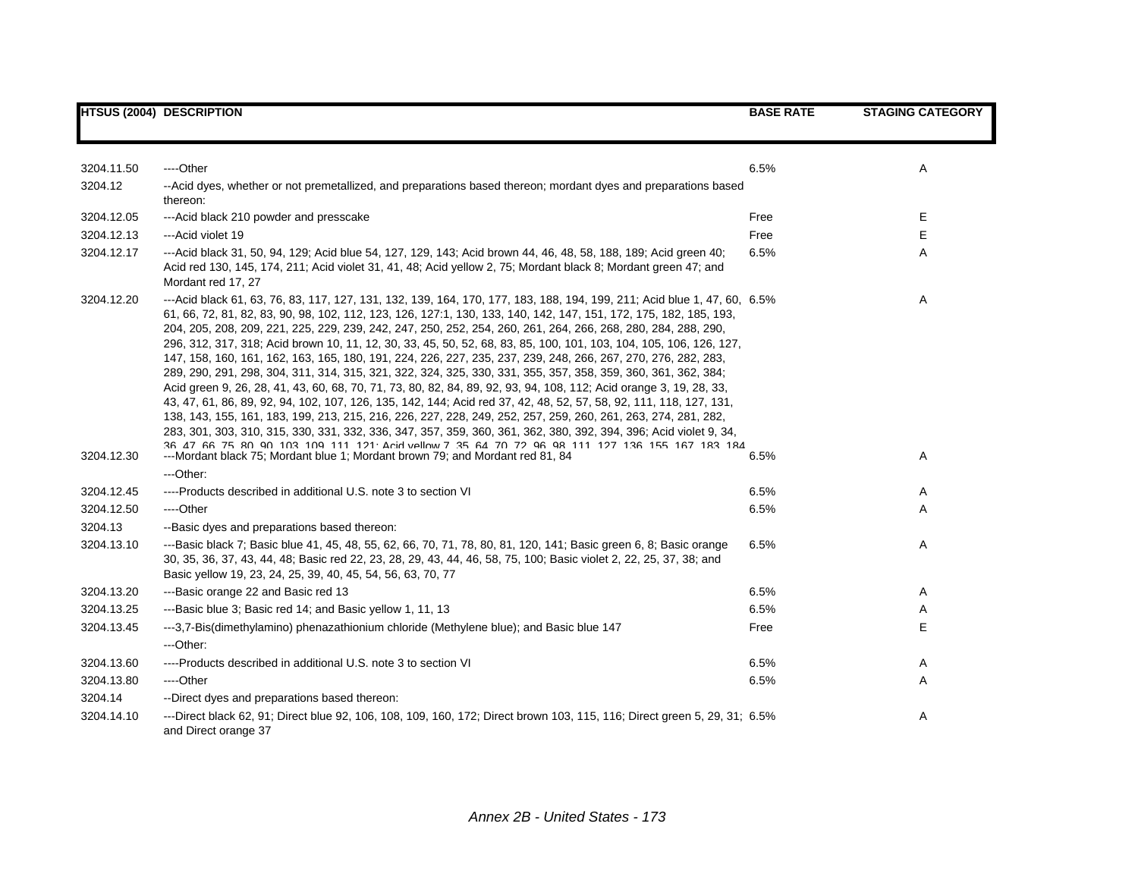|                          | <b>HTSUS (2004) DESCRIPTION</b>                                                                                                                                                                                                                                                                                                                                                                                                                                                                                                                                                                                                                                                                                                                                                                                                                                                                                                                                                                                                                                                                                                                                                                                                                                                                          | <b>BASE RATE</b> | <b>STAGING CATEGORY</b> |
|--------------------------|----------------------------------------------------------------------------------------------------------------------------------------------------------------------------------------------------------------------------------------------------------------------------------------------------------------------------------------------------------------------------------------------------------------------------------------------------------------------------------------------------------------------------------------------------------------------------------------------------------------------------------------------------------------------------------------------------------------------------------------------------------------------------------------------------------------------------------------------------------------------------------------------------------------------------------------------------------------------------------------------------------------------------------------------------------------------------------------------------------------------------------------------------------------------------------------------------------------------------------------------------------------------------------------------------------|------------------|-------------------------|
|                          |                                                                                                                                                                                                                                                                                                                                                                                                                                                                                                                                                                                                                                                                                                                                                                                                                                                                                                                                                                                                                                                                                                                                                                                                                                                                                                          |                  |                         |
| 3204.11.50               | ----Other                                                                                                                                                                                                                                                                                                                                                                                                                                                                                                                                                                                                                                                                                                                                                                                                                                                                                                                                                                                                                                                                                                                                                                                                                                                                                                | 6.5%             |                         |
| 3204.12                  | -- Acid dyes, whether or not premetallized, and preparations based thereon; mordant dyes and preparations based                                                                                                                                                                                                                                                                                                                                                                                                                                                                                                                                                                                                                                                                                                                                                                                                                                                                                                                                                                                                                                                                                                                                                                                          |                  |                         |
|                          | thereon:                                                                                                                                                                                                                                                                                                                                                                                                                                                                                                                                                                                                                                                                                                                                                                                                                                                                                                                                                                                                                                                                                                                                                                                                                                                                                                 |                  |                         |
| 3204.12.05               | --- Acid black 210 powder and presscake                                                                                                                                                                                                                                                                                                                                                                                                                                                                                                                                                                                                                                                                                                                                                                                                                                                                                                                                                                                                                                                                                                                                                                                                                                                                  | Free<br>Free     |                         |
| 3204.12.13<br>3204.12.17 | ---Acid violet 19<br>---Acid black 31, 50, 94, 129; Acid blue 54, 127, 129, 143; Acid brown 44, 46, 48, 58, 188, 189; Acid green 40; 6.5%                                                                                                                                                                                                                                                                                                                                                                                                                                                                                                                                                                                                                                                                                                                                                                                                                                                                                                                                                                                                                                                                                                                                                                |                  |                         |
|                          | Acid red 130, 145, 174, 211; Acid violet 31, 41, 48; Acid yellow 2, 75; Mordant black 8; Mordant green 47; and<br>Mordant red 17, 27                                                                                                                                                                                                                                                                                                                                                                                                                                                                                                                                                                                                                                                                                                                                                                                                                                                                                                                                                                                                                                                                                                                                                                     |                  |                         |
| 3204.12.20               | ---Acid black 61, 63, 76, 83, 117, 127, 131, 132, 139, 164, 170, 177, 183, 188, 194, 199, 211; Acid blue 1, 47, 60, 6.5%<br>61, 66, 72, 81, 82, 83, 90, 98, 102, 112, 123, 126, 127:1, 130, 133, 140, 142, 147, 151, 172, 175, 182, 185, 193,<br>204, 205, 208, 209, 221, 225, 229, 239, 242, 247, 250, 252, 254, 260, 261, 264, 266, 268, 280, 284, 288, 290,<br>296, 312, 317, 318; Acid brown 10, 11, 12, 30, 33, 45, 50, 52, 68, 83, 85, 100, 101, 103, 104, 105, 106, 126, 127<br>147, 158, 160, 161, 162, 163, 165, 180, 191, 224, 226, 227, 235, 237, 239, 248, 266, 267, 270, 276, 282, 283,<br>289, 290, 291, 298, 304, 311, 314, 315, 321, 322, 324, 325, 330, 331, 355, 357, 358, 359, 360, 361, 362, 384;<br>Acid green 9, 26, 28, 41, 43, 60, 68, 70, 71, 73, 80, 82, 84, 89, 92, 93, 94, 108, 112; Acid orange 3, 19, 28, 33,<br>43, 47, 61, 86, 89, 92, 94, 102, 107, 126, 135, 142, 144; Acid red 37, 42, 48, 52, 57, 58, 92, 111, 118, 127, 131,<br>138, 143, 155, 161, 183, 199, 213, 215, 216, 226, 227, 228, 249, 252, 257, 259, 260, 261, 263, 274, 281, 282,<br>283, 301, 303, 310, 315, 330, 331, 332, 336, 347, 357, 359, 360, 361, 362, 380, 392, 394, 396; Acid violet 9, 34,<br>36 47 66 75 80 90 103 109 111 121 Arid vellow 7 35 64 70 72 96 98 111 127 136 155 167 183 184 |                  |                         |
| 3204.12.30               | ---Mordant black 75; Mordant blue 1; Mordant brown 79; and Mordant red 81, 84                                                                                                                                                                                                                                                                                                                                                                                                                                                                                                                                                                                                                                                                                                                                                                                                                                                                                                                                                                                                                                                                                                                                                                                                                            | $6.5\%$          |                         |
|                          | ---Other:                                                                                                                                                                                                                                                                                                                                                                                                                                                                                                                                                                                                                                                                                                                                                                                                                                                                                                                                                                                                                                                                                                                                                                                                                                                                                                |                  |                         |
| 3204.12.45               | ----Products described in additional U.S. note 3 to section VI                                                                                                                                                                                                                                                                                                                                                                                                                                                                                                                                                                                                                                                                                                                                                                                                                                                                                                                                                                                                                                                                                                                                                                                                                                           | 6.5%<br>6.5%     |                         |
| 3204.12.50<br>3204.13    | ----Other<br>--Basic dyes and preparations based thereon:                                                                                                                                                                                                                                                                                                                                                                                                                                                                                                                                                                                                                                                                                                                                                                                                                                                                                                                                                                                                                                                                                                                                                                                                                                                |                  |                         |
| 3204.13.10               | ---Basic black 7; Basic blue 41, 45, 48, 55, 62, 66, 70, 71, 78, 80, 81, 120, 141; Basic green 6, 8; Basic orange 6.5%                                                                                                                                                                                                                                                                                                                                                                                                                                                                                                                                                                                                                                                                                                                                                                                                                                                                                                                                                                                                                                                                                                                                                                                   |                  |                         |
|                          | 30, 35, 36, 37, 43, 44, 48; Basic red 22, 23, 28, 29, 43, 44, 46, 58, 75, 100; Basic violet 2, 22, 25, 37, 38; and<br>Basic yellow 19, 23, 24, 25, 39, 40, 45, 54, 56, 63, 70, 77                                                                                                                                                                                                                                                                                                                                                                                                                                                                                                                                                                                                                                                                                                                                                                                                                                                                                                                                                                                                                                                                                                                        |                  |                         |
| 3204.13.20               | ---Basic orange 22 and Basic red 13                                                                                                                                                                                                                                                                                                                                                                                                                                                                                                                                                                                                                                                                                                                                                                                                                                                                                                                                                                                                                                                                                                                                                                                                                                                                      | 6.5%             |                         |
| 3204.13.25               | ---Basic blue 3; Basic red 14; and Basic yellow 1, 11, 13                                                                                                                                                                                                                                                                                                                                                                                                                                                                                                                                                                                                                                                                                                                                                                                                                                                                                                                                                                                                                                                                                                                                                                                                                                                | 6.5%             |                         |
| 3204.13.45               | ---3,7-Bis(dimethylamino) phenazathionium chloride (Methylene blue); and Basic blue 147<br>---Other:                                                                                                                                                                                                                                                                                                                                                                                                                                                                                                                                                                                                                                                                                                                                                                                                                                                                                                                                                                                                                                                                                                                                                                                                     | Free             |                         |
| 3204.13.60               | ----Products described in additional U.S. note 3 to section VI                                                                                                                                                                                                                                                                                                                                                                                                                                                                                                                                                                                                                                                                                                                                                                                                                                                                                                                                                                                                                                                                                                                                                                                                                                           | 6.5%             |                         |
| 3204.13.80               | ----Other                                                                                                                                                                                                                                                                                                                                                                                                                                                                                                                                                                                                                                                                                                                                                                                                                                                                                                                                                                                                                                                                                                                                                                                                                                                                                                | 6.5%             |                         |
| 3204.14                  | --Direct dyes and preparations based thereon:                                                                                                                                                                                                                                                                                                                                                                                                                                                                                                                                                                                                                                                                                                                                                                                                                                                                                                                                                                                                                                                                                                                                                                                                                                                            |                  |                         |
| 3204.14.10               | ---Direct black 62, 91; Direct blue 92, 106, 108, 109, 160, 172; Direct brown 103, 115, 116; Direct green 5, 29, 31; 6.5%<br>and Direct orange 37                                                                                                                                                                                                                                                                                                                                                                                                                                                                                                                                                                                                                                                                                                                                                                                                                                                                                                                                                                                                                                                                                                                                                        |                  |                         |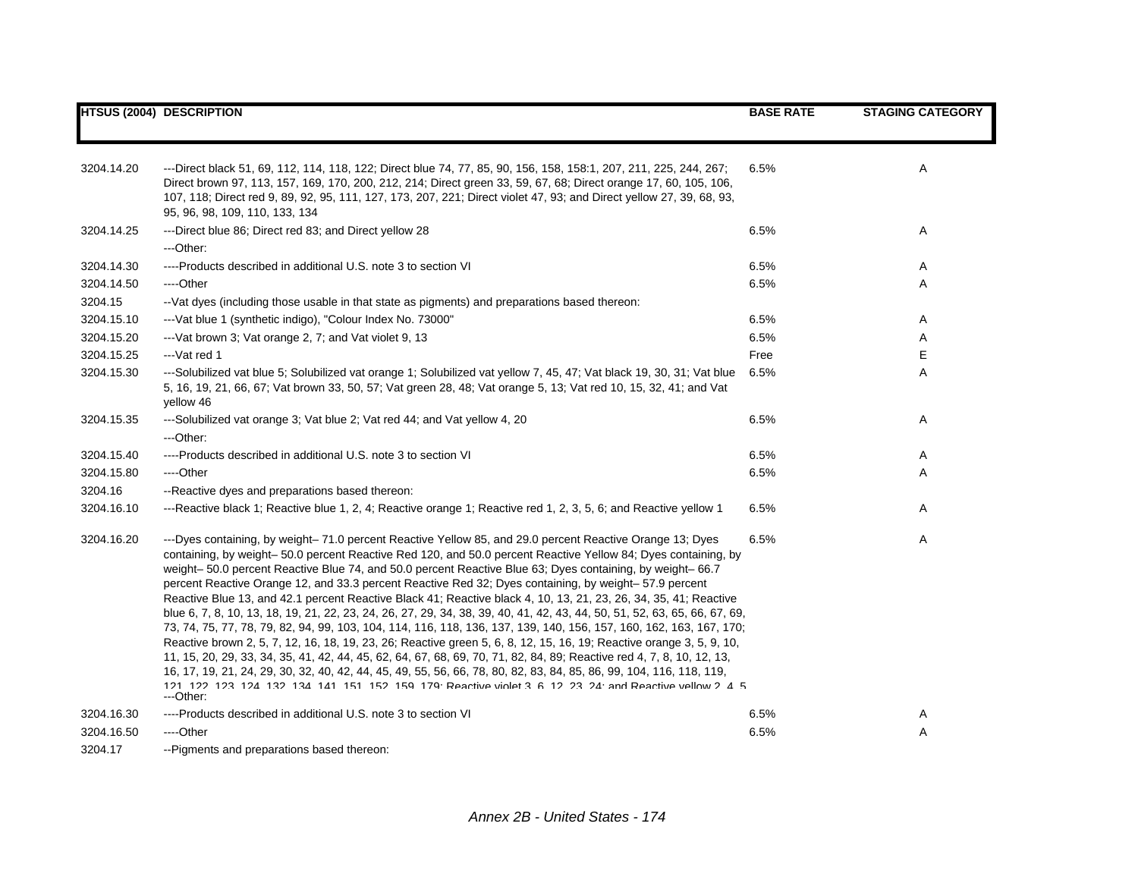|            | <b>HTSUS (2004) DESCRIPTION</b>                                                                                                                                                                                                                                                                                                                                                                                                                                                                                                                                                                                                                                                                                                                                                                                                                                                                                                                                                                                                                                                                                                                                                                                                                                                                                     | <b>BASE RATE</b> | <b>STAGING CATEGORY</b> |
|------------|---------------------------------------------------------------------------------------------------------------------------------------------------------------------------------------------------------------------------------------------------------------------------------------------------------------------------------------------------------------------------------------------------------------------------------------------------------------------------------------------------------------------------------------------------------------------------------------------------------------------------------------------------------------------------------------------------------------------------------------------------------------------------------------------------------------------------------------------------------------------------------------------------------------------------------------------------------------------------------------------------------------------------------------------------------------------------------------------------------------------------------------------------------------------------------------------------------------------------------------------------------------------------------------------------------------------|------------------|-------------------------|
|            |                                                                                                                                                                                                                                                                                                                                                                                                                                                                                                                                                                                                                                                                                                                                                                                                                                                                                                                                                                                                                                                                                                                                                                                                                                                                                                                     |                  |                         |
| 3204.14.20 | ---Direct black 51, 69, 112, 114, 118, 122; Direct blue 74, 77, 85, 90, 156, 158, 158:1, 207, 211, 225, 244, 267;<br>Direct brown 97, 113, 157, 169, 170, 200, 212, 214; Direct green 33, 59, 67, 68; Direct orange 17, 60, 105, 106,<br>107, 118; Direct red 9, 89, 92, 95, 111, 127, 173, 207, 221; Direct violet 47, 93; and Direct yellow 27, 39, 68, 93,<br>95, 96, 98, 109, 110, 133, 134                                                                                                                                                                                                                                                                                                                                                                                                                                                                                                                                                                                                                                                                                                                                                                                                                                                                                                                     | 6.5%             | Α                       |
| 3204.14.25 | ---Direct blue 86; Direct red 83; and Direct yellow 28                                                                                                                                                                                                                                                                                                                                                                                                                                                                                                                                                                                                                                                                                                                                                                                                                                                                                                                                                                                                                                                                                                                                                                                                                                                              | 6.5%             | Α                       |
|            | ---Other:                                                                                                                                                                                                                                                                                                                                                                                                                                                                                                                                                                                                                                                                                                                                                                                                                                                                                                                                                                                                                                                                                                                                                                                                                                                                                                           |                  |                         |
| 3204.14.30 | ----Products described in additional U.S. note 3 to section VI                                                                                                                                                                                                                                                                                                                                                                                                                                                                                                                                                                                                                                                                                                                                                                                                                                                                                                                                                                                                                                                                                                                                                                                                                                                      | 6.5%             | Α                       |
| 3204.14.50 | ----Other                                                                                                                                                                                                                                                                                                                                                                                                                                                                                                                                                                                                                                                                                                                                                                                                                                                                                                                                                                                                                                                                                                                                                                                                                                                                                                           | 6.5%             | Α                       |
| 3204.15    | --Vat dyes (including those usable in that state as pigments) and preparations based thereon:                                                                                                                                                                                                                                                                                                                                                                                                                                                                                                                                                                                                                                                                                                                                                                                                                                                                                                                                                                                                                                                                                                                                                                                                                       |                  |                         |
| 3204.15.10 | --- Vat blue 1 (synthetic indigo), "Colour Index No. 73000"                                                                                                                                                                                                                                                                                                                                                                                                                                                                                                                                                                                                                                                                                                                                                                                                                                                                                                                                                                                                                                                                                                                                                                                                                                                         | 6.5%             | Α                       |
| 3204.15.20 | --- Vat brown 3; Vat orange 2, 7; and Vat violet 9, 13                                                                                                                                                                                                                                                                                                                                                                                                                                                                                                                                                                                                                                                                                                                                                                                                                                                                                                                                                                                                                                                                                                                                                                                                                                                              | 6.5%             | A                       |
| 3204.15.25 | $-$ -Vat red 1                                                                                                                                                                                                                                                                                                                                                                                                                                                                                                                                                                                                                                                                                                                                                                                                                                                                                                                                                                                                                                                                                                                                                                                                                                                                                                      | Free             | E                       |
| 3204.15.30 | ---Solubilized vat blue 5; Solubilized vat orange 1; Solubilized vat yellow 7, 45, 47; Vat black 19, 30, 31; Vat blue<br>5, 16, 19, 21, 66, 67; Vat brown 33, 50, 57; Vat green 28, 48; Vat orange 5, 13; Vat red 10, 15, 32, 41; and Vat<br>yellow 46                                                                                                                                                                                                                                                                                                                                                                                                                                                                                                                                                                                                                                                                                                                                                                                                                                                                                                                                                                                                                                                              | 6.5%             | A                       |
| 3204.15.35 | ---Solubilized vat orange 3; Vat blue 2; Vat red 44; and Vat yellow 4, 20<br>---Other:                                                                                                                                                                                                                                                                                                                                                                                                                                                                                                                                                                                                                                                                                                                                                                                                                                                                                                                                                                                                                                                                                                                                                                                                                              | 6.5%             | Α                       |
| 3204.15.40 | ----Products described in additional U.S. note 3 to section VI                                                                                                                                                                                                                                                                                                                                                                                                                                                                                                                                                                                                                                                                                                                                                                                                                                                                                                                                                                                                                                                                                                                                                                                                                                                      | 6.5%             | Α                       |
| 3204.15.80 | ----Other                                                                                                                                                                                                                                                                                                                                                                                                                                                                                                                                                                                                                                                                                                                                                                                                                                                                                                                                                                                                                                                                                                                                                                                                                                                                                                           | 6.5%             | Α                       |
| 3204.16    | --Reactive dyes and preparations based thereon:                                                                                                                                                                                                                                                                                                                                                                                                                                                                                                                                                                                                                                                                                                                                                                                                                                                                                                                                                                                                                                                                                                                                                                                                                                                                     |                  |                         |
| 3204.16.10 | ---Reactive black 1; Reactive blue 1, 2, 4; Reactive orange 1; Reactive red 1, 2, 3, 5, 6; and Reactive yellow 1                                                                                                                                                                                                                                                                                                                                                                                                                                                                                                                                                                                                                                                                                                                                                                                                                                                                                                                                                                                                                                                                                                                                                                                                    | 6.5%             | Α                       |
| 3204.16.20 | ---Dyes containing, by weight-71.0 percent Reactive Yellow 85, and 29.0 percent Reactive Orange 13; Dyes<br>containing, by weight-50.0 percent Reactive Red 120, and 50.0 percent Reactive Yellow 84; Dyes containing, by<br>weight- 50.0 percent Reactive Blue 74, and 50.0 percent Reactive Blue 63; Dyes containing, by weight- 66.7<br>percent Reactive Orange 12, and 33.3 percent Reactive Red 32; Dyes containing, by weight-57.9 percent<br>Reactive Blue 13, and 42.1 percent Reactive Black 41; Reactive black 4, 10, 13, 21, 23, 26, 34, 35, 41; Reactive<br>blue 6, 7, 8, 10, 13, 18, 19, 21, 22, 23, 24, 26, 27, 29, 34, 38, 39, 40, 41, 42, 43, 44, 50, 51, 52, 63, 65, 66, 67, 69,<br>73, 74, 75, 77, 78, 79, 82, 94, 99, 103, 104, 114, 116, 118, 136, 137, 139, 140, 156, 157, 160, 162, 163, 167, 170;<br>Reactive brown 2, 5, 7, 12, 16, 18, 19, 23, 26; Reactive green 5, 6, 8, 12, 15, 16, 19; Reactive orange 3, 5, 9, 10,<br>11, 15, 20, 29, 33, 34, 35, 41, 42, 44, 45, 62, 64, 67, 68, 69, 70, 71, 82, 84, 89; Reactive red 4, 7, 8, 10, 12, 13,<br>16, 17, 19, 21, 24, 29, 30, 32, 40, 42, 44, 45, 49, 55, 56, 66, 78, 80, 82, 83, 84, 85, 86, 99, 104, 116, 118, 119,<br>121 122 123 124 132 134 141 151 152 159 179 Reactive violet 3 6 12 23 24 and Reactive vellow 2 4 5<br>---Other: | 6.5%             | Α                       |
| 3204.16.30 | ----Products described in additional U.S. note 3 to section VI                                                                                                                                                                                                                                                                                                                                                                                                                                                                                                                                                                                                                                                                                                                                                                                                                                                                                                                                                                                                                                                                                                                                                                                                                                                      | 6.5%             | Α                       |
| 3204.16.50 | ----Other                                                                                                                                                                                                                                                                                                                                                                                                                                                                                                                                                                                                                                                                                                                                                                                                                                                                                                                                                                                                                                                                                                                                                                                                                                                                                                           | 6.5%             | Α                       |
| 3204.17    | --Pigments and preparations based thereon:                                                                                                                                                                                                                                                                                                                                                                                                                                                                                                                                                                                                                                                                                                                                                                                                                                                                                                                                                                                                                                                                                                                                                                                                                                                                          |                  |                         |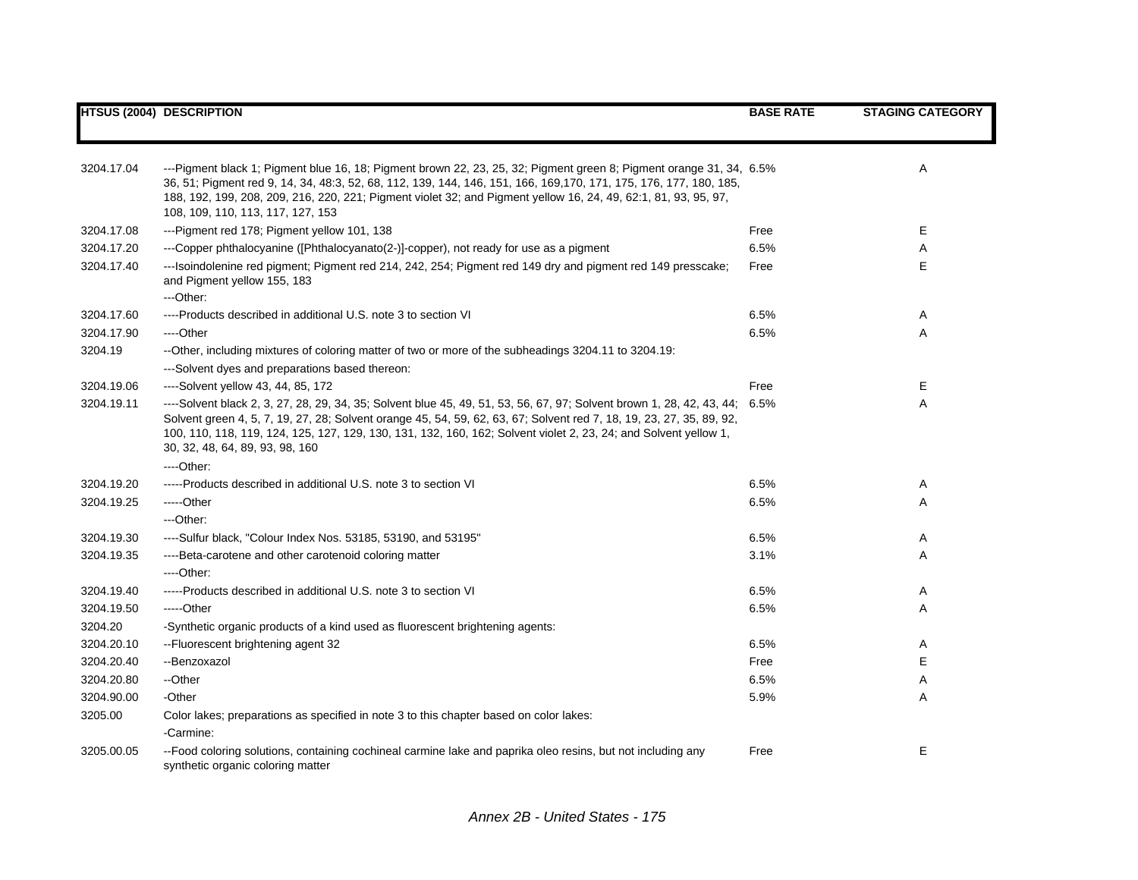|            | <b>HTSUS (2004) DESCRIPTION</b>                                                                                                                                                                                                                                                                                                                                                                           | <b>BASE RATE</b> | <b>STAGING CATEGORY</b> |
|------------|-----------------------------------------------------------------------------------------------------------------------------------------------------------------------------------------------------------------------------------------------------------------------------------------------------------------------------------------------------------------------------------------------------------|------------------|-------------------------|
|            |                                                                                                                                                                                                                                                                                                                                                                                                           |                  |                         |
| 3204.17.04 | ---Pigment black 1; Pigment blue 16, 18; Pigment brown 22, 23, 25, 32; Pigment green 8; Pigment orange 31, 34, 6.5%<br>36, 51; Pigment red 9, 14, 34, 48:3, 52, 68, 112, 139, 144, 146, 151, 166, 169, 170, 171, 175, 176, 177, 180, 185,<br>188, 192, 199, 208, 209, 216, 220, 221; Pigment violet 32; and Pigment yellow 16, 24, 49, 62:1, 81, 93, 95, 97,<br>108, 109, 110, 113, 117, 127, 153         |                  | Α                       |
| 3204.17.08 | ---Pigment red 178; Pigment yellow 101, 138                                                                                                                                                                                                                                                                                                                                                               | Free             | Е                       |
| 3204.17.20 | ---Copper phthalocyanine ([Phthalocyanato(2-)]-copper), not ready for use as a pigment                                                                                                                                                                                                                                                                                                                    | 6.5%             | Α                       |
| 3204.17.40 | ---Isoindolenine red pigment; Pigment red 214, 242, 254; Pigment red 149 dry and pigment red 149 presscake;<br>and Pigment yellow 155, 183<br>---Other:                                                                                                                                                                                                                                                   | Free             | E.                      |
| 3204.17.60 | ----Products described in additional U.S. note 3 to section VI                                                                                                                                                                                                                                                                                                                                            | 6.5%             | Α                       |
| 3204.17.90 | ----Other                                                                                                                                                                                                                                                                                                                                                                                                 | 6.5%             | Α                       |
| 3204.19    | --Other, including mixtures of coloring matter of two or more of the subheadings 3204.11 to 3204.19:                                                                                                                                                                                                                                                                                                      |                  |                         |
|            | ---Solvent dyes and preparations based thereon:                                                                                                                                                                                                                                                                                                                                                           |                  |                         |
| 3204.19.06 | ----Solvent yellow 43, 44, 85, 172                                                                                                                                                                                                                                                                                                                                                                        | Free             | Е                       |
| 3204.19.11 | ----Solvent black 2, 3, 27, 28, 29, 34, 35; Solvent blue 45, 49, 51, 53, 56, 67, 97; Solvent brown 1, 28, 42, 43, 44; 6.5%<br>Solvent green 4, 5, 7, 19, 27, 28; Solvent orange 45, 54, 59, 62, 63, 67; Solvent red 7, 18, 19, 23, 27, 35, 89, 92,<br>100, 110, 118, 119, 124, 125, 127, 129, 130, 131, 132, 160, 162; Solvent violet 2, 23, 24; and Solvent yellow 1,<br>30, 32, 48, 64, 89, 93, 98, 160 |                  | Α                       |
|            | ----Other:                                                                                                                                                                                                                                                                                                                                                                                                |                  |                         |
| 3204.19.20 | -----Products described in additional U.S. note 3 to section VI                                                                                                                                                                                                                                                                                                                                           | 6.5%             | Α                       |
| 3204.19.25 | -----Other                                                                                                                                                                                                                                                                                                                                                                                                | 6.5%             | Α                       |
|            | $-$ Other:                                                                                                                                                                                                                                                                                                                                                                                                |                  |                         |
| 3204.19.30 | ----Sulfur black, "Colour Index Nos. 53185, 53190, and 53195"                                                                                                                                                                                                                                                                                                                                             | 6.5%             | Α                       |
| 3204.19.35 | ----Beta-carotene and other carotenoid coloring matter<br>$---Other.$                                                                                                                                                                                                                                                                                                                                     | 3.1%             | Α                       |
| 3204.19.40 | -----Products described in additional U.S. note 3 to section VI                                                                                                                                                                                                                                                                                                                                           | 6.5%             | Α                       |
| 3204.19.50 | $---Other$                                                                                                                                                                                                                                                                                                                                                                                                | 6.5%             | Α                       |
| 3204.20    | -Synthetic organic products of a kind used as fluorescent brightening agents:                                                                                                                                                                                                                                                                                                                             |                  |                         |
| 3204.20.10 | --Fluorescent brightening agent 32                                                                                                                                                                                                                                                                                                                                                                        | 6.5%             | A                       |
| 3204.20.40 | --Benzoxazol                                                                                                                                                                                                                                                                                                                                                                                              | Free             | E.                      |
| 3204.20.80 | --Other                                                                                                                                                                                                                                                                                                                                                                                                   | 6.5%             | Α                       |
| 3204.90.00 | -Other                                                                                                                                                                                                                                                                                                                                                                                                    | 5.9%             | A                       |
| 3205.00    | Color lakes; preparations as specified in note 3 to this chapter based on color lakes:                                                                                                                                                                                                                                                                                                                    |                  |                         |
|            | -Carmine:                                                                                                                                                                                                                                                                                                                                                                                                 |                  |                         |
| 3205.00.05 | --Food coloring solutions, containing cochineal carmine lake and paprika oleo resins, but not including any<br>synthetic organic coloring matter                                                                                                                                                                                                                                                          | Free             | E                       |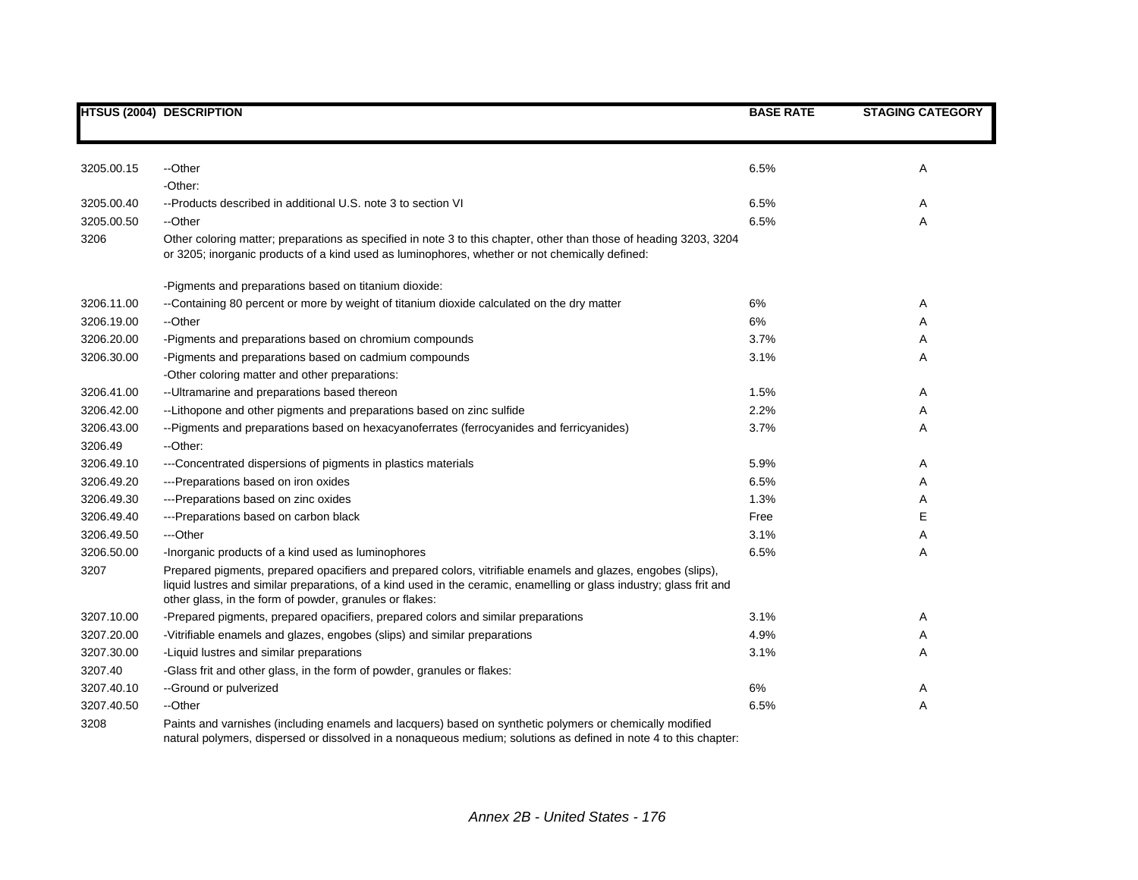|            | <b>HTSUS (2004) DESCRIPTION</b>                                                                                                                                                                                                                                                                 | <b>BASE RATE</b> | <b>STAGING CATEGORY</b> |
|------------|-------------------------------------------------------------------------------------------------------------------------------------------------------------------------------------------------------------------------------------------------------------------------------------------------|------------------|-------------------------|
|            |                                                                                                                                                                                                                                                                                                 |                  |                         |
| 3205.00.15 | --Other                                                                                                                                                                                                                                                                                         | 6.5%             | Α                       |
|            | -Other:                                                                                                                                                                                                                                                                                         |                  |                         |
| 3205.00.40 | --Products described in additional U.S. note 3 to section VI                                                                                                                                                                                                                                    | 6.5%             | Α                       |
| 3205.00.50 | --Other                                                                                                                                                                                                                                                                                         | 6.5%             | A                       |
| 3206       | Other coloring matter; preparations as specified in note 3 to this chapter, other than those of heading 3203, 3204<br>or 3205; inorganic products of a kind used as luminophores, whether or not chemically defined:                                                                            |                  |                         |
|            | -Pigments and preparations based on titanium dioxide:                                                                                                                                                                                                                                           |                  |                         |
| 3206.11.00 | --Containing 80 percent or more by weight of titanium dioxide calculated on the dry matter                                                                                                                                                                                                      | 6%               | Α                       |
| 3206.19.00 | --Other                                                                                                                                                                                                                                                                                         | 6%               | Α                       |
| 3206.20.00 | -Pigments and preparations based on chromium compounds                                                                                                                                                                                                                                          | 3.7%             | Α                       |
| 3206.30.00 | -Pigments and preparations based on cadmium compounds                                                                                                                                                                                                                                           | 3.1%             | A                       |
|            | -Other coloring matter and other preparations:                                                                                                                                                                                                                                                  |                  |                         |
| 3206.41.00 | -- Ultramarine and preparations based thereon                                                                                                                                                                                                                                                   | 1.5%             | Α                       |
| 3206.42.00 | --Lithopone and other pigments and preparations based on zinc sulfide                                                                                                                                                                                                                           | 2.2%             | Α                       |
| 3206.43.00 | --Pigments and preparations based on hexacyanoferrates (ferrocyanides and ferricyanides)                                                                                                                                                                                                        | 3.7%             | Α                       |
| 3206.49    | --Other:                                                                                                                                                                                                                                                                                        |                  |                         |
| 3206.49.10 | ---Concentrated dispersions of pigments in plastics materials                                                                                                                                                                                                                                   | 5.9%             | Α                       |
| 3206.49.20 | ---Preparations based on iron oxides                                                                                                                                                                                                                                                            | 6.5%             | Α                       |
| 3206.49.30 | ---Preparations based on zinc oxides                                                                                                                                                                                                                                                            | 1.3%             | Α                       |
| 3206.49.40 | ---Preparations based on carbon black                                                                                                                                                                                                                                                           | Free             | Е                       |
| 3206.49.50 | ---Other                                                                                                                                                                                                                                                                                        | 3.1%             | Α                       |
| 3206.50.00 | -Inorganic products of a kind used as luminophores                                                                                                                                                                                                                                              | 6.5%             | A                       |
| 3207       | Prepared pigments, prepared opacifiers and prepared colors, vitrifiable enamels and glazes, engobes (slips),<br>liquid lustres and similar preparations, of a kind used in the ceramic, enamelling or glass industry; glass frit and<br>other glass, in the form of powder, granules or flakes: |                  |                         |
| 3207.10.00 | -Prepared pigments, prepared opacifiers, prepared colors and similar preparations                                                                                                                                                                                                               | 3.1%             | Α                       |
| 3207.20.00 | -Vitrifiable enamels and glazes, engobes (slips) and similar preparations                                                                                                                                                                                                                       | 4.9%             | Α                       |
| 3207.30.00 | -Liquid lustres and similar preparations                                                                                                                                                                                                                                                        | 3.1%             | Α                       |
| 3207.40    | -Glass frit and other glass, in the form of powder, granules or flakes:                                                                                                                                                                                                                         |                  |                         |
| 3207.40.10 | --Ground or pulverized                                                                                                                                                                                                                                                                          | 6%               | Α                       |
| 3207.40.50 | --Other                                                                                                                                                                                                                                                                                         | 6.5%             | Α                       |
| 3208       | Paints and varnishes (including enamels and lacquers) based on synthetic polymers or chemically modified<br>natural polymers, dispersed or dissolved in a nonaqueous medium; solutions as defined in note 4 to this chapter:                                                                    |                  |                         |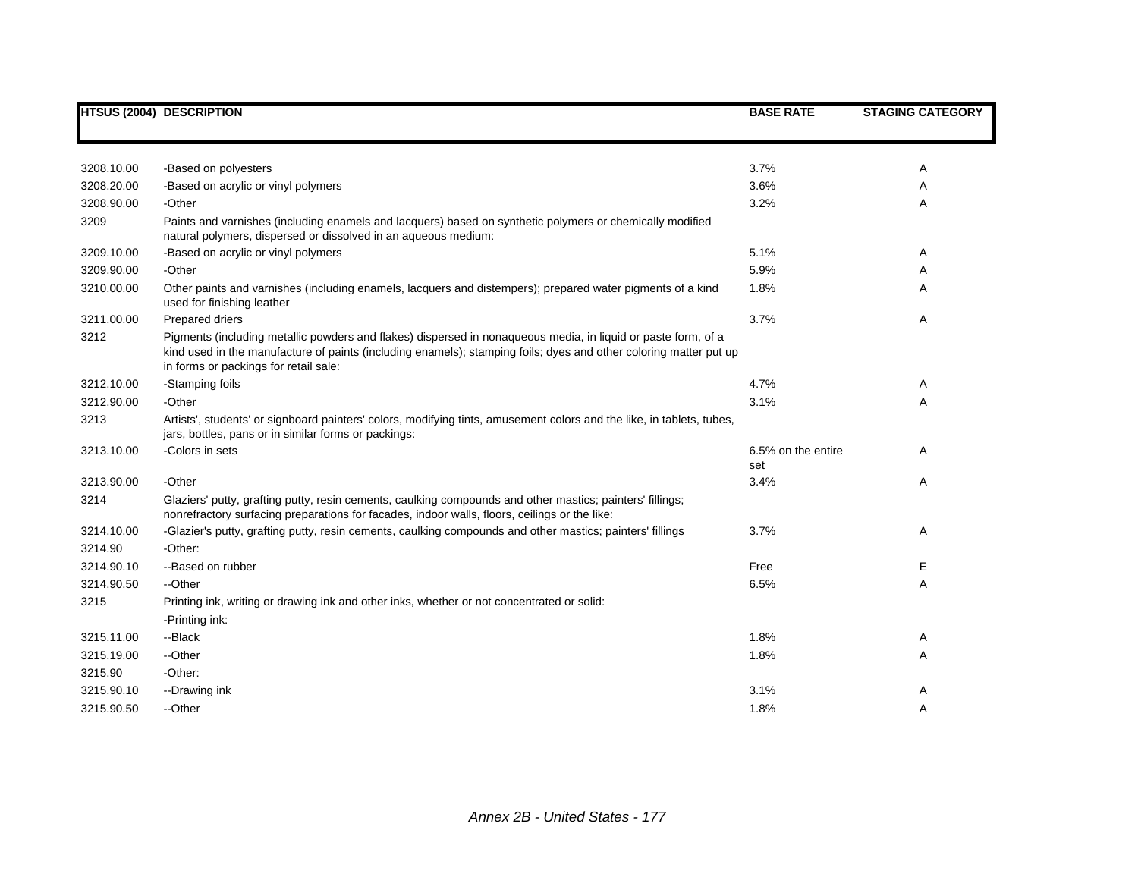|            | <b>HTSUS (2004) DESCRIPTION</b>                                                                                                                                                                                                                                             | <b>BASE RATE</b>          | <b>STAGING CATEGORY</b> |
|------------|-----------------------------------------------------------------------------------------------------------------------------------------------------------------------------------------------------------------------------------------------------------------------------|---------------------------|-------------------------|
|            |                                                                                                                                                                                                                                                                             |                           |                         |
| 3208.10.00 | -Based on polyesters                                                                                                                                                                                                                                                        | 3.7%                      | Α                       |
| 3208.20.00 | -Based on acrylic or vinyl polymers                                                                                                                                                                                                                                         | 3.6%                      | Α                       |
| 3208.90.00 | -Other                                                                                                                                                                                                                                                                      | 3.2%                      | Α                       |
| 3209       | Paints and varnishes (including enamels and lacquers) based on synthetic polymers or chemically modified<br>natural polymers, dispersed or dissolved in an aqueous medium:                                                                                                  |                           |                         |
| 3209.10.00 | -Based on acrylic or vinyl polymers                                                                                                                                                                                                                                         | 5.1%                      | Α                       |
| 3209.90.00 | -Other                                                                                                                                                                                                                                                                      | 5.9%                      | Α                       |
| 3210.00.00 | Other paints and varnishes (including enamels, lacquers and distempers); prepared water pigments of a kind<br>used for finishing leather                                                                                                                                    | 1.8%                      | Α                       |
| 3211.00.00 | Prepared driers                                                                                                                                                                                                                                                             | 3.7%                      | Α                       |
| 3212       | Pigments (including metallic powders and flakes) dispersed in nonaqueous media, in liquid or paste form, of a<br>kind used in the manufacture of paints (including enamels); stamping foils; dyes and other coloring matter put up<br>in forms or packings for retail sale: |                           |                         |
| 3212.10.00 | -Stamping foils                                                                                                                                                                                                                                                             | 4.7%                      | Α                       |
| 3212.90.00 | -Other                                                                                                                                                                                                                                                                      | 3.1%                      | Α                       |
| 3213       | Artists', students' or signboard painters' colors, modifying tints, amusement colors and the like, in tablets, tubes,<br>jars, bottles, pans or in similar forms or packings:                                                                                               |                           |                         |
| 3213.10.00 | -Colors in sets                                                                                                                                                                                                                                                             | 6.5% on the entire<br>set | A                       |
| 3213.90.00 | -Other                                                                                                                                                                                                                                                                      | 3.4%                      | Α                       |
| 3214       | Glaziers' putty, grafting putty, resin cements, caulking compounds and other mastics; painters' fillings;<br>nonrefractory surfacing preparations for facades, indoor walls, floors, ceilings or the like:                                                                  |                           |                         |
| 3214.10.00 | -Glazier's putty, grafting putty, resin cements, caulking compounds and other mastics; painters' fillings                                                                                                                                                                   | 3.7%                      | Α                       |
| 3214.90    | -Other:                                                                                                                                                                                                                                                                     |                           |                         |
| 3214.90.10 | --Based on rubber                                                                                                                                                                                                                                                           | Free                      | Е                       |
| 3214.90.50 | --Other                                                                                                                                                                                                                                                                     | 6.5%                      | Α                       |
| 3215       | Printing ink, writing or drawing ink and other inks, whether or not concentrated or solid:                                                                                                                                                                                  |                           |                         |
|            | -Printing ink:                                                                                                                                                                                                                                                              |                           |                         |
| 3215.11.00 | --Black                                                                                                                                                                                                                                                                     | 1.8%                      | Α                       |
| 3215.19.00 | --Other                                                                                                                                                                                                                                                                     | 1.8%                      | Α                       |
| 3215.90    | -Other:                                                                                                                                                                                                                                                                     |                           |                         |
| 3215.90.10 | --Drawing ink                                                                                                                                                                                                                                                               | 3.1%                      | Α                       |
| 3215.90.50 | --Other                                                                                                                                                                                                                                                                     | 1.8%                      | A                       |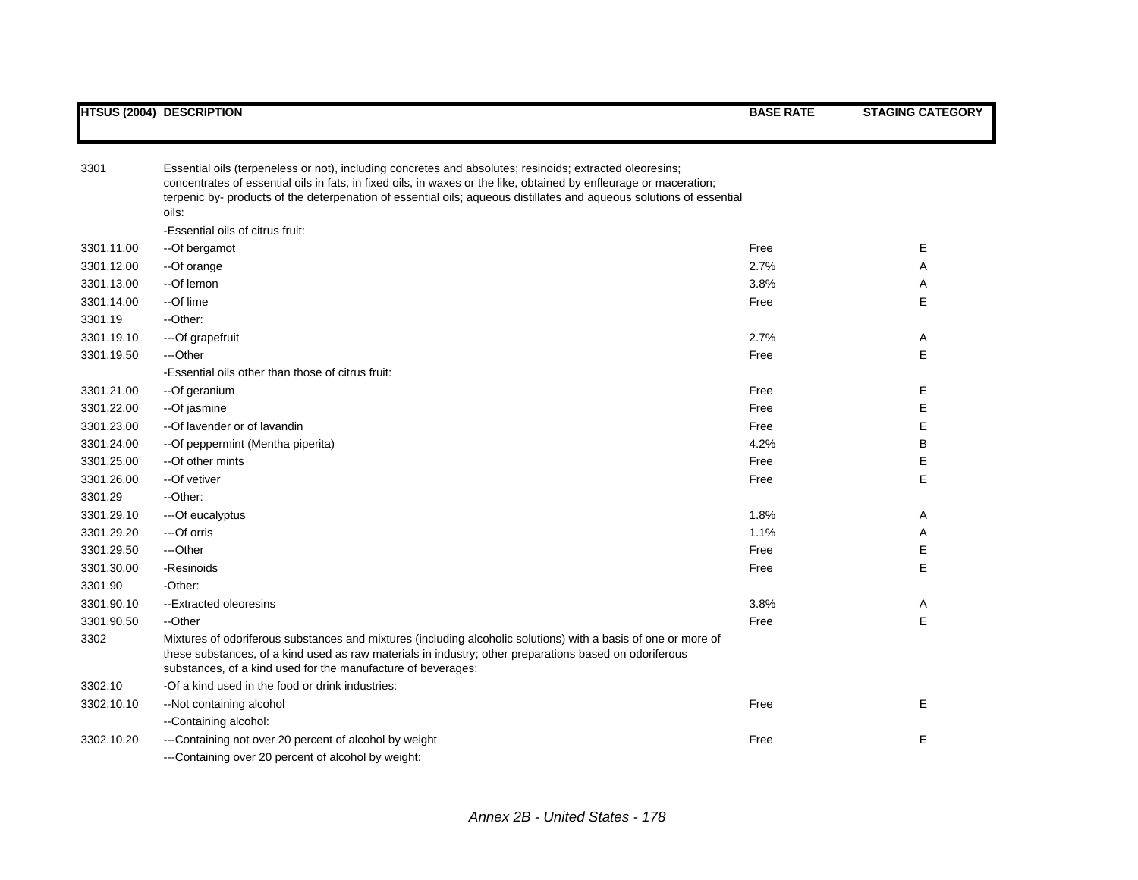| 3301       | Essential oils (terpeneless or not), including concretes and absolutes; resinoids; extracted oleoresins;<br>concentrates of essential oils in fats, in fixed oils, in waxes or the like, obtained by enfleurage or maceration;<br>terpenic by- products of the deterpenation of essential oils; aqueous distillates and aqueous solutions of essential<br>oils:<br>-Essential oils of citrus fruit: |      |   |
|------------|-----------------------------------------------------------------------------------------------------------------------------------------------------------------------------------------------------------------------------------------------------------------------------------------------------------------------------------------------------------------------------------------------------|------|---|
| 3301.11.00 | --Of bergamot                                                                                                                                                                                                                                                                                                                                                                                       | Free | E |
| 3301.12.00 | --Of orange                                                                                                                                                                                                                                                                                                                                                                                         | 2.7% | Α |
| 3301.13.00 | --Of lemon                                                                                                                                                                                                                                                                                                                                                                                          | 3.8% | A |
| 3301.14.00 | --Of lime                                                                                                                                                                                                                                                                                                                                                                                           | Free | E |
| 3301.19    | --Other:                                                                                                                                                                                                                                                                                                                                                                                            |      |   |
| 3301.19.10 | ---Of grapefruit                                                                                                                                                                                                                                                                                                                                                                                    | 2.7% | Α |
| 3301.19.50 | ---Other                                                                                                                                                                                                                                                                                                                                                                                            | Free | E |
|            | -Essential oils other than those of citrus fruit:                                                                                                                                                                                                                                                                                                                                                   |      |   |
| 3301.21.00 | --Of geranium                                                                                                                                                                                                                                                                                                                                                                                       | Free | Е |
| 3301.22.00 | --Of jasmine                                                                                                                                                                                                                                                                                                                                                                                        | Free | E |
| 3301.23.00 | -- Of lavender or of lavandin                                                                                                                                                                                                                                                                                                                                                                       | Free | E |
| 3301.24.00 | -- Of peppermint (Mentha piperita)                                                                                                                                                                                                                                                                                                                                                                  | 4.2% | В |
| 3301.25.00 | --Of other mints                                                                                                                                                                                                                                                                                                                                                                                    | Free | E |
| 3301.26.00 | --Of vetiver                                                                                                                                                                                                                                                                                                                                                                                        | Free | E |
| 3301.29    | --Other:                                                                                                                                                                                                                                                                                                                                                                                            |      |   |
| 3301.29.10 | ---Of eucalyptus                                                                                                                                                                                                                                                                                                                                                                                    | 1.8% | A |
| 3301.29.20 | ---Of orris                                                                                                                                                                                                                                                                                                                                                                                         | 1.1% | Α |
| 3301.29.50 | ---Other                                                                                                                                                                                                                                                                                                                                                                                            | Free | Е |
| 3301.30.00 | -Resinoids                                                                                                                                                                                                                                                                                                                                                                                          | Free | E |
| 3301.90    | -Other:                                                                                                                                                                                                                                                                                                                                                                                             |      |   |
| 3301.90.10 | --Extracted oleoresins                                                                                                                                                                                                                                                                                                                                                                              | 3.8% | Α |
| 3301.90.50 | --Other                                                                                                                                                                                                                                                                                                                                                                                             | Free | E |
| 3302       | Mixtures of odoriferous substances and mixtures (including alcoholic solutions) with a basis of one or more of<br>these substances, of a kind used as raw materials in industry; other preparations based on odoriferous<br>substances, of a kind used for the manufacture of beverages:                                                                                                            |      |   |
| 3302.10    | -Of a kind used in the food or drink industries:                                                                                                                                                                                                                                                                                                                                                    |      |   |
| 3302.10.10 | -- Not containing alcohol                                                                                                                                                                                                                                                                                                                                                                           | Free | E |
|            | --Containing alcohol:                                                                                                                                                                                                                                                                                                                                                                               |      |   |
| 3302.10.20 | ---Containing not over 20 percent of alcohol by weight                                                                                                                                                                                                                                                                                                                                              | Free | E |
|            | ---Containing over 20 percent of alcohol by weight:                                                                                                                                                                                                                                                                                                                                                 |      |   |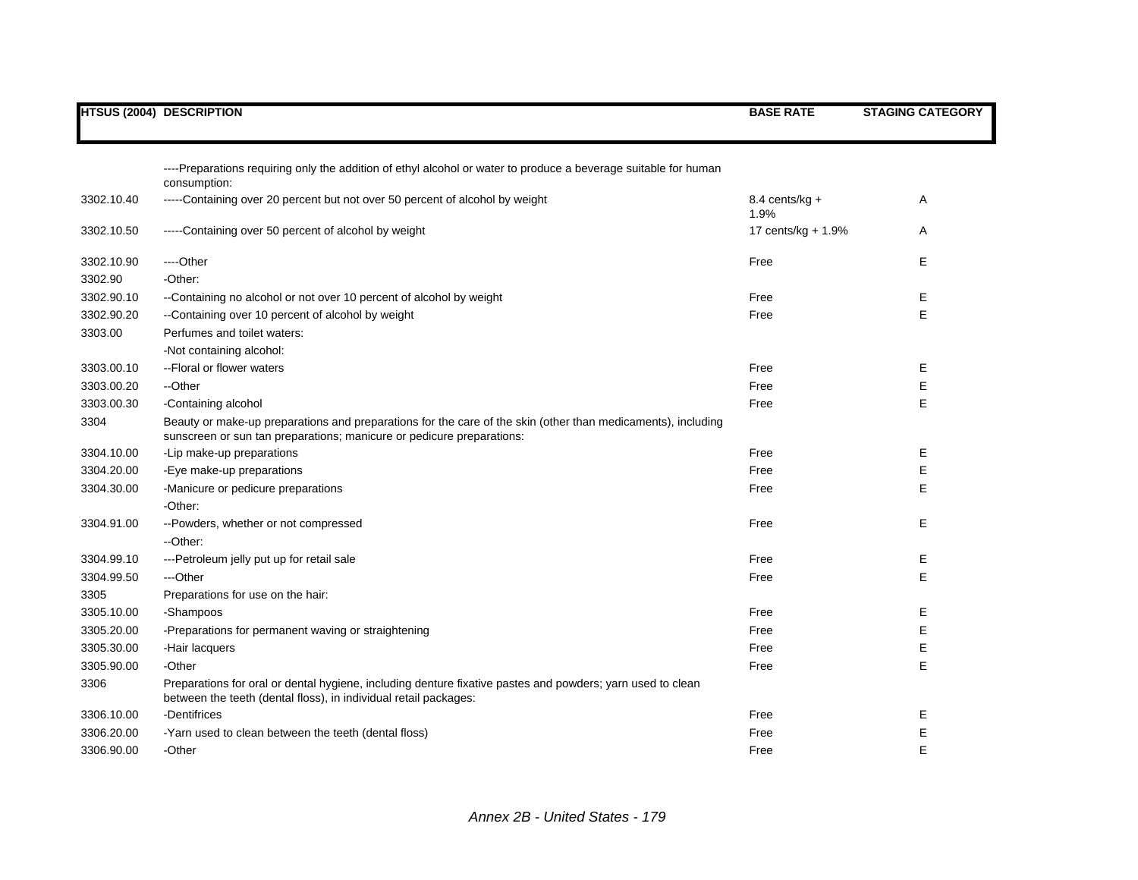|            | <b>HTSUS (2004) DESCRIPTION</b>                                                                                                                                                       | <b>BASE RATE</b>         | <b>STAGING CATEGORY</b> |
|------------|---------------------------------------------------------------------------------------------------------------------------------------------------------------------------------------|--------------------------|-------------------------|
|            |                                                                                                                                                                                       |                          |                         |
|            | ----Preparations requiring only the addition of ethyl alcohol or water to produce a beverage suitable for human<br>consumption:                                                       |                          |                         |
| 3302.10.40 | -----Containing over 20 percent but not over 50 percent of alcohol by weight                                                                                                          | $8.4$ cents/kg +<br>1.9% | Α                       |
| 3302.10.50 | -----Containing over 50 percent of alcohol by weight                                                                                                                                  | 17 cents/kg + 1.9%       | Α                       |
| 3302.10.90 | ----Other                                                                                                                                                                             | Free                     | E                       |
| 3302.90    | -Other:                                                                                                                                                                               |                          |                         |
| 3302.90.10 | --Containing no alcohol or not over 10 percent of alcohol by weight                                                                                                                   | Free                     | Е                       |
| 3302.90.20 | --Containing over 10 percent of alcohol by weight                                                                                                                                     | Free                     | E                       |
| 3303.00    | Perfumes and toilet waters:                                                                                                                                                           |                          |                         |
|            | -Not containing alcohol:                                                                                                                                                              |                          |                         |
| 3303.00.10 | --Floral or flower waters                                                                                                                                                             | Free                     | Е                       |
| 3303.00.20 | --Other                                                                                                                                                                               | Free                     | Е                       |
| 3303.00.30 | -Containing alcohol                                                                                                                                                                   | Free                     | E                       |
| 3304       | Beauty or make-up preparations and preparations for the care of the skin (other than medicaments), including<br>sunscreen or sun tan preparations; manicure or pedicure preparations: |                          |                         |
| 3304.10.00 | -Lip make-up preparations                                                                                                                                                             | Free                     | Е                       |
| 3304.20.00 | -Eye make-up preparations                                                                                                                                                             | Free                     | E                       |
| 3304.30.00 | -Manicure or pedicure preparations                                                                                                                                                    | Free                     | E                       |
|            | -Other:                                                                                                                                                                               |                          |                         |
| 3304.91.00 | --Powders, whether or not compressed                                                                                                                                                  | Free                     | Е                       |
|            | --Other:                                                                                                                                                                              |                          |                         |
| 3304.99.10 | ---Petroleum jelly put up for retail sale                                                                                                                                             | Free                     | E                       |
| 3304.99.50 | ---Other                                                                                                                                                                              | Free                     | E                       |
| 3305       | Preparations for use on the hair:                                                                                                                                                     |                          |                         |
| 3305.10.00 | -Shampoos                                                                                                                                                                             | Free                     | Е                       |
| 3305.20.00 | -Preparations for permanent waving or straightening                                                                                                                                   | Free                     | E                       |
| 3305.30.00 | -Hair lacquers                                                                                                                                                                        | Free                     | Ε                       |
| 3305.90.00 | -Other                                                                                                                                                                                | Free                     | E                       |
| 3306       | Preparations for oral or dental hygiene, including denture fixative pastes and powders; yarn used to clean<br>between the teeth (dental floss), in individual retail packages:        |                          |                         |
| 3306.10.00 | -Dentifrices                                                                                                                                                                          | Free                     | Е                       |
| 3306.20.00 | -Yarn used to clean between the teeth (dental floss)                                                                                                                                  | Free                     | E                       |
| 3306.90.00 | -Other                                                                                                                                                                                | Free                     | E                       |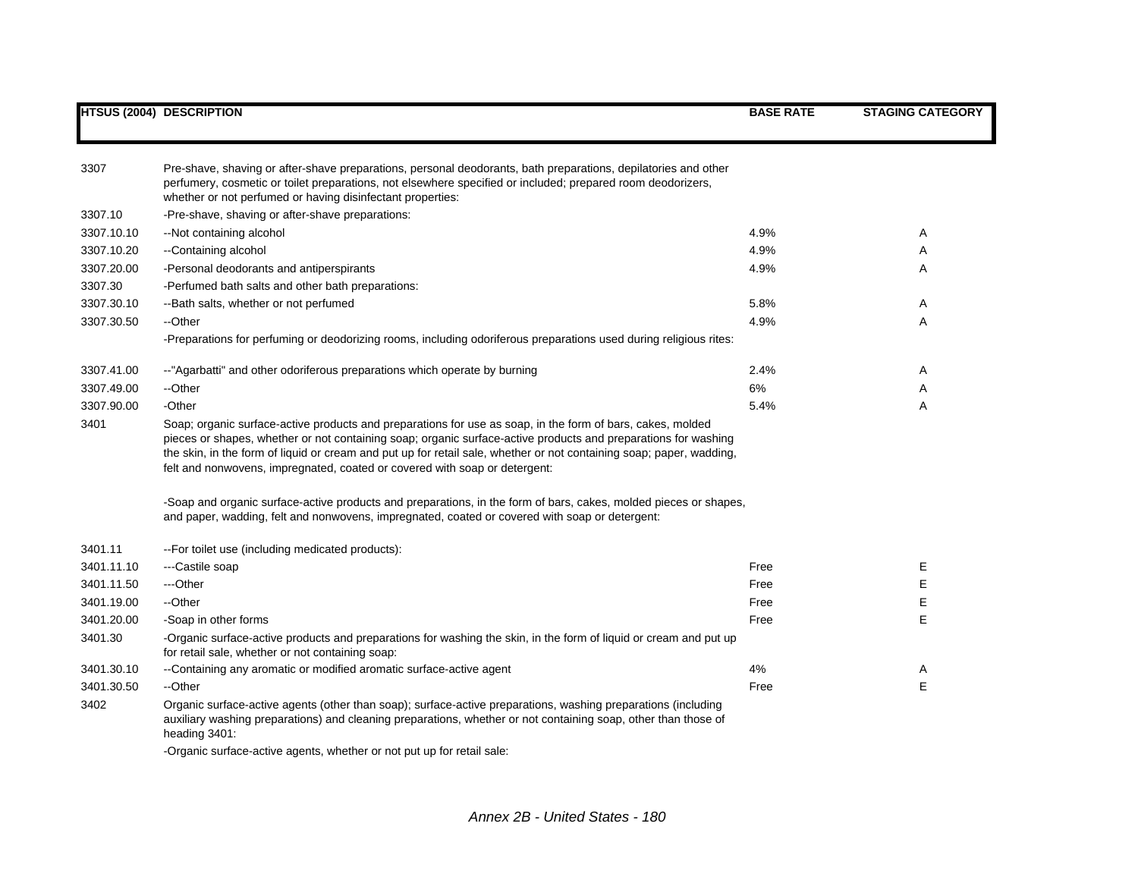| 3307       | Pre-shave, shaving or after-shave preparations, personal deodorants, bath preparations, depilatories and other<br>perfumery, cosmetic or toilet preparations, not elsewhere specified or included; prepared room deodorizers,<br>whether or not perfumed or having disinfectant properties:                                                                                                                                        |      |             |
|------------|------------------------------------------------------------------------------------------------------------------------------------------------------------------------------------------------------------------------------------------------------------------------------------------------------------------------------------------------------------------------------------------------------------------------------------|------|-------------|
| 3307.10    | -Pre-shave, shaving or after-shave preparations:                                                                                                                                                                                                                                                                                                                                                                                   |      |             |
| 3307.10.10 | --Not containing alcohol                                                                                                                                                                                                                                                                                                                                                                                                           | 4.9% | A           |
| 3307.10.20 | --Containing alcohol                                                                                                                                                                                                                                                                                                                                                                                                               | 4.9% | Α           |
| 3307.20.00 | -Personal deodorants and antiperspirants                                                                                                                                                                                                                                                                                                                                                                                           | 4.9% | A           |
| 3307.30    | -Perfumed bath salts and other bath preparations:                                                                                                                                                                                                                                                                                                                                                                                  |      |             |
| 3307.30.10 | --Bath salts, whether or not perfumed                                                                                                                                                                                                                                                                                                                                                                                              | 5.8% | Α           |
| 3307.30.50 | --Other                                                                                                                                                                                                                                                                                                                                                                                                                            | 4.9% | A           |
|            | -Preparations for perfuming or deodorizing rooms, including odoriferous preparations used during religious rites:                                                                                                                                                                                                                                                                                                                  |      |             |
| 3307.41.00 | --"Agarbatti" and other odoriferous preparations which operate by burning                                                                                                                                                                                                                                                                                                                                                          | 2.4% | A           |
| 3307.49.00 | --Other                                                                                                                                                                                                                                                                                                                                                                                                                            | 6%   | Α           |
| 3307.90.00 | -Other                                                                                                                                                                                                                                                                                                                                                                                                                             | 5.4% | A           |
| 3401       | Soap; organic surface-active products and preparations for use as soap, in the form of bars, cakes, molded<br>pieces or shapes, whether or not containing soap; organic surface-active products and preparations for washing<br>the skin, in the form of liquid or cream and put up for retail sale, whether or not containing soap; paper, wadding,<br>felt and nonwovens, impregnated, coated or covered with soap or detergent: |      |             |
|            | -Soap and organic surface-active products and preparations, in the form of bars, cakes, molded pieces or shapes,<br>and paper, wadding, felt and nonwovens, impregnated, coated or covered with soap or detergent:                                                                                                                                                                                                                 |      |             |
| 3401.11    | -- For toilet use (including medicated products):                                                                                                                                                                                                                                                                                                                                                                                  |      |             |
| 3401.11.10 | ---Castile soap                                                                                                                                                                                                                                                                                                                                                                                                                    | Free | Е           |
| 3401.11.50 | ---Other                                                                                                                                                                                                                                                                                                                                                                                                                           | Free | Е           |
| 3401.19.00 | --Other                                                                                                                                                                                                                                                                                                                                                                                                                            | Free | $\mathsf E$ |
| 3401.20.00 | -Soap in other forms                                                                                                                                                                                                                                                                                                                                                                                                               | Free | E           |
| 3401.30    | -Organic surface-active products and preparations for washing the skin, in the form of liquid or cream and put up<br>for retail sale, whether or not containing soap:                                                                                                                                                                                                                                                              |      |             |
| 3401.30.10 | --Containing any aromatic or modified aromatic surface-active agent                                                                                                                                                                                                                                                                                                                                                                | 4%   | A           |
| 3401.30.50 | --Other                                                                                                                                                                                                                                                                                                                                                                                                                            | Free | E           |
| 3402       | Organic surface-active agents (other than soap); surface-active preparations, washing preparations (including<br>auxiliary washing preparations) and cleaning preparations, whether or not containing soap, other than those of<br>heading 3401:                                                                                                                                                                                   |      |             |
|            | -Organic surface-active agents, whether or not put up for retail sale:                                                                                                                                                                                                                                                                                                                                                             |      |             |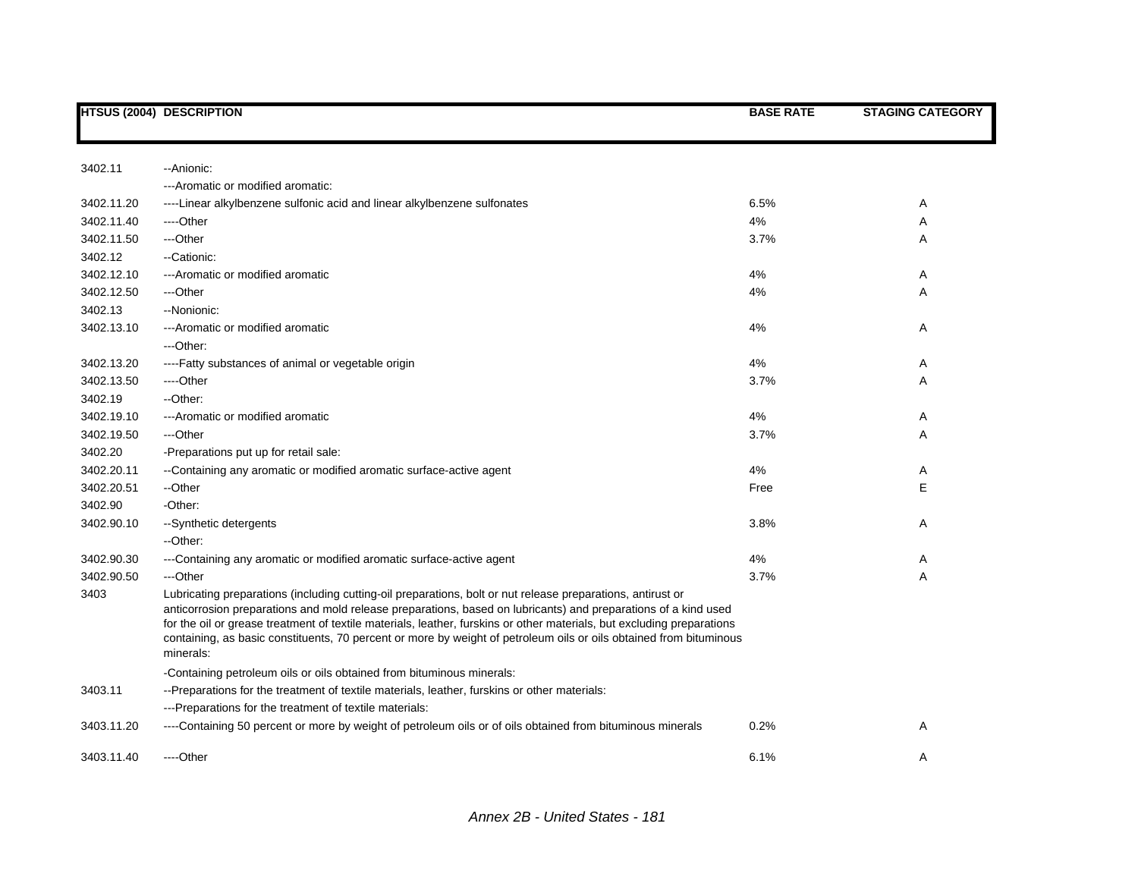|            | <b>HTSUS (2004) DESCRIPTION</b>                                                                                                                                                                                                                                                                                                                                                                                                                                                            | <b>BASE RATE</b> | <b>STAGING CATEGORY</b> |
|------------|--------------------------------------------------------------------------------------------------------------------------------------------------------------------------------------------------------------------------------------------------------------------------------------------------------------------------------------------------------------------------------------------------------------------------------------------------------------------------------------------|------------------|-------------------------|
|            |                                                                                                                                                                                                                                                                                                                                                                                                                                                                                            |                  |                         |
| 3402.11    | -- Anionic:                                                                                                                                                                                                                                                                                                                                                                                                                                                                                |                  |                         |
|            | --- Aromatic or modified aromatic:                                                                                                                                                                                                                                                                                                                                                                                                                                                         |                  |                         |
| 3402.11.20 | ----Linear alkylbenzene sulfonic acid and linear alkylbenzene sulfonates                                                                                                                                                                                                                                                                                                                                                                                                                   | 6.5%             | Α                       |
| 3402.11.40 | ----Other                                                                                                                                                                                                                                                                                                                                                                                                                                                                                  | 4%               | Α                       |
| 3402.11.50 | ---Other                                                                                                                                                                                                                                                                                                                                                                                                                                                                                   | 3.7%             | Α                       |
| 3402.12    | --Cationic:                                                                                                                                                                                                                                                                                                                                                                                                                                                                                |                  |                         |
| 3402.12.10 | --- Aromatic or modified aromatic                                                                                                                                                                                                                                                                                                                                                                                                                                                          | 4%               | Α                       |
| 3402.12.50 | ---Other                                                                                                                                                                                                                                                                                                                                                                                                                                                                                   | 4%               | Α                       |
| 3402.13    | --Nonionic:                                                                                                                                                                                                                                                                                                                                                                                                                                                                                |                  |                         |
| 3402.13.10 | --- Aromatic or modified aromatic                                                                                                                                                                                                                                                                                                                                                                                                                                                          | 4%               | Α                       |
|            | ---Other:                                                                                                                                                                                                                                                                                                                                                                                                                                                                                  |                  |                         |
| 3402.13.20 | ----Fatty substances of animal or vegetable origin                                                                                                                                                                                                                                                                                                                                                                                                                                         | 4%               | A                       |
| 3402.13.50 | ---Other                                                                                                                                                                                                                                                                                                                                                                                                                                                                                   | 3.7%             | Α                       |
| 3402.19    | --Other:                                                                                                                                                                                                                                                                                                                                                                                                                                                                                   |                  |                         |
| 3402.19.10 | --- Aromatic or modified aromatic                                                                                                                                                                                                                                                                                                                                                                                                                                                          | 4%               | A                       |
| 3402.19.50 | ---Other                                                                                                                                                                                                                                                                                                                                                                                                                                                                                   | 3.7%             | Α                       |
| 3402.20    | -Preparations put up for retail sale:                                                                                                                                                                                                                                                                                                                                                                                                                                                      |                  |                         |
| 3402.20.11 | --Containing any aromatic or modified aromatic surface-active agent                                                                                                                                                                                                                                                                                                                                                                                                                        | 4%               | A                       |
| 3402.20.51 | --Other                                                                                                                                                                                                                                                                                                                                                                                                                                                                                    | Free             | Е                       |
| 3402.90    | -Other:                                                                                                                                                                                                                                                                                                                                                                                                                                                                                    |                  |                         |
| 3402.90.10 | --Synthetic detergents                                                                                                                                                                                                                                                                                                                                                                                                                                                                     | 3.8%             | Α                       |
|            | --Other:                                                                                                                                                                                                                                                                                                                                                                                                                                                                                   |                  |                         |
| 3402.90.30 | ---Containing any aromatic or modified aromatic surface-active agent                                                                                                                                                                                                                                                                                                                                                                                                                       | 4%               | A                       |
| 3402.90.50 | ---Other                                                                                                                                                                                                                                                                                                                                                                                                                                                                                   | 3.7%             | Α                       |
| 3403       | Lubricating preparations (including cutting-oil preparations, bolt or nut release preparations, antirust or<br>anticorrosion preparations and mold release preparations, based on lubricants) and preparations of a kind used<br>for the oil or grease treatment of textile materials, leather, furskins or other materials, but excluding preparations<br>containing, as basic constituents, 70 percent or more by weight of petroleum oils or oils obtained from bituminous<br>minerals: |                  |                         |
|            | -Containing petroleum oils or oils obtained from bituminous minerals:                                                                                                                                                                                                                                                                                                                                                                                                                      |                  |                         |
| 3403.11    | --Preparations for the treatment of textile materials, leather, furskins or other materials:                                                                                                                                                                                                                                                                                                                                                                                               |                  |                         |
|            | ---Preparations for the treatment of textile materials:                                                                                                                                                                                                                                                                                                                                                                                                                                    |                  |                         |
| 3403.11.20 | ----Containing 50 percent or more by weight of petroleum oils or of oils obtained from bituminous minerals                                                                                                                                                                                                                                                                                                                                                                                 | 0.2%             | Α                       |
| 3403.11.40 | ----Other                                                                                                                                                                                                                                                                                                                                                                                                                                                                                  | 6.1%             | А                       |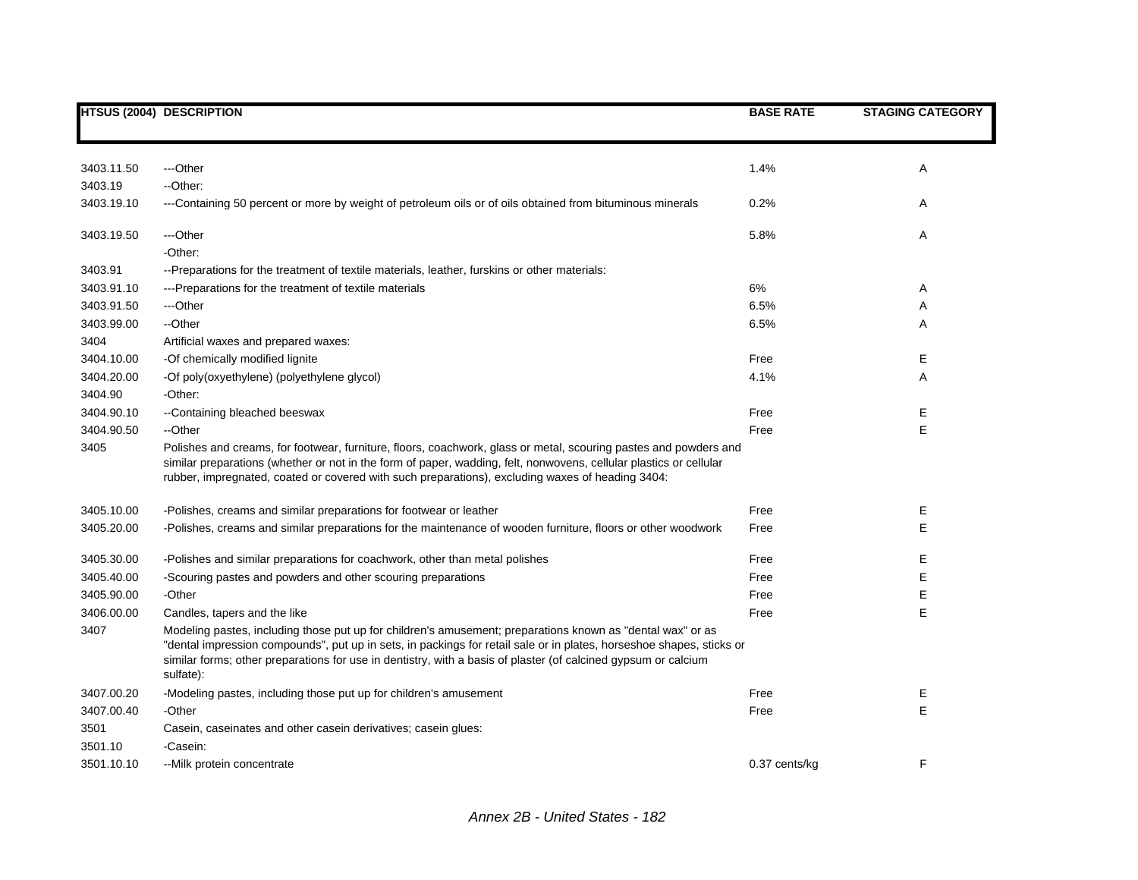|            | <b>HTSUS (2004) DESCRIPTION</b>                                                                                                                                                                                                                                                                                                                                   | <b>BASE RATE</b> | <b>STAGING CATEGORY</b> |
|------------|-------------------------------------------------------------------------------------------------------------------------------------------------------------------------------------------------------------------------------------------------------------------------------------------------------------------------------------------------------------------|------------------|-------------------------|
|            |                                                                                                                                                                                                                                                                                                                                                                   |                  |                         |
| 3403.11.50 | ---Other                                                                                                                                                                                                                                                                                                                                                          | 1.4%             | A                       |
| 3403.19    | --Other:                                                                                                                                                                                                                                                                                                                                                          |                  |                         |
| 3403.19.10 | ---Containing 50 percent or more by weight of petroleum oils or of oils obtained from bituminous minerals                                                                                                                                                                                                                                                         | 0.2%             | Α                       |
| 3403.19.50 | ---Other                                                                                                                                                                                                                                                                                                                                                          | 5.8%             | Α                       |
|            | -Other:                                                                                                                                                                                                                                                                                                                                                           |                  |                         |
| 3403.91    | --Preparations for the treatment of textile materials, leather, furskins or other materials:                                                                                                                                                                                                                                                                      |                  |                         |
| 3403.91.10 | ---Preparations for the treatment of textile materials                                                                                                                                                                                                                                                                                                            | 6%               | Α                       |
| 3403.91.50 | ---Other                                                                                                                                                                                                                                                                                                                                                          | 6.5%             | A                       |
| 3403.99.00 | --Other                                                                                                                                                                                                                                                                                                                                                           | 6.5%             | A                       |
| 3404       | Artificial waxes and prepared waxes:                                                                                                                                                                                                                                                                                                                              |                  |                         |
| 3404.10.00 | -Of chemically modified lignite                                                                                                                                                                                                                                                                                                                                   | Free             | Е                       |
| 3404.20.00 | -Of poly(oxyethylene) (polyethylene glycol)                                                                                                                                                                                                                                                                                                                       | 4.1%             | A                       |
| 3404.90    | -Other:                                                                                                                                                                                                                                                                                                                                                           |                  |                         |
| 3404.90.10 | --Containing bleached beeswax                                                                                                                                                                                                                                                                                                                                     | Free             | Е                       |
| 3404.90.50 | --Other                                                                                                                                                                                                                                                                                                                                                           | Free             | Е                       |
| 3405       | Polishes and creams, for footwear, furniture, floors, coachwork, glass or metal, scouring pastes and powders and<br>similar preparations (whether or not in the form of paper, wadding, felt, nonwovens, cellular plastics or cellular<br>rubber, impregnated, coated or covered with such preparations), excluding waxes of heading 3404:                        |                  |                         |
| 3405.10.00 | -Polishes, creams and similar preparations for footwear or leather                                                                                                                                                                                                                                                                                                | Free             | Е                       |
| 3405.20.00 | -Polishes, creams and similar preparations for the maintenance of wooden furniture, floors or other woodwork                                                                                                                                                                                                                                                      | Free             | E                       |
| 3405.30.00 | -Polishes and similar preparations for coachwork, other than metal polishes                                                                                                                                                                                                                                                                                       | Free             | Е                       |
| 3405.40.00 | -Scouring pastes and powders and other scouring preparations                                                                                                                                                                                                                                                                                                      | Free             | E                       |
| 3405.90.00 | -Other                                                                                                                                                                                                                                                                                                                                                            | Free             | E                       |
| 3406.00.00 | Candles, tapers and the like                                                                                                                                                                                                                                                                                                                                      | Free             | E                       |
| 3407       | Modeling pastes, including those put up for children's amusement; preparations known as "dental wax" or as<br>"dental impression compounds", put up in sets, in packings for retail sale or in plates, horseshoe shapes, sticks or<br>similar forms; other preparations for use in dentistry, with a basis of plaster (of calcined gypsum or calcium<br>sulfate): |                  |                         |
| 3407.00.20 | -Modeling pastes, including those put up for children's amusement                                                                                                                                                                                                                                                                                                 | Free             | Е                       |
| 3407.00.40 | -Other                                                                                                                                                                                                                                                                                                                                                            | Free             | E                       |
| 3501       | Casein, caseinates and other casein derivatives; casein glues:                                                                                                                                                                                                                                                                                                    |                  |                         |
| 3501.10    | -Casein:                                                                                                                                                                                                                                                                                                                                                          |                  |                         |
| 3501.10.10 | --Milk protein concentrate                                                                                                                                                                                                                                                                                                                                        | 0.37 cents/kg    | F                       |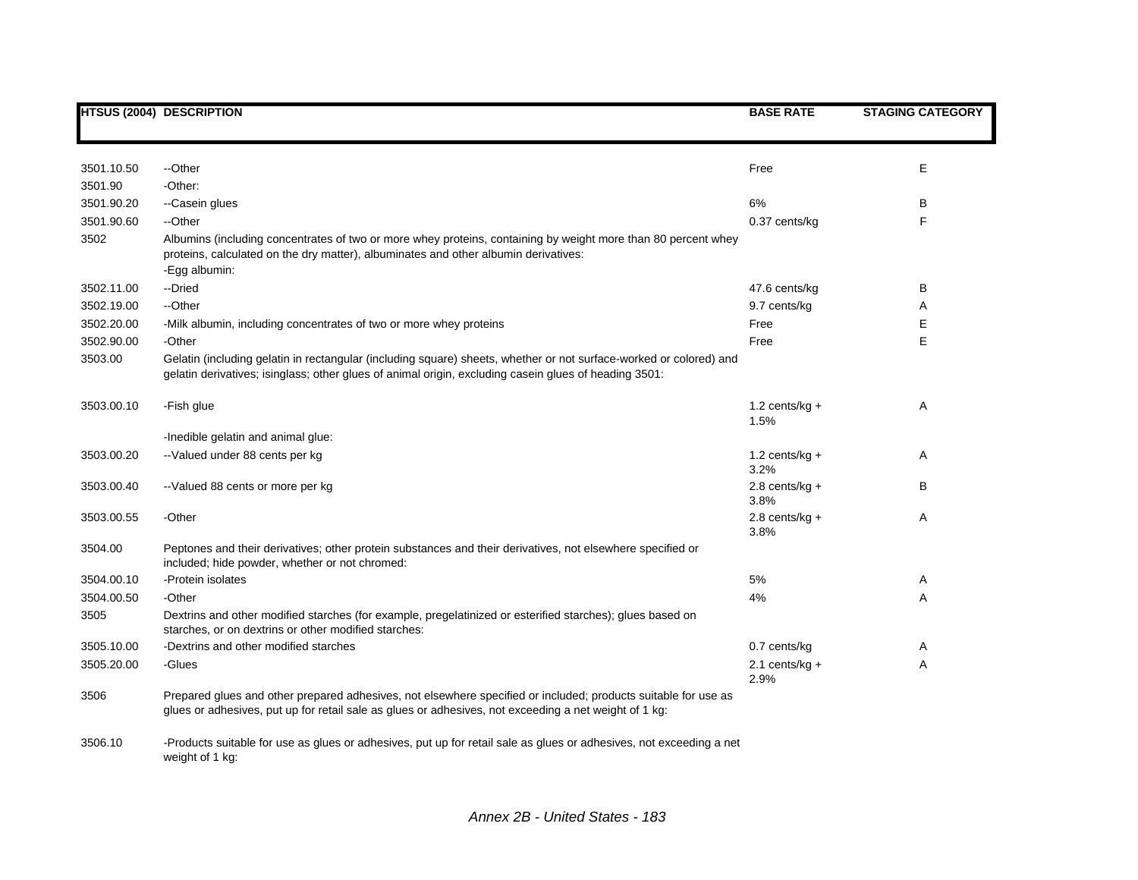|            | <b>HTSUS (2004) DESCRIPTION</b>                                                                                                                                                                                             | <b>BASE RATE</b>          | <b>STAGING CATEGORY</b> |
|------------|-----------------------------------------------------------------------------------------------------------------------------------------------------------------------------------------------------------------------------|---------------------------|-------------------------|
|            |                                                                                                                                                                                                                             |                           |                         |
| 3501.10.50 | --Other                                                                                                                                                                                                                     | Free                      | Ε                       |
| 3501.90    | -Other:                                                                                                                                                                                                                     |                           |                         |
| 3501.90.20 | --Casein glues                                                                                                                                                                                                              | 6%                        | в                       |
| 3501.90.60 | --Other                                                                                                                                                                                                                     | 0.37 cents/kg             | F                       |
| 3502       | Albumins (including concentrates of two or more whey proteins, containing by weight more than 80 percent whey<br>proteins, calculated on the dry matter), albuminates and other albumin derivatives:<br>-Egg albumin:       |                           |                         |
| 3502.11.00 | --Dried                                                                                                                                                                                                                     | 47.6 cents/kg             | В                       |
| 3502.19.00 | --Other                                                                                                                                                                                                                     | 9.7 cents/kg              | A                       |
| 3502.20.00 | -Milk albumin, including concentrates of two or more whey proteins                                                                                                                                                          | Free                      | Е                       |
| 3502.90.00 | -Other                                                                                                                                                                                                                      | Free                      | Е                       |
| 3503.00    | Gelatin (including gelatin in rectangular (including square) sheets, whether or not surface-worked or colored) and<br>gelatin derivatives; isinglass; other glues of animal origin, excluding casein glues of heading 3501: |                           |                         |
| 3503.00.10 | -Fish glue                                                                                                                                                                                                                  | 1.2 cents/ $kg +$<br>1.5% | Α                       |
|            | -Inedible gelatin and animal glue:                                                                                                                                                                                          |                           |                         |
| 3503.00.20 | -- Valued under 88 cents per kg                                                                                                                                                                                             | $1.2$ cents/kg +<br>3.2%  | Α                       |
| 3503.00.40 | --Valued 88 cents or more per kg                                                                                                                                                                                            | 2.8 cents/ $kg +$<br>3.8% | B                       |
| 3503.00.55 | -Other                                                                                                                                                                                                                      | $2.8$ cents/kg +<br>3.8%  | Α                       |
| 3504.00    | Peptones and their derivatives; other protein substances and their derivatives, not elsewhere specified or<br>included; hide powder, whether or not chromed:                                                                |                           |                         |
| 3504.00.10 | -Protein isolates                                                                                                                                                                                                           | $5\%$                     | Α                       |
| 3504.00.50 | -Other                                                                                                                                                                                                                      | 4%                        | Α                       |
| 3505       | Dextrins and other modified starches (for example, pregelatinized or esterified starches); glues based on<br>starches, or on dextrins or other modified starches:                                                           |                           |                         |
| 3505.10.00 | -Dextrins and other modified starches                                                                                                                                                                                       | 0.7 cents/kg              | A                       |
| 3505.20.00 | -Glues                                                                                                                                                                                                                      | 2.1 cents/ $kg +$<br>2.9% | Α                       |
| 3506       | Prepared glues and other prepared adhesives, not elsewhere specified or included; products suitable for use as<br>glues or adhesives, put up for retail sale as glues or adhesives, not exceeding a net weight of 1 kg:     |                           |                         |
| 3506.10    | -Products suitable for use as glues or adhesives, put up for retail sale as glues or adhesives, not exceeding a net<br>weight of 1 kg:                                                                                      |                           |                         |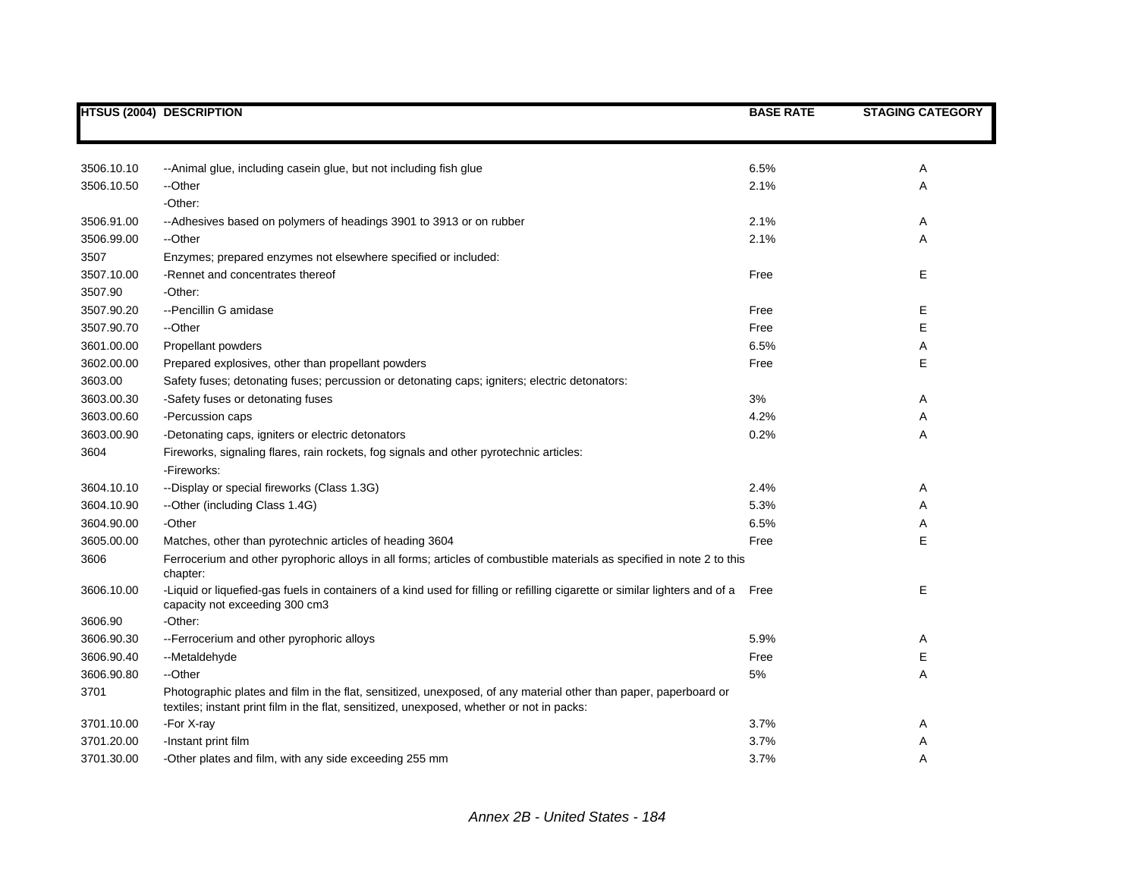|            | <b>HTSUS (2004) DESCRIPTION</b>                                                                                                                                                                               | <b>BASE RATE</b> | <b>STAGING CATEGORY</b> |
|------------|---------------------------------------------------------------------------------------------------------------------------------------------------------------------------------------------------------------|------------------|-------------------------|
|            |                                                                                                                                                                                                               |                  |                         |
| 3506.10.10 | --Animal glue, including casein glue, but not including fish glue                                                                                                                                             | 6.5%             | Α                       |
| 3506.10.50 | --Other                                                                                                                                                                                                       | 2.1%             | Α                       |
|            | -Other:                                                                                                                                                                                                       |                  |                         |
| 3506.91.00 | --Adhesives based on polymers of headings 3901 to 3913 or on rubber                                                                                                                                           | 2.1%             | Α                       |
| 3506.99.00 | --Other                                                                                                                                                                                                       | 2.1%             | Α                       |
| 3507       | Enzymes; prepared enzymes not elsewhere specified or included:                                                                                                                                                |                  |                         |
| 3507.10.00 | -Rennet and concentrates thereof                                                                                                                                                                              | Free             | Ε                       |
| 3507.90    | -Other:                                                                                                                                                                                                       |                  |                         |
| 3507.90.20 | --Pencillin G amidase                                                                                                                                                                                         | Free             | Е                       |
| 3507.90.70 | --Other                                                                                                                                                                                                       | Free             | E                       |
| 3601.00.00 | Propellant powders                                                                                                                                                                                            | 6.5%             | Α                       |
| 3602.00.00 | Prepared explosives, other than propellant powders                                                                                                                                                            | Free             | E                       |
| 3603.00    | Safety fuses; detonating fuses; percussion or detonating caps; igniters; electric detonators:                                                                                                                 |                  |                         |
| 3603.00.30 | -Safety fuses or detonating fuses                                                                                                                                                                             | 3%               | Α                       |
| 3603.00.60 | -Percussion caps                                                                                                                                                                                              | 4.2%             | Α                       |
| 3603.00.90 | -Detonating caps, igniters or electric detonators                                                                                                                                                             | 0.2%             | Α                       |
| 3604       | Fireworks, signaling flares, rain rockets, fog signals and other pyrotechnic articles:                                                                                                                        |                  |                         |
|            | -Fireworks:                                                                                                                                                                                                   |                  |                         |
| 3604.10.10 | --Display or special fireworks (Class 1.3G)                                                                                                                                                                   | 2.4%             | Α                       |
| 3604.10.90 | --Other (including Class 1.4G)                                                                                                                                                                                | 5.3%             | Α                       |
| 3604.90.00 | -Other                                                                                                                                                                                                        | 6.5%             | Α                       |
| 3605.00.00 | Matches, other than pyrotechnic articles of heading 3604                                                                                                                                                      | Free             | E                       |
| 3606       | Ferrocerium and other pyrophoric alloys in all forms; articles of combustible materials as specified in note 2 to this<br>chapter:                                                                            |                  |                         |
| 3606.10.00 | -Liquid or liquefied-gas fuels in containers of a kind used for filling or refilling cigarette or similar lighters and of a Free<br>capacity not exceeding 300 cm3                                            |                  | E                       |
| 3606.90    | -Other:                                                                                                                                                                                                       |                  |                         |
| 3606.90.30 | -- Ferrocerium and other pyrophoric alloys                                                                                                                                                                    | 5.9%             | Α                       |
| 3606.90.40 | --Metaldehyde                                                                                                                                                                                                 | Free             | E                       |
| 3606.90.80 | --Other                                                                                                                                                                                                       | 5%               | Α                       |
| 3701       | Photographic plates and film in the flat, sensitized, unexposed, of any material other than paper, paperboard or<br>textiles; instant print film in the flat, sensitized, unexposed, whether or not in packs: |                  |                         |
| 3701.10.00 | -For X-ray                                                                                                                                                                                                    | 3.7%             | Α                       |
| 3701.20.00 | -Instant print film                                                                                                                                                                                           | 3.7%             | Α                       |
| 3701.30.00 | -Other plates and film, with any side exceeding 255 mm                                                                                                                                                        | 3.7%             | A                       |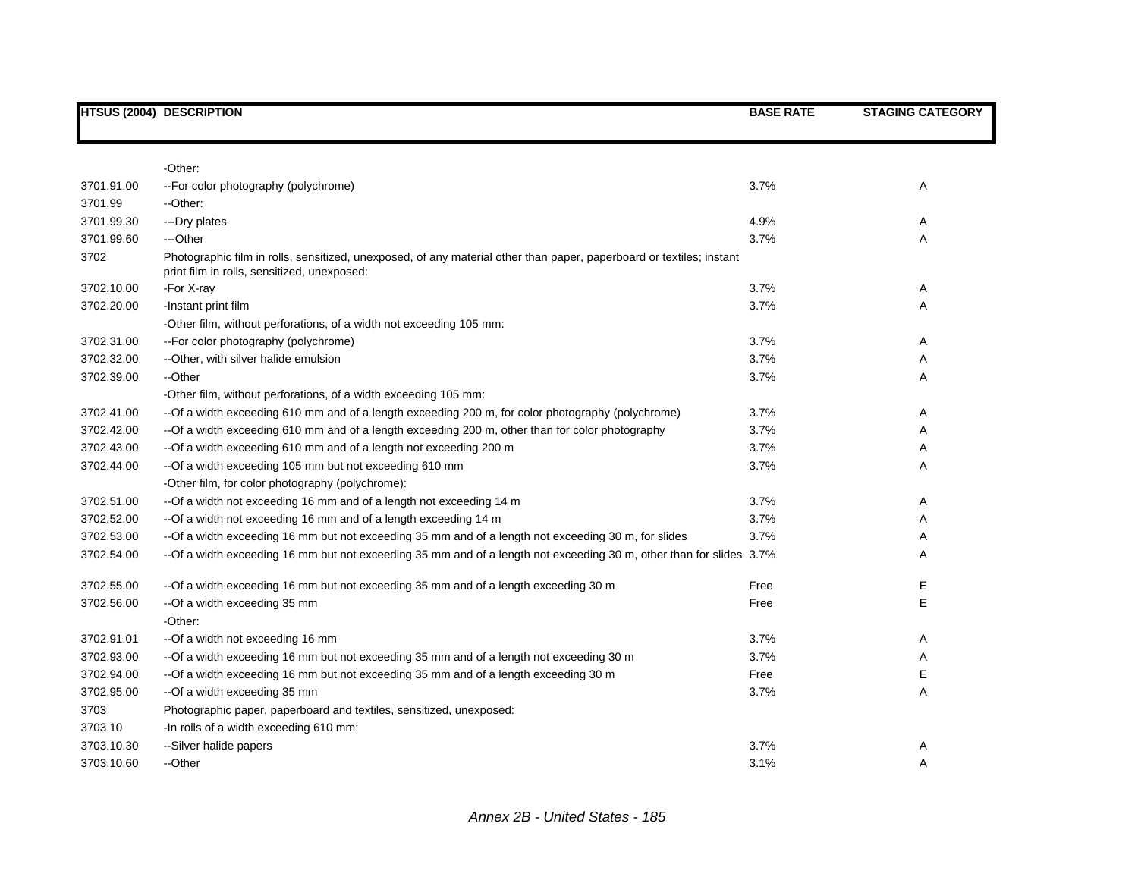|            | <b>HTSUS (2004) DESCRIPTION</b>                                                                                                                                     | <b>BASE RATE</b> | <b>STAGING CATEGORY</b> |
|------------|---------------------------------------------------------------------------------------------------------------------------------------------------------------------|------------------|-------------------------|
|            |                                                                                                                                                                     |                  |                         |
|            | -Other:                                                                                                                                                             |                  |                         |
| 3701.91.00 | -- For color photography (polychrome)                                                                                                                               | 3.7%             | Α                       |
| 3701.99    | --Other:                                                                                                                                                            |                  |                         |
| 3701.99.30 | ---Dry plates                                                                                                                                                       | 4.9%             | A                       |
| 3701.99.60 | ---Other                                                                                                                                                            | 3.7%             | Α                       |
| 3702       | Photographic film in rolls, sensitized, unexposed, of any material other than paper, paperboard or textiles; instant<br>print film in rolls, sensitized, unexposed: |                  |                         |
| 3702.10.00 | -For X-ray                                                                                                                                                          | 3.7%             | Α                       |
| 3702.20.00 | -Instant print film                                                                                                                                                 | 3.7%             | Α                       |
|            | -Other film, without perforations, of a width not exceeding 105 mm:                                                                                                 |                  |                         |
| 3702.31.00 | -- For color photography (polychrome)                                                                                                                               | 3.7%             | Α                       |
| 3702.32.00 | --Other, with silver halide emulsion                                                                                                                                | 3.7%             | Α                       |
| 3702.39.00 | --Other                                                                                                                                                             | 3.7%             | A                       |
|            | -Other film, without perforations, of a width exceeding 105 mm:                                                                                                     |                  |                         |
| 3702.41.00 | -- Of a width exceeding 610 mm and of a length exceeding 200 m, for color photography (polychrome)                                                                  | 3.7%             | Α                       |
| 3702.42.00 | -- Of a width exceeding 610 mm and of a length exceeding 200 m, other than for color photography                                                                    | 3.7%             | A                       |
| 3702.43.00 | -- Of a width exceeding 610 mm and of a length not exceeding 200 m                                                                                                  | 3.7%             | A                       |
| 3702.44.00 | -- Of a width exceeding 105 mm but not exceeding 610 mm                                                                                                             | 3.7%             | A                       |
|            | -Other film, for color photography (polychrome):                                                                                                                    |                  |                         |
| 3702.51.00 | --Of a width not exceeding 16 mm and of a length not exceeding 14 m                                                                                                 | 3.7%             | Α                       |
| 3702.52.00 | -- Of a width not exceeding 16 mm and of a length exceeding 14 m                                                                                                    | 3.7%             | Α                       |
| 3702.53.00 | --Of a width exceeding 16 mm but not exceeding 35 mm and of a length not exceeding 30 m, for slides                                                                 | 3.7%             | A                       |
| 3702.54.00 | --Of a width exceeding 16 mm but not exceeding 35 mm and of a length not exceeding 30 m, other than for slides 3.7%                                                 |                  | Α                       |
| 3702.55.00 | -- Of a width exceeding 16 mm but not exceeding 35 mm and of a length exceeding 30 m                                                                                | Free             | Ε                       |
| 3702.56.00 | --Of a width exceeding 35 mm                                                                                                                                        | Free             | Е                       |
|            | -Other:                                                                                                                                                             |                  |                         |
| 3702.91.01 | -- Of a width not exceeding 16 mm                                                                                                                                   | 3.7%             | A                       |
| 3702.93.00 | -- Of a width exceeding 16 mm but not exceeding 35 mm and of a length not exceeding 30 m                                                                            | 3.7%             | A                       |
| 3702.94.00 | -- Of a width exceeding 16 mm but not exceeding 35 mm and of a length exceeding 30 m                                                                                | Free             | Ε                       |
| 3702.95.00 | --Of a width exceeding 35 mm                                                                                                                                        | 3.7%             | Α                       |
| 3703       | Photographic paper, paperboard and textiles, sensitized, unexposed:                                                                                                 |                  |                         |
| 3703.10    | -In rolls of a width exceeding 610 mm:                                                                                                                              |                  |                         |
| 3703.10.30 | --Silver halide papers                                                                                                                                              | 3.7%             | A                       |
| 3703.10.60 | --Other                                                                                                                                                             | 3.1%             | Α                       |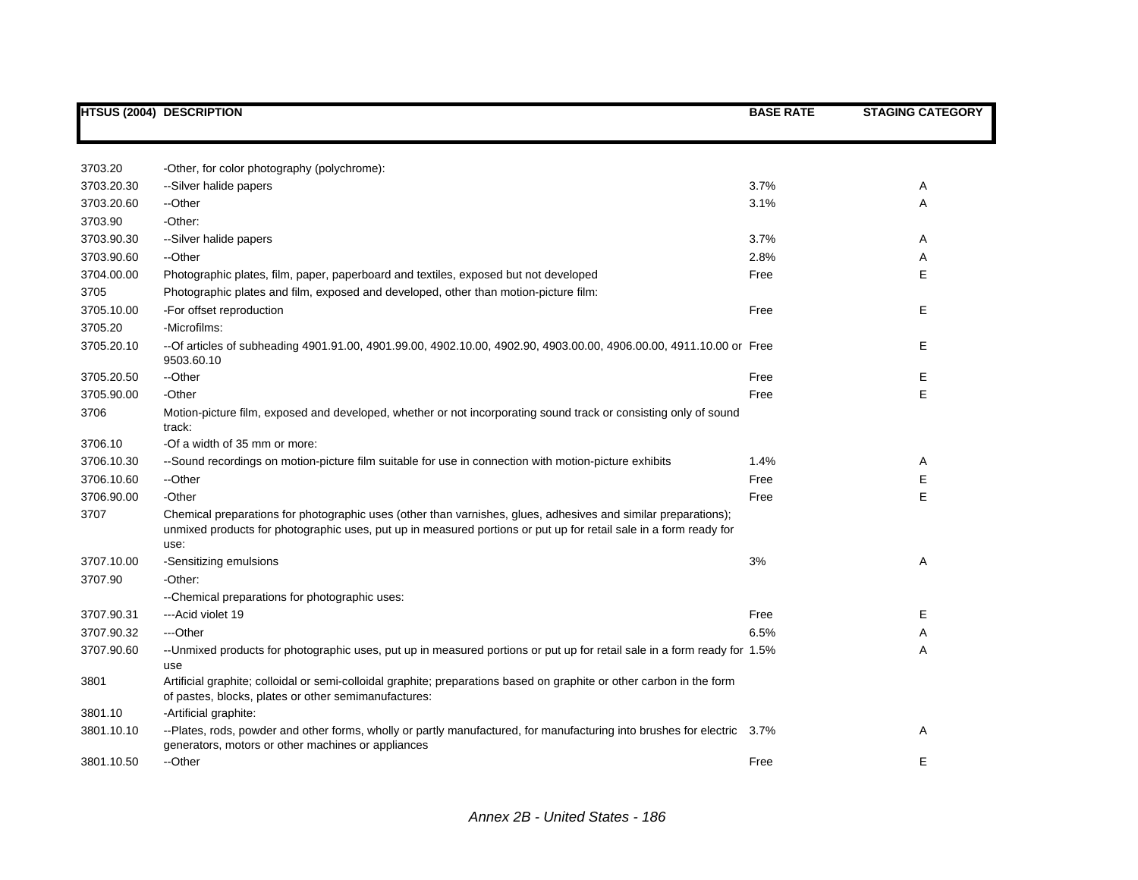|            | <b>HTSUS (2004) DESCRIPTION</b>                                                                                                                                                                                                             | <b>BASE RATE</b> | <b>STAGING CATEGORY</b> |
|------------|---------------------------------------------------------------------------------------------------------------------------------------------------------------------------------------------------------------------------------------------|------------------|-------------------------|
|            |                                                                                                                                                                                                                                             |                  |                         |
| 3703.20    | -Other, for color photography (polychrome):                                                                                                                                                                                                 |                  |                         |
| 3703.20.30 | --Silver halide papers                                                                                                                                                                                                                      | 3.7%             | Α                       |
| 3703.20.60 | --Other                                                                                                                                                                                                                                     | 3.1%             | A                       |
| 3703.90    | -Other:                                                                                                                                                                                                                                     |                  |                         |
| 3703.90.30 | --Silver halide papers                                                                                                                                                                                                                      | 3.7%             | Α                       |
| 3703.90.60 | --Other                                                                                                                                                                                                                                     | 2.8%             | Α                       |
| 3704.00.00 | Photographic plates, film, paper, paperboard and textiles, exposed but not developed                                                                                                                                                        | Free             | Е                       |
| 3705       | Photographic plates and film, exposed and developed, other than motion-picture film:                                                                                                                                                        |                  |                         |
| 3705.10.00 | -For offset reproduction                                                                                                                                                                                                                    | Free             | E                       |
| 3705.20    | -Microfilms:                                                                                                                                                                                                                                |                  |                         |
| 3705.20.10 | --Of articles of subheading 4901.91.00, 4901.99.00, 4902.10.00, 4902.90, 4903.00.00, 4906.00.00, 4911.10.00 or Free<br>9503.60.10                                                                                                           |                  | Е                       |
| 3705.20.50 | --Other                                                                                                                                                                                                                                     | Free             | Ε                       |
| 3705.90.00 | -Other                                                                                                                                                                                                                                      | Free             | E                       |
| 3706       | Motion-picture film, exposed and developed, whether or not incorporating sound track or consisting only of sound<br>track:                                                                                                                  |                  |                         |
| 3706.10    | -Of a width of 35 mm or more:                                                                                                                                                                                                               |                  |                         |
| 3706.10.30 | --Sound recordings on motion-picture film suitable for use in connection with motion-picture exhibits                                                                                                                                       | 1.4%             | Α                       |
| 3706.10.60 | --Other                                                                                                                                                                                                                                     | Free             | E                       |
| 3706.90.00 | -Other                                                                                                                                                                                                                                      | Free             | E                       |
| 3707       | Chemical preparations for photographic uses (other than varnishes, glues, adhesives and similar preparations);<br>unmixed products for photographic uses, put up in measured portions or put up for retail sale in a form ready for<br>use: |                  |                         |
| 3707.10.00 | -Sensitizing emulsions                                                                                                                                                                                                                      | 3%               | Α                       |
| 3707.90    | -Other:                                                                                                                                                                                                                                     |                  |                         |
|            | --Chemical preparations for photographic uses:                                                                                                                                                                                              |                  |                         |
| 3707.90.31 | --- Acid violet 19                                                                                                                                                                                                                          | Free             | E                       |
| 3707.90.32 | ---Other                                                                                                                                                                                                                                    | 6.5%             | Α                       |
| 3707.90.60 | --Unmixed products for photographic uses, put up in measured portions or put up for retail sale in a form ready for 1.5%<br>use                                                                                                             |                  | Α                       |
| 3801       | Artificial graphite; colloidal or semi-colloidal graphite; preparations based on graphite or other carbon in the form<br>of pastes, blocks, plates or other semimanufactures:                                                               |                  |                         |
| 3801.10    | -Artificial graphite:                                                                                                                                                                                                                       |                  |                         |
| 3801.10.10 | --Plates, rods, powder and other forms, wholly or partly manufactured, for manufacturing into brushes for electric 3.7%<br>generators, motors or other machines or appliances                                                               |                  | Α                       |
| 3801.10.50 | --Other                                                                                                                                                                                                                                     | Free             | Е                       |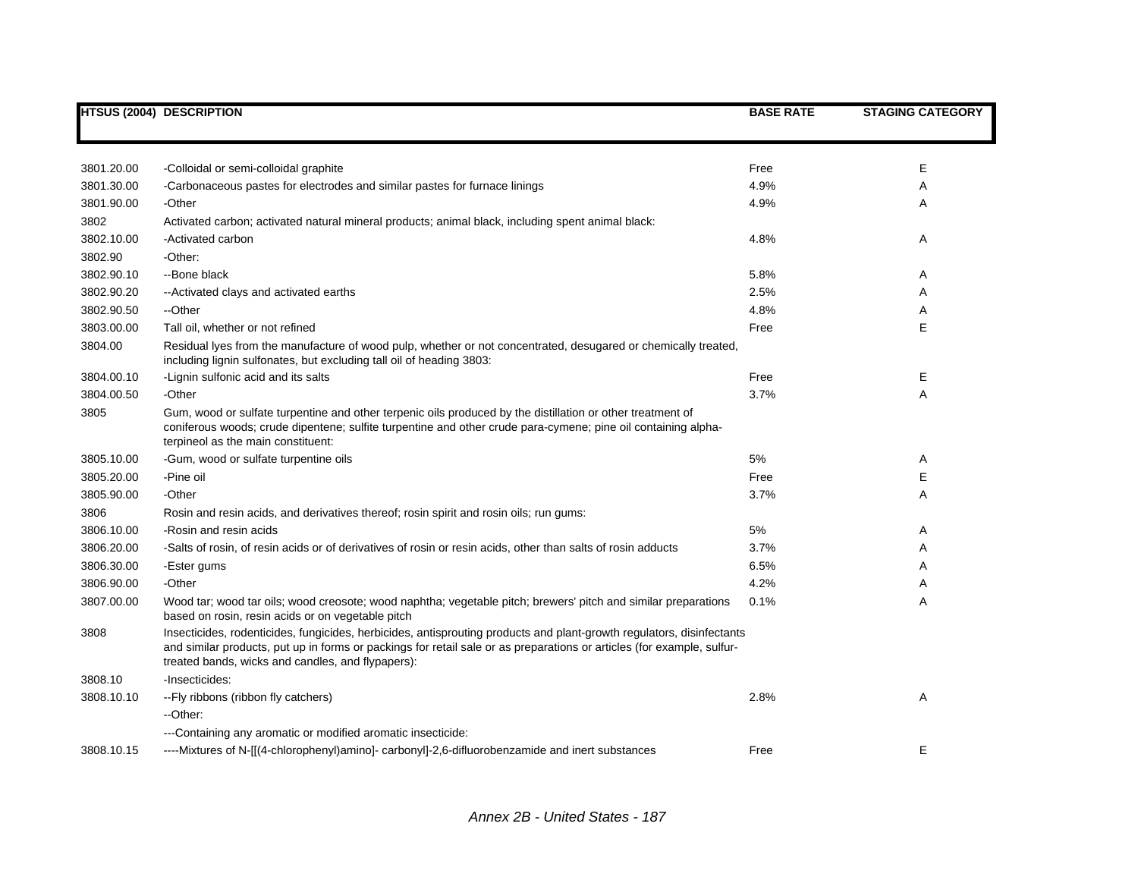|            | <b>HTSUS (2004) DESCRIPTION</b>                                                                                                                                                                                                                                                                      | <b>BASE RATE</b> | <b>STAGING CATEGORY</b> |
|------------|------------------------------------------------------------------------------------------------------------------------------------------------------------------------------------------------------------------------------------------------------------------------------------------------------|------------------|-------------------------|
|            |                                                                                                                                                                                                                                                                                                      |                  |                         |
| 3801.20.00 | -Colloidal or semi-colloidal graphite                                                                                                                                                                                                                                                                | Free             | Е                       |
| 3801.30.00 | -Carbonaceous pastes for electrodes and similar pastes for furnace linings                                                                                                                                                                                                                           | 4.9%             | Α                       |
| 3801.90.00 | -Other                                                                                                                                                                                                                                                                                               | 4.9%             | Α                       |
| 3802       | Activated carbon; activated natural mineral products; animal black, including spent animal black:                                                                                                                                                                                                    |                  |                         |
| 3802.10.00 | -Activated carbon                                                                                                                                                                                                                                                                                    | 4.8%             | Α                       |
| 3802.90    | -Other:                                                                                                                                                                                                                                                                                              |                  |                         |
| 3802.90.10 | --Bone black                                                                                                                                                                                                                                                                                         | 5.8%             | Α                       |
| 3802.90.20 | -- Activated clays and activated earths                                                                                                                                                                                                                                                              | 2.5%             | Α                       |
| 3802.90.50 | --Other                                                                                                                                                                                                                                                                                              | 4.8%             | Α                       |
| 3803.00.00 | Tall oil, whether or not refined                                                                                                                                                                                                                                                                     | Free             | E                       |
| 3804.00    | Residual lyes from the manufacture of wood pulp, whether or not concentrated, desugared or chemically treated,<br>including lignin sulfonates, but excluding tall oil of heading 3803:                                                                                                               |                  |                         |
| 3804.00.10 | -Lignin sulfonic acid and its salts                                                                                                                                                                                                                                                                  | Free             | Е                       |
| 3804.00.50 | -Other                                                                                                                                                                                                                                                                                               | 3.7%             | A                       |
| 3805       | Gum, wood or sulfate turpentine and other terpenic oils produced by the distillation or other treatment of<br>coniferous woods; crude dipentene; sulfite turpentine and other crude para-cymene; pine oil containing alpha-<br>terpineol as the main constituent:                                    |                  |                         |
| 3805.10.00 | -Gum, wood or sulfate turpentine oils                                                                                                                                                                                                                                                                | 5%               | Α                       |
| 3805.20.00 | -Pine oil                                                                                                                                                                                                                                                                                            | Free             | E                       |
| 3805.90.00 | -Other                                                                                                                                                                                                                                                                                               | 3.7%             | A                       |
| 3806       | Rosin and resin acids, and derivatives thereof; rosin spirit and rosin oils; run gums:                                                                                                                                                                                                               |                  |                         |
| 3806.10.00 | -Rosin and resin acids                                                                                                                                                                                                                                                                               | 5%               | Α                       |
| 3806.20.00 | -Salts of rosin, of resin acids or of derivatives of rosin or resin acids, other than salts of rosin adducts                                                                                                                                                                                         | 3.7%             | Α                       |
| 3806.30.00 | -Ester gums                                                                                                                                                                                                                                                                                          | 6.5%             | A                       |
| 3806.90.00 | -Other                                                                                                                                                                                                                                                                                               | 4.2%             | A                       |
| 3807.00.00 | Wood tar; wood tar oils; wood creosote; wood naphtha; vegetable pitch; brewers' pitch and similar preparations<br>based on rosin, resin acids or on vegetable pitch                                                                                                                                  | 0.1%             | Α                       |
| 3808       | Insecticides, rodenticides, fungicides, herbicides, antisprouting products and plant-growth regulators, disinfectants<br>and similar products, put up in forms or packings for retail sale or as preparations or articles (for example, sulfur-<br>treated bands, wicks and candles, and flypapers): |                  |                         |
| 3808.10    | -Insecticides:                                                                                                                                                                                                                                                                                       |                  |                         |
| 3808.10.10 | -- Fly ribbons (ribbon fly catchers)                                                                                                                                                                                                                                                                 | 2.8%             | A                       |
|            | --Other:                                                                                                                                                                                                                                                                                             |                  |                         |
|            | ---Containing any aromatic or modified aromatic insecticide:                                                                                                                                                                                                                                         |                  |                         |
| 3808.10.15 | ----Mixtures of N-[[(4-chlorophenyl)amino]- carbonyl]-2,6-difluorobenzamide and inert substances                                                                                                                                                                                                     | Free             | Е                       |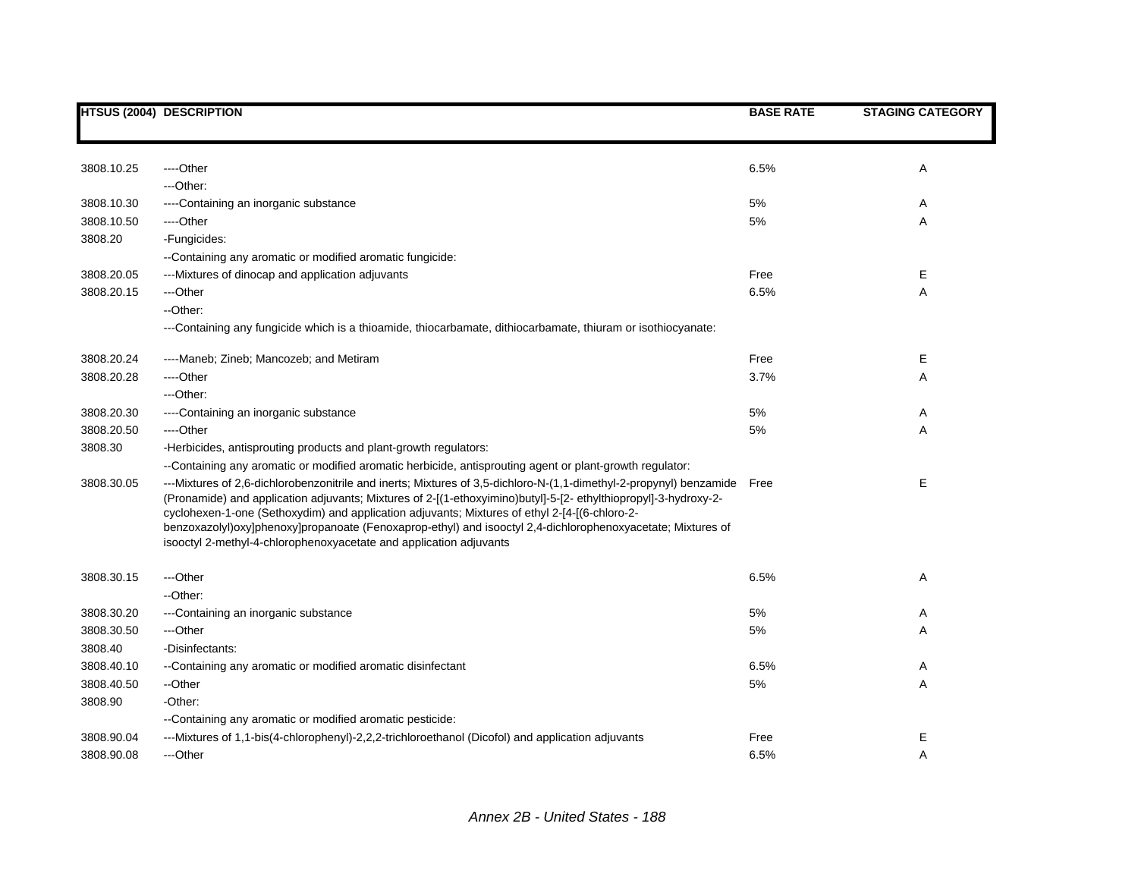|            | <b>HTSUS (2004) DESCRIPTION</b>                                                                                                                                                                                                                                                                                                                                                                                                                                                                                            | <b>BASE RATE</b> | <b>STAGING CATEGORY</b> |
|------------|----------------------------------------------------------------------------------------------------------------------------------------------------------------------------------------------------------------------------------------------------------------------------------------------------------------------------------------------------------------------------------------------------------------------------------------------------------------------------------------------------------------------------|------------------|-------------------------|
|            |                                                                                                                                                                                                                                                                                                                                                                                                                                                                                                                            |                  |                         |
| 3808.10.25 | ----Other                                                                                                                                                                                                                                                                                                                                                                                                                                                                                                                  | 6.5%             | Α                       |
|            | ---Other:                                                                                                                                                                                                                                                                                                                                                                                                                                                                                                                  |                  |                         |
| 3808.10.30 | ----Containing an inorganic substance                                                                                                                                                                                                                                                                                                                                                                                                                                                                                      | $5\%$            | Α                       |
| 3808.10.50 | ----Other                                                                                                                                                                                                                                                                                                                                                                                                                                                                                                                  | $5\%$            | Α                       |
| 3808.20    | -Fungicides:                                                                                                                                                                                                                                                                                                                                                                                                                                                                                                               |                  |                         |
|            | --Containing any aromatic or modified aromatic fungicide:                                                                                                                                                                                                                                                                                                                                                                                                                                                                  |                  |                         |
| 3808.20.05 | ---Mixtures of dinocap and application adjuvants                                                                                                                                                                                                                                                                                                                                                                                                                                                                           | Free             | Е                       |
| 3808.20.15 | ---Other                                                                                                                                                                                                                                                                                                                                                                                                                                                                                                                   | 6.5%             | Α                       |
|            | --Other:                                                                                                                                                                                                                                                                                                                                                                                                                                                                                                                   |                  |                         |
|            | ---Containing any fungicide which is a thioamide, thiocarbamate, dithiocarbamate, thiuram or isothiocyanate:                                                                                                                                                                                                                                                                                                                                                                                                               |                  |                         |
| 3808.20.24 | ----Maneb; Zineb; Mancozeb; and Metiram                                                                                                                                                                                                                                                                                                                                                                                                                                                                                    | Free             | Е                       |
| 3808.20.28 | ----Other                                                                                                                                                                                                                                                                                                                                                                                                                                                                                                                  | 3.7%             | Α                       |
|            | ---Other:                                                                                                                                                                                                                                                                                                                                                                                                                                                                                                                  |                  |                         |
| 3808.20.30 | ----Containing an inorganic substance                                                                                                                                                                                                                                                                                                                                                                                                                                                                                      | 5%               | A                       |
| 3808.20.50 | ----Other                                                                                                                                                                                                                                                                                                                                                                                                                                                                                                                  | 5%               | Α                       |
| 3808.30    | -Herbicides, antisprouting products and plant-growth regulators:                                                                                                                                                                                                                                                                                                                                                                                                                                                           |                  |                         |
|            | --Containing any aromatic or modified aromatic herbicide, antisprouting agent or plant-growth regulator:                                                                                                                                                                                                                                                                                                                                                                                                                   |                  |                         |
| 3808.30.05 | ---Mixtures of 2,6-dichlorobenzonitrile and inerts; Mixtures of 3,5-dichloro-N-(1,1-dimethyl-2-propynyl) benzamide<br>(Pronamide) and application adjuvants; Mixtures of 2-[(1-ethoxyimino)butyl]-5-[2-ethylthiopropyl]-3-hydroxy-2-<br>cyclohexen-1-one (Sethoxydim) and application adjuvants; Mixtures of ethyl 2-[4-[(6-chloro-2-<br>benzoxazolyl)oxy]phenoxy]propanoate (Fenoxaprop-ethyl) and isooctyl 2,4-dichlorophenoxyacetate; Mixtures of<br>isooctyl 2-methyl-4-chlorophenoxyacetate and application adjuvants | Free             | Ε                       |
| 3808.30.15 | ---Other                                                                                                                                                                                                                                                                                                                                                                                                                                                                                                                   | 6.5%             | Α                       |
|            | --Other:                                                                                                                                                                                                                                                                                                                                                                                                                                                                                                                   |                  |                         |
| 3808.30.20 | ---Containing an inorganic substance                                                                                                                                                                                                                                                                                                                                                                                                                                                                                       | $5\%$            | Α                       |
| 3808.30.50 | ---Other                                                                                                                                                                                                                                                                                                                                                                                                                                                                                                                   | $5\%$            | Α                       |
| 3808.40    | -Disinfectants:                                                                                                                                                                                                                                                                                                                                                                                                                                                                                                            |                  |                         |
| 3808.40.10 | --Containing any aromatic or modified aromatic disinfectant                                                                                                                                                                                                                                                                                                                                                                                                                                                                | 6.5%             | A                       |
| 3808.40.50 | --Other                                                                                                                                                                                                                                                                                                                                                                                                                                                                                                                    | 5%               | Α                       |
| 3808.90    | -Other:                                                                                                                                                                                                                                                                                                                                                                                                                                                                                                                    |                  |                         |
|            | --Containing any aromatic or modified aromatic pesticide:                                                                                                                                                                                                                                                                                                                                                                                                                                                                  |                  |                         |
| 3808.90.04 | ---Mixtures of 1,1-bis(4-chlorophenyl)-2,2,2-trichloroethanol (Dicofol) and application adjuvants                                                                                                                                                                                                                                                                                                                                                                                                                          | Free             | Ε                       |
| 3808.90.08 | ---Other                                                                                                                                                                                                                                                                                                                                                                                                                                                                                                                   | 6.5%             | A                       |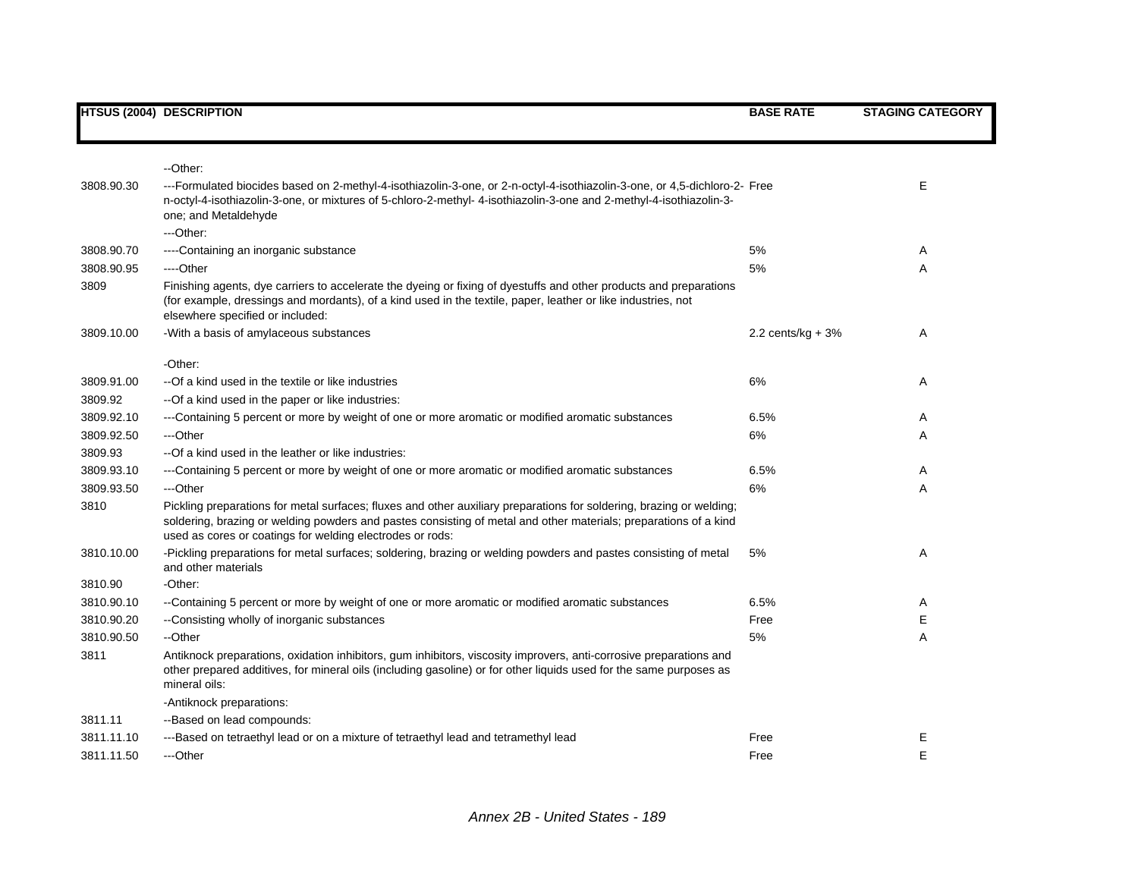|            | <b>HTSUS (2004) DESCRIPTION</b>                                                                                                                                                                                                                                                                       | <b>BASE RATE</b>     | <b>STAGING CATEGORY</b> |
|------------|-------------------------------------------------------------------------------------------------------------------------------------------------------------------------------------------------------------------------------------------------------------------------------------------------------|----------------------|-------------------------|
|            |                                                                                                                                                                                                                                                                                                       |                      |                         |
| 3808.90.30 | --Other:<br>---Formulated biocides based on 2-methyl-4-isothiazolin-3-one, or 2-n-octyl-4-isothiazolin-3-one, or 4,5-dichloro-2- Free<br>n-octyl-4-isothiazolin-3-one, or mixtures of 5-chloro-2-methyl-4-isothiazolin-3-one and 2-methyl-4-isothiazolin-3-<br>one; and Metaldehyde                   |                      | E                       |
|            | ---Other:                                                                                                                                                                                                                                                                                             |                      |                         |
| 3808.90.70 | ----Containing an inorganic substance                                                                                                                                                                                                                                                                 | 5%                   | Α                       |
| 3808.90.95 | ----Other                                                                                                                                                                                                                                                                                             | 5%                   | A                       |
| 3809       | Finishing agents, dye carriers to accelerate the dyeing or fixing of dyestuffs and other products and preparations<br>(for example, dressings and mordants), of a kind used in the textile, paper, leather or like industries, not<br>elsewhere specified or included:                                |                      |                         |
| 3809.10.00 | -With a basis of amylaceous substances                                                                                                                                                                                                                                                                | 2.2 cents/ $kg + 3%$ | Α                       |
|            | -Other:                                                                                                                                                                                                                                                                                               |                      |                         |
| 3809.91.00 | --Of a kind used in the textile or like industries                                                                                                                                                                                                                                                    | 6%                   | Α                       |
| 3809.92    | -- Of a kind used in the paper or like industries:                                                                                                                                                                                                                                                    |                      |                         |
| 3809.92.10 | ---Containing 5 percent or more by weight of one or more aromatic or modified aromatic substances                                                                                                                                                                                                     | 6.5%                 | A                       |
| 3809.92.50 | ---Other                                                                                                                                                                                                                                                                                              | 6%                   | Α                       |
| 3809.93    | --Of a kind used in the leather or like industries:                                                                                                                                                                                                                                                   |                      |                         |
| 3809.93.10 | ---Containing 5 percent or more by weight of one or more aromatic or modified aromatic substances                                                                                                                                                                                                     | 6.5%                 | Α                       |
| 3809.93.50 | ---Other                                                                                                                                                                                                                                                                                              | 6%                   | Α                       |
| 3810       | Pickling preparations for metal surfaces; fluxes and other auxiliary preparations for soldering, brazing or welding;<br>soldering, brazing or welding powders and pastes consisting of metal and other materials; preparations of a kind<br>used as cores or coatings for welding electrodes or rods: |                      |                         |
| 3810.10.00 | -Pickling preparations for metal surfaces; soldering, brazing or welding powders and pastes consisting of metal<br>and other materials                                                                                                                                                                | 5%                   | Α                       |
| 3810.90    | -Other:                                                                                                                                                                                                                                                                                               |                      |                         |
| 3810.90.10 | --Containing 5 percent or more by weight of one or more aromatic or modified aromatic substances                                                                                                                                                                                                      | 6.5%                 | Α                       |
| 3810.90.20 | --Consisting wholly of inorganic substances                                                                                                                                                                                                                                                           | Free                 | Е                       |
| 3810.90.50 | --Other                                                                                                                                                                                                                                                                                               | 5%                   | Α                       |
| 3811       | Antiknock preparations, oxidation inhibitors, gum inhibitors, viscosity improvers, anti-corrosive preparations and<br>other prepared additives, for mineral oils (including gasoline) or for other liquids used for the same purposes as<br>mineral oils:                                             |                      |                         |
|            | -Antiknock preparations:                                                                                                                                                                                                                                                                              |                      |                         |
| 3811.11    | --Based on lead compounds:                                                                                                                                                                                                                                                                            |                      |                         |
| 3811.11.10 | ---Based on tetraethyl lead or on a mixture of tetraethyl lead and tetramethyl lead                                                                                                                                                                                                                   | Free                 | Ε                       |
| 3811.11.50 | ---Other                                                                                                                                                                                                                                                                                              | Free                 | E                       |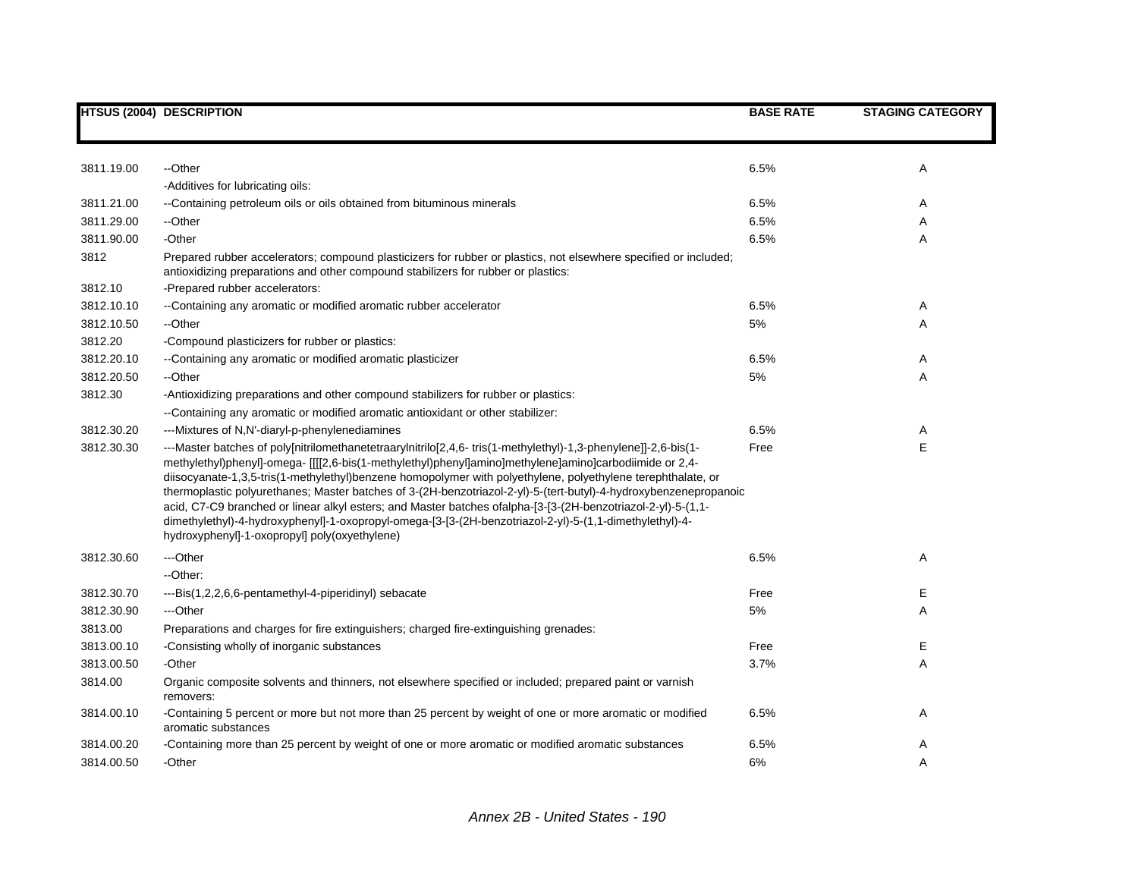|            | <b>HTSUS (2004) DESCRIPTION</b>                                                                                                                                                                                                                                                                                                                                                                                                                                                                                                                                                                                                                                                                                                      | <b>BASE RATE</b> | <b>STAGING CATEGORY</b> |
|------------|--------------------------------------------------------------------------------------------------------------------------------------------------------------------------------------------------------------------------------------------------------------------------------------------------------------------------------------------------------------------------------------------------------------------------------------------------------------------------------------------------------------------------------------------------------------------------------------------------------------------------------------------------------------------------------------------------------------------------------------|------------------|-------------------------|
|            |                                                                                                                                                                                                                                                                                                                                                                                                                                                                                                                                                                                                                                                                                                                                      |                  |                         |
| 3811.19.00 | --Other                                                                                                                                                                                                                                                                                                                                                                                                                                                                                                                                                                                                                                                                                                                              | 6.5%             | Α                       |
|            | -Additives for lubricating oils:                                                                                                                                                                                                                                                                                                                                                                                                                                                                                                                                                                                                                                                                                                     |                  |                         |
| 3811.21.00 | --Containing petroleum oils or oils obtained from bituminous minerals                                                                                                                                                                                                                                                                                                                                                                                                                                                                                                                                                                                                                                                                | 6.5%             | Α                       |
| 3811.29.00 | --Other                                                                                                                                                                                                                                                                                                                                                                                                                                                                                                                                                                                                                                                                                                                              | 6.5%             | Α                       |
| 3811.90.00 | -Other                                                                                                                                                                                                                                                                                                                                                                                                                                                                                                                                                                                                                                                                                                                               | 6.5%             | Α                       |
| 3812       | Prepared rubber accelerators; compound plasticizers for rubber or plastics, not elsewhere specified or included;<br>antioxidizing preparations and other compound stabilizers for rubber or plastics:                                                                                                                                                                                                                                                                                                                                                                                                                                                                                                                                |                  |                         |
| 3812.10    | -Prepared rubber accelerators:                                                                                                                                                                                                                                                                                                                                                                                                                                                                                                                                                                                                                                                                                                       |                  |                         |
| 3812.10.10 | --Containing any aromatic or modified aromatic rubber accelerator                                                                                                                                                                                                                                                                                                                                                                                                                                                                                                                                                                                                                                                                    | 6.5%             | Α                       |
| 3812.10.50 | --Other                                                                                                                                                                                                                                                                                                                                                                                                                                                                                                                                                                                                                                                                                                                              | 5%               | A                       |
| 3812.20    | -Compound plasticizers for rubber or plastics:                                                                                                                                                                                                                                                                                                                                                                                                                                                                                                                                                                                                                                                                                       |                  |                         |
| 3812.20.10 | -- Containing any aromatic or modified aromatic plasticizer                                                                                                                                                                                                                                                                                                                                                                                                                                                                                                                                                                                                                                                                          | 6.5%             | Α                       |
| 3812.20.50 | --Other                                                                                                                                                                                                                                                                                                                                                                                                                                                                                                                                                                                                                                                                                                                              | 5%               | Α                       |
| 3812.30    | -Antioxidizing preparations and other compound stabilizers for rubber or plastics:                                                                                                                                                                                                                                                                                                                                                                                                                                                                                                                                                                                                                                                   |                  |                         |
|            | --Containing any aromatic or modified aromatic antioxidant or other stabilizer:                                                                                                                                                                                                                                                                                                                                                                                                                                                                                                                                                                                                                                                      |                  |                         |
| 3812.30.20 | ---Mixtures of N,N'-diaryl-p-phenylenediamines                                                                                                                                                                                                                                                                                                                                                                                                                                                                                                                                                                                                                                                                                       | 6.5%             | Α                       |
| 3812.30.30 | --Master batches of poly[nitrilomethanetetraarylnitrilo[2,4,6-tris(1-methylethyl)-1,3-phenylene]]-2,6-bis(1-<br>methylethyl)phenyl]-omega- [[[2,6-bis(1-methylethyl)phenyl]amino]methylene]amino]carbodiimide or 2,4-<br>diisocyanate-1,3,5-tris(1-methylethyl)benzene homopolymer with polyethylene, polyethylene terephthalate, or<br>thermoplastic polyurethanes; Master batches of 3-(2H-benzotriazol-2-yl)-5-(tert-butyl)-4-hydroxybenzenepropanoic<br>acid, C7-C9 branched or linear alkyl esters; and Master batches ofalpha-[3-[3-(2H-benzotriazol-2-yl)-5-(1,1-<br>dimethylethyl)-4-hydroxyphenyl]-1-oxopropyl-omega-[3-[3-(2H-benzotriazol-2-yl)-5-(1,1-dimethylethyl)-4-<br>hydroxyphenyl]-1-oxopropyl] poly(oxyethylene) | Free             | E                       |
| 3812.30.60 | ---Other                                                                                                                                                                                                                                                                                                                                                                                                                                                                                                                                                                                                                                                                                                                             | 6.5%             | Α                       |
|            | --Other:                                                                                                                                                                                                                                                                                                                                                                                                                                                                                                                                                                                                                                                                                                                             |                  |                         |
| 3812.30.70 | ---Bis(1,2,2,6,6-pentamethyl-4-piperidinyl) sebacate                                                                                                                                                                                                                                                                                                                                                                                                                                                                                                                                                                                                                                                                                 | Free             | Е                       |
| 3812.30.90 | ---Other                                                                                                                                                                                                                                                                                                                                                                                                                                                                                                                                                                                                                                                                                                                             | 5%               | A                       |
| 3813.00    | Preparations and charges for fire extinguishers; charged fire-extinguishing grenades:                                                                                                                                                                                                                                                                                                                                                                                                                                                                                                                                                                                                                                                |                  |                         |
| 3813.00.10 | -Consisting wholly of inorganic substances                                                                                                                                                                                                                                                                                                                                                                                                                                                                                                                                                                                                                                                                                           | Free             | Е                       |
| 3813.00.50 | -Other                                                                                                                                                                                                                                                                                                                                                                                                                                                                                                                                                                                                                                                                                                                               | 3.7%             | Α                       |
| 3814.00    | Organic composite solvents and thinners, not elsewhere specified or included; prepared paint or varnish<br>removers:                                                                                                                                                                                                                                                                                                                                                                                                                                                                                                                                                                                                                 |                  |                         |
| 3814.00.10 | -Containing 5 percent or more but not more than 25 percent by weight of one or more aromatic or modified<br>aromatic substances                                                                                                                                                                                                                                                                                                                                                                                                                                                                                                                                                                                                      | 6.5%             | Α                       |
| 3814.00.20 | -Containing more than 25 percent by weight of one or more aromatic or modified aromatic substances                                                                                                                                                                                                                                                                                                                                                                                                                                                                                                                                                                                                                                   | 6.5%             | Α                       |
| 3814.00.50 | -Other                                                                                                                                                                                                                                                                                                                                                                                                                                                                                                                                                                                                                                                                                                                               | 6%               | Α                       |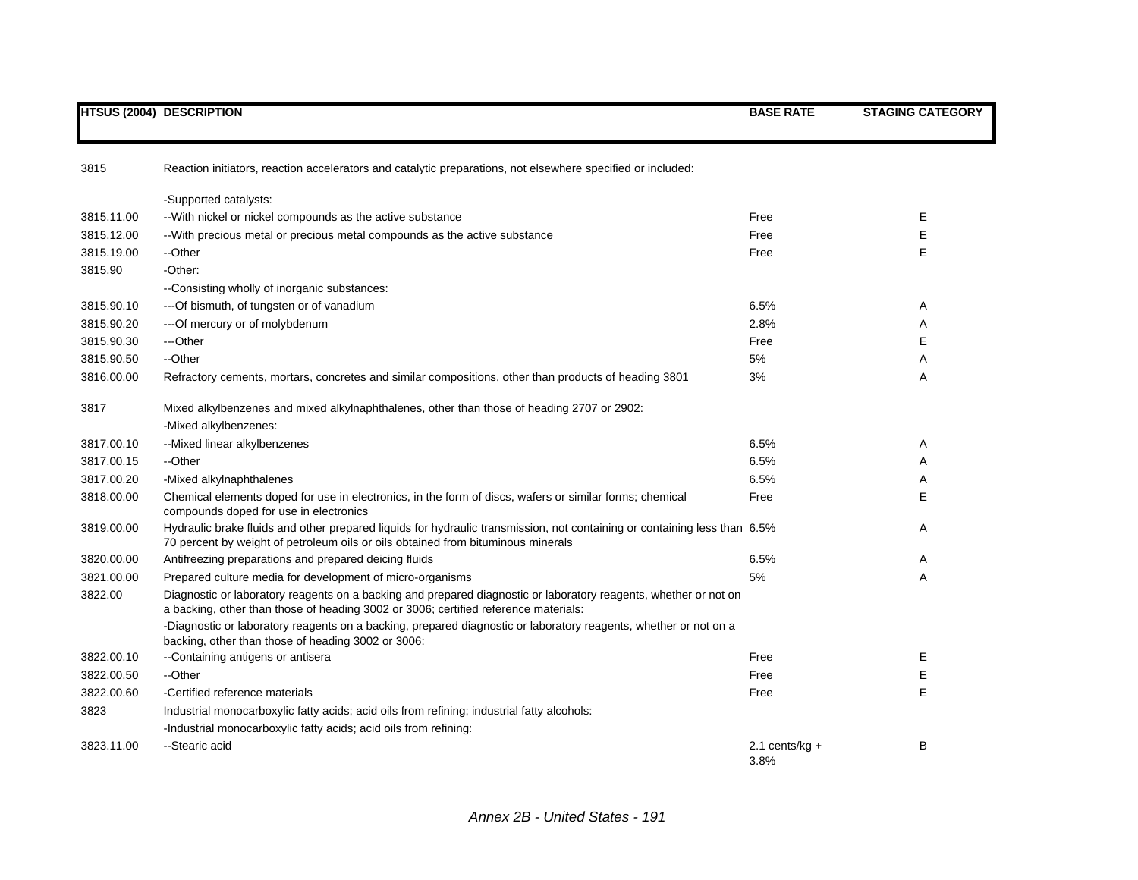|            | <b>HTSUS (2004) DESCRIPTION</b>                                                                                                                                                                               | <b>BASE RATE</b>         | <b>STAGING CATEGORY</b> |
|------------|---------------------------------------------------------------------------------------------------------------------------------------------------------------------------------------------------------------|--------------------------|-------------------------|
| 3815       | Reaction initiators, reaction accelerators and catalytic preparations, not elsewhere specified or included:                                                                                                   |                          |                         |
|            | -Supported catalysts:                                                                                                                                                                                         |                          |                         |
| 3815.11.00 | -- With nickel or nickel compounds as the active substance                                                                                                                                                    | Free                     | E                       |
| 3815.12.00 | --With precious metal or precious metal compounds as the active substance                                                                                                                                     | Free                     | Е                       |
| 3815.19.00 | --Other                                                                                                                                                                                                       | Free                     | Е                       |
| 3815.90    | -Other:                                                                                                                                                                                                       |                          |                         |
|            | --Consisting wholly of inorganic substances:                                                                                                                                                                  |                          |                         |
| 3815.90.10 | --- Of bismuth, of tungsten or of vanadium                                                                                                                                                                    | 6.5%                     | Α                       |
| 3815.90.20 | --- Of mercury or of molybdenum                                                                                                                                                                               | 2.8%                     | Α                       |
| 3815.90.30 | ---Other                                                                                                                                                                                                      | Free                     | E                       |
| 3815.90.50 | --Other                                                                                                                                                                                                       | 5%                       | Α                       |
| 3816.00.00 | Refractory cements, mortars, concretes and similar compositions, other than products of heading 3801                                                                                                          | 3%                       | A                       |
| 3817       | Mixed alkylbenzenes and mixed alkylnaphthalenes, other than those of heading 2707 or 2902:                                                                                                                    |                          |                         |
|            | -Mixed alkylbenzenes:                                                                                                                                                                                         |                          |                         |
| 3817.00.10 | --Mixed linear alkylbenzenes                                                                                                                                                                                  | 6.5%                     | Α                       |
| 3817.00.15 | --Other                                                                                                                                                                                                       | 6.5%                     | A                       |
| 3817.00.20 | -Mixed alkylnaphthalenes                                                                                                                                                                                      | 6.5%                     | A                       |
| 3818.00.00 | Chemical elements doped for use in electronics, in the form of discs, wafers or similar forms; chemical<br>compounds doped for use in electronics                                                             | Free                     | E                       |
| 3819.00.00 | Hydraulic brake fluids and other prepared liquids for hydraulic transmission, not containing or containing less than 6.5%<br>70 percent by weight of petroleum oils or oils obtained from bituminous minerals |                          | Α                       |
| 3820.00.00 | Antifreezing preparations and prepared deicing fluids                                                                                                                                                         | 6.5%                     | Α                       |
| 3821.00.00 | Prepared culture media for development of micro-organisms                                                                                                                                                     | 5%                       | Α                       |
| 3822.00    | Diagnostic or laboratory reagents on a backing and prepared diagnostic or laboratory reagents, whether or not on<br>a backing, other than those of heading 3002 or 3006; certified reference materials:       |                          |                         |
|            | -Diagnostic or laboratory reagents on a backing, prepared diagnostic or laboratory reagents, whether or not on a<br>backing, other than those of heading 3002 or 3006:                                        |                          |                         |
| 3822.00.10 | --Containing antigens or antisera                                                                                                                                                                             | Free                     | Е                       |
| 3822.00.50 | --Other                                                                                                                                                                                                       | Free                     | E                       |
| 3822.00.60 | -Certified reference materials                                                                                                                                                                                | Free                     | E                       |
| 3823       | Industrial monocarboxylic fatty acids; acid oils from refining; industrial fatty alcohols:                                                                                                                    |                          |                         |
|            | -Industrial monocarboxylic fatty acids; acid oils from refining:                                                                                                                                              |                          |                         |
| 3823.11.00 | --Stearic acid                                                                                                                                                                                                | 2.1 cents/kg $+$<br>3.8% | В                       |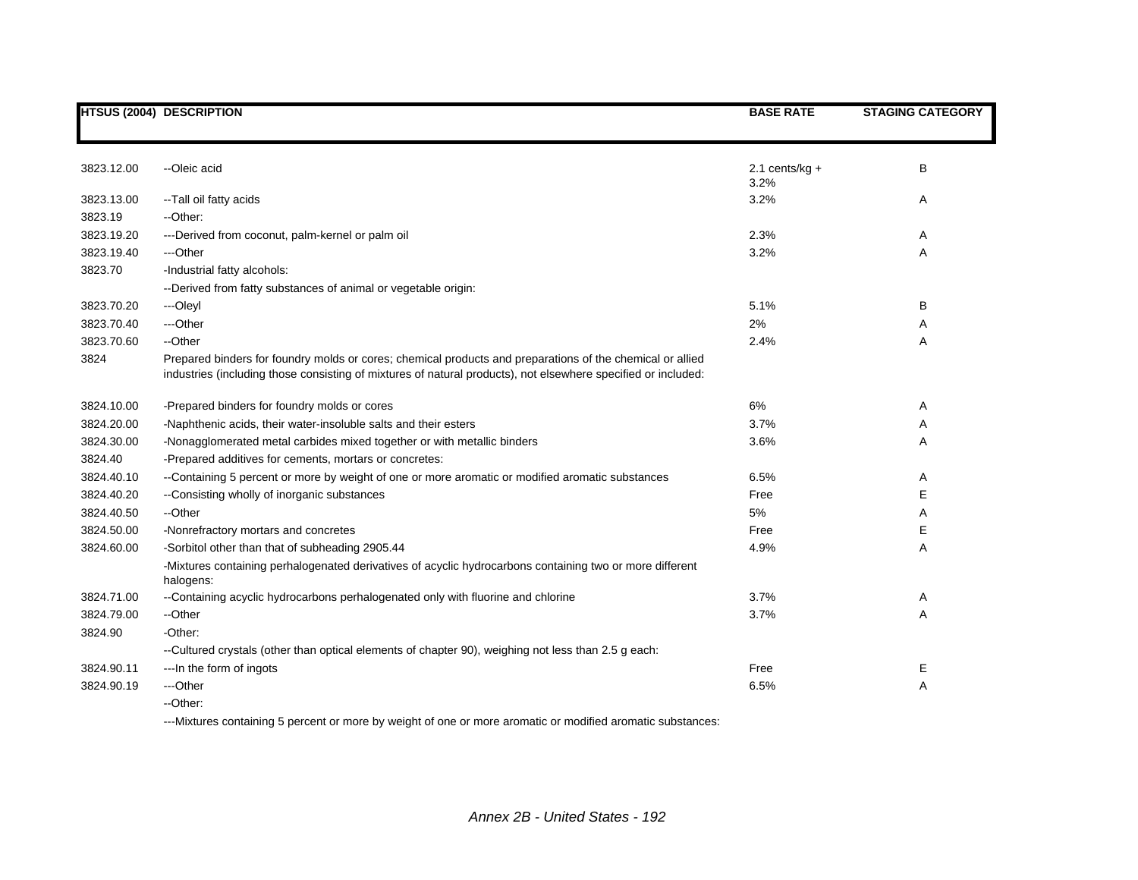|            | <b>HTSUS (2004) DESCRIPTION</b>                                                                                                                                                                                            | <b>BASE RATE</b>         | <b>STAGING CATEGORY</b> |
|------------|----------------------------------------------------------------------------------------------------------------------------------------------------------------------------------------------------------------------------|--------------------------|-------------------------|
|            |                                                                                                                                                                                                                            |                          |                         |
| 3823.12.00 | --Oleic acid                                                                                                                                                                                                               | 2.1 cents/kg $+$<br>3.2% | B                       |
| 3823.13.00 | -- Tall oil fatty acids                                                                                                                                                                                                    | 3.2%                     | Α                       |
| 3823.19    | --Other:                                                                                                                                                                                                                   |                          |                         |
| 3823.19.20 | ---Derived from coconut, palm-kernel or palm oil                                                                                                                                                                           | 2.3%                     | A                       |
| 3823.19.40 | ---Other                                                                                                                                                                                                                   | 3.2%                     | A                       |
| 3823.70    | -Industrial fatty alcohols:                                                                                                                                                                                                |                          |                         |
|            | --Derived from fatty substances of animal or vegetable origin:                                                                                                                                                             |                          |                         |
| 3823.70.20 | ---Oleyl                                                                                                                                                                                                                   | 5.1%                     | В                       |
| 3823.70.40 | ---Other                                                                                                                                                                                                                   | 2%                       | Α                       |
| 3823.70.60 | --Other                                                                                                                                                                                                                    | 2.4%                     | A                       |
| 3824       | Prepared binders for foundry molds or cores; chemical products and preparations of the chemical or allied<br>industries (including those consisting of mixtures of natural products), not elsewhere specified or included: |                          |                         |
| 3824.10.00 | -Prepared binders for foundry molds or cores                                                                                                                                                                               | 6%                       | Α                       |
| 3824.20.00 | -Naphthenic acids, their water-insoluble salts and their esters                                                                                                                                                            | 3.7%                     | Α                       |
| 3824.30.00 | -Nonagglomerated metal carbides mixed together or with metallic binders                                                                                                                                                    | 3.6%                     | Α                       |
| 3824.40    | -Prepared additives for cements, mortars or concretes:                                                                                                                                                                     |                          |                         |
| 3824.40.10 | --Containing 5 percent or more by weight of one or more aromatic or modified aromatic substances                                                                                                                           | 6.5%                     | Α                       |
| 3824.40.20 | --Consisting wholly of inorganic substances                                                                                                                                                                                | Free                     | Е                       |
| 3824.40.50 | --Other                                                                                                                                                                                                                    | 5%                       | A                       |
| 3824.50.00 | -Nonrefractory mortars and concretes                                                                                                                                                                                       | Free                     | E                       |
| 3824.60.00 | -Sorbitol other than that of subheading 2905.44                                                                                                                                                                            | 4.9%                     | A                       |
|            | -Mixtures containing perhalogenated derivatives of acyclic hydrocarbons containing two or more different<br>halogens:                                                                                                      |                          |                         |
| 3824.71.00 | --Containing acyclic hydrocarbons perhalogenated only with fluorine and chlorine                                                                                                                                           | 3.7%                     | Α                       |
| 3824.79.00 | --Other                                                                                                                                                                                                                    | 3.7%                     | A                       |
| 3824.90    | -Other:                                                                                                                                                                                                                    |                          |                         |
|            | --Cultured crystals (other than optical elements of chapter 90), weighing not less than 2.5 g each:                                                                                                                        |                          |                         |
| 3824.90.11 | --- In the form of ingots                                                                                                                                                                                                  | Free                     | Е                       |
| 3824.90.19 | ---Other                                                                                                                                                                                                                   | 6.5%                     | Α                       |
|            | --Other:                                                                                                                                                                                                                   |                          |                         |

---Mixtures containing 5 percent or more by weight of one or more aromatic or modified aromatic substances: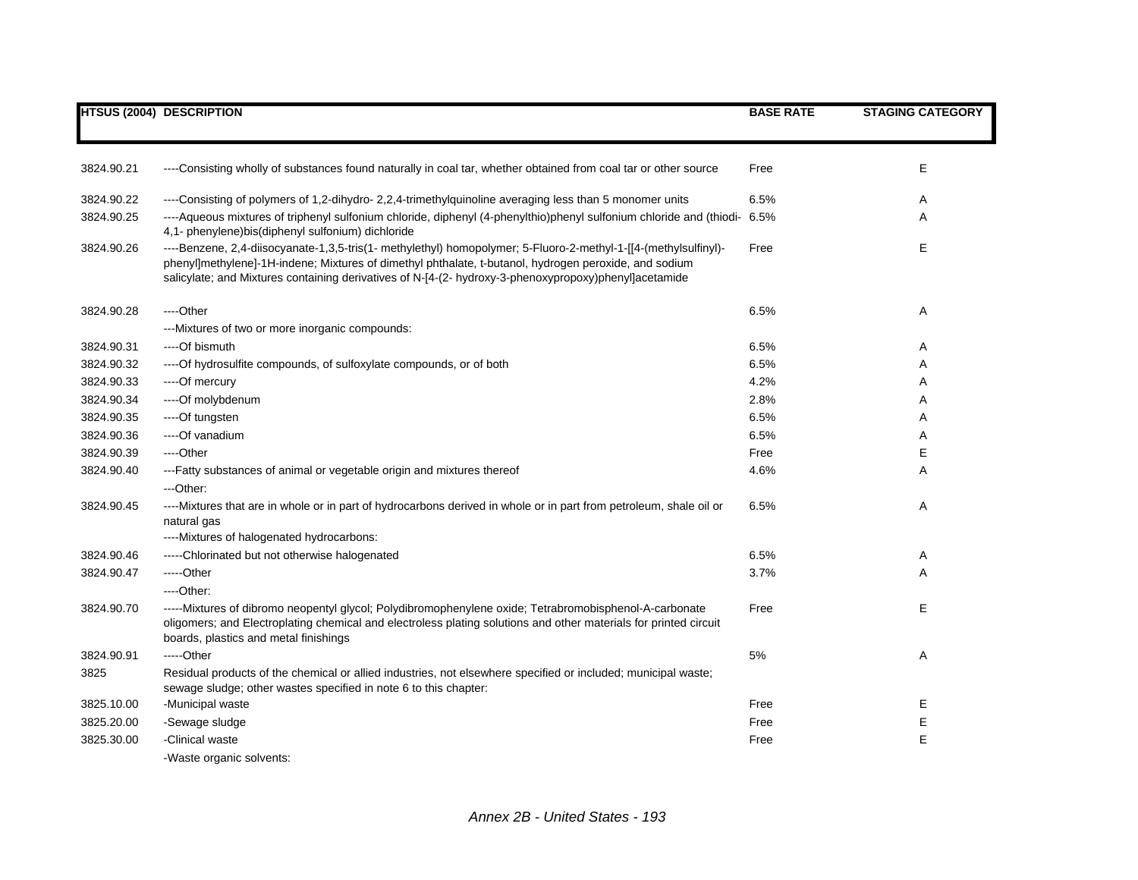|            | <b>HTSUS (2004) DESCRIPTION</b>                                                                                                                                                                                                                                                                                                   | <b>BASE RATE</b> | <b>STAGING CATEGORY</b> |
|------------|-----------------------------------------------------------------------------------------------------------------------------------------------------------------------------------------------------------------------------------------------------------------------------------------------------------------------------------|------------------|-------------------------|
|            |                                                                                                                                                                                                                                                                                                                                   |                  |                         |
| 3824.90.21 | ----Consisting wholly of substances found naturally in coal tar, whether obtained from coal tar or other source                                                                                                                                                                                                                   | Free             | Е                       |
| 3824.90.22 | ----Consisting of polymers of 1,2-dihydro- 2,2,4-trimethylquinoline averaging less than 5 monomer units                                                                                                                                                                                                                           | 6.5%             | Α                       |
| 3824.90.25 | ----Aqueous mixtures of triphenyl sulfonium chloride, diphenyl (4-phenylthio)phenyl sulfonium chloride and (thiodi- 6.5%<br>4,1- phenylene)bis(diphenyl sulfonium) dichloride                                                                                                                                                     |                  | Α                       |
| 3824.90.26 | ----Benzene, 2,4-diisocyanate-1,3,5-tris(1- methylethyl) homopolymer; 5-Fluoro-2-methyl-1-[[4-(methylsulfinyl)-<br>phenyl]methylene]-1H-indene; Mixtures of dimethyl phthalate, t-butanol, hydrogen peroxide, and sodium<br>salicylate; and Mixtures containing derivatives of N-[4-(2- hydroxy-3-phenoxypropoxy)phenyl]acetamide | Free             | $\mathsf E$             |
| 3824.90.28 | ----Other                                                                                                                                                                                                                                                                                                                         | 6.5%             | Α                       |
|            | ---Mixtures of two or more inorganic compounds:                                                                                                                                                                                                                                                                                   |                  |                         |
| 3824.90.31 | ----Of bismuth                                                                                                                                                                                                                                                                                                                    | 6.5%             | Α                       |
| 3824.90.32 | ----Of hydrosulfite compounds, of sulfoxylate compounds, or of both                                                                                                                                                                                                                                                               | 6.5%             | Α                       |
| 3824.90.33 | ----Of mercury                                                                                                                                                                                                                                                                                                                    | 4.2%             | Α                       |
| 3824.90.34 | ----Of molybdenum                                                                                                                                                                                                                                                                                                                 | 2.8%             | Α                       |
| 3824.90.35 | ----Of tungsten                                                                                                                                                                                                                                                                                                                   | 6.5%             | Α                       |
| 3824.90.36 | ---- Of vanadium                                                                                                                                                                                                                                                                                                                  | 6.5%             | Α                       |
| 3824.90.39 | ----Other                                                                                                                                                                                                                                                                                                                         | Free             | Ε                       |
| 3824.90.40 | ---Fatty substances of animal or vegetable origin and mixtures thereof                                                                                                                                                                                                                                                            | 4.6%             | Α                       |
|            | ---Other:                                                                                                                                                                                                                                                                                                                         |                  |                         |
| 3824.90.45 | ----Mixtures that are in whole or in part of hydrocarbons derived in whole or in part from petroleum, shale oil or<br>natural gas                                                                                                                                                                                                 | 6.5%             | Α                       |
|            | ----Mixtures of halogenated hydrocarbons:                                                                                                                                                                                                                                                                                         |                  |                         |
| 3824.90.46 | -----Chlorinated but not otherwise halogenated                                                                                                                                                                                                                                                                                    | 6.5%             | Α                       |
| 3824.90.47 | -----Other                                                                                                                                                                                                                                                                                                                        | 3.7%             | Α                       |
|            | ----Other:                                                                                                                                                                                                                                                                                                                        |                  |                         |
| 3824.90.70 | -----Mixtures of dibromo neopentyl glycol; Polydibromophenylene oxide; Tetrabromobisphenol-A-carbonate<br>oligomers; and Electroplating chemical and electroless plating solutions and other materials for printed circuit<br>boards, plastics and metal finishings                                                               | Free             | E                       |
| 3824.90.91 | -----Other                                                                                                                                                                                                                                                                                                                        | 5%               | Α                       |
| 3825       | Residual products of the chemical or allied industries, not elsewhere specified or included; municipal waste;<br>sewage sludge; other wastes specified in note 6 to this chapter:                                                                                                                                                 |                  |                         |
| 3825.10.00 | -Municipal waste                                                                                                                                                                                                                                                                                                                  | Free             | Е                       |
| 3825.20.00 | -Sewage sludge                                                                                                                                                                                                                                                                                                                    | Free             | E                       |
| 3825.30.00 | -Clinical waste                                                                                                                                                                                                                                                                                                                   | Free             | E                       |
|            | -Waste organic solvents:                                                                                                                                                                                                                                                                                                          |                  |                         |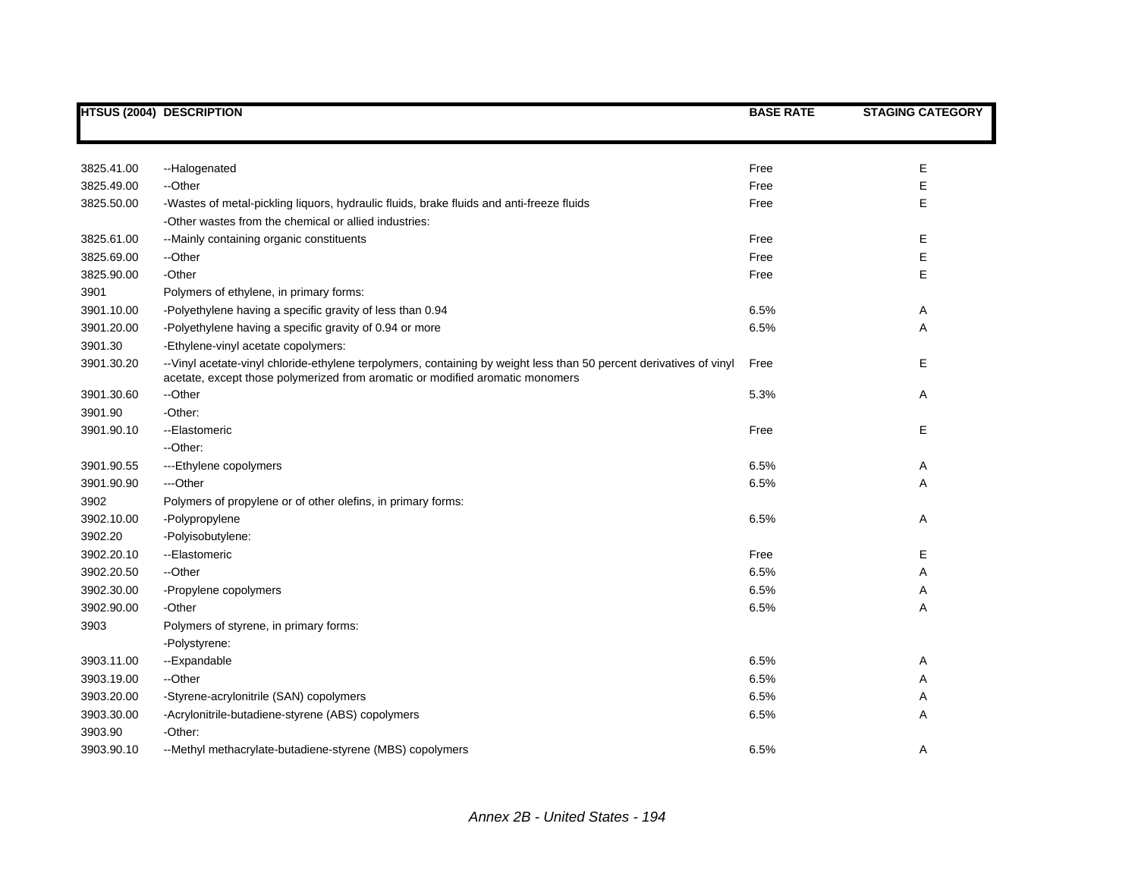|            | HTSUS (2004) DESCRIPTION                                                                                                                                                                             | <b>BASE RATE</b> | <b>STAGING CATEGORY</b> |
|------------|------------------------------------------------------------------------------------------------------------------------------------------------------------------------------------------------------|------------------|-------------------------|
|            |                                                                                                                                                                                                      |                  |                         |
| 3825.41.00 | --Halogenated                                                                                                                                                                                        | Free             | E                       |
| 3825.49.00 | --Other                                                                                                                                                                                              | Free             | E                       |
| 3825.50.00 | -Wastes of metal-pickling liquors, hydraulic fluids, brake fluids and anti-freeze fluids                                                                                                             | Free             | E                       |
|            | -Other wastes from the chemical or allied industries:                                                                                                                                                |                  |                         |
| 3825.61.00 | --Mainly containing organic constituents                                                                                                                                                             | Free             | E                       |
| 3825.69.00 | --Other                                                                                                                                                                                              | Free             | E                       |
| 3825.90.00 | -Other                                                                                                                                                                                               | Free             | E                       |
| 3901       | Polymers of ethylene, in primary forms:                                                                                                                                                              |                  |                         |
| 3901.10.00 | -Polyethylene having a specific gravity of less than 0.94                                                                                                                                            | 6.5%             | Α                       |
| 3901.20.00 | -Polyethylene having a specific gravity of 0.94 or more                                                                                                                                              | 6.5%             | Α                       |
| 3901.30    | -Ethylene-vinyl acetate copolymers:                                                                                                                                                                  |                  |                         |
| 3901.30.20 | --Vinyl acetate-vinyl chloride-ethylene terpolymers, containing by weight less than 50 percent derivatives of vinyl<br>acetate, except those polymerized from aromatic or modified aromatic monomers | Free             | Е                       |
| 3901.30.60 | --Other                                                                                                                                                                                              | 5.3%             | Α                       |
| 3901.90    | -Other:                                                                                                                                                                                              |                  |                         |
| 3901.90.10 | --Elastomeric                                                                                                                                                                                        | Free             | Е                       |
|            | --Other:                                                                                                                                                                                             |                  |                         |
| 3901.90.55 | ---Ethylene copolymers                                                                                                                                                                               | 6.5%             | Α                       |
| 3901.90.90 | ---Other                                                                                                                                                                                             | 6.5%             | Α                       |
| 3902       | Polymers of propylene or of other olefins, in primary forms:                                                                                                                                         |                  |                         |
| 3902.10.00 | -Polypropylene                                                                                                                                                                                       | 6.5%             | Α                       |
| 3902.20    | -Polyisobutylene:                                                                                                                                                                                    |                  |                         |
| 3902.20.10 | --Elastomeric                                                                                                                                                                                        | Free             | Е                       |
| 3902.20.50 | --Other                                                                                                                                                                                              | 6.5%             | Α                       |
| 3902.30.00 | -Propylene copolymers                                                                                                                                                                                | 6.5%             | Α                       |
| 3902.90.00 | -Other                                                                                                                                                                                               | 6.5%             | Α                       |
| 3903       | Polymers of styrene, in primary forms:                                                                                                                                                               |                  |                         |
|            | -Polystyrene:                                                                                                                                                                                        |                  |                         |
| 3903.11.00 | --Expandable                                                                                                                                                                                         | 6.5%             | Α                       |
| 3903.19.00 | --Other                                                                                                                                                                                              | 6.5%             | Α                       |
| 3903.20.00 | -Styrene-acrylonitrile (SAN) copolymers                                                                                                                                                              | 6.5%             | Α                       |
| 3903.30.00 | -Acrylonitrile-butadiene-styrene (ABS) copolymers                                                                                                                                                    | 6.5%             | Α                       |
| 3903.90    | -Other:                                                                                                                                                                                              |                  |                         |
| 3903.90.10 | --Methyl methacrylate-butadiene-styrene (MBS) copolymers                                                                                                                                             | 6.5%             | Α                       |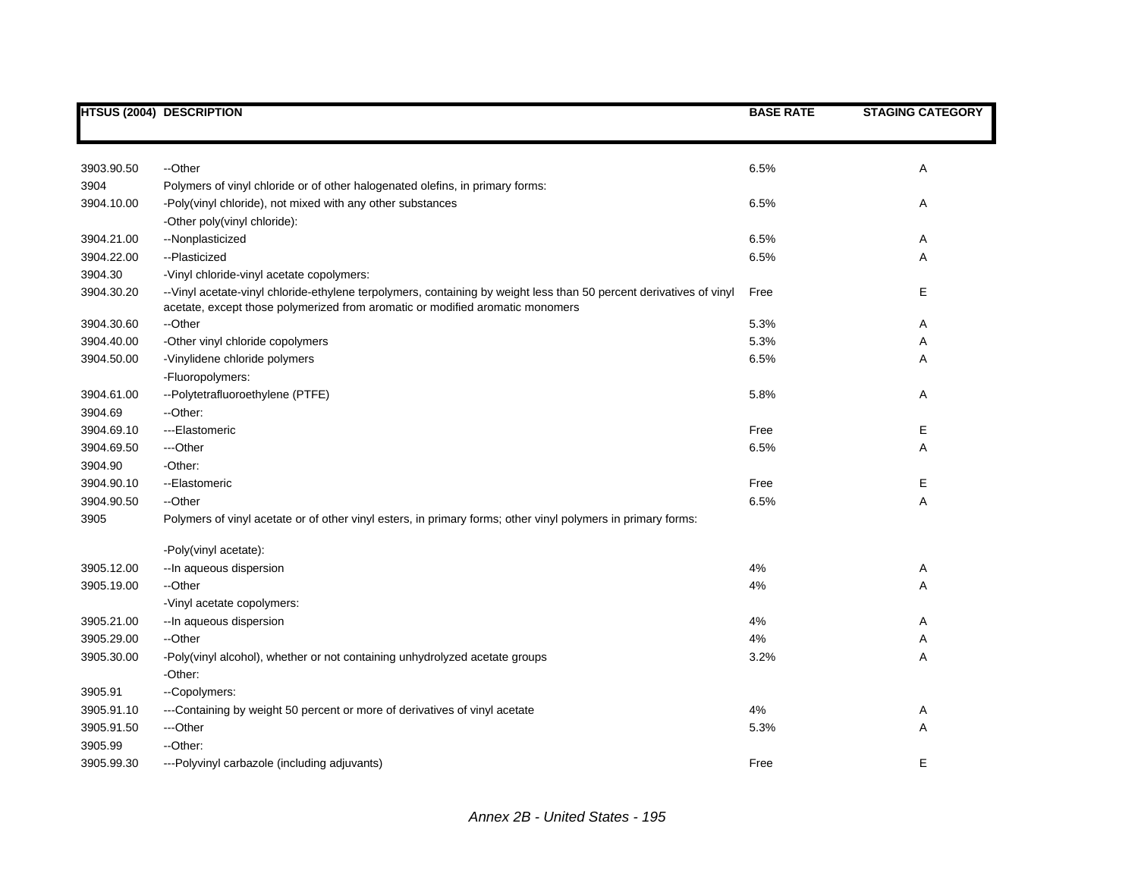|            | <b>HTSUS (2004) DESCRIPTION</b>                                                                                                                                                                      | <b>BASE RATE</b> | <b>STAGING CATEGORY</b> |
|------------|------------------------------------------------------------------------------------------------------------------------------------------------------------------------------------------------------|------------------|-------------------------|
|            |                                                                                                                                                                                                      |                  |                         |
| 3903.90.50 | --Other                                                                                                                                                                                              | 6.5%             | Α                       |
| 3904       | Polymers of vinyl chloride or of other halogenated olefins, in primary forms:                                                                                                                        |                  |                         |
| 3904.10.00 | -Poly(vinyl chloride), not mixed with any other substances                                                                                                                                           | 6.5%             | Α                       |
|            | -Other poly(vinyl chloride):                                                                                                                                                                         |                  |                         |
| 3904.21.00 | --Nonplasticized                                                                                                                                                                                     | 6.5%             | Α                       |
| 3904.22.00 | --Plasticized                                                                                                                                                                                        | 6.5%             | Α                       |
| 3904.30    | -Vinyl chloride-vinyl acetate copolymers:                                                                                                                                                            |                  |                         |
| 3904.30.20 | --Vinyl acetate-vinyl chloride-ethylene terpolymers, containing by weight less than 50 percent derivatives of vinyl<br>acetate, except those polymerized from aromatic or modified aromatic monomers | Free             | Е                       |
| 3904.30.60 | --Other                                                                                                                                                                                              | 5.3%             | Α                       |
| 3904.40.00 | -Other vinyl chloride copolymers                                                                                                                                                                     | 5.3%             | Α                       |
| 3904.50.00 | -Vinylidene chloride polymers                                                                                                                                                                        | 6.5%             | A                       |
|            | -Fluoropolymers:                                                                                                                                                                                     |                  |                         |
| 3904.61.00 | --Polytetrafluoroethylene (PTFE)                                                                                                                                                                     | 5.8%             | Α                       |
| 3904.69    | --Other:                                                                                                                                                                                             |                  |                         |
| 3904.69.10 | ---Elastomeric                                                                                                                                                                                       | Free             | Е                       |
| 3904.69.50 | ---Other                                                                                                                                                                                             | 6.5%             | Α                       |
| 3904.90    | -Other:                                                                                                                                                                                              |                  |                         |
| 3904.90.10 | --Elastomeric                                                                                                                                                                                        | Free             | Е                       |
| 3904.90.50 | --Other                                                                                                                                                                                              | 6.5%             | Α                       |
| 3905       | Polymers of vinyl acetate or of other vinyl esters, in primary forms; other vinyl polymers in primary forms:                                                                                         |                  |                         |
|            | -Poly(vinyl acetate):                                                                                                                                                                                |                  |                         |
| 3905.12.00 | -- In aqueous dispersion                                                                                                                                                                             | 4%               | Α                       |
| 3905.19.00 | --Other                                                                                                                                                                                              | 4%               | Α                       |
|            | -Vinyl acetate copolymers:                                                                                                                                                                           |                  |                         |
| 3905.21.00 | -- In aqueous dispersion                                                                                                                                                                             | 4%               | Α                       |
| 3905.29.00 | --Other                                                                                                                                                                                              | 4%               | Α                       |
| 3905.30.00 | -Poly(vinyl alcohol), whether or not containing unhydrolyzed acetate groups                                                                                                                          | 3.2%             | Α                       |
|            | -Other:                                                                                                                                                                                              |                  |                         |
| 3905.91    | --Copolymers:                                                                                                                                                                                        |                  |                         |
| 3905.91.10 | ---Containing by weight 50 percent or more of derivatives of vinyl acetate                                                                                                                           | 4%               | Α                       |
| 3905.91.50 | ---Other                                                                                                                                                                                             | 5.3%             | Α                       |
| 3905.99    | --Other:                                                                                                                                                                                             |                  |                         |
| 3905.99.30 | ---Polyvinyl carbazole (including adjuvants)                                                                                                                                                         | Free             | Е                       |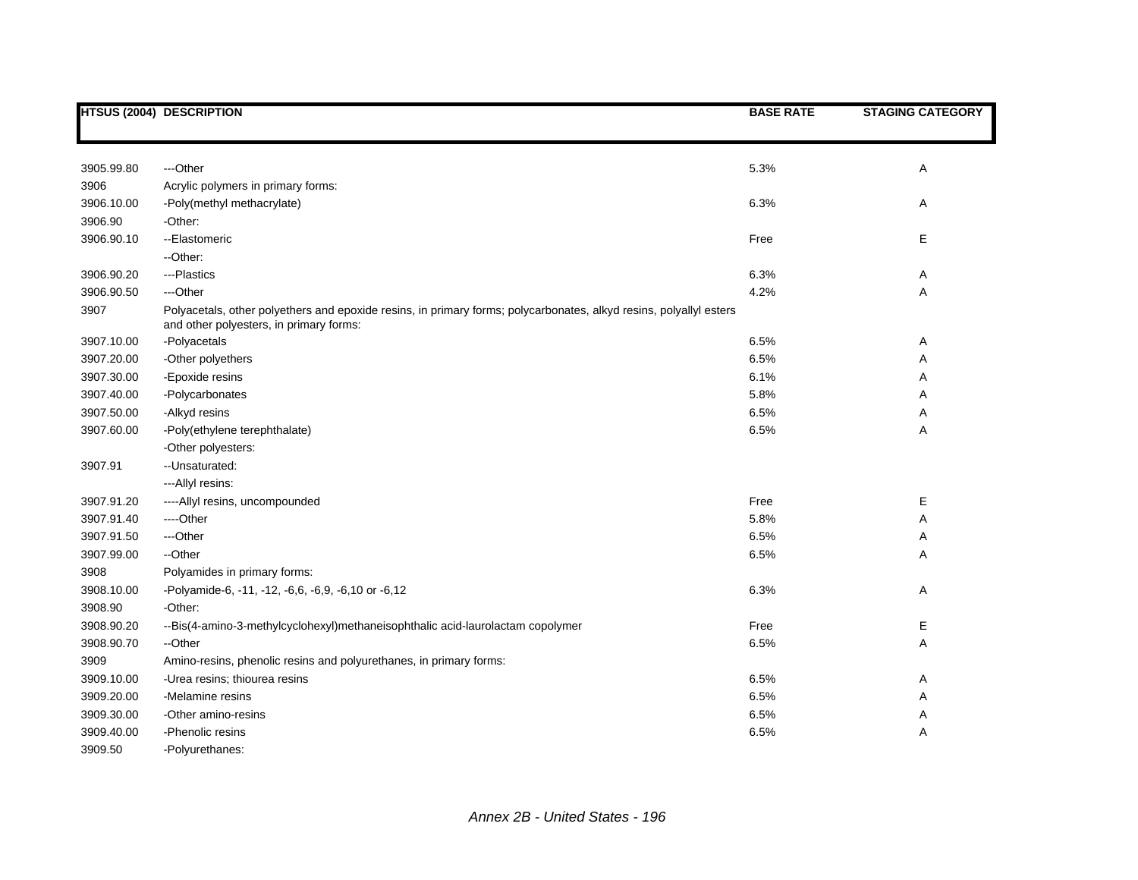|            | <b>HTSUS (2004) DESCRIPTION</b>                                                                                                                               | <b>BASE RATE</b> | <b>STAGING CATEGORY</b> |
|------------|---------------------------------------------------------------------------------------------------------------------------------------------------------------|------------------|-------------------------|
|            |                                                                                                                                                               |                  |                         |
|            |                                                                                                                                                               |                  |                         |
| 3905.99.80 | ---Other                                                                                                                                                      | 5.3%             | Α                       |
| 3906       | Acrylic polymers in primary forms:                                                                                                                            |                  |                         |
| 3906.10.00 | -Poly(methyl methacrylate)                                                                                                                                    | 6.3%             | Α                       |
| 3906.90    | -Other:                                                                                                                                                       |                  |                         |
| 3906.90.10 | --Elastomeric                                                                                                                                                 | Free             | E                       |
|            | --Other:                                                                                                                                                      |                  |                         |
| 3906.90.20 | ---Plastics                                                                                                                                                   | 6.3%             | Α                       |
| 3906.90.50 | ---Other                                                                                                                                                      | 4.2%             | А                       |
| 3907       | Polyacetals, other polyethers and epoxide resins, in primary forms; polycarbonates, alkyd resins, polyallyl esters<br>and other polyesters, in primary forms: |                  |                         |
| 3907.10.00 | -Polyacetals                                                                                                                                                  | 6.5%             | Α                       |
| 3907.20.00 | -Other polyethers                                                                                                                                             | 6.5%             | Α                       |
| 3907.30.00 | -Epoxide resins                                                                                                                                               | 6.1%             | Α                       |
| 3907.40.00 | -Polycarbonates                                                                                                                                               | 5.8%             | Α                       |
| 3907.50.00 | -Alkyd resins                                                                                                                                                 | 6.5%             | Α                       |
| 3907.60.00 | -Poly(ethylene terephthalate)                                                                                                                                 | 6.5%             | Α                       |
|            | -Other polyesters:                                                                                                                                            |                  |                         |
| 3907.91    | -- Unsaturated:                                                                                                                                               |                  |                         |
|            | ---Allyl resins:                                                                                                                                              |                  |                         |
| 3907.91.20 | ----Allyl resins, uncompounded                                                                                                                                | Free             | Е                       |
| 3907.91.40 | ----Other                                                                                                                                                     | 5.8%             | Α                       |
| 3907.91.50 | ---Other                                                                                                                                                      | 6.5%             | Α                       |
| 3907.99.00 | --Other                                                                                                                                                       | 6.5%             | Α                       |
| 3908       | Polyamides in primary forms:                                                                                                                                  |                  |                         |
| 3908.10.00 | -Polyamide-6, -11, -12, -6,6, -6,9, -6,10 or -6,12                                                                                                            | 6.3%             | Α                       |
| 3908.90    | -Other:                                                                                                                                                       |                  |                         |
| 3908.90.20 | --Bis(4-amino-3-methylcyclohexyl)methaneisophthalic acid-laurolactam copolymer                                                                                | Free             | Е                       |
| 3908.90.70 | --Other                                                                                                                                                       | 6.5%             | А                       |
| 3909       | Amino-resins, phenolic resins and polyurethanes, in primary forms:                                                                                            |                  |                         |
| 3909.10.00 | -Urea resins; thiourea resins                                                                                                                                 | 6.5%             | Α                       |
| 3909.20.00 | -Melamine resins                                                                                                                                              | 6.5%             | Α                       |
| 3909.30.00 | -Other amino-resins                                                                                                                                           | 6.5%             | Α                       |
| 3909.40.00 | -Phenolic resins                                                                                                                                              | 6.5%             | А                       |
| 3909.50    | -Polyurethanes:                                                                                                                                               |                  |                         |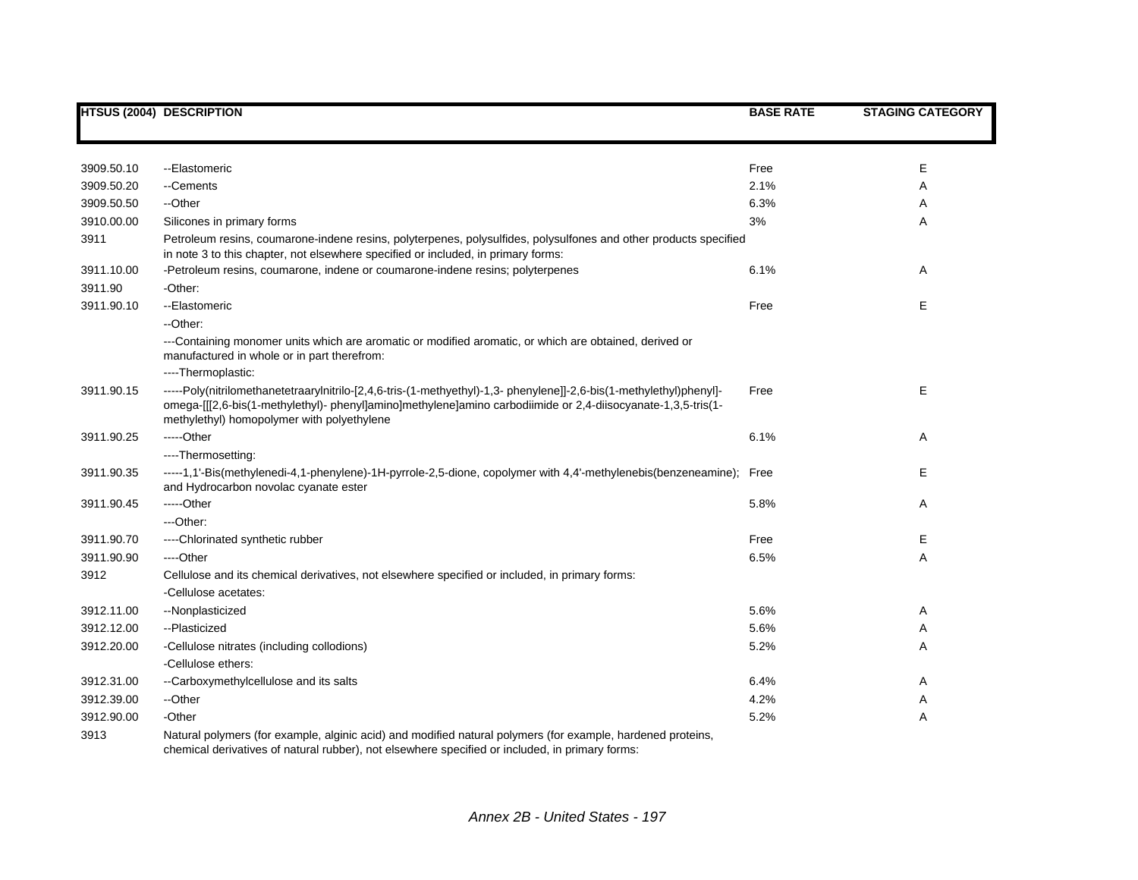|            | <b>HTSUS (2004) DESCRIPTION</b>                                                                                                                                                                                                                                                  | <b>BASE RATE</b> | <b>STAGING CATEGORY</b> |
|------------|----------------------------------------------------------------------------------------------------------------------------------------------------------------------------------------------------------------------------------------------------------------------------------|------------------|-------------------------|
|            |                                                                                                                                                                                                                                                                                  |                  |                         |
| 3909.50.10 | --Elastomeric                                                                                                                                                                                                                                                                    | Free             | Е                       |
| 3909.50.20 | --Cements                                                                                                                                                                                                                                                                        | 2.1%             | Α                       |
| 3909.50.50 | --Other                                                                                                                                                                                                                                                                          | 6.3%             | Α                       |
| 3910.00.00 | Silicones in primary forms                                                                                                                                                                                                                                                       | 3%               | Α                       |
| 3911       | Petroleum resins, coumarone-indene resins, polyterpenes, polysulfides, polysulfones and other products specified<br>in note 3 to this chapter, not elsewhere specified or included, in primary forms:                                                                            |                  |                         |
| 3911.10.00 | -Petroleum resins, coumarone, indene or coumarone-indene resins; polyterpenes                                                                                                                                                                                                    | 6.1%             | Α                       |
| 3911.90    | -Other:                                                                                                                                                                                                                                                                          |                  |                         |
| 3911.90.10 | --Elastomeric                                                                                                                                                                                                                                                                    | Free             | Е                       |
|            | --Other:                                                                                                                                                                                                                                                                         |                  |                         |
|            | ---Containing monomer units which are aromatic or modified aromatic, or which are obtained, derived or<br>manufactured in whole or in part therefrom:                                                                                                                            |                  |                         |
|            | ----Thermoplastic:                                                                                                                                                                                                                                                               |                  |                         |
| 3911.90.15 | ----Poly(nitrilomethanetetraarylnitrilo-[2,4,6-tris-(1-methyethyl)-1,3- phenylene]]-2,6-bis(1-methylethyl)phenyl]-<br>omega-[[[2,6-bis(1-methylethyl)- phenyl]amino]methylene]amino carbodiimide or 2,4-diisocyanate-1,3,5-tris(1-<br>methylethyl) homopolymer with polyethylene | Free             | E                       |
| 3911.90.25 | $---Other$                                                                                                                                                                                                                                                                       | 6.1%             | Α                       |
|            | ----Thermosetting:                                                                                                                                                                                                                                                               |                  |                         |
| 3911.90.35 | -----1,1'-Bis(methylenedi-4,1-phenylene)-1H-pyrrole-2,5-dione, copolymer with 4,4'-methylenebis(benzeneamine); Free<br>and Hydrocarbon novolac cyanate ester                                                                                                                     |                  | Е                       |
| 3911.90.45 | -----Other                                                                                                                                                                                                                                                                       | 5.8%             | Α                       |
|            | ---Other:                                                                                                                                                                                                                                                                        |                  |                         |
| 3911.90.70 | ----Chlorinated synthetic rubber                                                                                                                                                                                                                                                 | Free             | E                       |
| 3911.90.90 | ----Other                                                                                                                                                                                                                                                                        | 6.5%             | Α                       |
| 3912       | Cellulose and its chemical derivatives, not elsewhere specified or included, in primary forms:                                                                                                                                                                                   |                  |                         |
|            | -Cellulose acetates:                                                                                                                                                                                                                                                             |                  |                         |
| 3912.11.00 | --Nonplasticized                                                                                                                                                                                                                                                                 | 5.6%             | Α                       |
| 3912.12.00 | --Plasticized                                                                                                                                                                                                                                                                    | 5.6%             | Α                       |
| 3912.20.00 | -Cellulose nitrates (including collodions)                                                                                                                                                                                                                                       | 5.2%             | Α                       |
|            | -Cellulose ethers:                                                                                                                                                                                                                                                               |                  |                         |
| 3912.31.00 | --Carboxymethylcellulose and its salts                                                                                                                                                                                                                                           | 6.4%             | Α                       |
| 3912.39.00 | --Other                                                                                                                                                                                                                                                                          | 4.2%             | Α                       |
| 3912.90.00 | -Other                                                                                                                                                                                                                                                                           | 5.2%             | Α                       |
| 3913       | Natural polymers (for example, alginic acid) and modified natural polymers (for example, hardened proteins,<br>chemical derivatives of natural rubber), not elsewhere specified or included, in primary forms:                                                                   |                  |                         |

*Annex 2B - United States - 197*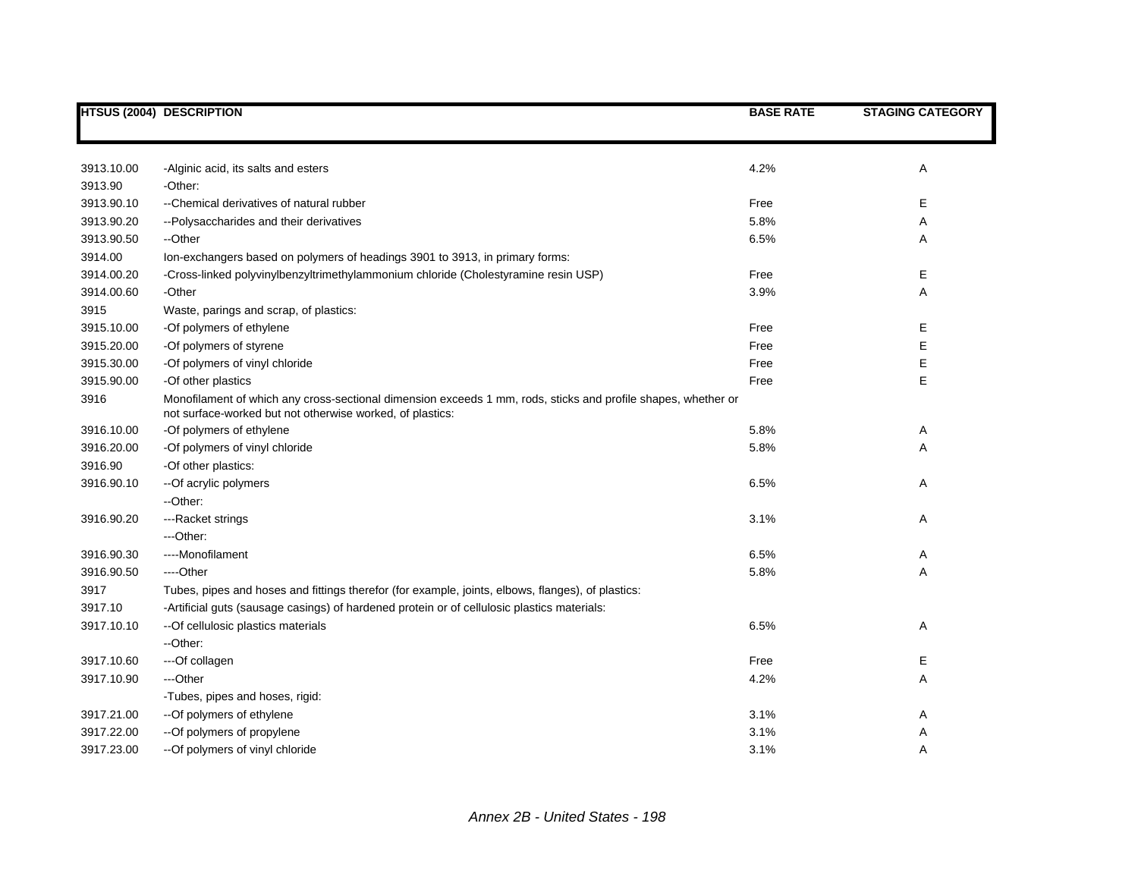|            | <b>HTSUS (2004) DESCRIPTION</b>                                                                                                                                            | <b>BASE RATE</b> | <b>STAGING CATEGORY</b> |
|------------|----------------------------------------------------------------------------------------------------------------------------------------------------------------------------|------------------|-------------------------|
|            |                                                                                                                                                                            |                  |                         |
| 3913.10.00 | -Alginic acid, its salts and esters                                                                                                                                        | 4.2%             | Α                       |
| 3913.90    | -Other:                                                                                                                                                                    |                  |                         |
| 3913.90.10 | --Chemical derivatives of natural rubber                                                                                                                                   | Free             | Е                       |
| 3913.90.20 | --Polysaccharides and their derivatives                                                                                                                                    | 5.8%             | Α                       |
| 3913.90.50 | --Other                                                                                                                                                                    | 6.5%             | Α                       |
| 3914.00    | Ion-exchangers based on polymers of headings 3901 to 3913, in primary forms:                                                                                               |                  |                         |
| 3914.00.20 | -Cross-linked polyvinylbenzyltrimethylammonium chloride (Cholestyramine resin USP)                                                                                         | Free             | Е                       |
| 3914.00.60 | -Other                                                                                                                                                                     | 3.9%             | Α                       |
| 3915       | Waste, parings and scrap, of plastics:                                                                                                                                     |                  |                         |
| 3915.10.00 | -Of polymers of ethylene                                                                                                                                                   | Free             | E                       |
| 3915.20.00 | -Of polymers of styrene                                                                                                                                                    | Free             | E                       |
| 3915.30.00 | -Of polymers of vinyl chloride                                                                                                                                             | Free             | E                       |
| 3915.90.00 | -Of other plastics                                                                                                                                                         | Free             | E                       |
| 3916       | Monofilament of which any cross-sectional dimension exceeds 1 mm, rods, sticks and profile shapes, whether or<br>not surface-worked but not otherwise worked, of plastics: |                  |                         |
| 3916.10.00 | -Of polymers of ethylene                                                                                                                                                   | 5.8%             | Α                       |
| 3916.20.00 | -Of polymers of vinyl chloride                                                                                                                                             | 5.8%             | Α                       |
| 3916.90    | -Of other plastics:                                                                                                                                                        |                  |                         |
| 3916.90.10 | --Of acrylic polymers                                                                                                                                                      | 6.5%             | Α                       |
|            | --Other:                                                                                                                                                                   |                  |                         |
| 3916.90.20 | ---Racket strings                                                                                                                                                          | 3.1%             | Α                       |
|            | ---Other:                                                                                                                                                                  |                  |                         |
| 3916.90.30 | ----Monofilament                                                                                                                                                           | 6.5%             | Α                       |
| 3916.90.50 | ----Other                                                                                                                                                                  | 5.8%             | Α                       |
| 3917       | Tubes, pipes and hoses and fittings therefor (for example, joints, elbows, flanges), of plastics:                                                                          |                  |                         |
| 3917.10    | -Artificial guts (sausage casings) of hardened protein or of cellulosic plastics materials:                                                                                |                  |                         |
| 3917.10.10 | -- Of cellulosic plastics materials                                                                                                                                        | 6.5%             | Α                       |
|            | --Other:                                                                                                                                                                   |                  |                         |
| 3917.10.60 | ---Of collagen                                                                                                                                                             | Free             | Е                       |
| 3917.10.90 | ---Other                                                                                                                                                                   | 4.2%             | Α                       |
|            | -Tubes, pipes and hoses, rigid:                                                                                                                                            |                  |                         |
| 3917.21.00 | -- Of polymers of ethylene                                                                                                                                                 | 3.1%             | Α                       |
| 3917.22.00 | -- Of polymers of propylene                                                                                                                                                | 3.1%             | Α                       |
| 3917.23.00 | -- Of polymers of vinyl chloride                                                                                                                                           | 3.1%             | Α                       |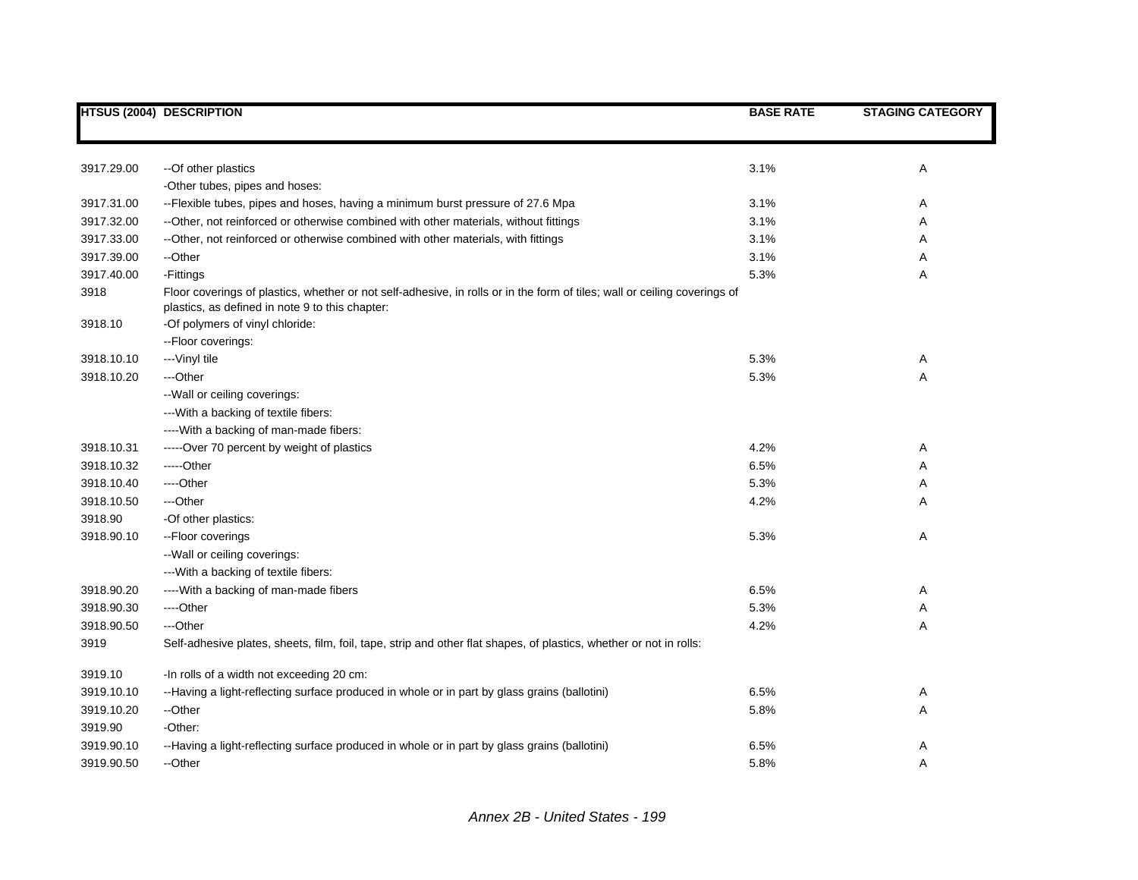|            | <b>HTSUS (2004) DESCRIPTION</b>                                                                                                                                              | <b>BASE RATE</b> | <b>STAGING CATEGORY</b> |
|------------|------------------------------------------------------------------------------------------------------------------------------------------------------------------------------|------------------|-------------------------|
|            |                                                                                                                                                                              |                  |                         |
| 3917.29.00 | --Of other plastics                                                                                                                                                          | 3.1%             | Α                       |
|            | -Other tubes, pipes and hoses:                                                                                                                                               |                  |                         |
| 3917.31.00 | --Flexible tubes, pipes and hoses, having a minimum burst pressure of 27.6 Mpa                                                                                               | 3.1%             | Α                       |
| 3917.32.00 | --Other, not reinforced or otherwise combined with other materials, without fittings                                                                                         | 3.1%             | Α                       |
| 3917.33.00 | --Other, not reinforced or otherwise combined with other materials, with fittings                                                                                            | 3.1%             | Α                       |
| 3917.39.00 | --Other                                                                                                                                                                      | 3.1%             | Α                       |
| 3917.40.00 | -Fittings                                                                                                                                                                    | 5.3%             | Α                       |
| 3918       | Floor coverings of plastics, whether or not self-adhesive, in rolls or in the form of tiles; wall or ceiling coverings of<br>plastics, as defined in note 9 to this chapter: |                  |                         |
| 3918.10    | -Of polymers of vinyl chloride:                                                                                                                                              |                  |                         |
|            | -- Floor coverings:                                                                                                                                                          |                  |                         |
| 3918.10.10 | --- Vinyl tile                                                                                                                                                               | 5.3%             | Α                       |
| 3918.10.20 | ---Other                                                                                                                                                                     | 5.3%             | Α                       |
|            | -- Wall or ceiling coverings:                                                                                                                                                |                  |                         |
|            | --- With a backing of textile fibers:                                                                                                                                        |                  |                         |
|            | ---- With a backing of man-made fibers:                                                                                                                                      |                  |                         |
| 3918.10.31 | -----Over 70 percent by weight of plastics                                                                                                                                   | 4.2%             | Α                       |
| 3918.10.32 | -----Other                                                                                                                                                                   | 6.5%             | Α                       |
| 3918.10.40 | ---Other                                                                                                                                                                     | 5.3%             | Α                       |
| 3918.10.50 | ---Other                                                                                                                                                                     | 4.2%             | A                       |
| 3918.90    | -Of other plastics:                                                                                                                                                          |                  |                         |
| 3918.90.10 | --Floor coverings                                                                                                                                                            | 5.3%             | Α                       |
|            | -- Wall or ceiling coverings:                                                                                                                                                |                  |                         |
|            | --- With a backing of textile fibers:                                                                                                                                        |                  |                         |
| 3918.90.20 | ---- With a backing of man-made fibers                                                                                                                                       | 6.5%             | Α                       |
| 3918.90.30 | ---Other                                                                                                                                                                     | 5.3%             | Α                       |
| 3918.90.50 | ---Other                                                                                                                                                                     | 4.2%             | Α                       |
| 3919       | Self-adhesive plates, sheets, film, foil, tape, strip and other flat shapes, of plastics, whether or not in rolls:                                                           |                  |                         |
| 3919.10    | -In rolls of a width not exceeding 20 cm:                                                                                                                                    |                  |                         |
| 3919.10.10 | --Having a light-reflecting surface produced in whole or in part by glass grains (ballotini)                                                                                 | 6.5%             | Α                       |
| 3919.10.20 | --Other                                                                                                                                                                      | 5.8%             | Α                       |
| 3919.90    | -Other:                                                                                                                                                                      |                  |                         |
| 3919.90.10 | --Having a light-reflecting surface produced in whole or in part by glass grains (ballotini)                                                                                 | 6.5%             | Α                       |
| 3919.90.50 | --Other                                                                                                                                                                      | 5.8%             | A                       |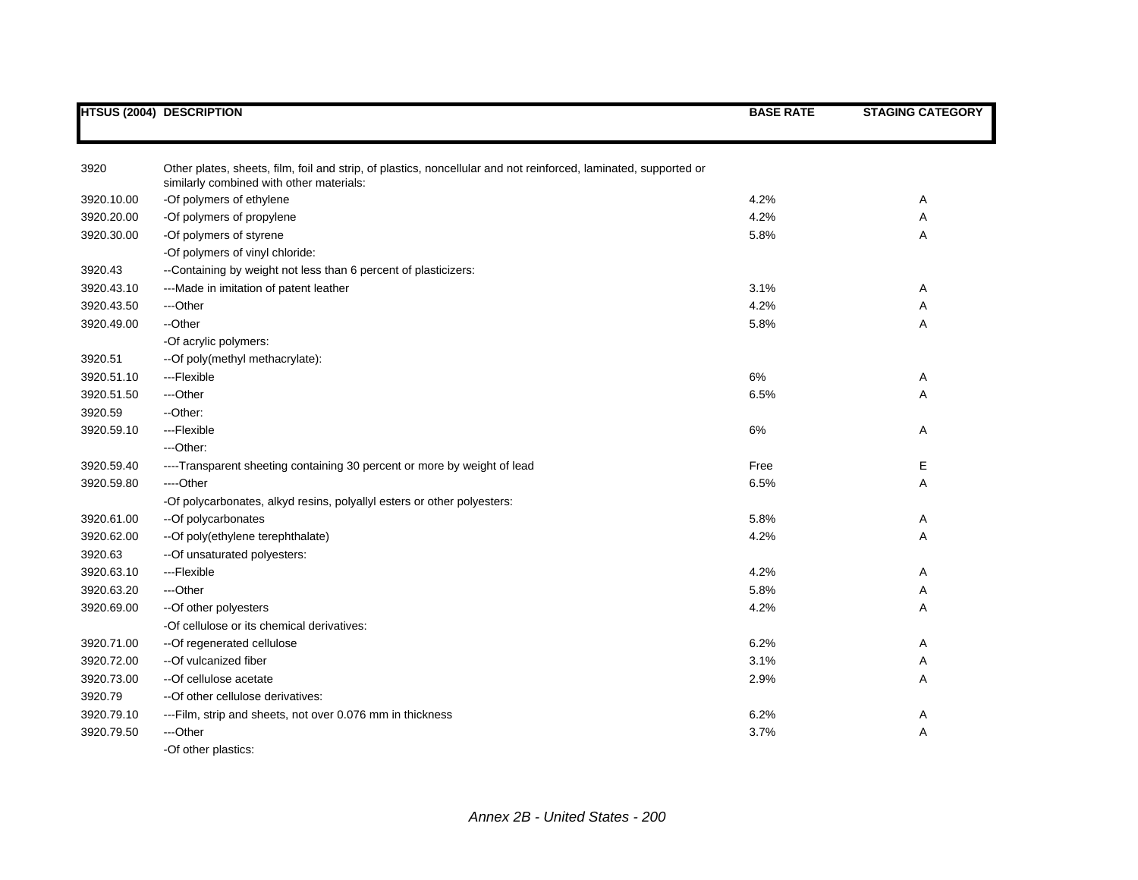|            | <b>HTSUS (2004) DESCRIPTION</b>                                                                                                                              | <b>BASE RATE</b> | <b>STAGING CATEGORY</b> |
|------------|--------------------------------------------------------------------------------------------------------------------------------------------------------------|------------------|-------------------------|
|            |                                                                                                                                                              |                  |                         |
| 3920       | Other plates, sheets, film, foil and strip, of plastics, noncellular and not reinforced, laminated, supported or<br>similarly combined with other materials: |                  |                         |
| 3920.10.00 | -Of polymers of ethylene                                                                                                                                     | 4.2%             | Α                       |
| 3920.20.00 | -Of polymers of propylene                                                                                                                                    | 4.2%             | Α                       |
| 3920.30.00 | -Of polymers of styrene                                                                                                                                      | 5.8%             | Α                       |
|            | -Of polymers of vinyl chloride:                                                                                                                              |                  |                         |
| 3920.43    | --Containing by weight not less than 6 percent of plasticizers:                                                                                              |                  |                         |
| 3920.43.10 | --- Made in imitation of patent leather                                                                                                                      | 3.1%             | Α                       |
| 3920.43.50 | ---Other                                                                                                                                                     | 4.2%             | Α                       |
| 3920.49.00 | --Other                                                                                                                                                      | 5.8%             | Α                       |
|            | -Of acrylic polymers:                                                                                                                                        |                  |                         |
| 3920.51    | -- Of poly(methyl methacrylate):                                                                                                                             |                  |                         |
| 3920.51.10 | ---Flexible                                                                                                                                                  | 6%               | Α                       |
| 3920.51.50 | ---Other                                                                                                                                                     | 6.5%             | Α                       |
| 3920.59    | --Other:                                                                                                                                                     |                  |                         |
| 3920.59.10 | ---Flexible                                                                                                                                                  | 6%               | Α                       |
|            | ---Other:                                                                                                                                                    |                  |                         |
| 3920.59.40 | ----Transparent sheeting containing 30 percent or more by weight of lead                                                                                     | Free             | Е                       |
| 3920.59.80 | ----Other                                                                                                                                                    | 6.5%             | Α                       |
|            | -Of polycarbonates, alkyd resins, polyallyl esters or other polyesters:                                                                                      |                  |                         |
| 3920.61.00 | --Of polycarbonates                                                                                                                                          | 5.8%             | Α                       |
| 3920.62.00 | -- Of poly(ethylene terephthalate)                                                                                                                           | 4.2%             | Α                       |
| 3920.63    | -- Of unsaturated polyesters:                                                                                                                                |                  |                         |
| 3920.63.10 | ---Flexible                                                                                                                                                  | 4.2%             | Α                       |
| 3920.63.20 | ---Other                                                                                                                                                     | 5.8%             | Α                       |
| 3920.69.00 | -- Of other polyesters                                                                                                                                       | 4.2%             | Α                       |
|            | -Of cellulose or its chemical derivatives:                                                                                                                   |                  |                         |
| 3920.71.00 | --Of regenerated cellulose                                                                                                                                   | 6.2%             | Α                       |
| 3920.72.00 | --Of vulcanized fiber                                                                                                                                        | 3.1%             | Α                       |
| 3920.73.00 | --Of cellulose acetate                                                                                                                                       | 2.9%             | Α                       |
| 3920.79    | -- Of other cellulose derivatives:                                                                                                                           |                  |                         |
| 3920.79.10 | ---Film, strip and sheets, not over 0.076 mm in thickness                                                                                                    | 6.2%             | Α                       |
| 3920.79.50 | ---Other                                                                                                                                                     | 3.7%             | Α                       |
|            | -Of other plastics:                                                                                                                                          |                  |                         |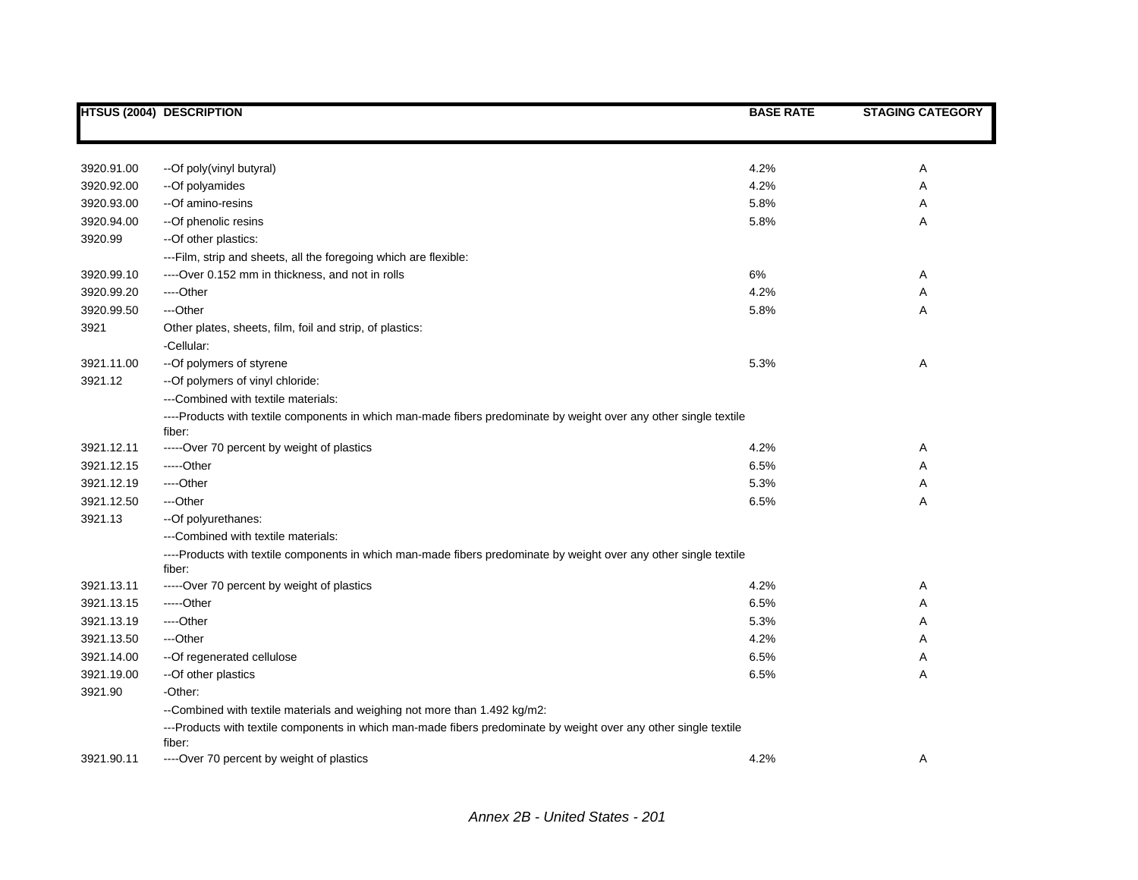|                    | <b>HTSUS (2004) DESCRIPTION</b>                                                                                      | <b>BASE RATE</b> | <b>STAGING CATEGORY</b> |
|--------------------|----------------------------------------------------------------------------------------------------------------------|------------------|-------------------------|
|                    |                                                                                                                      |                  |                         |
| 3920.91.00         |                                                                                                                      | 4.2%             |                         |
|                    | --Of poly(vinyl butyral)                                                                                             | 4.2%             | Α                       |
| 3920.92.00         | --Of polyamides<br>--Of amino-resins                                                                                 | 5.8%             | Α                       |
| 3920.93.00         |                                                                                                                      |                  | Α                       |
| 3920.94.00         | -- Of phenolic resins                                                                                                | 5.8%             | Α                       |
| 3920.99            | -- Of other plastics:                                                                                                |                  |                         |
| 3920.99.10         | ---Film, strip and sheets, all the foregoing which are flexible:<br>----Over 0.152 mm in thickness, and not in rolls |                  |                         |
| 3920.99.20         | ----Other                                                                                                            | 6%<br>4.2%       | Α                       |
|                    | ---Other                                                                                                             |                  | Α                       |
| 3920.99.50<br>3921 |                                                                                                                      | 5.8%             | A                       |
|                    | Other plates, sheets, film, foil and strip, of plastics:<br>-Cellular:                                               |                  |                         |
| 3921.11.00         | -- Of polymers of styrene                                                                                            | 5.3%             | Α                       |
| 3921.12            | -- Of polymers of vinyl chloride:                                                                                    |                  |                         |
|                    | ---Combined with textile materials:                                                                                  |                  |                         |
|                    | ----Products with textile components in which man-made fibers predominate by weight over any other single textile    |                  |                         |
|                    | fiber:                                                                                                               |                  |                         |
| 3921.12.11         | -----Over 70 percent by weight of plastics                                                                           | 4.2%             | Α                       |
| 3921.12.15         | -----Other                                                                                                           | 6.5%             | Α                       |
| 3921.12.19         | ----Other                                                                                                            | 5.3%             | Α                       |
| 3921.12.50         | ---Other                                                                                                             | 6.5%             | Α                       |
| 3921.13            | -- Of polyurethanes:                                                                                                 |                  |                         |
|                    | ---Combined with textile materials:                                                                                  |                  |                         |
|                    | ----Products with textile components in which man-made fibers predominate by weight over any other single textile    |                  |                         |
| 3921.13.11         | fiber:<br>-----Over 70 percent by weight of plastics                                                                 | 4.2%             | Α                       |
| 3921.13.15         | -----Other                                                                                                           | 6.5%             | Α                       |
| 3921.13.19         | ----Other                                                                                                            | 5.3%             | Α                       |
| 3921.13.50         | ---Other                                                                                                             | 4.2%             | Α                       |
| 3921.14.00         | -- Of regenerated cellulose                                                                                          | 6.5%             | Α                       |
| 3921.19.00         | -- Of other plastics                                                                                                 | 6.5%             | Α                       |
| 3921.90            | -Other:                                                                                                              |                  |                         |
|                    | --Combined with textile materials and weighing not more than 1.492 kg/m2:                                            |                  |                         |
|                    | ---Products with textile components in which man-made fibers predominate by weight over any other single textile     |                  |                         |
|                    | fiber:                                                                                                               |                  |                         |
| 3921.90.11         | ----Over 70 percent by weight of plastics                                                                            | 4.2%             | Α                       |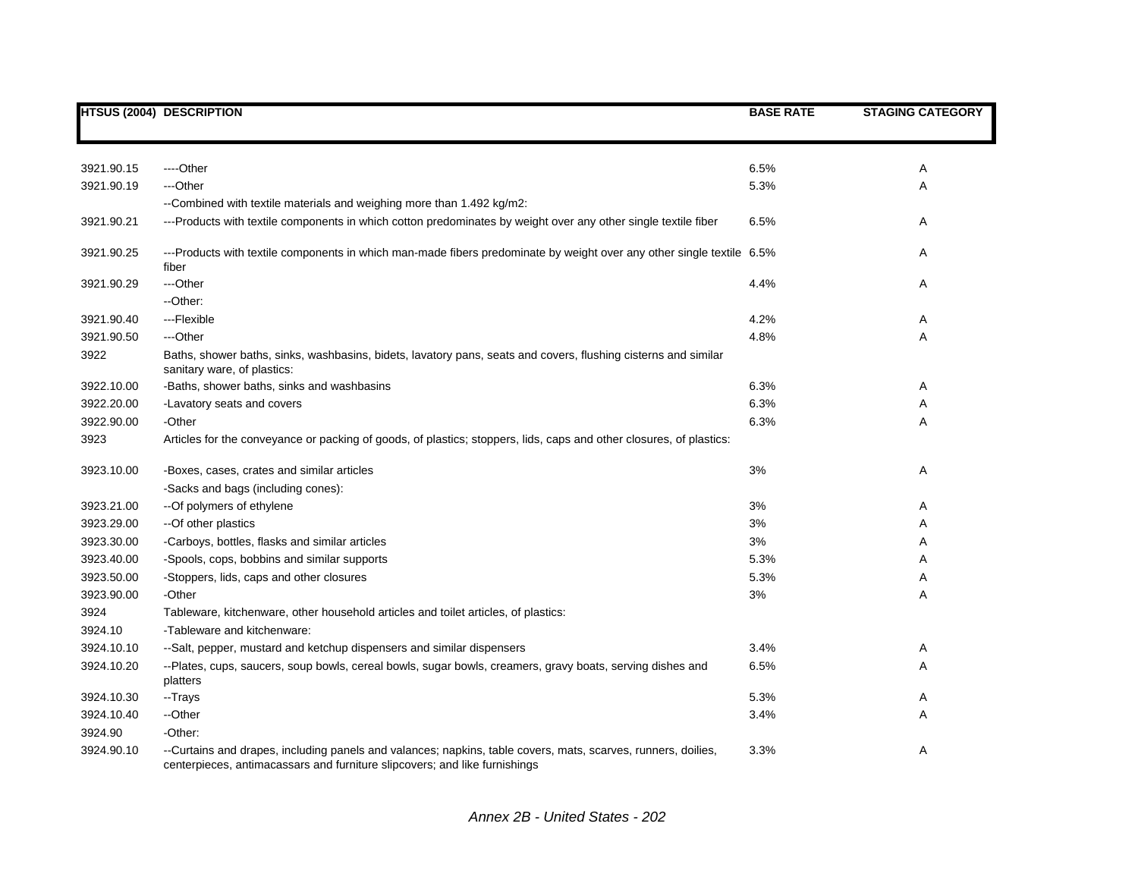|            | <b>HTSUS (2004) DESCRIPTION</b>                                                                                                                                                             | <b>BASE RATE</b> | <b>STAGING CATEGORY</b> |
|------------|---------------------------------------------------------------------------------------------------------------------------------------------------------------------------------------------|------------------|-------------------------|
|            |                                                                                                                                                                                             |                  |                         |
| 3921.90.15 | ----Other                                                                                                                                                                                   | 6.5%             | Α                       |
| 3921.90.19 | ---Other                                                                                                                                                                                    | 5.3%             | Α                       |
|            | --Combined with textile materials and weighing more than 1.492 kg/m2:                                                                                                                       |                  |                         |
| 3921.90.21 | ---Products with textile components in which cotton predominates by weight over any other single textile fiber                                                                              | 6.5%             | Α                       |
| 3921.90.25 | ---Products with textile components in which man-made fibers predominate by weight over any other single textile 6.5%<br>fiber                                                              |                  | Α                       |
| 3921.90.29 | ---Other                                                                                                                                                                                    | 4.4%             | Α                       |
|            | --Other:                                                                                                                                                                                    |                  |                         |
| 3921.90.40 | ---Flexible                                                                                                                                                                                 | 4.2%             | Α                       |
| 3921.90.50 | ---Other                                                                                                                                                                                    | 4.8%             | Α                       |
| 3922       | Baths, shower baths, sinks, washbasins, bidets, lavatory pans, seats and covers, flushing cisterns and similar<br>sanitary ware, of plastics:                                               |                  |                         |
| 3922.10.00 | -Baths, shower baths, sinks and washbasins                                                                                                                                                  | 6.3%             | Α                       |
| 3922.20.00 | -Lavatory seats and covers                                                                                                                                                                  | 6.3%             | Α                       |
| 3922.90.00 | -Other                                                                                                                                                                                      | 6.3%             | Α                       |
| 3923       | Articles for the conveyance or packing of goods, of plastics; stoppers, lids, caps and other closures, of plastics:                                                                         |                  |                         |
| 3923.10.00 | -Boxes, cases, crates and similar articles                                                                                                                                                  | 3%               | Α                       |
|            | -Sacks and bags (including cones):                                                                                                                                                          |                  |                         |
| 3923.21.00 | -- Of polymers of ethylene                                                                                                                                                                  | 3%               | Α                       |
| 3923.29.00 | --Of other plastics                                                                                                                                                                         | 3%               | Α                       |
| 3923.30.00 | -Carboys, bottles, flasks and similar articles                                                                                                                                              | 3%               | Α                       |
| 3923.40.00 | -Spools, cops, bobbins and similar supports                                                                                                                                                 | 5.3%             | Α                       |
| 3923.50.00 | -Stoppers, lids, caps and other closures                                                                                                                                                    | 5.3%             | Α                       |
| 3923.90.00 | -Other                                                                                                                                                                                      | 3%               | Α                       |
| 3924       | Tableware, kitchenware, other household articles and toilet articles, of plastics:                                                                                                          |                  |                         |
| 3924.10    | -Tableware and kitchenware:                                                                                                                                                                 |                  |                         |
| 3924.10.10 | --Salt, pepper, mustard and ketchup dispensers and similar dispensers                                                                                                                       | 3.4%             | Α                       |
| 3924.10.20 | --Plates, cups, saucers, soup bowls, cereal bowls, sugar bowls, creamers, gravy boats, serving dishes and<br>platters                                                                       | 6.5%             | Α                       |
| 3924.10.30 | --Trays                                                                                                                                                                                     | 5.3%             | Α                       |
| 3924.10.40 | --Other                                                                                                                                                                                     | 3.4%             | A                       |
| 3924.90    | -Other:                                                                                                                                                                                     |                  |                         |
| 3924.90.10 | --Curtains and drapes, including panels and valances; napkins, table covers, mats, scarves, runners, doilies,<br>centerpieces, antimacassars and furniture slipcovers; and like furnishings | 3.3%             | Α                       |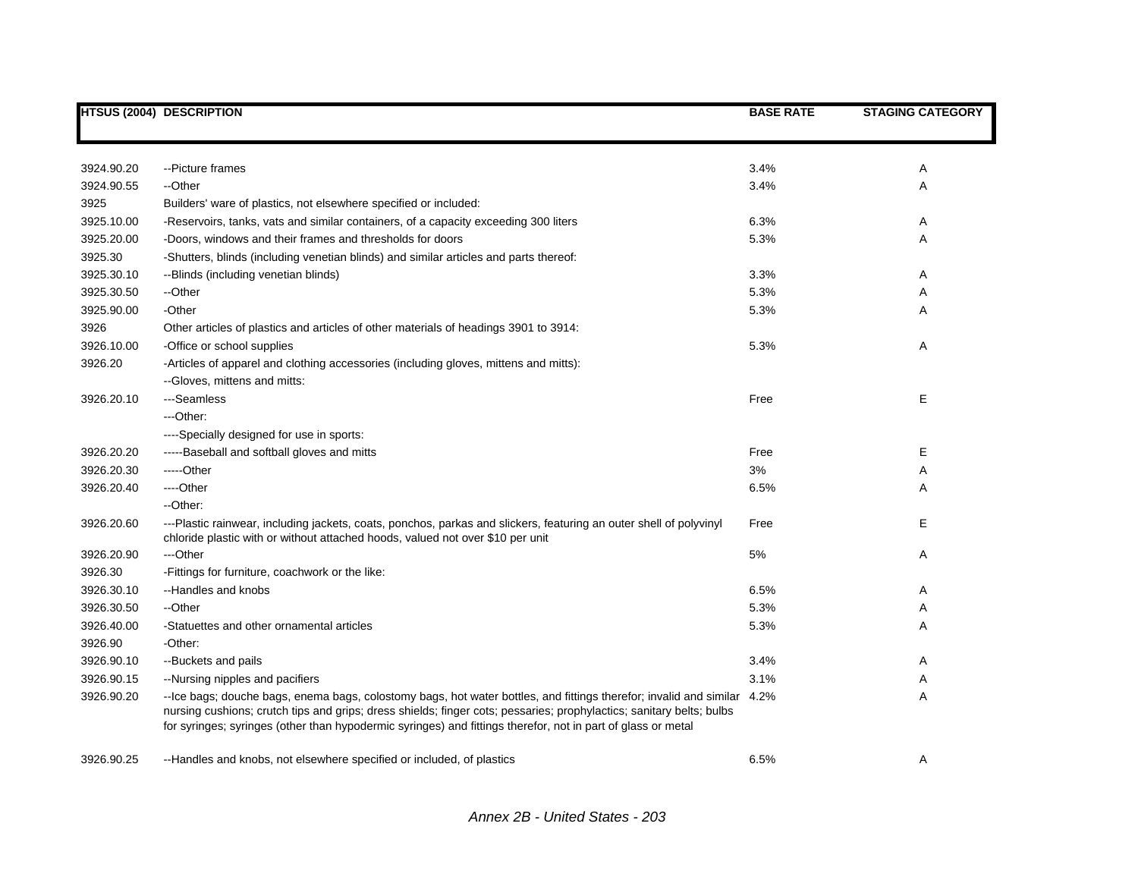|            | <b>HTSUS (2004) DESCRIPTION</b>                                                                                                                                                                                                                                                                                                                                 | <b>BASE RATE</b> | <b>STAGING CATEGORY</b> |
|------------|-----------------------------------------------------------------------------------------------------------------------------------------------------------------------------------------------------------------------------------------------------------------------------------------------------------------------------------------------------------------|------------------|-------------------------|
|            |                                                                                                                                                                                                                                                                                                                                                                 |                  |                         |
| 3924.90.20 | -- Picture frames                                                                                                                                                                                                                                                                                                                                               | 3.4%             | Α                       |
| 3924.90.55 | --Other                                                                                                                                                                                                                                                                                                                                                         | 3.4%             | Α                       |
| 3925       | Builders' ware of plastics, not elsewhere specified or included:                                                                                                                                                                                                                                                                                                |                  |                         |
| 3925.10.00 | -Reservoirs, tanks, vats and similar containers, of a capacity exceeding 300 liters                                                                                                                                                                                                                                                                             | 6.3%             | A                       |
| 3925.20.00 | -Doors, windows and their frames and thresholds for doors                                                                                                                                                                                                                                                                                                       | 5.3%             | Α                       |
| 3925.30    | -Shutters, blinds (including venetian blinds) and similar articles and parts thereof:                                                                                                                                                                                                                                                                           |                  |                         |
| 3925.30.10 | --Blinds (including venetian blinds)                                                                                                                                                                                                                                                                                                                            | 3.3%             | A                       |
| 3925.30.50 | --Other                                                                                                                                                                                                                                                                                                                                                         | 5.3%             | A                       |
| 3925.90.00 | -Other                                                                                                                                                                                                                                                                                                                                                          | 5.3%             | Α                       |
| 3926       | Other articles of plastics and articles of other materials of headings 3901 to 3914:                                                                                                                                                                                                                                                                            |                  |                         |
| 3926.10.00 | -Office or school supplies                                                                                                                                                                                                                                                                                                                                      | 5.3%             | Α                       |
| 3926.20    | -Articles of apparel and clothing accessories (including gloves, mittens and mitts):                                                                                                                                                                                                                                                                            |                  |                         |
|            | --Gloves, mittens and mitts:                                                                                                                                                                                                                                                                                                                                    |                  |                         |
| 3926.20.10 | ---Seamless                                                                                                                                                                                                                                                                                                                                                     | Free             | E                       |
|            | ---Other:                                                                                                                                                                                                                                                                                                                                                       |                  |                         |
|            | ----Specially designed for use in sports:                                                                                                                                                                                                                                                                                                                       |                  |                         |
| 3926.20.20 | -----Baseball and softball gloves and mitts                                                                                                                                                                                                                                                                                                                     | Free             | Е                       |
| 3926.20.30 | -----Other                                                                                                                                                                                                                                                                                                                                                      | 3%               | Α                       |
| 3926.20.40 | ---Other                                                                                                                                                                                                                                                                                                                                                        | 6.5%             | Α                       |
|            | --Other:                                                                                                                                                                                                                                                                                                                                                        |                  |                         |
| 3926.20.60 | ---Plastic rainwear, including jackets, coats, ponchos, parkas and slickers, featuring an outer shell of polyvinyl<br>chloride plastic with or without attached hoods, valued not over \$10 per unit                                                                                                                                                            | Free             | Е                       |
| 3926.20.90 | ---Other                                                                                                                                                                                                                                                                                                                                                        | $5\%$            | A                       |
| 3926.30    | -Fittings for furniture, coachwork or the like:                                                                                                                                                                                                                                                                                                                 |                  |                         |
| 3926.30.10 | --Handles and knobs                                                                                                                                                                                                                                                                                                                                             | 6.5%             | Α                       |
| 3926.30.50 | --Other                                                                                                                                                                                                                                                                                                                                                         | 5.3%             | Α                       |
| 3926.40.00 | -Statuettes and other ornamental articles                                                                                                                                                                                                                                                                                                                       | 5.3%             | Α                       |
| 3926.90    | -Other:                                                                                                                                                                                                                                                                                                                                                         |                  |                         |
| 3926.90.10 | --Buckets and pails                                                                                                                                                                                                                                                                                                                                             | 3.4%             | Α                       |
| 3926.90.15 | --Nursing nipples and pacifiers                                                                                                                                                                                                                                                                                                                                 | 3.1%             | Α                       |
| 3926.90.20 | --Ice bags; douche bags, enema bags, colostomy bags, hot water bottles, and fittings therefor; invalid and similar 4.2%<br>nursing cushions; crutch tips and grips; dress shields; finger cots; pessaries; prophylactics; sanitary belts; bulbs<br>for syringes; syringes (other than hypodermic syringes) and fittings therefor, not in part of glass or metal |                  | A                       |
| 3926.90.25 | --Handles and knobs, not elsewhere specified or included, of plastics                                                                                                                                                                                                                                                                                           | 6.5%             | Α                       |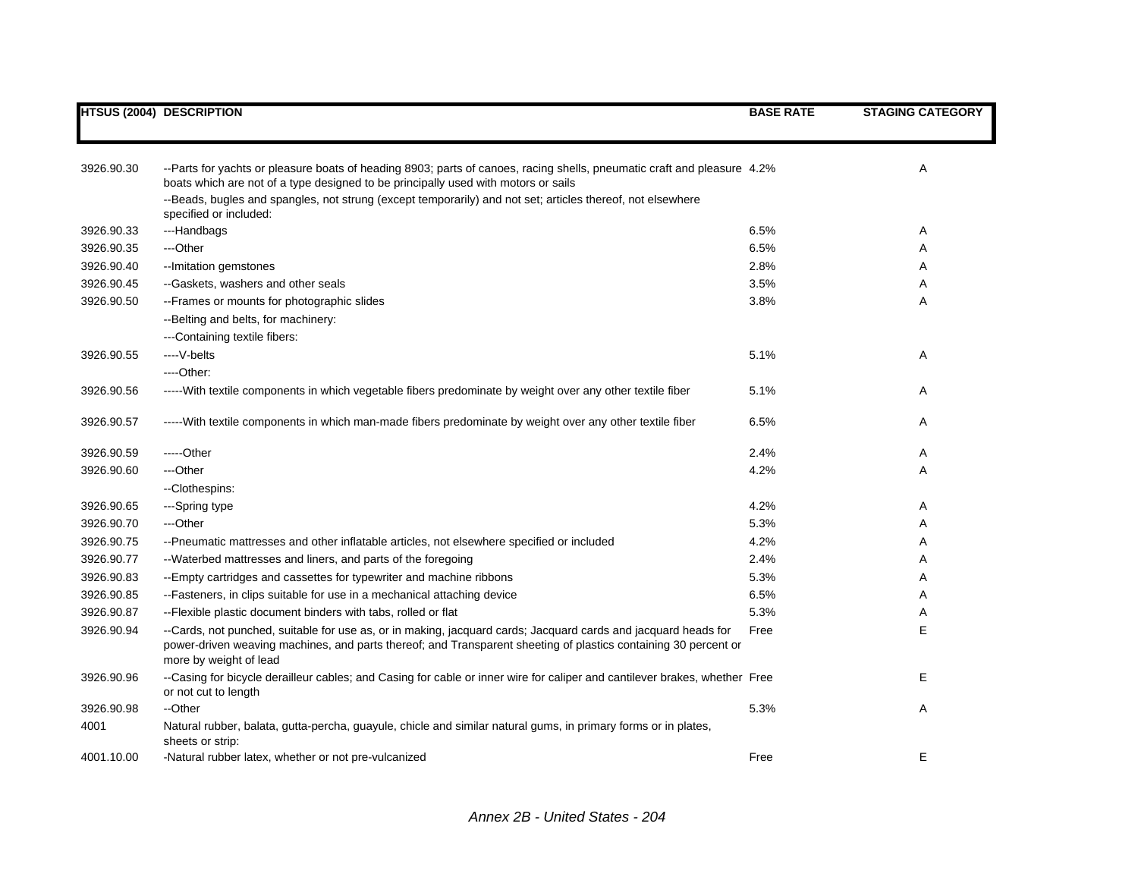|            | <b>HTSUS (2004) DESCRIPTION</b>                                                                                                                                                                                                                             | <b>BASE RATE</b> | <b>STAGING CATEGORY</b> |
|------------|-------------------------------------------------------------------------------------------------------------------------------------------------------------------------------------------------------------------------------------------------------------|------------------|-------------------------|
|            |                                                                                                                                                                                                                                                             |                  |                         |
| 3926.90.30 | --Parts for yachts or pleasure boats of heading 8903; parts of canoes, racing shells, pneumatic craft and pleasure 4.2%<br>boats which are not of a type designed to be principally used with motors or sails                                               |                  | Α                       |
|            | --Beads, bugles and spangles, not strung (except temporarily) and not set; articles thereof, not elsewhere<br>specified or included:                                                                                                                        |                  |                         |
| 3926.90.33 | ---Handbags                                                                                                                                                                                                                                                 | 6.5%             | Α                       |
| 3926.90.35 | ---Other                                                                                                                                                                                                                                                    | 6.5%             | Α                       |
| 3926.90.40 | -- Imitation gemstones                                                                                                                                                                                                                                      | 2.8%             | Α                       |
| 3926.90.45 | --Gaskets, washers and other seals                                                                                                                                                                                                                          | 3.5%             | Α                       |
| 3926.90.50 | -- Frames or mounts for photographic slides                                                                                                                                                                                                                 | 3.8%             | A                       |
|            | --Belting and belts, for machinery:                                                                                                                                                                                                                         |                  |                         |
|            | ---Containing textile fibers:                                                                                                                                                                                                                               |                  |                         |
| 3926.90.55 | ----V-belts                                                                                                                                                                                                                                                 | 5.1%             | Α                       |
|            | $---Other.$                                                                                                                                                                                                                                                 |                  |                         |
| 3926.90.56 | -----With textile components in which vegetable fibers predominate by weight over any other textile fiber                                                                                                                                                   | 5.1%             | Α                       |
| 3926.90.57 | -----With textile components in which man-made fibers predominate by weight over any other textile fiber                                                                                                                                                    | 6.5%             | Α                       |
| 3926.90.59 | $---Other$                                                                                                                                                                                                                                                  | 2.4%             | Α                       |
| 3926.90.60 | ---Other                                                                                                                                                                                                                                                    | 4.2%             | Α                       |
|            | --Clothespins:                                                                                                                                                                                                                                              |                  |                         |
| 3926.90.65 | ---Spring type                                                                                                                                                                                                                                              | 4.2%             | Α                       |
| 3926.90.70 | ---Other                                                                                                                                                                                                                                                    | 5.3%             | Α                       |
| 3926.90.75 | --Pneumatic mattresses and other inflatable articles, not elsewhere specified or included                                                                                                                                                                   | 4.2%             | Α                       |
| 3926.90.77 | --Waterbed mattresses and liners, and parts of the foregoing                                                                                                                                                                                                | 2.4%             | Α                       |
| 3926.90.83 | --Empty cartridges and cassettes for typewriter and machine ribbons                                                                                                                                                                                         | 5.3%             | A                       |
| 3926.90.85 | --Fasteners, in clips suitable for use in a mechanical attaching device                                                                                                                                                                                     | 6.5%             | A                       |
| 3926.90.87 | -- Flexible plastic document binders with tabs, rolled or flat                                                                                                                                                                                              | 5.3%             | Α                       |
| 3926.90.94 | --Cards, not punched, suitable for use as, or in making, jacquard cards; Jacquard cards and jacquard heads for<br>power-driven weaving machines, and parts thereof; and Transparent sheeting of plastics containing 30 percent or<br>more by weight of lead | Free             | E                       |
| 3926.90.96 | --Casing for bicycle derailleur cables; and Casing for cable or inner wire for caliper and cantilever brakes, whether Free<br>or not cut to length                                                                                                          |                  | E                       |
| 3926.90.98 | --Other                                                                                                                                                                                                                                                     | 5.3%             | Α                       |
| 4001       | Natural rubber, balata, gutta-percha, guayule, chicle and similar natural gums, in primary forms or in plates,<br>sheets or strip:                                                                                                                          |                  |                         |
| 4001.10.00 | -Natural rubber latex, whether or not pre-vulcanized                                                                                                                                                                                                        | Free             | E                       |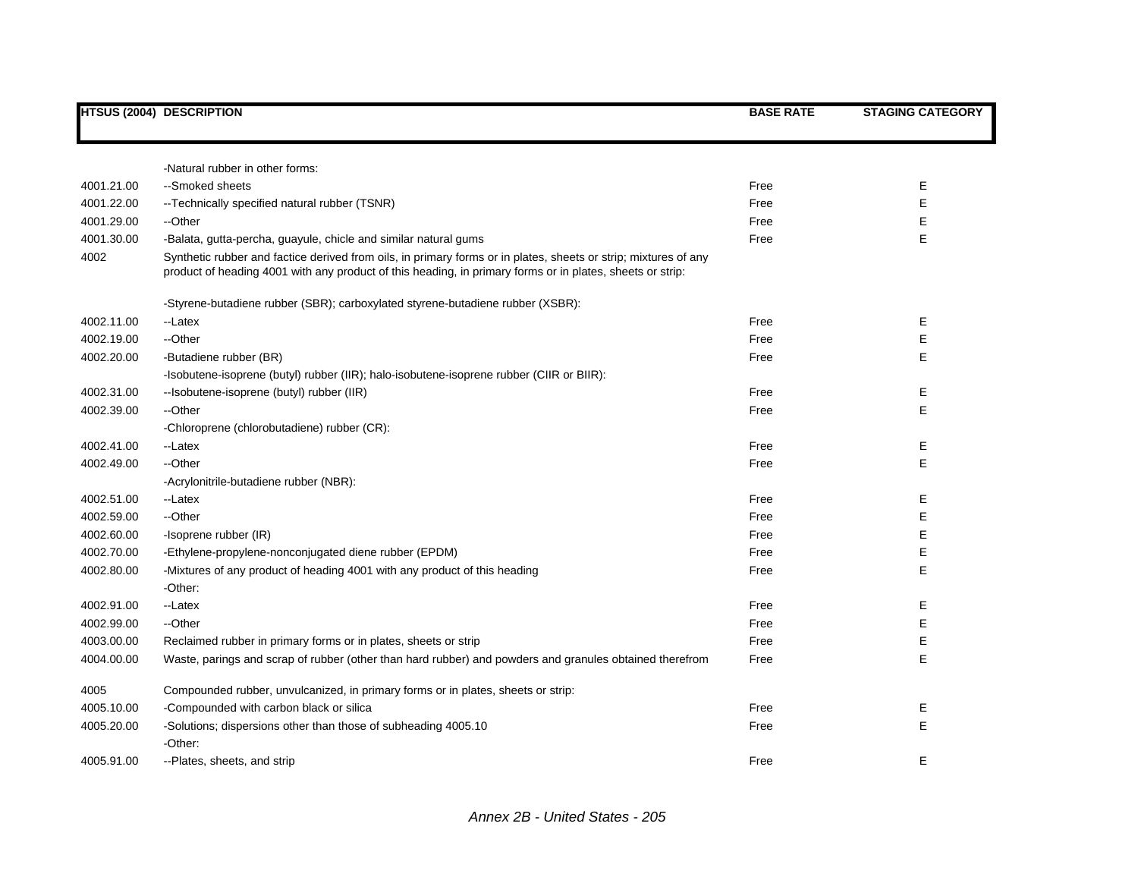|            | <b>HTSUS (2004) DESCRIPTION</b>                                                                                                                                                                                              | <b>BASE RATE</b> | <b>STAGING CATEGORY</b> |
|------------|------------------------------------------------------------------------------------------------------------------------------------------------------------------------------------------------------------------------------|------------------|-------------------------|
|            |                                                                                                                                                                                                                              |                  |                         |
|            | -Natural rubber in other forms:                                                                                                                                                                                              |                  |                         |
| 4001.21.00 | --Smoked sheets                                                                                                                                                                                                              | Free             | Е                       |
| 4001.22.00 | -- Technically specified natural rubber (TSNR)                                                                                                                                                                               | Free             | Е                       |
| 4001.29.00 | --Other                                                                                                                                                                                                                      | Free             | Е                       |
| 4001.30.00 | -Balata, gutta-percha, guayule, chicle and similar natural gums                                                                                                                                                              | Free             | Е                       |
| 4002       | Synthetic rubber and factice derived from oils, in primary forms or in plates, sheets or strip; mixtures of any<br>product of heading 4001 with any product of this heading, in primary forms or in plates, sheets or strip: |                  |                         |
|            | -Styrene-butadiene rubber (SBR); carboxylated styrene-butadiene rubber (XSBR):                                                                                                                                               |                  |                         |
| 4002.11.00 | --Latex                                                                                                                                                                                                                      | Free             | Е                       |
| 4002.19.00 | --Other                                                                                                                                                                                                                      | Free             | Е                       |
| 4002.20.00 | -Butadiene rubber (BR)                                                                                                                                                                                                       | Free             | Е                       |
|            | -Isobutene-isoprene (butyl) rubber (IIR); halo-isobutene-isoprene rubber (CIIR or BIIR):                                                                                                                                     |                  |                         |
| 4002.31.00 | --Isobutene-isoprene (butyl) rubber (IIR)                                                                                                                                                                                    | Free             | Е                       |
| 4002.39.00 | --Other                                                                                                                                                                                                                      | Free             | E                       |
|            | -Chloroprene (chlorobutadiene) rubber (CR):                                                                                                                                                                                  |                  |                         |
| 4002.41.00 | --Latex                                                                                                                                                                                                                      | Free             | Е                       |
| 4002.49.00 | --Other                                                                                                                                                                                                                      | Free             | E                       |
|            | -Acrylonitrile-butadiene rubber (NBR):                                                                                                                                                                                       |                  |                         |
| 4002.51.00 | --Latex                                                                                                                                                                                                                      | Free             | Е                       |
| 4002.59.00 | --Other                                                                                                                                                                                                                      | Free             | E                       |
| 4002.60.00 | -Isoprene rubber (IR)                                                                                                                                                                                                        | Free             | Е                       |
| 4002.70.00 | -Ethylene-propylene-nonconjugated diene rubber (EPDM)                                                                                                                                                                        | Free             | E                       |
| 4002.80.00 | -Mixtures of any product of heading 4001 with any product of this heading                                                                                                                                                    | Free             | E                       |
|            | -Other:                                                                                                                                                                                                                      |                  |                         |
| 4002.91.00 | --Latex                                                                                                                                                                                                                      | Free             | Е                       |
| 4002.99.00 | --Other                                                                                                                                                                                                                      | Free             | E                       |
| 4003.00.00 | Reclaimed rubber in primary forms or in plates, sheets or strip                                                                                                                                                              | Free             | E                       |
| 4004.00.00 | Waste, parings and scrap of rubber (other than hard rubber) and powders and granules obtained therefrom                                                                                                                      | Free             | E                       |
| 4005       | Compounded rubber, unvulcanized, in primary forms or in plates, sheets or strip:                                                                                                                                             |                  |                         |
| 4005.10.00 | -Compounded with carbon black or silica                                                                                                                                                                                      | Free             | Е                       |
| 4005.20.00 | -Solutions; dispersions other than those of subheading 4005.10                                                                                                                                                               | Free             | E                       |
|            | -Other:                                                                                                                                                                                                                      |                  |                         |
| 4005.91.00 | --Plates, sheets, and strip                                                                                                                                                                                                  | Free             | Е                       |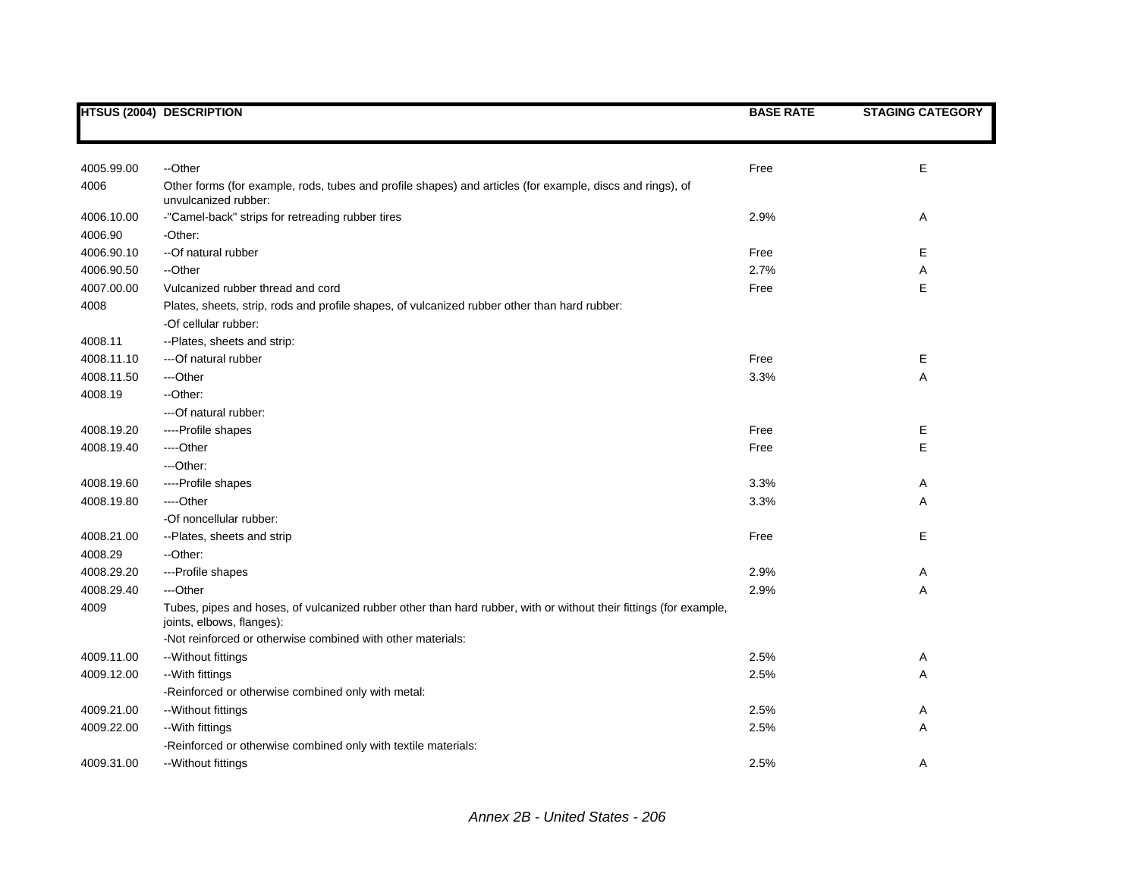|            | <b>HTSUS (2004) DESCRIPTION</b>                                                                                                                | <b>BASE RATE</b> | <b>STAGING CATEGORY</b> |
|------------|------------------------------------------------------------------------------------------------------------------------------------------------|------------------|-------------------------|
|            |                                                                                                                                                |                  |                         |
| 4005.99.00 | --Other                                                                                                                                        | Free             | Е                       |
| 4006       | Other forms (for example, rods, tubes and profile shapes) and articles (for example, discs and rings), of<br>unvulcanized rubber:              |                  |                         |
| 4006.10.00 | -"Camel-back" strips for retreading rubber tires                                                                                               | 2.9%             | Α                       |
| 4006.90    | -Other:                                                                                                                                        |                  |                         |
| 4006.90.10 | -- Of natural rubber                                                                                                                           | Free             | Ε                       |
| 4006.90.50 | --Other                                                                                                                                        | 2.7%             | Α                       |
| 4007.00.00 | Vulcanized rubber thread and cord                                                                                                              | Free             | E                       |
| 4008       | Plates, sheets, strip, rods and profile shapes, of vulcanized rubber other than hard rubber:                                                   |                  |                         |
|            | -Of cellular rubber:                                                                                                                           |                  |                         |
| 4008.11    | --Plates, sheets and strip:                                                                                                                    |                  |                         |
| 4008.11.10 | --- Of natural rubber                                                                                                                          | Free             | Е                       |
| 4008.11.50 | ---Other                                                                                                                                       | 3.3%             | Α                       |
| 4008.19    | --Other:                                                                                                                                       |                  |                         |
|            | ---Of natural rubber:                                                                                                                          |                  |                         |
| 4008.19.20 | ----Profile shapes                                                                                                                             | Free             | Ε                       |
| 4008.19.40 | ----Other                                                                                                                                      | Free             | E                       |
|            | ---Other:                                                                                                                                      |                  |                         |
| 4008.19.60 | ----Profile shapes                                                                                                                             | 3.3%             | Α                       |
| 4008.19.80 | ---Other                                                                                                                                       | 3.3%             | Α                       |
|            | -Of noncellular rubber:                                                                                                                        |                  |                         |
| 4008.21.00 | --Plates, sheets and strip                                                                                                                     | Free             | E                       |
| 4008.29    | -- Other:                                                                                                                                      |                  |                         |
| 4008.29.20 | ---Profile shapes                                                                                                                              | 2.9%             | Α                       |
| 4008.29.40 | ---Other                                                                                                                                       | 2.9%             | Α                       |
| 4009       | Tubes, pipes and hoses, of vulcanized rubber other than hard rubber, with or without their fittings (for example,<br>joints, elbows, flanges): |                  |                         |
|            | -Not reinforced or otherwise combined with other materials:                                                                                    |                  |                         |
| 4009.11.00 | --Without fittings                                                                                                                             | 2.5%             | Α                       |
| 4009.12.00 | --With fittings                                                                                                                                | 2.5%             | Α                       |
|            | -Reinforced or otherwise combined only with metal:                                                                                             |                  |                         |
| 4009.21.00 | -- Without fittings                                                                                                                            | 2.5%             | Α                       |
| 4009.22.00 | --With fittings                                                                                                                                | 2.5%             | Α                       |
|            | -Reinforced or otherwise combined only with textile materials:                                                                                 |                  |                         |
| 4009.31.00 | --Without fittings                                                                                                                             | 2.5%             | A                       |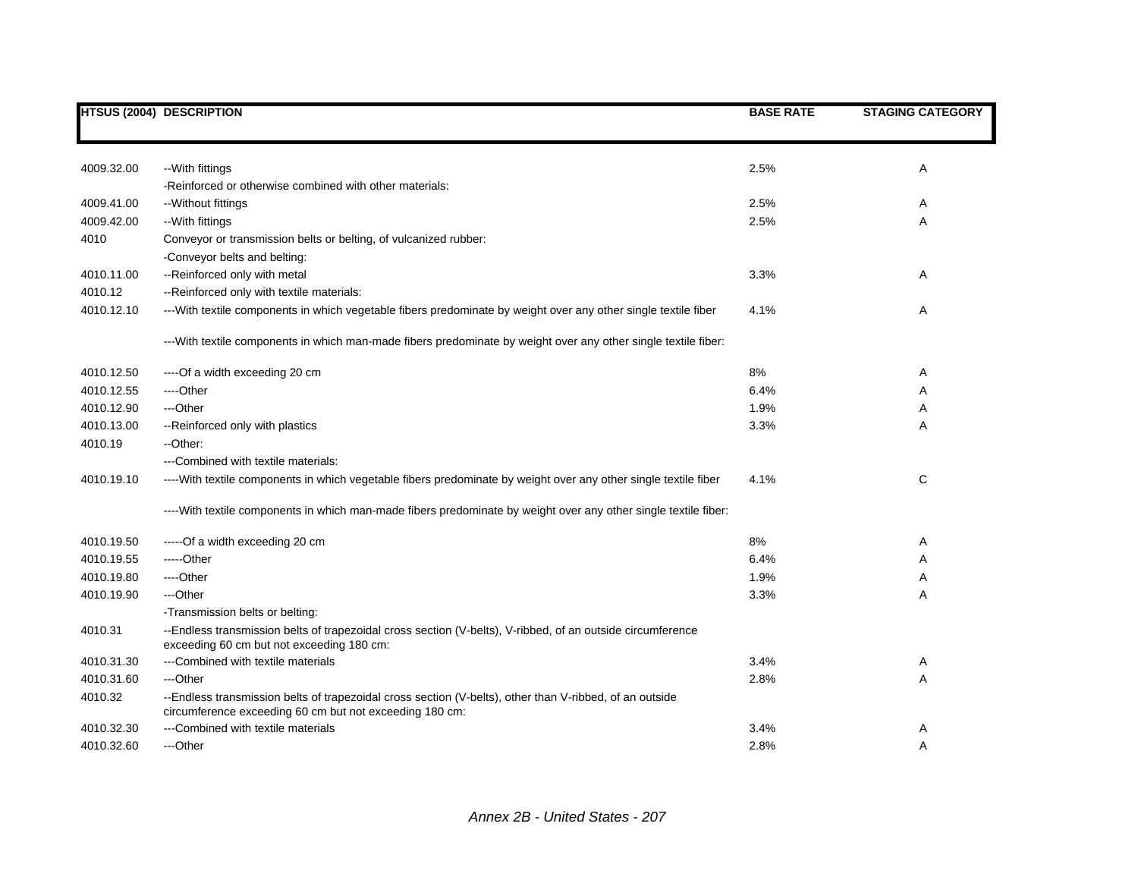|            | <b>HTSUS (2004) DESCRIPTION</b>                                                                                                                                    | <b>BASE RATE</b> | <b>STAGING CATEGORY</b> |
|------------|--------------------------------------------------------------------------------------------------------------------------------------------------------------------|------------------|-------------------------|
|            |                                                                                                                                                                    |                  |                         |
| 4009.32.00 | --With fittings                                                                                                                                                    | 2.5%             | Α                       |
|            | -Reinforced or otherwise combined with other materials:                                                                                                            |                  |                         |
| 4009.41.00 | -- Without fittings                                                                                                                                                | 2.5%             | Α                       |
| 4009.42.00 | --With fittings                                                                                                                                                    | 2.5%             | Α                       |
| 4010       | Conveyor or transmission belts or belting, of vulcanized rubber:                                                                                                   |                  |                         |
|            | -Conveyor belts and belting:                                                                                                                                       |                  |                         |
| 4010.11.00 | -- Reinforced only with metal                                                                                                                                      | 3.3%             | Α                       |
| 4010.12    | --Reinforced only with textile materials:                                                                                                                          |                  |                         |
| 4010.12.10 | ---With textile components in which vegetable fibers predominate by weight over any other single textile fiber                                                     | 4.1%             | Α                       |
|            | --- With textile components in which man-made fibers predominate by weight over any other single textile fiber:                                                    |                  |                         |
| 4010.12.50 | ----Of a width exceeding 20 cm                                                                                                                                     | 8%               | Α                       |
| 4010.12.55 | ----Other                                                                                                                                                          | 6.4%             | A                       |
| 4010.12.90 | ---Other                                                                                                                                                           | 1.9%             | A                       |
| 4010.13.00 | -- Reinforced only with plastics                                                                                                                                   | 3.3%             | Α                       |
| 4010.19    | --Other:                                                                                                                                                           |                  |                         |
|            | ---Combined with textile materials:                                                                                                                                |                  |                         |
| 4010.19.10 | ----With textile components in which vegetable fibers predominate by weight over any other single textile fiber                                                    | 4.1%             | C                       |
|            | ----With textile components in which man-made fibers predominate by weight over any other single textile fiber:                                                    |                  |                         |
| 4010.19.50 | -----Of a width exceeding 20 cm                                                                                                                                    | 8%               | Α                       |
| 4010.19.55 | -----Other                                                                                                                                                         | 6.4%             | Α                       |
| 4010.19.80 | ----Other                                                                                                                                                          | 1.9%             | Α                       |
| 4010.19.90 | ---Other                                                                                                                                                           | 3.3%             | Α                       |
|            | -Transmission belts or belting:                                                                                                                                    |                  |                         |
| 4010.31    | --Endless transmission belts of trapezoidal cross section (V-belts), V-ribbed, of an outside circumference<br>exceeding 60 cm but not exceeding 180 cm:            |                  |                         |
| 4010.31.30 | ---Combined with textile materials                                                                                                                                 | 3.4%             | Α                       |
| 4010.31.60 | ---Other                                                                                                                                                           | 2.8%             | Α                       |
| 4010.32    | --Endless transmission belts of trapezoidal cross section (V-belts), other than V-ribbed, of an outside<br>circumference exceeding 60 cm but not exceeding 180 cm: |                  |                         |
| 4010.32.30 | ---Combined with textile materials                                                                                                                                 | 3.4%             | Α                       |
| 4010.32.60 | ---Other                                                                                                                                                           | 2.8%             | A                       |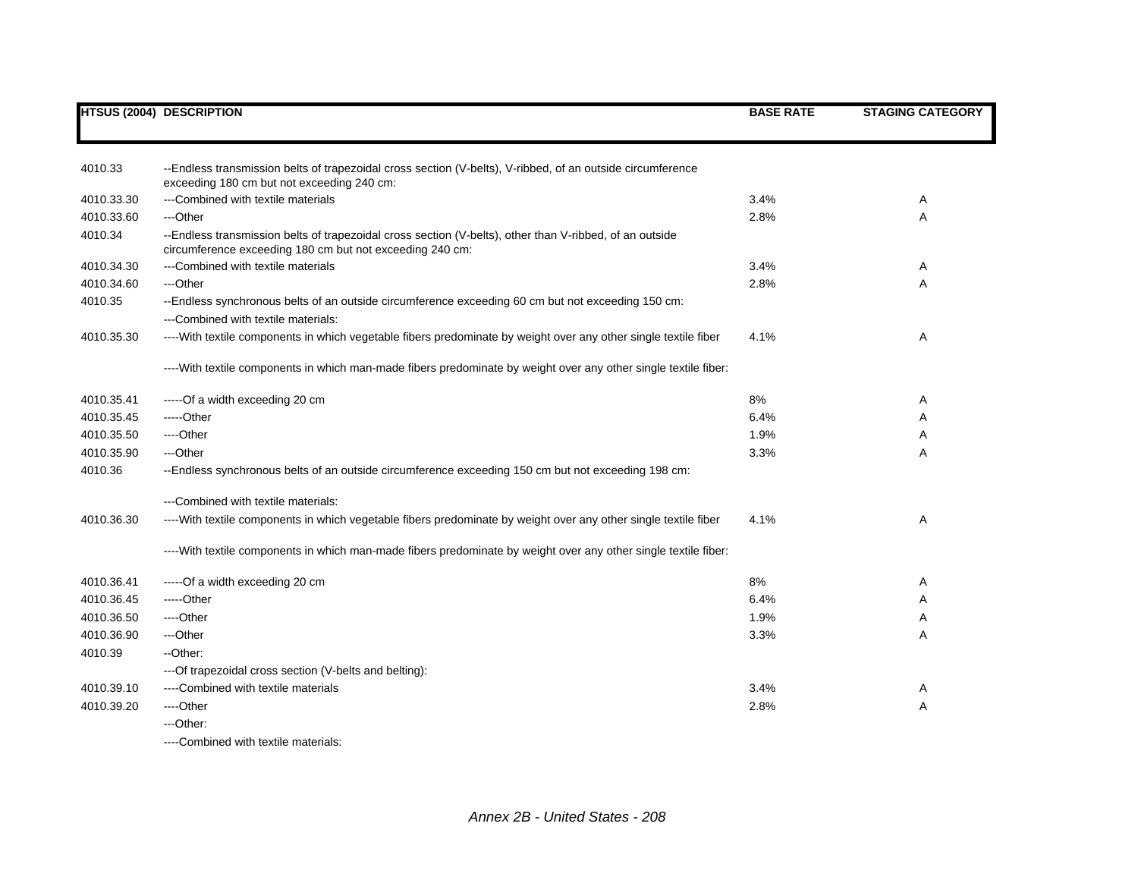|            | <b>HTSUS (2004) DESCRIPTION</b>                                                                                                                                     | <b>BASE RATE</b> | <b>STAGING CATEGORY</b> |
|------------|---------------------------------------------------------------------------------------------------------------------------------------------------------------------|------------------|-------------------------|
|            |                                                                                                                                                                     |                  |                         |
| 4010.33    | --Endless transmission belts of trapezoidal cross section (V-belts), V-ribbed, of an outside circumference<br>exceeding 180 cm but not exceeding 240 cm:            |                  |                         |
| 4010.33.30 | ---Combined with textile materials                                                                                                                                  | 3.4%             | Α                       |
| 4010.33.60 | ---Other                                                                                                                                                            | 2.8%             | Α                       |
| 4010.34    | --Endless transmission belts of trapezoidal cross section (V-belts), other than V-ribbed, of an outside<br>circumference exceeding 180 cm but not exceeding 240 cm: |                  |                         |
| 4010.34.30 | ---Combined with textile materials                                                                                                                                  | 3.4%             | Α                       |
| 4010.34.60 | ---Other                                                                                                                                                            | 2.8%             | A                       |
| 4010.35    | --Endless synchronous belts of an outside circumference exceeding 60 cm but not exceeding 150 cm:<br>---Combined with textile materials:                            |                  |                         |
| 4010.35.30 | ----With textile components in which vegetable fibers predominate by weight over any other single textile fiber                                                     | 4.1%             | Α                       |
|            | ----With textile components in which man-made fibers predominate by weight over any other single textile fiber:                                                     |                  |                         |
| 4010.35.41 | -----Of a width exceeding 20 cm                                                                                                                                     | 8%               | Α                       |
| 4010.35.45 | -----Other                                                                                                                                                          | 6.4%             | Α                       |
| 4010.35.50 | ----Other                                                                                                                                                           | 1.9%             | Α                       |
| 4010.35.90 | ---Other                                                                                                                                                            | 3.3%             | Α                       |
| 4010.36    | --Endless synchronous belts of an outside circumference exceeding 150 cm but not exceeding 198 cm:                                                                  |                  |                         |
|            | ---Combined with textile materials:                                                                                                                                 |                  |                         |
| 4010.36.30 | ----With textile components in which vegetable fibers predominate by weight over any other single textile fiber                                                     | 4.1%             | Α                       |
|            | ----With textile components in which man-made fibers predominate by weight over any other single textile fiber:                                                     |                  |                         |
| 4010.36.41 | -----Of a width exceeding 20 cm                                                                                                                                     | 8%               | Α                       |
| 4010.36.45 | $---Other$                                                                                                                                                          | 6.4%             | Α                       |
| 4010.36.50 | ----Other                                                                                                                                                           | 1.9%             | Α                       |
| 4010.36.90 | ---Other                                                                                                                                                            | 3.3%             | Α                       |
| 4010.39    | --Other:                                                                                                                                                            |                  |                         |
|            | ---Of trapezoidal cross section (V-belts and belting):                                                                                                              |                  |                         |
| 4010.39.10 | ----Combined with textile materials                                                                                                                                 | 3.4%             | A                       |
| 4010.39.20 | ----Other                                                                                                                                                           | 2.8%             | Α                       |
|            | ---Other:                                                                                                                                                           |                  |                         |
|            | ----Combined with textile materials:                                                                                                                                |                  |                         |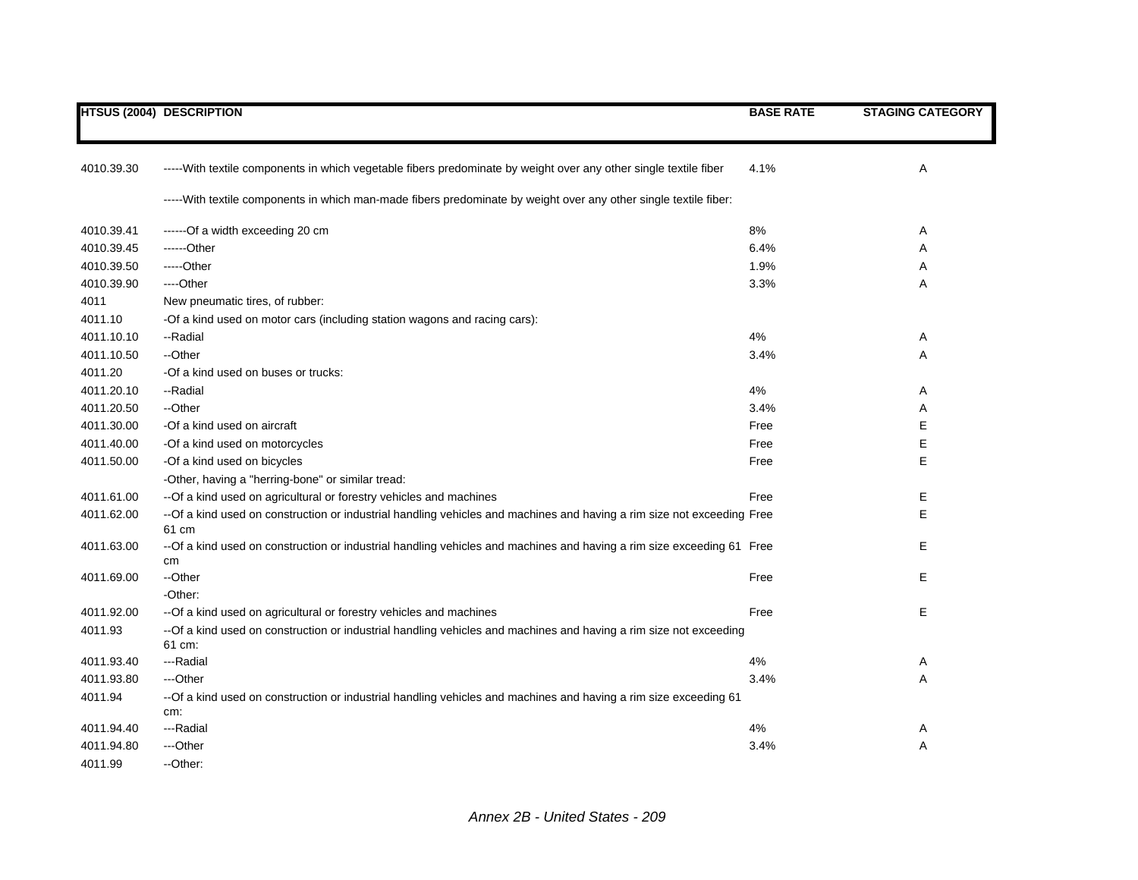|            | <b>HTSUS (2004) DESCRIPTION</b>                                                                                              | <b>BASE RATE</b> | <b>STAGING CATEGORY</b> |
|------------|------------------------------------------------------------------------------------------------------------------------------|------------------|-------------------------|
|            |                                                                                                                              |                  |                         |
| 4010.39.30 | -----With textile components in which vegetable fibers predominate by weight over any other single textile fiber             | 4.1%             | Α                       |
|            | -----With textile components in which man-made fibers predominate by weight over any other single textile fiber:             |                  |                         |
| 4010.39.41 | ------Of a width exceeding 20 cm                                                                                             | 8%               | Α                       |
| 4010.39.45 | ------Other                                                                                                                  | 6.4%             | Α                       |
| 4010.39.50 | -----Other                                                                                                                   | 1.9%             | A                       |
| 4010.39.90 | ----Other                                                                                                                    | 3.3%             | Α                       |
| 4011       | New pneumatic tires, of rubber:                                                                                              |                  |                         |
| 4011.10    | -Of a kind used on motor cars (including station wagons and racing cars):                                                    |                  |                         |
| 4011.10.10 | --Radial                                                                                                                     | 4%               | Α                       |
| 4011.10.50 | --Other                                                                                                                      | 3.4%             | Α                       |
| 4011.20    | -Of a kind used on buses or trucks:                                                                                          |                  |                         |
| 4011.20.10 | --Radial                                                                                                                     | 4%               | Α                       |
| 4011.20.50 | --Other                                                                                                                      | 3.4%             | Α                       |
| 4011.30.00 | -Of a kind used on aircraft                                                                                                  | Free             | Е                       |
| 4011.40.00 | -Of a kind used on motorcycles                                                                                               | Free             | Е                       |
| 4011.50.00 | -Of a kind used on bicycles                                                                                                  | Free             | E                       |
|            | -Other, having a "herring-bone" or similar tread:                                                                            |                  |                         |
| 4011.61.00 | -- Of a kind used on agricultural or forestry vehicles and machines                                                          | Free             | Е                       |
| 4011.62.00 | -- Of a kind used on construction or industrial handling vehicles and machines and having a rim size not exceeding Free      |                  | E                       |
|            | 61 cm                                                                                                                        |                  |                         |
| 4011.63.00 | --Of a kind used on construction or industrial handling vehicles and machines and having a rim size exceeding 61 Free        |                  | Е                       |
|            | cm                                                                                                                           |                  |                         |
| 4011.69.00 | --Other                                                                                                                      | Free             | Е                       |
|            | -Other:                                                                                                                      |                  |                         |
| 4011.92.00 | -- Of a kind used on agricultural or forestry vehicles and machines                                                          | Free             | Е                       |
| 4011.93    | -- Of a kind used on construction or industrial handling vehicles and machines and having a rim size not exceeding<br>61 cm: |                  |                         |
| 4011.93.40 | ---Radial                                                                                                                    | 4%               | Α                       |
| 4011.93.80 | ---Other                                                                                                                     | 3.4%             | A                       |
| 4011.94    | --Of a kind used on construction or industrial handling vehicles and machines and having a rim size exceeding 61             |                  |                         |
|            | cm:                                                                                                                          |                  |                         |
| 4011.94.40 | ---Radial                                                                                                                    | 4%               | Α                       |
| 4011.94.80 | ---Other                                                                                                                     | 3.4%             | Α                       |
| 4011.99    | --Other:                                                                                                                     |                  |                         |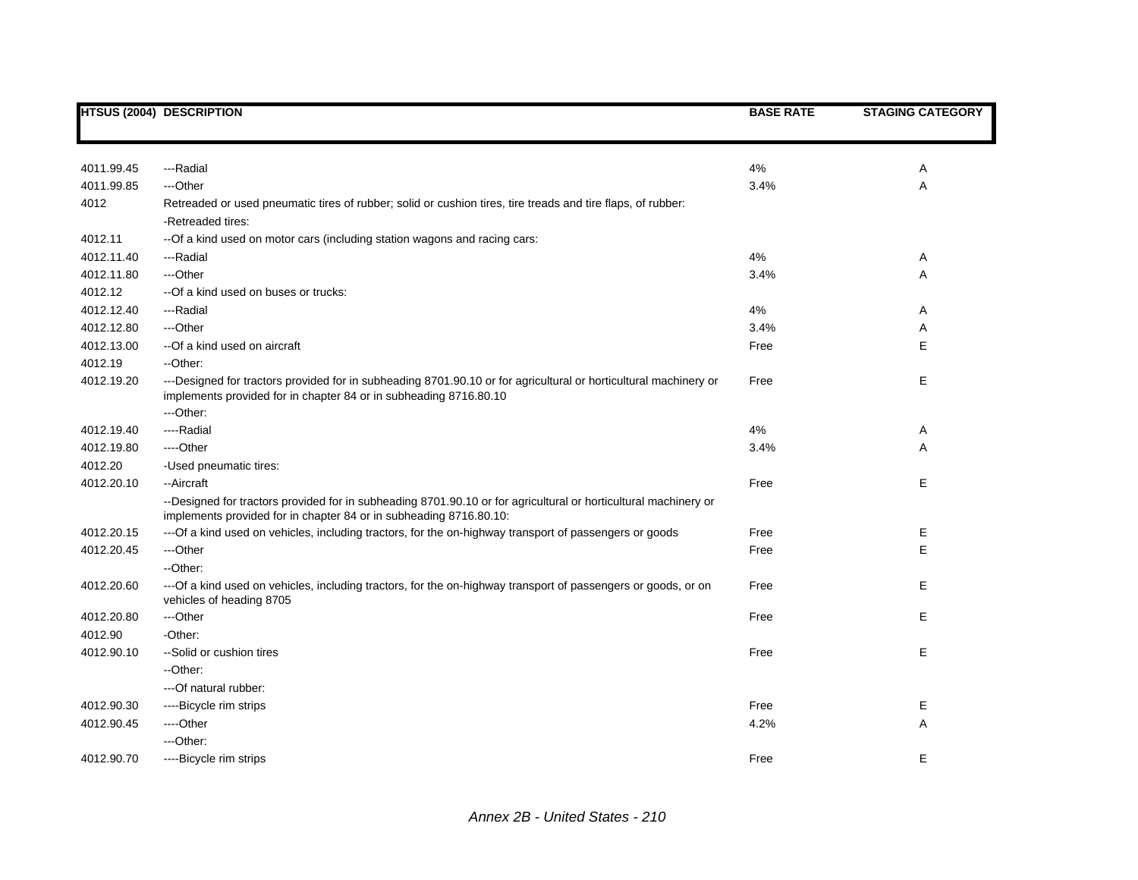|            | HTSUS (2004) DESCRIPTION                                                                                                                                                                           | <b>BASE RATE</b> | <b>STAGING CATEGORY</b> |
|------------|----------------------------------------------------------------------------------------------------------------------------------------------------------------------------------------------------|------------------|-------------------------|
|            |                                                                                                                                                                                                    |                  |                         |
| 4011.99.45 | ---Radial                                                                                                                                                                                          | 4%               | Α                       |
| 4011.99.85 | ---Other                                                                                                                                                                                           | 3.4%             | Α                       |
| 4012       | Retreaded or used pneumatic tires of rubber; solid or cushion tires, tire treads and tire flaps, of rubber:<br>-Retreaded tires:                                                                   |                  |                         |
| 4012.11    | -- Of a kind used on motor cars (including station wagons and racing cars:                                                                                                                         |                  |                         |
| 4012.11.40 | ---Radial                                                                                                                                                                                          | 4%               | Α                       |
| 4012.11.80 | ---Other                                                                                                                                                                                           | 3.4%             | Α                       |
| 4012.12    | --Of a kind used on buses or trucks:                                                                                                                                                               |                  |                         |
| 4012.12.40 | ---Radial                                                                                                                                                                                          | 4%               | Α                       |
| 4012.12.80 | ---Other                                                                                                                                                                                           | 3.4%             | Α                       |
| 4012.13.00 | --Of a kind used on aircraft                                                                                                                                                                       | Free             | Е                       |
| 4012.19    | --Other:                                                                                                                                                                                           |                  |                         |
| 4012.19.20 | ---Designed for tractors provided for in subheading 8701.90.10 or for agricultural or horticultural machinery or<br>implements provided for in chapter 84 or in subheading 8716.80.10<br>---Other: | Free             | Е                       |
| 4012.19.40 | ----Radial                                                                                                                                                                                         | 4%               | Α                       |
| 4012.19.80 | ----Other                                                                                                                                                                                          | 3.4%             | Α                       |
| 4012.20    | -Used pneumatic tires:                                                                                                                                                                             |                  |                         |
| 4012.20.10 | --Aircraft                                                                                                                                                                                         | Free             | Е                       |
|            | --Designed for tractors provided for in subheading 8701.90.10 or for agricultural or horticultural machinery or<br>implements provided for in chapter 84 or in subheading 8716.80.10:              |                  |                         |
| 4012.20.15 | ---Of a kind used on vehicles, including tractors, for the on-highway transport of passengers or goods                                                                                             | Free             | Е                       |
| 4012.20.45 | ---Other                                                                                                                                                                                           | Free             | Е                       |
|            | --Other:                                                                                                                                                                                           |                  |                         |
| 4012.20.60 | --- Of a kind used on vehicles, including tractors, for the on-highway transport of passengers or goods, or on<br>vehicles of heading 8705                                                         | Free             | Е                       |
| 4012.20.80 | ---Other                                                                                                                                                                                           | Free             | Е                       |
| 4012.90    | -Other:                                                                                                                                                                                            |                  |                         |
| 4012.90.10 | --Solid or cushion tires                                                                                                                                                                           | Free             | E                       |
|            | --Other:                                                                                                                                                                                           |                  |                         |
|            | --- Of natural rubber:                                                                                                                                                                             |                  |                         |
| 4012.90.30 | ----Bicycle rim strips                                                                                                                                                                             | Free             | Е                       |
| 4012.90.45 | ----Other                                                                                                                                                                                          | 4.2%             | Α                       |
|            | ---Other:                                                                                                                                                                                          |                  |                         |
| 4012.90.70 | ----Bicycle rim strips                                                                                                                                                                             | Free             | E                       |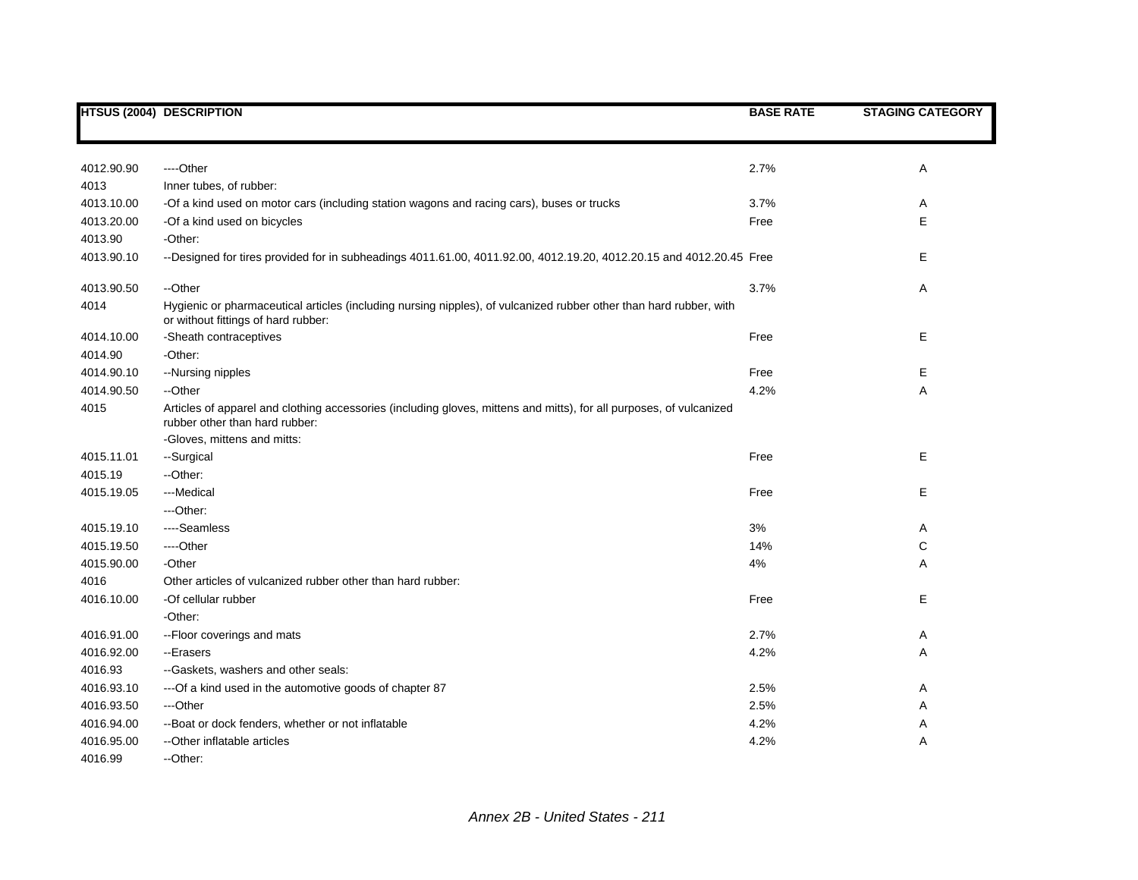|            | <b>HTSUS (2004) DESCRIPTION</b>                                                                                                                           | <b>BASE RATE</b> | <b>STAGING CATEGORY</b> |
|------------|-----------------------------------------------------------------------------------------------------------------------------------------------------------|------------------|-------------------------|
|            |                                                                                                                                                           |                  |                         |
| 4012.90.90 | ----Other                                                                                                                                                 | 2.7%             | Α                       |
| 4013       | Inner tubes, of rubber:                                                                                                                                   |                  |                         |
| 4013.10.00 | -Of a kind used on motor cars (including station wagons and racing cars), buses or trucks                                                                 | 3.7%             | Α                       |
| 4013.20.00 | -Of a kind used on bicycles                                                                                                                               | Free             | E                       |
| 4013.90    | -Other:                                                                                                                                                   |                  |                         |
| 4013.90.10 | --Designed for tires provided for in subheadings 4011.61.00, 4011.92.00, 4012.19.20, 4012.20.15 and 4012.20.45 Free                                       |                  | Е                       |
| 4013.90.50 | --Other                                                                                                                                                   | 3.7%             | Α                       |
| 4014       | Hygienic or pharmaceutical articles (including nursing nipples), of vulcanized rubber other than hard rubber, with<br>or without fittings of hard rubber: |                  |                         |
| 4014.10.00 | -Sheath contraceptives                                                                                                                                    | Free             | Е                       |
| 4014.90    | -Other:                                                                                                                                                   |                  |                         |
| 4014.90.10 | --Nursing nipples                                                                                                                                         | Free             | Е                       |
| 4014.90.50 | --Other                                                                                                                                                   | 4.2%             | A                       |
| 4015       | Articles of apparel and clothing accessories (including gloves, mittens and mitts), for all purposes, of vulcanized<br>rubber other than hard rubber:     |                  |                         |
|            | -Gloves, mittens and mitts:                                                                                                                               |                  |                         |
| 4015.11.01 | --Surgical                                                                                                                                                | Free             | Е                       |
| 4015.19    | -- Other:                                                                                                                                                 |                  |                         |
| 4015.19.05 | ---Medical                                                                                                                                                | Free             | Е                       |
|            | ---Other:                                                                                                                                                 |                  |                         |
| 4015.19.10 | ----Seamless                                                                                                                                              | 3%               | Α                       |
| 4015.19.50 | ----Other                                                                                                                                                 | 14%              | С                       |
| 4015.90.00 | -Other                                                                                                                                                    | 4%               | Α                       |
| 4016       | Other articles of vulcanized rubber other than hard rubber:                                                                                               |                  |                         |
| 4016.10.00 | -Of cellular rubber                                                                                                                                       | Free             | Е                       |
|            | -Other:                                                                                                                                                   |                  |                         |
| 4016.91.00 | -- Floor coverings and mats                                                                                                                               | 2.7%             | Α                       |
| 4016.92.00 | --Erasers                                                                                                                                                 | 4.2%             | Α                       |
| 4016.93    | --Gaskets, washers and other seals:                                                                                                                       |                  |                         |
| 4016.93.10 | --- Of a kind used in the automotive goods of chapter 87                                                                                                  | 2.5%             | Α                       |
| 4016.93.50 | ---Other                                                                                                                                                  | 2.5%             | Α                       |
| 4016.94.00 | -- Boat or dock fenders, whether or not inflatable                                                                                                        | 4.2%             | Α                       |
| 4016.95.00 | --Other inflatable articles                                                                                                                               | 4.2%             | Α                       |
| 4016.99    | --Other:                                                                                                                                                  |                  |                         |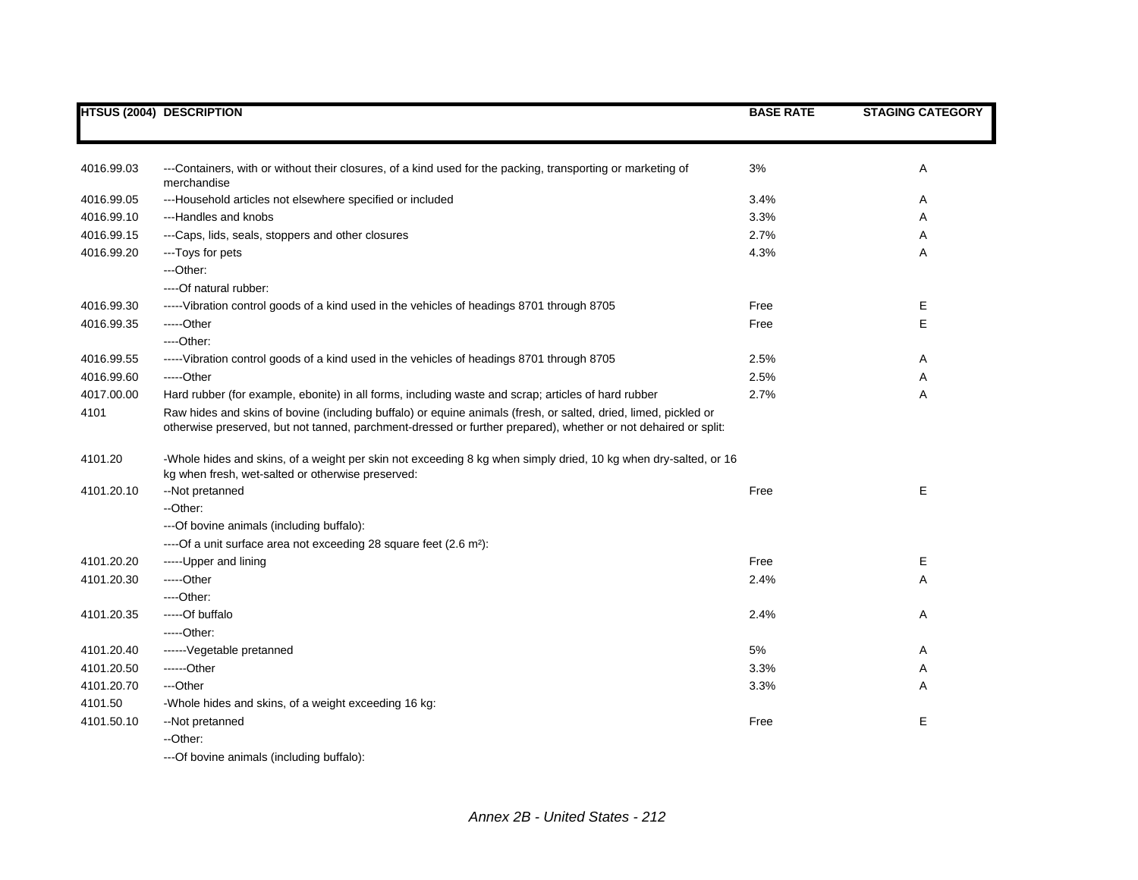|            | <b>HTSUS (2004) DESCRIPTION</b>                                                                                                                                                                                                   | <b>BASE RATE</b> | <b>STAGING CATEGORY</b> |
|------------|-----------------------------------------------------------------------------------------------------------------------------------------------------------------------------------------------------------------------------------|------------------|-------------------------|
|            |                                                                                                                                                                                                                                   |                  |                         |
| 4016.99.03 | ---Containers, with or without their closures, of a kind used for the packing, transporting or marketing of                                                                                                                       | 3%               | Α                       |
| 4016.99.05 | merchandise<br>---Household articles not elsewhere specified or included                                                                                                                                                          | 3.4%             | Α                       |
| 4016.99.10 | ---Handles and knobs                                                                                                                                                                                                              | 3.3%             | Α                       |
| 4016.99.15 | ---Caps, lids, seals, stoppers and other closures                                                                                                                                                                                 | 2.7%             | Α                       |
| 4016.99.20 | ---Toys for pets                                                                                                                                                                                                                  | 4.3%             | A                       |
|            | ---Other:                                                                                                                                                                                                                         |                  |                         |
|            | ----Of natural rubber:                                                                                                                                                                                                            |                  |                         |
| 4016.99.30 | ----- Vibration control goods of a kind used in the vehicles of headings 8701 through 8705                                                                                                                                        | Free             | Е                       |
| 4016.99.35 | -----Other                                                                                                                                                                                                                        | Free             | E.                      |
|            | $---Other:$                                                                                                                                                                                                                       |                  |                         |
| 4016.99.55 | ----- Vibration control goods of a kind used in the vehicles of headings 8701 through 8705                                                                                                                                        | 2.5%             | Α                       |
| 4016.99.60 | -----Other                                                                                                                                                                                                                        | 2.5%             | Α                       |
| 4017.00.00 | Hard rubber (for example, ebonite) in all forms, including waste and scrap; articles of hard rubber                                                                                                                               | 2.7%             | A                       |
| 4101       | Raw hides and skins of bovine (including buffalo) or equine animals (fresh, or salted, dried, limed, pickled or<br>otherwise preserved, but not tanned, parchment-dressed or further prepared), whether or not dehaired or split: |                  |                         |
| 4101.20    | -Whole hides and skins, of a weight per skin not exceeding 8 kg when simply dried, 10 kg when dry-salted, or 16<br>kg when fresh, wet-salted or otherwise preserved:                                                              |                  |                         |
| 4101.20.10 | --Not pretanned                                                                                                                                                                                                                   | Free             | E                       |
|            | --Other:                                                                                                                                                                                                                          |                  |                         |
|            | --- Of bovine animals (including buffalo):                                                                                                                                                                                        |                  |                         |
|            | ---- Of a unit surface area not exceeding 28 square feet (2.6 m <sup>2</sup> ):                                                                                                                                                   |                  |                         |
| 4101.20.20 | ----- Upper and lining                                                                                                                                                                                                            | Free             | Е                       |
| 4101.20.30 | -----Other                                                                                                                                                                                                                        | 2.4%             | Α                       |
|            | $---Other.$                                                                                                                                                                                                                       |                  |                         |
| 4101.20.35 | -----Of buffalo                                                                                                                                                                                                                   | 2.4%             | Α                       |
|            | $---Other:$                                                                                                                                                                                                                       |                  |                         |
| 4101.20.40 | ------Vegetable pretanned                                                                                                                                                                                                         | 5%               | Α                       |
| 4101.20.50 | ------Other                                                                                                                                                                                                                       | 3.3%             | Α                       |
| 4101.20.70 | ---Other                                                                                                                                                                                                                          | 3.3%             | A                       |
| 4101.50    | -Whole hides and skins, of a weight exceeding 16 kg:                                                                                                                                                                              |                  |                         |
| 4101.50.10 | --Not pretanned                                                                                                                                                                                                                   | Free             | E.                      |
|            | --Other:                                                                                                                                                                                                                          |                  |                         |
|            | ---Of bovine animals (including buffalo):                                                                                                                                                                                         |                  |                         |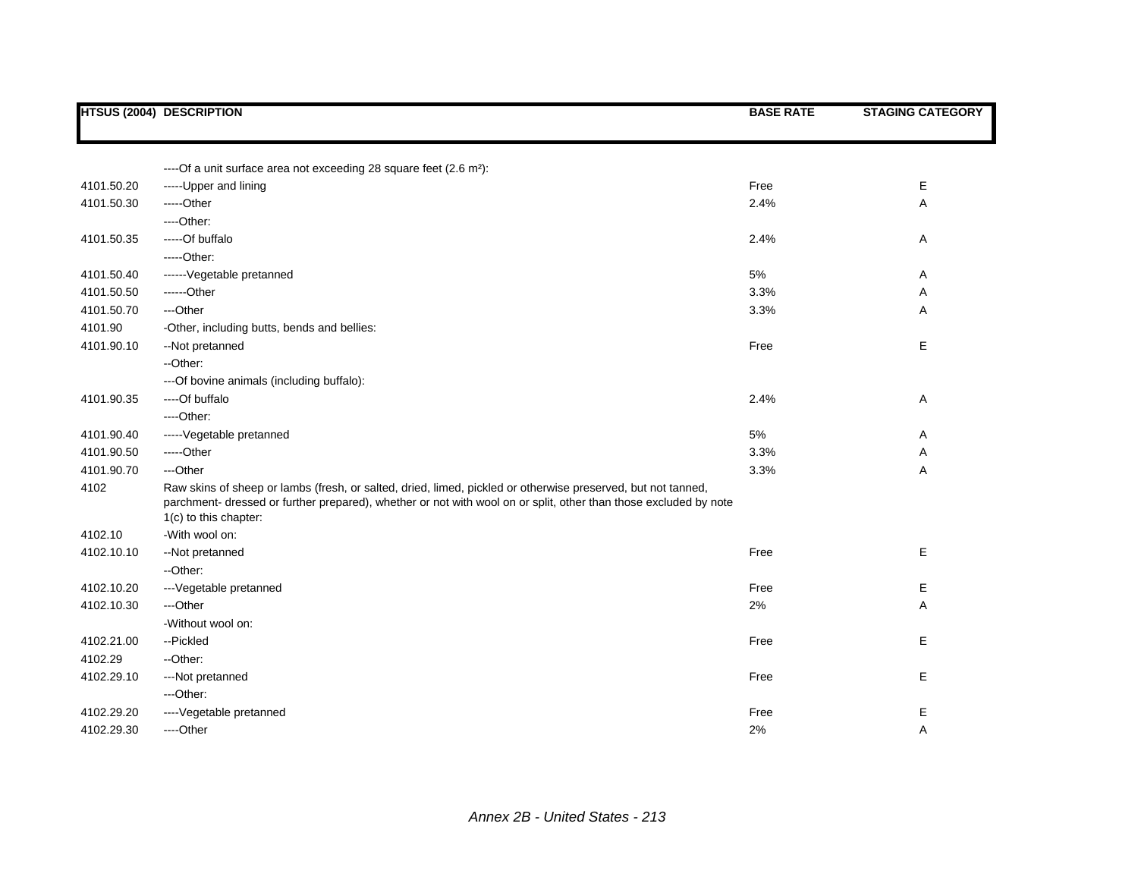|            | <b>HTSUS (2004) DESCRIPTION</b>                                                                                                                                                                                                                           | <b>BASE RATE</b> | <b>STAGING CATEGORY</b> |
|------------|-----------------------------------------------------------------------------------------------------------------------------------------------------------------------------------------------------------------------------------------------------------|------------------|-------------------------|
|            |                                                                                                                                                                                                                                                           |                  |                         |
|            | ---- Of a unit surface area not exceeding 28 square feet (2.6 m <sup>2</sup> ):                                                                                                                                                                           |                  |                         |
| 4101.50.20 | -----Upper and lining                                                                                                                                                                                                                                     | Free             | Е                       |
| 4101.50.30 | -----Other                                                                                                                                                                                                                                                | 2.4%             | Α                       |
|            | ----Other:                                                                                                                                                                                                                                                |                  |                         |
| 4101.50.35 | ----- Of buffalo                                                                                                                                                                                                                                          | 2.4%             | Α                       |
|            | $---Other$ :                                                                                                                                                                                                                                              |                  |                         |
| 4101.50.40 | ------Vegetable pretanned                                                                                                                                                                                                                                 | 5%               | Α                       |
| 4101.50.50 | ------Other                                                                                                                                                                                                                                               | 3.3%             | Α                       |
| 4101.50.70 | ---Other                                                                                                                                                                                                                                                  | 3.3%             | Α                       |
| 4101.90    | -Other, including butts, bends and bellies:                                                                                                                                                                                                               |                  |                         |
| 4101.90.10 | --Not pretanned                                                                                                                                                                                                                                           | Free             | Е                       |
|            | --Other:                                                                                                                                                                                                                                                  |                  |                         |
|            | --- Of bovine animals (including buffalo):                                                                                                                                                                                                                |                  |                         |
| 4101.90.35 | ---- Of buffalo                                                                                                                                                                                                                                           | 2.4%             | Α                       |
|            | $---Other.$                                                                                                                                                                                                                                               |                  |                         |
| 4101.90.40 | ----- Vegetable pretanned                                                                                                                                                                                                                                 | 5%               | Α                       |
| 4101.90.50 | $---Other$                                                                                                                                                                                                                                                | 3.3%             | Α                       |
| 4101.90.70 | ---Other                                                                                                                                                                                                                                                  | 3.3%             | Α                       |
| 4102       | Raw skins of sheep or lambs (fresh, or salted, dried, limed, pickled or otherwise preserved, but not tanned,<br>parchment- dressed or further prepared), whether or not with wool on or split, other than those excluded by note<br>1(c) to this chapter: |                  |                         |
| 4102.10    | -With wool on:                                                                                                                                                                                                                                            |                  |                         |
| 4102.10.10 | --Not pretanned                                                                                                                                                                                                                                           | Free             | E                       |
|            | --Other:                                                                                                                                                                                                                                                  |                  |                         |
| 4102.10.20 | --- Vegetable pretanned                                                                                                                                                                                                                                   | Free             | Е                       |
| 4102.10.30 | ---Other                                                                                                                                                                                                                                                  | 2%               | Α                       |
|            | -Without wool on:                                                                                                                                                                                                                                         |                  |                         |
| 4102.21.00 | --Pickled                                                                                                                                                                                                                                                 | Free             | E                       |
| 4102.29    | --Other:                                                                                                                                                                                                                                                  |                  |                         |
| 4102.29.10 | ---Not pretanned                                                                                                                                                                                                                                          | Free             | Е                       |
|            | ---Other:                                                                                                                                                                                                                                                 |                  |                         |
| 4102.29.20 | ---- Vegetable pretanned                                                                                                                                                                                                                                  | Free             | Е                       |
| 4102.29.30 | ----Other                                                                                                                                                                                                                                                 | 2%               | Α                       |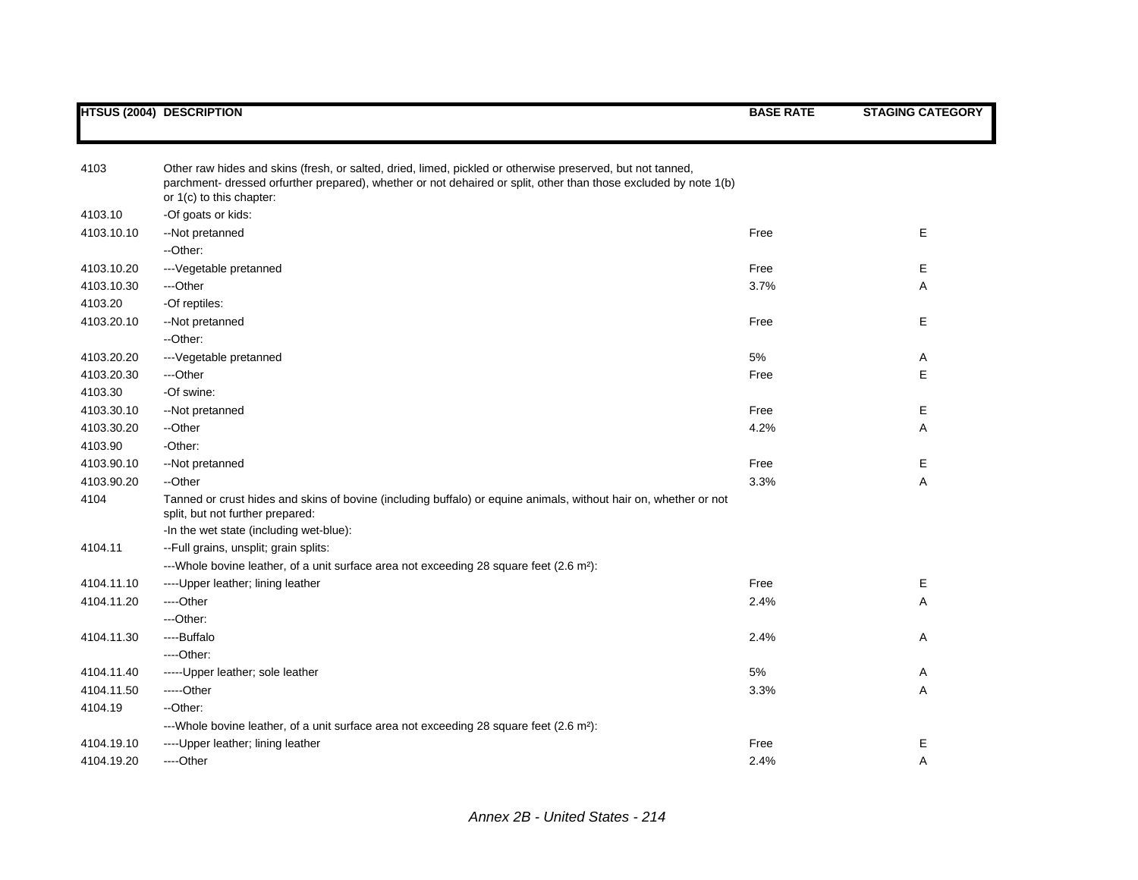| 4103       | Other raw hides and skins (fresh, or salted, dried, limed, pickled or otherwise preserved, but not tanned,<br>parchment- dressed orfurther prepared), whether or not dehaired or split, other than those excluded by note 1(b)<br>or 1(c) to this chapter: |      |   |
|------------|------------------------------------------------------------------------------------------------------------------------------------------------------------------------------------------------------------------------------------------------------------|------|---|
| 4103.10    | -Of goats or kids:                                                                                                                                                                                                                                         |      |   |
| 4103.10.10 | --Not pretanned                                                                                                                                                                                                                                            | Free | E |
|            | --Other:                                                                                                                                                                                                                                                   |      |   |
| 4103.10.20 | --- Vegetable pretanned                                                                                                                                                                                                                                    | Free | Е |
| 4103.10.30 | ---Other                                                                                                                                                                                                                                                   | 3.7% | Α |
| 4103.20    | -Of reptiles:                                                                                                                                                                                                                                              |      |   |
| 4103.20.10 | --Not pretanned                                                                                                                                                                                                                                            | Free | E |
|            | --Other:                                                                                                                                                                                                                                                   |      |   |
| 4103.20.20 | --- Vegetable pretanned                                                                                                                                                                                                                                    | 5%   | Α |
| 4103.20.30 | ---Other                                                                                                                                                                                                                                                   | Free | E |
| 4103.30    | -Of swine:                                                                                                                                                                                                                                                 |      |   |
| 4103.30.10 | --Not pretanned                                                                                                                                                                                                                                            | Free | Е |
| 4103.30.20 | --Other                                                                                                                                                                                                                                                    | 4.2% | Α |
| 4103.90    | -Other:                                                                                                                                                                                                                                                    |      |   |
| 4103.90.10 | --Not pretanned                                                                                                                                                                                                                                            | Free | E |
| 4103.90.20 | --Other                                                                                                                                                                                                                                                    | 3.3% | A |
| 4104       | Tanned or crust hides and skins of bovine (including buffalo) or equine animals, without hair on, whether or not<br>split, but not further prepared:                                                                                                       |      |   |
|            | -In the wet state (including wet-blue):                                                                                                                                                                                                                    |      |   |
| 4104.11    | -- Full grains, unsplit; grain splits:                                                                                                                                                                                                                     |      |   |
|            | ---Whole bovine leather, of a unit surface area not exceeding 28 square feet $(2.6 \text{ m}^2)$ :                                                                                                                                                         |      |   |
| 4104.11.10 | ---- Upper leather; lining leather                                                                                                                                                                                                                         | Free | Е |
| 4104.11.20 | ----Other                                                                                                                                                                                                                                                  | 2.4% | Α |
|            | ---Other:                                                                                                                                                                                                                                                  |      |   |
| 4104.11.30 | ----Buffalo                                                                                                                                                                                                                                                | 2.4% | Α |
|            | $---Other.$                                                                                                                                                                                                                                                |      |   |
| 4104.11.40 | -----Upper leather; sole leather                                                                                                                                                                                                                           | 5%   | Α |
| 4104.11.50 | $---Other$                                                                                                                                                                                                                                                 | 3.3% | Α |
| 4104.19    | --Other:                                                                                                                                                                                                                                                   |      |   |
|            | ---Whole bovine leather, of a unit surface area not exceeding 28 square feet $(2.6 \text{ m}^2)$ :                                                                                                                                                         |      |   |
| 4104.19.10 | ---- Upper leather; lining leather                                                                                                                                                                                                                         | Free | Е |
| 4104.19.20 | ----Other                                                                                                                                                                                                                                                  | 2.4% | Α |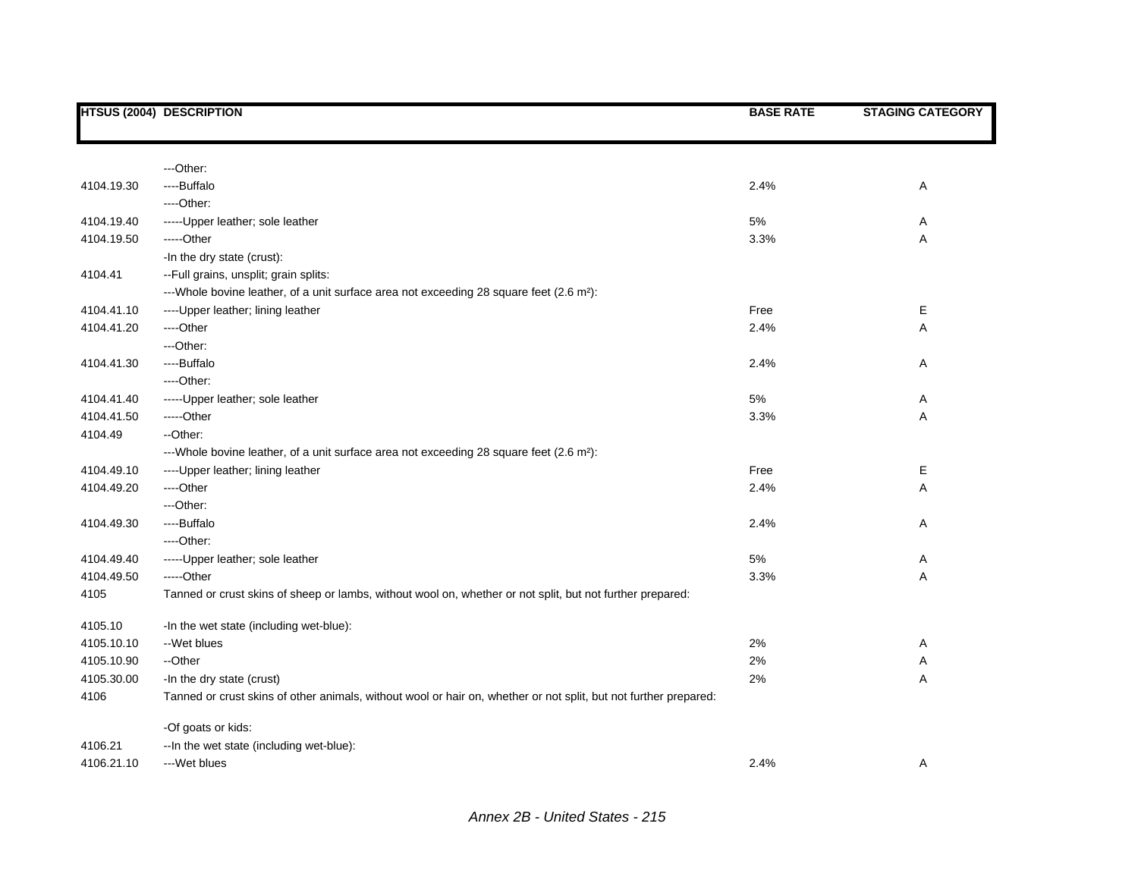|            | <b>HTSUS (2004) DESCRIPTION</b>                                                                                  | <b>BASE RATE</b> | <b>STAGING CATEGORY</b> |
|------------|------------------------------------------------------------------------------------------------------------------|------------------|-------------------------|
|            |                                                                                                                  |                  |                         |
|            | ---Other:                                                                                                        |                  |                         |
| 4104.19.30 | ----Buffalo                                                                                                      | 2.4%             | Α                       |
|            | ---Other:                                                                                                        |                  |                         |
| 4104.19.40 | ----- Upper leather; sole leather                                                                                | 5%               | Α                       |
| 4104.19.50 | -----Other                                                                                                       | 3.3%             | Α                       |
|            | -In the dry state (crust):                                                                                       |                  |                         |
| 4104.41    | --Full grains, unsplit; grain splits:                                                                            |                  |                         |
|            | --- Whole bovine leather, of a unit surface area not exceeding 28 square feet (2.6 m <sup>2</sup> ):             |                  |                         |
| 4104.41.10 | ---- Upper leather; lining leather                                                                               | Free             | Е                       |
| 4104.41.20 | ---Other                                                                                                         | 2.4%             | Α                       |
|            | ---Other:                                                                                                        |                  |                         |
| 4104.41.30 | ----Buffalo                                                                                                      | 2.4%             | Α                       |
|            | ----Other:                                                                                                       |                  |                         |
| 4104.41.40 | ----- Upper leather; sole leather                                                                                | 5%               | Α                       |
| 4104.41.50 | -----Other                                                                                                       | 3.3%             | Α                       |
| 4104.49    | --Other:                                                                                                         |                  |                         |
|            | --- Whole bovine leather, of a unit surface area not exceeding 28 square feet (2.6 m <sup>2</sup> ):             |                  |                         |
| 4104.49.10 | ---- Upper leather; lining leather                                                                               | Free             | Е                       |
| 4104.49.20 | ---Other                                                                                                         | 2.4%             | A                       |
|            | ---Other:                                                                                                        |                  |                         |
| 4104.49.30 | ----Buffalo                                                                                                      | 2.4%             | Α                       |
|            | ----Other:                                                                                                       |                  |                         |
| 4104.49.40 | ----- Upper leather; sole leather                                                                                | 5%               | Α                       |
| 4104.49.50 | -----Other                                                                                                       | 3.3%             | Α                       |
| 4105       | Tanned or crust skins of sheep or lambs, without wool on, whether or not split, but not further prepared:        |                  |                         |
| 4105.10    | -In the wet state (including wet-blue):                                                                          |                  |                         |
| 4105.10.10 | --Wet blues                                                                                                      | 2%               | Α                       |
| 4105.10.90 | --Other                                                                                                          | 2%               | Α                       |
| 4105.30.00 | -In the dry state (crust)                                                                                        | 2%               | Α                       |
| 4106       | Tanned or crust skins of other animals, without wool or hair on, whether or not split, but not further prepared: |                  |                         |
|            | -Of goats or kids:                                                                                               |                  |                         |
| 4106.21    | -- In the wet state (including wet-blue):                                                                        |                  |                         |
| 4106.21.10 | ---Wet blues                                                                                                     | 2.4%             | Α                       |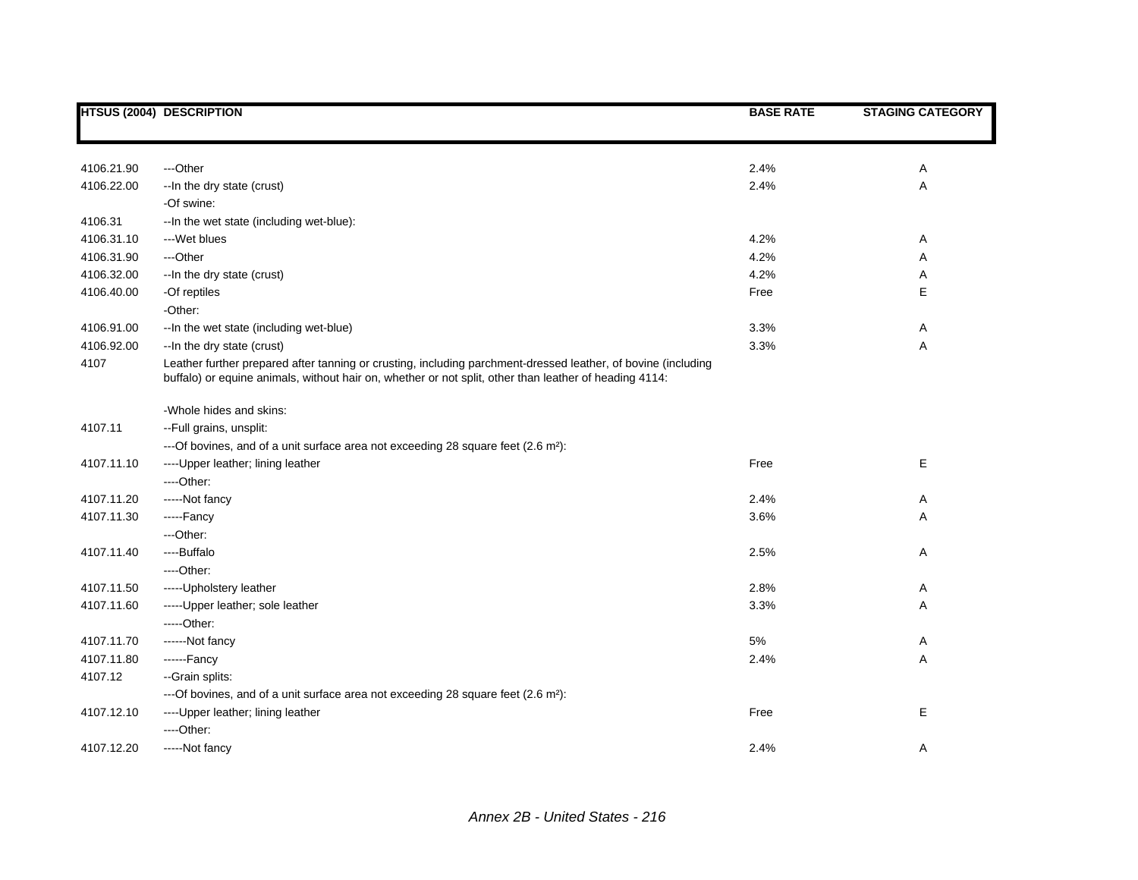|            | <b>HTSUS (2004) DESCRIPTION</b>                                                                                                                                                                                         | <b>BASE RATE</b> | <b>STAGING CATEGORY</b> |
|------------|-------------------------------------------------------------------------------------------------------------------------------------------------------------------------------------------------------------------------|------------------|-------------------------|
|            |                                                                                                                                                                                                                         |                  |                         |
| 4106.21.90 | ---Other                                                                                                                                                                                                                | 2.4%             | Α                       |
| 4106.22.00 | -- In the dry state (crust)                                                                                                                                                                                             | 2.4%             | A                       |
|            | -Of swine:                                                                                                                                                                                                              |                  |                         |
| 4106.31    | -- In the wet state (including wet-blue):                                                                                                                                                                               |                  |                         |
| 4106.31.10 | ---Wet blues                                                                                                                                                                                                            | 4.2%             | Α                       |
| 4106.31.90 | ---Other                                                                                                                                                                                                                | 4.2%             | A                       |
| 4106.32.00 | -- In the dry state (crust)                                                                                                                                                                                             | 4.2%             | Α                       |
| 4106.40.00 | -Of reptiles                                                                                                                                                                                                            | Free             | Е                       |
|            | -Other:                                                                                                                                                                                                                 |                  |                         |
| 4106.91.00 | -- In the wet state (including wet-blue)                                                                                                                                                                                | 3.3%             | Α                       |
| 4106.92.00 | -- In the dry state (crust)                                                                                                                                                                                             | 3.3%             | Α                       |
| 4107       | Leather further prepared after tanning or crusting, including parchment-dressed leather, of bovine (including<br>buffalo) or equine animals, without hair on, whether or not split, other than leather of heading 4114: |                  |                         |
|            | -Whole hides and skins:                                                                                                                                                                                                 |                  |                         |
| 4107.11    | -- Full grains, unsplit:                                                                                                                                                                                                |                  |                         |
|            | ---Of bovines, and of a unit surface area not exceeding 28 square feet (2.6 m <sup>2</sup> ):                                                                                                                           |                  |                         |
| 4107.11.10 | ---- Upper leather; lining leather                                                                                                                                                                                      | Free             | E                       |
|            | ----Other:                                                                                                                                                                                                              |                  |                         |
| 4107.11.20 | -----Not fancy                                                                                                                                                                                                          | 2.4%             | Α                       |
| 4107.11.30 | -----Fancy                                                                                                                                                                                                              | 3.6%             | Α                       |
|            | ---Other:                                                                                                                                                                                                               |                  |                         |
| 4107.11.40 | ----Buffalo                                                                                                                                                                                                             | 2.5%             | Α                       |
|            | ---Other:                                                                                                                                                                                                               |                  |                         |
| 4107.11.50 | -----Upholstery leather                                                                                                                                                                                                 | 2.8%             | Α                       |
| 4107.11.60 | ------Upper leather; sole leather                                                                                                                                                                                       | 3.3%             | Α                       |
|            | $---Other:$                                                                                                                                                                                                             |                  |                         |
| 4107.11.70 | ------Not fancy                                                                                                                                                                                                         | 5%               | Α                       |
| 4107.11.80 | ------Fancy                                                                                                                                                                                                             | 2.4%             | A                       |
| 4107.12    | -- Grain splits:                                                                                                                                                                                                        |                  |                         |
|            | ---Of bovines, and of a unit surface area not exceeding 28 square feet (2.6 m <sup>2</sup> ):                                                                                                                           |                  |                         |
| 4107.12.10 | ---- Upper leather; lining leather                                                                                                                                                                                      | Free             | E                       |
|            | ----Other:                                                                                                                                                                                                              |                  |                         |
| 4107.12.20 | -----Not fancy                                                                                                                                                                                                          | 2.4%             | Α                       |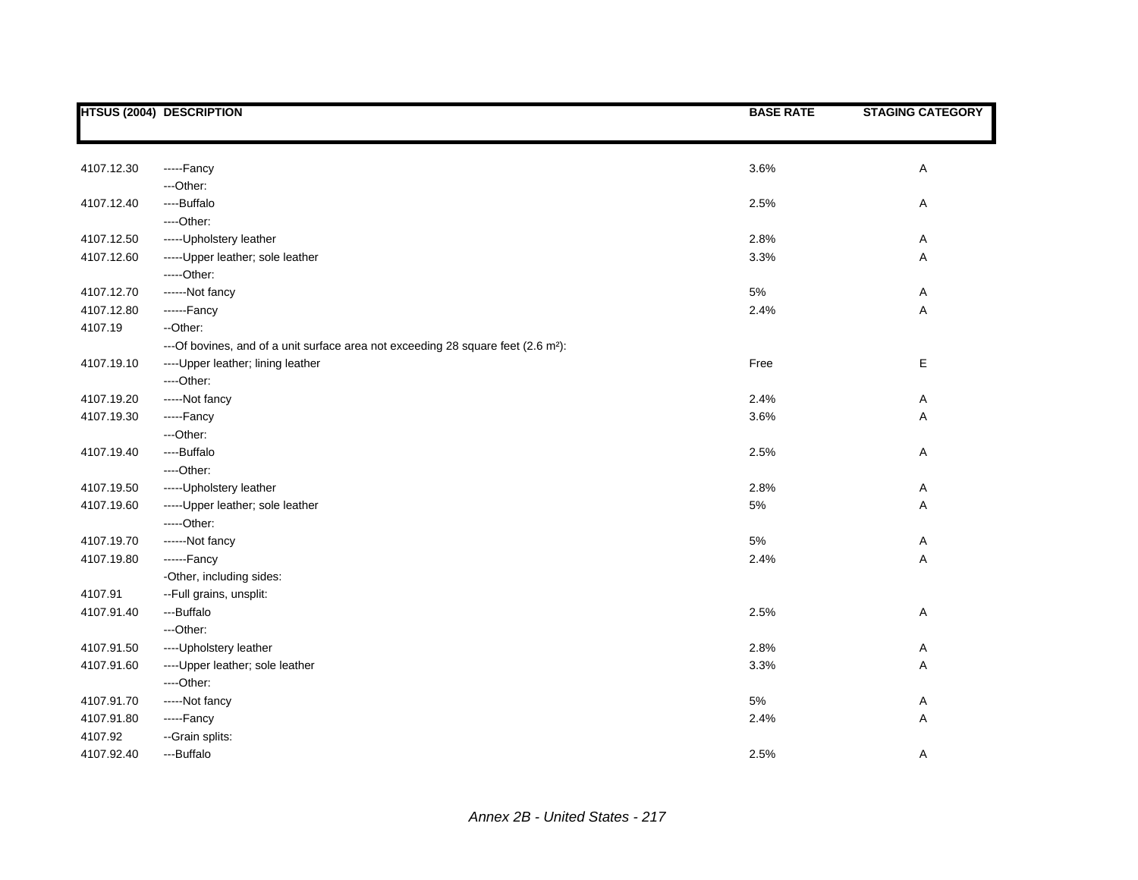|            | <b>HTSUS (2004) DESCRIPTION</b>                                                               | <b>BASE RATE</b> | <b>STAGING CATEGORY</b> |
|------------|-----------------------------------------------------------------------------------------------|------------------|-------------------------|
|            |                                                                                               |                  |                         |
|            |                                                                                               |                  |                         |
| 4107.12.30 | -----Fancy                                                                                    | 3.6%             | Α                       |
|            | ---Other:                                                                                     |                  |                         |
| 4107.12.40 | ----Buffalo                                                                                   | 2.5%             | Α                       |
|            | ----Other:                                                                                    |                  |                         |
| 4107.12.50 | ----- Upholstery leather                                                                      | 2.8%             | Α                       |
| 4107.12.60 | ----- Upper leather; sole leather                                                             | 3.3%             | А                       |
|            | -----Other:                                                                                   |                  |                         |
| 4107.12.70 | ------Not fancy                                                                               | 5%               | Α                       |
| 4107.12.80 | ------Fancy                                                                                   | 2.4%             | А                       |
| 4107.19    | --Other:                                                                                      |                  |                         |
|            | ---Of bovines, and of a unit surface area not exceeding 28 square feet (2.6 m <sup>2</sup> ): |                  |                         |
| 4107.19.10 | ---- Upper leather; lining leather                                                            | Free             | E                       |
|            | ---Other:                                                                                     |                  |                         |
| 4107.19.20 | -----Not fancy                                                                                | 2.4%             | Α                       |
| 4107.19.30 | -----Fancy                                                                                    | 3.6%             | Α                       |
|            | ---Other:                                                                                     |                  |                         |
| 4107.19.40 | ----Buffalo                                                                                   | 2.5%             | Α                       |
|            | ---Other:                                                                                     |                  |                         |
| 4107.19.50 | ----- Upholstery leather                                                                      | 2.8%             | Α                       |
| 4107.19.60 | ----- Upper leather; sole leather                                                             | 5%               | Α                       |
|            | $---Other:$                                                                                   |                  |                         |
| 4107.19.70 | ------Not fancy                                                                               | 5%               | Α                       |
| 4107.19.80 | ------Fancy                                                                                   | 2.4%             | Α                       |
|            | -Other, including sides:                                                                      |                  |                         |
| 4107.91    | -- Full grains, unsplit:                                                                      |                  |                         |
| 4107.91.40 | ---Buffalo                                                                                    | 2.5%             | Α                       |
|            | ---Other:                                                                                     |                  |                         |
| 4107.91.50 | ---- Upholstery leather                                                                       | 2.8%             | Α                       |
| 4107.91.60 | ---- Upper leather; sole leather                                                              | 3.3%             | А                       |
|            | ---Other:                                                                                     |                  |                         |
| 4107.91.70 | -----Not fancy                                                                                | 5%               | Α                       |
| 4107.91.80 | -----Fancy                                                                                    | 2.4%             | Α                       |
| 4107.92    | --Grain splits:                                                                               |                  |                         |
| 4107.92.40 | ---Buffalo                                                                                    | 2.5%             | Α                       |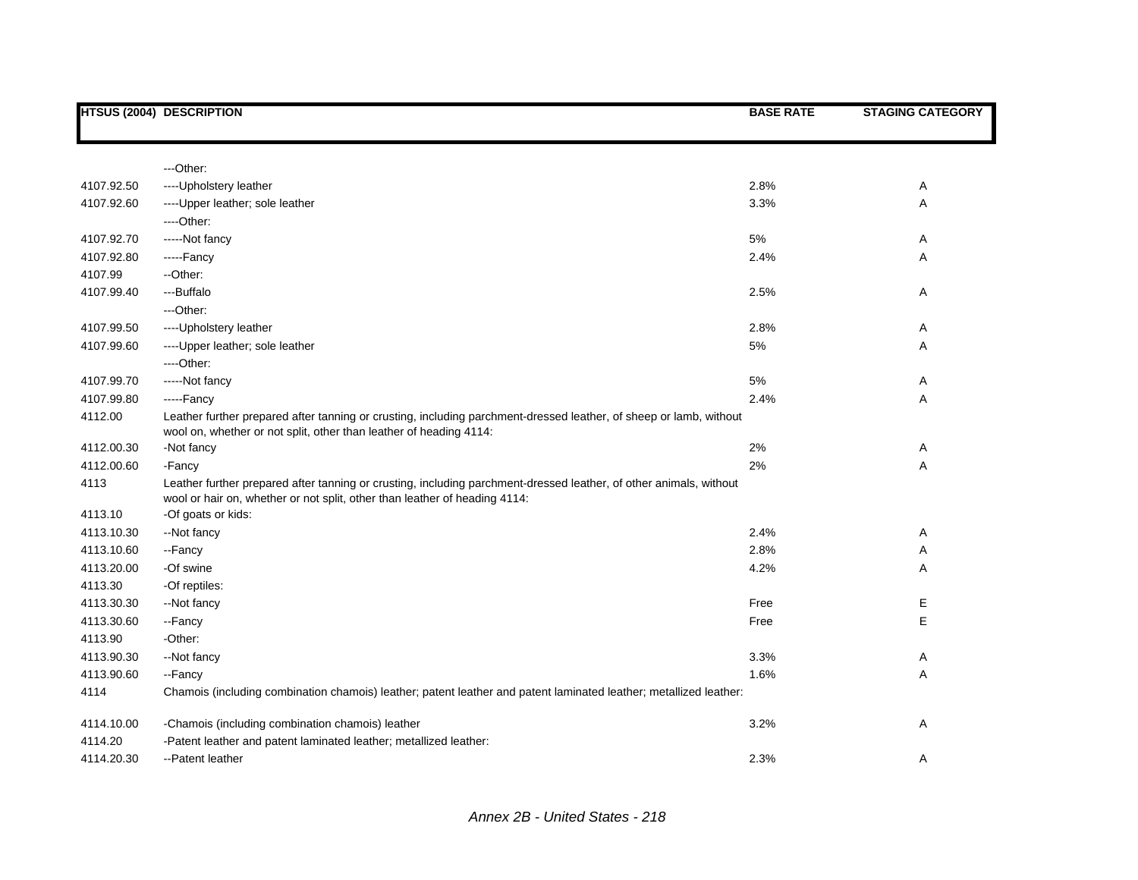|            | <b>HTSUS (2004) DESCRIPTION</b>                                                                                                                                                                  | <b>BASE RATE</b> | <b>STAGING CATEGORY</b> |
|------------|--------------------------------------------------------------------------------------------------------------------------------------------------------------------------------------------------|------------------|-------------------------|
|            |                                                                                                                                                                                                  |                  |                         |
|            | ---Other:                                                                                                                                                                                        |                  |                         |
| 4107.92.50 | ---- Upholstery leather                                                                                                                                                                          | 2.8%             | A                       |
| 4107.92.60 | ---- Upper leather; sole leather                                                                                                                                                                 | 3.3%             | Α                       |
|            | ----Other:                                                                                                                                                                                       |                  |                         |
| 4107.92.70 | -----Not fancy                                                                                                                                                                                   | 5%               | Α                       |
| 4107.92.80 | -----Fancy                                                                                                                                                                                       | 2.4%             | Α                       |
| 4107.99    | --Other:                                                                                                                                                                                         |                  |                         |
| 4107.99.40 | ---Buffalo                                                                                                                                                                                       | 2.5%             | A                       |
|            | ---Other:                                                                                                                                                                                        |                  |                         |
| 4107.99.50 | ---- Upholstery leather                                                                                                                                                                          | 2.8%             | Α                       |
| 4107.99.60 | ---- Upper leather; sole leather                                                                                                                                                                 | 5%               | Α                       |
|            | ----Other:                                                                                                                                                                                       |                  |                         |
| 4107.99.70 | -----Not fancy                                                                                                                                                                                   | 5%               | Α                       |
| 4107.99.80 | -----Fancy                                                                                                                                                                                       | 2.4%             | Α                       |
| 4112.00    | Leather further prepared after tanning or crusting, including parchment-dressed leather, of sheep or lamb, without<br>wool on, whether or not split, other than leather of heading 4114:         |                  |                         |
| 4112.00.30 | -Not fancy                                                                                                                                                                                       | 2%               | A                       |
| 4112.00.60 | -Fancy                                                                                                                                                                                           | 2%               | Α                       |
| 4113       | Leather further prepared after tanning or crusting, including parchment-dressed leather, of other animals, without<br>wool or hair on, whether or not split, other than leather of heading 4114: |                  |                         |
| 4113.10    | -Of goats or kids:                                                                                                                                                                               |                  |                         |
| 4113.10.30 | --Not fancy                                                                                                                                                                                      | 2.4%             | Α                       |
| 4113.10.60 | --Fancy                                                                                                                                                                                          | 2.8%             | Α                       |
| 4113.20.00 | -Of swine                                                                                                                                                                                        | 4.2%             | Α                       |
| 4113.30    | -Of reptiles:                                                                                                                                                                                    |                  |                         |
| 4113.30.30 | --Not fancy                                                                                                                                                                                      | Free             | Е                       |
| 4113.30.60 | --Fancy                                                                                                                                                                                          | Free             | E                       |
| 4113.90    | -Other:                                                                                                                                                                                          |                  |                         |
| 4113.90.30 | --Not fancy                                                                                                                                                                                      | 3.3%             | A                       |
| 4113.90.60 | --Fancy                                                                                                                                                                                          | 1.6%             | Α                       |
| 4114       | Chamois (including combination chamois) leather; patent leather and patent laminated leather; metallized leather:                                                                                |                  |                         |
| 4114.10.00 | -Chamois (including combination chamois) leather                                                                                                                                                 | 3.2%             | Α                       |
| 4114.20    | -Patent leather and patent laminated leather; metallized leather:                                                                                                                                |                  |                         |
| 4114.20.30 | --Patent leather                                                                                                                                                                                 | 2.3%             | Α                       |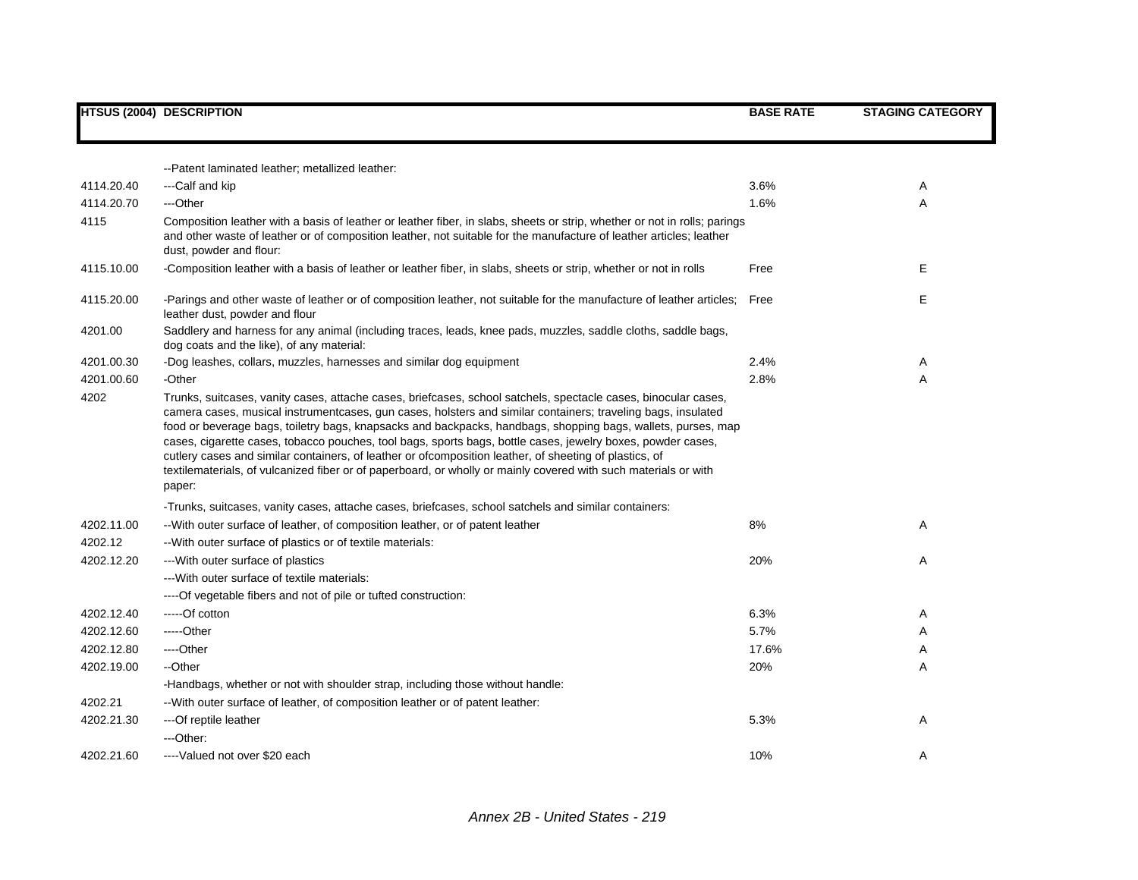|            | <b>HTSUS (2004) DESCRIPTION</b>                                                                                                                                                                                                                                                                                                                                                                                                                                                                                                                                                                                                                                                                       | <b>BASE RATE</b> | <b>STAGING CATEGORY</b> |
|------------|-------------------------------------------------------------------------------------------------------------------------------------------------------------------------------------------------------------------------------------------------------------------------------------------------------------------------------------------------------------------------------------------------------------------------------------------------------------------------------------------------------------------------------------------------------------------------------------------------------------------------------------------------------------------------------------------------------|------------------|-------------------------|
|            |                                                                                                                                                                                                                                                                                                                                                                                                                                                                                                                                                                                                                                                                                                       |                  |                         |
|            | --Patent laminated leather; metallized leather:                                                                                                                                                                                                                                                                                                                                                                                                                                                                                                                                                                                                                                                       |                  |                         |
| 4114.20.40 | ---Calf and kip                                                                                                                                                                                                                                                                                                                                                                                                                                                                                                                                                                                                                                                                                       | 3.6%             | Α                       |
| 4114.20.70 | ---Other                                                                                                                                                                                                                                                                                                                                                                                                                                                                                                                                                                                                                                                                                              | 1.6%             | A                       |
| 4115       | Composition leather with a basis of leather or leather fiber, in slabs, sheets or strip, whether or not in rolls; parings<br>and other waste of leather or of composition leather, not suitable for the manufacture of leather articles; leather<br>dust, powder and flour:                                                                                                                                                                                                                                                                                                                                                                                                                           |                  |                         |
| 4115.10.00 | -Composition leather with a basis of leather or leather fiber, in slabs, sheets or strip, whether or not in rolls                                                                                                                                                                                                                                                                                                                                                                                                                                                                                                                                                                                     | Free             | Е                       |
| 4115.20.00 | -Parings and other waste of leather or of composition leather, not suitable for the manufacture of leather articles;<br>leather dust, powder and flour                                                                                                                                                                                                                                                                                                                                                                                                                                                                                                                                                | Free             | E                       |
| 4201.00    | Saddlery and harness for any animal (including traces, leads, knee pads, muzzles, saddle cloths, saddle bags,<br>dog coats and the like), of any material:                                                                                                                                                                                                                                                                                                                                                                                                                                                                                                                                            |                  |                         |
| 4201.00.30 | -Dog leashes, collars, muzzles, harnesses and similar dog equipment                                                                                                                                                                                                                                                                                                                                                                                                                                                                                                                                                                                                                                   | 2.4%             | Α                       |
| 4201.00.60 | -Other                                                                                                                                                                                                                                                                                                                                                                                                                                                                                                                                                                                                                                                                                                | 2.8%             | Α                       |
| 4202       | Trunks, suitcases, vanity cases, attache cases, briefcases, school satchels, spectacle cases, binocular cases,<br>camera cases, musical instrument cases, gun cases, holsters and similar containers; traveling bags, insulated<br>food or beverage bags, toiletry bags, knapsacks and backpacks, handbags, shopping bags, wallets, purses, map<br>cases, cigarette cases, tobacco pouches, tool bags, sports bags, bottle cases, jewelry boxes, powder cases,<br>cutlery cases and similar containers, of leather or ofcomposition leather, of sheeting of plastics, of<br>textilematerials, of vulcanized fiber or of paperboard, or wholly or mainly covered with such materials or with<br>paper: |                  |                         |
|            | -Trunks, suitcases, vanity cases, attache cases, briefcases, school satchels and similar containers:                                                                                                                                                                                                                                                                                                                                                                                                                                                                                                                                                                                                  |                  |                         |
| 4202.11.00 | -- With outer surface of leather, of composition leather, or of patent leather                                                                                                                                                                                                                                                                                                                                                                                                                                                                                                                                                                                                                        | 8%               | Α                       |
| 4202.12    | --With outer surface of plastics or of textile materials:                                                                                                                                                                                                                                                                                                                                                                                                                                                                                                                                                                                                                                             |                  |                         |
| 4202.12.20 | --- With outer surface of plastics                                                                                                                                                                                                                                                                                                                                                                                                                                                                                                                                                                                                                                                                    | 20%              | Α                       |
|            | --- With outer surface of textile materials:                                                                                                                                                                                                                                                                                                                                                                                                                                                                                                                                                                                                                                                          |                  |                         |
|            | ----Of vegetable fibers and not of pile or tufted construction:                                                                                                                                                                                                                                                                                                                                                                                                                                                                                                                                                                                                                                       |                  |                         |
| 4202.12.40 | -----Of cotton                                                                                                                                                                                                                                                                                                                                                                                                                                                                                                                                                                                                                                                                                        | 6.3%             | A                       |
| 4202.12.60 | -----Other                                                                                                                                                                                                                                                                                                                                                                                                                                                                                                                                                                                                                                                                                            | 5.7%             | Α                       |
| 4202.12.80 | ----Other                                                                                                                                                                                                                                                                                                                                                                                                                                                                                                                                                                                                                                                                                             | 17.6%            | Α                       |
| 4202.19.00 | --Other                                                                                                                                                                                                                                                                                                                                                                                                                                                                                                                                                                                                                                                                                               | 20%              | Α                       |
|            | -Handbags, whether or not with shoulder strap, including those without handle:                                                                                                                                                                                                                                                                                                                                                                                                                                                                                                                                                                                                                        |                  |                         |
| 4202.21    | -- With outer surface of leather, of composition leather or of patent leather:                                                                                                                                                                                                                                                                                                                                                                                                                                                                                                                                                                                                                        |                  |                         |
| 4202.21.30 | --- Of reptile leather                                                                                                                                                                                                                                                                                                                                                                                                                                                                                                                                                                                                                                                                                | 5.3%             | Α                       |
|            | $-$ Other:                                                                                                                                                                                                                                                                                                                                                                                                                                                                                                                                                                                                                                                                                            |                  |                         |
| 4202.21.60 | ----Valued not over \$20 each                                                                                                                                                                                                                                                                                                                                                                                                                                                                                                                                                                                                                                                                         | 10%              | A                       |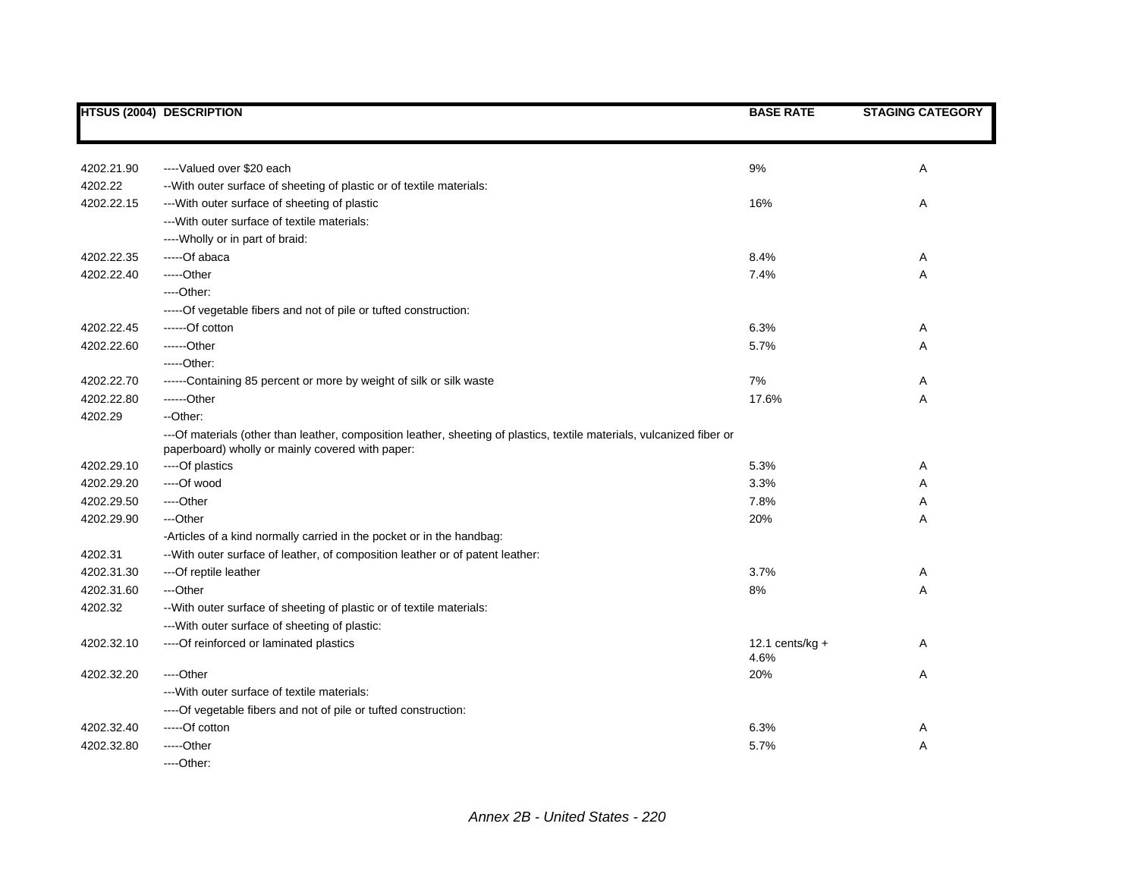|            | HTSUS (2004) DESCRIPTION                                                                                                                                                   | <b>BASE RATE</b>           | <b>STAGING CATEGORY</b> |
|------------|----------------------------------------------------------------------------------------------------------------------------------------------------------------------------|----------------------------|-------------------------|
|            |                                                                                                                                                                            |                            |                         |
| 4202.21.90 | ---- Valued over \$20 each                                                                                                                                                 | 9%                         | Α                       |
| 4202.22    | -- With outer surface of sheeting of plastic or of textile materials:                                                                                                      |                            |                         |
| 4202.22.15 | --- With outer surface of sheeting of plastic                                                                                                                              | 16%                        | Α                       |
|            | --- With outer surface of textile materials:                                                                                                                               |                            |                         |
|            | ---- Wholly or in part of braid:                                                                                                                                           |                            |                         |
| 4202.22.35 | -----Of abaca                                                                                                                                                              | 8.4%                       | A                       |
| 4202.22.40 | -----Other                                                                                                                                                                 | 7.4%                       | Α                       |
|            | ----Other:                                                                                                                                                                 |                            |                         |
|            | ----- Of vegetable fibers and not of pile or tufted construction:                                                                                                          |                            |                         |
| 4202.22.45 | ------Of cotton                                                                                                                                                            | 6.3%                       | A                       |
| 4202.22.60 | ------Other                                                                                                                                                                | 5.7%                       | Α                       |
|            | $---Other.$                                                                                                                                                                |                            |                         |
| 4202.22.70 | ------Containing 85 percent or more by weight of silk or silk waste                                                                                                        | 7%                         | Α                       |
| 4202.22.80 | ------Other                                                                                                                                                                | 17.6%                      | Α                       |
| 4202.29    | --Other:                                                                                                                                                                   |                            |                         |
|            | ---Of materials (other than leather, composition leather, sheeting of plastics, textile materials, vulcanized fiber or<br>paperboard) wholly or mainly covered with paper: |                            |                         |
| 4202.29.10 | ----Of plastics                                                                                                                                                            | 5.3%                       | Α                       |
| 4202.29.20 | ----Of wood                                                                                                                                                                | 3.3%                       | Α                       |
| 4202.29.50 | ----Other                                                                                                                                                                  | 7.8%                       | Α                       |
| 4202.29.90 | ---Other                                                                                                                                                                   | 20%                        | Α                       |
|            | -Articles of a kind normally carried in the pocket or in the handbag:                                                                                                      |                            |                         |
| 4202.31    | -- With outer surface of leather, of composition leather or of patent leather:                                                                                             |                            |                         |
| 4202.31.30 | --- Of reptile leather                                                                                                                                                     | 3.7%                       | Α                       |
| 4202.31.60 | ---Other                                                                                                                                                                   | 8%                         | A                       |
| 4202.32    | -- With outer surface of sheeting of plastic or of textile materials:                                                                                                      |                            |                         |
|            | --- With outer surface of sheeting of plastic:                                                                                                                             |                            |                         |
| 4202.32.10 | ---- Of reinforced or laminated plastics                                                                                                                                   | 12.1 cents/ $kg +$<br>4.6% | Α                       |
| 4202.32.20 | ----Other                                                                                                                                                                  | 20%                        | Α                       |
|            | --- With outer surface of textile materials:                                                                                                                               |                            |                         |
|            | ---- Of vegetable fibers and not of pile or tufted construction:                                                                                                           |                            |                         |
| 4202.32.40 | -----Of cotton                                                                                                                                                             | 6.3%                       | A                       |
| 4202.32.80 | -----Other                                                                                                                                                                 | 5.7%                       | A                       |
|            | ----Other:                                                                                                                                                                 |                            |                         |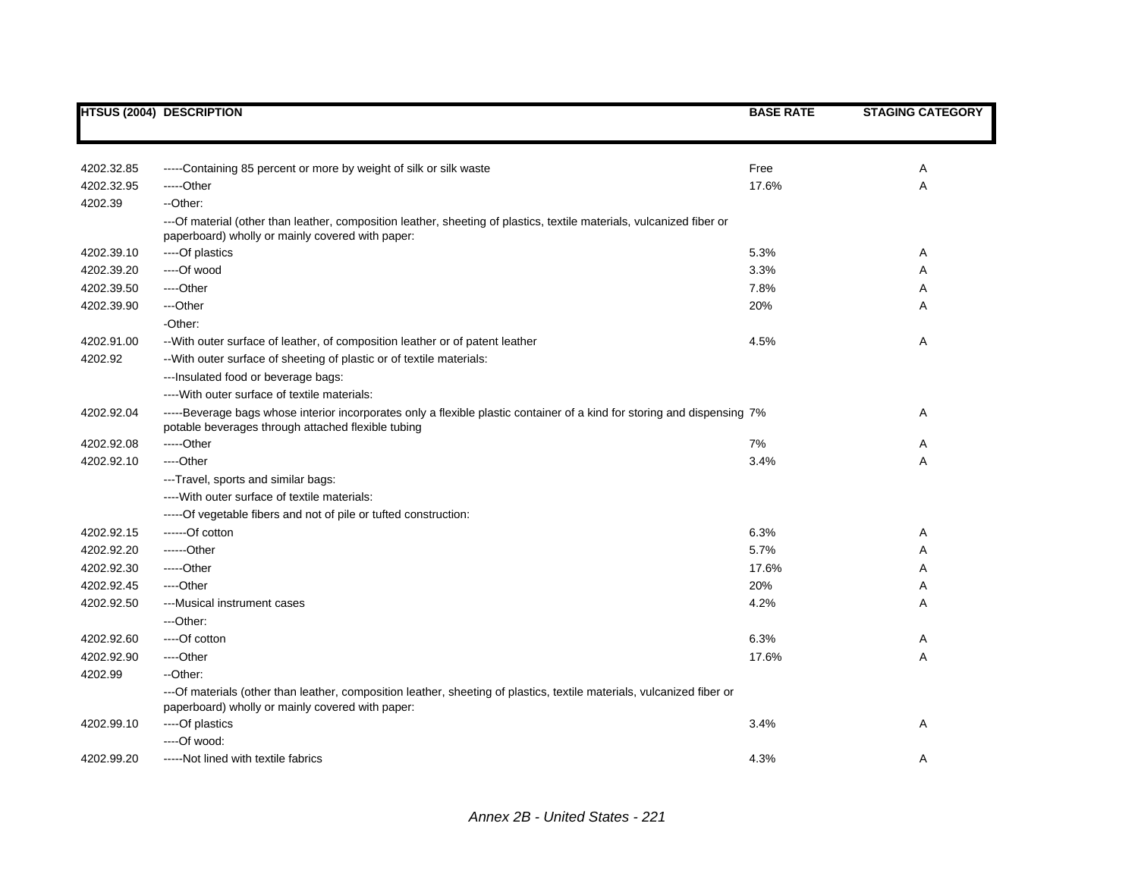|            | <b>HTSUS (2004) DESCRIPTION</b>                                                                                                                                                | <b>BASE RATE</b> | <b>STAGING CATEGORY</b> |
|------------|--------------------------------------------------------------------------------------------------------------------------------------------------------------------------------|------------------|-------------------------|
|            |                                                                                                                                                                                |                  |                         |
| 4202.32.85 | -----Containing 85 percent or more by weight of silk or silk waste                                                                                                             | Free             | Α                       |
| 4202.32.95 | -----Other                                                                                                                                                                     | 17.6%            | Α                       |
| 4202.39    | --Other:                                                                                                                                                                       |                  |                         |
|            | ---Of material (other than leather, composition leather, sheeting of plastics, textile materials, vulcanized fiber or<br>paperboard) wholly or mainly covered with paper:      |                  |                         |
| 4202.39.10 | ----Of plastics                                                                                                                                                                | 5.3%             | Α                       |
| 4202.39.20 | ----Of wood                                                                                                                                                                    | 3.3%             | Α                       |
| 4202.39.50 | ----Other                                                                                                                                                                      | 7.8%             | A                       |
| 4202.39.90 | ---Other                                                                                                                                                                       | 20%              | Α                       |
|            | -Other:                                                                                                                                                                        |                  |                         |
| 4202.91.00 | -- With outer surface of leather, of composition leather or of patent leather                                                                                                  | 4.5%             | Α                       |
| 4202.92    | -- With outer surface of sheeting of plastic or of textile materials:                                                                                                          |                  |                         |
|            | --- Insulated food or beverage bags:                                                                                                                                           |                  |                         |
|            | ---- With outer surface of textile materials:                                                                                                                                  |                  |                         |
| 4202.92.04 | -----Beverage bags whose interior incorporates only a flexible plastic container of a kind for storing and dispensing 7%<br>potable beverages through attached flexible tubing |                  | Α                       |
| 4202.92.08 | -----Other                                                                                                                                                                     | 7%               | Α                       |
| 4202.92.10 | ----Other                                                                                                                                                                      | 3.4%             | Α                       |
|            | ---Travel, sports and similar bags:                                                                                                                                            |                  |                         |
|            | ---- With outer surface of textile materials:                                                                                                                                  |                  |                         |
|            | -----Of vegetable fibers and not of pile or tufted construction:                                                                                                               |                  |                         |
| 4202.92.15 | ------Of cotton                                                                                                                                                                | 6.3%             | Α                       |
| 4202.92.20 | $---Other$                                                                                                                                                                     | 5.7%             | Α                       |
| 4202.92.30 | -----Other                                                                                                                                                                     | 17.6%            | Α                       |
| 4202.92.45 | ----Other                                                                                                                                                                      | 20%              | Α                       |
| 4202.92.50 | ---Musical instrument cases                                                                                                                                                    | 4.2%             | Α                       |
|            | ---Other:                                                                                                                                                                      |                  |                         |
| 4202.92.60 | ----Of cotton                                                                                                                                                                  | 6.3%             | Α                       |
| 4202.92.90 | ----Other                                                                                                                                                                      | 17.6%            | Α                       |
| 4202.99    | --Other:                                                                                                                                                                       |                  |                         |
|            | ---Of materials (other than leather, composition leather, sheeting of plastics, textile materials, vulcanized fiber or<br>paperboard) wholly or mainly covered with paper:     |                  |                         |
| 4202.99.10 | ----Of plastics                                                                                                                                                                | 3.4%             | A                       |
|            | ----Of wood:                                                                                                                                                                   |                  |                         |
| 4202.99.20 | -----Not lined with textile fabrics                                                                                                                                            | 4.3%             | A                       |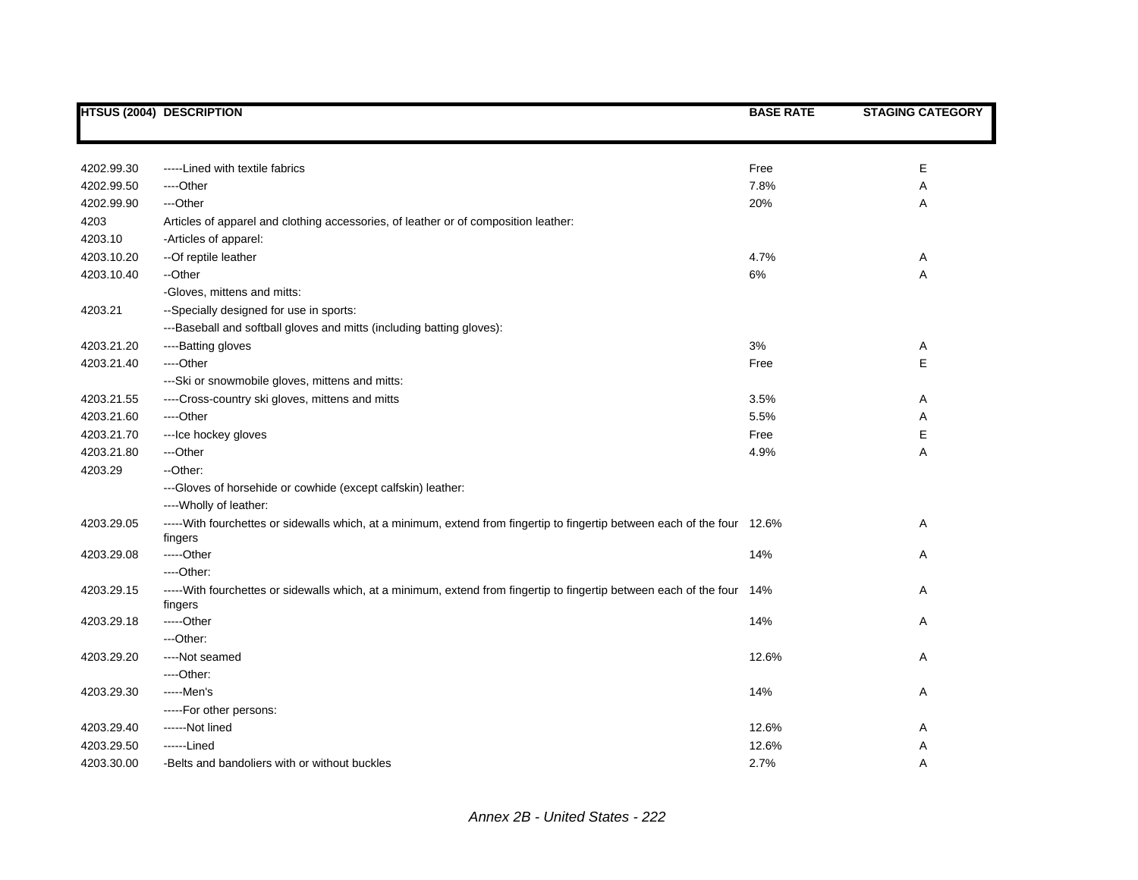|            | <b>HTSUS (2004) DESCRIPTION</b>                                                                                           | <b>BASE RATE</b> | <b>STAGING CATEGORY</b> |
|------------|---------------------------------------------------------------------------------------------------------------------------|------------------|-------------------------|
|            |                                                                                                                           |                  |                         |
|            |                                                                                                                           |                  |                         |
| 4202.99.30 | -----Lined with textile fabrics                                                                                           | Free             | Е                       |
| 4202.99.50 | ----Other                                                                                                                 | 7.8%             | Α                       |
| 4202.99.90 | ---Other                                                                                                                  | 20%              | Α                       |
| 4203       | Articles of apparel and clothing accessories, of leather or of composition leather:                                       |                  |                         |
| 4203.10    | -Articles of apparel:                                                                                                     |                  |                         |
| 4203.10.20 | -- Of reptile leather                                                                                                     | 4.7%             | Α                       |
| 4203.10.40 | --Other                                                                                                                   | 6%               | Α                       |
|            | -Gloves, mittens and mitts:                                                                                               |                  |                         |
| 4203.21    | --Specially designed for use in sports:                                                                                   |                  |                         |
|            | ---Baseball and softball gloves and mitts (including batting gloves):                                                     |                  |                         |
| 4203.21.20 | ----Batting gloves                                                                                                        | 3%               | Α                       |
| 4203.21.40 | ----Other                                                                                                                 | Free             | E                       |
|            | --- Ski or snowmobile gloves, mittens and mitts:                                                                          |                  |                         |
| 4203.21.55 | ----Cross-country ski gloves, mittens and mitts                                                                           | 3.5%             | Α                       |
| 4203.21.60 | ---Other                                                                                                                  | 5.5%             | Α                       |
| 4203.21.70 | --- Ice hockey gloves                                                                                                     | Free             | Е                       |
| 4203.21.80 | ---Other                                                                                                                  | 4.9%             | Α                       |
| 4203.29    | --Other:                                                                                                                  |                  |                         |
|            | ---Gloves of horsehide or cowhide (except calfskin) leather:                                                              |                  |                         |
|            | ---- Wholly of leather:                                                                                                   |                  |                         |
| 4203.29.05 | -----With fourchettes or sidewalls which, at a minimum, extend from fingertip to fingertip between each of the four 12.6% |                  | Α                       |
|            | fingers                                                                                                                   |                  |                         |
| 4203.29.08 | -----Other                                                                                                                | 14%              | Α                       |
|            | $---Other:$                                                                                                               |                  |                         |
| 4203.29.15 | -----With fourchettes or sidewalls which, at a minimum, extend from fingertip to fingertip between each of the four 14%   |                  | A                       |
|            | fingers                                                                                                                   |                  |                         |
| 4203.29.18 | -----Other                                                                                                                | 14%              | Α                       |
|            | ---Other:                                                                                                                 |                  |                         |
| 4203.29.20 | ----Not seamed                                                                                                            | 12.6%            | Α                       |
|            | ----Other:                                                                                                                |                  |                         |
| 4203.29.30 | -----Men's                                                                                                                | 14%              | Α                       |
|            | -----For other persons:                                                                                                   |                  |                         |
| 4203.29.40 | ------Not lined                                                                                                           | 12.6%            | Α                       |
| 4203.29.50 | ------Lined                                                                                                               | 12.6%            | A                       |
| 4203.30.00 | -Belts and bandoliers with or without buckles                                                                             | 2.7%             | A                       |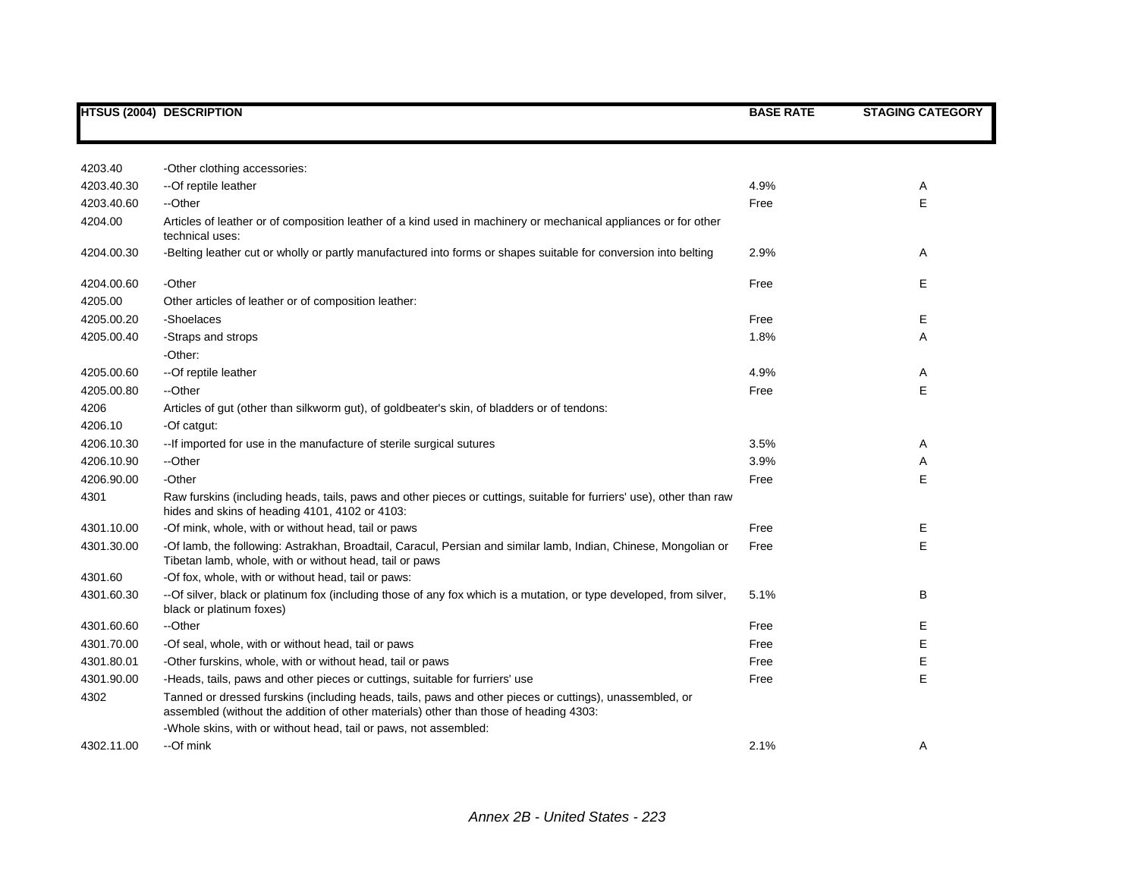|            | <b>HTSUS (2004) DESCRIPTION</b>                                                                                                                                                                  | <b>BASE RATE</b> | <b>STAGING CATEGORY</b> |
|------------|--------------------------------------------------------------------------------------------------------------------------------------------------------------------------------------------------|------------------|-------------------------|
|            |                                                                                                                                                                                                  |                  |                         |
| 4203.40    | -Other clothing accessories:                                                                                                                                                                     |                  |                         |
| 4203.40.30 | --Of reptile leather                                                                                                                                                                             | 4.9%             | Α                       |
| 4203.40.60 | --Other                                                                                                                                                                                          | Free             | E                       |
| 4204.00    | Articles of leather or of composition leather of a kind used in machinery or mechanical appliances or for other<br>technical uses:                                                               |                  |                         |
| 4204.00.30 | -Belting leather cut or wholly or partly manufactured into forms or shapes suitable for conversion into belting                                                                                  | 2.9%             | Α                       |
| 4204.00.60 | -Other                                                                                                                                                                                           | Free             | Е                       |
| 4205.00    | Other articles of leather or of composition leather:                                                                                                                                             |                  |                         |
| 4205.00.20 | -Shoelaces                                                                                                                                                                                       | Free             | Е                       |
| 4205.00.40 | -Straps and strops                                                                                                                                                                               | 1.8%             | A                       |
|            | -Other:                                                                                                                                                                                          |                  |                         |
| 4205.00.60 | -- Of reptile leather                                                                                                                                                                            | 4.9%             | Α                       |
| 4205.00.80 | --Other                                                                                                                                                                                          | Free             | E                       |
| 4206       | Articles of gut (other than silkworm gut), of goldbeater's skin, of bladders or of tendons:                                                                                                      |                  |                         |
| 4206.10    | -Of catgut:                                                                                                                                                                                      |                  |                         |
| 4206.10.30 | -- If imported for use in the manufacture of sterile surgical sutures                                                                                                                            | 3.5%             | Α                       |
| 4206.10.90 | --Other                                                                                                                                                                                          | 3.9%             | Α                       |
| 4206.90.00 | -Other                                                                                                                                                                                           | Free             | E                       |
| 4301       | Raw furskins (including heads, tails, paws and other pieces or cuttings, suitable for furriers' use), other than raw<br>hides and skins of heading 4101, 4102 or 4103:                           |                  |                         |
| 4301.10.00 | -Of mink, whole, with or without head, tail or paws                                                                                                                                              | Free             | Е                       |
| 4301.30.00 | -Of lamb, the following: Astrakhan, Broadtail, Caracul, Persian and similar lamb, Indian, Chinese, Mongolian or<br>Tibetan lamb, whole, with or without head, tail or paws                       | Free             | E                       |
| 4301.60    | -Of fox, whole, with or without head, tail or paws:                                                                                                                                              |                  |                         |
| 4301.60.30 | --Of silver, black or platinum fox (including those of any fox which is a mutation, or type developed, from silver,<br>black or platinum foxes)                                                  | 5.1%             | В                       |
| 4301.60.60 | --Other                                                                                                                                                                                          | Free             | Е                       |
| 4301.70.00 | -Of seal, whole, with or without head, tail or paws                                                                                                                                              | Free             | Е                       |
| 4301.80.01 | -Other furskins, whole, with or without head, tail or paws                                                                                                                                       | Free             | Е                       |
| 4301.90.00 | -Heads, tails, paws and other pieces or cuttings, suitable for furriers' use                                                                                                                     | Free             | E                       |
| 4302       | Tanned or dressed furskins (including heads, tails, paws and other pieces or cuttings), unassembled, or<br>assembled (without the addition of other materials) other than those of heading 4303: |                  |                         |
|            | -Whole skins, with or without head, tail or paws, not assembled:                                                                                                                                 |                  |                         |
| 4302.11.00 | --Of mink                                                                                                                                                                                        | 2.1%             | Α                       |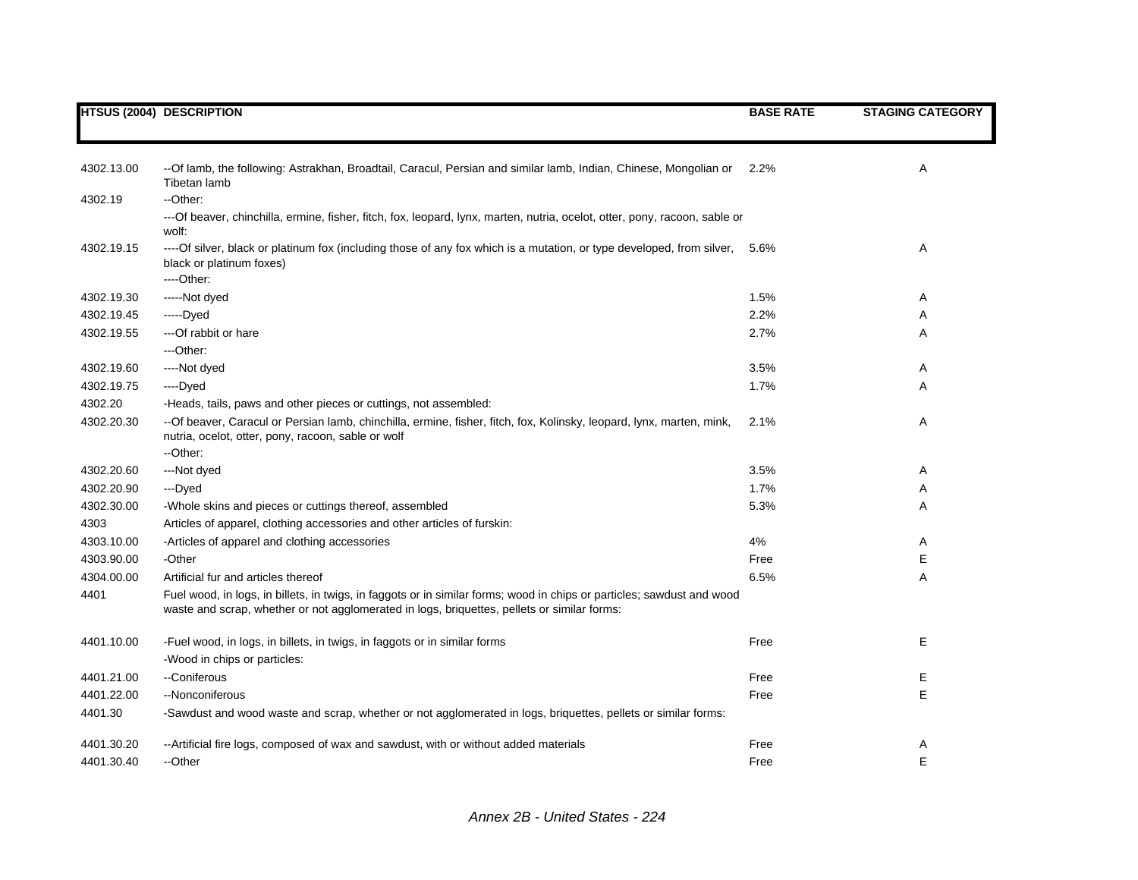|            | <b>HTSUS (2004) DESCRIPTION</b>                                                                                                                                                                                       | <b>BASE RATE</b> | <b>STAGING CATEGORY</b> |
|------------|-----------------------------------------------------------------------------------------------------------------------------------------------------------------------------------------------------------------------|------------------|-------------------------|
|            |                                                                                                                                                                                                                       |                  |                         |
|            |                                                                                                                                                                                                                       |                  |                         |
| 4302.13.00 | --Of lamb, the following: Astrakhan, Broadtail, Caracul, Persian and similar lamb, Indian, Chinese, Mongolian or<br>Tibetan lamb                                                                                      | 2.2%             | Α                       |
| 4302.19    | --Other:                                                                                                                                                                                                              |                  |                         |
|            | ---Of beaver, chinchilla, ermine, fisher, fitch, fox, leopard, lynx, marten, nutria, ocelot, otter, pony, racoon, sable or<br>wolf:                                                                                   |                  |                         |
| 4302.19.15 | ----Of silver, black or platinum fox (including those of any fox which is a mutation, or type developed, from silver,<br>black or platinum foxes)<br>----Other:                                                       | 5.6%             | Α                       |
| 4302.19.30 | -----Not dyed                                                                                                                                                                                                         | 1.5%             | A                       |
| 4302.19.45 | -----Dyed                                                                                                                                                                                                             | 2.2%             | Α                       |
| 4302.19.55 | --- Of rabbit or hare                                                                                                                                                                                                 | 2.7%             | Α                       |
|            | ---Other:                                                                                                                                                                                                             |                  |                         |
| 4302.19.60 | ----Not dyed                                                                                                                                                                                                          | 3.5%             | A                       |
| 4302.19.75 | ----Dyed                                                                                                                                                                                                              | 1.7%             | Α                       |
| 4302.20    | -Heads, tails, paws and other pieces or cuttings, not assembled:                                                                                                                                                      |                  |                         |
| 4302.20.30 | -- Of beaver, Caracul or Persian lamb, chinchilla, ermine, fisher, fitch, fox, Kolinsky, leopard, lynx, marten, mink,<br>nutria, ocelot, otter, pony, racoon, sable or wolf<br>--Other:                               | 2.1%             | Α                       |
| 4302.20.60 | ---Not dyed                                                                                                                                                                                                           | 3.5%             | A                       |
| 4302.20.90 | ---Dyed                                                                                                                                                                                                               | 1.7%             | Α                       |
| 4302.30.00 | -Whole skins and pieces or cuttings thereof, assembled                                                                                                                                                                | 5.3%             | A                       |
| 4303       | Articles of apparel, clothing accessories and other articles of furskin:                                                                                                                                              |                  |                         |
| 4303.10.00 | -Articles of apparel and clothing accessories                                                                                                                                                                         | 4%               | Α                       |
| 4303.90.00 | -Other                                                                                                                                                                                                                | Free             | Е                       |
| 4304.00.00 | Artificial fur and articles thereof                                                                                                                                                                                   | 6.5%             | Α                       |
| 4401       | Fuel wood, in logs, in billets, in twigs, in faggots or in similar forms; wood in chips or particles; sawdust and wood<br>waste and scrap, whether or not agglomerated in logs, briquettes, pellets or similar forms: |                  |                         |
| 4401.10.00 | -Fuel wood, in logs, in billets, in twigs, in faggots or in similar forms                                                                                                                                             | Free             | Е                       |
| 4401.21.00 | -Wood in chips or particles:<br>--Coniferous                                                                                                                                                                          | Free             |                         |
|            | --Nonconiferous                                                                                                                                                                                                       |                  | Е<br>E                  |
| 4401.22.00 |                                                                                                                                                                                                                       | Free             |                         |
| 4401.30    | -Sawdust and wood waste and scrap, whether or not agglomerated in logs, briquettes, pellets or similar forms:                                                                                                         |                  |                         |
| 4401.30.20 | --Artificial fire logs, composed of wax and sawdust, with or without added materials                                                                                                                                  | Free             | A                       |
| 4401.30.40 | --Other                                                                                                                                                                                                               | Free             | Ε                       |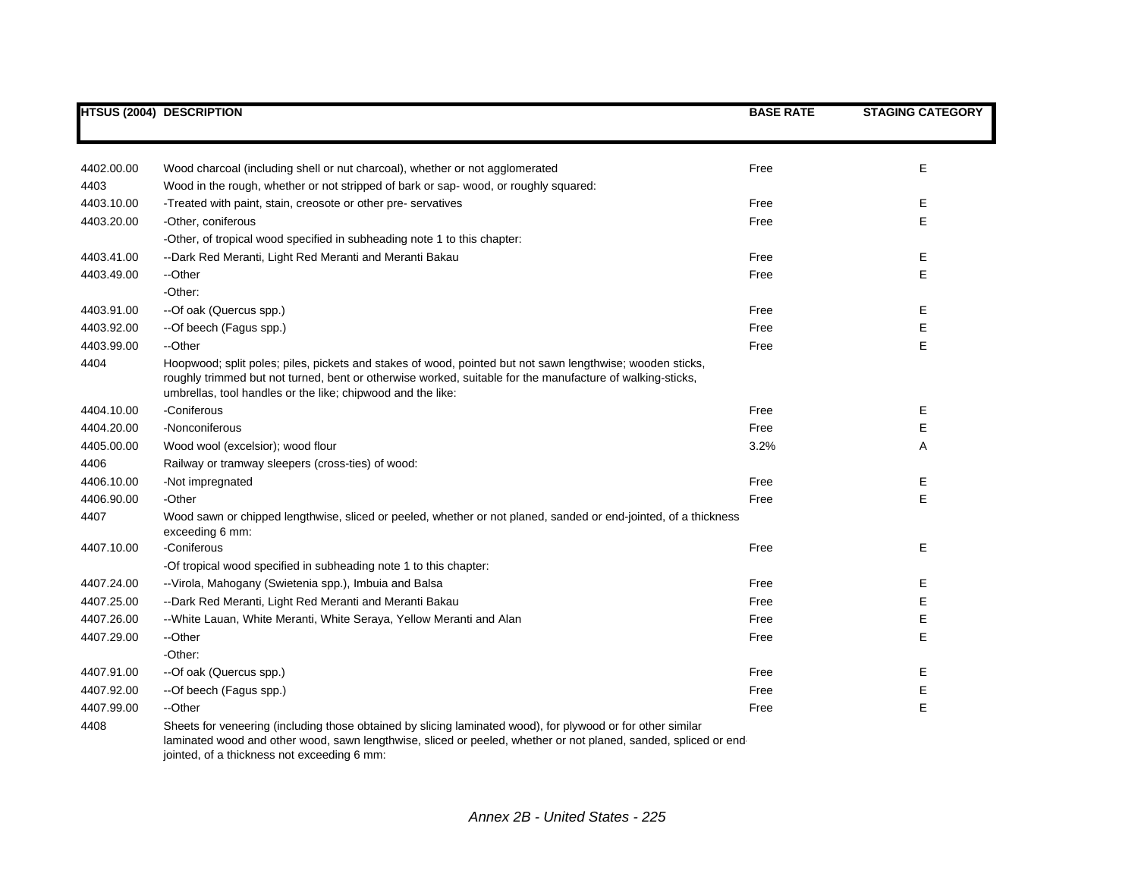|            | <b>HTSUS (2004) DESCRIPTION</b>                                                                                                                                                                                                                                                       | <b>BASE RATE</b> | <b>STAGING CATEGORY</b> |
|------------|---------------------------------------------------------------------------------------------------------------------------------------------------------------------------------------------------------------------------------------------------------------------------------------|------------------|-------------------------|
|            |                                                                                                                                                                                                                                                                                       |                  |                         |
| 4402.00.00 | Wood charcoal (including shell or nut charcoal), whether or not agglomerated                                                                                                                                                                                                          | Free             | Е                       |
| 4403       | Wood in the rough, whether or not stripped of bark or sap- wood, or roughly squared:                                                                                                                                                                                                  |                  |                         |
| 4403.10.00 | -Treated with paint, stain, creosote or other pre-servatives                                                                                                                                                                                                                          | Free             | Е                       |
| 4403.20.00 | -Other, coniferous                                                                                                                                                                                                                                                                    | Free             | E                       |
|            | -Other, of tropical wood specified in subheading note 1 to this chapter:                                                                                                                                                                                                              |                  |                         |
| 4403.41.00 | --Dark Red Meranti, Light Red Meranti and Meranti Bakau                                                                                                                                                                                                                               | Free             | Е                       |
| 4403.49.00 | --Other                                                                                                                                                                                                                                                                               | Free             | E                       |
|            | -Other:                                                                                                                                                                                                                                                                               |                  |                         |
| 4403.91.00 | --Of oak (Quercus spp.)                                                                                                                                                                                                                                                               | Free             | Е                       |
| 4403.92.00 | --Of beech (Fagus spp.)                                                                                                                                                                                                                                                               | Free             | E                       |
| 4403.99.00 | --Other                                                                                                                                                                                                                                                                               | Free             | E                       |
| 4404       | Hoopwood; split poles; piles, pickets and stakes of wood, pointed but not sawn lengthwise; wooden sticks,<br>roughly trimmed but not turned, bent or otherwise worked, suitable for the manufacture of walking-sticks,<br>umbrellas, tool handles or the like; chipwood and the like: |                  |                         |
| 4404.10.00 | -Coniferous                                                                                                                                                                                                                                                                           | Free             | Ε                       |
| 4404.20.00 | -Nonconiferous                                                                                                                                                                                                                                                                        | Free             | Е                       |
| 4405.00.00 | Wood wool (excelsior); wood flour                                                                                                                                                                                                                                                     | 3.2%             | Α                       |
| 4406       | Railway or tramway sleepers (cross-ties) of wood:                                                                                                                                                                                                                                     |                  |                         |
| 4406.10.00 | -Not impregnated                                                                                                                                                                                                                                                                      | Free             | Ε                       |
| 4406.90.00 | -Other                                                                                                                                                                                                                                                                                | Free             | E                       |
| 4407       | Wood sawn or chipped lengthwise, sliced or peeled, whether or not planed, sanded or end-jointed, of a thickness<br>exceeding 6 mm:                                                                                                                                                    |                  |                         |
| 4407.10.00 | -Coniferous                                                                                                                                                                                                                                                                           | Free             | E                       |
|            | -Of tropical wood specified in subheading note 1 to this chapter:                                                                                                                                                                                                                     |                  |                         |
| 4407.24.00 | --Virola, Mahogany (Swietenia spp.), Imbuia and Balsa                                                                                                                                                                                                                                 | Free             | Е                       |
| 4407.25.00 | --Dark Red Meranti, Light Red Meranti and Meranti Bakau                                                                                                                                                                                                                               | Free             | Е                       |
| 4407.26.00 | --White Lauan, White Meranti, White Seraya, Yellow Meranti and Alan                                                                                                                                                                                                                   | Free             | Е                       |
| 4407.29.00 | --Other                                                                                                                                                                                                                                                                               | Free             | E                       |
|            | -Other:                                                                                                                                                                                                                                                                               |                  |                         |
| 4407.91.00 | --Of oak (Quercus spp.)                                                                                                                                                                                                                                                               | Free             | Е                       |
| 4407.92.00 | --Of beech (Fagus spp.)                                                                                                                                                                                                                                                               | Free             | Е                       |
| 4407.99.00 | --Other                                                                                                                                                                                                                                                                               | Free             | E                       |
| 4408       | Sheets for veneering (including those obtained by slicing laminated wood), for plywood or for other similar<br>laminated wood and other wood, sawn lengthwise, sliced or peeled, whether or not planed, sanded, spliced or end<br>jointed, of a thickness not exceeding 6 mm:         |                  |                         |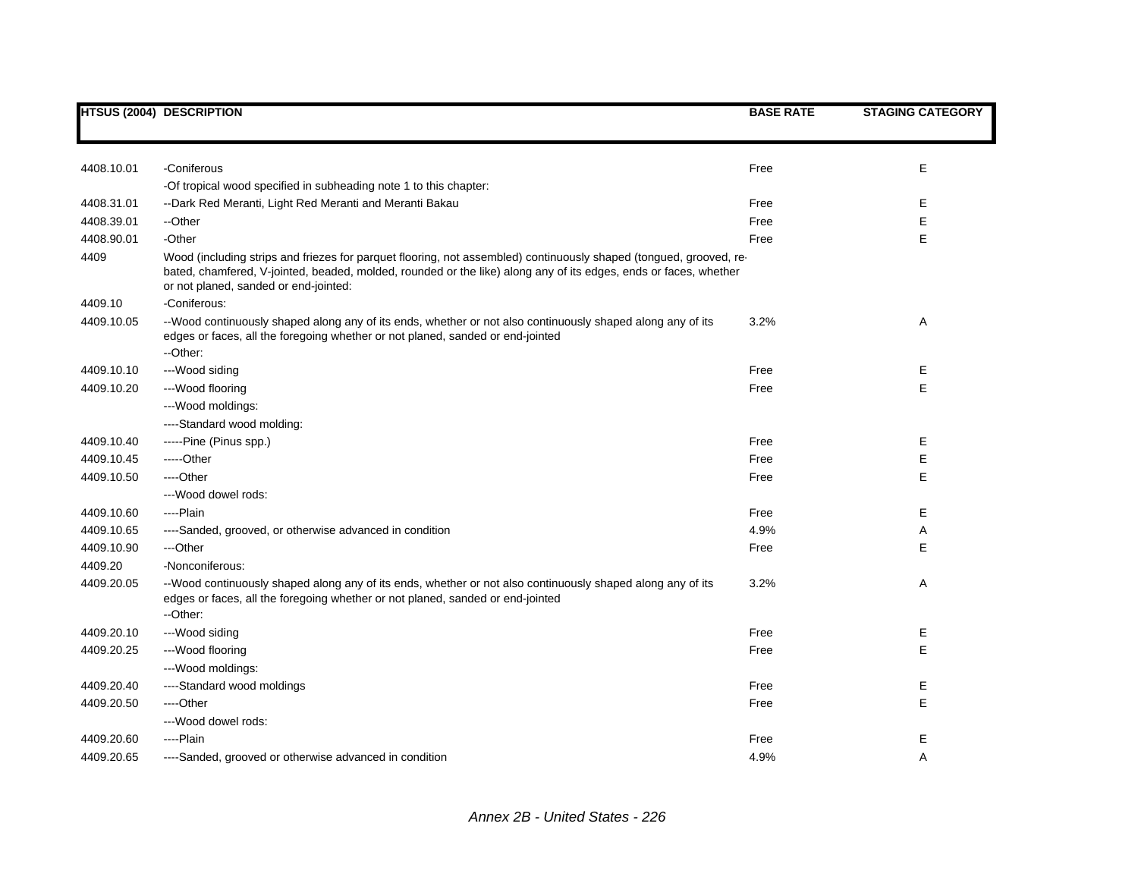|            | <b>HTSUS (2004) DESCRIPTION</b>                                                                                                                                                                                                                                                 | <b>BASE RATE</b> | <b>STAGING CATEGORY</b> |
|------------|---------------------------------------------------------------------------------------------------------------------------------------------------------------------------------------------------------------------------------------------------------------------------------|------------------|-------------------------|
|            |                                                                                                                                                                                                                                                                                 |                  |                         |
| 4408.10.01 | -Coniferous                                                                                                                                                                                                                                                                     | Free             | E                       |
|            | -Of tropical wood specified in subheading note 1 to this chapter:                                                                                                                                                                                                               |                  |                         |
| 4408.31.01 | --Dark Red Meranti, Light Red Meranti and Meranti Bakau                                                                                                                                                                                                                         | Free             | Е                       |
| 4408.39.01 | --Other                                                                                                                                                                                                                                                                         | Free             | E                       |
| 4408.90.01 | -Other                                                                                                                                                                                                                                                                          | Free             | E                       |
| 4409       | Wood (including strips and friezes for parquet flooring, not assembled) continuously shaped (tongued, grooved, re-<br>bated, chamfered, V-jointed, beaded, molded, rounded or the like) along any of its edges, ends or faces, whether<br>or not planed, sanded or end-jointed: |                  |                         |
| 4409.10    | -Coniferous:                                                                                                                                                                                                                                                                    |                  |                         |
| 4409.10.05 | --Wood continuously shaped along any of its ends, whether or not also continuously shaped along any of its<br>edges or faces, all the foregoing whether or not planed, sanded or end-jointed<br>--Other:                                                                        | 3.2%             | Α                       |
| 4409.10.10 | ---Wood siding                                                                                                                                                                                                                                                                  | Free             | Е                       |
| 4409.10.20 | --- Wood flooring                                                                                                                                                                                                                                                               | Free             | E                       |
|            | ---Wood moldings:                                                                                                                                                                                                                                                               |                  |                         |
|            | ----Standard wood molding:                                                                                                                                                                                                                                                      |                  |                         |
| 4409.10.40 | -----Pine (Pinus spp.)                                                                                                                                                                                                                                                          | Free             | Е                       |
| 4409.10.45 | -----Other                                                                                                                                                                                                                                                                      | Free             | Ε                       |
| 4409.10.50 | ---Other                                                                                                                                                                                                                                                                        | Free             | Е                       |
|            | ---Wood dowel rods:                                                                                                                                                                                                                                                             |                  |                         |
| 4409.10.60 | ----Plain                                                                                                                                                                                                                                                                       | Free             | Е                       |
| 4409.10.65 | ----Sanded, grooved, or otherwise advanced in condition                                                                                                                                                                                                                         | 4.9%             | Α                       |
| 4409.10.90 | ---Other                                                                                                                                                                                                                                                                        | Free             | E                       |
| 4409.20    | -Nonconiferous:                                                                                                                                                                                                                                                                 |                  |                         |
| 4409.20.05 | --Wood continuously shaped along any of its ends, whether or not also continuously shaped along any of its<br>edges or faces, all the foregoing whether or not planed, sanded or end-jointed<br>--Other:                                                                        | 3.2%             | Α                       |
| 4409.20.10 | ---Wood siding                                                                                                                                                                                                                                                                  | Free             | Е                       |
| 4409.20.25 | --- Wood flooring                                                                                                                                                                                                                                                               | Free             | Ε                       |
|            | ---Wood moldings:                                                                                                                                                                                                                                                               |                  |                         |
| 4409.20.40 | ----Standard wood moldings                                                                                                                                                                                                                                                      | Free             | Е                       |
| 4409.20.50 | ----Other                                                                                                                                                                                                                                                                       | Free             | Ε                       |
|            | ---Wood dowel rods:                                                                                                                                                                                                                                                             |                  |                         |
| 4409.20.60 | ----Plain                                                                                                                                                                                                                                                                       | Free             | Е                       |
| 4409.20.65 | ----Sanded, grooved or otherwise advanced in condition                                                                                                                                                                                                                          | 4.9%             | A                       |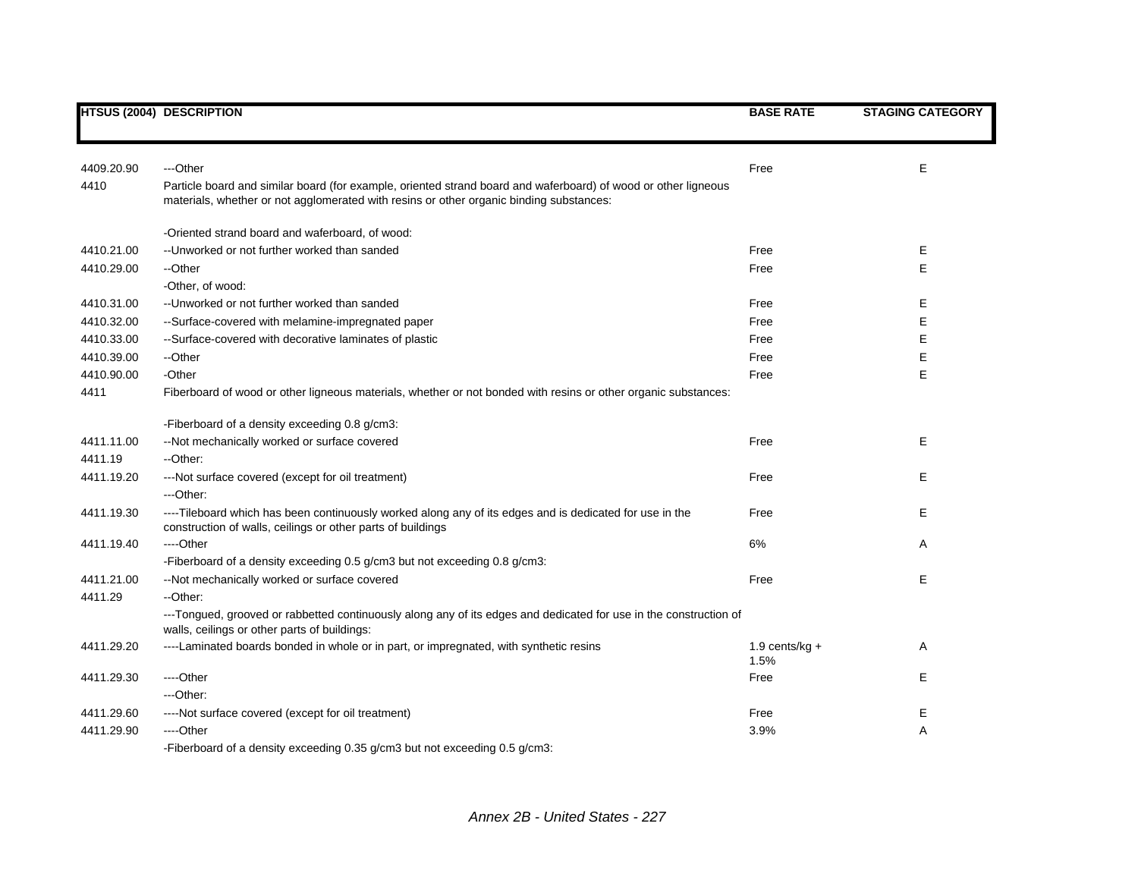|            | <b>HTSUS (2004) DESCRIPTION</b>                                                                                                                                                                           | <b>BASE RATE</b>         | <b>STAGING CATEGORY</b> |
|------------|-----------------------------------------------------------------------------------------------------------------------------------------------------------------------------------------------------------|--------------------------|-------------------------|
|            |                                                                                                                                                                                                           |                          |                         |
| 4409.20.90 | ---Other                                                                                                                                                                                                  | Free                     | E                       |
| 4410       | Particle board and similar board (for example, oriented strand board and waferboard) of wood or other ligneous<br>materials, whether or not agglomerated with resins or other organic binding substances: |                          |                         |
|            | -Oriented strand board and waferboard, of wood:                                                                                                                                                           |                          |                         |
| 4410.21.00 | -- Unworked or not further worked than sanded                                                                                                                                                             | Free                     | Е                       |
| 4410.29.00 | --Other                                                                                                                                                                                                   | Free                     | E                       |
|            | -Other, of wood:                                                                                                                                                                                          |                          |                         |
| 4410.31.00 | -- Unworked or not further worked than sanded                                                                                                                                                             | Free                     | Е                       |
| 4410.32.00 | --Surface-covered with melamine-impregnated paper                                                                                                                                                         | Free                     | E                       |
| 4410.33.00 | --Surface-covered with decorative laminates of plastic                                                                                                                                                    | Free                     | E                       |
| 4410.39.00 | --Other                                                                                                                                                                                                   | Free                     | Е                       |
| 4410.90.00 | -Other                                                                                                                                                                                                    | Free                     | E                       |
| 4411       | Fiberboard of wood or other ligneous materials, whether or not bonded with resins or other organic substances:                                                                                            |                          |                         |
|            | -Fiberboard of a density exceeding 0.8 g/cm3:                                                                                                                                                             |                          |                         |
| 4411.11.00 | --Not mechanically worked or surface covered                                                                                                                                                              | Free                     | E                       |
| 4411.19    | --Other:                                                                                                                                                                                                  |                          |                         |
| 4411.19.20 | --- Not surface covered (except for oil treatment)                                                                                                                                                        | Free                     | E                       |
|            | ---Other:                                                                                                                                                                                                 |                          |                         |
| 4411.19.30 | ----Tileboard which has been continuously worked along any of its edges and is dedicated for use in the<br>construction of walls, ceilings or other parts of buildings                                    | Free                     | Е                       |
| 4411.19.40 | ----Other                                                                                                                                                                                                 | 6%                       | A                       |
|            | -Fiberboard of a density exceeding 0.5 g/cm3 but not exceeding 0.8 g/cm3:                                                                                                                                 |                          |                         |
| 4411.21.00 | --Not mechanically worked or surface covered                                                                                                                                                              | Free                     | E                       |
| 4411.29    | --Other:                                                                                                                                                                                                  |                          |                         |
|            | ---Tongued, grooved or rabbetted continuously along any of its edges and dedicated for use in the construction of<br>walls, ceilings or other parts of buildings:                                         |                          |                         |
| 4411.29.20 | ----Laminated boards bonded in whole or in part, or impregnated, with synthetic resins                                                                                                                    | 1.9 cents/kg $+$<br>1.5% | Α                       |
| 4411.29.30 | ----Other                                                                                                                                                                                                 | Free                     | Е                       |
|            | ---Other:                                                                                                                                                                                                 |                          |                         |
| 4411.29.60 | ----Not surface covered (except for oil treatment)                                                                                                                                                        | Free                     | Е                       |
| 4411.29.90 | ----Other                                                                                                                                                                                                 | 3.9%                     | Α                       |
|            | -Fiberboard of a density exceeding 0.35 g/cm3 but not exceeding 0.5 g/cm3:                                                                                                                                |                          |                         |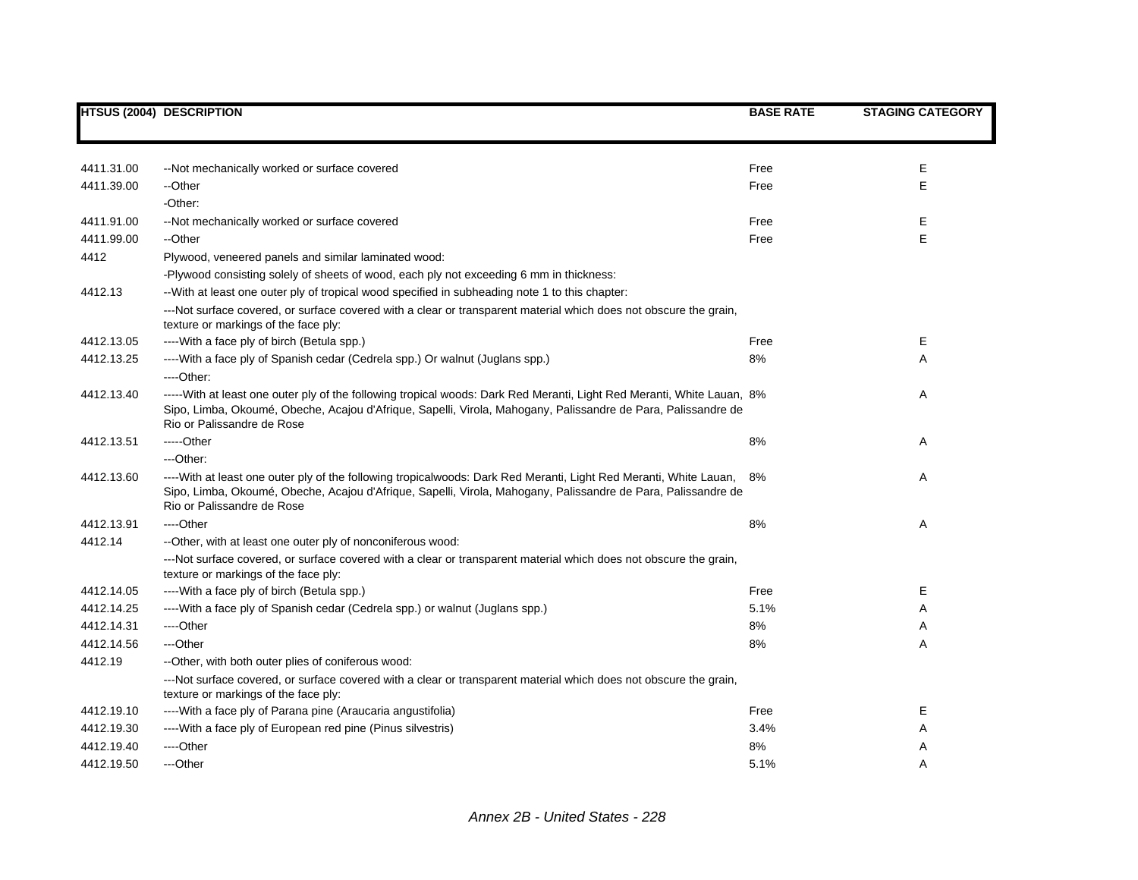|            | <b>HTSUS (2004) DESCRIPTION</b>                                                                                                                                                                                                                                       | <b>BASE RATE</b> | <b>STAGING CATEGORY</b> |
|------------|-----------------------------------------------------------------------------------------------------------------------------------------------------------------------------------------------------------------------------------------------------------------------|------------------|-------------------------|
|            |                                                                                                                                                                                                                                                                       |                  |                         |
| 4411.31.00 | --Not mechanically worked or surface covered                                                                                                                                                                                                                          | Free             | E                       |
| 4411.39.00 | --Other                                                                                                                                                                                                                                                               | Free             | E                       |
|            | -Other:                                                                                                                                                                                                                                                               |                  |                         |
| 4411.91.00 | --Not mechanically worked or surface covered                                                                                                                                                                                                                          | Free             | E                       |
| 4411.99.00 | --Other                                                                                                                                                                                                                                                               | Free             | E                       |
| 4412       | Plywood, veneered panels and similar laminated wood:                                                                                                                                                                                                                  |                  |                         |
|            | -Plywood consisting solely of sheets of wood, each ply not exceeding 6 mm in thickness:                                                                                                                                                                               |                  |                         |
| 4412.13    | -- With at least one outer ply of tropical wood specified in subheading note 1 to this chapter:                                                                                                                                                                       |                  |                         |
|            | ---Not surface covered, or surface covered with a clear or transparent material which does not obscure the grain,<br>texture or markings of the face ply:                                                                                                             |                  |                         |
| 4412.13.05 | ---- With a face ply of birch (Betula spp.)                                                                                                                                                                                                                           | Free             | Е                       |
| 4412.13.25 | ---- With a face ply of Spanish cedar (Cedrela spp.) Or walnut (Juglans spp.)                                                                                                                                                                                         | 8%               | Α                       |
|            | $---Other.$                                                                                                                                                                                                                                                           |                  |                         |
| 4412.13.40 | -----With at least one outer ply of the following tropical woods: Dark Red Meranti, Light Red Meranti, White Lauan, 8%<br>Sipo, Limba, Okoumé, Obeche, Acajou d'Afrique, Sapelli, Virola, Mahogany, Palissandre de Para, Palissandre de<br>Rio or Palissandre de Rose |                  | Α                       |
| 4412.13.51 | -----Other                                                                                                                                                                                                                                                            | 8%               | Α                       |
|            | ---Other:                                                                                                                                                                                                                                                             |                  |                         |
| 4412.13.60 | ----With at least one outer ply of the following tropicalwoods: Dark Red Meranti, Light Red Meranti, White Lauan,<br>Sipo, Limba, Okoumé, Obeche, Acajou d'Afrique, Sapelli, Virola, Mahogany, Palissandre de Para, Palissandre de<br>Rio or Palissandre de Rose      | 8%               | Α                       |
| 4412.13.91 | ----Other                                                                                                                                                                                                                                                             | 8%               | Α                       |
| 4412.14    | --Other, with at least one outer ply of nonconiferous wood:                                                                                                                                                                                                           |                  |                         |
|            | ---Not surface covered, or surface covered with a clear or transparent material which does not obscure the grain,<br>texture or markings of the face ply:                                                                                                             |                  |                         |
| 4412.14.05 | ---- With a face ply of birch (Betula spp.)                                                                                                                                                                                                                           | Free             | Е                       |
| 4412.14.25 | ---- With a face ply of Spanish cedar (Cedrela spp.) or walnut (Juglans spp.)                                                                                                                                                                                         | 5.1%             | Α                       |
| 4412.14.31 | ----Other                                                                                                                                                                                                                                                             | 8%               | Α                       |
| 4412.14.56 | ---Other                                                                                                                                                                                                                                                              | 8%               | Α                       |
| 4412.19    | --Other, with both outer plies of coniferous wood:                                                                                                                                                                                                                    |                  |                         |
|            | ---Not surface covered, or surface covered with a clear or transparent material which does not obscure the grain,<br>texture or markings of the face ply:                                                                                                             |                  |                         |
| 4412.19.10 | ---- With a face ply of Parana pine (Araucaria angustifolia)                                                                                                                                                                                                          | Free             | Е                       |
| 4412.19.30 | ---- With a face ply of European red pine (Pinus silvestris)                                                                                                                                                                                                          | 3.4%             | Α                       |
| 4412.19.40 | ---Other                                                                                                                                                                                                                                                              | 8%               | Α                       |
| 4412.19.50 | ---Other                                                                                                                                                                                                                                                              | 5.1%             | A                       |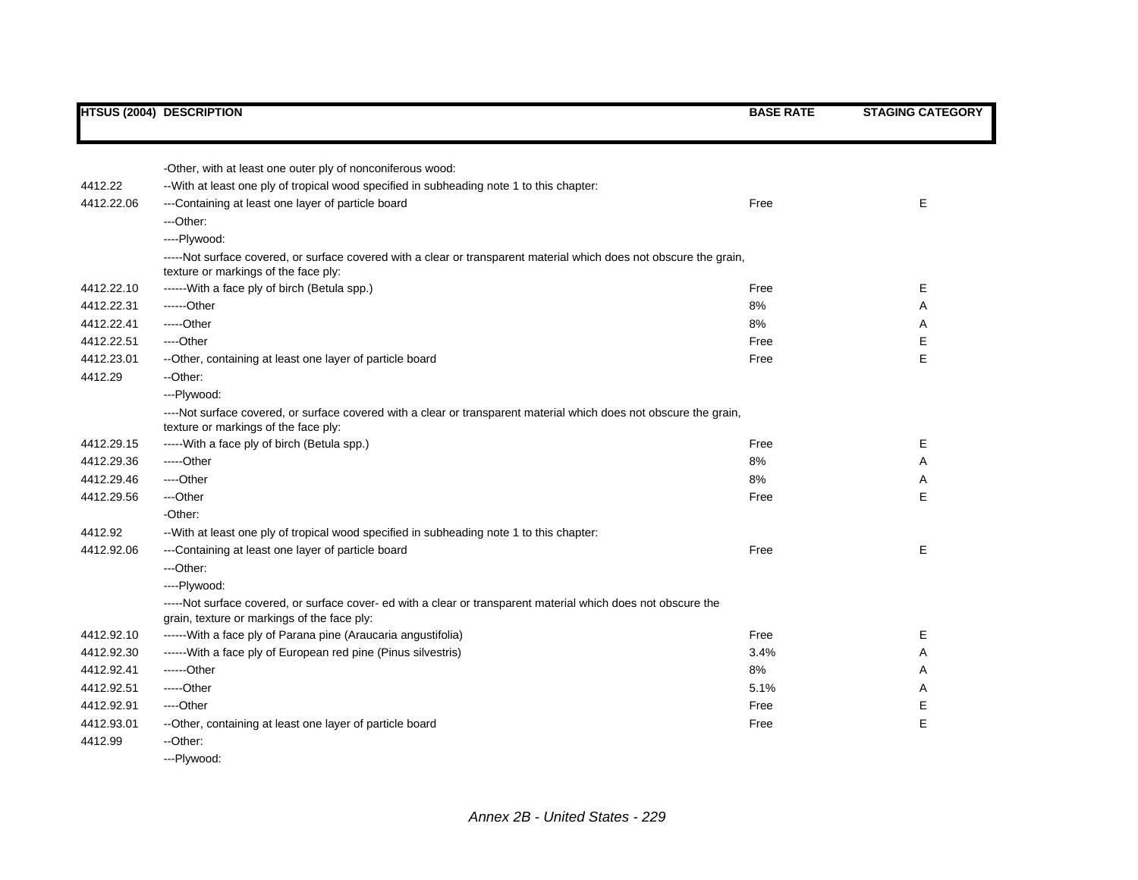|            | <b>HTSUS (2004) DESCRIPTION</b>                                                                                                                               | <b>BASE RATE</b> | <b>STAGING CATEGORY</b> |
|------------|---------------------------------------------------------------------------------------------------------------------------------------------------------------|------------------|-------------------------|
|            |                                                                                                                                                               |                  |                         |
|            | -Other, with at least one outer ply of nonconiferous wood:                                                                                                    |                  |                         |
| 4412.22    | -- With at least one ply of tropical wood specified in subheading note 1 to this chapter:                                                                     |                  |                         |
| 4412.22.06 | ---Containing at least one layer of particle board                                                                                                            | Free             | Е                       |
|            | ---Other:                                                                                                                                                     |                  |                         |
|            | ----Plywood:                                                                                                                                                  |                  |                         |
|            | -----Not surface covered, or surface covered with a clear or transparent material which does not obscure the grain,<br>texture or markings of the face ply:   |                  |                         |
| 4412.22.10 | ------With a face ply of birch (Betula spp.)                                                                                                                  | Free             | Е                       |
| 4412.22.31 | ------Other                                                                                                                                                   | 8%               | Α                       |
| 4412.22.41 | $---Other$                                                                                                                                                    | 8%               | Α                       |
| 4412.22.51 | ----Other                                                                                                                                                     | Free             | Е                       |
| 4412.23.01 | --Other, containing at least one layer of particle board                                                                                                      | Free             | E                       |
| 4412.29    | --Other:                                                                                                                                                      |                  |                         |
|            | ---Plywood:                                                                                                                                                   |                  |                         |
|            | ----Not surface covered, or surface covered with a clear or transparent material which does not obscure the grain,<br>texture or markings of the face ply:    |                  |                         |
| 4412.29.15 | ----- With a face ply of birch (Betula spp.)                                                                                                                  | Free             | Е                       |
| 4412.29.36 | -----Other                                                                                                                                                    | 8%               | Α                       |
| 4412.29.46 | ----Other                                                                                                                                                     | 8%               | Α                       |
| 4412.29.56 | ---Other                                                                                                                                                      | Free             | E                       |
|            | -Other:                                                                                                                                                       |                  |                         |
| 4412.92    | -- With at least one ply of tropical wood specified in subheading note 1 to this chapter:                                                                     |                  |                         |
| 4412.92.06 | ---Containing at least one layer of particle board                                                                                                            | Free             | Е                       |
|            | ---Other:                                                                                                                                                     |                  |                         |
|            | ----Plywood:                                                                                                                                                  |                  |                         |
|            | -----Not surface covered, or surface cover- ed with a clear or transparent material which does not obscure the<br>grain, texture or markings of the face ply: |                  |                         |
| 4412.92.10 | ------ With a face ply of Parana pine (Araucaria angustifolia)                                                                                                | Free             | Е                       |
| 4412.92.30 | ------ With a face ply of European red pine (Pinus silvestris)                                                                                                | 3.4%             | Α                       |
| 4412.92.41 | ------Other                                                                                                                                                   | 8%               | A                       |
| 4412.92.51 | $---Other$                                                                                                                                                    | 5.1%             | Α                       |
| 4412.92.91 | ----Other                                                                                                                                                     | Free             | Е                       |
| 4412.93.01 | --Other, containing at least one layer of particle board                                                                                                      | Free             | E                       |
| 4412.99    | --Other:                                                                                                                                                      |                  |                         |
|            | ---Plvwood:                                                                                                                                                   |                  |                         |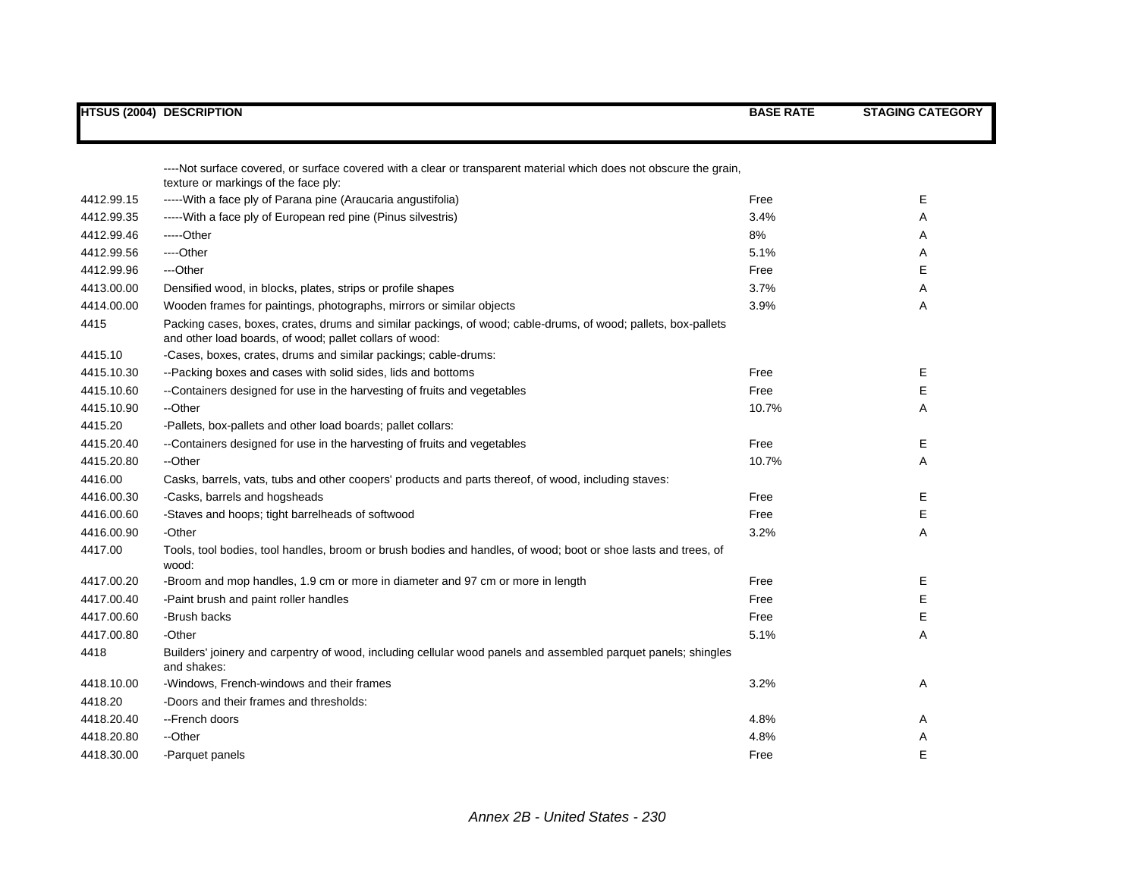|            | <b>HTSUS (2004) DESCRIPTION</b>                                                                                                                                          | <b>BASE RATE</b> | <b>STAGING CATEGORY</b> |
|------------|--------------------------------------------------------------------------------------------------------------------------------------------------------------------------|------------------|-------------------------|
|            |                                                                                                                                                                          |                  |                         |
|            | ----Not surface covered, or surface covered with a clear or transparent material which does not obscure the grain,<br>texture or markings of the face ply:               |                  |                         |
| 4412.99.15 | ----- With a face ply of Parana pine (Araucaria angustifolia)                                                                                                            | Free             | Е                       |
| 4412.99.35 | ----- With a face ply of European red pine (Pinus silvestris)                                                                                                            | 3.4%             | A                       |
| 4412.99.46 | -----Other                                                                                                                                                               | 8%               | Α                       |
| 4412.99.56 | ----Other                                                                                                                                                                | 5.1%             | Α                       |
| 4412.99.96 | ---Other                                                                                                                                                                 | Free             | E                       |
| 4413.00.00 | Densified wood, in blocks, plates, strips or profile shapes                                                                                                              | 3.7%             | Α                       |
| 4414.00.00 | Wooden frames for paintings, photographs, mirrors or similar objects                                                                                                     | 3.9%             | A                       |
| 4415       | Packing cases, boxes, crates, drums and similar packings, of wood; cable-drums, of wood; pallets, box-pallets<br>and other load boards, of wood; pallet collars of wood: |                  |                         |
| 4415.10    | -Cases, boxes, crates, drums and similar packings; cable-drums:                                                                                                          |                  |                         |
| 4415.10.30 | --Packing boxes and cases with solid sides, lids and bottoms                                                                                                             | Free             | Е                       |
| 4415.10.60 | --Containers designed for use in the harvesting of fruits and vegetables                                                                                                 | Free             | Е                       |
| 4415.10.90 | --Other                                                                                                                                                                  | 10.7%            | Α                       |
| 4415.20    | -Pallets, box-pallets and other load boards; pallet collars:                                                                                                             |                  |                         |
| 4415.20.40 | --Containers designed for use in the harvesting of fruits and vegetables                                                                                                 | Free             | Е                       |
| 4415.20.80 | --Other                                                                                                                                                                  | 10.7%            | Α                       |
| 4416.00    | Casks, barrels, vats, tubs and other coopers' products and parts thereof, of wood, including staves:                                                                     |                  |                         |
| 4416.00.30 | -Casks, barrels and hogsheads                                                                                                                                            | Free             | Е                       |
| 4416.00.60 | -Staves and hoops; tight barrelheads of softwood                                                                                                                         | Free             | E                       |
| 4416.00.90 | -Other                                                                                                                                                                   | 3.2%             | Α                       |
| 4417.00    | Tools, tool bodies, tool handles, broom or brush bodies and handles, of wood; boot or shoe lasts and trees, of<br>wood:                                                  |                  |                         |
| 4417.00.20 | -Broom and mop handles, 1.9 cm or more in diameter and 97 cm or more in length                                                                                           | Free             | Е                       |
| 4417.00.40 | -Paint brush and paint roller handles                                                                                                                                    | Free             | Е                       |
| 4417.00.60 | -Brush backs                                                                                                                                                             | Free             | Е                       |
| 4417.00.80 | -Other                                                                                                                                                                   | 5.1%             | Α                       |
| 4418       | Builders' joinery and carpentry of wood, including cellular wood panels and assembled parquet panels; shingles<br>and shakes:                                            |                  |                         |
| 4418.10.00 | -Windows, French-windows and their frames                                                                                                                                | 3.2%             | A                       |
| 4418.20    | -Doors and their frames and thresholds:                                                                                                                                  |                  |                         |
| 4418.20.40 | --French doors                                                                                                                                                           | 4.8%             | A                       |
| 4418.20.80 | --Other                                                                                                                                                                  | 4.8%             | A                       |
| 4418.30.00 | -Parquet panels                                                                                                                                                          | Free             | E                       |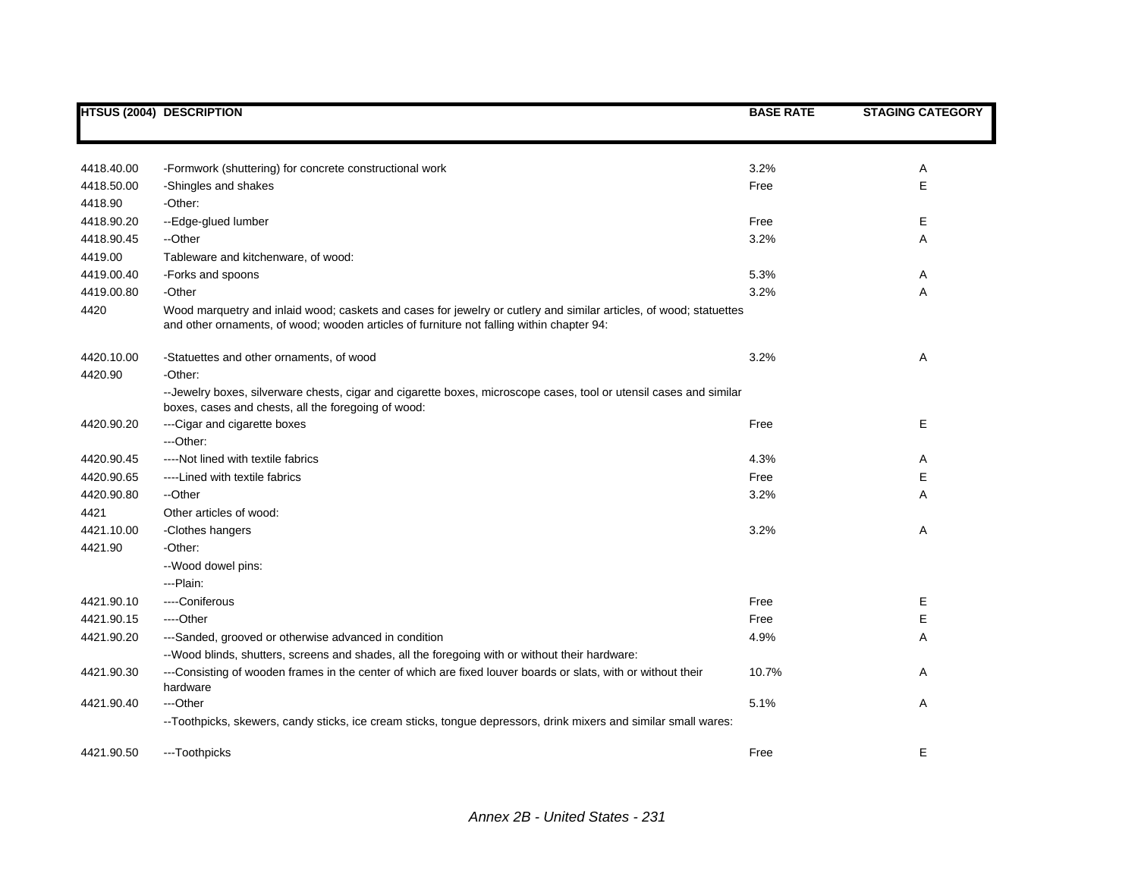|            | HTSUS (2004) DESCRIPTION                                                                                                                                                                                        | <b>BASE RATE</b> | <b>STAGING CATEGORY</b> |
|------------|-----------------------------------------------------------------------------------------------------------------------------------------------------------------------------------------------------------------|------------------|-------------------------|
|            |                                                                                                                                                                                                                 |                  |                         |
| 4418.40.00 | -Formwork (shuttering) for concrete constructional work                                                                                                                                                         | 3.2%             | Α                       |
| 4418.50.00 | -Shingles and shakes                                                                                                                                                                                            | Free             | Е                       |
| 4418.90    | -Other:                                                                                                                                                                                                         |                  |                         |
| 4418.90.20 | --Edge-glued lumber                                                                                                                                                                                             | Free             | Е                       |
| 4418.90.45 | --Other                                                                                                                                                                                                         | 3.2%             | Α                       |
| 4419.00    | Tableware and kitchenware, of wood:                                                                                                                                                                             |                  |                         |
| 4419.00.40 | -Forks and spoons                                                                                                                                                                                               | 5.3%             | Α                       |
| 4419.00.80 | -Other                                                                                                                                                                                                          | 3.2%             | Α                       |
| 4420       | Wood marquetry and inlaid wood; caskets and cases for jewelry or cutlery and similar articles, of wood; statuettes<br>and other ornaments, of wood; wooden articles of furniture not falling within chapter 94: |                  |                         |
| 4420.10.00 | -Statuettes and other ornaments, of wood                                                                                                                                                                        | 3.2%             | Α                       |
| 4420.90    | -Other:                                                                                                                                                                                                         |                  |                         |
|            | --Jewelry boxes, silverware chests, cigar and cigarette boxes, microscope cases, tool or utensil cases and similar<br>boxes, cases and chests, all the foregoing of wood:                                       |                  |                         |
| 4420.90.20 | --- Cigar and cigarette boxes                                                                                                                                                                                   | Free             | Е                       |
|            | ---Other:                                                                                                                                                                                                       |                  |                         |
| 4420.90.45 | ----Not lined with textile fabrics                                                                                                                                                                              | 4.3%             | Α                       |
| 4420.90.65 | ----Lined with textile fabrics                                                                                                                                                                                  | Free             | Е                       |
| 4420.90.80 | --Other                                                                                                                                                                                                         | 3.2%             | Α                       |
| 4421       | Other articles of wood:                                                                                                                                                                                         |                  |                         |
| 4421.10.00 | -Clothes hangers                                                                                                                                                                                                | 3.2%             | Α                       |
| 4421.90    | -Other:                                                                                                                                                                                                         |                  |                         |
|            | --Wood dowel pins:                                                                                                                                                                                              |                  |                         |
|            | --- Plain:                                                                                                                                                                                                      |                  |                         |
| 4421.90.10 | ----Coniferous                                                                                                                                                                                                  | Free             | Е                       |
| 4421.90.15 | ----Other                                                                                                                                                                                                       | Free             | Е                       |
| 4421.90.20 | ---Sanded, grooved or otherwise advanced in condition                                                                                                                                                           | 4.9%             | A                       |
|            | --Wood blinds, shutters, screens and shades, all the foregoing with or without their hardware:                                                                                                                  |                  |                         |
| 4421.90.30 | ---Consisting of wooden frames in the center of which are fixed louver boards or slats, with or without their<br>hardware                                                                                       | 10.7%            | Α                       |
| 4421.90.40 | ---Other                                                                                                                                                                                                        | 5.1%             | Α                       |
|            | --Toothpicks, skewers, candy sticks, ice cream sticks, tongue depressors, drink mixers and similar small wares:                                                                                                 |                  |                         |
| 4421.90.50 | ---Toothpicks                                                                                                                                                                                                   | Free             | E                       |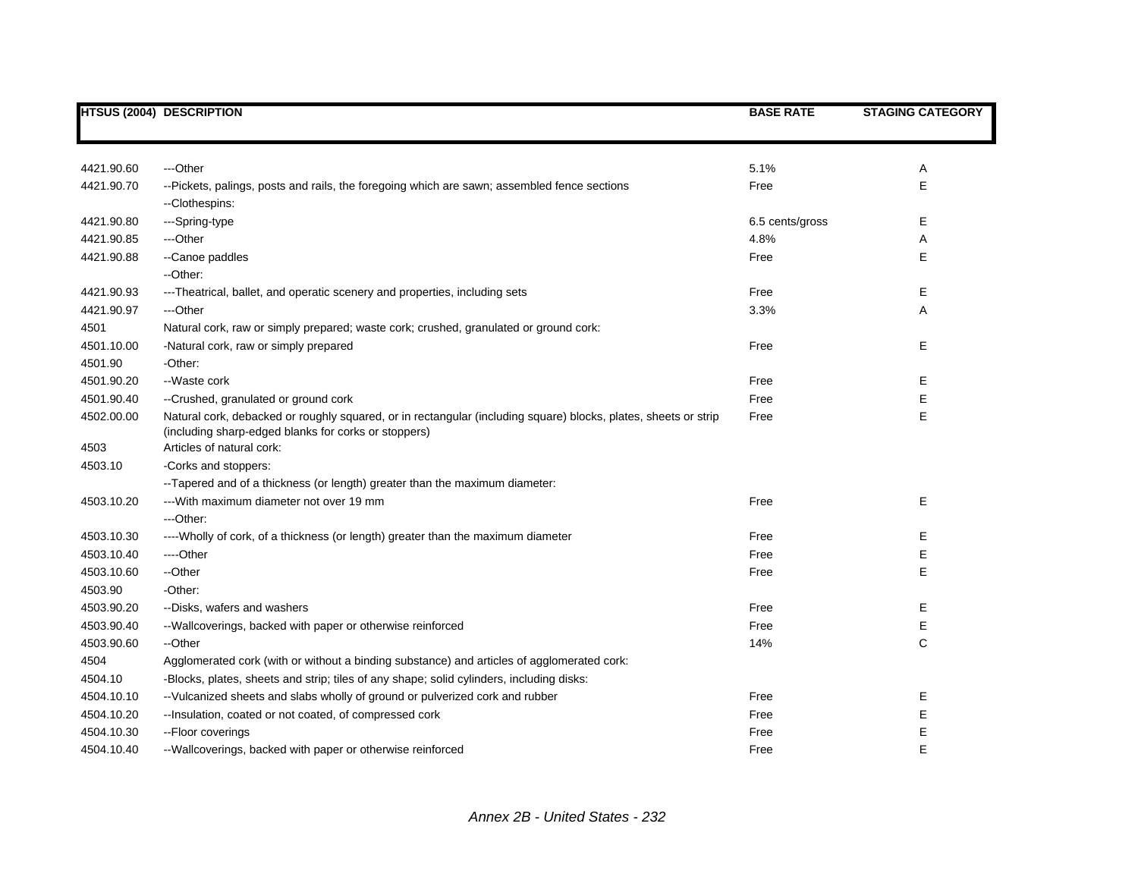|            | <b>HTSUS (2004) DESCRIPTION</b>                                                                                                                                         | <b>BASE RATE</b> | <b>STAGING CATEGORY</b> |
|------------|-------------------------------------------------------------------------------------------------------------------------------------------------------------------------|------------------|-------------------------|
|            |                                                                                                                                                                         |                  |                         |
| 4421.90.60 | ---Other                                                                                                                                                                | 5.1%             | Α                       |
| 4421.90.70 | --Pickets, palings, posts and rails, the foregoing which are sawn; assembled fence sections                                                                             | Free             | E                       |
|            | --Clothespins:                                                                                                                                                          |                  |                         |
| 4421.90.80 | ---Spring-type                                                                                                                                                          | 6.5 cents/gross  | Е                       |
| 4421.90.85 | ---Other                                                                                                                                                                | 4.8%             | Α                       |
| 4421.90.88 | --Canoe paddles                                                                                                                                                         | Free             | E                       |
|            | --Other:                                                                                                                                                                |                  |                         |
| 4421.90.93 | ---Theatrical, ballet, and operatic scenery and properties, including sets                                                                                              | Free             | Е                       |
| 4421.90.97 | ---Other                                                                                                                                                                | 3.3%             | Α                       |
| 4501       | Natural cork, raw or simply prepared; waste cork; crushed, granulated or ground cork:                                                                                   |                  |                         |
| 4501.10.00 | -Natural cork, raw or simply prepared                                                                                                                                   | Free             | Е                       |
| 4501.90    | -Other:                                                                                                                                                                 |                  |                         |
| 4501.90.20 | --Waste cork                                                                                                                                                            | Free             | Е                       |
| 4501.90.40 | --Crushed, granulated or ground cork                                                                                                                                    | Free             | Е                       |
| 4502.00.00 | Natural cork, debacked or roughly squared, or in rectangular (including square) blocks, plates, sheets or strip<br>(including sharp-edged blanks for corks or stoppers) | Free             | E                       |
| 4503       | Articles of natural cork:                                                                                                                                               |                  |                         |
| 4503.10    | -Corks and stoppers:                                                                                                                                                    |                  |                         |
|            | --Tapered and of a thickness (or length) greater than the maximum diameter:                                                                                             |                  |                         |
| 4503.10.20 | --- With maximum diameter not over 19 mm                                                                                                                                | Free             | E                       |
|            | ---Other:                                                                                                                                                               |                  |                         |
| 4503.10.30 | ----Wholly of cork, of a thickness (or length) greater than the maximum diameter                                                                                        | Free             | Е                       |
| 4503.10.40 | ----Other                                                                                                                                                               | Free             | Е                       |
| 4503.10.60 | --Other                                                                                                                                                                 | Free             | E                       |
| 4503.90    | -Other:                                                                                                                                                                 |                  |                         |
| 4503.90.20 | --Disks, wafers and washers                                                                                                                                             | Free             | Е                       |
| 4503.90.40 | --Wallcoverings, backed with paper or otherwise reinforced                                                                                                              | Free             | E                       |
| 4503.90.60 | --Other                                                                                                                                                                 | 14%              | $\mathsf C$             |
| 4504       | Agglomerated cork (with or without a binding substance) and articles of agglomerated cork:                                                                              |                  |                         |
| 4504.10    | -Blocks, plates, sheets and strip; tiles of any shape; solid cylinders, including disks:                                                                                |                  |                         |
| 4504.10.10 | --Vulcanized sheets and slabs wholly of ground or pulverized cork and rubber                                                                                            | Free             | E                       |
| 4504.10.20 | -- Insulation, coated or not coated, of compressed cork                                                                                                                 | Free             | E                       |
| 4504.10.30 | -- Floor coverings                                                                                                                                                      | Free             | E                       |
| 4504.10.40 | --Wallcoverings, backed with paper or otherwise reinforced                                                                                                              | Free             | E                       |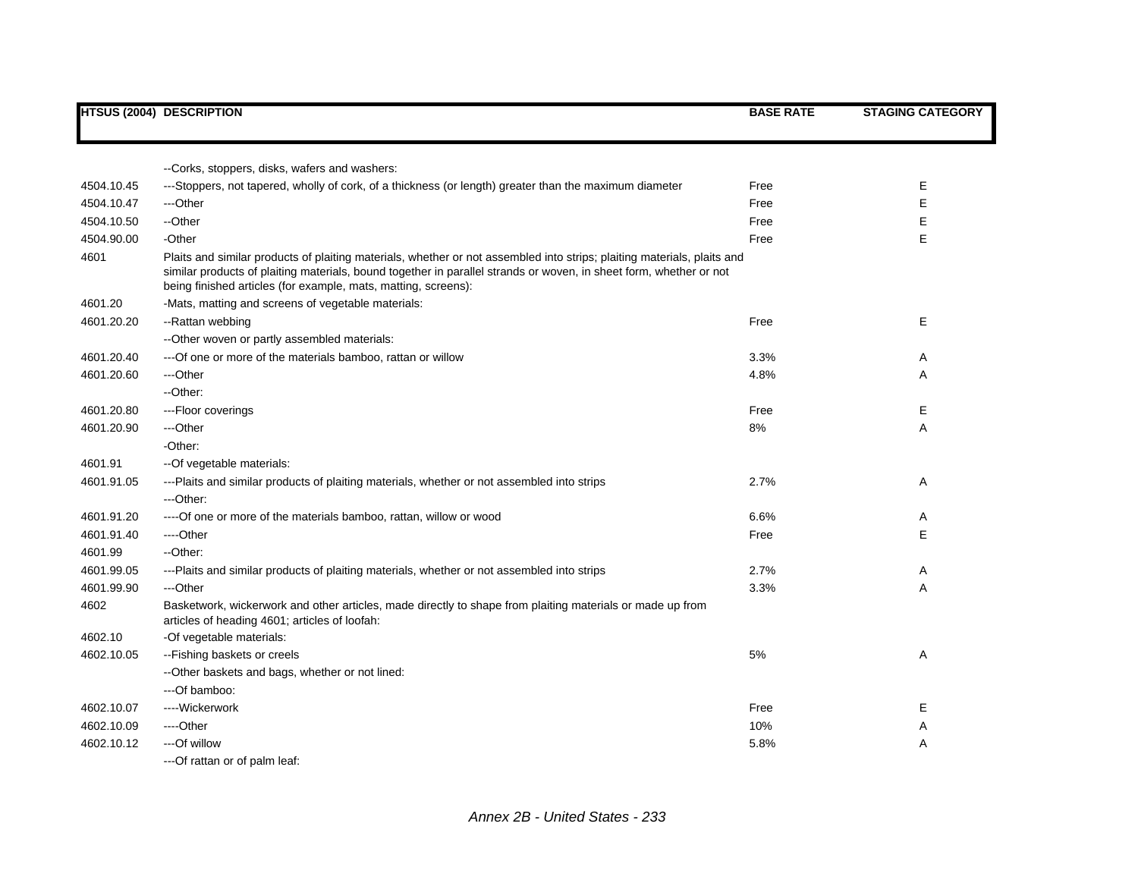|            | <b>HTSUS (2004) DESCRIPTION</b>                                                                                                                                                                                                                                                                                 | <b>BASE RATE</b> | <b>STAGING CATEGORY</b> |
|------------|-----------------------------------------------------------------------------------------------------------------------------------------------------------------------------------------------------------------------------------------------------------------------------------------------------------------|------------------|-------------------------|
|            |                                                                                                                                                                                                                                                                                                                 |                  |                         |
|            | --Corks, stoppers, disks, wafers and washers:                                                                                                                                                                                                                                                                   |                  |                         |
|            |                                                                                                                                                                                                                                                                                                                 |                  |                         |
| 4504.10.45 | ---Stoppers, not tapered, wholly of cork, of a thickness (or length) greater than the maximum diameter                                                                                                                                                                                                          | Free             | Е                       |
| 4504.10.47 | ---Other                                                                                                                                                                                                                                                                                                        | Free             | Е                       |
| 4504.10.50 | --Other                                                                                                                                                                                                                                                                                                         | Free             | Ε                       |
| 4504.90.00 | -Other                                                                                                                                                                                                                                                                                                          | Free             | E                       |
| 4601       | Plaits and similar products of plaiting materials, whether or not assembled into strips; plaiting materials, plaits and<br>similar products of plaiting materials, bound together in parallel strands or woven, in sheet form, whether or not<br>being finished articles (for example, mats, matting, screens): |                  |                         |
| 4601.20    | -Mats, matting and screens of vegetable materials:                                                                                                                                                                                                                                                              |                  |                         |
| 4601.20.20 | --Rattan webbing                                                                                                                                                                                                                                                                                                | Free             | E                       |
|            | --Other woven or partly assembled materials:                                                                                                                                                                                                                                                                    |                  |                         |
| 4601.20.40 | --- Of one or more of the materials bamboo, rattan or willow                                                                                                                                                                                                                                                    | 3.3%             | Α                       |
| 4601.20.60 | ---Other                                                                                                                                                                                                                                                                                                        | 4.8%             | Α                       |
|            | --Other:                                                                                                                                                                                                                                                                                                        |                  |                         |
| 4601.20.80 | ---Floor coverings                                                                                                                                                                                                                                                                                              | Free             | Е                       |
| 4601.20.90 | ---Other                                                                                                                                                                                                                                                                                                        | 8%               | A                       |
|            | -Other:                                                                                                                                                                                                                                                                                                         |                  |                         |
| 4601.91    | -- Of vegetable materials:                                                                                                                                                                                                                                                                                      |                  |                         |
| 4601.91.05 | ---Plaits and similar products of plaiting materials, whether or not assembled into strips                                                                                                                                                                                                                      | 2.7%             | Α                       |
|            | ---Other:                                                                                                                                                                                                                                                                                                       |                  |                         |
| 4601.91.20 | ---- Of one or more of the materials bamboo, rattan, willow or wood                                                                                                                                                                                                                                             | 6.6%             | Α                       |
| 4601.91.40 | ----Other                                                                                                                                                                                                                                                                                                       | Free             | Е                       |
| 4601.99    | --Other:                                                                                                                                                                                                                                                                                                        |                  |                         |
| 4601.99.05 | ---Plaits and similar products of plaiting materials, whether or not assembled into strips                                                                                                                                                                                                                      | 2.7%             | Α                       |
| 4601.99.90 | ---Other                                                                                                                                                                                                                                                                                                        | 3.3%             | Α                       |
| 4602       | Basketwork, wickerwork and other articles, made directly to shape from plaiting materials or made up from<br>articles of heading 4601; articles of loofah:                                                                                                                                                      |                  |                         |
| 4602.10    | -Of vegetable materials:                                                                                                                                                                                                                                                                                        |                  |                         |
| 4602.10.05 | --Fishing baskets or creels                                                                                                                                                                                                                                                                                     | 5%               | Α                       |
|            | --Other baskets and bags, whether or not lined:                                                                                                                                                                                                                                                                 |                  |                         |
|            | ---Of bamboo:                                                                                                                                                                                                                                                                                                   |                  |                         |
| 4602.10.07 | ----Wickerwork                                                                                                                                                                                                                                                                                                  | Free             | Е                       |
| 4602.10.09 | ---Other                                                                                                                                                                                                                                                                                                        | 10%              | Α                       |
| 4602.10.12 | ---Of willow                                                                                                                                                                                                                                                                                                    | 5.8%             | A                       |
|            | ---Of rattan or of palm leaf:                                                                                                                                                                                                                                                                                   |                  |                         |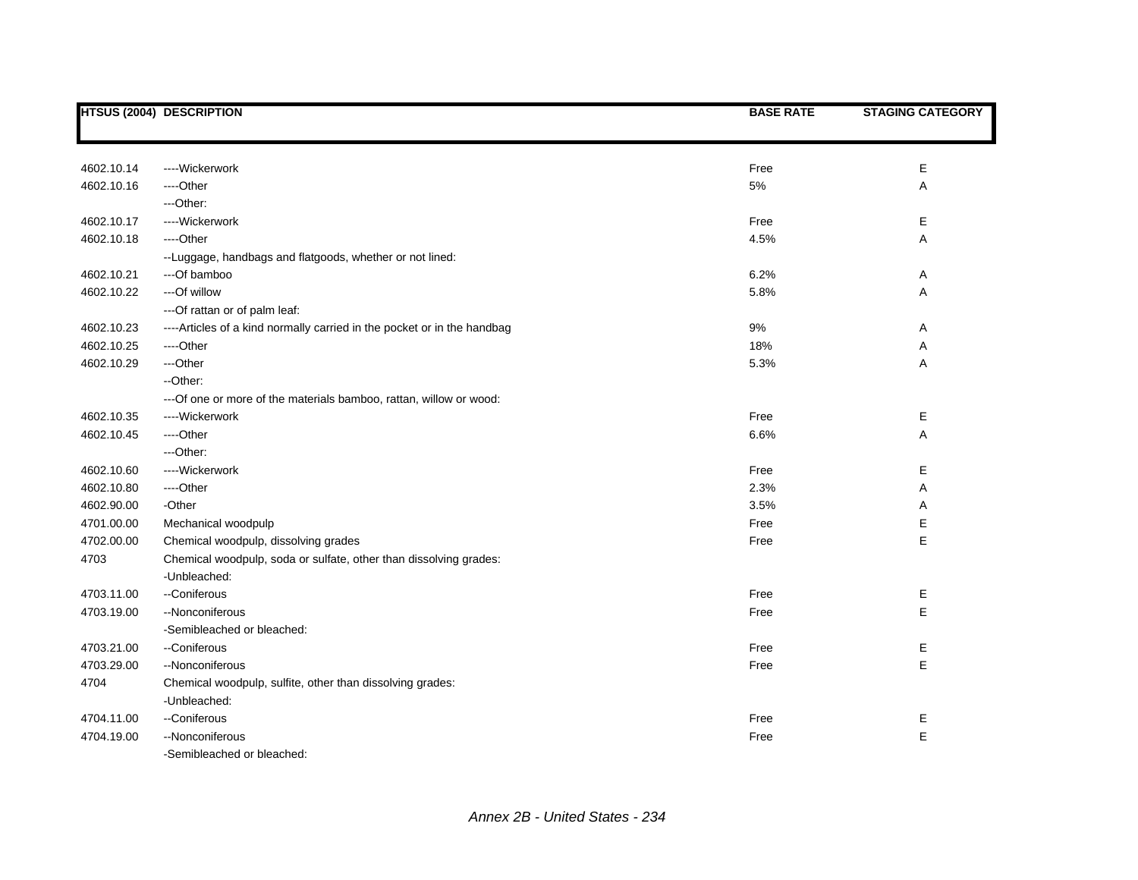|            | <b>HTSUS (2004) DESCRIPTION</b>                                          | <b>BASE RATE</b> | <b>STAGING CATEGORY</b> |
|------------|--------------------------------------------------------------------------|------------------|-------------------------|
|            |                                                                          |                  |                         |
| 4602.10.14 | ----Wickerwork                                                           | Free             | Е                       |
| 4602.10.16 | ----Other                                                                | 5%               | Α                       |
|            | ---Other:                                                                |                  |                         |
| 4602.10.17 | ----Wickerwork                                                           | Free             | Е                       |
| 4602.10.18 | ----Other                                                                | 4.5%             | A                       |
|            | --Luggage, handbags and flatgoods, whether or not lined:                 |                  |                         |
| 4602.10.21 | ---Of bamboo                                                             | 6.2%             | Α                       |
| 4602.10.22 | --- Of willow                                                            | 5.8%             | А                       |
|            | --- Of rattan or of palm leaf:                                           |                  |                         |
| 4602.10.23 | ---- Articles of a kind normally carried in the pocket or in the handbag | 9%               | Α                       |
| 4602.10.25 | ----Other                                                                | 18%              | Α                       |
| 4602.10.29 | ---Other                                                                 | 5.3%             | Α                       |
|            | --Other:                                                                 |                  |                         |
|            | --- Of one or more of the materials bamboo, rattan, willow or wood:      |                  |                         |
| 4602.10.35 | ----Wickerwork                                                           | Free             | Е                       |
| 4602.10.45 | ----Other                                                                | 6.6%             | A                       |
|            | ---Other:                                                                |                  |                         |
| 4602.10.60 | ----Wickerwork                                                           | Free             | Е                       |
| 4602.10.80 | ----Other                                                                | 2.3%             | Α                       |
| 4602.90.00 | -Other                                                                   | 3.5%             | Α                       |
| 4701.00.00 | Mechanical woodpulp                                                      | Free             | Е                       |
| 4702.00.00 | Chemical woodpulp, dissolving grades                                     | Free             | E                       |
| 4703       | Chemical woodpulp, soda or sulfate, other than dissolving grades:        |                  |                         |
|            | -Unbleached:                                                             |                  |                         |
| 4703.11.00 | --Coniferous                                                             | Free             | Е                       |
| 4703.19.00 | --Nonconiferous                                                          | Free             | E                       |
|            | -Semibleached or bleached:                                               |                  |                         |
| 4703.21.00 | --Coniferous                                                             | Free             | Е                       |
| 4703.29.00 | --Nonconiferous                                                          | Free             | E                       |
| 4704       | Chemical woodpulp, sulfite, other than dissolving grades:                |                  |                         |
|            | -Unbleached:                                                             |                  |                         |
| 4704.11.00 | --Coniferous                                                             | Free             | Е                       |
| 4704.19.00 | --Nonconiferous                                                          | Free             | E                       |
|            | -Semibleached or bleached:                                               |                  |                         |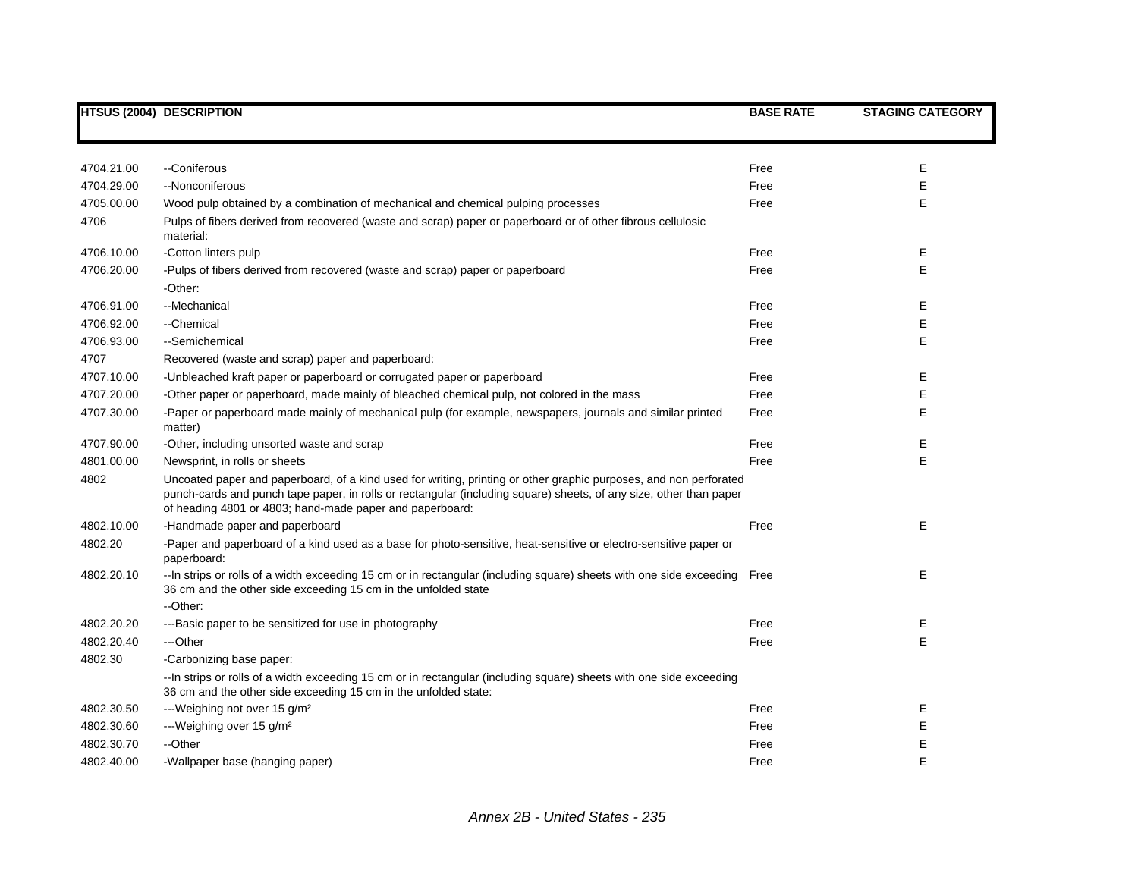|            | HTSUS (2004) DESCRIPTION                                                                                                                                                                                                                                                                            | <b>BASE RATE</b> | <b>STAGING CATEGORY</b> |
|------------|-----------------------------------------------------------------------------------------------------------------------------------------------------------------------------------------------------------------------------------------------------------------------------------------------------|------------------|-------------------------|
|            |                                                                                                                                                                                                                                                                                                     |                  |                         |
|            |                                                                                                                                                                                                                                                                                                     |                  |                         |
| 4704.21.00 | --Coniferous                                                                                                                                                                                                                                                                                        | Free             | Е                       |
| 4704.29.00 | --Nonconiferous                                                                                                                                                                                                                                                                                     | Free             | E                       |
| 4705.00.00 | Wood pulp obtained by a combination of mechanical and chemical pulping processes                                                                                                                                                                                                                    | Free             | E                       |
| 4706       | Pulps of fibers derived from recovered (waste and scrap) paper or paperboard or of other fibrous cellulosic<br>material:                                                                                                                                                                            |                  |                         |
| 4706.10.00 | -Cotton linters pulp                                                                                                                                                                                                                                                                                | Free             | Е                       |
| 4706.20.00 | -Pulps of fibers derived from recovered (waste and scrap) paper or paperboard                                                                                                                                                                                                                       | Free             | E                       |
|            | -Other:                                                                                                                                                                                                                                                                                             |                  |                         |
| 4706.91.00 | - Mechanical                                                                                                                                                                                                                                                                                        | Free             | Е                       |
| 4706.92.00 | --Chemical                                                                                                                                                                                                                                                                                          | Free             | E                       |
| 4706.93.00 | --Semichemical                                                                                                                                                                                                                                                                                      | Free             | E                       |
| 4707       | Recovered (waste and scrap) paper and paperboard:                                                                                                                                                                                                                                                   |                  |                         |
| 4707.10.00 | -Unbleached kraft paper or paperboard or corrugated paper or paperboard                                                                                                                                                                                                                             | Free             | E                       |
| 4707.20.00 | -Other paper or paperboard, made mainly of bleached chemical pulp, not colored in the mass                                                                                                                                                                                                          | Free             | E                       |
| 4707.30.00 | -Paper or paperboard made mainly of mechanical pulp (for example, newspapers, journals and similar printed<br>matter)                                                                                                                                                                               | Free             | E                       |
| 4707.90.00 | -Other, including unsorted waste and scrap                                                                                                                                                                                                                                                          | Free             | Е                       |
| 4801.00.00 | Newsprint, in rolls or sheets                                                                                                                                                                                                                                                                       | Free             | E                       |
| 4802       | Uncoated paper and paperboard, of a kind used for writing, printing or other graphic purposes, and non perforated<br>punch-cards and punch tape paper, in rolls or rectangular (including square) sheets, of any size, other than paper<br>of heading 4801 or 4803; hand-made paper and paperboard: |                  |                         |
| 4802.10.00 | -Handmade paper and paperboard                                                                                                                                                                                                                                                                      | Free             | Е                       |
| 4802.20    | -Paper and paperboard of a kind used as a base for photo-sensitive, heat-sensitive or electro-sensitive paper or<br>paperboard:                                                                                                                                                                     |                  |                         |
| 4802.20.10 | --In strips or rolls of a width exceeding 15 cm or in rectangular (including square) sheets with one side exceeding<br>36 cm and the other side exceeding 15 cm in the unfolded state                                                                                                               | Free             | E                       |
|            | --Other:                                                                                                                                                                                                                                                                                            |                  |                         |
| 4802.20.20 | ---Basic paper to be sensitized for use in photography                                                                                                                                                                                                                                              | Free             | Е                       |
| 4802.20.40 | ---Other                                                                                                                                                                                                                                                                                            | Free             | E                       |
| 4802.30    | -Carbonizing base paper:                                                                                                                                                                                                                                                                            |                  |                         |
|            | --In strips or rolls of a width exceeding 15 cm or in rectangular (including square) sheets with one side exceeding<br>36 cm and the other side exceeding 15 cm in the unfolded state:                                                                                                              |                  |                         |
| 4802.30.50 | ---Weighing not over 15 g/m <sup>2</sup>                                                                                                                                                                                                                                                            | Free             | Е                       |
| 4802.30.60 | ---Weighing over 15 g/m <sup>2</sup>                                                                                                                                                                                                                                                                | Free             | E                       |
| 4802.30.70 | --Other                                                                                                                                                                                                                                                                                             | Free             | E                       |
| 4802.40.00 | -Wallpaper base (hanging paper)                                                                                                                                                                                                                                                                     | Free             | E                       |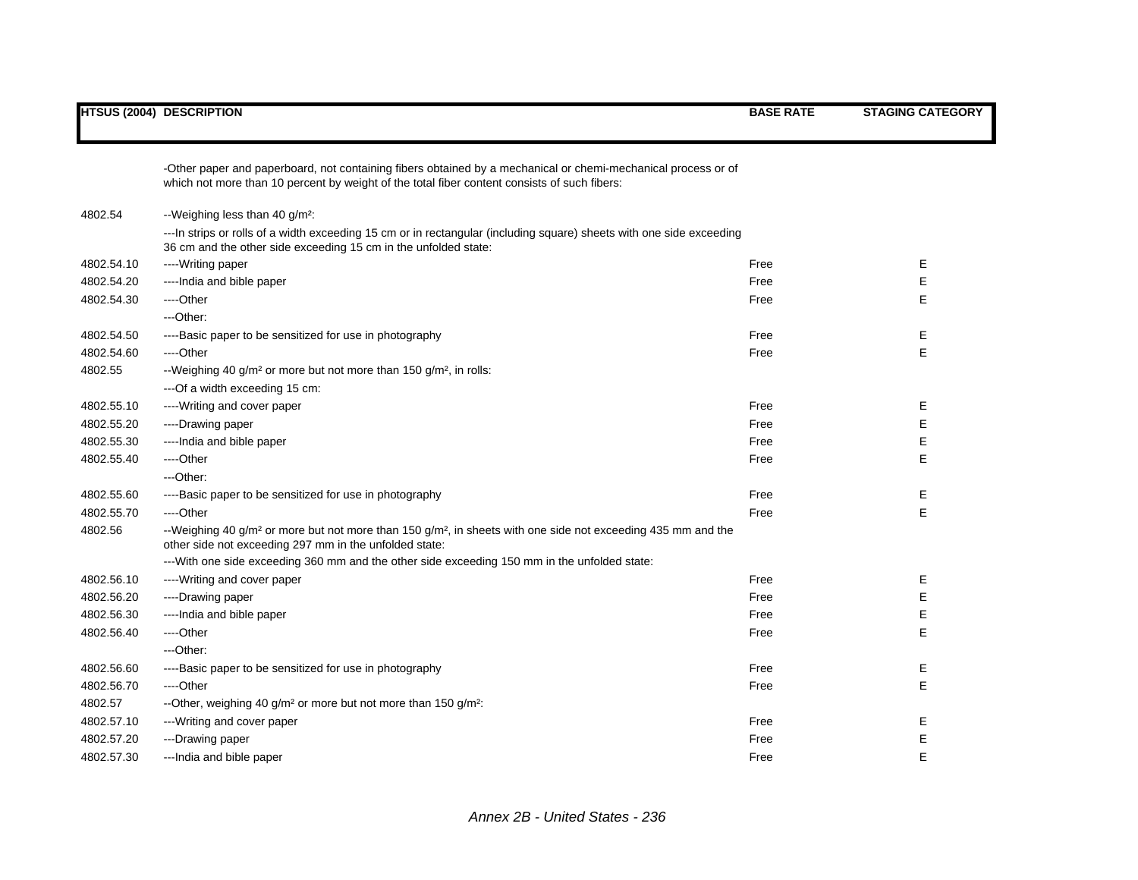|            | -Other paper and paperboard, not containing fibers obtained by a mechanical or chemi-mechanical process or of<br>which not more than 10 percent by weight of the total fiber content consists of such fibers: |      |             |
|------------|---------------------------------------------------------------------------------------------------------------------------------------------------------------------------------------------------------------|------|-------------|
| 4802.54    | --Weighing less than 40 g/m <sup>2</sup> :                                                                                                                                                                    |      |             |
|            | --- In strips or rolls of a width exceeding 15 cm or in rectangular (including square) sheets with one side exceeding<br>36 cm and the other side exceeding 15 cm in the unfolded state:                      |      |             |
| 4802.54.10 | ----Writing paper                                                                                                                                                                                             | Free | Е           |
| 4802.54.20 | ----India and bible paper                                                                                                                                                                                     | Free | $\mathsf E$ |
| 4802.54.30 | ----Other                                                                                                                                                                                                     | Free | E.          |
|            | ---Other:                                                                                                                                                                                                     |      |             |
| 4802.54.50 | ----Basic paper to be sensitized for use in photography                                                                                                                                                       | Free | Е           |
| 4802.54.60 | ----Other                                                                                                                                                                                                     | Free | E           |
| 4802.55    | --Weighing 40 g/m <sup>2</sup> or more but not more than 150 g/m <sup>2</sup> , in rolls:                                                                                                                     |      |             |
|            | --- Of a width exceeding 15 cm:                                                                                                                                                                               |      |             |
| 4802.55.10 | ----Writing and cover paper                                                                                                                                                                                   | Free | Е           |
| 4802.55.20 | ----Drawing paper                                                                                                                                                                                             | Free | Е           |
| 4802.55.30 | ---- India and bible paper                                                                                                                                                                                    | Free | Е           |
| 4802.55.40 | ----Other                                                                                                                                                                                                     | Free | E           |
|            | ---Other:                                                                                                                                                                                                     |      |             |
| 4802.55.60 | ----Basic paper to be sensitized for use in photography                                                                                                                                                       | Free | Е           |
| 4802.55.70 | ----Other                                                                                                                                                                                                     | Free | E           |
| 4802.56    | --Weighing 40 g/m <sup>2</sup> or more but not more than 150 g/m <sup>2</sup> , in sheets with one side not exceeding 435 mm and the<br>other side not exceeding 297 mm in the unfolded state:                |      |             |
|            | ---With one side exceeding 360 mm and the other side exceeding 150 mm in the unfolded state:                                                                                                                  |      |             |
| 4802.56.10 | ----Writing and cover paper                                                                                                                                                                                   | Free | Е           |
| 4802.56.20 | ----Drawing paper                                                                                                                                                                                             | Free | Е           |
| 4802.56.30 | ---- India and bible paper                                                                                                                                                                                    | Free | Е           |
| 4802.56.40 | ----Other                                                                                                                                                                                                     | Free | E           |
|            | ---Other:                                                                                                                                                                                                     |      |             |
| 4802.56.60 | ----Basic paper to be sensitized for use in photography                                                                                                                                                       | Free | Е           |
| 4802.56.70 | ----Other                                                                                                                                                                                                     | Free | E           |
| 4802.57    | --Other, weighing 40 g/m <sup>2</sup> or more but not more than 150 g/m <sup>2</sup> :                                                                                                                        |      |             |
| 4802.57.10 | ---Writing and cover paper                                                                                                                                                                                    | Free | Е           |
| 4802.57.20 | ---Drawing paper                                                                                                                                                                                              | Free | Е           |
| 4802.57.30 | ---India and bible paper                                                                                                                                                                                      | Free | E           |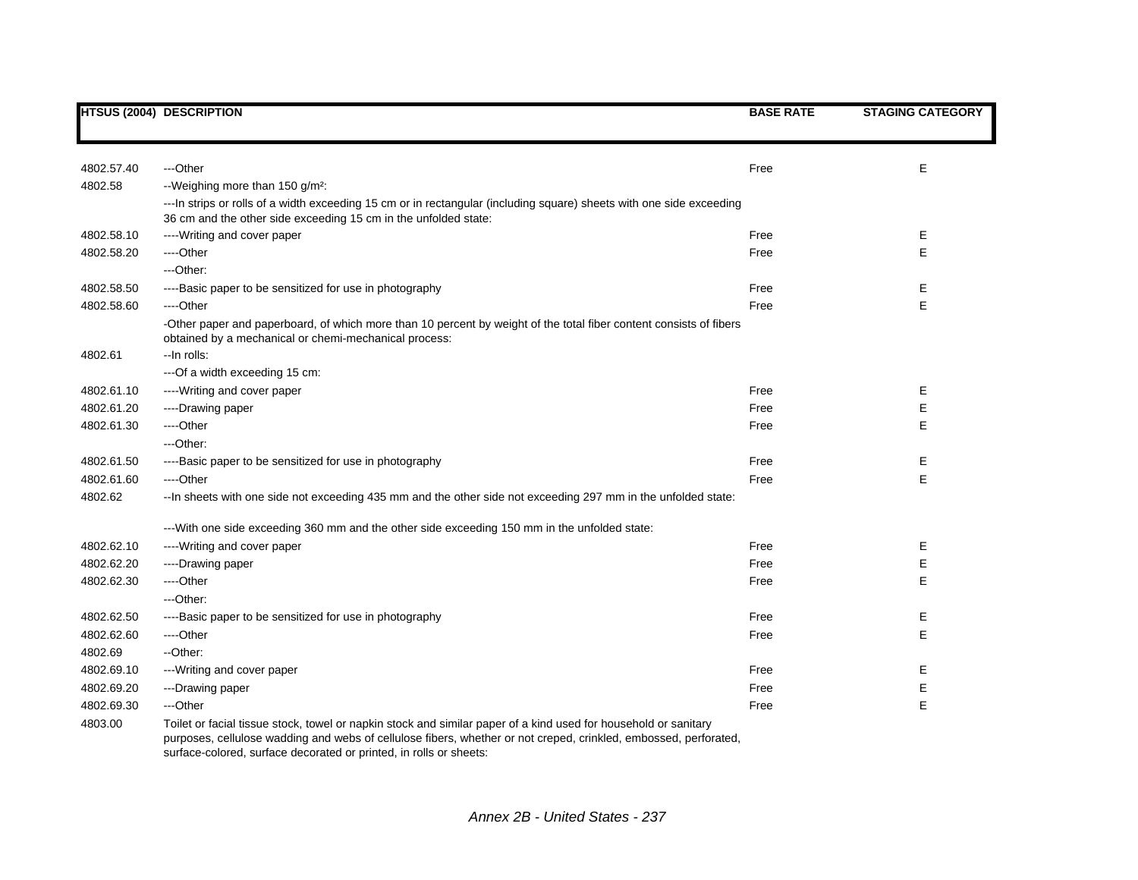|            | <b>HTSUS (2004) DESCRIPTION</b>                                                                                                                                                                                                                                                                           | <b>BASE RATE</b> | <b>STAGING CATEGORY</b> |
|------------|-----------------------------------------------------------------------------------------------------------------------------------------------------------------------------------------------------------------------------------------------------------------------------------------------------------|------------------|-------------------------|
|            |                                                                                                                                                                                                                                                                                                           |                  |                         |
| 4802.57.40 | ---Other                                                                                                                                                                                                                                                                                                  | Free             | Е                       |
| 4802.58    | --Weighing more than 150 g/m <sup>2</sup> :                                                                                                                                                                                                                                                               |                  |                         |
|            | --- In strips or rolls of a width exceeding 15 cm or in rectangular (including square) sheets with one side exceeding                                                                                                                                                                                     |                  |                         |
|            | 36 cm and the other side exceeding 15 cm in the unfolded state:                                                                                                                                                                                                                                           |                  |                         |
| 4802.58.10 | ---- Writing and cover paper                                                                                                                                                                                                                                                                              | Free             | Ε                       |
| 4802.58.20 | ----Other                                                                                                                                                                                                                                                                                                 | Free             | E                       |
|            | ---Other:                                                                                                                                                                                                                                                                                                 |                  |                         |
| 4802.58.50 | ----Basic paper to be sensitized for use in photography                                                                                                                                                                                                                                                   | Free             | Е                       |
| 4802.58.60 | ----Other                                                                                                                                                                                                                                                                                                 | Free             | E                       |
|            | -Other paper and paperboard, of which more than 10 percent by weight of the total fiber content consists of fibers<br>obtained by a mechanical or chemi-mechanical process:                                                                                                                               |                  |                         |
| 4802.61    | -- In rolls:                                                                                                                                                                                                                                                                                              |                  |                         |
|            | --- Of a width exceeding 15 cm:                                                                                                                                                                                                                                                                           |                  |                         |
| 4802.61.10 | ----Writing and cover paper                                                                                                                                                                                                                                                                               | Free             | Е                       |
| 4802.61.20 | ----Drawing paper                                                                                                                                                                                                                                                                                         | Free             | Ε                       |
| 4802.61.30 | ----Other                                                                                                                                                                                                                                                                                                 | Free             | E                       |
|            | ---Other:                                                                                                                                                                                                                                                                                                 |                  |                         |
| 4802.61.50 | ----Basic paper to be sensitized for use in photography                                                                                                                                                                                                                                                   | Free             | Е                       |
| 4802.61.60 | ----Other                                                                                                                                                                                                                                                                                                 | Free             | E                       |
| 4802.62    | -- In sheets with one side not exceeding 435 mm and the other side not exceeding 297 mm in the unfolded state:                                                                                                                                                                                            |                  |                         |
|            | ---With one side exceeding 360 mm and the other side exceeding 150 mm in the unfolded state:                                                                                                                                                                                                              |                  |                         |
| 4802.62.10 | ---- Writing and cover paper                                                                                                                                                                                                                                                                              | Free             | Е                       |
| 4802.62.20 | ----Drawing paper                                                                                                                                                                                                                                                                                         | Free             | Е                       |
| 4802.62.30 | ----Other                                                                                                                                                                                                                                                                                                 | Free             | E                       |
|            | ---Other:                                                                                                                                                                                                                                                                                                 |                  |                         |
| 4802.62.50 | ----Basic paper to be sensitized for use in photography                                                                                                                                                                                                                                                   | Free             | E.                      |
| 4802.62.60 | ---Other                                                                                                                                                                                                                                                                                                  | Free             | E                       |
| 4802.69    | --Other:                                                                                                                                                                                                                                                                                                  |                  |                         |
| 4802.69.10 | --- Writing and cover paper                                                                                                                                                                                                                                                                               | Free             | Е                       |
| 4802.69.20 | ---Drawing paper                                                                                                                                                                                                                                                                                          | Free             | E                       |
| 4802.69.30 | ---Other                                                                                                                                                                                                                                                                                                  | Free             | E                       |
| 4803.00    | Toilet or facial tissue stock, towel or napkin stock and similar paper of a kind used for household or sanitary<br>purposes, cellulose wadding and webs of cellulose fibers, whether or not creped, crinkled, embossed, perforated,<br>surface-colored, surface decorated or printed, in rolls or sheets: |                  |                         |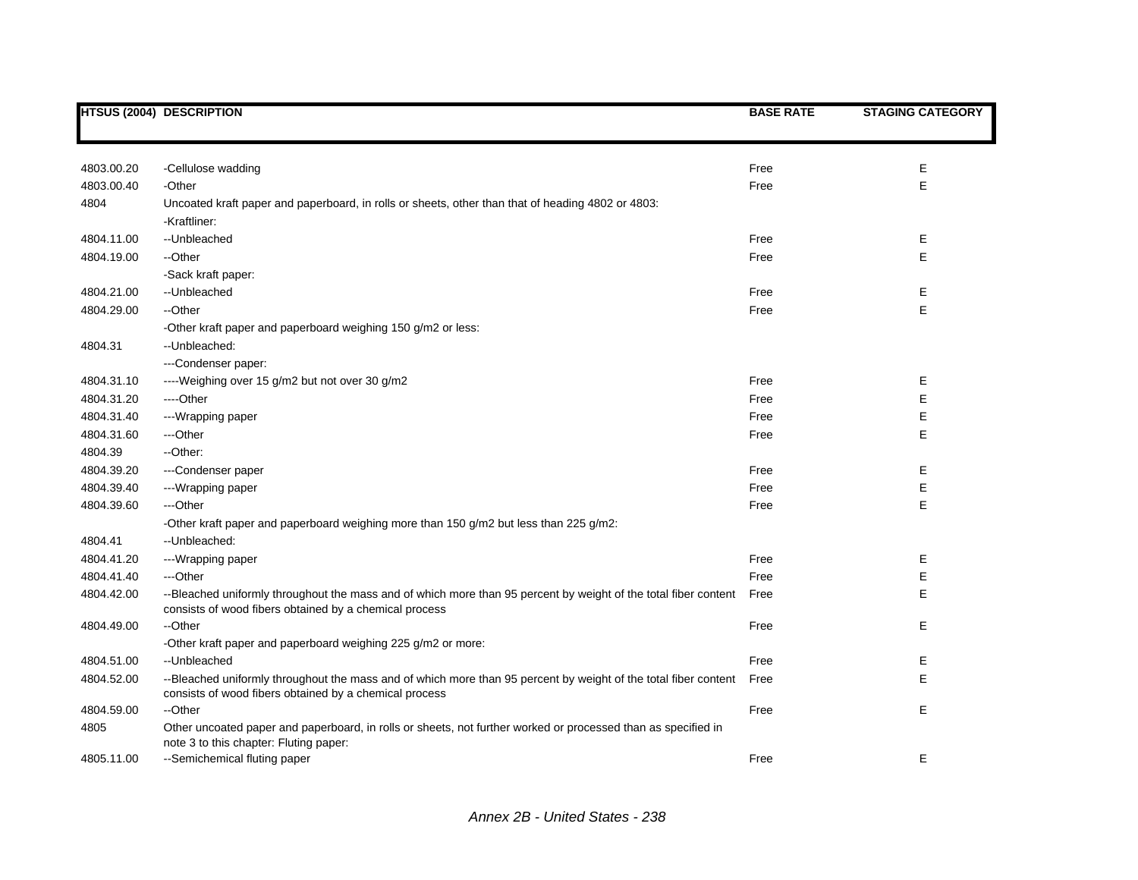|            | <b>HTSUS (2004) DESCRIPTION</b>                                                                                                                                           | <b>BASE RATE</b> | <b>STAGING CATEGORY</b> |
|------------|---------------------------------------------------------------------------------------------------------------------------------------------------------------------------|------------------|-------------------------|
|            |                                                                                                                                                                           |                  |                         |
| 4803.00.20 | -Cellulose wadding                                                                                                                                                        | Free             | E                       |
| 4803.00.40 | -Other                                                                                                                                                                    | Free             | E                       |
| 4804       | Uncoated kraft paper and paperboard, in rolls or sheets, other than that of heading 4802 or 4803:                                                                         |                  |                         |
|            | -Kraftliner:                                                                                                                                                              |                  |                         |
| 4804.11.00 | -- Unbleached                                                                                                                                                             | Free             | Е                       |
| 4804.19.00 | --Other                                                                                                                                                                   | Free             | E                       |
|            | -Sack kraft paper:                                                                                                                                                        |                  |                         |
| 4804.21.00 | --Unbleached                                                                                                                                                              | Free             | Ε                       |
| 4804.29.00 | --Other                                                                                                                                                                   | Free             | E                       |
|            | -Other kraft paper and paperboard weighing 150 g/m2 or less:                                                                                                              |                  |                         |
| 4804.31    | --Unbleached:                                                                                                                                                             |                  |                         |
|            | ---Condenser paper:                                                                                                                                                       |                  |                         |
| 4804.31.10 | ----Weighing over 15 g/m2 but not over 30 g/m2                                                                                                                            | Free             | Ε                       |
| 4804.31.20 | ----Other                                                                                                                                                                 | Free             | Е                       |
| 4804.31.40 | --- Wrapping paper                                                                                                                                                        | Free             | Е                       |
| 4804.31.60 | ---Other                                                                                                                                                                  | Free             | E                       |
| 4804.39    | --Other:                                                                                                                                                                  |                  |                         |
| 4804.39.20 | ---Condenser paper                                                                                                                                                        | Free             | Е                       |
| 4804.39.40 | ---Wrapping paper                                                                                                                                                         | Free             | Ε                       |
| 4804.39.60 | ---Other                                                                                                                                                                  | Free             | $\mathsf E$             |
|            | -Other kraft paper and paperboard weighing more than 150 g/m2 but less than 225 g/m2:                                                                                     |                  |                         |
| 4804.41    | --Unbleached:                                                                                                                                                             |                  |                         |
| 4804.41.20 | ---Wrapping paper                                                                                                                                                         | Free             | Ε                       |
| 4804.41.40 | ---Other                                                                                                                                                                  | Free             | Ε                       |
| 4804.42.00 | --Bleached uniformly throughout the mass and of which more than 95 percent by weight of the total fiber content<br>consists of wood fibers obtained by a chemical process | Free             | E                       |
| 4804.49.00 | --Other                                                                                                                                                                   | Free             | Ε                       |
|            | -Other kraft paper and paperboard weighing 225 g/m2 or more:                                                                                                              |                  |                         |
| 4804.51.00 | -- Unbleached                                                                                                                                                             | Free             | Ε                       |
| 4804.52.00 | --Bleached uniformly throughout the mass and of which more than 95 percent by weight of the total fiber content<br>consists of wood fibers obtained by a chemical process | Free             | E                       |
| 4804.59.00 | --Other                                                                                                                                                                   | Free             | Е                       |
| 4805       | Other uncoated paper and paperboard, in rolls or sheets, not further worked or processed than as specified in<br>note 3 to this chapter: Fluting paper:                   |                  |                         |
| 4805.11.00 | --Semichemical fluting paper                                                                                                                                              | Free             | E                       |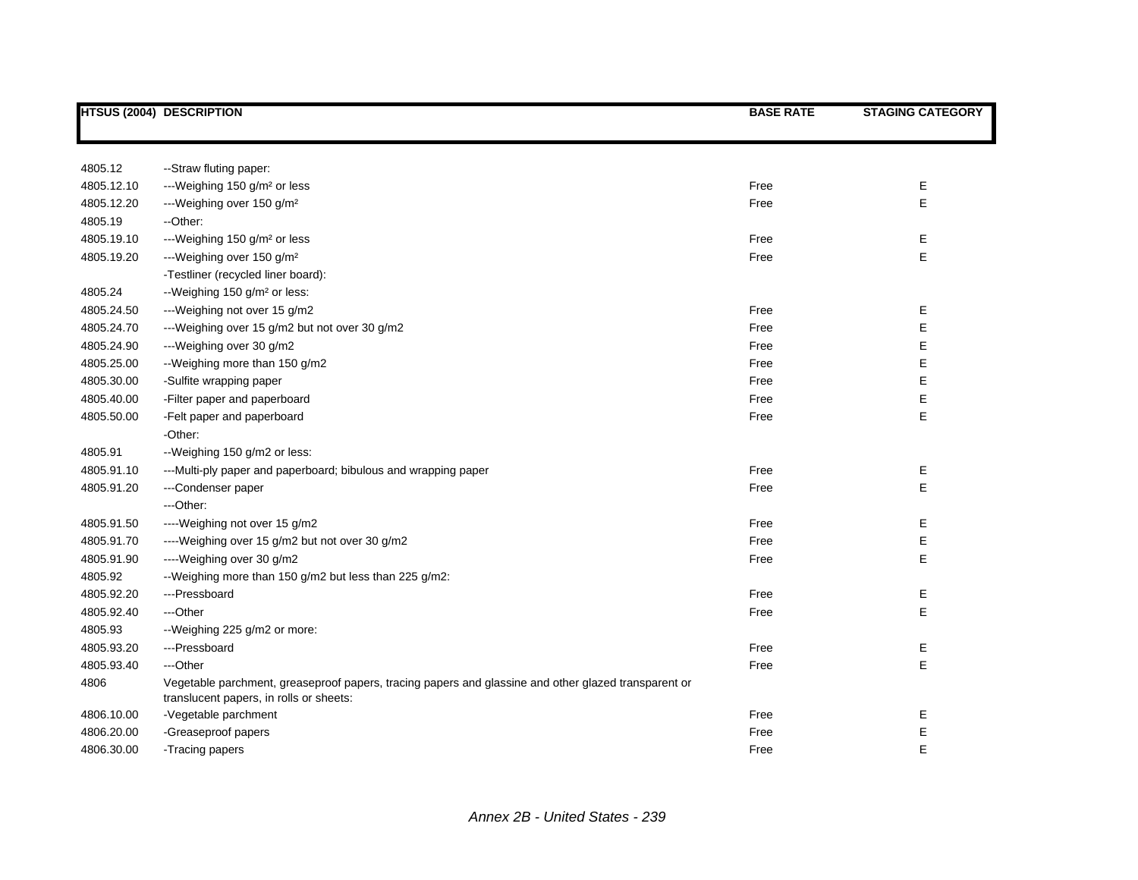|            | <b>HTSUS (2004) DESCRIPTION</b>                                                                                                                 | <b>BASE RATE</b> | <b>STAGING CATEGORY</b> |
|------------|-------------------------------------------------------------------------------------------------------------------------------------------------|------------------|-------------------------|
|            |                                                                                                                                                 |                  |                         |
| 4805.12    | -- Straw fluting paper:                                                                                                                         |                  |                         |
| 4805.12.10 | ---Weighing 150 g/m <sup>2</sup> or less                                                                                                        | Free             | Ε                       |
| 4805.12.20 | ---Weighing over 150 g/m <sup>2</sup>                                                                                                           | Free             | E                       |
| 4805.19    | --Other:                                                                                                                                        |                  |                         |
| 4805.19.10 | ---Weighing 150 g/m <sup>2</sup> or less                                                                                                        | Free             | Е                       |
| 4805.19.20 | ---Weighing over 150 g/m <sup>2</sup>                                                                                                           | Free             | E                       |
|            | -Testliner (recycled liner board):                                                                                                              |                  |                         |
| 4805.24    | --Weighing 150 g/m <sup>2</sup> or less:                                                                                                        |                  |                         |
| 4805.24.50 | ---Weighing not over 15 g/m2                                                                                                                    | Free             | Е                       |
| 4805.24.70 | --- Weighing over 15 g/m2 but not over 30 g/m2                                                                                                  | Free             | E                       |
| 4805.24.90 | ---Weighing over 30 g/m2                                                                                                                        | Free             | E                       |
| 4805.25.00 | --Weighing more than 150 g/m2                                                                                                                   | Free             | E                       |
| 4805.30.00 | -Sulfite wrapping paper                                                                                                                         | Free             | E                       |
| 4805.40.00 | -Filter paper and paperboard                                                                                                                    | Free             | E                       |
| 4805.50.00 | -Felt paper and paperboard                                                                                                                      | Free             | E                       |
|            | -Other:                                                                                                                                         |                  |                         |
| 4805.91    | --Weighing 150 g/m2 or less:                                                                                                                    |                  |                         |
| 4805.91.10 | ---Multi-ply paper and paperboard; bibulous and wrapping paper                                                                                  | Free             | Ε                       |
| 4805.91.20 | ---Condenser paper                                                                                                                              | Free             | E                       |
|            | ---Other:                                                                                                                                       |                  |                         |
| 4805.91.50 | ----Weighing not over 15 g/m2                                                                                                                   | Free             | Е                       |
| 4805.91.70 | ----Weighing over 15 g/m2 but not over 30 g/m2                                                                                                  | Free             | Е                       |
| 4805.91.90 | ----Weighing over 30 g/m2                                                                                                                       | Free             | E                       |
| 4805.92    | --Weighing more than 150 g/m2 but less than 225 g/m2:                                                                                           |                  |                         |
| 4805.92.20 | ---Pressboard                                                                                                                                   | Free             | Е                       |
| 4805.92.40 | ---Other                                                                                                                                        | Free             | E                       |
| 4805.93    | --Weighing 225 g/m2 or more:                                                                                                                    |                  |                         |
| 4805.93.20 | ---Pressboard                                                                                                                                   | Free             | Ε                       |
| 4805.93.40 | ---Other                                                                                                                                        | Free             | E                       |
| 4806       | Vegetable parchment, greaseproof papers, tracing papers and glassine and other glazed transparent or<br>translucent papers, in rolls or sheets: |                  |                         |
| 4806.10.00 | -Vegetable parchment                                                                                                                            | Free             | Е                       |
| 4806.20.00 | -Greaseproof papers                                                                                                                             | Free             | E                       |
| 4806.30.00 | -Tracing papers                                                                                                                                 | Free             | E                       |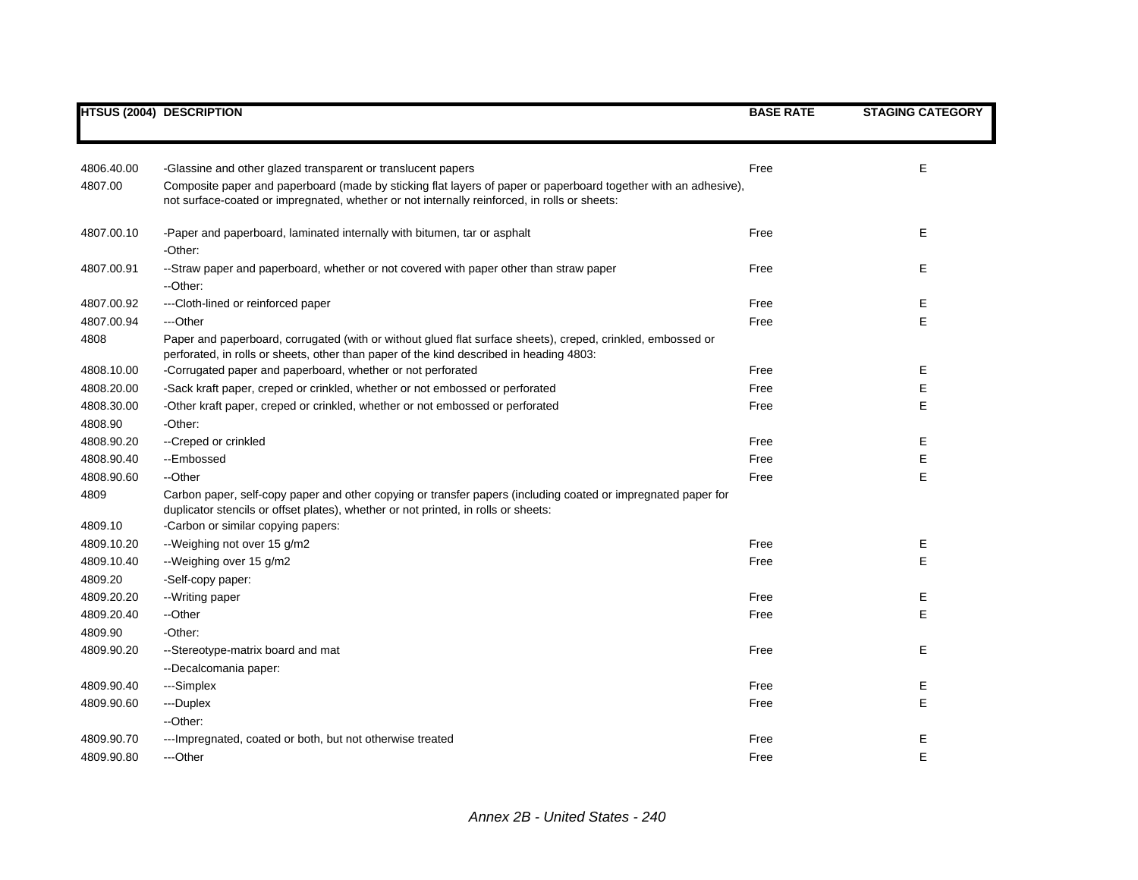|            | <b>HTSUS (2004) DESCRIPTION</b>                                                                                                                                                                                 | <b>BASE RATE</b> | <b>STAGING CATEGORY</b> |
|------------|-----------------------------------------------------------------------------------------------------------------------------------------------------------------------------------------------------------------|------------------|-------------------------|
|            |                                                                                                                                                                                                                 |                  |                         |
| 4806.40.00 | -Glassine and other glazed transparent or translucent papers                                                                                                                                                    | Free             | E                       |
| 4807.00    | Composite paper and paperboard (made by sticking flat layers of paper or paperboard together with an adhesive),<br>not surface-coated or impregnated, whether or not internally reinforced, in rolls or sheets: |                  |                         |
| 4807.00.10 | -Paper and paperboard, laminated internally with bitumen, tar or asphalt<br>-Other:                                                                                                                             | Free             | E                       |
| 4807.00.91 | --Straw paper and paperboard, whether or not covered with paper other than straw paper<br>--Other:                                                                                                              | Free             | E                       |
| 4807.00.92 | --- Cloth-lined or reinforced paper                                                                                                                                                                             | Free             | Ε                       |
| 4807.00.94 | ---Other                                                                                                                                                                                                        | Free             | E                       |
| 4808       | Paper and paperboard, corrugated (with or without glued flat surface sheets), creped, crinkled, embossed or<br>perforated, in rolls or sheets, other than paper of the kind described in heading 4803:          |                  |                         |
| 4808.10.00 | -Corrugated paper and paperboard, whether or not perforated                                                                                                                                                     | Free             | Е                       |
| 4808.20.00 | -Sack kraft paper, creped or crinkled, whether or not embossed or perforated                                                                                                                                    | Free             | E                       |
| 4808.30.00 | -Other kraft paper, creped or crinkled, whether or not embossed or perforated                                                                                                                                   | Free             | E                       |
| 4808.90    | -Other:                                                                                                                                                                                                         |                  |                         |
| 4808.90.20 | --Creped or crinkled                                                                                                                                                                                            | Free             | Е                       |
| 4808.90.40 | --Embossed                                                                                                                                                                                                      | Free             | E                       |
| 4808.90.60 | --Other                                                                                                                                                                                                         | Free             | E                       |
| 4809       | Carbon paper, self-copy paper and other copying or transfer papers (including coated or impregnated paper for<br>duplicator stencils or offset plates), whether or not printed, in rolls or sheets:             |                  |                         |
| 4809.10    | -Carbon or similar copying papers:                                                                                                                                                                              |                  |                         |
| 4809.10.20 | --Weighing not over 15 g/m2                                                                                                                                                                                     | Free             | Е                       |
| 4809.10.40 | --Weighing over 15 g/m2                                                                                                                                                                                         | Free             | E                       |
| 4809.20    | -Self-copy paper:                                                                                                                                                                                               |                  |                         |
| 4809.20.20 | --Writing paper                                                                                                                                                                                                 | Free             | E                       |
| 4809.20.40 | --Other                                                                                                                                                                                                         | Free             | E                       |
| 4809.90    | -Other:                                                                                                                                                                                                         |                  |                         |
| 4809.90.20 | --Stereotype-matrix board and mat                                                                                                                                                                               | Free             | E                       |
|            | --Decalcomania paper:                                                                                                                                                                                           |                  |                         |
| 4809.90.40 | ---Simplex                                                                                                                                                                                                      | Free             | Е                       |
| 4809.90.60 | ---Duplex                                                                                                                                                                                                       | Free             | E                       |
|            | --Other:                                                                                                                                                                                                        |                  |                         |
| 4809.90.70 | ---Impregnated, coated or both, but not otherwise treated                                                                                                                                                       | Free             | Е                       |
| 4809.90.80 | ---Other                                                                                                                                                                                                        | Free             | E                       |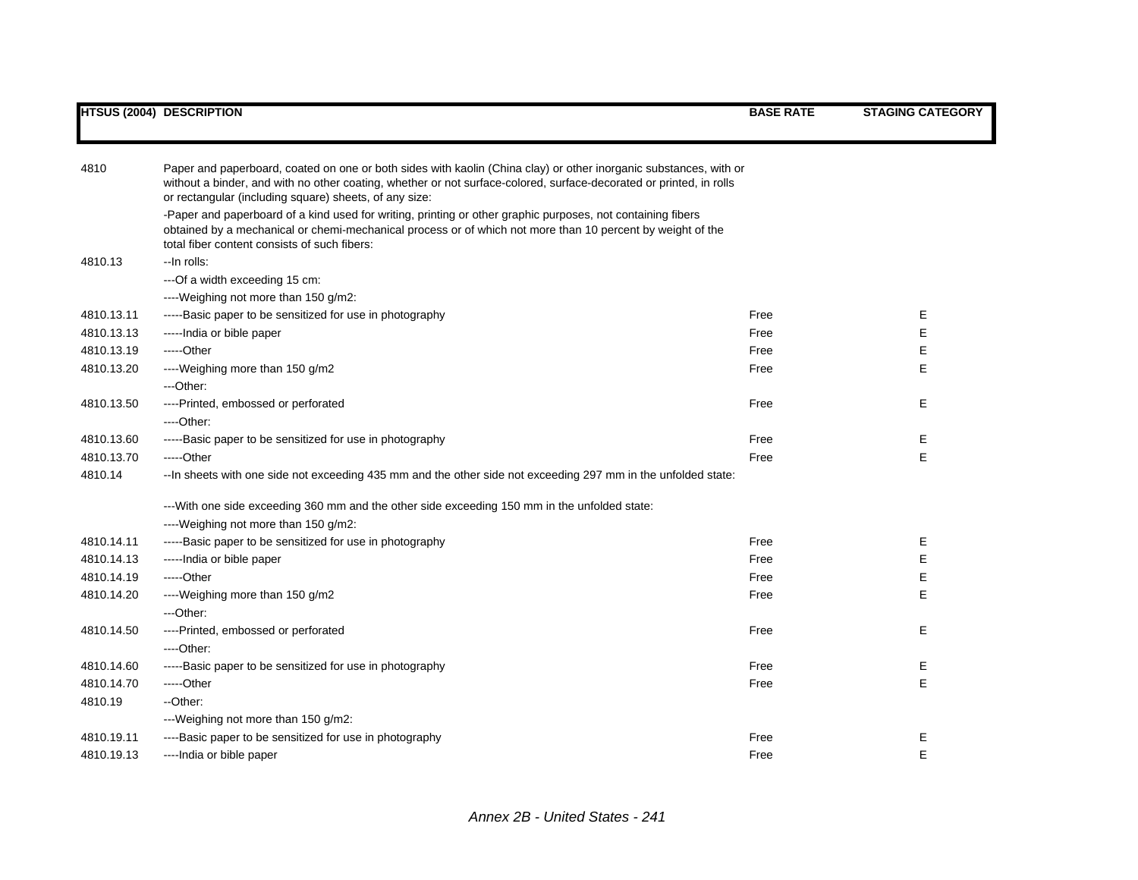| 4810       | Paper and paperboard, coated on one or both sides with kaolin (China clay) or other inorganic substances, with or<br>without a binder, and with no other coating, whether or not surface-colored, surface-decorated or printed, in rolls<br>or rectangular (including square) sheets, of any size: |      |   |  |  |
|------------|----------------------------------------------------------------------------------------------------------------------------------------------------------------------------------------------------------------------------------------------------------------------------------------------------|------|---|--|--|
|            | -Paper and paperboard of a kind used for writing, printing or other graphic purposes, not containing fibers                                                                                                                                                                                        |      |   |  |  |
|            | obtained by a mechanical or chemi-mechanical process or of which not more than 10 percent by weight of the                                                                                                                                                                                         |      |   |  |  |
|            | total fiber content consists of such fibers:                                                                                                                                                                                                                                                       |      |   |  |  |
| 4810.13    | --In rolls:                                                                                                                                                                                                                                                                                        |      |   |  |  |
|            | --- Of a width exceeding 15 cm:                                                                                                                                                                                                                                                                    |      |   |  |  |
|            | ----Weighing not more than 150 g/m2:                                                                                                                                                                                                                                                               |      |   |  |  |
| 4810.13.11 | -----Basic paper to be sensitized for use in photography                                                                                                                                                                                                                                           | Free | Е |  |  |
| 4810.13.13 | -----India or bible paper                                                                                                                                                                                                                                                                          | Free | E |  |  |
| 4810.13.19 | $---Other$                                                                                                                                                                                                                                                                                         | Free | E |  |  |
| 4810.13.20 | ----Weighing more than 150 g/m2                                                                                                                                                                                                                                                                    | Free | E |  |  |
|            | ---Other:                                                                                                                                                                                                                                                                                          |      |   |  |  |
| 4810.13.50 | ----Printed, embossed or perforated                                                                                                                                                                                                                                                                | Free | E |  |  |
|            | ----Other:                                                                                                                                                                                                                                                                                         |      |   |  |  |
| 4810.13.60 | -----Basic paper to be sensitized for use in photography                                                                                                                                                                                                                                           | Free | E |  |  |
| 4810.13.70 | -----Other                                                                                                                                                                                                                                                                                         | Free | E |  |  |
| 4810.14    | -- In sheets with one side not exceeding 435 mm and the other side not exceeding 297 mm in the unfolded state:                                                                                                                                                                                     |      |   |  |  |
|            | --With one side exceeding 360 mm and the other side exceeding 150 mm in the unfolded state:                                                                                                                                                                                                        |      |   |  |  |
|            | ----Weighing not more than 150 g/m2:                                                                                                                                                                                                                                                               |      |   |  |  |
| 4810.14.11 | -----Basic paper to be sensitized for use in photography                                                                                                                                                                                                                                           | Free | Е |  |  |
| 4810.14.13 | -----India or bible paper                                                                                                                                                                                                                                                                          | Free | E |  |  |
| 4810.14.19 | -----Other                                                                                                                                                                                                                                                                                         | Free | E |  |  |
| 4810.14.20 | ----Weighing more than 150 g/m2                                                                                                                                                                                                                                                                    | Free | E |  |  |
|            | ---Other:                                                                                                                                                                                                                                                                                          |      |   |  |  |
| 4810.14.50 | ----Printed, embossed or perforated                                                                                                                                                                                                                                                                | Free | E |  |  |
|            | ----Other:                                                                                                                                                                                                                                                                                         |      |   |  |  |
| 4810.14.60 | -----Basic paper to be sensitized for use in photography                                                                                                                                                                                                                                           | Free | E |  |  |
| 4810.14.70 | -----Other                                                                                                                                                                                                                                                                                         | Free | E |  |  |
| 4810.19    | --Other:                                                                                                                                                                                                                                                                                           |      |   |  |  |
|            | ---Weighing not more than 150 g/m2:                                                                                                                                                                                                                                                                |      |   |  |  |
| 4810.19.11 | ----Basic paper to be sensitized for use in photography                                                                                                                                                                                                                                            | Free | E |  |  |
| 4810.19.13 | ----India or bible paper                                                                                                                                                                                                                                                                           | Free | E |  |  |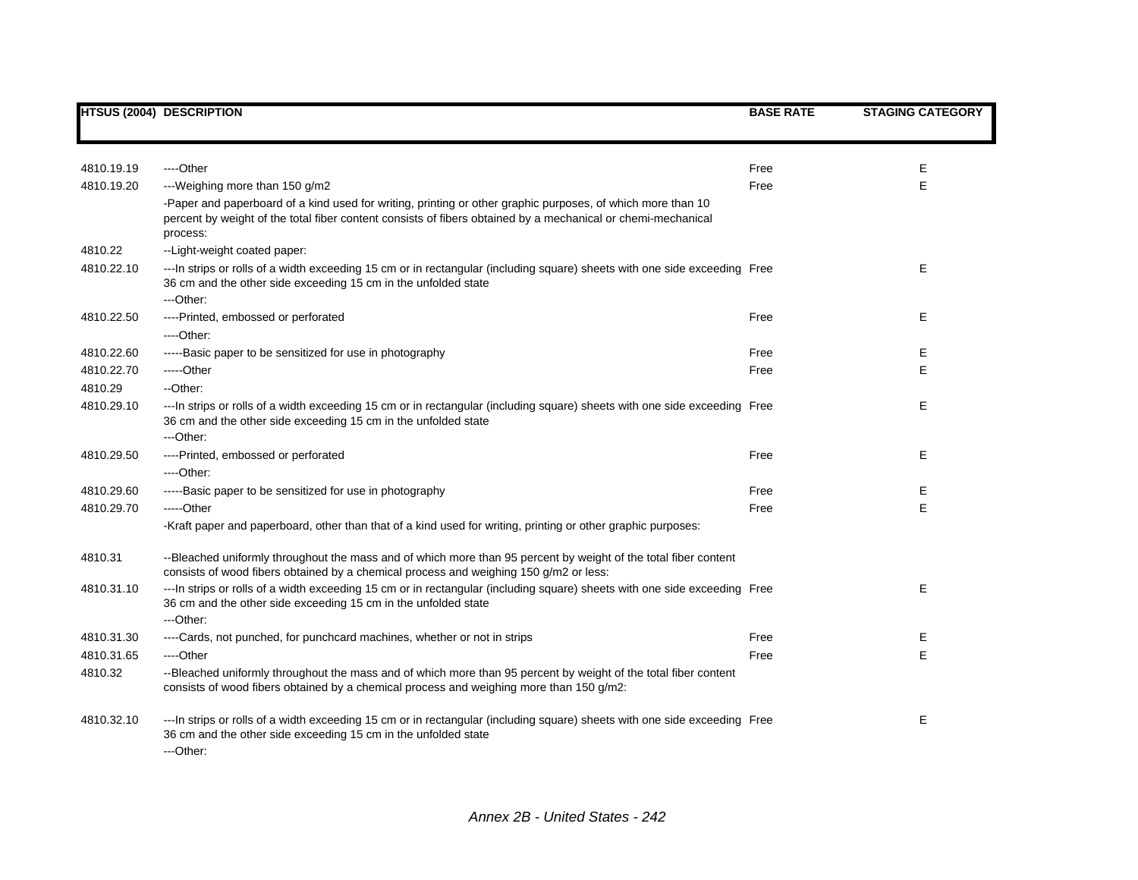|            | <b>HTSUS (2004) DESCRIPTION</b>                                                                                                                                                                                                         | <b>BASE RATE</b> | <b>STAGING CATEGORY</b> |
|------------|-----------------------------------------------------------------------------------------------------------------------------------------------------------------------------------------------------------------------------------------|------------------|-------------------------|
|            |                                                                                                                                                                                                                                         |                  |                         |
| 4810.19.19 | ----Other                                                                                                                                                                                                                               | Free             | Е                       |
| 4810.19.20 | ---Weighing more than 150 g/m2                                                                                                                                                                                                          | Free             | E                       |
|            | -Paper and paperboard of a kind used for writing, printing or other graphic purposes, of which more than 10<br>percent by weight of the total fiber content consists of fibers obtained by a mechanical or chemi-mechanical<br>process: |                  |                         |
| 4810.22    | --Light-weight coated paper:                                                                                                                                                                                                            |                  |                         |
| 4810.22.10 | --- In strips or rolls of a width exceeding 15 cm or in rectangular (including square) sheets with one side exceeding Free<br>36 cm and the other side exceeding 15 cm in the unfolded state<br>---Other:                               |                  | Е                       |
| 4810.22.50 | ----Printed, embossed or perforated                                                                                                                                                                                                     | Free             | Е                       |
|            | ----Other:                                                                                                                                                                                                                              |                  |                         |
| 4810.22.60 | -----Basic paper to be sensitized for use in photography                                                                                                                                                                                | Free             | Е                       |
| 4810.22.70 | -----Other                                                                                                                                                                                                                              | Free             | Е                       |
| 4810.29    | --Other:                                                                                                                                                                                                                                |                  |                         |
| 4810.29.10 | --- In strips or rolls of a width exceeding 15 cm or in rectangular (including square) sheets with one side exceeding Free<br>36 cm and the other side exceeding 15 cm in the unfolded state<br>---Other:                               |                  | Е                       |
| 4810.29.50 | ----Printed, embossed or perforated<br>$---Other.$                                                                                                                                                                                      | Free             | Е                       |
| 4810.29.60 | -----Basic paper to be sensitized for use in photography                                                                                                                                                                                | Free             | Ε                       |
| 4810.29.70 | $---Other$                                                                                                                                                                                                                              | Free             | E                       |
|            | -Kraft paper and paperboard, other than that of a kind used for writing, printing or other graphic purposes:                                                                                                                            |                  |                         |
| 4810.31    | --Bleached uniformly throughout the mass and of which more than 95 percent by weight of the total fiber content<br>consists of wood fibers obtained by a chemical process and weighing 150 g/m2 or less:                                |                  |                         |
| 4810.31.10 | --- In strips or rolls of a width exceeding 15 cm or in rectangular (including square) sheets with one side exceeding Free<br>36 cm and the other side exceeding 15 cm in the unfolded state<br>---Other:                               |                  | Е                       |
| 4810.31.30 | ----Cards, not punched, for punchcard machines, whether or not in strips                                                                                                                                                                | Free             | Е                       |
| 4810.31.65 | ----Other                                                                                                                                                                                                                               | Free             | E                       |
| 4810.32    | --Bleached uniformly throughout the mass and of which more than 95 percent by weight of the total fiber content<br>consists of wood fibers obtained by a chemical process and weighing more than 150 g/m2:                              |                  |                         |
| 4810.32.10 | --- In strips or rolls of a width exceeding 15 cm or in rectangular (including square) sheets with one side exceeding Free<br>36 cm and the other side exceeding 15 cm in the unfolded state<br>---Other:                               |                  | Е                       |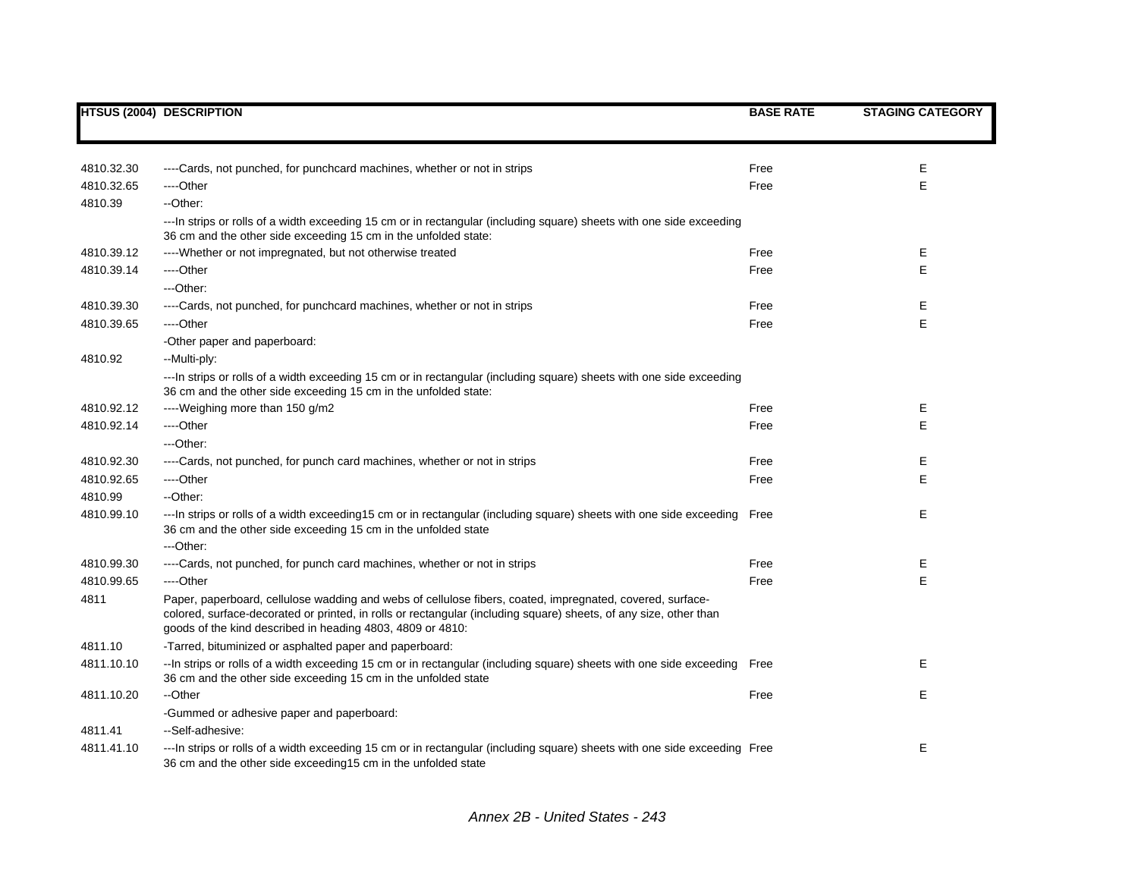|            | <b>HTSUS (2004) DESCRIPTION</b>                                                                                                                                                                                                                                                              | <b>BASE RATE</b> | <b>STAGING CATEGORY</b> |
|------------|----------------------------------------------------------------------------------------------------------------------------------------------------------------------------------------------------------------------------------------------------------------------------------------------|------------------|-------------------------|
|            |                                                                                                                                                                                                                                                                                              |                  |                         |
| 4810.32.30 | ----Cards, not punched, for punchcard machines, whether or not in strips                                                                                                                                                                                                                     | Free             | Ε                       |
| 4810.32.65 | ----Other                                                                                                                                                                                                                                                                                    | Free             | Ε                       |
| 4810.39    | --Other:                                                                                                                                                                                                                                                                                     |                  |                         |
|            | --- In strips or rolls of a width exceeding 15 cm or in rectangular (including square) sheets with one side exceeding<br>36 cm and the other side exceeding 15 cm in the unfolded state:                                                                                                     |                  |                         |
| 4810.39.12 | ---- Whether or not impregnated, but not otherwise treated                                                                                                                                                                                                                                   | Free             | Е                       |
| 4810.39.14 | ---Other                                                                                                                                                                                                                                                                                     | Free             | E                       |
|            | ---Other:                                                                                                                                                                                                                                                                                    |                  |                         |
| 4810.39.30 | ----Cards, not punched, for punchcard machines, whether or not in strips                                                                                                                                                                                                                     | Free             | Е                       |
| 4810.39.65 | ---Other                                                                                                                                                                                                                                                                                     | Free             | E                       |
|            | -Other paper and paperboard:                                                                                                                                                                                                                                                                 |                  |                         |
| 4810.92    | --Multi-ply:                                                                                                                                                                                                                                                                                 |                  |                         |
|            | ---ln strips or rolls of a width exceeding 15 cm or in rectangular (including square) sheets with one side exceeding<br>36 cm and the other side exceeding 15 cm in the unfolded state:                                                                                                      |                  |                         |
| 4810.92.12 | ----Weighing more than 150 g/m2                                                                                                                                                                                                                                                              | Free             | Е                       |
| 4810.92.14 | ---Other                                                                                                                                                                                                                                                                                     | Free             | Е                       |
|            | ---Other:                                                                                                                                                                                                                                                                                    |                  |                         |
| 4810.92.30 | ----Cards, not punched, for punch card machines, whether or not in strips                                                                                                                                                                                                                    | Free             | Е                       |
| 4810.92.65 | ----Other                                                                                                                                                                                                                                                                                    | Free             | Ε                       |
| 4810.99    | --Other:                                                                                                                                                                                                                                                                                     |                  |                         |
| 4810.99.10 | --- In strips or rolls of a width exceeding15 cm or in rectangular (including square) sheets with one side exceeding Free<br>36 cm and the other side exceeding 15 cm in the unfolded state<br>---Other:                                                                                     |                  | Ε                       |
| 4810.99.30 | ----Cards, not punched, for punch card machines, whether or not in strips                                                                                                                                                                                                                    | Free             | Е                       |
| 4810.99.65 | ---Other                                                                                                                                                                                                                                                                                     | Free             | E                       |
| 4811       | Paper, paperboard, cellulose wadding and webs of cellulose fibers, coated, impregnated, covered, surface-<br>colored, surface-decorated or printed, in rolls or rectangular (including square) sheets, of any size, other than<br>goods of the kind described in heading 4803, 4809 or 4810: |                  |                         |
| 4811.10    | -Tarred, bituminized or asphalted paper and paperboard:                                                                                                                                                                                                                                      |                  |                         |
| 4811.10.10 | --In strips or rolls of a width exceeding 15 cm or in rectangular (including square) sheets with one side exceeding Free<br>36 cm and the other side exceeding 15 cm in the unfolded state                                                                                                   |                  | Е                       |
| 4811.10.20 | --Other                                                                                                                                                                                                                                                                                      | Free             | Е                       |
|            | -Gummed or adhesive paper and paperboard:                                                                                                                                                                                                                                                    |                  |                         |
| 4811.41    | --Self-adhesive:                                                                                                                                                                                                                                                                             |                  |                         |
| 4811.41.10 | ---In strips or rolls of a width exceeding 15 cm or in rectangular (including square) sheets with one side exceeding Free<br>36 cm and the other side exceeding 15 cm in the unfolded state                                                                                                  |                  | Е                       |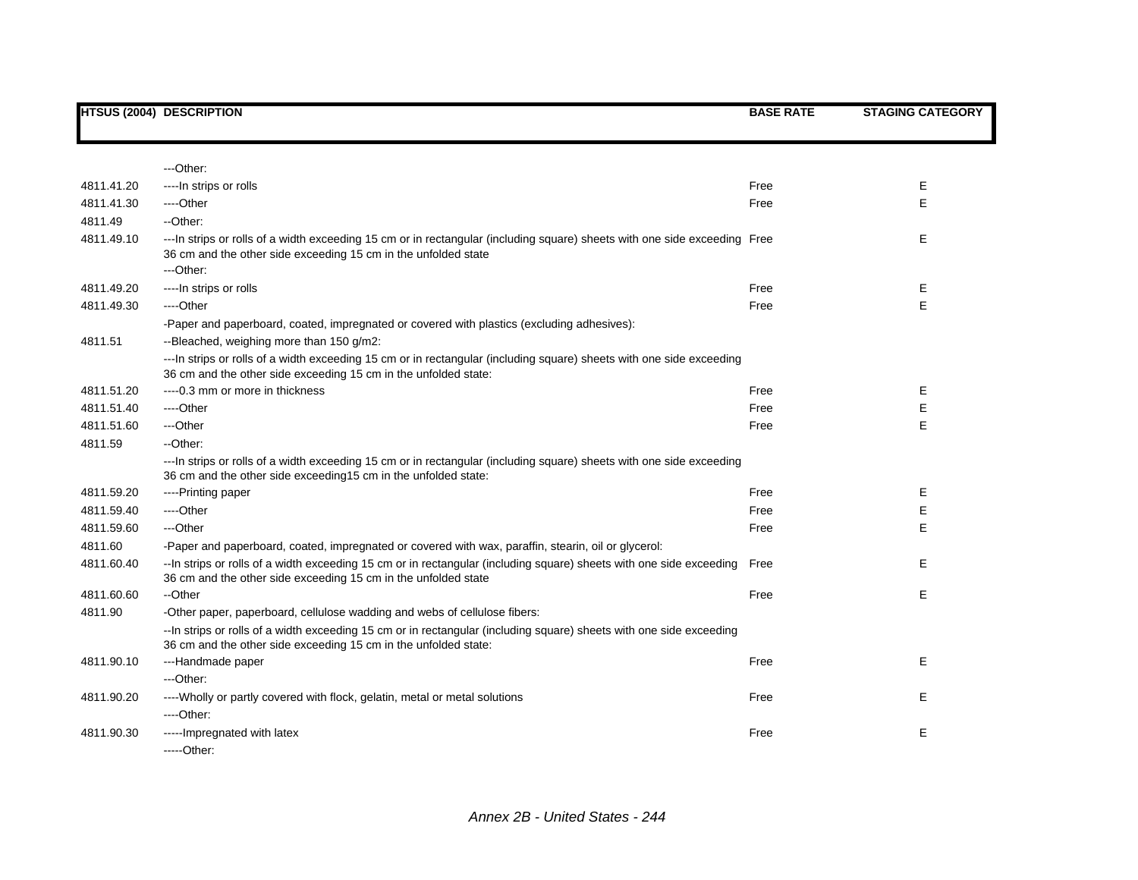|            | <b>HTSUS (2004) DESCRIPTION</b>                                                                                                                                                                           | <b>BASE RATE</b> | <b>STAGING CATEGORY</b> |
|------------|-----------------------------------------------------------------------------------------------------------------------------------------------------------------------------------------------------------|------------------|-------------------------|
|            |                                                                                                                                                                                                           |                  |                         |
|            | ---Other:                                                                                                                                                                                                 |                  |                         |
|            |                                                                                                                                                                                                           |                  | Е                       |
| 4811.41.20 | ----In strips or rolls                                                                                                                                                                                    | Free             |                         |
| 4811.41.30 | ----Other                                                                                                                                                                                                 | Free             | E                       |
| 4811.49    | --Other:                                                                                                                                                                                                  |                  |                         |
| 4811.49.10 | --- In strips or rolls of a width exceeding 15 cm or in rectangular (including square) sheets with one side exceeding Free<br>36 cm and the other side exceeding 15 cm in the unfolded state<br>---Other: |                  | Е                       |
| 4811.49.20 | ---- In strips or rolls                                                                                                                                                                                   | Free             | Е                       |
|            |                                                                                                                                                                                                           |                  | E                       |
| 4811.49.30 | ----Other                                                                                                                                                                                                 | Free             |                         |
|            | -Paper and paperboard, coated, impregnated or covered with plastics (excluding adhesives):                                                                                                                |                  |                         |
| 4811.51    | --Bleached, weighing more than 150 g/m2:                                                                                                                                                                  |                  |                         |
|            | --- In strips or rolls of a width exceeding 15 cm or in rectangular (including square) sheets with one side exceeding<br>36 cm and the other side exceeding 15 cm in the unfolded state:                  |                  |                         |
| 4811.51.20 | ---- 0.3 mm or more in thickness                                                                                                                                                                          | Free             | Е                       |
| 4811.51.40 | ----Other                                                                                                                                                                                                 | Free             | E                       |
| 4811.51.60 | ---Other                                                                                                                                                                                                  | Free             | E                       |
| 4811.59    | --Other:                                                                                                                                                                                                  |                  |                         |
|            | --- In strips or rolls of a width exceeding 15 cm or in rectangular (including square) sheets with one side exceeding<br>36 cm and the other side exceeding15 cm in the unfolded state:                   |                  |                         |
| 4811.59.20 | ----Printing paper                                                                                                                                                                                        | Free             | Ε                       |
| 4811.59.40 | ----Other                                                                                                                                                                                                 | Free             | Е                       |
| 4811.59.60 | ---Other                                                                                                                                                                                                  | Free             | E                       |
| 4811.60    | -Paper and paperboard, coated, impregnated or covered with wax, paraffin, stearin, oil or glycerol:                                                                                                       |                  |                         |
| 4811.60.40 | -- In strips or rolls of a width exceeding 15 cm or in rectangular (including square) sheets with one side exceeding<br>36 cm and the other side exceeding 15 cm in the unfolded state                    | Free             | Е                       |
| 4811.60.60 | --Other                                                                                                                                                                                                   | Free             | Е                       |
| 4811.90    | -Other paper, paperboard, cellulose wadding and webs of cellulose fibers:                                                                                                                                 |                  |                         |
|            | -- In strips or rolls of a width exceeding 15 cm or in rectangular (including square) sheets with one side exceeding<br>36 cm and the other side exceeding 15 cm in the unfolded state:                   |                  |                         |
| 4811.90.10 | ---Handmade paper                                                                                                                                                                                         | Free             | Е                       |
|            | ---Other:                                                                                                                                                                                                 |                  |                         |
| 4811.90.20 | ---- Wholly or partly covered with flock, gelatin, metal or metal solutions                                                                                                                               | Free             | Е                       |
|            | ----Other:                                                                                                                                                                                                |                  |                         |
| 4811.90.30 | ----- Impregnated with latex                                                                                                                                                                              | Free             | Ε                       |
|            | $---Other.$                                                                                                                                                                                               |                  |                         |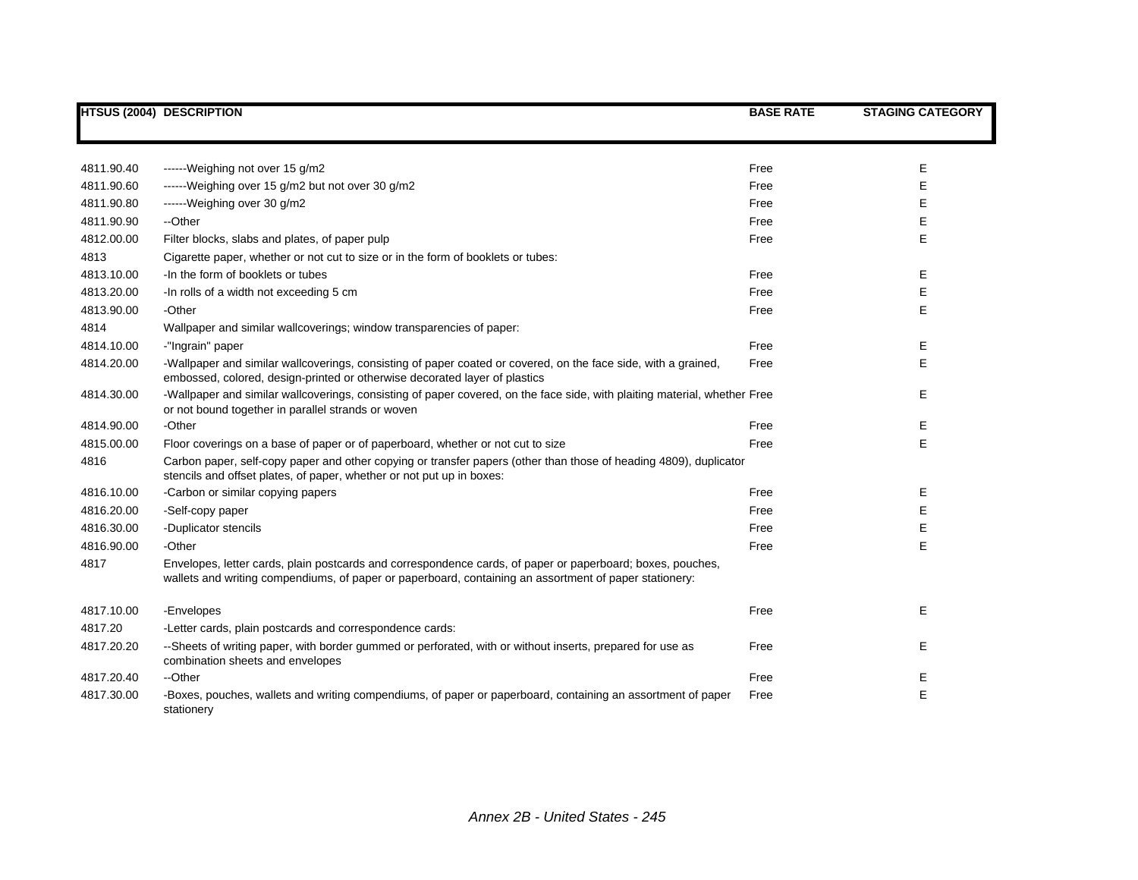|            | <b>HTSUS (2004) DESCRIPTION</b>                                                                                                                                                                                      | <b>BASE RATE</b> | <b>STAGING CATEGORY</b> |
|------------|----------------------------------------------------------------------------------------------------------------------------------------------------------------------------------------------------------------------|------------------|-------------------------|
|            |                                                                                                                                                                                                                      |                  |                         |
| 4811.90.40 | ------Weighing not over 15 g/m2                                                                                                                                                                                      | Free             | Е                       |
| 4811.90.60 | ------Weighing over 15 g/m2 but not over 30 g/m2                                                                                                                                                                     | Free             | Е                       |
| 4811.90.80 | ------Weighing over 30 g/m2                                                                                                                                                                                          | Free             | Ε                       |
| 4811.90.90 | --Other                                                                                                                                                                                                              | Free             | Е                       |
| 4812.00.00 | Filter blocks, slabs and plates, of paper pulp                                                                                                                                                                       | Free             | Е                       |
| 4813       | Cigarette paper, whether or not cut to size or in the form of booklets or tubes:                                                                                                                                     |                  |                         |
| 4813.10.00 | -In the form of booklets or tubes                                                                                                                                                                                    | Free             | Е                       |
| 4813.20.00 | -In rolls of a width not exceeding 5 cm                                                                                                                                                                              | Free             | Е                       |
| 4813.90.00 | -Other                                                                                                                                                                                                               | Free             | Е                       |
| 4814       | Wallpaper and similar wallcoverings; window transparencies of paper:                                                                                                                                                 |                  |                         |
| 4814.10.00 | -"Ingrain" paper                                                                                                                                                                                                     | Free             | E                       |
| 4814.20.00 | -Wallpaper and similar wallcoverings, consisting of paper coated or covered, on the face side, with a grained,<br>embossed, colored, design-printed or otherwise decorated layer of plastics                         | Free             | Е                       |
| 4814.30.00 | -Wallpaper and similar wallcoverings, consisting of paper covered, on the face side, with plaiting material, whether Free<br>or not bound together in parallel strands or woven                                      |                  | Е                       |
| 4814.90.00 | -Other                                                                                                                                                                                                               | Free             | Е                       |
| 4815.00.00 | Floor coverings on a base of paper or of paperboard, whether or not cut to size                                                                                                                                      | Free             | Е                       |
| 4816       | Carbon paper, self-copy paper and other copying or transfer papers (other than those of heading 4809), duplicator<br>stencils and offset plates, of paper, whether or not put up in boxes:                           |                  |                         |
| 4816.10.00 | -Carbon or similar copying papers                                                                                                                                                                                    | Free             | Е                       |
| 4816.20.00 | -Self-copy paper                                                                                                                                                                                                     | Free             | E                       |
| 4816.30.00 | -Duplicator stencils                                                                                                                                                                                                 | Free             | Е                       |
| 4816.90.00 | -Other                                                                                                                                                                                                               | Free             | E                       |
| 4817       | Envelopes, letter cards, plain postcards and correspondence cards, of paper or paperboard; boxes, pouches,<br>wallets and writing compendiums, of paper or paperboard, containing an assortment of paper stationery: |                  |                         |
| 4817.10.00 | -Envelopes                                                                                                                                                                                                           | Free             | E                       |
| 4817.20    | -Letter cards, plain postcards and correspondence cards:                                                                                                                                                             |                  |                         |
| 4817.20.20 | --Sheets of writing paper, with border gummed or perforated, with or without inserts, prepared for use as<br>combination sheets and envelopes                                                                        | Free             | Е                       |
| 4817.20.40 | --Other                                                                                                                                                                                                              | Free             | Е                       |
| 4817.30.00 | -Boxes, pouches, wallets and writing compendiums, of paper or paperboard, containing an assortment of paper<br>stationery                                                                                            | Free             | E                       |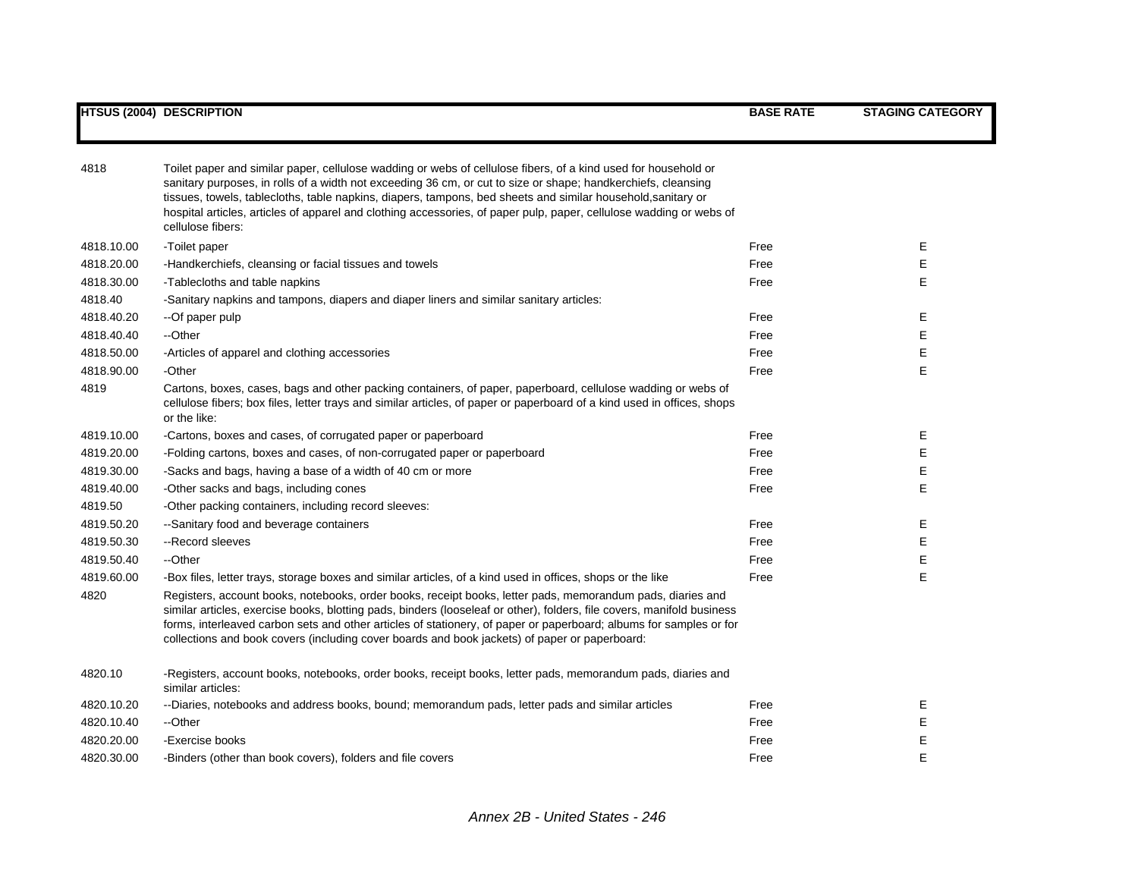| 4818       | Toilet paper and similar paper, cellulose wadding or webs of cellulose fibers, of a kind used for household or<br>sanitary purposes, in rolls of a width not exceeding 36 cm, or cut to size or shape; handkerchiefs, cleansing<br>tissues, towels, tablecloths, table napkins, diapers, tampons, bed sheets and similar household, sanitary or<br>hospital articles, articles of apparel and clothing accessories, of paper pulp, paper, cellulose wadding or webs of<br>cellulose fibers: |      |   |
|------------|---------------------------------------------------------------------------------------------------------------------------------------------------------------------------------------------------------------------------------------------------------------------------------------------------------------------------------------------------------------------------------------------------------------------------------------------------------------------------------------------|------|---|
| 4818.10.00 | -Toilet paper                                                                                                                                                                                                                                                                                                                                                                                                                                                                               | Free | Е |
| 4818.20.00 | -Handkerchiefs, cleansing or facial tissues and towels                                                                                                                                                                                                                                                                                                                                                                                                                                      | Free | Е |
| 4818.30.00 | -Tablecloths and table napkins                                                                                                                                                                                                                                                                                                                                                                                                                                                              | Free | E |
| 4818.40    | -Sanitary napkins and tampons, diapers and diaper liners and similar sanitary articles:                                                                                                                                                                                                                                                                                                                                                                                                     |      |   |
| 4818.40.20 | --Of paper pulp                                                                                                                                                                                                                                                                                                                                                                                                                                                                             | Free | Е |
| 4818.40.40 | --Other                                                                                                                                                                                                                                                                                                                                                                                                                                                                                     | Free | Е |
| 4818.50.00 | -Articles of apparel and clothing accessories                                                                                                                                                                                                                                                                                                                                                                                                                                               | Free | Е |
| 4818.90.00 | -Other                                                                                                                                                                                                                                                                                                                                                                                                                                                                                      | Free | E |
| 4819       | Cartons, boxes, cases, bags and other packing containers, of paper, paperboard, cellulose wadding or webs of<br>cellulose fibers; box files, letter trays and similar articles, of paper or paperboard of a kind used in offices, shops<br>or the like:                                                                                                                                                                                                                                     |      |   |
| 4819.10.00 | -Cartons, boxes and cases, of corrugated paper or paperboard                                                                                                                                                                                                                                                                                                                                                                                                                                | Free | Е |
| 4819.20.00 | -Folding cartons, boxes and cases, of non-corrugated paper or paperboard                                                                                                                                                                                                                                                                                                                                                                                                                    | Free | E |
| 4819.30.00 | -Sacks and bags, having a base of a width of 40 cm or more                                                                                                                                                                                                                                                                                                                                                                                                                                  | Free | Е |
| 4819.40.00 | -Other sacks and bags, including cones                                                                                                                                                                                                                                                                                                                                                                                                                                                      | Free | E |
| 4819.50    | -Other packing containers, including record sleeves:                                                                                                                                                                                                                                                                                                                                                                                                                                        |      |   |
| 4819.50.20 | --Sanitary food and beverage containers                                                                                                                                                                                                                                                                                                                                                                                                                                                     | Free | Е |
| 4819.50.30 | --Record sleeves                                                                                                                                                                                                                                                                                                                                                                                                                                                                            | Free | E |
| 4819.50.40 | --Other                                                                                                                                                                                                                                                                                                                                                                                                                                                                                     | Free | Е |
| 4819.60.00 | -Box files, letter trays, storage boxes and similar articles, of a kind used in offices, shops or the like                                                                                                                                                                                                                                                                                                                                                                                  | Free | E |
| 4820       | Registers, account books, notebooks, order books, receipt books, letter pads, memorandum pads, diaries and<br>similar articles, exercise books, blotting pads, binders (looseleaf or other), folders, file covers, manifold business<br>forms, interleaved carbon sets and other articles of stationery, of paper or paperboard; albums for samples or for<br>collections and book covers (including cover boards and book jackets) of paper or paperboard:                                 |      |   |
| 4820.10    | -Registers, account books, notebooks, order books, receipt books, letter pads, memorandum pads, diaries and<br>similar articles:                                                                                                                                                                                                                                                                                                                                                            |      |   |
| 4820.10.20 | --Diaries, notebooks and address books, bound; memorandum pads, letter pads and similar articles                                                                                                                                                                                                                                                                                                                                                                                            | Free | Е |
| 4820.10.40 | --Other                                                                                                                                                                                                                                                                                                                                                                                                                                                                                     | Free | Е |
| 4820.20.00 | -Exercise books                                                                                                                                                                                                                                                                                                                                                                                                                                                                             | Free | Е |
| 4820.30.00 | -Binders (other than book covers), folders and file covers                                                                                                                                                                                                                                                                                                                                                                                                                                  | Free | E |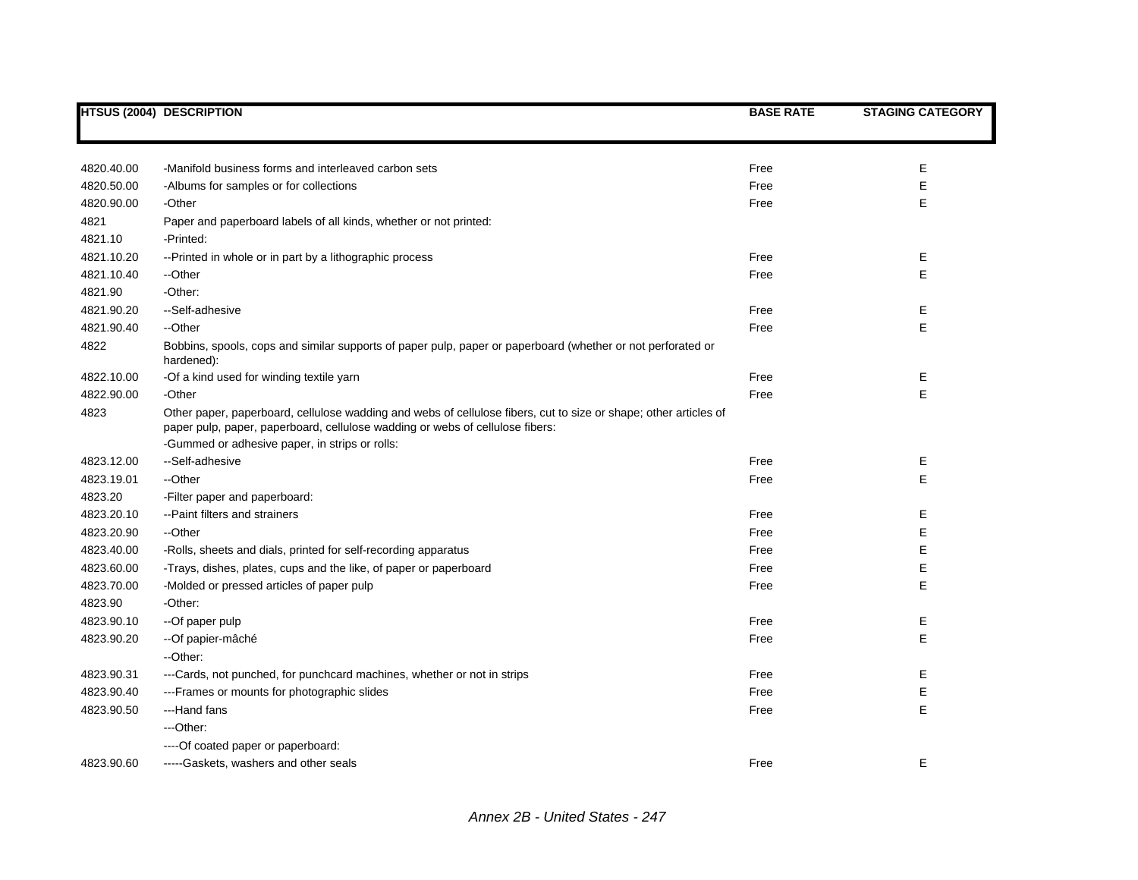|                       | HTSUS (2004) DESCRIPTION                                                                                                                                                                          | <b>BASE RATE</b> | <b>STAGING CATEGORY</b> |
|-----------------------|---------------------------------------------------------------------------------------------------------------------------------------------------------------------------------------------------|------------------|-------------------------|
|                       |                                                                                                                                                                                                   |                  |                         |
|                       |                                                                                                                                                                                                   |                  |                         |
| 4820.40.00            | -Manifold business forms and interleaved carbon sets                                                                                                                                              | Free             | E                       |
| 4820.50.00            | -Albums for samples or for collections                                                                                                                                                            | Free             | E                       |
| 4820.90.00            | -Other                                                                                                                                                                                            | Free             | E                       |
| 4821                  | Paper and paperboard labels of all kinds, whether or not printed:                                                                                                                                 |                  |                         |
| 4821.10               | -Printed:                                                                                                                                                                                         |                  |                         |
| 4821.10.20            | --Printed in whole or in part by a lithographic process                                                                                                                                           | Free             | Е                       |
| 4821.10.40            | --Other                                                                                                                                                                                           | Free             | E                       |
| 4821.90               | -Other:                                                                                                                                                                                           |                  |                         |
| 4821.90.20            | --Self-adhesive                                                                                                                                                                                   | Free             | Е                       |
| 4821.90.40            | --Other                                                                                                                                                                                           | Free             | E                       |
| 4822                  | Bobbins, spools, cops and similar supports of paper pulp, paper or paperboard (whether or not perforated or<br>hardened):                                                                         |                  |                         |
| 4822.10.00            | -Of a kind used for winding textile yarn                                                                                                                                                          | Free             | Е                       |
| 4822.90.00            | -Other                                                                                                                                                                                            | Free             | E                       |
| 4823                  | Other paper, paperboard, cellulose wadding and webs of cellulose fibers, cut to size or shape; other articles of<br>paper pulp, paper, paperboard, cellulose wadding or webs of cellulose fibers: |                  |                         |
|                       | -Gummed or adhesive paper, in strips or rolls:<br>--Self-adhesive                                                                                                                                 |                  |                         |
| 4823.12.00            | --Other                                                                                                                                                                                           | Free<br>Free     | Е<br>E                  |
| 4823.19.01            |                                                                                                                                                                                                   |                  |                         |
| 4823.20<br>4823.20.10 | -Filter paper and paperboard:<br>--Paint filters and strainers                                                                                                                                    | Free             | Е                       |
| 4823.20.90            | --Other                                                                                                                                                                                           | Free             | E                       |
| 4823.40.00            |                                                                                                                                                                                                   | Free             | E                       |
| 4823.60.00            | -Rolls, sheets and dials, printed for self-recording apparatus                                                                                                                                    | Free             | Е                       |
| 4823.70.00            | -Trays, dishes, plates, cups and the like, of paper or paperboard<br>-Molded or pressed articles of paper pulp                                                                                    | Free             | E                       |
| 4823.90               | -Other:                                                                                                                                                                                           |                  |                         |
| 4823.90.10            | --Of paper pulp                                                                                                                                                                                   | Free             | Е                       |
| 4823.90.20            | -- Of papier-mâché                                                                                                                                                                                | Free             | E                       |
|                       | --Other:                                                                                                                                                                                          |                  |                         |
| 4823.90.31            | ---Cards, not punched, for punchcard machines, whether or not in strips                                                                                                                           | Free             | Е                       |
| 4823.90.40            | ---Frames or mounts for photographic slides                                                                                                                                                       | Free             | E                       |
| 4823.90.50            | ---Hand fans                                                                                                                                                                                      | Free             | E                       |
|                       | ---Other:                                                                                                                                                                                         |                  |                         |
|                       | ---- Of coated paper or paperboard:                                                                                                                                                               |                  |                         |
| 4823.90.60            | -----Gaskets, washers and other seals                                                                                                                                                             | Free             | E                       |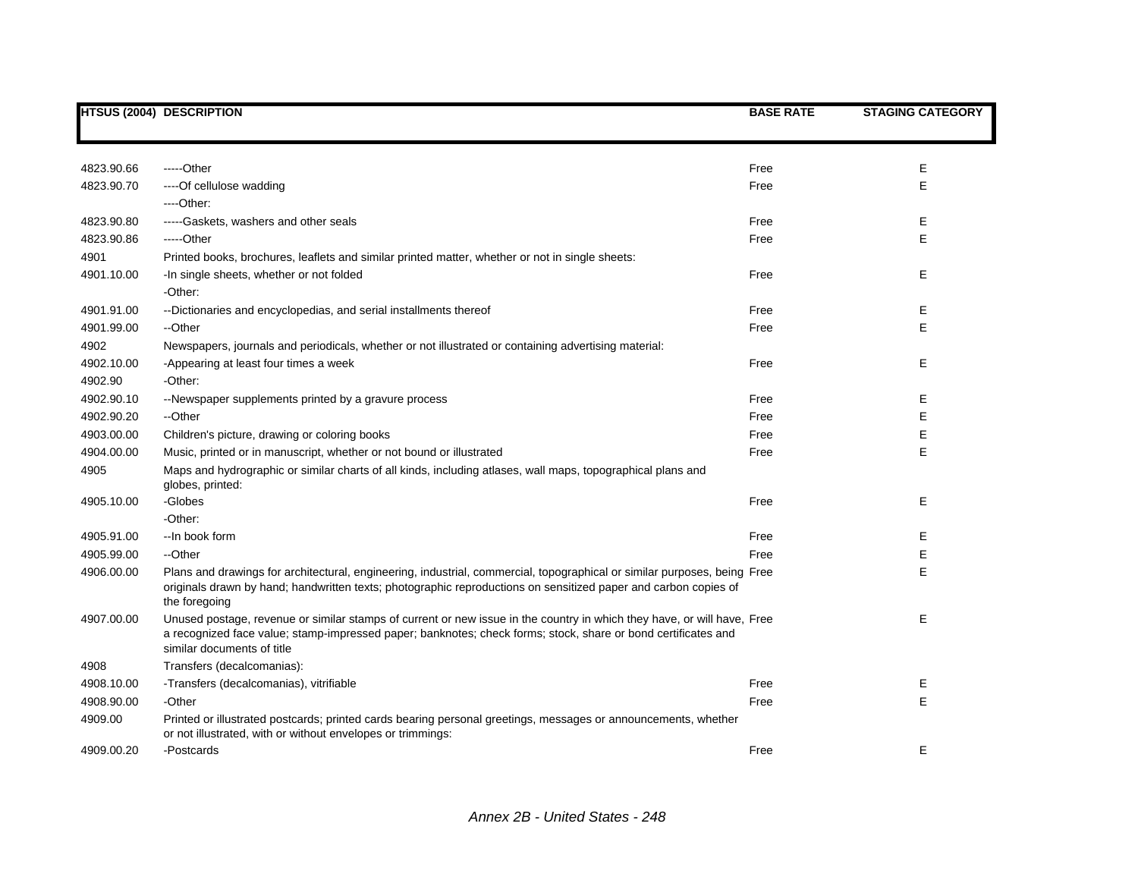|            | <b>HTSUS (2004) DESCRIPTION</b>                                                                                                                                                                                                                                        | <b>BASE RATE</b> | <b>STAGING CATEGORY</b> |
|------------|------------------------------------------------------------------------------------------------------------------------------------------------------------------------------------------------------------------------------------------------------------------------|------------------|-------------------------|
|            |                                                                                                                                                                                                                                                                        |                  |                         |
| 4823.90.66 | -----Other                                                                                                                                                                                                                                                             | Free             | E                       |
| 4823.90.70 | ---- Of cellulose wadding                                                                                                                                                                                                                                              | Free             | E                       |
|            | ----Other:                                                                                                                                                                                                                                                             |                  |                         |
| 4823.90.80 | -----Gaskets, washers and other seals                                                                                                                                                                                                                                  | Free             | Е                       |
| 4823.90.86 | -----Other                                                                                                                                                                                                                                                             | Free             | E                       |
| 4901       | Printed books, brochures, leaflets and similar printed matter, whether or not in single sheets:                                                                                                                                                                        |                  |                         |
| 4901.10.00 | -In single sheets, whether or not folded                                                                                                                                                                                                                               | Free             | E                       |
|            | -Other:                                                                                                                                                                                                                                                                |                  |                         |
| 4901.91.00 | --Dictionaries and encyclopedias, and serial installments thereof                                                                                                                                                                                                      | Free             | Е                       |
| 4901.99.00 | --Other                                                                                                                                                                                                                                                                | Free             | E                       |
| 4902       | Newspapers, journals and periodicals, whether or not illustrated or containing advertising material:                                                                                                                                                                   |                  |                         |
| 4902.10.00 | -Appearing at least four times a week                                                                                                                                                                                                                                  | Free             | E.                      |
| 4902.90    | -Other:                                                                                                                                                                                                                                                                |                  |                         |
| 4902.90.10 | --Newspaper supplements printed by a gravure process                                                                                                                                                                                                                   | Free             | E                       |
| 4902.90.20 | --Other                                                                                                                                                                                                                                                                | Free             | E                       |
| 4903.00.00 | Children's picture, drawing or coloring books                                                                                                                                                                                                                          | Free             | E                       |
| 4904.00.00 | Music, printed or in manuscript, whether or not bound or illustrated                                                                                                                                                                                                   | Free             | E                       |
| 4905       | Maps and hydrographic or similar charts of all kinds, including atlases, wall maps, topographical plans and<br>globes, printed:                                                                                                                                        |                  |                         |
| 4905.10.00 | -Globes                                                                                                                                                                                                                                                                | Free             | Е                       |
|            | -Other:                                                                                                                                                                                                                                                                |                  |                         |
| 4905.91.00 | --In book form                                                                                                                                                                                                                                                         | Free             | Е                       |
| 4905.99.00 | --Other                                                                                                                                                                                                                                                                | Free             | E                       |
| 4906.00.00 | Plans and drawings for architectural, engineering, industrial, commercial, topographical or similar purposes, being Free<br>originals drawn by hand; handwritten texts; photographic reproductions on sensitized paper and carbon copies of<br>the foregoing           |                  | E                       |
| 4907.00.00 | Unused postage, revenue or similar stamps of current or new issue in the country in which they have, or will have, Free<br>a recognized face value; stamp-impressed paper; banknotes; check forms; stock, share or bond certificates and<br>similar documents of title |                  | E                       |
| 4908       | Transfers (decalcomanias):                                                                                                                                                                                                                                             |                  |                         |
| 4908.10.00 | -Transfers (decalcomanias), vitrifiable                                                                                                                                                                                                                                | Free             | Е                       |
| 4908.90.00 | -Other                                                                                                                                                                                                                                                                 | Free             | E                       |
| 4909.00    | Printed or illustrated postcards; printed cards bearing personal greetings, messages or announcements, whether<br>or not illustrated, with or without envelopes or trimmings:                                                                                          |                  |                         |
| 4909.00.20 | -Postcards                                                                                                                                                                                                                                                             | Free             | E.                      |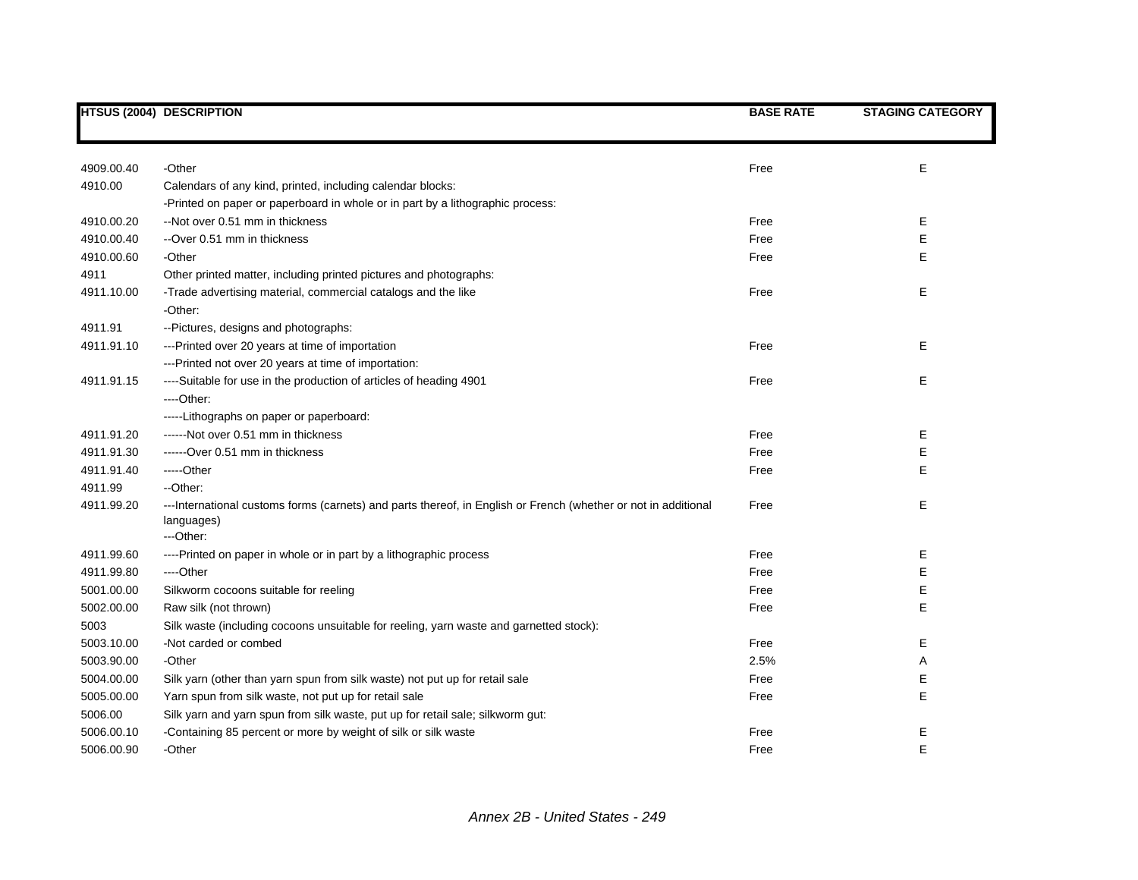|            | <b>HTSUS (2004) DESCRIPTION</b>                                                                                               | <b>BASE RATE</b> | <b>STAGING CATEGORY</b> |
|------------|-------------------------------------------------------------------------------------------------------------------------------|------------------|-------------------------|
|            |                                                                                                                               |                  |                         |
| 4909.00.40 | -Other                                                                                                                        | Free             | E                       |
| 4910.00    | Calendars of any kind, printed, including calendar blocks:                                                                    |                  |                         |
|            | -Printed on paper or paperboard in whole or in part by a lithographic process:                                                |                  |                         |
| 4910.00.20 | --Not over 0.51 mm in thickness                                                                                               | Free             | Е                       |
| 4910.00.40 | --Over 0.51 mm in thickness                                                                                                   | Free             | Е                       |
| 4910.00.60 | -Other                                                                                                                        | Free             | E                       |
| 4911       | Other printed matter, including printed pictures and photographs:                                                             |                  |                         |
| 4911.10.00 | -Trade advertising material, commercial catalogs and the like                                                                 | Free             | E                       |
|            | -Other:                                                                                                                       |                  |                         |
| 4911.91    | --Pictures, designs and photographs:                                                                                          |                  |                         |
| 4911.91.10 | ---Printed over 20 years at time of importation                                                                               | Free             | Е                       |
|            | ---Printed not over 20 years at time of importation:                                                                          |                  |                         |
| 4911.91.15 | ----Suitable for use in the production of articles of heading 4901                                                            | Free             | Е                       |
|            | ----Other:                                                                                                                    |                  |                         |
|            | -----Lithographs on paper or paperboard:                                                                                      |                  |                         |
| 4911.91.20 | ------Not over 0.51 mm in thickness                                                                                           | Free             | E                       |
| 4911.91.30 | ------Over 0.51 mm in thickness                                                                                               | Free             | E                       |
| 4911.91.40 | -----Other                                                                                                                    | Free             | E                       |
| 4911.99    | --Other:                                                                                                                      |                  |                         |
| 4911.99.20 | --- International customs forms (carnets) and parts thereof, in English or French (whether or not in additional<br>languages) | Free             | E                       |
|            | ---Other:                                                                                                                     |                  |                         |
| 4911.99.60 | ----Printed on paper in whole or in part by a lithographic process                                                            | Free             | Е                       |
| 4911.99.80 | ----Other                                                                                                                     | Free             | E                       |
| 5001.00.00 | Silkworm cocoons suitable for reeling                                                                                         | Free             | Е                       |
| 5002.00.00 | Raw silk (not thrown)                                                                                                         | Free             | E                       |
| 5003       | Silk waste (including cocoons unsuitable for reeling, yarn waste and garnetted stock):                                        |                  |                         |
| 5003.10.00 | -Not carded or combed                                                                                                         | Free             | Е                       |
| 5003.90.00 | -Other                                                                                                                        | 2.5%             | Α                       |
| 5004.00.00 | Silk yarn (other than yarn spun from silk waste) not put up for retail sale                                                   | Free             | Е                       |
| 5005.00.00 | Yarn spun from silk waste, not put up for retail sale                                                                         | Free             | Е                       |
| 5006.00    | Silk yarn and yarn spun from silk waste, put up for retail sale; silkworm gut:                                                |                  |                         |
| 5006.00.10 | -Containing 85 percent or more by weight of silk or silk waste                                                                | Free             | Ε                       |
| 5006.00.90 | -Other                                                                                                                        | Free             | E                       |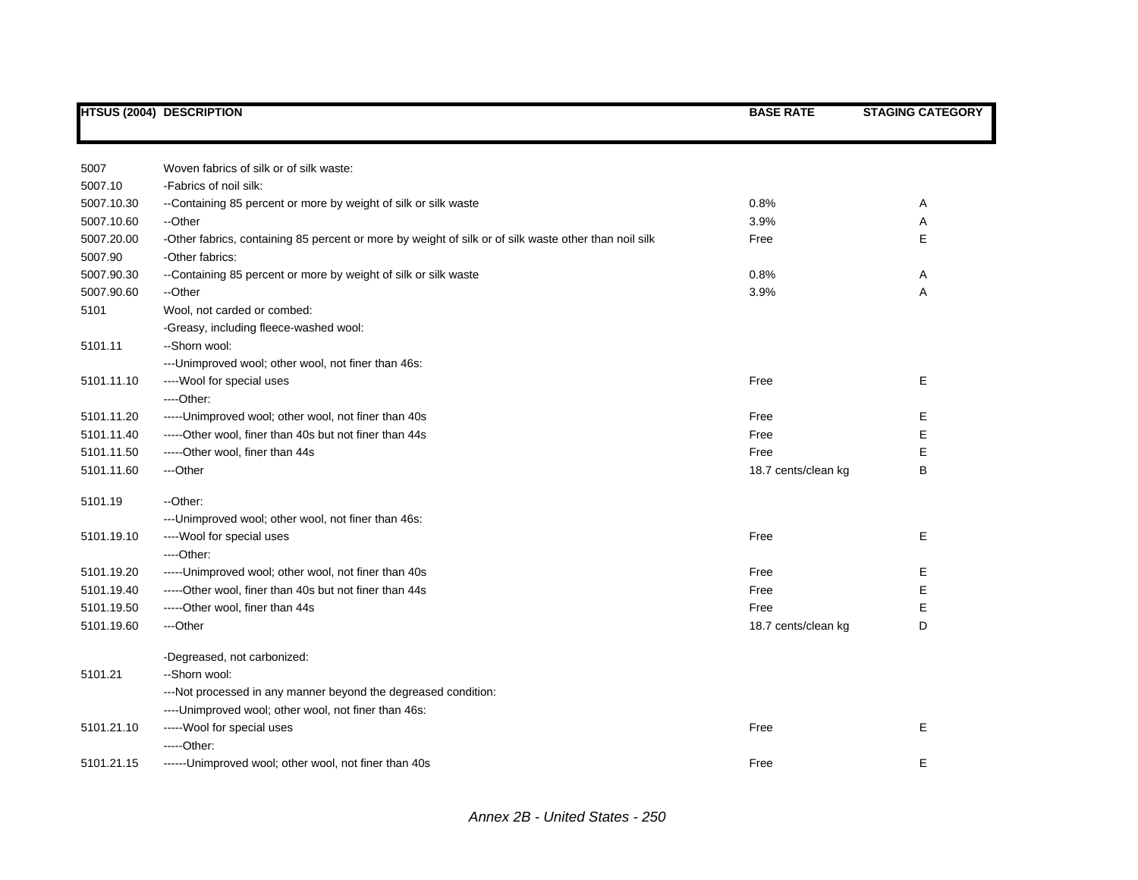|                       | <b>HTSUS (2004) DESCRIPTION</b>                                                                                          | <b>BASE RATE</b>    | <b>STAGING CATEGORY</b> |
|-----------------------|--------------------------------------------------------------------------------------------------------------------------|---------------------|-------------------------|
|                       |                                                                                                                          |                     |                         |
| 5007                  | Woven fabrics of silk or of silk waste:                                                                                  |                     |                         |
| 5007.10               | -Fabrics of noil silk:                                                                                                   |                     |                         |
| 5007.10.30            | --Containing 85 percent or more by weight of silk or silk waste                                                          | 0.8%                | Α                       |
| 5007.10.60            | --Other                                                                                                                  | 3.9%                | Α                       |
| 5007.20.00<br>5007.90 | -Other fabrics, containing 85 percent or more by weight of silk or of silk waste other than noil silk<br>-Other fabrics: | Free                | E                       |
| 5007.90.30            | --Containing 85 percent or more by weight of silk or silk waste                                                          | 0.8%                | Α                       |
| 5007.90.60            | --Other                                                                                                                  | 3.9%                | Α                       |
| 5101                  | Wool, not carded or combed:                                                                                              |                     |                         |
|                       | -Greasy, including fleece-washed wool:                                                                                   |                     |                         |
| 5101.11               | --Shorn wool:                                                                                                            |                     |                         |
|                       | --- Unimproved wool; other wool, not finer than 46s:                                                                     |                     |                         |
| 5101.11.10            | ---- Wool for special uses                                                                                               | Free                | E                       |
|                       | $---Other.$                                                                                                              |                     |                         |
| 5101.11.20            | ----- Unimproved wool; other wool, not finer than 40s                                                                    | Free                | E.                      |
| 5101.11.40            | -----Other wool, finer than 40s but not finer than 44s                                                                   | Free                | Е                       |
| 5101.11.50            | -----Other wool, finer than 44s                                                                                          | Free                | Е                       |
| 5101.11.60            | ---Other                                                                                                                 | 18.7 cents/clean kg | В                       |
| 5101.19               | --Other:                                                                                                                 |                     |                         |
|                       | --- Unimproved wool; other wool, not finer than 46s:                                                                     |                     |                         |
| 5101.19.10            | ----Wool for special uses                                                                                                | Free                | E                       |
|                       | ----Other:                                                                                                               |                     |                         |
| 5101.19.20            | ----- Unimproved wool; other wool, not finer than 40s                                                                    | Free                | Е                       |
| 5101.19.40            | -----Other wool, finer than 40s but not finer than 44s                                                                   | Free                | E                       |
| 5101.19.50            | -----Other wool, finer than 44s                                                                                          | Free                | E                       |
| 5101.19.60            | ---Other                                                                                                                 | 18.7 cents/clean kg | D                       |
|                       | -Degreased, not carbonized:                                                                                              |                     |                         |
| 5101.21               | --Shorn wool:                                                                                                            |                     |                         |
|                       | ---Not processed in any manner beyond the degreased condition:                                                           |                     |                         |
|                       | ---- Unimproved wool; other wool, not finer than 46s:                                                                    |                     |                         |
| 5101.21.10            | ----- Wool for special uses                                                                                              | Free                | Е                       |
|                       | $---Other:$                                                                                                              |                     |                         |
| 5101.21.15            | ------Unimproved wool; other wool, not finer than 40s                                                                    | Free                | E                       |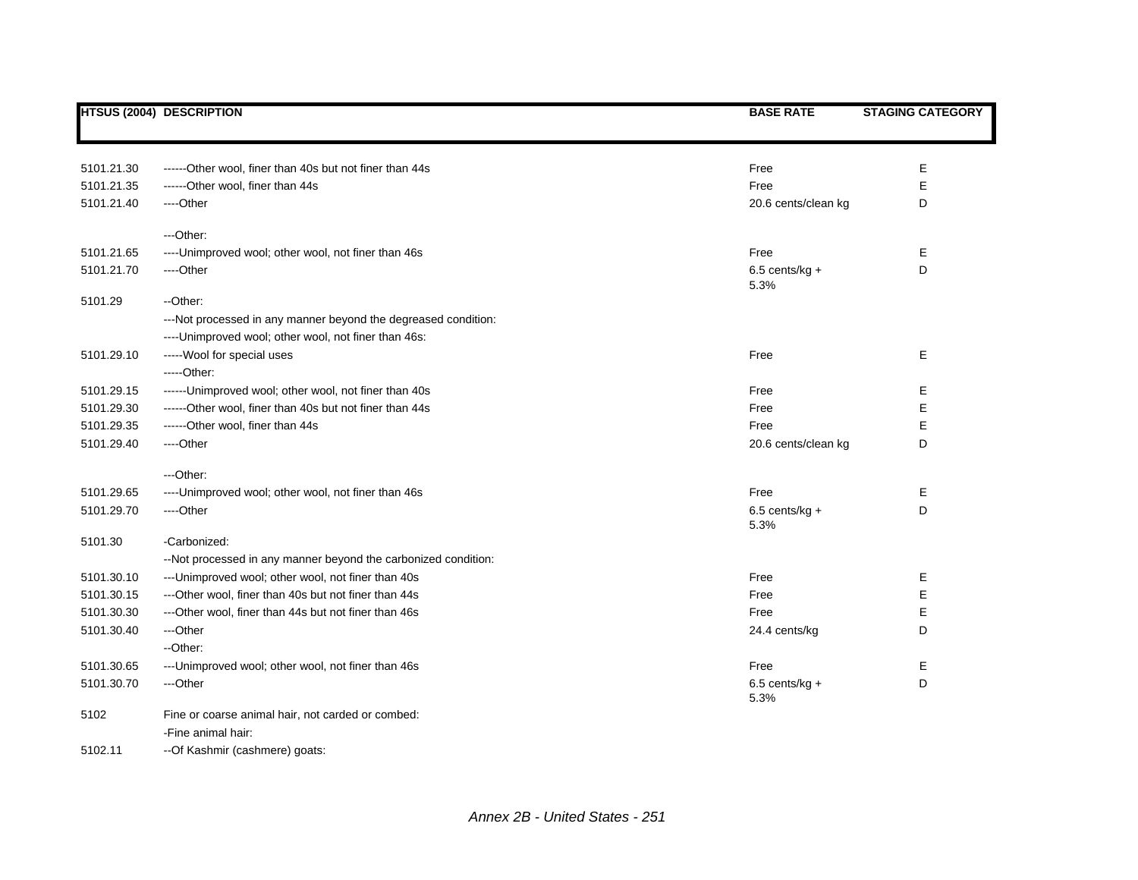|            | <b>HTSUS (2004) DESCRIPTION</b>                                | <b>BASE RATE</b>         | <b>STAGING CATEGORY</b> |
|------------|----------------------------------------------------------------|--------------------------|-------------------------|
|            |                                                                |                          |                         |
| 5101.21.30 | ------Other wool, finer than 40s but not finer than 44s        | Free                     | Е                       |
| 5101.21.35 | ------Other wool, finer than 44s                               | Free                     | E                       |
| 5101.21.40 | ----Other                                                      | 20.6 cents/clean kg      | D                       |
|            | ---Other:                                                      |                          |                         |
| 5101.21.65 | ---- Unimproved wool; other wool, not finer than 46s           | Free                     | Е                       |
| 5101.21.70 | ----Other                                                      | $6.5$ cents/kg +<br>5.3% | D                       |
| 5101.29    | --Other:                                                       |                          |                         |
|            | ---Not processed in any manner beyond the degreased condition: |                          |                         |
|            | ---- Unimproved wool; other wool, not finer than 46s:          |                          |                         |
| 5101.29.10 | ----- Wool for special uses                                    | Free                     | Е                       |
|            | -----Other:                                                    |                          |                         |
| 5101.29.15 | ------Unimproved wool; other wool, not finer than 40s          | Free                     | Е                       |
| 5101.29.30 | ------Other wool, finer than 40s but not finer than 44s        | Free                     | Е                       |
| 5101.29.35 | ------Other wool, finer than 44s                               | Free                     | Е                       |
| 5101.29.40 | ----Other                                                      | 20.6 cents/clean kg      | D                       |
|            | ---Other:                                                      |                          |                         |
| 5101.29.65 | ---- Unimproved wool; other wool, not finer than 46s           | Free                     | Е                       |
| 5101.29.70 | ----Other                                                      | $6.5$ cents/kg +<br>5.3% | D                       |
| 5101.30    | -Carbonized:                                                   |                          |                         |
|            | --Not processed in any manner beyond the carbonized condition: |                          |                         |
| 5101.30.10 | --- Unimproved wool; other wool, not finer than 40s            | Free                     | Е                       |
| 5101.30.15 | ---Other wool, finer than 40s but not finer than 44s           | Free                     | Е                       |
| 5101.30.30 | ---Other wool, finer than 44s but not finer than 46s           | Free                     | Е                       |
| 5101.30.40 | ---Other                                                       | 24.4 cents/kg            | D                       |
|            | --Other:                                                       |                          |                         |
| 5101.30.65 | --- Unimproved wool; other wool, not finer than 46s            | Free                     | Е                       |
| 5101.30.70 | ---Other                                                       | $6.5$ cents/kg +<br>5.3% | D                       |
| 5102       | Fine or coarse animal hair, not carded or combed:              |                          |                         |
|            | -Fine animal hair:                                             |                          |                         |
| 5102.11    | --Of Kashmir (cashmere) goats:                                 |                          |                         |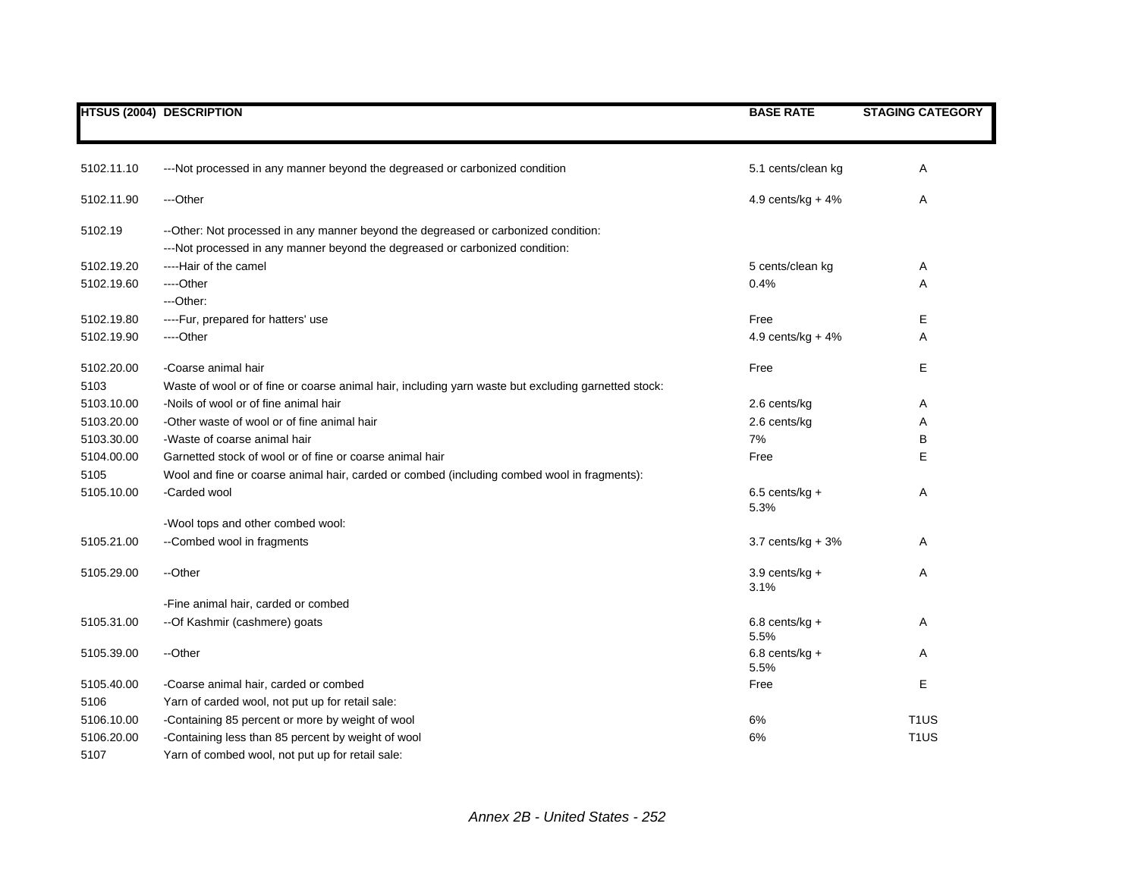|            | HTSUS (2004) DESCRIPTION                                                                                                                                           | <b>BASE RATE</b>         | <b>STAGING CATEGORY</b> |
|------------|--------------------------------------------------------------------------------------------------------------------------------------------------------------------|--------------------------|-------------------------|
|            |                                                                                                                                                                    |                          |                         |
| 5102.11.10 | ---Not processed in any manner beyond the degreased or carbonized condition                                                                                        | 5.1 cents/clean kg       | Α                       |
| 5102.11.90 | ---Other                                                                                                                                                           | 4.9 cents/ $kg + 4%$     | Α                       |
| 5102.19    | --Other: Not processed in any manner beyond the degreased or carbonized condition:<br>---Not processed in any manner beyond the degreased or carbonized condition: |                          |                         |
| 5102.19.20 | ----Hair of the camel                                                                                                                                              | 5 cents/clean kg         | Α                       |
| 5102.19.60 | ----Other                                                                                                                                                          | 0.4%                     | A                       |
|            | ---Other:                                                                                                                                                          |                          |                         |
| 5102.19.80 | ----Fur, prepared for hatters' use                                                                                                                                 | Free                     | Е                       |
| 5102.19.90 | ----Other                                                                                                                                                          | 4.9 cents/kg + $4\%$     | Α                       |
| 5102.20.00 | -Coarse animal hair                                                                                                                                                | Free                     | E                       |
| 5103       | Waste of wool or of fine or coarse animal hair, including yarn waste but excluding garnetted stock:                                                                |                          |                         |
| 5103.10.00 | -Noils of wool or of fine animal hair                                                                                                                              | 2.6 cents/kg             | Α                       |
| 5103.20.00 | -Other waste of wool or of fine animal hair                                                                                                                        | 2.6 cents/kg             | Α                       |
| 5103.30.00 | -Waste of coarse animal hair                                                                                                                                       | 7%                       | В                       |
| 5104.00.00 | Garnetted stock of wool or of fine or coarse animal hair                                                                                                           | Free                     | E                       |
| 5105       | Wool and fine or coarse animal hair, carded or combed (including combed wool in fragments):                                                                        |                          |                         |
| 5105.10.00 | -Carded wool                                                                                                                                                       | 6.5 cents/kg $+$<br>5.3% | Α                       |
|            | -Wool tops and other combed wool:                                                                                                                                  |                          |                         |
| 5105.21.00 | --Combed wool in fragments                                                                                                                                         | $3.7$ cents/kg + $3%$    | Α                       |
| 5105.29.00 | --Other                                                                                                                                                            | $3.9$ cents/kg +<br>3.1% | Α                       |
|            | -Fine animal hair, carded or combed                                                                                                                                |                          |                         |
| 5105.31.00 | -- Of Kashmir (cashmere) goats                                                                                                                                     | $6.8$ cents/kg +<br>5.5% | Α                       |
| 5105.39.00 | --Other                                                                                                                                                            | $6.8$ cents/kg +<br>5.5% | Α                       |
| 5105.40.00 | -Coarse animal hair, carded or combed                                                                                                                              | Free                     | E                       |
| 5106       | Yarn of carded wool, not put up for retail sale:                                                                                                                   |                          |                         |
| 5106.10.00 | -Containing 85 percent or more by weight of wool                                                                                                                   | 6%                       | T <sub>1</sub> US       |
| 5106.20.00 | -Containing less than 85 percent by weight of wool                                                                                                                 | 6%                       | T <sub>1</sub> US       |
| 5107       | Yarn of combed wool, not put up for retail sale:                                                                                                                   |                          |                         |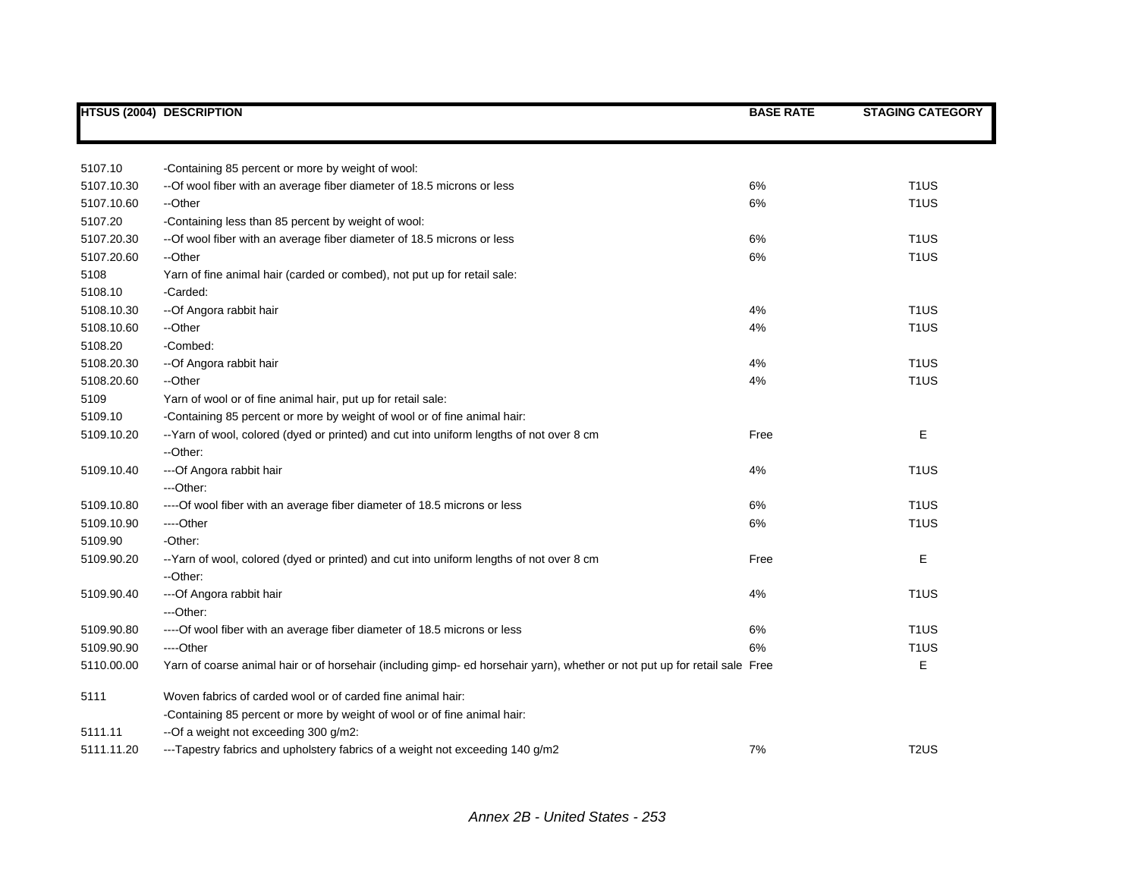|            | <b>HTSUS (2004) DESCRIPTION</b>                                                                                            | <b>BASE RATE</b> | <b>STAGING CATEGORY</b> |
|------------|----------------------------------------------------------------------------------------------------------------------------|------------------|-------------------------|
|            |                                                                                                                            |                  |                         |
| 5107.10    | -Containing 85 percent or more by weight of wool:                                                                          |                  |                         |
| 5107.10.30 | -- Of wool fiber with an average fiber diameter of 18.5 microns or less                                                    | 6%               | T <sub>1</sub> US       |
| 5107.10.60 | --Other                                                                                                                    | 6%               | T <sub>1</sub> US       |
| 5107.20    | -Containing less than 85 percent by weight of wool:                                                                        |                  |                         |
| 5107.20.30 | -- Of wool fiber with an average fiber diameter of 18.5 microns or less                                                    | 6%               | T <sub>1</sub> US       |
| 5107.20.60 | --Other                                                                                                                    | 6%               | T <sub>1</sub> US       |
| 5108       | Yarn of fine animal hair (carded or combed), not put up for retail sale:                                                   |                  |                         |
| 5108.10    | -Carded:                                                                                                                   |                  |                         |
| 5108.10.30 | -- Of Angora rabbit hair                                                                                                   | 4%               | T <sub>1</sub> US       |
| 5108.10.60 | --Other                                                                                                                    | 4%               | T <sub>1</sub> US       |
| 5108.20    | -Combed:                                                                                                                   |                  |                         |
| 5108.20.30 | -- Of Angora rabbit hair                                                                                                   | 4%               | T <sub>1</sub> US       |
| 5108.20.60 | --Other                                                                                                                    | 4%               | T <sub>1</sub> US       |
| 5109       | Yarn of wool or of fine animal hair, put up for retail sale:                                                               |                  |                         |
| 5109.10    | -Containing 85 percent or more by weight of wool or of fine animal hair:                                                   |                  |                         |
| 5109.10.20 | --Yarn of wool, colored (dyed or printed) and cut into uniform lengths of not over 8 cm                                    | Free             | Е                       |
|            | --Other:                                                                                                                   |                  |                         |
| 5109.10.40 | --- Of Angora rabbit hair                                                                                                  | 4%               | T <sub>1</sub> US       |
|            | ---Other:                                                                                                                  |                  |                         |
| 5109.10.80 | ---- Of wool fiber with an average fiber diameter of 18.5 microns or less                                                  | 6%               | T <sub>1</sub> US       |
| 5109.10.90 | ----Other                                                                                                                  | 6%               | T <sub>1</sub> US       |
| 5109.90    | -Other:                                                                                                                    |                  |                         |
| 5109.90.20 | -- Yarn of wool, colored (dyed or printed) and cut into uniform lengths of not over 8 cm                                   | Free             | Е                       |
|            | --Other:                                                                                                                   |                  |                         |
| 5109.90.40 | --- Of Angora rabbit hair                                                                                                  | 4%               | T <sub>1</sub> US       |
|            | ---Other:                                                                                                                  |                  |                         |
| 5109.90.80 | ---- Of wool fiber with an average fiber diameter of 18.5 microns or less                                                  | 6%               | T <sub>1</sub> US       |
| 5109.90.90 | ---Other                                                                                                                   | 6%               | T <sub>1</sub> US       |
| 5110.00.00 | Yarn of coarse animal hair or of horsehair (including gimp- ed horsehair yarn), whether or not put up for retail sale Free |                  | E                       |
| 5111       | Woven fabrics of carded wool or of carded fine animal hair:                                                                |                  |                         |
|            | -Containing 85 percent or more by weight of wool or of fine animal hair:                                                   |                  |                         |
| 5111.11    | --Of a weight not exceeding 300 g/m2:                                                                                      |                  |                         |
| 5111.11.20 | ---Tapestry fabrics and upholstery fabrics of a weight not exceeding 140 g/m2                                              | 7%               | T <sub>2</sub> US       |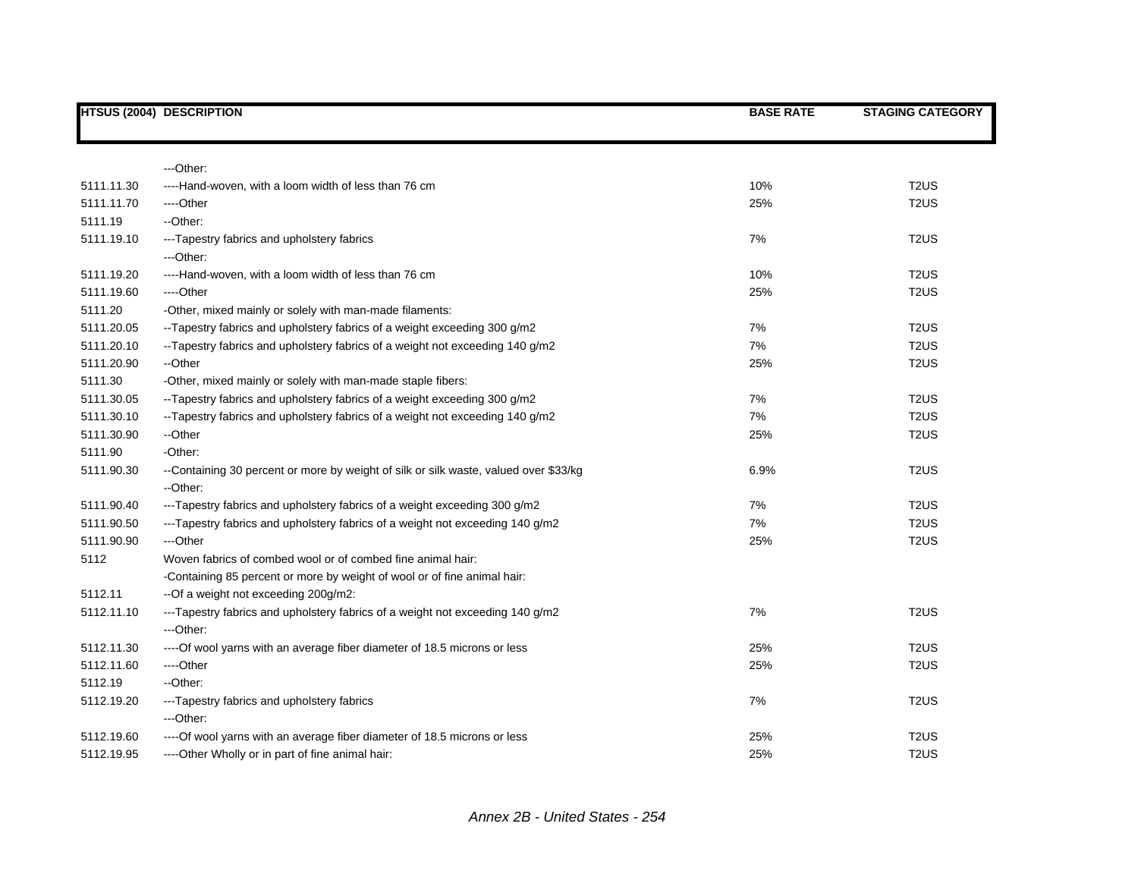|            | <b>HTSUS (2004) DESCRIPTION</b>                                                                  | <b>BASE RATE</b> | <b>STAGING CATEGORY</b> |
|------------|--------------------------------------------------------------------------------------------------|------------------|-------------------------|
|            |                                                                                                  |                  |                         |
|            | ---Other:                                                                                        |                  |                         |
| 5111.11.30 | ----Hand-woven, with a loom width of less than 76 cm                                             | 10%              | T <sub>2</sub> US       |
| 5111.11.70 | ----Other                                                                                        | 25%              | T <sub>2</sub> US       |
| 5111.19    | --Other:                                                                                         |                  |                         |
| 5111.19.10 | --- Tapestry fabrics and upholstery fabrics<br>---Other:                                         | 7%               | T <sub>2</sub> US       |
| 5111.19.20 | ----Hand-woven, with a loom width of less than 76 cm                                             | 10%              | T <sub>2</sub> US       |
| 5111.19.60 | ----Other                                                                                        | 25%              | T <sub>2</sub> US       |
| 5111.20    | -Other, mixed mainly or solely with man-made filaments:                                          |                  |                         |
| 5111.20.05 | -- Tapestry fabrics and upholstery fabrics of a weight exceeding 300 g/m2                        | 7%               | T <sub>2</sub> US       |
| 5111.20.10 | -- Tapestry fabrics and upholstery fabrics of a weight not exceeding 140 g/m2                    | 7%               | T <sub>2</sub> US       |
| 5111.20.90 | --Other                                                                                          | 25%              | T <sub>2</sub> US       |
| 5111.30    | -Other, mixed mainly or solely with man-made staple fibers:                                      |                  |                         |
| 5111.30.05 | --Tapestry fabrics and upholstery fabrics of a weight exceeding 300 g/m2                         | 7%               | T <sub>2</sub> US       |
| 5111.30.10 | --Tapestry fabrics and upholstery fabrics of a weight not exceeding 140 g/m2                     | 7%               | T <sub>2</sub> US       |
| 5111.30.90 | --Other                                                                                          | 25%              | T <sub>2</sub> US       |
| 5111.90    | -Other:                                                                                          |                  |                         |
| 5111.90.30 | --Containing 30 percent or more by weight of silk or silk waste, valued over \$33/kg<br>--Other: | 6.9%             | T <sub>2</sub> US       |
| 5111.90.40 | ---Tapestry fabrics and upholstery fabrics of a weight exceeding 300 g/m2                        | 7%               | T <sub>2</sub> US       |
| 5111.90.50 | ---Tapestry fabrics and upholstery fabrics of a weight not exceeding 140 g/m2                    | 7%               | T <sub>2</sub> US       |
| 5111.90.90 | ---Other                                                                                         | 25%              | T <sub>2</sub> US       |
| 5112       | Woven fabrics of combed wool or of combed fine animal hair:                                      |                  |                         |
|            | -Containing 85 percent or more by weight of wool or of fine animal hair:                         |                  |                         |
| 5112.11    | --Of a weight not exceeding 200g/m2:                                                             |                  |                         |
| 5112.11.10 | --- Tapestry fabrics and upholstery fabrics of a weight not exceeding 140 g/m2<br>---Other:      | 7%               | T <sub>2</sub> US       |
| 5112.11.30 | ---- Of wool yarns with an average fiber diameter of 18.5 microns or less                        | 25%              | T <sub>2</sub> US       |
| 5112.11.60 | ----Other                                                                                        | 25%              | T <sub>2</sub> US       |
| 5112.19    | --Other:                                                                                         |                  |                         |
| 5112.19.20 | --- Tapestry fabrics and upholstery fabrics<br>---Other:                                         | 7%               | T <sub>2</sub> US       |
| 5112.19.60 | ---- Of wool yarns with an average fiber diameter of 18.5 microns or less                        | 25%              | T <sub>2</sub> US       |
| 5112.19.95 | ----Other Wholly or in part of fine animal hair:                                                 | 25%              | T <sub>2</sub> US       |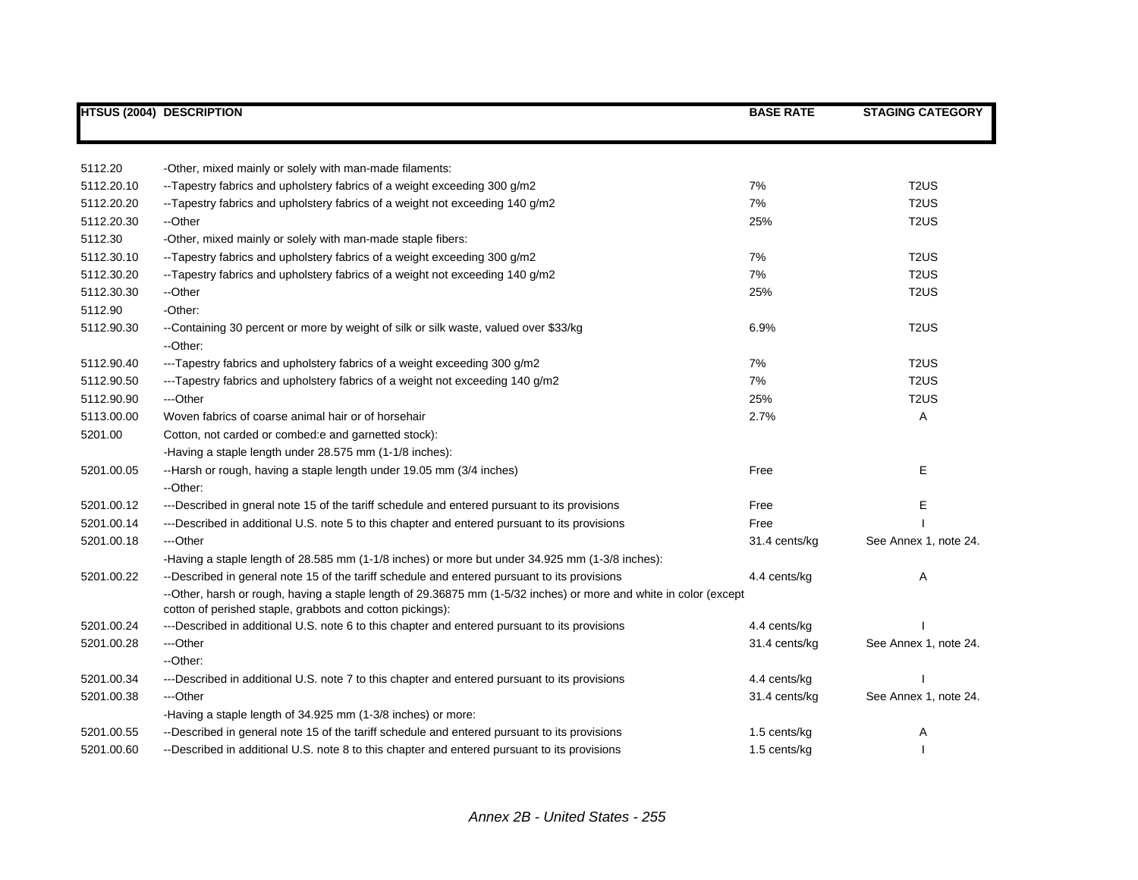| <b>HTSUS (2004) DESCRIPTION</b> |                                                                                                                                                                                | <b>BASE RATE</b> | <b>STAGING CATEGORY</b>       |
|---------------------------------|--------------------------------------------------------------------------------------------------------------------------------------------------------------------------------|------------------|-------------------------------|
|                                 |                                                                                                                                                                                |                  |                               |
| 5112.20                         | -Other, mixed mainly or solely with man-made filaments:                                                                                                                        |                  |                               |
| 5112.20.10                      | --Tapestry fabrics and upholstery fabrics of a weight exceeding 300 g/m2                                                                                                       | 7%               | T <sub>2</sub> US             |
| 5112.20.20                      | --Tapestry fabrics and upholstery fabrics of a weight not exceeding 140 g/m2                                                                                                   | 7%               | T <sub>2</sub> US             |
| 5112.20.30                      | --Other                                                                                                                                                                        | 25%              | T <sub>2</sub> US             |
| 5112.30                         | -Other, mixed mainly or solely with man-made staple fibers:                                                                                                                    |                  |                               |
| 5112.30.10                      | --Tapestry fabrics and upholstery fabrics of a weight exceeding 300 g/m2                                                                                                       | 7%               | T <sub>2</sub> US             |
| 5112.30.20                      | --Tapestry fabrics and upholstery fabrics of a weight not exceeding 140 g/m2                                                                                                   | 7%               | T <sub>2</sub> US             |
| 5112.30.30                      | --Other                                                                                                                                                                        | 25%              | T <sub>2</sub> US             |
| 5112.90                         | -Other:                                                                                                                                                                        |                  |                               |
| 5112.90.30                      | --Containing 30 percent or more by weight of silk or silk waste, valued over \$33/kg<br>--Other:                                                                               | 6.9%             | T <sub>2</sub> U <sub>S</sub> |
| 5112.90.40                      | ---Tapestry fabrics and upholstery fabrics of a weight exceeding 300 g/m2                                                                                                      | 7%               | T <sub>2</sub> U <sub>S</sub> |
| 5112.90.50                      | ---Tapestry fabrics and upholstery fabrics of a weight not exceeding 140 g/m2                                                                                                  | 7%               | T <sub>2</sub> U <sub>S</sub> |
| 5112.90.90                      | ---Other                                                                                                                                                                       | 25%              | T <sub>2</sub> U <sub>S</sub> |
| 5113.00.00                      | Woven fabrics of coarse animal hair or of horsehair                                                                                                                            | 2.7%             | Α                             |
| 5201.00                         | Cotton, not carded or combed:e and garnetted stock):                                                                                                                           |                  |                               |
|                                 | -Having a staple length under 28.575 mm (1-1/8 inches):                                                                                                                        |                  |                               |
| 5201.00.05                      | --Harsh or rough, having a staple length under 19.05 mm (3/4 inches)                                                                                                           | Free             | Е                             |
|                                 | --Other:                                                                                                                                                                       |                  |                               |
| 5201.00.12                      | ---Described in gneral note 15 of the tariff schedule and entered pursuant to its provisions                                                                                   | Free             | Ε                             |
| 5201.00.14                      | ---Described in additional U.S. note 5 to this chapter and entered pursuant to its provisions                                                                                  | Free             |                               |
| 5201.00.18                      | ---Other                                                                                                                                                                       | 31.4 cents/kg    | See Annex 1, note 24.         |
|                                 | -Having a staple length of 28.585 mm (1-1/8 inches) or more but under 34.925 mm (1-3/8 inches):                                                                                |                  |                               |
| 5201.00.22                      | --Described in general note 15 of the tariff schedule and entered pursuant to its provisions                                                                                   | 4.4 cents/kg     | A                             |
|                                 | --Other, harsh or rough, having a staple length of 29.36875 mm (1-5/32 inches) or more and white in color (except<br>cotton of perished staple, grabbots and cotton pickings): |                  |                               |
| 5201.00.24                      | ---Described in additional U.S. note 6 to this chapter and entered pursuant to its provisions                                                                                  | 4.4 cents/kg     |                               |
| 5201.00.28                      | ---Other                                                                                                                                                                       | 31.4 cents/kg    | See Annex 1, note 24.         |
|                                 | --Other:                                                                                                                                                                       |                  |                               |
| 5201.00.34                      | ---Described in additional U.S. note 7 to this chapter and entered pursuant to its provisions                                                                                  | 4.4 cents/kg     |                               |
| 5201.00.38                      | ---Other                                                                                                                                                                       | 31.4 cents/kg    | See Annex 1, note 24.         |
|                                 | -Having a staple length of 34.925 mm (1-3/8 inches) or more:                                                                                                                   |                  |                               |
| 5201.00.55                      | --Described in general note 15 of the tariff schedule and entered pursuant to its provisions                                                                                   | 1.5 cents/kg     | A                             |
| 5201.00.60                      | --Described in additional U.S. note 8 to this chapter and entered pursuant to its provisions                                                                                   | 1.5 cents/kg     |                               |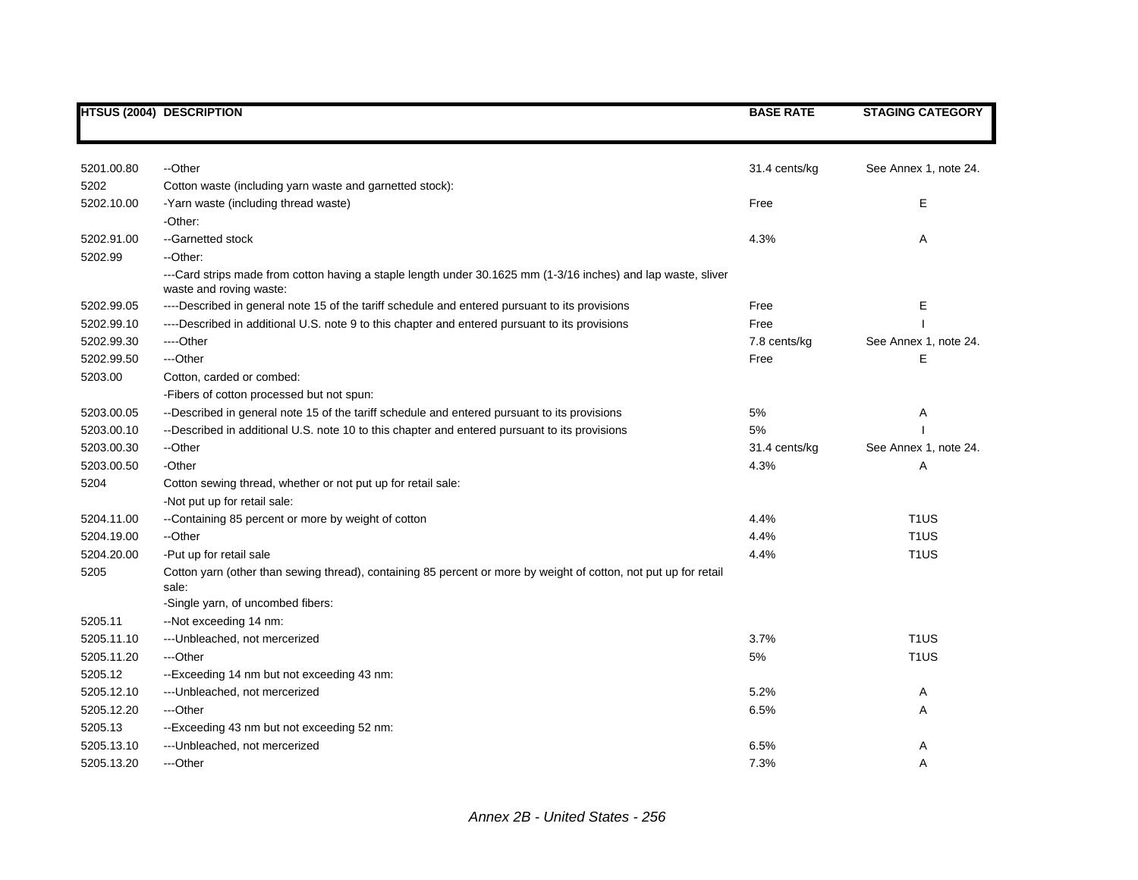|            | <b>HTSUS (2004) DESCRIPTION</b>                                                                                                          | <b>BASE RATE</b> | <b>STAGING CATEGORY</b> |
|------------|------------------------------------------------------------------------------------------------------------------------------------------|------------------|-------------------------|
|            |                                                                                                                                          |                  |                         |
| 5201.00.80 | --Other                                                                                                                                  | 31.4 cents/kg    | See Annex 1, note 24.   |
| 5202       | Cotton waste (including yarn waste and garnetted stock):                                                                                 |                  |                         |
| 5202.10.00 | -Yarn waste (including thread waste)                                                                                                     | Free             | E                       |
|            | -Other:                                                                                                                                  |                  |                         |
| 5202.91.00 | --Garnetted stock                                                                                                                        | 4.3%             | Α                       |
| 5202.99    | --Other:                                                                                                                                 |                  |                         |
|            | ---Card strips made from cotton having a staple length under 30.1625 mm (1-3/16 inches) and lap waste, sliver<br>waste and roving waste: |                  |                         |
| 5202.99.05 | ----Described in general note 15 of the tariff schedule and entered pursuant to its provisions                                           | Free             | Ε                       |
| 5202.99.10 | ----Described in additional U.S. note 9 to this chapter and entered pursuant to its provisions                                           | Free             |                         |
| 5202.99.30 | ----Other                                                                                                                                | 7.8 cents/kg     | See Annex 1, note 24.   |
| 5202.99.50 | ---Other                                                                                                                                 | Free             | E                       |
| 5203.00    | Cotton, carded or combed:                                                                                                                |                  |                         |
|            | -Fibers of cotton processed but not spun:                                                                                                |                  |                         |
| 5203.00.05 | --Described in general note 15 of the tariff schedule and entered pursuant to its provisions                                             | 5%               | Α                       |
| 5203.00.10 | --Described in additional U.S. note 10 to this chapter and entered pursuant to its provisions                                            | 5%               |                         |
| 5203.00.30 | --Other                                                                                                                                  | 31.4 cents/kg    | See Annex 1, note 24.   |
| 5203.00.50 | -Other                                                                                                                                   | 4.3%             | Α                       |
| 5204       | Cotton sewing thread, whether or not put up for retail sale:                                                                             |                  |                         |
|            | -Not put up for retail sale:                                                                                                             |                  |                         |
| 5204.11.00 | --Containing 85 percent or more by weight of cotton                                                                                      | 4.4%             | T <sub>1</sub> US       |
| 5204.19.00 | --Other                                                                                                                                  | 4.4%             | T <sub>1</sub> US       |
| 5204.20.00 | -Put up for retail sale                                                                                                                  | 4.4%             | T <sub>1</sub> US       |
| 5205       | Cotton yarn (other than sewing thread), containing 85 percent or more by weight of cotton, not put up for retail<br>sale:                |                  |                         |
|            | -Single yarn, of uncombed fibers:                                                                                                        |                  |                         |
| 5205.11    | --Not exceeding 14 nm:                                                                                                                   |                  |                         |
| 5205.11.10 | --- Unbleached, not mercerized                                                                                                           | 3.7%             | T <sub>1</sub> US       |
| 5205.11.20 | ---Other                                                                                                                                 | 5%               | T <sub>1</sub> US       |
| 5205.12    | --Exceeding 14 nm but not exceeding 43 nm:                                                                                               |                  |                         |
| 5205.12.10 | --- Unbleached, not mercerized                                                                                                           | 5.2%             | Α                       |
| 5205.12.20 | ---Other                                                                                                                                 | 6.5%             | Α                       |
| 5205.13    | --Exceeding 43 nm but not exceeding 52 nm:                                                                                               |                  |                         |
| 5205.13.10 | --- Unbleached, not mercerized                                                                                                           | 6.5%             | Α                       |
| 5205.13.20 | ---Other                                                                                                                                 | 7.3%             | Α                       |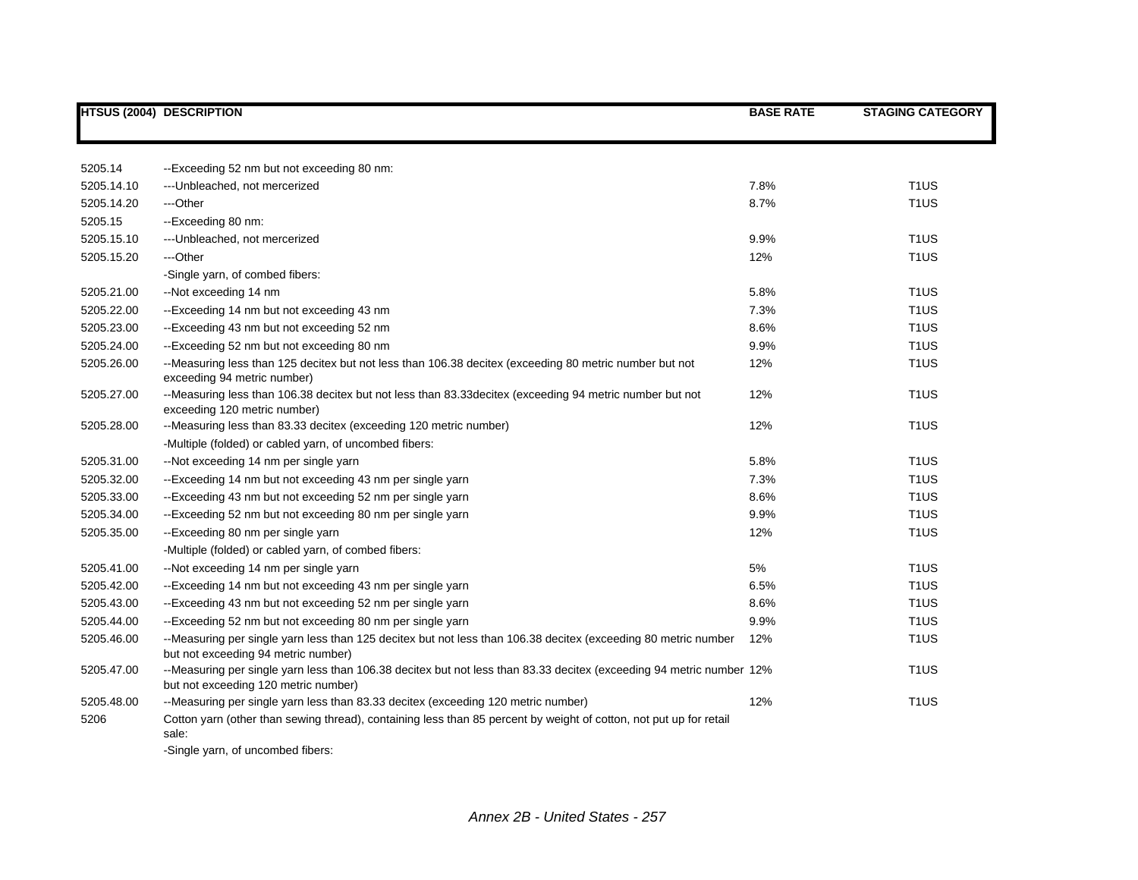|            | <b>HTSUS (2004) DESCRIPTION</b>                                                                                                                                  | <b>BASE RATE</b> | <b>STAGING CATEGORY</b> |
|------------|------------------------------------------------------------------------------------------------------------------------------------------------------------------|------------------|-------------------------|
|            |                                                                                                                                                                  |                  |                         |
| 5205.14    | --Exceeding 52 nm but not exceeding 80 nm:                                                                                                                       |                  |                         |
| 5205.14.10 | --- Unbleached, not mercerized                                                                                                                                   | 7.8%             | T <sub>1</sub> US       |
| 5205.14.20 | ---Other                                                                                                                                                         | 8.7%             | T <sub>1</sub> US       |
| 5205.15    | --Exceeding 80 nm:                                                                                                                                               |                  |                         |
| 5205.15.10 | --- Unbleached, not mercerized                                                                                                                                   | 9.9%             | T <sub>1</sub> US       |
| 5205.15.20 | ---Other                                                                                                                                                         | 12%              | T <sub>1</sub> US       |
|            | -Single yarn, of combed fibers:                                                                                                                                  |                  |                         |
| 5205.21.00 | --Not exceeding 14 nm                                                                                                                                            | 5.8%             | T <sub>1</sub> US       |
| 5205.22.00 | --Exceeding 14 nm but not exceeding 43 nm                                                                                                                        | 7.3%             | T <sub>1</sub> US       |
| 5205.23.00 | --Exceeding 43 nm but not exceeding 52 nm                                                                                                                        | 8.6%             | T <sub>1</sub> US       |
| 5205.24.00 | --Exceeding 52 nm but not exceeding 80 nm                                                                                                                        | 9.9%             | T <sub>1</sub> US       |
| 5205.26.00 | --Measuring less than 125 decitex but not less than 106.38 decitex (exceeding 80 metric number but not<br>exceeding 94 metric number)                            | 12%              | T <sub>1</sub> US       |
| 5205.27.00 | --Measuring less than 106.38 decitex but not less than 83.33decitex (exceeding 94 metric number but not<br>exceeding 120 metric number)                          | 12%              | T <sub>1</sub> US       |
| 5205.28.00 | --Measuring less than 83.33 decitex (exceeding 120 metric number)                                                                                                | 12%              | T <sub>1</sub> US       |
|            | -Multiple (folded) or cabled yarn, of uncombed fibers:                                                                                                           |                  |                         |
| 5205.31.00 | --Not exceeding 14 nm per single yarn                                                                                                                            | 5.8%             | T <sub>1</sub> US       |
| 5205.32.00 | --Exceeding 14 nm but not exceeding 43 nm per single yarn                                                                                                        | 7.3%             | T <sub>1</sub> US       |
| 5205.33.00 | --Exceeding 43 nm but not exceeding 52 nm per single yarn                                                                                                        | 8.6%             | T <sub>1</sub> US       |
| 5205.34.00 | --Exceeding 52 nm but not exceeding 80 nm per single yarn                                                                                                        | 9.9%             | T <sub>1</sub> US       |
| 5205.35.00 | --Exceeding 80 nm per single yarn                                                                                                                                | 12%              | T <sub>1</sub> US       |
|            | -Multiple (folded) or cabled yarn, of combed fibers:                                                                                                             |                  |                         |
| 5205.41.00 | --Not exceeding 14 nm per single yarn                                                                                                                            | 5%               | T <sub>1</sub> US       |
| 5205.42.00 | --Exceeding 14 nm but not exceeding 43 nm per single yarn                                                                                                        | 6.5%             | T <sub>1</sub> US       |
| 5205.43.00 | --Exceeding 43 nm but not exceeding 52 nm per single yarn                                                                                                        | 8.6%             | T <sub>1</sub> US       |
| 5205.44.00 | --Exceeding 52 nm but not exceeding 80 nm per single yarn                                                                                                        | 9.9%             | T <sub>1</sub> US       |
| 5205.46.00 | --Measuring per single yarn less than 125 decitex but not less than 106.38 decitex (exceeding 80 metric number<br>but not exceeding 94 metric number)            | 12%              | T <sub>1</sub> US       |
| 5205.47.00 | --Measuring per single yarn less than 106.38 decitex but not less than 83.33 decitex (exceeding 94 metric number 12%<br>but not exceeding 120 metric number)     |                  | T <sub>1</sub> US       |
| 5205.48.00 | --Measuring per single yarn less than 83.33 decitex (exceeding 120 metric number)                                                                                | 12%              | T <sub>1</sub> US       |
| 5206       | Cotton yarn (other than sewing thread), containing less than 85 percent by weight of cotton, not put up for retail<br>sale:<br>-Single yarn, of uncombed fibers: |                  |                         |

*Annex 2B - United States - 257*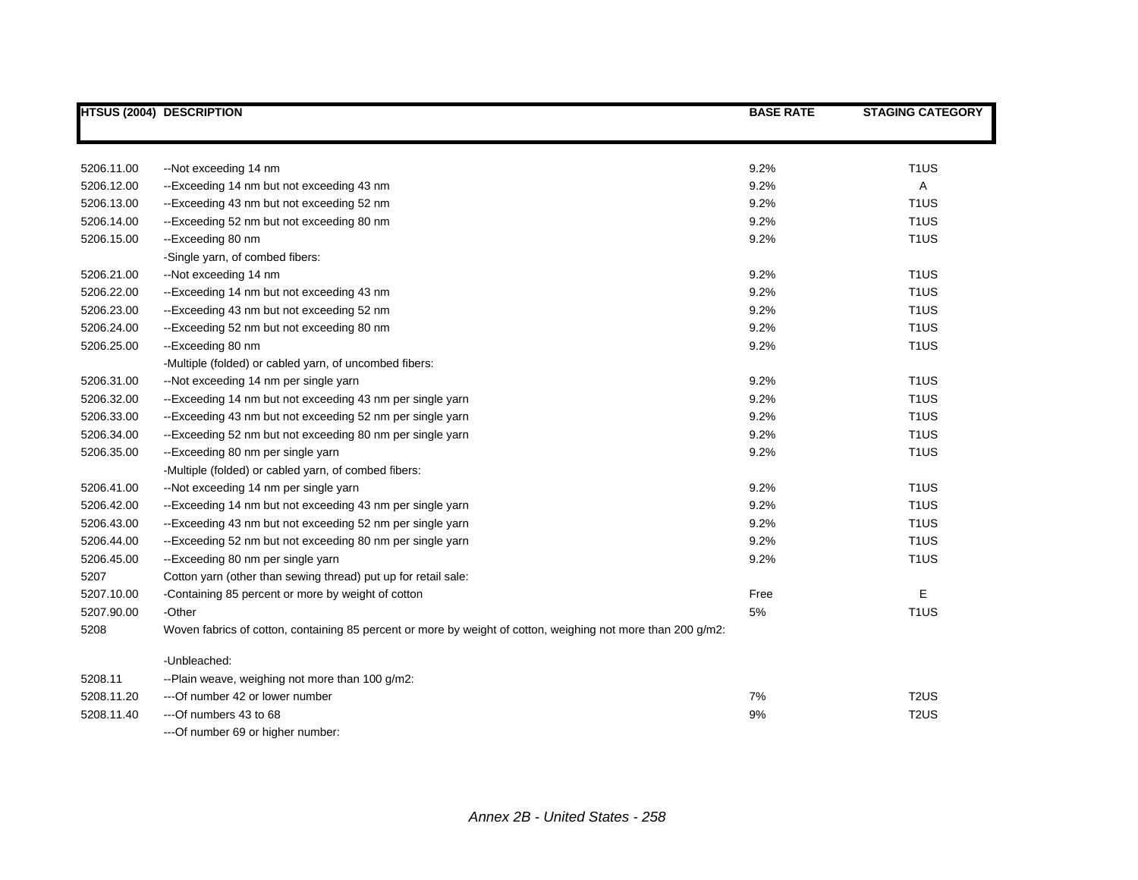|            | <b>HTSUS (2004) DESCRIPTION</b>                                                                              | <b>BASE RATE</b> | <b>STAGING CATEGORY</b> |
|------------|--------------------------------------------------------------------------------------------------------------|------------------|-------------------------|
|            |                                                                                                              |                  |                         |
| 5206.11.00 | --Not exceeding 14 nm                                                                                        | 9.2%             | T <sub>1</sub> US       |
| 5206.12.00 | --Exceeding 14 nm but not exceeding 43 nm                                                                    | 9.2%             | Α                       |
| 5206.13.00 | --Exceeding 43 nm but not exceeding 52 nm                                                                    | 9.2%             | T <sub>1</sub> US       |
| 5206.14.00 | --Exceeding 52 nm but not exceeding 80 nm                                                                    | 9.2%             | T <sub>1</sub> US       |
| 5206.15.00 | --Exceeding 80 nm                                                                                            | 9.2%             | T <sub>1</sub> US       |
|            | -Single yarn, of combed fibers:                                                                              |                  |                         |
| 5206.21.00 | --Not exceeding 14 nm                                                                                        | 9.2%             | T <sub>1</sub> US       |
| 5206.22.00 | --Exceeding 14 nm but not exceeding 43 nm                                                                    | 9.2%             | T <sub>1</sub> US       |
| 5206.23.00 | --Exceeding 43 nm but not exceeding 52 nm                                                                    | 9.2%             | T <sub>1</sub> US       |
| 5206.24.00 | --Exceeding 52 nm but not exceeding 80 nm                                                                    | 9.2%             | T <sub>1</sub> US       |
| 5206.25.00 | --Exceeding 80 nm                                                                                            | 9.2%             | T <sub>1</sub> US       |
|            | -Multiple (folded) or cabled yarn, of uncombed fibers:                                                       |                  |                         |
| 5206.31.00 | --Not exceeding 14 nm per single yarn                                                                        | 9.2%             | T <sub>1</sub> US       |
| 5206.32.00 | --Exceeding 14 nm but not exceeding 43 nm per single yarn                                                    | 9.2%             | T <sub>1</sub> US       |
| 5206.33.00 | --Exceeding 43 nm but not exceeding 52 nm per single yarn                                                    | 9.2%             | T <sub>1</sub> US       |
| 5206.34.00 | --Exceeding 52 nm but not exceeding 80 nm per single yarn                                                    | 9.2%             | T <sub>1</sub> US       |
| 5206.35.00 | --Exceeding 80 nm per single yarn                                                                            | 9.2%             | T <sub>1</sub> US       |
|            | -Multiple (folded) or cabled yarn, of combed fibers:                                                         |                  |                         |
| 5206.41.00 | --Not exceeding 14 nm per single yarn                                                                        | 9.2%             | T <sub>1</sub> US       |
| 5206.42.00 | --Exceeding 14 nm but not exceeding 43 nm per single yarn                                                    | 9.2%             | T <sub>1</sub> US       |
| 5206.43.00 | --Exceeding 43 nm but not exceeding 52 nm per single yarn                                                    | 9.2%             | T <sub>1</sub> US       |
| 5206.44.00 | --Exceeding 52 nm but not exceeding 80 nm per single yarn                                                    | 9.2%             | T <sub>1</sub> US       |
| 5206.45.00 | --Exceeding 80 nm per single yarn                                                                            | 9.2%             | T <sub>1</sub> US       |
| 5207       | Cotton yarn (other than sewing thread) put up for retail sale:                                               |                  |                         |
| 5207.10.00 | -Containing 85 percent or more by weight of cotton                                                           | Free             | Е                       |
| 5207.90.00 | -Other                                                                                                       | 5%               | T <sub>1</sub> US       |
| 5208       | Woven fabrics of cotton, containing 85 percent or more by weight of cotton, weighing not more than 200 g/m2: |                  |                         |
|            | -Unbleached:                                                                                                 |                  |                         |
| 5208.11    | --Plain weave, weighing not more than 100 g/m2:                                                              |                  |                         |
| 5208.11.20 | ---Of number 42 or lower number                                                                              | 7%               | T <sub>2</sub> US       |
| 5208.11.40 | ---Of numbers 43 to 68                                                                                       | 9%               | T <sub>2</sub> US       |
|            | --- Of number 69 or higher number:                                                                           |                  |                         |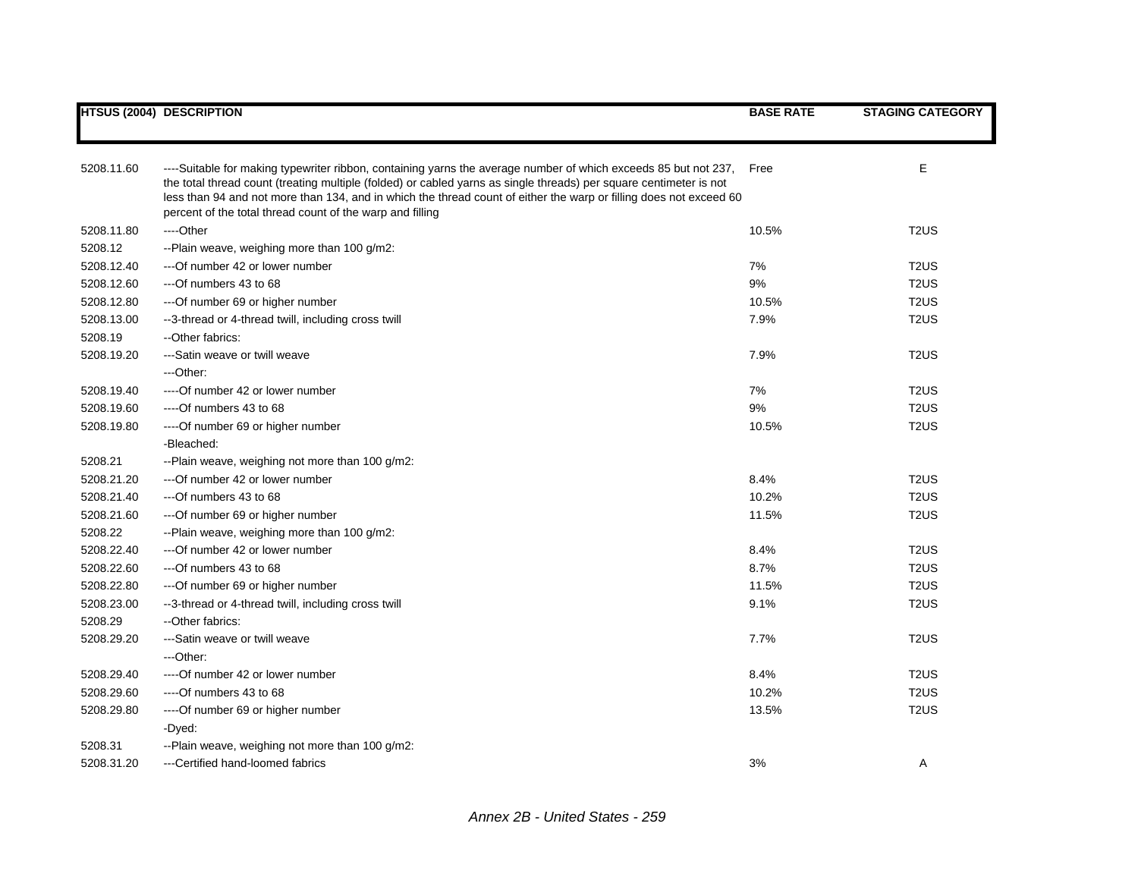|            | <b>HTSUS (2004) DESCRIPTION</b>                                                                                                                                                                                                                                                                                                                                                                                          | <b>BASE RATE</b> | <b>STAGING CATEGORY</b>       |
|------------|--------------------------------------------------------------------------------------------------------------------------------------------------------------------------------------------------------------------------------------------------------------------------------------------------------------------------------------------------------------------------------------------------------------------------|------------------|-------------------------------|
|            |                                                                                                                                                                                                                                                                                                                                                                                                                          |                  |                               |
| 5208.11.60 | ----Suitable for making typewriter ribbon, containing yarns the average number of which exceeds 85 but not 237,<br>the total thread count (treating multiple (folded) or cabled yarns as single threads) per square centimeter is not<br>less than 94 and not more than 134, and in which the thread count of either the warp or filling does not exceed 60<br>percent of the total thread count of the warp and filling | Free             | E                             |
| 5208.11.80 | ----Other                                                                                                                                                                                                                                                                                                                                                                                                                | 10.5%            | T <sub>2</sub> US             |
| 5208.12    | --Plain weave, weighing more than 100 g/m2:                                                                                                                                                                                                                                                                                                                                                                              |                  |                               |
| 5208.12.40 | --- Of number 42 or lower number                                                                                                                                                                                                                                                                                                                                                                                         | 7%               | T <sub>2</sub> U <sub>S</sub> |
| 5208.12.60 | $-$ --Of numbers 43 to 68                                                                                                                                                                                                                                                                                                                                                                                                | 9%               | T <sub>2</sub> U <sub>S</sub> |
| 5208.12.80 | --- Of number 69 or higher number                                                                                                                                                                                                                                                                                                                                                                                        | 10.5%            | T <sub>2</sub> U <sub>S</sub> |
| 5208.13.00 | --3-thread or 4-thread twill, including cross twill                                                                                                                                                                                                                                                                                                                                                                      | 7.9%             | T <sub>2</sub> US             |
| 5208.19    | --Other fabrics:                                                                                                                                                                                                                                                                                                                                                                                                         |                  |                               |
| 5208.19.20 | ---Satin weave or twill weave                                                                                                                                                                                                                                                                                                                                                                                            | 7.9%             | T <sub>2</sub> US             |
|            | ---Other:                                                                                                                                                                                                                                                                                                                                                                                                                |                  |                               |
| 5208.19.40 | ----Of number 42 or lower number                                                                                                                                                                                                                                                                                                                                                                                         | 7%               | T <sub>2</sub> U <sub>S</sub> |
| 5208.19.60 | $---Of$ numbers 43 to 68                                                                                                                                                                                                                                                                                                                                                                                                 | 9%               | T <sub>2</sub> US             |
| 5208.19.80 | ---- Of number 69 or higher number                                                                                                                                                                                                                                                                                                                                                                                       | 10.5%            | T <sub>2</sub> U <sub>S</sub> |
|            | -Bleached:                                                                                                                                                                                                                                                                                                                                                                                                               |                  |                               |
| 5208.21    | --Plain weave, weighing not more than 100 g/m2:                                                                                                                                                                                                                                                                                                                                                                          |                  |                               |
| 5208.21.20 | --- Of number 42 or lower number                                                                                                                                                                                                                                                                                                                                                                                         | 8.4%             | T <sub>2</sub> US             |
| 5208.21.40 | ---Of numbers 43 to 68                                                                                                                                                                                                                                                                                                                                                                                                   | 10.2%            | T <sub>2</sub> US             |
| 5208.21.60 | --- Of number 69 or higher number                                                                                                                                                                                                                                                                                                                                                                                        | 11.5%            | T <sub>2</sub> US             |
| 5208.22    | --Plain weave, weighing more than 100 g/m2:                                                                                                                                                                                                                                                                                                                                                                              |                  |                               |
| 5208.22.40 | ---Of number 42 or lower number                                                                                                                                                                                                                                                                                                                                                                                          | 8.4%             | T <sub>2</sub> US             |
| 5208.22.60 | ---Of numbers 43 to 68                                                                                                                                                                                                                                                                                                                                                                                                   | 8.7%             | T <sub>2</sub> U <sub>S</sub> |
| 5208.22.80 | ---Of number 69 or higher number                                                                                                                                                                                                                                                                                                                                                                                         | 11.5%            | T <sub>2</sub> US             |
| 5208.23.00 | --3-thread or 4-thread twill, including cross twill                                                                                                                                                                                                                                                                                                                                                                      | 9.1%             | T <sub>2</sub> US             |
| 5208.29    | --Other fabrics:                                                                                                                                                                                                                                                                                                                                                                                                         |                  |                               |
| 5208.29.20 | ---Satin weave or twill weave                                                                                                                                                                                                                                                                                                                                                                                            | 7.7%             | T <sub>2</sub> US             |
|            | ---Other:                                                                                                                                                                                                                                                                                                                                                                                                                |                  |                               |
| 5208.29.40 | ----Of number 42 or lower number                                                                                                                                                                                                                                                                                                                                                                                         | 8.4%             | T <sub>2</sub> US             |
| 5208.29.60 | ----Of numbers 43 to 68                                                                                                                                                                                                                                                                                                                                                                                                  | 10.2%            | T <sub>2</sub> U <sub>S</sub> |
| 5208.29.80 | ---- Of number 69 or higher number                                                                                                                                                                                                                                                                                                                                                                                       | 13.5%            | T <sub>2</sub> U <sub>S</sub> |
|            | -Dyed:                                                                                                                                                                                                                                                                                                                                                                                                                   |                  |                               |
| 5208.31    | --Plain weave, weighing not more than 100 g/m2:                                                                                                                                                                                                                                                                                                                                                                          |                  |                               |
| 5208.31.20 | ---Certified hand-loomed fabrics                                                                                                                                                                                                                                                                                                                                                                                         | 3%               | A                             |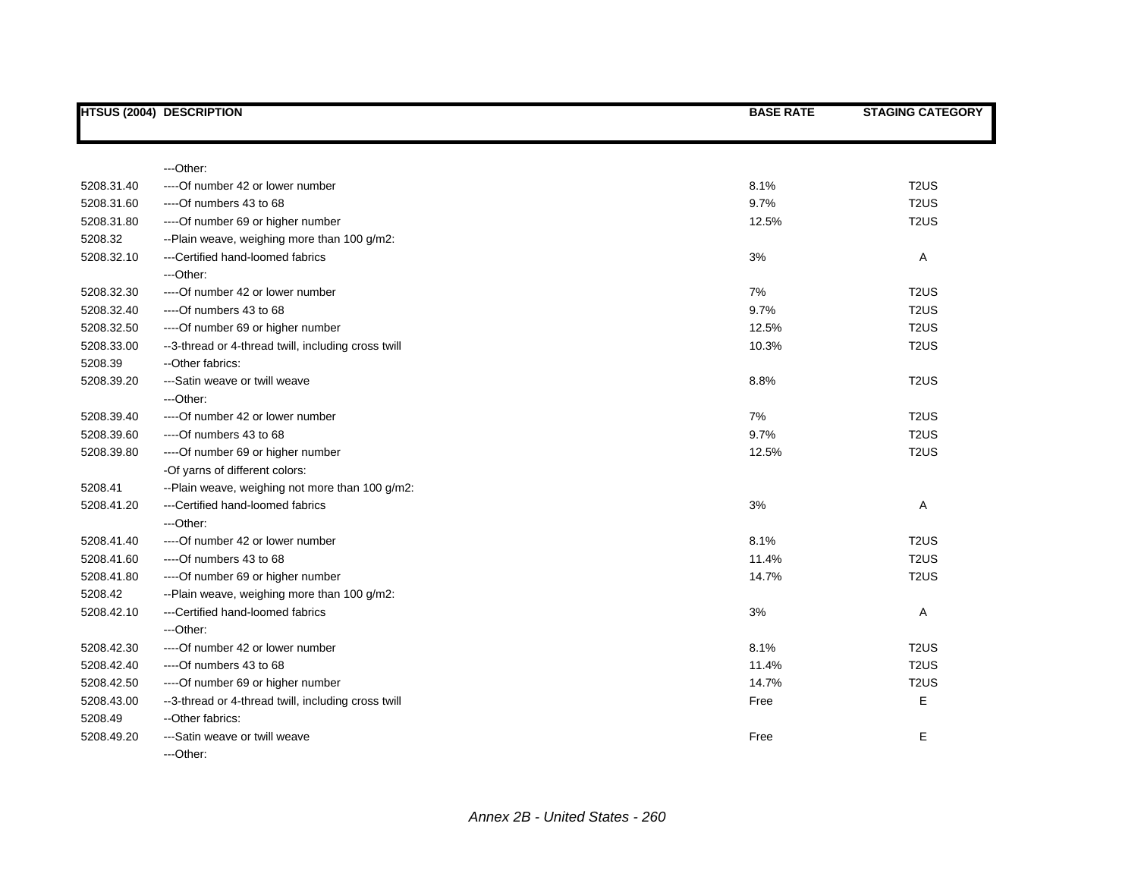|            | <b>HTSUS (2004) DESCRIPTION</b>                     | <b>BASE RATE</b> | <b>STAGING CATEGORY</b> |
|------------|-----------------------------------------------------|------------------|-------------------------|
|            |                                                     |                  |                         |
|            | ---Other:                                           |                  |                         |
| 5208.31.40 | ----Of number 42 or lower number                    | 8.1%             | T <sub>2</sub> US       |
| 5208.31.60 | $--$ Of numbers 43 to 68                            | 9.7%             | T <sub>2</sub> US       |
| 5208.31.80 | ----Of number 69 or higher number                   | 12.5%            | T <sub>2</sub> US       |
| 5208.32    | --Plain weave, weighing more than 100 g/m2:         |                  |                         |
| 5208.32.10 | ---Certified hand-loomed fabrics                    | 3%               | Α                       |
|            | ---Other:                                           |                  |                         |
| 5208.32.30 | ---- Of number 42 or lower number                   | 7%               | T <sub>2</sub> US       |
| 5208.32.40 | $--$ Of numbers 43 to 68                            | 9.7%             | T <sub>2</sub> US       |
| 5208.32.50 | ---- Of number 69 or higher number                  | 12.5%            | T <sub>2</sub> US       |
| 5208.33.00 | --3-thread or 4-thread twill, including cross twill | 10.3%            | T <sub>2</sub> US       |
| 5208.39    | --Other fabrics:                                    |                  |                         |
| 5208.39.20 | ---Satin weave or twill weave                       | 8.8%             | T <sub>2</sub> US       |
|            | ---Other:                                           |                  |                         |
| 5208.39.40 | ---- Of number 42 or lower number                   | 7%               | T <sub>2</sub> US       |
| 5208.39.60 | $--$ Of numbers 43 to 68                            | 9.7%             | T <sub>2</sub> US       |
| 5208.39.80 | ---- Of number 69 or higher number                  | 12.5%            | T <sub>2</sub> US       |
|            | -Of yarns of different colors:                      |                  |                         |
| 5208.41    | --Plain weave, weighing not more than 100 g/m2:     |                  |                         |
| 5208.41.20 | ---Certified hand-loomed fabrics                    | 3%               | Α                       |
|            | ---Other:                                           |                  |                         |
| 5208.41.40 | ---- Of number 42 or lower number                   | 8.1%             | T <sub>2</sub> US       |
| 5208.41.60 | $--$ Of numbers 43 to 68                            | 11.4%            | T <sub>2</sub> US       |
| 5208.41.80 | ---- Of number 69 or higher number                  | 14.7%            | T <sub>2</sub> US       |
| 5208.42    | --Plain weave, weighing more than 100 g/m2:         |                  |                         |
| 5208.42.10 | ---Certified hand-loomed fabrics                    | 3%               | Α                       |
|            | ---Other:                                           |                  |                         |
| 5208.42.30 | ---- Of number 42 or lower number                   | 8.1%             | T <sub>2</sub> US       |
| 5208.42.40 | ----Of numbers 43 to 68                             | 11.4%            | T <sub>2</sub> US       |
| 5208.42.50 | ---- Of number 69 or higher number                  | 14.7%            | T <sub>2</sub> US       |
| 5208.43.00 | --3-thread or 4-thread twill, including cross twill | Free             | Е                       |
| 5208.49    | -- Other fabrics:                                   |                  |                         |
| 5208.49.20 | ---Satin weave or twill weave                       | Free             | E                       |
|            | ---Other:                                           |                  |                         |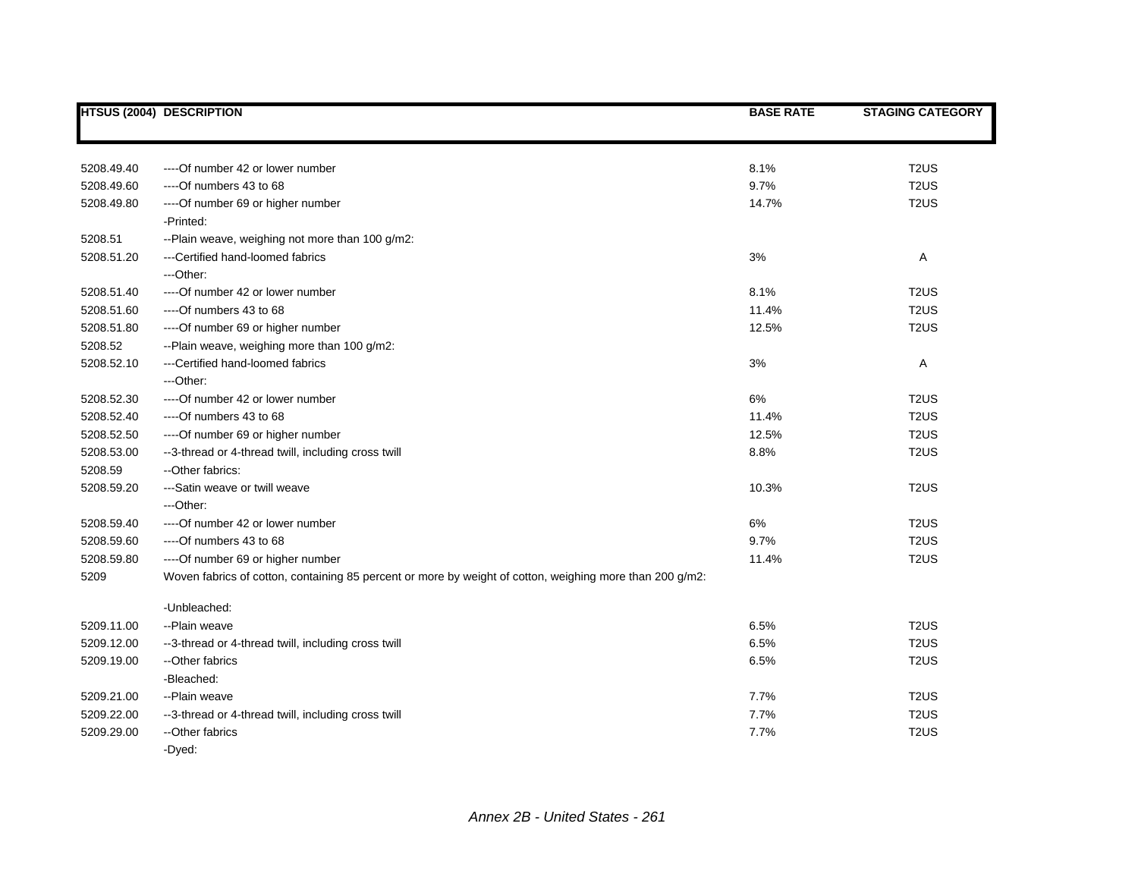|            | <b>HTSUS (2004) DESCRIPTION</b>                                                                          | <b>BASE RATE</b> | <b>STAGING CATEGORY</b> |
|------------|----------------------------------------------------------------------------------------------------------|------------------|-------------------------|
|            |                                                                                                          |                  |                         |
|            |                                                                                                          |                  |                         |
| 5208.49.40 | ---- Of number 42 or lower number                                                                        | 8.1%             | T <sub>2</sub> US       |
| 5208.49.60 | ----Of numbers 43 to 68                                                                                  | 9.7%             | T <sub>2</sub> US       |
| 5208.49.80 | ---- Of number 69 or higher number                                                                       | 14.7%            | T <sub>2</sub> US       |
|            | -Printed:                                                                                                |                  |                         |
| 5208.51    | --Plain weave, weighing not more than 100 g/m2:                                                          |                  |                         |
| 5208.51.20 | ---Certified hand-loomed fabrics                                                                         | 3%               | Α                       |
|            | ---Other:                                                                                                |                  |                         |
| 5208.51.40 | ---- Of number 42 or lower number                                                                        | 8.1%             | T <sub>2</sub> US       |
| 5208.51.60 | $---Of$ numbers 43 to 68                                                                                 | 11.4%            | T <sub>2</sub> US       |
| 5208.51.80 | ---- Of number 69 or higher number                                                                       | 12.5%            | T <sub>2</sub> US       |
| 5208.52    | --Plain weave, weighing more than 100 g/m2:                                                              |                  |                         |
| 5208.52.10 | ---Certified hand-loomed fabrics                                                                         | 3%               | Α                       |
|            | ---Other:                                                                                                |                  |                         |
| 5208.52.30 | ---- Of number 42 or lower number                                                                        | 6%               | T <sub>2</sub> US       |
| 5208.52.40 | $---Of$ numbers 43 to 68                                                                                 | 11.4%            | T <sub>2</sub> US       |
| 5208.52.50 | ---- Of number 69 or higher number                                                                       | 12.5%            | T <sub>2</sub> US       |
| 5208.53.00 | --3-thread or 4-thread twill, including cross twill                                                      | 8.8%             | T <sub>2</sub> US       |
| 5208.59    | -- Other fabrics:                                                                                        |                  |                         |
| 5208.59.20 | ---Satin weave or twill weave                                                                            | 10.3%            | T <sub>2</sub> US       |
|            | ---Other:                                                                                                |                  |                         |
| 5208.59.40 | ---- Of number 42 or lower number                                                                        | 6%               | T <sub>2</sub> US       |
| 5208.59.60 | $---Of$ numbers 43 to 68                                                                                 | 9.7%             | T <sub>2</sub> US       |
| 5208.59.80 | ---- Of number 69 or higher number                                                                       | 11.4%            | T <sub>2</sub> US       |
| 5209       | Woven fabrics of cotton, containing 85 percent or more by weight of cotton, weighing more than 200 g/m2: |                  |                         |
|            |                                                                                                          |                  |                         |
|            | -Unbleached:                                                                                             |                  |                         |
| 5209.11.00 | --Plain weave                                                                                            | 6.5%             | T <sub>2</sub> US       |
| 5209.12.00 | --3-thread or 4-thread twill, including cross twill                                                      | 6.5%             | T <sub>2</sub> US       |
| 5209.19.00 | --Other fabrics                                                                                          | 6.5%             | T <sub>2</sub> US       |
|            | -Bleached:                                                                                               |                  |                         |
| 5209.21.00 | --Plain weave                                                                                            | 7.7%             | T <sub>2</sub> US       |
| 5209.22.00 | --3-thread or 4-thread twill, including cross twill                                                      | 7.7%             | T <sub>2</sub> US       |
| 5209.29.00 | -- Other fabrics                                                                                         | 7.7%             | T <sub>2</sub> US       |
|            | -Dyed:                                                                                                   |                  |                         |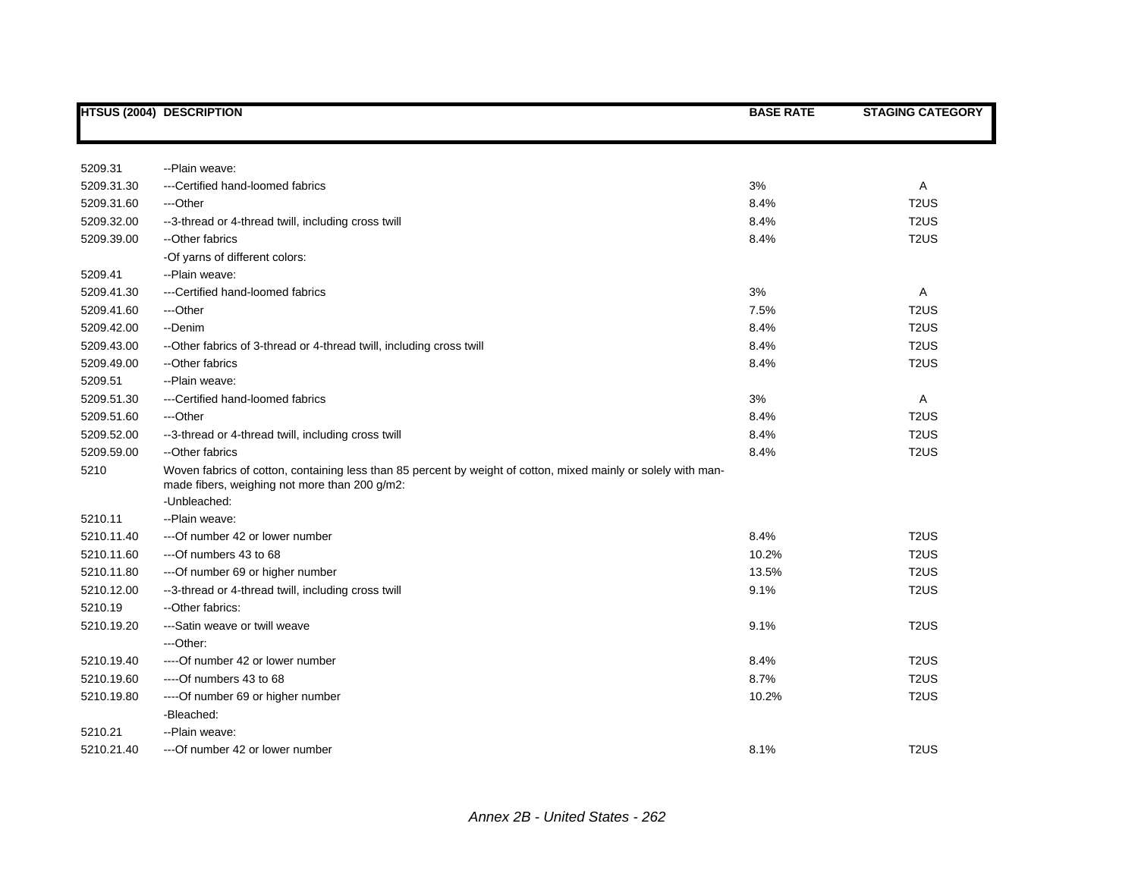|            | <b>HTSUS (2004) DESCRIPTION</b>                                                                                                                                                 | <b>BASE RATE</b> | <b>STAGING CATEGORY</b>       |
|------------|---------------------------------------------------------------------------------------------------------------------------------------------------------------------------------|------------------|-------------------------------|
|            |                                                                                                                                                                                 |                  |                               |
| 5209.31    | --Plain weave:                                                                                                                                                                  |                  |                               |
| 5209.31.30 | ---Certified hand-loomed fabrics                                                                                                                                                | 3%               | Α                             |
| 5209.31.60 | ---Other                                                                                                                                                                        | 8.4%             | T <sub>2</sub> US             |
| 5209.32.00 | --3-thread or 4-thread twill, including cross twill                                                                                                                             | 8.4%             | T <sub>2</sub> US             |
| 5209.39.00 | --Other fabrics                                                                                                                                                                 | 8.4%             | T <sub>2</sub> US             |
|            | -Of yarns of different colors:                                                                                                                                                  |                  |                               |
| 5209.41    | --Plain weave:                                                                                                                                                                  |                  |                               |
| 5209.41.30 | ---Certified hand-loomed fabrics                                                                                                                                                | 3%               | Α                             |
| 5209.41.60 | ---Other                                                                                                                                                                        | 7.5%             | T <sub>2</sub> US             |
| 5209.42.00 | --Denim                                                                                                                                                                         | 8.4%             | T <sub>2</sub> U <sub>S</sub> |
| 5209.43.00 | --Other fabrics of 3-thread or 4-thread twill, including cross twill                                                                                                            | 8.4%             | T <sub>2</sub> US             |
| 5209.49.00 | --Other fabrics                                                                                                                                                                 | 8.4%             | T <sub>2</sub> US             |
| 5209.51    | --Plain weave:                                                                                                                                                                  |                  |                               |
| 5209.51.30 | ---Certified hand-loomed fabrics                                                                                                                                                | 3%               | Α                             |
| 5209.51.60 | ---Other                                                                                                                                                                        | 8.4%             | T <sub>2</sub> US             |
| 5209.52.00 | --3-thread or 4-thread twill, including cross twill                                                                                                                             | 8.4%             | T <sub>2</sub> US             |
| 5209.59.00 | -- Other fabrics                                                                                                                                                                | 8.4%             | T <sub>2</sub> U <sub>S</sub> |
| 5210       | Woven fabrics of cotton, containing less than 85 percent by weight of cotton, mixed mainly or solely with man-<br>made fibers, weighing not more than 200 g/m2:<br>-Unbleached: |                  |                               |
| 5210.11    | --Plain weave:                                                                                                                                                                  |                  |                               |
| 5210.11.40 | --- Of number 42 or lower number                                                                                                                                                | 8.4%             | T <sub>2</sub> US             |
| 5210.11.60 | ---Of numbers 43 to 68                                                                                                                                                          | 10.2%            | T <sub>2</sub> US             |
| 5210.11.80 | --- Of number 69 or higher number                                                                                                                                               | 13.5%            | T <sub>2</sub> US             |
| 5210.12.00 | --3-thread or 4-thread twill, including cross twill                                                                                                                             | 9.1%             | T <sub>2</sub> US             |
| 5210.19    | -- Other fabrics:                                                                                                                                                               |                  |                               |
| 5210.19.20 | ---Satin weave or twill weave                                                                                                                                                   | 9.1%             | T <sub>2</sub> U <sub>S</sub> |
|            | ---Other:                                                                                                                                                                       |                  |                               |
| 5210.19.40 | ---- Of number 42 or lower number                                                                                                                                               | 8.4%             | T <sub>2</sub> US             |
| 5210.19.60 | ----Of numbers 43 to 68                                                                                                                                                         | 8.7%             | T <sub>2</sub> U <sub>S</sub> |
| 5210.19.80 | ---- Of number 69 or higher number                                                                                                                                              | 10.2%            | T <sub>2</sub> US             |
|            | -Bleached:                                                                                                                                                                      |                  |                               |
| 5210.21    | --Plain weave:                                                                                                                                                                  |                  |                               |
| 5210.21.40 | ---Of number 42 or lower number                                                                                                                                                 | 8.1%             | T <sub>2</sub> US             |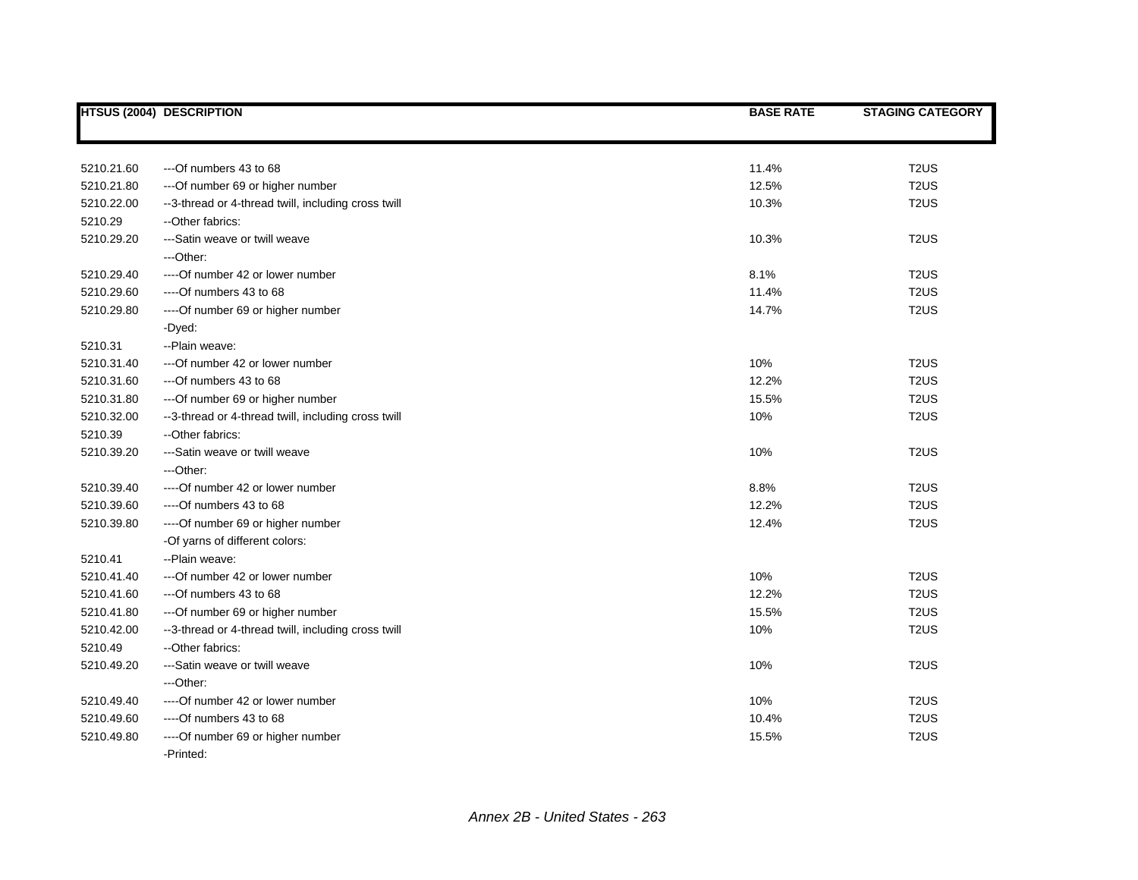|            | <b>HTSUS (2004) DESCRIPTION</b>                     | <b>BASE RATE</b> | <b>STAGING CATEGORY</b>       |
|------------|-----------------------------------------------------|------------------|-------------------------------|
|            |                                                     |                  |                               |
| 5210.21.60 | ---Of numbers 43 to 68                              | 11.4%            | T <sub>2</sub> US             |
| 5210.21.80 | --- Of number 69 or higher number                   | 12.5%            | T <sub>2</sub> US             |
| 5210.22.00 | --3-thread or 4-thread twill, including cross twill | 10.3%            | T <sub>2</sub> US             |
| 5210.29    | -- Other fabrics:                                   |                  |                               |
| 5210.29.20 | ---Satin weave or twill weave                       | 10.3%            | T <sub>2</sub> US             |
|            | ---Other:                                           |                  |                               |
| 5210.29.40 | ---- Of number 42 or lower number                   | 8.1%             | T <sub>2</sub> US             |
| 5210.29.60 | $--$ Of numbers 43 to 68                            | 11.4%            | T <sub>2</sub> US             |
| 5210.29.80 | ---- Of number 69 or higher number                  | 14.7%            | T <sub>2</sub> US             |
|            | -Dyed:                                              |                  |                               |
| 5210.31    | --Plain weave:                                      |                  |                               |
| 5210.31.40 | --- Of number 42 or lower number                    | 10%              | T <sub>2</sub> US             |
| 5210.31.60 | ---Of numbers 43 to 68                              | 12.2%            | T <sub>2</sub> US             |
| 5210.31.80 | --- Of number 69 or higher number                   | 15.5%            | T <sub>2</sub> US             |
| 5210.32.00 | --3-thread or 4-thread twill, including cross twill | 10%              | T <sub>2</sub> US             |
| 5210.39    | --Other fabrics:                                    |                  |                               |
| 5210.39.20 | ---Satin weave or twill weave                       | 10%              | T <sub>2</sub> US             |
|            | ---Other:                                           |                  |                               |
| 5210.39.40 | ----Of number 42 or lower number                    | 8.8%             | T <sub>2</sub> US             |
| 5210.39.60 | $--$ Of numbers 43 to 68                            | 12.2%            | T <sub>2</sub> US             |
| 5210.39.80 | ---- Of number 69 or higher number                  | 12.4%            | T <sub>2</sub> U <sub>S</sub> |
|            | -Of yarns of different colors:                      |                  |                               |
| 5210.41    | --Plain weave:                                      |                  |                               |
| 5210.41.40 | --- Of number 42 or lower number                    | 10%              | T <sub>2</sub> US             |
| 5210.41.60 | ---Of numbers 43 to 68                              | 12.2%            | T <sub>2</sub> US             |
| 5210.41.80 | --- Of number 69 or higher number                   | 15.5%            | T <sub>2</sub> US             |
| 5210.42.00 | --3-thread or 4-thread twill, including cross twill | 10%              | T <sub>2</sub> US             |
| 5210.49    | --Other fabrics:                                    |                  |                               |
| 5210.49.20 | ---Satin weave or twill weave                       | 10%              | T <sub>2</sub> US             |
|            | ---Other:                                           |                  |                               |
| 5210.49.40 | ---- Of number 42 or lower number                   | 10%              | T <sub>2</sub> US             |
| 5210.49.60 | ----Of numbers 43 to 68                             | 10.4%            | T <sub>2</sub> US             |
| 5210.49.80 | ---- Of number 69 or higher number                  | 15.5%            | T <sub>2</sub> US             |
|            | -Printed:                                           |                  |                               |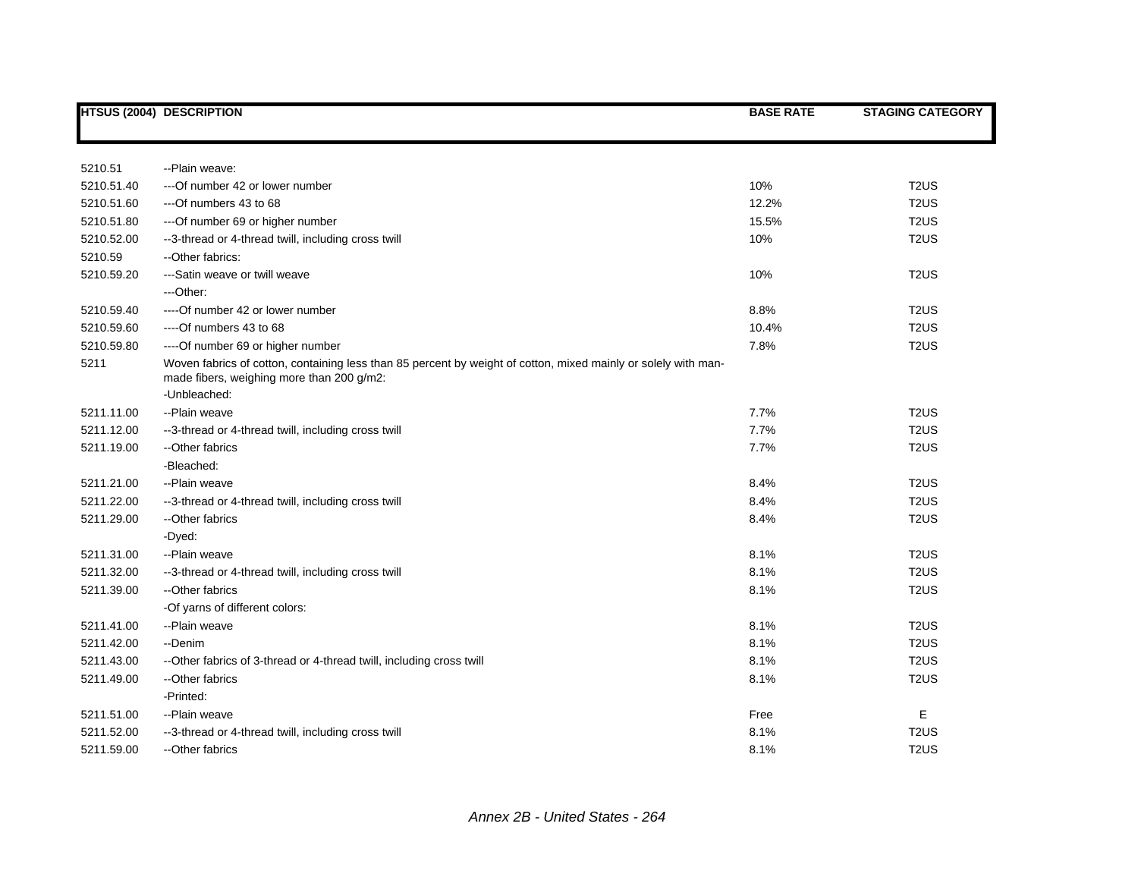|            | <b>HTSUS (2004) DESCRIPTION</b>                                                                                                                             | <b>BASE RATE</b> | <b>STAGING CATEGORY</b>       |
|------------|-------------------------------------------------------------------------------------------------------------------------------------------------------------|------------------|-------------------------------|
|            |                                                                                                                                                             |                  |                               |
| 5210.51    | --Plain weave:                                                                                                                                              |                  |                               |
| 5210.51.40 | --- Of number 42 or lower number                                                                                                                            | 10%              | T <sub>2</sub> US             |
| 5210.51.60 | ---Of numbers 43 to 68                                                                                                                                      | 12.2%            | T <sub>2</sub> US             |
| 5210.51.80 | --- Of number 69 or higher number                                                                                                                           | 15.5%            | T <sub>2</sub> US             |
| 5210.52.00 | --3-thread or 4-thread twill, including cross twill                                                                                                         | 10%              | T <sub>2</sub> US             |
| 5210.59    | --Other fabrics:                                                                                                                                            |                  |                               |
| 5210.59.20 | ---Satin weave or twill weave                                                                                                                               | 10%              | T <sub>2</sub> US             |
|            | ---Other:                                                                                                                                                   |                  |                               |
| 5210.59.40 | ---- Of number 42 or lower number                                                                                                                           | 8.8%             | T <sub>2</sub> US             |
| 5210.59.60 | $--$ Of numbers 43 to 68                                                                                                                                    | 10.4%            | T <sub>2</sub> US             |
| 5210.59.80 | ---- Of number 69 or higher number                                                                                                                          | 7.8%             | T <sub>2</sub> US             |
| 5211       | Woven fabrics of cotton, containing less than 85 percent by weight of cotton, mixed mainly or solely with man-<br>made fibers, weighing more than 200 g/m2: |                  |                               |
|            | -Unbleached:                                                                                                                                                |                  |                               |
| 5211.11.00 | --Plain weave                                                                                                                                               | 7.7%             | T <sub>2</sub> US             |
| 5211.12.00 | --3-thread or 4-thread twill, including cross twill                                                                                                         | 7.7%             | T <sub>2</sub> US             |
| 5211.19.00 | --Other fabrics                                                                                                                                             | 7.7%             | T <sub>2</sub> US             |
|            | -Bleached:                                                                                                                                                  |                  |                               |
| 5211.21.00 | --Plain weave                                                                                                                                               | 8.4%             | T <sub>2</sub> U <sub>S</sub> |
| 5211.22.00 | --3-thread or 4-thread twill, including cross twill                                                                                                         | 8.4%             | T <sub>2</sub> US             |
| 5211.29.00 | --Other fabrics                                                                                                                                             | 8.4%             | T <sub>2</sub> US             |
|            | -Dyed:                                                                                                                                                      |                  |                               |
| 5211.31.00 | --Plain weave                                                                                                                                               | 8.1%             | T <sub>2</sub> US             |
| 5211.32.00 | --3-thread or 4-thread twill, including cross twill                                                                                                         | 8.1%             | T <sub>2</sub> US             |
| 5211.39.00 | --Other fabrics                                                                                                                                             | 8.1%             | T <sub>2</sub> US             |
|            | -Of yarns of different colors:                                                                                                                              |                  |                               |
| 5211.41.00 | --Plain weave                                                                                                                                               | 8.1%             | T <sub>2</sub> US             |
| 5211.42.00 | --Denim                                                                                                                                                     | 8.1%             | T <sub>2</sub> US             |
| 5211.43.00 | --Other fabrics of 3-thread or 4-thread twill, including cross twill                                                                                        | 8.1%             | T <sub>2</sub> US             |
| 5211.49.00 | --Other fabrics                                                                                                                                             | 8.1%             | T <sub>2</sub> US             |
|            | -Printed:                                                                                                                                                   |                  |                               |
| 5211.51.00 | --Plain weave                                                                                                                                               | Free             | Е                             |
| 5211.52.00 | --3-thread or 4-thread twill, including cross twill                                                                                                         | 8.1%             | T <sub>2</sub> US             |
| 5211.59.00 | --Other fabrics                                                                                                                                             | 8.1%             | T <sub>2</sub> US             |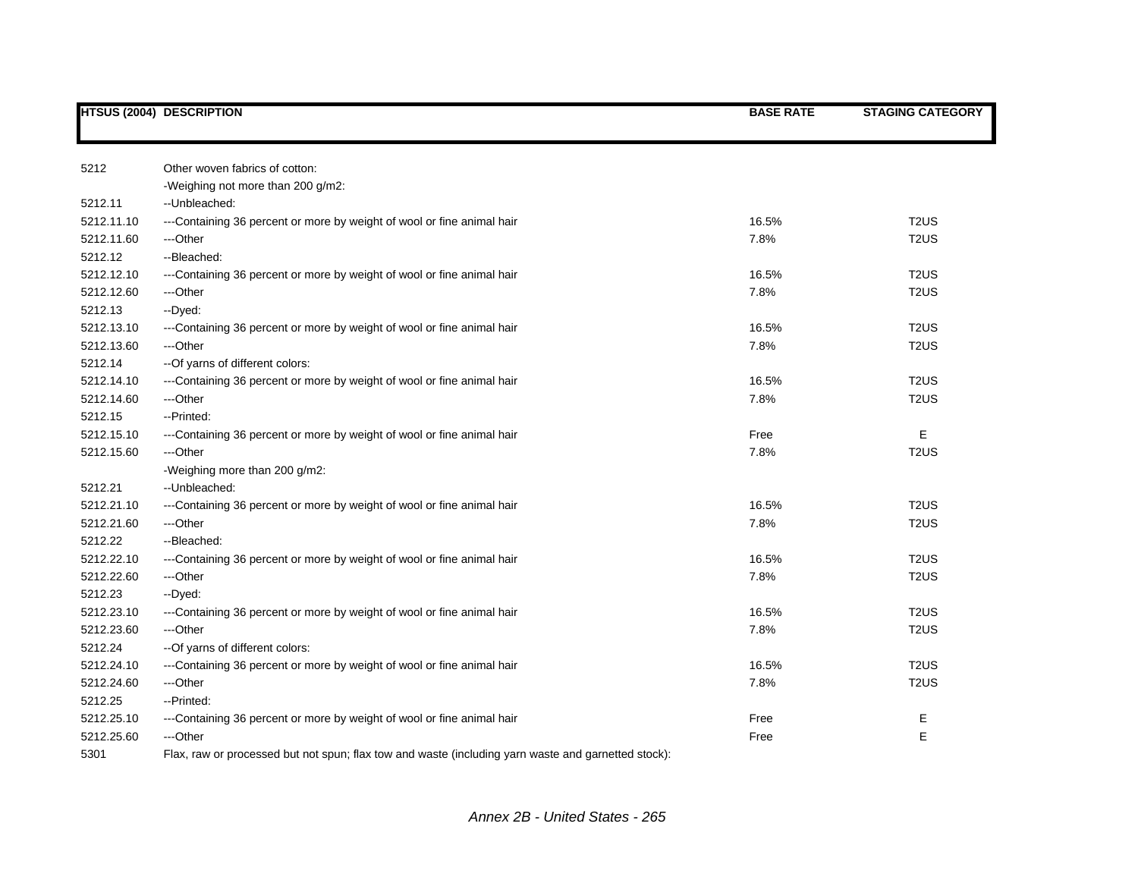|            | <b>HTSUS (2004) DESCRIPTION</b>                                                                     | <b>BASE RATE</b> | <b>STAGING CATEGORY</b>       |
|------------|-----------------------------------------------------------------------------------------------------|------------------|-------------------------------|
|            |                                                                                                     |                  |                               |
| 5212       | Other woven fabrics of cotton:                                                                      |                  |                               |
|            | -Weighing not more than 200 g/m2:                                                                   |                  |                               |
| 5212.11    | -- Unbleached:                                                                                      |                  |                               |
| 5212.11.10 | ---Containing 36 percent or more by weight of wool or fine animal hair                              | 16.5%            | T <sub>2</sub> US             |
| 5212.11.60 | ---Other                                                                                            | 7.8%             | T <sub>2</sub> US             |
| 5212.12    | --Bleached:                                                                                         |                  |                               |
| 5212.12.10 | ---Containing 36 percent or more by weight of wool or fine animal hair                              | 16.5%            | T <sub>2</sub> US             |
| 5212.12.60 | ---Other                                                                                            | 7.8%             | T <sub>2</sub> US             |
| 5212.13    | -- Dyed:                                                                                            |                  |                               |
| 5212.13.10 | ---Containing 36 percent or more by weight of wool or fine animal hair                              | 16.5%            | T <sub>2</sub> US             |
| 5212.13.60 | ---Other                                                                                            | 7.8%             | T <sub>2</sub> US             |
| 5212.14    | -- Of yarns of different colors:                                                                    |                  |                               |
| 5212.14.10 | ---Containing 36 percent or more by weight of wool or fine animal hair                              | 16.5%            | T <sub>2</sub> US             |
| 5212.14.60 | ---Other                                                                                            | 7.8%             | T <sub>2</sub> US             |
| 5212.15    | --Printed:                                                                                          |                  |                               |
| 5212.15.10 | ---Containing 36 percent or more by weight of wool or fine animal hair                              | Free             | E                             |
| 5212.15.60 | ---Other                                                                                            | 7.8%             | T <sub>2</sub> US             |
|            | -Weighing more than 200 g/m2:                                                                       |                  |                               |
| 5212.21    | --Unbleached:                                                                                       |                  |                               |
| 5212.21.10 | ---Containing 36 percent or more by weight of wool or fine animal hair                              | 16.5%            | T <sub>2</sub> US             |
| 5212.21.60 | ---Other                                                                                            | 7.8%             | T <sub>2</sub> US             |
| 5212.22    | --Bleached:                                                                                         |                  |                               |
| 5212.22.10 | ---Containing 36 percent or more by weight of wool or fine animal hair                              | 16.5%            | T <sub>2</sub> US             |
| 5212.22.60 | ---Other                                                                                            | 7.8%             | T <sub>2</sub> US             |
| 5212.23    | --Dyed:                                                                                             |                  |                               |
| 5212.23.10 | ---Containing 36 percent or more by weight of wool or fine animal hair                              | 16.5%            | T <sub>2</sub> U <sub>S</sub> |
| 5212.23.60 | ---Other                                                                                            | 7.8%             | T <sub>2</sub> US             |
| 5212.24    | -- Of yarns of different colors:                                                                    |                  |                               |
| 5212.24.10 | ---Containing 36 percent or more by weight of wool or fine animal hair                              | 16.5%            | T <sub>2</sub> US             |
| 5212.24.60 | ---Other                                                                                            | 7.8%             | T <sub>2</sub> US             |
| 5212.25    | --Printed:                                                                                          |                  |                               |
| 5212.25.10 | ---Containing 36 percent or more by weight of wool or fine animal hair                              | Free             | Е                             |
| 5212.25.60 | ---Other                                                                                            | Free             | E                             |
| 5301       | Flax, raw or processed but not spun; flax tow and waste (including yarn waste and garnetted stock): |                  |                               |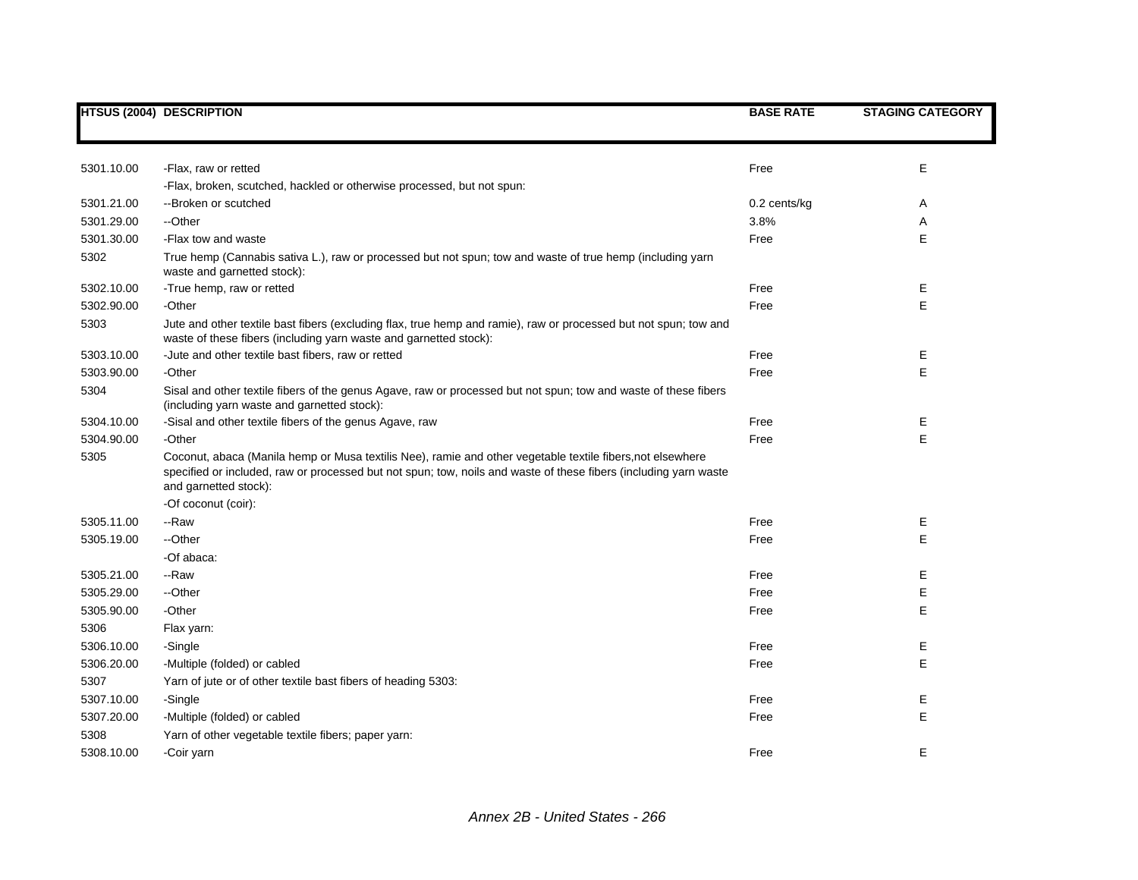|            | <b>HTSUS (2004) DESCRIPTION</b>                                                                                                                                                                                                                         | <b>BASE RATE</b> | <b>STAGING CATEGORY</b> |
|------------|---------------------------------------------------------------------------------------------------------------------------------------------------------------------------------------------------------------------------------------------------------|------------------|-------------------------|
|            |                                                                                                                                                                                                                                                         |                  |                         |
| 5301.10.00 | -Flax, raw or retted                                                                                                                                                                                                                                    | Free             | Е                       |
|            | -Flax, broken, scutched, hackled or otherwise processed, but not spun:                                                                                                                                                                                  |                  |                         |
| 5301.21.00 | --Broken or scutched                                                                                                                                                                                                                                    | $0.2$ cents/kg   | Α                       |
| 5301.29.00 | --Other                                                                                                                                                                                                                                                 | 3.8%             | Α                       |
| 5301.30.00 | -Flax tow and waste                                                                                                                                                                                                                                     | Free             | E                       |
| 5302       | True hemp (Cannabis sativa L.), raw or processed but not spun; tow and waste of true hemp (including yarn<br>waste and garnetted stock):                                                                                                                |                  |                         |
| 5302.10.00 | -True hemp, raw or retted                                                                                                                                                                                                                               | Free             | Е                       |
| 5302.90.00 | -Other                                                                                                                                                                                                                                                  | Free             | E.                      |
| 5303       | Jute and other textile bast fibers (excluding flax, true hemp and ramie), raw or processed but not spun; tow and<br>waste of these fibers (including yarn waste and garnetted stock):                                                                   |                  |                         |
| 5303.10.00 | -Jute and other textile bast fibers, raw or retted                                                                                                                                                                                                      | Free             | Е                       |
| 5303.90.00 | -Other                                                                                                                                                                                                                                                  | Free             | E                       |
| 5304       | Sisal and other textile fibers of the genus Agave, raw or processed but not spun; tow and waste of these fibers<br>(including yarn waste and garnetted stock):                                                                                          |                  |                         |
| 5304.10.00 | -Sisal and other textile fibers of the genus Agave, raw                                                                                                                                                                                                 | Free             | Е                       |
| 5304.90.00 | -Other                                                                                                                                                                                                                                                  | Free             | E                       |
| 5305       | Coconut, abaca (Manila hemp or Musa textilis Nee), ramie and other vegetable textile fibers, not elsewhere<br>specified or included, raw or processed but not spun; tow, noils and waste of these fibers (including yarn waste<br>and garnetted stock): |                  |                         |
|            | -Of coconut (coir):                                                                                                                                                                                                                                     |                  |                         |
| 5305.11.00 | --Raw                                                                                                                                                                                                                                                   | Free             | E                       |
| 5305.19.00 | --Other                                                                                                                                                                                                                                                 | Free             | E                       |
|            | -Of abaca:                                                                                                                                                                                                                                              |                  |                         |
| 5305.21.00 | --Raw                                                                                                                                                                                                                                                   | Free             | Е                       |
| 5305.29.00 | --Other                                                                                                                                                                                                                                                 | Free             | E                       |
| 5305.90.00 | -Other                                                                                                                                                                                                                                                  | Free             | E                       |
| 5306       | Flax yarn:                                                                                                                                                                                                                                              |                  |                         |
| 5306.10.00 | -Single                                                                                                                                                                                                                                                 | Free             | Е                       |
| 5306.20.00 | -Multiple (folded) or cabled                                                                                                                                                                                                                            | Free             | E                       |
| 5307       | Yarn of jute or of other textile bast fibers of heading 5303:                                                                                                                                                                                           |                  |                         |
| 5307.10.00 | -Single                                                                                                                                                                                                                                                 | Free             | E                       |
| 5307.20.00 | -Multiple (folded) or cabled                                                                                                                                                                                                                            | Free             | E                       |
| 5308       | Yarn of other vegetable textile fibers; paper yarn:                                                                                                                                                                                                     |                  |                         |
| 5308.10.00 | -Coir yarn                                                                                                                                                                                                                                              | Free             | E                       |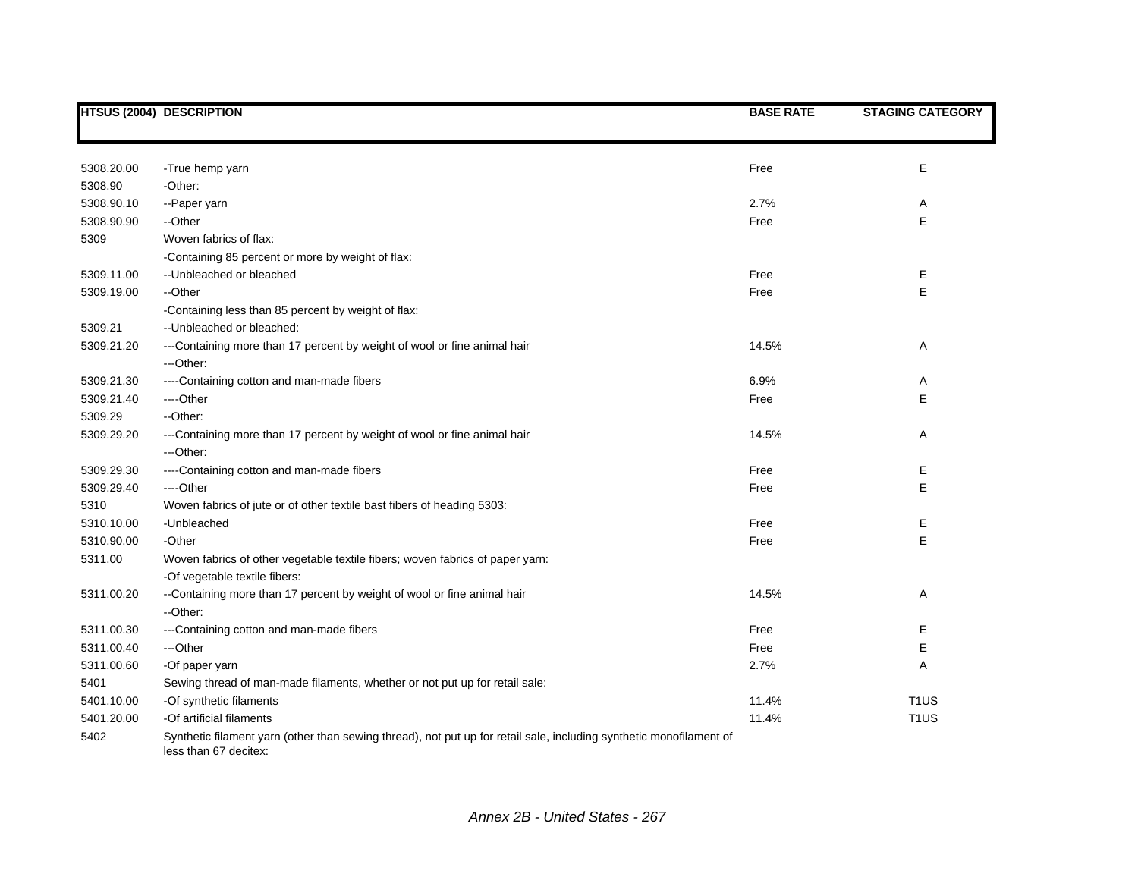|            | <b>HTSUS (2004) DESCRIPTION</b>                                                                                                              | <b>BASE RATE</b> | <b>STAGING CATEGORY</b> |
|------------|----------------------------------------------------------------------------------------------------------------------------------------------|------------------|-------------------------|
|            |                                                                                                                                              |                  |                         |
| 5308.20.00 | -True hemp yarn                                                                                                                              | Free             | Е                       |
| 5308.90    | -Other:                                                                                                                                      |                  |                         |
| 5308.90.10 | --Paper yarn                                                                                                                                 | 2.7%             | Α                       |
| 5308.90.90 | --Other                                                                                                                                      | Free             | E                       |
| 5309       | Woven fabrics of flax:                                                                                                                       |                  |                         |
|            | -Containing 85 percent or more by weight of flax:                                                                                            |                  |                         |
| 5309.11.00 | -- Unbleached or bleached                                                                                                                    | Free             | Е                       |
| 5309.19.00 | --Other                                                                                                                                      | Free             | E                       |
|            | -Containing less than 85 percent by weight of flax:                                                                                          |                  |                         |
| 5309.21    | -- Unbleached or bleached:                                                                                                                   |                  |                         |
| 5309.21.20 | ---Containing more than 17 percent by weight of wool or fine animal hair                                                                     | 14.5%            | Α                       |
|            | ---Other:                                                                                                                                    |                  |                         |
| 5309.21.30 | ----Containing cotton and man-made fibers                                                                                                    | 6.9%             | Α                       |
| 5309.21.40 | ----Other                                                                                                                                    | Free             | E                       |
| 5309.29    | --Other:                                                                                                                                     |                  |                         |
| 5309.29.20 | ---Containing more than 17 percent by weight of wool or fine animal hair                                                                     | 14.5%            | Α                       |
|            | ---Other:                                                                                                                                    |                  |                         |
| 5309.29.30 | ----Containing cotton and man-made fibers                                                                                                    | Free             | Е                       |
| 5309.29.40 | ----Other                                                                                                                                    | Free             | E                       |
| 5310       | Woven fabrics of jute or of other textile bast fibers of heading 5303:                                                                       |                  |                         |
| 5310.10.00 | -Unbleached                                                                                                                                  | Free             | Ε                       |
| 5310.90.00 | -Other                                                                                                                                       | Free             | E                       |
| 5311.00    | Woven fabrics of other vegetable textile fibers; woven fabrics of paper yarn:                                                                |                  |                         |
|            | -Of vegetable textile fibers:                                                                                                                |                  |                         |
| 5311.00.20 | --Containing more than 17 percent by weight of wool or fine animal hair                                                                      | 14.5%            | Α                       |
|            | --Other:                                                                                                                                     |                  |                         |
| 5311.00.30 | ---Containing cotton and man-made fibers                                                                                                     | Free             | Е                       |
| 5311.00.40 | ---Other                                                                                                                                     | Free             | E                       |
| 5311.00.60 | -Of paper yarn                                                                                                                               | 2.7%             | Α                       |
| 5401       | Sewing thread of man-made filaments, whether or not put up for retail sale:                                                                  |                  |                         |
| 5401.10.00 | -Of synthetic filaments                                                                                                                      | 11.4%            | T <sub>1</sub> US       |
| 5401.20.00 | -Of artificial filaments                                                                                                                     | 11.4%            | T <sub>1</sub> US       |
| 5402       | Synthetic filament yarn (other than sewing thread), not put up for retail sale, including synthetic monofilament of<br>less than 67 decitex: |                  |                         |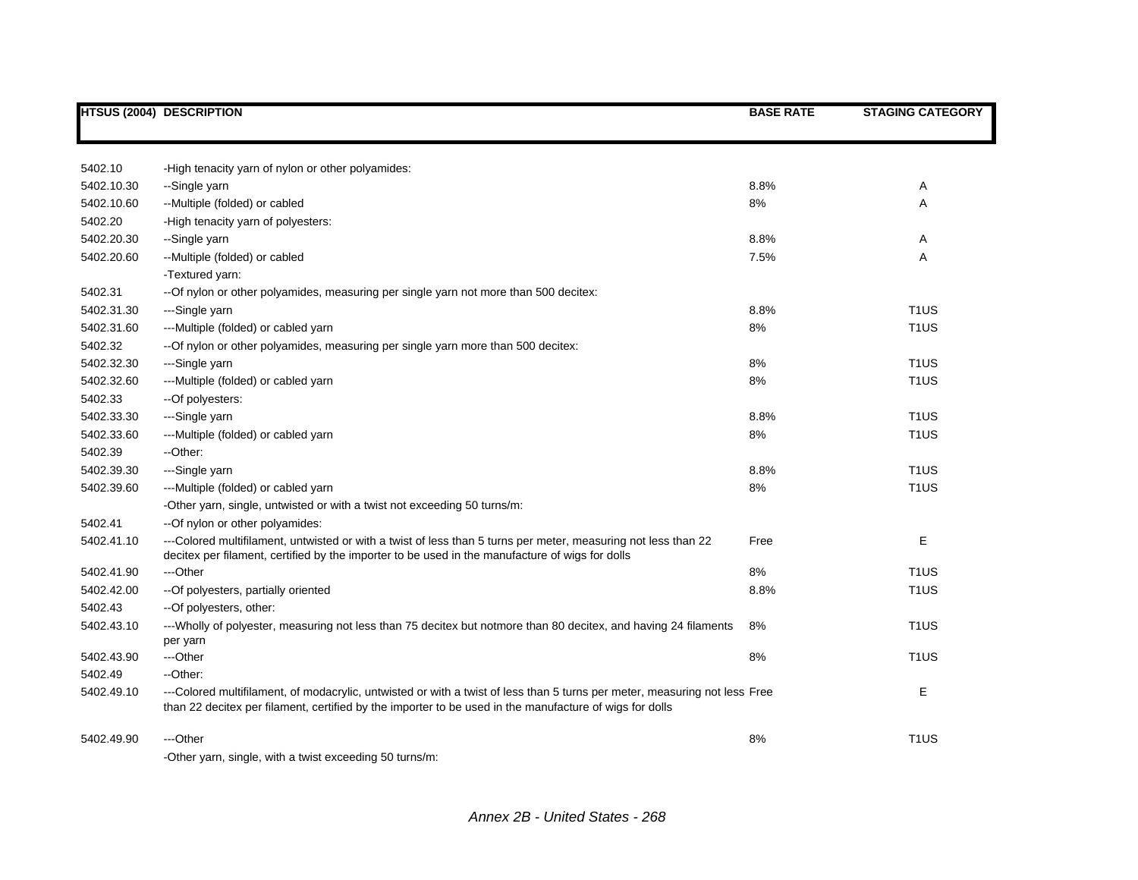|            | <b>HTSUS (2004) DESCRIPTION</b>                                                                                                                                                                                                       | <b>BASE RATE</b> | <b>STAGING CATEGORY</b> |
|------------|---------------------------------------------------------------------------------------------------------------------------------------------------------------------------------------------------------------------------------------|------------------|-------------------------|
|            |                                                                                                                                                                                                                                       |                  |                         |
|            |                                                                                                                                                                                                                                       |                  |                         |
| 5402.10    | -High tenacity yarn of nylon or other polyamides:                                                                                                                                                                                     |                  |                         |
| 5402.10.30 | --Single yarn                                                                                                                                                                                                                         | 8.8%             | Α                       |
| 5402.10.60 | --Multiple (folded) or cabled                                                                                                                                                                                                         | 8%               | A                       |
| 5402.20    | -High tenacity yarn of polyesters:                                                                                                                                                                                                    |                  |                         |
| 5402.20.30 | --Single yarn                                                                                                                                                                                                                         | 8.8%             | Α                       |
| 5402.20.60 | --Multiple (folded) or cabled                                                                                                                                                                                                         | 7.5%             | Α                       |
|            | -Textured yarn:                                                                                                                                                                                                                       |                  |                         |
| 5402.31    | --Of nylon or other polyamides, measuring per single yarn not more than 500 decitex:                                                                                                                                                  |                  |                         |
| 5402.31.30 | ---Single yarn                                                                                                                                                                                                                        | 8.8%             | T <sub>1</sub> US       |
| 5402.31.60 | ---Multiple (folded) or cabled yarn                                                                                                                                                                                                   | 8%               | T <sub>1</sub> US       |
| 5402.32    | --Of nylon or other polyamides, measuring per single yarn more than 500 decitex:                                                                                                                                                      |                  |                         |
| 5402.32.30 | ---Single yarn                                                                                                                                                                                                                        | 8%               | T <sub>1</sub> US       |
| 5402.32.60 | ---Multiple (folded) or cabled yarn                                                                                                                                                                                                   | 8%               | T <sub>1</sub> US       |
| 5402.33    | --Of polyesters:                                                                                                                                                                                                                      |                  |                         |
| 5402.33.30 | ---Single yarn                                                                                                                                                                                                                        | 8.8%             | T <sub>1</sub> US       |
| 5402.33.60 | ---Multiple (folded) or cabled yarn                                                                                                                                                                                                   | 8%               | T <sub>1</sub> US       |
| 5402.39    | --Other:                                                                                                                                                                                                                              |                  |                         |
| 5402.39.30 | ---Single yarn                                                                                                                                                                                                                        | 8.8%             | T <sub>1</sub> US       |
| 5402.39.60 | ---Multiple (folded) or cabled yarn                                                                                                                                                                                                   | 8%               | T <sub>1</sub> US       |
|            | -Other yarn, single, untwisted or with a twist not exceeding 50 turns/m:                                                                                                                                                              |                  |                         |
| 5402.41    | --Of nylon or other polyamides:                                                                                                                                                                                                       |                  |                         |
| 5402.41.10 | ---Colored multifilament, untwisted or with a twist of less than 5 turns per meter, measuring not less than 22<br>decitex per filament, certified by the importer to be used in the manufacture of wigs for dolls                     | Free             | Е                       |
| 5402.41.90 | ---Other                                                                                                                                                                                                                              | 8%               | T <sub>1</sub> US       |
| 5402.42.00 | -- Of polyesters, partially oriented                                                                                                                                                                                                  | 8.8%             | T <sub>1</sub> US       |
| 5402.43    | --Of polyesters, other:                                                                                                                                                                                                               |                  |                         |
| 5402.43.10 | ---Wholly of polyester, measuring not less than 75 decitex but notmore than 80 decitex, and having 24 filaments<br>per yarn                                                                                                           | 8%               | T <sub>1</sub> US       |
| 5402.43.90 | ---Other                                                                                                                                                                                                                              | 8%               | T <sub>1</sub> US       |
| 5402.49    | --Other:                                                                                                                                                                                                                              |                  |                         |
| 5402.49.10 | ---Colored multifilament, of modacrylic, untwisted or with a twist of less than 5 turns per meter, measuring not less Free<br>than 22 decitex per filament, certified by the importer to be used in the manufacture of wigs for dolls |                  | E                       |
| 5402.49.90 | ---Other                                                                                                                                                                                                                              | 8%               | T <sub>1</sub> US       |
|            | -Other yarn, single, with a twist exceeding 50 turns/m:                                                                                                                                                                               |                  |                         |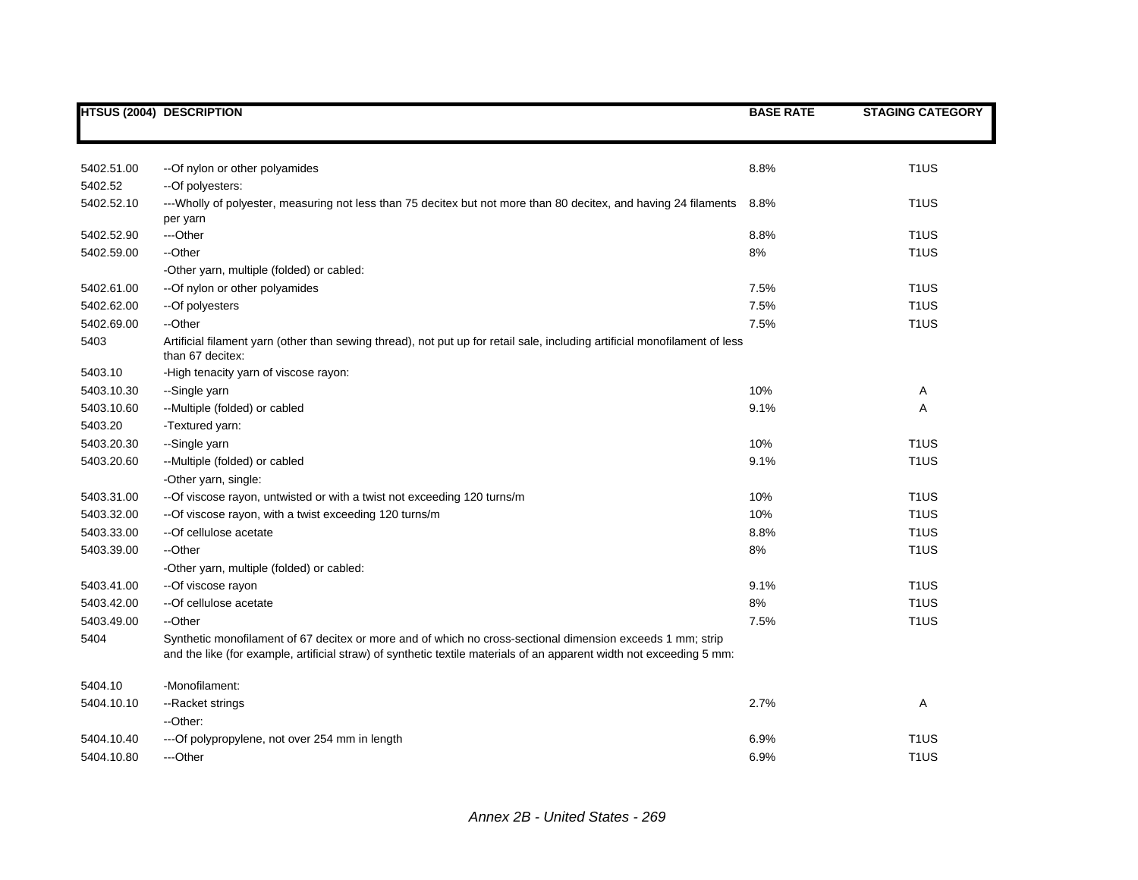|            | <b>HTSUS (2004) DESCRIPTION</b>                                                                                                                                                                                                    | <b>BASE RATE</b> | <b>STAGING CATEGORY</b> |
|------------|------------------------------------------------------------------------------------------------------------------------------------------------------------------------------------------------------------------------------------|------------------|-------------------------|
|            |                                                                                                                                                                                                                                    |                  |                         |
|            |                                                                                                                                                                                                                                    |                  |                         |
| 5402.51.00 | --Of nylon or other polyamides                                                                                                                                                                                                     | 8.8%             | T <sub>1</sub> US       |
| 5402.52    | -- Of polyesters:                                                                                                                                                                                                                  |                  |                         |
| 5402.52.10 | ---Wholly of polyester, measuring not less than 75 decitex but not more than 80 decitex, and having 24 filaments                                                                                                                   | 8.8%             | T <sub>1</sub> US       |
|            | per yarn                                                                                                                                                                                                                           |                  |                         |
| 5402.52.90 | ---Other                                                                                                                                                                                                                           | 8.8%             | T <sub>1</sub> US       |
| 5402.59.00 | --Other                                                                                                                                                                                                                            | 8%               | T <sub>1</sub> US       |
|            | -Other yarn, multiple (folded) or cabled:                                                                                                                                                                                          |                  |                         |
| 5402.61.00 | --Of nylon or other polyamides                                                                                                                                                                                                     | 7.5%             | T <sub>1</sub> US       |
| 5402.62.00 | --Of polyesters                                                                                                                                                                                                                    | 7.5%             | T <sub>1</sub> US       |
| 5402.69.00 | --Other                                                                                                                                                                                                                            | 7.5%             | T <sub>1</sub> US       |
| 5403       | Artificial filament yarn (other than sewing thread), not put up for retail sale, including artificial monofilament of less<br>than 67 decitex:                                                                                     |                  |                         |
| 5403.10    | -High tenacity yarn of viscose rayon:                                                                                                                                                                                              |                  |                         |
| 5403.10.30 | --Single yarn                                                                                                                                                                                                                      | 10%              | Α                       |
| 5403.10.60 | --Multiple (folded) or cabled                                                                                                                                                                                                      | 9.1%             | Α                       |
| 5403.20    | -Textured yarn:                                                                                                                                                                                                                    |                  |                         |
| 5403.20.30 | --Single yarn                                                                                                                                                                                                                      | 10%              | T <sub>1</sub> US       |
| 5403.20.60 | --Multiple (folded) or cabled                                                                                                                                                                                                      | 9.1%             | T <sub>1</sub> US       |
|            | -Other yarn, single:                                                                                                                                                                                                               |                  |                         |
| 5403.31.00 | -- Of viscose rayon, untwisted or with a twist not exceeding 120 turns/m                                                                                                                                                           | 10%              | T <sub>1</sub> US       |
| 5403.32.00 | -- Of viscose rayon, with a twist exceeding 120 turns/m                                                                                                                                                                            | 10%              | T <sub>1</sub> US       |
| 5403.33.00 | --Of cellulose acetate                                                                                                                                                                                                             | 8.8%             | T <sub>1</sub> US       |
| 5403.39.00 | --Other                                                                                                                                                                                                                            | 8%               | T <sub>1</sub> US       |
|            | -Other yarn, multiple (folded) or cabled:                                                                                                                                                                                          |                  |                         |
| 5403.41.00 | -- Of viscose rayon                                                                                                                                                                                                                | 9.1%             | T <sub>1</sub> US       |
| 5403.42.00 | -- Of cellulose acetate                                                                                                                                                                                                            | 8%               | T <sub>1</sub> US       |
| 5403.49.00 | --Other                                                                                                                                                                                                                            | 7.5%             | T <sub>1</sub> US       |
| 5404       | Synthetic monofilament of 67 decitex or more and of which no cross-sectional dimension exceeds 1 mm; strip<br>and the like (for example, artificial straw) of synthetic textile materials of an apparent width not exceeding 5 mm: |                  |                         |
| 5404.10    | -Monofilament:                                                                                                                                                                                                                     |                  |                         |
| 5404.10.10 | --Racket strings                                                                                                                                                                                                                   | 2.7%             | Α                       |
|            | --Other:                                                                                                                                                                                                                           |                  |                         |
| 5404.10.40 | ---Of polypropylene, not over 254 mm in length                                                                                                                                                                                     | 6.9%             | T <sub>1</sub> US       |
| 5404.10.80 | ---Other                                                                                                                                                                                                                           | 6.9%             | T <sub>1</sub> US       |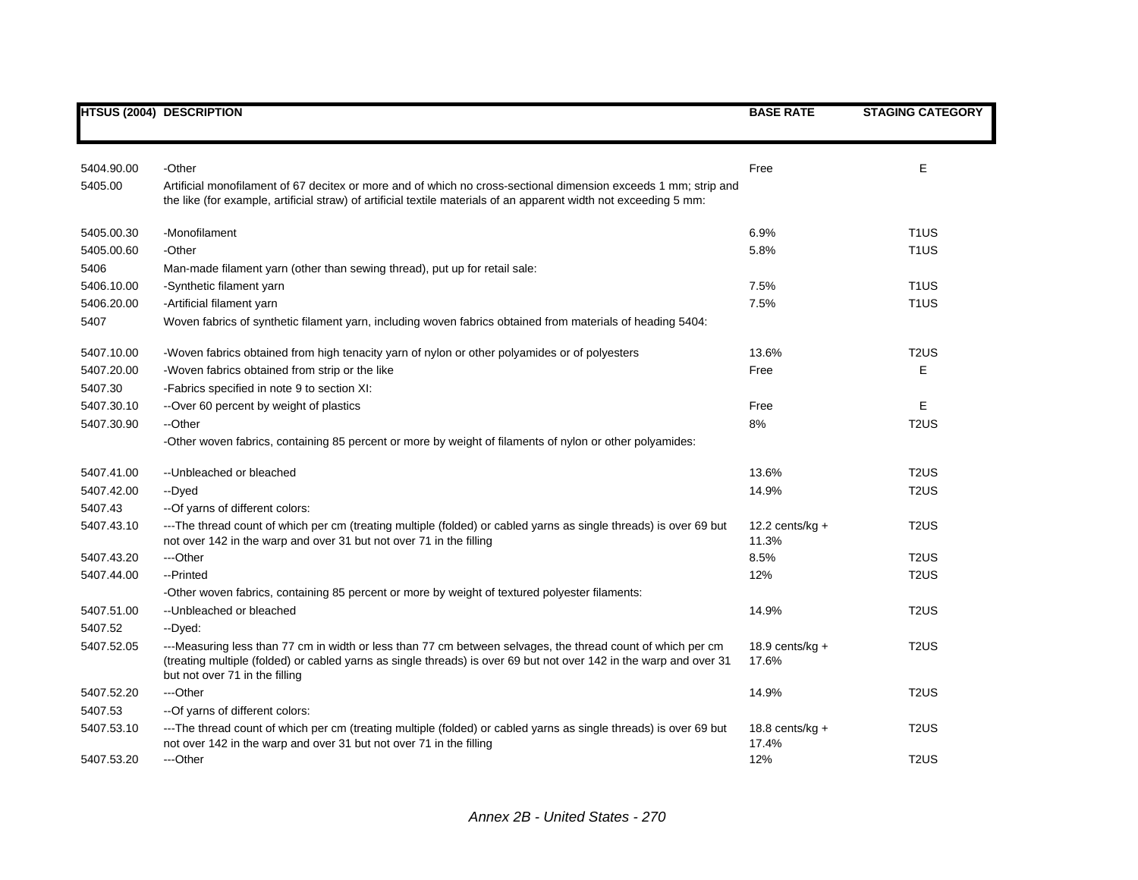|            | <b>HTSUS (2004) DESCRIPTION</b>                                                                                                                                                                                                                                     | <b>BASE RATE</b>           | <b>STAGING CATEGORY</b> |
|------------|---------------------------------------------------------------------------------------------------------------------------------------------------------------------------------------------------------------------------------------------------------------------|----------------------------|-------------------------|
|            |                                                                                                                                                                                                                                                                     |                            |                         |
| 5404.90.00 | -Other                                                                                                                                                                                                                                                              | Free                       | Е                       |
| 5405.00    | Artificial monofilament of 67 decitex or more and of which no cross-sectional dimension exceeds 1 mm; strip and<br>the like (for example, artificial straw) of artificial textile materials of an apparent width not exceeding 5 mm:                                |                            |                         |
| 5405.00.30 | -Monofilament                                                                                                                                                                                                                                                       | 6.9%                       | T <sub>1</sub> US       |
| 5405.00.60 | -Other                                                                                                                                                                                                                                                              | 5.8%                       | T <sub>1</sub> US       |
| 5406       | Man-made filament yarn (other than sewing thread), put up for retail sale:                                                                                                                                                                                          |                            |                         |
| 5406.10.00 | -Synthetic filament yarn                                                                                                                                                                                                                                            | 7.5%                       | T <sub>1</sub> US       |
| 5406.20.00 | -Artificial filament yarn                                                                                                                                                                                                                                           | 7.5%                       | T <sub>1</sub> US       |
| 5407       | Woven fabrics of synthetic filament yarn, including woven fabrics obtained from materials of heading 5404:                                                                                                                                                          |                            |                         |
| 5407.10.00 | -Woven fabrics obtained from high tenacity yarn of nylon or other polyamides or of polyesters                                                                                                                                                                       | 13.6%                      | T <sub>2</sub> US       |
| 5407.20.00 | -Woven fabrics obtained from strip or the like                                                                                                                                                                                                                      | Free                       | Е                       |
| 5407.30    | -Fabrics specified in note 9 to section XI:                                                                                                                                                                                                                         |                            |                         |
| 5407.30.10 | --Over 60 percent by weight of plastics                                                                                                                                                                                                                             | Free                       | Е                       |
| 5407.30.90 | --Other                                                                                                                                                                                                                                                             | 8%                         | T <sub>2</sub> US       |
|            | -Other woven fabrics, containing 85 percent or more by weight of filaments of nylon or other polyamides:                                                                                                                                                            |                            |                         |
| 5407.41.00 | -- Unbleached or bleached                                                                                                                                                                                                                                           | 13.6%                      | T <sub>2</sub> US       |
| 5407.42.00 | --Dyed                                                                                                                                                                                                                                                              | 14.9%                      | T <sub>2</sub> US       |
| 5407.43    | -- Of yarns of different colors:                                                                                                                                                                                                                                    |                            |                         |
| 5407.43.10 | ---The thread count of which per cm (treating multiple (folded) or cabled yarns as single threads) is over 69 but<br>not over 142 in the warp and over 31 but not over 71 in the filling                                                                            | 12.2 cents/kg $+$<br>11.3% | T <sub>2</sub> US       |
| 5407.43.20 | ---Other                                                                                                                                                                                                                                                            | 8.5%                       | T <sub>2</sub> US       |
| 5407.44.00 | --Printed                                                                                                                                                                                                                                                           | 12%                        | T <sub>2</sub> US       |
|            | -Other woven fabrics, containing 85 percent or more by weight of textured polyester filaments:                                                                                                                                                                      |                            |                         |
| 5407.51.00 | --Unbleached or bleached                                                                                                                                                                                                                                            | 14.9%                      | T <sub>2</sub> US       |
| 5407.52    | -- Dyed:                                                                                                                                                                                                                                                            |                            |                         |
| 5407.52.05 | ---Measuring less than 77 cm in width or less than 77 cm between selvages, the thread count of which per cm<br>(treating multiple (folded) or cabled yarns as single threads) is over 69 but not over 142 in the warp and over 31<br>but not over 71 in the filling | 18.9 cents/kg $+$<br>17.6% | T <sub>2</sub> US       |
| 5407.52.20 | ---Other                                                                                                                                                                                                                                                            | 14.9%                      | T <sub>2</sub> US       |
| 5407.53    | -- Of yarns of different colors:                                                                                                                                                                                                                                    |                            |                         |
| 5407.53.10 | ---The thread count of which per cm (treating multiple (folded) or cabled yarns as single threads) is over 69 but<br>not over 142 in the warp and over 31 but not over 71 in the filling                                                                            | 18.8 cents/kg $+$<br>17.4% | T <sub>2</sub> US       |
| 5407.53.20 | ---Other                                                                                                                                                                                                                                                            | 12%                        | T <sub>2</sub> US       |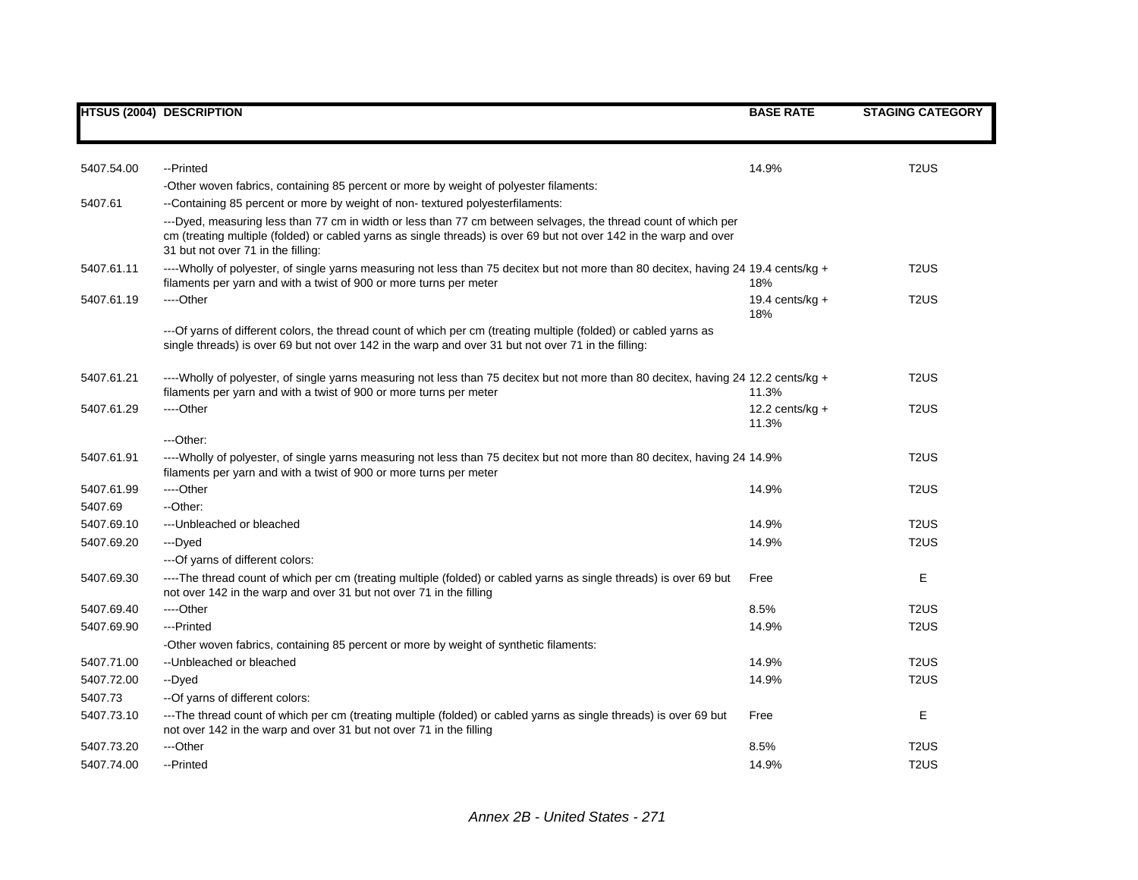|            | <b>HTSUS (2004) DESCRIPTION</b>                                                                                                                                                                                                                                            | <b>BASE RATE</b>           | <b>STAGING CATEGORY</b> |
|------------|----------------------------------------------------------------------------------------------------------------------------------------------------------------------------------------------------------------------------------------------------------------------------|----------------------------|-------------------------|
|            |                                                                                                                                                                                                                                                                            |                            |                         |
| 5407.54.00 | --Printed                                                                                                                                                                                                                                                                  | 14.9%                      | T <sub>2</sub> US       |
|            | -Other woven fabrics, containing 85 percent or more by weight of polyester filaments:                                                                                                                                                                                      |                            |                         |
| 5407.61    | --Containing 85 percent or more by weight of non-textured polyesterfilaments:                                                                                                                                                                                              |                            |                         |
|            | ---Dyed, measuring less than 77 cm in width or less than 77 cm between selvages, the thread count of which per<br>cm (treating multiple (folded) or cabled yarns as single threads) is over 69 but not over 142 in the warp and over<br>31 but not over 71 in the filling: |                            |                         |
| 5407.61.11 | ----Wholly of polyester, of single yarns measuring not less than 75 decitex but not more than 80 decitex, having 24 19.4 cents/kg +<br>filaments per yarn and with a twist of 900 or more turns per meter                                                                  | 18%                        | T <sub>2</sub> US       |
| 5407.61.19 | ----Other                                                                                                                                                                                                                                                                  | 19.4 cents/ $kg +$<br>18%  | T <sub>2</sub> US       |
|            | --- Of yarns of different colors, the thread count of which per cm (treating multiple (folded) or cabled yarns as<br>single threads) is over 69 but not over 142 in the warp and over 31 but not over 71 in the filling:                                                   |                            |                         |
| 5407.61.21 | ----Wholly of polyester, of single yarns measuring not less than 75 decitex but not more than 80 decitex, having 24 12.2 cents/kg +<br>filaments per yarn and with a twist of 900 or more turns per meter                                                                  | 11.3%                      | T <sub>2</sub> US       |
| 5407.61.29 | ----Other                                                                                                                                                                                                                                                                  | 12.2 cents/kg $+$<br>11.3% | T <sub>2</sub> US       |
|            | ---Other:                                                                                                                                                                                                                                                                  |                            |                         |
| 5407.61.91 | ----Wholly of polyester, of single yarns measuring not less than 75 decitex but not more than 80 decitex, having 24 14.9%<br>filaments per yarn and with a twist of 900 or more turns per meter                                                                            |                            | T <sub>2</sub> US       |
| 5407.61.99 | ----Other                                                                                                                                                                                                                                                                  | 14.9%                      | T <sub>2</sub> US       |
| 5407.69    | --Other:                                                                                                                                                                                                                                                                   |                            |                         |
| 5407.69.10 | --- Unbleached or bleached                                                                                                                                                                                                                                                 | 14.9%                      | T <sub>2</sub> US       |
| 5407.69.20 | ---Dyed                                                                                                                                                                                                                                                                    | 14.9%                      | T <sub>2</sub> US       |
|            | --- Of yarns of different colors:                                                                                                                                                                                                                                          |                            |                         |
| 5407.69.30 | ----The thread count of which per cm (treating multiple (folded) or cabled yarns as single threads) is over 69 but<br>not over 142 in the warp and over 31 but not over 71 in the filling                                                                                  | Free                       | Е                       |
| 5407.69.40 | ----Other                                                                                                                                                                                                                                                                  | 8.5%                       | T <sub>2</sub> US       |
| 5407.69.90 | ---Printed                                                                                                                                                                                                                                                                 | 14.9%                      | T <sub>2</sub> US       |
|            | -Other woven fabrics, containing 85 percent or more by weight of synthetic filaments:                                                                                                                                                                                      |                            |                         |
| 5407.71.00 | -- Unbleached or bleached                                                                                                                                                                                                                                                  | 14.9%                      | T <sub>2</sub> US       |
| 5407.72.00 | --Dyed                                                                                                                                                                                                                                                                     | 14.9%                      | T <sub>2</sub> US       |
| 5407.73    | -- Of yarns of different colors:                                                                                                                                                                                                                                           |                            |                         |
| 5407.73.10 | ---The thread count of which per cm (treating multiple (folded) or cabled yarns as single threads) is over 69 but<br>not over 142 in the warp and over 31 but not over 71 in the filling                                                                                   | Free                       | Е                       |
| 5407.73.20 | ---Other                                                                                                                                                                                                                                                                   | 8.5%                       | T <sub>2</sub> US       |
| 5407.74.00 | --Printed                                                                                                                                                                                                                                                                  | 14.9%                      | T <sub>2</sub> US       |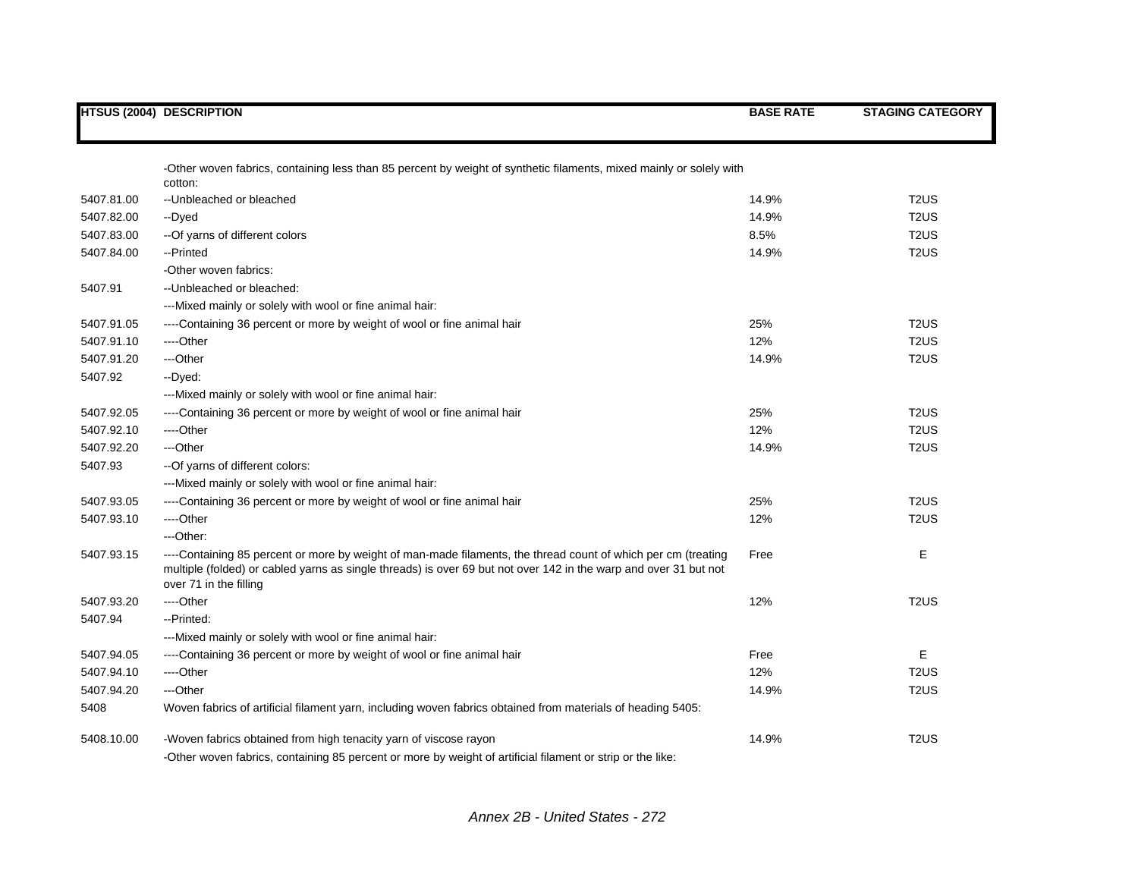|            | <b>HTSUS (2004) DESCRIPTION</b>                                                                                                                                                                                                                             | <b>BASE RATE</b> | <b>STAGING CATEGORY</b>       |
|------------|-------------------------------------------------------------------------------------------------------------------------------------------------------------------------------------------------------------------------------------------------------------|------------------|-------------------------------|
|            |                                                                                                                                                                                                                                                             |                  |                               |
|            | -Other woven fabrics, containing less than 85 percent by weight of synthetic filaments, mixed mainly or solely with<br>cotton:                                                                                                                              |                  |                               |
| 5407.81.00 | -- Unbleached or bleached                                                                                                                                                                                                                                   | 14.9%            | T <sub>2</sub> US             |
| 5407.82.00 | --Dyed                                                                                                                                                                                                                                                      | 14.9%            | T <sub>2</sub> US             |
| 5407.83.00 | -- Of yarns of different colors                                                                                                                                                                                                                             | 8.5%             | T <sub>2</sub> US             |
| 5407.84.00 | --Printed                                                                                                                                                                                                                                                   | 14.9%            | T <sub>2</sub> U <sub>S</sub> |
|            | -Other woven fabrics:                                                                                                                                                                                                                                       |                  |                               |
| 5407.91    | -- Unbleached or bleached:                                                                                                                                                                                                                                  |                  |                               |
|            | ---Mixed mainly or solely with wool or fine animal hair:                                                                                                                                                                                                    |                  |                               |
| 5407.91.05 | ----Containing 36 percent or more by weight of wool or fine animal hair                                                                                                                                                                                     | 25%              | T <sub>2</sub> US             |
| 5407.91.10 | ----Other                                                                                                                                                                                                                                                   | 12%              | T <sub>2</sub> US             |
| 5407.91.20 | ---Other                                                                                                                                                                                                                                                    | 14.9%            | T <sub>2</sub> US             |
| 5407.92    | --Dyed:                                                                                                                                                                                                                                                     |                  |                               |
|            | ---Mixed mainly or solely with wool or fine animal hair:                                                                                                                                                                                                    |                  |                               |
| 5407.92.05 | ----Containing 36 percent or more by weight of wool or fine animal hair                                                                                                                                                                                     | 25%              | T <sub>2</sub> U <sub>S</sub> |
| 5407.92.10 | ----Other                                                                                                                                                                                                                                                   | 12%              | T <sub>2</sub> U <sub>S</sub> |
| 5407.92.20 | ---Other                                                                                                                                                                                                                                                    | 14.9%            | T <sub>2</sub> U <sub>S</sub> |
| 5407.93    | -- Of yarns of different colors:                                                                                                                                                                                                                            |                  |                               |
|            | ---Mixed mainly or solely with wool or fine animal hair:                                                                                                                                                                                                    |                  |                               |
| 5407.93.05 | ----Containing 36 percent or more by weight of wool or fine animal hair                                                                                                                                                                                     | 25%              | T <sub>2</sub> US             |
| 5407.93.10 | ----Other                                                                                                                                                                                                                                                   | 12%              | T <sub>2</sub> US             |
|            | ---Other:                                                                                                                                                                                                                                                   |                  |                               |
| 5407.93.15 | ----Containing 85 percent or more by weight of man-made filaments, the thread count of which per cm (treating<br>multiple (folded) or cabled yarns as single threads) is over 69 but not over 142 in the warp and over 31 but not<br>over 71 in the filling | Free             | Е                             |
| 5407.93.20 | ----Other                                                                                                                                                                                                                                                   | 12%              | T <sub>2</sub> US             |
| 5407.94    | --Printed:                                                                                                                                                                                                                                                  |                  |                               |
|            | ---Mixed mainly or solely with wool or fine animal hair:                                                                                                                                                                                                    |                  |                               |
| 5407.94.05 | ----Containing 36 percent or more by weight of wool or fine animal hair                                                                                                                                                                                     | Free             | Е                             |
| 5407.94.10 | ---Other                                                                                                                                                                                                                                                    | 12%              | T <sub>2</sub> US             |
| 5407.94.20 | ---Other                                                                                                                                                                                                                                                    | 14.9%            | T <sub>2</sub> US             |
| 5408       | Woven fabrics of artificial filament yarn, including woven fabrics obtained from materials of heading 5405:                                                                                                                                                 |                  |                               |
| 5408.10.00 | -Woven fabrics obtained from high tenacity yarn of viscose rayon                                                                                                                                                                                            | 14.9%            | T <sub>2</sub> US             |
|            | -Other woven fabrics, containing 85 percent or more by weight of artificial filament or strip or the like:                                                                                                                                                  |                  |                               |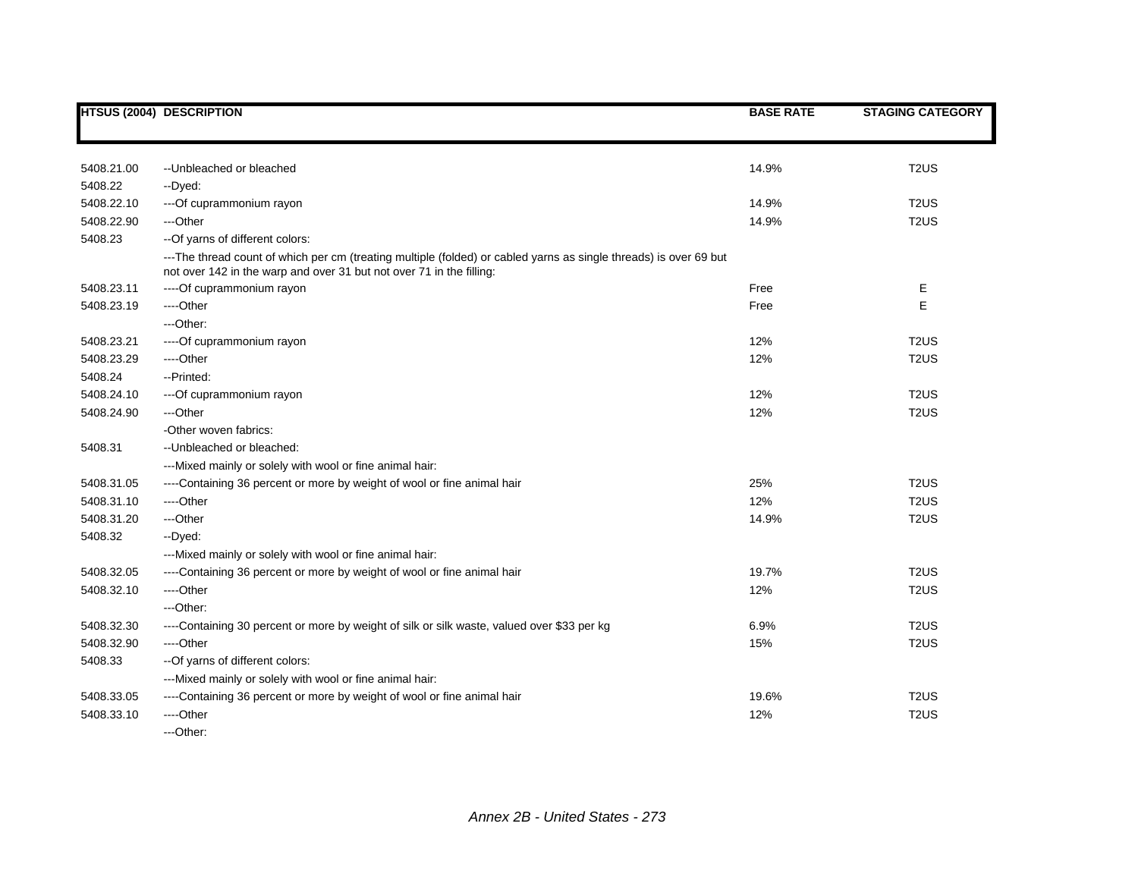|            | <b>HTSUS (2004) DESCRIPTION</b>                                                                                                                                                           | <b>BASE RATE</b> | <b>STAGING CATEGORY</b> |
|------------|-------------------------------------------------------------------------------------------------------------------------------------------------------------------------------------------|------------------|-------------------------|
|            |                                                                                                                                                                                           |                  |                         |
| 5408.21.00 | -- Unbleached or bleached                                                                                                                                                                 | 14.9%            | T <sub>2</sub> US       |
| 5408.22    | --Dyed:                                                                                                                                                                                   |                  |                         |
| 5408.22.10 | --- Of cuprammonium rayon                                                                                                                                                                 | 14.9%            | T <sub>2</sub> US       |
| 5408.22.90 | ---Other                                                                                                                                                                                  | 14.9%            | T <sub>2</sub> US       |
| 5408.23    | -- Of yarns of different colors:                                                                                                                                                          |                  |                         |
|            | ---The thread count of which per cm (treating multiple (folded) or cabled yarns as single threads) is over 69 but<br>not over 142 in the warp and over 31 but not over 71 in the filling: |                  |                         |
| 5408.23.11 | ----Of cuprammonium rayon                                                                                                                                                                 | Free             | E                       |
| 5408.23.19 | ----Other                                                                                                                                                                                 | Free             | E                       |
|            | $-$ -Other:                                                                                                                                                                               |                  |                         |
| 5408.23.21 | ----Of cuprammonium rayon                                                                                                                                                                 | 12%              | T <sub>2</sub> US       |
| 5408.23.29 | ----Other                                                                                                                                                                                 | 12%              | T <sub>2</sub> US       |
| 5408.24    | --Printed:                                                                                                                                                                                |                  |                         |
| 5408.24.10 | --- Of cuprammonium rayon                                                                                                                                                                 | 12%              | T <sub>2</sub> US       |
| 5408.24.90 | ---Other                                                                                                                                                                                  | 12%              | T <sub>2</sub> US       |
|            | -Other woven fabrics:                                                                                                                                                                     |                  |                         |
| 5408.31    | -- Unbleached or bleached:                                                                                                                                                                |                  |                         |
|            | ---Mixed mainly or solely with wool or fine animal hair:                                                                                                                                  |                  |                         |
| 5408.31.05 | ----Containing 36 percent or more by weight of wool or fine animal hair                                                                                                                   | 25%              | T <sub>2</sub> US       |
| 5408.31.10 | ----Other                                                                                                                                                                                 | 12%              | T <sub>2</sub> US       |
| 5408.31.20 | ---Other                                                                                                                                                                                  | 14.9%            | T <sub>2</sub> US       |
| 5408.32    | --Dyed:                                                                                                                                                                                   |                  |                         |
|            | ---Mixed mainly or solely with wool or fine animal hair:                                                                                                                                  |                  |                         |
| 5408.32.05 | ----Containing 36 percent or more by weight of wool or fine animal hair                                                                                                                   | 19.7%            | T <sub>2</sub> US       |
| 5408.32.10 | ----Other                                                                                                                                                                                 | 12%              | T <sub>2</sub> US       |
|            | ---Other:                                                                                                                                                                                 |                  |                         |
| 5408.32.30 | ----Containing 30 percent or more by weight of silk or silk waste, valued over \$33 per kg                                                                                                | 6.9%             | T <sub>2</sub> US       |
| 5408.32.90 | ----Other                                                                                                                                                                                 | 15%              | T <sub>2</sub> US       |
| 5408.33    | -- Of yarns of different colors:                                                                                                                                                          |                  |                         |
|            | ---Mixed mainly or solely with wool or fine animal hair:                                                                                                                                  |                  |                         |
| 5408.33.05 | ----Containing 36 percent or more by weight of wool or fine animal hair                                                                                                                   | 19.6%            | T <sub>2</sub> US       |
| 5408.33.10 | ----Other                                                                                                                                                                                 | 12%              | T <sub>2</sub> US       |
|            | ---Other:                                                                                                                                                                                 |                  |                         |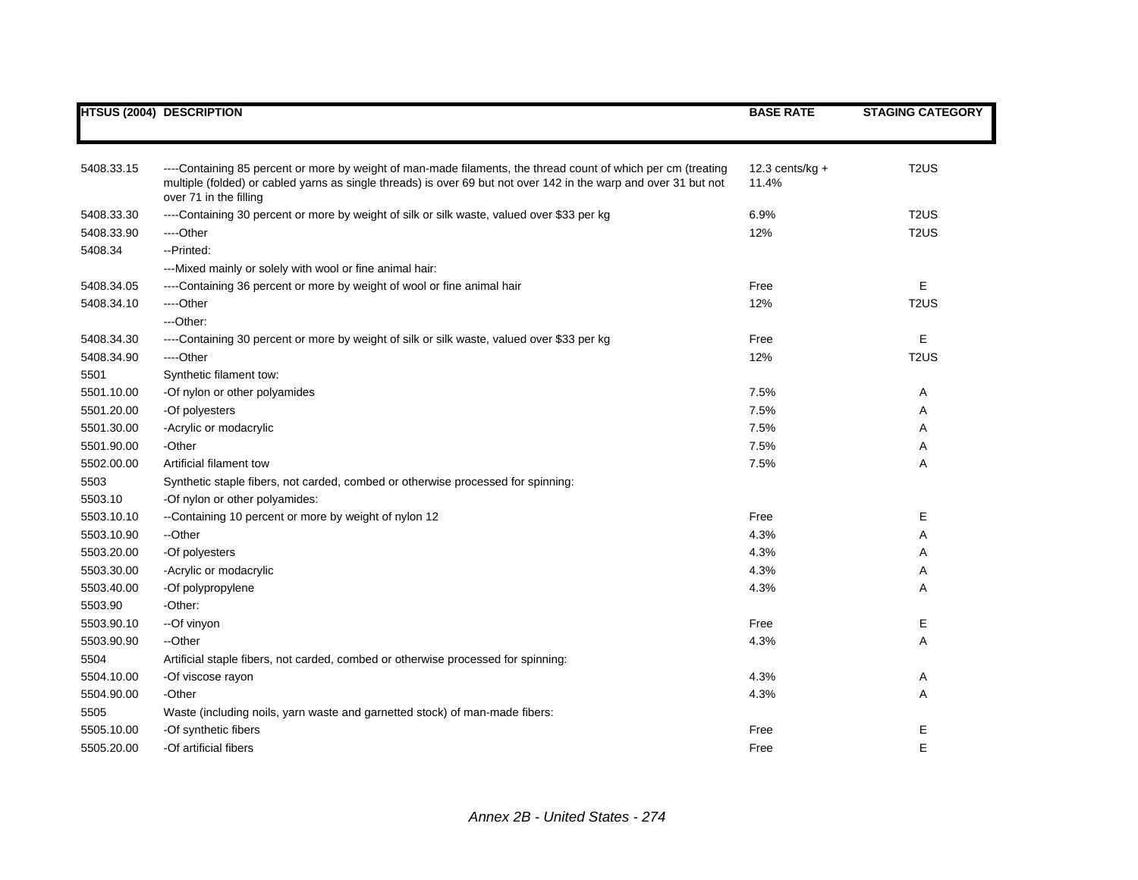|            | <b>HTSUS (2004) DESCRIPTION</b>                                                                                                                                                                                                   | <b>BASE RATE</b>            | <b>STAGING CATEGORY</b> |
|------------|-----------------------------------------------------------------------------------------------------------------------------------------------------------------------------------------------------------------------------------|-----------------------------|-------------------------|
|            |                                                                                                                                                                                                                                   |                             |                         |
|            |                                                                                                                                                                                                                                   |                             |                         |
| 5408.33.15 | ----Containing 85 percent or more by weight of man-made filaments, the thread count of which per cm (treating<br>multiple (folded) or cabled yarns as single threads) is over 69 but not over 142 in the warp and over 31 but not | 12.3 cents/ $kg +$<br>11.4% | T <sub>2</sub> US       |
|            | over 71 in the filling                                                                                                                                                                                                            |                             |                         |
| 5408.33.30 | ----Containing 30 percent or more by weight of silk or silk waste, valued over \$33 per kg                                                                                                                                        | 6.9%                        | T <sub>2</sub> US       |
| 5408.33.90 | ----Other                                                                                                                                                                                                                         | 12%                         | T <sub>2</sub> US       |
| 5408.34    | --Printed:                                                                                                                                                                                                                        |                             |                         |
|            | ---Mixed mainly or solely with wool or fine animal hair:                                                                                                                                                                          |                             |                         |
| 5408.34.05 | ----Containing 36 percent or more by weight of wool or fine animal hair                                                                                                                                                           | Free                        | E                       |
| 5408.34.10 | ----Other                                                                                                                                                                                                                         | 12%                         | T <sub>2</sub> US       |
|            | ---Other:                                                                                                                                                                                                                         |                             |                         |
| 5408.34.30 | ----Containing 30 percent or more by weight of silk or silk waste, valued over \$33 per kg                                                                                                                                        | Free                        | E                       |
| 5408.34.90 | ----Other                                                                                                                                                                                                                         | 12%                         | T <sub>2</sub> US       |
| 5501       | Synthetic filament tow:                                                                                                                                                                                                           |                             |                         |
| 5501.10.00 | -Of nylon or other polyamides                                                                                                                                                                                                     | 7.5%                        | A                       |
| 5501.20.00 | -Of polyesters                                                                                                                                                                                                                    | 7.5%                        | Α                       |
| 5501.30.00 | -Acrylic or modacrylic                                                                                                                                                                                                            | 7.5%                        | Α                       |
| 5501.90.00 | -Other                                                                                                                                                                                                                            | 7.5%                        | Α                       |
| 5502.00.00 | Artificial filament tow                                                                                                                                                                                                           | 7.5%                        | Α                       |
| 5503       | Synthetic staple fibers, not carded, combed or otherwise processed for spinning:                                                                                                                                                  |                             |                         |
| 5503.10    | -Of nylon or other polyamides:                                                                                                                                                                                                    |                             |                         |
| 5503.10.10 | --Containing 10 percent or more by weight of nylon 12                                                                                                                                                                             | Free                        | Е                       |
| 5503.10.90 | --Other                                                                                                                                                                                                                           | 4.3%                        | Α                       |
| 5503.20.00 | -Of polyesters                                                                                                                                                                                                                    | 4.3%                        | Α                       |
| 5503.30.00 | -Acrylic or modacrylic                                                                                                                                                                                                            | 4.3%                        | Α                       |
| 5503.40.00 | -Of polypropylene                                                                                                                                                                                                                 | 4.3%                        | Α                       |
| 5503.90    | -Other:                                                                                                                                                                                                                           |                             |                         |
| 5503.90.10 | --Of vinyon                                                                                                                                                                                                                       | Free                        | Ε                       |
| 5503.90.90 | --Other                                                                                                                                                                                                                           | 4.3%                        | Α                       |
| 5504       | Artificial staple fibers, not carded, combed or otherwise processed for spinning:                                                                                                                                                 |                             |                         |
| 5504.10.00 | -Of viscose rayon                                                                                                                                                                                                                 | 4.3%                        | Α                       |
| 5504.90.00 | -Other                                                                                                                                                                                                                            | 4.3%                        | Α                       |
| 5505       | Waste (including noils, yarn waste and garnetted stock) of man-made fibers:                                                                                                                                                       |                             |                         |
| 5505.10.00 | -Of synthetic fibers                                                                                                                                                                                                              | Free                        | Ε                       |
| 5505.20.00 | -Of artificial fibers                                                                                                                                                                                                             | Free                        | E                       |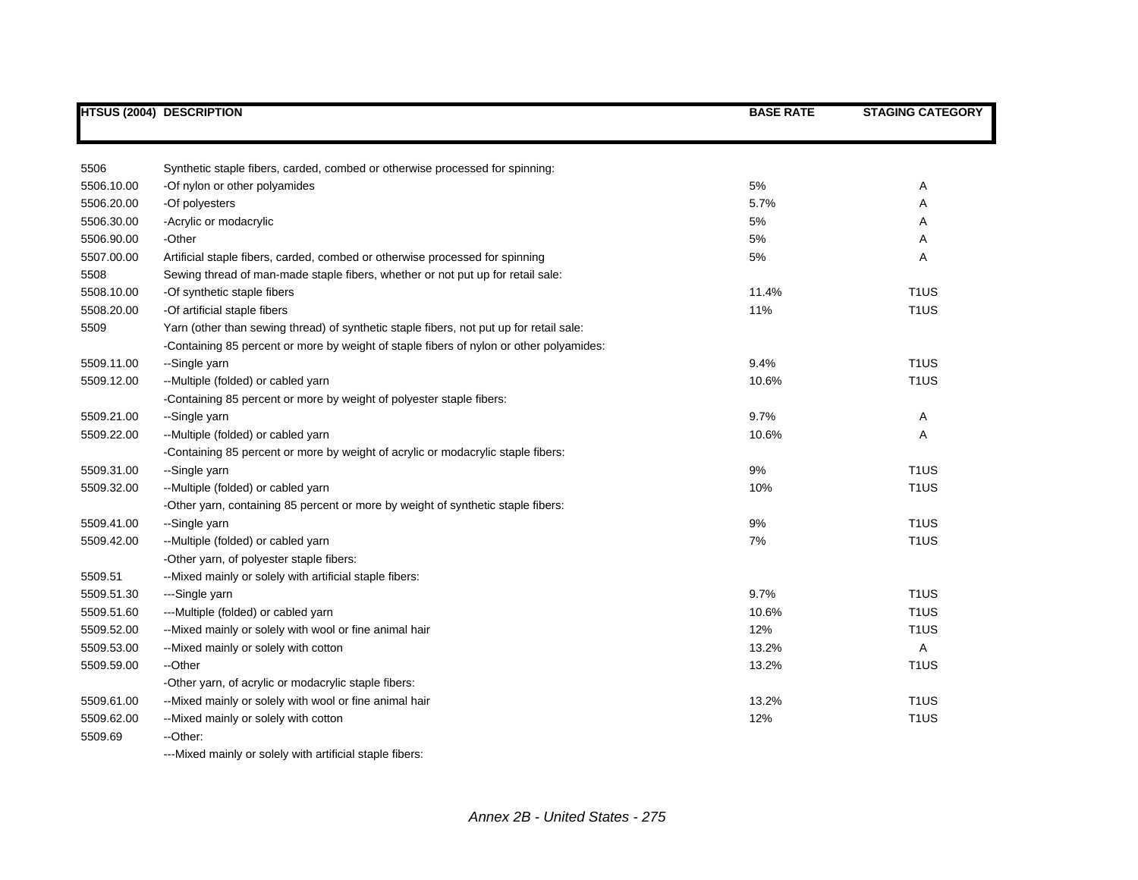| 5506<br>Synthetic staple fibers, carded, combed or otherwise processed for spinning:<br>-Of nylon or other polyamides<br>5%<br>5506.10.00<br>-Of polyesters<br>5.7%<br>5506.20.00<br>5506.30.00<br>-Acrylic or modacrylic<br>5%<br>5506.90.00<br>-Other<br>5%<br>5507.00.00<br>Artificial staple fibers, carded, combed or otherwise processed for spinning<br>5%<br>5508<br>Sewing thread of man-made staple fibers, whether or not put up for retail sale:<br>5508.10.00<br>-Of synthetic staple fibers<br>11.4%<br>11%<br>5508.20.00<br>-Of artificial staple fibers<br>Yarn (other than sewing thread) of synthetic staple fibers, not put up for retail sale:<br>5509<br>-Containing 85 percent or more by weight of staple fibers of nylon or other polyamides: | <b>STAGING CATEGORY</b> |
|-----------------------------------------------------------------------------------------------------------------------------------------------------------------------------------------------------------------------------------------------------------------------------------------------------------------------------------------------------------------------------------------------------------------------------------------------------------------------------------------------------------------------------------------------------------------------------------------------------------------------------------------------------------------------------------------------------------------------------------------------------------------------|-------------------------|
|                                                                                                                                                                                                                                                                                                                                                                                                                                                                                                                                                                                                                                                                                                                                                                       |                         |
|                                                                                                                                                                                                                                                                                                                                                                                                                                                                                                                                                                                                                                                                                                                                                                       |                         |
|                                                                                                                                                                                                                                                                                                                                                                                                                                                                                                                                                                                                                                                                                                                                                                       | Α                       |
|                                                                                                                                                                                                                                                                                                                                                                                                                                                                                                                                                                                                                                                                                                                                                                       | Α                       |
|                                                                                                                                                                                                                                                                                                                                                                                                                                                                                                                                                                                                                                                                                                                                                                       | A                       |
|                                                                                                                                                                                                                                                                                                                                                                                                                                                                                                                                                                                                                                                                                                                                                                       | A                       |
|                                                                                                                                                                                                                                                                                                                                                                                                                                                                                                                                                                                                                                                                                                                                                                       | Α                       |
|                                                                                                                                                                                                                                                                                                                                                                                                                                                                                                                                                                                                                                                                                                                                                                       |                         |
|                                                                                                                                                                                                                                                                                                                                                                                                                                                                                                                                                                                                                                                                                                                                                                       | T <sub>1</sub> US       |
|                                                                                                                                                                                                                                                                                                                                                                                                                                                                                                                                                                                                                                                                                                                                                                       | T <sub>1</sub> US       |
|                                                                                                                                                                                                                                                                                                                                                                                                                                                                                                                                                                                                                                                                                                                                                                       |                         |
|                                                                                                                                                                                                                                                                                                                                                                                                                                                                                                                                                                                                                                                                                                                                                                       |                         |
| 5509.11.00<br>--Single yarn<br>9.4%                                                                                                                                                                                                                                                                                                                                                                                                                                                                                                                                                                                                                                                                                                                                   | T <sub>1</sub> US       |
| --Multiple (folded) or cabled yarn<br>5509.12.00<br>10.6%                                                                                                                                                                                                                                                                                                                                                                                                                                                                                                                                                                                                                                                                                                             | T <sub>1</sub> US       |
| -Containing 85 percent or more by weight of polyester staple fibers:                                                                                                                                                                                                                                                                                                                                                                                                                                                                                                                                                                                                                                                                                                  |                         |
| 9.7%<br>5509.21.00<br>--Single yarn                                                                                                                                                                                                                                                                                                                                                                                                                                                                                                                                                                                                                                                                                                                                   | Α                       |
| --Multiple (folded) or cabled yarn<br>10.6%<br>5509.22.00                                                                                                                                                                                                                                                                                                                                                                                                                                                                                                                                                                                                                                                                                                             | Α                       |
| -Containing 85 percent or more by weight of acrylic or modacrylic staple fibers:                                                                                                                                                                                                                                                                                                                                                                                                                                                                                                                                                                                                                                                                                      |                         |
| 5509.31.00<br>--Single yarn<br>9%                                                                                                                                                                                                                                                                                                                                                                                                                                                                                                                                                                                                                                                                                                                                     | T <sub>1</sub> US       |
| 5509.32.00<br>--Multiple (folded) or cabled yarn<br>10%                                                                                                                                                                                                                                                                                                                                                                                                                                                                                                                                                                                                                                                                                                               | T <sub>1</sub> US       |
| -Other yarn, containing 85 percent or more by weight of synthetic staple fibers:                                                                                                                                                                                                                                                                                                                                                                                                                                                                                                                                                                                                                                                                                      |                         |
| --Single yarn<br>9%<br>5509.41.00                                                                                                                                                                                                                                                                                                                                                                                                                                                                                                                                                                                                                                                                                                                                     | T <sub>1</sub> US       |
| --Multiple (folded) or cabled yarn<br>7%<br>5509.42.00                                                                                                                                                                                                                                                                                                                                                                                                                                                                                                                                                                                                                                                                                                                | T <sub>1</sub> US       |
| -Other yarn, of polyester staple fibers:                                                                                                                                                                                                                                                                                                                                                                                                                                                                                                                                                                                                                                                                                                                              |                         |
| 5509.51<br>--Mixed mainly or solely with artificial staple fibers:                                                                                                                                                                                                                                                                                                                                                                                                                                                                                                                                                                                                                                                                                                    |                         |
| 5509.51.30<br>---Single yarn<br>9.7%                                                                                                                                                                                                                                                                                                                                                                                                                                                                                                                                                                                                                                                                                                                                  | T <sub>1</sub> US       |
| ---Multiple (folded) or cabled yarn<br>10.6%<br>5509.51.60                                                                                                                                                                                                                                                                                                                                                                                                                                                                                                                                                                                                                                                                                                            | T <sub>1</sub> US       |
| --Mixed mainly or solely with wool or fine animal hair<br>12%<br>5509.52.00                                                                                                                                                                                                                                                                                                                                                                                                                                                                                                                                                                                                                                                                                           | T <sub>1</sub> US       |
| 13.2%<br>5509.53.00<br>--Mixed mainly or solely with cotton                                                                                                                                                                                                                                                                                                                                                                                                                                                                                                                                                                                                                                                                                                           | $\mathsf{A}$            |
| 13.2%<br>5509.59.00<br>--Other                                                                                                                                                                                                                                                                                                                                                                                                                                                                                                                                                                                                                                                                                                                                        | T <sub>1</sub> US       |
| -Other yarn, of acrylic or modacrylic staple fibers:                                                                                                                                                                                                                                                                                                                                                                                                                                                                                                                                                                                                                                                                                                                  |                         |
| 5509.61.00<br>--Mixed mainly or solely with wool or fine animal hair<br>13.2%                                                                                                                                                                                                                                                                                                                                                                                                                                                                                                                                                                                                                                                                                         | T <sub>1</sub> US       |
| --Mixed mainly or solely with cotton<br>12%<br>5509.62.00                                                                                                                                                                                                                                                                                                                                                                                                                                                                                                                                                                                                                                                                                                             | T <sub>1</sub> US       |
| 5509.69<br>--Other:                                                                                                                                                                                                                                                                                                                                                                                                                                                                                                                                                                                                                                                                                                                                                   |                         |

---Mixed mainly or solely with artificial staple fibers: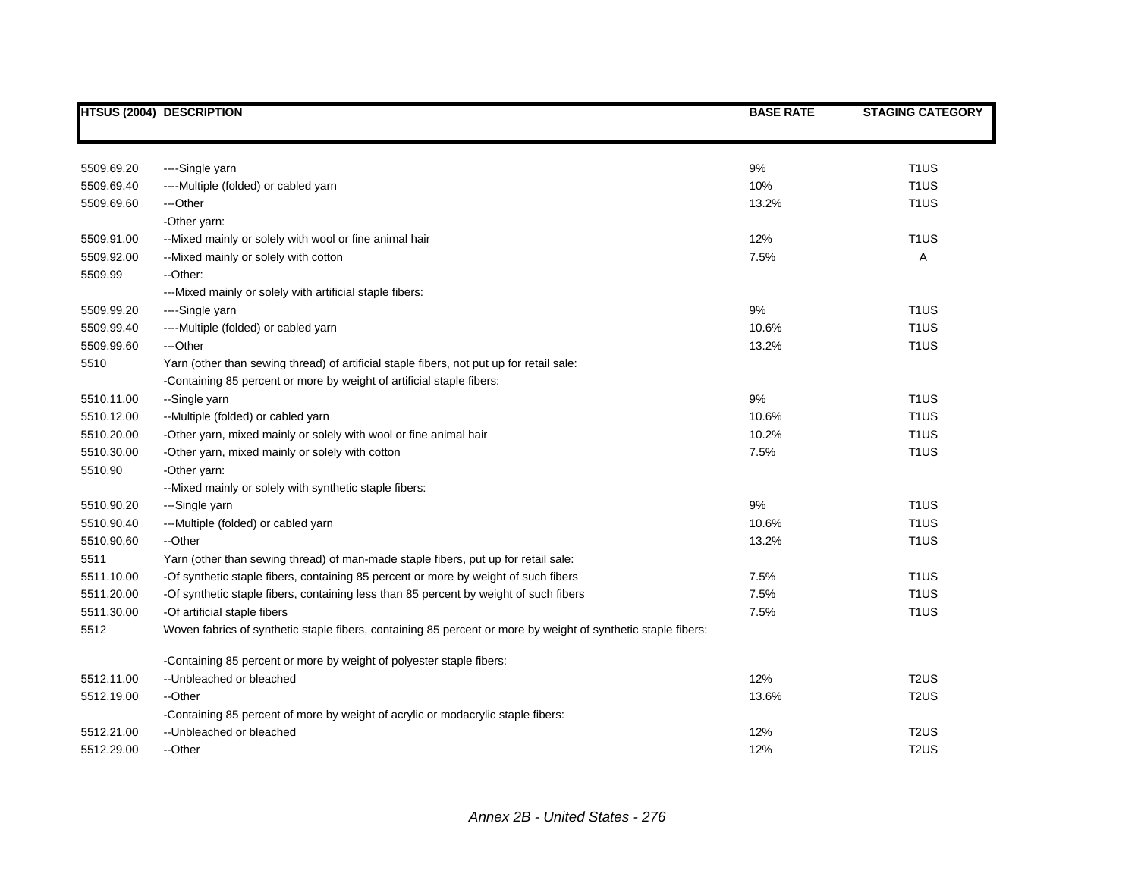|            | <b>HTSUS (2004) DESCRIPTION</b>                                                                               | <b>BASE RATE</b> | <b>STAGING CATEGORY</b> |
|------------|---------------------------------------------------------------------------------------------------------------|------------------|-------------------------|
|            |                                                                                                               |                  |                         |
| 5509.69.20 | ----Single yarn                                                                                               | 9%               | T <sub>1</sub> US       |
| 5509.69.40 | ----Multiple (folded) or cabled yarn                                                                          | 10%              | T <sub>1</sub> US       |
| 5509.69.60 | ---Other                                                                                                      | 13.2%            | T <sub>1</sub> US       |
|            | -Other yarn:                                                                                                  |                  |                         |
| 5509.91.00 | -- Mixed mainly or solely with wool or fine animal hair                                                       | 12%              | T <sub>1</sub> US       |
| 5509.92.00 | --Mixed mainly or solely with cotton                                                                          | 7.5%             | Α                       |
| 5509.99    | --Other:                                                                                                      |                  |                         |
|            | --- Mixed mainly or solely with artificial staple fibers:                                                     |                  |                         |
| 5509.99.20 | ---Single yarn                                                                                                | 9%               | T <sub>1</sub> US       |
| 5509.99.40 | ----Multiple (folded) or cabled yarn                                                                          | 10.6%            | T <sub>1</sub> US       |
| 5509.99.60 | ---Other                                                                                                      | 13.2%            | T <sub>1</sub> US       |
| 5510       | Yarn (other than sewing thread) of artificial staple fibers, not put up for retail sale:                      |                  |                         |
|            | -Containing 85 percent or more by weight of artificial staple fibers:                                         |                  |                         |
| 5510.11.00 | --Single yarn                                                                                                 | 9%               | T <sub>1</sub> US       |
| 5510.12.00 | --Multiple (folded) or cabled yarn                                                                            | 10.6%            | T <sub>1</sub> US       |
| 5510.20.00 | -Other yarn, mixed mainly or solely with wool or fine animal hair                                             | 10.2%            | T <sub>1</sub> US       |
| 5510.30.00 | -Other yarn, mixed mainly or solely with cotton                                                               | 7.5%             | T <sub>1</sub> US       |
| 5510.90    | -Other yarn:                                                                                                  |                  |                         |
|            | -- Mixed mainly or solely with synthetic staple fibers:                                                       |                  |                         |
| 5510.90.20 | ---Single yarn                                                                                                | 9%               | T <sub>1</sub> US       |
| 5510.90.40 | ---Multiple (folded) or cabled yarn                                                                           | 10.6%            | T <sub>1</sub> US       |
| 5510.90.60 | --Other                                                                                                       | 13.2%            | T <sub>1</sub> US       |
| 5511       | Yarn (other than sewing thread) of man-made staple fibers, put up for retail sale:                            |                  |                         |
| 5511.10.00 | -Of synthetic staple fibers, containing 85 percent or more by weight of such fibers                           | 7.5%             | T <sub>1</sub> US       |
| 5511.20.00 | -Of synthetic staple fibers, containing less than 85 percent by weight of such fibers                         | 7.5%             | T <sub>1</sub> US       |
| 5511.30.00 | -Of artificial staple fibers                                                                                  | 7.5%             | T <sub>1</sub> US       |
| 5512       | Woven fabrics of synthetic staple fibers, containing 85 percent or more by weight of synthetic staple fibers: |                  |                         |
|            | -Containing 85 percent or more by weight of polyester staple fibers:                                          |                  |                         |
| 5512.11.00 | --Unbleached or bleached                                                                                      | 12%              | T <sub>2</sub> US       |
| 5512.19.00 | --Other                                                                                                       | 13.6%            | T <sub>2</sub> US       |
|            | -Containing 85 percent of more by weight of acrylic or modacrylic staple fibers:                              |                  |                         |
| 5512.21.00 | -- Unbleached or bleached                                                                                     | 12%              | T <sub>2</sub> US       |
| 5512.29.00 | --Other                                                                                                       | 12%              | T <sub>2</sub> US       |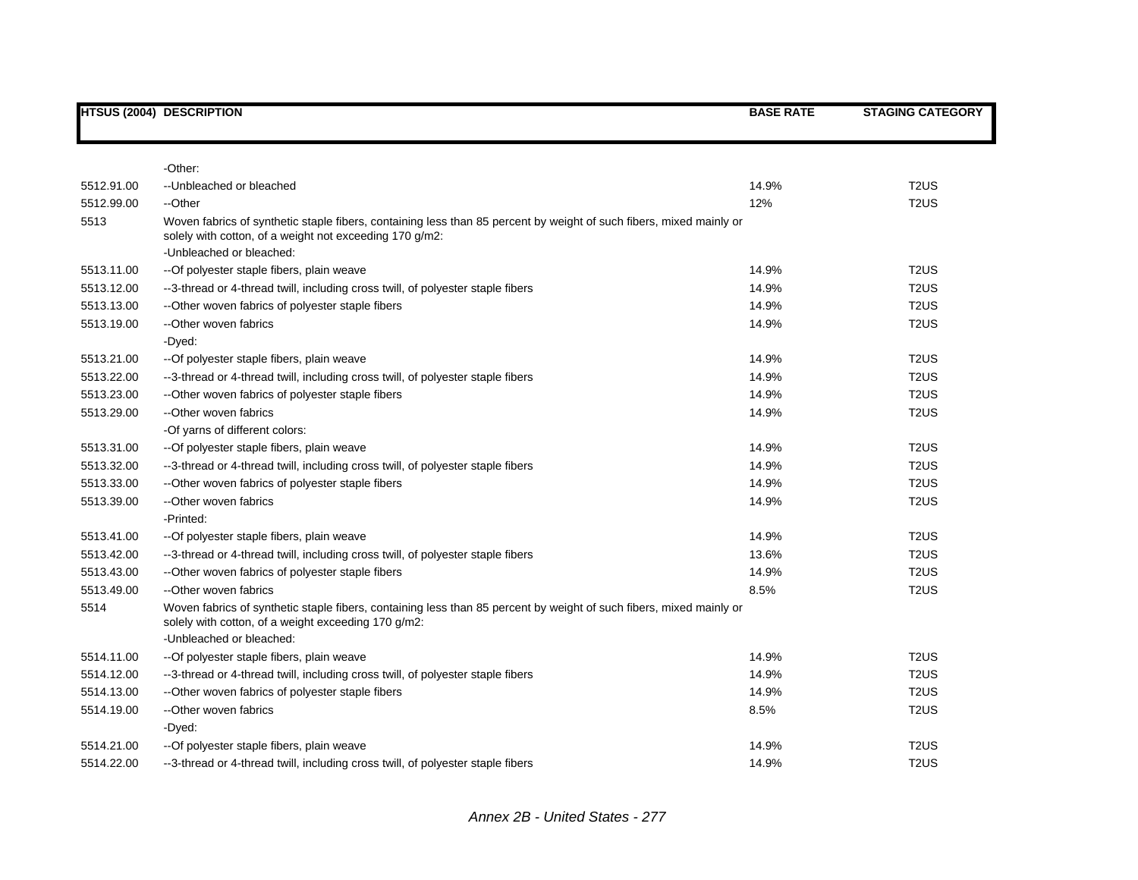|            | <b>HTSUS (2004) DESCRIPTION</b>                                                                                                                                                | <b>BASE RATE</b> | <b>STAGING CATEGORY</b>       |
|------------|--------------------------------------------------------------------------------------------------------------------------------------------------------------------------------|------------------|-------------------------------|
|            |                                                                                                                                                                                |                  |                               |
|            | -Other:                                                                                                                                                                        |                  |                               |
| 5512.91.00 | -- Unbleached or bleached                                                                                                                                                      | 14.9%            | T <sub>2</sub> US             |
| 5512.99.00 | --Other                                                                                                                                                                        | 12%              | T <sub>2</sub> US             |
| 5513       | Woven fabrics of synthetic staple fibers, containing less than 85 percent by weight of such fibers, mixed mainly or<br>solely with cotton, of a weight not exceeding 170 g/m2: |                  |                               |
|            | -Unbleached or bleached:                                                                                                                                                       |                  |                               |
| 5513.11.00 | --Of polyester staple fibers, plain weave                                                                                                                                      | 14.9%            | T <sub>2</sub> US             |
| 5513.12.00 | --3-thread or 4-thread twill, including cross twill, of polyester staple fibers                                                                                                | 14.9%            | T <sub>2</sub> US             |
| 5513.13.00 | --Other woven fabrics of polyester staple fibers                                                                                                                               | 14.9%            | T <sub>2</sub> US             |
| 5513.19.00 | --Other woven fabrics                                                                                                                                                          | 14.9%            | T <sub>2</sub> US             |
|            | -Dyed:                                                                                                                                                                         |                  |                               |
| 5513.21.00 | --Of polyester staple fibers, plain weave                                                                                                                                      | 14.9%            | T <sub>2</sub> US             |
| 5513.22.00 | --3-thread or 4-thread twill, including cross twill, of polyester staple fibers                                                                                                | 14.9%            | T <sub>2</sub> US             |
| 5513.23.00 | --Other woven fabrics of polyester staple fibers                                                                                                                               | 14.9%            | T <sub>2</sub> U <sub>S</sub> |
| 5513.29.00 | --Other woven fabrics                                                                                                                                                          | 14.9%            | T <sub>2</sub> U <sub>S</sub> |
|            | -Of yarns of different colors:                                                                                                                                                 |                  |                               |
| 5513.31.00 | -- Of polyester staple fibers, plain weave                                                                                                                                     | 14.9%            | T <sub>2</sub> US             |
| 5513.32.00 | --3-thread or 4-thread twill, including cross twill, of polyester staple fibers                                                                                                | 14.9%            | T <sub>2</sub> U <sub>S</sub> |
| 5513.33.00 | --Other woven fabrics of polyester staple fibers                                                                                                                               | 14.9%            | T <sub>2</sub> U <sub>S</sub> |
| 5513.39.00 | --Other woven fabrics                                                                                                                                                          | 14.9%            | T <sub>2</sub> US             |
|            | -Printed:                                                                                                                                                                      |                  |                               |
| 5513.41.00 | -- Of polyester staple fibers, plain weave                                                                                                                                     | 14.9%            | T <sub>2</sub> US             |
| 5513.42.00 | --3-thread or 4-thread twill, including cross twill, of polyester staple fibers                                                                                                | 13.6%            | T <sub>2</sub> U <sub>S</sub> |
| 5513.43.00 | --Other woven fabrics of polyester staple fibers                                                                                                                               | 14.9%            | T <sub>2</sub> US             |
| 5513.49.00 | --Other woven fabrics                                                                                                                                                          | 8.5%             | T <sub>2</sub> US             |
| 5514       | Woven fabrics of synthetic staple fibers, containing less than 85 percent by weight of such fibers, mixed mainly or<br>solely with cotton, of a weight exceeding 170 g/m2:     |                  |                               |
|            | -Unbleached or bleached:                                                                                                                                                       |                  |                               |
| 5514.11.00 | -- Of polyester staple fibers, plain weave                                                                                                                                     | 14.9%            | T <sub>2</sub> US             |
| 5514.12.00 | --3-thread or 4-thread twill, including cross twill, of polyester staple fibers                                                                                                | 14.9%            | T <sub>2</sub> US             |
| 5514.13.00 | --Other woven fabrics of polyester staple fibers                                                                                                                               | 14.9%            | T <sub>2</sub> US             |
| 5514.19.00 | --Other woven fabrics                                                                                                                                                          | 8.5%             | T <sub>2</sub> US             |
|            | -Dyed:                                                                                                                                                                         |                  |                               |
| 5514.21.00 | -- Of polyester staple fibers, plain weave                                                                                                                                     | 14.9%            | T <sub>2</sub> US             |
| 5514.22.00 | --3-thread or 4-thread twill, including cross twill, of polyester staple fibers                                                                                                | 14.9%            | T <sub>2</sub> US             |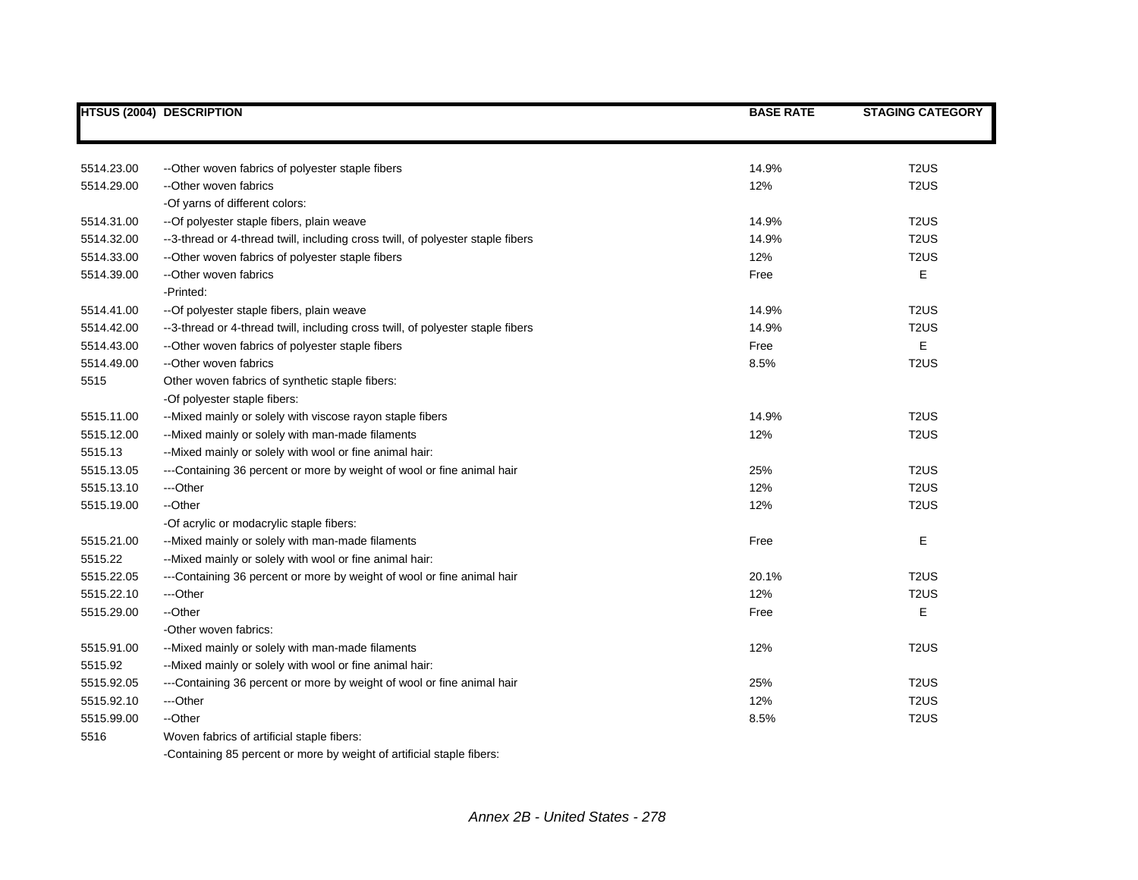|            | <b>HTSUS (2004) DESCRIPTION</b>                                                 | <b>BASE RATE</b> | <b>STAGING CATEGORY</b> |
|------------|---------------------------------------------------------------------------------|------------------|-------------------------|
|            |                                                                                 |                  |                         |
| 5514.23.00 | --Other woven fabrics of polyester staple fibers                                | 14.9%            | T <sub>2</sub> US       |
| 5514.29.00 | --Other woven fabrics                                                           | 12%              | T <sub>2</sub> US       |
|            | -Of yarns of different colors:                                                  |                  |                         |
| 5514.31.00 | -- Of polyester staple fibers, plain weave                                      | 14.9%            | T <sub>2</sub> US       |
| 5514.32.00 | --3-thread or 4-thread twill, including cross twill, of polyester staple fibers | 14.9%            | T <sub>2</sub> US       |
| 5514.33.00 | --Other woven fabrics of polyester staple fibers                                | 12%              | T <sub>2</sub> US       |
| 5514.39.00 | --Other woven fabrics                                                           | Free             | Е                       |
|            | -Printed:                                                                       |                  |                         |
| 5514.41.00 | -- Of polyester staple fibers, plain weave                                      | 14.9%            | T <sub>2</sub> US       |
| 5514.42.00 | --3-thread or 4-thread twill, including cross twill, of polyester staple fibers | 14.9%            | T <sub>2</sub> US       |
| 5514.43.00 | --Other woven fabrics of polyester staple fibers                                | Free             | E                       |
| 5514.49.00 | --Other woven fabrics                                                           | 8.5%             | T <sub>2</sub> US       |
| 5515       | Other woven fabrics of synthetic staple fibers:                                 |                  |                         |
|            | -Of polyester staple fibers:                                                    |                  |                         |
| 5515.11.00 | -- Mixed mainly or solely with viscose rayon staple fibers                      | 14.9%            | T <sub>2</sub> US       |
| 5515.12.00 | --Mixed mainly or solely with man-made filaments                                | 12%              | T <sub>2</sub> US       |
| 5515.13    | --Mixed mainly or solely with wool or fine animal hair:                         |                  |                         |
| 5515.13.05 | ---Containing 36 percent or more by weight of wool or fine animal hair          | 25%              | T <sub>2</sub> US       |
| 5515.13.10 | ---Other                                                                        | 12%              | T <sub>2</sub> US       |
| 5515.19.00 | --Other                                                                         | 12%              | T <sub>2</sub> US       |
|            | -Of acrylic or modacrylic staple fibers:                                        |                  |                         |
| 5515.21.00 | --Mixed mainly or solely with man-made filaments                                | Free             | E                       |
| 5515.22    | --Mixed mainly or solely with wool or fine animal hair:                         |                  |                         |
| 5515.22.05 | ---Containing 36 percent or more by weight of wool or fine animal hair          | 20.1%            | T <sub>2</sub> US       |
| 5515.22.10 | ---Other                                                                        | 12%              | T <sub>2</sub> US       |
| 5515.29.00 | --Other                                                                         | Free             | E                       |
|            | -Other woven fabrics:                                                           |                  |                         |
| 5515.91.00 | --Mixed mainly or solely with man-made filaments                                | 12%              | T <sub>2</sub> US       |
| 5515.92    | --Mixed mainly or solely with wool or fine animal hair:                         |                  |                         |
| 5515.92.05 | ---Containing 36 percent or more by weight of wool or fine animal hair          | 25%              | T <sub>2</sub> US       |
| 5515.92.10 | ---Other                                                                        | 12%              | T <sub>2</sub> US       |
| 5515.99.00 | --Other                                                                         | 8.5%             | T <sub>2</sub> US       |
| 5516       | Woven fabrics of artificial staple fibers:                                      |                  |                         |

-Containing 85 percent or more by weight of artificial staple fibers: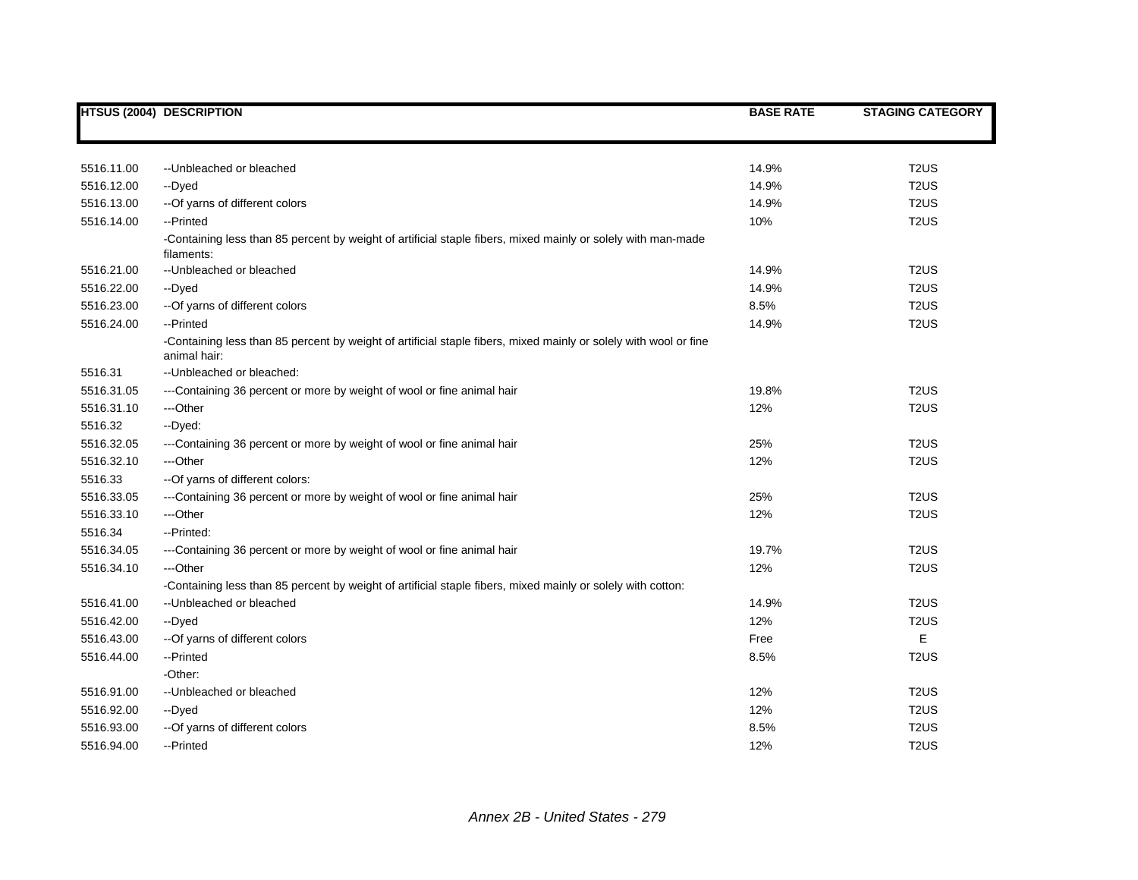|            | <b>HTSUS (2004) DESCRIPTION</b>                                                                                                  | <b>BASE RATE</b> | <b>STAGING CATEGORY</b> |
|------------|----------------------------------------------------------------------------------------------------------------------------------|------------------|-------------------------|
|            |                                                                                                                                  |                  |                         |
| 5516.11.00 | -- Unbleached or bleached                                                                                                        | 14.9%            | T <sub>2</sub> US       |
| 5516.12.00 | --Dyed                                                                                                                           | 14.9%            | T <sub>2</sub> US       |
| 5516.13.00 | -- Of yarns of different colors                                                                                                  | 14.9%            | T <sub>2</sub> US       |
| 5516.14.00 | --Printed                                                                                                                        | 10%              | T <sub>2</sub> US       |
|            | -Containing less than 85 percent by weight of artificial staple fibers, mixed mainly or solely with man-made<br>filaments:       |                  |                         |
| 5516.21.00 | -- Unbleached or bleached                                                                                                        | 14.9%            | T <sub>2</sub> US       |
| 5516.22.00 | --Dyed                                                                                                                           | 14.9%            | T <sub>2</sub> US       |
| 5516.23.00 | -- Of yarns of different colors                                                                                                  | 8.5%             | T <sub>2</sub> US       |
| 5516.24.00 | --Printed                                                                                                                        | 14.9%            | T <sub>2</sub> US       |
|            | -Containing less than 85 percent by weight of artificial staple fibers, mixed mainly or solely with wool or fine<br>animal hair: |                  |                         |
| 5516.31    | -- Unbleached or bleached:                                                                                                       |                  |                         |
| 5516.31.05 | ---Containing 36 percent or more by weight of wool or fine animal hair                                                           | 19.8%            | T <sub>2</sub> US       |
| 5516.31.10 | ---Other                                                                                                                         | 12%              | T <sub>2</sub> US       |
| 5516.32    | --Dyed:                                                                                                                          |                  |                         |
| 5516.32.05 | ---Containing 36 percent or more by weight of wool or fine animal hair                                                           | 25%              | T <sub>2</sub> US       |
| 5516.32.10 | ---Other                                                                                                                         | 12%              | T <sub>2</sub> US       |
| 5516.33    | -- Of yarns of different colors:                                                                                                 |                  |                         |
| 5516.33.05 | ---Containing 36 percent or more by weight of wool or fine animal hair                                                           | 25%              | T <sub>2</sub> US       |
| 5516.33.10 | ---Other                                                                                                                         | 12%              | T <sub>2</sub> US       |
| 5516.34    | --Printed:                                                                                                                       |                  |                         |
| 5516.34.05 | ---Containing 36 percent or more by weight of wool or fine animal hair                                                           | 19.7%            | T <sub>2</sub> US       |
| 5516.34.10 | ---Other                                                                                                                         | 12%              | T <sub>2</sub> US       |
|            | -Containing less than 85 percent by weight of artificial staple fibers, mixed mainly or solely with cotton:                      |                  |                         |
| 5516.41.00 | -- Unbleached or bleached                                                                                                        | 14.9%            | T <sub>2</sub> US       |
| 5516.42.00 | --Dyed                                                                                                                           | 12%              | T <sub>2</sub> US       |
| 5516.43.00 | -- Of yarns of different colors                                                                                                  | Free             | E                       |
| 5516.44.00 | --Printed                                                                                                                        | 8.5%             | T <sub>2</sub> US       |
|            | -Other:                                                                                                                          |                  |                         |
| 5516.91.00 | -- Unbleached or bleached                                                                                                        | 12%              | T <sub>2</sub> US       |
| 5516.92.00 | --Dyed                                                                                                                           | 12%              | T <sub>2</sub> US       |
| 5516.93.00 | -- Of yarns of different colors                                                                                                  | 8.5%             | T <sub>2</sub> US       |
| 5516.94.00 | --Printed                                                                                                                        | 12%              | T <sub>2</sub> US       |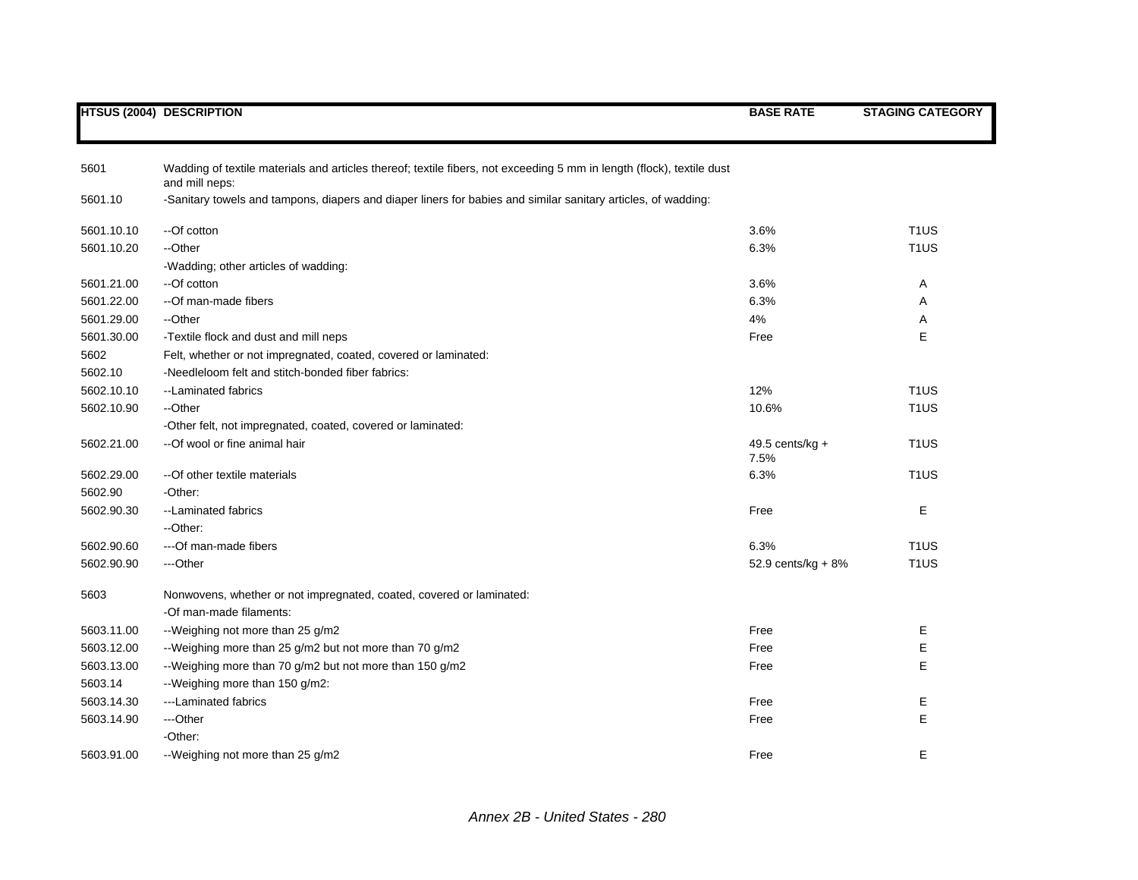|  | <b>HTSUS (2004) DESCRIPTION</b> |
|--|---------------------------------|
|--|---------------------------------|

| 5601       | Wadding of textile materials and articles thereof; textile fibers, not exceeding 5 mm in length (flock), textile dust<br>and mill neps: |                      |                   |
|------------|-----------------------------------------------------------------------------------------------------------------------------------------|----------------------|-------------------|
| 5601.10    | -Sanitary towels and tampons, diapers and diaper liners for babies and similar sanitary articles, of wadding:                           |                      |                   |
| 5601.10.10 | --Of cotton                                                                                                                             | 3.6%                 | T <sub>1</sub> US |
| 5601.10.20 | --Other                                                                                                                                 | 6.3%                 | T <sub>1</sub> US |
|            | -Wadding; other articles of wadding:                                                                                                    |                      |                   |
| 5601.21.00 | --Of cotton                                                                                                                             | 3.6%                 | A                 |
| 5601.22.00 | --Of man-made fibers                                                                                                                    | 6.3%                 | A                 |
| 5601.29.00 | --Other                                                                                                                                 | 4%                   | Α                 |
| 5601.30.00 | -Textile flock and dust and mill neps                                                                                                   | Free                 | E                 |
| 5602       | Felt, whether or not impregnated, coated, covered or laminated:                                                                         |                      |                   |
| 5602.10    | -Needleloom felt and stitch-bonded fiber fabrics:                                                                                       |                      |                   |
| 5602.10.10 | --Laminated fabrics                                                                                                                     | 12%                  | T <sub>1</sub> US |
| 5602.10.90 | --Other                                                                                                                                 | 10.6%                | T <sub>1</sub> US |
|            | -Other felt, not impregnated, coated, covered or laminated:                                                                             |                      |                   |
| 5602.21.00 | --Of wool or fine animal hair                                                                                                           | 49.5 cents/ $kg +$   | T <sub>1</sub> US |
|            |                                                                                                                                         | 7.5%                 |                   |
| 5602.29.00 | -- Of other textile materials                                                                                                           | 6.3%                 | T <sub>1</sub> US |
| 5602.90    | -Other:                                                                                                                                 |                      |                   |
| 5602.90.30 | --Laminated fabrics                                                                                                                     | Free                 | Е                 |
|            | --Other:                                                                                                                                |                      |                   |
| 5602.90.60 | ---Of man-made fibers                                                                                                                   | 6.3%                 | T <sub>1</sub> US |
| 5602.90.90 | ---Other                                                                                                                                | 52.9 cents/kg + $8%$ | T <sub>1</sub> US |
| 5603       | Nonwovens, whether or not impregnated, coated, covered or laminated:                                                                    |                      |                   |
|            | -Of man-made filaments:                                                                                                                 |                      |                   |
| 5603.11.00 | --Weighing not more than 25 g/m2                                                                                                        | Free                 | Е                 |
| 5603.12.00 | --Weighing more than 25 g/m2 but not more than 70 g/m2                                                                                  | Free                 | E                 |
| 5603.13.00 | --Weighing more than 70 g/m2 but not more than 150 g/m2                                                                                 | Free                 | E                 |
| 5603.14    | --Weighing more than 150 g/m2:                                                                                                          |                      |                   |
| 5603.14.30 | ---Laminated fabrics                                                                                                                    | Free                 | Ε                 |
| 5603.14.90 | ---Other                                                                                                                                | Free                 | E                 |
|            | -Other:                                                                                                                                 |                      |                   |
| 5603.91.00 | --Weighing not more than 25 g/m2                                                                                                        | Free                 | E                 |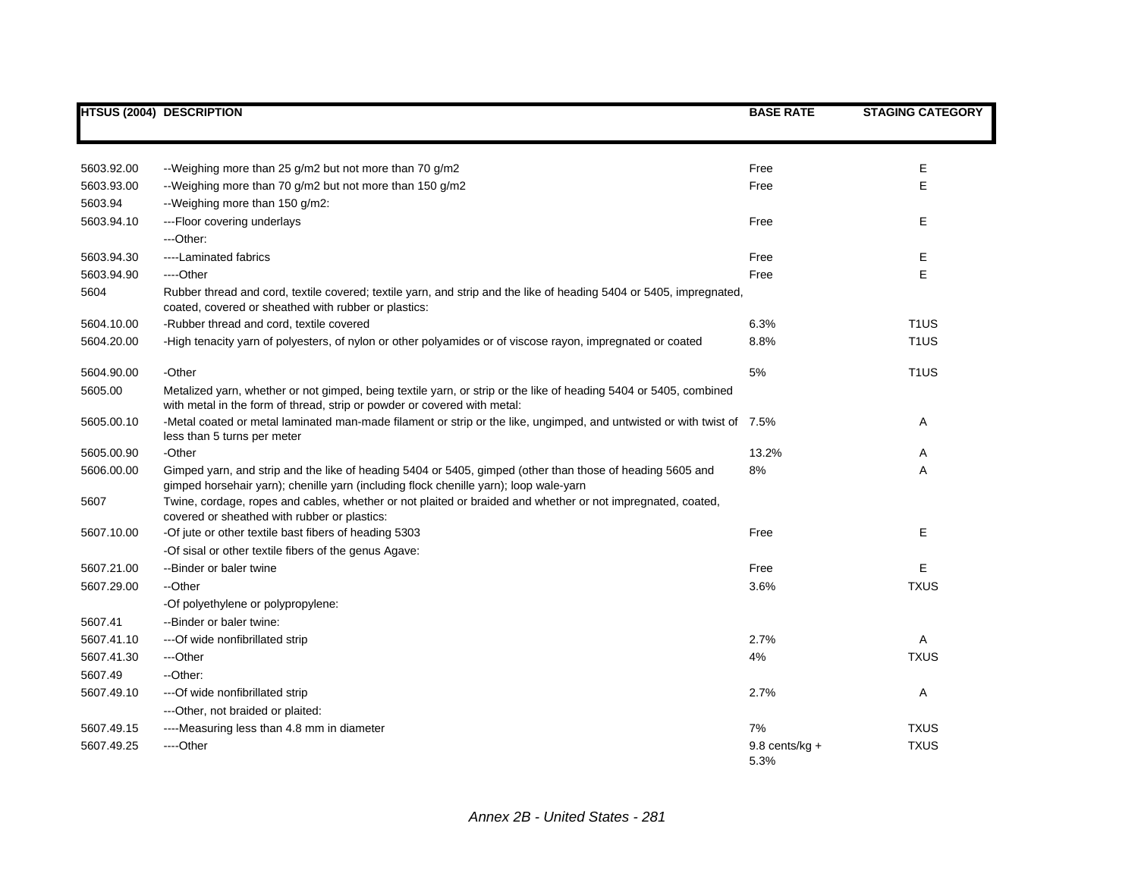|            | <b>HTSUS (2004) DESCRIPTION</b>                                                                                                                                                                    | <b>BASE RATE</b>         | <b>STAGING CATEGORY</b> |
|------------|----------------------------------------------------------------------------------------------------------------------------------------------------------------------------------------------------|--------------------------|-------------------------|
|            |                                                                                                                                                                                                    |                          |                         |
| 5603.92.00 | --Weighing more than 25 g/m2 but not more than 70 g/m2                                                                                                                                             | Free                     | Ε                       |
| 5603.93.00 | --Weighing more than 70 g/m2 but not more than 150 g/m2                                                                                                                                            | Free                     | E                       |
| 5603.94    | -- Weighing more than 150 g/m2:                                                                                                                                                                    |                          |                         |
| 5603.94.10 | ---Floor covering underlays                                                                                                                                                                        | Free                     | Е                       |
|            | $-$ Other:                                                                                                                                                                                         |                          |                         |
| 5603.94.30 | ----Laminated fabrics                                                                                                                                                                              | Free                     | Е                       |
| 5603.94.90 | ----Other                                                                                                                                                                                          | Free                     | E                       |
| 5604       | Rubber thread and cord, textile covered; textile yarn, and strip and the like of heading 5404 or 5405, impregnated,<br>coated, covered or sheathed with rubber or plastics:                        |                          |                         |
| 5604.10.00 | -Rubber thread and cord, textile covered                                                                                                                                                           | 6.3%                     | T <sub>1</sub> US       |
| 5604.20.00 | -High tenacity yarn of polyesters, of nylon or other polyamides or of viscose rayon, impregnated or coated                                                                                         | 8.8%                     | T <sub>1</sub> US       |
| 5604.90.00 | -Other                                                                                                                                                                                             | 5%                       | T <sub>1</sub> US       |
| 5605.00    | Metalized yarn, whether or not gimped, being textile yarn, or strip or the like of heading 5404 or 5405, combined<br>with metal in the form of thread, strip or powder or covered with metal:      |                          |                         |
| 5605.00.10 | -Metal coated or metal laminated man-made filament or strip or the like, ungimped, and untwisted or with twist of 7.5%<br>less than 5 turns per meter                                              |                          | Α                       |
| 5605.00.90 | -Other                                                                                                                                                                                             | 13.2%                    | Α                       |
| 5606.00.00 | Gimped yarn, and strip and the like of heading 5404 or 5405, gimped (other than those of heading 5605 and<br>gimped horsehair yarn); chenille yarn (including flock chenille yarn); loop wale-yarn | 8%                       | Α                       |
| 5607       | Twine, cordage, ropes and cables, whether or not plaited or braided and whether or not impregnated, coated,<br>covered or sheathed with rubber or plastics:                                        |                          |                         |
| 5607.10.00 | -Of jute or other textile bast fibers of heading 5303                                                                                                                                              | Free                     | Е                       |
|            | -Of sisal or other textile fibers of the genus Agave:                                                                                                                                              |                          |                         |
| 5607.21.00 | --Binder or baler twine                                                                                                                                                                            | Free                     | Е                       |
| 5607.29.00 | --Other                                                                                                                                                                                            | 3.6%                     | <b>TXUS</b>             |
|            | -Of polyethylene or polypropylene:                                                                                                                                                                 |                          |                         |
| 5607.41    | --Binder or baler twine:                                                                                                                                                                           |                          |                         |
| 5607.41.10 | --- Of wide nonfibrillated strip                                                                                                                                                                   | 2.7%                     | A                       |
| 5607.41.30 | ---Other                                                                                                                                                                                           | 4%                       | <b>TXUS</b>             |
| 5607.49    | --Other:                                                                                                                                                                                           |                          |                         |
| 5607.49.10 | --- Of wide nonfibrillated strip                                                                                                                                                                   | 2.7%                     | Α                       |
|            | --- Other, not braided or plaited:                                                                                                                                                                 |                          |                         |
| 5607.49.15 | ----Measuring less than 4.8 mm in diameter                                                                                                                                                         | 7%                       | <b>TXUS</b>             |
| 5607.49.25 | ----Other                                                                                                                                                                                          | $9.8$ cents/kg +<br>5.3% | <b>TXUS</b>             |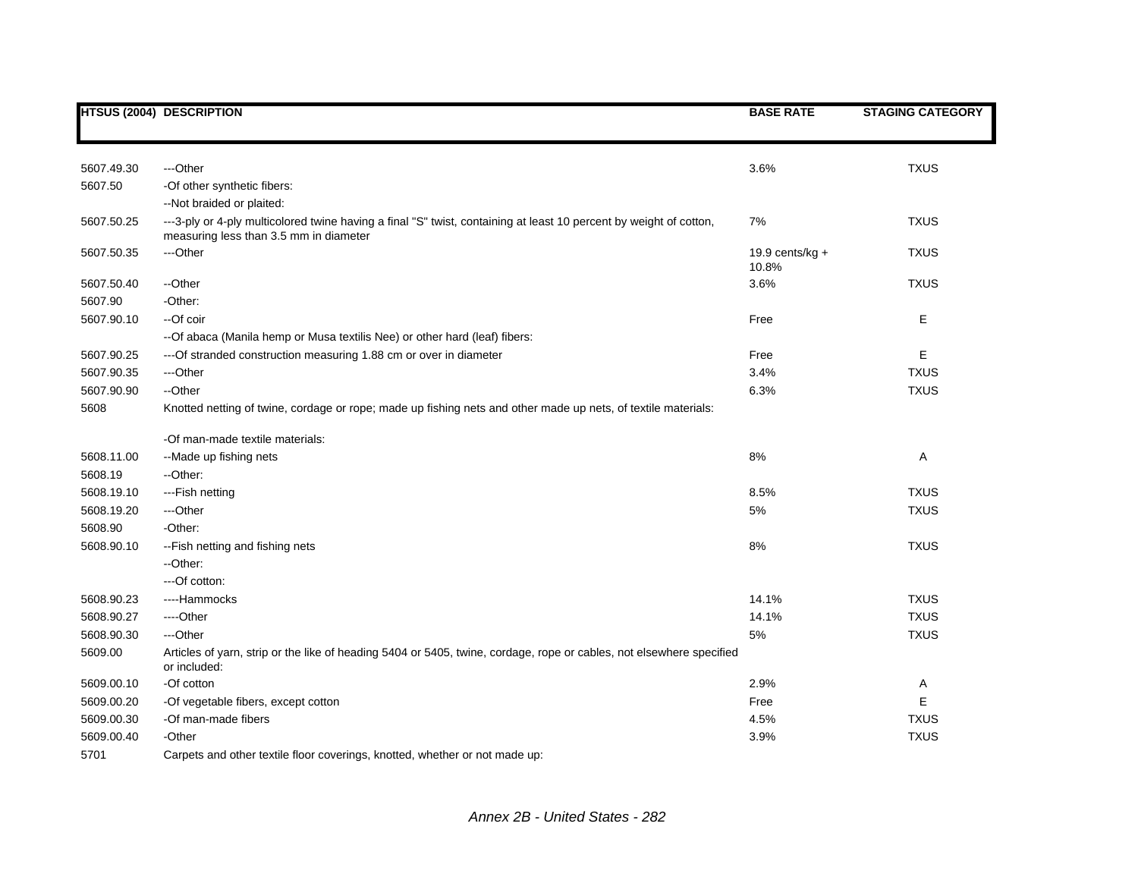|            | <b>HTSUS (2004) DESCRIPTION</b>                                                                                                                              | <b>BASE RATE</b>            | <b>STAGING CATEGORY</b> |
|------------|--------------------------------------------------------------------------------------------------------------------------------------------------------------|-----------------------------|-------------------------|
|            |                                                                                                                                                              |                             |                         |
| 5607.49.30 | ---Other                                                                                                                                                     | 3.6%                        | <b>TXUS</b>             |
| 5607.50    | -Of other synthetic fibers:                                                                                                                                  |                             |                         |
|            | --Not braided or plaited:                                                                                                                                    |                             |                         |
| 5607.50.25 | ---3-ply or 4-ply multicolored twine having a final "S" twist, containing at least 10 percent by weight of cotton,<br>measuring less than 3.5 mm in diameter | 7%                          | <b>TXUS</b>             |
| 5607.50.35 | ---Other                                                                                                                                                     | 19.9 cents/ $kg +$<br>10.8% | <b>TXUS</b>             |
| 5607.50.40 | --Other                                                                                                                                                      | 3.6%                        | <b>TXUS</b>             |
| 5607.90    | -Other:                                                                                                                                                      |                             |                         |
| 5607.90.10 | --Of coir                                                                                                                                                    | Free                        | Е                       |
|            | -- Of abaca (Manila hemp or Musa textilis Nee) or other hard (leaf) fibers:                                                                                  |                             |                         |
| 5607.90.25 | --- Of stranded construction measuring 1.88 cm or over in diameter                                                                                           | Free                        | E                       |
| 5607.90.35 | ---Other                                                                                                                                                     | 3.4%                        | <b>TXUS</b>             |
| 5607.90.90 | --Other                                                                                                                                                      | 6.3%                        | <b>TXUS</b>             |
| 5608       | Knotted netting of twine, cordage or rope; made up fishing nets and other made up nets, of textile materials:                                                |                             |                         |
|            | -Of man-made textile materials:                                                                                                                              |                             |                         |
| 5608.11.00 | --Made up fishing nets                                                                                                                                       | 8%                          | Α                       |
| 5608.19    | --Other:                                                                                                                                                     |                             |                         |
| 5608.19.10 | ---Fish netting                                                                                                                                              | 8.5%                        | <b>TXUS</b>             |
| 5608.19.20 | ---Other                                                                                                                                                     | 5%                          | <b>TXUS</b>             |
| 5608.90    | -Other:                                                                                                                                                      |                             |                         |
| 5608.90.10 | -- Fish netting and fishing nets                                                                                                                             | 8%                          | <b>TXUS</b>             |
|            | --Other:                                                                                                                                                     |                             |                         |
|            | ---Of cotton:                                                                                                                                                |                             |                         |
| 5608.90.23 | ----Hammocks                                                                                                                                                 | 14.1%                       | <b>TXUS</b>             |
| 5608.90.27 | ----Other                                                                                                                                                    | 14.1%                       | <b>TXUS</b>             |
| 5608.90.30 | ---Other                                                                                                                                                     | 5%                          | <b>TXUS</b>             |
| 5609.00    | Articles of yarn, strip or the like of heading 5404 or 5405, twine, cordage, rope or cables, not elsewhere specified<br>or included:                         |                             |                         |
| 5609.00.10 | -Of cotton                                                                                                                                                   | 2.9%                        | Α                       |
| 5609.00.20 | -Of vegetable fibers, except cotton                                                                                                                          | Free                        | E                       |
| 5609.00.30 | -Of man-made fibers                                                                                                                                          | 4.5%                        | <b>TXUS</b>             |
| 5609.00.40 | -Other                                                                                                                                                       | 3.9%                        | <b>TXUS</b>             |
| 5701       | Carpets and other textile floor coverings, knotted, whether or not made up:                                                                                  |                             |                         |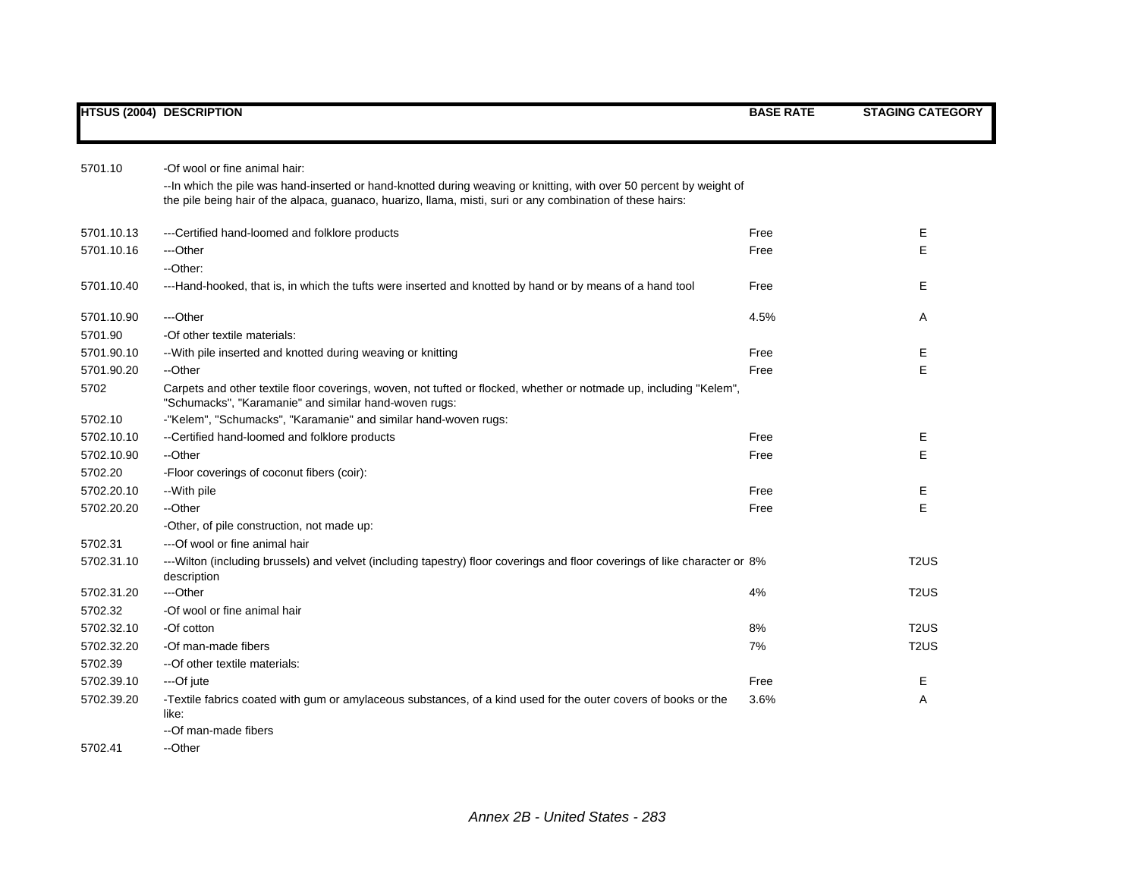| -Of wool or fine animal hair:<br>5701.10 |                                                                                                                                                                                                                                    |      |                   |
|------------------------------------------|------------------------------------------------------------------------------------------------------------------------------------------------------------------------------------------------------------------------------------|------|-------------------|
|                                          | -- In which the pile was hand-inserted or hand-knotted during weaving or knitting, with over 50 percent by weight of<br>the pile being hair of the alpaca, guanaco, huarizo, llama, misti, suri or any combination of these hairs: |      |                   |
|                                          |                                                                                                                                                                                                                                    |      |                   |
| 5701.10.13                               | --- Certified hand-loomed and folklore products                                                                                                                                                                                    | Free | Е                 |
| 5701.10.16                               | ---Other                                                                                                                                                                                                                           | Free | E                 |
|                                          | --Other:                                                                                                                                                                                                                           |      |                   |
| 5701.10.40                               | ---Hand-hooked, that is, in which the tufts were inserted and knotted by hand or by means of a hand tool                                                                                                                           | Free | Ε                 |
| 5701.10.90                               | ---Other                                                                                                                                                                                                                           | 4.5% | Α                 |
| 5701.90                                  | -Of other textile materials:                                                                                                                                                                                                       |      |                   |
| 5701.90.10                               | -- With pile inserted and knotted during weaving or knitting                                                                                                                                                                       | Free | E                 |
| 5701.90.20                               | --Other                                                                                                                                                                                                                            | Free | E                 |
| 5702                                     | Carpets and other textile floor coverings, woven, not tufted or flocked, whether or notmade up, including "Kelem",<br>"Schumacks", "Karamanie" and similar hand-woven rugs:                                                        |      |                   |
| 5702.10                                  | -"Kelem", "Schumacks", "Karamanie" and similar hand-woven rugs:                                                                                                                                                                    |      |                   |
| 5702.10.10                               | --Certified hand-loomed and folklore products                                                                                                                                                                                      | Free | Ε                 |
| 5702.10.90                               | --Other                                                                                                                                                                                                                            | Free | E                 |
| 5702.20                                  | -Floor coverings of coconut fibers (coir):                                                                                                                                                                                         |      |                   |
| 5702.20.10                               | --With pile                                                                                                                                                                                                                        | Free | Ε                 |
| 5702.20.20                               | --Other                                                                                                                                                                                                                            | Free | E                 |
|                                          | -Other, of pile construction, not made up:                                                                                                                                                                                         |      |                   |
| 5702.31                                  | ---Of wool or fine animal hair                                                                                                                                                                                                     |      |                   |
| 5702.31.10                               | ---Wilton (including brussels) and velvet (including tapestry) floor coverings and floor coverings of like character or 8%<br>description                                                                                          |      | T <sub>2</sub> US |
| 5702.31.20                               | ---Other                                                                                                                                                                                                                           | 4%   | T <sub>2</sub> US |
| 5702.32                                  | -Of wool or fine animal hair                                                                                                                                                                                                       |      |                   |
| 5702.32.10                               | -Of cotton                                                                                                                                                                                                                         | 8%   | T <sub>2</sub> US |
| 5702.32.20                               | -Of man-made fibers                                                                                                                                                                                                                | 7%   | T <sub>2</sub> US |
| 5702.39                                  | --Of other textile materials:                                                                                                                                                                                                      |      |                   |
| 5702.39.10                               | ---Of jute                                                                                                                                                                                                                         | Free | E                 |
| 5702.39.20                               | -Textile fabrics coated with gum or amylaceous substances, of a kind used for the outer covers of books or the                                                                                                                     | 3.6% | Α                 |
|                                          | like:                                                                                                                                                                                                                              |      |                   |
|                                          | --Of man-made fibers                                                                                                                                                                                                               |      |                   |
| 5702.41                                  | --Other                                                                                                                                                                                                                            |      |                   |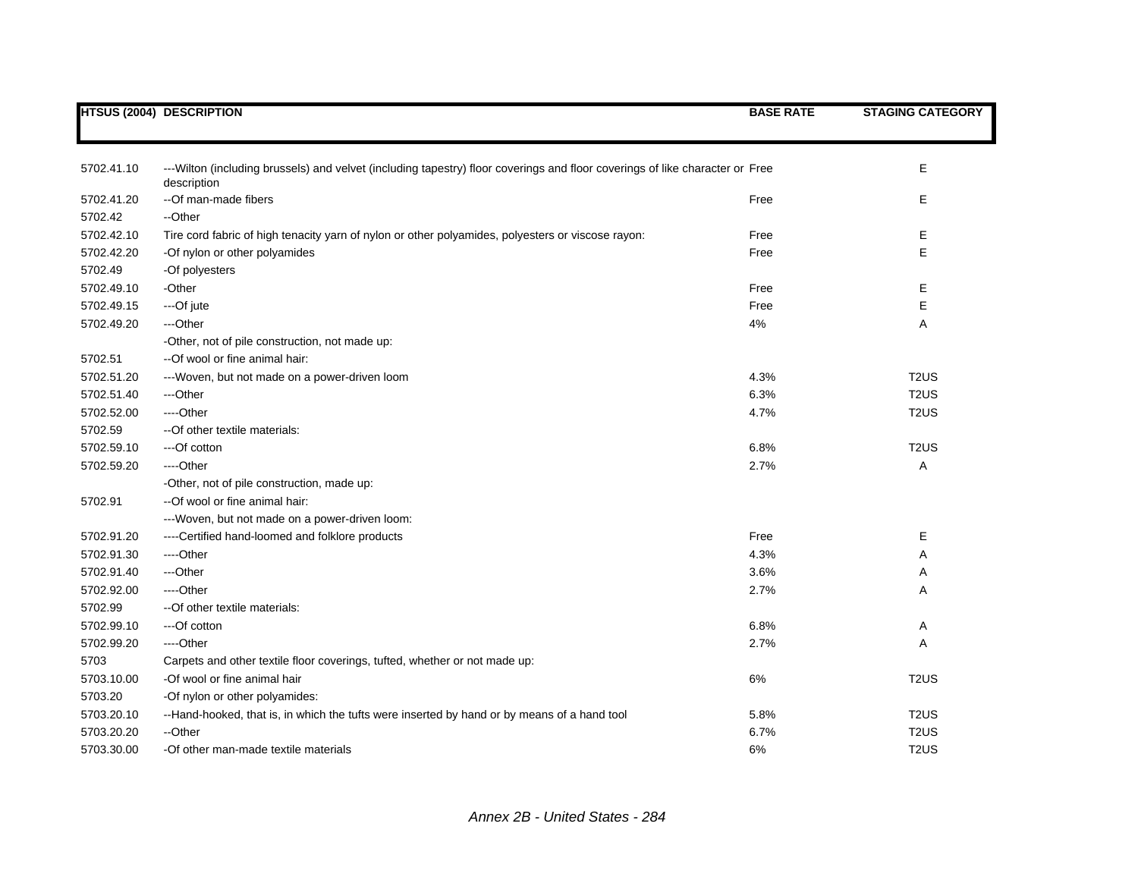|            | <b>HTSUS (2004) DESCRIPTION</b>                                                                                                              | <b>BASE RATE</b> | <b>STAGING CATEGORY</b> |
|------------|----------------------------------------------------------------------------------------------------------------------------------------------|------------------|-------------------------|
|            |                                                                                                                                              |                  |                         |
|            |                                                                                                                                              |                  |                         |
| 5702.41.10 | --- Wilton (including brussels) and velvet (including tapestry) floor coverings and floor coverings of like character or Free<br>description |                  | Е                       |
| 5702.41.20 | --Of man-made fibers                                                                                                                         | Free             | Е                       |
| 5702.42    | --Other                                                                                                                                      |                  |                         |
| 5702.42.10 | Tire cord fabric of high tenacity yarn of nylon or other polyamides, polyesters or viscose rayon:                                            | Free             | Е                       |
| 5702.42.20 | -Of nylon or other polyamides                                                                                                                | Free             | E                       |
| 5702.49    | -Of polyesters                                                                                                                               |                  |                         |
| 5702.49.10 | -Other                                                                                                                                       | Free             | E.                      |
| 5702.49.15 | ---Of jute                                                                                                                                   | Free             | E                       |
| 5702.49.20 | ---Other                                                                                                                                     | 4%               | Α                       |
|            | -Other, not of pile construction, not made up:                                                                                               |                  |                         |
| 5702.51    | --Of wool or fine animal hair:                                                                                                               |                  |                         |
| 5702.51.20 | ---Woven, but not made on a power-driven loom                                                                                                | 4.3%             | T <sub>2</sub> US       |
| 5702.51.40 | ---Other                                                                                                                                     | 6.3%             | T <sub>2</sub> US       |
| 5702.52.00 | ----Other                                                                                                                                    | 4.7%             | T <sub>2</sub> US       |
| 5702.59    | -- Of other textile materials:                                                                                                               |                  |                         |
| 5702.59.10 | ---Of cotton                                                                                                                                 | 6.8%             | T <sub>2</sub> US       |
| 5702.59.20 | ----Other                                                                                                                                    | 2.7%             | A                       |
|            | -Other, not of pile construction, made up:                                                                                                   |                  |                         |
| 5702.91    | --Of wool or fine animal hair:                                                                                                               |                  |                         |
|            | ---Woven, but not made on a power-driven loom:                                                                                               |                  |                         |
| 5702.91.20 | ----Certified hand-loomed and folklore products                                                                                              | Free             | Е                       |
| 5702.91.30 | ----Other                                                                                                                                    | 4.3%             | Α                       |
| 5702.91.40 | ---Other                                                                                                                                     | 3.6%             | Α                       |
| 5702.92.00 | ----Other                                                                                                                                    | 2.7%             | Α                       |
| 5702.99    | -- Of other textile materials:                                                                                                               |                  |                         |
| 5702.99.10 | ---Of cotton                                                                                                                                 | 6.8%             | Α                       |
| 5702.99.20 | ---Other                                                                                                                                     | 2.7%             | Α                       |
| 5703       | Carpets and other textile floor coverings, tufted, whether or not made up:                                                                   |                  |                         |
| 5703.10.00 | -Of wool or fine animal hair                                                                                                                 | 6%               | T <sub>2</sub> US       |
| 5703.20    | -Of nylon or other polyamides:                                                                                                               |                  |                         |
| 5703.20.10 | --Hand-hooked, that is, in which the tufts were inserted by hand or by means of a hand tool                                                  | 5.8%             | T <sub>2</sub> US       |
| 5703.20.20 | --Other                                                                                                                                      | 6.7%             | T <sub>2</sub> US       |
| 5703.30.00 | -Of other man-made textile materials                                                                                                         | 6%               | T <sub>2</sub> US       |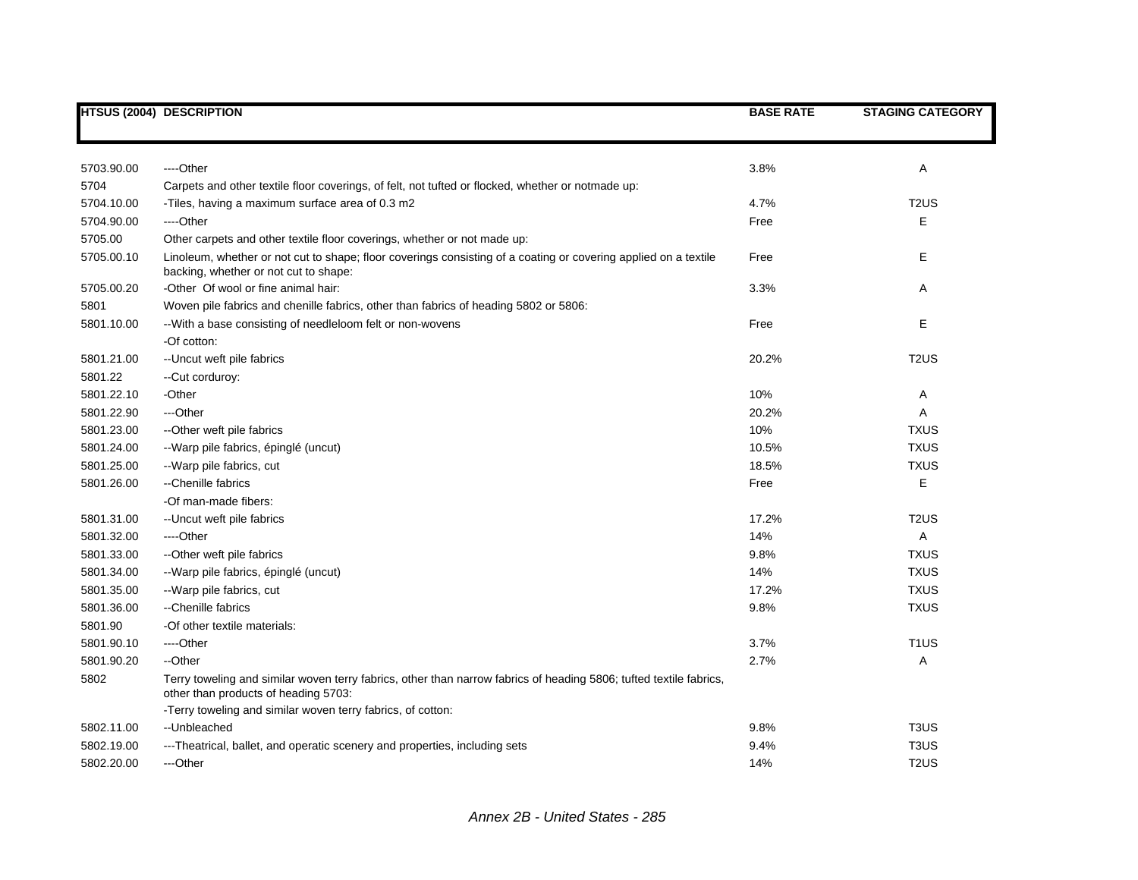|            | <b>HTSUS (2004) DESCRIPTION</b>                                                                                                                            | <b>BASE RATE</b> | <b>STAGING CATEGORY</b>       |
|------------|------------------------------------------------------------------------------------------------------------------------------------------------------------|------------------|-------------------------------|
|            |                                                                                                                                                            |                  |                               |
| 5703.90.00 | ----Other                                                                                                                                                  | 3.8%             | Α                             |
| 5704       | Carpets and other textile floor coverings, of felt, not tufted or flocked, whether or notmade up:                                                          |                  |                               |
| 5704.10.00 | -Tiles, having a maximum surface area of 0.3 m2                                                                                                            | 4.7%             | T <sub>2</sub> US             |
| 5704.90.00 | ----Other                                                                                                                                                  | Free             | E                             |
| 5705.00    | Other carpets and other textile floor coverings, whether or not made up:                                                                                   |                  |                               |
| 5705.00.10 | Linoleum, whether or not cut to shape; floor coverings consisting of a coating or covering applied on a textile<br>backing, whether or not cut to shape:   | Free             | E                             |
| 5705.00.20 | -Other Of wool or fine animal hair:                                                                                                                        | 3.3%             | Α                             |
| 5801       | Woven pile fabrics and chenille fabrics, other than fabrics of heading 5802 or 5806:                                                                       |                  |                               |
| 5801.10.00 | -- With a base consisting of needleloom felt or non-wovens                                                                                                 | Free             | E                             |
|            | -Of cotton:                                                                                                                                                |                  |                               |
| 5801.21.00 | -- Uncut weft pile fabrics                                                                                                                                 | 20.2%            | T <sub>2</sub> US             |
| 5801.22    | --Cut corduroy:                                                                                                                                            |                  |                               |
| 5801.22.10 | -Other                                                                                                                                                     | 10%              | Α                             |
| 5801.22.90 | ---Other                                                                                                                                                   | 20.2%            | Α                             |
| 5801.23.00 | -- Other weft pile fabrics                                                                                                                                 | 10%              | <b>TXUS</b>                   |
| 5801.24.00 | --Warp pile fabrics, épinglé (uncut)                                                                                                                       | 10.5%            | <b>TXUS</b>                   |
| 5801.25.00 | --Warp pile fabrics, cut                                                                                                                                   | 18.5%            | <b>TXUS</b>                   |
| 5801.26.00 | --Chenille fabrics                                                                                                                                         | Free             | E                             |
|            | -Of man-made fibers:                                                                                                                                       |                  |                               |
| 5801.31.00 | -- Uncut weft pile fabrics                                                                                                                                 | 17.2%            | T <sub>2</sub> US             |
| 5801.32.00 | ----Other                                                                                                                                                  | 14%              | A                             |
| 5801.33.00 | --Other weft pile fabrics                                                                                                                                  | 9.8%             | <b>TXUS</b>                   |
| 5801.34.00 | --Warp pile fabrics, épinglé (uncut)                                                                                                                       | 14%              | <b>TXUS</b>                   |
| 5801.35.00 | --Warp pile fabrics, cut                                                                                                                                   | 17.2%            | <b>TXUS</b>                   |
| 5801.36.00 | --Chenille fabrics                                                                                                                                         | 9.8%             | <b>TXUS</b>                   |
| 5801.90    | -Of other textile materials:                                                                                                                               |                  |                               |
| 5801.90.10 | ----Other                                                                                                                                                  | 3.7%             | T <sub>1</sub> US             |
| 5801.90.20 | --Other                                                                                                                                                    | 2.7%             | Α                             |
| 5802       | Terry toweling and similar woven terry fabrics, other than narrow fabrics of heading 5806; tufted textile fabrics,<br>other than products of heading 5703: |                  |                               |
|            | -Terry toweling and similar woven terry fabrics, of cotton:                                                                                                |                  |                               |
| 5802.11.00 | --Unbleached                                                                                                                                               | 9.8%             | T <sub>3</sub> U <sub>S</sub> |
| 5802.19.00 | ---Theatrical, ballet, and operatic scenery and properties, including sets                                                                                 | 9.4%             | T <sub>3</sub> U <sub>S</sub> |
| 5802.20.00 | ---Other                                                                                                                                                   | 14%              | T <sub>2</sub> US             |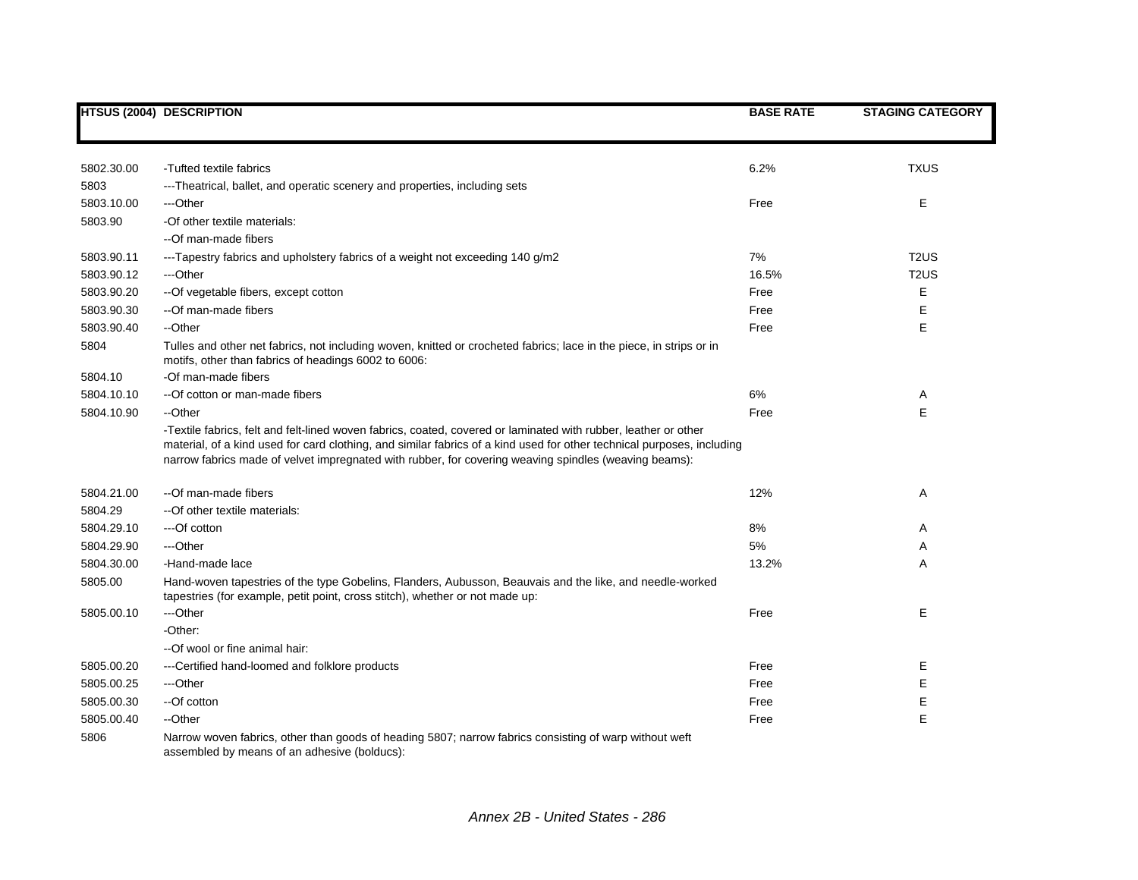|            | <b>HTSUS (2004) DESCRIPTION</b>                                                                                                                                                                                                                                                                                                                    | <b>BASE RATE</b> | <b>STAGING CATEGORY</b> |
|------------|----------------------------------------------------------------------------------------------------------------------------------------------------------------------------------------------------------------------------------------------------------------------------------------------------------------------------------------------------|------------------|-------------------------|
|            |                                                                                                                                                                                                                                                                                                                                                    |                  |                         |
|            |                                                                                                                                                                                                                                                                                                                                                    |                  |                         |
| 5802.30.00 | -Tufted textile fabrics                                                                                                                                                                                                                                                                                                                            | 6.2%             | <b>TXUS</b>             |
| 5803       | ---Theatrical, ballet, and operatic scenery and properties, including sets                                                                                                                                                                                                                                                                         |                  |                         |
| 5803.10.00 | ---Other                                                                                                                                                                                                                                                                                                                                           | Free             | Е                       |
| 5803.90    | -Of other textile materials:                                                                                                                                                                                                                                                                                                                       |                  |                         |
|            | --Of man-made fibers                                                                                                                                                                                                                                                                                                                               |                  |                         |
| 5803.90.11 | ---Tapestry fabrics and upholstery fabrics of a weight not exceeding 140 g/m2                                                                                                                                                                                                                                                                      | 7%               | T <sub>2</sub> US       |
| 5803.90.12 | ---Other                                                                                                                                                                                                                                                                                                                                           | 16.5%            | T <sub>2</sub> US       |
| 5803.90.20 | -- Of vegetable fibers, except cotton                                                                                                                                                                                                                                                                                                              | Free             | Е                       |
| 5803.90.30 | --Of man-made fibers                                                                                                                                                                                                                                                                                                                               | Free             | E                       |
| 5803.90.40 | --Other                                                                                                                                                                                                                                                                                                                                            | Free             | E                       |
| 5804       | Tulles and other net fabrics, not including woven, knitted or crocheted fabrics; lace in the piece, in strips or in<br>motifs, other than fabrics of headings 6002 to 6006:                                                                                                                                                                        |                  |                         |
| 5804.10    | -Of man-made fibers                                                                                                                                                                                                                                                                                                                                |                  |                         |
| 5804.10.10 | -- Of cotton or man-made fibers                                                                                                                                                                                                                                                                                                                    | 6%               | A                       |
| 5804.10.90 | --Other                                                                                                                                                                                                                                                                                                                                            | Free             | E                       |
|            | -Textile fabrics, felt and felt-lined woven fabrics, coated, covered or laminated with rubber, leather or other<br>material, of a kind used for card clothing, and similar fabrics of a kind used for other technical purposes, including<br>narrow fabrics made of velvet impregnated with rubber, for covering weaving spindles (weaving beams): |                  |                         |
| 5804.21.00 | --Of man-made fibers                                                                                                                                                                                                                                                                                                                               | 12%              | Α                       |
| 5804.29    | --Of other textile materials:                                                                                                                                                                                                                                                                                                                      |                  |                         |
| 5804.29.10 | ---Of cotton                                                                                                                                                                                                                                                                                                                                       | 8%               | Α                       |
| 5804.29.90 | ---Other                                                                                                                                                                                                                                                                                                                                           | 5%               | Α                       |
| 5804.30.00 | -Hand-made lace                                                                                                                                                                                                                                                                                                                                    | 13.2%            | A                       |
| 5805.00    | Hand-woven tapestries of the type Gobelins, Flanders, Aubusson, Beauvais and the like, and needle-worked<br>tapestries (for example, petit point, cross stitch), whether or not made up:                                                                                                                                                           |                  |                         |
| 5805.00.10 | ---Other                                                                                                                                                                                                                                                                                                                                           | Free             | E.                      |
|            | -Other:                                                                                                                                                                                                                                                                                                                                            |                  |                         |
|            | --Of wool or fine animal hair:                                                                                                                                                                                                                                                                                                                     |                  |                         |
| 5805.00.20 | ---Certified hand-loomed and folklore products                                                                                                                                                                                                                                                                                                     | Free             | Ε                       |
| 5805.00.25 | ---Other                                                                                                                                                                                                                                                                                                                                           | Free             | Е                       |
| 5805.00.30 | --Of cotton                                                                                                                                                                                                                                                                                                                                        | Free             | Е                       |
| 5805.00.40 | --Other                                                                                                                                                                                                                                                                                                                                            | Free             | E                       |
| 5806       | Narrow woven fabrics, other than goods of heading 5807; narrow fabrics consisting of warp without weft<br>assembled by means of an adhesive (bolducs):                                                                                                                                                                                             |                  |                         |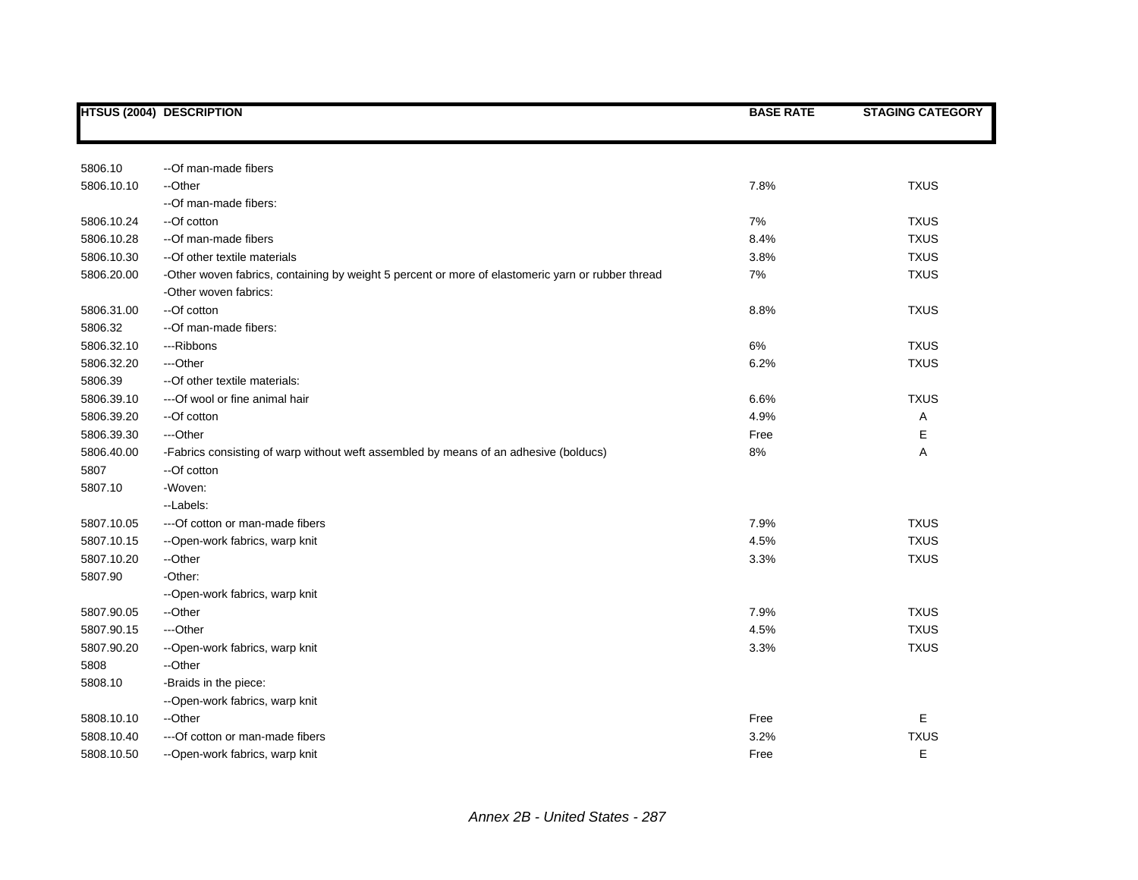|            | <b>HTSUS (2004) DESCRIPTION</b>                                                                   | <b>BASE RATE</b> | <b>STAGING CATEGORY</b> |
|------------|---------------------------------------------------------------------------------------------------|------------------|-------------------------|
|            |                                                                                                   |                  |                         |
| 5806.10    | --Of man-made fibers                                                                              |                  |                         |
| 5806.10.10 | --Other                                                                                           | 7.8%             | <b>TXUS</b>             |
|            | --Of man-made fibers:                                                                             |                  |                         |
| 5806.10.24 | --Of cotton                                                                                       | 7%               | <b>TXUS</b>             |
| 5806.10.28 | --Of man-made fibers                                                                              | 8.4%             | <b>TXUS</b>             |
| 5806.10.30 | -- Of other textile materials                                                                     | 3.8%             | <b>TXUS</b>             |
| 5806.20.00 | -Other woven fabrics, containing by weight 5 percent or more of elastomeric yarn or rubber thread | 7%               | <b>TXUS</b>             |
|            | -Other woven fabrics:                                                                             |                  |                         |
| 5806.31.00 | --Of cotton                                                                                       | 8.8%             | <b>TXUS</b>             |
| 5806.32    | -- Of man-made fibers:                                                                            |                  |                         |
| 5806.32.10 | ---Ribbons                                                                                        | 6%               | <b>TXUS</b>             |
| 5806.32.20 | ---Other                                                                                          | 6.2%             | <b>TXUS</b>             |
| 5806.39    | -- Of other textile materials:                                                                    |                  |                         |
| 5806.39.10 | ---Of wool or fine animal hair                                                                    | 6.6%             | <b>TXUS</b>             |
| 5806.39.20 | --Of cotton                                                                                       | 4.9%             | Α                       |
| 5806.39.30 | ---Other                                                                                          | Free             | E                       |
| 5806.40.00 | -Fabrics consisting of warp without weft assembled by means of an adhesive (bolducs)              | 8%               | A                       |
| 5807       | --Of cotton                                                                                       |                  |                         |
| 5807.10    | -Woven:                                                                                           |                  |                         |
|            | --Labels:                                                                                         |                  |                         |
| 5807.10.05 | --- Of cotton or man-made fibers                                                                  | 7.9%             | <b>TXUS</b>             |
| 5807.10.15 | --Open-work fabrics, warp knit                                                                    | 4.5%             | <b>TXUS</b>             |
| 5807.10.20 | --Other                                                                                           | 3.3%             | <b>TXUS</b>             |
| 5807.90    | -Other:                                                                                           |                  |                         |
|            | --Open-work fabrics, warp knit                                                                    |                  |                         |
| 5807.90.05 | --Other                                                                                           | 7.9%             | <b>TXUS</b>             |
| 5807.90.15 | ---Other                                                                                          | 4.5%             | <b>TXUS</b>             |
| 5807.90.20 | --Open-work fabrics, warp knit                                                                    | 3.3%             | <b>TXUS</b>             |
| 5808       | --Other                                                                                           |                  |                         |
| 5808.10    | -Braids in the piece:                                                                             |                  |                         |
|            | --Open-work fabrics, warp knit                                                                    |                  |                         |
| 5808.10.10 | --Other                                                                                           | Free             | Е                       |
| 5808.10.40 | --- Of cotton or man-made fibers                                                                  | 3.2%             | <b>TXUS</b>             |
| 5808.10.50 | --Open-work fabrics, warp knit                                                                    | Free             | E                       |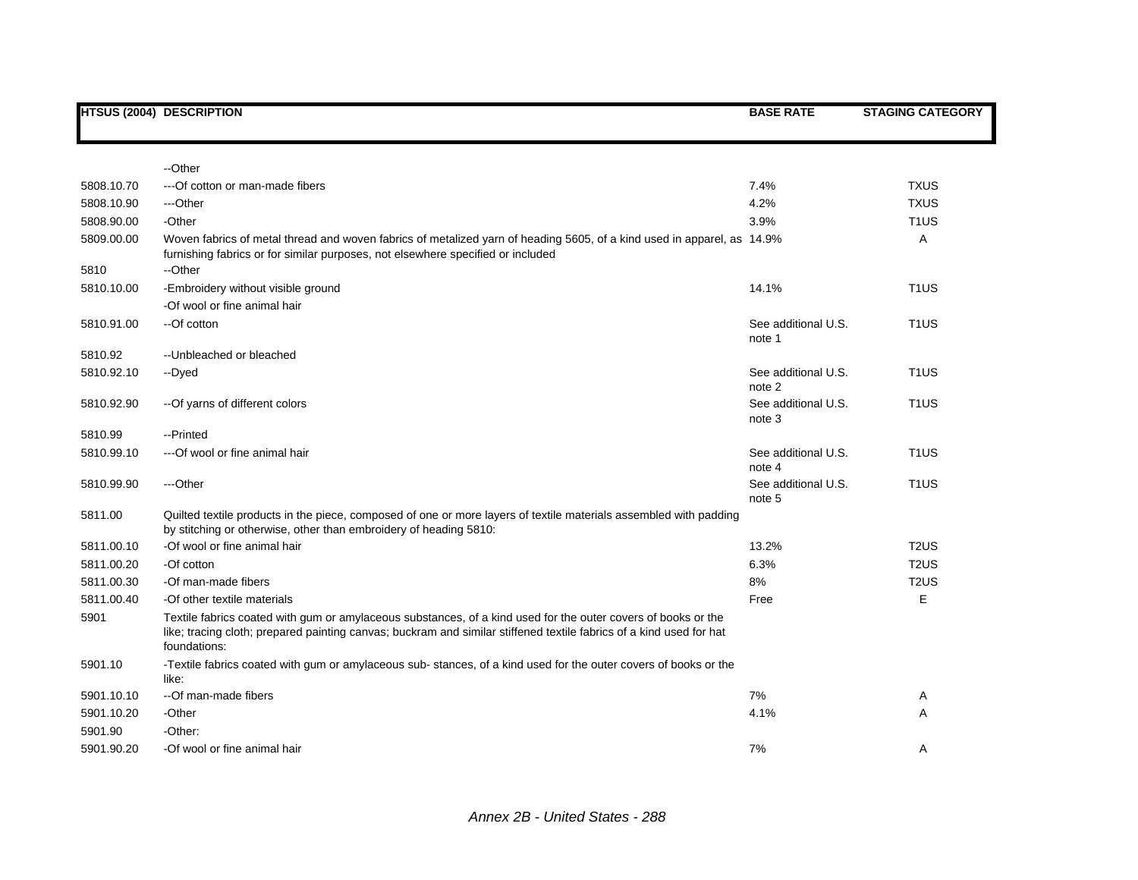|            | <b>HTSUS (2004) DESCRIPTION</b>                                                                                                                                                                                                                      | <b>BASE RATE</b>              | <b>STAGING CATEGORY</b>       |
|------------|------------------------------------------------------------------------------------------------------------------------------------------------------------------------------------------------------------------------------------------------------|-------------------------------|-------------------------------|
|            |                                                                                                                                                                                                                                                      |                               |                               |
|            | --Other                                                                                                                                                                                                                                              |                               |                               |
| 5808.10.70 | --- Of cotton or man-made fibers                                                                                                                                                                                                                     | 7.4%                          | <b>TXUS</b>                   |
| 5808.10.90 | ---Other                                                                                                                                                                                                                                             | 4.2%                          | <b>TXUS</b>                   |
| 5808.90.00 | -Other                                                                                                                                                                                                                                               | 3.9%                          | T <sub>1</sub> US             |
| 5809.00.00 | Woven fabrics of metal thread and woven fabrics of metalized yarn of heading 5605, of a kind used in apparel, as 14.9%<br>furnishing fabrics or for similar purposes, not elsewhere specified or included                                            |                               | Α                             |
| 5810       | --Other                                                                                                                                                                                                                                              |                               |                               |
| 5810.10.00 | -Embroidery without visible ground                                                                                                                                                                                                                   | 14.1%                         | T <sub>1</sub> US             |
|            | -Of wool or fine animal hair                                                                                                                                                                                                                         |                               |                               |
| 5810.91.00 | --Of cotton                                                                                                                                                                                                                                          | See additional U.S.<br>note 1 | T <sub>1</sub> US             |
| 5810.92    | -- Unbleached or bleached                                                                                                                                                                                                                            |                               |                               |
| 5810.92.10 | --Dyed                                                                                                                                                                                                                                               | See additional U.S.<br>note 2 | T <sub>1</sub> US             |
| 5810.92.90 | -- Of yarns of different colors                                                                                                                                                                                                                      | See additional U.S.<br>note 3 | T <sub>1</sub> US             |
| 5810.99    | --Printed                                                                                                                                                                                                                                            |                               |                               |
| 5810.99.10 | --- Of wool or fine animal hair                                                                                                                                                                                                                      | See additional U.S.<br>note 4 | T <sub>1</sub> US             |
| 5810.99.90 | ---Other                                                                                                                                                                                                                                             | See additional U.S.<br>note 5 | T <sub>1</sub> US             |
| 5811.00    | Quilted textile products in the piece, composed of one or more layers of textile materials assembled with padding<br>by stitching or otherwise, other than embroidery of heading 5810:                                                               |                               |                               |
| 5811.00.10 | -Of wool or fine animal hair                                                                                                                                                                                                                         | 13.2%                         | T <sub>2</sub> U <sub>S</sub> |
| 5811.00.20 | -Of cotton                                                                                                                                                                                                                                           | 6.3%                          | T <sub>2</sub> U <sub>S</sub> |
| 5811.00.30 | -Of man-made fibers                                                                                                                                                                                                                                  | 8%                            | T <sub>2</sub> US             |
| 5811.00.40 | -Of other textile materials                                                                                                                                                                                                                          | Free                          | E                             |
| 5901       | Textile fabrics coated with gum or amylaceous substances, of a kind used for the outer covers of books or the<br>like; tracing cloth; prepared painting canvas; buckram and similar stiffened textile fabrics of a kind used for hat<br>foundations: |                               |                               |
| 5901.10    | -Textile fabrics coated with gum or amylaceous sub-stances, of a kind used for the outer covers of books or the<br>like:                                                                                                                             |                               |                               |
| 5901.10.10 | --Of man-made fibers                                                                                                                                                                                                                                 | 7%                            | A                             |
| 5901.10.20 | -Other                                                                                                                                                                                                                                               | 4.1%                          | Α                             |
| 5901.90    | -Other:                                                                                                                                                                                                                                              |                               |                               |
| 5901.90.20 | -Of wool or fine animal hair                                                                                                                                                                                                                         | 7%                            | A                             |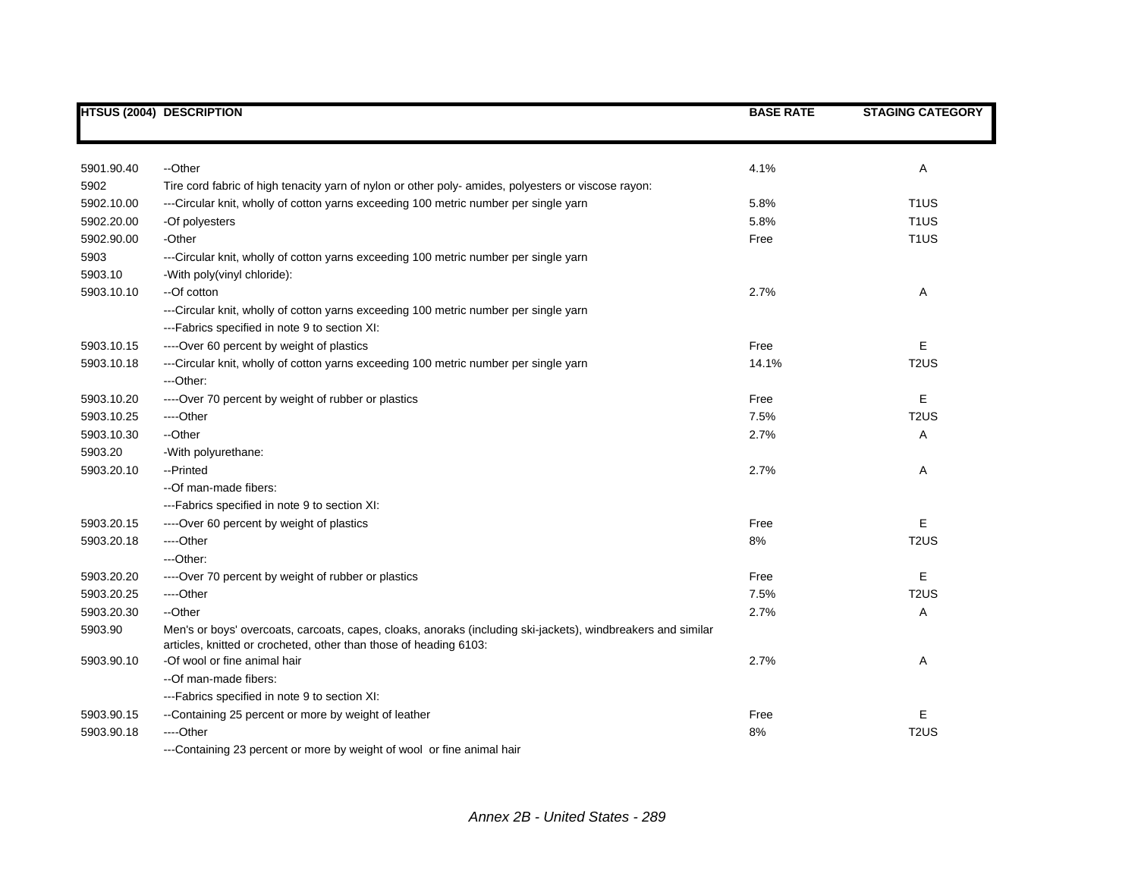|            | <b>HTSUS (2004) DESCRIPTION</b>                                                                                                                                                   | <b>BASE RATE</b> | <b>STAGING CATEGORY</b> |
|------------|-----------------------------------------------------------------------------------------------------------------------------------------------------------------------------------|------------------|-------------------------|
|            |                                                                                                                                                                                   |                  |                         |
| 5901.90.40 | --Other                                                                                                                                                                           | 4.1%             | Α                       |
| 5902       | Tire cord fabric of high tenacity yarn of nylon or other poly- amides, polyesters or viscose rayon:                                                                               |                  |                         |
| 5902.10.00 | ---Circular knit, wholly of cotton yarns exceeding 100 metric number per single yarn                                                                                              | 5.8%             | T <sub>1</sub> US       |
| 5902.20.00 | -Of polyesters                                                                                                                                                                    | 5.8%             | T <sub>1</sub> US       |
| 5902.90.00 | -Other                                                                                                                                                                            | Free             | T <sub>1</sub> US       |
| 5903       | ---Circular knit, wholly of cotton yarns exceeding 100 metric number per single yarn                                                                                              |                  |                         |
| 5903.10    | -With poly(vinyl chloride):                                                                                                                                                       |                  |                         |
| 5903.10.10 | --Of cotton                                                                                                                                                                       | 2.7%             | Α                       |
|            | ---Circular knit, wholly of cotton yarns exceeding 100 metric number per single yarn                                                                                              |                  |                         |
|            | ---Fabrics specified in note 9 to section XI:                                                                                                                                     |                  |                         |
| 5903.10.15 | ----Over 60 percent by weight of plastics                                                                                                                                         | Free             | E                       |
| 5903.10.18 | ---Circular knit, wholly of cotton yarns exceeding 100 metric number per single yarn                                                                                              | 14.1%            | T <sub>2</sub> US       |
|            | ---Other:                                                                                                                                                                         |                  |                         |
| 5903.10.20 | ----Over 70 percent by weight of rubber or plastics                                                                                                                               | Free             | E                       |
| 5903.10.25 | ----Other                                                                                                                                                                         | 7.5%             | T <sub>2</sub> US       |
| 5903.10.30 | --Other                                                                                                                                                                           | 2.7%             | Α                       |
| 5903.20    | -With polyurethane:                                                                                                                                                               |                  |                         |
| 5903.20.10 | --Printed                                                                                                                                                                         | 2.7%             | Α                       |
|            | --Of man-made fibers:                                                                                                                                                             |                  |                         |
|            | ---Fabrics specified in note 9 to section XI:                                                                                                                                     |                  |                         |
| 5903.20.15 | ----Over 60 percent by weight of plastics                                                                                                                                         | Free             | Ε                       |
| 5903.20.18 | ---Other                                                                                                                                                                          | 8%               | T <sub>2</sub> US       |
|            | ---Other:                                                                                                                                                                         |                  |                         |
| 5903.20.20 | ----Over 70 percent by weight of rubber or plastics                                                                                                                               | Free             | Е                       |
| 5903.20.25 | ---Other                                                                                                                                                                          | 7.5%             | T <sub>2</sub> US       |
| 5903.20.30 | --Other                                                                                                                                                                           | 2.7%             | Α                       |
| 5903.90    | Men's or boys' overcoats, carcoats, capes, cloaks, anoraks (including ski-jackets), windbreakers and similar<br>articles, knitted or crocheted, other than those of heading 6103: |                  |                         |
| 5903.90.10 | -Of wool or fine animal hair                                                                                                                                                      | 2.7%             | Α                       |
|            | --Of man-made fibers:                                                                                                                                                             |                  |                         |
|            | --- Fabrics specified in note 9 to section XI:                                                                                                                                    |                  |                         |
| 5903.90.15 | --Containing 25 percent or more by weight of leather                                                                                                                              | Free             | E                       |
| 5903.90.18 | ---Other                                                                                                                                                                          | 8%               | T <sub>2</sub> US       |
|            | ---Containing 23 percent or more by weight of wool or fine animal hair                                                                                                            |                  |                         |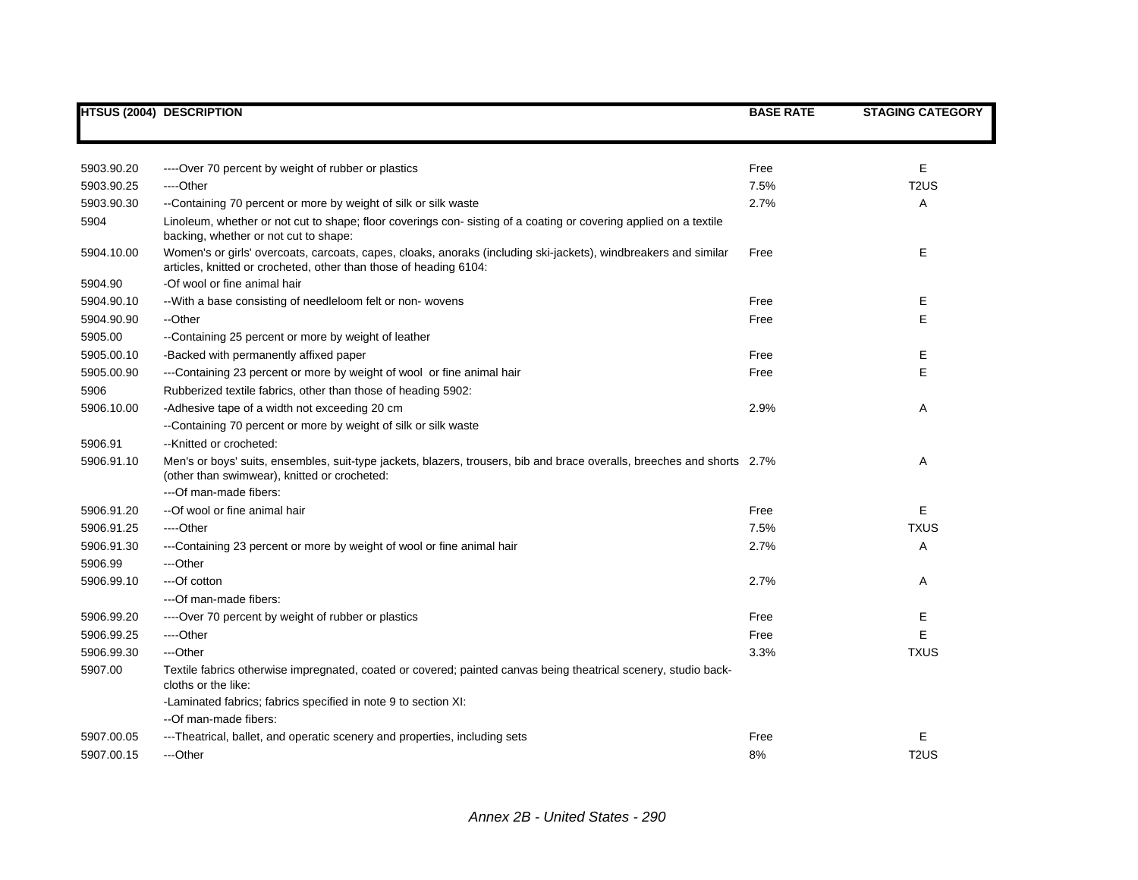|            | <b>HTSUS (2004) DESCRIPTION</b>                                                                                                                                                      | <b>BASE RATE</b> | <b>STAGING CATEGORY</b> |
|------------|--------------------------------------------------------------------------------------------------------------------------------------------------------------------------------------|------------------|-------------------------|
|            |                                                                                                                                                                                      |                  |                         |
| 5903.90.20 | ----Over 70 percent by weight of rubber or plastics                                                                                                                                  | Free             | Е                       |
| 5903.90.25 | ----Other                                                                                                                                                                            | 7.5%             | T <sub>2</sub> US       |
| 5903.90.30 | --Containing 70 percent or more by weight of silk or silk waste                                                                                                                      | 2.7%             | Α                       |
| 5904       | Linoleum, whether or not cut to shape; floor coverings con-sisting of a coating or covering applied on a textile<br>backing, whether or not cut to shape:                            |                  |                         |
| 5904.10.00 | Women's or girls' overcoats, carcoats, capes, cloaks, anoraks (including ski-jackets), windbreakers and similar<br>articles, knitted or crocheted, other than those of heading 6104: | Free             | Е                       |
| 5904.90    | -Of wool or fine animal hair                                                                                                                                                         |                  |                         |
| 5904.90.10 | -- With a base consisting of needleloom felt or non- wovens                                                                                                                          | Free             | Е                       |
| 5904.90.90 | --Other                                                                                                                                                                              | Free             | E                       |
| 5905.00    | --Containing 25 percent or more by weight of leather                                                                                                                                 |                  |                         |
| 5905.00.10 | -Backed with permanently affixed paper                                                                                                                                               | Free             | Е                       |
| 5905.00.90 | ---Containing 23 percent or more by weight of wool or fine animal hair                                                                                                               | Free             | E                       |
| 5906       | Rubberized textile fabrics, other than those of heading 5902:                                                                                                                        |                  |                         |
| 5906.10.00 | -Adhesive tape of a width not exceeding 20 cm                                                                                                                                        | 2.9%             | Α                       |
|            | --Containing 70 percent or more by weight of silk or silk waste                                                                                                                      |                  |                         |
| 5906.91    | --Knitted or crocheted:                                                                                                                                                              |                  |                         |
| 5906.91.10 | Men's or boys' suits, ensembles, suit-type jackets, blazers, trousers, bib and brace overalls, breeches and shorts 2.7%<br>(other than swimwear), knitted or crocheted:              |                  | Α                       |
|            | ---Of man-made fibers:                                                                                                                                                               |                  |                         |
| 5906.91.20 | --Of wool or fine animal hair                                                                                                                                                        | Free             | E                       |
| 5906.91.25 | ----Other                                                                                                                                                                            | 7.5%             | <b>TXUS</b>             |
| 5906.91.30 | ---Containing 23 percent or more by weight of wool or fine animal hair                                                                                                               | 2.7%             | Α                       |
| 5906.99    | ---Other                                                                                                                                                                             |                  |                         |
| 5906.99.10 | ---Of cotton                                                                                                                                                                         | 2.7%             | Α                       |
|            | ---Of man-made fibers:                                                                                                                                                               |                  |                         |
| 5906.99.20 | ----Over 70 percent by weight of rubber or plastics                                                                                                                                  | Free             | Ε                       |
| 5906.99.25 | ---Other                                                                                                                                                                             | Free             | E                       |
| 5906.99.30 | ---Other                                                                                                                                                                             | 3.3%             | <b>TXUS</b>             |
| 5907.00    | Textile fabrics otherwise impregnated, coated or covered; painted canvas being theatrical scenery, studio back-<br>cloths or the like:                                               |                  |                         |
|            | -Laminated fabrics; fabrics specified in note 9 to section XI:<br>--Of man-made fibers:                                                                                              |                  |                         |
| 5907.00.05 | ---Theatrical, ballet, and operatic scenery and properties, including sets                                                                                                           | Free             | E                       |
| 5907.00.15 | ---Other                                                                                                                                                                             | 8%               | T <sub>2</sub> US       |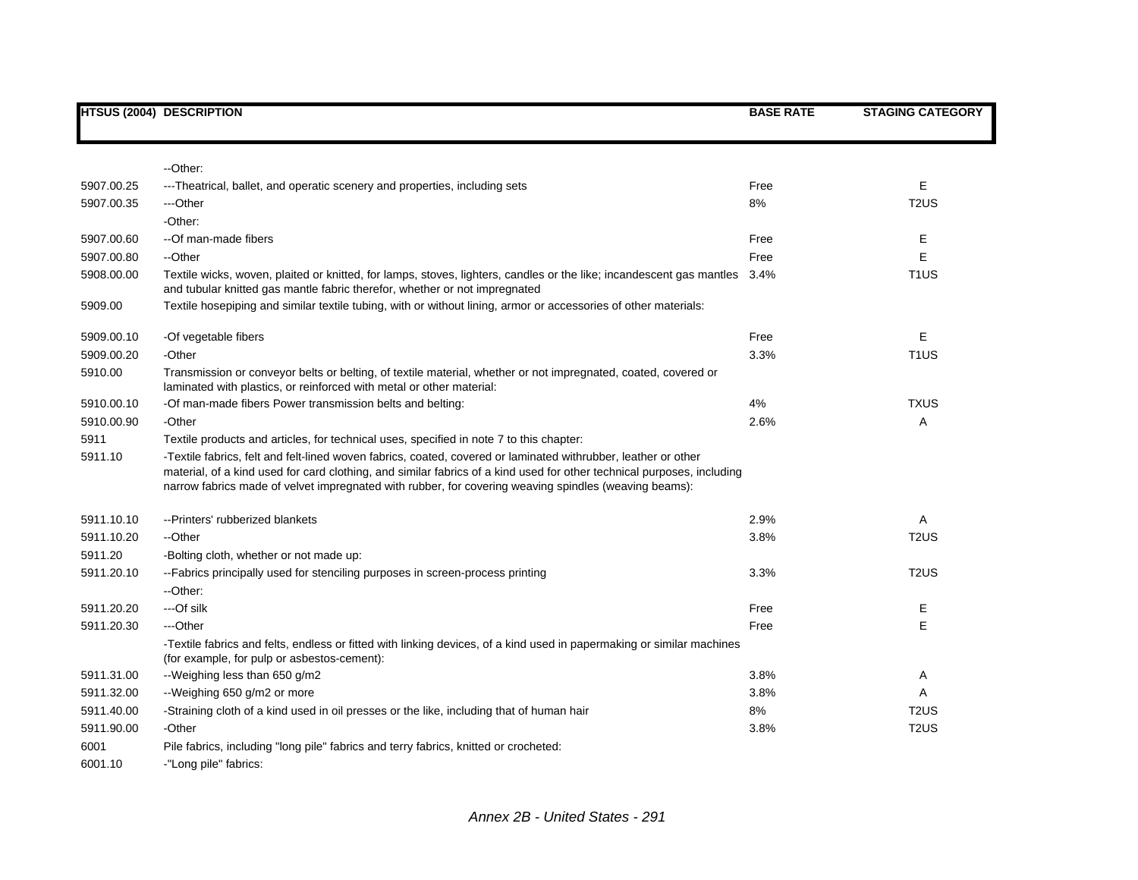|                 | <b>HTSUS (2004) DESCRIPTION</b>                                                                                                                                                                                                                                                                                                                   | <b>BASE RATE</b> | <b>STAGING CATEGORY</b> |
|-----------------|---------------------------------------------------------------------------------------------------------------------------------------------------------------------------------------------------------------------------------------------------------------------------------------------------------------------------------------------------|------------------|-------------------------|
|                 |                                                                                                                                                                                                                                                                                                                                                   |                  |                         |
|                 | --Other:                                                                                                                                                                                                                                                                                                                                          |                  |                         |
| 5907.00.25      | ---Theatrical, ballet, and operatic scenery and properties, including sets                                                                                                                                                                                                                                                                        | Free             | E                       |
| 5907.00.35      | ---Other                                                                                                                                                                                                                                                                                                                                          | 8%               | T <sub>2</sub> US       |
|                 | -Other:                                                                                                                                                                                                                                                                                                                                           |                  |                         |
| 5907.00.60      | --Of man-made fibers                                                                                                                                                                                                                                                                                                                              | Free             | Е                       |
| 5907.00.80      | --Other                                                                                                                                                                                                                                                                                                                                           | Free             | E                       |
| 5908.00.00      | Textile wicks, woven, plaited or knitted, for lamps, stoves, lighters, candles or the like; incandescent gas mantles                                                                                                                                                                                                                              | 3.4%             | T <sub>1</sub> US       |
|                 | and tubular knitted gas mantle fabric therefor, whether or not impregnated                                                                                                                                                                                                                                                                        |                  |                         |
| 5909.00         | Textile hosepiping and similar textile tubing, with or without lining, armor or accessories of other materials:                                                                                                                                                                                                                                   |                  |                         |
| 5909.00.10      | -Of vegetable fibers                                                                                                                                                                                                                                                                                                                              | Free             | Е                       |
| 5909.00.20      | -Other                                                                                                                                                                                                                                                                                                                                            | 3.3%             | T <sub>1</sub> US       |
| 5910.00         | Transmission or conveyor belts or belting, of textile material, whether or not impregnated, coated, covered or                                                                                                                                                                                                                                    |                  |                         |
|                 | laminated with plastics, or reinforced with metal or other material:                                                                                                                                                                                                                                                                              |                  |                         |
| 5910.00.10      | -Of man-made fibers Power transmission belts and belting:                                                                                                                                                                                                                                                                                         | 4%               | <b>TXUS</b>             |
| 5910.00.90      | -Other                                                                                                                                                                                                                                                                                                                                            | 2.6%             | Α                       |
| 5911<br>5911.10 | Textile products and articles, for technical uses, specified in note 7 to this chapter:                                                                                                                                                                                                                                                           |                  |                         |
|                 | -Textile fabrics, felt and felt-lined woven fabrics, coated, covered or laminated withrubber, leather or other<br>material, of a kind used for card clothing, and similar fabrics of a kind used for other technical purposes, including<br>narrow fabrics made of velvet impregnated with rubber, for covering weaving spindles (weaving beams): |                  |                         |
| 5911.10.10      | --Printers' rubberized blankets                                                                                                                                                                                                                                                                                                                   | 2.9%             | Α                       |
| 5911.10.20      | --Other                                                                                                                                                                                                                                                                                                                                           | 3.8%             | T <sub>2</sub> US       |
| 5911.20         | -Bolting cloth, whether or not made up:                                                                                                                                                                                                                                                                                                           |                  |                         |
| 5911.20.10      | --Fabrics principally used for stenciling purposes in screen-process printing                                                                                                                                                                                                                                                                     | 3.3%             | T <sub>2</sub> US       |
|                 | --Other:                                                                                                                                                                                                                                                                                                                                          |                  |                         |
| 5911.20.20      | ---Of silk                                                                                                                                                                                                                                                                                                                                        | Free             | Е                       |
| 5911.20.30      | ---Other                                                                                                                                                                                                                                                                                                                                          | Free             | E                       |
|                 | -Textile fabrics and felts, endless or fitted with linking devices, of a kind used in papermaking or similar machines<br>(for example, for pulp or asbestos-cement):                                                                                                                                                                              |                  |                         |
| 5911.31.00      | --Weighing less than 650 g/m2                                                                                                                                                                                                                                                                                                                     | 3.8%             | Α                       |
| 5911.32.00      | --Weighing 650 g/m2 or more                                                                                                                                                                                                                                                                                                                       | 3.8%             | Α                       |
| 5911.40.00      | -Straining cloth of a kind used in oil presses or the like, including that of human hair                                                                                                                                                                                                                                                          | 8%               | T <sub>2</sub> US       |
| 5911.90.00      | -Other                                                                                                                                                                                                                                                                                                                                            | 3.8%             | T <sub>2</sub> US       |
| 6001            | Pile fabrics, including "long pile" fabrics and terry fabrics, knitted or crocheted:                                                                                                                                                                                                                                                              |                  |                         |
| 6001.10         | -"Long pile" fabrics:                                                                                                                                                                                                                                                                                                                             |                  |                         |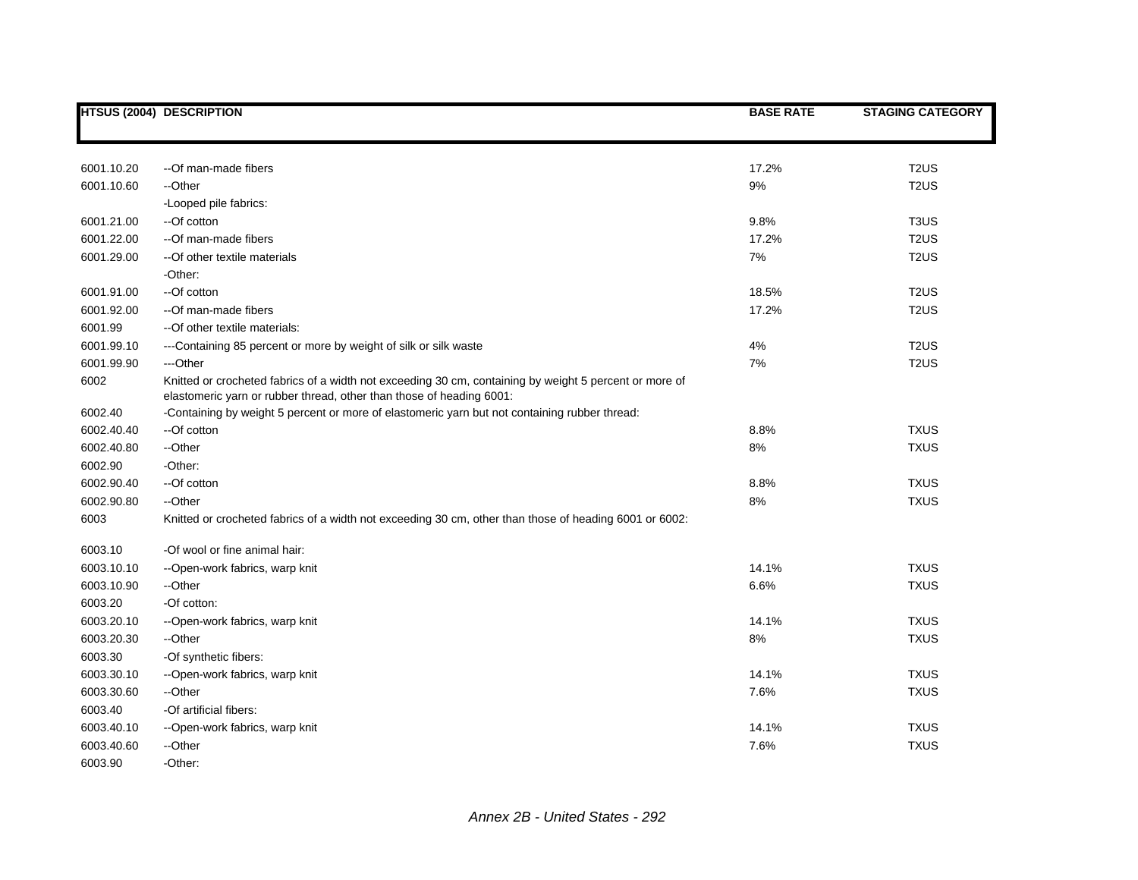|            | <b>HTSUS (2004) DESCRIPTION</b>                                                                                                                                                | <b>BASE RATE</b> | <b>STAGING CATEGORY</b>       |
|------------|--------------------------------------------------------------------------------------------------------------------------------------------------------------------------------|------------------|-------------------------------|
|            |                                                                                                                                                                                |                  |                               |
| 6001.10.20 | --Of man-made fibers                                                                                                                                                           | 17.2%            | T <sub>2</sub> US             |
| 6001.10.60 | --Other                                                                                                                                                                        | 9%               | T <sub>2</sub> US             |
|            | -Looped pile fabrics:                                                                                                                                                          |                  |                               |
| 6001.21.00 | --Of cotton                                                                                                                                                                    | 9.8%             | T <sub>3</sub> U <sub>S</sub> |
| 6001.22.00 | --Of man-made fibers                                                                                                                                                           | 17.2%            | T <sub>2</sub> US             |
| 6001.29.00 | -- Of other textile materials                                                                                                                                                  | 7%               | T <sub>2</sub> US             |
|            | -Other:                                                                                                                                                                        |                  |                               |
| 6001.91.00 | --Of cotton                                                                                                                                                                    | 18.5%            | T <sub>2</sub> US             |
| 6001.92.00 | --Of man-made fibers                                                                                                                                                           | 17.2%            | T <sub>2</sub> US             |
| 6001.99    | -- Of other textile materials:                                                                                                                                                 |                  |                               |
| 6001.99.10 | ---Containing 85 percent or more by weight of silk or silk waste                                                                                                               | 4%               | T <sub>2</sub> US             |
| 6001.99.90 | ---Other                                                                                                                                                                       | 7%               | T <sub>2</sub> US             |
| 6002       | Knitted or crocheted fabrics of a width not exceeding 30 cm, containing by weight 5 percent or more of<br>elastomeric yarn or rubber thread, other than those of heading 6001: |                  |                               |
| 6002.40    | -Containing by weight 5 percent or more of elastomeric yarn but not containing rubber thread:                                                                                  |                  |                               |
| 6002.40.40 | --Of cotton                                                                                                                                                                    | 8.8%             | <b>TXUS</b>                   |
| 6002.40.80 | --Other                                                                                                                                                                        | 8%               | <b>TXUS</b>                   |
| 6002.90    | -Other:                                                                                                                                                                        |                  |                               |
| 6002.90.40 | --Of cotton                                                                                                                                                                    | 8.8%             | <b>TXUS</b>                   |
| 6002.90.80 | --Other                                                                                                                                                                        | 8%               | <b>TXUS</b>                   |
| 6003       | Knitted or crocheted fabrics of a width not exceeding 30 cm, other than those of heading 6001 or 6002:                                                                         |                  |                               |
| 6003.10    | -Of wool or fine animal hair:                                                                                                                                                  |                  |                               |
| 6003.10.10 | --Open-work fabrics, warp knit                                                                                                                                                 | 14.1%            | <b>TXUS</b>                   |
| 6003.10.90 | --Other                                                                                                                                                                        | 6.6%             | <b>TXUS</b>                   |
| 6003.20    | -Of cotton:                                                                                                                                                                    |                  |                               |
| 6003.20.10 | --Open-work fabrics, warp knit                                                                                                                                                 | 14.1%            | <b>TXUS</b>                   |
| 6003.20.30 | --Other                                                                                                                                                                        | 8%               | <b>TXUS</b>                   |
| 6003.30    | -Of synthetic fibers:                                                                                                                                                          |                  |                               |
| 6003.30.10 | --Open-work fabrics, warp knit                                                                                                                                                 | 14.1%            | <b>TXUS</b>                   |
| 6003.30.60 | --Other                                                                                                                                                                        | 7.6%             | <b>TXUS</b>                   |
| 6003.40    | -Of artificial fibers:                                                                                                                                                         |                  |                               |
| 6003.40.10 | --Open-work fabrics, warp knit                                                                                                                                                 | 14.1%            | <b>TXUS</b>                   |
| 6003.40.60 | --Other                                                                                                                                                                        | 7.6%             | <b>TXUS</b>                   |
| 6003.90    | -Other:                                                                                                                                                                        |                  |                               |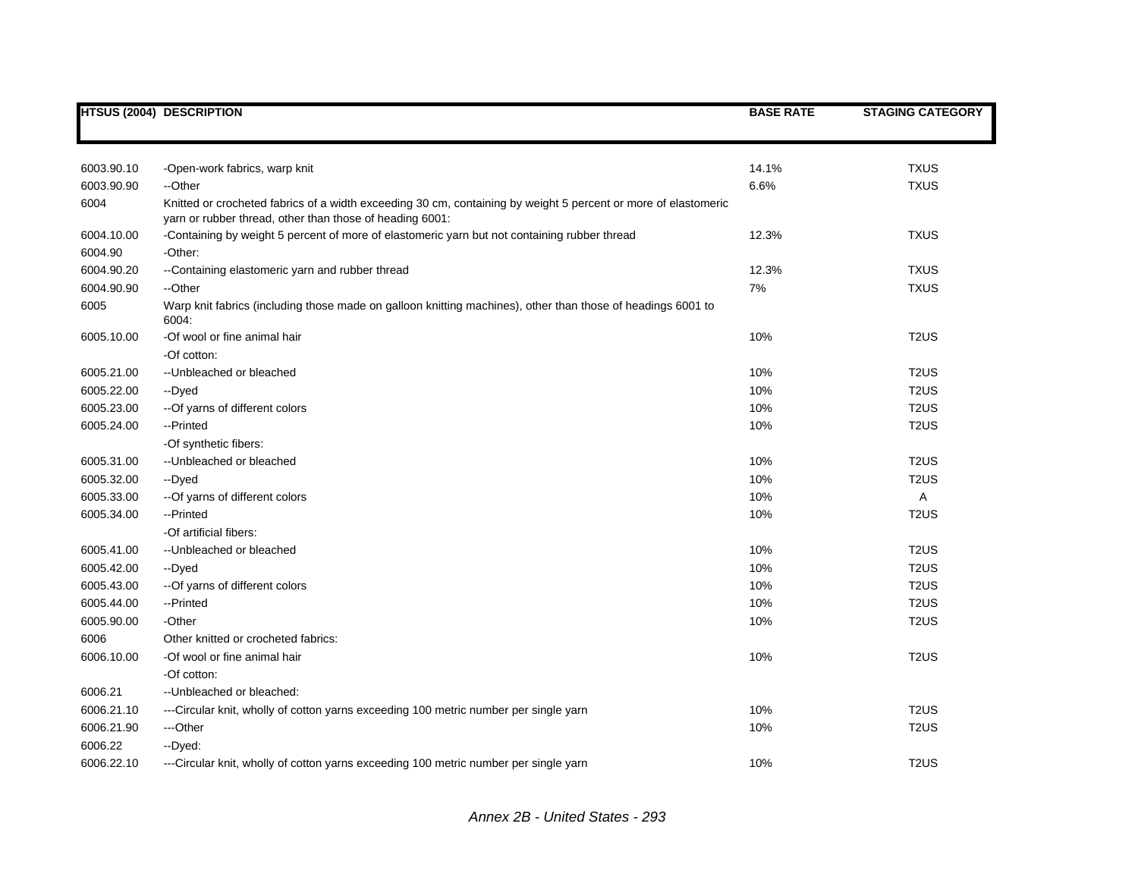|            | <b>HTSUS (2004) DESCRIPTION</b>                                                                                                                                            | <b>BASE RATE</b> | <b>STAGING CATEGORY</b> |
|------------|----------------------------------------------------------------------------------------------------------------------------------------------------------------------------|------------------|-------------------------|
|            |                                                                                                                                                                            |                  |                         |
| 6003.90.10 | -Open-work fabrics, warp knit                                                                                                                                              | 14.1%            | <b>TXUS</b>             |
| 6003.90.90 | --Other                                                                                                                                                                    | 6.6%             | <b>TXUS</b>             |
| 6004       | Knitted or crocheted fabrics of a width exceeding 30 cm, containing by weight 5 percent or more of elastomeric<br>yarn or rubber thread, other than those of heading 6001: |                  |                         |
| 6004.10.00 | -Containing by weight 5 percent of more of elastomeric yarn but not containing rubber thread                                                                               | 12.3%            | <b>TXUS</b>             |
| 6004.90    | -Other:                                                                                                                                                                    |                  |                         |
| 6004.90.20 | --Containing elastomeric yarn and rubber thread                                                                                                                            | 12.3%            | <b>TXUS</b>             |
| 6004.90.90 | --Other                                                                                                                                                                    | 7%               | <b>TXUS</b>             |
| 6005       | Warp knit fabrics (including those made on galloon knitting machines), other than those of headings 6001 to<br>6004:                                                       |                  |                         |
| 6005.10.00 | -Of wool or fine animal hair                                                                                                                                               | 10%              | T <sub>2</sub> US       |
|            | -Of cotton:                                                                                                                                                                |                  |                         |
| 6005.21.00 | -- Unbleached or bleached                                                                                                                                                  | 10%              | T <sub>2</sub> US       |
| 6005.22.00 | --Dyed                                                                                                                                                                     | 10%              | T <sub>2</sub> US       |
| 6005.23.00 | -- Of yarns of different colors                                                                                                                                            | 10%              | T <sub>2</sub> US       |
| 6005.24.00 | --Printed                                                                                                                                                                  | 10%              | T <sub>2</sub> US       |
|            | -Of synthetic fibers:                                                                                                                                                      |                  |                         |
| 6005.31.00 | -- Unbleached or bleached                                                                                                                                                  | 10%              | T <sub>2</sub> US       |
| 6005.32.00 | --Dyed                                                                                                                                                                     | 10%              | T <sub>2</sub> US       |
| 6005.33.00 | -- Of yarns of different colors                                                                                                                                            | 10%              | A                       |
| 6005.34.00 | --Printed                                                                                                                                                                  | 10%              | T <sub>2</sub> US       |
|            | -Of artificial fibers:                                                                                                                                                     |                  |                         |
| 6005.41.00 | --Unbleached or bleached                                                                                                                                                   | 10%              | T <sub>2</sub> US       |
| 6005.42.00 | --Dyed                                                                                                                                                                     | 10%              | T <sub>2</sub> US       |
| 6005.43.00 | -- Of yarns of different colors                                                                                                                                            | 10%              | T <sub>2</sub> US       |
| 6005.44.00 | --Printed                                                                                                                                                                  | 10%              | T <sub>2</sub> US       |
| 6005.90.00 | -Other                                                                                                                                                                     | 10%              | T <sub>2</sub> US       |
| 6006       | Other knitted or crocheted fabrics:                                                                                                                                        |                  |                         |
| 6006.10.00 | -Of wool or fine animal hair                                                                                                                                               | 10%              | T <sub>2</sub> US       |
|            | -Of cotton:                                                                                                                                                                |                  |                         |
| 6006.21    | -- Unbleached or bleached:                                                                                                                                                 |                  |                         |
| 6006.21.10 | ---Circular knit, wholly of cotton yarns exceeding 100 metric number per single yarn                                                                                       | 10%              | T <sub>2</sub> US       |
| 6006.21.90 | ---Other                                                                                                                                                                   | 10%              | T <sub>2</sub> US       |
| 6006.22    | --Dyed:                                                                                                                                                                    |                  |                         |
| 6006.22.10 | ---Circular knit, wholly of cotton yarns exceeding 100 metric number per single yarn                                                                                       | 10%              | T <sub>2</sub> US       |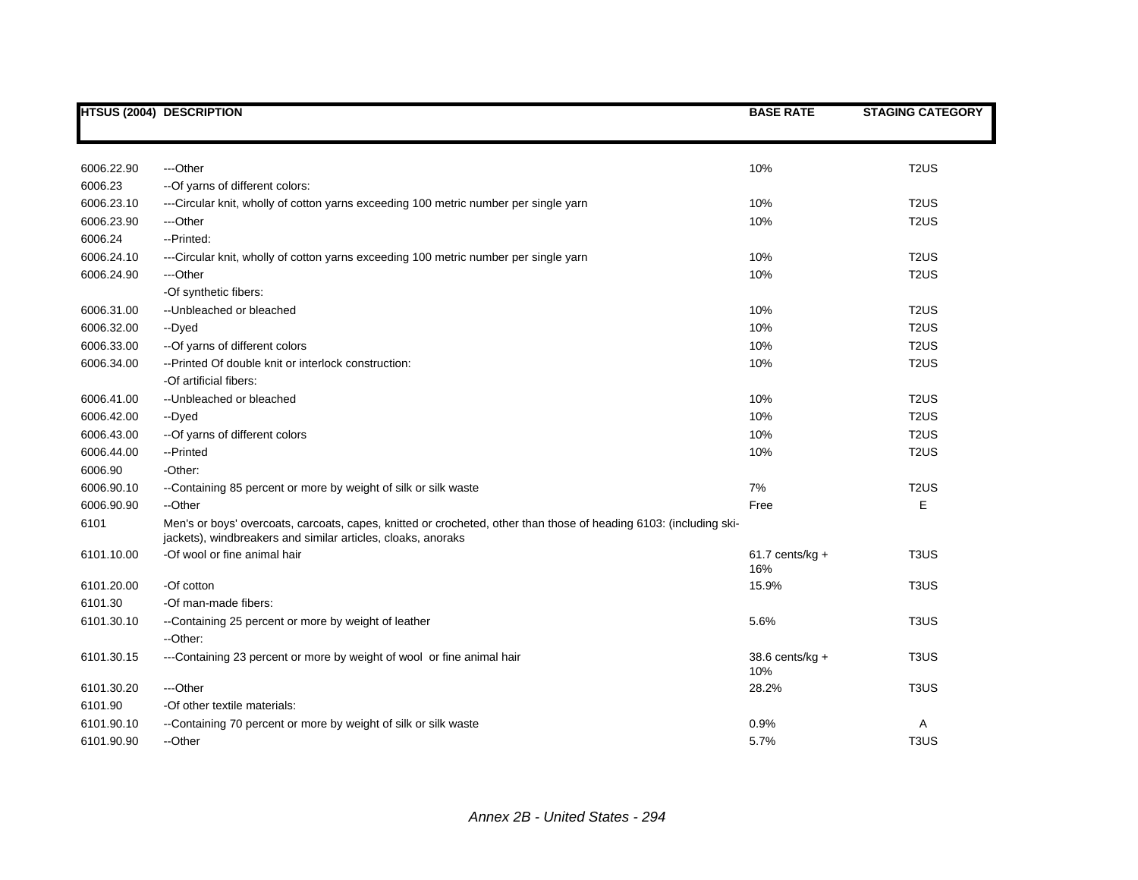|            | <b>HTSUS (2004) DESCRIPTION</b>                                                                                                                                                    | <b>BASE RATE</b>          | <b>STAGING CATEGORY</b>       |
|------------|------------------------------------------------------------------------------------------------------------------------------------------------------------------------------------|---------------------------|-------------------------------|
|            |                                                                                                                                                                                    |                           |                               |
| 6006.22.90 | ---Other                                                                                                                                                                           | 10%                       | T <sub>2</sub> US             |
| 6006.23    | -- Of yarns of different colors:                                                                                                                                                   |                           |                               |
| 6006.23.10 | ---Circular knit, wholly of cotton yarns exceeding 100 metric number per single yarn                                                                                               | 10%                       | T <sub>2</sub> US             |
| 6006.23.90 | ---Other                                                                                                                                                                           | 10%                       | T <sub>2</sub> US             |
| 6006.24    | --Printed:                                                                                                                                                                         |                           |                               |
| 6006.24.10 | ---Circular knit, wholly of cotton yarns exceeding 100 metric number per single yarn                                                                                               | 10%                       | T <sub>2</sub> US             |
| 6006.24.90 | ---Other                                                                                                                                                                           | 10%                       | T <sub>2</sub> US             |
|            | -Of synthetic fibers:                                                                                                                                                              |                           |                               |
| 6006.31.00 | --Unbleached or bleached                                                                                                                                                           | 10%                       | T <sub>2</sub> US             |
| 6006.32.00 | --Dyed                                                                                                                                                                             | 10%                       | T <sub>2</sub> US             |
| 6006.33.00 | -- Of yarns of different colors                                                                                                                                                    | 10%                       | T <sub>2</sub> US             |
| 6006.34.00 | -- Printed Of double knit or interlock construction:                                                                                                                               | 10%                       | T <sub>2</sub> US             |
|            | -Of artificial fibers:                                                                                                                                                             |                           |                               |
| 6006.41.00 | -- Unbleached or bleached                                                                                                                                                          | 10%                       | T <sub>2</sub> US             |
| 6006.42.00 | --Dyed                                                                                                                                                                             | 10%                       | T <sub>2</sub> US             |
| 6006.43.00 | -- Of yarns of different colors                                                                                                                                                    | 10%                       | T <sub>2</sub> US             |
| 6006.44.00 | --Printed                                                                                                                                                                          | 10%                       | T <sub>2</sub> US             |
| 6006.90    | -Other:                                                                                                                                                                            |                           |                               |
| 6006.90.10 | --Containing 85 percent or more by weight of silk or silk waste                                                                                                                    | 7%                        | T <sub>2</sub> US             |
| 6006.90.90 | --Other                                                                                                                                                                            | Free                      | E                             |
| 6101       | Men's or boys' overcoats, carcoats, capes, knitted or crocheted, other than those of heading 6103: (including ski-<br>jackets), windbreakers and similar articles, cloaks, anoraks |                           |                               |
| 6101.10.00 | -Of wool or fine animal hair                                                                                                                                                       | $61.7$ cents/kg +<br>16%  | T <sub>3</sub> US             |
| 6101.20.00 | -Of cotton                                                                                                                                                                         | 15.9%                     | T <sub>3</sub> US             |
| 6101.30    | -Of man-made fibers:                                                                                                                                                               |                           |                               |
| 6101.30.10 | --Containing 25 percent or more by weight of leather                                                                                                                               | 5.6%                      | T <sub>3</sub> US             |
|            | --Other:                                                                                                                                                                           |                           |                               |
| 6101.30.15 | ---Containing 23 percent or more by weight of wool or fine animal hair                                                                                                             | 38.6 cents/ $kg +$<br>10% | T <sub>3</sub> US             |
| 6101.30.20 | ---Other                                                                                                                                                                           | 28.2%                     | T <sub>3</sub> US             |
| 6101.90    | -Of other textile materials:                                                                                                                                                       |                           |                               |
| 6101.90.10 | --Containing 70 percent or more by weight of silk or silk waste                                                                                                                    | 0.9%                      | Α                             |
| 6101.90.90 | --Other                                                                                                                                                                            | 5.7%                      | T <sub>3</sub> U <sub>S</sub> |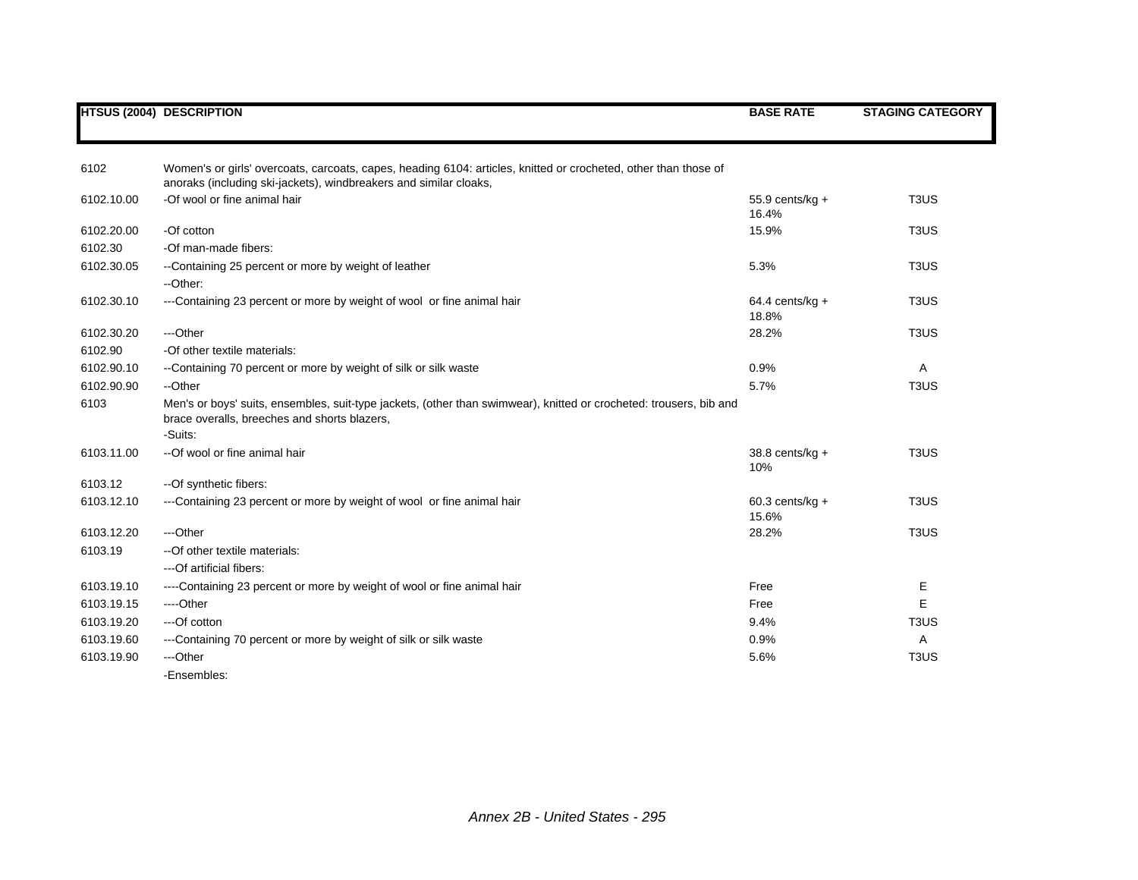|            | <b>HTSUS (2004) DESCRIPTION</b>                                                                                                                                                      | <b>BASE RATE</b>           | <b>STAGING CATEGORY</b>       |
|------------|--------------------------------------------------------------------------------------------------------------------------------------------------------------------------------------|----------------------------|-------------------------------|
|            |                                                                                                                                                                                      |                            |                               |
| 6102       | Women's or girls' overcoats, carcoats, capes, heading 6104: articles, knitted or crocheted, other than those of<br>anoraks (including ski-jackets), windbreakers and similar cloaks, |                            |                               |
| 6102.10.00 | -Of wool or fine animal hair                                                                                                                                                         | $55.9$ cents/kg +<br>16.4% | T <sub>3</sub> U <sub>S</sub> |
| 6102.20.00 | -Of cotton                                                                                                                                                                           | 15.9%                      | T <sub>3</sub> US             |
| 6102.30    | -Of man-made fibers:                                                                                                                                                                 |                            |                               |
| 6102.30.05 | --Containing 25 percent or more by weight of leather                                                                                                                                 | 5.3%                       | T <sub>3</sub> US             |
|            | --Other:                                                                                                                                                                             |                            |                               |
| 6102.30.10 | ---Containing 23 percent or more by weight of wool or fine animal hair                                                                                                               | $64.4$ cents/kg +<br>18.8% | T <sub>3</sub> US             |
| 6102.30.20 | ---Other                                                                                                                                                                             | 28.2%                      | T <sub>3</sub> US             |
| 6102.90    | -Of other textile materials:                                                                                                                                                         |                            |                               |
| 6102.90.10 | --Containing 70 percent or more by weight of silk or silk waste                                                                                                                      | 0.9%                       | A                             |
| 6102.90.90 | --Other                                                                                                                                                                              | 5.7%                       | T <sub>3</sub> US             |
| 6103       | Men's or boys' suits, ensembles, suit-type jackets, (other than swimwear), knitted or crocheted: trousers, bib and<br>brace overalls, breeches and shorts blazers,<br>-Suits:        |                            |                               |
| 6103.11.00 | --Of wool or fine animal hair                                                                                                                                                        |                            | T <sub>3</sub> US             |
|            |                                                                                                                                                                                      | 38.8 cents/kg +<br>10%     |                               |
| 6103.12    | --Of synthetic fibers:                                                                                                                                                               |                            |                               |
| 6103.12.10 | ---Containing 23 percent or more by weight of wool or fine animal hair                                                                                                               | $60.3$ cents/kg +<br>15.6% | T <sub>3</sub> U <sub>S</sub> |
| 6103.12.20 | ---Other                                                                                                                                                                             | 28.2%                      | T <sub>3</sub> US             |
| 6103.19    | -- Of other textile materials:                                                                                                                                                       |                            |                               |
|            | ---Of artificial fibers:                                                                                                                                                             |                            |                               |
| 6103.19.10 | ----Containing 23 percent or more by weight of wool or fine animal hair                                                                                                              | Free                       | Ε                             |
| 6103.19.15 | ----Other                                                                                                                                                                            | Free                       | E                             |
| 6103.19.20 | ---Of cotton                                                                                                                                                                         | 9.4%                       | T <sub>3</sub> U <sub>S</sub> |
| 6103.19.60 | ---Containing 70 percent or more by weight of silk or silk waste                                                                                                                     | 0.9%                       | Α                             |
| 6103.19.90 | ---Other                                                                                                                                                                             | 5.6%                       | T <sub>3</sub> U <sub>S</sub> |
|            | -Ensembles:                                                                                                                                                                          |                            |                               |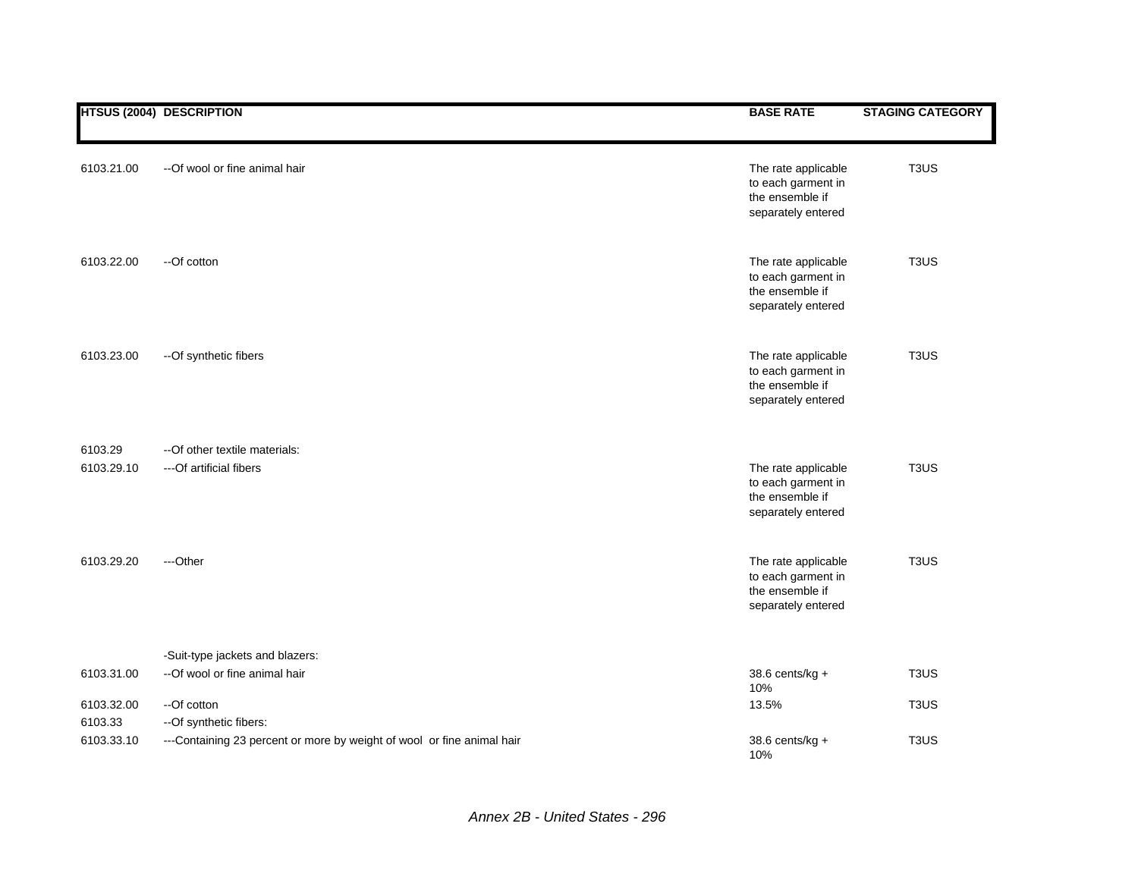|                       | <b>HTSUS (2004) DESCRIPTION</b>                                                                   | <b>BASE RATE</b>                                                                   | <b>STAGING CATEGORY</b>       |
|-----------------------|---------------------------------------------------------------------------------------------------|------------------------------------------------------------------------------------|-------------------------------|
|                       |                                                                                                   |                                                                                    |                               |
| 6103.21.00            | --Of wool or fine animal hair                                                                     | The rate applicable<br>to each garment in<br>the ensemble if<br>separately entered | T <sub>3</sub> U <sub>S</sub> |
| 6103.22.00            | --Of cotton                                                                                       | The rate applicable<br>to each garment in<br>the ensemble if<br>separately entered | T <sub>3</sub> US             |
| 6103.23.00            | --Of synthetic fibers                                                                             | The rate applicable<br>to each garment in<br>the ensemble if<br>separately entered | T <sub>3</sub> US             |
| 6103.29               | -- Of other textile materials:                                                                    |                                                                                    |                               |
| 6103.29.10            | --- Of artificial fibers                                                                          | The rate applicable<br>to each garment in<br>the ensemble if<br>separately entered | T <sub>3</sub> US             |
| 6103.29.20            | ---Other                                                                                          | The rate applicable<br>to each garment in<br>the ensemble if<br>separately entered | T <sub>3</sub> US             |
|                       | -Suit-type jackets and blazers:                                                                   |                                                                                    |                               |
| 6103.31.00            | --Of wool or fine animal hair                                                                     | 38.6 cents/kg +<br>10%                                                             | T <sub>3</sub> US             |
| 6103.32.00            | --Of cotton                                                                                       | 13.5%                                                                              | T <sub>3</sub> US             |
| 6103.33<br>6103.33.10 | -- Of synthetic fibers:<br>---Containing 23 percent or more by weight of wool or fine animal hair | 38.6 cents/kg +<br>10%                                                             | T <sub>3</sub> U <sub>S</sub> |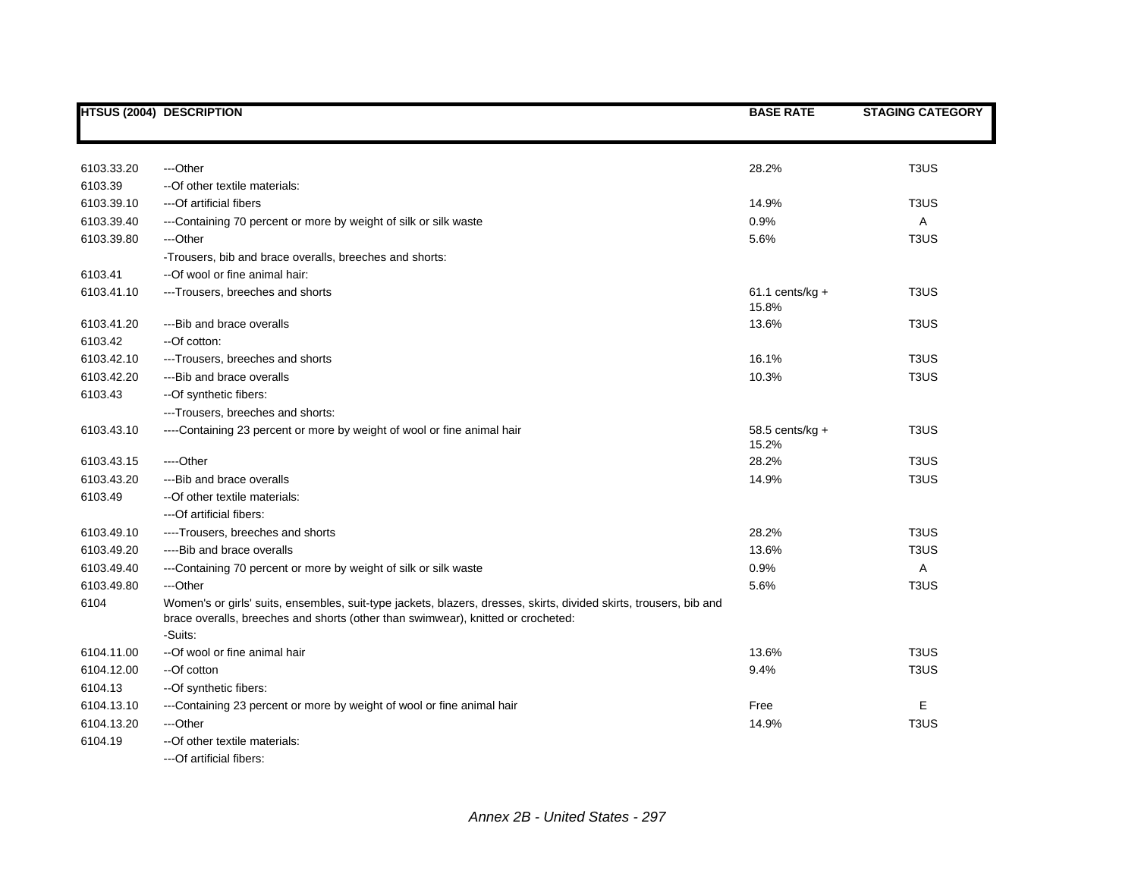|            | <b>HTSUS (2004) DESCRIPTION</b>                                                                                                                                                                        | <b>BASE RATE</b>            | <b>STAGING CATEGORY</b>       |
|------------|--------------------------------------------------------------------------------------------------------------------------------------------------------------------------------------------------------|-----------------------------|-------------------------------|
|            |                                                                                                                                                                                                        |                             |                               |
| 6103.33.20 | ---Other                                                                                                                                                                                               | 28.2%                       | T <sub>3</sub> US             |
| 6103.39    | -- Of other textile materials:                                                                                                                                                                         |                             |                               |
| 6103.39.10 | ---Of artificial fibers                                                                                                                                                                                | 14.9%                       | T <sub>3</sub> U <sub>S</sub> |
| 6103.39.40 | ---Containing 70 percent or more by weight of silk or silk waste                                                                                                                                       | 0.9%                        | A                             |
| 6103.39.80 | ---Other                                                                                                                                                                                               | 5.6%                        | T <sub>3</sub> US             |
|            | -Trousers, bib and brace overalls, breeches and shorts:                                                                                                                                                |                             |                               |
| 6103.41    | --Of wool or fine animal hair:                                                                                                                                                                         |                             |                               |
| 6103.41.10 | ---Trousers, breeches and shorts                                                                                                                                                                       | $61.1$ cents/kg +<br>15.8%  | T <sub>3</sub> US             |
| 6103.41.20 | ---Bib and brace overalls                                                                                                                                                                              | 13.6%                       | T <sub>3</sub> U <sub>S</sub> |
| 6103.42    | --Of cotton:                                                                                                                                                                                           |                             |                               |
| 6103.42.10 | ---Trousers, breeches and shorts                                                                                                                                                                       | 16.1%                       | T <sub>3</sub> US             |
| 6103.42.20 | ---Bib and brace overalls                                                                                                                                                                              | 10.3%                       | T <sub>3</sub> US             |
| 6103.43    | --Of synthetic fibers:                                                                                                                                                                                 |                             |                               |
|            | ---Trousers, breeches and shorts:                                                                                                                                                                      |                             |                               |
| 6103.43.10 | ----Containing 23 percent or more by weight of wool or fine animal hair                                                                                                                                | 58.5 cents/ $kg +$<br>15.2% | T <sub>3</sub> US             |
| 6103.43.15 | ----Other                                                                                                                                                                                              | 28.2%                       | T <sub>3</sub> US             |
| 6103.43.20 | ---Bib and brace overalls                                                                                                                                                                              | 14.9%                       | T <sub>3</sub> US             |
| 6103.49    | -- Of other textile materials:                                                                                                                                                                         |                             |                               |
|            | ---Of artificial fibers:                                                                                                                                                                               |                             |                               |
| 6103.49.10 | ----Trousers, breeches and shorts                                                                                                                                                                      | 28.2%                       | T <sub>3</sub> US             |
| 6103.49.20 | ----Bib and brace overalls                                                                                                                                                                             | 13.6%                       | T <sub>3</sub> U <sub>S</sub> |
| 6103.49.40 | ---Containing 70 percent or more by weight of silk or silk waste                                                                                                                                       | 0.9%                        | Α                             |
| 6103.49.80 | ---Other                                                                                                                                                                                               | 5.6%                        | T <sub>3</sub> US             |
| 6104       | Women's or girls' suits, ensembles, suit-type jackets, blazers, dresses, skirts, divided skirts, trousers, bib and<br>brace overalls, breeches and shorts (other than swimwear), knitted or crocheted: |                             |                               |
|            | -Suits:                                                                                                                                                                                                |                             |                               |
| 6104.11.00 | --Of wool or fine animal hair                                                                                                                                                                          | 13.6%                       | T <sub>3</sub> US             |
| 6104.12.00 | --Of cotton                                                                                                                                                                                            | 9.4%                        | T <sub>3</sub> US             |
| 6104.13    | --Of synthetic fibers:                                                                                                                                                                                 |                             |                               |
| 6104.13.10 | ---Containing 23 percent or more by weight of wool or fine animal hair                                                                                                                                 | Free                        | Е                             |
| 6104.13.20 | ---Other                                                                                                                                                                                               | 14.9%                       | T <sub>3</sub> U <sub>S</sub> |
| 6104.19    | --Of other textile materials:<br>---Of artificial fibers:                                                                                                                                              |                             |                               |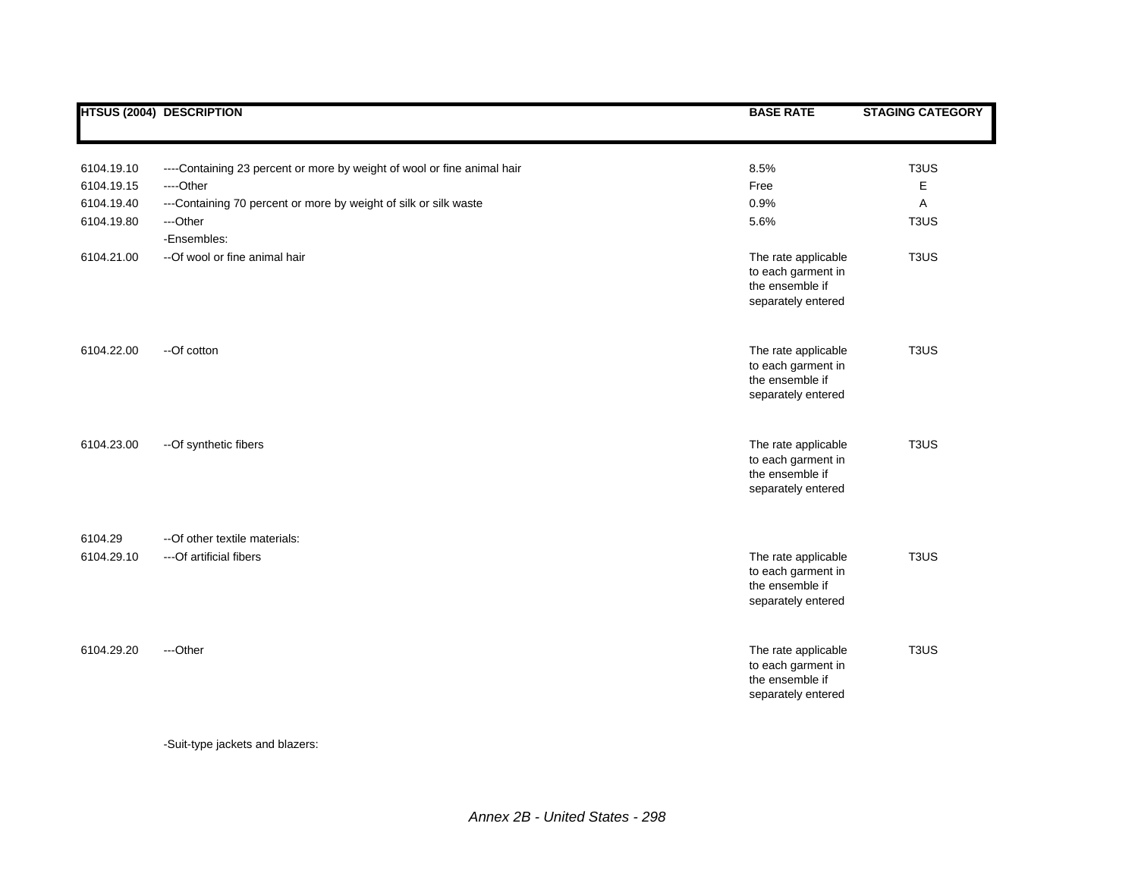|                       | <b>HTSUS (2004) DESCRIPTION</b>                                         | <b>BASE RATE</b>                                                                   | <b>STAGING CATEGORY</b>       |
|-----------------------|-------------------------------------------------------------------------|------------------------------------------------------------------------------------|-------------------------------|
|                       |                                                                         |                                                                                    |                               |
| 6104.19.10            | ----Containing 23 percent or more by weight of wool or fine animal hair | 8.5%                                                                               | T <sub>3</sub> US             |
| 6104.19.15            | ----Other                                                               | Free                                                                               | Е                             |
| 6104.19.40            | ---Containing 70 percent or more by weight of silk or silk waste        | 0.9%                                                                               | Α                             |
| 6104.19.80            | ---Other                                                                | 5.6%                                                                               | T <sub>3</sub> US             |
|                       | -Ensembles:                                                             |                                                                                    |                               |
| 6104.21.00            | --Of wool or fine animal hair                                           | The rate applicable<br>to each garment in<br>the ensemble if<br>separately entered | T <sub>3</sub> US             |
| 6104.22.00            | --Of cotton                                                             | The rate applicable<br>to each garment in<br>the ensemble if<br>separately entered | T <sub>3</sub> U <sub>S</sub> |
| 6104.23.00            | -- Of synthetic fibers                                                  | The rate applicable<br>to each garment in<br>the ensemble if<br>separately entered | T <sub>3</sub> U <sub>S</sub> |
|                       |                                                                         |                                                                                    |                               |
| 6104.29<br>6104.29.10 | --Of other textile materials:<br>---Of artificial fibers                | The rate applicable<br>to each garment in<br>the ensemble if<br>separately entered | T <sub>3</sub> US             |
| 6104.29.20            | ---Other                                                                | The rate applicable<br>to each garment in<br>the ensemble if<br>separately entered | T <sub>3</sub> US             |

-Suit-type jackets and blazers: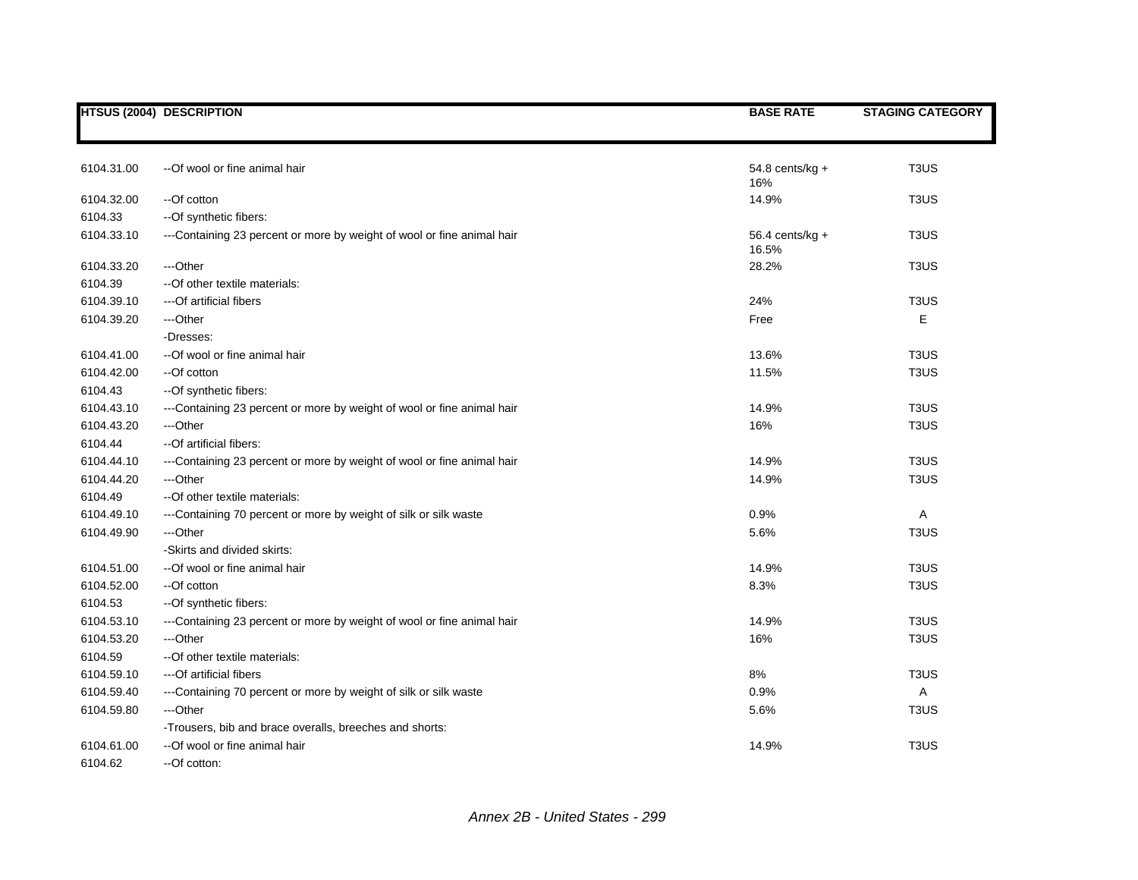|            | <b>HTSUS (2004) DESCRIPTION</b>                                        | <b>BASE RATE</b>           | <b>STAGING CATEGORY</b>       |
|------------|------------------------------------------------------------------------|----------------------------|-------------------------------|
|            |                                                                        |                            |                               |
| 6104.31.00 | --Of wool or fine animal hair                                          | $54.8$ cents/kg +<br>16%   | T <sub>3</sub> U <sub>S</sub> |
| 6104.32.00 | --Of cotton                                                            | 14.9%                      | T <sub>3</sub> US             |
| 6104.33    | -- Of synthetic fibers:                                                |                            |                               |
| 6104.33.10 | ---Containing 23 percent or more by weight of wool or fine animal hair | $56.4$ cents/kg +<br>16.5% | T <sub>3</sub> U <sub>S</sub> |
| 6104.33.20 | ---Other                                                               | 28.2%                      | T <sub>3</sub> US             |
| 6104.39    | -- Of other textile materials:                                         |                            |                               |
| 6104.39.10 | ---Of artificial fibers                                                | 24%                        | T <sub>3</sub> US             |
| 6104.39.20 | ---Other                                                               | Free                       | Е                             |
|            | -Dresses:                                                              |                            |                               |
| 6104.41.00 | --Of wool or fine animal hair                                          | 13.6%                      | T <sub>3</sub> U <sub>S</sub> |
| 6104.42.00 | --Of cotton                                                            | 11.5%                      | T <sub>3</sub> US             |
| 6104.43    | -- Of synthetic fibers:                                                |                            |                               |
| 6104.43.10 | ---Containing 23 percent or more by weight of wool or fine animal hair | 14.9%                      | T <sub>3</sub> US             |
| 6104.43.20 | ---Other                                                               | 16%                        | T <sub>3</sub> U <sub>S</sub> |
| 6104.44    | --Of artificial fibers:                                                |                            |                               |
| 6104.44.10 | ---Containing 23 percent or more by weight of wool or fine animal hair | 14.9%                      | T <sub>3</sub> U <sub>S</sub> |
| 6104.44.20 | ---Other                                                               | 14.9%                      | T <sub>3</sub> US             |
| 6104.49    | -- Of other textile materials:                                         |                            |                               |
| 6104.49.10 | ---Containing 70 percent or more by weight of silk or silk waste       | 0.9%                       | A                             |
| 6104.49.90 | ---Other                                                               | 5.6%                       | T <sub>3</sub> U <sub>S</sub> |
|            | -Skirts and divided skirts:                                            |                            |                               |
| 6104.51.00 | -- Of wool or fine animal hair                                         | 14.9%                      | T <sub>3</sub> US             |
| 6104.52.00 | --Of cotton                                                            | 8.3%                       | T <sub>3</sub> US             |
| 6104.53    | --Of synthetic fibers:                                                 |                            |                               |
| 6104.53.10 | ---Containing 23 percent or more by weight of wool or fine animal hair | 14.9%                      | T <sub>3</sub> US             |
| 6104.53.20 | ---Other                                                               | 16%                        | T <sub>3</sub> US             |
| 6104.59    | -- Of other textile materials:                                         |                            |                               |
| 6104.59.10 | ---Of artificial fibers                                                | 8%                         | T <sub>3</sub> US             |
| 6104.59.40 | ---Containing 70 percent or more by weight of silk or silk waste       | 0.9%                       | Α                             |
| 6104.59.80 | ---Other                                                               | 5.6%                       | T <sub>3</sub> US             |
|            | -Trousers, bib and brace overalls, breeches and shorts:                |                            |                               |
| 6104.61.00 | --Of wool or fine animal hair                                          | 14.9%                      | T <sub>3</sub> U <sub>S</sub> |
| 6104.62    | --Of cotton:                                                           |                            |                               |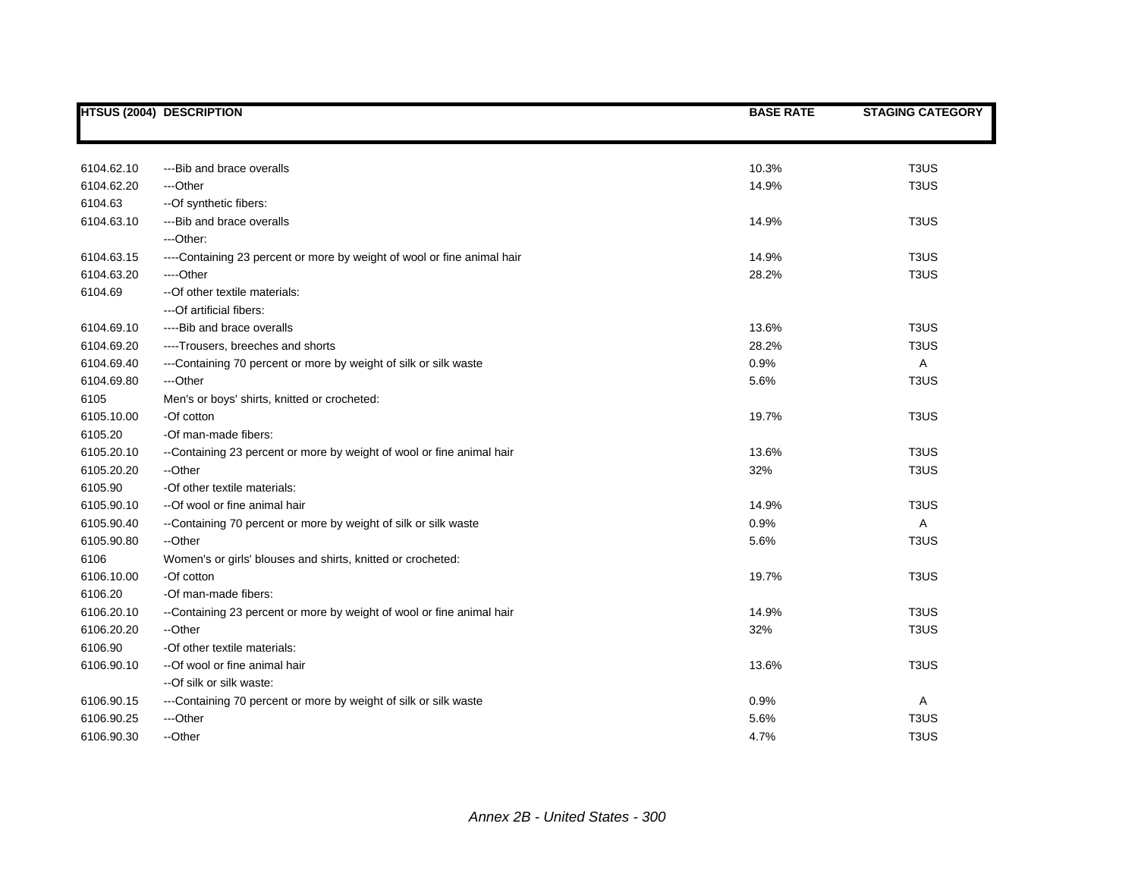|            | <b>HTSUS (2004) DESCRIPTION</b>                                         | <b>BASE RATE</b> | <b>STAGING CATEGORY</b>       |
|------------|-------------------------------------------------------------------------|------------------|-------------------------------|
|            |                                                                         |                  |                               |
|            |                                                                         |                  |                               |
| 6104.62.10 | ---Bib and brace overalls                                               | 10.3%            | T <sub>3</sub> U <sub>S</sub> |
| 6104.62.20 | ---Other                                                                | 14.9%            | T <sub>3</sub> U <sub>S</sub> |
| 6104.63    | -- Of synthetic fibers:                                                 |                  |                               |
| 6104.63.10 | ---Bib and brace overalls                                               | 14.9%            | T <sub>3</sub> U <sub>S</sub> |
|            | ---Other:                                                               |                  |                               |
| 6104.63.15 | ----Containing 23 percent or more by weight of wool or fine animal hair | 14.9%            | T <sub>3</sub> U <sub>S</sub> |
| 6104.63.20 | ----Other                                                               | 28.2%            | T <sub>3</sub> US             |
| 6104.69    | -- Of other textile materials:                                          |                  |                               |
|            | ---Of artificial fibers:                                                |                  |                               |
| 6104.69.10 | ----Bib and brace overalls                                              | 13.6%            | T <sub>3</sub> U <sub>S</sub> |
| 6104.69.20 | ----Trousers, breeches and shorts                                       | 28.2%            | T <sub>3</sub> US             |
| 6104.69.40 | ---Containing 70 percent or more by weight of silk or silk waste        | 0.9%             | A                             |
| 6104.69.80 | ---Other                                                                | 5.6%             | T <sub>3</sub> US             |
| 6105       | Men's or boys' shirts, knitted or crocheted:                            |                  |                               |
| 6105.10.00 | -Of cotton                                                              | 19.7%            | T <sub>3</sub> US             |
| 6105.20    | -Of man-made fibers:                                                    |                  |                               |
| 6105.20.10 | --Containing 23 percent or more by weight of wool or fine animal hair   | 13.6%            | T <sub>3</sub> U <sub>S</sub> |
| 6105.20.20 | --Other                                                                 | 32%              | T <sub>3</sub> U <sub>S</sub> |
| 6105.90    | -Of other textile materials:                                            |                  |                               |
| 6105.90.10 | --Of wool or fine animal hair                                           | 14.9%            | T <sub>3</sub> U <sub>S</sub> |
| 6105.90.40 | --Containing 70 percent or more by weight of silk or silk waste         | 0.9%             | A                             |
| 6105.90.80 | --Other                                                                 | 5.6%             | T <sub>3</sub> US             |
| 6106       | Women's or girls' blouses and shirts, knitted or crocheted:             |                  |                               |
| 6106.10.00 | -Of cotton                                                              | 19.7%            | T <sub>3</sub> U <sub>S</sub> |
| 6106.20    | -Of man-made fibers:                                                    |                  |                               |
| 6106.20.10 | --Containing 23 percent or more by weight of wool or fine animal hair   | 14.9%            | T <sub>3</sub> U <sub>S</sub> |
| 6106.20.20 | --Other                                                                 | 32%              | T <sub>3</sub> US             |
| 6106.90    | -Of other textile materials:                                            |                  |                               |
| 6106.90.10 | --Of wool or fine animal hair                                           | 13.6%            | T <sub>3</sub> U <sub>S</sub> |
|            | --Of silk or silk waste:                                                |                  |                               |
| 6106.90.15 | ---Containing 70 percent or more by weight of silk or silk waste        | 0.9%             | A                             |
| 6106.90.25 | ---Other                                                                | 5.6%             | T <sub>3</sub> U <sub>S</sub> |
| 6106.90.30 | --Other                                                                 | 4.7%             | T <sub>3</sub> U <sub>S</sub> |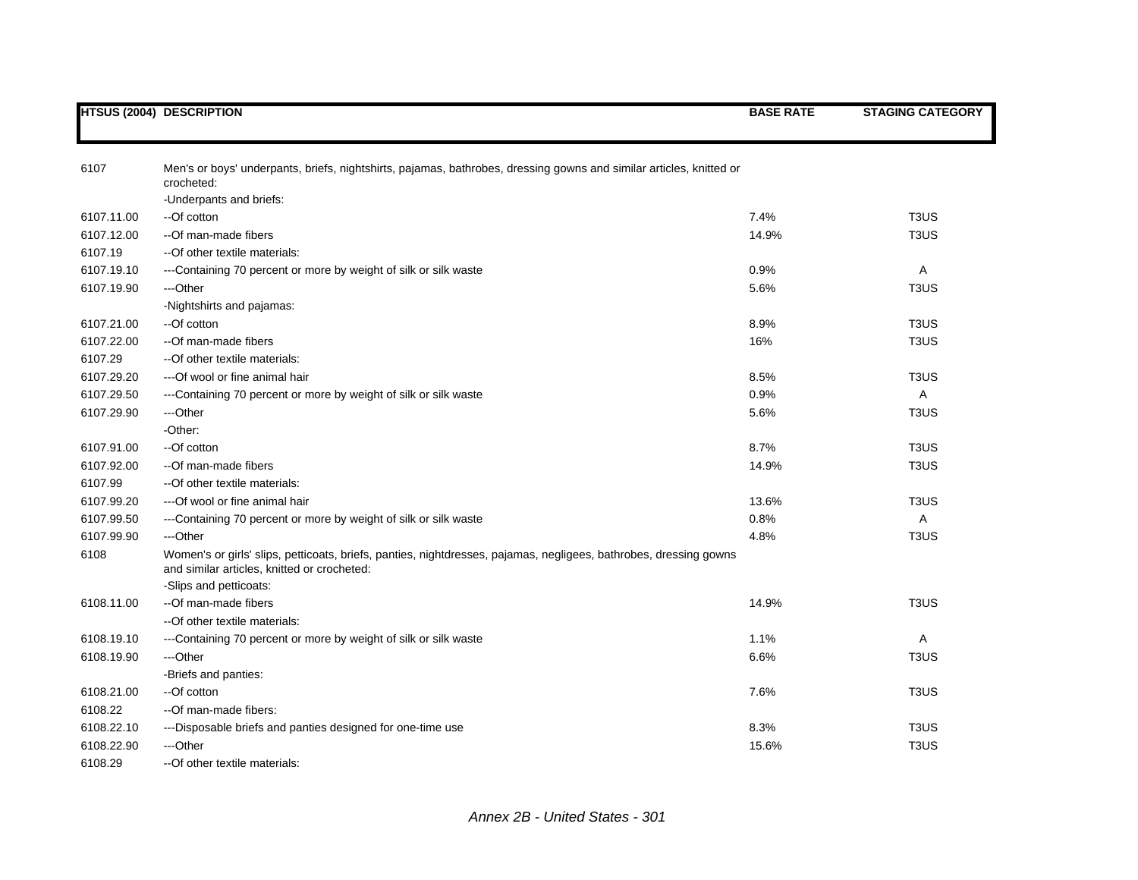|            | <b>HTSUS (2004) DESCRIPTION</b>                                                                                                                                  | <b>BASE RATE</b> | <b>STAGING CATEGORY</b>       |
|------------|------------------------------------------------------------------------------------------------------------------------------------------------------------------|------------------|-------------------------------|
|            |                                                                                                                                                                  |                  |                               |
| 6107       | Men's or boys' underpants, briefs, nightshirts, pajamas, bathrobes, dressing gowns and similar articles, knitted or<br>crocheted:                                |                  |                               |
|            | -Underpants and briefs:                                                                                                                                          |                  |                               |
| 6107.11.00 | --Of cotton                                                                                                                                                      | 7.4%             | T <sub>3</sub> US             |
| 6107.12.00 | --Of man-made fibers                                                                                                                                             | 14.9%            | T <sub>3</sub> US             |
| 6107.19    | -- Of other textile materials:                                                                                                                                   |                  |                               |
| 6107.19.10 | ---Containing 70 percent or more by weight of silk or silk waste                                                                                                 | 0.9%             | Α                             |
| 6107.19.90 | ---Other                                                                                                                                                         | 5.6%             | T <sub>3</sub> US             |
|            | -Nightshirts and pajamas:                                                                                                                                        |                  |                               |
| 6107.21.00 | --Of cotton                                                                                                                                                      | 8.9%             | T <sub>3</sub> U <sub>S</sub> |
| 6107.22.00 | --Of man-made fibers                                                                                                                                             | 16%              | T <sub>3</sub> US             |
| 6107.29    | -- Of other textile materials:                                                                                                                                   |                  |                               |
| 6107.29.20 | --- Of wool or fine animal hair                                                                                                                                  | 8.5%             | T <sub>3</sub> U <sub>S</sub> |
| 6107.29.50 | ---Containing 70 percent or more by weight of silk or silk waste                                                                                                 | 0.9%             | Α                             |
| 6107.29.90 | ---Other                                                                                                                                                         | 5.6%             | T <sub>3</sub> US             |
|            | -Other:                                                                                                                                                          |                  |                               |
| 6107.91.00 | --Of cotton                                                                                                                                                      | 8.7%             | T <sub>3</sub> US             |
| 6107.92.00 | --Of man-made fibers                                                                                                                                             | 14.9%            | T <sub>3</sub> US             |
| 6107.99    | -- Of other textile materials:                                                                                                                                   |                  |                               |
| 6107.99.20 | --- Of wool or fine animal hair                                                                                                                                  | 13.6%            | T <sub>3</sub> US             |
| 6107.99.50 | ---Containing 70 percent or more by weight of silk or silk waste                                                                                                 | 0.8%             | A                             |
| 6107.99.90 | ---Other                                                                                                                                                         | 4.8%             | T <sub>3</sub> U <sub>S</sub> |
| 6108       | Women's or girls' slips, petticoats, briefs, panties, nightdresses, pajamas, negligees, bathrobes, dressing gowns<br>and similar articles, knitted or crocheted: |                  |                               |
|            | -Slips and petticoats:                                                                                                                                           |                  |                               |
| 6108.11.00 | --Of man-made fibers                                                                                                                                             | 14.9%            | T <sub>3</sub> US             |
|            | -- Of other textile materials:                                                                                                                                   |                  |                               |
| 6108.19.10 | ---Containing 70 percent or more by weight of silk or silk waste                                                                                                 | 1.1%             | Α                             |
| 6108.19.90 | ---Other                                                                                                                                                         | 6.6%             | T <sub>3</sub> U <sub>S</sub> |
|            | -Briefs and panties:                                                                                                                                             |                  |                               |
| 6108.21.00 | --Of cotton                                                                                                                                                      | 7.6%             | T <sub>3</sub> U <sub>S</sub> |
| 6108.22    | --Of man-made fibers:                                                                                                                                            |                  |                               |
| 6108.22.10 | ---Disposable briefs and panties designed for one-time use                                                                                                       | 8.3%             | T <sub>3</sub> U <sub>S</sub> |
| 6108.22.90 | ---Other                                                                                                                                                         | 15.6%            | T <sub>3</sub> US             |
| 6108.29    | --Of other textile materials:                                                                                                                                    |                  |                               |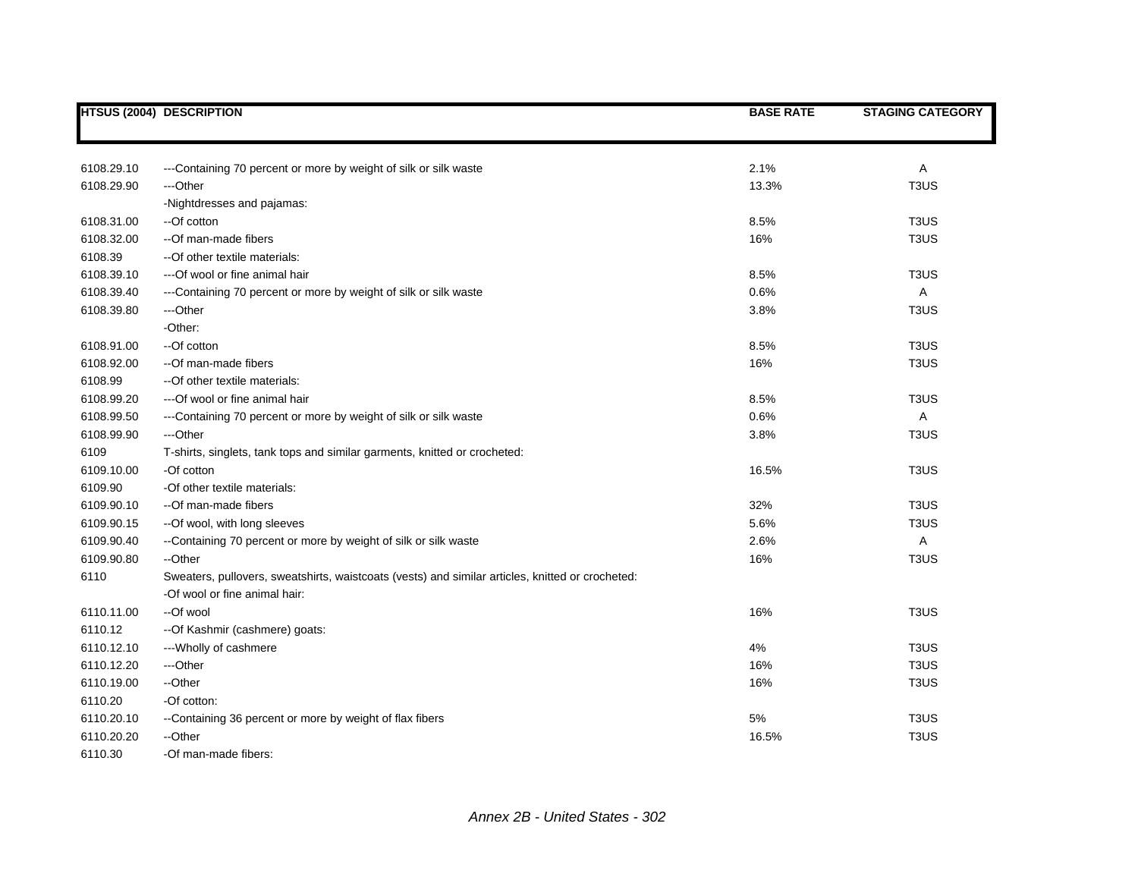|            | <b>HTSUS (2004) DESCRIPTION</b>                                                                  | <b>BASE RATE</b> | <b>STAGING CATEGORY</b>       |
|------------|--------------------------------------------------------------------------------------------------|------------------|-------------------------------|
|            |                                                                                                  |                  |                               |
| 6108.29.10 | ---Containing 70 percent or more by weight of silk or silk waste                                 | 2.1%             | Α                             |
| 6108.29.90 | ---Other                                                                                         | 13.3%            | T <sub>3</sub> US             |
|            | -Nightdresses and pajamas:                                                                       |                  |                               |
| 6108.31.00 | --Of cotton                                                                                      | 8.5%             | T <sub>3</sub> US             |
| 6108.32.00 | --Of man-made fibers                                                                             | 16%              | T <sub>3</sub> US             |
| 6108.39    | -- Of other textile materials:                                                                   |                  |                               |
| 6108.39.10 | --- Of wool or fine animal hair                                                                  | 8.5%             | T <sub>3</sub> US             |
| 6108.39.40 | ---Containing 70 percent or more by weight of silk or silk waste                                 | 0.6%             | A                             |
| 6108.39.80 | ---Other                                                                                         | 3.8%             | T <sub>3</sub> US             |
|            | -Other:                                                                                          |                  |                               |
| 6108.91.00 | --Of cotton                                                                                      | 8.5%             | T <sub>3</sub> US             |
| 6108.92.00 | --Of man-made fibers                                                                             | 16%              | T <sub>3</sub> US             |
| 6108.99    | -- Of other textile materials:                                                                   |                  |                               |
| 6108.99.20 | --- Of wool or fine animal hair                                                                  | 8.5%             | T <sub>3</sub> US             |
| 6108.99.50 | ---Containing 70 percent or more by weight of silk or silk waste                                 | 0.6%             | A                             |
| 6108.99.90 | ---Other                                                                                         | 3.8%             | T <sub>3</sub> US             |
| 6109       | T-shirts, singlets, tank tops and similar garments, knitted or crocheted:                        |                  |                               |
| 6109.10.00 | -Of cotton                                                                                       | 16.5%            | T <sub>3</sub> US             |
| 6109.90    | -Of other textile materials:                                                                     |                  |                               |
| 6109.90.10 | --Of man-made fibers                                                                             | 32%              | T <sub>3</sub> US             |
| 6109.90.15 | --Of wool, with long sleeves                                                                     | 5.6%             | T <sub>3</sub> US             |
| 6109.90.40 | --Containing 70 percent or more by weight of silk or silk waste                                  | 2.6%             | Α                             |
| 6109.90.80 | --Other                                                                                          | 16%              | T <sub>3</sub> U <sub>S</sub> |
| 6110       | Sweaters, pullovers, sweatshirts, waistcoats (vests) and similar articles, knitted or crocheted: |                  |                               |
|            | -Of wool or fine animal hair:                                                                    |                  |                               |
| 6110.11.00 | --Of wool                                                                                        | 16%              | T <sub>3</sub> US             |
| 6110.12    | -- Of Kashmir (cashmere) goats:                                                                  |                  |                               |
| 6110.12.10 | --- Wholly of cashmere                                                                           | 4%               | T <sub>3</sub> US             |
| 6110.12.20 | ---Other                                                                                         | 16%              | T <sub>3</sub> US             |
| 6110.19.00 | --Other                                                                                          | 16%              | T <sub>3</sub> US             |
| 6110.20    | -Of cotton:                                                                                      |                  |                               |
| 6110.20.10 | --Containing 36 percent or more by weight of flax fibers                                         | 5%               | T <sub>3</sub> US             |
| 6110.20.20 | --Other                                                                                          | 16.5%            | T <sub>3</sub> US             |
| 6110.30    | -Of man-made fibers:                                                                             |                  |                               |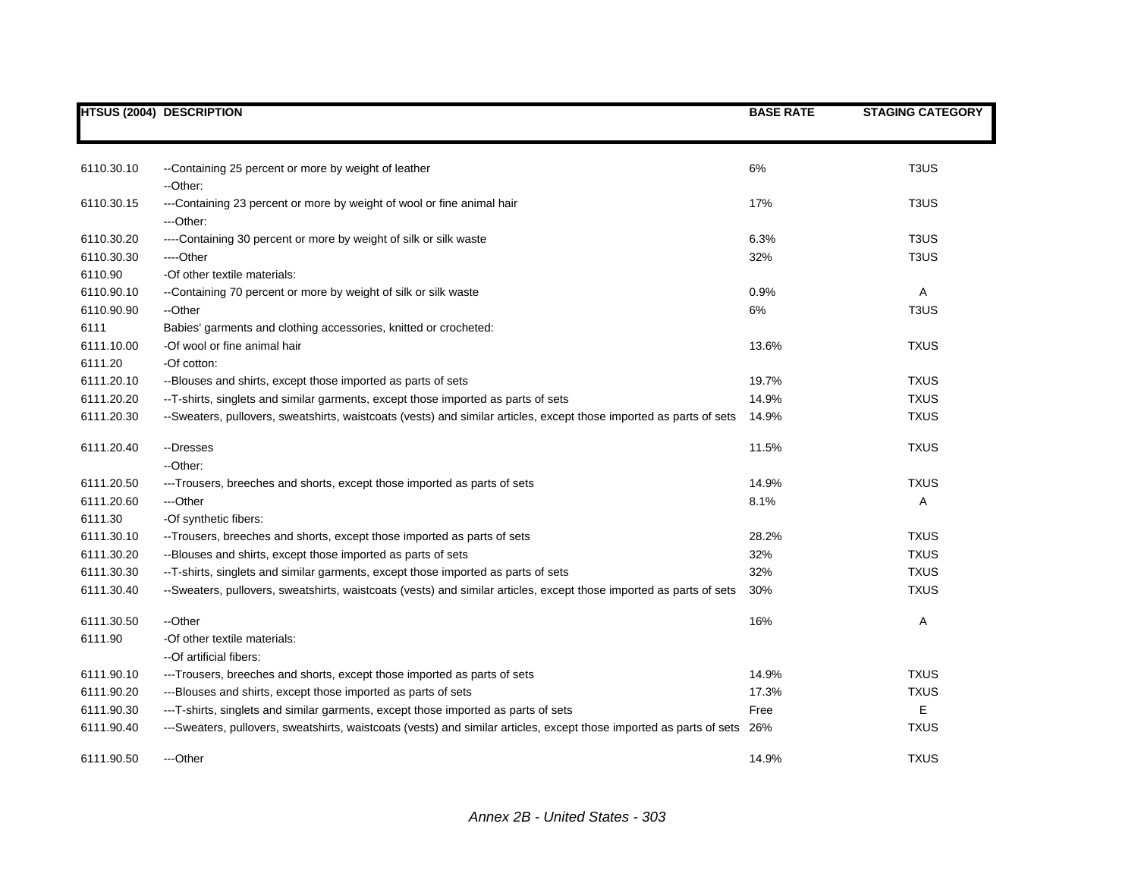|            | <b>HTSUS (2004) DESCRIPTION</b>                                                                                          | <b>BASE RATE</b> | <b>STAGING CATEGORY</b> |
|------------|--------------------------------------------------------------------------------------------------------------------------|------------------|-------------------------|
|            |                                                                                                                          |                  |                         |
| 6110.30.10 | --Containing 25 percent or more by weight of leather<br>--Other:                                                         | 6%               | T <sub>3</sub> US       |
| 6110.30.15 | ---Containing 23 percent or more by weight of wool or fine animal hair<br>---Other:                                      | 17%              | T <sub>3</sub> US       |
| 6110.30.20 | ----Containing 30 percent or more by weight of silk or silk waste                                                        | 6.3%             | T <sub>3</sub> US       |
| 6110.30.30 | ----Other                                                                                                                | 32%              | T <sub>3</sub> US       |
| 6110.90    | -Of other textile materials:                                                                                             |                  |                         |
| 6110.90.10 | --Containing 70 percent or more by weight of silk or silk waste                                                          | 0.9%             | Α                       |
| 6110.90.90 | --Other                                                                                                                  | 6%               | T <sub>3</sub> US       |
| 6111       | Babies' garments and clothing accessories, knitted or crocheted:                                                         |                  |                         |
| 6111.10.00 | -Of wool or fine animal hair                                                                                             | 13.6%            | <b>TXUS</b>             |
| 6111.20    | -Of cotton:                                                                                                              |                  |                         |
| 6111.20.10 | --Blouses and shirts, except those imported as parts of sets                                                             | 19.7%            | <b>TXUS</b>             |
| 6111.20.20 | --T-shirts, singlets and similar garments, except those imported as parts of sets                                        | 14.9%            | <b>TXUS</b>             |
| 6111.20.30 | --Sweaters, pullovers, sweatshirts, waistcoats (vests) and similar articles, except those imported as parts of sets      | 14.9%            | <b>TXUS</b>             |
| 6111.20.40 | --Dresses                                                                                                                | 11.5%            | <b>TXUS</b>             |
|            | --Other:                                                                                                                 |                  |                         |
| 6111.20.50 | ---Trousers, breeches and shorts, except those imported as parts of sets                                                 | 14.9%            | <b>TXUS</b>             |
| 6111.20.60 | ---Other                                                                                                                 | 8.1%             | Α                       |
| 6111.30    | -Of synthetic fibers:                                                                                                    |                  |                         |
| 6111.30.10 | -- Trousers, breeches and shorts, except those imported as parts of sets                                                 | 28.2%            | <b>TXUS</b>             |
| 6111.30.20 | --Blouses and shirts, except those imported as parts of sets                                                             | 32%              | <b>TXUS</b>             |
| 6111.30.30 | --T-shirts, singlets and similar garments, except those imported as parts of sets                                        | 32%              | <b>TXUS</b>             |
| 6111.30.40 | --Sweaters, pullovers, sweatshirts, waistcoats (vests) and similar articles, except those imported as parts of sets      | 30%              | <b>TXUS</b>             |
| 6111.30.50 | --Other                                                                                                                  | 16%              | Α                       |
| 6111.90    | -Of other textile materials:                                                                                             |                  |                         |
|            | --Of artificial fibers:                                                                                                  |                  |                         |
| 6111.90.10 | ---Trousers, breeches and shorts, except those imported as parts of sets                                                 | 14.9%            | <b>TXUS</b>             |
| 6111.90.20 | ---Blouses and shirts, except those imported as parts of sets                                                            | 17.3%            | <b>TXUS</b>             |
| 6111.90.30 | ---T-shirts, singlets and similar garments, except those imported as parts of sets                                       | Free             | Е                       |
| 6111.90.40 | ---Sweaters, pullovers, sweatshirts, waistcoats (vests) and similar articles, except those imported as parts of sets 26% |                  | <b>TXUS</b>             |
| 6111.90.50 | ---Other                                                                                                                 | 14.9%            | <b>TXUS</b>             |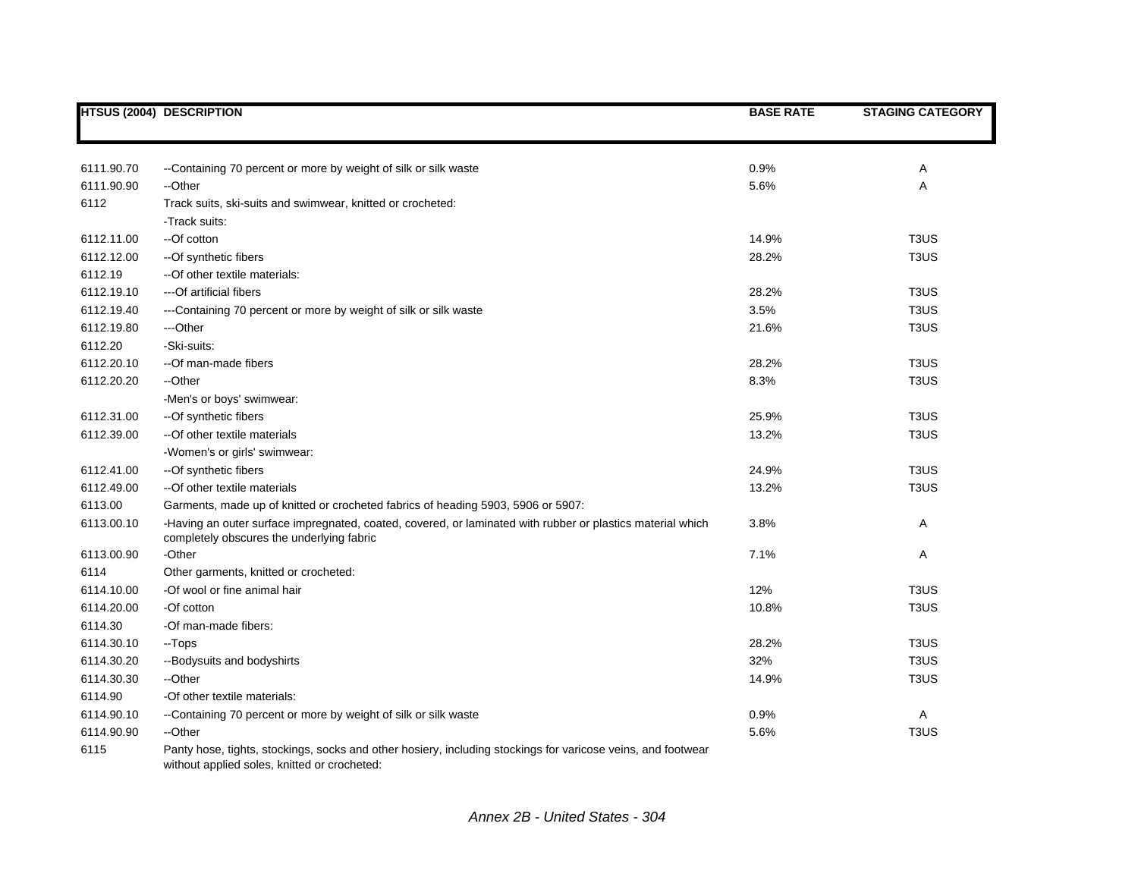|            | <b>HTSUS (2004) DESCRIPTION</b>                                                                                                                              | <b>BASE RATE</b> | <b>STAGING CATEGORY</b>       |
|------------|--------------------------------------------------------------------------------------------------------------------------------------------------------------|------------------|-------------------------------|
|            |                                                                                                                                                              |                  |                               |
| 6111.90.70 | --Containing 70 percent or more by weight of silk or silk waste                                                                                              | 0.9%             | Α                             |
| 6111.90.90 | --Other                                                                                                                                                      | 5.6%             | Α                             |
| 6112       | Track suits, ski-suits and swimwear, knitted or crocheted:                                                                                                   |                  |                               |
|            | -Track suits:                                                                                                                                                |                  |                               |
| 6112.11.00 | --Of cotton                                                                                                                                                  | 14.9%            | T <sub>3</sub> U <sub>S</sub> |
| 6112.12.00 | -- Of synthetic fibers                                                                                                                                       | 28.2%            | T <sub>3</sub> US             |
| 6112.19    | --Of other textile materials:                                                                                                                                |                  |                               |
| 6112.19.10 | ---Of artificial fibers                                                                                                                                      | 28.2%            | T <sub>3</sub> US             |
| 6112.19.40 | ---Containing 70 percent or more by weight of silk or silk waste                                                                                             | 3.5%             | T <sub>3</sub> US             |
| 6112.19.80 | ---Other                                                                                                                                                     | 21.6%            | T <sub>3</sub> US             |
| 6112.20    | -Ski-suits:                                                                                                                                                  |                  |                               |
| 6112.20.10 | --Of man-made fibers                                                                                                                                         | 28.2%            | T <sub>3</sub> US             |
| 6112.20.20 | --Other                                                                                                                                                      | 8.3%             | T <sub>3</sub> US             |
|            | -Men's or boys' swimwear:                                                                                                                                    |                  |                               |
| 6112.31.00 | -- Of synthetic fibers                                                                                                                                       | 25.9%            | T <sub>3</sub> U <sub>S</sub> |
| 6112.39.00 | --Of other textile materials                                                                                                                                 | 13.2%            | T <sub>3</sub> U <sub>S</sub> |
|            | -Women's or girls' swimwear:                                                                                                                                 |                  |                               |
| 6112.41.00 | --Of synthetic fibers                                                                                                                                        | 24.9%            | T <sub>3</sub> US             |
| 6112.49.00 | --Of other textile materials                                                                                                                                 | 13.2%            | T <sub>3</sub> US             |
| 6113.00    | Garments, made up of knitted or crocheted fabrics of heading 5903, 5906 or 5907:                                                                             |                  |                               |
| 6113.00.10 | -Having an outer surface impregnated, coated, covered, or laminated with rubber or plastics material which<br>completely obscures the underlying fabric      | 3.8%             | Α                             |
| 6113.00.90 | -Other                                                                                                                                                       | 7.1%             | Α                             |
| 6114       | Other garments, knitted or crocheted:                                                                                                                        |                  |                               |
| 6114.10.00 | -Of wool or fine animal hair                                                                                                                                 | 12%              | T <sub>3</sub> US             |
| 6114.20.00 | -Of cotton                                                                                                                                                   | 10.8%            | T <sub>3</sub> US             |
| 6114.30    | -Of man-made fibers:                                                                                                                                         |                  |                               |
| 6114.30.10 | --Tops                                                                                                                                                       | 28.2%            | T <sub>3</sub> US             |
| 6114.30.20 | -- Bodysuits and bodyshirts                                                                                                                                  | 32%              | T <sub>3</sub> US             |
| 6114.30.30 | --Other                                                                                                                                                      | 14.9%            | T <sub>3</sub> US             |
| 6114.90    | -Of other textile materials:                                                                                                                                 |                  |                               |
| 6114.90.10 | --Containing 70 percent or more by weight of silk or silk waste                                                                                              | 0.9%             | Α                             |
| 6114.90.90 | --Other                                                                                                                                                      | 5.6%             | T <sub>3</sub> U <sub>S</sub> |
| 6115       | Panty hose, tights, stockings, socks and other hosiery, including stockings for varicose veins, and footwear<br>without applied soles, knitted or crocheted: |                  |                               |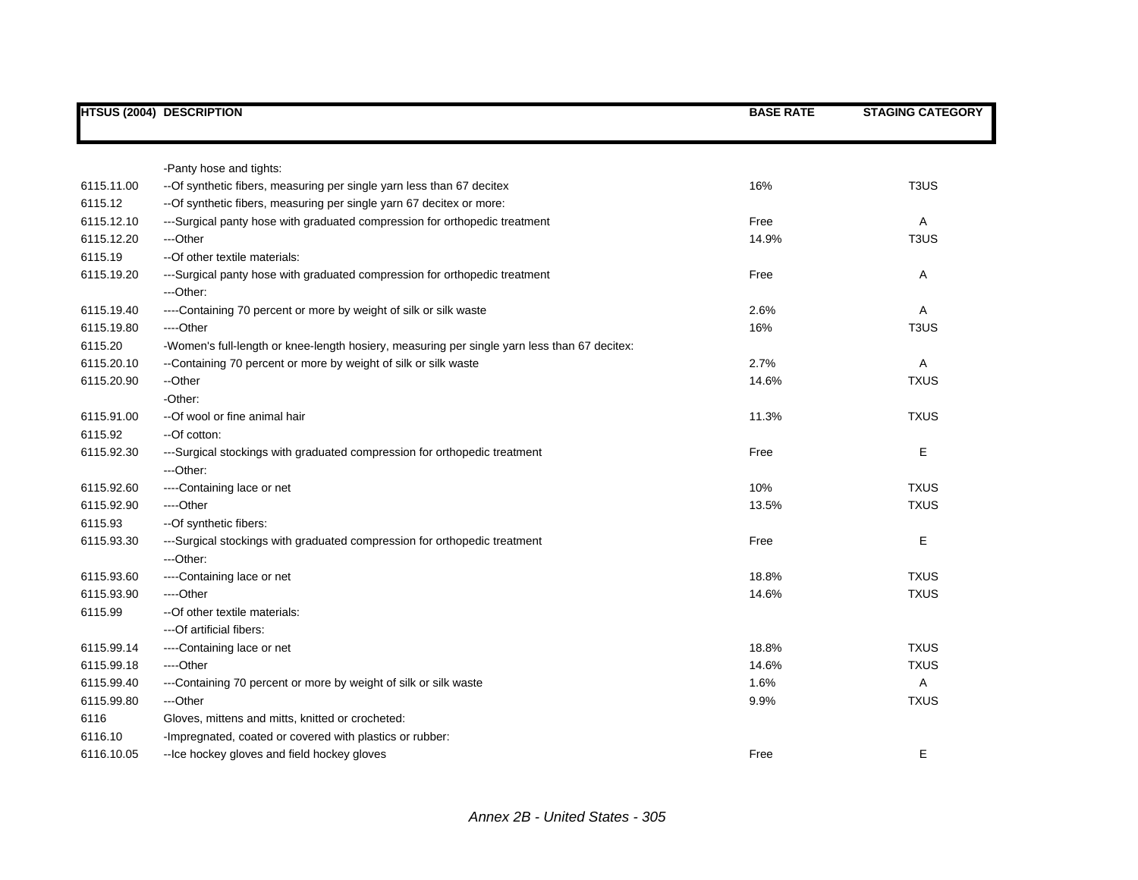|            | <b>HTSUS (2004) DESCRIPTION</b>                                                              | <b>BASE RATE</b> | <b>STAGING CATEGORY</b>       |
|------------|----------------------------------------------------------------------------------------------|------------------|-------------------------------|
|            |                                                                                              |                  |                               |
|            | -Panty hose and tights:                                                                      |                  |                               |
| 6115.11.00 | -- Of synthetic fibers, measuring per single yarn less than 67 decitex                       | 16%              | T <sub>3</sub> US             |
| 6115.12    | -- Of synthetic fibers, measuring per single yarn 67 decitex or more:                        |                  |                               |
| 6115.12.10 | ---Surgical panty hose with graduated compression for orthopedic treatment                   | Free             | Α                             |
| 6115.12.20 | ---Other                                                                                     | 14.9%            | T <sub>3</sub> U <sub>S</sub> |
| 6115.19    | -- Of other textile materials:                                                               |                  |                               |
| 6115.19.20 | ---Surgical panty hose with graduated compression for orthopedic treatment                   | Free             | Α                             |
|            | ---Other:                                                                                    |                  |                               |
| 6115.19.40 | ----Containing 70 percent or more by weight of silk or silk waste                            | 2.6%             | Α                             |
| 6115.19.80 | ----Other                                                                                    | 16%              | T <sub>3</sub> US             |
| 6115.20    | -Women's full-length or knee-length hosiery, measuring per single yarn less than 67 decitex: |                  |                               |
| 6115.20.10 | --Containing 70 percent or more by weight of silk or silk waste                              | 2.7%             | A                             |
| 6115.20.90 | --Other                                                                                      | 14.6%            | <b>TXUS</b>                   |
|            | -Other:                                                                                      |                  |                               |
| 6115.91.00 | --Of wool or fine animal hair                                                                | 11.3%            | <b>TXUS</b>                   |
| 6115.92    | --Of cotton:                                                                                 |                  |                               |
| 6115.92.30 | ---Surgical stockings with graduated compression for orthopedic treatment                    | Free             | Е                             |
|            | ---Other:                                                                                    |                  |                               |
| 6115.92.60 | ----Containing lace or net                                                                   | 10%              | <b>TXUS</b>                   |
| 6115.92.90 | ---Other                                                                                     | 13.5%            | <b>TXUS</b>                   |
| 6115.93    | --Of synthetic fibers:                                                                       |                  |                               |
| 6115.93.30 | ---Surgical stockings with graduated compression for orthopedic treatment                    | Free             | E                             |
|            | ---Other:                                                                                    |                  |                               |
| 6115.93.60 | ----Containing lace or net                                                                   | 18.8%            | <b>TXUS</b>                   |
| 6115.93.90 | ---Other                                                                                     | 14.6%            | <b>TXUS</b>                   |
| 6115.99    | -- Of other textile materials:                                                               |                  |                               |
|            | ---Of artificial fibers:                                                                     |                  |                               |
| 6115.99.14 | ----Containing lace or net                                                                   | 18.8%            | <b>TXUS</b>                   |
| 6115.99.18 | ----Other                                                                                    | 14.6%            | <b>TXUS</b>                   |
| 6115.99.40 | ---Containing 70 percent or more by weight of silk or silk waste                             | 1.6%             | Α                             |
| 6115.99.80 | ---Other                                                                                     | 9.9%             | <b>TXUS</b>                   |
| 6116       | Gloves, mittens and mitts, knitted or crocheted:                                             |                  |                               |
| 6116.10    | -Impregnated, coated or covered with plastics or rubber:                                     |                  |                               |
| 6116.10.05 | -- Ice hockey gloves and field hockey gloves                                                 | Free             | Е                             |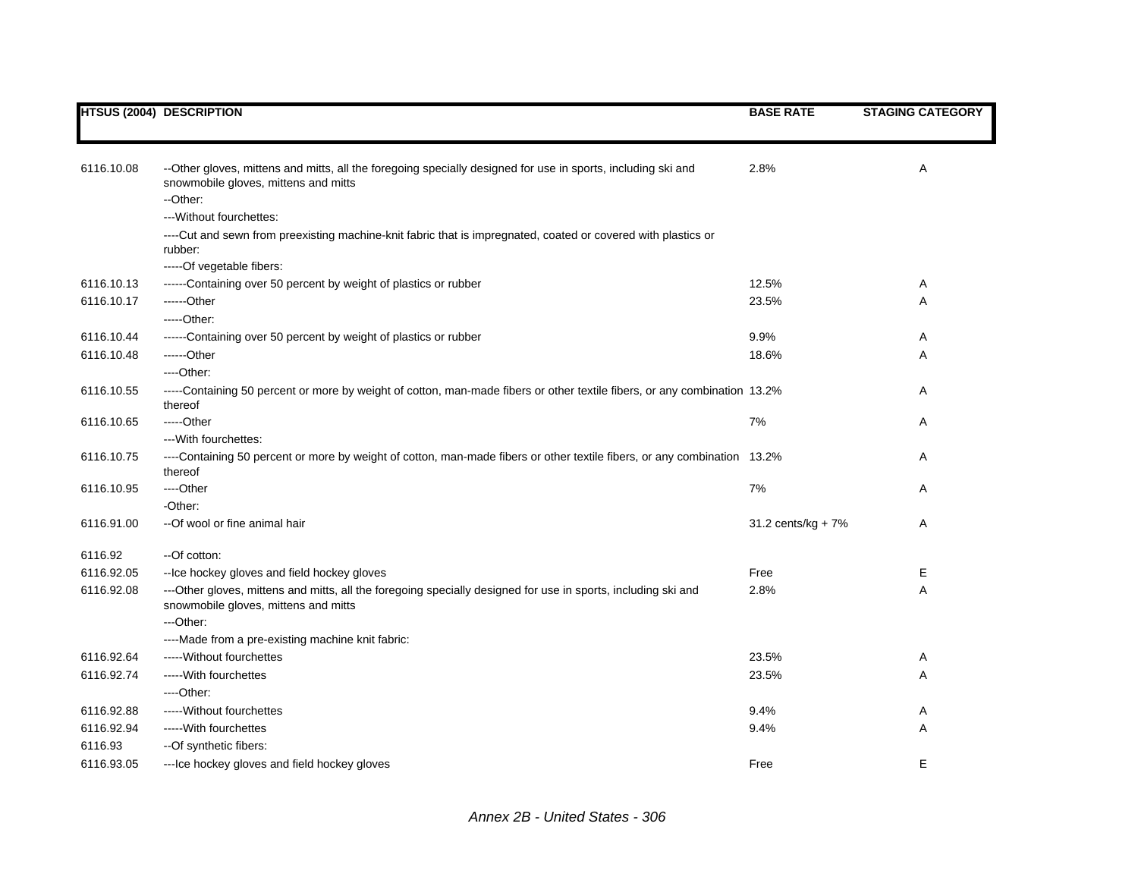|            | <b>HTSUS (2004) DESCRIPTION</b>                                                                                                                                  | <b>BASE RATE</b>   | <b>STAGING CATEGORY</b> |
|------------|------------------------------------------------------------------------------------------------------------------------------------------------------------------|--------------------|-------------------------|
|            |                                                                                                                                                                  |                    |                         |
| 6116.10.08 | --Other gloves, mittens and mitts, all the foregoing specially designed for use in sports, including ski and<br>snowmobile gloves, mittens and mitts<br>--Other: | 2.8%               | Α                       |
|            | --- Without fourchettes:                                                                                                                                         |                    |                         |
|            |                                                                                                                                                                  |                    |                         |
|            | ----Cut and sewn from preexisting machine-knit fabric that is impregnated, coated or covered with plastics or<br>rubber:                                         |                    |                         |
|            | -----Of vegetable fibers:                                                                                                                                        |                    |                         |
| 6116.10.13 | ------Containing over 50 percent by weight of plastics or rubber                                                                                                 | 12.5%              | Α                       |
| 6116.10.17 | $---Other$                                                                                                                                                       | 23.5%              | Α                       |
|            | $---Other:$                                                                                                                                                      |                    |                         |
| 6116.10.44 | ------Containing over 50 percent by weight of plastics or rubber                                                                                                 | 9.9%               | Α                       |
| 6116.10.48 | ------Other                                                                                                                                                      | 18.6%              | Α                       |
|            | ----Other:                                                                                                                                                       |                    |                         |
| 6116.10.55 | -----Containing 50 percent or more by weight of cotton, man-made fibers or other textile fibers, or any combination 13.2%<br>thereof                             |                    | Α                       |
| 6116.10.65 | -----Other                                                                                                                                                       | 7%                 | Α                       |
|            | --- With fourchettes:                                                                                                                                            |                    |                         |
| 6116.10.75 | ----Containing 50 percent or more by weight of cotton, man-made fibers or other textile fibers, or any combination 13.2%<br>thereof                              |                    | A                       |
| 6116.10.95 | ---Other                                                                                                                                                         | 7%                 | Α                       |
|            | -Other:                                                                                                                                                          |                    |                         |
| 6116.91.00 | --Of wool or fine animal hair                                                                                                                                    | 31.2 cents/kg + 7% | Α                       |
| 6116.92    | --Of cotton:                                                                                                                                                     |                    |                         |
| 6116.92.05 | -- Ice hockey gloves and field hockey gloves                                                                                                                     | Free               | Е                       |
| 6116.92.08 | ---Other gloves, mittens and mitts, all the foregoing specially designed for use in sports, including ski and<br>snowmobile gloves, mittens and mitts            | 2.8%               | Α                       |
|            | ---Other:                                                                                                                                                        |                    |                         |
|            | ----Made from a pre-existing machine knit fabric:                                                                                                                |                    |                         |
| 6116.92.64 | ----- Without fourchettes                                                                                                                                        | 23.5%              | Α                       |
| 6116.92.74 | ----- With fourchettes                                                                                                                                           | 23.5%              | Α                       |
|            | ----Other:                                                                                                                                                       |                    |                         |
| 6116.92.88 | ----- Without fourchettes                                                                                                                                        | 9.4%               | Α                       |
| 6116.92.94 | ----- With fourchettes                                                                                                                                           | 9.4%               | Α                       |
| 6116.93    | --Of synthetic fibers:                                                                                                                                           |                    |                         |
| 6116.93.05 | --- Ice hockey gloves and field hockey gloves                                                                                                                    | Free               | E                       |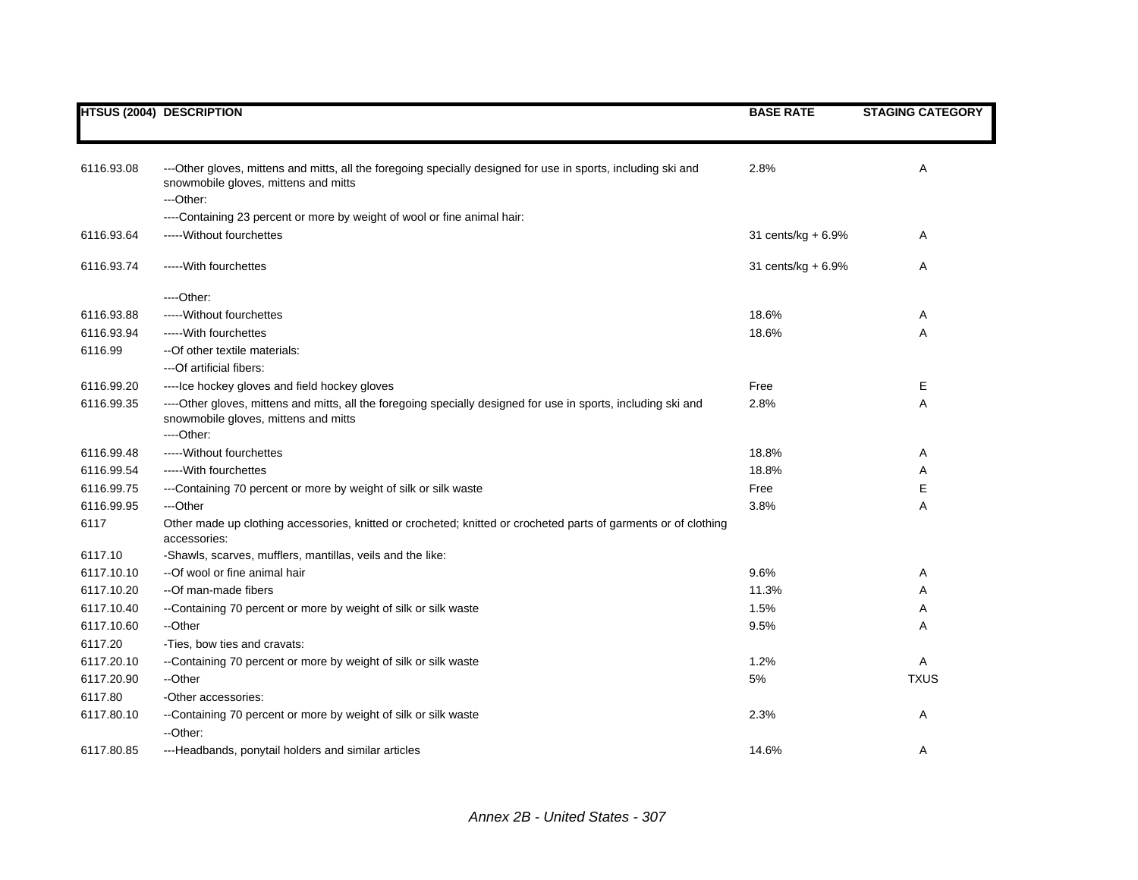|            | <b>HTSUS (2004) DESCRIPTION</b>                                                                                                                                      | <b>BASE RATE</b>   | <b>STAGING CATEGORY</b> |
|------------|----------------------------------------------------------------------------------------------------------------------------------------------------------------------|--------------------|-------------------------|
|            |                                                                                                                                                                      |                    |                         |
| 6116.93.08 | ---Other gloves, mittens and mitts, all the foregoing specially designed for use in sports, including ski and<br>snowmobile gloves, mittens and mitts<br>---Other:   | 2.8%               | Α                       |
|            | ----Containing 23 percent or more by weight of wool or fine animal hair:                                                                                             |                    |                         |
| 6116.93.64 | ----- Without fourchettes                                                                                                                                            | 31 cents/kg + 6.9% | Α                       |
|            |                                                                                                                                                                      |                    |                         |
| 6116.93.74 | ----- With fourchettes                                                                                                                                               | 31 cents/kg + 6.9% | Α                       |
|            | $---Other.$                                                                                                                                                          |                    |                         |
| 6116.93.88 | ----- Without fourchettes                                                                                                                                            | 18.6%              | A                       |
| 6116.93.94 | ----- With fourchettes                                                                                                                                               | 18.6%              | Α                       |
| 6116.99    | -- Of other textile materials:                                                                                                                                       |                    |                         |
|            | ---Of artificial fibers:                                                                                                                                             |                    |                         |
| 6116.99.20 | ---- Ice hockey gloves and field hockey gloves                                                                                                                       | Free               | Е                       |
| 6116.99.35 | ----Other gloves, mittens and mitts, all the foregoing specially designed for use in sports, including ski and<br>snowmobile gloves, mittens and mitts<br>----Other: | 2.8%               | Α                       |
| 6116.99.48 | ----- Without fourchettes                                                                                                                                            | 18.8%              | Α                       |
| 6116.99.54 | ----- With fourchettes                                                                                                                                               | 18.8%              | Α                       |
| 6116.99.75 | ---Containing 70 percent or more by weight of silk or silk waste                                                                                                     | Free               | Е                       |
| 6116.99.95 | ---Other                                                                                                                                                             | 3.8%               | Α                       |
| 6117       | Other made up clothing accessories, knitted or crocheted; knitted or crocheted parts of garments or of clothing<br>accessories:                                      |                    |                         |
| 6117.10    | -Shawls, scarves, mufflers, mantillas, veils and the like:                                                                                                           |                    |                         |
| 6117.10.10 | --Of wool or fine animal hair                                                                                                                                        | 9.6%               | Α                       |
| 6117.10.20 | --Of man-made fibers                                                                                                                                                 | 11.3%              | Α                       |
| 6117.10.40 | --Containing 70 percent or more by weight of silk or silk waste                                                                                                      | 1.5%               | Α                       |
| 6117.10.60 | --Other                                                                                                                                                              | 9.5%               | Α                       |
| 6117.20    | -Ties, bow ties and cravats:                                                                                                                                         |                    |                         |
| 6117.20.10 | --Containing 70 percent or more by weight of silk or silk waste                                                                                                      | 1.2%               | Α                       |
| 6117.20.90 | --Other                                                                                                                                                              | $5\%$              | <b>TXUS</b>             |
| 6117.80    | -Other accessories:                                                                                                                                                  |                    |                         |
| 6117.80.10 | --Containing 70 percent or more by weight of silk or silk waste<br>--Other:                                                                                          | 2.3%               | Α                       |
| 6117.80.85 | ---Headbands, ponytail holders and similar articles                                                                                                                  | 14.6%              | A                       |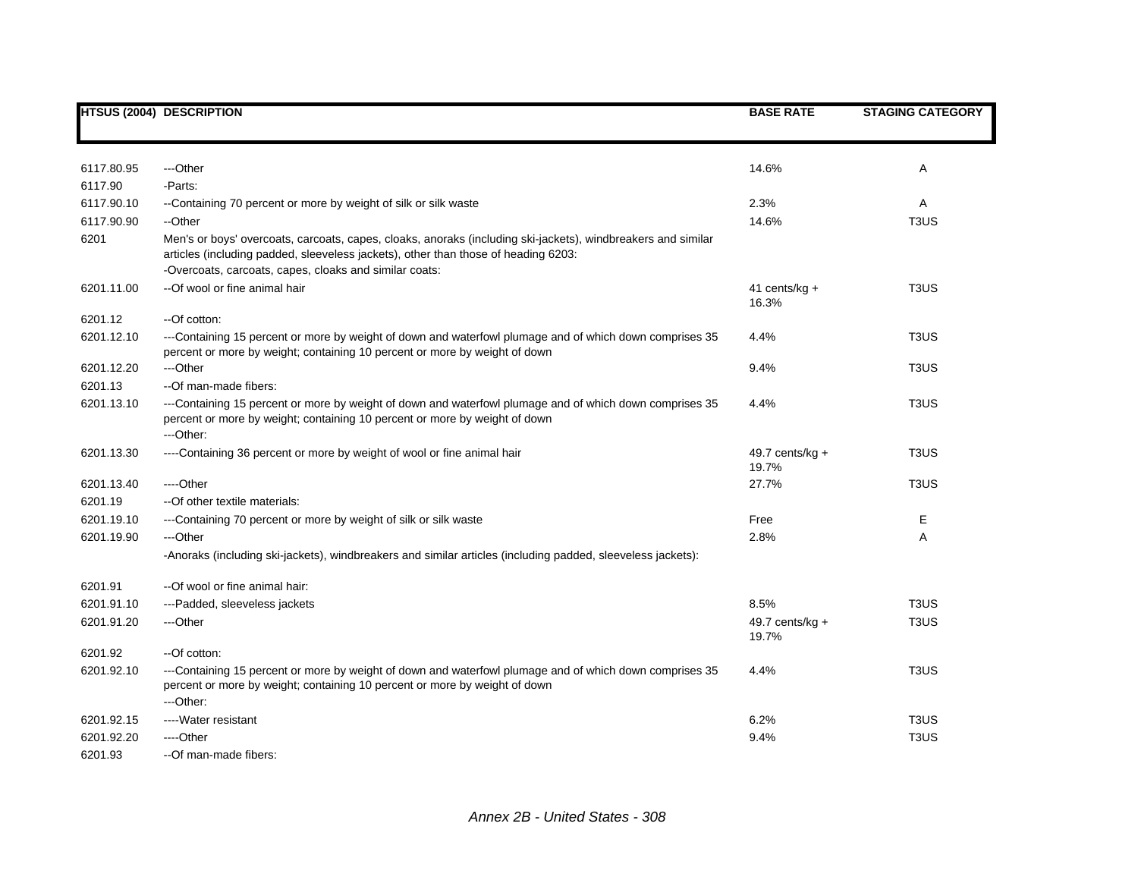|            | <b>HTSUS (2004) DESCRIPTION</b>                                                                                                                                                                    | <b>BASE RATE</b>            | <b>STAGING CATEGORY</b>       |
|------------|----------------------------------------------------------------------------------------------------------------------------------------------------------------------------------------------------|-----------------------------|-------------------------------|
|            |                                                                                                                                                                                                    |                             |                               |
| 6117.80.95 | ---Other                                                                                                                                                                                           | 14.6%                       | Α                             |
| 6117.90    | -Parts:                                                                                                                                                                                            |                             |                               |
| 6117.90.10 | --Containing 70 percent or more by weight of silk or silk waste                                                                                                                                    | 2.3%                        | A                             |
| 6117.90.90 | --Other                                                                                                                                                                                            | 14.6%                       | T <sub>3</sub> U <sub>S</sub> |
| 6201       | Men's or boys' overcoats, carcoats, capes, cloaks, anoraks (including ski-jackets), windbreakers and similar<br>articles (including padded, sleeveless jackets), other than those of heading 6203: |                             |                               |
|            | -Overcoats, carcoats, capes, cloaks and similar coats:                                                                                                                                             |                             |                               |
| 6201.11.00 | --Of wool or fine animal hair                                                                                                                                                                      | 41 cents/kg $+$<br>16.3%    | T <sub>3</sub> US             |
| 6201.12    | --Of cotton:                                                                                                                                                                                       |                             |                               |
| 6201.12.10 | ---Containing 15 percent or more by weight of down and waterfowl plumage and of which down comprises 35<br>percent or more by weight; containing 10 percent or more by weight of down              | 4.4%                        | T <sub>3</sub> U <sub>S</sub> |
| 6201.12.20 | ---Other                                                                                                                                                                                           | 9.4%                        | T <sub>3</sub> US             |
| 6201.13    | --Of man-made fibers:                                                                                                                                                                              |                             |                               |
| 6201.13.10 | ---Containing 15 percent or more by weight of down and waterfowl plumage and of which down comprises 35<br>percent or more by weight; containing 10 percent or more by weight of down              | 4.4%                        | T <sub>3</sub> US             |
|            | ---Other:                                                                                                                                                                                          |                             |                               |
| 6201.13.30 | ----Containing 36 percent or more by weight of wool or fine animal hair                                                                                                                            | 49.7 cents/kg $+$<br>19.7%  | T <sub>3</sub> US             |
| 6201.13.40 | ---Other                                                                                                                                                                                           | 27.7%                       | T <sub>3</sub> U <sub>S</sub> |
| 6201.19    | --Of other textile materials:                                                                                                                                                                      |                             |                               |
| 6201.19.10 | ---Containing 70 percent or more by weight of silk or silk waste                                                                                                                                   | Free                        | Е                             |
| 6201.19.90 | ---Other                                                                                                                                                                                           | 2.8%                        | Α                             |
|            | -Anoraks (including ski-jackets), windbreakers and similar articles (including padded, sleeveless jackets):                                                                                        |                             |                               |
| 6201.91    | --Of wool or fine animal hair:                                                                                                                                                                     |                             |                               |
| 6201.91.10 | ---Padded, sleeveless jackets                                                                                                                                                                      | 8.5%                        | T <sub>3</sub> U <sub>S</sub> |
| 6201.91.20 | ---Other                                                                                                                                                                                           | 49.7 cents/ $kg +$<br>19.7% | T <sub>3</sub> US             |
| 6201.92    | --Of cotton:                                                                                                                                                                                       |                             |                               |
| 6201.92.10 | ---Containing 15 percent or more by weight of down and waterfowl plumage and of which down comprises 35<br>percent or more by weight; containing 10 percent or more by weight of down<br>---Other: | 4.4%                        | T <sub>3</sub> U <sub>S</sub> |
| 6201.92.15 | ---- Water resistant                                                                                                                                                                               | 6.2%                        | T <sub>3</sub> US             |
| 6201.92.20 | ---Other                                                                                                                                                                                           | 9.4%                        | T <sub>3</sub> US             |
| 6201.93    | --Of man-made fibers:                                                                                                                                                                              |                             |                               |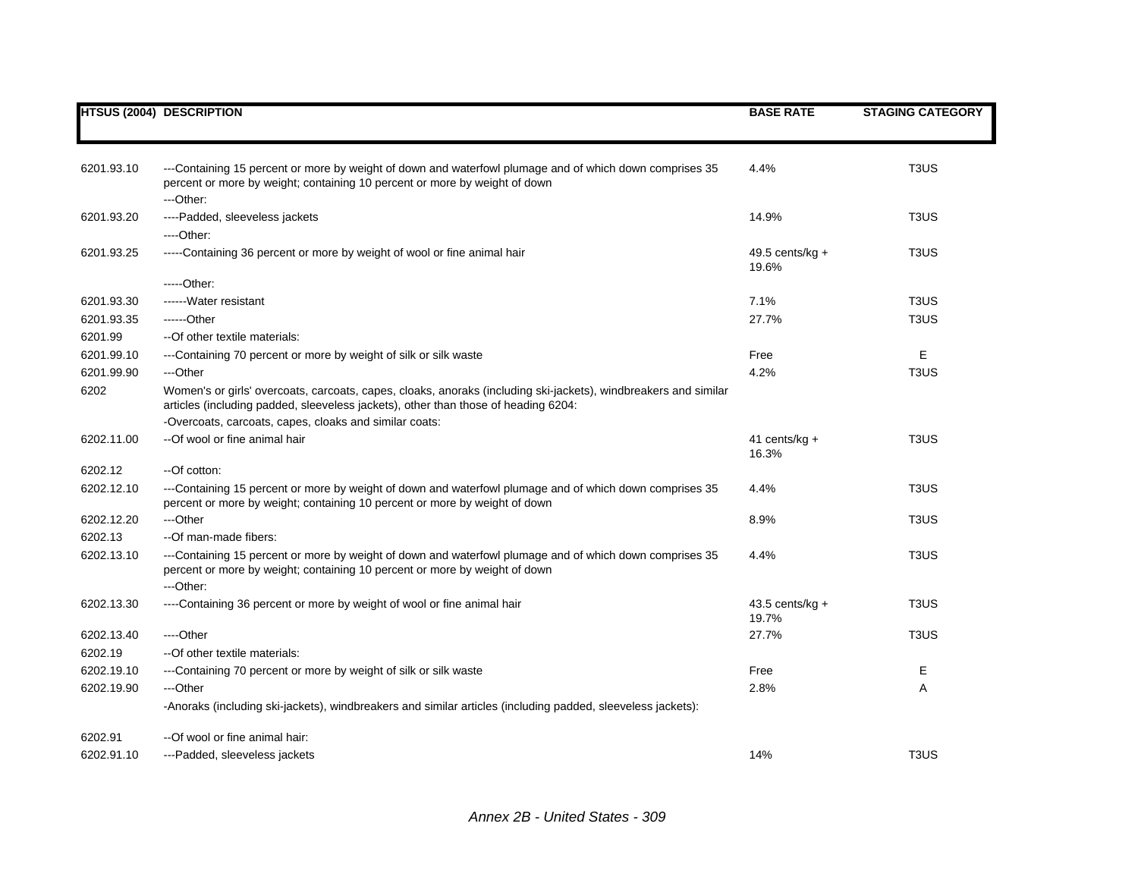|            | <b>HTSUS (2004) DESCRIPTION</b>                                                                                                                                                                       | <b>BASE RATE</b>           | <b>STAGING CATEGORY</b>       |
|------------|-------------------------------------------------------------------------------------------------------------------------------------------------------------------------------------------------------|----------------------------|-------------------------------|
|            |                                                                                                                                                                                                       |                            |                               |
| 6201.93.10 | ---Containing 15 percent or more by weight of down and waterfowl plumage and of which down comprises 35                                                                                               | 4.4%                       | T <sub>3</sub> U <sub>S</sub> |
|            | percent or more by weight; containing 10 percent or more by weight of down<br>---Other:                                                                                                               |                            |                               |
| 6201.93.20 | ----Padded, sleeveless jackets                                                                                                                                                                        | 14.9%                      | T <sub>3</sub> U <sub>S</sub> |
|            | ----Other:                                                                                                                                                                                            |                            |                               |
| 6201.93.25 | -----Containing 36 percent or more by weight of wool or fine animal hair                                                                                                                              | 49.5 cents/kg $+$<br>19.6% | T <sub>3</sub> U <sub>S</sub> |
|            | $---Other:$                                                                                                                                                                                           |                            |                               |
| 6201.93.30 | ------Water resistant                                                                                                                                                                                 | 7.1%                       | T <sub>3</sub> US             |
| 6201.93.35 | ------Other                                                                                                                                                                                           | 27.7%                      | T <sub>3</sub> U <sub>S</sub> |
| 6201.99    | -- Of other textile materials:                                                                                                                                                                        |                            |                               |
| 6201.99.10 | ---Containing 70 percent or more by weight of silk or silk waste                                                                                                                                      | Free                       | Е                             |
| 6201.99.90 | ---Other                                                                                                                                                                                              | 4.2%                       | T <sub>3</sub> US             |
| 6202       | Women's or girls' overcoats, carcoats, capes, cloaks, anoraks (including ski-jackets), windbreakers and similar<br>articles (including padded, sleeveless jackets), other than those of heading 6204: |                            |                               |
|            | -Overcoats, carcoats, capes, cloaks and similar coats:                                                                                                                                                |                            |                               |
| 6202.11.00 | --Of wool or fine animal hair                                                                                                                                                                         | 41 cents/kg $+$<br>16.3%   | T <sub>3</sub> U <sub>S</sub> |
| 6202.12    | --Of cotton:                                                                                                                                                                                          |                            |                               |
| 6202.12.10 | ---Containing 15 percent or more by weight of down and waterfowl plumage and of which down comprises 35<br>percent or more by weight; containing 10 percent or more by weight of down                 | 4.4%                       | T <sub>3</sub> US             |
| 6202.12.20 | ---Other                                                                                                                                                                                              | 8.9%                       | T <sub>3</sub> U <sub>S</sub> |
| 6202.13    | --Of man-made fibers:                                                                                                                                                                                 |                            |                               |
| 6202.13.10 | ---Containing 15 percent or more by weight of down and waterfowl plumage and of which down comprises 35<br>percent or more by weight; containing 10 percent or more by weight of down                 | 4.4%                       | T <sub>3</sub> U <sub>S</sub> |
|            | ---Other:                                                                                                                                                                                             |                            |                               |
| 6202.13.30 | ----Containing 36 percent or more by weight of wool or fine animal hair                                                                                                                               | 43.5 cents/kg $+$<br>19.7% | T <sub>3</sub> U <sub>S</sub> |
| 6202.13.40 | ----Other                                                                                                                                                                                             | 27.7%                      | T <sub>3</sub> US             |
| 6202.19    | --Of other textile materials:                                                                                                                                                                         |                            |                               |
| 6202.19.10 | ---Containing 70 percent or more by weight of silk or silk waste                                                                                                                                      | Free                       | E.                            |
| 6202.19.90 | ---Other                                                                                                                                                                                              | 2.8%                       | Α                             |
|            | -Anoraks (including ski-jackets), windbreakers and similar articles (including padded, sleeveless jackets):                                                                                           |                            |                               |
| 6202.91    | --Of wool or fine animal hair:                                                                                                                                                                        |                            |                               |
| 6202.91.10 | ---Padded, sleeveless jackets                                                                                                                                                                         | 14%                        | T <sub>3</sub> U <sub>S</sub> |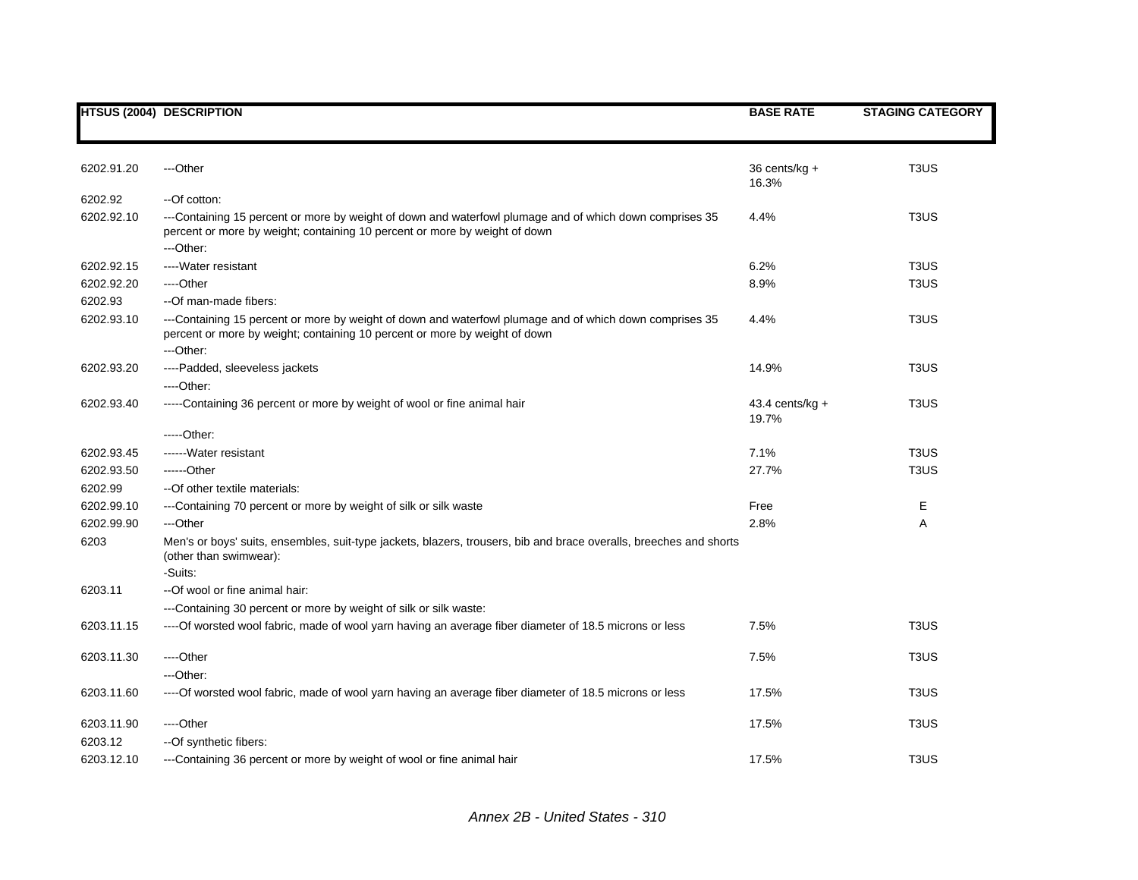|            | <b>HTSUS (2004) DESCRIPTION</b>                                                                                                                                                                    | <b>BASE RATE</b>           | <b>STAGING CATEGORY</b>       |
|------------|----------------------------------------------------------------------------------------------------------------------------------------------------------------------------------------------------|----------------------------|-------------------------------|
|            |                                                                                                                                                                                                    |                            |                               |
| 6202.91.20 | ---Other                                                                                                                                                                                           | 36 cents/kg +<br>16.3%     | T <sub>3</sub> U <sub>S</sub> |
| 6202.92    | --Of cotton:                                                                                                                                                                                       |                            |                               |
| 6202.92.10 | ---Containing 15 percent or more by weight of down and waterfowl plumage and of which down comprises 35<br>percent or more by weight; containing 10 percent or more by weight of down<br>---Other: | 4.4%                       | T <sub>3</sub> U <sub>S</sub> |
| 6202.92.15 | ---- Water resistant                                                                                                                                                                               | 6.2%                       | T <sub>3</sub> US             |
| 6202.92.20 | ----Other                                                                                                                                                                                          | 8.9%                       | T <sub>3</sub> US             |
| 6202.93    | --Of man-made fibers:                                                                                                                                                                              |                            |                               |
| 6202.93.10 | ---Containing 15 percent or more by weight of down and waterfowl plumage and of which down comprises 35<br>percent or more by weight; containing 10 percent or more by weight of down<br>---Other: | 4.4%                       | T <sub>3</sub> US             |
| 6202.93.20 | ----Padded, sleeveless jackets                                                                                                                                                                     | 14.9%                      | T <sub>3</sub> U <sub>S</sub> |
|            | ----Other:                                                                                                                                                                                         |                            |                               |
| 6202.93.40 | -----Containing 36 percent or more by weight of wool or fine animal hair                                                                                                                           | $43.4$ cents/kg +<br>19.7% | T <sub>3</sub> U <sub>S</sub> |
|            | $---Other:$                                                                                                                                                                                        |                            |                               |
| 6202.93.45 | ------ Water resistant                                                                                                                                                                             | 7.1%                       | T <sub>3</sub> U <sub>S</sub> |
| 6202.93.50 | $---Other$                                                                                                                                                                                         | 27.7%                      | T <sub>3</sub> U <sub>S</sub> |
| 6202.99    | -- Of other textile materials:                                                                                                                                                                     |                            |                               |
| 6202.99.10 | ---Containing 70 percent or more by weight of silk or silk waste                                                                                                                                   | Free                       | Е                             |
| 6202.99.90 | ---Other                                                                                                                                                                                           | 2.8%                       | Α                             |
| 6203       | Men's or boys' suits, ensembles, suit-type jackets, blazers, trousers, bib and brace overalls, breeches and shorts<br>(other than swimwear):                                                       |                            |                               |
|            | -Suits:                                                                                                                                                                                            |                            |                               |
| 6203.11    | --Of wool or fine animal hair:                                                                                                                                                                     |                            |                               |
|            | ---Containing 30 percent or more by weight of silk or silk waste:                                                                                                                                  |                            |                               |
| 6203.11.15 | ---- Of worsted wool fabric, made of wool yarn having an average fiber diameter of 18.5 microns or less                                                                                            | 7.5%                       | T <sub>3</sub> U <sub>S</sub> |
| 6203.11.30 | ----Other                                                                                                                                                                                          | 7.5%                       | T <sub>3</sub> U <sub>S</sub> |
|            | ---Other:                                                                                                                                                                                          |                            |                               |
| 6203.11.60 | ----Of worsted wool fabric, made of wool yarn having an average fiber diameter of 18.5 microns or less                                                                                             | 17.5%                      | T <sub>3</sub> U <sub>S</sub> |
| 6203.11.90 | ----Other                                                                                                                                                                                          | 17.5%                      | T <sub>3</sub> U <sub>S</sub> |
| 6203.12    | --Of synthetic fibers:                                                                                                                                                                             |                            |                               |
| 6203.12.10 | ---Containing 36 percent or more by weight of wool or fine animal hair                                                                                                                             | 17.5%                      | T <sub>3</sub> U <sub>S</sub> |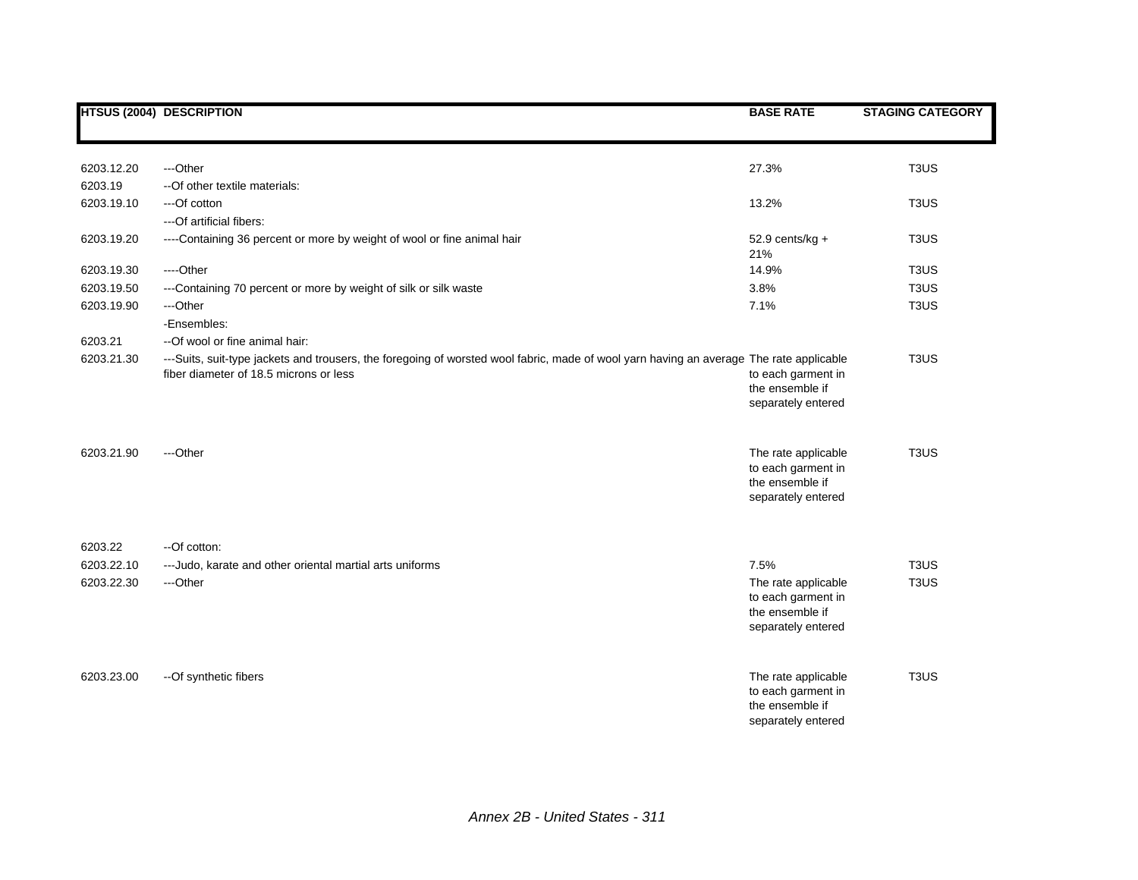|                       | <b>HTSUS (2004) DESCRIPTION</b>                                                                                                                                                   | <b>BASE RATE</b>                                                                   | <b>STAGING CATEGORY</b>       |
|-----------------------|-----------------------------------------------------------------------------------------------------------------------------------------------------------------------------------|------------------------------------------------------------------------------------|-------------------------------|
| 6203.12.20<br>6203.19 | ---Other<br>-- Of other textile materials:                                                                                                                                        | 27.3%                                                                              | T <sub>3</sub> U <sub>S</sub> |
| 6203.19.10            | ---Of cotton<br>---Of artificial fibers:                                                                                                                                          | 13.2%                                                                              | T <sub>3</sub> US             |
| 6203.19.20            | ----Containing 36 percent or more by weight of wool or fine animal hair                                                                                                           | $52.9$ cents/kg +<br>21%                                                           | T <sub>3</sub> US             |
| 6203.19.30            | $---Other$                                                                                                                                                                        | 14.9%                                                                              | T <sub>3</sub> U <sub>S</sub> |
| 6203.19.50            | ---Containing 70 percent or more by weight of silk or silk waste                                                                                                                  | 3.8%                                                                               | T <sub>3</sub> US             |
| 6203.19.90            | ---Other<br>-Ensembles:                                                                                                                                                           | 7.1%                                                                               | T <sub>3</sub> U <sub>S</sub> |
| 6203.21               | --Of wool or fine animal hair:                                                                                                                                                    |                                                                                    |                               |
| 6203.21.30            | ---Suits, suit-type jackets and trousers, the foregoing of worsted wool fabric, made of wool yarn having an average The rate applicable<br>fiber diameter of 18.5 microns or less | to each garment in<br>the ensemble if<br>separately entered                        | T <sub>3</sub> US             |
| 6203.21.90            | ---Other                                                                                                                                                                          | The rate applicable<br>to each garment in<br>the ensemble if<br>separately entered | T <sub>3</sub> U <sub>S</sub> |
| 6203.22               | --Of cotton:                                                                                                                                                                      |                                                                                    |                               |
| 6203.22.10            | --- Judo, karate and other oriental martial arts uniforms                                                                                                                         | 7.5%                                                                               | T <sub>3</sub> U <sub>S</sub> |
| 6203.22.30            | ---Other                                                                                                                                                                          | The rate applicable<br>to each garment in<br>the ensemble if<br>separately entered | T <sub>3</sub> U <sub>S</sub> |
| 6203.23.00            | -- Of synthetic fibers                                                                                                                                                            | The rate applicable<br>to each garment in<br>the ensemble if<br>separately entered | T <sub>3</sub> US             |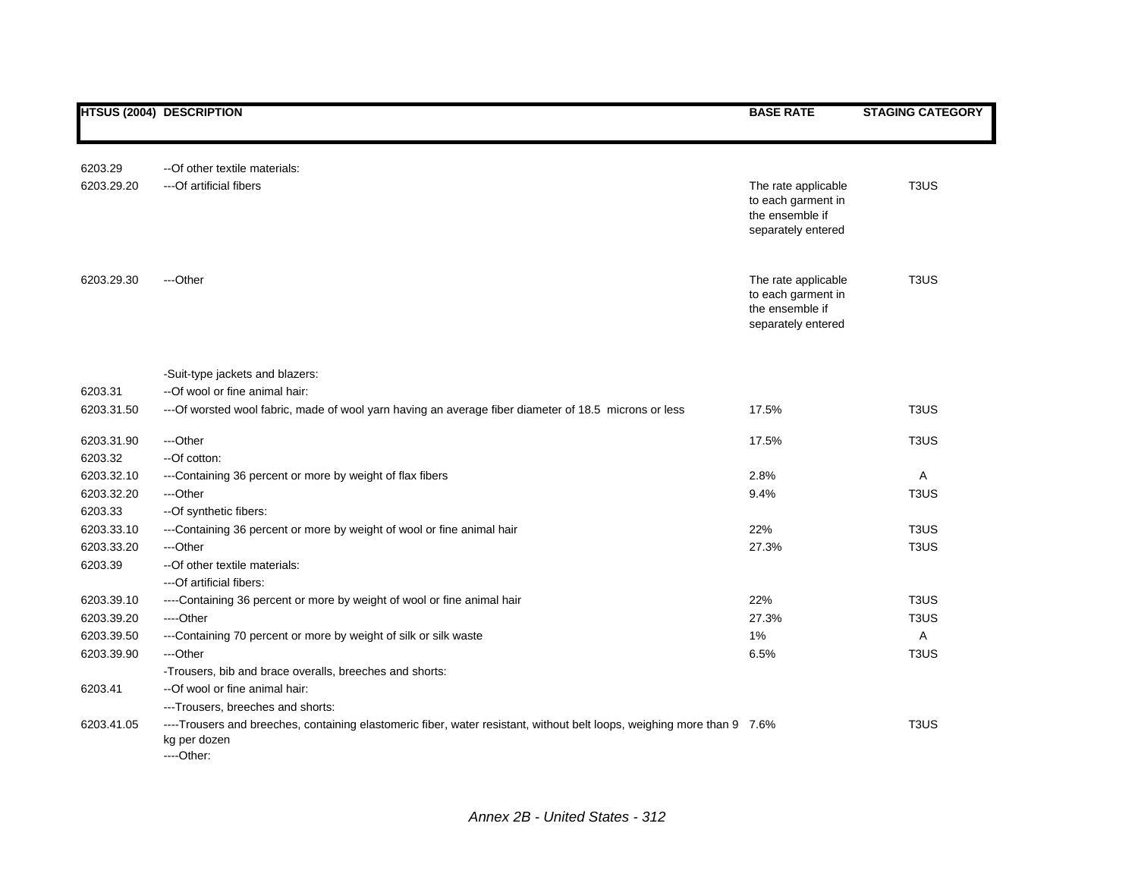|            | <b>HTSUS (2004) DESCRIPTION</b>                                                                                                                       | <b>BASE RATE</b>                                                                   | <b>STAGING CATEGORY</b>       |
|------------|-------------------------------------------------------------------------------------------------------------------------------------------------------|------------------------------------------------------------------------------------|-------------------------------|
|            |                                                                                                                                                       |                                                                                    |                               |
| 6203.29    | --Of other textile materials:                                                                                                                         |                                                                                    |                               |
| 6203.29.20 | ---Of artificial fibers                                                                                                                               | The rate applicable<br>to each garment in<br>the ensemble if<br>separately entered | T <sub>3</sub> U <sub>S</sub> |
| 6203.29.30 | ---Other                                                                                                                                              | The rate applicable<br>to each garment in<br>the ensemble if<br>separately entered | T <sub>3</sub> US             |
|            | -Suit-type jackets and blazers:                                                                                                                       |                                                                                    |                               |
| 6203.31    | --Of wool or fine animal hair:                                                                                                                        |                                                                                    |                               |
| 6203.31.50 | ---Of worsted wool fabric, made of wool yarn having an average fiber diameter of 18.5 microns or less                                                 | 17.5%                                                                              | T <sub>3</sub> US             |
| 6203.31.90 | ---Other                                                                                                                                              | 17.5%                                                                              | T <sub>3</sub> U <sub>S</sub> |
| 6203.32    | --Of cotton:                                                                                                                                          |                                                                                    |                               |
| 6203.32.10 | ---Containing 36 percent or more by weight of flax fibers                                                                                             | 2.8%                                                                               | Α                             |
| 6203.32.20 | ---Other                                                                                                                                              | 9.4%                                                                               | T <sub>3</sub> U <sub>S</sub> |
| 6203.33    | --Of synthetic fibers:                                                                                                                                |                                                                                    |                               |
| 6203.33.10 | ---Containing 36 percent or more by weight of wool or fine animal hair                                                                                | 22%                                                                                | T <sub>3</sub> U <sub>S</sub> |
| 6203.33.20 | ---Other                                                                                                                                              | 27.3%                                                                              | T <sub>3</sub> U <sub>S</sub> |
| 6203.39    | -- Of other textile materials:                                                                                                                        |                                                                                    |                               |
|            | ---Of artificial fibers:                                                                                                                              |                                                                                    |                               |
| 6203.39.10 | ----Containing 36 percent or more by weight of wool or fine animal hair                                                                               | 22%                                                                                | T <sub>3</sub> U <sub>S</sub> |
| 6203.39.20 | ----Other                                                                                                                                             | 27.3%                                                                              | T <sub>3</sub> US             |
| 6203.39.50 | ---Containing 70 percent or more by weight of silk or silk waste                                                                                      | 1%                                                                                 | Α                             |
| 6203.39.90 | ---Other                                                                                                                                              | 6.5%                                                                               | T <sub>3</sub> US             |
|            | -Trousers, bib and brace overalls, breeches and shorts:                                                                                               |                                                                                    |                               |
| 6203.41    | --Of wool or fine animal hair:                                                                                                                        |                                                                                    |                               |
|            | ---Trousers, breeches and shorts:                                                                                                                     |                                                                                    |                               |
| 6203.41.05 | ---Trousers and breeches, containing elastomeric fiber, water resistant, without belt loops, weighing more than 9 7.6%<br>kg per dozen<br>$---Other.$ |                                                                                    | T <sub>3</sub> US             |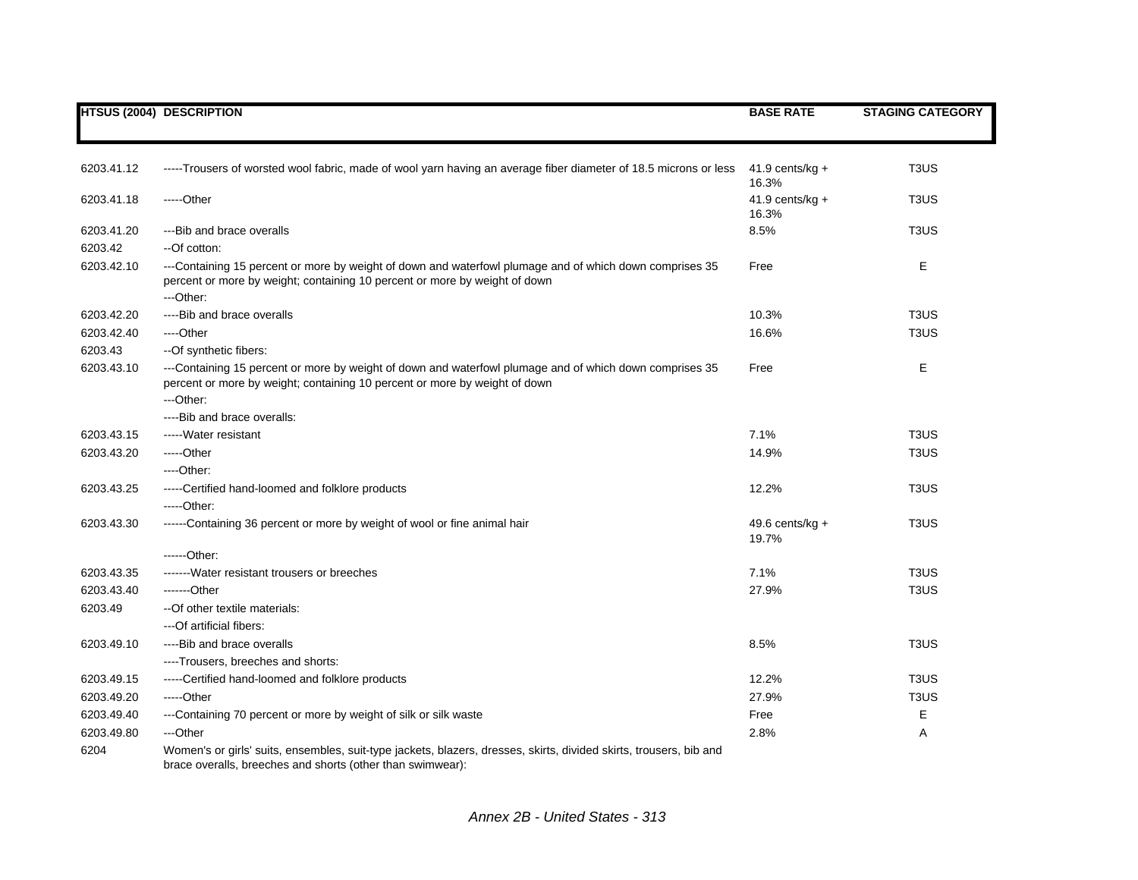|            | <b>HTSUS (2004) DESCRIPTION</b>                                                                                                                                                                    | <b>BASE RATE</b>           | <b>STAGING CATEGORY</b>       |
|------------|----------------------------------------------------------------------------------------------------------------------------------------------------------------------------------------------------|----------------------------|-------------------------------|
|            |                                                                                                                                                                                                    |                            |                               |
| 6203.41.12 | -----Trousers of worsted wool fabric, made of wool yarn having an average fiber diameter of 18.5 microns or less                                                                                   | $41.9$ cents/kg +<br>16.3% | T <sub>3</sub> US             |
| 6203.41.18 | -----Other                                                                                                                                                                                         | 41.9 cents/kg $+$<br>16.3% | T <sub>3</sub> U <sub>S</sub> |
| 6203.41.20 | --- Bib and brace overalls                                                                                                                                                                         | 8.5%                       | T <sub>3</sub> U <sub>S</sub> |
| 6203.42    | --Of cotton:                                                                                                                                                                                       |                            |                               |
| 6203.42.10 | ---Containing 15 percent or more by weight of down and waterfowl plumage and of which down comprises 35<br>percent or more by weight; containing 10 percent or more by weight of down<br>---Other: | Free                       | Ε                             |
| 6203.42.20 | ----Bib and brace overalls                                                                                                                                                                         | 10.3%                      | T <sub>3</sub> U <sub>S</sub> |
| 6203.42.40 | ----Other                                                                                                                                                                                          | 16.6%                      | T <sub>3</sub> US             |
| 6203.43    | --Of synthetic fibers:                                                                                                                                                                             |                            |                               |
| 6203.43.10 | ---Containing 15 percent or more by weight of down and waterfowl plumage and of which down comprises 35<br>percent or more by weight; containing 10 percent or more by weight of down<br>---Other: | Free                       | E                             |
|            | ----Bib and brace overalls:                                                                                                                                                                        |                            |                               |
| 6203.43.15 | ----- Water resistant                                                                                                                                                                              | 7.1%                       | T <sub>3</sub> U <sub>S</sub> |
| 6203.43.20 | -----Other                                                                                                                                                                                         | 14.9%                      | T <sub>3</sub> U <sub>S</sub> |
|            | ----Other:                                                                                                                                                                                         |                            |                               |
| 6203.43.25 | -----Certified hand-loomed and folklore products                                                                                                                                                   | 12.2%                      | T <sub>3</sub> U <sub>S</sub> |
|            | -----Other:                                                                                                                                                                                        |                            |                               |
| 6203.43.30 | ------Containing 36 percent or more by weight of wool or fine animal hair                                                                                                                          | 49.6 cents/kg $+$<br>19.7% | T <sub>3</sub> U <sub>S</sub> |
|            | ------Other:                                                                                                                                                                                       |                            |                               |
| 6203.43.35 | -------Water resistant trousers or breeches                                                                                                                                                        | 7.1%                       | T <sub>3</sub> U <sub>S</sub> |
| 6203.43.40 | -------Other                                                                                                                                                                                       | 27.9%                      | T <sub>3</sub> U <sub>S</sub> |
| 6203.49    | --Of other textile materials:                                                                                                                                                                      |                            |                               |
|            | ---Of artificial fibers:                                                                                                                                                                           |                            |                               |
| 6203.49.10 | ----Bib and brace overalls                                                                                                                                                                         | 8.5%                       | T <sub>3</sub> U <sub>S</sub> |
|            | ----Trousers, breeches and shorts:                                                                                                                                                                 |                            |                               |
| 6203.49.15 | -----Certified hand-loomed and folklore products                                                                                                                                                   | 12.2%                      | T <sub>3</sub> U <sub>S</sub> |
| 6203.49.20 | $---Other$                                                                                                                                                                                         | 27.9%                      | T <sub>3</sub> U <sub>S</sub> |
| 6203.49.40 | ---Containing 70 percent or more by weight of silk or silk waste                                                                                                                                   | Free                       | Е                             |
| 6203.49.80 | ---Other                                                                                                                                                                                           | 2.8%                       | Α                             |
| 6204       | Women's or girls' suits, ensembles, suit-type jackets, blazers, dresses, skirts, divided skirts, trousers, bib and<br>brace overalls, breeches and shorts (other than swimwear):                   |                            |                               |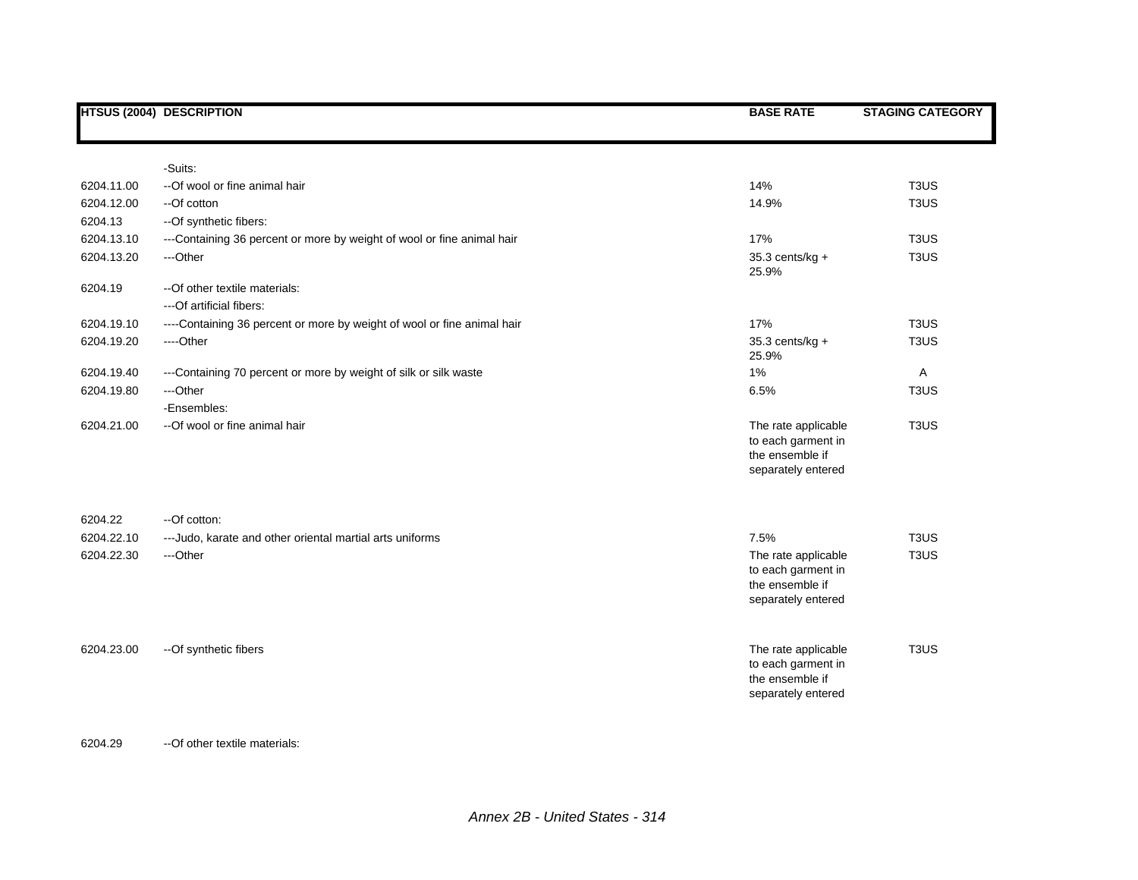|            | <b>HTSUS (2004) DESCRIPTION</b>                                         | <b>BASE RATE</b>                                                                   | <b>STAGING CATEGORY</b>       |
|------------|-------------------------------------------------------------------------|------------------------------------------------------------------------------------|-------------------------------|
|            |                                                                         |                                                                                    |                               |
|            | -Suits:                                                                 |                                                                                    |                               |
| 6204.11.00 | --Of wool or fine animal hair                                           | 14%                                                                                | T <sub>3</sub> US             |
| 6204.12.00 | --Of cotton                                                             | 14.9%                                                                              | T <sub>3</sub> US             |
| 6204.13    | --Of synthetic fibers:                                                  |                                                                                    |                               |
| 6204.13.10 | ---Containing 36 percent or more by weight of wool or fine animal hair  | 17%                                                                                | T <sub>3</sub> US             |
| 6204.13.20 | ---Other                                                                | 35.3 cents/kg +<br>25.9%                                                           | T <sub>3</sub> US             |
| 6204.19    | -- Of other textile materials:<br>---Of artificial fibers:              |                                                                                    |                               |
| 6204.19.10 | ----Containing 36 percent or more by weight of wool or fine animal hair | 17%                                                                                | T <sub>3</sub> U <sub>S</sub> |
| 6204.19.20 | ----Other                                                               | 35.3 cents/kg +<br>25.9%                                                           | T <sub>3</sub> US             |
| 6204.19.40 | ---Containing 70 percent or more by weight of silk or silk waste        | 1%                                                                                 | $\mathsf{A}$                  |
| 6204.19.80 | ---Other                                                                | 6.5%                                                                               | T <sub>3</sub> US             |
|            | -Ensembles:                                                             |                                                                                    |                               |
| 6204.21.00 | --Of wool or fine animal hair                                           | The rate applicable<br>to each garment in<br>the ensemble if<br>separately entered | T <sub>3</sub> U <sub>S</sub> |
| 6204.22    | --Of cotton:                                                            |                                                                                    |                               |
| 6204.22.10 | --- Judo, karate and other oriental martial arts uniforms               | 7.5%                                                                               | T <sub>3</sub> US             |
| 6204.22.30 | ---Other                                                                | The rate applicable<br>to each garment in<br>the ensemble if<br>separately entered | T <sub>3</sub> U <sub>S</sub> |
| 6204.23.00 | -- Of synthetic fibers                                                  | The rate applicable<br>to each garment in<br>the ensemble if<br>separately entered | T <sub>3</sub> US             |

## 6204.29 --Of other textile materials: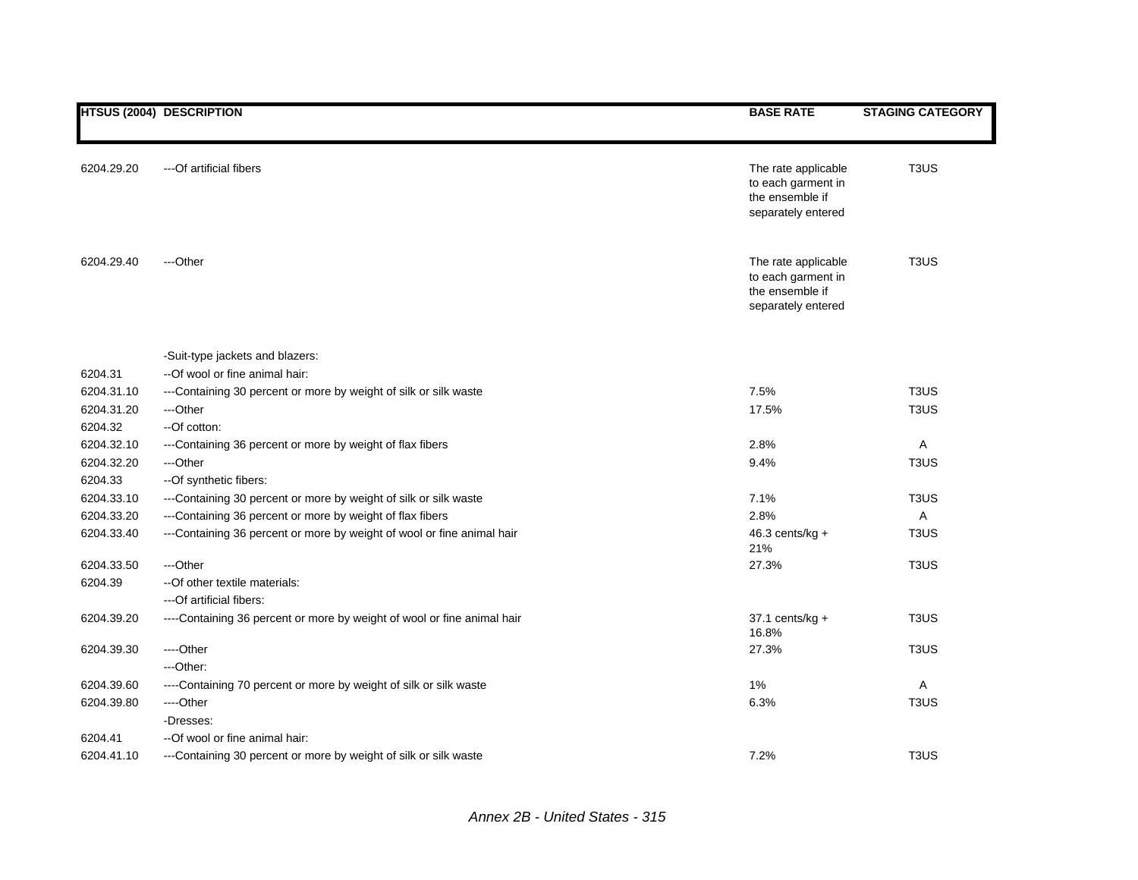|            | <b>HTSUS (2004) DESCRIPTION</b>                                         | <b>BASE RATE</b>                                                                   | <b>STAGING CATEGORY</b>       |
|------------|-------------------------------------------------------------------------|------------------------------------------------------------------------------------|-------------------------------|
|            |                                                                         |                                                                                    |                               |
| 6204.29.20 | ---Of artificial fibers                                                 | The rate applicable<br>to each garment in<br>the ensemble if<br>separately entered | T <sub>3</sub> US             |
|            |                                                                         |                                                                                    |                               |
| 6204.29.40 | ---Other                                                                | The rate applicable<br>to each garment in<br>the ensemble if<br>separately entered | T <sub>3</sub> US             |
|            | -Suit-type jackets and blazers:                                         |                                                                                    |                               |
| 6204.31    | --Of wool or fine animal hair:                                          |                                                                                    |                               |
| 6204.31.10 | ---Containing 30 percent or more by weight of silk or silk waste        | 7.5%                                                                               | T <sub>3</sub> U <sub>S</sub> |
| 6204.31.20 | ---Other                                                                | 17.5%                                                                              | T <sub>3</sub> U <sub>S</sub> |
| 6204.32    | --Of cotton:                                                            |                                                                                    |                               |
| 6204.32.10 | ---Containing 36 percent or more by weight of flax fibers               | 2.8%                                                                               | A                             |
| 6204.32.20 | ---Other                                                                | 9.4%                                                                               | T <sub>3</sub> U <sub>S</sub> |
| 6204.33    | --Of synthetic fibers:                                                  |                                                                                    |                               |
| 6204.33.10 | ---Containing 30 percent or more by weight of silk or silk waste        | 7.1%                                                                               | T <sub>3</sub> US             |
| 6204.33.20 | ---Containing 36 percent or more by weight of flax fibers               | 2.8%                                                                               | Α                             |
| 6204.33.40 | ---Containing 36 percent or more by weight of wool or fine animal hair  | $46.3$ cents/kg +<br>21%                                                           | T <sub>3</sub> U <sub>S</sub> |
| 6204.33.50 | ---Other                                                                | 27.3%                                                                              | T <sub>3</sub> U <sub>S</sub> |
| 6204.39    | -- Of other textile materials:                                          |                                                                                    |                               |
|            | ---Of artificial fibers:                                                |                                                                                    |                               |
| 6204.39.20 | ----Containing 36 percent or more by weight of wool or fine animal hair | $37.1$ cents/kg +<br>16.8%                                                         | T <sub>3</sub> U <sub>S</sub> |
| 6204.39.30 | ---Other                                                                | 27.3%                                                                              | T <sub>3</sub> U <sub>S</sub> |
|            | ---Other:                                                               |                                                                                    |                               |
| 6204.39.60 | ----Containing 70 percent or more by weight of silk or silk waste       | 1%                                                                                 | Α                             |
| 6204.39.80 | ---Other                                                                | 6.3%                                                                               | T <sub>3</sub> US             |
|            | -Dresses:                                                               |                                                                                    |                               |
| 6204.41    | --Of wool or fine animal hair:                                          |                                                                                    |                               |
| 6204.41.10 | ---Containing 30 percent or more by weight of silk or silk waste        | 7.2%                                                                               | T <sub>3</sub> U <sub>S</sub> |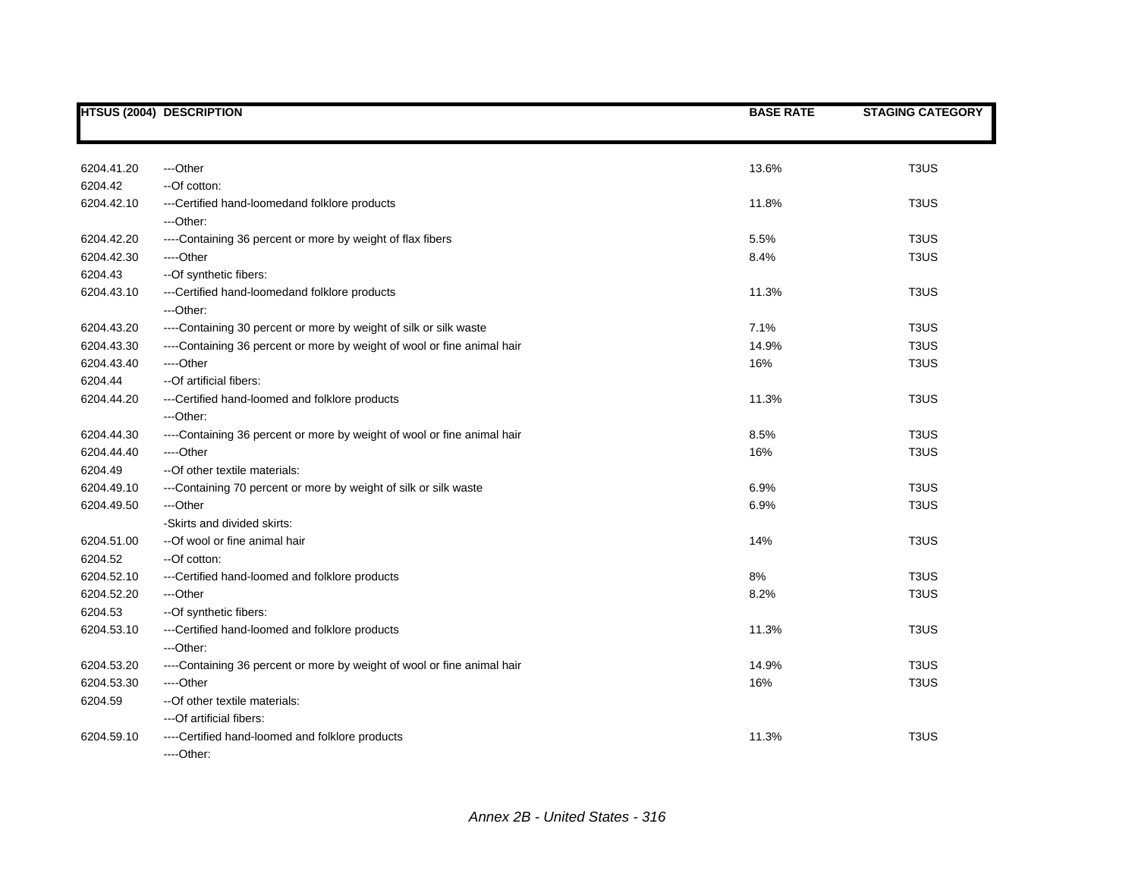|            | <b>HTSUS (2004) DESCRIPTION</b>                                         | <b>BASE RATE</b> | <b>STAGING CATEGORY</b>       |
|------------|-------------------------------------------------------------------------|------------------|-------------------------------|
|            |                                                                         |                  |                               |
| 6204.41.20 | ---Other                                                                | 13.6%            | T <sub>3</sub> US             |
| 6204.42    | --Of cotton:                                                            |                  |                               |
| 6204.42.10 | ---Certified hand-loomedand folklore products                           | 11.8%            | T <sub>3</sub> U <sub>S</sub> |
|            | ---Other:                                                               |                  |                               |
| 6204.42.20 | ----Containing 36 percent or more by weight of flax fibers              | 5.5%             | T <sub>3</sub> US             |
| 6204.42.30 | ----Other                                                               | 8.4%             | T <sub>3</sub> US             |
| 6204.43    | -- Of synthetic fibers:                                                 |                  |                               |
| 6204.43.10 | --- Certified hand-loomedand folklore products                          | 11.3%            | T <sub>3</sub> US             |
|            | ---Other:                                                               |                  |                               |
| 6204.43.20 | ----Containing 30 percent or more by weight of silk or silk waste       | 7.1%             | T <sub>3</sub> US             |
| 6204.43.30 | ----Containing 36 percent or more by weight of wool or fine animal hair | 14.9%            | T <sub>3</sub> US             |
| 6204.43.40 | ----Other                                                               | 16%              | T <sub>3</sub> US             |
| 6204.44    | --Of artificial fibers:                                                 |                  |                               |
| 6204.44.20 | ---Certified hand-loomed and folklore products                          | 11.3%            | T <sub>3</sub> US             |
|            | ---Other:                                                               |                  |                               |
| 6204.44.30 | ----Containing 36 percent or more by weight of wool or fine animal hair | 8.5%             | T <sub>3</sub> U <sub>S</sub> |
| 6204.44.40 | ----Other                                                               | 16%              | T <sub>3</sub> US             |
| 6204.49    | -- Of other textile materials:                                          |                  |                               |
| 6204.49.10 | ---Containing 70 percent or more by weight of silk or silk waste        | 6.9%             | T <sub>3</sub> US             |
| 6204.49.50 | ---Other                                                                | 6.9%             | T <sub>3</sub> U <sub>S</sub> |
|            | -Skirts and divided skirts:                                             |                  |                               |
| 6204.51.00 | --Of wool or fine animal hair                                           | 14%              | T <sub>3</sub> US             |
| 6204.52    | --Of cotton:                                                            |                  |                               |
| 6204.52.10 | ---Certified hand-loomed and folklore products                          | 8%               | T <sub>3</sub> U <sub>S</sub> |
| 6204.52.20 | ---Other                                                                | 8.2%             | T <sub>3</sub> US             |
| 6204.53    | --Of synthetic fibers:                                                  |                  |                               |
| 6204.53.10 | ---Certified hand-loomed and folklore products                          | 11.3%            | T <sub>3</sub> US             |
|            | ---Other:                                                               |                  |                               |
| 6204.53.20 | ----Containing 36 percent or more by weight of wool or fine animal hair | 14.9%            | T <sub>3</sub> U <sub>S</sub> |
| 6204.53.30 | ----Other                                                               | 16%              | T <sub>3</sub> US             |
| 6204.59    | --Of other textile materials:                                           |                  |                               |
|            | ---Of artificial fibers:                                                |                  |                               |
| 6204.59.10 | ----Certified hand-loomed and folklore products                         | 11.3%            | T <sub>3</sub> U <sub>S</sub> |
|            | ----Other:                                                              |                  |                               |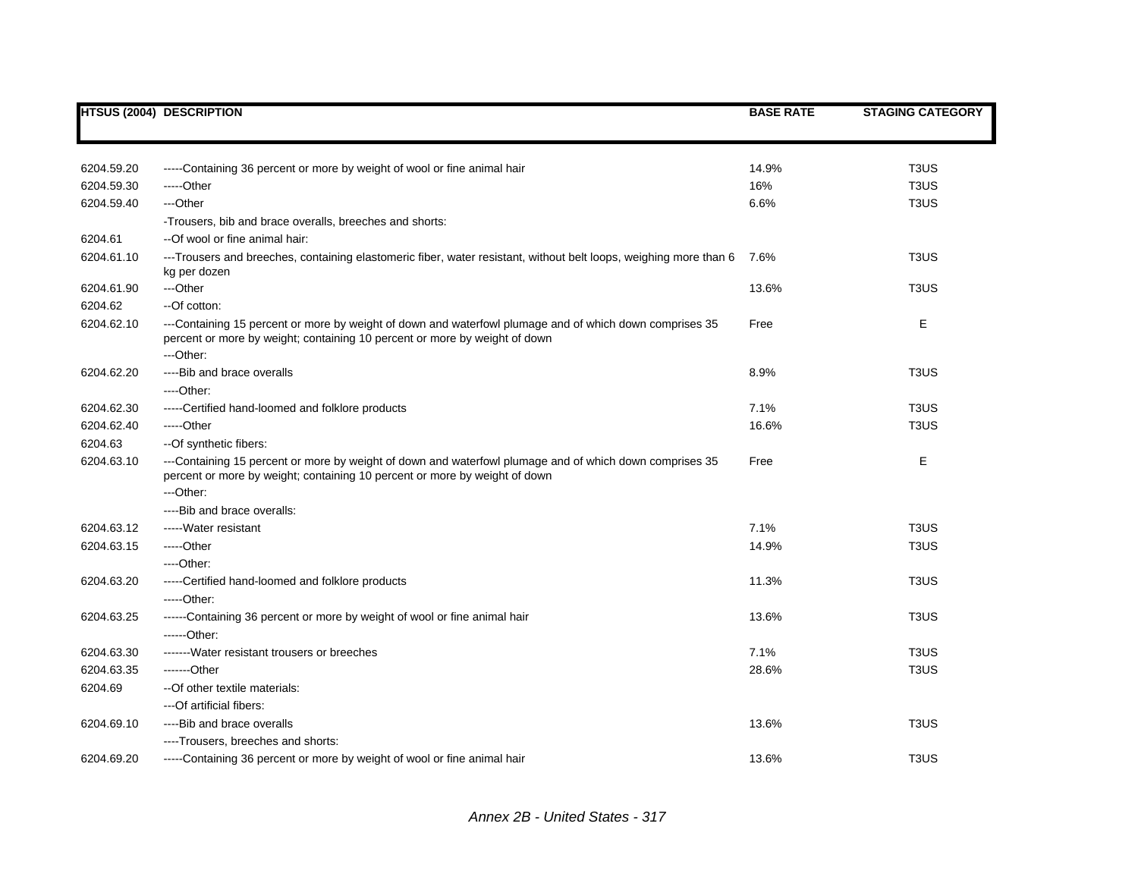|            | <b>HTSUS (2004) DESCRIPTION</b>                                                                                                                                                                    | <b>BASE RATE</b> | <b>STAGING CATEGORY</b>       |
|------------|----------------------------------------------------------------------------------------------------------------------------------------------------------------------------------------------------|------------------|-------------------------------|
|            |                                                                                                                                                                                                    |                  |                               |
| 6204.59.20 | -----Containing 36 percent or more by weight of wool or fine animal hair                                                                                                                           | 14.9%            | T <sub>3</sub> US             |
| 6204.59.30 | -----Other                                                                                                                                                                                         | 16%              | T <sub>3</sub> U <sub>S</sub> |
| 6204.59.40 | ---Other                                                                                                                                                                                           | 6.6%             | T <sub>3</sub> U <sub>S</sub> |
|            | -Trousers, bib and brace overalls, breeches and shorts:                                                                                                                                            |                  |                               |
| 6204.61    | --Of wool or fine animal hair:                                                                                                                                                                     |                  |                               |
| 6204.61.10 | ---Trousers and breeches, containing elastomeric fiber, water resistant, without belt loops, weighing more than 6<br>kg per dozen                                                                  | 7.6%             | T <sub>3</sub> U <sub>S</sub> |
| 6204.61.90 | ---Other                                                                                                                                                                                           | 13.6%            | T <sub>3</sub> U <sub>S</sub> |
| 6204.62    | --Of cotton:                                                                                                                                                                                       |                  |                               |
| 6204.62.10 | ---Containing 15 percent or more by weight of down and waterfowl plumage and of which down comprises 35<br>percent or more by weight; containing 10 percent or more by weight of down<br>---Other: | Free             | Е                             |
| 6204.62.20 | ----Bib and brace overalls                                                                                                                                                                         | 8.9%             | T <sub>3</sub> U <sub>S</sub> |
|            | $---Other.$                                                                                                                                                                                        |                  |                               |
| 6204.62.30 | -----Certified hand-loomed and folklore products                                                                                                                                                   | 7.1%             | T <sub>3</sub> US             |
| 6204.62.40 | -----Other                                                                                                                                                                                         | 16.6%            | T <sub>3</sub> US             |
| 6204.63    | --Of synthetic fibers:                                                                                                                                                                             |                  |                               |
| 6204.63.10 | ---Containing 15 percent or more by weight of down and waterfowl plumage and of which down comprises 35<br>percent or more by weight; containing 10 percent or more by weight of down              | Free             | E                             |
|            | ---Other:                                                                                                                                                                                          |                  |                               |
|            | ----Bib and brace overalls:                                                                                                                                                                        |                  |                               |
| 6204.63.12 | ----- Water resistant                                                                                                                                                                              | 7.1%             | T <sub>3</sub> U <sub>S</sub> |
| 6204.63.15 | $---Other$                                                                                                                                                                                         | 14.9%            | T <sub>3</sub> U <sub>S</sub> |
|            | $---Other.$                                                                                                                                                                                        |                  |                               |
| 6204.63.20 | -----Certified hand-loomed and folklore products                                                                                                                                                   | 11.3%            | T <sub>3</sub> U <sub>S</sub> |
|            | -----Other:                                                                                                                                                                                        |                  |                               |
| 6204.63.25 | ------Containing 36 percent or more by weight of wool or fine animal hair                                                                                                                          | 13.6%            | T <sub>3</sub> US             |
|            | ------Other:                                                                                                                                                                                       |                  |                               |
| 6204.63.30 | ------- Water resistant trousers or breeches                                                                                                                                                       | 7.1%             | T <sub>3</sub> U <sub>S</sub> |
| 6204.63.35 | -------Other                                                                                                                                                                                       | 28.6%            | T <sub>3</sub> U <sub>S</sub> |
| 6204.69    | -- Of other textile materials:                                                                                                                                                                     |                  |                               |
|            | ---Of artificial fibers:                                                                                                                                                                           |                  |                               |
| 6204.69.10 | ----Bib and brace overalls                                                                                                                                                                         | 13.6%            | T <sub>3</sub> US             |
|            | ----Trousers, breeches and shorts:                                                                                                                                                                 |                  |                               |
| 6204.69.20 | -----Containing 36 percent or more by weight of wool or fine animal hair                                                                                                                           | 13.6%            | T <sub>3</sub> US             |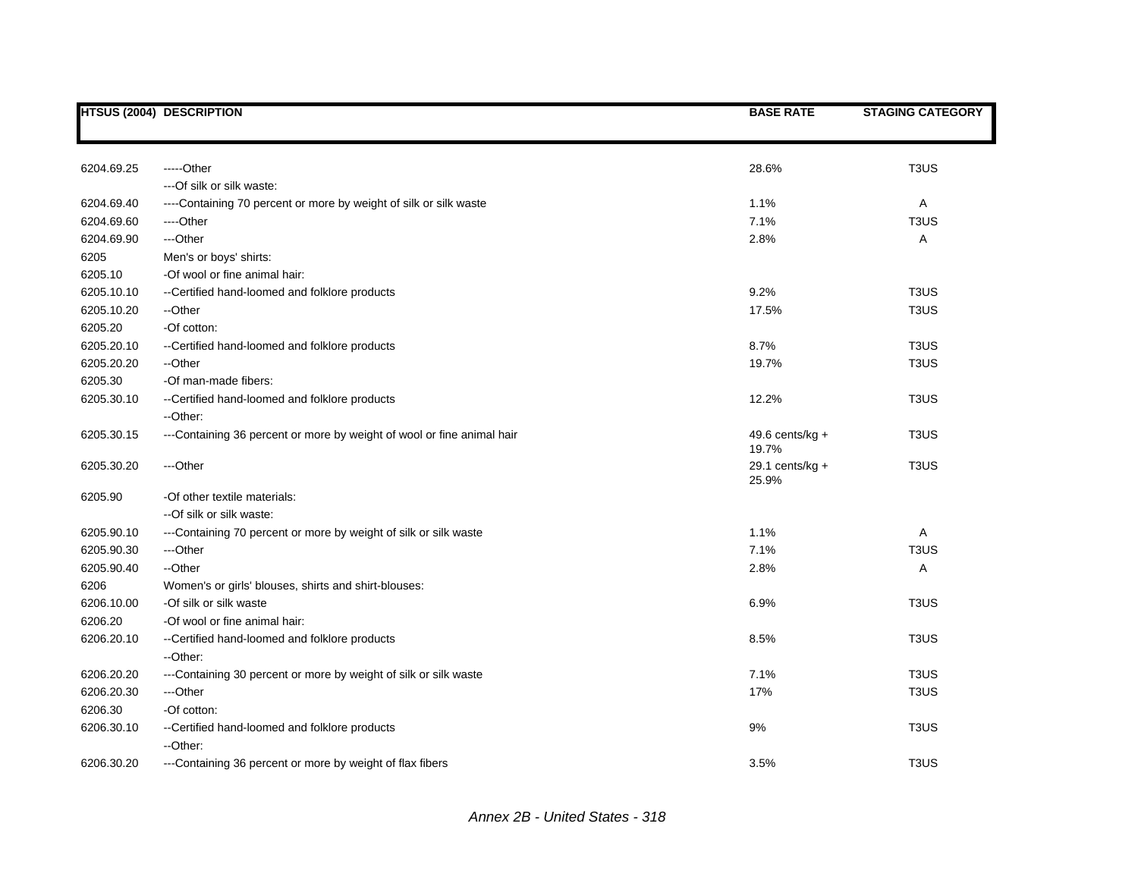|            | <b>HTSUS (2004) DESCRIPTION</b>                                        | <b>BASE RATE</b>            | <b>STAGING CATEGORY</b>       |
|------------|------------------------------------------------------------------------|-----------------------------|-------------------------------|
|            |                                                                        |                             |                               |
| 6204.69.25 | -----Other                                                             | 28.6%                       | T <sub>3</sub> US             |
|            | --- Of silk or silk waste:                                             |                             |                               |
| 6204.69.40 | ----Containing 70 percent or more by weight of silk or silk waste      | 1.1%                        | A                             |
| 6204.69.60 | ----Other                                                              | 7.1%                        | T <sub>3</sub> US             |
| 6204.69.90 | ---Other                                                               | 2.8%                        | Α                             |
| 6205       | Men's or boys' shirts:                                                 |                             |                               |
| 6205.10    | -Of wool or fine animal hair:                                          |                             |                               |
| 6205.10.10 | --Certified hand-loomed and folklore products                          | 9.2%                        | T <sub>3</sub> U <sub>S</sub> |
| 6205.10.20 | --Other                                                                | 17.5%                       | T <sub>3</sub> US             |
| 6205.20    | -Of cotton:                                                            |                             |                               |
| 6205.20.10 | --Certified hand-loomed and folklore products                          | 8.7%                        | T <sub>3</sub> US             |
| 6205.20.20 | --Other                                                                | 19.7%                       | T <sub>3</sub> US             |
| 6205.30    | -Of man-made fibers:                                                   |                             |                               |
| 6205.30.10 | --Certified hand-loomed and folklore products                          | 12.2%                       | T <sub>3</sub> U <sub>S</sub> |
|            | --Other:                                                               |                             |                               |
| 6205.30.15 | ---Containing 36 percent or more by weight of wool or fine animal hair | 49.6 cents/ $kg +$<br>19.7% | T <sub>3</sub> US             |
| 6205.30.20 | ---Other                                                               | 29.1 cents/ $kg +$<br>25.9% | T <sub>3</sub> US             |
| 6205.90    | -Of other textile materials:                                           |                             |                               |
|            | --Of silk or silk waste:                                               |                             |                               |
| 6205.90.10 | ---Containing 70 percent or more by weight of silk or silk waste       | 1.1%                        | A                             |
| 6205.90.30 | ---Other                                                               | 7.1%                        | T <sub>3</sub> U <sub>S</sub> |
| 6205.90.40 | --Other                                                                | 2.8%                        | Α                             |
| 6206       | Women's or girls' blouses, shirts and shirt-blouses:                   |                             |                               |
| 6206.10.00 | -Of silk or silk waste                                                 | 6.9%                        | T <sub>3</sub> U <sub>S</sub> |
| 6206.20    | -Of wool or fine animal hair:                                          |                             |                               |
| 6206.20.10 | --Certified hand-loomed and folklore products<br>--Other:              | 8.5%                        | T <sub>3</sub> U <sub>S</sub> |
| 6206.20.20 | ---Containing 30 percent or more by weight of silk or silk waste       | 7.1%                        | T <sub>3</sub> US             |
| 6206.20.30 | ---Other                                                               | 17%                         | T <sub>3</sub> US             |
| 6206.30    | -Of cotton:                                                            |                             |                               |
| 6206.30.10 | --Certified hand-loomed and folklore products                          | 9%                          | T <sub>3</sub> U <sub>S</sub> |
|            | --Other:                                                               |                             |                               |
| 6206.30.20 | ---Containing 36 percent or more by weight of flax fibers              | 3.5%                        | T <sub>3</sub> U <sub>S</sub> |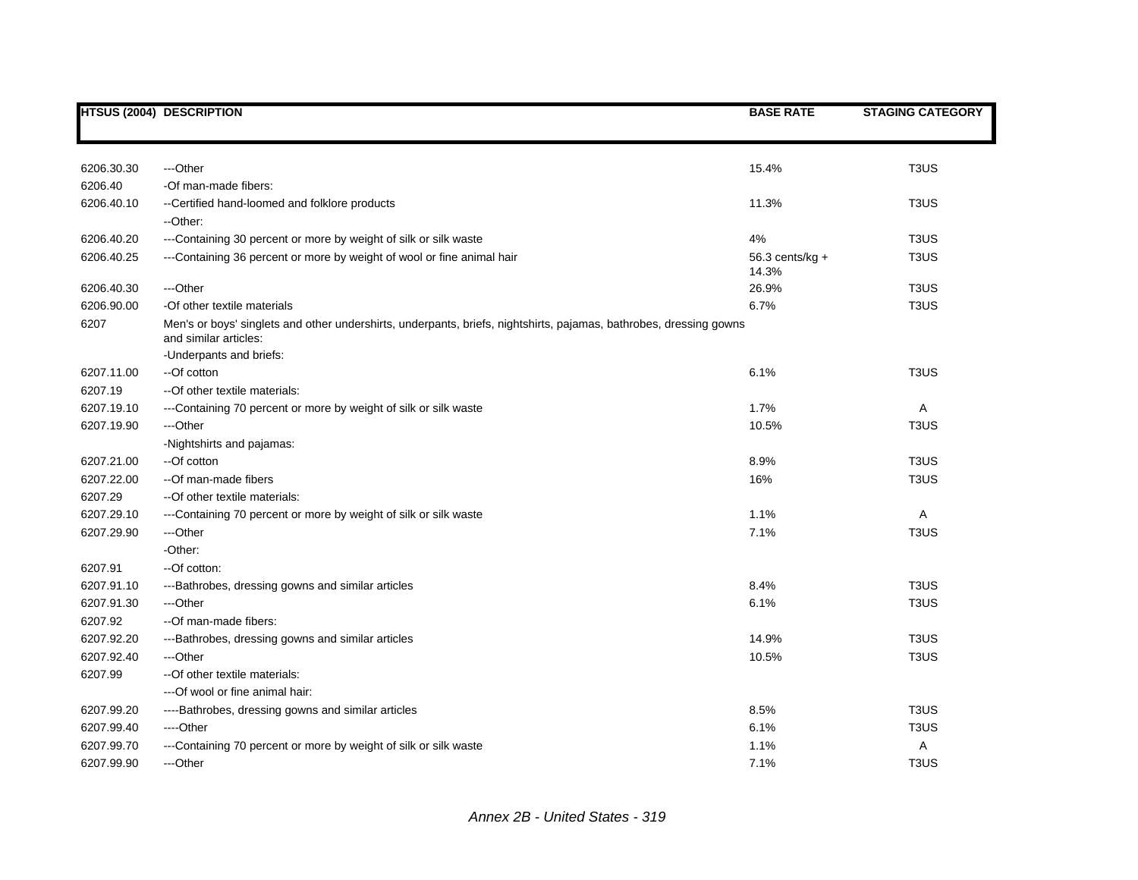|            | <b>HTSUS (2004) DESCRIPTION</b>                                                                                                                                        | <b>BASE RATE</b>         | <b>STAGING CATEGORY</b>       |
|------------|------------------------------------------------------------------------------------------------------------------------------------------------------------------------|--------------------------|-------------------------------|
|            |                                                                                                                                                                        |                          |                               |
| 6206.30.30 | ---Other                                                                                                                                                               | 15.4%                    | T <sub>3</sub> U <sub>S</sub> |
| 6206.40    | -Of man-made fibers:                                                                                                                                                   |                          |                               |
| 6206.40.10 | --Certified hand-loomed and folklore products                                                                                                                          | 11.3%                    | T <sub>3</sub> US             |
|            | --Other:                                                                                                                                                               |                          |                               |
| 6206.40.20 | ---Containing 30 percent or more by weight of silk or silk waste                                                                                                       | 4%                       | T <sub>3</sub> US             |
| 6206.40.25 | ---Containing 36 percent or more by weight of wool or fine animal hair                                                                                                 | 56.3 cents/kg +<br>14.3% | T <sub>3</sub> US             |
| 6206.40.30 | ---Other                                                                                                                                                               | 26.9%                    | T <sub>3</sub> U <sub>S</sub> |
| 6206.90.00 | -Of other textile materials                                                                                                                                            | 6.7%                     | T <sub>3</sub> US             |
| 6207       | Men's or boys' singlets and other undershirts, underpants, briefs, nightshirts, pajamas, bathrobes, dressing gowns<br>and similar articles:<br>-Underpants and briefs: |                          |                               |
| 6207.11.00 | --Of cotton                                                                                                                                                            | 6.1%                     | T <sub>3</sub> US             |
| 6207.19    | -- Of other textile materials:                                                                                                                                         |                          |                               |
| 6207.19.10 | ---Containing 70 percent or more by weight of silk or silk waste                                                                                                       | 1.7%                     | Α                             |
| 6207.19.90 | ---Other                                                                                                                                                               | 10.5%                    | T <sub>3</sub> U <sub>S</sub> |
|            | -Nightshirts and pajamas:                                                                                                                                              |                          |                               |
| 6207.21.00 | --Of cotton                                                                                                                                                            | 8.9%                     | T <sub>3</sub> US             |
| 6207.22.00 | --Of man-made fibers                                                                                                                                                   | 16%                      | T <sub>3</sub> US             |
| 6207.29    | -- Of other textile materials:                                                                                                                                         |                          |                               |
| 6207.29.10 | ---Containing 70 percent or more by weight of silk or silk waste                                                                                                       | 1.1%                     | A                             |
| 6207.29.90 | ---Other                                                                                                                                                               | 7.1%                     | T <sub>3</sub> US             |
|            | -Other:                                                                                                                                                                |                          |                               |
| 6207.91    | --Of cotton:                                                                                                                                                           |                          |                               |
| 6207.91.10 | ---Bathrobes, dressing gowns and similar articles                                                                                                                      | 8.4%                     | T <sub>3</sub> U <sub>S</sub> |
| 6207.91.30 | ---Other                                                                                                                                                               | 6.1%                     | T <sub>3</sub> U <sub>S</sub> |
| 6207.92    | --Of man-made fibers:                                                                                                                                                  |                          |                               |
| 6207.92.20 | ---Bathrobes, dressing gowns and similar articles                                                                                                                      | 14.9%                    | T <sub>3</sub> US             |
| 6207.92.40 | ---Other                                                                                                                                                               | 10.5%                    | T <sub>3</sub> US             |
| 6207.99    | -- Of other textile materials:<br>--- Of wool or fine animal hair:                                                                                                     |                          |                               |
| 6207.99.20 | ----Bathrobes, dressing gowns and similar articles                                                                                                                     | 8.5%                     | T <sub>3</sub> US             |
| 6207.99.40 | ----Other                                                                                                                                                              | 6.1%                     | T <sub>3</sub> US             |
| 6207.99.70 | ---Containing 70 percent or more by weight of silk or silk waste                                                                                                       | 1.1%                     | Α                             |
| 6207.99.90 | ---Other                                                                                                                                                               | 7.1%                     | T <sub>3</sub> US             |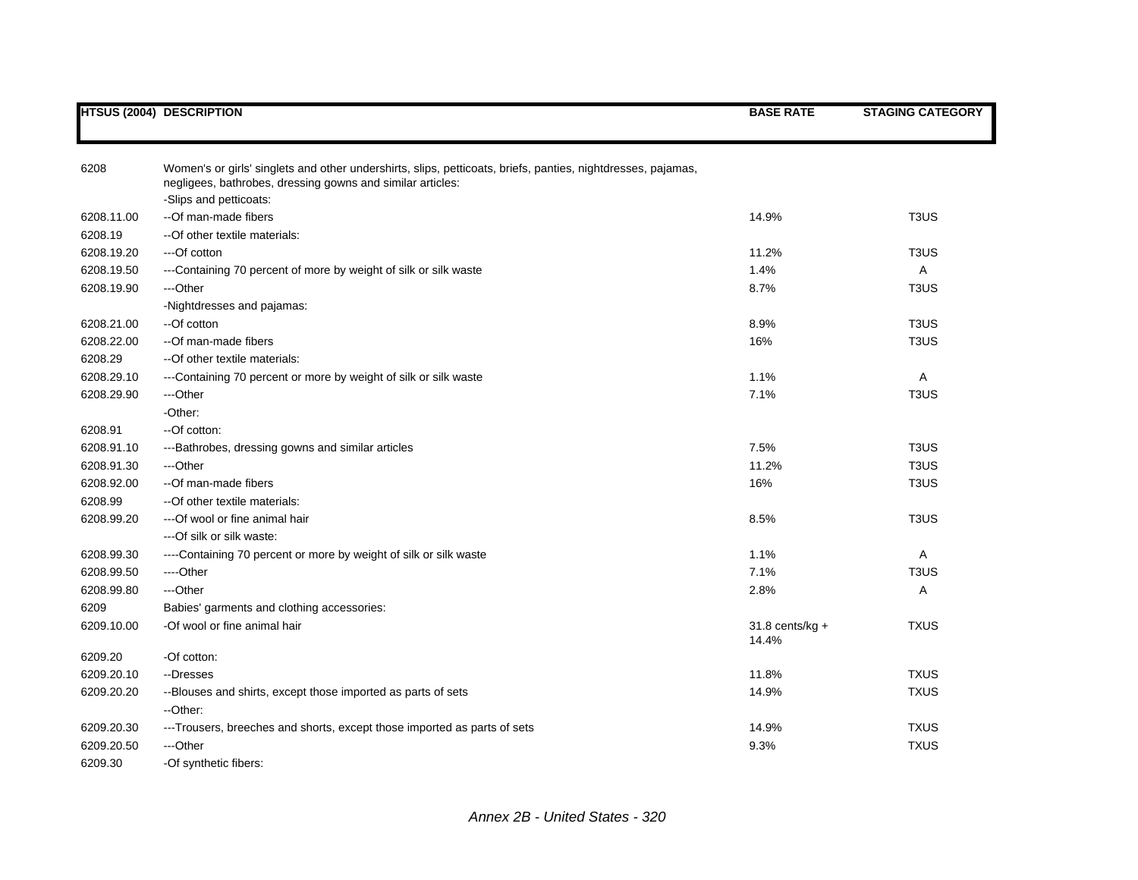|            | <b>HTSUS (2004) DESCRIPTION</b>                                                                              | <b>BASE RATE</b>  | <b>STAGING CATEGORY</b>       |
|------------|--------------------------------------------------------------------------------------------------------------|-------------------|-------------------------------|
|            |                                                                                                              |                   |                               |
|            |                                                                                                              |                   |                               |
| 6208       | Women's or girls' singlets and other undershirts, slips, petticoats, briefs, panties, nightdresses, pajamas, |                   |                               |
|            | negligees, bathrobes, dressing gowns and similar articles:                                                   |                   |                               |
|            | -Slips and petticoats:                                                                                       |                   |                               |
| 6208.11.00 | --Of man-made fibers                                                                                         | 14.9%             | T <sub>3</sub> U <sub>S</sub> |
| 6208.19    | -- Of other textile materials:                                                                               |                   |                               |
| 6208.19.20 | ---Of cotton                                                                                                 | 11.2%             | T <sub>3</sub> US             |
| 6208.19.50 | ---Containing 70 percent of more by weight of silk or silk waste                                             | 1.4%              | A                             |
| 6208.19.90 | ---Other                                                                                                     | 8.7%              | T <sub>3</sub> U <sub>S</sub> |
|            | -Nightdresses and pajamas:                                                                                   |                   |                               |
| 6208.21.00 | --Of cotton                                                                                                  | 8.9%              | T <sub>3</sub> US             |
| 6208.22.00 | --Of man-made fibers                                                                                         | 16%               | T <sub>3</sub> US             |
| 6208.29    | -- Of other textile materials:                                                                               |                   |                               |
| 6208.29.10 | ---Containing 70 percent or more by weight of silk or silk waste                                             | 1.1%              | A                             |
| 6208.29.90 | ---Other                                                                                                     | 7.1%              | T <sub>3</sub> U <sub>S</sub> |
|            | -Other:                                                                                                      |                   |                               |
| 6208.91    | --Of cotton:                                                                                                 |                   |                               |
| 6208.91.10 | ---Bathrobes, dressing gowns and similar articles                                                            | 7.5%              | T <sub>3</sub> US             |
| 6208.91.30 | ---Other                                                                                                     | 11.2%             | T <sub>3</sub> US             |
| 6208.92.00 | --Of man-made fibers                                                                                         | 16%               | T <sub>3</sub> US             |
| 6208.99    | -- Of other textile materials:                                                                               |                   |                               |
| 6208.99.20 | ---Of wool or fine animal hair                                                                               | 8.5%              | T <sub>3</sub> US             |
|            | ---Of silk or silk waste:                                                                                    |                   |                               |
| 6208.99.30 | ----Containing 70 percent or more by weight of silk or silk waste                                            | 1.1%              | Α                             |
| 6208.99.50 | ----Other                                                                                                    | 7.1%              | T <sub>3</sub> U <sub>S</sub> |
| 6208.99.80 | ---Other                                                                                                     | 2.8%              | Α                             |
| 6209       | Babies' garments and clothing accessories:                                                                   |                   |                               |
| 6209.10.00 | -Of wool or fine animal hair                                                                                 | $31.8$ cents/kg + | <b>TXUS</b>                   |
|            |                                                                                                              | 14.4%             |                               |
| 6209.20    | -Of cotton:                                                                                                  |                   |                               |
| 6209.20.10 | --Dresses                                                                                                    | 11.8%             | <b>TXUS</b>                   |
| 6209.20.20 | --Blouses and shirts, except those imported as parts of sets                                                 | 14.9%             | <b>TXUS</b>                   |
|            | --Other:                                                                                                     |                   |                               |
| 6209.20.30 | ---Trousers, breeches and shorts, except those imported as parts of sets                                     | 14.9%             | <b>TXUS</b>                   |
| 6209.20.50 | ---Other                                                                                                     | 9.3%              | <b>TXUS</b>                   |
| 6209.30    | -Of synthetic fibers:                                                                                        |                   |                               |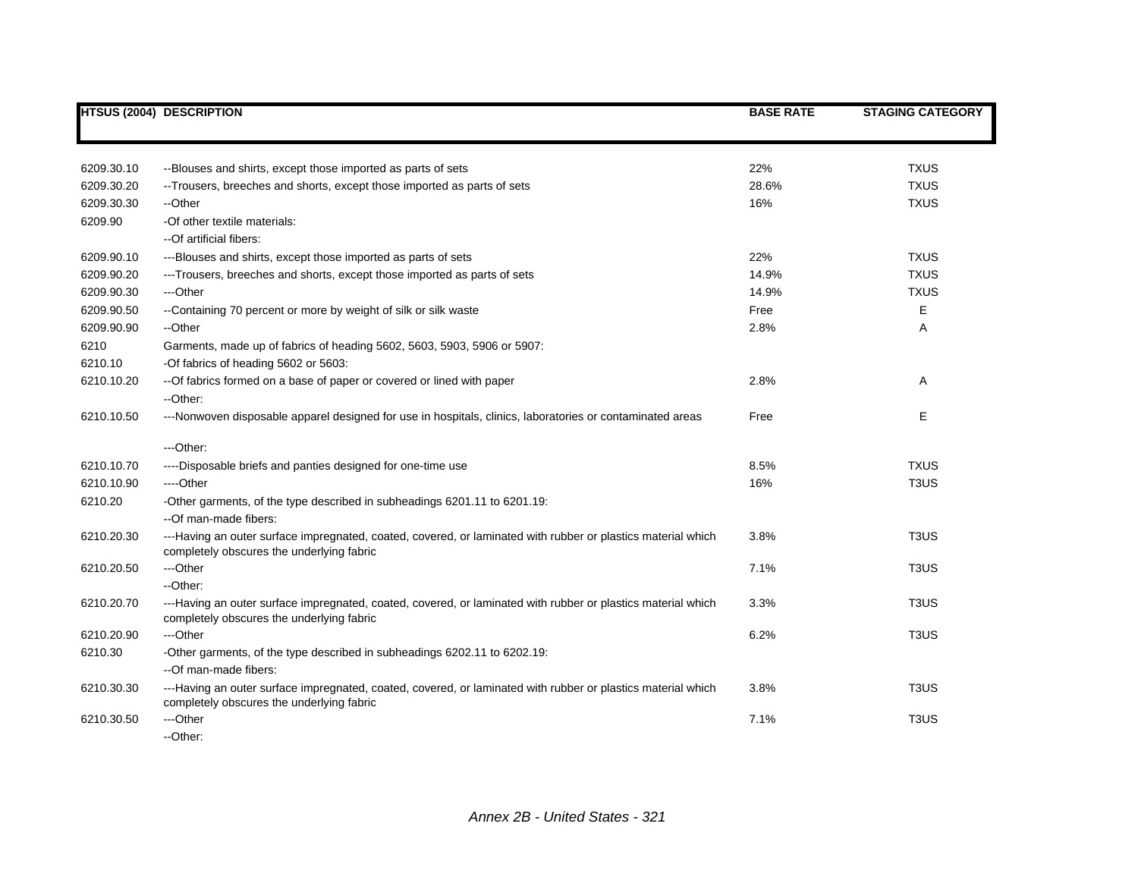|            | <b>HTSUS (2004) DESCRIPTION</b>                                                                                                                           | <b>BASE RATE</b> | <b>STAGING CATEGORY</b>       |
|------------|-----------------------------------------------------------------------------------------------------------------------------------------------------------|------------------|-------------------------------|
|            |                                                                                                                                                           |                  |                               |
| 6209.30.10 | --Blouses and shirts, except those imported as parts of sets                                                                                              | 22%              | <b>TXUS</b>                   |
| 6209.30.20 | -- Trousers, breeches and shorts, except those imported as parts of sets                                                                                  | 28.6%            | <b>TXUS</b>                   |
| 6209.30.30 | --Other                                                                                                                                                   | 16%              | <b>TXUS</b>                   |
| 6209.90    | -Of other textile materials:                                                                                                                              |                  |                               |
|            | --Of artificial fibers:                                                                                                                                   |                  |                               |
| 6209.90.10 | ---Blouses and shirts, except those imported as parts of sets                                                                                             | 22%              | <b>TXUS</b>                   |
| 6209.90.20 | ---Trousers, breeches and shorts, except those imported as parts of sets                                                                                  | 14.9%            | <b>TXUS</b>                   |
| 6209.90.30 | ---Other                                                                                                                                                  | 14.9%            | <b>TXUS</b>                   |
| 6209.90.50 | --Containing 70 percent or more by weight of silk or silk waste                                                                                           | Free             | Е                             |
| 6209.90.90 | --Other                                                                                                                                                   | 2.8%             | Α                             |
| 6210       | Garments, made up of fabrics of heading 5602, 5603, 5903, 5906 or 5907:                                                                                   |                  |                               |
| 6210.10    | -Of fabrics of heading 5602 or 5603:                                                                                                                      |                  |                               |
| 6210.10.20 | -- Of fabrics formed on a base of paper or covered or lined with paper                                                                                    | 2.8%             | Α                             |
|            | --Other:                                                                                                                                                  |                  |                               |
| 6210.10.50 | ---Nonwoven disposable apparel designed for use in hospitals, clinics, laboratories or contaminated areas                                                 | Free             | E.                            |
|            | ---Other:                                                                                                                                                 |                  |                               |
| 6210.10.70 | ----Disposable briefs and panties designed for one-time use                                                                                               | 8.5%             | <b>TXUS</b>                   |
| 6210.10.90 | ----Other                                                                                                                                                 | 16%              | T <sub>3</sub> U <sub>S</sub> |
| 6210.20    | -Other garments, of the type described in subheadings 6201.11 to 6201.19:                                                                                 |                  |                               |
|            | --Of man-made fibers:                                                                                                                                     |                  |                               |
| 6210.20.30 | ---Having an outer surface impregnated, coated, covered, or laminated with rubber or plastics material which<br>completely obscures the underlying fabric | 3.8%             | T <sub>3</sub> US             |
| 6210.20.50 | ---Other                                                                                                                                                  | 7.1%             | T <sub>3</sub> US             |
|            | --Other:                                                                                                                                                  |                  |                               |
| 6210.20.70 | ---Having an outer surface impregnated, coated, covered, or laminated with rubber or plastics material which<br>completely obscures the underlying fabric | 3.3%             | T <sub>3</sub> US             |
| 6210.20.90 | ---Other                                                                                                                                                  | 6.2%             | T <sub>3</sub> US             |
| 6210.30    | -Other garments, of the type described in subheadings 6202.11 to 6202.19:                                                                                 |                  |                               |
|            | --Of man-made fibers:                                                                                                                                     |                  |                               |
| 6210.30.30 | ---Having an outer surface impregnated, coated, covered, or laminated with rubber or plastics material which<br>completely obscures the underlying fabric | 3.8%             | T <sub>3</sub> US             |
| 6210.30.50 | ---Other                                                                                                                                                  | 7.1%             | T <sub>3</sub> US             |
|            | --Other:                                                                                                                                                  |                  |                               |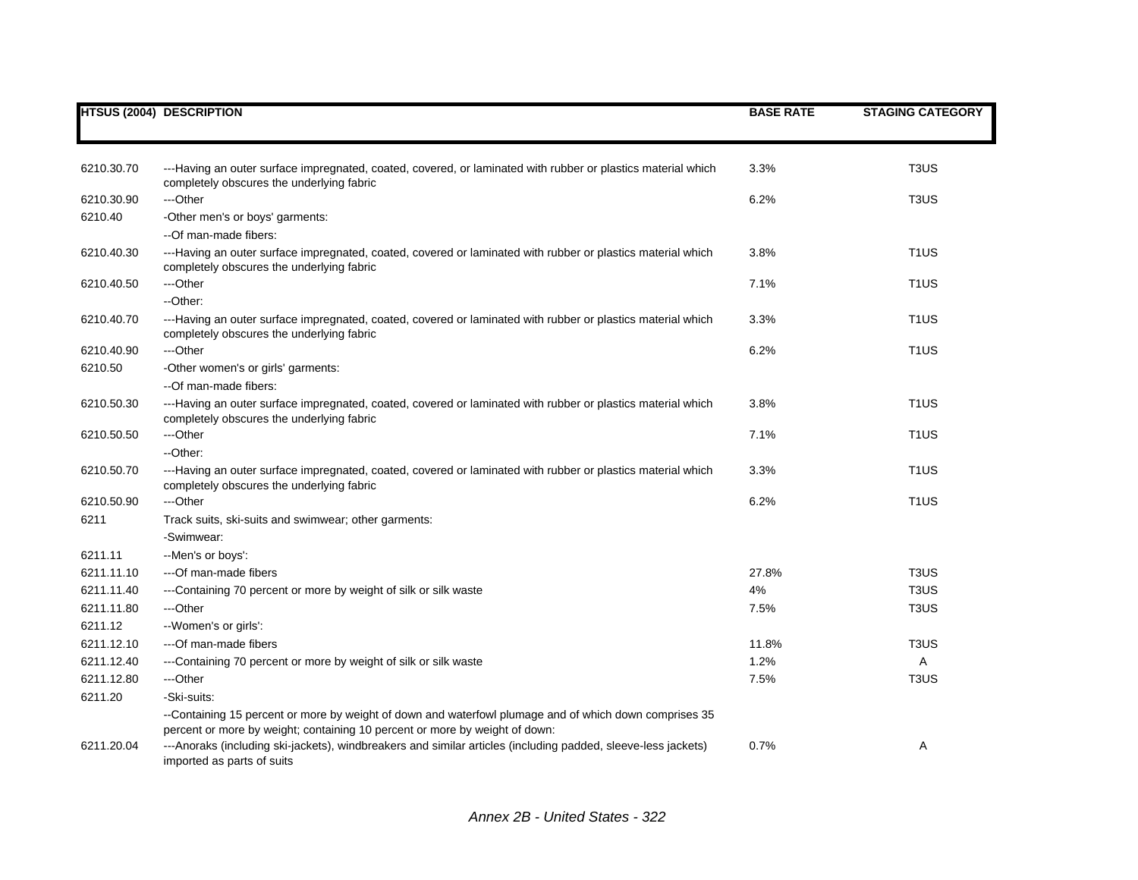|            | <b>HTSUS (2004) DESCRIPTION</b>                                                                                                                                                       | <b>BASE RATE</b> | <b>STAGING CATEGORY</b>       |
|------------|---------------------------------------------------------------------------------------------------------------------------------------------------------------------------------------|------------------|-------------------------------|
|            |                                                                                                                                                                                       |                  |                               |
| 6210.30.70 | ---Having an outer surface impregnated, coated, covered, or laminated with rubber or plastics material which<br>completely obscures the underlying fabric                             | 3.3%             | T <sub>3</sub> U <sub>S</sub> |
| 6210.30.90 | ---Other                                                                                                                                                                              | 6.2%             | T <sub>3</sub> US             |
| 6210.40    | -Other men's or boys' garments:<br>--Of man-made fibers:                                                                                                                              |                  |                               |
| 6210.40.30 | ---Having an outer surface impregnated, coated, covered or laminated with rubber or plastics material which<br>completely obscures the underlying fabric                              | 3.8%             | T <sub>1</sub> US             |
| 6210.40.50 | ---Other<br>--Other:                                                                                                                                                                  | 7.1%             | T <sub>1</sub> US             |
| 6210.40.70 | ---Having an outer surface impregnated, coated, covered or laminated with rubber or plastics material which<br>completely obscures the underlying fabric                              | 3.3%             | T <sub>1</sub> US             |
| 6210.40.90 | ---Other                                                                                                                                                                              | 6.2%             | T <sub>1</sub> US             |
| 6210.50    | -Other women's or girls' garments:                                                                                                                                                    |                  |                               |
|            | --Of man-made fibers:                                                                                                                                                                 |                  |                               |
| 6210.50.30 | ---Having an outer surface impregnated, coated, covered or laminated with rubber or plastics material which<br>completely obscures the underlying fabric                              | 3.8%             | T <sub>1</sub> US             |
| 6210.50.50 | ---Other                                                                                                                                                                              | 7.1%             | T <sub>1</sub> US             |
|            | --Other:                                                                                                                                                                              |                  |                               |
| 6210.50.70 | ---Having an outer surface impregnated, coated, covered or laminated with rubber or plastics material which<br>completely obscures the underlying fabric                              | 3.3%             | T <sub>1</sub> US             |
| 6210.50.90 | ---Other                                                                                                                                                                              | 6.2%             | T <sub>1</sub> US             |
| 6211       | Track suits, ski-suits and swimwear; other garments:                                                                                                                                  |                  |                               |
|            | -Swimwear:                                                                                                                                                                            |                  |                               |
| 6211.11    | --Men's or boys':                                                                                                                                                                     |                  |                               |
| 6211.11.10 | ---Of man-made fibers                                                                                                                                                                 | 27.8%            | T <sub>3</sub> U <sub>S</sub> |
| 6211.11.40 | ---Containing 70 percent or more by weight of silk or silk waste                                                                                                                      | 4%               | T <sub>3</sub> US             |
| 6211.11.80 | ---Other                                                                                                                                                                              | 7.5%             | T <sub>3</sub> US             |
| 6211.12    | --Women's or girls':                                                                                                                                                                  |                  |                               |
| 6211.12.10 | ---Of man-made fibers                                                                                                                                                                 | 11.8%            | T <sub>3</sub> U <sub>S</sub> |
| 6211.12.40 | ---Containing 70 percent or more by weight of silk or silk waste                                                                                                                      | 1.2%             | Α                             |
| 6211.12.80 | ---Other                                                                                                                                                                              | 7.5%             | T <sub>3</sub> US             |
| 6211.20    | -Ski-suits:                                                                                                                                                                           |                  |                               |
|            | --Containing 15 percent or more by weight of down and waterfowl plumage and of which down comprises 35<br>percent or more by weight; containing 10 percent or more by weight of down: |                  |                               |
| 6211.20.04 | ---Anoraks (including ski-jackets), windbreakers and similar articles (including padded, sleeve-less jackets)<br>imported as parts of suits                                           | 0.7%             | Α                             |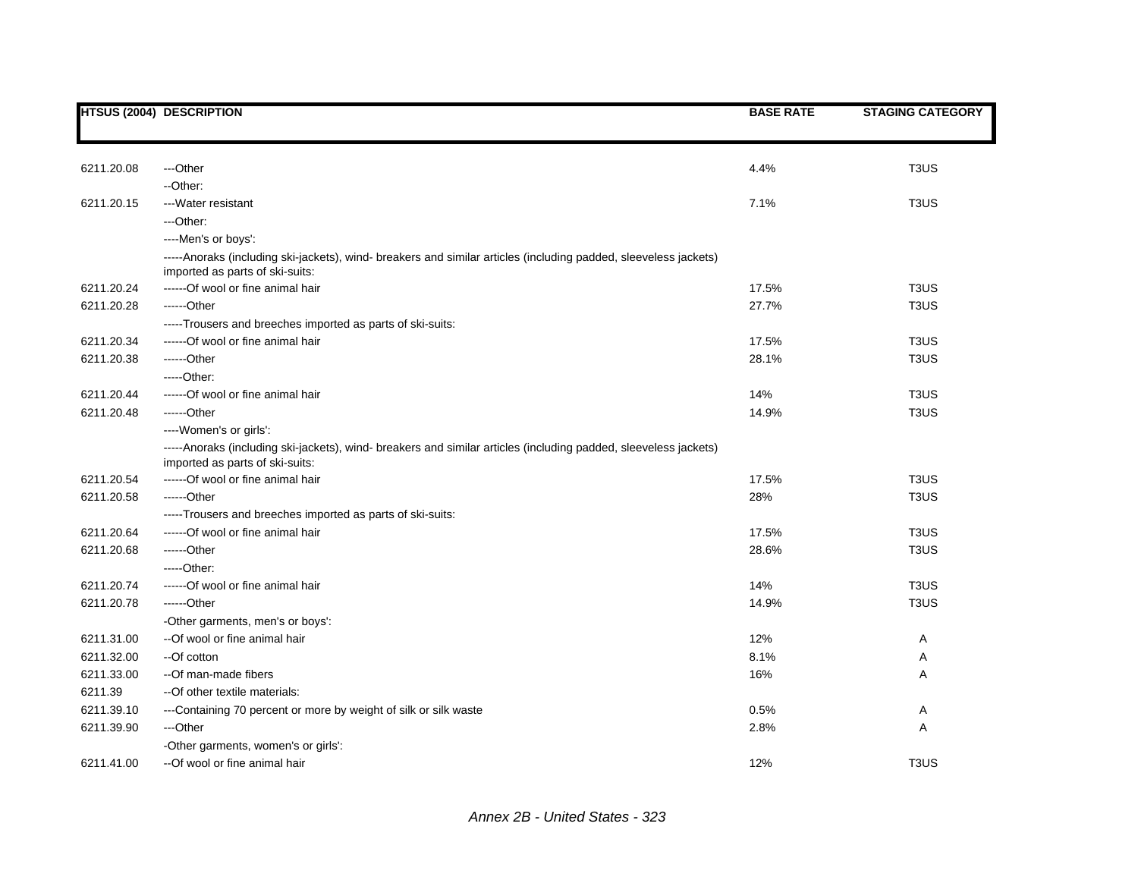|            | <b>HTSUS (2004) DESCRIPTION</b>                                                                                                                     | <b>BASE RATE</b> | <b>STAGING CATEGORY</b>       |
|------------|-----------------------------------------------------------------------------------------------------------------------------------------------------|------------------|-------------------------------|
|            |                                                                                                                                                     |                  |                               |
| 6211.20.08 | ---Other                                                                                                                                            | 4.4%             | T <sub>3</sub> US             |
|            | --Other:                                                                                                                                            |                  |                               |
| 6211.20.15 | ---Water resistant                                                                                                                                  | 7.1%             | T <sub>3</sub> US             |
|            | ---Other:                                                                                                                                           |                  |                               |
|            | ----Men's or boys':                                                                                                                                 |                  |                               |
|            | -----Anoraks (including ski-jackets), wind- breakers and similar articles (including padded, sleeveless jackets)<br>imported as parts of ski-suits: |                  |                               |
| 6211.20.24 | ------Of wool or fine animal hair                                                                                                                   | 17.5%            | T <sub>3</sub> U <sub>S</sub> |
| 6211.20.28 | ------Other                                                                                                                                         | 27.7%            | T <sub>3</sub> US             |
|            | -----Trousers and breeches imported as parts of ski-suits:                                                                                          |                  |                               |
| 6211.20.34 | ------Of wool or fine animal hair                                                                                                                   | 17.5%            | T <sub>3</sub> US             |
| 6211.20.38 | ------Other                                                                                                                                         | 28.1%            | T <sub>3</sub> US             |
|            | $---Other.$                                                                                                                                         |                  |                               |
| 6211.20.44 | ------Of wool or fine animal hair                                                                                                                   | 14%              | T <sub>3</sub> US             |
| 6211.20.48 | ------Other                                                                                                                                         | 14.9%            | T <sub>3</sub> US             |
|            | ----Women's or girls':                                                                                                                              |                  |                               |
|            | -----Anoraks (including ski-jackets), wind- breakers and similar articles (including padded, sleeveless jackets)<br>imported as parts of ski-suits: |                  |                               |
| 6211.20.54 | ------Of wool or fine animal hair                                                                                                                   | 17.5%            | T <sub>3</sub> US             |
| 6211.20.58 | ------Other                                                                                                                                         | 28%              | T <sub>3</sub> US             |
|            | -----Trousers and breeches imported as parts of ski-suits:                                                                                          |                  |                               |
| 6211.20.64 | ------Of wool or fine animal hair                                                                                                                   | 17.5%            | T <sub>3</sub> U <sub>S</sub> |
| 6211.20.68 | ------Other                                                                                                                                         | 28.6%            | T <sub>3</sub> US             |
|            | $---Other.$                                                                                                                                         |                  |                               |
| 6211.20.74 | ------Of wool or fine animal hair                                                                                                                   | 14%              | T <sub>3</sub> US             |
| 6211.20.78 | ------Other                                                                                                                                         | 14.9%            | T <sub>3</sub> US             |
|            | -Other garments, men's or boys':                                                                                                                    |                  |                               |
| 6211.31.00 | --Of wool or fine animal hair                                                                                                                       | 12%              | Α                             |
| 6211.32.00 | --Of cotton                                                                                                                                         | 8.1%             | Α                             |
| 6211.33.00 | --Of man-made fibers                                                                                                                                | 16%              | Α                             |
| 6211.39    | -- Of other textile materials:                                                                                                                      |                  |                               |
| 6211.39.10 | ---Containing 70 percent or more by weight of silk or silk waste                                                                                    | 0.5%             | Α                             |
| 6211.39.90 | ---Other                                                                                                                                            | 2.8%             | Α                             |
|            | -Other garments, women's or girls':                                                                                                                 |                  |                               |
| 6211.41.00 | --Of wool or fine animal hair                                                                                                                       | 12%              | T <sub>3</sub> U <sub>S</sub> |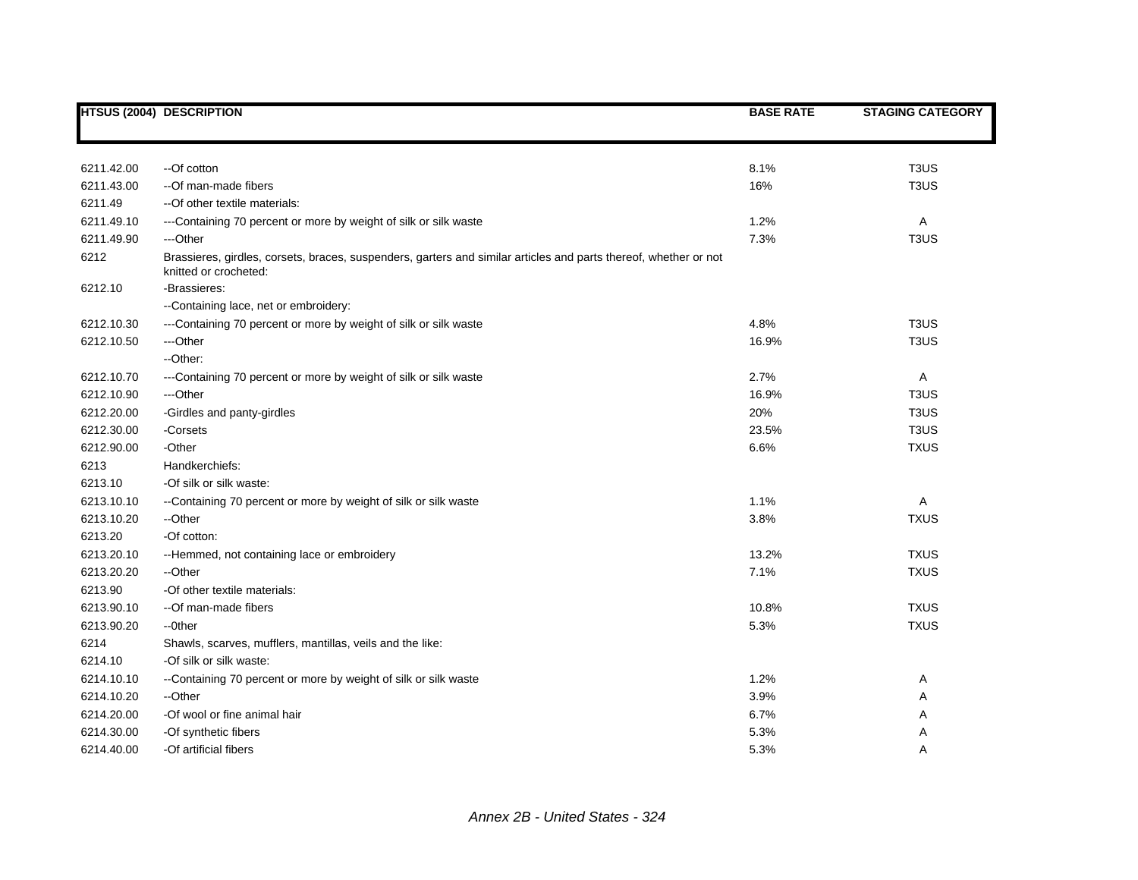|            | <b>HTSUS (2004) DESCRIPTION</b>                                                                                                           | <b>BASE RATE</b> | <b>STAGING CATEGORY</b>       |
|------------|-------------------------------------------------------------------------------------------------------------------------------------------|------------------|-------------------------------|
|            |                                                                                                                                           |                  |                               |
|            |                                                                                                                                           |                  |                               |
| 6211.42.00 | --Of cotton                                                                                                                               | 8.1%             | T <sub>3</sub> US             |
| 6211.43.00 | --Of man-made fibers                                                                                                                      | 16%              | T <sub>3</sub> US             |
| 6211.49    | --Of other textile materials:                                                                                                             |                  |                               |
| 6211.49.10 | ---Containing 70 percent or more by weight of silk or silk waste                                                                          | 1.2%             | Α                             |
| 6211.49.90 | ---Other                                                                                                                                  | 7.3%             | T <sub>3</sub> US             |
| 6212       | Brassieres, girdles, corsets, braces, suspenders, garters and similar articles and parts thereof, whether or not<br>knitted or crocheted: |                  |                               |
| 6212.10    | -Brassieres:                                                                                                                              |                  |                               |
|            | --Containing lace, net or embroidery:                                                                                                     |                  |                               |
| 6212.10.30 | ---Containing 70 percent or more by weight of silk or silk waste                                                                          | 4.8%             | T <sub>3</sub> US             |
| 6212.10.50 | ---Other                                                                                                                                  | 16.9%            | T <sub>3</sub> US             |
|            | --Other:                                                                                                                                  |                  |                               |
| 6212.10.70 | ---Containing 70 percent or more by weight of silk or silk waste                                                                          | 2.7%             | Α                             |
| 6212.10.90 | ---Other                                                                                                                                  | 16.9%            | T <sub>3</sub> U <sub>S</sub> |
| 6212.20.00 | -Girdles and panty-girdles                                                                                                                | 20%              | T <sub>3</sub> US             |
| 6212.30.00 | -Corsets                                                                                                                                  | 23.5%            | T <sub>3</sub> US             |
| 6212.90.00 | -Other                                                                                                                                    | 6.6%             | <b>TXUS</b>                   |
| 6213       | Handkerchiefs:                                                                                                                            |                  |                               |
| 6213.10    | -Of silk or silk waste:                                                                                                                   |                  |                               |
| 6213.10.10 | --Containing 70 percent or more by weight of silk or silk waste                                                                           | 1.1%             | Α                             |
| 6213.10.20 | --Other                                                                                                                                   | 3.8%             | <b>TXUS</b>                   |
| 6213.20    | -Of cotton:                                                                                                                               |                  |                               |
| 6213.20.10 | --Hemmed, not containing lace or embroidery                                                                                               | 13.2%            | <b>TXUS</b>                   |
| 6213.20.20 | --Other                                                                                                                                   | 7.1%             | <b>TXUS</b>                   |
| 6213.90    | -Of other textile materials:                                                                                                              |                  |                               |
| 6213.90.10 | --Of man-made fibers                                                                                                                      | 10.8%            | <b>TXUS</b>                   |
| 6213.90.20 | --0ther                                                                                                                                   | 5.3%             | <b>TXUS</b>                   |
| 6214       | Shawls, scarves, mufflers, mantillas, veils and the like:                                                                                 |                  |                               |
| 6214.10    | -Of silk or silk waste:                                                                                                                   |                  |                               |
| 6214.10.10 | --Containing 70 percent or more by weight of silk or silk waste                                                                           | 1.2%             | Α                             |
| 6214.10.20 | --Other                                                                                                                                   | 3.9%             | Α                             |
| 6214.20.00 | -Of wool or fine animal hair                                                                                                              | 6.7%             | Α                             |
| 6214.30.00 | -Of synthetic fibers                                                                                                                      | 5.3%             | Α                             |
| 6214.40.00 | -Of artificial fibers                                                                                                                     | 5.3%             | A                             |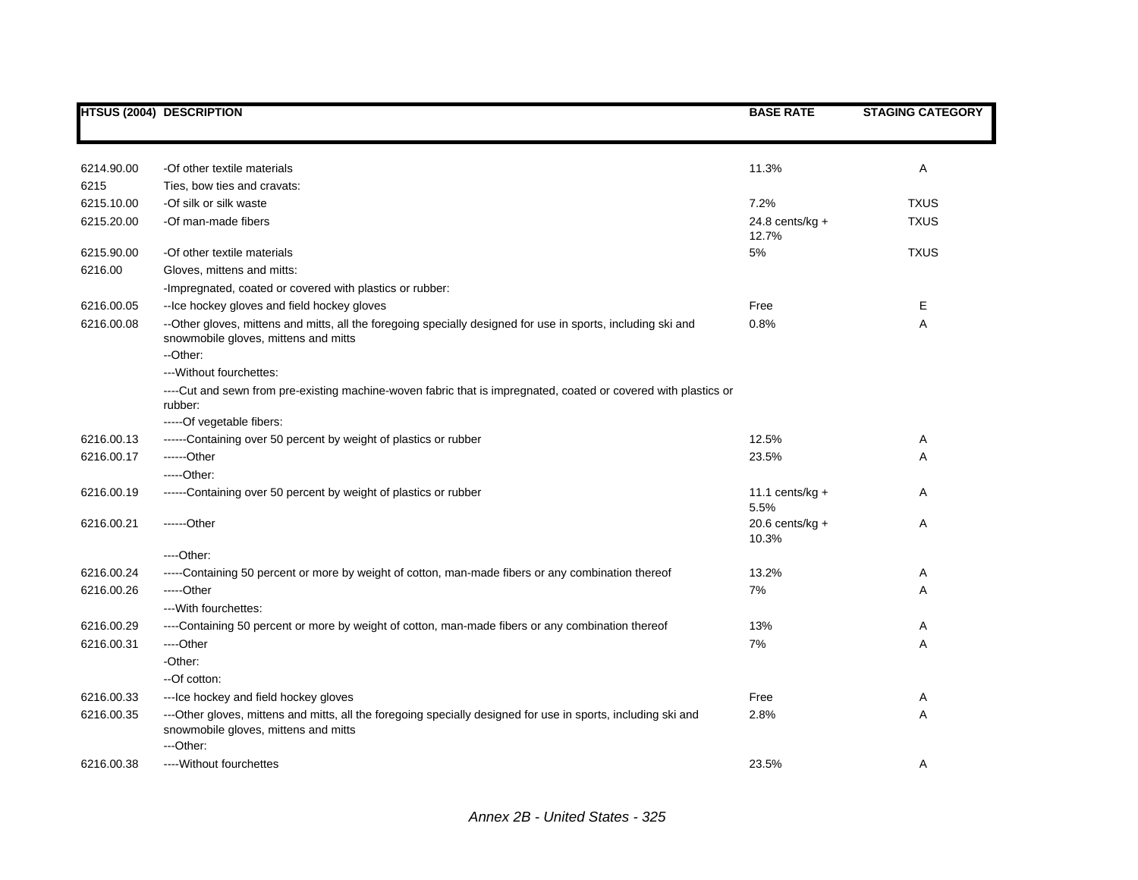|            | <b>HTSUS (2004) DESCRIPTION</b>                                                                                                                                    | <b>BASE RATE</b>           | <b>STAGING CATEGORY</b> |
|------------|--------------------------------------------------------------------------------------------------------------------------------------------------------------------|----------------------------|-------------------------|
|            |                                                                                                                                                                    |                            |                         |
| 6214.90.00 | -Of other textile materials                                                                                                                                        | 11.3%                      | Α                       |
| 6215       | Ties, bow ties and cravats:                                                                                                                                        |                            |                         |
| 6215.10.00 | -Of silk or silk waste                                                                                                                                             | 7.2%                       | <b>TXUS</b>             |
| 6215.20.00 | -Of man-made fibers                                                                                                                                                | $24.8$ cents/kg +<br>12.7% | <b>TXUS</b>             |
| 6215.90.00 | -Of other textile materials                                                                                                                                        | 5%                         | <b>TXUS</b>             |
| 6216.00    | Gloves, mittens and mitts:                                                                                                                                         |                            |                         |
|            | -Impregnated, coated or covered with plastics or rubber:                                                                                                           |                            |                         |
| 6216.00.05 | -- Ice hockey gloves and field hockey gloves                                                                                                                       | Free                       | Ε                       |
| 6216.00.08 | --Other gloves, mittens and mitts, all the foregoing specially designed for use in sports, including ski and<br>snowmobile gloves, mittens and mitts<br>--Other:   | 0.8%                       | A                       |
|            | --- Without fourchettes:                                                                                                                                           |                            |                         |
|            | ----Cut and sewn from pre-existing machine-woven fabric that is impregnated, coated or covered with plastics or<br>rubber:                                         |                            |                         |
|            | -----Of vegetable fibers:                                                                                                                                          |                            |                         |
| 6216.00.13 | ------Containing over 50 percent by weight of plastics or rubber                                                                                                   | 12.5%                      | A                       |
| 6216.00.17 | $---Other$                                                                                                                                                         | 23.5%                      | Α                       |
|            | $---Other:$                                                                                                                                                        |                            |                         |
| 6216.00.19 | ------Containing over 50 percent by weight of plastics or rubber                                                                                                   | 11.1 cents/ $kg +$<br>5.5% | A                       |
| 6216.00.21 | ------Other                                                                                                                                                        | 20.6 cents/kg $+$<br>10.3% | A                       |
|            | $---Other.$                                                                                                                                                        |                            |                         |
| 6216.00.24 | -----Containing 50 percent or more by weight of cotton, man-made fibers or any combination thereof                                                                 | 13.2%                      | Α                       |
| 6216.00.26 | $---Other$                                                                                                                                                         | 7%                         | Α                       |
|            | --- With fourchettes:                                                                                                                                              |                            |                         |
| 6216.00.29 | ----Containing 50 percent or more by weight of cotton, man-made fibers or any combination thereof                                                                  | 13%                        | Α                       |
| 6216.00.31 | ---Other                                                                                                                                                           | 7%                         | Α                       |
|            | -Other:                                                                                                                                                            |                            |                         |
|            | --Of cotton:                                                                                                                                                       |                            |                         |
| 6216.00.33 | --- Ice hockey and field hockey gloves                                                                                                                             | Free                       | Α                       |
| 6216.00.35 | ---Other gloves, mittens and mitts, all the foregoing specially designed for use in sports, including ski and<br>snowmobile gloves, mittens and mitts<br>---Other: | 2.8%                       | Α                       |
| 6216.00.38 | ---- Without fourchettes                                                                                                                                           | 23.5%                      | Α                       |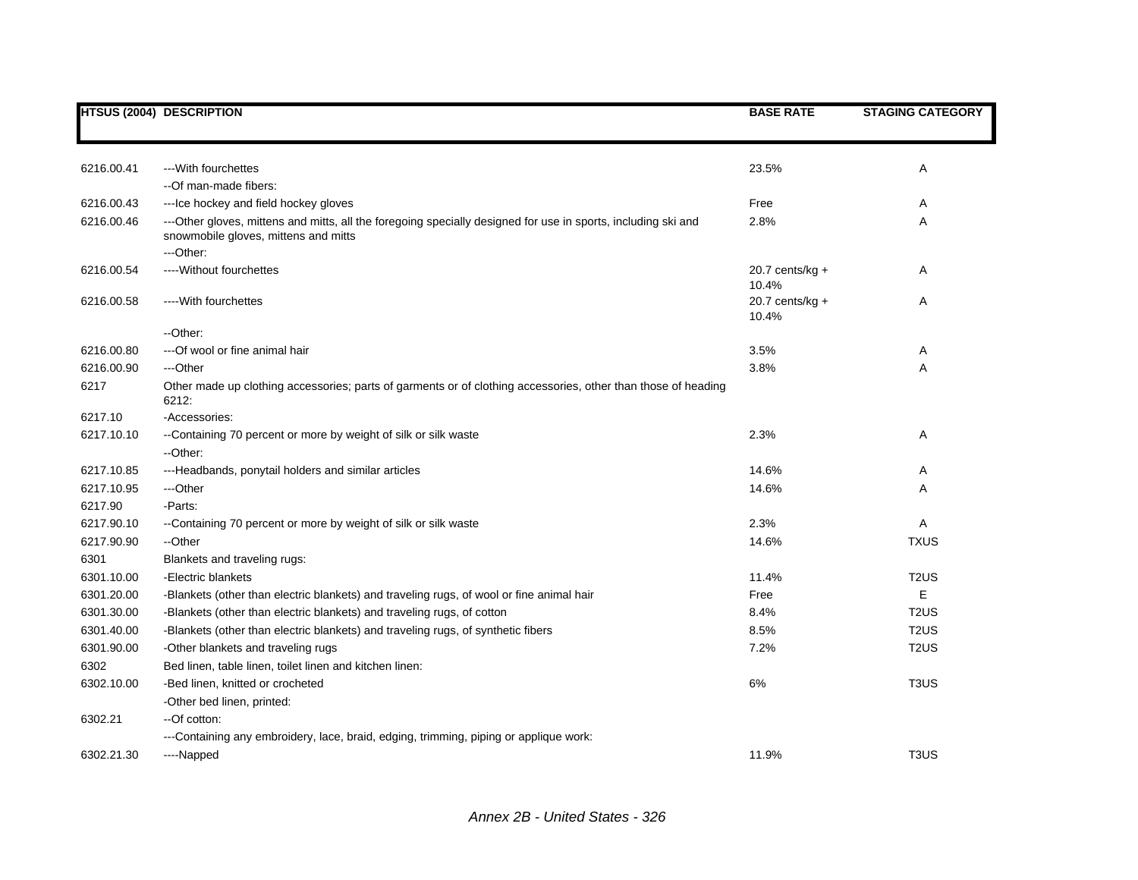|            | <b>HTSUS (2004) DESCRIPTION</b>                                                                                                                                    | <b>BASE RATE</b>            | <b>STAGING CATEGORY</b>       |
|------------|--------------------------------------------------------------------------------------------------------------------------------------------------------------------|-----------------------------|-------------------------------|
|            |                                                                                                                                                                    |                             |                               |
| 6216.00.41 | --- With fourchettes                                                                                                                                               | 23.5%                       | Α                             |
|            | --Of man-made fibers:                                                                                                                                              |                             |                               |
| 6216.00.43 | --- Ice hockey and field hockey gloves                                                                                                                             | Free                        | Α                             |
| 6216.00.46 | ---Other gloves, mittens and mitts, all the foregoing specially designed for use in sports, including ski and<br>snowmobile gloves, mittens and mitts<br>-- Other: | 2.8%                        | Α                             |
| 6216.00.54 | ---- Without fourchettes                                                                                                                                           | 20.7 cents/kg $+$<br>10.4%  | Α                             |
| 6216.00.58 | ---- With fourchettes                                                                                                                                              | 20.7 cents/ $kg +$<br>10.4% | Α                             |
|            | --Other:                                                                                                                                                           |                             |                               |
| 6216.00.80 | --- Of wool or fine animal hair                                                                                                                                    | 3.5%                        | Α                             |
| 6216.00.90 | ---Other                                                                                                                                                           | 3.8%                        | Α                             |
| 6217       | Other made up clothing accessories; parts of garments or of clothing accessories, other than those of heading<br>6212:                                             |                             |                               |
| 6217.10    | -Accessories:                                                                                                                                                      |                             |                               |
| 6217.10.10 | --Containing 70 percent or more by weight of silk or silk waste<br>--Other:                                                                                        | 2.3%                        | Α                             |
| 6217.10.85 | ---Headbands, ponytail holders and similar articles                                                                                                                | 14.6%                       | Α                             |
| 6217.10.95 | ---Other                                                                                                                                                           | 14.6%                       | Α                             |
| 6217.90    | -Parts:                                                                                                                                                            |                             |                               |
| 6217.90.10 | --Containing 70 percent or more by weight of silk or silk waste                                                                                                    | 2.3%                        | Α                             |
| 6217.90.90 | --Other                                                                                                                                                            | 14.6%                       | <b>TXUS</b>                   |
| 6301       | Blankets and traveling rugs:                                                                                                                                       |                             |                               |
| 6301.10.00 | -Electric blankets                                                                                                                                                 | 11.4%                       | T <sub>2</sub> US             |
| 6301.20.00 | -Blankets (other than electric blankets) and traveling rugs, of wool or fine animal hair                                                                           | Free                        | E                             |
| 6301.30.00 | -Blankets (other than electric blankets) and traveling rugs, of cotton                                                                                             | 8.4%                        | T <sub>2</sub> US             |
| 6301.40.00 | -Blankets (other than electric blankets) and traveling rugs, of synthetic fibers                                                                                   | 8.5%                        | T <sub>2</sub> US             |
| 6301.90.00 | -Other blankets and traveling rugs                                                                                                                                 | 7.2%                        | T <sub>2</sub> US             |
| 6302       | Bed linen, table linen, toilet linen and kitchen linen:                                                                                                            |                             |                               |
| 6302.10.00 | -Bed linen, knitted or crocheted                                                                                                                                   | 6%                          | T <sub>3</sub> US             |
|            | -Other bed linen, printed:                                                                                                                                         |                             |                               |
| 6302.21    | --Of cotton:                                                                                                                                                       |                             |                               |
|            | ---Containing any embroidery, lace, braid, edging, trimming, piping or applique work:                                                                              |                             |                               |
| 6302.21.30 | ----Napped                                                                                                                                                         | 11.9%                       | T <sub>3</sub> U <sub>S</sub> |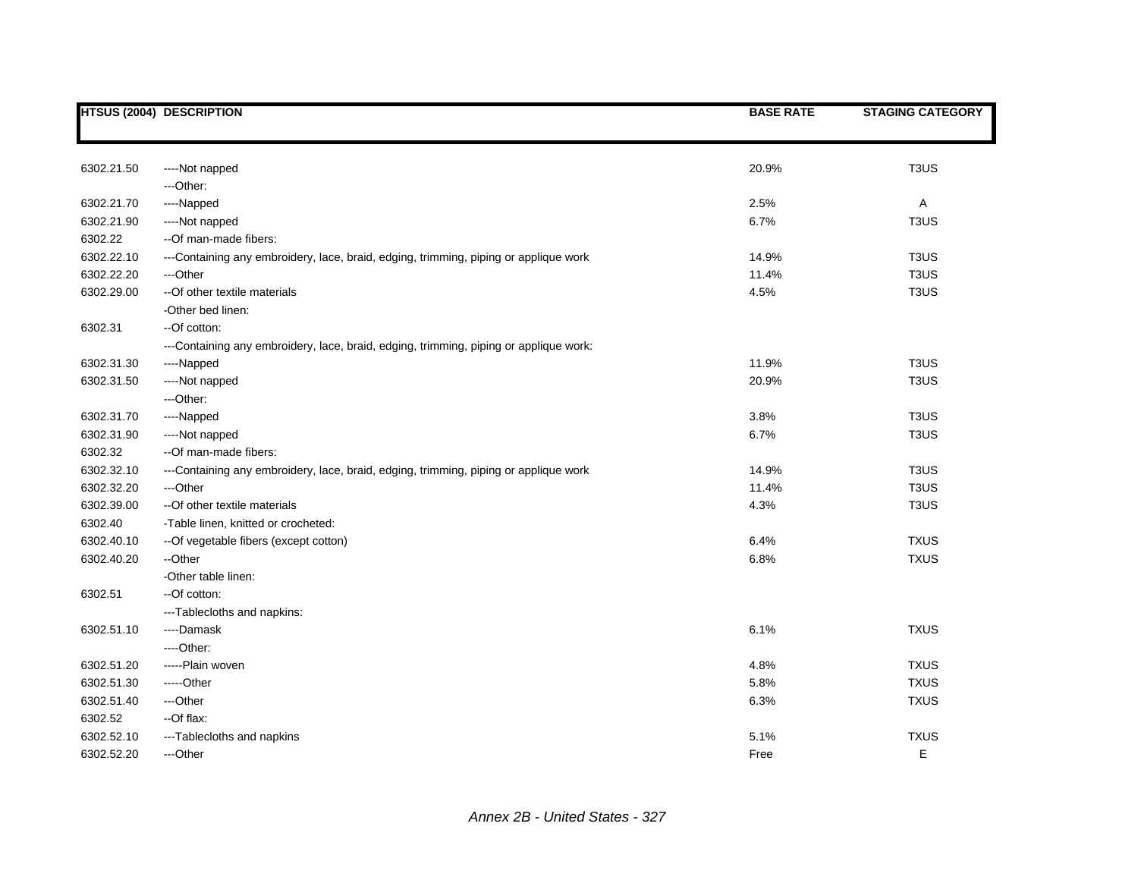|            | <b>HTSUS (2004) DESCRIPTION</b>                                                       | <b>BASE RATE</b> | <b>STAGING CATEGORY</b> |
|------------|---------------------------------------------------------------------------------------|------------------|-------------------------|
|            |                                                                                       |                  |                         |
| 6302.21.50 | ----Not napped                                                                        | 20.9%            | T <sub>3</sub> US       |
|            | ---Other:                                                                             |                  |                         |
| 6302.21.70 | ----Napped                                                                            | 2.5%             | $\mathsf{A}$            |
| 6302.21.90 | ----Not napped                                                                        | 6.7%             | T <sub>3</sub> US       |
| 6302.22    | --Of man-made fibers:                                                                 |                  |                         |
| 6302.22.10 | ---Containing any embroidery, lace, braid, edging, trimming, piping or applique work  | 14.9%            | T <sub>3</sub> US       |
| 6302.22.20 | ---Other                                                                              | 11.4%            | T <sub>3</sub> US       |
| 6302.29.00 | -- Of other textile materials                                                         | 4.5%             | T <sub>3</sub> US       |
|            | -Other bed linen:                                                                     |                  |                         |
| 6302.31    | --Of cotton:                                                                          |                  |                         |
|            | ---Containing any embroidery, lace, braid, edging, trimming, piping or applique work: |                  |                         |
| 6302.31.30 | ----Napped                                                                            | 11.9%            | T <sub>3</sub> US       |
| 6302.31.50 | ----Not napped                                                                        | 20.9%            | T <sub>3</sub> US       |
|            | ---Other:                                                                             |                  |                         |
| 6302.31.70 | ----Napped                                                                            | 3.8%             | T <sub>3</sub> US       |
| 6302.31.90 | ----Not napped                                                                        | 6.7%             | T <sub>3</sub> US       |
| 6302.32    | --Of man-made fibers:                                                                 |                  |                         |
| 6302.32.10 | ---Containing any embroidery, lace, braid, edging, trimming, piping or applique work  | 14.9%            | T <sub>3</sub> US       |
| 6302.32.20 | ---Other                                                                              | 11.4%            | T <sub>3</sub> US       |
| 6302.39.00 | -- Of other textile materials                                                         | 4.3%             | T <sub>3</sub> US       |
| 6302.40    | -Table linen, knitted or crocheted:                                                   |                  |                         |
| 6302.40.10 | -- Of vegetable fibers (except cotton)                                                | 6.4%             | <b>TXUS</b>             |
| 6302.40.20 | --Other                                                                               | 6.8%             | <b>TXUS</b>             |
|            | -Other table linen:                                                                   |                  |                         |
| 6302.51    | --Of cotton:                                                                          |                  |                         |
|            | ---Tablecloths and napkins:                                                           |                  |                         |
| 6302.51.10 | ----Damask                                                                            | 6.1%             | <b>TXUS</b>             |
|            | $---Other.$                                                                           |                  |                         |
| 6302.51.20 | -----Plain woven                                                                      | 4.8%             | <b>TXUS</b>             |
| 6302.51.30 | -----Other                                                                            | 5.8%             | <b>TXUS</b>             |
| 6302.51.40 | ---Other                                                                              | 6.3%             | <b>TXUS</b>             |
| 6302.52    | --Of flax:                                                                            |                  |                         |
| 6302.52.10 | ---Tablecloths and napkins                                                            | 5.1%             | <b>TXUS</b>             |
| 6302.52.20 | ---Other                                                                              | Free             | E                       |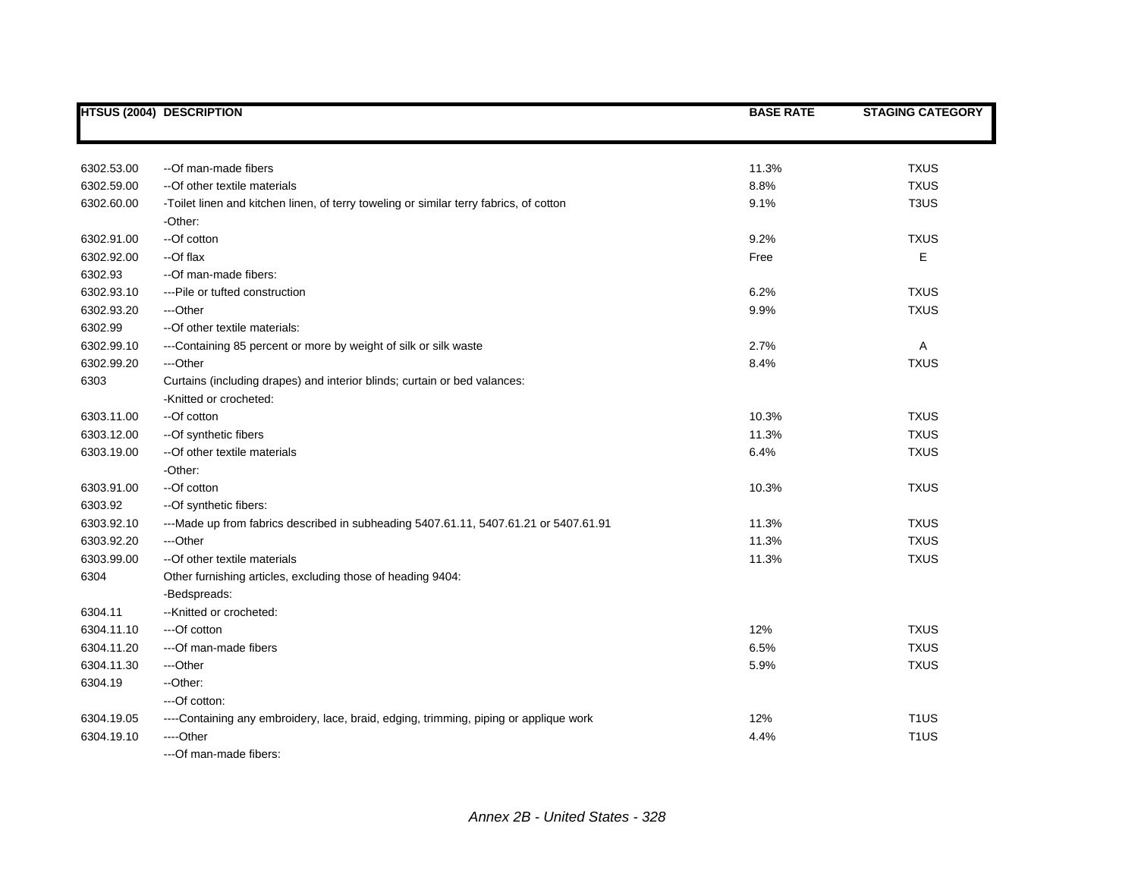|            | <b>HTSUS (2004) DESCRIPTION</b>                                                        | <b>BASE RATE</b> | <b>STAGING CATEGORY</b> |
|------------|----------------------------------------------------------------------------------------|------------------|-------------------------|
|            |                                                                                        |                  |                         |
| 6302.53.00 | --Of man-made fibers                                                                   | 11.3%            | <b>TXUS</b>             |
| 6302.59.00 | -- Of other textile materials                                                          | 8.8%             | <b>TXUS</b>             |
| 6302.60.00 | -Toilet linen and kitchen linen, of terry toweling or similar terry fabrics, of cotton | 9.1%             | T <sub>3</sub> US       |
|            | -Other:                                                                                |                  |                         |
| 6302.91.00 | --Of cotton                                                                            | 9.2%             | <b>TXUS</b>             |
| 6302.92.00 | --Of flax                                                                              | Free             | E                       |
| 6302.93    | --Of man-made fibers:                                                                  |                  |                         |
| 6302.93.10 | --- Pile or tufted construction                                                        | 6.2%             | <b>TXUS</b>             |
| 6302.93.20 | ---Other                                                                               | 9.9%             | <b>TXUS</b>             |
| 6302.99    | --Of other textile materials:                                                          |                  |                         |
| 6302.99.10 | ---Containing 85 percent or more by weight of silk or silk waste                       | 2.7%             | A                       |
| 6302.99.20 | ---Other                                                                               | 8.4%             | <b>TXUS</b>             |
| 6303       | Curtains (including drapes) and interior blinds; curtain or bed valances:              |                  |                         |
|            | -Knitted or crocheted:                                                                 |                  |                         |
| 6303.11.00 | --Of cotton                                                                            | 10.3%            | <b>TXUS</b>             |
| 6303.12.00 | -- Of synthetic fibers                                                                 | 11.3%            | <b>TXUS</b>             |
| 6303.19.00 | --Of other textile materials                                                           | 6.4%             | <b>TXUS</b>             |
|            | -Other:                                                                                |                  |                         |
| 6303.91.00 | --Of cotton                                                                            | 10.3%            | <b>TXUS</b>             |
| 6303.92    | --Of synthetic fibers:                                                                 |                  |                         |
| 6303.92.10 | ---Made up from fabrics described in subheading 5407.61.11, 5407.61.21 or 5407.61.91   | 11.3%            | <b>TXUS</b>             |
| 6303.92.20 | ---Other                                                                               | 11.3%            | <b>TXUS</b>             |
| 6303.99.00 | -- Of other textile materials                                                          | 11.3%            | <b>TXUS</b>             |
| 6304       | Other furnishing articles, excluding those of heading 9404:                            |                  |                         |
|            | -Bedspreads:                                                                           |                  |                         |
| 6304.11    | --Knitted or crocheted:                                                                |                  |                         |
| 6304.11.10 | ---Of cotton                                                                           | 12%              | <b>TXUS</b>             |
| 6304.11.20 | ---Of man-made fibers                                                                  | 6.5%             | <b>TXUS</b>             |
| 6304.11.30 | ---Other                                                                               | 5.9%             | <b>TXUS</b>             |
| 6304.19    | --Other:                                                                               |                  |                         |
|            | ---Of cotton:                                                                          |                  |                         |
| 6304.19.05 | ----Containing any embroidery, lace, braid, edging, trimming, piping or applique work  | 12%              | T <sub>1</sub> US       |
| 6304.19.10 | ----Other                                                                              | 4.4%             | T <sub>1</sub> US       |
|            | --- Of man-made fibers:                                                                |                  |                         |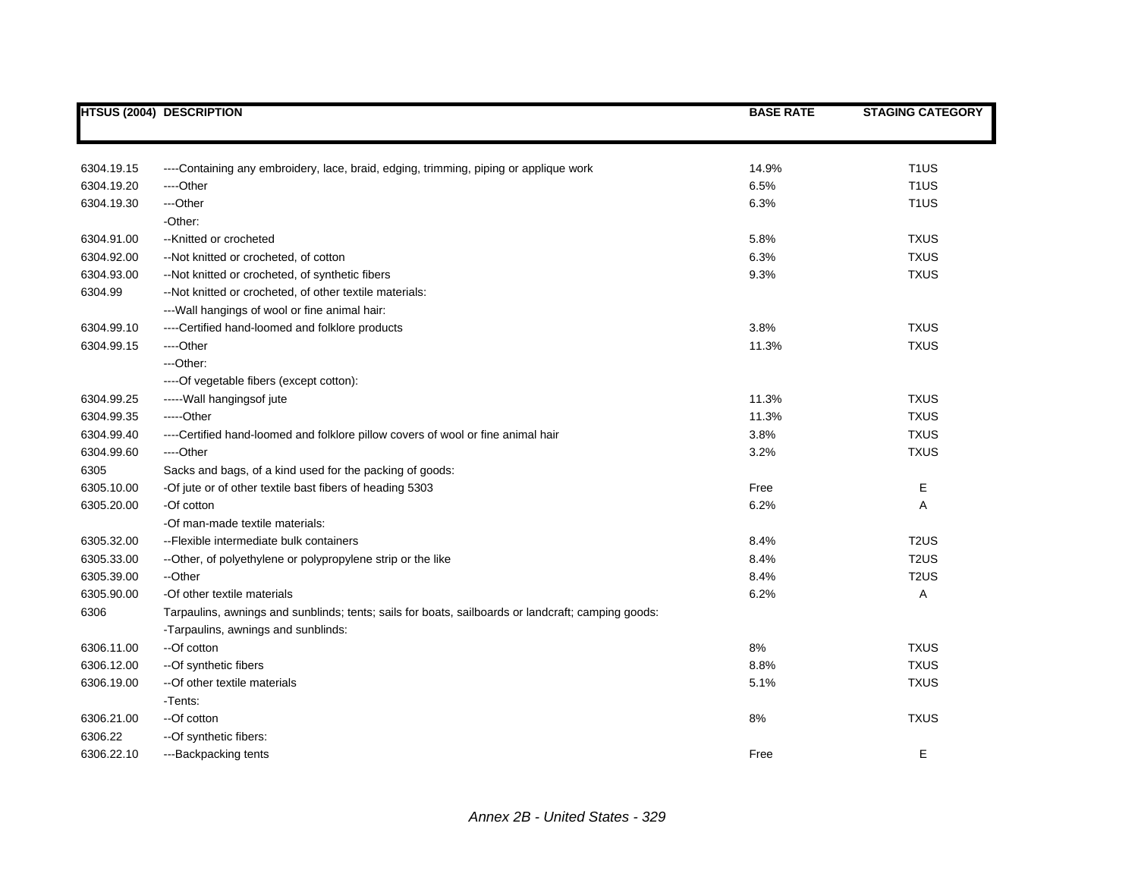|            | <b>HTSUS (2004) DESCRIPTION</b>                                                                    | <b>BASE RATE</b> | <b>STAGING CATEGORY</b> |
|------------|----------------------------------------------------------------------------------------------------|------------------|-------------------------|
|            |                                                                                                    |                  |                         |
| 6304.19.15 | ----Containing any embroidery, lace, braid, edging, trimming, piping or applique work              | 14.9%            | T <sub>1</sub> US       |
| 6304.19.20 | ----Other                                                                                          | 6.5%             | T <sub>1</sub> US       |
| 6304.19.30 | ---Other                                                                                           | 6.3%             | T <sub>1</sub> US       |
|            | -Other:                                                                                            |                  |                         |
| 6304.91.00 | --Knitted or crocheted                                                                             | 5.8%             | <b>TXUS</b>             |
| 6304.92.00 | --Not knitted or crocheted, of cotton                                                              | 6.3%             | <b>TXUS</b>             |
| 6304.93.00 | -- Not knitted or crocheted, of synthetic fibers                                                   | 9.3%             | <b>TXUS</b>             |
| 6304.99    | --Not knitted or crocheted, of other textile materials:                                            |                  |                         |
|            | --- Wall hangings of wool or fine animal hair:                                                     |                  |                         |
| 6304.99.10 | ----Certified hand-loomed and folklore products                                                    | 3.8%             | <b>TXUS</b>             |
| 6304.99.15 | ----Other                                                                                          | 11.3%            | <b>TXUS</b>             |
|            | $-$ Other:                                                                                         |                  |                         |
|            | ----Of vegetable fibers (except cotton):                                                           |                  |                         |
| 6304.99.25 | ----- Wall hangings of jute                                                                        | 11.3%            | <b>TXUS</b>             |
| 6304.99.35 | -----Other                                                                                         | 11.3%            | <b>TXUS</b>             |
| 6304.99.40 | ----Certified hand-loomed and folklore pillow covers of wool or fine animal hair                   | 3.8%             | <b>TXUS</b>             |
| 6304.99.60 | ----Other                                                                                          | 3.2%             | <b>TXUS</b>             |
| 6305       | Sacks and bags, of a kind used for the packing of goods:                                           |                  |                         |
| 6305.10.00 | -Of jute or of other textile bast fibers of heading 5303                                           | Free             | E                       |
| 6305.20.00 | -Of cotton                                                                                         | 6.2%             | Α                       |
|            | -Of man-made textile materials:                                                                    |                  |                         |
| 6305.32.00 | -- Flexible intermediate bulk containers                                                           | 8.4%             | T <sub>2</sub> US       |
| 6305.33.00 | --Other, of polyethylene or polypropylene strip or the like                                        | 8.4%             | T <sub>2</sub> US       |
| 6305.39.00 | --Other                                                                                            | 8.4%             | T <sub>2</sub> US       |
| 6305.90.00 | -Of other textile materials                                                                        | 6.2%             | Α                       |
| 6306       | Tarpaulins, awnings and sunblinds; tents; sails for boats, sailboards or landcraft; camping goods: |                  |                         |
|            | -Tarpaulins, awnings and sunblinds:                                                                |                  |                         |
| 6306.11.00 | --Of cotton                                                                                        | $8\%$            | <b>TXUS</b>             |
| 6306.12.00 | -- Of synthetic fibers                                                                             | 8.8%             | <b>TXUS</b>             |
| 6306.19.00 | -- Of other textile materials                                                                      | 5.1%             | <b>TXUS</b>             |
|            | -Tents:                                                                                            |                  |                         |
| 6306.21.00 | --Of cotton                                                                                        | 8%               | <b>TXUS</b>             |
| 6306.22    | --Of synthetic fibers:                                                                             |                  |                         |
| 6306.22.10 | ---Backpacking tents                                                                               | Free             | E.                      |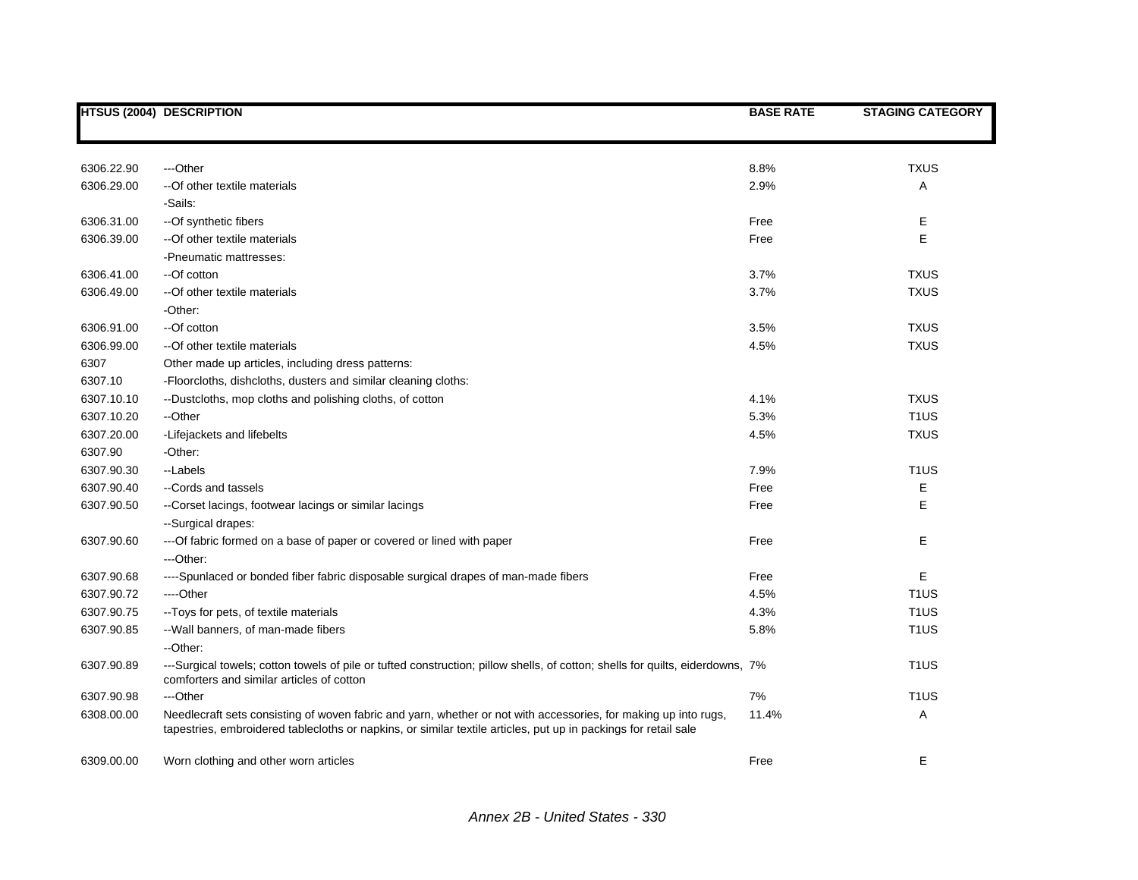|            | <b>HTSUS (2004) DESCRIPTION</b>                                                                                                                                                                                                    | <b>BASE RATE</b> | <b>STAGING CATEGORY</b> |
|------------|------------------------------------------------------------------------------------------------------------------------------------------------------------------------------------------------------------------------------------|------------------|-------------------------|
|            |                                                                                                                                                                                                                                    |                  |                         |
| 6306.22.90 | ---Other                                                                                                                                                                                                                           | 8.8%             | <b>TXUS</b>             |
| 6306.29.00 | -- Of other textile materials                                                                                                                                                                                                      | 2.9%             | A                       |
|            | -Sails:                                                                                                                                                                                                                            |                  |                         |
| 6306.31.00 | -- Of synthetic fibers                                                                                                                                                                                                             | Free             | Е                       |
| 6306.39.00 | --Of other textile materials                                                                                                                                                                                                       | Free             | E                       |
|            | -Pneumatic mattresses:                                                                                                                                                                                                             |                  |                         |
| 6306.41.00 | --Of cotton                                                                                                                                                                                                                        | 3.7%             | <b>TXUS</b>             |
| 6306.49.00 | -- Of other textile materials                                                                                                                                                                                                      | 3.7%             | <b>TXUS</b>             |
|            | -Other:                                                                                                                                                                                                                            |                  |                         |
| 6306.91.00 | --Of cotton                                                                                                                                                                                                                        | 3.5%             | <b>TXUS</b>             |
| 6306.99.00 | -- Of other textile materials                                                                                                                                                                                                      | 4.5%             | <b>TXUS</b>             |
| 6307       | Other made up articles, including dress patterns:                                                                                                                                                                                  |                  |                         |
| 6307.10    | -Floorcloths, dishcloths, dusters and similar cleaning cloths:                                                                                                                                                                     |                  |                         |
| 6307.10.10 | --Dustcloths, mop cloths and polishing cloths, of cotton                                                                                                                                                                           | 4.1%             | <b>TXUS</b>             |
| 6307.10.20 | --Other                                                                                                                                                                                                                            | 5.3%             | T <sub>1</sub> US       |
| 6307.20.00 | -Lifejackets and lifebelts                                                                                                                                                                                                         | 4.5%             | <b>TXUS</b>             |
| 6307.90    | -Other:                                                                                                                                                                                                                            |                  |                         |
| 6307.90.30 | --Labels                                                                                                                                                                                                                           | 7.9%             | T <sub>1</sub> US       |
| 6307.90.40 | --Cords and tassels                                                                                                                                                                                                                | Free             | Е                       |
| 6307.90.50 | --Corset lacings, footwear lacings or similar lacings                                                                                                                                                                              | Free             | E                       |
|            | --Surgical drapes:                                                                                                                                                                                                                 |                  |                         |
| 6307.90.60 | --- Of fabric formed on a base of paper or covered or lined with paper                                                                                                                                                             | Free             | Е                       |
|            | ---Other:                                                                                                                                                                                                                          |                  |                         |
| 6307.90.68 | ----Spunlaced or bonded fiber fabric disposable surgical drapes of man-made fibers                                                                                                                                                 | Free             | E                       |
| 6307.90.72 | ----Other                                                                                                                                                                                                                          | 4.5%             | T <sub>1</sub> US       |
| 6307.90.75 | -- Toys for pets, of textile materials                                                                                                                                                                                             | 4.3%             | T <sub>1</sub> US       |
| 6307.90.85 | -- Wall banners, of man-made fibers                                                                                                                                                                                                | 5.8%             | T <sub>1</sub> US       |
|            | --Other:                                                                                                                                                                                                                           |                  |                         |
| 6307.90.89 | ---Surgical towels; cotton towels of pile or tufted construction; pillow shells, of cotton; shells for quilts, eiderdowns, 7%<br>comforters and similar articles of cotton                                                         |                  | T <sub>1</sub> US       |
| 6307.90.98 | ---Other                                                                                                                                                                                                                           | 7%               | T <sub>1</sub> US       |
| 6308.00.00 | Needlecraft sets consisting of woven fabric and yarn, whether or not with accessories, for making up into rugs,<br>tapestries, embroidered tablecloths or napkins, or similar textile articles, put up in packings for retail sale | 11.4%            | Α                       |
| 6309.00.00 | Worn clothing and other worn articles                                                                                                                                                                                              | Free             | Е                       |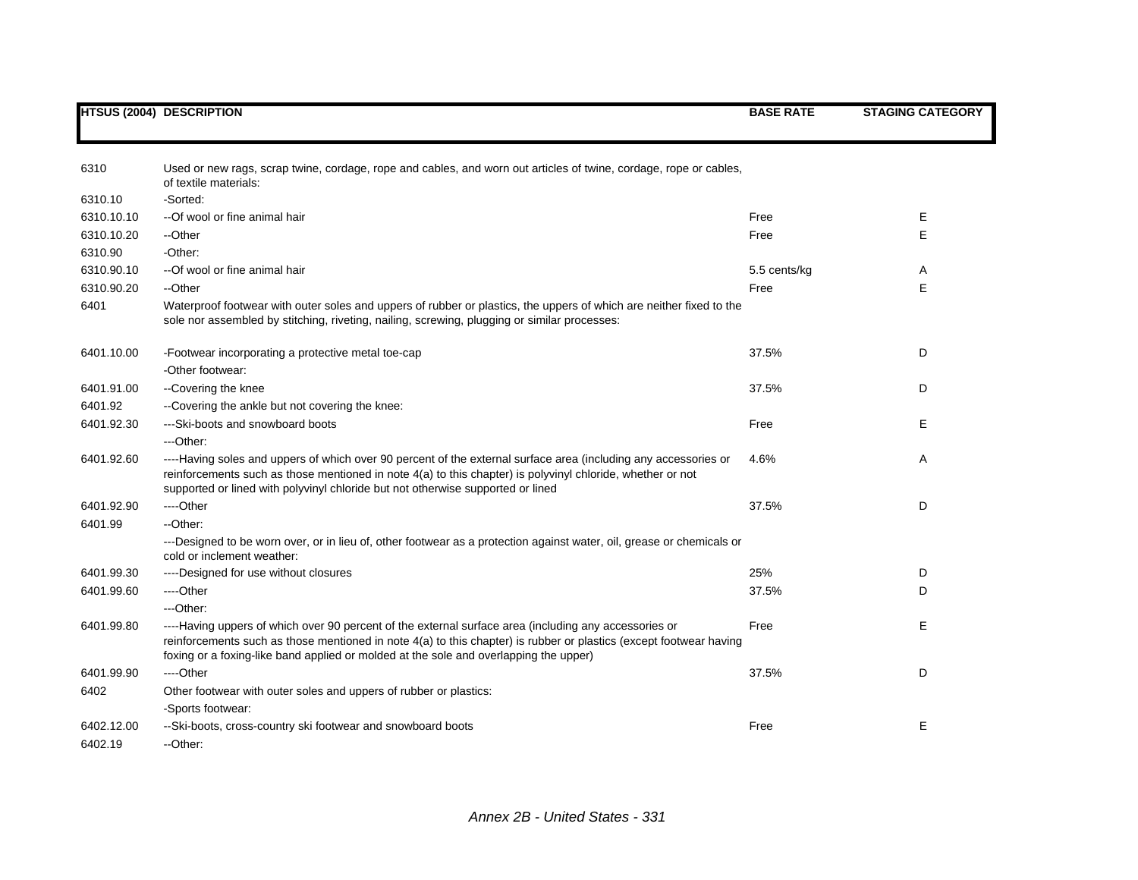|                       | <b>HTSUS (2004) DESCRIPTION</b>                                                                                                                                                                                                                                                                                      | <b>BASE RATE</b> | <b>STAGING CATEGORY</b> |
|-----------------------|----------------------------------------------------------------------------------------------------------------------------------------------------------------------------------------------------------------------------------------------------------------------------------------------------------------------|------------------|-------------------------|
| 6310                  | Used or new rags, scrap twine, cordage, rope and cables, and worn out articles of twine, cordage, rope or cables,                                                                                                                                                                                                    |                  |                         |
| 6310.10               | of textile materials:<br>-Sorted:                                                                                                                                                                                                                                                                                    |                  |                         |
|                       |                                                                                                                                                                                                                                                                                                                      |                  |                         |
| 6310.10.10            | --Of wool or fine animal hair                                                                                                                                                                                                                                                                                        | Free             | Е                       |
| 6310.10.20<br>6310.90 | --Other<br>-Other:                                                                                                                                                                                                                                                                                                   | Free             | Е                       |
|                       |                                                                                                                                                                                                                                                                                                                      |                  |                         |
| 6310.90.10            | --Of wool or fine animal hair                                                                                                                                                                                                                                                                                        | 5.5 cents/kg     | Α                       |
| 6310.90.20<br>6401    | --Other<br>Waterproof footwear with outer soles and uppers of rubber or plastics, the uppers of which are neither fixed to the<br>sole nor assembled by stitching, riveting, nailing, screwing, plugging or similar processes:                                                                                       | Free             | E                       |
| 6401.10.00            | -Footwear incorporating a protective metal toe-cap                                                                                                                                                                                                                                                                   | 37.5%            | D                       |
|                       | -Other footwear:                                                                                                                                                                                                                                                                                                     |                  |                         |
| 6401.91.00            | --Covering the knee                                                                                                                                                                                                                                                                                                  | 37.5%            | D                       |
| 6401.92               | --Covering the ankle but not covering the knee:                                                                                                                                                                                                                                                                      |                  |                         |
| 6401.92.30            | ---Ski-boots and snowboard boots                                                                                                                                                                                                                                                                                     | Free             | Е                       |
|                       | ---Other:                                                                                                                                                                                                                                                                                                            |                  |                         |
| 6401.92.60            | ----Having soles and uppers of which over 90 percent of the external surface area (including any accessories or<br>reinforcements such as those mentioned in note 4(a) to this chapter) is polyvinyl chloride, whether or not<br>supported or lined with polyvinyl chloride but not otherwise supported or lined     | 4.6%             | A                       |
| 6401.92.90            | ----Other                                                                                                                                                                                                                                                                                                            | 37.5%            | D                       |
| 6401.99               | --Other:                                                                                                                                                                                                                                                                                                             |                  |                         |
|                       | ---Designed to be worn over, or in lieu of, other footwear as a protection against water, oil, grease or chemicals or<br>cold or inclement weather:                                                                                                                                                                  |                  |                         |
| 6401.99.30            | ----Designed for use without closures                                                                                                                                                                                                                                                                                | 25%              | D                       |
| 6401.99.60            | ----Other                                                                                                                                                                                                                                                                                                            | 37.5%            | D                       |
|                       | ---Other:                                                                                                                                                                                                                                                                                                            |                  |                         |
| 6401.99.80            | ----Having uppers of which over 90 percent of the external surface area (including any accessories or<br>reinforcements such as those mentioned in note 4(a) to this chapter) is rubber or plastics (except footwear having<br>foxing or a foxing-like band applied or molded at the sole and overlapping the upper) | Free             | Е                       |
| 6401.99.90            | ----Other                                                                                                                                                                                                                                                                                                            | 37.5%            | D                       |
| 6402                  | Other footwear with outer soles and uppers of rubber or plastics:                                                                                                                                                                                                                                                    |                  |                         |
|                       | -Sports footwear:                                                                                                                                                                                                                                                                                                    |                  |                         |
| 6402.12.00            | --Ski-boots, cross-country ski footwear and snowboard boots                                                                                                                                                                                                                                                          | Free             | Е                       |
| 6402.19               | --Other:                                                                                                                                                                                                                                                                                                             |                  |                         |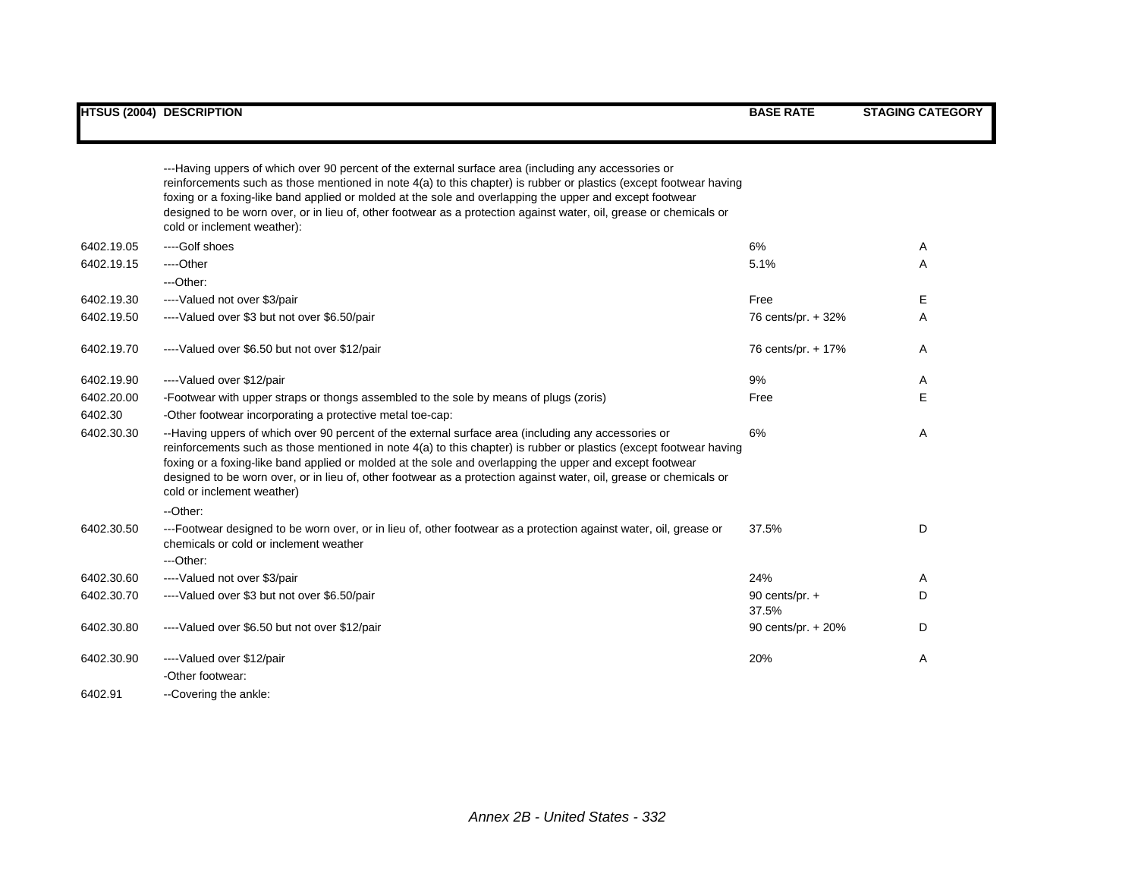|            | ---Having uppers of which over 90 percent of the external surface area (including any accessories or<br>reinforcements such as those mentioned in note 4(a) to this chapter) is rubber or plastics (except footwear having<br>foxing or a foxing-like band applied or molded at the sole and overlapping the upper and except footwear<br>designed to be worn over, or in lieu of, other footwear as a protection against water, oil, grease or chemicals or<br>cold or inclement weather): |                           |              |
|------------|---------------------------------------------------------------------------------------------------------------------------------------------------------------------------------------------------------------------------------------------------------------------------------------------------------------------------------------------------------------------------------------------------------------------------------------------------------------------------------------------|---------------------------|--------------|
| 6402.19.05 | ----Golf shoes                                                                                                                                                                                                                                                                                                                                                                                                                                                                              | 6%                        | A            |
| 6402.19.15 | ----Other                                                                                                                                                                                                                                                                                                                                                                                                                                                                                   | 5.1%                      | $\mathsf{A}$ |
|            | ---Other:                                                                                                                                                                                                                                                                                                                                                                                                                                                                                   |                           |              |
| 6402.19.30 | ----Valued not over \$3/pair                                                                                                                                                                                                                                                                                                                                                                                                                                                                | Free                      | E.           |
| 6402.19.50 | ----Valued over \$3 but not over \$6.50/pair                                                                                                                                                                                                                                                                                                                                                                                                                                                | 76 cents/pr. + 32%        | A            |
| 6402.19.70 | ----Valued over \$6.50 but not over \$12/pair                                                                                                                                                                                                                                                                                                                                                                                                                                               | 76 cents/pr. + 17%        | Α            |
| 6402.19.90 | ----Valued over \$12/pair                                                                                                                                                                                                                                                                                                                                                                                                                                                                   | 9%                        | A            |
| 6402.20.00 | -Footwear with upper straps or thongs assembled to the sole by means of plugs (zoris)                                                                                                                                                                                                                                                                                                                                                                                                       | Free                      | E            |
| 6402.30    | -Other footwear incorporating a protective metal toe-cap:                                                                                                                                                                                                                                                                                                                                                                                                                                   |                           |              |
| 6402.30.30 | --Having uppers of which over 90 percent of the external surface area (including any accessories or<br>reinforcements such as those mentioned in note 4(a) to this chapter) is rubber or plastics (except footwear having<br>foxing or a foxing-like band applied or molded at the sole and overlapping the upper and except footwear<br>designed to be worn over, or in lieu of, other footwear as a protection against water, oil, grease or chemicals or<br>cold or inclement weather)   | 6%                        | A            |
|            | --Other:                                                                                                                                                                                                                                                                                                                                                                                                                                                                                    |                           |              |
| 6402.30.50 | ---Footwear designed to be worn over, or in lieu of, other footwear as a protection against water, oil, grease or<br>chemicals or cold or inclement weather<br>$-$ Other:                                                                                                                                                                                                                                                                                                                   | 37.5%                     | D            |
| 6402.30.60 | ----Valued not over \$3/pair                                                                                                                                                                                                                                                                                                                                                                                                                                                                | 24%                       | A            |
| 6402.30.70 | ----Valued over \$3 but not over \$6.50/pair                                                                                                                                                                                                                                                                                                                                                                                                                                                | 90 cents/pr. $+$<br>37.5% | D            |
| 6402.30.80 | ----Valued over \$6.50 but not over \$12/pair                                                                                                                                                                                                                                                                                                                                                                                                                                               | 90 cents/pr. + 20%        | D            |
| 6402.30.90 | ----Valued over \$12/pair                                                                                                                                                                                                                                                                                                                                                                                                                                                                   | 20%                       | A            |
|            | -Other footwear:                                                                                                                                                                                                                                                                                                                                                                                                                                                                            |                           |              |
| 6402.91    | --Covering the ankle:                                                                                                                                                                                                                                                                                                                                                                                                                                                                       |                           |              |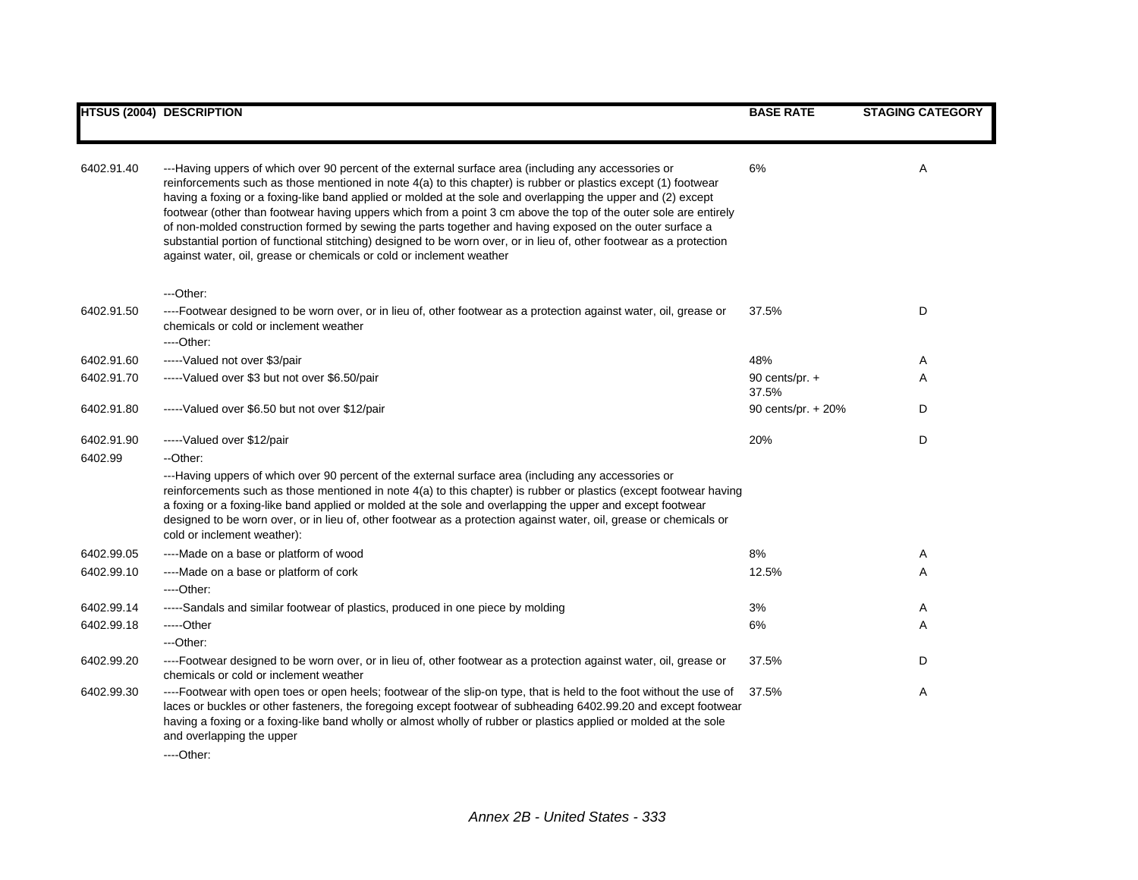|            | <b>HTSUS (2004) DESCRIPTION</b>                                                                                                                                                                                                                                                                                                                                                                                                                                                                                                                                                                                                                                                                                                                                        | <b>BASE RATE</b>          | <b>STAGING CATEGORY</b> |
|------------|------------------------------------------------------------------------------------------------------------------------------------------------------------------------------------------------------------------------------------------------------------------------------------------------------------------------------------------------------------------------------------------------------------------------------------------------------------------------------------------------------------------------------------------------------------------------------------------------------------------------------------------------------------------------------------------------------------------------------------------------------------------------|---------------------------|-------------------------|
|            |                                                                                                                                                                                                                                                                                                                                                                                                                                                                                                                                                                                                                                                                                                                                                                        |                           |                         |
| 6402.91.40 | ---Having uppers of which over 90 percent of the external surface area (including any accessories or<br>reinforcements such as those mentioned in note 4(a) to this chapter) is rubber or plastics except (1) footwear<br>having a foxing or a foxing-like band applied or molded at the sole and overlapping the upper and (2) except<br>footwear (other than footwear having uppers which from a point 3 cm above the top of the outer sole are entirely<br>of non-molded construction formed by sewing the parts together and having exposed on the outer surface a<br>substantial portion of functional stitching) designed to be worn over, or in lieu of, other footwear as a protection<br>against water, oil, grease or chemicals or cold or inclement weather | 6%                        | Α                       |
|            | ---Other:                                                                                                                                                                                                                                                                                                                                                                                                                                                                                                                                                                                                                                                                                                                                                              |                           |                         |
| 6402.91.50 | ----Footwear designed to be worn over, or in lieu of, other footwear as a protection against water, oil, grease or<br>chemicals or cold or inclement weather<br>----Other:                                                                                                                                                                                                                                                                                                                                                                                                                                                                                                                                                                                             | 37.5%                     | D                       |
| 6402.91.60 | ----- Valued not over \$3/pair                                                                                                                                                                                                                                                                                                                                                                                                                                                                                                                                                                                                                                                                                                                                         | 48%                       | A                       |
| 6402.91.70 | -----Valued over \$3 but not over \$6.50/pair                                                                                                                                                                                                                                                                                                                                                                                                                                                                                                                                                                                                                                                                                                                          | 90 cents/pr. $+$<br>37.5% | Α                       |
| 6402.91.80 | -----Valued over \$6.50 but not over \$12/pair                                                                                                                                                                                                                                                                                                                                                                                                                                                                                                                                                                                                                                                                                                                         | 90 cents/pr. + 20%        | D                       |
| 6402.91.90 | -----Valued over \$12/pair                                                                                                                                                                                                                                                                                                                                                                                                                                                                                                                                                                                                                                                                                                                                             | 20%                       | D                       |
| 6402.99    | --Other:                                                                                                                                                                                                                                                                                                                                                                                                                                                                                                                                                                                                                                                                                                                                                               |                           |                         |
|            | ---Having uppers of which over 90 percent of the external surface area (including any accessories or<br>reinforcements such as those mentioned in note 4(a) to this chapter) is rubber or plastics (except footwear having<br>a foxing or a foxing-like band applied or molded at the sole and overlapping the upper and except footwear<br>designed to be worn over, or in lieu of, other footwear as a protection against water, oil, grease or chemicals or<br>cold or inclement weather):                                                                                                                                                                                                                                                                          |                           |                         |
| 6402.99.05 | ----Made on a base or platform of wood                                                                                                                                                                                                                                                                                                                                                                                                                                                                                                                                                                                                                                                                                                                                 | 8%                        | A                       |
| 6402.99.10 | ----Made on a base or platform of cork<br>----Other:                                                                                                                                                                                                                                                                                                                                                                                                                                                                                                                                                                                                                                                                                                                   | 12.5%                     | Α                       |
| 6402.99.14 | -----Sandals and similar footwear of plastics, produced in one piece by molding                                                                                                                                                                                                                                                                                                                                                                                                                                                                                                                                                                                                                                                                                        | 3%                        | Α                       |
| 6402.99.18 | -----Other                                                                                                                                                                                                                                                                                                                                                                                                                                                                                                                                                                                                                                                                                                                                                             | 6%                        | Α                       |
|            | ---Other:                                                                                                                                                                                                                                                                                                                                                                                                                                                                                                                                                                                                                                                                                                                                                              |                           |                         |
| 6402.99.20 | ----Footwear designed to be worn over, or in lieu of, other footwear as a protection against water, oil, grease or<br>chemicals or cold or inclement weather                                                                                                                                                                                                                                                                                                                                                                                                                                                                                                                                                                                                           | 37.5%                     | D                       |
| 6402.99.30 | ----Footwear with open toes or open heels; footwear of the slip-on type, that is held to the foot without the use of<br>laces or buckles or other fasteners, the foregoing except footwear of subheading 6402.99.20 and except footwear<br>having a foxing or a foxing-like band wholly or almost wholly of rubber or plastics applied or molded at the sole<br>and overlapping the upper                                                                                                                                                                                                                                                                                                                                                                              | 37.5%                     | Α                       |
|            | $\sim$                                                                                                                                                                                                                                                                                                                                                                                                                                                                                                                                                                                                                                                                                                                                                                 |                           |                         |

----Other: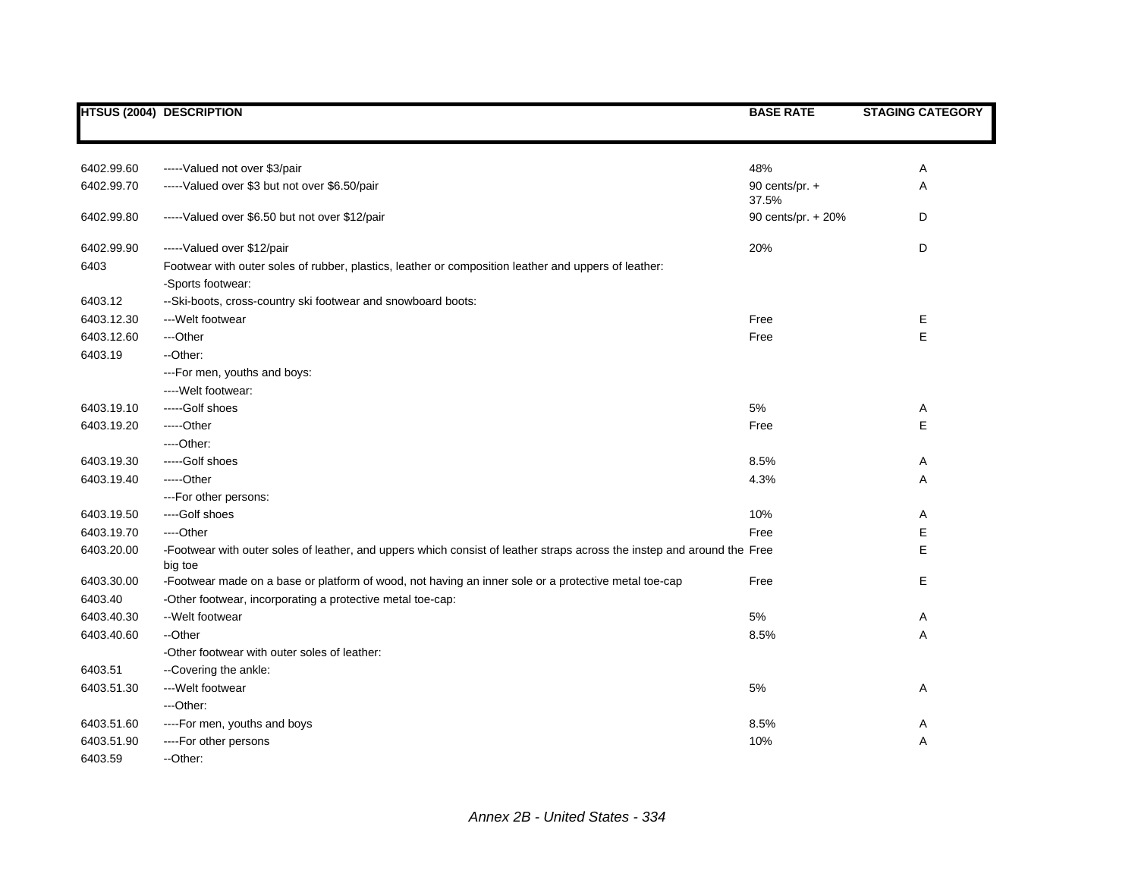|            | <b>HTSUS (2004) DESCRIPTION</b>                                                                                                    | <b>BASE RATE</b>        | <b>STAGING CATEGORY</b> |
|------------|------------------------------------------------------------------------------------------------------------------------------------|-------------------------|-------------------------|
|            |                                                                                                                                    |                         |                         |
|            |                                                                                                                                    |                         |                         |
| 6402.99.60 | -----Valued not over \$3/pair                                                                                                      | 48%                     | Α                       |
| 6402.99.70 | -----Valued over \$3 but not over \$6.50/pair                                                                                      | 90 cents/pr. +<br>37.5% | Α                       |
| 6402.99.80 | -----Valued over \$6.50 but not over \$12/pair                                                                                     | 90 cents/pr. + 20%      | D                       |
| 6402.99.90 | ----- Valued over \$12/pair                                                                                                        | 20%                     | D                       |
| 6403       | Footwear with outer soles of rubber, plastics, leather or composition leather and uppers of leather:<br>-Sports footwear:          |                         |                         |
| 6403.12    | --Ski-boots, cross-country ski footwear and snowboard boots:                                                                       |                         |                         |
| 6403.12.30 | --- Welt footwear                                                                                                                  | Free                    | Е                       |
| 6403.12.60 | ---Other                                                                                                                           | Free                    | E                       |
| 6403.19    | --Other:                                                                                                                           |                         |                         |
|            | ---For men, youths and boys:                                                                                                       |                         |                         |
|            | ---Welt footwear:                                                                                                                  |                         |                         |
| 6403.19.10 | -----Golf shoes                                                                                                                    | 5%                      | Α                       |
| 6403.19.20 | -----Other                                                                                                                         | Free                    | Е                       |
|            | ----Other:                                                                                                                         |                         |                         |
| 6403.19.30 | -----Golf shoes                                                                                                                    | 8.5%                    | A                       |
| 6403.19.40 | -----Other                                                                                                                         | 4.3%                    | Α                       |
|            | ---For other persons:                                                                                                              |                         |                         |
| 6403.19.50 | ----Golf shoes                                                                                                                     | 10%                     | Α                       |
| 6403.19.70 | ---Other                                                                                                                           | Free                    | Е                       |
| 6403.20.00 | -Footwear with outer soles of leather, and uppers which consist of leather straps across the instep and around the Free<br>big toe |                         | E                       |
| 6403.30.00 | -Footwear made on a base or platform of wood, not having an inner sole or a protective metal toe-cap                               | Free                    | E                       |
| 6403.40    | -Other footwear, incorporating a protective metal toe-cap:                                                                         |                         |                         |
| 6403.40.30 | --Welt footwear                                                                                                                    | 5%                      | A                       |
| 6403.40.60 | --Other                                                                                                                            | 8.5%                    | Α                       |
|            | -Other footwear with outer soles of leather:                                                                                       |                         |                         |
| 6403.51    | --Covering the ankle:                                                                                                              |                         |                         |
| 6403.51.30 | --- Welt footwear                                                                                                                  | 5%                      | A                       |
|            | ---Other:                                                                                                                          |                         |                         |
| 6403.51.60 | ----For men, youths and boys                                                                                                       | 8.5%                    | A                       |
| 6403.51.90 | ----For other persons                                                                                                              | 10%                     | Α                       |
| 6403.59    | --Other:                                                                                                                           |                         |                         |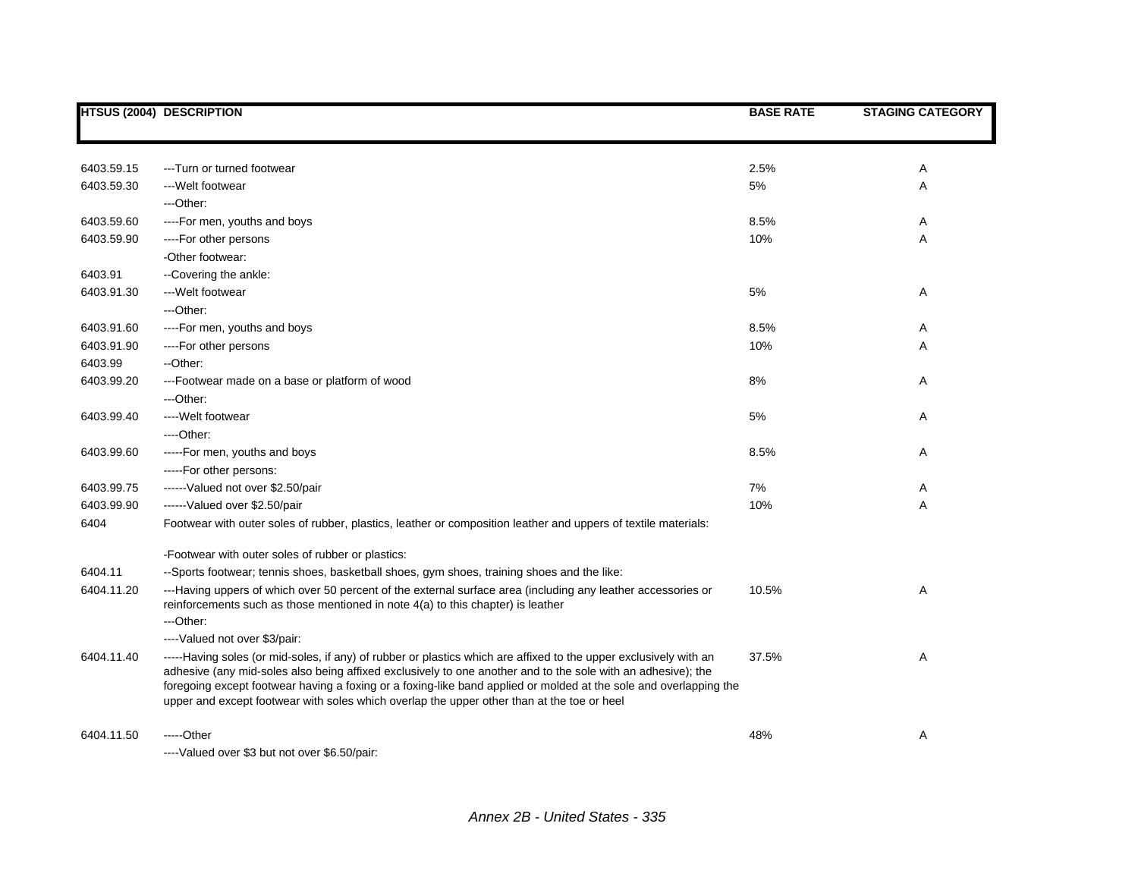|            | <b>HTSUS (2004) DESCRIPTION</b>                                                                                                                                                                                                                                                                                                                                                                                                                      | <b>BASE RATE</b> | <b>STAGING CATEGORY</b> |
|------------|------------------------------------------------------------------------------------------------------------------------------------------------------------------------------------------------------------------------------------------------------------------------------------------------------------------------------------------------------------------------------------------------------------------------------------------------------|------------------|-------------------------|
|            |                                                                                                                                                                                                                                                                                                                                                                                                                                                      |                  |                         |
| 6403.59.15 | ---Turn or turned footwear                                                                                                                                                                                                                                                                                                                                                                                                                           | 2.5%             | Α                       |
| 6403.59.30 | ---Welt footwear                                                                                                                                                                                                                                                                                                                                                                                                                                     | 5%               | Α                       |
|            | ---Other:                                                                                                                                                                                                                                                                                                                                                                                                                                            |                  |                         |
| 6403.59.60 | ----For men, youths and boys                                                                                                                                                                                                                                                                                                                                                                                                                         | 8.5%             | Α                       |
| 6403.59.90 | ----For other persons                                                                                                                                                                                                                                                                                                                                                                                                                                | 10%              | Α                       |
|            | -Other footwear:                                                                                                                                                                                                                                                                                                                                                                                                                                     |                  |                         |
| 6403.91    | --Covering the ankle:                                                                                                                                                                                                                                                                                                                                                                                                                                |                  |                         |
| 6403.91.30 | ---Welt footwear                                                                                                                                                                                                                                                                                                                                                                                                                                     | 5%               | Α                       |
|            | $-$ Other:                                                                                                                                                                                                                                                                                                                                                                                                                                           |                  |                         |
| 6403.91.60 | ----For men, youths and boys                                                                                                                                                                                                                                                                                                                                                                                                                         | 8.5%             | Α                       |
| 6403.91.90 | ----For other persons                                                                                                                                                                                                                                                                                                                                                                                                                                | 10%              | Α                       |
| 6403.99    | --Other:                                                                                                                                                                                                                                                                                                                                                                                                                                             |                  |                         |
| 6403.99.20 | ---Footwear made on a base or platform of wood                                                                                                                                                                                                                                                                                                                                                                                                       | 8%               | Α                       |
|            | ---Other:                                                                                                                                                                                                                                                                                                                                                                                                                                            |                  |                         |
| 6403.99.40 | ---- Welt footwear                                                                                                                                                                                                                                                                                                                                                                                                                                   | 5%               | Α                       |
|            | ----Other:                                                                                                                                                                                                                                                                                                                                                                                                                                           |                  |                         |
| 6403.99.60 | -----For men, youths and boys                                                                                                                                                                                                                                                                                                                                                                                                                        | 8.5%             | Α                       |
|            | -----For other persons:                                                                                                                                                                                                                                                                                                                                                                                                                              |                  |                         |
| 6403.99.75 | ------Valued not over \$2.50/pair                                                                                                                                                                                                                                                                                                                                                                                                                    | 7%               | Α                       |
| 6403.99.90 | ------Valued over \$2.50/pair                                                                                                                                                                                                                                                                                                                                                                                                                        | 10%              | Α                       |
| 6404       | Footwear with outer soles of rubber, plastics, leather or composition leather and uppers of textile materials:                                                                                                                                                                                                                                                                                                                                       |                  |                         |
|            | -Footwear with outer soles of rubber or plastics:                                                                                                                                                                                                                                                                                                                                                                                                    |                  |                         |
| 6404.11    | --Sports footwear; tennis shoes, basketball shoes, gym shoes, training shoes and the like:                                                                                                                                                                                                                                                                                                                                                           |                  |                         |
| 6404.11.20 | ---Having uppers of which over 50 percent of the external surface area (including any leather accessories or<br>reinforcements such as those mentioned in note 4(a) to this chapter) is leather                                                                                                                                                                                                                                                      | 10.5%            | Α                       |
|            | $-$ Other:                                                                                                                                                                                                                                                                                                                                                                                                                                           |                  |                         |
|            | ----Valued not over \$3/pair:                                                                                                                                                                                                                                                                                                                                                                                                                        |                  |                         |
| 6404.11.40 | -----Having soles (or mid-soles, if any) of rubber or plastics which are affixed to the upper exclusively with an<br>adhesive (any mid-soles also being affixed exclusively to one another and to the sole with an adhesive); the<br>foregoing except footwear having a foxing or a foxing-like band applied or molded at the sole and overlapping the<br>upper and except footwear with soles which overlap the upper other than at the toe or heel | 37.5%            | Α                       |
| 6404.11.50 | -----Other<br>----Valued over \$3 but not over \$6.50/pair:                                                                                                                                                                                                                                                                                                                                                                                          | 48%              | Α                       |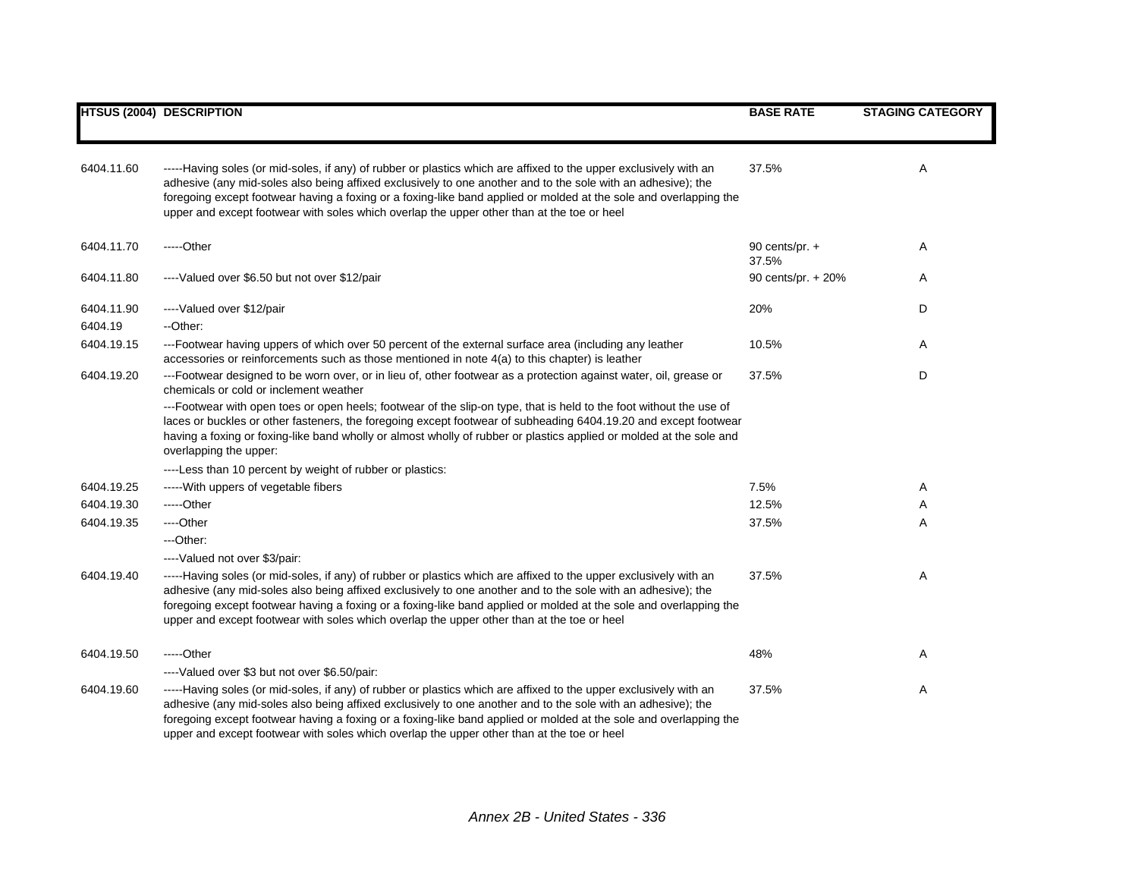|                       | <b>HTSUS (2004) DESCRIPTION</b>                                                                                                                                                                                                                                                                                                                                                                                                                      | <b>BASE RATE</b>          | <b>STAGING CATEGORY</b> |
|-----------------------|------------------------------------------------------------------------------------------------------------------------------------------------------------------------------------------------------------------------------------------------------------------------------------------------------------------------------------------------------------------------------------------------------------------------------------------------------|---------------------------|-------------------------|
|                       |                                                                                                                                                                                                                                                                                                                                                                                                                                                      |                           |                         |
| 6404.11.60            | -----Having soles (or mid-soles, if any) of rubber or plastics which are affixed to the upper exclusively with an<br>adhesive (any mid-soles also being affixed exclusively to one another and to the sole with an adhesive); the<br>foregoing except footwear having a foxing or a foxing-like band applied or molded at the sole and overlapping the<br>upper and except footwear with soles which overlap the upper other than at the toe or heel | 37.5%                     | Α                       |
| 6404.11.70            | $---Other$                                                                                                                                                                                                                                                                                                                                                                                                                                           | 90 cents/pr. $+$<br>37.5% | Α                       |
| 6404.11.80            | ----Valued over \$6.50 but not over \$12/pair                                                                                                                                                                                                                                                                                                                                                                                                        | 90 cents/pr. + 20%        | Α                       |
| 6404.11.90<br>6404.19 | ----Valued over \$12/pair<br>--Other:                                                                                                                                                                                                                                                                                                                                                                                                                | 20%                       | D                       |
| 6404.19.15            | ---Footwear having uppers of which over 50 percent of the external surface area (including any leather<br>accessories or reinforcements such as those mentioned in note 4(a) to this chapter) is leather                                                                                                                                                                                                                                             | 10.5%                     | Α                       |
| 6404.19.20            | ---Footwear designed to be worn over, or in lieu of, other footwear as a protection against water, oil, grease or<br>chemicals or cold or inclement weather                                                                                                                                                                                                                                                                                          | 37.5%                     | D                       |
|                       | ---Footwear with open toes or open heels; footwear of the slip-on type, that is held to the foot without the use of<br>laces or buckles or other fasteners, the foregoing except footwear of subheading 6404.19.20 and except footwear<br>having a foxing or foxing-like band wholly or almost wholly of rubber or plastics applied or molded at the sole and<br>overlapping the upper:                                                              |                           |                         |
|                       | ----Less than 10 percent by weight of rubber or plastics:                                                                                                                                                                                                                                                                                                                                                                                            |                           |                         |
| 6404.19.25            | ----- With uppers of vegetable fibers                                                                                                                                                                                                                                                                                                                                                                                                                | 7.5%                      | Α                       |
| 6404.19.30            | -----Other                                                                                                                                                                                                                                                                                                                                                                                                                                           | 12.5%                     | Α                       |
| 6404.19.35            | ----Other                                                                                                                                                                                                                                                                                                                                                                                                                                            | 37.5%                     | A                       |
|                       | ---Other:                                                                                                                                                                                                                                                                                                                                                                                                                                            |                           |                         |
|                       | ----Valued not over \$3/pair:                                                                                                                                                                                                                                                                                                                                                                                                                        |                           |                         |
| 6404.19.40            | -----Having soles (or mid-soles, if any) of rubber or plastics which are affixed to the upper exclusively with an<br>adhesive (any mid-soles also being affixed exclusively to one another and to the sole with an adhesive); the<br>foregoing except footwear having a foxing or a foxing-like band applied or molded at the sole and overlapping the<br>upper and except footwear with soles which overlap the upper other than at the toe or heel | 37.5%                     | Α                       |
| 6404.19.50            | $---Other$                                                                                                                                                                                                                                                                                                                                                                                                                                           | 48%                       | Α                       |
|                       | ----Valued over \$3 but not over \$6.50/pair:                                                                                                                                                                                                                                                                                                                                                                                                        |                           |                         |
| 6404.19.60            | -----Having soles (or mid-soles, if any) of rubber or plastics which are affixed to the upper exclusively with an<br>adhesive (any mid-soles also being affixed exclusively to one another and to the sole with an adhesive); the<br>foregoing except footwear having a foxing or a foxing-like band applied or molded at the sole and overlapping the<br>upper and except footwear with soles which overlap the upper other than at the toe or heel | 37.5%                     | Α                       |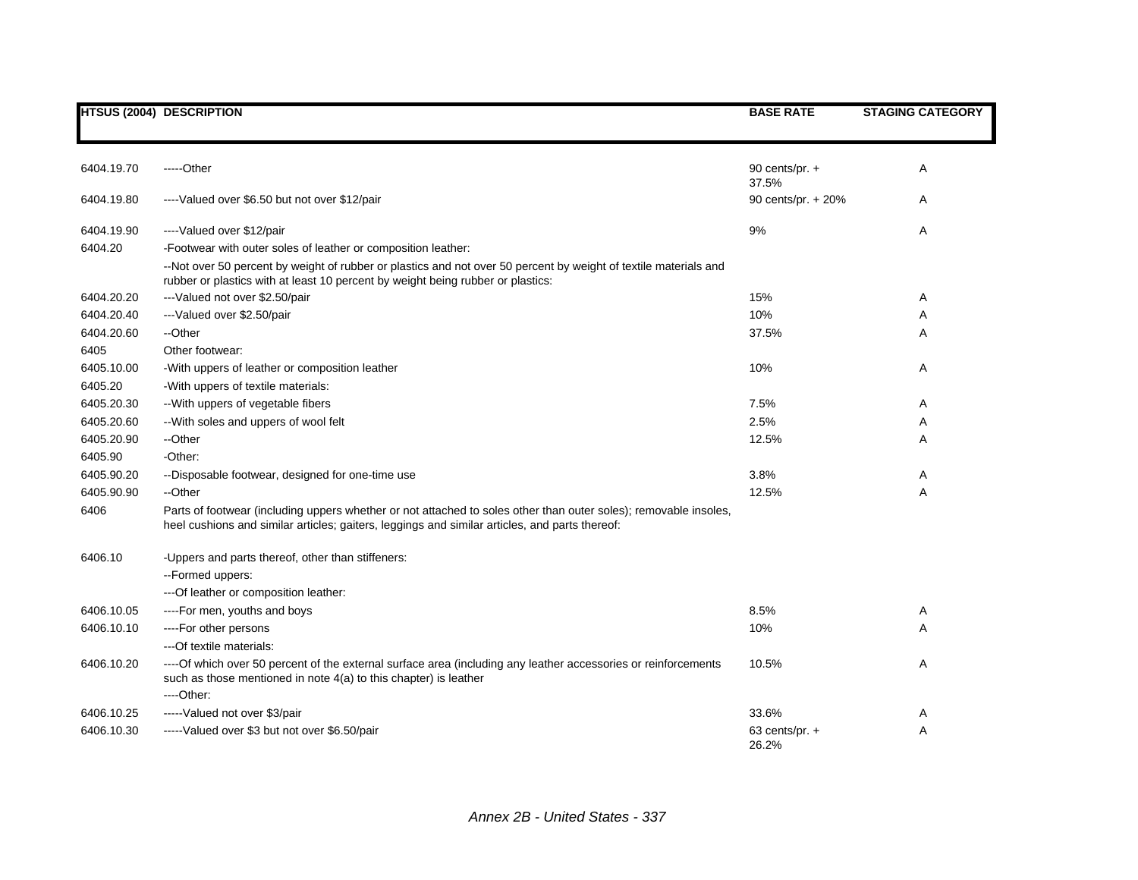|            | <b>HTSUS (2004) DESCRIPTION</b>                                                                                                                                                                                                                                      | <b>BASE RATE</b>          | <b>STAGING CATEGORY</b> |
|------------|----------------------------------------------------------------------------------------------------------------------------------------------------------------------------------------------------------------------------------------------------------------------|---------------------------|-------------------------|
| 6404.19.70 | -----Other                                                                                                                                                                                                                                                           | 90 cents/pr. +<br>37.5%   | Α                       |
| 6404.19.80 | ----Valued over \$6.50 but not over \$12/pair                                                                                                                                                                                                                        | 90 cents/pr. + 20%        | A                       |
| 6404.19.90 | ----Valued over \$12/pair                                                                                                                                                                                                                                            | 9%                        | Α                       |
| 6404.20    | -Footwear with outer soles of leather or composition leather:<br>--Not over 50 percent by weight of rubber or plastics and not over 50 percent by weight of textile materials and<br>rubber or plastics with at least 10 percent by weight being rubber or plastics: |                           |                         |
| 6404.20.20 | --- Valued not over \$2.50/pair                                                                                                                                                                                                                                      | 15%                       | Α                       |
| 6404.20.40 | ---Valued over \$2.50/pair                                                                                                                                                                                                                                           | 10%                       | A                       |
| 6404.20.60 | --Other                                                                                                                                                                                                                                                              | 37.5%                     | A                       |
| 6405       | Other footwear:                                                                                                                                                                                                                                                      |                           |                         |
| 6405.10.00 | -With uppers of leather or composition leather                                                                                                                                                                                                                       | 10%                       | Α                       |
| 6405.20    | -With uppers of textile materials:                                                                                                                                                                                                                                   |                           |                         |
| 6405.20.30 | -- With uppers of vegetable fibers                                                                                                                                                                                                                                   | 7.5%                      | Α                       |
| 6405.20.60 | -- With soles and uppers of wool felt                                                                                                                                                                                                                                | 2.5%                      | A                       |
| 6405.20.90 | --Other                                                                                                                                                                                                                                                              | 12.5%                     | A                       |
| 6405.90    | -Other:                                                                                                                                                                                                                                                              |                           |                         |
| 6405.90.20 | --Disposable footwear, designed for one-time use                                                                                                                                                                                                                     | 3.8%                      | Α                       |
| 6405.90.90 | --Other                                                                                                                                                                                                                                                              | 12.5%                     | A                       |
| 6406       | Parts of footwear (including uppers whether or not attached to soles other than outer soles); removable insoles,<br>heel cushions and similar articles; gaiters, leggings and similar articles, and parts thereof:                                                   |                           |                         |
| 6406.10    | -Uppers and parts thereof, other than stiffeners:                                                                                                                                                                                                                    |                           |                         |
|            | --Formed uppers:                                                                                                                                                                                                                                                     |                           |                         |
|            | --- Of leather or composition leather:                                                                                                                                                                                                                               |                           |                         |
| 6406.10.05 | ----For men, youths and boys                                                                                                                                                                                                                                         | 8.5%                      | Α                       |
| 6406.10.10 | ----For other persons                                                                                                                                                                                                                                                | 10%                       | A                       |
|            | --- Of textile materials:                                                                                                                                                                                                                                            |                           |                         |
| 6406.10.20 | ----Of which over 50 percent of the external surface area (including any leather accessories or reinforcements<br>such as those mentioned in note 4(a) to this chapter) is leather<br>----Other:                                                                     | 10.5%                     | Α                       |
| 6406.10.25 | -----Valued not over \$3/pair                                                                                                                                                                                                                                        | 33.6%                     | Α                       |
| 6406.10.30 | -----Valued over \$3 but not over \$6.50/pair                                                                                                                                                                                                                        | 63 cents/pr. $+$<br>26.2% | A                       |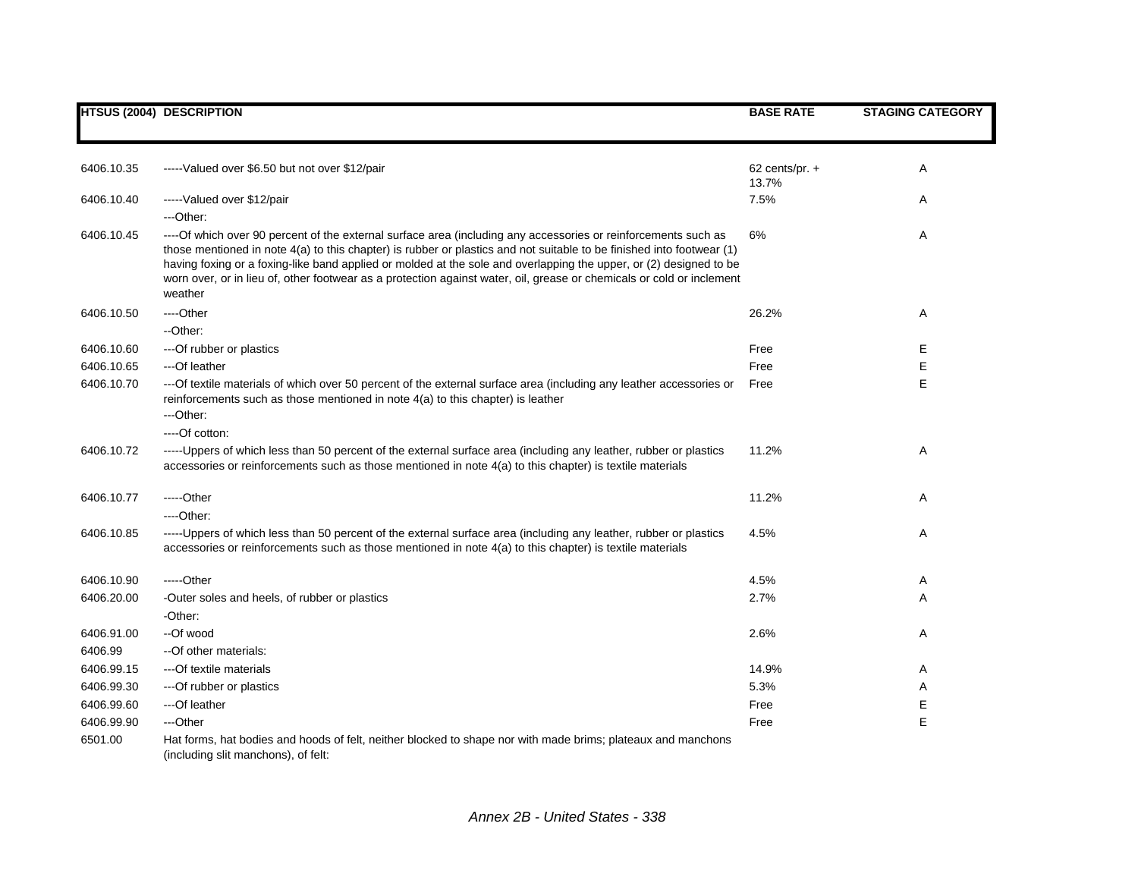|            | <b>HTSUS (2004) DESCRIPTION</b>                                                                                                                                                                                                                                                                                                                                                                                                                                                                   | <b>BASE RATE</b> | <b>STAGING CATEGORY</b> |
|------------|---------------------------------------------------------------------------------------------------------------------------------------------------------------------------------------------------------------------------------------------------------------------------------------------------------------------------------------------------------------------------------------------------------------------------------------------------------------------------------------------------|------------------|-------------------------|
|            |                                                                                                                                                                                                                                                                                                                                                                                                                                                                                                   |                  |                         |
| 6406.10.35 | -----Valued over \$6.50 but not over \$12/pair                                                                                                                                                                                                                                                                                                                                                                                                                                                    | 62 cents/pr. $+$ | Α                       |
|            |                                                                                                                                                                                                                                                                                                                                                                                                                                                                                                   | 13.7%            |                         |
| 6406.10.40 | -----Valued over \$12/pair                                                                                                                                                                                                                                                                                                                                                                                                                                                                        | 7.5%             | Α                       |
|            | ---Other:                                                                                                                                                                                                                                                                                                                                                                                                                                                                                         |                  |                         |
| 6406.10.45 | ----Of which over 90 percent of the external surface area (including any accessories or reinforcements such as<br>those mentioned in note 4(a) to this chapter) is rubber or plastics and not suitable to be finished into footwear (1)<br>having foxing or a foxing-like band applied or molded at the sole and overlapping the upper, or (2) designed to be<br>worn over, or in lieu of, other footwear as a protection against water, oil, grease or chemicals or cold or inclement<br>weather | 6%               | Α                       |
| 6406.10.50 | ---Other                                                                                                                                                                                                                                                                                                                                                                                                                                                                                          | 26.2%            | Α                       |
|            | --Other:                                                                                                                                                                                                                                                                                                                                                                                                                                                                                          |                  |                         |
| 6406.10.60 | --- Of rubber or plastics                                                                                                                                                                                                                                                                                                                                                                                                                                                                         | Free             | Е                       |
| 6406.10.65 | ---Of leather                                                                                                                                                                                                                                                                                                                                                                                                                                                                                     | Free             | Е                       |
| 6406.10.70 | ---Of textile materials of which over 50 percent of the external surface area (including any leather accessories or<br>reinforcements such as those mentioned in note 4(a) to this chapter) is leather                                                                                                                                                                                                                                                                                            | Free             | E                       |
|            | ---Other:                                                                                                                                                                                                                                                                                                                                                                                                                                                                                         |                  |                         |
|            | ----Of cotton:                                                                                                                                                                                                                                                                                                                                                                                                                                                                                    |                  |                         |
| 6406.10.72 | ------Uppers of which less than 50 percent of the external surface area (including any leather, rubber or plastics<br>accessories or reinforcements such as those mentioned in note 4(a) to this chapter) is textile materials                                                                                                                                                                                                                                                                    | 11.2%            | Α                       |
| 6406.10.77 | -----Other                                                                                                                                                                                                                                                                                                                                                                                                                                                                                        | 11.2%            | Α                       |
|            | ----Other:                                                                                                                                                                                                                                                                                                                                                                                                                                                                                        |                  |                         |
| 6406.10.85 | ------Uppers of which less than 50 percent of the external surface area (including any leather, rubber or plastics<br>accessories or reinforcements such as those mentioned in note 4(a) to this chapter) is textile materials                                                                                                                                                                                                                                                                    | 4.5%             | Α                       |
| 6406.10.90 | $---Other$                                                                                                                                                                                                                                                                                                                                                                                                                                                                                        | 4.5%             | A                       |
| 6406.20.00 | -Outer soles and heels, of rubber or plastics                                                                                                                                                                                                                                                                                                                                                                                                                                                     | 2.7%             | Α                       |
|            | -Other:                                                                                                                                                                                                                                                                                                                                                                                                                                                                                           |                  |                         |
| 6406.91.00 | --Of wood                                                                                                                                                                                                                                                                                                                                                                                                                                                                                         | 2.6%             | Α                       |
| 6406.99    | -- Of other materials:                                                                                                                                                                                                                                                                                                                                                                                                                                                                            |                  |                         |
| 6406.99.15 | ---Of textile materials                                                                                                                                                                                                                                                                                                                                                                                                                                                                           | 14.9%            | Α                       |
| 6406.99.30 | ---Of rubber or plastics                                                                                                                                                                                                                                                                                                                                                                                                                                                                          | 5.3%             | Α                       |
| 6406.99.60 | ---Of leather                                                                                                                                                                                                                                                                                                                                                                                                                                                                                     | Free             | Е                       |
| 6406.99.90 | ---Other                                                                                                                                                                                                                                                                                                                                                                                                                                                                                          | Free             | E                       |
| 6501.00    | Hat forms, hat bodies and hoods of felt, neither blocked to shape nor with made brims; plateaux and manchons<br>(including slit manchons), of felt:                                                                                                                                                                                                                                                                                                                                               |                  |                         |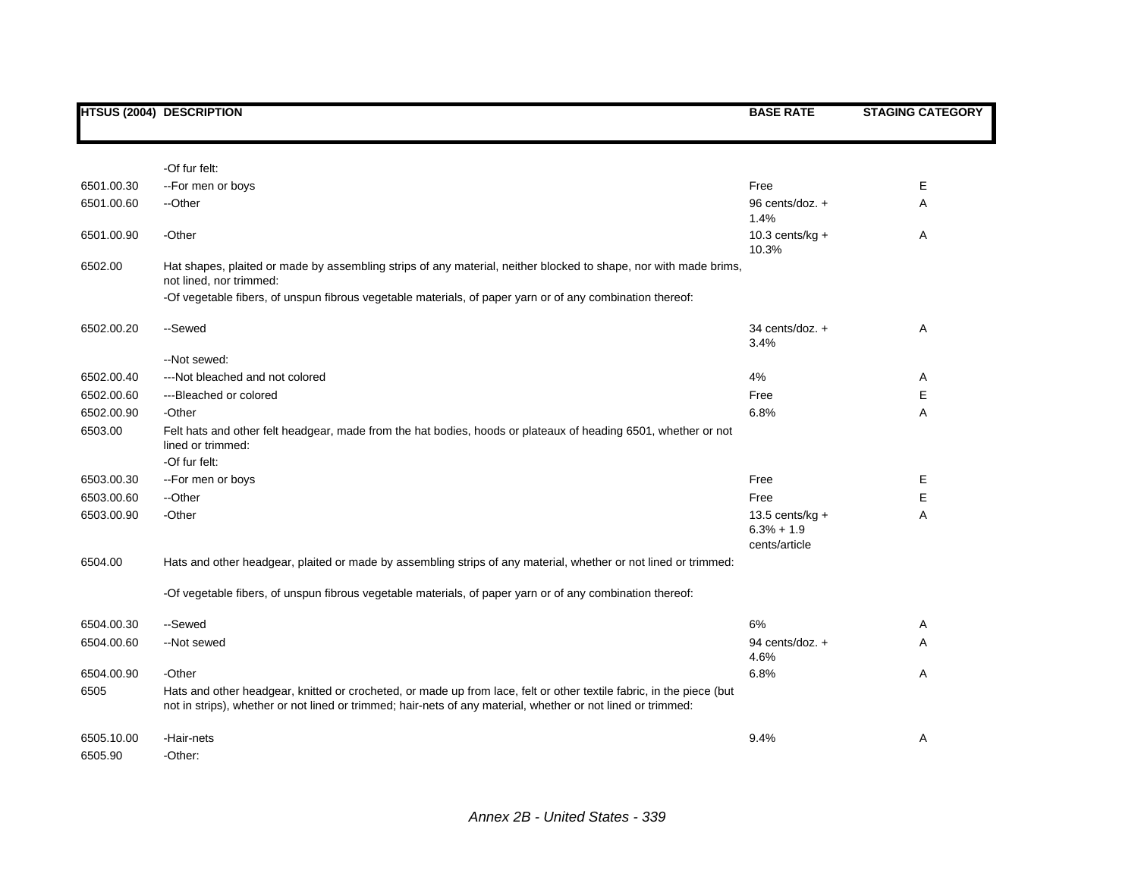|            | <b>HTSUS (2004) DESCRIPTION</b>                                                                                                                                                                                                      | <b>BASE RATE</b>                                    | <b>STAGING CATEGORY</b> |
|------------|--------------------------------------------------------------------------------------------------------------------------------------------------------------------------------------------------------------------------------------|-----------------------------------------------------|-------------------------|
|            |                                                                                                                                                                                                                                      |                                                     |                         |
|            | -Of fur felt:                                                                                                                                                                                                                        |                                                     |                         |
| 6501.00.30 | --For men or boys                                                                                                                                                                                                                    | Free                                                | Е                       |
| 6501.00.60 | --Other                                                                                                                                                                                                                              | 96 cents/doz. +                                     | Α                       |
|            |                                                                                                                                                                                                                                      | 1.4%                                                |                         |
| 6501.00.90 | -Other                                                                                                                                                                                                                               | 10.3 cents/kg $+$                                   | Α                       |
|            |                                                                                                                                                                                                                                      | 10.3%                                               |                         |
| 6502.00    | Hat shapes, plaited or made by assembling strips of any material, neither blocked to shape, nor with made brims,<br>not lined, nor trimmed:                                                                                          |                                                     |                         |
|            | -Of vegetable fibers, of unspun fibrous vegetable materials, of paper yarn or of any combination thereof:                                                                                                                            |                                                     |                         |
| 6502.00.20 | --Sewed                                                                                                                                                                                                                              | 34 cents/doz. $+$<br>3.4%                           | Α                       |
|            | --Not sewed:                                                                                                                                                                                                                         |                                                     |                         |
| 6502.00.40 | --- Not bleached and not colored                                                                                                                                                                                                     | 4%                                                  | Α                       |
| 6502.00.60 | ---Bleached or colored                                                                                                                                                                                                               | Free                                                | Е                       |
| 6502.00.90 | -Other                                                                                                                                                                                                                               | 6.8%                                                | A                       |
| 6503.00    | Felt hats and other felt headgear, made from the hat bodies, hoods or plateaux of heading 6501, whether or not<br>lined or trimmed:                                                                                                  |                                                     |                         |
|            | -Of fur felt:                                                                                                                                                                                                                        |                                                     |                         |
| 6503.00.30 | --For men or boys                                                                                                                                                                                                                    | Free                                                | Е                       |
| 6503.00.60 | --Other                                                                                                                                                                                                                              | Free                                                | Е                       |
| 6503.00.90 | -Other                                                                                                                                                                                                                               | 13.5 cents/ $kg +$<br>$6.3% + 1.9$<br>cents/article | Α                       |
| 6504.00    | Hats and other headgear, plaited or made by assembling strips of any material, whether or not lined or trimmed:                                                                                                                      |                                                     |                         |
|            | -Of vegetable fibers, of unspun fibrous vegetable materials, of paper yarn or of any combination thereof:                                                                                                                            |                                                     |                         |
| 6504.00.30 | --Sewed                                                                                                                                                                                                                              | 6%                                                  | Α                       |
| 6504.00.60 | --Not sewed                                                                                                                                                                                                                          | 94 cents/doz. +                                     | A                       |
|            |                                                                                                                                                                                                                                      | 4.6%                                                |                         |
| 6504.00.90 | -Other                                                                                                                                                                                                                               | 6.8%                                                | Α                       |
| 6505       | Hats and other headgear, knitted or crocheted, or made up from lace, felt or other textile fabric, in the piece (but<br>not in strips), whether or not lined or trimmed; hair-nets of any material, whether or not lined or trimmed: |                                                     |                         |
| 6505.10.00 | -Hair-nets                                                                                                                                                                                                                           | 9.4%                                                | Α                       |
| 6505.90    | -Other:                                                                                                                                                                                                                              |                                                     |                         |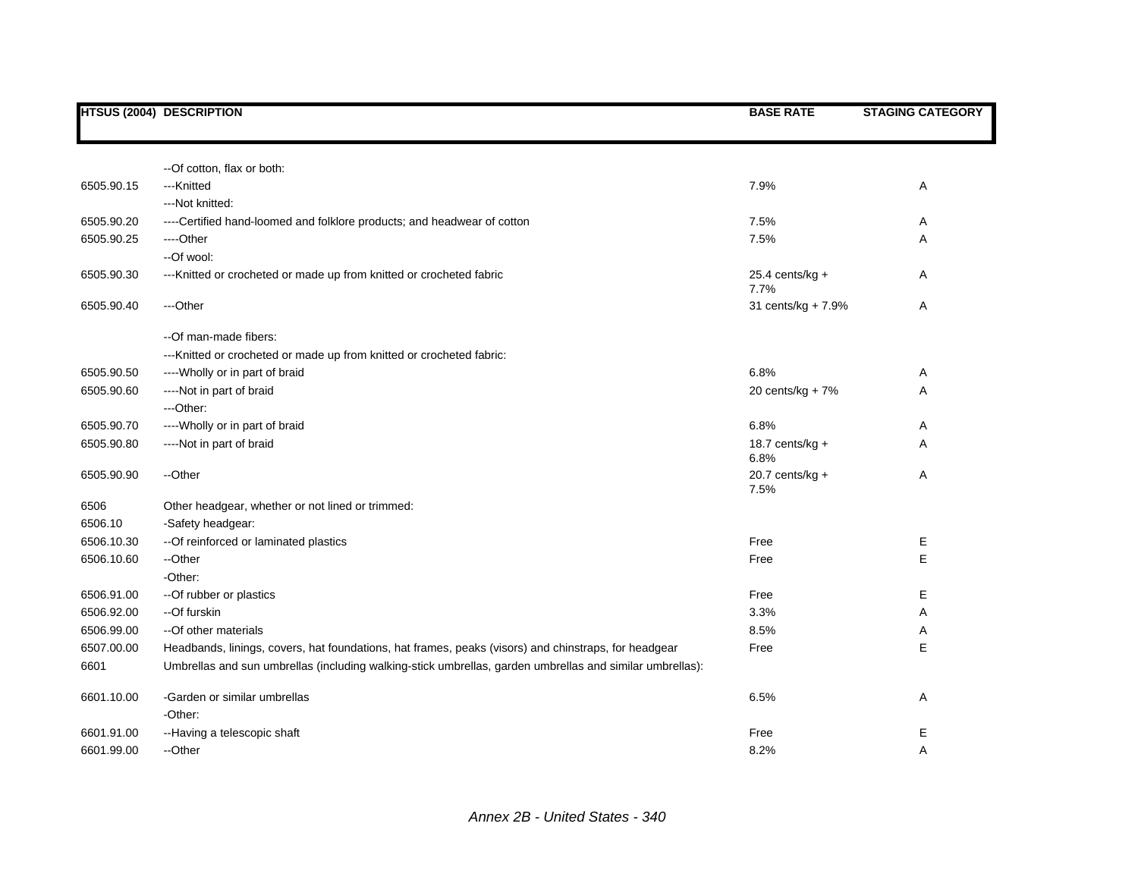|            | <b>HTSUS (2004) DESCRIPTION</b>                                                                          | <b>BASE RATE</b>          | <b>STAGING CATEGORY</b> |
|------------|----------------------------------------------------------------------------------------------------------|---------------------------|-------------------------|
|            |                                                                                                          |                           |                         |
|            | -- Of cotton, flax or both:                                                                              |                           |                         |
| 6505.90.15 | ---Knitted                                                                                               | 7.9%                      | Α                       |
|            | --- Not knitted:                                                                                         |                           |                         |
| 6505.90.20 | ----Certified hand-loomed and folklore products; and headwear of cotton                                  | 7.5%                      | Α                       |
| 6505.90.25 | ----Other                                                                                                | 7.5%                      | Α                       |
|            | --Of wool:                                                                                               |                           |                         |
| 6505.90.30 | --- Knitted or crocheted or made up from knitted or crocheted fabric                                     | $25.4$ cents/kg +<br>7.7% | Α                       |
| 6505.90.40 | ---Other                                                                                                 | 31 cents/kg + 7.9%        | Α                       |
|            | --Of man-made fibers:                                                                                    |                           |                         |
|            | --- Knitted or crocheted or made up from knitted or crocheted fabric:                                    |                           |                         |
| 6505.90.50 | ---- Wholly or in part of braid                                                                          | 6.8%                      | Α                       |
| 6505.90.60 | ----Not in part of braid                                                                                 | 20 cents/kg + 7%          | Α                       |
|            | ---Other:                                                                                                |                           |                         |
| 6505.90.70 | ---- Wholly or in part of braid                                                                          | 6.8%                      | Α                       |
| 6505.90.80 | ----Not in part of braid                                                                                 | 18.7 cents/ $kg +$        | Α                       |
|            |                                                                                                          | 6.8%                      |                         |
| 6505.90.90 | --Other                                                                                                  | 20.7 cents/ $kg +$        | Α                       |
| 6506       | Other headgear, whether or not lined or trimmed:                                                         | 7.5%                      |                         |
| 6506.10    | -Safety headgear:                                                                                        |                           |                         |
| 6506.10.30 | -- Of reinforced or laminated plastics                                                                   | Free                      | Е                       |
| 6506.10.60 | --Other                                                                                                  | Free                      | E                       |
|            | -Other:                                                                                                  |                           |                         |
| 6506.91.00 | -- Of rubber or plastics                                                                                 | Free                      | Е                       |
| 6506.92.00 | --Of furskin                                                                                             | 3.3%                      | Α                       |
| 6506.99.00 | -- Of other materials                                                                                    | 8.5%                      | Α                       |
| 6507.00.00 | Headbands, linings, covers, hat foundations, hat frames, peaks (visors) and chinstraps, for headgear     | Free                      | Ε                       |
| 6601       | Umbrellas and sun umbrellas (including walking-stick umbrellas, garden umbrellas and similar umbrellas): |                           |                         |
| 6601.10.00 | -Garden or similar umbrellas                                                                             | 6.5%                      | Α                       |
|            | -Other:                                                                                                  |                           |                         |
| 6601.91.00 | --Having a telescopic shaft                                                                              | Free                      | Ε                       |
| 6601.99.00 | --Other                                                                                                  | 8.2%                      | A                       |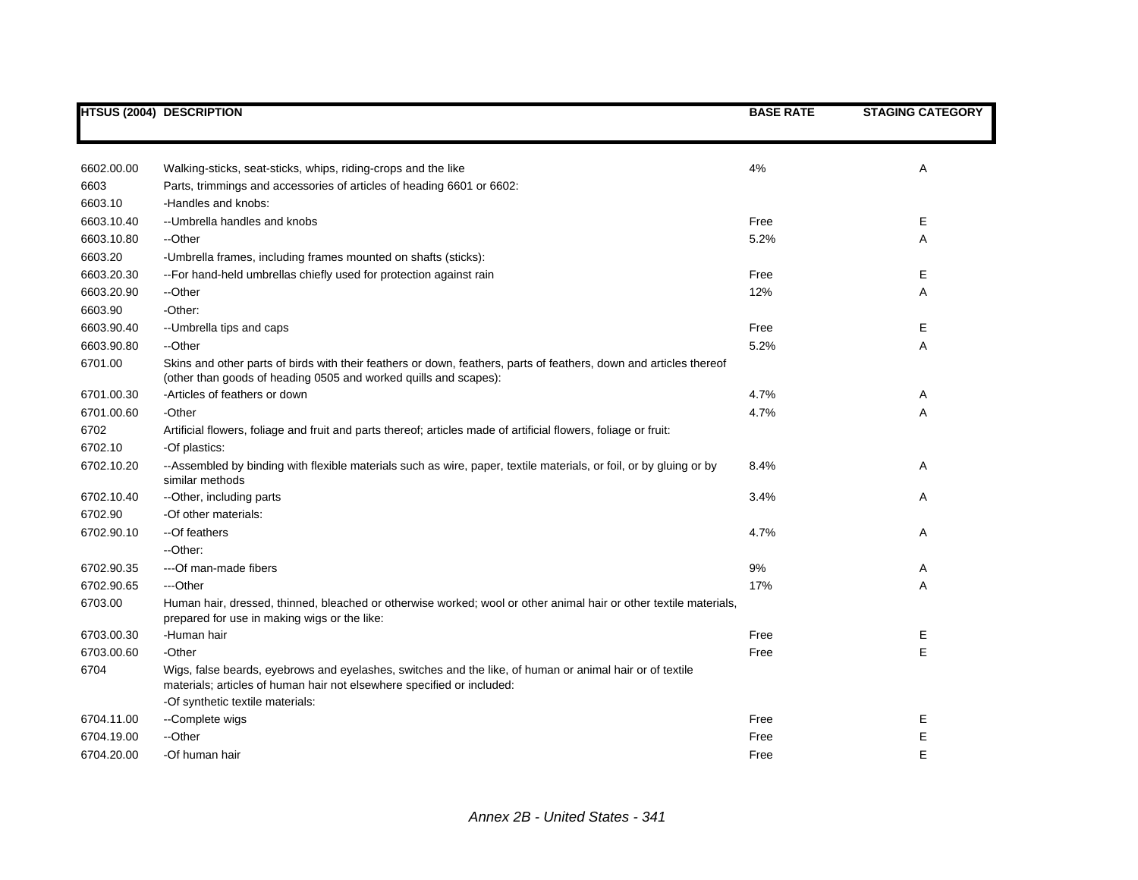|            | <b>HTSUS (2004) DESCRIPTION</b>                                                                                                                                                                                        | <b>BASE RATE</b> | <b>STAGING CATEGORY</b> |
|------------|------------------------------------------------------------------------------------------------------------------------------------------------------------------------------------------------------------------------|------------------|-------------------------|
|            |                                                                                                                                                                                                                        |                  |                         |
| 6602.00.00 | Walking-sticks, seat-sticks, whips, riding-crops and the like                                                                                                                                                          | 4%               | Α                       |
| 6603       | Parts, trimmings and accessories of articles of heading 6601 or 6602:                                                                                                                                                  |                  |                         |
| 6603.10    | -Handles and knobs:                                                                                                                                                                                                    |                  |                         |
| 6603.10.40 | -- Umbrella handles and knobs                                                                                                                                                                                          | Free             | Е                       |
| 6603.10.80 | --Other                                                                                                                                                                                                                | 5.2%             | A                       |
| 6603.20    | -Umbrella frames, including frames mounted on shafts (sticks):                                                                                                                                                         |                  |                         |
| 6603.20.30 | -- For hand-held umbrellas chiefly used for protection against rain                                                                                                                                                    | Free             | Е                       |
| 6603.20.90 | --Other                                                                                                                                                                                                                | 12%              | A                       |
| 6603.90    | -Other:                                                                                                                                                                                                                |                  |                         |
| 6603.90.40 | -- Umbrella tips and caps                                                                                                                                                                                              | Free             | Е                       |
| 6603.90.80 | --Other                                                                                                                                                                                                                | 5.2%             | Α                       |
| 6701.00    | Skins and other parts of birds with their feathers or down, feathers, parts of feathers, down and articles thereof<br>(other than goods of heading 0505 and worked quills and scapes):                                 |                  |                         |
| 6701.00.30 | -Articles of feathers or down                                                                                                                                                                                          | 4.7%             | A                       |
| 6701.00.60 | -Other                                                                                                                                                                                                                 | 4.7%             | Α                       |
| 6702       | Artificial flowers, foliage and fruit and parts thereof; articles made of artificial flowers, foliage or fruit:                                                                                                        |                  |                         |
| 6702.10    | -Of plastics:                                                                                                                                                                                                          |                  |                         |
| 6702.10.20 | --Assembled by binding with flexible materials such as wire, paper, textile materials, or foil, or by gluing or by<br>similar methods                                                                                  | 8.4%             | A                       |
| 6702.10.40 | -- Other, including parts                                                                                                                                                                                              | 3.4%             | Α                       |
| 6702.90    | -Of other materials:                                                                                                                                                                                                   |                  |                         |
| 6702.90.10 | --Of feathers                                                                                                                                                                                                          | 4.7%             | Α                       |
|            | --Other:                                                                                                                                                                                                               |                  |                         |
| 6702.90.35 | ---Of man-made fibers                                                                                                                                                                                                  | 9%               | Α                       |
| 6702.90.65 | ---Other                                                                                                                                                                                                               | 17%              | Α                       |
| 6703.00    | Human hair, dressed, thinned, bleached or otherwise worked; wool or other animal hair or other textile materials,<br>prepared for use in making wigs or the like:                                                      |                  |                         |
| 6703.00.30 | -Human hair                                                                                                                                                                                                            | Free             | Ε                       |
| 6703.00.60 | -Other                                                                                                                                                                                                                 | Free             | E                       |
| 6704       | Wigs, false beards, eyebrows and eyelashes, switches and the like, of human or animal hair or of textile<br>materials; articles of human hair not elsewhere specified or included:<br>-Of synthetic textile materials: |                  |                         |
| 6704.11.00 |                                                                                                                                                                                                                        | Free             | E                       |
| 6704.19.00 | --Complete wigs<br>--Other                                                                                                                                                                                             | Free             | E                       |
|            |                                                                                                                                                                                                                        |                  |                         |
| 6704.20.00 | -Of human hair                                                                                                                                                                                                         | Free             | E                       |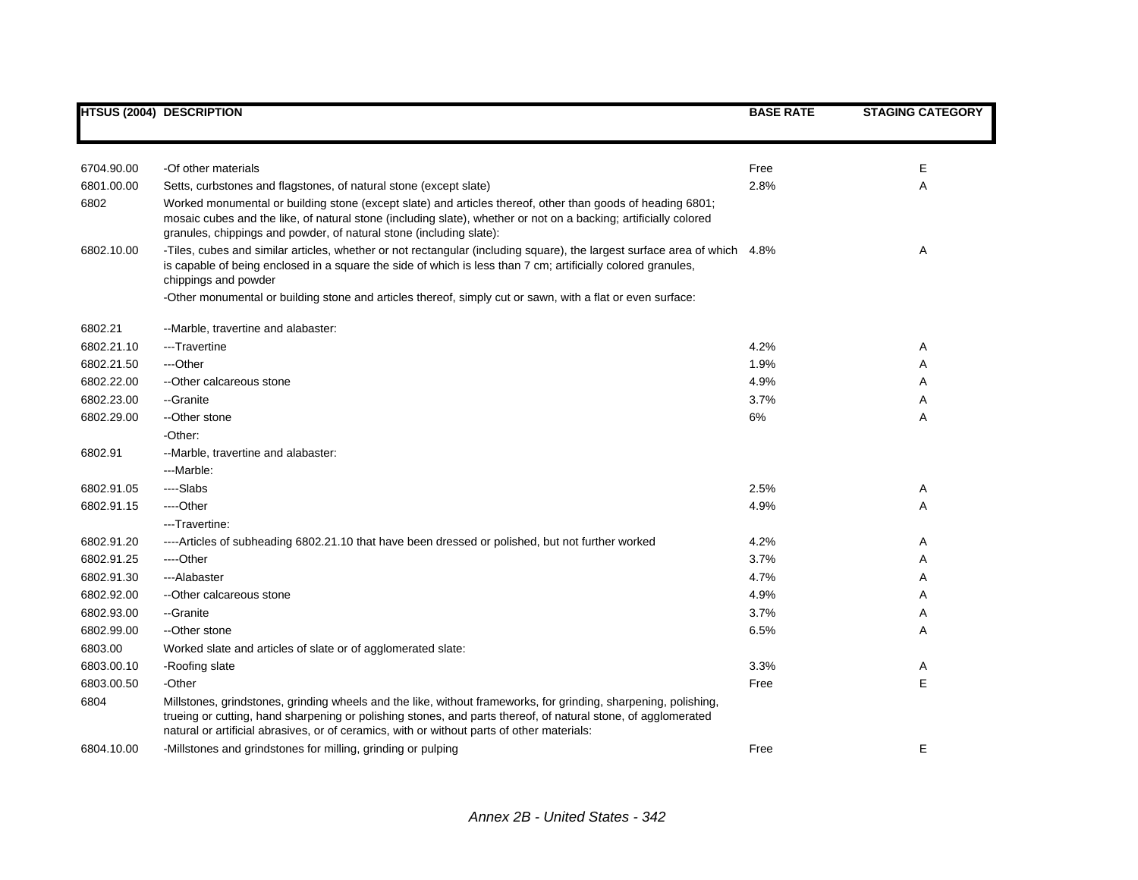|            | <b>HTSUS (2004) DESCRIPTION</b>                                                                                                                                                                                                                                                                                                | <b>BASE RATE</b> | <b>STAGING CATEGORY</b> |
|------------|--------------------------------------------------------------------------------------------------------------------------------------------------------------------------------------------------------------------------------------------------------------------------------------------------------------------------------|------------------|-------------------------|
|            |                                                                                                                                                                                                                                                                                                                                |                  |                         |
|            |                                                                                                                                                                                                                                                                                                                                |                  |                         |
| 6704.90.00 | -Of other materials                                                                                                                                                                                                                                                                                                            | Free             | Е                       |
| 6801.00.00 | Setts, curbstones and flagstones, of natural stone (except slate)                                                                                                                                                                                                                                                              | 2.8%             | Α                       |
| 6802       | Worked monumental or building stone (except slate) and articles thereof, other than goods of heading 6801;<br>mosaic cubes and the like, of natural stone (including slate), whether or not on a backing; artificially colored<br>granules, chippings and powder, of natural stone (including slate):                          |                  |                         |
| 6802.10.00 | -Tiles, cubes and similar articles, whether or not rectangular (including square), the largest surface area of which 4.8%<br>is capable of being enclosed in a square the side of which is less than 7 cm; artificially colored granules,<br>chippings and powder                                                              |                  | Α                       |
|            | -Other monumental or building stone and articles thereof, simply cut or sawn, with a flat or even surface:                                                                                                                                                                                                                     |                  |                         |
| 6802.21    | --Marble, travertine and alabaster:                                                                                                                                                                                                                                                                                            |                  |                         |
| 6802.21.10 | ---Travertine                                                                                                                                                                                                                                                                                                                  | 4.2%             | Α                       |
| 6802.21.50 | ---Other                                                                                                                                                                                                                                                                                                                       | 1.9%             | Α                       |
| 6802.22.00 | --Other calcareous stone                                                                                                                                                                                                                                                                                                       | 4.9%             | Α                       |
| 6802.23.00 | --Granite                                                                                                                                                                                                                                                                                                                      | 3.7%             | Α                       |
| 6802.29.00 | --Other stone                                                                                                                                                                                                                                                                                                                  | 6%               | A                       |
|            | -Other:                                                                                                                                                                                                                                                                                                                        |                  |                         |
| 6802.91    | --Marble, travertine and alabaster:                                                                                                                                                                                                                                                                                            |                  |                         |
|            | ---Marble:                                                                                                                                                                                                                                                                                                                     |                  |                         |
| 6802.91.05 | ----Slabs                                                                                                                                                                                                                                                                                                                      | 2.5%             | A                       |
| 6802.91.15 | ---Other                                                                                                                                                                                                                                                                                                                       | 4.9%             | Α                       |
|            | ---Travertine:                                                                                                                                                                                                                                                                                                                 |                  |                         |
| 6802.91.20 | ----Articles of subheading 6802.21.10 that have been dressed or polished, but not further worked                                                                                                                                                                                                                               | 4.2%             | Α                       |
| 6802.91.25 | ---Other                                                                                                                                                                                                                                                                                                                       | 3.7%             | Α                       |
| 6802.91.30 | ---Alabaster                                                                                                                                                                                                                                                                                                                   | 4.7%             | Α                       |
| 6802.92.00 | -- Other calcareous stone                                                                                                                                                                                                                                                                                                      | 4.9%             | A                       |
| 6802.93.00 | --Granite                                                                                                                                                                                                                                                                                                                      | 3.7%             | Α                       |
| 6802.99.00 | --Other stone                                                                                                                                                                                                                                                                                                                  | 6.5%             | Α                       |
| 6803.00    | Worked slate and articles of slate or of agglomerated slate:                                                                                                                                                                                                                                                                   |                  |                         |
| 6803.00.10 | -Roofing slate                                                                                                                                                                                                                                                                                                                 | 3.3%             | A                       |
| 6803.00.50 | -Other                                                                                                                                                                                                                                                                                                                         | Free             | E                       |
| 6804       | Millstones, grindstones, grinding wheels and the like, without frameworks, for grinding, sharpening, polishing,<br>trueing or cutting, hand sharpening or polishing stones, and parts thereof, of natural stone, of agglomerated<br>natural or artificial abrasives, or of ceramics, with or without parts of other materials: |                  |                         |
| 6804.10.00 | -Millstones and grindstones for milling, grinding or pulping                                                                                                                                                                                                                                                                   | Free             | Е                       |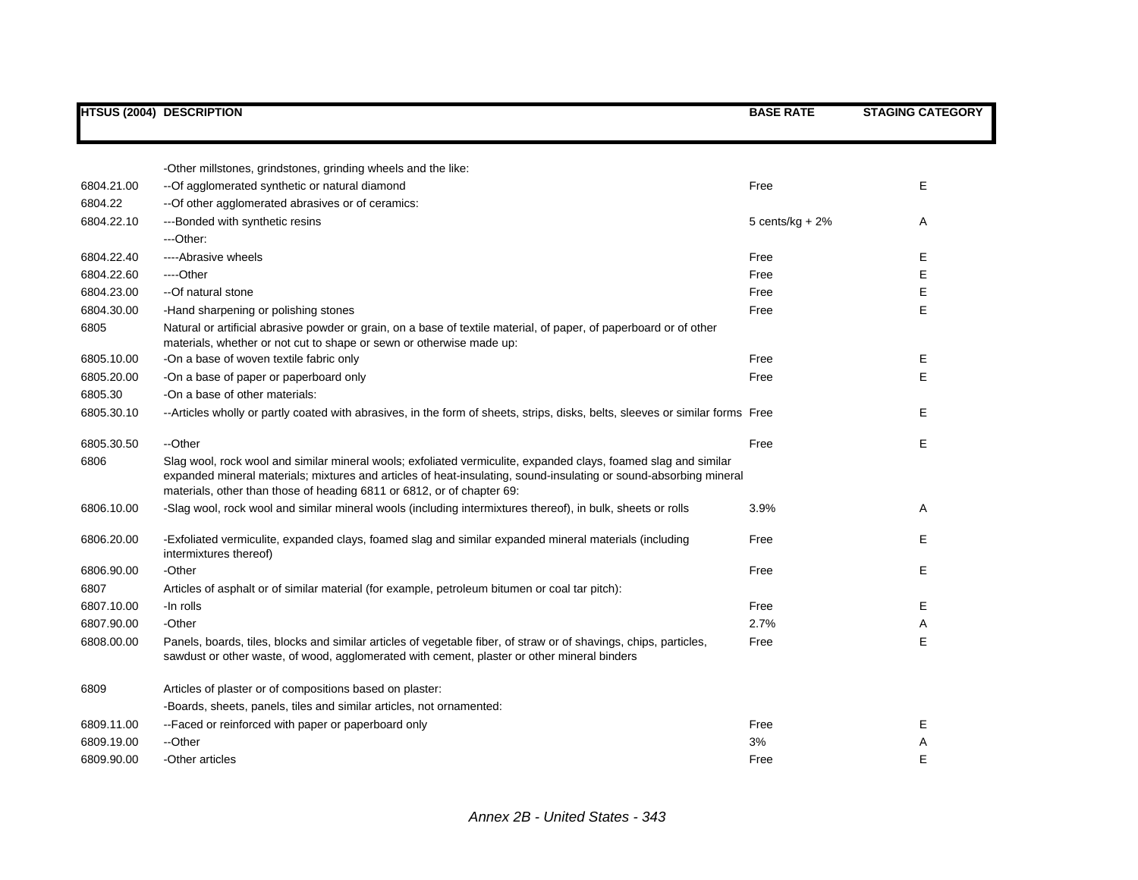|            | <b>HTSUS (2004) DESCRIPTION</b>                                                                                                                                                                                                                                                                                | <b>BASE RATE</b>   | <b>STAGING CATEGORY</b> |
|------------|----------------------------------------------------------------------------------------------------------------------------------------------------------------------------------------------------------------------------------------------------------------------------------------------------------------|--------------------|-------------------------|
|            |                                                                                                                                                                                                                                                                                                                |                    |                         |
|            | -Other millstones, grindstones, grinding wheels and the like:                                                                                                                                                                                                                                                  |                    |                         |
| 6804.21.00 | --Of agglomerated synthetic or natural diamond                                                                                                                                                                                                                                                                 | Free               | E                       |
| 6804.22    | -- Of other agglomerated abrasives or of ceramics:                                                                                                                                                                                                                                                             |                    |                         |
| 6804.22.10 | ---Bonded with synthetic resins                                                                                                                                                                                                                                                                                | 5 cents/ $kg + 2%$ | Α                       |
|            | ---Other:                                                                                                                                                                                                                                                                                                      |                    |                         |
| 6804.22.40 | ----Abrasive wheels                                                                                                                                                                                                                                                                                            | Free               | Е                       |
| 6804.22.60 | ----Other                                                                                                                                                                                                                                                                                                      | Free               | E                       |
| 6804.23.00 | --Of natural stone                                                                                                                                                                                                                                                                                             | Free               | Е                       |
| 6804.30.00 | -Hand sharpening or polishing stones                                                                                                                                                                                                                                                                           | Free               | Е                       |
| 6805       | Natural or artificial abrasive powder or grain, on a base of textile material, of paper, of paperboard or of other<br>materials, whether or not cut to shape or sewn or otherwise made up:                                                                                                                     |                    |                         |
| 6805.10.00 | -On a base of woven textile fabric only                                                                                                                                                                                                                                                                        | Free               | E                       |
| 6805.20.00 | -On a base of paper or paperboard only                                                                                                                                                                                                                                                                         | Free               | E                       |
| 6805.30    | -On a base of other materials:                                                                                                                                                                                                                                                                                 |                    |                         |
| 6805.30.10 | --Articles wholly or partly coated with abrasives, in the form of sheets, strips, disks, belts, sleeves or similar forms Free                                                                                                                                                                                  |                    | Е                       |
| 6805.30.50 | --Other                                                                                                                                                                                                                                                                                                        | Free               | E                       |
| 6806       | Slag wool, rock wool and similar mineral wools; exfoliated vermiculite, expanded clays, foamed slag and similar<br>expanded mineral materials; mixtures and articles of heat-insulating, sound-insulating or sound-absorbing mineral<br>materials, other than those of heading 6811 or 6812, or of chapter 69: |                    |                         |
| 6806.10.00 | -Slag wool, rock wool and similar mineral wools (including intermixtures thereof), in bulk, sheets or rolls                                                                                                                                                                                                    | 3.9%               | Α                       |
| 6806.20.00 | -Exfoliated vermiculite, expanded clays, foamed slag and similar expanded mineral materials (including<br>intermixtures thereof)                                                                                                                                                                               | Free               | Е                       |
| 6806.90.00 | -Other                                                                                                                                                                                                                                                                                                         | Free               | E                       |
| 6807       | Articles of asphalt or of similar material (for example, petroleum bitumen or coal tar pitch):                                                                                                                                                                                                                 |                    |                         |
| 6807.10.00 | -In rolls                                                                                                                                                                                                                                                                                                      | Free               | E                       |
| 6807.90.00 | -Other                                                                                                                                                                                                                                                                                                         | 2.7%               | Α                       |
| 6808.00.00 | Panels, boards, tiles, blocks and similar articles of vegetable fiber, of straw or of shavings, chips, particles,<br>sawdust or other waste, of wood, agglomerated with cement, plaster or other mineral binders                                                                                               | Free               | E                       |
| 6809       | Articles of plaster or of compositions based on plaster:                                                                                                                                                                                                                                                       |                    |                         |
|            | -Boards, sheets, panels, tiles and similar articles, not ornamented:                                                                                                                                                                                                                                           |                    |                         |
| 6809.11.00 | --Faced or reinforced with paper or paperboard only                                                                                                                                                                                                                                                            | Free               | Е                       |
| 6809.19.00 | --Other                                                                                                                                                                                                                                                                                                        | 3%                 | Α                       |
| 6809.90.00 | -Other articles                                                                                                                                                                                                                                                                                                | Free               | E                       |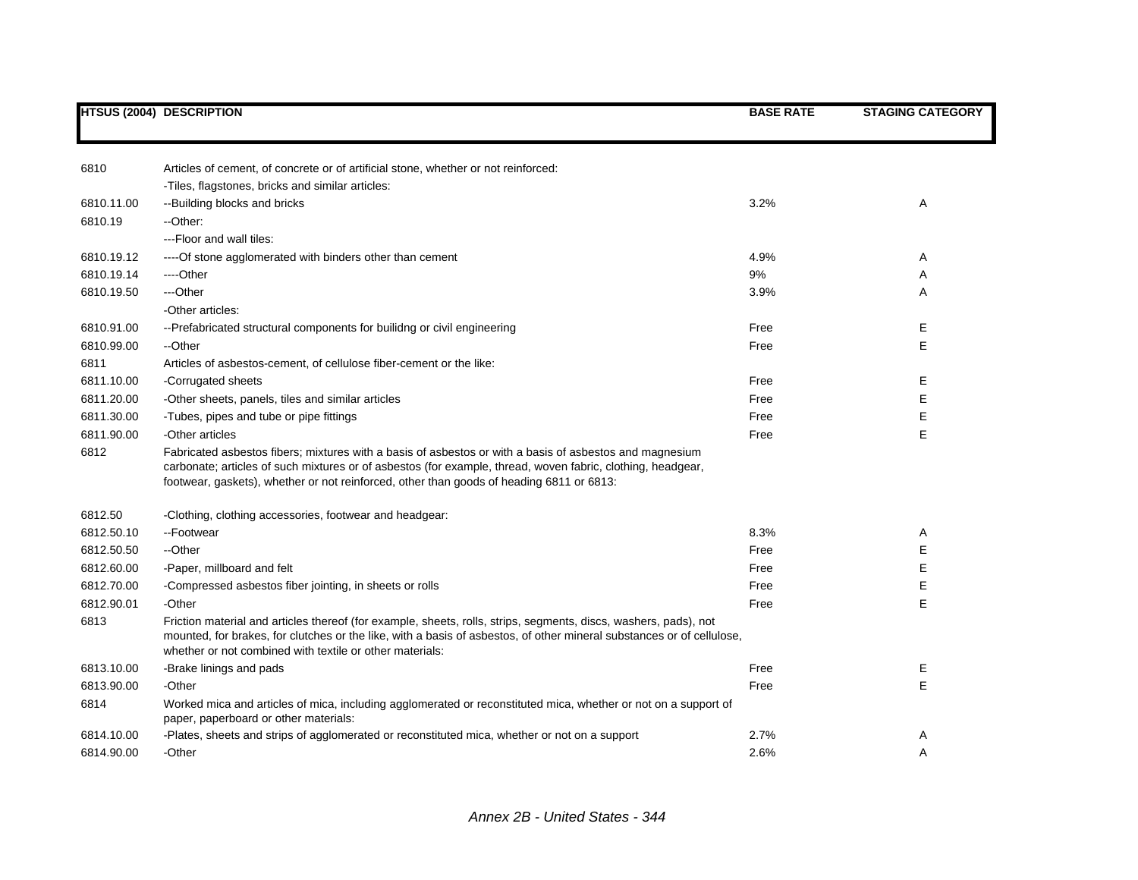|            | <b>HTSUS (2004) DESCRIPTION</b>                                                                                                                                                                                                                                                                                    | <b>BASE RATE</b> | <b>STAGING CATEGORY</b> |
|------------|--------------------------------------------------------------------------------------------------------------------------------------------------------------------------------------------------------------------------------------------------------------------------------------------------------------------|------------------|-------------------------|
|            |                                                                                                                                                                                                                                                                                                                    |                  |                         |
| 6810       | Articles of cement, of concrete or of artificial stone, whether or not reinforced:                                                                                                                                                                                                                                 |                  |                         |
|            | -Tiles, flagstones, bricks and similar articles:                                                                                                                                                                                                                                                                   |                  |                         |
| 6810.11.00 | --Building blocks and bricks                                                                                                                                                                                                                                                                                       | 3.2%             | Α                       |
| 6810.19    | --Other:                                                                                                                                                                                                                                                                                                           |                  |                         |
|            | ---Floor and wall tiles:                                                                                                                                                                                                                                                                                           |                  |                         |
| 6810.19.12 | ----Of stone agglomerated with binders other than cement                                                                                                                                                                                                                                                           | 4.9%             | Α                       |
| 6810.19.14 | ----Other                                                                                                                                                                                                                                                                                                          | 9%               | Α                       |
| 6810.19.50 | ---Other                                                                                                                                                                                                                                                                                                           | 3.9%             | Α                       |
|            | -Other articles:                                                                                                                                                                                                                                                                                                   |                  |                         |
| 6810.91.00 | -- Prefabricated structural components for builidng or civil engineering                                                                                                                                                                                                                                           | Free             | Е                       |
| 6810.99.00 | --Other                                                                                                                                                                                                                                                                                                            | Free             | Е                       |
| 6811       | Articles of asbestos-cement, of cellulose fiber-cement or the like:                                                                                                                                                                                                                                                |                  |                         |
| 6811.10.00 | -Corrugated sheets                                                                                                                                                                                                                                                                                                 | Free             | Е                       |
| 6811.20.00 | -Other sheets, panels, tiles and similar articles                                                                                                                                                                                                                                                                  | Free             | Е                       |
| 6811.30.00 | -Tubes, pipes and tube or pipe fittings                                                                                                                                                                                                                                                                            | Free             | Е                       |
| 6811.90.00 | -Other articles                                                                                                                                                                                                                                                                                                    | Free             | Е                       |
| 6812       | Fabricated asbestos fibers; mixtures with a basis of asbestos or with a basis of asbestos and magnesium<br>carbonate; articles of such mixtures or of asbestos (for example, thread, woven fabric, clothing, headgear,<br>footwear, gaskets), whether or not reinforced, other than goods of heading 6811 or 6813: |                  |                         |
| 6812.50    | -Clothing, clothing accessories, footwear and headgear:                                                                                                                                                                                                                                                            |                  |                         |
| 6812.50.10 | --Footwear                                                                                                                                                                                                                                                                                                         | 8.3%             | A                       |
| 6812.50.50 | --Other                                                                                                                                                                                                                                                                                                            | Free             | Е                       |
| 6812.60.00 | -Paper, millboard and felt                                                                                                                                                                                                                                                                                         | Free             | Е                       |
| 6812.70.00 | -Compressed asbestos fiber jointing, in sheets or rolls                                                                                                                                                                                                                                                            | Free             | Е                       |
| 6812.90.01 | -Other                                                                                                                                                                                                                                                                                                             | Free             | Е                       |
| 6813       | Friction material and articles thereof (for example, sheets, rolls, strips, segments, discs, washers, pads), not<br>mounted, for brakes, for clutches or the like, with a basis of asbestos, of other mineral substances or of cellulose,<br>whether or not combined with textile or other materials:              |                  |                         |
| 6813.10.00 | -Brake linings and pads                                                                                                                                                                                                                                                                                            | Free             | Ε                       |
| 6813.90.00 | -Other                                                                                                                                                                                                                                                                                                             | Free             | Е                       |
| 6814       | Worked mica and articles of mica, including agglomerated or reconstituted mica, whether or not on a support of<br>paper, paperboard or other materials:                                                                                                                                                            |                  |                         |
| 6814.10.00 | -Plates, sheets and strips of agglomerated or reconstituted mica, whether or not on a support                                                                                                                                                                                                                      | 2.7%             | Α                       |
| 6814.90.00 | -Other                                                                                                                                                                                                                                                                                                             | 2.6%             | A                       |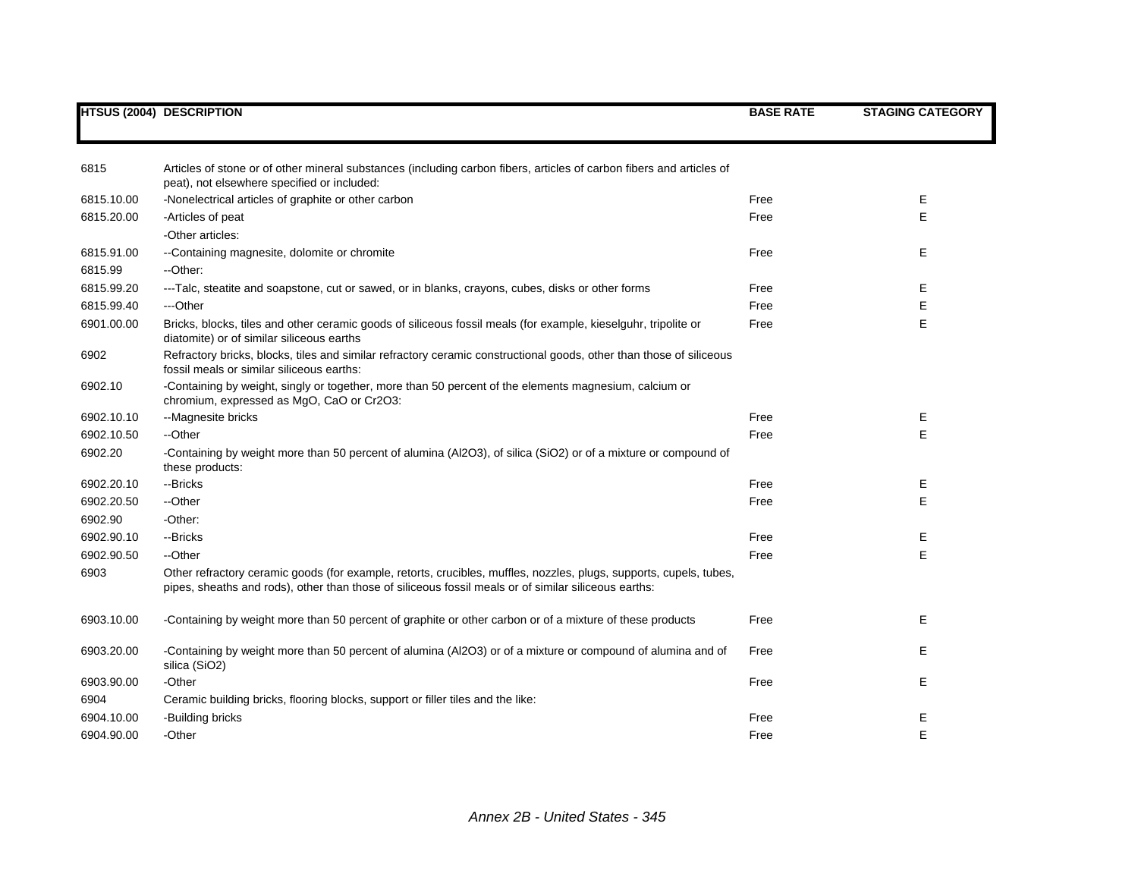|            | <b>HTSUS (2004) DESCRIPTION</b>                                                                                                                                                                                            | <b>BASE RATE</b> | <b>STAGING CATEGORY</b> |
|------------|----------------------------------------------------------------------------------------------------------------------------------------------------------------------------------------------------------------------------|------------------|-------------------------|
|            |                                                                                                                                                                                                                            |                  |                         |
| 6815       | Articles of stone or of other mineral substances (including carbon fibers, articles of carbon fibers and articles of<br>peat), not elsewhere specified or included:                                                        |                  |                         |
| 6815.10.00 | -Nonelectrical articles of graphite or other carbon                                                                                                                                                                        | Free             | Ε                       |
| 6815.20.00 | -Articles of peat                                                                                                                                                                                                          | Free             | E                       |
|            | -Other articles:                                                                                                                                                                                                           |                  |                         |
| 6815.91.00 | --Containing magnesite, dolomite or chromite                                                                                                                                                                               | Free             | Е                       |
| 6815.99    | --Other:                                                                                                                                                                                                                   |                  |                         |
| 6815.99.20 | ---Talc, steatite and soapstone, cut or sawed, or in blanks, crayons, cubes, disks or other forms                                                                                                                          | Free             | Е                       |
| 6815.99.40 | ---Other                                                                                                                                                                                                                   | Free             | E                       |
| 6901.00.00 | Bricks, blocks, tiles and other ceramic goods of siliceous fossil meals (for example, kieselguhr, tripolite or<br>diatomite) or of similar siliceous earths                                                                | Free             | E                       |
| 6902       | Refractory bricks, blocks, tiles and similar refractory ceramic constructional goods, other than those of siliceous<br>fossil meals or similar siliceous earths:                                                           |                  |                         |
| 6902.10    | -Containing by weight, singly or together, more than 50 percent of the elements magnesium, calcium or<br>chromium, expressed as MgO, CaO or Cr2O3:                                                                         |                  |                         |
| 6902.10.10 | --Magnesite bricks                                                                                                                                                                                                         | Free             | Е                       |
| 6902.10.50 | --Other                                                                                                                                                                                                                    | Free             | E                       |
| 6902.20    | -Containing by weight more than 50 percent of alumina (Al2O3), of silica (SiO2) or of a mixture or compound of<br>these products:                                                                                          |                  |                         |
| 6902.20.10 | --Bricks                                                                                                                                                                                                                   | Free             | Ε                       |
| 6902.20.50 | --Other                                                                                                                                                                                                                    | Free             | E                       |
| 6902.90    | -Other:                                                                                                                                                                                                                    |                  |                         |
| 6902.90.10 | --Bricks                                                                                                                                                                                                                   | Free             | Ε                       |
| 6902.90.50 | --Other                                                                                                                                                                                                                    | Free             | E                       |
| 6903       | Other refractory ceramic goods (for example, retorts, crucibles, muffles, nozzles, plugs, supports, cupels, tubes,<br>pipes, sheaths and rods), other than those of siliceous fossil meals or of similar siliceous earths: |                  |                         |
| 6903.10.00 | -Containing by weight more than 50 percent of graphite or other carbon or of a mixture of these products                                                                                                                   | Free             | Е                       |
| 6903.20.00 | -Containing by weight more than 50 percent of alumina (Al2O3) or of a mixture or compound of alumina and of<br>silica (SiO2)                                                                                               | Free             | Е                       |
| 6903.90.00 | -Other                                                                                                                                                                                                                     | Free             | Ε                       |
| 6904       | Ceramic building bricks, flooring blocks, support or filler tiles and the like:                                                                                                                                            |                  |                         |
| 6904.10.00 | -Building bricks                                                                                                                                                                                                           | Free             | Е                       |
| 6904.90.00 | -Other                                                                                                                                                                                                                     | Free             | E                       |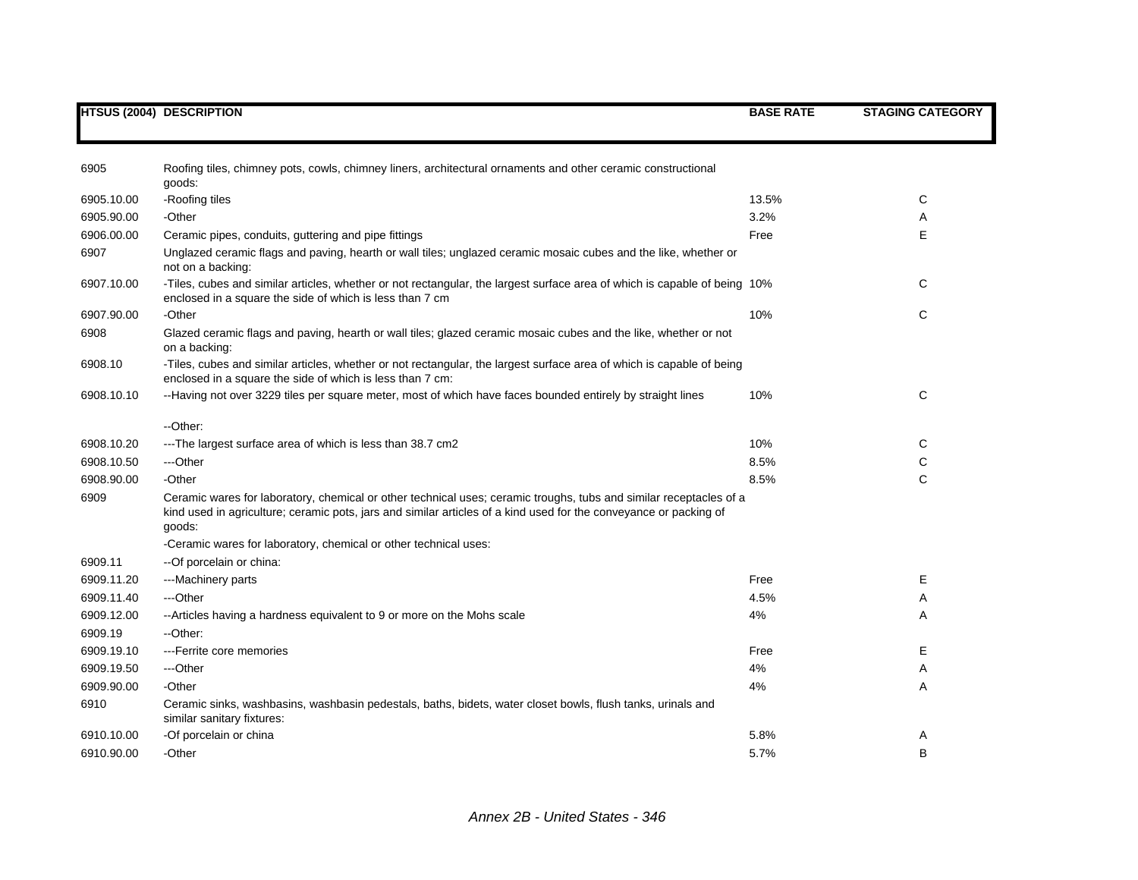|            | <b>HTSUS (2004) DESCRIPTION</b>                                                                                                                                                                                                                   | <b>BASE RATE</b> | <b>STAGING CATEGORY</b> |
|------------|---------------------------------------------------------------------------------------------------------------------------------------------------------------------------------------------------------------------------------------------------|------------------|-------------------------|
|            |                                                                                                                                                                                                                                                   |                  |                         |
| 6905       | Roofing tiles, chimney pots, cowls, chimney liners, architectural ornaments and other ceramic constructional<br>goods:                                                                                                                            |                  |                         |
| 6905.10.00 | -Roofing tiles                                                                                                                                                                                                                                    | 13.5%            | C                       |
| 6905.90.00 | -Other                                                                                                                                                                                                                                            | 3.2%             | A                       |
| 6906.00.00 | Ceramic pipes, conduits, guttering and pipe fittings                                                                                                                                                                                              | Free             | E                       |
| 6907       | Unglazed ceramic flags and paving, hearth or wall tiles; unglazed ceramic mosaic cubes and the like, whether or<br>not on a backing:                                                                                                              |                  |                         |
| 6907.10.00 | -Tiles, cubes and similar articles, whether or not rectangular, the largest surface area of which is capable of being 10%<br>enclosed in a square the side of which is less than 7 cm                                                             |                  | С                       |
| 6907.90.00 | -Other                                                                                                                                                                                                                                            | 10%              | C                       |
| 6908       | Glazed ceramic flags and paving, hearth or wall tiles; glazed ceramic mosaic cubes and the like, whether or not<br>on a backing:                                                                                                                  |                  |                         |
| 6908.10    | -Tiles, cubes and similar articles, whether or not rectangular, the largest surface area of which is capable of being<br>enclosed in a square the side of which is less than 7 cm:                                                                |                  |                         |
| 6908.10.10 | --Having not over 3229 tiles per square meter, most of which have faces bounded entirely by straight lines                                                                                                                                        | 10%              | C                       |
|            | --Other:                                                                                                                                                                                                                                          |                  |                         |
| 6908.10.20 | ---The largest surface area of which is less than 38.7 cm2                                                                                                                                                                                        | 10%              | C                       |
| 6908.10.50 | ---Other                                                                                                                                                                                                                                          | 8.5%             | С                       |
| 6908.90.00 | -Other                                                                                                                                                                                                                                            | 8.5%             | C                       |
| 6909       | Ceramic wares for laboratory, chemical or other technical uses; ceramic troughs, tubs and similar receptacles of a<br>kind used in agriculture; ceramic pots, jars and similar articles of a kind used for the conveyance or packing of<br>goods: |                  |                         |
|            | -Ceramic wares for laboratory, chemical or other technical uses:                                                                                                                                                                                  |                  |                         |
| 6909.11    | -- Of porcelain or china:                                                                                                                                                                                                                         |                  |                         |
| 6909.11.20 | ---Machinery parts                                                                                                                                                                                                                                | Free             | Е                       |
| 6909.11.40 | ---Other                                                                                                                                                                                                                                          | 4.5%             | Α                       |
| 6909.12.00 | --Articles having a hardness equivalent to 9 or more on the Mohs scale                                                                                                                                                                            | 4%               | A                       |
| 6909.19    | --Other:                                                                                                                                                                                                                                          |                  |                         |
| 6909.19.10 | ---Ferrite core memories                                                                                                                                                                                                                          | Free             | E                       |
| 6909.19.50 | ---Other                                                                                                                                                                                                                                          | 4%               | Α                       |
| 6909.90.00 | -Other                                                                                                                                                                                                                                            | 4%               | Α                       |
| 6910       | Ceramic sinks, washbasins, washbasin pedestals, baths, bidets, water closet bowls, flush tanks, urinals and<br>similar sanitary fixtures:                                                                                                         |                  |                         |
| 6910.10.00 | -Of porcelain or china                                                                                                                                                                                                                            | 5.8%             | Α                       |
| 6910.90.00 | -Other                                                                                                                                                                                                                                            | 5.7%             | B                       |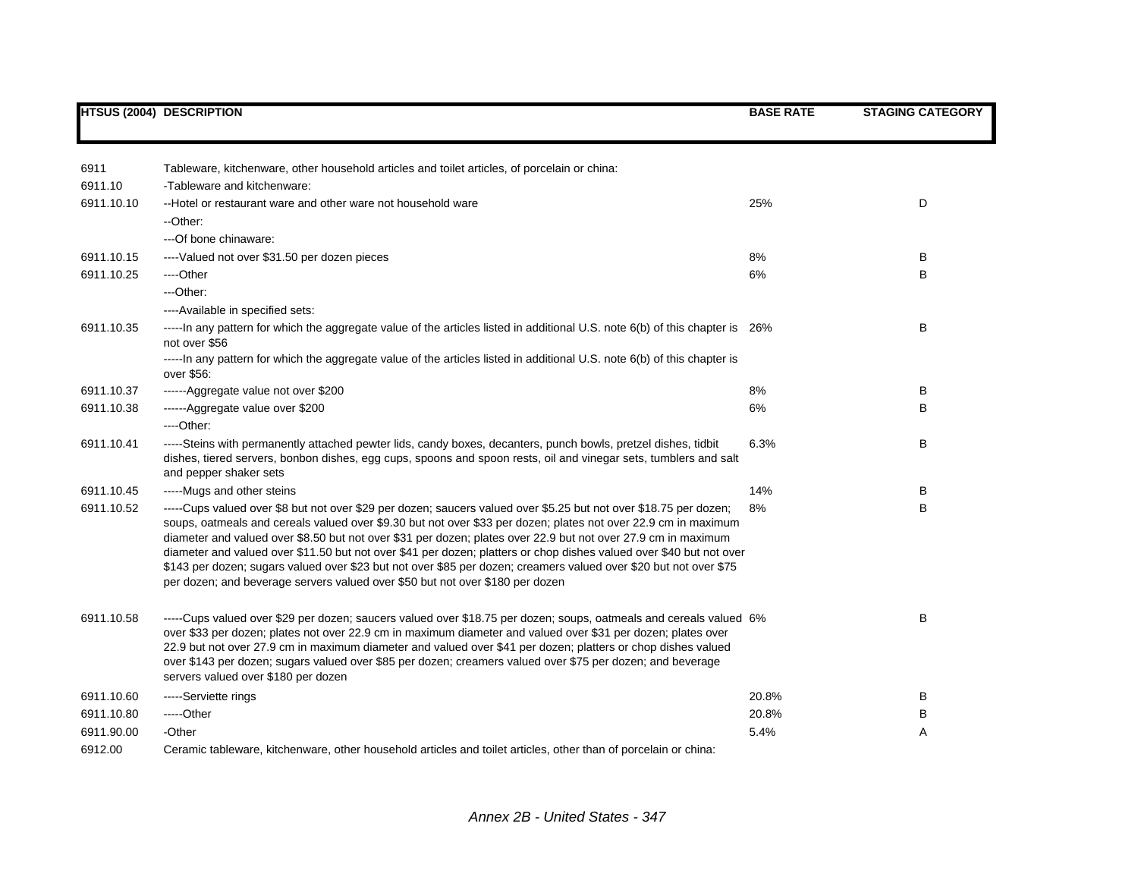|            | <b>HTSUS (2004) DESCRIPTION</b>                                                                                                                                                                                                                                                                                                                                                                                                                                                                                                                                                                                                                                                   | <b>BASE RATE</b> | <b>STAGING CATEGORY</b> |
|------------|-----------------------------------------------------------------------------------------------------------------------------------------------------------------------------------------------------------------------------------------------------------------------------------------------------------------------------------------------------------------------------------------------------------------------------------------------------------------------------------------------------------------------------------------------------------------------------------------------------------------------------------------------------------------------------------|------------------|-------------------------|
|            |                                                                                                                                                                                                                                                                                                                                                                                                                                                                                                                                                                                                                                                                                   |                  |                         |
| 6911       | Tableware, kitchenware, other household articles and toilet articles, of porcelain or china:                                                                                                                                                                                                                                                                                                                                                                                                                                                                                                                                                                                      |                  |                         |
| 6911.10    | -Tableware and kitchenware:                                                                                                                                                                                                                                                                                                                                                                                                                                                                                                                                                                                                                                                       |                  |                         |
| 6911.10.10 | --Hotel or restaurant ware and other ware not household ware                                                                                                                                                                                                                                                                                                                                                                                                                                                                                                                                                                                                                      | 25%              | D                       |
|            | --Other:                                                                                                                                                                                                                                                                                                                                                                                                                                                                                                                                                                                                                                                                          |                  |                         |
|            | ---Of bone chinaware:                                                                                                                                                                                                                                                                                                                                                                                                                                                                                                                                                                                                                                                             |                  |                         |
| 6911.10.15 | ---- Valued not over \$31.50 per dozen pieces                                                                                                                                                                                                                                                                                                                                                                                                                                                                                                                                                                                                                                     | 8%               | В                       |
| 6911.10.25 | ----Other                                                                                                                                                                                                                                                                                                                                                                                                                                                                                                                                                                                                                                                                         | 6%               | B                       |
|            | $-$ Other:                                                                                                                                                                                                                                                                                                                                                                                                                                                                                                                                                                                                                                                                        |                  |                         |
|            | ----Available in specified sets:                                                                                                                                                                                                                                                                                                                                                                                                                                                                                                                                                                                                                                                  |                  |                         |
| 6911.10.35 | -----In any pattern for which the aggregate value of the articles listed in additional U.S. note 6(b) of this chapter is 26%<br>not over \$56                                                                                                                                                                                                                                                                                                                                                                                                                                                                                                                                     |                  | В                       |
|            | -----In any pattern for which the aggregate value of the articles listed in additional U.S. note 6(b) of this chapter is<br>over \$56:                                                                                                                                                                                                                                                                                                                                                                                                                                                                                                                                            |                  |                         |
| 6911.10.37 | ------Aggregate value not over \$200                                                                                                                                                                                                                                                                                                                                                                                                                                                                                                                                                                                                                                              | 8%               | в                       |
| 6911.10.38 | ------Aggregate value over \$200                                                                                                                                                                                                                                                                                                                                                                                                                                                                                                                                                                                                                                                  | 6%               | В                       |
|            | ----Other:                                                                                                                                                                                                                                                                                                                                                                                                                                                                                                                                                                                                                                                                        |                  |                         |
| 6911.10.41 | -----Steins with permanently attached pewter lids, candy boxes, decanters, punch bowls, pretzel dishes, tidbit<br>dishes, tiered servers, bonbon dishes, egg cups, spoons and spoon rests, oil and vinegar sets, tumblers and salt<br>and pepper shaker sets                                                                                                                                                                                                                                                                                                                                                                                                                      | 6.3%             | В                       |
| 6911.10.45 | -----Mugs and other steins                                                                                                                                                                                                                                                                                                                                                                                                                                                                                                                                                                                                                                                        | 14%              | в                       |
| 6911.10.52 | -----Cups valued over \$8 but not over \$29 per dozen; saucers valued over \$5.25 but not over \$18.75 per dozen;<br>soups, oatmeals and cereals valued over \$9.30 but not over \$33 per dozen; plates not over 22.9 cm in maximum<br>diameter and valued over \$8.50 but not over \$31 per dozen; plates over 22.9 but not over 27.9 cm in maximum<br>diameter and valued over \$11.50 but not over \$41 per dozen; platters or chop dishes valued over \$40 but not over<br>\$143 per dozen; sugars valued over \$23 but not over \$85 per dozen; creamers valued over \$20 but not over \$75<br>per dozen; and beverage servers valued over \$50 but not over \$180 per dozen | 8%               | В                       |
| 6911.10.58 | -----Cups valued over \$29 per dozen; saucers valued over \$18.75 per dozen; soups, oatmeals and cereals valued 6%<br>over \$33 per dozen; plates not over 22.9 cm in maximum diameter and valued over \$31 per dozen; plates over<br>22.9 but not over 27.9 cm in maximum diameter and valued over \$41 per dozen; platters or chop dishes valued<br>over \$143 per dozen; sugars valued over \$85 per dozen; creamers valued over \$75 per dozen; and beverage<br>servers valued over \$180 per dozen                                                                                                                                                                           |                  | B                       |
| 6911.10.60 | -----Serviette rings                                                                                                                                                                                                                                                                                                                                                                                                                                                                                                                                                                                                                                                              | 20.8%            | В                       |
| 6911.10.80 | -----Other                                                                                                                                                                                                                                                                                                                                                                                                                                                                                                                                                                                                                                                                        | 20.8%            | В                       |
| 6911.90.00 | -Other                                                                                                                                                                                                                                                                                                                                                                                                                                                                                                                                                                                                                                                                            | 5.4%             | Α                       |
| 6912.00    | Ceramic tableware, kitchenware, other household articles and toilet articles, other than of porcelain or china:                                                                                                                                                                                                                                                                                                                                                                                                                                                                                                                                                                   |                  |                         |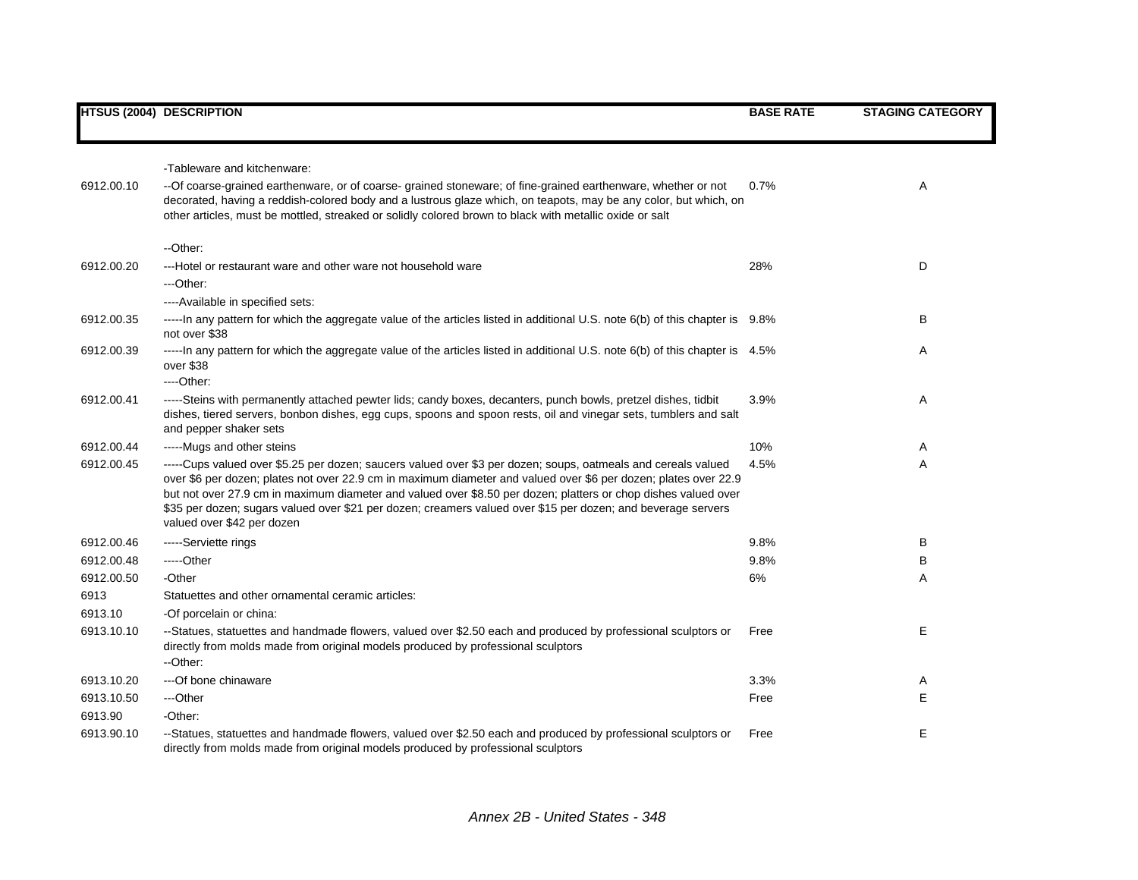|            | <b>HTSUS (2004) DESCRIPTION</b>                                                                                                                                                                                                                                                                                                                                                                                                                                                                  | <b>BASE RATE</b> | <b>STAGING CATEGORY</b> |
|------------|--------------------------------------------------------------------------------------------------------------------------------------------------------------------------------------------------------------------------------------------------------------------------------------------------------------------------------------------------------------------------------------------------------------------------------------------------------------------------------------------------|------------------|-------------------------|
|            |                                                                                                                                                                                                                                                                                                                                                                                                                                                                                                  |                  |                         |
|            | -Tableware and kitchenware:                                                                                                                                                                                                                                                                                                                                                                                                                                                                      |                  |                         |
| 6912.00.10 | -- Of coarse-grained earthenware, or of coarse- grained stoneware; of fine-grained earthenware, whether or not<br>decorated, having a reddish-colored body and a lustrous glaze which, on teapots, may be any color, but which, on<br>other articles, must be mottled, streaked or solidly colored brown to black with metallic oxide or salt                                                                                                                                                    | 0.7%             | Α                       |
|            | --Other:                                                                                                                                                                                                                                                                                                                                                                                                                                                                                         |                  |                         |
| 6912.00.20 | ---Hotel or restaurant ware and other ware not household ware<br>---Other:                                                                                                                                                                                                                                                                                                                                                                                                                       | 28%              | D                       |
|            | ----Available in specified sets:                                                                                                                                                                                                                                                                                                                                                                                                                                                                 |                  |                         |
| 6912.00.35 | -----In any pattern for which the aggregate value of the articles listed in additional U.S. note 6(b) of this chapter is 9.8%<br>not over \$38                                                                                                                                                                                                                                                                                                                                                   |                  | В                       |
| 6912.00.39 | -----In any pattern for which the aggregate value of the articles listed in additional U.S. note 6(b) of this chapter is 4.5%<br>over \$38<br>---Other:                                                                                                                                                                                                                                                                                                                                          |                  | Α                       |
| 6912.00.41 | -----Steins with permanently attached pewter lids; candy boxes, decanters, punch bowls, pretzel dishes, tidbit<br>dishes, tiered servers, bonbon dishes, egg cups, spoons and spoon rests, oil and vinegar sets, tumblers and salt<br>and pepper shaker sets                                                                                                                                                                                                                                     | 3.9%             | Α                       |
| 6912.00.44 | -----Mugs and other steins                                                                                                                                                                                                                                                                                                                                                                                                                                                                       | 10%              | A                       |
| 6912.00.45 | -----Cups valued over \$5.25 per dozen; saucers valued over \$3 per dozen; soups, oatmeals and cereals valued<br>over \$6 per dozen; plates not over 22.9 cm in maximum diameter and valued over \$6 per dozen; plates over 22.9<br>but not over 27.9 cm in maximum diameter and valued over \$8.50 per dozen; platters or chop dishes valued over<br>\$35 per dozen; sugars valued over \$21 per dozen; creamers valued over \$15 per dozen; and beverage servers<br>valued over \$42 per dozen | 4.5%             | Α                       |
| 6912.00.46 | -----Serviette rings                                                                                                                                                                                                                                                                                                                                                                                                                                                                             | 9.8%             | В                       |
| 6912.00.48 | -----Other                                                                                                                                                                                                                                                                                                                                                                                                                                                                                       | 9.8%             | В                       |
| 6912.00.50 | -Other                                                                                                                                                                                                                                                                                                                                                                                                                                                                                           | 6%               | Α                       |
| 6913       | Statuettes and other ornamental ceramic articles:                                                                                                                                                                                                                                                                                                                                                                                                                                                |                  |                         |
| 6913.10    | -Of porcelain or china:                                                                                                                                                                                                                                                                                                                                                                                                                                                                          |                  |                         |
| 6913.10.10 | --Statues, statuettes and handmade flowers, valued over \$2.50 each and produced by professional sculptors or<br>directly from molds made from original models produced by professional sculptors<br>--Other:                                                                                                                                                                                                                                                                                    | Free             | Е                       |
| 6913.10.20 | ---Of bone chinaware                                                                                                                                                                                                                                                                                                                                                                                                                                                                             | 3.3%             | A                       |
| 6913.10.50 | ---Other                                                                                                                                                                                                                                                                                                                                                                                                                                                                                         | Free             | Е                       |
| 6913.90    | -Other:                                                                                                                                                                                                                                                                                                                                                                                                                                                                                          |                  |                         |
| 6913.90.10 | --Statues, statuettes and handmade flowers, valued over \$2.50 each and produced by professional sculptors or<br>directly from molds made from original models produced by professional sculptors                                                                                                                                                                                                                                                                                                | Free             | Е                       |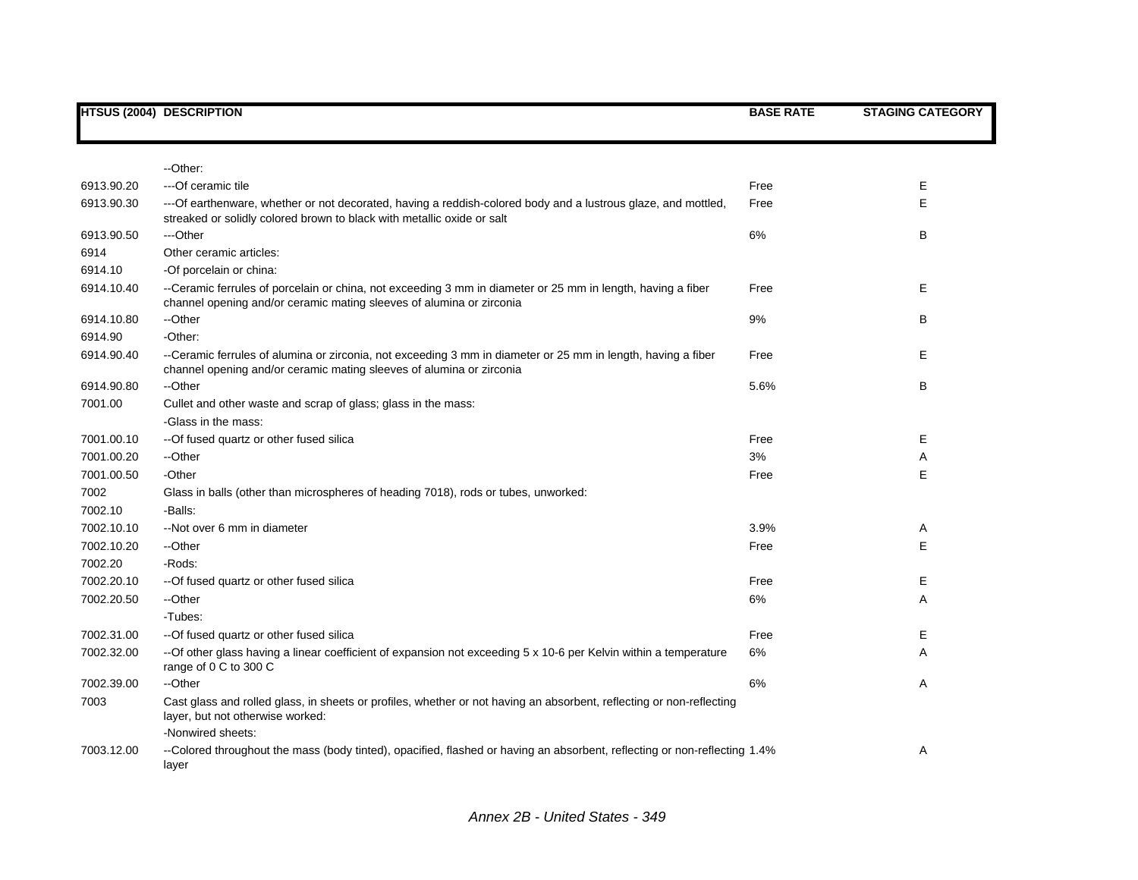|            | <b>HTSUS (2004) DESCRIPTION</b>                                                                                                                                                         | <b>BASE RATE</b> | <b>STAGING CATEGORY</b> |
|------------|-----------------------------------------------------------------------------------------------------------------------------------------------------------------------------------------|------------------|-------------------------|
|            |                                                                                                                                                                                         |                  |                         |
|            |                                                                                                                                                                                         |                  |                         |
|            | --Other:                                                                                                                                                                                |                  |                         |
| 6913.90.20 | --- Of ceramic tile                                                                                                                                                                     | Free             | Е                       |
| 6913.90.30 | ---Of earthenware, whether or not decorated, having a reddish-colored body and a lustrous glaze, and mottled,<br>streaked or solidly colored brown to black with metallic oxide or salt | Free             | E                       |
| 6913.90.50 | ---Other                                                                                                                                                                                | 6%               | В                       |
| 6914       | Other ceramic articles:                                                                                                                                                                 |                  |                         |
| 6914.10    | -Of porcelain or china:                                                                                                                                                                 |                  |                         |
| 6914.10.40 | --Ceramic ferrules of porcelain or china, not exceeding 3 mm in diameter or 25 mm in length, having a fiber<br>channel opening and/or ceramic mating sleeves of alumina or zirconia     | Free             | Е                       |
| 6914.10.80 | --Other                                                                                                                                                                                 | 9%               | В                       |
| 6914.90    | -Other:                                                                                                                                                                                 |                  |                         |
| 6914.90.40 | --Ceramic ferrules of alumina or zirconia, not exceeding 3 mm in diameter or 25 mm in length, having a fiber<br>channel opening and/or ceramic mating sleeves of alumina or zirconia    | Free             | Е                       |
| 6914.90.80 | --Other                                                                                                                                                                                 | 5.6%             | В                       |
| 7001.00    | Cullet and other waste and scrap of glass; glass in the mass:                                                                                                                           |                  |                         |
|            | -Glass in the mass:                                                                                                                                                                     |                  |                         |
| 7001.00.10 | -- Of fused quartz or other fused silica                                                                                                                                                | Free             | E.                      |
| 7001.00.20 | --Other                                                                                                                                                                                 | 3%               | Α                       |
| 7001.00.50 | -Other                                                                                                                                                                                  | Free             | E.                      |
| 7002       | Glass in balls (other than microspheres of heading 7018), rods or tubes, unworked:                                                                                                      |                  |                         |
| 7002.10    | -Balls:                                                                                                                                                                                 |                  |                         |
| 7002.10.10 | --Not over 6 mm in diameter                                                                                                                                                             | 3.9%             | A                       |
| 7002.10.20 | --Other                                                                                                                                                                                 | Free             | Е                       |
| 7002.20    | -Rods:                                                                                                                                                                                  |                  |                         |
| 7002.20.10 | -- Of fused quartz or other fused silica                                                                                                                                                | Free             | E.                      |
| 7002.20.50 | --Other                                                                                                                                                                                 | 6%               | Α                       |
|            | -Tubes:                                                                                                                                                                                 |                  |                         |
| 7002.31.00 | --Of fused quartz or other fused silica                                                                                                                                                 | Free             | Е                       |
| 7002.32.00 | --Of other glass having a linear coefficient of expansion not exceeding 5 x 10-6 per Kelvin within a temperature<br>range of 0 C to 300 C                                               | 6%               | A                       |
| 7002.39.00 | --Other                                                                                                                                                                                 | 6%               | Α                       |
| 7003       | Cast glass and rolled glass, in sheets or profiles, whether or not having an absorbent, reflecting or non-reflecting<br>layer, but not otherwise worked:<br>-Nonwired sheets:           |                  |                         |
| 7003.12.00 | --Colored throughout the mass (body tinted), opacified, flashed or having an absorbent, reflecting or non-reflecting 1.4%<br>layer                                                      |                  | Α                       |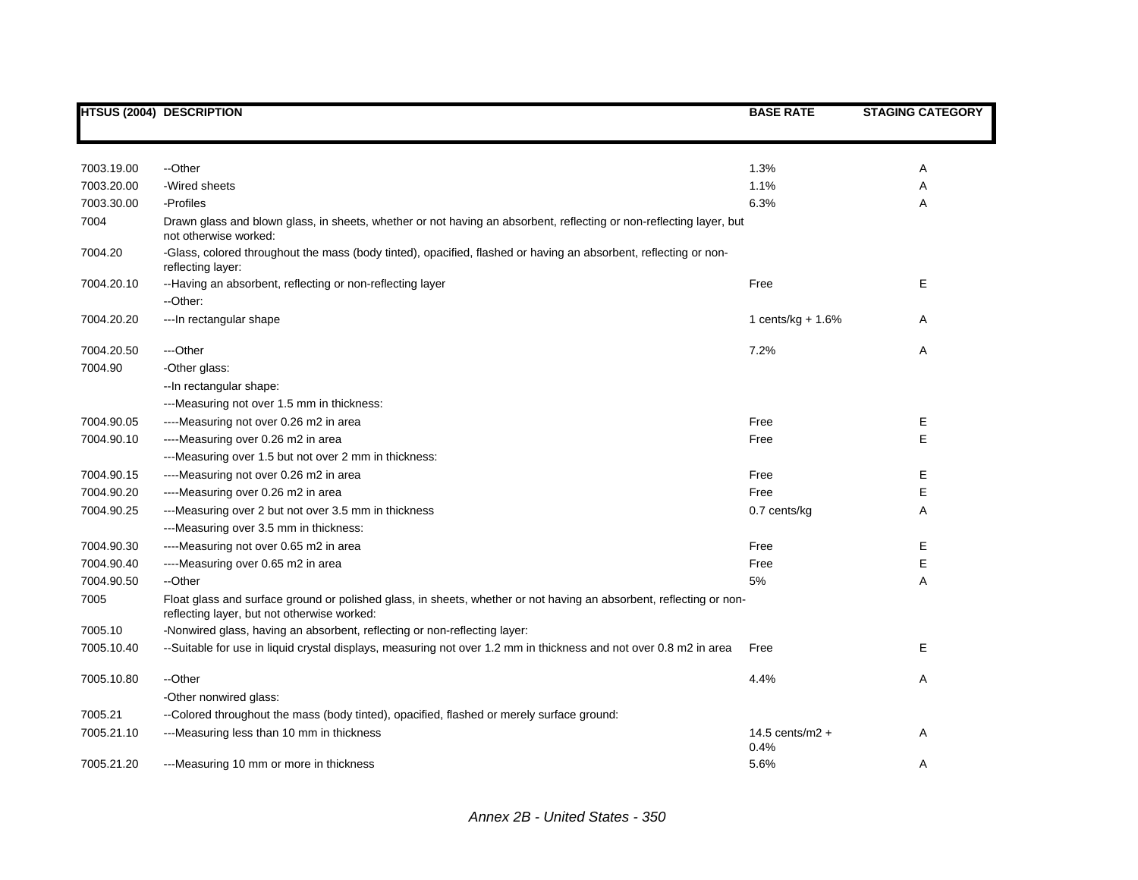|            | <b>HTSUS (2004) DESCRIPTION</b>                                                                                                                                    | <b>BASE RATE</b>          | <b>STAGING CATEGORY</b> |
|------------|--------------------------------------------------------------------------------------------------------------------------------------------------------------------|---------------------------|-------------------------|
|            |                                                                                                                                                                    |                           |                         |
|            |                                                                                                                                                                    |                           |                         |
| 7003.19.00 | --Other                                                                                                                                                            | 1.3%                      | Α                       |
| 7003.20.00 | -Wired sheets                                                                                                                                                      | 1.1%                      | Α                       |
| 7003.30.00 | -Profiles                                                                                                                                                          | 6.3%                      | Α                       |
| 7004       | Drawn glass and blown glass, in sheets, whether or not having an absorbent, reflecting or non-reflecting layer, but<br>not otherwise worked:                       |                           |                         |
| 7004.20    | -Glass, colored throughout the mass (body tinted), opacified, flashed or having an absorbent, reflecting or non-<br>reflecting layer:                              |                           |                         |
| 7004.20.10 | --Having an absorbent, reflecting or non-reflecting layer                                                                                                          | Free                      | E                       |
|            | --Other:                                                                                                                                                           |                           |                         |
| 7004.20.20 | --- In rectangular shape                                                                                                                                           | 1 cents/kg $+ 1.6%$       | Α                       |
| 7004.20.50 | ---Other                                                                                                                                                           | 7.2%                      | Α                       |
| 7004.90    | -Other glass:                                                                                                                                                      |                           |                         |
|            | -- In rectangular shape:                                                                                                                                           |                           |                         |
|            | ---Measuring not over 1.5 mm in thickness:                                                                                                                         |                           |                         |
| 7004.90.05 | ----Measuring not over 0.26 m2 in area                                                                                                                             | Free                      | Е                       |
| 7004.90.10 | ----Measuring over 0.26 m2 in area                                                                                                                                 | Free                      | E                       |
|            | ---Measuring over 1.5 but not over 2 mm in thickness:                                                                                                              |                           |                         |
| 7004.90.15 | ----Measuring not over 0.26 m2 in area                                                                                                                             | Free                      | Ε                       |
| 7004.90.20 | ----Measuring over 0.26 m2 in area                                                                                                                                 | Free                      | Е                       |
| 7004.90.25 | ---Measuring over 2 but not over 3.5 mm in thickness                                                                                                               | 0.7 cents/kg              | Α                       |
|            | ---Measuring over 3.5 mm in thickness:                                                                                                                             |                           |                         |
| 7004.90.30 | ----Measuring not over 0.65 m2 in area                                                                                                                             | Free                      | Ε                       |
| 7004.90.40 | ----Measuring over 0.65 m2 in area                                                                                                                                 | Free                      | Ε                       |
| 7004.90.50 | --Other                                                                                                                                                            | 5%                        | A                       |
| 7005       | Float glass and surface ground or polished glass, in sheets, whether or not having an absorbent, reflecting or non-<br>reflecting layer, but not otherwise worked: |                           |                         |
| 7005.10    | -Nonwired glass, having an absorbent, reflecting or non-reflecting layer:                                                                                          |                           |                         |
| 7005.10.40 | --Suitable for use in liquid crystal displays, measuring not over 1.2 mm in thickness and not over 0.8 m2 in area                                                  | Free                      | Е                       |
| 7005.10.80 | --Other                                                                                                                                                            | 4.4%                      | Α                       |
|            | -Other nonwired glass:                                                                                                                                             |                           |                         |
| 7005.21    | --Colored throughout the mass (body tinted), opacified, flashed or merely surface ground:                                                                          |                           |                         |
| 7005.21.10 | ---Measuring less than 10 mm in thickness                                                                                                                          | 14.5 cents/m2 $+$<br>0.4% | A                       |
| 7005.21.20 | ---Measuring 10 mm or more in thickness                                                                                                                            | 5.6%                      | A                       |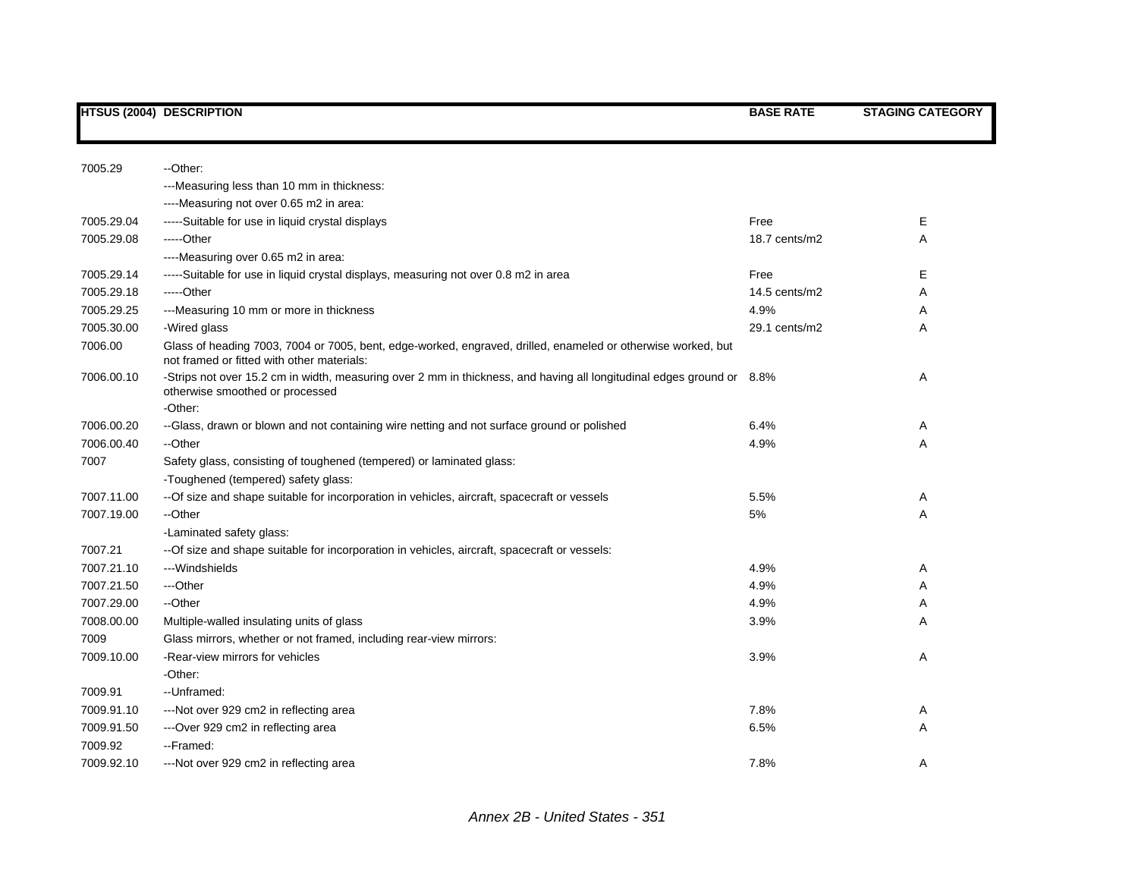| 7005.29    | --Other:                                                                                                                                                   |               |        |
|------------|------------------------------------------------------------------------------------------------------------------------------------------------------------|---------------|--------|
|            | ---Measuring less than 10 mm in thickness:                                                                                                                 |               |        |
|            | ----Measuring not over 0.65 m2 in area:                                                                                                                    |               |        |
| 7005.29.04 | -----Suitable for use in liquid crystal displays                                                                                                           | Free          | Е      |
| 7005.29.08 | $---Other$                                                                                                                                                 | 18.7 cents/m2 | A      |
|            | ----Measuring over 0.65 m2 in area:                                                                                                                        |               |        |
| 7005.29.14 | -----Suitable for use in liquid crystal displays, measuring not over 0.8 m2 in area                                                                        | Free          | Е      |
| 7005.29.18 | -----Other                                                                                                                                                 | 14.5 cents/m2 | Α      |
| 7005.29.25 | ---Measuring 10 mm or more in thickness                                                                                                                    | 4.9%          | Α      |
| 7005.30.00 | -Wired glass                                                                                                                                               | 29.1 cents/m2 | A      |
| 7006.00    | Glass of heading 7003, 7004 or 7005, bent, edge-worked, engraved, drilled, enameled or otherwise worked, but<br>not framed or fitted with other materials: |               |        |
| 7006.00.10 | -Strips not over 15.2 cm in width, measuring over 2 mm in thickness, and having all longitudinal edges ground or 8.8%<br>otherwise smoothed or processed   |               | Α      |
| 7006.00.20 | -Other:<br>--Glass, drawn or blown and not containing wire netting and not surface ground or polished                                                      | 6.4%          |        |
| 7006.00.40 | --Other                                                                                                                                                    | 4.9%          | A<br>A |
| 7007       | Safety glass, consisting of toughened (tempered) or laminated glass:                                                                                       |               |        |
|            | -Toughened (tempered) safety glass:                                                                                                                        |               |        |
| 7007.11.00 | --Of size and shape suitable for incorporation in vehicles, aircraft, spacecraft or vessels                                                                | 5.5%          | Α      |
| 7007.19.00 | --Other                                                                                                                                                    | 5%            | A      |
|            | -Laminated safety glass:                                                                                                                                   |               |        |
| 7007.21    | -- Of size and shape suitable for incorporation in vehicles, aircraft, spacecraft or vessels:                                                              |               |        |
| 7007.21.10 | ---Windshields                                                                                                                                             | 4.9%          | A      |
| 7007.21.50 | ---Other                                                                                                                                                   | 4.9%          | A      |
| 7007.29.00 | --Other                                                                                                                                                    | 4.9%          | A      |
| 7008.00.00 | Multiple-walled insulating units of glass                                                                                                                  | 3.9%          | A      |
| 7009       | Glass mirrors, whether or not framed, including rear-view mirrors:                                                                                         |               |        |
| 7009.10.00 | -Rear-view mirrors for vehicles                                                                                                                            | 3.9%          | A      |
|            | -Other:                                                                                                                                                    |               |        |
| 7009.91    | --Unframed:                                                                                                                                                |               |        |
| 7009.91.10 | ---Not over 929 cm2 in reflecting area                                                                                                                     | 7.8%          | Α      |
| 7009.91.50 | ---Over 929 cm2 in reflecting area                                                                                                                         | 6.5%          | Α      |
| 7009.92    | --Framed:                                                                                                                                                  |               |        |
| 7009.92.10 | ---Not over 929 cm2 in reflecting area                                                                                                                     | 7.8%          | Α      |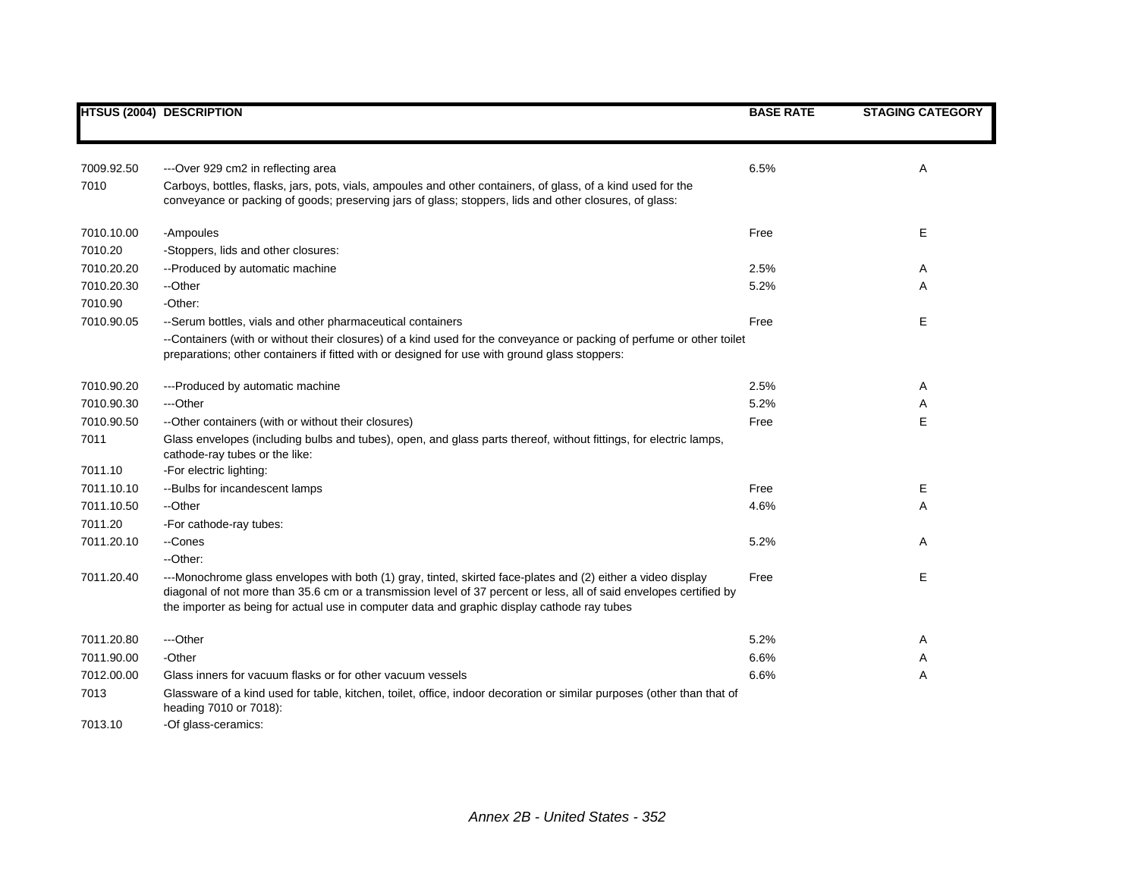|            | <b>HTSUS (2004) DESCRIPTION</b>                                                                                                                                                                                                                                                                                                    | <b>BASE RATE</b> | <b>STAGING CATEGORY</b> |
|------------|------------------------------------------------------------------------------------------------------------------------------------------------------------------------------------------------------------------------------------------------------------------------------------------------------------------------------------|------------------|-------------------------|
|            |                                                                                                                                                                                                                                                                                                                                    |                  |                         |
|            |                                                                                                                                                                                                                                                                                                                                    |                  |                         |
| 7009.92.50 | ---Over 929 cm2 in reflecting area                                                                                                                                                                                                                                                                                                 | 6.5%             | Α                       |
| 7010       | Carboys, bottles, flasks, jars, pots, vials, ampoules and other containers, of glass, of a kind used for the<br>conveyance or packing of goods; preserving jars of glass; stoppers, lids and other closures, of glass:                                                                                                             |                  |                         |
| 7010.10.00 | -Ampoules                                                                                                                                                                                                                                                                                                                          | Free             | Е                       |
| 7010.20    | -Stoppers, lids and other closures:                                                                                                                                                                                                                                                                                                |                  |                         |
| 7010.20.20 | --Produced by automatic machine                                                                                                                                                                                                                                                                                                    | 2.5%             | Α                       |
| 7010.20.30 | --Other                                                                                                                                                                                                                                                                                                                            | 5.2%             | Α                       |
| 7010.90    | -Other:                                                                                                                                                                                                                                                                                                                            |                  |                         |
| 7010.90.05 | --Serum bottles, vials and other pharmaceutical containers                                                                                                                                                                                                                                                                         | Free             | E                       |
|            | --Containers (with or without their closures) of a kind used for the conveyance or packing of perfume or other toilet<br>preparations; other containers if fitted with or designed for use with ground glass stoppers:                                                                                                             |                  |                         |
| 7010.90.20 | ---Produced by automatic machine                                                                                                                                                                                                                                                                                                   | 2.5%             | Α                       |
| 7010.90.30 | ---Other                                                                                                                                                                                                                                                                                                                           | 5.2%             | Α                       |
| 7010.90.50 | --Other containers (with or without their closures)                                                                                                                                                                                                                                                                                | Free             | E                       |
| 7011       | Glass envelopes (including bulbs and tubes), open, and glass parts thereof, without fittings, for electric lamps,<br>cathode-ray tubes or the like:                                                                                                                                                                                |                  |                         |
| 7011.10    | -For electric lighting:                                                                                                                                                                                                                                                                                                            |                  |                         |
| 7011.10.10 | --Bulbs for incandescent lamps                                                                                                                                                                                                                                                                                                     | Free             | Е                       |
| 7011.10.50 | --Other                                                                                                                                                                                                                                                                                                                            | 4.6%             | Α                       |
| 7011.20    | -For cathode-ray tubes:                                                                                                                                                                                                                                                                                                            |                  |                         |
| 7011.20.10 | --Cones                                                                                                                                                                                                                                                                                                                            | 5.2%             | A                       |
|            | --Other:                                                                                                                                                                                                                                                                                                                           |                  |                         |
| 7011.20.40 | ---Monochrome glass envelopes with both (1) gray, tinted, skirted face-plates and (2) either a video display<br>diagonal of not more than 35.6 cm or a transmission level of 37 percent or less, all of said envelopes certified by<br>the importer as being for actual use in computer data and graphic display cathode ray tubes | Free             | Е                       |
| 7011.20.80 | ---Other                                                                                                                                                                                                                                                                                                                           | 5.2%             | Α                       |
| 7011.90.00 | -Other                                                                                                                                                                                                                                                                                                                             | 6.6%             | Α                       |
| 7012.00.00 | Glass inners for vacuum flasks or for other vacuum vessels                                                                                                                                                                                                                                                                         | 6.6%             | Α                       |
| 7013       | Glassware of a kind used for table, kitchen, toilet, office, indoor decoration or similar purposes (other than that of<br>heading 7010 or 7018):                                                                                                                                                                                   |                  |                         |
| 7013.10    | -Of glass-ceramics:                                                                                                                                                                                                                                                                                                                |                  |                         |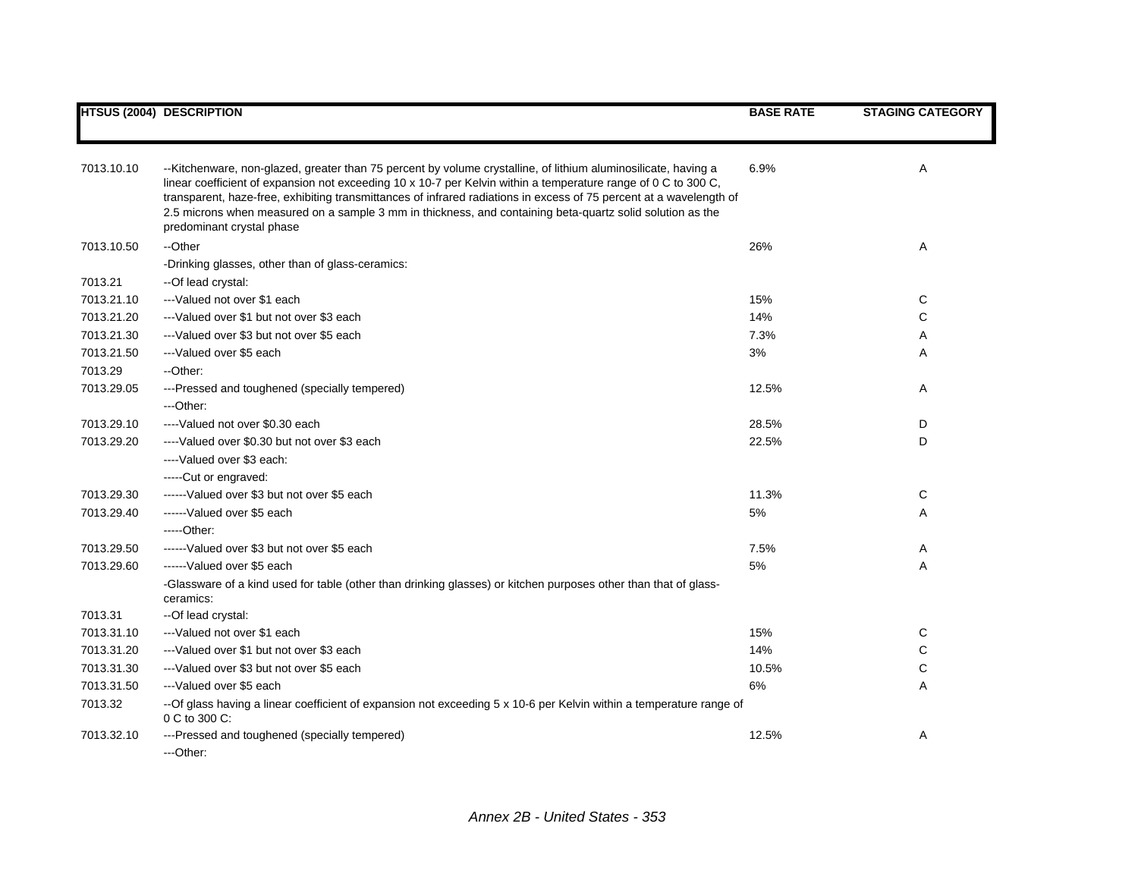|            | <b>HTSUS (2004) DESCRIPTION</b>                                                                                                                                                                                                                                                                                                                                                                                                                                                                   | <b>BASE RATE</b> | <b>STAGING CATEGORY</b> |
|------------|---------------------------------------------------------------------------------------------------------------------------------------------------------------------------------------------------------------------------------------------------------------------------------------------------------------------------------------------------------------------------------------------------------------------------------------------------------------------------------------------------|------------------|-------------------------|
|            |                                                                                                                                                                                                                                                                                                                                                                                                                                                                                                   |                  |                         |
| 7013.10.10 | --Kitchenware, non-glazed, greater than 75 percent by volume crystalline, of lithium aluminosilicate, having a<br>linear coefficient of expansion not exceeding 10 x 10-7 per Kelvin within a temperature range of 0 C to 300 C,<br>transparent, haze-free, exhibiting transmittances of infrared radiations in excess of 75 percent at a wavelength of<br>2.5 microns when measured on a sample 3 mm in thickness, and containing beta-quartz solid solution as the<br>predominant crystal phase | 6.9%             | Α                       |
| 7013.10.50 | --Other                                                                                                                                                                                                                                                                                                                                                                                                                                                                                           | 26%              | Α                       |
|            | -Drinking glasses, other than of glass-ceramics:                                                                                                                                                                                                                                                                                                                                                                                                                                                  |                  |                         |
| 7013.21    | --Of lead crystal:                                                                                                                                                                                                                                                                                                                                                                                                                                                                                |                  |                         |
| 7013.21.10 | ---Valued not over \$1 each                                                                                                                                                                                                                                                                                                                                                                                                                                                                       | 15%              | C                       |
| 7013.21.20 | ---Valued over \$1 but not over \$3 each                                                                                                                                                                                                                                                                                                                                                                                                                                                          | 14%              | C                       |
| 7013.21.30 | ---Valued over \$3 but not over \$5 each                                                                                                                                                                                                                                                                                                                                                                                                                                                          | 7.3%             | Α                       |
| 7013.21.50 | ---Valued over \$5 each                                                                                                                                                                                                                                                                                                                                                                                                                                                                           | 3%               | Α                       |
| 7013.29    | --Other:                                                                                                                                                                                                                                                                                                                                                                                                                                                                                          |                  |                         |
| 7013.29.05 | ---Pressed and toughened (specially tempered)                                                                                                                                                                                                                                                                                                                                                                                                                                                     | 12.5%            | Α                       |
|            | ---Other:                                                                                                                                                                                                                                                                                                                                                                                                                                                                                         |                  |                         |
| 7013.29.10 | ----Valued not over \$0.30 each                                                                                                                                                                                                                                                                                                                                                                                                                                                                   | 28.5%            | D                       |
| 7013.29.20 | ----Valued over \$0.30 but not over \$3 each                                                                                                                                                                                                                                                                                                                                                                                                                                                      | 22.5%            | D                       |
|            | ----Valued over \$3 each:                                                                                                                                                                                                                                                                                                                                                                                                                                                                         |                  |                         |
|            | -----Cut or engraved:                                                                                                                                                                                                                                                                                                                                                                                                                                                                             |                  |                         |
| 7013.29.30 | ------Valued over \$3 but not over \$5 each                                                                                                                                                                                                                                                                                                                                                                                                                                                       | 11.3%            | C                       |
| 7013.29.40 | ------Valued over \$5 each                                                                                                                                                                                                                                                                                                                                                                                                                                                                        | 5%               | Α                       |
|            | $---Other:$                                                                                                                                                                                                                                                                                                                                                                                                                                                                                       |                  |                         |
| 7013.29.50 | ------Valued over \$3 but not over \$5 each                                                                                                                                                                                                                                                                                                                                                                                                                                                       | 7.5%             | Α                       |
| 7013.29.60 | ------Valued over \$5 each                                                                                                                                                                                                                                                                                                                                                                                                                                                                        | 5%               | A                       |
|            | -Glassware of a kind used for table (other than drinking glasses) or kitchen purposes other than that of glass-<br>ceramics:                                                                                                                                                                                                                                                                                                                                                                      |                  |                         |
| 7013.31    | --Of lead crystal:                                                                                                                                                                                                                                                                                                                                                                                                                                                                                |                  |                         |
| 7013.31.10 | ---Valued not over \$1 each                                                                                                                                                                                                                                                                                                                                                                                                                                                                       | 15%              | С                       |
| 7013.31.20 | ---Valued over \$1 but not over \$3 each                                                                                                                                                                                                                                                                                                                                                                                                                                                          | 14%              | C                       |
| 7013.31.30 | ---Valued over \$3 but not over \$5 each                                                                                                                                                                                                                                                                                                                                                                                                                                                          | 10.5%            | C                       |
| 7013.31.50 | ---Valued over \$5 each                                                                                                                                                                                                                                                                                                                                                                                                                                                                           | $6\%$            | Α                       |
| 7013.32    | -- Of glass having a linear coefficient of expansion not exceeding 5 x 10-6 per Kelvin within a temperature range of<br>0 C to 300 C:                                                                                                                                                                                                                                                                                                                                                             |                  |                         |
| 7013.32.10 | ---Pressed and toughened (specially tempered)<br>---Other:                                                                                                                                                                                                                                                                                                                                                                                                                                        | 12.5%            | Α                       |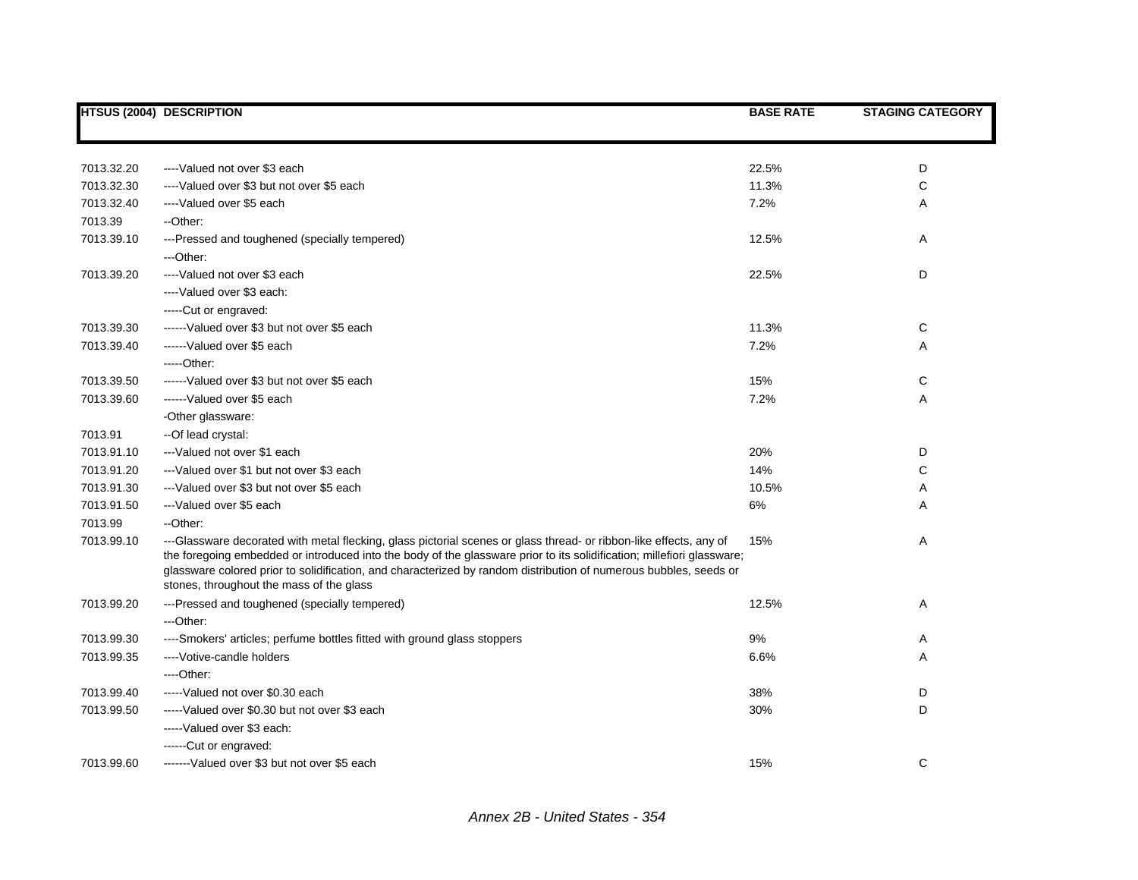|            | <b>HTSUS (2004) DESCRIPTION</b>                                                                                                                                                                                                                                                                                                                                                                               | <b>BASE RATE</b> | <b>STAGING CATEGORY</b> |
|------------|---------------------------------------------------------------------------------------------------------------------------------------------------------------------------------------------------------------------------------------------------------------------------------------------------------------------------------------------------------------------------------------------------------------|------------------|-------------------------|
|            |                                                                                                                                                                                                                                                                                                                                                                                                               |                  |                         |
| 7013.32.20 | ----Valued not over \$3 each                                                                                                                                                                                                                                                                                                                                                                                  | 22.5%            | D                       |
| 7013.32.30 | ----Valued over \$3 but not over \$5 each                                                                                                                                                                                                                                                                                                                                                                     | 11.3%            | C                       |
| 7013.32.40 | ----Valued over \$5 each                                                                                                                                                                                                                                                                                                                                                                                      | 7.2%             | A                       |
| 7013.39    | --Other:                                                                                                                                                                                                                                                                                                                                                                                                      |                  |                         |
| 7013.39.10 | ---Pressed and toughened (specially tempered)                                                                                                                                                                                                                                                                                                                                                                 | 12.5%            | A                       |
|            | ---Other:                                                                                                                                                                                                                                                                                                                                                                                                     |                  |                         |
| 7013.39.20 | ----Valued not over \$3 each                                                                                                                                                                                                                                                                                                                                                                                  | 22.5%            | D                       |
|            | ----Valued over \$3 each:                                                                                                                                                                                                                                                                                                                                                                                     |                  |                         |
|            | -----Cut or engraved:                                                                                                                                                                                                                                                                                                                                                                                         |                  |                         |
| 7013.39.30 | ------Valued over \$3 but not over \$5 each                                                                                                                                                                                                                                                                                                                                                                   | 11.3%            | С                       |
| 7013.39.40 | ------Valued over \$5 each                                                                                                                                                                                                                                                                                                                                                                                    | 7.2%             | A                       |
|            | -----Other:                                                                                                                                                                                                                                                                                                                                                                                                   |                  |                         |
| 7013.39.50 | ------Valued over \$3 but not over \$5 each                                                                                                                                                                                                                                                                                                                                                                   | 15%              | С                       |
| 7013.39.60 | ------Valued over \$5 each                                                                                                                                                                                                                                                                                                                                                                                    | 7.2%             | Α                       |
|            | -Other glassware:                                                                                                                                                                                                                                                                                                                                                                                             |                  |                         |
| 7013.91    | -- Of lead crystal:                                                                                                                                                                                                                                                                                                                                                                                           |                  |                         |
| 7013.91.10 | ---Valued not over \$1 each                                                                                                                                                                                                                                                                                                                                                                                   | 20%              | D                       |
| 7013.91.20 | ---Valued over \$1 but not over \$3 each                                                                                                                                                                                                                                                                                                                                                                      | 14%              | C                       |
| 7013.91.30 | ---Valued over \$3 but not over \$5 each                                                                                                                                                                                                                                                                                                                                                                      | 10.5%            | Α                       |
| 7013.91.50 | ---Valued over \$5 each                                                                                                                                                                                                                                                                                                                                                                                       | 6%               | Α                       |
| 7013.99    | --Other:                                                                                                                                                                                                                                                                                                                                                                                                      |                  |                         |
| 7013.99.10 | ---Glassware decorated with metal flecking, glass pictorial scenes or glass thread- or ribbon-like effects, any of<br>the foregoing embedded or introduced into the body of the glassware prior to its solidification; millefiori glassware;<br>glassware colored prior to solidification, and characterized by random distribution of numerous bubbles, seeds or<br>stones, throughout the mass of the glass | 15%              | Α                       |
| 7013.99.20 | ---Pressed and toughened (specially tempered)                                                                                                                                                                                                                                                                                                                                                                 | 12.5%            | Α                       |
|            | ---Other:                                                                                                                                                                                                                                                                                                                                                                                                     |                  |                         |
| 7013.99.30 | ----Smokers' articles; perfume bottles fitted with ground glass stoppers                                                                                                                                                                                                                                                                                                                                      | 9%               | Α                       |
| 7013.99.35 | ---- Votive-candle holders                                                                                                                                                                                                                                                                                                                                                                                    | 6.6%             | Α                       |
|            | ---Other:                                                                                                                                                                                                                                                                                                                                                                                                     |                  |                         |
| 7013.99.40 | -----Valued not over \$0.30 each                                                                                                                                                                                                                                                                                                                                                                              | 38%              | D                       |
| 7013.99.50 | -----Valued over \$0.30 but not over \$3 each                                                                                                                                                                                                                                                                                                                                                                 | 30%              | D                       |
|            | ----- Valued over \$3 each:                                                                                                                                                                                                                                                                                                                                                                                   |                  |                         |
|            | ------Cut or engraved:                                                                                                                                                                                                                                                                                                                                                                                        |                  |                         |
| 7013.99.60 | -------Valued over \$3 but not over \$5 each                                                                                                                                                                                                                                                                                                                                                                  | 15%              | C                       |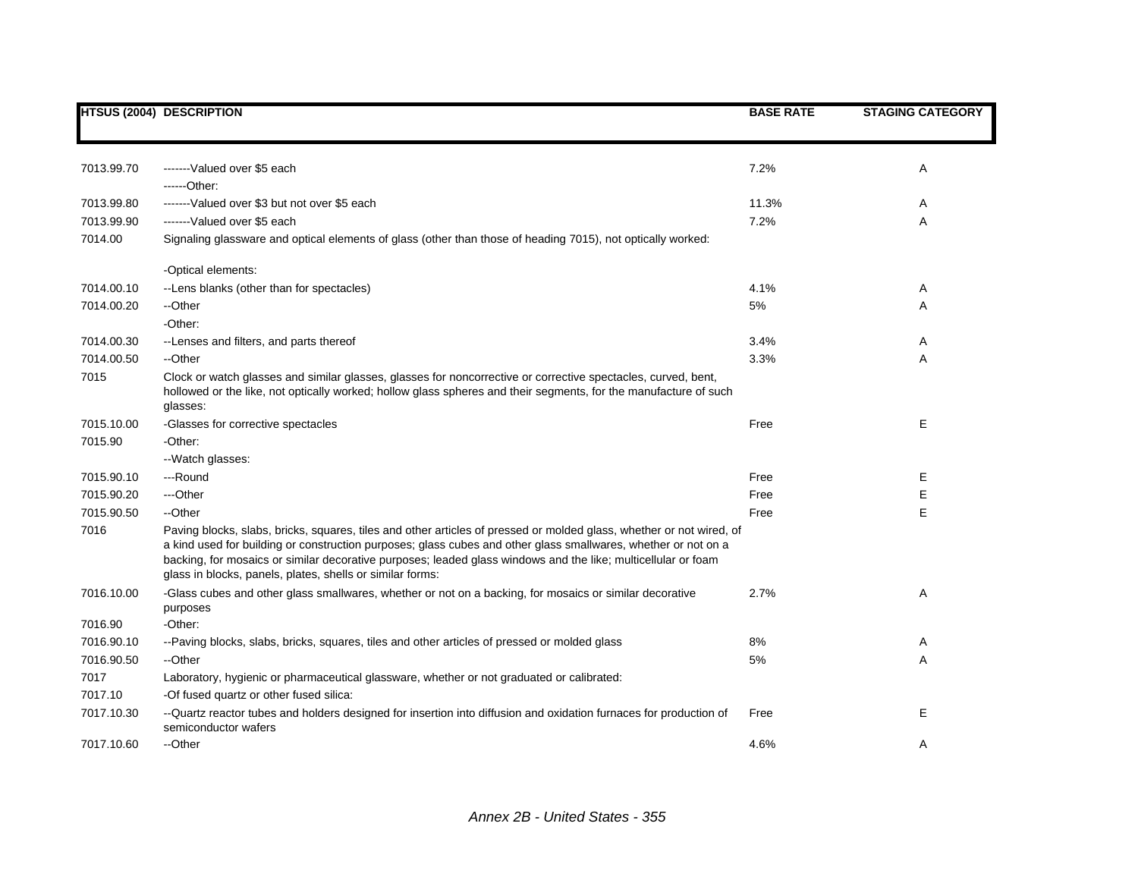|            | <b>HTSUS (2004) DESCRIPTION</b>                                                                                                                                                                                                                                                                                                                                                                                      | <b>BASE RATE</b> | <b>STAGING CATEGORY</b> |
|------------|----------------------------------------------------------------------------------------------------------------------------------------------------------------------------------------------------------------------------------------------------------------------------------------------------------------------------------------------------------------------------------------------------------------------|------------------|-------------------------|
|            |                                                                                                                                                                                                                                                                                                                                                                                                                      |                  |                         |
|            |                                                                                                                                                                                                                                                                                                                                                                                                                      |                  |                         |
| 7013.99.70 | -------Valued over \$5 each                                                                                                                                                                                                                                                                                                                                                                                          | 7.2%             | Α                       |
|            | ------Other:                                                                                                                                                                                                                                                                                                                                                                                                         |                  |                         |
| 7013.99.80 | -------Valued over \$3 but not over \$5 each                                                                                                                                                                                                                                                                                                                                                                         | 11.3%            | A                       |
| 7013.99.90 | -------Valued over \$5 each                                                                                                                                                                                                                                                                                                                                                                                          | 7.2%             | A                       |
| 7014.00    | Signaling glassware and optical elements of glass (other than those of heading 7015), not optically worked:                                                                                                                                                                                                                                                                                                          |                  |                         |
|            | -Optical elements:                                                                                                                                                                                                                                                                                                                                                                                                   |                  |                         |
| 7014.00.10 | --Lens blanks (other than for spectacles)                                                                                                                                                                                                                                                                                                                                                                            | 4.1%             | A                       |
| 7014.00.20 | --Other                                                                                                                                                                                                                                                                                                                                                                                                              | 5%               | Α                       |
|            | -Other:                                                                                                                                                                                                                                                                                                                                                                                                              |                  |                         |
| 7014.00.30 | --Lenses and filters, and parts thereof                                                                                                                                                                                                                                                                                                                                                                              | 3.4%             | A                       |
| 7014.00.50 | --Other                                                                                                                                                                                                                                                                                                                                                                                                              | 3.3%             | Α                       |
| 7015       | Clock or watch glasses and similar glasses, glasses for noncorrective or corrective spectacles, curved, bent,<br>hollowed or the like, not optically worked; hollow glass spheres and their segments, for the manufacture of such<br>glasses:                                                                                                                                                                        |                  |                         |
| 7015.10.00 | -Glasses for corrective spectacles                                                                                                                                                                                                                                                                                                                                                                                   | Free             | Е                       |
| 7015.90    | -Other:                                                                                                                                                                                                                                                                                                                                                                                                              |                  |                         |
|            | --Watch glasses:                                                                                                                                                                                                                                                                                                                                                                                                     |                  |                         |
| 7015.90.10 | ---Round                                                                                                                                                                                                                                                                                                                                                                                                             | Free             | Е                       |
| 7015.90.20 | ---Other                                                                                                                                                                                                                                                                                                                                                                                                             | Free             | E                       |
| 7015.90.50 | --Other                                                                                                                                                                                                                                                                                                                                                                                                              | Free             | E                       |
| 7016       | Paving blocks, slabs, bricks, squares, tiles and other articles of pressed or molded glass, whether or not wired, of<br>a kind used for building or construction purposes; glass cubes and other glass smallwares, whether or not on a<br>backing, for mosaics or similar decorative purposes; leaded glass windows and the like; multicellular or foam<br>glass in blocks, panels, plates, shells or similar forms: |                  |                         |
| 7016.10.00 | -Glass cubes and other glass smallwares, whether or not on a backing, for mosaics or similar decorative<br>purposes                                                                                                                                                                                                                                                                                                  | 2.7%             | Α                       |
| 7016.90    | -Other:                                                                                                                                                                                                                                                                                                                                                                                                              |                  |                         |
| 7016.90.10 | --Paving blocks, slabs, bricks, squares, tiles and other articles of pressed or molded glass                                                                                                                                                                                                                                                                                                                         | 8%               | A                       |
| 7016.90.50 | --Other                                                                                                                                                                                                                                                                                                                                                                                                              | 5%               | A                       |
| 7017       | Laboratory, hygienic or pharmaceutical glassware, whether or not graduated or calibrated:                                                                                                                                                                                                                                                                                                                            |                  |                         |
| 7017.10    | -Of fused quartz or other fused silica:                                                                                                                                                                                                                                                                                                                                                                              |                  |                         |
| 7017.10.30 | -- Quartz reactor tubes and holders designed for insertion into diffusion and oxidation furnaces for production of<br>semiconductor wafers                                                                                                                                                                                                                                                                           | Free             | Е                       |
| 7017.10.60 | --Other                                                                                                                                                                                                                                                                                                                                                                                                              | 4.6%             | A                       |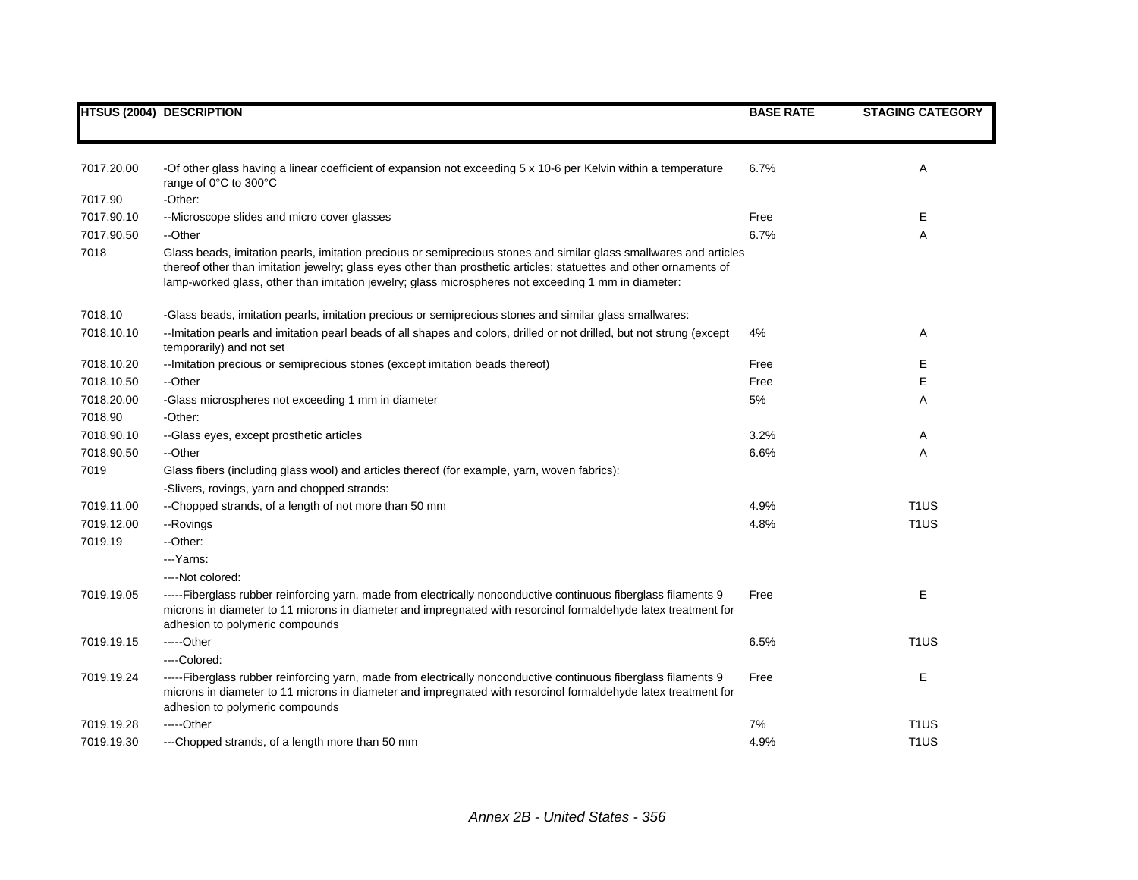|            | <b>HTSUS (2004) DESCRIPTION</b>                                                                                                                                                                                                                                                                                                                 | <b>BASE RATE</b> | <b>STAGING CATEGORY</b> |
|------------|-------------------------------------------------------------------------------------------------------------------------------------------------------------------------------------------------------------------------------------------------------------------------------------------------------------------------------------------------|------------------|-------------------------|
|            |                                                                                                                                                                                                                                                                                                                                                 |                  |                         |
| 7017.20.00 | -Of other glass having a linear coefficient of expansion not exceeding 5 x 10-6 per Kelvin within a temperature<br>range of 0°C to 300°C                                                                                                                                                                                                        | 6.7%             | Α                       |
| 7017.90    | -Other:                                                                                                                                                                                                                                                                                                                                         |                  |                         |
| 7017.90.10 | --Microscope slides and micro cover glasses                                                                                                                                                                                                                                                                                                     | Free             | Е                       |
| 7017.90.50 | --Other                                                                                                                                                                                                                                                                                                                                         | 6.7%             | Α                       |
| 7018       | Glass beads, imitation pearls, imitation precious or semiprecious stones and similar glass smallwares and articles<br>thereof other than imitation jewelry; glass eyes other than prosthetic articles; statuettes and other ornaments of<br>lamp-worked glass, other than imitation jewelry; glass microspheres not exceeding 1 mm in diameter: |                  |                         |
| 7018.10    | -Glass beads, imitation pearls, imitation precious or semiprecious stones and similar glass smallwares:                                                                                                                                                                                                                                         |                  |                         |
| 7018.10.10 | -- Imitation pearls and imitation pearl beads of all shapes and colors, drilled or not drilled, but not strung (except<br>temporarily) and not set                                                                                                                                                                                              | 4%               | Α                       |
| 7018.10.20 | -- Imitation precious or semiprecious stones (except imitation beads thereof)                                                                                                                                                                                                                                                                   | Free             | Е                       |
| 7018.10.50 | --Other                                                                                                                                                                                                                                                                                                                                         | Free             | E                       |
| 7018.20.00 | -Glass microspheres not exceeding 1 mm in diameter                                                                                                                                                                                                                                                                                              | 5%               | Α                       |
| 7018.90    | -Other:                                                                                                                                                                                                                                                                                                                                         |                  |                         |
| 7018.90.10 | --Glass eyes, except prosthetic articles                                                                                                                                                                                                                                                                                                        | 3.2%             | A                       |
| 7018.90.50 | --Other                                                                                                                                                                                                                                                                                                                                         | 6.6%             | Α                       |
| 7019       | Glass fibers (including glass wool) and articles thereof (for example, yarn, woven fabrics):                                                                                                                                                                                                                                                    |                  |                         |
|            | -Slivers, rovings, yarn and chopped strands:                                                                                                                                                                                                                                                                                                    |                  |                         |
| 7019.11.00 | --Chopped strands, of a length of not more than 50 mm                                                                                                                                                                                                                                                                                           | 4.9%             | T <sub>1</sub> US       |
| 7019.12.00 | --Rovings                                                                                                                                                                                                                                                                                                                                       | 4.8%             | T <sub>1</sub> US       |
| 7019.19    | --Other:                                                                                                                                                                                                                                                                                                                                        |                  |                         |
|            | --- Yarns:                                                                                                                                                                                                                                                                                                                                      |                  |                         |
|            | ----Not colored:                                                                                                                                                                                                                                                                                                                                |                  |                         |
| 7019.19.05 | -----Fiberglass rubber reinforcing yarn, made from electrically nonconductive continuous fiberglass filaments 9<br>microns in diameter to 11 microns in diameter and impregnated with resorcinol formaldehyde latex treatment for<br>adhesion to polymeric compounds                                                                            | Free             | Е                       |
| 7019.19.15 | -----Other                                                                                                                                                                                                                                                                                                                                      | 6.5%             | T <sub>1</sub> US       |
|            | ---Colored:                                                                                                                                                                                                                                                                                                                                     |                  |                         |
| 7019.19.24 | -----Fiberglass rubber reinforcing yarn, made from electrically nonconductive continuous fiberglass filaments 9<br>microns in diameter to 11 microns in diameter and impregnated with resorcinol formaldehyde latex treatment for<br>adhesion to polymeric compounds                                                                            | Free             | E                       |
| 7019.19.28 | -----Other                                                                                                                                                                                                                                                                                                                                      | 7%               | T <sub>1</sub> US       |
| 7019.19.30 | ---Chopped strands, of a length more than 50 mm                                                                                                                                                                                                                                                                                                 | 4.9%             | T <sub>1</sub> US       |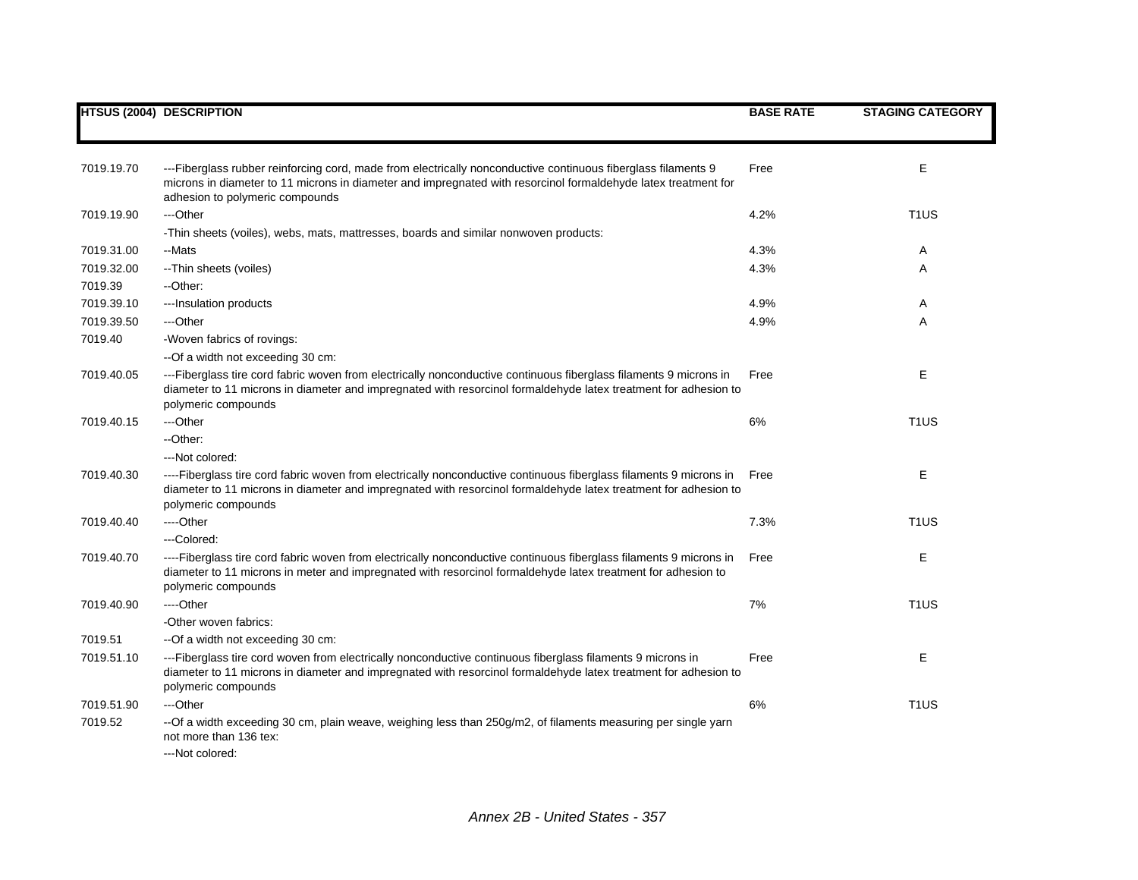|            | <b>HTSUS (2004) DESCRIPTION</b>                                                                                                                                                                                                                                    | <b>BASE RATE</b> | <b>STAGING CATEGORY</b> |
|------------|--------------------------------------------------------------------------------------------------------------------------------------------------------------------------------------------------------------------------------------------------------------------|------------------|-------------------------|
|            |                                                                                                                                                                                                                                                                    |                  |                         |
| 7019.19.70 | ---Fiberglass rubber reinforcing cord, made from electrically nonconductive continuous fiberglass filaments 9<br>microns in diameter to 11 microns in diameter and impregnated with resorcinol formaldehyde latex treatment for<br>adhesion to polymeric compounds | Free             | Е                       |
| 7019.19.90 | ---Other                                                                                                                                                                                                                                                           | 4.2%             | T <sub>1</sub> US       |
|            | -Thin sheets (voiles), webs, mats, mattresses, boards and similar nonwoven products:                                                                                                                                                                               |                  |                         |
| 7019.31.00 | --Mats                                                                                                                                                                                                                                                             | 4.3%             | Α                       |
| 7019.32.00 | -- Thin sheets (voiles)                                                                                                                                                                                                                                            | 4.3%             | A                       |
| 7019.39    | --Other:                                                                                                                                                                                                                                                           |                  |                         |
| 7019.39.10 | --- Insulation products                                                                                                                                                                                                                                            | 4.9%             | Α                       |
| 7019.39.50 | ---Other                                                                                                                                                                                                                                                           | 4.9%             | Α                       |
| 7019.40    | -Woven fabrics of rovings:                                                                                                                                                                                                                                         |                  |                         |
|            | --Of a width not exceeding 30 cm:                                                                                                                                                                                                                                  |                  |                         |
| 7019.40.05 | ---Fiberglass tire cord fabric woven from electrically nonconductive continuous fiberglass filaments 9 microns in<br>diameter to 11 microns in diameter and impregnated with resorcinol formaldehyde latex treatment for adhesion to<br>polymeric compounds        | Free             | E                       |
| 7019.40.15 | ---Other                                                                                                                                                                                                                                                           | 6%               | T <sub>1</sub> US       |
|            | --Other:                                                                                                                                                                                                                                                           |                  |                         |
|            | ---Not colored:                                                                                                                                                                                                                                                    |                  |                         |
| 7019.40.30 | ----Fiberglass tire cord fabric woven from electrically nonconductive continuous fiberglass filaments 9 microns in Free<br>diameter to 11 microns in diameter and impregnated with resorcinol formaldehyde latex treatment for adhesion to<br>polymeric compounds  |                  | Е                       |
| 7019.40.40 | ----Other                                                                                                                                                                                                                                                          | 7.3%             | T <sub>1</sub> US       |
|            | ---Colored:                                                                                                                                                                                                                                                        |                  |                         |
| 7019.40.70 | ----Fiberglass tire cord fabric woven from electrically nonconductive continuous fiberglass filaments 9 microns in<br>diameter to 11 microns in meter and impregnated with resorcinol formaldehyde latex treatment for adhesion to<br>polymeric compounds          | Free             | Е                       |
| 7019.40.90 | ---Other                                                                                                                                                                                                                                                           | 7%               | T <sub>1</sub> US       |
|            | -Other woven fabrics:                                                                                                                                                                                                                                              |                  |                         |
| 7019.51    | --Of a width not exceeding 30 cm:                                                                                                                                                                                                                                  |                  |                         |
| 7019.51.10 | ---Fiberglass tire cord woven from electrically nonconductive continuous fiberglass filaments 9 microns in<br>diameter to 11 microns in diameter and impregnated with resorcinol formaldehyde latex treatment for adhesion to<br>polymeric compounds               | Free             | E                       |
| 7019.51.90 | ---Other                                                                                                                                                                                                                                                           | 6%               | T <sub>1</sub> US       |
| 7019.52    | --Of a width exceeding 30 cm, plain weave, weighing less than 250g/m2, of filaments measuring per single yarn<br>not more than 136 tex:                                                                                                                            |                  |                         |
|            | --Not colored:                                                                                                                                                                                                                                                     |                  |                         |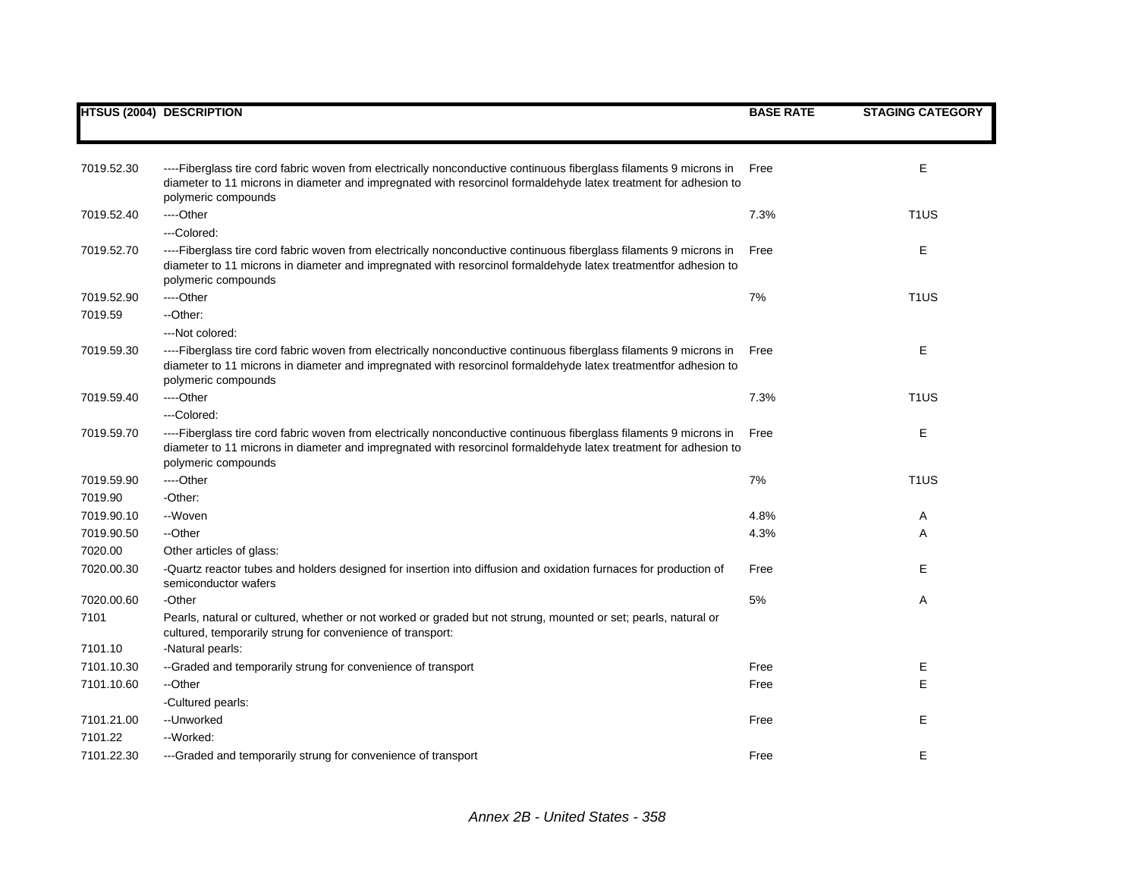|            | <b>HTSUS (2004) DESCRIPTION</b>                                                                                                                                                                                                                              | <b>BASE RATE</b> | <b>STAGING CATEGORY</b> |
|------------|--------------------------------------------------------------------------------------------------------------------------------------------------------------------------------------------------------------------------------------------------------------|------------------|-------------------------|
|            |                                                                                                                                                                                                                                                              |                  |                         |
| 7019.52.30 | ----Fiberglass tire cord fabric woven from electrically nonconductive continuous fiberglass filaments 9 microns in<br>diameter to 11 microns in diameter and impregnated with resorcinol formaldehyde latex treatment for adhesion to<br>polymeric compounds | Free             | Ε                       |
| 7019.52.40 | ---Other                                                                                                                                                                                                                                                     | 7.3%             | T <sub>1</sub> US       |
|            | ---Colored:                                                                                                                                                                                                                                                  |                  |                         |
| 7019.52.70 | ----Fiberglass tire cord fabric woven from electrically nonconductive continuous fiberglass filaments 9 microns in<br>diameter to 11 microns in diameter and impregnated with resorcinol formaldehyde latex treatmentfor adhesion to<br>polymeric compounds  | Free             | Ε                       |
| 7019.52.90 | ---Other                                                                                                                                                                                                                                                     | 7%               | T <sub>1</sub> US       |
| 7019.59    | --Other:                                                                                                                                                                                                                                                     |                  |                         |
|            | --- Not colored:                                                                                                                                                                                                                                             |                  |                         |
| 7019.59.30 | ----Fiberglass tire cord fabric woven from electrically nonconductive continuous fiberglass filaments 9 microns in<br>diameter to 11 microns in diameter and impregnated with resorcinol formaldehyde latex treatmentfor adhesion to<br>polymeric compounds  | Free             | Ε                       |
| 7019.59.40 | ----Other                                                                                                                                                                                                                                                    | 7.3%             | T <sub>1</sub> US       |
|            | ---Colored:                                                                                                                                                                                                                                                  |                  |                         |
| 7019.59.70 | ----Fiberglass tire cord fabric woven from electrically nonconductive continuous fiberglass filaments 9 microns in<br>diameter to 11 microns in diameter and impregnated with resorcinol formaldehyde latex treatment for adhesion to<br>polymeric compounds | Free             | Ε                       |
| 7019.59.90 | ----Other                                                                                                                                                                                                                                                    | 7%               | T <sub>1</sub> US       |
| 7019.90    | -Other:                                                                                                                                                                                                                                                      |                  |                         |
| 7019.90.10 | --Woven                                                                                                                                                                                                                                                      | 4.8%             | Α                       |
| 7019.90.50 | --Other                                                                                                                                                                                                                                                      | 4.3%             | Α                       |
| 7020.00    | Other articles of glass:                                                                                                                                                                                                                                     |                  |                         |
| 7020.00.30 | -Quartz reactor tubes and holders designed for insertion into diffusion and oxidation furnaces for production of<br>semiconductor wafers                                                                                                                     | Free             | Е                       |
| 7020.00.60 | -Other                                                                                                                                                                                                                                                       | 5%               | Α                       |
| 7101       | Pearls, natural or cultured, whether or not worked or graded but not strung, mounted or set; pearls, natural or<br>cultured, temporarily strung for convenience of transport:                                                                                |                  |                         |
| 7101.10    | -Natural pearls:                                                                                                                                                                                                                                             |                  |                         |
| 7101.10.30 | --Graded and temporarily strung for convenience of transport                                                                                                                                                                                                 | Free             | Ε                       |
| 7101.10.60 | --Other                                                                                                                                                                                                                                                      | Free             | E                       |
|            | -Cultured pearls:                                                                                                                                                                                                                                            |                  |                         |
| 7101.21.00 | --Unworked                                                                                                                                                                                                                                                   | Free             | Ε                       |
| 7101.22    | --Worked:                                                                                                                                                                                                                                                    |                  |                         |
| 7101.22.30 | ---Graded and temporarily strung for convenience of transport                                                                                                                                                                                                | Free             | Е                       |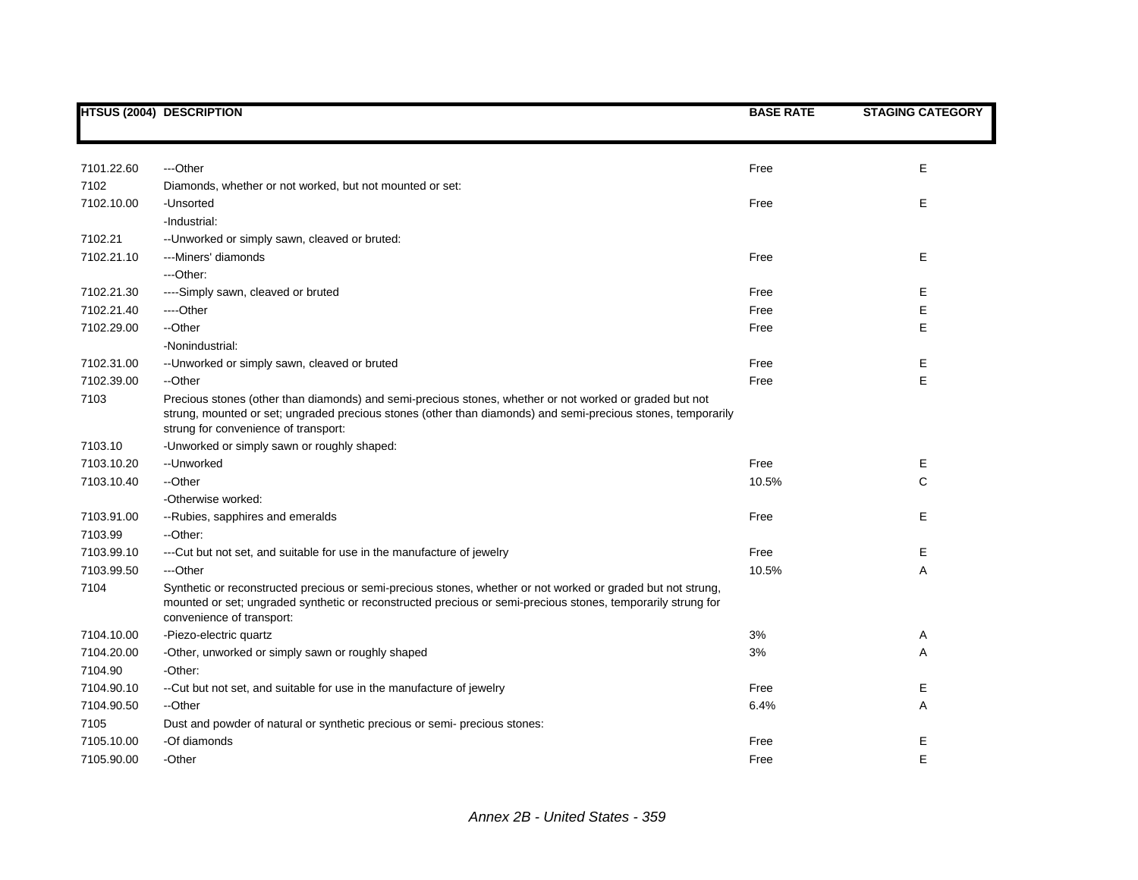|            | <b>HTSUS (2004) DESCRIPTION</b>                                                                                                                                                                                                                                 | <b>BASE RATE</b> | <b>STAGING CATEGORY</b> |
|------------|-----------------------------------------------------------------------------------------------------------------------------------------------------------------------------------------------------------------------------------------------------------------|------------------|-------------------------|
|            |                                                                                                                                                                                                                                                                 |                  |                         |
|            |                                                                                                                                                                                                                                                                 |                  |                         |
| 7101.22.60 | ---Other                                                                                                                                                                                                                                                        | Free             | Е                       |
| 7102       | Diamonds, whether or not worked, but not mounted or set:                                                                                                                                                                                                        |                  |                         |
| 7102.10.00 | -Unsorted                                                                                                                                                                                                                                                       | Free             | Е                       |
|            | -Industrial:                                                                                                                                                                                                                                                    |                  |                         |
| 7102.21    | -- Unworked or simply sawn, cleaved or bruted:                                                                                                                                                                                                                  |                  |                         |
| 7102.21.10 | ---Miners' diamonds                                                                                                                                                                                                                                             | Free             | Е                       |
|            | ---Other:                                                                                                                                                                                                                                                       |                  |                         |
| 7102.21.30 | ----Simply sawn, cleaved or bruted                                                                                                                                                                                                                              | Free             | Е                       |
| 7102.21.40 | ----Other                                                                                                                                                                                                                                                       | Free             | Ε                       |
| 7102.29.00 | --Other                                                                                                                                                                                                                                                         | Free             | Ε                       |
|            | -Nonindustrial:                                                                                                                                                                                                                                                 |                  |                         |
| 7102.31.00 | -- Unworked or simply sawn, cleaved or bruted                                                                                                                                                                                                                   | Free             | Е                       |
| 7102.39.00 | --Other                                                                                                                                                                                                                                                         | Free             | E                       |
| 7103       | Precious stones (other than diamonds) and semi-precious stones, whether or not worked or graded but not<br>strung, mounted or set; ungraded precious stones (other than diamonds) and semi-precious stones, temporarily<br>strung for convenience of transport: |                  |                         |
| 7103.10    | -Unworked or simply sawn or roughly shaped:                                                                                                                                                                                                                     |                  |                         |
| 7103.10.20 | --Unworked                                                                                                                                                                                                                                                      | Free             | Е                       |
| 7103.10.40 | --Other                                                                                                                                                                                                                                                         | 10.5%            | $\mathsf{C}$            |
|            | -Otherwise worked:                                                                                                                                                                                                                                              |                  |                         |
| 7103.91.00 | --Rubies, sapphires and emeralds                                                                                                                                                                                                                                | Free             | E                       |
| 7103.99    | --Other:                                                                                                                                                                                                                                                        |                  |                         |
| 7103.99.10 | --- Cut but not set, and suitable for use in the manufacture of jewelry                                                                                                                                                                                         | Free             | Е                       |
| 7103.99.50 | ---Other                                                                                                                                                                                                                                                        | 10.5%            | Α                       |
| 7104       | Synthetic or reconstructed precious or semi-precious stones, whether or not worked or graded but not strung,<br>mounted or set; ungraded synthetic or reconstructed precious or semi-precious stones, temporarily strung for<br>convenience of transport:       |                  |                         |
| 7104.10.00 | -Piezo-electric quartz                                                                                                                                                                                                                                          | 3%               | Α                       |
| 7104.20.00 | -Other, unworked or simply sawn or roughly shaped                                                                                                                                                                                                               | 3%               | Α                       |
| 7104.90    | -Other:                                                                                                                                                                                                                                                         |                  |                         |
| 7104.90.10 | --Cut but not set, and suitable for use in the manufacture of jewelry                                                                                                                                                                                           | Free             | Ε                       |
| 7104.90.50 | --Other                                                                                                                                                                                                                                                         | 6.4%             | Α                       |
| 7105       | Dust and powder of natural or synthetic precious or semi- precious stones:                                                                                                                                                                                      |                  |                         |
| 7105.10.00 | -Of diamonds                                                                                                                                                                                                                                                    | Free             | Е                       |
| 7105.90.00 | -Other                                                                                                                                                                                                                                                          | Free             | E                       |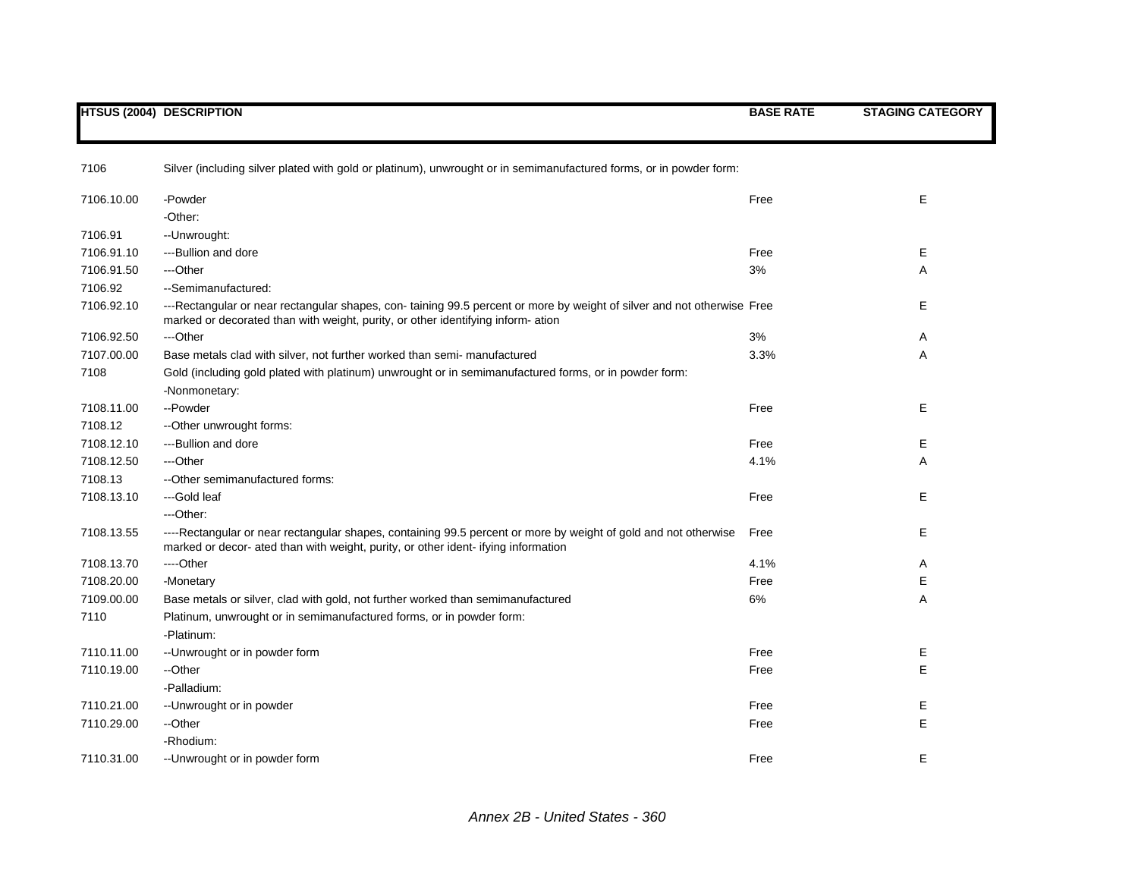|            | <b>HTSUS (2004) DESCRIPTION</b>                                                                                                                                                                           | <b>BASE RATE</b> | <b>STAGING CATEGORY</b> |
|------------|-----------------------------------------------------------------------------------------------------------------------------------------------------------------------------------------------------------|------------------|-------------------------|
| 7106       | Silver (including silver plated with gold or platinum), unwrought or in semimanufactured forms, or in powder form:                                                                                        |                  |                         |
| 7106.10.00 | -Powder                                                                                                                                                                                                   | Free             | Е                       |
|            | -Other:                                                                                                                                                                                                   |                  |                         |
| 7106.91    | --Unwrought:                                                                                                                                                                                              |                  |                         |
| 7106.91.10 | ---Bullion and dore                                                                                                                                                                                       | Free             | Е                       |
| 7106.91.50 | ---Other                                                                                                                                                                                                  | 3%               | Α                       |
| 7106.92    | --Semimanufactured:                                                                                                                                                                                       |                  |                         |
| 7106.92.10 | ---Rectangular or near rectangular shapes, con-taining 99.5 percent or more by weight of silver and not otherwise Free<br>marked or decorated than with weight, purity, or other identifying inform-ation |                  | Е                       |
| 7106.92.50 | ---Other                                                                                                                                                                                                  | 3%               | Α                       |
| 7107.00.00 | Base metals clad with silver, not further worked than semi- manufactured                                                                                                                                  | 3.3%             | Α                       |
| 7108       | Gold (including gold plated with platinum) unwrought or in semimanufactured forms, or in powder form:<br>-Nonmonetary:                                                                                    |                  |                         |
| 7108.11.00 | --Powder                                                                                                                                                                                                  | Free             | E                       |
| 7108.12    | -- Other unwrought forms:                                                                                                                                                                                 |                  |                         |
| 7108.12.10 | ---Bullion and dore                                                                                                                                                                                       | Free             | Е                       |
| 7108.12.50 | ---Other                                                                                                                                                                                                  | 4.1%             | Α                       |
| 7108.13    | -- Other semimanufactured forms:                                                                                                                                                                          |                  |                         |
| 7108.13.10 | ---Gold leaf                                                                                                                                                                                              | Free             | E                       |
|            | ---Other:                                                                                                                                                                                                 |                  |                         |
| 7108.13.55 | ----Rectangular or near rectangular shapes, containing 99.5 percent or more by weight of gold and not otherwise<br>marked or decor- ated than with weight, purity, or other ident-ifying information      | Free             | E                       |
| 7108.13.70 | ----Other                                                                                                                                                                                                 | 4.1%             | A                       |
| 7108.20.00 | -Monetary                                                                                                                                                                                                 | Free             | Ε                       |
| 7109.00.00 | Base metals or silver, clad with gold, not further worked than semimanufactured                                                                                                                           | 6%               | Α                       |
| 7110       | Platinum, unwrought or in semimanufactured forms, or in powder form:<br>-Platinum:                                                                                                                        |                  |                         |
| 7110.11.00 | -- Unwrought or in powder form                                                                                                                                                                            | Free             | Е                       |
| 7110.19.00 | --Other                                                                                                                                                                                                   | Free             | E                       |
|            | -Palladium:                                                                                                                                                                                               |                  |                         |
| 7110.21.00 | -- Unwrought or in powder                                                                                                                                                                                 | Free             | Е                       |
| 7110.29.00 | --Other                                                                                                                                                                                                   | Free             | E                       |
|            | -Rhodium:                                                                                                                                                                                                 |                  |                         |
| 7110.31.00 | -- Unwrought or in powder form                                                                                                                                                                            | Free             | Е                       |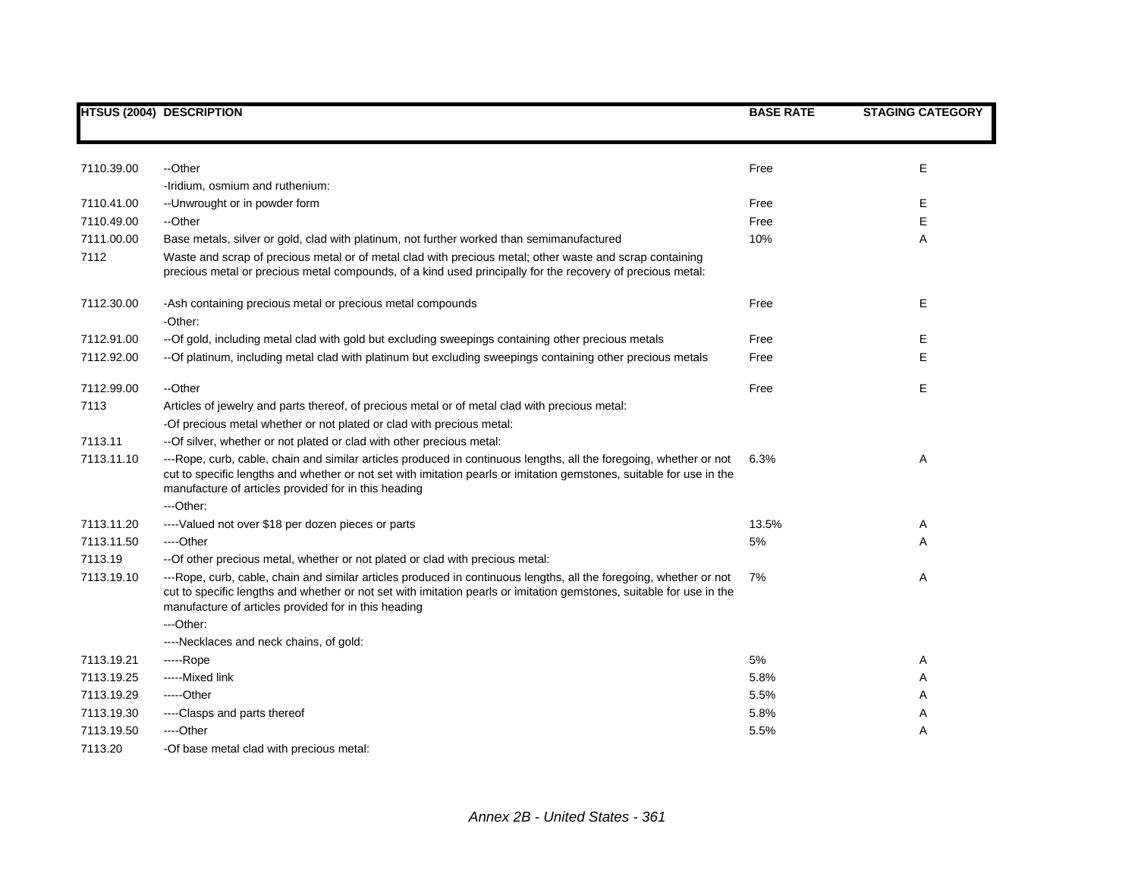|            | <b>HTSUS (2004) DESCRIPTION</b>                                                                                                                                                                                                                                                                    | <b>BASE RATE</b> | <b>STAGING CATEGORY</b> |
|------------|----------------------------------------------------------------------------------------------------------------------------------------------------------------------------------------------------------------------------------------------------------------------------------------------------|------------------|-------------------------|
|            |                                                                                                                                                                                                                                                                                                    |                  |                         |
| 7110.39.00 | --Other                                                                                                                                                                                                                                                                                            | Free             | E                       |
|            | -Iridium, osmium and ruthenium:                                                                                                                                                                                                                                                                    |                  |                         |
| 7110.41.00 | -- Unwrought or in powder form                                                                                                                                                                                                                                                                     | Free             | Е                       |
| 7110.49.00 | --Other                                                                                                                                                                                                                                                                                            | Free             | E                       |
| 7111.00.00 | Base metals, silver or gold, clad with platinum, not further worked than semimanufactured                                                                                                                                                                                                          | 10%              | Α                       |
| 7112       | Waste and scrap of precious metal or of metal clad with precious metal; other waste and scrap containing                                                                                                                                                                                           |                  |                         |
|            | precious metal or precious metal compounds, of a kind used principally for the recovery of precious metal:                                                                                                                                                                                         |                  |                         |
| 7112.30.00 | -Ash containing precious metal or precious metal compounds                                                                                                                                                                                                                                         | Free             | Е                       |
|            | -Other:                                                                                                                                                                                                                                                                                            |                  |                         |
| 7112.91.00 | -- Of gold, including metal clad with gold but excluding sweepings containing other precious metals                                                                                                                                                                                                | Free             | Е                       |
| 7112.92.00 | -- Of platinum, including metal clad with platinum but excluding sweepings containing other precious metals                                                                                                                                                                                        | Free             | E                       |
| 7112.99.00 | --Other                                                                                                                                                                                                                                                                                            | Free             | E                       |
| 7113       | Articles of jewelry and parts thereof, of precious metal or of metal clad with precious metal:                                                                                                                                                                                                     |                  |                         |
|            | -Of precious metal whether or not plated or clad with precious metal:                                                                                                                                                                                                                              |                  |                         |
| 7113.11    | -- Of silver, whether or not plated or clad with other precious metal:                                                                                                                                                                                                                             |                  |                         |
| 7113.11.10 | ---Rope, curb, cable, chain and similar articles produced in continuous lengths, all the foregoing, whether or not<br>cut to specific lengths and whether or not set with imitation pearls or imitation gemstones, suitable for use in the<br>manufacture of articles provided for in this heading | 6.3%             | Α                       |
|            | ---Other:                                                                                                                                                                                                                                                                                          |                  |                         |
| 7113.11.20 | ---- Valued not over \$18 per dozen pieces or parts                                                                                                                                                                                                                                                | 13.5%            | A                       |
| 7113.11.50 | ----Other                                                                                                                                                                                                                                                                                          | 5%               | A                       |
| 7113.19    | -- Of other precious metal, whether or not plated or clad with precious metal:                                                                                                                                                                                                                     |                  |                         |
| 7113.19.10 | ---Rope, curb, cable, chain and similar articles produced in continuous lengths, all the foregoing, whether or not<br>cut to specific lengths and whether or not set with imitation pearls or imitation gemstones, suitable for use in the<br>manufacture of articles provided for in this heading | 7%               | Α                       |
|            | ---Other:                                                                                                                                                                                                                                                                                          |                  |                         |
|            | ----Necklaces and neck chains, of gold:                                                                                                                                                                                                                                                            |                  |                         |
| 7113.19.21 | -----Rope                                                                                                                                                                                                                                                                                          | 5%               | Α                       |
| 7113.19.25 | -----Mixed link                                                                                                                                                                                                                                                                                    | 5.8%             | Α                       |
| 7113.19.29 | -----Other                                                                                                                                                                                                                                                                                         | 5.5%             | Α                       |
| 7113.19.30 | ----Clasps and parts thereof                                                                                                                                                                                                                                                                       | 5.8%             | Α                       |
| 7113.19.50 | ----Other                                                                                                                                                                                                                                                                                          | 5.5%             | Α                       |
| 7113.20    | -Of base metal clad with precious metal:                                                                                                                                                                                                                                                           |                  |                         |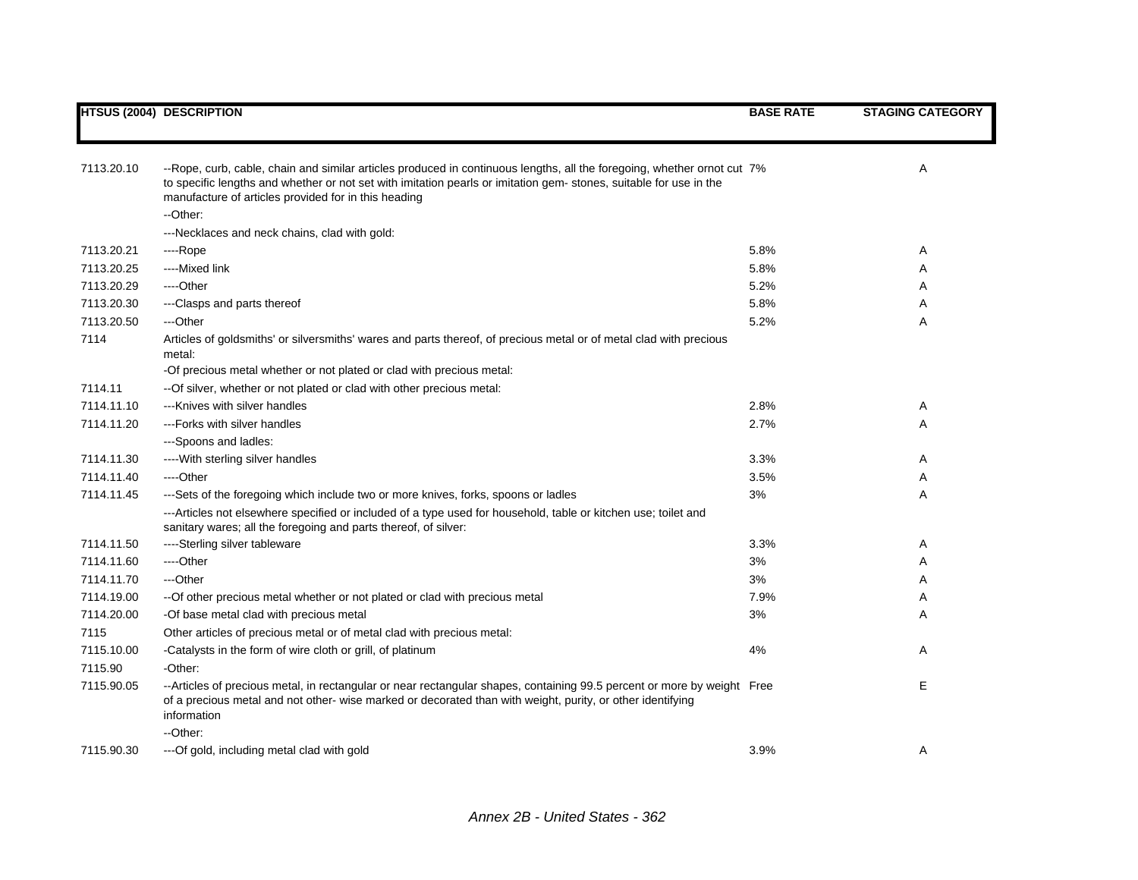|            | <b>HTSUS (2004) DESCRIPTION</b>                                                                                                                                                                                                                                                                      | <b>BASE RATE</b> | <b>STAGING CATEGORY</b> |
|------------|------------------------------------------------------------------------------------------------------------------------------------------------------------------------------------------------------------------------------------------------------------------------------------------------------|------------------|-------------------------|
|            |                                                                                                                                                                                                                                                                                                      |                  |                         |
| 7113.20.10 | --Rope, curb, cable, chain and similar articles produced in continuous lengths, all the foregoing, whether ornot cut 7%<br>to specific lengths and whether or not set with imitation pearls or imitation gem-stones, suitable for use in the<br>manufacture of articles provided for in this heading |                  | A                       |
|            | --Other:                                                                                                                                                                                                                                                                                             |                  |                         |
|            | ---Necklaces and neck chains, clad with gold:                                                                                                                                                                                                                                                        |                  |                         |
| 7113.20.21 | ---Rope                                                                                                                                                                                                                                                                                              | 5.8%             | Α                       |
| 7113.20.25 | ----Mixed link                                                                                                                                                                                                                                                                                       | 5.8%             | A                       |
| 7113.20.29 | ----Other                                                                                                                                                                                                                                                                                            | 5.2%             | A                       |
| 7113.20.30 | ---Clasps and parts thereof                                                                                                                                                                                                                                                                          | 5.8%             | Α                       |
| 7113.20.50 | ---Other                                                                                                                                                                                                                                                                                             | 5.2%             | Α                       |
| 7114       | Articles of goldsmiths' or silversmiths' wares and parts thereof, of precious metal or of metal clad with precious<br>metal:                                                                                                                                                                         |                  |                         |
|            | -Of precious metal whether or not plated or clad with precious metal:                                                                                                                                                                                                                                |                  |                         |
| 7114.11    | -- Of silver, whether or not plated or clad with other precious metal:                                                                                                                                                                                                                               |                  |                         |
| 7114.11.10 | ---Knives with silver handles                                                                                                                                                                                                                                                                        | 2.8%             | A                       |
| 7114.11.20 | ---Forks with silver handles                                                                                                                                                                                                                                                                         | 2.7%             | Α                       |
|            | ---Spoons and ladles:                                                                                                                                                                                                                                                                                |                  |                         |
| 7114.11.30 | ---- With sterling silver handles                                                                                                                                                                                                                                                                    | 3.3%             | Α                       |
| 7114.11.40 | ----Other                                                                                                                                                                                                                                                                                            | 3.5%             | Α                       |
| 7114.11.45 | ---Sets of the foregoing which include two or more knives, forks, spoons or ladles                                                                                                                                                                                                                   | 3%               | A                       |
|            | ---Articles not elsewhere specified or included of a type used for household, table or kitchen use; toilet and<br>sanitary wares; all the foregoing and parts thereof, of silver:                                                                                                                    |                  |                         |
| 7114.11.50 | ----Sterling silver tableware                                                                                                                                                                                                                                                                        | 3.3%             | A                       |
| 7114.11.60 | ---Other                                                                                                                                                                                                                                                                                             | 3%               | Α                       |
| 7114.11.70 | ---Other                                                                                                                                                                                                                                                                                             | 3%               | Α                       |
| 7114.19.00 | -- Of other precious metal whether or not plated or clad with precious metal                                                                                                                                                                                                                         | 7.9%             | Α                       |
| 7114.20.00 | -Of base metal clad with precious metal                                                                                                                                                                                                                                                              | 3%               | A                       |
| 7115       | Other articles of precious metal or of metal clad with precious metal:                                                                                                                                                                                                                               |                  |                         |
| 7115.10.00 | -Catalysts in the form of wire cloth or grill, of platinum                                                                                                                                                                                                                                           | 4%               | A                       |
| 7115.90    | -Other:                                                                                                                                                                                                                                                                                              |                  |                         |
| 7115.90.05 | --Articles of precious metal, in rectangular or near rectangular shapes, containing 99.5 percent or more by weight Free<br>of a precious metal and not other- wise marked or decorated than with weight, purity, or other identifying<br>information                                                 |                  | E                       |
|            | --Other:                                                                                                                                                                                                                                                                                             |                  |                         |
| 7115.90.30 | --- Of gold, including metal clad with gold                                                                                                                                                                                                                                                          | 3.9%             | Α                       |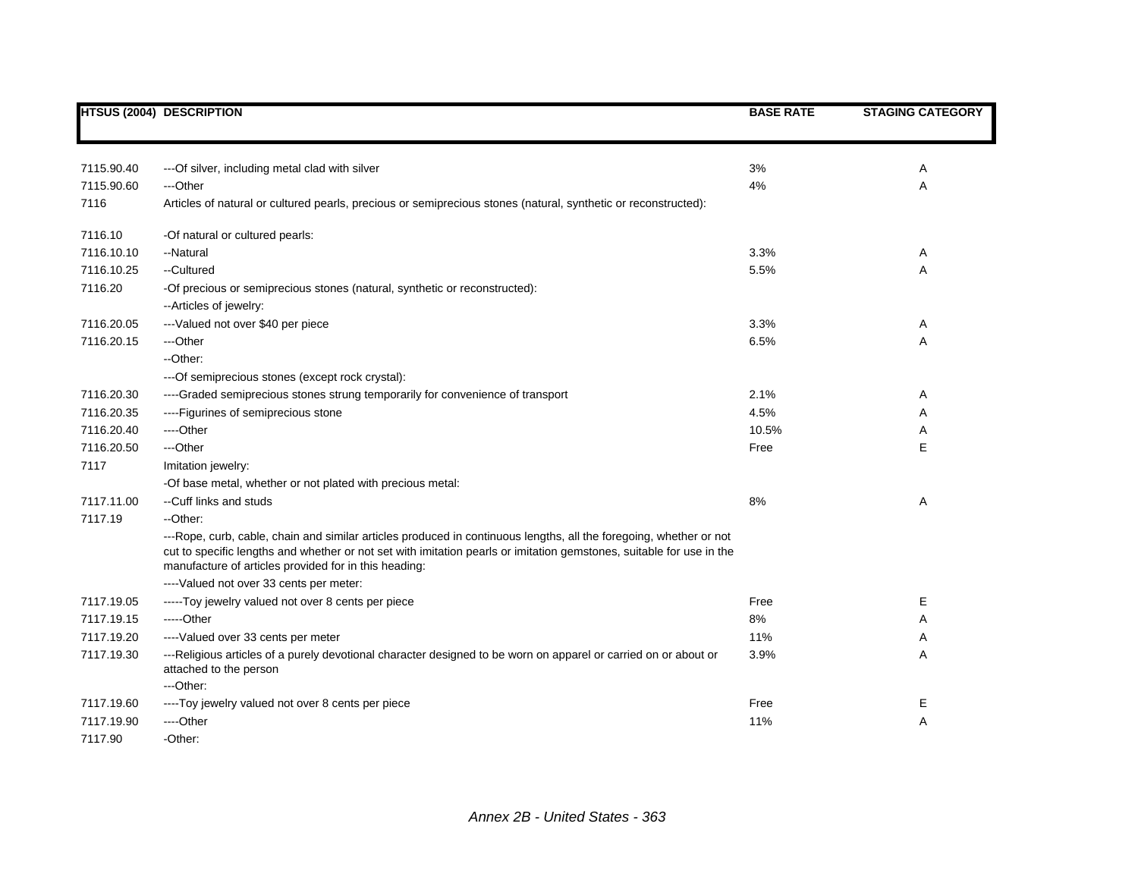|            | <b>HTSUS (2004) DESCRIPTION</b>                                                                                                                                                                                                                                                                     | <b>BASE RATE</b> | <b>STAGING CATEGORY</b> |
|------------|-----------------------------------------------------------------------------------------------------------------------------------------------------------------------------------------------------------------------------------------------------------------------------------------------------|------------------|-------------------------|
|            |                                                                                                                                                                                                                                                                                                     |                  |                         |
| 7115.90.40 | --- Of silver, including metal clad with silver                                                                                                                                                                                                                                                     | 3%               | A                       |
| 7115.90.60 | ---Other                                                                                                                                                                                                                                                                                            | 4%               | Α                       |
| 7116       | Articles of natural or cultured pearls, precious or semiprecious stones (natural, synthetic or reconstructed):                                                                                                                                                                                      |                  |                         |
| 7116.10    | -Of natural or cultured pearls:                                                                                                                                                                                                                                                                     |                  |                         |
| 7116.10.10 | --Natural                                                                                                                                                                                                                                                                                           | 3.3%             | A                       |
| 7116.10.25 | --Cultured                                                                                                                                                                                                                                                                                          | 5.5%             | Α                       |
| 7116.20    | -Of precious or semiprecious stones (natural, synthetic or reconstructed):<br>--Articles of jewelry:                                                                                                                                                                                                |                  |                         |
| 7116.20.05 | --- Valued not over \$40 per piece                                                                                                                                                                                                                                                                  | 3.3%             | A                       |
| 7116.20.15 | ---Other                                                                                                                                                                                                                                                                                            | 6.5%             | Α                       |
|            | --Other:                                                                                                                                                                                                                                                                                            |                  |                         |
|            | --- Of semiprecious stones (except rock crystal):                                                                                                                                                                                                                                                   |                  |                         |
| 7116.20.30 | ----Graded semiprecious stones strung temporarily for convenience of transport                                                                                                                                                                                                                      | 2.1%             | A                       |
| 7116.20.35 | ----Figurines of semiprecious stone                                                                                                                                                                                                                                                                 | 4.5%             | Α                       |
| 7116.20.40 | ----Other                                                                                                                                                                                                                                                                                           | 10.5%            | A                       |
| 7116.20.50 | ---Other                                                                                                                                                                                                                                                                                            | Free             | Е                       |
| 7117       | Imitation jewelry:                                                                                                                                                                                                                                                                                  |                  |                         |
|            | -Of base metal, whether or not plated with precious metal:                                                                                                                                                                                                                                          |                  |                         |
| 7117.11.00 | --Cuff links and studs                                                                                                                                                                                                                                                                              | 8%               | Α                       |
| 7117.19    | --Other:                                                                                                                                                                                                                                                                                            |                  |                         |
|            | ---Rope, curb, cable, chain and similar articles produced in continuous lengths, all the foregoing, whether or not<br>cut to specific lengths and whether or not set with imitation pearls or imitation gemstones, suitable for use in the<br>manufacture of articles provided for in this heading: |                  |                         |
|            | ---- Valued not over 33 cents per meter:                                                                                                                                                                                                                                                            |                  |                         |
| 7117.19.05 | -----Toy jewelry valued not over 8 cents per piece                                                                                                                                                                                                                                                  | Free             | Е                       |
| 7117.19.15 | -----Other                                                                                                                                                                                                                                                                                          | 8%               | Α                       |
| 7117.19.20 | ---- Valued over 33 cents per meter                                                                                                                                                                                                                                                                 | 11%              | A                       |
| 7117.19.30 | ---Religious articles of a purely devotional character designed to be worn on apparel or carried on or about or<br>attached to the person                                                                                                                                                           | 3.9%             | Α                       |
|            | ---Other:                                                                                                                                                                                                                                                                                           |                  |                         |
| 7117.19.60 | ----Toy jewelry valued not over 8 cents per piece                                                                                                                                                                                                                                                   | Free             | Е                       |
| 7117.19.90 | ----Other                                                                                                                                                                                                                                                                                           | 11%              | Α                       |
| 7117.90    | -Other:                                                                                                                                                                                                                                                                                             |                  |                         |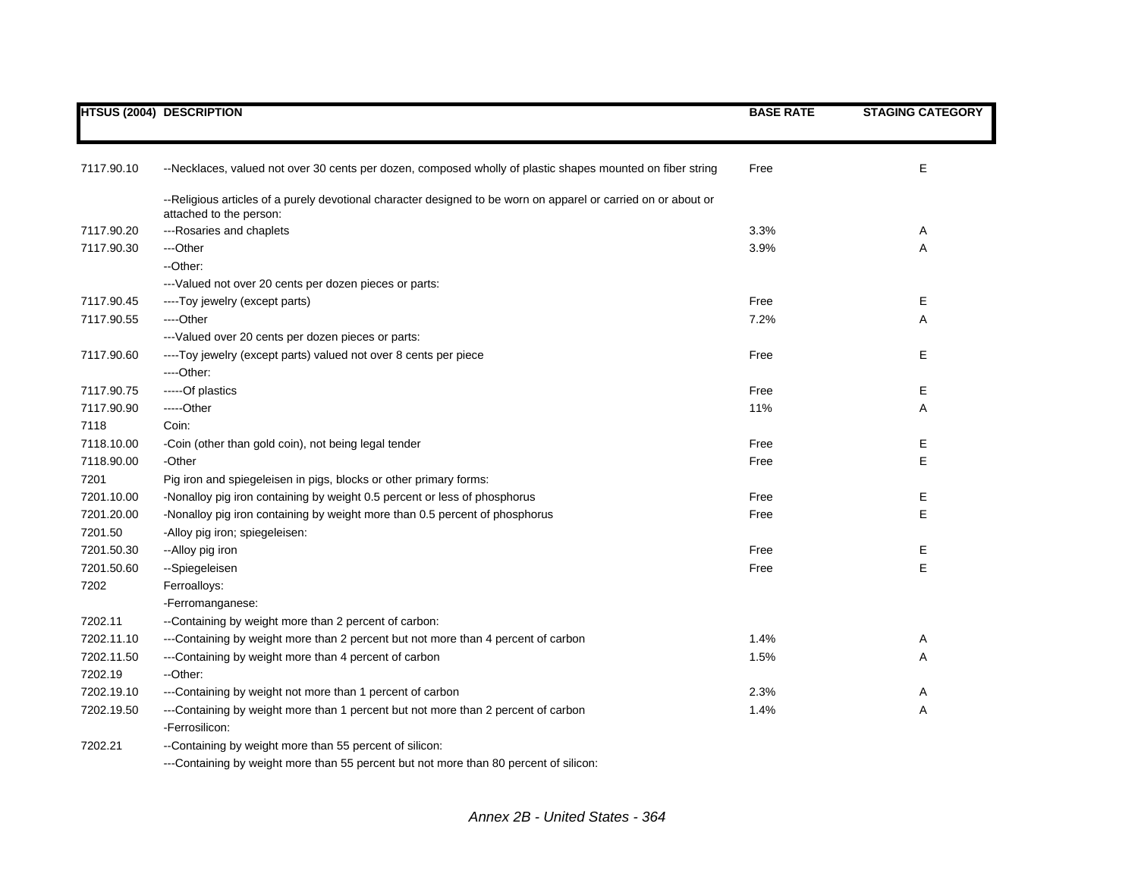|            | <b>HTSUS (2004) DESCRIPTION</b>                                                                                                           | <b>BASE RATE</b> | <b>STAGING CATEGORY</b> |
|------------|-------------------------------------------------------------------------------------------------------------------------------------------|------------------|-------------------------|
|            |                                                                                                                                           |                  |                         |
| 7117.90.10 | --Necklaces, valued not over 30 cents per dozen, composed wholly of plastic shapes mounted on fiber string                                | Free             | E                       |
|            | --Religious articles of a purely devotional character designed to be worn on apparel or carried on or about or<br>attached to the person: |                  |                         |
| 7117.90.20 | ---Rosaries and chaplets                                                                                                                  | 3.3%             | Α                       |
| 7117.90.30 | ---Other                                                                                                                                  | 3.9%             | Α                       |
|            | --Other:                                                                                                                                  |                  |                         |
|            | --- Valued not over 20 cents per dozen pieces or parts:                                                                                   |                  |                         |
| 7117.90.45 | ----Toy jewelry (except parts)                                                                                                            | Free             | Е                       |
| 7117.90.55 | ---Other                                                                                                                                  | 7.2%             | Α                       |
|            | ---Valued over 20 cents per dozen pieces or parts:                                                                                        |                  |                         |
| 7117.90.60 | ----Toy jewelry (except parts) valued not over 8 cents per piece                                                                          | Free             | Е                       |
|            | ---Other:                                                                                                                                 |                  |                         |
| 7117.90.75 | -----Of plastics                                                                                                                          | Free             | Е                       |
| 7117.90.90 | -----Other                                                                                                                                | 11%              | Α                       |
| 7118       | Coin:                                                                                                                                     |                  |                         |
| 7118.10.00 | -Coin (other than gold coin), not being legal tender                                                                                      | Free             | E                       |
| 7118.90.00 | -Other                                                                                                                                    | Free             | E                       |
| 7201       | Pig iron and spiegeleisen in pigs, blocks or other primary forms:                                                                         |                  |                         |
| 7201.10.00 | -Nonalloy pig iron containing by weight 0.5 percent or less of phosphorus                                                                 | Free             | Ε                       |
| 7201.20.00 | -Nonalloy pig iron containing by weight more than 0.5 percent of phosphorus                                                               | Free             | E                       |
| 7201.50    | -Alloy pig iron; spiegeleisen:                                                                                                            |                  |                         |
| 7201.50.30 | --Alloy pig iron                                                                                                                          | Free             | Ε                       |
| 7201.50.60 | --Spiegeleisen                                                                                                                            | Free             | E                       |
| 7202       | Ferroalloys:                                                                                                                              |                  |                         |
|            | -Ferromanganese:                                                                                                                          |                  |                         |
| 7202.11    | --Containing by weight more than 2 percent of carbon:                                                                                     |                  |                         |
| 7202.11.10 | ---Containing by weight more than 2 percent but not more than 4 percent of carbon                                                         | 1.4%             | Α                       |
| 7202.11.50 | ---Containing by weight more than 4 percent of carbon                                                                                     | 1.5%             | A                       |
| 7202.19    | --Other:                                                                                                                                  |                  |                         |
| 7202.19.10 | ---Containing by weight not more than 1 percent of carbon                                                                                 | 2.3%             | Α                       |
| 7202.19.50 | ---Containing by weight more than 1 percent but not more than 2 percent of carbon                                                         | 1.4%             | Α                       |
|            | -Ferrosilicon:                                                                                                                            |                  |                         |
| 7202.21    | --Containing by weight more than 55 percent of silicon:                                                                                   |                  |                         |
|            |                                                                                                                                           |                  |                         |

---Containing by weight more than 55 percent but not more than 80 percent of silicon: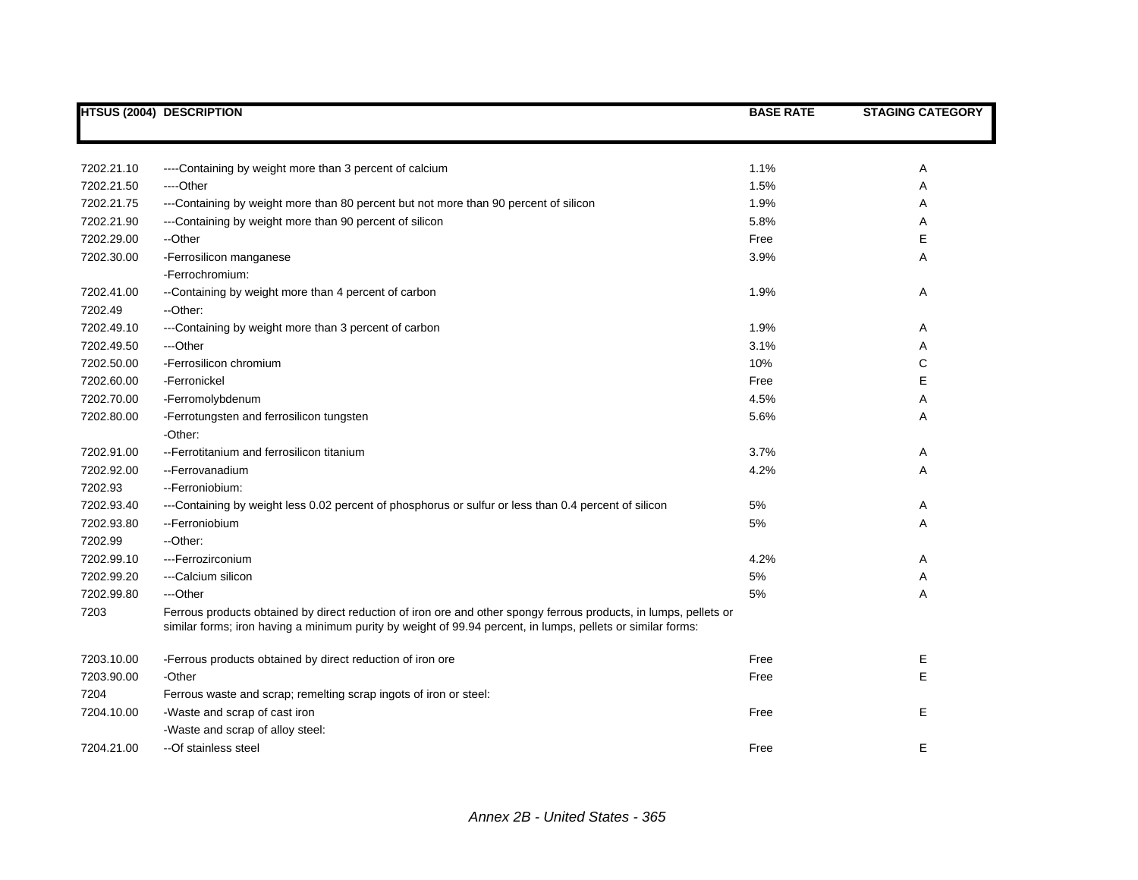|                          | <b>HTSUS (2004) DESCRIPTION</b>                                                                                                                                                                                                  | <b>BASE RATE</b> | <b>STAGING CATEGORY</b> |
|--------------------------|----------------------------------------------------------------------------------------------------------------------------------------------------------------------------------------------------------------------------------|------------------|-------------------------|
|                          |                                                                                                                                                                                                                                  |                  |                         |
| 7202.21.10               | ----Containing by weight more than 3 percent of calcium                                                                                                                                                                          | 1.1%             | Α                       |
| 7202.21.50               | ----Other                                                                                                                                                                                                                        | 1.5%             | Α                       |
| 7202.21.75               | ---Containing by weight more than 80 percent but not more than 90 percent of silicon                                                                                                                                             | 1.9%             | Α                       |
| 7202.21.90               | ---Containing by weight more than 90 percent of silicon                                                                                                                                                                          | 5.8%             | Α                       |
| 7202.29.00               | --Other                                                                                                                                                                                                                          | Free             | E                       |
| 7202.30.00               | -Ferrosilicon manganese                                                                                                                                                                                                          | 3.9%             | Α                       |
|                          | -Ferrochromium:                                                                                                                                                                                                                  |                  |                         |
| 7202.41.00               | --Containing by weight more than 4 percent of carbon                                                                                                                                                                             | 1.9%             | Α                       |
| 7202.49                  | --Other:                                                                                                                                                                                                                         |                  |                         |
| 7202.49.10               | ---Containing by weight more than 3 percent of carbon                                                                                                                                                                            | 1.9%             | Α                       |
| 7202.49.50               | ---Other                                                                                                                                                                                                                         | 3.1%             | Α                       |
| 7202.50.00               | -Ferrosilicon chromium                                                                                                                                                                                                           | 10%              | С                       |
| 7202.60.00               | -Ferronickel                                                                                                                                                                                                                     | Free             | E                       |
| 7202.70.00               | -Ferromolybdenum                                                                                                                                                                                                                 | 4.5%             | Α                       |
| 7202.80.00               |                                                                                                                                                                                                                                  | 5.6%             | Α                       |
|                          | -Ferrotungsten and ferrosilicon tungsten<br>-Other:                                                                                                                                                                              |                  |                         |
| 7202.91.00               | -- Ferrotitanium and ferrosilicon titanium                                                                                                                                                                                       | 3.7%             | Α                       |
| 7202.92.00               | -- Ferrovanadium                                                                                                                                                                                                                 | 4.2%             | Α                       |
| 7202.93                  | --Ferroniobium:                                                                                                                                                                                                                  |                  |                         |
|                          |                                                                                                                                                                                                                                  |                  |                         |
| 7202.93.40<br>7202.93.80 | ---Containing by weight less 0.02 percent of phosphorus or sulfur or less than 0.4 percent of silicon<br>-- Ferroniobium                                                                                                         | 5%<br>5%         | Α                       |
| 7202.99                  | --Other:                                                                                                                                                                                                                         |                  | Α                       |
|                          |                                                                                                                                                                                                                                  |                  |                         |
| 7202.99.10               | ---Ferrozirconium                                                                                                                                                                                                                | 4.2%             | Α                       |
| 7202.99.20               | ---Calcium silicon                                                                                                                                                                                                               | 5%               | Α                       |
| 7202.99.80               | ---Other                                                                                                                                                                                                                         | 5%               | A                       |
| 7203                     | Ferrous products obtained by direct reduction of iron ore and other spongy ferrous products, in lumps, pellets or<br>similar forms; iron having a minimum purity by weight of 99.94 percent, in lumps, pellets or similar forms: |                  |                         |
| 7203.10.00               | -Ferrous products obtained by direct reduction of iron ore                                                                                                                                                                       | Free             | Ε                       |
| 7203.90.00               | -Other                                                                                                                                                                                                                           | Free             | E                       |
| 7204                     | Ferrous waste and scrap; remelting scrap ingots of iron or steel:                                                                                                                                                                |                  |                         |
| 7204.10.00               | -Waste and scrap of cast iron                                                                                                                                                                                                    | Free             | Е                       |
|                          | -Waste and scrap of alloy steel:                                                                                                                                                                                                 |                  |                         |
| 7204.21.00               | --Of stainless steel                                                                                                                                                                                                             | Free             | E                       |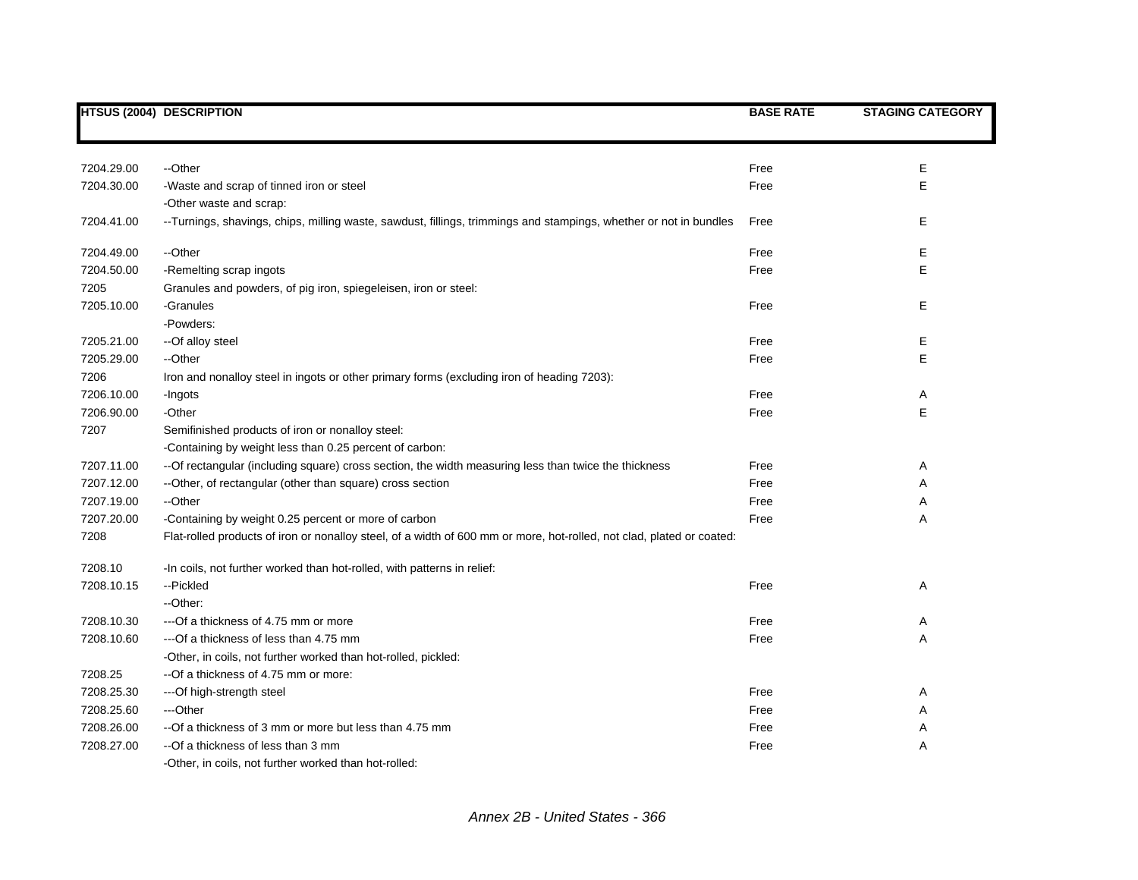|            | <b>HTSUS (2004) DESCRIPTION</b>                                                                                       | <b>BASE RATE</b> | <b>STAGING CATEGORY</b> |
|------------|-----------------------------------------------------------------------------------------------------------------------|------------------|-------------------------|
|            |                                                                                                                       |                  |                         |
|            |                                                                                                                       |                  |                         |
| 7204.29.00 | --Other                                                                                                               | Free             | Ε                       |
| 7204.30.00 | -Waste and scrap of tinned iron or steel                                                                              | Free             | E                       |
|            | -Other waste and scrap:                                                                                               |                  |                         |
| 7204.41.00 | --Turnings, shavings, chips, milling waste, sawdust, fillings, trimmings and stampings, whether or not in bundles     | Free             | E                       |
| 7204.49.00 | --Other                                                                                                               | Free             | Е                       |
| 7204.50.00 | -Remelting scrap ingots                                                                                               | Free             | E                       |
| 7205       | Granules and powders, of pig iron, spiegeleisen, iron or steel:                                                       |                  |                         |
| 7205.10.00 | -Granules                                                                                                             | Free             | E                       |
|            | -Powders:                                                                                                             |                  |                         |
| 7205.21.00 | --Of alloy steel                                                                                                      | Free             | E                       |
| 7205.29.00 | --Other                                                                                                               | Free             | E                       |
| 7206       | Iron and nonalloy steel in ingots or other primary forms (excluding iron of heading 7203):                            |                  |                         |
| 7206.10.00 | -Ingots                                                                                                               | Free             | Α                       |
| 7206.90.00 | -Other                                                                                                                | Free             | E                       |
| 7207       | Semifinished products of iron or nonalloy steel:                                                                      |                  |                         |
|            | -Containing by weight less than 0.25 percent of carbon:                                                               |                  |                         |
| 7207.11.00 | -- Of rectangular (including square) cross section, the width measuring less than twice the thickness                 | Free             | A                       |
| 7207.12.00 | --Other, of rectangular (other than square) cross section                                                             | Free             | Α                       |
| 7207.19.00 | --Other                                                                                                               | Free             | Α                       |
| 7207.20.00 | -Containing by weight 0.25 percent or more of carbon                                                                  | Free             | Α                       |
| 7208       | Flat-rolled products of iron or nonalloy steel, of a width of 600 mm or more, hot-rolled, not clad, plated or coated: |                  |                         |
| 7208.10    | -In coils, not further worked than hot-rolled, with patterns in relief:                                               |                  |                         |
| 7208.10.15 | --Pickled                                                                                                             | Free             | Α                       |
|            | --Other:                                                                                                              |                  |                         |
| 7208.10.30 | --- Of a thickness of 4.75 mm or more                                                                                 | Free             | Α                       |
| 7208.10.60 | --- Of a thickness of less than 4.75 mm                                                                               | Free             | Α                       |
|            | -Other, in coils, not further worked than hot-rolled, pickled:                                                        |                  |                         |
| 7208.25    | -- Of a thickness of 4.75 mm or more:                                                                                 |                  |                         |
| 7208.25.30 | --- Of high-strength steel                                                                                            | Free             | A                       |
| 7208.25.60 | ---Other                                                                                                              | Free             | Α                       |
| 7208.26.00 | --Of a thickness of 3 mm or more but less than 4.75 mm                                                                | Free             | Α                       |
| 7208.27.00 | --Of a thickness of less than 3 mm                                                                                    | Free             | Α                       |
|            | -Other, in coils, not further worked than hot-rolled:                                                                 |                  |                         |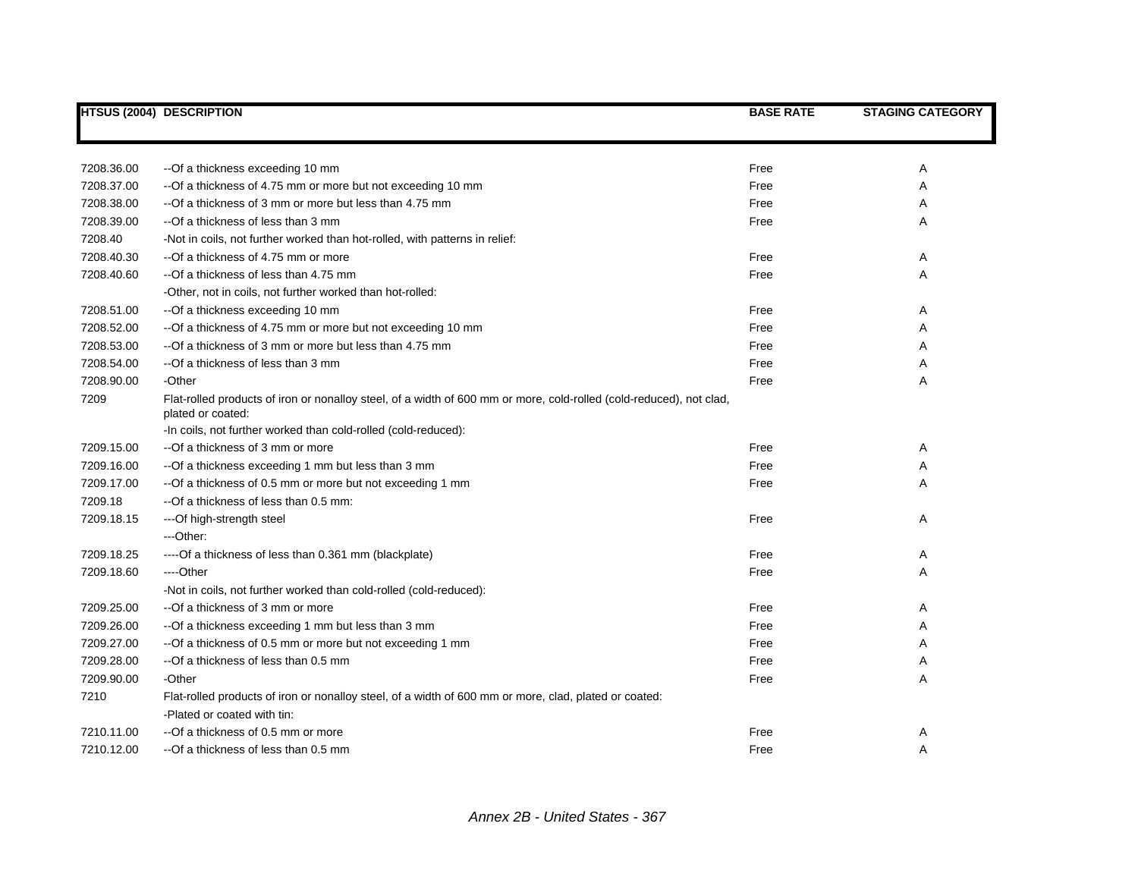|            | <b>HTSUS (2004) DESCRIPTION</b>                                                                                                          | <b>BASE RATE</b> | <b>STAGING CATEGORY</b> |
|------------|------------------------------------------------------------------------------------------------------------------------------------------|------------------|-------------------------|
|            |                                                                                                                                          |                  |                         |
| 7208.36.00 | --Of a thickness exceeding 10 mm                                                                                                         | Free             | Α                       |
| 7208.37.00 | -- Of a thickness of 4.75 mm or more but not exceeding 10 mm                                                                             | Free             | Α                       |
| 7208.38.00 | --Of a thickness of 3 mm or more but less than 4.75 mm                                                                                   | Free             | Α                       |
| 7208.39.00 | --Of a thickness of less than 3 mm                                                                                                       | Free             | Α                       |
| 7208.40    | -Not in coils, not further worked than hot-rolled, with patterns in relief:                                                              |                  |                         |
| 7208.40.30 | --Of a thickness of 4.75 mm or more                                                                                                      | Free             | Α                       |
| 7208.40.60 | --Of a thickness of less than 4.75 mm                                                                                                    | Free             | A                       |
|            | -Other, not in coils, not further worked than hot-rolled:                                                                                |                  |                         |
| 7208.51.00 | -- Of a thickness exceeding 10 mm                                                                                                        | Free             | A                       |
| 7208.52.00 | -- Of a thickness of 4.75 mm or more but not exceeding 10 mm                                                                             | Free             | Α                       |
| 7208.53.00 | --Of a thickness of 3 mm or more but less than 4.75 mm                                                                                   | Free             | Α                       |
| 7208.54.00 | --Of a thickness of less than 3 mm                                                                                                       | Free             | A                       |
| 7208.90.00 | -Other                                                                                                                                   | Free             | Α                       |
| 7209       | Flat-rolled products of iron or nonalloy steel, of a width of 600 mm or more, cold-rolled (cold-reduced), not clad,<br>plated or coated: |                  |                         |
|            | -In coils, not further worked than cold-rolled (cold-reduced):                                                                           |                  |                         |
| 7209.15.00 | --Of a thickness of 3 mm or more                                                                                                         | Free             | A                       |
| 7209.16.00 | -- Of a thickness exceeding 1 mm but less than 3 mm                                                                                      | Free             | Α                       |
| 7209.17.00 | -- Of a thickness of 0.5 mm or more but not exceeding 1 mm                                                                               | Free             | Α                       |
| 7209.18    | --Of a thickness of less than 0.5 mm:                                                                                                    |                  |                         |
| 7209.18.15 | ---Of high-strength steel                                                                                                                | Free             | Α                       |
|            | ---Other:                                                                                                                                |                  |                         |
| 7209.18.25 | ----Of a thickness of less than 0.361 mm (blackplate)                                                                                    | Free             | Α                       |
| 7209.18.60 | ----Other                                                                                                                                | Free             | Α                       |
|            | -Not in coils, not further worked than cold-rolled (cold-reduced):                                                                       |                  |                         |
| 7209.25.00 | --Of a thickness of 3 mm or more                                                                                                         | Free             | Α                       |
| 7209.26.00 | --Of a thickness exceeding 1 mm but less than 3 mm                                                                                       | Free             | Α                       |
| 7209.27.00 | -- Of a thickness of 0.5 mm or more but not exceeding 1 mm                                                                               | Free             | Α                       |
| 7209.28.00 | --Of a thickness of less than 0.5 mm                                                                                                     | Free             | A                       |
| 7209.90.00 | -Other                                                                                                                                   | Free             | Α                       |
| 7210       | Flat-rolled products of iron or nonalloy steel, of a width of 600 mm or more, clad, plated or coated:                                    |                  |                         |
|            | -Plated or coated with tin:                                                                                                              |                  |                         |
| 7210.11.00 | --Of a thickness of 0.5 mm or more                                                                                                       | Free             | Α                       |
| 7210.12.00 | --Of a thickness of less than 0.5 mm                                                                                                     | Free             | Α                       |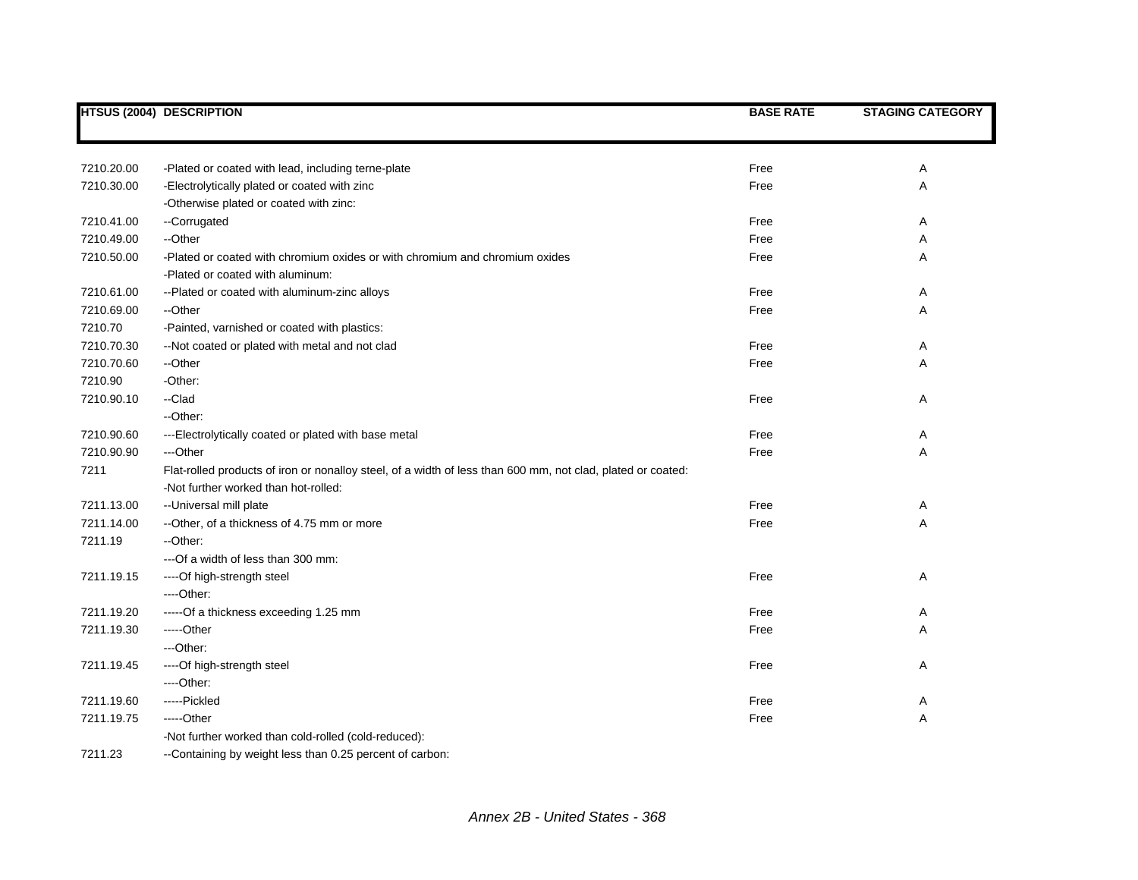|            | <b>HTSUS (2004) DESCRIPTION</b>                                                                             | <b>BASE RATE</b> | <b>STAGING CATEGORY</b> |
|------------|-------------------------------------------------------------------------------------------------------------|------------------|-------------------------|
|            |                                                                                                             |                  |                         |
| 7210.20.00 | -Plated or coated with lead, including terne-plate                                                          | Free             | Α                       |
| 7210.30.00 | -Electrolytically plated or coated with zinc                                                                | Free             | Α                       |
|            | -Otherwise plated or coated with zinc:                                                                      |                  |                         |
| 7210.41.00 | --Corrugated                                                                                                | Free             | Α                       |
| 7210.49.00 | --Other                                                                                                     | Free             | Α                       |
| 7210.50.00 | -Plated or coated with chromium oxides or with chromium and chromium oxides                                 | Free             | Α                       |
|            | -Plated or coated with aluminum:                                                                            |                  |                         |
| 7210.61.00 | --Plated or coated with aluminum-zinc alloys                                                                | Free             | Α                       |
| 7210.69.00 | --Other                                                                                                     | Free             | Α                       |
| 7210.70    | -Painted, varnished or coated with plastics:                                                                |                  |                         |
| 7210.70.30 | --Not coated or plated with metal and not clad                                                              | Free             | Α                       |
| 7210.70.60 | --Other                                                                                                     | Free             | Α                       |
| 7210.90    | -Other:                                                                                                     |                  |                         |
| 7210.90.10 | --Clad                                                                                                      | Free             | Α                       |
|            | --Other:                                                                                                    |                  |                         |
| 7210.90.60 | ---Electrolytically coated or plated with base metal                                                        | Free             | Α                       |
| 7210.90.90 | ---Other                                                                                                    | Free             | Α                       |
| 7211       | Flat-rolled products of iron or nonalloy steel, of a width of less than 600 mm, not clad, plated or coated: |                  |                         |
|            | -Not further worked than hot-rolled:                                                                        |                  |                         |
| 7211.13.00 | -- Universal mill plate                                                                                     | Free             | Α                       |
| 7211.14.00 | --Other, of a thickness of 4.75 mm or more                                                                  | Free             | Α                       |
| 7211.19    | --Other:                                                                                                    |                  |                         |
|            | --- Of a width of less than 300 mm:                                                                         |                  |                         |
| 7211.19.15 | ----Of high-strength steel                                                                                  | Free             | Α                       |
|            | ----Other:                                                                                                  |                  |                         |
| 7211.19.20 | -----Of a thickness exceeding 1.25 mm                                                                       | Free             | Α                       |
| 7211.19.30 | -----Other                                                                                                  | Free             | Α                       |
|            | ---Other:                                                                                                   |                  |                         |
| 7211.19.45 | ----Of high-strength steel                                                                                  | Free             | Α                       |
|            | ---Other:                                                                                                   |                  |                         |
| 7211.19.60 | -----Pickled                                                                                                | Free             | Α                       |
| 7211.19.75 | -----Other                                                                                                  | Free             | Α                       |
|            | -Not further worked than cold-rolled (cold-reduced):                                                        |                  |                         |
| 7211.23    | --Containing by weight less than 0.25 percent of carbon:                                                    |                  |                         |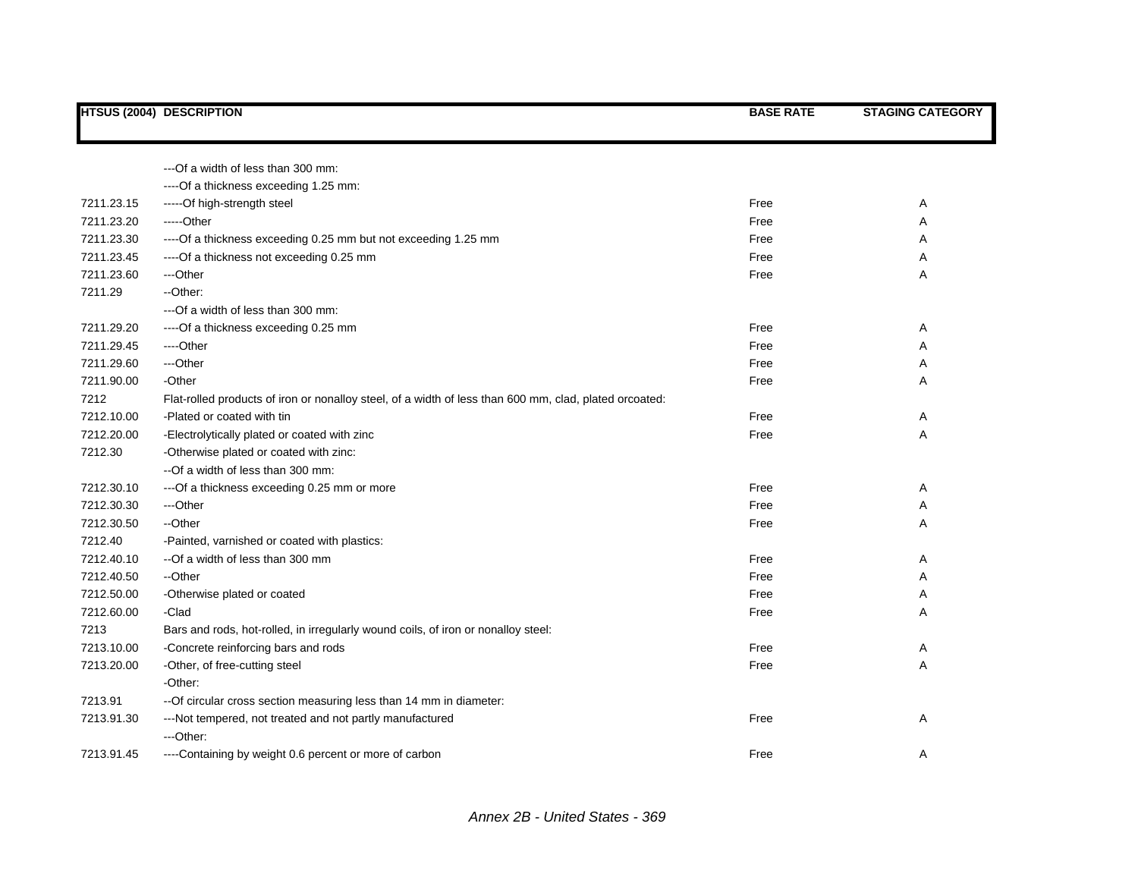|            | <b>HTSUS (2004) DESCRIPTION</b>                                                                        | <b>BASE RATE</b> | <b>STAGING CATEGORY</b> |
|------------|--------------------------------------------------------------------------------------------------------|------------------|-------------------------|
|            |                                                                                                        |                  |                         |
|            | ---Of a width of less than 300 mm:                                                                     |                  |                         |
|            | ---- Of a thickness exceeding 1.25 mm:                                                                 |                  |                         |
| 7211.23.15 | -----Of high-strength steel                                                                            | Free             | Α                       |
| 7211.23.20 | -----Other                                                                                             | Free             | Α                       |
| 7211.23.30 | ---- Of a thickness exceeding 0.25 mm but not exceeding 1.25 mm                                        | Free             | Α                       |
| 7211.23.45 | ---- Of a thickness not exceeding 0.25 mm                                                              | Free             | Α                       |
| 7211.23.60 | ---Other                                                                                               | Free             | Α                       |
| 7211.29    | -- Other:                                                                                              |                  |                         |
|            | --- Of a width of less than 300 mm:                                                                    |                  |                         |
| 7211.29.20 | ---- Of a thickness exceeding 0.25 mm                                                                  | Free             | Α                       |
| 7211.29.45 | ----Other                                                                                              | Free             | Α                       |
| 7211.29.60 | ---Other                                                                                               | Free             | Α                       |
| 7211.90.00 | -Other                                                                                                 | Free             | Α                       |
| 7212       | Flat-rolled products of iron or nonalloy steel, of a width of less than 600 mm, clad, plated orcoated: |                  |                         |
| 7212.10.00 | -Plated or coated with tin                                                                             | Free             | Α                       |
| 7212.20.00 | -Electrolytically plated or coated with zinc                                                           | Free             | Α                       |
| 7212.30    | -Otherwise plated or coated with zinc:                                                                 |                  |                         |
|            | --Of a width of less than 300 mm:                                                                      |                  |                         |
| 7212.30.10 | --- Of a thickness exceeding 0.25 mm or more                                                           | Free             | Α                       |
| 7212.30.30 | ---Other                                                                                               | Free             | Α                       |
| 7212.30.50 | --Other                                                                                                | Free             | Α                       |
| 7212.40    | -Painted, varnished or coated with plastics:                                                           |                  |                         |
| 7212.40.10 | --Of a width of less than 300 mm                                                                       | Free             | Α                       |
| 7212.40.50 | --Other                                                                                                | Free             | Α                       |
| 7212.50.00 | -Otherwise plated or coated                                                                            | Free             | Α                       |
| 7212.60.00 | -Clad                                                                                                  | Free             | Α                       |
| 7213       | Bars and rods, hot-rolled, in irregularly wound coils, of iron or nonalloy steel:                      |                  |                         |
| 7213.10.00 | -Concrete reinforcing bars and rods                                                                    | Free             | Α                       |
| 7213.20.00 | -Other, of free-cutting steel                                                                          | Free             | Α                       |
|            | -Other:                                                                                                |                  |                         |
| 7213.91    | -- Of circular cross section measuring less than 14 mm in diameter:                                    |                  |                         |
| 7213.91.30 | ---Not tempered, not treated and not partly manufactured                                               | Free             | Α                       |
|            | ---Other:                                                                                              |                  |                         |
| 7213.91.45 | ----Containing by weight 0.6 percent or more of carbon                                                 | Free             | Α                       |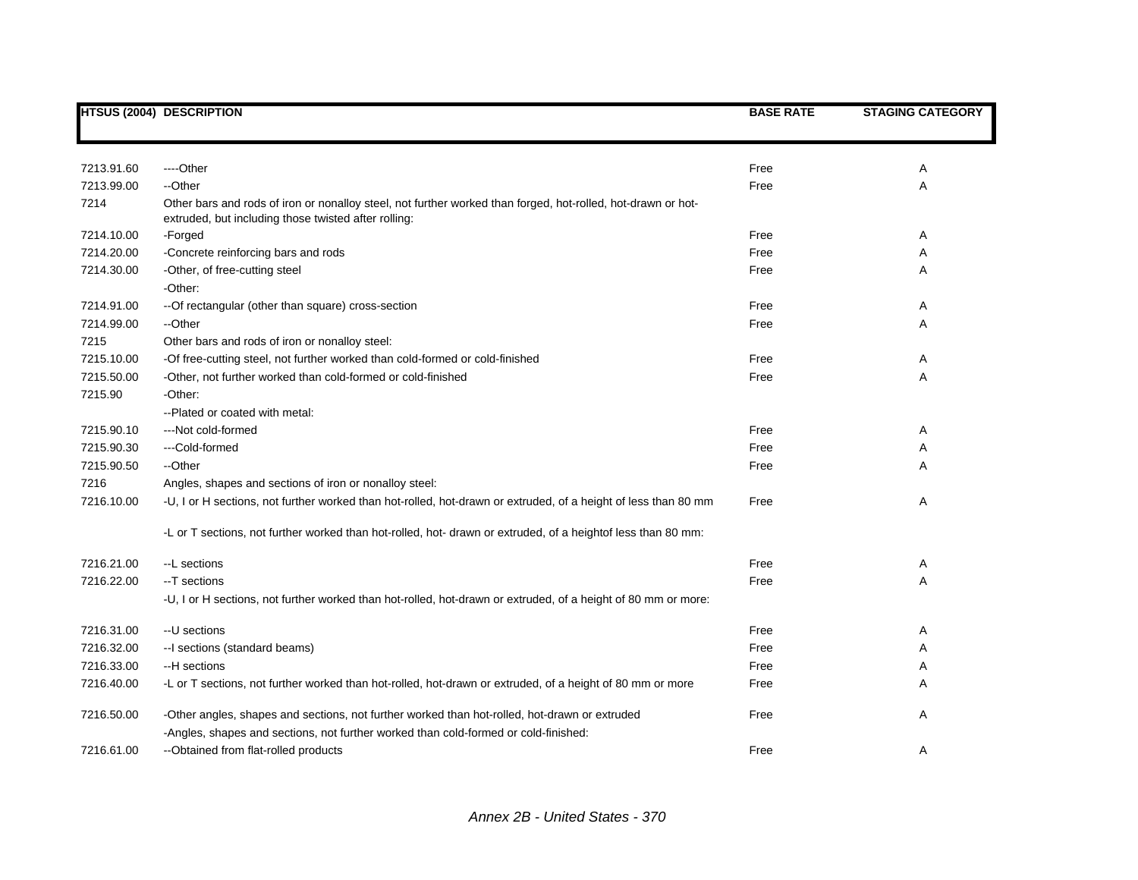|            | <b>HTSUS (2004) DESCRIPTION</b>                                                                                                                                      | <b>BASE RATE</b> | <b>STAGING CATEGORY</b> |
|------------|----------------------------------------------------------------------------------------------------------------------------------------------------------------------|------------------|-------------------------|
|            |                                                                                                                                                                      |                  |                         |
| 7213.91.60 | ----Other                                                                                                                                                            | Free             | Α                       |
| 7213.99.00 | --Other                                                                                                                                                              | Free             | Α                       |
| 7214       | Other bars and rods of iron or nonalloy steel, not further worked than forged, hot-rolled, hot-drawn or hot-<br>extruded, but including those twisted after rolling: |                  |                         |
| 7214.10.00 | -Forged                                                                                                                                                              | Free             | Α                       |
| 7214.20.00 | -Concrete reinforcing bars and rods                                                                                                                                  | Free             | Α                       |
| 7214.30.00 | -Other, of free-cutting steel                                                                                                                                        | Free             | Α                       |
|            | -Other:                                                                                                                                                              |                  |                         |
| 7214.91.00 | --Of rectangular (other than square) cross-section                                                                                                                   | Free             | Α                       |
| 7214.99.00 | --Other                                                                                                                                                              | Free             | Α                       |
| 7215       | Other bars and rods of iron or nonalloy steel:                                                                                                                       |                  |                         |
| 7215.10.00 | -Of free-cutting steel, not further worked than cold-formed or cold-finished                                                                                         | Free             | A                       |
| 7215.50.00 | -Other, not further worked than cold-formed or cold-finished                                                                                                         | Free             | Α                       |
| 7215.90    | -Other:                                                                                                                                                              |                  |                         |
|            | --Plated or coated with metal:                                                                                                                                       |                  |                         |
| 7215.90.10 | ---Not cold-formed                                                                                                                                                   | Free             | Α                       |
| 7215.90.30 | ---Cold-formed                                                                                                                                                       | Free             | A                       |
| 7215.90.50 | --Other                                                                                                                                                              | Free             | Α                       |
| 7216       | Angles, shapes and sections of iron or nonalloy steel:                                                                                                               |                  |                         |
| 7216.10.00 | -U, I or H sections, not further worked than hot-rolled, hot-drawn or extruded, of a height of less than 80 mm                                                       | Free             | Α                       |
|            | -L or T sections, not further worked than hot-rolled, hot- drawn or extruded, of a heightof less than 80 mm:                                                         |                  |                         |
| 7216.21.00 | --L sections                                                                                                                                                         | Free             | Α                       |
| 7216.22.00 | --T sections                                                                                                                                                         | Free             | A                       |
|            | -U, I or H sections, not further worked than hot-rolled, hot-drawn or extruded, of a height of 80 mm or more:                                                        |                  |                         |
| 7216.31.00 | --U sections                                                                                                                                                         | Free             | Α                       |
| 7216.32.00 | -- I sections (standard beams)                                                                                                                                       | Free             | Α                       |
| 7216.33.00 | --H sections                                                                                                                                                         | Free             | Α                       |
| 7216.40.00 | -L or T sections, not further worked than hot-rolled, hot-drawn or extruded, of a height of 80 mm or more                                                            | Free             | Α                       |
| 7216.50.00 | -Other angles, shapes and sections, not further worked than hot-rolled, hot-drawn or extruded                                                                        | Free             | Α                       |
|            | -Angles, shapes and sections, not further worked than cold-formed or cold-finished:                                                                                  |                  |                         |
| 7216.61.00 | --Obtained from flat-rolled products                                                                                                                                 | Free             | A                       |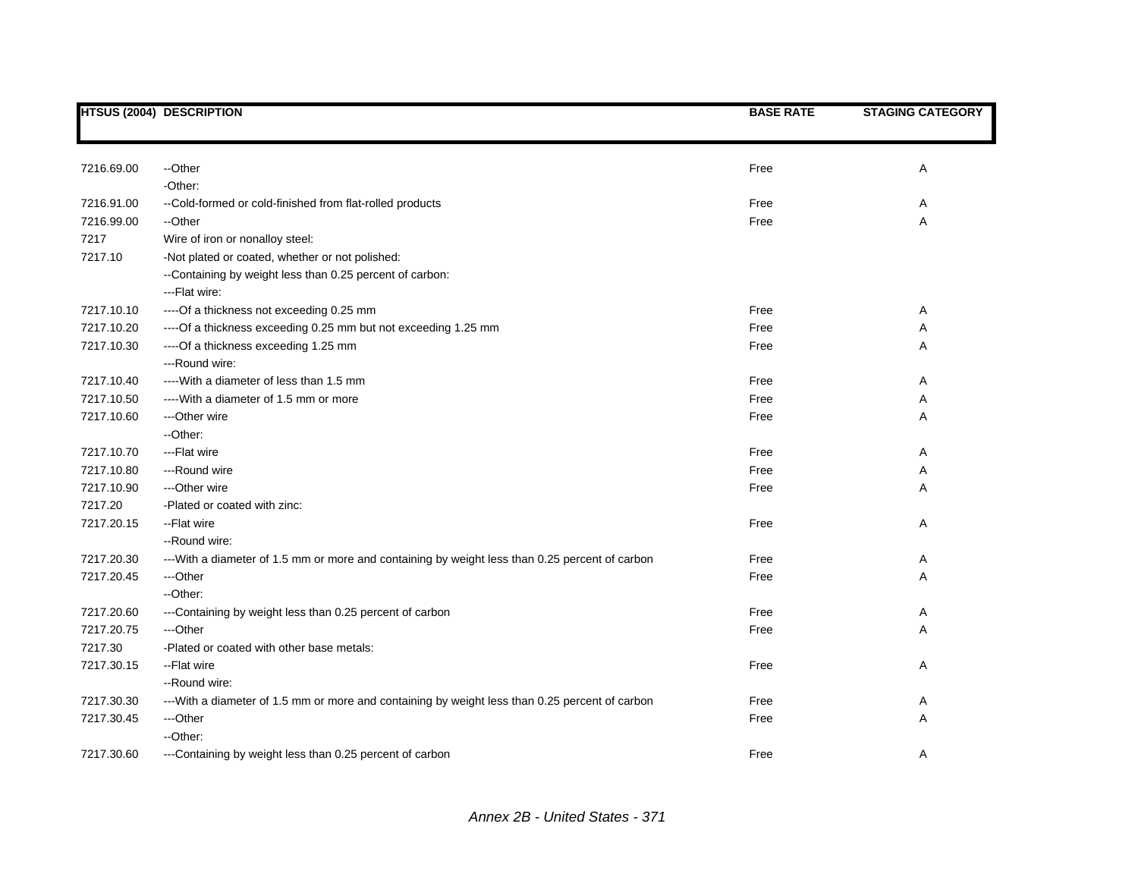|            | <b>HTSUS (2004) DESCRIPTION</b>                                                                 | <b>BASE RATE</b> | <b>STAGING CATEGORY</b> |
|------------|-------------------------------------------------------------------------------------------------|------------------|-------------------------|
|            |                                                                                                 |                  |                         |
|            |                                                                                                 |                  |                         |
| 7216.69.00 | --Other                                                                                         | Free             | Α                       |
|            | -Other:                                                                                         |                  |                         |
| 7216.91.00 | --Cold-formed or cold-finished from flat-rolled products                                        | Free             | Α                       |
| 7216.99.00 | --Other                                                                                         | Free             | Α                       |
| 7217       | Wire of iron or nonalloy steel:                                                                 |                  |                         |
| 7217.10    | -Not plated or coated, whether or not polished:                                                 |                  |                         |
|            | --Containing by weight less than 0.25 percent of carbon:                                        |                  |                         |
|            | --- Flat wire:                                                                                  |                  |                         |
| 7217.10.10 | ---- Of a thickness not exceeding 0.25 mm                                                       | Free             | Α                       |
| 7217.10.20 | ---- Of a thickness exceeding 0.25 mm but not exceeding 1.25 mm                                 | Free             | Α                       |
| 7217.10.30 | ----Of a thickness exceeding 1.25 mm                                                            | Free             | Α                       |
|            | --- Round wire:                                                                                 |                  |                         |
| 7217.10.40 | ---- With a diameter of less than 1.5 mm                                                        | Free             | Α                       |
| 7217.10.50 | ---- With a diameter of 1.5 mm or more                                                          | Free             | Α                       |
| 7217.10.60 | ---Other wire                                                                                   | Free             | Α                       |
|            | --Other:                                                                                        |                  |                         |
| 7217.10.70 | ---Flat wire                                                                                    | Free             | Α                       |
| 7217.10.80 | --- Round wire                                                                                  | Free             | Α                       |
| 7217.10.90 | ---Other wire                                                                                   | Free             | Α                       |
| 7217.20    | -Plated or coated with zinc:                                                                    |                  |                         |
| 7217.20.15 | --Flat wire                                                                                     | Free             | Α                       |
|            | --Round wire:                                                                                   |                  |                         |
| 7217.20.30 | --- With a diameter of 1.5 mm or more and containing by weight less than 0.25 percent of carbon | Free             | Α                       |
| 7217.20.45 | ---Other                                                                                        | Free             | Α                       |
|            | --Other:                                                                                        |                  |                         |
| 7217.20.60 | ---Containing by weight less than 0.25 percent of carbon                                        | Free             | Α                       |
| 7217.20.75 | ---Other                                                                                        | Free             | Α                       |
| 7217.30    | -Plated or coated with other base metals:                                                       |                  |                         |
| 7217.30.15 | -- Flat wire                                                                                    | Free             | Α                       |
|            | -- Round wire:                                                                                  |                  |                         |
| 7217.30.30 | --- With a diameter of 1.5 mm or more and containing by weight less than 0.25 percent of carbon | Free             | Α                       |
| 7217.30.45 | ---Other                                                                                        | Free             | Α                       |
|            | --Other:                                                                                        |                  |                         |
| 7217.30.60 | ---Containing by weight less than 0.25 percent of carbon                                        | Free             | Α                       |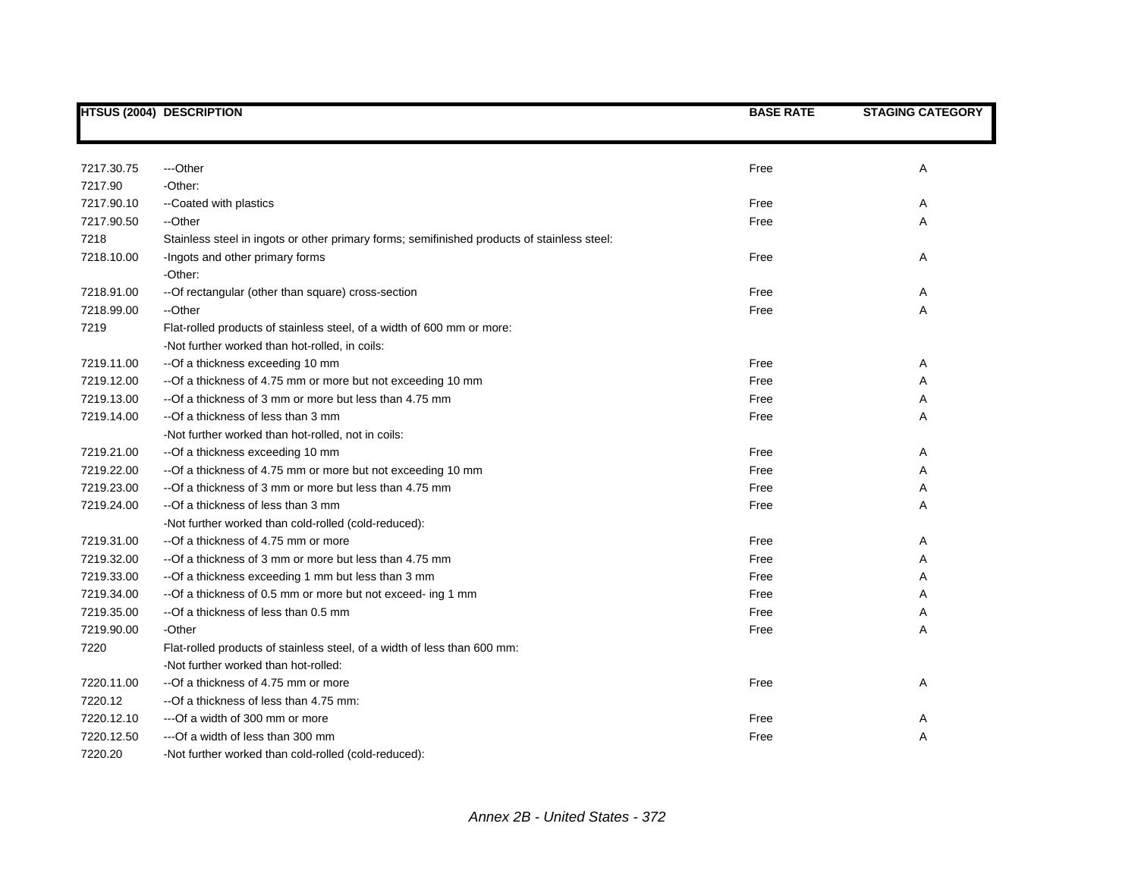|            | <b>HTSUS (2004) DESCRIPTION</b>                                                             | <b>BASE RATE</b> | <b>STAGING CATEGORY</b> |
|------------|---------------------------------------------------------------------------------------------|------------------|-------------------------|
|            |                                                                                             |                  |                         |
|            |                                                                                             |                  |                         |
| 7217.30.75 | ---Other                                                                                    | Free             | Α                       |
| 7217.90    | -Other:                                                                                     |                  |                         |
| 7217.90.10 | --Coated with plastics                                                                      | Free             | Α                       |
| 7217.90.50 | --Other                                                                                     | Free             | A                       |
| 7218       | Stainless steel in ingots or other primary forms; semifinished products of stainless steel: |                  |                         |
| 7218.10.00 | -Ingots and other primary forms                                                             | Free             | Α                       |
|            | -Other:                                                                                     |                  |                         |
| 7218.91.00 | -- Of rectangular (other than square) cross-section                                         | Free             | A                       |
| 7218.99.00 | --Other                                                                                     | Free             | Α                       |
| 7219       | Flat-rolled products of stainless steel, of a width of 600 mm or more:                      |                  |                         |
|            | -Not further worked than hot-rolled, in coils:                                              |                  |                         |
| 7219.11.00 | --Of a thickness exceeding 10 mm                                                            | Free             | A                       |
| 7219.12.00 | -- Of a thickness of 4.75 mm or more but not exceeding 10 mm                                | Free             | Α                       |
| 7219.13.00 | -- Of a thickness of 3 mm or more but less than 4.75 mm                                     | Free             | Α                       |
| 7219.14.00 | --Of a thickness of less than 3 mm                                                          | Free             | Α                       |
|            | -Not further worked than hot-rolled, not in coils:                                          |                  |                         |
| 7219.21.00 | -- Of a thickness exceeding 10 mm                                                           | Free             | Α                       |
| 7219.22.00 | -- Of a thickness of 4.75 mm or more but not exceeding 10 mm                                | Free             | Α                       |
| 7219.23.00 | -- Of a thickness of 3 mm or more but less than 4.75 mm                                     | Free             | Α                       |
| 7219.24.00 | --Of a thickness of less than 3 mm                                                          | Free             | Α                       |
|            | -Not further worked than cold-rolled (cold-reduced):                                        |                  |                         |
| 7219.31.00 | -- Of a thickness of 4.75 mm or more                                                        | Free             | Α                       |
| 7219.32.00 | -- Of a thickness of 3 mm or more but less than 4.75 mm                                     | Free             | Α                       |
| 7219.33.00 | -- Of a thickness exceeding 1 mm but less than 3 mm                                         | Free             | Α                       |
| 7219.34.00 | -- Of a thickness of 0.5 mm or more but not exceed- ing 1 mm                                | Free             | Α                       |
| 7219.35.00 | --Of a thickness of less than 0.5 mm                                                        | Free             | Α                       |
| 7219.90.00 | -Other                                                                                      | Free             | A                       |
| 7220       | Flat-rolled products of stainless steel, of a width of less than 600 mm:                    |                  |                         |
|            | -Not further worked than hot-rolled:                                                        |                  |                         |
| 7220.11.00 | --Of a thickness of 4.75 mm or more                                                         | Free             | Α                       |
| 7220.12    | --Of a thickness of less than 4.75 mm:                                                      |                  |                         |
| 7220.12.10 | --- Of a width of 300 mm or more                                                            | Free             | A                       |
| 7220.12.50 | --- Of a width of less than 300 mm                                                          | Free             | Α                       |
| 7220.20    | -Not further worked than cold-rolled (cold-reduced):                                        |                  |                         |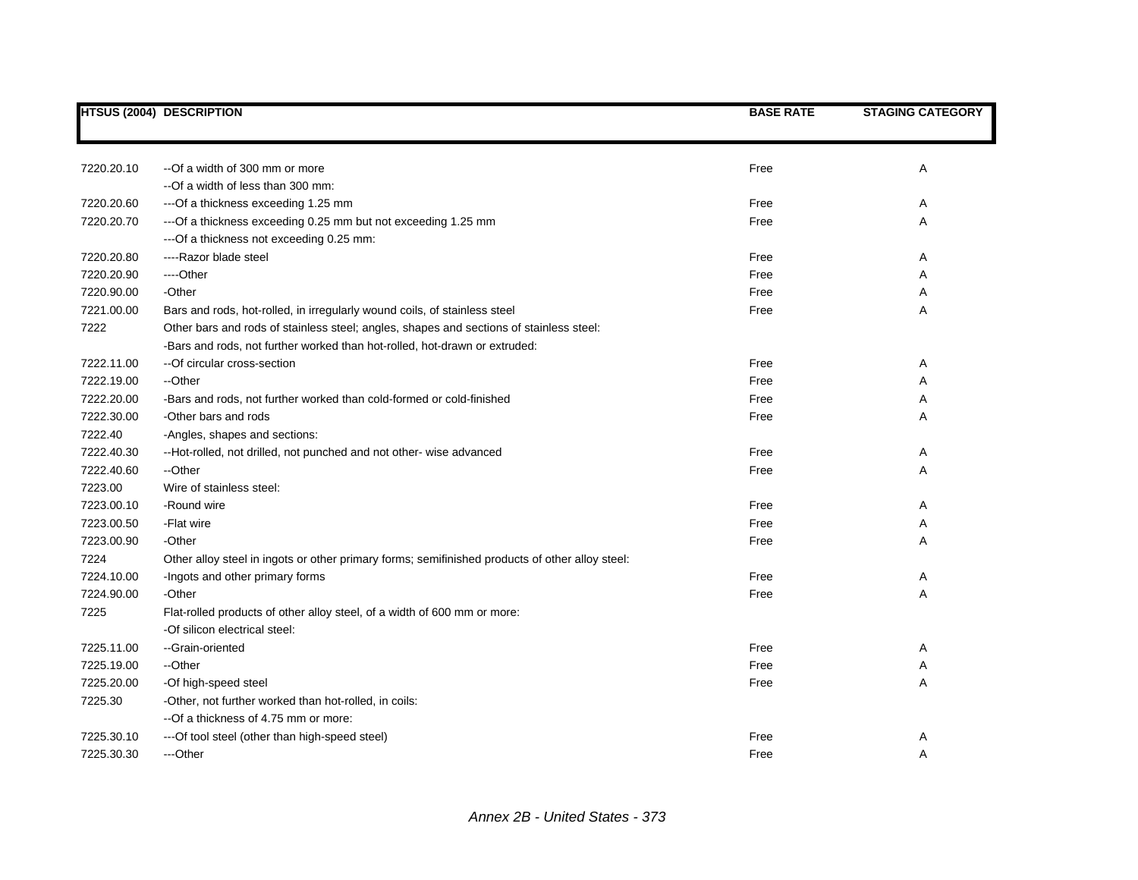|            | <b>HTSUS (2004) DESCRIPTION</b>                                                                 | <b>BASE RATE</b> | <b>STAGING CATEGORY</b> |
|------------|-------------------------------------------------------------------------------------------------|------------------|-------------------------|
|            |                                                                                                 |                  |                         |
|            |                                                                                                 |                  |                         |
| 7220.20.10 | --Of a width of 300 mm or more                                                                  | Free             | Α                       |
|            | --Of a width of less than 300 mm:                                                               |                  |                         |
| 7220.20.60 | ---Of a thickness exceeding 1.25 mm                                                             | Free             | Α                       |
| 7220.20.70 | --- Of a thickness exceeding 0.25 mm but not exceeding 1.25 mm                                  | Free             | Α                       |
|            | --- Of a thickness not exceeding 0.25 mm:                                                       |                  |                         |
| 7220.20.80 | ----Razor blade steel                                                                           | Free             | Α                       |
| 7220.20.90 | ---Other                                                                                        | Free             | Α                       |
| 7220.90.00 | -Other                                                                                          | Free             | Α                       |
| 7221.00.00 | Bars and rods, hot-rolled, in irregularly wound coils, of stainless steel                       | Free             | Α                       |
| 7222       | Other bars and rods of stainless steel; angles, shapes and sections of stainless steel:         |                  |                         |
|            | -Bars and rods, not further worked than hot-rolled, hot-drawn or extruded:                      |                  |                         |
| 7222.11.00 | --Of circular cross-section                                                                     | Free             | Α                       |
| 7222.19.00 | --Other                                                                                         | Free             | Α                       |
| 7222.20.00 | -Bars and rods, not further worked than cold-formed or cold-finished                            | Free             | Α                       |
| 7222.30.00 | -Other bars and rods                                                                            | Free             | Α                       |
| 7222.40    | -Angles, shapes and sections:                                                                   |                  |                         |
| 7222.40.30 | --Hot-rolled, not drilled, not punched and not other- wise advanced                             | Free             | Α                       |
| 7222.40.60 | --Other                                                                                         | Free             | Α                       |
| 7223.00    | Wire of stainless steel:                                                                        |                  |                         |
| 7223.00.10 | -Round wire                                                                                     | Free             | Α                       |
| 7223.00.50 | -Flat wire                                                                                      | Free             | Α                       |
| 7223.00.90 | -Other                                                                                          | Free             | Α                       |
| 7224       | Other alloy steel in ingots or other primary forms; semifinished products of other alloy steel: |                  |                         |
| 7224.10.00 | -Ingots and other primary forms                                                                 | Free             | Α                       |
| 7224.90.00 | -Other                                                                                          | Free             | Α                       |
| 7225       | Flat-rolled products of other alloy steel, of a width of 600 mm or more:                        |                  |                         |
|            | -Of silicon electrical steel:                                                                   |                  |                         |
| 7225.11.00 | --Grain-oriented                                                                                | Free             | Α                       |
| 7225.19.00 | --Other                                                                                         | Free             | Α                       |
| 7225.20.00 | -Of high-speed steel                                                                            | Free             | Α                       |
| 7225.30    | -Other, not further worked than hot-rolled, in coils:                                           |                  |                         |
|            | --Of a thickness of 4.75 mm or more:                                                            |                  |                         |
| 7225.30.10 | --- Of tool steel (other than high-speed steel)                                                 | Free             | Α                       |
| 7225.30.30 | ---Other                                                                                        | Free             | A                       |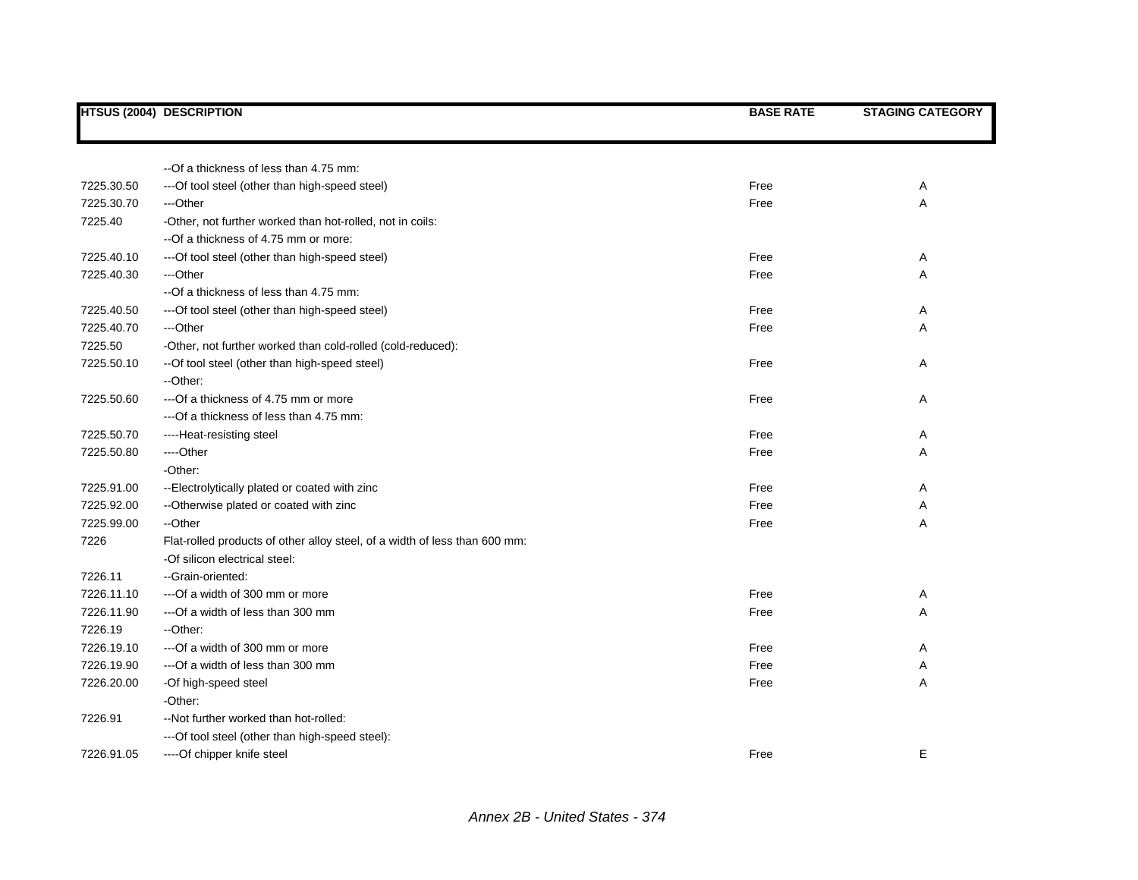|            | <b>HTSUS (2004) DESCRIPTION</b>                                            | <b>BASE RATE</b> | <b>STAGING CATEGORY</b> |
|------------|----------------------------------------------------------------------------|------------------|-------------------------|
|            |                                                                            |                  |                         |
|            | -- Of a thickness of less than 4.75 mm:                                    |                  |                         |
| 7225.30.50 | --- Of tool steel (other than high-speed steel)                            | Free             | Α                       |
| 7225.30.70 | ---Other                                                                   | Free             | Α                       |
| 7225.40    | -Other, not further worked than hot-rolled, not in coils:                  |                  |                         |
|            | --Of a thickness of 4.75 mm or more:                                       |                  |                         |
| 7225.40.10 | --- Of tool steel (other than high-speed steel)                            | Free             | Α                       |
| 7225.40.30 | ---Other                                                                   | Free             | Α                       |
|            | --Of a thickness of less than 4.75 mm:                                     |                  |                         |
| 7225.40.50 | --- Of tool steel (other than high-speed steel)                            | Free             | Α                       |
| 7225.40.70 | ---Other                                                                   | Free             | Α                       |
| 7225.50    | -Other, not further worked than cold-rolled (cold-reduced):                |                  |                         |
| 7225.50.10 | -- Of tool steel (other than high-speed steel)                             | Free             | Α                       |
|            | --Other:                                                                   |                  |                         |
| 7225.50.60 | ---Of a thickness of 4.75 mm or more                                       | Free             | Α                       |
|            | ---Of a thickness of less than 4.75 mm:                                    |                  |                         |
| 7225.50.70 | ----Heat-resisting steel                                                   | Free             | Α                       |
| 7225.50.80 | ----Other                                                                  | Free             | Α                       |
|            | -Other:                                                                    |                  |                         |
| 7225.91.00 | -- Electrolytically plated or coated with zinc                             | Free             | Α                       |
| 7225.92.00 | --Otherwise plated or coated with zinc                                     | Free             | Α                       |
| 7225.99.00 | --Other                                                                    | Free             | Α                       |
| 7226       | Flat-rolled products of other alloy steel, of a width of less than 600 mm: |                  |                         |
|            | -Of silicon electrical steel:                                              |                  |                         |
| 7226.11    | -- Grain-oriented:                                                         |                  |                         |
| 7226.11.10 | --- Of a width of 300 mm or more                                           | Free             | Α                       |
| 7226.11.90 | --- Of a width of less than 300 mm                                         | Free             | Α                       |
| 7226.19    | --Other:                                                                   |                  |                         |
| 7226.19.10 | --- Of a width of 300 mm or more                                           | Free             | Α                       |
| 7226.19.90 | --- Of a width of less than 300 mm                                         | Free             | Α                       |
| 7226.20.00 | -Of high-speed steel                                                       | Free             | Α                       |
|            | -Other:                                                                    |                  |                         |
| 7226.91    | --Not further worked than hot-rolled:                                      |                  |                         |
|            | --- Of tool steel (other than high-speed steel):                           |                  |                         |
| 7226.91.05 | ----Of chipper knife steel                                                 | Free             | Е                       |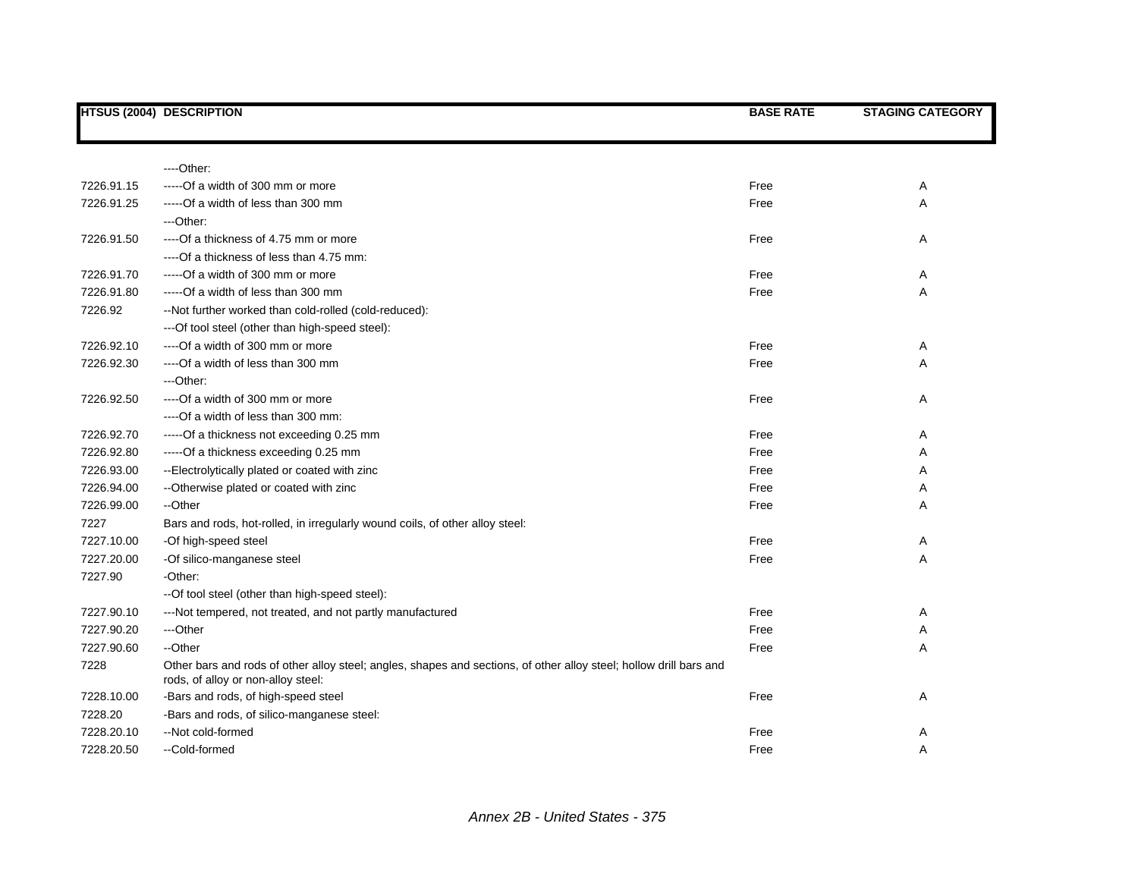|            | <b>HTSUS (2004) DESCRIPTION</b>                                                                                                                          | <b>BASE RATE</b> | <b>STAGING CATEGORY</b> |
|------------|----------------------------------------------------------------------------------------------------------------------------------------------------------|------------------|-------------------------|
|            |                                                                                                                                                          |                  |                         |
|            | ----Other:                                                                                                                                               |                  |                         |
| 7226.91.15 | -----Of a width of 300 mm or more                                                                                                                        | Free             |                         |
| 7226.91.25 |                                                                                                                                                          | Free             | Α                       |
|            | -----Of a width of less than 300 mm                                                                                                                      |                  | Α                       |
|            | ---Other:                                                                                                                                                |                  |                         |
| 7226.91.50 | ----Of a thickness of 4.75 mm or more                                                                                                                    | Free             | Α                       |
|            | ----Of a thickness of less than 4.75 mm:                                                                                                                 |                  |                         |
| 7226.91.70 | -----Of a width of 300 mm or more                                                                                                                        | Free             | Α                       |
| 7226.91.80 | -----Of a width of less than 300 mm                                                                                                                      | Free             | Α                       |
| 7226.92    | --Not further worked than cold-rolled (cold-reduced):                                                                                                    |                  |                         |
|            | --- Of tool steel (other than high-speed steel):                                                                                                         |                  |                         |
| 7226.92.10 | ---- Of a width of 300 mm or more                                                                                                                        | Free             | A                       |
| 7226.92.30 | ----Of a width of less than 300 mm                                                                                                                       | Free             | Α                       |
|            | ---Other:                                                                                                                                                |                  |                         |
| 7226.92.50 | ----Of a width of 300 mm or more                                                                                                                         | Free             | Α                       |
|            | ----Of a width of less than 300 mm:                                                                                                                      |                  |                         |
| 7226.92.70 | -----Of a thickness not exceeding 0.25 mm                                                                                                                | Free             | Α                       |
| 7226.92.80 | -----Of a thickness exceeding 0.25 mm                                                                                                                    | Free             | Α                       |
| 7226.93.00 | --Electrolytically plated or coated with zinc                                                                                                            | Free             | Α                       |
| 7226.94.00 | -- Otherwise plated or coated with zinc                                                                                                                  | Free             | Α                       |
| 7226.99.00 | --Other                                                                                                                                                  | Free             | A                       |
| 7227       | Bars and rods, hot-rolled, in irregularly wound coils, of other alloy steel:                                                                             |                  |                         |
| 7227.10.00 | -Of high-speed steel                                                                                                                                     | Free             | A                       |
| 7227.20.00 | -Of silico-manganese steel                                                                                                                               | Free             | Α                       |
| 7227.90    | -Other:                                                                                                                                                  |                  |                         |
|            | --Of tool steel (other than high-speed steel):                                                                                                           |                  |                         |
| 7227.90.10 | ---Not tempered, not treated, and not partly manufactured                                                                                                | Free             | A                       |
| 7227.90.20 | ---Other                                                                                                                                                 | Free             | Α                       |
| 7227.90.60 | --Other                                                                                                                                                  | Free             | A                       |
| 7228       | Other bars and rods of other alloy steel; angles, shapes and sections, of other alloy steel; hollow drill bars and<br>rods, of alloy or non-alloy steel: |                  |                         |
| 7228.10.00 | -Bars and rods, of high-speed steel                                                                                                                      | Free             | Α                       |
| 7228.20    | -Bars and rods, of silico-manganese steel:                                                                                                               |                  |                         |
| 7228.20.10 | -- Not cold-formed                                                                                                                                       | Free             | Α                       |
| 7228.20.50 | --Cold-formed                                                                                                                                            | Free             | A                       |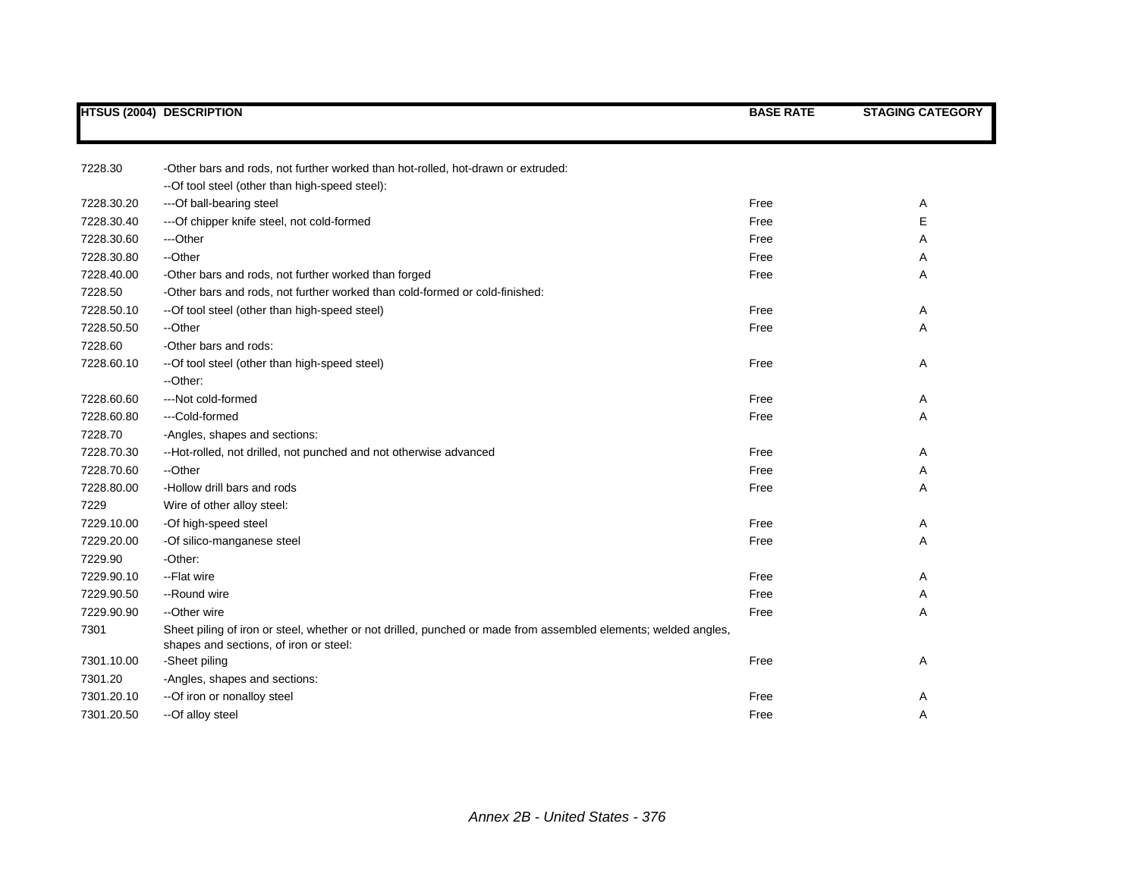|            | <b>HTSUS (2004) DESCRIPTION</b>                                                                                                                          | <b>BASE RATE</b> | <b>STAGING CATEGORY</b> |
|------------|----------------------------------------------------------------------------------------------------------------------------------------------------------|------------------|-------------------------|
|            |                                                                                                                                                          |                  |                         |
| 7228.30    | -Other bars and rods, not further worked than hot-rolled, hot-drawn or extruded:                                                                         |                  |                         |
|            | --Of tool steel (other than high-speed steel):                                                                                                           |                  |                         |
| 7228.30.20 | ---Of ball-bearing steel                                                                                                                                 | Free             | Α                       |
| 7228.30.40 | --- Of chipper knife steel, not cold-formed                                                                                                              | Free             | Е                       |
| 7228.30.60 | ---Other                                                                                                                                                 | Free             | Α                       |
| 7228.30.80 | --Other                                                                                                                                                  | Free             | Α                       |
| 7228.40.00 | -Other bars and rods, not further worked than forged                                                                                                     | Free             | Α                       |
| 7228.50    | -Other bars and rods, not further worked than cold-formed or cold-finished:                                                                              |                  |                         |
| 7228.50.10 | --Of tool steel (other than high-speed steel)                                                                                                            | Free             | Α                       |
| 7228.50.50 | --Other                                                                                                                                                  | Free             | A                       |
| 7228.60    | -Other bars and rods:                                                                                                                                    |                  |                         |
| 7228.60.10 | --Of tool steel (other than high-speed steel)                                                                                                            | Free             | Α                       |
|            | --Other:                                                                                                                                                 |                  |                         |
| 7228.60.60 | ---Not cold-formed                                                                                                                                       | Free             | Α                       |
| 7228.60.80 | ---Cold-formed                                                                                                                                           | Free             | Α                       |
| 7228.70    | -Angles, shapes and sections:                                                                                                                            |                  |                         |
| 7228.70.30 | --Hot-rolled, not drilled, not punched and not otherwise advanced                                                                                        | Free             | A                       |
| 7228.70.60 | --Other                                                                                                                                                  | Free             | Α                       |
| 7228.80.00 | -Hollow drill bars and rods                                                                                                                              | Free             | Α                       |
| 7229       | Wire of other alloy steel:                                                                                                                               |                  |                         |
| 7229.10.00 | -Of high-speed steel                                                                                                                                     | Free             | Α                       |
| 7229.20.00 | -Of silico-manganese steel                                                                                                                               | Free             | Α                       |
| 7229.90    | -Other:                                                                                                                                                  |                  |                         |
| 7229.90.10 | -- Flat wire                                                                                                                                             | Free             | Α                       |
| 7229.90.50 | --Round wire                                                                                                                                             | Free             | Α                       |
| 7229.90.90 | --Other wire                                                                                                                                             | Free             | Α                       |
| 7301       | Sheet piling of iron or steel, whether or not drilled, punched or made from assembled elements; welded angles,<br>shapes and sections, of iron or steel: |                  |                         |
| 7301.10.00 | -Sheet piling                                                                                                                                            | Free             | Α                       |
| 7301.20    | -Angles, shapes and sections:                                                                                                                            |                  |                         |
| 7301.20.10 | -- Of iron or nonalloy steel                                                                                                                             | Free             | A                       |
| 7301.20.50 | --Of alloy steel                                                                                                                                         | Free             | Α                       |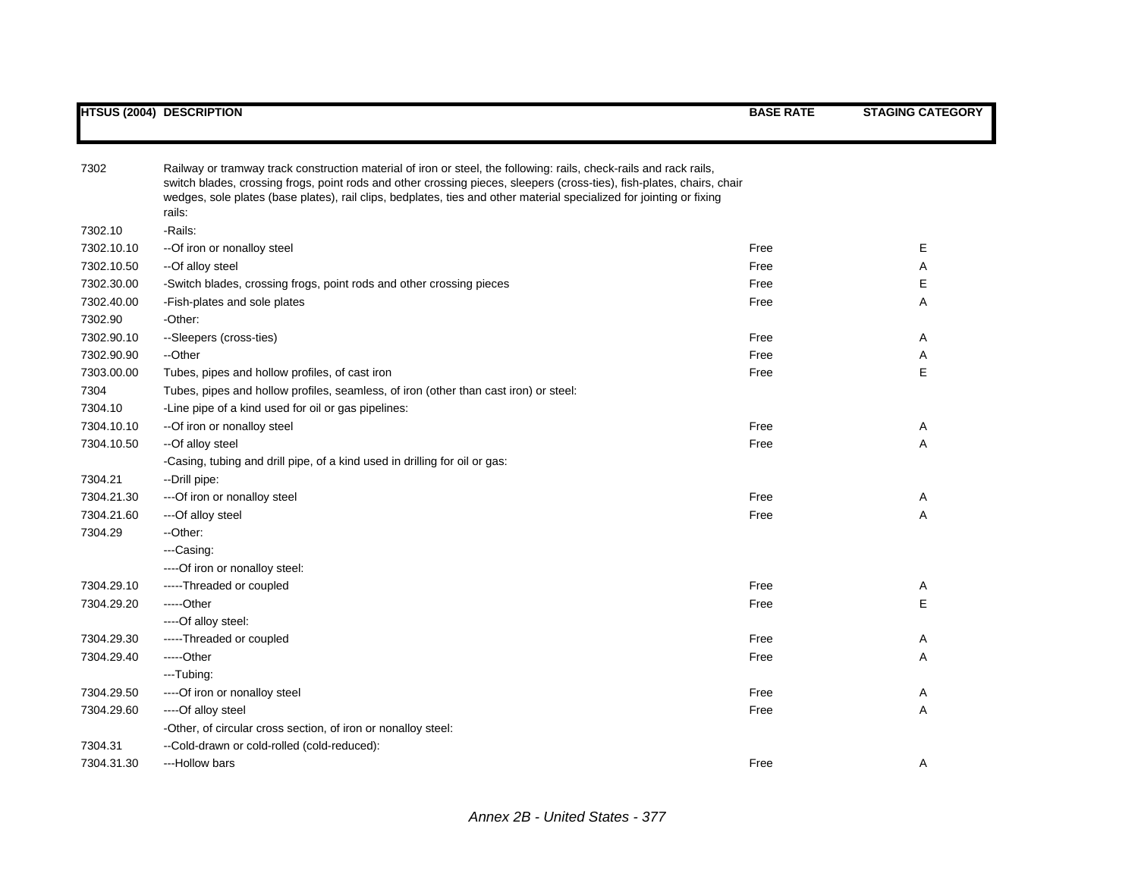| 7302       | Railway or tramway track construction material of iron or steel, the following: rails, check-rails and rack rails,<br>switch blades, crossing frogs, point rods and other crossing pieces, sleepers (cross-ties), fish-plates, chairs, chair<br>wedges, sole plates (base plates), rail clips, bedplates, ties and other material specialized for jointing or fixing<br>rails: |      |   |
|------------|--------------------------------------------------------------------------------------------------------------------------------------------------------------------------------------------------------------------------------------------------------------------------------------------------------------------------------------------------------------------------------|------|---|
| 7302.10    | -Rails:                                                                                                                                                                                                                                                                                                                                                                        |      |   |
| 7302.10.10 | -- Of iron or nonalloy steel                                                                                                                                                                                                                                                                                                                                                   | Free | Е |
| 7302.10.50 | --Of alloy steel                                                                                                                                                                                                                                                                                                                                                               | Free | A |
| 7302.30.00 | -Switch blades, crossing frogs, point rods and other crossing pieces                                                                                                                                                                                                                                                                                                           | Free | Е |
| 7302.40.00 | -Fish-plates and sole plates                                                                                                                                                                                                                                                                                                                                                   | Free | Α |
| 7302.90    | -Other:                                                                                                                                                                                                                                                                                                                                                                        |      |   |
| 7302.90.10 | --Sleepers (cross-ties)                                                                                                                                                                                                                                                                                                                                                        | Free | A |
| 7302.90.90 | --Other                                                                                                                                                                                                                                                                                                                                                                        | Free | Α |
| 7303.00.00 | Tubes, pipes and hollow profiles, of cast iron                                                                                                                                                                                                                                                                                                                                 | Free | Е |
| 7304       | Tubes, pipes and hollow profiles, seamless, of iron (other than cast iron) or steel:                                                                                                                                                                                                                                                                                           |      |   |
| 7304.10    | -Line pipe of a kind used for oil or gas pipelines:                                                                                                                                                                                                                                                                                                                            |      |   |
| 7304.10.10 | -- Of iron or nonalloy steel                                                                                                                                                                                                                                                                                                                                                   | Free | A |
| 7304.10.50 | --Of alloy steel                                                                                                                                                                                                                                                                                                                                                               | Free | Α |
|            | -Casing, tubing and drill pipe, of a kind used in drilling for oil or gas:                                                                                                                                                                                                                                                                                                     |      |   |
| 7304.21    | --Drill pipe:                                                                                                                                                                                                                                                                                                                                                                  |      |   |
| 7304.21.30 | --- Of iron or nonalloy steel                                                                                                                                                                                                                                                                                                                                                  | Free | A |
| 7304.21.60 | ---Of alloy steel                                                                                                                                                                                                                                                                                                                                                              | Free | A |
| 7304.29    | --Other:                                                                                                                                                                                                                                                                                                                                                                       |      |   |
|            | ---Casing:                                                                                                                                                                                                                                                                                                                                                                     |      |   |
|            | ----Of iron or nonalloy steel:                                                                                                                                                                                                                                                                                                                                                 |      |   |
| 7304.29.10 | -----Threaded or coupled                                                                                                                                                                                                                                                                                                                                                       | Free | A |
| 7304.29.20 | -----Other                                                                                                                                                                                                                                                                                                                                                                     | Free | Е |
|            | ----Of alloy steel:                                                                                                                                                                                                                                                                                                                                                            |      |   |
| 7304.29.30 | -----Threaded or coupled                                                                                                                                                                                                                                                                                                                                                       | Free | A |
| 7304.29.40 | -----Other                                                                                                                                                                                                                                                                                                                                                                     | Free | Α |
|            | ---Tubing:                                                                                                                                                                                                                                                                                                                                                                     |      |   |
| 7304.29.50 | ---- Of iron or nonalloy steel                                                                                                                                                                                                                                                                                                                                                 | Free | A |
| 7304.29.60 | ----Of alloy steel                                                                                                                                                                                                                                                                                                                                                             | Free | Α |
|            | -Other, of circular cross section, of iron or nonalloy steel:                                                                                                                                                                                                                                                                                                                  |      |   |
| 7304.31    | --Cold-drawn or cold-rolled (cold-reduced):                                                                                                                                                                                                                                                                                                                                    |      |   |
| 7304.31.30 | ---Hollow bars                                                                                                                                                                                                                                                                                                                                                                 | Free | Α |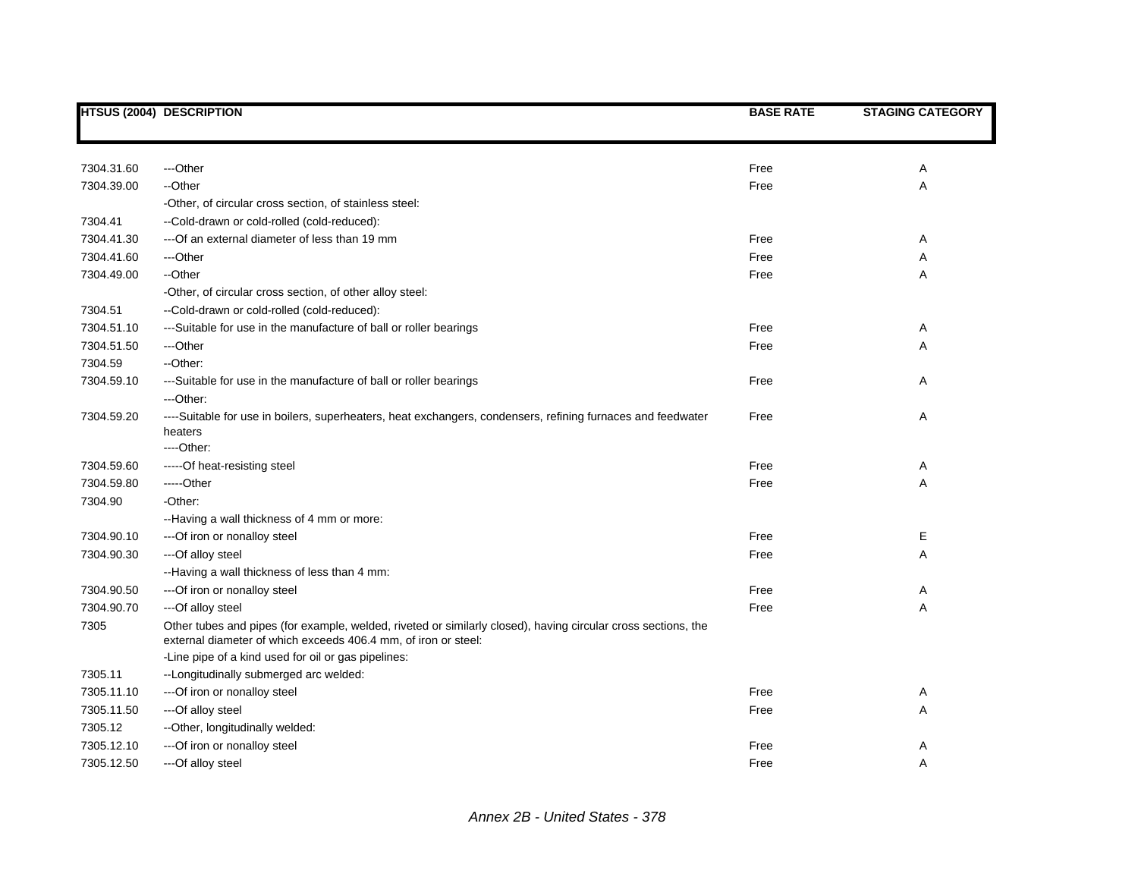|            | <b>HTSUS (2004) DESCRIPTION</b>                                                                                                                                                 | <b>BASE RATE</b> | <b>STAGING CATEGORY</b> |
|------------|---------------------------------------------------------------------------------------------------------------------------------------------------------------------------------|------------------|-------------------------|
|            |                                                                                                                                                                                 |                  |                         |
| 7304.31.60 | ---Other                                                                                                                                                                        | Free             | Α                       |
| 7304.39.00 | --Other                                                                                                                                                                         | Free             | Α                       |
|            | -Other, of circular cross section, of stainless steel:                                                                                                                          |                  |                         |
| 7304.41    | --Cold-drawn or cold-rolled (cold-reduced):                                                                                                                                     |                  |                         |
| 7304.41.30 | --- Of an external diameter of less than 19 mm                                                                                                                                  | Free             | Α                       |
| 7304.41.60 | ---Other                                                                                                                                                                        | Free             | Α                       |
| 7304.49.00 | --Other                                                                                                                                                                         | Free             | Α                       |
|            | -Other, of circular cross section, of other alloy steel:                                                                                                                        |                  |                         |
| 7304.51    | --Cold-drawn or cold-rolled (cold-reduced):                                                                                                                                     |                  |                         |
| 7304.51.10 | ---Suitable for use in the manufacture of ball or roller bearings                                                                                                               | Free             | Α                       |
| 7304.51.50 | ---Other                                                                                                                                                                        | Free             | Α                       |
| 7304.59    | --Other:                                                                                                                                                                        |                  |                         |
| 7304.59.10 | ---Suitable for use in the manufacture of ball or roller bearings                                                                                                               | Free             | Α                       |
|            | ---Other:                                                                                                                                                                       |                  |                         |
| 7304.59.20 | ----Suitable for use in boilers, superheaters, heat exchangers, condensers, refining furnaces and feedwater                                                                     | Free             | Α                       |
|            | heaters                                                                                                                                                                         |                  |                         |
|            | $---Other:$                                                                                                                                                                     |                  |                         |
| 7304.59.60 | -----Of heat-resisting steel                                                                                                                                                    | Free             | Α                       |
| 7304.59.80 | -----Other                                                                                                                                                                      | Free             | Α                       |
| 7304.90    | -Other:                                                                                                                                                                         |                  |                         |
|            | --Having a wall thickness of 4 mm or more:                                                                                                                                      |                  |                         |
| 7304.90.10 | --- Of iron or nonalloy steel                                                                                                                                                   | Free             | Е                       |
| 7304.90.30 | ---Of alloy steel                                                                                                                                                               | Free             | Α                       |
|            | --Having a wall thickness of less than 4 mm:                                                                                                                                    |                  |                         |
| 7304.90.50 | --- Of iron or nonalloy steel                                                                                                                                                   | Free             | Α                       |
| 7304.90.70 | --- Of alloy steel                                                                                                                                                              | Free             | A                       |
| 7305       | Other tubes and pipes (for example, welded, riveted or similarly closed), having circular cross sections, the<br>external diameter of which exceeds 406.4 mm, of iron or steel: |                  |                         |
|            | -Line pipe of a kind used for oil or gas pipelines:                                                                                                                             |                  |                         |
| 7305.11    | --Longitudinally submerged arc welded:                                                                                                                                          |                  |                         |
| 7305.11.10 | --- Of iron or nonalloy steel                                                                                                                                                   | Free             | Α                       |
| 7305.11.50 | ---Of alloy steel                                                                                                                                                               | Free             | Α                       |
| 7305.12    | --Other, longitudinally welded:                                                                                                                                                 |                  |                         |
| 7305.12.10 | --- Of iron or nonalloy steel                                                                                                                                                   | Free             | Α                       |
| 7305.12.50 | ---Of alloy steel                                                                                                                                                               | Free             | A                       |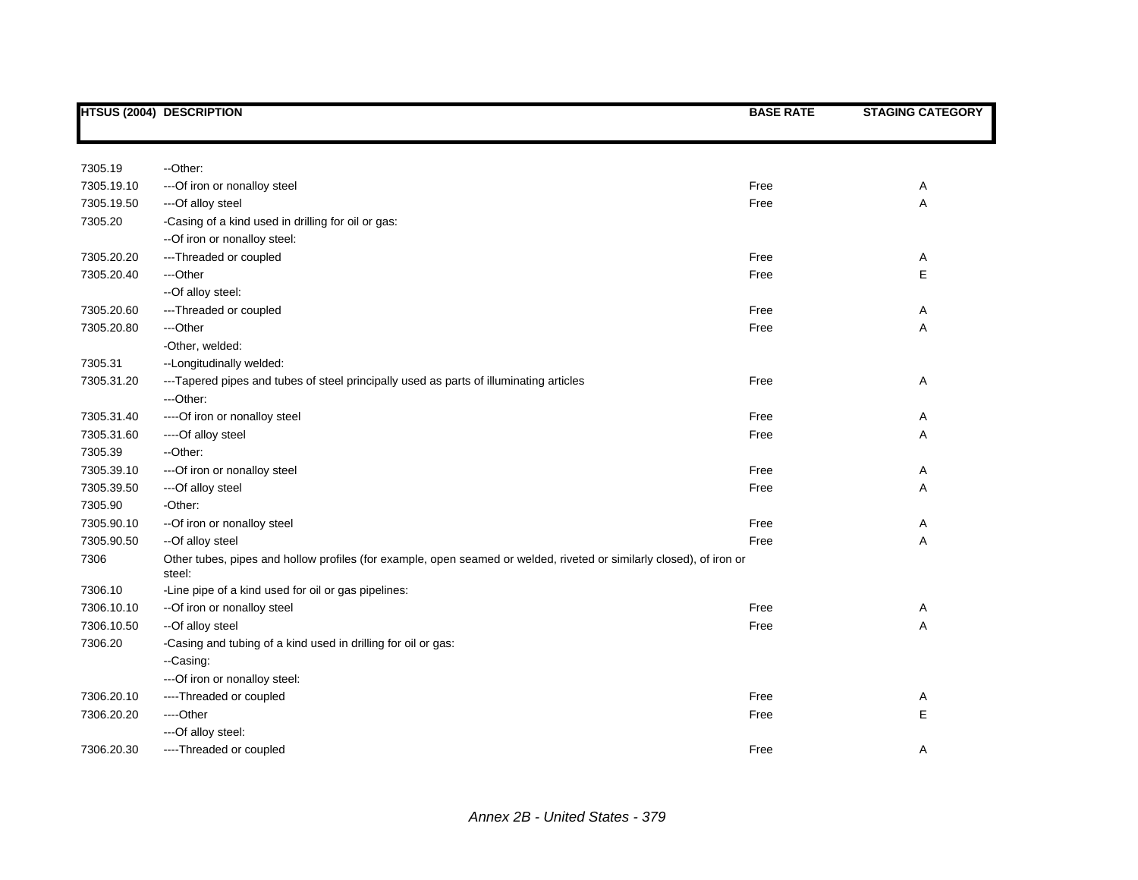|            | <b>HTSUS (2004) DESCRIPTION</b>                                                                                                | <b>BASE RATE</b> | <b>STAGING CATEGORY</b> |
|------------|--------------------------------------------------------------------------------------------------------------------------------|------------------|-------------------------|
|            |                                                                                                                                |                  |                         |
| 7305.19    | -- Other:                                                                                                                      |                  |                         |
| 7305.19.10 | --- Of iron or nonalloy steel                                                                                                  | Free             | Α                       |
| 7305.19.50 | ---Of alloy steel                                                                                                              | Free             | Α                       |
| 7305.20    | -Casing of a kind used in drilling for oil or gas:                                                                             |                  |                         |
|            | --Of iron or nonalloy steel:                                                                                                   |                  |                         |
| 7305.20.20 | ---Threaded or coupled                                                                                                         | Free             | Α                       |
| 7305.20.40 | ---Other                                                                                                                       | Free             | E                       |
|            | --Of alloy steel:                                                                                                              |                  |                         |
| 7305.20.60 | ---Threaded or coupled                                                                                                         | Free             | Α                       |
| 7305.20.80 | ---Other                                                                                                                       | Free             | Α                       |
|            | -Other, welded:                                                                                                                |                  |                         |
| 7305.31    | --Longitudinally welded:                                                                                                       |                  |                         |
| 7305.31.20 | ---Tapered pipes and tubes of steel principally used as parts of illuminating articles                                         | Free             | Α                       |
|            | ---Other:                                                                                                                      |                  |                         |
| 7305.31.40 | ---- Of iron or nonalloy steel                                                                                                 | Free             | Α                       |
| 7305.31.60 | ----Of alloy steel                                                                                                             | Free             | Α                       |
| 7305.39    | -- Other:                                                                                                                      |                  |                         |
| 7305.39.10 | --- Of iron or nonalloy steel                                                                                                  | Free             | Α                       |
| 7305.39.50 | ---Of alloy steel                                                                                                              | Free             | Α                       |
| 7305.90    | -Other:                                                                                                                        |                  |                         |
| 7305.90.10 | -- Of iron or nonalloy steel                                                                                                   | Free             | Α                       |
| 7305.90.50 | --Of alloy steel                                                                                                               | Free             | Α                       |
| 7306       | Other tubes, pipes and hollow profiles (for example, open seamed or welded, riveted or similarly closed), of iron or<br>steel: |                  |                         |
| 7306.10    | -Line pipe of a kind used for oil or gas pipelines:                                                                            |                  |                         |
| 7306.10.10 | --Of iron or nonalloy steel                                                                                                    | Free             | Α                       |
| 7306.10.50 | --Of alloy steel                                                                                                               | Free             | Α                       |
| 7306.20    | -Casing and tubing of a kind used in drilling for oil or gas:                                                                  |                  |                         |
|            | --Casing:                                                                                                                      |                  |                         |
|            | --- Of iron or nonalloy steel:                                                                                                 |                  |                         |
| 7306.20.10 | ----Threaded or coupled                                                                                                        | Free             | Α                       |
| 7306.20.20 | ---Other                                                                                                                       | Free             | E                       |
|            | ---Of alloy steel:                                                                                                             |                  |                         |
| 7306.20.30 | ----Threaded or coupled                                                                                                        | Free             | A                       |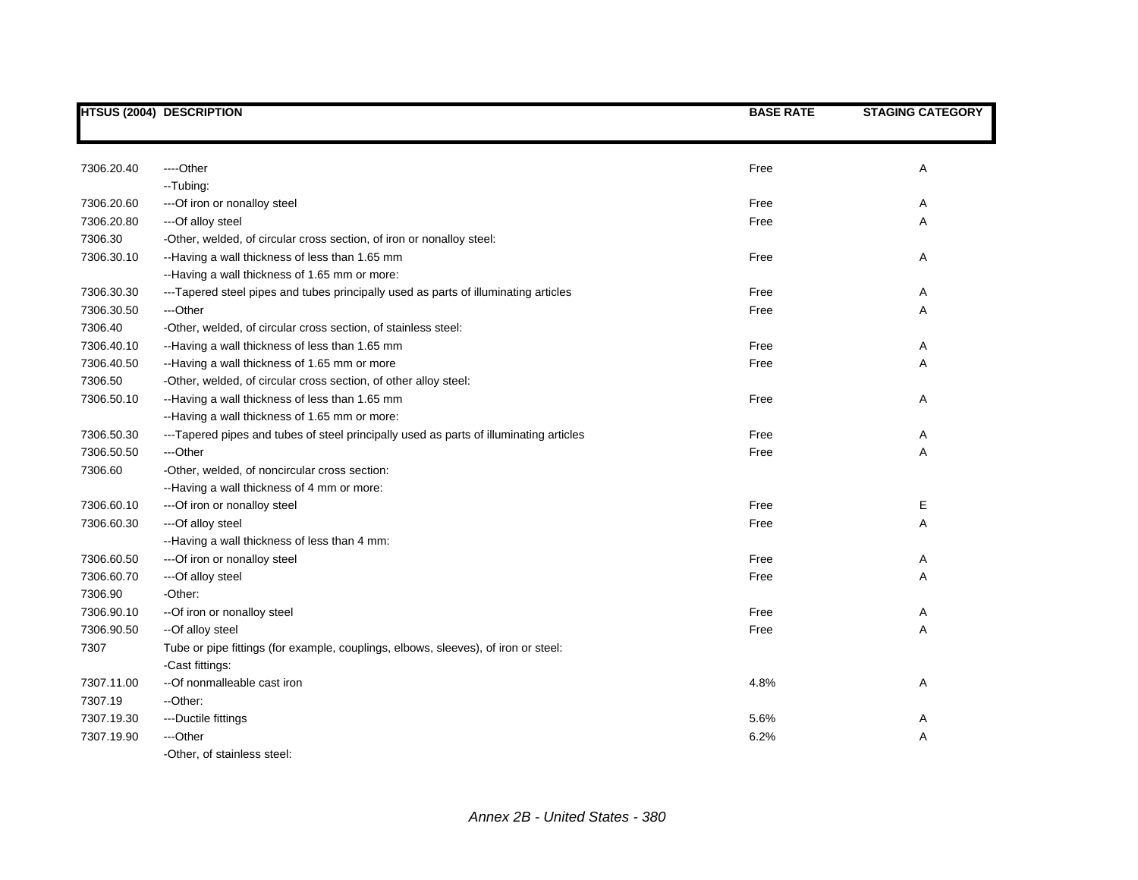|            | <b>HTSUS (2004) DESCRIPTION</b>                                                        | <b>BASE RATE</b> | <b>STAGING CATEGORY</b> |
|------------|----------------------------------------------------------------------------------------|------------------|-------------------------|
|            |                                                                                        |                  |                         |
| 7306.20.40 | ----Other                                                                              | Free             | Α                       |
|            | --Tubing:                                                                              |                  |                         |
| 7306.20.60 | --- Of iron or nonalloy steel                                                          | Free             | Α                       |
| 7306.20.80 | ---Of alloy steel                                                                      | Free             | Α                       |
| 7306.30    | -Other, welded, of circular cross section, of iron or nonalloy steel:                  |                  |                         |
| 7306.30.10 | --Having a wall thickness of less than 1.65 mm                                         | Free             | Α                       |
|            | --Having a wall thickness of 1.65 mm or more:                                          |                  |                         |
| 7306.30.30 | ---Tapered steel pipes and tubes principally used as parts of illuminating articles    | Free             | Α                       |
| 7306.30.50 | ---Other                                                                               | Free             | Α                       |
| 7306.40    | -Other, welded, of circular cross section, of stainless steel:                         |                  |                         |
| 7306.40.10 | --Having a wall thickness of less than 1.65 mm                                         | Free             | Α                       |
| 7306.40.50 | --Having a wall thickness of 1.65 mm or more                                           | Free             | Α                       |
| 7306.50    | -Other, welded, of circular cross section, of other alloy steel:                       |                  |                         |
| 7306.50.10 | --Having a wall thickness of less than 1.65 mm                                         | Free             | Α                       |
|            | --Having a wall thickness of 1.65 mm or more:                                          |                  |                         |
| 7306.50.30 | ---Tapered pipes and tubes of steel principally used as parts of illuminating articles | Free             | Α                       |
| 7306.50.50 | ---Other                                                                               | Free             | Α                       |
| 7306.60    | -Other, welded, of noncircular cross section:                                          |                  |                         |
|            | --Having a wall thickness of 4 mm or more:                                             |                  |                         |
| 7306.60.10 | --- Of iron or nonalloy steel                                                          | Free             | Е                       |
| 7306.60.30 | ---Of alloy steel                                                                      | Free             | Α                       |
|            | --Having a wall thickness of less than 4 mm:                                           |                  |                         |
| 7306.60.50 | --- Of iron or nonalloy steel                                                          | Free             | Α                       |
| 7306.60.70 | ---Of alloy steel                                                                      | Free             | Α                       |
| 7306.90    | -Other:                                                                                |                  |                         |
| 7306.90.10 | -- Of iron or nonalloy steel                                                           | Free             | Α                       |
| 7306.90.50 | --Of alloy steel                                                                       | Free             | Α                       |
| 7307       | Tube or pipe fittings (for example, couplings, elbows, sleeves), of iron or steel:     |                  |                         |
|            | -Cast fittings:                                                                        |                  |                         |
| 7307.11.00 | --Of nonmalleable cast iron                                                            | 4.8%             | Α                       |
| 7307.19    | --Other:                                                                               |                  |                         |
| 7307.19.30 | ---Ductile fittings                                                                    | 5.6%             | Α                       |
| 7307.19.90 | ---Other                                                                               | 6.2%             | Α                       |
|            | -Other, of stainless steel:                                                            |                  |                         |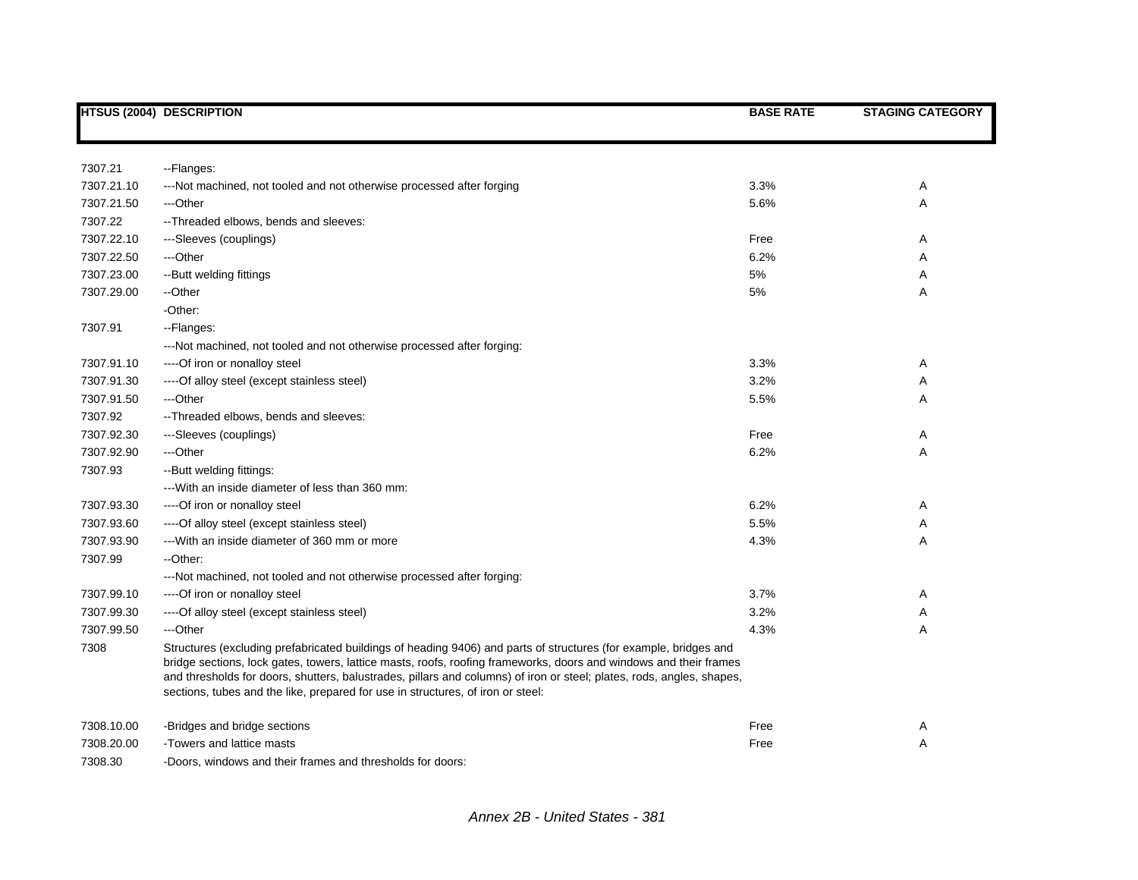|            | <b>HTSUS (2004) DESCRIPTION</b>                                                                                                                                                                                                                                                                                                                                                                                                                   | <b>BASE RATE</b> | <b>STAGING CATEGORY</b> |
|------------|---------------------------------------------------------------------------------------------------------------------------------------------------------------------------------------------------------------------------------------------------------------------------------------------------------------------------------------------------------------------------------------------------------------------------------------------------|------------------|-------------------------|
|            |                                                                                                                                                                                                                                                                                                                                                                                                                                                   |                  |                         |
| 7307.21    | --Flanges:                                                                                                                                                                                                                                                                                                                                                                                                                                        |                  |                         |
| 7307.21.10 | ---Not machined, not tooled and not otherwise processed after forging                                                                                                                                                                                                                                                                                                                                                                             | 3.3%             | Α                       |
| 7307.21.50 | ---Other                                                                                                                                                                                                                                                                                                                                                                                                                                          | 5.6%             | Α                       |
| 7307.22    | -- Threaded elbows, bends and sleeves:                                                                                                                                                                                                                                                                                                                                                                                                            |                  |                         |
| 7307.22.10 | ---Sleeves (couplings)                                                                                                                                                                                                                                                                                                                                                                                                                            | Free             | Α                       |
| 7307.22.50 | ---Other                                                                                                                                                                                                                                                                                                                                                                                                                                          | 6.2%             | Α                       |
| 7307.23.00 | --Butt welding fittings                                                                                                                                                                                                                                                                                                                                                                                                                           | 5%               | Α                       |
| 7307.29.00 | --Other                                                                                                                                                                                                                                                                                                                                                                                                                                           | 5%               | Α                       |
|            | -Other:                                                                                                                                                                                                                                                                                                                                                                                                                                           |                  |                         |
| 7307.91    | --Flanges:                                                                                                                                                                                                                                                                                                                                                                                                                                        |                  |                         |
|            | ---Not machined, not tooled and not otherwise processed after forging:                                                                                                                                                                                                                                                                                                                                                                            |                  |                         |
| 7307.91.10 | ---- Of iron or nonalloy steel                                                                                                                                                                                                                                                                                                                                                                                                                    | 3.3%             | Α                       |
| 7307.91.30 | ---- Of alloy steel (except stainless steel)                                                                                                                                                                                                                                                                                                                                                                                                      | 3.2%             | Α                       |
| 7307.91.50 | ---Other                                                                                                                                                                                                                                                                                                                                                                                                                                          | 5.5%             | Α                       |
| 7307.92    | -- Threaded elbows, bends and sleeves:                                                                                                                                                                                                                                                                                                                                                                                                            |                  |                         |
| 7307.92.30 | ---Sleeves (couplings)                                                                                                                                                                                                                                                                                                                                                                                                                            | Free             | Α                       |
| 7307.92.90 | ---Other                                                                                                                                                                                                                                                                                                                                                                                                                                          | 6.2%             | Α                       |
| 7307.93    | -- Butt welding fittings:                                                                                                                                                                                                                                                                                                                                                                                                                         |                  |                         |
|            | --- With an inside diameter of less than 360 mm:                                                                                                                                                                                                                                                                                                                                                                                                  |                  |                         |
| 7307.93.30 | ---- Of iron or nonalloy steel                                                                                                                                                                                                                                                                                                                                                                                                                    | 6.2%             | Α                       |
| 7307.93.60 | ----Of alloy steel (except stainless steel)                                                                                                                                                                                                                                                                                                                                                                                                       | 5.5%             | Α                       |
| 7307.93.90 | --- With an inside diameter of 360 mm or more                                                                                                                                                                                                                                                                                                                                                                                                     | 4.3%             | Α                       |
| 7307.99    | --Other:                                                                                                                                                                                                                                                                                                                                                                                                                                          |                  |                         |
|            | ---Not machined, not tooled and not otherwise processed after forging:                                                                                                                                                                                                                                                                                                                                                                            |                  |                         |
| 7307.99.10 | ---- Of iron or nonalloy steel                                                                                                                                                                                                                                                                                                                                                                                                                    | 3.7%             | Α                       |
| 7307.99.30 | ---- Of alloy steel (except stainless steel)                                                                                                                                                                                                                                                                                                                                                                                                      | 3.2%             | Α                       |
| 7307.99.50 | ---Other                                                                                                                                                                                                                                                                                                                                                                                                                                          | 4.3%             | A                       |
| 7308       | Structures (excluding prefabricated buildings of heading 9406) and parts of structures (for example, bridges and<br>bridge sections, lock gates, towers, lattice masts, roofs, roofing frameworks, doors and windows and their frames<br>and thresholds for doors, shutters, balustrades, pillars and columns) of iron or steel; plates, rods, angles, shapes,<br>sections, tubes and the like, prepared for use in structures, of iron or steel: |                  |                         |
| 7308.10.00 | -Bridges and bridge sections                                                                                                                                                                                                                                                                                                                                                                                                                      | Free             | Α                       |
| 7308.20.00 | -Towers and lattice masts                                                                                                                                                                                                                                                                                                                                                                                                                         | Free             | Α                       |
| 7308.30    | -Doors, windows and their frames and thresholds for doors:                                                                                                                                                                                                                                                                                                                                                                                        |                  |                         |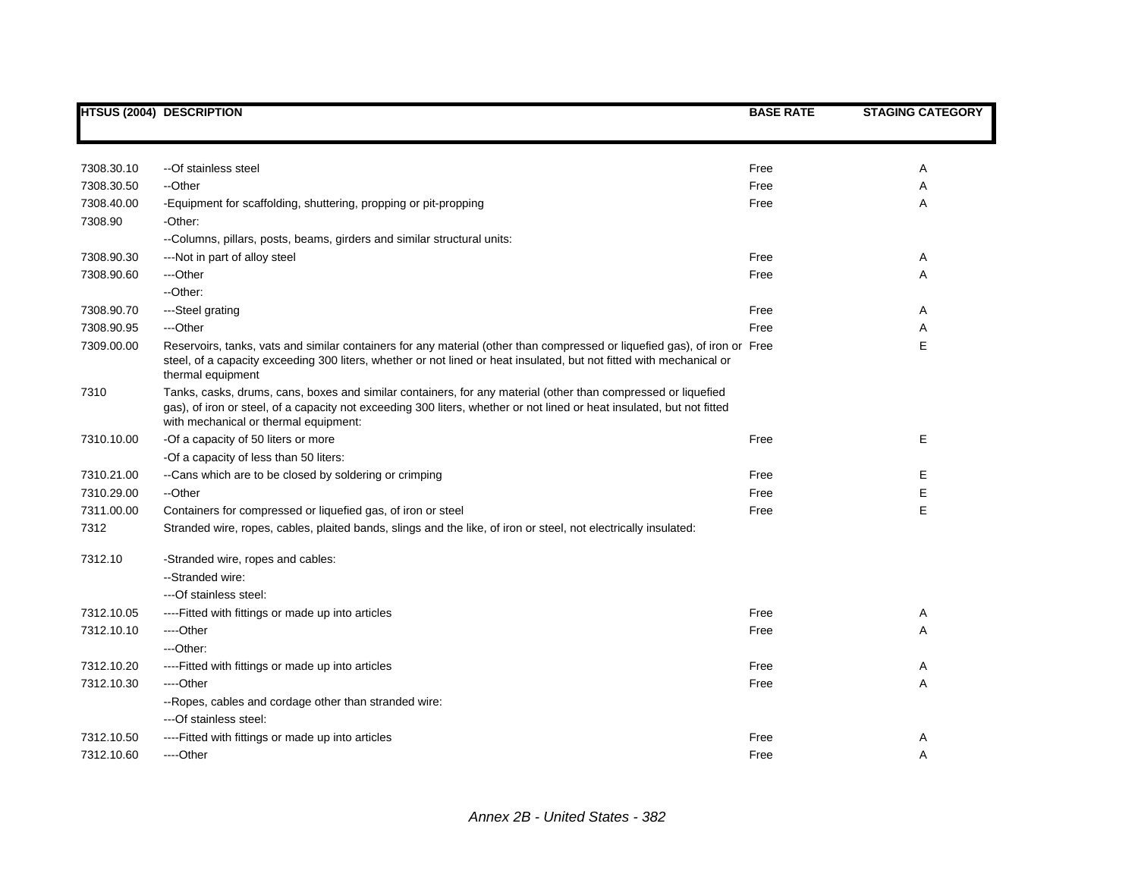|            | <b>HTSUS (2004) DESCRIPTION</b>                                                                                                                                                                                                                                                  | <b>BASE RATE</b> | <b>STAGING CATEGORY</b> |
|------------|----------------------------------------------------------------------------------------------------------------------------------------------------------------------------------------------------------------------------------------------------------------------------------|------------------|-------------------------|
|            |                                                                                                                                                                                                                                                                                  |                  |                         |
| 7308.30.10 | --Of stainless steel                                                                                                                                                                                                                                                             | Free             | Α                       |
| 7308.30.50 | --Other                                                                                                                                                                                                                                                                          | Free             | Α                       |
| 7308.40.00 | -Equipment for scaffolding, shuttering, propping or pit-propping                                                                                                                                                                                                                 | Free             | Α                       |
| 7308.90    | -Other:                                                                                                                                                                                                                                                                          |                  |                         |
|            | --Columns, pillars, posts, beams, girders and similar structural units:                                                                                                                                                                                                          |                  |                         |
| 7308.90.30 | ---Not in part of alloy steel                                                                                                                                                                                                                                                    | Free             | Α                       |
| 7308.90.60 | ---Other                                                                                                                                                                                                                                                                         | Free             | Α                       |
|            | --Other:                                                                                                                                                                                                                                                                         |                  |                         |
| 7308.90.70 | ---Steel grating                                                                                                                                                                                                                                                                 | Free             | Α                       |
| 7308.90.95 | ---Other                                                                                                                                                                                                                                                                         | Free             | Α                       |
| 7309.00.00 | Reservoirs, tanks, vats and similar containers for any material (other than compressed or liquefied gas), of iron or Free<br>steel, of a capacity exceeding 300 liters, whether or not lined or heat insulated, but not fitted with mechanical or<br>thermal equipment           |                  | Е                       |
| 7310       | Tanks, casks, drums, cans, boxes and similar containers, for any material (other than compressed or liquefied<br>gas), of iron or steel, of a capacity not exceeding 300 liters, whether or not lined or heat insulated, but not fitted<br>with mechanical or thermal equipment: |                  |                         |
| 7310.10.00 | -Of a capacity of 50 liters or more                                                                                                                                                                                                                                              | Free             | Е                       |
|            | -Of a capacity of less than 50 liters:                                                                                                                                                                                                                                           |                  |                         |
| 7310.21.00 | --Cans which are to be closed by soldering or crimping                                                                                                                                                                                                                           | Free             | E                       |
| 7310.29.00 | --Other                                                                                                                                                                                                                                                                          | Free             | E                       |
| 7311.00.00 | Containers for compressed or liquefied gas, of iron or steel                                                                                                                                                                                                                     | Free             | E                       |
| 7312       | Stranded wire, ropes, cables, plaited bands, slings and the like, of iron or steel, not electrically insulated:                                                                                                                                                                  |                  |                         |
| 7312.10    | -Stranded wire, ropes and cables:                                                                                                                                                                                                                                                |                  |                         |
|            | --Stranded wire:                                                                                                                                                                                                                                                                 |                  |                         |
|            | ---Of stainless steel:                                                                                                                                                                                                                                                           |                  |                         |
| 7312.10.05 | ----Fitted with fittings or made up into articles                                                                                                                                                                                                                                | Free             | Α                       |
| 7312.10.10 | ----Other                                                                                                                                                                                                                                                                        | Free             | Α                       |
|            | ---Other:                                                                                                                                                                                                                                                                        |                  |                         |
| 7312.10.20 | ----Fitted with fittings or made up into articles                                                                                                                                                                                                                                | Free             | Α                       |
| 7312.10.30 | ---Other                                                                                                                                                                                                                                                                         | Free             | Α                       |
|            | -- Ropes, cables and cordage other than stranded wire:                                                                                                                                                                                                                           |                  |                         |
|            | ---Of stainless steel:                                                                                                                                                                                                                                                           |                  |                         |
| 7312.10.50 | ----Fitted with fittings or made up into articles                                                                                                                                                                                                                                | Free             | Α                       |
| 7312.10.60 | ----Other                                                                                                                                                                                                                                                                        | Free             | Α                       |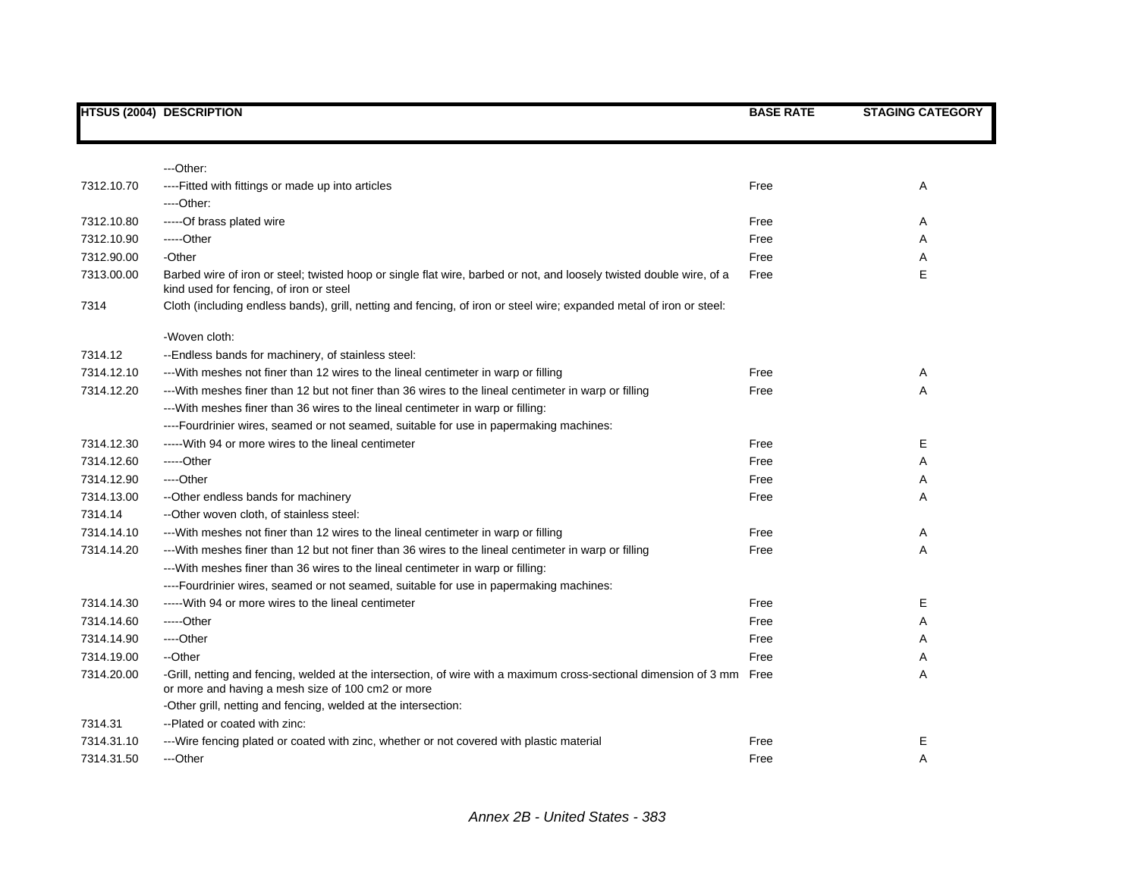|            | <b>HTSUS (2004) DESCRIPTION</b>                                                                                                                                             | <b>BASE RATE</b> | <b>STAGING CATEGORY</b> |
|------------|-----------------------------------------------------------------------------------------------------------------------------------------------------------------------------|------------------|-------------------------|
|            |                                                                                                                                                                             |                  |                         |
|            | ---Other:                                                                                                                                                                   |                  |                         |
| 7312.10.70 | ----Fitted with fittings or made up into articles                                                                                                                           | Free             | Α                       |
|            | ---Other:                                                                                                                                                                   |                  |                         |
| 7312.10.80 | -----Of brass plated wire                                                                                                                                                   | Free             | Α                       |
| 7312.10.90 | -----Other                                                                                                                                                                  | Free             | Α                       |
| 7312.90.00 | -Other                                                                                                                                                                      | Free             | Α                       |
| 7313.00.00 | Barbed wire of iron or steel; twisted hoop or single flat wire, barbed or not, and loosely twisted double wire, of a<br>kind used for fencing, of iron or steel             | Free             | E                       |
| 7314       | Cloth (including endless bands), grill, netting and fencing, of iron or steel wire; expanded metal of iron or steel:                                                        |                  |                         |
|            | -Woven cloth:                                                                                                                                                               |                  |                         |
| 7314.12    | --Endless bands for machinery, of stainless steel:                                                                                                                          |                  |                         |
| 7314.12.10 | --- With meshes not finer than 12 wires to the lineal centimeter in warp or filling                                                                                         | Free             | Α                       |
| 7314.12.20 | --With meshes finer than 12 but not finer than 36 wires to the lineal centimeter in warp or filling                                                                         | Free             | A                       |
|            | --- With meshes finer than 36 wires to the lineal centimeter in warp or filling:                                                                                            |                  |                         |
|            | ----Fourdrinier wires, seamed or not seamed, suitable for use in papermaking machines:                                                                                      |                  |                         |
| 7314.12.30 | ----- With 94 or more wires to the lineal centimeter                                                                                                                        | Free             | Е                       |
| 7314.12.60 | -----Other                                                                                                                                                                  | Free             | Α                       |
| 7314.12.90 | ----Other                                                                                                                                                                   | Free             | Α                       |
| 7314.13.00 | --Other endless bands for machinery                                                                                                                                         | Free             | A                       |
| 7314.14    | --Other woven cloth, of stainless steel:                                                                                                                                    |                  |                         |
| 7314.14.10 | ---With meshes not finer than 12 wires to the lineal centimeter in warp or filling                                                                                          | Free             | Α                       |
| 7314.14.20 | --With meshes finer than 12 but not finer than 36 wires to the lineal centimeter in warp or filling                                                                         | Free             | A                       |
|            | --- With meshes finer than 36 wires to the lineal centimeter in warp or filling:                                                                                            |                  |                         |
|            | ----Fourdrinier wires, seamed or not seamed, suitable for use in papermaking machines:                                                                                      |                  |                         |
| 7314.14.30 | ----- With 94 or more wires to the lineal centimeter                                                                                                                        | Free             | Е                       |
| 7314.14.60 | -----Other                                                                                                                                                                  | Free             | A                       |
| 7314.14.90 | ----Other                                                                                                                                                                   | Free             | A                       |
| 7314.19.00 | --Other                                                                                                                                                                     | Free             | Α                       |
| 7314.20.00 | -Grill, netting and fencing, welded at the intersection, of wire with a maximum cross-sectional dimension of 3 mm Free<br>or more and having a mesh size of 100 cm2 or more |                  | A                       |
|            | -Other grill, netting and fencing, welded at the intersection:                                                                                                              |                  |                         |
| 7314.31    | --Plated or coated with zinc:                                                                                                                                               |                  |                         |
| 7314.31.10 | ---Wire fencing plated or coated with zinc, whether or not covered with plastic material                                                                                    | Free             | Е                       |
| 7314.31.50 | ---Other                                                                                                                                                                    | Free             | A                       |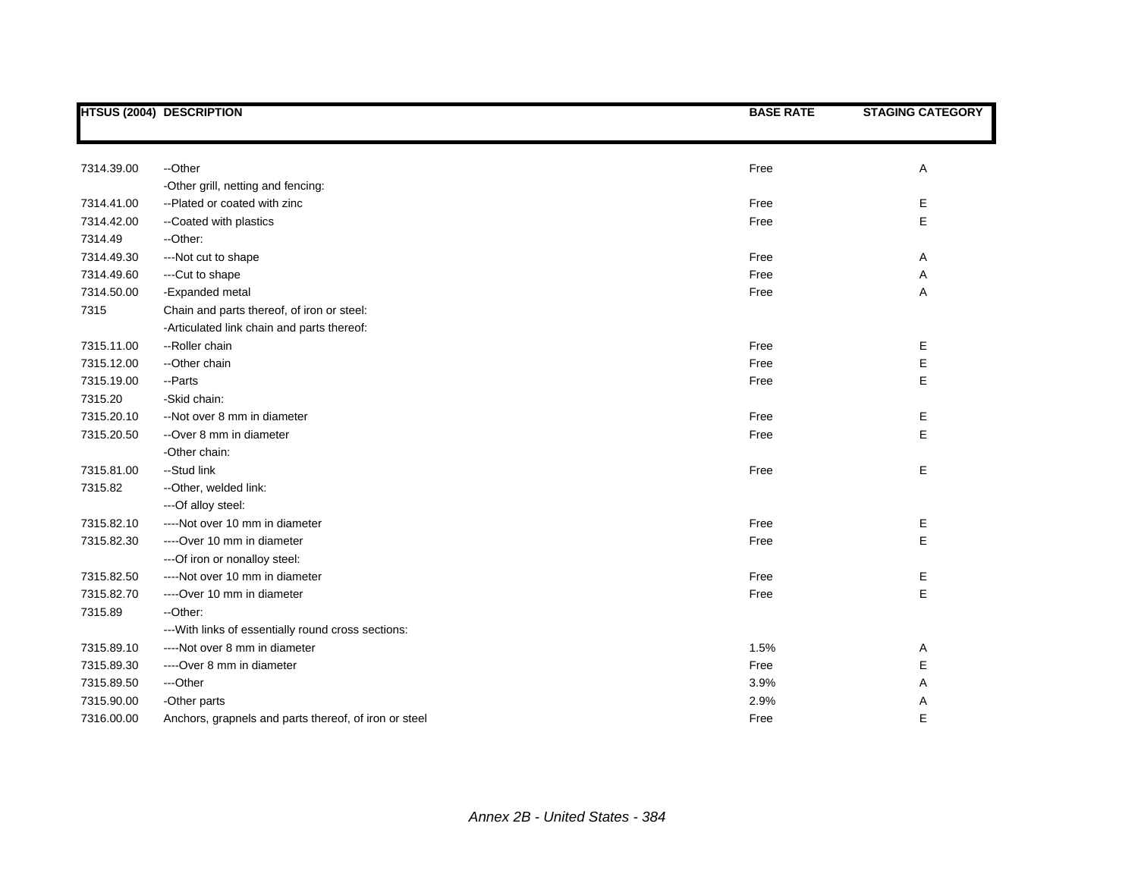|            | <b>HTSUS (2004) DESCRIPTION</b>                       | <b>BASE RATE</b> | <b>STAGING CATEGORY</b> |
|------------|-------------------------------------------------------|------------------|-------------------------|
|            |                                                       |                  |                         |
| 7314.39.00 | --Other                                               | Free             | Α                       |
|            | -Other grill, netting and fencing:                    |                  |                         |
| 7314.41.00 | --Plated or coated with zinc                          | Free             | Е                       |
| 7314.42.00 | --Coated with plastics                                | Free             | E                       |
| 7314.49    | --Other:                                              |                  |                         |
| 7314.49.30 | ---Not cut to shape                                   | Free             | Α                       |
| 7314.49.60 | ---Cut to shape                                       | Free             | Α                       |
| 7314.50.00 | -Expanded metal                                       | Free             | Α                       |
| 7315       | Chain and parts thereof, of iron or steel:            |                  |                         |
|            | -Articulated link chain and parts thereof:            |                  |                         |
| 7315.11.00 | --Roller chain                                        | Free             | Е                       |
| 7315.12.00 | --Other chain                                         | Free             | Е                       |
| 7315.19.00 | --Parts                                               | Free             | Е                       |
| 7315.20    | -Skid chain:                                          |                  |                         |
| 7315.20.10 |                                                       |                  |                         |
|            | --Not over 8 mm in diameter                           | Free             | Е                       |
| 7315.20.50 | --Over 8 mm in diameter                               | Free             | E                       |
|            | -Other chain:                                         |                  |                         |
| 7315.81.00 | --Stud link                                           | Free             | Е                       |
| 7315.82    | --Other, welded link:                                 |                  |                         |
|            | ---Of alloy steel:                                    |                  |                         |
| 7315.82.10 | ----Not over 10 mm in diameter                        | Free             | Е                       |
| 7315.82.30 | ----Over 10 mm in diameter                            | Free             | E                       |
|            | --- Of iron or nonalloy steel:                        |                  |                         |
| 7315.82.50 | ----Not over 10 mm in diameter                        | Free             | Е                       |
| 7315.82.70 | ----Over 10 mm in diameter                            | Free             | E                       |
| 7315.89    | --Other:                                              |                  |                         |
|            | --- With links of essentially round cross sections:   |                  |                         |
| 7315.89.10 | ----Not over 8 mm in diameter                         | 1.5%             | A                       |
| 7315.89.30 | ----Over 8 mm in diameter                             | Free             | Е                       |
| 7315.89.50 | ---Other                                              | 3.9%             | Α                       |
| 7315.90.00 | -Other parts                                          | 2.9%             | Α                       |
| 7316.00.00 | Anchors, grapnels and parts thereof, of iron or steel | Free             | E                       |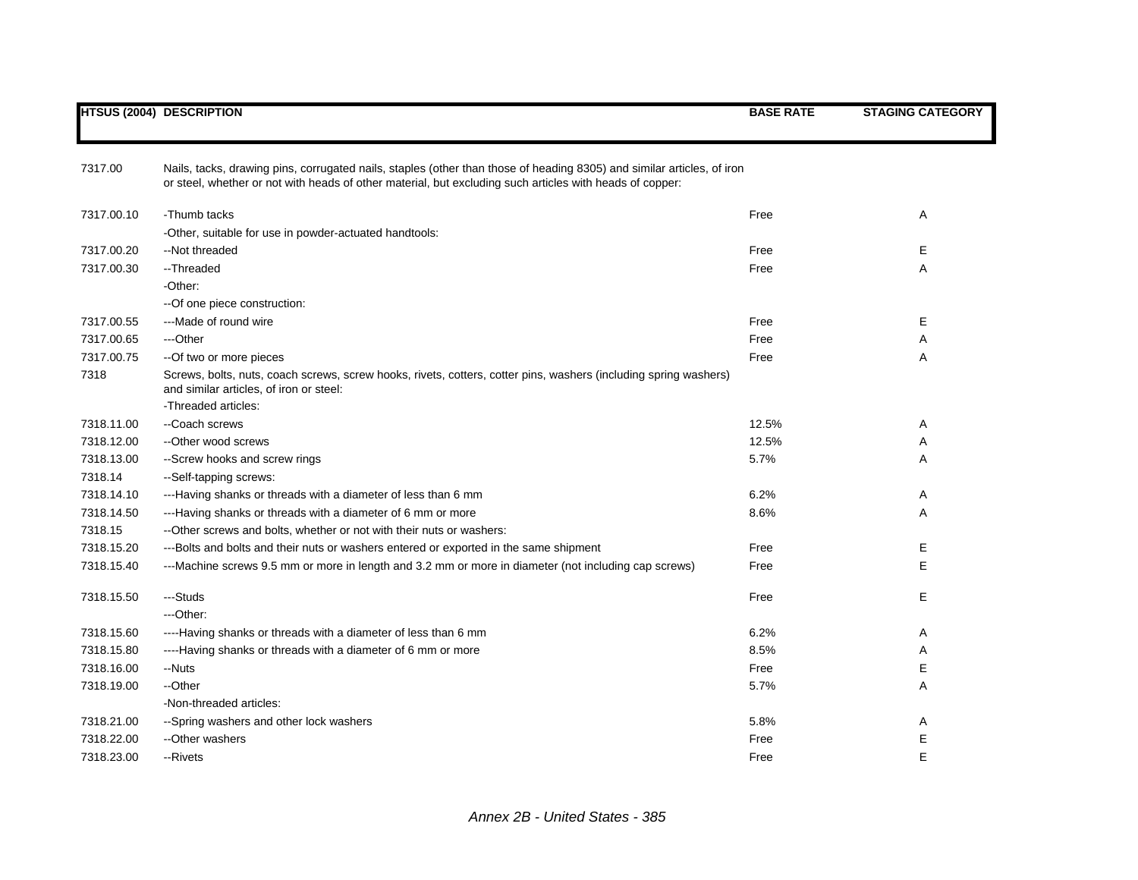|            | <b>HTSUS (2004) DESCRIPTION</b>                                                                                                                             | <b>BASE RATE</b> | <b>STAGING CATEGORY</b> |
|------------|-------------------------------------------------------------------------------------------------------------------------------------------------------------|------------------|-------------------------|
| 7317.00    | Nails, tacks, drawing pins, corrugated nails, staples (other than those of heading 8305) and similar articles, of iron                                      |                  |                         |
|            | or steel, whether or not with heads of other material, but excluding such articles with heads of copper:                                                    |                  |                         |
| 7317.00.10 | -Thumb tacks                                                                                                                                                | Free             | Α                       |
|            | -Other, suitable for use in powder-actuated handtools:                                                                                                      |                  |                         |
| 7317.00.20 | --Not threaded                                                                                                                                              | Free             | Е                       |
| 7317.00.30 | --Threaded                                                                                                                                                  | Free             | Α                       |
|            | -Other:                                                                                                                                                     |                  |                         |
|            | -- Of one piece construction:                                                                                                                               |                  |                         |
| 7317.00.55 | ---Made of round wire                                                                                                                                       | Free             | Е                       |
| 7317.00.65 | ---Other                                                                                                                                                    | Free             | Α                       |
| 7317.00.75 | --Of two or more pieces                                                                                                                                     | Free             | Α                       |
| 7318       | Screws, bolts, nuts, coach screws, screw hooks, rivets, cotters, cotter pins, washers (including spring washers)<br>and similar articles, of iron or steel: |                  |                         |
|            | -Threaded articles:                                                                                                                                         |                  |                         |
| 7318.11.00 | --Coach screws                                                                                                                                              | 12.5%            | Α                       |
| 7318.12.00 | --Other wood screws                                                                                                                                         | 12.5%            | A                       |
| 7318.13.00 | --Screw hooks and screw rings                                                                                                                               | 5.7%             | A                       |
| 7318.14    | --Self-tapping screws:                                                                                                                                      |                  |                         |
| 7318.14.10 | ---Having shanks or threads with a diameter of less than 6 mm                                                                                               | 6.2%             | Α                       |
| 7318.14.50 | ---Having shanks or threads with a diameter of 6 mm or more                                                                                                 | 8.6%             | Α                       |
| 7318.15    | -- Other screws and bolts, whether or not with their nuts or washers:                                                                                       |                  |                         |
| 7318.15.20 | ---Bolts and bolts and their nuts or washers entered or exported in the same shipment                                                                       | Free             | Е                       |
| 7318.15.40 | ---Machine screws 9.5 mm or more in length and 3.2 mm or more in diameter (not including cap screws)                                                        | Free             | Е                       |
| 7318.15.50 | ---Studs                                                                                                                                                    | Free             | E                       |
|            | ---Other:                                                                                                                                                   |                  |                         |
| 7318.15.60 | ----Having shanks or threads with a diameter of less than 6 mm                                                                                              | 6.2%             | Α                       |
| 7318.15.80 | ----Having shanks or threads with a diameter of 6 mm or more                                                                                                | 8.5%             | A                       |
| 7318.16.00 | --Nuts                                                                                                                                                      | Free             | Е                       |
| 7318.19.00 | --Other                                                                                                                                                     | 5.7%             | Α                       |
|            | -Non-threaded articles:                                                                                                                                     |                  |                         |
| 7318.21.00 | --Spring washers and other lock washers                                                                                                                     | 5.8%             | Α                       |
| 7318.22.00 | --Other washers                                                                                                                                             | Free             | Ε                       |
| 7318.23.00 | --Rivets                                                                                                                                                    | Free             | E                       |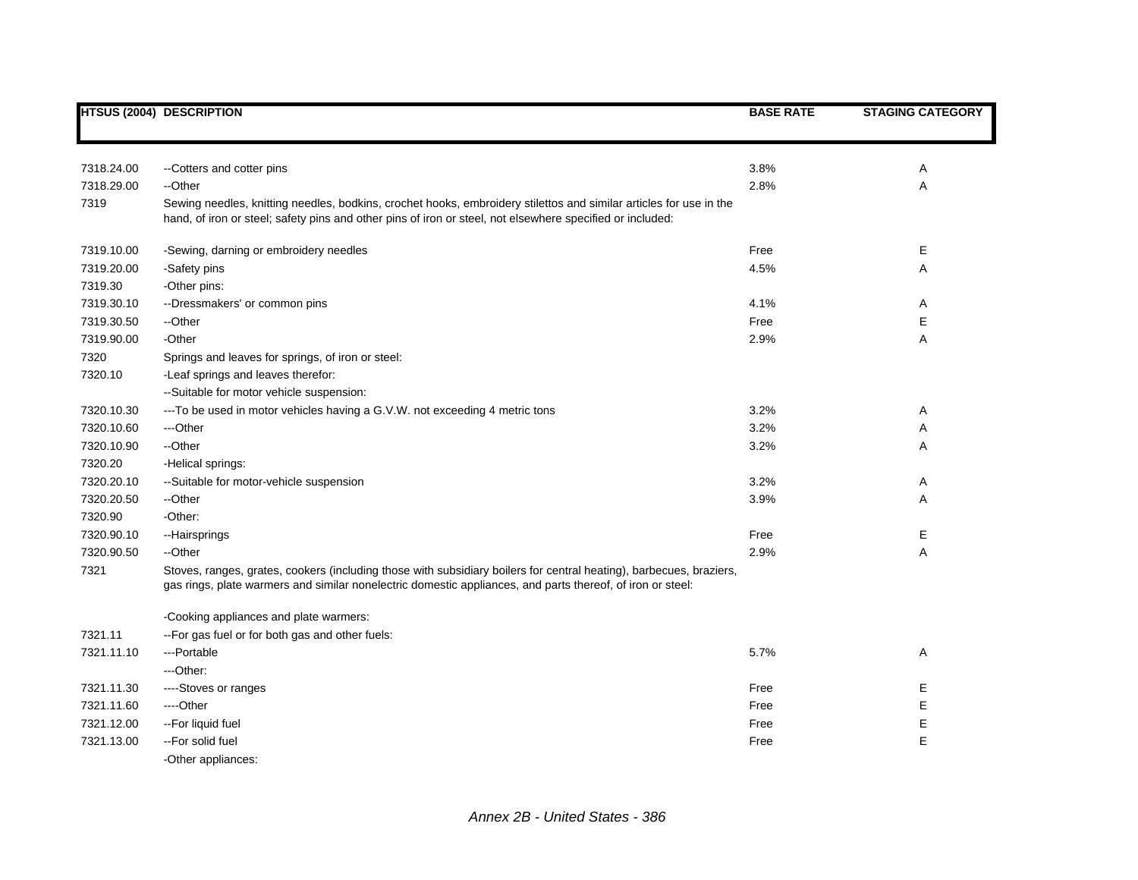|            | <b>HTSUS (2004) DESCRIPTION</b>                                                                                                                                                                                                   | <b>BASE RATE</b> | <b>STAGING CATEGORY</b> |
|------------|-----------------------------------------------------------------------------------------------------------------------------------------------------------------------------------------------------------------------------------|------------------|-------------------------|
|            |                                                                                                                                                                                                                                   |                  |                         |
| 7318.24.00 | --Cotters and cotter pins                                                                                                                                                                                                         | 3.8%             | Α                       |
| 7318.29.00 | --Other                                                                                                                                                                                                                           | 2.8%             | Α                       |
| 7319       | Sewing needles, knitting needles, bodkins, crochet hooks, embroidery stilettos and similar articles for use in the<br>hand, of iron or steel; safety pins and other pins of iron or steel, not elsewhere specified or included:   |                  |                         |
| 7319.10.00 | -Sewing, darning or embroidery needles                                                                                                                                                                                            | Free             | Е                       |
| 7319.20.00 | -Safety pins                                                                                                                                                                                                                      | 4.5%             | A                       |
| 7319.30    | -Other pins:                                                                                                                                                                                                                      |                  |                         |
| 7319.30.10 | --Dressmakers' or common pins                                                                                                                                                                                                     | 4.1%             | Α                       |
| 7319.30.50 | --Other                                                                                                                                                                                                                           | Free             | E                       |
| 7319.90.00 | -Other                                                                                                                                                                                                                            | 2.9%             | Α                       |
| 7320       | Springs and leaves for springs, of iron or steel:                                                                                                                                                                                 |                  |                         |
| 7320.10    | -Leaf springs and leaves therefor:                                                                                                                                                                                                |                  |                         |
|            | --Suitable for motor vehicle suspension:                                                                                                                                                                                          |                  |                         |
| 7320.10.30 | --- To be used in motor vehicles having a G.V.W. not exceeding 4 metric tons                                                                                                                                                      | 3.2%             | Α                       |
| 7320.10.60 | ---Other                                                                                                                                                                                                                          | 3.2%             | Α                       |
| 7320.10.90 | --Other                                                                                                                                                                                                                           | 3.2%             | Α                       |
| 7320.20    | -Helical springs:                                                                                                                                                                                                                 |                  |                         |
| 7320.20.10 | --Suitable for motor-vehicle suspension                                                                                                                                                                                           | 3.2%             | Α                       |
| 7320.20.50 | --Other                                                                                                                                                                                                                           | 3.9%             | A                       |
| 7320.90    | -Other:                                                                                                                                                                                                                           |                  |                         |
| 7320.90.10 | --Hairsprings                                                                                                                                                                                                                     | Free             | Е                       |
| 7320.90.50 | --Other                                                                                                                                                                                                                           | 2.9%             | A                       |
| 7321       | Stoves, ranges, grates, cookers (including those with subsidiary boilers for central heating), barbecues, braziers,<br>gas rings, plate warmers and similar nonelectric domestic appliances, and parts thereof, of iron or steel: |                  |                         |
|            | -Cooking appliances and plate warmers:                                                                                                                                                                                            |                  |                         |
| 7321.11    | -- For gas fuel or for both gas and other fuels:                                                                                                                                                                                  |                  |                         |
| 7321.11.10 | ---Portable                                                                                                                                                                                                                       | 5.7%             | Α                       |
|            | ---Other:                                                                                                                                                                                                                         |                  |                         |
| 7321.11.30 | ----Stoves or ranges                                                                                                                                                                                                              | Free             | Е                       |
| 7321.11.60 | ---Other                                                                                                                                                                                                                          | Free             | E                       |
| 7321.12.00 | --For liquid fuel                                                                                                                                                                                                                 | Free             | Ε                       |
| 7321.13.00 | -- For solid fuel                                                                                                                                                                                                                 | Free             | E                       |
|            | -Other appliances:                                                                                                                                                                                                                |                  |                         |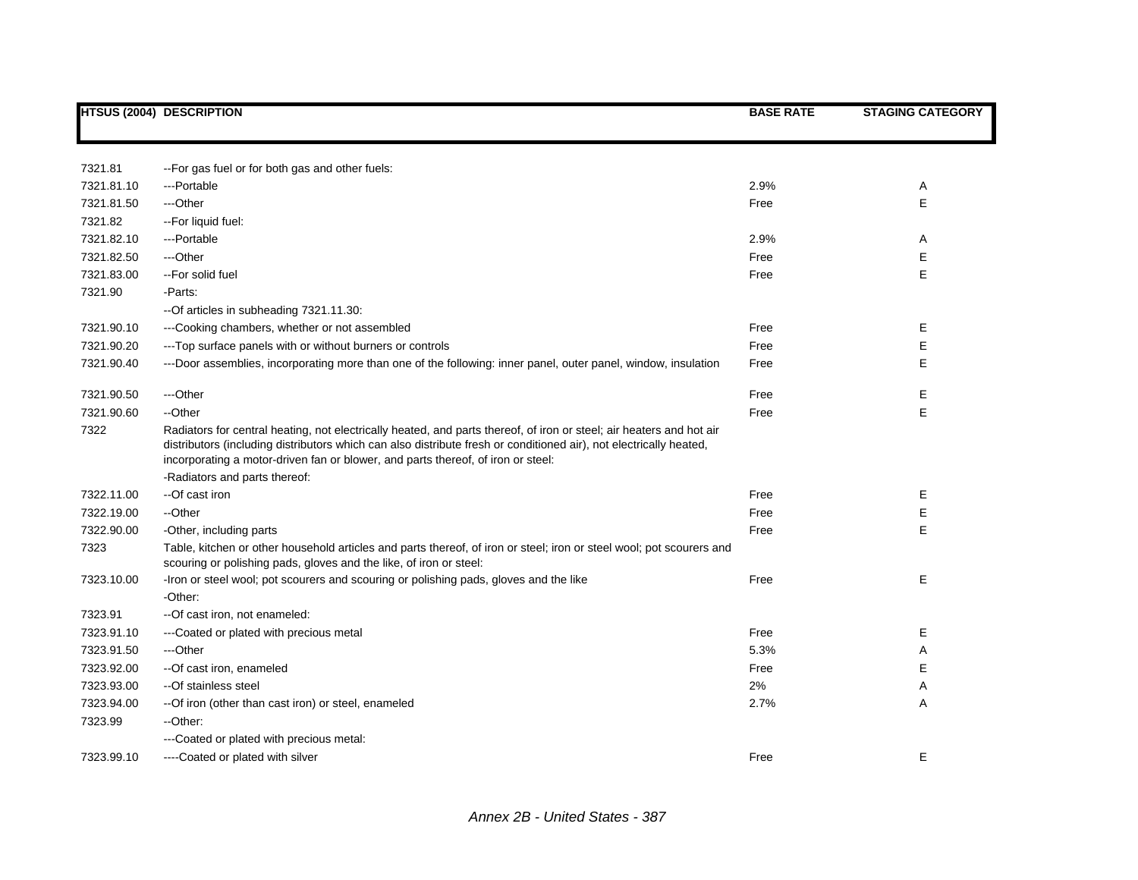|            | <b>HTSUS (2004) DESCRIPTION</b>                                                                                                                                                                                                                                                                                                | <b>BASE RATE</b> | <b>STAGING CATEGORY</b> |
|------------|--------------------------------------------------------------------------------------------------------------------------------------------------------------------------------------------------------------------------------------------------------------------------------------------------------------------------------|------------------|-------------------------|
|            |                                                                                                                                                                                                                                                                                                                                |                  |                         |
| 7321.81    | -- For gas fuel or for both gas and other fuels:                                                                                                                                                                                                                                                                               |                  |                         |
| 7321.81.10 | ---Portable                                                                                                                                                                                                                                                                                                                    | 2.9%             | Α                       |
| 7321.81.50 | ---Other                                                                                                                                                                                                                                                                                                                       | Free             | Е                       |
| 7321.82    | -- For liquid fuel:                                                                                                                                                                                                                                                                                                            |                  |                         |
| 7321.82.10 | ---Portable                                                                                                                                                                                                                                                                                                                    | 2.9%             | Α                       |
| 7321.82.50 | ---Other                                                                                                                                                                                                                                                                                                                       | Free             | E                       |
| 7321.83.00 | --For solid fuel                                                                                                                                                                                                                                                                                                               | Free             | Е                       |
| 7321.90    | -Parts:                                                                                                                                                                                                                                                                                                                        |                  |                         |
|            | --Of articles in subheading 7321.11.30:                                                                                                                                                                                                                                                                                        |                  |                         |
| 7321.90.10 | ---Cooking chambers, whether or not assembled                                                                                                                                                                                                                                                                                  | Free             | Е                       |
| 7321.90.20 | --- Top surface panels with or without burners or controls                                                                                                                                                                                                                                                                     | Free             | Ε                       |
| 7321.90.40 | ---Door assemblies, incorporating more than one of the following: inner panel, outer panel, window, insulation                                                                                                                                                                                                                 | Free             | Е                       |
| 7321.90.50 | ---Other                                                                                                                                                                                                                                                                                                                       | Free             | Ε                       |
| 7321.90.60 | --Other                                                                                                                                                                                                                                                                                                                        | Free             | E                       |
| 7322       | Radiators for central heating, not electrically heated, and parts thereof, of iron or steel; air heaters and hot air<br>distributors (including distributors which can also distribute fresh or conditioned air), not electrically heated,<br>incorporating a motor-driven fan or blower, and parts thereof, of iron or steel: |                  |                         |
|            | -Radiators and parts thereof:                                                                                                                                                                                                                                                                                                  |                  |                         |
| 7322.11.00 | --Of cast iron                                                                                                                                                                                                                                                                                                                 | Free             | Е                       |
| 7322.19.00 | --Other                                                                                                                                                                                                                                                                                                                        | Free             | Е                       |
| 7322.90.00 | -Other, including parts                                                                                                                                                                                                                                                                                                        | Free             | Е                       |
| 7323       | Table, kitchen or other household articles and parts thereof, of iron or steel; iron or steel wool; pot scourers and<br>scouring or polishing pads, gloves and the like, of iron or steel:                                                                                                                                     |                  |                         |
| 7323.10.00 | -Iron or steel wool; pot scourers and scouring or polishing pads, gloves and the like                                                                                                                                                                                                                                          | Free             | Е                       |
|            | -Other:                                                                                                                                                                                                                                                                                                                        |                  |                         |
| 7323.91    | --Of cast iron, not enameled:                                                                                                                                                                                                                                                                                                  |                  |                         |
| 7323.91.10 | ---Coated or plated with precious metal                                                                                                                                                                                                                                                                                        | Free             | Е                       |
| 7323.91.50 | ---Other                                                                                                                                                                                                                                                                                                                       | 5.3%             | Α                       |
| 7323.92.00 | --Of cast iron, enameled                                                                                                                                                                                                                                                                                                       | Free             | Е                       |
| 7323.93.00 | --Of stainless steel                                                                                                                                                                                                                                                                                                           | 2%               | Α                       |
| 7323.94.00 | -- Of iron (other than cast iron) or steel, enameled                                                                                                                                                                                                                                                                           | 2.7%             | A                       |
| 7323.99    | --Other:                                                                                                                                                                                                                                                                                                                       |                  |                         |
|            | ---Coated or plated with precious metal:                                                                                                                                                                                                                                                                                       |                  |                         |
| 7323.99.10 | ----Coated or plated with silver                                                                                                                                                                                                                                                                                               | Free             | Е                       |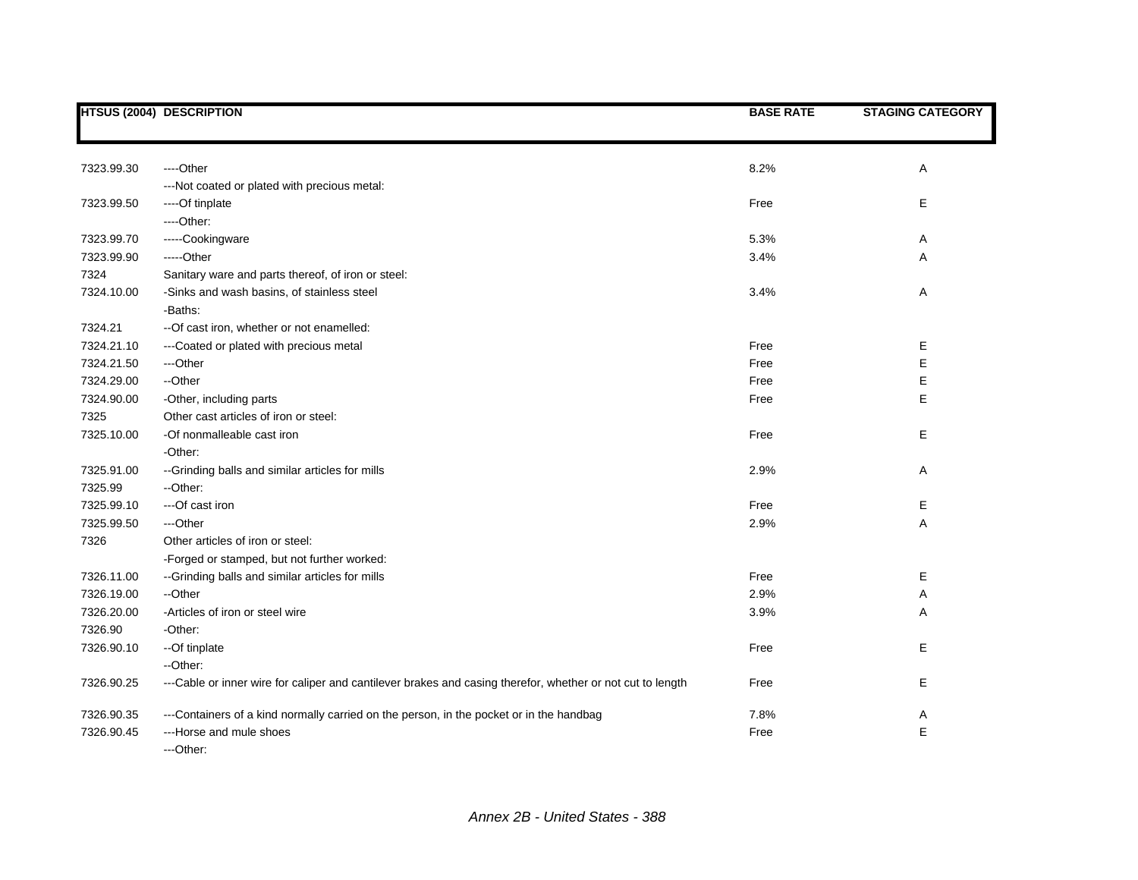|            | <b>HTSUS (2004) DESCRIPTION</b>                                                                            | <b>BASE RATE</b> | <b>STAGING CATEGORY</b> |
|------------|------------------------------------------------------------------------------------------------------------|------------------|-------------------------|
|            |                                                                                                            |                  |                         |
|            |                                                                                                            |                  |                         |
| 7323.99.30 | ----Other                                                                                                  | 8.2%             | Α                       |
|            | --- Not coated or plated with precious metal:                                                              |                  |                         |
| 7323.99.50 | ----Of tinplate                                                                                            | Free             | Е                       |
|            | ----Other:                                                                                                 |                  |                         |
| 7323.99.70 | -----Cookingware                                                                                           | 5.3%             | Α                       |
| 7323.99.90 | -----Other                                                                                                 | 3.4%             | Α                       |
| 7324       | Sanitary ware and parts thereof, of iron or steel:                                                         |                  |                         |
| 7324.10.00 | -Sinks and wash basins, of stainless steel                                                                 | 3.4%             | Α                       |
|            | -Baths:                                                                                                    |                  |                         |
| 7324.21    | -- Of cast iron, whether or not enamelled:                                                                 |                  |                         |
| 7324.21.10 | ---Coated or plated with precious metal                                                                    | Free             | Е                       |
| 7324.21.50 | ---Other                                                                                                   | Free             | E                       |
| 7324.29.00 | --Other                                                                                                    | Free             | E                       |
| 7324.90.00 | -Other, including parts                                                                                    | Free             | E                       |
| 7325       | Other cast articles of iron or steel:                                                                      |                  |                         |
| 7325.10.00 | -Of nonmalleable cast iron                                                                                 | Free             | E                       |
|            | -Other:                                                                                                    |                  |                         |
| 7325.91.00 | --Grinding balls and similar articles for mills                                                            | 2.9%             | Α                       |
| 7325.99    | --Other:                                                                                                   |                  |                         |
| 7325.99.10 | ---Of cast iron                                                                                            | Free             | Е                       |
| 7325.99.50 | ---Other                                                                                                   | 2.9%             | Α                       |
| 7326       | Other articles of iron or steel:                                                                           |                  |                         |
|            | -Forged or stamped, but not further worked:                                                                |                  |                         |
| 7326.11.00 | --Grinding balls and similar articles for mills                                                            | Free             | Е                       |
| 7326.19.00 | --Other                                                                                                    | 2.9%             | Α                       |
| 7326.20.00 | -Articles of iron or steel wire                                                                            | 3.9%             | Α                       |
| 7326.90    | -Other:                                                                                                    |                  |                         |
| 7326.90.10 | --Of tinplate                                                                                              | Free             | E                       |
|            | --Other:                                                                                                   |                  |                         |
| 7326.90.25 | ---Cable or inner wire for caliper and cantilever brakes and casing therefor, whether or not cut to length | Free             | Е                       |
| 7326.90.35 | ---Containers of a kind normally carried on the person, in the pocket or in the handbag                    | 7.8%             | Α                       |
| 7326.90.45 | ---Horse and mule shoes                                                                                    | Free             | E                       |
|            | ---Other:                                                                                                  |                  |                         |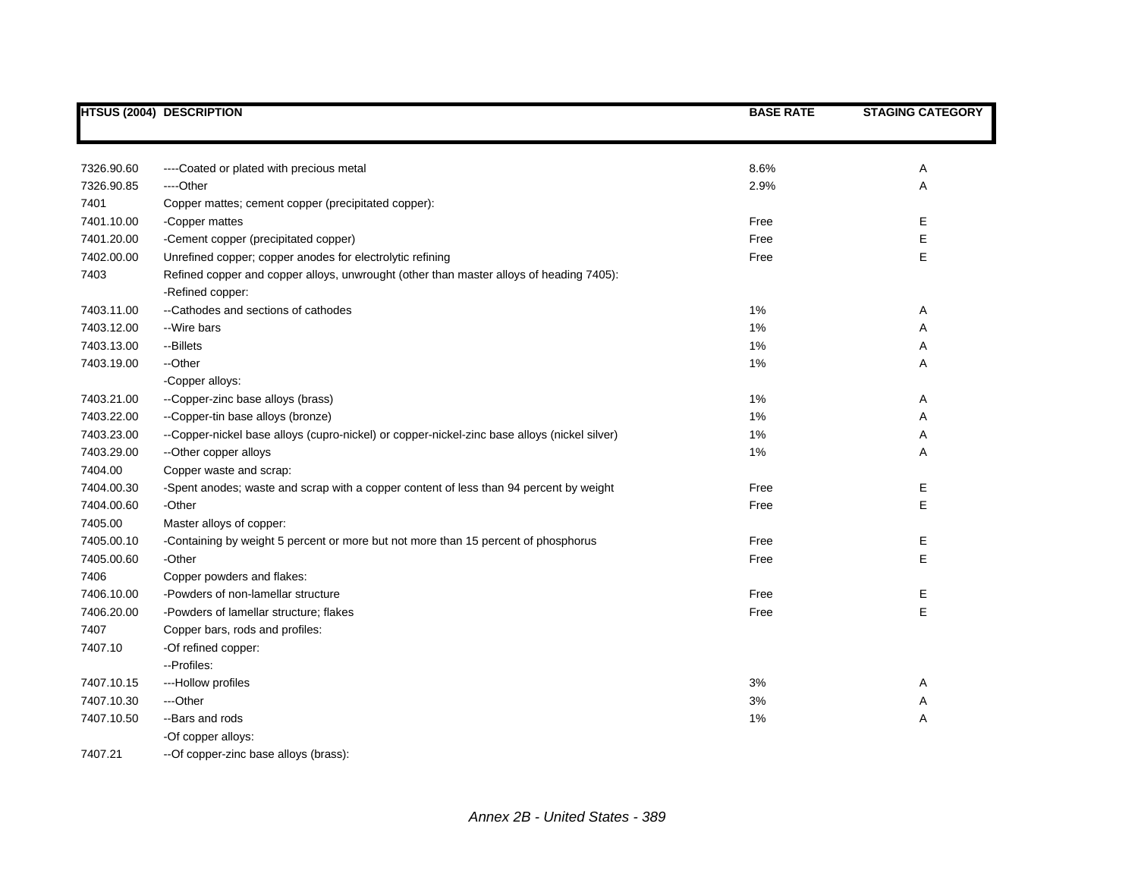|            | <b>HTSUS (2004) DESCRIPTION</b>                                                              | <b>BASE RATE</b> | <b>STAGING CATEGORY</b> |
|------------|----------------------------------------------------------------------------------------------|------------------|-------------------------|
|            |                                                                                              |                  |                         |
| 7326.90.60 | ----Coated or plated with precious metal                                                     | 8.6%             | Α                       |
| 7326.90.85 | ---Other                                                                                     | 2.9%             | Α                       |
| 7401       | Copper mattes; cement copper (precipitated copper):                                          |                  |                         |
| 7401.10.00 | -Copper mattes                                                                               | Free             | Е                       |
| 7401.20.00 | -Cement copper (precipitated copper)                                                         | Free             | Е                       |
| 7402.00.00 | Unrefined copper; copper anodes for electrolytic refining                                    | Free             | E                       |
| 7403       | Refined copper and copper alloys, unwrought (other than master alloys of heading 7405):      |                  |                         |
|            | -Refined copper:                                                                             |                  |                         |
| 7403.11.00 | --Cathodes and sections of cathodes                                                          | 1%               | Α                       |
| 7403.12.00 | --Wire bars                                                                                  | 1%               | Α                       |
| 7403.13.00 | --Billets                                                                                    | 1%               | Α                       |
| 7403.19.00 | --Other                                                                                      | 1%               | Α                       |
|            | -Copper alloys:                                                                              |                  |                         |
| 7403.21.00 | --Copper-zinc base alloys (brass)                                                            | 1%               | Α                       |
| 7403.22.00 | --Copper-tin base alloys (bronze)                                                            | 1%               | Α                       |
| 7403.23.00 | --Copper-nickel base alloys (cupro-nickel) or copper-nickel-zinc base alloys (nickel silver) | 1%               | Α                       |
| 7403.29.00 | -- Other copper alloys                                                                       | 1%               | Α                       |
| 7404.00    | Copper waste and scrap:                                                                      |                  |                         |
| 7404.00.30 | -Spent anodes; waste and scrap with a copper content of less than 94 percent by weight       | Free             | E                       |
| 7404.00.60 | -Other                                                                                       | Free             | E                       |
| 7405.00    | Master alloys of copper:                                                                     |                  |                         |
| 7405.00.10 | -Containing by weight 5 percent or more but not more than 15 percent of phosphorus           | Free             | E                       |
| 7405.00.60 | -Other                                                                                       | Free             | E                       |
| 7406       | Copper powders and flakes:                                                                   |                  |                         |
| 7406.10.00 | -Powders of non-lamellar structure                                                           | Free             | E                       |
| 7406.20.00 | -Powders of lamellar structure; flakes                                                       | Free             | E                       |
| 7407       | Copper bars, rods and profiles:                                                              |                  |                         |
| 7407.10    | -Of refined copper:                                                                          |                  |                         |
|            | --Profiles:                                                                                  |                  |                         |
| 7407.10.15 | ---Hollow profiles                                                                           | 3%               | Α                       |
| 7407.10.30 | ---Other                                                                                     | 3%               | Α                       |
| 7407.10.50 | --Bars and rods                                                                              | 1%               | Α                       |
|            | -Of copper alloys:                                                                           |                  |                         |
| 7407.21    | --Of copper-zinc base alloys (brass):                                                        |                  |                         |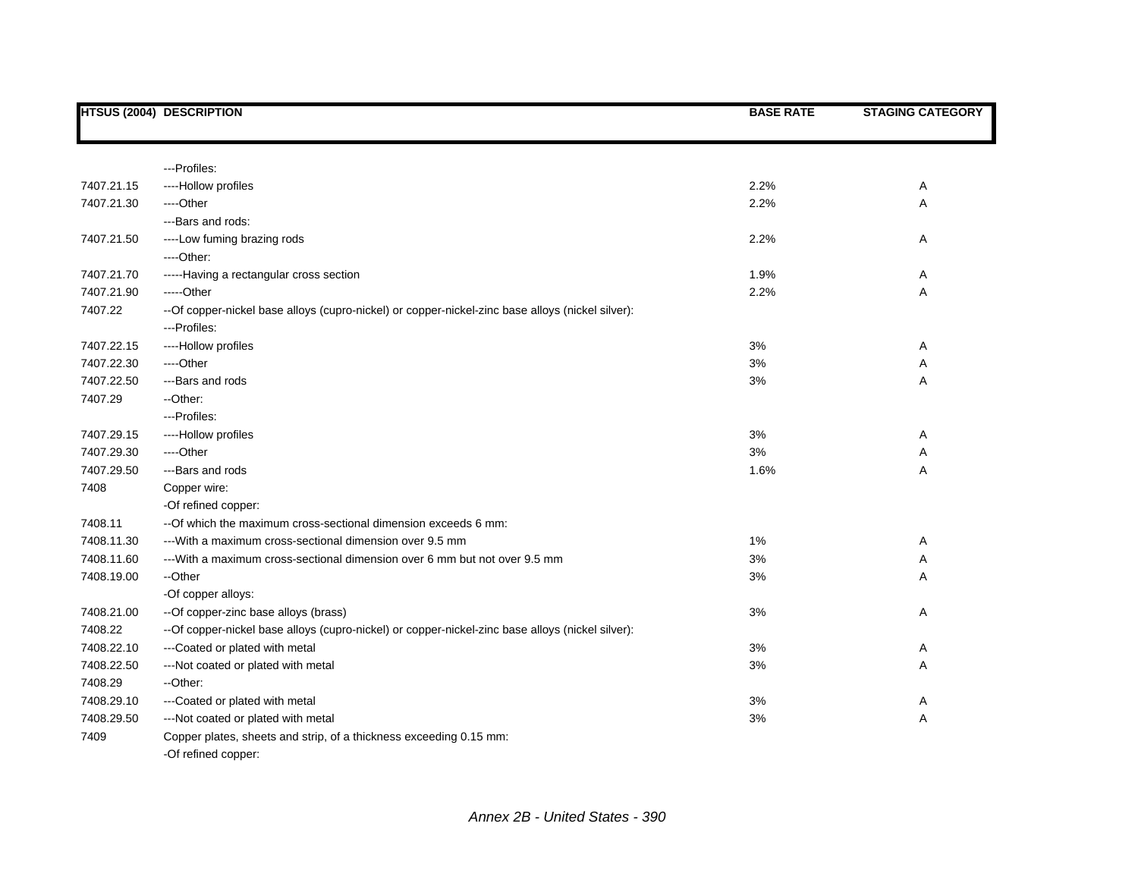|            | <b>HTSUS (2004) DESCRIPTION</b>                                                                   | <b>BASE RATE</b> | <b>STAGING CATEGORY</b> |
|------------|---------------------------------------------------------------------------------------------------|------------------|-------------------------|
|            |                                                                                                   |                  |                         |
|            | --- Profiles:                                                                                     |                  |                         |
| 7407.21.15 | ----Hollow profiles                                                                               | 2.2%             | Α                       |
| 7407.21.30 | ----Other                                                                                         | 2.2%             | Α                       |
|            | ---Bars and rods:                                                                                 |                  |                         |
| 7407.21.50 | ----Low fuming brazing rods                                                                       | 2.2%             | Α                       |
|            | ----Other:                                                                                        |                  |                         |
| 7407.21.70 | -----Having a rectangular cross section                                                           | 1.9%             | Α                       |
| 7407.21.90 | -----Other                                                                                        | 2.2%             | Α                       |
| 7407.22    | -- Of copper-nickel base alloys (cupro-nickel) or copper-nickel-zinc base alloys (nickel silver): |                  |                         |
|            | ---Profiles:                                                                                      |                  |                         |
| 7407.22.15 | ----Hollow profiles                                                                               | 3%               | Α                       |
| 7407.22.30 | ---Other                                                                                          | 3%               | Α                       |
| 7407.22.50 | ---Bars and rods                                                                                  | 3%               | Α                       |
| 7407.29    | --Other:                                                                                          |                  |                         |
|            | --- Profiles:                                                                                     |                  |                         |
| 7407.29.15 | ----Hollow profiles                                                                               | 3%               | Α                       |
| 7407.29.30 | ----Other                                                                                         | 3%               | Α                       |
| 7407.29.50 | ---Bars and rods                                                                                  | 1.6%             | Α                       |
| 7408       | Copper wire:                                                                                      |                  |                         |
|            | -Of refined copper:                                                                               |                  |                         |
| 7408.11    | -- Of which the maximum cross-sectional dimension exceeds 6 mm:                                   |                  |                         |
| 7408.11.30 | --- With a maximum cross-sectional dimension over 9.5 mm                                          | 1%               | Α                       |
| 7408.11.60 | ---With a maximum cross-sectional dimension over 6 mm but not over 9.5 mm                         | 3%               | Α                       |
| 7408.19.00 | --Other                                                                                           | 3%               | Α                       |
|            | -Of copper alloys:                                                                                |                  |                         |
| 7408.21.00 | --Of copper-zinc base alloys (brass)                                                              | 3%               | Α                       |
| 7408.22    | -- Of copper-nickel base alloys (cupro-nickel) or copper-nickel-zinc base alloys (nickel silver): |                  |                         |
| 7408.22.10 | ---Coated or plated with metal                                                                    | 3%               | Α                       |
| 7408.22.50 | --- Not coated or plated with metal                                                               | 3%               | Α                       |
| 7408.29    | --Other:                                                                                          |                  |                         |
| 7408.29.10 | ---Coated or plated with metal                                                                    | 3%               | Α                       |
| 7408.29.50 | --- Not coated or plated with metal                                                               | 3%               | Α                       |
| 7409       | Copper plates, sheets and strip, of a thickness exceeding 0.15 mm:                                |                  |                         |
|            | -Of refined copper:                                                                               |                  |                         |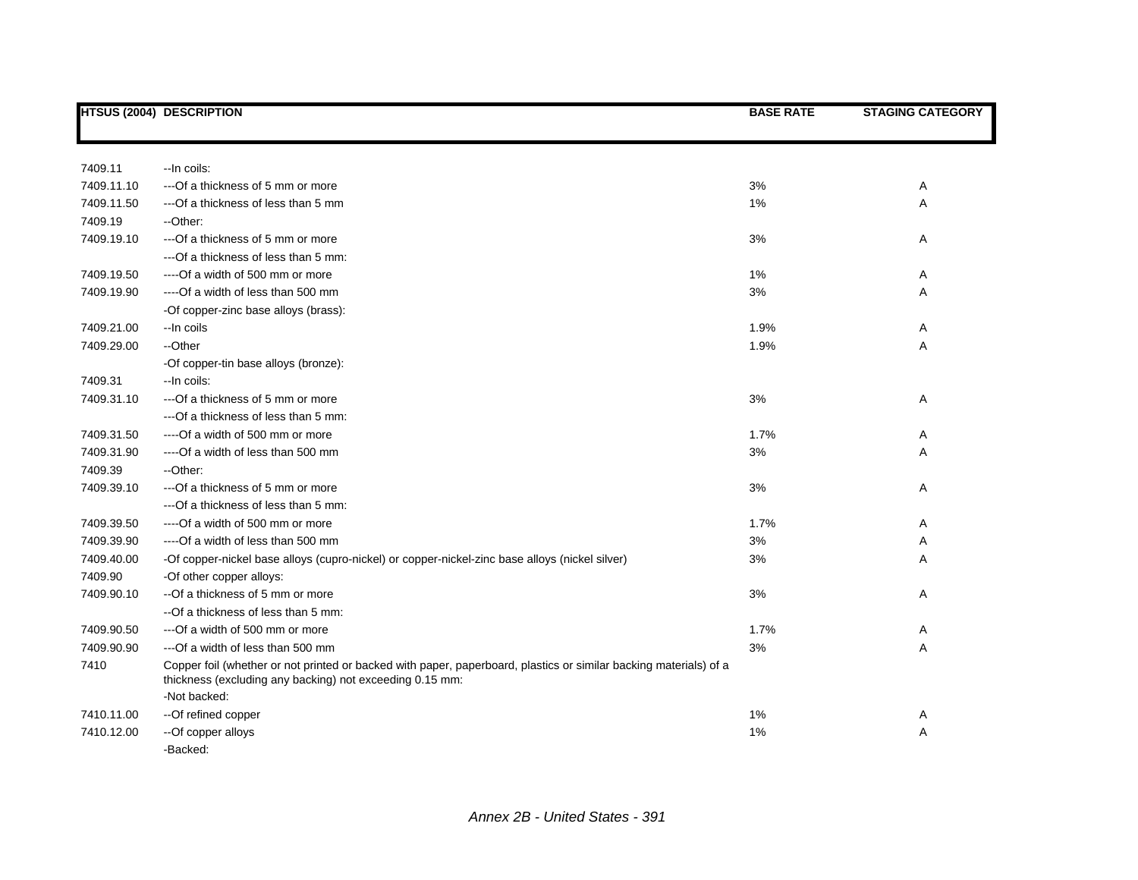|            | <b>HTSUS (2004) DESCRIPTION</b>                                                                                                                                                               | <b>BASE RATE</b> | <b>STAGING CATEGORY</b> |
|------------|-----------------------------------------------------------------------------------------------------------------------------------------------------------------------------------------------|------------------|-------------------------|
|            |                                                                                                                                                                                               |                  |                         |
| 7409.11    | -- In coils:                                                                                                                                                                                  |                  |                         |
| 7409.11.10 | --- Of a thickness of 5 mm or more                                                                                                                                                            | 3%               | Α                       |
| 7409.11.50 | --- Of a thickness of less than 5 mm                                                                                                                                                          | 1%               | Α                       |
| 7409.19    | --Other:                                                                                                                                                                                      |                  |                         |
| 7409.19.10 | ---Of a thickness of 5 mm or more                                                                                                                                                             | 3%               | Α                       |
|            | --- Of a thickness of less than 5 mm:                                                                                                                                                         |                  |                         |
| 7409.19.50 | ----Of a width of 500 mm or more                                                                                                                                                              | 1%               | Α                       |
| 7409.19.90 | ----Of a width of less than 500 mm                                                                                                                                                            | 3%               | Α                       |
|            | -Of copper-zinc base alloys (brass):                                                                                                                                                          |                  |                         |
| 7409.21.00 | --In coils                                                                                                                                                                                    | 1.9%             | Α                       |
| 7409.29.00 | --Other                                                                                                                                                                                       | 1.9%             | Α                       |
|            | -Of copper-tin base alloys (bronze):                                                                                                                                                          |                  |                         |
| 7409.31    | -- In coils:                                                                                                                                                                                  |                  |                         |
| 7409.31.10 | ---Of a thickness of 5 mm or more                                                                                                                                                             | 3%               | Α                       |
|            | --- Of a thickness of less than 5 mm:                                                                                                                                                         |                  |                         |
| 7409.31.50 | ----Of a width of 500 mm or more                                                                                                                                                              | 1.7%             | Α                       |
| 7409.31.90 | ----Of a width of less than 500 mm                                                                                                                                                            | 3%               | Α                       |
| 7409.39    | --Other:                                                                                                                                                                                      |                  |                         |
| 7409.39.10 | ---Of a thickness of 5 mm or more                                                                                                                                                             | 3%               | Α                       |
|            | ---Of a thickness of less than 5 mm:                                                                                                                                                          |                  |                         |
| 7409.39.50 | ----Of a width of 500 mm or more                                                                                                                                                              | 1.7%             | Α                       |
| 7409.39.90 | ----Of a width of less than 500 mm                                                                                                                                                            | 3%               | Α                       |
| 7409.40.00 | -Of copper-nickel base alloys (cupro-nickel) or copper-nickel-zinc base alloys (nickel silver)                                                                                                | 3%               | Α                       |
| 7409.90    | -Of other copper alloys:                                                                                                                                                                      |                  |                         |
| 7409.90.10 | --Of a thickness of 5 mm or more                                                                                                                                                              | 3%               | Α                       |
|            | --Of a thickness of less than 5 mm:                                                                                                                                                           |                  |                         |
| 7409.90.50 | --- Of a width of 500 mm or more                                                                                                                                                              | 1.7%             | A                       |
| 7409.90.90 | --- Of a width of less than 500 mm                                                                                                                                                            | $3%$             | Α                       |
| 7410       | Copper foil (whether or not printed or backed with paper, paperboard, plastics or similar backing materials) of a<br>thickness (excluding any backing) not exceeding 0.15 mm:<br>-Not backed: |                  |                         |
| 7410.11.00 | --Of refined copper                                                                                                                                                                           | 1%               | A                       |
| 7410.12.00 | --Of copper alloys                                                                                                                                                                            | 1%               | A                       |
|            | -Backed:                                                                                                                                                                                      |                  |                         |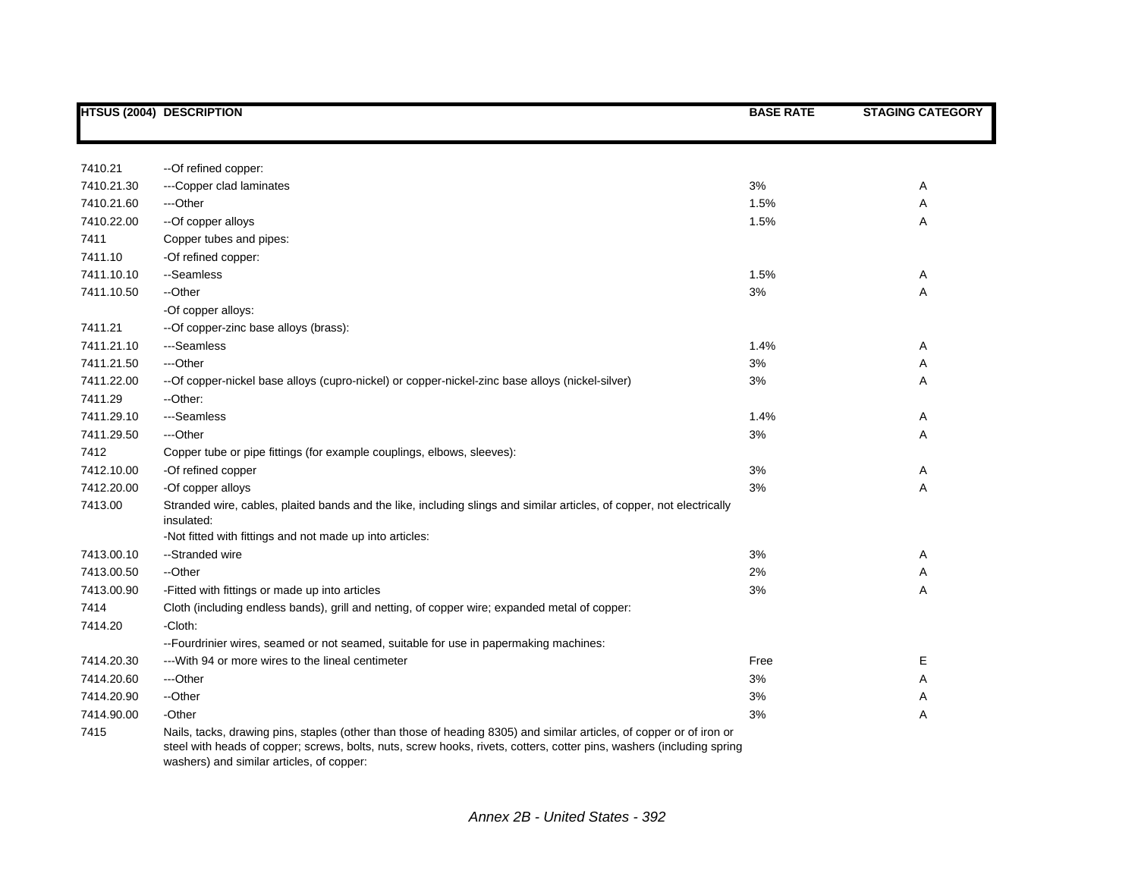|            | <b>HTSUS (2004) DESCRIPTION</b>                                                                                                                                                                                                                                                            | <b>BASE RATE</b> | <b>STAGING CATEGORY</b> |
|------------|--------------------------------------------------------------------------------------------------------------------------------------------------------------------------------------------------------------------------------------------------------------------------------------------|------------------|-------------------------|
|            |                                                                                                                                                                                                                                                                                            |                  |                         |
|            |                                                                                                                                                                                                                                                                                            |                  |                         |
| 7410.21    | --Of refined copper:                                                                                                                                                                                                                                                                       |                  |                         |
| 7410.21.30 | ---Copper clad laminates                                                                                                                                                                                                                                                                   | 3%               | Α                       |
| 7410.21.60 | ---Other                                                                                                                                                                                                                                                                                   | 1.5%             | Α                       |
| 7410.22.00 | --Of copper alloys                                                                                                                                                                                                                                                                         | 1.5%             | Α                       |
| 7411       | Copper tubes and pipes:                                                                                                                                                                                                                                                                    |                  |                         |
| 7411.10    | -Of refined copper:                                                                                                                                                                                                                                                                        |                  |                         |
| 7411.10.10 | --Seamless                                                                                                                                                                                                                                                                                 | 1.5%             | Α                       |
| 7411.10.50 | --Other                                                                                                                                                                                                                                                                                    | 3%               | Α                       |
|            | -Of copper alloys:                                                                                                                                                                                                                                                                         |                  |                         |
| 7411.21    | --Of copper-zinc base alloys (brass):                                                                                                                                                                                                                                                      |                  |                         |
| 7411.21.10 | ---Seamless                                                                                                                                                                                                                                                                                | 1.4%             | Α                       |
| 7411.21.50 | ---Other                                                                                                                                                                                                                                                                                   | 3%               | Α                       |
| 7411.22.00 | --Of copper-nickel base alloys (cupro-nickel) or copper-nickel-zinc base alloys (nickel-silver)                                                                                                                                                                                            | 3%               | Α                       |
| 7411.29    | --Other:                                                                                                                                                                                                                                                                                   |                  |                         |
| 7411.29.10 | ---Seamless                                                                                                                                                                                                                                                                                | 1.4%             | Α                       |
| 7411.29.50 | ---Other                                                                                                                                                                                                                                                                                   | 3%               | Α                       |
| 7412       | Copper tube or pipe fittings (for example couplings, elbows, sleeves):                                                                                                                                                                                                                     |                  |                         |
| 7412.10.00 | -Of refined copper                                                                                                                                                                                                                                                                         | 3%               | Α                       |
| 7412.20.00 | -Of copper alloys                                                                                                                                                                                                                                                                          | 3%               | Α                       |
| 7413.00    | Stranded wire, cables, plaited bands and the like, including slings and similar articles, of copper, not electrically<br>insulated:                                                                                                                                                        |                  |                         |
|            | -Not fitted with fittings and not made up into articles:                                                                                                                                                                                                                                   |                  |                         |
| 7413.00.10 | --Stranded wire                                                                                                                                                                                                                                                                            | 3%               | Α                       |
| 7413.00.50 | --Other                                                                                                                                                                                                                                                                                    | 2%               | Α                       |
| 7413.00.90 | -Fitted with fittings or made up into articles                                                                                                                                                                                                                                             | 3%               | Α                       |
| 7414       | Cloth (including endless bands), grill and netting, of copper wire; expanded metal of copper:                                                                                                                                                                                              |                  |                         |
| 7414.20    | -Cloth:                                                                                                                                                                                                                                                                                    |                  |                         |
|            | --Fourdrinier wires, seamed or not seamed, suitable for use in papermaking machines:                                                                                                                                                                                                       |                  |                         |
| 7414.20.30 | --- With 94 or more wires to the lineal centimeter                                                                                                                                                                                                                                         | Free             | E                       |
| 7414.20.60 | ---Other                                                                                                                                                                                                                                                                                   | 3%               | Α                       |
| 7414.20.90 | --Other                                                                                                                                                                                                                                                                                    | 3%               | Α                       |
| 7414.90.00 | -Other                                                                                                                                                                                                                                                                                     | 3%               | Α                       |
| 7415       | Nails, tacks, drawing pins, staples (other than those of heading 8305) and similar articles, of copper or of iron or<br>steel with heads of copper; screws, bolts, nuts, screw hooks, rivets, cotters, cotter pins, washers (including spring<br>washers) and similar articles, of copper: |                  |                         |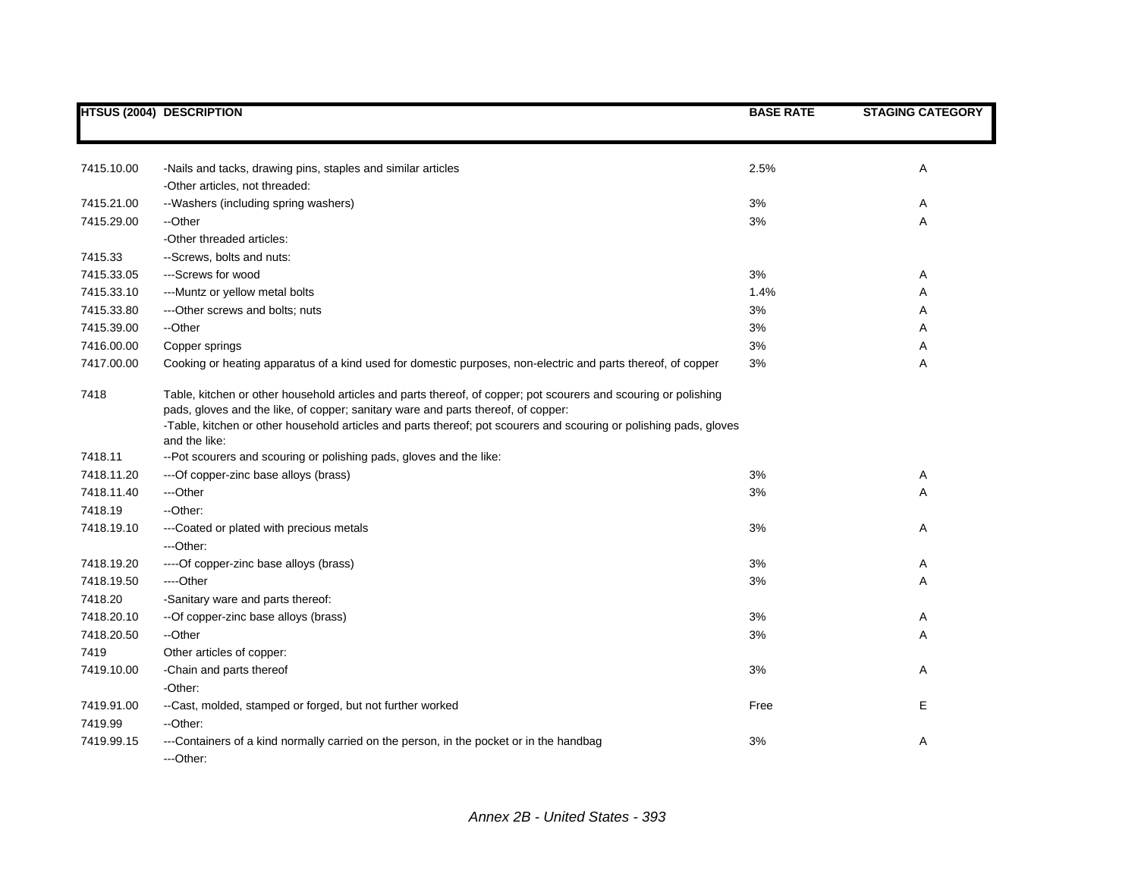|            | <b>HTSUS (2004) DESCRIPTION</b>                                                                                                                                                                                                                                                                                            | <b>BASE RATE</b> | <b>STAGING CATEGORY</b> |
|------------|----------------------------------------------------------------------------------------------------------------------------------------------------------------------------------------------------------------------------------------------------------------------------------------------------------------------------|------------------|-------------------------|
|            |                                                                                                                                                                                                                                                                                                                            |                  |                         |
| 7415.10.00 | -Nails and tacks, drawing pins, staples and similar articles                                                                                                                                                                                                                                                               | 2.5%             | Α                       |
|            | -Other articles, not threaded:                                                                                                                                                                                                                                                                                             |                  |                         |
| 7415.21.00 | --Washers (including spring washers)                                                                                                                                                                                                                                                                                       | 3%               | Α                       |
| 7415.29.00 | --Other                                                                                                                                                                                                                                                                                                                    | 3%               | Α                       |
|            | -Other threaded articles:                                                                                                                                                                                                                                                                                                  |                  |                         |
| 7415.33    | --Screws, bolts and nuts:                                                                                                                                                                                                                                                                                                  |                  |                         |
| 7415.33.05 | ---Screws for wood                                                                                                                                                                                                                                                                                                         | 3%               | Α                       |
| 7415.33.10 | --- Muntz or yellow metal bolts                                                                                                                                                                                                                                                                                            | 1.4%             | Α                       |
| 7415.33.80 | --- Other screws and bolts; nuts                                                                                                                                                                                                                                                                                           | 3%               | Α                       |
| 7415.39.00 | --Other                                                                                                                                                                                                                                                                                                                    | 3%               | A                       |
| 7416.00.00 | Copper springs                                                                                                                                                                                                                                                                                                             | 3%               | Α                       |
| 7417.00.00 | Cooking or heating apparatus of a kind used for domestic purposes, non-electric and parts thereof, of copper                                                                                                                                                                                                               | 3%               | Α                       |
| 7418       | Table, kitchen or other household articles and parts thereof, of copper; pot scourers and scouring or polishing<br>pads, gloves and the like, of copper; sanitary ware and parts thereof, of copper:<br>-Table, kitchen or other household articles and parts thereof; pot scourers and scouring or polishing pads, gloves |                  |                         |
| 7418.11    | and the like:                                                                                                                                                                                                                                                                                                              |                  |                         |
| 7418.11.20 | --Pot scourers and scouring or polishing pads, gloves and the like:<br>--- Of copper-zinc base alloys (brass)                                                                                                                                                                                                              | 3%               | Α                       |
| 7418.11.40 | ---Other                                                                                                                                                                                                                                                                                                                   | 3%               | Α                       |
| 7418.19    | --Other:                                                                                                                                                                                                                                                                                                                   |                  |                         |
| 7418.19.10 | ---Coated or plated with precious metals                                                                                                                                                                                                                                                                                   | 3%               | Α                       |
|            | ---Other:                                                                                                                                                                                                                                                                                                                  |                  |                         |
| 7418.19.20 | ----Of copper-zinc base alloys (brass)                                                                                                                                                                                                                                                                                     | 3%               | Α                       |
| 7418.19.50 | ----Other                                                                                                                                                                                                                                                                                                                  | 3%               | Α                       |
| 7418.20    | -Sanitary ware and parts thereof:                                                                                                                                                                                                                                                                                          |                  |                         |
| 7418.20.10 | -- Of copper-zinc base alloys (brass)                                                                                                                                                                                                                                                                                      | 3%               | Α                       |
| 7418.20.50 | --Other                                                                                                                                                                                                                                                                                                                    | 3%               | Α                       |
| 7419       | Other articles of copper:                                                                                                                                                                                                                                                                                                  |                  |                         |
| 7419.10.00 | -Chain and parts thereof<br>-Other:                                                                                                                                                                                                                                                                                        | 3%               | Α                       |
| 7419.91.00 | --Cast, molded, stamped or forged, but not further worked                                                                                                                                                                                                                                                                  | Free             | E                       |
| 7419.99    | --Other:                                                                                                                                                                                                                                                                                                                   |                  |                         |
| 7419.99.15 | ---Containers of a kind normally carried on the person, in the pocket or in the handbag<br>---Other:                                                                                                                                                                                                                       | 3%               | Α                       |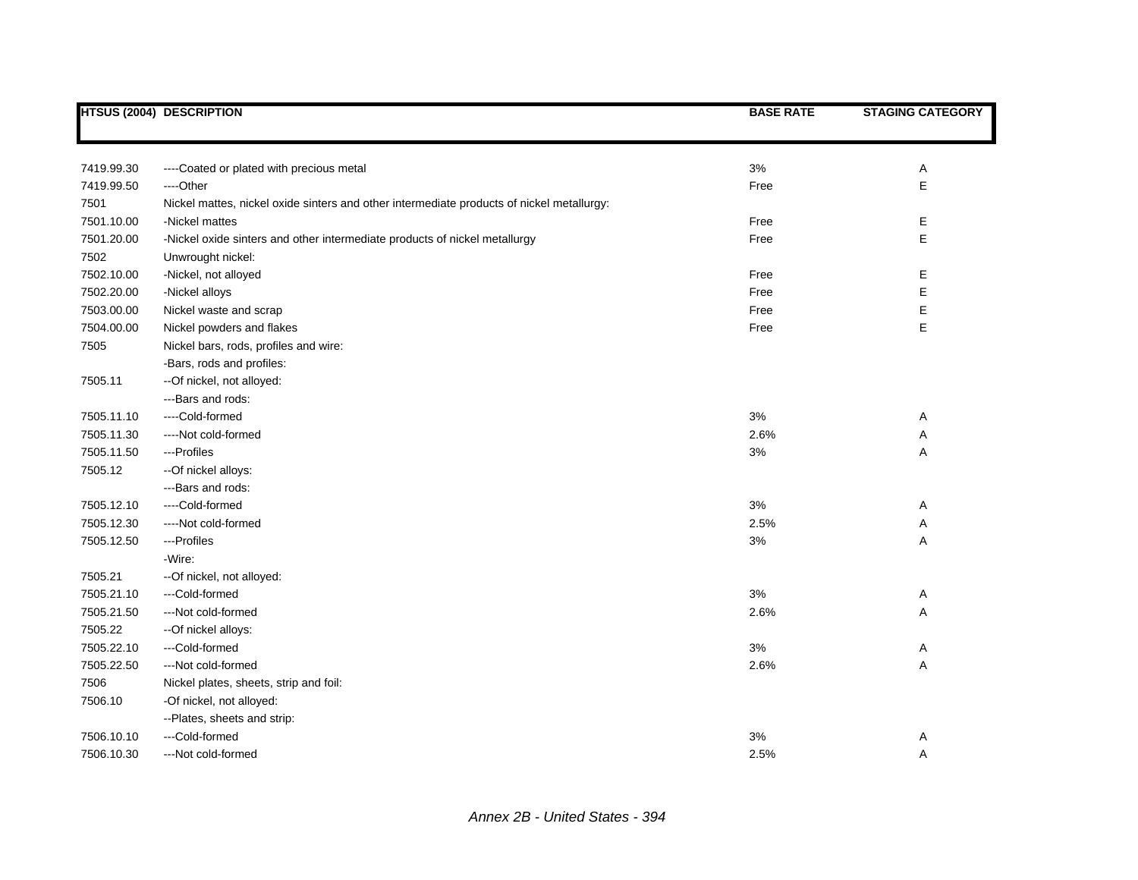|            | <b>HTSUS (2004) DESCRIPTION</b>                                                           | <b>BASE RATE</b> | <b>STAGING CATEGORY</b> |
|------------|-------------------------------------------------------------------------------------------|------------------|-------------------------|
|            |                                                                                           |                  |                         |
|            |                                                                                           |                  |                         |
| 7419.99.30 | ----Coated or plated with precious metal                                                  | 3%               | Α                       |
| 7419.99.50 | ----Other                                                                                 | Free             | Е                       |
| 7501       | Nickel mattes, nickel oxide sinters and other intermediate products of nickel metallurgy: |                  |                         |
| 7501.10.00 | -Nickel mattes                                                                            | Free             | Е                       |
| 7501.20.00 | -Nickel oxide sinters and other intermediate products of nickel metallurgy                | Free             | E                       |
| 7502       | Unwrought nickel:                                                                         |                  |                         |
| 7502.10.00 | -Nickel, not alloyed                                                                      | Free             | Е                       |
| 7502.20.00 | -Nickel alloys                                                                            | Free             | Е                       |
| 7503.00.00 | Nickel waste and scrap                                                                    | Free             | Е                       |
| 7504.00.00 | Nickel powders and flakes                                                                 | Free             | E                       |
| 7505       | Nickel bars, rods, profiles and wire:                                                     |                  |                         |
|            | -Bars, rods and profiles:                                                                 |                  |                         |
| 7505.11    | -- Of nickel, not alloyed:                                                                |                  |                         |
|            | --- Bars and rods:                                                                        |                  |                         |
| 7505.11.10 | ----Cold-formed                                                                           | 3%               | Α                       |
| 7505.11.30 | ----Not cold-formed                                                                       | 2.6%             | Α                       |
| 7505.11.50 | ---Profiles                                                                               | 3%               | Α                       |
| 7505.12    | --Of nickel alloys:                                                                       |                  |                         |
|            | ---Bars and rods:                                                                         |                  |                         |
| 7505.12.10 | ----Cold-formed                                                                           | 3%               | Α                       |
| 7505.12.30 | ----Not cold-formed                                                                       | 2.5%             | Α                       |
| 7505.12.50 | ---Profiles                                                                               | $3%$             | А                       |
|            | -Wire:                                                                                    |                  |                         |
| 7505.21    | -- Of nickel, not alloyed:                                                                |                  |                         |
| 7505.21.10 | ---Cold-formed                                                                            | 3%               | Α                       |
| 7505.21.50 | ---Not cold-formed                                                                        | 2.6%             | Α                       |
| 7505.22    | --Of nickel alloys:                                                                       |                  |                         |
| 7505.22.10 | ---Cold-formed                                                                            | 3%               | Α                       |
| 7505.22.50 | ---Not cold-formed                                                                        | 2.6%             | А                       |
| 7506       | Nickel plates, sheets, strip and foil:                                                    |                  |                         |
| 7506.10    | -Of nickel, not alloyed:                                                                  |                  |                         |
|            | --Plates, sheets and strip:                                                               |                  |                         |
| 7506.10.10 | ---Cold-formed                                                                            | 3%               | Α                       |
| 7506.10.30 | ---Not cold-formed                                                                        | 2.5%             | Α                       |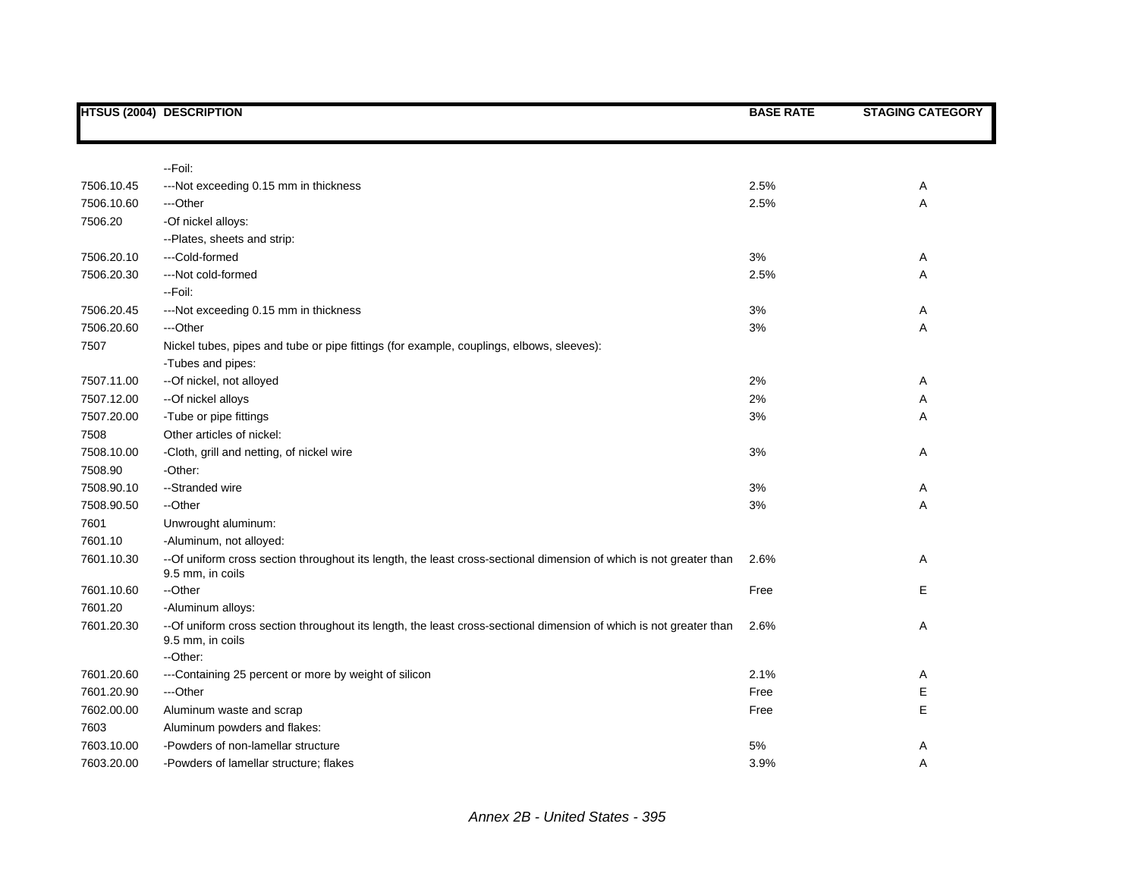|            | <b>HTSUS (2004) DESCRIPTION</b>                                                                                                                     | <b>BASE RATE</b> | <b>STAGING CATEGORY</b> |
|------------|-----------------------------------------------------------------------------------------------------------------------------------------------------|------------------|-------------------------|
|            |                                                                                                                                                     |                  |                         |
|            | --Foil:                                                                                                                                             |                  |                         |
| 7506.10.45 | --- Not exceeding 0.15 mm in thickness                                                                                                              | 2.5%             | Α                       |
| 7506.10.60 | ---Other                                                                                                                                            | 2.5%             | Α                       |
| 7506.20    | -Of nickel alloys:                                                                                                                                  |                  |                         |
|            | --Plates, sheets and strip:                                                                                                                         |                  |                         |
| 7506.20.10 | ---Cold-formed                                                                                                                                      | 3%               | Α                       |
| 7506.20.30 | ---Not cold-formed                                                                                                                                  | 2.5%             | Α                       |
|            | - Foil:                                                                                                                                             |                  |                         |
| 7506.20.45 | ---Not exceeding 0.15 mm in thickness                                                                                                               | 3%               | Α                       |
| 7506.20.60 | ---Other                                                                                                                                            | 3%               | Α                       |
| 7507       | Nickel tubes, pipes and tube or pipe fittings (for example, couplings, elbows, sleeves):                                                            |                  |                         |
|            | -Tubes and pipes:                                                                                                                                   |                  |                         |
| 7507.11.00 | --Of nickel, not alloyed                                                                                                                            | 2%               | Α                       |
| 7507.12.00 | --Of nickel alloys                                                                                                                                  | 2%               | Α                       |
| 7507.20.00 | -Tube or pipe fittings                                                                                                                              | 3%               | Α                       |
| 7508       | Other articles of nickel:                                                                                                                           |                  |                         |
| 7508.10.00 | -Cloth, grill and netting, of nickel wire                                                                                                           | 3%               | Α                       |
| 7508.90    | -Other:                                                                                                                                             |                  |                         |
| 7508.90.10 | --Stranded wire                                                                                                                                     | 3%               | Α                       |
| 7508.90.50 | --Other                                                                                                                                             | 3%               | Α                       |
| 7601       | Unwrought aluminum:                                                                                                                                 |                  |                         |
| 7601.10    | -Aluminum, not alloyed:                                                                                                                             |                  |                         |
| 7601.10.30 | -- Of uniform cross section throughout its length, the least cross-sectional dimension of which is not greater than<br>9.5 mm, in coils             | 2.6%             | Α                       |
| 7601.10.60 | --Other                                                                                                                                             | Free             | Е                       |
| 7601.20    | -Aluminum alloys:                                                                                                                                   |                  |                         |
| 7601.20.30 | -- Of uniform cross section throughout its length, the least cross-sectional dimension of which is not greater than<br>9.5 mm, in coils<br>--Other: | 2.6%             | Α                       |
| 7601.20.60 | ---Containing 25 percent or more by weight of silicon                                                                                               | 2.1%             | Α                       |
| 7601.20.90 | ---Other                                                                                                                                            | Free             | Е                       |
| 7602.00.00 | Aluminum waste and scrap                                                                                                                            | Free             | Е                       |
| 7603       | Aluminum powders and flakes:                                                                                                                        |                  |                         |
| 7603.10.00 | -Powders of non-lamellar structure                                                                                                                  | 5%               | Α                       |
| 7603.20.00 | -Powders of lamellar structure; flakes                                                                                                              | 3.9%             | A                       |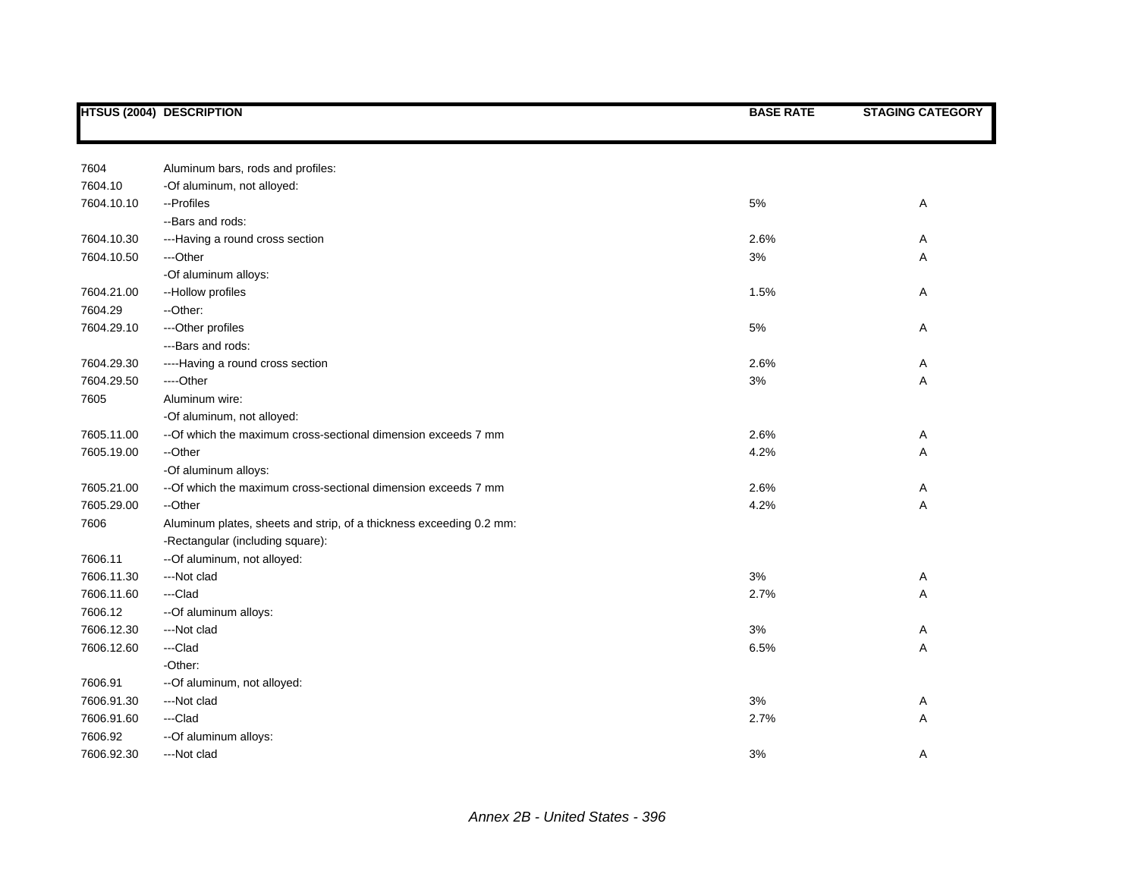|            | <b>HTSUS (2004) DESCRIPTION</b>                                     | <b>BASE RATE</b> | <b>STAGING CATEGORY</b> |
|------------|---------------------------------------------------------------------|------------------|-------------------------|
|            |                                                                     |                  |                         |
| 7604       | Aluminum bars, rods and profiles:                                   |                  |                         |
| 7604.10    | -Of aluminum, not alloyed:                                          |                  |                         |
| 7604.10.10 | --Profiles                                                          | $5\%$            | Α                       |
|            | --Bars and rods:                                                    |                  |                         |
| 7604.10.30 | ---Having a round cross section                                     | 2.6%             | A                       |
| 7604.10.50 | ---Other                                                            | 3%               | Α                       |
|            | -Of aluminum alloys:                                                |                  |                         |
| 7604.21.00 | --Hollow profiles                                                   | 1.5%             | Α                       |
| 7604.29    | --Other:                                                            |                  |                         |
| 7604.29.10 | ---Other profiles                                                   | 5%               | A                       |
|            | --- Bars and rods:                                                  |                  |                         |
| 7604.29.30 | ----Having a round cross section                                    | 2.6%             | Α                       |
| 7604.29.50 | ----Other                                                           | 3%               | Α                       |
| 7605       | Aluminum wire:                                                      |                  |                         |
|            | -Of aluminum, not alloyed:                                          |                  |                         |
| 7605.11.00 | -- Of which the maximum cross-sectional dimension exceeds 7 mm      | 2.6%             | A                       |
| 7605.19.00 | --Other                                                             | 4.2%             | Α                       |
|            | -Of aluminum alloys:                                                |                  |                         |
| 7605.21.00 | -- Of which the maximum cross-sectional dimension exceeds 7 mm      | 2.6%             | Α                       |
| 7605.29.00 | --Other                                                             | 4.2%             | Α                       |
| 7606       | Aluminum plates, sheets and strip, of a thickness exceeding 0.2 mm: |                  |                         |
|            | -Rectangular (including square):                                    |                  |                         |
| 7606.11    | -- Of aluminum, not alloyed:                                        |                  |                         |
| 7606.11.30 | ---Not clad                                                         | 3%               | Α                       |
| 7606.11.60 | ---Clad                                                             | 2.7%             | Α                       |
| 7606.12    | -- Of aluminum alloys:                                              |                  |                         |
| 7606.12.30 | ---Not clad                                                         | 3%               | Α                       |
| 7606.12.60 | ---Clad                                                             | 6.5%             | Α                       |
|            | -Other:                                                             |                  |                         |
| 7606.91    | -- Of aluminum, not alloyed:                                        |                  |                         |
| 7606.91.30 | ---Not clad                                                         | 3%               | A                       |
| 7606.91.60 | ---Clad                                                             | 2.7%             | Α                       |
| 7606.92    | -- Of aluminum alloys:                                              |                  |                         |
| 7606.92.30 | ---Not clad                                                         | 3%               | Α                       |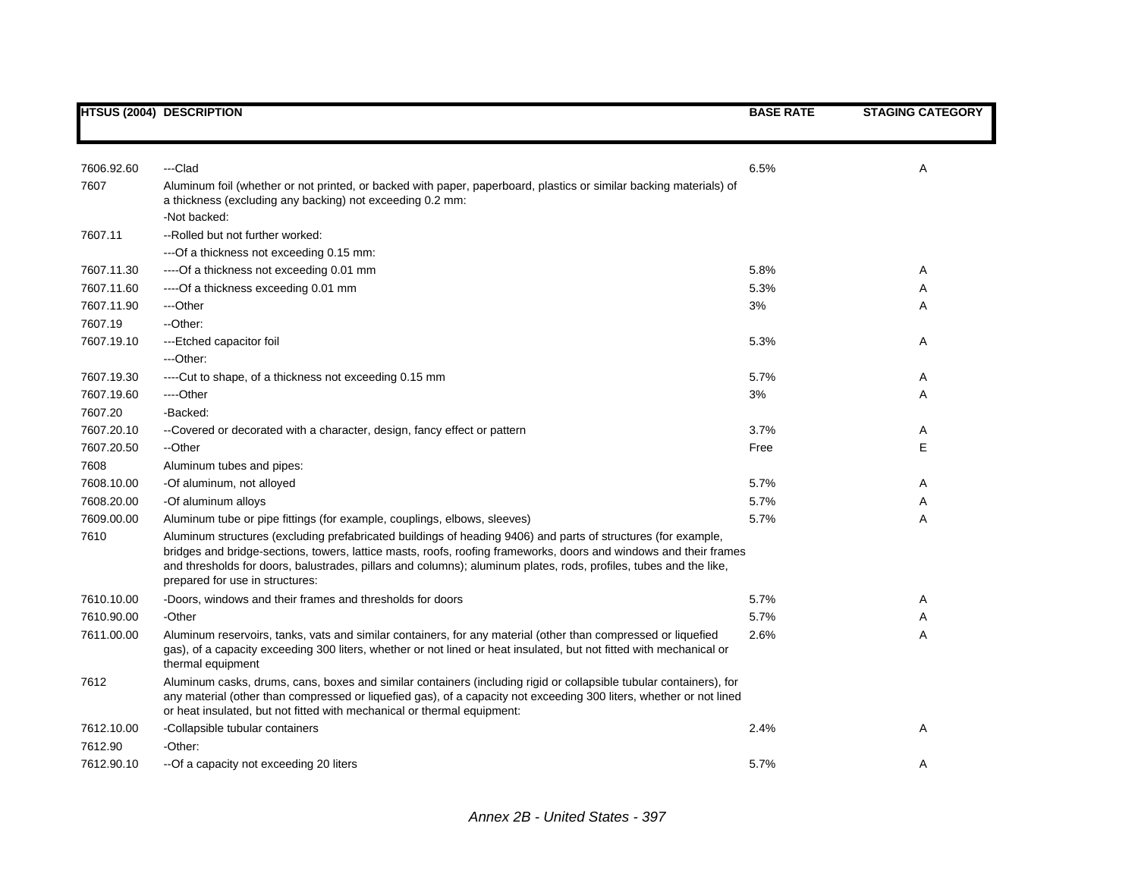|            | <b>HTSUS (2004) DESCRIPTION</b>                                                                                                                                                                                                                                                                                                                                                            | <b>BASE RATE</b> | <b>STAGING CATEGORY</b> |
|------------|--------------------------------------------------------------------------------------------------------------------------------------------------------------------------------------------------------------------------------------------------------------------------------------------------------------------------------------------------------------------------------------------|------------------|-------------------------|
|            |                                                                                                                                                                                                                                                                                                                                                                                            |                  |                         |
| 7606.92.60 | ---Clad                                                                                                                                                                                                                                                                                                                                                                                    | 6.5%             | A                       |
| 7607       | Aluminum foil (whether or not printed, or backed with paper, paperboard, plastics or similar backing materials) of<br>a thickness (excluding any backing) not exceeding 0.2 mm:<br>-Not backed:                                                                                                                                                                                            |                  |                         |
| 7607.11    | --Rolled but not further worked:                                                                                                                                                                                                                                                                                                                                                           |                  |                         |
|            | ---Of a thickness not exceeding 0.15 mm:                                                                                                                                                                                                                                                                                                                                                   |                  |                         |
| 7607.11.30 | ---- Of a thickness not exceeding 0.01 mm                                                                                                                                                                                                                                                                                                                                                  | 5.8%             | Α                       |
| 7607.11.60 | ----Of a thickness exceeding 0.01 mm                                                                                                                                                                                                                                                                                                                                                       | 5.3%             | Α                       |
| 7607.11.90 | ---Other                                                                                                                                                                                                                                                                                                                                                                                   | 3%               | A                       |
| 7607.19    | --Other:                                                                                                                                                                                                                                                                                                                                                                                   |                  |                         |
| 7607.19.10 | ---Etched capacitor foil                                                                                                                                                                                                                                                                                                                                                                   | 5.3%             | Α                       |
|            | ---Other:                                                                                                                                                                                                                                                                                                                                                                                  |                  |                         |
| 7607.19.30 | ----Cut to shape, of a thickness not exceeding 0.15 mm                                                                                                                                                                                                                                                                                                                                     | 5.7%             | A                       |
| 7607.19.60 | ----Other                                                                                                                                                                                                                                                                                                                                                                                  | 3%               | Α                       |
| 7607.20    | -Backed:                                                                                                                                                                                                                                                                                                                                                                                   |                  |                         |
| 7607.20.10 | --Covered or decorated with a character, design, fancy effect or pattern                                                                                                                                                                                                                                                                                                                   | 3.7%             | A                       |
| 7607.20.50 | --Other                                                                                                                                                                                                                                                                                                                                                                                    | Free             | E                       |
| 7608       | Aluminum tubes and pipes:                                                                                                                                                                                                                                                                                                                                                                  |                  |                         |
| 7608.10.00 | -Of aluminum, not alloyed                                                                                                                                                                                                                                                                                                                                                                  | 5.7%             | Α                       |
| 7608.20.00 | -Of aluminum alloys                                                                                                                                                                                                                                                                                                                                                                        | 5.7%             | Α                       |
| 7609.00.00 | Aluminum tube or pipe fittings (for example, couplings, elbows, sleeves)                                                                                                                                                                                                                                                                                                                   | 5.7%             | Α                       |
| 7610       | Aluminum structures (excluding prefabricated buildings of heading 9406) and parts of structures (for example,<br>bridges and bridge-sections, towers, lattice masts, roofs, roofing frameworks, doors and windows and their frames<br>and thresholds for doors, balustrades, pillars and columns); aluminum plates, rods, profiles, tubes and the like,<br>prepared for use in structures: |                  |                         |
| 7610.10.00 | -Doors, windows and their frames and thresholds for doors                                                                                                                                                                                                                                                                                                                                  | 5.7%             | Α                       |
| 7610.90.00 | -Other                                                                                                                                                                                                                                                                                                                                                                                     | 5.7%             | Α                       |
| 7611.00.00 | Aluminum reservoirs, tanks, vats and similar containers, for any material (other than compressed or liquefied<br>gas), of a capacity exceeding 300 liters, whether or not lined or heat insulated, but not fitted with mechanical or<br>thermal equipment                                                                                                                                  | 2.6%             | Α                       |
| 7612       | Aluminum casks, drums, cans, boxes and similar containers (including rigid or collapsible tubular containers), for<br>any material (other than compressed or liquefied gas), of a capacity not exceeding 300 liters, whether or not lined<br>or heat insulated, but not fitted with mechanical or thermal equipment:                                                                       |                  |                         |
| 7612.10.00 | -Collapsible tubular containers                                                                                                                                                                                                                                                                                                                                                            | 2.4%             | A                       |
| 7612.90    | -Other:                                                                                                                                                                                                                                                                                                                                                                                    |                  |                         |
| 7612.90.10 | --Of a capacity not exceeding 20 liters                                                                                                                                                                                                                                                                                                                                                    | 5.7%             | A                       |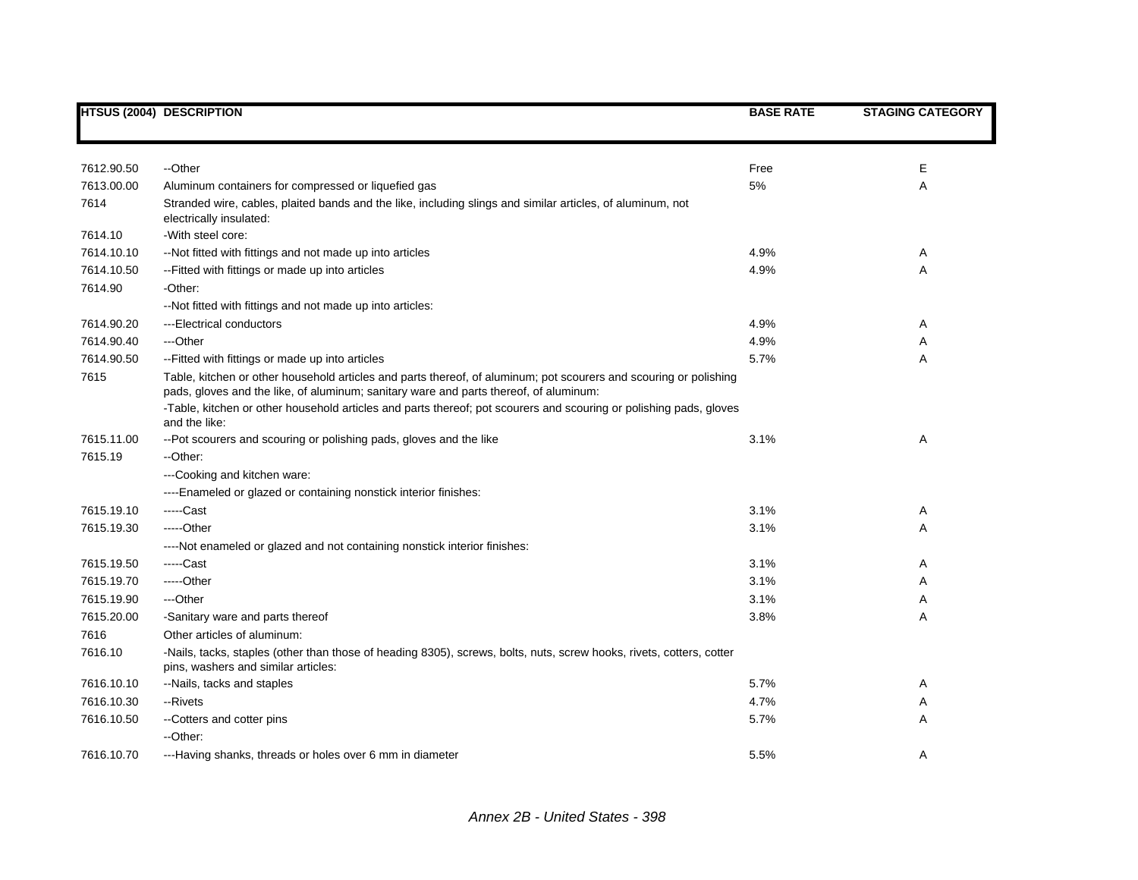|            | <b>HTSUS (2004) DESCRIPTION</b>                                                                                                                                                                                                                                                                                                  | <b>BASE RATE</b> | <b>STAGING CATEGORY</b> |
|------------|----------------------------------------------------------------------------------------------------------------------------------------------------------------------------------------------------------------------------------------------------------------------------------------------------------------------------------|------------------|-------------------------|
|            |                                                                                                                                                                                                                                                                                                                                  |                  |                         |
| 7612.90.50 | --Other                                                                                                                                                                                                                                                                                                                          | Free             | Ε                       |
| 7613.00.00 | Aluminum containers for compressed or liquefied gas                                                                                                                                                                                                                                                                              | 5%               | Α                       |
| 7614       | Stranded wire, cables, plaited bands and the like, including slings and similar articles, of aluminum, not<br>electrically insulated:                                                                                                                                                                                            |                  |                         |
| 7614.10    | -With steel core:                                                                                                                                                                                                                                                                                                                |                  |                         |
| 7614.10.10 | --Not fitted with fittings and not made up into articles                                                                                                                                                                                                                                                                         | 4.9%             | Α                       |
| 7614.10.50 | -- Fitted with fittings or made up into articles                                                                                                                                                                                                                                                                                 | 4.9%             | A                       |
| 7614.90    | -Other:                                                                                                                                                                                                                                                                                                                          |                  |                         |
|            | --Not fitted with fittings and not made up into articles:                                                                                                                                                                                                                                                                        |                  |                         |
| 7614.90.20 | ---Electrical conductors                                                                                                                                                                                                                                                                                                         | 4.9%             | Α                       |
| 7614.90.40 | ---Other                                                                                                                                                                                                                                                                                                                         | 4.9%             | Α                       |
| 7614.90.50 | -- Fitted with fittings or made up into articles                                                                                                                                                                                                                                                                                 | 5.7%             | Α                       |
| 7615       | Table, kitchen or other household articles and parts thereof, of aluminum; pot scourers and scouring or polishing<br>pads, gloves and the like, of aluminum; sanitary ware and parts thereof, of aluminum:<br>-Table, kitchen or other household articles and parts thereof; pot scourers and scouring or polishing pads, gloves |                  |                         |
|            | and the like:                                                                                                                                                                                                                                                                                                                    |                  |                         |
| 7615.11.00 | --Pot scourers and scouring or polishing pads, gloves and the like                                                                                                                                                                                                                                                               | 3.1%             | Α                       |
| 7615.19    | --Other:                                                                                                                                                                                                                                                                                                                         |                  |                         |
|            | ---Cooking and kitchen ware:                                                                                                                                                                                                                                                                                                     |                  |                         |
|            | ----Enameled or glazed or containing nonstick interior finishes:                                                                                                                                                                                                                                                                 |                  |                         |
| 7615.19.10 | -----Cast                                                                                                                                                                                                                                                                                                                        | 3.1%             | Α                       |
| 7615.19.30 | -----Other                                                                                                                                                                                                                                                                                                                       | 3.1%             | A                       |
|            | ----Not enameled or glazed and not containing nonstick interior finishes:                                                                                                                                                                                                                                                        |                  |                         |
| 7615.19.50 | -----Cast                                                                                                                                                                                                                                                                                                                        | 3.1%             | A                       |
| 7615.19.70 | -----Other                                                                                                                                                                                                                                                                                                                       | 3.1%             | Α                       |
| 7615.19.90 | ---Other                                                                                                                                                                                                                                                                                                                         | 3.1%             | Α                       |
| 7615.20.00 | -Sanitary ware and parts thereof                                                                                                                                                                                                                                                                                                 | 3.8%             | Α                       |
| 7616       | Other articles of aluminum:                                                                                                                                                                                                                                                                                                      |                  |                         |
| 7616.10    | -Nails, tacks, staples (other than those of heading 8305), screws, bolts, nuts, screw hooks, rivets, cotters, cotter<br>pins, washers and similar articles:                                                                                                                                                                      |                  |                         |
| 7616.10.10 | --Nails, tacks and staples                                                                                                                                                                                                                                                                                                       | 5.7%             | Α                       |
| 7616.10.30 | --Rivets                                                                                                                                                                                                                                                                                                                         | 4.7%             | A                       |
| 7616.10.50 | --Cotters and cotter pins                                                                                                                                                                                                                                                                                                        | 5.7%             | Α                       |
|            | --Other:                                                                                                                                                                                                                                                                                                                         |                  |                         |
| 7616.10.70 | ---Having shanks, threads or holes over 6 mm in diameter                                                                                                                                                                                                                                                                         | 5.5%             | A                       |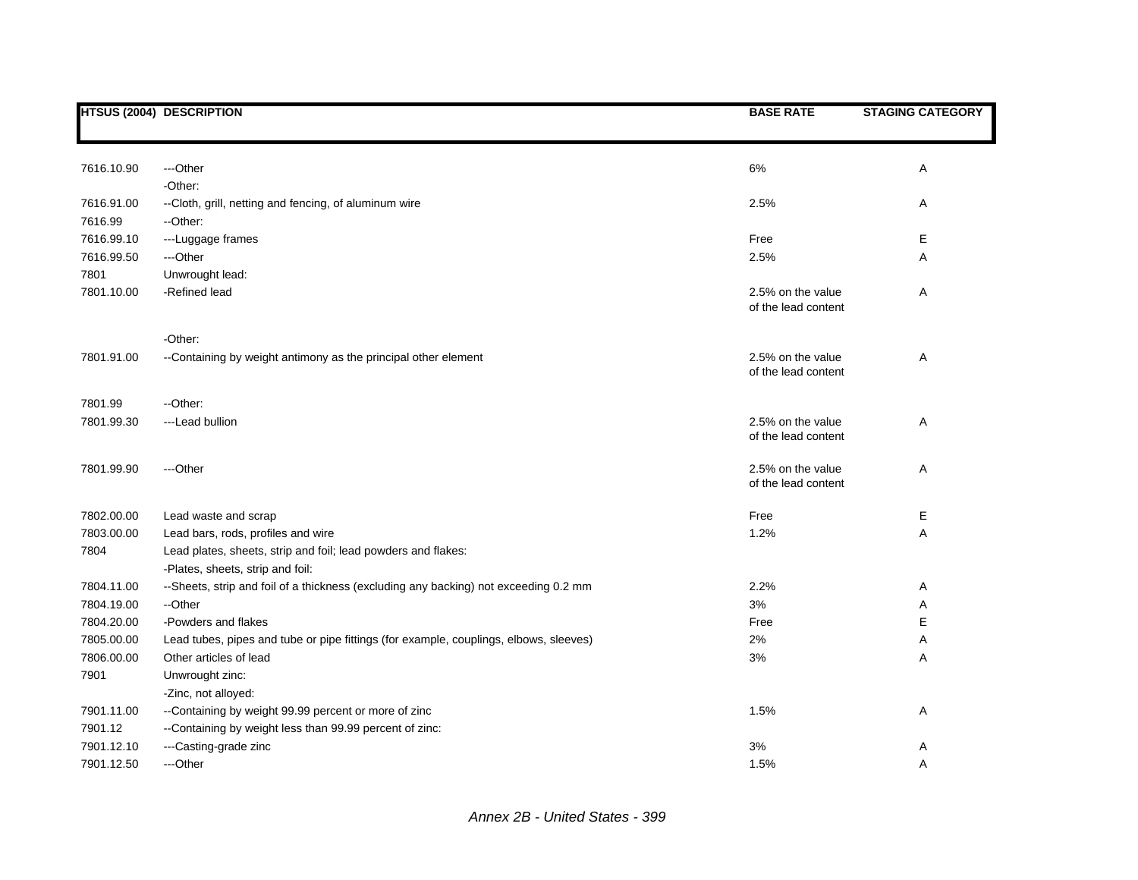|            | <b>HTSUS (2004) DESCRIPTION</b>                                                       | <b>BASE RATE</b>    | <b>STAGING CATEGORY</b> |
|------------|---------------------------------------------------------------------------------------|---------------------|-------------------------|
|            |                                                                                       |                     |                         |
|            |                                                                                       |                     |                         |
| 7616.10.90 | ---Other                                                                              | $6\%$               | Α                       |
|            | -Other:                                                                               |                     |                         |
| 7616.91.00 | --Cloth, grill, netting and fencing, of aluminum wire                                 | 2.5%                | A                       |
| 7616.99    | --Other:                                                                              |                     |                         |
| 7616.99.10 | ---Luggage frames                                                                     | Free                | Е                       |
| 7616.99.50 | ---Other                                                                              | 2.5%                | Α                       |
| 7801       | Unwrought lead:                                                                       |                     |                         |
| 7801.10.00 | -Refined lead                                                                         | 2.5% on the value   | Α                       |
|            |                                                                                       | of the lead content |                         |
|            | -Other:                                                                               |                     |                         |
| 7801.91.00 | --Containing by weight antimony as the principal other element                        | 2.5% on the value   | Α                       |
|            |                                                                                       | of the lead content |                         |
|            |                                                                                       |                     |                         |
| 7801.99    | --Other:                                                                              |                     |                         |
| 7801.99.30 | ---Lead bullion                                                                       | 2.5% on the value   | Α                       |
|            |                                                                                       | of the lead content |                         |
| 7801.99.90 | ---Other                                                                              | 2.5% on the value   | Α                       |
|            |                                                                                       | of the lead content |                         |
|            |                                                                                       |                     |                         |
| 7802.00.00 | Lead waste and scrap                                                                  | Free                | Е                       |
| 7803.00.00 | Lead bars, rods, profiles and wire                                                    | 1.2%                | A                       |
| 7804       | Lead plates, sheets, strip and foil; lead powders and flakes:                         |                     |                         |
|            | -Plates, sheets, strip and foil:                                                      |                     |                         |
| 7804.11.00 | --Sheets, strip and foil of a thickness (excluding any backing) not exceeding 0.2 mm  | 2.2%                | Α                       |
| 7804.19.00 | --Other                                                                               | 3%                  | Α                       |
| 7804.20.00 | -Powders and flakes                                                                   | Free                | E                       |
| 7805.00.00 | Lead tubes, pipes and tube or pipe fittings (for example, couplings, elbows, sleeves) | 2%                  | Α                       |
| 7806.00.00 | Other articles of lead                                                                | 3%                  | Α                       |
| 7901       | Unwrought zinc:                                                                       |                     |                         |
|            | -Zinc, not alloyed:                                                                   |                     |                         |
| 7901.11.00 | --Containing by weight 99.99 percent or more of zinc                                  | 1.5%                | Α                       |
| 7901.12    | --Containing by weight less than 99.99 percent of zinc:                               |                     |                         |
| 7901.12.10 | ---Casting-grade zinc                                                                 | 3%                  | Α                       |
| 7901.12.50 | ---Other                                                                              | 1.5%                | Α                       |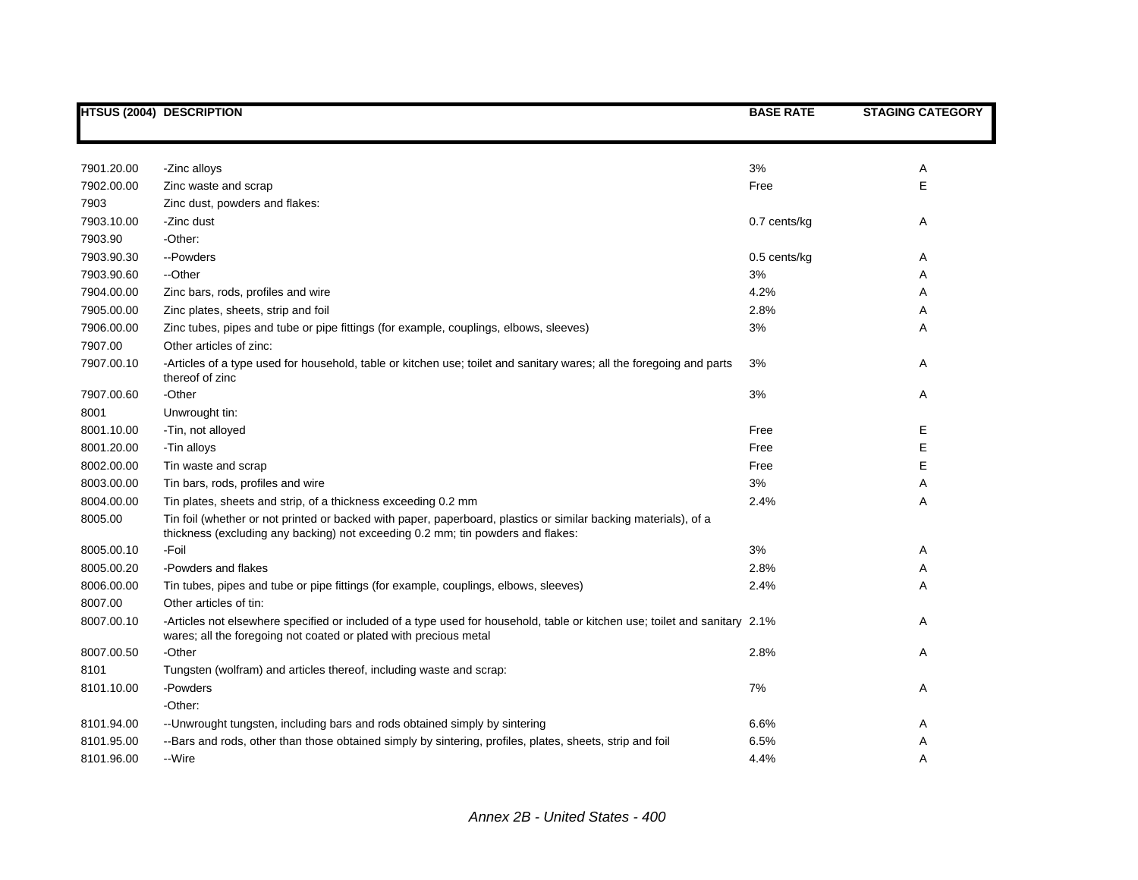|            | HTSUS (2004) DESCRIPTION                                                                                                                                                                           | <b>BASE RATE</b> | <b>STAGING CATEGORY</b> |
|------------|----------------------------------------------------------------------------------------------------------------------------------------------------------------------------------------------------|------------------|-------------------------|
|            |                                                                                                                                                                                                    |                  |                         |
| 7901.20.00 | -Zinc alloys                                                                                                                                                                                       | 3%               | Α                       |
| 7902.00.00 | Zinc waste and scrap                                                                                                                                                                               | Free             | E                       |
| 7903       | Zinc dust, powders and flakes:                                                                                                                                                                     |                  |                         |
| 7903.10.00 | -Zinc dust                                                                                                                                                                                         | 0.7 cents/kg     | Α                       |
| 7903.90    | -Other:                                                                                                                                                                                            |                  |                         |
| 7903.90.30 | --Powders                                                                                                                                                                                          | $0.5$ cents/kg   | Α                       |
| 7903.90.60 | --Other                                                                                                                                                                                            | 3%               | Α                       |
| 7904.00.00 | Zinc bars, rods, profiles and wire                                                                                                                                                                 | 4.2%             | Α                       |
| 7905.00.00 | Zinc plates, sheets, strip and foil                                                                                                                                                                | 2.8%             | Α                       |
| 7906.00.00 | Zinc tubes, pipes and tube or pipe fittings (for example, couplings, elbows, sleeves)                                                                                                              | 3%               | Α                       |
| 7907.00    | Other articles of zinc:                                                                                                                                                                            |                  |                         |
| 7907.00.10 | -Articles of a type used for household, table or kitchen use; toilet and sanitary wares; all the foregoing and parts<br>thereof of zinc                                                            | 3%               | Α                       |
| 7907.00.60 | -Other                                                                                                                                                                                             | 3%               | Α                       |
| 8001       | Unwrought tin:                                                                                                                                                                                     |                  |                         |
| 8001.10.00 | -Tin, not alloyed                                                                                                                                                                                  | Free             | Е                       |
| 8001.20.00 | -Tin alloys                                                                                                                                                                                        | Free             | E                       |
| 8002.00.00 | Tin waste and scrap                                                                                                                                                                                | Free             | E                       |
| 8003.00.00 | Tin bars, rods, profiles and wire                                                                                                                                                                  | 3%               | Α                       |
| 8004.00.00 | Tin plates, sheets and strip, of a thickness exceeding 0.2 mm                                                                                                                                      | 2.4%             | Α                       |
| 8005.00    | Tin foil (whether or not printed or backed with paper, paperboard, plastics or similar backing materials), of a<br>thickness (excluding any backing) not exceeding 0.2 mm; tin powders and flakes: |                  |                         |
| 8005.00.10 | -Foil                                                                                                                                                                                              | 3%               | Α                       |
| 8005.00.20 | -Powders and flakes                                                                                                                                                                                | 2.8%             | Α                       |
| 8006.00.00 | Tin tubes, pipes and tube or pipe fittings (for example, couplings, elbows, sleeves)                                                                                                               | 2.4%             | Α                       |
| 8007.00    | Other articles of tin:                                                                                                                                                                             |                  |                         |
| 8007.00.10 | -Articles not elsewhere specified or included of a type used for household, table or kitchen use; toilet and sanitary 2.1%<br>wares; all the foregoing not coated or plated with precious metal    |                  | Α                       |
| 8007.00.50 | -Other                                                                                                                                                                                             | 2.8%             | Α                       |
| 8101       | Tungsten (wolfram) and articles thereof, including waste and scrap:                                                                                                                                |                  |                         |
| 8101.10.00 | -Powders                                                                                                                                                                                           | 7%               | Α                       |
|            | -Other:                                                                                                                                                                                            |                  |                         |
| 8101.94.00 | -- Unwrought tungsten, including bars and rods obtained simply by sintering                                                                                                                        | 6.6%             | Α                       |
| 8101.95.00 | --Bars and rods, other than those obtained simply by sintering, profiles, plates, sheets, strip and foil                                                                                           | 6.5%             | Α                       |
| 8101.96.00 | --Wire                                                                                                                                                                                             | 4.4%             | A                       |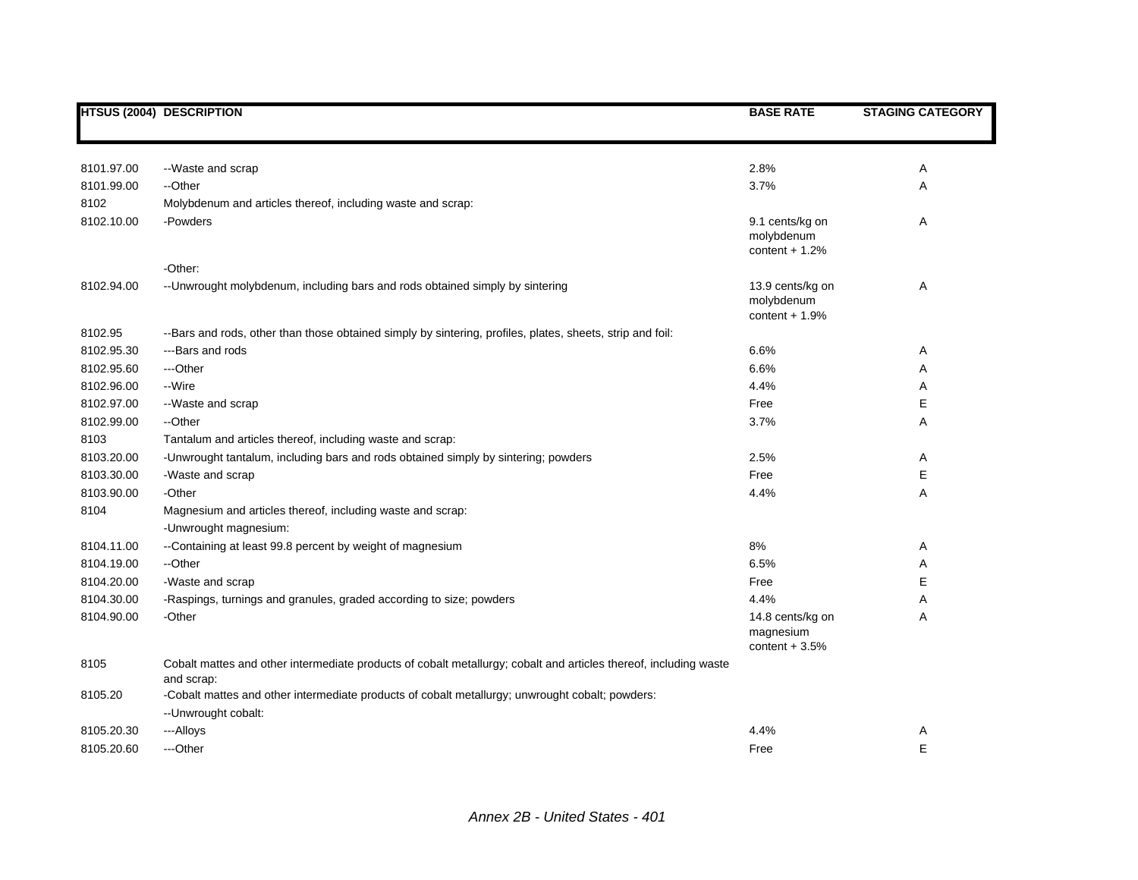|            | <b>HTSUS (2004) DESCRIPTION</b>                                                                                                | <b>BASE RATE</b>                                  | <b>STAGING CATEGORY</b> |
|------------|--------------------------------------------------------------------------------------------------------------------------------|---------------------------------------------------|-------------------------|
|            |                                                                                                                                |                                                   |                         |
| 8101.97.00 | --Waste and scrap                                                                                                              | 2.8%                                              | A                       |
| 8101.99.00 | --Other                                                                                                                        | 3.7%                                              | Α                       |
| 8102       | Molybdenum and articles thereof, including waste and scrap:                                                                    |                                                   |                         |
| 8102.10.00 | -Powders                                                                                                                       | 9.1 cents/kg on<br>molybdenum<br>content $+1.2%$  | A                       |
|            | -Other:                                                                                                                        |                                                   |                         |
| 8102.94.00 | -- Unwrought molybdenum, including bars and rods obtained simply by sintering                                                  | 13.9 cents/kg on<br>molybdenum<br>content $+1.9%$ | Α                       |
| 8102.95    | --Bars and rods, other than those obtained simply by sintering, profiles, plates, sheets, strip and foil:                      |                                                   |                         |
| 8102.95.30 | ---Bars and rods                                                                                                               | 6.6%                                              | Α                       |
| 8102.95.60 | ---Other                                                                                                                       | 6.6%                                              | Α                       |
| 8102.96.00 | --Wire                                                                                                                         | 4.4%                                              | Α                       |
| 8102.97.00 | --Waste and scrap                                                                                                              | Free                                              | Ε                       |
| 8102.99.00 | --Other                                                                                                                        | 3.7%                                              | Α                       |
| 8103       | Tantalum and articles thereof, including waste and scrap:                                                                      |                                                   |                         |
| 8103.20.00 | -Unwrought tantalum, including bars and rods obtained simply by sintering; powders                                             | 2.5%                                              | Α                       |
| 8103.30.00 | -Waste and scrap                                                                                                               | Free                                              | Е                       |
| 8103.90.00 | -Other                                                                                                                         | 4.4%                                              | Α                       |
| 8104       | Magnesium and articles thereof, including waste and scrap:<br>-Unwrought magnesium:                                            |                                                   |                         |
| 8104.11.00 | --Containing at least 99.8 percent by weight of magnesium                                                                      | 8%                                                | Α                       |
| 8104.19.00 | --Other                                                                                                                        | 6.5%                                              | Α                       |
| 8104.20.00 | -Waste and scrap                                                                                                               | Free                                              | Е                       |
| 8104.30.00 | -Raspings, turnings and granules, graded according to size; powders                                                            | 4.4%                                              | Α                       |
| 8104.90.00 | -Other                                                                                                                         | 14.8 cents/kg on<br>magnesium<br>content $+3.5%$  | A                       |
| 8105       | Cobalt mattes and other intermediate products of cobalt metallurgy; cobalt and articles thereof, including waste<br>and scrap: |                                                   |                         |
| 8105.20    | -Cobalt mattes and other intermediate products of cobalt metallurgy; unwrought cobalt; powders:<br>-- Unwrought cobalt:        |                                                   |                         |
| 8105.20.30 | --- Alloys                                                                                                                     | 4.4%                                              | A                       |
| 8105.20.60 | ---Other                                                                                                                       | Free                                              | E                       |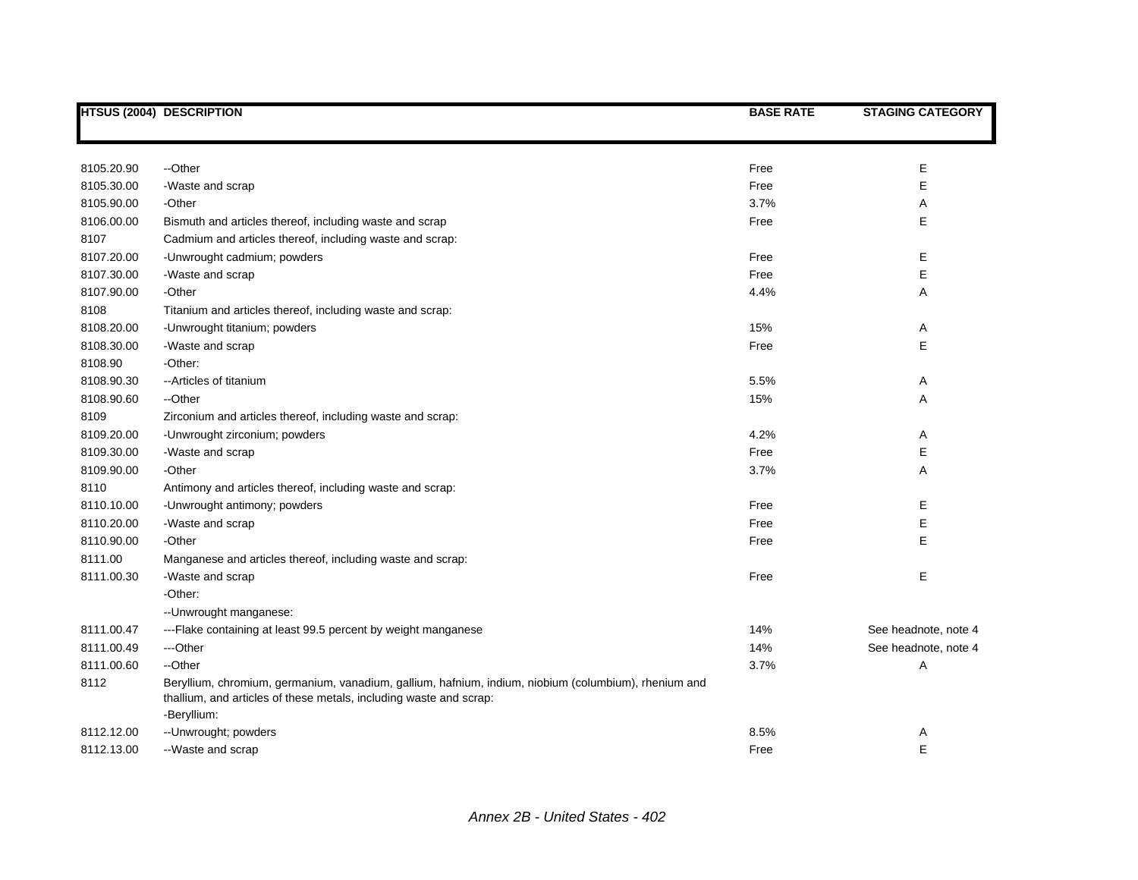|            | <b>HTSUS (2004) DESCRIPTION</b>                                                                                                                                            | <b>BASE RATE</b> | <b>STAGING CATEGORY</b> |
|------------|----------------------------------------------------------------------------------------------------------------------------------------------------------------------------|------------------|-------------------------|
|            |                                                                                                                                                                            |                  |                         |
| 8105.20.90 | --Other                                                                                                                                                                    | Free             | Ε                       |
| 8105.30.00 | -Waste and scrap                                                                                                                                                           | Free             | E                       |
| 8105.90.00 | -Other                                                                                                                                                                     | 3.7%             | Α                       |
| 8106.00.00 | Bismuth and articles thereof, including waste and scrap                                                                                                                    | Free             | Е                       |
| 8107       | Cadmium and articles thereof, including waste and scrap:                                                                                                                   |                  |                         |
| 8107.20.00 | -Unwrought cadmium; powders                                                                                                                                                | Free             | Е                       |
| 8107.30.00 | -Waste and scrap                                                                                                                                                           | Free             | E                       |
| 8107.90.00 | -Other                                                                                                                                                                     | 4.4%             | Α                       |
| 8108       | Titanium and articles thereof, including waste and scrap:                                                                                                                  |                  |                         |
| 8108.20.00 | -Unwrought titanium; powders                                                                                                                                               | 15%              | Α                       |
| 8108.30.00 | -Waste and scrap                                                                                                                                                           | Free             | Е                       |
| 8108.90    | -Other:                                                                                                                                                                    |                  |                         |
| 8108.90.30 | -- Articles of titanium                                                                                                                                                    | 5.5%             | Α                       |
| 8108.90.60 | --Other                                                                                                                                                                    | 15%              | Α                       |
| 8109       | Zirconium and articles thereof, including waste and scrap:                                                                                                                 |                  |                         |
| 8109.20.00 | -Unwrought zirconium; powders                                                                                                                                              | 4.2%             | A                       |
| 8109.30.00 | -Waste and scrap                                                                                                                                                           | Free             | Ε                       |
| 8109.90.00 | -Other                                                                                                                                                                     | 3.7%             | A                       |
| 8110       | Antimony and articles thereof, including waste and scrap:                                                                                                                  |                  |                         |
| 8110.10.00 | -Unwrought antimony; powders                                                                                                                                               | Free             | Е                       |
| 8110.20.00 | -Waste and scrap                                                                                                                                                           | Free             | E                       |
| 8110.90.00 | -Other                                                                                                                                                                     | Free             | E                       |
| 8111.00    | Manganese and articles thereof, including waste and scrap:                                                                                                                 |                  |                         |
| 8111.00.30 | -Waste and scrap                                                                                                                                                           | Free             | Е                       |
|            | -Other:                                                                                                                                                                    |                  |                         |
|            | -- Unwrought manganese:                                                                                                                                                    |                  |                         |
| 8111.00.47 | ---Flake containing at least 99.5 percent by weight manganese                                                                                                              | 14%              | See headnote, note 4    |
| 8111.00.49 | ---Other                                                                                                                                                                   | 14%              | See headnote, note 4    |
| 8111.00.60 | --Other                                                                                                                                                                    | 3.7%             | Α                       |
| 8112       | Beryllium, chromium, germanium, vanadium, gallium, hafnium, indium, niobium (columbium), rhenium and<br>thallium, and articles of these metals, including waste and scrap: |                  |                         |
|            | -Beryllium:                                                                                                                                                                |                  |                         |
| 8112.12.00 | -- Unwrought; powders                                                                                                                                                      | 8.5%             | Α                       |
| 8112.13.00 | --Waste and scrap                                                                                                                                                          | Free             | E                       |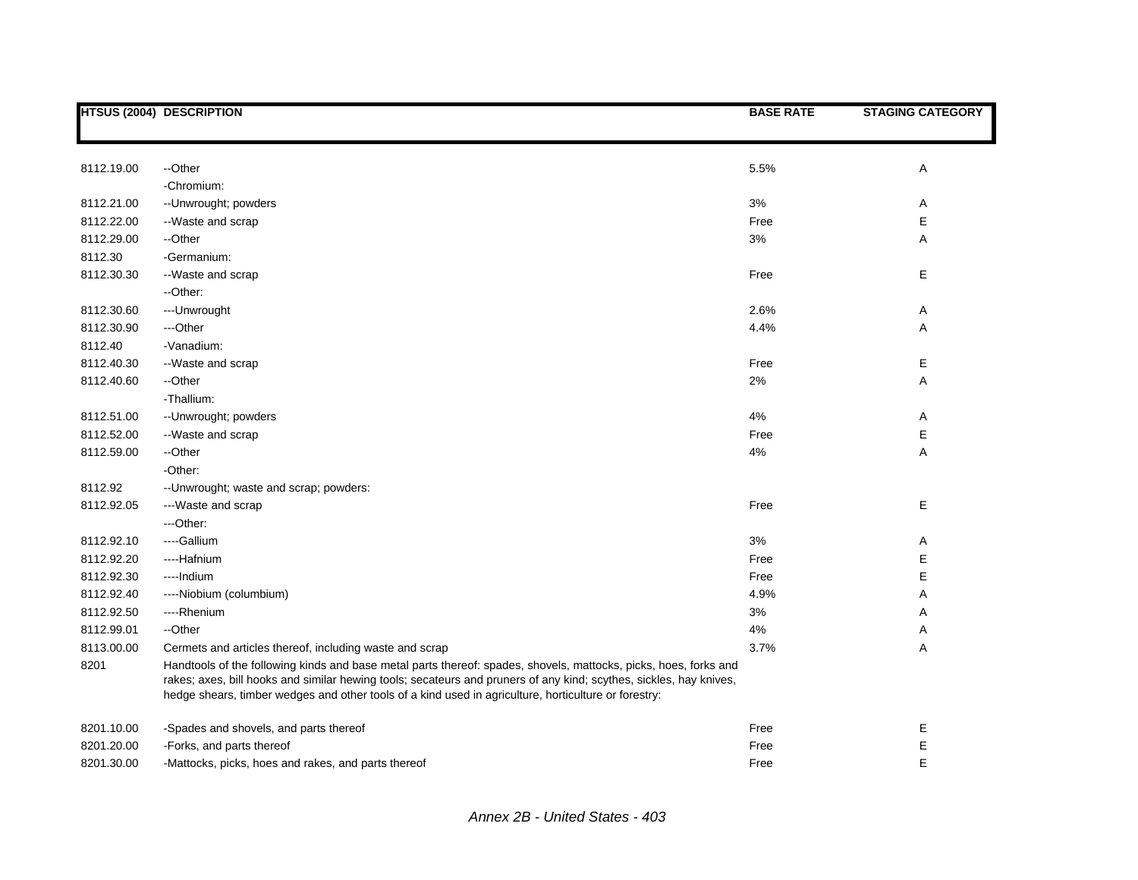|            | <b>HTSUS (2004) DESCRIPTION</b>                                                                                                                                                                                                                                                                                                                | <b>BASE RATE</b> | <b>STAGING CATEGORY</b> |
|------------|------------------------------------------------------------------------------------------------------------------------------------------------------------------------------------------------------------------------------------------------------------------------------------------------------------------------------------------------|------------------|-------------------------|
|            |                                                                                                                                                                                                                                                                                                                                                |                  |                         |
| 8112.19.00 | --Other                                                                                                                                                                                                                                                                                                                                        | 5.5%             | Α                       |
|            | -Chromium:                                                                                                                                                                                                                                                                                                                                     |                  |                         |
| 8112.21.00 | -- Unwrought; powders                                                                                                                                                                                                                                                                                                                          | 3%               | Α                       |
| 8112.22.00 | --Waste and scrap                                                                                                                                                                                                                                                                                                                              | Free             | Е                       |
| 8112.29.00 | --Other                                                                                                                                                                                                                                                                                                                                        | 3%               | Α                       |
| 8112.30    | -Germanium:                                                                                                                                                                                                                                                                                                                                    |                  |                         |
| 8112.30.30 | --Waste and scrap                                                                                                                                                                                                                                                                                                                              | Free             | E                       |
|            | --Other:                                                                                                                                                                                                                                                                                                                                       |                  |                         |
| 8112.30.60 | --- Unwrought                                                                                                                                                                                                                                                                                                                                  | 2.6%             | A                       |
| 8112.30.90 | ---Other                                                                                                                                                                                                                                                                                                                                       | 4.4%             | Α                       |
| 8112.40    | -Vanadium:                                                                                                                                                                                                                                                                                                                                     |                  |                         |
| 8112.40.30 | --Waste and scrap                                                                                                                                                                                                                                                                                                                              | Free             | Е                       |
| 8112.40.60 | --Other                                                                                                                                                                                                                                                                                                                                        | 2%               | Α                       |
|            | -Thallium:                                                                                                                                                                                                                                                                                                                                     |                  |                         |
| 8112.51.00 | -- Unwrought; powders                                                                                                                                                                                                                                                                                                                          | 4%               | A                       |
| 8112.52.00 | --Waste and scrap                                                                                                                                                                                                                                                                                                                              | Free             | Е                       |
| 8112.59.00 | --Other                                                                                                                                                                                                                                                                                                                                        | 4%               | Α                       |
|            | -Other:                                                                                                                                                                                                                                                                                                                                        |                  |                         |
| 8112.92    | -- Unwrought; waste and scrap; powders:                                                                                                                                                                                                                                                                                                        |                  |                         |
| 8112.92.05 | ---Waste and scrap                                                                                                                                                                                                                                                                                                                             | Free             | Е                       |
|            | ---Other:                                                                                                                                                                                                                                                                                                                                      |                  |                         |
| 8112.92.10 | ----Gallium                                                                                                                                                                                                                                                                                                                                    | 3%               | A                       |
| 8112.92.20 | ----Hafnium                                                                                                                                                                                                                                                                                                                                    | Free             | E                       |
| 8112.92.30 | ---- Indium                                                                                                                                                                                                                                                                                                                                    | Free             | E                       |
| 8112.92.40 | ----Niobium (columbium)                                                                                                                                                                                                                                                                                                                        | 4.9%             | Α                       |
| 8112.92.50 | ----Rhenium                                                                                                                                                                                                                                                                                                                                    | 3%               | Α                       |
| 8112.99.01 | --Other                                                                                                                                                                                                                                                                                                                                        | 4%               | Α                       |
| 8113.00.00 | Cermets and articles thereof, including waste and scrap                                                                                                                                                                                                                                                                                        | 3.7%             | Α                       |
| 8201       | Handtools of the following kinds and base metal parts thereof: spades, shovels, mattocks, picks, hoes, forks and<br>rakes; axes, bill hooks and similar hewing tools; secateurs and pruners of any kind; scythes, sickles, hay knives,<br>hedge shears, timber wedges and other tools of a kind used in agriculture, horticulture or forestry: |                  |                         |
| 8201.10.00 | -Spades and shovels, and parts thereof                                                                                                                                                                                                                                                                                                         | Free             | Е                       |
| 8201.20.00 | -Forks, and parts thereof                                                                                                                                                                                                                                                                                                                      | Free             | E                       |
| 8201.30.00 | -Mattocks, picks, hoes and rakes, and parts thereof                                                                                                                                                                                                                                                                                            | Free             | E                       |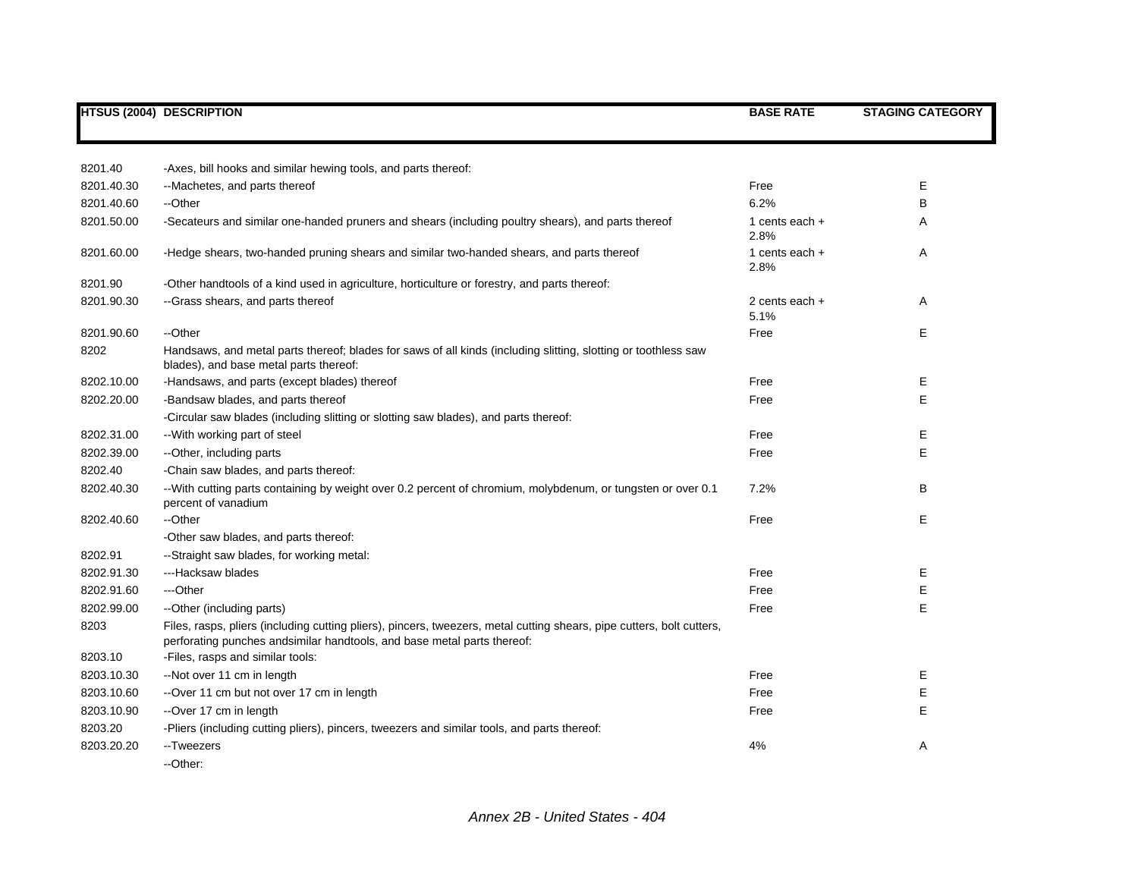|            | <b>HTSUS (2004) DESCRIPTION</b>                                                                                                                                                                   | <b>BASE RATE</b>         | <b>STAGING CATEGORY</b> |
|------------|---------------------------------------------------------------------------------------------------------------------------------------------------------------------------------------------------|--------------------------|-------------------------|
|            |                                                                                                                                                                                                   |                          |                         |
|            |                                                                                                                                                                                                   |                          |                         |
| 8201.40    | -Axes, bill hooks and similar hewing tools, and parts thereof:                                                                                                                                    |                          |                         |
| 8201.40.30 | --Machetes, and parts thereof                                                                                                                                                                     | Free                     | E                       |
| 8201.40.60 | --Other                                                                                                                                                                                           | 6.2%                     | B                       |
| 8201.50.00 | -Secateurs and similar one-handed pruners and shears (including poultry shears), and parts thereof                                                                                                | 1 cents each $+$<br>2.8% | Α                       |
| 8201.60.00 | -Hedge shears, two-handed pruning shears and similar two-handed shears, and parts thereof                                                                                                         | 1 cents each $+$<br>2.8% | A                       |
| 8201.90    | -Other handtools of a kind used in agriculture, horticulture or forestry, and parts thereof:                                                                                                      |                          |                         |
| 8201.90.30 | -- Grass shears, and parts thereof                                                                                                                                                                | 2 cents each $+$<br>5.1% | A                       |
| 8201.90.60 | --Other                                                                                                                                                                                           | Free                     | E                       |
| 8202       | Handsaws, and metal parts thereof; blades for saws of all kinds (including slitting, slotting or toothless saw<br>blades), and base metal parts thereof:                                          |                          |                         |
| 8202.10.00 | -Handsaws, and parts (except blades) thereof                                                                                                                                                      | Free                     | Е                       |
| 8202.20.00 | -Bandsaw blades, and parts thereof                                                                                                                                                                | Free                     | E                       |
|            | -Circular saw blades (including slitting or slotting saw blades), and parts thereof:                                                                                                              |                          |                         |
| 8202.31.00 | --With working part of steel                                                                                                                                                                      | Free                     | Е                       |
| 8202.39.00 | --Other, including parts                                                                                                                                                                          | Free                     | E                       |
| 8202.40    | -Chain saw blades, and parts thereof:                                                                                                                                                             |                          |                         |
| 8202.40.30 | --With cutting parts containing by weight over 0.2 percent of chromium, molybdenum, or tungsten or over 0.1<br>percent of vanadium                                                                | 7.2%                     | B                       |
| 8202.40.60 | --Other                                                                                                                                                                                           | Free                     | E                       |
|            | -Other saw blades, and parts thereof:                                                                                                                                                             |                          |                         |
| 8202.91    | --Straight saw blades, for working metal:                                                                                                                                                         |                          |                         |
| 8202.91.30 | ---Hacksaw blades                                                                                                                                                                                 | Free                     | Ε                       |
| 8202.91.60 | ---Other                                                                                                                                                                                          | Free                     | E                       |
| 8202.99.00 | --Other (including parts)                                                                                                                                                                         | Free                     | E                       |
| 8203       | Files, rasps, pliers (including cutting pliers), pincers, tweezers, metal cutting shears, pipe cutters, bolt cutters,<br>perforating punches and similar handtools, and base metal parts thereof: |                          |                         |
| 8203.10    | -Files, rasps and similar tools:                                                                                                                                                                  |                          |                         |
| 8203.10.30 | --Not over 11 cm in length                                                                                                                                                                        | Free                     | Е                       |
| 8203.10.60 | --Over 11 cm but not over 17 cm in length                                                                                                                                                         | Free                     | E                       |
| 8203.10.90 | --Over 17 cm in length                                                                                                                                                                            | Free                     | E                       |
| 8203.20    | -Pliers (including cutting pliers), pincers, tweezers and similar tools, and parts thereof:                                                                                                       |                          |                         |
| 8203.20.20 | --Tweezers                                                                                                                                                                                        | 4%                       | Α                       |
|            | --Other:                                                                                                                                                                                          |                          |                         |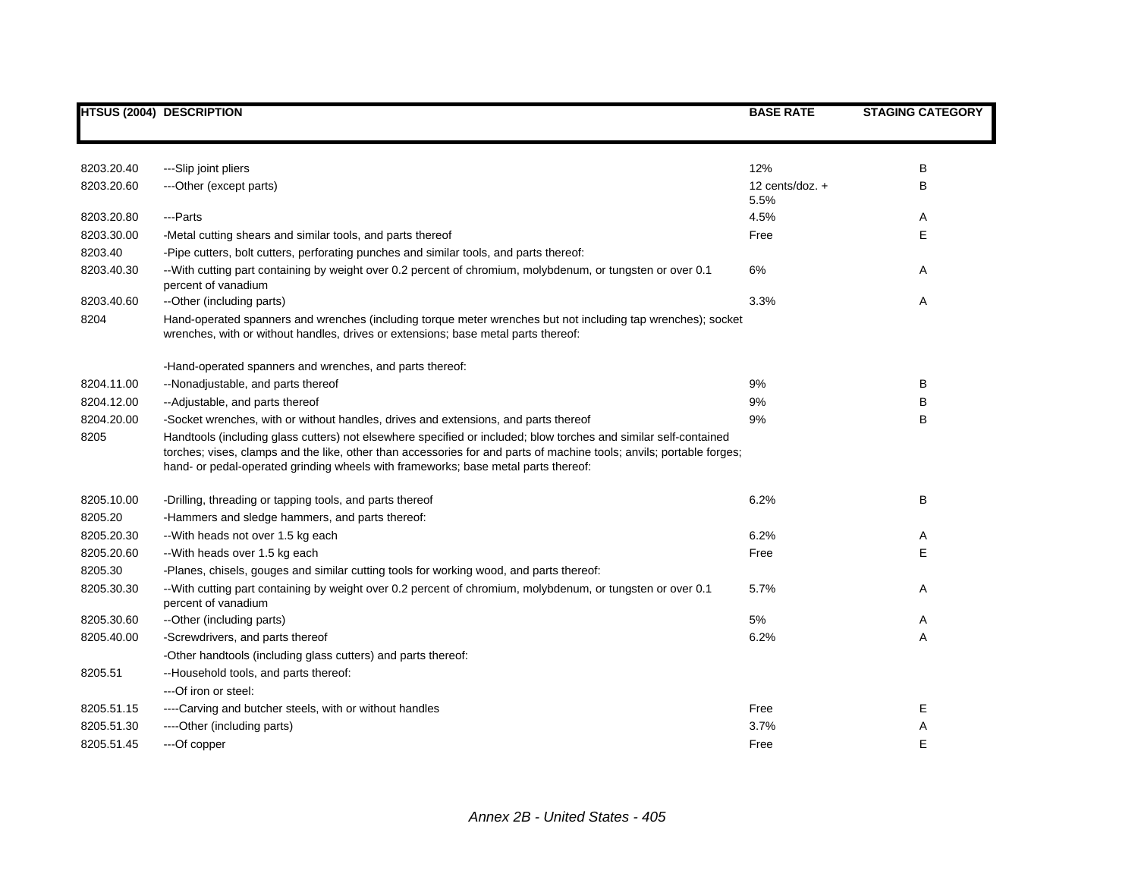|            | <b>HTSUS (2004) DESCRIPTION</b>                                                                                                                                                                                                                                                                                                | <b>BASE RATE</b>        | <b>STAGING CATEGORY</b> |
|------------|--------------------------------------------------------------------------------------------------------------------------------------------------------------------------------------------------------------------------------------------------------------------------------------------------------------------------------|-------------------------|-------------------------|
|            |                                                                                                                                                                                                                                                                                                                                |                         |                         |
| 8203.20.40 | ---Slip joint pliers                                                                                                                                                                                                                                                                                                           | 12%                     | В                       |
| 8203.20.60 | ---Other (except parts)                                                                                                                                                                                                                                                                                                        | 12 cents/doz. +<br>5.5% | В                       |
| 8203.20.80 | ---Parts                                                                                                                                                                                                                                                                                                                       | 4.5%                    | Α                       |
| 8203.30.00 | -Metal cutting shears and similar tools, and parts thereof                                                                                                                                                                                                                                                                     | Free                    | E                       |
| 8203.40    | -Pipe cutters, bolt cutters, perforating punches and similar tools, and parts thereof:                                                                                                                                                                                                                                         |                         |                         |
| 8203.40.30 | --With cutting part containing by weight over 0.2 percent of chromium, molybdenum, or tungsten or over 0.1<br>percent of vanadium                                                                                                                                                                                              | 6%                      | Α                       |
| 8203.40.60 | --Other (including parts)                                                                                                                                                                                                                                                                                                      | 3.3%                    | Α                       |
| 8204       | Hand-operated spanners and wrenches (including torque meter wrenches but not including tap wrenches); socket<br>wrenches, with or without handles, drives or extensions; base metal parts thereof:                                                                                                                             |                         |                         |
|            | -Hand-operated spanners and wrenches, and parts thereof:                                                                                                                                                                                                                                                                       |                         |                         |
| 8204.11.00 | --Nonadjustable, and parts thereof                                                                                                                                                                                                                                                                                             | 9%                      | В                       |
| 8204.12.00 | --Adjustable, and parts thereof                                                                                                                                                                                                                                                                                                | 9%                      | В                       |
| 8204.20.00 | -Socket wrenches, with or without handles, drives and extensions, and parts thereof                                                                                                                                                                                                                                            | 9%                      | B                       |
| 8205       | Handtools (including glass cutters) not elsewhere specified or included; blow torches and similar self-contained<br>torches; vises, clamps and the like, other than accessories for and parts of machine tools; anvils; portable forges;<br>hand- or pedal-operated grinding wheels with frameworks; base metal parts thereof: |                         |                         |
| 8205.10.00 | -Drilling, threading or tapping tools, and parts thereof                                                                                                                                                                                                                                                                       | 6.2%                    | B                       |
| 8205.20    | -Hammers and sledge hammers, and parts thereof:                                                                                                                                                                                                                                                                                |                         |                         |
| 8205.20.30 | -- With heads not over 1.5 kg each                                                                                                                                                                                                                                                                                             | 6.2%                    | Α                       |
| 8205.20.60 | --With heads over 1.5 kg each                                                                                                                                                                                                                                                                                                  | Free                    | Е                       |
| 8205.30    | -Planes, chisels, gouges and similar cutting tools for working wood, and parts thereof:                                                                                                                                                                                                                                        |                         |                         |
| 8205.30.30 | --With cutting part containing by weight over 0.2 percent of chromium, molybdenum, or tungsten or over 0.1<br>percent of vanadium                                                                                                                                                                                              | 5.7%                    | Α                       |
| 8205.30.60 | --Other (including parts)                                                                                                                                                                                                                                                                                                      | 5%                      | Α                       |
| 8205.40.00 | -Screwdrivers, and parts thereof                                                                                                                                                                                                                                                                                               | 6.2%                    | Α                       |
|            | -Other handtools (including glass cutters) and parts thereof:                                                                                                                                                                                                                                                                  |                         |                         |
| 8205.51    | --Household tools, and parts thereof:                                                                                                                                                                                                                                                                                          |                         |                         |
|            | ---Of iron or steel:                                                                                                                                                                                                                                                                                                           |                         |                         |
| 8205.51.15 | ----Carving and butcher steels, with or without handles                                                                                                                                                                                                                                                                        | Free                    | Е                       |
| 8205.51.30 | ----Other (including parts)                                                                                                                                                                                                                                                                                                    | 3.7%                    | Α                       |
| 8205.51.45 | ---Of copper                                                                                                                                                                                                                                                                                                                   | Free                    | E                       |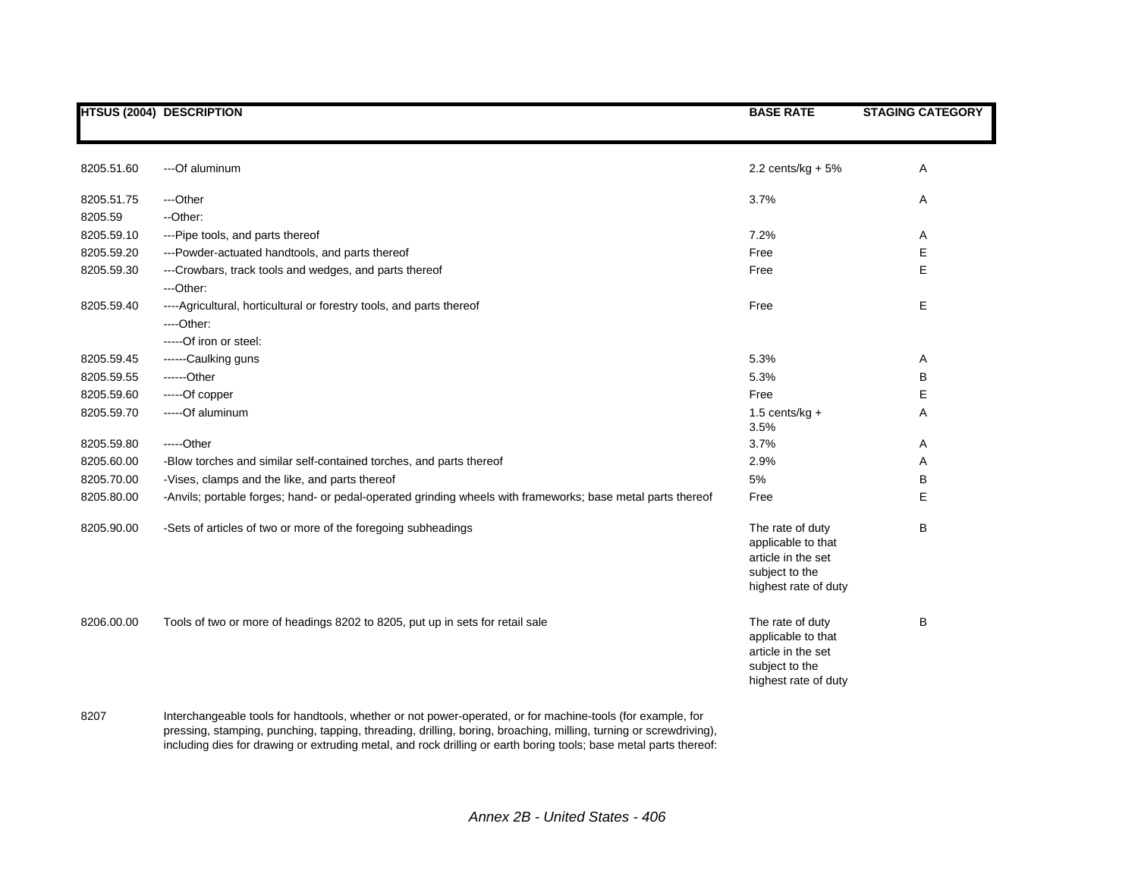|            | <b>HTSUS (2004) DESCRIPTION</b>                                                                             | <b>BASE RATE</b>                                                                                       | <b>STAGING CATEGORY</b> |
|------------|-------------------------------------------------------------------------------------------------------------|--------------------------------------------------------------------------------------------------------|-------------------------|
|            |                                                                                                             |                                                                                                        |                         |
| 8205.51.60 | ---Of aluminum                                                                                              | 2.2 cents/ $kg + 5%$                                                                                   | Α                       |
| 8205.51.75 | ---Other                                                                                                    | 3.7%                                                                                                   | A                       |
| 8205.59    | -- Other:                                                                                                   |                                                                                                        |                         |
| 8205.59.10 | --- Pipe tools, and parts thereof                                                                           | 7.2%                                                                                                   | Α                       |
| 8205.59.20 | ---Powder-actuated handtools, and parts thereof                                                             | Free                                                                                                   | E                       |
| 8205.59.30 | ---Crowbars, track tools and wedges, and parts thereof                                                      | Free                                                                                                   | E                       |
|            | ---Other:                                                                                                   |                                                                                                        |                         |
| 8205.59.40 | ---- Agricultural, horticultural or forestry tools, and parts thereof                                       | Free                                                                                                   | E                       |
|            | ----Other:                                                                                                  |                                                                                                        |                         |
|            | -----Of iron or steel:                                                                                      |                                                                                                        |                         |
| 8205.59.45 | ------Caulking guns                                                                                         | 5.3%                                                                                                   | Α                       |
| 8205.59.55 | ------Other                                                                                                 | 5.3%                                                                                                   | В                       |
| 8205.59.60 | -----Of copper                                                                                              | Free                                                                                                   | E                       |
| 8205.59.70 | -----Of aluminum                                                                                            | $1.5$ cents/kg +<br>3.5%                                                                               | Α                       |
| 8205.59.80 | -----Other                                                                                                  | 3.7%                                                                                                   | Α                       |
| 8205.60.00 | -Blow torches and similar self-contained torches, and parts thereof                                         | 2.9%                                                                                                   | Α                       |
| 8205.70.00 | -Vises, clamps and the like, and parts thereof                                                              | 5%                                                                                                     | B                       |
| 8205.80.00 | -Anvils; portable forges; hand- or pedal-operated grinding wheels with frameworks; base metal parts thereof | Free                                                                                                   | Е                       |
| 8205.90.00 | -Sets of articles of two or more of the foregoing subheadings                                               | The rate of duty<br>applicable to that<br>article in the set<br>subject to the<br>highest rate of duty | B                       |
| 8206.00.00 | Tools of two or more of headings 8202 to 8205, put up in sets for retail sale                               | The rate of duty<br>applicable to that<br>article in the set<br>subject to the<br>highest rate of duty | B                       |

8207 Interchangeable tools for handtools, whether or not power-operated, or for machine-tools (for example, for pressing, stamping, punching, tapping, threading, drilling, boring, broaching, milling, turning or screwdriving), including dies for drawing or extruding metal, and rock drilling or earth boring tools; base metal parts thereof: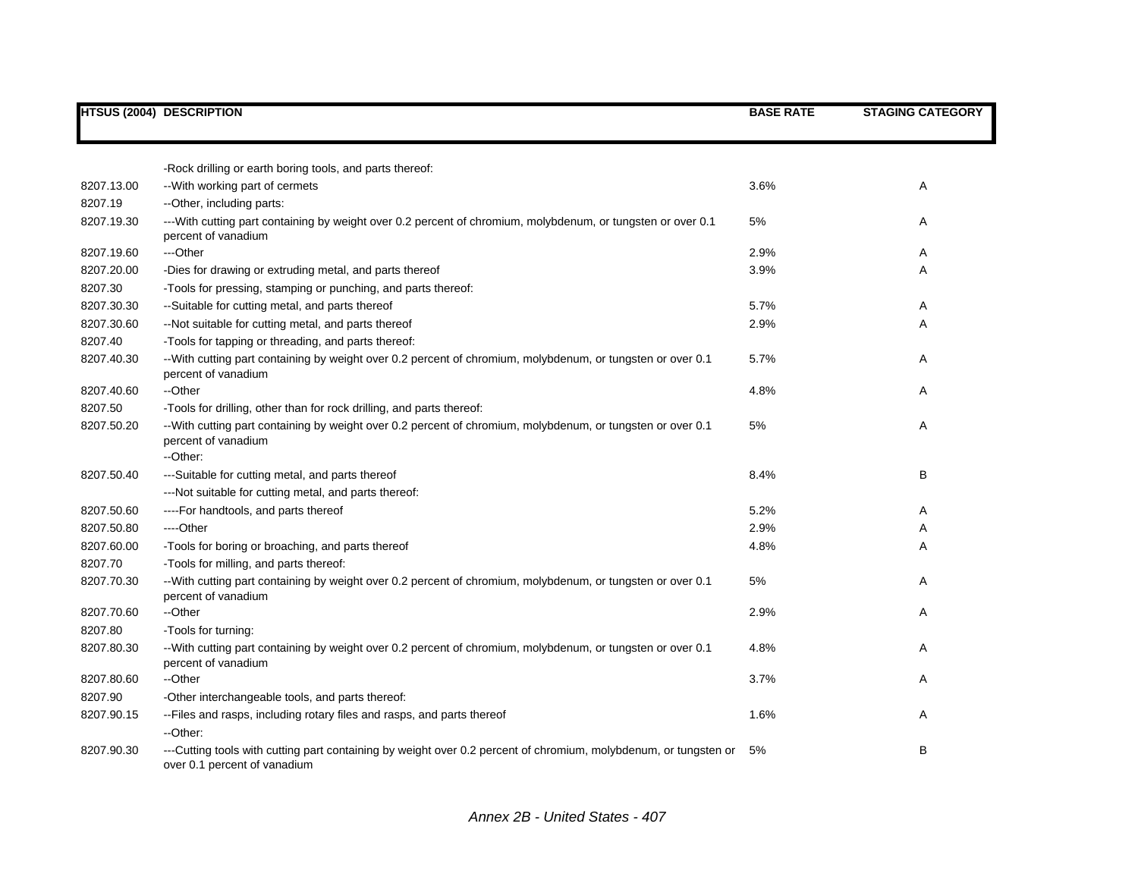|            | <b>HTSUS (2004) DESCRIPTION</b>                                                                                                                  | <b>BASE RATE</b> | <b>STAGING CATEGORY</b> |
|------------|--------------------------------------------------------------------------------------------------------------------------------------------------|------------------|-------------------------|
|            |                                                                                                                                                  |                  |                         |
|            |                                                                                                                                                  |                  |                         |
|            | -Rock drilling or earth boring tools, and parts thereof:                                                                                         |                  |                         |
| 8207.13.00 | -- With working part of cermets                                                                                                                  | 3.6%             | Α                       |
| 8207.19    | -- Other, including parts:                                                                                                                       |                  |                         |
| 8207.19.30 | ---With cutting part containing by weight over 0.2 percent of chromium, molybdenum, or tungsten or over 0.1<br>percent of vanadium               | 5%               | A                       |
| 8207.19.60 | ---Other                                                                                                                                         | 2.9%             | A                       |
| 8207.20.00 | -Dies for drawing or extruding metal, and parts thereof                                                                                          | 3.9%             | Α                       |
| 8207.30    | -Tools for pressing, stamping or punching, and parts thereof:                                                                                    |                  |                         |
| 8207.30.30 | --Suitable for cutting metal, and parts thereof                                                                                                  | 5.7%             | Α                       |
| 8207.30.60 | --Not suitable for cutting metal, and parts thereof                                                                                              | 2.9%             | A                       |
| 8207.40    | -Tools for tapping or threading, and parts thereof:                                                                                              |                  |                         |
| 8207.40.30 | --With cutting part containing by weight over 0.2 percent of chromium, molybdenum, or tungsten or over 0.1<br>percent of vanadium                | 5.7%             | A                       |
| 8207.40.60 | --Other                                                                                                                                          | 4.8%             | Α                       |
| 8207.50    | -Tools for drilling, other than for rock drilling, and parts thereof:                                                                            |                  |                         |
| 8207.50.20 | --With cutting part containing by weight over 0.2 percent of chromium, molybdenum, or tungsten or over 0.1<br>percent of vanadium<br>--Other:    | 5%               | A                       |
|            |                                                                                                                                                  |                  |                         |
| 8207.50.40 | ---Suitable for cutting metal, and parts thereof                                                                                                 | 8.4%             | В                       |
| 8207.50.60 | --- Not suitable for cutting metal, and parts thereof:<br>----For handtools, and parts thereof                                                   | 5.2%             | Α                       |
| 8207.50.80 | ----Other                                                                                                                                        | 2.9%             | Α                       |
| 8207.60.00 |                                                                                                                                                  | 4.8%             | A                       |
| 8207.70    | -Tools for boring or broaching, and parts thereof<br>-Tools for milling, and parts thereof:                                                      |                  |                         |
| 8207.70.30 |                                                                                                                                                  | 5%               | Α                       |
|            | --With cutting part containing by weight over 0.2 percent of chromium, molybdenum, or tungsten or over 0.1<br>percent of vanadium                |                  |                         |
| 8207.70.60 | --Other                                                                                                                                          | 2.9%             | Α                       |
| 8207.80    | -Tools for turning:                                                                                                                              |                  |                         |
| 8207.80.30 | --With cutting part containing by weight over 0.2 percent of chromium, molybdenum, or tungsten or over 0.1<br>percent of vanadium                | 4.8%             | Α                       |
| 8207.80.60 | --Other                                                                                                                                          | 3.7%             | Α                       |
| 8207.90    | -Other interchangeable tools, and parts thereof:                                                                                                 |                  |                         |
| 8207.90.15 | --Files and rasps, including rotary files and rasps, and parts thereof                                                                           | 1.6%             | Α                       |
|            | --Other:                                                                                                                                         |                  |                         |
| 8207.90.30 | ---Cutting tools with cutting part containing by weight over 0.2 percent of chromium, molybdenum, or tungsten or<br>over 0.1 percent of vanadium | 5%               | В                       |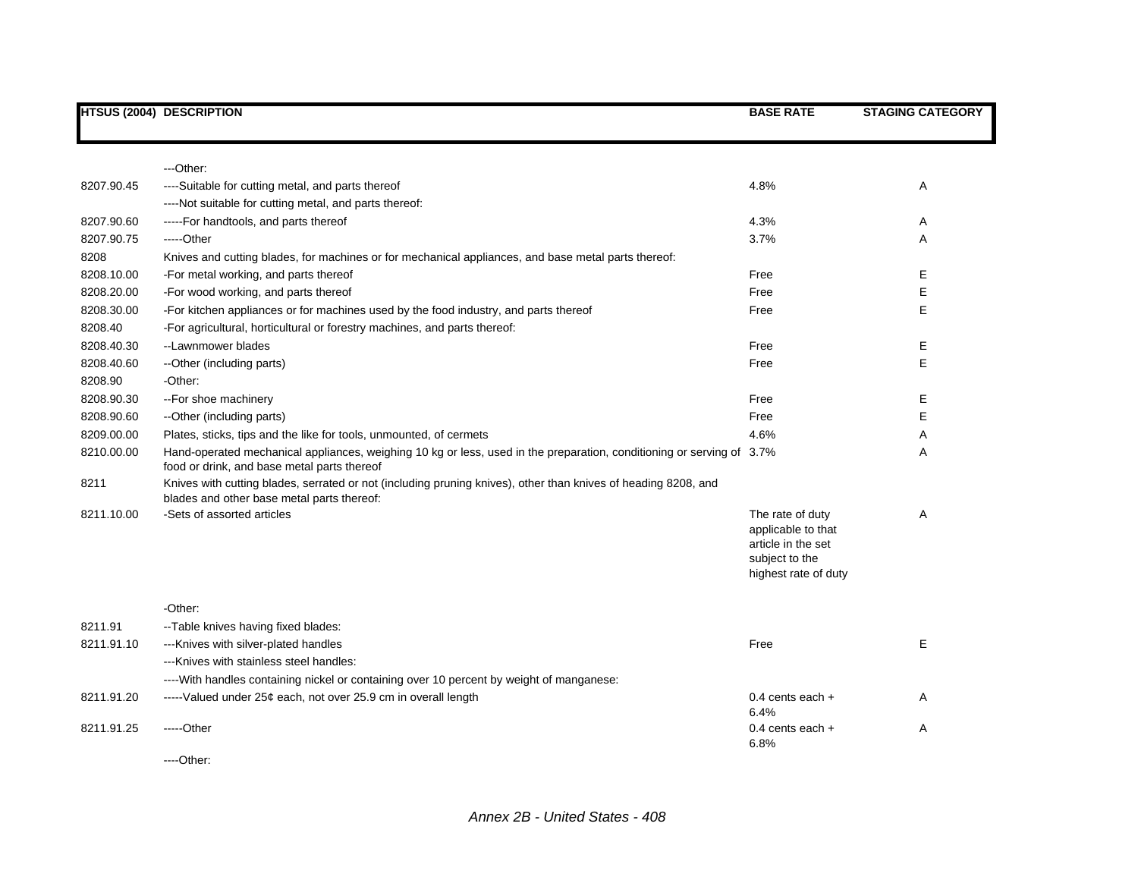|            | <b>HTSUS (2004) DESCRIPTION</b>                                                                                                                                      | <b>BASE RATE</b>                                                                                       | <b>STAGING CATEGORY</b> |
|------------|----------------------------------------------------------------------------------------------------------------------------------------------------------------------|--------------------------------------------------------------------------------------------------------|-------------------------|
|            |                                                                                                                                                                      |                                                                                                        |                         |
|            | ---Other:                                                                                                                                                            |                                                                                                        |                         |
| 8207.90.45 | ----Suitable for cutting metal, and parts thereof                                                                                                                    | 4.8%                                                                                                   | Α                       |
|            | ----Not suitable for cutting metal, and parts thereof:                                                                                                               |                                                                                                        |                         |
| 8207.90.60 | -----For handtools, and parts thereof                                                                                                                                | 4.3%                                                                                                   | Α                       |
| 8207.90.75 | -----Other                                                                                                                                                           | 3.7%                                                                                                   | Α                       |
| 8208       | Knives and cutting blades, for machines or for mechanical appliances, and base metal parts thereof:                                                                  |                                                                                                        |                         |
| 8208.10.00 | -For metal working, and parts thereof                                                                                                                                | Free                                                                                                   | Ε                       |
| 8208.20.00 | -For wood working, and parts thereof                                                                                                                                 | Free                                                                                                   | E                       |
| 8208.30.00 | -For kitchen appliances or for machines used by the food industry, and parts thereof                                                                                 | Free                                                                                                   | Е                       |
| 8208.40    | -For agricultural, horticultural or forestry machines, and parts thereof:                                                                                            |                                                                                                        |                         |
| 8208.40.30 | --Lawnmower blades                                                                                                                                                   | Free                                                                                                   | Е                       |
| 8208.40.60 | --Other (including parts)                                                                                                                                            | Free                                                                                                   | E                       |
| 8208.90    | -Other:                                                                                                                                                              |                                                                                                        |                         |
| 8208.90.30 | --For shoe machinery                                                                                                                                                 | Free                                                                                                   | Е                       |
| 8208.90.60 | --Other (including parts)                                                                                                                                            | Free                                                                                                   | E                       |
| 8209.00.00 | Plates, sticks, tips and the like for tools, unmounted, of cermets                                                                                                   | 4.6%                                                                                                   | Α                       |
| 8210.00.00 | Hand-operated mechanical appliances, weighing 10 kg or less, used in the preparation, conditioning or serving of 3.7%<br>food or drink, and base metal parts thereof |                                                                                                        | A                       |
| 8211       | Knives with cutting blades, serrated or not (including pruning knives), other than knives of heading 8208, and<br>blades and other base metal parts thereof:         |                                                                                                        |                         |
| 8211.10.00 | -Sets of assorted articles                                                                                                                                           | The rate of duty<br>applicable to that<br>article in the set<br>subject to the<br>highest rate of duty | Α                       |
|            | -Other:                                                                                                                                                              |                                                                                                        |                         |
| 8211.91    | --Table knives having fixed blades:                                                                                                                                  |                                                                                                        |                         |
| 8211.91.10 | --- Knives with silver-plated handles                                                                                                                                | Free                                                                                                   | E                       |
|            | --- Knives with stainless steel handles:                                                                                                                             |                                                                                                        |                         |
|            | ----With handles containing nickel or containing over 10 percent by weight of manganese:                                                                             |                                                                                                        |                         |
| 8211.91.20 | -----Valued under 25¢ each, not over 25.9 cm in overall length                                                                                                       | 0.4 cents each $+$<br>6.4%                                                                             | Α                       |
| 8211.91.25 | -----Other                                                                                                                                                           | 0.4 cents each $+$<br>6.8%                                                                             | Α                       |
|            |                                                                                                                                                                      |                                                                                                        |                         |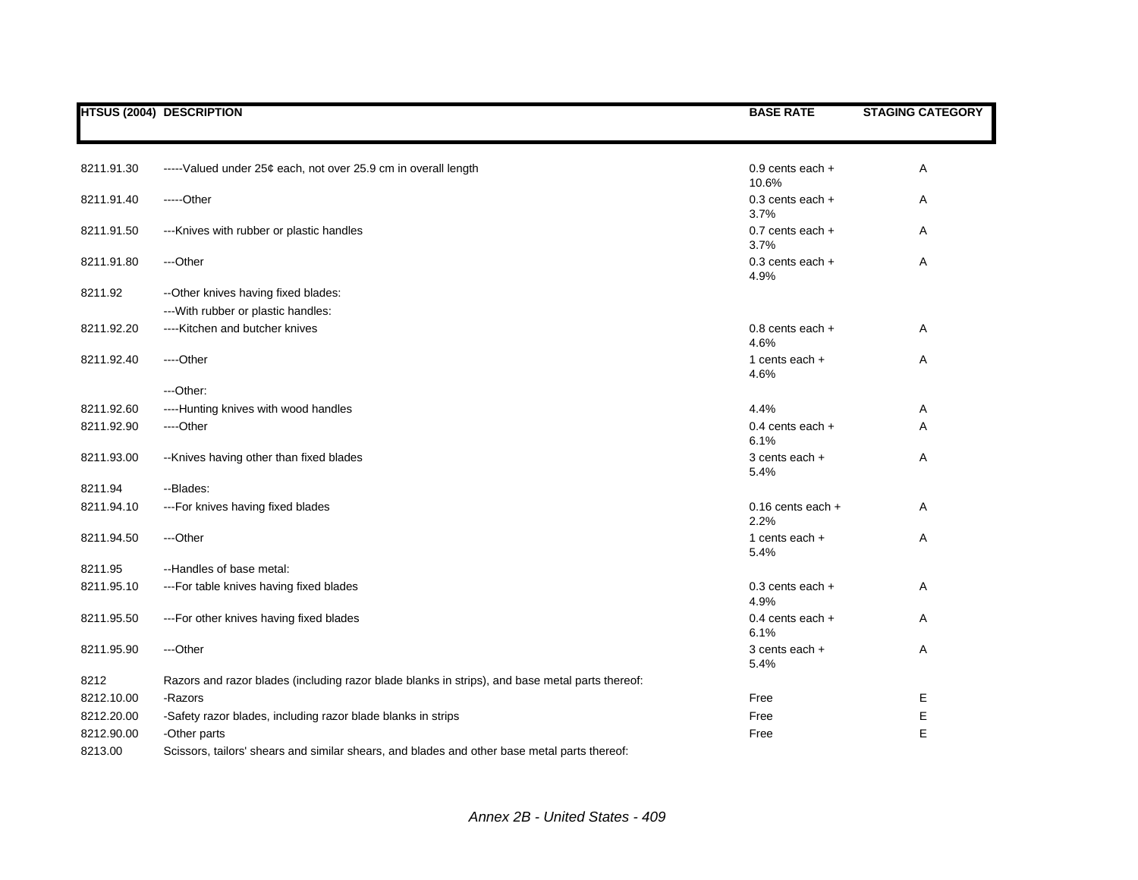|            | <b>HTSUS (2004) DESCRIPTION</b>                                                                 | <b>BASE RATE</b>              | <b>STAGING CATEGORY</b> |
|------------|-------------------------------------------------------------------------------------------------|-------------------------------|-------------------------|
|            |                                                                                                 |                               |                         |
| 8211.91.30 | -----Valued under 25¢ each, not over 25.9 cm in overall length                                  | 0.9 cents each +<br>10.6%     | Α                       |
| 8211.91.40 | -----Other                                                                                      | $0.3$ cents each $+$<br>3.7%  | Α                       |
| 8211.91.50 | --- Knives with rubber or plastic handles                                                       | $0.7$ cents each $+$<br>3.7%  | Α                       |
| 8211.91.80 | ---Other                                                                                        | $0.3$ cents each $+$<br>4.9%  | Α                       |
| 8211.92    | -- Other knives having fixed blades:                                                            |                               |                         |
|            | --- With rubber or plastic handles:                                                             |                               |                         |
| 8211.92.20 | ----Kitchen and butcher knives                                                                  | $0.8$ cents each $+$<br>4.6%  | A                       |
| 8211.92.40 | ----Other                                                                                       | 1 cents each $+$<br>4.6%      | Α                       |
|            | ---Other:                                                                                       |                               |                         |
| 8211.92.60 | ----Hunting knives with wood handles                                                            | 4.4%                          | A                       |
| 8211.92.90 | ----Other                                                                                       | 0.4 cents each $+$<br>6.1%    | Α                       |
| 8211.93.00 | -- Knives having other than fixed blades                                                        | 3 cents each +<br>5.4%        | Α                       |
| 8211.94    | --Blades:                                                                                       |                               |                         |
| 8211.94.10 | ---For knives having fixed blades                                                               | $0.16$ cents each $+$<br>2.2% | A                       |
| 8211.94.50 | ---Other                                                                                        | 1 cents each $+$<br>5.4%      | Α                       |
| 8211.95    | --Handles of base metal:                                                                        |                               |                         |
| 8211.95.10 | --- For table knives having fixed blades                                                        | $0.3$ cents each $+$<br>4.9%  | A                       |
| 8211.95.50 | --- For other knives having fixed blades                                                        | 0.4 cents each +<br>6.1%      | A                       |
| 8211.95.90 | ---Other                                                                                        | 3 cents each +<br>5.4%        | Α                       |
| 8212       | Razors and razor blades (including razor blade blanks in strips), and base metal parts thereof: |                               |                         |
| 8212.10.00 | -Razors                                                                                         | Free                          | Е                       |
| 8212.20.00 | -Safety razor blades, including razor blade blanks in strips                                    | Free                          | Ε                       |
| 8212.90.00 | -Other parts                                                                                    | Free                          | E                       |
| 8213.00    | Scissors, tailors' shears and similar shears, and blades and other base metal parts thereof:    |                               |                         |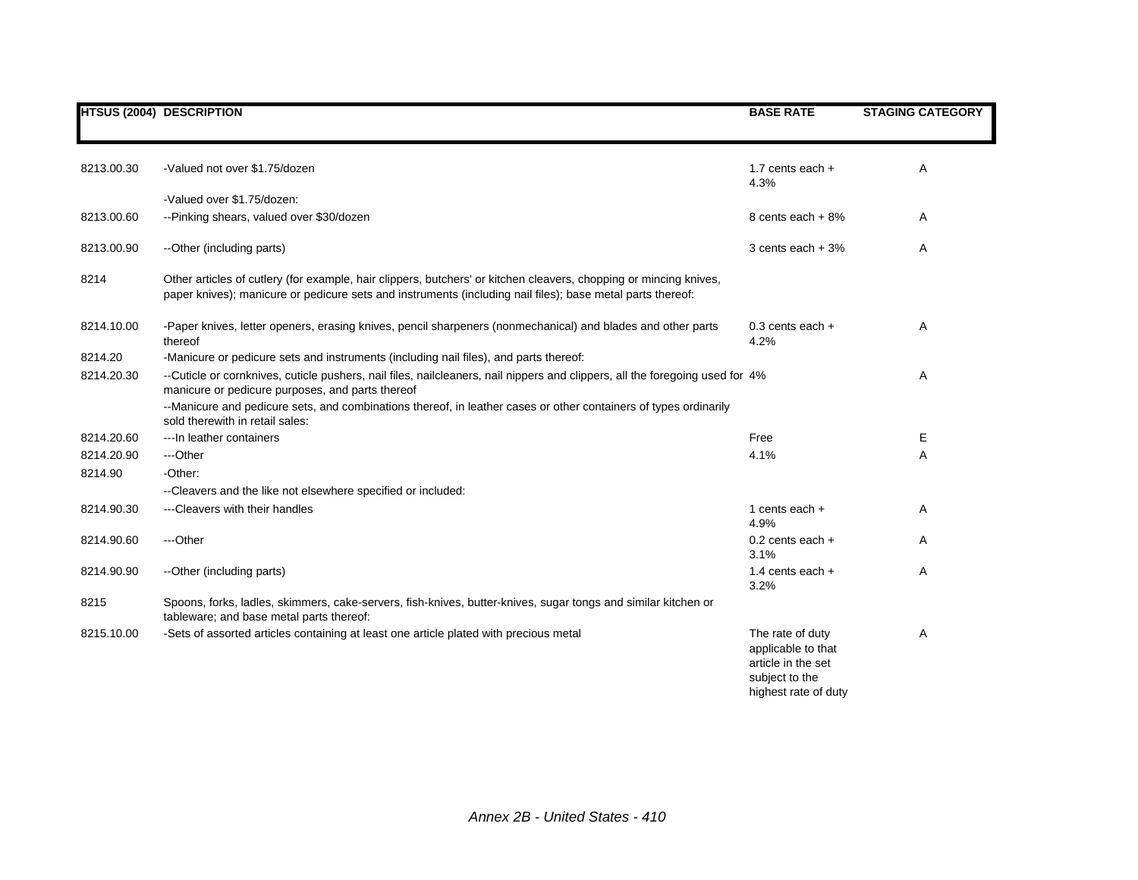|            | <b>HTSUS (2004) DESCRIPTION</b>                                                                                                                                                                                                 | <b>BASE RATE</b>                                                                                       | <b>STAGING CATEGORY</b> |
|------------|---------------------------------------------------------------------------------------------------------------------------------------------------------------------------------------------------------------------------------|--------------------------------------------------------------------------------------------------------|-------------------------|
| 8213.00.30 | -Valued not over \$1.75/dozen                                                                                                                                                                                                   | 1.7 cents each $+$<br>4.3%                                                                             | A                       |
|            | -Valued over \$1.75/dozen:                                                                                                                                                                                                      |                                                                                                        |                         |
| 8213.00.60 | --Pinking shears, valued over \$30/dozen                                                                                                                                                                                        | 8 cents each + 8%                                                                                      | Α                       |
| 8213.00.90 | --Other (including parts)                                                                                                                                                                                                       | 3 cents each $+3%$                                                                                     | Α                       |
| 8214       | Other articles of cutlery (for example, hair clippers, butchers' or kitchen cleavers, chopping or mincing knives,<br>paper knives); manicure or pedicure sets and instruments (including nail files); base metal parts thereof: |                                                                                                        |                         |
| 8214.10.00 | -Paper knives, letter openers, erasing knives, pencil sharpeners (nonmechanical) and blades and other parts<br>thereof                                                                                                          | $0.3$ cents each $+$<br>4.2%                                                                           | Α                       |
| 8214.20    | -Manicure or pedicure sets and instruments (including nail files), and parts thereof:                                                                                                                                           |                                                                                                        |                         |
| 8214.20.30 | --Cuticle or cornknives, cuticle pushers, nail files, nailcleaners, nail nippers and clippers, all the foregoing used for 4%<br>manicure or pedicure purposes, and parts thereof                                                |                                                                                                        | Α                       |
|            | --Manicure and pedicure sets, and combinations thereof, in leather cases or other containers of types ordinarily<br>sold therewith in retail sales:                                                                             |                                                                                                        |                         |
| 8214.20.60 | --- In leather containers                                                                                                                                                                                                       | Free                                                                                                   | E                       |
| 8214.20.90 | ---Other                                                                                                                                                                                                                        | 4.1%                                                                                                   | A                       |
| 8214.90    | -Other:                                                                                                                                                                                                                         |                                                                                                        |                         |
|            | --Cleavers and the like not elsewhere specified or included:                                                                                                                                                                    |                                                                                                        |                         |
| 8214.90.30 | ---Cleavers with their handles                                                                                                                                                                                                  | 1 cents each $+$<br>4.9%                                                                               | Α                       |
| 8214.90.60 | ---Other                                                                                                                                                                                                                        | $0.2$ cents each $+$<br>3.1%                                                                           | A                       |
| 8214.90.90 | --Other (including parts)                                                                                                                                                                                                       | 1.4 cents each $+$<br>3.2%                                                                             | A                       |
| 8215       | Spoons, forks, ladles, skimmers, cake-servers, fish-knives, butter-knives, sugar tongs and similar kitchen or<br>tableware; and base metal parts thereof:                                                                       |                                                                                                        |                         |
| 8215.10.00 | -Sets of assorted articles containing at least one article plated with precious metal                                                                                                                                           | The rate of duty<br>applicable to that<br>article in the set<br>subject to the<br>highest rate of duty | Α                       |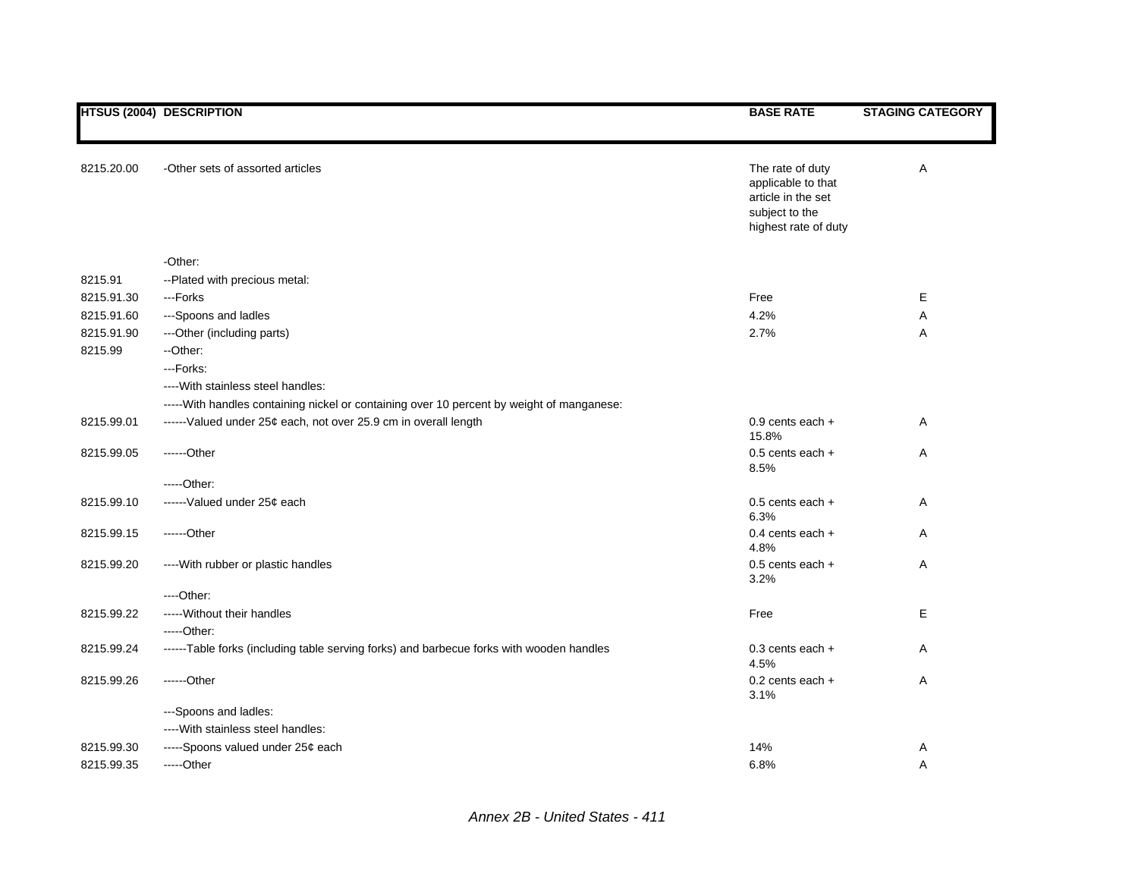|            | <b>HTSUS (2004) DESCRIPTION</b>                                                            | <b>BASE RATE</b>                                                                                       | <b>STAGING CATEGORY</b> |
|------------|--------------------------------------------------------------------------------------------|--------------------------------------------------------------------------------------------------------|-------------------------|
|            |                                                                                            |                                                                                                        |                         |
| 8215.20.00 | -Other sets of assorted articles                                                           | The rate of duty<br>applicable to that<br>article in the set<br>subject to the<br>highest rate of duty | Α                       |
|            | -Other:                                                                                    |                                                                                                        |                         |
| 8215.91    | --Plated with precious metal:                                                              |                                                                                                        |                         |
| 8215.91.30 | ---Forks                                                                                   | Free                                                                                                   | Е                       |
| 8215.91.60 | ---Spoons and ladles                                                                       | 4.2%                                                                                                   | Α                       |
| 8215.91.90 | ---Other (including parts)                                                                 | 2.7%                                                                                                   | Α                       |
| 8215.99    | --Other:                                                                                   |                                                                                                        |                         |
|            | ---Forks:                                                                                  |                                                                                                        |                         |
|            | ---- With stainless steel handles:                                                         |                                                                                                        |                         |
|            | ----- With handles containing nickel or containing over 10 percent by weight of manganese: |                                                                                                        |                         |
| 8215.99.01 | ------Valued under 25¢ each, not over 25.9 cm in overall length                            | $0.9$ cents each $+$<br>15.8%                                                                          | Α                       |
| 8215.99.05 | $---Other$                                                                                 | 0.5 cents each +<br>8.5%                                                                               | Α                       |
|            | $---Other:$                                                                                |                                                                                                        |                         |
| 8215.99.10 | ------ Valued under 25¢ each                                                               | 0.5 cents each +<br>6.3%                                                                               | Α                       |
| 8215.99.15 | ------Other                                                                                | 0.4 cents each $+$<br>4.8%                                                                             | Α                       |
| 8215.99.20 | ---- With rubber or plastic handles                                                        | $0.5$ cents each $+$<br>3.2%                                                                           | Α                       |
|            | ---Other:                                                                                  |                                                                                                        |                         |
| 8215.99.22 | ----- Without their handles                                                                | Free                                                                                                   | E                       |
|            | -----Other:                                                                                |                                                                                                        |                         |
| 8215.99.24 | ------Table forks (including table serving forks) and barbecue forks with wooden handles   | $0.3$ cents each $+$<br>4.5%                                                                           | Α                       |
| 8215.99.26 | $---Other$                                                                                 | 0.2 cents each +<br>3.1%                                                                               | A                       |
|            | ---Spoons and ladles:                                                                      |                                                                                                        |                         |
|            | ---- With stainless steel handles:                                                         |                                                                                                        |                         |
| 8215.99.30 | -----Spoons valued under 25¢ each                                                          | 14%                                                                                                    | Α                       |
| 8215.99.35 | -----Other                                                                                 | 6.8%                                                                                                   | Α                       |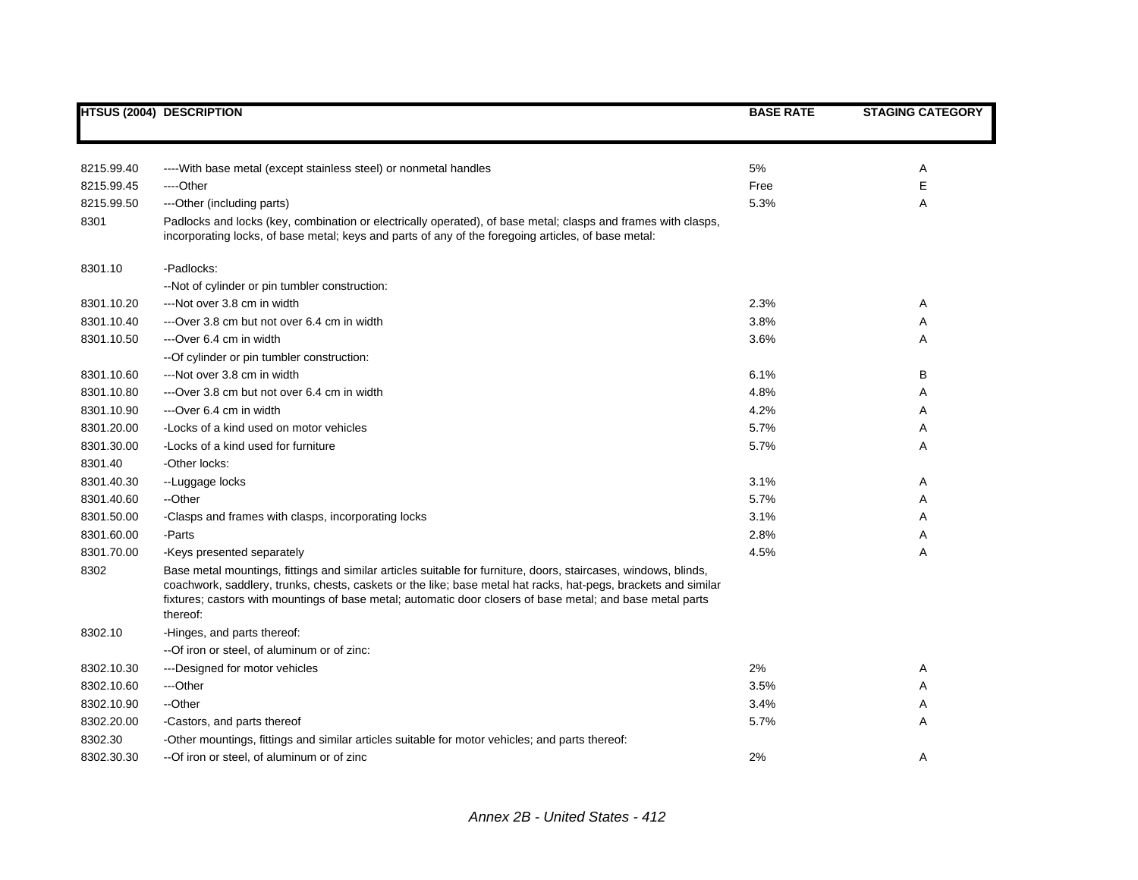|            | <b>HTSUS (2004) DESCRIPTION</b>                                                                                                                                                                                                                                                                                                                             | <b>BASE RATE</b> | <b>STAGING CATEGORY</b> |
|------------|-------------------------------------------------------------------------------------------------------------------------------------------------------------------------------------------------------------------------------------------------------------------------------------------------------------------------------------------------------------|------------------|-------------------------|
|            |                                                                                                                                                                                                                                                                                                                                                             |                  |                         |
| 8215.99.40 | ---- With base metal (except stainless steel) or nonmetal handles                                                                                                                                                                                                                                                                                           | $5\%$            | Α                       |
| 8215.99.45 | ----Other                                                                                                                                                                                                                                                                                                                                                   | Free             | Е                       |
| 8215.99.50 | ---Other (including parts)                                                                                                                                                                                                                                                                                                                                  | 5.3%             | Α                       |
| 8301       | Padlocks and locks (key, combination or electrically operated), of base metal; clasps and frames with clasps,<br>incorporating locks, of base metal; keys and parts of any of the foregoing articles, of base metal:                                                                                                                                        |                  |                         |
| 8301.10    | -Padlocks:                                                                                                                                                                                                                                                                                                                                                  |                  |                         |
|            | --Not of cylinder or pin tumbler construction:                                                                                                                                                                                                                                                                                                              |                  |                         |
| 8301.10.20 | ---Not over 3.8 cm in width                                                                                                                                                                                                                                                                                                                                 | 2.3%             | Α                       |
| 8301.10.40 | ---Over 3.8 cm but not over 6.4 cm in width                                                                                                                                                                                                                                                                                                                 | 3.8%             | Α                       |
| 8301.10.50 | ---Over 6.4 cm in width                                                                                                                                                                                                                                                                                                                                     | 3.6%             | A                       |
|            | -- Of cylinder or pin tumbler construction:                                                                                                                                                                                                                                                                                                                 |                  |                         |
| 8301.10.60 | ---Not over 3.8 cm in width                                                                                                                                                                                                                                                                                                                                 | 6.1%             | В                       |
| 8301.10.80 | ---Over 3.8 cm but not over 6.4 cm in width                                                                                                                                                                                                                                                                                                                 | 4.8%             | Α                       |
| 8301.10.90 | ---Over 6.4 cm in width                                                                                                                                                                                                                                                                                                                                     | 4.2%             | Α                       |
| 8301.20.00 | -Locks of a kind used on motor vehicles                                                                                                                                                                                                                                                                                                                     | 5.7%             | Α                       |
| 8301.30.00 | -Locks of a kind used for furniture                                                                                                                                                                                                                                                                                                                         | 5.7%             | Α                       |
| 8301.40    | -Other locks:                                                                                                                                                                                                                                                                                                                                               |                  |                         |
| 8301.40.30 | --Luggage locks                                                                                                                                                                                                                                                                                                                                             | 3.1%             | Α                       |
| 8301.40.60 | --Other                                                                                                                                                                                                                                                                                                                                                     | 5.7%             | Α                       |
| 8301.50.00 | -Clasps and frames with clasps, incorporating locks                                                                                                                                                                                                                                                                                                         | 3.1%             | Α                       |
| 8301.60.00 | -Parts                                                                                                                                                                                                                                                                                                                                                      | 2.8%             | Α                       |
| 8301.70.00 | -Keys presented separately                                                                                                                                                                                                                                                                                                                                  | 4.5%             | Α                       |
| 8302       | Base metal mountings, fittings and similar articles suitable for furniture, doors, staircases, windows, blinds,<br>coachwork, saddlery, trunks, chests, caskets or the like; base metal hat racks, hat-pegs, brackets and similar<br>fixtures; castors with mountings of base metal; automatic door closers of base metal; and base metal parts<br>thereof: |                  |                         |
| 8302.10    | -Hinges, and parts thereof:                                                                                                                                                                                                                                                                                                                                 |                  |                         |
|            | -- Of iron or steel, of aluminum or of zinc:                                                                                                                                                                                                                                                                                                                |                  |                         |
| 8302.10.30 | ---Designed for motor vehicles                                                                                                                                                                                                                                                                                                                              | 2%               | Α                       |
| 8302.10.60 | ---Other                                                                                                                                                                                                                                                                                                                                                    | 3.5%             | Α                       |
| 8302.10.90 | --Other                                                                                                                                                                                                                                                                                                                                                     | 3.4%             | Α                       |
| 8302.20.00 | -Castors, and parts thereof                                                                                                                                                                                                                                                                                                                                 | 5.7%             | A                       |
| 8302.30    | -Other mountings, fittings and similar articles suitable for motor vehicles; and parts thereof:                                                                                                                                                                                                                                                             |                  |                         |
| 8302.30.30 | --Of iron or steel, of aluminum or of zinc                                                                                                                                                                                                                                                                                                                  | 2%               | A                       |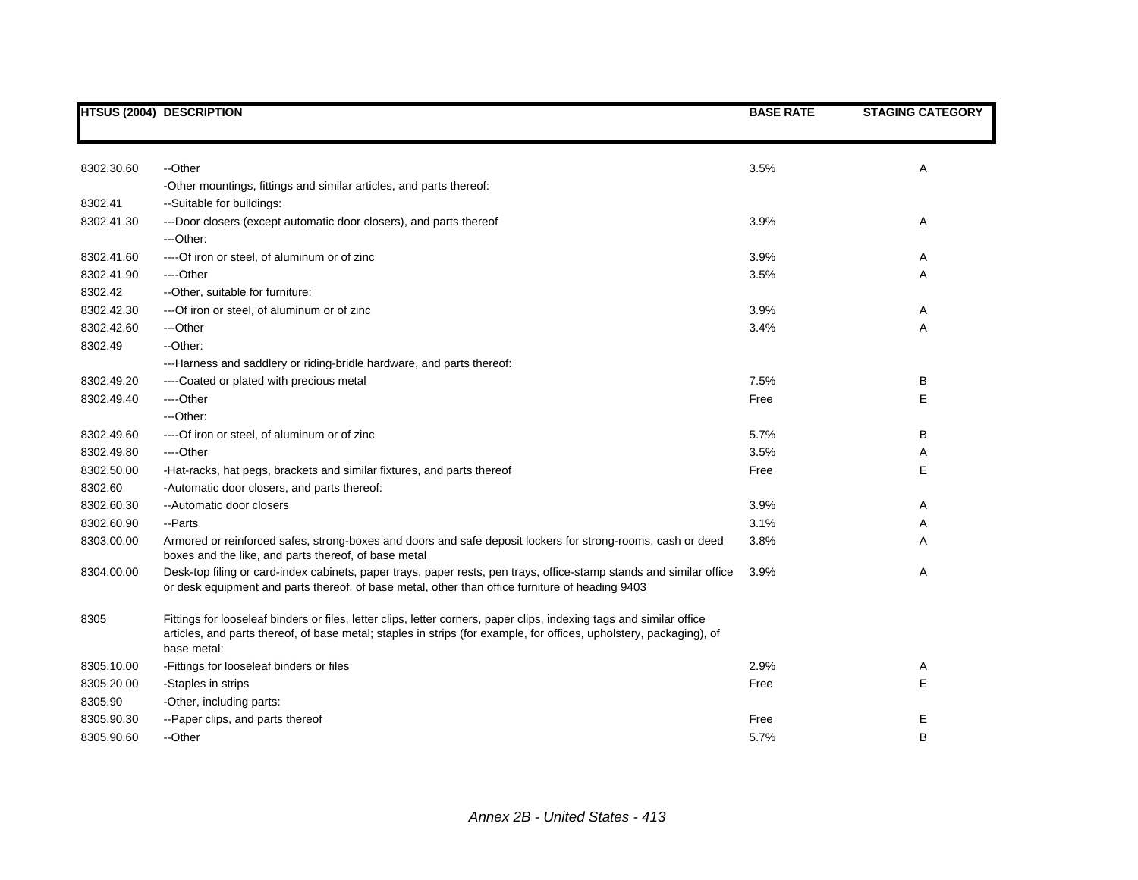|            | <b>HTSUS (2004) DESCRIPTION</b>                                                                                                                                                                                                                            | <b>BASE RATE</b> | <b>STAGING CATEGORY</b> |
|------------|------------------------------------------------------------------------------------------------------------------------------------------------------------------------------------------------------------------------------------------------------------|------------------|-------------------------|
|            |                                                                                                                                                                                                                                                            |                  |                         |
| 8302.30.60 | --Other                                                                                                                                                                                                                                                    | 3.5%             | Α                       |
|            | -Other mountings, fittings and similar articles, and parts thereof:                                                                                                                                                                                        |                  |                         |
| 8302.41    | --Suitable for buildings:                                                                                                                                                                                                                                  |                  |                         |
| 8302.41.30 | ---Door closers (except automatic door closers), and parts thereof                                                                                                                                                                                         | 3.9%             | A                       |
|            | ---Other:                                                                                                                                                                                                                                                  |                  |                         |
| 8302.41.60 | ---- Of iron or steel, of aluminum or of zinc                                                                                                                                                                                                              | 3.9%             | A                       |
| 8302.41.90 | ----Other                                                                                                                                                                                                                                                  | 3.5%             | Α                       |
| 8302.42    | -- Other, suitable for furniture:                                                                                                                                                                                                                          |                  |                         |
| 8302.42.30 | --- Of iron or steel, of aluminum or of zinc                                                                                                                                                                                                               | 3.9%             | A                       |
| 8302.42.60 | ---Other                                                                                                                                                                                                                                                   | 3.4%             | Α                       |
| 8302.49    | --Other:                                                                                                                                                                                                                                                   |                  |                         |
|            | ---Harness and saddlery or riding-bridle hardware, and parts thereof:                                                                                                                                                                                      |                  |                         |
| 8302.49.20 | ----Coated or plated with precious metal                                                                                                                                                                                                                   | 7.5%             | в                       |
| 8302.49.40 | ----Other                                                                                                                                                                                                                                                  | Free             | Ε                       |
|            | ---Other:                                                                                                                                                                                                                                                  |                  |                         |
| 8302.49.60 | ---- Of iron or steel, of aluminum or of zinc                                                                                                                                                                                                              | 5.7%             | в                       |
| 8302.49.80 | ----Other                                                                                                                                                                                                                                                  | 3.5%             | A                       |
| 8302.50.00 | -Hat-racks, hat pegs, brackets and similar fixtures, and parts thereof                                                                                                                                                                                     | Free             | Е                       |
| 8302.60    | -Automatic door closers, and parts thereof:                                                                                                                                                                                                                |                  |                         |
| 8302.60.30 | --Automatic door closers                                                                                                                                                                                                                                   | 3.9%             | A                       |
| 8302.60.90 | --Parts                                                                                                                                                                                                                                                    | 3.1%             | A                       |
| 8303.00.00 | Armored or reinforced safes, strong-boxes and doors and safe deposit lockers for strong-rooms, cash or deed<br>boxes and the like, and parts thereof, of base metal                                                                                        | 3.8%             | Α                       |
| 8304.00.00 | Desk-top filing or card-index cabinets, paper trays, paper rests, pen trays, office-stamp stands and similar office<br>or desk equipment and parts thereof, of base metal, other than office furniture of heading 9403                                     | 3.9%             | Α                       |
| 8305       | Fittings for looseleaf binders or files, letter clips, letter corners, paper clips, indexing tags and similar office<br>articles, and parts thereof, of base metal; staples in strips (for example, for offices, upholstery, packaging), of<br>base metal: |                  |                         |
| 8305.10.00 | -Fittings for looseleaf binders or files                                                                                                                                                                                                                   | 2.9%             | A                       |
| 8305.20.00 | -Staples in strips                                                                                                                                                                                                                                         | Free             | Ε                       |
| 8305.90    | -Other, including parts:                                                                                                                                                                                                                                   |                  |                         |
| 8305.90.30 | --Paper clips, and parts thereof                                                                                                                                                                                                                           | Free             | Е                       |
| 8305.90.60 | --Other                                                                                                                                                                                                                                                    | 5.7%             | B                       |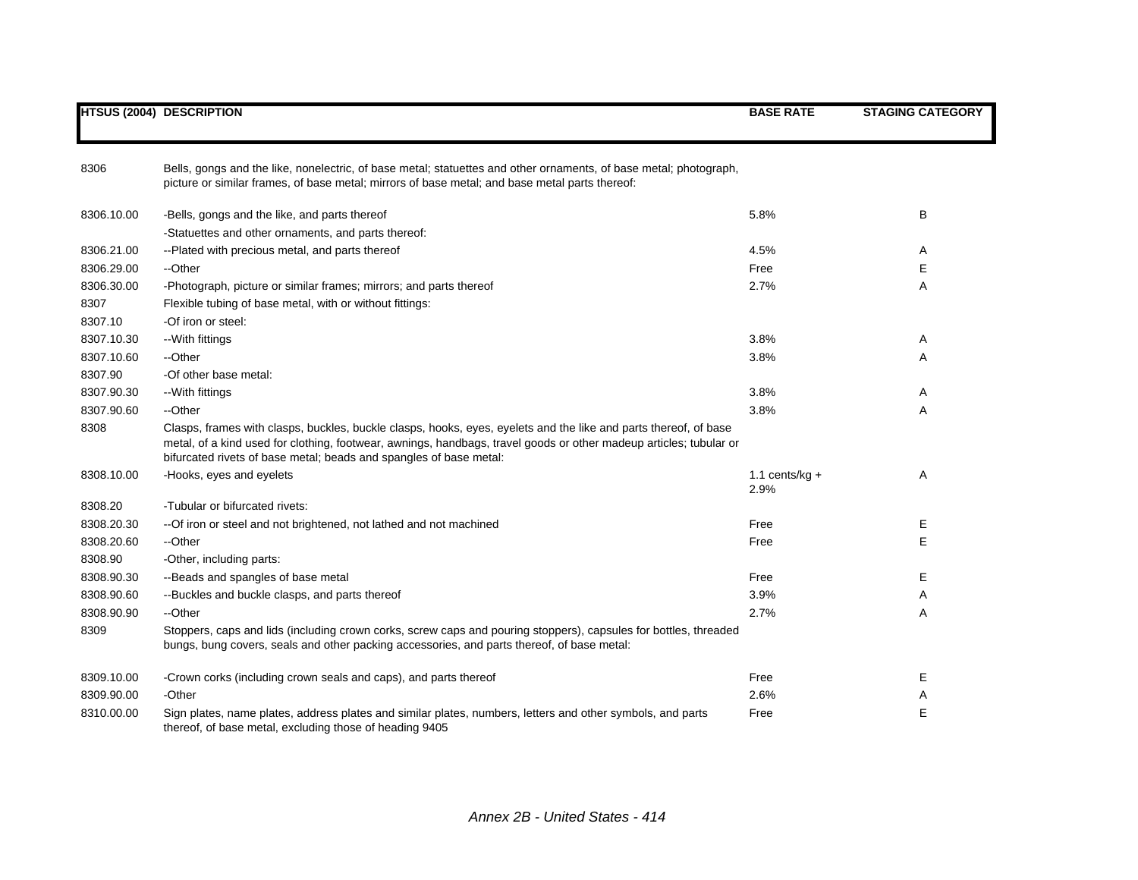|            | <b>HTSUS (2004) DESCRIPTION</b>                                                                                                                                                                                                                                                                              | <b>BASE RATE</b>  | <b>STAGING CATEGORY</b> |
|------------|--------------------------------------------------------------------------------------------------------------------------------------------------------------------------------------------------------------------------------------------------------------------------------------------------------------|-------------------|-------------------------|
| 8306       | Bells, gongs and the like, nonelectric, of base metal; statuettes and other ornaments, of base metal; photograph,                                                                                                                                                                                            |                   |                         |
|            | picture or similar frames, of base metal; mirrors of base metal; and base metal parts thereof:                                                                                                                                                                                                               |                   |                         |
| 8306.10.00 | -Bells, gongs and the like, and parts thereof                                                                                                                                                                                                                                                                | 5.8%              | B                       |
|            | -Statuettes and other ornaments, and parts thereof:                                                                                                                                                                                                                                                          |                   |                         |
| 8306.21.00 | --Plated with precious metal, and parts thereof                                                                                                                                                                                                                                                              | 4.5%              | Α                       |
| 8306.29.00 | --Other                                                                                                                                                                                                                                                                                                      | Free              | Е                       |
| 8306.30.00 | -Photograph, picture or similar frames; mirrors; and parts thereof                                                                                                                                                                                                                                           | 2.7%              | Α                       |
| 8307       | Flexible tubing of base metal, with or without fittings:                                                                                                                                                                                                                                                     |                   |                         |
| 8307.10    | -Of iron or steel:                                                                                                                                                                                                                                                                                           |                   |                         |
| 8307.10.30 | -- With fittings                                                                                                                                                                                                                                                                                             | 3.8%              | Α                       |
| 8307.10.60 | --Other                                                                                                                                                                                                                                                                                                      | 3.8%              | A                       |
| 8307.90    | -Of other base metal:                                                                                                                                                                                                                                                                                        |                   |                         |
| 8307.90.30 | --With fittings                                                                                                                                                                                                                                                                                              | 3.8%              | Α                       |
| 8307.90.60 | --Other                                                                                                                                                                                                                                                                                                      | 3.8%              | Α                       |
| 8308       | Clasps, frames with clasps, buckles, buckle clasps, hooks, eyes, eyelets and the like and parts thereof, of base<br>metal, of a kind used for clothing, footwear, awnings, handbags, travel goods or other madeup articles; tubular or<br>bifurcated rivets of base metal; beads and spangles of base metal: |                   |                         |
| 8308.10.00 | -Hooks, eyes and eyelets                                                                                                                                                                                                                                                                                     | 1.1 cents/ $kg +$ | Α                       |
|            |                                                                                                                                                                                                                                                                                                              | 2.9%              |                         |
| 8308.20    | -Tubular or bifurcated rivets:                                                                                                                                                                                                                                                                               |                   |                         |
| 8308.20.30 | -- Of iron or steel and not brightened, not lathed and not machined                                                                                                                                                                                                                                          | Free              | E                       |
| 8308.20.60 | --Other                                                                                                                                                                                                                                                                                                      | Free              | E                       |
| 8308.90    | -Other, including parts:                                                                                                                                                                                                                                                                                     |                   |                         |
| 8308.90.30 | --Beads and spangles of base metal                                                                                                                                                                                                                                                                           | Free              | Е                       |
| 8308.90.60 | --Buckles and buckle clasps, and parts thereof                                                                                                                                                                                                                                                               | 3.9%              | Α                       |
| 8308.90.90 | --Other                                                                                                                                                                                                                                                                                                      | 2.7%              | Α                       |
| 8309       | Stoppers, caps and lids (including crown corks, screw caps and pouring stoppers), capsules for bottles, threaded<br>bungs, bung covers, seals and other packing accessories, and parts thereof, of base metal:                                                                                               |                   |                         |
| 8309.10.00 | -Crown corks (including crown seals and caps), and parts thereof                                                                                                                                                                                                                                             | Free              | Е                       |
| 8309.90.00 | -Other                                                                                                                                                                                                                                                                                                       | 2.6%              | Α                       |
| 8310.00.00 | Sign plates, name plates, address plates and similar plates, numbers, letters and other symbols, and parts<br>thereof, of base metal, excluding those of heading 9405                                                                                                                                        | Free              | E                       |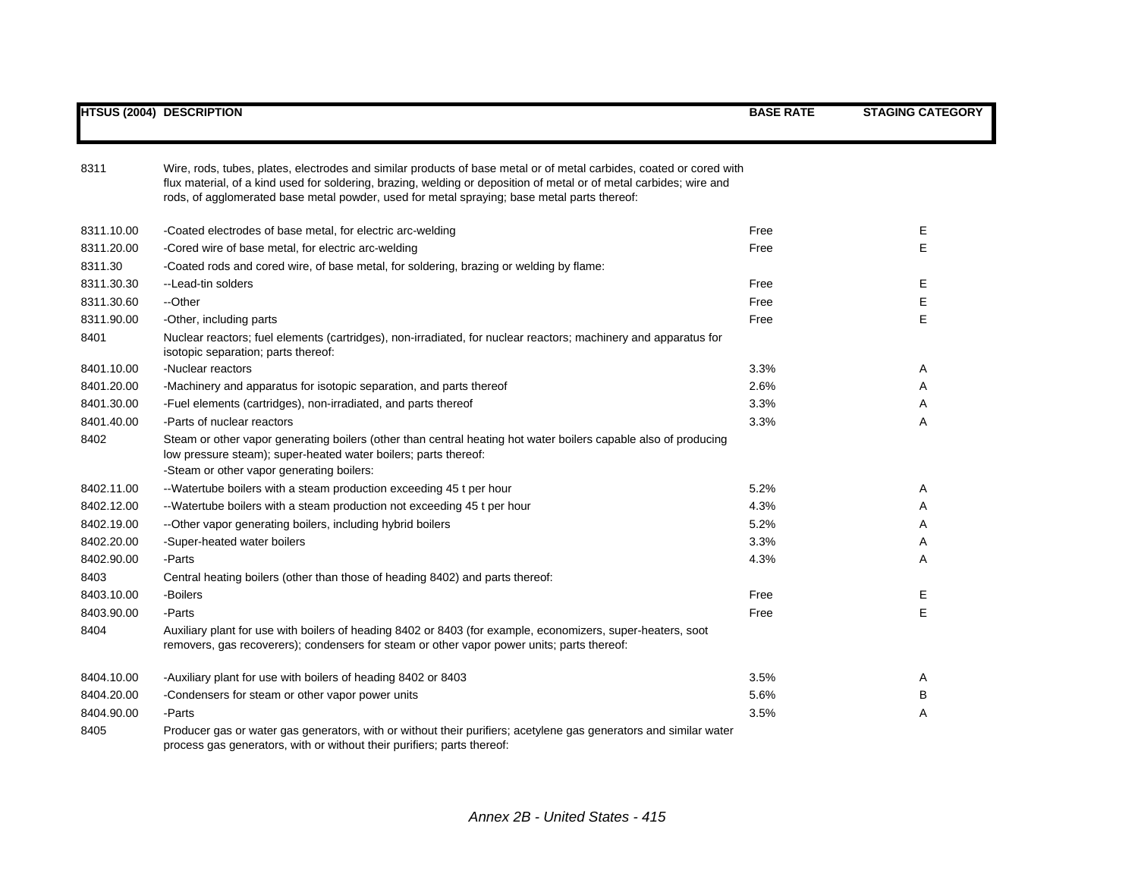| 8311       | Wire, rods, tubes, plates, electrodes and similar products of base metal or of metal carbides, coated or cored with<br>flux material, of a kind used for soldering, brazing, welding or deposition of metal or of metal carbides; wire and<br>rods, of agglomerated base metal powder, used for metal spraying; base metal parts thereof: |      |   |
|------------|-------------------------------------------------------------------------------------------------------------------------------------------------------------------------------------------------------------------------------------------------------------------------------------------------------------------------------------------|------|---|
| 8311.10.00 | -Coated electrodes of base metal, for electric arc-welding                                                                                                                                                                                                                                                                                | Free | Е |
| 8311.20.00 | -Cored wire of base metal, for electric arc-welding                                                                                                                                                                                                                                                                                       | Free | E |
| 8311.30    | -Coated rods and cored wire, of base metal, for soldering, brazing or welding by flame:                                                                                                                                                                                                                                                   |      |   |
| 8311.30.30 | --Lead-tin solders                                                                                                                                                                                                                                                                                                                        | Free | Е |
| 8311.30.60 | --Other                                                                                                                                                                                                                                                                                                                                   | Free | Е |
| 8311.90.00 | -Other, including parts                                                                                                                                                                                                                                                                                                                   | Free | E |
| 8401       | Nuclear reactors; fuel elements (cartridges), non-irradiated, for nuclear reactors; machinery and apparatus for<br>isotopic separation; parts thereof:                                                                                                                                                                                    |      |   |
| 8401.10.00 | -Nuclear reactors                                                                                                                                                                                                                                                                                                                         | 3.3% | A |
| 8401.20.00 | -Machinery and apparatus for isotopic separation, and parts thereof                                                                                                                                                                                                                                                                       | 2.6% | A |
| 8401.30.00 | -Fuel elements (cartridges), non-irradiated, and parts thereof                                                                                                                                                                                                                                                                            | 3.3% | A |
| 8401.40.00 | -Parts of nuclear reactors                                                                                                                                                                                                                                                                                                                | 3.3% | Α |
| 8402       | Steam or other vapor generating boilers (other than central heating hot water boilers capable also of producing<br>low pressure steam); super-heated water boilers; parts thereof:<br>-Steam or other vapor generating boilers:                                                                                                           |      |   |
| 8402.11.00 | --Watertube boilers with a steam production exceeding 45 t per hour                                                                                                                                                                                                                                                                       | 5.2% | A |
| 8402.12.00 | --Watertube boilers with a steam production not exceeding 45 t per hour                                                                                                                                                                                                                                                                   | 4.3% | A |
| 8402.19.00 | -- Other vapor generating boilers, including hybrid boilers                                                                                                                                                                                                                                                                               | 5.2% | Α |
| 8402.20.00 | -Super-heated water boilers                                                                                                                                                                                                                                                                                                               | 3.3% | Α |
| 8402.90.00 | -Parts                                                                                                                                                                                                                                                                                                                                    | 4.3% | Α |
| 8403       | Central heating boilers (other than those of heading 8402) and parts thereof:                                                                                                                                                                                                                                                             |      |   |
| 8403.10.00 | -Boilers                                                                                                                                                                                                                                                                                                                                  | Free | Е |
| 8403.90.00 | -Parts                                                                                                                                                                                                                                                                                                                                    | Free | E |
| 8404       | Auxiliary plant for use with boilers of heading 8402 or 8403 (for example, economizers, super-heaters, soot<br>removers, gas recoverers); condensers for steam or other vapor power units; parts thereof:                                                                                                                                 |      |   |
| 8404.10.00 | -Auxiliary plant for use with boilers of heading 8402 or 8403                                                                                                                                                                                                                                                                             | 3.5% | A |
| 8404.20.00 | -Condensers for steam or other vapor power units                                                                                                                                                                                                                                                                                          | 5.6% | В |
| 8404.90.00 | -Parts                                                                                                                                                                                                                                                                                                                                    | 3.5% | Α |
| 8405       | Producer gas or water gas generators, with or without their purifiers; acetylene gas generators and similar water<br>process gas generators, with or without their purifiers; parts thereof:                                                                                                                                              |      |   |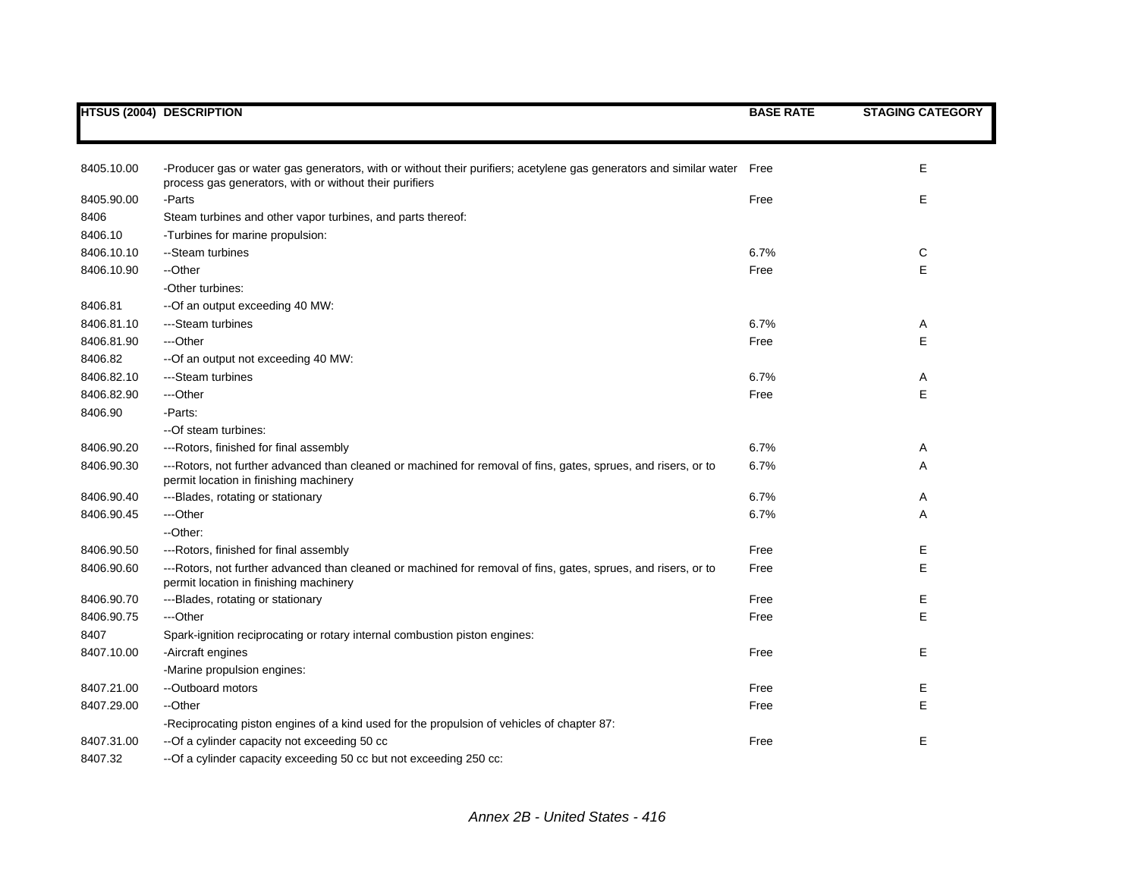|            | <b>HTSUS (2004) DESCRIPTION</b>                                                                                                                                               | <b>BASE RATE</b> | <b>STAGING CATEGORY</b> |
|------------|-------------------------------------------------------------------------------------------------------------------------------------------------------------------------------|------------------|-------------------------|
|            |                                                                                                                                                                               |                  |                         |
| 8405.10.00 | -Producer gas or water gas generators, with or without their purifiers; acetylene gas generators and similar water<br>process gas generators, with or without their purifiers | Free             | Е                       |
| 8405.90.00 | -Parts                                                                                                                                                                        | Free             | Е                       |
| 8406       | Steam turbines and other vapor turbines, and parts thereof:                                                                                                                   |                  |                         |
| 8406.10    | -Turbines for marine propulsion:                                                                                                                                              |                  |                         |
| 8406.10.10 | --Steam turbines                                                                                                                                                              | 6.7%             | С                       |
| 8406.10.90 | --Other                                                                                                                                                                       | Free             | E                       |
|            | -Other turbines:                                                                                                                                                              |                  |                         |
| 8406.81    | --Of an output exceeding 40 MW:                                                                                                                                               |                  |                         |
| 8406.81.10 | ---Steam turbines                                                                                                                                                             | 6.7%             | Α                       |
| 8406.81.90 | ---Other                                                                                                                                                                      | Free             | E                       |
| 8406.82    | --Of an output not exceeding 40 MW:                                                                                                                                           |                  |                         |
| 8406.82.10 | ---Steam turbines                                                                                                                                                             | 6.7%             | A                       |
| 8406.82.90 | ---Other                                                                                                                                                                      | Free             | E                       |
| 8406.90    | -Parts:                                                                                                                                                                       |                  |                         |
|            | --Of steam turbines:                                                                                                                                                          |                  |                         |
| 8406.90.20 | ---Rotors, finished for final assembly                                                                                                                                        | 6.7%             | Α                       |
| 8406.90.30 | ---Rotors, not further advanced than cleaned or machined for removal of fins, gates, sprues, and risers, or to<br>permit location in finishing machinery                      | 6.7%             | Α                       |
| 8406.90.40 | ---Blades, rotating or stationary                                                                                                                                             | 6.7%             | A                       |
| 8406.90.45 | ---Other                                                                                                                                                                      | 6.7%             | Α                       |
|            | --Other:                                                                                                                                                                      |                  |                         |
| 8406.90.50 | ---Rotors, finished for final assembly                                                                                                                                        | Free             | Е                       |
| 8406.90.60 | ---Rotors, not further advanced than cleaned or machined for removal of fins, gates, sprues, and risers, or to<br>permit location in finishing machinery                      | Free             | Е                       |
| 8406.90.70 | ---Blades, rotating or stationary                                                                                                                                             | Free             | E                       |
| 8406.90.75 | ---Other                                                                                                                                                                      | Free             | E                       |
| 8407       | Spark-ignition reciprocating or rotary internal combustion piston engines:                                                                                                    |                  |                         |
| 8407.10.00 | -Aircraft engines                                                                                                                                                             | Free             | Е                       |
|            | -Marine propulsion engines:                                                                                                                                                   |                  |                         |
| 8407.21.00 | --Outboard motors                                                                                                                                                             | Free             | Е                       |
| 8407.29.00 | --Other                                                                                                                                                                       | Free             | E                       |
|            | -Reciprocating piston engines of a kind used for the propulsion of vehicles of chapter 87:                                                                                    |                  |                         |
| 8407.31.00 | --Of a cylinder capacity not exceeding 50 cc                                                                                                                                  | Free             | E                       |
| 8407.32    | -- Of a cylinder capacity exceeding 50 cc but not exceeding 250 cc:                                                                                                           |                  |                         |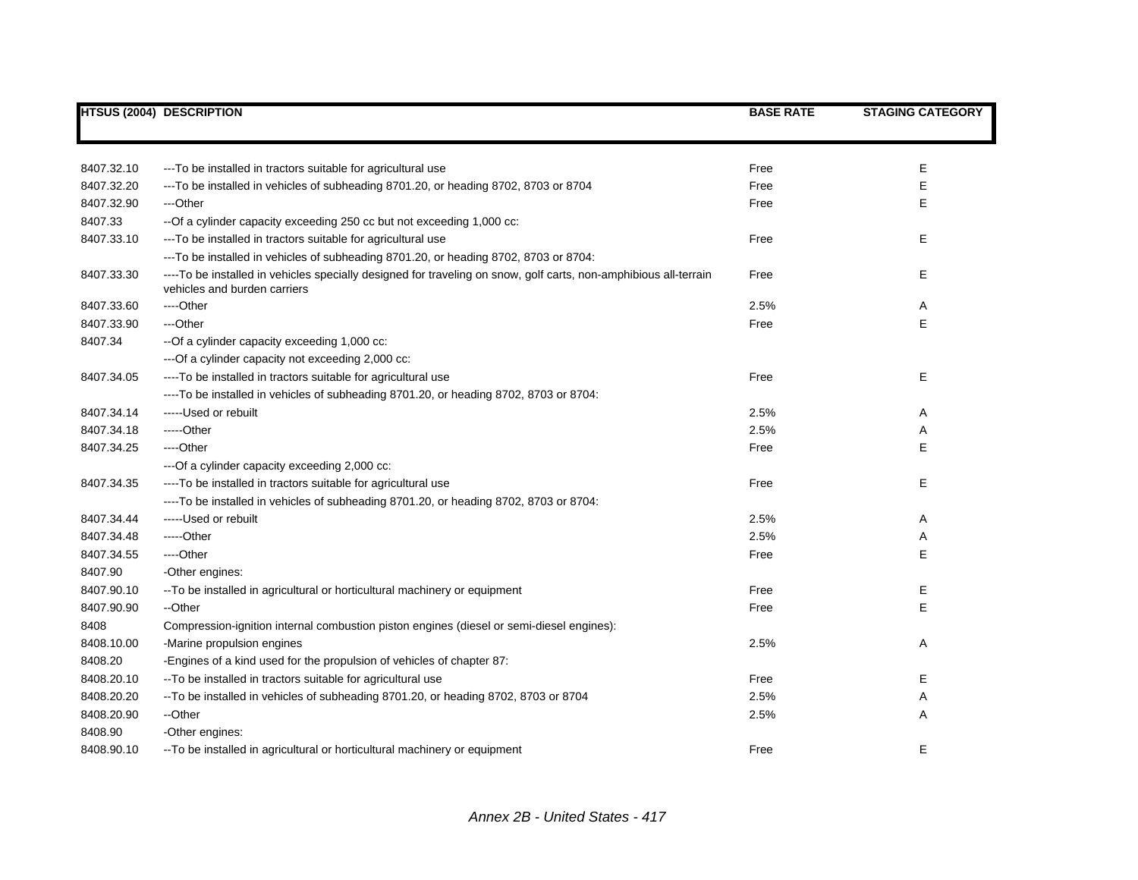|            | <b>HTSUS (2004) DESCRIPTION</b>                                                                                  | <b>BASE RATE</b> | <b>STAGING CATEGORY</b> |
|------------|------------------------------------------------------------------------------------------------------------------|------------------|-------------------------|
|            |                                                                                                                  |                  |                         |
|            |                                                                                                                  |                  |                         |
| 8407.32.10 | ---To be installed in tractors suitable for agricultural use                                                     | Free             | Е                       |
| 8407.32.20 | --To be installed in vehicles of subheading 8701.20, or heading 8702, 8703 or 8704                               | Free             | Е                       |
| 8407.32.90 | ---Other                                                                                                         | Free             | Е                       |
| 8407.33    | -- Of a cylinder capacity exceeding 250 cc but not exceeding 1,000 cc:                                           |                  |                         |
| 8407.33.10 | --- To be installed in tractors suitable for agricultural use                                                    | Free             | E                       |
|            | --To be installed in vehicles of subheading 8701.20, or heading 8702, 8703 or 8704:                              |                  |                         |
| 8407.33.30 | ----To be installed in vehicles specially designed for traveling on snow, golf carts, non-amphibious all-terrain | Free             | Е                       |
|            | vehicles and burden carriers                                                                                     |                  |                         |
| 8407.33.60 | ----Other                                                                                                        | 2.5%             | Α                       |
| 8407.33.90 | ---Other                                                                                                         | Free             | E                       |
| 8407.34    | -- Of a cylinder capacity exceeding 1,000 cc:                                                                    |                  |                         |
|            | --- Of a cylinder capacity not exceeding 2,000 cc:                                                               |                  |                         |
| 8407.34.05 | ----To be installed in tractors suitable for agricultural use                                                    | Free             | Е                       |
|            | ----To be installed in vehicles of subheading 8701.20, or heading 8702, 8703 or 8704:                            |                  |                         |
| 8407.34.14 | -----Used or rebuilt                                                                                             | 2.5%             | Α                       |
| 8407.34.18 | -----Other                                                                                                       | 2.5%             | Α                       |
| 8407.34.25 | ----Other                                                                                                        | Free             | Е                       |
|            | --- Of a cylinder capacity exceeding 2,000 cc:                                                                   |                  |                         |
| 8407.34.35 | ----To be installed in tractors suitable for agricultural use                                                    | Free             | Е                       |
|            | ----To be installed in vehicles of subheading 8701.20, or heading 8702, 8703 or 8704:                            |                  |                         |
| 8407.34.44 | -----Used or rebuilt                                                                                             | 2.5%             | Α                       |
| 8407.34.48 | -----Other                                                                                                       | 2.5%             | Α                       |
| 8407.34.55 | ----Other                                                                                                        | Free             | E                       |
| 8407.90    | -Other engines:                                                                                                  |                  |                         |
| 8407.90.10 | -- To be installed in agricultural or horticultural machinery or equipment                                       | Free             | Е                       |
| 8407.90.90 | --Other                                                                                                          | Free             | E                       |
| 8408       | Compression-ignition internal combustion piston engines (diesel or semi-diesel engines):                         |                  |                         |
| 8408.10.00 | -Marine propulsion engines                                                                                       | 2.5%             | Α                       |
| 8408.20    | -Engines of a kind used for the propulsion of vehicles of chapter 87:                                            |                  |                         |
| 8408.20.10 | -- To be installed in tractors suitable for agricultural use                                                     | Free             | E                       |
| 8408.20.20 | --To be installed in vehicles of subheading 8701.20, or heading 8702, 8703 or 8704                               | 2.5%             | Α                       |
| 8408.20.90 | --Other                                                                                                          | 2.5%             | Α                       |
| 8408.90    | -Other engines:                                                                                                  |                  |                         |
| 8408.90.10 | -- To be installed in agricultural or horticultural machinery or equipment                                       | Free             | E                       |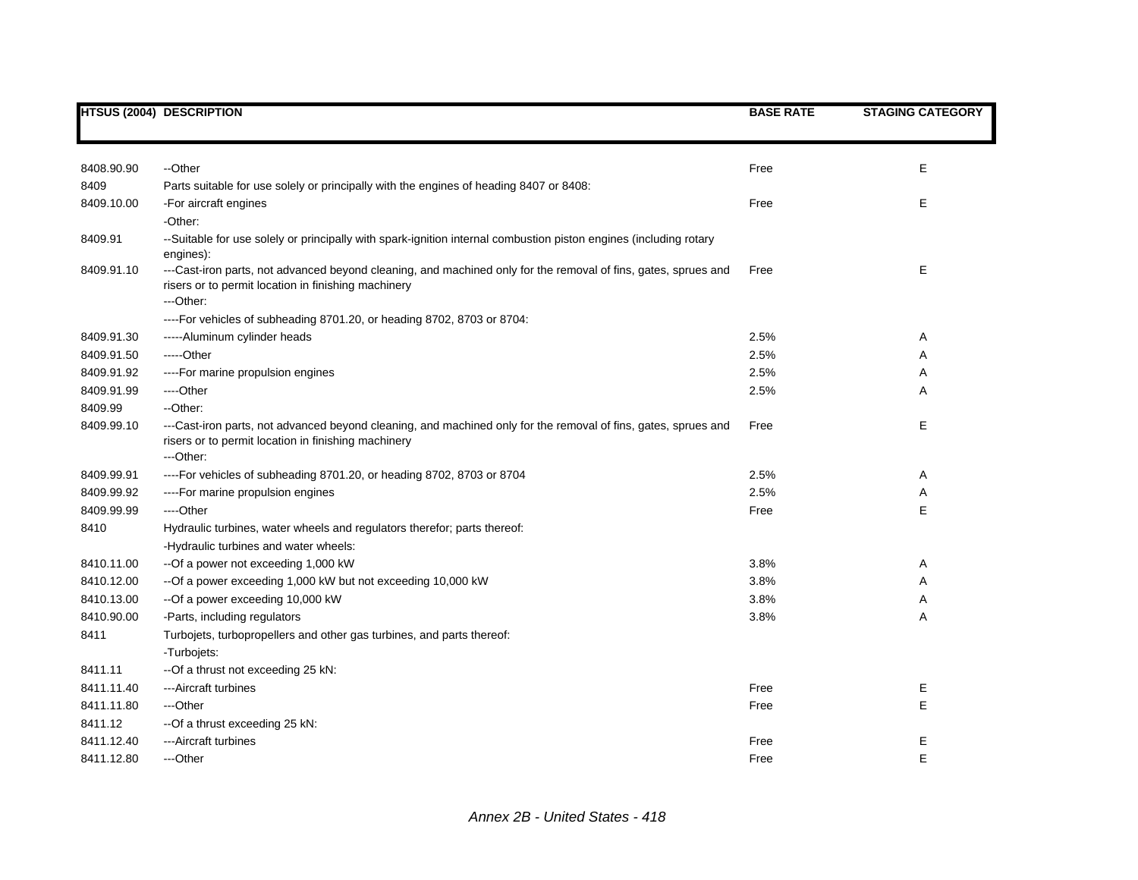|            | <b>HTSUS (2004) DESCRIPTION</b>                                                                                                                                                    | <b>BASE RATE</b> | <b>STAGING CATEGORY</b> |
|------------|------------------------------------------------------------------------------------------------------------------------------------------------------------------------------------|------------------|-------------------------|
|            |                                                                                                                                                                                    |                  |                         |
| 8408.90.90 | --Other                                                                                                                                                                            | Free             | Е                       |
| 8409       | Parts suitable for use solely or principally with the engines of heading 8407 or 8408:                                                                                             |                  |                         |
| 8409.10.00 | -For aircraft engines                                                                                                                                                              | Free             | Е                       |
|            | -Other:                                                                                                                                                                            |                  |                         |
| 8409.91    | --Suitable for use solely or principally with spark-ignition internal combustion piston engines (including rotary<br>engines):                                                     |                  |                         |
| 8409.91.10 | ---Cast-iron parts, not advanced beyond cleaning, and machined only for the removal of fins, gates, sprues and<br>risers or to permit location in finishing machinery<br>---Other: | Free             | E                       |
|            | ---- For vehicles of subheading 8701.20, or heading 8702, 8703 or 8704:                                                                                                            |                  |                         |
| 8409.91.30 | -----Aluminum cylinder heads                                                                                                                                                       | 2.5%             | Α                       |
| 8409.91.50 | -----Other                                                                                                                                                                         | 2.5%             | Α                       |
| 8409.91.92 | ---- For marine propulsion engines                                                                                                                                                 | 2.5%             | Α                       |
| 8409.91.99 | ---Other                                                                                                                                                                           | 2.5%             | Α                       |
| 8409.99    | --Other:                                                                                                                                                                           |                  |                         |
| 8409.99.10 | ---Cast-iron parts, not advanced beyond cleaning, and machined only for the removal of fins, gates, sprues and<br>risers or to permit location in finishing machinery<br>---Other: | Free             | E                       |
| 8409.99.91 | ----For vehicles of subheading 8701.20, or heading 8702, 8703 or 8704                                                                                                              | 2.5%             | Α                       |
| 8409.99.92 | ----For marine propulsion engines                                                                                                                                                  | 2.5%             | Α                       |
| 8409.99.99 | ----Other                                                                                                                                                                          | Free             | E                       |
| 8410       | Hydraulic turbines, water wheels and regulators therefor; parts thereof:                                                                                                           |                  |                         |
|            | -Hydraulic turbines and water wheels:                                                                                                                                              |                  |                         |
| 8410.11.00 | --Of a power not exceeding 1,000 kW                                                                                                                                                | 3.8%             | Α                       |
| 8410.12.00 | -- Of a power exceeding 1,000 kW but not exceeding 10,000 kW                                                                                                                       | 3.8%             | Α                       |
| 8410.13.00 | --Of a power exceeding 10,000 kW                                                                                                                                                   | 3.8%             | Α                       |
| 8410.90.00 | -Parts, including regulators                                                                                                                                                       | 3.8%             | Α                       |
| 8411       | Turbojets, turbopropellers and other gas turbines, and parts thereof:                                                                                                              |                  |                         |
|            | -Turbojets:                                                                                                                                                                        |                  |                         |
| 8411.11    | --Of a thrust not exceeding 25 kN:                                                                                                                                                 |                  |                         |
| 8411.11.40 | ---Aircraft turbines                                                                                                                                                               | Free             | Е                       |
| 8411.11.80 | ---Other                                                                                                                                                                           | Free             | E                       |
| 8411.12    | --Of a thrust exceeding 25 kN:                                                                                                                                                     |                  |                         |
| 8411.12.40 | ---Aircraft turbines                                                                                                                                                               | Free             | Е                       |
| 8411.12.80 | ---Other                                                                                                                                                                           | Free             | E                       |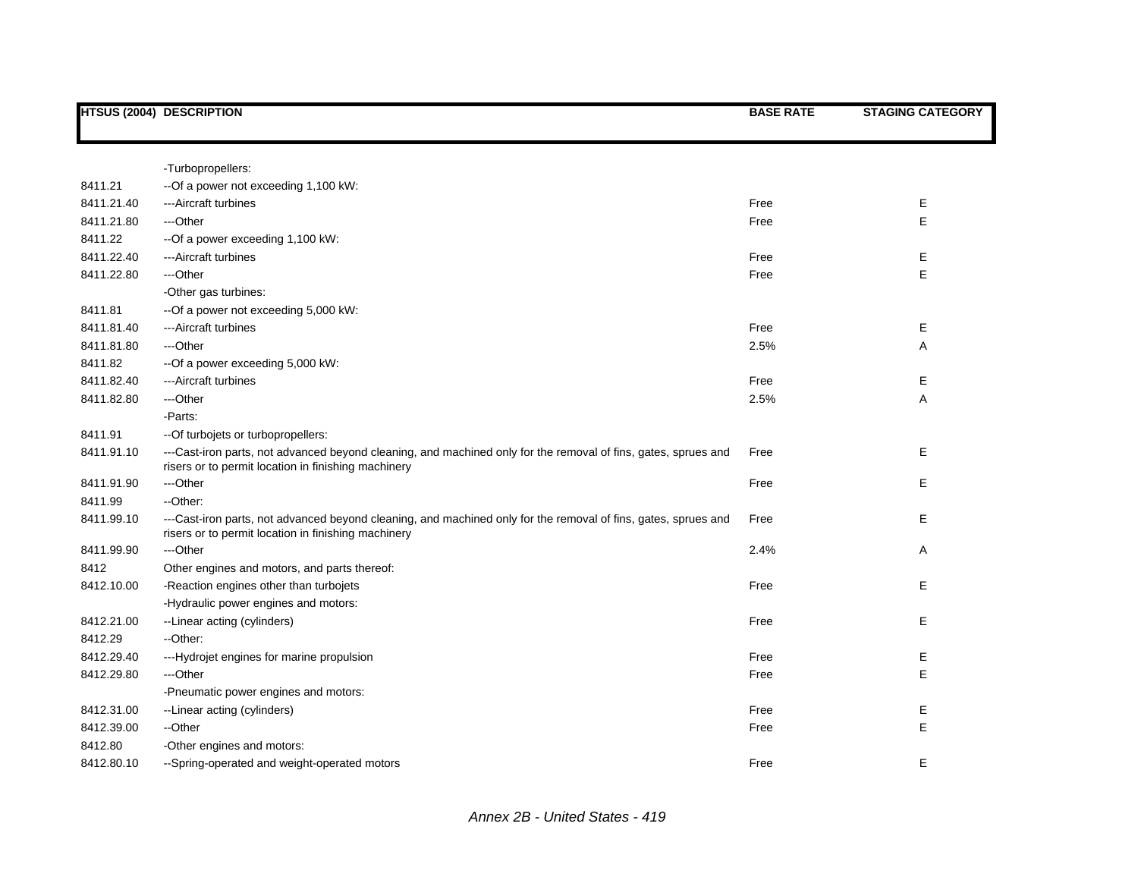|            | <b>HTSUS (2004) DESCRIPTION</b>                                                                                                                                       | <b>BASE RATE</b> | <b>STAGING CATEGORY</b> |
|------------|-----------------------------------------------------------------------------------------------------------------------------------------------------------------------|------------------|-------------------------|
|            |                                                                                                                                                                       |                  |                         |
|            | -Turbopropellers:                                                                                                                                                     |                  |                         |
| 8411.21    | --Of a power not exceeding 1,100 kW:                                                                                                                                  |                  |                         |
| 8411.21.40 | ---Aircraft turbines                                                                                                                                                  | Free             | Е                       |
| 8411.21.80 | ---Other                                                                                                                                                              | Free             | E                       |
| 8411.22    | --Of a power exceeding 1,100 kW:                                                                                                                                      |                  |                         |
| 8411.22.40 | ---Aircraft turbines                                                                                                                                                  | Free             | Е                       |
| 8411.22.80 | ---Other                                                                                                                                                              | Free             | E                       |
|            | -Other gas turbines:                                                                                                                                                  |                  |                         |
| 8411.81    | --Of a power not exceeding 5,000 kW:                                                                                                                                  |                  |                         |
| 8411.81.40 | ---Aircraft turbines                                                                                                                                                  | Free             | Е                       |
| 8411.81.80 | ---Other                                                                                                                                                              | 2.5%             | Α                       |
| 8411.82    | --Of a power exceeding 5,000 kW:                                                                                                                                      |                  |                         |
| 8411.82.40 | ---Aircraft turbines                                                                                                                                                  | Free             | Ε                       |
| 8411.82.80 | ---Other                                                                                                                                                              | 2.5%             | Α                       |
|            | -Parts:                                                                                                                                                               |                  |                         |
| 8411.91    | -- Of turbojets or turbopropellers:                                                                                                                                   |                  |                         |
| 8411.91.10 | ---Cast-iron parts, not advanced beyond cleaning, and machined only for the removal of fins, gates, sprues and<br>risers or to permit location in finishing machinery | Free             | Е                       |
| 8411.91.90 | ---Other                                                                                                                                                              | Free             | E                       |
| 8411.99    | --Other:                                                                                                                                                              |                  |                         |
| 8411.99.10 | ---Cast-iron parts, not advanced beyond cleaning, and machined only for the removal of fins, gates, sprues and<br>risers or to permit location in finishing machinery | Free             | E                       |
| 8411.99.90 | ---Other                                                                                                                                                              | 2.4%             | Α                       |
| 8412       | Other engines and motors, and parts thereof:                                                                                                                          |                  |                         |
| 8412.10.00 | -Reaction engines other than turbojets                                                                                                                                | Free             | E                       |
|            | -Hydraulic power engines and motors:                                                                                                                                  |                  |                         |
| 8412.21.00 | --Linear acting (cylinders)                                                                                                                                           | Free             | E                       |
| 8412.29    | --Other:                                                                                                                                                              |                  |                         |
| 8412.29.40 | ---Hydrojet engines for marine propulsion                                                                                                                             | Free             | Е                       |
| 8412.29.80 | ---Other                                                                                                                                                              | Free             | E                       |
|            | -Pneumatic power engines and motors:                                                                                                                                  |                  |                         |
| 8412.31.00 | --Linear acting (cylinders)                                                                                                                                           | Free             | Е                       |
| 8412.39.00 | --Other                                                                                                                                                               | Free             | E                       |
| 8412.80    | -Other engines and motors:                                                                                                                                            |                  |                         |
| 8412.80.10 | --Spring-operated and weight-operated motors                                                                                                                          | Free             | E                       |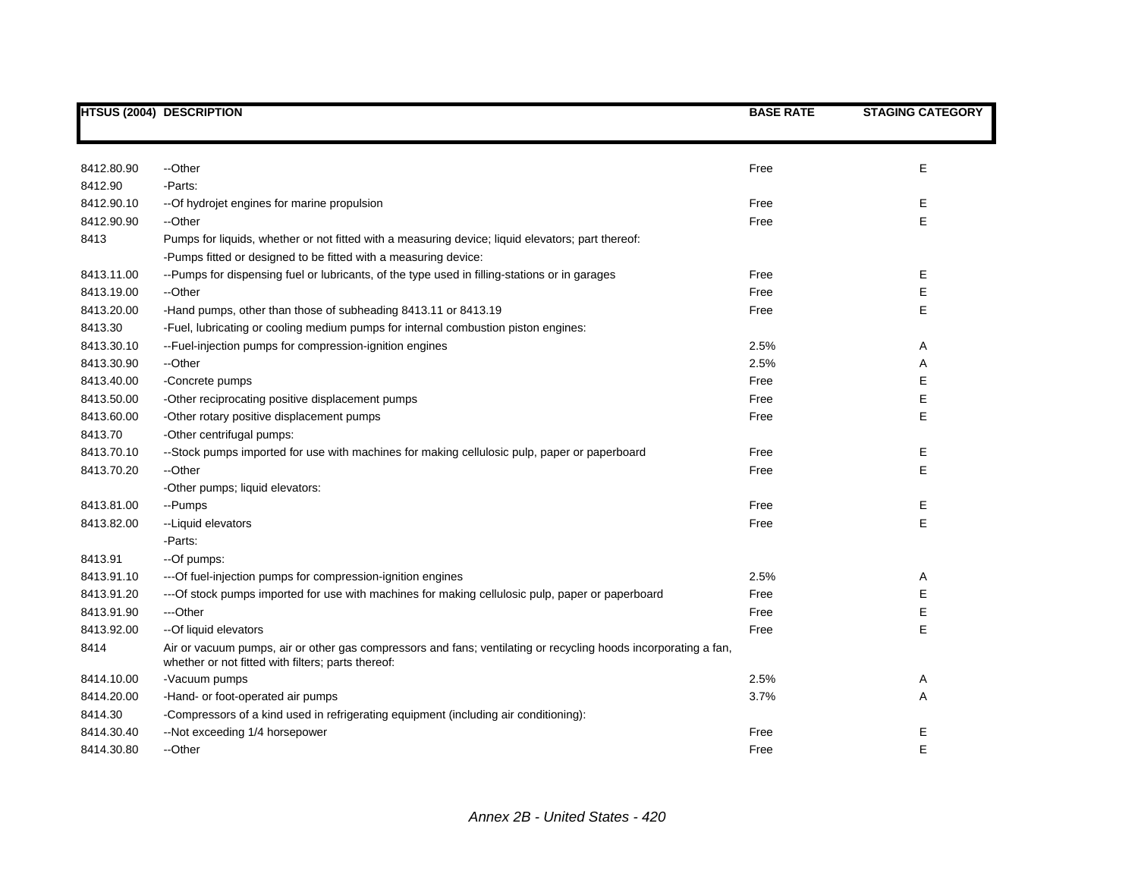|            | <b>HTSUS (2004) DESCRIPTION</b>                                                                                                                                       | <b>BASE RATE</b> | <b>STAGING CATEGORY</b> |
|------------|-----------------------------------------------------------------------------------------------------------------------------------------------------------------------|------------------|-------------------------|
|            |                                                                                                                                                                       |                  |                         |
|            |                                                                                                                                                                       |                  |                         |
| 8412.80.90 | --Other                                                                                                                                                               | Free             | Е                       |
| 8412.90    | -Parts:                                                                                                                                                               |                  |                         |
| 8412.90.10 | -- Of hydrojet engines for marine propulsion                                                                                                                          | Free             | Е                       |
| 8412.90.90 | --Other                                                                                                                                                               | Free             | E                       |
| 8413       | Pumps for liquids, whether or not fitted with a measuring device; liquid elevators; part thereof:                                                                     |                  |                         |
|            | -Pumps fitted or designed to be fitted with a measuring device:                                                                                                       |                  |                         |
| 8413.11.00 | --Pumps for dispensing fuel or lubricants, of the type used in filling-stations or in garages                                                                         | Free             | Е                       |
| 8413.19.00 | --Other                                                                                                                                                               | Free             | Е                       |
| 8413.20.00 | -Hand pumps, other than those of subheading 8413.11 or 8413.19                                                                                                        | Free             | Е                       |
| 8413.30    | -Fuel, lubricating or cooling medium pumps for internal combustion piston engines:                                                                                    |                  |                         |
| 8413.30.10 | --Fuel-injection pumps for compression-ignition engines                                                                                                               | 2.5%             | Α                       |
| 8413.30.90 | --Other                                                                                                                                                               | 2.5%             | Α                       |
| 8413.40.00 | -Concrete pumps                                                                                                                                                       | Free             | E                       |
| 8413.50.00 | -Other reciprocating positive displacement pumps                                                                                                                      | Free             | E                       |
| 8413.60.00 | -Other rotary positive displacement pumps                                                                                                                             | Free             | E                       |
| 8413.70    | -Other centrifugal pumps:                                                                                                                                             |                  |                         |
| 8413.70.10 | --Stock pumps imported for use with machines for making cellulosic pulp, paper or paperboard                                                                          | Free             | Е                       |
| 8413.70.20 | --Other                                                                                                                                                               | Free             | E                       |
|            | -Other pumps; liquid elevators:                                                                                                                                       |                  |                         |
| 8413.81.00 | --Pumps                                                                                                                                                               | Free             | E                       |
| 8413.82.00 | --Liquid elevators                                                                                                                                                    | Free             | E                       |
|            | -Parts:                                                                                                                                                               |                  |                         |
| 8413.91    | --Of pumps:                                                                                                                                                           |                  |                         |
| 8413.91.10 | --- Of fuel-injection pumps for compression-ignition engines                                                                                                          | 2.5%             | Α                       |
| 8413.91.20 | ---Of stock pumps imported for use with machines for making cellulosic pulp, paper or paperboard                                                                      | Free             | E                       |
| 8413.91.90 | ---Other                                                                                                                                                              | Free             | E                       |
| 8413.92.00 | -- Of liquid elevators                                                                                                                                                | Free             | E                       |
| 8414       | Air or vacuum pumps, air or other gas compressors and fans; ventilating or recycling hoods incorporating a fan,<br>whether or not fitted with filters; parts thereof: |                  |                         |
| 8414.10.00 | -Vacuum pumps                                                                                                                                                         | 2.5%             | Α                       |
| 8414.20.00 | -Hand- or foot-operated air pumps                                                                                                                                     | 3.7%             | Α                       |
| 8414.30    | -Compressors of a kind used in refrigerating equipment (including air conditioning):                                                                                  |                  |                         |
| 8414.30.40 | -- Not exceeding 1/4 horsepower                                                                                                                                       | Free             | Ε                       |
| 8414.30.80 | --Other                                                                                                                                                               | Free             | E                       |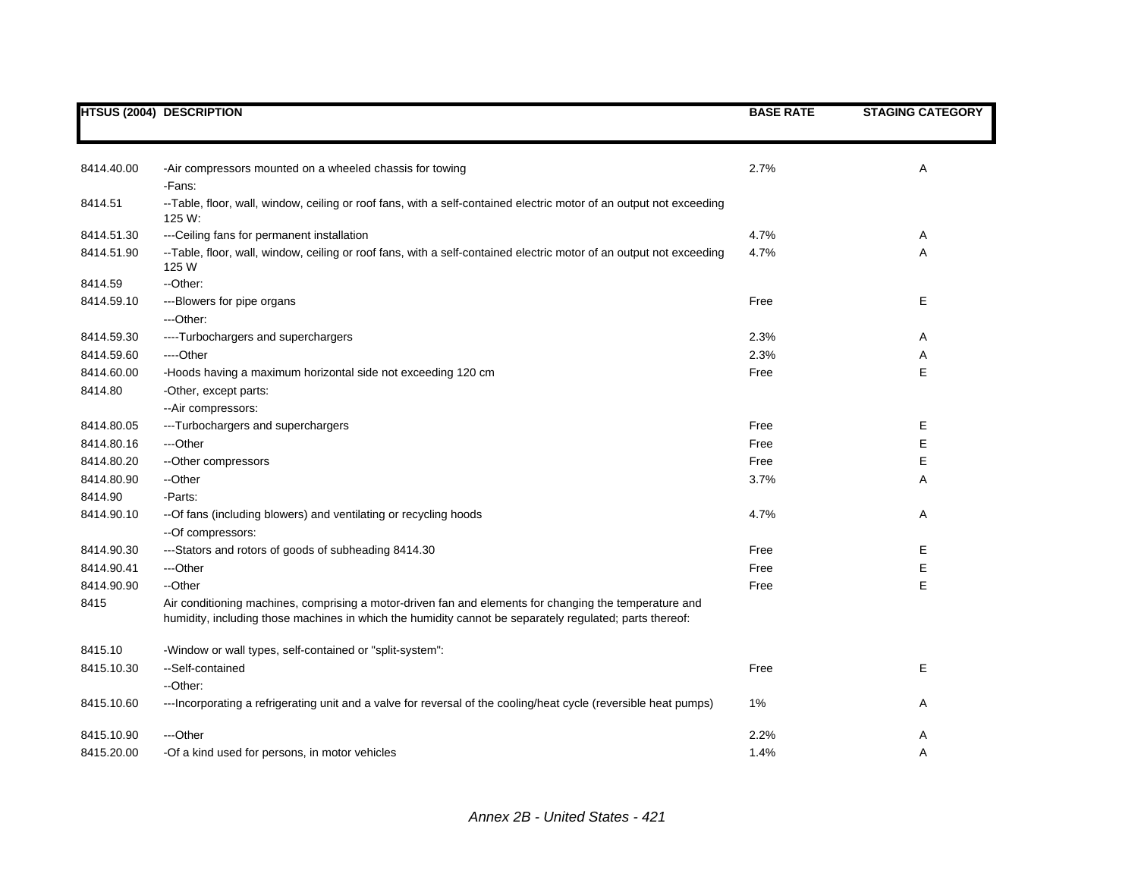|            | <b>HTSUS (2004) DESCRIPTION</b>                                                                                                                                                                                   | <b>BASE RATE</b> | <b>STAGING CATEGORY</b> |
|------------|-------------------------------------------------------------------------------------------------------------------------------------------------------------------------------------------------------------------|------------------|-------------------------|
|            |                                                                                                                                                                                                                   |                  |                         |
| 8414.40.00 | -Air compressors mounted on a wheeled chassis for towing                                                                                                                                                          | 2.7%             | A                       |
|            | -Fans:                                                                                                                                                                                                            |                  |                         |
| 8414.51    | --Table, floor, wall, window, ceiling or roof fans, with a self-contained electric motor of an output not exceeding<br>125 W:                                                                                     |                  |                         |
| 8414.51.30 | --- Ceiling fans for permanent installation                                                                                                                                                                       | 4.7%             | Α                       |
| 8414.51.90 | --Table, floor, wall, window, ceiling or roof fans, with a self-contained electric motor of an output not exceeding<br>125 W                                                                                      | 4.7%             | Α                       |
| 8414.59    | -- Other:                                                                                                                                                                                                         |                  |                         |
| 8414.59.10 | ---Blowers for pipe organs                                                                                                                                                                                        | Free             | Е                       |
|            | ---Other:                                                                                                                                                                                                         |                  |                         |
| 8414.59.30 | ----Turbochargers and superchargers                                                                                                                                                                               | 2.3%             | Α                       |
| 8414.59.60 | ---Other                                                                                                                                                                                                          | 2.3%             | Α                       |
| 8414.60.00 | -Hoods having a maximum horizontal side not exceeding 120 cm                                                                                                                                                      | Free             | E                       |
| 8414.80    | -Other, except parts:                                                                                                                                                                                             |                  |                         |
|            | --Air compressors:                                                                                                                                                                                                |                  |                         |
| 8414.80.05 | ---Turbochargers and superchargers                                                                                                                                                                                | Free             | Е                       |
| 8414.80.16 | ---Other                                                                                                                                                                                                          | Free             | E                       |
| 8414.80.20 | --Other compressors                                                                                                                                                                                               | Free             | E                       |
| 8414.80.90 | --Other                                                                                                                                                                                                           | 3.7%             | Α                       |
| 8414.90    | -Parts:                                                                                                                                                                                                           |                  |                         |
| 8414.90.10 | -- Of fans (including blowers) and ventilating or recycling hoods<br>--Of compressors:                                                                                                                            | 4.7%             | Α                       |
| 8414.90.30 | ---Stators and rotors of goods of subheading 8414.30                                                                                                                                                              | Free             | Е                       |
| 8414.90.41 | ---Other                                                                                                                                                                                                          | Free             | Е                       |
| 8414.90.90 | --Other                                                                                                                                                                                                           | Free             | E                       |
| 8415       | Air conditioning machines, comprising a motor-driven fan and elements for changing the temperature and<br>humidity, including those machines in which the humidity cannot be separately regulated; parts thereof: |                  |                         |
| 8415.10    | -Window or wall types, self-contained or "split-system":                                                                                                                                                          |                  |                         |
| 8415.10.30 | --Self-contained                                                                                                                                                                                                  | Free             | Е                       |
|            | --Other:                                                                                                                                                                                                          |                  |                         |
| 8415.10.60 | --- Incorporating a refrigerating unit and a valve for reversal of the cooling/heat cycle (reversible heat pumps)                                                                                                 | 1%               | Α                       |
| 8415.10.90 | ---Other                                                                                                                                                                                                          | 2.2%             | A                       |
| 8415.20.00 | -Of a kind used for persons, in motor vehicles                                                                                                                                                                    | 1.4%             | A                       |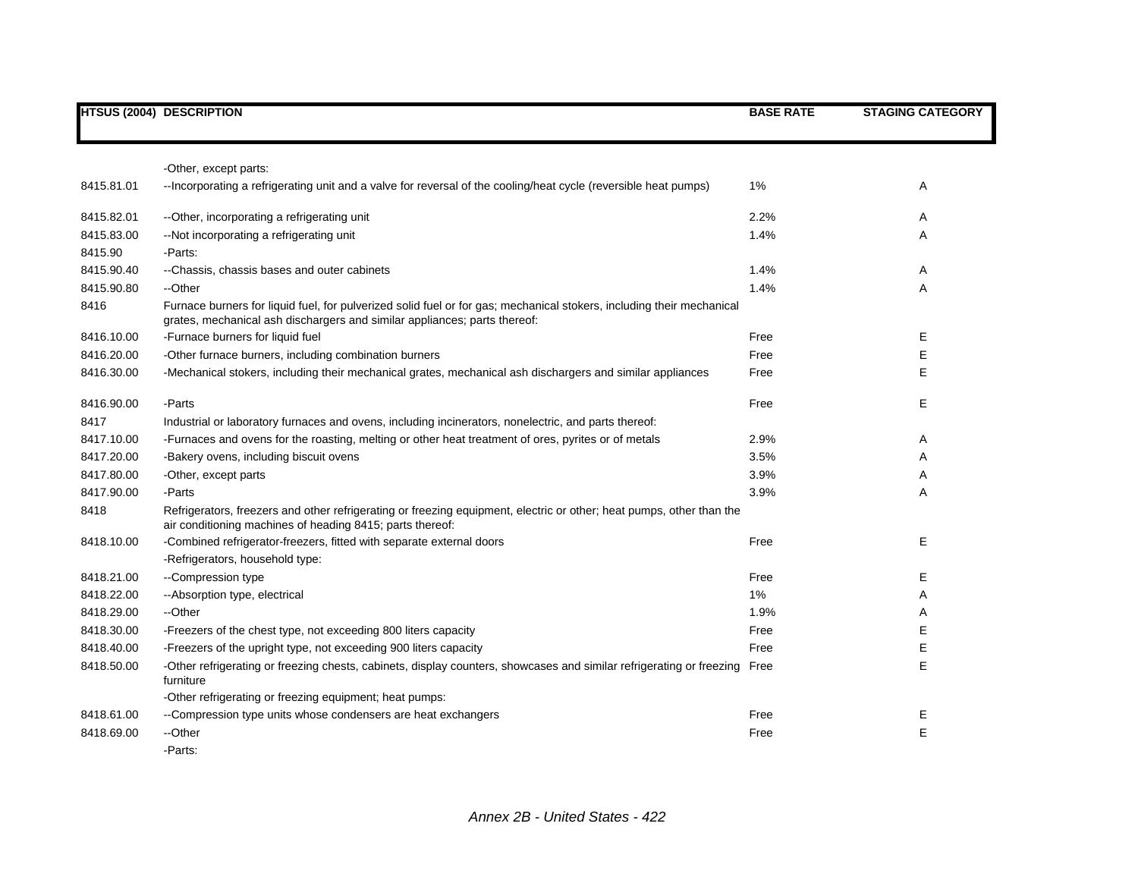|            | <b>HTSUS (2004) DESCRIPTION</b>                                                                                                                                                                    | <b>BASE RATE</b> | <b>STAGING CATEGORY</b> |
|------------|----------------------------------------------------------------------------------------------------------------------------------------------------------------------------------------------------|------------------|-------------------------|
|            |                                                                                                                                                                                                    |                  |                         |
|            | -Other, except parts:                                                                                                                                                                              |                  |                         |
| 8415.81.01 | --Incorporating a refrigerating unit and a valve for reversal of the cooling/heat cycle (reversible heat pumps)                                                                                    | 1%               | Α                       |
| 8415.82.01 | --Other, incorporating a refrigerating unit                                                                                                                                                        | 2.2%             | Α                       |
| 8415.83.00 | -- Not incorporating a refrigerating unit                                                                                                                                                          | 1.4%             | Α                       |
| 8415.90    | -Parts:                                                                                                                                                                                            |                  |                         |
| 8415.90.40 | --Chassis, chassis bases and outer cabinets                                                                                                                                                        | 1.4%             | Α                       |
| 8415.90.80 | --Other                                                                                                                                                                                            | 1.4%             | Α                       |
| 8416       | Furnace burners for liquid fuel, for pulverized solid fuel or for gas; mechanical stokers, including their mechanical<br>grates, mechanical ash dischargers and similar appliances; parts thereof: |                  |                         |
| 8416.10.00 | -Furnace burners for liquid fuel                                                                                                                                                                   | Free             | Е                       |
| 8416.20.00 | -Other furnace burners, including combination burners                                                                                                                                              | Free             | E                       |
| 8416.30.00 | -Mechanical stokers, including their mechanical grates, mechanical ash dischargers and similar appliances                                                                                          | Free             | E                       |
| 8416.90.00 | -Parts                                                                                                                                                                                             | Free             | E.                      |
| 8417       | Industrial or laboratory furnaces and ovens, including incinerators, nonelectric, and parts thereof:                                                                                               |                  |                         |
| 8417.10.00 | -Furnaces and ovens for the roasting, melting or other heat treatment of ores, pyrites or of metals                                                                                                | 2.9%             | Α                       |
| 8417.20.00 | -Bakery ovens, including biscuit ovens                                                                                                                                                             | 3.5%             | A                       |
| 8417.80.00 | -Other, except parts                                                                                                                                                                               | 3.9%             | Α                       |
| 8417.90.00 | -Parts                                                                                                                                                                                             | 3.9%             | Α                       |
| 8418       | Refrigerators, freezers and other refrigerating or freezing equipment, electric or other; heat pumps, other than the<br>air conditioning machines of heading 8415; parts thereof:                  |                  |                         |
| 8418.10.00 | -Combined refrigerator-freezers, fitted with separate external doors                                                                                                                               | Free             | E.                      |
|            | -Refrigerators, household type:                                                                                                                                                                    |                  |                         |
| 8418.21.00 | --Compression type                                                                                                                                                                                 | Free             | Е                       |
| 8418.22.00 | -- Absorption type, electrical                                                                                                                                                                     | $1\%$            | Α                       |
| 8418.29.00 | --Other                                                                                                                                                                                            | 1.9%             | Α                       |
| 8418.30.00 | -Freezers of the chest type, not exceeding 800 liters capacity                                                                                                                                     | Free             | Е                       |
| 8418.40.00 | -Freezers of the upright type, not exceeding 900 liters capacity                                                                                                                                   | Free             | Е                       |
| 8418.50.00 | -Other refrigerating or freezing chests, cabinets, display counters, showcases and similar refrigerating or freezing<br>furniture                                                                  | Free             | Е                       |
|            | -Other refrigerating or freezing equipment; heat pumps:                                                                                                                                            |                  |                         |
| 8418.61.00 | --Compression type units whose condensers are heat exchangers                                                                                                                                      | Free             | E.                      |
| 8418.69.00 | --Other                                                                                                                                                                                            | Free             | E                       |
|            | -Parts:                                                                                                                                                                                            |                  |                         |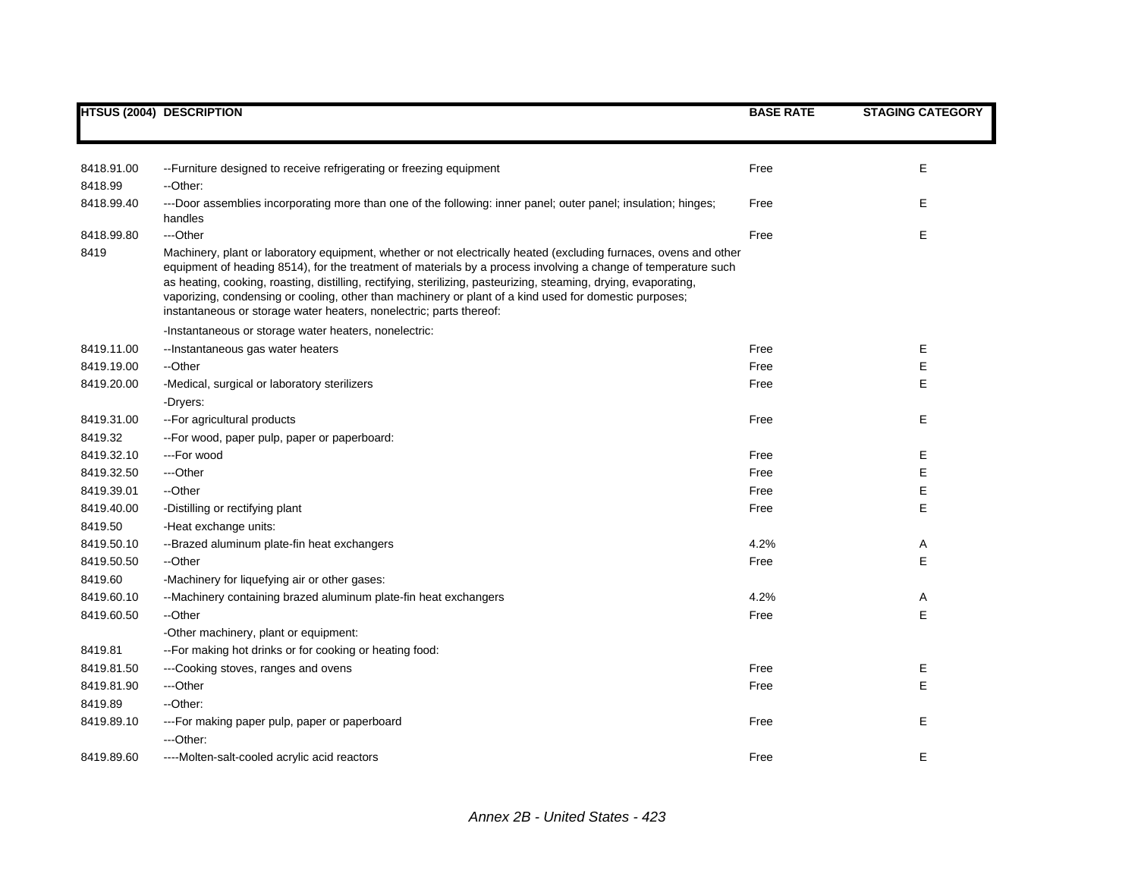|            | <b>HTSUS (2004) DESCRIPTION</b>                                                                                                                                                                                                                                                                                                                                                                                                                                                                                                          | <b>BASE RATE</b> | <b>STAGING CATEGORY</b> |
|------------|------------------------------------------------------------------------------------------------------------------------------------------------------------------------------------------------------------------------------------------------------------------------------------------------------------------------------------------------------------------------------------------------------------------------------------------------------------------------------------------------------------------------------------------|------------------|-------------------------|
|            |                                                                                                                                                                                                                                                                                                                                                                                                                                                                                                                                          |                  |                         |
| 8418.91.00 | --Furniture designed to receive refrigerating or freezing equipment                                                                                                                                                                                                                                                                                                                                                                                                                                                                      | Free             | Е                       |
| 8418.99    | --Other:                                                                                                                                                                                                                                                                                                                                                                                                                                                                                                                                 |                  |                         |
| 8418.99.40 | ---Door assemblies incorporating more than one of the following: inner panel; outer panel; insulation; hinges;<br>handles                                                                                                                                                                                                                                                                                                                                                                                                                | Free             | Е                       |
| 8418.99.80 | ---Other                                                                                                                                                                                                                                                                                                                                                                                                                                                                                                                                 | Free             | Е                       |
| 8419       | Machinery, plant or laboratory equipment, whether or not electrically heated (excluding furnaces, ovens and other<br>equipment of heading 8514), for the treatment of materials by a process involving a change of temperature such<br>as heating, cooking, roasting, distilling, rectifying, sterilizing, pasteurizing, steaming, drying, evaporating,<br>vaporizing, condensing or cooling, other than machinery or plant of a kind used for domestic purposes;<br>instantaneous or storage water heaters, nonelectric; parts thereof: |                  |                         |
|            | -Instantaneous or storage water heaters, nonelectric:                                                                                                                                                                                                                                                                                                                                                                                                                                                                                    |                  |                         |
| 8419.11.00 | --Instantaneous gas water heaters                                                                                                                                                                                                                                                                                                                                                                                                                                                                                                        | Free             | Е                       |
| 8419.19.00 | --Other                                                                                                                                                                                                                                                                                                                                                                                                                                                                                                                                  | Free             | E                       |
| 8419.20.00 | -Medical, surgical or laboratory sterilizers                                                                                                                                                                                                                                                                                                                                                                                                                                                                                             | Free             | E                       |
|            | -Dryers:                                                                                                                                                                                                                                                                                                                                                                                                                                                                                                                                 |                  |                         |
| 8419.31.00 | -- For agricultural products                                                                                                                                                                                                                                                                                                                                                                                                                                                                                                             | Free             | Е                       |
| 8419.32    | -- For wood, paper pulp, paper or paperboard:                                                                                                                                                                                                                                                                                                                                                                                                                                                                                            |                  |                         |
| 8419.32.10 | ---For wood                                                                                                                                                                                                                                                                                                                                                                                                                                                                                                                              | Free             | Е                       |
| 8419.32.50 | ---Other                                                                                                                                                                                                                                                                                                                                                                                                                                                                                                                                 | Free             | E                       |
| 8419.39.01 | --Other                                                                                                                                                                                                                                                                                                                                                                                                                                                                                                                                  | Free             | E                       |
| 8419.40.00 | -Distilling or rectifying plant                                                                                                                                                                                                                                                                                                                                                                                                                                                                                                          | Free             | E                       |
| 8419.50    | -Heat exchange units:                                                                                                                                                                                                                                                                                                                                                                                                                                                                                                                    |                  |                         |
| 8419.50.10 | --Brazed aluminum plate-fin heat exchangers                                                                                                                                                                                                                                                                                                                                                                                                                                                                                              | 4.2%             | Α                       |
| 8419.50.50 | --Other                                                                                                                                                                                                                                                                                                                                                                                                                                                                                                                                  | Free             | E                       |
| 8419.60    | -Machinery for liquefying air or other gases:                                                                                                                                                                                                                                                                                                                                                                                                                                                                                            |                  |                         |
| 8419.60.10 | --Machinery containing brazed aluminum plate-fin heat exchangers                                                                                                                                                                                                                                                                                                                                                                                                                                                                         | 4.2%             | Α                       |
| 8419.60.50 | --Other                                                                                                                                                                                                                                                                                                                                                                                                                                                                                                                                  | Free             | E                       |
|            | -Other machinery, plant or equipment:                                                                                                                                                                                                                                                                                                                                                                                                                                                                                                    |                  |                         |
| 8419.81    | -- For making hot drinks or for cooking or heating food:                                                                                                                                                                                                                                                                                                                                                                                                                                                                                 |                  |                         |
| 8419.81.50 | ---Cooking stoves, ranges and ovens                                                                                                                                                                                                                                                                                                                                                                                                                                                                                                      | Free             | Е                       |
| 8419.81.90 | ---Other                                                                                                                                                                                                                                                                                                                                                                                                                                                                                                                                 | Free             | E                       |
| 8419.89    | --Other:                                                                                                                                                                                                                                                                                                                                                                                                                                                                                                                                 |                  |                         |
| 8419.89.10 | ---For making paper pulp, paper or paperboard                                                                                                                                                                                                                                                                                                                                                                                                                                                                                            | Free             | E                       |
|            | ---Other:                                                                                                                                                                                                                                                                                                                                                                                                                                                                                                                                |                  |                         |
| 8419.89.60 | ----Molten-salt-cooled acrylic acid reactors                                                                                                                                                                                                                                                                                                                                                                                                                                                                                             | Free             | Е                       |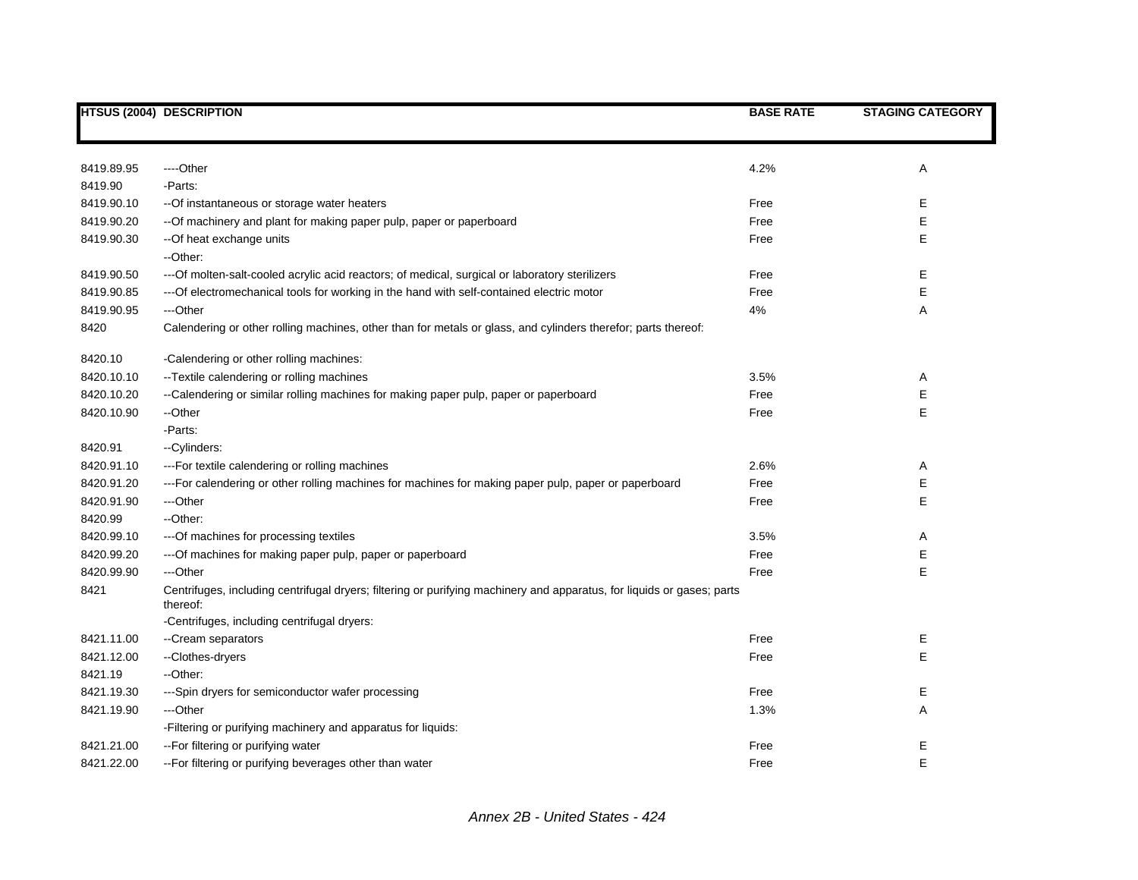|            | <b>HTSUS (2004) DESCRIPTION</b>                                                                                                    | <b>BASE RATE</b> | <b>STAGING CATEGORY</b> |
|------------|------------------------------------------------------------------------------------------------------------------------------------|------------------|-------------------------|
|            |                                                                                                                                    |                  |                         |
| 8419.89.95 | ---Other                                                                                                                           | 4.2%             | A                       |
| 8419.90    | -Parts:                                                                                                                            |                  |                         |
| 8419.90.10 | -- Of instantaneous or storage water heaters                                                                                       | Free             | Ε                       |
| 8419.90.20 | -- Of machinery and plant for making paper pulp, paper or paperboard                                                               | Free             | Е                       |
| 8419.90.30 | -- Of heat exchange units                                                                                                          | Free             | Ε                       |
|            | --Other:                                                                                                                           |                  |                         |
| 8419.90.50 | --- Of molten-salt-cooled acrylic acid reactors; of medical, surgical or laboratory sterilizers                                    | Free             | Ε                       |
| 8419.90.85 | --- Of electromechanical tools for working in the hand with self-contained electric motor                                          | Free             | Ε                       |
| 8419.90.95 | ---Other                                                                                                                           | 4%               | Α                       |
| 8420       | Calendering or other rolling machines, other than for metals or glass, and cylinders therefor; parts thereof:                      |                  |                         |
| 8420.10    | -Calendering or other rolling machines:                                                                                            |                  |                         |
| 8420.10.10 | -- Textile calendering or rolling machines                                                                                         | 3.5%             | Α                       |
| 8420.10.20 | --Calendering or similar rolling machines for making paper pulp, paper or paperboard                                               | Free             | Ε                       |
| 8420.10.90 | --Other                                                                                                                            | Free             | E                       |
|            | -Parts:                                                                                                                            |                  |                         |
| 8420.91    | --Cylinders:                                                                                                                       |                  |                         |
| 8420.91.10 | --- For textile calendering or rolling machines                                                                                    | 2.6%             | Α                       |
| 8420.91.20 | ---For calendering or other rolling machines for machines for making paper pulp, paper or paperboard                               | Free             | Ε                       |
| 8420.91.90 | ---Other                                                                                                                           | Free             | E                       |
| 8420.99    | --Other:                                                                                                                           |                  |                         |
| 8420.99.10 | --- Of machines for processing textiles                                                                                            | 3.5%             | Α                       |
| 8420.99.20 | --- Of machines for making paper pulp, paper or paperboard                                                                         | Free             | E                       |
| 8420.99.90 | ---Other                                                                                                                           | Free             | E                       |
| 8421       | Centrifuges, including centrifugal dryers; filtering or purifying machinery and apparatus, for liquids or gases; parts<br>thereof: |                  |                         |
|            | -Centrifuges, including centrifugal dryers:                                                                                        |                  |                         |
| 8421.11.00 | --Cream separators                                                                                                                 | Free             | Ε                       |
| 8421.12.00 | --Clothes-dryers                                                                                                                   | Free             | E                       |
| 8421.19    | --Other:                                                                                                                           |                  |                         |
| 8421.19.30 | ---Spin dryers for semiconductor wafer processing                                                                                  | Free             | Е                       |
| 8421.19.90 | ---Other                                                                                                                           | 1.3%             | Α                       |
|            | -Filtering or purifying machinery and apparatus for liquids:                                                                       |                  |                         |
| 8421.21.00 | -- For filtering or purifying water                                                                                                | Free             | E                       |
| 8421.22.00 | -- For filtering or purifying beverages other than water                                                                           | Free             | E                       |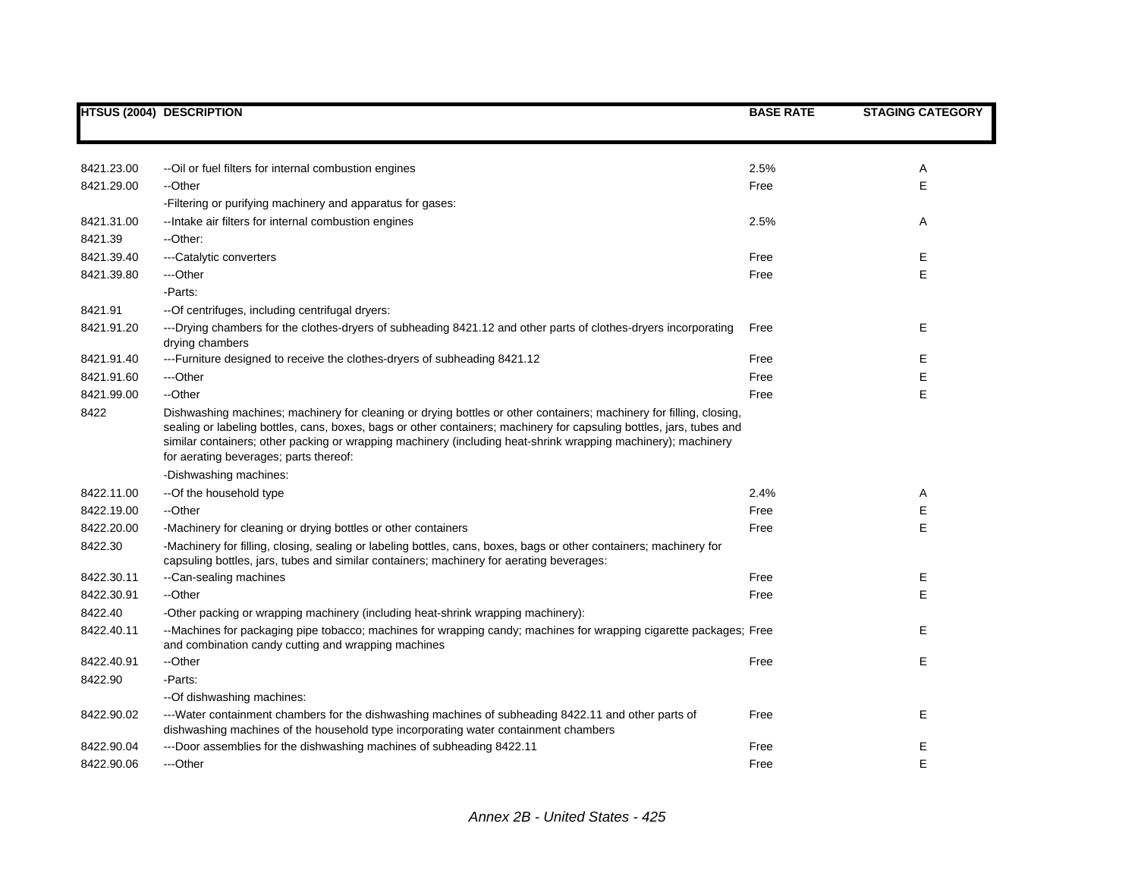|            | <b>HTSUS (2004) DESCRIPTION</b>                                                                                                                                                                                                                                                                                                                                                                        | <b>BASE RATE</b> | <b>STAGING CATEGORY</b> |
|------------|--------------------------------------------------------------------------------------------------------------------------------------------------------------------------------------------------------------------------------------------------------------------------------------------------------------------------------------------------------------------------------------------------------|------------------|-------------------------|
|            |                                                                                                                                                                                                                                                                                                                                                                                                        |                  |                         |
| 8421.23.00 | -- Oil or fuel filters for internal combustion engines                                                                                                                                                                                                                                                                                                                                                 | 2.5%             | Α                       |
| 8421.29.00 | --Other                                                                                                                                                                                                                                                                                                                                                                                                | Free             | E                       |
|            | -Filtering or purifying machinery and apparatus for gases:                                                                                                                                                                                                                                                                                                                                             |                  |                         |
| 8421.31.00 | -- Intake air filters for internal combustion engines                                                                                                                                                                                                                                                                                                                                                  | 2.5%             | Α                       |
| 8421.39    | --Other:                                                                                                                                                                                                                                                                                                                                                                                               |                  |                         |
| 8421.39.40 | ---Catalytic converters                                                                                                                                                                                                                                                                                                                                                                                | Free             | Е                       |
| 8421.39.80 | ---Other                                                                                                                                                                                                                                                                                                                                                                                               | Free             | E                       |
|            | -Parts:                                                                                                                                                                                                                                                                                                                                                                                                |                  |                         |
| 8421.91    | -- Of centrifuges, including centrifugal dryers:                                                                                                                                                                                                                                                                                                                                                       |                  |                         |
| 8421.91.20 | ---Drying chambers for the clothes-dryers of subheading 8421.12 and other parts of clothes-dryers incorporating<br>drying chambers                                                                                                                                                                                                                                                                     | Free             | E                       |
| 8421.91.40 | ---Furniture designed to receive the clothes-dryers of subheading 8421.12                                                                                                                                                                                                                                                                                                                              | Free             | E                       |
| 8421.91.60 | ---Other                                                                                                                                                                                                                                                                                                                                                                                               | Free             | E                       |
| 8421.99.00 | --Other                                                                                                                                                                                                                                                                                                                                                                                                | Free             | E                       |
| 8422       | Dishwashing machines; machinery for cleaning or drying bottles or other containers; machinery for filling, closing,<br>sealing or labeling bottles, cans, boxes, bags or other containers; machinery for capsuling bottles, jars, tubes and<br>similar containers; other packing or wrapping machinery (including heat-shrink wrapping machinery); machinery<br>for aerating beverages; parts thereof: |                  |                         |
|            | -Dishwashing machines:                                                                                                                                                                                                                                                                                                                                                                                 |                  |                         |
| 8422.11.00 | --Of the household type                                                                                                                                                                                                                                                                                                                                                                                | 2.4%             | Α                       |
| 8422.19.00 | --Other                                                                                                                                                                                                                                                                                                                                                                                                | Free             | Е                       |
| 8422.20.00 | -Machinery for cleaning or drying bottles or other containers                                                                                                                                                                                                                                                                                                                                          | Free             | E                       |
| 8422.30    | -Machinery for filling, closing, sealing or labeling bottles, cans, boxes, bags or other containers; machinery for<br>capsuling bottles, jars, tubes and similar containers; machinery for aerating beverages:                                                                                                                                                                                         |                  |                         |
| 8422.30.11 | --Can-sealing machines                                                                                                                                                                                                                                                                                                                                                                                 | Free             | Ε                       |
| 8422.30.91 | --Other                                                                                                                                                                                                                                                                                                                                                                                                | Free             | E                       |
| 8422.40    | -Other packing or wrapping machinery (including heat-shrink wrapping machinery):                                                                                                                                                                                                                                                                                                                       |                  |                         |
| 8422.40.11 | --Machines for packaging pipe tobacco; machines for wrapping candy; machines for wrapping cigarette packages; Free<br>and combination candy cutting and wrapping machines                                                                                                                                                                                                                              |                  | Е                       |
| 8422.40.91 | --Other                                                                                                                                                                                                                                                                                                                                                                                                | Free             | E                       |
| 8422.90    | -Parts:                                                                                                                                                                                                                                                                                                                                                                                                |                  |                         |
|            | --Of dishwashing machines:                                                                                                                                                                                                                                                                                                                                                                             |                  |                         |
| 8422.90.02 | ---Water containment chambers for the dishwashing machines of subheading 8422.11 and other parts of<br>dishwashing machines of the household type incorporating water containment chambers                                                                                                                                                                                                             | Free             | E                       |
| 8422.90.04 | ---Door assemblies for the dishwashing machines of subheading 8422.11                                                                                                                                                                                                                                                                                                                                  | Free             | Е                       |
| 8422.90.06 | ---Other                                                                                                                                                                                                                                                                                                                                                                                               | Free             | E                       |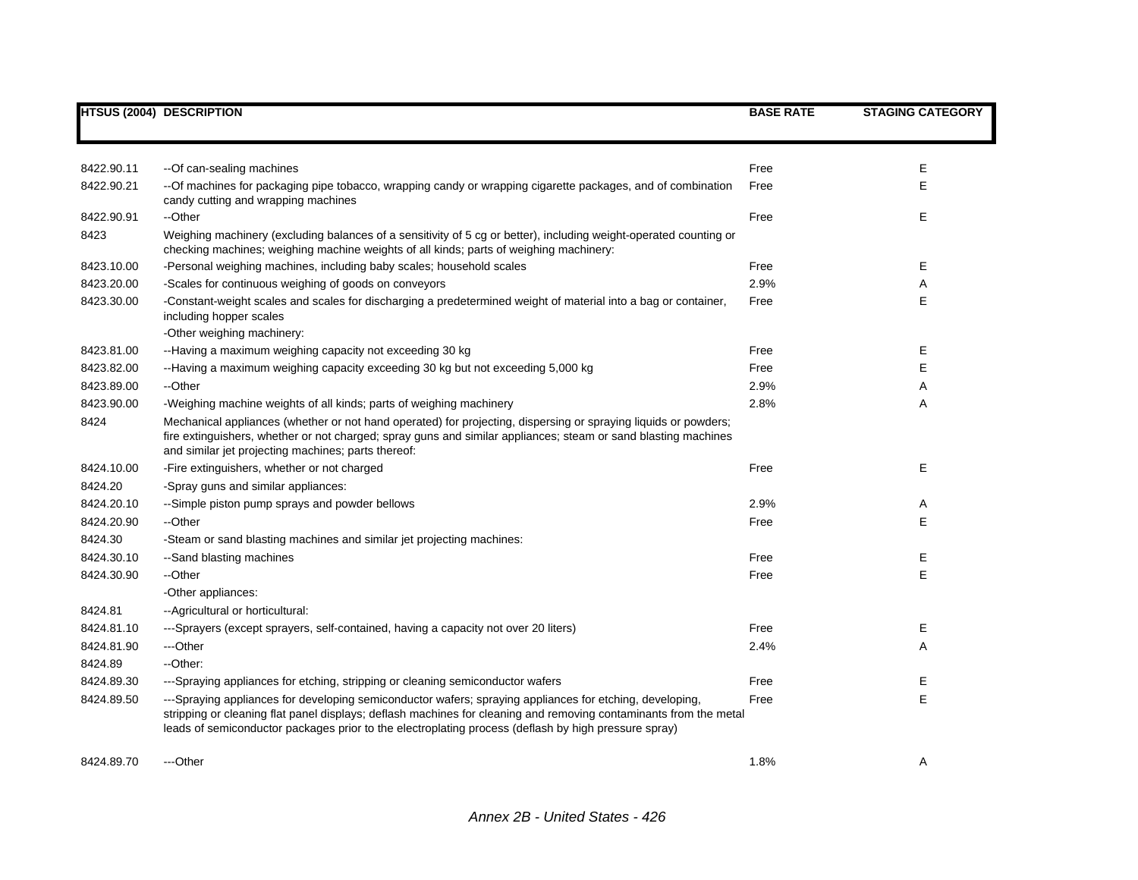|            | <b>HTSUS (2004) DESCRIPTION</b>                                                                                                                                                                                                                                                                                                       | <b>BASE RATE</b> | <b>STAGING CATEGORY</b> |
|------------|---------------------------------------------------------------------------------------------------------------------------------------------------------------------------------------------------------------------------------------------------------------------------------------------------------------------------------------|------------------|-------------------------|
|            |                                                                                                                                                                                                                                                                                                                                       |                  |                         |
| 8422.90.11 | --Of can-sealing machines                                                                                                                                                                                                                                                                                                             | Free             | Е                       |
| 8422.90.21 | -- Of machines for packaging pipe tobacco, wrapping candy or wrapping cigarette packages, and of combination<br>candy cutting and wrapping machines                                                                                                                                                                                   | Free             | E                       |
| 8422.90.91 | --Other                                                                                                                                                                                                                                                                                                                               | Free             | Ε                       |
| 8423       | Weighing machinery (excluding balances of a sensitivity of 5 cg or better), including weight-operated counting or<br>checking machines; weighing machine weights of all kinds; parts of weighing machinery:                                                                                                                           |                  |                         |
| 8423.10.00 | -Personal weighing machines, including baby scales; household scales                                                                                                                                                                                                                                                                  | Free             | Ε                       |
| 8423.20.00 | -Scales for continuous weighing of goods on conveyors                                                                                                                                                                                                                                                                                 | 2.9%             | Α                       |
| 8423.30.00 | -Constant-weight scales and scales for discharging a predetermined weight of material into a bag or container,<br>including hopper scales<br>-Other weighing machinery:                                                                                                                                                               | Free             | Е                       |
| 8423.81.00 | --Having a maximum weighing capacity not exceeding 30 kg                                                                                                                                                                                                                                                                              | Free             | Е                       |
| 8423.82.00 | --Having a maximum weighing capacity exceeding 30 kg but not exceeding 5,000 kg                                                                                                                                                                                                                                                       | Free             | E                       |
| 8423.89.00 | --Other                                                                                                                                                                                                                                                                                                                               | 2.9%             | A                       |
| 8423.90.00 | -Weighing machine weights of all kinds; parts of weighing machinery                                                                                                                                                                                                                                                                   | 2.8%             | A                       |
| 8424       | Mechanical appliances (whether or not hand operated) for projecting, dispersing or spraying liquids or powders;<br>fire extinguishers, whether or not charged; spray guns and similar appliances; steam or sand blasting machines<br>and similar jet projecting machines; parts thereof:                                              |                  |                         |
| 8424.10.00 | -Fire extinguishers, whether or not charged                                                                                                                                                                                                                                                                                           | Free             | E                       |
| 8424.20    | -Spray guns and similar appliances:                                                                                                                                                                                                                                                                                                   |                  |                         |
| 8424.20.10 | --Simple piston pump sprays and powder bellows                                                                                                                                                                                                                                                                                        | 2.9%             | Α                       |
| 8424.20.90 | --Other                                                                                                                                                                                                                                                                                                                               | Free             | E                       |
| 8424.30    | -Steam or sand blasting machines and similar jet projecting machines:                                                                                                                                                                                                                                                                 |                  |                         |
| 8424.30.10 | --Sand blasting machines                                                                                                                                                                                                                                                                                                              | Free             | Ε                       |
| 8424.30.90 | --Other                                                                                                                                                                                                                                                                                                                               | Free             | E                       |
|            | -Other appliances:                                                                                                                                                                                                                                                                                                                    |                  |                         |
| 8424.81    | -- Agricultural or horticultural:                                                                                                                                                                                                                                                                                                     |                  |                         |
| 8424.81.10 | ---Sprayers (except sprayers, self-contained, having a capacity not over 20 liters)                                                                                                                                                                                                                                                   | Free             | Е                       |
| 8424.81.90 | ---Other                                                                                                                                                                                                                                                                                                                              | 2.4%             | A                       |
| 8424.89    | --Other:                                                                                                                                                                                                                                                                                                                              |                  |                         |
| 8424.89.30 | ---Spraying appliances for etching, stripping or cleaning semiconductor wafers                                                                                                                                                                                                                                                        | Free             | Е                       |
| 8424.89.50 | ---Spraying appliances for developing semiconductor wafers; spraying appliances for etching, developing,<br>stripping or cleaning flat panel displays; deflash machines for cleaning and removing contaminants from the metal<br>leads of semiconductor packages prior to the electroplating process (deflash by high pressure spray) | Free             | E                       |
| 8424.89.70 | ---Other                                                                                                                                                                                                                                                                                                                              | 1.8%             | A                       |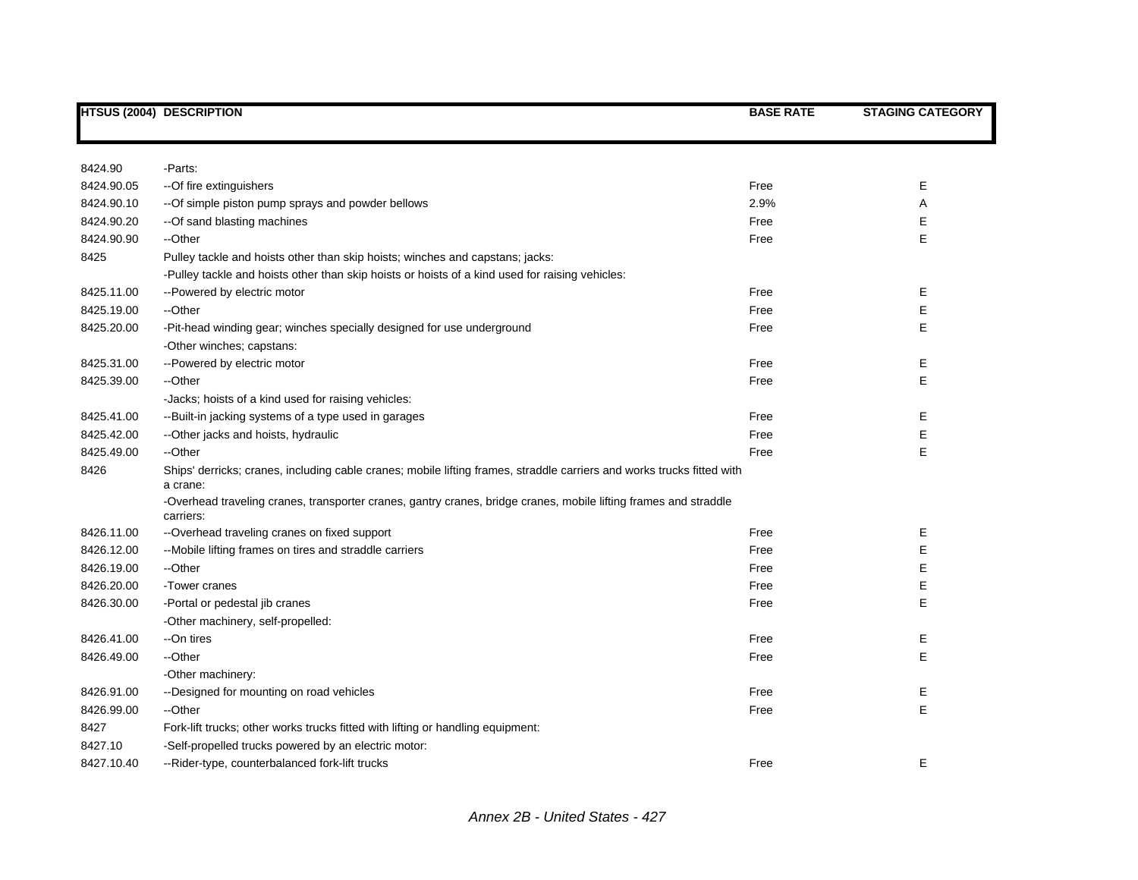|            | <b>HTSUS (2004) DESCRIPTION</b>                                                                                                    | <b>BASE RATE</b> | <b>STAGING CATEGORY</b> |
|------------|------------------------------------------------------------------------------------------------------------------------------------|------------------|-------------------------|
|            |                                                                                                                                    |                  |                         |
| 8424.90    | -Parts:                                                                                                                            |                  |                         |
| 8424.90.05 | -- Of fire extinguishers                                                                                                           | Free             | Е                       |
| 8424.90.10 | --Of simple piston pump sprays and powder bellows                                                                                  | 2.9%             | Α                       |
| 8424.90.20 | --Of sand blasting machines                                                                                                        | Free             | Е                       |
| 8424.90.90 | --Other                                                                                                                            | Free             | Е                       |
| 8425       | Pulley tackle and hoists other than skip hoists; winches and capstans; jacks:                                                      |                  |                         |
|            | -Pulley tackle and hoists other than skip hoists or hoists of a kind used for raising vehicles:                                    |                  |                         |
| 8425.11.00 | --Powered by electric motor                                                                                                        | Free             | Е                       |
| 8425.19.00 | --Other                                                                                                                            | Free             | Е                       |
| 8425.20.00 | -Pit-head winding gear; winches specially designed for use underground                                                             | Free             | Е                       |
|            | -Other winches; capstans:                                                                                                          |                  |                         |
| 8425.31.00 | --Powered by electric motor                                                                                                        | Free             | Е                       |
| 8425.39.00 | --Other                                                                                                                            | Free             | Е                       |
|            | -Jacks; hoists of a kind used for raising vehicles:                                                                                |                  |                         |
| 8425.41.00 | --Built-in jacking systems of a type used in garages                                                                               | Free             | Е                       |
| 8425.42.00 | -- Other jacks and hoists, hydraulic                                                                                               | Free             | Е                       |
| 8425.49.00 | --Other                                                                                                                            | Free             | Е                       |
| 8426       | Ships' derricks; cranes, including cable cranes; mobile lifting frames, straddle carriers and works trucks fitted with<br>a crane: |                  |                         |
|            | -Overhead traveling cranes, transporter cranes, gantry cranes, bridge cranes, mobile lifting frames and straddle<br>carriers:      |                  |                         |
| 8426.11.00 | --Overhead traveling cranes on fixed support                                                                                       | Free             | Е                       |
| 8426.12.00 | --Mobile lifting frames on tires and straddle carriers                                                                             | Free             | E                       |
| 8426.19.00 | --Other                                                                                                                            | Free             | Е                       |
| 8426.20.00 | -Tower cranes                                                                                                                      | Free             | Е                       |
| 8426.30.00 | -Portal or pedestal jib cranes                                                                                                     | Free             | E                       |
|            | -Other machinery, self-propelled:                                                                                                  |                  |                         |
| 8426.41.00 | --On tires                                                                                                                         | Free             | Ε                       |
| 8426.49.00 | --Other                                                                                                                            | Free             | E                       |
|            | -Other machinery:                                                                                                                  |                  |                         |
| 8426.91.00 | --Designed for mounting on road vehicles                                                                                           | Free             | Ε                       |
| 8426.99.00 | --Other                                                                                                                            | Free             | E                       |
| 8427       | Fork-lift trucks; other works trucks fitted with lifting or handling equipment:                                                    |                  |                         |
| 8427.10    | -Self-propelled trucks powered by an electric motor:                                                                               |                  |                         |
| 8427.10.40 | --Rider-type, counterbalanced fork-lift trucks                                                                                     | Free             | E                       |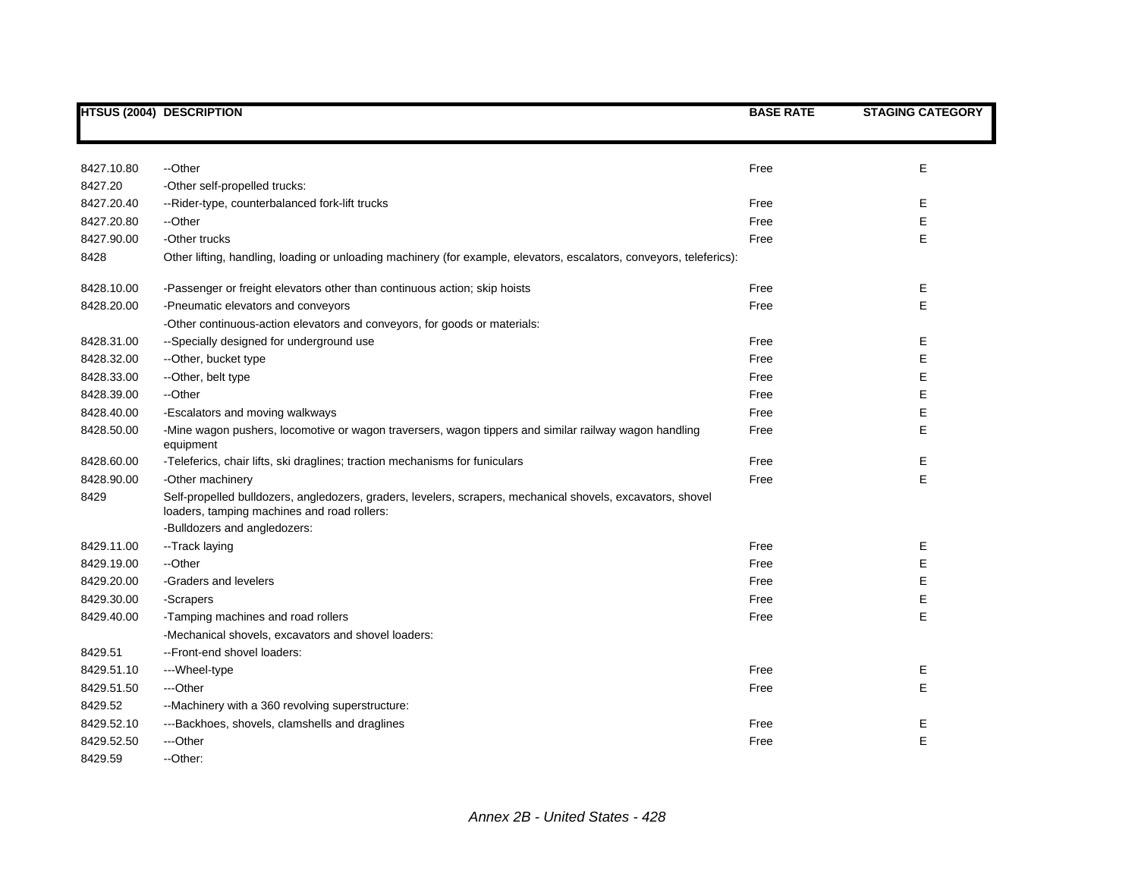|            | <b>HTSUS (2004) DESCRIPTION</b>                                                                                                                            | <b>BASE RATE</b> | <b>STAGING CATEGORY</b> |
|------------|------------------------------------------------------------------------------------------------------------------------------------------------------------|------------------|-------------------------|
|            |                                                                                                                                                            |                  |                         |
| 8427.10.80 | --Other                                                                                                                                                    | Free             | E                       |
| 8427.20    | -Other self-propelled trucks:                                                                                                                              |                  |                         |
| 8427.20.40 | --Rider-type, counterbalanced fork-lift trucks                                                                                                             | Free             | Е                       |
| 8427.20.80 | --Other                                                                                                                                                    | Free             | E                       |
| 8427.90.00 | -Other trucks                                                                                                                                              | Free             | E                       |
| 8428       | Other lifting, handling, loading or unloading machinery (for example, elevators, escalators, conveyors, teleferics):                                       |                  |                         |
| 8428.10.00 | -Passenger or freight elevators other than continuous action; skip hoists                                                                                  | Free             | E.                      |
| 8428.20.00 | -Pneumatic elevators and conveyors                                                                                                                         | Free             | E                       |
|            | -Other continuous-action elevators and conveyors, for goods or materials:                                                                                  |                  |                         |
| 8428.31.00 | --Specially designed for underground use                                                                                                                   | Free             | Е                       |
| 8428.32.00 | --Other, bucket type                                                                                                                                       | Free             | Е                       |
| 8428.33.00 | --Other, belt type                                                                                                                                         | Free             | Е                       |
| 8428.39.00 | --Other                                                                                                                                                    | Free             | E                       |
| 8428.40.00 | -Escalators and moving walkways                                                                                                                            | Free             | Е                       |
| 8428.50.00 | -Mine wagon pushers, locomotive or wagon traversers, wagon tippers and similar railway wagon handling<br>equipment                                         | Free             | E                       |
| 8428.60.00 | -Teleferics, chair lifts, ski draglines; traction mechanisms for funiculars                                                                                | Free             | Е                       |
| 8428.90.00 | -Other machinery                                                                                                                                           | Free             | E                       |
| 8429       | Self-propelled bulldozers, angledozers, graders, levelers, scrapers, mechanical shovels, excavators, shovel<br>loaders, tamping machines and road rollers: |                  |                         |
|            | -Bulldozers and angledozers:                                                                                                                               |                  |                         |
| 8429.11.00 | --Track laying                                                                                                                                             | Free             | Е                       |
| 8429.19.00 | --Other                                                                                                                                                    | Free             | E                       |
| 8429.20.00 | -Graders and levelers                                                                                                                                      | Free             | E                       |
| 8429.30.00 | -Scrapers                                                                                                                                                  | Free             | E                       |
| 8429.40.00 | -Tamping machines and road rollers                                                                                                                         | Free             | E                       |
|            | -Mechanical shovels, excavators and shovel loaders:                                                                                                        |                  |                         |
| 8429.51    | --Front-end shovel loaders:                                                                                                                                |                  |                         |
| 8429.51.10 | ---Wheel-type                                                                                                                                              | Free             | Ε                       |
| 8429.51.50 | ---Other                                                                                                                                                   | Free             | E                       |
| 8429.52    | --Machinery with a 360 revolving superstructure:                                                                                                           |                  |                         |
| 8429.52.10 | ---Backhoes, shovels, clamshells and draglines                                                                                                             | Free             | Е                       |
| 8429.52.50 | ---Other                                                                                                                                                   | Free             | E                       |
| 8429.59    | --Other:                                                                                                                                                   |                  |                         |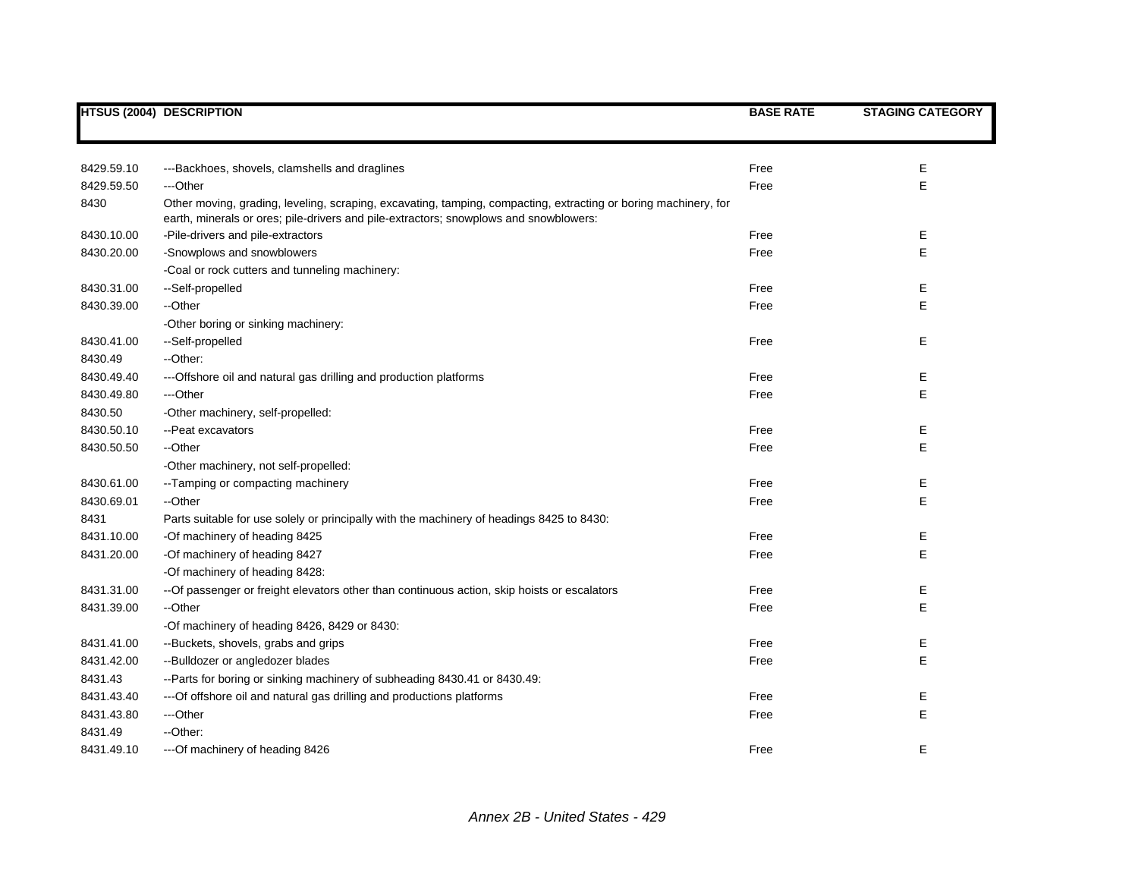|            | <b>HTSUS (2004) DESCRIPTION</b>                                                                                                                                                                          | <b>BASE RATE</b> | <b>STAGING CATEGORY</b> |
|------------|----------------------------------------------------------------------------------------------------------------------------------------------------------------------------------------------------------|------------------|-------------------------|
|            |                                                                                                                                                                                                          |                  |                         |
| 8429.59.10 | ---Backhoes, shovels, clamshells and draglines                                                                                                                                                           | Free             | Е                       |
| 8429.59.50 | ---Other                                                                                                                                                                                                 | Free             | Ε                       |
| 8430       | Other moving, grading, leveling, scraping, excavating, tamping, compacting, extracting or boring machinery, for<br>earth, minerals or ores; pile-drivers and pile-extractors; snowplows and snowblowers: |                  |                         |
| 8430.10.00 | -Pile-drivers and pile-extractors                                                                                                                                                                        | Free             | Е                       |
| 8430.20.00 | -Snowplows and snowblowers                                                                                                                                                                               | Free             | E                       |
|            | -Coal or rock cutters and tunneling machinery:                                                                                                                                                           |                  |                         |
| 8430.31.00 | --Self-propelled                                                                                                                                                                                         | Free             | Ε                       |
| 8430.39.00 | --Other                                                                                                                                                                                                  | Free             | Е                       |
|            | -Other boring or sinking machinery:                                                                                                                                                                      |                  |                         |
| 8430.41.00 | --Self-propelled                                                                                                                                                                                         | Free             | Е                       |
| 8430.49    | --Other:                                                                                                                                                                                                 |                  |                         |
| 8430.49.40 | --- Offshore oil and natural gas drilling and production platforms                                                                                                                                       | Free             | Е                       |
| 8430.49.80 | ---Other                                                                                                                                                                                                 | Free             | E                       |
| 8430.50    | -Other machinery, self-propelled:                                                                                                                                                                        |                  |                         |
| 8430.50.10 | --Peat excavators                                                                                                                                                                                        | Free             | Е                       |
| 8430.50.50 | --Other                                                                                                                                                                                                  | Free             | Ε                       |
|            | -Other machinery, not self-propelled:                                                                                                                                                                    |                  |                         |
| 8430.61.00 | --Tamping or compacting machinery                                                                                                                                                                        | Free             | Е                       |
| 8430.69.01 | --Other                                                                                                                                                                                                  | Free             | Ε                       |
| 8431       | Parts suitable for use solely or principally with the machinery of headings 8425 to 8430:                                                                                                                |                  |                         |
| 8431.10.00 | -Of machinery of heading 8425                                                                                                                                                                            | Free             | Ε                       |
| 8431.20.00 | -Of machinery of heading 8427                                                                                                                                                                            | Free             | Ε                       |
|            | -Of machinery of heading 8428:                                                                                                                                                                           |                  |                         |
| 8431.31.00 | -- Of passenger or freight elevators other than continuous action, skip hoists or escalators                                                                                                             | Free             | Ε                       |
| 8431.39.00 | --Other                                                                                                                                                                                                  | Free             | Ε                       |
|            | -Of machinery of heading 8426, 8429 or 8430:                                                                                                                                                             |                  |                         |
| 8431.41.00 | --Buckets, shovels, grabs and grips                                                                                                                                                                      | Free             | Е                       |
| 8431.42.00 | --Bulldozer or angledozer blades                                                                                                                                                                         | Free             | Ε                       |
| 8431.43    | --Parts for boring or sinking machinery of subheading 8430.41 or 8430.49:                                                                                                                                |                  |                         |
| 8431.43.40 | --- Of offshore oil and natural gas drilling and productions platforms                                                                                                                                   | Free             | Е                       |
| 8431.43.80 | ---Other                                                                                                                                                                                                 | Free             | $\mathsf E$             |
| 8431.49    | --Other:                                                                                                                                                                                                 |                  |                         |
| 8431.49.10 | --- Of machinery of heading 8426                                                                                                                                                                         | Free             | E                       |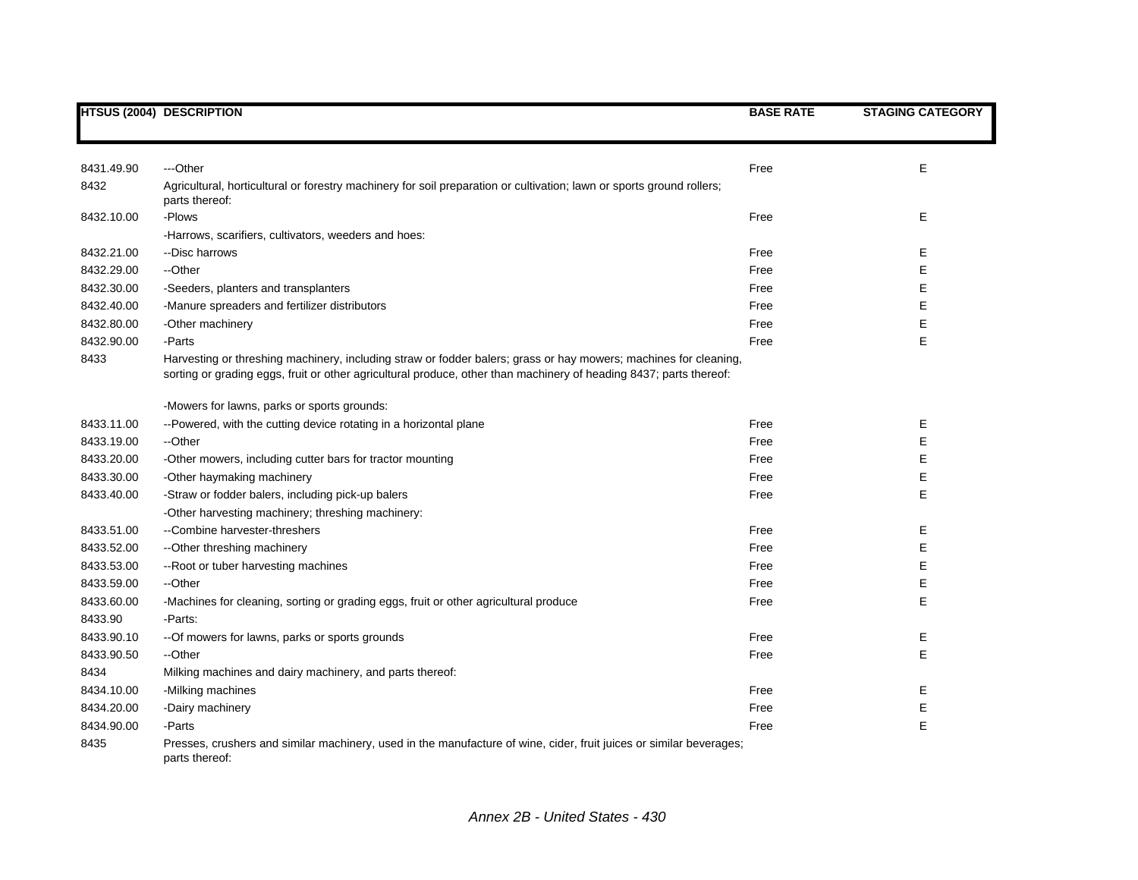|            | <b>HTSUS (2004) DESCRIPTION</b>                                                                                                                                                                                                        | <b>BASE RATE</b> | <b>STAGING CATEGORY</b> |
|------------|----------------------------------------------------------------------------------------------------------------------------------------------------------------------------------------------------------------------------------------|------------------|-------------------------|
|            |                                                                                                                                                                                                                                        |                  |                         |
| 8431.49.90 | ---Other                                                                                                                                                                                                                               | Free             | E                       |
| 8432       | Agricultural, horticultural or forestry machinery for soil preparation or cultivation; lawn or sports ground rollers;<br>parts thereof:                                                                                                |                  |                         |
| 8432.10.00 | -Plows                                                                                                                                                                                                                                 | Free             | E                       |
|            | -Harrows, scarifiers, cultivators, weeders and hoes:                                                                                                                                                                                   |                  |                         |
| 8432.21.00 | --Disc harrows                                                                                                                                                                                                                         | Free             | Е                       |
| 8432.29.00 | --Other                                                                                                                                                                                                                                | Free             | E                       |
| 8432.30.00 | -Seeders, planters and transplanters                                                                                                                                                                                                   | Free             | E                       |
| 8432.40.00 | -Manure spreaders and fertilizer distributors                                                                                                                                                                                          | Free             | Е                       |
| 8432.80.00 | -Other machinery                                                                                                                                                                                                                       | Free             | E                       |
| 8432.90.00 | -Parts                                                                                                                                                                                                                                 | Free             | E                       |
| 8433       | Harvesting or threshing machinery, including straw or fodder balers; grass or hay mowers; machines for cleaning,<br>sorting or grading eggs, fruit or other agricultural produce, other than machinery of heading 8437; parts thereof: |                  |                         |
|            | -Mowers for lawns, parks or sports grounds:                                                                                                                                                                                            |                  |                         |
| 8433.11.00 | --Powered, with the cutting device rotating in a horizontal plane                                                                                                                                                                      | Free             | Е                       |
| 8433.19.00 | --Other                                                                                                                                                                                                                                | Free             | E                       |
| 8433.20.00 | -Other mowers, including cutter bars for tractor mounting                                                                                                                                                                              | Free             | E                       |
| 8433.30.00 | -Other haymaking machinery                                                                                                                                                                                                             | Free             | E                       |
| 8433.40.00 | -Straw or fodder balers, including pick-up balers                                                                                                                                                                                      | Free             | E                       |
|            | -Other harvesting machinery; threshing machinery:                                                                                                                                                                                      |                  |                         |
| 8433.51.00 | --Combine harvester-threshers                                                                                                                                                                                                          | Free             | Е                       |
| 8433.52.00 | -- Other threshing machinery                                                                                                                                                                                                           | Free             | E                       |
| 8433.53.00 | -- Root or tuber harvesting machines                                                                                                                                                                                                   | Free             | E                       |
| 8433.59.00 | --Other                                                                                                                                                                                                                                | Free             | E                       |
| 8433.60.00 | -Machines for cleaning, sorting or grading eggs, fruit or other agricultural produce                                                                                                                                                   | Free             | E                       |
| 8433.90    | -Parts:                                                                                                                                                                                                                                |                  |                         |
| 8433.90.10 | -- Of mowers for lawns, parks or sports grounds                                                                                                                                                                                        | Free             | Е                       |
| 8433.90.50 | --Other                                                                                                                                                                                                                                | Free             | E                       |
| 8434       | Milking machines and dairy machinery, and parts thereof:                                                                                                                                                                               |                  |                         |
| 8434.10.00 | -Milking machines                                                                                                                                                                                                                      | Free             | Е                       |
| 8434.20.00 | -Dairy machinery                                                                                                                                                                                                                       | Free             | E                       |
| 8434.90.00 | -Parts                                                                                                                                                                                                                                 | Free             | E                       |
| 8435       | Presses, crushers and similar machinery, used in the manufacture of wine, cider, fruit juices or similar beverages;<br>parts thereof:                                                                                                  |                  |                         |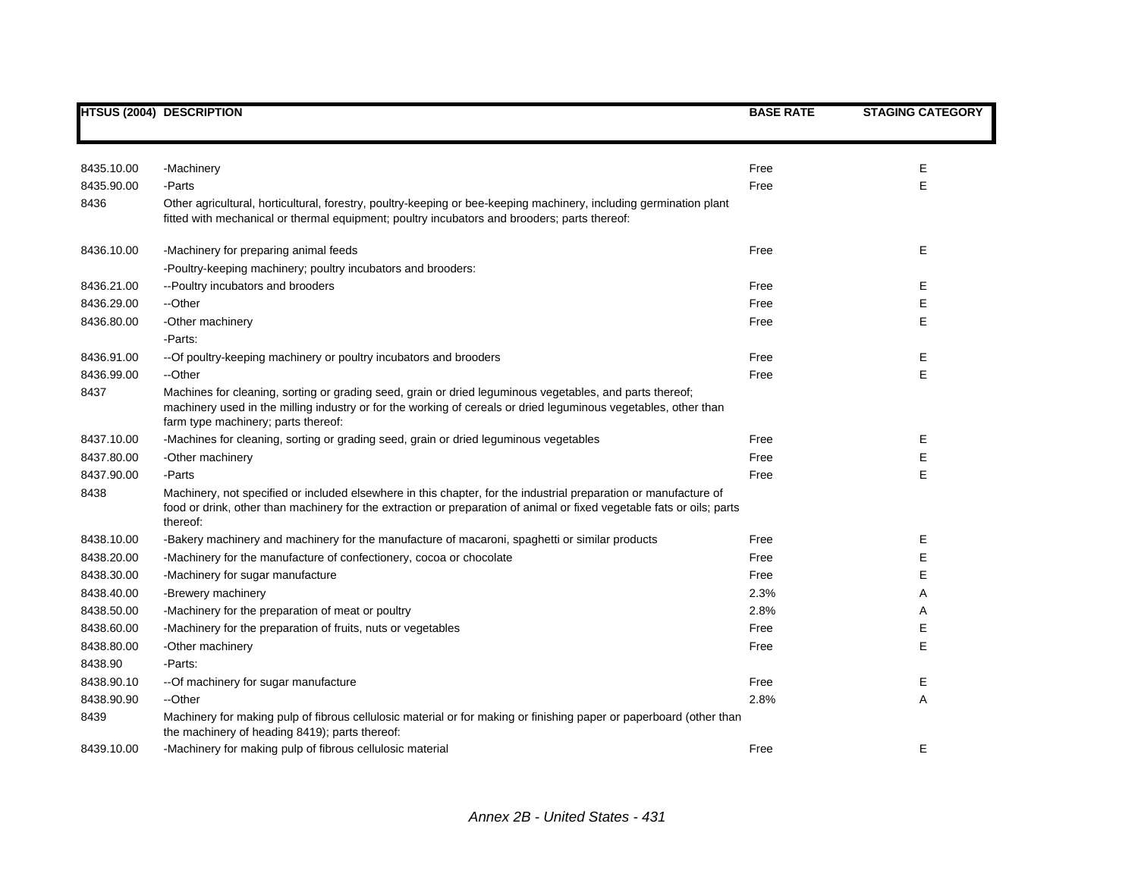|            | <b>HTSUS (2004) DESCRIPTION</b>                                                                                                                                                                                                                                    | <b>BASE RATE</b> | <b>STAGING CATEGORY</b> |
|------------|--------------------------------------------------------------------------------------------------------------------------------------------------------------------------------------------------------------------------------------------------------------------|------------------|-------------------------|
|            |                                                                                                                                                                                                                                                                    |                  |                         |
|            |                                                                                                                                                                                                                                                                    |                  |                         |
| 8435.10.00 | -Machinery                                                                                                                                                                                                                                                         | Free             | Е                       |
| 8435.90.00 | -Parts                                                                                                                                                                                                                                                             | Free             | E                       |
| 8436       | Other agricultural, horticultural, forestry, poultry-keeping or bee-keeping machinery, including germination plant<br>fitted with mechanical or thermal equipment; poultry incubators and brooders; parts thereof:                                                 |                  |                         |
| 8436.10.00 | -Machinery for preparing animal feeds                                                                                                                                                                                                                              | Free             | E                       |
|            | -Poultry-keeping machinery; poultry incubators and brooders:                                                                                                                                                                                                       |                  |                         |
| 8436.21.00 | --Poultry incubators and brooders                                                                                                                                                                                                                                  | Free             | Е                       |
| 8436.29.00 | --Other                                                                                                                                                                                                                                                            | Free             | E                       |
| 8436.80.00 | -Other machinery                                                                                                                                                                                                                                                   | Free             | E                       |
|            | -Parts:                                                                                                                                                                                                                                                            |                  |                         |
| 8436.91.00 | -- Of poultry-keeping machinery or poultry incubators and brooders                                                                                                                                                                                                 | Free             | Ε                       |
| 8436.99.00 | --Other                                                                                                                                                                                                                                                            | Free             | E                       |
| 8437       | Machines for cleaning, sorting or grading seed, grain or dried leguminous vegetables, and parts thereof;<br>machinery used in the milling industry or for the working of cereals or dried leguminous vegetables, other than<br>farm type machinery; parts thereof: |                  |                         |
| 8437.10.00 | -Machines for cleaning, sorting or grading seed, grain or dried leguminous vegetables                                                                                                                                                                              | Free             | Е                       |
| 8437.80.00 | -Other machinery                                                                                                                                                                                                                                                   | Free             | Е                       |
| 8437.90.00 | -Parts                                                                                                                                                                                                                                                             | Free             | E                       |
| 8438       | Machinery, not specified or included elsewhere in this chapter, for the industrial preparation or manufacture of<br>food or drink, other than machinery for the extraction or preparation of animal or fixed vegetable fats or oils; parts<br>thereof:             |                  |                         |
| 8438.10.00 | -Bakery machinery and machinery for the manufacture of macaroni, spaghetti or similar products                                                                                                                                                                     | Free             | Ε                       |
| 8438.20.00 | -Machinery for the manufacture of confectionery, cocoa or chocolate                                                                                                                                                                                                | Free             | E                       |
| 8438.30.00 | -Machinery for sugar manufacture                                                                                                                                                                                                                                   | Free             | E                       |
| 8438.40.00 | -Brewery machinery                                                                                                                                                                                                                                                 | 2.3%             | A                       |
| 8438.50.00 | -Machinery for the preparation of meat or poultry                                                                                                                                                                                                                  | 2.8%             | Α                       |
| 8438.60.00 | -Machinery for the preparation of fruits, nuts or vegetables                                                                                                                                                                                                       | Free             | E                       |
| 8438.80.00 | -Other machinery                                                                                                                                                                                                                                                   | Free             | E                       |
| 8438.90    | -Parts:                                                                                                                                                                                                                                                            |                  |                         |
| 8438.90.10 | -- Of machinery for sugar manufacture                                                                                                                                                                                                                              | Free             | Ε                       |
| 8438.90.90 | --Other                                                                                                                                                                                                                                                            | 2.8%             | A                       |
| 8439       | Machinery for making pulp of fibrous cellulosic material or for making or finishing paper or paperboard (other than<br>the machinery of heading 8419); parts thereof:                                                                                              |                  |                         |
| 8439.10.00 | -Machinery for making pulp of fibrous cellulosic material                                                                                                                                                                                                          | Free             | E                       |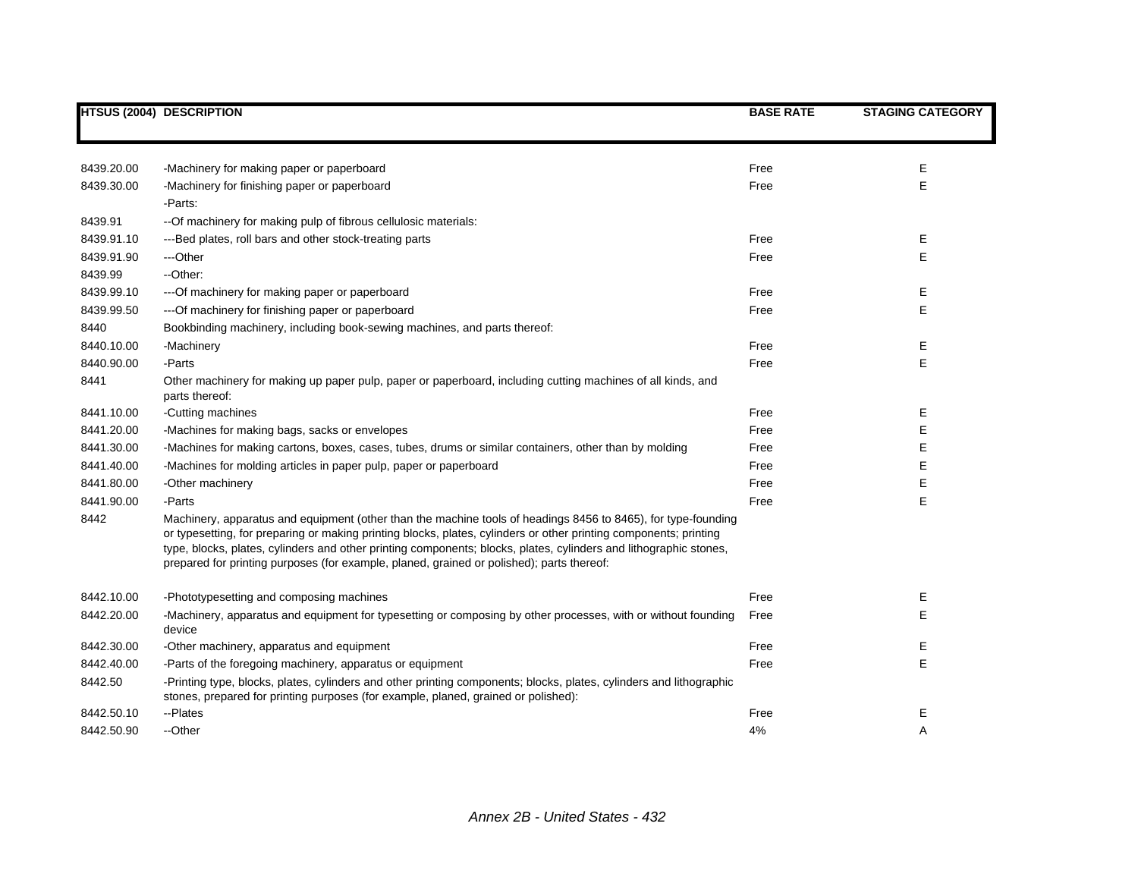|            | <b>HTSUS (2004) DESCRIPTION</b>                                                                                                                                                                                                                                                                                                                                                                                                                      | <b>BASE RATE</b> | <b>STAGING CATEGORY</b> |
|------------|------------------------------------------------------------------------------------------------------------------------------------------------------------------------------------------------------------------------------------------------------------------------------------------------------------------------------------------------------------------------------------------------------------------------------------------------------|------------------|-------------------------|
|            |                                                                                                                                                                                                                                                                                                                                                                                                                                                      |                  |                         |
| 8439.20.00 | -Machinery for making paper or paperboard                                                                                                                                                                                                                                                                                                                                                                                                            | Free             | E                       |
| 8439.30.00 | -Machinery for finishing paper or paperboard                                                                                                                                                                                                                                                                                                                                                                                                         | Free             | E                       |
|            | -Parts:                                                                                                                                                                                                                                                                                                                                                                                                                                              |                  |                         |
| 8439.91    | -- Of machinery for making pulp of fibrous cellulosic materials:                                                                                                                                                                                                                                                                                                                                                                                     |                  |                         |
| 8439.91.10 | ---Bed plates, roll bars and other stock-treating parts                                                                                                                                                                                                                                                                                                                                                                                              | Free             | Е                       |
| 8439.91.90 | ---Other                                                                                                                                                                                                                                                                                                                                                                                                                                             | Free             | E                       |
| 8439.99    | --Other:                                                                                                                                                                                                                                                                                                                                                                                                                                             |                  |                         |
| 8439.99.10 | --- Of machinery for making paper or paperboard                                                                                                                                                                                                                                                                                                                                                                                                      | Free             | E                       |
| 8439.99.50 | --- Of machinery for finishing paper or paperboard                                                                                                                                                                                                                                                                                                                                                                                                   | Free             | E                       |
| 8440       | Bookbinding machinery, including book-sewing machines, and parts thereof:                                                                                                                                                                                                                                                                                                                                                                            |                  |                         |
| 8440.10.00 | -Machinery                                                                                                                                                                                                                                                                                                                                                                                                                                           | Free             | Е                       |
| 8440.90.00 | -Parts                                                                                                                                                                                                                                                                                                                                                                                                                                               | Free             | E                       |
| 8441       | Other machinery for making up paper pulp, paper or paperboard, including cutting machines of all kinds, and<br>parts thereof:                                                                                                                                                                                                                                                                                                                        |                  |                         |
| 8441.10.00 | -Cutting machines                                                                                                                                                                                                                                                                                                                                                                                                                                    | Free             | Е                       |
| 8441.20.00 | -Machines for making bags, sacks or envelopes                                                                                                                                                                                                                                                                                                                                                                                                        | Free             | E                       |
| 8441.30.00 | -Machines for making cartons, boxes, cases, tubes, drums or similar containers, other than by molding                                                                                                                                                                                                                                                                                                                                                | Free             | E                       |
| 8441.40.00 | -Machines for molding articles in paper pulp, paper or paperboard                                                                                                                                                                                                                                                                                                                                                                                    | Free             | Е                       |
| 8441.80.00 | -Other machinery                                                                                                                                                                                                                                                                                                                                                                                                                                     | Free             | E                       |
| 8441.90.00 | -Parts                                                                                                                                                                                                                                                                                                                                                                                                                                               | Free             | E                       |
| 8442       | Machinery, apparatus and equipment (other than the machine tools of headings 8456 to 8465), for type-founding<br>or typesetting, for preparing or making printing blocks, plates, cylinders or other printing components; printing<br>type, blocks, plates, cylinders and other printing components; blocks, plates, cylinders and lithographic stones,<br>prepared for printing purposes (for example, planed, grained or polished); parts thereof: |                  |                         |
| 8442.10.00 | -Phototypesetting and composing machines                                                                                                                                                                                                                                                                                                                                                                                                             | Free             | Е                       |
| 8442.20.00 | -Machinery, apparatus and equipment for typesetting or composing by other processes, with or without founding<br>device                                                                                                                                                                                                                                                                                                                              | Free             | E                       |
| 8442.30.00 | -Other machinery, apparatus and equipment                                                                                                                                                                                                                                                                                                                                                                                                            | Free             | E                       |
| 8442.40.00 | -Parts of the foregoing machinery, apparatus or equipment                                                                                                                                                                                                                                                                                                                                                                                            | Free             | E                       |
| 8442.50    | -Printing type, blocks, plates, cylinders and other printing components; blocks, plates, cylinders and lithographic<br>stones, prepared for printing purposes (for example, planed, grained or polished):                                                                                                                                                                                                                                            |                  |                         |
| 8442.50.10 | --Plates                                                                                                                                                                                                                                                                                                                                                                                                                                             | Free             | Ε                       |
| 8442.50.90 | --Other                                                                                                                                                                                                                                                                                                                                                                                                                                              | 4%               | Α                       |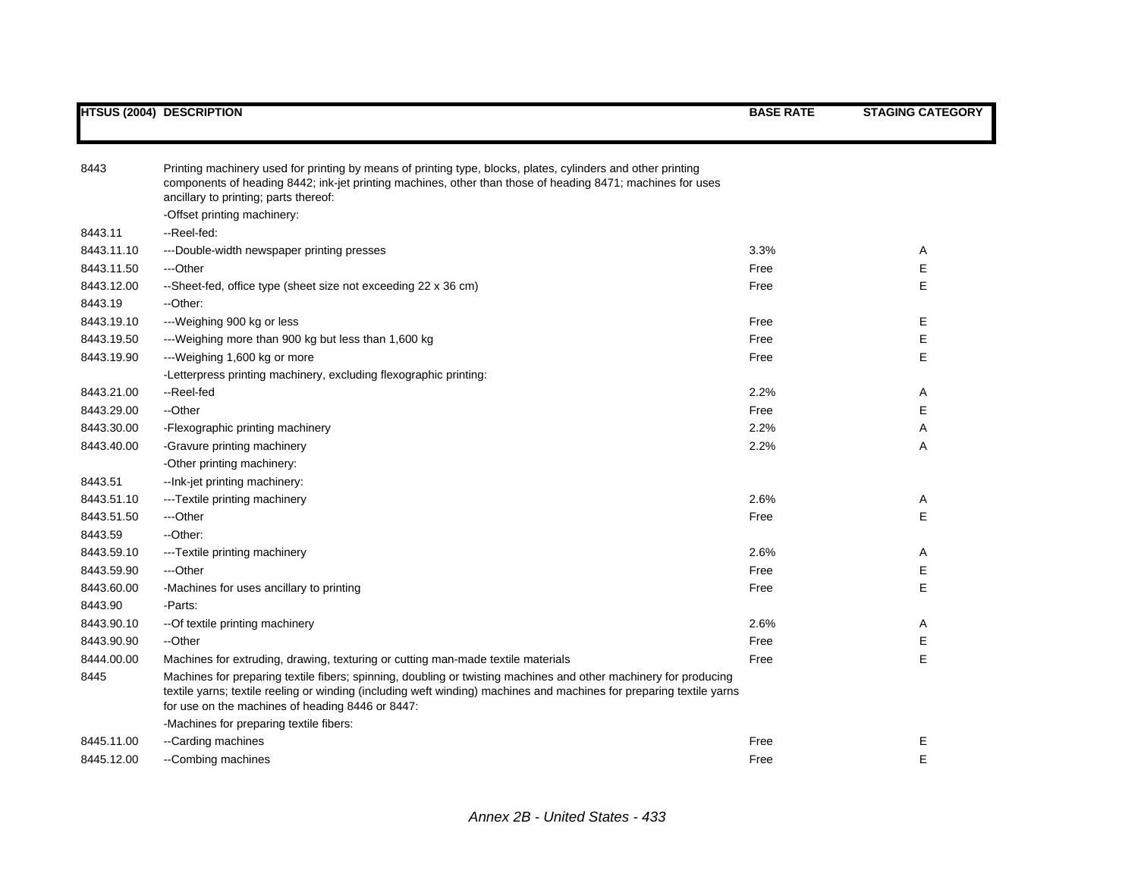| 8443       | Printing machinery used for printing by means of printing type, blocks, plates, cylinders and other printing<br>components of heading 8442; ink-jet printing machines, other than those of heading 8471; machines for uses<br>ancillary to printing; parts thereof:                          |      |   |
|------------|----------------------------------------------------------------------------------------------------------------------------------------------------------------------------------------------------------------------------------------------------------------------------------------------|------|---|
|            | -Offset printing machinery:                                                                                                                                                                                                                                                                  |      |   |
| 8443.11    | --Reel-fed:                                                                                                                                                                                                                                                                                  |      |   |
| 8443.11.10 | ---Double-width newspaper printing presses                                                                                                                                                                                                                                                   | 3.3% | Α |
| 8443.11.50 | ---Other                                                                                                                                                                                                                                                                                     | Free | Е |
| 8443.12.00 | --Sheet-fed, office type (sheet size not exceeding 22 x 36 cm)                                                                                                                                                                                                                               | Free | Ε |
| 8443.19    | --Other:                                                                                                                                                                                                                                                                                     |      |   |
| 8443.19.10 | ---Weighing 900 kg or less                                                                                                                                                                                                                                                                   | Free | Е |
| 8443.19.50 | ---Weighing more than 900 kg but less than 1,600 kg                                                                                                                                                                                                                                          | Free | Е |
| 8443.19.90 | ---Weighing 1,600 kg or more                                                                                                                                                                                                                                                                 | Free | E |
|            | -Letterpress printing machinery, excluding flexographic printing:                                                                                                                                                                                                                            |      |   |
| 8443.21.00 | --Reel-fed                                                                                                                                                                                                                                                                                   | 2.2% | A |
| 8443.29.00 | --Other                                                                                                                                                                                                                                                                                      | Free | Е |
| 8443.30.00 | -Flexographic printing machinery                                                                                                                                                                                                                                                             | 2.2% | Α |
| 8443.40.00 | -Gravure printing machinery                                                                                                                                                                                                                                                                  | 2.2% | Α |
|            | -Other printing machinery:                                                                                                                                                                                                                                                                   |      |   |
| 8443.51    | -- Ink-jet printing machinery:                                                                                                                                                                                                                                                               |      |   |
| 8443.51.10 | ---Textile printing machinery                                                                                                                                                                                                                                                                | 2.6% | A |
| 8443.51.50 | ---Other                                                                                                                                                                                                                                                                                     | Free | Ε |
| 8443.59    | --Other:                                                                                                                                                                                                                                                                                     |      |   |
| 8443.59.10 | ---Textile printing machinery                                                                                                                                                                                                                                                                | 2.6% | Α |
| 8443.59.90 | ---Other                                                                                                                                                                                                                                                                                     | Free | Е |
| 8443.60.00 | -Machines for uses ancillary to printing                                                                                                                                                                                                                                                     | Free | Ε |
| 8443.90    | -Parts:                                                                                                                                                                                                                                                                                      |      |   |
| 8443.90.10 | -- Of textile printing machinery                                                                                                                                                                                                                                                             | 2.6% | A |
| 8443.90.90 | --Other                                                                                                                                                                                                                                                                                      | Free | Е |
| 8444.00.00 | Machines for extruding, drawing, texturing or cutting man-made textile materials                                                                                                                                                                                                             | Free | E |
| 8445       | Machines for preparing textile fibers; spinning, doubling or twisting machines and other machinery for producing<br>textile yarns; textile reeling or winding (including weft winding) machines and machines for preparing textile yarns<br>for use on the machines of heading 8446 or 8447: |      |   |
|            | -Machines for preparing textile fibers:                                                                                                                                                                                                                                                      |      |   |
| 8445.11.00 | --Carding machines                                                                                                                                                                                                                                                                           | Free | Е |
| 8445.12.00 | --Combing machines                                                                                                                                                                                                                                                                           | Free | E |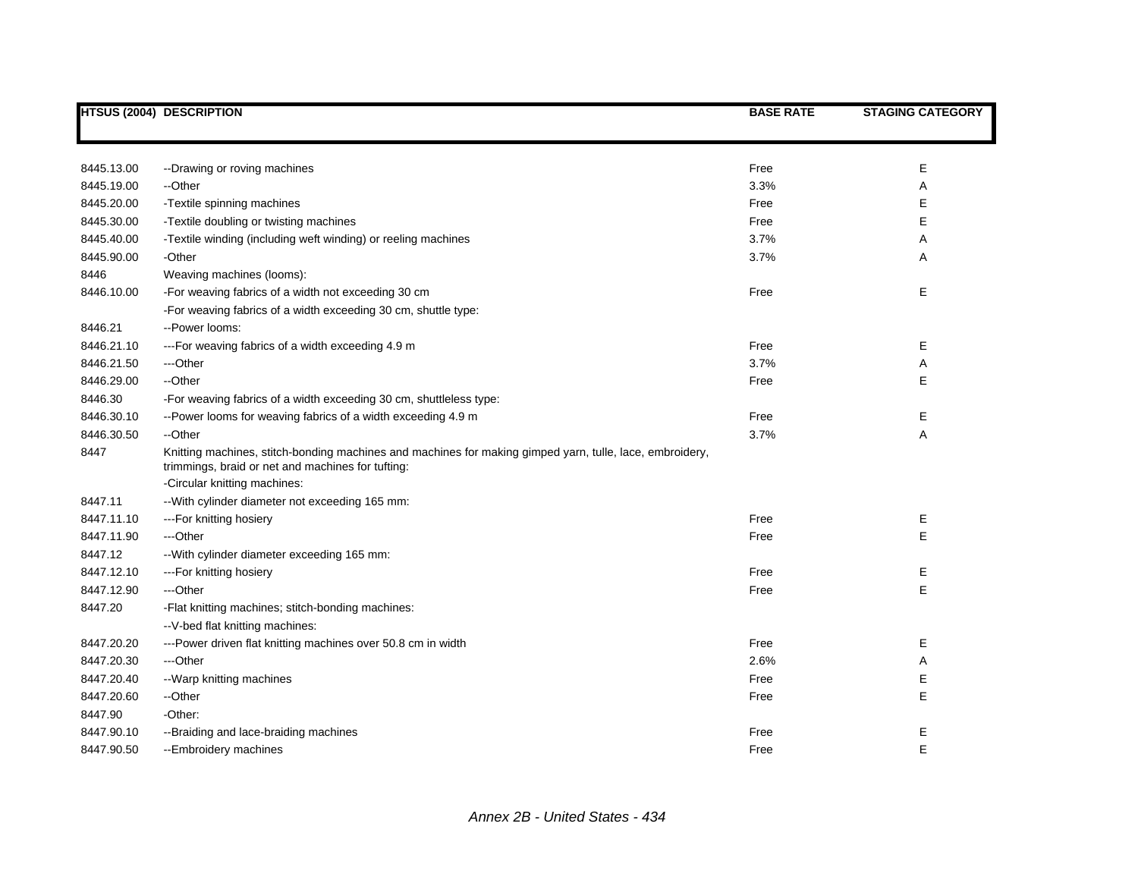|            | <b>HTSUS (2004) DESCRIPTION</b>                                                                                                                               | <b>BASE RATE</b> | <b>STAGING CATEGORY</b> |
|------------|---------------------------------------------------------------------------------------------------------------------------------------------------------------|------------------|-------------------------|
|            |                                                                                                                                                               |                  |                         |
| 8445.13.00 | --Drawing or roving machines                                                                                                                                  | Free             | Е                       |
| 8445.19.00 | --Other                                                                                                                                                       | 3.3%             | Α                       |
| 8445.20.00 | -Textile spinning machines                                                                                                                                    | Free             | E                       |
| 8445.30.00 | -Textile doubling or twisting machines                                                                                                                        | Free             | E                       |
| 8445.40.00 | -Textile winding (including weft winding) or reeling machines                                                                                                 | 3.7%             | Α                       |
| 8445.90.00 | -Other                                                                                                                                                        | 3.7%             | Α                       |
| 8446       | Weaving machines (looms):                                                                                                                                     |                  |                         |
| 8446.10.00 | -For weaving fabrics of a width not exceeding 30 cm                                                                                                           | Free             | E                       |
|            | -For weaving fabrics of a width exceeding 30 cm, shuttle type:                                                                                                |                  |                         |
| 8446.21    | --Power looms:                                                                                                                                                |                  |                         |
| 8446.21.10 | ---For weaving fabrics of a width exceeding 4.9 m                                                                                                             | Free             | Е                       |
| 8446.21.50 | ---Other                                                                                                                                                      | 3.7%             | Α                       |
| 8446.29.00 | --Other                                                                                                                                                       | Free             | E                       |
| 8446.30    | -For weaving fabrics of a width exceeding 30 cm, shuttleless type:                                                                                            |                  |                         |
| 8446.30.10 | --Power looms for weaving fabrics of a width exceeding 4.9 m                                                                                                  | Free             | Е                       |
| 8446.30.50 | --Other                                                                                                                                                       | 3.7%             | Α                       |
| 8447       | Knitting machines, stitch-bonding machines and machines for making gimped yarn, tulle, lace, embroidery,<br>trimmings, braid or net and machines for tufting: |                  |                         |
|            | -Circular knitting machines:                                                                                                                                  |                  |                         |
| 8447.11    | -- With cylinder diameter not exceeding 165 mm:                                                                                                               |                  |                         |
| 8447.11.10 | --- For knitting hosiery                                                                                                                                      | Free             | Ε                       |
| 8447.11.90 | ---Other                                                                                                                                                      | Free             | E                       |
| 8447.12    | -- With cylinder diameter exceeding 165 mm:                                                                                                                   |                  |                         |
| 8447.12.10 | --- For knitting hosiery                                                                                                                                      | Free             | Ε                       |
| 8447.12.90 | ---Other                                                                                                                                                      | Free             | E                       |
| 8447.20    | -Flat knitting machines; stitch-bonding machines:                                                                                                             |                  |                         |
|            | -- V-bed flat knitting machines:                                                                                                                              |                  |                         |
| 8447.20.20 | ---Power driven flat knitting machines over 50.8 cm in width                                                                                                  | Free             | Е                       |
| 8447.20.30 | ---Other                                                                                                                                                      | 2.6%             | Α                       |
| 8447.20.40 | --Warp knitting machines                                                                                                                                      | Free             | E                       |
| 8447.20.60 | --Other                                                                                                                                                       | Free             | E                       |
| 8447.90    | -Other:                                                                                                                                                       |                  |                         |
| 8447.90.10 | --Braiding and lace-braiding machines                                                                                                                         | Free             | E                       |
| 8447.90.50 | --Embroidery machines                                                                                                                                         | Free             | E                       |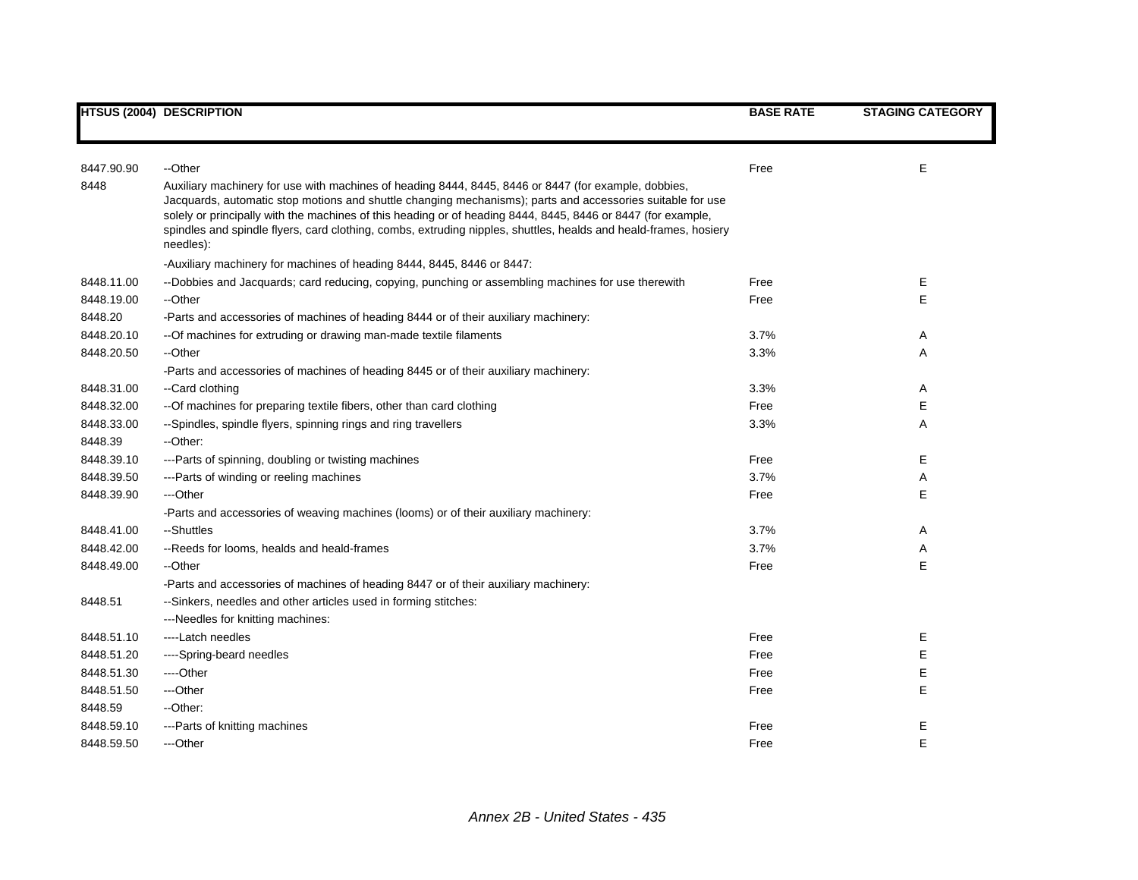|            | <b>HTSUS (2004) DESCRIPTION</b>                                                                                                                                                                                                                                                                                                                                                                                                                                     | <b>BASE RATE</b> | <b>STAGING CATEGORY</b> |
|------------|---------------------------------------------------------------------------------------------------------------------------------------------------------------------------------------------------------------------------------------------------------------------------------------------------------------------------------------------------------------------------------------------------------------------------------------------------------------------|------------------|-------------------------|
| 8447.90.90 | --Other                                                                                                                                                                                                                                                                                                                                                                                                                                                             | Free             | E                       |
| 8448       | Auxiliary machinery for use with machines of heading 8444, 8445, 8446 or 8447 (for example, dobbies,<br>Jacquards, automatic stop motions and shuttle changing mechanisms); parts and accessories suitable for use<br>solely or principally with the machines of this heading or of heading 8444, 8445, 8446 or 8447 (for example,<br>spindles and spindle flyers, card clothing, combs, extruding nipples, shuttles, healds and heald-frames, hosiery<br>needles): |                  |                         |
|            | -Auxiliary machinery for machines of heading 8444, 8445, 8446 or 8447:                                                                                                                                                                                                                                                                                                                                                                                              |                  |                         |
| 8448.11.00 | --Dobbies and Jacquards; card reducing, copying, punching or assembling machines for use therewith                                                                                                                                                                                                                                                                                                                                                                  | Free             | E                       |
| 8448.19.00 | --Other                                                                                                                                                                                                                                                                                                                                                                                                                                                             | Free             | E                       |
| 8448.20    | -Parts and accessories of machines of heading 8444 or of their auxiliary machinery:                                                                                                                                                                                                                                                                                                                                                                                 |                  |                         |
| 8448.20.10 | -- Of machines for extruding or drawing man-made textile filaments                                                                                                                                                                                                                                                                                                                                                                                                  | 3.7%             | Α                       |
| 8448.20.50 | --Other                                                                                                                                                                                                                                                                                                                                                                                                                                                             | 3.3%             | A                       |
|            | -Parts and accessories of machines of heading 8445 or of their auxiliary machinery:                                                                                                                                                                                                                                                                                                                                                                                 |                  |                         |
| 8448.31.00 | --Card clothing                                                                                                                                                                                                                                                                                                                                                                                                                                                     | 3.3%             | Α                       |
| 8448.32.00 | -- Of machines for preparing textile fibers, other than card clothing                                                                                                                                                                                                                                                                                                                                                                                               | Free             | Е                       |
| 8448.33.00 | --Spindles, spindle flyers, spinning rings and ring travellers                                                                                                                                                                                                                                                                                                                                                                                                      | 3.3%             | Α                       |
| 8448.39    | --Other:                                                                                                                                                                                                                                                                                                                                                                                                                                                            |                  |                         |
| 8448.39.10 | ---Parts of spinning, doubling or twisting machines                                                                                                                                                                                                                                                                                                                                                                                                                 | Free             | Е                       |
| 8448.39.50 | ---Parts of winding or reeling machines                                                                                                                                                                                                                                                                                                                                                                                                                             | 3.7%             | Α                       |
| 8448.39.90 | ---Other                                                                                                                                                                                                                                                                                                                                                                                                                                                            | Free             | Е                       |
|            | -Parts and accessories of weaving machines (looms) or of their auxiliary machinery:                                                                                                                                                                                                                                                                                                                                                                                 |                  |                         |
| 8448.41.00 | --Shuttles                                                                                                                                                                                                                                                                                                                                                                                                                                                          | 3.7%             | Α                       |
| 8448.42.00 | --Reeds for looms, healds and heald-frames                                                                                                                                                                                                                                                                                                                                                                                                                          | 3.7%             | Α                       |
| 8448.49.00 | --Other                                                                                                                                                                                                                                                                                                                                                                                                                                                             | Free             | Е                       |
|            | -Parts and accessories of machines of heading 8447 or of their auxiliary machinery:                                                                                                                                                                                                                                                                                                                                                                                 |                  |                         |
| 8448.51    | --Sinkers, needles and other articles used in forming stitches:                                                                                                                                                                                                                                                                                                                                                                                                     |                  |                         |
|            | ---Needles for knitting machines:                                                                                                                                                                                                                                                                                                                                                                                                                                   |                  |                         |
| 8448.51.10 | ----Latch needles                                                                                                                                                                                                                                                                                                                                                                                                                                                   | Free             | Ε                       |
| 8448.51.20 | ----Spring-beard needles                                                                                                                                                                                                                                                                                                                                                                                                                                            | Free             | E                       |
| 8448.51.30 | ----Other                                                                                                                                                                                                                                                                                                                                                                                                                                                           | Free             | E                       |
| 8448.51.50 | ---Other                                                                                                                                                                                                                                                                                                                                                                                                                                                            | Free             | E                       |
| 8448.59    | --Other:                                                                                                                                                                                                                                                                                                                                                                                                                                                            |                  |                         |
| 8448.59.10 | ---Parts of knitting machines                                                                                                                                                                                                                                                                                                                                                                                                                                       | Free             | Ε                       |
| 8448.59.50 | ---Other                                                                                                                                                                                                                                                                                                                                                                                                                                                            | Free             | E                       |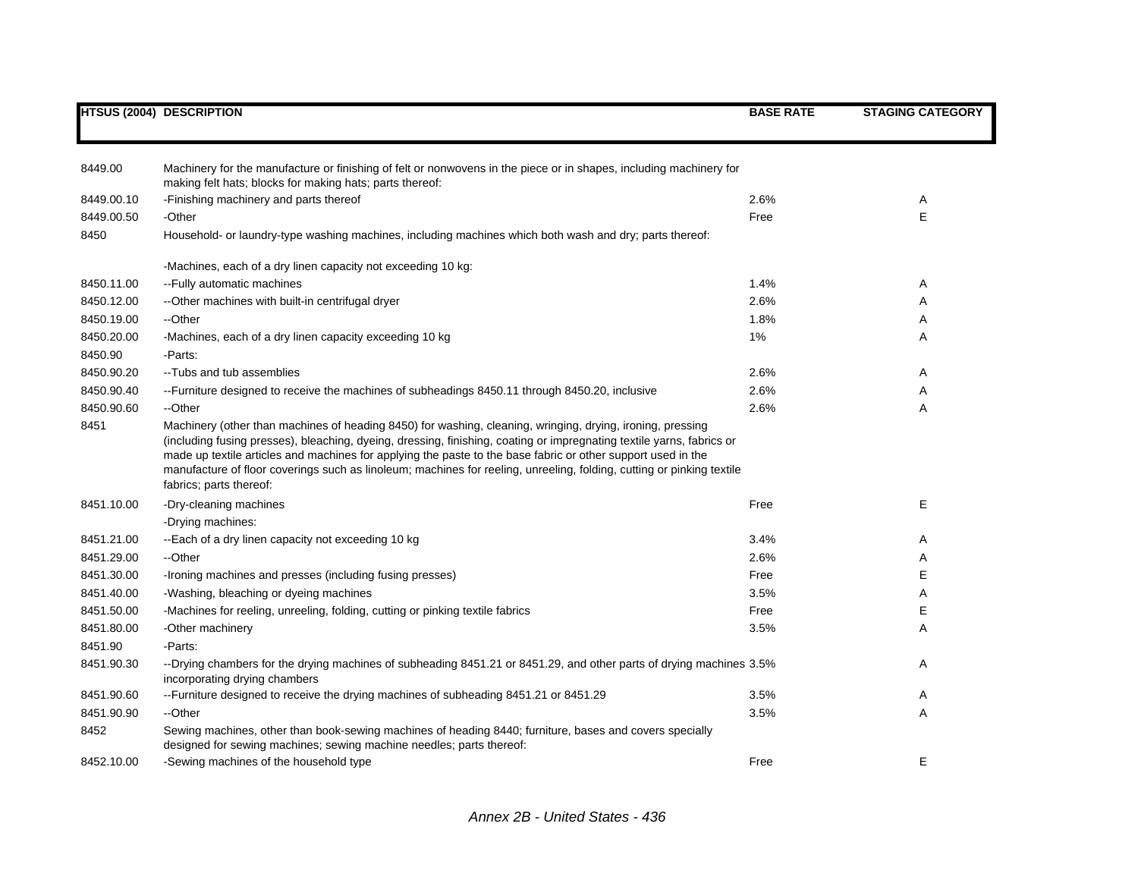|            | <b>HTSUS (2004) DESCRIPTION</b>                                                                                                                                                                                                                                                                                                                                                                                                                                                                         | <b>BASE RATE</b> | <b>STAGING CATEGORY</b> |
|------------|---------------------------------------------------------------------------------------------------------------------------------------------------------------------------------------------------------------------------------------------------------------------------------------------------------------------------------------------------------------------------------------------------------------------------------------------------------------------------------------------------------|------------------|-------------------------|
|            |                                                                                                                                                                                                                                                                                                                                                                                                                                                                                                         |                  |                         |
| 8449.00    | Machinery for the manufacture or finishing of felt or nonwovens in the piece or in shapes, including machinery for<br>making felt hats; blocks for making hats; parts thereof:                                                                                                                                                                                                                                                                                                                          |                  |                         |
| 8449.00.10 | -Finishing machinery and parts thereof                                                                                                                                                                                                                                                                                                                                                                                                                                                                  | 2.6%             | A                       |
| 8449.00.50 | -Other                                                                                                                                                                                                                                                                                                                                                                                                                                                                                                  | Free             | E                       |
| 8450       | Household- or laundry-type washing machines, including machines which both wash and dry; parts thereof:                                                                                                                                                                                                                                                                                                                                                                                                 |                  |                         |
|            | -Machines, each of a dry linen capacity not exceeding 10 kg:                                                                                                                                                                                                                                                                                                                                                                                                                                            |                  |                         |
| 8450.11.00 | --Fully automatic machines                                                                                                                                                                                                                                                                                                                                                                                                                                                                              | 1.4%             | Α                       |
| 8450.12.00 | --Other machines with built-in centrifugal dryer                                                                                                                                                                                                                                                                                                                                                                                                                                                        | 2.6%             | Α                       |
| 8450.19.00 | --Other                                                                                                                                                                                                                                                                                                                                                                                                                                                                                                 | 1.8%             | Α                       |
| 8450.20.00 | -Machines, each of a dry linen capacity exceeding 10 kg                                                                                                                                                                                                                                                                                                                                                                                                                                                 | 1%               | Α                       |
| 8450.90    | -Parts:                                                                                                                                                                                                                                                                                                                                                                                                                                                                                                 |                  |                         |
| 8450.90.20 | --Tubs and tub assemblies                                                                                                                                                                                                                                                                                                                                                                                                                                                                               | 2.6%             | Α                       |
| 8450.90.40 | --Furniture designed to receive the machines of subheadings 8450.11 through 8450.20, inclusive                                                                                                                                                                                                                                                                                                                                                                                                          | 2.6%             | Α                       |
| 8450.90.60 | --Other                                                                                                                                                                                                                                                                                                                                                                                                                                                                                                 | 2.6%             | Α                       |
| 8451       | Machinery (other than machines of heading 8450) for washing, cleaning, wringing, drying, ironing, pressing<br>(including fusing presses), bleaching, dyeing, dressing, finishing, coating or impregnating textile yarns, fabrics or<br>made up textile articles and machines for applying the paste to the base fabric or other support used in the<br>manufacture of floor coverings such as linoleum; machines for reeling, unreeling, folding, cutting or pinking textile<br>fabrics; parts thereof: |                  |                         |
| 8451.10.00 | -Dry-cleaning machines<br>-Drying machines:                                                                                                                                                                                                                                                                                                                                                                                                                                                             | Free             | E                       |
| 8451.21.00 | --Each of a dry linen capacity not exceeding 10 kg                                                                                                                                                                                                                                                                                                                                                                                                                                                      | 3.4%             | A                       |
| 8451.29.00 | --Other                                                                                                                                                                                                                                                                                                                                                                                                                                                                                                 | 2.6%             | Α                       |
| 8451.30.00 | -Ironing machines and presses (including fusing presses)                                                                                                                                                                                                                                                                                                                                                                                                                                                | Free             | E                       |
| 8451.40.00 | -Washing, bleaching or dyeing machines                                                                                                                                                                                                                                                                                                                                                                                                                                                                  | 3.5%             | Α                       |
| 8451.50.00 | -Machines for reeling, unreeling, folding, cutting or pinking textile fabrics                                                                                                                                                                                                                                                                                                                                                                                                                           | Free             | Ε                       |
| 8451.80.00 | -Other machinery                                                                                                                                                                                                                                                                                                                                                                                                                                                                                        | 3.5%             | Α                       |
| 8451.90    | -Parts:                                                                                                                                                                                                                                                                                                                                                                                                                                                                                                 |                  |                         |
| 8451.90.30 | --Drying chambers for the drying machines of subheading 8451.21 or 8451.29, and other parts of drying machines 3.5%<br>incorporating drying chambers                                                                                                                                                                                                                                                                                                                                                    |                  | Α                       |
| 8451.90.60 | --Furniture designed to receive the drying machines of subheading 8451.21 or 8451.29                                                                                                                                                                                                                                                                                                                                                                                                                    | 3.5%             | Α                       |
| 8451.90.90 | --Other                                                                                                                                                                                                                                                                                                                                                                                                                                                                                                 | 3.5%             | Α                       |
| 8452       | Sewing machines, other than book-sewing machines of heading 8440; furniture, bases and covers specially<br>designed for sewing machines; sewing machine needles; parts thereof:                                                                                                                                                                                                                                                                                                                         |                  |                         |
| 8452.10.00 | -Sewing machines of the household type                                                                                                                                                                                                                                                                                                                                                                                                                                                                  | Free             | E                       |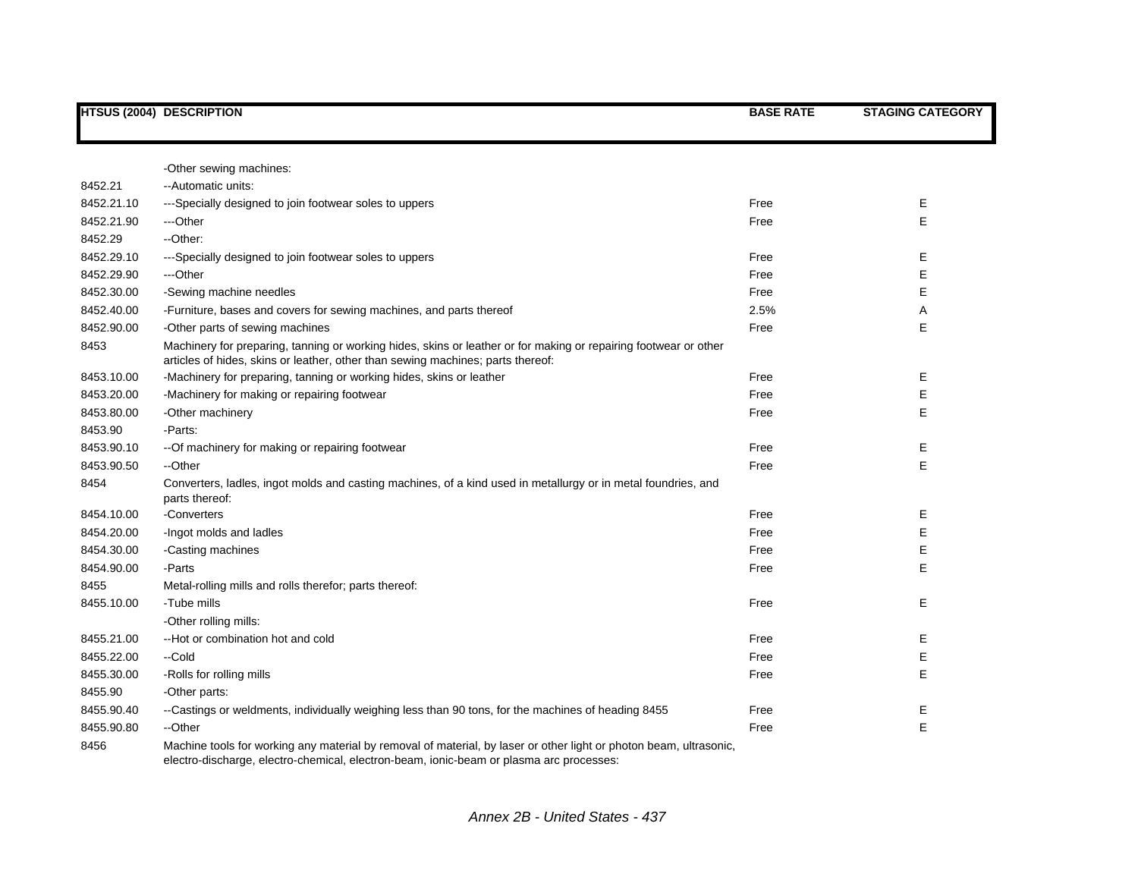|            | <b>HTSUS (2004) DESCRIPTION</b>                                                                                                                                                                               | <b>BASE RATE</b> | <b>STAGING CATEGORY</b> |
|------------|---------------------------------------------------------------------------------------------------------------------------------------------------------------------------------------------------------------|------------------|-------------------------|
|            |                                                                                                                                                                                                               |                  |                         |
|            | -Other sewing machines:                                                                                                                                                                                       |                  |                         |
| 8452.21    | -- Automatic units:                                                                                                                                                                                           |                  |                         |
| 8452.21.10 | ---Specially designed to join footwear soles to uppers                                                                                                                                                        | Free             | Е                       |
| 8452.21.90 | ---Other                                                                                                                                                                                                      | Free             | E                       |
| 8452.29    | --Other:                                                                                                                                                                                                      |                  |                         |
| 8452.29.10 | ---Specially designed to join footwear soles to uppers                                                                                                                                                        | Free             | Е                       |
| 8452.29.90 | ---Other                                                                                                                                                                                                      | Free             | Ε                       |
| 8452.30.00 | -Sewing machine needles                                                                                                                                                                                       | Free             | Е                       |
| 8452.40.00 | -Furniture, bases and covers for sewing machines, and parts thereof                                                                                                                                           | 2.5%             | Α                       |
| 8452.90.00 | -Other parts of sewing machines                                                                                                                                                                               | Free             | E                       |
| 8453       | Machinery for preparing, tanning or working hides, skins or leather or for making or repairing footwear or other<br>articles of hides, skins or leather, other than sewing machines; parts thereof:           |                  |                         |
| 8453.10.00 | -Machinery for preparing, tanning or working hides, skins or leather                                                                                                                                          | Free             | Ε                       |
| 8453.20.00 | -Machinery for making or repairing footwear                                                                                                                                                                   | Free             | E                       |
| 8453.80.00 | -Other machinery                                                                                                                                                                                              | Free             | E                       |
| 8453.90    | -Parts:                                                                                                                                                                                                       |                  |                         |
| 8453.90.10 | -- Of machinery for making or repairing footwear                                                                                                                                                              | Free             | Е                       |
| 8453.90.50 | --Other                                                                                                                                                                                                       | Free             | E                       |
| 8454       | Converters, ladles, ingot molds and casting machines, of a kind used in metallurgy or in metal foundries, and<br>parts thereof:                                                                               |                  |                         |
| 8454.10.00 | -Converters                                                                                                                                                                                                   | Free             | Е                       |
| 8454.20.00 | -Ingot molds and ladles                                                                                                                                                                                       | Free             | Ε                       |
| 8454.30.00 | -Casting machines                                                                                                                                                                                             | Free             | Е                       |
| 8454.90.00 | -Parts                                                                                                                                                                                                        | Free             | Ε                       |
| 8455       | Metal-rolling mills and rolls therefor; parts thereof:                                                                                                                                                        |                  |                         |
| 8455.10.00 | -Tube mills                                                                                                                                                                                                   | Free             | Е                       |
|            | -Other rolling mills:                                                                                                                                                                                         |                  |                         |
| 8455.21.00 | --Hot or combination hot and cold                                                                                                                                                                             | Free             | Е                       |
| 8455.22.00 | --Cold                                                                                                                                                                                                        | Free             | Е                       |
| 8455.30.00 | -Rolls for rolling mills                                                                                                                                                                                      | Free             | Е                       |
| 8455.90    | -Other parts:                                                                                                                                                                                                 |                  |                         |
| 8455.90.40 | --Castings or weldments, individually weighing less than 90 tons, for the machines of heading 8455                                                                                                            | Free             | Ε                       |
| 8455.90.80 | --Other                                                                                                                                                                                                       | Free             | Ε                       |
| 8456       | Machine tools for working any material by removal of material, by laser or other light or photon beam, ultrasonic,<br>electro-discharge, electro-chemical, electron-beam, ionic-beam or plasma arc processes: |                  |                         |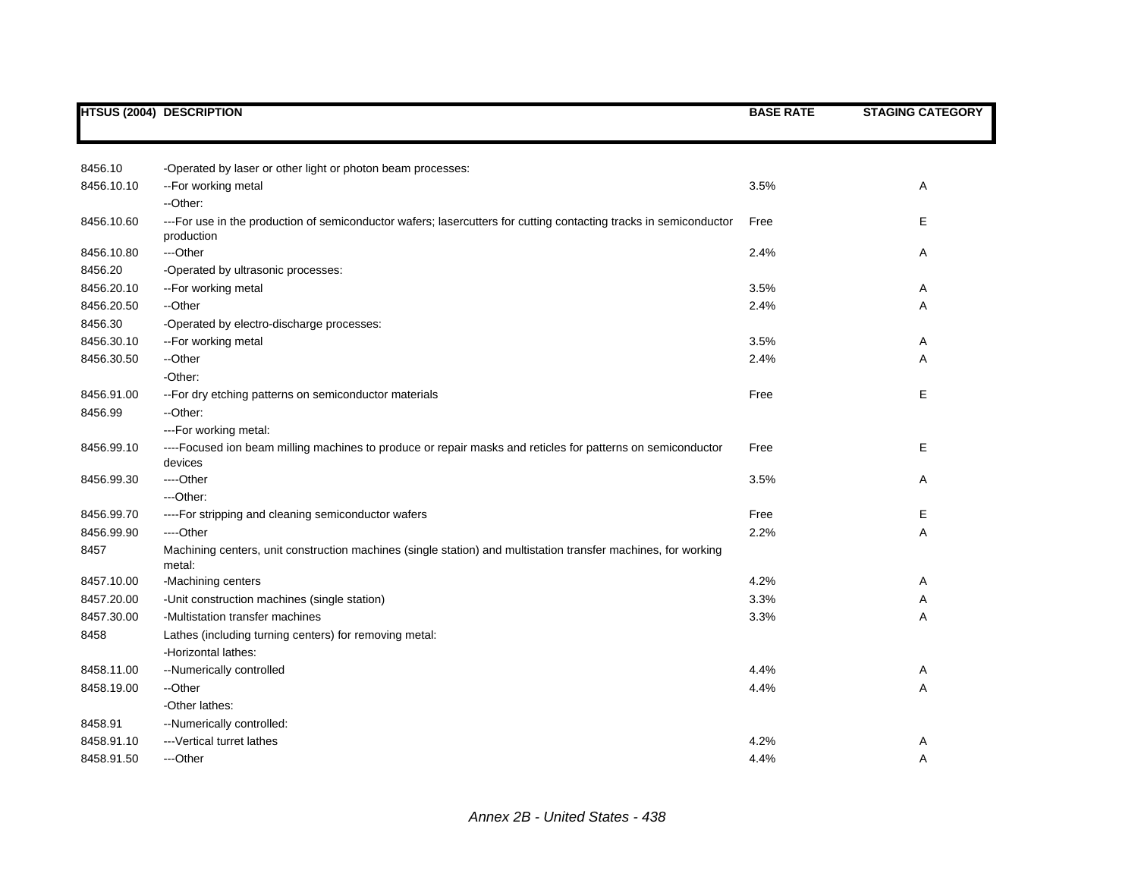|            | <b>HTSUS (2004) DESCRIPTION</b>                                                                                                  | <b>BASE RATE</b> | <b>STAGING CATEGORY</b> |
|------------|----------------------------------------------------------------------------------------------------------------------------------|------------------|-------------------------|
|            |                                                                                                                                  |                  |                         |
| 8456.10    | -Operated by laser or other light or photon beam processes:                                                                      |                  |                         |
| 8456.10.10 | -- For working metal                                                                                                             | 3.5%             | Α                       |
|            | -- Other:                                                                                                                        |                  |                         |
| 8456.10.60 | --- For use in the production of semiconductor wafers; lasercutters for cutting contacting tracks in semiconductor<br>production | Free             | Е                       |
| 8456.10.80 | ---Other                                                                                                                         | 2.4%             | Α                       |
| 8456.20    | -Operated by ultrasonic processes:                                                                                               |                  |                         |
| 8456.20.10 | -- For working metal                                                                                                             | 3.5%             | Α                       |
| 8456.20.50 | --Other                                                                                                                          | 2.4%             | A                       |
| 8456.30    | -Operated by electro-discharge processes:                                                                                        |                  |                         |
| 8456.30.10 | -- For working metal                                                                                                             | 3.5%             | Α                       |
| 8456.30.50 | --Other                                                                                                                          | 2.4%             | Α                       |
|            | -Other:                                                                                                                          |                  |                         |
| 8456.91.00 | -- For dry etching patterns on semiconductor materials                                                                           | Free             | E                       |
| 8456.99    | --Other:                                                                                                                         |                  |                         |
|            | --- For working metal:                                                                                                           |                  |                         |
| 8456.99.10 | ----Focused ion beam milling machines to produce or repair masks and reticles for patterns on semiconductor<br>devices           | Free             | Е                       |
| 8456.99.30 | ---Other                                                                                                                         | 3.5%             | Α                       |
|            | ---Other:                                                                                                                        |                  |                         |
| 8456.99.70 | ---- For stripping and cleaning semiconductor wafers                                                                             | Free             | Е                       |
| 8456.99.90 | ----Other                                                                                                                        | 2.2%             | Α                       |
| 8457       | Machining centers, unit construction machines (single station) and multistation transfer machines, for working<br>metal:         |                  |                         |
| 8457.10.00 | -Machining centers                                                                                                               | 4.2%             | Α                       |
| 8457.20.00 | -Unit construction machines (single station)                                                                                     | 3.3%             | Α                       |
| 8457.30.00 | -Multistation transfer machines                                                                                                  | 3.3%             | Α                       |
| 8458       | Lathes (including turning centers) for removing metal:                                                                           |                  |                         |
|            | -Horizontal lathes:                                                                                                              |                  |                         |
| 8458.11.00 | --Numerically controlled                                                                                                         | 4.4%             | Α                       |
| 8458.19.00 | --Other                                                                                                                          | 4.4%             | Α                       |
|            | -Other lathes:                                                                                                                   |                  |                         |
| 8458.91    | --Numerically controlled:                                                                                                        |                  |                         |
| 8458.91.10 | --- Vertical turret lathes                                                                                                       | 4.2%             | Α                       |
| 8458.91.50 | ---Other                                                                                                                         | 4.4%             | Α                       |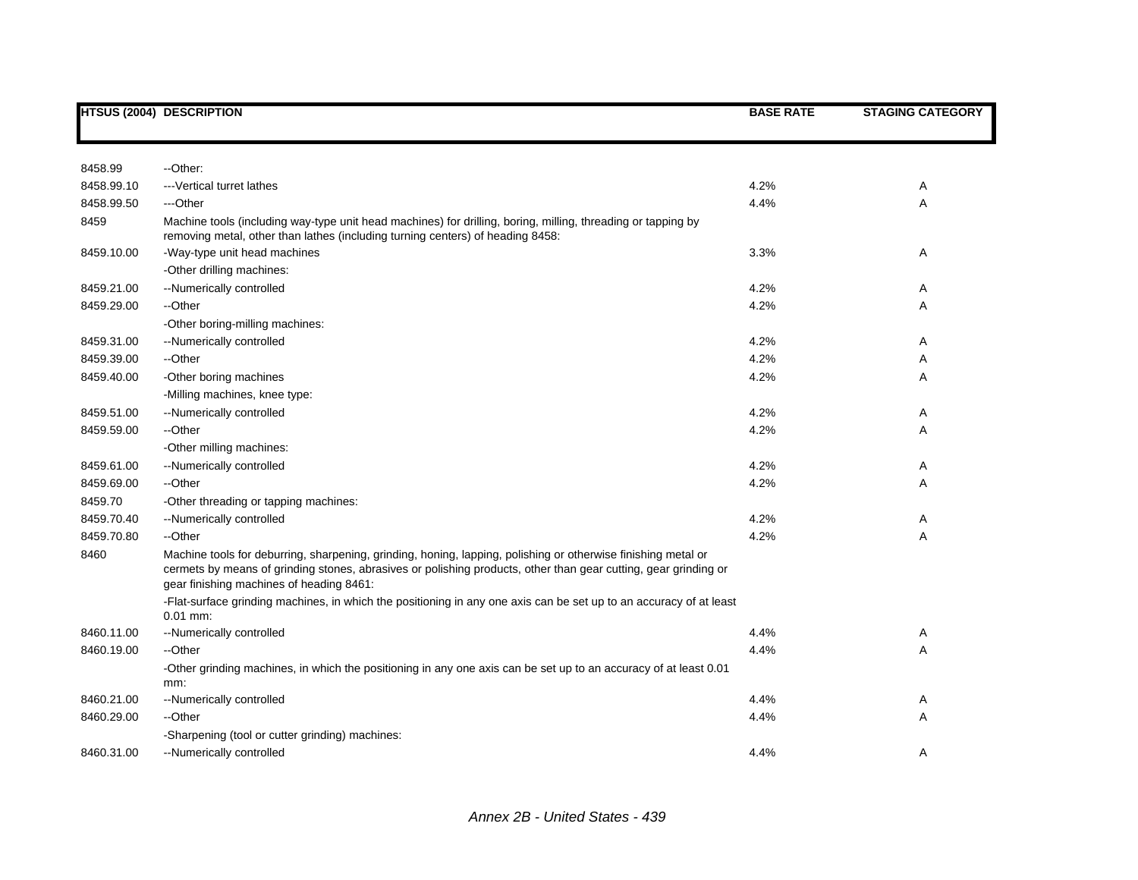|            | <b>HTSUS (2004) DESCRIPTION</b>                                                                                                                                                                                                                                              | <b>BASE RATE</b> | <b>STAGING CATEGORY</b> |
|------------|------------------------------------------------------------------------------------------------------------------------------------------------------------------------------------------------------------------------------------------------------------------------------|------------------|-------------------------|
|            |                                                                                                                                                                                                                                                                              |                  |                         |
| 8458.99    | --Other:                                                                                                                                                                                                                                                                     |                  |                         |
| 8458.99.10 | --- Vertical turret lathes                                                                                                                                                                                                                                                   | 4.2%             | Α                       |
| 8458.99.50 | ---Other                                                                                                                                                                                                                                                                     | 4.4%             | Α                       |
| 8459       | Machine tools (including way-type unit head machines) for drilling, boring, milling, threading or tapping by<br>removing metal, other than lathes (including turning centers) of heading 8458:                                                                               |                  |                         |
| 8459.10.00 | -Way-type unit head machines                                                                                                                                                                                                                                                 | 3.3%             | Α                       |
|            | -Other drilling machines:                                                                                                                                                                                                                                                    |                  |                         |
| 8459.21.00 | --Numerically controlled                                                                                                                                                                                                                                                     | 4.2%             | Α                       |
| 8459.29.00 | --Other                                                                                                                                                                                                                                                                      | 4.2%             | Α                       |
|            | -Other boring-milling machines:                                                                                                                                                                                                                                              |                  |                         |
| 8459.31.00 | --Numerically controlled                                                                                                                                                                                                                                                     | 4.2%             | Α                       |
| 8459.39.00 | --Other                                                                                                                                                                                                                                                                      | 4.2%             | Α                       |
| 8459.40.00 | -Other boring machines                                                                                                                                                                                                                                                       | 4.2%             | Α                       |
|            | -Milling machines, knee type:                                                                                                                                                                                                                                                |                  |                         |
| 8459.51.00 | --Numerically controlled                                                                                                                                                                                                                                                     | 4.2%             | Α                       |
| 8459.59.00 | --Other                                                                                                                                                                                                                                                                      | 4.2%             | Α                       |
|            | -Other milling machines:                                                                                                                                                                                                                                                     |                  |                         |
| 8459.61.00 | --Numerically controlled                                                                                                                                                                                                                                                     | 4.2%             | Α                       |
| 8459.69.00 | --Other                                                                                                                                                                                                                                                                      | 4.2%             | Α                       |
| 8459.70    | -Other threading or tapping machines:                                                                                                                                                                                                                                        |                  |                         |
| 8459.70.40 | --Numerically controlled                                                                                                                                                                                                                                                     | 4.2%             | Α                       |
| 8459.70.80 | --Other                                                                                                                                                                                                                                                                      | 4.2%             | Α                       |
| 8460       | Machine tools for deburring, sharpening, grinding, honing, lapping, polishing or otherwise finishing metal or<br>cermets by means of grinding stones, abrasives or polishing products, other than gear cutting, gear grinding or<br>gear finishing machines of heading 8461: |                  |                         |
|            | -Flat-surface grinding machines, in which the positioning in any one axis can be set up to an accuracy of at least<br>$0.01$ mm:                                                                                                                                             |                  |                         |
| 8460.11.00 | --Numerically controlled                                                                                                                                                                                                                                                     | 4.4%             | Α                       |
| 8460.19.00 | --Other                                                                                                                                                                                                                                                                      | 4.4%             | Α                       |
|            | -Other grinding machines, in which the positioning in any one axis can be set up to an accuracy of at least 0.01<br>mm:                                                                                                                                                      |                  |                         |
| 8460.21.00 | --Numerically controlled                                                                                                                                                                                                                                                     | 4.4%             | Α                       |
| 8460.29.00 | --Other                                                                                                                                                                                                                                                                      | 4.4%             | Α                       |
|            | -Sharpening (tool or cutter grinding) machines:                                                                                                                                                                                                                              |                  |                         |
| 8460.31.00 | --Numerically controlled                                                                                                                                                                                                                                                     | 4.4%             | Α                       |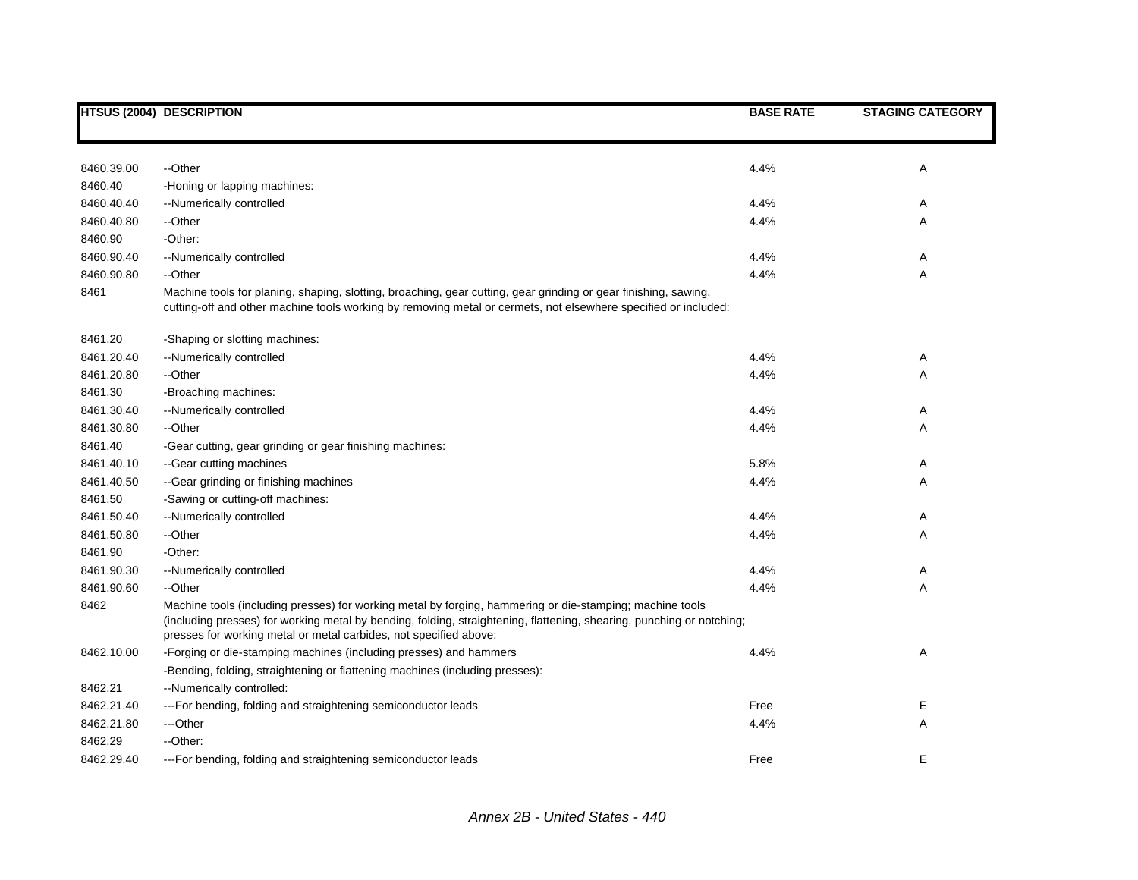|            | <b>HTSUS (2004) DESCRIPTION</b>                                                                                                                                                                                                                                                                        | <b>BASE RATE</b> | <b>STAGING CATEGORY</b> |
|------------|--------------------------------------------------------------------------------------------------------------------------------------------------------------------------------------------------------------------------------------------------------------------------------------------------------|------------------|-------------------------|
|            |                                                                                                                                                                                                                                                                                                        |                  |                         |
| 8460.39.00 | --Other                                                                                                                                                                                                                                                                                                | 4.4%             | Α                       |
| 8460.40    | -Honing or lapping machines:                                                                                                                                                                                                                                                                           |                  |                         |
| 8460.40.40 | --Numerically controlled                                                                                                                                                                                                                                                                               | 4.4%             | A                       |
| 8460.40.80 | --Other                                                                                                                                                                                                                                                                                                | 4.4%             | Α                       |
| 8460.90    | -Other:                                                                                                                                                                                                                                                                                                |                  |                         |
| 8460.90.40 | --Numerically controlled                                                                                                                                                                                                                                                                               | 4.4%             | Α                       |
| 8460.90.80 | --Other                                                                                                                                                                                                                                                                                                | 4.4%             | Α                       |
| 8461       | Machine tools for planing, shaping, slotting, broaching, gear cutting, gear grinding or gear finishing, sawing,<br>cutting-off and other machine tools working by removing metal or cermets, not elsewhere specified or included:                                                                      |                  |                         |
| 8461.20    | -Shaping or slotting machines:                                                                                                                                                                                                                                                                         |                  |                         |
| 8461.20.40 | --Numerically controlled                                                                                                                                                                                                                                                                               | 4.4%             | Α                       |
| 8461.20.80 | --Other                                                                                                                                                                                                                                                                                                | 4.4%             | A                       |
| 8461.30    | -Broaching machines:                                                                                                                                                                                                                                                                                   |                  |                         |
| 8461.30.40 | --Numerically controlled                                                                                                                                                                                                                                                                               | 4.4%             | Α                       |
| 8461.30.80 | --Other                                                                                                                                                                                                                                                                                                | 4.4%             | Α                       |
| 8461.40    | -Gear cutting, gear grinding or gear finishing machines:                                                                                                                                                                                                                                               |                  |                         |
| 8461.40.10 | --Gear cutting machines                                                                                                                                                                                                                                                                                | 5.8%             | Α                       |
| 8461.40.50 | --Gear grinding or finishing machines                                                                                                                                                                                                                                                                  | 4.4%             | Α                       |
| 8461.50    | -Sawing or cutting-off machines:                                                                                                                                                                                                                                                                       |                  |                         |
| 8461.50.40 | --Numerically controlled                                                                                                                                                                                                                                                                               | 4.4%             | A                       |
| 8461.50.80 | --Other                                                                                                                                                                                                                                                                                                | 4.4%             | Α                       |
| 8461.90    | -Other:                                                                                                                                                                                                                                                                                                |                  |                         |
| 8461.90.30 | --Numerically controlled                                                                                                                                                                                                                                                                               | 4.4%             | Α                       |
| 8461.90.60 | --Other                                                                                                                                                                                                                                                                                                | 4.4%             | Α                       |
| 8462       | Machine tools (including presses) for working metal by forging, hammering or die-stamping; machine tools<br>(including presses) for working metal by bending, folding, straightening, flattening, shearing, punching or notching;<br>presses for working metal or metal carbides, not specified above: |                  |                         |
| 8462.10.00 | -Forging or die-stamping machines (including presses) and hammers                                                                                                                                                                                                                                      | 4.4%             | Α                       |
|            | -Bending, folding, straightening or flattening machines (including presses):                                                                                                                                                                                                                           |                  |                         |
| 8462.21    | --Numerically controlled:                                                                                                                                                                                                                                                                              |                  |                         |
| 8462.21.40 | --- For bending, folding and straightening semiconductor leads                                                                                                                                                                                                                                         | Free             | Ε                       |
| 8462.21.80 | ---Other                                                                                                                                                                                                                                                                                               | 4.4%             | Α                       |
| 8462.29    | --Other:                                                                                                                                                                                                                                                                                               |                  |                         |
| 8462.29.40 | --- For bending, folding and straightening semiconductor leads                                                                                                                                                                                                                                         | Free             | Е                       |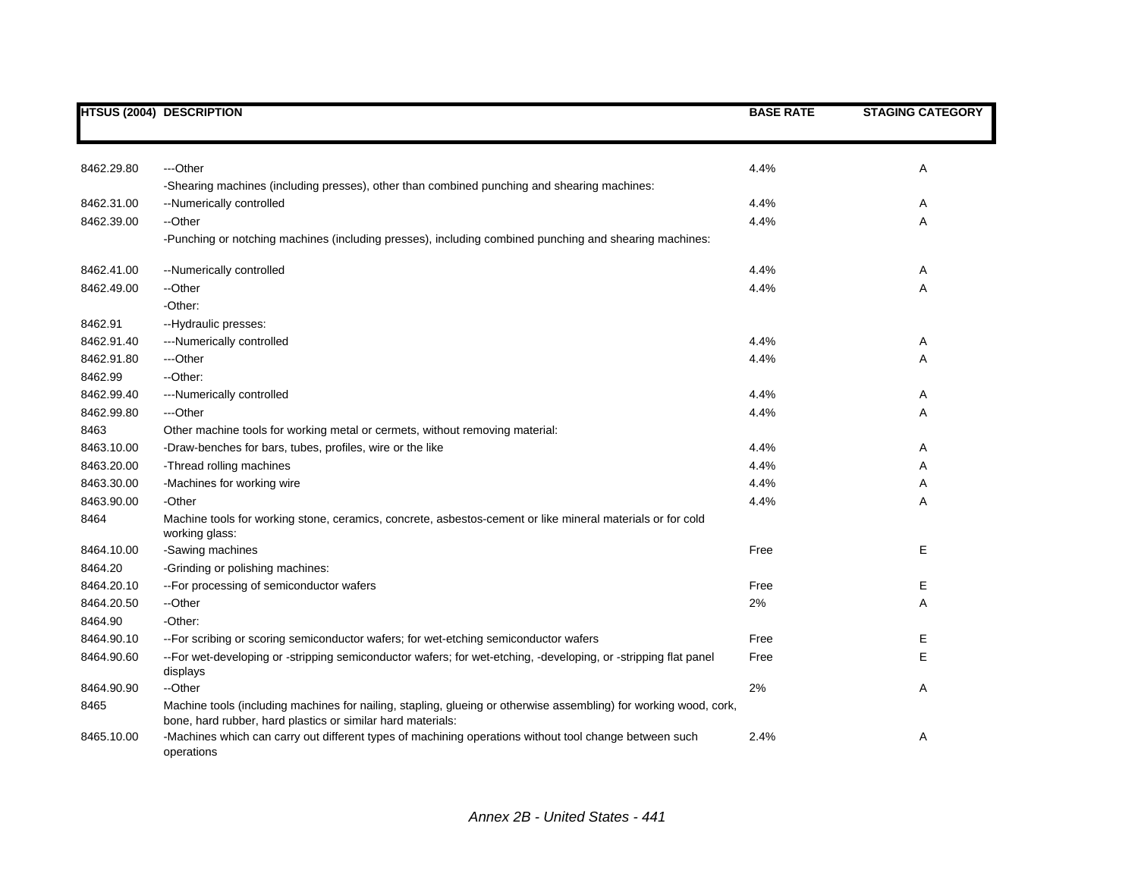|            | <b>HTSUS (2004) DESCRIPTION</b>                                                                                                                                                  | <b>BASE RATE</b> | <b>STAGING CATEGORY</b> |
|------------|----------------------------------------------------------------------------------------------------------------------------------------------------------------------------------|------------------|-------------------------|
|            |                                                                                                                                                                                  |                  |                         |
|            |                                                                                                                                                                                  |                  |                         |
| 8462.29.80 | ---Other                                                                                                                                                                         | 4.4%             | Α                       |
|            | -Shearing machines (including presses), other than combined punching and shearing machines:                                                                                      |                  |                         |
| 8462.31.00 | --Numerically controlled                                                                                                                                                         | 4.4%             | Α                       |
| 8462.39.00 | --Other                                                                                                                                                                          | 4.4%             | Α                       |
|            | -Punching or notching machines (including presses), including combined punching and shearing machines:                                                                           |                  |                         |
| 8462.41.00 | --Numerically controlled                                                                                                                                                         | 4.4%             | A                       |
| 8462.49.00 | --Other                                                                                                                                                                          | 4.4%             | Α                       |
|            | -Other:                                                                                                                                                                          |                  |                         |
| 8462.91    | --Hydraulic presses:                                                                                                                                                             |                  |                         |
| 8462.91.40 | ---Numerically controlled                                                                                                                                                        | 4.4%             | Α                       |
| 8462.91.80 | ---Other                                                                                                                                                                         | 4.4%             | Α                       |
| 8462.99    | --Other:                                                                                                                                                                         |                  |                         |
| 8462.99.40 | ---Numerically controlled                                                                                                                                                        | 4.4%             | Α                       |
| 8462.99.80 | ---Other                                                                                                                                                                         | 4.4%             | Α                       |
| 8463       | Other machine tools for working metal or cermets, without removing material:                                                                                                     |                  |                         |
| 8463.10.00 | -Draw-benches for bars, tubes, profiles, wire or the like                                                                                                                        | 4.4%             | Α                       |
| 8463.20.00 | -Thread rolling machines                                                                                                                                                         | 4.4%             | Α                       |
| 8463.30.00 | -Machines for working wire                                                                                                                                                       | 4.4%             | Α                       |
| 8463.90.00 | -Other                                                                                                                                                                           | 4.4%             | Α                       |
| 8464       | Machine tools for working stone, ceramics, concrete, asbestos-cement or like mineral materials or for cold<br>working glass:                                                     |                  |                         |
| 8464.10.00 | -Sawing machines                                                                                                                                                                 | Free             | Е                       |
| 8464.20    | -Grinding or polishing machines:                                                                                                                                                 |                  |                         |
| 8464.20.10 | -- For processing of semiconductor wafers                                                                                                                                        | Free             | Ε                       |
| 8464.20.50 | --Other                                                                                                                                                                          | 2%               | Α                       |
| 8464.90    | -Other:                                                                                                                                                                          |                  |                         |
| 8464.90.10 | -- For scribing or scoring semiconductor wafers; for wet-etching semiconductor wafers                                                                                            | Free             | Е                       |
| 8464.90.60 | --For wet-developing or -stripping semiconductor wafers; for wet-etching, -developing, or -stripping flat panel<br>displays                                                      | Free             | Е                       |
| 8464.90.90 | --Other                                                                                                                                                                          | 2%               | Α                       |
| 8465       | Machine tools (including machines for nailing, stapling, glueing or otherwise assembling) for working wood, cork,<br>bone, hard rubber, hard plastics or similar hard materials: |                  |                         |
| 8465.10.00 | -Machines which can carry out different types of machining operations without tool change between such<br>operations                                                             | 2.4%             | Α                       |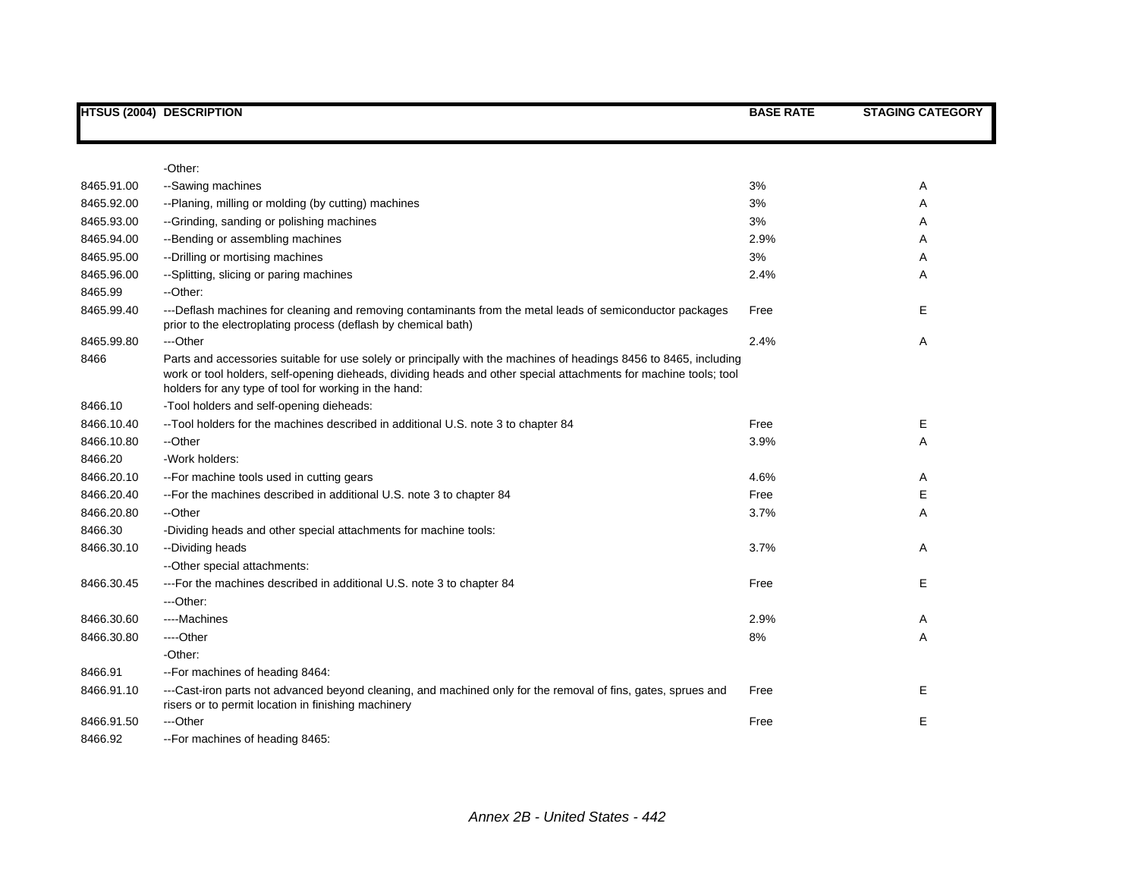|            | <b>HTSUS (2004) DESCRIPTION</b>                                                                                                                                                                                                                                                                  | <b>BASE RATE</b> | <b>STAGING CATEGORY</b> |
|------------|--------------------------------------------------------------------------------------------------------------------------------------------------------------------------------------------------------------------------------------------------------------------------------------------------|------------------|-------------------------|
|            |                                                                                                                                                                                                                                                                                                  |                  |                         |
|            | -Other:                                                                                                                                                                                                                                                                                          |                  |                         |
| 8465.91.00 | --Sawing machines                                                                                                                                                                                                                                                                                | 3%               | Α                       |
| 8465.92.00 | --Planing, milling or molding (by cutting) machines                                                                                                                                                                                                                                              | 3%               | Α                       |
| 8465.93.00 | --Grinding, sanding or polishing machines                                                                                                                                                                                                                                                        | 3%               | Α                       |
| 8465.94.00 | --Bending or assembling machines                                                                                                                                                                                                                                                                 | 2.9%             | Α                       |
| 8465.95.00 | --Drilling or mortising machines                                                                                                                                                                                                                                                                 | 3%               | Α                       |
| 8465.96.00 | --Splitting, slicing or paring machines                                                                                                                                                                                                                                                          | 2.4%             | Α                       |
| 8465.99    | --Other:                                                                                                                                                                                                                                                                                         |                  |                         |
| 8465.99.40 | ---Deflash machines for cleaning and removing contaminants from the metal leads of semiconductor packages<br>prior to the electroplating process (deflash by chemical bath)                                                                                                                      | Free             | Е                       |
| 8465.99.80 | ---Other                                                                                                                                                                                                                                                                                         | 2.4%             | Α                       |
| 8466       | Parts and accessories suitable for use solely or principally with the machines of headings 8456 to 8465, including<br>work or tool holders, self-opening dieheads, dividing heads and other special attachments for machine tools; tool<br>holders for any type of tool for working in the hand: |                  |                         |
| 8466.10    | -Tool holders and self-opening dieheads:                                                                                                                                                                                                                                                         |                  |                         |
| 8466.10.40 | -- Tool holders for the machines described in additional U.S. note 3 to chapter 84                                                                                                                                                                                                               | Free             | Е                       |
| 8466.10.80 | --Other                                                                                                                                                                                                                                                                                          | 3.9%             | A                       |
| 8466.20    | -Work holders:                                                                                                                                                                                                                                                                                   |                  |                         |
| 8466.20.10 | -- For machine tools used in cutting gears                                                                                                                                                                                                                                                       | 4.6%             | Α                       |
| 8466.20.40 | -- For the machines described in additional U.S. note 3 to chapter 84                                                                                                                                                                                                                            | Free             | Е                       |
| 8466.20.80 | --Other                                                                                                                                                                                                                                                                                          | 3.7%             | Α                       |
| 8466.30    | -Dividing heads and other special attachments for machine tools:                                                                                                                                                                                                                                 |                  |                         |
| 8466.30.10 | --Dividing heads                                                                                                                                                                                                                                                                                 | 3.7%             | Α                       |
|            | -- Other special attachments:                                                                                                                                                                                                                                                                    |                  |                         |
| 8466.30.45 | --- For the machines described in additional U.S. note 3 to chapter 84                                                                                                                                                                                                                           | Free             | Е                       |
|            | ---Other:                                                                                                                                                                                                                                                                                        |                  |                         |
| 8466.30.60 | ----Machines                                                                                                                                                                                                                                                                                     | 2.9%             | Α                       |
| 8466.30.80 | ----Other                                                                                                                                                                                                                                                                                        | 8%               | Α                       |
|            | -Other:                                                                                                                                                                                                                                                                                          |                  |                         |
| 8466.91    | -- For machines of heading 8464:                                                                                                                                                                                                                                                                 |                  |                         |
| 8466.91.10 | ---Cast-iron parts not advanced beyond cleaning, and machined only for the removal of fins, gates, sprues and<br>risers or to permit location in finishing machinery                                                                                                                             | Free             | Е                       |
| 8466.91.50 | ---Other                                                                                                                                                                                                                                                                                         | Free             | Е                       |
| 8466.92    | -- For machines of heading 8465:                                                                                                                                                                                                                                                                 |                  |                         |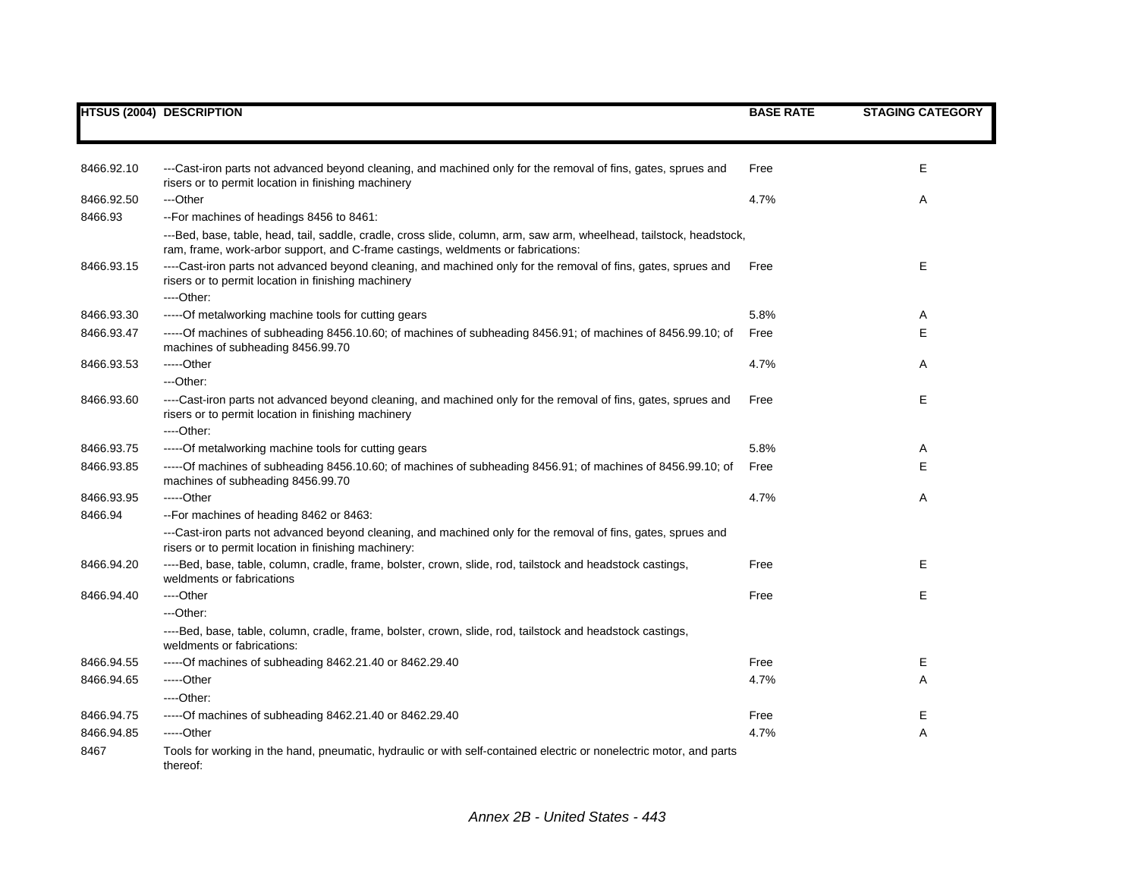|            | <b>HTSUS (2004) DESCRIPTION</b>                                                                                                                                                                          | <b>BASE RATE</b> | <b>STAGING CATEGORY</b> |
|------------|----------------------------------------------------------------------------------------------------------------------------------------------------------------------------------------------------------|------------------|-------------------------|
|            |                                                                                                                                                                                                          |                  |                         |
|            |                                                                                                                                                                                                          |                  |                         |
| 8466.92.10 | ---Cast-iron parts not advanced beyond cleaning, and machined only for the removal of fins, gates, sprues and<br>risers or to permit location in finishing machinery                                     | Free             | Ε                       |
| 8466.92.50 | ---Other                                                                                                                                                                                                 | 4.7%             | Α                       |
| 8466.93    | -- For machines of headings 8456 to 8461:                                                                                                                                                                |                  |                         |
|            | ---Bed, base, table, head, tail, saddle, cradle, cross slide, column, arm, saw arm, wheelhead, tailstock, headstock,<br>ram, frame, work-arbor support, and C-frame castings, weldments or fabrications: |                  |                         |
| 8466.93.15 | ----Cast-iron parts not advanced beyond cleaning, and machined only for the removal of fins, gates, sprues and<br>risers or to permit location in finishing machinery<br>---Other:                       | Free             | Ε                       |
| 8466.93.30 | -----Of metalworking machine tools for cutting gears                                                                                                                                                     | 5.8%             | Α                       |
| 8466.93.47 | -----Of machines of subheading 8456.10.60; of machines of subheading 8456.91; of machines of 8456.99.10; of<br>machines of subheading 8456.99.70                                                         | Free             | Ε                       |
| 8466.93.53 | -----Other                                                                                                                                                                                               | 4.7%             | Α                       |
|            | ---Other:                                                                                                                                                                                                |                  |                         |
| 8466.93.60 | ----Cast-iron parts not advanced beyond cleaning, and machined only for the removal of fins, gates, sprues and<br>risers or to permit location in finishing machinery                                    | Free             | Е                       |
|            | ---Other:                                                                                                                                                                                                |                  |                         |
| 8466.93.75 | -----Of metalworking machine tools for cutting gears                                                                                                                                                     | 5.8%             | Α                       |
| 8466.93.85 | -----Of machines of subheading 8456.10.60; of machines of subheading 8456.91; of machines of 8456.99.10; of<br>machines of subheading 8456.99.70                                                         | Free             | Е                       |
| 8466.93.95 | $---Other$                                                                                                                                                                                               | 4.7%             | Α                       |
| 8466.94    | -- For machines of heading 8462 or 8463:                                                                                                                                                                 |                  |                         |
|            | ---Cast-iron parts not advanced beyond cleaning, and machined only for the removal of fins, gates, sprues and<br>risers or to permit location in finishing machinery:                                    |                  |                         |
| 8466.94.20 | ----Bed, base, table, column, cradle, frame, bolster, crown, slide, rod, tailstock and headstock castings,<br>weldments or fabrications                                                                  | Free             | Е                       |
| 8466.94.40 | ----Other                                                                                                                                                                                                | Free             | E                       |
|            | ---Other:                                                                                                                                                                                                |                  |                         |
|            | ----Bed, base, table, column, cradle, frame, bolster, crown, slide, rod, tailstock and headstock castings,<br>weldments or fabrications:                                                                 |                  |                         |
| 8466.94.55 | ----- Of machines of subheading 8462.21.40 or 8462.29.40                                                                                                                                                 | Free             | Е                       |
| 8466.94.65 | -----Other                                                                                                                                                                                               | 4.7%             | Α                       |
|            | ----Other:                                                                                                                                                                                               |                  |                         |
| 8466.94.75 | ----- Of machines of subheading 8462.21.40 or 8462.29.40                                                                                                                                                 | Free             | Ε                       |
| 8466.94.85 | $---Other$                                                                                                                                                                                               | 4.7%             | Α                       |
| 8467       | Tools for working in the hand, pneumatic, hydraulic or with self-contained electric or nonelectric motor, and parts<br>thereof:                                                                          |                  |                         |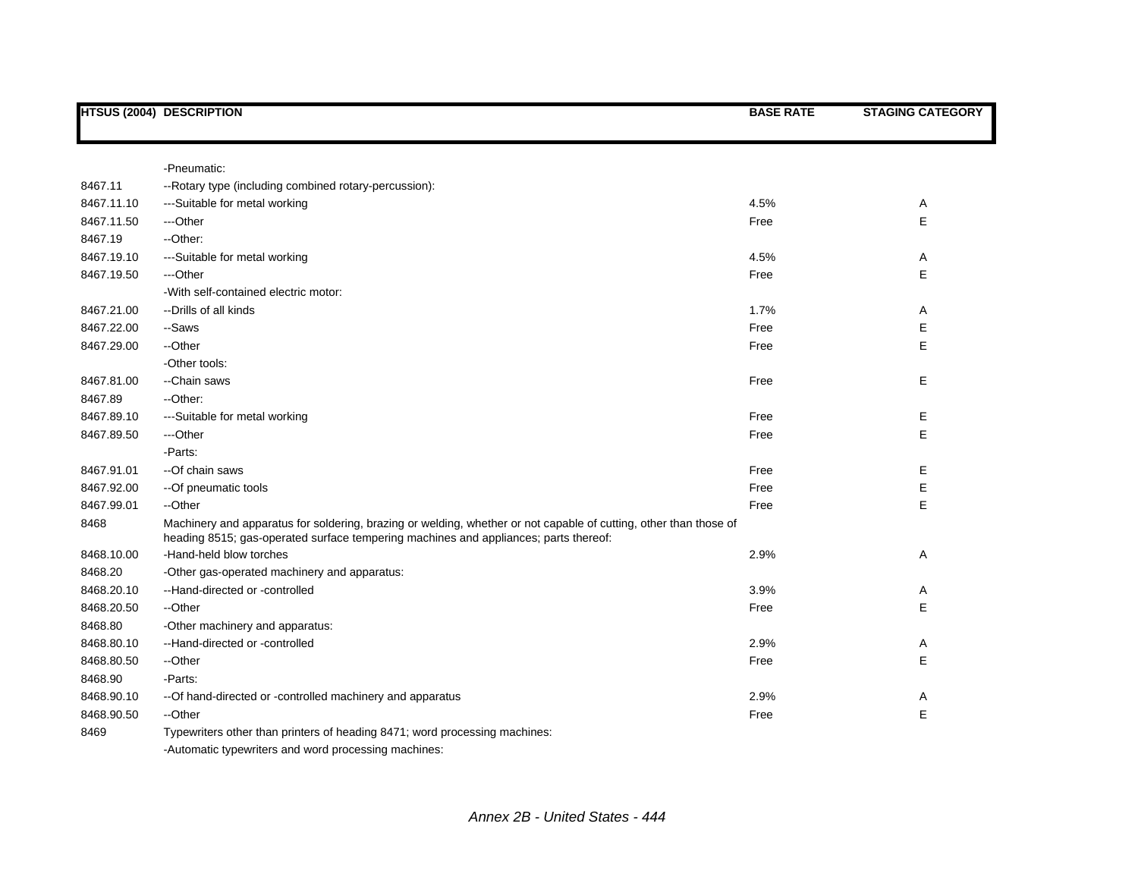|            | <b>HTSUS (2004) DESCRIPTION</b>                                                                                                                                                                           | <b>BASE RATE</b> | <b>STAGING CATEGORY</b> |
|------------|-----------------------------------------------------------------------------------------------------------------------------------------------------------------------------------------------------------|------------------|-------------------------|
|            | -Pneumatic:                                                                                                                                                                                               |                  |                         |
| 8467.11    | -- Rotary type (including combined rotary-percussion):                                                                                                                                                    |                  |                         |
| 8467.11.10 | ---Suitable for metal working                                                                                                                                                                             | 4.5%             | Α                       |
| 8467.11.50 | ---Other                                                                                                                                                                                                  | Free             | E                       |
| 8467.19    | --Other:                                                                                                                                                                                                  |                  |                         |
| 8467.19.10 | ---Suitable for metal working                                                                                                                                                                             | 4.5%             | Α                       |
| 8467.19.50 | ---Other                                                                                                                                                                                                  | Free             | E                       |
|            | -With self-contained electric motor:                                                                                                                                                                      |                  |                         |
| 8467.21.00 | --Drills of all kinds                                                                                                                                                                                     | 1.7%             | Α                       |
| 8467.22.00 | --Saws                                                                                                                                                                                                    | Free             | E                       |
| 8467.29.00 | --Other                                                                                                                                                                                                   | Free             | E                       |
|            | -Other tools:                                                                                                                                                                                             |                  |                         |
| 8467.81.00 | --Chain saws                                                                                                                                                                                              | Free             | Е                       |
| 8467.89    | --Other:                                                                                                                                                                                                  |                  |                         |
| 8467.89.10 | ---Suitable for metal working                                                                                                                                                                             | Free             | E                       |
| 8467.89.50 | ---Other                                                                                                                                                                                                  | Free             | E                       |
|            | -Parts:                                                                                                                                                                                                   |                  |                         |
| 8467.91.01 | --Of chain saws                                                                                                                                                                                           | Free             | Е                       |
| 8467.92.00 | --Of pneumatic tools                                                                                                                                                                                      | Free             | Е                       |
| 8467.99.01 | --Other                                                                                                                                                                                                   | Free             | E                       |
| 8468       | Machinery and apparatus for soldering, brazing or welding, whether or not capable of cutting, other than those of<br>heading 8515; gas-operated surface tempering machines and appliances; parts thereof: |                  |                         |
| 8468.10.00 | -Hand-held blow torches                                                                                                                                                                                   | 2.9%             | Α                       |
| 8468.20    | -Other gas-operated machinery and apparatus:                                                                                                                                                              |                  |                         |
| 8468.20.10 | --Hand-directed or -controlled                                                                                                                                                                            | 3.9%             | Α                       |
| 8468.20.50 | --Other                                                                                                                                                                                                   | Free             | E                       |
| 8468.80    | -Other machinery and apparatus:                                                                                                                                                                           |                  |                         |
| 8468.80.10 | --Hand-directed or -controlled                                                                                                                                                                            | 2.9%             | Α                       |
| 8468.80.50 | --Other                                                                                                                                                                                                   | Free             | E                       |
| 8468.90    | -Parts:                                                                                                                                                                                                   |                  |                         |
| 8468.90.10 | -- Of hand-directed or -controlled machinery and apparatus                                                                                                                                                | 2.9%             | Α                       |
| 8468.90.50 | --Other                                                                                                                                                                                                   | Free             | E                       |
| 8469       | Typewriters other than printers of heading 8471; word processing machines:                                                                                                                                |                  |                         |
|            | -Automatic typewriters and word processing machines:                                                                                                                                                      |                  |                         |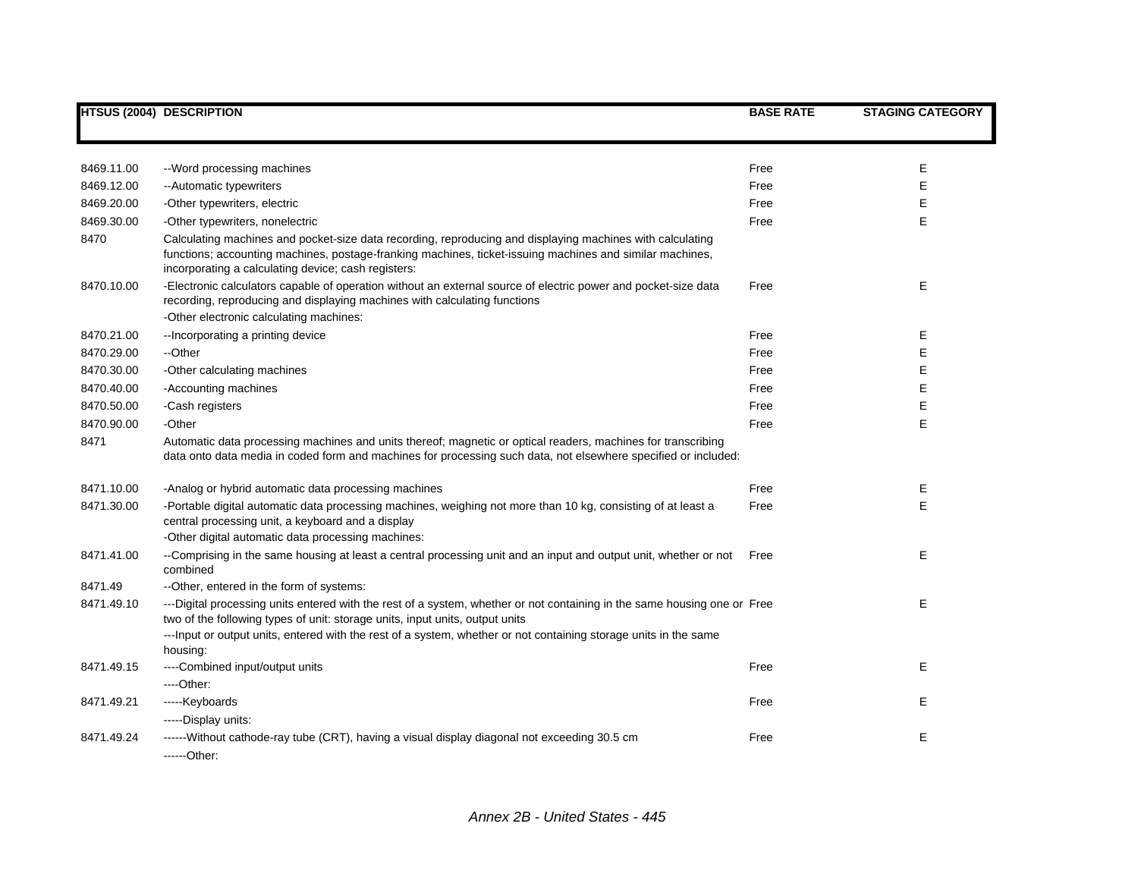|            | <b>HTSUS (2004) DESCRIPTION</b>                                                                                                                                                                                                                                              | <b>BASE RATE</b> | <b>STAGING CATEGORY</b> |
|------------|------------------------------------------------------------------------------------------------------------------------------------------------------------------------------------------------------------------------------------------------------------------------------|------------------|-------------------------|
|            |                                                                                                                                                                                                                                                                              |                  |                         |
| 8469.11.00 | --Word processing machines                                                                                                                                                                                                                                                   | Free             | Е                       |
| 8469.12.00 | --Automatic typewriters                                                                                                                                                                                                                                                      | Free             | E                       |
| 8469.20.00 | -Other typewriters, electric                                                                                                                                                                                                                                                 | Free             | E                       |
| 8469.30.00 | -Other typewriters, nonelectric                                                                                                                                                                                                                                              | Free             | E.                      |
| 8470       | Calculating machines and pocket-size data recording, reproducing and displaying machines with calculating<br>functions; accounting machines, postage-franking machines, ticket-issuing machines and similar machines,<br>incorporating a calculating device; cash registers: |                  |                         |
| 8470.10.00 | -Electronic calculators capable of operation without an external source of electric power and pocket-size data<br>recording, reproducing and displaying machines with calculating functions<br>-Other electronic calculating machines:                                       | Free             | Е                       |
| 8470.21.00 | -- Incorporating a printing device                                                                                                                                                                                                                                           | Free             | Е                       |
| 8470.29.00 | --Other                                                                                                                                                                                                                                                                      | Free             | Е                       |
| 8470.30.00 | -Other calculating machines                                                                                                                                                                                                                                                  | Free             | Ε                       |
| 8470.40.00 | -Accounting machines                                                                                                                                                                                                                                                         | Free             | Е                       |
| 8470.50.00 | -Cash registers                                                                                                                                                                                                                                                              | Free             | E                       |
| 8470.90.00 | -Other                                                                                                                                                                                                                                                                       | Free             | E                       |
| 8471       | Automatic data processing machines and units thereof; magnetic or optical readers, machines for transcribing<br>data onto data media in coded form and machines for processing such data, not elsewhere specified or included:                                               |                  |                         |
| 8471.10.00 | -Analog or hybrid automatic data processing machines                                                                                                                                                                                                                         | Free             | Е                       |
| 8471.30.00 | -Portable digital automatic data processing machines, weighing not more than 10 kg, consisting of at least a<br>central processing unit, a keyboard and a display                                                                                                            | Free             | E                       |
|            | -Other digital automatic data processing machines:                                                                                                                                                                                                                           |                  |                         |
| 8471.41.00 | --Comprising in the same housing at least a central processing unit and an input and output unit, whether or not<br>combined                                                                                                                                                 | Free             | Е                       |
| 8471.49    | --Other, entered in the form of systems:                                                                                                                                                                                                                                     |                  |                         |
| 8471.49.10 | ---Digital processing units entered with the rest of a system, whether or not containing in the same housing one or Free<br>two of the following types of unit: storage units, input units, output units                                                                     |                  | E                       |
|            | ---lnput or output units, entered with the rest of a system, whether or not containing storage units in the same<br>housing:                                                                                                                                                 |                  |                         |
| 8471.49.15 | ----Combined input/output units                                                                                                                                                                                                                                              | Free             | E                       |
|            | ---Other:                                                                                                                                                                                                                                                                    |                  |                         |
| 8471.49.21 | -----Keyboards                                                                                                                                                                                                                                                               | Free             | Е                       |
|            | -----Display units:                                                                                                                                                                                                                                                          |                  |                         |
| 8471.49.24 | -----Without cathode-ray tube (CRT), having a visual display diagonal not exceeding 30.5 cm<br>------Other:                                                                                                                                                                  | Free             | E                       |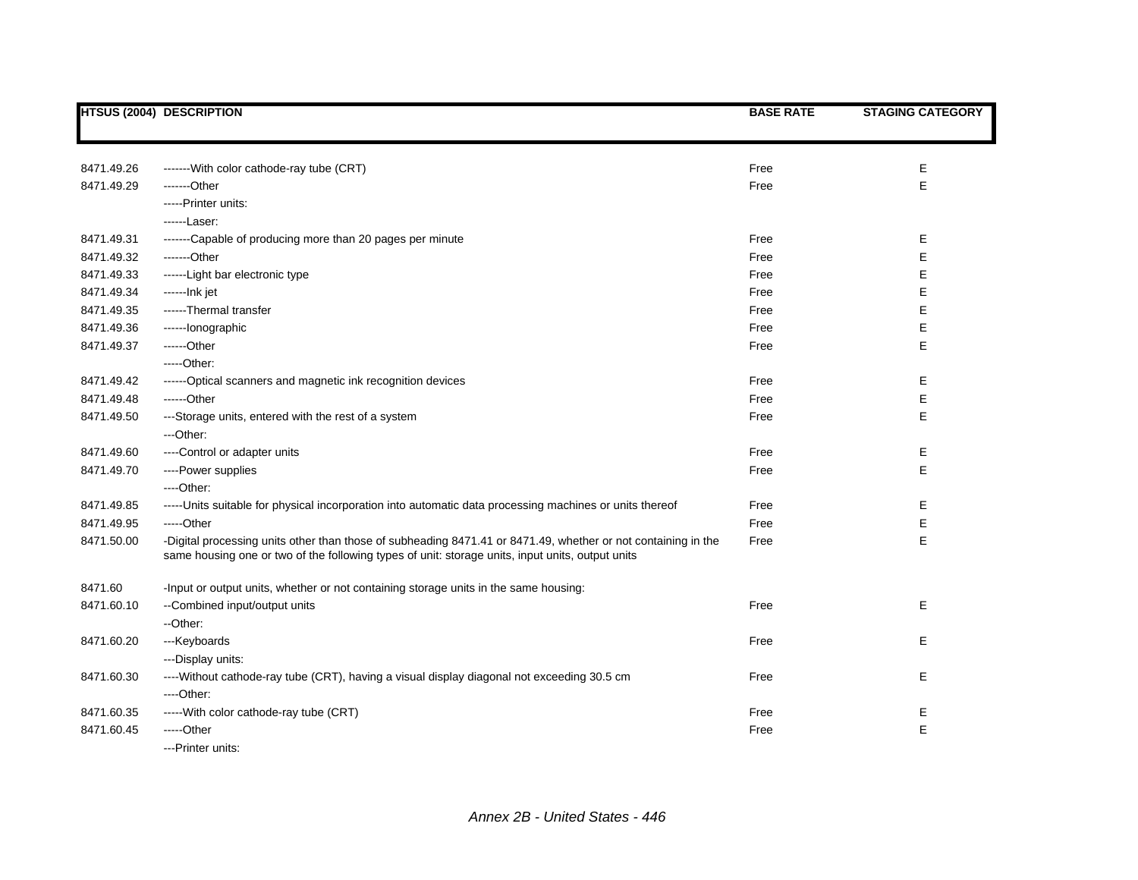|            | <b>HTSUS (2004) DESCRIPTION</b>                                                                                                                                                                                   | <b>BASE RATE</b> | <b>STAGING CATEGORY</b> |
|------------|-------------------------------------------------------------------------------------------------------------------------------------------------------------------------------------------------------------------|------------------|-------------------------|
|            |                                                                                                                                                                                                                   |                  |                         |
| 8471.49.26 | -------With color cathode-ray tube (CRT)                                                                                                                                                                          | Free             | Е                       |
| 8471.49.29 | -------Other                                                                                                                                                                                                      | Free             | E                       |
|            | -----Printer units:                                                                                                                                                                                               |                  |                         |
|            | ------Laser:                                                                                                                                                                                                      |                  |                         |
| 8471.49.31 | -------Capable of producing more than 20 pages per minute                                                                                                                                                         | Free             | Е                       |
| 8471.49.32 | -------Other                                                                                                                                                                                                      | Free             | Е                       |
| 8471.49.33 | ------Light bar electronic type                                                                                                                                                                                   | Free             | Е                       |
| 8471.49.34 | ------lnk jet                                                                                                                                                                                                     | Free             | Е                       |
| 8471.49.35 | ------Thermal transfer                                                                                                                                                                                            | Free             | E                       |
| 8471.49.36 | ------lonographic                                                                                                                                                                                                 | Free             | E                       |
| 8471.49.37 | ------Other                                                                                                                                                                                                       | Free             | E                       |
|            | $---Other:$                                                                                                                                                                                                       |                  |                         |
| 8471.49.42 | ------Optical scanners and magnetic ink recognition devices                                                                                                                                                       | Free             | Е                       |
| 8471.49.48 | $---Other$                                                                                                                                                                                                        | Free             | E                       |
| 8471.49.50 | ---Storage units, entered with the rest of a system                                                                                                                                                               | Free             | E                       |
|            | ---Other:                                                                                                                                                                                                         |                  |                         |
| 8471.49.60 | ----Control or adapter units                                                                                                                                                                                      | Free             | Е                       |
| 8471.49.70 | ----Power supplies                                                                                                                                                                                                | Free             | E                       |
|            | ----Other:                                                                                                                                                                                                        |                  |                         |
| 8471.49.85 | ----- Units suitable for physical incorporation into automatic data processing machines or units thereof                                                                                                          | Free             | Е                       |
| 8471.49.95 | -----Other                                                                                                                                                                                                        | Free             | E                       |
| 8471.50.00 | -Digital processing units other than those of subheading 8471.41 or 8471.49, whether or not containing in the<br>same housing one or two of the following types of unit: storage units, input units, output units | Free             | E                       |
| 8471.60    | -Input or output units, whether or not containing storage units in the same housing:                                                                                                                              |                  |                         |
| 8471.60.10 | --Combined input/output units                                                                                                                                                                                     | Free             | Е                       |
|            | --Other:                                                                                                                                                                                                          |                  |                         |
| 8471.60.20 | ---Keyboards                                                                                                                                                                                                      | Free             | Е                       |
|            | ---Display units:                                                                                                                                                                                                 |                  |                         |
| 8471.60.30 | ----Without cathode-ray tube (CRT), having a visual display diagonal not exceeding 30.5 cm                                                                                                                        | Free             | Е                       |
|            | ----Other:                                                                                                                                                                                                        |                  |                         |
| 8471.60.35 | -----With color cathode-ray tube (CRT)                                                                                                                                                                            | Free             | Е                       |
| 8471.60.45 | -----Other                                                                                                                                                                                                        | Free             | E                       |
|            | ---Printer units:                                                                                                                                                                                                 |                  |                         |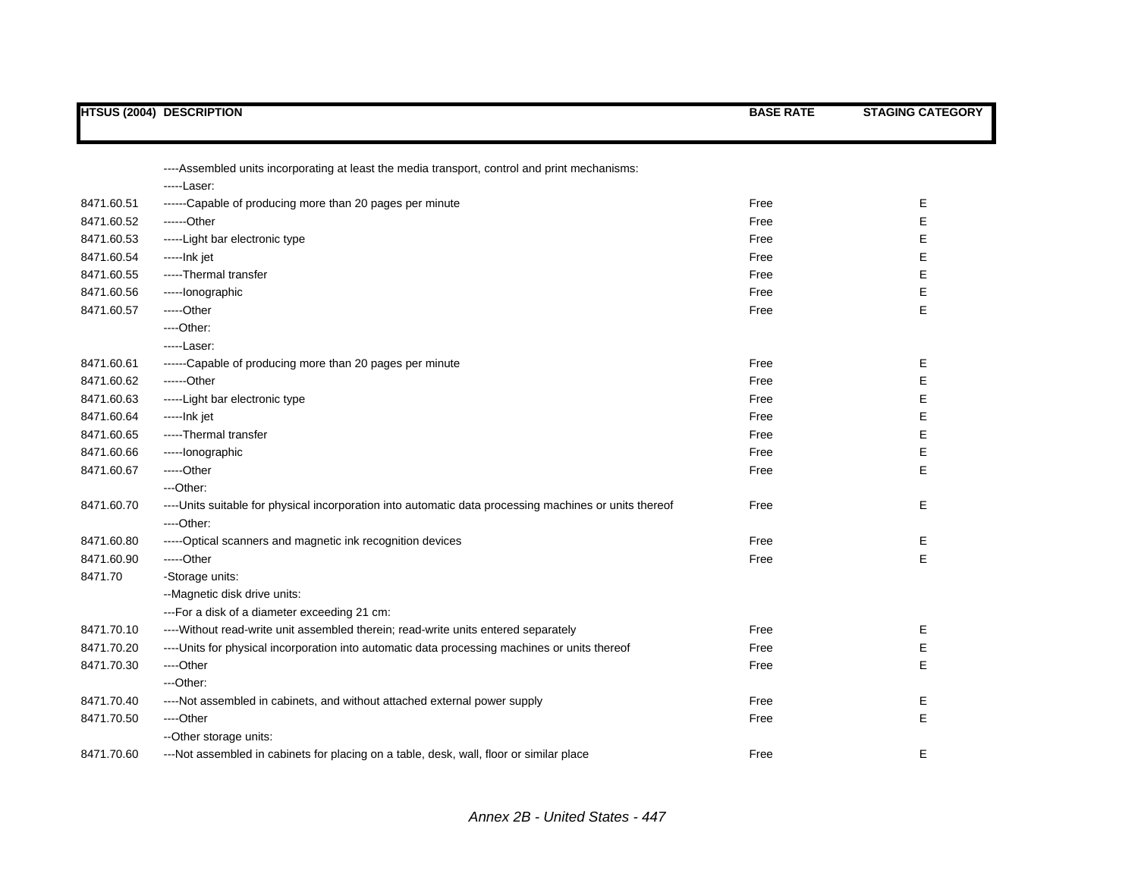|            | <b>HTSUS (2004) DESCRIPTION</b>                                                                        | <b>BASE RATE</b> | <b>STAGING CATEGORY</b> |
|------------|--------------------------------------------------------------------------------------------------------|------------------|-------------------------|
|            |                                                                                                        |                  |                         |
|            | ----Assembled units incorporating at least the media transport, control and print mechanisms:          |                  |                         |
|            | -----Laser:                                                                                            |                  |                         |
| 8471.60.51 | ------Capable of producing more than 20 pages per minute                                               | Free             | Е                       |
| 8471.60.52 | ------Other                                                                                            | Free             | Ε                       |
| 8471.60.53 | -----Light bar electronic type                                                                         | Free             | E                       |
| 8471.60.54 | -----Ink jet                                                                                           | Free             | E                       |
| 8471.60.55 | -----Thermal transfer                                                                                  | Free             | E                       |
| 8471.60.56 | -----lonographic                                                                                       | Free             | E                       |
| 8471.60.57 | -----Other                                                                                             | Free             | E                       |
|            | ---Other:                                                                                              |                  |                         |
|            | -----Laser:                                                                                            |                  |                         |
| 8471.60.61 | ------Capable of producing more than 20 pages per minute                                               | Free             | E                       |
| 8471.60.62 | ------Other                                                                                            | Free             | Е                       |
| 8471.60.63 | -----Light bar electronic type                                                                         | Free             | Ε                       |
| 8471.60.64 | -----Ink jet                                                                                           | Free             | Ε                       |
| 8471.60.65 | -----Thermal transfer                                                                                  | Free             | E                       |
| 8471.60.66 | -----lonographic                                                                                       | Free             | Ε                       |
| 8471.60.67 | -----Other                                                                                             | Free             | E                       |
|            | ---Other:                                                                                              |                  |                         |
| 8471.60.70 | ----Units suitable for physical incorporation into automatic data processing machines or units thereof | Free             | Е                       |
|            | ----Other:                                                                                             |                  |                         |
| 8471.60.80 | -----Optical scanners and magnetic ink recognition devices                                             | Free             | Е                       |
| 8471.60.90 | $---Other$                                                                                             | Free             | E                       |
| 8471.70    | -Storage units:                                                                                        |                  |                         |
|            | --Magnetic disk drive units:                                                                           |                  |                         |
|            | --- For a disk of a diameter exceeding 21 cm:                                                          |                  |                         |
| 8471.70.10 | ---- Without read-write unit assembled therein; read-write units entered separately                    | Free             | Е                       |
| 8471.70.20 | ----Units for physical incorporation into automatic data processing machines or units thereof          | Free             | Ε                       |
| 8471.70.30 | ----Other                                                                                              | Free             | E                       |
|            | ---Other:                                                                                              |                  |                         |
| 8471.70.40 | ----Not assembled in cabinets, and without attached external power supply                              | Free             | Е                       |
| 8471.70.50 | ----Other                                                                                              | Free             | E                       |
|            | -- Other storage units:                                                                                |                  |                         |
| 8471.70.60 | ---Not assembled in cabinets for placing on a table, desk, wall, floor or similar place                | Free             | E                       |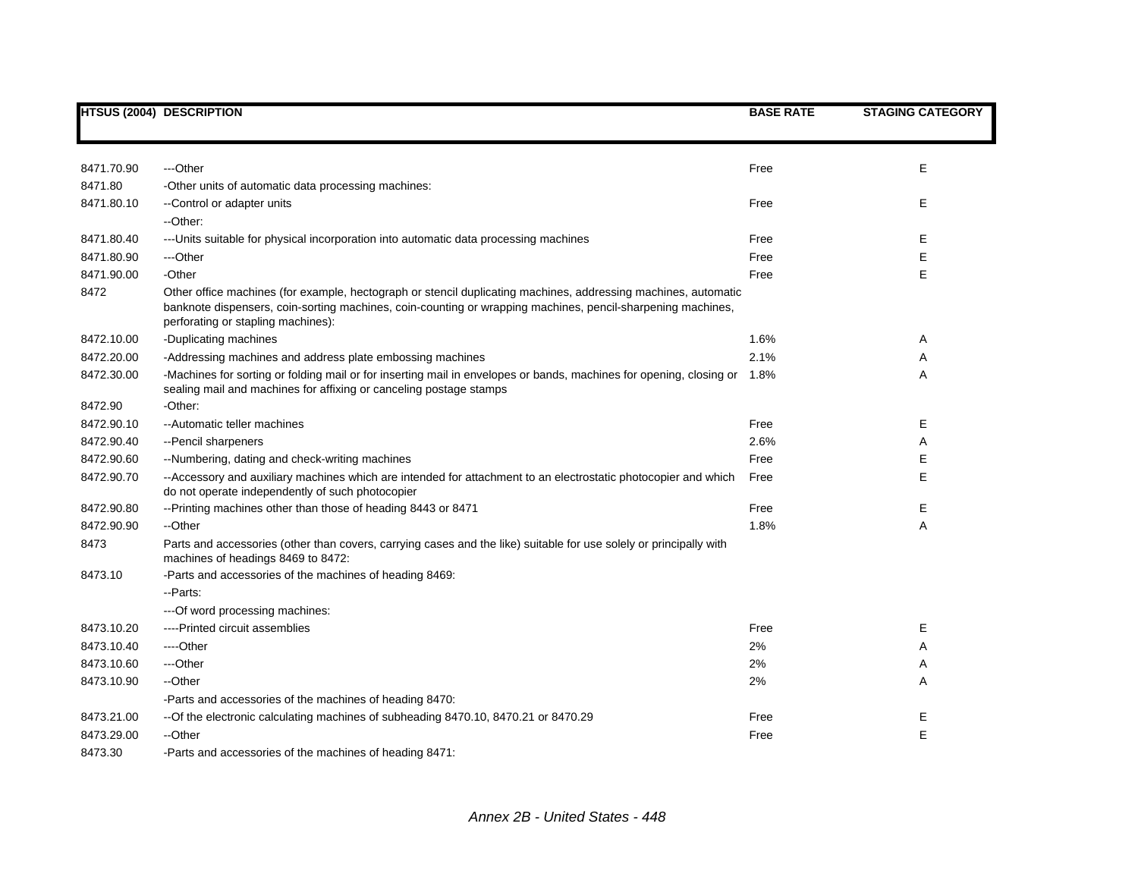|            | <b>HTSUS (2004) DESCRIPTION</b>                                                                                                                                                                                                                                     | <b>BASE RATE</b> | <b>STAGING CATEGORY</b> |
|------------|---------------------------------------------------------------------------------------------------------------------------------------------------------------------------------------------------------------------------------------------------------------------|------------------|-------------------------|
|            |                                                                                                                                                                                                                                                                     |                  |                         |
| 8471.70.90 | ---Other                                                                                                                                                                                                                                                            | Free             | Е                       |
| 8471.80    | -Other units of automatic data processing machines:                                                                                                                                                                                                                 |                  |                         |
| 8471.80.10 | --Control or adapter units<br>--Other:                                                                                                                                                                                                                              | Free             | E.                      |
| 8471.80.40 | --- Units suitable for physical incorporation into automatic data processing machines                                                                                                                                                                               | Free             | Е                       |
| 8471.80.90 | ---Other                                                                                                                                                                                                                                                            | Free             | E                       |
| 8471.90.00 | -Other                                                                                                                                                                                                                                                              | Free             | E                       |
| 8472       | Other office machines (for example, hectograph or stencil duplicating machines, addressing machines, automatic<br>banknote dispensers, coin-sorting machines, coin-counting or wrapping machines, pencil-sharpening machines,<br>perforating or stapling machines): |                  |                         |
| 8472.10.00 | -Duplicating machines                                                                                                                                                                                                                                               | 1.6%             | Α                       |
| 8472.20.00 | -Addressing machines and address plate embossing machines                                                                                                                                                                                                           | 2.1%             | Α                       |
| 8472.30.00 | -Machines for sorting or folding mail or for inserting mail in envelopes or bands, machines for opening, closing or 1.8%<br>sealing mail and machines for affixing or canceling postage stamps                                                                      |                  | A                       |
| 8472.90    | -Other:                                                                                                                                                                                                                                                             |                  |                         |
| 8472.90.10 | --Automatic teller machines                                                                                                                                                                                                                                         | Free             | Е                       |
| 8472.90.40 | -- Pencil sharpeners                                                                                                                                                                                                                                                | 2.6%             | Α                       |
| 8472.90.60 | --Numbering, dating and check-writing machines                                                                                                                                                                                                                      | Free             | Е                       |
| 8472.90.70 | --Accessory and auxiliary machines which are intended for attachment to an electrostatic photocopier and which<br>do not operate independently of such photocopier                                                                                                  | Free             | E                       |
| 8472.90.80 | --Printing machines other than those of heading 8443 or 8471                                                                                                                                                                                                        | Free             | Е                       |
| 8472.90.90 | --Other                                                                                                                                                                                                                                                             | 1.8%             | A                       |
| 8473       | Parts and accessories (other than covers, carrying cases and the like) suitable for use solely or principally with<br>machines of headings 8469 to 8472:                                                                                                            |                  |                         |
| 8473.10    | -Parts and accessories of the machines of heading 8469:                                                                                                                                                                                                             |                  |                         |
|            | - Parts:                                                                                                                                                                                                                                                            |                  |                         |
|            | --- Of word processing machines:                                                                                                                                                                                                                                    |                  |                         |
| 8473.10.20 | ----Printed circuit assemblies                                                                                                                                                                                                                                      | Free             | Е                       |
| 8473.10.40 | ----Other                                                                                                                                                                                                                                                           | 2%               | Α                       |
| 8473.10.60 | ---Other                                                                                                                                                                                                                                                            | 2%               | Α                       |
| 8473.10.90 | --Other                                                                                                                                                                                                                                                             | 2%               | A                       |
|            | -Parts and accessories of the machines of heading 8470:                                                                                                                                                                                                             |                  |                         |
| 8473.21.00 | --Of the electronic calculating machines of subheading 8470.10, 8470.21 or 8470.29                                                                                                                                                                                  | Free             | Ε                       |
| 8473.29.00 | --Other                                                                                                                                                                                                                                                             | Free             | E                       |
| 8473.30    | -Parts and accessories of the machines of heading 8471:                                                                                                                                                                                                             |                  |                         |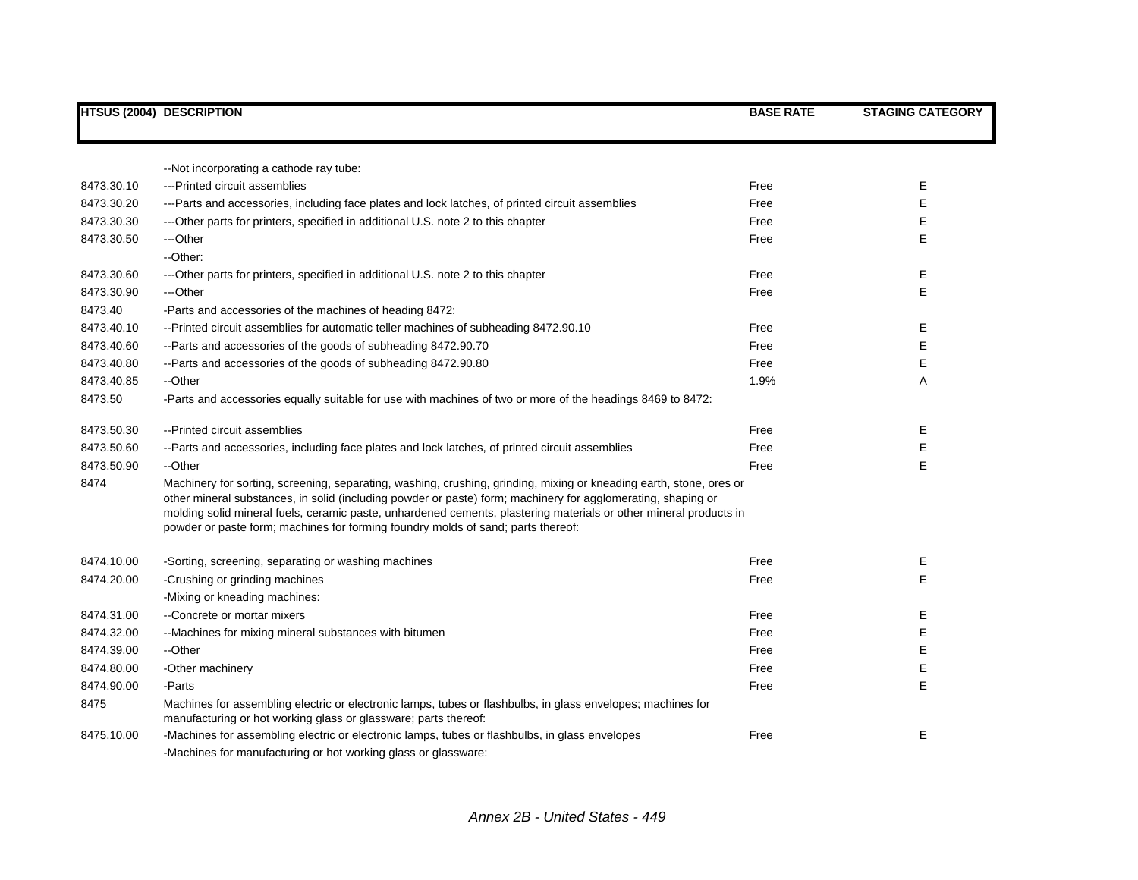|            | <b>HTSUS (2004) DESCRIPTION</b>                                                                                                                                                                                                                                                                                                                                                                                                              | <b>BASE RATE</b> | <b>STAGING CATEGORY</b> |
|------------|----------------------------------------------------------------------------------------------------------------------------------------------------------------------------------------------------------------------------------------------------------------------------------------------------------------------------------------------------------------------------------------------------------------------------------------------|------------------|-------------------------|
|            |                                                                                                                                                                                                                                                                                                                                                                                                                                              |                  |                         |
|            | --Not incorporating a cathode ray tube:                                                                                                                                                                                                                                                                                                                                                                                                      |                  |                         |
| 8473.30.10 | ---Printed circuit assemblies                                                                                                                                                                                                                                                                                                                                                                                                                | Free             | Е                       |
| 8473.30.20 | ---Parts and accessories, including face plates and lock latches, of printed circuit assemblies                                                                                                                                                                                                                                                                                                                                              | Free             | E                       |
| 8473.30.30 | ---Other parts for printers, specified in additional U.S. note 2 to this chapter                                                                                                                                                                                                                                                                                                                                                             | Free             | Е                       |
| 8473.30.50 | ---Other                                                                                                                                                                                                                                                                                                                                                                                                                                     | Free             | $\mathsf{E}$            |
|            | --Other:                                                                                                                                                                                                                                                                                                                                                                                                                                     |                  |                         |
| 8473.30.60 | ---Other parts for printers, specified in additional U.S. note 2 to this chapter                                                                                                                                                                                                                                                                                                                                                             | Free             | Е                       |
| 8473.30.90 | ---Other                                                                                                                                                                                                                                                                                                                                                                                                                                     | Free             | E                       |
| 8473.40    | -Parts and accessories of the machines of heading 8472:                                                                                                                                                                                                                                                                                                                                                                                      |                  |                         |
| 8473.40.10 | --Printed circuit assemblies for automatic teller machines of subheading 8472.90.10                                                                                                                                                                                                                                                                                                                                                          | Free             | Е                       |
| 8473.40.60 | --Parts and accessories of the goods of subheading 8472.90.70                                                                                                                                                                                                                                                                                                                                                                                | Free             | $\mathsf{E}$            |
| 8473.40.80 | --Parts and accessories of the goods of subheading 8472.90.80                                                                                                                                                                                                                                                                                                                                                                                | Free             | Е                       |
| 8473.40.85 | --Other                                                                                                                                                                                                                                                                                                                                                                                                                                      | 1.9%             | Α                       |
| 8473.50    | -Parts and accessories equally suitable for use with machines of two or more of the headings 8469 to 8472:                                                                                                                                                                                                                                                                                                                                   |                  |                         |
| 8473.50.30 | --Printed circuit assemblies                                                                                                                                                                                                                                                                                                                                                                                                                 | Free             | Ε                       |
| 8473.50.60 | --Parts and accessories, including face plates and lock latches, of printed circuit assemblies                                                                                                                                                                                                                                                                                                                                               | Free             | Ε                       |
| 8473.50.90 | --Other                                                                                                                                                                                                                                                                                                                                                                                                                                      | Free             | E                       |
| 8474       | Machinery for sorting, screening, separating, washing, crushing, grinding, mixing or kneading earth, stone, ores or<br>other mineral substances, in solid (including powder or paste) form; machinery for agglomerating, shaping or<br>molding solid mineral fuels, ceramic paste, unhardened cements, plastering materials or other mineral products in<br>powder or paste form; machines for forming foundry molds of sand; parts thereof: |                  |                         |
| 8474.10.00 | -Sorting, screening, separating or washing machines                                                                                                                                                                                                                                                                                                                                                                                          | Free             | Ε                       |
| 8474.20.00 | -Crushing or grinding machines                                                                                                                                                                                                                                                                                                                                                                                                               | Free             | E                       |
|            | -Mixing or kneading machines:                                                                                                                                                                                                                                                                                                                                                                                                                |                  |                         |
| 8474.31.00 | --Concrete or mortar mixers                                                                                                                                                                                                                                                                                                                                                                                                                  | Free             | Е                       |
| 8474.32.00 | --Machines for mixing mineral substances with bitumen                                                                                                                                                                                                                                                                                                                                                                                        | Free             | E                       |
| 8474.39.00 | --Other                                                                                                                                                                                                                                                                                                                                                                                                                                      | Free             | E                       |
| 8474.80.00 | -Other machinery                                                                                                                                                                                                                                                                                                                                                                                                                             | Free             | Е                       |
| 8474.90.00 | -Parts                                                                                                                                                                                                                                                                                                                                                                                                                                       | Free             | E                       |
| 8475       | Machines for assembling electric or electronic lamps, tubes or flashbulbs, in glass envelopes; machines for<br>manufacturing or hot working glass or glassware; parts thereof:                                                                                                                                                                                                                                                               |                  |                         |
| 8475.10.00 | -Machines for assembling electric or electronic lamps, tubes or flashbulbs, in glass envelopes                                                                                                                                                                                                                                                                                                                                               | Free             | Ε                       |
|            | -Machines for manufacturing or hot working glass or glassware:                                                                                                                                                                                                                                                                                                                                                                               |                  |                         |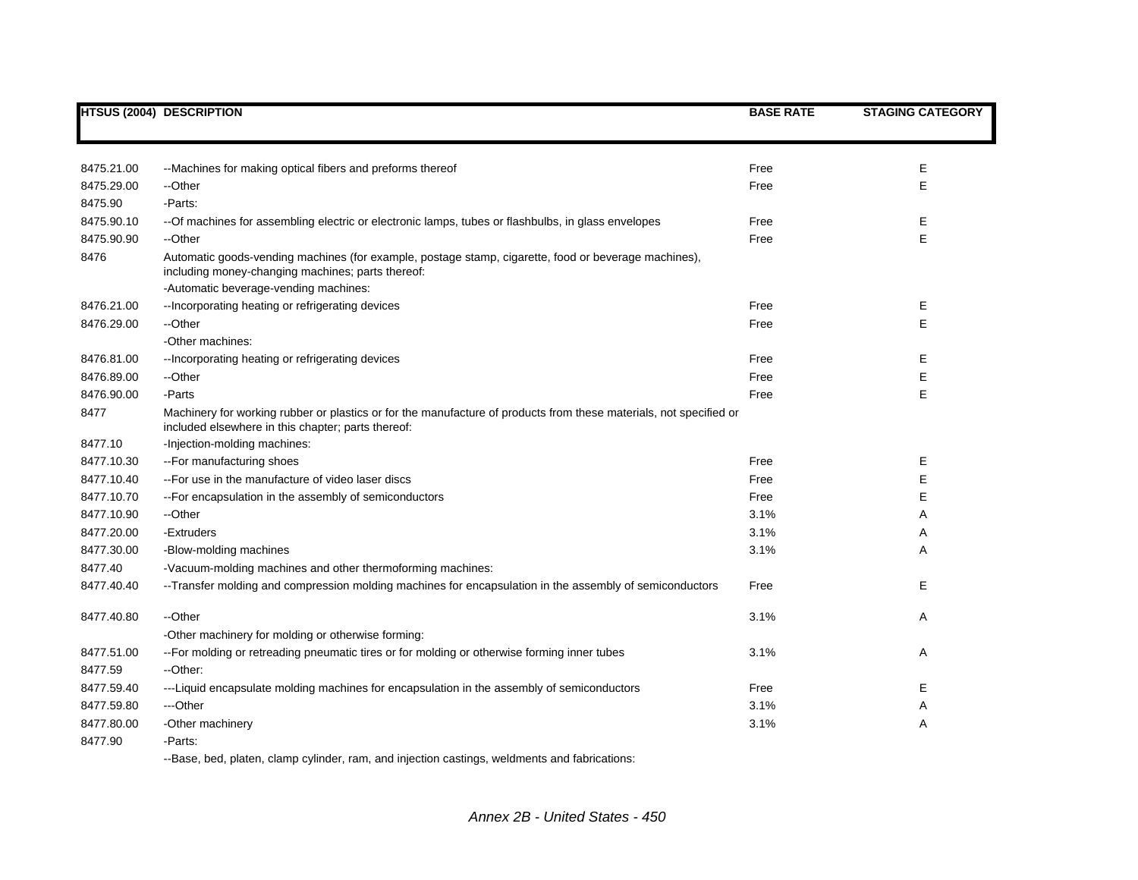|            | <b>HTSUS (2004) DESCRIPTION</b>                                                                                                                                          | <b>BASE RATE</b> | <b>STAGING CATEGORY</b> |
|------------|--------------------------------------------------------------------------------------------------------------------------------------------------------------------------|------------------|-------------------------|
|            |                                                                                                                                                                          |                  |                         |
| 8475.21.00 | --Machines for making optical fibers and preforms thereof                                                                                                                | Free             | E                       |
| 8475.29.00 | --Other                                                                                                                                                                  | Free             | E                       |
| 8475.90    | -Parts:                                                                                                                                                                  |                  |                         |
| 8475.90.10 | -- Of machines for assembling electric or electronic lamps, tubes or flashbulbs, in glass envelopes                                                                      | Free             | Е                       |
| 8475.90.90 | --Other                                                                                                                                                                  | Free             | E                       |
| 8476       | Automatic goods-vending machines (for example, postage stamp, cigarette, food or beverage machines),<br>including money-changing machines; parts thereof:                |                  |                         |
| 8476.21.00 | -Automatic beverage-vending machines:<br>--Incorporating heating or refrigerating devices                                                                                | Free             | Е                       |
| 8476.29.00 | --Other                                                                                                                                                                  | Free             | E                       |
|            | -Other machines:                                                                                                                                                         |                  |                         |
| 8476.81.00 | --Incorporating heating or refrigerating devices                                                                                                                         | Free             | Е                       |
| 8476.89.00 | --Other                                                                                                                                                                  | Free             | E                       |
| 8476.90.00 | -Parts                                                                                                                                                                   | Free             | E                       |
| 8477       | Machinery for working rubber or plastics or for the manufacture of products from these materials, not specified or<br>included elsewhere in this chapter; parts thereof: |                  |                         |
| 8477.10    | -Injection-molding machines:                                                                                                                                             |                  |                         |
| 8477.10.30 | -- For manufacturing shoes                                                                                                                                               | Free             | Е                       |
| 8477.10.40 | -- For use in the manufacture of video laser discs                                                                                                                       | Free             | E                       |
| 8477.10.70 | -- For encapsulation in the assembly of semiconductors                                                                                                                   | Free             | Е                       |
| 8477.10.90 | --Other                                                                                                                                                                  | 3.1%             | Α                       |
| 8477.20.00 | -Extruders                                                                                                                                                               | 3.1%             | Α                       |
| 8477.30.00 | -Blow-molding machines                                                                                                                                                   | 3.1%             | A                       |
| 8477.40    | -Vacuum-molding machines and other thermoforming machines:                                                                                                               |                  |                         |
| 8477.40.40 | --Transfer molding and compression molding machines for encapsulation in the assembly of semiconductors                                                                  | Free             | Е                       |
| 8477.40.80 | --Other                                                                                                                                                                  | 3.1%             | Α                       |
|            | -Other machinery for molding or otherwise forming:                                                                                                                       |                  |                         |
| 8477.51.00 | -- For molding or retreading pneumatic tires or for molding or otherwise forming inner tubes                                                                             | 3.1%             | A                       |
| 8477.59    | --Other:                                                                                                                                                                 |                  |                         |
| 8477.59.40 | ---Liquid encapsulate molding machines for encapsulation in the assembly of semiconductors                                                                               | Free             | Е                       |
| 8477.59.80 | ---Other                                                                                                                                                                 | 3.1%             | Α                       |
| 8477.80.00 | -Other machinery                                                                                                                                                         | 3.1%             | Α                       |
| 8477.90    | -Parts:                                                                                                                                                                  |                  |                         |

--Base, bed, platen, clamp cylinder, ram, and injection castings, weldments and fabrications: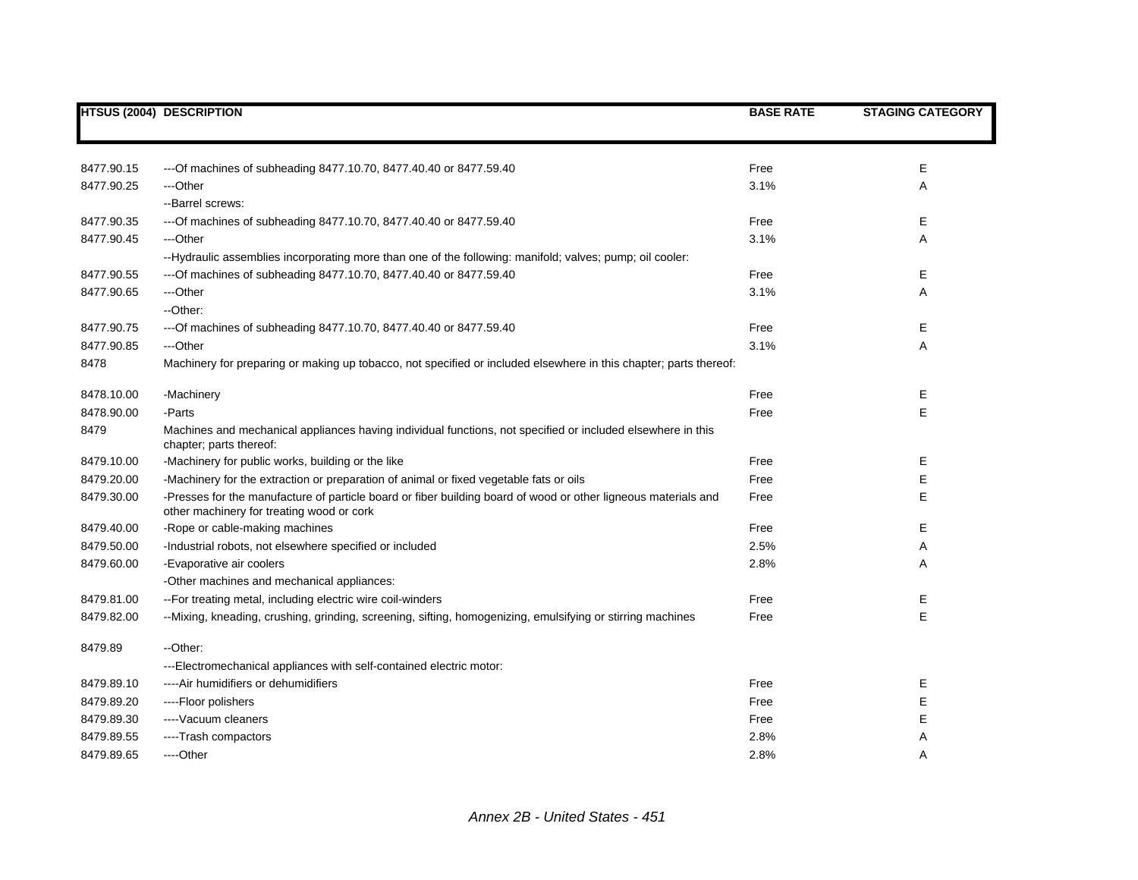|            | <b>HTSUS (2004) DESCRIPTION</b>                                                                                                                             | <b>BASE RATE</b> | <b>STAGING CATEGORY</b> |
|------------|-------------------------------------------------------------------------------------------------------------------------------------------------------------|------------------|-------------------------|
|            |                                                                                                                                                             |                  |                         |
| 8477.90.15 | --- Of machines of subheading 8477.10.70, 8477.40.40 or 8477.59.40                                                                                          | Free             | Е                       |
| 8477.90.25 | ---Other                                                                                                                                                    | 3.1%             | Α                       |
|            | --Barrel screws:                                                                                                                                            |                  |                         |
| 8477.90.35 | --- Of machines of subheading 8477.10.70, 8477.40.40 or 8477.59.40                                                                                          | Free             | Е                       |
| 8477.90.45 | ---Other                                                                                                                                                    | 3.1%             | Α                       |
|            | --Hydraulic assemblies incorporating more than one of the following: manifold; valves; pump; oil cooler:                                                    |                  |                         |
| 8477.90.55 | --- Of machines of subheading 8477.10.70, 8477.40.40 or 8477.59.40                                                                                          | Free             | Е                       |
| 8477.90.65 | ---Other                                                                                                                                                    | 3.1%             | Α                       |
|            | --Other:                                                                                                                                                    |                  |                         |
| 8477.90.75 | --- Of machines of subheading 8477.10.70, 8477.40.40 or 8477.59.40                                                                                          | Free             | Ε                       |
| 8477.90.85 | ---Other                                                                                                                                                    | 3.1%             | Α                       |
| 8478       | Machinery for preparing or making up tobacco, not specified or included elsewhere in this chapter; parts thereof:                                           |                  |                         |
| 8478.10.00 | -Machinery                                                                                                                                                  | Free             | Е                       |
| 8478.90.00 | -Parts                                                                                                                                                      | Free             | E                       |
| 8479       | Machines and mechanical appliances having individual functions, not specified or included elsewhere in this<br>chapter; parts thereof:                      |                  |                         |
| 8479.10.00 | -Machinery for public works, building or the like                                                                                                           | Free             | Е                       |
| 8479.20.00 | -Machinery for the extraction or preparation of animal or fixed vegetable fats or oils                                                                      | Free             | E                       |
| 8479.30.00 | -Presses for the manufacture of particle board or fiber building board of wood or other ligneous materials and<br>other machinery for treating wood or cork | Free             | E                       |
| 8479.40.00 | -Rope or cable-making machines                                                                                                                              | Free             | E                       |
| 8479.50.00 | -Industrial robots, not elsewhere specified or included                                                                                                     | 2.5%             | Α                       |
| 8479.60.00 | -Evaporative air coolers                                                                                                                                    | 2.8%             | Α                       |
|            | -Other machines and mechanical appliances:                                                                                                                  |                  |                         |
| 8479.81.00 | -- For treating metal, including electric wire coil-winders                                                                                                 | Free             | Е                       |
| 8479.82.00 | --Mixing, kneading, crushing, grinding, screening, sifting, homogenizing, emulsifying or stirring machines                                                  | Free             | E                       |
| 8479.89    | --Other:                                                                                                                                                    |                  |                         |
|            | ---Electromechanical appliances with self-contained electric motor:                                                                                         |                  |                         |
| 8479.89.10 | ---- Air humidifiers or dehumidifiers                                                                                                                       | Free             | Ε                       |
| 8479.89.20 | ----Floor polishers                                                                                                                                         | Free             | E                       |
| 8479.89.30 | ---- Vacuum cleaners                                                                                                                                        | Free             | E                       |
| 8479.89.55 | ----Trash compactors                                                                                                                                        | 2.8%             | Α                       |
| 8479.89.65 | ---Other                                                                                                                                                    | 2.8%             | Α                       |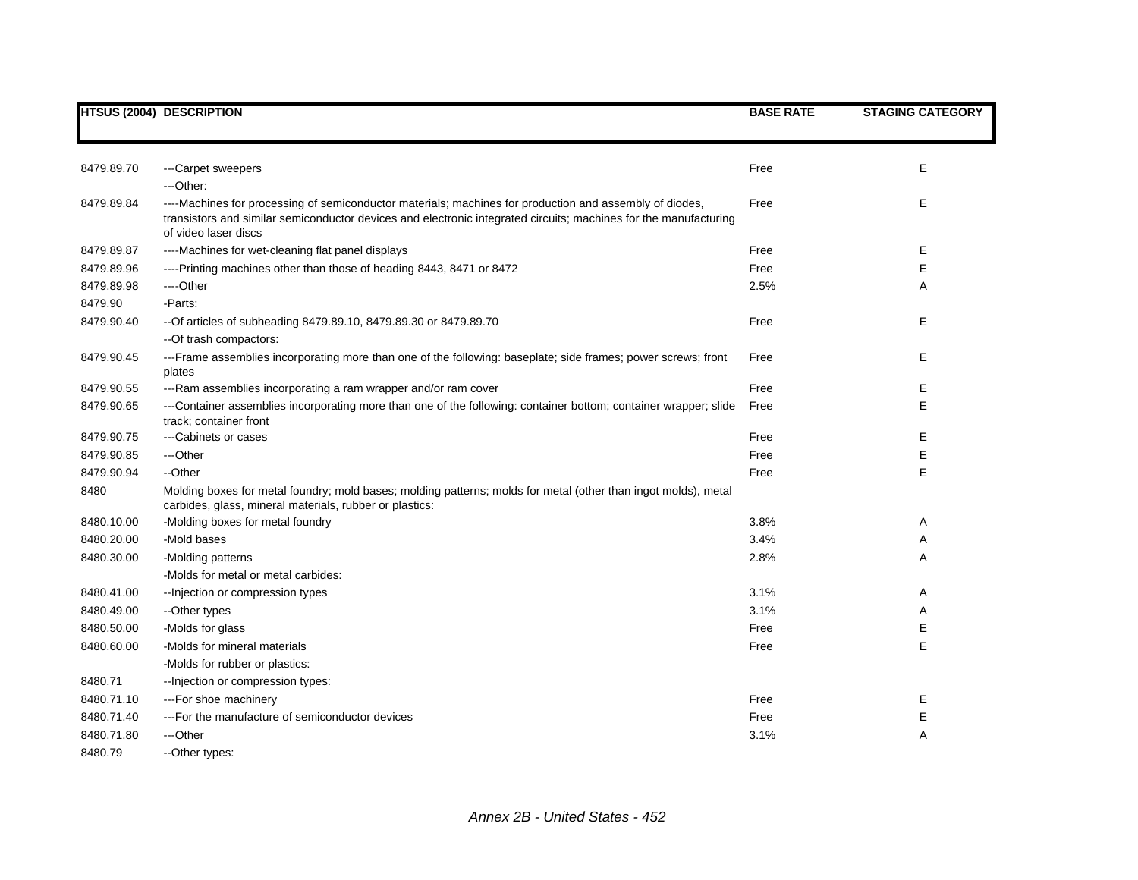|            | <b>HTSUS (2004) DESCRIPTION</b>                                                                                                                                                                                                                     | <b>BASE RATE</b> | <b>STAGING CATEGORY</b> |
|------------|-----------------------------------------------------------------------------------------------------------------------------------------------------------------------------------------------------------------------------------------------------|------------------|-------------------------|
|            |                                                                                                                                                                                                                                                     |                  |                         |
|            |                                                                                                                                                                                                                                                     |                  |                         |
| 8479.89.70 | ---Carpet sweepers                                                                                                                                                                                                                                  | Free             | E                       |
|            | $-$ Other:                                                                                                                                                                                                                                          |                  |                         |
| 8479.89.84 | ----Machines for processing of semiconductor materials; machines for production and assembly of diodes,<br>transistors and similar semiconductor devices and electronic integrated circuits; machines for the manufacturing<br>of video laser discs | Free             | E                       |
| 8479.89.87 | ----Machines for wet-cleaning flat panel displays                                                                                                                                                                                                   | Free             | Е                       |
| 8479.89.96 | ----Printing machines other than those of heading 8443, 8471 or 8472                                                                                                                                                                                | Free             | E                       |
| 8479.89.98 | ----Other                                                                                                                                                                                                                                           | 2.5%             | Α                       |
| 8479.90    | -Parts:                                                                                                                                                                                                                                             |                  |                         |
| 8479.90.40 | -- Of articles of subheading 8479.89.10, 8479.89.30 or 8479.89.70                                                                                                                                                                                   | Free             | E                       |
|            | -- Of trash compactors:                                                                                                                                                                                                                             |                  |                         |
| 8479.90.45 | ---Frame assemblies incorporating more than one of the following: baseplate; side frames; power screws; front<br>plates                                                                                                                             | Free             | E                       |
| 8479.90.55 | ---Ram assemblies incorporating a ram wrapper and/or ram cover                                                                                                                                                                                      | Free             | Е                       |
| 8479.90.65 | ---Container assemblies incorporating more than one of the following: container bottom; container wrapper; slide<br>track; container front                                                                                                          | Free             | Е                       |
| 8479.90.75 | ---Cabinets or cases                                                                                                                                                                                                                                | Free             | Е                       |
| 8479.90.85 | ---Other                                                                                                                                                                                                                                            | Free             | E                       |
| 8479.90.94 | --Other                                                                                                                                                                                                                                             | Free             | E                       |
| 8480       | Molding boxes for metal foundry; mold bases; molding patterns; molds for metal (other than ingot molds), metal<br>carbides, glass, mineral materials, rubber or plastics:                                                                           |                  |                         |
| 8480.10.00 | -Molding boxes for metal foundry                                                                                                                                                                                                                    | 3.8%             | Α                       |
| 8480.20.00 | -Mold bases                                                                                                                                                                                                                                         | 3.4%             | Α                       |
| 8480.30.00 | -Molding patterns                                                                                                                                                                                                                                   | 2.8%             | Α                       |
|            | -Molds for metal or metal carbides:                                                                                                                                                                                                                 |                  |                         |
| 8480.41.00 | -- Injection or compression types                                                                                                                                                                                                                   | 3.1%             | Α                       |
| 8480.49.00 | --Other types                                                                                                                                                                                                                                       | 3.1%             | Α                       |
| 8480.50.00 | -Molds for glass                                                                                                                                                                                                                                    | Free             | Е                       |
| 8480.60.00 | -Molds for mineral materials                                                                                                                                                                                                                        | Free             | E                       |
|            | -Molds for rubber or plastics:                                                                                                                                                                                                                      |                  |                         |
| 8480.71    | -- Injection or compression types:                                                                                                                                                                                                                  |                  |                         |
| 8480.71.10 | ---For shoe machinery                                                                                                                                                                                                                               | Free             | Ε                       |
| 8480.71.40 | --- For the manufacture of semiconductor devices                                                                                                                                                                                                    | Free             | Е                       |
| 8480.71.80 | ---Other                                                                                                                                                                                                                                            | 3.1%             | A                       |
| 8480.79    | --Other types:                                                                                                                                                                                                                                      |                  |                         |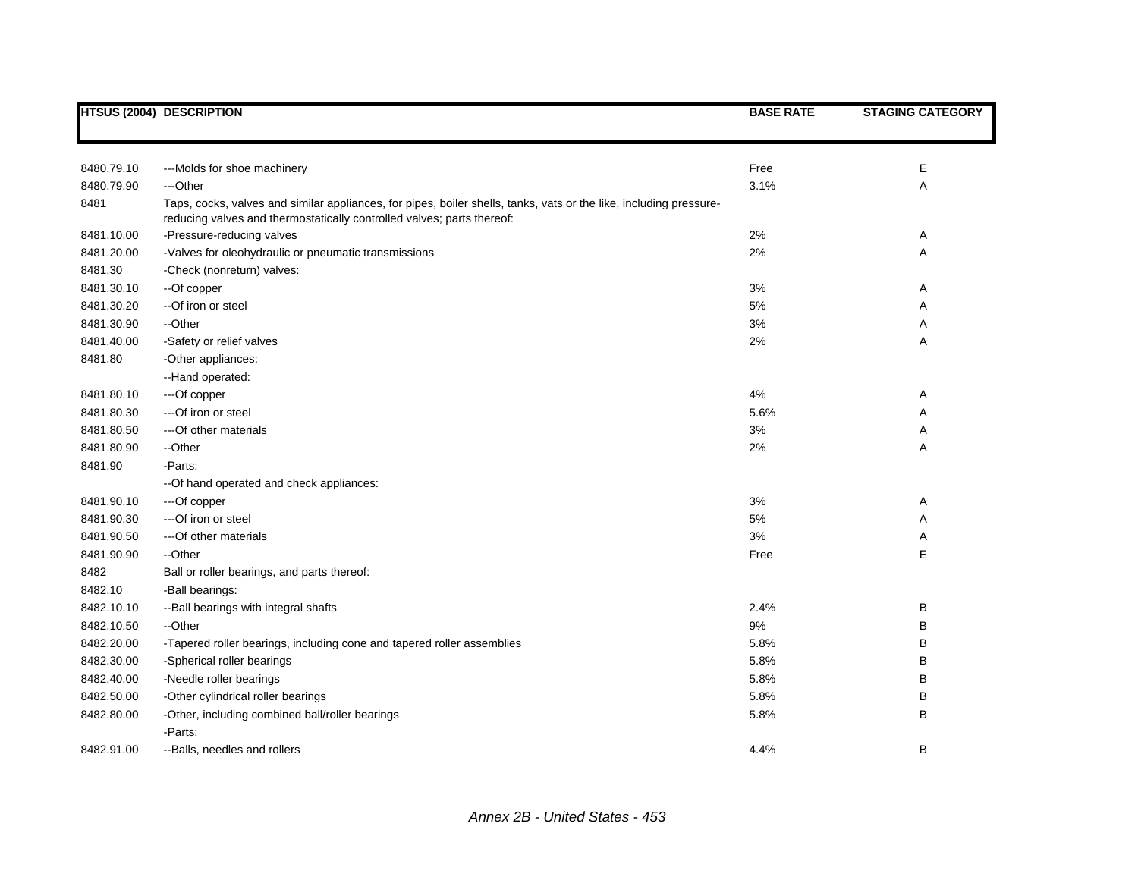|            | <b>HTSUS (2004) DESCRIPTION</b>                                                                                    | <b>BASE RATE</b> | <b>STAGING CATEGORY</b> |
|------------|--------------------------------------------------------------------------------------------------------------------|------------------|-------------------------|
|            |                                                                                                                    |                  |                         |
| 8480.79.10 | ---Molds for shoe machinery                                                                                        | Free             | Ε                       |
| 8480.79.90 | ---Other                                                                                                           | 3.1%             | Α                       |
| 8481       | Taps, cocks, valves and similar appliances, for pipes, boiler shells, tanks, vats or the like, including pressure- |                  |                         |
|            | reducing valves and thermostatically controlled valves; parts thereof:                                             |                  |                         |
| 8481.10.00 | -Pressure-reducing valves                                                                                          | 2%               | A                       |
| 8481.20.00 | -Valves for oleohydraulic or pneumatic transmissions                                                               | 2%               | Α                       |
| 8481.30    | -Check (nonreturn) valves:                                                                                         |                  |                         |
| 8481.30.10 | --Of copper                                                                                                        | 3%               | Α                       |
| 8481.30.20 | --Of iron or steel                                                                                                 | 5%               | Α                       |
| 8481.30.90 | --Other                                                                                                            | 3%               | Α                       |
| 8481.40.00 | -Safety or relief valves                                                                                           | 2%               | Α                       |
| 8481.80    | -Other appliances:                                                                                                 |                  |                         |
|            | --Hand operated:                                                                                                   |                  |                         |
| 8481.80.10 | ---Of copper                                                                                                       | 4%               | Α                       |
| 8481.80.30 | ---Of iron or steel                                                                                                | 5.6%             | Α                       |
| 8481.80.50 | --- Of other materials                                                                                             | 3%               | Α                       |
| 8481.80.90 | --Other                                                                                                            | 2%               | Α                       |
| 8481.90    | -Parts:                                                                                                            |                  |                         |
|            | -- Of hand operated and check appliances:                                                                          |                  |                         |
| 8481.90.10 | ---Of copper                                                                                                       | 3%               | Α                       |
| 8481.90.30 | ---Of iron or steel                                                                                                | 5%               | Α                       |
| 8481.90.50 | --- Of other materials                                                                                             | 3%               | Α                       |
| 8481.90.90 | --Other                                                                                                            | Free             | Ε                       |
| 8482       | Ball or roller bearings, and parts thereof:                                                                        |                  |                         |
| 8482.10    | -Ball bearings:                                                                                                    |                  |                         |
| 8482.10.10 | -- Ball bearings with integral shafts                                                                              | 2.4%             | B                       |
| 8482.10.50 | --Other                                                                                                            | 9%               | B                       |
| 8482.20.00 | -Tapered roller bearings, including cone and tapered roller assemblies                                             | 5.8%             | B                       |
| 8482.30.00 | -Spherical roller bearings                                                                                         | 5.8%             | B                       |
| 8482.40.00 | -Needle roller bearings                                                                                            | 5.8%             | B                       |
| 8482.50.00 | -Other cylindrical roller bearings                                                                                 | 5.8%             | B                       |
| 8482.80.00 | -Other, including combined ball/roller bearings                                                                    | 5.8%             | B                       |
|            | -Parts:                                                                                                            |                  |                         |
| 8482.91.00 | --Balls, needles and rollers                                                                                       | 4.4%             | B                       |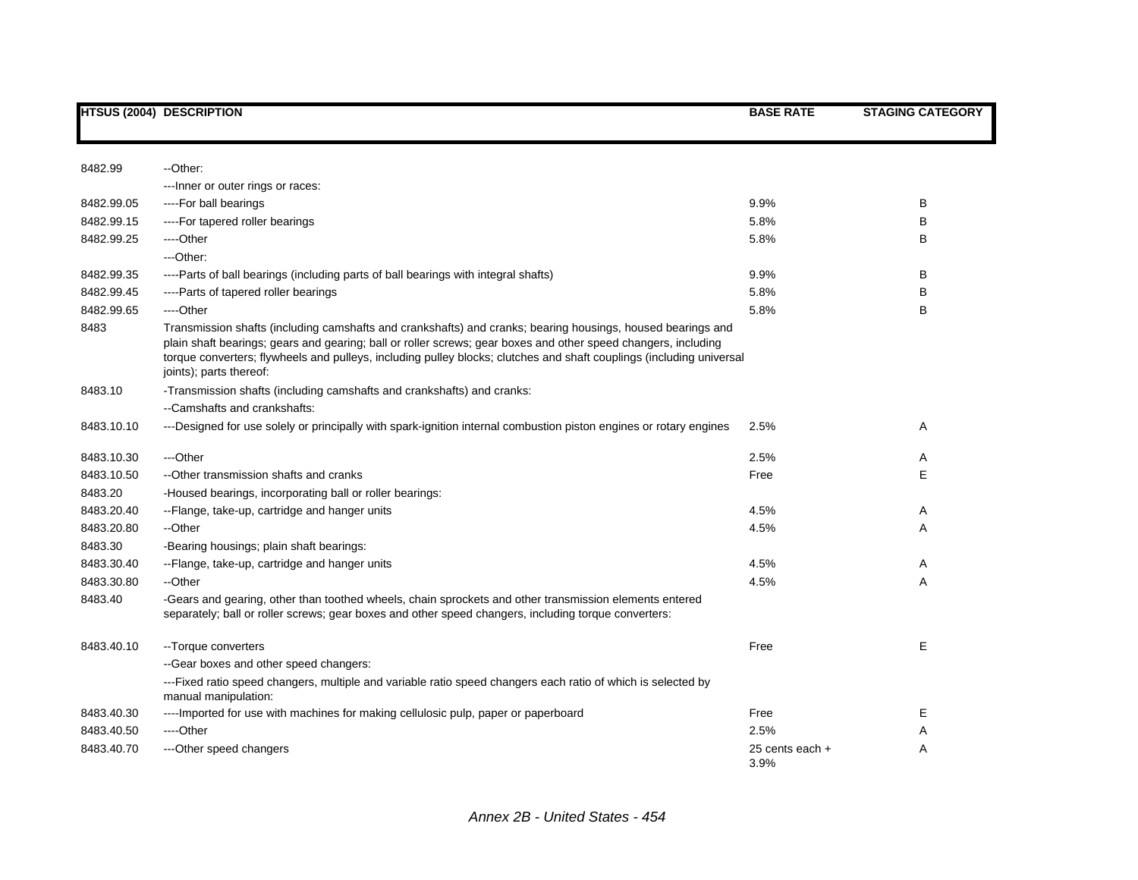|            | <b>HTSUS (2004) DESCRIPTION</b>                                                                                                                                                                                                                                                                                                                                                  | <b>BASE RATE</b>        | <b>STAGING CATEGORY</b> |
|------------|----------------------------------------------------------------------------------------------------------------------------------------------------------------------------------------------------------------------------------------------------------------------------------------------------------------------------------------------------------------------------------|-------------------------|-------------------------|
|            |                                                                                                                                                                                                                                                                                                                                                                                  |                         |                         |
| 8482.99    | --Other:                                                                                                                                                                                                                                                                                                                                                                         |                         |                         |
|            | ---Inner or outer rings or races:                                                                                                                                                                                                                                                                                                                                                |                         |                         |
| 8482.99.05 | ----For ball bearings                                                                                                                                                                                                                                                                                                                                                            | 9.9%                    | B                       |
| 8482.99.15 | ----For tapered roller bearings                                                                                                                                                                                                                                                                                                                                                  | 5.8%                    | B                       |
| 8482.99.25 | ----Other                                                                                                                                                                                                                                                                                                                                                                        | 5.8%                    | в                       |
|            | ---Other:                                                                                                                                                                                                                                                                                                                                                                        |                         |                         |
| 8482.99.35 | ----Parts of ball bearings (including parts of ball bearings with integral shafts)                                                                                                                                                                                                                                                                                               | 9.9%                    | B                       |
| 8482.99.45 | ----Parts of tapered roller bearings                                                                                                                                                                                                                                                                                                                                             | 5.8%                    | B                       |
| 8482.99.65 | ---Other                                                                                                                                                                                                                                                                                                                                                                         | 5.8%                    | B                       |
| 8483       | Transmission shafts (including camshafts and crankshafts) and cranks; bearing housings, housed bearings and<br>plain shaft bearings; gears and gearing; ball or roller screws; gear boxes and other speed changers, including<br>torque converters; flywheels and pulleys, including pulley blocks; clutches and shaft couplings (including universal<br>joints); parts thereof: |                         |                         |
| 8483.10    | -Transmission shafts (including camshafts and crankshafts) and cranks:                                                                                                                                                                                                                                                                                                           |                         |                         |
|            | --Camshafts and crankshafts:                                                                                                                                                                                                                                                                                                                                                     |                         |                         |
| 8483.10.10 | ---Designed for use solely or principally with spark-ignition internal combustion piston engines or rotary engines                                                                                                                                                                                                                                                               | 2.5%                    | Α                       |
| 8483.10.30 | ---Other                                                                                                                                                                                                                                                                                                                                                                         | 2.5%                    | Α                       |
| 8483.10.50 | --Other transmission shafts and cranks                                                                                                                                                                                                                                                                                                                                           | Free                    | Е                       |
| 8483.20    | -Housed bearings, incorporating ball or roller bearings:                                                                                                                                                                                                                                                                                                                         |                         |                         |
| 8483.20.40 | --Flange, take-up, cartridge and hanger units                                                                                                                                                                                                                                                                                                                                    | 4.5%                    | Α                       |
| 8483.20.80 | --Other                                                                                                                                                                                                                                                                                                                                                                          | 4.5%                    | A                       |
| 8483.30    | -Bearing housings; plain shaft bearings:                                                                                                                                                                                                                                                                                                                                         |                         |                         |
| 8483.30.40 | --Flange, take-up, cartridge and hanger units                                                                                                                                                                                                                                                                                                                                    | 4.5%                    | Α                       |
| 8483.30.80 | --Other                                                                                                                                                                                                                                                                                                                                                                          | 4.5%                    | Α                       |
| 8483.40    | -Gears and gearing, other than toothed wheels, chain sprockets and other transmission elements entered<br>separately; ball or roller screws; gear boxes and other speed changers, including torque converters:                                                                                                                                                                   |                         |                         |
| 8483.40.10 | --Torque converters                                                                                                                                                                                                                                                                                                                                                              | Free                    | Е                       |
|            | --Gear boxes and other speed changers:                                                                                                                                                                                                                                                                                                                                           |                         |                         |
|            | ---Fixed ratio speed changers, multiple and variable ratio speed changers each ratio of which is selected by<br>manual manipulation:                                                                                                                                                                                                                                             |                         |                         |
| 8483.40.30 | ----Imported for use with machines for making cellulosic pulp, paper or paperboard                                                                                                                                                                                                                                                                                               | Free                    | Е                       |
| 8483.40.50 | ----Other                                                                                                                                                                                                                                                                                                                                                                        | 2.5%                    | Α                       |
| 8483.40.70 | ---Other speed changers                                                                                                                                                                                                                                                                                                                                                          | 25 cents each +<br>3.9% | A                       |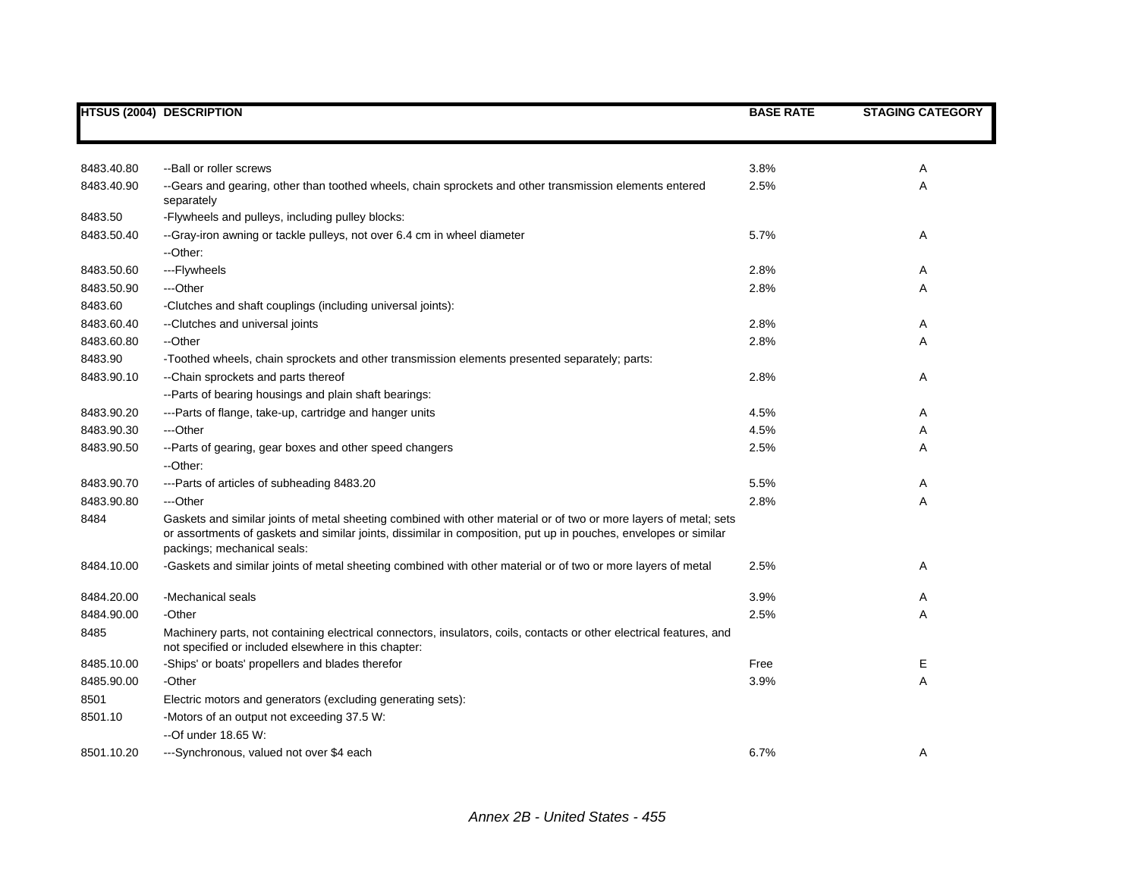|            | <b>HTSUS (2004) DESCRIPTION</b>                                                                                                                                                                                                                                      | <b>BASE RATE</b> | <b>STAGING CATEGORY</b> |
|------------|----------------------------------------------------------------------------------------------------------------------------------------------------------------------------------------------------------------------------------------------------------------------|------------------|-------------------------|
|            |                                                                                                                                                                                                                                                                      |                  |                         |
| 8483.40.80 | --Ball or roller screws                                                                                                                                                                                                                                              | 3.8%             | Α                       |
| 8483.40.90 | --Gears and gearing, other than toothed wheels, chain sprockets and other transmission elements entered<br>separately                                                                                                                                                | 2.5%             | Α                       |
| 8483.50    | -Flywheels and pulleys, including pulley blocks:                                                                                                                                                                                                                     |                  |                         |
| 8483.50.40 | --Gray-iron awning or tackle pulleys, not over 6.4 cm in wheel diameter<br>--Other:                                                                                                                                                                                  | 5.7%             | Α                       |
| 8483.50.60 | ---Flywheels                                                                                                                                                                                                                                                         | 2.8%             | Α                       |
| 8483.50.90 | ---Other                                                                                                                                                                                                                                                             | 2.8%             | Α                       |
| 8483.60    | -Clutches and shaft couplings (including universal joints):                                                                                                                                                                                                          |                  |                         |
| 8483.60.40 | --Clutches and universal joints                                                                                                                                                                                                                                      | 2.8%             | Α                       |
| 8483.60.80 | --Other                                                                                                                                                                                                                                                              | 2.8%             | Α                       |
| 8483.90    | -Toothed wheels, chain sprockets and other transmission elements presented separately; parts:                                                                                                                                                                        |                  |                         |
| 8483.90.10 | -- Chain sprockets and parts thereof                                                                                                                                                                                                                                 | 2.8%             | Α                       |
|            | --Parts of bearing housings and plain shaft bearings:                                                                                                                                                                                                                |                  |                         |
| 8483.90.20 | ---Parts of flange, take-up, cartridge and hanger units                                                                                                                                                                                                              | 4.5%             | Α                       |
| 8483.90.30 | ---Other                                                                                                                                                                                                                                                             | 4.5%             | Α                       |
| 8483.90.50 | --Parts of gearing, gear boxes and other speed changers                                                                                                                                                                                                              | 2.5%             | Α                       |
|            | --Other:                                                                                                                                                                                                                                                             |                  |                         |
| 8483.90.70 | ---Parts of articles of subheading 8483.20                                                                                                                                                                                                                           | 5.5%             | Α                       |
| 8483.90.80 | ---Other                                                                                                                                                                                                                                                             | 2.8%             | Α                       |
| 8484       | Gaskets and similar joints of metal sheeting combined with other material or of two or more layers of metal; sets<br>or assortments of gaskets and similar joints, dissimilar in composition, put up in pouches, envelopes or similar<br>packings; mechanical seals: |                  |                         |
| 8484.10.00 | -Gaskets and similar joints of metal sheeting combined with other material or of two or more layers of metal                                                                                                                                                         | 2.5%             | Α                       |
| 8484.20.00 | -Mechanical seals                                                                                                                                                                                                                                                    | 3.9%             | Α                       |
| 8484.90.00 | -Other                                                                                                                                                                                                                                                               | 2.5%             | Α                       |
| 8485       | Machinery parts, not containing electrical connectors, insulators, coils, contacts or other electrical features, and<br>not specified or included elsewhere in this chapter:                                                                                         |                  |                         |
| 8485.10.00 | -Ships' or boats' propellers and blades therefor                                                                                                                                                                                                                     | Free             | E                       |
| 8485.90.00 | -Other                                                                                                                                                                                                                                                               | 3.9%             | A                       |
| 8501       | Electric motors and generators (excluding generating sets):                                                                                                                                                                                                          |                  |                         |
| 8501.10    | -Motors of an output not exceeding 37.5 W:                                                                                                                                                                                                                           |                  |                         |
|            | $-$ Of under 18.65 W:                                                                                                                                                                                                                                                |                  |                         |
| 8501.10.20 | ---Synchronous, valued not over \$4 each                                                                                                                                                                                                                             | 6.7%             | Α                       |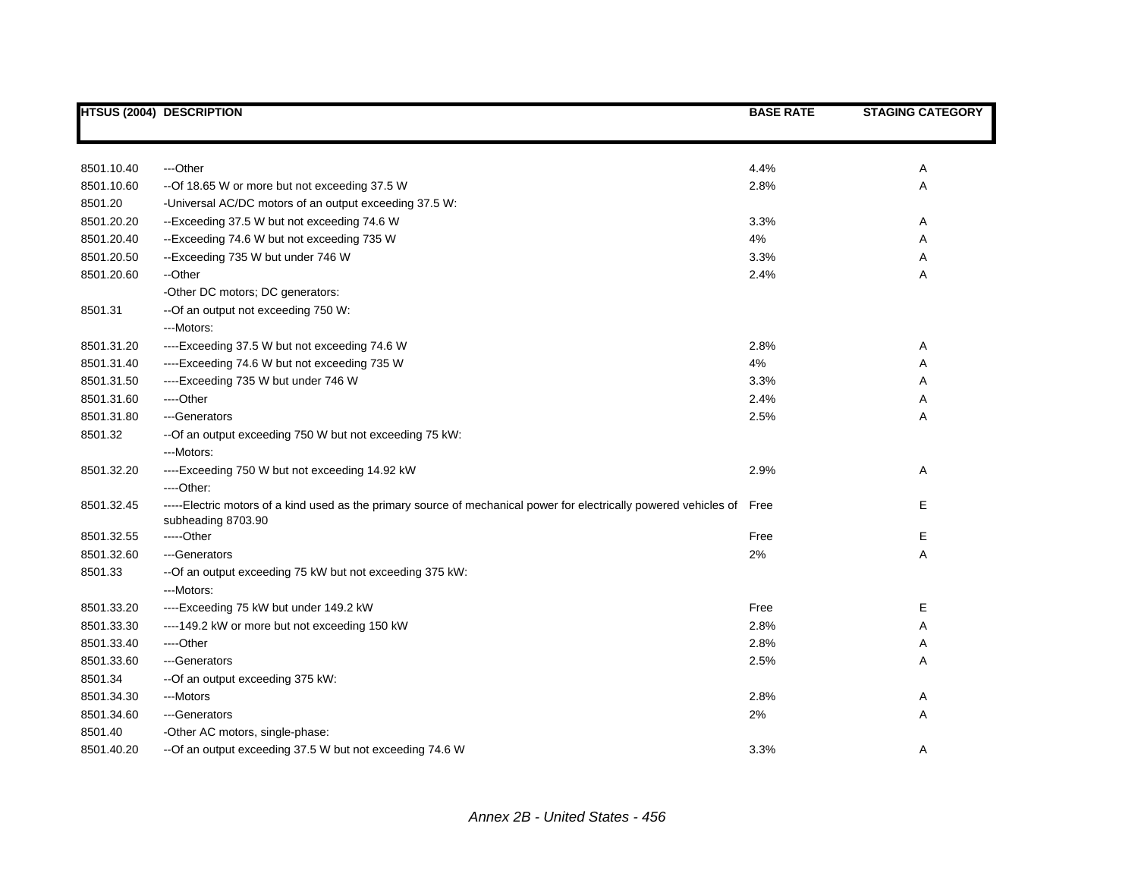|            | <b>HTSUS (2004) DESCRIPTION</b>                                                                                                               | <b>BASE RATE</b> | <b>STAGING CATEGORY</b> |
|------------|-----------------------------------------------------------------------------------------------------------------------------------------------|------------------|-------------------------|
|            |                                                                                                                                               |                  |                         |
| 8501.10.40 | ---Other                                                                                                                                      | 4.4%             | Α                       |
| 8501.10.60 | --Of 18.65 W or more but not exceeding 37.5 W                                                                                                 | 2.8%             | Α                       |
| 8501.20    | -Universal AC/DC motors of an output exceeding 37.5 W:                                                                                        |                  |                         |
| 8501.20.20 | --Exceeding 37.5 W but not exceeding 74.6 W                                                                                                   | 3.3%             | Α                       |
| 8501.20.40 | --Exceeding 74.6 W but not exceeding 735 W                                                                                                    | 4%               | Α                       |
| 8501.20.50 | --Exceeding 735 W but under 746 W                                                                                                             | 3.3%             | Α                       |
| 8501.20.60 | --Other                                                                                                                                       | 2.4%             | Α                       |
|            | -Other DC motors; DC generators:                                                                                                              |                  |                         |
| 8501.31    | --Of an output not exceeding 750 W:                                                                                                           |                  |                         |
|            | --Motors:                                                                                                                                     |                  |                         |
| 8501.31.20 | ----Exceeding 37.5 W but not exceeding 74.6 W                                                                                                 | 2.8%             | Α                       |
| 8501.31.40 | ----Exceeding 74.6 W but not exceeding 735 W                                                                                                  | 4%               | Α                       |
| 8501.31.50 | ----Exceeding 735 W but under 746 W                                                                                                           | 3.3%             | Α                       |
| 8501.31.60 | ----Other                                                                                                                                     | 2.4%             | Α                       |
| 8501.31.80 | ---Generators                                                                                                                                 | 2.5%             | Α                       |
| 8501.32    | -- Of an output exceeding 750 W but not exceeding 75 kW:                                                                                      |                  |                         |
|            | ---Motors:                                                                                                                                    |                  |                         |
| 8501.32.20 | ----Exceeding 750 W but not exceeding 14.92 kW                                                                                                | 2.9%             | Α                       |
|            | ---Other:                                                                                                                                     |                  |                         |
| 8501.32.45 | -----Electric motors of a kind used as the primary source of mechanical power for electrically powered vehicles of Free<br>subheading 8703.90 |                  | Е                       |
| 8501.32.55 | -----Other                                                                                                                                    | Free             | Е                       |
| 8501.32.60 | ---Generators                                                                                                                                 | 2%               | Α                       |
| 8501.33    | -- Of an output exceeding 75 kW but not exceeding 375 kW:                                                                                     |                  |                         |
|            | ---Motors:                                                                                                                                    |                  |                         |
| 8501.33.20 | ----Exceeding 75 kW but under 149.2 kW                                                                                                        | Free             | Е                       |
| 8501.33.30 | ---- 149.2 kW or more but not exceeding 150 kW                                                                                                | 2.8%             | Α                       |
| 8501.33.40 | ----Other                                                                                                                                     | 2.8%             | Α                       |
| 8501.33.60 | ---Generators                                                                                                                                 | 2.5%             | Α                       |
| 8501.34    | -- Of an output exceeding 375 kW:                                                                                                             |                  |                         |
| 8501.34.30 | ---Motors                                                                                                                                     | 2.8%             | Α                       |
| 8501.34.60 | ---Generators                                                                                                                                 | 2%               | Α                       |
| 8501.40    | -Other AC motors, single-phase:                                                                                                               |                  |                         |
| 8501.40.20 | -- Of an output exceeding 37.5 W but not exceeding 74.6 W                                                                                     | 3.3%             | Α                       |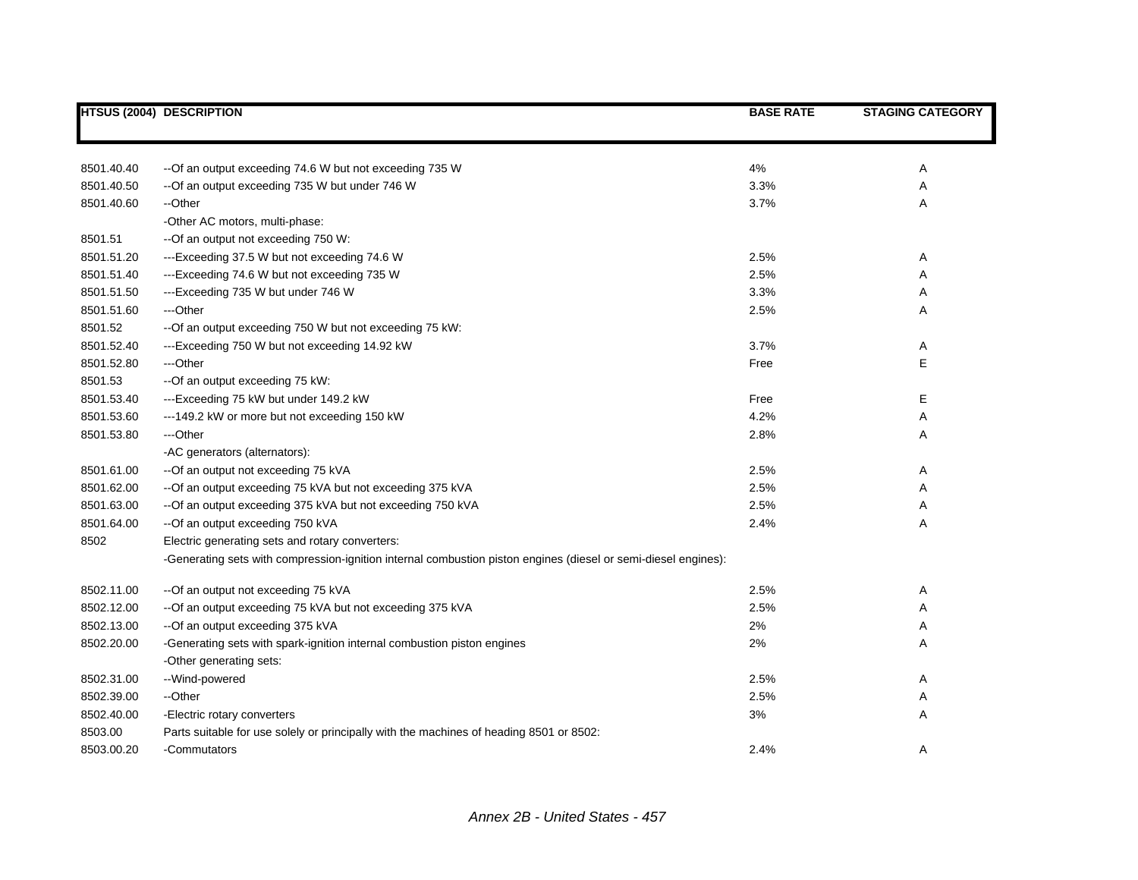|            | <b>HTSUS (2004) DESCRIPTION</b>                                                                                | <b>BASE RATE</b> | <b>STAGING CATEGORY</b> |
|------------|----------------------------------------------------------------------------------------------------------------|------------------|-------------------------|
|            |                                                                                                                |                  |                         |
| 8501.40.40 | -- Of an output exceeding 74.6 W but not exceeding 735 W                                                       | 4%               | Α                       |
| 8501.40.50 | -- Of an output exceeding 735 W but under 746 W                                                                | 3.3%             | Α                       |
| 8501.40.60 | --Other                                                                                                        | 3.7%             | Α                       |
|            | -Other AC motors, multi-phase:                                                                                 |                  |                         |
| 8501.51    | --Of an output not exceeding 750 W:                                                                            |                  |                         |
| 8501.51.20 | ---Exceeding 37.5 W but not exceeding 74.6 W                                                                   | 2.5%             | Α                       |
| 8501.51.40 | ---Exceeding 74.6 W but not exceeding 735 W                                                                    | 2.5%             | Α                       |
| 8501.51.50 | ---Exceeding 735 W but under 746 W                                                                             | 3.3%             | Α                       |
| 8501.51.60 | ---Other                                                                                                       | 2.5%             | Α                       |
| 8501.52    | --Of an output exceeding 750 W but not exceeding 75 kW:                                                        |                  |                         |
| 8501.52.40 | ---Exceeding 750 W but not exceeding 14.92 kW                                                                  | 3.7%             | Α                       |
| 8501.52.80 | ---Other                                                                                                       | Free             | E                       |
| 8501.53    | --Of an output exceeding 75 kW:                                                                                |                  |                         |
| 8501.53.40 | ---Exceeding 75 kW but under 149.2 kW                                                                          | Free             | Е                       |
| 8501.53.60 | ---149.2 kW or more but not exceeding 150 kW                                                                   | 4.2%             | Α                       |
| 8501.53.80 | ---Other                                                                                                       | 2.8%             | Α                       |
|            | -AC generators (alternators):                                                                                  |                  |                         |
| 8501.61.00 | -- Of an output not exceeding 75 kVA                                                                           | 2.5%             | Α                       |
| 8501.62.00 | -- Of an output exceeding 75 kVA but not exceeding 375 kVA                                                     | 2.5%             | Α                       |
| 8501.63.00 | -- Of an output exceeding 375 kVA but not exceeding 750 kVA                                                    | 2.5%             | Α                       |
| 8501.64.00 | -- Of an output exceeding 750 kVA                                                                              | 2.4%             | Α                       |
| 8502       | Electric generating sets and rotary converters:                                                                |                  |                         |
|            | -Generating sets with compression-ignition internal combustion piston engines (diesel or semi-diesel engines): |                  |                         |
| 8502.11.00 | -- Of an output not exceeding 75 kVA                                                                           | 2.5%             | Α                       |
| 8502.12.00 | -- Of an output exceeding 75 kVA but not exceeding 375 kVA                                                     | 2.5%             | Α                       |
| 8502.13.00 | -- Of an output exceeding 375 kVA                                                                              | 2%               | Α                       |
| 8502.20.00 | -Generating sets with spark-ignition internal combustion piston engines                                        | 2%               | Α                       |
|            | -Other generating sets:                                                                                        |                  |                         |
| 8502.31.00 | --Wind-powered                                                                                                 | 2.5%             | Α                       |
| 8502.39.00 | --Other                                                                                                        | 2.5%             | Α                       |
| 8502.40.00 | -Electric rotary converters                                                                                    | 3%               | Α                       |
| 8503.00    | Parts suitable for use solely or principally with the machines of heading 8501 or 8502:                        |                  |                         |
| 8503.00.20 | -Commutators                                                                                                   | 2.4%             | Α                       |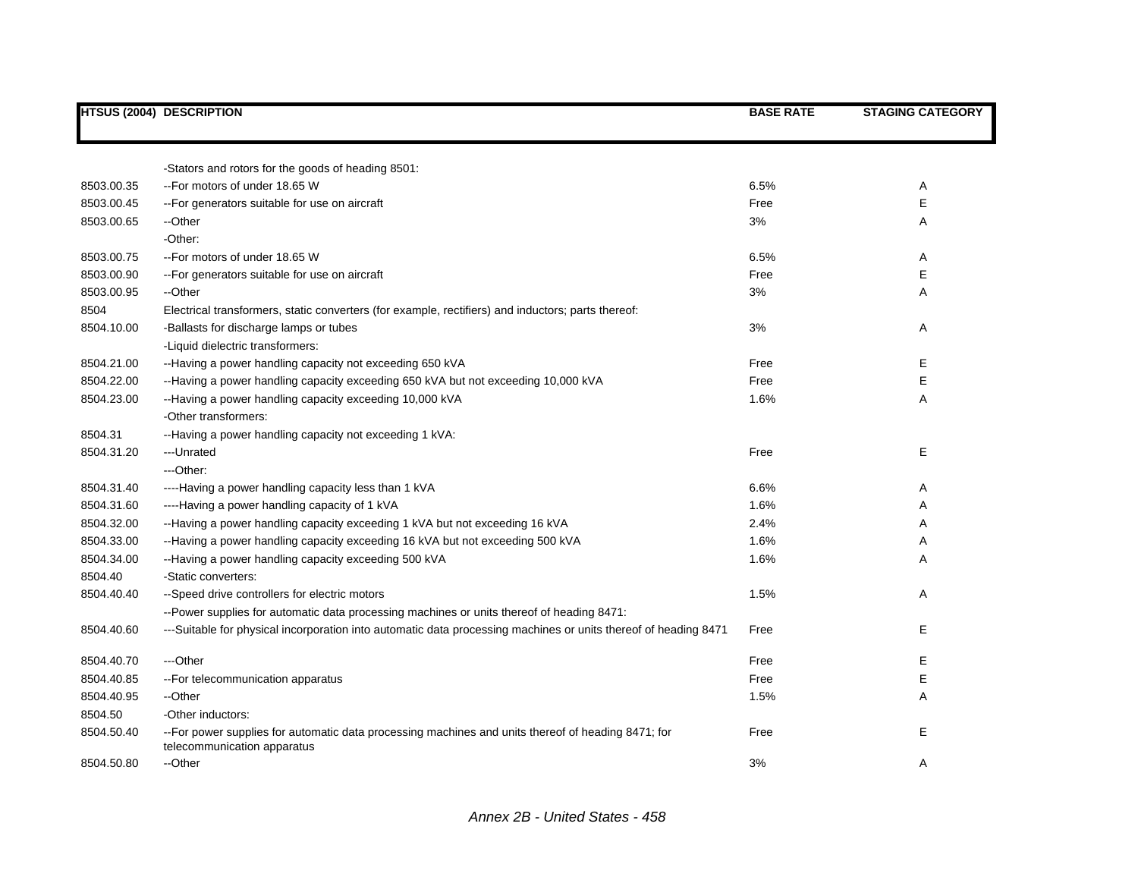|            | <b>HTSUS (2004) DESCRIPTION</b>                                                                                                   | <b>BASE RATE</b> | <b>STAGING CATEGORY</b> |
|------------|-----------------------------------------------------------------------------------------------------------------------------------|------------------|-------------------------|
|            |                                                                                                                                   |                  |                         |
|            | -Stators and rotors for the goods of heading 8501:                                                                                |                  |                         |
| 8503.00.35 | --For motors of under 18.65 W                                                                                                     | 6.5%             | Α                       |
| 8503.00.45 | -- For generators suitable for use on aircraft                                                                                    | Free             | Е                       |
| 8503.00.65 | --Other                                                                                                                           | 3%               | Α                       |
|            | -Other:                                                                                                                           |                  |                         |
| 8503.00.75 | -- For motors of under 18.65 W                                                                                                    | 6.5%             | Α                       |
| 8503.00.90 | -- For generators suitable for use on aircraft                                                                                    | Free             | E                       |
| 8503.00.95 | --Other                                                                                                                           | 3%               | A                       |
| 8504       | Electrical transformers, static converters (for example, rectifiers) and inductors; parts thereof:                                |                  |                         |
| 8504.10.00 | -Ballasts for discharge lamps or tubes                                                                                            | 3%               | Α                       |
|            | -Liquid dielectric transformers:                                                                                                  |                  |                         |
| 8504.21.00 | --Having a power handling capacity not exceeding 650 kVA                                                                          | Free             | Е                       |
| 8504.22.00 | --Having a power handling capacity exceeding 650 kVA but not exceeding 10,000 kVA                                                 | Free             | Е                       |
| 8504.23.00 | --Having a power handling capacity exceeding 10,000 kVA                                                                           | 1.6%             | Α                       |
|            | -Other transformers:                                                                                                              |                  |                         |
| 8504.31    | --Having a power handling capacity not exceeding 1 kVA:                                                                           |                  |                         |
| 8504.31.20 | ---Unrated                                                                                                                        | Free             | Е                       |
|            | ---Other:                                                                                                                         |                  |                         |
| 8504.31.40 | ----Having a power handling capacity less than 1 kVA                                                                              | 6.6%             | A                       |
| 8504.31.60 | ----Having a power handling capacity of 1 kVA                                                                                     | 1.6%             | Α                       |
| 8504.32.00 | --Having a power handling capacity exceeding 1 kVA but not exceeding 16 kVA                                                       | 2.4%             | Α                       |
| 8504.33.00 | --Having a power handling capacity exceeding 16 kVA but not exceeding 500 kVA                                                     | 1.6%             | Α                       |
| 8504.34.00 | --Having a power handling capacity exceeding 500 kVA                                                                              | 1.6%             | A                       |
| 8504.40    | -Static converters:                                                                                                               |                  |                         |
| 8504.40.40 | --Speed drive controllers for electric motors                                                                                     | 1.5%             | Α                       |
|            | --Power supplies for automatic data processing machines or units thereof of heading 8471:                                         |                  |                         |
| 8504.40.60 | ---Suitable for physical incorporation into automatic data processing machines or units thereof of heading 8471                   | Free             | Е                       |
| 8504.40.70 | ---Other                                                                                                                          | Free             | E.                      |
| 8504.40.85 | -- For telecommunication apparatus                                                                                                | Free             | Ε                       |
| 8504.40.95 | --Other                                                                                                                           | 1.5%             | A                       |
| 8504.50    | -Other inductors:                                                                                                                 |                  |                         |
| 8504.50.40 | --For power supplies for automatic data processing machines and units thereof of heading 8471; for<br>telecommunication apparatus | Free             | E                       |
| 8504.50.80 | --Other                                                                                                                           | 3%               | Α                       |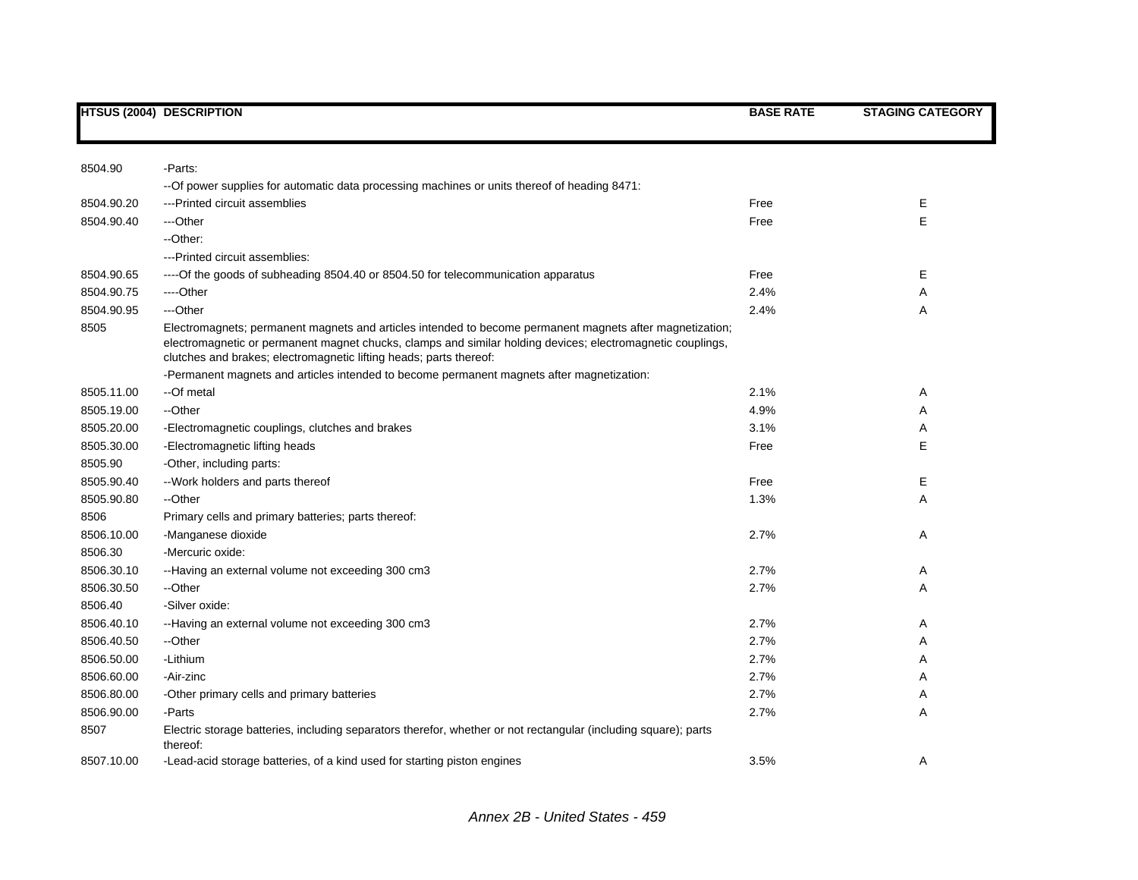|            | <b>HTSUS (2004) DESCRIPTION</b>                                                                                                                                                                                                                                                              | <b>BASE RATE</b> | <b>STAGING CATEGORY</b> |
|------------|----------------------------------------------------------------------------------------------------------------------------------------------------------------------------------------------------------------------------------------------------------------------------------------------|------------------|-------------------------|
|            |                                                                                                                                                                                                                                                                                              |                  |                         |
| 8504.90    | -Parts:                                                                                                                                                                                                                                                                                      |                  |                         |
|            | -- Of power supplies for automatic data processing machines or units thereof of heading 8471:                                                                                                                                                                                                |                  |                         |
| 8504.90.20 | ---Printed circuit assemblies                                                                                                                                                                                                                                                                | Free             | Е                       |
| 8504.90.40 | ---Other                                                                                                                                                                                                                                                                                     | Free             | E                       |
|            | --Other:                                                                                                                                                                                                                                                                                     |                  |                         |
|            | ---Printed circuit assemblies:                                                                                                                                                                                                                                                               |                  |                         |
| 8504.90.65 | ---- Of the goods of subheading 8504.40 or 8504.50 for telecommunication apparatus                                                                                                                                                                                                           | Free             | Е                       |
| 8504.90.75 | ----Other                                                                                                                                                                                                                                                                                    | 2.4%             | Α                       |
| 8504.90.95 | ---Other                                                                                                                                                                                                                                                                                     | 2.4%             | Α                       |
| 8505       | Electromagnets; permanent magnets and articles intended to become permanent magnets after magnetization;<br>electromagnetic or permanent magnet chucks, clamps and similar holding devices; electromagnetic couplings,<br>clutches and brakes; electromagnetic lifting heads; parts thereof: |                  |                         |
|            | -Permanent magnets and articles intended to become permanent magnets after magnetization:                                                                                                                                                                                                    |                  |                         |
| 8505.11.00 | --Of metal                                                                                                                                                                                                                                                                                   | 2.1%             | Α                       |
| 8505.19.00 | --Other                                                                                                                                                                                                                                                                                      | 4.9%             | Α                       |
| 8505.20.00 | -Electromagnetic couplings, clutches and brakes                                                                                                                                                                                                                                              | 3.1%             | Α                       |
| 8505.30.00 | -Electromagnetic lifting heads                                                                                                                                                                                                                                                               | Free             | E                       |
| 8505.90    | -Other, including parts:                                                                                                                                                                                                                                                                     |                  |                         |
| 8505.90.40 | -- Work holders and parts thereof                                                                                                                                                                                                                                                            | Free             | Е                       |
| 8505.90.80 | --Other                                                                                                                                                                                                                                                                                      | 1.3%             | Α                       |
| 8506       | Primary cells and primary batteries; parts thereof:                                                                                                                                                                                                                                          |                  |                         |
| 8506.10.00 | -Manganese dioxide                                                                                                                                                                                                                                                                           | 2.7%             | Α                       |
| 8506.30    | -Mercuric oxide:                                                                                                                                                                                                                                                                             |                  |                         |
| 8506.30.10 | --Having an external volume not exceeding 300 cm3                                                                                                                                                                                                                                            | 2.7%             | Α                       |
| 8506.30.50 | --Other                                                                                                                                                                                                                                                                                      | 2.7%             | Α                       |
| 8506.40    | -Silver oxide:                                                                                                                                                                                                                                                                               |                  |                         |
| 8506.40.10 | --Having an external volume not exceeding 300 cm3                                                                                                                                                                                                                                            | 2.7%             | Α                       |
| 8506.40.50 | --Other                                                                                                                                                                                                                                                                                      | 2.7%             | Α                       |
| 8506.50.00 | -Lithium                                                                                                                                                                                                                                                                                     | 2.7%             | Α                       |
| 8506.60.00 | -Air-zinc                                                                                                                                                                                                                                                                                    | 2.7%             | Α                       |
| 8506.80.00 | -Other primary cells and primary batteries                                                                                                                                                                                                                                                   | 2.7%             | Α                       |
| 8506.90.00 | -Parts                                                                                                                                                                                                                                                                                       | 2.7%             | Α                       |
| 8507       | Electric storage batteries, including separators therefor, whether or not rectangular (including square); parts<br>thereof:                                                                                                                                                                  |                  |                         |
| 8507.10.00 | -Lead-acid storage batteries, of a kind used for starting piston engines                                                                                                                                                                                                                     | 3.5%             | Α                       |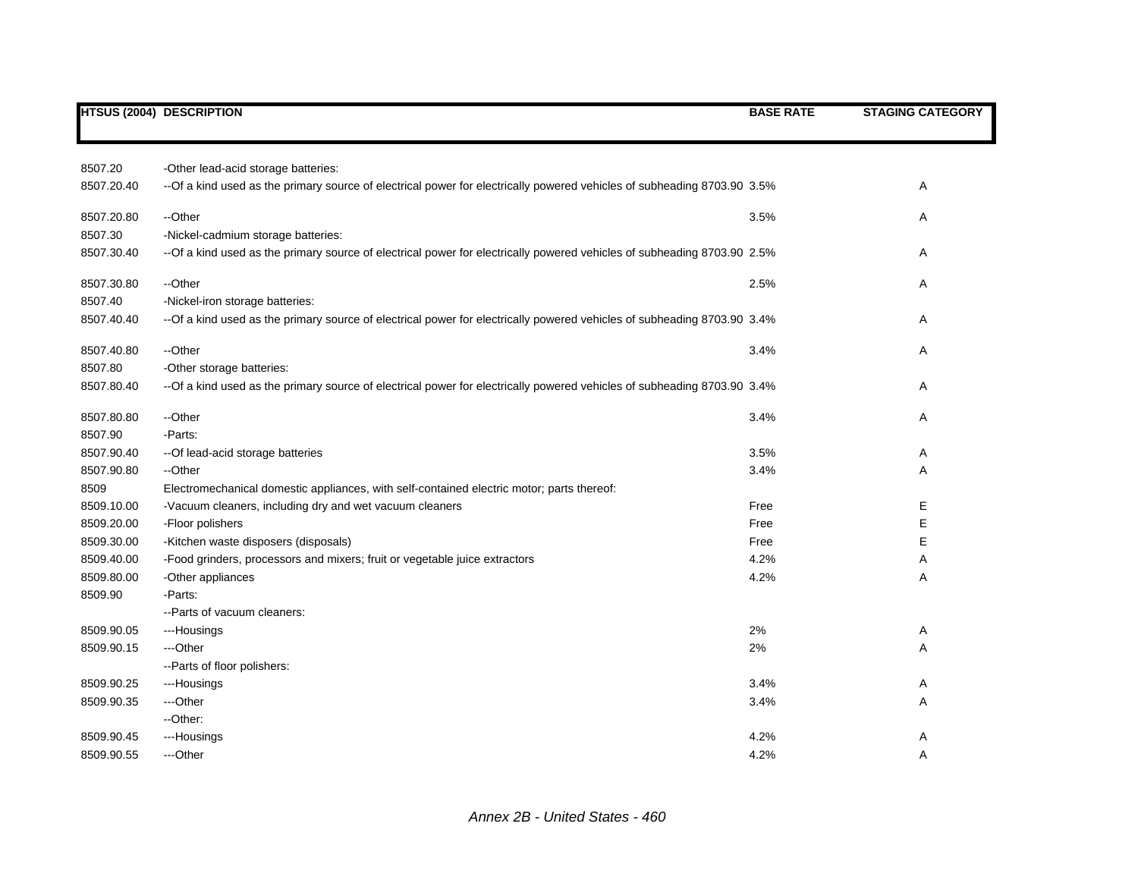|            | <b>HTSUS (2004) DESCRIPTION</b>                                                                                         | <b>BASE RATE</b> | <b>STAGING CATEGORY</b> |
|------------|-------------------------------------------------------------------------------------------------------------------------|------------------|-------------------------|
|            |                                                                                                                         |                  |                         |
| 8507.20    | -Other lead-acid storage batteries:                                                                                     |                  |                         |
| 8507.20.40 | --Of a kind used as the primary source of electrical power for electrically powered vehicles of subheading 8703.90 3.5% |                  | Α                       |
| 8507.20.80 | --Other                                                                                                                 | 3.5%             | Α                       |
| 8507.30    | -Nickel-cadmium storage batteries:                                                                                      |                  |                         |
| 8507.30.40 | --Of a kind used as the primary source of electrical power for electrically powered vehicles of subheading 8703.90 2.5% |                  | A                       |
| 8507.30.80 | --Other                                                                                                                 | 2.5%             | Α                       |
| 8507.40    | -Nickel-iron storage batteries:                                                                                         |                  |                         |
| 8507.40.40 | --Of a kind used as the primary source of electrical power for electrically powered vehicles of subheading 8703.90 3.4% |                  | Α                       |
| 8507.40.80 | --Other                                                                                                                 | 3.4%             | Α                       |
| 8507.80    | -Other storage batteries:                                                                                               |                  |                         |
| 8507.80.40 | --Of a kind used as the primary source of electrical power for electrically powered vehicles of subheading 8703.90 3.4% |                  | Α                       |
| 8507.80.80 | --Other                                                                                                                 | 3.4%             | Α                       |
| 8507.90    | -Parts:                                                                                                                 |                  |                         |
| 8507.90.40 | -- Of lead-acid storage batteries                                                                                       | 3.5%             | Α                       |
| 8507.90.80 | --Other                                                                                                                 | 3.4%             | Α                       |
| 8509       | Electromechanical domestic appliances, with self-contained electric motor; parts thereof:                               |                  |                         |
| 8509.10.00 | -Vacuum cleaners, including dry and wet vacuum cleaners                                                                 | Free             | Ε                       |
| 8509.20.00 | -Floor polishers                                                                                                        | Free             | E                       |
| 8509.30.00 | -Kitchen waste disposers (disposals)                                                                                    | Free             | E                       |
| 8509.40.00 | -Food grinders, processors and mixers; fruit or vegetable juice extractors                                              | 4.2%             | Α                       |
| 8509.80.00 | -Other appliances                                                                                                       | 4.2%             | Α                       |
| 8509.90    | -Parts:                                                                                                                 |                  |                         |
|            | --Parts of vacuum cleaners:                                                                                             |                  |                         |
| 8509.90.05 | ---Housings                                                                                                             | 2%               | Α                       |
| 8509.90.15 | ---Other                                                                                                                | 2%               | Α                       |
|            | -- Parts of floor polishers:                                                                                            |                  |                         |
| 8509.90.25 | ---Housings                                                                                                             | 3.4%             | Α                       |
| 8509.90.35 | ---Other                                                                                                                | 3.4%             | Α                       |
|            | --Other:                                                                                                                |                  |                         |
| 8509.90.45 | ---Housings                                                                                                             | 4.2%             | Α                       |
| 8509.90.55 | ---Other                                                                                                                | 4.2%             | A                       |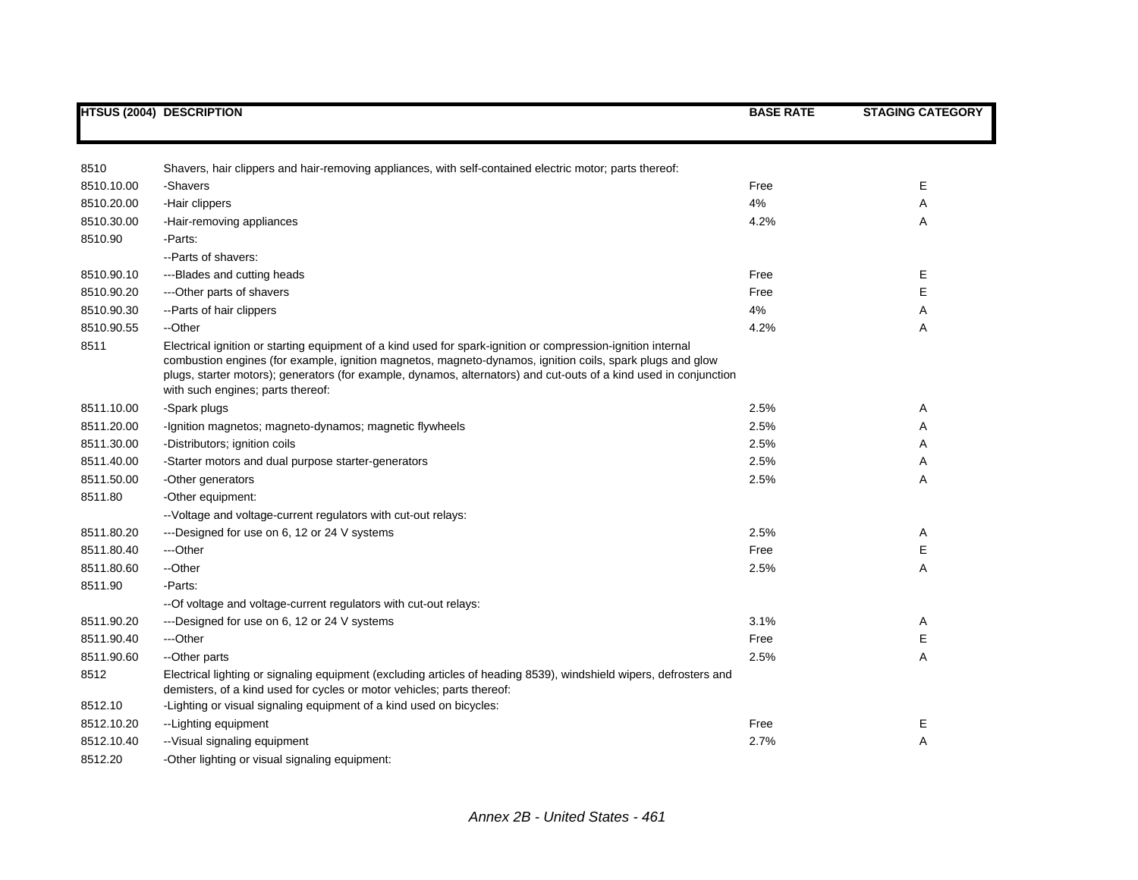|            | <b>HTSUS (2004) DESCRIPTION</b>                                                                                                                                                                                                                                                                                                                                                     | <b>BASE RATE</b> | <b>STAGING CATEGORY</b> |
|------------|-------------------------------------------------------------------------------------------------------------------------------------------------------------------------------------------------------------------------------------------------------------------------------------------------------------------------------------------------------------------------------------|------------------|-------------------------|
|            |                                                                                                                                                                                                                                                                                                                                                                                     |                  |                         |
| 8510       | Shavers, hair clippers and hair-removing appliances, with self-contained electric motor; parts thereof:                                                                                                                                                                                                                                                                             |                  |                         |
| 8510.10.00 | -Shavers                                                                                                                                                                                                                                                                                                                                                                            | Free             | E                       |
| 8510.20.00 | -Hair clippers                                                                                                                                                                                                                                                                                                                                                                      | 4%               | Α                       |
| 8510.30.00 | -Hair-removing appliances                                                                                                                                                                                                                                                                                                                                                           | 4.2%             | Α                       |
| 8510.90    | -Parts:                                                                                                                                                                                                                                                                                                                                                                             |                  |                         |
|            | --Parts of shavers:                                                                                                                                                                                                                                                                                                                                                                 |                  |                         |
| 8510.90.10 | ---Blades and cutting heads                                                                                                                                                                                                                                                                                                                                                         | Free             | Ε                       |
| 8510.90.20 | --- Other parts of shavers                                                                                                                                                                                                                                                                                                                                                          | Free             | E                       |
| 8510.90.30 | -- Parts of hair clippers                                                                                                                                                                                                                                                                                                                                                           | 4%               | Α                       |
| 8510.90.55 | --Other                                                                                                                                                                                                                                                                                                                                                                             | 4.2%             | Α                       |
| 8511       | Electrical ignition or starting equipment of a kind used for spark-ignition or compression-ignition internal<br>combustion engines (for example, ignition magnetos, magneto-dynamos, ignition coils, spark plugs and glow<br>plugs, starter motors); generators (for example, dynamos, alternators) and cut-outs of a kind used in conjunction<br>with such engines; parts thereof: |                  |                         |
| 8511.10.00 | -Spark plugs                                                                                                                                                                                                                                                                                                                                                                        | 2.5%             | Α                       |
| 8511.20.00 | -Ignition magnetos; magneto-dynamos; magnetic flywheels                                                                                                                                                                                                                                                                                                                             | 2.5%             | Α                       |
| 8511.30.00 | -Distributors; ignition coils                                                                                                                                                                                                                                                                                                                                                       | 2.5%             | Α                       |
| 8511.40.00 | -Starter motors and dual purpose starter-generators                                                                                                                                                                                                                                                                                                                                 | 2.5%             | Α                       |
| 8511.50.00 | -Other generators                                                                                                                                                                                                                                                                                                                                                                   | 2.5%             | Α                       |
| 8511.80    | -Other equipment:                                                                                                                                                                                                                                                                                                                                                                   |                  |                         |
|            | -- Voltage and voltage-current regulators with cut-out relays:                                                                                                                                                                                                                                                                                                                      |                  |                         |
| 8511.80.20 | ---Designed for use on 6, 12 or 24 V systems                                                                                                                                                                                                                                                                                                                                        | 2.5%             | Α                       |
| 8511.80.40 | ---Other                                                                                                                                                                                                                                                                                                                                                                            | Free             | Е                       |
| 8511.80.60 | --Other                                                                                                                                                                                                                                                                                                                                                                             | 2.5%             | A                       |
| 8511.90    | -Parts:                                                                                                                                                                                                                                                                                                                                                                             |                  |                         |
|            | -- Of voltage and voltage-current regulators with cut-out relays:                                                                                                                                                                                                                                                                                                                   |                  |                         |
| 8511.90.20 | ---Designed for use on 6, 12 or 24 V systems                                                                                                                                                                                                                                                                                                                                        | 3.1%             | Α                       |
| 8511.90.40 | ---Other                                                                                                                                                                                                                                                                                                                                                                            | Free             | Ε                       |
| 8511.90.60 | --Other parts                                                                                                                                                                                                                                                                                                                                                                       | 2.5%             | Α                       |
| 8512       | Electrical lighting or signaling equipment (excluding articles of heading 8539), windshield wipers, defrosters and<br>demisters, of a kind used for cycles or motor vehicles; parts thereof:                                                                                                                                                                                        |                  |                         |
| 8512.10    | -Lighting or visual signaling equipment of a kind used on bicycles:                                                                                                                                                                                                                                                                                                                 |                  |                         |
| 8512.10.20 | --Lighting equipment                                                                                                                                                                                                                                                                                                                                                                | Free             | Е                       |
| 8512.10.40 | -- Visual signaling equipment                                                                                                                                                                                                                                                                                                                                                       | 2.7%             | A                       |
| 8512.20    | -Other lighting or visual signaling equipment:                                                                                                                                                                                                                                                                                                                                      |                  |                         |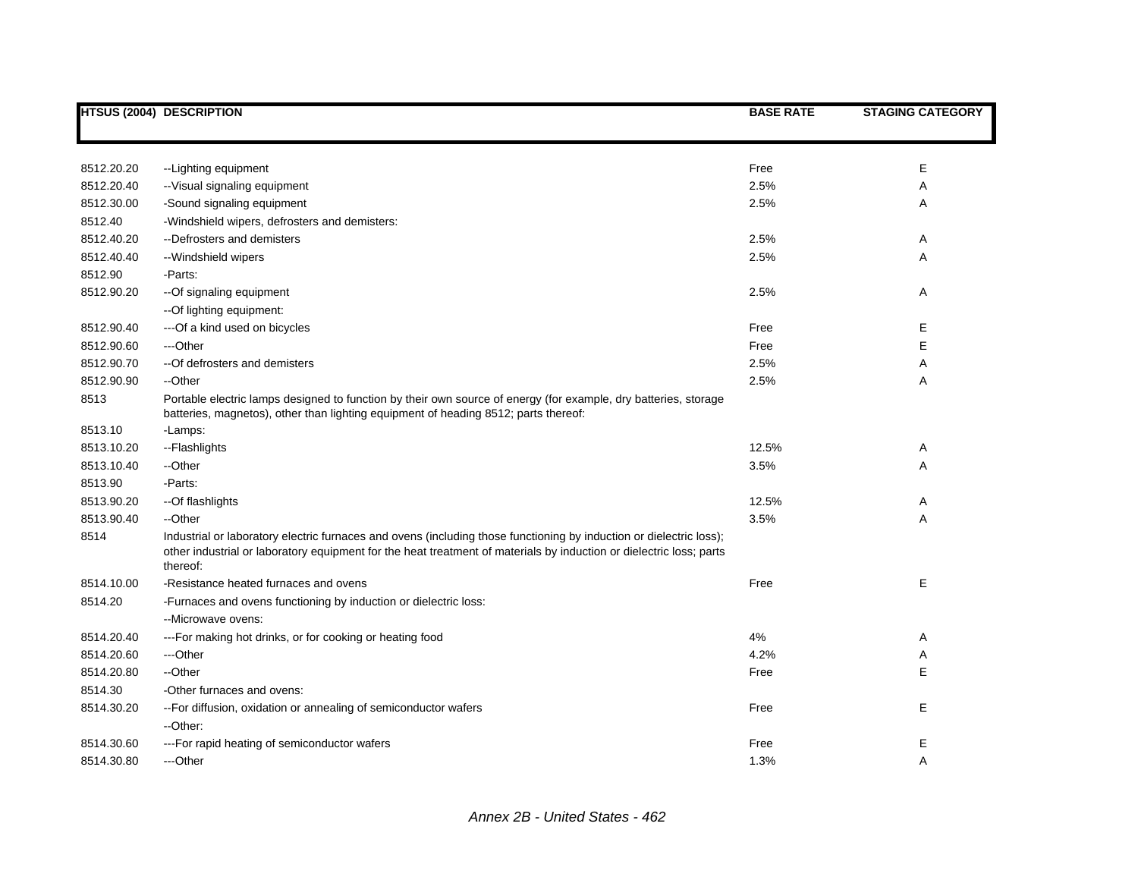|            | <b>HTSUS (2004) DESCRIPTION</b>                                                                                                                                                                                                                        | <b>BASE RATE</b> | <b>STAGING CATEGORY</b> |
|------------|--------------------------------------------------------------------------------------------------------------------------------------------------------------------------------------------------------------------------------------------------------|------------------|-------------------------|
|            |                                                                                                                                                                                                                                                        |                  |                         |
| 8512.20.20 | -- Lighting equipment                                                                                                                                                                                                                                  | Free             | E                       |
| 8512.20.40 | -- Visual signaling equipment                                                                                                                                                                                                                          | 2.5%             | Α                       |
| 8512.30.00 | -Sound signaling equipment                                                                                                                                                                                                                             | 2.5%             | Α                       |
| 8512.40    | -Windshield wipers, defrosters and demisters:                                                                                                                                                                                                          |                  |                         |
| 8512.40.20 | --Defrosters and demisters                                                                                                                                                                                                                             | 2.5%             | Α                       |
| 8512.40.40 | --Windshield wipers                                                                                                                                                                                                                                    | 2.5%             | Α                       |
| 8512.90    | -Parts:                                                                                                                                                                                                                                                |                  |                         |
| 8512.90.20 | --Of signaling equipment                                                                                                                                                                                                                               | 2.5%             | Α                       |
|            | -- Of lighting equipment:                                                                                                                                                                                                                              |                  |                         |
| 8512.90.40 | --- Of a kind used on bicycles                                                                                                                                                                                                                         | Free             | Е                       |
| 8512.90.60 | ---Other                                                                                                                                                                                                                                               | Free             | E                       |
| 8512.90.70 | -- Of defrosters and demisters                                                                                                                                                                                                                         | 2.5%             | Α                       |
| 8512.90.90 | --Other                                                                                                                                                                                                                                                | 2.5%             | Α                       |
| 8513       | Portable electric lamps designed to function by their own source of energy (for example, dry batteries, storage<br>batteries, magnetos), other than lighting equipment of heading 8512; parts thereof:                                                 |                  |                         |
| 8513.10    | -Lamps:                                                                                                                                                                                                                                                |                  |                         |
| 8513.10.20 | --Flashlights                                                                                                                                                                                                                                          | 12.5%            | Α                       |
| 8513.10.40 | --Other                                                                                                                                                                                                                                                | 3.5%             | Α                       |
| 8513.90    | -Parts:                                                                                                                                                                                                                                                |                  |                         |
| 8513.90.20 | --Of flashlights                                                                                                                                                                                                                                       | 12.5%            | Α                       |
| 8513.90.40 | --Other                                                                                                                                                                                                                                                | 3.5%             | Α                       |
| 8514       | Industrial or laboratory electric furnaces and ovens (including those functioning by induction or dielectric loss);<br>other industrial or laboratory equipment for the heat treatment of materials by induction or dielectric loss; parts<br>thereof: |                  |                         |
| 8514.10.00 | -Resistance heated furnaces and ovens                                                                                                                                                                                                                  | Free             | Е                       |
| 8514.20    | -Furnaces and ovens functioning by induction or dielectric loss:                                                                                                                                                                                       |                  |                         |
|            | --Microwave ovens:                                                                                                                                                                                                                                     |                  |                         |
| 8514.20.40 | --- For making hot drinks, or for cooking or heating food                                                                                                                                                                                              | 4%               | Α                       |
| 8514.20.60 | ---Other                                                                                                                                                                                                                                               | 4.2%             | Α                       |
| 8514.20.80 | --Other                                                                                                                                                                                                                                                | Free             | E                       |
| 8514.30    | -Other furnaces and ovens:                                                                                                                                                                                                                             |                  |                         |
| 8514.30.20 | -- For diffusion, oxidation or annealing of semiconductor wafers<br>--Other:                                                                                                                                                                           | Free             | E                       |
| 8514.30.60 | --- For rapid heating of semiconductor wafers                                                                                                                                                                                                          | Free             | Е                       |
| 8514.30.80 | ---Other                                                                                                                                                                                                                                               | 1.3%             | A                       |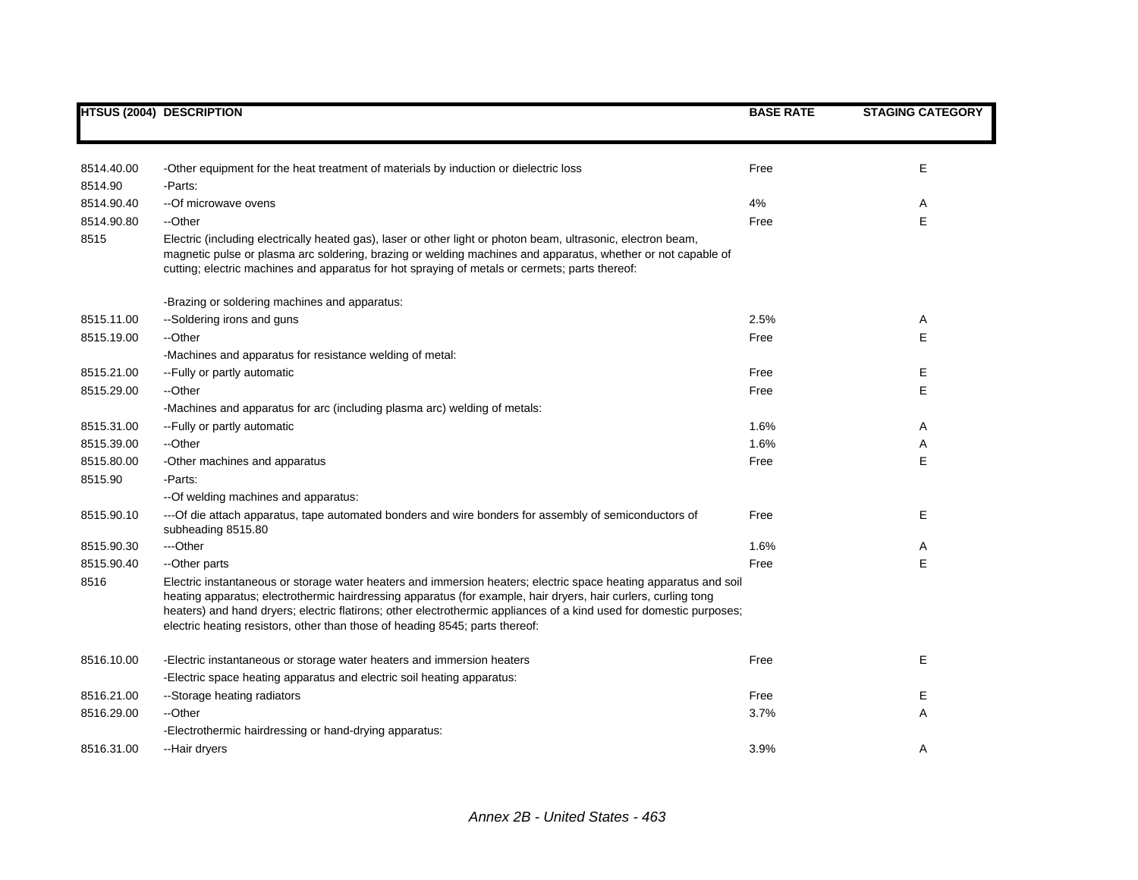|            | <b>HTSUS (2004) DESCRIPTION</b>                                                                                                                                                                                                                                                                                                                                                                                                           | <b>BASE RATE</b> | <b>STAGING CATEGORY</b> |
|------------|-------------------------------------------------------------------------------------------------------------------------------------------------------------------------------------------------------------------------------------------------------------------------------------------------------------------------------------------------------------------------------------------------------------------------------------------|------------------|-------------------------|
|            |                                                                                                                                                                                                                                                                                                                                                                                                                                           |                  |                         |
| 8514.40.00 | -Other equipment for the heat treatment of materials by induction or dielectric loss                                                                                                                                                                                                                                                                                                                                                      | Free             | Ε                       |
| 8514.90    | -Parts:                                                                                                                                                                                                                                                                                                                                                                                                                                   |                  |                         |
| 8514.90.40 | --Of microwave ovens                                                                                                                                                                                                                                                                                                                                                                                                                      | 4%               | A                       |
| 8514.90.80 | --Other                                                                                                                                                                                                                                                                                                                                                                                                                                   | Free             | E                       |
| 8515       | Electric (including electrically heated gas), laser or other light or photon beam, ultrasonic, electron beam,<br>magnetic pulse or plasma arc soldering, brazing or welding machines and apparatus, whether or not capable of<br>cutting; electric machines and apparatus for hot spraying of metals or cermets; parts thereof:                                                                                                           |                  |                         |
|            | -Brazing or soldering machines and apparatus:                                                                                                                                                                                                                                                                                                                                                                                             |                  |                         |
| 8515.11.00 | --Soldering irons and guns                                                                                                                                                                                                                                                                                                                                                                                                                | 2.5%             | Α                       |
| 8515.19.00 | --Other                                                                                                                                                                                                                                                                                                                                                                                                                                   | Free             | E                       |
|            | -Machines and apparatus for resistance welding of metal:                                                                                                                                                                                                                                                                                                                                                                                  |                  |                         |
| 8515.21.00 | -- Fully or partly automatic                                                                                                                                                                                                                                                                                                                                                                                                              | Free             | Ε                       |
| 8515.29.00 | --Other                                                                                                                                                                                                                                                                                                                                                                                                                                   | Free             | E                       |
|            | -Machines and apparatus for arc (including plasma arc) welding of metals:                                                                                                                                                                                                                                                                                                                                                                 |                  |                         |
| 8515.31.00 | -- Fully or partly automatic                                                                                                                                                                                                                                                                                                                                                                                                              | 1.6%             | A                       |
| 8515.39.00 | --Other                                                                                                                                                                                                                                                                                                                                                                                                                                   | 1.6%             | Α                       |
| 8515.80.00 | -Other machines and apparatus                                                                                                                                                                                                                                                                                                                                                                                                             | Free             | E                       |
| 8515.90    | -Parts:                                                                                                                                                                                                                                                                                                                                                                                                                                   |                  |                         |
|            | -- Of welding machines and apparatus:                                                                                                                                                                                                                                                                                                                                                                                                     |                  |                         |
| 8515.90.10 | --- Of die attach apparatus, tape automated bonders and wire bonders for assembly of semiconductors of<br>subheading 8515.80                                                                                                                                                                                                                                                                                                              | Free             | Е                       |
| 8515.90.30 | ---Other                                                                                                                                                                                                                                                                                                                                                                                                                                  | 1.6%             | A                       |
| 8515.90.40 | --Other parts                                                                                                                                                                                                                                                                                                                                                                                                                             | Free             | E                       |
| 8516       | Electric instantaneous or storage water heaters and immersion heaters; electric space heating apparatus and soil<br>heating apparatus; electrothermic hairdressing apparatus (for example, hair dryers, hair curlers, curling tong<br>heaters) and hand dryers; electric flatirons; other electrothermic appliances of a kind used for domestic purposes;<br>electric heating resistors, other than those of heading 8545; parts thereof: |                  |                         |
| 8516.10.00 | -Electric instantaneous or storage water heaters and immersion heaters                                                                                                                                                                                                                                                                                                                                                                    | Free             | Е                       |
|            | -Electric space heating apparatus and electric soil heating apparatus:                                                                                                                                                                                                                                                                                                                                                                    |                  |                         |
| 8516.21.00 | --Storage heating radiators                                                                                                                                                                                                                                                                                                                                                                                                               | Free             | Ε                       |
| 8516.29.00 | --Other                                                                                                                                                                                                                                                                                                                                                                                                                                   | 3.7%             | Α                       |
|            | -Electrothermic hairdressing or hand-drying apparatus:                                                                                                                                                                                                                                                                                                                                                                                    |                  |                         |
| 8516.31.00 | --Hair dryers                                                                                                                                                                                                                                                                                                                                                                                                                             | 3.9%             | A                       |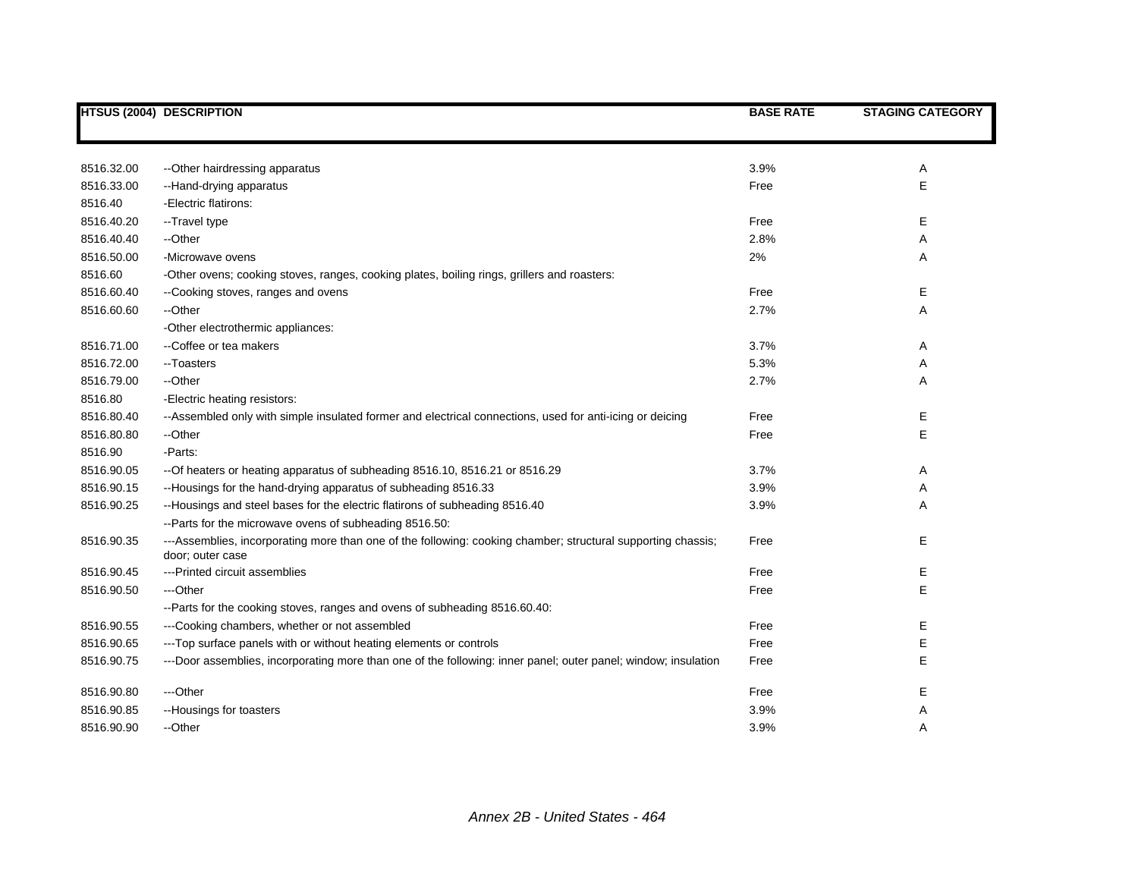|            | <b>HTSUS (2004) DESCRIPTION</b>                                                                                                  | <b>BASE RATE</b> | <b>STAGING CATEGORY</b> |
|------------|----------------------------------------------------------------------------------------------------------------------------------|------------------|-------------------------|
|            |                                                                                                                                  |                  |                         |
| 8516.32.00 | -- Other hairdressing apparatus                                                                                                  | 3.9%             | Α                       |
| 8516.33.00 | --Hand-drying apparatus                                                                                                          | Free             | Ε                       |
| 8516.40    | -Electric flatirons:                                                                                                             |                  |                         |
| 8516.40.20 | --Travel type                                                                                                                    | Free             | E.                      |
| 8516.40.40 | --Other                                                                                                                          | 2.8%             | Α                       |
| 8516.50.00 | -Microwave ovens                                                                                                                 | 2%               | Α                       |
| 8516.60    | -Other ovens; cooking stoves, ranges, cooking plates, boiling rings, grillers and roasters:                                      |                  |                         |
| 8516.60.40 | --Cooking stoves, ranges and ovens                                                                                               | Free             | Е                       |
| 8516.60.60 | --Other                                                                                                                          | 2.7%             | Α                       |
|            | -Other electrothermic appliances:                                                                                                |                  |                         |
| 8516.71.00 | --Coffee or tea makers                                                                                                           | 3.7%             | Α                       |
| 8516.72.00 | --Toasters                                                                                                                       | 5.3%             | Α                       |
| 8516.79.00 | --Other                                                                                                                          | 2.7%             | Α                       |
| 8516.80    | -Electric heating resistors:                                                                                                     |                  |                         |
| 8516.80.40 | --Assembled only with simple insulated former and electrical connections, used for anti-icing or deicing                         | Free             | Е                       |
| 8516.80.80 | --Other                                                                                                                          | Free             | Е                       |
| 8516.90    | -Parts:                                                                                                                          |                  |                         |
| 8516.90.05 | -- Of heaters or heating apparatus of subheading 8516.10, 8516.21 or 8516.29                                                     | 3.7%             | Α                       |
| 8516.90.15 | --Housings for the hand-drying apparatus of subheading 8516.33                                                                   | 3.9%             | Α                       |
| 8516.90.25 | --Housings and steel bases for the electric flatirons of subheading 8516.40                                                      | 3.9%             | Α                       |
|            | --Parts for the microwave ovens of subheading 8516.50:                                                                           |                  |                         |
| 8516.90.35 | ---Assemblies, incorporating more than one of the following: cooking chamber; structural supporting chassis;<br>door; outer case | Free             | E                       |
| 8516.90.45 | ---Printed circuit assemblies                                                                                                    | Free             | Е                       |
| 8516.90.50 | ---Other                                                                                                                         | Free             | E                       |
|            | --Parts for the cooking stoves, ranges and ovens of subheading 8516.60.40:                                                       |                  |                         |
| 8516.90.55 | ---Cooking chambers, whether or not assembled                                                                                    | Free             | Е                       |
| 8516.90.65 | ---Top surface panels with or without heating elements or controls                                                               | Free             | Е                       |
| 8516.90.75 | ---Door assemblies, incorporating more than one of the following: inner panel; outer panel; window; insulation                   | Free             | Е                       |
| 8516.90.80 | ---Other                                                                                                                         | Free             | Ε                       |
| 8516.90.85 | --Housings for toasters                                                                                                          | 3.9%             | Α                       |
| 8516.90.90 | --Other                                                                                                                          | 3.9%             | Α                       |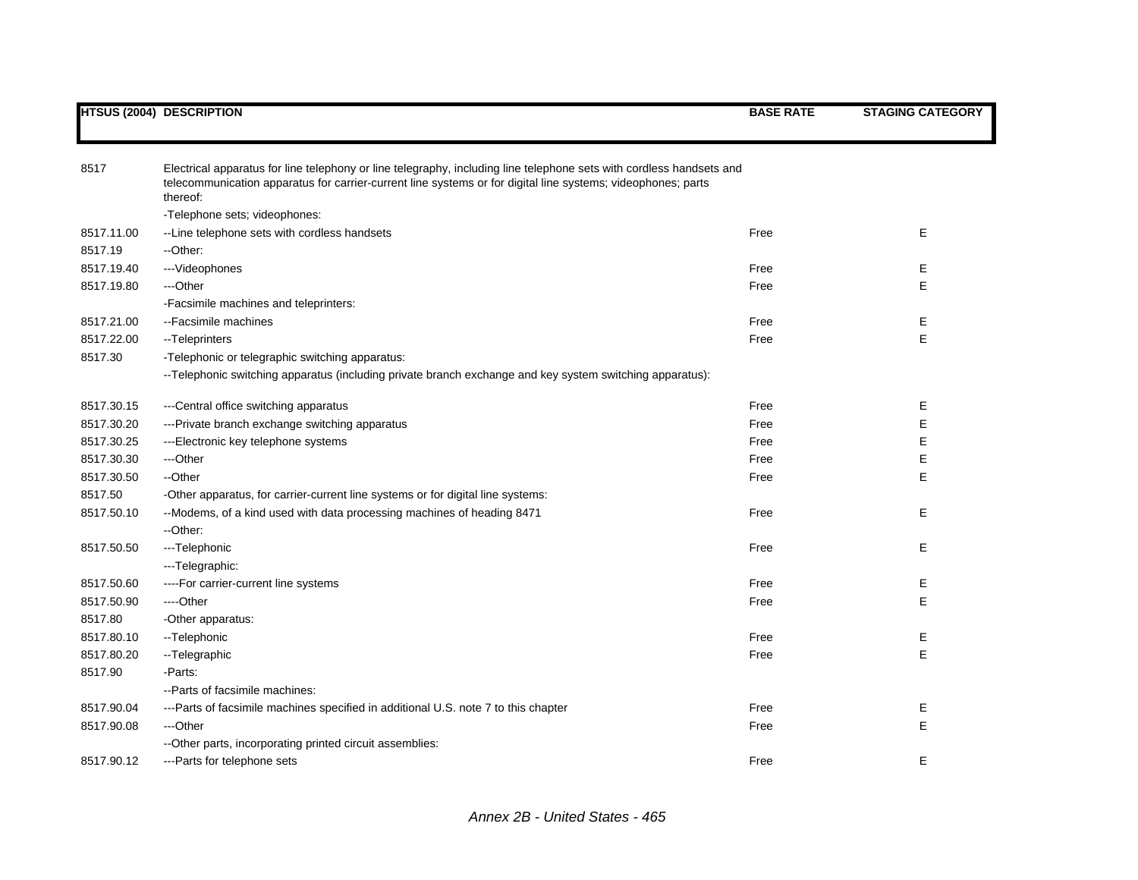| 8517       | Electrical apparatus for line telephony or line telegraphy, including line telephone sets with cordless handsets and<br>telecommunication apparatus for carrier-current line systems or for digital line systems; videophones; parts<br>thereof: |      |   |
|------------|--------------------------------------------------------------------------------------------------------------------------------------------------------------------------------------------------------------------------------------------------|------|---|
|            | -Telephone sets; videophones:                                                                                                                                                                                                                    |      |   |
| 8517.11.00 | --Line telephone sets with cordless handsets                                                                                                                                                                                                     | Free | E |
| 8517.19    | --Other:                                                                                                                                                                                                                                         |      |   |
| 8517.19.40 | ---Videophones                                                                                                                                                                                                                                   | Free | Е |
| 8517.19.80 | ---Other                                                                                                                                                                                                                                         | Free | Е |
|            | -Facsimile machines and teleprinters:                                                                                                                                                                                                            |      |   |
| 8517.21.00 | --Facsimile machines                                                                                                                                                                                                                             | Free | Е |
| 8517.22.00 | --Teleprinters                                                                                                                                                                                                                                   | Free | E |
| 8517.30    | -Telephonic or telegraphic switching apparatus:                                                                                                                                                                                                  |      |   |
|            | --Telephonic switching apparatus (including private branch exchange and key system switching apparatus):                                                                                                                                         |      |   |
| 8517.30.15 | ---Central office switching apparatus                                                                                                                                                                                                            | Free | Е |
| 8517.30.20 | ---Private branch exchange switching apparatus                                                                                                                                                                                                   | Free | Е |
| 8517.30.25 | ---Electronic key telephone systems                                                                                                                                                                                                              | Free | Е |
| 8517.30.30 | ---Other                                                                                                                                                                                                                                         | Free | Е |
| 8517.30.50 | --Other                                                                                                                                                                                                                                          | Free | Е |
| 8517.50    | -Other apparatus, for carrier-current line systems or for digital line systems:                                                                                                                                                                  |      |   |
| 8517.50.10 | --Modems, of a kind used with data processing machines of heading 8471<br>--Other:                                                                                                                                                               | Free | E |
| 8517.50.50 | ---Telephonic                                                                                                                                                                                                                                    | Free | Е |
|            | ---Telegraphic:                                                                                                                                                                                                                                  |      |   |
| 8517.50.60 | ----For carrier-current line systems                                                                                                                                                                                                             | Free | Е |
| 8517.50.90 | ----Other                                                                                                                                                                                                                                        | Free | E |
| 8517.80    | -Other apparatus:                                                                                                                                                                                                                                |      |   |
| 8517.80.10 | -- Telephonic                                                                                                                                                                                                                                    | Free | Е |
| 8517.80.20 | --Telegraphic                                                                                                                                                                                                                                    | Free | E |
| 8517.90    | -Parts:                                                                                                                                                                                                                                          |      |   |
|            | --Parts of facsimile machines:                                                                                                                                                                                                                   |      |   |
| 8517.90.04 | ---Parts of facsimile machines specified in additional U.S. note 7 to this chapter                                                                                                                                                               | Free | Е |
| 8517.90.08 | ---Other                                                                                                                                                                                                                                         | Free | E |
|            | --Other parts, incorporating printed circuit assemblies:                                                                                                                                                                                         |      |   |
| 8517.90.12 | ---Parts for telephone sets                                                                                                                                                                                                                      | Free | E |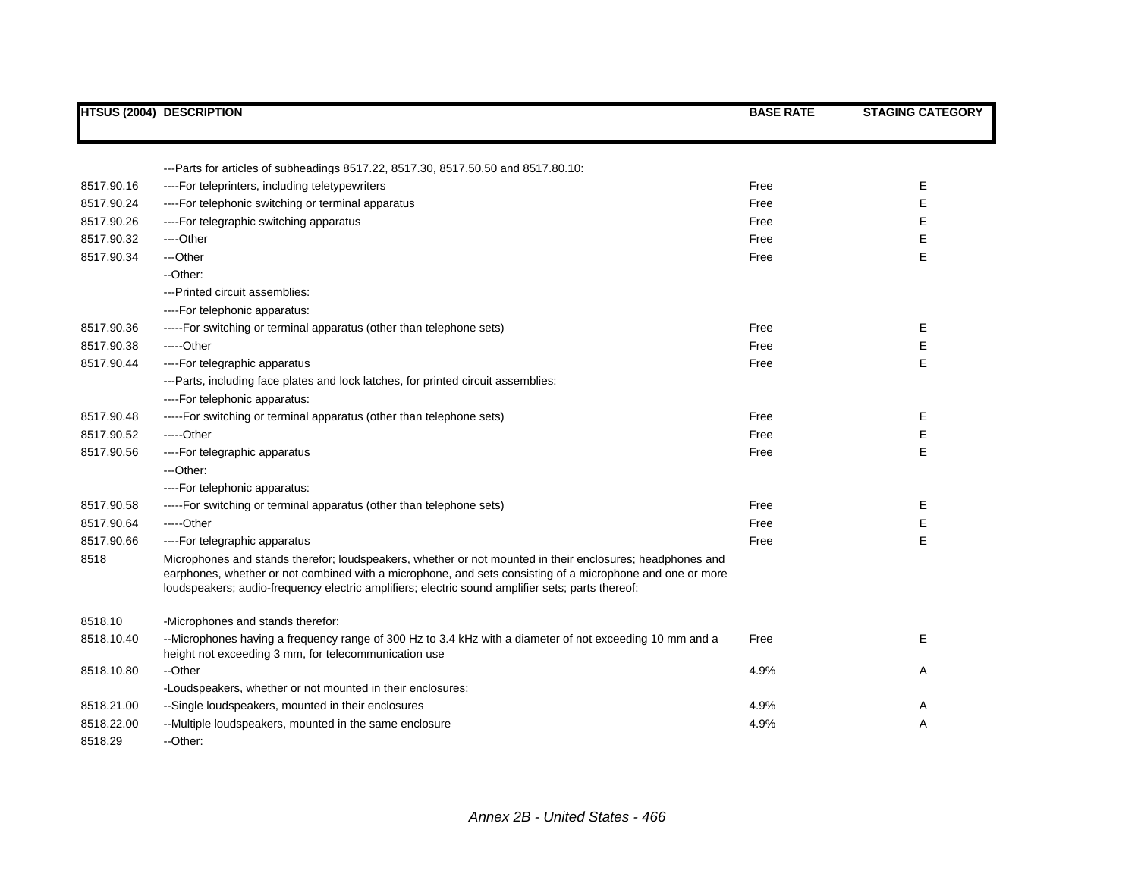|            | <b>HTSUS (2004) DESCRIPTION</b>                                                                                                                                                                                                                                                                                            | <b>BASE RATE</b> | <b>STAGING CATEGORY</b> |
|------------|----------------------------------------------------------------------------------------------------------------------------------------------------------------------------------------------------------------------------------------------------------------------------------------------------------------------------|------------------|-------------------------|
|            |                                                                                                                                                                                                                                                                                                                            |                  |                         |
|            | --Parts for articles of subheadings 8517.22, 8517.30, 8517.50.50 and 8517.80.10:                                                                                                                                                                                                                                           |                  |                         |
| 8517.90.16 | ---- For teleprinters, including teletypewriters                                                                                                                                                                                                                                                                           | Free             | Е                       |
| 8517.90.24 | ----For telephonic switching or terminal apparatus                                                                                                                                                                                                                                                                         | Free             | E                       |
| 8517.90.26 | ----For telegraphic switching apparatus                                                                                                                                                                                                                                                                                    | Free             | Ε                       |
| 8517.90.32 | ----Other                                                                                                                                                                                                                                                                                                                  | Free             | Ε                       |
| 8517.90.34 | ---Other                                                                                                                                                                                                                                                                                                                   | Free             | E                       |
|            | --Other:                                                                                                                                                                                                                                                                                                                   |                  |                         |
|            | ---Printed circuit assemblies:                                                                                                                                                                                                                                                                                             |                  |                         |
|            | ----For telephonic apparatus:                                                                                                                                                                                                                                                                                              |                  |                         |
| 8517.90.36 | -----For switching or terminal apparatus (other than telephone sets)                                                                                                                                                                                                                                                       | Free             | Е                       |
| 8517.90.38 | $---Other$                                                                                                                                                                                                                                                                                                                 | Free             | E                       |
| 8517.90.44 | ----For telegraphic apparatus                                                                                                                                                                                                                                                                                              | Free             | E                       |
|            | ---Parts, including face plates and lock latches, for printed circuit assemblies:                                                                                                                                                                                                                                          |                  |                         |
|            | ----For telephonic apparatus:                                                                                                                                                                                                                                                                                              |                  |                         |
| 8517.90.48 | -----For switching or terminal apparatus (other than telephone sets)                                                                                                                                                                                                                                                       | Free             | Ε                       |
| 8517.90.52 | $---Other$                                                                                                                                                                                                                                                                                                                 | Free             | Е                       |
| 8517.90.56 | ----For telegraphic apparatus                                                                                                                                                                                                                                                                                              | Free             | E                       |
|            | ---Other:                                                                                                                                                                                                                                                                                                                  |                  |                         |
|            | ----For telephonic apparatus:                                                                                                                                                                                                                                                                                              |                  |                         |
| 8517.90.58 | -----For switching or terminal apparatus (other than telephone sets)                                                                                                                                                                                                                                                       | Free             | Е                       |
| 8517.90.64 | $---Other$                                                                                                                                                                                                                                                                                                                 | Free             | Ε                       |
| 8517.90.66 | ----For telegraphic apparatus                                                                                                                                                                                                                                                                                              | Free             | E                       |
| 8518       | Microphones and stands therefor; loudspeakers, whether or not mounted in their enclosures; headphones and<br>earphones, whether or not combined with a microphone, and sets consisting of a microphone and one or more<br>loudspeakers; audio-frequency electric amplifiers; electric sound amplifier sets; parts thereof: |                  |                         |
| 8518.10    | -Microphones and stands therefor:                                                                                                                                                                                                                                                                                          |                  |                         |
| 8518.10.40 | --Microphones having a frequency range of 300 Hz to 3.4 kHz with a diameter of not exceeding 10 mm and a<br>height not exceeding 3 mm, for telecommunication use                                                                                                                                                           | Free             | Е                       |
| 8518.10.80 | --Other                                                                                                                                                                                                                                                                                                                    | 4.9%             | Α                       |
|            | -Loudspeakers, whether or not mounted in their enclosures:                                                                                                                                                                                                                                                                 |                  |                         |
| 8518.21.00 | --Single loudspeakers, mounted in their enclosures                                                                                                                                                                                                                                                                         | 4.9%             | Α                       |
| 8518.22.00 | --Multiple loudspeakers, mounted in the same enclosure                                                                                                                                                                                                                                                                     | 4.9%             | Α                       |
| 8518.29    | --Other:                                                                                                                                                                                                                                                                                                                   |                  |                         |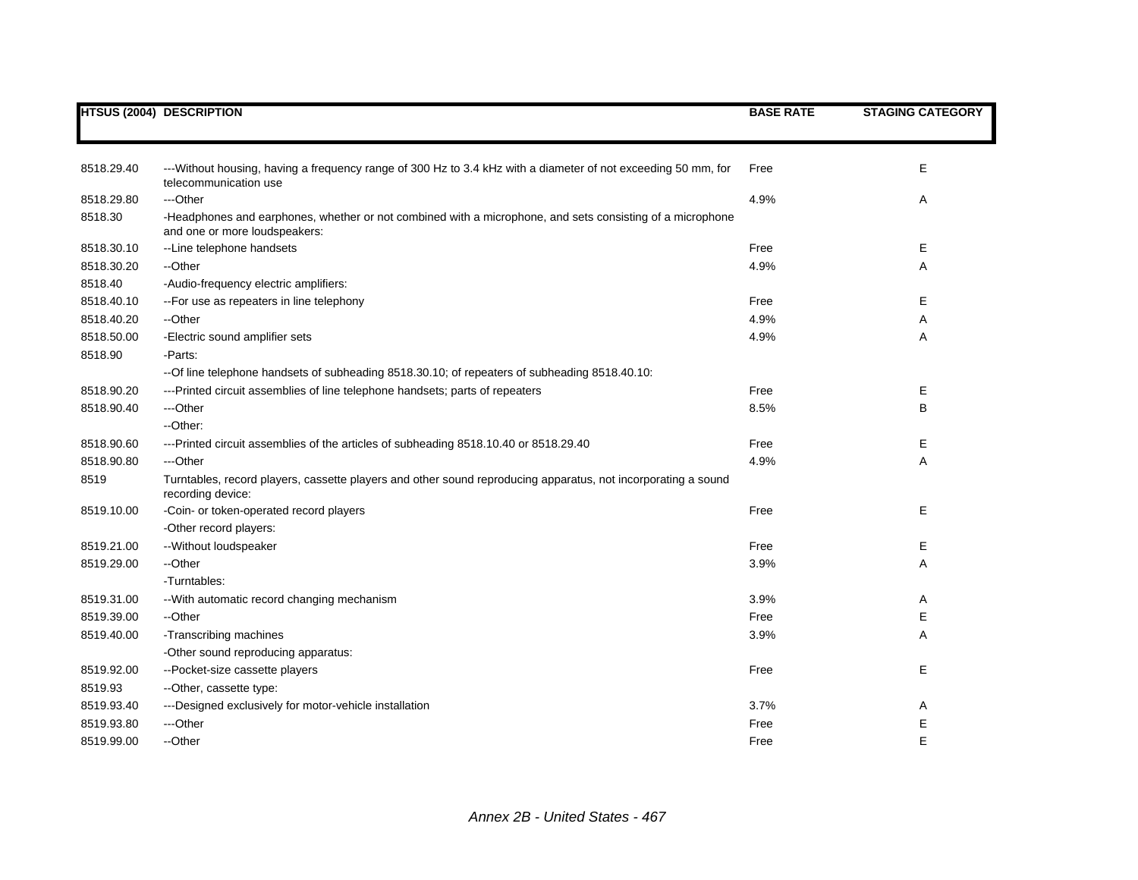|            | <b>HTSUS (2004) DESCRIPTION</b>                                                                                                            | <b>BASE RATE</b> | <b>STAGING CATEGORY</b> |
|------------|--------------------------------------------------------------------------------------------------------------------------------------------|------------------|-------------------------|
|            |                                                                                                                                            |                  |                         |
|            |                                                                                                                                            |                  |                         |
| 8518.29.40 | --- Without housing, having a frequency range of 300 Hz to 3.4 kHz with a diameter of not exceeding 50 mm, for<br>telecommunication use    | Free             | E                       |
| 8518.29.80 | ---Other                                                                                                                                   | 4.9%             | Α                       |
| 8518.30    | -Headphones and earphones, whether or not combined with a microphone, and sets consisting of a microphone<br>and one or more loudspeakers: |                  |                         |
| 8518.30.10 | --Line telephone handsets                                                                                                                  | Free             | Е                       |
| 8518.30.20 | --Other                                                                                                                                    | 4.9%             | A                       |
| 8518.40    | -Audio-frequency electric amplifiers:                                                                                                      |                  |                         |
| 8518.40.10 | -- For use as repeaters in line telephony                                                                                                  | Free             | E                       |
| 8518.40.20 | --Other                                                                                                                                    | 4.9%             | Α                       |
| 8518.50.00 | -Electric sound amplifier sets                                                                                                             | 4.9%             | Α                       |
| 8518.90    | -Parts:                                                                                                                                    |                  |                         |
|            | -- Of line telephone handsets of subheading 8518.30.10; of repeaters of subheading 8518.40.10:                                             |                  |                         |
| 8518.90.20 | ---Printed circuit assemblies of line telephone handsets; parts of repeaters                                                               | Free             | Е                       |
| 8518.90.40 | ---Other                                                                                                                                   | 8.5%             | В                       |
|            | --Other:                                                                                                                                   |                  |                         |
| 8518.90.60 | --- Printed circuit assemblies of the articles of subheading 8518.10.40 or 8518.29.40                                                      | Free             | Е                       |
| 8518.90.80 | ---Other                                                                                                                                   | 4.9%             | Α                       |
| 8519       | Turntables, record players, cassette players and other sound reproducing apparatus, not incorporating a sound<br>recording device:         |                  |                         |
| 8519.10.00 | -Coin- or token-operated record players                                                                                                    | Free             | Е                       |
|            | -Other record players:                                                                                                                     |                  |                         |
| 8519.21.00 | -- Without loudspeaker                                                                                                                     | Free             | Е                       |
| 8519.29.00 | --Other                                                                                                                                    | 3.9%             | Α                       |
|            | -Turntables:                                                                                                                               |                  |                         |
| 8519.31.00 | -- With automatic record changing mechanism                                                                                                | 3.9%             | Α                       |
| 8519.39.00 | --Other                                                                                                                                    | Free             | Е                       |
| 8519.40.00 | -Transcribing machines                                                                                                                     | 3.9%             | Α                       |
|            | -Other sound reproducing apparatus:                                                                                                        |                  |                         |
| 8519.92.00 | --Pocket-size cassette players                                                                                                             | Free             | Е                       |
| 8519.93    | --Other, cassette type:                                                                                                                    |                  |                         |
| 8519.93.40 | ---Designed exclusively for motor-vehicle installation                                                                                     | 3.7%             | Α                       |
| 8519.93.80 | ---Other                                                                                                                                   | Free             | Е                       |
| 8519.99.00 | --Other                                                                                                                                    | Free             | E                       |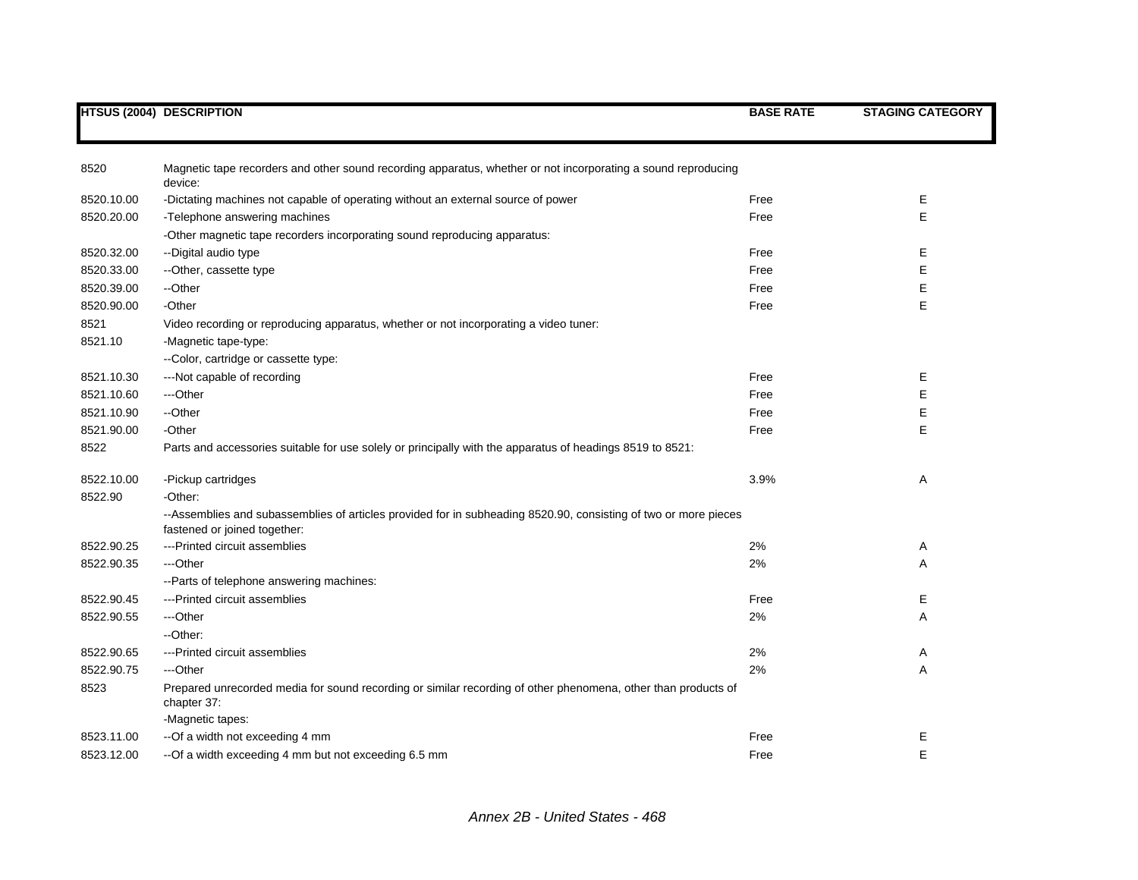|            | <b>HTSUS (2004) DESCRIPTION</b>                                                                                                                 | <b>BASE RATE</b> | <b>STAGING CATEGORY</b> |
|------------|-------------------------------------------------------------------------------------------------------------------------------------------------|------------------|-------------------------|
|            |                                                                                                                                                 |                  |                         |
| 8520       | Magnetic tape recorders and other sound recording apparatus, whether or not incorporating a sound reproducing<br>device:                        |                  |                         |
| 8520.10.00 | -Dictating machines not capable of operating without an external source of power                                                                | Free             | Е                       |
| 8520.20.00 | -Telephone answering machines                                                                                                                   | Free             | E                       |
|            | -Other magnetic tape recorders incorporating sound reproducing apparatus:                                                                       |                  |                         |
| 8520.32.00 | --Digital audio type                                                                                                                            | Free             | Е                       |
| 8520.33.00 | --Other, cassette type                                                                                                                          | Free             | E                       |
| 8520.39.00 | --Other                                                                                                                                         | Free             | Ε                       |
| 8520.90.00 | -Other                                                                                                                                          | Free             | E                       |
| 8521       | Video recording or reproducing apparatus, whether or not incorporating a video tuner:                                                           |                  |                         |
| 8521.10    | -Magnetic tape-type:                                                                                                                            |                  |                         |
|            | --Color, cartridge or cassette type:                                                                                                            |                  |                         |
| 8521.10.30 | ---Not capable of recording                                                                                                                     | Free             | Е                       |
| 8521.10.60 | ---Other                                                                                                                                        | Free             | E                       |
| 8521.10.90 | --Other                                                                                                                                         | Free             | Е                       |
| 8521.90.00 | -Other                                                                                                                                          | Free             | E                       |
| 8522       | Parts and accessories suitable for use solely or principally with the apparatus of headings 8519 to 8521:                                       |                  |                         |
| 8522.10.00 | -Pickup cartridges                                                                                                                              | 3.9%             | Α                       |
| 8522.90    | -Other:                                                                                                                                         |                  |                         |
|            | --Assemblies and subassemblies of articles provided for in subheading 8520.90, consisting of two or more pieces<br>fastened or joined together: |                  |                         |
| 8522.90.25 | ---Printed circuit assemblies                                                                                                                   | 2%               | Α                       |
| 8522.90.35 | ---Other                                                                                                                                        | 2%               | Α                       |
|            | -- Parts of telephone answering machines:                                                                                                       |                  |                         |
| 8522.90.45 | ---Printed circuit assemblies                                                                                                                   | Free             | Е                       |
| 8522.90.55 | ---Other                                                                                                                                        | 2%               | Α                       |
|            | --Other:                                                                                                                                        |                  |                         |
| 8522.90.65 | ---Printed circuit assemblies                                                                                                                   | 2%               | A                       |
| 8522.90.75 | ---Other                                                                                                                                        | 2%               | Α                       |
| 8523       | Prepared unrecorded media for sound recording or similar recording of other phenomena, other than products of<br>chapter 37:                    |                  |                         |
|            | -Magnetic tapes:                                                                                                                                |                  |                         |
| 8523.11.00 | --Of a width not exceeding 4 mm                                                                                                                 | Free             | Е                       |
| 8523.12.00 | --Of a width exceeding 4 mm but not exceeding 6.5 mm                                                                                            | Free             | E                       |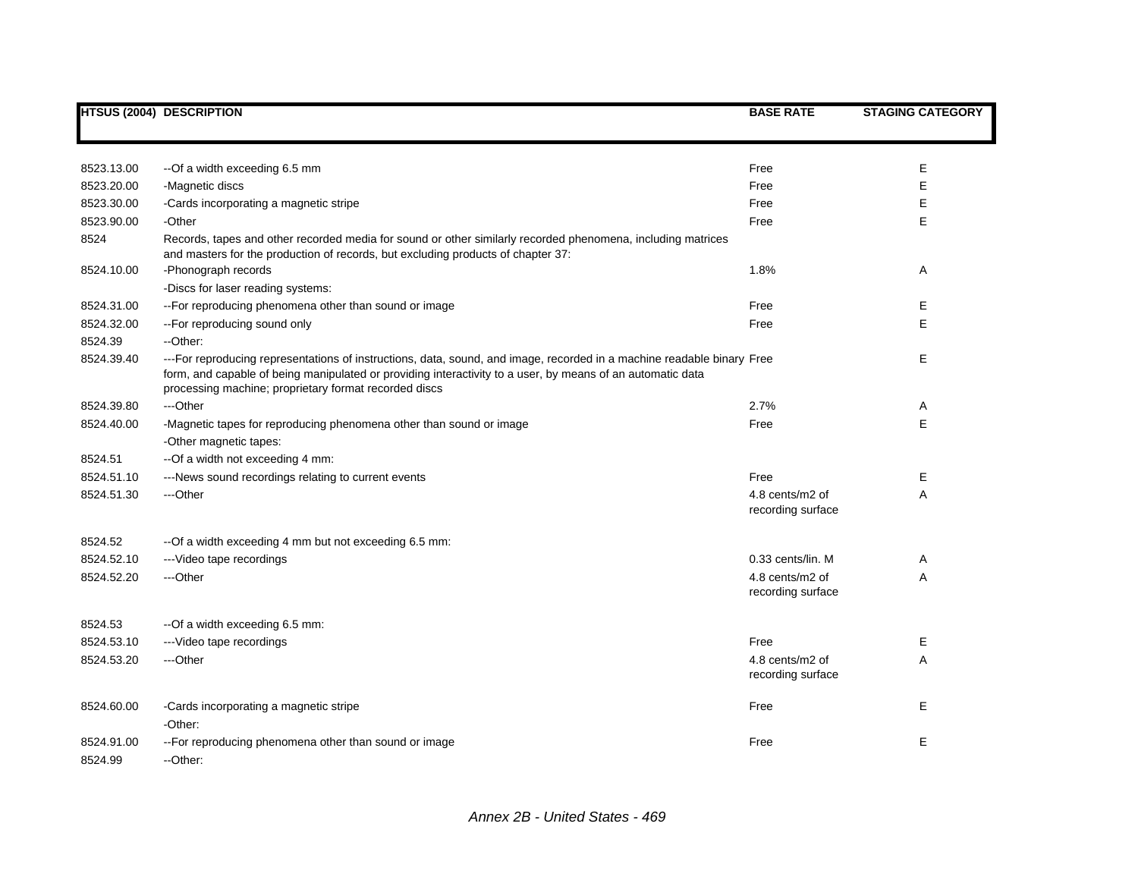|                       | <b>HTSUS (2004) DESCRIPTION</b>                                                                                                                                                                                                                                                               | <b>BASE RATE</b>                     | <b>STAGING CATEGORY</b> |
|-----------------------|-----------------------------------------------------------------------------------------------------------------------------------------------------------------------------------------------------------------------------------------------------------------------------------------------|--------------------------------------|-------------------------|
|                       |                                                                                                                                                                                                                                                                                               |                                      |                         |
| 8523.13.00            | --Of a width exceeding 6.5 mm                                                                                                                                                                                                                                                                 | Free                                 | E.                      |
| 8523.20.00            | -Magnetic discs                                                                                                                                                                                                                                                                               | Free                                 | E                       |
| 8523.30.00            | -Cards incorporating a magnetic stripe                                                                                                                                                                                                                                                        | Free                                 | E                       |
| 8523.90.00            | -Other                                                                                                                                                                                                                                                                                        | Free                                 | E                       |
| 8524                  | Records, tapes and other recorded media for sound or other similarly recorded phenomena, including matrices<br>and masters for the production of records, but excluding products of chapter 37:                                                                                               |                                      |                         |
| 8524.10.00            | -Phonograph records                                                                                                                                                                                                                                                                           | 1.8%                                 | Α                       |
|                       | -Discs for laser reading systems:                                                                                                                                                                                                                                                             |                                      |                         |
| 8524.31.00            | -- For reproducing phenomena other than sound or image                                                                                                                                                                                                                                        | Free                                 | E.                      |
| 8524.32.00            | -- For reproducing sound only                                                                                                                                                                                                                                                                 | Free                                 | E                       |
| 8524.39               | --Other:                                                                                                                                                                                                                                                                                      |                                      |                         |
| 8524.39.40            | ---For reproducing representations of instructions, data, sound, and image, recorded in a machine readable binary Free<br>form, and capable of being manipulated or providing interactivity to a user, by means of an automatic data<br>processing machine; proprietary format recorded discs |                                      | Е                       |
| 8524.39.80            | ---Other                                                                                                                                                                                                                                                                                      | 2.7%                                 | Α                       |
| 8524.40.00            | -Magnetic tapes for reproducing phenomena other than sound or image                                                                                                                                                                                                                           | Free                                 | E                       |
|                       | -Other magnetic tapes:                                                                                                                                                                                                                                                                        |                                      |                         |
| 8524.51               | --Of a width not exceeding 4 mm:                                                                                                                                                                                                                                                              |                                      |                         |
| 8524.51.10            | ---News sound recordings relating to current events                                                                                                                                                                                                                                           | Free                                 | E.                      |
| 8524.51.30            | ---Other                                                                                                                                                                                                                                                                                      | 4.8 cents/m2 of<br>recording surface | Α                       |
| 8524.52               | -- Of a width exceeding 4 mm but not exceeding 6.5 mm:                                                                                                                                                                                                                                        |                                      |                         |
| 8524.52.10            | --- Video tape recordings                                                                                                                                                                                                                                                                     | 0.33 cents/lin. M                    | Α                       |
| 8524.52.20            | ---Other                                                                                                                                                                                                                                                                                      | 4.8 cents/m2 of<br>recording surface | Α                       |
| 8524.53               | --Of a width exceeding 6.5 mm:                                                                                                                                                                                                                                                                |                                      |                         |
| 8524.53.10            | --- Video tape recordings                                                                                                                                                                                                                                                                     | Free                                 | E                       |
| 8524.53.20            | ---Other                                                                                                                                                                                                                                                                                      | 4.8 cents/m2 of<br>recording surface | A                       |
| 8524.60.00            | -Cards incorporating a magnetic stripe<br>-Other:                                                                                                                                                                                                                                             | Free                                 | Е                       |
| 8524.91.00<br>8524.99 | -- For reproducing phenomena other than sound or image<br>--Other:                                                                                                                                                                                                                            | Free                                 | E                       |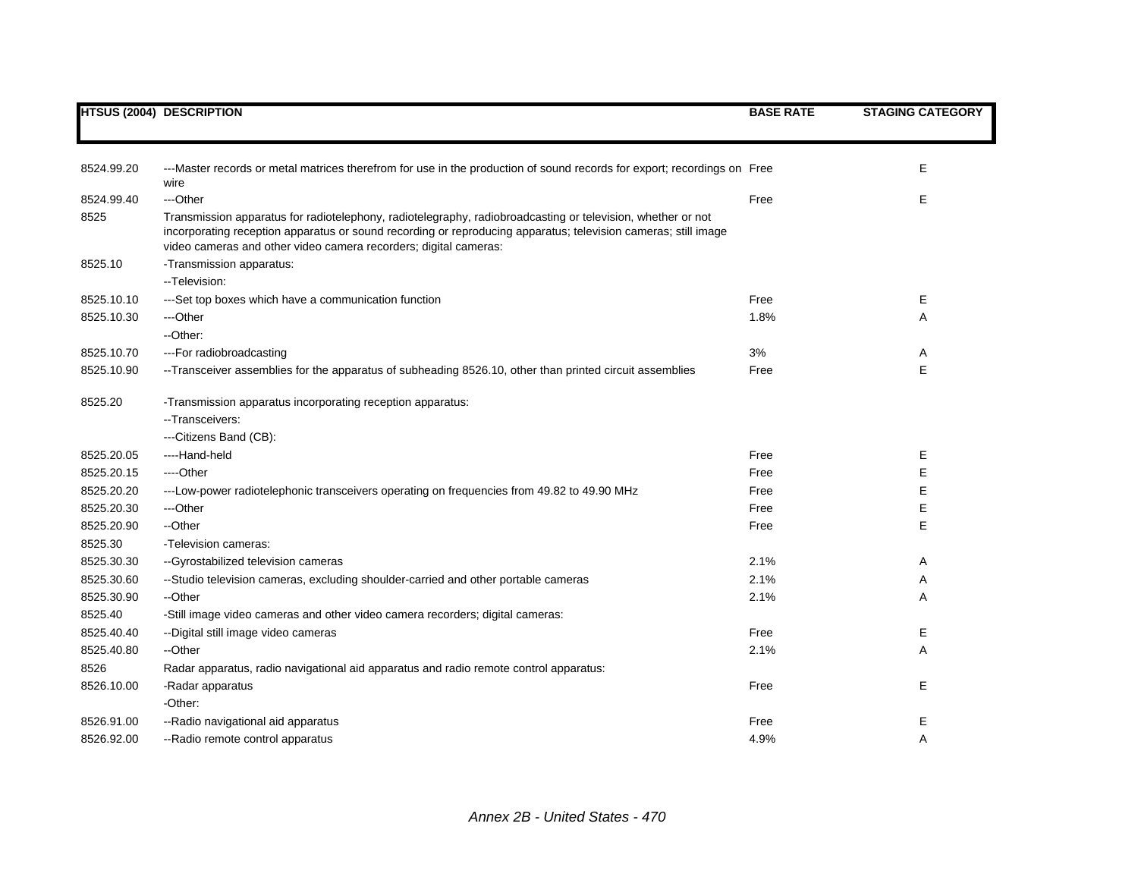|            | <b>HTSUS (2004) DESCRIPTION</b>                                                                                                                                                                                                                                                                   | <b>BASE RATE</b> | <b>STAGING CATEGORY</b> |
|------------|---------------------------------------------------------------------------------------------------------------------------------------------------------------------------------------------------------------------------------------------------------------------------------------------------|------------------|-------------------------|
|            |                                                                                                                                                                                                                                                                                                   |                  |                         |
| 8524.99.20 | ---Master records or metal matrices therefrom for use in the production of sound records for export; recordings on Free<br>wire                                                                                                                                                                   |                  | E.                      |
| 8524.99.40 | ---Other                                                                                                                                                                                                                                                                                          | Free             | E                       |
| 8525       | Transmission apparatus for radiotelephony, radiotelegraphy, radiobroadcasting or television, whether or not<br>incorporating reception apparatus or sound recording or reproducing apparatus; television cameras; still image<br>video cameras and other video camera recorders; digital cameras: |                  |                         |
| 8525.10    | -Transmission apparatus:                                                                                                                                                                                                                                                                          |                  |                         |
|            | -- Television:                                                                                                                                                                                                                                                                                    |                  |                         |
| 8525.10.10 | ---Set top boxes which have a communication function                                                                                                                                                                                                                                              | Free             | Е                       |
| 8525.10.30 | ---Other                                                                                                                                                                                                                                                                                          | 1.8%             | A                       |
|            | --Other:                                                                                                                                                                                                                                                                                          |                  |                         |
| 8525.10.70 | --- For radiobroadcasting                                                                                                                                                                                                                                                                         | 3%               | Α                       |
| 8525.10.90 | --Transceiver assemblies for the apparatus of subheading 8526.10, other than printed circuit assemblies                                                                                                                                                                                           | Free             | E                       |
| 8525.20    | -Transmission apparatus incorporating reception apparatus:                                                                                                                                                                                                                                        |                  |                         |
|            | - Transceivers:                                                                                                                                                                                                                                                                                   |                  |                         |
|            | ---Citizens Band (CB):                                                                                                                                                                                                                                                                            |                  |                         |
| 8525.20.05 | ----Hand-held                                                                                                                                                                                                                                                                                     | Free             | E.                      |
| 8525.20.15 | ----Other                                                                                                                                                                                                                                                                                         | Free             | E                       |
| 8525.20.20 | ---Low-power radiotelephonic transceivers operating on frequencies from 49.82 to 49.90 MHz                                                                                                                                                                                                        | Free             | Е                       |
| 8525.20.30 | ---Other                                                                                                                                                                                                                                                                                          | Free             | Е                       |
| 8525.20.90 | --Other                                                                                                                                                                                                                                                                                           | Free             | E                       |
| 8525.30    | -Television cameras:                                                                                                                                                                                                                                                                              |                  |                         |
| 8525.30.30 | --Gyrostabilized television cameras                                                                                                                                                                                                                                                               | 2.1%             | Α                       |
| 8525.30.60 | --Studio television cameras, excluding shoulder-carried and other portable cameras                                                                                                                                                                                                                | 2.1%             | Α                       |
| 8525.30.90 | --Other                                                                                                                                                                                                                                                                                           | 2.1%             | Α                       |
| 8525.40    | -Still image video cameras and other video camera recorders; digital cameras:                                                                                                                                                                                                                     |                  |                         |
| 8525.40.40 | -- Digital still image video cameras                                                                                                                                                                                                                                                              | Free             | Е                       |
| 8525.40.80 | --Other                                                                                                                                                                                                                                                                                           | 2.1%             | Α                       |
| 8526       | Radar apparatus, radio navigational aid apparatus and radio remote control apparatus:                                                                                                                                                                                                             |                  |                         |
| 8526.10.00 | -Radar apparatus                                                                                                                                                                                                                                                                                  | Free             | Е                       |
|            | -Other:                                                                                                                                                                                                                                                                                           |                  |                         |
| 8526.91.00 | --Radio navigational aid apparatus                                                                                                                                                                                                                                                                | Free             | E                       |
| 8526.92.00 | --Radio remote control apparatus                                                                                                                                                                                                                                                                  | 4.9%             | A                       |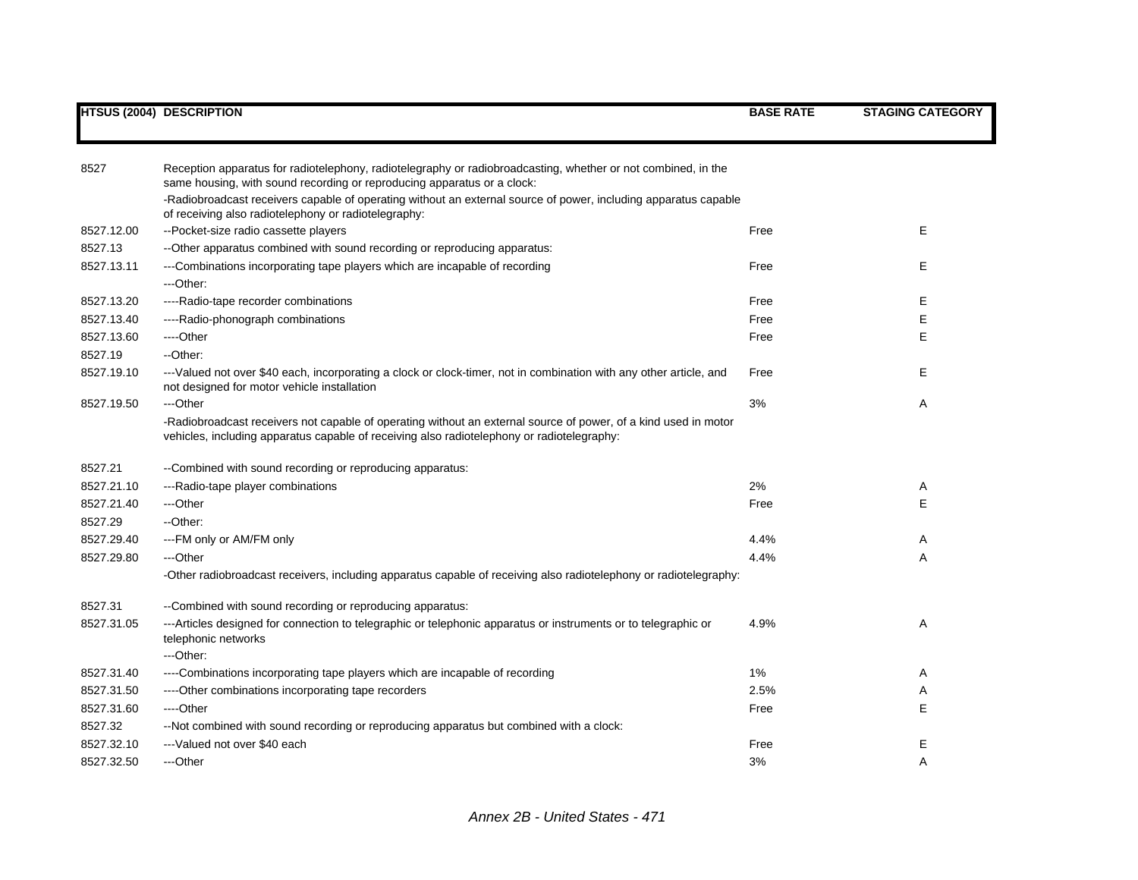| 8527       | Reception apparatus for radiotelephony, radiotelegraphy or radiobroadcasting, whether or not combined, in the<br>same housing, with sound recording or reproducing apparatus or a clock:                      |      |    |
|------------|---------------------------------------------------------------------------------------------------------------------------------------------------------------------------------------------------------------|------|----|
|            | -Radiobroadcast receivers capable of operating without an external source of power, including apparatus capable<br>of receiving also radiotelephony or radiotelegraphy:                                       |      |    |
| 8527.12.00 | --Pocket-size radio cassette players                                                                                                                                                                          | Free | E  |
| 8527.13    | --Other apparatus combined with sound recording or reproducing apparatus:                                                                                                                                     |      |    |
| 8527.13.11 | ---Combinations incorporating tape players which are incapable of recording                                                                                                                                   | Free | E  |
|            | ---Other:                                                                                                                                                                                                     |      |    |
| 8527.13.20 | ----Radio-tape recorder combinations                                                                                                                                                                          | Free | Е  |
| 8527.13.40 | ----Radio-phonograph combinations                                                                                                                                                                             | Free | Е  |
| 8527.13.60 | ----Other                                                                                                                                                                                                     | Free | E  |
| 8527.19    | --Other:                                                                                                                                                                                                      |      |    |
| 8527.19.10 | ---Valued not over \$40 each, incorporating a clock or clock-timer, not in combination with any other article, and<br>not designed for motor vehicle installation                                             | Free | E. |
| 8527.19.50 | ---Other                                                                                                                                                                                                      | 3%   | Α  |
|            | -Radiobroadcast receivers not capable of operating without an external source of power, of a kind used in motor<br>vehicles, including apparatus capable of receiving also radiotelephony or radiotelegraphy: |      |    |
| 8527.21    | --Combined with sound recording or reproducing apparatus:                                                                                                                                                     |      |    |
| 8527.21.10 | ---Radio-tape player combinations                                                                                                                                                                             | 2%   | A  |
| 8527.21.40 | ---Other                                                                                                                                                                                                      | Free | Е  |
| 8527.29    | --Other:                                                                                                                                                                                                      |      |    |
| 8527.29.40 | ---FM only or AM/FM only                                                                                                                                                                                      | 4.4% | A  |
| 8527.29.80 | ---Other                                                                                                                                                                                                      | 4.4% | A  |
|            | -Other radiobroadcast receivers, including apparatus capable of receiving also radiotelephony or radiotelegraphy:                                                                                             |      |    |
| 8527.31    | --Combined with sound recording or reproducing apparatus:                                                                                                                                                     |      |    |
| 8527.31.05 | ---Articles designed for connection to telegraphic or telephonic apparatus or instruments or to telegraphic or<br>telephonic networks                                                                         | 4.9% | Α  |
|            | ---Other:                                                                                                                                                                                                     |      |    |
| 8527.31.40 | ----Combinations incorporating tape players which are incapable of recording                                                                                                                                  | 1%   | A  |
| 8527.31.50 | ----Other combinations incorporating tape recorders                                                                                                                                                           | 2.5% | A  |
| 8527.31.60 | ----Other                                                                                                                                                                                                     | Free | Е  |
| 8527.32    | --Not combined with sound recording or reproducing apparatus but combined with a clock:                                                                                                                       |      |    |
| 8527.32.10 | ---Valued not over \$40 each                                                                                                                                                                                  | Free | Е  |
| 8527.32.50 | ---Other                                                                                                                                                                                                      | 3%   | Α  |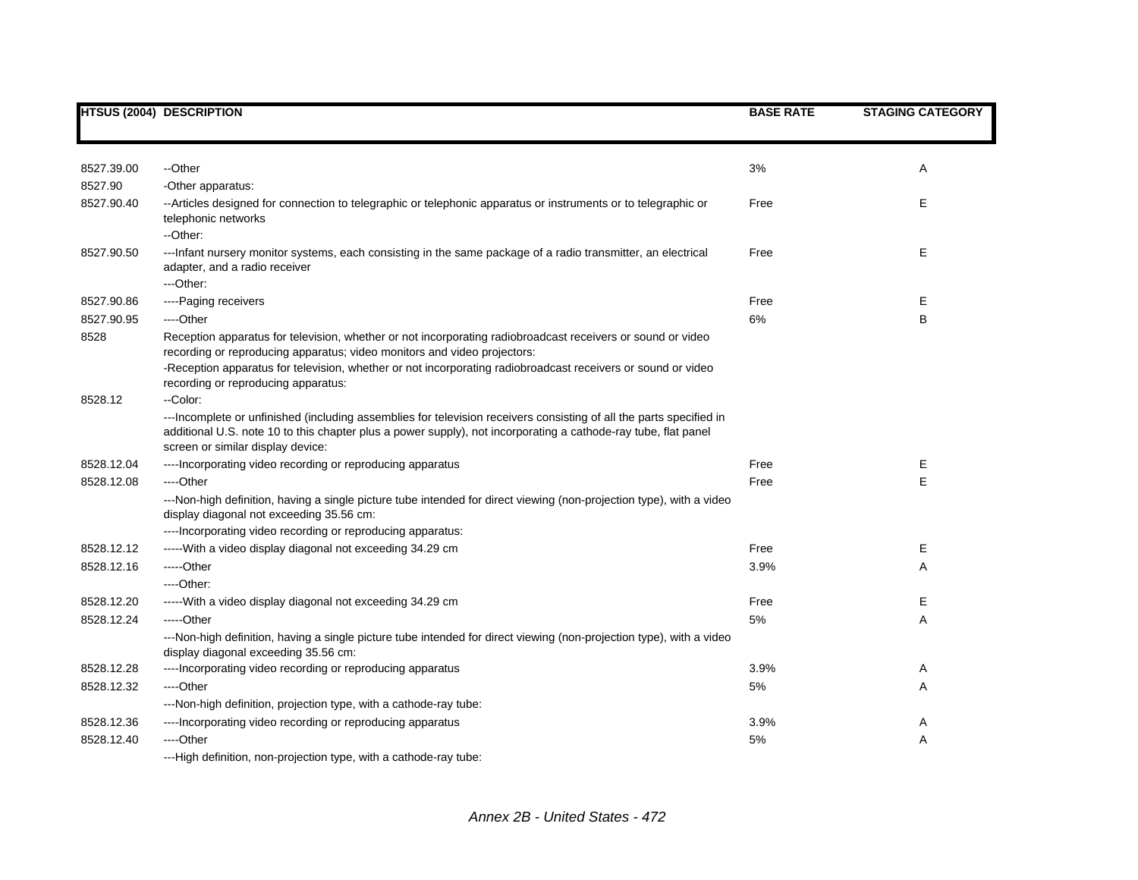|            | <b>HTSUS (2004) DESCRIPTION</b>                                                                                                                                                                                                                                             | <b>BASE RATE</b> | <b>STAGING CATEGORY</b> |
|------------|-----------------------------------------------------------------------------------------------------------------------------------------------------------------------------------------------------------------------------------------------------------------------------|------------------|-------------------------|
|            |                                                                                                                                                                                                                                                                             |                  |                         |
|            |                                                                                                                                                                                                                                                                             |                  |                         |
| 8527.39.00 | --Other                                                                                                                                                                                                                                                                     | 3%               | Α                       |
| 8527.90    | -Other apparatus:                                                                                                                                                                                                                                                           |                  |                         |
| 8527.90.40 | --Articles designed for connection to telegraphic or telephonic apparatus or instruments or to telegraphic or<br>telephonic networks<br>--Other:                                                                                                                            | Free             | Е                       |
| 8527.90.50 | ---Infant nursery monitor systems, each consisting in the same package of a radio transmitter, an electrical<br>adapter, and a radio receiver<br>---Other:                                                                                                                  | Free             | E                       |
| 8527.90.86 | ----Paging receivers                                                                                                                                                                                                                                                        | Free             | Е                       |
| 8527.90.95 | ----Other                                                                                                                                                                                                                                                                   | 6%               | B                       |
| 8528       | Reception apparatus for television, whether or not incorporating radiobroadcast receivers or sound or video<br>recording or reproducing apparatus; video monitors and video projectors:                                                                                     |                  |                         |
|            | -Reception apparatus for television, whether or not incorporating radiobroadcast receivers or sound or video<br>recording or reproducing apparatus:                                                                                                                         |                  |                         |
| 8528.12    | --Color:                                                                                                                                                                                                                                                                    |                  |                         |
|            | --- Incomplete or unfinished (including assemblies for television receivers consisting of all the parts specified in<br>additional U.S. note 10 to this chapter plus a power supply), not incorporating a cathode-ray tube, flat panel<br>screen or similar display device: |                  |                         |
| 8528.12.04 | ---- Incorporating video recording or reproducing apparatus                                                                                                                                                                                                                 | Free             | Е                       |
| 8528.12.08 | ---Other                                                                                                                                                                                                                                                                    | Free             | E.                      |
|            | ---Non-high definition, having a single picture tube intended for direct viewing (non-projection type), with a video<br>display diagonal not exceeding 35.56 cm:                                                                                                            |                  |                         |
|            | ----Incorporating video recording or reproducing apparatus:                                                                                                                                                                                                                 |                  |                         |
| 8528.12.12 | ----- With a video display diagonal not exceeding 34.29 cm                                                                                                                                                                                                                  | Free             | Е                       |
| 8528.12.16 | $---Other$                                                                                                                                                                                                                                                                  | 3.9%             | A                       |
|            | $---Other:$                                                                                                                                                                                                                                                                 |                  |                         |
| 8528.12.20 | ----- With a video display diagonal not exceeding 34.29 cm                                                                                                                                                                                                                  | Free             | Е                       |
| 8528.12.24 | $---Other$                                                                                                                                                                                                                                                                  | 5%               | A                       |
|            | ---Non-high definition, having a single picture tube intended for direct viewing (non-projection type), with a video<br>display diagonal exceeding 35.56 cm:                                                                                                                |                  |                         |
| 8528.12.28 | ----Incorporating video recording or reproducing apparatus                                                                                                                                                                                                                  | 3.9%             | Α                       |
| 8528.12.32 | ----Other                                                                                                                                                                                                                                                                   | 5%               | Α                       |
|            | ---Non-high definition, projection type, with a cathode-ray tube:                                                                                                                                                                                                           |                  |                         |
| 8528.12.36 | ----Incorporating video recording or reproducing apparatus                                                                                                                                                                                                                  | 3.9%             | Α                       |
| 8528.12.40 | ----Other                                                                                                                                                                                                                                                                   | 5%               | Α                       |
|            | ---High definition, non-projection type, with a cathode-ray tube:                                                                                                                                                                                                           |                  |                         |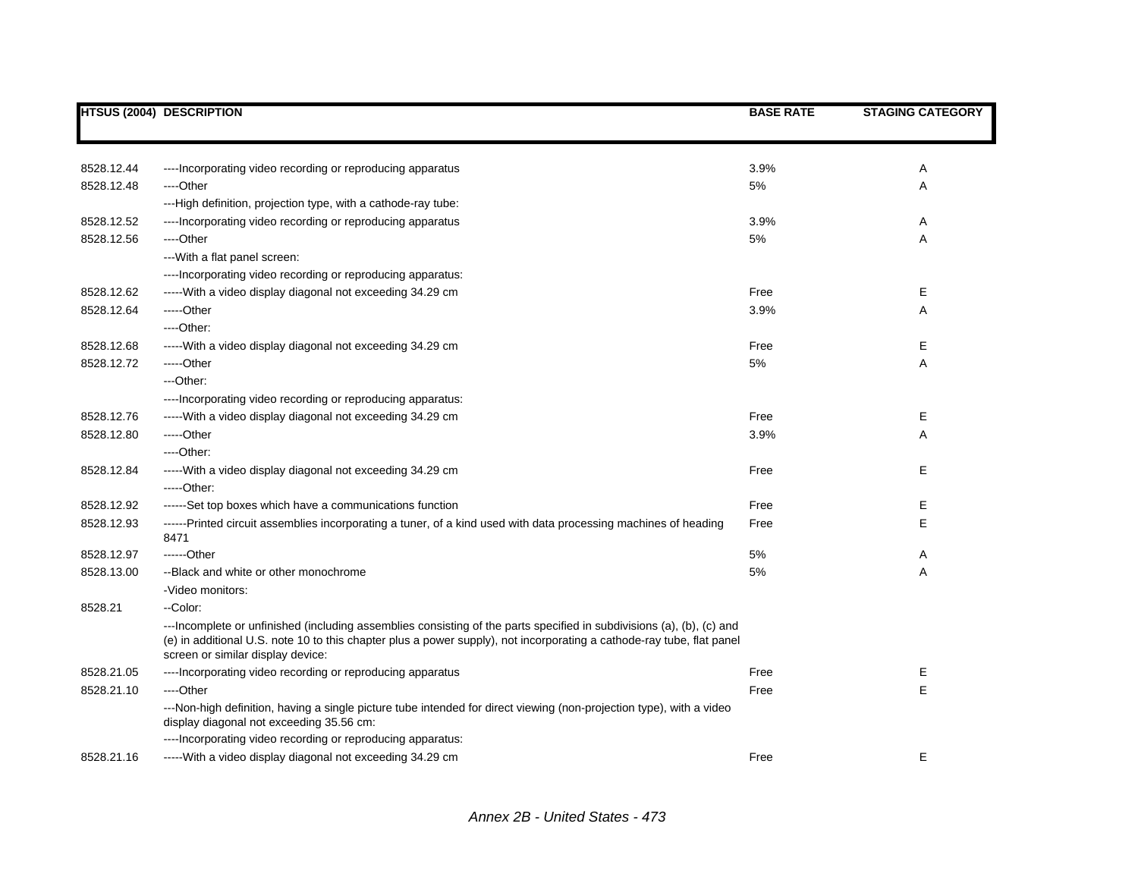|            | <b>HTSUS (2004) DESCRIPTION</b>                                                                                                                                                                                                                                                     | <b>BASE RATE</b> | <b>STAGING CATEGORY</b> |
|------------|-------------------------------------------------------------------------------------------------------------------------------------------------------------------------------------------------------------------------------------------------------------------------------------|------------------|-------------------------|
|            |                                                                                                                                                                                                                                                                                     |                  |                         |
| 8528.12.44 | ---- Incorporating video recording or reproducing apparatus                                                                                                                                                                                                                         | 3.9%             | Α                       |
| 8528.12.48 | ---Other                                                                                                                                                                                                                                                                            | 5%               | Α                       |
|            | ---High definition, projection type, with a cathode-ray tube:                                                                                                                                                                                                                       |                  |                         |
| 8528.12.52 | ---- Incorporating video recording or reproducing apparatus                                                                                                                                                                                                                         | 3.9%             | Α                       |
| 8528.12.56 | ----Other                                                                                                                                                                                                                                                                           | $5\%$            | Α                       |
|            | --- With a flat panel screen:                                                                                                                                                                                                                                                       |                  |                         |
|            | ----Incorporating video recording or reproducing apparatus:                                                                                                                                                                                                                         |                  |                         |
| 8528.12.62 | ----- With a video display diagonal not exceeding 34.29 cm                                                                                                                                                                                                                          | Free             | Е                       |
| 8528.12.64 | -----Other                                                                                                                                                                                                                                                                          | 3.9%             | Α                       |
|            | $---Other.$                                                                                                                                                                                                                                                                         |                  |                         |
| 8528.12.68 | -----With a video display diagonal not exceeding 34.29 cm                                                                                                                                                                                                                           | Free             | Е                       |
| 8528.12.72 | -----Other                                                                                                                                                                                                                                                                          | 5%               | Α                       |
|            | $-$ Other:                                                                                                                                                                                                                                                                          |                  |                         |
|            | ----Incorporating video recording or reproducing apparatus:                                                                                                                                                                                                                         |                  |                         |
| 8528.12.76 | ----- With a video display diagonal not exceeding 34.29 cm                                                                                                                                                                                                                          | Free             | Е                       |
| 8528.12.80 | -----Other                                                                                                                                                                                                                                                                          | 3.9%             | Α                       |
|            | ----Other:                                                                                                                                                                                                                                                                          |                  |                         |
| 8528.12.84 | -----With a video display diagonal not exceeding 34.29 cm                                                                                                                                                                                                                           | Free             | Е                       |
|            | $---Other.$                                                                                                                                                                                                                                                                         |                  |                         |
| 8528.12.92 | ------Set top boxes which have a communications function                                                                                                                                                                                                                            | Free             | Е                       |
| 8528.12.93 | ------Printed circuit assemblies incorporating a tuner, of a kind used with data processing machines of heading<br>8471                                                                                                                                                             | Free             | E                       |
| 8528.12.97 | ------Other                                                                                                                                                                                                                                                                         | $5\%$            | Α                       |
| 8528.13.00 | --Black and white or other monochrome                                                                                                                                                                                                                                               | 5%               | Α                       |
|            | -Video monitors:                                                                                                                                                                                                                                                                    |                  |                         |
| 8528.21    | --Color:                                                                                                                                                                                                                                                                            |                  |                         |
|            | ---Incomplete or unfinished (including assemblies consisting of the parts specified in subdivisions (a), (b), (c) and<br>(e) in additional U.S. note 10 to this chapter plus a power supply), not incorporating a cathode-ray tube, flat panel<br>screen or similar display device: |                  |                         |
| 8528.21.05 | ---- Incorporating video recording or reproducing apparatus                                                                                                                                                                                                                         | Free             | Ε                       |
| 8528.21.10 | ----Other                                                                                                                                                                                                                                                                           | Free             | E                       |
|            | ---Non-high definition, having a single picture tube intended for direct viewing (non-projection type), with a video<br>display diagonal not exceeding 35.56 cm:                                                                                                                    |                  |                         |
|            | ---- Incorporating video recording or reproducing apparatus:                                                                                                                                                                                                                        |                  |                         |
| 8528.21.16 | ----- With a video display diagonal not exceeding 34.29 cm                                                                                                                                                                                                                          | Free             | Е                       |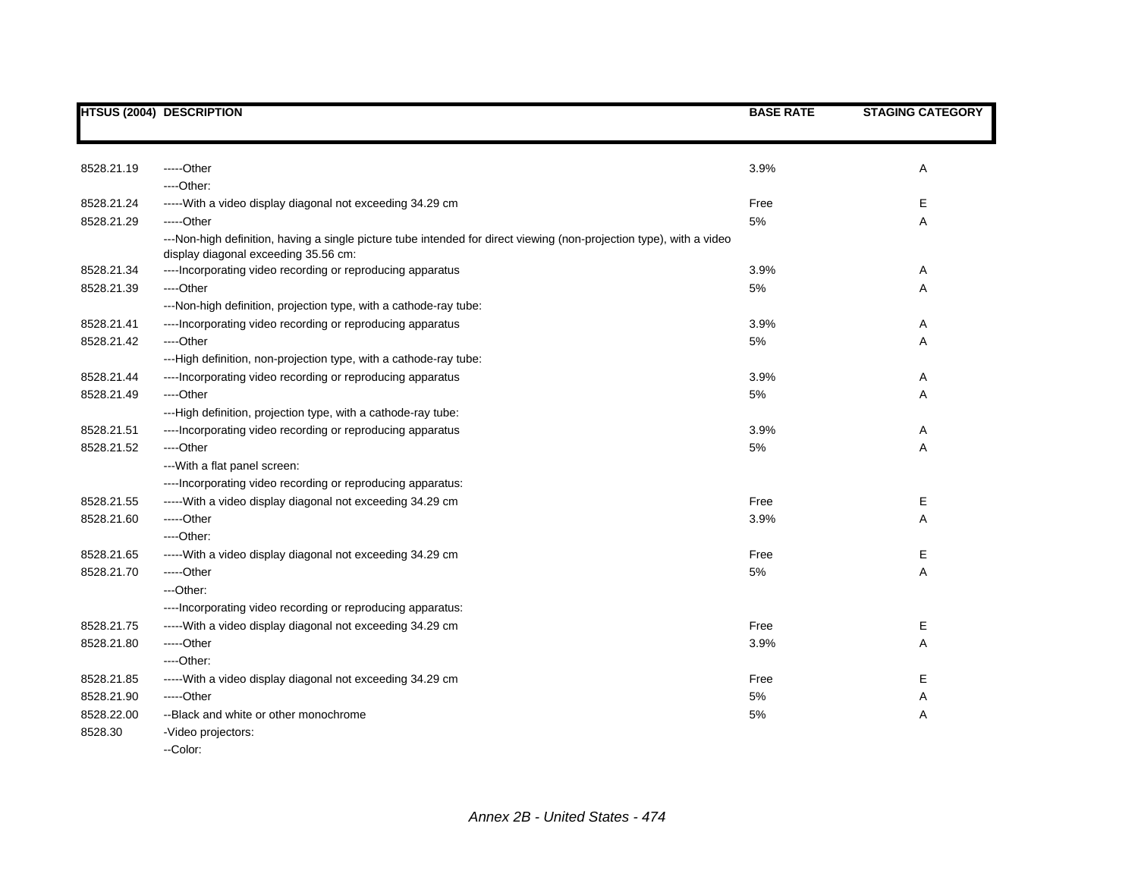|            | <b>HTSUS (2004) DESCRIPTION</b>                                                                                                                              | <b>BASE RATE</b> | <b>STAGING CATEGORY</b> |
|------------|--------------------------------------------------------------------------------------------------------------------------------------------------------------|------------------|-------------------------|
|            |                                                                                                                                                              |                  |                         |
| 8528.21.19 | -----Other                                                                                                                                                   | 3.9%             | Α                       |
|            | $---Other.$                                                                                                                                                  |                  |                         |
| 8528.21.24 | ----- With a video display diagonal not exceeding 34.29 cm                                                                                                   | Free             | E.                      |
| 8528.21.29 | -----Other                                                                                                                                                   | 5%               | Α                       |
|            | ---Non-high definition, having a single picture tube intended for direct viewing (non-projection type), with a video<br>display diagonal exceeding 35.56 cm: |                  |                         |
| 8528.21.34 | ---- Incorporating video recording or reproducing apparatus                                                                                                  | 3.9%             | A                       |
| 8528.21.39 | ----Other                                                                                                                                                    | 5%               | Α                       |
|            | ---Non-high definition, projection type, with a cathode-ray tube:                                                                                            |                  |                         |
| 8528.21.41 | ---- Incorporating video recording or reproducing apparatus                                                                                                  | 3.9%             | A                       |
| 8528.21.42 | ----Other                                                                                                                                                    | 5%               | Α                       |
|            | ---High definition, non-projection type, with a cathode-ray tube:                                                                                            |                  |                         |
| 8528.21.44 | ---- Incorporating video recording or reproducing apparatus                                                                                                  | 3.9%             | Α                       |
| 8528.21.49 | ---Other                                                                                                                                                     | $5%$             | Α                       |
|            | ---High definition, projection type, with a cathode-ray tube:                                                                                                |                  |                         |
| 8528.21.51 | ---- Incorporating video recording or reproducing apparatus                                                                                                  | 3.9%             | Α                       |
| 8528.21.52 | ---Other                                                                                                                                                     | 5%               | Α                       |
|            | --- With a flat panel screen:                                                                                                                                |                  |                         |
|            | ---- Incorporating video recording or reproducing apparatus:                                                                                                 |                  |                         |
| 8528.21.55 | ----- With a video display diagonal not exceeding 34.29 cm                                                                                                   | Free             | Е                       |
| 8528.21.60 | -----Other                                                                                                                                                   | 3.9%             | Α                       |
|            | ---Other:                                                                                                                                                    |                  |                         |
| 8528.21.65 | ----- With a video display diagonal not exceeding 34.29 cm                                                                                                   | Free             | Е                       |
| 8528.21.70 | -----Other                                                                                                                                                   | $5%$             | Α                       |
|            | ---Other:                                                                                                                                                    |                  |                         |
|            | ---- Incorporating video recording or reproducing apparatus:                                                                                                 |                  |                         |
| 8528.21.75 | ----- With a video display diagonal not exceeding 34.29 cm                                                                                                   | Free             | Е                       |
| 8528.21.80 | -----Other                                                                                                                                                   | 3.9%             | Α                       |
|            | ---Other:                                                                                                                                                    |                  |                         |
| 8528.21.85 | ----- With a video display diagonal not exceeding 34.29 cm                                                                                                   | Free             | Е                       |
| 8528.21.90 | -----Other                                                                                                                                                   | 5%               | Α                       |
| 8528.22.00 | --Black and white or other monochrome                                                                                                                        | 5%               | Α                       |
| 8528.30    | -Video projectors:                                                                                                                                           |                  |                         |
|            | --Color:                                                                                                                                                     |                  |                         |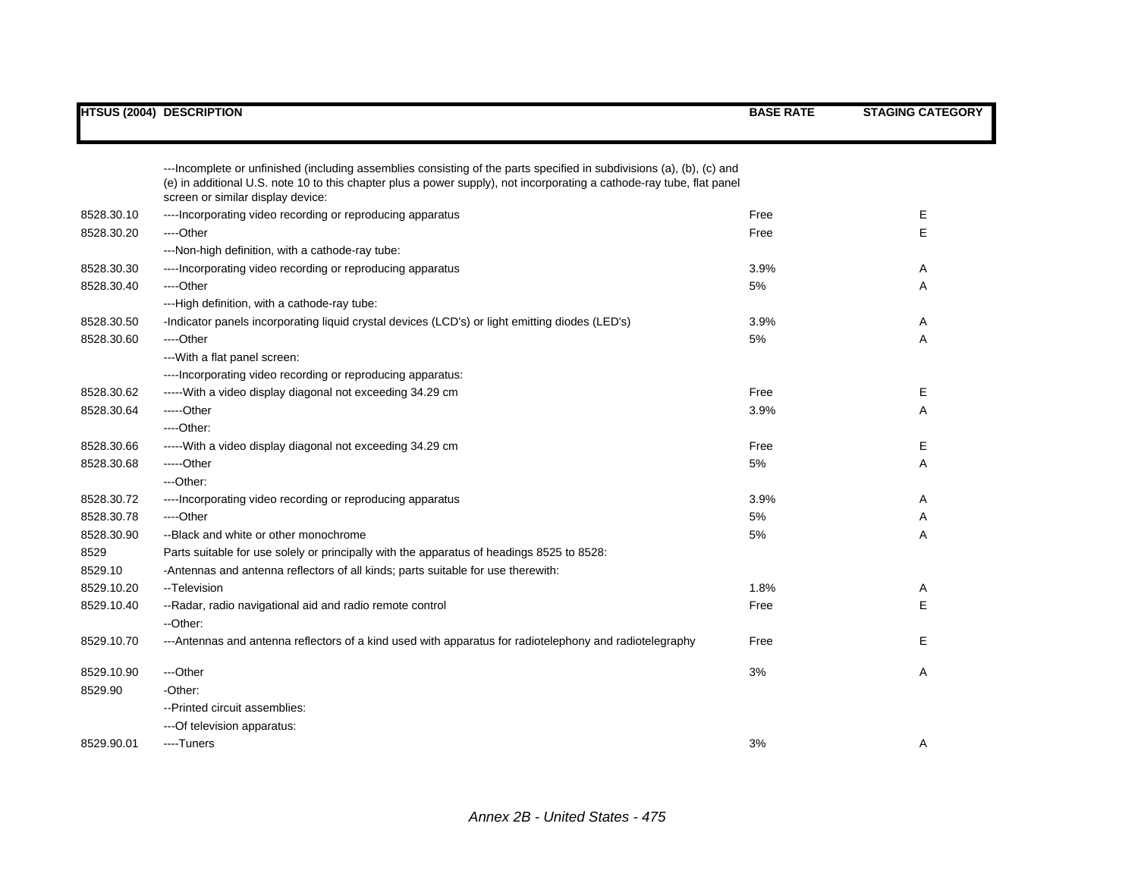|            | <b>HTSUS (2004) DESCRIPTION</b>                                                                                                                                                                                                                                                     | <b>BASE RATE</b> | <b>STAGING CATEGORY</b> |
|------------|-------------------------------------------------------------------------------------------------------------------------------------------------------------------------------------------------------------------------------------------------------------------------------------|------------------|-------------------------|
|            |                                                                                                                                                                                                                                                                                     |                  |                         |
|            | ---Incomplete or unfinished (including assemblies consisting of the parts specified in subdivisions (a), (b), (c) and<br>(e) in additional U.S. note 10 to this chapter plus a power supply), not incorporating a cathode-ray tube, flat panel<br>screen or similar display device: |                  |                         |
| 8528.30.10 | ---- Incorporating video recording or reproducing apparatus                                                                                                                                                                                                                         | Free             | Е                       |
| 8528.30.20 | ----Other                                                                                                                                                                                                                                                                           | Free             | E                       |
|            | ---Non-high definition, with a cathode-ray tube:                                                                                                                                                                                                                                    |                  |                         |
| 8528.30.30 | ---- Incorporating video recording or reproducing apparatus                                                                                                                                                                                                                         | 3.9%             | Α                       |
| 8528.30.40 | ---Other                                                                                                                                                                                                                                                                            | 5%               | Α                       |
|            | ---High definition, with a cathode-ray tube:                                                                                                                                                                                                                                        |                  |                         |
| 8528.30.50 | -Indicator panels incorporating liquid crystal devices (LCD's) or light emitting diodes (LED's)                                                                                                                                                                                     | 3.9%             | Α                       |
| 8528.30.60 | ----Other                                                                                                                                                                                                                                                                           | 5%               | Α                       |
|            | --- With a flat panel screen:                                                                                                                                                                                                                                                       |                  |                         |
|            | ---- Incorporating video recording or reproducing apparatus:                                                                                                                                                                                                                        |                  |                         |
| 8528.30.62 | ----- With a video display diagonal not exceeding 34.29 cm                                                                                                                                                                                                                          | Free             | Е                       |
| 8528.30.64 | -----Other                                                                                                                                                                                                                                                                          | 3.9%             | Α                       |
|            | $---Other.$                                                                                                                                                                                                                                                                         |                  |                         |
| 8528.30.66 | ----- With a video display diagonal not exceeding 34.29 cm                                                                                                                                                                                                                          | Free             | Е                       |
| 8528.30.68 | -----Other                                                                                                                                                                                                                                                                          | 5%               | Α                       |
|            | ---Other:                                                                                                                                                                                                                                                                           |                  |                         |
| 8528.30.72 | ---- Incorporating video recording or reproducing apparatus                                                                                                                                                                                                                         | 3.9%             | Α                       |
| 8528.30.78 | ----Other                                                                                                                                                                                                                                                                           | 5%               | Α                       |
| 8528.30.90 | --Black and white or other monochrome                                                                                                                                                                                                                                               | 5%               | Α                       |
| 8529       | Parts suitable for use solely or principally with the apparatus of headings 8525 to 8528:                                                                                                                                                                                           |                  |                         |
| 8529.10    | -Antennas and antenna reflectors of all kinds; parts suitable for use therewith:                                                                                                                                                                                                    |                  |                         |
| 8529.10.20 | --Television                                                                                                                                                                                                                                                                        | 1.8%             | Α                       |
| 8529.10.40 | -- Radar, radio navigational aid and radio remote control                                                                                                                                                                                                                           | Free             | Е                       |
|            | --Other:                                                                                                                                                                                                                                                                            |                  |                         |
| 8529.10.70 | ---Antennas and antenna reflectors of a kind used with apparatus for radiotelephony and radiotelegraphy                                                                                                                                                                             | Free             | Е                       |
| 8529.10.90 | ---Other                                                                                                                                                                                                                                                                            | 3%               | Α                       |
| 8529.90    | -Other:                                                                                                                                                                                                                                                                             |                  |                         |
|            | --Printed circuit assemblies:                                                                                                                                                                                                                                                       |                  |                         |
|            | --- Of television apparatus:                                                                                                                                                                                                                                                        |                  |                         |
| 8529.90.01 | ----Tuners                                                                                                                                                                                                                                                                          | 3%               | Α                       |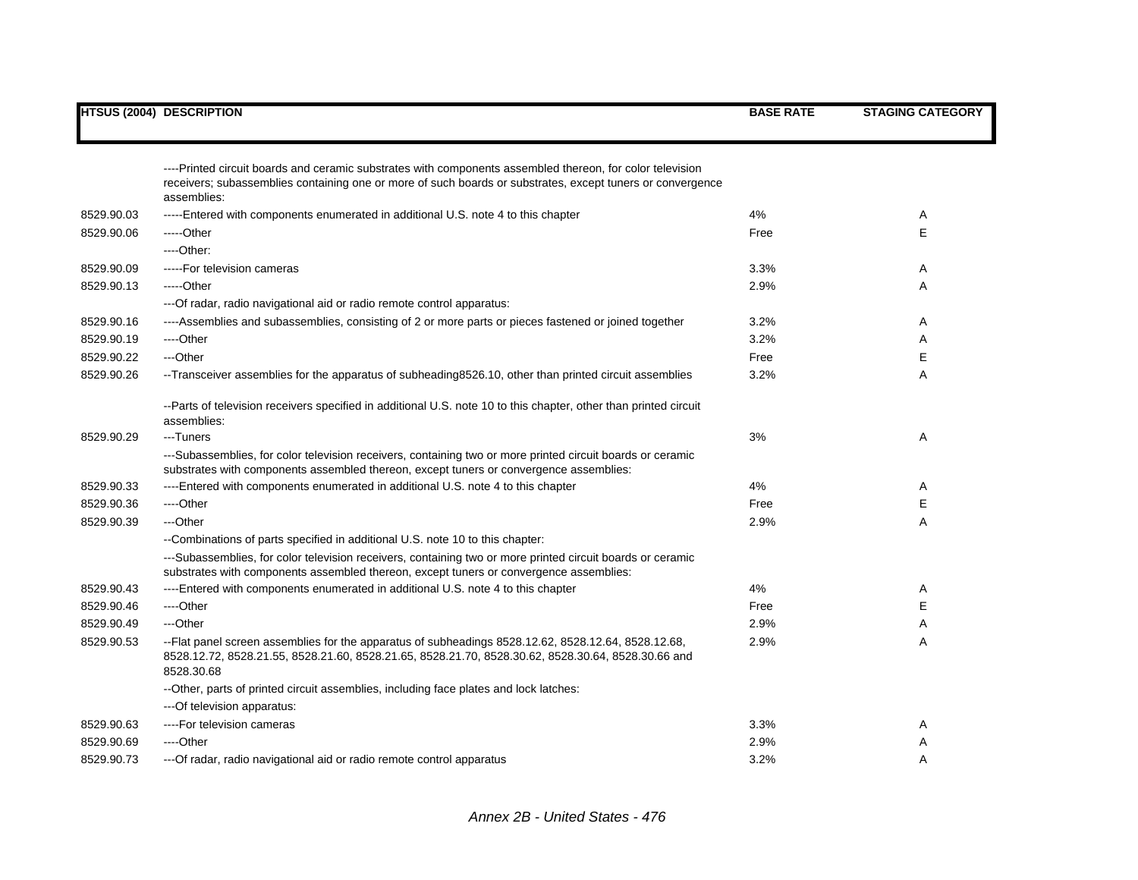|            | <b>HTSUS (2004) DESCRIPTION</b>                                                                                                                                                                                         | <b>BASE RATE</b> | <b>STAGING CATEGORY</b> |
|------------|-------------------------------------------------------------------------------------------------------------------------------------------------------------------------------------------------------------------------|------------------|-------------------------|
|            | ----Printed circuit boards and ceramic substrates with components assembled thereon, for color television                                                                                                               |                  |                         |
|            | receivers; subassemblies containing one or more of such boards or substrates, except tuners or convergence<br>assemblies:                                                                                               |                  |                         |
| 8529.90.03 | -----Entered with components enumerated in additional U.S. note 4 to this chapter                                                                                                                                       | 4%               | Α                       |
| 8529.90.06 | -----Other                                                                                                                                                                                                              | Free             | E                       |
|            | ----Other:                                                                                                                                                                                                              |                  |                         |
| 8529.90.09 | -----For television cameras                                                                                                                                                                                             | 3.3%             | Α                       |
| 8529.90.13 | -----Other                                                                                                                                                                                                              | 2.9%             | A                       |
|            | --- Of radar, radio navigational aid or radio remote control apparatus:                                                                                                                                                 |                  |                         |
| 8529.90.16 | ----Assemblies and subassemblies, consisting of 2 or more parts or pieces fastened or joined together                                                                                                                   | 3.2%             | A                       |
| 8529.90.19 | ----Other                                                                                                                                                                                                               | 3.2%             | A                       |
| 8529.90.22 | ---Other                                                                                                                                                                                                                | Free             | E                       |
| 8529.90.26 | --Transceiver assemblies for the apparatus of subheading 8526.10, other than printed circuit assemblies                                                                                                                 | 3.2%             | A                       |
|            | --Parts of television receivers specified in additional U.S. note 10 to this chapter, other than printed circuit<br>assemblies:                                                                                         |                  |                         |
| 8529.90.29 | ---Tuners                                                                                                                                                                                                               | 3%               | Α                       |
|            | ---Subassemblies, for color television receivers, containing two or more printed circuit boards or ceramic<br>substrates with components assembled thereon, except tuners or convergence assemblies:                    |                  |                         |
| 8529.90.33 | ----Entered with components enumerated in additional U.S. note 4 to this chapter                                                                                                                                        | 4%               | Α                       |
| 8529.90.36 | ----Other                                                                                                                                                                                                               | Free             | Е                       |
| 8529.90.39 | ---Other                                                                                                                                                                                                                | 2.9%             | Α                       |
|            | --Combinations of parts specified in additional U.S. note 10 to this chapter:                                                                                                                                           |                  |                         |
|            | ---Subassemblies, for color television receivers, containing two or more printed circuit boards or ceramic<br>substrates with components assembled thereon, except tuners or convergence assemblies:                    |                  |                         |
| 8529.90.43 | ----Entered with components enumerated in additional U.S. note 4 to this chapter                                                                                                                                        | 4%               | Α                       |
| 8529.90.46 | ----Other                                                                                                                                                                                                               | Free             | E                       |
| 8529.90.49 | ---Other                                                                                                                                                                                                                | 2.9%             | Α                       |
| 8529.90.53 | --Flat panel screen assemblies for the apparatus of subheadings 8528.12.62, 8528.12.64, 8528.12.68,<br>8528.12.72, 8528.21.55, 8528.21.60, 8528.21.65, 8528.21.70, 8528.30.62, 8528.30.64, 8528.30.66 and<br>8528.30.68 | 2.9%             | Α                       |
|            | --Other, parts of printed circuit assemblies, including face plates and lock latches:                                                                                                                                   |                  |                         |
|            | ---Of television apparatus:                                                                                                                                                                                             |                  |                         |
| 8529.90.63 | ----For television cameras                                                                                                                                                                                              | 3.3%             | A                       |
| 8529.90.69 | ----Other                                                                                                                                                                                                               | 2.9%             | A                       |
| 8529.90.73 | ---Of radar, radio navigational aid or radio remote control apparatus                                                                                                                                                   | 3.2%             | Α                       |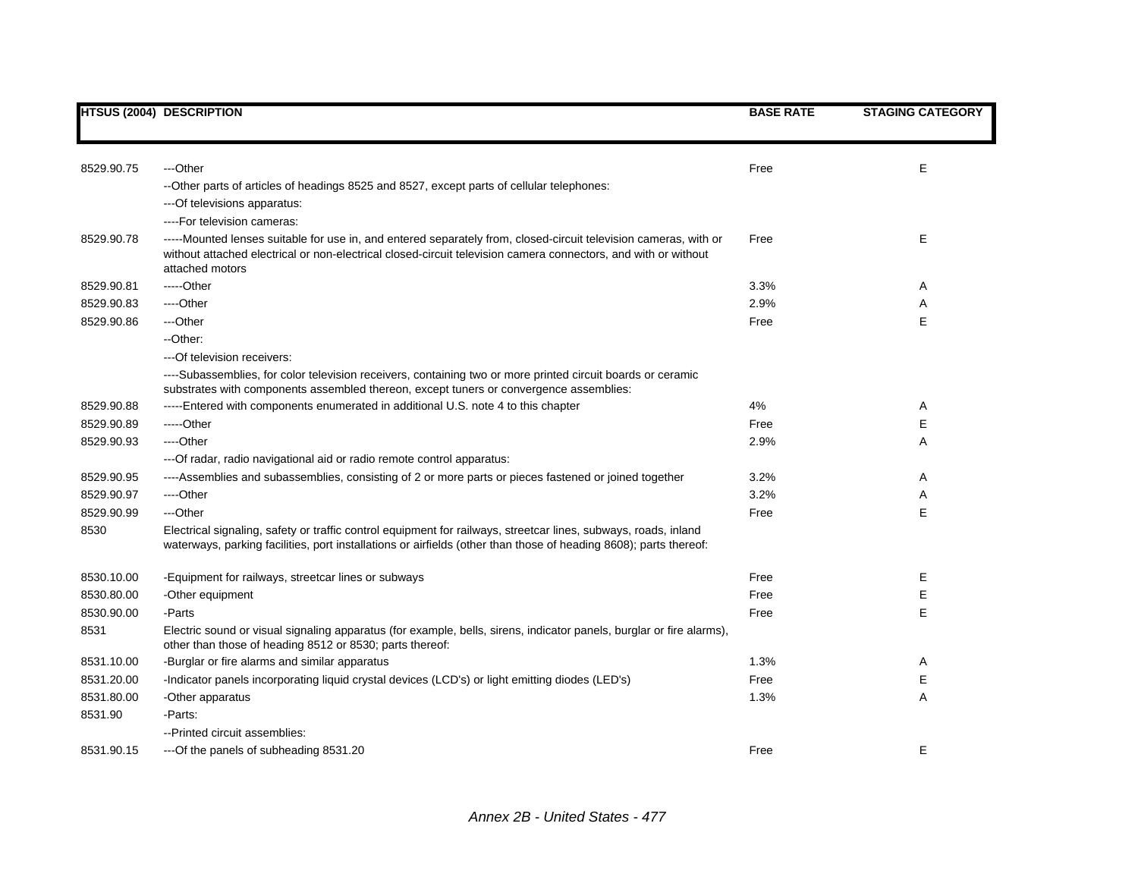|            | <b>HTSUS (2004) DESCRIPTION</b>                                                                                                                                                                                                                       | <b>BASE RATE</b> | <b>STAGING CATEGORY</b> |
|------------|-------------------------------------------------------------------------------------------------------------------------------------------------------------------------------------------------------------------------------------------------------|------------------|-------------------------|
|            |                                                                                                                                                                                                                                                       |                  |                         |
| 8529.90.75 | ---Other                                                                                                                                                                                                                                              | Free             | E                       |
|            | --Other parts of articles of headings 8525 and 8527, except parts of cellular telephones:                                                                                                                                                             |                  |                         |
|            | --- Of televisions apparatus:                                                                                                                                                                                                                         |                  |                         |
|            | ----For television cameras:                                                                                                                                                                                                                           |                  |                         |
| 8529.90.78 | -----Mounted lenses suitable for use in, and entered separately from, closed-circuit television cameras, with or<br>without attached electrical or non-electrical closed-circuit television camera connectors, and with or without<br>attached motors | Free             | E                       |
| 8529.90.81 | $---Other$                                                                                                                                                                                                                                            | 3.3%             | A                       |
| 8529.90.83 | ----Other                                                                                                                                                                                                                                             | 2.9%             | Α                       |
| 8529.90.86 | ---Other                                                                                                                                                                                                                                              | Free             | E                       |
|            | --Other:                                                                                                                                                                                                                                              |                  |                         |
|            | --- Of television receivers:                                                                                                                                                                                                                          |                  |                         |
|            | ----Subassemblies, for color television receivers, containing two or more printed circuit boards or ceramic<br>substrates with components assembled thereon, except tuners or convergence assemblies:                                                 |                  |                         |
| 8529.90.88 | -----Entered with components enumerated in additional U.S. note 4 to this chapter                                                                                                                                                                     | 4%               | Α                       |
| 8529.90.89 | $---Other$                                                                                                                                                                                                                                            | Free             | E                       |
| 8529.90.93 | ----Other                                                                                                                                                                                                                                             | 2.9%             | Α                       |
|            | --- Of radar, radio navigational aid or radio remote control apparatus:                                                                                                                                                                               |                  |                         |
| 8529.90.95 | ----Assemblies and subassemblies, consisting of 2 or more parts or pieces fastened or joined together                                                                                                                                                 | 3.2%             | Α                       |
| 8529.90.97 | ----Other                                                                                                                                                                                                                                             | 3.2%             | Α                       |
| 8529.90.99 | ---Other                                                                                                                                                                                                                                              | Free             | Е                       |
| 8530       | Electrical signaling, safety or traffic control equipment for railways, streetcar lines, subways, roads, inland<br>waterways, parking facilities, port installations or airfields (other than those of heading 8608); parts thereof:                  |                  |                         |
| 8530.10.00 | -Equipment for railways, streetcar lines or subways                                                                                                                                                                                                   | Free             | Ε                       |
| 8530.80.00 | -Other equipment                                                                                                                                                                                                                                      | Free             | Е                       |
| 8530.90.00 | -Parts                                                                                                                                                                                                                                                | Free             | E                       |
| 8531       | Electric sound or visual signaling apparatus (for example, bells, sirens, indicator panels, burglar or fire alarms),<br>other than those of heading 8512 or 8530; parts thereof:                                                                      |                  |                         |
| 8531.10.00 | -Burglar or fire alarms and similar apparatus                                                                                                                                                                                                         | 1.3%             | Α                       |
| 8531.20.00 | -Indicator panels incorporating liquid crystal devices (LCD's) or light emitting diodes (LED's)                                                                                                                                                       | Free             | E                       |
| 8531.80.00 | -Other apparatus                                                                                                                                                                                                                                      | 1.3%             | Α                       |
| 8531.90    | -Parts:                                                                                                                                                                                                                                               |                  |                         |
|            | -- Printed circuit assemblies:                                                                                                                                                                                                                        |                  |                         |
| 8531.90.15 | ---Of the panels of subheading 8531.20                                                                                                                                                                                                                | Free             | E                       |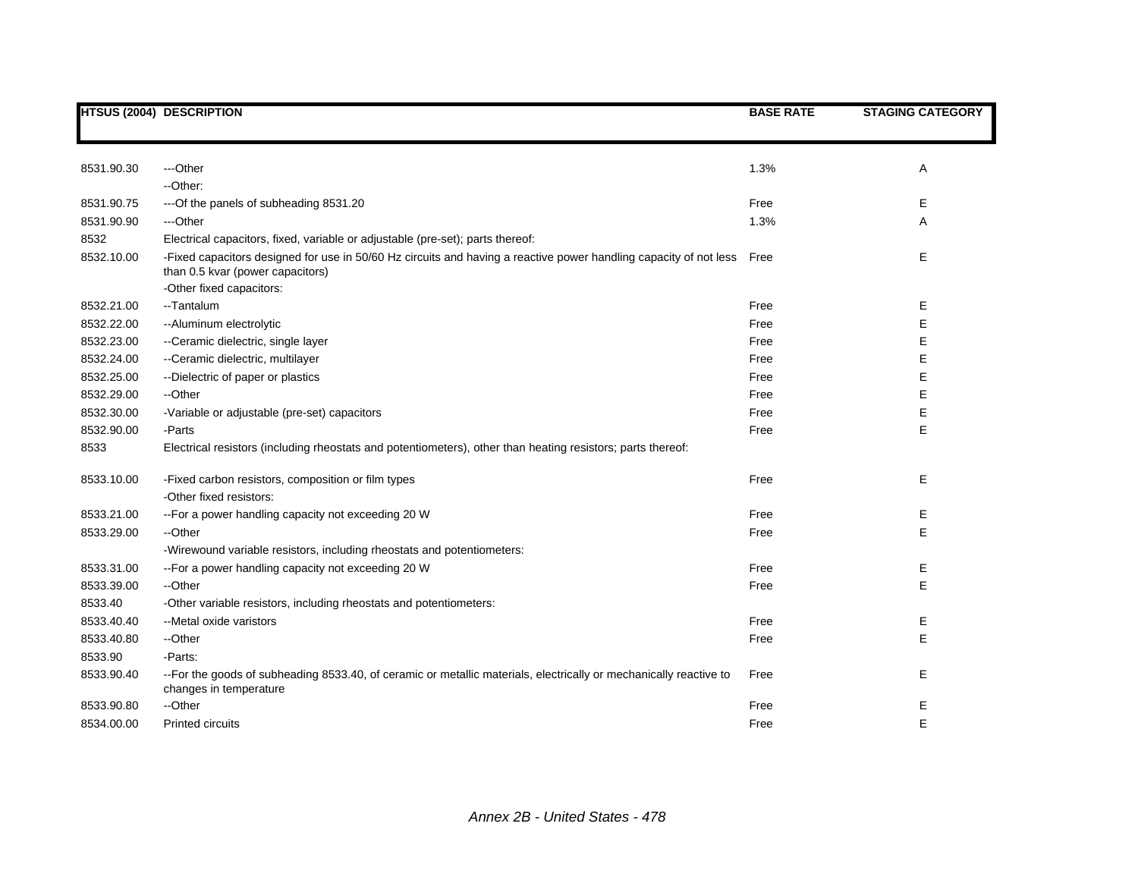|            | <b>HTSUS (2004) DESCRIPTION</b>                                                                                                                            | <b>BASE RATE</b> | <b>STAGING CATEGORY</b> |
|------------|------------------------------------------------------------------------------------------------------------------------------------------------------------|------------------|-------------------------|
|            |                                                                                                                                                            |                  |                         |
|            |                                                                                                                                                            |                  |                         |
| 8531.90.30 | ---Other                                                                                                                                                   | 1.3%             | Α                       |
|            | -- Other:                                                                                                                                                  |                  |                         |
| 8531.90.75 | --- Of the panels of subheading 8531.20                                                                                                                    | Free             | Е                       |
| 8531.90.90 | ---Other                                                                                                                                                   | 1.3%             | Α                       |
| 8532       | Electrical capacitors, fixed, variable or adjustable (pre-set); parts thereof:                                                                             |                  |                         |
| 8532.10.00 | -Fixed capacitors designed for use in 50/60 Hz circuits and having a reactive power handling capacity of not less Free<br>than 0.5 kvar (power capacitors) |                  | E                       |
|            | -Other fixed capacitors:                                                                                                                                   |                  |                         |
| 8532.21.00 | --Tantalum                                                                                                                                                 | Free             | Ε                       |
| 8532.22.00 | -- Aluminum electrolytic                                                                                                                                   | Free             | Е                       |
| 8532.23.00 | --Ceramic dielectric, single layer                                                                                                                         | Free             | E                       |
| 8532.24.00 | --Ceramic dielectric, multilayer                                                                                                                           | Free             | E                       |
| 8532.25.00 | --Dielectric of paper or plastics                                                                                                                          | Free             | E                       |
| 8532.29.00 | --Other                                                                                                                                                    | Free             | E                       |
| 8532.30.00 | -Variable or adjustable (pre-set) capacitors                                                                                                               | Free             | E                       |
| 8532.90.00 | -Parts                                                                                                                                                     | Free             | E                       |
| 8533       | Electrical resistors (including rheostats and potentiometers), other than heating resistors; parts thereof:                                                |                  |                         |
| 8533.10.00 | -Fixed carbon resistors, composition or film types                                                                                                         | Free             | Е                       |
|            | -Other fixed resistors:                                                                                                                                    |                  |                         |
| 8533.21.00 | --For a power handling capacity not exceeding 20 W                                                                                                         | Free             | Е                       |
| 8533.29.00 | --Other                                                                                                                                                    | Free             | E                       |
|            | -Wirewound variable resistors, including rheostats and potentiometers:                                                                                     |                  |                         |
| 8533.31.00 | --For a power handling capacity not exceeding 20 W                                                                                                         | Free             | Ε                       |
| 8533.39.00 | --Other                                                                                                                                                    | Free             | E                       |
| 8533.40    | -Other variable resistors, including rheostats and potentiometers:                                                                                         |                  |                         |
| 8533.40.40 | --Metal oxide varistors                                                                                                                                    | Free             | Ε                       |
| 8533.40.80 | --Other                                                                                                                                                    | Free             | E                       |
| 8533.90    | -Parts:                                                                                                                                                    |                  |                         |
| 8533.90.40 | --For the goods of subheading 8533.40, of ceramic or metallic materials, electrically or mechanically reactive to<br>changes in temperature                | Free             | Е                       |
| 8533.90.80 | --Other                                                                                                                                                    | Free             | Е                       |
| 8534.00.00 | <b>Printed circuits</b>                                                                                                                                    | Free             | E                       |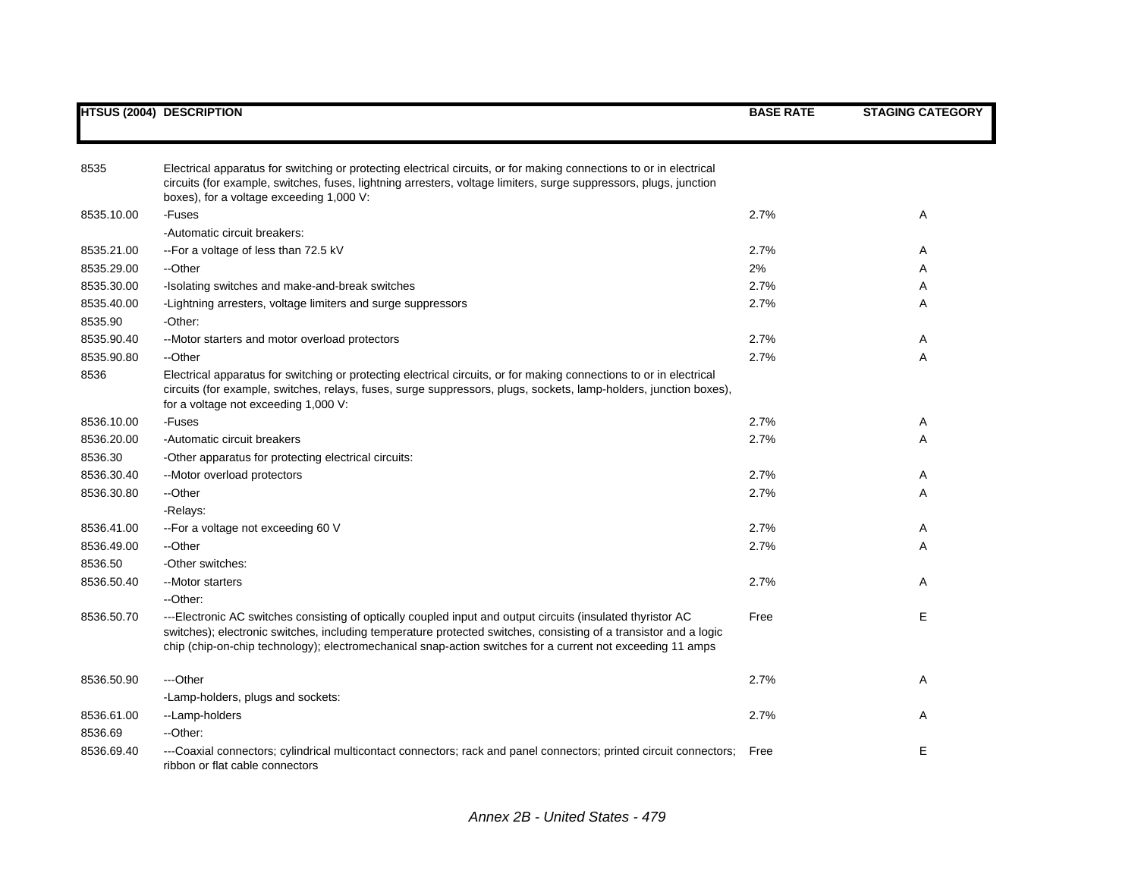|            | <b>HTSUS (2004) DESCRIPTION</b>                                                                                                                                                                                                                                                                                                               | <b>BASE RATE</b> | <b>STAGING CATEGORY</b> |
|------------|-----------------------------------------------------------------------------------------------------------------------------------------------------------------------------------------------------------------------------------------------------------------------------------------------------------------------------------------------|------------------|-------------------------|
|            |                                                                                                                                                                                                                                                                                                                                               |                  |                         |
| 8535       | Electrical apparatus for switching or protecting electrical circuits, or for making connections to or in electrical<br>circuits (for example, switches, fuses, lightning arresters, voltage limiters, surge suppressors, plugs, junction<br>boxes), for a voltage exceeding 1,000 V:                                                          |                  |                         |
| 8535.10.00 | -Fuses                                                                                                                                                                                                                                                                                                                                        | 2.7%             | Α                       |
|            | -Automatic circuit breakers:                                                                                                                                                                                                                                                                                                                  |                  |                         |
| 8535.21.00 | --For a voltage of less than 72.5 kV                                                                                                                                                                                                                                                                                                          | 2.7%             | A                       |
| 8535.29.00 | --Other                                                                                                                                                                                                                                                                                                                                       | 2%               | Α                       |
| 8535.30.00 | -Isolating switches and make-and-break switches                                                                                                                                                                                                                                                                                               | 2.7%             | Α                       |
| 8535.40.00 | -Lightning arresters, voltage limiters and surge suppressors                                                                                                                                                                                                                                                                                  | 2.7%             | Α                       |
| 8535.90    | -Other:                                                                                                                                                                                                                                                                                                                                       |                  |                         |
| 8535.90.40 | --Motor starters and motor overload protectors                                                                                                                                                                                                                                                                                                | 2.7%             | Α                       |
| 8535.90.80 | --Other                                                                                                                                                                                                                                                                                                                                       | 2.7%             | Α                       |
| 8536       | Electrical apparatus for switching or protecting electrical circuits, or for making connections to or in electrical<br>circuits (for example, switches, relays, fuses, surge suppressors, plugs, sockets, lamp-holders, junction boxes),<br>for a voltage not exceeding 1,000 V:                                                              |                  |                         |
| 8536.10.00 | -Fuses                                                                                                                                                                                                                                                                                                                                        | 2.7%             | Α                       |
| 8536.20.00 | -Automatic circuit breakers                                                                                                                                                                                                                                                                                                                   | 2.7%             | Α                       |
| 8536.30    | -Other apparatus for protecting electrical circuits:                                                                                                                                                                                                                                                                                          |                  |                         |
| 8536.30.40 | --Motor overload protectors                                                                                                                                                                                                                                                                                                                   | 2.7%             | Α                       |
| 8536.30.80 | --Other                                                                                                                                                                                                                                                                                                                                       | 2.7%             | A                       |
|            | -Relays:                                                                                                                                                                                                                                                                                                                                      |                  |                         |
| 8536.41.00 | -- For a voltage not exceeding 60 V                                                                                                                                                                                                                                                                                                           | 2.7%             | A                       |
| 8536.49.00 | --Other                                                                                                                                                                                                                                                                                                                                       | 2.7%             | Α                       |
| 8536.50    | -Other switches:                                                                                                                                                                                                                                                                                                                              |                  |                         |
| 8536.50.40 | -- Motor starters                                                                                                                                                                                                                                                                                                                             | 2.7%             | Α                       |
|            | --Other:                                                                                                                                                                                                                                                                                                                                      |                  |                         |
| 8536.50.70 | ---Electronic AC switches consisting of optically coupled input and output circuits (insulated thyristor AC<br>switches); electronic switches, including temperature protected switches, consisting of a transistor and a logic<br>chip (chip-on-chip technology); electromechanical snap-action switches for a current not exceeding 11 amps | Free             | E                       |
| 8536.50.90 | ---Other                                                                                                                                                                                                                                                                                                                                      | 2.7%             | A                       |
|            | -Lamp-holders, plugs and sockets:                                                                                                                                                                                                                                                                                                             |                  |                         |
| 8536.61.00 | --Lamp-holders                                                                                                                                                                                                                                                                                                                                | 2.7%             | Α                       |
| 8536.69    | --Other:                                                                                                                                                                                                                                                                                                                                      |                  |                         |
| 8536.69.40 | ---Coaxial connectors; cylindrical multicontact connectors; rack and panel connectors; printed circuit connectors;<br>ribbon or flat cable connectors                                                                                                                                                                                         | Free             | E                       |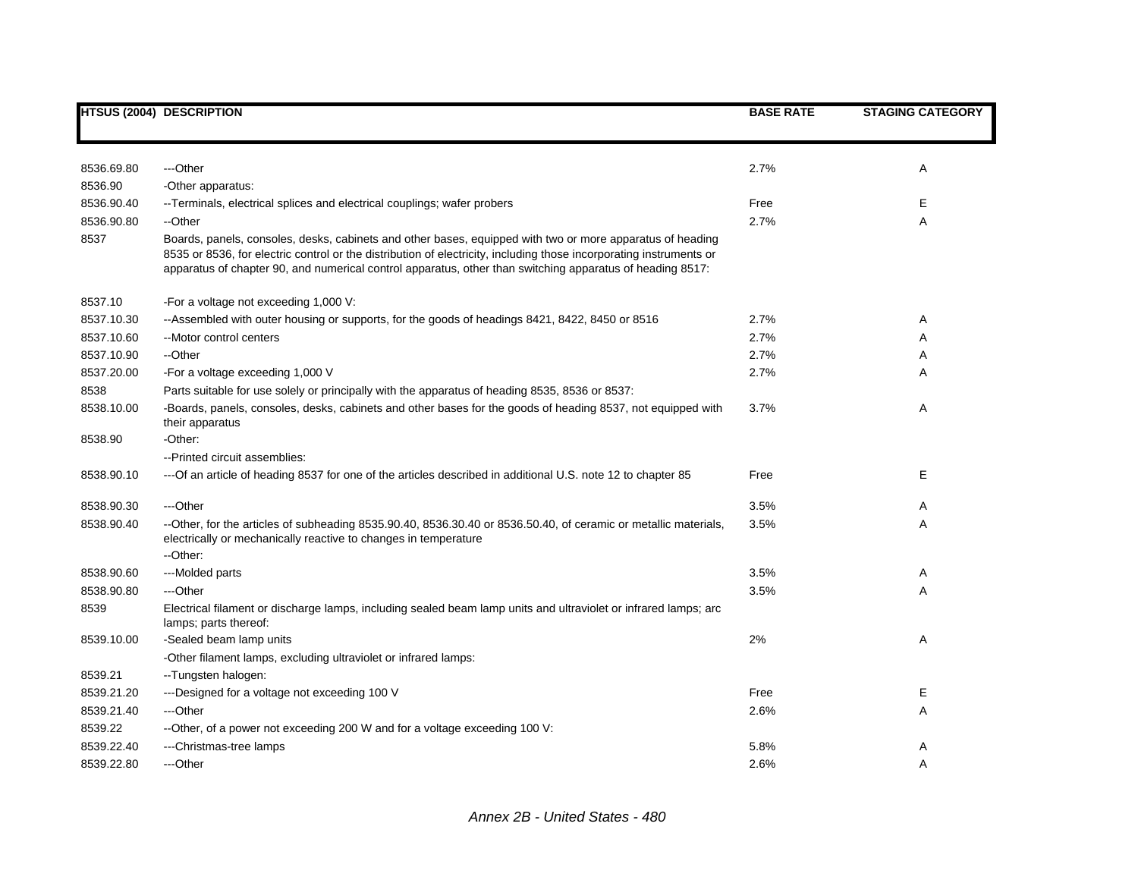|            | <b>HTSUS (2004) DESCRIPTION</b>                                                                                                                                                                                                                                                                                                               | <b>BASE RATE</b> | <b>STAGING CATEGORY</b> |
|------------|-----------------------------------------------------------------------------------------------------------------------------------------------------------------------------------------------------------------------------------------------------------------------------------------------------------------------------------------------|------------------|-------------------------|
|            |                                                                                                                                                                                                                                                                                                                                               |                  |                         |
| 8536.69.80 | ---Other                                                                                                                                                                                                                                                                                                                                      | 2.7%             | Α                       |
| 8536.90    | -Other apparatus:                                                                                                                                                                                                                                                                                                                             |                  |                         |
| 8536.90.40 | --Terminals, electrical splices and electrical couplings; wafer probers                                                                                                                                                                                                                                                                       | Free             | Ε                       |
| 8536.90.80 | --Other                                                                                                                                                                                                                                                                                                                                       | 2.7%             | Α                       |
| 8537       | Boards, panels, consoles, desks, cabinets and other bases, equipped with two or more apparatus of heading<br>8535 or 8536, for electric control or the distribution of electricity, including those incorporating instruments or<br>apparatus of chapter 90, and numerical control apparatus, other than switching apparatus of heading 8517: |                  |                         |
| 8537.10    | -For a voltage not exceeding 1,000 V:                                                                                                                                                                                                                                                                                                         |                  |                         |
| 8537.10.30 | --Assembled with outer housing or supports, for the goods of headings 8421, 8422, 8450 or 8516                                                                                                                                                                                                                                                | 2.7%             | Α                       |
| 8537.10.60 | --Motor control centers                                                                                                                                                                                                                                                                                                                       | 2.7%             | Α                       |
| 8537.10.90 | --Other                                                                                                                                                                                                                                                                                                                                       | 2.7%             | Α                       |
| 8537.20.00 | -For a voltage exceeding 1,000 V                                                                                                                                                                                                                                                                                                              | 2.7%             | Α                       |
| 8538       | Parts suitable for use solely or principally with the apparatus of heading 8535, 8536 or 8537:                                                                                                                                                                                                                                                |                  |                         |
| 8538.10.00 | -Boards, panels, consoles, desks, cabinets and other bases for the goods of heading 8537, not equipped with<br>their apparatus                                                                                                                                                                                                                | 3.7%             | Α                       |
| 8538.90    | -Other:                                                                                                                                                                                                                                                                                                                                       |                  |                         |
|            | --Printed circuit assemblies:                                                                                                                                                                                                                                                                                                                 |                  |                         |
| 8538.90.10 | ---Of an article of heading 8537 for one of the articles described in additional U.S. note 12 to chapter 85                                                                                                                                                                                                                                   | Free             | Е                       |
| 8538.90.30 | ---Other                                                                                                                                                                                                                                                                                                                                      | 3.5%             | A                       |
| 8538.90.40 | --Other, for the articles of subheading 8535.90.40, 8536.30.40 or 8536.50.40, of ceramic or metallic materials,<br>electrically or mechanically reactive to changes in temperature<br>--Other:                                                                                                                                                | 3.5%             | Α                       |
| 8538.90.60 | ---Molded parts                                                                                                                                                                                                                                                                                                                               | 3.5%             | Α                       |
| 8538.90.80 | ---Other                                                                                                                                                                                                                                                                                                                                      | 3.5%             | A                       |
| 8539       | Electrical filament or discharge lamps, including sealed beam lamp units and ultraviolet or infrared lamps; arc<br>lamps; parts thereof:                                                                                                                                                                                                      |                  |                         |
| 8539.10.00 | -Sealed beam lamp units                                                                                                                                                                                                                                                                                                                       | 2%               | Α                       |
|            | -Other filament lamps, excluding ultraviolet or infrared lamps:                                                                                                                                                                                                                                                                               |                  |                         |
| 8539.21    | --Tungsten halogen:                                                                                                                                                                                                                                                                                                                           |                  |                         |
| 8539.21.20 | ---Designed for a voltage not exceeding 100 V                                                                                                                                                                                                                                                                                                 | Free             | Е                       |
| 8539.21.40 | ---Other                                                                                                                                                                                                                                                                                                                                      | 2.6%             | Α                       |
| 8539.22    | --Other, of a power not exceeding 200 W and for a voltage exceeding 100 V:                                                                                                                                                                                                                                                                    |                  |                         |
| 8539.22.40 | ---Christmas-tree lamps                                                                                                                                                                                                                                                                                                                       | 5.8%             | A                       |
| 8539.22.80 | ---Other                                                                                                                                                                                                                                                                                                                                      | 2.6%             | A                       |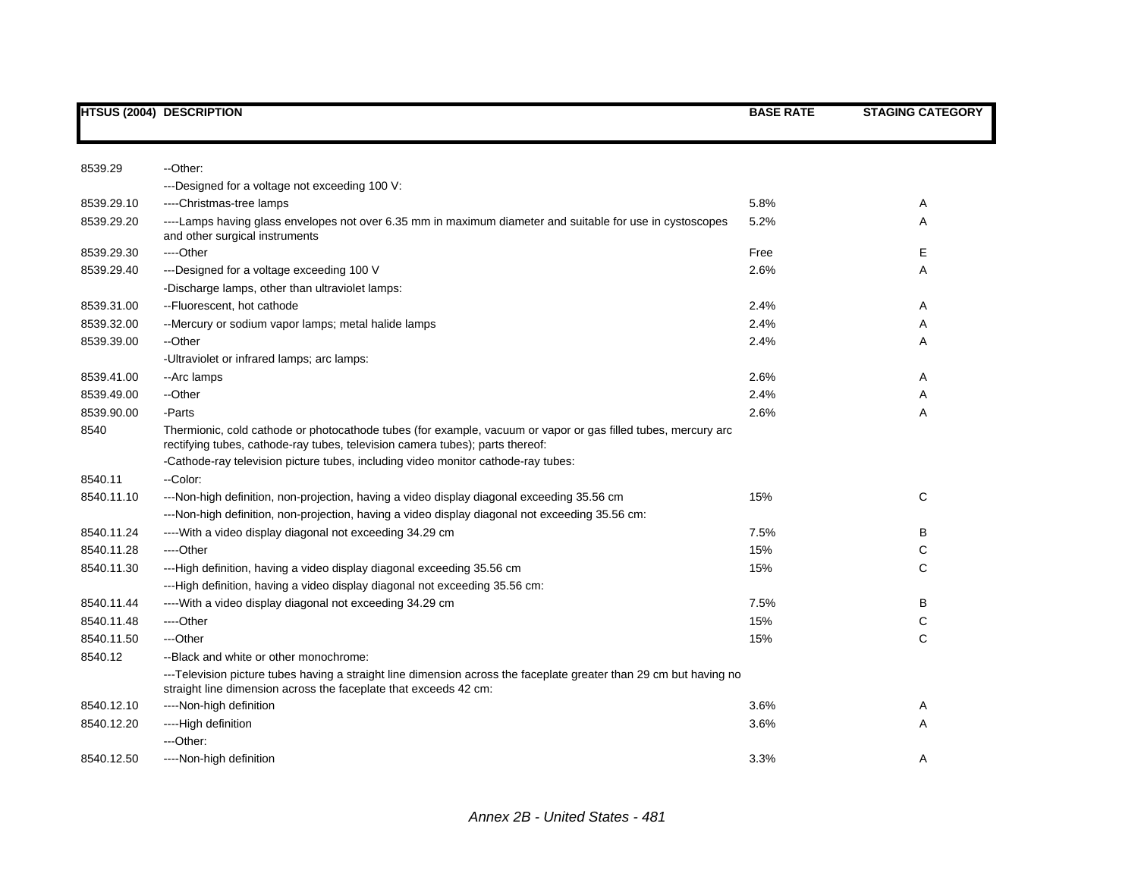|            | <b>HTSUS (2004) DESCRIPTION</b>                                                                                                                                                                | <b>BASE RATE</b> | <b>STAGING CATEGORY</b> |
|------------|------------------------------------------------------------------------------------------------------------------------------------------------------------------------------------------------|------------------|-------------------------|
|            |                                                                                                                                                                                                |                  |                         |
| 8539.29    | --Other:                                                                                                                                                                                       |                  |                         |
|            | ---Designed for a voltage not exceeding 100 V:                                                                                                                                                 |                  |                         |
| 8539.29.10 | ----Christmas-tree lamps                                                                                                                                                                       | 5.8%             | Α                       |
| 8539.29.20 | ----Lamps having glass envelopes not over 6.35 mm in maximum diameter and suitable for use in cystoscopes<br>and other surgical instruments                                                    | 5.2%             | Α                       |
| 8539.29.30 | ----Other                                                                                                                                                                                      | Free             | Е                       |
| 8539.29.40 | ---Designed for a voltage exceeding 100 V                                                                                                                                                      | 2.6%             | Α                       |
|            | -Discharge lamps, other than ultraviolet lamps:                                                                                                                                                |                  |                         |
| 8539.31.00 | --Fluorescent, hot cathode                                                                                                                                                                     | 2.4%             | Α                       |
| 8539.32.00 | --Mercury or sodium vapor lamps; metal halide lamps                                                                                                                                            | 2.4%             | Α                       |
| 8539.39.00 | --Other                                                                                                                                                                                        | 2.4%             | Α                       |
|            | -Ultraviolet or infrared lamps; arc lamps:                                                                                                                                                     |                  |                         |
| 8539.41.00 | --Arc lamps                                                                                                                                                                                    | 2.6%             | Α                       |
| 8539.49.00 | --Other                                                                                                                                                                                        | 2.4%             | Α                       |
| 8539.90.00 | -Parts                                                                                                                                                                                         | 2.6%             | Α                       |
| 8540       | Thermionic, cold cathode or photocathode tubes (for example, vacuum or vapor or gas filled tubes, mercury arc<br>rectifying tubes, cathode-ray tubes, television camera tubes); parts thereof: |                  |                         |
|            | -Cathode-ray television picture tubes, including video monitor cathode-ray tubes:                                                                                                              |                  |                         |
| 8540.11    | --Color:                                                                                                                                                                                       |                  |                         |
| 8540.11.10 | ---Non-high definition, non-projection, having a video display diagonal exceeding 35.56 cm                                                                                                     | 15%              | C                       |
|            | ---Non-high definition, non-projection, having a video display diagonal not exceeding 35.56 cm:                                                                                                |                  |                         |
| 8540.11.24 | ---- With a video display diagonal not exceeding 34.29 cm                                                                                                                                      | 7.5%             | в                       |
| 8540.11.28 | ----Other                                                                                                                                                                                      | 15%              | С                       |
| 8540.11.30 | ---High definition, having a video display diagonal exceeding 35.56 cm                                                                                                                         | 15%              | С                       |
|            | ---High definition, having a video display diagonal not exceeding 35.56 cm:                                                                                                                    |                  |                         |
| 8540.11.44 | ---- With a video display diagonal not exceeding 34.29 cm                                                                                                                                      | 7.5%             | в                       |
| 8540.11.48 | ----Other                                                                                                                                                                                      | 15%              | C                       |
| 8540.11.50 | ---Other                                                                                                                                                                                       | 15%              | C                       |
| 8540.12    | --Black and white or other monochrome:                                                                                                                                                         |                  |                         |
|            | ---Television picture tubes having a straight line dimension across the faceplate greater than 29 cm but having no<br>straight line dimension across the faceplate that exceeds 42 cm:         |                  |                         |
| 8540.12.10 | ----Non-high definition                                                                                                                                                                        | 3.6%             | Α                       |
| 8540.12.20 | ----High definition                                                                                                                                                                            | 3.6%             | Α                       |
|            | ---Other:                                                                                                                                                                                      |                  |                         |
| 8540.12.50 | ----Non-high definition                                                                                                                                                                        | 3.3%             | Α                       |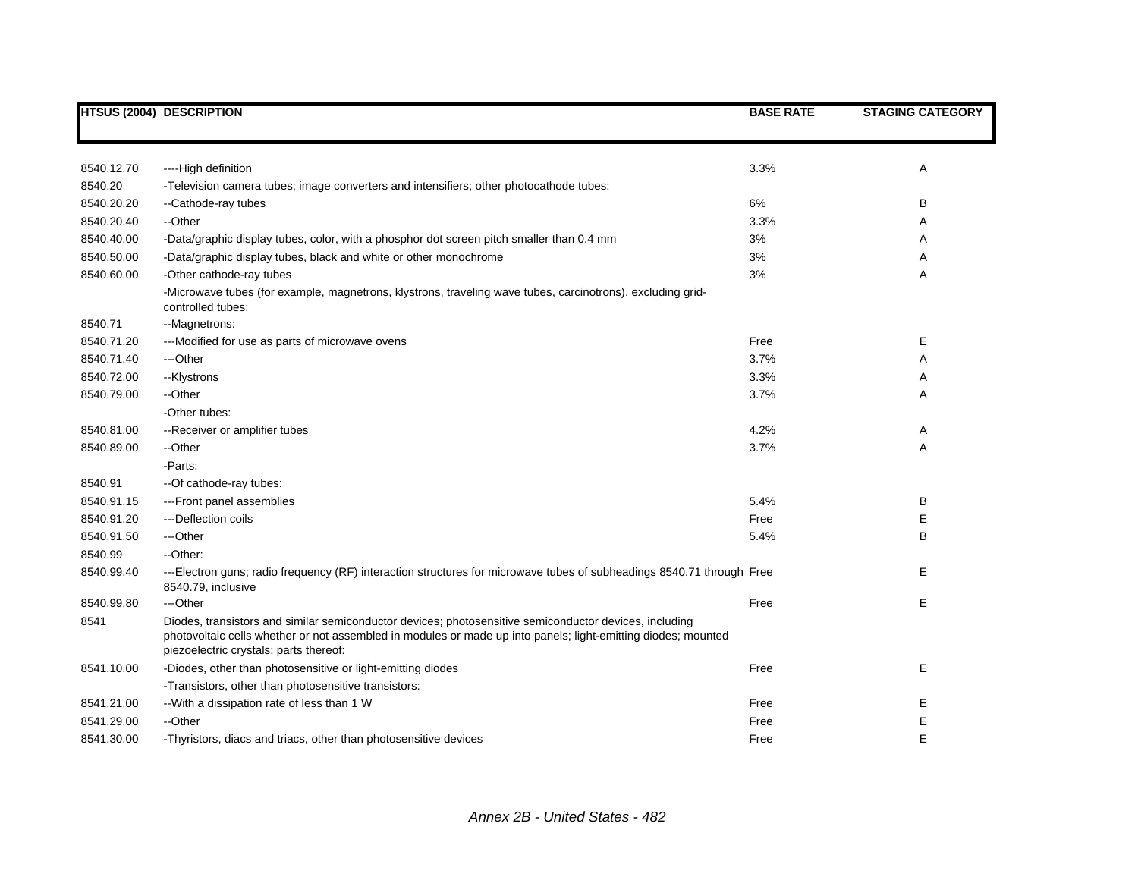|            | <b>HTSUS (2004) DESCRIPTION</b>                                                                                                                                                                                                                                   | <b>BASE RATE</b> | <b>STAGING CATEGORY</b> |
|------------|-------------------------------------------------------------------------------------------------------------------------------------------------------------------------------------------------------------------------------------------------------------------|------------------|-------------------------|
|            |                                                                                                                                                                                                                                                                   |                  |                         |
| 8540.12.70 | ----High definition                                                                                                                                                                                                                                               | 3.3%             | Α                       |
| 8540.20    | -Television camera tubes; image converters and intensifiers; other photocathode tubes:                                                                                                                                                                            |                  |                         |
| 8540.20.20 | --Cathode-ray tubes                                                                                                                                                                                                                                               | 6%               | B                       |
| 8540.20.40 | --Other                                                                                                                                                                                                                                                           | 3.3%             | Α                       |
| 8540.40.00 | -Data/graphic display tubes, color, with a phosphor dot screen pitch smaller than 0.4 mm                                                                                                                                                                          | 3%               | Α                       |
| 8540.50.00 | -Data/graphic display tubes, black and white or other monochrome                                                                                                                                                                                                  | 3%               | Α                       |
| 8540.60.00 | -Other cathode-ray tubes                                                                                                                                                                                                                                          | 3%               | Α                       |
|            | -Microwave tubes (for example, magnetrons, klystrons, traveling wave tubes, carcinotrons), excluding grid-<br>controlled tubes:                                                                                                                                   |                  |                         |
| 8540.71    | --Magnetrons:                                                                                                                                                                                                                                                     |                  |                         |
| 8540.71.20 | ---Modified for use as parts of microwave ovens                                                                                                                                                                                                                   | Free             | Е                       |
| 8540.71.40 | ---Other                                                                                                                                                                                                                                                          | 3.7%             | Α                       |
| 8540.72.00 | --Klystrons                                                                                                                                                                                                                                                       | 3.3%             | Α                       |
| 8540.79.00 | --Other                                                                                                                                                                                                                                                           | 3.7%             | Α                       |
|            | -Other tubes:                                                                                                                                                                                                                                                     |                  |                         |
| 8540.81.00 | --Receiver or amplifier tubes                                                                                                                                                                                                                                     | 4.2%             | Α                       |
| 8540.89.00 | --Other                                                                                                                                                                                                                                                           | 3.7%             | A                       |
|            | -Parts:                                                                                                                                                                                                                                                           |                  |                         |
| 8540.91    | -- Of cathode-ray tubes:                                                                                                                                                                                                                                          |                  |                         |
| 8540.91.15 | ---Front panel assemblies                                                                                                                                                                                                                                         | 5.4%             | В                       |
| 8540.91.20 | ---Deflection coils                                                                                                                                                                                                                                               | Free             | E                       |
| 8540.91.50 | ---Other                                                                                                                                                                                                                                                          | 5.4%             | B                       |
| 8540.99    | --Other:                                                                                                                                                                                                                                                          |                  |                         |
| 8540.99.40 | ---Electron guns; radio frequency (RF) interaction structures for microwave tubes of subheadings 8540.71 through Free<br>8540.79, inclusive                                                                                                                       |                  | Е                       |
| 8540.99.80 | ---Other                                                                                                                                                                                                                                                          | Free             | E                       |
| 8541       | Diodes, transistors and similar semiconductor devices; photosensitive semiconductor devices, including<br>photovoltaic cells whether or not assembled in modules or made up into panels; light-emitting diodes; mounted<br>piezoelectric crystals; parts thereof: |                  |                         |
| 8541.10.00 | -Diodes, other than photosensitive or light-emitting diodes                                                                                                                                                                                                       | Free             | E                       |
|            | -Transistors, other than photosensitive transistors:                                                                                                                                                                                                              |                  |                         |
| 8541.21.00 | -- With a dissipation rate of less than 1 W                                                                                                                                                                                                                       | Free             | Ε                       |
| 8541.29.00 | --Other                                                                                                                                                                                                                                                           | Free             | Ε                       |
| 8541.30.00 | -Thyristors, diacs and triacs, other than photosensitive devices                                                                                                                                                                                                  | Free             | E                       |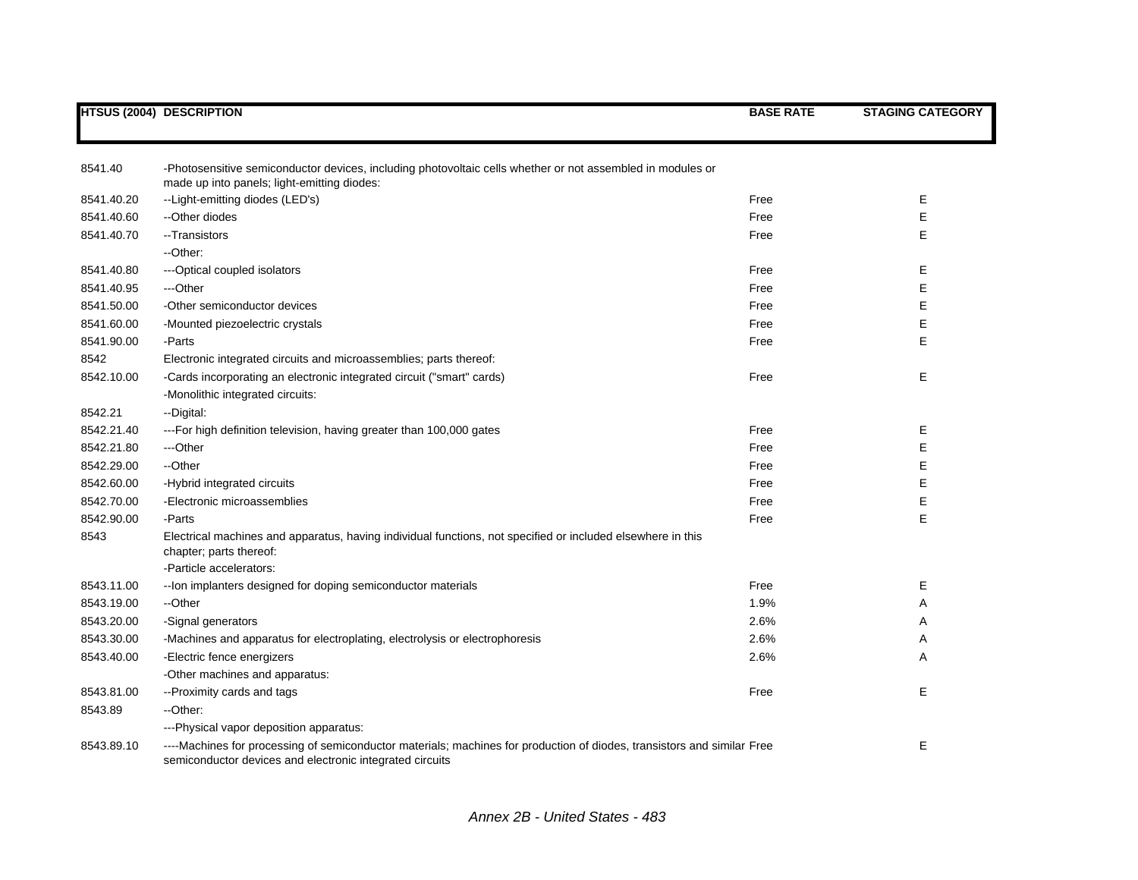|            | <b>HTSUS (2004) DESCRIPTION</b>                                                                                                                                                     | <b>BASE RATE</b> | <b>STAGING CATEGORY</b> |
|------------|-------------------------------------------------------------------------------------------------------------------------------------------------------------------------------------|------------------|-------------------------|
|            |                                                                                                                                                                                     |                  |                         |
| 8541.40    | -Photosensitive semiconductor devices, including photovoltaic cells whether or not assembled in modules or<br>made up into panels; light-emitting diodes:                           |                  |                         |
| 8541.40.20 | --Light-emitting diodes (LED's)                                                                                                                                                     | Free             | Е                       |
| 8541.40.60 | --Other diodes                                                                                                                                                                      | Free             | E                       |
| 8541.40.70 | --Transistors                                                                                                                                                                       | Free             | E                       |
|            | --Other:                                                                                                                                                                            |                  |                         |
| 8541.40.80 | --- Optical coupled isolators                                                                                                                                                       | Free             | Е                       |
| 8541.40.95 | ---Other                                                                                                                                                                            | Free             | E                       |
| 8541.50.00 | -Other semiconductor devices                                                                                                                                                        | Free             | E                       |
| 8541.60.00 | -Mounted piezoelectric crystals                                                                                                                                                     | Free             | Е                       |
| 8541.90.00 | -Parts                                                                                                                                                                              | Free             | E                       |
| 8542       | Electronic integrated circuits and microassemblies; parts thereof:                                                                                                                  |                  |                         |
| 8542.10.00 | -Cards incorporating an electronic integrated circuit ("smart" cards)                                                                                                               | Free             | E                       |
|            | -Monolithic integrated circuits:                                                                                                                                                    |                  |                         |
| 8542.21    | --Digital:                                                                                                                                                                          |                  |                         |
| 8542.21.40 | ---For high definition television, having greater than 100,000 gates                                                                                                                | Free             | Е                       |
| 8542.21.80 | ---Other                                                                                                                                                                            | Free             | Е                       |
| 8542.29.00 | --Other                                                                                                                                                                             | Free             | Е                       |
| 8542.60.00 | -Hybrid integrated circuits                                                                                                                                                         | Free             | E                       |
| 8542.70.00 | -Electronic microassemblies                                                                                                                                                         | Free             | Е                       |
| 8542.90.00 | -Parts                                                                                                                                                                              | Free             | E                       |
| 8543       | Electrical machines and apparatus, having individual functions, not specified or included elsewhere in this<br>chapter; parts thereof:                                              |                  |                         |
|            | -Particle accelerators:                                                                                                                                                             |                  |                         |
| 8543.11.00 | -- Ion implanters designed for doping semiconductor materials                                                                                                                       | Free             | Е                       |
| 8543.19.00 | --Other                                                                                                                                                                             | 1.9%             | Α                       |
| 8543.20.00 | -Signal generators                                                                                                                                                                  | 2.6%             | Α                       |
| 8543.30.00 | -Machines and apparatus for electroplating, electrolysis or electrophoresis                                                                                                         | 2.6%             | Α                       |
| 8543.40.00 | -Electric fence energizers                                                                                                                                                          | 2.6%             | Α                       |
|            | -Other machines and apparatus:                                                                                                                                                      |                  |                         |
| 8543.81.00 | -- Proximity cards and tags                                                                                                                                                         | Free             | E                       |
| 8543.89    | --Other:                                                                                                                                                                            |                  |                         |
|            | ---Physical vapor deposition apparatus:                                                                                                                                             |                  |                         |
| 8543.89.10 | ----Machines for processing of semiconductor materials; machines for production of diodes, transistors and similar Free<br>semiconductor devices and electronic integrated circuits |                  | E                       |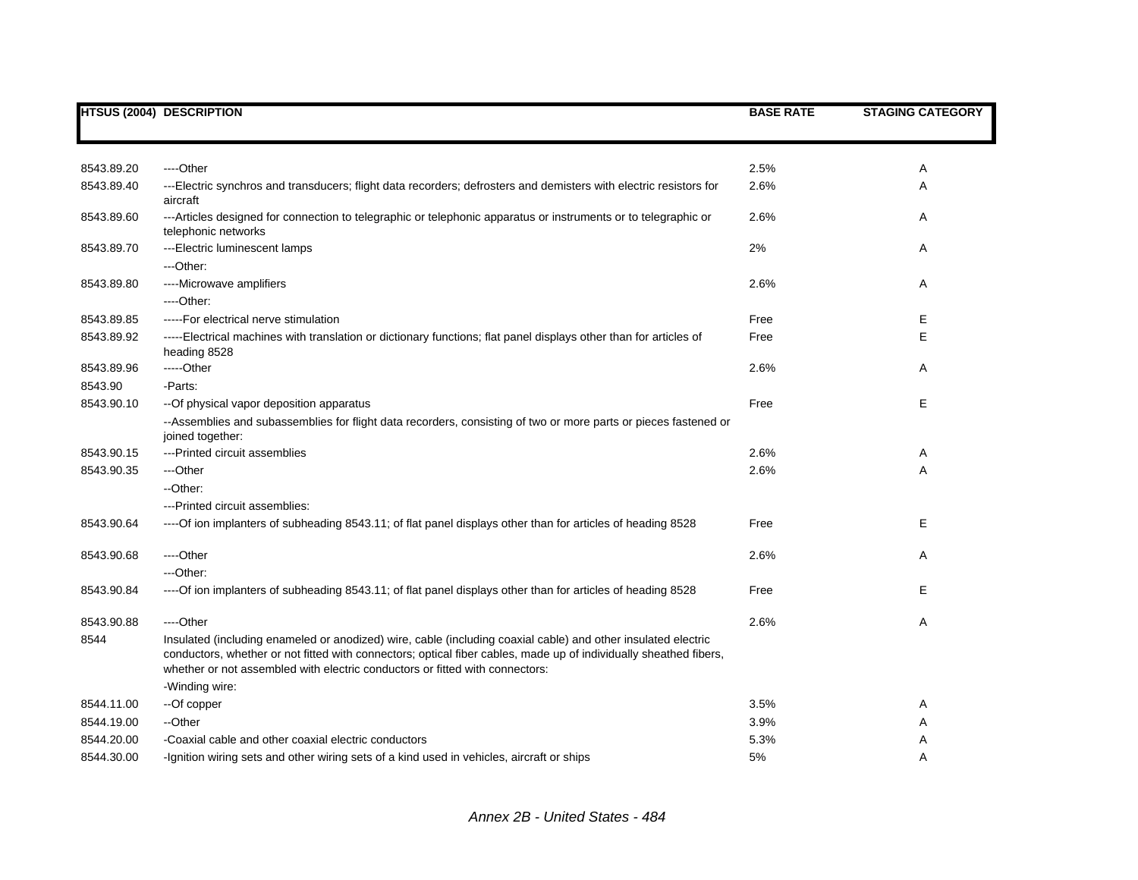|            | <b>HTSUS (2004) DESCRIPTION</b>                                                                                                                                                                                                                                                                                    | <b>BASE RATE</b> | <b>STAGING CATEGORY</b> |
|------------|--------------------------------------------------------------------------------------------------------------------------------------------------------------------------------------------------------------------------------------------------------------------------------------------------------------------|------------------|-------------------------|
|            |                                                                                                                                                                                                                                                                                                                    |                  |                         |
| 8543.89.20 | ----Other                                                                                                                                                                                                                                                                                                          | 2.5%             | Α                       |
| 8543.89.40 | ---Electric synchros and transducers; flight data recorders; defrosters and demisters with electric resistors for<br>aircraft                                                                                                                                                                                      | 2.6%             | Α                       |
| 8543.89.60 | ---Articles designed for connection to telegraphic or telephonic apparatus or instruments or to telegraphic or<br>telephonic networks                                                                                                                                                                              | 2.6%             | Α                       |
| 8543.89.70 | ---Electric luminescent lamps                                                                                                                                                                                                                                                                                      | 2%               | Α                       |
|            | ---Other:                                                                                                                                                                                                                                                                                                          |                  |                         |
| 8543.89.80 | ----Microwave amplifiers                                                                                                                                                                                                                                                                                           | 2.6%             | Α                       |
|            | ----Other:                                                                                                                                                                                                                                                                                                         |                  |                         |
| 8543.89.85 | -----For electrical nerve stimulation                                                                                                                                                                                                                                                                              | Free             | Е                       |
| 8543.89.92 | -----Electrical machines with translation or dictionary functions; flat panel displays other than for articles of<br>heading 8528                                                                                                                                                                                  | Free             | E                       |
| 8543.89.96 | -----Other                                                                                                                                                                                                                                                                                                         | 2.6%             | Α                       |
| 8543.90    | -Parts:                                                                                                                                                                                                                                                                                                            |                  |                         |
| 8543.90.10 | -- Of physical vapor deposition apparatus                                                                                                                                                                                                                                                                          | Free             | Е                       |
|            | --Assemblies and subassemblies for flight data recorders, consisting of two or more parts or pieces fastened or<br>joined together:                                                                                                                                                                                |                  |                         |
| 8543.90.15 | ---Printed circuit assemblies                                                                                                                                                                                                                                                                                      | 2.6%             | Α                       |
| 8543.90.35 | ---Other                                                                                                                                                                                                                                                                                                           | 2.6%             | Α                       |
|            | --Other:                                                                                                                                                                                                                                                                                                           |                  |                         |
|            | ---Printed circuit assemblies:                                                                                                                                                                                                                                                                                     |                  |                         |
| 8543.90.64 | ----Of ion implanters of subheading 8543.11; of flat panel displays other than for articles of heading 8528                                                                                                                                                                                                        | Free             | Е                       |
| 8543.90.68 | ----Other                                                                                                                                                                                                                                                                                                          | 2.6%             | Α                       |
|            | ---Other:                                                                                                                                                                                                                                                                                                          |                  |                         |
| 8543.90.84 | ----Of ion implanters of subheading 8543.11; of flat panel displays other than for articles of heading 8528                                                                                                                                                                                                        | Free             | Е                       |
| 8543.90.88 | ----Other                                                                                                                                                                                                                                                                                                          | 2.6%             | Α                       |
| 8544       | Insulated (including enameled or anodized) wire, cable (including coaxial cable) and other insulated electric<br>conductors, whether or not fitted with connectors; optical fiber cables, made up of individually sheathed fibers,<br>whether or not assembled with electric conductors or fitted with connectors: |                  |                         |
|            | -Winding wire:                                                                                                                                                                                                                                                                                                     |                  |                         |
| 8544.11.00 | --Of copper                                                                                                                                                                                                                                                                                                        | 3.5%             | Α                       |
| 8544.19.00 | --Other                                                                                                                                                                                                                                                                                                            | 3.9%             | Α                       |
| 8544.20.00 | -Coaxial cable and other coaxial electric conductors                                                                                                                                                                                                                                                               | 5.3%             | Α                       |
| 8544.30.00 | -Ignition wiring sets and other wiring sets of a kind used in vehicles, aircraft or ships                                                                                                                                                                                                                          | 5%               | Α                       |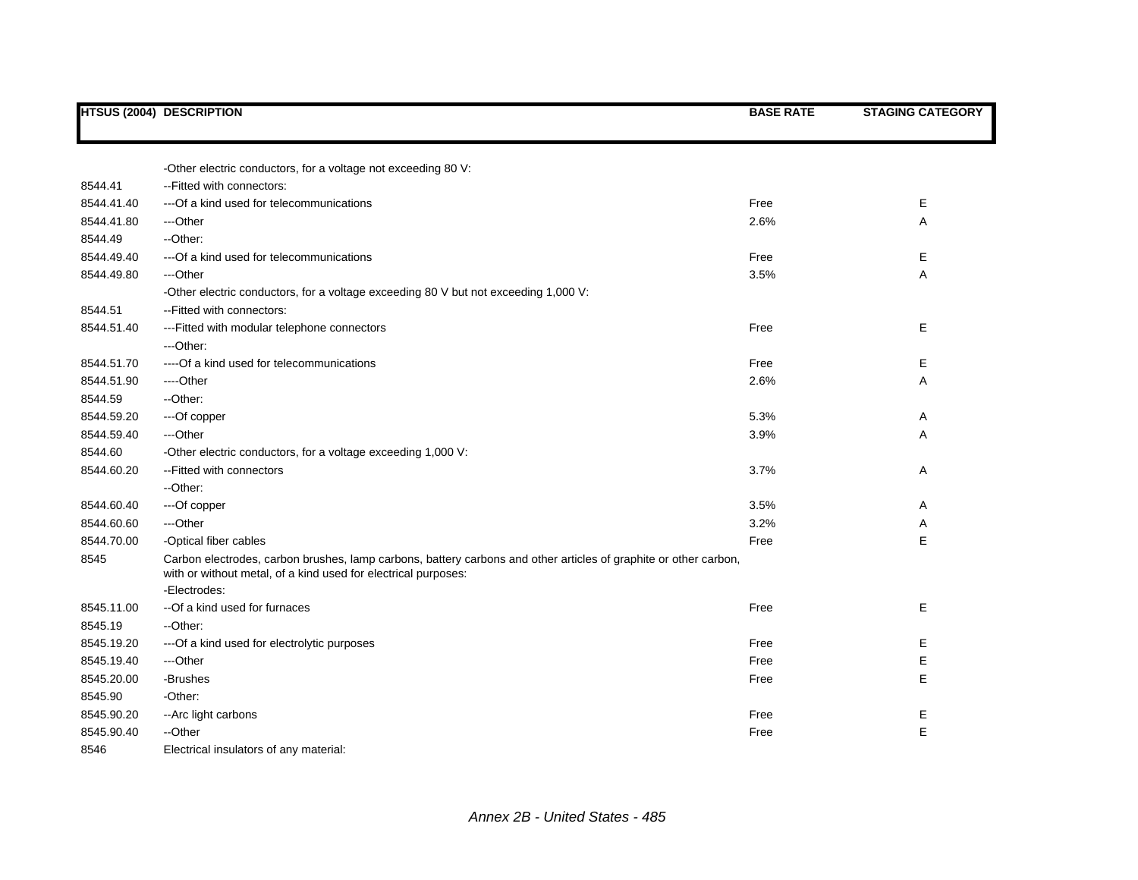|            | <b>HTSUS (2004) DESCRIPTION</b>                                                                                                                                                    | <b>BASE RATE</b> | <b>STAGING CATEGORY</b> |
|------------|------------------------------------------------------------------------------------------------------------------------------------------------------------------------------------|------------------|-------------------------|
|            |                                                                                                                                                                                    |                  |                         |
|            |                                                                                                                                                                                    |                  |                         |
| 8544.41    | -Other electric conductors, for a voltage not exceeding 80 V:<br>-- Fitted with connectors:                                                                                        |                  |                         |
| 8544.41.40 | --- Of a kind used for telecommunications                                                                                                                                          | Free             | Е                       |
|            |                                                                                                                                                                                    |                  |                         |
| 8544.41.80 | ---Other                                                                                                                                                                           | 2.6%             | Α                       |
| 8544.49    | --Other:                                                                                                                                                                           |                  |                         |
| 8544.49.40 | --- Of a kind used for telecommunications                                                                                                                                          | Free             | E                       |
| 8544.49.80 | ---Other                                                                                                                                                                           | 3.5%             | Α                       |
|            | -Other electric conductors, for a voltage exceeding 80 V but not exceeding 1,000 V:                                                                                                |                  |                         |
| 8544.51    | -- Fitted with connectors:                                                                                                                                                         |                  |                         |
| 8544.51.40 | --- Fitted with modular telephone connectors                                                                                                                                       | Free             | Е                       |
|            | ---Other:                                                                                                                                                                          |                  |                         |
| 8544.51.70 | ---- Of a kind used for telecommunications                                                                                                                                         | Free             | Е                       |
| 8544.51.90 | ----Other                                                                                                                                                                          | 2.6%             | Α                       |
| 8544.59    | --Other:                                                                                                                                                                           |                  |                         |
| 8544.59.20 | ---Of copper                                                                                                                                                                       | 5.3%             | Α                       |
| 8544.59.40 | ---Other                                                                                                                                                                           | 3.9%             | Α                       |
| 8544.60    | -Other electric conductors, for a voltage exceeding 1,000 V:                                                                                                                       |                  |                         |
| 8544.60.20 | --Fitted with connectors                                                                                                                                                           | 3.7%             | Α                       |
|            | --Other:                                                                                                                                                                           |                  |                         |
| 8544.60.40 | ---Of copper                                                                                                                                                                       | 3.5%             | Α                       |
| 8544.60.60 | ---Other                                                                                                                                                                           | 3.2%             | Α                       |
| 8544.70.00 | -Optical fiber cables                                                                                                                                                              | Free             | E                       |
| 8545       | Carbon electrodes, carbon brushes, lamp carbons, battery carbons and other articles of graphite or other carbon,<br>with or without metal, of a kind used for electrical purposes: |                  |                         |
|            | -Electrodes:                                                                                                                                                                       |                  |                         |
| 8545.11.00 | --Of a kind used for furnaces                                                                                                                                                      | Free             | Е                       |
| 8545.19    | --Other:                                                                                                                                                                           |                  |                         |
| 8545.19.20 | --- Of a kind used for electrolytic purposes                                                                                                                                       | Free             | Е                       |
| 8545.19.40 | ---Other                                                                                                                                                                           | Free             | Е                       |
| 8545.20.00 | -Brushes                                                                                                                                                                           | Free             | Е                       |
| 8545.90    | -Other:                                                                                                                                                                            |                  |                         |
| 8545.90.20 | -- Arc light carbons                                                                                                                                                               | Free             | Е                       |
| 8545.90.40 | --Other                                                                                                                                                                            | Free             | Е                       |
| 8546       | Electrical insulators of any material:                                                                                                                                             |                  |                         |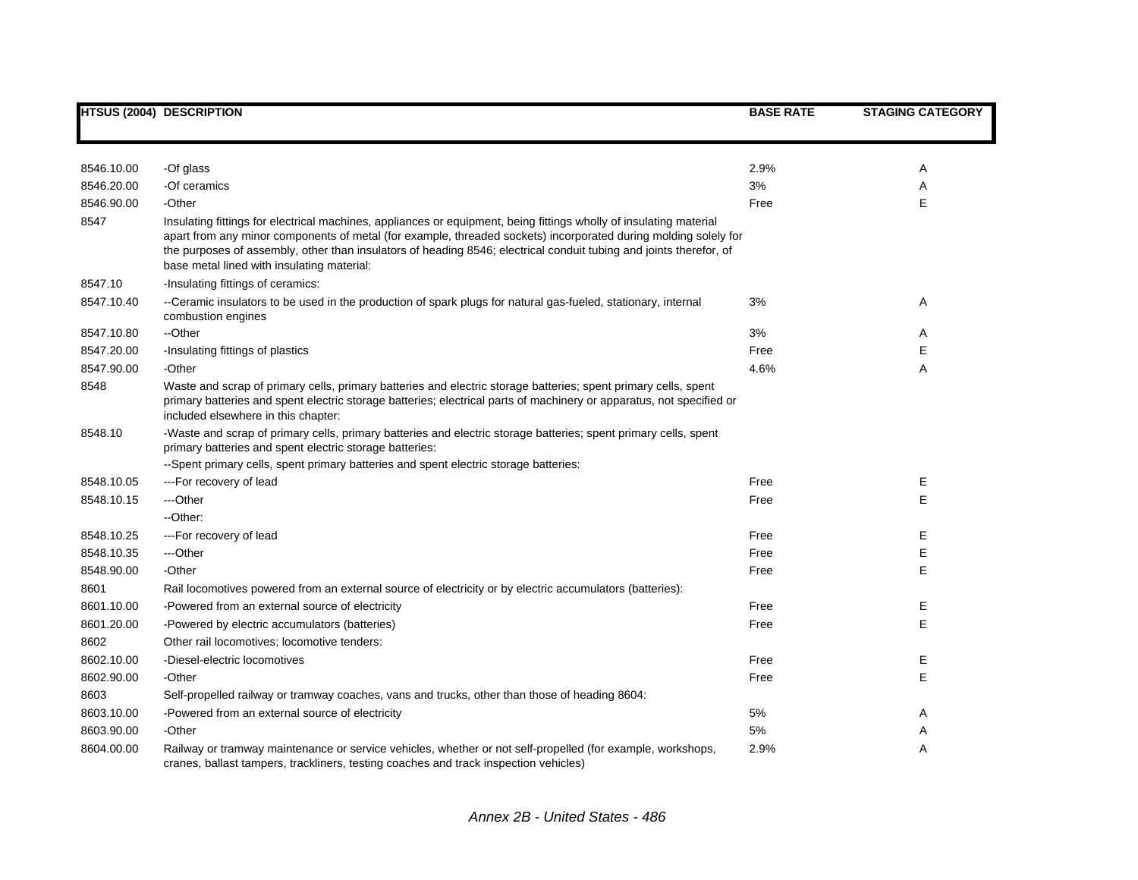|            | <b>HTSUS (2004) DESCRIPTION</b>                                                                                                                                                                                                                                                                                                                                                                           | <b>BASE RATE</b> | <b>STAGING CATEGORY</b> |
|------------|-----------------------------------------------------------------------------------------------------------------------------------------------------------------------------------------------------------------------------------------------------------------------------------------------------------------------------------------------------------------------------------------------------------|------------------|-------------------------|
|            |                                                                                                                                                                                                                                                                                                                                                                                                           |                  |                         |
|            |                                                                                                                                                                                                                                                                                                                                                                                                           |                  |                         |
| 8546.10.00 | -Of glass                                                                                                                                                                                                                                                                                                                                                                                                 | 2.9%             | Α                       |
| 8546.20.00 | -Of ceramics                                                                                                                                                                                                                                                                                                                                                                                              | 3%               | Α                       |
| 8546.90.00 | -Other                                                                                                                                                                                                                                                                                                                                                                                                    | Free             | E                       |
| 8547       | Insulating fittings for electrical machines, appliances or equipment, being fittings wholly of insulating material<br>apart from any minor components of metal (for example, threaded sockets) incorporated during molding solely for<br>the purposes of assembly, other than insulators of heading 8546; electrical conduit tubing and joints therefor, of<br>base metal lined with insulating material: |                  |                         |
| 8547.10    | -Insulating fittings of ceramics:                                                                                                                                                                                                                                                                                                                                                                         |                  |                         |
| 8547.10.40 | --Ceramic insulators to be used in the production of spark plugs for natural gas-fueled, stationary, internal<br>combustion engines                                                                                                                                                                                                                                                                       | 3%               | Α                       |
| 8547.10.80 | --Other                                                                                                                                                                                                                                                                                                                                                                                                   | 3%               | Α                       |
| 8547.20.00 | -Insulating fittings of plastics                                                                                                                                                                                                                                                                                                                                                                          | Free             | E                       |
| 8547.90.00 | -Other                                                                                                                                                                                                                                                                                                                                                                                                    | 4.6%             | Α                       |
| 8548       | Waste and scrap of primary cells, primary batteries and electric storage batteries; spent primary cells, spent<br>primary batteries and spent electric storage batteries; electrical parts of machinery or apparatus, not specified or<br>included elsewhere in this chapter:                                                                                                                             |                  |                         |
| 8548.10    | -Waste and scrap of primary cells, primary batteries and electric storage batteries; spent primary cells, spent<br>primary batteries and spent electric storage batteries:                                                                                                                                                                                                                                |                  |                         |
|            | --Spent primary cells, spent primary batteries and spent electric storage batteries:                                                                                                                                                                                                                                                                                                                      |                  |                         |
| 8548.10.05 | ---For recovery of lead                                                                                                                                                                                                                                                                                                                                                                                   | Free             | Е                       |
| 8548.10.15 | ---Other                                                                                                                                                                                                                                                                                                                                                                                                  | Free             | E                       |
|            | --Other:                                                                                                                                                                                                                                                                                                                                                                                                  |                  |                         |
| 8548.10.25 | ---For recovery of lead                                                                                                                                                                                                                                                                                                                                                                                   | Free             | E                       |
| 8548.10.35 | ---Other                                                                                                                                                                                                                                                                                                                                                                                                  | Free             | Е                       |
| 8548.90.00 | -Other                                                                                                                                                                                                                                                                                                                                                                                                    | Free             | Е                       |
| 8601       | Rail locomotives powered from an external source of electricity or by electric accumulators (batteries):                                                                                                                                                                                                                                                                                                  |                  |                         |
| 8601.10.00 | -Powered from an external source of electricity                                                                                                                                                                                                                                                                                                                                                           | Free             | Ε                       |
| 8601.20.00 | -Powered by electric accumulators (batteries)                                                                                                                                                                                                                                                                                                                                                             | Free             | E                       |
| 8602       | Other rail locomotives; locomotive tenders:                                                                                                                                                                                                                                                                                                                                                               |                  |                         |
| 8602.10.00 | -Diesel-electric locomotives                                                                                                                                                                                                                                                                                                                                                                              | Free             | Е                       |
| 8602.90.00 | -Other                                                                                                                                                                                                                                                                                                                                                                                                    | Free             | E                       |
| 8603       | Self-propelled railway or tramway coaches, vans and trucks, other than those of heading 8604:                                                                                                                                                                                                                                                                                                             |                  |                         |
| 8603.10.00 | -Powered from an external source of electricity                                                                                                                                                                                                                                                                                                                                                           | 5%               | A                       |
| 8603.90.00 | -Other                                                                                                                                                                                                                                                                                                                                                                                                    | 5%               | Α                       |
| 8604.00.00 | Railway or tramway maintenance or service vehicles, whether or not self-propelled (for example, workshops,<br>cranes, ballast tampers, trackliners, testing coaches and track inspection vehicles)                                                                                                                                                                                                        | 2.9%             | Α                       |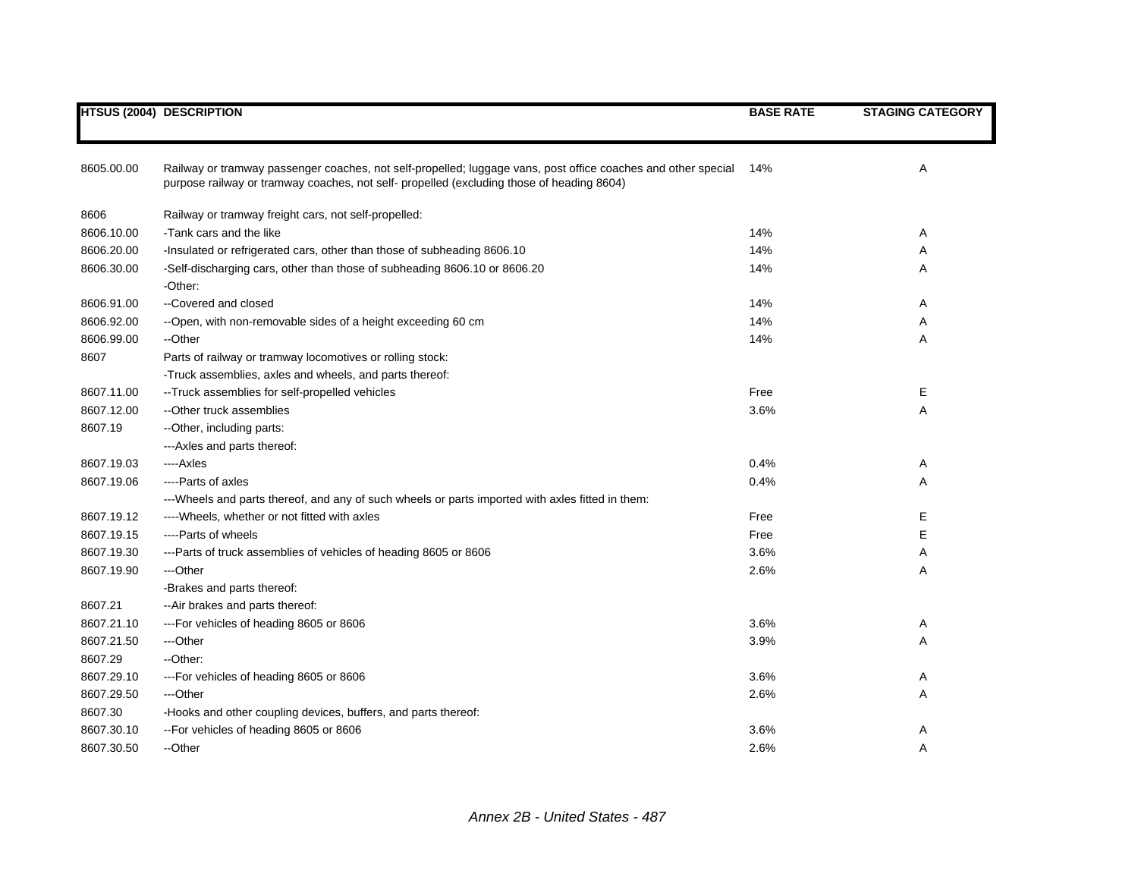|            | <b>HTSUS (2004) DESCRIPTION</b>                                                                                                                                                                            | <b>BASE RATE</b> | <b>STAGING CATEGORY</b> |
|------------|------------------------------------------------------------------------------------------------------------------------------------------------------------------------------------------------------------|------------------|-------------------------|
|            |                                                                                                                                                                                                            |                  |                         |
|            |                                                                                                                                                                                                            |                  |                         |
| 8605.00.00 | Railway or tramway passenger coaches, not self-propelled; luggage vans, post office coaches and other special<br>purpose railway or tramway coaches, not self- propelled (excluding those of heading 8604) | 14%              | Α                       |
| 8606       | Railway or tramway freight cars, not self-propelled:                                                                                                                                                       |                  |                         |
| 8606.10.00 | -Tank cars and the like                                                                                                                                                                                    | 14%              | Α                       |
| 8606.20.00 | -Insulated or refrigerated cars, other than those of subheading 8606.10                                                                                                                                    | 14%              | Α                       |
| 8606.30.00 | -Self-discharging cars, other than those of subheading 8606.10 or 8606.20                                                                                                                                  | 14%              | Α                       |
|            | -Other:                                                                                                                                                                                                    |                  |                         |
| 8606.91.00 | --Covered and closed                                                                                                                                                                                       | 14%              | Α                       |
| 8606.92.00 | --Open, with non-removable sides of a height exceeding 60 cm                                                                                                                                               | 14%              | Α                       |
| 8606.99.00 | --Other                                                                                                                                                                                                    | 14%              | Α                       |
| 8607       | Parts of railway or tramway locomotives or rolling stock:                                                                                                                                                  |                  |                         |
|            | -Truck assemblies, axles and wheels, and parts thereof:                                                                                                                                                    |                  |                         |
| 8607.11.00 | -- Truck assemblies for self-propelled vehicles                                                                                                                                                            | Free             | Е                       |
| 8607.12.00 | --Other truck assemblies                                                                                                                                                                                   | 3.6%             | Α                       |
| 8607.19    | -- Other, including parts:                                                                                                                                                                                 |                  |                         |
|            | --- Axles and parts thereof:                                                                                                                                                                               |                  |                         |
| 8607.19.03 | ----Axles                                                                                                                                                                                                  | 0.4%             | Α                       |
| 8607.19.06 | ----Parts of axles                                                                                                                                                                                         | 0.4%             | Α                       |
|            | ---Wheels and parts thereof, and any of such wheels or parts imported with axles fitted in them:                                                                                                           |                  |                         |
| 8607.19.12 | ---- Wheels, whether or not fitted with axles                                                                                                                                                              | Free             | Е                       |
| 8607.19.15 | ----Parts of wheels                                                                                                                                                                                        | Free             | Е                       |
| 8607.19.30 | ---Parts of truck assemblies of vehicles of heading 8605 or 8606                                                                                                                                           | 3.6%             | Α                       |
| 8607.19.90 | ---Other                                                                                                                                                                                                   | 2.6%             | Α                       |
|            | -Brakes and parts thereof:                                                                                                                                                                                 |                  |                         |
| 8607.21    | --Air brakes and parts thereof:                                                                                                                                                                            |                  |                         |
| 8607.21.10 | --- For vehicles of heading 8605 or 8606                                                                                                                                                                   | 3.6%             | A                       |
| 8607.21.50 | ---Other                                                                                                                                                                                                   | 3.9%             | Α                       |
| 8607.29    | --Other:                                                                                                                                                                                                   |                  |                         |
| 8607.29.10 | --- For vehicles of heading 8605 or 8606                                                                                                                                                                   | 3.6%             | Α                       |
| 8607.29.50 | ---Other                                                                                                                                                                                                   | 2.6%             | Α                       |
| 8607.30    | -Hooks and other coupling devices, buffers, and parts thereof:                                                                                                                                             |                  |                         |
| 8607.30.10 | -- For vehicles of heading 8605 or 8606                                                                                                                                                                    | 3.6%             | Α                       |
| 8607.30.50 | --Other                                                                                                                                                                                                    | 2.6%             | Α                       |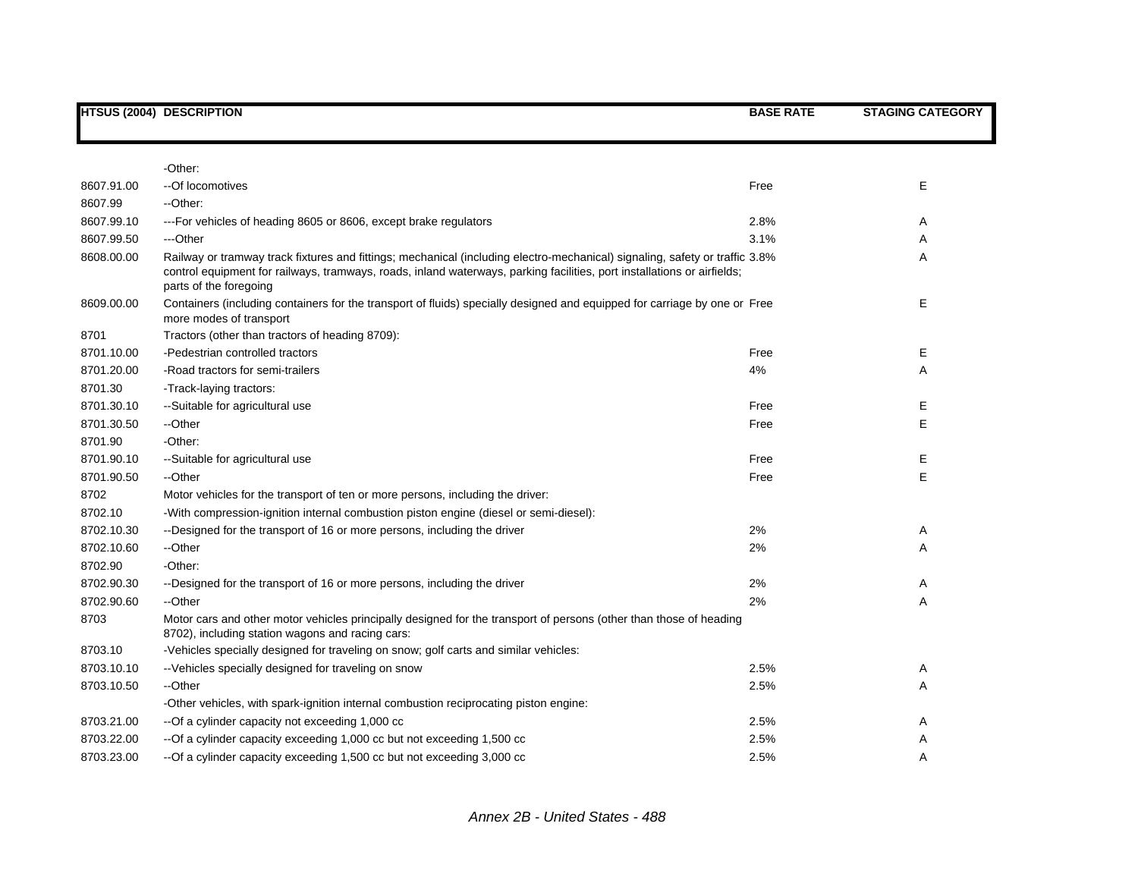|            | <b>HTSUS (2004) DESCRIPTION</b>                                                                                                                                                                                                                                                  | <b>BASE RATE</b> | <b>STAGING CATEGORY</b> |
|------------|----------------------------------------------------------------------------------------------------------------------------------------------------------------------------------------------------------------------------------------------------------------------------------|------------------|-------------------------|
|            |                                                                                                                                                                                                                                                                                  |                  |                         |
|            | -Other:                                                                                                                                                                                                                                                                          |                  |                         |
| 8607.91.00 | -- Of locomotives                                                                                                                                                                                                                                                                | Free             | Е                       |
| 8607.99    | --Other:                                                                                                                                                                                                                                                                         |                  |                         |
| 8607.99.10 | --- For vehicles of heading 8605 or 8606, except brake regulators                                                                                                                                                                                                                | 2.8%             | A                       |
| 8607.99.50 | ---Other                                                                                                                                                                                                                                                                         | 3.1%             | A                       |
| 8608.00.00 | Railway or tramway track fixtures and fittings; mechanical (including electro-mechanical) signaling, safety or traffic 3.8%<br>control equipment for railways, tramways, roads, inland waterways, parking facilities, port installations or airfields;<br>parts of the foregoing |                  | Α                       |
| 8609.00.00 | Containers (including containers for the transport of fluids) specially designed and equipped for carriage by one or Free<br>more modes of transport                                                                                                                             |                  | E                       |
| 8701       | Tractors (other than tractors of heading 8709):                                                                                                                                                                                                                                  |                  |                         |
| 8701.10.00 | -Pedestrian controlled tractors                                                                                                                                                                                                                                                  | Free             | Е                       |
| 8701.20.00 | -Road tractors for semi-trailers                                                                                                                                                                                                                                                 | 4%               | Α                       |
| 8701.30    | -Track-laying tractors:                                                                                                                                                                                                                                                          |                  |                         |
| 8701.30.10 | --Suitable for agricultural use                                                                                                                                                                                                                                                  | Free             | Е                       |
| 8701.30.50 | --Other                                                                                                                                                                                                                                                                          | Free             | Е                       |
| 8701.90    | -Other:                                                                                                                                                                                                                                                                          |                  |                         |
| 8701.90.10 | --Suitable for agricultural use                                                                                                                                                                                                                                                  | Free             | Е                       |
| 8701.90.50 | --Other                                                                                                                                                                                                                                                                          | Free             | E                       |
| 8702       | Motor vehicles for the transport of ten or more persons, including the driver:                                                                                                                                                                                                   |                  |                         |
| 8702.10    | -With compression-ignition internal combustion piston engine (diesel or semi-diesel):                                                                                                                                                                                            |                  |                         |
| 8702.10.30 | --Designed for the transport of 16 or more persons, including the driver                                                                                                                                                                                                         | 2%               | A                       |
| 8702.10.60 | --Other                                                                                                                                                                                                                                                                          | 2%               | Α                       |
| 8702.90    | -Other:                                                                                                                                                                                                                                                                          |                  |                         |
| 8702.90.30 | --Designed for the transport of 16 or more persons, including the driver                                                                                                                                                                                                         | 2%               | Α                       |
| 8702.90.60 | --Other                                                                                                                                                                                                                                                                          | 2%               | Α                       |
| 8703       | Motor cars and other motor vehicles principally designed for the transport of persons (other than those of heading<br>8702), including station wagons and racing cars:                                                                                                           |                  |                         |
| 8703.10    | -Vehicles specially designed for traveling on snow; golf carts and similar vehicles:                                                                                                                                                                                             |                  |                         |
| 8703.10.10 | -- Vehicles specially designed for traveling on snow                                                                                                                                                                                                                             | 2.5%             | A                       |
| 8703.10.50 | --Other                                                                                                                                                                                                                                                                          | 2.5%             | Α                       |
|            | -Other vehicles, with spark-ignition internal combustion reciprocating piston engine:                                                                                                                                                                                            |                  |                         |
| 8703.21.00 | -- Of a cylinder capacity not exceeding 1,000 cc                                                                                                                                                                                                                                 | 2.5%             | Α                       |
| 8703.22.00 | -- Of a cylinder capacity exceeding 1,000 cc but not exceeding 1,500 cc                                                                                                                                                                                                          | 2.5%             | Α                       |
| 8703.23.00 | -- Of a cylinder capacity exceeding 1,500 cc but not exceeding 3,000 cc                                                                                                                                                                                                          | 2.5%             | A                       |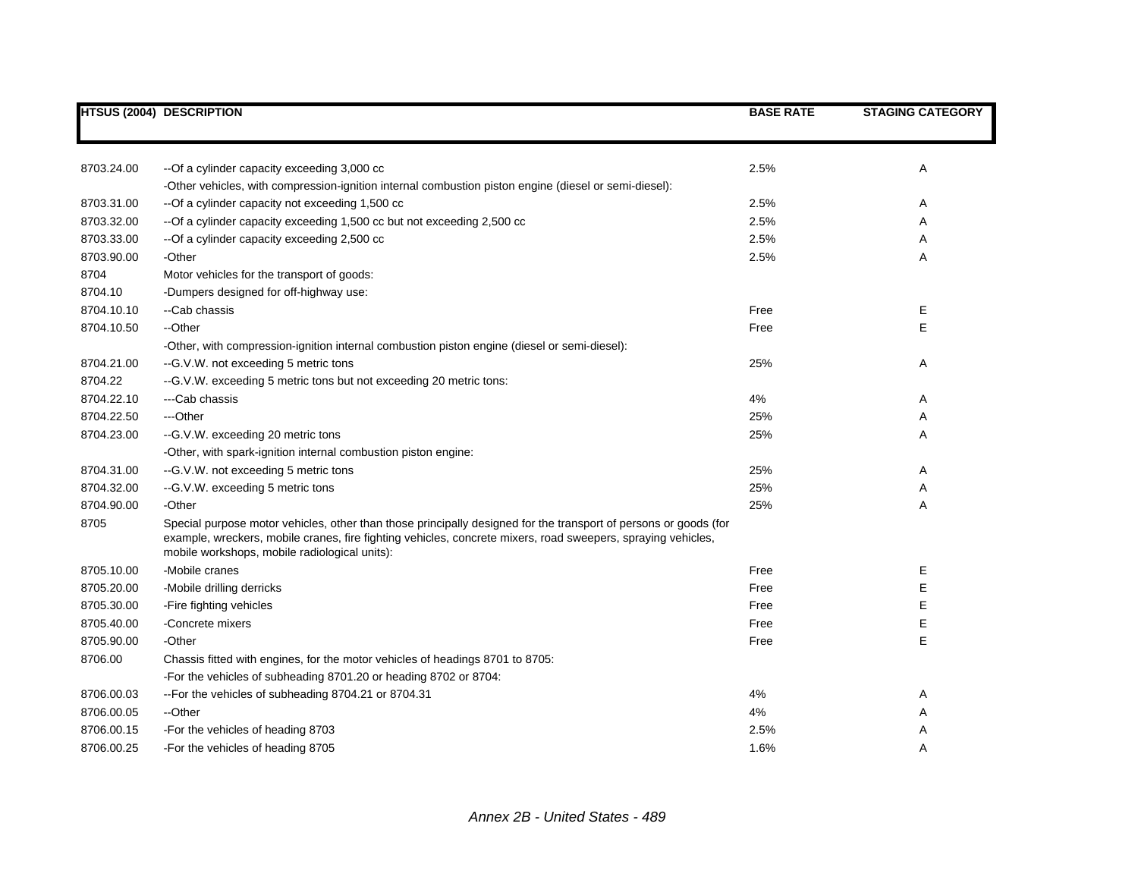|            | <b>HTSUS (2004) DESCRIPTION</b>                                                                                                                                                                                                                                                   | <b>BASE RATE</b> | <b>STAGING CATEGORY</b> |
|------------|-----------------------------------------------------------------------------------------------------------------------------------------------------------------------------------------------------------------------------------------------------------------------------------|------------------|-------------------------|
|            |                                                                                                                                                                                                                                                                                   |                  |                         |
| 8703.24.00 | -- Of a cylinder capacity exceeding 3,000 cc                                                                                                                                                                                                                                      | 2.5%             | Α                       |
|            | -Other vehicles, with compression-ignition internal combustion piston engine (diesel or semi-diesel):                                                                                                                                                                             |                  |                         |
| 8703.31.00 | --Of a cylinder capacity not exceeding 1,500 cc                                                                                                                                                                                                                                   | 2.5%             | Α                       |
| 8703.32.00 | -- Of a cylinder capacity exceeding 1,500 cc but not exceeding 2,500 cc                                                                                                                                                                                                           | 2.5%             | Α                       |
| 8703.33.00 | --Of a cylinder capacity exceeding 2,500 cc                                                                                                                                                                                                                                       | 2.5%             | Α                       |
| 8703.90.00 | -Other                                                                                                                                                                                                                                                                            | 2.5%             | Α                       |
| 8704       | Motor vehicles for the transport of goods:                                                                                                                                                                                                                                        |                  |                         |
| 8704.10    | -Dumpers designed for off-highway use:                                                                                                                                                                                                                                            |                  |                         |
| 8704.10.10 | --Cab chassis                                                                                                                                                                                                                                                                     | Free             | Е                       |
| 8704.10.50 | --Other                                                                                                                                                                                                                                                                           | Free             | E                       |
|            | -Other, with compression-ignition internal combustion piston engine (diesel or semi-diesel):                                                                                                                                                                                      |                  |                         |
| 8704.21.00 | -- G.V.W. not exceeding 5 metric tons                                                                                                                                                                                                                                             | 25%              | Α                       |
| 8704.22    | -- G.V.W. exceeding 5 metric tons but not exceeding 20 metric tons:                                                                                                                                                                                                               |                  |                         |
| 8704.22.10 | ---Cab chassis                                                                                                                                                                                                                                                                    | 4%               | Α                       |
| 8704.22.50 | ---Other                                                                                                                                                                                                                                                                          | 25%              | Α                       |
| 8704.23.00 | --G.V.W. exceeding 20 metric tons                                                                                                                                                                                                                                                 | 25%              | Α                       |
|            | -Other, with spark-ignition internal combustion piston engine:                                                                                                                                                                                                                    |                  |                         |
| 8704.31.00 | -- G.V.W. not exceeding 5 metric tons                                                                                                                                                                                                                                             | 25%              | Α                       |
| 8704.32.00 | --G.V.W. exceeding 5 metric tons                                                                                                                                                                                                                                                  | 25%              | Α                       |
| 8704.90.00 | -Other                                                                                                                                                                                                                                                                            | 25%              | Α                       |
| 8705       | Special purpose motor vehicles, other than those principally designed for the transport of persons or goods (for<br>example, wreckers, mobile cranes, fire fighting vehicles, concrete mixers, road sweepers, spraying vehicles,<br>mobile workshops, mobile radiological units): |                  |                         |
| 8705.10.00 | -Mobile cranes                                                                                                                                                                                                                                                                    | Free             | Ε                       |
| 8705.20.00 | -Mobile drilling derricks                                                                                                                                                                                                                                                         | Free             | Ε                       |
| 8705.30.00 | -Fire fighting vehicles                                                                                                                                                                                                                                                           | Free             | Е                       |
| 8705.40.00 | -Concrete mixers                                                                                                                                                                                                                                                                  | Free             | Ε                       |
| 8705.90.00 | -Other                                                                                                                                                                                                                                                                            | Free             | Ε                       |
| 8706.00    | Chassis fitted with engines, for the motor vehicles of headings 8701 to 8705:                                                                                                                                                                                                     |                  |                         |
|            | -For the vehicles of subheading 8701.20 or heading 8702 or 8704:                                                                                                                                                                                                                  |                  |                         |
| 8706.00.03 | --For the vehicles of subheading 8704.21 or 8704.31                                                                                                                                                                                                                               | 4%               | Α                       |
| 8706.00.05 | --Other                                                                                                                                                                                                                                                                           | 4%               | Α                       |
| 8706.00.15 | -For the vehicles of heading 8703                                                                                                                                                                                                                                                 | 2.5%             | Α                       |
| 8706.00.25 | -For the vehicles of heading 8705                                                                                                                                                                                                                                                 | 1.6%             | A                       |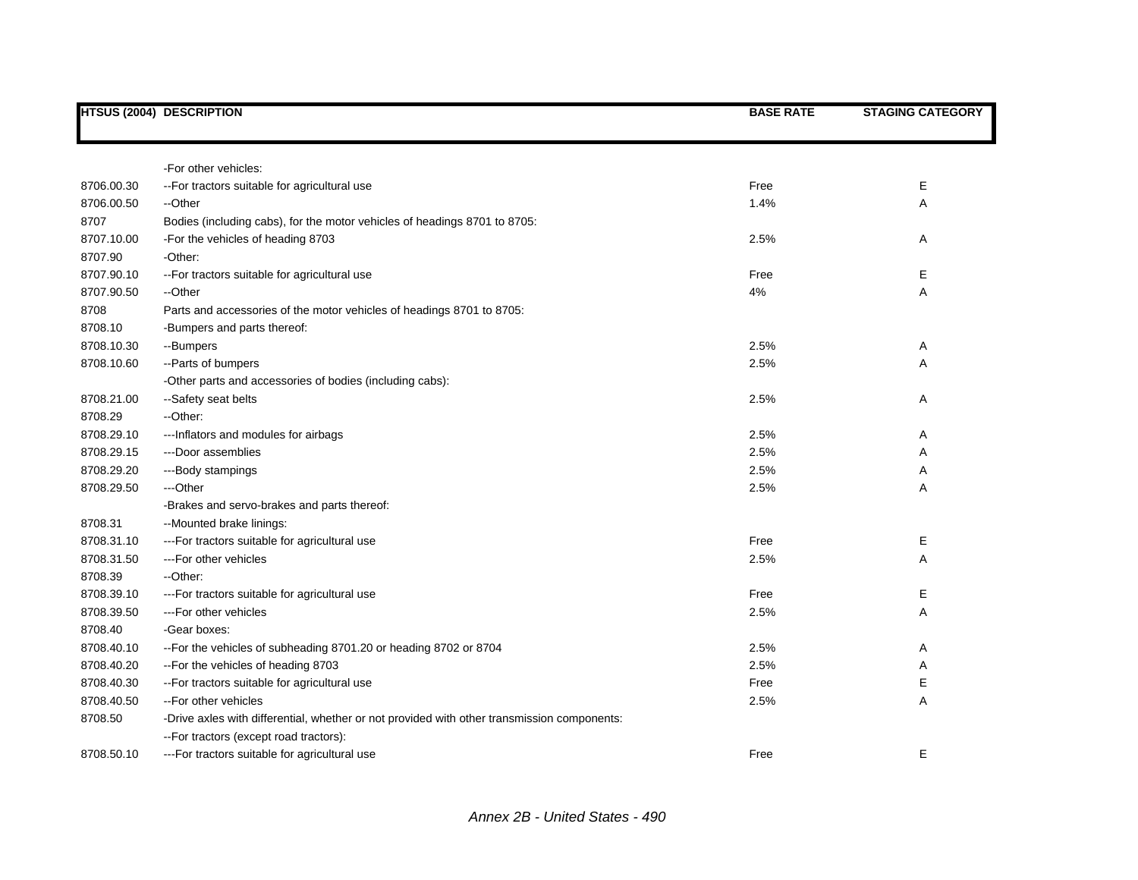|            | HTSUS (2004) DESCRIPTION                                                                    | <b>BASE RATE</b> | <b>STAGING CATEGORY</b> |
|------------|---------------------------------------------------------------------------------------------|------------------|-------------------------|
|            |                                                                                             |                  |                         |
|            | -For other vehicles:                                                                        |                  |                         |
| 8706.00.30 | -- For tractors suitable for agricultural use                                               | Free             | Е                       |
| 8706.00.50 | --Other                                                                                     | 1.4%             | Α                       |
| 8707       | Bodies (including cabs), for the motor vehicles of headings 8701 to 8705:                   |                  |                         |
| 8707.10.00 | -For the vehicles of heading 8703                                                           | 2.5%             | Α                       |
| 8707.90    | -Other:                                                                                     |                  |                         |
| 8707.90.10 | -- For tractors suitable for agricultural use                                               | Free             | Ε                       |
| 8707.90.50 | --Other                                                                                     | 4%               | Α                       |
| 8708       | Parts and accessories of the motor vehicles of headings 8701 to 8705:                       |                  |                         |
| 8708.10    | -Bumpers and parts thereof:                                                                 |                  |                         |
| 8708.10.30 | --Bumpers                                                                                   | 2.5%             | Α                       |
| 8708.10.60 | --Parts of bumpers                                                                          | 2.5%             | Α                       |
|            | -Other parts and accessories of bodies (including cabs):                                    |                  |                         |
| 8708.21.00 | --Safety seat belts                                                                         | 2.5%             | Α                       |
| 8708.29    | --Other:                                                                                    |                  |                         |
| 8708.29.10 | --- Inflators and modules for airbags                                                       | 2.5%             | Α                       |
| 8708.29.15 | ---Door assemblies                                                                          | 2.5%             | Α                       |
| 8708.29.20 | ---Body stampings                                                                           | 2.5%             | Α                       |
| 8708.29.50 | ---Other                                                                                    | 2.5%             | Α                       |
|            | -Brakes and servo-brakes and parts thereof:                                                 |                  |                         |
| 8708.31    | --Mounted brake linings:                                                                    |                  |                         |
| 8708.31.10 | --- For tractors suitable for agricultural use                                              | Free             | Е                       |
| 8708.31.50 | ---For other vehicles                                                                       | 2.5%             | Α                       |
| 8708.39    | --Other:                                                                                    |                  |                         |
| 8708.39.10 | --- For tractors suitable for agricultural use                                              | Free             | Е                       |
| 8708.39.50 | ---For other vehicles                                                                       | 2.5%             | Α                       |
| 8708.40    | -Gear boxes:                                                                                |                  |                         |
| 8708.40.10 | --For the vehicles of subheading 8701.20 or heading 8702 or 8704                            | 2.5%             | Α                       |
| 8708.40.20 | -- For the vehicles of heading 8703                                                         | 2.5%             | Α                       |
| 8708.40.30 | -- For tractors suitable for agricultural use                                               | Free             | Ε                       |
| 8708.40.50 | --For other vehicles                                                                        | 2.5%             | A                       |
| 8708.50    | -Drive axles with differential, whether or not provided with other transmission components: |                  |                         |
|            | -- For tractors (except road tractors):                                                     |                  |                         |
| 8708.50.10 | --- For tractors suitable for agricultural use                                              | Free             | E                       |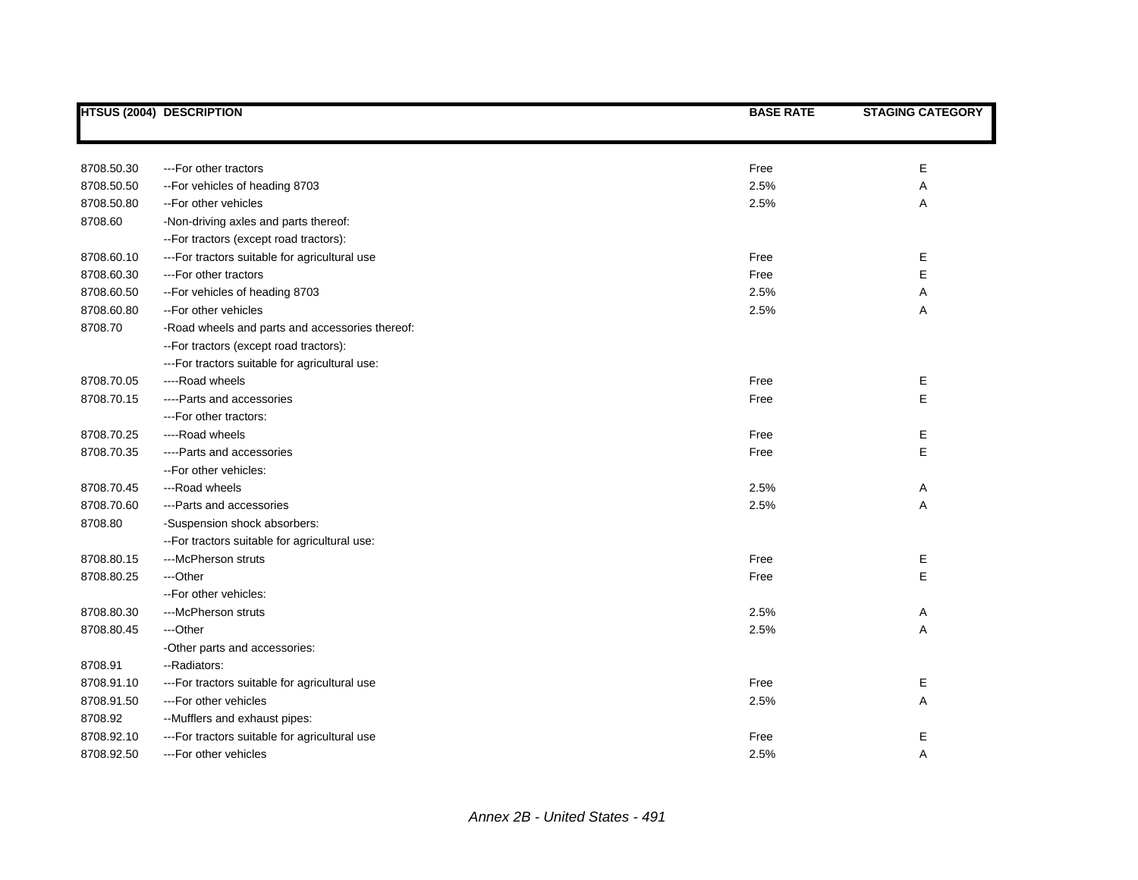| Е<br>8708.50.30<br>Free<br>---For other tractors<br>8708.50.50<br>-- For vehicles of heading 8703<br>2.5%<br>Α<br>8708.50.80<br>2.5%<br>Α<br>--For other vehicles<br>8708.60<br>-Non-driving axles and parts thereof:<br>-- For tractors (except road tractors):<br>8708.60.10<br>--- For tractors suitable for agricultural use<br>Free<br>Е<br>E<br>8708.60.30<br>Free<br>---For other tractors<br>8708.60.50<br>-- For vehicles of heading 8703<br>2.5%<br>Α<br>8708.60.80<br>2.5%<br>Α<br>--For other vehicles<br>8708.70<br>-Road wheels and parts and accessories thereof:<br>-- For tractors (except road tractors):<br>--- For tractors suitable for agricultural use:<br>8708.70.05<br>Free<br>Е<br>----Road wheels<br>E<br>8708.70.15<br>Free<br>----Parts and accessories<br>--- For other tractors:<br>8708.70.25<br>Free<br>Е<br>----Road wheels<br>E<br>8708.70.35<br>Free<br>----Parts and accessories<br>--For other vehicles:<br>8708.70.45<br>---Road wheels<br>2.5%<br>Α<br>8708.70.60<br>2.5%<br>Α<br>---Parts and accessories<br>8708.80<br>-Suspension shock absorbers:<br>-- For tractors suitable for agricultural use:<br>8708.80.15<br>---McPherson struts<br>Free<br>Е<br>E<br>8708.80.25<br>---Other<br>Free<br>--For other vehicles:<br>8708.80.30<br>---McPherson struts<br>2.5%<br>Α | <b>HTSUS (2004) DESCRIPTION</b> | <b>BASE RATE</b> | <b>STAGING CATEGORY</b> |
|---------------------------------------------------------------------------------------------------------------------------------------------------------------------------------------------------------------------------------------------------------------------------------------------------------------------------------------------------------------------------------------------------------------------------------------------------------------------------------------------------------------------------------------------------------------------------------------------------------------------------------------------------------------------------------------------------------------------------------------------------------------------------------------------------------------------------------------------------------------------------------------------------------------------------------------------------------------------------------------------------------------------------------------------------------------------------------------------------------------------------------------------------------------------------------------------------------------------------------------------------------------------------------------------------------------------|---------------------------------|------------------|-------------------------|
|                                                                                                                                                                                                                                                                                                                                                                                                                                                                                                                                                                                                                                                                                                                                                                                                                                                                                                                                                                                                                                                                                                                                                                                                                                                                                                                     |                                 |                  |                         |
|                                                                                                                                                                                                                                                                                                                                                                                                                                                                                                                                                                                                                                                                                                                                                                                                                                                                                                                                                                                                                                                                                                                                                                                                                                                                                                                     |                                 |                  |                         |
|                                                                                                                                                                                                                                                                                                                                                                                                                                                                                                                                                                                                                                                                                                                                                                                                                                                                                                                                                                                                                                                                                                                                                                                                                                                                                                                     |                                 |                  |                         |
|                                                                                                                                                                                                                                                                                                                                                                                                                                                                                                                                                                                                                                                                                                                                                                                                                                                                                                                                                                                                                                                                                                                                                                                                                                                                                                                     |                                 |                  |                         |
|                                                                                                                                                                                                                                                                                                                                                                                                                                                                                                                                                                                                                                                                                                                                                                                                                                                                                                                                                                                                                                                                                                                                                                                                                                                                                                                     |                                 |                  |                         |
|                                                                                                                                                                                                                                                                                                                                                                                                                                                                                                                                                                                                                                                                                                                                                                                                                                                                                                                                                                                                                                                                                                                                                                                                                                                                                                                     |                                 |                  |                         |
|                                                                                                                                                                                                                                                                                                                                                                                                                                                                                                                                                                                                                                                                                                                                                                                                                                                                                                                                                                                                                                                                                                                                                                                                                                                                                                                     |                                 |                  |                         |
|                                                                                                                                                                                                                                                                                                                                                                                                                                                                                                                                                                                                                                                                                                                                                                                                                                                                                                                                                                                                                                                                                                                                                                                                                                                                                                                     |                                 |                  |                         |
|                                                                                                                                                                                                                                                                                                                                                                                                                                                                                                                                                                                                                                                                                                                                                                                                                                                                                                                                                                                                                                                                                                                                                                                                                                                                                                                     |                                 |                  |                         |
|                                                                                                                                                                                                                                                                                                                                                                                                                                                                                                                                                                                                                                                                                                                                                                                                                                                                                                                                                                                                                                                                                                                                                                                                                                                                                                                     |                                 |                  |                         |
|                                                                                                                                                                                                                                                                                                                                                                                                                                                                                                                                                                                                                                                                                                                                                                                                                                                                                                                                                                                                                                                                                                                                                                                                                                                                                                                     |                                 |                  |                         |
|                                                                                                                                                                                                                                                                                                                                                                                                                                                                                                                                                                                                                                                                                                                                                                                                                                                                                                                                                                                                                                                                                                                                                                                                                                                                                                                     |                                 |                  |                         |
|                                                                                                                                                                                                                                                                                                                                                                                                                                                                                                                                                                                                                                                                                                                                                                                                                                                                                                                                                                                                                                                                                                                                                                                                                                                                                                                     |                                 |                  |                         |
|                                                                                                                                                                                                                                                                                                                                                                                                                                                                                                                                                                                                                                                                                                                                                                                                                                                                                                                                                                                                                                                                                                                                                                                                                                                                                                                     |                                 |                  |                         |
|                                                                                                                                                                                                                                                                                                                                                                                                                                                                                                                                                                                                                                                                                                                                                                                                                                                                                                                                                                                                                                                                                                                                                                                                                                                                                                                     |                                 |                  |                         |
|                                                                                                                                                                                                                                                                                                                                                                                                                                                                                                                                                                                                                                                                                                                                                                                                                                                                                                                                                                                                                                                                                                                                                                                                                                                                                                                     |                                 |                  |                         |
|                                                                                                                                                                                                                                                                                                                                                                                                                                                                                                                                                                                                                                                                                                                                                                                                                                                                                                                                                                                                                                                                                                                                                                                                                                                                                                                     |                                 |                  |                         |
|                                                                                                                                                                                                                                                                                                                                                                                                                                                                                                                                                                                                                                                                                                                                                                                                                                                                                                                                                                                                                                                                                                                                                                                                                                                                                                                     |                                 |                  |                         |
|                                                                                                                                                                                                                                                                                                                                                                                                                                                                                                                                                                                                                                                                                                                                                                                                                                                                                                                                                                                                                                                                                                                                                                                                                                                                                                                     |                                 |                  |                         |
|                                                                                                                                                                                                                                                                                                                                                                                                                                                                                                                                                                                                                                                                                                                                                                                                                                                                                                                                                                                                                                                                                                                                                                                                                                                                                                                     |                                 |                  |                         |
|                                                                                                                                                                                                                                                                                                                                                                                                                                                                                                                                                                                                                                                                                                                                                                                                                                                                                                                                                                                                                                                                                                                                                                                                                                                                                                                     |                                 |                  |                         |
|                                                                                                                                                                                                                                                                                                                                                                                                                                                                                                                                                                                                                                                                                                                                                                                                                                                                                                                                                                                                                                                                                                                                                                                                                                                                                                                     |                                 |                  |                         |
|                                                                                                                                                                                                                                                                                                                                                                                                                                                                                                                                                                                                                                                                                                                                                                                                                                                                                                                                                                                                                                                                                                                                                                                                                                                                                                                     |                                 |                  |                         |
|                                                                                                                                                                                                                                                                                                                                                                                                                                                                                                                                                                                                                                                                                                                                                                                                                                                                                                                                                                                                                                                                                                                                                                                                                                                                                                                     |                                 |                  |                         |
|                                                                                                                                                                                                                                                                                                                                                                                                                                                                                                                                                                                                                                                                                                                                                                                                                                                                                                                                                                                                                                                                                                                                                                                                                                                                                                                     |                                 |                  |                         |
|                                                                                                                                                                                                                                                                                                                                                                                                                                                                                                                                                                                                                                                                                                                                                                                                                                                                                                                                                                                                                                                                                                                                                                                                                                                                                                                     |                                 |                  |                         |
|                                                                                                                                                                                                                                                                                                                                                                                                                                                                                                                                                                                                                                                                                                                                                                                                                                                                                                                                                                                                                                                                                                                                                                                                                                                                                                                     |                                 |                  |                         |
|                                                                                                                                                                                                                                                                                                                                                                                                                                                                                                                                                                                                                                                                                                                                                                                                                                                                                                                                                                                                                                                                                                                                                                                                                                                                                                                     |                                 |                  |                         |
| 8708.80.45<br>2.5%<br>Α<br>---Other                                                                                                                                                                                                                                                                                                                                                                                                                                                                                                                                                                                                                                                                                                                                                                                                                                                                                                                                                                                                                                                                                                                                                                                                                                                                                 |                                 |                  |                         |
| -Other parts and accessories:                                                                                                                                                                                                                                                                                                                                                                                                                                                                                                                                                                                                                                                                                                                                                                                                                                                                                                                                                                                                                                                                                                                                                                                                                                                                                       |                                 |                  |                         |
| 8708.91<br>--Radiators:                                                                                                                                                                                                                                                                                                                                                                                                                                                                                                                                                                                                                                                                                                                                                                                                                                                                                                                                                                                                                                                                                                                                                                                                                                                                                             |                                 |                  |                         |
| 8708.91.10<br>Free<br>Е<br>--- For tractors suitable for agricultural use                                                                                                                                                                                                                                                                                                                                                                                                                                                                                                                                                                                                                                                                                                                                                                                                                                                                                                                                                                                                                                                                                                                                                                                                                                           |                                 |                  |                         |
| Α<br>8708.91.50<br>---For other vehicles<br>2.5%                                                                                                                                                                                                                                                                                                                                                                                                                                                                                                                                                                                                                                                                                                                                                                                                                                                                                                                                                                                                                                                                                                                                                                                                                                                                    |                                 |                  |                         |
| 8708.92<br>--Mufflers and exhaust pipes:                                                                                                                                                                                                                                                                                                                                                                                                                                                                                                                                                                                                                                                                                                                                                                                                                                                                                                                                                                                                                                                                                                                                                                                                                                                                            |                                 |                  |                         |
| 8708.92.10<br>Е<br>--- For tractors suitable for agricultural use<br>Free                                                                                                                                                                                                                                                                                                                                                                                                                                                                                                                                                                                                                                                                                                                                                                                                                                                                                                                                                                                                                                                                                                                                                                                                                                           |                                 |                  |                         |
| 2.5%<br>8708.92.50<br>---For other vehicles<br>A                                                                                                                                                                                                                                                                                                                                                                                                                                                                                                                                                                                                                                                                                                                                                                                                                                                                                                                                                                                                                                                                                                                                                                                                                                                                    |                                 |                  |                         |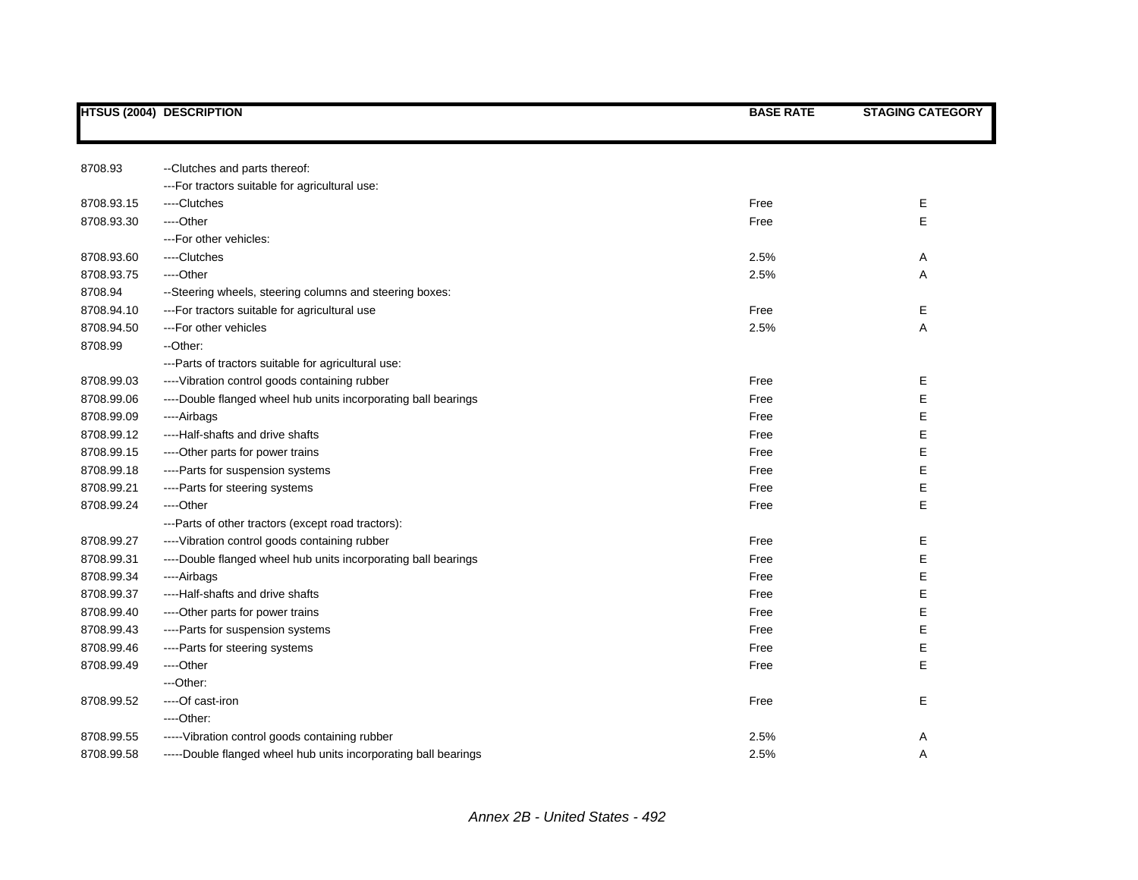|            | <b>HTSUS (2004) DESCRIPTION</b>                                 | <b>BASE RATE</b> | <b>STAGING CATEGORY</b> |
|------------|-----------------------------------------------------------------|------------------|-------------------------|
|            |                                                                 |                  |                         |
| 8708.93    | --Clutches and parts thereof:                                   |                  |                         |
|            | --- For tractors suitable for agricultural use:                 |                  |                         |
| 8708.93.15 | ----Clutches                                                    | Free             | Е                       |
| 8708.93.30 | ----Other                                                       | Free             | E                       |
|            | --- For other vehicles:                                         |                  |                         |
| 8708.93.60 | ----Clutches                                                    | 2.5%             | Α                       |
| 8708.93.75 | ----Other                                                       | 2.5%             | Α                       |
| 8708.94    | --Steering wheels, steering columns and steering boxes:         |                  |                         |
| 8708.94.10 | --- For tractors suitable for agricultural use                  | Free             | Е                       |
| 8708.94.50 | ---For other vehicles                                           | 2.5%             | Α                       |
| 8708.99    | --Other:                                                        |                  |                         |
|            | ---Parts of tractors suitable for agricultural use:             |                  |                         |
| 8708.99.03 | ---- Vibration control goods containing rubber                  | Free             | Е                       |
| 8708.99.06 | ----Double flanged wheel hub units incorporating ball bearings  | Free             | Е                       |
| 8708.99.09 | ----Airbags                                                     | Free             | Е                       |
| 8708.99.12 | ----Half-shafts and drive shafts                                | Free             | Е                       |
| 8708.99.15 | ----Other parts for power trains                                | Free             | E                       |
| 8708.99.18 | ---- Parts for suspension systems                               | Free             | Е                       |
| 8708.99.21 | ----Parts for steering systems                                  | Free             | Е                       |
| 8708.99.24 | ---Other                                                        | Free             | E                       |
|            | ---Parts of other tractors (except road tractors):              |                  |                         |
| 8708.99.27 | ---- Vibration control goods containing rubber                  | Free             | Ε                       |
| 8708.99.31 | ----Double flanged wheel hub units incorporating ball bearings  | Free             | Е                       |
| 8708.99.34 | ----Airbags                                                     | Free             | Е                       |
| 8708.99.37 | ----Half-shafts and drive shafts                                | Free             | Е                       |
| 8708.99.40 | ---- Other parts for power trains                               | Free             | Е                       |
| 8708.99.43 | ----Parts for suspension systems                                | Free             | Е                       |
| 8708.99.46 | ----Parts for steering systems                                  | Free             | E                       |
| 8708.99.49 | ---Other                                                        | Free             | E                       |
|            | ---Other:                                                       |                  |                         |
| 8708.99.52 | ----Of cast-iron                                                | Free             | Е                       |
|            | ----Other:                                                      |                  |                         |
| 8708.99.55 | ----- Vibration control goods containing rubber                 | 2.5%             | A                       |
| 8708.99.58 | -----Double flanged wheel hub units incorporating ball bearings | 2.5%             | A                       |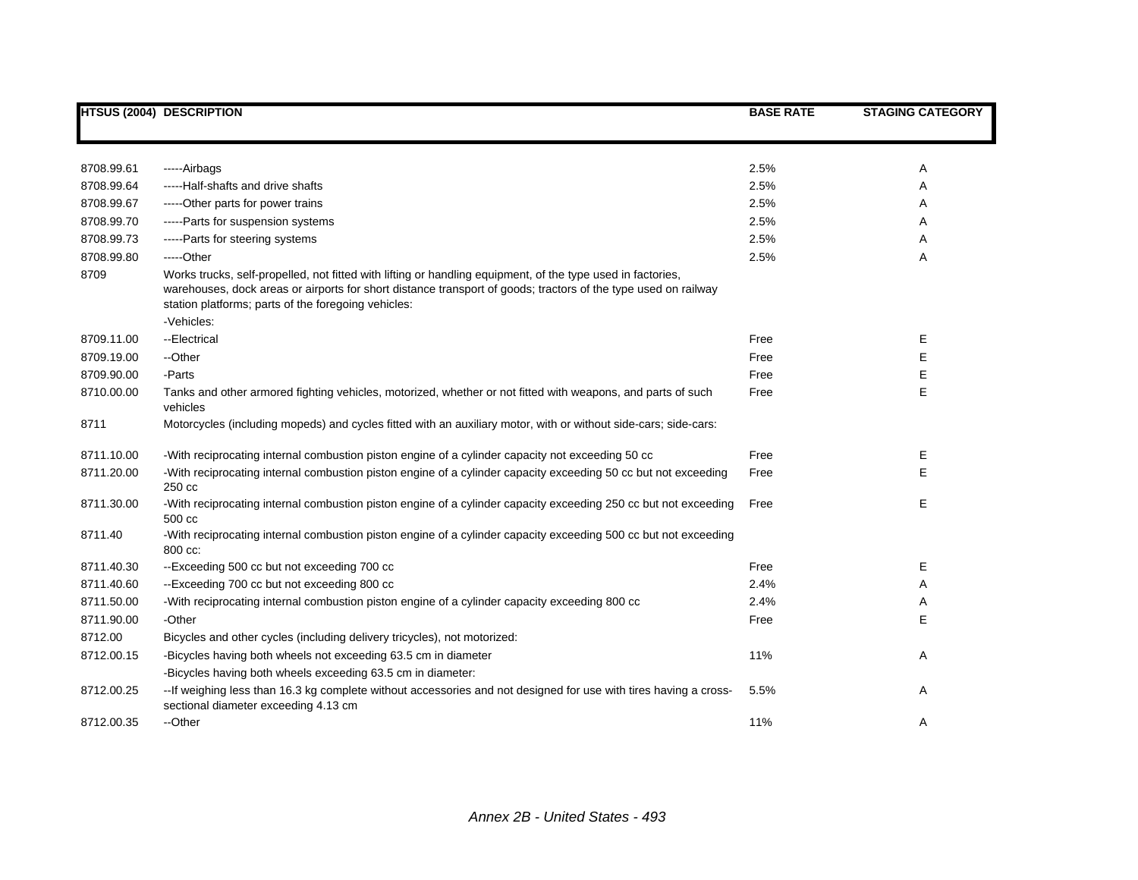|            | <b>HTSUS (2004) DESCRIPTION</b>                                                                                                                                                                                                                                                                    | <b>BASE RATE</b> | <b>STAGING CATEGORY</b> |
|------------|----------------------------------------------------------------------------------------------------------------------------------------------------------------------------------------------------------------------------------------------------------------------------------------------------|------------------|-------------------------|
|            |                                                                                                                                                                                                                                                                                                    |                  |                         |
| 8708.99.61 | -----Airbags                                                                                                                                                                                                                                                                                       | 2.5%             | Α                       |
| 8708.99.64 | -----Half-shafts and drive shafts                                                                                                                                                                                                                                                                  | 2.5%             | A                       |
| 8708.99.67 | -----Other parts for power trains                                                                                                                                                                                                                                                                  | 2.5%             | Α                       |
| 8708.99.70 | -----Parts for suspension systems                                                                                                                                                                                                                                                                  | 2.5%             | Α                       |
| 8708.99.73 | ----- Parts for steering systems                                                                                                                                                                                                                                                                   | 2.5%             | Α                       |
| 8708.99.80 | $---Other$                                                                                                                                                                                                                                                                                         | 2.5%             | Α                       |
| 8709       | Works trucks, self-propelled, not fitted with lifting or handling equipment, of the type used in factories,<br>warehouses, dock areas or airports for short distance transport of goods; tractors of the type used on railway<br>station platforms; parts of the foregoing vehicles:<br>-Vehicles: |                  |                         |
| 8709.11.00 | --Electrical                                                                                                                                                                                                                                                                                       | Free             | Е                       |
| 8709.19.00 | --Other                                                                                                                                                                                                                                                                                            | Free             | Е                       |
| 8709.90.00 | -Parts                                                                                                                                                                                                                                                                                             | Free             | Ε                       |
| 8710.00.00 | Tanks and other armored fighting vehicles, motorized, whether or not fitted with weapons, and parts of such<br>vehicles                                                                                                                                                                            | Free             | E                       |
| 8711       | Motorcycles (including mopeds) and cycles fitted with an auxiliary motor, with or without side-cars; side-cars:                                                                                                                                                                                    |                  |                         |
| 8711.10.00 | -With reciprocating internal combustion piston engine of a cylinder capacity not exceeding 50 cc                                                                                                                                                                                                   | Free             | Ε                       |
| 8711.20.00 | -With reciprocating internal combustion piston engine of a cylinder capacity exceeding 50 cc but not exceeding<br>250 cc                                                                                                                                                                           | Free             | Е                       |
| 8711.30.00 | -With reciprocating internal combustion piston engine of a cylinder capacity exceeding 250 cc but not exceeding<br>500 cc                                                                                                                                                                          | Free             | Е                       |
| 8711.40    | -With reciprocating internal combustion piston engine of a cylinder capacity exceeding 500 cc but not exceeding<br>800 cc:                                                                                                                                                                         |                  |                         |
| 8711.40.30 | --Exceeding 500 cc but not exceeding 700 cc                                                                                                                                                                                                                                                        | Free             | Е                       |
| 8711.40.60 | --Exceeding 700 cc but not exceeding 800 cc                                                                                                                                                                                                                                                        | 2.4%             | A                       |
| 8711.50.00 | -With reciprocating internal combustion piston engine of a cylinder capacity exceeding 800 cc                                                                                                                                                                                                      | 2.4%             | A                       |
| 8711.90.00 | -Other                                                                                                                                                                                                                                                                                             | Free             | Е                       |
| 8712.00    | Bicycles and other cycles (including delivery tricycles), not motorized:                                                                                                                                                                                                                           |                  |                         |
| 8712.00.15 | -Bicycles having both wheels not exceeding 63.5 cm in diameter                                                                                                                                                                                                                                     | 11%              | Α                       |
|            | -Bicycles having both wheels exceeding 63.5 cm in diameter:                                                                                                                                                                                                                                        |                  |                         |
| 8712.00.25 | -- If weighing less than 16.3 kg complete without accessories and not designed for use with tires having a cross-<br>sectional diameter exceeding 4.13 cm                                                                                                                                          | 5.5%             | Α                       |
| 8712.00.35 | --Other                                                                                                                                                                                                                                                                                            | 11%              | Α                       |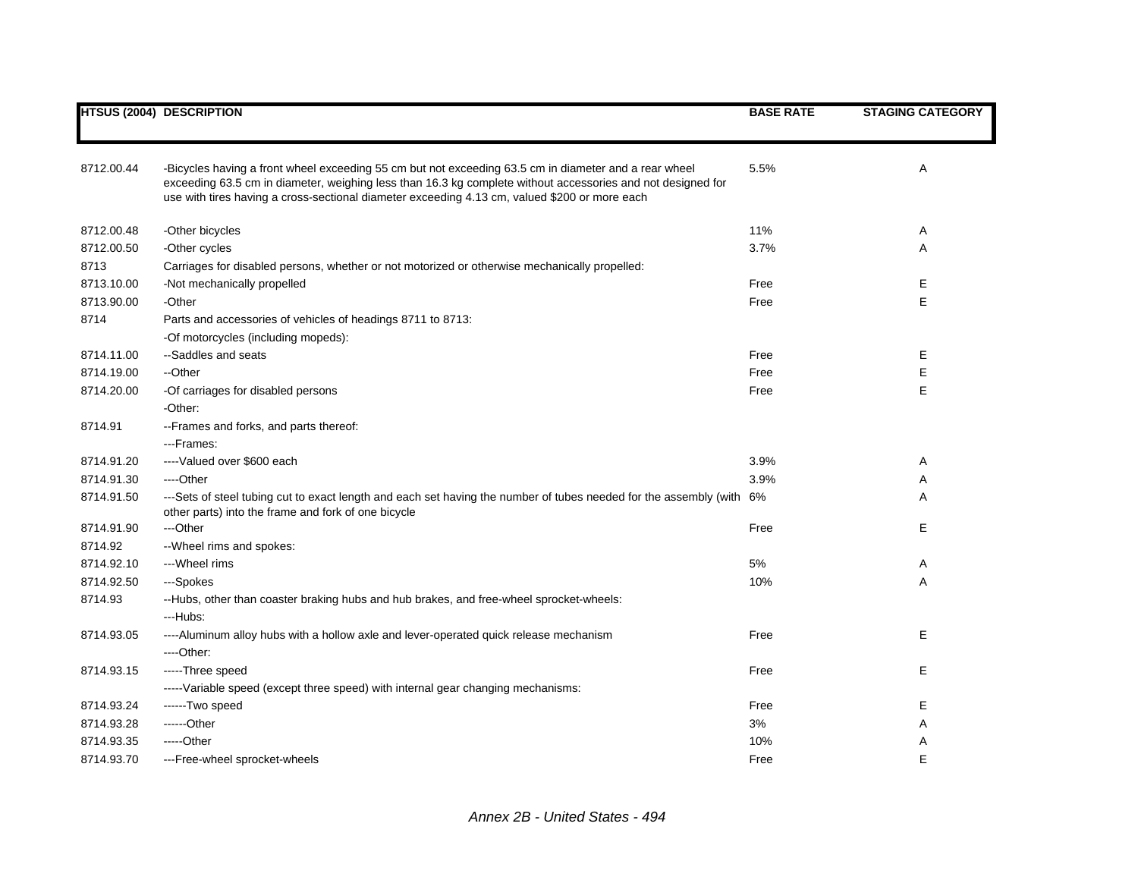|            | <b>HTSUS (2004) DESCRIPTION</b>                                                                                                                                                                                                                                                                                       | <b>BASE RATE</b> | <b>STAGING CATEGORY</b> |
|------------|-----------------------------------------------------------------------------------------------------------------------------------------------------------------------------------------------------------------------------------------------------------------------------------------------------------------------|------------------|-------------------------|
|            |                                                                                                                                                                                                                                                                                                                       |                  |                         |
| 8712.00.44 | -Bicycles having a front wheel exceeding 55 cm but not exceeding 63.5 cm in diameter and a rear wheel<br>exceeding 63.5 cm in diameter, weighing less than 16.3 kg complete without accessories and not designed for<br>use with tires having a cross-sectional diameter exceeding 4.13 cm, valued \$200 or more each | 5.5%             | Α                       |
| 8712.00.48 | -Other bicycles                                                                                                                                                                                                                                                                                                       | 11%              | Α                       |
| 8712.00.50 | -Other cycles                                                                                                                                                                                                                                                                                                         | 3.7%             | Α                       |
| 8713       | Carriages for disabled persons, whether or not motorized or otherwise mechanically propelled:                                                                                                                                                                                                                         |                  |                         |
| 8713.10.00 | -Not mechanically propelled                                                                                                                                                                                                                                                                                           | Free             | Ε                       |
| 8713.90.00 | -Other                                                                                                                                                                                                                                                                                                                | Free             | E                       |
| 8714       | Parts and accessories of vehicles of headings 8711 to 8713:                                                                                                                                                                                                                                                           |                  |                         |
|            | -Of motorcycles (including mopeds):                                                                                                                                                                                                                                                                                   |                  |                         |
| 8714.11.00 | --Saddles and seats                                                                                                                                                                                                                                                                                                   | Free             | Е                       |
| 8714.19.00 | --Other                                                                                                                                                                                                                                                                                                               | Free             | Ε                       |
| 8714.20.00 | -Of carriages for disabled persons                                                                                                                                                                                                                                                                                    | Free             | E                       |
|            | -Other:                                                                                                                                                                                                                                                                                                               |                  |                         |
| 8714.91    | --Frames and forks, and parts thereof:                                                                                                                                                                                                                                                                                |                  |                         |
|            | ---Frames:                                                                                                                                                                                                                                                                                                            |                  |                         |
| 8714.91.20 | ----Valued over \$600 each                                                                                                                                                                                                                                                                                            | 3.9%             | Α                       |
| 8714.91.30 | ----Other                                                                                                                                                                                                                                                                                                             | 3.9%             | Α                       |
| 8714.91.50 | ---Sets of steel tubing cut to exact length and each set having the number of tubes needed for the assembly (with 6%<br>other parts) into the frame and fork of one bicycle                                                                                                                                           |                  | Α                       |
| 8714.91.90 | ---Other                                                                                                                                                                                                                                                                                                              | Free             | Е                       |
| 8714.92    | -- Wheel rims and spokes:                                                                                                                                                                                                                                                                                             |                  |                         |
| 8714.92.10 | ---Wheel rims                                                                                                                                                                                                                                                                                                         | 5%               | Α                       |
| 8714.92.50 | ---Spokes                                                                                                                                                                                                                                                                                                             | 10%              | Α                       |
| 8714.93    | --Hubs, other than coaster braking hubs and hub brakes, and free-wheel sprocket-wheels:                                                                                                                                                                                                                               |                  |                         |
|            | ---Hubs:                                                                                                                                                                                                                                                                                                              |                  |                         |
| 8714.93.05 | ----Aluminum alloy hubs with a hollow axle and lever-operated quick release mechanism                                                                                                                                                                                                                                 | Free             | Е                       |
|            | ----Other:                                                                                                                                                                                                                                                                                                            |                  |                         |
| 8714.93.15 | -----Three speed                                                                                                                                                                                                                                                                                                      | Free             | Е                       |
|            | -----Variable speed (except three speed) with internal gear changing mechanisms:                                                                                                                                                                                                                                      |                  |                         |
| 8714.93.24 | ------Two speed                                                                                                                                                                                                                                                                                                       | Free             | Е                       |
| 8714.93.28 | ------Other                                                                                                                                                                                                                                                                                                           | 3%               | Α                       |
| 8714.93.35 | -----Other                                                                                                                                                                                                                                                                                                            | 10%              | Α                       |
| 8714.93.70 | ---Free-wheel sprocket-wheels                                                                                                                                                                                                                                                                                         | Free             | E                       |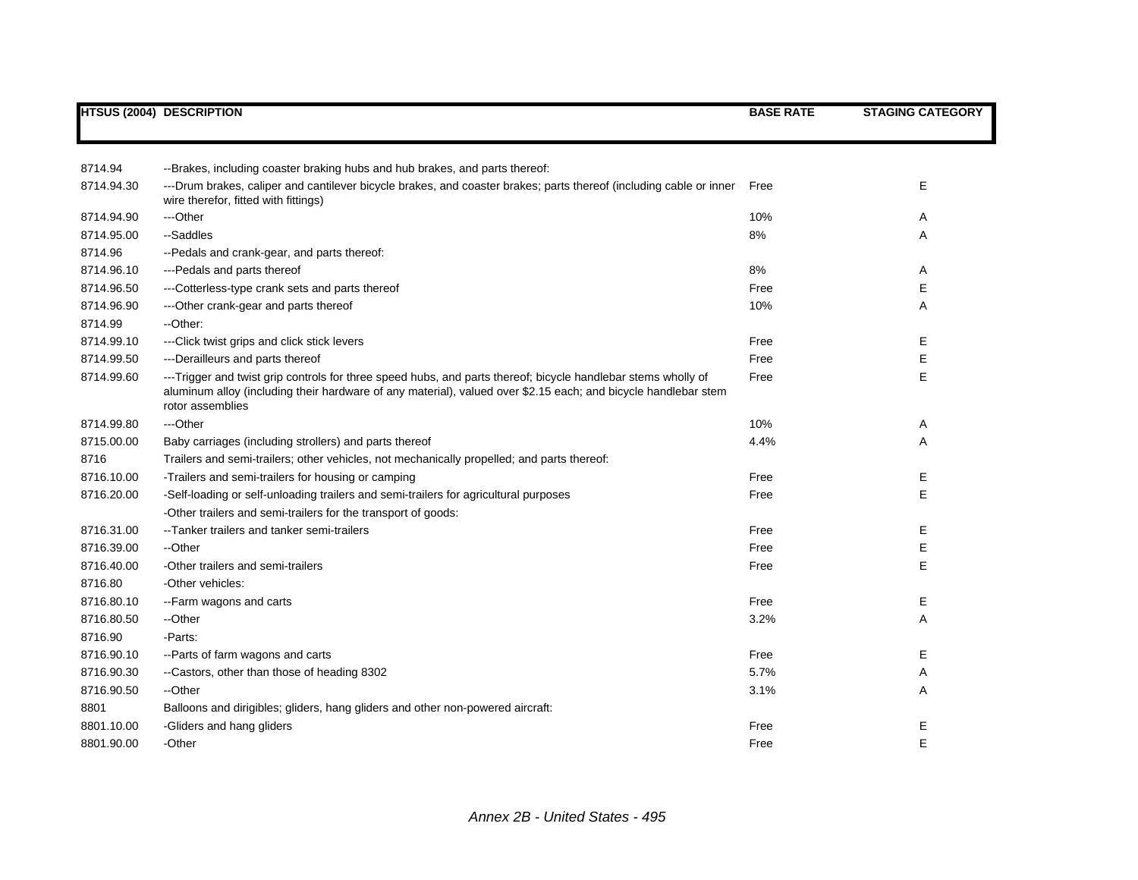|            | <b>HTSUS (2004) DESCRIPTION</b>                                                                                                                                                                                                                     | <b>BASE RATE</b> | <b>STAGING CATEGORY</b> |
|------------|-----------------------------------------------------------------------------------------------------------------------------------------------------------------------------------------------------------------------------------------------------|------------------|-------------------------|
|            |                                                                                                                                                                                                                                                     |                  |                         |
|            |                                                                                                                                                                                                                                                     |                  |                         |
| 8714.94    | --Brakes, including coaster braking hubs and hub brakes, and parts thereof:                                                                                                                                                                         |                  |                         |
| 8714.94.30 | ---Drum brakes, caliper and cantilever bicycle brakes, and coaster brakes; parts thereof (including cable or inner<br>wire therefor, fitted with fittings)                                                                                          | Free             | E                       |
| 8714.94.90 | ---Other                                                                                                                                                                                                                                            | 10%              | A                       |
| 8714.95.00 | --Saddles                                                                                                                                                                                                                                           | 8%               | Α                       |
| 8714.96    | --Pedals and crank-gear, and parts thereof:                                                                                                                                                                                                         |                  |                         |
| 8714.96.10 | --- Pedals and parts thereof                                                                                                                                                                                                                        | 8%               | Α                       |
| 8714.96.50 | ---Cotterless-type crank sets and parts thereof                                                                                                                                                                                                     | Free             | Е                       |
| 8714.96.90 | --- Other crank-gear and parts thereof                                                                                                                                                                                                              | 10%              | Α                       |
| 8714.99    | --Other:                                                                                                                                                                                                                                            |                  |                         |
| 8714.99.10 | ---Click twist grips and click stick levers                                                                                                                                                                                                         | Free             | Ε                       |
| 8714.99.50 | ---Derailleurs and parts thereof                                                                                                                                                                                                                    | Free             | Ε                       |
| 8714.99.60 | ---Trigger and twist grip controls for three speed hubs, and parts thereof; bicycle handlebar stems wholly of<br>aluminum alloy (including their hardware of any material), valued over \$2.15 each; and bicycle handlebar stem<br>rotor assemblies | Free             | E                       |
| 8714.99.80 | ---Other                                                                                                                                                                                                                                            | 10%              | A                       |
| 8715.00.00 | Baby carriages (including strollers) and parts thereof                                                                                                                                                                                              | 4.4%             | A                       |
| 8716       | Trailers and semi-trailers; other vehicles, not mechanically propelled; and parts thereof:                                                                                                                                                          |                  |                         |
| 8716.10.00 | -Trailers and semi-trailers for housing or camping                                                                                                                                                                                                  | Free             | Ε                       |
| 8716.20.00 | -Self-loading or self-unloading trailers and semi-trailers for agricultural purposes                                                                                                                                                                | Free             | E                       |
|            | -Other trailers and semi-trailers for the transport of goods:                                                                                                                                                                                       |                  |                         |
| 8716.31.00 | --Tanker trailers and tanker semi-trailers                                                                                                                                                                                                          | Free             | Е                       |
| 8716.39.00 | --Other                                                                                                                                                                                                                                             | Free             | Е                       |
| 8716.40.00 | -Other trailers and semi-trailers                                                                                                                                                                                                                   | Free             | Е                       |
| 8716.80    | -Other vehicles:                                                                                                                                                                                                                                    |                  |                         |
| 8716.80.10 | --Farm wagons and carts                                                                                                                                                                                                                             | Free             | Ε                       |
| 8716.80.50 | --Other                                                                                                                                                                                                                                             | 3.2%             | Α                       |
| 8716.90    | -Parts:                                                                                                                                                                                                                                             |                  |                         |
| 8716.90.10 | --Parts of farm wagons and carts                                                                                                                                                                                                                    | Free             | Е                       |
| 8716.90.30 | --Castors, other than those of heading 8302                                                                                                                                                                                                         | 5.7%             | Α                       |
| 8716.90.50 | --Other                                                                                                                                                                                                                                             | 3.1%             | A                       |
| 8801       | Balloons and dirigibles; gliders, hang gliders and other non-powered aircraft:                                                                                                                                                                      |                  |                         |
| 8801.10.00 | -Gliders and hang gliders                                                                                                                                                                                                                           | Free             | Е                       |
| 8801.90.00 | -Other                                                                                                                                                                                                                                              | Free             | E                       |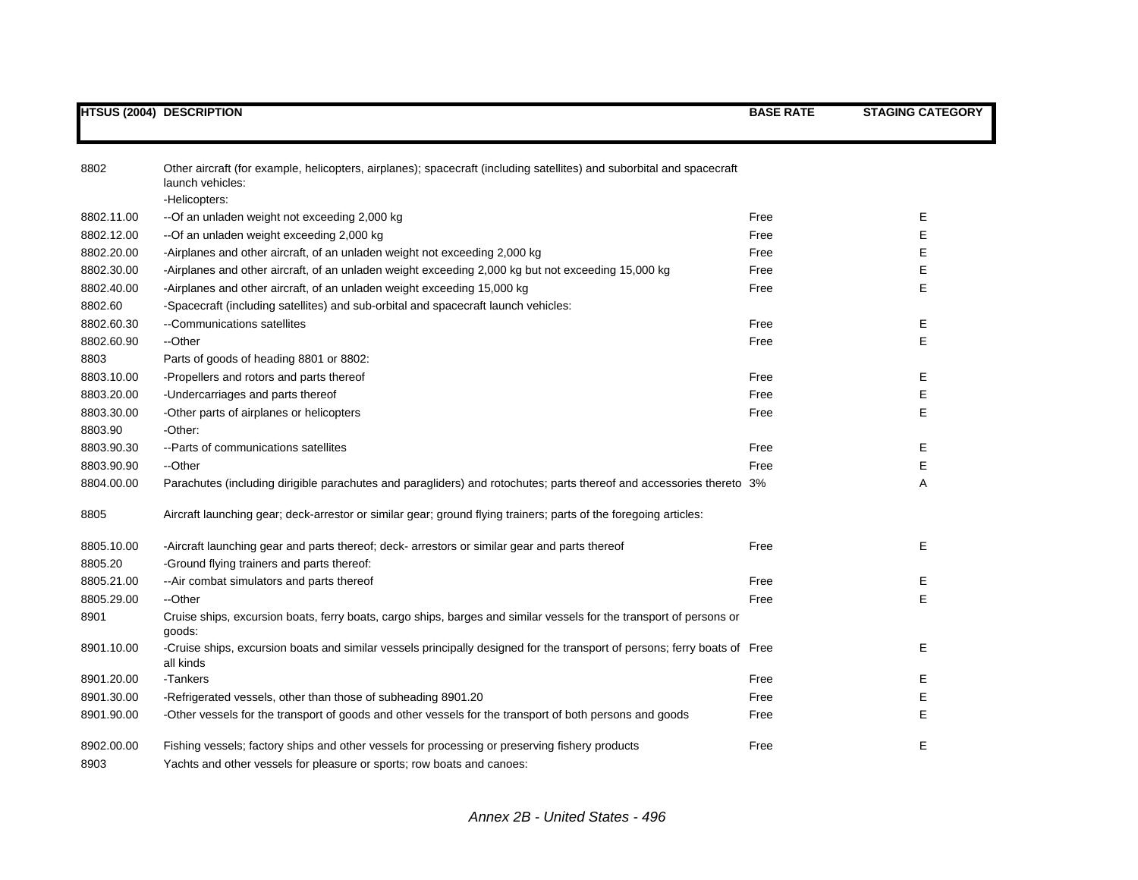| 8802       | Other aircraft (for example, helicopters, airplanes); spacecraft (including satellites) and suborbital and spacecraft<br>launch vehicles:<br>-Helicopters: |      |    |
|------------|------------------------------------------------------------------------------------------------------------------------------------------------------------|------|----|
| 8802.11.00 | -- Of an unladen weight not exceeding 2,000 kg                                                                                                             | Free | Е  |
| 8802.12.00 | --Of an unladen weight exceeding 2,000 kg                                                                                                                  | Free | Е  |
| 8802.20.00 | -Airplanes and other aircraft, of an unladen weight not exceeding 2,000 kg                                                                                 | Free | Е  |
| 8802.30.00 | -Airplanes and other aircraft, of an unladen weight exceeding 2,000 kg but not exceeding 15,000 kg                                                         | Free | Е  |
| 8802.40.00 | -Airplanes and other aircraft, of an unladen weight exceeding 15,000 kg                                                                                    | Free | E  |
| 8802.60    | -Spacecraft (including satellites) and sub-orbital and spacecraft launch vehicles:                                                                         |      |    |
| 8802.60.30 | --Communications satellites                                                                                                                                | Free | Е  |
| 8802.60.90 | --Other                                                                                                                                                    | Free | E  |
| 8803       | Parts of goods of heading 8801 or 8802:                                                                                                                    |      |    |
| 8803.10.00 | -Propellers and rotors and parts thereof                                                                                                                   | Free | Е  |
| 8803.20.00 | -Undercarriages and parts thereof                                                                                                                          | Free | Е  |
| 8803.30.00 | -Other parts of airplanes or helicopters                                                                                                                   | Free | E  |
| 8803.90    | -Other:                                                                                                                                                    |      |    |
| 8803.90.30 | -- Parts of communications satellites                                                                                                                      | Free | E  |
| 8803.90.90 | --Other                                                                                                                                                    | Free | E  |
| 8804.00.00 | Parachutes (including dirigible parachutes and paragliders) and rotochutes; parts thereof and accessories thereto 3%                                       |      | Α  |
| 8805       | Aircraft launching gear; deck-arrestor or similar gear; ground flying trainers; parts of the foregoing articles:                                           |      |    |
| 8805.10.00 | -Aircraft launching gear and parts thereof; deck- arrestors or similar gear and parts thereof                                                              | Free | Е  |
| 8805.20    | -Ground flying trainers and parts thereof:                                                                                                                 |      |    |
| 8805.21.00 | -- Air combat simulators and parts thereof                                                                                                                 | Free | E. |
| 8805.29.00 | --Other                                                                                                                                                    | Free | E  |
| 8901       | Cruise ships, excursion boats, ferry boats, cargo ships, barges and similar vessels for the transport of persons or<br>goods:                              |      |    |
| 8901.10.00 | -Cruise ships, excursion boats and similar vessels principally designed for the transport of persons; ferry boats of Free<br>all kinds                     |      | Е  |
| 8901.20.00 | -Tankers                                                                                                                                                   | Free | Е  |
| 8901.30.00 | -Refrigerated vessels, other than those of subheading 8901.20                                                                                              | Free | Е  |
| 8901.90.00 | -Other vessels for the transport of goods and other vessels for the transport of both persons and goods                                                    | Free | E  |
| 8902.00.00 | Fishing vessels; factory ships and other vessels for processing or preserving fishery products                                                             | Free | E  |
| 8903       | Yachts and other vessels for pleasure or sports; row boats and canoes:                                                                                     |      |    |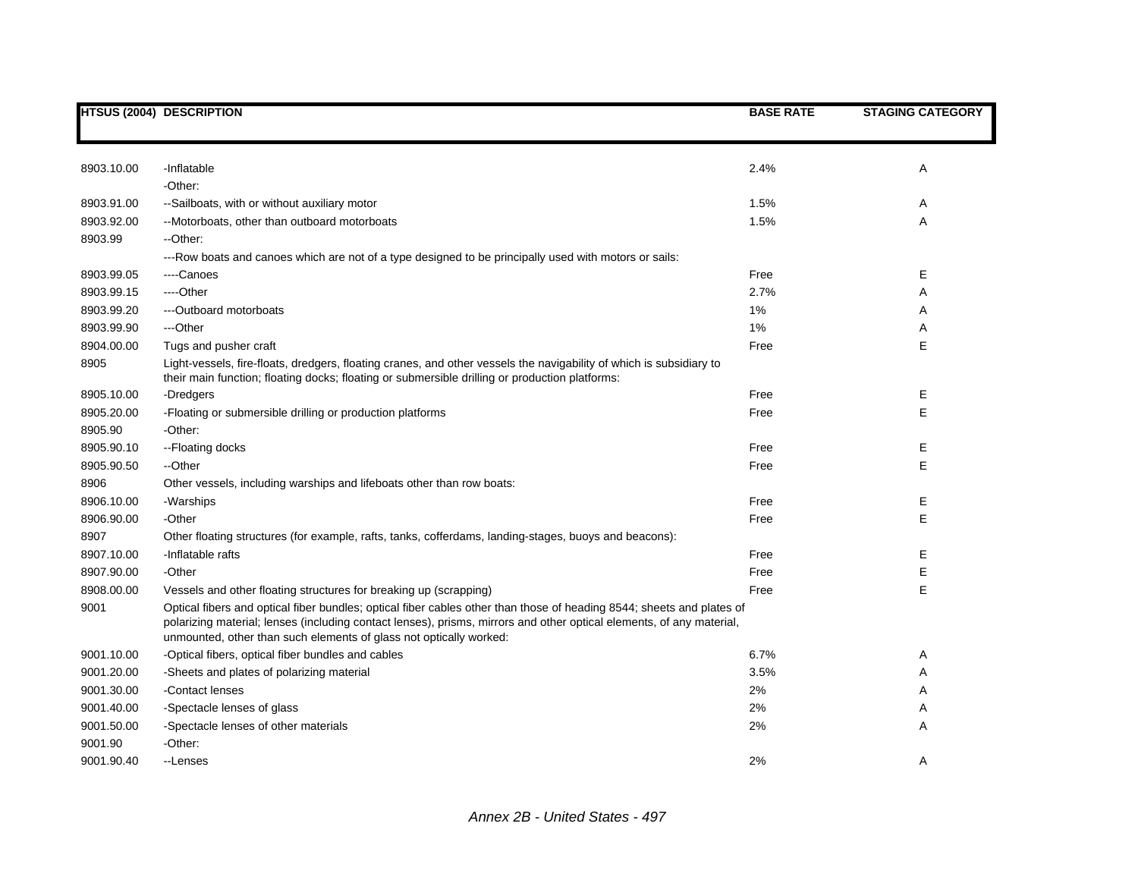|            | <b>HTSUS (2004) DESCRIPTION</b>                                                                                                                                                                                                                                                                                     | <b>BASE RATE</b> | <b>STAGING CATEGORY</b> |
|------------|---------------------------------------------------------------------------------------------------------------------------------------------------------------------------------------------------------------------------------------------------------------------------------------------------------------------|------------------|-------------------------|
|            |                                                                                                                                                                                                                                                                                                                     |                  |                         |
| 8903.10.00 | -Inflatable                                                                                                                                                                                                                                                                                                         | 2.4%             | A                       |
|            | -Other:                                                                                                                                                                                                                                                                                                             |                  |                         |
| 8903.91.00 | --Sailboats, with or without auxiliary motor                                                                                                                                                                                                                                                                        | 1.5%             | Α                       |
| 8903.92.00 | --Motorboats, other than outboard motorboats                                                                                                                                                                                                                                                                        | 1.5%             | Α                       |
| 8903.99    | --Other:                                                                                                                                                                                                                                                                                                            |                  |                         |
|            | ---Row boats and canoes which are not of a type designed to be principally used with motors or sails:                                                                                                                                                                                                               |                  |                         |
| 8903.99.05 | ----Canoes                                                                                                                                                                                                                                                                                                          | Free             | Е                       |
| 8903.99.15 | ----Other                                                                                                                                                                                                                                                                                                           | 2.7%             | Α                       |
| 8903.99.20 | ---Outboard motorboats                                                                                                                                                                                                                                                                                              | 1%               | Α                       |
| 8903.99.90 | ---Other                                                                                                                                                                                                                                                                                                            | $1\%$            | Α                       |
| 8904.00.00 | Tugs and pusher craft                                                                                                                                                                                                                                                                                               | Free             | Е                       |
| 8905       | Light-vessels, fire-floats, dredgers, floating cranes, and other vessels the navigability of which is subsidiary to<br>their main function; floating docks; floating or submersible drilling or production platforms:                                                                                               |                  |                         |
| 8905.10.00 | -Dredgers                                                                                                                                                                                                                                                                                                           | Free             | Ε                       |
| 8905.20.00 | -Floating or submersible drilling or production platforms                                                                                                                                                                                                                                                           | Free             | E                       |
| 8905.90    | -Other:                                                                                                                                                                                                                                                                                                             |                  |                         |
| 8905.90.10 | --Floating docks                                                                                                                                                                                                                                                                                                    | Free             | Е                       |
| 8905.90.50 | --Other                                                                                                                                                                                                                                                                                                             | Free             | E                       |
| 8906       | Other vessels, including warships and lifeboats other than row boats:                                                                                                                                                                                                                                               |                  |                         |
| 8906.10.00 | -Warships                                                                                                                                                                                                                                                                                                           | Free             | Е                       |
| 8906.90.00 | -Other                                                                                                                                                                                                                                                                                                              | Free             | E                       |
| 8907       | Other floating structures (for example, rafts, tanks, cofferdams, landing-stages, buoys and beacons):                                                                                                                                                                                                               |                  |                         |
| 8907.10.00 | -Inflatable rafts                                                                                                                                                                                                                                                                                                   | Free             | Е                       |
| 8907.90.00 | -Other                                                                                                                                                                                                                                                                                                              | Free             | Е                       |
| 8908.00.00 | Vessels and other floating structures for breaking up (scrapping)                                                                                                                                                                                                                                                   | Free             | E                       |
| 9001       | Optical fibers and optical fiber bundles; optical fiber cables other than those of heading 8544; sheets and plates of<br>polarizing material; lenses (including contact lenses), prisms, mirrors and other optical elements, of any material,<br>unmounted, other than such elements of glass not optically worked: |                  |                         |
| 9001.10.00 | -Optical fibers, optical fiber bundles and cables                                                                                                                                                                                                                                                                   | 6.7%             | Α                       |
| 9001.20.00 | -Sheets and plates of polarizing material                                                                                                                                                                                                                                                                           | 3.5%             | A                       |
| 9001.30.00 | -Contact lenses                                                                                                                                                                                                                                                                                                     | 2%               | Α                       |
| 9001.40.00 | -Spectacle lenses of glass                                                                                                                                                                                                                                                                                          | 2%               | Α                       |
| 9001.50.00 | -Spectacle lenses of other materials                                                                                                                                                                                                                                                                                | 2%               | A                       |
| 9001.90    | -Other:                                                                                                                                                                                                                                                                                                             |                  |                         |
| 9001.90.40 | --Lenses                                                                                                                                                                                                                                                                                                            | 2%               | A                       |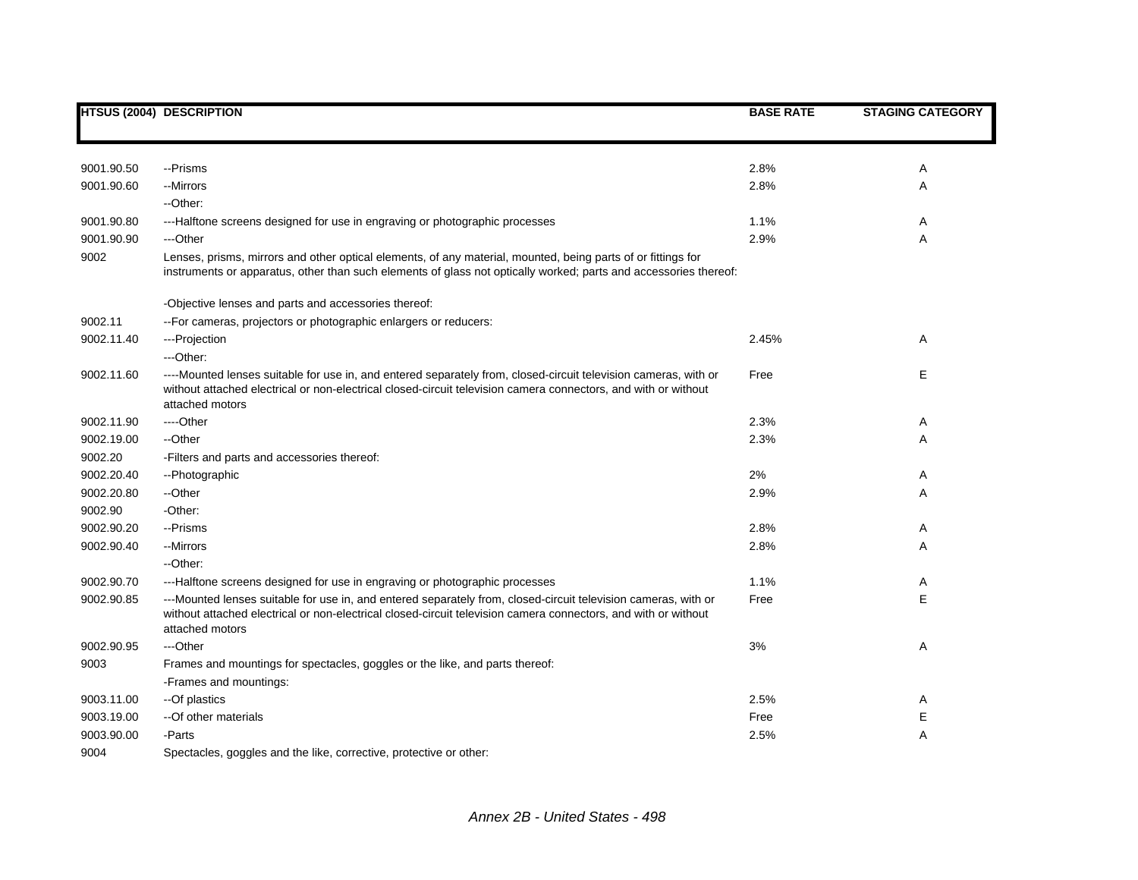|            | <b>HTSUS (2004) DESCRIPTION</b>                                                                                                                                                                                                                      | <b>BASE RATE</b> | <b>STAGING CATEGORY</b> |
|------------|------------------------------------------------------------------------------------------------------------------------------------------------------------------------------------------------------------------------------------------------------|------------------|-------------------------|
|            |                                                                                                                                                                                                                                                      |                  |                         |
| 9001.90.50 | --Prisms                                                                                                                                                                                                                                             | 2.8%             | Α                       |
| 9001.90.60 | --Mirrors                                                                                                                                                                                                                                            | 2.8%             | Α                       |
|            | --Other:                                                                                                                                                                                                                                             |                  |                         |
| 9001.90.80 | ---Halftone screens designed for use in engraving or photographic processes                                                                                                                                                                          | 1.1%             | Α                       |
| 9001.90.90 | ---Other                                                                                                                                                                                                                                             | 2.9%             | Α                       |
| 9002       | Lenses, prisms, mirrors and other optical elements, of any material, mounted, being parts of or fittings for<br>instruments or apparatus, other than such elements of glass not optically worked; parts and accessories thereof:                     |                  |                         |
|            | -Objective lenses and parts and accessories thereof:                                                                                                                                                                                                 |                  |                         |
| 9002.11    | -- For cameras, projectors or photographic enlargers or reducers:                                                                                                                                                                                    |                  |                         |
| 9002.11.40 | ---Projection                                                                                                                                                                                                                                        | 2.45%            | A                       |
|            | ---Other:                                                                                                                                                                                                                                            |                  |                         |
| 9002.11.60 | ----Mounted lenses suitable for use in, and entered separately from, closed-circuit television cameras, with or<br>without attached electrical or non-electrical closed-circuit television camera connectors, and with or without<br>attached motors | Free             | Е                       |
| 9002.11.90 | ----Other                                                                                                                                                                                                                                            | 2.3%             | A                       |
| 9002.19.00 | --Other                                                                                                                                                                                                                                              | 2.3%             | Α                       |
| 9002.20    | -Filters and parts and accessories thereof:                                                                                                                                                                                                          |                  |                         |
| 9002.20.40 | --Photographic                                                                                                                                                                                                                                       | 2%               | Α                       |
| 9002.20.80 | --Other                                                                                                                                                                                                                                              | 2.9%             | Α                       |
| 9002.90    | -Other:                                                                                                                                                                                                                                              |                  |                         |
| 9002.90.20 | --Prisms                                                                                                                                                                                                                                             | 2.8%             | Α                       |
| 9002.90.40 | --Mirrors                                                                                                                                                                                                                                            | 2.8%             | Α                       |
|            | --Other:                                                                                                                                                                                                                                             |                  |                         |
| 9002.90.70 | ---Halftone screens designed for use in engraving or photographic processes                                                                                                                                                                          | 1.1%             | Α                       |
| 9002.90.85 | ---Mounted lenses suitable for use in, and entered separately from, closed-circuit television cameras, with or<br>without attached electrical or non-electrical closed-circuit television camera connectors, and with or without<br>attached motors  | Free             | E                       |
| 9002.90.95 | ---Other                                                                                                                                                                                                                                             | 3%               | Α                       |
| 9003       | Frames and mountings for spectacles, goggles or the like, and parts thereof:                                                                                                                                                                         |                  |                         |
|            | -Frames and mountings:                                                                                                                                                                                                                               |                  |                         |
| 9003.11.00 | --Of plastics                                                                                                                                                                                                                                        | 2.5%             | Α                       |
| 9003.19.00 | -- Of other materials                                                                                                                                                                                                                                | Free             | $\mathsf E$             |
| 9003.90.00 | -Parts                                                                                                                                                                                                                                               | 2.5%             | Α                       |
| 9004       | Spectacles, goggles and the like, corrective, protective or other:                                                                                                                                                                                   |                  |                         |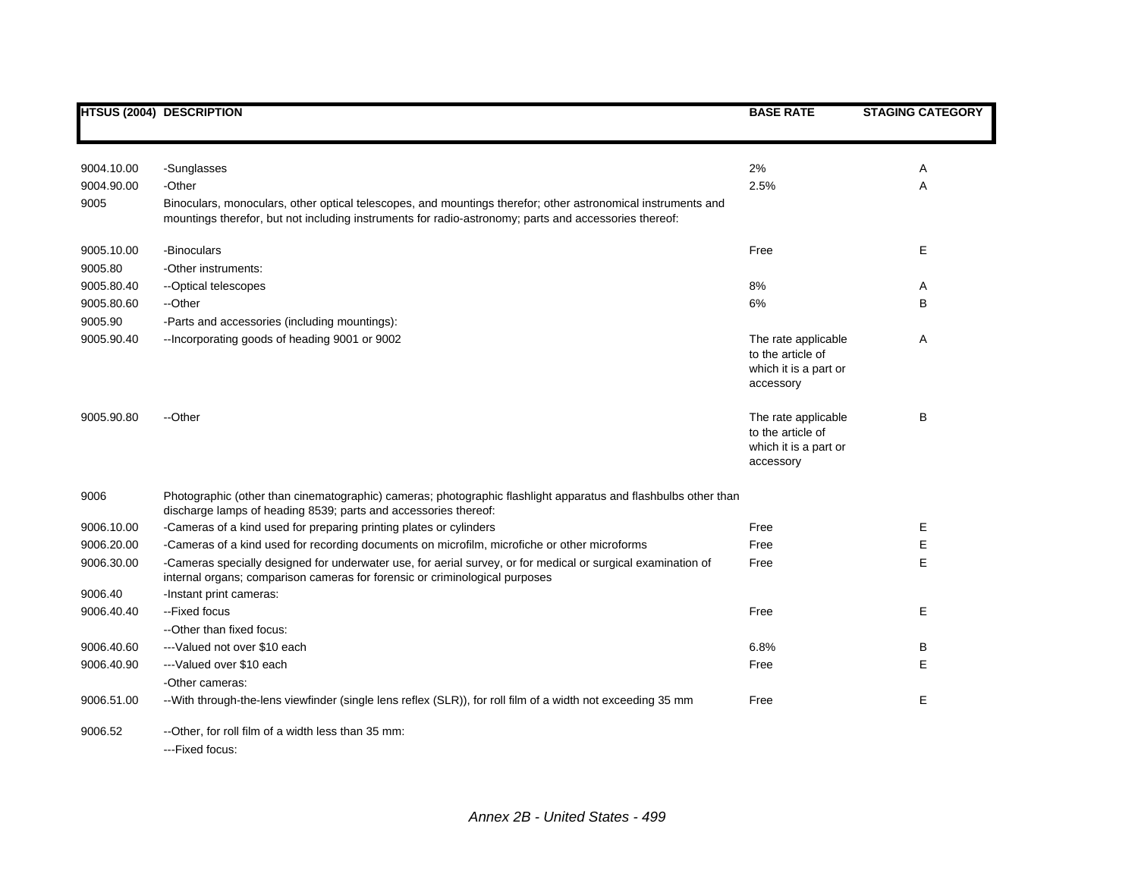|            | <b>HTSUS (2004) DESCRIPTION</b>                                                                                                                                                                                       | <b>BASE RATE</b>                                                               | <b>STAGING CATEGORY</b> |
|------------|-----------------------------------------------------------------------------------------------------------------------------------------------------------------------------------------------------------------------|--------------------------------------------------------------------------------|-------------------------|
|            |                                                                                                                                                                                                                       |                                                                                |                         |
| 9004.10.00 | -Sunglasses                                                                                                                                                                                                           | 2%                                                                             | Α                       |
| 9004.90.00 | -Other                                                                                                                                                                                                                | 2.5%                                                                           | A                       |
| 9005       | Binoculars, monoculars, other optical telescopes, and mountings therefor; other astronomical instruments and<br>mountings therefor, but not including instruments for radio-astronomy; parts and accessories thereof: |                                                                                |                         |
| 9005.10.00 | -Binoculars                                                                                                                                                                                                           | Free                                                                           | Е                       |
| 9005.80    | -Other instruments:                                                                                                                                                                                                   |                                                                                |                         |
| 9005.80.40 | -- Optical telescopes                                                                                                                                                                                                 | 8%                                                                             | Α                       |
| 9005.80.60 | --Other                                                                                                                                                                                                               | 6%                                                                             | B                       |
| 9005.90    | -Parts and accessories (including mountings):                                                                                                                                                                         |                                                                                |                         |
| 9005.90.40 | -- Incorporating goods of heading 9001 or 9002                                                                                                                                                                        | The rate applicable<br>to the article of<br>which it is a part or<br>accessory | Α                       |
| 9005.90.80 | --Other                                                                                                                                                                                                               | The rate applicable<br>to the article of<br>which it is a part or<br>accessory | В                       |
| 9006       | Photographic (other than cinematographic) cameras; photographic flashlight apparatus and flashbulbs other than<br>discharge lamps of heading 8539; parts and accessories thereof:                                     |                                                                                |                         |
| 9006.10.00 | -Cameras of a kind used for preparing printing plates or cylinders                                                                                                                                                    | Free                                                                           | Е                       |
| 9006.20.00 | -Cameras of a kind used for recording documents on microfilm, microfiche or other microforms                                                                                                                          | Free                                                                           | Е                       |
| 9006.30.00 | -Cameras specially designed for underwater use, for aerial survey, or for medical or surgical examination of<br>internal organs; comparison cameras for forensic or criminological purposes                           | Free                                                                           | E                       |
| 9006.40    | -Instant print cameras:                                                                                                                                                                                               |                                                                                |                         |
| 9006.40.40 | -- Fixed focus                                                                                                                                                                                                        | Free                                                                           | Е                       |
|            | --Other than fixed focus:                                                                                                                                                                                             |                                                                                |                         |
| 9006.40.60 | ---Valued not over \$10 each                                                                                                                                                                                          | 6.8%                                                                           | В                       |
| 9006.40.90 | --- Valued over \$10 each                                                                                                                                                                                             | Free                                                                           | E                       |
|            | -Other cameras:                                                                                                                                                                                                       |                                                                                |                         |
| 9006.51.00 | --With through-the-lens viewfinder (single lens reflex (SLR)), for roll film of a width not exceeding 35 mm                                                                                                           | Free                                                                           | Е                       |
| 9006.52    | --Other, for roll film of a width less than 35 mm:<br>---Fixed focus:                                                                                                                                                 |                                                                                |                         |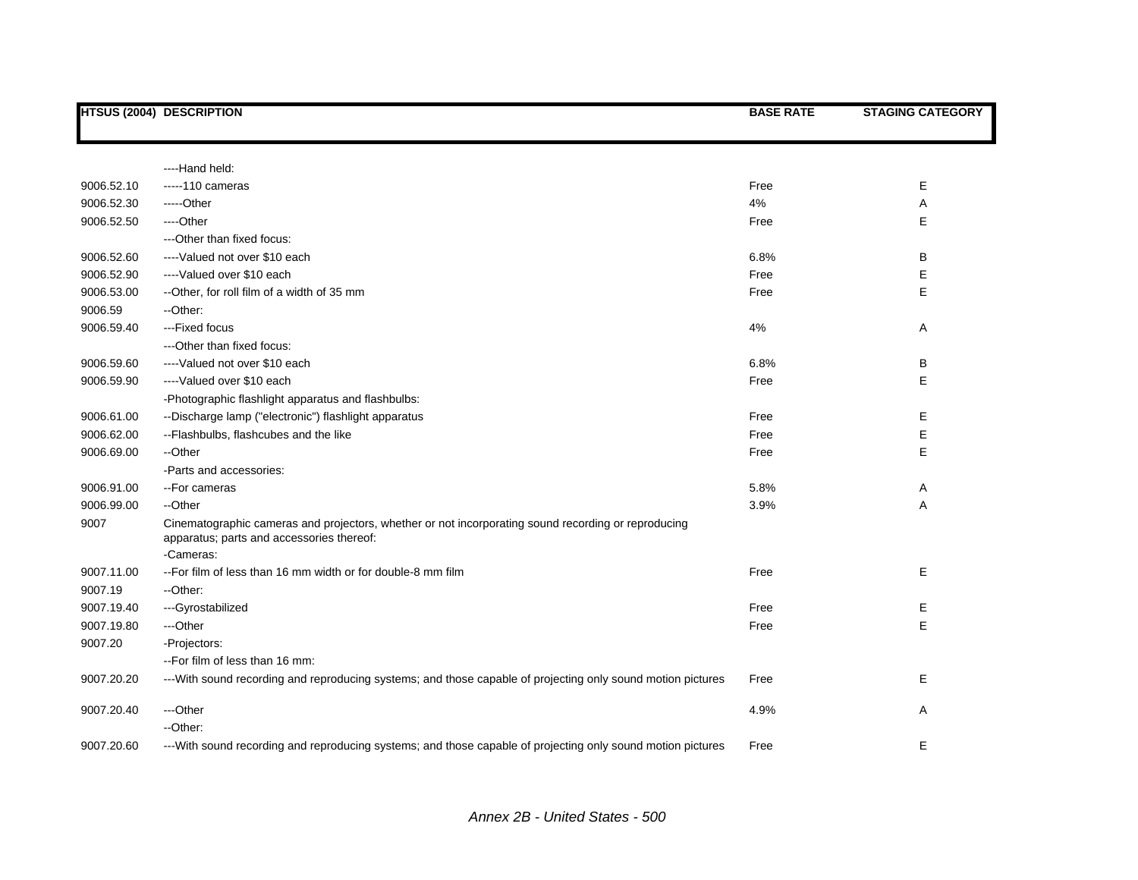|            | <b>HTSUS (2004) DESCRIPTION</b>                                                                                                                               | <b>BASE RATE</b> | <b>STAGING CATEGORY</b> |
|------------|---------------------------------------------------------------------------------------------------------------------------------------------------------------|------------------|-------------------------|
|            |                                                                                                                                                               |                  |                         |
|            | ----Hand held:                                                                                                                                                |                  |                         |
| 9006.52.10 | $---110$ cameras                                                                                                                                              | Free             | Е                       |
| 9006.52.30 | -----Other                                                                                                                                                    | 4%               | Α                       |
| 9006.52.50 | ----Other                                                                                                                                                     | Free             | Е                       |
|            | --- Other than fixed focus:                                                                                                                                   |                  |                         |
| 9006.52.60 | ---- Valued not over \$10 each                                                                                                                                | 6.8%             | В                       |
| 9006.52.90 | ----Valued over \$10 each                                                                                                                                     | Free             | E                       |
| 9006.53.00 | --Other, for roll film of a width of 35 mm                                                                                                                    | Free             | E                       |
| 9006.59    | --Other:                                                                                                                                                      |                  |                         |
| 9006.59.40 | ---Fixed focus                                                                                                                                                | 4%               | Α                       |
|            | --- Other than fixed focus:                                                                                                                                   |                  |                         |
| 9006.59.60 | ----Valued not over \$10 each                                                                                                                                 | 6.8%             | в                       |
| 9006.59.90 | ----Valued over \$10 each                                                                                                                                     | Free             | E                       |
|            | -Photographic flashlight apparatus and flashbulbs:                                                                                                            |                  |                         |
| 9006.61.00 | --Discharge lamp ("electronic") flashlight apparatus                                                                                                          | Free             | Е                       |
| 9006.62.00 | --Flashbulbs, flashcubes and the like                                                                                                                         | Free             | E                       |
| 9006.69.00 | --Other                                                                                                                                                       | Free             | E                       |
|            | -Parts and accessories:                                                                                                                                       |                  |                         |
| 9006.91.00 | --For cameras                                                                                                                                                 | 5.8%             | A                       |
| 9006.99.00 | --Other                                                                                                                                                       | 3.9%             | Α                       |
| 9007       | Cinematographic cameras and projectors, whether or not incorporating sound recording or reproducing<br>apparatus; parts and accessories thereof:<br>-Cameras: |                  |                         |
| 9007.11.00 | -- For film of less than 16 mm width or for double-8 mm film                                                                                                  | Free             | E                       |
| 9007.19    | --Other:                                                                                                                                                      |                  |                         |
| 9007.19.40 | ---Gyrostabilized                                                                                                                                             | Free             | Ε                       |
| 9007.19.80 | ---Other                                                                                                                                                      | Free             | E                       |
| 9007.20    | -Projectors:                                                                                                                                                  |                  |                         |
|            | --For film of less than 16 mm:                                                                                                                                |                  |                         |
| 9007.20.20 | --- With sound recording and reproducing systems; and those capable of projecting only sound motion pictures                                                  | Free             | Ε                       |
| 9007.20.40 | ---Other                                                                                                                                                      | 4.9%             | Α                       |
|            | --Other:                                                                                                                                                      |                  |                         |
| 9007.20.60 | ---With sound recording and reproducing systems; and those capable of projecting only sound motion pictures                                                   | Free             | E                       |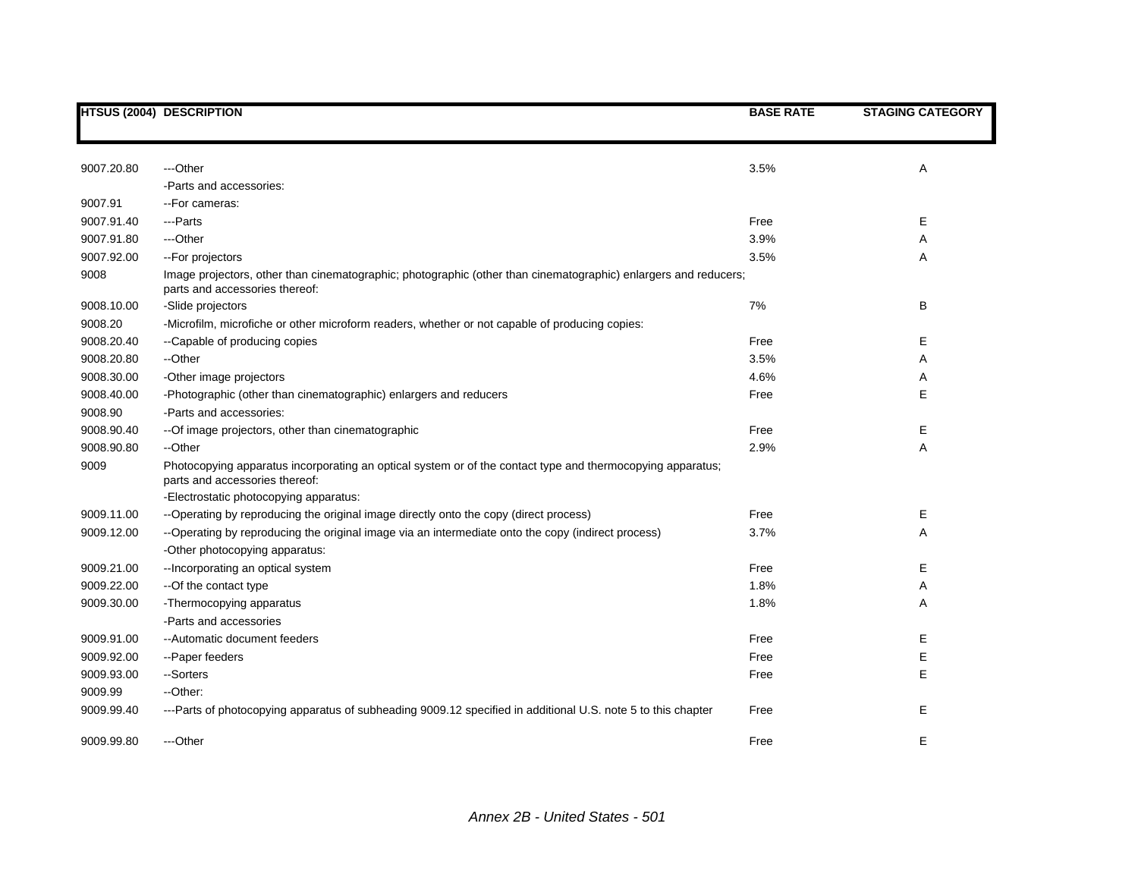|            | <b>HTSUS (2004) DESCRIPTION</b>                                                                                                                   | <b>BASE RATE</b> | <b>STAGING CATEGORY</b> |
|------------|---------------------------------------------------------------------------------------------------------------------------------------------------|------------------|-------------------------|
|            |                                                                                                                                                   |                  |                         |
| 9007.20.80 | ---Other                                                                                                                                          | 3.5%             | Α                       |
|            | -Parts and accessories:                                                                                                                           |                  |                         |
| 9007.91    | -- For cameras:                                                                                                                                   |                  |                         |
| 9007.91.40 | ---Parts                                                                                                                                          | Free             | Е                       |
| 9007.91.80 | ---Other                                                                                                                                          | 3.9%             |                         |
|            |                                                                                                                                                   |                  | A                       |
| 9007.92.00 | -- For projectors                                                                                                                                 | 3.5%             | Α                       |
| 9008       | Image projectors, other than cinematographic; photographic (other than cinematographic) enlargers and reducers;<br>parts and accessories thereof: |                  |                         |
| 9008.10.00 | -Slide projectors                                                                                                                                 | 7%               | В                       |
| 9008.20    | -Microfilm, microfiche or other microform readers, whether or not capable of producing copies:                                                    |                  |                         |
| 9008.20.40 | --Capable of producing copies                                                                                                                     | Free             | Е                       |
| 9008.20.80 | --Other                                                                                                                                           | 3.5%             | Α                       |
| 9008.30.00 | -Other image projectors                                                                                                                           | 4.6%             | Α                       |
| 9008.40.00 | -Photographic (other than cinematographic) enlargers and reducers                                                                                 | Free             | E                       |
| 9008.90    | -Parts and accessories:                                                                                                                           |                  |                         |
| 9008.90.40 | -- Of image projectors, other than cinematographic                                                                                                | Free             | E                       |
| 9008.90.80 | --Other                                                                                                                                           | 2.9%             | Α                       |
| 9009       | Photocopying apparatus incorporating an optical system or of the contact type and thermocopying apparatus;                                        |                  |                         |
|            | parts and accessories thereof:                                                                                                                    |                  |                         |
|            | -Electrostatic photocopying apparatus:                                                                                                            |                  |                         |
| 9009.11.00 | --Operating by reproducing the original image directly onto the copy (direct process)                                                             | Free             | E.                      |
| 9009.12.00 | --Operating by reproducing the original image via an intermediate onto the copy (indirect process)                                                | 3.7%             | Α                       |
|            | -Other photocopying apparatus:                                                                                                                    |                  |                         |
| 9009.21.00 | -- Incorporating an optical system                                                                                                                | Free             | Е                       |
| 9009.22.00 | --Of the contact type                                                                                                                             | 1.8%             | Α                       |
| 9009.30.00 | -Thermocopying apparatus                                                                                                                          | 1.8%             | Α                       |
|            | -Parts and accessories                                                                                                                            |                  |                         |
| 9009.91.00 | --Automatic document feeders                                                                                                                      | Free             | E                       |
| 9009.92.00 | --Paper feeders                                                                                                                                   | Free             | E                       |
| 9009.93.00 | --Sorters                                                                                                                                         | Free             | E                       |
| 9009.99    | --Other:                                                                                                                                          |                  |                         |
| 9009.99.40 | ---Parts of photocopying apparatus of subheading 9009.12 specified in additional U.S. note 5 to this chapter                                      | Free             | Е                       |
| 9009.99.80 | ---Other                                                                                                                                          | Free             | E                       |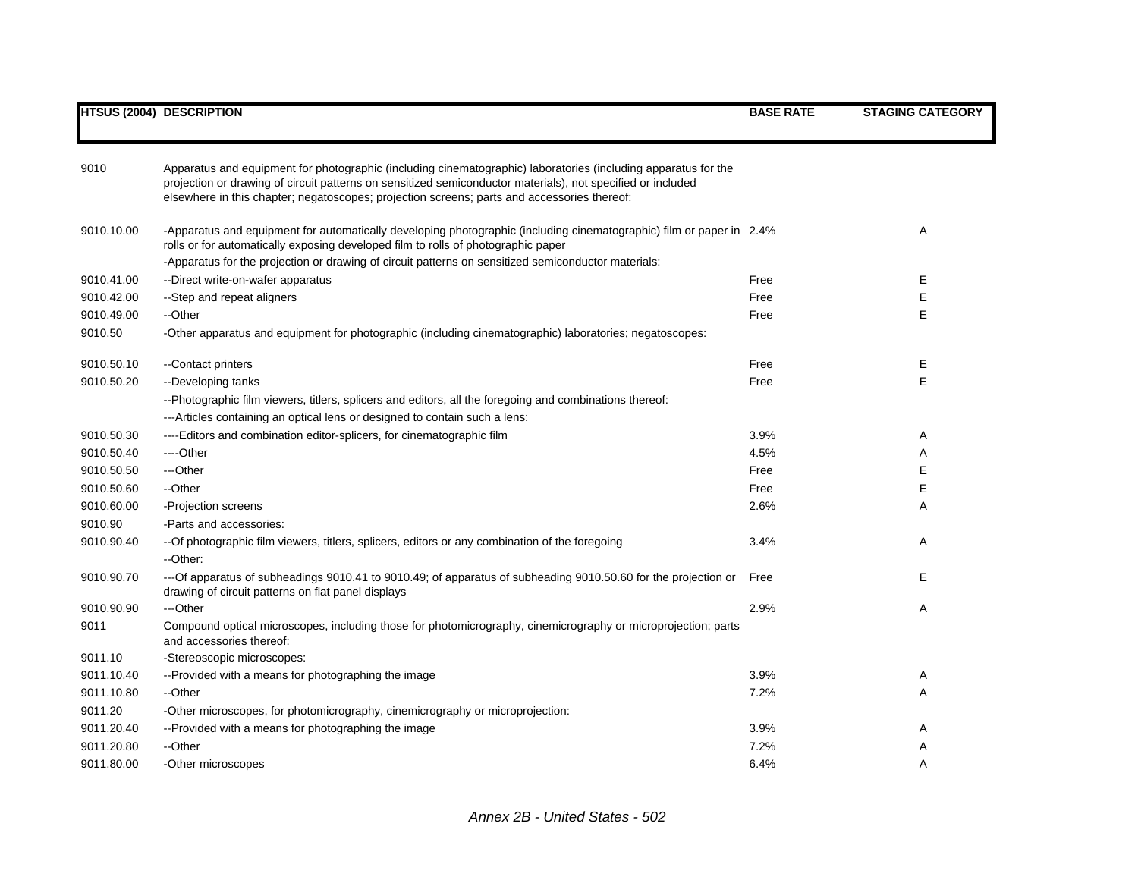| 9010       | Apparatus and equipment for photographic (including cinematographic) laboratories (including apparatus for the                                                                                             |      |    |
|------------|------------------------------------------------------------------------------------------------------------------------------------------------------------------------------------------------------------|------|----|
|            | projection or drawing of circuit patterns on sensitized semiconductor materials), not specified or included<br>elsewhere in this chapter; negatoscopes; projection screens; parts and accessories thereof: |      |    |
|            |                                                                                                                                                                                                            |      |    |
| 9010.10.00 | -Apparatus and equipment for automatically developing photographic (including cinematographic) film or paper in 2.4%                                                                                       |      | Α  |
|            | rolls or for automatically exposing developed film to rolls of photographic paper                                                                                                                          |      |    |
|            | -Apparatus for the projection or drawing of circuit patterns on sensitized semiconductor materials:                                                                                                        |      |    |
| 9010.41.00 | --Direct write-on-wafer apparatus                                                                                                                                                                          | Free | E. |
| 9010.42.00 | --Step and repeat aligners                                                                                                                                                                                 | Free | E  |
| 9010.49.00 | --Other                                                                                                                                                                                                    | Free | E  |
| 9010.50    | -Other apparatus and equipment for photographic (including cinematographic) laboratories; negatoscopes:                                                                                                    |      |    |
| 9010.50.10 | --Contact printers                                                                                                                                                                                         | Free | Е  |
| 9010.50.20 | --Developing tanks                                                                                                                                                                                         | Free | E  |
|            | --Photographic film viewers, titlers, splicers and editors, all the foregoing and combinations thereof:                                                                                                    |      |    |
|            | --- Articles containing an optical lens or designed to contain such a lens:                                                                                                                                |      |    |
| 9010.50.30 | ----Editors and combination editor-splicers, for cinematographic film                                                                                                                                      | 3.9% | Α  |
| 9010.50.40 | ----Other                                                                                                                                                                                                  | 4.5% | Α  |
| 9010.50.50 | ---Other                                                                                                                                                                                                   | Free | E  |
| 9010.50.60 | --Other                                                                                                                                                                                                    | Free | E  |
| 9010.60.00 | -Projection screens                                                                                                                                                                                        | 2.6% | A  |
| 9010.90    | -Parts and accessories:                                                                                                                                                                                    |      |    |
| 9010.90.40 | --Of photographic film viewers, titlers, splicers, editors or any combination of the foregoing                                                                                                             | 3.4% | Α  |
|            | --Other:                                                                                                                                                                                                   |      |    |
| 9010.90.70 | --- Of apparatus of subheadings 9010.41 to 9010.49; of apparatus of subheading 9010.50.60 for the projection or                                                                                            | Free | E  |
|            | drawing of circuit patterns on flat panel displays                                                                                                                                                         |      |    |
| 9010.90.90 | ---Other                                                                                                                                                                                                   | 2.9% | Α  |
| 9011       | Compound optical microscopes, including those for photomicrography, cinemicrography or microprojection; parts<br>and accessories thereof:                                                                  |      |    |
| 9011.10    | -Stereoscopic microscopes:                                                                                                                                                                                 |      |    |
| 9011.10.40 | --Provided with a means for photographing the image                                                                                                                                                        | 3.9% | Α  |
| 9011.10.80 | --Other                                                                                                                                                                                                    | 7.2% | Α  |
| 9011.20    | -Other microscopes, for photomicrography, cinemicrography or microprojection:                                                                                                                              |      |    |
| 9011.20.40 | --Provided with a means for photographing the image                                                                                                                                                        | 3.9% | A  |
| 9011.20.80 | --Other                                                                                                                                                                                                    | 7.2% | A  |
| 9011.80.00 | -Other microscopes                                                                                                                                                                                         | 6.4% | A  |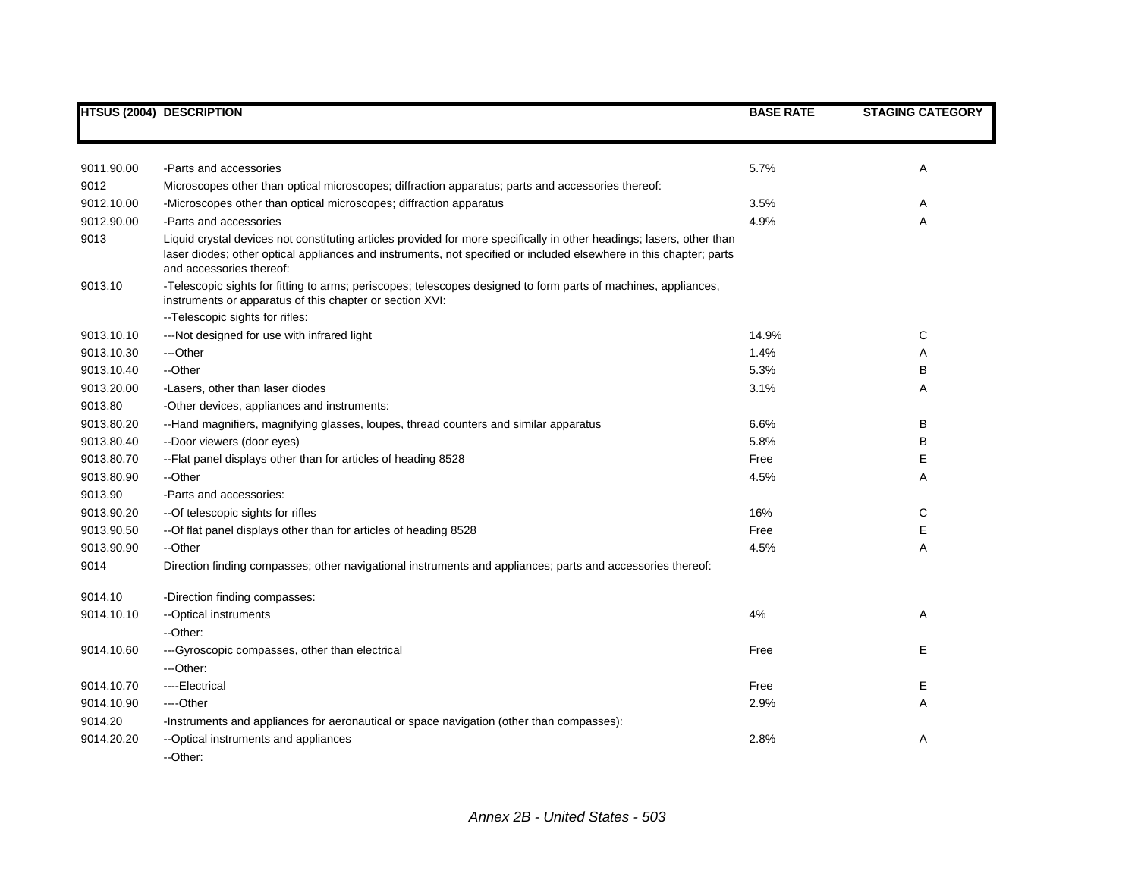|            | <b>HTSUS (2004) DESCRIPTION</b>                                                                                                                                                                                                                                         | <b>BASE RATE</b> | <b>STAGING CATEGORY</b> |
|------------|-------------------------------------------------------------------------------------------------------------------------------------------------------------------------------------------------------------------------------------------------------------------------|------------------|-------------------------|
|            |                                                                                                                                                                                                                                                                         |                  |                         |
| 9011.90.00 | -Parts and accessories                                                                                                                                                                                                                                                  | 5.7%             | Α                       |
| 9012       | Microscopes other than optical microscopes; diffraction apparatus; parts and accessories thereof:                                                                                                                                                                       |                  |                         |
| 9012.10.00 | -Microscopes other than optical microscopes; diffraction apparatus                                                                                                                                                                                                      | 3.5%             | A                       |
| 9012.90.00 | -Parts and accessories                                                                                                                                                                                                                                                  | 4.9%             | Α                       |
| 9013       | Liquid crystal devices not constituting articles provided for more specifically in other headings; lasers, other than<br>laser diodes; other optical appliances and instruments, not specified or included elsewhere in this chapter; parts<br>and accessories thereof: |                  |                         |
| 9013.10    | -Telescopic sights for fitting to arms; periscopes; telescopes designed to form parts of machines, appliances,<br>instruments or apparatus of this chapter or section XVI:<br>-- Telescopic sights for rifles:                                                          |                  |                         |
| 9013.10.10 | ---Not designed for use with infrared light                                                                                                                                                                                                                             | 14.9%            | С                       |
| 9013.10.30 | ---Other                                                                                                                                                                                                                                                                | 1.4%             | Α                       |
| 9013.10.40 | --Other                                                                                                                                                                                                                                                                 | 5.3%             | B                       |
| 9013.20.00 | -Lasers, other than laser diodes                                                                                                                                                                                                                                        | 3.1%             | Α                       |
| 9013.80    | -Other devices, appliances and instruments:                                                                                                                                                                                                                             |                  |                         |
| 9013.80.20 | --Hand magnifiers, magnifying glasses, loupes, thread counters and similar apparatus                                                                                                                                                                                    | 6.6%             | B                       |
| 9013.80.40 | --Door viewers (door eyes)                                                                                                                                                                                                                                              | 5.8%             | B                       |
| 9013.80.70 | -- Flat panel displays other than for articles of heading 8528                                                                                                                                                                                                          | Free             | Е                       |
| 9013.80.90 | --Other                                                                                                                                                                                                                                                                 | 4.5%             | Α                       |
| 9013.90    | -Parts and accessories:                                                                                                                                                                                                                                                 |                  |                         |
| 9013.90.20 | -- Of telescopic sights for rifles                                                                                                                                                                                                                                      | 16%              | С                       |
| 9013.90.50 | --Of flat panel displays other than for articles of heading 8528                                                                                                                                                                                                        | Free             | Е                       |
| 9013.90.90 | --Other                                                                                                                                                                                                                                                                 | 4.5%             | Α                       |
| 9014       | Direction finding compasses; other navigational instruments and appliances; parts and accessories thereof:                                                                                                                                                              |                  |                         |
| 9014.10    | -Direction finding compasses:                                                                                                                                                                                                                                           |                  |                         |
| 9014.10.10 | --Optical instruments                                                                                                                                                                                                                                                   | 4%               | Α                       |
|            | --Other:                                                                                                                                                                                                                                                                |                  |                         |
| 9014.10.60 | --- Gyroscopic compasses, other than electrical                                                                                                                                                                                                                         | Free             | Е                       |
|            | ---Other:                                                                                                                                                                                                                                                               |                  |                         |
| 9014.10.70 | ----Electrical                                                                                                                                                                                                                                                          | Free             | Е                       |
| 9014.10.90 | ----Other                                                                                                                                                                                                                                                               | 2.9%             | Α                       |
| 9014.20    | -Instruments and appliances for aeronautical or space navigation (other than compasses):                                                                                                                                                                                |                  |                         |
| 9014.20.20 | --Optical instruments and appliances<br>--Other:                                                                                                                                                                                                                        | 2.8%             | Α                       |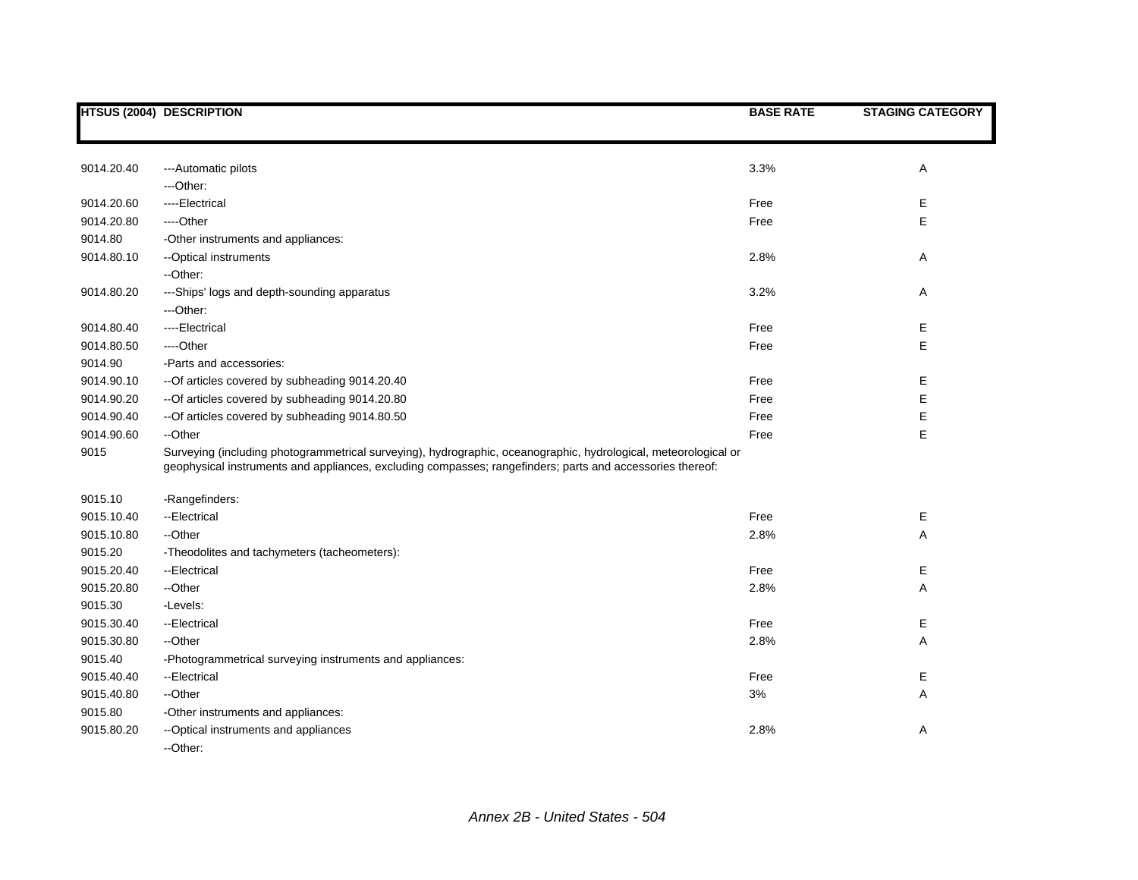|            | <b>HTSUS (2004) DESCRIPTION</b>                                                                                                                                                                                              | <b>BASE RATE</b> | <b>STAGING CATEGORY</b> |
|------------|------------------------------------------------------------------------------------------------------------------------------------------------------------------------------------------------------------------------------|------------------|-------------------------|
|            |                                                                                                                                                                                                                              |                  |                         |
| 9014.20.40 | ---Automatic pilots                                                                                                                                                                                                          | 3.3%             | Α                       |
|            | ---Other:                                                                                                                                                                                                                    |                  |                         |
| 9014.20.60 | ----Electrical                                                                                                                                                                                                               | Free             | Е                       |
| 9014.20.80 | ----Other                                                                                                                                                                                                                    | Free             | E                       |
| 9014.80    | -Other instruments and appliances:                                                                                                                                                                                           |                  |                         |
| 9014.80.10 | -- Optical instruments                                                                                                                                                                                                       | 2.8%             | A                       |
|            | --Other:                                                                                                                                                                                                                     |                  |                         |
| 9014.80.20 | ---Ships' logs and depth-sounding apparatus                                                                                                                                                                                  | 3.2%             | Α                       |
|            | ---Other:                                                                                                                                                                                                                    |                  |                         |
| 9014.80.40 | ----Electrical                                                                                                                                                                                                               | Free             | Е                       |
| 9014.80.50 | ----Other                                                                                                                                                                                                                    | Free             | E                       |
| 9014.90    | -Parts and accessories:                                                                                                                                                                                                      |                  |                         |
| 9014.90.10 | --Of articles covered by subheading 9014.20.40                                                                                                                                                                               | Free             | Е                       |
| 9014.90.20 | --Of articles covered by subheading 9014.20.80                                                                                                                                                                               | Free             | Е                       |
| 9014.90.40 | --Of articles covered by subheading 9014.80.50                                                                                                                                                                               | Free             | E                       |
| 9014.90.60 | --Other                                                                                                                                                                                                                      | Free             | E                       |
| 9015       | Surveying (including photogrammetrical surveying), hydrographic, oceanographic, hydrological, meteorological or<br>geophysical instruments and appliances, excluding compasses; rangefinders; parts and accessories thereof: |                  |                         |
| 9015.10    | -Rangefinders:                                                                                                                                                                                                               |                  |                         |
| 9015.10.40 | --Electrical                                                                                                                                                                                                                 | Free             | Ε                       |
| 9015.10.80 | --Other                                                                                                                                                                                                                      | 2.8%             | Α                       |
| 9015.20    | -Theodolites and tachymeters (tacheometers):                                                                                                                                                                                 |                  |                         |
| 9015.20.40 | --Electrical                                                                                                                                                                                                                 | Free             | Е                       |
| 9015.20.80 | --Other                                                                                                                                                                                                                      | 2.8%             | Α                       |
| 9015.30    | -Levels:                                                                                                                                                                                                                     |                  |                         |
| 9015.30.40 | --Electrical                                                                                                                                                                                                                 | Free             | Е                       |
| 9015.30.80 | --Other                                                                                                                                                                                                                      | 2.8%             | Α                       |
| 9015.40    | -Photogrammetrical surveying instruments and appliances:                                                                                                                                                                     |                  |                         |
| 9015.40.40 | --Electrical                                                                                                                                                                                                                 | Free             | Е                       |
| 9015.40.80 | --Other                                                                                                                                                                                                                      | 3%               | Α                       |
| 9015.80    | -Other instruments and appliances:                                                                                                                                                                                           |                  |                         |
| 9015.80.20 | -- Optical instruments and appliances<br>--Other:                                                                                                                                                                            | 2.8%             | Α                       |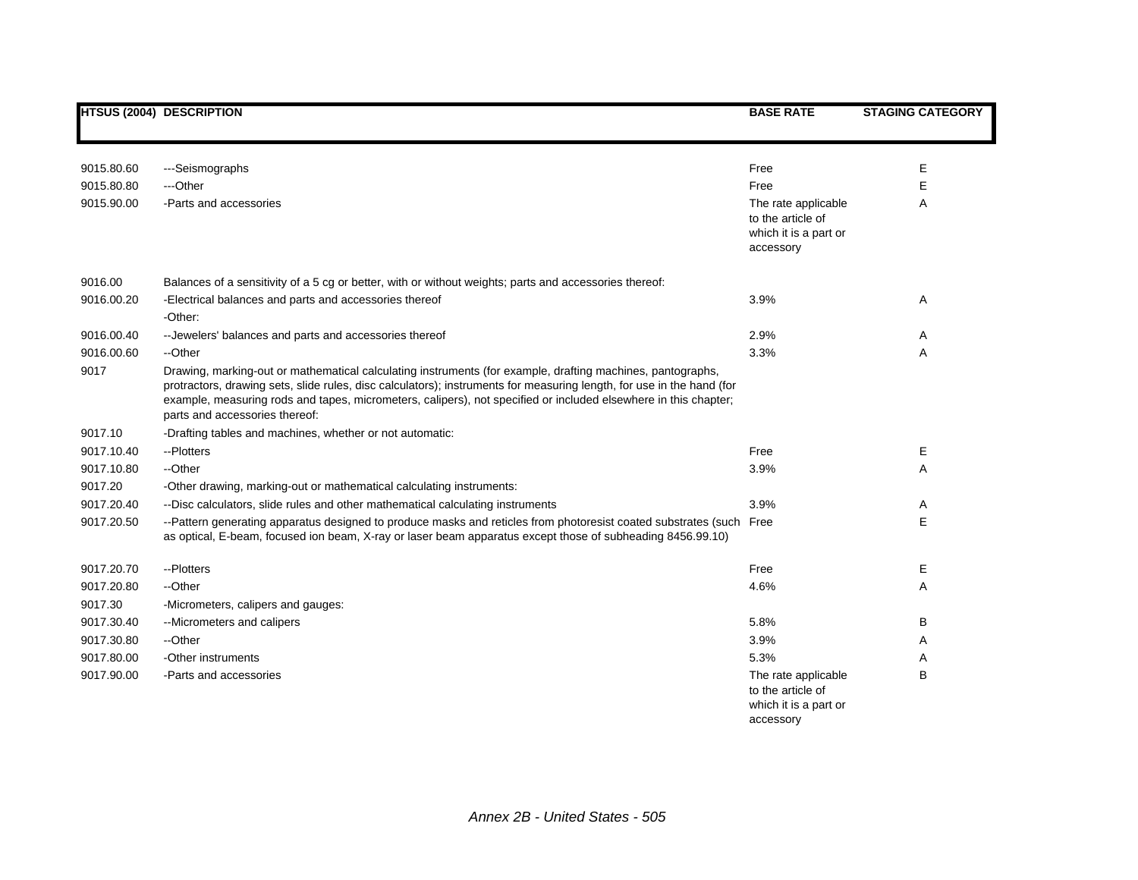|            | <b>HTSUS (2004) DESCRIPTION</b>                                                                                                                                                                                                                                                                                                                                                          | <b>BASE RATE</b>                                                               | <b>STAGING CATEGORY</b> |
|------------|------------------------------------------------------------------------------------------------------------------------------------------------------------------------------------------------------------------------------------------------------------------------------------------------------------------------------------------------------------------------------------------|--------------------------------------------------------------------------------|-------------------------|
| 9015.80.60 | ---Seismographs                                                                                                                                                                                                                                                                                                                                                                          | Free                                                                           | Е                       |
| 9015.80.80 | ---Other                                                                                                                                                                                                                                                                                                                                                                                 | Free                                                                           | Е                       |
| 9015.90.00 | -Parts and accessories                                                                                                                                                                                                                                                                                                                                                                   | The rate applicable<br>to the article of<br>which it is a part or<br>accessory | Α                       |
| 9016.00    | Balances of a sensitivity of a 5 cg or better, with or without weights; parts and accessories thereof:                                                                                                                                                                                                                                                                                   |                                                                                |                         |
| 9016.00.20 | -Electrical balances and parts and accessories thereof<br>-Other:                                                                                                                                                                                                                                                                                                                        | 3.9%                                                                           | Α                       |
| 9016.00.40 | -- Jewelers' balances and parts and accessories thereof                                                                                                                                                                                                                                                                                                                                  | 2.9%                                                                           | Α                       |
| 9016.00.60 | --Other                                                                                                                                                                                                                                                                                                                                                                                  | 3.3%                                                                           | A                       |
| 9017       | Drawing, marking-out or mathematical calculating instruments (for example, drafting machines, pantographs,<br>protractors, drawing sets, slide rules, disc calculators); instruments for measuring length, for use in the hand (for<br>example, measuring rods and tapes, micrometers, calipers), not specified or included elsewhere in this chapter;<br>parts and accessories thereof: |                                                                                |                         |
| 9017.10    | -Drafting tables and machines, whether or not automatic:                                                                                                                                                                                                                                                                                                                                 |                                                                                |                         |
| 9017.10.40 | --Plotters                                                                                                                                                                                                                                                                                                                                                                               | Free                                                                           | Е                       |
| 9017.10.80 | --Other                                                                                                                                                                                                                                                                                                                                                                                  | 3.9%                                                                           | A                       |
| 9017.20    | -Other drawing, marking-out or mathematical calculating instruments:                                                                                                                                                                                                                                                                                                                     |                                                                                |                         |
| 9017.20.40 | --Disc calculators, slide rules and other mathematical calculating instruments                                                                                                                                                                                                                                                                                                           | 3.9%                                                                           | Α                       |
| 9017.20.50 | --Pattern generating apparatus designed to produce masks and reticles from photoresist coated substrates (such Free<br>as optical, E-beam, focused ion beam, X-ray or laser beam apparatus except those of subheading 8456.99.10)                                                                                                                                                        |                                                                                | Е                       |
| 9017.20.70 | --Plotters                                                                                                                                                                                                                                                                                                                                                                               | Free                                                                           | E                       |
| 9017.20.80 | --Other                                                                                                                                                                                                                                                                                                                                                                                  | 4.6%                                                                           | A                       |
| 9017.30    | -Micrometers, calipers and gauges:                                                                                                                                                                                                                                                                                                                                                       |                                                                                |                         |
| 9017.30.40 | --Micrometers and calipers                                                                                                                                                                                                                                                                                                                                                               | 5.8%                                                                           | В                       |
| 9017.30.80 | --Other                                                                                                                                                                                                                                                                                                                                                                                  | 3.9%                                                                           | Α                       |
| 9017.80.00 | -Other instruments                                                                                                                                                                                                                                                                                                                                                                       | 5.3%                                                                           | Α                       |
| 9017.90.00 | -Parts and accessories                                                                                                                                                                                                                                                                                                                                                                   | The rate applicable<br>to the article of<br>which it is a part or<br>accessory | B                       |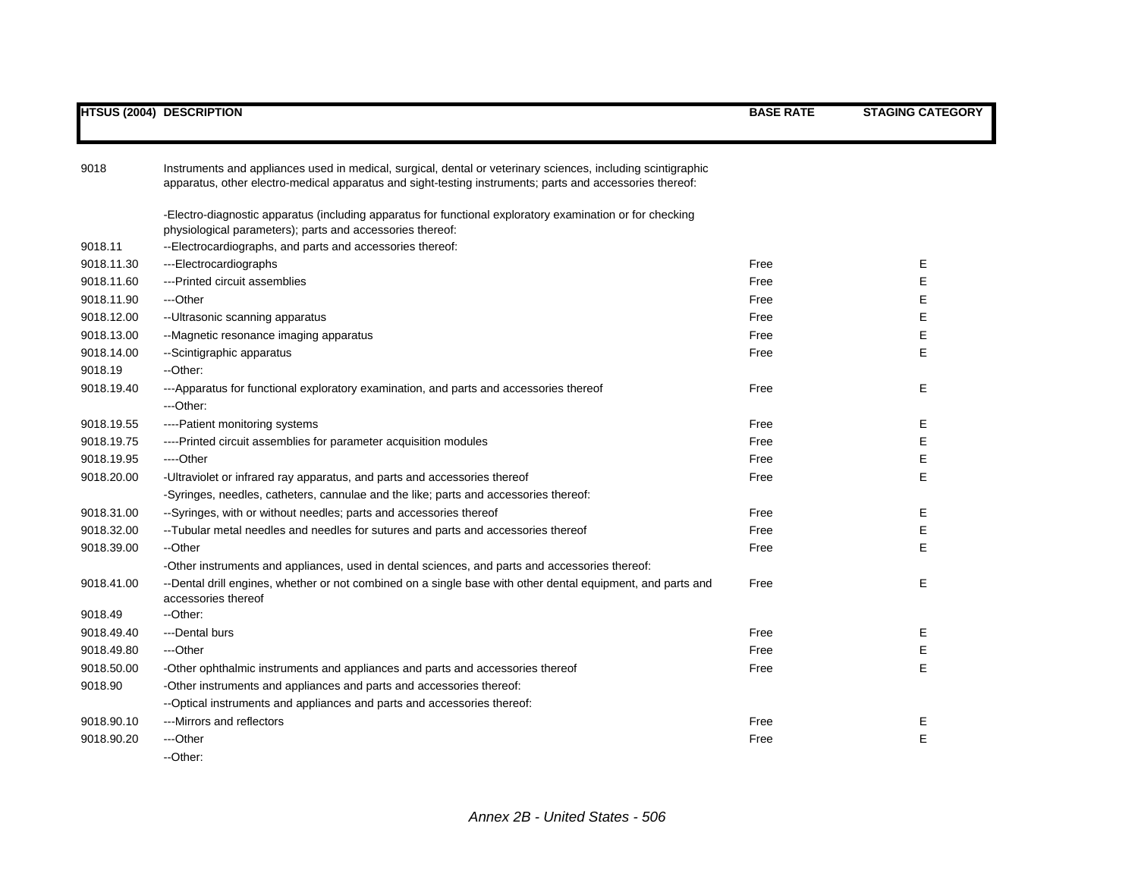| 9018       | Instruments and appliances used in medical, surgical, dental or veterinary sciences, including scintigraphic<br>apparatus, other electro-medical apparatus and sight-testing instruments; parts and accessories thereof: |      |             |
|------------|--------------------------------------------------------------------------------------------------------------------------------------------------------------------------------------------------------------------------|------|-------------|
|            | -Electro-diagnostic apparatus (including apparatus for functional exploratory examination or for checking<br>physiological parameters); parts and accessories thereof:                                                   |      |             |
| 9018.11    | --Electrocardiographs, and parts and accessories thereof:                                                                                                                                                                |      |             |
| 9018.11.30 | ---Electrocardiographs                                                                                                                                                                                                   | Free | Е           |
| 9018.11.60 | ---Printed circuit assemblies                                                                                                                                                                                            | Free | E           |
| 9018.11.90 | ---Other                                                                                                                                                                                                                 | Free | Е           |
| 9018.12.00 | -- Ultrasonic scanning apparatus                                                                                                                                                                                         | Free | $\mathsf E$ |
| 9018.13.00 | --Magnetic resonance imaging apparatus                                                                                                                                                                                   | Free | $\mathsf E$ |
| 9018.14.00 | --Scintigraphic apparatus                                                                                                                                                                                                | Free | E           |
| 9018.19    | --Other:                                                                                                                                                                                                                 |      |             |
| 9018.19.40 | ---Apparatus for functional exploratory examination, and parts and accessories thereof                                                                                                                                   | Free | Е           |
|            | ---Other:                                                                                                                                                                                                                |      |             |
| 9018.19.55 | ----Patient monitoring systems                                                                                                                                                                                           | Free | Ε           |
| 9018.19.75 | ----Printed circuit assemblies for parameter acquisition modules                                                                                                                                                         | Free | $\mathsf E$ |
| 9018.19.95 | ----Other                                                                                                                                                                                                                | Free | $\mathsf E$ |
| 9018.20.00 | -Ultraviolet or infrared ray apparatus, and parts and accessories thereof                                                                                                                                                | Free | E           |
|            | -Syringes, needles, catheters, cannulae and the like; parts and accessories thereof:                                                                                                                                     |      |             |
| 9018.31.00 | --Syringes, with or without needles; parts and accessories thereof                                                                                                                                                       | Free | Е           |
| 9018.32.00 | --Tubular metal needles and needles for sutures and parts and accessories thereof                                                                                                                                        | Free | E           |
| 9018.39.00 | --Other                                                                                                                                                                                                                  | Free | Е           |
|            | -Other instruments and appliances, used in dental sciences, and parts and accessories thereof:                                                                                                                           |      |             |
| 9018.41.00 | --Dental drill engines, whether or not combined on a single base with other dental equipment, and parts and<br>accessories thereof                                                                                       | Free | Е           |
| 9018.49    | --Other:                                                                                                                                                                                                                 |      |             |
| 9018.49.40 | ---Dental burs                                                                                                                                                                                                           | Free | Е           |
| 9018.49.80 | ---Other                                                                                                                                                                                                                 | Free | E           |
| 9018.50.00 | -Other ophthalmic instruments and appliances and parts and accessories thereof                                                                                                                                           | Free | E           |
| 9018.90    | -Other instruments and appliances and parts and accessories thereof:                                                                                                                                                     |      |             |
|            | --Optical instruments and appliances and parts and accessories thereof:                                                                                                                                                  |      |             |
| 9018.90.10 | ---Mirrors and reflectors                                                                                                                                                                                                | Free | Е           |
| 9018.90.20 | ---Other                                                                                                                                                                                                                 | Free | E           |
|            | --Other:                                                                                                                                                                                                                 |      |             |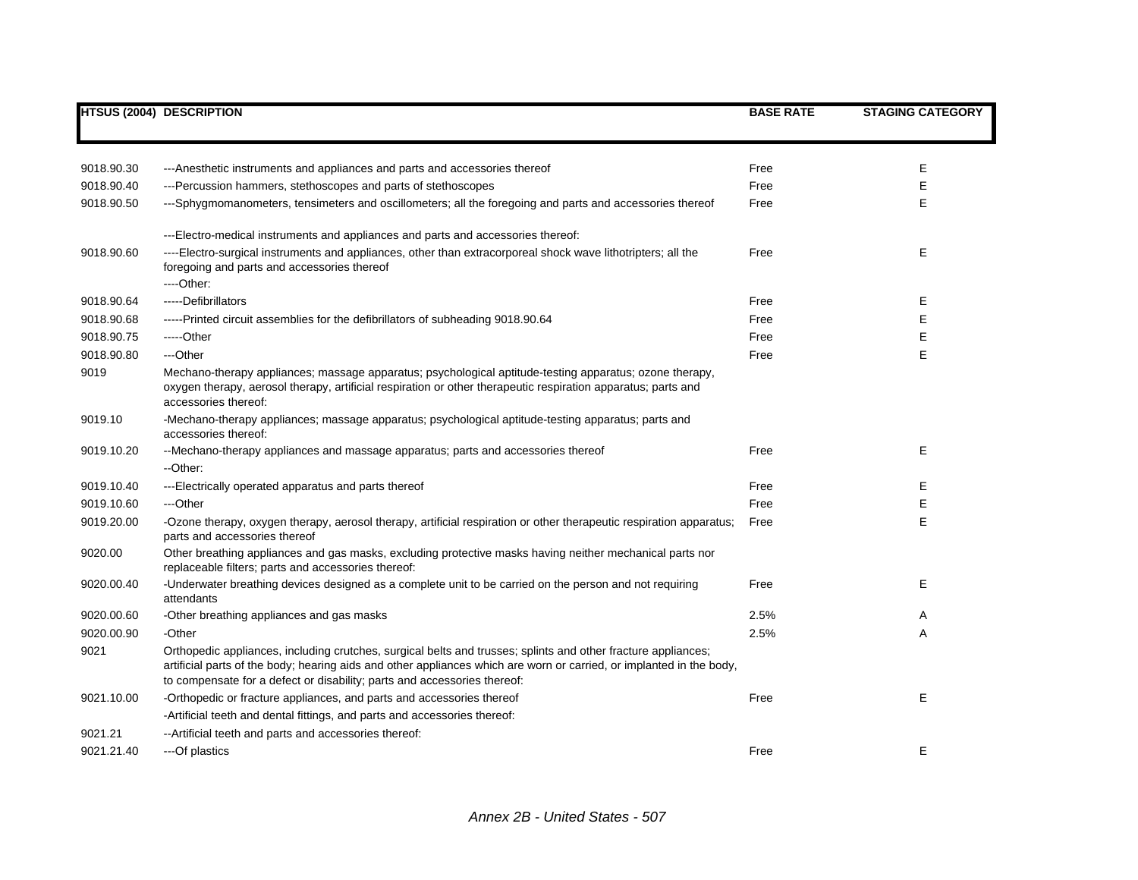|            | <b>HTSUS (2004) DESCRIPTION</b>                                                                                                                                                                                                                                                                                   | <b>BASE RATE</b> | <b>STAGING CATEGORY</b> |
|------------|-------------------------------------------------------------------------------------------------------------------------------------------------------------------------------------------------------------------------------------------------------------------------------------------------------------------|------------------|-------------------------|
|            |                                                                                                                                                                                                                                                                                                                   |                  |                         |
|            |                                                                                                                                                                                                                                                                                                                   |                  |                         |
| 9018.90.30 | ---Anesthetic instruments and appliances and parts and accessories thereof                                                                                                                                                                                                                                        | Free             | Е                       |
| 9018.90.40 | ---Percussion hammers, stethoscopes and parts of stethoscopes                                                                                                                                                                                                                                                     | Free             | E                       |
| 9018.90.50 | ---Sphygmomanometers, tensimeters and oscillometers; all the foregoing and parts and accessories thereof                                                                                                                                                                                                          | Free             | E                       |
|            | ---Electro-medical instruments and appliances and parts and accessories thereof:                                                                                                                                                                                                                                  |                  |                         |
| 9018.90.60 | ----Electro-surgical instruments and appliances, other than extracorporeal shock wave lithotripters; all the<br>foregoing and parts and accessories thereof<br>---Other:                                                                                                                                          | Free             | E                       |
| 9018.90.64 | -----Defibrillators                                                                                                                                                                                                                                                                                               | Free             | Е                       |
| 9018.90.68 | -----Printed circuit assemblies for the defibrillators of subheading 9018.90.64                                                                                                                                                                                                                                   | Free             | Е                       |
| 9018.90.75 | -----Other                                                                                                                                                                                                                                                                                                        | Free             | Е                       |
| 9018.90.80 | ---Other                                                                                                                                                                                                                                                                                                          | Free             | E                       |
| 9019       | Mechano-therapy appliances; massage apparatus; psychological aptitude-testing apparatus; ozone therapy,<br>oxygen therapy, aerosol therapy, artificial respiration or other therapeutic respiration apparatus; parts and<br>accessories thereof:                                                                  |                  |                         |
| 9019.10    | -Mechano-therapy appliances; massage apparatus; psychological aptitude-testing apparatus; parts and<br>accessories thereof:                                                                                                                                                                                       |                  |                         |
| 9019.10.20 | --Mechano-therapy appliances and massage apparatus; parts and accessories thereof                                                                                                                                                                                                                                 | Free             | E                       |
|            | --Other:                                                                                                                                                                                                                                                                                                          |                  |                         |
| 9019.10.40 | ---Electrically operated apparatus and parts thereof                                                                                                                                                                                                                                                              | Free             | Е                       |
| 9019.10.60 | ---Other                                                                                                                                                                                                                                                                                                          | Free             | Е                       |
| 9019.20.00 | -Ozone therapy, oxygen therapy, aerosol therapy, artificial respiration or other therapeutic respiration apparatus;<br>parts and accessories thereof                                                                                                                                                              | Free             | E                       |
| 9020.00    | Other breathing appliances and gas masks, excluding protective masks having neither mechanical parts nor<br>replaceable filters; parts and accessories thereof:                                                                                                                                                   |                  |                         |
| 9020.00.40 | -Underwater breathing devices designed as a complete unit to be carried on the person and not requiring<br>attendants                                                                                                                                                                                             | Free             | E                       |
| 9020.00.60 | -Other breathing appliances and gas masks                                                                                                                                                                                                                                                                         | 2.5%             | Α                       |
| 9020.00.90 | -Other                                                                                                                                                                                                                                                                                                            | 2.5%             | A                       |
| 9021       | Orthopedic appliances, including crutches, surgical belts and trusses; splints and other fracture appliances;<br>artificial parts of the body; hearing aids and other appliances which are worn or carried, or implanted in the body,<br>to compensate for a defect or disability; parts and accessories thereof: |                  |                         |
| 9021.10.00 | -Orthopedic or fracture appliances, and parts and accessories thereof                                                                                                                                                                                                                                             | Free             | E                       |
|            | -Artificial teeth and dental fittings, and parts and accessories thereof:                                                                                                                                                                                                                                         |                  |                         |
| 9021.21    | -- Artificial teeth and parts and accessories thereof:                                                                                                                                                                                                                                                            |                  |                         |
| 9021.21.40 | ---Of plastics                                                                                                                                                                                                                                                                                                    | Free             | E                       |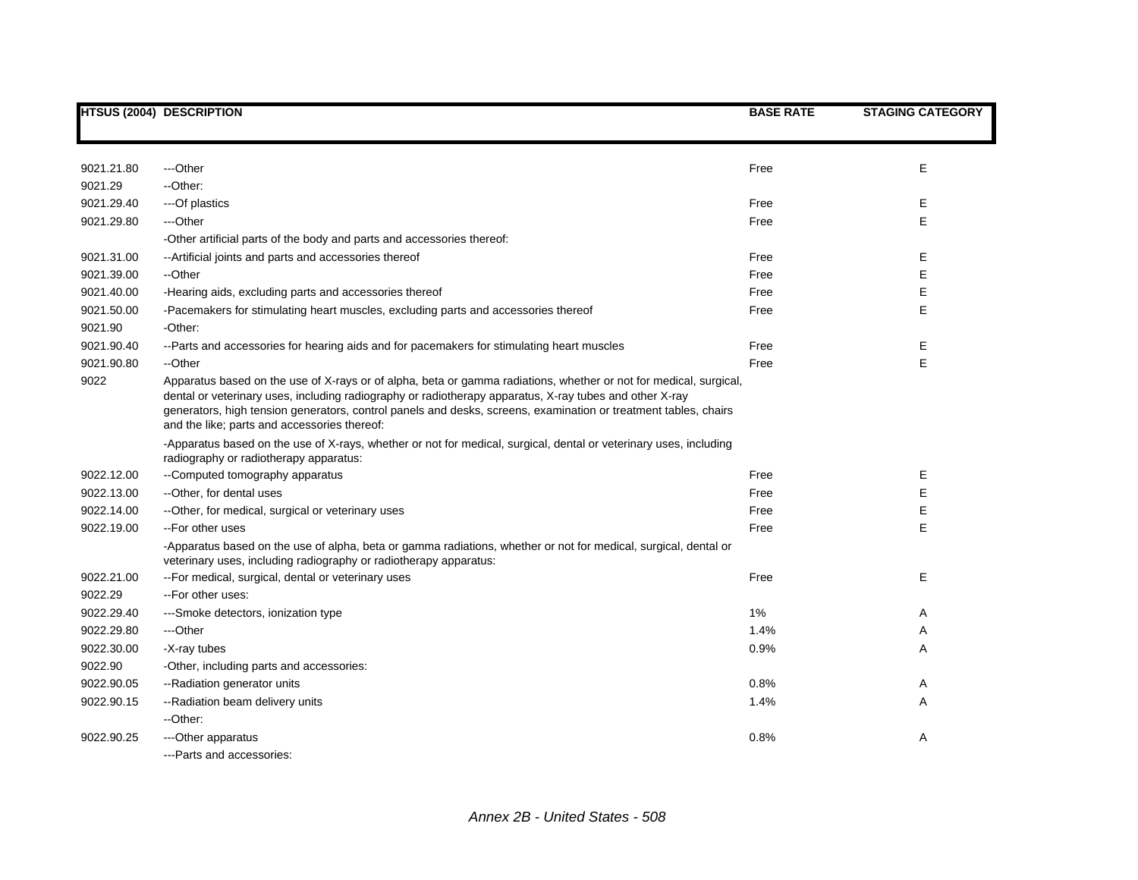|            | <b>HTSUS (2004) DESCRIPTION</b>                                                                                                                                                                                                                                                                                                                                                                 | <b>BASE RATE</b> | <b>STAGING CATEGORY</b> |
|------------|-------------------------------------------------------------------------------------------------------------------------------------------------------------------------------------------------------------------------------------------------------------------------------------------------------------------------------------------------------------------------------------------------|------------------|-------------------------|
|            |                                                                                                                                                                                                                                                                                                                                                                                                 |                  |                         |
| 9021.21.80 | ---Other                                                                                                                                                                                                                                                                                                                                                                                        | Free             | Е                       |
| 9021.29    | --Other:                                                                                                                                                                                                                                                                                                                                                                                        |                  |                         |
| 9021.29.40 | ---Of plastics                                                                                                                                                                                                                                                                                                                                                                                  | Free             | E                       |
| 9021.29.80 | ---Other                                                                                                                                                                                                                                                                                                                                                                                        | Free             | E                       |
|            | -Other artificial parts of the body and parts and accessories thereof:                                                                                                                                                                                                                                                                                                                          |                  |                         |
| 9021.31.00 | -- Artificial joints and parts and accessories thereof                                                                                                                                                                                                                                                                                                                                          | Free             | Е                       |
| 9021.39.00 | --Other                                                                                                                                                                                                                                                                                                                                                                                         | Free             | E                       |
| 9021.40.00 | -Hearing aids, excluding parts and accessories thereof                                                                                                                                                                                                                                                                                                                                          | Free             | E                       |
| 9021.50.00 | -Pacemakers for stimulating heart muscles, excluding parts and accessories thereof                                                                                                                                                                                                                                                                                                              | Free             | E                       |
| 9021.90    | -Other:                                                                                                                                                                                                                                                                                                                                                                                         |                  |                         |
| 9021.90.40 | --Parts and accessories for hearing aids and for pacemakers for stimulating heart muscles                                                                                                                                                                                                                                                                                                       | Free             | E                       |
| 9021.90.80 | --Other                                                                                                                                                                                                                                                                                                                                                                                         | Free             | E                       |
| 9022       | Apparatus based on the use of X-rays or of alpha, beta or gamma radiations, whether or not for medical, surgical,<br>dental or veterinary uses, including radiography or radiotherapy apparatus, X-ray tubes and other X-ray<br>generators, high tension generators, control panels and desks, screens, examination or treatment tables, chairs<br>and the like; parts and accessories thereof: |                  |                         |
|            | -Apparatus based on the use of X-rays, whether or not for medical, surgical, dental or veterinary uses, including<br>radiography or radiotherapy apparatus:                                                                                                                                                                                                                                     |                  |                         |
| 9022.12.00 | --Computed tomography apparatus                                                                                                                                                                                                                                                                                                                                                                 | Free             | Е                       |
| 9022.13.00 | --Other, for dental uses                                                                                                                                                                                                                                                                                                                                                                        | Free             | Е                       |
| 9022.14.00 | --Other, for medical, surgical or veterinary uses                                                                                                                                                                                                                                                                                                                                               | Free             | Е                       |
| 9022.19.00 | --For other uses                                                                                                                                                                                                                                                                                                                                                                                | Free             | E                       |
|            | -Apparatus based on the use of alpha, beta or gamma radiations, whether or not for medical, surgical, dental or<br>veterinary uses, including radiography or radiotherapy apparatus:                                                                                                                                                                                                            |                  |                         |
| 9022.21.00 | -- For medical, surgical, dental or veterinary uses                                                                                                                                                                                                                                                                                                                                             | Free             | Е                       |
| 9022.29    | --For other uses:                                                                                                                                                                                                                                                                                                                                                                               |                  |                         |
| 9022.29.40 | ---Smoke detectors, ionization type                                                                                                                                                                                                                                                                                                                                                             | 1%               | Α                       |
| 9022.29.80 | ---Other                                                                                                                                                                                                                                                                                                                                                                                        | 1.4%             | Α                       |
| 9022.30.00 | -X-ray tubes                                                                                                                                                                                                                                                                                                                                                                                    | 0.9%             | A                       |
| 9022.90    | -Other, including parts and accessories:                                                                                                                                                                                                                                                                                                                                                        |                  |                         |
| 9022.90.05 | --Radiation generator units                                                                                                                                                                                                                                                                                                                                                                     | 0.8%             | Α                       |
| 9022.90.15 | --Radiation beam delivery units                                                                                                                                                                                                                                                                                                                                                                 | 1.4%             | Α                       |
|            | --Other:                                                                                                                                                                                                                                                                                                                                                                                        |                  |                         |
| 9022.90.25 | --- Other apparatus                                                                                                                                                                                                                                                                                                                                                                             | 0.8%             | Α                       |
|            | --- Parts and accessories:                                                                                                                                                                                                                                                                                                                                                                      |                  |                         |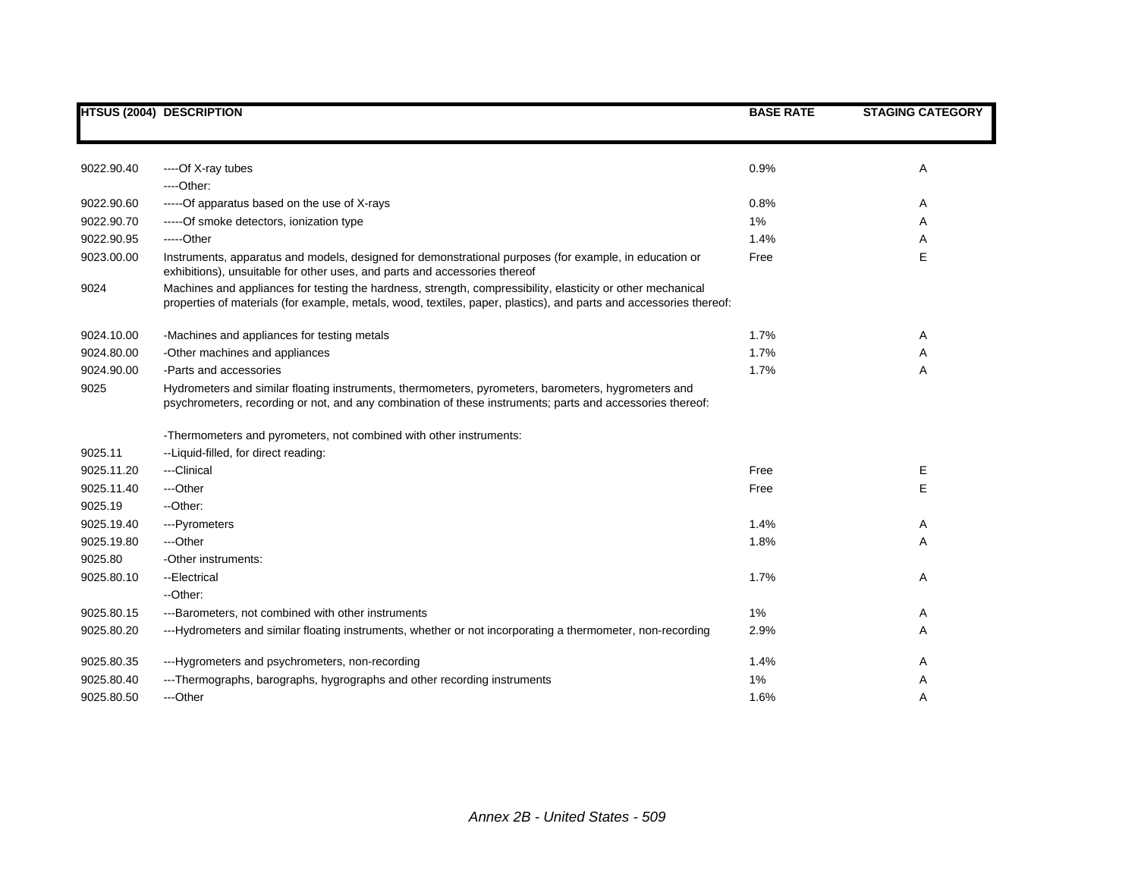|            | <b>HTSUS (2004) DESCRIPTION</b>                                                                                                                                                                                                   | <b>BASE RATE</b> | <b>STAGING CATEGORY</b> |
|------------|-----------------------------------------------------------------------------------------------------------------------------------------------------------------------------------------------------------------------------------|------------------|-------------------------|
|            |                                                                                                                                                                                                                                   |                  |                         |
| 9022.90.40 | ----Of X-ray tubes                                                                                                                                                                                                                | 0.9%             | Α                       |
|            | $---Other:$                                                                                                                                                                                                                       |                  |                         |
| 9022.90.60 | -----Of apparatus based on the use of X-rays                                                                                                                                                                                      | 0.8%             | Α                       |
| 9022.90.70 | -----Of smoke detectors, ionization type                                                                                                                                                                                          | 1%               | Α                       |
| 9022.90.95 | -----Other                                                                                                                                                                                                                        | 1.4%             | Α                       |
| 9023.00.00 | Instruments, apparatus and models, designed for demonstrational purposes (for example, in education or<br>exhibitions), unsuitable for other uses, and parts and accessories thereof                                              | Free             | Ε                       |
| 9024       | Machines and appliances for testing the hardness, strength, compressibility, elasticity or other mechanical<br>properties of materials (for example, metals, wood, textiles, paper, plastics), and parts and accessories thereof: |                  |                         |
| 9024.10.00 | -Machines and appliances for testing metals                                                                                                                                                                                       | 1.7%             | A                       |
| 9024.80.00 | -Other machines and appliances                                                                                                                                                                                                    | 1.7%             | Α                       |
| 9024.90.00 | -Parts and accessories                                                                                                                                                                                                            | 1.7%             | Α                       |
| 9025       | Hydrometers and similar floating instruments, thermometers, pyrometers, barometers, hygrometers and<br>psychrometers, recording or not, and any combination of these instruments; parts and accessories thereof:                  |                  |                         |
|            | -Thermometers and pyrometers, not combined with other instruments:                                                                                                                                                                |                  |                         |
| 9025.11    | --Liquid-filled, for direct reading:                                                                                                                                                                                              |                  |                         |
| 9025.11.20 | ---Clinical                                                                                                                                                                                                                       | Free             | Е                       |
| 9025.11.40 | ---Other                                                                                                                                                                                                                          | Free             | E                       |
| 9025.19    | -- Other:                                                                                                                                                                                                                         |                  |                         |
| 9025.19.40 | ---Pyrometers                                                                                                                                                                                                                     | 1.4%             | A                       |
| 9025.19.80 | ---Other                                                                                                                                                                                                                          | 1.8%             | Α                       |
| 9025.80    | -Other instruments:                                                                                                                                                                                                               |                  |                         |
| 9025.80.10 | --Electrical                                                                                                                                                                                                                      | 1.7%             | Α                       |
|            | --Other:                                                                                                                                                                                                                          |                  |                         |
| 9025.80.15 | ---Barometers, not combined with other instruments                                                                                                                                                                                | $1\%$            | A                       |
| 9025.80.20 | ---Hydrometers and similar floating instruments, whether or not incorporating a thermometer, non-recording                                                                                                                        | 2.9%             | Α                       |
| 9025.80.35 | ---Hygrometers and psychrometers, non-recording                                                                                                                                                                                   | 1.4%             | Α                       |
| 9025.80.40 | ---Thermographs, barographs, hygrographs and other recording instruments                                                                                                                                                          | 1%               | Α                       |
| 9025.80.50 | ---Other                                                                                                                                                                                                                          | 1.6%             | A                       |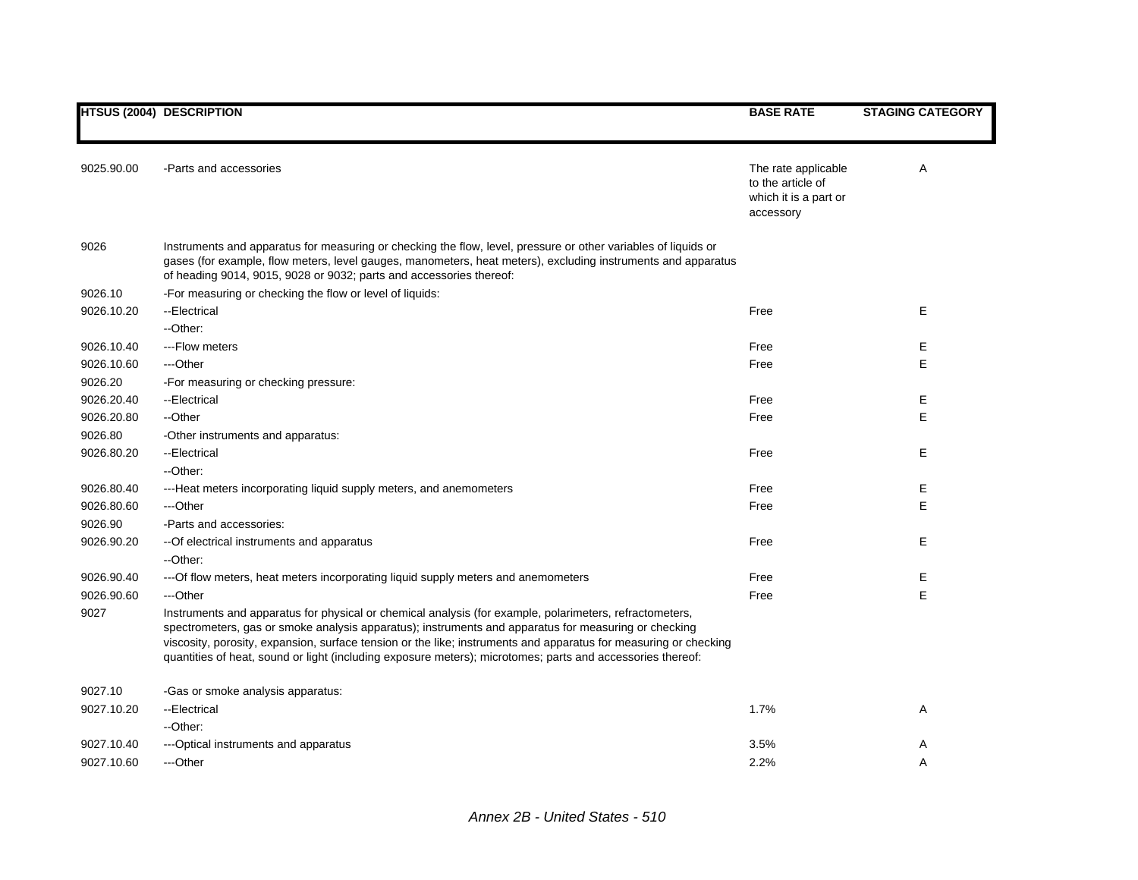|            | <b>HTSUS (2004) DESCRIPTION</b>                                                                                                                                                                                                                                                                                                                                                                                                                   | <b>BASE RATE</b>                                                               | <b>STAGING CATEGORY</b> |
|------------|---------------------------------------------------------------------------------------------------------------------------------------------------------------------------------------------------------------------------------------------------------------------------------------------------------------------------------------------------------------------------------------------------------------------------------------------------|--------------------------------------------------------------------------------|-------------------------|
| 9025.90.00 | -Parts and accessories                                                                                                                                                                                                                                                                                                                                                                                                                            | The rate applicable<br>to the article of<br>which it is a part or<br>accessory | Α                       |
| 9026       | Instruments and apparatus for measuring or checking the flow, level, pressure or other variables of liquids or<br>gases (for example, flow meters, level gauges, manometers, heat meters), excluding instruments and apparatus<br>of heading 9014, 9015, 9028 or 9032; parts and accessories thereof:                                                                                                                                             |                                                                                |                         |
| 9026.10    | -For measuring or checking the flow or level of liquids:                                                                                                                                                                                                                                                                                                                                                                                          |                                                                                |                         |
| 9026.10.20 | --Electrical<br>--Other:                                                                                                                                                                                                                                                                                                                                                                                                                          | Free                                                                           | E                       |
| 9026.10.40 | --- Flow meters                                                                                                                                                                                                                                                                                                                                                                                                                                   | Free                                                                           | Ε                       |
| 9026.10.60 | ---Other                                                                                                                                                                                                                                                                                                                                                                                                                                          | Free                                                                           | E                       |
| 9026.20    | -For measuring or checking pressure:                                                                                                                                                                                                                                                                                                                                                                                                              |                                                                                |                         |
| 9026.20.40 | --Electrical                                                                                                                                                                                                                                                                                                                                                                                                                                      | Free                                                                           | Е                       |
| 9026.20.80 | --Other                                                                                                                                                                                                                                                                                                                                                                                                                                           | Free                                                                           | Е                       |
| 9026.80    | -Other instruments and apparatus:                                                                                                                                                                                                                                                                                                                                                                                                                 |                                                                                |                         |
| 9026.80.20 | --Electrical                                                                                                                                                                                                                                                                                                                                                                                                                                      | Free                                                                           | Е                       |
|            | --Other:                                                                                                                                                                                                                                                                                                                                                                                                                                          |                                                                                |                         |
| 9026.80.40 | ---Heat meters incorporating liquid supply meters, and anemometers                                                                                                                                                                                                                                                                                                                                                                                | Free                                                                           | Е                       |
| 9026.80.60 | ---Other                                                                                                                                                                                                                                                                                                                                                                                                                                          | Free                                                                           | E                       |
| 9026.90    | -Parts and accessories:                                                                                                                                                                                                                                                                                                                                                                                                                           |                                                                                |                         |
| 9026.90.20 | -- Of electrical instruments and apparatus                                                                                                                                                                                                                                                                                                                                                                                                        | Free                                                                           | E                       |
|            | --Other:                                                                                                                                                                                                                                                                                                                                                                                                                                          |                                                                                |                         |
| 9026.90.40 | ---Of flow meters, heat meters incorporating liquid supply meters and anemometers                                                                                                                                                                                                                                                                                                                                                                 | Free                                                                           | Е                       |
| 9026.90.60 | ---Other                                                                                                                                                                                                                                                                                                                                                                                                                                          | Free                                                                           | E                       |
| 9027       | Instruments and apparatus for physical or chemical analysis (for example, polarimeters, refractometers,<br>spectrometers, gas or smoke analysis apparatus); instruments and apparatus for measuring or checking<br>viscosity, porosity, expansion, surface tension or the like; instruments and apparatus for measuring or checking<br>quantities of heat, sound or light (including exposure meters); microtomes; parts and accessories thereof: |                                                                                |                         |
| 9027.10    | -Gas or smoke analysis apparatus:                                                                                                                                                                                                                                                                                                                                                                                                                 |                                                                                |                         |
| 9027.10.20 | --Electrical                                                                                                                                                                                                                                                                                                                                                                                                                                      | 1.7%                                                                           | Α                       |
|            | --Other:                                                                                                                                                                                                                                                                                                                                                                                                                                          |                                                                                |                         |
| 9027.10.40 | ---Optical instruments and apparatus                                                                                                                                                                                                                                                                                                                                                                                                              | 3.5%                                                                           | A                       |
| 9027.10.60 | ---Other                                                                                                                                                                                                                                                                                                                                                                                                                                          | 2.2%                                                                           | A                       |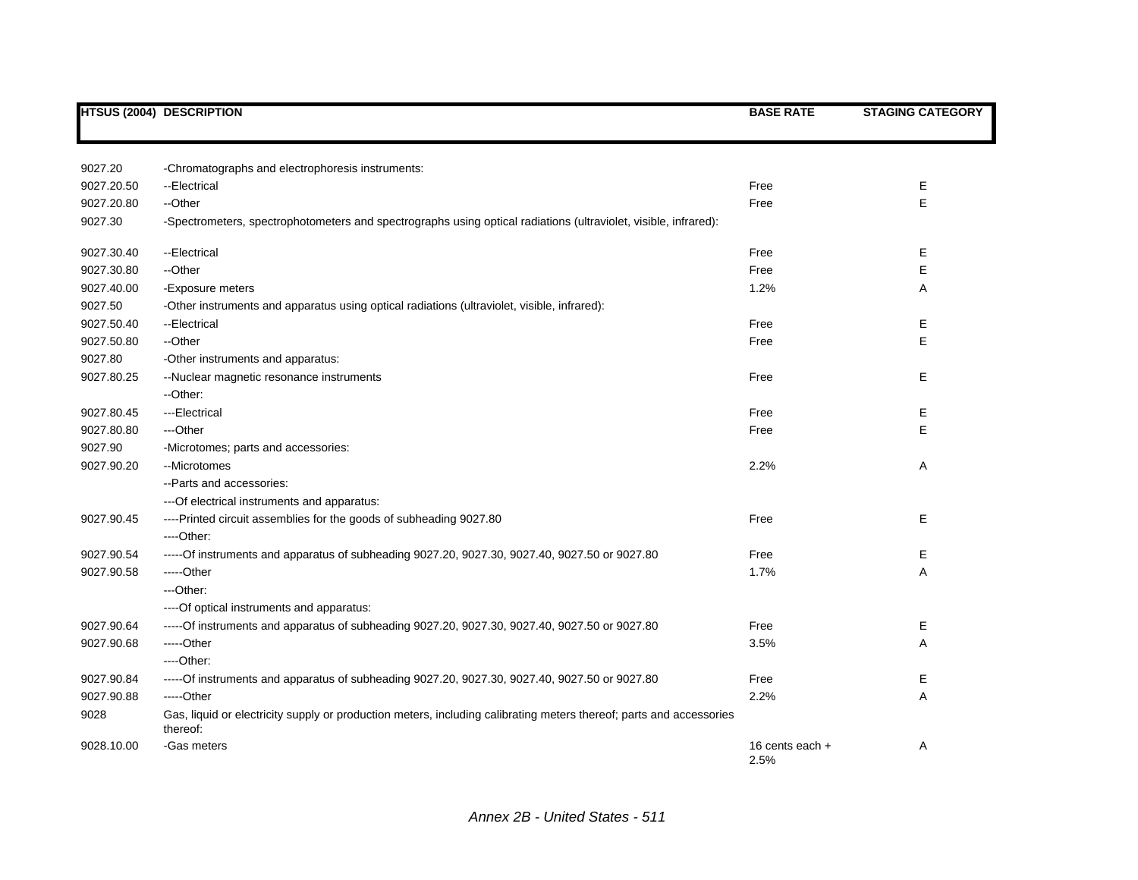|            | <b>HTSUS (2004) DESCRIPTION</b>                                                                                                 | <b>BASE RATE</b>        | <b>STAGING CATEGORY</b> |
|------------|---------------------------------------------------------------------------------------------------------------------------------|-------------------------|-------------------------|
|            |                                                                                                                                 |                         |                         |
|            |                                                                                                                                 |                         |                         |
| 9027.20    | -Chromatographs and electrophoresis instruments:                                                                                |                         |                         |
| 9027.20.50 | --Electrical                                                                                                                    | Free                    | E                       |
| 9027.20.80 | --Other                                                                                                                         | Free                    | E                       |
| 9027.30    | -Spectrometers, spectrophotometers and spectrographs using optical radiations (ultraviolet, visible, infrared):                 |                         |                         |
| 9027.30.40 | --Electrical                                                                                                                    | Free                    | Е                       |
| 9027.30.80 | --Other                                                                                                                         | Free                    | E                       |
| 9027.40.00 | -Exposure meters                                                                                                                | 1.2%                    | A                       |
| 9027.50    | -Other instruments and apparatus using optical radiations (ultraviolet, visible, infrared):                                     |                         |                         |
| 9027.50.40 | --Electrical                                                                                                                    | Free                    | Е                       |
| 9027.50.80 | --Other                                                                                                                         | Free                    | E                       |
| 9027.80    | -Other instruments and apparatus:                                                                                               |                         |                         |
| 9027.80.25 | --Nuclear magnetic resonance instruments                                                                                        | Free                    | E                       |
|            | --Other:                                                                                                                        |                         |                         |
| 9027.80.45 | ---Electrical                                                                                                                   | Free                    | Е                       |
| 9027.80.80 | ---Other                                                                                                                        | Free                    | E                       |
| 9027.90    | -Microtomes; parts and accessories:                                                                                             |                         |                         |
| 9027.90.20 | --Microtomes                                                                                                                    | 2.2%                    | Α                       |
|            | -- Parts and accessories:                                                                                                       |                         |                         |
|            | --- Of electrical instruments and apparatus:                                                                                    |                         |                         |
| 9027.90.45 | ----Printed circuit assemblies for the goods of subheading 9027.80                                                              | Free                    | Е                       |
|            | ----Other:                                                                                                                      |                         |                         |
| 9027.90.54 | -----Of instruments and apparatus of subheading 9027.20, 9027.30, 9027.40, 9027.50 or 9027.80                                   | Free                    | Е                       |
| 9027.90.58 | -----Other                                                                                                                      | 1.7%                    | A                       |
|            | ---Other:                                                                                                                       |                         |                         |
|            | ---- Of optical instruments and apparatus:                                                                                      |                         |                         |
| 9027.90.64 | -----Of instruments and apparatus of subheading 9027.20, 9027.30, 9027.40, 9027.50 or 9027.80                                   | Free                    | Ε                       |
| 9027.90.68 | $---Other$                                                                                                                      | 3.5%                    | A                       |
|            | $---Other:$                                                                                                                     |                         |                         |
| 9027.90.84 | -----Of instruments and apparatus of subheading 9027.20, 9027.30, 9027.40, 9027.50 or 9027.80                                   | Free                    | Е                       |
| 9027.90.88 | -----Other                                                                                                                      | 2.2%                    | A                       |
| 9028       | Gas, liquid or electricity supply or production meters, including calibrating meters thereof; parts and accessories<br>thereof: |                         |                         |
| 9028.10.00 | -Gas meters                                                                                                                     | 16 cents each +<br>2.5% | Α                       |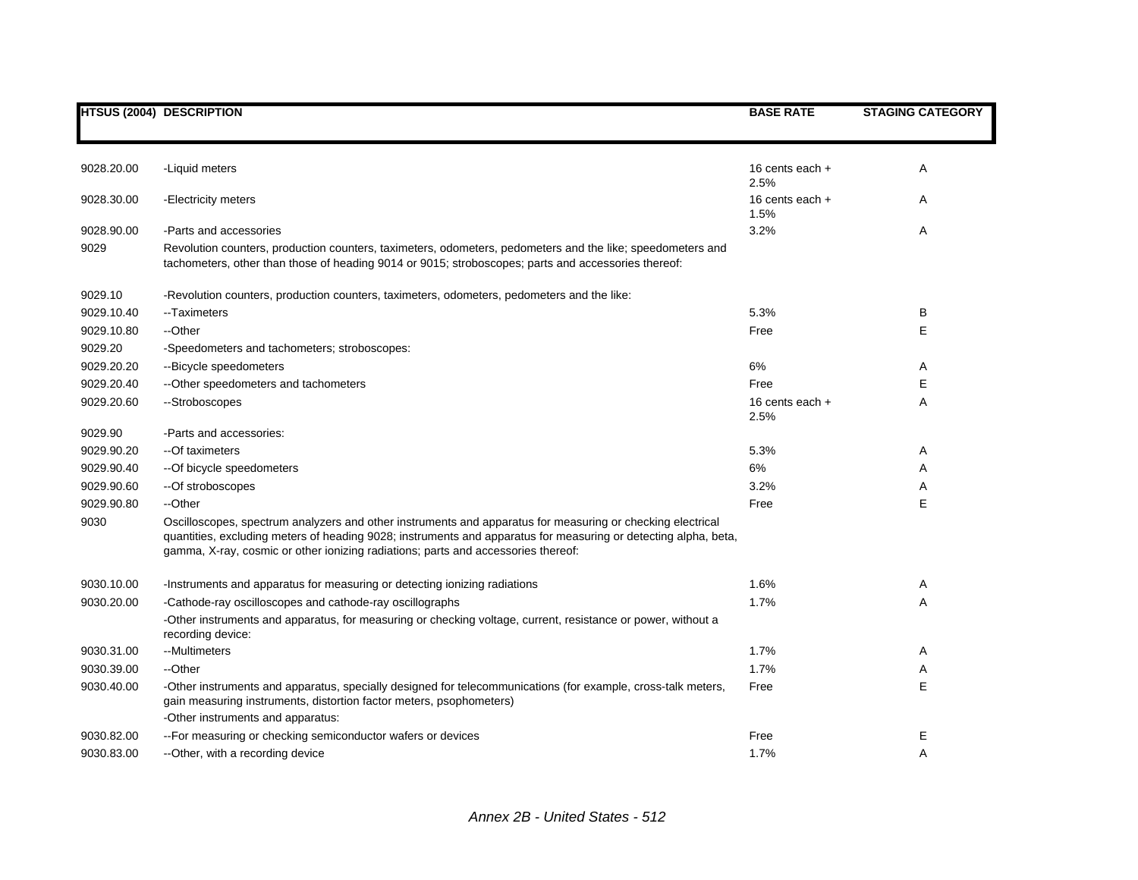|            | <b>HTSUS (2004) DESCRIPTION</b>                                                                                                                                                                                                                                                                                    | <b>BASE RATE</b>                | <b>STAGING CATEGORY</b> |
|------------|--------------------------------------------------------------------------------------------------------------------------------------------------------------------------------------------------------------------------------------------------------------------------------------------------------------------|---------------------------------|-------------------------|
| 9028.20.00 | -Liquid meters                                                                                                                                                                                                                                                                                                     | 16 cents each +                 | A                       |
| 9028.30.00 | -Electricity meters                                                                                                                                                                                                                                                                                                | 2.5%<br>16 cents each +<br>1.5% | Α                       |
| 9028.90.00 | -Parts and accessories                                                                                                                                                                                                                                                                                             | 3.2%                            | A                       |
| 9029       | Revolution counters, production counters, taximeters, odometers, pedometers and the like; speedometers and<br>tachometers, other than those of heading 9014 or 9015; stroboscopes; parts and accessories thereof:                                                                                                  |                                 |                         |
| 9029.10    | -Revolution counters, production counters, taximeters, odometers, pedometers and the like:                                                                                                                                                                                                                         |                                 |                         |
| 9029.10.40 | --Taximeters                                                                                                                                                                                                                                                                                                       | 5.3%                            | В                       |
| 9029.10.80 | --Other                                                                                                                                                                                                                                                                                                            | Free                            | E                       |
| 9029.20    | -Speedometers and tachometers; stroboscopes:                                                                                                                                                                                                                                                                       |                                 |                         |
| 9029.20.20 | --Bicycle speedometers                                                                                                                                                                                                                                                                                             | 6%                              | A                       |
| 9029.20.40 | -- Other speedometers and tachometers                                                                                                                                                                                                                                                                              | Free                            | Е                       |
| 9029.20.60 | --Stroboscopes                                                                                                                                                                                                                                                                                                     | 16 cents each +<br>2.5%         | A                       |
| 9029.90    | -Parts and accessories:                                                                                                                                                                                                                                                                                            |                                 |                         |
| 9029.90.20 | --Of taximeters                                                                                                                                                                                                                                                                                                    | 5.3%                            | A                       |
| 9029.90.40 | -- Of bicycle speedometers                                                                                                                                                                                                                                                                                         | 6%                              | Α                       |
| 9029.90.60 | --Of stroboscopes                                                                                                                                                                                                                                                                                                  | 3.2%                            | Α                       |
| 9029.90.80 | --Other                                                                                                                                                                                                                                                                                                            | Free                            | E                       |
| 9030       | Oscilloscopes, spectrum analyzers and other instruments and apparatus for measuring or checking electrical<br>quantities, excluding meters of heading 9028; instruments and apparatus for measuring or detecting alpha, beta,<br>gamma, X-ray, cosmic or other ionizing radiations; parts and accessories thereof: |                                 |                         |
| 9030.10.00 | -Instruments and apparatus for measuring or detecting ionizing radiations                                                                                                                                                                                                                                          | 1.6%                            | Α                       |
| 9030.20.00 | -Cathode-ray oscilloscopes and cathode-ray oscillographs                                                                                                                                                                                                                                                           | 1.7%                            | Α                       |
|            | -Other instruments and apparatus, for measuring or checking voltage, current, resistance or power, without a<br>recording device:                                                                                                                                                                                  |                                 |                         |
| 9030.31.00 | --Multimeters                                                                                                                                                                                                                                                                                                      | 1.7%                            | Α                       |
| 9030.39.00 | --Other                                                                                                                                                                                                                                                                                                            | 1.7%                            | A                       |
| 9030.40.00 | -Other instruments and apparatus, specially designed for telecommunications (for example, cross-talk meters,<br>gain measuring instruments, distortion factor meters, psophometers)                                                                                                                                | Free                            | E                       |
|            | -Other instruments and apparatus:                                                                                                                                                                                                                                                                                  |                                 |                         |
| 9030.82.00 | -- For measuring or checking semiconductor wafers or devices                                                                                                                                                                                                                                                       | Free                            | Е                       |
| 9030.83.00 | --Other, with a recording device                                                                                                                                                                                                                                                                                   | 1.7%                            | A                       |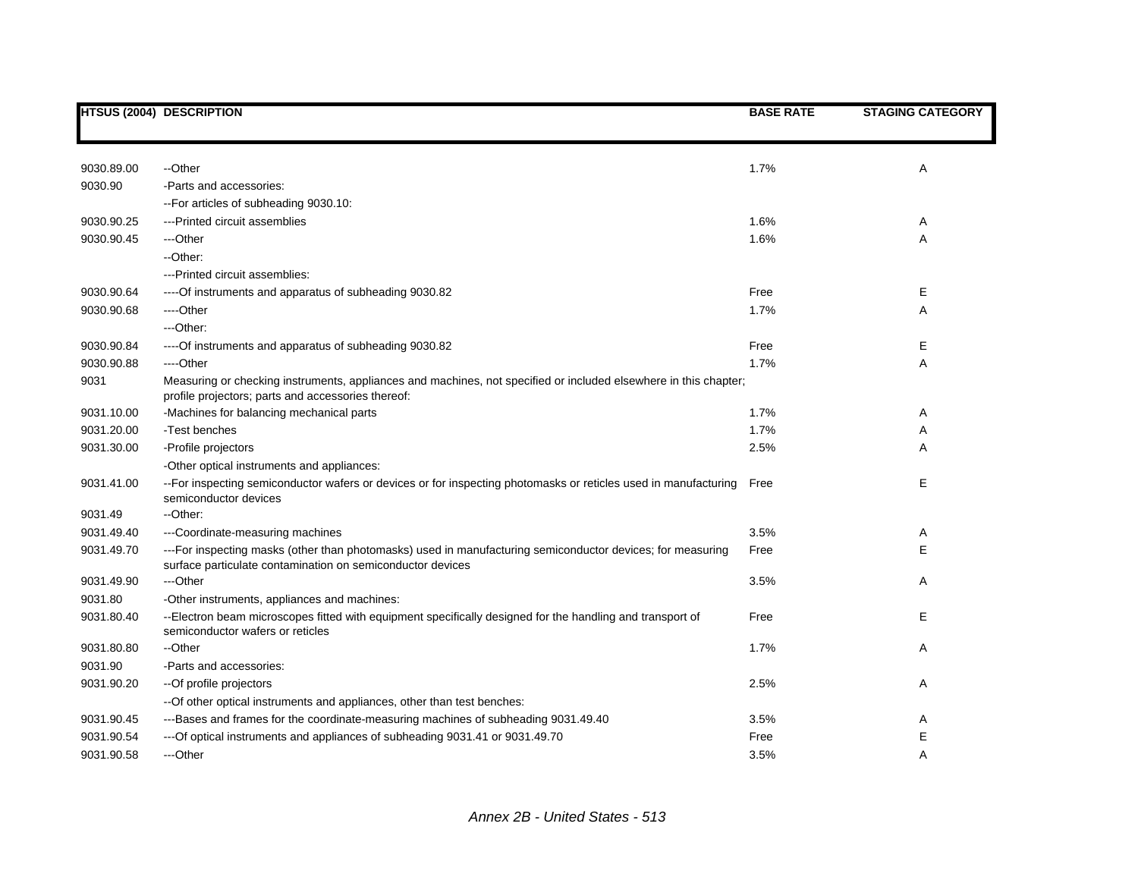|            | <b>HTSUS (2004) DESCRIPTION</b>                                                                                                                                          | <b>BASE RATE</b> | <b>STAGING CATEGORY</b> |
|------------|--------------------------------------------------------------------------------------------------------------------------------------------------------------------------|------------------|-------------------------|
|            |                                                                                                                                                                          |                  |                         |
| 9030.89.00 | --Other                                                                                                                                                                  | 1.7%             | Α                       |
| 9030.90    | -Parts and accessories:                                                                                                                                                  |                  |                         |
|            | -- For articles of subheading 9030.10:                                                                                                                                   |                  |                         |
| 9030.90.25 | ---Printed circuit assemblies                                                                                                                                            | 1.6%             | Α                       |
| 9030.90.45 | ---Other                                                                                                                                                                 | 1.6%             | Α                       |
|            | --Other:                                                                                                                                                                 |                  |                         |
|            | ---Printed circuit assemblies:                                                                                                                                           |                  |                         |
| 9030.90.64 | ---- Of instruments and apparatus of subheading 9030.82                                                                                                                  | Free             | Е                       |
| 9030.90.68 | ----Other                                                                                                                                                                | 1.7%             | Α                       |
|            | ---Other:                                                                                                                                                                |                  |                         |
| 9030.90.84 | ---- Of instruments and apparatus of subheading 9030.82                                                                                                                  | Free             | Е                       |
| 9030.90.88 | ----Other                                                                                                                                                                | 1.7%             | Α                       |
| 9031       | Measuring or checking instruments, appliances and machines, not specified or included elsewhere in this chapter;<br>profile projectors; parts and accessories thereof:   |                  |                         |
| 9031.10.00 | -Machines for balancing mechanical parts                                                                                                                                 | 1.7%             | A                       |
| 9031.20.00 | -Test benches                                                                                                                                                            | 1.7%             | Α                       |
| 9031.30.00 | -Profile projectors                                                                                                                                                      | 2.5%             | A                       |
|            | -Other optical instruments and appliances:                                                                                                                               |                  |                         |
| 9031.41.00 | -- For inspecting semiconductor wafers or devices or for inspecting photomasks or reticles used in manufacturing<br>semiconductor devices                                | Free             | Е                       |
| 9031.49    | --Other:                                                                                                                                                                 |                  |                         |
| 9031.49.40 | ---Coordinate-measuring machines                                                                                                                                         | 3.5%             | Α                       |
| 9031.49.70 | ---For inspecting masks (other than photomasks) used in manufacturing semiconductor devices; for measuring<br>surface particulate contamination on semiconductor devices | Free             | E                       |
| 9031.49.90 | ---Other                                                                                                                                                                 | 3.5%             | Α                       |
| 9031.80    | -Other instruments, appliances and machines:                                                                                                                             |                  |                         |
| 9031.80.40 | --Electron beam microscopes fitted with equipment specifically designed for the handling and transport of<br>semiconductor wafers or reticles                            | Free             | Е                       |
| 9031.80.80 | --Other                                                                                                                                                                  | 1.7%             | Α                       |
| 9031.90    | -Parts and accessories:                                                                                                                                                  |                  |                         |
| 9031.90.20 | --Of profile projectors                                                                                                                                                  | 2.5%             | Α                       |
|            | -- Of other optical instruments and appliances, other than test benches:                                                                                                 |                  |                         |
| 9031.90.45 | ---Bases and frames for the coordinate-measuring machines of subheading 9031.49.40                                                                                       | 3.5%             | A                       |
| 9031.90.54 | --- Of optical instruments and appliances of subheading 9031.41 or 9031.49.70                                                                                            | Free             | E                       |
| 9031.90.58 | ---Other                                                                                                                                                                 | 3.5%             | A                       |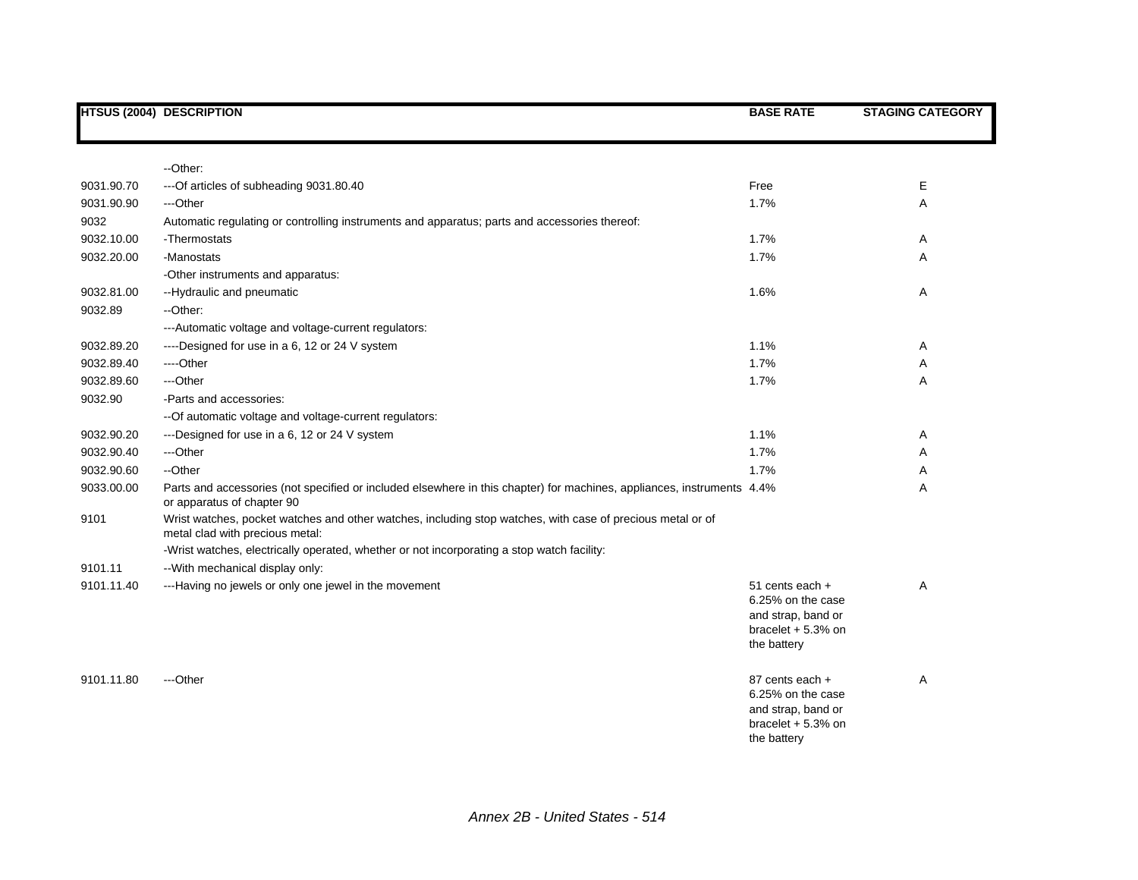|            | <b>HTSUS (2004) DESCRIPTION</b>                                                                                                                      | <b>BASE RATE</b>                                                                                 | <b>STAGING CATEGORY</b> |
|------------|------------------------------------------------------------------------------------------------------------------------------------------------------|--------------------------------------------------------------------------------------------------|-------------------------|
|            |                                                                                                                                                      |                                                                                                  |                         |
|            | --Other:                                                                                                                                             |                                                                                                  |                         |
| 9031.90.70 | --- Of articles of subheading 9031.80.40                                                                                                             | Free                                                                                             | Е                       |
| 9031.90.90 | ---Other                                                                                                                                             | 1.7%                                                                                             | Α                       |
| 9032       | Automatic regulating or controlling instruments and apparatus; parts and accessories thereof:                                                        |                                                                                                  |                         |
| 9032.10.00 | -Thermostats                                                                                                                                         | 1.7%                                                                                             | Α                       |
| 9032.20.00 | -Manostats                                                                                                                                           | 1.7%                                                                                             | Α                       |
|            | -Other instruments and apparatus:                                                                                                                    |                                                                                                  |                         |
| 9032.81.00 | --Hydraulic and pneumatic                                                                                                                            | 1.6%                                                                                             | Α                       |
| 9032.89    | -- Other:                                                                                                                                            |                                                                                                  |                         |
|            | --- Automatic voltage and voltage-current regulators:                                                                                                |                                                                                                  |                         |
| 9032.89.20 | ----Designed for use in a 6, 12 or 24 V system                                                                                                       | 1.1%                                                                                             | Α                       |
| 9032.89.40 | ----Other                                                                                                                                            | 1.7%                                                                                             | Α                       |
| 9032.89.60 | ---Other                                                                                                                                             | 1.7%                                                                                             | Α                       |
| 9032.90    | -Parts and accessories:                                                                                                                              |                                                                                                  |                         |
|            | -- Of automatic voltage and voltage-current regulators:                                                                                              |                                                                                                  |                         |
| 9032.90.20 | ---Designed for use in a 6, 12 or 24 V system                                                                                                        | 1.1%                                                                                             | Α                       |
| 9032.90.40 | ---Other                                                                                                                                             | 1.7%                                                                                             | Α                       |
| 9032.90.60 | --Other                                                                                                                                              | 1.7%                                                                                             | Α                       |
| 9033.00.00 | Parts and accessories (not specified or included elsewhere in this chapter) for machines, appliances, instruments 4.4%<br>or apparatus of chapter 90 |                                                                                                  | Α                       |
| 9101       | Wrist watches, pocket watches and other watches, including stop watches, with case of precious metal or of<br>metal clad with precious metal:        |                                                                                                  |                         |
|            | -Wrist watches, electrically operated, whether or not incorporating a stop watch facility:                                                           |                                                                                                  |                         |
| 9101.11    | -- With mechanical display only:                                                                                                                     |                                                                                                  |                         |
| 9101.11.40 | ---Having no jewels or only one jewel in the movement                                                                                                | 51 cents each +<br>6.25% on the case<br>and strap, band or<br>bracelet $+5.3%$ on<br>the battery | Α                       |
| 9101.11.80 | ---Other                                                                                                                                             | 87 cents each +<br>6.25% on the case<br>and strap, band or<br>bracelet $+5.3%$ on<br>the battery | Α                       |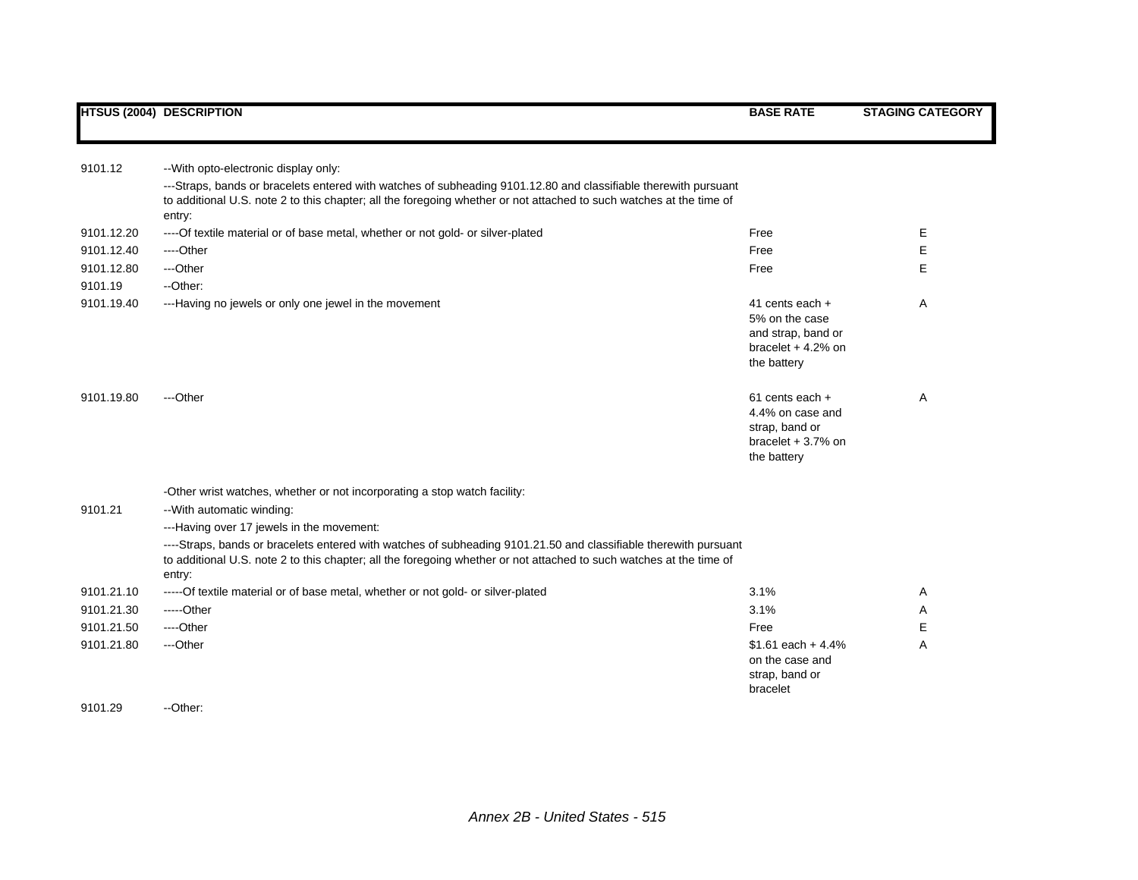| 9101.12    | -- With opto-electronic display only:                                                                                         |                                   |   |
|------------|-------------------------------------------------------------------------------------------------------------------------------|-----------------------------------|---|
|            | ---Straps, bands or bracelets entered with watches of subheading 9101.12.80 and classifiable therewith pursuant               |                                   |   |
|            | to additional U.S. note 2 to this chapter; all the foregoing whether or not attached to such watches at the time of<br>entry: |                                   |   |
| 9101.12.20 | ---- Of textile material or of base metal, whether or not gold- or silver-plated                                              | Free                              | Е |
| 9101.12.40 | ----Other                                                                                                                     | Free                              | Е |
| 9101.12.80 | ---Other                                                                                                                      | Free                              | E |
| 9101.19    | --Other:                                                                                                                      |                                   |   |
| 9101.19.40 | ---Having no jewels or only one jewel in the movement                                                                         | 41 cents each $+$                 | A |
|            |                                                                                                                               | 5% on the case                    |   |
|            |                                                                                                                               | and strap, band or                |   |
|            |                                                                                                                               | bracelet $+4.2%$ on               |   |
|            |                                                                                                                               | the battery                       |   |
| 9101.19.80 | ---Other                                                                                                                      | 61 cents each +                   | A |
|            |                                                                                                                               | 4.4% on case and                  |   |
|            |                                                                                                                               | strap, band or                    |   |
|            |                                                                                                                               | bracelet $+3.7%$ on               |   |
|            |                                                                                                                               | the battery                       |   |
|            | -Other wrist watches, whether or not incorporating a stop watch facility:                                                     |                                   |   |
| 9101.21    | -- With automatic winding:                                                                                                    |                                   |   |
|            | ---Having over 17 jewels in the movement:                                                                                     |                                   |   |
|            | ----Straps, bands or bracelets entered with watches of subheading 9101.21.50 and classifiable therewith pursuant              |                                   |   |
|            | to additional U.S. note 2 to this chapter; all the foregoing whether or not attached to such watches at the time of           |                                   |   |
|            | entry:                                                                                                                        |                                   |   |
| 9101.21.10 | ----- Of textile material or of base metal, whether or not gold- or silver-plated                                             | 3.1%                              | A |
| 9101.21.30 | $---Other$                                                                                                                    | 3.1%                              | A |
| 9101.21.50 | ----Other                                                                                                                     | Free                              | Е |
| 9101.21.80 | ---Other                                                                                                                      | \$1.61 each $+4.4%$               | A |
|            |                                                                                                                               | on the case and<br>strap, band or |   |
|            |                                                                                                                               | bracelet                          |   |
|            |                                                                                                                               |                                   |   |

## 9101.29 -- Other: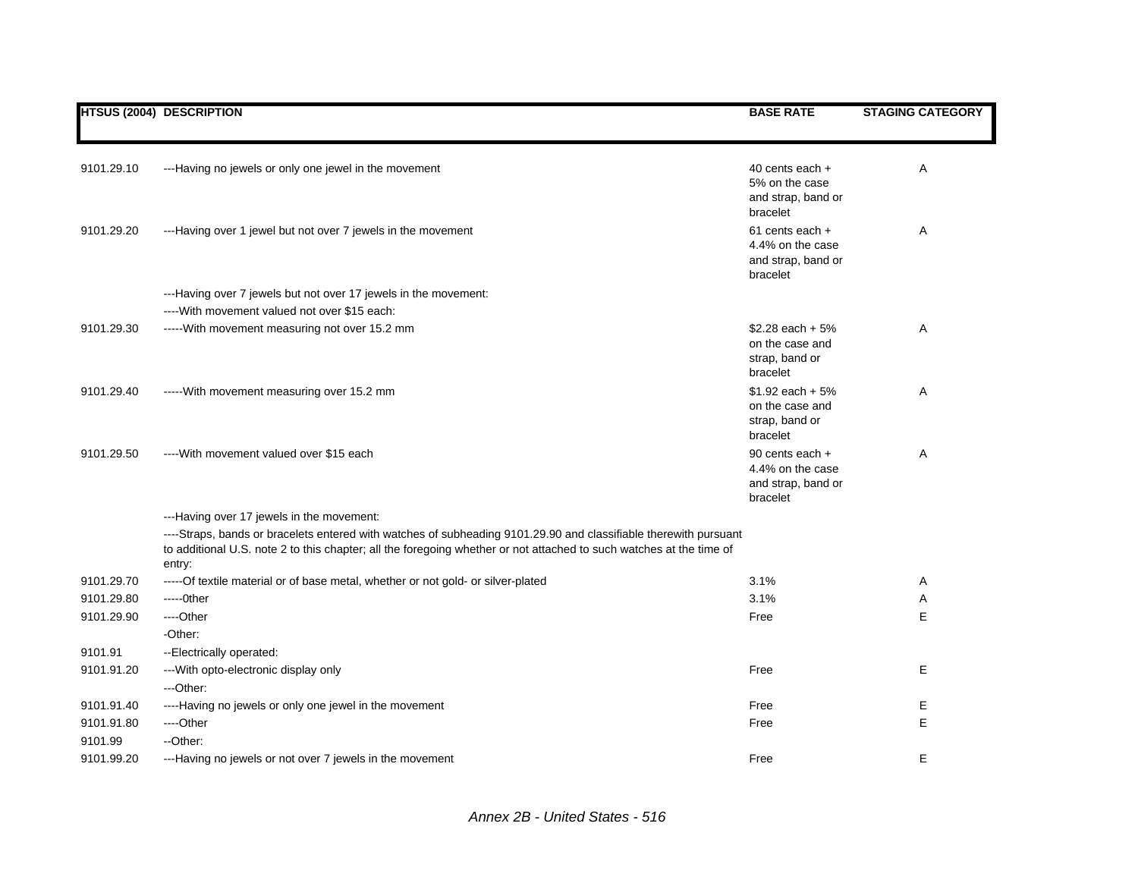|            | <b>HTSUS (2004) DESCRIPTION</b>                                                                                                                                                                                                                   | <b>BASE RATE</b>                                                      | <b>STAGING CATEGORY</b> |
|------------|---------------------------------------------------------------------------------------------------------------------------------------------------------------------------------------------------------------------------------------------------|-----------------------------------------------------------------------|-------------------------|
|            |                                                                                                                                                                                                                                                   |                                                                       |                         |
| 9101.29.10 | ---Having no jewels or only one jewel in the movement                                                                                                                                                                                             | 40 cents each +<br>5% on the case<br>and strap, band or<br>bracelet   | Α                       |
| 9101.29.20 | ---Having over 1 jewel but not over 7 jewels in the movement                                                                                                                                                                                      | 61 cents each +<br>4.4% on the case<br>and strap, band or<br>bracelet | Α                       |
|            | ---Having over 7 jewels but not over 17 jewels in the movement:                                                                                                                                                                                   |                                                                       |                         |
|            | ---- With movement valued not over \$15 each:                                                                                                                                                                                                     |                                                                       |                         |
| 9101.29.30 | ----- With movement measuring not over 15.2 mm                                                                                                                                                                                                    | $$2.28$ each + 5%<br>on the case and<br>strap, band or<br>bracelet    | A                       |
| 9101.29.40 | ----- With movement measuring over 15.2 mm                                                                                                                                                                                                        | $$1.92$ each + 5%<br>on the case and<br>strap, band or<br>bracelet    | A                       |
| 9101.29.50 | ---- With movement valued over \$15 each                                                                                                                                                                                                          | 90 cents each +<br>4.4% on the case<br>and strap, band or<br>bracelet | A                       |
|            | ---Having over 17 jewels in the movement:                                                                                                                                                                                                         |                                                                       |                         |
|            | ----Straps, bands or bracelets entered with watches of subheading 9101.29.90 and classifiable therewith pursuant<br>to additional U.S. note 2 to this chapter; all the foregoing whether or not attached to such watches at the time of<br>entry: |                                                                       |                         |
| 9101.29.70 | ----- Of textile material or of base metal, whether or not gold- or silver-plated                                                                                                                                                                 | 3.1%                                                                  | Α                       |
| 9101.29.80 | $---Other$                                                                                                                                                                                                                                        | 3.1%                                                                  | Α                       |
| 9101.29.90 | ----Other<br>-Other:                                                                                                                                                                                                                              | Free                                                                  | E                       |
| 9101.91    | --Electrically operated:                                                                                                                                                                                                                          |                                                                       |                         |
| 9101.91.20 | --- With opto-electronic display only<br>---Other:                                                                                                                                                                                                | Free                                                                  | Е                       |
| 9101.91.40 | ----Having no jewels or only one jewel in the movement                                                                                                                                                                                            | Free                                                                  | Е                       |
| 9101.91.80 | ----Other                                                                                                                                                                                                                                         | Free                                                                  | E                       |
| 9101.99    | --Other:                                                                                                                                                                                                                                          |                                                                       |                         |
| 9101.99.20 | ---Having no jewels or not over 7 jewels in the movement                                                                                                                                                                                          | Free                                                                  | E                       |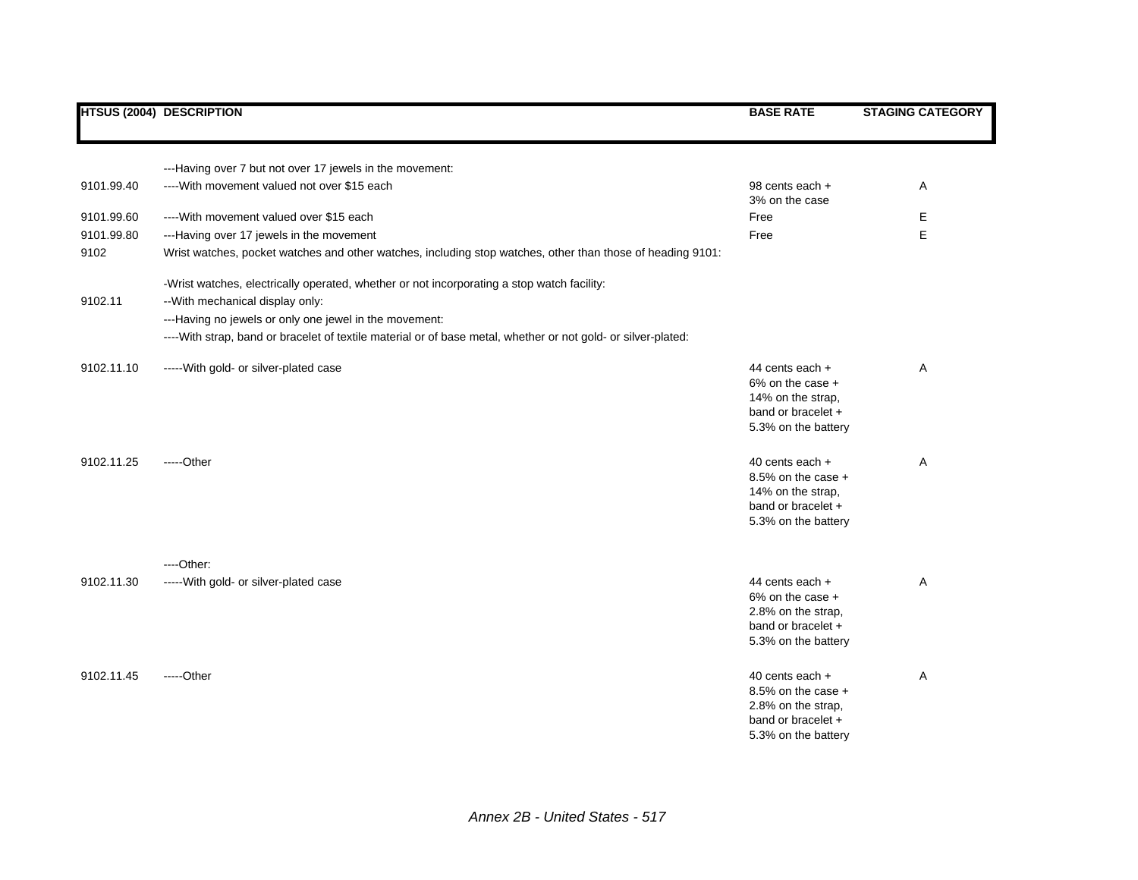|            | <b>HTSUS (2004) DESCRIPTION</b>                                                                                                                                                          | <b>BASE RATE</b>                                                                                          | <b>STAGING CATEGORY</b> |
|------------|------------------------------------------------------------------------------------------------------------------------------------------------------------------------------------------|-----------------------------------------------------------------------------------------------------------|-------------------------|
|            | ---Having over 7 but not over 17 jewels in the movement:                                                                                                                                 |                                                                                                           |                         |
| 9101.99.40 | ---- With movement valued not over \$15 each                                                                                                                                             | 98 cents each +<br>3% on the case                                                                         | Α                       |
| 9101.99.60 | ---- With movement valued over \$15 each                                                                                                                                                 | Free                                                                                                      | Е                       |
| 9101.99.80 | ---Having over 17 jewels in the movement                                                                                                                                                 | Free                                                                                                      | E                       |
| 9102       | Wrist watches, pocket watches and other watches, including stop watches, other than those of heading 9101:                                                                               |                                                                                                           |                         |
| 9102.11    | -Wrist watches, electrically operated, whether or not incorporating a stop watch facility:<br>-- With mechanical display only:<br>---Having no jewels or only one jewel in the movement: |                                                                                                           |                         |
|            | ----With strap, band or bracelet of textile material or of base metal, whether or not gold- or silver-plated:                                                                            |                                                                                                           |                         |
| 9102.11.10 | ----- With gold- or silver-plated case                                                                                                                                                   | 44 cents each +<br>6% on the case +<br>14% on the strap,<br>band or bracelet +<br>5.3% on the battery     | Α                       |
| 9102.11.25 | $---Other$                                                                                                                                                                               | 40 cents each +<br>8.5% on the case $+$<br>14% on the strap,<br>band or bracelet +<br>5.3% on the battery | A                       |
| 9102.11.30 | $---Other:$<br>----- With gold- or silver-plated case                                                                                                                                    | 44 cents each +                                                                                           | Α                       |
|            |                                                                                                                                                                                          | $6\%$ on the case $+$<br>2.8% on the strap,<br>band or bracelet +<br>5.3% on the battery                  |                         |
| 9102.11.45 | -----Other                                                                                                                                                                               | 40 cents each +<br>8.5% on the case +<br>2.8% on the strap,<br>band or bracelet +<br>5.3% on the battery  | Α                       |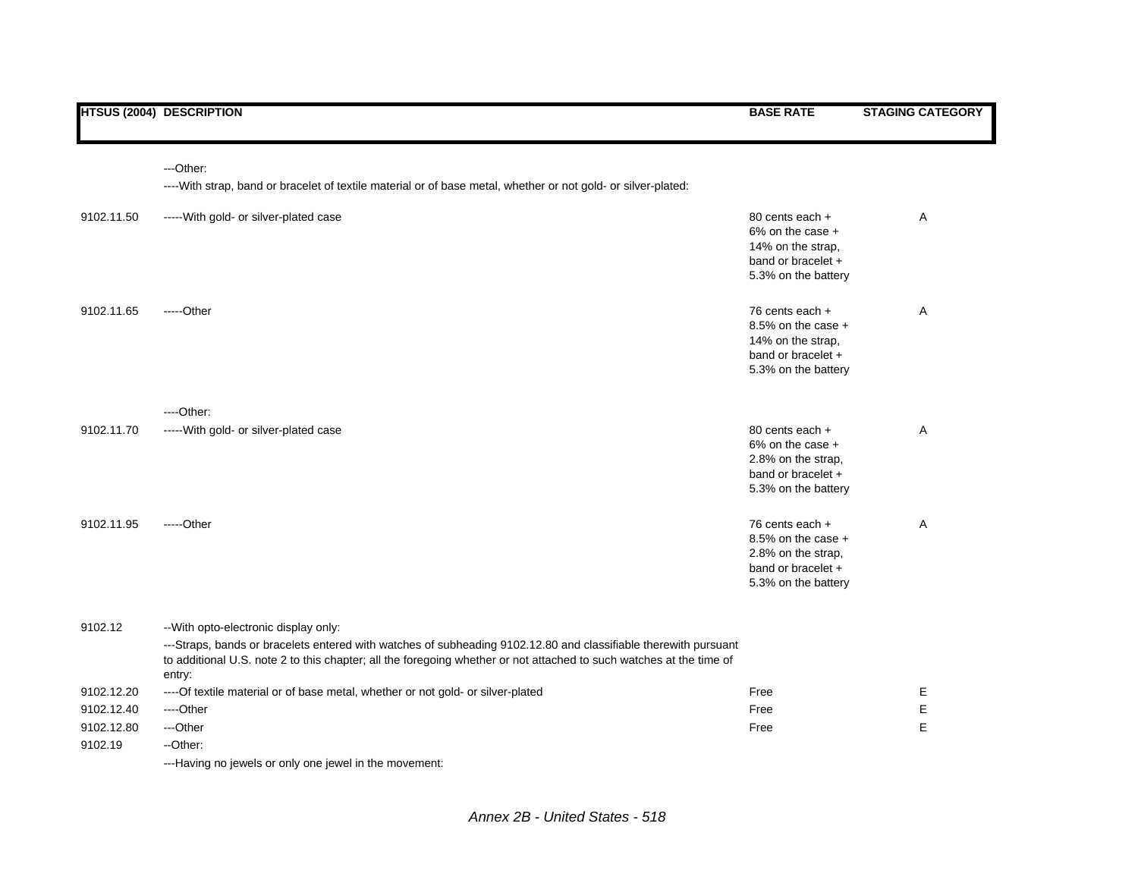|            | ---Other:                                                                                                                                                                                                                                                                                 |                                                                                                            |   |
|------------|-------------------------------------------------------------------------------------------------------------------------------------------------------------------------------------------------------------------------------------------------------------------------------------------|------------------------------------------------------------------------------------------------------------|---|
|            | ----With strap, band or bracelet of textile material or of base metal, whether or not gold- or silver-plated:                                                                                                                                                                             |                                                                                                            |   |
| 9102.11.50 | ----- With gold- or silver-plated case                                                                                                                                                                                                                                                    | 80 cents each +<br>$6\%$ on the case $+$<br>14% on the strap.<br>band or bracelet +<br>5.3% on the battery | A |
| 9102.11.65 | $---Other$                                                                                                                                                                                                                                                                                | 76 cents each +<br>8.5% on the case $+$<br>14% on the strap.<br>band or bracelet +<br>5.3% on the battery  | Α |
|            | $---Other:$                                                                                                                                                                                                                                                                               |                                                                                                            |   |
| 9102.11.70 | ----- With gold- or silver-plated case                                                                                                                                                                                                                                                    | 80 cents each +<br>$6\%$ on the case +<br>2.8% on the strap,<br>band or bracelet +<br>5.3% on the battery  | Α |
| 9102.11.95 | $---Other$                                                                                                                                                                                                                                                                                | 76 cents each +<br>8.5% on the case $+$<br>2.8% on the strap,<br>band or bracelet +<br>5.3% on the battery | Α |
| 9102.12    | -- With opto-electronic display only:<br>---Straps, bands or bracelets entered with watches of subheading 9102.12.80 and classifiable therewith pursuant<br>to additional U.S. note 2 to this chapter; all the foregoing whether or not attached to such watches at the time of<br>entry: |                                                                                                            |   |
| 9102.12.20 | ---- Of textile material or of base metal, whether or not gold- or silver-plated                                                                                                                                                                                                          | Free                                                                                                       | Е |
| 9102.12.40 | ---Other                                                                                                                                                                                                                                                                                  | Free                                                                                                       | Е |
| 9102.12.80 | ---Other                                                                                                                                                                                                                                                                                  | Free                                                                                                       | E |
| 9102.19    | --Other:                                                                                                                                                                                                                                                                                  |                                                                                                            |   |

---Having no jewels or only one jewel in the movement: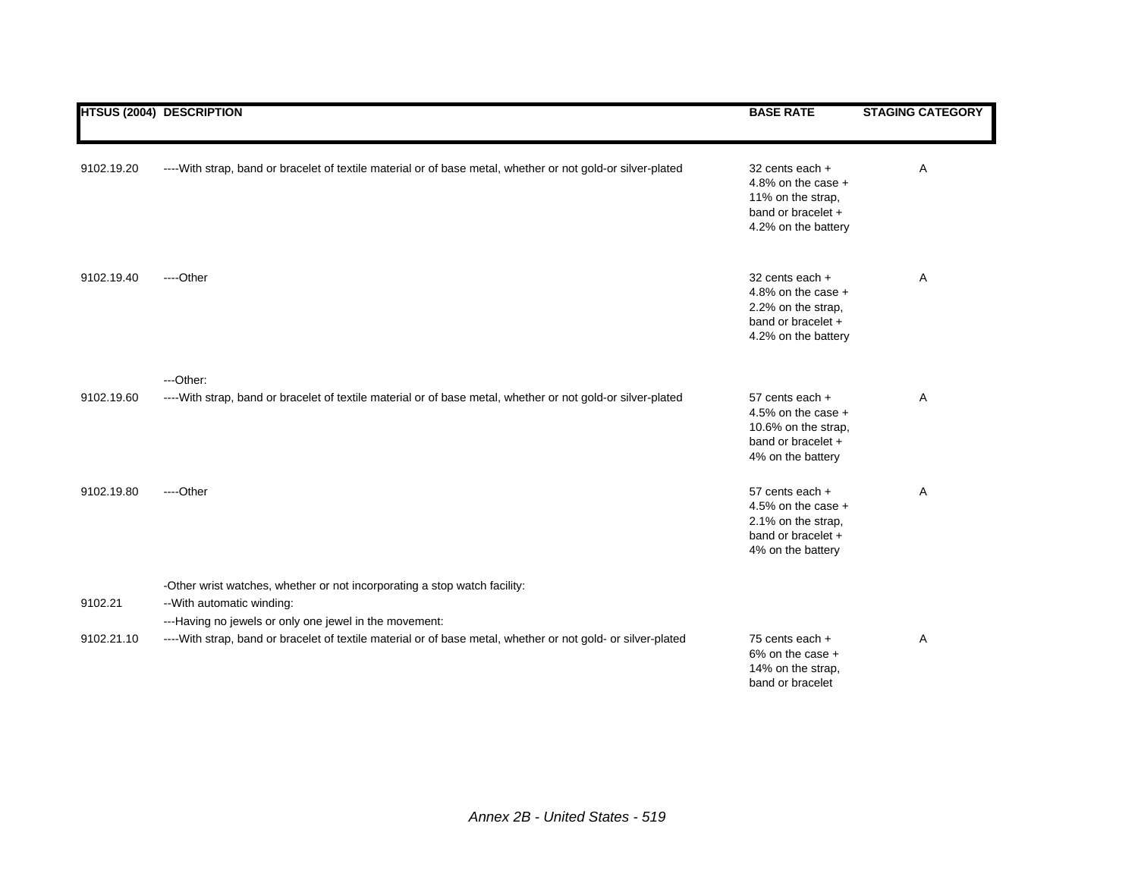|            | <b>HTSUS (2004) DESCRIPTION</b>                                                                                                                                   | <b>BASE RATE</b>                                                                                           | <b>STAGING CATEGORY</b> |
|------------|-------------------------------------------------------------------------------------------------------------------------------------------------------------------|------------------------------------------------------------------------------------------------------------|-------------------------|
| 9102.19.20 | ----With strap, band or bracelet of textile material or of base metal, whether or not gold-or silver-plated                                                       | 32 cents each +<br>4.8% on the case $+$<br>11% on the strap,<br>band or bracelet +<br>4.2% on the battery  | Α                       |
| 9102.19.40 | ----Other                                                                                                                                                         | 32 cents each +<br>4.8% on the case $+$<br>2.2% on the strap,<br>band or bracelet +<br>4.2% on the battery | Α                       |
| 9102.19.60 | ---Other:<br>----With strap, band or bracelet of textile material or of base metal, whether or not gold-or silver-plated                                          | 57 cents each +<br>4.5% on the case $+$<br>10.6% on the strap,<br>band or bracelet +<br>4% on the battery  | A                       |
| 9102.19.80 | ----Other                                                                                                                                                         | 57 cents each +<br>4.5% on the case $+$<br>2.1% on the strap,<br>band or bracelet +<br>4% on the battery   | Α                       |
| 9102.21    | -Other wrist watches, whether or not incorporating a stop watch facility:<br>-- With automatic winding:<br>---Having no jewels or only one jewel in the movement: |                                                                                                            |                         |
| 9102.21.10 | ----With strap, band or bracelet of textile material or of base metal, whether or not gold- or silver-plated                                                      | 75 cents each +<br>$6\%$ on the case +<br>14% on the strap,<br>band or bracelet                            | Α                       |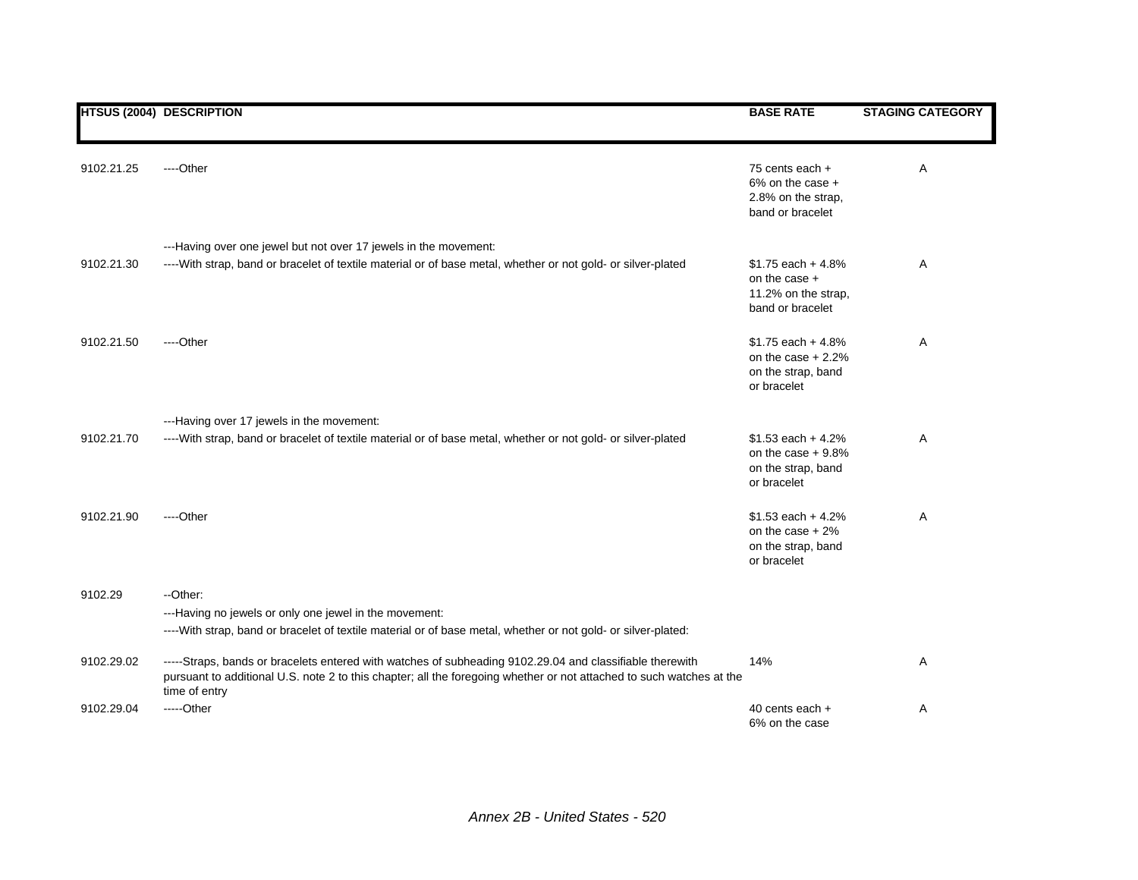|            | <b>HTSUS (2004) DESCRIPTION</b>                                                                                                                                                                                                                   | <b>BASE RATE</b>                                                                  | <b>STAGING CATEGORY</b> |
|------------|---------------------------------------------------------------------------------------------------------------------------------------------------------------------------------------------------------------------------------------------------|-----------------------------------------------------------------------------------|-------------------------|
| 9102.21.25 | ----Other                                                                                                                                                                                                                                         | 75 cents each +<br>6% on the case +<br>2.8% on the strap,<br>band or bracelet     | Α                       |
|            | ---Having over one jewel but not over 17 jewels in the movement:                                                                                                                                                                                  |                                                                                   |                         |
| 9102.21.30 | ----With strap, band or bracelet of textile material or of base metal, whether or not gold- or silver-plated                                                                                                                                      | $$1.75$ each + 4.8%<br>on the case $+$<br>11.2% on the strap,<br>band or bracelet | Α                       |
| 9102.21.50 | ----Other                                                                                                                                                                                                                                         | $$1.75$ each + 4.8%<br>on the case $+2.2%$<br>on the strap, band<br>or bracelet   | Α                       |
|            | ---Having over 17 jewels in the movement:                                                                                                                                                                                                         |                                                                                   |                         |
| 9102.21.70 | ----With strap, band or bracelet of textile material or of base metal, whether or not gold- or silver-plated                                                                                                                                      | $$1.53$ each + 4.2%<br>on the case $+9.8%$<br>on the strap, band<br>or bracelet   | Α                       |
| 9102.21.90 | ----Other                                                                                                                                                                                                                                         | $$1.53$ each + 4.2%<br>on the case $+2\%$<br>on the strap, band<br>or bracelet    | A                       |
| 9102.29    | --Other:                                                                                                                                                                                                                                          |                                                                                   |                         |
|            | ---Having no jewels or only one jewel in the movement:<br>----With strap, band or bracelet of textile material or of base metal, whether or not gold- or silver-plated:                                                                           |                                                                                   |                         |
| 9102.29.02 | -----Straps, bands or bracelets entered with watches of subheading 9102.29.04 and classifiable therewith<br>pursuant to additional U.S. note 2 to this chapter; all the foregoing whether or not attached to such watches at the<br>time of entry | 14%                                                                               | Α                       |
| 9102.29.04 | -----Other                                                                                                                                                                                                                                        | 40 cents each +<br>6% on the case                                                 | Α                       |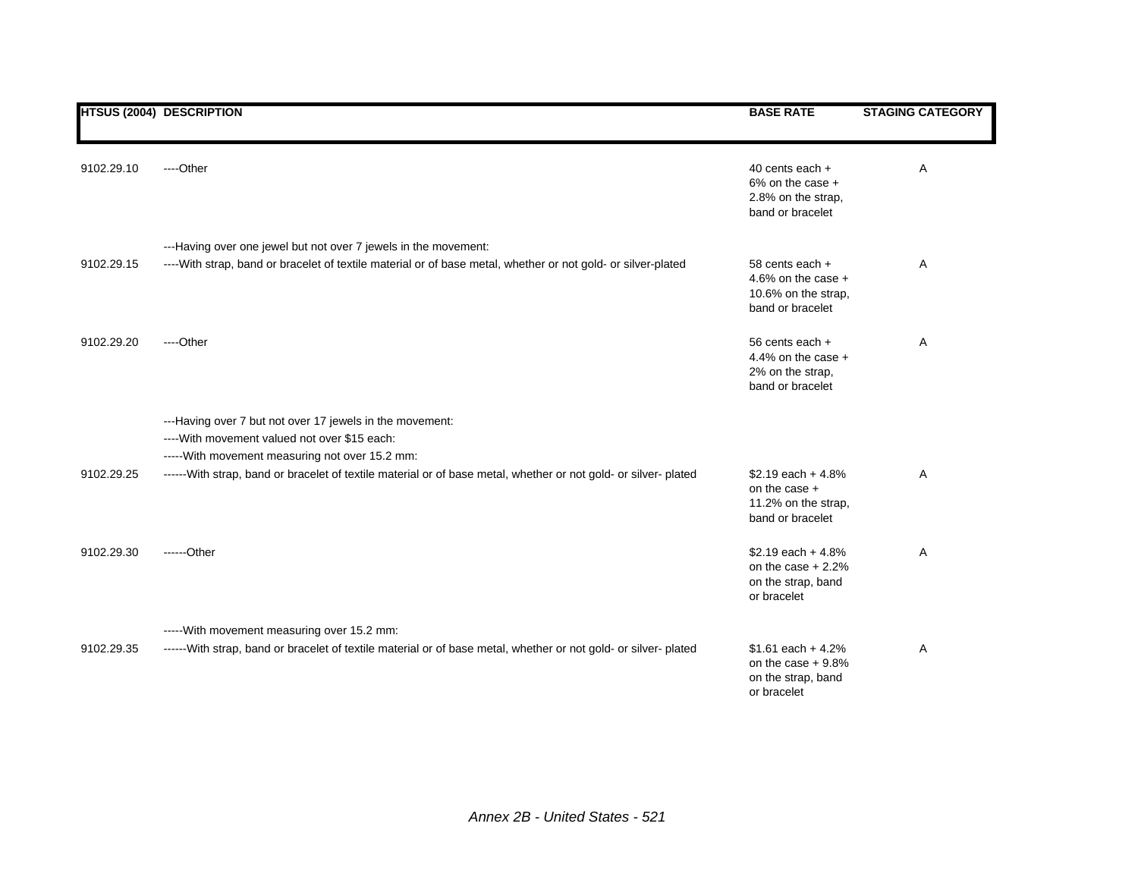|            | <b>HTSUS (2004) DESCRIPTION</b>                                                                                                                              | <b>BASE RATE</b>                                                                   | <b>STAGING CATEGORY</b> |
|------------|--------------------------------------------------------------------------------------------------------------------------------------------------------------|------------------------------------------------------------------------------------|-------------------------|
| 9102.29.10 | ----Other                                                                                                                                                    | 40 cents each +<br>$6\%$ on the case $+$<br>2.8% on the strap,<br>band or bracelet | Α                       |
|            | ---Having over one jewel but not over 7 jewels in the movement:                                                                                              |                                                                                    |                         |
| 9102.29.15 | ----With strap, band or bracelet of textile material or of base metal, whether or not gold- or silver-plated                                                 | 58 cents each +<br>4.6% on the case $+$<br>10.6% on the strap,<br>band or bracelet | Α                       |
| 9102.29.20 | ----Other                                                                                                                                                    | 56 cents each +<br>4.4% on the case $+$<br>2% on the strap,<br>band or bracelet    | Α                       |
|            | ---Having over 7 but not over 17 jewels in the movement:<br>---- With movement valued not over \$15 each:<br>----- With movement measuring not over 15.2 mm: |                                                                                    |                         |
| 9102.29.25 | ------ With strap, band or bracelet of textile material or of base metal, whether or not gold- or silver- plated                                             | \$2.19 each $+4.8%$<br>on the case +<br>11.2% on the strap,<br>band or bracelet    | Α                       |
| 9102.29.30 | ------Other                                                                                                                                                  | $$2.19$ each + 4.8%<br>on the case $+2.2%$<br>on the strap, band<br>or bracelet    | Α                       |
|            | ----- With movement measuring over 15.2 mm:                                                                                                                  |                                                                                    |                         |
| 9102.29.35 | ------With strap, band or bracelet of textile material or of base metal, whether or not gold- or silver- plated                                              | $$1.61$ each + 4.2%<br>on the case $+9.8%$<br>on the strap, band<br>or bracelet    | Α                       |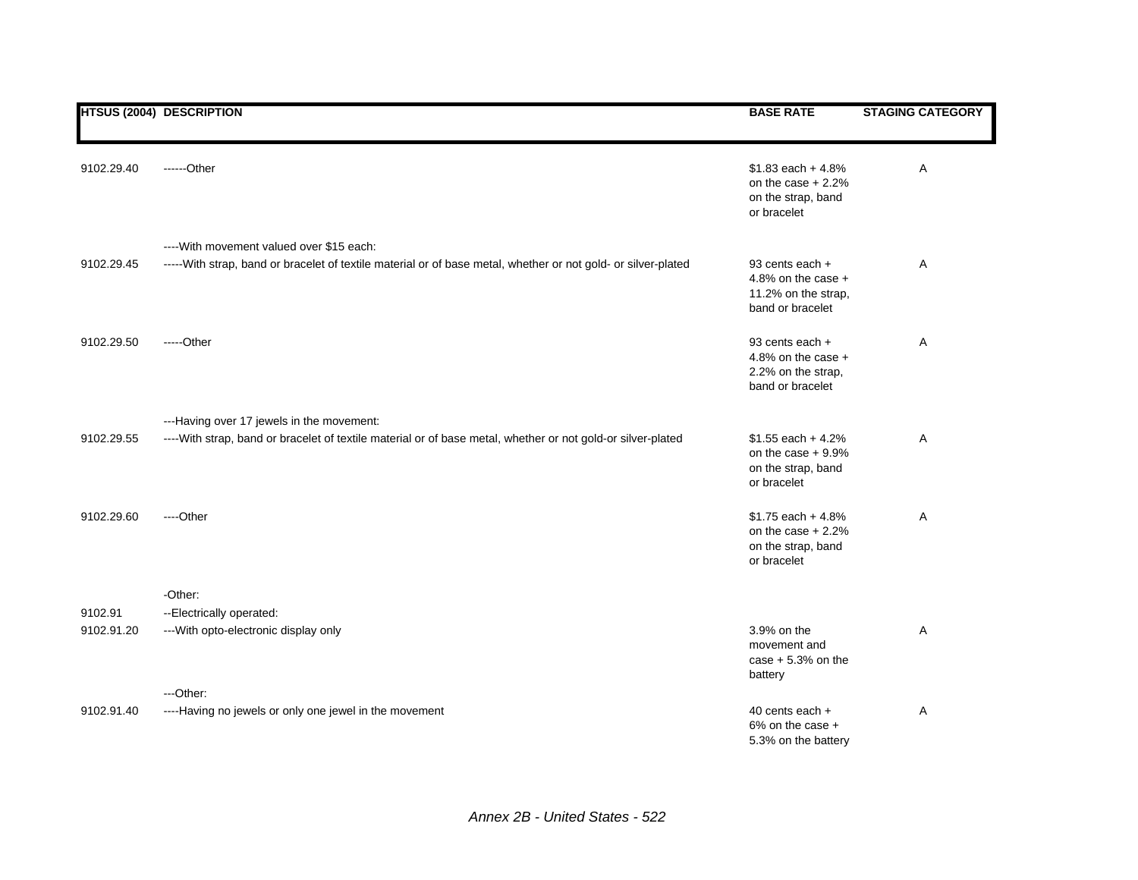|            | <b>HTSUS (2004) DESCRIPTION</b>                                                                               | <b>BASE RATE</b>                                                                   | <b>STAGING CATEGORY</b> |
|------------|---------------------------------------------------------------------------------------------------------------|------------------------------------------------------------------------------------|-------------------------|
| 9102.29.40 | ------Other                                                                                                   | $$1.83$ each + 4.8%<br>on the case $+2.2%$<br>on the strap, band<br>or bracelet    | Α                       |
|            | ---- With movement valued over \$15 each:                                                                     |                                                                                    |                         |
| 9102.29.45 | -----With strap, band or bracelet of textile material or of base metal, whether or not gold- or silver-plated | 93 cents each +<br>4.8% on the case $+$<br>11.2% on the strap,<br>band or bracelet | Α                       |
| 9102.29.50 | $---Other$                                                                                                    | 93 cents each +<br>4.8% on the case $+$<br>2.2% on the strap,<br>band or bracelet  | Α                       |
|            | ---Having over 17 jewels in the movement:                                                                     |                                                                                    |                         |
| 9102.29.55 | ----With strap, band or bracelet of textile material or of base metal, whether or not gold-or silver-plated   | $$1.55$ each + 4.2%<br>on the case $+9.9%$<br>on the strap, band<br>or bracelet    | Α                       |
| 9102.29.60 | ----Other                                                                                                     | $$1.75$ each + 4.8%<br>on the case $+2.2%$<br>on the strap, band<br>or bracelet    | Α                       |
|            | -Other:                                                                                                       |                                                                                    |                         |
| 9102.91    | --Electrically operated:                                                                                      |                                                                                    |                         |
| 9102.91.20 | --- With opto-electronic display only                                                                         | 3.9% on the<br>movement and<br>case $+5.3%$ on the<br>battery                      | Α                       |
|            | ---Other:                                                                                                     |                                                                                    |                         |
| 9102.91.40 | ----Having no jewels or only one jewel in the movement                                                        | 40 cents each +<br>6% on the case +<br>5.3% on the battery                         | Α                       |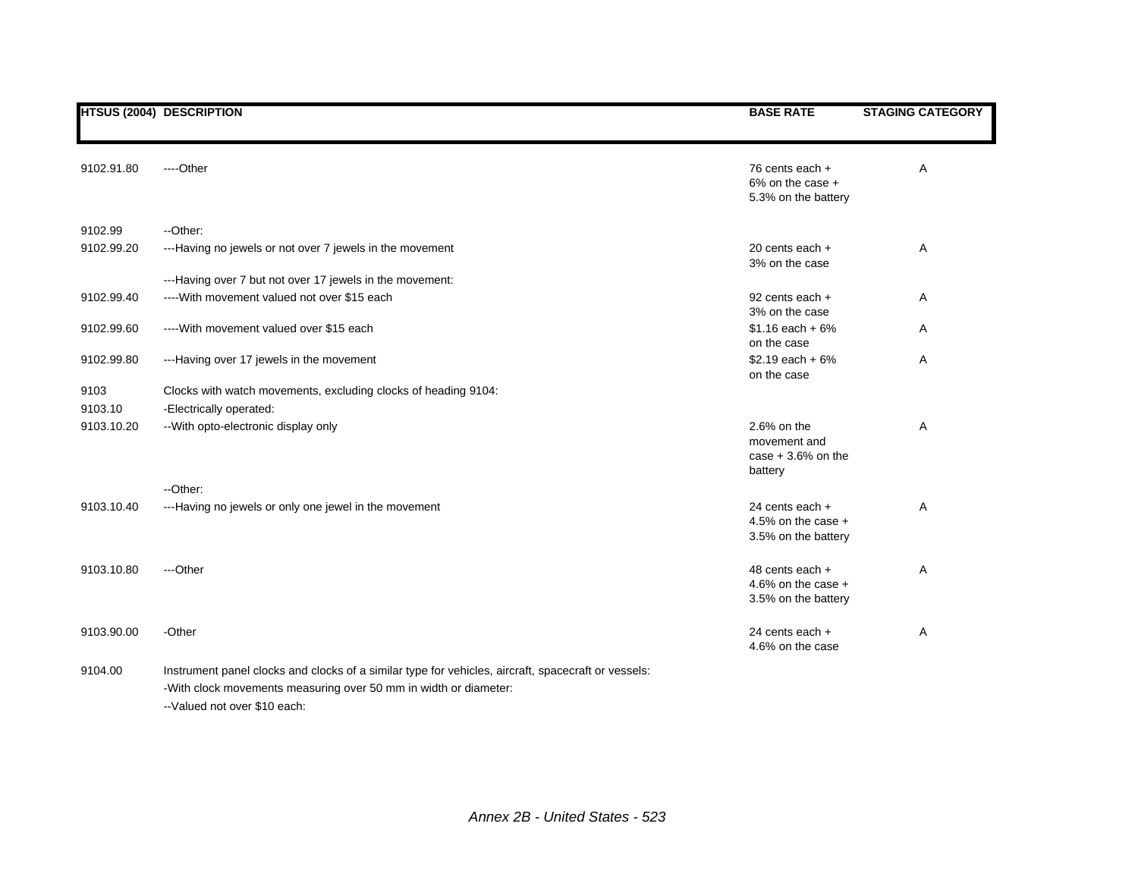|            | <b>HTSUS (2004) DESCRIPTION</b>                                                                     | <b>BASE RATE</b>                                                | <b>STAGING CATEGORY</b> |
|------------|-----------------------------------------------------------------------------------------------------|-----------------------------------------------------------------|-------------------------|
| 9102.91.80 | ----Other                                                                                           | 76 cents each +<br>$6\%$ on the case $+$<br>5.3% on the battery | A                       |
| 9102.99    | --Other:                                                                                            |                                                                 |                         |
| 9102.99.20 | ---Having no jewels or not over 7 jewels in the movement                                            | 20 cents each $+$<br>3% on the case                             | Α                       |
|            | ---Having over 7 but not over 17 jewels in the movement:                                            |                                                                 |                         |
| 9102.99.40 | ---- With movement valued not over \$15 each                                                        | 92 cents each +<br>3% on the case                               | Α                       |
| 9102.99.60 | ---- With movement valued over \$15 each                                                            | $$1.16$ each + 6%<br>on the case                                | Α                       |
| 9102.99.80 | ---Having over 17 jewels in the movement                                                            | $$2.19$ each + 6%<br>on the case                                | Α                       |
| 9103       | Clocks with watch movements, excluding clocks of heading 9104:                                      |                                                                 |                         |
| 9103.10    | -Electrically operated:                                                                             |                                                                 |                         |
| 9103.10.20 | -- With opto-electronic display only                                                                | 2.6% on the<br>movement and<br>case $+3.6%$ on the<br>battery   | Α                       |
|            | --Other:                                                                                            |                                                                 |                         |
| 9103.10.40 | ---Having no jewels or only one jewel in the movement                                               | 24 cents each +<br>4.5% on the case $+$<br>3.5% on the battery  | Α                       |
| 9103.10.80 | ---Other                                                                                            | 48 cents each +<br>4.6% on the case $+$<br>3.5% on the battery  | Α                       |
| 9103.90.00 | -Other                                                                                              | 24 cents each +<br>4.6% on the case                             | Α                       |
| 9104.00    | Instrument panel clocks and clocks of a similar type for vehicles, aircraft, spacecraft or vessels: |                                                                 |                         |
|            | -With clock movements measuring over 50 mm in width or diameter:                                    |                                                                 |                         |

--Valued not over \$10 each: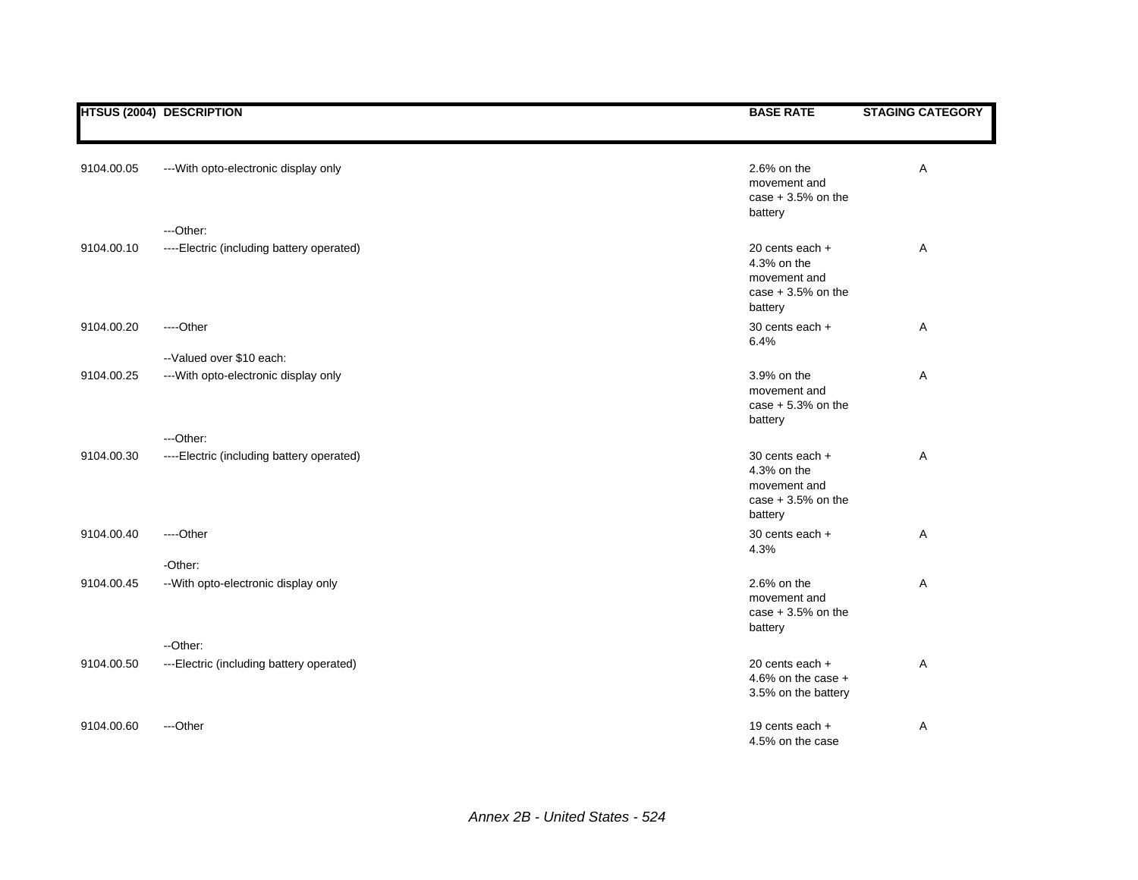|            | <b>HTSUS (2004) DESCRIPTION</b>           | <b>BASE RATE</b>                                                                 | <b>STAGING CATEGORY</b> |
|------------|-------------------------------------------|----------------------------------------------------------------------------------|-------------------------|
|            |                                           |                                                                                  |                         |
| 9104.00.05 | --- With opto-electronic display only     | 2.6% on the<br>movement and<br>case $+3.5%$ on the<br>battery                    | Α                       |
|            | ---Other:                                 |                                                                                  |                         |
| 9104.00.10 | ----Electric (including battery operated) | 20 cents each +<br>4.3% on the<br>movement and<br>case $+3.5%$ on the<br>battery | Α                       |
| 9104.00.20 | ----Other                                 | 30 cents each +<br>6.4%                                                          | Α                       |
|            | -- Valued over \$10 each:                 |                                                                                  |                         |
| 9104.00.25 | --- With opto-electronic display only     | 3.9% on the<br>movement and<br>case $+5.3%$ on the<br>battery                    | Α                       |
|            | ---Other:                                 |                                                                                  |                         |
| 9104.00.30 | ----Electric (including battery operated) | 30 cents each +<br>4.3% on the<br>movement and<br>case $+3.5%$ on the<br>battery | Α                       |
| 9104.00.40 | ---Other                                  | 30 cents each +<br>4.3%                                                          | А                       |
|            | -Other:                                   |                                                                                  |                         |
| 9104.00.45 | -- With opto-electronic display only      | 2.6% on the<br>movement and<br>case $+3.5%$ on the<br>battery                    | Α                       |
|            | --Other:                                  |                                                                                  |                         |
| 9104.00.50 | ---Electric (including battery operated)  | 20 cents each +<br>4.6% on the case $+$<br>3.5% on the battery                   | Α                       |
| 9104.00.60 | ---Other                                  | 19 cents each +<br>4.5% on the case                                              | Α                       |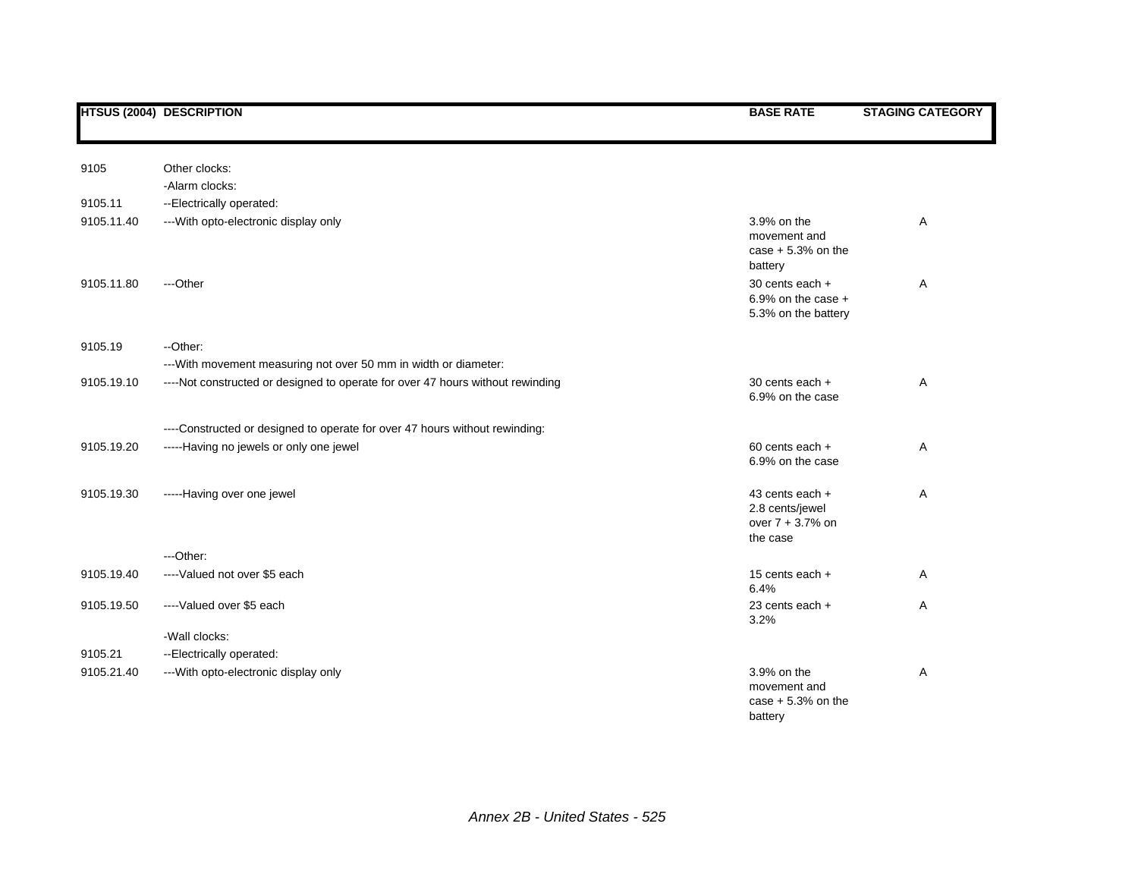| 9105       | Other clocks:                                                                  |                                                                      |   |
|------------|--------------------------------------------------------------------------------|----------------------------------------------------------------------|---|
|            | -Alarm clocks:                                                                 |                                                                      |   |
| 9105.11    | --Electrically operated:                                                       |                                                                      |   |
| 9105.11.40 | --- With opto-electronic display only                                          | 3.9% on the<br>movement and<br>case $+5.3%$ on the<br>battery        | Α |
| 9105.11.80 | ---Other                                                                       | 30 cents each +<br>6.9% on the case $+$<br>5.3% on the battery       | Α |
| 9105.19    | --Other:                                                                       |                                                                      |   |
|            | --- With movement measuring not over 50 mm in width or diameter:               |                                                                      |   |
| 9105.19.10 | ----Not constructed or designed to operate for over 47 hours without rewinding | 30 cents each +<br>6.9% on the case                                  | A |
|            | ----Constructed or designed to operate for over 47 hours without rewinding:    |                                                                      |   |
| 9105.19.20 | -----Having no jewels or only one jewel                                        | $60$ cents each $+$<br>6.9% on the case                              | A |
| 9105.19.30 | -----Having over one jewel                                                     | 43 cents each +<br>2.8 cents/jewel<br>over $7 + 3.7%$ on<br>the case | A |
|            | ---Other:                                                                      |                                                                      |   |
| 9105.19.40 | ----Valued not over \$5 each                                                   | 15 cents each +<br>6.4%                                              | A |
| 9105.19.50 | ----Valued over \$5 each                                                       | 23 cents each +<br>3.2%                                              | Α |
|            | -Wall clocks:                                                                  |                                                                      |   |
| 9105.21    | --Electrically operated:                                                       |                                                                      |   |
| 9105.21.40 | --- With opto-electronic display only                                          | 3.9% on the<br>movement and<br>case $+5.3%$ on the<br>battery        | A |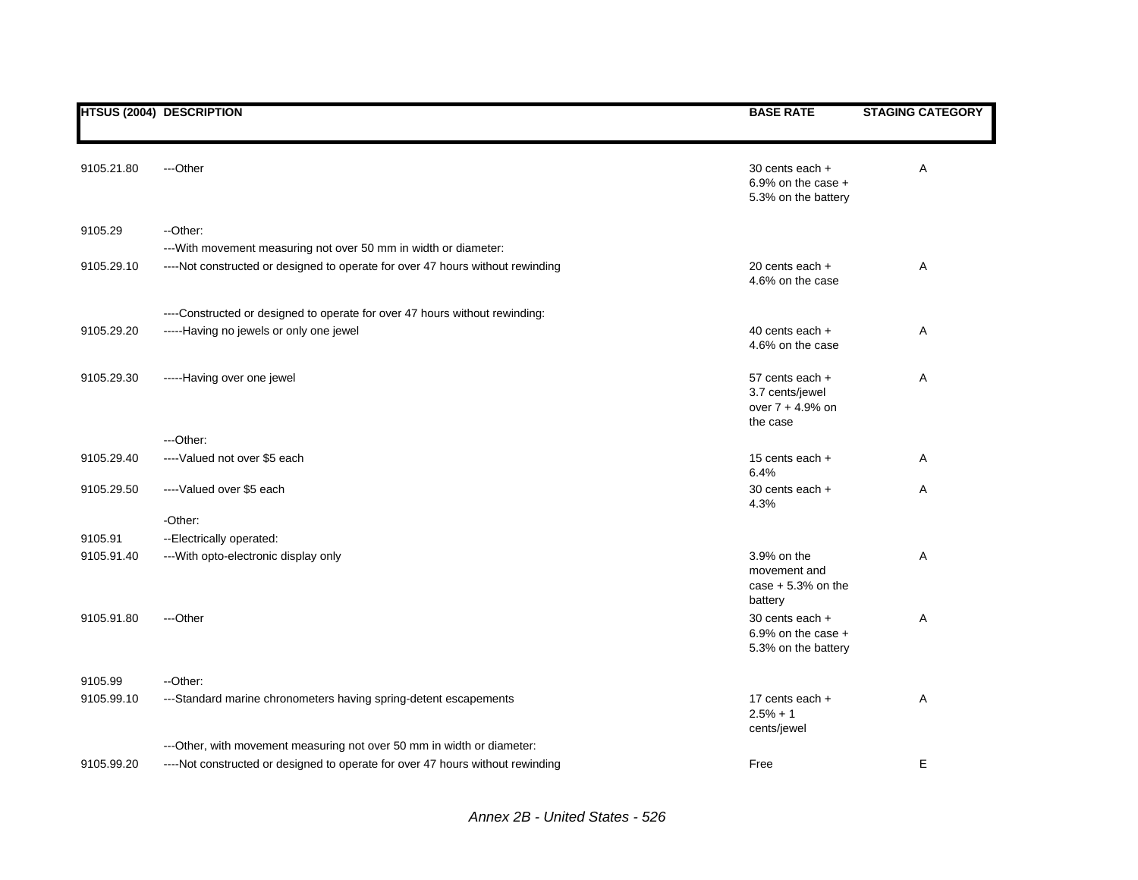|                       | <b>HTSUS (2004) DESCRIPTION</b>                                                                                                                    | <b>BASE RATE</b>                                                   | <b>STAGING CATEGORY</b> |
|-----------------------|----------------------------------------------------------------------------------------------------------------------------------------------------|--------------------------------------------------------------------|-------------------------|
| 9105.21.80            | ---Other                                                                                                                                           | 30 cents each +<br>6.9% on the case $+$<br>5.3% on the battery     | Α                       |
| 9105.29               | --Other:                                                                                                                                           |                                                                    |                         |
| 9105.29.10            | --- With movement measuring not over 50 mm in width or diameter:<br>----Not constructed or designed to operate for over 47 hours without rewinding | 20 cents each +<br>4.6% on the case                                | Α                       |
|                       | ----Constructed or designed to operate for over 47 hours without rewinding:                                                                        |                                                                    |                         |
| 9105.29.20            | -----Having no jewels or only one jewel                                                                                                            | 40 cents each +<br>4.6% on the case                                | Α                       |
| 9105.29.30            | -----Having over one jewel                                                                                                                         | 57 cents each +<br>3.7 cents/jewel<br>over 7 + 4.9% on<br>the case | Α                       |
|                       | $-$ Other:                                                                                                                                         |                                                                    |                         |
| 9105.29.40            | ----Valued not over \$5 each                                                                                                                       | 15 cents each +<br>6.4%                                            | Α                       |
| 9105.29.50            | ----Valued over \$5 each                                                                                                                           | 30 cents each +<br>4.3%                                            | Α                       |
|                       | -Other:                                                                                                                                            |                                                                    |                         |
| 9105.91<br>9105.91.40 | --Electrically operated:<br>--- With opto-electronic display only                                                                                  | 3.9% on the<br>movement and<br>case $+5.3%$ on the<br>battery      | Α                       |
| 9105.91.80            | ---Other                                                                                                                                           | 30 cents each +<br>6.9% on the case $+$<br>5.3% on the battery     | Α                       |
| 9105.99               | --Other:                                                                                                                                           |                                                                    |                         |
| 9105.99.10            | ---Standard marine chronometers having spring-detent escapements                                                                                   | 17 cents each $+$<br>$2.5% + 1$<br>cents/jewel                     | Α                       |
|                       | --- Other, with movement measuring not over 50 mm in width or diameter:                                                                            |                                                                    |                         |
| 9105.99.20            | ----Not constructed or designed to operate for over 47 hours without rewinding                                                                     | Free                                                               | E                       |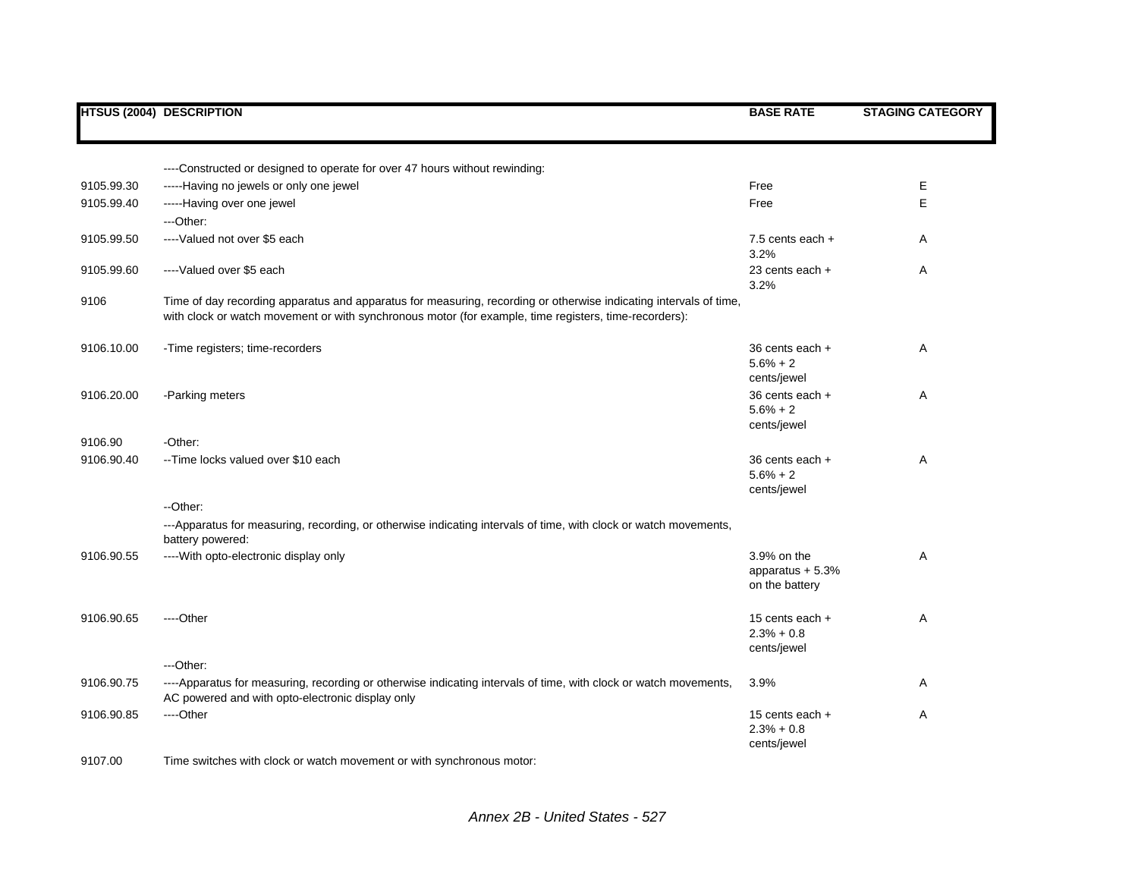|            | <b>HTSUS (2004) DESCRIPTION</b>                                                                                                                                                                                            | <b>BASE RATE</b>                                   | <b>STAGING CATEGORY</b> |
|------------|----------------------------------------------------------------------------------------------------------------------------------------------------------------------------------------------------------------------------|----------------------------------------------------|-------------------------|
|            |                                                                                                                                                                                                                            |                                                    |                         |
|            | ----Constructed or designed to operate for over 47 hours without rewinding:                                                                                                                                                |                                                    |                         |
| 9105.99.30 | -----Having no jewels or only one jewel                                                                                                                                                                                    | Free                                               | Е                       |
| 9105.99.40 | -----Having over one jewel<br>---Other:                                                                                                                                                                                    | Free                                               | E                       |
| 9105.99.50 | ----Valued not over \$5 each                                                                                                                                                                                               | 7.5 cents each $+$<br>3.2%                         | Α                       |
| 9105.99.60 | ----Valued over \$5 each                                                                                                                                                                                                   | 23 cents each +<br>3.2%                            | Α                       |
| 9106       | Time of day recording apparatus and apparatus for measuring, recording or otherwise indicating intervals of time,<br>with clock or watch movement or with synchronous motor (for example, time registers, time-recorders): |                                                    |                         |
| 9106.10.00 | -Time registers; time-recorders                                                                                                                                                                                            | $36$ cents each $+$<br>$5.6% + 2$<br>cents/jewel   | Α                       |
| 9106.20.00 | -Parking meters                                                                                                                                                                                                            | 36 cents each +<br>$5.6% + 2$<br>cents/jewel       | Α                       |
| 9106.90    | -Other:                                                                                                                                                                                                                    |                                                    |                         |
| 9106.90.40 | --Time locks valued over \$10 each                                                                                                                                                                                         | 36 cents each +<br>$5.6% + 2$<br>cents/jewel       | Α                       |
|            | --Other:                                                                                                                                                                                                                   |                                                    |                         |
|            | ---Apparatus for measuring, recording, or otherwise indicating intervals of time, with clock or watch movements,<br>battery powered:                                                                                       |                                                    |                         |
| 9106.90.55 | ---- With opto-electronic display only                                                                                                                                                                                     | 3.9% on the<br>apparatus $+5.3%$<br>on the battery | Α                       |
| 9106.90.65 | ----Other                                                                                                                                                                                                                  | 15 cents each $+$<br>$2.3% + 0.8$<br>cents/jewel   | Α                       |
|            | ---Other:                                                                                                                                                                                                                  |                                                    |                         |
| 9106.90.75 | ----Apparatus for measuring, recording or otherwise indicating intervals of time, with clock or watch movements,<br>AC powered and with opto-electronic display only                                                       | 3.9%                                               | Α                       |
| 9106.90.85 | ----Other                                                                                                                                                                                                                  | 15 cents each +<br>$2.3% + 0.8$<br>cents/jewel     | Α                       |
| 9107.00    | Time switches with clock or watch movement or with synchronous motor:                                                                                                                                                      |                                                    |                         |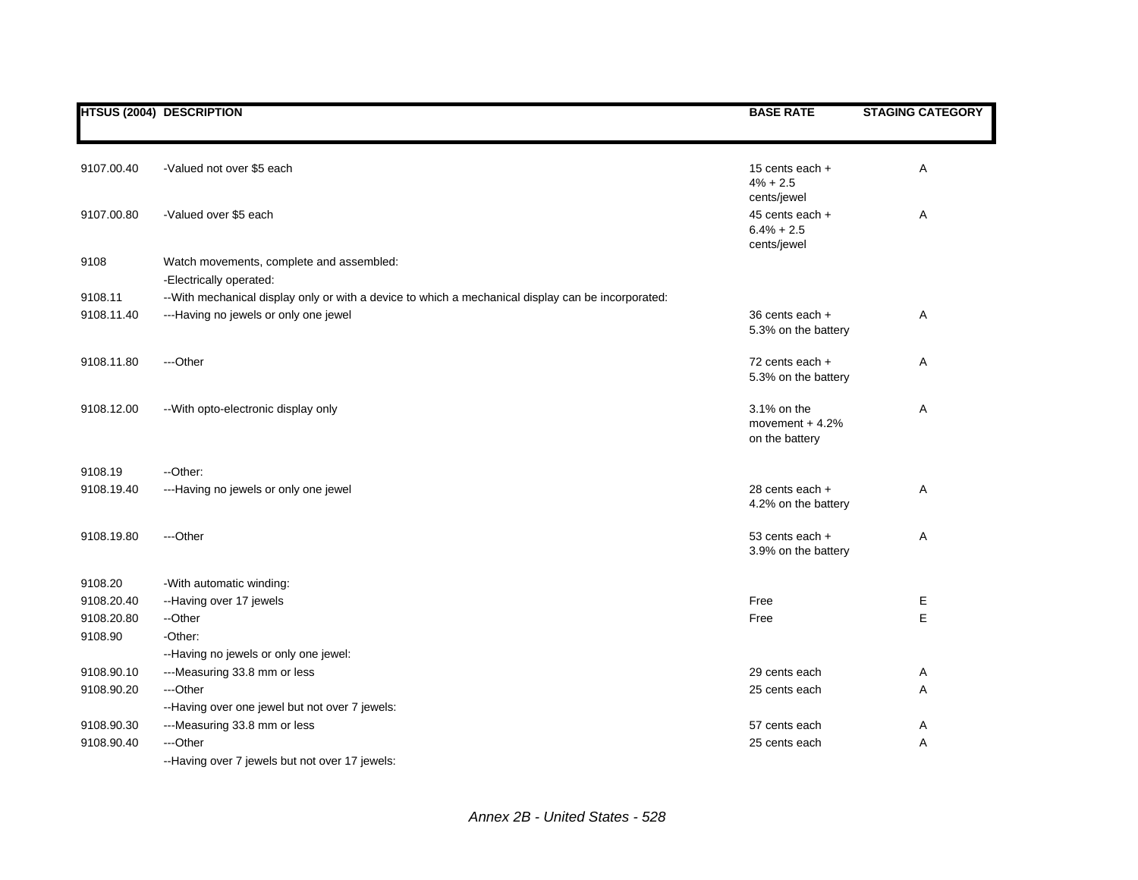|            | <b>HTSUS (2004) DESCRIPTION</b>                                                                     | <b>BASE RATE</b>                                  | <b>STAGING CATEGORY</b> |
|------------|-----------------------------------------------------------------------------------------------------|---------------------------------------------------|-------------------------|
|            |                                                                                                     |                                                   |                         |
| 9107.00.40 | -Valued not over \$5 each                                                                           | 15 cents each +<br>$4\% + 2.5$<br>cents/jewel     | Α                       |
| 9107.00.80 | -Valued over \$5 each                                                                               | 45 cents each +<br>$6.4% + 2.5$<br>cents/jewel    | Α                       |
| 9108       | Watch movements, complete and assembled:                                                            |                                                   |                         |
|            | -Electrically operated:                                                                             |                                                   |                         |
| 9108.11    | -- With mechanical display only or with a device to which a mechanical display can be incorporated: |                                                   |                         |
| 9108.11.40 | ---Having no jewels or only one jewel                                                               | 36 cents each +<br>5.3% on the battery            | Α                       |
| 9108.11.80 | ---Other                                                                                            | 72 cents each +<br>5.3% on the battery            | Α                       |
| 9108.12.00 | -- With opto-electronic display only                                                                | 3.1% on the<br>movement $+4.2%$<br>on the battery | Α                       |
| 9108.19    | --Other:                                                                                            |                                                   |                         |
| 9108.19.40 | ---Having no jewels or only one jewel                                                               | 28 cents each +<br>4.2% on the battery            | Α                       |
| 9108.19.80 | ---Other                                                                                            | 53 cents each +<br>3.9% on the battery            | Α                       |
| 9108.20    | -With automatic winding:                                                                            |                                                   |                         |
| 9108.20.40 | --Having over 17 jewels                                                                             | Free                                              | Е                       |
| 9108.20.80 | --Other                                                                                             | Free                                              | E                       |
| 9108.90    | -Other:                                                                                             |                                                   |                         |
|            | --Having no jewels or only one jewel:                                                               |                                                   |                         |
| 9108.90.10 | ---Measuring 33.8 mm or less                                                                        | 29 cents each                                     | Α                       |
| 9108.90.20 | ---Other                                                                                            | 25 cents each                                     | A                       |
|            | --Having over one jewel but not over 7 jewels:                                                      |                                                   |                         |
| 9108.90.30 | ---Measuring 33.8 mm or less                                                                        | 57 cents each                                     | Α                       |
| 9108.90.40 | ---Other                                                                                            | 25 cents each                                     | Α                       |
|            | --Having over 7 jewels but not over 17 jewels:                                                      |                                                   |                         |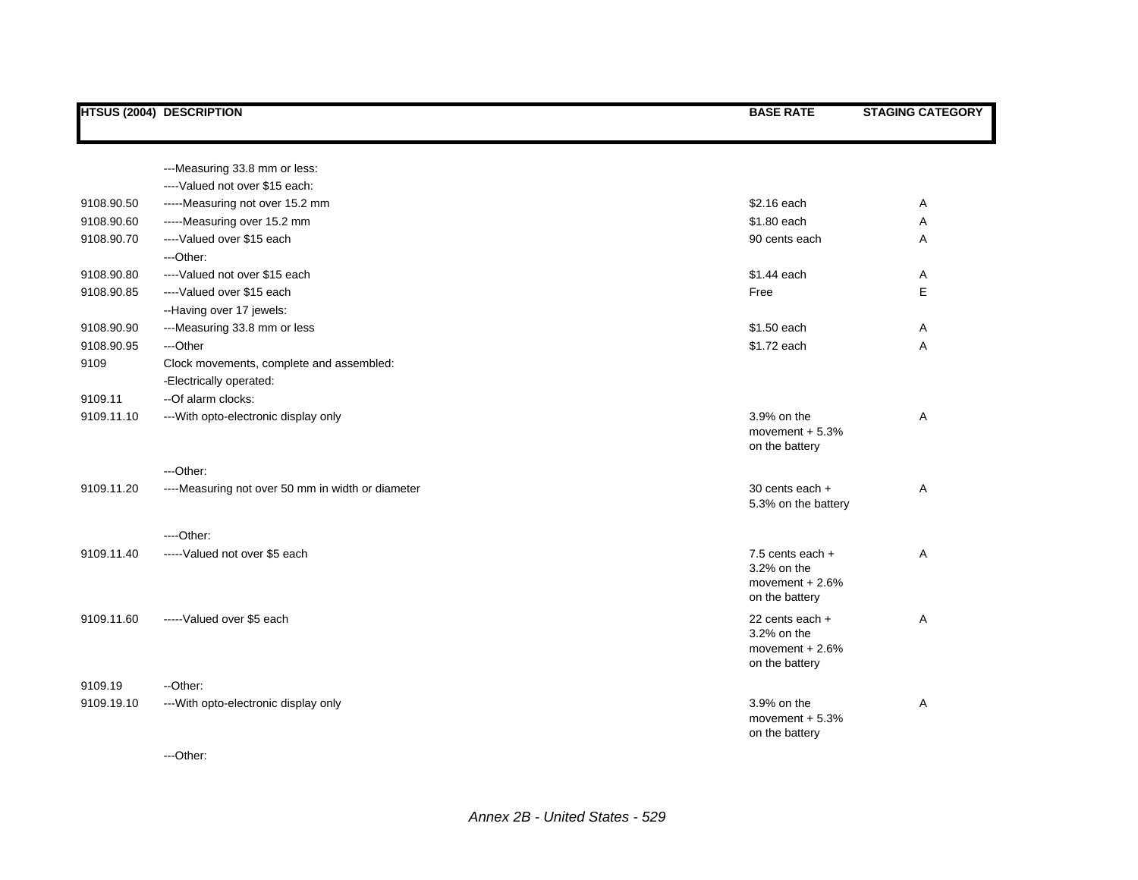|            | <b>HTSUS (2004) DESCRIPTION</b>                   | <b>BASE RATE</b>                   | <b>STAGING CATEGORY</b> |
|------------|---------------------------------------------------|------------------------------------|-------------------------|
|            |                                                   |                                    |                         |
|            | ---Measuring 33.8 mm or less:                     |                                    |                         |
|            | ----Valued not over \$15 each:                    |                                    |                         |
| 9108.90.50 | -----Measuring not over 15.2 mm                   | \$2.16 each                        | Α                       |
| 9108.90.60 | -----Measuring over 15.2 mm                       | \$1.80 each                        | Α                       |
| 9108.90.70 | ----Valued over \$15 each                         | 90 cents each                      | A                       |
|            | ---Other:                                         |                                    |                         |
| 9108.90.80 | ----Valued not over \$15 each                     | \$1.44 each                        | A                       |
| 9108.90.85 | ----Valued over \$15 each                         | Free                               | E                       |
|            | --Having over 17 jewels:                          |                                    |                         |
| 9108.90.90 | ---Measuring 33.8 mm or less                      | \$1.50 each                        | Α                       |
| 9108.90.95 | ---Other                                          | \$1.72 each                        | Α                       |
| 9109       | Clock movements, complete and assembled:          |                                    |                         |
|            | -Electrically operated:                           |                                    |                         |
| 9109.11    | -- Of alarm clocks:                               |                                    |                         |
| 9109.11.10 | --- With opto-electronic display only             | 3.9% on the                        | Α                       |
|            |                                                   | movement $+5.3%$                   |                         |
|            |                                                   | on the battery                     |                         |
|            | ---Other:                                         |                                    |                         |
| 9109.11.20 | ----Measuring not over 50 mm in width or diameter | 30 cents each +                    | Α                       |
|            |                                                   | 5.3% on the battery                |                         |
|            |                                                   |                                    |                         |
|            | $---Other:$                                       |                                    |                         |
| 9109.11.40 | ----- Valued not over \$5 each                    | 7.5 cents each +                   | Α                       |
|            |                                                   | 3.2% on the                        |                         |
|            |                                                   | movement $+2.6%$<br>on the battery |                         |
|            |                                                   |                                    |                         |
| 9109.11.60 | ----- Valued over \$5 each                        | 22 cents each +<br>3.2% on the     | Α                       |
|            |                                                   | movement $+2.6%$                   |                         |
|            |                                                   | on the battery                     |                         |
| 9109.19    | --Other:                                          |                                    |                         |
| 9109.19.10 | --- With opto-electronic display only             | 3.9% on the                        | Α                       |
|            |                                                   | movement $+5.3%$                   |                         |
|            |                                                   | on the battery                     |                         |

---Other: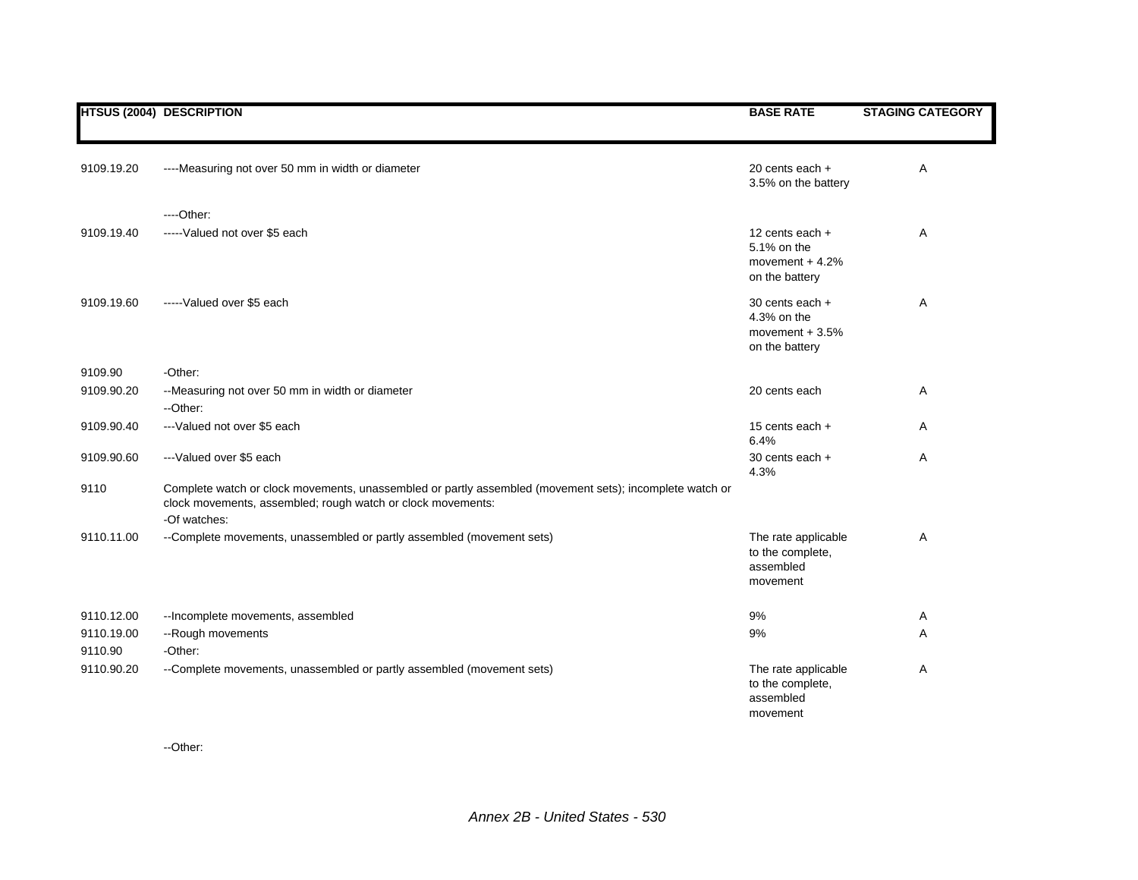|            | <b>HTSUS (2004) DESCRIPTION</b>                                                                                                                                                        | <b>BASE RATE</b>                                                     | <b>STAGING CATEGORY</b> |
|------------|----------------------------------------------------------------------------------------------------------------------------------------------------------------------------------------|----------------------------------------------------------------------|-------------------------|
| 9109.19.20 | ----Measuring not over 50 mm in width or diameter                                                                                                                                      | 20 cents each +<br>3.5% on the battery                               | Α                       |
|            | ----Other:                                                                                                                                                                             |                                                                      |                         |
| 9109.19.40 | ----- Valued not over \$5 each                                                                                                                                                         | 12 cents each +<br>5.1% on the<br>movement $+4.2%$<br>on the battery | Α                       |
| 9109.19.60 | -----Valued over \$5 each                                                                                                                                                              | 30 cents each +<br>4.3% on the<br>movement $+3.5%$<br>on the battery | A                       |
| 9109.90    | -Other:                                                                                                                                                                                |                                                                      |                         |
| 9109.90.20 | --Measuring not over 50 mm in width or diameter<br>--Other:                                                                                                                            | 20 cents each                                                        | Α                       |
| 9109.90.40 | ---Valued not over \$5 each                                                                                                                                                            | 15 cents each +<br>6.4%                                              | A                       |
| 9109.90.60 | ---Valued over \$5 each                                                                                                                                                                | 30 cents each +<br>4.3%                                              | A                       |
| 9110       | Complete watch or clock movements, unassembled or partly assembled (movement sets); incomplete watch or<br>clock movements, assembled; rough watch or clock movements:<br>-Of watches: |                                                                      |                         |
| 9110.11.00 | --Complete movements, unassembled or partly assembled (movement sets)                                                                                                                  | The rate applicable<br>to the complete,<br>assembled<br>movement     | Α                       |
| 9110.12.00 | -- Incomplete movements, assembled                                                                                                                                                     | 9%                                                                   | Α                       |
| 9110.19.00 | --Rough movements                                                                                                                                                                      | 9%                                                                   | A                       |
| 9110.90    | -Other:                                                                                                                                                                                |                                                                      |                         |
| 9110.90.20 | --Complete movements, unassembled or partly assembled (movement sets)                                                                                                                  | The rate applicable<br>to the complete,<br>assembled<br>movement     | Α                       |

--Other: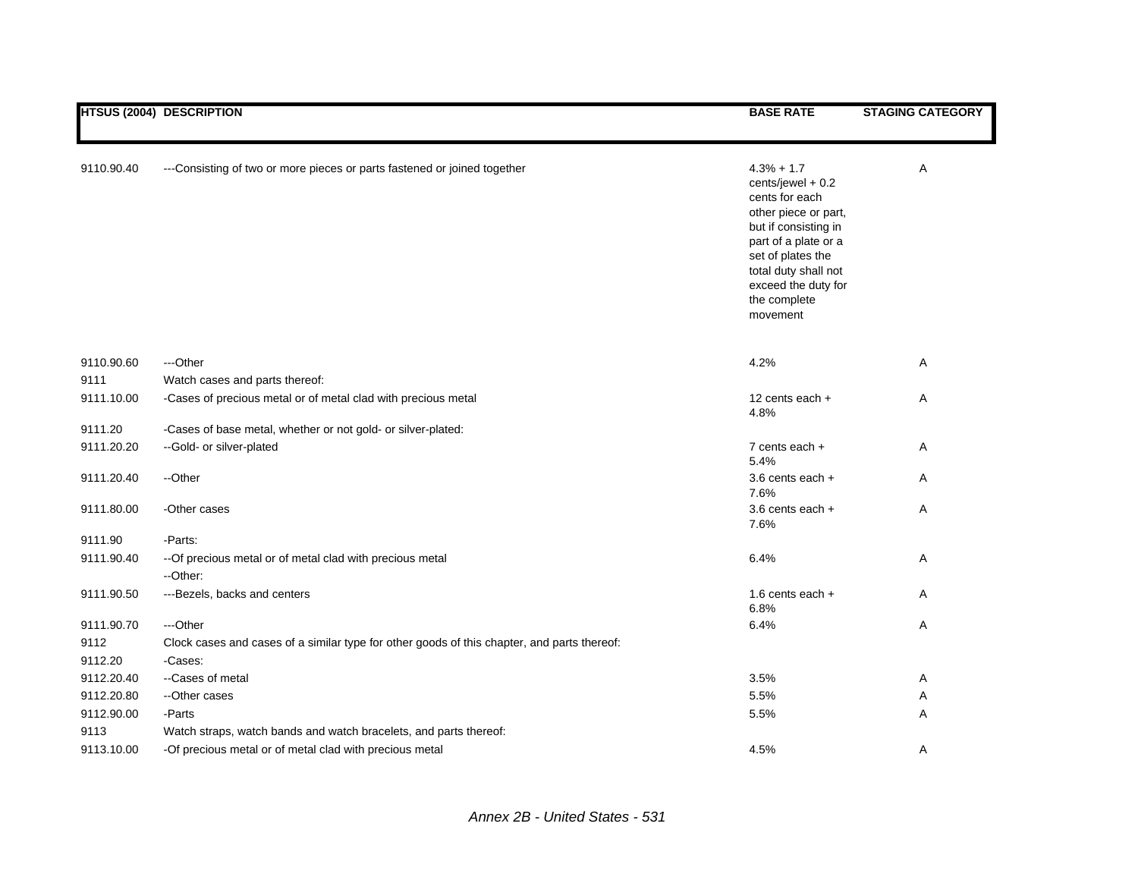|                    | <b>HTSUS (2004) DESCRIPTION</b>                                                                 | <b>BASE RATE</b>                                                                                                                                                                                                              | <b>STAGING CATEGORY</b> |
|--------------------|-------------------------------------------------------------------------------------------------|-------------------------------------------------------------------------------------------------------------------------------------------------------------------------------------------------------------------------------|-------------------------|
| 9110.90.40         | ---Consisting of two or more pieces or parts fastened or joined together                        | $4.3% + 1.7$<br>$cents/jewel + 0.2$<br>cents for each<br>other piece or part,<br>but if consisting in<br>part of a plate or a<br>set of plates the<br>total duty shall not<br>exceed the duty for<br>the complete<br>movement | Α                       |
| 9110.90.60         | ---Other                                                                                        | 4.2%                                                                                                                                                                                                                          | Α                       |
| 9111<br>9111.10.00 | Watch cases and parts thereof:<br>-Cases of precious metal or of metal clad with precious metal | 12 cents each +                                                                                                                                                                                                               | Α                       |
|                    |                                                                                                 | 4.8%                                                                                                                                                                                                                          |                         |
| 9111.20            | -Cases of base metal, whether or not gold- or silver-plated:                                    |                                                                                                                                                                                                                               |                         |
| 9111.20.20         | --Gold- or silver-plated                                                                        | $7$ cents each $+$<br>5.4%                                                                                                                                                                                                    | Α                       |
| 9111.20.40         | --Other                                                                                         | 3.6 cents each +<br>7.6%                                                                                                                                                                                                      | A                       |
| 9111.80.00         | -Other cases                                                                                    | 3.6 cents each +<br>7.6%                                                                                                                                                                                                      | Α                       |
| 9111.90            | -Parts:                                                                                         |                                                                                                                                                                                                                               |                         |
| 9111.90.40         | -- Of precious metal or of metal clad with precious metal                                       | 6.4%                                                                                                                                                                                                                          | Α                       |
|                    | --Other:                                                                                        |                                                                                                                                                                                                                               |                         |
| 9111.90.50         | ---Bezels, backs and centers                                                                    | 1.6 cents each +<br>6.8%                                                                                                                                                                                                      | Α                       |
| 9111.90.70         | ---Other                                                                                        | 6.4%                                                                                                                                                                                                                          | Α                       |
| 9112               | Clock cases and cases of a similar type for other goods of this chapter, and parts thereof:     |                                                                                                                                                                                                                               |                         |
| 9112.20            | -Cases:                                                                                         |                                                                                                                                                                                                                               |                         |
| 9112.20.40         | --Cases of metal                                                                                | 3.5%                                                                                                                                                                                                                          | Α                       |
| 9112.20.80         | --Other cases                                                                                   | 5.5%                                                                                                                                                                                                                          | Α                       |
| 9112.90.00         | -Parts                                                                                          | 5.5%                                                                                                                                                                                                                          | Α                       |
| 9113               | Watch straps, watch bands and watch bracelets, and parts thereof:                               |                                                                                                                                                                                                                               |                         |
| 9113.10.00         | -Of precious metal or of metal clad with precious metal                                         | 4.5%                                                                                                                                                                                                                          | Α                       |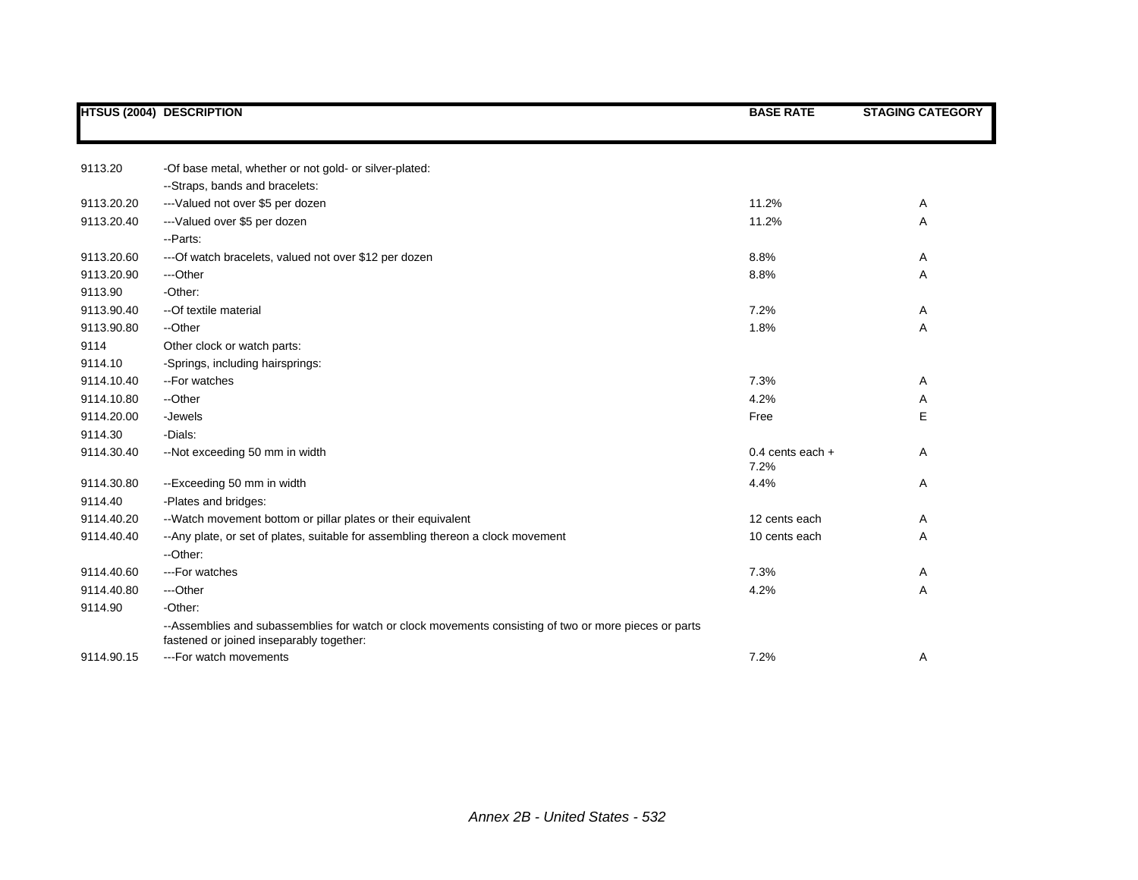|            | <b>HTSUS (2004) DESCRIPTION</b>                                                                                                                   | <b>BASE RATE</b>           | <b>STAGING CATEGORY</b> |
|------------|---------------------------------------------------------------------------------------------------------------------------------------------------|----------------------------|-------------------------|
|            |                                                                                                                                                   |                            |                         |
| 9113.20    | -Of base metal, whether or not gold- or silver-plated:                                                                                            |                            |                         |
|            | --Straps, bands and bracelets:                                                                                                                    |                            |                         |
| 9113.20.20 | --- Valued not over \$5 per dozen                                                                                                                 | 11.2%                      | Α                       |
| 9113.20.40 | --- Valued over \$5 per dozen                                                                                                                     | 11.2%                      | Α                       |
|            | - Parts:                                                                                                                                          |                            |                         |
| 9113.20.60 | --- Of watch bracelets, valued not over \$12 per dozen                                                                                            | 8.8%                       | Α                       |
| 9113.20.90 | ---Other                                                                                                                                          | 8.8%                       | Α                       |
| 9113.90    | -Other:                                                                                                                                           |                            |                         |
| 9113.90.40 | --Of textile material                                                                                                                             | 7.2%                       | Α                       |
| 9113.90.80 | --Other                                                                                                                                           | 1.8%                       | Α                       |
| 9114       | Other clock or watch parts:                                                                                                                       |                            |                         |
| 9114.10    | -Springs, including hairsprings:                                                                                                                  |                            |                         |
| 9114.10.40 | --For watches                                                                                                                                     | 7.3%                       | Α                       |
| 9114.10.80 | --Other                                                                                                                                           | 4.2%                       | Α                       |
| 9114.20.00 | -Jewels                                                                                                                                           | Free                       | E                       |
| 9114.30    | -Dials:                                                                                                                                           |                            |                         |
| 9114.30.40 | --Not exceeding 50 mm in width                                                                                                                    | 0.4 cents each $+$<br>7.2% | Α                       |
| 9114.30.80 | --Exceeding 50 mm in width                                                                                                                        | 4.4%                       | Α                       |
| 9114.40    | -Plates and bridges:                                                                                                                              |                            |                         |
| 9114.40.20 | --Watch movement bottom or pillar plates or their equivalent                                                                                      | 12 cents each              | Α                       |
| 9114.40.40 | -- Any plate, or set of plates, suitable for assembling thereon a clock movement                                                                  | 10 cents each              | Α                       |
|            | --Other:                                                                                                                                          |                            |                         |
| 9114.40.60 | ---For watches                                                                                                                                    | 7.3%                       | Α                       |
| 9114.40.80 | ---Other                                                                                                                                          | 4.2%                       | Α                       |
| 9114.90    | -Other:                                                                                                                                           |                            |                         |
|            | --Assemblies and subassemblies for watch or clock movements consisting of two or more pieces or parts<br>fastened or joined inseparably together: |                            |                         |
| 9114.90.15 | ---For watch movements                                                                                                                            | 7.2%                       | Α                       |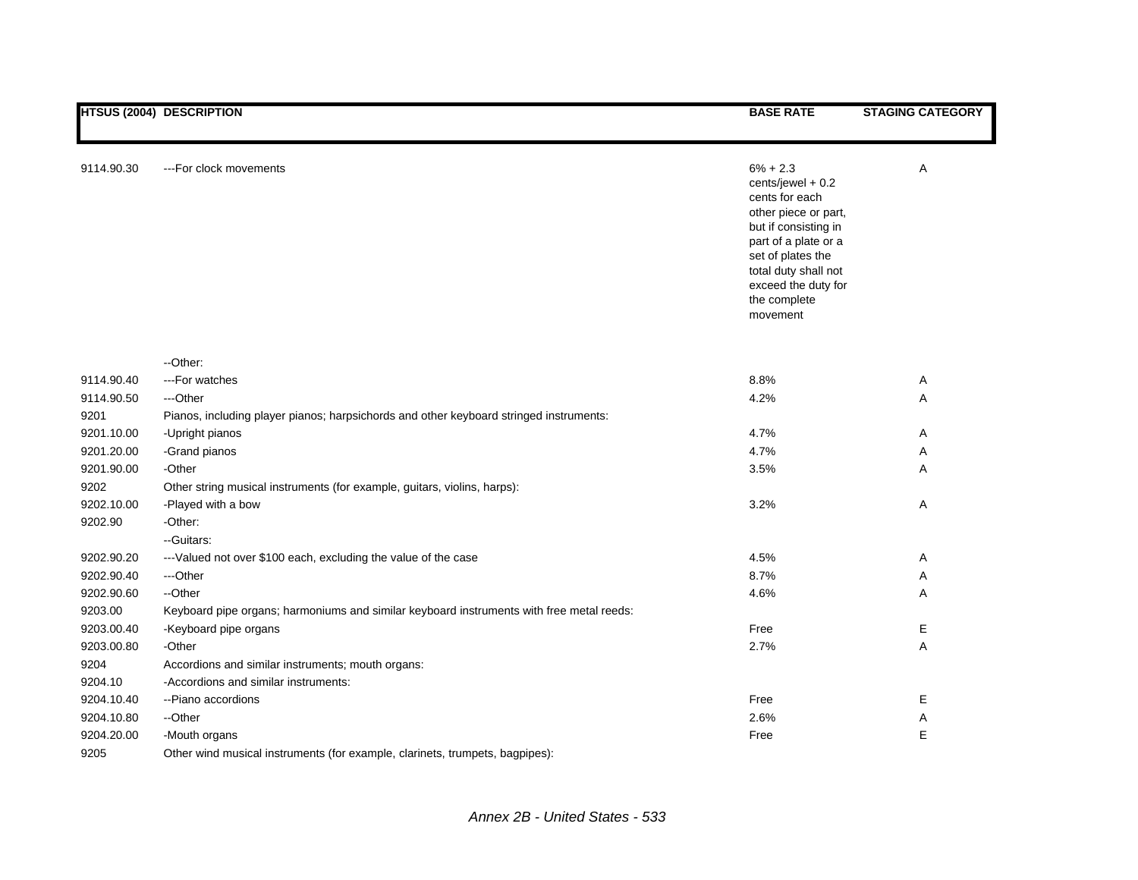|            | <b>HTSUS (2004) DESCRIPTION</b>                                                          | <b>BASE RATE</b>                                                                                                                                                                                                           | <b>STAGING CATEGORY</b> |
|------------|------------------------------------------------------------------------------------------|----------------------------------------------------------------------------------------------------------------------------------------------------------------------------------------------------------------------------|-------------------------|
|            |                                                                                          |                                                                                                                                                                                                                            |                         |
| 9114.90.30 | ---For clock movements                                                                   | $6\% + 2.3$<br>cents/jewel + 0.2<br>cents for each<br>other piece or part,<br>but if consisting in<br>part of a plate or a<br>set of plates the<br>total duty shall not<br>exceed the duty for<br>the complete<br>movement | Α                       |
|            | --Other:                                                                                 |                                                                                                                                                                                                                            |                         |
| 9114.90.40 | ---For watches                                                                           | 8.8%                                                                                                                                                                                                                       | Α                       |
| 9114.90.50 | ---Other                                                                                 | 4.2%                                                                                                                                                                                                                       | Α                       |
| 9201       | Pianos, including player pianos; harpsichords and other keyboard stringed instruments:   |                                                                                                                                                                                                                            |                         |
| 9201.10.00 | -Upright pianos                                                                          | 4.7%                                                                                                                                                                                                                       | Α                       |
| 9201.20.00 | -Grand pianos                                                                            | 4.7%                                                                                                                                                                                                                       | Α                       |
| 9201.90.00 | -Other                                                                                   | 3.5%                                                                                                                                                                                                                       | Α                       |
| 9202       | Other string musical instruments (for example, guitars, violins, harps):                 |                                                                                                                                                                                                                            |                         |
| 9202.10.00 | -Played with a bow                                                                       | 3.2%                                                                                                                                                                                                                       | Α                       |
| 9202.90    | -Other:                                                                                  |                                                                                                                                                                                                                            |                         |
|            | -- Guitars:                                                                              |                                                                                                                                                                                                                            |                         |
| 9202.90.20 | ---Valued not over \$100 each, excluding the value of the case                           | 4.5%                                                                                                                                                                                                                       | Α                       |
| 9202.90.40 | ---Other                                                                                 | 8.7%                                                                                                                                                                                                                       | Α                       |
| 9202.90.60 | --Other                                                                                  | 4.6%                                                                                                                                                                                                                       | Α                       |
| 9203.00    | Keyboard pipe organs; harmoniums and similar keyboard instruments with free metal reeds: |                                                                                                                                                                                                                            |                         |
| 9203.00.40 | -Keyboard pipe organs                                                                    | Free                                                                                                                                                                                                                       | Е                       |
| 9203.00.80 | -Other                                                                                   | 2.7%                                                                                                                                                                                                                       | Α                       |
| 9204       | Accordions and similar instruments; mouth organs:                                        |                                                                                                                                                                                                                            |                         |
| 9204.10    | -Accordions and similar instruments:                                                     |                                                                                                                                                                                                                            |                         |
| 9204.10.40 | --Piano accordions                                                                       | Free                                                                                                                                                                                                                       | E                       |
| 9204.10.80 | --Other                                                                                  | 2.6%                                                                                                                                                                                                                       | Α                       |
| 9204.20.00 | -Mouth organs                                                                            | Free                                                                                                                                                                                                                       | E                       |
| 9205       | Other wind musical instruments (for example, clarinets, trumpets, bagpipes):             |                                                                                                                                                                                                                            |                         |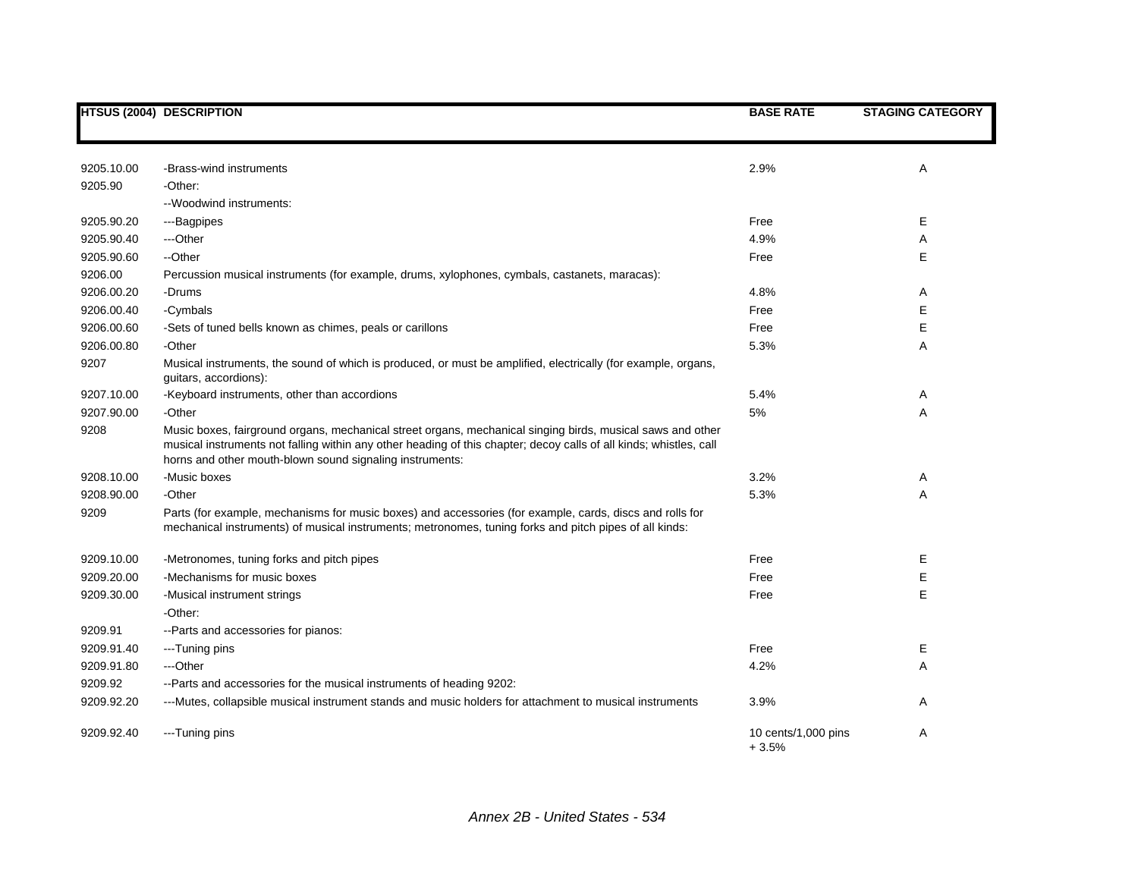|            | <b>HTSUS (2004) DESCRIPTION</b>                                                                                                                                                                                                                                                              | <b>BASE RATE</b>               | <b>STAGING CATEGORY</b> |
|------------|----------------------------------------------------------------------------------------------------------------------------------------------------------------------------------------------------------------------------------------------------------------------------------------------|--------------------------------|-------------------------|
|            |                                                                                                                                                                                                                                                                                              |                                |                         |
| 9205.10.00 | -Brass-wind instruments                                                                                                                                                                                                                                                                      | 2.9%                           | Α                       |
| 9205.90    | -Other:                                                                                                                                                                                                                                                                                      |                                |                         |
|            | --Woodwind instruments:                                                                                                                                                                                                                                                                      |                                |                         |
| 9205.90.20 | ---Bagpipes                                                                                                                                                                                                                                                                                  | Free                           | E                       |
| 9205.90.40 | ---Other                                                                                                                                                                                                                                                                                     | 4.9%                           | Α                       |
| 9205.90.60 | --Other                                                                                                                                                                                                                                                                                      | Free                           | E                       |
| 9206.00    | Percussion musical instruments (for example, drums, xylophones, cymbals, castanets, maracas):                                                                                                                                                                                                |                                |                         |
| 9206.00.20 | -Drums                                                                                                                                                                                                                                                                                       | 4.8%                           | Α                       |
| 9206.00.40 | -Cymbals                                                                                                                                                                                                                                                                                     | Free                           | E                       |
| 9206.00.60 | -Sets of tuned bells known as chimes, peals or carillons                                                                                                                                                                                                                                     | Free                           | E                       |
| 9206.00.80 | -Other                                                                                                                                                                                                                                                                                       | 5.3%                           | Α                       |
| 9207       | Musical instruments, the sound of which is produced, or must be amplified, electrically (for example, organs,<br>guitars, accordions):                                                                                                                                                       |                                |                         |
| 9207.10.00 | -Keyboard instruments, other than accordions                                                                                                                                                                                                                                                 | 5.4%                           | Α                       |
| 9207.90.00 | -Other                                                                                                                                                                                                                                                                                       | 5%                             | Α                       |
| 9208       | Music boxes, fairground organs, mechanical street organs, mechanical singing birds, musical saws and other<br>musical instruments not falling within any other heading of this chapter; decoy calls of all kinds; whistles, call<br>horns and other mouth-blown sound signaling instruments: |                                |                         |
| 9208.10.00 | -Music boxes                                                                                                                                                                                                                                                                                 | 3.2%                           | Α                       |
| 9208.90.00 | -Other                                                                                                                                                                                                                                                                                       | 5.3%                           | A                       |
| 9209       | Parts (for example, mechanisms for music boxes) and accessories (for example, cards, discs and rolls for<br>mechanical instruments) of musical instruments; metronomes, tuning forks and pitch pipes of all kinds:                                                                           |                                |                         |
| 9209.10.00 | -Metronomes, tuning forks and pitch pipes                                                                                                                                                                                                                                                    | Free                           | Ε                       |
| 9209.20.00 | -Mechanisms for music boxes                                                                                                                                                                                                                                                                  | Free                           | E                       |
| 9209.30.00 | -Musical instrument strings                                                                                                                                                                                                                                                                  | Free                           | E                       |
|            | -Other:                                                                                                                                                                                                                                                                                      |                                |                         |
| 9209.91    | -- Parts and accessories for pianos:                                                                                                                                                                                                                                                         |                                |                         |
| 9209.91.40 | ---Tuning pins                                                                                                                                                                                                                                                                               | Free                           | E.                      |
| 9209.91.80 | ---Other                                                                                                                                                                                                                                                                                     | 4.2%                           | Α                       |
| 9209.92    | --Parts and accessories for the musical instruments of heading 9202:                                                                                                                                                                                                                         |                                |                         |
| 9209.92.20 | ---Mutes, collapsible musical instrument stands and music holders for attachment to musical instruments                                                                                                                                                                                      | 3.9%                           | Α                       |
| 9209.92.40 | ---Tuning pins                                                                                                                                                                                                                                                                               | 10 cents/1,000 pins<br>$+3.5%$ | Α                       |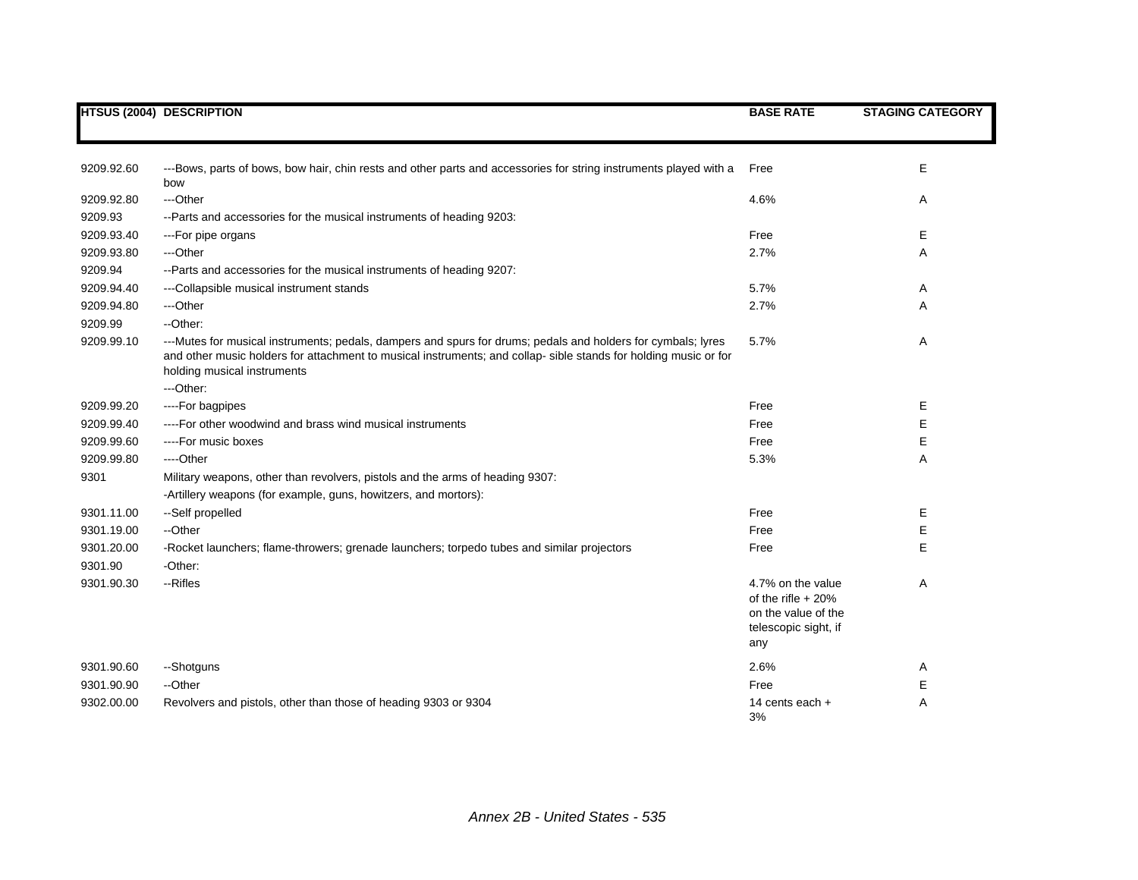|            | <b>HTSUS (2004) DESCRIPTION</b>                                                                                                                                                                                                                                 | <b>BASE RATE</b>                                                                               | <b>STAGING CATEGORY</b> |
|------------|-----------------------------------------------------------------------------------------------------------------------------------------------------------------------------------------------------------------------------------------------------------------|------------------------------------------------------------------------------------------------|-------------------------|
|            |                                                                                                                                                                                                                                                                 |                                                                                                |                         |
| 9209.92.60 | ---Bows, parts of bows, bow hair, chin rests and other parts and accessories for string instruments played with a<br>bow                                                                                                                                        | Free                                                                                           | E                       |
| 9209.92.80 | ---Other                                                                                                                                                                                                                                                        | 4.6%                                                                                           | Α                       |
| 9209.93    | --Parts and accessories for the musical instruments of heading 9203:                                                                                                                                                                                            |                                                                                                |                         |
| 9209.93.40 | ---For pipe organs                                                                                                                                                                                                                                              | Free                                                                                           | Е                       |
| 9209.93.80 | ---Other                                                                                                                                                                                                                                                        | 2.7%                                                                                           | Α                       |
| 9209.94    | --Parts and accessories for the musical instruments of heading 9207:                                                                                                                                                                                            |                                                                                                |                         |
| 9209.94.40 | ---Collapsible musical instrument stands                                                                                                                                                                                                                        | 5.7%                                                                                           | Α                       |
| 9209.94.80 | ---Other                                                                                                                                                                                                                                                        | 2.7%                                                                                           | Α                       |
| 9209.99    | --Other:                                                                                                                                                                                                                                                        |                                                                                                |                         |
| 9209.99.10 | ---Mutes for musical instruments; pedals, dampers and spurs for drums; pedals and holders for cymbals; lyres<br>and other music holders for attachment to musical instruments; and collap- sible stands for holding music or for<br>holding musical instruments | 5.7%                                                                                           | Α                       |
|            | ---Other:                                                                                                                                                                                                                                                       |                                                                                                |                         |
| 9209.99.20 | ----For bagpipes                                                                                                                                                                                                                                                | Free                                                                                           | Е                       |
| 9209.99.40 | ----For other woodwind and brass wind musical instruments                                                                                                                                                                                                       | Free                                                                                           | E                       |
| 9209.99.60 | ----For music boxes                                                                                                                                                                                                                                             | Free                                                                                           | E                       |
| 9209.99.80 | ----Other                                                                                                                                                                                                                                                       | 5.3%                                                                                           | Α                       |
| 9301       | Military weapons, other than revolvers, pistols and the arms of heading 9307:                                                                                                                                                                                   |                                                                                                |                         |
|            | -Artillery weapons (for example, guns, howitzers, and mortors):                                                                                                                                                                                                 |                                                                                                |                         |
| 9301.11.00 | --Self propelled                                                                                                                                                                                                                                                | Free                                                                                           | Е                       |
| 9301.19.00 | --Other                                                                                                                                                                                                                                                         | Free                                                                                           | Е                       |
| 9301.20.00 | -Rocket launchers; flame-throwers; grenade launchers; torpedo tubes and similar projectors                                                                                                                                                                      | Free                                                                                           | E                       |
| 9301.90    | -Other:                                                                                                                                                                                                                                                         |                                                                                                |                         |
| 9301.90.30 | --Rifles                                                                                                                                                                                                                                                        | 4.7% on the value<br>of the rifle $+20%$<br>on the value of the<br>telescopic sight, if<br>any | Α                       |
| 9301.90.60 | --Shotguns                                                                                                                                                                                                                                                      | 2.6%                                                                                           | Α                       |
| 9301.90.90 | --Other                                                                                                                                                                                                                                                         | Free                                                                                           | Е                       |
| 9302.00.00 | Revolvers and pistols, other than those of heading 9303 or 9304                                                                                                                                                                                                 | 14 cents each $+$<br>3%                                                                        | A                       |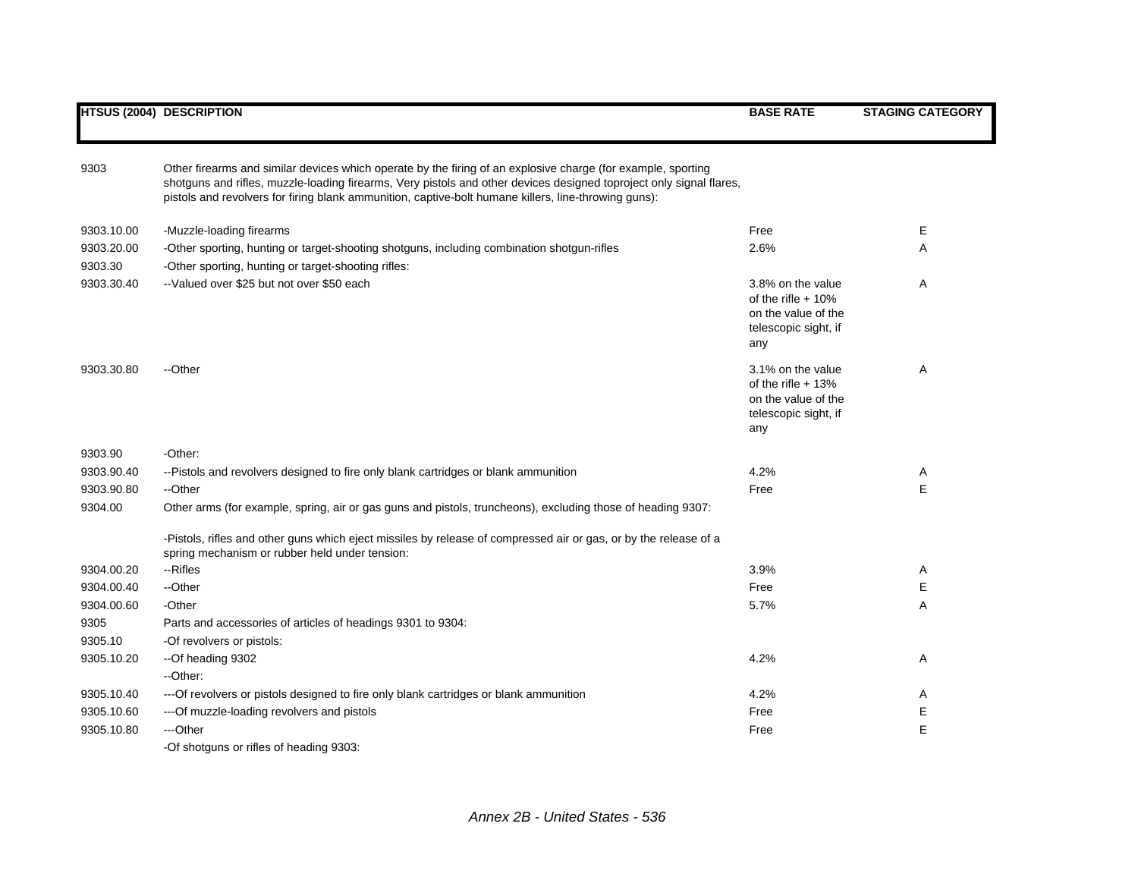|                       | <b>HTSUS (2004) DESCRIPTION</b>                                                                                                                                                                                                                                                                                                             | <b>BASE RATE</b>                                                                               | <b>STAGING CATEGORY</b> |
|-----------------------|---------------------------------------------------------------------------------------------------------------------------------------------------------------------------------------------------------------------------------------------------------------------------------------------------------------------------------------------|------------------------------------------------------------------------------------------------|-------------------------|
| 9303                  | Other firearms and similar devices which operate by the firing of an explosive charge (for example, sporting<br>shotguns and rifles, muzzle-loading firearms, Very pistols and other devices designed toproject only signal flares,<br>pistols and revolvers for firing blank ammunition, captive-bolt humane killers, line-throwing guns): |                                                                                                |                         |
| 9303.10.00            | -Muzzle-loading firearms                                                                                                                                                                                                                                                                                                                    | Free                                                                                           | E                       |
| 9303.20.00<br>9303.30 | -Other sporting, hunting or target-shooting shotguns, including combination shotgun-rifles<br>-Other sporting, hunting or target-shooting rifles:                                                                                                                                                                                           | 2.6%                                                                                           | A                       |
| 9303.30.40            | --Valued over \$25 but not over \$50 each                                                                                                                                                                                                                                                                                                   | 3.8% on the value<br>of the rifle $+10%$<br>on the value of the<br>telescopic sight, if<br>any | Α                       |
| 9303.30.80            | --Other                                                                                                                                                                                                                                                                                                                                     | 3.1% on the value<br>of the rifle $+13%$<br>on the value of the<br>telescopic sight, if<br>any | A                       |
| 9303.90               | -Other:                                                                                                                                                                                                                                                                                                                                     |                                                                                                |                         |
| 9303.90.40            | --Pistols and revolvers designed to fire only blank cartridges or blank ammunition                                                                                                                                                                                                                                                          | 4.2%                                                                                           | Α                       |
| 9303.90.80            | --Other                                                                                                                                                                                                                                                                                                                                     | Free                                                                                           | Е                       |
| 9304.00               | Other arms (for example, spring, air or gas guns and pistols, truncheons), excluding those of heading 9307:                                                                                                                                                                                                                                 |                                                                                                |                         |
|                       | -Pistols, rifles and other guns which eject missiles by release of compressed air or gas, or by the release of a<br>spring mechanism or rubber held under tension:                                                                                                                                                                          |                                                                                                |                         |
| 9304.00.20            | --Rifles                                                                                                                                                                                                                                                                                                                                    | 3.9%                                                                                           | A                       |
| 9304.00.40            | --Other                                                                                                                                                                                                                                                                                                                                     | Free                                                                                           | Е                       |
| 9304.00.60            | -Other                                                                                                                                                                                                                                                                                                                                      | 5.7%                                                                                           | Α                       |
| 9305                  | Parts and accessories of articles of headings 9301 to 9304:                                                                                                                                                                                                                                                                                 |                                                                                                |                         |
| 9305.10               | -Of revolvers or pistols:                                                                                                                                                                                                                                                                                                                   |                                                                                                |                         |
| 9305.10.20            | --Of heading 9302                                                                                                                                                                                                                                                                                                                           | 4.2%                                                                                           | Α                       |
|                       | --Other:                                                                                                                                                                                                                                                                                                                                    |                                                                                                |                         |
| 9305.10.40            | --- Of revolvers or pistols designed to fire only blank cartridges or blank ammunition                                                                                                                                                                                                                                                      | 4.2%                                                                                           | A                       |
| 9305.10.60            | --- Of muzzle-loading revolvers and pistols                                                                                                                                                                                                                                                                                                 | Free                                                                                           | E                       |
| 9305.10.80            | ---Other                                                                                                                                                                                                                                                                                                                                    | Free                                                                                           | E                       |
|                       | -Of shotguns or rifles of heading 9303:                                                                                                                                                                                                                                                                                                     |                                                                                                |                         |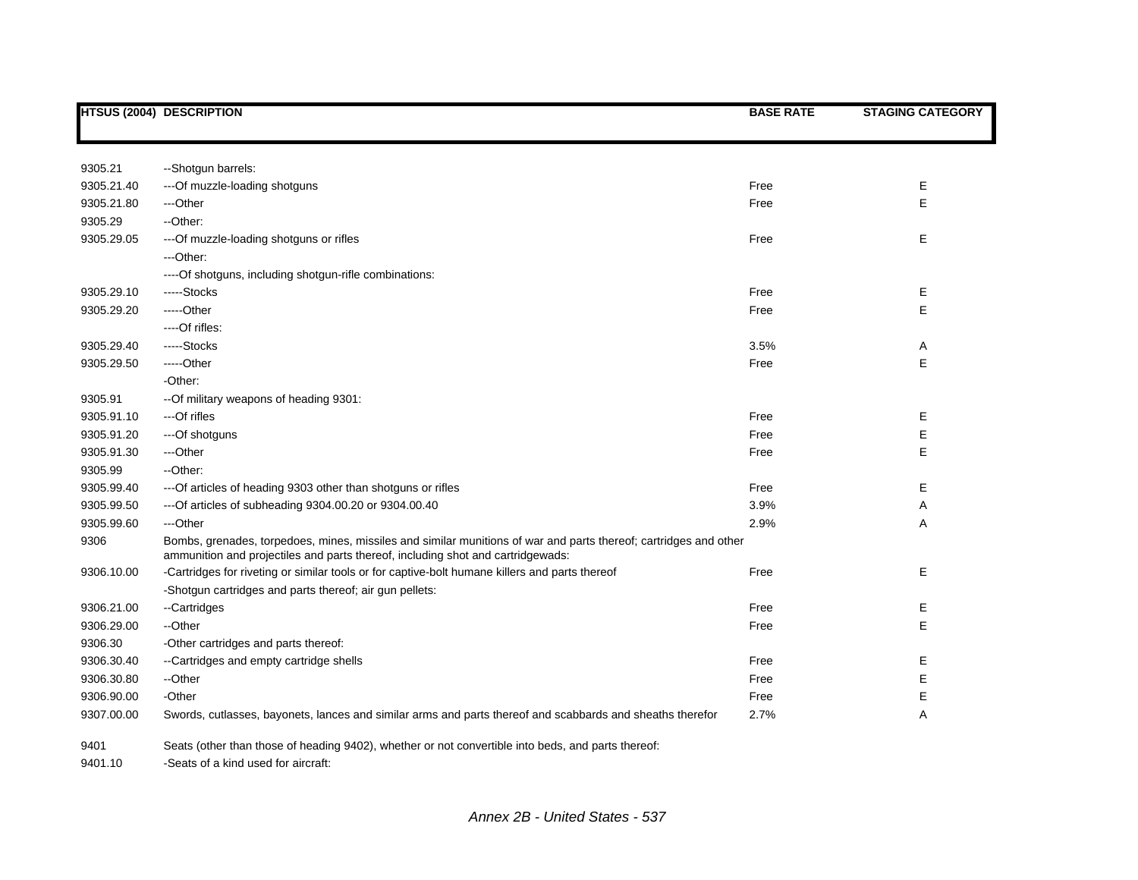|            | HTSUS (2004) DESCRIPTION                                                                                                                                                                            | <b>BASE RATE</b> | <b>STAGING CATEGORY</b> |
|------------|-----------------------------------------------------------------------------------------------------------------------------------------------------------------------------------------------------|------------------|-------------------------|
|            |                                                                                                                                                                                                     |                  |                         |
| 9305.21    | --Shotgun barrels:                                                                                                                                                                                  |                  |                         |
| 9305.21.40 | --- Of muzzle-loading shotguns                                                                                                                                                                      | Free             | Ε                       |
| 9305.21.80 | ---Other                                                                                                                                                                                            | Free             | E                       |
| 9305.29    | --Other:                                                                                                                                                                                            |                  |                         |
| 9305.29.05 | --- Of muzzle-loading shotguns or rifles                                                                                                                                                            | Free             | Е                       |
|            | ---Other:                                                                                                                                                                                           |                  |                         |
|            | ---- Of shotguns, including shotgun-rifle combinations:                                                                                                                                             |                  |                         |
| 9305.29.10 | -----Stocks                                                                                                                                                                                         | Free             | Е                       |
| 9305.29.20 | -----Other                                                                                                                                                                                          | Free             | E                       |
|            | ----Of rifles:                                                                                                                                                                                      |                  |                         |
| 9305.29.40 | -----Stocks                                                                                                                                                                                         | 3.5%             | Α                       |
| 9305.29.50 | -----Other                                                                                                                                                                                          | Free             | E                       |
|            | -Other:                                                                                                                                                                                             |                  |                         |
| 9305.91    | -- Of military weapons of heading 9301:                                                                                                                                                             |                  |                         |
| 9305.91.10 | ---Of rifles                                                                                                                                                                                        | Free             | Е                       |
| 9305.91.20 | ---Of shotguns                                                                                                                                                                                      | Free             | Е                       |
| 9305.91.30 | ---Other                                                                                                                                                                                            | Free             | E                       |
| 9305.99    | --Other:                                                                                                                                                                                            |                  |                         |
| 9305.99.40 | ---Of articles of heading 9303 other than shotguns or rifles                                                                                                                                        | Free             | Е                       |
| 9305.99.50 | --- Of articles of subheading 9304.00.20 or 9304.00.40                                                                                                                                              | 3.9%             | Α                       |
| 9305.99.60 | ---Other                                                                                                                                                                                            | 2.9%             | Α                       |
| 9306       | Bombs, grenades, torpedoes, mines, missiles and similar munitions of war and parts thereof; cartridges and other<br>ammunition and projectiles and parts thereof, including shot and cartridgewads: |                  |                         |
| 9306.10.00 | -Cartridges for riveting or similar tools or for captive-bolt humane killers and parts thereof                                                                                                      | Free             | Е                       |
|            | -Shotgun cartridges and parts thereof; air gun pellets:                                                                                                                                             |                  |                         |
| 9306.21.00 | --Cartridges                                                                                                                                                                                        | Free             | Е                       |
| 9306.29.00 | --Other                                                                                                                                                                                             | Free             | E                       |
| 9306.30    | -Other cartridges and parts thereof:                                                                                                                                                                |                  |                         |
| 9306.30.40 | --Cartridges and empty cartridge shells                                                                                                                                                             | Free             | Е                       |
| 9306.30.80 | --Other                                                                                                                                                                                             | Free             | Е                       |
| 9306.90.00 | -Other                                                                                                                                                                                              | Free             | Е                       |
| 9307.00.00 | Swords, cutlasses, bayonets, lances and similar arms and parts thereof and scabbards and sheaths therefor                                                                                           | 2.7%             | Α                       |
| 9401       | Seats (other than those of heading 9402), whether or not convertible into beds, and parts thereof:                                                                                                  |                  |                         |
| 9401.10    | -Seats of a kind used for aircraft:                                                                                                                                                                 |                  |                         |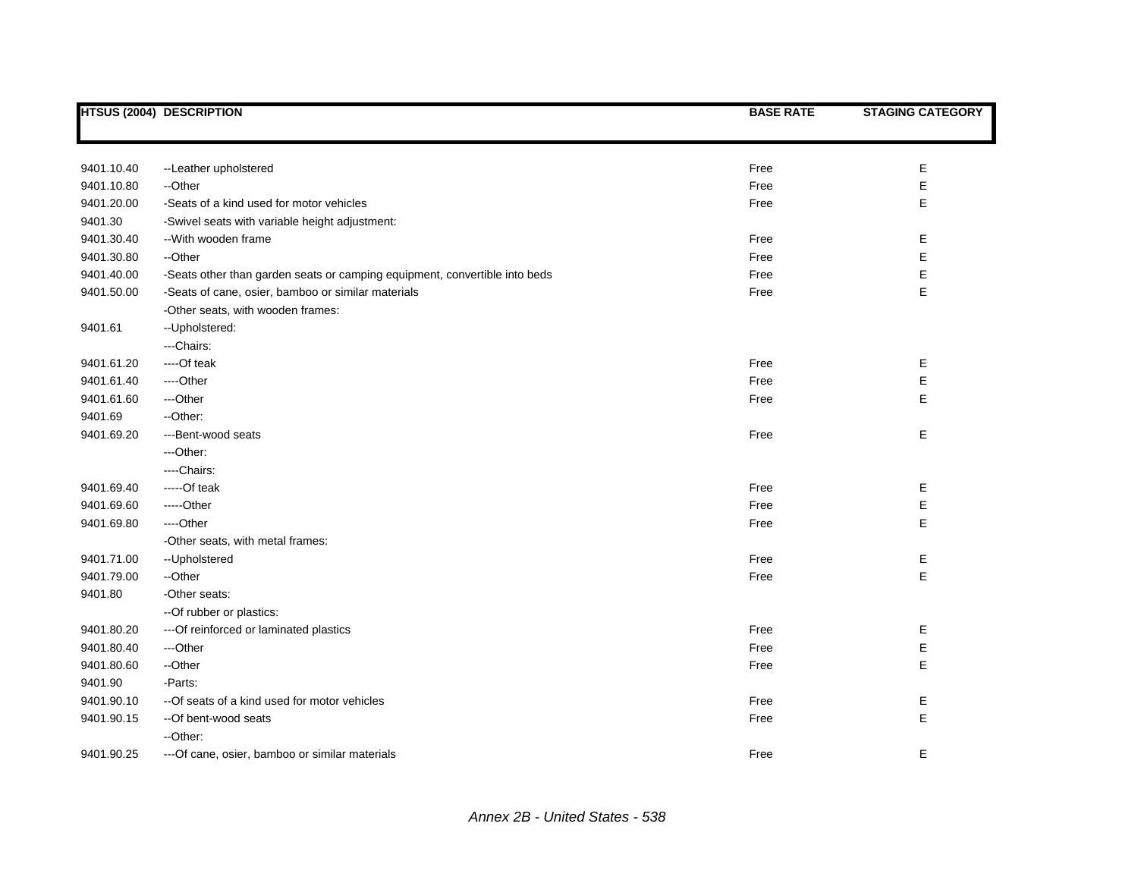|            | HTSUS (2004) DESCRIPTION                                                   | <b>BASE RATE</b> | <b>STAGING CATEGORY</b> |
|------------|----------------------------------------------------------------------------|------------------|-------------------------|
|            |                                                                            |                  |                         |
| 9401.10.40 | --Leather upholstered                                                      | Free             | Е                       |
| 9401.10.80 | --Other                                                                    | Free             | E                       |
| 9401.20.00 | -Seats of a kind used for motor vehicles                                   | Free             | Е                       |
| 9401.30    | -Swivel seats with variable height adjustment:                             |                  |                         |
| 9401.30.40 | -- With wooden frame                                                       | Free             | E                       |
| 9401.30.80 | --Other                                                                    | Free             | E                       |
| 9401.40.00 | -Seats other than garden seats or camping equipment, convertible into beds | Free             | E                       |
| 9401.50.00 | -Seats of cane, osier, bamboo or similar materials                         | Free             | E                       |
|            | -Other seats, with wooden frames:                                          |                  |                         |
| 9401.61    | -- Upholstered:                                                            |                  |                         |
|            | ---Chairs:                                                                 |                  |                         |
| 9401.61.20 | ----Of teak                                                                | Free             | E                       |
| 9401.61.40 | ----Other                                                                  | Free             | E                       |
| 9401.61.60 | ---Other                                                                   | Free             | E                       |
| 9401.69    | --Other:                                                                   |                  |                         |
| 9401.69.20 | ---Bent-wood seats                                                         | Free             | E                       |
|            | ---Other:                                                                  |                  |                         |
|            | ----Chairs:                                                                |                  |                         |
| 9401.69.40 | -----Of teak                                                               | Free             | E                       |
| 9401.69.60 | -----Other                                                                 | Free             | E                       |
| 9401.69.80 | ----Other                                                                  | Free             | E                       |
|            | -Other seats, with metal frames:                                           |                  |                         |
| 9401.71.00 | --Upholstered                                                              | Free             | E                       |
| 9401.79.00 | --Other                                                                    | Free             | E                       |
| 9401.80    | -Other seats:                                                              |                  |                         |
|            | -- Of rubber or plastics:                                                  |                  |                         |
| 9401.80.20 | --- Of reinforced or laminated plastics                                    | Free             | Е                       |
| 9401.80.40 | ---Other                                                                   | Free             | E                       |
| 9401.80.60 | --Other                                                                    | Free             | E                       |
| 9401.90    | -Parts:                                                                    |                  |                         |
| 9401.90.10 | -- Of seats of a kind used for motor vehicles                              | Free             | Е                       |
| 9401.90.15 | --Of bent-wood seats                                                       | Free             | E                       |
|            | -- Other:                                                                  |                  |                         |
| 9401.90.25 | --- Of cane, osier, bamboo or similar materials                            | Free             | E                       |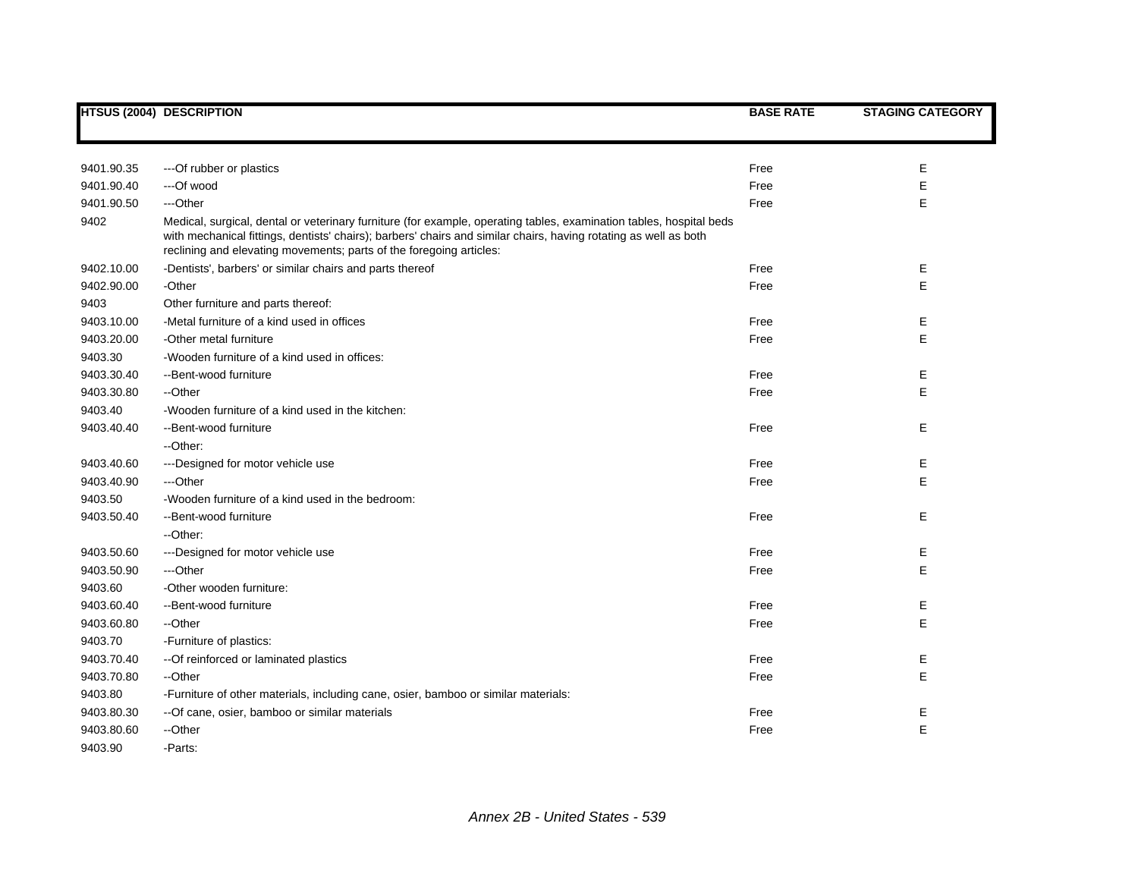|            | <b>HTSUS (2004) DESCRIPTION</b>                                                                                                                                                                                                                                                                                | <b>BASE RATE</b> | <b>STAGING CATEGORY</b> |
|------------|----------------------------------------------------------------------------------------------------------------------------------------------------------------------------------------------------------------------------------------------------------------------------------------------------------------|------------------|-------------------------|
|            |                                                                                                                                                                                                                                                                                                                |                  |                         |
| 9401.90.35 | --- Of rubber or plastics                                                                                                                                                                                                                                                                                      | Free             | E                       |
| 9401.90.40 | ---Of wood                                                                                                                                                                                                                                                                                                     | Free             | E                       |
| 9401.90.50 | ---Other                                                                                                                                                                                                                                                                                                       | Free             | E                       |
| 9402       | Medical, surgical, dental or veterinary furniture (for example, operating tables, examination tables, hospital beds<br>with mechanical fittings, dentists' chairs); barbers' chairs and similar chairs, having rotating as well as both<br>reclining and elevating movements; parts of the foregoing articles: |                  |                         |
| 9402.10.00 | -Dentists', barbers' or similar chairs and parts thereof                                                                                                                                                                                                                                                       | Free             | Е                       |
| 9402.90.00 | -Other                                                                                                                                                                                                                                                                                                         | Free             | E                       |
| 9403       | Other furniture and parts thereof:                                                                                                                                                                                                                                                                             |                  |                         |
| 9403.10.00 | -Metal furniture of a kind used in offices                                                                                                                                                                                                                                                                     | Free             | Е                       |
| 9403.20.00 | -Other metal furniture                                                                                                                                                                                                                                                                                         | Free             | E                       |
| 9403.30    | -Wooden furniture of a kind used in offices:                                                                                                                                                                                                                                                                   |                  |                         |
| 9403.30.40 | --Bent-wood furniture                                                                                                                                                                                                                                                                                          | Free             | Е                       |
| 9403.30.80 | --Other                                                                                                                                                                                                                                                                                                        | Free             | E                       |
| 9403.40    | -Wooden furniture of a kind used in the kitchen:                                                                                                                                                                                                                                                               |                  |                         |
| 9403.40.40 | --Bent-wood furniture                                                                                                                                                                                                                                                                                          | Free             | E                       |
|            | --Other:                                                                                                                                                                                                                                                                                                       |                  |                         |
| 9403.40.60 | ---Designed for motor vehicle use                                                                                                                                                                                                                                                                              | Free             | Е                       |
| 9403.40.90 | ---Other                                                                                                                                                                                                                                                                                                       | Free             | E                       |
| 9403.50    | -Wooden furniture of a kind used in the bedroom:                                                                                                                                                                                                                                                               |                  |                         |
| 9403.50.40 | --Bent-wood furniture                                                                                                                                                                                                                                                                                          | Free             | Е                       |
|            | --Other:                                                                                                                                                                                                                                                                                                       |                  |                         |
| 9403.50.60 | ---Designed for motor vehicle use                                                                                                                                                                                                                                                                              | Free             | Е                       |
| 9403.50.90 | ---Other                                                                                                                                                                                                                                                                                                       | Free             | E                       |
| 9403.60    | -Other wooden furniture:                                                                                                                                                                                                                                                                                       |                  |                         |
| 9403.60.40 | --Bent-wood furniture                                                                                                                                                                                                                                                                                          | Free             | Е                       |
| 9403.60.80 | --Other                                                                                                                                                                                                                                                                                                        | Free             | E                       |
| 9403.70    | -Furniture of plastics:                                                                                                                                                                                                                                                                                        |                  |                         |
| 9403.70.40 | -- Of reinforced or laminated plastics                                                                                                                                                                                                                                                                         | Free             | Е                       |
| 9403.70.80 | --Other                                                                                                                                                                                                                                                                                                        | Free             | E                       |
| 9403.80    | -Furniture of other materials, including cane, osier, bamboo or similar materials:                                                                                                                                                                                                                             |                  |                         |
| 9403.80.30 | -- Of cane, osier, bamboo or similar materials                                                                                                                                                                                                                                                                 | Free             | Е                       |
| 9403.80.60 | --Other                                                                                                                                                                                                                                                                                                        | Free             | E                       |
| 9403.90    | -Parts:                                                                                                                                                                                                                                                                                                        |                  |                         |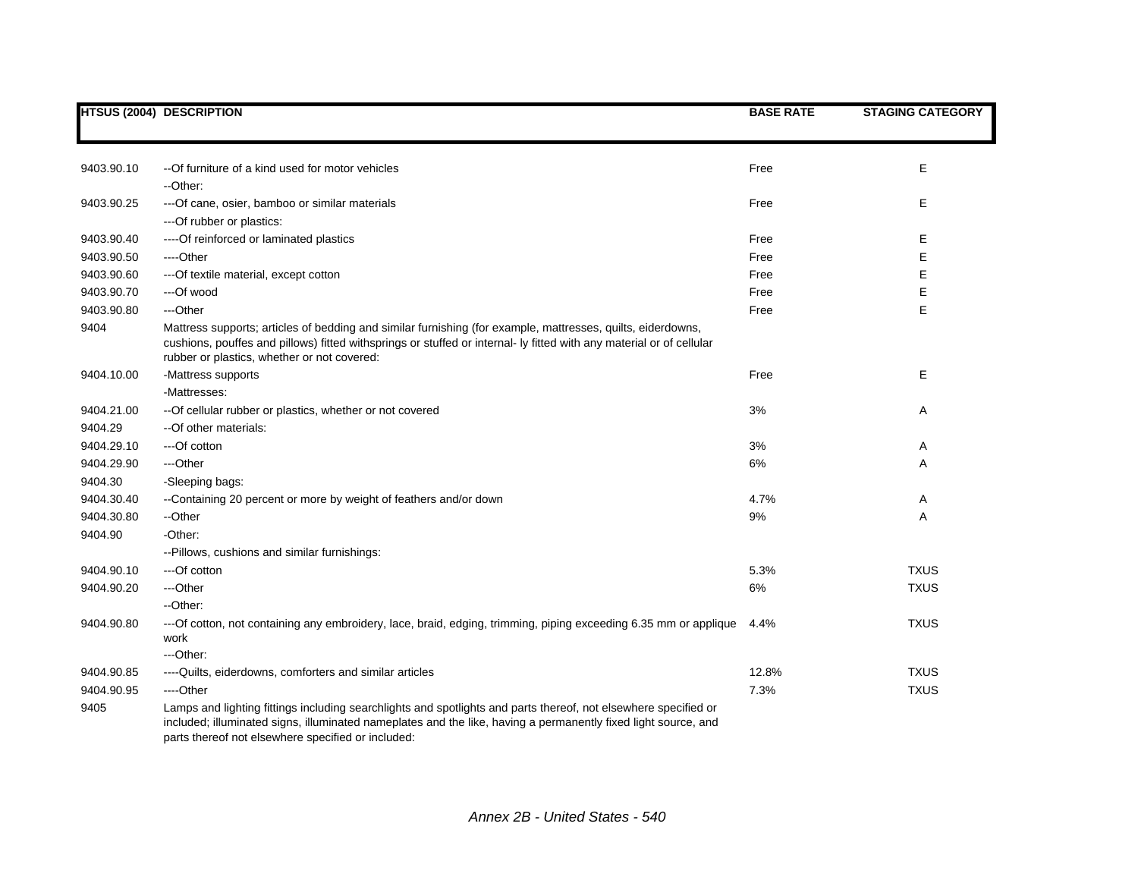|            | <b>HTSUS (2004) DESCRIPTION</b>                                                                                                                                                                                                                                                    | <b>BASE RATE</b> | <b>STAGING CATEGORY</b> |
|------------|------------------------------------------------------------------------------------------------------------------------------------------------------------------------------------------------------------------------------------------------------------------------------------|------------------|-------------------------|
|            |                                                                                                                                                                                                                                                                                    |                  |                         |
|            |                                                                                                                                                                                                                                                                                    |                  |                         |
| 9403.90.10 | --Of furniture of a kind used for motor vehicles                                                                                                                                                                                                                                   | Free             | Е                       |
|            | --Other:                                                                                                                                                                                                                                                                           |                  |                         |
| 9403.90.25 | --- Of cane, osier, bamboo or similar materials                                                                                                                                                                                                                                    | Free             | Е                       |
|            | --- Of rubber or plastics:                                                                                                                                                                                                                                                         |                  |                         |
| 9403.90.40 | ---- Of reinforced or laminated plastics                                                                                                                                                                                                                                           | Free             | Е                       |
| 9403.90.50 | ----Other                                                                                                                                                                                                                                                                          | Free             | Е                       |
| 9403.90.60 | --- Of textile material, except cotton                                                                                                                                                                                                                                             | Free             | E                       |
| 9403.90.70 | ---Of wood                                                                                                                                                                                                                                                                         | Free             | E                       |
| 9403.90.80 | ---Other                                                                                                                                                                                                                                                                           | Free             | E                       |
| 9404       | Mattress supports; articles of bedding and similar furnishing (for example, mattresses, quilts, eiderdowns,<br>cushions, pouffes and pillows) fitted withsprings or stuffed or internal- ly fitted with any material or of cellular<br>rubber or plastics, whether or not covered: |                  |                         |
| 9404.10.00 | -Mattress supports                                                                                                                                                                                                                                                                 | Free             | E                       |
|            | -Mattresses:                                                                                                                                                                                                                                                                       |                  |                         |
| 9404.21.00 | -- Of cellular rubber or plastics, whether or not covered                                                                                                                                                                                                                          | 3%               | Α                       |
| 9404.29    | --Of other materials:                                                                                                                                                                                                                                                              |                  |                         |
| 9404.29.10 | ---Of cotton                                                                                                                                                                                                                                                                       | 3%               | Α                       |
| 9404.29.90 | ---Other                                                                                                                                                                                                                                                                           | 6%               | Α                       |
| 9404.30    | -Sleeping bags:                                                                                                                                                                                                                                                                    |                  |                         |
| 9404.30.40 | --Containing 20 percent or more by weight of feathers and/or down                                                                                                                                                                                                                  | 4.7%             | Α                       |
| 9404.30.80 | --Other                                                                                                                                                                                                                                                                            | 9%               | Α                       |
| 9404.90    | -Other:                                                                                                                                                                                                                                                                            |                  |                         |
|            | -- Pillows, cushions and similar furnishings:                                                                                                                                                                                                                                      |                  |                         |
| 9404.90.10 | ---Of cotton                                                                                                                                                                                                                                                                       | 5.3%             | <b>TXUS</b>             |
| 9404.90.20 | ---Other                                                                                                                                                                                                                                                                           | 6%               | <b>TXUS</b>             |
|            | --Other:                                                                                                                                                                                                                                                                           |                  |                         |
| 9404.90.80 | ---Of cotton, not containing any embroidery, lace, braid, edging, trimming, piping exceeding 6.35 mm or applique<br>work                                                                                                                                                           | 4.4%             | <b>TXUS</b>             |
|            | ---Other:                                                                                                                                                                                                                                                                          |                  |                         |
| 9404.90.85 | ---- Quilts, eiderdowns, comforters and similar articles                                                                                                                                                                                                                           | 12.8%            | <b>TXUS</b>             |
| 9404.90.95 | ----Other                                                                                                                                                                                                                                                                          | 7.3%             | <b>TXUS</b>             |
| 9405       | Lamps and lighting fittings including searchlights and spotlights and parts thereof, not elsewhere specified or                                                                                                                                                                    |                  |                         |
|            | included; illuminated signs, illuminated nameplates and the like, having a permanently fixed light source, and<br>parts thereof not elsewhere specified or included:                                                                                                               |                  |                         |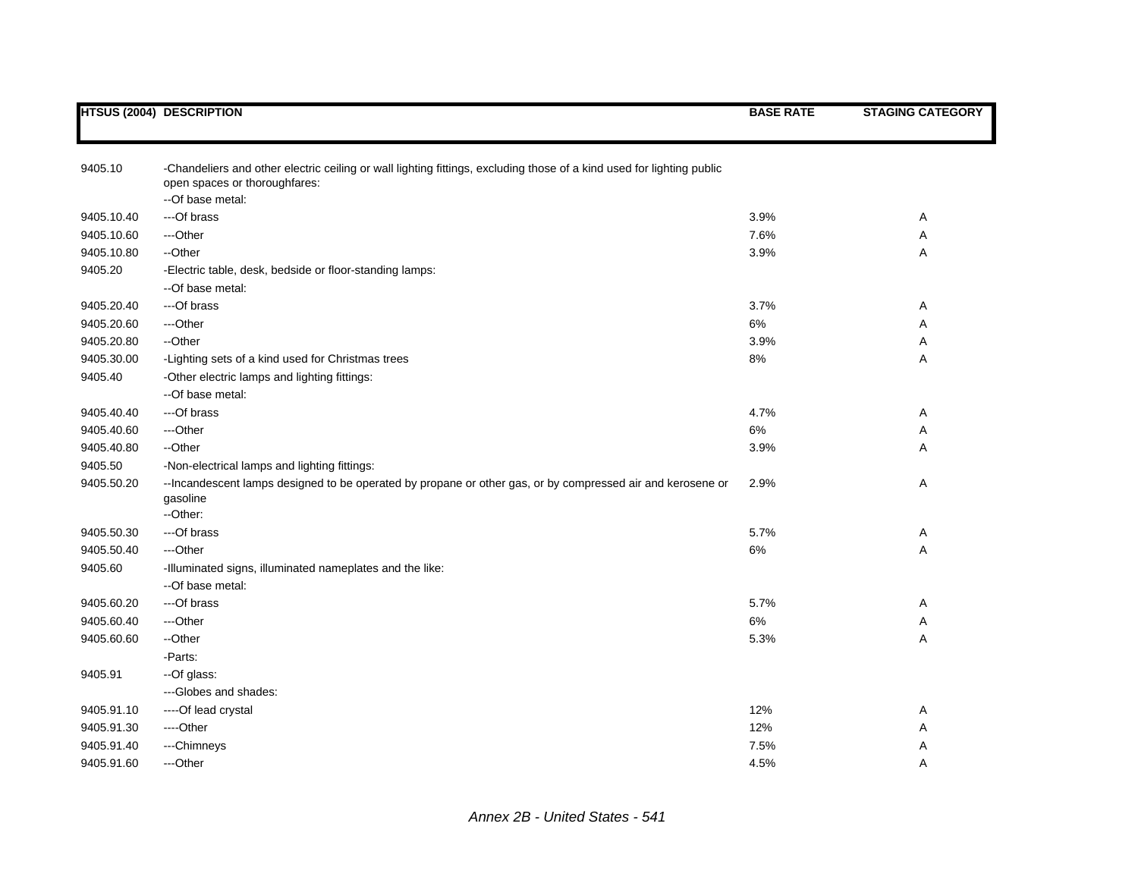|            | <b>HTSUS (2004) DESCRIPTION</b>                                                                                                                        | <b>BASE RATE</b> | <b>STAGING CATEGORY</b> |
|------------|--------------------------------------------------------------------------------------------------------------------------------------------------------|------------------|-------------------------|
|            |                                                                                                                                                        |                  |                         |
| 9405.10    | -Chandeliers and other electric ceiling or wall lighting fittings, excluding those of a kind used for lighting public<br>open spaces or thoroughfares: |                  |                         |
|            | --Of base metal:                                                                                                                                       |                  |                         |
| 9405.10.40 | ---Of brass                                                                                                                                            | 3.9%             | Α                       |
| 9405.10.60 | ---Other                                                                                                                                               | 7.6%             | Α                       |
| 9405.10.80 | --Other                                                                                                                                                | 3.9%             | Α                       |
| 9405.20    | -Electric table, desk, bedside or floor-standing lamps:                                                                                                |                  |                         |
|            | --Of base metal:                                                                                                                                       |                  |                         |
| 9405.20.40 | ---Of brass                                                                                                                                            | 3.7%             | Α                       |
| 9405.20.60 | ---Other                                                                                                                                               | 6%               | Α                       |
| 9405.20.80 | --Other                                                                                                                                                | 3.9%             | Α                       |
| 9405.30.00 | -Lighting sets of a kind used for Christmas trees                                                                                                      | 8%               | Α                       |
| 9405.40    | -Other electric lamps and lighting fittings:                                                                                                           |                  |                         |
|            | --Of base metal:                                                                                                                                       |                  |                         |
| 9405.40.40 | ---Of brass                                                                                                                                            | 4.7%             | Α                       |
| 9405.40.60 | ---Other                                                                                                                                               | 6%               | Α                       |
| 9405.40.80 | --Other                                                                                                                                                | 3.9%             | Α                       |
| 9405.50    | -Non-electrical lamps and lighting fittings:                                                                                                           |                  |                         |
| 9405.50.20 | -- Incandescent lamps designed to be operated by propane or other gas, or by compressed air and kerosene or<br>gasoline                                | 2.9%             | Α                       |
|            | --Other:                                                                                                                                               |                  |                         |
| 9405.50.30 | ---Of brass                                                                                                                                            | 5.7%             | Α                       |
| 9405.50.40 | ---Other                                                                                                                                               | 6%               | Α                       |
| 9405.60    | -Illuminated signs, illuminated nameplates and the like:                                                                                               |                  |                         |
|            | --Of base metal:                                                                                                                                       |                  |                         |
| 9405.60.20 | ---Of brass                                                                                                                                            | 5.7%             | Α                       |
| 9405.60.40 | ---Other                                                                                                                                               | 6%               | Α                       |
| 9405.60.60 | --Other                                                                                                                                                | 5.3%             | Α                       |
|            | -Parts:                                                                                                                                                |                  |                         |
| 9405.91    | --Of glass:                                                                                                                                            |                  |                         |
|            | --- Globes and shades:                                                                                                                                 |                  |                         |
| 9405.91.10 | ----Of lead crystal                                                                                                                                    | 12%              | Α                       |
| 9405.91.30 | ----Other                                                                                                                                              | 12%              | Α                       |
| 9405.91.40 | ---Chimneys                                                                                                                                            | 7.5%             | Α                       |
| 9405.91.60 | ---Other                                                                                                                                               | 4.5%             | Α                       |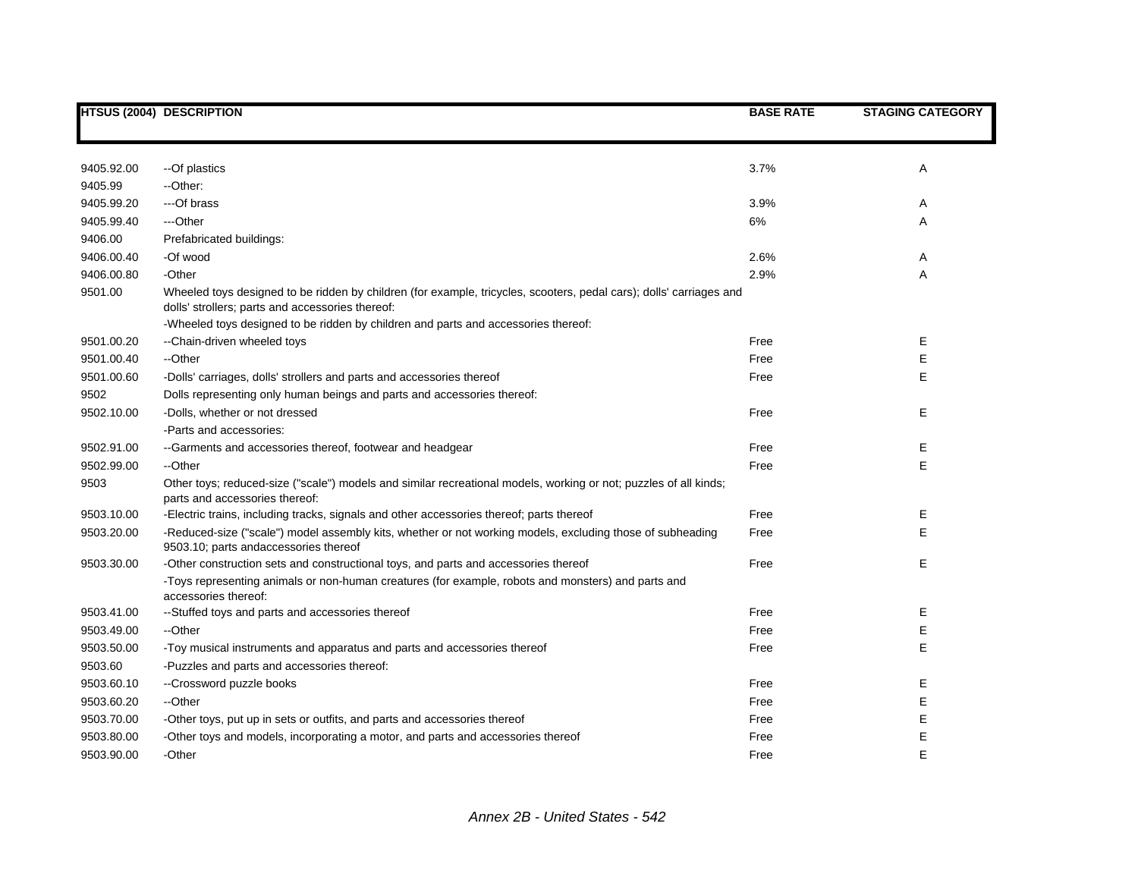|            | <b>HTSUS (2004) DESCRIPTION</b>                                                                                                                                                                                                                               | <b>BASE RATE</b> | <b>STAGING CATEGORY</b> |
|------------|---------------------------------------------------------------------------------------------------------------------------------------------------------------------------------------------------------------------------------------------------------------|------------------|-------------------------|
|            |                                                                                                                                                                                                                                                               |                  |                         |
| 9405.92.00 | --Of plastics                                                                                                                                                                                                                                                 | 3.7%             | Α                       |
| 9405.99    | --Other:                                                                                                                                                                                                                                                      |                  |                         |
| 9405.99.20 | ---Of brass                                                                                                                                                                                                                                                   | 3.9%             | Α                       |
| 9405.99.40 | ---Other                                                                                                                                                                                                                                                      | 6%               | Α                       |
| 9406.00    | Prefabricated buildings:                                                                                                                                                                                                                                      |                  |                         |
| 9406.00.40 | -Of wood                                                                                                                                                                                                                                                      | 2.6%             | Α                       |
| 9406.00.80 | -Other                                                                                                                                                                                                                                                        | 2.9%             | A                       |
| 9501.00    | Wheeled toys designed to be ridden by children (for example, tricycles, scooters, pedal cars); dolls' carriages and<br>dolls' strollers; parts and accessories thereof:<br>-Wheeled toys designed to be ridden by children and parts and accessories thereof: |                  |                         |
| 9501.00.20 | --Chain-driven wheeled toys                                                                                                                                                                                                                                   | Free             | Е                       |
| 9501.00.40 | --Other                                                                                                                                                                                                                                                       | Free             | Е                       |
| 9501.00.60 | -Dolls' carriages, dolls' strollers and parts and accessories thereof                                                                                                                                                                                         | Free             | E.                      |
| 9502       | Dolls representing only human beings and parts and accessories thereof:                                                                                                                                                                                       |                  |                         |
| 9502.10.00 | -Dolls, whether or not dressed                                                                                                                                                                                                                                | Free             | E                       |
|            | -Parts and accessories:                                                                                                                                                                                                                                       |                  |                         |
| 9502.91.00 | --Garments and accessories thereof, footwear and headgear                                                                                                                                                                                                     | Free             | Ε                       |
| 9502.99.00 | --Other                                                                                                                                                                                                                                                       | Free             | E.                      |
| 9503       | Other toys; reduced-size ("scale") models and similar recreational models, working or not; puzzles of all kinds;<br>parts and accessories thereof:                                                                                                            |                  |                         |
| 9503.10.00 | -Electric trains, including tracks, signals and other accessories thereof; parts thereof                                                                                                                                                                      | Free             | E                       |
| 9503.20.00 | -Reduced-size ("scale") model assembly kits, whether or not working models, excluding those of subheading<br>9503.10; parts andaccessories thereof                                                                                                            | Free             | E                       |
| 9503.30.00 | -Other construction sets and constructional toys, and parts and accessories thereof                                                                                                                                                                           | Free             | E.                      |
|            | -Toys representing animals or non-human creatures (for example, robots and monsters) and parts and<br>accessories thereof:                                                                                                                                    |                  |                         |
| 9503.41.00 | --Stuffed toys and parts and accessories thereof                                                                                                                                                                                                              | Free             | Е                       |
| 9503.49.00 | --Other                                                                                                                                                                                                                                                       | Free             | E                       |
| 9503.50.00 | -Toy musical instruments and apparatus and parts and accessories thereof                                                                                                                                                                                      | Free             | E                       |
| 9503.60    | -Puzzles and parts and accessories thereof:                                                                                                                                                                                                                   |                  |                         |
| 9503.60.10 | --Crossword puzzle books                                                                                                                                                                                                                                      | Free             | Е                       |
| 9503.60.20 | --Other                                                                                                                                                                                                                                                       | Free             | E                       |
| 9503.70.00 | -Other toys, put up in sets or outfits, and parts and accessories thereof                                                                                                                                                                                     | Free             | E                       |
| 9503.80.00 | -Other toys and models, incorporating a motor, and parts and accessories thereof                                                                                                                                                                              | Free             | E                       |
| 9503.90.00 | -Other                                                                                                                                                                                                                                                        | Free             | E                       |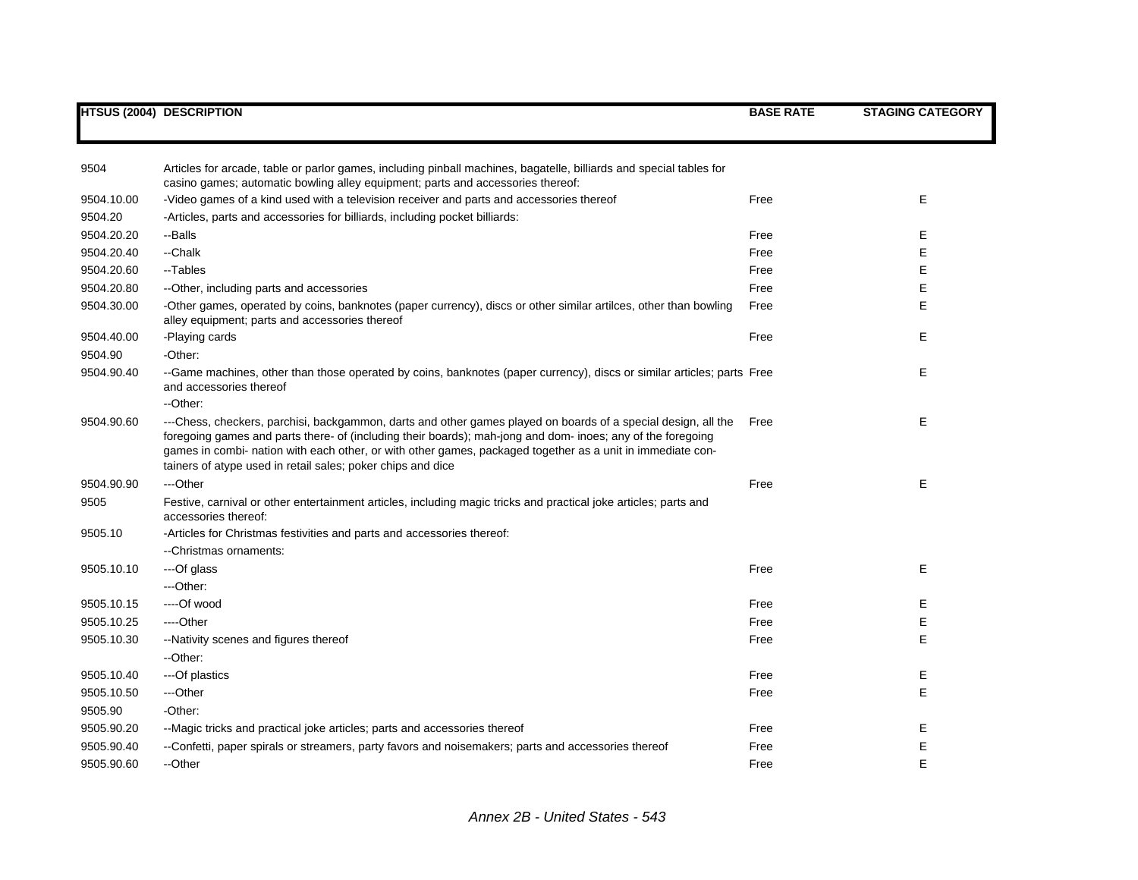|            | <b>HTSUS (2004) DESCRIPTION</b>                                                                                                                                                                                                                                                                                                                                                                           | <b>BASE RATE</b> | <b>STAGING CATEGORY</b> |
|------------|-----------------------------------------------------------------------------------------------------------------------------------------------------------------------------------------------------------------------------------------------------------------------------------------------------------------------------------------------------------------------------------------------------------|------------------|-------------------------|
|            |                                                                                                                                                                                                                                                                                                                                                                                                           |                  |                         |
| 9504       | Articles for arcade, table or parlor games, including pinball machines, bagatelle, billiards and special tables for<br>casino games; automatic bowling alley equipment; parts and accessories thereof:                                                                                                                                                                                                    |                  |                         |
| 9504.10.00 | -Video games of a kind used with a television receiver and parts and accessories thereof                                                                                                                                                                                                                                                                                                                  | Free             | Е                       |
| 9504.20    | -Articles, parts and accessories for billiards, including pocket billiards:                                                                                                                                                                                                                                                                                                                               |                  |                         |
| 9504.20.20 | --Balls                                                                                                                                                                                                                                                                                                                                                                                                   | Free             | E                       |
| 9504.20.40 | --Chalk                                                                                                                                                                                                                                                                                                                                                                                                   | Free             | E                       |
| 9504.20.60 | --Tables                                                                                                                                                                                                                                                                                                                                                                                                  | Free             | E                       |
| 9504.20.80 | --Other, including parts and accessories                                                                                                                                                                                                                                                                                                                                                                  | Free             | E                       |
| 9504.30.00 | -Other games, operated by coins, banknotes (paper currency), discs or other similar artilces, other than bowling<br>alley equipment; parts and accessories thereof                                                                                                                                                                                                                                        | Free             | E                       |
| 9504.40.00 | -Playing cards                                                                                                                                                                                                                                                                                                                                                                                            | Free             | E                       |
| 9504.90    | -Other:                                                                                                                                                                                                                                                                                                                                                                                                   |                  |                         |
| 9504.90.40 | --Game machines, other than those operated by coins, banknotes (paper currency), discs or similar articles; parts Free<br>and accessories thereof                                                                                                                                                                                                                                                         |                  | E                       |
|            | -- Other:                                                                                                                                                                                                                                                                                                                                                                                                 |                  |                         |
| 9504.90.60 | ---Chess, checkers, parchisi, backgammon, darts and other games played on boards of a special design, all the<br>foregoing games and parts there- of (including their boards); mah-jong and dom- inoes; any of the foregoing<br>games in combi- nation with each other, or with other games, packaged together as a unit in immediate con-<br>tainers of atype used in retail sales; poker chips and dice | Free             | E                       |
| 9504.90.90 | ---Other                                                                                                                                                                                                                                                                                                                                                                                                  | Free             | Е                       |
| 9505       | Festive, carnival or other entertainment articles, including magic tricks and practical joke articles; parts and<br>accessories thereof:                                                                                                                                                                                                                                                                  |                  |                         |
| 9505.10    | -Articles for Christmas festivities and parts and accessories thereof:                                                                                                                                                                                                                                                                                                                                    |                  |                         |
|            | --Christmas ornaments:                                                                                                                                                                                                                                                                                                                                                                                    |                  |                         |
| 9505.10.10 | ---Of glass                                                                                                                                                                                                                                                                                                                                                                                               | Free             | E                       |
|            | ---Other:                                                                                                                                                                                                                                                                                                                                                                                                 |                  |                         |
| 9505.10.15 | ----Of wood                                                                                                                                                                                                                                                                                                                                                                                               | Free             | Е                       |
| 9505.10.25 | ----Other                                                                                                                                                                                                                                                                                                                                                                                                 | Free             | E                       |
| 9505.10.30 | --Nativity scenes and figures thereof                                                                                                                                                                                                                                                                                                                                                                     | Free             | E                       |
|            | --Other:                                                                                                                                                                                                                                                                                                                                                                                                  |                  |                         |
| 9505.10.40 | ---Of plastics                                                                                                                                                                                                                                                                                                                                                                                            | Free             | E                       |
| 9505.10.50 | ---Other                                                                                                                                                                                                                                                                                                                                                                                                  | Free             | E                       |
| 9505.90    | -Other:                                                                                                                                                                                                                                                                                                                                                                                                   |                  |                         |
| 9505.90.20 | --Magic tricks and practical joke articles; parts and accessories thereof                                                                                                                                                                                                                                                                                                                                 | Free             | E                       |
| 9505.90.40 | --Confetti, paper spirals or streamers, party favors and noisemakers; parts and accessories thereof                                                                                                                                                                                                                                                                                                       | Free             | E                       |
| 9505.90.60 | --Other                                                                                                                                                                                                                                                                                                                                                                                                   | Free             | E                       |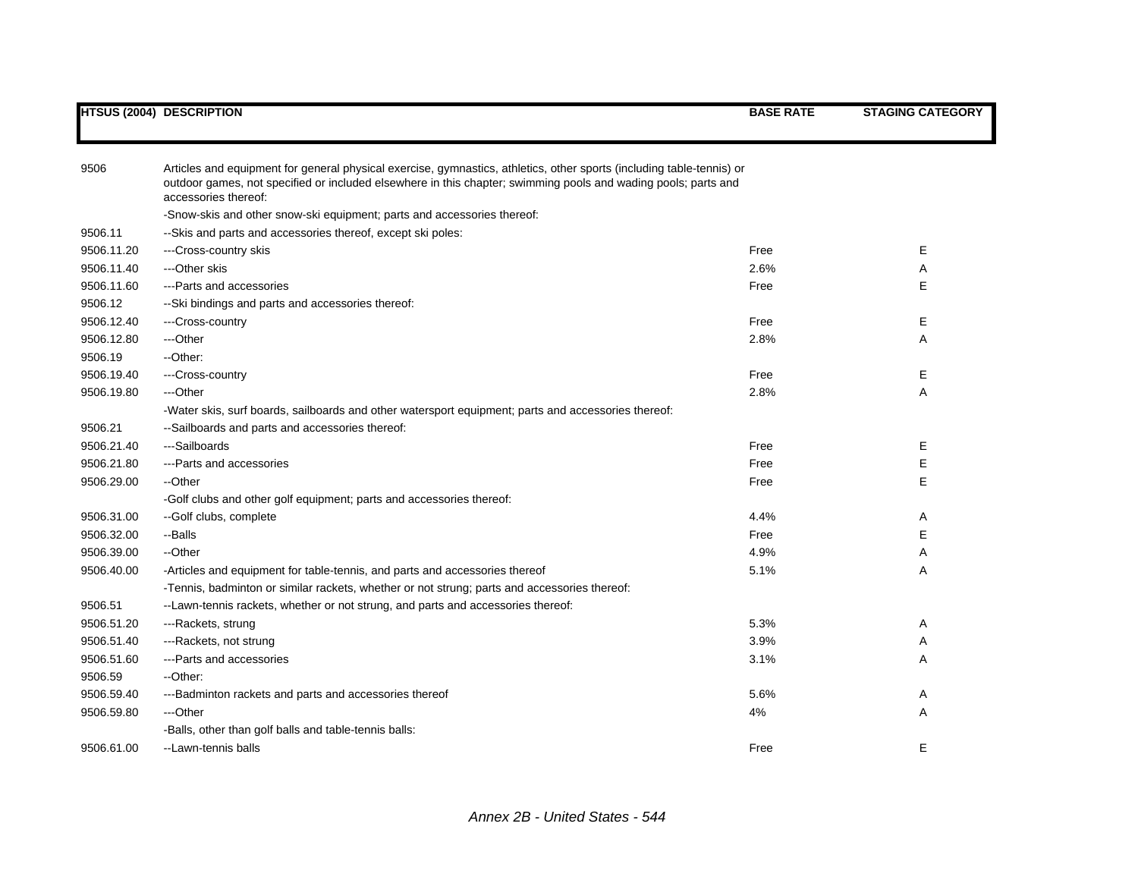| 9506       | Articles and equipment for general physical exercise, gymnastics, athletics, other sports (including table-tennis) or<br>outdoor games, not specified or included elsewhere in this chapter; swimming pools and wading pools; parts and<br>accessories thereof: |      |   |
|------------|-----------------------------------------------------------------------------------------------------------------------------------------------------------------------------------------------------------------------------------------------------------------|------|---|
|            | -Snow-skis and other snow-ski equipment; parts and accessories thereof:                                                                                                                                                                                         |      |   |
| 9506.11    | --Skis and parts and accessories thereof, except ski poles:                                                                                                                                                                                                     |      |   |
| 9506.11.20 | ---Cross-country skis                                                                                                                                                                                                                                           | Free | Е |
| 9506.11.40 | ---Other skis                                                                                                                                                                                                                                                   | 2.6% | A |
| 9506.11.60 | ---Parts and accessories                                                                                                                                                                                                                                        | Free | E |
| 9506.12    | --Ski bindings and parts and accessories thereof:                                                                                                                                                                                                               |      |   |
| 9506.12.40 | ---Cross-country                                                                                                                                                                                                                                                | Free | Е |
| 9506.12.80 | ---Other                                                                                                                                                                                                                                                        | 2.8% | Α |
| 9506.19    | --Other:                                                                                                                                                                                                                                                        |      |   |
| 9506.19.40 | ---Cross-country                                                                                                                                                                                                                                                | Free | Е |
| 9506.19.80 | ---Other                                                                                                                                                                                                                                                        | 2.8% | A |
|            | -Water skis, surf boards, sailboards and other watersport equipment; parts and accessories thereof:                                                                                                                                                             |      |   |
| 9506.21    | --Sailboards and parts and accessories thereof:                                                                                                                                                                                                                 |      |   |
| 9506.21.40 | ---Sailboards                                                                                                                                                                                                                                                   | Free | Е |
| 9506.21.80 | ---Parts and accessories                                                                                                                                                                                                                                        | Free | Е |
| 9506.29.00 | --Other                                                                                                                                                                                                                                                         | Free | E |
|            | -Golf clubs and other golf equipment; parts and accessories thereof:                                                                                                                                                                                            |      |   |
| 9506.31.00 | --Golf clubs, complete                                                                                                                                                                                                                                          | 4.4% | Α |
| 9506.32.00 | --Balls                                                                                                                                                                                                                                                         | Free | Е |
| 9506.39.00 | --Other                                                                                                                                                                                                                                                         | 4.9% | Α |
| 9506.40.00 | -Articles and equipment for table-tennis, and parts and accessories thereof                                                                                                                                                                                     | 5.1% | Α |
|            | -Tennis, badminton or similar rackets, whether or not strung; parts and accessories thereof:                                                                                                                                                                    |      |   |
| 9506.51    | -- Lawn-tennis rackets, whether or not strung, and parts and accessories thereof:                                                                                                                                                                               |      |   |
| 9506.51.20 | ---Rackets, strung                                                                                                                                                                                                                                              | 5.3% | Α |
| 9506.51.40 | ---Rackets, not strung                                                                                                                                                                                                                                          | 3.9% | Α |
| 9506.51.60 | --- Parts and accessories                                                                                                                                                                                                                                       | 3.1% | A |
| 9506.59    | --Other:                                                                                                                                                                                                                                                        |      |   |
| 9506.59.40 | ---Badminton rackets and parts and accessories thereof                                                                                                                                                                                                          | 5.6% | A |
| 9506.59.80 | ---Other                                                                                                                                                                                                                                                        | 4%   | Α |
|            | -Balls, other than golf balls and table-tennis balls:                                                                                                                                                                                                           |      |   |
| 9506.61.00 | --Lawn-tennis balls                                                                                                                                                                                                                                             | Free | Е |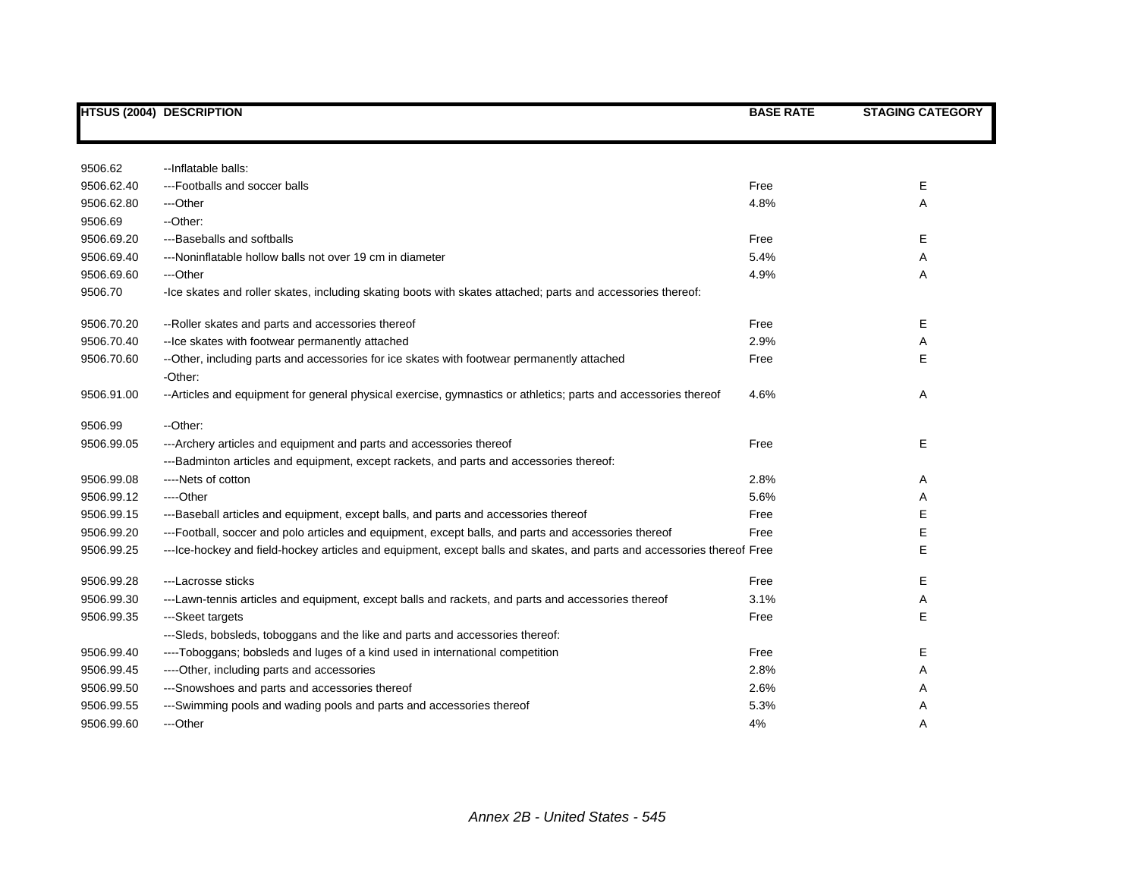|            | <b>HTSUS (2004) DESCRIPTION</b>                                                                                         | <b>BASE RATE</b> | <b>STAGING CATEGORY</b> |
|------------|-------------------------------------------------------------------------------------------------------------------------|------------------|-------------------------|
|            |                                                                                                                         |                  |                         |
| 9506.62    | --Inflatable balls:                                                                                                     |                  |                         |
| 9506.62.40 | ---Footballs and soccer balls                                                                                           | Free             | Е                       |
| 9506.62.80 | ---Other                                                                                                                | 4.8%             | Α                       |
| 9506.69    | --Other:                                                                                                                |                  |                         |
| 9506.69.20 | ---Baseballs and softballs                                                                                              | Free             | Е                       |
| 9506.69.40 | ---Noninflatable hollow balls not over 19 cm in diameter                                                                | 5.4%             | Α                       |
| 9506.69.60 | ---Other                                                                                                                | 4.9%             | Α                       |
| 9506.70    | -Ice skates and roller skates, including skating boots with skates attached; parts and accessories thereof:             |                  |                         |
| 9506.70.20 | --Roller skates and parts and accessories thereof                                                                       | Free             | Е                       |
| 9506.70.40 | -- Ice skates with footwear permanently attached                                                                        | 2.9%             | Α                       |
| 9506.70.60 | --Other, including parts and accessories for ice skates with footwear permanently attached                              | Free             | E                       |
|            | -Other:                                                                                                                 |                  |                         |
| 9506.91.00 | --Articles and equipment for general physical exercise, gymnastics or athletics; parts and accessories thereof          | 4.6%             | Α                       |
| 9506.99    | --Other:                                                                                                                |                  |                         |
| 9506.99.05 | --- Archery articles and equipment and parts and accessories thereof                                                    | Free             | E                       |
|            | ---Badminton articles and equipment, except rackets, and parts and accessories thereof:                                 |                  |                         |
| 9506.99.08 | ----Nets of cotton                                                                                                      | 2.8%             | Α                       |
| 9506.99.12 | ----Other                                                                                                               | 5.6%             | Α                       |
| 9506.99.15 | ---Baseball articles and equipment, except balls, and parts and accessories thereof                                     | Free             | E                       |
| 9506.99.20 | ---Football, soccer and polo articles and equipment, except balls, and parts and accessories thereof                    | Free             | Е                       |
| 9506.99.25 | --- Ice-hockey and field-hockey articles and equipment, except balls and skates, and parts and accessories thereof Free |                  | E                       |
| 9506.99.28 | ---Lacrosse sticks                                                                                                      | Free             | E.                      |
| 9506.99.30 | ---Lawn-tennis articles and equipment, except balls and rackets, and parts and accessories thereof                      | 3.1%             | Α                       |
| 9506.99.35 | ---Skeet targets                                                                                                        | Free             | Е                       |
|            | ---Sleds, bobsleds, toboggans and the like and parts and accessories thereof:                                           |                  |                         |
| 9506.99.40 | ----Toboggans; bobsleds and luges of a kind used in international competition                                           | Free             | Е                       |
| 9506.99.45 | ----Other, including parts and accessories                                                                              | 2.8%             | Α                       |
| 9506.99.50 | ---Snowshoes and parts and accessories thereof                                                                          | 2.6%             | Α                       |
| 9506.99.55 | ---Swimming pools and wading pools and parts and accessories thereof                                                    | 5.3%             | Α                       |
| 9506.99.60 | ---Other                                                                                                                | 4%               | Α                       |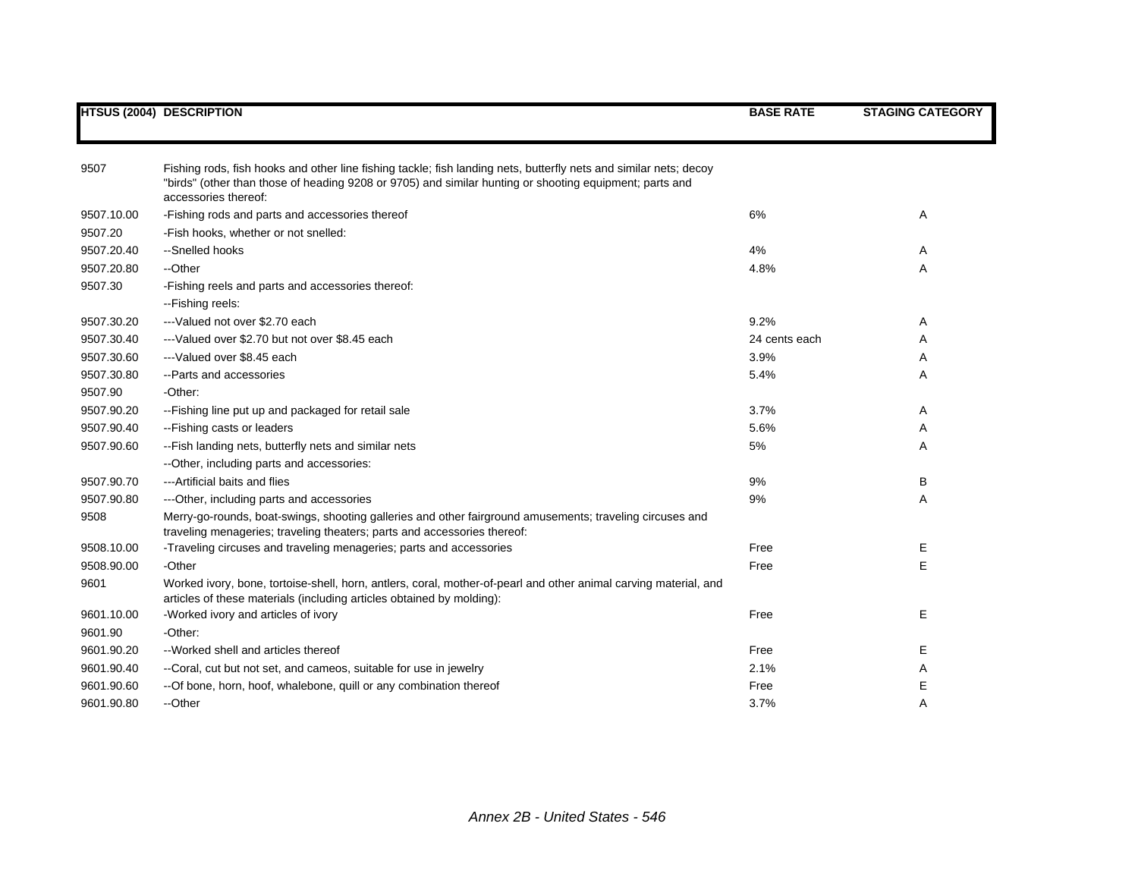|            | <b>HTSUS (2004) DESCRIPTION</b>                                                                                                                                                                                                                      | <b>BASE RATE</b> | <b>STAGING CATEGORY</b> |
|------------|------------------------------------------------------------------------------------------------------------------------------------------------------------------------------------------------------------------------------------------------------|------------------|-------------------------|
|            |                                                                                                                                                                                                                                                      |                  |                         |
| 9507       | Fishing rods, fish hooks and other line fishing tackle; fish landing nets, butterfly nets and similar nets; decoy<br>"birds" (other than those of heading 9208 or 9705) and similar hunting or shooting equipment; parts and<br>accessories thereof: |                  |                         |
| 9507.10.00 | -Fishing rods and parts and accessories thereof                                                                                                                                                                                                      | 6%               | Α                       |
| 9507.20    | -Fish hooks, whether or not snelled:                                                                                                                                                                                                                 |                  |                         |
| 9507.20.40 | --Snelled hooks                                                                                                                                                                                                                                      | 4%               | Α                       |
| 9507.20.80 | --Other                                                                                                                                                                                                                                              | 4.8%             | Α                       |
| 9507.30    | -Fishing reels and parts and accessories thereof:                                                                                                                                                                                                    |                  |                         |
|            | -- Fishing reels:                                                                                                                                                                                                                                    |                  |                         |
| 9507.30.20 | ---Valued not over \$2.70 each                                                                                                                                                                                                                       | 9.2%             | Α                       |
| 9507.30.40 | ---Valued over \$2.70 but not over \$8.45 each                                                                                                                                                                                                       | 24 cents each    | A                       |
| 9507.30.60 | ---Valued over \$8.45 each                                                                                                                                                                                                                           | 3.9%             | Α                       |
| 9507.30.80 | --Parts and accessories                                                                                                                                                                                                                              | 5.4%             | Α                       |
| 9507.90    | -Other:                                                                                                                                                                                                                                              |                  |                         |
| 9507.90.20 | --Fishing line put up and packaged for retail sale                                                                                                                                                                                                   | 3.7%             | Α                       |
| 9507.90.40 | --Fishing casts or leaders                                                                                                                                                                                                                           | 5.6%             | Α                       |
| 9507.90.60 | -- Fish landing nets, butterfly nets and similar nets                                                                                                                                                                                                | 5%               | A                       |
|            | -- Other, including parts and accessories:                                                                                                                                                                                                           |                  |                         |
| 9507.90.70 | ---Artificial baits and flies                                                                                                                                                                                                                        | 9%               | В                       |
| 9507.90.80 | --- Other, including parts and accessories                                                                                                                                                                                                           | 9%               | Α                       |
| 9508       | Merry-go-rounds, boat-swings, shooting galleries and other fairground amusements; traveling circuses and<br>traveling menageries; traveling theaters; parts and accessories thereof:                                                                 |                  |                         |
| 9508.10.00 | -Traveling circuses and traveling menageries; parts and accessories                                                                                                                                                                                  | Free             | Е                       |
| 9508.90.00 | -Other                                                                                                                                                                                                                                               | Free             | Е                       |
| 9601       | Worked ivory, bone, tortoise-shell, horn, antlers, coral, mother-of-pearl and other animal carving material, and<br>articles of these materials (including articles obtained by molding):                                                            |                  |                         |
| 9601.10.00 | -Worked ivory and articles of ivory                                                                                                                                                                                                                  | Free             | Е                       |
| 9601.90    | -Other:                                                                                                                                                                                                                                              |                  |                         |
| 9601.90.20 | --Worked shell and articles thereof                                                                                                                                                                                                                  | Free             | Е                       |
| 9601.90.40 | --Coral, cut but not set, and cameos, suitable for use in jewelry                                                                                                                                                                                    | 2.1%             | Α                       |
| 9601.90.60 | -- Of bone, horn, hoof, whalebone, quill or any combination thereof                                                                                                                                                                                  | Free             | Е                       |
| 9601.90.80 | --Other                                                                                                                                                                                                                                              | 3.7%             | A                       |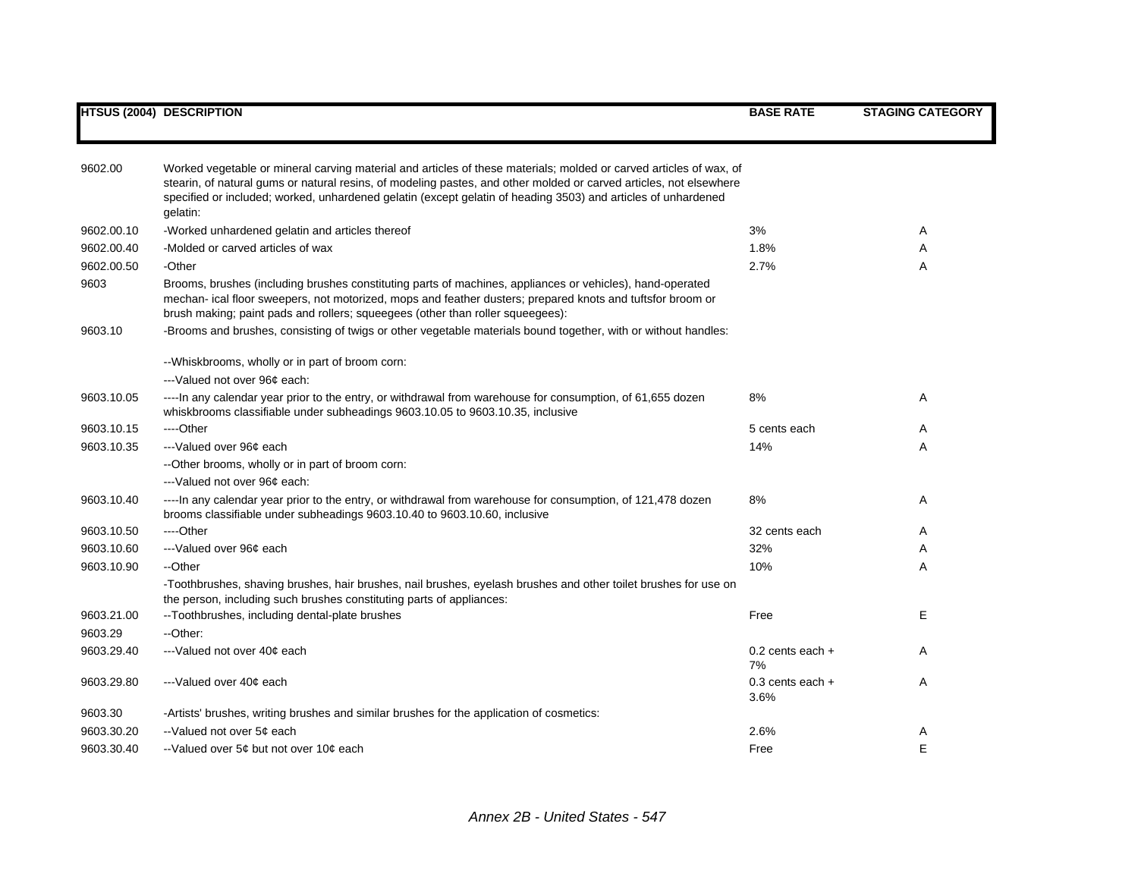| 9602.00    | Worked vegetable or mineral carving material and articles of these materials; molded or carved articles of wax, of                                                                                                                                                                                        |                              |   |
|------------|-----------------------------------------------------------------------------------------------------------------------------------------------------------------------------------------------------------------------------------------------------------------------------------------------------------|------------------------------|---|
|            | stearin, of natural gums or natural resins, of modeling pastes, and other molded or carved articles, not elsewhere                                                                                                                                                                                        |                              |   |
|            | specified or included; worked, unhardened gelatin (except gelatin of heading 3503) and articles of unhardened                                                                                                                                                                                             |                              |   |
|            | gelatin:                                                                                                                                                                                                                                                                                                  |                              |   |
| 9602.00.10 | -Worked unhardened gelatin and articles thereof                                                                                                                                                                                                                                                           | 3%                           | A |
| 9602.00.40 | -Molded or carved articles of wax                                                                                                                                                                                                                                                                         | 1.8%                         | A |
| 9602.00.50 | -Other                                                                                                                                                                                                                                                                                                    | 2.7%                         | A |
| 9603       | Brooms, brushes (including brushes constituting parts of machines, appliances or vehicles), hand-operated<br>mechan- ical floor sweepers, not motorized, mops and feather dusters; prepared knots and tuftsfor broom or<br>brush making; paint pads and rollers; squeegees (other than roller squeegees): |                              |   |
| 9603.10    | -Brooms and brushes, consisting of twigs or other vegetable materials bound together, with or without handles:                                                                                                                                                                                            |                              |   |
|            | -- Whiskbrooms, wholly or in part of broom corn:                                                                                                                                                                                                                                                          |                              |   |
|            | ---Valued not over 96¢ each:                                                                                                                                                                                                                                                                              |                              |   |
| 9603.10.05 | ----In any calendar year prior to the entry, or withdrawal from warehouse for consumption, of 61,655 dozen<br>whiskbrooms classifiable under subheadings 9603.10.05 to 9603.10.35, inclusive                                                                                                              | 8%                           | A |
| 9603.10.15 | ----Other                                                                                                                                                                                                                                                                                                 | 5 cents each                 | A |
| 9603.10.35 | ---Valued over 96¢ each                                                                                                                                                                                                                                                                                   | 14%                          | Α |
|            | --Other brooms, wholly or in part of broom corn:                                                                                                                                                                                                                                                          |                              |   |
|            | ---Valued not over 96¢ each:                                                                                                                                                                                                                                                                              |                              |   |
| 9603.10.40 | ---- In any calendar year prior to the entry, or withdrawal from warehouse for consumption, of 121,478 dozen                                                                                                                                                                                              | 8%                           | A |
|            | brooms classifiable under subheadings 9603.10.40 to 9603.10.60, inclusive                                                                                                                                                                                                                                 |                              |   |
| 9603.10.50 | ----Other                                                                                                                                                                                                                                                                                                 | 32 cents each                | A |
| 9603.10.60 | ---Valued over 96¢ each                                                                                                                                                                                                                                                                                   | 32%                          | Α |
| 9603.10.90 | --Other                                                                                                                                                                                                                                                                                                   | 10%                          | A |
|            | -Toothbrushes, shaving brushes, hair brushes, nail brushes, eyelash brushes and other toilet brushes for use on<br>the person, including such brushes constituting parts of appliances:                                                                                                                   |                              |   |
| 9603.21.00 | --Toothbrushes, including dental-plate brushes                                                                                                                                                                                                                                                            | Free                         | Е |
| 9603.29    | --Other:                                                                                                                                                                                                                                                                                                  |                              |   |
| 9603.29.40 | ---Valued not over 40¢ each                                                                                                                                                                                                                                                                               | $0.2$ cents each $+$<br>7%   | A |
| 9603.29.80 | ---Valued over 40¢ each                                                                                                                                                                                                                                                                                   | $0.3$ cents each $+$<br>3.6% | Α |
| 9603.30    | -Artists' brushes, writing brushes and similar brushes for the application of cosmetics:                                                                                                                                                                                                                  |                              |   |
| 9603.30.20 | --Valued not over 5¢ each                                                                                                                                                                                                                                                                                 | 2.6%                         | Α |
| 9603.30.40 | --Valued over 5¢ but not over 10¢ each                                                                                                                                                                                                                                                                    | Free                         | E |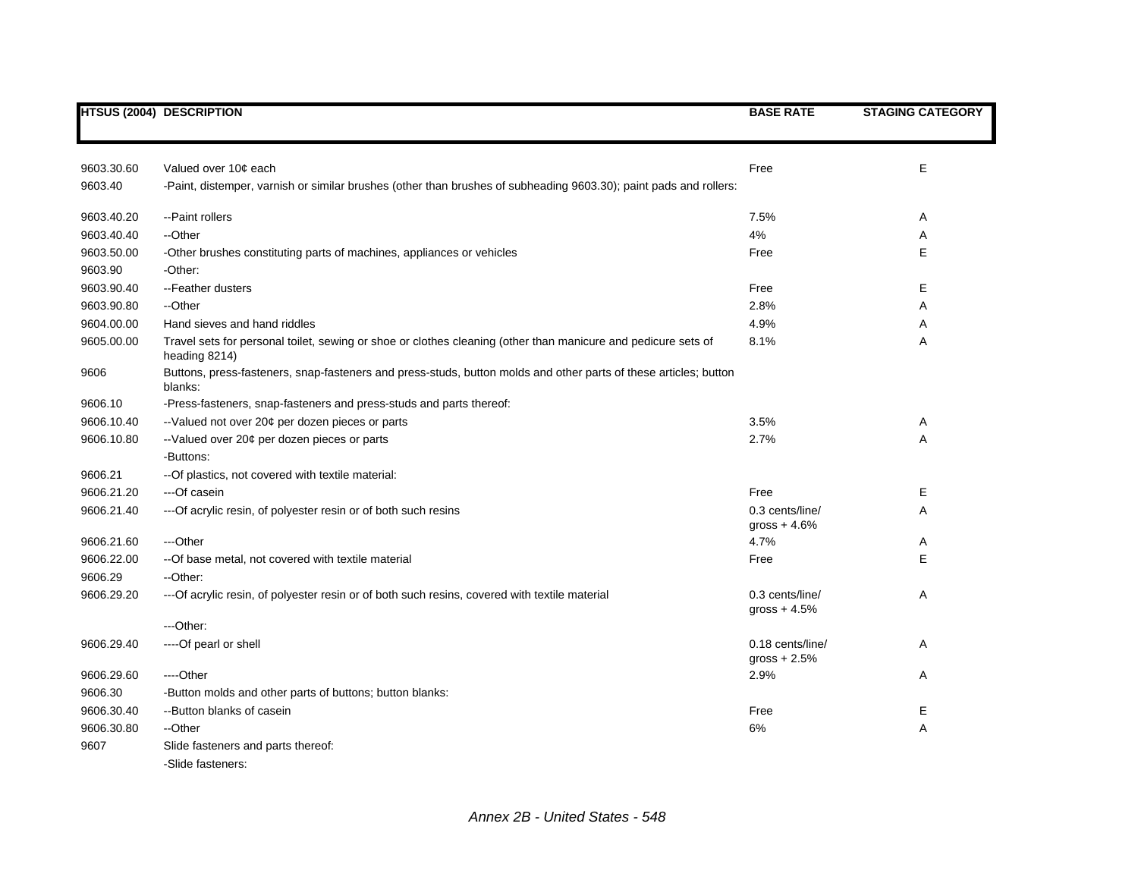|            | <b>HTSUS (2004) DESCRIPTION</b>                                                                                                | <b>BASE RATE</b>                   | <b>STAGING CATEGORY</b> |
|------------|--------------------------------------------------------------------------------------------------------------------------------|------------------------------------|-------------------------|
|            |                                                                                                                                |                                    |                         |
| 9603.30.60 | Valued over 10¢ each                                                                                                           | Free                               | E                       |
| 9603.40    | -Paint, distemper, varnish or similar brushes (other than brushes of subheading 9603.30); paint pads and rollers:              |                                    |                         |
| 9603.40.20 | -- Paint rollers                                                                                                               | 7.5%                               | Α                       |
| 9603.40.40 | --Other                                                                                                                        | 4%                                 | Α                       |
| 9603.50.00 | -Other brushes constituting parts of machines, appliances or vehicles                                                          | Free                               | Е                       |
| 9603.90    | -Other:                                                                                                                        |                                    |                         |
| 9603.90.40 | -- Feather dusters                                                                                                             | Free                               | Е                       |
| 9603.90.80 | --Other                                                                                                                        | 2.8%                               | A                       |
| 9604.00.00 | Hand sieves and hand riddles                                                                                                   | 4.9%                               | Α                       |
| 9605.00.00 | Travel sets for personal toilet, sewing or shoe or clothes cleaning (other than manicure and pedicure sets of<br>heading 8214) | 8.1%                               | Α                       |
| 9606       | Buttons, press-fasteners, snap-fasteners and press-studs, button molds and other parts of these articles; button<br>blanks:    |                                    |                         |
| 9606.10    | -Press-fasteners, snap-fasteners and press-studs and parts thereof:                                                            |                                    |                         |
| 9606.10.40 | --Valued not over 20¢ per dozen pieces or parts                                                                                | 3.5%                               | Α                       |
| 9606.10.80 | --Valued over 20¢ per dozen pieces or parts                                                                                    | 2.7%                               | A                       |
|            | -Buttons:                                                                                                                      |                                    |                         |
| 9606.21    | -- Of plastics, not covered with textile material:                                                                             |                                    |                         |
| 9606.21.20 | ---Of casein                                                                                                                   | Free                               | E.                      |
| 9606.21.40 | --- Of acrylic resin, of polyester resin or of both such resins                                                                | 0.3 cents/line/<br>$gross + 4.6%$  | Α                       |
| 9606.21.60 | ---Other                                                                                                                       | 4.7%                               | Α                       |
| 9606.22.00 | -- Of base metal, not covered with textile material                                                                            | Free                               | E                       |
| 9606.29    | --Other:                                                                                                                       |                                    |                         |
| 9606.29.20 | --- Of acrylic resin, of polyester resin or of both such resins, covered with textile material                                 | 0.3 cents/line/<br>gross $+4.5%$   | Α                       |
|            | ---Other:                                                                                                                      |                                    |                         |
| 9606.29.40 | ----Of pearl or shell                                                                                                          | 0.18 cents/line/<br>$gross + 2.5%$ | Α                       |
| 9606.29.60 | ---Other                                                                                                                       | 2.9%                               | Α                       |
| 9606.30    | -Button molds and other parts of buttons; button blanks:                                                                       |                                    |                         |
| 9606.30.40 | --Button blanks of casein                                                                                                      | Free                               | Е                       |
| 9606.30.80 | --Other                                                                                                                        | 6%                                 | Α                       |
| 9607       | Slide fasteners and parts thereof:<br>-Slide fasteners:                                                                        |                                    |                         |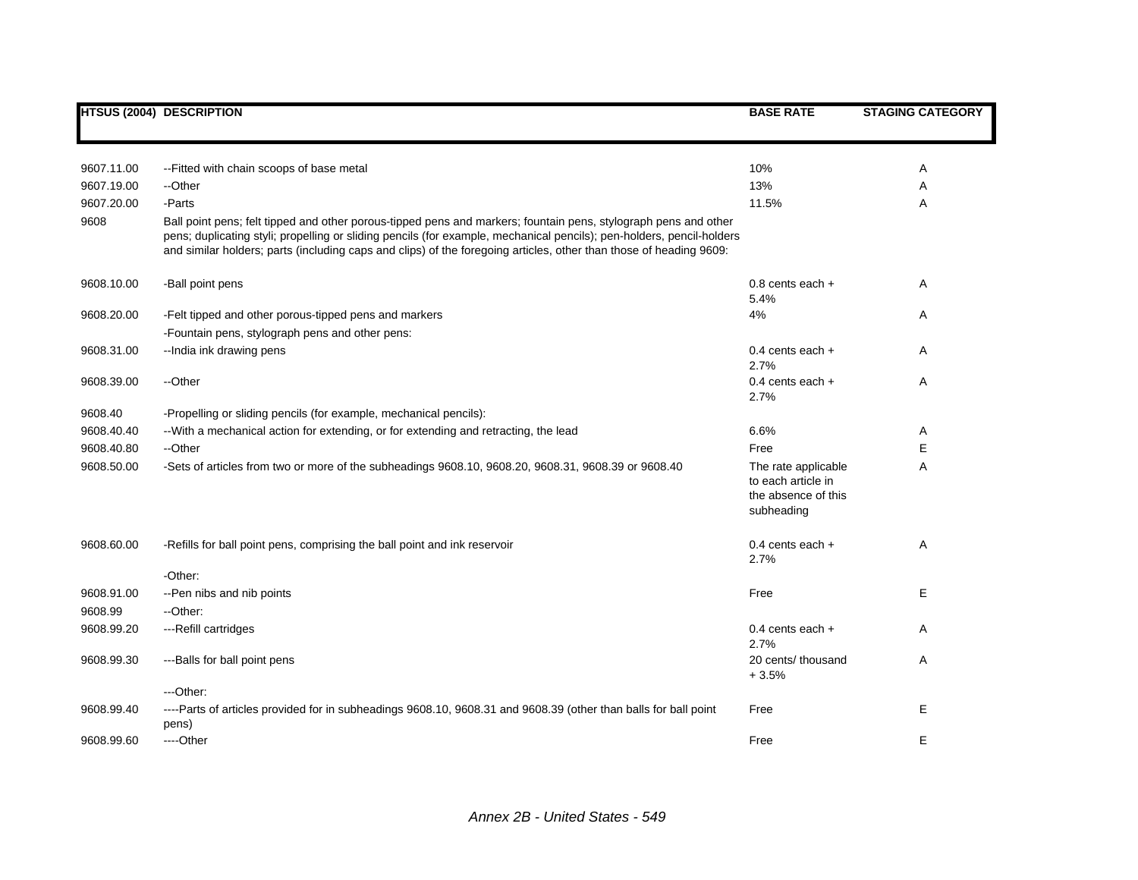|            | <b>HTSUS (2004) DESCRIPTION</b>                                                                                                                                                                                                                                                                                                                                | <b>BASE RATE</b>                                                               | <b>STAGING CATEGORY</b> |
|------------|----------------------------------------------------------------------------------------------------------------------------------------------------------------------------------------------------------------------------------------------------------------------------------------------------------------------------------------------------------------|--------------------------------------------------------------------------------|-------------------------|
|            |                                                                                                                                                                                                                                                                                                                                                                |                                                                                |                         |
| 9607.11.00 | -- Fitted with chain scoops of base metal                                                                                                                                                                                                                                                                                                                      | 10%                                                                            | Α                       |
| 9607.19.00 | --Other                                                                                                                                                                                                                                                                                                                                                        | 13%                                                                            | Α                       |
| 9607.20.00 | -Parts                                                                                                                                                                                                                                                                                                                                                         | 11.5%                                                                          | A                       |
| 9608       | Ball point pens; felt tipped and other porous-tipped pens and markers; fountain pens, stylograph pens and other<br>pens; duplicating styli; propelling or sliding pencils (for example, mechanical pencils); pen-holders, pencil-holders<br>and similar holders; parts (including caps and clips) of the foregoing articles, other than those of heading 9609: |                                                                                |                         |
| 9608.10.00 | -Ball point pens                                                                                                                                                                                                                                                                                                                                               | $0.8$ cents each $+$<br>5.4%                                                   | A                       |
| 9608.20.00 | -Felt tipped and other porous-tipped pens and markers                                                                                                                                                                                                                                                                                                          | 4%                                                                             | A                       |
|            | -Fountain pens, stylograph pens and other pens:                                                                                                                                                                                                                                                                                                                |                                                                                |                         |
| 9608.31.00 | --India ink drawing pens                                                                                                                                                                                                                                                                                                                                       | $0.4$ cents each $+$<br>2.7%                                                   | Α                       |
| 9608.39.00 | --Other                                                                                                                                                                                                                                                                                                                                                        | 0.4 cents each $+$<br>2.7%                                                     | Α                       |
| 9608.40    | -Propelling or sliding pencils (for example, mechanical pencils):                                                                                                                                                                                                                                                                                              |                                                                                |                         |
| 9608.40.40 | -- With a mechanical action for extending, or for extending and retracting, the lead                                                                                                                                                                                                                                                                           | 6.6%                                                                           | Α                       |
| 9608.40.80 | --Other                                                                                                                                                                                                                                                                                                                                                        | Free                                                                           | Ε                       |
| 9608.50.00 | -Sets of articles from two or more of the subheadings 9608.10, 9608.20, 9608.31, 9608.39 or 9608.40                                                                                                                                                                                                                                                            | The rate applicable<br>to each article in<br>the absence of this<br>subheading | Α                       |
| 9608.60.00 | -Refills for ball point pens, comprising the ball point and ink reservoir                                                                                                                                                                                                                                                                                      | $0.4$ cents each $+$<br>2.7%                                                   | Α                       |
|            | -Other:                                                                                                                                                                                                                                                                                                                                                        |                                                                                |                         |
| 9608.91.00 | -- Pen nibs and nib points                                                                                                                                                                                                                                                                                                                                     | Free                                                                           | Е                       |
| 9608.99    | --Other:                                                                                                                                                                                                                                                                                                                                                       |                                                                                |                         |
| 9608.99.20 | ---Refill cartridges                                                                                                                                                                                                                                                                                                                                           | 0.4 cents each +<br>2.7%                                                       | Α                       |
| 9608.99.30 | ---Balls for ball point pens                                                                                                                                                                                                                                                                                                                                   | 20 cents/ thousand<br>$+3.5%$                                                  | Α                       |
|            | ---Other:                                                                                                                                                                                                                                                                                                                                                      |                                                                                |                         |
| 9608.99.40 | ----Parts of articles provided for in subheadings 9608.10, 9608.31 and 9608.39 (other than balls for ball point<br>pens)                                                                                                                                                                                                                                       | Free                                                                           | Е                       |
| 9608.99.60 | ----Other                                                                                                                                                                                                                                                                                                                                                      | Free                                                                           | E                       |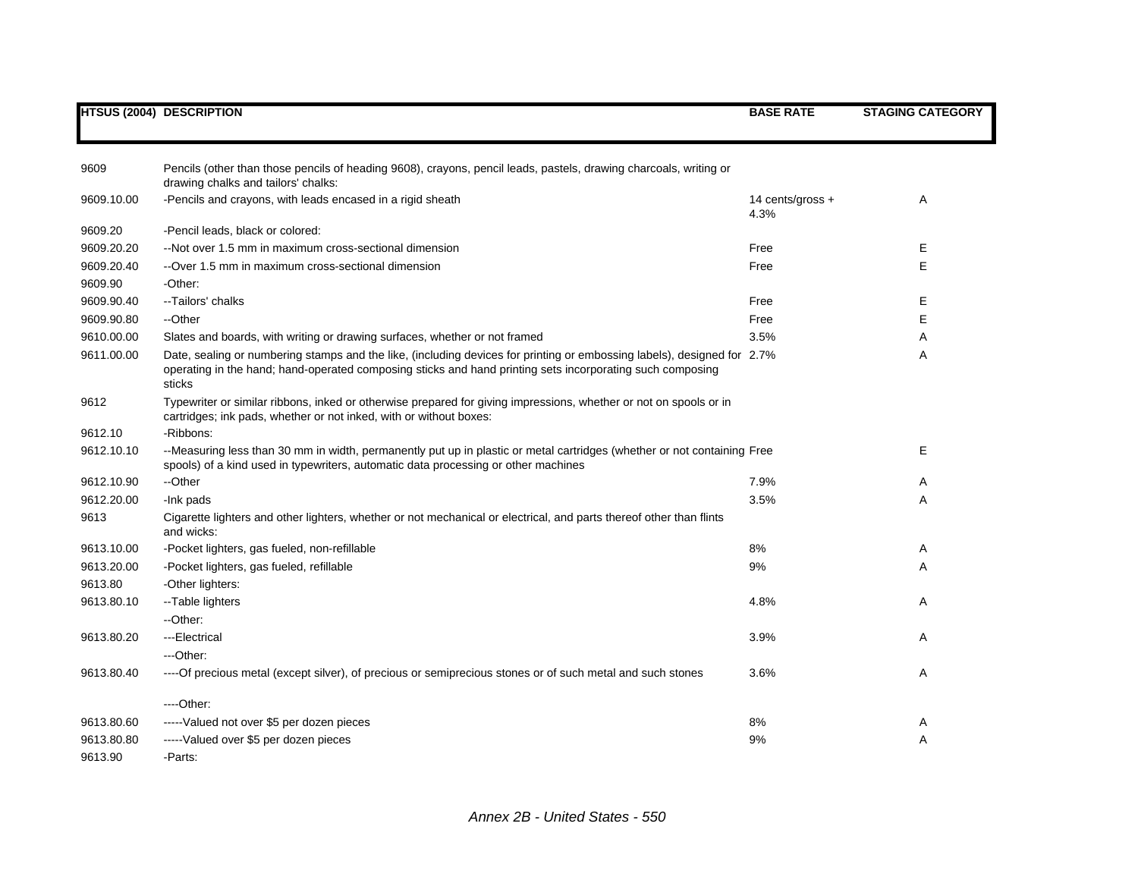| 9609       | Pencils (other than those pencils of heading 9608), crayons, pencil leads, pastels, drawing charcoals, writing or<br>drawing chalks and tailors' chalks:                                                                                       |                          |   |
|------------|------------------------------------------------------------------------------------------------------------------------------------------------------------------------------------------------------------------------------------------------|--------------------------|---|
| 9609.10.00 | -Pencils and crayons, with leads encased in a rigid sheath                                                                                                                                                                                     | 14 cents/gross +<br>4.3% | A |
| 9609.20    | -Pencil leads, black or colored:                                                                                                                                                                                                               |                          |   |
| 9609.20.20 | --Not over 1.5 mm in maximum cross-sectional dimension                                                                                                                                                                                         | Free                     | Е |
| 9609.20.40 | --Over 1.5 mm in maximum cross-sectional dimension                                                                                                                                                                                             | Free                     | E |
| 9609.90    | -Other:                                                                                                                                                                                                                                        |                          |   |
| 9609.90.40 | --Tailors' chalks                                                                                                                                                                                                                              | Free                     | Ε |
| 9609.90.80 | --Other                                                                                                                                                                                                                                        | Free                     | Е |
| 9610.00.00 | Slates and boards, with writing or drawing surfaces, whether or not framed                                                                                                                                                                     | 3.5%                     | A |
| 9611.00.00 | Date, sealing or numbering stamps and the like, (including devices for printing or embossing labels), designed for 2.7%<br>operating in the hand; hand-operated composing sticks and hand printing sets incorporating such composing<br>sticks |                          | A |
| 9612       | Typewriter or similar ribbons, inked or otherwise prepared for giving impressions, whether or not on spools or in<br>cartridges; ink pads, whether or not inked, with or without boxes:                                                        |                          |   |
| 9612.10    | -Ribbons:                                                                                                                                                                                                                                      |                          |   |
| 9612.10.10 | --Measuring less than 30 mm in width, permanently put up in plastic or metal cartridges (whether or not containing Free<br>spools) of a kind used in typewriters, automatic data processing or other machines                                  |                          | Е |
| 9612.10.90 | --Other                                                                                                                                                                                                                                        | 7.9%                     | A |
| 9612.20.00 | -Ink pads                                                                                                                                                                                                                                      | 3.5%                     | Α |
| 9613       | Cigarette lighters and other lighters, whether or not mechanical or electrical, and parts thereof other than flints<br>and wicks:                                                                                                              |                          |   |
| 9613.10.00 | -Pocket lighters, gas fueled, non-refillable                                                                                                                                                                                                   | 8%                       | A |
| 9613.20.00 | -Pocket lighters, gas fueled, refillable                                                                                                                                                                                                       | 9%                       | A |
| 9613.80    | -Other lighters:                                                                                                                                                                                                                               |                          |   |
| 9613.80.10 | --Table lighters                                                                                                                                                                                                                               | 4.8%                     | A |
|            | --Other:                                                                                                                                                                                                                                       |                          |   |
| 9613.80.20 | ---Electrical                                                                                                                                                                                                                                  | 3.9%                     | A |
|            | ---Other:                                                                                                                                                                                                                                      |                          |   |
| 9613.80.40 | ----Of precious metal (except silver), of precious or semiprecious stones or of such metal and such stones                                                                                                                                     | 3.6%                     | A |
|            | $---Other:$                                                                                                                                                                                                                                    |                          |   |
| 9613.80.60 | -----Valued not over \$5 per dozen pieces                                                                                                                                                                                                      | 8%                       | A |
| 9613.80.80 | -----Valued over \$5 per dozen pieces                                                                                                                                                                                                          | 9%                       | Α |
| 9613.90    | -Parts:                                                                                                                                                                                                                                        |                          |   |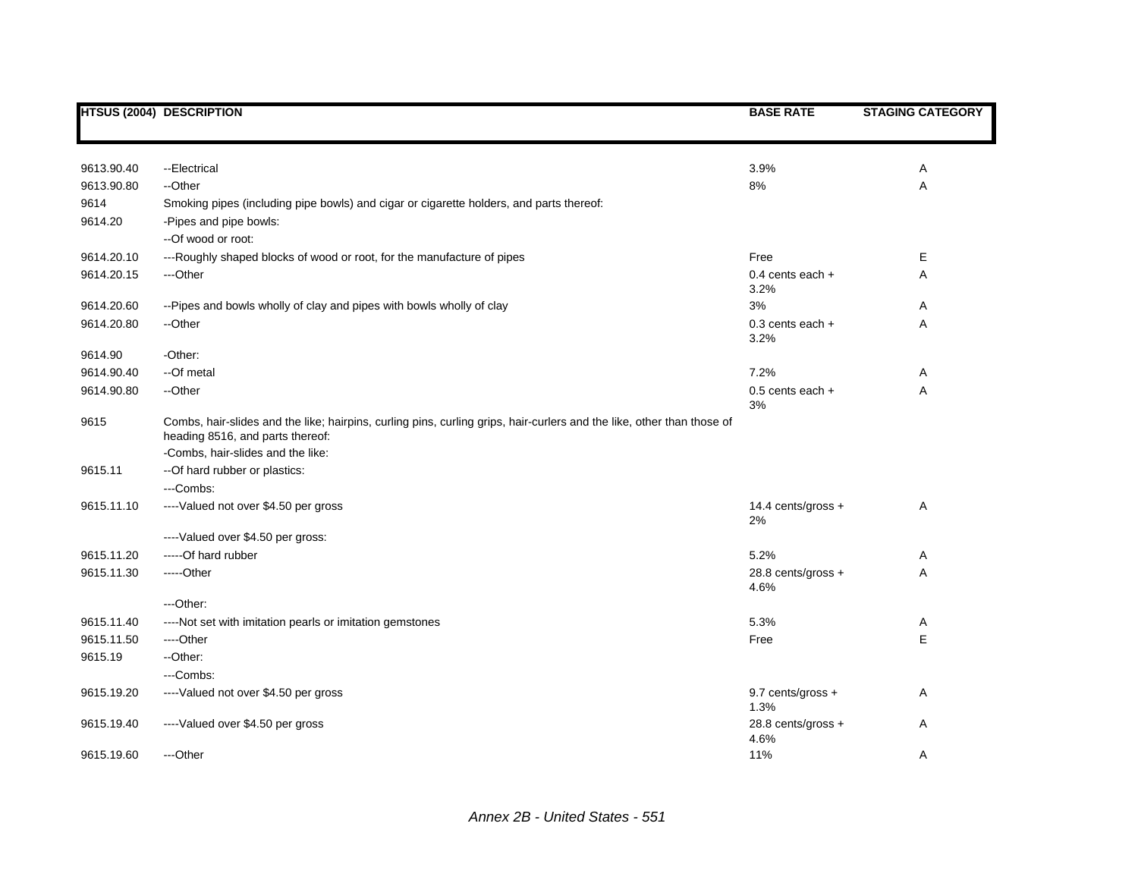|            | <b>HTSUS (2004) DESCRIPTION</b>                                                                                                                            | <b>BASE RATE</b>           | <b>STAGING CATEGORY</b> |
|------------|------------------------------------------------------------------------------------------------------------------------------------------------------------|----------------------------|-------------------------|
|            |                                                                                                                                                            |                            |                         |
|            |                                                                                                                                                            |                            |                         |
| 9613.90.40 | --Electrical                                                                                                                                               | 3.9%                       | Α                       |
| 9613.90.80 | --Other                                                                                                                                                    | 8%                         | Α                       |
| 9614       | Smoking pipes (including pipe bowls) and cigar or cigarette holders, and parts thereof:                                                                    |                            |                         |
| 9614.20    | -Pipes and pipe bowls:                                                                                                                                     |                            |                         |
|            | --Of wood or root:                                                                                                                                         |                            |                         |
| 9614.20.10 | ---Roughly shaped blocks of wood or root, for the manufacture of pipes                                                                                     | Free                       | Е                       |
| 9614.20.15 | ---Other                                                                                                                                                   | 0.4 cents each $+$         | Α                       |
|            |                                                                                                                                                            | 3.2%                       |                         |
| 9614.20.60 | -- Pipes and bowls wholly of clay and pipes with bowls wholly of clay                                                                                      | 3%                         | Α                       |
| 9614.20.80 | --Other                                                                                                                                                    | $0.3$ cents each $+$       | Α                       |
|            |                                                                                                                                                            | 3.2%                       |                         |
| 9614.90    | -Other:                                                                                                                                                    |                            |                         |
| 9614.90.40 | --Of metal                                                                                                                                                 | 7.2%                       | Α                       |
| 9614.90.80 | --Other                                                                                                                                                    | $0.5$ cents each $+$<br>3% | Α                       |
| 9615       | Combs, hair-slides and the like; hairpins, curling pins, curling grips, hair-curlers and the like, other than those of<br>heading 8516, and parts thereof: |                            |                         |
|            | -Combs, hair-slides and the like:                                                                                                                          |                            |                         |
| 9615.11    | -- Of hard rubber or plastics:                                                                                                                             |                            |                         |
|            | ---Combs:                                                                                                                                                  |                            |                         |
| 9615.11.10 | ----Valued not over \$4.50 per gross                                                                                                                       | 14.4 cents/gross +         | Α                       |
|            |                                                                                                                                                            | 2%                         |                         |
|            | ---- Valued over \$4.50 per gross:                                                                                                                         |                            |                         |
| 9615.11.20 | ----- Of hard rubber                                                                                                                                       | 5.2%                       | Α                       |
| 9615.11.30 | -----Other                                                                                                                                                 | 28.8 cents/gross +<br>4.6% | Α                       |
|            | $-$ Other:                                                                                                                                                 |                            |                         |
| 9615.11.40 | ----Not set with imitation pearls or imitation gemstones                                                                                                   | 5.3%                       | Α                       |
| 9615.11.50 | ----Other                                                                                                                                                  | Free                       | E                       |
| 9615.19    | --Other:                                                                                                                                                   |                            |                         |
|            | ---Combs:                                                                                                                                                  |                            |                         |
| 9615.19.20 | ----Valued not over \$4.50 per gross                                                                                                                       | 9.7 cents/gross +          | Α                       |
|            |                                                                                                                                                            | 1.3%                       |                         |
| 9615.19.40 | ----Valued over \$4.50 per gross                                                                                                                           | 28.8 cents/gross +<br>4.6% | Α                       |
| 9615.19.60 | ---Other                                                                                                                                                   | 11%                        | Α                       |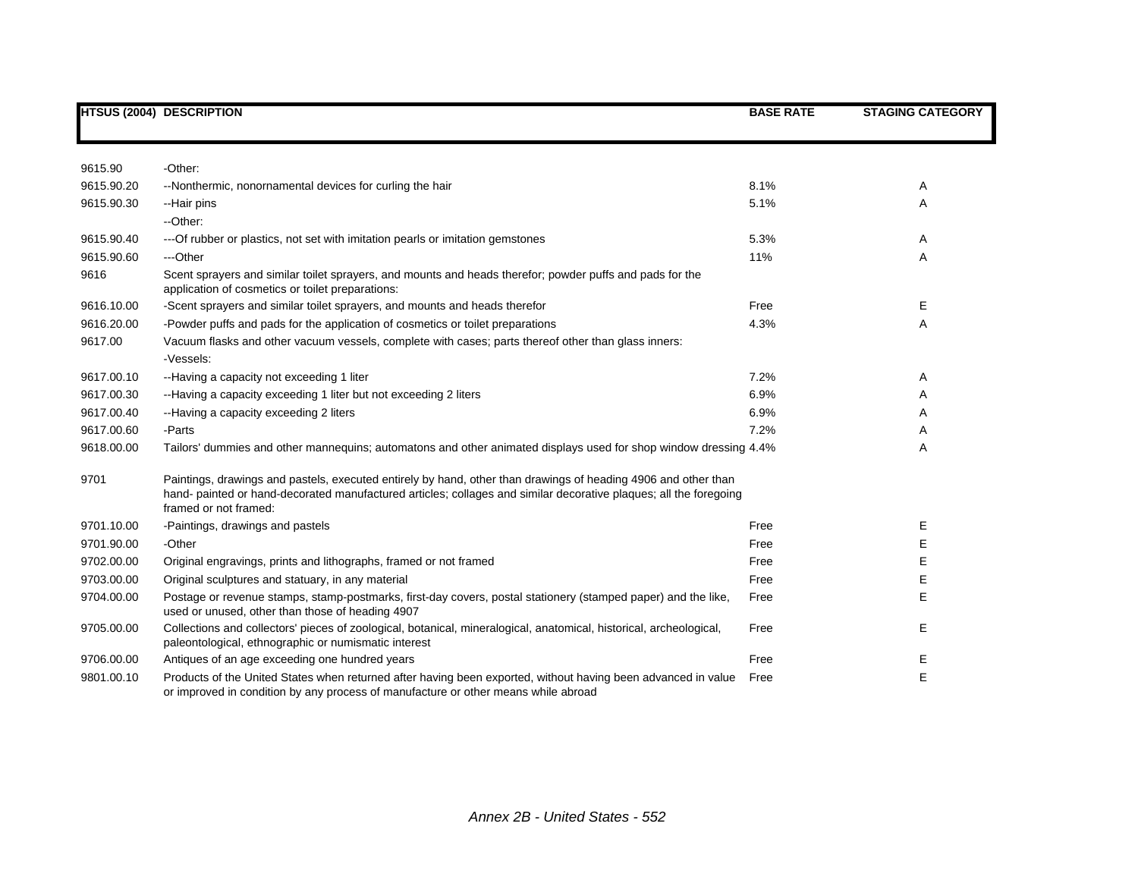|                       | <b>HTSUS (2004) DESCRIPTION</b>                                                                                                                                                                                                                              | <b>BASE RATE</b> | <b>STAGING CATEGORY</b> |
|-----------------------|--------------------------------------------------------------------------------------------------------------------------------------------------------------------------------------------------------------------------------------------------------------|------------------|-------------------------|
|                       |                                                                                                                                                                                                                                                              |                  |                         |
| 9615.90<br>9615.90.20 | -Other:                                                                                                                                                                                                                                                      |                  |                         |
|                       | --Nonthermic, nonornamental devices for curling the hair                                                                                                                                                                                                     | 8.1%             | Α                       |
| 9615.90.30            | --Hair pins<br>--Other:                                                                                                                                                                                                                                      | 5.1%             | A                       |
| 9615.90.40            | --- Of rubber or plastics, not set with imitation pearls or imitation gemstones                                                                                                                                                                              | 5.3%             | A                       |
| 9615.90.60            | ---Other                                                                                                                                                                                                                                                     | 11%              | Α                       |
| 9616                  | Scent sprayers and similar toilet sprayers, and mounts and heads therefor; powder puffs and pads for the<br>application of cosmetics or toilet preparations:                                                                                                 |                  |                         |
| 9616.10.00            | -Scent sprayers and similar toilet sprayers, and mounts and heads therefor                                                                                                                                                                                   | Free             | E.                      |
| 9616.20.00            | -Powder puffs and pads for the application of cosmetics or toilet preparations                                                                                                                                                                               | 4.3%             | Α                       |
| 9617.00               | Vacuum flasks and other vacuum vessels, complete with cases; parts thereof other than glass inners:<br>-Vessels:                                                                                                                                             |                  |                         |
| 9617.00.10            | --Having a capacity not exceeding 1 liter                                                                                                                                                                                                                    | 7.2%             | Α                       |
| 9617.00.30            | --Having a capacity exceeding 1 liter but not exceeding 2 liters                                                                                                                                                                                             | 6.9%             | A                       |
| 9617.00.40            | --Having a capacity exceeding 2 liters                                                                                                                                                                                                                       | 6.9%             | Α                       |
| 9617.00.60            | -Parts                                                                                                                                                                                                                                                       | 7.2%             | Α                       |
| 9618.00.00            | Tailors' dummies and other mannequins; automatons and other animated displays used for shop window dressing 4.4%                                                                                                                                             |                  | Α                       |
| 9701                  | Paintings, drawings and pastels, executed entirely by hand, other than drawings of heading 4906 and other than<br>hand- painted or hand-decorated manufactured articles; collages and similar decorative plaques; all the foregoing<br>framed or not framed: |                  |                         |
| 9701.10.00            | -Paintings, drawings and pastels                                                                                                                                                                                                                             | Free             | Е                       |
| 9701.90.00            | -Other                                                                                                                                                                                                                                                       | Free             | E                       |
| 9702.00.00            | Original engravings, prints and lithographs, framed or not framed                                                                                                                                                                                            | Free             | Е                       |
| 9703.00.00            | Original sculptures and statuary, in any material                                                                                                                                                                                                            | Free             | Е                       |
| 9704.00.00            | Postage or revenue stamps, stamp-postmarks, first-day covers, postal stationery (stamped paper) and the like,<br>used or unused, other than those of heading 4907                                                                                            | Free             | E                       |
| 9705.00.00            | Collections and collectors' pieces of zoological, botanical, mineralogical, anatomical, historical, archeological,<br>paleontological, ethnographic or numismatic interest                                                                                   | Free             | E                       |
| 9706.00.00            | Antiques of an age exceeding one hundred years                                                                                                                                                                                                               | Free             | Ε                       |
| 9801.00.10            | Products of the United States when returned after having been exported, without having been advanced in value<br>or improved in condition by any process of manufacture or other means while abroad                                                          | Free             | E                       |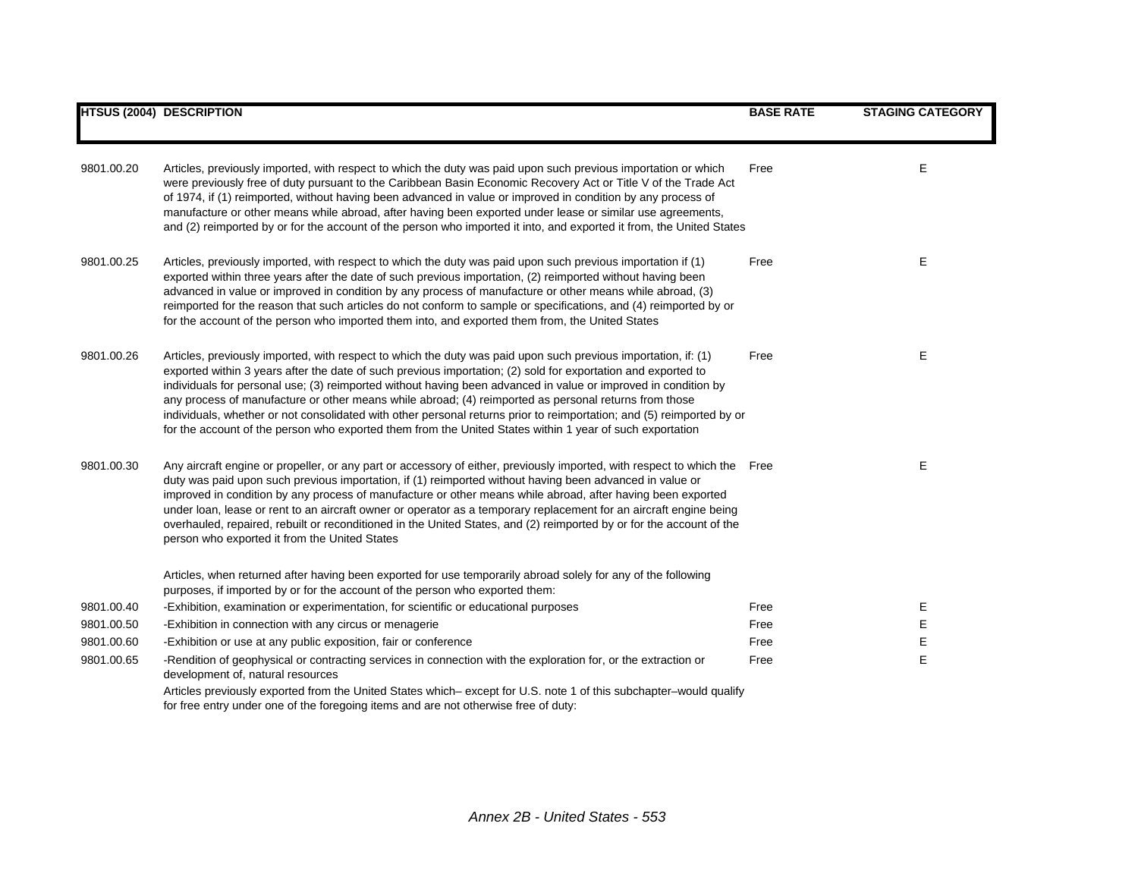|            | <b>HTSUS (2004) DESCRIPTION</b>                                                                                                                                                                                                                                                                                                                                                                                                                                                                                                                                                                                                                                                                 | <b>BASE RATE</b> | <b>STAGING CATEGORY</b> |
|------------|-------------------------------------------------------------------------------------------------------------------------------------------------------------------------------------------------------------------------------------------------------------------------------------------------------------------------------------------------------------------------------------------------------------------------------------------------------------------------------------------------------------------------------------------------------------------------------------------------------------------------------------------------------------------------------------------------|------------------|-------------------------|
| 9801.00.20 | Articles, previously imported, with respect to which the duty was paid upon such previous importation or which<br>were previously free of duty pursuant to the Caribbean Basin Economic Recovery Act or Title V of the Trade Act<br>of 1974, if (1) reimported, without having been advanced in value or improved in condition by any process of<br>manufacture or other means while abroad, after having been exported under lease or similar use agreements,<br>and (2) reimported by or for the account of the person who imported it into, and exported it from, the United States                                                                                                          | Free             | Е                       |
| 9801.00.25 | Articles, previously imported, with respect to which the duty was paid upon such previous importation if (1)<br>exported within three years after the date of such previous importation, (2) reimported without having been<br>advanced in value or improved in condition by any process of manufacture or other means while abroad, (3)<br>reimported for the reason that such articles do not conform to sample or specifications, and (4) reimported by or<br>for the account of the person who imported them into, and exported them from, the United States                                                                                                                                | Free             | Е                       |
| 9801.00.26 | Articles, previously imported, with respect to which the duty was paid upon such previous importation, if: (1)<br>exported within 3 years after the date of such previous importation; (2) sold for exportation and exported to<br>individuals for personal use; (3) reimported without having been advanced in value or improved in condition by<br>any process of manufacture or other means while abroad; (4) reimported as personal returns from those<br>individuals, whether or not consolidated with other personal returns prior to reimportation; and (5) reimported by or<br>for the account of the person who exported them from the United States within 1 year of such exportation | Free             | Е                       |
| 9801.00.30 | Any aircraft engine or propeller, or any part or accessory of either, previously imported, with respect to which the Free<br>duty was paid upon such previous importation, if (1) reimported without having been advanced in value or<br>improved in condition by any process of manufacture or other means while abroad, after having been exported<br>under loan, lease or rent to an aircraft owner or operator as a temporary replacement for an aircraft engine being<br>overhauled, repaired, rebuilt or reconditioned in the United States, and (2) reimported by or for the account of the<br>person who exported it from the United States                                             |                  | E                       |
|            | Articles, when returned after having been exported for use temporarily abroad solely for any of the following<br>purposes, if imported by or for the account of the person who exported them:                                                                                                                                                                                                                                                                                                                                                                                                                                                                                                   |                  |                         |
| 9801.00.40 | -Exhibition, examination or experimentation, for scientific or educational purposes                                                                                                                                                                                                                                                                                                                                                                                                                                                                                                                                                                                                             | Free             | Е                       |
| 9801.00.50 | -Exhibition in connection with any circus or menagerie                                                                                                                                                                                                                                                                                                                                                                                                                                                                                                                                                                                                                                          | Free             | Е                       |
| 9801.00.60 | -Exhibition or use at any public exposition, fair or conference                                                                                                                                                                                                                                                                                                                                                                                                                                                                                                                                                                                                                                 | Free             | Ε                       |
| 9801.00.65 | -Rendition of geophysical or contracting services in connection with the exploration for, or the extraction or<br>development of, natural resources                                                                                                                                                                                                                                                                                                                                                                                                                                                                                                                                             | Free             | E                       |
|            | Articles previously exported from the United States which–except for U.S. note 1 of this subchapter–would qualify<br>for free entry under one of the foregoing items and are not otherwise free of duty:                                                                                                                                                                                                                                                                                                                                                                                                                                                                                        |                  |                         |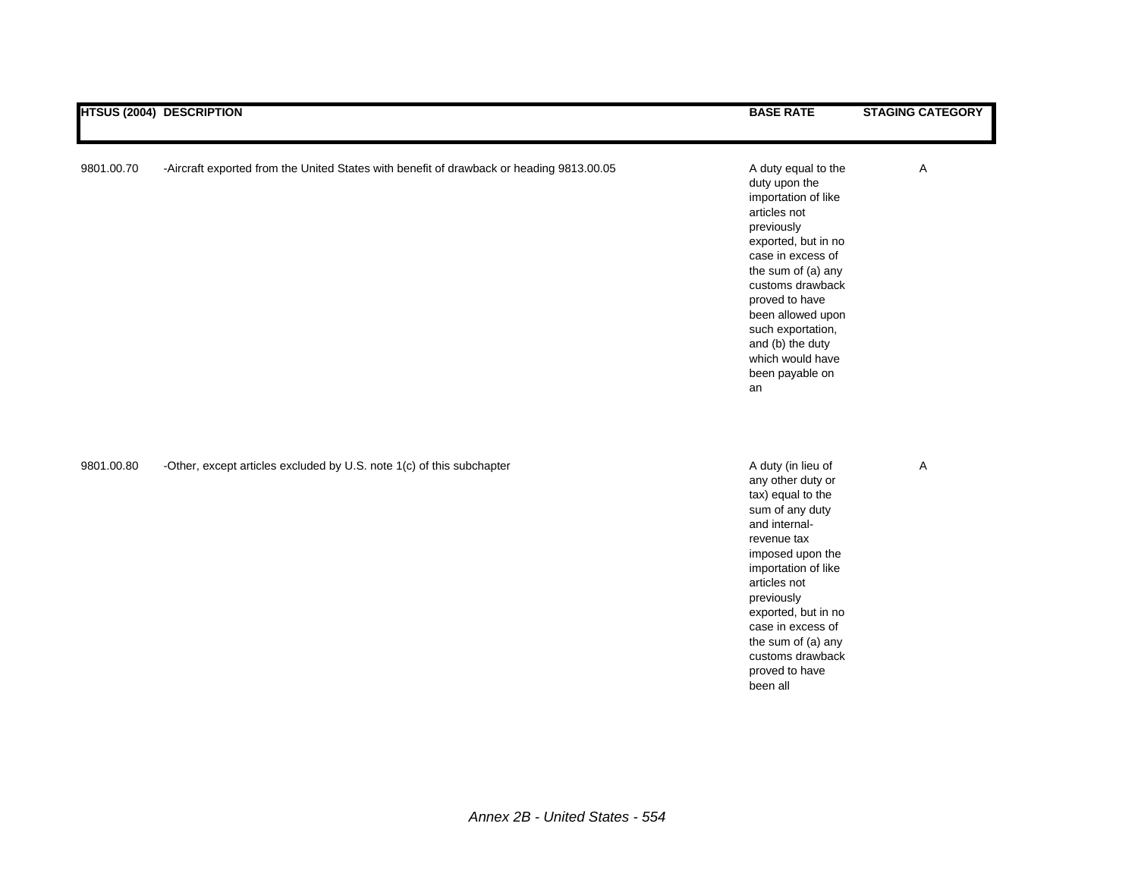|            | <b>HTSUS (2004) DESCRIPTION</b>                                                          | <b>BASE RATE</b>                                                                                                                                                                                                                                                                                             | <b>STAGING CATEGORY</b> |
|------------|------------------------------------------------------------------------------------------|--------------------------------------------------------------------------------------------------------------------------------------------------------------------------------------------------------------------------------------------------------------------------------------------------------------|-------------------------|
| 9801.00.70 | -Aircraft exported from the United States with benefit of drawback or heading 9813.00.05 | A duty equal to the<br>duty upon the<br>importation of like<br>articles not<br>previously<br>exported, but in no<br>case in excess of<br>the sum of (a) any<br>customs drawback<br>proved to have<br>been allowed upon<br>such exportation,<br>and (b) the duty<br>which would have<br>been payable on<br>an | Α                       |
| 9801.00.80 | -Other, except articles excluded by U.S. note 1(c) of this subchapter                    | A duty (in lieu of<br>any other duty or<br>tax) equal to the<br>sum of any duty<br>and internal-<br>revenue tax<br>imposed upon the<br>importation of like<br>articles not<br>previously<br>exported, but in no<br>case in excess of<br>the sum of (a) any<br>customs drawback<br>proved to have<br>been all | Α                       |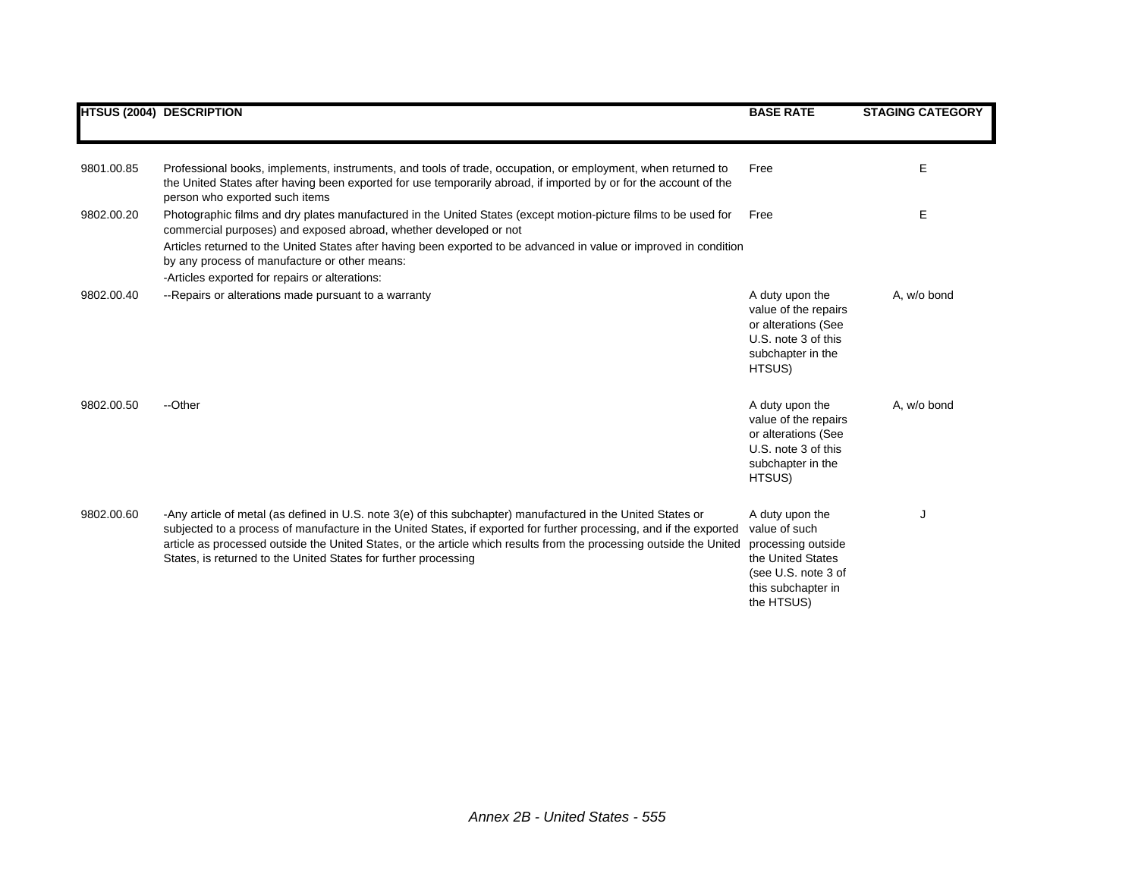|            | <b>HTSUS (2004) DESCRIPTION</b>                                                                                                                                                                                                                                                                                                                                                                                               | <b>BASE RATE</b>                                                                                                                       | <b>STAGING CATEGORY</b> |
|------------|-------------------------------------------------------------------------------------------------------------------------------------------------------------------------------------------------------------------------------------------------------------------------------------------------------------------------------------------------------------------------------------------------------------------------------|----------------------------------------------------------------------------------------------------------------------------------------|-------------------------|
| 9801.00.85 | Professional books, implements, instruments, and tools of trade, occupation, or employment, when returned to<br>the United States after having been exported for use temporarily abroad, if imported by or for the account of the<br>person who exported such items                                                                                                                                                           | Free                                                                                                                                   | E                       |
| 9802.00.20 | Photographic films and dry plates manufactured in the United States (except motion-picture films to be used for<br>commercial purposes) and exposed abroad, whether developed or not<br>Articles returned to the United States after having been exported to be advanced in value or improved in condition<br>by any process of manufacture or other means:<br>-Articles exported for repairs or alterations:                 | Free                                                                                                                                   | Е                       |
| 9802.00.40 | --Repairs or alterations made pursuant to a warranty                                                                                                                                                                                                                                                                                                                                                                          | A duty upon the<br>value of the repairs<br>or alterations (See<br>U.S. note 3 of this<br>subchapter in the<br>HTSUS)                   | A, w/o bond             |
| 9802.00.50 | --Other                                                                                                                                                                                                                                                                                                                                                                                                                       | A duty upon the<br>value of the repairs<br>or alterations (See<br>U.S. note 3 of this<br>subchapter in the<br>HTSUS)                   | A, w/o bond             |
| 9802.00.60 | -Any article of metal (as defined in U.S. note 3(e) of this subchapter) manufactured in the United States or<br>subjected to a process of manufacture in the United States, if exported for further processing, and if the exported<br>article as processed outside the United States, or the article which results from the processing outside the United<br>States, is returned to the United States for further processing | A duty upon the<br>value of such<br>processing outside<br>the United States<br>(see U.S. note 3 of<br>this subchapter in<br>the HTSUS) | J                       |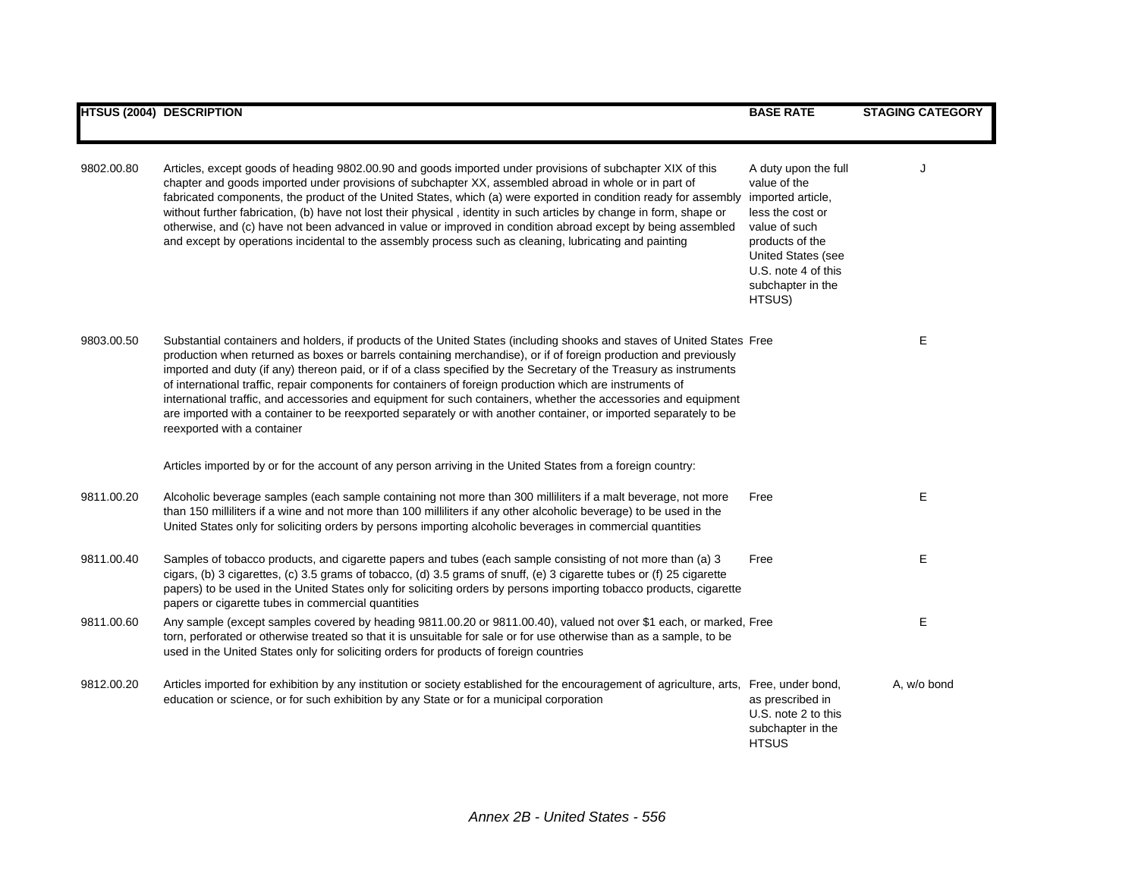|            | <b>HTSUS (2004) DESCRIPTION</b>                                                                                                                                                                                                                                                                                                                                                                                                                                                                                                                                                                                                                                                                                                                        | <b>BASE RATE</b>                                                                                                                                                                                     | <b>STAGING CATEGORY</b> |
|------------|--------------------------------------------------------------------------------------------------------------------------------------------------------------------------------------------------------------------------------------------------------------------------------------------------------------------------------------------------------------------------------------------------------------------------------------------------------------------------------------------------------------------------------------------------------------------------------------------------------------------------------------------------------------------------------------------------------------------------------------------------------|------------------------------------------------------------------------------------------------------------------------------------------------------------------------------------------------------|-------------------------|
|            |                                                                                                                                                                                                                                                                                                                                                                                                                                                                                                                                                                                                                                                                                                                                                        |                                                                                                                                                                                                      |                         |
| 9802.00.80 | Articles, except goods of heading 9802.00.90 and goods imported under provisions of subchapter XIX of this<br>chapter and goods imported under provisions of subchapter XX, assembled abroad in whole or in part of<br>fabricated components, the product of the United States, which (a) were exported in condition ready for assembly<br>without further fabrication, (b) have not lost their physical, identity in such articles by change in form, shape or<br>otherwise, and (c) have not been advanced in value or improved in condition abroad except by being assembled<br>and except by operations incidental to the assembly process such as cleaning, lubricating and painting                                                              | A duty upon the full<br>value of the<br>imported article,<br>less the cost or<br>value of such<br>products of the<br><b>United States (see</b><br>U.S. note 4 of this<br>subchapter in the<br>HTSUS) |                         |
| 9803.00.50 | Substantial containers and holders, if products of the United States (including shooks and staves of United States Free<br>production when returned as boxes or barrels containing merchandise), or if of foreign production and previously<br>imported and duty (if any) thereon paid, or if of a class specified by the Secretary of the Treasury as instruments<br>of international traffic, repair components for containers of foreign production which are instruments of<br>international traffic, and accessories and equipment for such containers, whether the accessories and equipment<br>are imported with a container to be reexported separately or with another container, or imported separately to be<br>reexported with a container |                                                                                                                                                                                                      | Е                       |
|            | Articles imported by or for the account of any person arriving in the United States from a foreign country:                                                                                                                                                                                                                                                                                                                                                                                                                                                                                                                                                                                                                                            |                                                                                                                                                                                                      |                         |
| 9811.00.20 | Alcoholic beverage samples (each sample containing not more than 300 milliliters if a malt beverage, not more<br>than 150 milliliters if a wine and not more than 100 milliliters if any other alcoholic beverage) to be used in the<br>United States only for soliciting orders by persons importing alcoholic beverages in commercial quantities                                                                                                                                                                                                                                                                                                                                                                                                     | Free                                                                                                                                                                                                 | Е                       |
| 9811.00.40 | Samples of tobacco products, and cigarette papers and tubes (each sample consisting of not more than (a) 3<br>cigars, (b) 3 cigarettes, (c) 3.5 grams of tobacco, (d) 3.5 grams of snuff, (e) 3 cigarette tubes or (f) 25 cigarette<br>papers) to be used in the United States only for soliciting orders by persons importing tobacco products, cigarette<br>papers or cigarette tubes in commercial quantities                                                                                                                                                                                                                                                                                                                                       | Free                                                                                                                                                                                                 | E                       |
| 9811.00.60 | Any sample (except samples covered by heading 9811.00.20 or 9811.00.40), valued not over \$1 each, or marked, Free<br>torn, perforated or otherwise treated so that it is unsuitable for sale or for use otherwise than as a sample, to be<br>used in the United States only for soliciting orders for products of foreign countries                                                                                                                                                                                                                                                                                                                                                                                                                   |                                                                                                                                                                                                      | Е                       |
| 9812.00.20 | Articles imported for exhibition by any institution or society established for the encouragement of agriculture, arts, Free, under bond,<br>education or science, or for such exhibition by any State or for a municipal corporation                                                                                                                                                                                                                                                                                                                                                                                                                                                                                                                   | as prescribed in<br>U.S. note 2 to this<br>subchapter in the<br><b>HTSUS</b>                                                                                                                         | A, w/o bond             |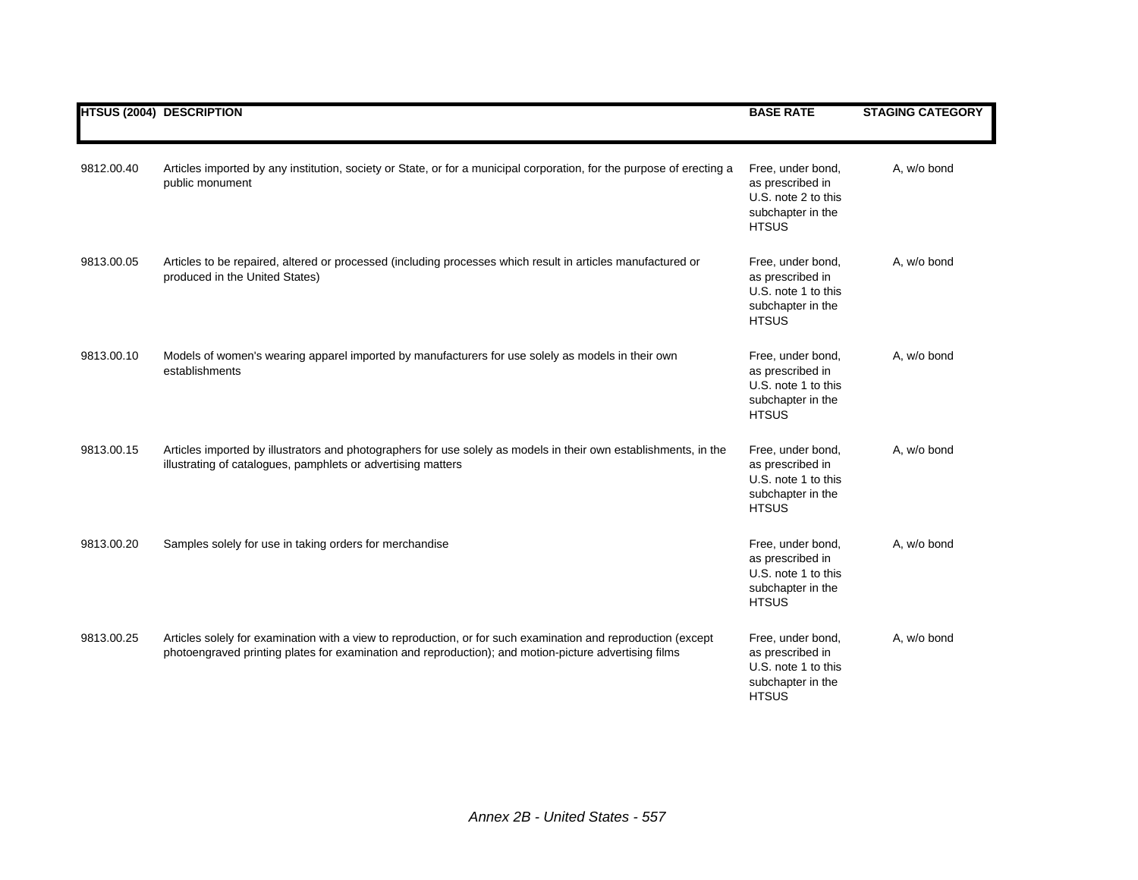|            | <b>HTSUS (2004) DESCRIPTION</b>                                                                                                                                                                                        | <b>BASE RATE</b>                                                                                  | <b>STAGING CATEGORY</b> |
|------------|------------------------------------------------------------------------------------------------------------------------------------------------------------------------------------------------------------------------|---------------------------------------------------------------------------------------------------|-------------------------|
| 9812.00.40 | Articles imported by any institution, society or State, or for a municipal corporation, for the purpose of erecting a<br>public monument                                                                               | Free, under bond,<br>as prescribed in<br>U.S. note 2 to this<br>subchapter in the<br><b>HTSUS</b> | A, w/o bond             |
| 9813.00.05 | Articles to be repaired, altered or processed (including processes which result in articles manufactured or<br>produced in the United States)                                                                          | Free, under bond,<br>as prescribed in<br>U.S. note 1 to this<br>subchapter in the<br><b>HTSUS</b> | A, w/o bond             |
| 9813.00.10 | Models of women's wearing apparel imported by manufacturers for use solely as models in their own<br>establishments                                                                                                    | Free, under bond,<br>as prescribed in<br>U.S. note 1 to this<br>subchapter in the<br><b>HTSUS</b> | A, w/o bond             |
| 9813.00.15 | Articles imported by illustrators and photographers for use solely as models in their own establishments, in the<br>illustrating of catalogues, pamphlets or advertising matters                                       | Free, under bond,<br>as prescribed in<br>U.S. note 1 to this<br>subchapter in the<br><b>HTSUS</b> | A, w/o bond             |
| 9813.00.20 | Samples solely for use in taking orders for merchandise                                                                                                                                                                | Free, under bond,<br>as prescribed in<br>U.S. note 1 to this<br>subchapter in the<br><b>HTSUS</b> | A, w/o bond             |
| 9813.00.25 | Articles solely for examination with a view to reproduction, or for such examination and reproduction (except<br>photoengraved printing plates for examination and reproduction); and motion-picture advertising films | Free, under bond,<br>as prescribed in<br>U.S. note 1 to this<br>subchapter in the<br><b>HTSUS</b> | A, w/o bond             |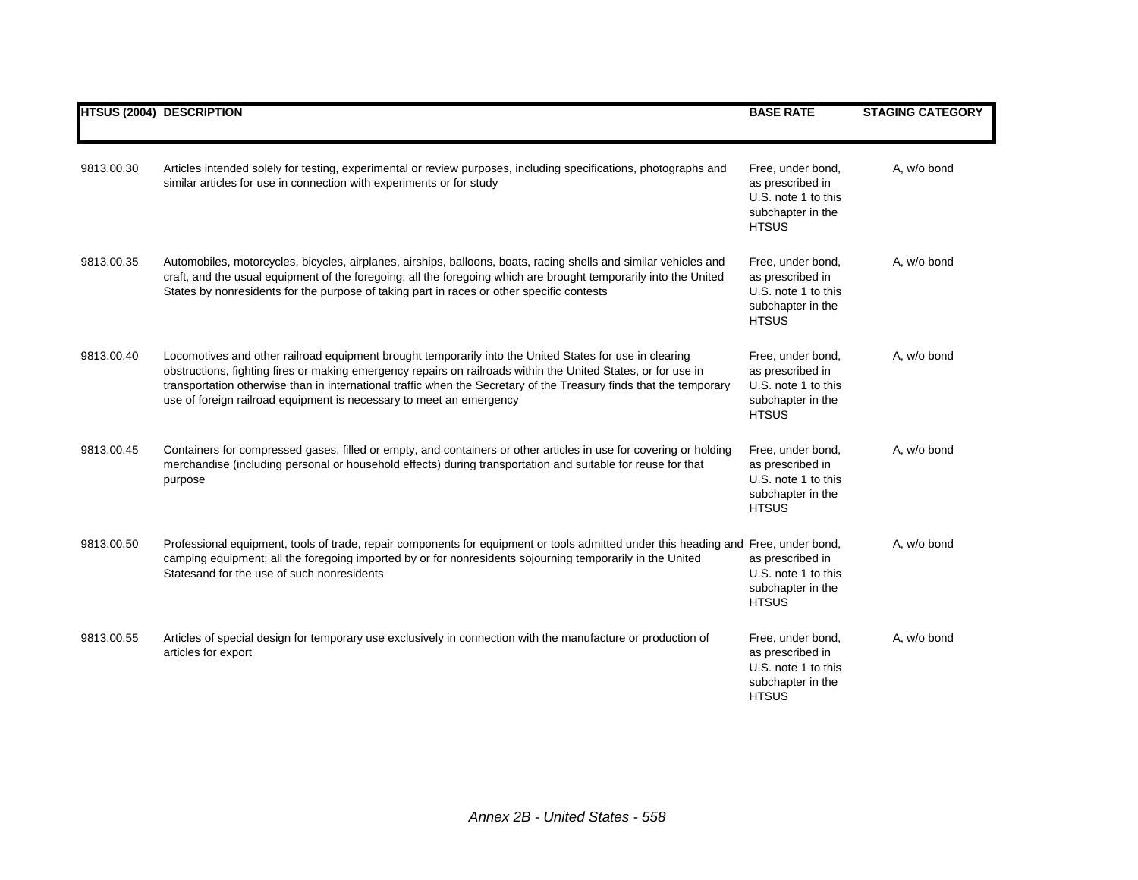|            | <b>HTSUS (2004) DESCRIPTION</b>                                                                                                                                                                                                                                                                                                                                                                                       | <b>BASE RATE</b>                                                                                  | <b>STAGING CATEGORY</b> |
|------------|-----------------------------------------------------------------------------------------------------------------------------------------------------------------------------------------------------------------------------------------------------------------------------------------------------------------------------------------------------------------------------------------------------------------------|---------------------------------------------------------------------------------------------------|-------------------------|
| 9813.00.30 | Articles intended solely for testing, experimental or review purposes, including specifications, photographs and<br>similar articles for use in connection with experiments or for study                                                                                                                                                                                                                              | Free, under bond,<br>as prescribed in<br>U.S. note 1 to this<br>subchapter in the<br><b>HTSUS</b> | A, w/o bond             |
| 9813.00.35 | Automobiles, motorcycles, bicycles, airplanes, airships, balloons, boats, racing shells and similar vehicles and<br>craft, and the usual equipment of the foregoing; all the foregoing which are brought temporarily into the United<br>States by nonresidents for the purpose of taking part in races or other specific contests                                                                                     | Free, under bond,<br>as prescribed in<br>U.S. note 1 to this<br>subchapter in the<br><b>HTSUS</b> | A, w/o bond             |
| 9813.00.40 | Locomotives and other railroad equipment brought temporarily into the United States for use in clearing<br>obstructions, fighting fires or making emergency repairs on railroads within the United States, or for use in<br>transportation otherwise than in international traffic when the Secretary of the Treasury finds that the temporary<br>use of foreign railroad equipment is necessary to meet an emergency | Free, under bond,<br>as prescribed in<br>U.S. note 1 to this<br>subchapter in the<br><b>HTSUS</b> | A, w/o bond             |
| 9813.00.45 | Containers for compressed gases, filled or empty, and containers or other articles in use for covering or holding<br>merchandise (including personal or household effects) during transportation and suitable for reuse for that<br>purpose                                                                                                                                                                           | Free, under bond,<br>as prescribed in<br>U.S. note 1 to this<br>subchapter in the<br><b>HTSUS</b> | A, w/o bond             |
| 9813.00.50 | Professional equipment, tools of trade, repair components for equipment or tools admitted under this heading and Free, under bond,<br>camping equipment; all the foregoing imported by or for nonresidents sojourning temporarily in the United<br>Statesand for the use of such nonresidents                                                                                                                         | as prescribed in<br>U.S. note 1 to this<br>subchapter in the<br><b>HTSUS</b>                      | A, w/o bond             |
| 9813.00.55 | Articles of special design for temporary use exclusively in connection with the manufacture or production of<br>articles for export                                                                                                                                                                                                                                                                                   | Free, under bond,<br>as prescribed in<br>U.S. note 1 to this<br>subchapter in the<br><b>HTSUS</b> | A, w/o bond             |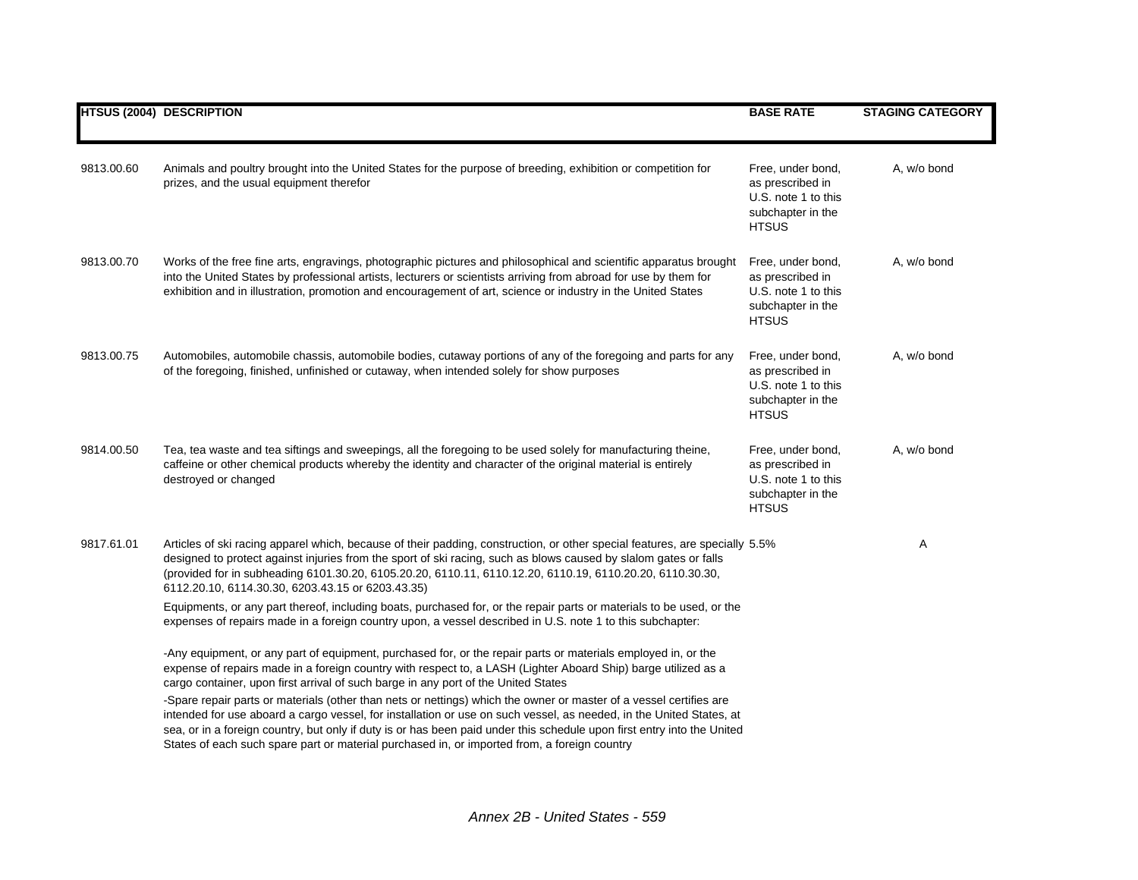|            | <b>HTSUS (2004) DESCRIPTION</b>                                                                                                                                                                                                                                                                                                                                                                                                                                                                                                                                                                                                                                                                                                                                                               | <b>BASE RATE</b>                                                                                  | <b>STAGING CATEGORY</b> |
|------------|-----------------------------------------------------------------------------------------------------------------------------------------------------------------------------------------------------------------------------------------------------------------------------------------------------------------------------------------------------------------------------------------------------------------------------------------------------------------------------------------------------------------------------------------------------------------------------------------------------------------------------------------------------------------------------------------------------------------------------------------------------------------------------------------------|---------------------------------------------------------------------------------------------------|-------------------------|
| 9813.00.60 | Animals and poultry brought into the United States for the purpose of breeding, exhibition or competition for<br>prizes, and the usual equipment therefor                                                                                                                                                                                                                                                                                                                                                                                                                                                                                                                                                                                                                                     | Free, under bond,<br>as prescribed in<br>U.S. note 1 to this<br>subchapter in the<br><b>HTSUS</b> | A, w/o bond             |
| 9813.00.70 | Works of the free fine arts, engravings, photographic pictures and philosophical and scientific apparatus brought<br>into the United States by professional artists, lecturers or scientists arriving from abroad for use by them for<br>exhibition and in illustration, promotion and encouragement of art, science or industry in the United States                                                                                                                                                                                                                                                                                                                                                                                                                                         | Free, under bond,<br>as prescribed in<br>U.S. note 1 to this<br>subchapter in the<br><b>HTSUS</b> | A, w/o bond             |
| 9813.00.75 | Automobiles, automobile chassis, automobile bodies, cutaway portions of any of the foregoing and parts for any<br>of the foregoing, finished, unfinished or cutaway, when intended solely for show purposes                                                                                                                                                                                                                                                                                                                                                                                                                                                                                                                                                                                   | Free, under bond,<br>as prescribed in<br>U.S. note 1 to this<br>subchapter in the<br><b>HTSUS</b> | A, w/o bond             |
| 9814.00.50 | Tea, tea waste and tea siftings and sweepings, all the foregoing to be used solely for manufacturing theine,<br>caffeine or other chemical products whereby the identity and character of the original material is entirely<br>destroyed or changed                                                                                                                                                                                                                                                                                                                                                                                                                                                                                                                                           | Free, under bond,<br>as prescribed in<br>U.S. note 1 to this<br>subchapter in the<br><b>HTSUS</b> | A, w/o bond             |
| 9817.61.01 | Articles of ski racing apparel which, because of their padding, construction, or other special features, are specially 5.5%<br>designed to protect against injuries from the sport of ski racing, such as blows caused by slalom gates or falls<br>(provided for in subheading 6101.30.20, 6105.20.20, 6110.11, 6110.12.20, 6110.19, 6110.20.20, 6110.30.30,<br>6112.20.10, 6114.30.30, 6203.43.15 or 6203.43.35)<br>Equipments, or any part thereof, including boats, purchased for, or the repair parts or materials to be used, or the<br>expenses of repairs made in a foreign country upon, a vessel described in U.S. note 1 to this subchapter:                                                                                                                                        |                                                                                                   | Α                       |
|            | -Any equipment, or any part of equipment, purchased for, or the repair parts or materials employed in, or the<br>expense of repairs made in a foreign country with respect to, a LASH (Lighter Aboard Ship) barge utilized as a<br>cargo container, upon first arrival of such barge in any port of the United States<br>-Spare repair parts or materials (other than nets or nettings) which the owner or master of a vessel certifies are<br>intended for use aboard a cargo vessel, for installation or use on such vessel, as needed, in the United States, at<br>sea, or in a foreign country, but only if duty is or has been paid under this schedule upon first entry into the United<br>States of each such spare part or material purchased in, or imported from, a foreign country |                                                                                                   |                         |